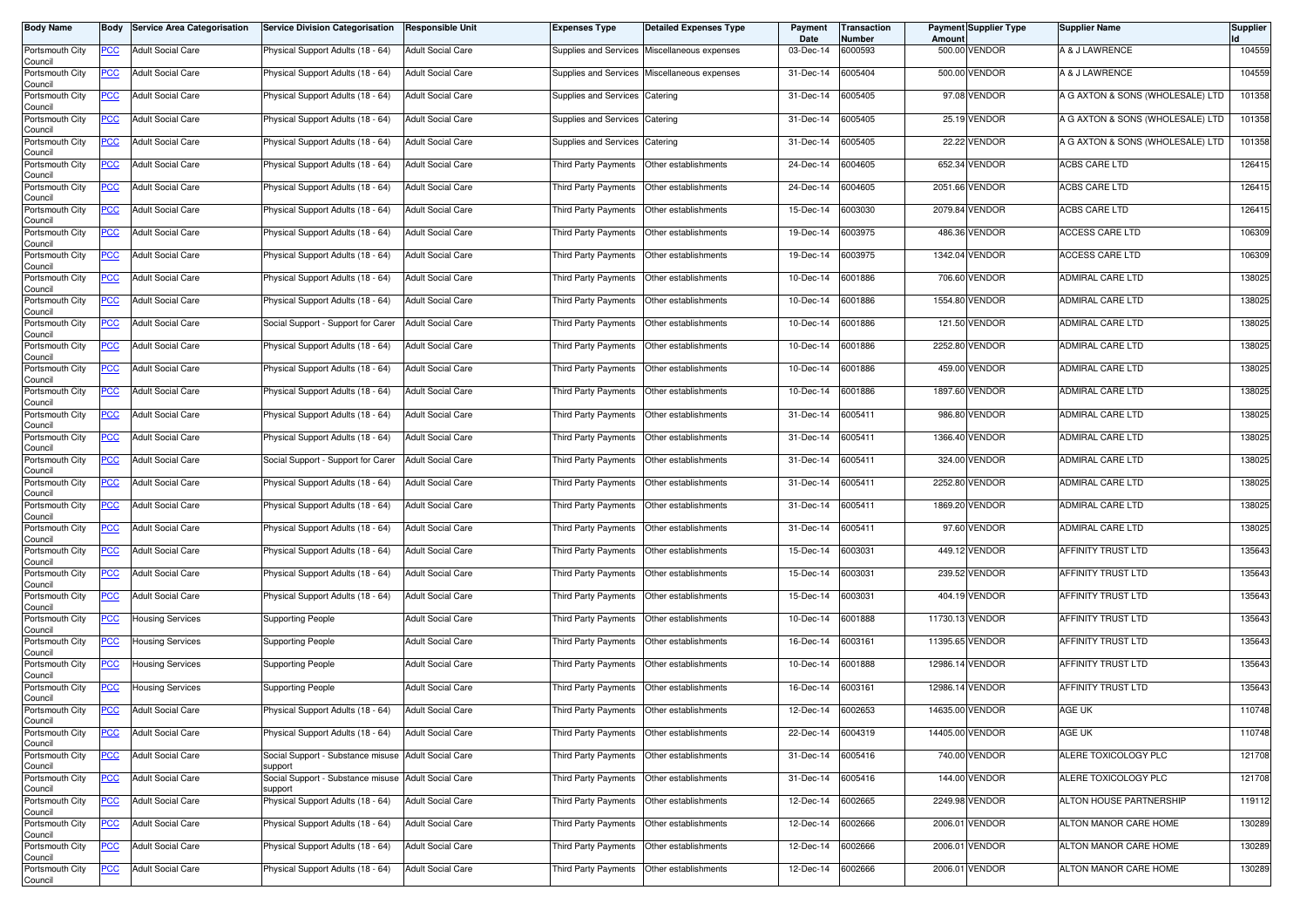| <b>Body Name</b>           | Body        | <b>Service Area Categorisation</b> | <b>Service Division Categorisation</b>                         | <b>Responsible Unit</b>  | Expenses Type         | Detailed Expenses Type | Payment<br>Date | <b>Transaction</b><br>Number | Amount  | <b>Payment Supplier Type</b> | Supplier Name                    | <b>Supplier</b> |
|----------------------------|-------------|------------------------------------|----------------------------------------------------------------|--------------------------|-----------------------|------------------------|-----------------|------------------------------|---------|------------------------------|----------------------------------|-----------------|
| Portsmouth City<br>Council | PCC         | <b>Adult Social Care</b>           | Physical Support Adults (18 - 64)                              | <b>Adult Social Care</b> | Supplies and Services | Miscellaneous expenses | 03-Dec-14       | 6000593                      |         | 500.00 VENDOR                | A & J LAWRENCE                   | 104559          |
| Portsmouth City<br>Council | <b>PCC</b>  | <b>Adult Social Care</b>           | Physical Support Adults (18 - 64)                              | <b>Adult Social Care</b> | Supplies and Services | Miscellaneous expenses | 31-Dec-14       | 6005404                      |         | 500.00 VENDOR                | A & J LAWRENCE                   | 104559          |
| Portsmouth City<br>Council | <u>PCC</u>  | <b>Adult Social Care</b>           | Physical Support Adults (18 - 64)                              | <b>Adult Social Care</b> | Supplies and Services | Catering               | 31-Dec-14       | 6005405                      |         | 97.08 VENDOR                 | A G AXTON & SONS (WHOLESALE) LTD | 101358          |
| Portsmouth City<br>Council | <b>PCC</b>  | <b>Adult Social Care</b>           | Physical Support Adults (18 - 64)                              | <b>Adult Social Care</b> | Supplies and Services | Catering               | 31-Dec-14       | 6005405                      |         | 25.19 VENDOR                 | A G AXTON & SONS (WHOLESALE) LTD | 101358          |
| Portsmouth City<br>Council | <u>PCC</u>  | <b>Adult Social Care</b>           | Physical Support Adults (18 - 64)                              | <b>Adult Social Care</b> | Supplies and Services | Catering               | 31-Dec-14       | 6005405                      |         | 22.22 VENDOR                 | A G AXTON & SONS (WHOLESALE) LTD | 101358          |
| Portsmouth City<br>Council | <u>PCC </u> | <b>Adult Social Care</b>           | Physical Support Adults (18 - 64)                              | <b>Adult Social Care</b> | Third Party Payments  | Other establishments   | 24-Dec-14       | 6004605                      | 652.34  | VENDOR                       | ACBS CARE LTD                    | 126415          |
| Portsmouth City<br>Council | <u>PCC</u>  | <b>Adult Social Care</b>           | Physical Support Adults (18 - 64)                              | <b>Adult Social Care</b> | Third Party Payments  | Other establishments   | 24-Dec-14       | 6004605                      |         | 2051.66 VENDOR               | <b>ACBS CARE LTD</b>             | 126415          |
| Portsmouth City<br>Council | <u>PCC</u>  | <b>Adult Social Care</b>           | Physical Support Adults (18 - 64)                              | <b>Adult Social Care</b> | Third Party Payments  | Other establishments   | 15-Dec-14       | 6003030                      |         | 2079.84 VENDOR               | ACBS CARE LTD                    | 126415          |
| Portsmouth City<br>Council | <b>PCC</b>  | <b>Adult Social Care</b>           | Physical Support Adults (18 - 64)                              | <b>Adult Social Care</b> | Third Party Payments  | Other establishments   | 19-Dec-14       | 6003975                      |         | 486.36 VENDOR                | ACCESS CARE LTD                  | 106309          |
| Portsmouth City<br>Council | PCC         | <b>Adult Social Care</b>           | Physical Support Adults (18 - 64)                              | <b>Adult Social Care</b> | Third Party Payments  | Other establishments   | 19-Dec-14       | 6003975                      | 1342.04 | <b>VENDOR</b>                | ACCESS CARE LTD                  | 106309          |
| Portsmouth City<br>Council | <u>PCC</u>  | <b>Adult Social Care</b>           | Physical Support Adults (18 - 64)                              | <b>Adult Social Care</b> | Third Party Payments  | Other establishments   | 10-Dec-14       | 6001886                      |         | 706.60 VENDOR                | ADMIRAL CARE LTD                 | 138025          |
| Portsmouth City<br>Council | <u>PCC</u>  | <b>Adult Social Care</b>           | Physical Support Adults (18 - 64)                              | <b>Adult Social Care</b> | Third Party Payments  | Other establishments   | 10-Dec-14       | 6001886                      |         | 1554.80 VENDOR               | ADMIRAL CARE LTD                 | 138025          |
| Portsmouth City<br>Council | PCC         | <b>Adult Social Care</b>           | Social Support - Support for Carer                             | <b>Adult Social Care</b> | Third Party Payments  | Other establishments   | 10-Dec-14       | 6001886                      |         | 121.50 VENDOR                | ADMIRAL CARE LTD                 | 138025          |
| Portsmouth City<br>Council | <u>PCC</u>  | <b>Adult Social Care</b>           | Physical Support Adults (18 - 64)                              | <b>Adult Social Care</b> | Third Party Payments  | Other establishments   | 10-Dec-14       | 6001886                      |         | 2252.80 VENDOR               | ADMIRAL CARE LTD                 | 138025          |
| Portsmouth City<br>Council | <u>PCC</u>  | <b>Adult Social Care</b>           | Physical Support Adults (18 - 64)                              | <b>Adult Social Care</b> | Third Party Payments  | Other establishments   | 10-Dec-14       | 6001886                      |         | 459.00 VENDOR                | ADMIRAL CARE LTD                 | 138025          |
| Portsmouth City<br>Council | <u>PCC</u>  | <b>Adult Social Care</b>           | Physical Support Adults (18 - 64)                              | <b>Adult Social Care</b> | Third Party Payments  | Other establishments   | 10-Dec-14       | 6001886                      |         | 1897.60 VENDOR               | ADMIRAL CARE LTD                 | 138025          |
| Portsmouth City<br>Council | PCC         | <b>Adult Social Care</b>           | Physical Support Adults (18 - 64)                              | <b>Adult Social Care</b> | Third Party Payments  | Other establishments   | 31-Dec-14       | 6005411                      |         | 986.80 VENDOR                | ADMIRAL CARE LTD                 | 138025          |
| Portsmouth City<br>Council | <u>PCC</u>  | <b>Adult Social Care</b>           | Physical Support Adults (18 - 64)                              | <b>Adult Social Care</b> | Third Party Payments  | Other establishments   | 31-Dec-14       | 6005411                      |         | 1366.40 VENDOR               | ADMIRAL CARE LTD                 | 138025          |
| Portsmouth City<br>Council | <u>PCC</u>  | <b>Adult Social Care</b>           | Social Support - Support for Carer                             | <b>Adult Social Care</b> | Third Party Payments  | Other establishments   | 31-Dec-14       | 6005411                      |         | 324.00 VENDOR                | ADMIRAL CARE LTD                 | 138025          |
| Portsmouth City<br>Council | PCC         | <b>Adult Social Care</b>           | Physical Support Adults (18 - 64)                              | <b>Adult Social Care</b> | Third Party Payments  | Other establishments   | 31-Dec-14       | 6005411                      |         | 2252.80 VENDOR               | ADMIRAL CARE LTD                 | 138025          |
| Portsmouth City<br>Council | <u>PCC</u>  | <b>Adult Social Care</b>           | Physical Support Adults (18 - 64)                              | <b>Adult Social Care</b> | Third Party Payments  | Other establishments   | 31-Dec-14       | 6005411                      |         | 1869.20 VENDOR               | ADMIRAL CARE LTD                 | 138025          |
| Portsmouth City<br>Council | <u>PCC</u>  | <b>Adult Social Care</b>           | Physical Support Adults (18 - 64)                              | <b>Adult Social Care</b> | Third Party Payments  | Other establishments   | 31-Dec-14       | 6005411                      |         | 97.60 VENDOR                 | ADMIRAL CARE LTD                 | 138025          |
| Portsmouth City<br>Council | <u>PCC</u>  | <b>Adult Social Care</b>           | Physical Support Adults (18 - 64)                              | <b>Adult Social Care</b> | Third Party Payments  | Other establishments   | 15-Dec-14       | 6003031                      |         | 449.12 VENDOR                | AFFINITY TRUST LTD               | 135643          |
| Portsmouth City<br>Council | <u>PCC</u>  | <b>Adult Social Care</b>           | Physical Support Adults (18 - 64)                              | <b>Adult Social Care</b> | Third Party Payments  | Other establishments   | 15-Dec-14       | 6003031                      |         | 239.52 VENDOR                | AFFINITY TRUST LTD               | 135643          |
| Portsmouth City<br>Council | <u>PCC</u>  | <b>Adult Social Care</b>           | Physical Support Adults (18 - 64)                              | <b>Adult Social Care</b> | Third Party Payments  | Other establishments   | 15-Dec-14       | 6003031                      |         | 404.19 VENDOR                | AFFINITY TRUST LTD               | 135643          |
| Portsmouth City<br>Council | <u>PCC</u>  | <b>Housing Services</b>            | <b>Supporting People</b>                                       | <b>Adult Social Care</b> | Third Party Payments  | Other establishments   | 10-Dec-14       | 6001888                      |         | 11730.13 VENDOR              | AFFINITY TRUST LTD               | 135643          |
| Portsmouth City<br>Council | <u>PCC</u>  | <b>Housing Services</b>            | <b>Supporting People</b>                                       | <b>Adult Social Care</b> | Third Party Payments  | Other establishments   | 16-Dec-14       | 6003161                      |         | 11395.65 VENDOR              | AFFINITY TRUST LTD               | 135643          |
| Portsmouth City<br>Council | <u>PCC</u>  | <b>Housing Services</b>            | <b>Supporting People</b>                                       | <b>Adult Social Care</b> | Third Party Payments  | Other establishments   | 10-Dec-14       | 6001888                      |         | 12986.14 VENDOR              | AFFINITY TRUST LTD               | 135643          |
| Portsmouth City<br>Council | <u>PCC </u> | Housing Services                   | Supporting People                                              | <b>Adult Social Care</b> | Third Party Payments  | Other establishments   | 16-Dec-14       | 6003161                      |         | 12986.14 VENDOR              | AFFINITY TRUST LTD               | 135643          |
| Portsmouth City<br>Council | <u>PCC</u>  | <b>Adult Social Care</b>           | Physical Support Adults (18 - 64)                              | <b>Adult Social Care</b> | Third Party Payments  | Other establishments   | 12-Dec-14       | 6002653                      |         | 14635.00 VENDOR              | AGE UK                           | 110748          |
| Portsmouth City<br>Council | <u>PCC</u>  | <b>Adult Social Care</b>           | Physical Support Adults (18 - 64)                              | <b>Adult Social Care</b> | Third Party Payments  | Other establishments   | 22-Dec-14       | 6004319                      |         | 14405.00 VENDOR              | AGE UK                           | 110748          |
| Portsmouth City<br>Council | <b>PCC</b>  | <b>Adult Social Care</b>           | Social Support - Substance misuse Adult Social Care<br>support |                          | Third Party Payments  | Other establishments   | 31-Dec-14       | 6005416                      |         | 740.00 VENDOR                | ALERE TOXICOLOGY PLC             | 121708          |
| Portsmouth City<br>Council | <u>PCC</u>  | <b>Adult Social Care</b>           | Social Support - Substance misuse Adult Social Care<br>support |                          | Third Party Payments  | Other establishments   | 31-Dec-14       | 6005416                      |         | 144.00 VENDOR                | ALERE TOXICOLOGY PLC             | 121708          |
| Portsmouth City<br>Council | <u>PCC </u> | <b>Adult Social Care</b>           | Physical Support Adults (18 - 64)                              | <b>Adult Social Care</b> | Third Party Payments  | Other establishments   | 12-Dec-14       | 6002665                      |         | 2249.98 VENDOR               | ALTON HOUSE PARTNERSHIP          | 119112          |
| Portsmouth City<br>Council | <u>PCC</u>  | <b>Adult Social Care</b>           | Physical Support Adults (18 - 64)                              | <b>Adult Social Care</b> | Third Party Payments  | Other establishments   | $12$ -Dec-14    | 6002666                      |         | 2006.01 VENDOR               | ALTON MANOR CARE HOME            | 130289          |
| Portsmouth City<br>Council | <u>PCC</u>  | <b>Adult Social Care</b>           | Physical Support Adults (18 - 64)                              | <b>Adult Social Care</b> | Third Party Payments  | Other establishments   | 12-Dec-14       | 6002666                      |         | 2006.01 VENDOR               | ALTON MANOR CARE HOME            | 130289          |
| Portsmouth City<br>Council | <u>PCC</u>  | <b>Adult Social Care</b>           | Physical Support Adults (18 - 64)                              | <b>Adult Social Care</b> | Third Party Payments  | Other establishments   | 12-Dec-14       | 6002666                      |         | 2006.01 VENDOR               | ALTON MANOR CARE HOME            | 130289          |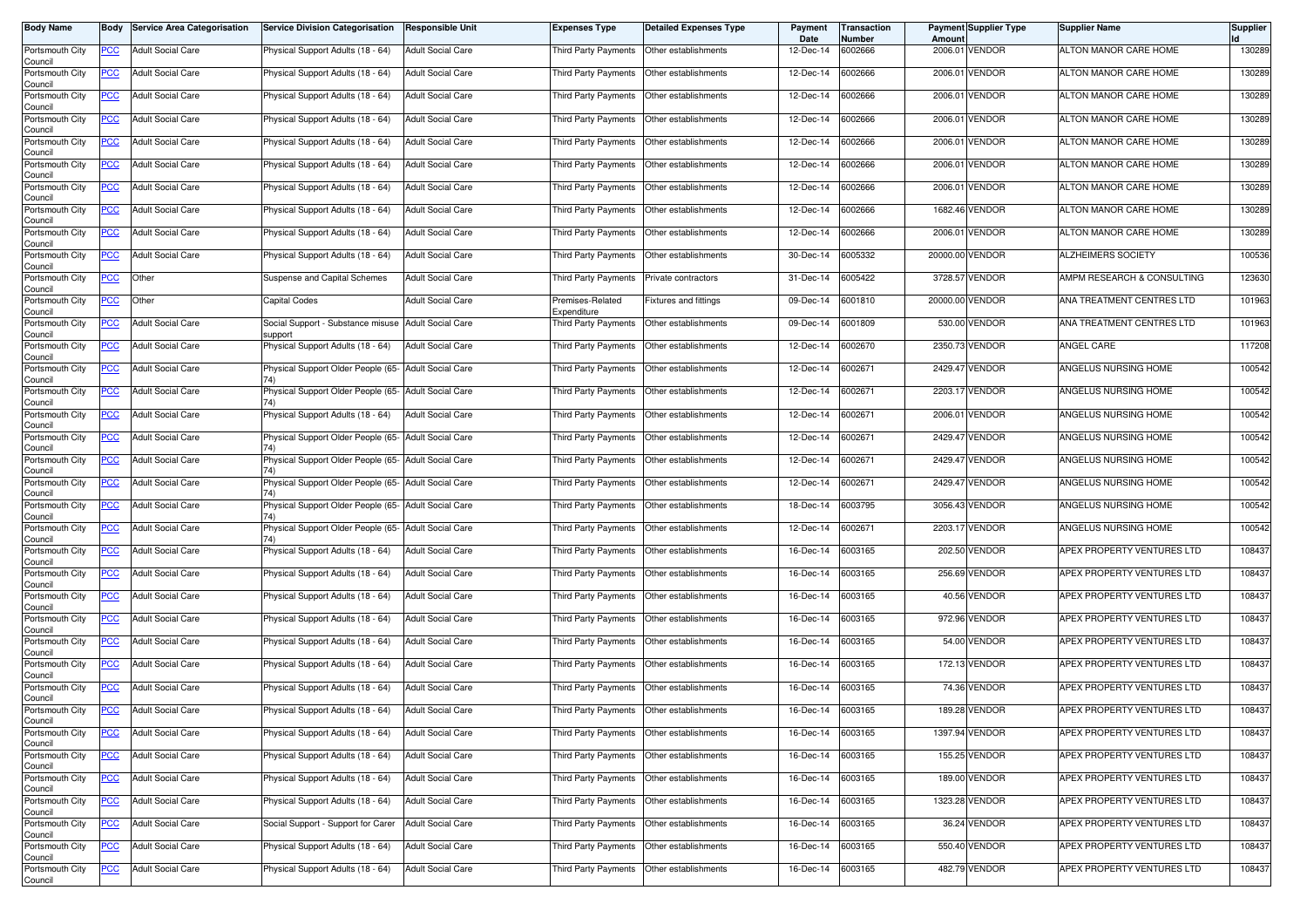| <b>Body Name</b>                      |            | <b>Body Service Area Categorisation</b> | <b>Service Division Categorisation</b>                         | <b>Responsible Unit</b>  | Expenses Type                   | <b>Detailed Expenses Type</b> | Payment<br>Date | Transaction<br>Number | Amount   | Payment Supplier Type | <b>Supplier Name</b>       | <b>Supplier</b> |
|---------------------------------------|------------|-----------------------------------------|----------------------------------------------------------------|--------------------------|---------------------------------|-------------------------------|-----------------|-----------------------|----------|-----------------------|----------------------------|-----------------|
| Portsmouth City<br>Council            | <b>PCC</b> | <b>Adult Social Care</b>                | Physical Support Adults (18 - 64)                              | <b>Adult Social Care</b> | <b>Third Party Payments</b>     | Other establishments          | 12-Dec-14       | 6002666               |          | 2006.01 VENDOR        | ALTON MANOR CARE HOME      | 130289          |
| Portsmouth City<br>Council            | <u>PCC</u> | <b>Adult Social Care</b>                | Physical Support Adults (18 - 64)                              | <b>Adult Social Care</b> | <b>Third Party Payments</b>     | Other establishments          | 12-Dec-14       | 6002666               |          | 2006.01 VENDOR        | ALTON MANOR CARE HOME      | 130289          |
| Portsmouth City<br>Council            | <b>PCC</b> | <b>Adult Social Care</b>                | Physical Support Adults (18 - 64)                              | <b>Adult Social Care</b> | Third Party Payments            | Other establishments          | 12-Dec-14       | 6002666               |          | 2006.01 VENDOR        | ALTON MANOR CARE HOME      | 130289          |
| Portsmouth City<br>Council            | <b>PCC</b> | <b>Adult Social Care</b>                | Physical Support Adults (18 - 64)                              | <b>Adult Social Care</b> | <b>Third Party Payments</b>     | Other establishments          | 12-Dec-14       | 6002666               |          | 2006.01 VENDOR        | ALTON MANOR CARE HOME      | 130289          |
| Portsmouth City<br>Council            | <u>PCC</u> | <b>Adult Social Care</b>                | Physical Support Adults (18 - 64)                              | <b>Adult Social Care</b> | Third Party Payments            | Other establishments          | 12-Dec-14       | 6002666               | 2006.01  | <b>VENDOR</b>         | ALTON MANOR CARE HOME      | 130289          |
| Portsmouth City<br>Council            | <u>PCC</u> | <b>Adult Social Care</b>                | Physical Support Adults (18 - 64)                              | <b>Adult Social Care</b> | Third Party Payments            | Other establishments          | 12-Dec-14       | 6002666               |          | 2006.01 VENDOR        | ALTON MANOR CARE HOME      | 130289          |
| Portsmouth City<br>Council            | <b>PCC</b> | <b>Adult Social Care</b>                | Physical Support Adults (18 - 64)                              | <b>Adult Social Care</b> | Third Party Payments            | Other establishments          | 12-Dec-14       | 6002666               |          | 2006.01 VENDOR        | ALTON MANOR CARE HOME      | 130289          |
| Portsmouth City<br>Council            | <b>PCC</b> | <b>Adult Social Care</b>                | Physical Support Adults (18 - 64)                              | <b>Adult Social Care</b> | Third Party Payments            | Other establishments          | 12-Dec-14       | 6002666               |          | 1682.46 VENDOR        | ALTON MANOR CARE HOME      | 130289          |
| Portsmouth City<br>Council            | <u>PCC</u> | <b>Adult Social Care</b>                | Physical Support Adults (18 - 64)                              | <b>Adult Social Care</b> | Third Party Payments            | Other establishments          | 12-Dec-14       | 6002666               |          | 2006.01 VENDOR        | ALTON MANOR CARE HOME      | 130289          |
| Portsmouth City<br>Council            | PCC        | <b>Adult Social Care</b>                | Physical Support Adults (18 - 64)                              | <b>Adult Social Care</b> | Third Party Payments            | Other establishments          | 30-Dec-14       | 6005332               | 20000.00 | <b>VENDOR</b>         | <b>ALZHEIMERS SOCIETY</b>  | 100536          |
| Portsmouth City<br>Council            | <u>PCC</u> | Other                                   | Suspense and Capital Schemes                                   | <b>Adult Social Care</b> | Third Party Payments            | Private contractors           | 31-Dec-14       | 6005422               |          | 3728.57 VENDOR        | AMPM RESEARCH & CONSULTING | 123630          |
| Portsmouth City<br>Council            | <b>PCC</b> | Other                                   | <b>Capital Codes</b>                                           | <b>Adult Social Care</b> | Premises-Related<br>Expenditure | <b>Fixtures and fittings</b>  | 09-Dec-14       | 6001810               | 20000.00 | <b>VENDOR</b>         | ANA TREATMENT CENTRES LTD  | 101963          |
| Portsmouth City<br>Council            | PCC        | <b>Adult Social Care</b>                | Social Support - Substance misuse Adult Social Care<br>support |                          | Third Party Payments            | Other establishments          | 09-Dec-14       | 6001809               |          | 530.00 VENDOR         | ANA TREATMENT CENTRES LTD  | 101963          |
| Portsmouth City<br>Council            | <u>PCC</u> | <b>Adult Social Care</b>                | Physical Support Adults (18 - 64)                              | <b>Adult Social Care</b> | Third Party Payments            | Other establishments          | 12-Dec-14       | 6002670               | 2350.73  | <b>VENDOR</b>         | ANGEL CARE                 | 117208          |
| Portsmouth City<br>Council            | <b>PCC</b> | <b>Adult Social Care</b>                | Physical Support Older People (65- Adult Social Care           |                          | Third Party Payments            | Other establishments          | 12-Dec-14       | 6002671               |          | 2429.47 VENDOR        | ANGELUS NURSING HOME       | 100542          |
| Portsmouth City<br>Council            | <b>PCC</b> | <b>Adult Social Care</b>                | Physical Support Older People (65- Adult Social Care           |                          | Third Party Payments            | Other establishments          | 12-Dec-14       | 6002671               | 2203.17  | <b>VENDOR</b>         | ANGELUS NURSING HOME       | 100542          |
| Portsmouth City<br>Council            | PCC        | <b>Adult Social Care</b>                | Physical Support Adults (18 - 64)                              | <b>Adult Social Care</b> | Third Party Payments            | Other establishments          | 12-Dec-14       | 6002671               | 2006.0   | <b>VENDOR</b>         | ANGELUS NURSING HOME       | 100542          |
| Portsmouth City<br>Council            | PСC        | <b>Adult Social Care</b>                | Physical Support Older People (65- Adult Social Care           |                          | Third Party Payments            | Other establishments          | 12-Dec-14       | 6002671               |          | 2429.47 VENDOR        | ANGELUS NURSING HOME       | 100542          |
| Portsmouth City<br>Council            | <b>PCC</b> | <b>Adult Social Care</b>                | Physical Support Older People (65- Adult Social Care           |                          | Third Party Payments            | Other establishments          | 12-Dec-14       | 6002671               | 2429.4   | <b>VENDOR</b>         | ANGELUS NURSING HOME       | 100542          |
| Portsmouth City<br>Council            | PCC        | <b>Adult Social Care</b>                | Physical Support Older People (65- Adult Social Care           |                          | Third Party Payments            | Other establishments          | 12-Dec-14       | 6002671               | 2429.47  | <b>VENDOR</b>         | ANGELUS NURSING HOME       | 100542          |
| Portsmouth City<br>Council            | <u>PCC</u> | <b>Adult Social Care</b>                | Physical Support Older People (65- Adult Social Care<br>74)    |                          | Third Party Payments            | Other establishments          | 18-Dec-14       | 6003795               | 3056.43  | <b>VENDOR</b>         | ANGELUS NURSING HOME       | 100542          |
| Portsmouth City<br>Council            | <u>PCC</u> | <b>Adult Social Care</b>                | Physical Support Older People (65- Adult Social Care           |                          | Third Party Payments            | Other establishments          | 12-Dec-14       | 6002671               |          | 2203.17 VENDOR        | ANGELUS NURSING HOME       | 100542          |
| Portsmouth City<br>Council            | <u>PCC</u> | <b>Adult Social Care</b>                | Physical Support Adults (18 - 64)                              | <b>Adult Social Care</b> | Third Party Payments            | Other establishments          | 16-Dec-14       | 6003165               |          | 202.50 VENDOR         | APEX PROPERTY VENTURES LTD | 108437          |
| Portsmouth City<br>Council            | <b>PCC</b> | <b>Adult Social Care</b>                | Physical Support Adults (18 - 64)                              | <b>Adult Social Care</b> | Third Party Payments            | Other establishments          | 16-Dec-14       | 6003165               |          | 256.69 VENDOR         | APEX PROPERTY VENTURES LTD | 108437          |
| Portsmouth City<br>Council            | <b>PCC</b> | <b>Adult Social Care</b>                | Physical Support Adults (18 - 64)                              | <b>Adult Social Care</b> | Third Party Payments            | Other establishments          | 16-Dec-14       | 6003165               |          | 40.56 VENDOR          | APEX PROPERTY VENTURES LTD | 108437          |
| Portsmouth City<br>Council            | <u>PCC</u> | <b>Adult Social Care</b>                | Physical Support Adults (18 - 64)                              | <b>Adult Social Care</b> | Third Party Payments            | Other establishments          | 16-Dec-14       | 6003165               | 972.96   | VENDOR                | APEX PROPERTY VENTURES LTD | 108437          |
| Portsmouth City<br>Council            | <u>PCC</u> | <b>Adult Social Care</b>                | Physical Support Adults (18 - 64)                              | <b>Adult Social Care</b> | Third Party Payments            | Other establishments          | 16-Dec-14       | 6003165               |          | 54.00 VENDOR          | APEX PROPERTY VENTURES LTD | 108437          |
| Portsmouth City<br>Council            | <b>PCC</b> | <b>Adult Social Care</b>                | Physical Support Adults (18 - 64)                              | <b>Adult Social Care</b> | Third Party Payments            | Other establishments          | 16-Dec-14       | 6003165               | 172.13   | <b>VENDOR</b>         | APEX PROPERTY VENTURES LTD | 108437          |
| Portsmouth City<br>Council            | <u>PCC</u> | <b>Adult Social Care</b>                | Physical Support Adults (18 - 64)                              | <b>Adult Social Care</b> | Third Party Payments            | Other establishments          | 16-Dec-14       | 6003165               |          | 74.36 VENDOR          | APEX PROPERTY VENTURES LTD | 108437          |
| Portsmouth City<br>Council            | <u>PCC</u> | <b>Adult Social Care</b>                | Physical Support Adults (18 - 64)                              | <b>Adult Social Care</b> | Third Party Payments            | Other establishments          | 16-Dec-14       | 6003165               |          | 189.28 VENDOR         | APEX PROPERTY VENTURES LTD | 108437          |
| Portsmouth City<br>Council            | <u>PCC</u> | <b>Adult Social Care</b>                | Physical Support Adults (18 - 64)                              | <b>Adult Social Care</b> | Third Party Payments            | Other establishments          | 16-Dec-14       | 6003165               |          | 1397.94 VENDOR        | APEX PROPERTY VENTURES LTD | 108437          |
| Portsmouth City                       | <b>PCC</b> | <b>Adult Social Care</b>                | Physical Support Adults (18 - 64)                              | <b>Adult Social Care</b> | Third Party Payments            | Other establishments          | 16-Dec-14       | 6003165               |          | 155.25 VENDOR         | APEX PROPERTY VENTURES LTD | 108437          |
| Council<br>Portsmouth City<br>Council | <b>PCC</b> | <b>Adult Social Care</b>                | Physical Support Adults (18 - 64)                              | <b>Adult Social Care</b> | Third Party Payments            | Other establishments          | 16-Dec-14       | 6003165               |          | 189.00 VENDOR         | APEX PROPERTY VENTURES LTD | 108437          |
| Portsmouth City<br>Council            | <u>PCC</u> | <b>Adult Social Care</b>                | Physical Support Adults (18 - 64)                              | <b>Adult Social Care</b> | Third Party Payments            | Other establishments          | 16-Dec-14       | 6003165               |          | 1323.28 VENDOR        | APEX PROPERTY VENTURES LTD | 108437          |
| Portsmouth City<br>Council            | <u>PCC</u> | <b>Adult Social Care</b>                | Social Support - Support for Carer                             | <b>Adult Social Care</b> | Third Party Payments            | Other establishments          | 16-Dec-14       | 6003165               |          | 36.24 VENDOR          | APEX PROPERTY VENTURES LTD | 108437          |
| Portsmouth City<br>Council            | <b>PCC</b> | <b>Adult Social Care</b>                | Physical Support Adults (18 - 64)                              | <b>Adult Social Care</b> | Third Party Payments            | Other establishments          | 16-Dec-14       | 6003165               |          | 550.40 VENDOR         | APEX PROPERTY VENTURES LTD | 108437          |
| Portsmouth City<br>Council            | <b>PCC</b> | <b>Adult Social Care</b>                | Physical Support Adults (18 - 64)                              | <b>Adult Social Care</b> | Third Party Payments            | Other establishments          | 16-Dec-14       | 6003165               |          | 482.79 VENDOR         | APEX PROPERTY VENTURES LTD | 108437          |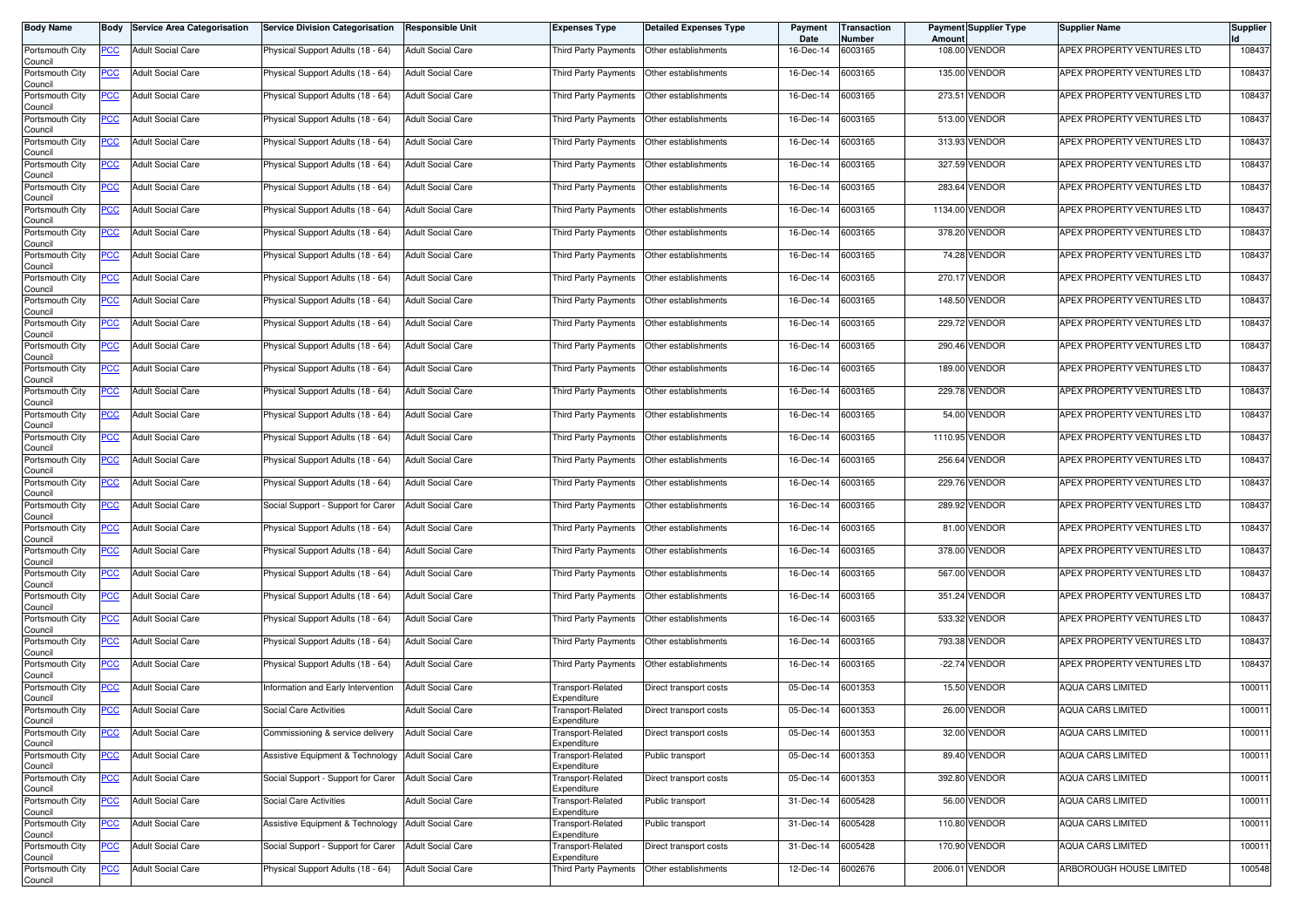| <b>Body Name</b>           | Body       | <b>Service Area Categorisation</b> | <b>Service Division Categorisation</b> | <b>Responsible Unit</b>  | <b>Expenses Type</b>             | <b>Detailed Expenses Type</b> | Payment<br>Date | Transaction<br>Number | Amount  | <b>Payment Supplier Type</b> | <b>Supplier Name</b>           | <b>Supplier</b> |
|----------------------------|------------|------------------------------------|----------------------------------------|--------------------------|----------------------------------|-------------------------------|-----------------|-----------------------|---------|------------------------------|--------------------------------|-----------------|
| Portsmouth City<br>Council | PCC        | <b>Adult Social Care</b>           | Physical Support Adults (18 - 64)      | <b>Adult Social Care</b> | Third Party Payments             | Other establishments          | 16-Dec-14       | 6003165               | 108.00  | <b>VENDOR</b>                | APEX PROPERTY VENTURES LTD     | 108437          |
| Portsmouth City<br>Council | <u>PCC</u> | <b>Adult Social Care</b>           | Physical Support Adults (18 - 64)      | <b>Adult Social Care</b> | Third Party Payments             | Other establishments          | 16-Dec-14       | 6003165               | 135.00  | <b>VENDOR</b>                | APEX PROPERTY VENTURES LTD     | 108437          |
| Portsmouth City<br>Council | <u>PCC</u> | <b>Adult Social Care</b>           | Physical Support Adults (18 - 64)      | <b>Adult Social Care</b> | Third Party Payments             | Other establishments          | 16-Dec-14       | 6003165               |         | 273.51 VENDOR                | APEX PROPERTY VENTURES LTD     | 108437          |
| Portsmouth City<br>Council | <b>PCC</b> | <b>Adult Social Care</b>           | Physical Support Adults (18 - 64)      | <b>Adult Social Care</b> | <b>Third Party Payments</b>      | Other establishments          | 16-Dec-14       | 6003165               |         | 513.00 VENDOR                | APEX PROPERTY VENTURES LTD     | 108437          |
| Portsmouth City<br>Council | <u>PCC</u> | <b>Adult Social Care</b>           | Physical Support Adults (18 - 64)      | <b>Adult Social Care</b> | Third Party Payments             | Other establishments          | 16-Dec-14       | 6003165               | 313.93  | <b>VENDOR</b>                | APEX PROPERTY VENTURES LTD     | 108437          |
| Portsmouth City<br>Council | <u>PCC</u> | <b>Adult Social Care</b>           | Physical Support Adults (18 - 64)      | <b>Adult Social Care</b> | Third Party Payments             | Other establishments          | 16-Dec-14       | 6003165               |         | 327.59 VENDOR                | APEX PROPERTY VENTURES LTD     | 108437          |
| Portsmouth City<br>Council | <u>PCC</u> | <b>Adult Social Care</b>           | Physical Support Adults (18 - 64)      | <b>Adult Social Care</b> | Third Party Payments             | Other establishments          | 16-Dec-14       | 6003165               |         | 283.64 VENDOR                | APEX PROPERTY VENTURES LTD     | 108437          |
| Portsmouth City<br>Council | <u>PCC</u> | <b>Adult Social Care</b>           | Physical Support Adults (18 - 64)      | <b>Adult Social Care</b> | Third Party Payments             | Other establishments          | 16-Dec-14       | 6003165               |         | 1134.00 VENDOR               | APEX PROPERTY VENTURES LTD     | 108437          |
| Portsmouth City<br>Council | <u>PCC</u> | <b>Adult Social Care</b>           | Physical Support Adults (18 - 64)      | <b>Adult Social Care</b> | Third Party Payments             | Other establishments          | 16-Dec-14       | 6003165               |         | 378.20 VENDOR                | APEX PROPERTY VENTURES LTD     | 108437          |
| Portsmouth City<br>Council | PCC        | <b>Adult Social Care</b>           | Physical Support Adults (18 - 64)      | <b>Adult Social Care</b> | Third Party Payments             | Other establishments          | 16-Dec-14       | 6003165               |         | 74.28 VENDOR                 | APEX PROPERTY VENTURES LTD     | 108437          |
| Portsmouth City<br>Council | <u>PCC</u> | <b>Adult Social Care</b>           | Physical Support Adults (18 - 64)      | <b>Adult Social Care</b> | Third Party Payments             | Other establishments          | 16-Dec-14       | 6003165               |         | 270.17 VENDOR                | APEX PROPERTY VENTURES LTD     | 108437          |
| Portsmouth City<br>Council | <u>PCC</u> | <b>Adult Social Care</b>           | Physical Support Adults (18 - 64)      | <b>Adult Social Care</b> | Third Party Payments             | Other establishments          | 16-Dec-14       | 6003165               | 148.50  | <b>VENDOR</b>                | APEX PROPERTY VENTURES LTD     | 108437          |
| Portsmouth City<br>Council | PCC        | <b>Adult Social Care</b>           | Physical Support Adults (18 - 64)      | <b>Adult Social Care</b> | Third Party Payments             | Other establishments          | 16-Dec-14       | 6003165               |         | 229.72 VENDOR                | APEX PROPERTY VENTURES LTD     | 108437          |
| Portsmouth City<br>Council | <u>PCC</u> | <b>Adult Social Care</b>           | Physical Support Adults (18 - 64)      | <b>Adult Social Care</b> | Third Party Payments             | Other establishments          | 16-Dec-14       | 6003165               |         | 290.46 VENDOR                | APEX PROPERTY VENTURES LTD     | 108437          |
| Portsmouth City<br>Council | <u>PCC</u> | <b>Adult Social Care</b>           | Physical Support Adults (18 - 64)      | <b>Adult Social Care</b> | Third Party Payments             | Other establishments          | 16-Dec-14       | 6003165               |         | 189.00 VENDOR                | APEX PROPERTY VENTURES LTD     | 108437          |
| Portsmouth City<br>Council | <u>PCC</u> | <b>Adult Social Care</b>           | Physical Support Adults (18 - 64)      | <b>Adult Social Care</b> | Third Party Payments             | Other establishments          | 16-Dec-14       | 6003165               |         | <b>229.78 VENDOR</b>         | APEX PROPERTY VENTURES LTD     | 108437          |
| Portsmouth City<br>Council | PCC        | <b>Adult Social Care</b>           | Physical Support Adults (18 - 64)      | <b>Adult Social Care</b> | Third Party Payments             | Other establishments          | 16-Dec-14       | 6003165               | 54.00   | <b>VENDOR</b>                | APEX PROPERTY VENTURES LTD     | 108437          |
| Portsmouth City<br>Council | <u>PCC</u> | <b>Adult Social Care</b>           | Physical Support Adults (18 - 64)      | <b>Adult Social Care</b> | Third Party Payments             | Other establishments          | 16-Dec-14       | 6003165               |         | 1110.95 VENDOR               | APEX PROPERTY VENTURES LTD     | 108437          |
| Portsmouth City<br>Council | <u>PCC</u> | <b>Adult Social Care</b>           | Physical Support Adults (18 - 64)      | <b>Adult Social Care</b> | Third Party Payments             | Other establishments          | 16-Dec-14       | 6003165               |         | 256.64 VENDOR                | APEX PROPERTY VENTURES LTD     | 108437          |
| Portsmouth City<br>Council | PCC        | <b>Adult Social Care</b>           | Physical Support Adults (18 - 64)      | <b>Adult Social Care</b> | Third Party Payments             | Other establishments          | 16-Dec-14       | 6003165               |         | 229.76 VENDOR                | APEX PROPERTY VENTURES LTD     | 108437          |
| Portsmouth City<br>Council | PCC        | <b>Adult Social Care</b>           | Social Support - Support for Carer     | <b>Adult Social Care</b> | Third Party Payments             | Other establishments          | 16-Dec-14       | 6003165               | 289.92  | <b>VENDOR</b>                | APEX PROPERTY VENTURES LTD     | 108437          |
| Portsmouth City<br>Council | <u>PCC</u> | <b>Adult Social Care</b>           | Physical Support Adults (18 - 64)      | <b>Adult Social Care</b> | Third Party Payments             | Other establishments          | 16-Dec-14       | 6003165               |         | 81.00 VENDOR                 | APEX PROPERTY VENTURES LTD     | 108437          |
| Portsmouth City<br>Council | <u>PCC</u> | <b>Adult Social Care</b>           | Physical Support Adults (18 - 64)      | <b>Adult Social Care</b> | Third Party Payments             | Other establishments          | 16-Dec-14       | 6003165               |         | 378.00 VENDOR                | APEX PROPERTY VENTURES LTD     | 108437          |
| Portsmouth City<br>Council | <u>PCC</u> | <b>Adult Social Care</b>           | Physical Support Adults (18 - 64)      | <b>Adult Social Care</b> | Third Party Payments             | Other establishments          | 16-Dec-14       | 6003165               |         | 567.00 VENDOR                | APEX PROPERTY VENTURES LTD     | 108437          |
| Portsmouth City<br>Council | <u>PCC</u> | <b>Adult Social Care</b>           | Physical Support Adults (18 - 64)      | <b>Adult Social Care</b> | Third Party Payments             | Other establishments          | 16-Dec-14       | 6003165               |         | 351.24 VENDOR                | APEX PROPERTY VENTURES LTD     | 108437          |
| Portsmouth City<br>Council | <u>PCC</u> | <b>Adult Social Care</b>           | Physical Support Adults (18 - 64)      | <b>Adult Social Care</b> | Third Party Payments             | Other establishments          | 16-Dec-14       | 6003165               | 533.32  | <b>VENDOR</b>                | APEX PROPERTY VENTURES LTD     | 108437          |
| Portsmouth City<br>Council | <b>PCC</b> | <b>Adult Social Care</b>           | Physical Support Adults (18 - 64)      | <b>Adult Social Care</b> | Third Party Payments             | Other establishments          | 16-Dec-14       | 6003165               |         | 793.38 VENDOR                | APEX PROPERTY VENTURES LTD     | 108437          |
| Portsmouth City<br>Council | <u>PCC</u> | <b>Adult Social Care</b>           | Physical Support Adults (18 - 64)      | <b>Adult Social Care</b> | Third Party Payments             | Other establishments          | 16-Dec-14       | 6003165               |         | -22.74 VENDOR                | APEX PROPERTY VENTURES LTD     | 108437          |
| Portsmouth City<br>Council | <u>PCC</u> | Adult Social Care                  | Information and Early Intervention     | <b>Adult Social Care</b> | Transport-Related<br>Expenditure | Direct transport costs        | 05-Dec-14       | 6001353               |         | 15.50 VENDOR                 | <b>AQUA CARS LIMITED</b>       | 100011          |
| Portsmouth City<br>Council | <u>PCC</u> | <b>Adult Social Care</b>           | Social Care Activities                 | <b>Adult Social Care</b> | Transport-Related<br>Expenditure | Direct transport costs        | 05-Dec-14       | 6001353               |         | 26.00 VENDOR                 | <b>AQUA CARS LIMITED</b>       | 100011          |
| Portsmouth City<br>Council | <b>PCC</b> | <b>Adult Social Care</b>           | Commissioning & service delivery       | <b>Adult Social Care</b> | Transport-Related<br>Expenditure | Direct transport costs        | 05-Dec-14       | 6001353               |         | 32.00 VENDOR                 | <b>AQUA CARS LIMITED</b>       | 100011          |
| Portsmouth City<br>Council | <b>PCC</b> | <b>Adult Social Care</b>           | Assistive Equipment & Technology       | <b>Adult Social Care</b> | Transport-Related<br>Expenditure | Public transport              | 05-Dec-14       | 6001353               |         | 89.40 VENDOR                 | <b>AQUA CARS LIMITED</b>       | 100011          |
| Portsmouth City<br>Council | <u>PCC</u> | <b>Adult Social Care</b>           | Social Support - Support for Carer     | <b>Adult Social Care</b> | Transport-Related<br>Expenditure | Direct transport costs        | 05-Dec-14       | 6001353               |         | 392.80 VENDOR                | AQUA CARS LIMITED              | 100011          |
| Portsmouth City<br>Council | <u>PCC</u> | <b>Adult Social Care</b>           | Social Care Activities                 | <b>Adult Social Care</b> | Transport-Related<br>Expenditure | Public transport              | 31-Dec-14       | 6005428               |         | 56.00 VENDOR                 | AQUA CARS LIMITED              | 100011          |
| Portsmouth City<br>Council | <u>PCC</u> | <b>Adult Social Care</b>           | Assistive Equipment & Technology       | <b>Adult Social Care</b> | Transport-Related<br>Expenditure | Public transport              | 31-Dec-14       | 6005428               | 110.80  | <b>VENDOR</b>                | AQUA CARS LIMITED              | 100011          |
| Portsmouth City<br>Council | <u>PCC</u> | <b>Adult Social Care</b>           | Social Support - Support for Carer     | <b>Adult Social Care</b> | Transport-Related<br>Expenditure | Direct transport costs        | 31-Dec-14       | 6005428               |         | 170.90 VENDOR                | AQUA CARS LIMITED              | 100011          |
| Portsmouth City<br>Council | <u>PCC</u> | <b>Adult Social Care</b>           | Physical Support Adults (18 - 64)      | <b>Adult Social Care</b> | Third Party Payments             | Other establishments          | 12-Dec-14       | 6002676               | 2006.01 | <b>VENDOR</b>                | <b>ARBOROUGH HOUSE LIMITED</b> | 100548          |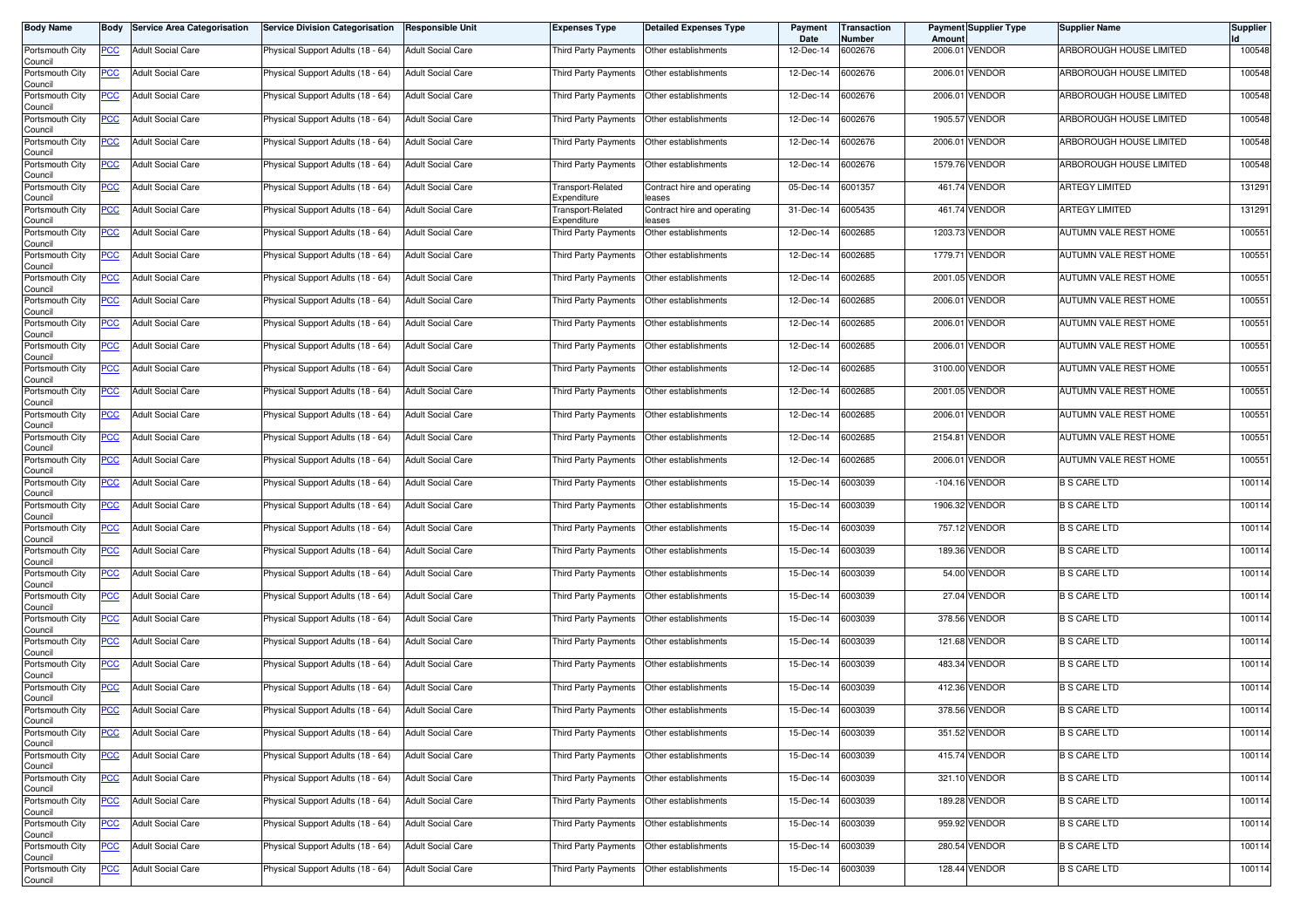| <b>Body Name</b>                      |             | <b>Body Service Area Categorisation</b> | Service Division Categorisation   | <b>Responsible Unit</b>  | Expenses Type                    | Detailed Expenses Type                    | Payment<br>Date | <b>Transaction</b><br>Number | <b>Amount</b> | <b>Payment Supplier Type</b> | Supplier Name                | <b>Supplier</b> |
|---------------------------------------|-------------|-----------------------------------------|-----------------------------------|--------------------------|----------------------------------|-------------------------------------------|-----------------|------------------------------|---------------|------------------------------|------------------------------|-----------------|
| Portsmouth City<br>Council            | PCC         | <b>Adult Social Care</b>                | Physical Support Adults (18 - 64) | <b>Adult Social Care</b> | Third Party Payments             | Other establishments                      | 12-Dec-14       | 6002676                      | 2006.01       | VENDOR                       | ARBOROUGH HOUSE LIMITED      | 100548          |
| Portsmouth City<br>Council            | <b>PCC</b>  | <b>Adult Social Care</b>                | Physical Support Adults (18 - 64) | <b>Adult Social Care</b> | Third Party Payments             | Other establishments                      | 12-Dec-14       | 6002676                      | 2006.01       | <b>VENDOR</b>                | ARBOROUGH HOUSE LIMITED      | 100548          |
| Portsmouth City<br>Council            | <u>PCC</u>  | <b>Adult Social Care</b>                | Physical Support Adults (18 - 64) | <b>Adult Social Care</b> | Third Party Payments             | Other establishments                      | 12-Dec-14       | 6002676                      | 2006.01       | <b>VENDOR</b>                | ARBOROUGH HOUSE LIMITED      | 100548          |
| Portsmouth City<br>Council            | <b>PCC</b>  | <b>Adult Social Care</b>                | Physical Support Adults (18 - 64) | <b>Adult Social Care</b> | Third Party Payments             | Other establishments                      | 12-Dec-14       | 6002676                      |               | 1905.57 VENDOR               | ARBOROUGH HOUSE LIMITED      | 100548          |
| Portsmouth City<br>Council            | <u>PCC</u>  | <b>Adult Social Care</b>                | Physical Support Adults (18 - 64) | <b>Adult Social Care</b> | Third Party Payments             | Other establishments                      | 12-Dec-14       | 6002676                      | 2006.01       | VENDOR                       | ARBOROUGH HOUSE LIMITED      | 100548          |
| Portsmouth City<br>Council            | <u>PCC </u> | <b>Adult Social Care</b>                | Physical Support Adults (18 - 64) | <b>Adult Social Care</b> | Third Party Payments             | Other establishments                      | 12-Dec-14       | 6002676                      |               | 1579.76 VENDOR               | ARBOROUGH HOUSE LIMITED      | 100548          |
| Portsmouth City<br>Council            | <u>PCC</u>  | <b>Adult Social Care</b>                | Physical Support Adults (18 - 64) | <b>Adult Social Care</b> | Transport-Related<br>Expenditure | Contract hire and operating<br>eases      | 05-Dec-14       | 6001357                      |               | 461.74 VENDOR                | <b>ARTEGY LIMITED</b>        | 131291          |
| Portsmouth City<br>Council            | <u>PCC</u>  | <b>Adult Social Care</b>                | Physical Support Adults (18 - 64) | <b>Adult Social Care</b> | Transport-Related<br>Expenditure | Contract hire and operating<br>eases      | 31-Dec-14       | 6005435                      |               | 461.74 VENDOR                | <b>ARTEGY LIMITED</b>        | 131291          |
| Portsmouth City<br>Council            | <b>PCC</b>  | <b>Adult Social Care</b>                | Physical Support Adults (18 - 64) | <b>Adult Social Care</b> | Third Party Payments             | Other establishments                      | 12-Dec-14       | 6002685                      |               | 1203.73 VENDOR               | AUTUMN VALE REST HOME        | 100551          |
| Portsmouth City<br>Council            | PCC         | <b>Adult Social Care</b>                | Physical Support Adults (18 - 64) | <b>Adult Social Care</b> | Third Party Payments             | Other establishments                      | 12-Dec-14       | 6002685                      | 1779.71       | VENDOR                       | AUTUMN VALE REST HOME        | 100551          |
| Portsmouth City<br>Council            | <u>PCC</u>  | <b>Adult Social Care</b>                | Physical Support Adults (18 - 64) | <b>Adult Social Care</b> | Third Party Payments             | Other establishments                      | 12-Dec-14       | 6002685                      |               | 2001.05 VENDOR               | AUTUMN VALE REST HOME        | 100551          |
| Portsmouth City                       | <u>PCC</u>  | <b>Adult Social Care</b>                | Physical Support Adults (18 - 64) | <b>Adult Social Care</b> | Third Party Payments             | Other establishments                      | 12-Dec-14       | 6002685                      | 2006.01       | <b>VENDOR</b>                | AUTUMN VALE REST HOME        | 100551          |
| Council<br>Portsmouth City            | PCC         | <b>Adult Social Care</b>                | Physical Support Adults (18 - 64) | <b>Adult Social Care</b> | Third Party Payments             | Other establishments                      | 12-Dec-14       | 6002685                      | 2006.01       | VENDOR                       | AUTUMN VALE REST HOME        | 100551          |
| Council<br>Portsmouth City            | <u>PCC</u>  | <b>Adult Social Care</b>                | Physical Support Adults (18 - 64) | <b>Adult Social Care</b> | Third Party Payments             | Other establishments                      | 12-Dec-14       | 6002685                      | 2006.01       | <b>VENDOR</b>                | AUTUMN VALE REST HOME        | 100551          |
| Council<br>Portsmouth City            | <u>PCC</u>  | <b>Adult Social Care</b>                | Physical Support Adults (18 - 64) | <b>Adult Social Care</b> | Third Party Payments             | Other establishments                      | 12-Dec-14       | 6002685                      |               | 3100.00 VENDOR               | <b>AUTUMN VALE REST HOME</b> | 100551          |
| Council<br>Portsmouth City            | <u>PCC</u>  | <b>Adult Social Care</b>                | Physical Support Adults (18 - 64) | <b>Adult Social Care</b> | Third Party Payments             | Other establishments                      | 12-Dec-14       | 6002685                      |               | 2001.05 VENDOR               | AUTUMN VALE REST HOME        | 100551          |
| Council<br>Portsmouth City            | PCC         | <b>Adult Social Care</b>                | Physical Support Adults (18 - 64) | <b>Adult Social Care</b> | Third Party Payments             | Other establishments                      | 12-Dec-14       | 6002685                      | 2006.01       | VENDOR                       | AUTUMN VALE REST HOME        | 100551          |
| Council<br>Portsmouth City            | <u>PCC</u>  | <b>Adult Social Care</b>                | Physical Support Adults (18 - 64) | <b>Adult Social Care</b> | Third Party Payments             | Other establishments                      | 12-Dec-14       | 6002685                      |               | 2154.81 VENDOR               | AUTUMN VALE REST HOME        | 100551          |
| Council<br>Portsmouth City<br>Council | <u>PCC</u>  | <b>Adult Social Care</b>                | Physical Support Adults (18 - 64) | <b>Adult Social Care</b> | Third Party Payments             | Other establishments                      | 12-Dec-14       | 6002685                      | 2006.01       | <b>VENDOR</b>                | AUTUMN VALE REST HOME        | 100551          |
| Portsmouth City                       | PCC         | <b>Adult Social Care</b>                | Physical Support Adults (18 - 64) | <b>Adult Social Care</b> | Third Party Payments             | Other establishments                      | 15-Dec-14       | 6003039                      |               | -104.16 VENDOR               | <b>B S CARE LTD</b>          | 100114          |
| Council<br>Portsmouth City<br>Council | <u>PCC</u>  | <b>Adult Social Care</b>                | Physical Support Adults (18 - 64) | <b>Adult Social Care</b> | Third Party Payments             | Other establishments                      | 15-Dec-14       | 6003039                      |               | 1906.32 VENDOR               | <b>B S CARE LTD</b>          | 100114          |
| Portsmouth City<br>Council            | <u>PCC</u>  | <b>Adult Social Care</b>                | Physical Support Adults (18 - 64) | <b>Adult Social Care</b> | Third Party Payments             | Other establishments                      | 15-Dec-14       | 6003039                      |               | 757.12 VENDOR                | <b>B S CARE LTD</b>          | 100114          |
| Portsmouth City<br>Council            | <u>PCC</u>  | <b>Adult Social Care</b>                | Physical Support Adults (18 - 64) | <b>Adult Social Care</b> | Third Party Payments             | Other establishments                      | 15-Dec-14       | 6003039                      |               | 189.36 VENDOR                | <b>B S CARE LTD</b>          | 100114          |
| Portsmouth City<br>Council            | <u>PCC</u>  | <b>Adult Social Care</b>                | Physical Support Adults (18 - 64) | <b>Adult Social Care</b> | Third Party Payments             | Other establishments                      | 15-Dec-14       | 6003039                      |               | 54.00 VENDOR                 | <b>B S CARE LTD</b>          | 100114          |
| Portsmouth City<br>Council            | <u>PCC</u>  | <b>Adult Social Care</b>                | Physical Support Adults (18 - 64) | <b>Adult Social Care</b> | Third Party Payments             | Other establishments                      | 15-Dec-14       | 6003039                      |               | 27.04 VENDOR                 | <b>B S CARE LTD</b>          | 100114          |
| Portsmouth City<br>Council            | <u>PCC</u>  | <b>Adult Social Care</b>                | Physical Support Adults (18 - 64) | <b>Adult Social Care</b> | Third Party Payments             | Other establishments                      | 15-Dec-14       | 6003039                      |               | 378.56 VENDOR                | <b>B S CARE LTD</b>          | 100114          |
| Portsmouth City                       | <b>PCC</b>  | <b>Adult Social Care</b>                | Physical Support Adults (18 - 64) | <b>Adult Social Care</b> | Third Party Payments             | Other establishments                      | 15-Dec-14       | 6003039                      |               | 121.68 VENDOR                | <b>B S CARE LTD</b>          | 100114          |
| Council<br>Portsmouth City<br>Council | <u>PCC</u>  | <b>Adult Social Care</b>                | Physical Support Adults (18 - 64) | <b>Adult Social Care</b> | Third Party Payments             | Other establishments                      | 15-Dec-14       | 6003039                      |               | 483.34 VENDOR                | <b>B S CARE LTD</b>          | 100114          |
| Portsmouth City<br>Council            | <u>PCC</u>  | <b>Adult Social Care</b>                | Physical Support Adults (18 - 64) | <b>Adult Social Care</b> | Third Party Payments             | Other establishments                      | 15-Dec-14       | 6003039                      |               | 412.36 VENDOR                | <b>B S CARE LTD</b>          | 100114          |
| Portsmouth City<br>Council            | <u>PCC</u>  | <b>Adult Social Care</b>                | Physical Support Adults (18 - 64) | <b>Adult Social Care</b> | Third Party Payments             | Other establishments                      | 15-Dec-14       | 6003039                      |               | 378.56 VENDOR                | <b>B S CARE LTD</b>          | 100114          |
| Portsmouth City<br>Council            | <b>PCC</b>  | <b>Adult Social Care</b>                | Physical Support Adults (18 - 64) | <b>Adult Social Care</b> | Third Party Payments             | Other establishments                      | 15-Dec-14       | 6003039                      |               | 351.52 VENDOR                | <b>B S CARE LTD</b>          | 100114          |
| Portsmouth City<br>Council            | <b>PCC</b>  | <b>Adult Social Care</b>                | Physical Support Adults (18 - 64) | <b>Adult Social Care</b> |                                  | Third Party Payments Other establishments | 15-Dec-14       | 6003039                      |               | 415.74 VENDOR                | <b>B S CARE LTD</b>          | 100114          |
| Portsmouth City<br>Council            | <u>PCC</u>  | <b>Adult Social Care</b>                | Physical Support Adults (18 - 64) | <b>Adult Social Care</b> |                                  | Third Party Payments Other establishments | 15-Dec-14       | 6003039                      |               | 321.10 VENDOR                | <b>B S CARE LTD</b>          | 100114          |
| Portsmouth City                       | <u>PCC</u>  | <b>Adult Social Care</b>                | Physical Support Adults (18 - 64) | <b>Adult Social Care</b> | Third Party Payments             | Other establishments                      | 15-Dec-14       | 6003039                      |               | 189.28 VENDOR                | <b>B S CARE LTD</b>          | 100114          |
| Council<br>Portsmouth City<br>Council | <u>PCC</u>  | <b>Adult Social Care</b>                | Physical Support Adults (18 - 64) | <b>Adult Social Care</b> | Third Party Payments             | Other establishments                      | 15-Dec-14       | 6003039                      |               | 959.92 VENDOR                | <b>B S CARE LTD</b>          | 100114          |
| Portsmouth City<br>Council            | <u>PCC</u>  | <b>Adult Social Care</b>                | Physical Support Adults (18 - 64) | <b>Adult Social Care</b> | Third Party Payments             | Other establishments                      | 15-Dec-14       | 6003039                      |               | 280.54 VENDOR                | <b>B S CARE LTD</b>          | 100114          |
| Portsmouth City<br>Council            | <u>PCC</u>  | <b>Adult Social Care</b>                | Physical Support Adults (18 - 64) | <b>Adult Social Care</b> | Third Party Payments             | Other establishments                      | 15-Dec-14       | 6003039                      |               | 128.44 VENDOR                | <b>B S CARE LTD</b>          | 100114          |
|                                       |             |                                         |                                   |                          |                                  |                                           |                 |                              |               |                              |                              |                 |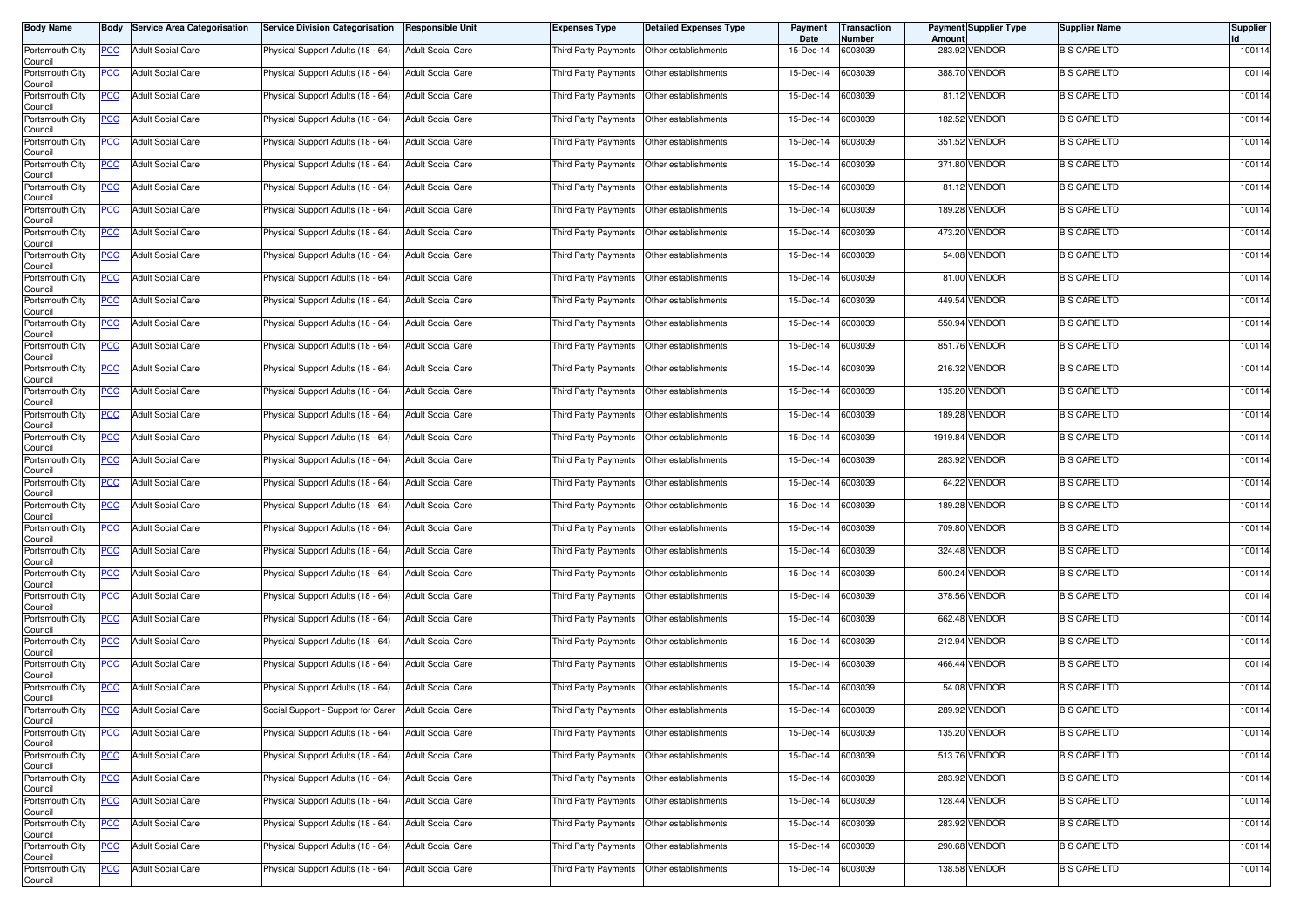| <b>Body Name</b>           |            | <b>Body Service Area Categorisation</b> | Service Division Categorisation    | <b>Responsible Unit</b>  | Expenses Type        | <b>Detailed Expenses Type</b>             | Payment<br>Date | Transaction<br>Number | Amount | <b>Payment Supplier Type</b> | <b>Supplier Name</b> | <b>Supplier</b> |
|----------------------------|------------|-----------------------------------------|------------------------------------|--------------------------|----------------------|-------------------------------------------|-----------------|-----------------------|--------|------------------------------|----------------------|-----------------|
| Portsmouth City<br>Council | PCC        | <b>Adult Social Care</b>                | Physical Support Adults (18 - 64)  | <b>Adult Social Care</b> | Third Party Payments | Other establishments                      | 15-Dec-14       | 6003039               |        | 283.92 VENDOR                | <b>B S CARE LTD</b>  | 100114          |
| Portsmouth City<br>Council | <u>PCC</u> | <b>Adult Social Care</b>                | Physical Support Adults (18 - 64)  | <b>Adult Social Care</b> | Third Party Payments | Other establishments                      | 15-Dec-14       | 6003039               |        | 388.70 VENDOR                | <b>B S CARE LTD</b>  | 100114          |
| Portsmouth City<br>Council | <u>PCC</u> | <b>Adult Social Care</b>                | Physical Support Adults (18 - 64)  | <b>Adult Social Care</b> | Third Party Payments | Other establishments                      | 15-Dec-14       | 6003039               |        | 81.12 VENDOR                 | <b>B S CARE LTD</b>  | 100114          |
| Portsmouth City<br>Council | <b>PCC</b> | <b>Adult Social Care</b>                | Physical Support Adults (18 - 64)  | <b>Adult Social Care</b> | Third Party Payments | Other establishments                      | 15-Dec-14       | 6003039               |        | 182.52 VENDOR                | <b>B S CARE LTD</b>  | 100114          |
| Portsmouth City<br>Council | <u>PCC</u> | <b>Adult Social Care</b>                | Physical Support Adults (18 - 64)  | <b>Adult Social Care</b> | Third Party Payments | Other establishments                      | 15-Dec-14       | 6003039               |        | 351.52 VENDOR                | <b>B S CARE LTD</b>  | 100114          |
| Portsmouth City<br>Council | <u>PCC</u> | <b>Adult Social Care</b>                | Physical Support Adults (18 - 64)  | <b>Adult Social Care</b> | Third Party Payments | Other establishments                      | 15-Dec-14       | 6003039               |        | 371.80 VENDOR                | <b>B S CARE LTD</b>  | 100114          |
| Portsmouth City<br>Council | <u>PCC</u> | <b>Adult Social Care</b>                | Physical Support Adults (18 - 64)  | <b>Adult Social Care</b> | Third Party Payments | Other establishments                      | 15-Dec-14       | 6003039               |        | 81.12 VENDOR                 | <b>B S CARE LTD</b>  | 100114          |
| Portsmouth City<br>Council | <b>PCC</b> | <b>Adult Social Care</b>                | Physical Support Adults (18 - 64)  | <b>Adult Social Care</b> | Third Party Payments | Other establishments                      | 15-Dec-14       | 6003039               |        | 189.28 VENDOR                | <b>B S CARE LTD</b>  | 100114          |
| Portsmouth City<br>Council | <b>PCC</b> | <b>Adult Social Care</b>                | Physical Support Adults (18 - 64)  | <b>Adult Social Care</b> | Third Party Payments | Other establishments                      | 15-Dec-14       | 6003039               |        | 473.20 VENDOR                | <b>B S CARE LTD</b>  | 100114          |
| Portsmouth City<br>Council | <u>PCC</u> | <b>Adult Social Care</b>                | Physical Support Adults (18 - 64)  | <b>Adult Social Care</b> | Third Party Payments | Other establishments                      | 15-Dec-14       | 6003039               |        | 54.08 VENDOR                 | <b>B S CARE LTD</b>  | 100114          |
| Portsmouth City<br>Council | <u>PCC</u> | <b>Adult Social Care</b>                | Physical Support Adults (18 - 64)  | <b>Adult Social Care</b> | Third Party Payments | Other establishments                      | 15-Dec-14       | 6003039               |        | 81.00 VENDOR                 | <b>B S CARE LTD</b>  | 100114          |
| Portsmouth City<br>Council | <u>PCC</u> | <b>Adult Social Care</b>                | Physical Support Adults (18 - 64)  | <b>Adult Social Care</b> | Third Party Payments | Other establishments                      | 15-Dec-14       | 6003039               |        | 449.54 VENDOR                | <b>B S CARE LTD</b>  | 100114          |
| Portsmouth City<br>Council | PCC        | <b>Adult Social Care</b>                | Physical Support Adults (18 - 64)  | <b>Adult Social Care</b> | Third Party Payments | Other establishments                      | 15-Dec-14       | 6003039               |        | 550.94 VENDOR                | <b>B S CARE LTD</b>  | 100114          |
| Portsmouth City<br>Council | <u>PCC</u> | <b>Adult Social Care</b>                | Physical Support Adults (18 - 64)  | <b>Adult Social Care</b> | Third Party Payments | Other establishments                      | 15-Dec-14       | 6003039               |        | 851.76 VENDOR                | <b>B S CARE LTD</b>  | 100114          |
| Portsmouth City<br>Council | <u>PCC</u> | <b>Adult Social Care</b>                | Physical Support Adults (18 - 64)  | <b>Adult Social Care</b> | Third Party Payments | Other establishments                      | 15-Dec-14       | 6003039               |        | 216.32 VENDOR                | <b>B S CARE LTD</b>  | 100114          |
| Portsmouth City<br>Council | <u>PCC</u> | <b>Adult Social Care</b>                | Physical Support Adults (18 - 64)  | <b>Adult Social Care</b> | Third Party Payments | Other establishments                      | 15-Dec-14       | 6003039               |        | 135.20 VENDOR                | <b>B S CARE LTD</b>  | 100114          |
| Portsmouth City<br>Council | PCC        | <b>Adult Social Care</b>                | Physical Support Adults (18 - 64)  | <b>Adult Social Care</b> | Third Party Payments | Other establishments                      | 15-Dec-14       | 6003039               |        | 189.28 VENDOR                | <b>B S CARE LTD</b>  | 100114          |
| Portsmouth City<br>Council | <u>PCC</u> | <b>Adult Social Care</b>                | Physical Support Adults (18 - 64)  | <b>Adult Social Care</b> | Third Party Payments | Other establishments                      | 15-Dec-14       | 6003039               |        | 1919.84 VENDOR               | <b>B S CARE LTD</b>  | 100114          |
| Portsmouth City<br>Council | <u>PCC</u> | <b>Adult Social Care</b>                | Physical Support Adults (18 - 64)  | <b>Adult Social Care</b> | Third Party Payments | Other establishments                      | 15-Dec-14       | 6003039               |        | 283.92 VENDOR                | <b>B S CARE LTD</b>  | 100114          |
| Portsmouth City<br>Council | <u>PCC</u> | <b>Adult Social Care</b>                | Physical Support Adults (18 - 64)  | <b>Adult Social Care</b> | Third Party Payments | Other establishments                      | 15-Dec-14       | 6003039               |        | 64.22 VENDOR                 | <b>B S CARE LTD</b>  | 100114          |
| Portsmouth City<br>Council | <u>PCC</u> | <b>Adult Social Care</b>                | Physical Support Adults (18 - 64)  | <b>Adult Social Care</b> | Third Party Payments | Other establishments                      | 15-Dec-14       | 6003039               |        | 189.28 VENDOR                | <b>B S CARE LTD</b>  | 100114          |
| Portsmouth City<br>Council | <u>PCC</u> | <b>Adult Social Care</b>                | Physical Support Adults (18 - 64)  | <b>Adult Social Care</b> | Third Party Payments | Other establishments                      | 15-Dec-14       | 6003039               |        | 709.80 VENDOR                | <b>B S CARE LTD</b>  | 100114          |
| Portsmouth City<br>Council | <u>PCC</u> | <b>Adult Social Care</b>                | Physical Support Adults (18 - 64)  | <b>Adult Social Care</b> | Third Party Payments | Other establishments                      | 15-Dec-14       | 6003039               |        | 324.48 VENDOR                | <b>B S CARE LTD</b>  | 100114          |
| Portsmouth City<br>Council | <u>PCC</u> | <b>Adult Social Care</b>                | Physical Support Adults (18 - 64)  | <b>Adult Social Care</b> | Third Party Payments | Other establishments                      | 15-Dec-14       | 6003039               |        | 500.24 VENDOR                | <b>B S CARE LTD</b>  | 100114          |
| Portsmouth City<br>Council | <u>PCC</u> | <b>Adult Social Care</b>                | Physical Support Adults (18 - 64)  | <b>Adult Social Care</b> | Third Party Payments | Other establishments                      | 15-Dec-14       | 6003039               |        | 378.56 VENDOR                | <b>B S CARE LTD</b>  | 100114          |
| Portsmouth City<br>Council | <u>PCC</u> | <b>Adult Social Care</b>                | Physical Support Adults (18 - 64)  | <b>Adult Social Care</b> | Third Party Payments | Other establishments                      | 15-Dec-14       | 6003039               |        | 662.48 VENDOR                | <b>B S CARE LTD</b>  | 100114          |
| Portsmouth City<br>Council | <b>PCC</b> | <b>Adult Social Care</b>                | Physical Support Adults (18 - 64)  | <b>Adult Social Care</b> | Third Party Payments | Other establishments                      | 15-Dec-14       | 6003039               |        | 212.94 VENDOR                | <b>B S CARE LTD</b>  | 100114          |
| Portsmouth City<br>Council | <u>PCC</u> | <b>Adult Social Care</b>                | Physical Support Adults (18 - 64)  | <b>Adult Social Care</b> | Third Party Payments | Other establishments                      | 15-Dec-14       | 6003039               |        | 466.44 VENDOR                | <b>B S CARE LTD</b>  | 100114          |
| Portsmouth City<br>Council | <u>PCC</u> | <b>Adult Social Care</b>                | Physical Support Adults (18 - 64)  | <b>Adult Social Care</b> | Third Party Payments | Other establishments                      | 15-Dec-14       | 6003039               |        | 54.08 VENDOR                 | <b>B S CARE LTD</b>  | 100114          |
| Portsmouth City<br>Council | <u>PCC</u> | <b>Adult Social Care</b>                | Social Support - Support for Carer | <b>Adult Social Care</b> | Third Party Payments | Other establishments                      | 15-Dec-14       | 6003039               |        | 289.92 VENDOR                | <b>B S CARE LTD</b>  | 100114          |
| Portsmouth City<br>Council | <u>PCC</u> | <b>Adult Social Care</b>                | Physical Support Adults (18 - 64)  | <b>Adult Social Care</b> | Third Party Payments | Other establishments                      | 15-Dec-14       | 6003039               |        | 135.20 VENDOR                | <b>B S CARE LTD</b>  | 100114          |
| Portsmouth City<br>Council | <b>PCC</b> | <b>Adult Social Care</b>                | Physical Support Adults (18 - 64)  | <b>Adult Social Care</b> |                      | Third Party Payments Other establishments | 15-Dec-14       | 6003039               |        | 513.76 VENDOR                | <b>B S CARE LTD</b>  | 100114          |
| Portsmouth City<br>Council | <u>PCC</u> | <b>Adult Social Care</b>                | Physical Support Adults (18 - 64)  | <b>Adult Social Care</b> |                      | Third Party Payments Other establishments | 15-Dec-14       | 6003039               |        | 283.92 VENDOR                | <b>B S CARE LTD</b>  | 100114          |
| Portsmouth City<br>Council | <u>PCC</u> | <b>Adult Social Care</b>                | Physical Support Adults (18 - 64)  | <b>Adult Social Care</b> | Third Party Payments | Other establishments                      | 15-Dec-14       | 6003039               |        | 128.44 VENDOR                | <b>B S CARE LTD</b>  | 100114          |
| Portsmouth City<br>Council | <u>PCC</u> | <b>Adult Social Care</b>                | Physical Support Adults (18 - 64)  | <b>Adult Social Care</b> | Third Party Payments | Other establishments                      | 15-Dec-14       | 6003039               |        | 283.92 VENDOR                | <b>B S CARE LTD</b>  | 100114          |
| Portsmouth City<br>Council | <u>PCC</u> | <b>Adult Social Care</b>                | Physical Support Adults (18 - 64)  | <b>Adult Social Care</b> | Third Party Payments | Other establishments                      | 15-Dec-14       | 6003039               |        | 290.68 VENDOR                | <b>B S CARE LTD</b>  | 100114          |
| Portsmouth City<br>Council | <b>PCC</b> | <b>Adult Social Care</b>                | Physical Support Adults (18 - 64)  | <b>Adult Social Care</b> | Third Party Payments | Other establishments                      | 15-Dec-14       | 6003039               |        | 138.58 VENDOR                | <b>B S CARE LTD</b>  | 100114          |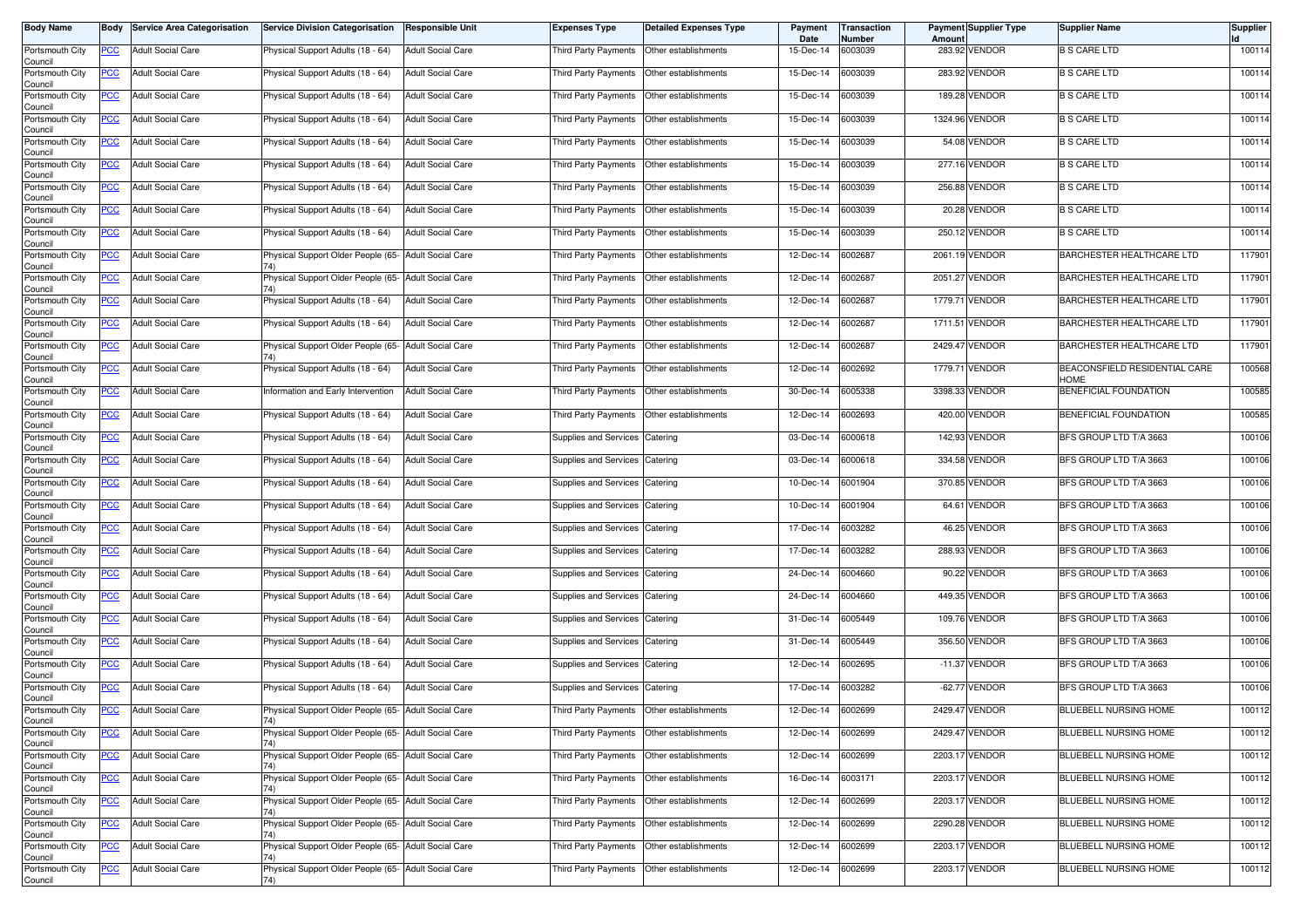| <b>Body Name</b>           | Body       | <b>Service Area Categorisation</b> | <b>Service Division Categorisation</b>                      | <b>Responsible Unit</b>  | <b>Expenses Type</b>           | <b>Detailed Expenses Type</b> | Payment<br>Date | Transaction<br>Number | Amount   | Payment Supplier Type | <b>Supplier Name</b>                         | Supplier |
|----------------------------|------------|------------------------------------|-------------------------------------------------------------|--------------------------|--------------------------------|-------------------------------|-----------------|-----------------------|----------|-----------------------|----------------------------------------------|----------|
| Portsmouth City<br>Council | PCC        | <b>Adult Social Care</b>           | Physical Support Adults (18 - 64)                           | <b>Adult Social Care</b> | Third Party Payments           | Other establishments          | 15-Dec-14       | 6003039               |          | 283.92 VENDOR         | <b>B S CARE LTD</b>                          | 100114   |
| Portsmouth City<br>Council | <u>PCC</u> | <b>Adult Social Care</b>           | Physical Support Adults (18 - 64)                           | <b>Adult Social Care</b> | Third Party Payments           | Other establishments          | 15-Dec-14       | 6003039               |          | 283.92 VENDOR         | <b>B S CARE LTD</b>                          | 100114   |
| Portsmouth City<br>Council | <u>PCC</u> | <b>Adult Social Care</b>           | Physical Support Adults (18 - 64)                           | <b>Adult Social Care</b> | Third Party Payments           | Other establishments          | 15-Dec-14       | 6003039               | 189.28   | <b>VENDOR</b>         | <b>B S CARE LTD</b>                          | 100114   |
| Portsmouth City<br>Council | <b>PCC</b> | <b>Adult Social Care</b>           | Physical Support Adults (18 - 64)                           | <b>Adult Social Care</b> | Third Party Payments           | Other establishments          | 15-Dec-14       | 6003039               |          | 1324.96 VENDOR        | <b>B S CARE LTD</b>                          | 100114   |
| Portsmouth City<br>Council | <u>PCC</u> | <b>Adult Social Care</b>           | Physical Support Adults (18 - 64)                           | <b>Adult Social Care</b> | Third Party Payments           | Other establishments          | 15-Dec-14       | 6003039               |          | 54.08 VENDOR          | <b>B S CARE LTD</b>                          | 100114   |
| Portsmouth City<br>Council | <u>PCC</u> | <b>Adult Social Care</b>           | Physical Support Adults (18 - 64)                           | <b>Adult Social Care</b> | Third Party Payments           | Other establishments          | 15-Dec-14       | 6003039               |          | 277.16 VENDOR         | <b>B S CARE LTD</b>                          | 100114   |
| Portsmouth City<br>Council | <u>PCC</u> | <b>Adult Social Care</b>           | Physical Support Adults (18 - 64)                           | <b>Adult Social Care</b> | Third Party Payments           | Other establishments          | 15-Dec-14       | 6003039               |          | 256.88 VENDOR         | <b>B S CARE LTD</b>                          | 100114   |
| Portsmouth City<br>Council | <u>PCC</u> | <b>Adult Social Care</b>           | Physical Support Adults (18 - 64)                           | <b>Adult Social Care</b> | Third Party Payments           | Other establishments          | 15-Dec-14       | 6003039               |          | 20.28 VENDOR          | <b>B S CARE LTD</b>                          | 100114   |
| Portsmouth City<br>Council | <u>PCC</u> | <b>Adult Social Care</b>           | Physical Support Adults (18 - 64)                           | <b>Adult Social Care</b> | Third Party Payments           | Other establishments          | 15-Dec-14       | 6003039               |          | 250.12 VENDOR         | <b>B S CARE LTD</b>                          | 100114   |
| Portsmouth City<br>Council | PCC        | <b>Adult Social Care</b>           | Physical Support Older People (65- Adult Social Care        |                          | Third Party Payments           | Other establishments          | 12-Dec-14       | 6002687               |          | 2061.19 VENDOR        | BARCHESTER HEALTHCARE LTD                    | 117901   |
| Portsmouth City<br>Council | <u>PCC</u> | <b>Adult Social Care</b>           | Physical Support Older People (65- Adult Social Care        |                          | Third Party Payments           | Other establishments          | 12-Dec-14       | 6002687               |          | 2051.27 VENDOR        | BARCHESTER HEALTHCARE LTD                    | 117901   |
| Portsmouth City<br>Council | <u>PCC</u> | <b>Adult Social Care</b>           | Physical Support Adults (18 - 64)                           | <b>Adult Social Care</b> | Third Party Payments           | Other establishments          | 12-Dec-14       | 6002687               | 1779.71  | <b>VENDOR</b>         | BARCHESTER HEALTHCARE LTD                    | 117901   |
| Portsmouth City<br>Council | PCC        | <b>Adult Social Care</b>           | Physical Support Adults (18 - 64)                           | <b>Adult Social Care</b> | Third Party Payments           | Other establishments          | 12-Dec-14       | 6002687               |          | 1711.51 VENDOR        | BARCHESTER HEALTHCARE LTD                    | 117901   |
| Portsmouth City<br>Council | <u>PCC</u> | <b>Adult Social Care</b>           | Physical Support Older People (65- Adult Social Care<br>74) |                          | Third Party Payments           | Other establishments          | 12-Dec-14       | 6002687               |          | 2429.47 VENDOR        | BARCHESTER HEALTHCARE LTD                    | 117901   |
| Portsmouth City<br>Council | <u>PCC</u> | <b>Adult Social Care</b>           | Physical Support Adults (18 - 64)                           | <b>Adult Social Care</b> | Third Party Payments           | Other establishments          | 12-Dec-14       | 6002692               |          | 1779.71 VENDOR        | BEACONSFIELD RESIDENTIAL CARE<br><b>HOME</b> | 100568   |
| Portsmouth City<br>Council | <u>PCC</u> | <b>Adult Social Care</b>           | nformation and Early Intervention                           | <b>Adult Social Care</b> | Third Party Payments           | Other establishments          | 30-Dec-14       | 6005338               | 3398.33  | <b>VENDOR</b>         | <b>BENEFICIAL FOUNDATION</b>                 | 100585   |
| Portsmouth City<br>Council | PCC        | <b>Adult Social Care</b>           | Physical Support Adults (18 - 64)                           | <b>Adult Social Care</b> | Third Party Payments           | Other establishments          | 12-Dec-14       | 6002693               | 420.00   | <b>VENDOR</b>         | BENEFICIAL FOUNDATION                        | 100585   |
| Portsmouth City<br>Council | <u>PCC</u> | <b>Adult Social Care</b>           | Physical Support Adults (18 - 64)                           | <b>Adult Social Care</b> | Supplies and Services          | Catering                      | 03-Dec-14       | 6000618               |          | 142.93 VENDOR         | BFS GROUP LTD T/A 3663                       | 100106   |
| Portsmouth City<br>Council | <u>PCC</u> | <b>Adult Social Care</b>           | Physical Support Adults (18 - 64)                           | <b>Adult Social Care</b> | Supplies and Services          | Catering                      | 03-Dec-14       | 6000618               |          | 334.58 VENDOR         | BFS GROUP LTD T/A 3663                       | 100106   |
| Portsmouth City<br>Council | PCC        | <b>Adult Social Care</b>           | Physical Support Adults (18 - 64)                           | <b>Adult Social Care</b> | Supplies and Services          | Catering                      | 10-Dec-14       | 6001904               |          | 370.85 VENDOR         | BFS GROUP LTD T/A 3663                       | 100106   |
| Portsmouth City<br>Council | <u>PCC</u> | <b>Adult Social Care</b>           | Physical Support Adults (18 - 64)                           | <b>Adult Social Care</b> | Supplies and Services          | Catering                      | 10-Dec-14       | 6001904               |          | 64.61 VENDOR          | BFS GROUP LTD T/A 3663                       | 100106   |
| Portsmouth City<br>Council | <u>PCC</u> | <b>Adult Social Care</b>           | Physical Support Adults (18 - 64)                           | <b>Adult Social Care</b> | Supplies and Services          | Catering                      | 17-Dec-14       | 6003282               |          | 46.25 VENDOR          | BFS GROUP LTD T/A 3663                       | 100106   |
| Portsmouth City<br>Council | <u>PCC</u> | <b>Adult Social Care</b>           | Physical Support Adults (18 - 64)                           | <b>Adult Social Care</b> | Supplies and Services          | Catering                      | 17-Dec-14       | 6003282               | 288.93   | <b>VENDOR</b>         | BFS GROUP LTD T/A 3663                       | 100106   |
| Portsmouth City<br>Council | <u>PCC</u> | <b>Adult Social Care</b>           | Physical Support Adults (18 - 64)                           | <b>Adult Social Care</b> | Supplies and Services Catering |                               | 24-Dec-14       | 6004660               |          | 90.22 VENDOR          | BFS GROUP LTD T/A 3663                       | 100106   |
| Portsmouth City<br>Council | <u>PCC</u> | <b>Adult Social Care</b>           | Physical Support Adults (18 - 64)                           | <b>Adult Social Care</b> | Supplies and Services          | Catering                      | 24-Dec-14       | 6004660               |          | 449.35 VENDOR         | BFS GROUP LTD T/A 3663                       | 100106   |
| Portsmouth City<br>Council | <u>PCC</u> | <b>Adult Social Care</b>           | Physical Support Adults (18 - 64)                           | <b>Adult Social Care</b> | Supplies and Services          | Catering                      | 31-Dec-14       | 6005449               |          | 109.76 VENDOR         | BFS GROUP LTD T/A 3663                       | 100106   |
| Portsmouth City<br>Council | <b>PCC</b> | <b>Adult Social Care</b>           | Physical Support Adults (18 - 64)                           | <b>Adult Social Care</b> | <b>Supplies and Services</b>   | Catering                      | 31-Dec-14       | 6005449               | 356.50   | <b>VENDOR</b>         | BFS GROUP LTD T/A 3663                       | 100106   |
| Portsmouth City<br>Council | <u>PCC</u> | <b>Adult Social Care</b>           | Physical Support Adults (18 - 64)                           | <b>Adult Social Care</b> | Supplies and Services          | Catering                      | 12-Dec-14       | 6002695               | $-11.37$ | <b>VENDOR</b>         | BFS GROUP LTD T/A 3663                       | 100106   |
| Portsmouth City<br>Council | <u>PCC</u> | <b>Adult Social Care</b>           | Physical Support Adults (18 - 64)                           | <b>Adult Social Care</b> | <b>Supplies and Services</b>   | Catering                      | 17-Dec-14       | 6003282               |          | -62.77 VENDOR         | BFS GROUP LTD T/A 3663                       | 100106   |
| Portsmouth City<br>Council | <u>PCC</u> | <b>Adult Social Care</b>           | Physical Support Older People (65- Adult Social Care        |                          | Third Party Payments           | Other establishments          | 12-Dec-14       | 6002699               | 2429.47  | <b>VENDOR</b>         | BLUEBELL NURSING HOME                        | 100112   |
| Portsmouth City<br>Council | <b>PCC</b> | <b>Adult Social Care</b>           | Physical Support Older People (65- Adult Social Care<br>74) |                          | Third Party Payments           | Other establishments          | 12-Dec-14       | 6002699               |          | 2429.47 VENDOR        | BLUEBELL NURSING HOME                        | 100112   |
| Portsmouth City<br>Council | <b>PCC</b> | <b>Adult Social Care</b>           | Physical Support Older People (65- Adult Social Care<br>74) |                          | Third Party Payments           | Other establishments          | 12-Dec-14       | 6002699               |          | 2203.17 VENDOR        | BLUEBELL NURSING HOME                        | 100112   |
| Portsmouth City<br>Council | <b>PCC</b> | <b>Adult Social Care</b>           | Physical Support Older People (65- Adult Social Care<br>74) |                          | Third Party Payments           | Other establishments          | 16-Dec-14       | 6003171               |          | 2203.17 VENDOR        | BLUEBELL NURSING HOME                        | 100112   |
| Portsmouth City<br>Council | <u>PCC</u> | <b>Adult Social Care</b>           | Physical Support Older People (65- Adult Social Care        |                          | Third Party Payments           | Other establishments          | 12-Dec-14       | 6002699               |          | 2203.17 VENDOR        | BLUEBELL NURSING HOME                        | 100112   |
| Portsmouth City<br>Council | <u>PCC</u> | <b>Adult Social Care</b>           | Physical Support Older People (65- Adult Social Care        |                          | Third Party Payments           | Other establishments          | 12-Dec-14       | 6002699               | 2290.28  | <b>VENDOR</b>         | BLUEBELL NURSING HOME                        | 100112   |
| Portsmouth City<br>Council | <u>PCC</u> | <b>Adult Social Care</b>           | Physical Support Older People (65- Adult Social Care<br>74) |                          | Third Party Payments           | Other establishments          | 12-Dec-14       | 6002699               |          | 2203.17 VENDOR        | BLUEBELL NURSING HOME                        | 100112   |
| Portsmouth City<br>Council | <b>PCC</b> | <b>Adult Social Care</b>           | Physical Support Older People (65- Adult Social Care<br>74) |                          | Third Party Payments           | Other establishments          | 12-Dec-14       | 6002699               | 2203.17  | <b>VENDOR</b>         | BLUEBELL NURSING HOME                        | 100112   |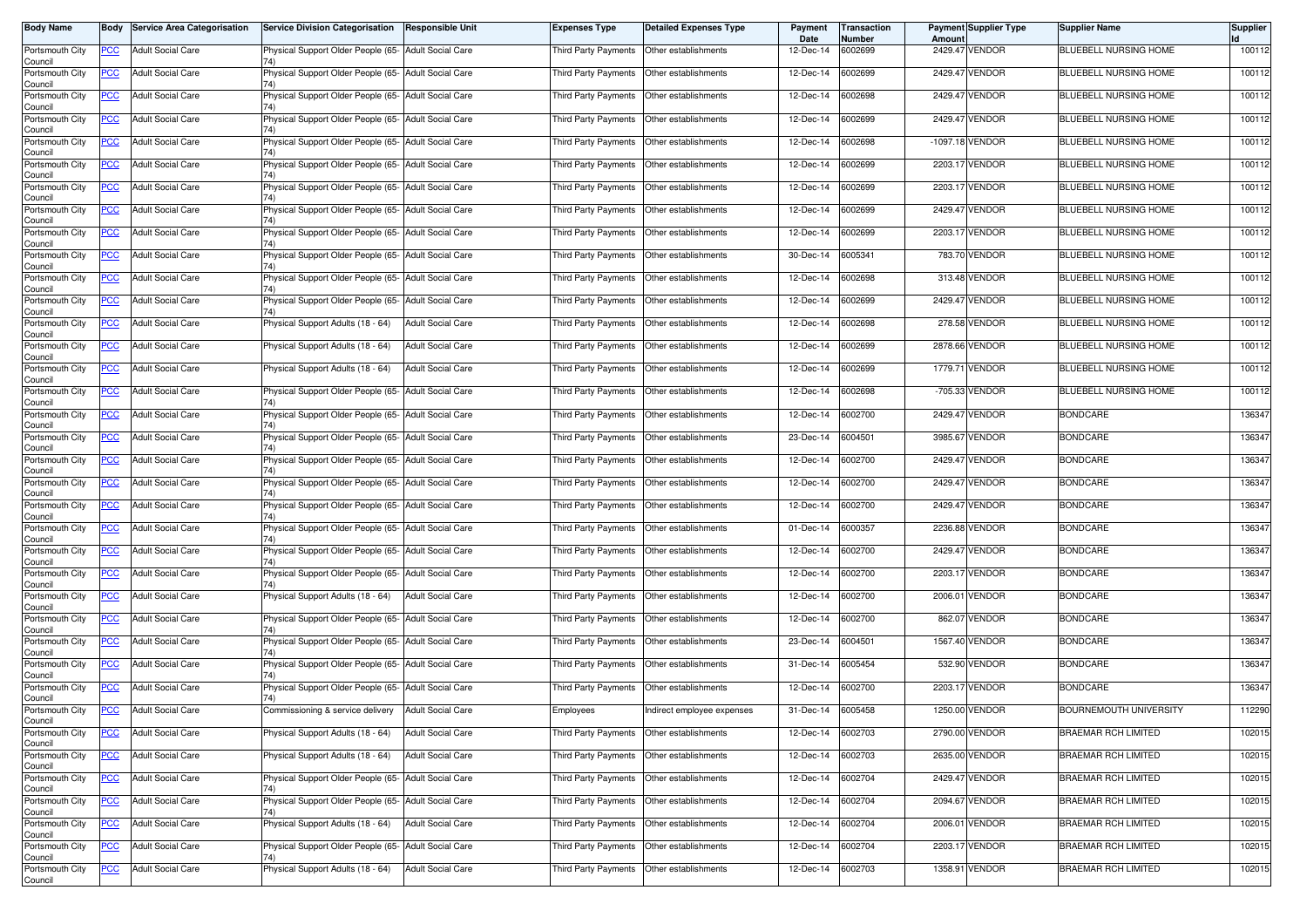| <b>Body Name</b>                      |            | <b>Body</b> Service Area Categorisation | <b>Service Division Categorisation</b>                      | <b>Responsible Unit</b>  | Expenses Type               | <b>Detailed Expenses Type</b> | Payment<br>Date | Transaction<br>Number | Amount     | Payment Supplier Type | <b>Supplier Name</b>          | <b>Supplier</b> |
|---------------------------------------|------------|-----------------------------------------|-------------------------------------------------------------|--------------------------|-----------------------------|-------------------------------|-----------------|-----------------------|------------|-----------------------|-------------------------------|-----------------|
| Portsmouth City<br>Council            | <b>PCC</b> | <b>Adult Social Care</b>                | Physical Support Older People (65- Adult Social Care        |                          | Third Party Payments        | Other establishments          | 12-Dec-14       | 6002699               |            | 2429.47 VENDOR        | BLUEBELL NURSING HOME         | 100112          |
| Portsmouth City<br>Council            | <u>PCC</u> | <b>Adult Social Care</b>                | Physical Support Older People (65- Adult Social Care        |                          | Third Party Payments        | Other establishments          | 12-Dec-14       | 6002699               | 2429.47    | <b>VENDOR</b>         | BLUEBELL NURSING HOME         | 100112          |
| Portsmouth City<br>Council            | <b>PCC</b> | <b>Adult Social Care</b>                | Physical Support Older People (65- Adult Social Care        |                          | Third Party Payments        | Other establishments          | 12-Dec-14       | 6002698               | 2429.47    | <b>VENDOR</b>         | BLUEBELL NURSING HOME         | 100112          |
| Portsmouth City<br>Council            | <b>PCC</b> | <b>Adult Social Care</b>                | Physical Support Older People (65- Adult Social Care        |                          | Third Party Payments        | Other establishments          | 12-Dec-14       | 6002699               |            | 2429.47 VENDOR        | <b>BLUEBELL NURSING HOME</b>  | 100112          |
| Portsmouth City<br>Council            | <u>PCC</u> | <b>Adult Social Care</b>                | Physical Support Older People (65- Adult Social Care<br>74) |                          | Third Party Payments        | Other establishments          | 12-Dec-14       | 6002698               | $-1097.18$ | <b>VENDOR</b>         | BLUEBELL NURSING HOME         | 100112          |
| Portsmouth City<br>Council            | <u>PCC</u> | <b>Adult Social Care</b>                | Physical Support Older People (65- Adult Social Care        |                          | Third Party Payments        | Other establishments          | 12-Dec-14       | 6002699               | 2203.17    | <b>VENDOR</b>         | BLUEBELL NURSING HOME         | 100112          |
| Portsmouth City<br>Council            | <b>PCC</b> | <b>Adult Social Care</b>                | Physical Support Older People (65- Adult Social Care<br>74) |                          | Third Party Payments        | Other establishments          | 12-Dec-14       | 6002699               |            | 2203.17 VENDOR        | <b>BLUEBELL NURSING HOME</b>  | 100112          |
| Portsmouth City<br>Council            | <b>PCC</b> | <b>Adult Social Care</b>                | Physical Support Older People (65- Adult Social Care<br>74) |                          | Third Party Payments        | Other establishments          | 12-Dec-14       | 6002699               | 2429.47    | <b>VENDOR</b>         | BLUEBELL NURSING HOME         | 100112          |
| Portsmouth City<br>Council            | <b>PCC</b> | <b>Adult Social Care</b>                | Physical Support Older People (65- Adult Social Care        |                          | <b>Third Party Payments</b> | Other establishments          | 12-Dec-14       | 6002699               | 2203.17    | VENDOR                | <b>BLUEBELL NURSING HOME</b>  | 100112          |
| Portsmouth City<br>Council            | <u>PCC</u> | <b>Adult Social Care</b>                | Physical Support Older People (65- Adult Social Care        |                          | <b>Third Party Payments</b> | Other establishments          | 30-Dec-14       | 6005341               | 783.70     | <b>VENDOR</b>         | BLUEBELL NURSING HOME         | 100112          |
| Portsmouth City<br>Council            | <u>PCC</u> | <b>Adult Social Care</b>                | Physical Support Older People (65- Adult Social Care        |                          | <b>Third Party Payments</b> | Other establishments          | 12-Dec-14       | 6002698               |            | 313.48 VENDOR         | BLUEBELL NURSING HOME         | 100112          |
| Portsmouth City<br>Council            | <b>PCC</b> | <b>Adult Social Care</b>                | Physical Support Older People (65- Adult Social Care        |                          | Third Party Payments        | Other establishments          | 12-Dec-14       | 6002699               | 2429.47    | <b>VENDOR</b>         | BLUEBELL NURSING HOME         | 100112          |
| Portsmouth City<br>Council            | PCC        | <b>Adult Social Care</b>                | Physical Support Adults (18 - 64)                           | <b>Adult Social Care</b> | Third Party Payments        | Other establishments          | 12-Dec-14       | 6002698               |            | 278.58 VENDOR         | BLUEBELL NURSING HOME         | 100112          |
| Portsmouth City<br>Council            | <u>PCC</u> | <b>Adult Social Care</b>                | Physical Support Adults (18 - 64)                           | <b>Adult Social Care</b> | Third Party Payments        | Other establishments          | 12-Dec-14       | 6002699               |            | 2878.66 VENDOR        | BLUEBELL NURSING HOME         | 100112          |
| Portsmouth City<br>Council            | <b>PCC</b> | <b>Adult Social Care</b>                | Physical Support Adults (18 - 64)                           | <b>Adult Social Care</b> | Third Party Payments        | Other establishments          | 12-Dec-14       | 6002699               |            | 1779.71 VENDOR        | BLUEBELL NURSING HOME         | 100112          |
| Portsmouth City<br>Council            | <b>PCC</b> | <b>Adult Social Care</b>                | Physical Support Older People (65- Adult Social Care<br>74) |                          | Third Party Payments        | Other establishments          | 12-Dec-14       | 6002698               | $-705.33$  | <b>VENDOR</b>         | <b>BLUEBELL NURSING HOME</b>  | 100112          |
| Portsmouth City<br>Council            | <b>PCC</b> | <b>Adult Social Care</b>                | Physical Support Older People (65- Adult Social Care        |                          | Third Party Payments        | Other establishments          | 12-Dec-14       | 6002700               | 2429.47    | <b>VENDOR</b>         | <b>BONDCARE</b>               | 136347          |
| Portsmouth City<br>Council            | PСC        | <b>Adult Social Care</b>                | Physical Support Older People (65- Adult Social Care        |                          | Third Party Payments        | Other establishments          | 23-Dec-14       | 6004501               |            | 3985.67 VENDOR        | <b>BONDCARE</b>               | 136347          |
| Portsmouth City<br>Council            | <b>PCC</b> | <b>Adult Social Care</b>                | Physical Support Older People (65- Adult Social Care        |                          | Third Party Payments        | Other establishments          | 12-Dec-14       | 6002700               | 2429.4     | <b>VENDOR</b>         | <b>BONDCARE</b>               | 136347          |
| Portsmouth City<br>Council            | <u>PCC</u> | <b>Adult Social Care</b>                | Physical Support Older People (65- Adult Social Care        |                          | Third Party Payments        | Other establishments          | 12-Dec-14       | 6002700               | 2429.47    | <b>VENDOR</b>         | <b>BONDCARE</b>               | 136347          |
| Portsmouth City<br>Council            | <u>PCC</u> | <b>Adult Social Care</b>                | Physical Support Older People (65- Adult Social Care<br>74) |                          | Third Party Payments        | Other establishments          | 12-Dec-14       | 6002700               | 2429.47    | <b>VENDOR</b>         | <b>BONDCARE</b>               | 136347          |
| Portsmouth City<br>Council            | <u>PCC</u> | <b>Adult Social Care</b>                | Physical Support Older People (65- Adult Social Care<br>74) |                          | Third Party Payments        | Other establishments          | 01-Dec-14       | 6000357               |            | 2236.88 VENDOR        | <b>BONDCARE</b>               | 136347          |
| Portsmouth City<br>Council            | <u>PCC</u> | <b>Adult Social Care</b>                | Physical Support Older People (65- Adult Social Care        |                          | Third Party Payments        | Other establishments          | 12-Dec-14       | 6002700               | 2429.47    | <b>VENDOR</b>         | <b>BONDCARE</b>               | 136347          |
| Portsmouth City<br>Council            | <b>PCC</b> | <b>Adult Social Care</b>                | Physical Support Older People (65- Adult Social Care<br>74) |                          | Third Party Payments        | Other establishments          | 12-Dec-14       | 6002700               |            | 2203.17 VENDOR        | <b>BONDCARE</b>               | 136347          |
| Portsmouth City<br>Council            | <b>PCC</b> | <b>Adult Social Care</b>                | Physical Support Adults (18 - 64)                           | <b>Adult Social Care</b> | Third Party Payments        | Other establishments          | 12-Dec-14       | 6002700               |            | 2006.01 VENDOR        | <b>BONDCARE</b>               | 136347          |
| Portsmouth City<br>Council            | <u>PCC</u> | <b>Adult Social Care</b>                | Physical Support Older People (65- Adult Social Care        |                          | Third Party Payments        | Other establishments          | 12-Dec-14       | 6002700               | 862.0      | <b>VENDOR</b>         | <b>BONDCARE</b>               | 136347          |
| Portsmouth City<br>Council            | <u>PCC</u> | <b>Adult Social Care</b>                | Physical Support Older People (65- Adult Social Care        |                          | Third Party Payments        | Other establishments          | 23-Dec-14       | 6004501               |            | 1567.40 VENDOR        | <b>BONDCARE</b>               | 136347          |
| Portsmouth City<br>Council            | <b>PCC</b> | <b>Adult Social Care</b>                | Physical Support Older People (65- Adult Social Care        |                          | <b>Third Party Payments</b> | Other establishments          | 31-Dec-14       | 6005454               | 532.90     | <b>VENDOR</b>         | <b>BONDCARE</b>               | 136347          |
| Portsmouth City<br>Council            | <u>PCC</u> | <b>Adult Social Care</b>                | Physical Support Older People (65- Adult Social Care        |                          | Third Party Payments        | Other establishments          | 12-Dec-14       | 6002700               |            | 2203.17 VENDOR        | <b>BONDCARE</b>               | 136347          |
| Portsmouth City<br>Council            | <u>PCC</u> | <b>Adult Social Care</b>                | Commissioning & service delivery                            | <b>Adult Social Care</b> | Employees                   | Indirect employee expenses    | 31-Dec-14       | 6005458               |            | 1250.00 VENDOR        | <b>BOURNEMOUTH UNIVERSITY</b> | 112290          |
| Portsmouth City<br>Council            | <u>PCC</u> | <b>Adult Social Care</b>                | Physical Support Adults (18 - 64)                           | <b>Adult Social Care</b> | Third Party Payments        | Other establishments          | 12-Dec-14       | 6002703               |            | 2790.00 VENDOR        | <b>BRAEMAR RCH LIMITED</b>    | 102015          |
| Portsmouth City                       | <b>PCC</b> | <b>Adult Social Care</b>                | Physical Support Adults (18 - 64)                           | <b>Adult Social Care</b> | Third Party Payments        | Other establishments          | 12-Dec-14       | 6002703               |            | 2635.00 VENDOR        | <b>BRAEMAR RCH LIMITED</b>    | 102015          |
| Council<br>Portsmouth City<br>Council | <b>PCC</b> | <b>Adult Social Care</b>                | Physical Support Older People (65- Adult Social Care        |                          | Third Party Payments        | Other establishments          | 12-Dec-14       | 6002704               |            | 2429.47 VENDOR        | BRAEMAR RCH LIMITED           | 102015          |
| Portsmouth City<br>Council            | <u>PCC</u> | <b>Adult Social Care</b>                | Physical Support Older People (65- Adult Social Care        |                          | Third Party Payments        | Other establishments          | 12-Dec-14       | 6002704               |            | 2094.67 VENDOR        | BRAEMAR RCH LIMITED           | 102015          |
| Portsmouth City<br>Council            | <u>PCC</u> | <b>Adult Social Care</b>                | Physical Support Adults (18 - 64)                           | <b>Adult Social Care</b> | Third Party Payments        | Other establishments          | 12-Dec-14       | 6002704               |            | 2006.01 VENDOR        | <b>BRAEMAR RCH LIMITED</b>    | 102015          |
| Portsmouth City<br>Council            | <b>PCC</b> | <b>Adult Social Care</b>                | Physical Support Older People (65- Adult Social Care        |                          | Third Party Payments        | Other establishments          | 12-Dec-14       | 6002704               |            | 2203.17 VENDOR        | BRAEMAR RCH LIMITED           | 102015          |
| Portsmouth City<br>Council            | <b>PCC</b> | <b>Adult Social Care</b>                | Physical Support Adults (18 - 64)                           | <b>Adult Social Care</b> | Third Party Payments        | Other establishments          | 12-Dec-14       | 6002703               |            | 1358.91 VENDOR        | <b>BRAEMAR RCH LIMITED</b>    | 102015          |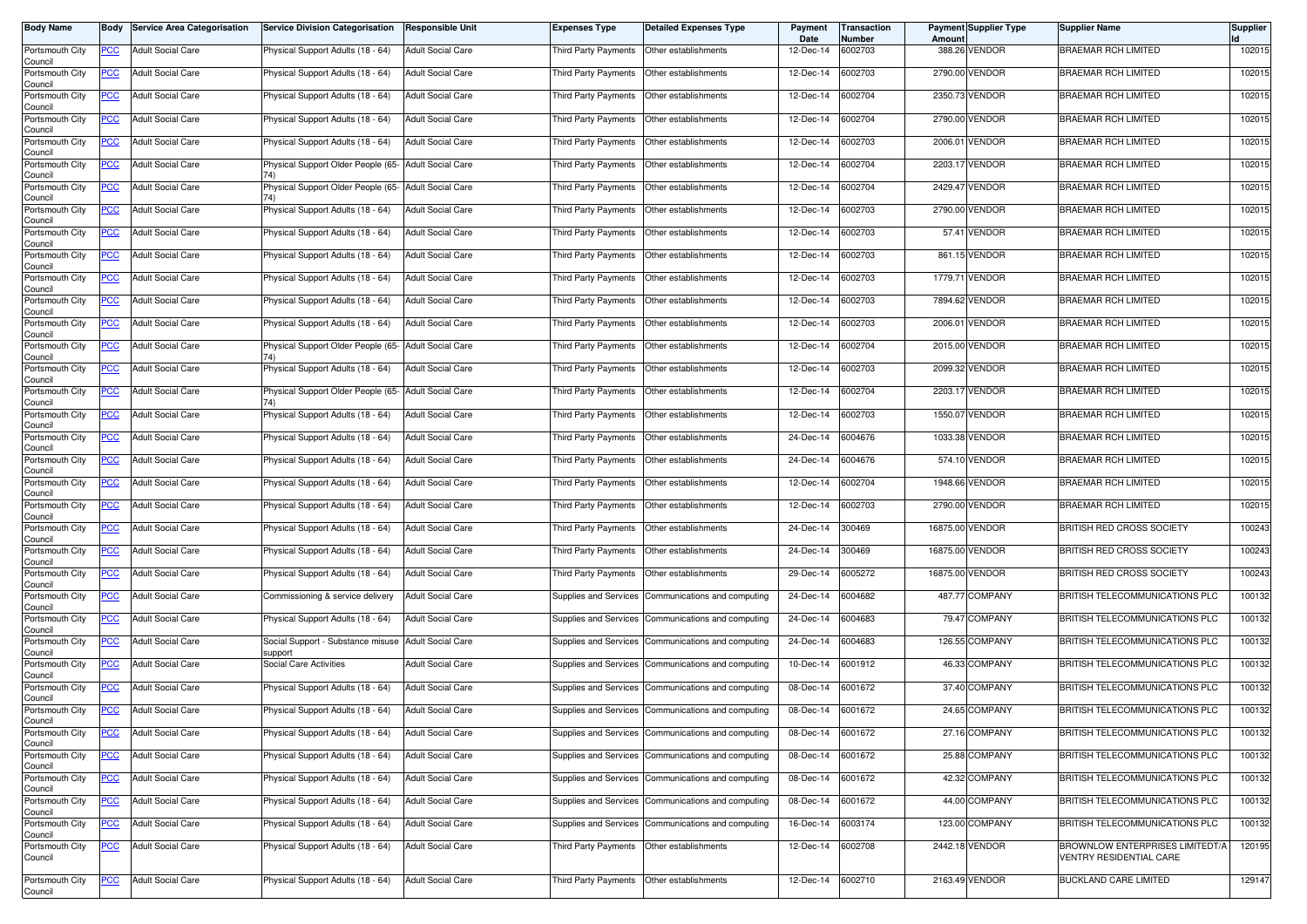| <b>Body Name</b>           | Body       | <b>Service Area Categorisation</b> | <b>Service Division Categorisation</b>                      | <b>Responsible Unit</b>  | <b>Expenses Type</b>         | <b>Detailed Expenses Type</b>                      | Payment<br>Date   | Transaction<br>Number | Amoun    | <b>Payment Supplier Type</b> | <b>Supplier Name</b>                                              | <b>Supplier</b> |
|----------------------------|------------|------------------------------------|-------------------------------------------------------------|--------------------------|------------------------------|----------------------------------------------------|-------------------|-----------------------|----------|------------------------------|-------------------------------------------------------------------|-----------------|
| Portsmouth City<br>Council | PCC        | <b>Adult Social Care</b>           | Physical Support Adults (18 - 64)                           | <b>Adult Social Care</b> | Third Party Payments         | Other establishments                               | 12-Dec-14         | 6002703               |          | 388.26 VENDOR                | <b>BRAEMAR RCH LIMITED</b>                                        | 102015          |
| Portsmouth City<br>Council | <u>PCC</u> | <b>Adult Social Care</b>           | Physical Support Adults (18 - 64)                           | <b>Adult Social Care</b> | Third Party Payments         | Other establishments                               | 12-Dec-14         | 6002703               |          | 2790.00 VENDOR               | <b>BRAEMAR RCH LIMITED</b>                                        | 102015          |
| Portsmouth City<br>Council | <u>PCC</u> | <b>Adult Social Care</b>           | Physical Support Adults (18 - 64)                           | <b>Adult Social Care</b> | Third Party Payments         | Other establishments                               | 12-Dec-14         | 6002704               |          | 2350.73 VENDOR               | <b>BRAEMAR RCH LIMITED</b>                                        | 102015          |
| Portsmouth City<br>Council | <u>PCC</u> | <b>Adult Social Care</b>           | Physical Support Adults (18 - 64)                           | <b>Adult Social Care</b> | Third Party Payments         | Other establishments                               | 12-Dec-14         | 6002704               |          | 2790.00 VENDOR               | <b>BRAEMAR RCH LIMITED</b>                                        | 102015          |
| Portsmouth City<br>Council | <b>PCC</b> | <b>Adult Social Care</b>           | Physical Support Adults (18 - 64)                           | <b>Adult Social Care</b> | Third Party Payments         | Other establishments                               | 12-Dec-14         | 6002703               | 2006.0   | <b>VENDOR</b>                | <b>BRAEMAR RCH LIMITED</b>                                        | 102015          |
| Portsmouth City<br>Council | <u>PCC</u> | <b>Adult Social Care</b>           | Physical Support Older People (65- Adult Social Care        |                          | Third Party Payments         | Other establishments                               | 12-Dec-14         | 6002704               |          | 2203.17 VENDOR               | <b>BRAEMAR RCH LIMITED</b>                                        | 102015          |
| Portsmouth City<br>Council | <u>PCC</u> | <b>Adult Social Care</b>           | Physical Support Older People (65- Adult Social Care<br>74) |                          | Third Party Payments         | Other establishments                               | 12-Dec-14         | 6002704               |          | 2429.47 VENDOR               | <b>BRAEMAR RCH LIMITED</b>                                        | 102015          |
| Portsmouth City<br>Council | <u>PCC</u> | <b>Adult Social Care</b>           | Physical Support Adults (18 - 64)                           | <b>Adult Social Care</b> | Third Party Payments         | Other establishments                               | 12-Dec-14         | 6002703               |          | 2790.00 VENDOR               | <b>BRAEMAR RCH LIMITED</b>                                        | 102015          |
| Portsmouth City<br>Council | <b>PCC</b> | <b>Adult Social Care</b>           | Physical Support Adults (18 - 64)                           | <b>Adult Social Care</b> | Third Party Payments         | Other establishments                               | 12-Dec-14         | 6002703               |          | 57.41 VENDOR                 | <b>BRAEMAR RCH LIMITED</b>                                        | 102015          |
| Portsmouth City<br>Council | PCC        | <b>Adult Social Care</b>           | Physical Support Adults (18 - 64)                           | <b>Adult Social Care</b> | Third Party Payments         | Other establishments                               | 12-Dec-14         | 6002703               |          | 861.15 VENDOR                | <b>BRAEMAR RCH LIMITED</b>                                        | 102015          |
| Portsmouth City<br>Council | <u>PCC</u> | <b>Adult Social Care</b>           | Physical Support Adults (18 - 64)                           | <b>Adult Social Care</b> | Third Party Payments         | Other establishments                               | 12-Dec-14         | 6002703               |          | 1779.71 VENDOR               | <b>BRAEMAR RCH LIMITED</b>                                        | 102015          |
| Portsmouth City<br>Council | <u>PCC</u> | <b>Adult Social Care</b>           | Physical Support Adults (18 - 64)                           | <b>Adult Social Care</b> | Third Party Payments         | Other establishments                               | 12-Dec-14         | 6002703               |          | 7894.62 VENDOR               | <b>BRAEMAR RCH LIMITED</b>                                        | 102015          |
| Portsmouth City<br>Council | PCC        | <b>Adult Social Care</b>           | Physical Support Adults (18 - 64)                           | <b>Adult Social Care</b> | Third Party Payments         | Other establishments                               | 12-Dec-14         | 6002703               | 2006.01  | <b>VENDOR</b>                | <b>BRAEMAR RCH LIMITED</b>                                        | 102015          |
| Portsmouth City<br>Council | <u>PCC</u> | <b>Adult Social Care</b>           | Physical Support Older People (65- Adult Social Care        |                          | Third Party Payments         | Other establishments                               | 12-Dec-14         | 6002704               | 2015.00  | <b>VENDOR</b>                | <b>BRAEMAR RCH LIMITED</b>                                        | 102015          |
| Portsmouth City<br>Council | <u>PCC</u> | <b>Adult Social Care</b>           | Physical Support Adults (18 - 64)                           | <b>Adult Social Care</b> | Third Party Payments         | Other establishments                               | 12-Dec-14         | 6002703               |          | 2099.32 VENDOR               | <b>BRAEMAR RCH LIMITED</b>                                        | 102015          |
| Portsmouth City<br>Council | <u>PCC</u> | <b>Adult Social Care</b>           | Physical Support Older People (65- Adult Social Care<br>74) |                          | Third Party Payments         | Other establishments                               | 12-Dec-14         | 6002704               |          | 2203.17 VENDOR               | <b>BRAEMAR RCH LIMITED</b>                                        | 102015          |
| Portsmouth City<br>Council | PCC        | <b>Adult Social Care</b>           | Physical Support Adults (18 - 64)                           | <b>Adult Social Care</b> | Third Party Payments         | Other establishments                               | 12-Dec-14         | 6002703               | 1550.07  | <b>VENDOR</b>                | <b>BRAEMAR RCH LIMITED</b>                                        | 102015          |
| Portsmouth City<br>Council | <u>PCC</u> | <b>Adult Social Care</b>           | Physical Support Adults (18 - 64)                           | <b>Adult Social Care</b> | Third Party Payments         | Other establishments                               | 24-Dec-14         | 6004676               | 1033.38  | <b>VENDOR</b>                | <b>BRAEMAR RCH LIMITED</b>                                        | 102015          |
| Portsmouth City<br>Council | PCC        | <b>Adult Social Care</b>           | Physical Support Adults (18 - 64)                           | <b>Adult Social Care</b> | Third Party Payments         | Other establishments                               | 24-Dec-14         | 6004676               | 574.10   | <b>VENDOR</b>                | <b>BRAEMAR RCH LIMITED</b>                                        | 102015          |
| Portsmouth City<br>Council | <u>PCC</u> | <b>Adult Social Care</b>           | Physical Support Adults (18 - 64)                           | <b>Adult Social Care</b> | Third Party Payments         | Other establishments                               | 12-Dec-14         | 6002704               |          | 1948.66 VENDOR               | <b>BRAEMAR RCH LIMITED</b>                                        | 102015          |
| Portsmouth City<br>Council | <u>PCC</u> | <b>Adult Social Care</b>           | Physical Support Adults (18 - 64)                           | <b>Adult Social Care</b> | Third Party Payments         | Other establishments                               | 12-Dec-14         | 6002703               | 2790.00  | <b>VENDOR</b>                | <b>BRAEMAR RCH LIMITED</b>                                        | 102015          |
| Portsmouth City<br>Council | <b>PCC</b> | <b>Adult Social Care</b>           | Physical Support Adults (18 - 64)                           | <b>Adult Social Care</b> | Third Party Payments         | Other establishments                               | 24-Dec-14         | 300469                |          | 16875.00 VENDOR              | BRITISH RED CROSS SOCIETY                                         | 100243          |
| Portsmouth City<br>Council | <u>PCC</u> | <b>Adult Social Care</b>           | Physical Support Adults (18 - 64)                           | <b>Adult Social Care</b> | Third Party Payments         | Other establishments                               | 24-Dec-14         | 300469                | 16875.00 | <b>VENDOR</b>                | BRITISH RED CROSS SOCIETY                                         | 100243          |
| Portsmouth City<br>Council | <u>PCC</u> | <b>Adult Social Care</b>           | Physical Support Adults (18 - 64)                           | <b>Adult Social Care</b> | Third Party Payments         | Other establishments                               | 29-Dec-14         | 6005272               |          | 16875.00 VENDOR              | BRITISH RED CROSS SOCIETY                                         | 100243          |
| Portsmouth City<br>Council | <u>PCC</u> | <b>Adult Social Care</b>           | Commissioning & service delivery                            | <b>Adult Social Care</b> | Supplies and Services        | Communications and computing                       | 24-Dec-14         | 6004682               |          | 487.77 COMPANY               | BRITISH TELECOMMUNICATIONS PLC                                    | 100132          |
| Portsmouth City<br>Council | <u>PCC</u> | <b>Adult Social Care</b>           | Physical Support Adults (18 - 64)                           | <b>Adult Social Care</b> |                              | Supplies and Services Communications and computing | 24-Dec-14         | 6004683               |          | 79.47 COMPANY                | BRITISH TELECOMMUNICATIONS PLC                                    | 100132          |
| Portsmouth City<br>Council | <u>PCC</u> | <b>Adult Social Care</b>           | Social Support - Substance misuse<br>support                | <b>Adult Social Care</b> | Supplies and Services        | Communications and computing                       | 24-Dec-14         | 6004683               |          | 126.55 COMPANY               | BRITISH TELECOMMUNICATIONS PLC                                    | 100132          |
| Portsmouth City<br>Council | <u>PCC</u> | <b>Adult Social Care</b>           | Social Care Activities                                      | <b>Adult Social Care</b> | Supplies and Services        | Communications and computing                       | 10-Dec-14         | 6001912               |          | 46.33 COMPANY                | BRITISH TELECOMMUNICATIONS PLC                                    | 100132          |
| Portsmouth City<br>Council | <u>PCC</u> | <b>Adult Social Care</b>           | Physical Support Adults (18 - 64)                           | <b>Adult Social Care</b> | <b>Supplies and Services</b> | Communications and computing                       | 08-Dec-14         | 6001672               |          | 37.40 COMPANY                | BRITISH TELECOMMUNICATIONS PLC                                    | 100132          |
| Portsmouth City<br>Council | <u>PCC</u> | <b>Adult Social Care</b>           | Physical Support Adults (18 - 64)                           | <b>Adult Social Care</b> | Supplies and Services        | Communications and computing                       | 08-Dec-14         | 6001672               |          | 24.65 COMPANY                | BRITISH TELECOMMUNICATIONS PLC                                    | 100132          |
| Portsmouth City<br>Council | <b>PCC</b> | <b>Adult Social Care</b>           | Physical Support Adults (18 - 64)                           | <b>Adult Social Care</b> | Supplies and Services        | Communications and computing                       | 08-Dec-14         | 6001672               |          | 27.16 COMPANY                | BRITISH TELECOMMUNICATIONS PLC                                    | 100132          |
| Portsmouth City<br>Council | <u>PCC</u> | <b>Adult Social Care</b>           | Physical Support Adults (18 - 64)                           | <b>Adult Social Care</b> | Supplies and Services        | Communications and computing                       | 08-Dec-14         | 6001672               |          | 25.88 COMPANY                | BRITISH TELECOMMUNICATIONS PLC                                    | 100132          |
| Portsmouth City<br>Council | <u>PCC</u> | <b>Adult Social Care</b>           | Physical Support Adults (18 - 64)                           | <b>Adult Social Care</b> |                              | Supplies and Services Communications and computing | 08-Dec-14         | 6001672               |          | 42.32 COMPANY                | BRITISH TELECOMMUNICATIONS PLC                                    | 100132          |
| Portsmouth City<br>Council | <u>PCC</u> | <b>Adult Social Care</b>           | Physical Support Adults (18 - 64)                           | <b>Adult Social Care</b> | Supplies and Services        | Communications and computing                       | 08-Dec-14         | 6001672               |          | 44.00 COMPANY                | BRITISH TELECOMMUNICATIONS PLC                                    | 100132          |
| Portsmouth City<br>Council | <u>PCC</u> | <b>Adult Social Care</b>           | Physical Support Adults (18 - 64)                           | <b>Adult Social Care</b> | Supplies and Services        | Communications and computing                       | 16-Dec-14         | 6003174               |          | 123.00 COMPANY               | BRITISH TELECOMMUNICATIONS PLC                                    | 100132          |
| Portsmouth City<br>Council | <u>PCC</u> | <b>Adult Social Care</b>           | Physical Support Adults (18 - 64)                           | <b>Adult Social Care</b> | Third Party Payments         | Other establishments                               | 12-Dec-14         | 6002708               |          | 2442.18 VENDOR               | BROWNLOW ENTERPRISES LIMITEDT/A<br><b>VENTRY RESIDENTIAL CARE</b> | 120195          |
| Portsmouth City            | <u>PCC</u> | <b>Adult Social Care</b>           | Physical Support Adults (18 - 64)                           | <b>Adult Social Care</b> | Third Party Payments         | Other establishments                               | 12-Dec-14 6002710 |                       |          | 2163.49 VENDOR               | <b>BUCKLAND CARE LIMITED</b>                                      | 129147          |
| Council                    |            |                                    |                                                             |                          |                              |                                                    |                   |                       |          |                              |                                                                   |                 |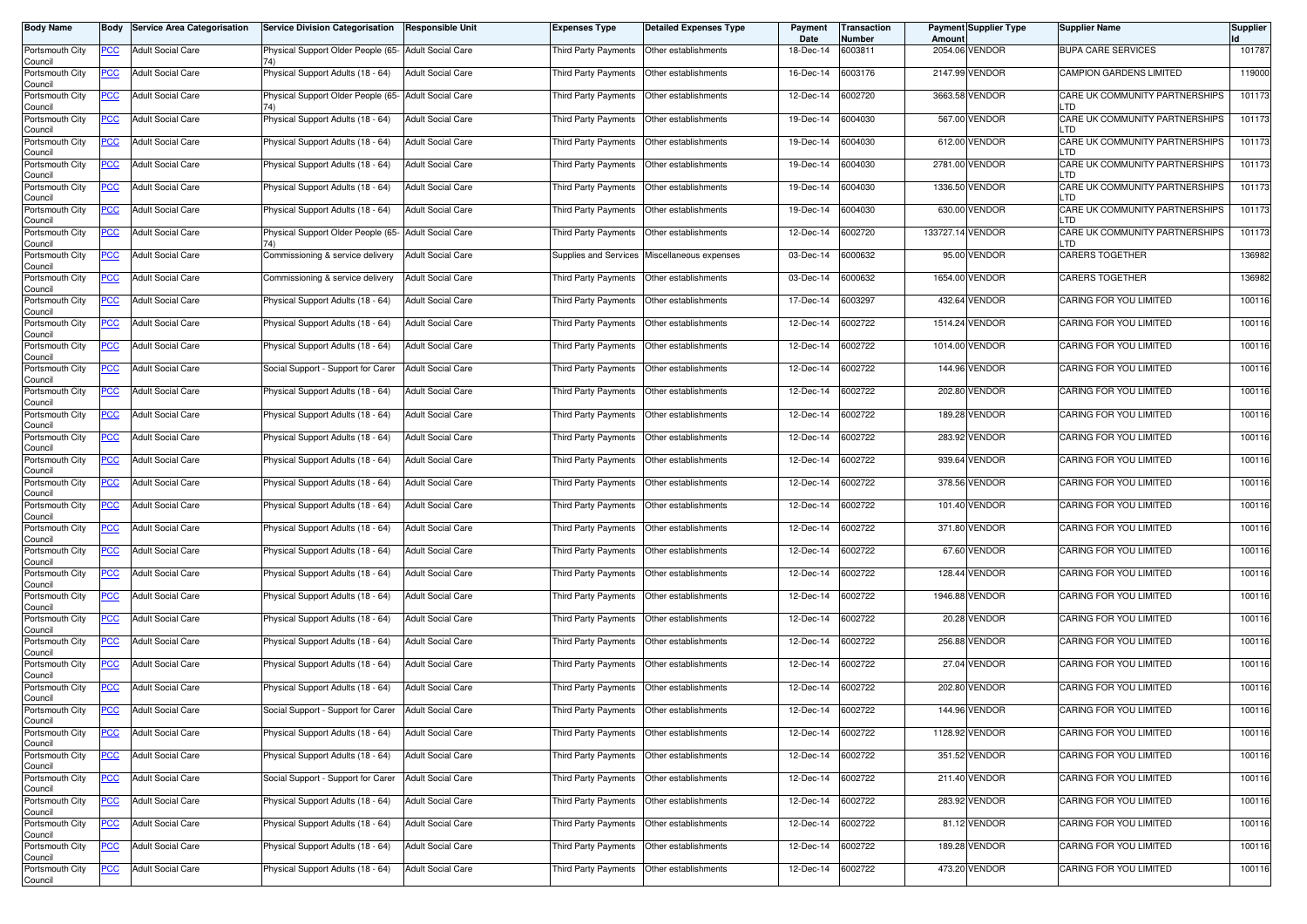| <b>Body Name</b>                      |            | <b>Body Service Area Categorisation</b> | Service Division Categorisation                      | <b>Responsible Unit</b>  | Expenses Type               | <b>Detailed Expenses Type</b> | Payment<br>Date | Transaction<br>Number | Amount           | Payment Supplier Type | <b>Supplier Name</b>                   | <b>Supplier</b> |
|---------------------------------------|------------|-----------------------------------------|------------------------------------------------------|--------------------------|-----------------------------|-------------------------------|-----------------|-----------------------|------------------|-----------------------|----------------------------------------|-----------------|
| Portsmouth City<br>Council            | <b>PCC</b> | <b>Adult Social Care</b>                | Physical Support Older People (65- Adult Social Care |                          | Third Party Payments        | Other establishments          | 18-Dec-14       | 6003811               |                  | 2054.06 VENDOR        | <b>BUPA CARE SERVICES</b>              | 101787          |
| Portsmouth City<br>Council            | <u>PCC</u> | <b>Adult Social Care</b>                | Physical Support Adults (18 - 64)                    | <b>Adult Social Care</b> | Third Party Payments        | Other establishments          | 16-Dec-14       | 6003176               |                  | 2147.99 VENDOR        | CAMPION GARDENS LIMITED                | 119000          |
| Portsmouth City<br>Council            | <b>PCC</b> | <b>Adult Social Care</b>                | Physical Support Older People (65- Adult Social Care |                          | Third Party Payments        | Other establishments          | 12-Dec-14       | 6002720               |                  | 3663.58 VENDOR        | CARE UK COMMUNITY PARTNERSHIPS<br>LTD  | 101173          |
| Portsmouth City<br>Council            | <b>PCC</b> | <b>Adult Social Care</b>                | Physical Support Adults (18 - 64)                    | <b>Adult Social Care</b> | Third Party Payments        | Other establishments          | 19-Dec-14       | 6004030               |                  | 567.00 VENDOR         | CARE UK COMMUNITY PARTNERSHIPS<br>∣ TŊ | 101173          |
| Portsmouth City<br>Council            | <u>PCC</u> | <b>Adult Social Care</b>                | Physical Support Adults (18 - 64)                    | <b>Adult Social Care</b> | Third Party Payments        | Other establishments          | 19-Dec-14       | 6004030               |                  | 612.00 VENDOR         | CARE UK COMMUNITY PARTNERSHIPS<br>LTD  | 101173          |
| Portsmouth City<br>Council            | <u>PCC</u> | <b>Adult Social Care</b>                | Physical Support Adults (18 - 64)                    | <b>Adult Social Care</b> | Third Party Payments        | Other establishments          | 19-Dec-14       | 6004030               |                  | 2781.00 VENDOR        | CARE UK COMMUNITY PARTNERSHIPS<br>LTD  | 101173          |
| Portsmouth City<br>Council            | <b>PCC</b> | <b>Adult Social Care</b>                | Physical Support Adults (18 - 64)                    | <b>Adult Social Care</b> | Third Party Payments        | Other establishments          | 19-Dec-14       | 6004030               |                  | 1336.50 VENDOR        | CARE UK COMMUNITY PARTNERSHIPS<br>LTD  | 101173          |
| Portsmouth City<br>Council            | <b>PCC</b> | <b>Adult Social Care</b>                | Physical Support Adults (18 - 64)                    | <b>Adult Social Care</b> | Third Party Payments        | Other establishments          | 19-Dec-14       | 6004030               |                  | 630.00 VENDOR         | CARE UK COMMUNITY PARTNERSHIPS<br>∣ TŊ | 101173          |
| Portsmouth City<br>Council            | <u>PCC</u> | <b>Adult Social Care</b>                | Physical Support Older People (65- Adult Social Care |                          | Third Party Payments        | Other establishments          | 12-Dec-14       | 6002720               | 133727.14 VENDOR |                       | CARE UK COMMUNITY PARTNERSHIPS<br>_TD  | 101173          |
| Portsmouth City<br>Council            | <u>PCC</u> | <b>Adult Social Care</b>                | Commissioning & service delivery                     | <b>Adult Social Care</b> | Supplies and Services       | Miscellaneous expenses        | 03-Dec-14       | 6000632               |                  | 95.00 VENDOR          | <b>CARERS TOGETHER</b>                 | 136982          |
| Portsmouth City<br>Council            | <u>PCC</u> | <b>Adult Social Care</b>                | Commissioning & service delivery                     | <b>Adult Social Care</b> | Third Party Payments        | Other establishments          | 03-Dec-14       | 6000632               |                  | 1654.00 VENDOR        | <b>CARERS TOGETHER</b>                 | 136982          |
| Portsmouth City<br>Council            | <b>PCC</b> | <b>Adult Social Care</b>                | Physical Support Adults (18 - 64)                    | <b>Adult Social Care</b> | Third Party Payments        | Other establishments          | 17-Dec-14       | 6003297               |                  | 432.64 VENDOR         | CARING FOR YOU LIMITED                 | 100116          |
| Portsmouth City<br>Council            | PCC        | <b>Adult Social Care</b>                | Physical Support Adults (18 - 64)                    | <b>Adult Social Care</b> | Third Party Payments        | Other establishments          | 12-Dec-14       | 6002722               |                  | 1514.24 VENDOR        | CARING FOR YOU LIMITED                 | 100116          |
| Portsmouth City<br>Council            | <u>PCC</u> | <b>Adult Social Care</b>                | Physical Support Adults (18 - 64)                    | <b>Adult Social Care</b> | <b>Third Party Payments</b> | Other establishments          | 12-Dec-14       | 6002722               |                  | 1014.00 VENDOR        | <b>CARING FOR YOU LIMITED</b>          | 100116          |
| Portsmouth City<br>Council            | <b>PCC</b> | <b>Adult Social Care</b>                | Social Support - Support for Carer                   | <b>Adult Social Care</b> | Third Party Payments        | Other establishments          | 12-Dec-14       | 6002722               |                  | 144.96 VENDOR         | CARING FOR YOU LIMITED                 | 100116          |
| Portsmouth City<br>Council            | <b>PCC</b> | <b>Adult Social Care</b>                | Physical Support Adults (18 - 64)                    | <b>Adult Social Care</b> | Third Party Payments        | Other establishments          | 12-Dec-14       | 6002722               |                  | 202.80 VENDOR         | CARING FOR YOU LIMITED                 | 100116          |
| Portsmouth City<br>Council            | <b>PCC</b> | <b>Adult Social Care</b>                | Physical Support Adults (18 - 64)                    | <b>Adult Social Care</b> | Third Party Payments        | Other establishments          | 12-Dec-14       | 6002722               | 189.28           | <b>VENDOR</b>         | CARING FOR YOU LIMITED                 | 100116          |
| Portsmouth City<br>Council            | PCC        | <b>Adult Social Care</b>                | Physical Support Adults (18 - 64)                    | <b>Adult Social Care</b> | Third Party Payments        | Other establishments          | 12-Dec-14       | 6002722               |                  | 283.92 VENDOR         | <b>CARING FOR YOU LIMITED</b>          | 100116          |
| Portsmouth City<br>Council            | <b>PCC</b> | <b>Adult Social Care</b>                | Physical Support Adults (18 - 64)                    | <b>Adult Social Care</b> | Third Party Payments        | Other establishments          | 12-Dec-14       | 6002722               |                  | 939.64 VENDOR         | <b>CARING FOR YOU LIMITED</b>          | 100116          |
| Portsmouth City<br>Council            | PCC        | <b>Adult Social Care</b>                | Physical Support Adults (18 - 64)                    | <b>Adult Social Care</b> | Third Party Payments        | Other establishments          | 12-Dec-14       | 6002722               |                  | 378.56 VENDOR         | CARING FOR YOU LIMITED                 | 100116          |
| Portsmouth City<br>Council            | <u>PCC</u> | <b>Adult Social Care</b>                | Physical Support Adults (18 - 64)                    | <b>Adult Social Care</b> | Third Party Payments        | Other establishments          | 12-Dec-14       | 6002722               |                  | 101.40 VENDOR         | CARING FOR YOU LIMITED                 | 100116          |
| Portsmouth City<br>Council            | <u>PCC</u> | <b>Adult Social Care</b>                | Physical Support Adults (18 - 64)                    | <b>Adult Social Care</b> | Third Party Payments        | Other establishments          | 12-Dec-14       | 6002722               |                  | 371.80 VENDOR         | CARING FOR YOU LIMITED                 | 100116          |
| Portsmouth City<br>Council            | <u>PCC</u> | <b>Adult Social Care</b>                | Physical Support Adults (18 - 64)                    | <b>Adult Social Care</b> | <b>Third Party Payments</b> | Other establishments          | 12-Dec-14       | 6002722               |                  | 67.60 VENDOR          | CARING FOR YOU LIMITED                 | 100116          |
| Portsmouth City<br>Council            | <b>PCC</b> | <b>Adult Social Care</b>                | Physical Support Adults (18 - 64)                    | <b>Adult Social Care</b> | Third Party Payments        | Other establishments          | 12-Dec-14       | 6002722               |                  | 128.44 VENDOR         | CARING FOR YOU LIMITED                 | 100116          |
| Portsmouth City<br>Council            | <b>PCC</b> | <b>Adult Social Care</b>                | Physical Support Adults (18 - 64)                    | <b>Adult Social Care</b> | Third Party Payments        | Other establishments          | 12-Dec-14       | 6002722               |                  | 1946.88 VENDOR        | CARING FOR YOU LIMITED                 | 100116          |
| Portsmouth City<br>Council            | <u>PCC</u> | <b>Adult Social Care</b>                | Physical Support Adults (18 - 64)                    | <b>Adult Social Care</b> | Third Party Payments        | Other establishments          | 12-Dec-14       | 6002722               | 20.28            | <b>VENDOR</b>         | CARING FOR YOU LIMITED                 | 100116          |
| Portsmouth City<br>Council            | <u>PCC</u> | <b>Adult Social Care</b>                | Physical Support Adults (18 - 64)                    | <b>Adult Social Care</b> | Third Party Payments        | Other establishments          | 12-Dec-14       | 6002722               |                  | 256.88 VENDOR         | CARING FOR YOU LIMITED                 | 100116          |
| Portsmouth City<br>Council            | <b>PCC</b> | <b>Adult Social Care</b>                | Physical Support Adults (18 - 64)                    | <b>Adult Social Care</b> | Third Party Payments        | Other establishments          | 12-Dec-14       | 6002722               |                  | 27.04 VENDOR          | CARING FOR YOU LIMITED                 | 100116          |
| Portsmouth City<br>Council            | <u>PCC</u> | <b>Adult Social Care</b>                | Physical Support Adults (18 - 64)                    | <b>Adult Social Care</b> | Third Party Payments        | Other establishments          | 12-Dec-14       | 6002722               |                  | 202.80 VENDOR         | CARING FOR YOU LIMITED                 | 100116          |
| Portsmouth City<br>Council            | <u>PCC</u> | <b>Adult Social Care</b>                | Social Support - Support for Carer                   | <b>Adult Social Care</b> | Third Party Payments        | Other establishments          | 12-Dec-14       | 6002722               |                  | 144.96 VENDOR         | CARING FOR YOU LIMITED                 | 100116          |
| Portsmouth City<br>Council            | <u>PCC</u> | <b>Adult Social Care</b>                | Physical Support Adults (18 - 64)                    | <b>Adult Social Care</b> | Third Party Payments        | Other establishments          | 12-Dec-14       | 6002722               |                  | 1128.92 VENDOR        | CARING FOR YOU LIMITED                 | 100116          |
| Portsmouth City                       | <b>PCC</b> | <b>Adult Social Care</b>                | Physical Support Adults (18 - 64)                    | <b>Adult Social Care</b> | Third Party Payments        | Other establishments          | 12-Dec-14       | 6002722               |                  | 351.52 VENDOR         | CARING FOR YOU LIMITED                 | 100116          |
| Council<br>Portsmouth City<br>Council | <b>PCC</b> | <b>Adult Social Care</b>                | Social Support - Support for Carer                   | <b>Adult Social Care</b> | Third Party Payments        | Other establishments          | 12-Dec-14       | 6002722               |                  | 211.40 VENDOR         | CARING FOR YOU LIMITED                 | 100116          |
| Portsmouth City<br>Council            | <u>PCC</u> | <b>Adult Social Care</b>                | Physical Support Adults (18 - 64)                    | <b>Adult Social Care</b> | Third Party Payments        | Other establishments          | 12-Dec-14       | 6002722               |                  | 283.92 VENDOR         | CARING FOR YOU LIMITED                 | 100116          |
| Portsmouth City<br>Council            | <u>PCC</u> | <b>Adult Social Care</b>                | Physical Support Adults (18 - 64)                    | <b>Adult Social Care</b> | Third Party Payments        | Other establishments          | 12-Dec-14       | 6002722               |                  | 81.12 VENDOR          | CARING FOR YOU LIMITED                 | 100116          |
| Portsmouth City<br>Council            | <b>PCC</b> | <b>Adult Social Care</b>                | Physical Support Adults (18 - 64)                    | <b>Adult Social Care</b> | Third Party Payments        | Other establishments          | 12-Dec-14       | 6002722               |                  | 189.28 VENDOR         | CARING FOR YOU LIMITED                 | 100116          |
| Portsmouth City<br>Council            | <b>PCC</b> | <b>Adult Social Care</b>                | Physical Support Adults (18 - 64)                    | <b>Adult Social Care</b> | Third Party Payments        | Other establishments          | 12-Dec-14       | 6002722               |                  | 473.20 VENDOR         | CARING FOR YOU LIMITED                 | 100116          |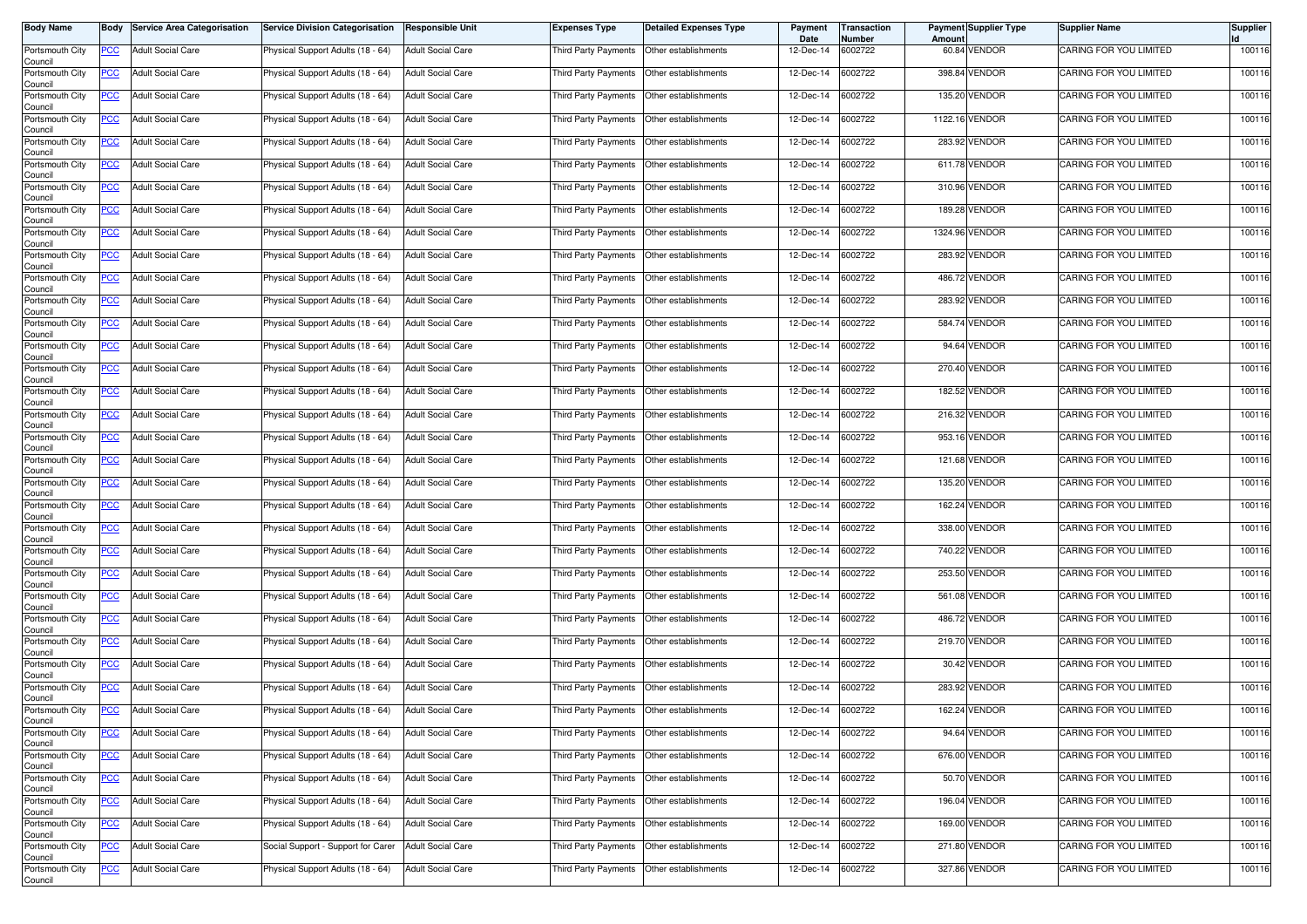| <b>Body Name</b>                      |            | <b>Body Service Area Categorisation</b> | <b>Service Division Categorisation</b> | <b>Responsible Unit</b>  | Expenses Type               | <b>Detailed Expenses Type</b> | Payment<br>Date | Transaction<br>Number | Amount | <b>Payment Supplier Type</b> | <b>Supplier Name</b>          | <b>Supplier</b> |
|---------------------------------------|------------|-----------------------------------------|----------------------------------------|--------------------------|-----------------------------|-------------------------------|-----------------|-----------------------|--------|------------------------------|-------------------------------|-----------------|
| Portsmouth City<br>Council            | <b>PCC</b> | <b>Adult Social Care</b>                | Physical Support Adults (18 - 64)      | <b>Adult Social Care</b> | Third Party Payments        | Other establishments          | 12-Dec-14       | 6002722               |        | 60.84 VENDOR                 | CARING FOR YOU LIMITED        | 100116          |
| Portsmouth City<br>Council            | <u>PCC</u> | <b>Adult Social Care</b>                | Physical Support Adults (18 - 64)      | <b>Adult Social Care</b> | <b>Third Party Payments</b> | Other establishments          | 12-Dec-14       | 6002722               |        | 398.84 VENDOR                | <b>CARING FOR YOU LIMITED</b> | 100116          |
| Portsmouth City<br>Council            | <b>PCC</b> | <b>Adult Social Care</b>                | Physical Support Adults (18 - 64)      | <b>Adult Social Care</b> | Third Party Payments        | Other establishments          | 12-Dec-14       | 6002722               | 135.20 | <b>VENDOR</b>                | CARING FOR YOU LIMITED        | 100116          |
| Portsmouth City<br>Council            | <b>PCC</b> | <b>Adult Social Care</b>                | Physical Support Adults (18 - 64)      | <b>Adult Social Care</b> | Third Party Payments        | Other establishments          | 12-Dec-14       | 6002722               |        | 1122.16 VENDOR               | CARING FOR YOU LIMITED        | 100116          |
| Portsmouth City<br>Council            | <u>PCC</u> | <b>Adult Social Care</b>                | Physical Support Adults (18 - 64)      | <b>Adult Social Care</b> | Third Party Payments        | Other establishments          | 12-Dec-14       | 6002722               |        | 283.92 VENDOR                | CARING FOR YOU LIMITED        | 100116          |
| Portsmouth City<br>Council            | <u>PCC</u> | <b>Adult Social Care</b>                | Physical Support Adults (18 - 64)      | <b>Adult Social Care</b> | Third Party Payments        | Other establishments          | 12-Dec-14       | 6002722               |        | 611.78 VENDOR                | CARING FOR YOU LIMITED        | 100116          |
| Portsmouth City<br>Council            | <b>PCC</b> | <b>Adult Social Care</b>                | Physical Support Adults (18 - 64)      | <b>Adult Social Care</b> | <b>Third Party Payments</b> | Other establishments          | 12-Dec-14       | 6002722               |        | 310.96 VENDOR                | CARING FOR YOU LIMITED        | 100116          |
| Portsmouth City<br>Council            | <b>PCC</b> | <b>Adult Social Care</b>                | Physical Support Adults (18 - 64)      | <b>Adult Social Care</b> | Third Party Payments        | Other establishments          | 12-Dec-14       | 6002722               |        | 189.28 VENDOR                | CARING FOR YOU LIMITED        | 100116          |
| Portsmouth City<br>Council            | <u>PCC</u> | <b>Adult Social Care</b>                | Physical Support Adults (18 - 64)      | <b>Adult Social Care</b> | Third Party Payments        | Other establishments          | 12-Dec-14       | 6002722               |        | 1324.96 VENDOR               | CARING FOR YOU LIMITED        | 100116          |
| Portsmouth City<br>Council            | <u>PCC</u> | <b>Adult Social Care</b>                | Physical Support Adults (18 - 64)      | <b>Adult Social Care</b> | Third Party Payments        | Other establishments          | 12-Dec-14       | 6002722               |        | 283.92 VENDOR                | CARING FOR YOU LIMITED        | 100116          |
| Portsmouth City<br>Council            | <u>PCC</u> | <b>Adult Social Care</b>                | Physical Support Adults (18 - 64)      | <b>Adult Social Care</b> | Third Party Payments        | Other establishments          | 12-Dec-14       | 6002722               |        | 486.72 VENDOR                | CARING FOR YOU LIMITED        | 100116          |
| Portsmouth City<br>Council            | <b>PCC</b> | <b>Adult Social Care</b>                | Physical Support Adults (18 - 64)      | <b>Adult Social Care</b> | Third Party Payments        | Other establishments          | 12-Dec-14       | 6002722               | 283.92 | <b>VENDOR</b>                | CARING FOR YOU LIMITED        | 100116          |
| Portsmouth City<br>Council            | PCC        | <b>Adult Social Care</b>                | Physical Support Adults (18 - 64)      | <b>Adult Social Care</b> | Third Party Payments        | Other establishments          | 12-Dec-14       | 6002722               |        | 584.74 VENDOR                | CARING FOR YOU LIMITED        | 100116          |
| Portsmouth City<br>Council            | <u>PCC</u> | <b>Adult Social Care</b>                | Physical Support Adults (18 - 64)      | <b>Adult Social Care</b> | Third Party Payments        | Other establishments          | 12-Dec-14       | 6002722               |        | 94.64 VENDOR                 | CARING FOR YOU LIMITED        | 100116          |
| Portsmouth City<br>Council            | <b>PCC</b> | <b>Adult Social Care</b>                | Physical Support Adults (18 - 64)      | <b>Adult Social Care</b> | Third Party Payments        | Other establishments          | 12-Dec-14       | 6002722               |        | 270.40 VENDOR                | CARING FOR YOU LIMITED        | 100116          |
| Portsmouth City<br>Council            | <b>PCC</b> | <b>Adult Social Care</b>                | Physical Support Adults (18 - 64)      | <b>Adult Social Care</b> | Third Party Payments        | Other establishments          | 12-Dec-14       | 6002722               |        | 182.52 VENDOR                | CARING FOR YOU LIMITED        | 100116          |
| Portsmouth City<br>Council            | <b>PCC</b> | <b>Adult Social Care</b>                | Physical Support Adults (18 - 64)      | <b>Adult Social Care</b> | Third Party Payments        | Other establishments          | 12-Dec-14       | 6002722               | 216.32 | <b>VENDOR</b>                | CARING FOR YOU LIMITED        | 100116          |
| Portsmouth City<br>Council            | <u>PCC</u> | <b>Adult Social Care</b>                | Physical Support Adults (18 - 64)      | <b>Adult Social Care</b> | <b>Third Party Payments</b> | Other establishments          | 12-Dec-14       | 6002722               |        | 953.16 VENDOR                | CARING FOR YOU LIMITED        | 100116          |
| Portsmouth City<br>Council            | <b>PCC</b> | <b>Adult Social Care</b>                | Physical Support Adults (18 - 64)      | <b>Adult Social Care</b> | Third Party Payments        | Other establishments          | 12-Dec-14       | 6002722               |        | 121.68 VENDOR                | <b>CARING FOR YOU LIMITED</b> | 100116          |
| Portsmouth City<br>Council            | PCC        | <b>Adult Social Care</b>                | Physical Support Adults (18 - 64)      | <b>Adult Social Care</b> | Third Party Payments        | Other establishments          | 12-Dec-14       | 6002722               | 135.20 | <b>VENDOR</b>                | CARING FOR YOU LIMITED        | 100116          |
| Portsmouth City<br>Council            | <u>PCC</u> | <b>Adult Social Care</b>                | Physical Support Adults (18 - 64)      | <b>Adult Social Care</b> | Third Party Payments        | Other establishments          | 12-Dec-14       | 6002722               |        | 162.24 VENDOR                | CARING FOR YOU LIMITED        | 100116          |
| Portsmouth City<br>Council            | <u>PCC</u> | <b>Adult Social Care</b>                | Physical Support Adults (18 - 64)      | <b>Adult Social Care</b> | Third Party Payments        | Other establishments          | 12-Dec-14       | 6002722               |        | 338.00 VENDOR                | CARING FOR YOU LIMITED        | 100116          |
| Portsmouth City<br>Council            | <u>PCC</u> | <b>Adult Social Care</b>                | Physical Support Adults (18 - 64)      | <b>Adult Social Care</b> | <b>Third Party Payments</b> | Other establishments          | 12-Dec-14       | 6002722               |        | 740.22 VENDOR                | CARING FOR YOU LIMITED        | 100116          |
| Portsmouth City<br>Council            | <b>PCC</b> | <b>Adult Social Care</b>                | Physical Support Adults (18 - 64)      | <b>Adult Social Care</b> | Third Party Payments        | Other establishments          | 12-Dec-14       | 6002722               |        | 253.50 VENDOR                | CARING FOR YOU LIMITED        | 100116          |
| Portsmouth City<br>Council            | <b>PCC</b> | <b>Adult Social Care</b>                | Physical Support Adults (18 - 64)      | <b>Adult Social Care</b> | Third Party Payments        | Other establishments          | 12-Dec-14       | 6002722               |        | 561.08 VENDOR                | CARING FOR YOU LIMITED        | 100116          |
| Portsmouth City<br>Council            | <u>PCC</u> | <b>Adult Social Care</b>                | Physical Support Adults (18 - 64)      | <b>Adult Social Care</b> | Third Party Payments        | Other establishments          | 12-Dec-14       | 6002722               |        | 486.72 VENDOR                | CARING FOR YOU LIMITED        | 100116          |
| Portsmouth City<br>Council            | <u>PCC</u> | <b>Adult Social Care</b>                | Physical Support Adults (18 - 64)      | <b>Adult Social Care</b> | <b>Third Party Payments</b> | Other establishments          | 12-Dec-14       | 6002722               |        | 219.70 VENDOR                | CARING FOR YOU LIMITED        | 100116          |
| Portsmouth City<br>Council            | <b>PCC</b> | <b>Adult Social Care</b>                | Physical Support Adults (18 - 64)      | <b>Adult Social Care</b> | Third Party Payments        | Other establishments          | 12-Dec-14       | 6002722               |        | 30.42 VENDOR                 | <b>CARING FOR YOU LIMITED</b> | 100116          |
| Portsmouth City<br>Council            | <u>PCC</u> | <b>Adult Social Care</b>                | Physical Support Adults (18 - 64)      | <b>Adult Social Care</b> | Third Party Payments        | Other establishments          | 12-Dec-14       | 6002722               |        | 283.92 VENDOR                | CARING FOR YOU LIMITED        | 100116          |
| Portsmouth City<br>Council            | <u>PCC</u> | <b>Adult Social Care</b>                | Physical Support Adults (18 - 64)      | <b>Adult Social Care</b> | Third Party Payments        | Other establishments          | 12-Dec-14       | 6002722               |        | 162.24 VENDOR                | CARING FOR YOU LIMITED        | 100116          |
| Portsmouth City<br>Council            | <u>PCC</u> | <b>Adult Social Care</b>                | Physical Support Adults (18 - 64)      | <b>Adult Social Care</b> | Third Party Payments        | Other establishments          | 12-Dec-14       | 6002722               |        | 94.64 VENDOR                 | CARING FOR YOU LIMITED        | 100116          |
| Portsmouth City                       | <b>PCC</b> | <b>Adult Social Care</b>                | Physical Support Adults (18 - 64)      | <b>Adult Social Care</b> | Third Party Payments        | Other establishments          | 12-Dec-14       | 6002722               |        | 676.00 VENDOR                | CARING FOR YOU LIMITED        | 100116          |
| Council<br>Portsmouth City<br>Council | <b>PCC</b> | <b>Adult Social Care</b>                | Physical Support Adults (18 - 64)      | <b>Adult Social Care</b> | Third Party Payments        | Other establishments          | 12-Dec-14       | 6002722               |        | 50.70 VENDOR                 | CARING FOR YOU LIMITED        | 100116          |
| Portsmouth City<br>Council            | <u>PCC</u> | <b>Adult Social Care</b>                | Physical Support Adults (18 - 64)      | <b>Adult Social Care</b> | Third Party Payments        | Other establishments          | 12-Dec-14       | 6002722               |        | 196.04 VENDOR                | CARING FOR YOU LIMITED        | 100116          |
| Portsmouth City<br>Council            | <u>PCC</u> | <b>Adult Social Care</b>                | Physical Support Adults (18 - 64)      | <b>Adult Social Care</b> | Third Party Payments        | Other establishments          | 12-Dec-14       | 6002722               |        | 169.00 VENDOR                | CARING FOR YOU LIMITED        | 100116          |
| Portsmouth City<br>Council            | <b>PCC</b> | <b>Adult Social Care</b>                | Social Support - Support for Carer     | <b>Adult Social Care</b> | Third Party Payments        | Other establishments          | 12-Dec-14       | 6002722               |        | 271.80 VENDOR                | CARING FOR YOU LIMITED        | 100116          |
| Portsmouth City<br>Council            | <b>PCC</b> | <b>Adult Social Care</b>                | Physical Support Adults (18 - 64)      | <b>Adult Social Care</b> | Third Party Payments        | Other establishments          | 12-Dec-14       | 6002722               |        | 327.86 VENDOR                | CARING FOR YOU LIMITED        | 100116          |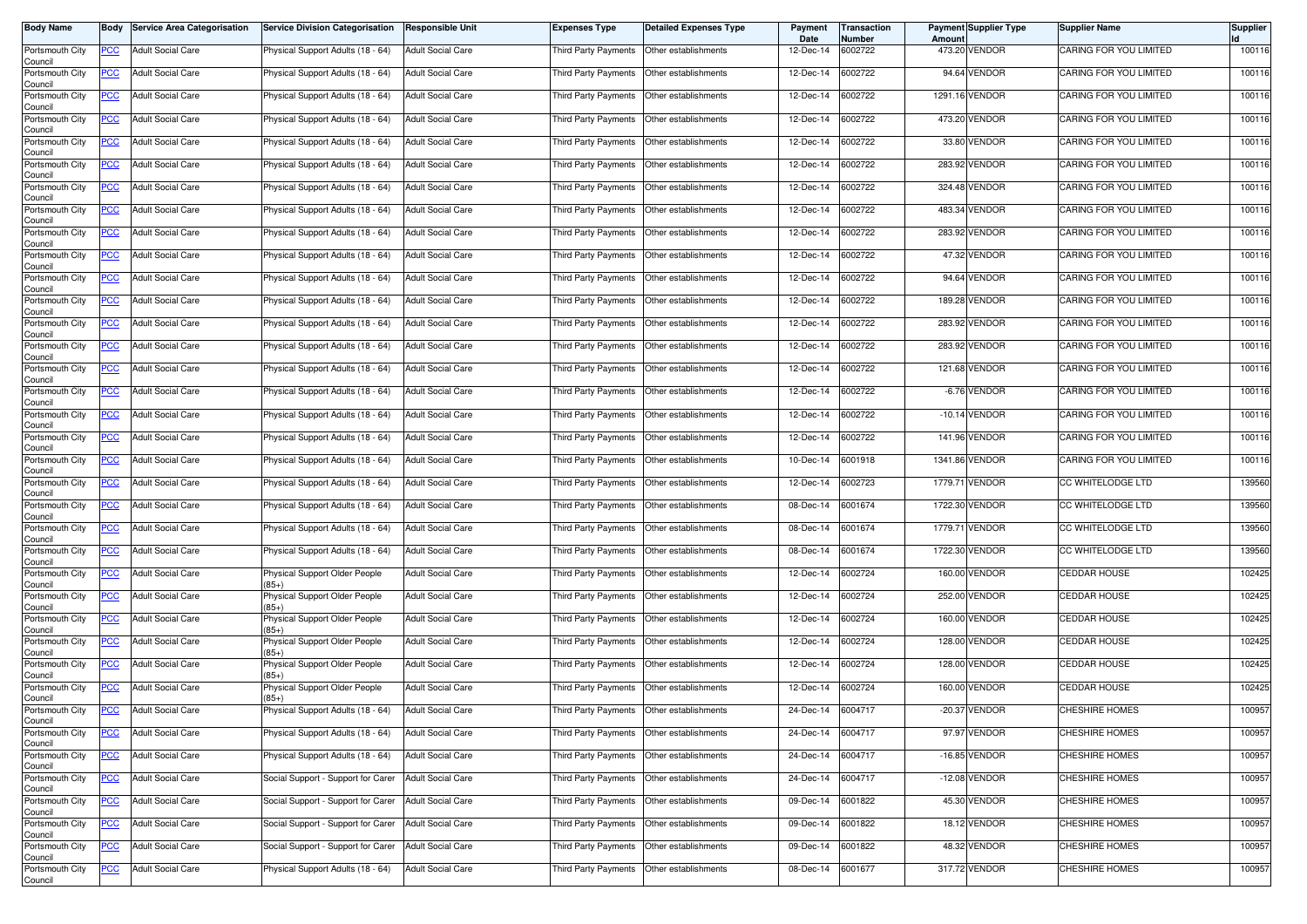| <b>Body Name</b>                              |            | <b>Body Service Area Categorisation</b> | <b>Service Division Categorisation</b>   | <b>Responsible Unit</b>  | <b>Expenses Type</b>        | Detailed Expenses Type                    | Payment<br>Date | Transaction<br>Number | Amount | <b>Payment Supplier Type</b> | <b>Supplier Name</b>          | <b>Supplier</b> |
|-----------------------------------------------|------------|-----------------------------------------|------------------------------------------|--------------------------|-----------------------------|-------------------------------------------|-----------------|-----------------------|--------|------------------------------|-------------------------------|-----------------|
| Portsmouth City<br>Council                    | <b>PCC</b> | <b>Adult Social Care</b>                | Physical Support Adults (18 - 64)        | <b>Adult Social Care</b> | Third Party Payments        | Other establishments                      | 12-Dec-14       | 6002722               |        | 473.20 VENDOR                | CARING FOR YOU LIMITED        | 100116          |
| Portsmouth City<br>Council                    | <u>PCC</u> | <b>Adult Social Care</b>                | Physical Support Adults (18 - 64)        | <b>Adult Social Care</b> | Third Party Payments        | Other establishments                      | 12-Dec-14       | 6002722               |        | 94.64 VENDOR                 | CARING FOR YOU LIMITED        | 100116          |
| Portsmouth City<br>Council                    | <b>PCC</b> | <b>Adult Social Care</b>                | Physical Support Adults (18 - 64)        | <b>Adult Social Care</b> | Third Party Payments        | Other establishments                      | 12-Dec-14       | 6002722               |        | 1291.16 VENDOR               | CARING FOR YOU LIMITED        | 100116          |
| Portsmouth City<br>Council                    | <b>PCC</b> | <b>Adult Social Care</b>                | Physical Support Adults (18 - 64)        | <b>Adult Social Care</b> | <b>Third Party Payments</b> | Other establishments                      | 12-Dec-14       | 6002722               |        | 473.20 VENDOR                | CARING FOR YOU LIMITED        | 100116          |
| Portsmouth City<br>Council                    | <u>PCC</u> | <b>Adult Social Care</b>                | Physical Support Adults (18 - 64)        | <b>Adult Social Care</b> | Third Party Payments        | Other establishments                      | 12-Dec-14       | 6002722               |        | 33.80 VENDOR                 | CARING FOR YOU LIMITED        | 100116          |
| Portsmouth City<br>Council                    | <u>PCC</u> | <b>Adult Social Care</b>                | Physical Support Adults (18 - 64)        | <b>Adult Social Care</b> | Third Party Payments        | Other establishments                      | 12-Dec-14       | 6002722               |        | 283.92 VENDOR                | CARING FOR YOU LIMITED        | 100116          |
| Portsmouth City<br>Council                    | <b>PCC</b> | <b>Adult Social Care</b>                | Physical Support Adults (18 - 64)        | <b>Adult Social Care</b> | Third Party Payments        | Other establishments                      | 12-Dec-14       | 6002722               |        | 324.48 VENDOR                | CARING FOR YOU LIMITED        | 100116          |
| Portsmouth City<br>Council                    | <b>PCC</b> | <b>Adult Social Care</b>                | Physical Support Adults (18 - 64)        | <b>Adult Social Care</b> | Third Party Payments        | Other establishments                      | 12-Dec-14       | 6002722               |        | 483.34 VENDOR                | <b>CARING FOR YOU LIMITED</b> | 100116          |
| Portsmouth City<br>Council                    | <b>PCC</b> | <b>Adult Social Care</b>                | Physical Support Adults (18 - 64)        | <b>Adult Social Care</b> | Third Party Payments        | Other establishments                      | 12-Dec-14       | 6002722               |        | 283.92 VENDOR                | CARING FOR YOU LIMITED        | 100116          |
| Portsmouth City<br>Council                    | PCC        | <b>Adult Social Care</b>                | Physical Support Adults (18 - 64)        | <b>Adult Social Care</b> | Third Party Payments        | Other establishments                      | 12-Dec-14       | 6002722               |        | 47.32 VENDOR                 | CARING FOR YOU LIMITED        | 100116          |
| Portsmouth City<br>Council                    | <u>PCC</u> | <b>Adult Social Care</b>                | Physical Support Adults (18 - 64)        | <b>Adult Social Care</b> | Third Party Payments        | Other establishments                      | 12-Dec-14       | 6002722               |        | 94.64 VENDOR                 | CARING FOR YOU LIMITED        | 100116          |
| Portsmouth City<br>Council                    | <b>PCC</b> | <b>Adult Social Care</b>                | Physical Support Adults (18 - 64)        | <b>Adult Social Care</b> | Third Party Payments        | Other establishments                      | 12-Dec-14       | 6002722               |        | 189.28 VENDOR                | CARING FOR YOU LIMITED        | 100116          |
| Portsmouth City<br>Council                    | PCC        | <b>Adult Social Care</b>                | Physical Support Adults (18 - 64)        | <b>Adult Social Care</b> | Third Party Payments        | Other establishments                      | 12-Dec-14       | 6002722               |        | 283.92 VENDOR                | CARING FOR YOU LIMITED        | 100116          |
| Portsmouth City<br>Council                    | <u>PCC</u> | <b>Adult Social Care</b>                | Physical Support Adults (18 - 64)        | <b>Adult Social Care</b> | Third Party Payments        | Other establishments                      | 12-Dec-14       | 6002722               |        | 283.92 VENDOR                | CARING FOR YOU LIMITED        | 100116          |
| Portsmouth City<br>Council                    | <b>PCC</b> | <b>Adult Social Care</b>                | Physical Support Adults (18 - 64)        | <b>Adult Social Care</b> | Third Party Payments        | Other establishments                      | 12-Dec-14       | 6002722               |        | 121.68 VENDOR                | CARING FOR YOU LIMITED        | 100116          |
| Portsmouth City<br>Council                    | <b>PCC</b> | <b>Adult Social Care</b>                | Physical Support Adults (18 - 64)        | <b>Adult Social Care</b> | Third Party Payments        | Other establishments                      | 12-Dec-14       | 6002722               |        | -6.76 VENDOR                 | <b>CARING FOR YOU LIMITED</b> | 100116          |
| Portsmouth City<br>Council                    | <b>PCC</b> | <b>Adult Social Care</b>                | Physical Support Adults (18 - 64)        | <b>Adult Social Care</b> | Third Party Payments        | Other establishments                      | 12-Dec-14       | 6002722               |        | $-10.14$ VENDOR              | CARING FOR YOU LIMITED        | 100116          |
| Portsmouth City<br>Council                    | PCC        | <b>Adult Social Care</b>                | Physical Support Adults (18 - 64)        | <b>Adult Social Care</b> | Third Party Payments        | Other establishments                      | 12-Dec-14       | 6002722               |        | 141.96 VENDOR                | CARING FOR YOU LIMITED        | 100116          |
| Portsmouth City<br>Council                    | <b>PCC</b> | <b>Adult Social Care</b>                | Physical Support Adults (18 - 64)        | <b>Adult Social Care</b> | Third Party Payments        | Other establishments                      | 10-Dec-14       | 6001918               |        | 1341.86 VENDOR               | CARING FOR YOU LIMITED        | 100116          |
| Portsmouth City<br>Council                    | <u>PCC</u> | <b>Adult Social Care</b>                | Physical Support Adults (18 - 64)        | <b>Adult Social Care</b> | Third Party Payments        | Other establishments                      | 12-Dec-14       | 6002723               |        | 1779.71 VENDOR               | CC WHITELODGE LTD             | 139560          |
| Portsmouth City<br>Council                    | <u>PCC</u> | <b>Adult Social Care</b>                | Physical Support Adults (18 - 64)        | <b>Adult Social Care</b> | Third Party Payments        | Other establishments                      | 08-Dec-14       | 6001674               |        | 1722.30 VENDOR               | CC WHITELODGE LTD             | 139560          |
| Portsmouth City<br>Council                    | <u>PCC</u> | <b>Adult Social Care</b>                | Physical Support Adults (18 - 64)        | <b>Adult Social Care</b> | Third Party Payments        | Other establishments                      | 08-Dec-14       | 6001674               |        | 1779.71 VENDOR               | CC WHITELODGE LTD             | 139560          |
| Portsmouth City<br>Council                    | <u>PCC</u> | <b>Adult Social Care</b>                | Physical Support Adults (18 - 64)        | <b>Adult Social Care</b> | Third Party Payments        | Other establishments                      | 08-Dec-14       | 6001674               |        | 1722.30 VENDOR               | CC WHITELODGE LTD             | 139560          |
| Portsmouth City<br>Council                    | <b>PCC</b> | <b>Adult Social Care</b>                | Physical Support Older People<br>$(85+)$ | <b>Adult Social Care</b> | Third Party Payments        | Other establishments                      | 12-Dec-14       | 6002724               |        | 160.00 VENDOR                | <b>CEDDAR HOUSE</b>           | 102425          |
| Portsmouth City<br>Council                    | <b>PCC</b> | <b>Adult Social Care</b>                | Physical Support Older People<br>$(85+)$ | <b>Adult Social Care</b> | Third Party Payments        | Other establishments                      | 12-Dec-14       | 6002724               |        | 252.00 VENDOR                | <b>CEDDAR HOUSE</b>           | 102425          |
| Portsmouth City<br>Council                    | <u>PCC</u> | <b>Adult Social Care</b>                | Physical Support Older People<br>$85+$   | <b>Adult Social Care</b> | Third Party Payments        | Other establishments                      | 12-Dec-14       | 6002724               | 160.00 | <b>VENDOR</b>                | <b>CEDDAR HOUSE</b>           | 102425          |
| Portsmouth City<br>Council                    | <u>PCC</u> | <b>Adult Social Care</b>                | Physical Support Older People<br>$85+)$  | <b>Adult Social Care</b> | Third Party Payments        | Other establishments                      | 12-Dec-14       | 6002724               | 128.00 | <b>VENDOR</b>                | CEDDAR HOUSE                  | 102425          |
| Portsmouth City<br>Council                    | <b>PCC</b> | <b>Adult Social Care</b>                | Physical Support Older People<br>$(85+)$ | <b>Adult Social Care</b> | Third Party Payments        | Other establishments                      | 12-Dec-14       | 6002724               |        | 128.00 VENDOR                | <b>CEDDAR HOUSE</b>           | 102425          |
| Portsmouth City<br>Council                    | <u>PCC</u> | <b>Adult Social Care</b>                | Physical Support Older People<br>$(85+)$ | <b>Adult Social Care</b> | <b>Third Party Payments</b> | Other establishments                      | 12-Dec-14       | 6002724               |        | 160.00 VENDOR                | <b>CEDDAR HOUSE</b>           | 102425          |
| Portsmouth City<br>Council                    | <u>PCC</u> | <b>Adult Social Care</b>                | Physical Support Adults (18 - 64)        | <b>Adult Social Care</b> | Third Party Payments        | Other establishments                      | 24-Dec-14       | 6004717               |        | -20.37 VENDOR                | <b>CHESHIRE HOMES</b>         | 100957          |
| Portsmouth City<br>Council                    | <u>PCC</u> | <b>Adult Social Care</b>                | Physical Support Adults (18 - 64)        | <b>Adult Social Care</b> | Third Party Payments        | Other establishments                      | 24-Dec-14       | 6004717               |        | 97.97 VENDOR                 | CHESHIRE HOMES                | 100957          |
| Portsmouth City<br>Council<br>Portsmouth City | <b>PCC</b> | <b>Adult Social Care</b>                | Physical Support Adults (18 - 64)        | <b>Adult Social Care</b> |                             | Third Party Payments Other establishments | 24-Dec-14       | 6004717               |        | -16.85 VENDOR                | <b>CHESHIRE HOMES</b>         | 100957          |
| Council                                       | <b>PCC</b> | <b>Adult Social Care</b>                | Social Support - Support for Carer       | <b>Adult Social Care</b> |                             | Third Party Payments Other establishments | 24-Dec-14       | 6004717               |        | $-12.08$ VENDOR              | CHESHIRE HOMES                | 100957          |
| Portsmouth City<br>Council                    | <b>PCC</b> | <b>Adult Social Care</b>                | Social Support - Support for Carer       | <b>Adult Social Care</b> | Third Party Payments        | Other establishments                      | 09-Dec-14       | 6001822               |        | 45.30 VENDOR                 | <b>CHESHIRE HOMES</b>         | 100957          |
| Portsmouth City<br>Council                    | <u>PCC</u> | <b>Adult Social Care</b>                | Social Support - Support for Carer       | <b>Adult Social Care</b> | Third Party Payments        | Other establishments                      | 09-Dec-14       | 6001822               |        | 18.12 VENDOR                 | CHESHIRE HOMES                | 100957          |
| Portsmouth City<br>Council                    | <b>PCC</b> | <b>Adult Social Care</b>                | Social Support - Support for Carer       | <b>Adult Social Care</b> | Third Party Payments        | Other establishments                      | 09-Dec-14       | 6001822               |        | 48.32 VENDOR                 | <b>CHESHIRE HOMES</b>         | 100957          |
| Portsmouth City<br>Council                    | <b>PCC</b> | <b>Adult Social Care</b>                | Physical Support Adults (18 - 64)        | <b>Adult Social Care</b> | Third Party Payments        | Other establishments                      | 08-Dec-14       | 6001677               |        | 317.72 VENDOR                | <b>CHESHIRE HOMES</b>         | 100957          |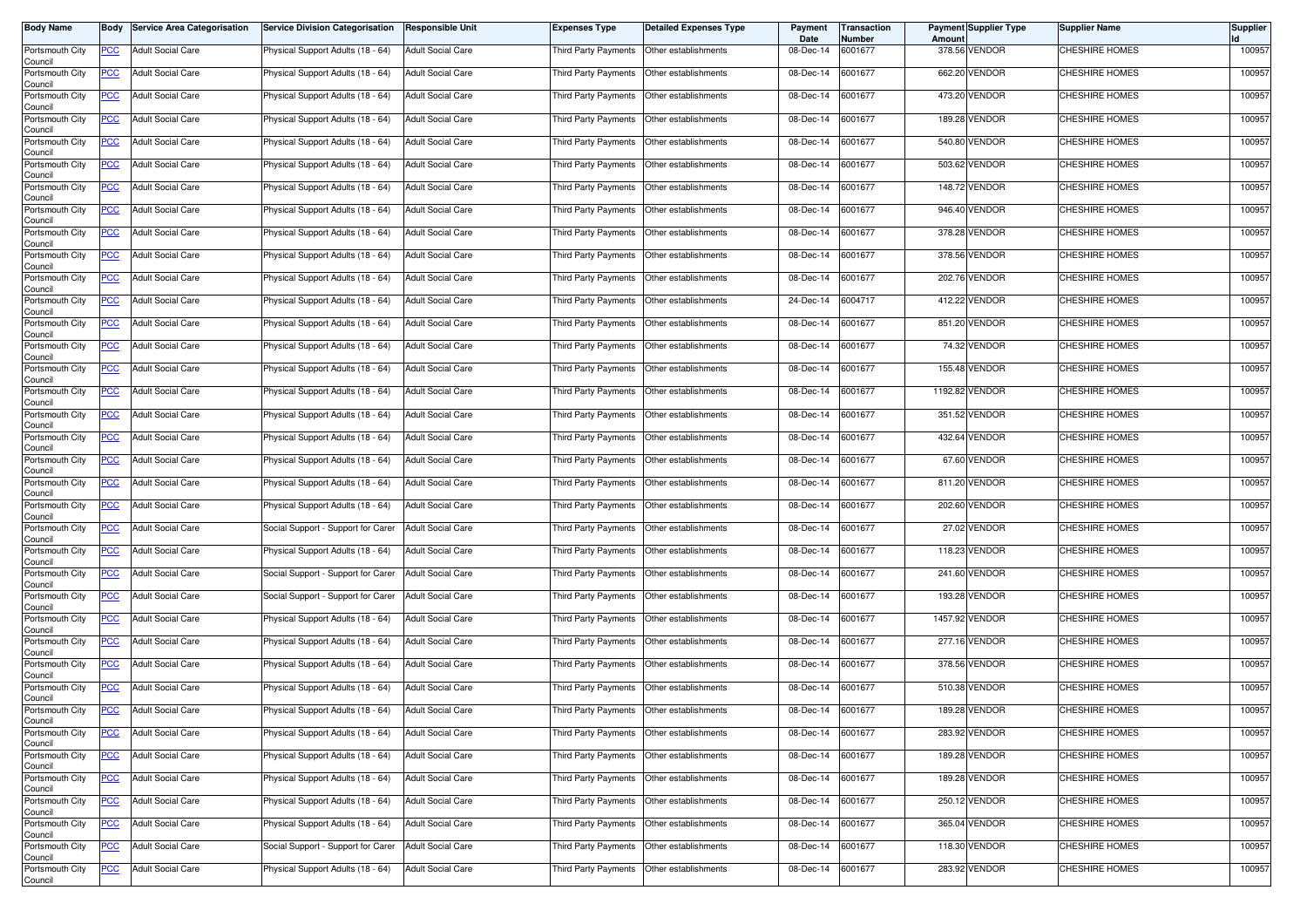| <b>Body Name</b>           |            | <b>Body Service Area Categorisation</b> | Service Division Categorisation    | <b>Responsible Unit</b>  | Expenses Type        | <b>Detailed Expenses Type</b>             | Payment<br>Date | Transaction<br>Number | <b>Amount</b> | <b>Payment Supplier Type</b> | Supplier Name         | <b>Supplier</b> |
|----------------------------|------------|-----------------------------------------|------------------------------------|--------------------------|----------------------|-------------------------------------------|-----------------|-----------------------|---------------|------------------------------|-----------------------|-----------------|
| Portsmouth City<br>Council | PCC        | <b>Adult Social Care</b>                | Physical Support Adults (18 - 64)  | <b>Adult Social Care</b> | Third Party Payments | Other establishments                      | 08-Dec-14       | 6001677               |               | 378.56 VENDOR                | CHESHIRE HOMES        | 100957          |
| Portsmouth City<br>Council | <u>PCC</u> | <b>Adult Social Care</b>                | Physical Support Adults (18 - 64)  | <b>Adult Social Care</b> | Third Party Payments | Other establishments                      | 08-Dec-14       | 6001677               |               | 662.20 VENDOR                | CHESHIRE HOMES        | 100957          |
| Portsmouth City<br>Council | <u>PCC</u> | <b>Adult Social Care</b>                | Physical Support Adults (18 - 64)  | <b>Adult Social Care</b> | Third Party Payments | Other establishments                      | 08-Dec-14       | 6001677               |               | 473.20 VENDOR                | <b>CHESHIRE HOMES</b> | 100957          |
| Portsmouth City<br>Council | <b>PCC</b> | <b>Adult Social Care</b>                | Physical Support Adults (18 - 64)  | <b>Adult Social Care</b> | Third Party Payments | Other establishments                      | 08-Dec-14       | 6001677               |               | 189.28 VENDOR                | CHESHIRE HOMES        | 100957          |
| Portsmouth City<br>Council | <u>PCC</u> | <b>Adult Social Care</b>                | Physical Support Adults (18 - 64)  | <b>Adult Social Care</b> | Third Party Payments | Other establishments                      | 08-Dec-14       | 6001677               |               | 540.80 VENDOR                | CHESHIRE HOMES        | 100957          |
| Portsmouth City<br>Council | <u>PCC</u> | <b>Adult Social Care</b>                | Physical Support Adults (18 - 64)  | <b>Adult Social Care</b> | Third Party Payments | Other establishments                      | 08-Dec-14       | 6001677               |               | 503.62 VENDOR                | CHESHIRE HOMES        | 100957          |
| Portsmouth City<br>Council | <u>PCC</u> | <b>Adult Social Care</b>                | Physical Support Adults (18 - 64)  | <b>Adult Social Care</b> | Third Party Payments | Other establishments                      | 08-Dec-14       | 6001677               |               | 148.72 VENDOR                | CHESHIRE HOMES        | 100957          |
| Portsmouth City<br>Council | <b>PCC</b> | <b>Adult Social Care</b>                | Physical Support Adults (18 - 64)  | <b>Adult Social Care</b> | Third Party Payments | Other establishments                      | 08-Dec-14       | 6001677               |               | 946.40 VENDOR                | <b>CHESHIRE HOMES</b> | 100957          |
| Portsmouth City<br>Council | <u>PCC</u> | <b>Adult Social Care</b>                | Physical Support Adults (18 - 64)  | <b>Adult Social Care</b> | Third Party Payments | Other establishments                      | 08-Dec-14       | 6001677               |               | 378.28 VENDOR                | CHESHIRE HOMES        | 100957          |
| Portsmouth City<br>Council | PCC        | <b>Adult Social Care</b>                | Physical Support Adults (18 - 64)  | <b>Adult Social Care</b> | Third Party Payments | Other establishments                      | 08-Dec-14       | 6001677               |               | 378.56 VENDOR                | CHESHIRE HOMES        | 100957          |
| Portsmouth City<br>Council | <u>PCC</u> | <b>Adult Social Care</b>                | Physical Support Adults (18 - 64)  | <b>Adult Social Care</b> | Third Party Payments | Other establishments                      | 08-Dec-14       | 6001677               |               | 202.76 VENDOR                | CHESHIRE HOMES        | 100957          |
| Portsmouth City<br>Council | <u>PCC</u> | <b>Adult Social Care</b>                | Physical Support Adults (18 - 64)  | <b>Adult Social Care</b> | Third Party Payments | Other establishments                      | 24-Dec-14       | 6004717               |               | 412.22 VENDOR                | <b>CHESHIRE HOMES</b> | 100957          |
| Portsmouth City<br>Council | PCC        | <b>Adult Social Care</b>                | Physical Support Adults (18 - 64)  | <b>Adult Social Care</b> | Third Party Payments | Other establishments                      | 08-Dec-14       | 6001677               |               | 851.20 VENDOR                | CHESHIRE HOMES        | 100957          |
| Portsmouth City<br>Council | <u>PCC</u> | <b>Adult Social Care</b>                | Physical Support Adults (18 - 64)  | <b>Adult Social Care</b> | Third Party Payments | Other establishments                      | 08-Dec-14       | 6001677               |               | 74.32 VENDOR                 | CHESHIRE HOMES        | 100957          |
| Portsmouth City<br>Council | <u>PCC</u> | <b>Adult Social Care</b>                | Physical Support Adults (18 - 64)  | <b>Adult Social Care</b> | Third Party Payments | Other establishments                      | 08-Dec-14       | 6001677               |               | 155.48 VENDOR                | <b>CHESHIRE HOMES</b> | 100957          |
| Portsmouth City<br>Council | <u>PCC</u> | <b>Adult Social Care</b>                | Physical Support Adults (18 - 64)  | <b>Adult Social Care</b> | Third Party Payments | Other establishments                      | 08-Dec-14       | 6001677               |               | 1192.82 VENDOR               | CHESHIRE HOMES        | 100957          |
| Portsmouth City<br>Council | PCC        | <b>Adult Social Care</b>                | Physical Support Adults (18 - 64)  | <b>Adult Social Care</b> | Third Party Payments | Other establishments                      | 08-Dec-14       | 6001677               |               | 351.52 VENDOR                | <b>CHESHIRE HOMES</b> | 100957          |
| Portsmouth City<br>Council | <u>PCC</u> | <b>Adult Social Care</b>                | Physical Support Adults (18 - 64)  | <b>Adult Social Care</b> | Third Party Payments | Other establishments                      | 08-Dec-14       | 6001677               |               | 432.64 VENDOR                | <b>CHESHIRE HOMES</b> | 100957          |
| Portsmouth City<br>Council | <u>PCC</u> | <b>Adult Social Care</b>                | Physical Support Adults (18 - 64)  | <b>Adult Social Care</b> | Third Party Payments | Other establishments                      | 08-Dec-14       | 6001677               |               | 67.60 VENDOR                 | <b>CHESHIRE HOMES</b> | 100957          |
| Portsmouth City<br>Council | <u>PCC</u> | <b>Adult Social Care</b>                | Physical Support Adults (18 - 64)  | <b>Adult Social Care</b> | Third Party Payments | Other establishments                      | 08-Dec-14       | 6001677               |               | 811.20 VENDOR                | CHESHIRE HOMES        | 100957          |
| Portsmouth City<br>Council | <u>PCC</u> | <b>Adult Social Care</b>                | Physical Support Adults (18 - 64)  | <b>Adult Social Care</b> | Third Party Payments | Other establishments                      | 08-Dec-14       | 6001677               |               | 202.60 VENDOR                | CHESHIRE HOMES        | 100957          |
| Portsmouth City<br>Council | <u>PCC</u> | <b>Adult Social Care</b>                | Social Support - Support for Carer | <b>Adult Social Care</b> | Third Party Payments | Other establishments                      | 08-Dec-14       | 6001677               |               | 27.02 VENDOR                 | CHESHIRE HOMES        | 100957          |
| Portsmouth City<br>Council | <u>PCC</u> | <b>Adult Social Care</b>                | Physical Support Adults (18 - 64)  | <b>Adult Social Care</b> | Third Party Payments | Other establishments                      | 08-Dec-14       | 6001677               |               | 118.23 VENDOR                | CHESHIRE HOMES        | 100957          |
| Portsmouth City<br>Council | <u>PCC</u> | <b>Adult Social Care</b>                | Social Support - Support for Carer | <b>Adult Social Care</b> | Third Party Payments | Other establishments                      | 08-Dec-14       | 6001677               |               | 241.60 VENDOR                | <b>CHESHIRE HOMES</b> | 100957          |
| Portsmouth City<br>Council | <b>PCC</b> | <b>Adult Social Care</b>                | Social Support - Support for Carer | <b>Adult Social Care</b> | Third Party Payments | Other establishments                      | 08-Dec-14       | 6001677               |               | 193.28 VENDOR                | CHESHIRE HOMES        | 100957          |
| Portsmouth City<br>Council | <u>PCC</u> | <b>Adult Social Care</b>                | Physical Support Adults (18 - 64)  | <b>Adult Social Care</b> | Third Party Payments | Other establishments                      | 08-Dec-14       | 6001677               |               | 1457.92 VENDOR               | <b>CHESHIRE HOMES</b> | 100957          |
| Portsmouth City<br>Council | <b>PCC</b> | <b>Adult Social Care</b>                | Physical Support Adults (18 - 64)  | <b>Adult Social Care</b> | Third Party Payments | Other establishments                      | 08-Dec-14       | 6001677               |               | 277.16 VENDOR                | CHESHIRE HOMES        | 100957          |
| Portsmouth City<br>Council | <u>PCC</u> | <b>Adult Social Care</b>                | Physical Support Adults (18 - 64)  | <b>Adult Social Care</b> | Third Party Payments | Other establishments                      | 08-Dec-14       | 6001677               |               | 378.56 VENDOR                | <b>CHESHIRE HOMES</b> | 100957          |
| Portsmouth City<br>Council | <u>PCC</u> | <b>Adult Social Care</b>                | Physical Support Adults (18 - 64)  | <b>Adult Social Care</b> | Third Party Payments | Other establishments                      | 08-Dec-14       | 6001677               |               | 510.38 VENDOR                | CHESHIRE HOMES        | 100957          |
| Portsmouth City<br>Council | <u>PCC</u> | <b>Adult Social Care</b>                | Physical Support Adults (18 - 64)  | <b>Adult Social Care</b> | Third Party Payments | Other establishments                      | 08-Dec-14       | 6001677               |               | 189.28 VENDOR                | CHESHIRE HOMES        | 100957          |
| Portsmouth City<br>Council | <b>PCC</b> | <b>Adult Social Care</b>                | Physical Support Adults (18 - 64)  | <b>Adult Social Care</b> | Third Party Payments | Other establishments                      | 08-Dec-14       | 6001677               |               | 283.92 VENDOR                | CHESHIRE HOMES        | 100957          |
| Portsmouth City<br>Council | <b>PCC</b> | <b>Adult Social Care</b>                | Physical Support Adults (18 - 64)  | <b>Adult Social Care</b> |                      | Third Party Payments Other establishments | 08-Dec-14       | 6001677               |               | 189.28 VENDOR                | CHESHIRE HOMES        | 100957          |
| Portsmouth City<br>Council | <u>PCC</u> | <b>Adult Social Care</b>                | Physical Support Adults (18 - 64)  | <b>Adult Social Care</b> |                      | Third Party Payments Other establishments | 08-Dec-14       | 6001677               |               | 189.28 VENDOR                | <b>CHESHIRE HOMES</b> | 100957          |
| Portsmouth City<br>Council | <u>PCC</u> | <b>Adult Social Care</b>                | Physical Support Adults (18 - 64)  | <b>Adult Social Care</b> | Third Party Payments | Other establishments                      | 08-Dec-14       | 6001677               |               | 250.12 VENDOR                | CHESHIRE HOMES        | 100957          |
| Portsmouth City<br>Council | <u>PCC</u> | <b>Adult Social Care</b>                | Physical Support Adults (18 - 64)  | <b>Adult Social Care</b> | Third Party Payments | Other establishments                      | 08-Dec-14       | 6001677               |               | 365.04 VENDOR                | CHESHIRE HOMES        | 100957          |
| Portsmouth City<br>Council | <u>PCC</u> | <b>Adult Social Care</b>                | Social Support - Support for Carer | <b>Adult Social Care</b> | Third Party Payments | Other establishments                      | 08-Dec-14       | 6001677               |               | 118.30 VENDOR                | CHESHIRE HOMES        | 100957          |
| Portsmouth City<br>Council | <b>PCC</b> | <b>Adult Social Care</b>                | Physical Support Adults (18 - 64)  | <b>Adult Social Care</b> | Third Party Payments | Other establishments                      | 08-Dec-14       | 6001677               |               | 283.92 VENDOR                | <b>CHESHIRE HOMES</b> | 100957          |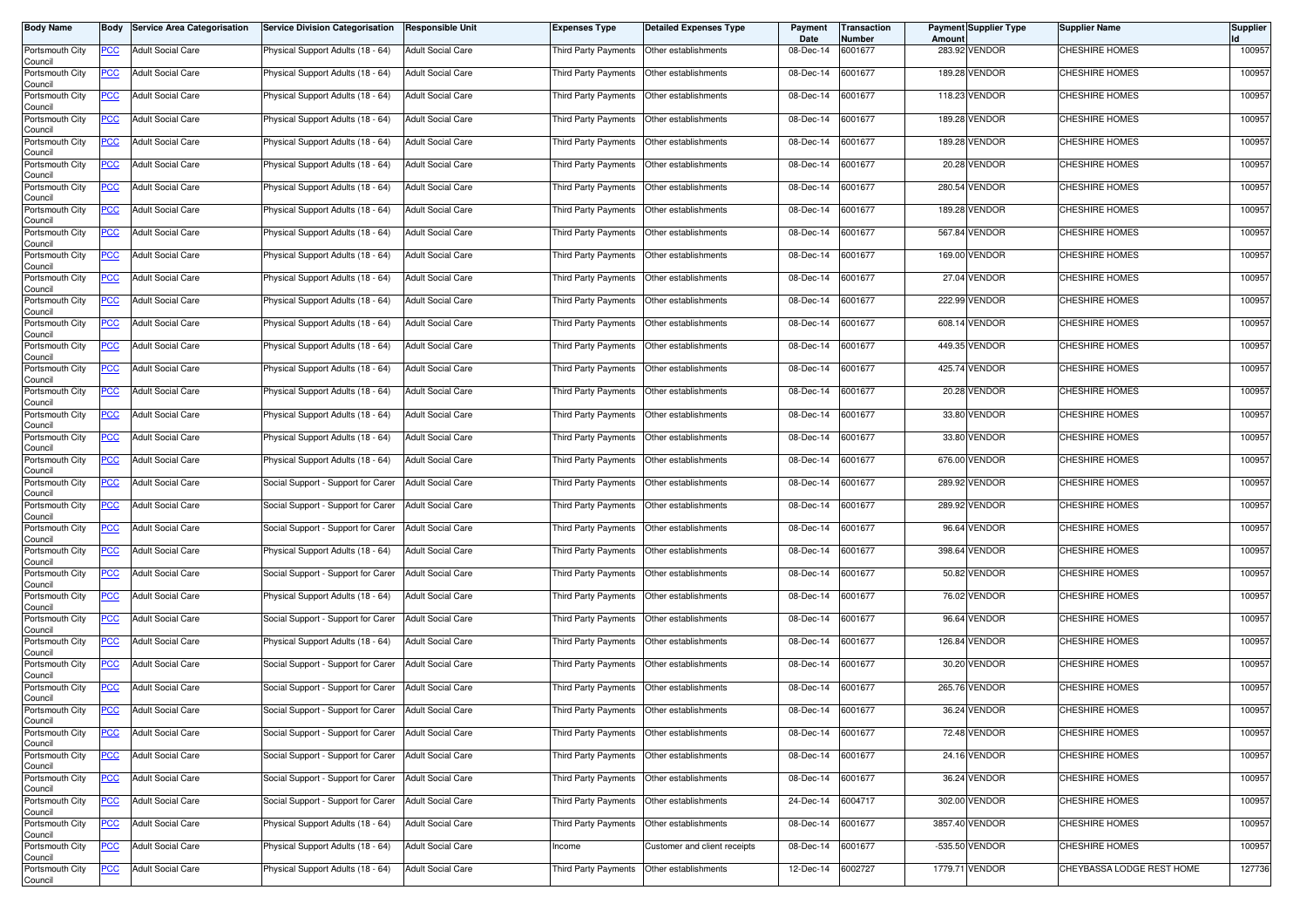| <b>Body Name</b>           |            | <b>Body Service Area Categorisation</b> | Service Division Categorisation    | <b>Responsible Unit</b>  | Expenses Type        | <b>Detailed Expenses Type</b>             | Payment<br>Date | Transaction<br>Number | <b>Amount</b> | <b>Payment Supplier Type</b> | Supplier Name             | <b>Supplier</b> |
|----------------------------|------------|-----------------------------------------|------------------------------------|--------------------------|----------------------|-------------------------------------------|-----------------|-----------------------|---------------|------------------------------|---------------------------|-----------------|
| Portsmouth City<br>Council | PCC        | <b>Adult Social Care</b>                | Physical Support Adults (18 - 64)  | <b>Adult Social Care</b> | Third Party Payments | Other establishments                      | 08-Dec-14       | 6001677               |               | 283.92 VENDOR                | CHESHIRE HOMES            | 100957          |
| Portsmouth City<br>Council | <u>PCC</u> | <b>Adult Social Care</b>                | Physical Support Adults (18 - 64)  | <b>Adult Social Care</b> | Third Party Payments | Other establishments                      | 08-Dec-14       | 6001677               |               | 189.28 VENDOR                | CHESHIRE HOMES            | 100957          |
| Portsmouth City<br>Council | <b>PCC</b> | <b>Adult Social Care</b>                | Physical Support Adults (18 - 64)  | <b>Adult Social Care</b> | Third Party Payments | Other establishments                      | 08-Dec-14       | 6001677               |               | 118.23 VENDOR                | <b>CHESHIRE HOMES</b>     | 100957          |
| Portsmouth City<br>Council | <b>PCC</b> | <b>Adult Social Care</b>                | Physical Support Adults (18 - 64)  | <b>Adult Social Care</b> | Third Party Payments | Other establishments                      | 08-Dec-14       | 6001677               |               | 189.28 VENDOR                | <b>CHESHIRE HOMES</b>     | 100957          |
| Portsmouth City<br>Council | <u>PCC</u> | <b>Adult Social Care</b>                | Physical Support Adults (18 - 64)  | <b>Adult Social Care</b> | Third Party Payments | Other establishments                      | 08-Dec-14       | 6001677               |               | 189.28 VENDOR                | CHESHIRE HOMES            | 100957          |
| Portsmouth City<br>Council | <u>PCC</u> | <b>Adult Social Care</b>                | Physical Support Adults (18 - 64)  | <b>Adult Social Care</b> | Third Party Payments | Other establishments                      | 08-Dec-14       | 6001677               |               | 20.28 VENDOR                 | CHESHIRE HOMES            | 100957          |
| Portsmouth City<br>Council | <u>PCC</u> | <b>Adult Social Care</b>                | Physical Support Adults (18 - 64)  | <b>Adult Social Care</b> | Third Party Payments | Other establishments                      | 08-Dec-14       | 6001677               |               | 280.54 VENDOR                | CHESHIRE HOMES            | 100957          |
| Portsmouth City<br>Council | <u>PCC</u> | <b>Adult Social Care</b>                | Physical Support Adults (18 - 64)  | <b>Adult Social Care</b> | Third Party Payments | Other establishments                      | 08-Dec-14       | 6001677               |               | 189.28 VENDOR                | <b>CHESHIRE HOMES</b>     | 100957          |
| Portsmouth City<br>Council | <u>PCC</u> | <b>Adult Social Care</b>                | Physical Support Adults (18 - 64)  | <b>Adult Social Care</b> | Third Party Payments | Other establishments                      | 08-Dec-14       | 6001677               |               | 567.84 VENDOR                | CHESHIRE HOMES            | 100957          |
| Portsmouth City<br>Council | PCC        | <b>Adult Social Care</b>                | Physical Support Adults (18 - 64)  | <b>Adult Social Care</b> | Third Party Payments | Other establishments                      | 08-Dec-14       | 6001677               |               | 169.00 VENDOR                | <b>CHESHIRE HOMES</b>     | 100957          |
| Portsmouth City<br>Council | <u>PCC</u> | <b>Adult Social Care</b>                | Physical Support Adults (18 - 64)  | <b>Adult Social Care</b> | Third Party Payments | Other establishments                      | 08-Dec-14       | 6001677               |               | 27.04 VENDOR                 | CHESHIRE HOMES            | 100957          |
| Portsmouth City<br>Council | <u>PCC</u> | <b>Adult Social Care</b>                | Physical Support Adults (18 - 64)  | <b>Adult Social Care</b> | Third Party Payments | Other establishments                      | 08-Dec-14       | 6001677               |               | 222.99 VENDOR                | <b>CHESHIRE HOMES</b>     | 100957          |
| Portsmouth City<br>Council | PCC        | <b>Adult Social Care</b>                | Physical Support Adults (18 - 64)  | <b>Adult Social Care</b> | Third Party Payments | Other establishments                      | 08-Dec-14       | 6001677               | 608.14        | <b>VENDOR</b>                | <b>CHESHIRE HOMES</b>     | 100957          |
| Portsmouth City<br>Council | <u>PCC</u> | <b>Adult Social Care</b>                | Physical Support Adults (18 - 64)  | <b>Adult Social Care</b> | Third Party Payments | Other establishments                      | 08-Dec-14       | 6001677               |               | 449.35 VENDOR                | CHESHIRE HOMES            | 100957          |
| Portsmouth City<br>Council | <u>PCC</u> | <b>Adult Social Care</b>                | Physical Support Adults (18 - 64)  | <b>Adult Social Care</b> | Third Party Payments | Other establishments                      | 08-Dec-14       | 6001677               |               | 425.74 VENDOR                | <b>CHESHIRE HOMES</b>     | 100957          |
| Portsmouth City<br>Council | <u>PCC</u> | <b>Adult Social Care</b>                | Physical Support Adults (18 - 64)  | <b>Adult Social Care</b> | Third Party Payments | Other establishments                      | 08-Dec-14       | 6001677               |               | 20.28 VENDOR                 | CHESHIRE HOMES            | 100957          |
| Portsmouth City<br>Council | PCC        | <b>Adult Social Care</b>                | Physical Support Adults (18 - 64)  | <b>Adult Social Care</b> | Third Party Payments | Other establishments                      | 08-Dec-14       | 6001677               |               | 33.80 VENDOR                 | <b>CHESHIRE HOMES</b>     | 100957          |
| Portsmouth City<br>Council | <u>PCC</u> | <b>Adult Social Care</b>                | Physical Support Adults (18 - 64)  | <b>Adult Social Care</b> | Third Party Payments | Other establishments                      | 08-Dec-14       | 6001677               |               | 33.80 VENDOR                 | <b>CHESHIRE HOMES</b>     | 100957          |
| Portsmouth City<br>Council | <u>PCC</u> | <b>Adult Social Care</b>                | Physical Support Adults (18 - 64)  | <b>Adult Social Care</b> | Third Party Payments | Other establishments                      | 08-Dec-14       | 6001677               |               | 676.00 VENDOR                | <b>CHESHIRE HOMES</b>     | 100957          |
| Portsmouth City<br>Council | PCC        | <b>Adult Social Care</b>                | Social Support - Support for Carer | <b>Adult Social Care</b> | Third Party Payments | Other establishments                      | 08-Dec-14       | 6001677               |               | 289.92 VENDOR                | <b>CHESHIRE HOMES</b>     | 100957          |
| Portsmouth City<br>Council | <u>PCC</u> | <b>Adult Social Care</b>                | Social Support - Support for Carer | <b>Adult Social Care</b> | Third Party Payments | Other establishments                      | 08-Dec-14       | 6001677               |               | 289.92 VENDOR                | CHESHIRE HOMES            | 100957          |
| Portsmouth City<br>Council | <u>PCC</u> | <b>Adult Social Care</b>                | Social Support - Support for Carer | <b>Adult Social Care</b> | Third Party Payments | Other establishments                      | 08-Dec-14       | 6001677               | 96.64         | VENDOR                       | <b>CHESHIRE HOMES</b>     | 100957          |
| Portsmouth City<br>Council | <u>PCC</u> | <b>Adult Social Care</b>                | Physical Support Adults (18 - 64)  | <b>Adult Social Care</b> | Third Party Payments | Other establishments                      | 08-Dec-14       | 6001677               |               | 398.64 VENDOR                | CHESHIRE HOMES            | 100957          |
| Portsmouth City<br>Council | <u>PCC</u> | <b>Adult Social Care</b>                | Social Support - Support for Carer | <b>Adult Social Care</b> | Third Party Payments | Other establishments                      | 08-Dec-14       | 6001677               |               | 50.82 VENDOR                 | <b>CHESHIRE HOMES</b>     | 100957          |
| Portsmouth City<br>Council | <u>PCC</u> | <b>Adult Social Care</b>                | Physical Support Adults (18 - 64)  | <b>Adult Social Care</b> | Third Party Payments | Other establishments                      | 08-Dec-14       | 6001677               |               | 76.02 VENDOR                 | CHESHIRE HOMES            | 100957          |
| Portsmouth City<br>Council | <u>PCC</u> | <b>Adult Social Care</b>                | Social Support - Support for Carer | <b>Adult Social Care</b> | Third Party Payments | Other establishments                      | 08-Dec-14       | 6001677               | 96.64         | VENDOR                       | <b>CHESHIRE HOMES</b>     | 100957          |
| Portsmouth City<br>Council | <b>PCC</b> | <b>Adult Social Care</b>                | Physical Support Adults (18 - 64)  | <b>Adult Social Care</b> | Third Party Payments | Other establishments                      | 08-Dec-14       | 6001677               |               | 126.84 VENDOR                | <b>CHESHIRE HOMES</b>     | 100957          |
| Portsmouth City<br>Council | <u>PCC</u> | <b>Adult Social Care</b>                | Social Support - Support for Carer | <b>Adult Social Care</b> | Third Party Payments | Other establishments                      | 08-Dec-14       | 6001677               |               | 30.20 VENDOR                 | <b>CHESHIRE HOMES</b>     | 100957          |
| Portsmouth City<br>Council | <u>PCC</u> | <b>Adult Social Care</b>                | Social Support - Support for Carer | <b>Adult Social Care</b> | Third Party Payments | Other establishments                      | 08-Dec-14       | 6001677               |               | 265.76 VENDOR                | CHESHIRE HOMES            | 100957          |
| Portsmouth City<br>Council | <u>PCC</u> | <b>Adult Social Care</b>                | Social Support - Support for Carer | <b>Adult Social Care</b> | Third Party Payments | Other establishments                      | 08-Dec-14       | 6001677               |               | 36.24 VENDOR                 | <b>CHESHIRE HOMES</b>     | 100957          |
| Portsmouth City<br>Council | <u>PCC</u> | <b>Adult Social Care</b>                | Social Support - Support for Carer | <b>Adult Social Care</b> | Third Party Payments | Other establishments                      | 08-Dec-14       | 6001677               |               | 72.48 VENDOR                 | CHESHIRE HOMES            | 100957          |
| Portsmouth City<br>Council | <b>PCC</b> | <b>Adult Social Care</b>                | Social Support - Support for Carer | <b>Adult Social Care</b> |                      | Third Party Payments Other establishments | 08-Dec-14       | 6001677               |               | 24.16 VENDOR                 | CHESHIRE HOMES            | 100957          |
| Portsmouth City<br>Council | <u>PCC</u> | <b>Adult Social Care</b>                | Social Support - Support for Carer | <b>Adult Social Care</b> |                      | Third Party Payments Other establishments | 08-Dec-14       | 6001677               |               | 36.24 VENDOR                 | CHESHIRE HOMES            | 100957          |
| Portsmouth City<br>Council | <u>PCC</u> | <b>Adult Social Care</b>                | Social Support - Support for Carer | <b>Adult Social Care</b> | Third Party Payments | Other establishments                      | 24-Dec-14       | 6004717               |               | 302.00 VENDOR                | CHESHIRE HOMES            | 100957          |
| Portsmouth City<br>Council | <u>PCC</u> | <b>Adult Social Care</b>                | Physical Support Adults (18 - 64)  | <b>Adult Social Care</b> | Third Party Payments | Other establishments                      | 08-Dec-14       | 6001677               |               | 3857.40 VENDOR               | CHESHIRE HOMES            | 100957          |
| Portsmouth City<br>Council | <u>PCC</u> | <b>Adult Social Care</b>                | Physical Support Adults (18 - 64)  | <b>Adult Social Care</b> | Income               | Customer and client receipts              | 08-Dec-14       | 6001677               |               | -535.50 VENDOR               | CHESHIRE HOMES            | 100957          |
| Portsmouth City<br>Council | <u>PCC</u> | <b>Adult Social Care</b>                | Physical Support Adults (18 - 64)  | <b>Adult Social Care</b> | Third Party Payments | Other establishments                      | 12-Dec-14       | 6002727               |               | 1779.71 VENDOR               | CHEYBASSA LODGE REST HOME | 127736          |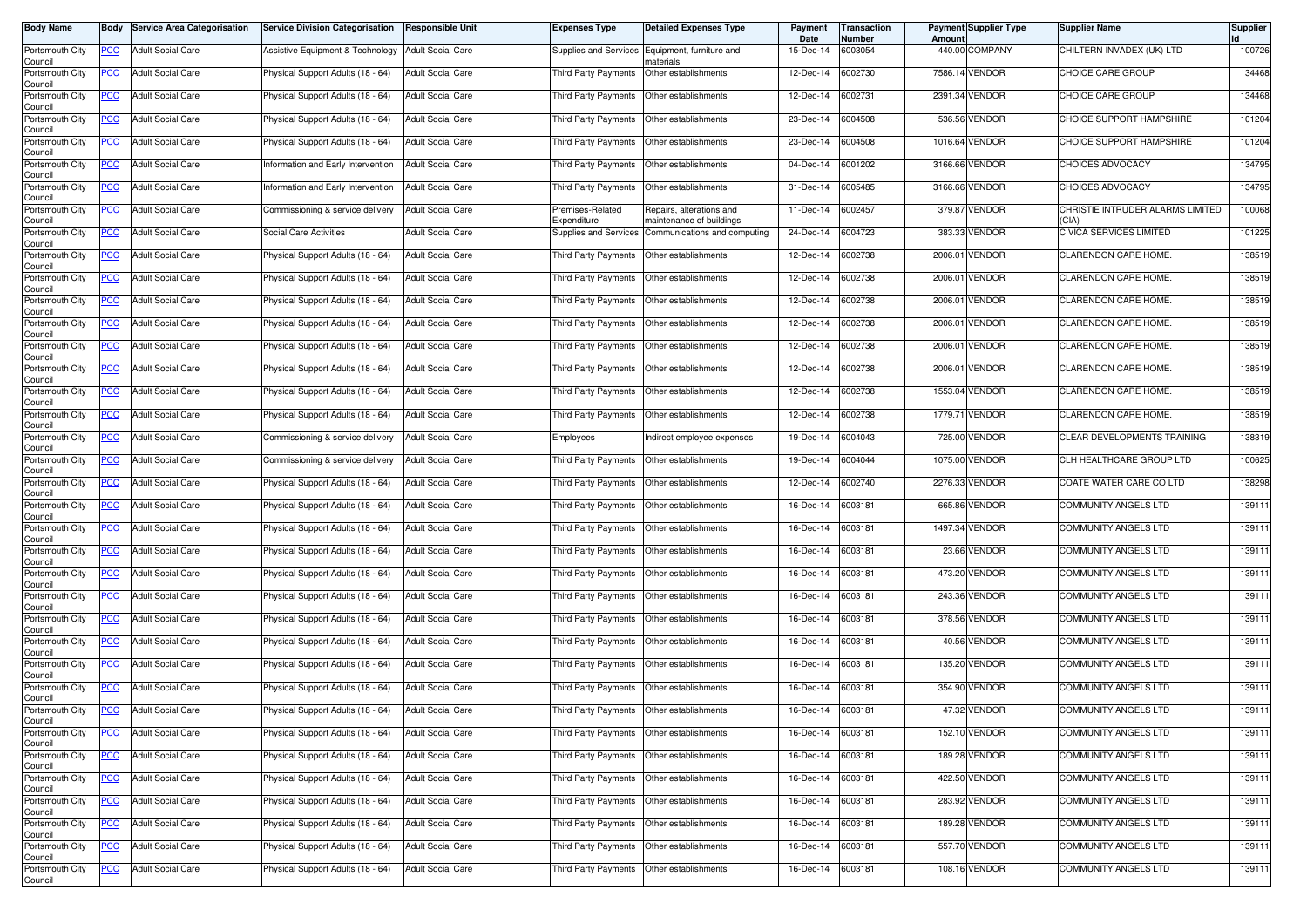| <b>Body Name</b>           |                | <b>Body Service Area Categorisation</b> | <b>Service Division Categorisation</b> | <b>Responsible Unit</b>  | Expenses Type                   | Detailed Expenses Type                               | Payment<br>Date | Transaction<br>Number | <b>Amount</b> | Payment Supplier Type | Supplier Name                            | <b>Supplier</b> |
|----------------------------|----------------|-----------------------------------------|----------------------------------------|--------------------------|---------------------------------|------------------------------------------------------|-----------------|-----------------------|---------------|-----------------------|------------------------------------------|-----------------|
| Portsmouth City<br>Council | PCC            | <b>Adult Social Care</b>                | Assistive Equipment & Technology       | <b>Adult Social Care</b> | Supplies and Services           | Equipment, furniture and<br>naterials                | 15-Dec-14       | 6003054               |               | 440.00 COMPANY        | CHILTERN INVADEX (UK) LTD                | 100726          |
| Portsmouth City<br>Council | <b>PCC</b>     | <b>Adult Social Care</b>                | Physical Support Adults (18 - 64)      | <b>Adult Social Care</b> | Third Party Payments            | Other establishments                                 | 12-Dec-14       | 6002730               |               | 7586.14 VENDOR        | CHOICE CARE GROUP                        | 134468          |
| Portsmouth City<br>Council | <u>PCC</u>     | <b>Adult Social Care</b>                | Physical Support Adults (18 - 64)      | <b>Adult Social Care</b> | Third Party Payments            | Other establishments                                 | 12-Dec-14       | 6002731               |               | 2391.34 VENDOR        | CHOICE CARE GROUP                        | 134468          |
| Portsmouth City<br>Council | <b>PCC</b>     | <b>Adult Social Care</b>                | Physical Support Adults (18 - 64)      | <b>Adult Social Care</b> | Third Party Payments            | Other establishments                                 | 23-Dec-14       | 6004508               |               | 536.56 VENDOR         | CHOICE SUPPORT HAMPSHIRE                 | 101204          |
| Portsmouth City<br>Council | <u>PCC</u>     | <b>Adult Social Care</b>                | Physical Support Adults (18 - 64)      | <b>Adult Social Care</b> | Third Party Payments            | Other establishments                                 | 23-Dec-14       | 6004508               | 1016.64       | <b>VENDOR</b>         | CHOICE SUPPORT HAMPSHIRE                 | 101204          |
| Portsmouth City<br>Council | <u>PCC </u>    | <b>Adult Social Care</b>                | Information and Early Intervention     | <b>Adult Social Care</b> | Third Party Payments            | Other establishments                                 | 04-Dec-14       | 6001202               |               | 3166.66 VENDOR        | CHOICES ADVOCACY                         | 134795          |
| Portsmouth City<br>Council | <u>PCC</u>     | <b>Adult Social Care</b>                | Information and Early Intervention     | <b>Adult Social Care</b> | Third Party Payments            | Other establishments                                 | 31-Dec-14       | 6005485               |               | 3166.66 VENDOR        | <b>CHOICES ADVOCACY</b>                  | 134795          |
| Portsmouth City<br>Council | <u>PCC</u>     | <b>Adult Social Care</b>                | Commissioning & service delivery       | <b>Adult Social Care</b> | Premises-Related<br>Expenditure | Repairs, alterations and<br>maintenance of buildings | 11-Dec-14       | 6002457               |               | 379.87 VENDOR         | CHRISTIE INTRUDER ALARMS LIMITED<br>CIA) | 100068          |
| Portsmouth City<br>Council | $\overline{C}$ | <b>Adult Social Care</b>                | Social Care Activities                 | <b>Adult Social Care</b> | Supplies and Services           | Communications and computing                         | 24-Dec-14       | 6004723               |               | 383.33 VENDOR         | CIVICA SERVICES LIMITED                  | 101225          |
| Portsmouth City<br>Council | PCC            | <b>Adult Social Care</b>                | Physical Support Adults (18 - 64)      | <b>Adult Social Care</b> | Third Party Payments            | Other establishments                                 | 12-Dec-14       | 6002738               | 2006.01       | <b>VENDOR</b>         | CLARENDON CARE HOME.                     | 138519          |
| Portsmouth City<br>Council | <u>PCC</u>     | <b>Adult Social Care</b>                | Physical Support Adults (18 - 64)      | <b>Adult Social Care</b> | Third Party Payments            | Other establishments                                 | 12-Dec-14       | 6002738               |               | 2006.01 VENDOR        | CLARENDON CARE HOME.                     | 138519          |
| Portsmouth City<br>Council | <u>PCC</u>     | <b>Adult Social Care</b>                | Physical Support Adults (18 - 64)      | <b>Adult Social Care</b> | Third Party Payments            | Other establishments                                 | 12-Dec-14       | 6002738               | 2006.01       | <b>VENDOR</b>         | CLARENDON CARE HOME.                     | 138519          |
| Portsmouth City<br>Council | PCC            | <b>Adult Social Care</b>                | Physical Support Adults (18 - 64)      | <b>Adult Social Care</b> | Third Party Payments            | Other establishments                                 | 12-Dec-14       | 6002738               | 2006.01       | VENDOR                | CLARENDON CARE HOME.                     | 138519          |
| Portsmouth City<br>Council | <u>PCC</u>     | <b>Adult Social Care</b>                | Physical Support Adults (18 - 64)      | <b>Adult Social Care</b> | Third Party Payments            | Other establishments                                 | 12-Dec-14       | 6002738               |               | 2006.01 VENDOR        | CLARENDON CARE HOME.                     | 138519          |
| Portsmouth City<br>Council | <u>PCC</u>     | <b>Adult Social Care</b>                | Physical Support Adults (18 - 64)      | <b>Adult Social Care</b> | Third Party Payments            | Other establishments                                 | 12-Dec-14       | 6002738               |               | 2006.01 VENDOR        | CLARENDON CARE HOME.                     | 138519          |
| Portsmouth City<br>Council | <u>PCC</u>     | <b>Adult Social Care</b>                | Physical Support Adults (18 - 64)      | <b>Adult Social Care</b> | Third Party Payments            | Other establishments                                 | 12-Dec-14       | 6002738               |               | 1553.04 VENDOR        | CLARENDON CARE HOME.                     | 138519          |
| Portsmouth City<br>Council | PCC            | <b>Adult Social Care</b>                | Physical Support Adults (18 - 64)      | <b>Adult Social Care</b> | Third Party Payments            | Other establishments                                 | 12-Dec-14       | 6002738               | 1779.71       | <b>VENDOR</b>         | CLARENDON CARE HOME.                     | 138519          |
| Portsmouth City<br>Council | <u>PCC</u>     | <b>Adult Social Care</b>                | Commissioning & service delivery       | <b>Adult Social Care</b> | Employees                       | Indirect employee expenses                           | 19-Dec-14       | 6004043               |               | 725.00 VENDOR         | CLEAR DEVELOPMENTS TRAINING              | 138319          |
| Portsmouth City<br>Council | <u>PCC</u>     | <b>Adult Social Care</b>                | Commissioning & service delivery       | <b>Adult Social Care</b> | Third Party Payments            | Other establishments                                 | 19-Dec-14       | 6004044               |               | 1075.00 VENDOR        | CLH HEALTHCARE GROUP LTD                 | 100625          |
| Portsmouth City<br>Council | PCC            | <b>Adult Social Care</b>                | Physical Support Adults (18 - 64)      | <b>Adult Social Care</b> | Third Party Payments            | Other establishments                                 | 12-Dec-14       | 6002740               |               | 2276.33 VENDOR        | COATE WATER CARE CO LTD                  | 138298          |
| Portsmouth City<br>Council | <u>PCC</u>     | <b>Adult Social Care</b>                | Physical Support Adults (18 - 64)      | <b>Adult Social Care</b> | Third Party Payments            | Other establishments                                 | 16-Dec-14       | 6003181               |               | 665.86 VENDOR         | COMMUNITY ANGELS LTD                     | 139111          |
| Portsmouth City<br>Council | <u>PCC</u>     | <b>Adult Social Care</b>                | Physical Support Adults (18 - 64)      | <b>Adult Social Care</b> | Third Party Payments            | Other establishments                                 | 16-Dec-14       | 6003181               |               | 1497.34 VENDOR        | COMMUNITY ANGELS LTD                     | 139111          |
| Portsmouth City<br>Council | <u>PCC</u>     | <b>Adult Social Care</b>                | Physical Support Adults (18 - 64)      | <b>Adult Social Care</b> | Third Party Payments            | Other establishments                                 | 16-Dec-14       | 6003181               |               | 23.66 VENDOR          | COMMUNITY ANGELS LTD                     | 139111          |
| Portsmouth City<br>Council | <u>PCC</u>     | <b>Adult Social Care</b>                | Physical Support Adults (18 - 64)      | <b>Adult Social Care</b> | Third Party Payments            | Other establishments                                 | 16-Dec-14       | 6003181               |               | 473.20 VENDOR         | COMMUNITY ANGELS LTD                     | 139111          |
| Portsmouth City<br>Council | <u>PCC</u>     | <b>Adult Social Care</b>                | Physical Support Adults (18 - 64)      | <b>Adult Social Care</b> | Third Party Payments            | Other establishments                                 | 16-Dec-14       | 6003181               |               | 243.36 VENDOR         | COMMUNITY ANGELS LTD                     | 139111          |
| Portsmouth City<br>Council | <u>PCC</u>     | <b>Adult Social Care</b>                | Physical Support Adults (18 - 64)      | <b>Adult Social Care</b> | Third Party Payments            | Other establishments                                 | 16-Dec-14       | 6003181               |               | 378.56 VENDOR         | COMMUNITY ANGELS LTD                     | 139111          |
| Portsmouth City<br>Council | <b>PCC</b>     | <b>Adult Social Care</b>                | Physical Support Adults (18 - 64)      | <b>Adult Social Care</b> | Third Party Payments            | Other establishments                                 | 16-Dec-14       | 6003181               |               | 40.56 VENDOR          | COMMUNITY ANGELS LTD                     | 139111          |
| Portsmouth City<br>Council | <u>PCC</u>     | <b>Adult Social Care</b>                | Physical Support Adults (18 - 64)      | <b>Adult Social Care</b> | Third Party Payments            | Other establishments                                 | 16-Dec-14       | 6003181               |               | 135.20 VENDOR         | <b>COMMUNITY ANGELS LTD</b>              | 139111          |
| Portsmouth City<br>Council | <u>PCC</u>     | <b>Adult Social Care</b>                | Physical Support Adults (18 - 64)      | <b>Adult Social Care</b> | Third Party Payments            | Other establishments                                 | 16-Dec-14       | 6003181               |               | 354.90 VENDOR         | COMMUNITY ANGELS LTD                     | 139111          |
| Portsmouth City<br>Council | <u>PCC</u>     | <b>Adult Social Care</b>                | Physical Support Adults (18 - 64)      | <b>Adult Social Care</b> | Third Party Payments            | Other establishments                                 | 16-Dec-14       | 6003181               |               | 47.32 VENDOR          | COMMUNITY ANGELS LTD                     | 139111          |
| Portsmouth City<br>Council | <b>PCC</b>     | <b>Adult Social Care</b>                | Physical Support Adults (18 - 64)      | <b>Adult Social Care</b> | Third Party Payments            | Other establishments                                 | 16-Dec-14       | 6003181               |               | 152.10 VENDOR         | COMMUNITY ANGELS LTD                     | 139111          |
| Portsmouth City<br>Council | <b>PCC</b>     | <b>Adult Social Care</b>                | Physical Support Adults (18 - 64)      | <b>Adult Social Care</b> |                                 | Third Party Payments Other establishments            | 16-Dec-14       | 6003181               |               | 189.28 VENDOR         | COMMUNITY ANGELS LTD                     | 139111          |
| Portsmouth City<br>Council | <u>PCC</u>     | <b>Adult Social Care</b>                | Physical Support Adults (18 - 64)      | <b>Adult Social Care</b> |                                 | Third Party Payments Other establishments            | 16-Dec-14       | 6003181               |               | 422.50 VENDOR         | COMMUNITY ANGELS LTD                     | 139111          |
| Portsmouth City<br>Council | <u>PCC</u>     | <b>Adult Social Care</b>                | Physical Support Adults (18 - 64)      | <b>Adult Social Care</b> | Third Party Payments            | Other establishments                                 | 16-Dec-14       | 6003181               |               | 283.92 VENDOR         | COMMUNITY ANGELS LTD                     | 139111          |
| Portsmouth City<br>Council | <u>PCC</u>     | <b>Adult Social Care</b>                | Physical Support Adults (18 - 64)      | <b>Adult Social Care</b> | Third Party Payments            | Other establishments                                 | 16-Dec-14       | 6003181               |               | 189.28 VENDOR         | COMMUNITY ANGELS LTD                     | 139111          |
| Portsmouth City<br>Council | <u>PCC</u>     | <b>Adult Social Care</b>                | Physical Support Adults (18 - 64)      | <b>Adult Social Care</b> | Third Party Payments            | Other establishments                                 | 16-Dec-14       | 6003181               |               | 557.70 VENDOR         | COMMUNITY ANGELS LTD                     | 139111          |
| Portsmouth City<br>Council | <b>PCC</b>     | <b>Adult Social Care</b>                | Physical Support Adults (18 - 64)      | <b>Adult Social Care</b> | Third Party Payments            | Other establishments                                 | 16-Dec-14       | 6003181               |               | 108.16 VENDOR         | COMMUNITY ANGELS LTD                     | 139111          |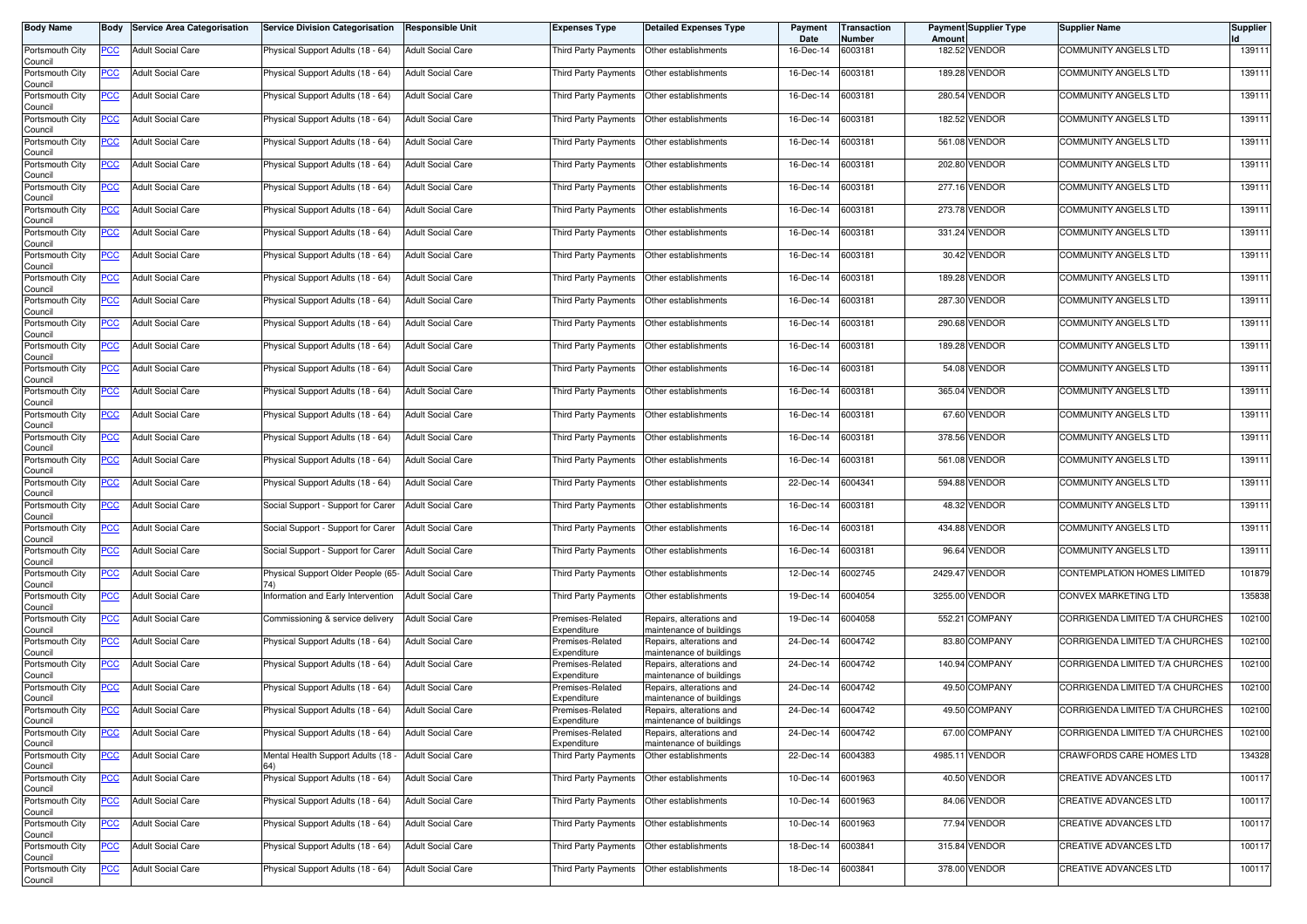| <b>Body Name</b>           | Body       | <b>Service Area Categorisation</b> | <b>Service Division Categorisation</b>               | Responsible Unit         | <b>Expenses Type</b>            | <b>Detailed Expenses Type</b>                        | Payment<br>Date   | Transaction<br>Number | Amount  | Payment Supplier Type | <b>Supplier Name</b>            | <b>Supplier</b> |
|----------------------------|------------|------------------------------------|------------------------------------------------------|--------------------------|---------------------------------|------------------------------------------------------|-------------------|-----------------------|---------|-----------------------|---------------------------------|-----------------|
| Portsmouth City<br>Council | PCC        | <b>Adult Social Care</b>           | Physical Support Adults (18 - 64)                    | <b>Adult Social Care</b> | Third Party Payments            | Other establishments                                 | 16-Dec-14         | 6003181               |         | 182.52 VENDOR         | <b>COMMUNITY ANGELS LTD</b>     | 139111          |
| Portsmouth City<br>Council | <u>PCC</u> | <b>Adult Social Care</b>           | Physical Support Adults (18 - 64)                    | <b>Adult Social Care</b> | Third Party Payments            | Other establishments                                 | 16-Dec-14         | 6003181               |         | 189.28 VENDOR         | <b>COMMUNITY ANGELS LTD</b>     | 139111          |
| Portsmouth City<br>Council | <u>PCC</u> | <b>Adult Social Care</b>           | Physical Support Adults (18 - 64)                    | <b>Adult Social Care</b> | Third Party Payments            | Other establishments                                 | 16-Dec-14         | 6003181               |         | 280.54 VENDOR         | <b>COMMUNITY ANGELS LTD</b>     | 139111          |
| Portsmouth City<br>Council | <u>PCC</u> | <b>Adult Social Care</b>           | Physical Support Adults (18 - 64)                    | <b>Adult Social Care</b> | Third Party Payments            | Other establishments                                 | 16-Dec-14         | 6003181               | 182.52  | <b>VENDOR</b>         | <b>COMMUNITY ANGELS LTD</b>     | 139111          |
| Portsmouth City<br>Council | <u>PCC</u> | <b>Adult Social Care</b>           | Physical Support Adults (18 - 64)                    | <b>Adult Social Care</b> | Third Party Payments            | Other establishments                                 | 16-Dec-14         | 6003181               |         | 561.08 VENDOR         | <b>COMMUNITY ANGELS LTD</b>     | 139111          |
| Portsmouth City<br>Council | <u>PCC</u> | <b>Adult Social Care</b>           | Physical Support Adults (18 - 64)                    | <b>Adult Social Care</b> | Third Party Payments            | Other establishments                                 | 16-Dec-14         | 6003181               |         | 202.80 VENDOR         | COMMUNITY ANGELS LTD            | 139111          |
| Portsmouth City<br>Council | <u>PCC</u> | <b>Adult Social Care</b>           | Physical Support Adults (18 - 64)                    | <b>Adult Social Care</b> | Third Party Payments            | Other establishments                                 | 16-Dec-14         | 6003181               |         | 277.16 VENDOR         | <b>COMMUNITY ANGELS LTD</b>     | 139111          |
| Portsmouth City<br>Council | <u>PCC</u> | Adult Social Care                  | Physical Support Adults (18 - 64)                    | <b>Adult Social Care</b> | Third Party Payments            | Other establishments                                 | 16-Dec-14         | 6003181               | 273.78  | <b>VENDOR</b>         | COMMUNITY ANGELS LTD            | 139111          |
| Portsmouth City<br>Council | <b>PCC</b> | <b>Adult Social Care</b>           | Physical Support Adults (18 - 64)                    | <b>Adult Social Care</b> | <b>Third Party Payments</b>     | Other establishments                                 | 16-Dec-14         | 6003181               |         | 331.24 VENDOR         | <b>COMMUNITY ANGELS LTD</b>     | 139111          |
| Portsmouth City<br>Council | PCC        | <b>Adult Social Care</b>           | Physical Support Adults (18 - 64)                    | <b>Adult Social Care</b> | Third Party Payments            | Other establishments                                 | 16-Dec-14         | 6003181               |         | 30.42 VENDOR          | <b>COMMUNITY ANGELS LTD</b>     | 139111          |
| Portsmouth City<br>Council | PCC        | <b>Adult Social Care</b>           | Physical Support Adults (18 - 64)                    | <b>Adult Social Care</b> | Third Party Payments            | Other establishments                                 | 16-Dec-14         | 6003181               |         | 189.28 VENDOR         | COMMUNITY ANGELS LTD            | 139111          |
| Portsmouth City<br>Council | <b>PCC</b> | <b>Adult Social Care</b>           | Physical Support Adults (18 - 64)                    | <b>Adult Social Care</b> | Third Party Payments            | Other establishments                                 | 16-Dec-14         | 6003181               | 287.30  | <b>VENDOR</b>         | <b>COMMUNITY ANGELS LTD</b>     | 139111          |
| Portsmouth City<br>Council | PCC        | <b>Adult Social Care</b>           | Physical Support Adults (18 - 64)                    | <b>Adult Social Care</b> | Third Party Payments            | Other establishments                                 | 16-Dec-14         | 6003181               | 290.68  | <b>VENDOR</b>         | <b>COMMUNITY ANGELS LTD</b>     | 139111          |
| Portsmouth City<br>Council | <u>PCC</u> | <b>Adult Social Care</b>           | Physical Support Adults (18 - 64)                    | <b>Adult Social Care</b> | Third Party Payments            | Other establishments                                 | 16-Dec-14         | 6003181               |         | 189.28 VENDOR         | COMMUNITY ANGELS LTD            | 139111          |
| Portsmouth City<br>Council | PCC        | <b>Adult Social Care</b>           | Physical Support Adults (18 - 64)                    | <b>Adult Social Care</b> | Third Party Payments            | Other establishments                                 | 16-Dec-14         | 6003181               |         | 54.08 VENDOR          | <b>COMMUNITY ANGELS LTD</b>     | 139111          |
| Portsmouth City<br>Council | PCC        | <b>Adult Social Care</b>           | Physical Support Adults (18 - 64)                    | <b>Adult Social Care</b> | Third Party Payments            | Other establishments                                 | 16-Dec-14         | 6003181               |         | 365.04 VENDOR         | COMMUNITY ANGELS LTD            | 139111          |
| Portsmouth City<br>Council | PCC        | <b>Adult Social Care</b>           | Physical Support Adults (18 - 64)                    | <b>Adult Social Care</b> | Third Party Payments            | Other establishments                                 | 16-Dec-14         | 6003181               | 67.60   | <b>VENDOR</b>         | <b>COMMUNITY ANGELS LTD</b>     | 139111          |
| Portsmouth City<br>Council | PCC        | <b>Adult Social Care</b>           | Physical Support Adults (18 - 64)                    | <b>Adult Social Care</b> | Third Party Payments            | Other establishments                                 | 16-Dec-14         | 6003181               |         | 378.56 VENDOR         | COMMUNITY ANGELS LTD            | 139111          |
| Portsmouth City<br>Council | PCC        | <b>Adult Social Care</b>           | Physical Support Adults (18 - 64)                    | <b>Adult Social Care</b> | Third Party Payments            | Other establishments                                 | 16-Dec-14         | 6003181               |         | 561.08 VENDOR         | COMMUNITY ANGELS LTD            | 139111          |
| Portsmouth City<br>Council | PCC        | <b>Adult Social Care</b>           | Physical Support Adults (18 - 64)                    | <b>Adult Social Care</b> | Third Party Payments            | Other establishments                                 | 22-Dec-14         | 6004341               |         | 594.88 VENDOR         | COMMUNITY ANGELS LTD            | 139111          |
| Portsmouth City<br>Council | <u>PCC</u> | <b>Adult Social Care</b>           | Social Support - Support for Carer                   | <b>Adult Social Care</b> | Third Party Payments            | Other establishments                                 | 16-Dec-14         | 6003181               |         | 48.32 VENDOR          | <b>COMMUNITY ANGELS LTD</b>     | 139111          |
| Portsmouth City<br>Council | <u>PCC</u> | <b>Adult Social Care</b>           | Social Support - Support for Carer                   | <b>Adult Social Care</b> | Third Party Payments            | Other establishments                                 | 16-Dec-14         | 6003181               |         | 434.88 VENDOR         | COMMUNITY ANGELS LTD            | 139111          |
| Portsmouth City<br>Council | <u>PCC</u> | <b>Adult Social Care</b>           | Social Support - Support for Carer                   | <b>Adult Social Care</b> | Third Party Payments            | Other establishments                                 | 16-Dec-14         | 6003181               |         | 96.64 VENDOR          | COMMUNITY ANGELS LTD            | 139111          |
| Portsmouth City<br>Council | <u>PCC</u> | <b>Adult Social Care</b>           | Physical Support Older People (65- Adult Social Care |                          | Third Party Payments            | Other establishments                                 | 12-Dec-14         | 6002745               | 2429.47 | <b>VENDOR</b>         | CONTEMPLATION HOMES LIMITED     | 101879          |
| Portsmouth City<br>Council | ∍CC        | <b>Adult Social Care</b>           | nformation and Early Intervention                    | <b>Adult Social Care</b> | Third Party Payments            | Other establishments                                 | 19-Dec-14         | 6004054               | 3255.00 | <b>VENDOR</b>         | CONVEX MARKETING LTD            | 135838          |
| Portsmouth City<br>Council | <u>PCC</u> | <b>Adult Social Care</b>           | Commissioning & service delivery                     | <b>Adult Social Care</b> | Premises-Related<br>Expenditure | Repairs, alterations and<br>maintenance of buildings | 19-Dec-14         | 6004058               |         | 552.21 COMPANY        | CORRIGENDA LIMITED T/A CHURCHES | 102100          |
| Portsmouth City<br>Council | <u>PCC</u> | <b>Adult Social Care</b>           | Physical Support Adults (18 - 64)                    | <b>Adult Social Care</b> | Premises-Related<br>Expenditure | Repairs, alterations and<br>maintenance of buildings | 24-Dec-14         | 6004742               | 83.80   | <b>COMPANY</b>        | CORRIGENDA LIMITED T/A CHURCHES | 102100          |
| Portsmouth City<br>Council | <u>PCC</u> | <b>Adult Social Care</b>           | Physical Support Adults (18 - 64)                    | <b>Adult Social Care</b> | Premises-Related<br>Expenditure | Repairs, alterations and<br>maintenance of buildings | 24-Dec-14         | 6004742               |         | 140.94 COMPANY        | CORRIGENDA LIMITED T/A CHURCHES | 102100          |
| Portsmouth City<br>Council | <u>PCC</u> | <b>Adult Social Care</b>           | Physical Support Adults (18 - 64)                    | <b>Adult Social Care</b> | Premises-Related<br>Expenditure | Repairs, alterations and<br>maintenance of buildings | 24-Dec-14         | 6004742               |         | 49.50 COMPANY         | CORRIGENDA LIMITED T/A CHURCHES | 102100          |
| Portsmouth City<br>Council | <u>PCC</u> | <b>Adult Social Care</b>           | Physical Support Adults (18 - 64)                    | <b>Adult Social Care</b> | Premises-Related<br>Expenditure | Repairs, alterations and<br>maintenance of buildings | 24-Dec-14         | 6004742               |         | 49.50 COMPANY         | CORRIGENDA LIMITED T/A CHURCHES | 102100          |
| Portsmouth City<br>Council | <b>PCC</b> | <b>Adult Social Care</b>           | Physical Support Adults (18 - 64)                    | <b>Adult Social Care</b> | Premises-Related<br>Expenditure | Repairs, alterations and<br>maintenance of buildings | 24-Dec-14 6004742 |                       |         | 67.00 COMPANY         | CORRIGENDA LIMITED T/A CHURCHES | 102100          |
| Portsmouth City<br>Council | <b>PCC</b> | <b>Adult Social Care</b>           | Mental Health Support Adults (18                     | <b>Adult Social Care</b> | Third Party Payments            | Other establishments                                 | 22-Dec-14         | 6004383               |         | 4985.11 VENDOR        | CRAWFORDS CARE HOMES LTD        | 134328          |
| Portsmouth City<br>Council | <u>PCC</u> | <b>Adult Social Care</b>           | Physical Support Adults (18 - 64)                    | <b>Adult Social Care</b> | Third Party Payments            | Other establishments                                 | 10-Dec-14         | 6001963               |         | 40.50 VENDOR          | CREATIVE ADVANCES LTD           | 100117          |
| Portsmouth City<br>Council | <u>PCC</u> | <b>Adult Social Care</b>           | Physical Support Adults (18 - 64)                    | <b>Adult Social Care</b> | Third Party Payments            | Other establishments                                 | 10-Dec-14         | 6001963               |         | 84.06 VENDOR          | CREATIVE ADVANCES LTD           | 100117          |
| Portsmouth City<br>Council | <b>PCC</b> | <b>Adult Social Care</b>           | Physical Support Adults (18 - 64)                    | <b>Adult Social Care</b> | Third Party Payments            | Other establishments                                 | 10-Dec-14         | 6001963               |         | 77.94 VENDOR          | <b>CREATIVE ADVANCES LTD</b>    | 100117          |
| Portsmouth City<br>Council | <u>PCC</u> | <b>Adult Social Care</b>           | Physical Support Adults (18 - 64)                    | <b>Adult Social Care</b> | Third Party Payments            | Other establishments                                 | 18-Dec-14         | 6003841               |         | 315.84 VENDOR         | <b>CREATIVE ADVANCES LTD</b>    | 100117          |
| Portsmouth City<br>Council | <b>PCC</b> | <b>Adult Social Care</b>           | Physical Support Adults (18 - 64)                    | <b>Adult Social Care</b> | Third Party Payments            | Other establishments                                 | 18-Dec-14         | 6003841               |         | 378.00 VENDOR         | CREATIVE ADVANCES LTD           | 100117          |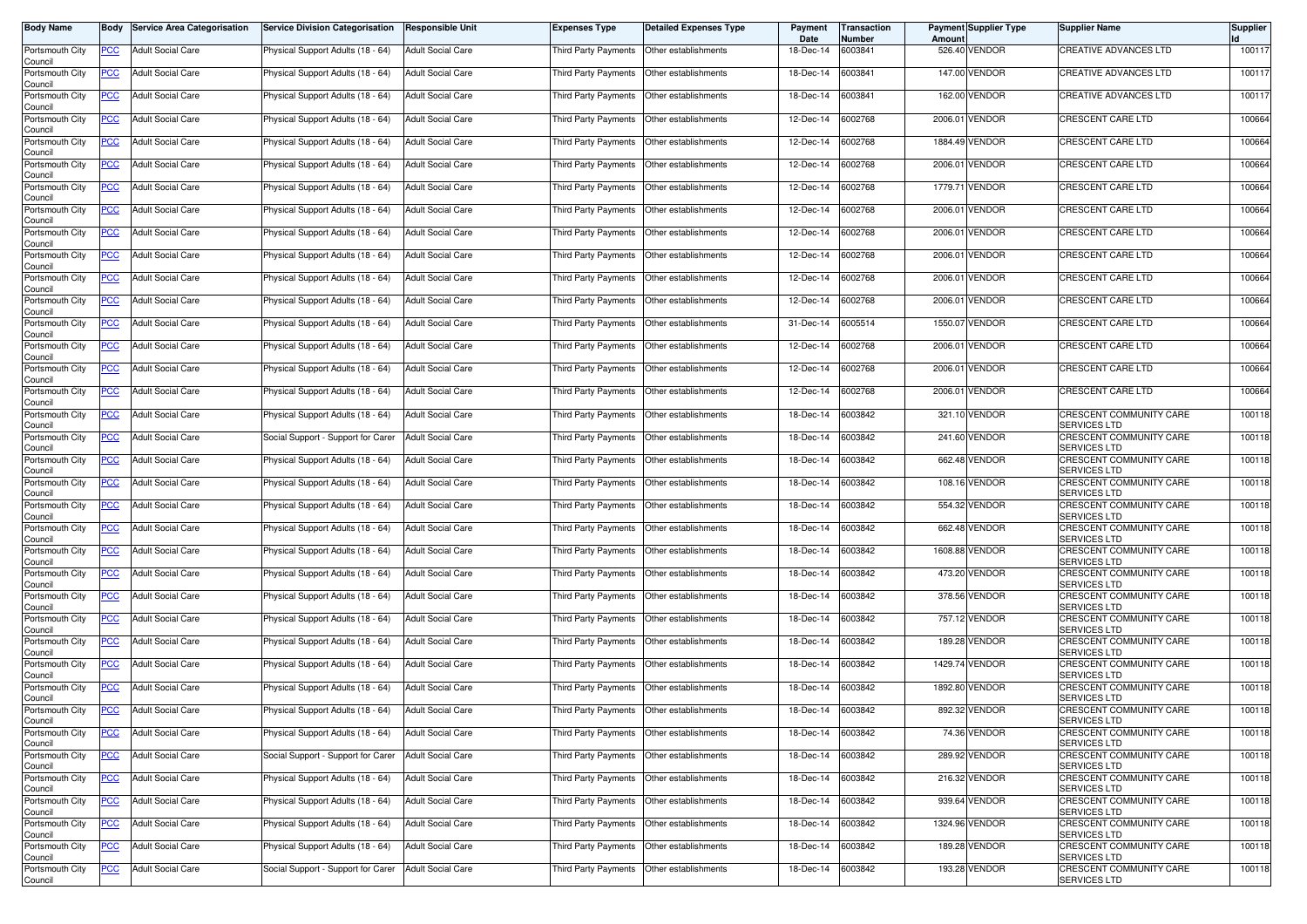| <b>Body Name</b>           |                  | <b>Body Service Area Categorisation</b> | <b>Service Division Categorisation</b> | <b>Responsible Unit</b>  | Expenses Type               | Detailed Expenses Type                    | Payment<br>Date | Transaction<br>Number | Amount  | <b>Payment Supplier Type</b> | <b>Supplier Name</b>                           | Supplier |
|----------------------------|------------------|-----------------------------------------|----------------------------------------|--------------------------|-----------------------------|-------------------------------------------|-----------------|-----------------------|---------|------------------------------|------------------------------------------------|----------|
| Portsmouth City<br>Council | PCC              | <b>Adult Social Care</b>                | Physical Support Adults (18 - 64)      | <b>Adult Social Care</b> | Third Party Payments        | Other establishments                      | 18-Dec-14       | 6003841               |         | 526.40 VENDOR                | <b>CREATIVE ADVANCES LTD</b>                   | 100117   |
| Portsmouth City<br>Council | $\overline{C}$   | <b>Adult Social Care</b>                | Physical Support Adults (18 - 64)      | <b>Adult Social Care</b> | <b>Third Party Payments</b> | Other establishments                      | 18-Dec-14       | 6003841               |         | 147.00 VENDOR                | CREATIVE ADVANCES LTD                          | 100117   |
| Portsmouth City<br>Council | <u>PCC</u>       | <b>Adult Social Care</b>                | Physical Support Adults (18 - 64)      | <b>Adult Social Care</b> | Third Party Payments        | Other establishments                      | 18-Dec-14       | 6003841               |         | 162.00 VENDOR                | <b>CREATIVE ADVANCES LTD</b>                   | 100117   |
| Portsmouth City<br>Council | <b>PCC</b>       | <b>Adult Social Care</b>                | Physical Support Adults (18 - 64)      | <b>Adult Social Care</b> | Third Party Payments        | Other establishments                      | 12-Dec-14       | 6002768               | 2006.01 | <b>VENDOR</b>                | <b>CRESCENT CARE LTD</b>                       | 100664   |
| Portsmouth City<br>Council | <u>PCC</u>       | <b>Adult Social Care</b>                | Physical Support Adults (18 - 64)      | <b>Adult Social Care</b> | Third Party Payments        | Other establishments                      | 12-Dec-14       | 6002768               |         | 1884.49 VENDOR               | CRESCENT CARE LTD                              | 100664   |
| Portsmouth City<br>Council | <u>PCC </u>      | <b>Adult Social Care</b>                | Physical Support Adults (18 - 64)      | <b>Adult Social Care</b> | Third Party Payments        | Other establishments                      | 12-Dec-14       | 6002768               |         | 2006.01 VENDOR               | CRESCENT CARE LTD                              | 100664   |
| Portsmouth City<br>Council | <u>PCC</u>       | <b>Adult Social Care</b>                | Physical Support Adults (18 - 64)      | <b>Adult Social Care</b> | Third Party Payments        | Other establishments                      | 12-Dec-14       | 6002768               |         | 1779.71 VENDOR               | CRESCENT CARE LTD                              | 100664   |
| Portsmouth City<br>Council | <u>PCC</u>       | <b>Adult Social Care</b>                | Physical Support Adults (18 - 64)      | <b>Adult Social Care</b> | Third Party Payments        | Other establishments                      | 12-Dec-14       | 6002768               | 2006.01 | <b>VENDOR</b>                | <b>CRESCENT CARE LTD</b>                       | 100664   |
| Portsmouth City<br>Council | $\overline{C}$   | <b>Adult Social Care</b>                | Physical Support Adults (18 - 64)      | <b>Adult Social Care</b> | Third Party Payments        | Other establishments                      | 12-Dec-14       | 6002768               |         | 2006.01 VENDOR               | CRESCENT CARE LTD                              | 100664   |
| Portsmouth City<br>Council | PCC              | <b>Adult Social Care</b>                | Physical Support Adults (18 - 64)      | <b>Adult Social Care</b> | Third Party Payments        | Other establishments                      | 12-Dec-14       | 6002768               | 2006.01 | VENDOR                       | CRESCENT CARE LTD                              | 100664   |
| Portsmouth City<br>Council | PCC              | <b>Adult Social Care</b>                | Physical Support Adults (18 - 64)      | <b>Adult Social Care</b> | Third Party Payments        | Other establishments                      | 12-Dec-14       | 6002768               |         | 2006.01 VENDOR               | CRESCENT CARE LTD                              | 100664   |
| Portsmouth City<br>Council | <u>PCC</u>       | <b>Adult Social Care</b>                | Physical Support Adults (18 - 64)      | <b>Adult Social Care</b> | Third Party Payments        | Other establishments                      | 12-Dec-14       | 6002768               | 2006.01 | <b>VENDOR</b>                | CRESCENT CARE LTD                              | 100664   |
| Portsmouth City<br>Council | PCC              | <b>Adult Social Care</b>                | Physical Support Adults (18 - 64)      | <b>Adult Social Care</b> | Third Party Payments        | Other establishments                      | 31-Dec-14       | 6005514               |         | 1550.07 VENDOR               | CRESCENT CARE LTD                              | 100664   |
| Portsmouth City<br>Council | <u>PCC</u>       | <b>Adult Social Care</b>                | Physical Support Adults (18 - 64)      | <b>Adult Social Care</b> | Third Party Payments        | Other establishments                      | 12-Dec-14       | 6002768               | 2006.01 | <b>VENDOR</b>                | CRESCENT CARE LTD                              | 100664   |
| Portsmouth City<br>Council | <u>PCC</u>       | <b>Adult Social Care</b>                | Physical Support Adults (18 - 64)      | <b>Adult Social Care</b> | Third Party Payments        | Other establishments                      | 12-Dec-14       | 6002768               |         | 2006.01 VENDOR               | CRESCENT CARE LTD                              | 100664   |
| Portsmouth City<br>Council | <u>PCC</u>       | <b>Adult Social Care</b>                | Physical Support Adults (18 - 64)      | <b>Adult Social Care</b> | Third Party Payments        | Other establishments                      | 12-Dec-14       | 6002768               |         | 2006.01 VENDOR               | CRESCENT CARE LTD                              | 100664   |
| Portsmouth City<br>Council | PСC              | <b>Adult Social Care</b>                | Physical Support Adults (18 - 64)      | <b>Adult Social Care</b> | Third Party Payments        | Other establishments                      | 18-Dec-14       | 6003842               |         | 321.10 VENDOR                | CRESCENT COMMUNITY CARE<br>SERVICES LTD        | 100118   |
| Portsmouth City<br>Council | PCC              | <b>Adult Social Care</b>                | Social Support - Support for Carer     | <b>Adult Social Care</b> | Third Party Payments        | Other establishments                      | 18-Dec-14       | 6003842               |         | 241.60 VENDOR                | CRESCENT COMMUNITY CARE<br>SERVICES LTD        | 100118   |
| Portsmouth City<br>Council | <u>PCC</u>       | <b>Adult Social Care</b>                | Physical Support Adults (18 - 64)      | <b>Adult Social Care</b> | Third Party Payments        | Other establishments                      | 18-Dec-14       | 6003842               |         | 662.48 VENDOR                | CRESCENT COMMUNITY CARE<br><b>SERVICES LTD</b> | 100118   |
| Portsmouth City<br>Council | PCC              | <b>Adult Social Care</b>                | Physical Support Adults (18 - 64)      | <b>Adult Social Care</b> | Third Party Payments        | Other establishments                      | 18-Dec-14       | 6003842               |         | 108.16 VENDOR                | CRESCENT COMMUNITY CARE<br>SERVICES LTD        | 100118   |
| Portsmouth City<br>Council | PCC              | <b>Adult Social Care</b>                | Physical Support Adults (18 - 64)      | <b>Adult Social Care</b> | Third Party Payments        | Other establishments                      | 18-Dec-14       | 6003842               |         | 554.32 VENDOR                | CRESCENT COMMUNITY CARE<br><b>SERVICES LTD</b> | 100118   |
| Portsmouth City<br>Council | $\overline{PCC}$ | <b>Adult Social Care</b>                | Physical Support Adults (18 - 64)      | <b>Adult Social Care</b> | Third Party Payments        | Other establishments                      | 18-Dec-14       | 6003842               |         | 662.48 VENDOR                | CRESCENT COMMUNITY CARE<br>SERVICES LTD        | 100118   |
| Portsmouth City<br>Council | <u>PCC</u>       | <b>Adult Social Care</b>                | Physical Support Adults (18 - 64)      | <b>Adult Social Care</b> | Third Party Payments        | Other establishments                      | 18-Dec-14       | 6003842               |         | 1608.88 VENDOR               | CRESCENT COMMUNITY CARE<br><b>SERVICES LTD</b> | 100118   |
| Portsmouth City<br>Council | <u>PCC </u>      | <b>Adult Social Care</b>                | Physical Support Adults (18 - 64)      | <b>Adult Social Care</b> | Third Party Payments        | Other establishments                      | 18-Dec-14       | 6003842               |         | 473.20 VENDOR                | CRESCENT COMMUNITY CARE<br>SERVICES LTD        | 100118   |
| Portsmouth City<br>Council | <b>PCC</b>       | <b>Adult Social Care</b>                | Physical Support Adults (18 - 64)      | <b>Adult Social Care</b> | Third Party Payments        | Other establishments                      | 18-Dec-14       | 6003842               |         | 378.56 VENDOR                | CRESCENT COMMUNITY CARE<br>SERVICES LTD        | 100118   |
| Portsmouth City<br>Council | <u>PCC</u>       | <b>Adult Social Care</b>                | Physical Support Adults (18 - 64)      | <b>Adult Social Care</b> | Third Party Payments        | Other establishments                      | 18-Dec-14       | 6003842               |         | 757.12 VENDOR                | CRESCENT COMMUNITY CARE<br>SERVICES LTD        | 100118   |
| Portsmouth City<br>Council | <b>PCC</b>       | <b>Adult Social Care</b>                | Physical Support Adults (18 - 64)      | <b>Adult Social Care</b> | Third Party Payments        | Other establishments                      | 18-Dec-14       | 6003842               |         | 189.28 VENDOR                | CRESCENT COMMUNITY CARE<br>SERVICES LTD        | 100118   |
| Portsmouth City<br>Council | <u>PCC</u>       | <b>Adult Social Care</b>                | Physical Support Adults (18 - 64)      | <b>Adult Social Care</b> | Third Party Payments        | Other establishments                      | 18-Dec-14       | 6003842               |         | 1429.74 VENDOR               | CRESCENT COMMUNITY CARE<br><b>SERVICES LTD</b> | 100118   |
| Portsmouth City<br>Council | <u>PCC</u>       | <b>Adult Social Care</b>                | Physical Support Adults (18 - 64)      | <b>Adult Social Care</b> | <b>Third Party Payments</b> | Other establishments                      | 18-Dec-14       | 6003842               |         | 1892.80 VENDOR               | CRESCENT COMMUNITY CARE<br>SERVICES LTD        | 100118   |
| Portsmouth City<br>Council | <u>PCC</u>       | <b>Adult Social Care</b>                | Physical Support Adults (18 - 64)      | <b>Adult Social Care</b> | Third Party Payments        | Other establishments                      | 18-Dec-14       | 6003842               |         | 892.32 VENDOR                | CRESCENT COMMUNITY CARE<br>SERVICES LTD        | 100118   |
| Portsmouth City<br>Council | <u>PCC</u>       | <b>Adult Social Care</b>                | Physical Support Adults (18 - 64)      | <b>Adult Social Care</b> | Third Party Payments        | Other establishments                      | 18-Dec-14       | 6003842               |         | 74.36 VENDOR                 | CRESCENT COMMUNITY CARE<br>SERVICES LTD        | 100118   |
| Portsmouth City<br>Council | <b>PCC</b>       | <b>Adult Social Care</b>                | Social Support - Support for Carer     | <b>Adult Social Care</b> |                             | Third Party Payments Other establishments | 18-Dec-14       | 6003842               |         | 289.92 VENDOR                | CRESCENT COMMUNITY CARE<br>SERVICES LTD        | 100118   |
| Portsmouth City<br>Council | <u>PCC</u>       | <b>Adult Social Care</b>                | Physical Support Adults (18 - 64)      | <b>Adult Social Care</b> |                             | Third Party Payments Other establishments | 18-Dec-14       | 6003842               |         | 216.32 VENDOR                | CRESCENT COMMUNITY CARE<br><b>SERVICES LTD</b> | 100118   |
| Portsmouth City<br>Council | <u>PCC</u>       | <b>Adult Social Care</b>                | Physical Support Adults (18 - 64)      | <b>Adult Social Care</b> | Third Party Payments        | Other establishments                      | 18-Dec-14       | 6003842               |         | 939.64 VENDOR                | CRESCENT COMMUNITY CARE<br>SERVICES LTD        | 100118   |
| Portsmouth City<br>Council | <u>PCC</u>       | <b>Adult Social Care</b>                | Physical Support Adults (18 - 64)      | <b>Adult Social Care</b> | Third Party Payments        | Other establishments                      | 18-Dec-14       | 6003842               |         | 1324.96 VENDOR               | CRESCENT COMMUNITY CARE<br><b>SERVICES LTD</b> | 100118   |
| Portsmouth City<br>Council | <u>PCC</u>       | <b>Adult Social Care</b>                | Physical Support Adults (18 - 64)      | <b>Adult Social Care</b> | Third Party Payments        | Other establishments                      | 18-Dec-14       | 6003842               |         | 189.28 VENDOR                | CRESCENT COMMUNITY CARE<br>SERVICES LTD        | 100118   |
| Portsmouth City<br>Council | <u>PCC</u>       | <b>Adult Social Care</b>                | Social Support - Support for Carer     | <b>Adult Social Care</b> | Third Party Payments        | Other establishments                      | 18-Dec-14       | 6003842               |         | 193.28 VENDOR                | CRESCENT COMMUNITY CARE<br>SERVICES LTD        | 100118   |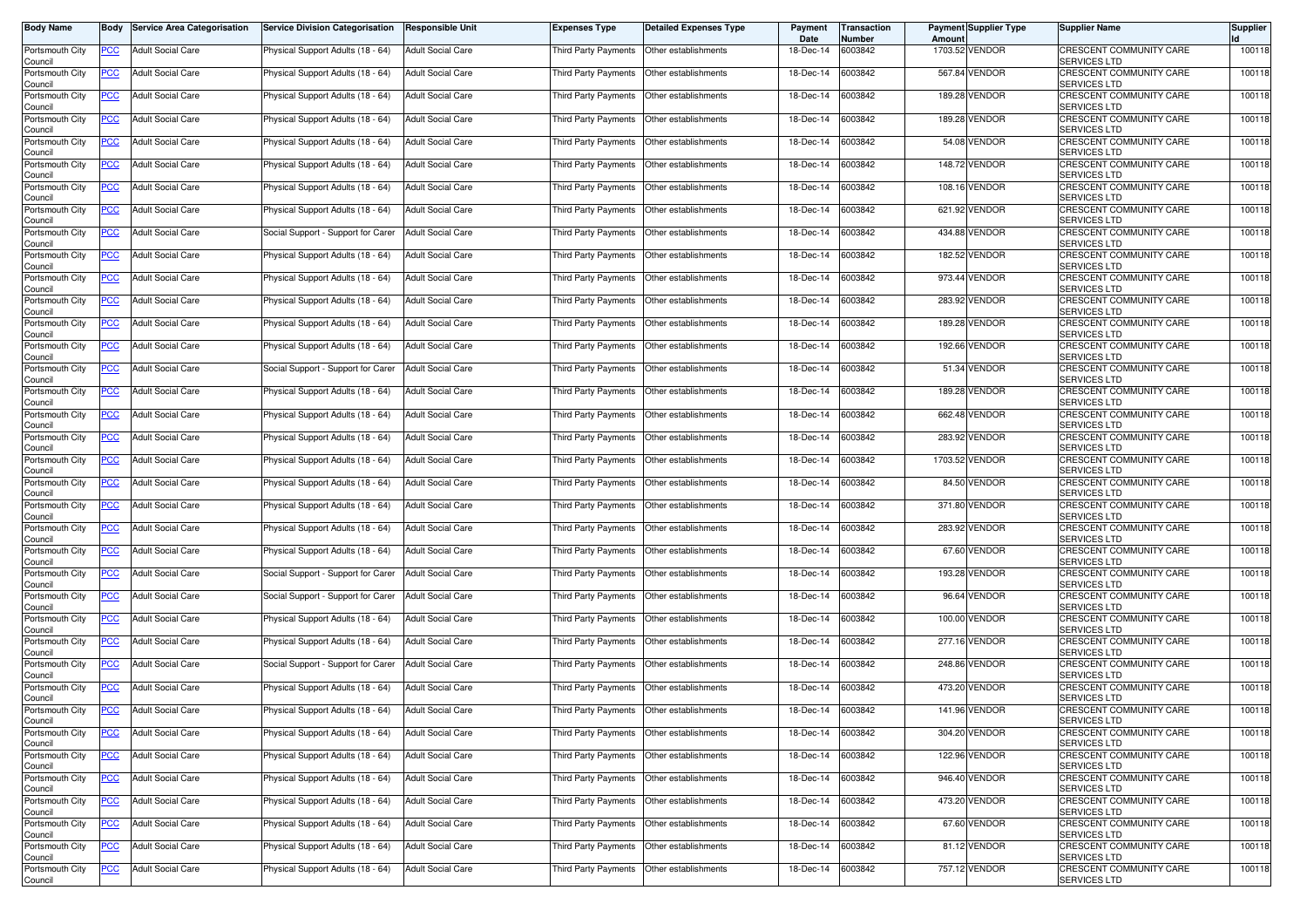| <b>Body Name</b>           | Body           | <b>Service Area Categorisation</b> | <b>Service Division Categorisation</b> | <b>Responsible Unit</b>  | <b>Expenses Type</b>        | <b>Detailed Expenses Type</b> | Payment<br>Date   | Transaction<br>Number | Amount  | <b>Payment Supplier Type</b> | <b>Supplier Name</b>                                  | <b>Supplier</b> |
|----------------------------|----------------|------------------------------------|----------------------------------------|--------------------------|-----------------------------|-------------------------------|-------------------|-----------------------|---------|------------------------------|-------------------------------------------------------|-----------------|
| Portsmouth City<br>Council | PCC            | <b>Adult Social Care</b>           | Physical Support Adults (18 - 64)      | <b>Adult Social Care</b> | Third Party Payments        | Other establishments          | 18-Dec-14         | 6003842               |         | 1703.52 VENDOR               | CRESCENT COMMUNITY CARE<br>SERVICES LTD               | 100118          |
| Portsmouth City<br>Council | <u>PCC</u>     | <b>Adult Social Care</b>           | Physical Support Adults (18 - 64)      | <b>Adult Social Care</b> | Third Party Payments        | Other establishments          | 18-Dec-14         | 6003842               |         | 567.84 VENDOR                | CRESCENT COMMUNITY CARE<br>SERVICES LTD               | 100118          |
| Portsmouth City<br>Council | <b>PCC</b>     | <b>Adult Social Care</b>           | Physical Support Adults (18 - 64)      | <b>Adult Social Care</b> | <b>Third Party Payments</b> | Other establishments          | 18-Dec-14         | 6003842               | 189.28  | <b>VENDOR</b>                | CRESCENT COMMUNITY CARE<br><b>SERVICES LTD</b>        | 100118          |
| Portsmouth City<br>Council | <u>PCC</u>     | <b>Adult Social Care</b>           | Physical Support Adults (18 - 64)      | <b>Adult Social Care</b> | Third Party Payments        | Other establishments          | 18-Dec-14         | 6003842               | 189.28  | <b>VENDOR</b>                | CRESCENT COMMUNITY CARE<br>SERVICES LTD               | 100118          |
| Portsmouth City<br>Council | <b>PCC</b>     | <b>Adult Social Care</b>           | Physical Support Adults (18 - 64)      | <b>Adult Social Care</b> | Third Party Payments        | Other establishments          | 18-Dec-14         | 6003842               |         | 54.08 VENDOR                 | CRESCENT COMMUNITY CARE<br><b>SERVICES LTD</b>        | 100118          |
| Portsmouth City<br>Council | <u>PCC</u>     | <b>Adult Social Care</b>           | Physical Support Adults (18 - 64)      | <b>Adult Social Care</b> | Third Party Payments        | Other establishments          | 18-Dec-14         | 6003842               |         | 148.72 VENDOR                | CRESCENT COMMUNITY CARE<br>SERVICES LTD               | 100118          |
| Portsmouth City<br>Council | <u>PCC</u>     | <b>Adult Social Care</b>           | Physical Support Adults (18 - 64)      | <b>Adult Social Care</b> | Third Party Payments        | Other establishments          | 18-Dec-14         | 6003842               |         | 108.16 VENDOR                | CRESCENT COMMUNITY CARE<br>SERVICES LTD               | 100118          |
| Portsmouth City<br>Council | <u>PCC</u>     | <b>Adult Social Care</b>           | Physical Support Adults (18 - 64)      | <b>Adult Social Care</b> | Third Party Payments        | Other establishments          | 18-Dec-14         | 6003842               | 621.92  | <b>VENDOR</b>                | CRESCENT COMMUNITY CARE<br><b>SERVICES LTD</b>        | 100118          |
| Portsmouth City<br>Council | <b>PCC</b>     | <b>Adult Social Care</b>           | Social Support - Support for Carer     | <b>Adult Social Care</b> | Third Party Payments        | Other establishments          | 18-Dec-14         | 6003842               |         | 434.88 VENDOR                | CRESCENT COMMUNITY CARE<br><b>SERVICES LTD</b>        | 100118          |
| Portsmouth City<br>Council | PCC            | <b>Adult Social Care</b>           | Physical Support Adults (18 - 64)      | <b>Adult Social Care</b> | Third Party Payments        | Other establishments          | 18-Dec-14         | 6003842               | 182.52  | <b>VENDOR</b>                | <b>CRESCENT COMMUNITY CARE</b><br><b>SERVICES LTD</b> | 100118          |
| Portsmouth City<br>Council | PCC            | <b>Adult Social Care</b>           | Physical Support Adults (18 - 64)      | <b>Adult Social Care</b> | Third Party Payments        | Other establishments          | 18-Dec-14         | 6003842               |         | 973.44 VENDOR                | CRESCENT COMMUNITY CARE<br><b>SERVICES LTD</b>        | 100118          |
| Portsmouth City<br>Council | PCC            | <b>Adult Social Care</b>           | Physical Support Adults (18 - 64)      | <b>Adult Social Care</b> | Third Party Payments        | Other establishments          | 18-Dec-14         | 6003842               | 283.92  | <b>VENDOR</b>                | CRESCENT COMMUNITY CARE<br>SERVICES LTD               | 100118          |
| Portsmouth City<br>Council | PCC            | <b>Adult Social Care</b>           | Physical Support Adults (18 - 64)      | <b>Adult Social Care</b> | Third Party Payments        | Other establishments          | 18-Dec-14         | 6003842               | 189.28  | <b>VENDOR</b>                | CRESCENT COMMUNITY CARE<br>SERVICES LTD               | 100118          |
| Portsmouth City<br>Council | <b>PCC</b>     | <b>Adult Social Care</b>           | Physical Support Adults (18 - 64)      | <b>Adult Social Care</b> | Third Party Payments        | Other establishments          | 18-Dec-14         | 6003842               |         | 192.66 VENDOR                | CRESCENT COMMUNITY CARE<br>SERVICES LTD               | 100118          |
| Portsmouth City<br>Council | PCC            | <b>Adult Social Care</b>           | Social Support - Support for Carer     | <b>Adult Social Care</b> | Third Party Payments        | Other establishments          | 18-Dec-14         | 6003842               |         | 51.34 VENDOR                 | CRESCENT COMMUNITY CARE<br><b>SERVICES LTD</b>        | 100118          |
| Portsmouth City<br>Council | PCC            | <b>Adult Social Care</b>           | Physical Support Adults (18 - 64)      | <b>Adult Social Care</b> | Third Party Payments        | Other establishments          | 18-Dec-14         | 6003842               |         | 189.28 VENDOR                | CRESCENT COMMUNITY CARE<br><b>SERVICES LTD</b>        | 100118          |
| Portsmouth City<br>Council | PCC            | <b>Adult Social Care</b>           | Physical Support Adults (18 - 64)      | <b>Adult Social Care</b> | Third Party Payments        | Other establishments          | 18-Dec-14         | 6003842               | 662.48  | <b>VENDOR</b>                | CRESCENT COMMUNITY CARE<br><b>SERVICES LTD</b>        | 100118          |
| Portsmouth City<br>Council | PCC            | <b>Adult Social Care</b>           | Physical Support Adults (18 - 64)      | <b>Adult Social Care</b> | Third Party Payments        | Other establishments          | 18-Dec-14         | 6003842               | 283.92  | <b>VENDOR</b>                | CRESCENT COMMUNITY CARE<br>SERVICES LTD               | 100118          |
| Portsmouth City<br>Council | PCC            | <b>Adult Social Care</b>           | Physical Support Adults (18 - 64)      | <b>Adult Social Care</b> | <b>Third Party Payments</b> | Other establishments          | 18-Dec-14         | 6003842               | 1703.52 | <b>VENDOR</b>                | CRESCENT COMMUNITY CARE<br>SERVICES LTD               | 100118          |
| Portsmouth City<br>Council | PCC            | <b>Adult Social Care</b>           | Physical Support Adults (18 - 64)      | <b>Adult Social Care</b> | Third Party Payments        | Other establishments          | 18-Dec-14         | 6003842               |         | 84.50 VENDOR                 | CRESCENT COMMUNITY CARE<br>SERVICES LTD               | 100118          |
| Portsmouth City<br>Council | <u>PCC</u>     | <b>Adult Social Care</b>           | Physical Support Adults (18 - 64)      | <b>Adult Social Care</b> | Third Party Payments        | Other establishments          | 18-Dec-14         | 6003842               |         | 371.80 VENDOR                | CRESCENT COMMUNITY CARE<br><b>SERVICES LTD</b>        | 100118          |
| Portsmouth City<br>Council | <u>PCC</u>     | <b>Adult Social Care</b>           | Physical Support Adults (18 - 64)      | <b>Adult Social Care</b> | Third Party Payments        | Other establishments          | 18-Dec-14         | 6003842               |         | 283.92 VENDOR                | CRESCENT COMMUNITY CARE<br>SERVICES LTD               | 100118          |
| Portsmouth City<br>Council | <u>PCC</u>     | <b>Adult Social Care</b>           | Physical Support Adults (18 - 64)      | <b>Adult Social Care</b> | Third Party Payments        | Other establishments          | 18-Dec-14         | 6003842               |         | 67.60 VENDOR                 | CRESCENT COMMUNITY CARE<br>SERVICES LTD               | 100118          |
| Portsmouth City<br>Council | <u>PCC</u>     | <b>Adult Social Care</b>           | Social Support - Support for Carer     | <b>Adult Social Care</b> | Third Party Payments        | Other establishments          | 18-Dec-14         | 6003842               | 193.28  | <b>VENDOR</b>                | CRESCENT COMMUNITY CARE<br><b>SERVICES LTD</b>        | 100118          |
| Portsmouth City<br>Council | $\overline{C}$ | <b>Adult Social Care</b>           | Social Support - Support for Carer     | <b>Adult Social Care</b> | Third Party Payments        | Other establishments          | 18-Dec-14         | 6003842               |         | 96.64 VENDOR                 | CRESCENT COMMUNITY CARE<br><b>SERVICES LTD</b>        | 100118          |
| Portsmouth City<br>Council | <u>PCC</u>     | <b>Adult Social Care</b>           | Physical Support Adults (18 - 64)      | <b>Adult Social Care</b> | Third Party Payments        | Other establishments          | 18-Dec-14         | 6003842               | 100.00  | <b>VENDOR</b>                | CRESCENT COMMUNITY CARE<br>SERVICES LTD               | 100118          |
| Portsmouth City<br>Council | <u>PCC</u>     | <b>Adult Social Care</b>           | Physical Support Adults (18 - 64)      | <b>Adult Social Care</b> | Third Party Payments        | Other establishments          | 18-Dec-14         | 6003842               |         | 277.16 VENDOR                | <b>CRESCENT COMMUNITY CARE</b><br>SERVICES LTD        | 100118          |
| Portsmouth City<br>Council | <b>PCC</b>     | <b>Adult Social Care</b>           | Social Support - Support for Carer     | <b>Adult Social Care</b> | <b>Third Party Payments</b> | Other establishments          | 18-Dec-14         | 6003842               | 248.86  | <b>VENDOR</b>                | CRESCENT COMMUNITY CARE<br>SERVICES LTD               | 100118          |
| Portsmouth City<br>Council | <u>PCC</u>     | <b>Adult Social Care</b>           | Physical Support Adults (18 - 64)      | <b>Adult Social Care</b> | Third Party Payments        | Other establishments          | 18-Dec-14         | 6003842               |         | 473.20 VENDOR                | CRESCENT COMMUNITY CARE<br><b>SERVICES LTD</b>        | 100118          |
| Portsmouth City<br>Council | <u>PCC</u>     | <b>Adult Social Care</b>           | Physical Support Adults (18 - 64)      | <b>Adult Social Care</b> | Third Party Payments        | Other establishments          | 18-Dec-14         | 6003842               |         | <b>141.96 VENDOR</b>         | CRESCENT COMMUNITY CARE<br>SERVICES LTD               | 100118          |
| Portsmouth City<br>Council | <u>PCC</u>     | <b>Adult Social Care</b>           | Physical Support Adults (18 - 64)      | <b>Adult Social Care</b> | Third Party Payments        | Other establishments          | 18-Dec-14 6003842 |                       |         | 304.20 VENDOR                | CRESCENT COMMUNITY CARE<br>SERVICES LTD               | 100118          |
| Portsmouth City<br>Council | <b>PCC</b>     | <b>Adult Social Care</b>           | Physical Support Adults (18 - 64)      | <b>Adult Social Care</b> | Third Party Payments        | Other establishments          | 18-Dec-14         | 6003842               |         | 122.96 VENDOR                | <b>CRESCENT COMMUNITY CARE</b><br>SERVICES LTD        | 100118          |
| Portsmouth City<br>Council | <u>PCC</u>     | <b>Adult Social Care</b>           | Physical Support Adults (18 - 64)      | <b>Adult Social Care</b> | Third Party Payments        | Other establishments          | 18-Dec-14         | 6003842               |         | 946.40 VENDOR                | CRESCENT COMMUNITY CARE<br>SERVICES LTD               | 100118          |
| Portsmouth City<br>Council | <u>PCC</u>     | <b>Adult Social Care</b>           | Physical Support Adults (18 - 64)      | <b>Adult Social Care</b> | Third Party Payments        | Other establishments          | 18-Dec-14         | 6003842               |         | 473.20 VENDOR                | CRESCENT COMMUNITY CARE<br>SERVICES LTD               | 100118          |
| Portsmouth City<br>Council | <b>PCC</b>     | <b>Adult Social Care</b>           | Physical Support Adults (18 - 64)      | <b>Adult Social Care</b> | Third Party Payments        | Other establishments          | 18-Dec-14         | 6003842               |         | 67.60 VENDOR                 | CRESCENT COMMUNITY CARE<br>SERVICES LTD               | 100118          |
| Portsmouth City<br>Council | <u>PCC</u>     | <b>Adult Social Care</b>           | Physical Support Adults (18 - 64)      | <b>Adult Social Care</b> | Third Party Payments        | Other establishments          | 18-Dec-14         | 6003842               |         | 81.12 VENDOR                 | CRESCENT COMMUNITY CARE<br>SERVICES LTD               | 100118          |
| Portsmouth City<br>Council | <b>PCC</b>     | <b>Adult Social Care</b>           | Physical Support Adults (18 - 64)      | <b>Adult Social Care</b> | Third Party Payments        | Other establishments          | 18-Dec-14         | 6003842               |         | 757.12 VENDOR                | CRESCENT COMMUNITY CARE<br><b>SERVICES LTD</b>        | 100118          |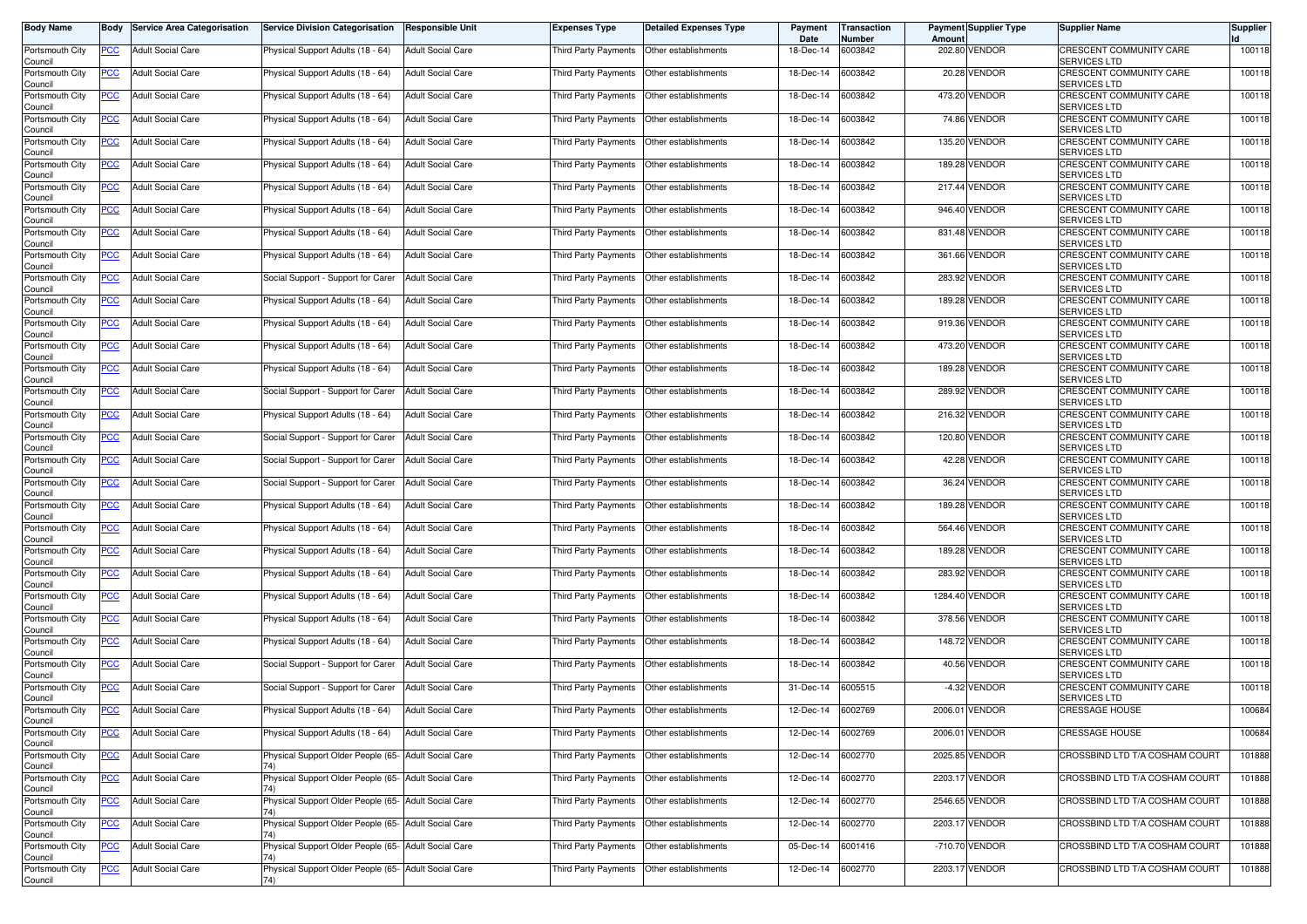| <b>Body Name</b>           | Body           | <b>Service Area Categorisation</b> | <b>Service Division Categorisation</b>                      | <b>Responsible Unit</b>  | Expenses Type               | <b>Detailed Expenses Type</b> | Payment<br>Date   | Transaction<br>Number | Amount  | <b>Payment Supplier Type</b> | <b>Supplier Name</b>                                  | <b>Supplier</b> |
|----------------------------|----------------|------------------------------------|-------------------------------------------------------------|--------------------------|-----------------------------|-------------------------------|-------------------|-----------------------|---------|------------------------------|-------------------------------------------------------|-----------------|
| Portsmouth City<br>Council | PCC            | <b>Adult Social Care</b>           | Physical Support Adults (18 - 64)                           | <b>Adult Social Care</b> | <b>Third Party Payments</b> | Other establishments          | 18-Dec-14         | 6003842               | 202.80  | <b>VENDOR</b>                | CRESCENT COMMUNITY CARE<br>SERVICES LTD               | 100118          |
| Portsmouth City<br>Council | <u>PCC</u>     | <b>Adult Social Care</b>           | Physical Support Adults (18 - 64)                           | <b>Adult Social Care</b> | Third Party Payments        | Other establishments          | 18-Dec-14         | 6003842               |         | 20.28 VENDOR                 | CRESCENT COMMUNITY CARE<br>SERVICES LTD               | 100118          |
| Portsmouth City<br>Council | <u>PCC</u>     | <b>Adult Social Care</b>           | Physical Support Adults (18 - 64)                           | <b>Adult Social Care</b> | <b>Third Party Payments</b> | Other establishments          | 18-Dec-14         | 6003842               | 473.20  | <b>VENDOR</b>                | CRESCENT COMMUNITY CARE<br><b>SERVICES LTD</b>        | 100118          |
| Portsmouth City<br>Council | <u>PCC</u>     | <b>Adult Social Care</b>           | Physical Support Adults (18 - 64)                           | <b>Adult Social Care</b> | Third Party Payments        | Other establishments          | 18-Dec-14         | 6003842               |         | 74.86 VENDOR                 | CRESCENT COMMUNITY CARE<br>SERVICES LTD               | 100118          |
| Portsmouth City<br>Council | <b>PCC</b>     | <b>Adult Social Care</b>           | Physical Support Adults (18 - 64)                           | <b>Adult Social Care</b> | Third Party Payments        | Other establishments          | 18-Dec-14         | 6003842               | 135.20  | <b>VENDOR</b>                | CRESCENT COMMUNITY CARE<br><b>SERVICES LTD</b>        | 100118          |
| Portsmouth City<br>Council | <u>PCC</u>     | <b>Adult Social Care</b>           | Physical Support Adults (18 - 64)                           | <b>Adult Social Care</b> | Third Party Payments        | Other establishments          | 18-Dec-14         | 6003842               |         | 189.28 VENDOR                | CRESCENT COMMUNITY CARE<br>SERVICES LTD               | 100118          |
| Portsmouth City<br>Council | <u>PCC</u>     | <b>Adult Social Care</b>           | Physical Support Adults (18 - 64)                           | <b>Adult Social Care</b> | Third Party Payments        | Other establishments          | 18-Dec-14         | 6003842               |         | 217.44 VENDOR                | CRESCENT COMMUNITY CARE<br>SERVICES LTD               | 100118          |
| Portsmouth City<br>Council | <u>PCC</u>     | <b>Adult Social Care</b>           | Physical Support Adults (18 - 64)                           | <b>Adult Social Care</b> | Third Party Payments        | Other establishments          | 18-Dec-14         | 6003842               | 946.40  | <b>VENDOR</b>                | CRESCENT COMMUNITY CARE<br><b>SERVICES LTD</b>        | 100118          |
| Portsmouth City<br>Council | <b>PCC</b>     | <b>Adult Social Care</b>           | Physical Support Adults (18 - 64)                           | <b>Adult Social Care</b> | Third Party Payments        | Other establishments          | 18-Dec-14         | 6003842               |         | 831.48 VENDOR                | CRESCENT COMMUNITY CARE<br><b>SERVICES LTD</b>        | 100118          |
| Portsmouth City<br>Council | PCC            | <b>Adult Social Care</b>           | Physical Support Adults (18 - 64)                           | <b>Adult Social Care</b> | Third Party Payments        | Other establishments          | 18-Dec-14         | 6003842               | 361.66  | <b>VENDOR</b>                | <b>CRESCENT COMMUNITY CARE</b><br><b>SERVICES LTD</b> | 100118          |
| Portsmouth City<br>Council | PCC            | <b>Adult Social Care</b>           | Social Support - Support for Carer                          | <b>Adult Social Care</b> | Third Party Payments        | Other establishments          | 18-Dec-14         | 6003842               |         | 283.92 VENDOR                | CRESCENT COMMUNITY CARE<br>SERVICES LTD               | 100118          |
| Portsmouth City<br>Council | PCC            | <b>Adult Social Care</b>           | Physical Support Adults (18 - 64)                           | <b>Adult Social Care</b> | Third Party Payments        | Other establishments          | 18-Dec-14         | 6003842               | 189.28  | <b>VENDOR</b>                | CRESCENT COMMUNITY CARE<br>SERVICES LTD               | 100118          |
| Portsmouth City<br>Council | PCC            | <b>Adult Social Care</b>           | Physical Support Adults (18 - 64)                           | <b>Adult Social Care</b> | Third Party Payments        | Other establishments          | 18-Dec-14         | 6003842               |         | 919.36 VENDOR                | CRESCENT COMMUNITY CARE<br>SERVICES LTD               | 100118          |
| Portsmouth City<br>Council | <b>PCC</b>     | <b>Adult Social Care</b>           | Physical Support Adults (18 - 64)                           | <b>Adult Social Care</b> | Third Party Payments        | Other establishments          | 18-Dec-14         | 6003842               |         | 473.20 VENDOR                | CRESCENT COMMUNITY CARE<br>SERVICES LTD               | 100118          |
| Portsmouth City<br>Council | PCC            | <b>Adult Social Care</b>           | Physical Support Adults (18 - 64)                           | <b>Adult Social Care</b> | Third Party Payments        | Other establishments          | 18-Dec-14         | 6003842               |         | 189.28 VENDOR                | CRESCENT COMMUNITY CARE<br><b>SERVICES LTD</b>        | 100118          |
| Portsmouth City<br>Council | PCC            | <b>Adult Social Care</b>           | Social Support - Support for Carer                          | <b>Adult Social Care</b> | Third Party Payments        | Other establishments          | 18-Dec-14         | 6003842               |         | 289.92 VENDOR                | CRESCENT COMMUNITY CARE<br><b>SERVICES LTD</b>        | 100118          |
| Portsmouth City<br>Council | PСC            | <b>Adult Social Care</b>           | Physical Support Adults (18 - 64)                           | <b>Adult Social Care</b> | Third Party Payments        | Other establishments          | 18-Dec-14         | 6003842               | 216.32  | <b>VENDOR</b>                | CRESCENT COMMUNITY CARE<br><b>SERVICES LTD</b>        | 100118          |
| Portsmouth City<br>Council | PCC            | <b>Adult Social Care</b>           | Social Support - Support for Carer                          | <b>Adult Social Care</b> | Third Party Payments        | Other establishments          | 18-Dec-14         | 6003842               | 120.80  | <b>VENDOR</b>                | CRESCENT COMMUNITY CARE<br>SERVICES LTD               | 100118          |
| Portsmouth City<br>Council | PCC            | <b>Adult Social Care</b>           | Social Support - Support for Carer                          | <b>Adult Social Care</b> | Third Party Payments        | Other establishments          | 18-Dec-14         | 6003842               | 42.28   | <b>VENDOR</b>                | CRESCENT COMMUNITY CARE<br>SERVICES LTD               | 100118          |
| Portsmouth City<br>Council | PCC            | <b>Adult Social Care</b>           | Social Support - Support for Carer                          | <b>Adult Social Care</b> | Third Party Payments        | Other establishments          | 18-Dec-14         | 6003842               |         | 36.24 VENDOR                 | CRESCENT COMMUNITY CARE<br>SERVICES LTD               | 100118          |
| Portsmouth City<br>Council | <u>PCC</u>     | <b>Adult Social Care</b>           | Physical Support Adults (18 - 64)                           | <b>Adult Social Care</b> | Third Party Payments        | Other establishments          | 18-Dec-14         | 6003842               |         | 189.28 VENDOR                | CRESCENT COMMUNITY CARE<br><b>SERVICES LTD</b>        | 100118          |
| Portsmouth City<br>Council | <u>PCC</u>     | <b>Adult Social Care</b>           | Physical Support Adults (18 - 64)                           | <b>Adult Social Care</b> | Third Party Payments        | Other establishments          | 18-Dec-14         | 6003842               |         | 564.46 VENDOR                | CRESCENT COMMUNITY CARE<br>SERVICES LTD               | 100118          |
| Portsmouth City<br>Council | <u>PCC</u>     | <b>Adult Social Care</b>           | Physical Support Adults (18 - 64)                           | <b>Adult Social Care</b> | Third Party Payments        | Other establishments          | 18-Dec-14         | 6003842               |         | 189.28 VENDOR                | CRESCENT COMMUNITY CARE<br>SERVICES LTD               | 100118          |
| Portsmouth City<br>Council | <u>PCC</u>     | <b>Adult Social Care</b>           | Physical Support Adults (18 - 64)                           | <b>Adult Social Care</b> | Third Party Payments        | Other establishments          | 18-Dec-14         | 6003842               | 283.92  | <b>VENDOR</b>                | CRESCENT COMMUNITY CARE<br><b>SERVICES LTD</b>        | 100118          |
| Portsmouth City<br>Council | $\overline{C}$ | <b>Adult Social Care</b>           | Physical Support Adults (18 - 64)                           | <b>Adult Social Care</b> | Third Party Payments        | Other establishments          | 18-Dec-14         | 6003842               | 1284.40 | <b>VENDOR</b>                | CRESCENT COMMUNITY CARE<br><b>SERVICES LTD</b>        | 100118          |
| Portsmouth City<br>Council | <u>PCC</u>     | <b>Adult Social Care</b>           | Physical Support Adults (18 - 64)                           | <b>Adult Social Care</b> | Third Party Payments        | Other establishments          | 18-Dec-14         | 6003842               | 378.56  | <b>VENDOR</b>                | CRESCENT COMMUNITY CARE<br>SERVICES LTD               | 100118          |
| Portsmouth City<br>Council | <u>PCC</u>     | <b>Adult Social Care</b>           | Physical Support Adults (18 - 64)                           | <b>Adult Social Care</b> | <b>Third Party Payments</b> | Other establishments          | 18-Dec-14         | 6003842               |         | 148.72 VENDOR                | <b>CRESCENT COMMUNITY CARE</b><br>SERVICES LTD        | 100118          |
| Portsmouth City<br>Council | <b>PCC</b>     | <b>Adult Social Care</b>           | Social Support - Support for Carer                          | <b>Adult Social Care</b> | <b>Third Party Payments</b> | Other establishments          | 18-Dec-14         | 6003842               | 40.56   | <b>VENDOR</b>                | CRESCENT COMMUNITY CARE<br>SERVICES LTD               | 100118          |
| Portsmouth City<br>Council | <u>PCC</u>     | <b>Adult Social Care</b>           | Social Support - Support for Carer                          | <b>Adult Social Care</b> | Third Party Payments        | Other establishments          | 31-Dec-14         | 6005515               |         | -4.32 VENDOR                 | CRESCENT COMMUNITY CARE<br><b>SERVICES LTD</b>        | 100118          |
| Portsmouth City<br>Council | <u>PCC</u>     | <b>Adult Social Care</b>           | Physical Support Adults (18 - 64)                           | <b>Adult Social Care</b> | Third Party Payments        | Other establishments          | 12-Dec-14         | 6002769               |         | 2006.01 VENDOR               | <b>CRESSAGE HOUSE</b>                                 | 100684          |
| Portsmouth City<br>Council | <u>PCC</u>     | <b>Adult Social Care</b>           | Physical Support Adults (18 - 64)                           | <b>Adult Social Care</b> | Third Party Payments        | Other establishments          | 12-Dec-14 6002769 |                       |         | 2006.01 VENDOR               | <b>CRESSAGE HOUSE</b>                                 | 100684          |
| Portsmouth City<br>Council | <b>PCC</b>     | <b>Adult Social Care</b>           | Physical Support Older People (65- Adult Social Care        |                          | <b>Third Party Payments</b> | Other establishments          | 12-Dec-14         | 6002770               |         | 2025.85 VENDOR               | CROSSBIND LTD T/A COSHAM COURT                        | 101888          |
| Portsmouth City<br>Council | <u>PCC</u>     | <b>Adult Social Care</b>           | Physical Support Older People (65- Adult Social Care        |                          | Third Party Payments        | Other establishments          | 12-Dec-14         | 6002770               |         | 2203.17 VENDOR               | CROSSBIND LTD T/A COSHAM COURT                        | 101888          |
| Portsmouth City<br>Council | <u>PCC</u>     | <b>Adult Social Care</b>           | Physical Support Older People (65- Adult Social Care        |                          | Third Party Payments        | Other establishments          | 12-Dec-14         | 6002770               |         | 2546.65 VENDOR               | CROSSBIND LTD T/A COSHAM COURT                        | 101888          |
| Portsmouth City<br>Council | <b>PCC</b>     | <b>Adult Social Care</b>           | Physical Support Older People (65- Adult Social Care        |                          | Third Party Payments        | Other establishments          | 12-Dec-14         | 6002770               | 2203.17 | <b>VENDOR</b>                | CROSSBIND LTD T/A COSHAM COURT                        | 101888          |
| Portsmouth City<br>Council | <b>PCC</b>     | <b>Adult Social Care</b>           | Physical Support Older People (65- Adult Social Care        |                          | <b>Third Party Payments</b> | Other establishments          | 05-Dec-14         | 6001416               |         | -710.70 VENDOR               | CROSSBIND LTD T/A COSHAM COURT                        | 101888          |
| Portsmouth City<br>Council | <b>PCC</b>     | <b>Adult Social Care</b>           | Physical Support Older People (65- Adult Social Care<br>74) |                          | <b>Third Party Payments</b> | Other establishments          | 12-Dec-14         | 6002770               |         | 2203.17 VENDOR               | CROSSBIND LTD T/A COSHAM COURT                        | 101888          |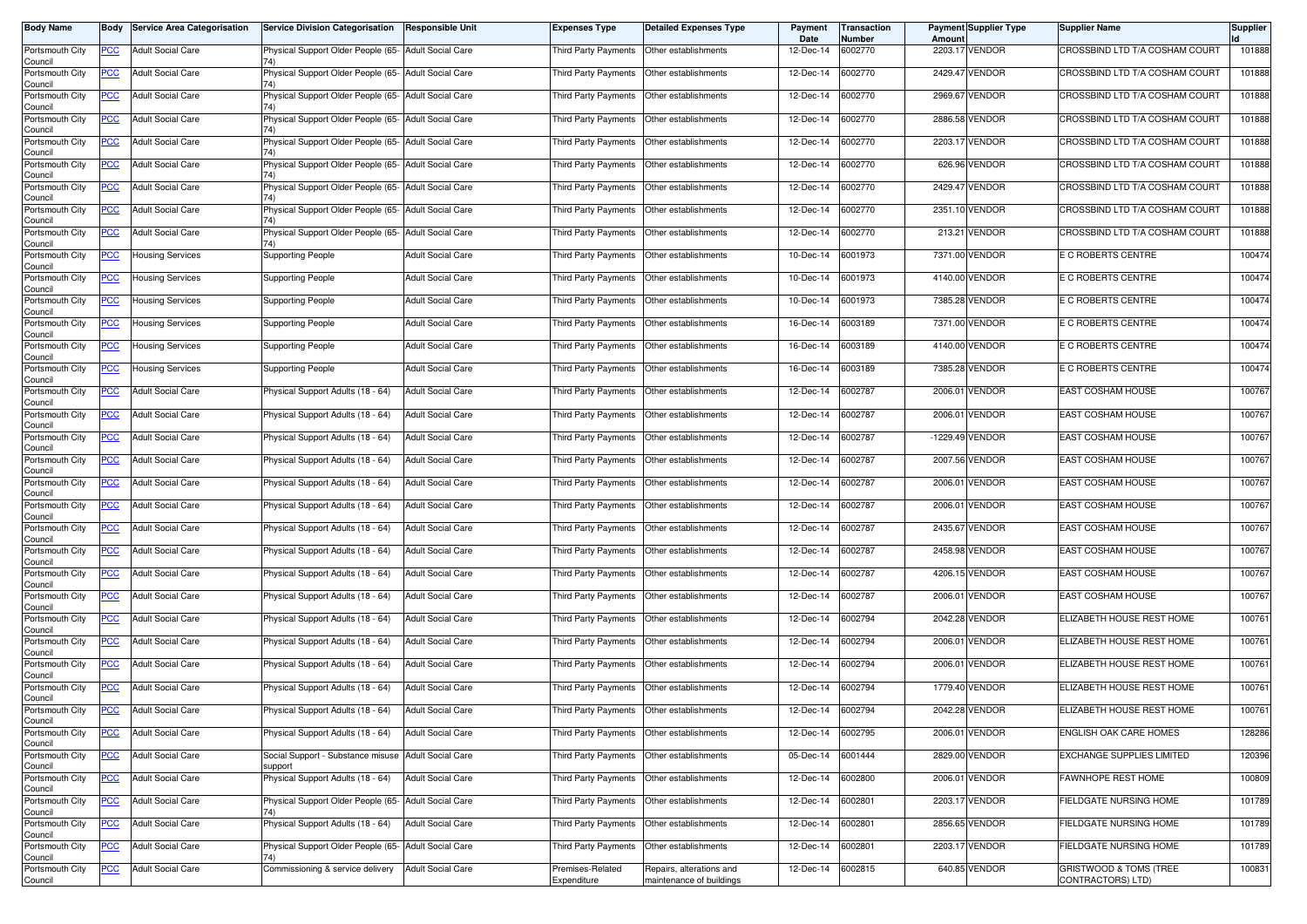| <b>Body Name</b>                      |            | <b>Body Service Area Categorisation</b> | <b>Service Division Categorisation</b>                         | Responsible Unit         | Expenses Type                   | <b>Detailed Expenses Type</b>                        | Payment<br>Date | Transaction<br>Number | Amount  | Payment Supplier Type | <b>Supplier Name</b>                                   | <b>Supplier</b> |
|---------------------------------------|------------|-----------------------------------------|----------------------------------------------------------------|--------------------------|---------------------------------|------------------------------------------------------|-----------------|-----------------------|---------|-----------------------|--------------------------------------------------------|-----------------|
| Portsmouth City<br>Council            | PCC        | <b>Adult Social Care</b>                | Physical Support Older People (65- Adult Social Care           |                          | Third Party Payments            | Other establishments                                 | 12-Dec-14       | 6002770               | 2203.1  | <b>VENDOR</b>         | CROSSBIND LTD T/A COSHAM COURT                         | 101888          |
| Portsmouth City<br>Council            | <u>PCC</u> | <b>Adult Social Care</b>                | Physical Support Older People (65- Adult Social Care           |                          | <b>Third Party Payments</b>     | Other establishments                                 | 12-Dec-14       | 6002770               | 2429.47 | <b>VENDOR</b>         | CROSSBIND LTD T/A COSHAM COURT                         | 101888          |
| Portsmouth City<br>Council            | <b>PCC</b> | <b>Adult Social Care</b>                | Physical Support Older People (65- Adult Social Care           |                          | Third Party Payments            | Other establishments                                 | 12-Dec-14       | 6002770               | 2969.67 | <b>VENDOR</b>         | CROSSBIND LTD T/A COSHAM COURT                         | 101888          |
| Portsmouth City<br>Council            | <u>PCC</u> | <b>Adult Social Care</b>                | Physical Support Older People (65- Adult Social Care           |                          | Third Party Payments            | Other establishments                                 | 12-Dec-14       | 6002770               |         | 2886.58 VENDOR        | CROSSBIND LTD T/A COSHAM COURT                         | 101888          |
| Portsmouth City<br>Council            | <u>PCC</u> | <b>Adult Social Care</b>                | Physical Support Older People (65- Adult Social Care<br>74)    |                          | Third Party Payments            | Other establishments                                 | 12-Dec-14       | 6002770               | 2203.1  | <b>VENDOR</b>         | CROSSBIND LTD T/A COSHAM COURT                         | 101888          |
| Portsmouth City<br>Council            | <u>PCC</u> | <b>Adult Social Care</b>                | Physical Support Older People (65- Adult Social Care           |                          | Third Party Payments            | Other establishments                                 | 12-Dec-14       | 6002770               |         | 626.96 VENDOR         | CROSSBIND LTD T/A COSHAM COURT                         | 101888          |
| Portsmouth City<br>Council            | <b>PCC</b> | <b>Adult Social Care</b>                | Physical Support Older People (65- Adult Social Care<br>74)    |                          | Third Party Payments            | Other establishments                                 | 12-Dec-14       | 6002770               |         | 2429.47 VENDOR        | CROSSBIND LTD T/A COSHAM COURT                         | 101888          |
| Portsmouth City<br>Council            | <b>PCC</b> | <b>Adult Social Care</b>                | Physical Support Older People (65- Adult Social Care<br>74)    |                          | Third Party Payments            | Other establishments                                 | 12-Dec-14       | 6002770               |         | 2351.10 VENDOR        | CROSSBIND LTD T/A COSHAM COURT                         | 101888          |
| Portsmouth City<br>Council            | <u>PCC</u> | <b>Adult Social Care</b>                | Physical Support Older People (65- Adult Social Care           |                          | Third Party Payments            | Other establishments                                 | 12-Dec-14       | 6002770               |         | 213.21 VENDOR         | CROSSBIND LTD T/A COSHAM COURT                         | 101888          |
| Portsmouth City<br>Council            | <u>PCC</u> | Housing Services                        | <b>Supporting People</b>                                       | <b>Adult Social Care</b> | Third Party Payments            | Other establishments                                 | 10-Dec-14       | 6001973               | 7371.00 | <b>VENDOR</b>         | E C ROBERTS CENTRE                                     | 100474          |
| Portsmouth City<br>Council            | <u>PCC</u> | Housing Services                        | <b>Supporting People</b>                                       | <b>Adult Social Care</b> | Third Party Payments            | Other establishments                                 | 10-Dec-14       | 6001973               |         | 4140.00 VENDOR        | E C ROBERTS CENTRE                                     | 100474          |
| Portsmouth City<br>Council            | <u>PCC</u> | <b>Housing Services</b>                 | <b>Supporting People</b>                                       | <b>Adult Social Care</b> | Third Party Payments            | Other establishments                                 | 10-Dec-14       | 6001973               | 7385.28 | <b>VENDOR</b>         | E C ROBERTS CENTRE                                     | 100474          |
| Portsmouth City<br>Council            | PCC        | Housing Services                        | <b>Supporting People</b>                                       | <b>Adult Social Care</b> | Third Party Payments            | Other establishments                                 | 16-Dec-14       | 6003189               |         | 7371.00 VENDOR        | E C ROBERTS CENTRE                                     | 100474          |
| Portsmouth City<br>Council            | <u>PCC</u> | Housing Services                        | <b>Supporting People</b>                                       | <b>Adult Social Care</b> | Third Party Payments            | Other establishments                                 | 16-Dec-14       | 6003189               |         | 4140.00 VENDOR        | E C ROBERTS CENTRE                                     | 100474          |
| Portsmouth City<br>Council            | <u>PCC</u> | Housing Services                        | <b>Supporting People</b>                                       | <b>Adult Social Care</b> | Third Party Payments            | Other establishments                                 | 16-Dec-14       | 6003189               |         | 7385.28 VENDOR        | E C ROBERTS CENTRE                                     | 100474          |
| Portsmouth City<br>Council            | <b>PCC</b> | <b>Adult Social Care</b>                | Physical Support Adults (18 - 64)                              | <b>Adult Social Care</b> | Third Party Payments            | Other establishments                                 | 12-Dec-14       | 6002787               |         | 2006.01 VENDOR        | EAST COSHAM HOUSE                                      | 100767          |
| Portsmouth City<br>Council            | PCC        | <b>Adult Social Care</b>                | Physical Support Adults (18 - 64)                              | <b>Adult Social Care</b> | Third Party Payments            | Other establishments                                 | 12-Dec-14       | 6002787               | 2006.01 | <b>VENDOR</b>         | EAST COSHAM HOUSE                                      | 100767          |
| Portsmouth City<br>Council            | <u>PCC</u> | <b>Adult Social Care</b>                | Physical Support Adults (18 - 64)                              | <b>Adult Social Care</b> | Third Party Payments            | Other establishments                                 | 12-Dec-14       | 6002787               |         | -1229.49 VENDOR       | EAST COSHAM HOUSE                                      | 100767          |
| Portsmouth City<br>Council            | <b>PCC</b> | <b>Adult Social Care</b>                | Physical Support Adults (18 - 64)                              | <b>Adult Social Care</b> | Third Party Payments            | Other establishments                                 | 12-Dec-14       | 6002787               |         | 2007.56 VENDOR        | EAST COSHAM HOUSE                                      | 100767          |
| Portsmouth City<br>Council            | <u>PCC</u> | <b>Adult Social Care</b>                | Physical Support Adults (18 - 64)                              | <b>Adult Social Care</b> | Third Party Payments            | Other establishments                                 | 12-Dec-14       | 6002787               |         | 2006.01 VENDOR        | <b>EAST COSHAM HOUSE</b>                               | 100767          |
| Portsmouth City<br>Council            | <u>PCC</u> | <b>Adult Social Care</b>                | Physical Support Adults (18 - 64)                              | <b>Adult Social Care</b> | Third Party Payments            | Other establishments                                 | 12-Dec-14       | 6002787               | 2006.01 | <b>VENDOR</b>         | EAST COSHAM HOUSE                                      | 100767          |
| Portsmouth City<br>Council            | <u>PCC</u> | <b>Adult Social Care</b>                | Physical Support Adults (18 - 64)                              | <b>Adult Social Care</b> | Third Party Payments            | Other establishments                                 | 12-Dec-14       | 6002787               |         | 2435.67 VENDOR        | EAST COSHAM HOUSE                                      | 100767          |
| Portsmouth City<br>Council            | <u>PCC</u> | <b>Adult Social Care</b>                | Physical Support Adults (18 - 64)                              | <b>Adult Social Care</b> | Third Party Payments            | Other establishments                                 | 12-Dec-14       | 6002787               |         | 2458.98 VENDOR        | EAST COSHAM HOUSE                                      | 100767          |
| Portsmouth City<br>Council            | <b>PCC</b> | <b>Adult Social Care</b>                | Physical Support Adults (18 - 64)                              | <b>Adult Social Care</b> | Third Party Payments            | Other establishments                                 | 12-Dec-14       | 6002787               |         | 4206.15 VENDOR        | <b>EAST COSHAM HOUSE</b>                               | 100767          |
| Portsmouth City<br>Council            | <b>PCC</b> | <b>Adult Social Care</b>                | Physical Support Adults (18 - 64)                              | <b>Adult Social Care</b> | Third Party Payments            | Other establishments                                 | 12-Dec-14       | 6002787               |         | 2006.01 VENDOR        | EAST COSHAM HOUSE                                      | 100767          |
| Portsmouth City<br>Council            | <u>PCC</u> | <b>Adult Social Care</b>                | Physical Support Adults (18 - 64)                              | <b>Adult Social Care</b> | Third Party Payments            | Other establishments                                 | 12-Dec-14       | 6002794               | 2042.28 | <b>VENDOR</b>         | ELIZABETH HOUSE REST HOME                              | 100761          |
| Portsmouth City<br>Council            | <u>PCC</u> | <b>Adult Social Care</b>                | Physical Support Adults (18 - 64)                              | <b>Adult Social Care</b> | <b>Third Party Payments</b>     | Other establishments                                 | 12-Dec-14       | 6002794               |         | 2006.01 VENDOR        | ELIZABETH HOUSE REST HOME                              | 100761          |
| Portsmouth City<br>Council            | <b>PCC</b> | <b>Adult Social Care</b>                | Physical Support Adults (18 - 64)                              | <b>Adult Social Care</b> | Third Party Payments            | Other establishments                                 | 12-Dec-14       | 6002794               | 2006.01 | <b>VENDOR</b>         | ELIZABETH HOUSE REST HOME                              | 100761          |
| Portsmouth City<br>Council            | <u>PCC</u> | <b>Adult Social Care</b>                | Physical Support Adults (18 - 64)                              | <b>Adult Social Care</b> | Third Party Payments            | Other establishments                                 | 12-Dec-14       | 6002794               |         | 1779.40 VENDOR        | ELIZABETH HOUSE REST HOME                              | 100761          |
| Portsmouth City<br>Council            | <u>PCC</u> | <b>Adult Social Care</b>                | Physical Support Adults (18 - 64)                              | <b>Adult Social Care</b> | Third Party Payments            | Other establishments                                 | 12-Dec-14       | 6002794               | 2042.28 | <b>VENDOR</b>         | ELIZABETH HOUSE REST HOME                              | 100761          |
| Portsmouth City<br>Council            | <u>PCC</u> | <b>Adult Social Care</b>                | Physical Support Adults (18 - 64)                              | <b>Adult Social Care</b> | Third Party Payments            | Other establishments                                 | 12-Dec-14       | 6002795               |         | 2006.01 VENDOR        | ENGLISH OAK CARE HOMES                                 | 128286          |
| Portsmouth City                       | <b>PCC</b> | <b>Adult Social Care</b>                | Social Support - Substance misuse Adult Social Care<br>support |                          | <b>Third Party Payments</b>     | Other establishments                                 | 05-Dec-14       | 6001444               |         | 2829.00 VENDOR        | <b>EXCHANGE SUPPLIES LIMITED</b>                       | 120396          |
| Council<br>Portsmouth City<br>Council | <b>PCC</b> | <b>Adult Social Care</b>                | Physical Support Adults (18 - 64)                              | <b>Adult Social Care</b> | Third Party Payments            | Other establishments                                 | 12-Dec-14       | 6002800               |         | 2006.01 VENDOR        | <b>FAWNHOPE REST HOME</b>                              | 100809          |
| Portsmouth City<br>Council            | <u>PCC</u> | <b>Adult Social Care</b>                | Physical Support Older People (65- Adult Social Care           |                          | Third Party Payments            | Other establishments                                 | 12-Dec-14       | 6002801               |         | 2203.17 VENDOR        | FIELDGATE NURSING HOME                                 | 101789          |
| Portsmouth City<br>Council            | <u>PCC</u> | <b>Adult Social Care</b>                | Physical Support Adults (18 - 64)                              | <b>Adult Social Care</b> | Third Party Payments            | Other establishments                                 | 12-Dec-14       | 6002801               |         | 2856.65 VENDOR        | FIELDGATE NURSING HOME                                 | 101789          |
| Portsmouth City<br>Council            | <b>PCC</b> | <b>Adult Social Care</b>                | Physical Support Older People (65- Adult Social Care           |                          | Third Party Payments            | Other establishments                                 | 12-Dec-14       | 6002801               |         | 2203.17 VENDOR        | FIELDGATE NURSING HOME                                 | 101789          |
| Portsmouth City<br>Council            | <b>PCC</b> | <b>Adult Social Care</b>                | Commissioning & service delivery                               | <b>Adult Social Care</b> | Premises-Related<br>Expenditure | Repairs, alterations and<br>maintenance of buildings | 12-Dec-14       | 6002815               |         | 640.85 VENDOR         | <b>GRISTWOOD &amp; TOMS (TREE</b><br>CONTRACTORS) LTD) | 100831          |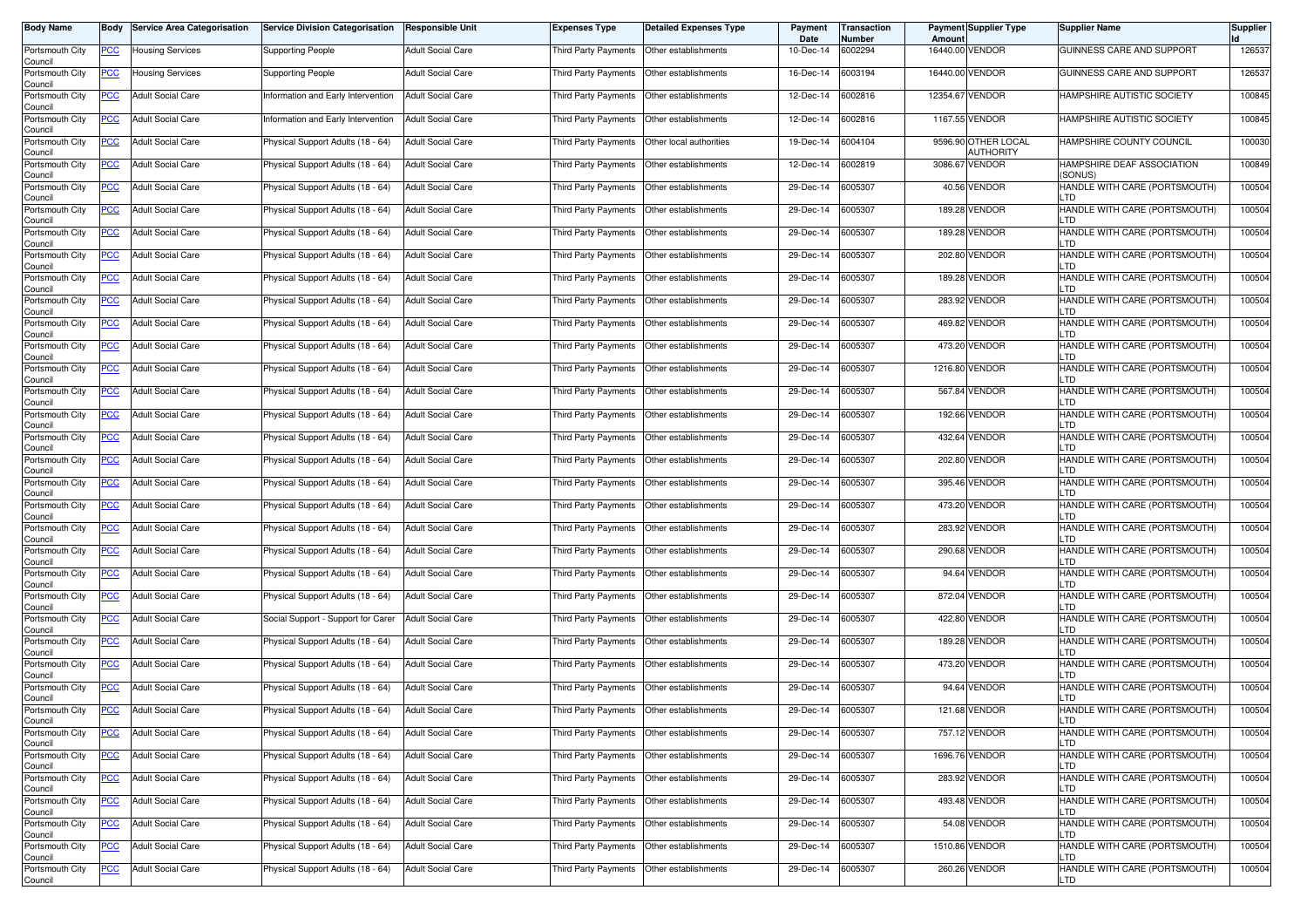| <b>Body Name</b>           | Body       | <b>Service Area Categorisation</b> | <b>Service Division Categorisation</b> | <b>Responsible Unit</b>  | <b>Expenses Type</b>                        | <b>Detailed Expenses Type</b> | Payment<br>Date | Transaction<br>Number | Amoun           | Payment Supplier Type                   | <b>Supplier Name</b>                  | <b>Supplier</b> |
|----------------------------|------------|------------------------------------|----------------------------------------|--------------------------|---------------------------------------------|-------------------------------|-----------------|-----------------------|-----------------|-----------------------------------------|---------------------------------------|-----------------|
| Portsmouth City<br>Council | PCC        | Housing Services                   | <b>Supporting People</b>               | <b>Adult Social Care</b> | Third Party Payments                        | Other establishments          | $10 - Dec-14$   | 6002294               |                 | 16440.00 VENDOR                         | GUINNESS CARE AND SUPPORT             | 126537          |
| Portsmouth City<br>Council | <u>PCC</u> | <b>Housing Services</b>            | Supporting People                      | <b>Adult Social Care</b> | Third Party Payments                        | Other establishments          | 16-Dec-14       | 6003194               | 16440.00 VENDOR |                                         | GUINNESS CARE AND SUPPORT             | 126537          |
| Portsmouth City<br>Council | <u>PCC</u> | <b>Adult Social Care</b>           | Information and Early Intervention     | <b>Adult Social Care</b> | Third Party Payments                        | Other establishments          | 12-Dec-14       | 6002816               | 12354.67 VENDOR |                                         | <b>HAMPSHIRE AUTISTIC SOCIETY</b>     | 100845          |
| Portsmouth City<br>Council | <u>PCC</u> | <b>Adult Social Care</b>           | Information and Early Intervention     | <b>Adult Social Care</b> | Third Party Payments                        | Other establishments          | 12-Dec-14       | 6002816               |                 | 1167.55 VENDOR                          | HAMPSHIRE AUTISTIC SOCIETY            | 100845          |
| Portsmouth City<br>Council | <u>PCC</u> | <b>Adult Social Care</b>           | Physical Support Adults (18 - 64)      | <b>Adult Social Care</b> | Third Party Payments                        | Other local authorities       | 19-Dec-14       | 6004104               |                 | 9596.90 OTHER LOCAL<br><b>AUTHORITY</b> | HAMPSHIRE COUNTY COUNCIL              | 100030          |
| Portsmouth City<br>Council | <u>PCC</u> | <b>Adult Social Care</b>           | Physical Support Adults (18 - 64)      | <b>Adult Social Care</b> | Third Party Payments   Other establishments |                               | 12-Dec-14       | 6002819               |                 | 3086.67 VENDOR                          | HAMPSHIRE DEAF ASSOCIATION<br>(SONUS) | 100849          |
| Portsmouth City<br>Council | <u>PCC</u> | <b>Adult Social Care</b>           | Physical Support Adults (18 - 64)      | <b>Adult Social Care</b> | Third Party Payments   Other establishments |                               | 29-Dec-14       | 6005307               |                 | 40.56 VENDOR                            | HANDLE WITH CARE (PORTSMOUTH)<br>LTD  | 100504          |
| Portsmouth City<br>Council | <u>PCC</u> | <b>Adult Social Care</b>           | Physical Support Adults (18 - 64)      | <b>Adult Social Care</b> | Third Party Payments   Other establishments |                               | 29-Dec-14       | 6005307               |                 | 189.28 VENDOR                           | HANDLE WITH CARE (PORTSMOUTH)<br>LTD  | 100504          |
| Portsmouth City<br>Council | <u>PCC</u> | <b>Adult Social Care</b>           | Physical Support Adults (18 - 64)      | <b>Adult Social Care</b> | Third Party Payments                        | Other establishments          | 29-Dec-14       | 6005307               |                 | 189.28 VENDOR                           | HANDLE WITH CARE (PORTSMOUTH)<br>LTD  | 100504          |
| Portsmouth City<br>Council | PCC        | <b>Adult Social Care</b>           | Physical Support Adults (18 - 64)      | <b>Adult Social Care</b> | Third Party Payments                        | Other establishments          | 29-Dec-14       | 6005307               |                 | 202.80 VENDOR                           | HANDLE WITH CARE (PORTSMOUTH)<br>LTD  | 100504          |
| Portsmouth City<br>Council | <u>PCC</u> | <b>Adult Social Care</b>           | Physical Support Adults (18 - 64)      | <b>Adult Social Care</b> | Third Party Payments                        | Other establishments          | 29-Dec-14       | 6005307               |                 | 189.28 VENDOR                           | HANDLE WITH CARE (PORTSMOUTH)<br>LTD  | 100504          |
| Portsmouth City<br>Council | <u>PCC</u> | <b>Adult Social Care</b>           | Physical Support Adults (18 - 64)      | <b>Adult Social Care</b> | Third Party Payments                        | Other establishments          | 29-Dec-14       | 6005307               |                 | 283.92 VENDOR                           | HANDLE WITH CARE (PORTSMOUTH)<br>LTD  | 100504          |
| Portsmouth City<br>Council | PCC        | <b>Adult Social Care</b>           | Physical Support Adults (18 - 64)      | <b>Adult Social Care</b> | Third Party Payments                        | Other establishments          | 29-Dec-14       | 6005307               |                 | 469.82 VENDOR                           | HANDLE WITH CARE (PORTSMOUTH)<br>LTD  | 100504          |
| Portsmouth City<br>Council | <u>PCC</u> | <b>Adult Social Care</b>           | Physical Support Adults (18 - 64)      | <b>Adult Social Care</b> | Third Party Payments                        | Other establishments          | 29-Dec-14       | 6005307               |                 | 473.20 VENDOR                           | HANDLE WITH CARE (PORTSMOUTH)<br>LTD  | 100504          |
| Portsmouth City<br>Council | <u>PCC</u> | <b>Adult Social Care</b>           | Physical Support Adults (18 - 64)      | <b>Adult Social Care</b> | Third Party Payments   Other establishments |                               | 29-Dec-14       | 6005307               |                 | 1216.80 VENDOR                          | HANDLE WITH CARE (PORTSMOUTH)<br>LTD  | 100504          |
| Portsmouth City<br>Council | <u>PCC</u> | <b>Adult Social Care</b>           | Physical Support Adults (18 - 64)      | <b>Adult Social Care</b> | Third Party Payments   Other establishments |                               | 29-Dec-14       | 6005307               |                 | 567.84 VENDOR                           | HANDLE WITH CARE (PORTSMOUTH)<br>LTD  | 100504          |
| Portsmouth City<br>Council | PCC        | <b>Adult Social Care</b>           | Physical Support Adults (18 - 64)      | <b>Adult Social Care</b> | Third Party Payments                        | Other establishments          | 29-Dec-14       | 6005307               |                 | 192.66 VENDOR                           | HANDLE WITH CARE (PORTSMOUTH)<br>LTD  | 100504          |
| Portsmouth City<br>Council | <u>PCC</u> | <b>Adult Social Care</b>           | Physical Support Adults (18 - 64)      | <b>Adult Social Care</b> | Third Party Payments                        | Other establishments          | 29-Dec-14       | 6005307               |                 | 432.64 VENDOR                           | HANDLE WITH CARE (PORTSMOUTH)<br>LTD  | 100504          |
| Portsmouth City<br>Council | <u>PCC</u> | <b>Adult Social Care</b>           | Physical Support Adults (18 - 64)      | <b>Adult Social Care</b> | Third Party Payments                        | Other establishments          | 29-Dec-14       | 6005307               |                 | 202.80 VENDOR                           | HANDLE WITH CARE (PORTSMOUTH)<br>LTD  | 100504          |
| Portsmouth City<br>Council | <u>PCC</u> | <b>Adult Social Care</b>           | Physical Support Adults (18 - 64)      | <b>Adult Social Care</b> | Third Party Payments                        | Other establishments          | 29-Dec-14       | 6005307               |                 | 395.46 VENDOR                           | HANDLE WITH CARE (PORTSMOUTH)<br>LTD  | 100504          |
| Portsmouth City<br>Council | <u>PCC</u> | <b>Adult Social Care</b>           | Physical Support Adults (18 - 64)      | <b>Adult Social Care</b> | Third Party Payments                        | Other establishments          | 29-Dec-14       | 6005307               |                 | 473.20 VENDOR                           | HANDLE WITH CARE (PORTSMOUTH)<br>LTD  | 100504          |
| Portsmouth City<br>Council | <u>PCC</u> | <b>Adult Social Care</b>           | Physical Support Adults (18 - 64)      | <b>Adult Social Care</b> | Third Party Payments                        | Other establishments          | 29-Dec-14       | 6005307               |                 | 283.92 VENDOR                           | HANDLE WITH CARE (PORTSMOUTH)<br>LTD  | 100504          |
| Portsmouth City<br>Council | <b>PCC</b> | <b>Adult Social Care</b>           | Physical Support Adults (18 - 64)      | <b>Adult Social Care</b> | Third Party Payments                        | Other establishments          | 29-Dec-14       | 6005307               |                 | 290.68 VENDOR                           | HANDLE WITH CARE (PORTSMOUTH)<br>LTD  | 100504          |
| Portsmouth City<br>Council | <u>PCC</u> | <b>Adult Social Care</b>           | Physical Support Adults (18 - 64)      | <b>Adult Social Care</b> | Third Party Payments   Other establishments |                               | 29-Dec-14       | 6005307               |                 | 94.64 VENDOR                            | HANDLE WITH CARE (PORTSMOUTH)<br>LTD  | 100504          |
| Portsmouth City<br>Council | <u>PCC</u> | <b>Adult Social Care</b>           | Physical Support Adults (18 - 64)      | <b>Adult Social Care</b> | Third Party Payments   Other establishments |                               | 29-Dec-14       | 6005307               |                 | 872.04 VENDOR                           | HANDLE WITH CARE (PORTSMOUTH)<br>LTD  | 100504          |
| Portsmouth City<br>Council | <u>PCC</u> | <b>Adult Social Care</b>           | Social Support - Support for Carer     | <b>Adult Social Care</b> | Third Party Payments   Other establishments |                               | 29-Dec-14       | 6005307               |                 | 422.80 VENDOR                           | HANDLE WITH CARE (PORTSMOUTH)<br>LTD  | 100504          |
| Portsmouth City<br>Council | <b>PCC</b> | <b>Adult Social Care</b>           | Physical Support Adults (18 - 64)      | <b>Adult Social Care</b> | Third Party Payments                        | Other establishments          | 29-Dec-14       | 6005307               |                 | 189.28 VENDOR                           | HANDLE WITH CARE (PORTSMOUTH)<br>LTD  | 100504          |
| Portsmouth City<br>Council | <b>PCC</b> | <b>Adult Social Care</b>           | Physical Support Adults (18 - 64)      | <b>Adult Social Care</b> | Third Party Payments                        | Other establishments          | 29-Dec-14       | 6005307               |                 | 473.20 VENDOR                           | HANDLE WITH CARE (PORTSMOUTH)<br>LTD  | 100504          |
| Portsmouth City<br>Council | <u>PCC</u> | <b>Adult Social Care</b>           | Physical Support Adults (18 - 64)      | <b>Adult Social Care</b> | Third Party Payments                        | Other establishments          | 29-Dec-14       | 6005307               |                 | 94.64 VENDOR                            | HANDLE WITH CARE (PORTSMOUTH)<br>LTD  | 100504          |
| Portsmouth City<br>Council | <u>PCC</u> | <b>Adult Social Care</b>           | Physical Support Adults (18 - 64)      | <b>Adult Social Care</b> | Third Party Payments   Other establishments |                               | 29-Dec-14       | 6005307               |                 | 121.68 VENDOR                           | HANDLE WITH CARE (PORTSMOUTH)         | 100504          |
| Portsmouth City<br>Council | <b>PCC</b> | <b>Adult Social Care</b>           | Physical Support Adults (18 - 64)      | <b>Adult Social Care</b> | Third Party Payments Other establishments   |                               | 29-Dec-14       | 6005307               |                 | 757.12 VENDOR                           | HANDLE WITH CARE (PORTSMOUTH)<br>LTD  | 100504          |
| Portsmouth City<br>Council | <b>PCC</b> | <b>Adult Social Care</b>           | Physical Support Adults (18 - 64)      | <b>Adult Social Care</b> | Third Party Payments Other establishments   |                               | 29-Dec-14       | 6005307               |                 | 1696.76 VENDOR                          | HANDLE WITH CARE (PORTSMOUTH)<br>LTD. | 100504          |
| Portsmouth City<br>Council | <u>PCC</u> | <b>Adult Social Care</b>           | Physical Support Adults (18 - 64)      | <b>Adult Social Care</b> | Third Party Payments   Other establishments |                               | 29-Dec-14       | 6005307               |                 | 283.92 VENDOR                           | HANDLE WITH CARE (PORTSMOUTH)<br>LTD  | 100504          |
| Portsmouth City<br>Council | <u>PCC</u> | <b>Adult Social Care</b>           | Physical Support Adults (18 - 64)      | <b>Adult Social Care</b> | Third Party Payments Other establishments   |                               | 29-Dec-14       | 6005307               |                 | 493.48 VENDOR                           | HANDLE WITH CARE (PORTSMOUTH)<br>LTD  | 100504          |
| Portsmouth City<br>Council | <u>PCC</u> | <b>Adult Social Care</b>           | Physical Support Adults (18 - 64)      | <b>Adult Social Care</b> | Third Party Payments Other establishments   |                               | 29-Dec-14       | 6005307               |                 | 54.08 VENDOR                            | HANDLE WITH CARE (PORTSMOUTH)<br>LTD  | 100504          |
| Portsmouth City<br>Council | <u>PCC</u> | <b>Adult Social Care</b>           | Physical Support Adults (18 - 64)      | <b>Adult Social Care</b> | Third Party Payments Other establishments   |                               | 29-Dec-14       | 6005307               |                 | 1510.86 VENDOR                          | HANDLE WITH CARE (PORTSMOUTH)<br>LTD  | 100504          |
| Portsmouth City<br>Council | <u>PCC</u> | Adult Social Care                  | Physical Support Adults (18 - 64)      | <b>Adult Social Care</b> | Third Party Payments Other establishments   |                               | 29-Dec-14       | 6005307               |                 | 260.26 VENDOR                           | HANDLE WITH CARE (PORTSMOUTH)<br>LTD  | 100504          |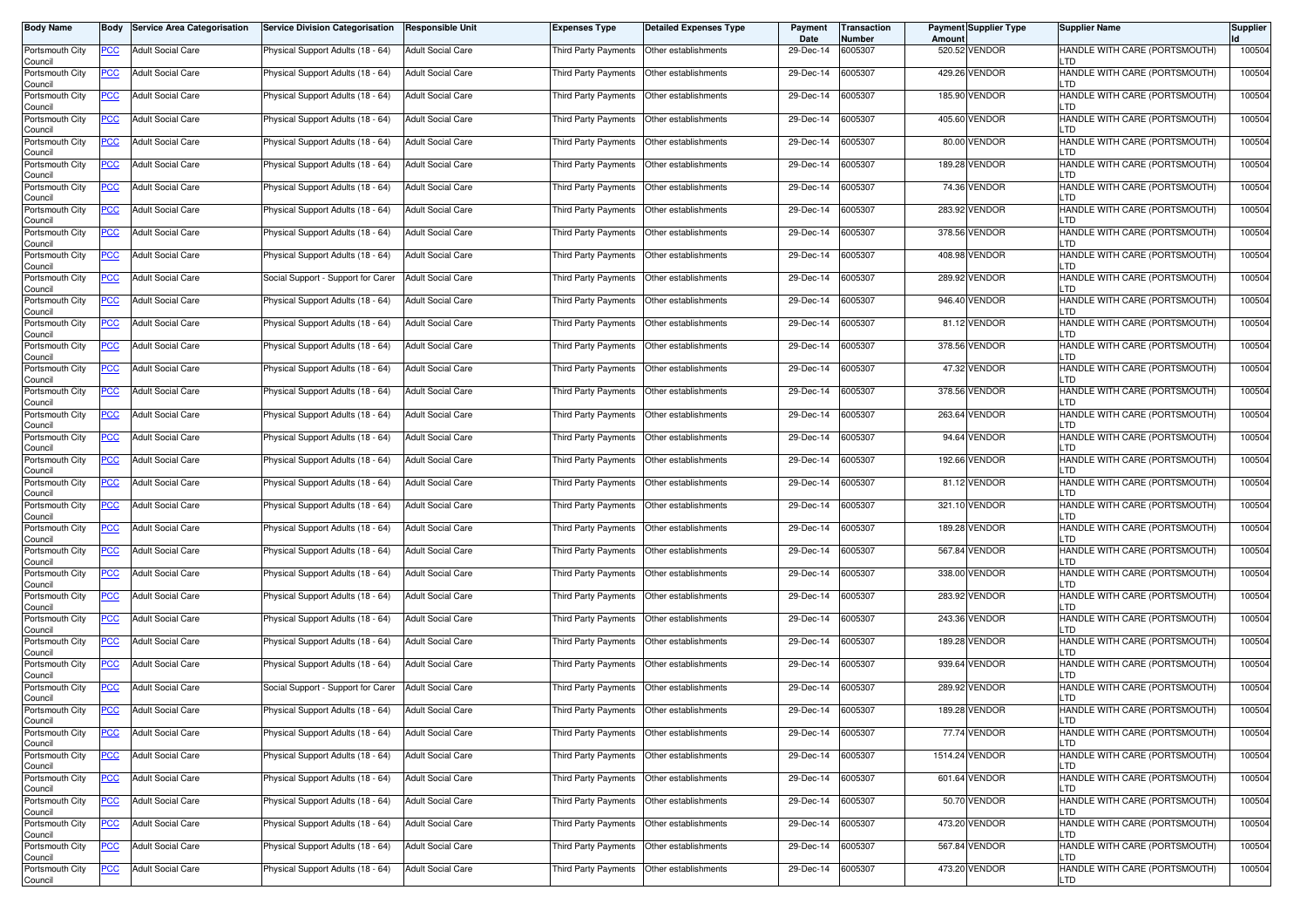| <b>Body Name</b>           | Body       | <b>Service Area Categorisation</b> | <b>Service Division Categorisation</b> | <b>Responsible Unit</b>  | <b>Expenses Type</b>                        | Detailed Expenses Type | Payment<br>Date | <b>Transaction</b><br>Number | Amount | <b>Payment Supplier Type</b> | <b>Supplier Name</b>                  | <b>Supplier</b> |
|----------------------------|------------|------------------------------------|----------------------------------------|--------------------------|---------------------------------------------|------------------------|-----------------|------------------------------|--------|------------------------------|---------------------------------------|-----------------|
| Portsmouth City<br>Council | PCC        | <b>Adult Social Care</b>           | Physical Support Adults (18 - 64)      | <b>Adult Social Care</b> | Third Party Payments   Other establishments |                        | 29-Dec-14       | 6005307                      |        | 520.52 VENDOR                | HANDLE WITH CARE (PORTSMOUTH)         | 100504          |
| Portsmouth City<br>Council | <b>PCC</b> | <b>Adult Social Care</b>           | Physical Support Adults (18 - 64)      | <b>Adult Social Care</b> | Third Party Payments                        | Other establishments   | 29-Dec-14       | 6005307                      |        | 429.26 VENDOR                | HANDLE WITH CARE (PORTSMOUTH)<br>.TD  | 100504          |
| Portsmouth City<br>Council | <b>PCC</b> | <b>Adult Social Care</b>           | Physical Support Adults (18 - 64)      | <b>Adult Social Care</b> | Third Party Payments                        | Other establishments   | 29-Dec-14       | 6005307                      |        | 185.90 VENDOR                | HANDLE WITH CARE (PORTSMOUTH)<br>_TD  | 100504          |
| Portsmouth City<br>Council | <u>PCC</u> | <b>Adult Social Care</b>           | Physical Support Adults (18 - 64)      | <b>Adult Social Care</b> | Third Party Payments                        | Other establishments   | 29-Dec-14       | 6005307                      |        | 405.60 VENDOR                | HANDLE WITH CARE (PORTSMOUTH)<br>.TD  | 100504          |
| Portsmouth City<br>Council | <u>PCC</u> | <b>Adult Social Care</b>           | Physical Support Adults (18 - 64)      | <b>Adult Social Care</b> | Third Party Payments                        | Other establishments   | 29-Dec-14       | 6005307                      |        | 80.00 VENDOR                 | HANDLE WITH CARE (PORTSMOUTH)<br>TD.  | 100504          |
| Portsmouth City<br>Council | <u>PCC</u> | <b>Adult Social Care</b>           | Physical Support Adults (18 - 64)      | <b>Adult Social Care</b> | Third Party Payments   Other establishments |                        | 29-Dec-14       | 6005307                      |        | 189.28 VENDOR                | HANDLE WITH CARE (PORTSMOUTH)<br>TD.  | 100504          |
| Portsmouth City<br>Council | <u>PCC</u> | <b>Adult Social Care</b>           | Physical Support Adults (18 - 64)      | <b>Adult Social Care</b> | Third Party Payments   Other establishments |                        | 29-Dec-14       | 6005307                      |        | 74.36 VENDOR                 | HANDLE WITH CARE (PORTSMOUTH)<br>-TD. | 100504          |
| Portsmouth City<br>Council | <u>PCC</u> | <b>Adult Social Care</b>           | Physical Support Adults (18 - 64)      | <b>Adult Social Care</b> | Third Party Payments   Other establishments |                        | 29-Dec-14       | 6005307                      |        | 283.92 VENDOR                | HANDLE WITH CARE (PORTSMOUTH)<br>.TD  | 100504          |
| Portsmouth City<br>Council | <u>PCC</u> | <b>Adult Social Care</b>           | Physical Support Adults (18 - 64)      | <b>Adult Social Care</b> | Third Party Payments                        | Other establishments   | 29-Dec-14       | 6005307                      |        | 378.56 VENDOR                | HANDLE WITH CARE (PORTSMOUTH)<br>.TD  | 100504          |
| Portsmouth City<br>Council | <u>PCC</u> | <b>Adult Social Care</b>           | Physical Support Adults (18 - 64)      | <b>Adult Social Care</b> | Third Party Payments                        | Other establishments   | 29-Dec-14       | 6005307                      |        | 408.98 VENDOR                | HANDLE WITH CARE (PORTSMOUTH)<br>.TD  | 100504          |
| Portsmouth City<br>Council | <b>PCC</b> | <b>Adult Social Care</b>           | Social Support - Support for Carer     | Adult Social Care        | Third Party Payments                        | Other establishments   | 29-Dec-14       | 6005307                      |        | 289.92 VENDOR                | HANDLE WITH CARE (PORTSMOUTH)<br>.TD  | 100504          |
| Portsmouth City<br>Council | <u>PCC</u> | <b>Adult Social Care</b>           | Physical Support Adults (18 - 64)      | <b>Adult Social Care</b> | Third Party Payments                        | Other establishments   | 29-Dec-14       | 6005307                      |        | 946.40 VENDOR                | HANDLE WITH CARE (PORTSMOUTH)<br>.TD  | 100504          |
| Portsmouth City<br>Council | PCC        | <b>Adult Social Care</b>           | Physical Support Adults (18 - 64)      | <b>Adult Social Care</b> | Third Party Payments   Other establishments |                        | 29-Dec-14       | 6005307                      |        | 81.12 VENDOR                 | HANDLE WITH CARE (PORTSMOUTH)<br>.TD  | 100504          |
| Portsmouth City<br>Council | <u>PCC</u> | <b>Adult Social Care</b>           | Physical Support Adults (18 - 64)      | <b>Adult Social Care</b> | Third Party Payments                        | Other establishments   | 29-Dec-14       | 6005307                      |        | 378.56 VENDOR                | HANDLE WITH CARE (PORTSMOUTH)<br>-TD. | 100504          |
| Portsmouth City<br>Council | <u>PCC</u> | <b>Adult Social Care</b>           | Physical Support Adults (18 - 64)      | <b>Adult Social Care</b> | Third Party Payments   Other establishments |                        | 29-Dec-14       | 6005307                      |        | 47.32 VENDOR                 | HANDLE WITH CARE (PORTSMOUTH)<br>-TD. | 100504          |
| Portsmouth City<br>Council | <u>PCC</u> | <b>Adult Social Care</b>           | Physical Support Adults (18 - 64)      | <b>Adult Social Care</b> | Third Party Payments   Other establishments |                        | 29-Dec-14       | 6005307                      |        | 378.56 VENDOR                | HANDLE WITH CARE (PORTSMOUTH)<br>.TD  | 100504          |
| Portsmouth City<br>Council | PCC        | <b>Adult Social Care</b>           | Physical Support Adults (18 - 64)      | <b>Adult Social Care</b> | Third Party Payments   Other establishments |                        | 29-Dec-14       | 6005307                      |        | 263.64 VENDOR                | HANDLE WITH CARE (PORTSMOUTH)<br>TD   | 100504          |
| Portsmouth City<br>Council | <b>PCC</b> | <b>Adult Social Care</b>           | Physical Support Adults (18 - 64)      | <b>Adult Social Care</b> | Third Party Payments                        | Other establishments   | 29-Dec-14       | 6005307                      |        | 94.64 VENDOR                 | HANDLE WITH CARE (PORTSMOUTH)         | 100504          |
| Portsmouth City<br>Council | <u>PCC</u> | <b>Adult Social Care</b>           | Physical Support Adults (18 - 64)      | <b>Adult Social Care</b> | Third Party Payments                        | Other establishments   | 29-Dec-14       | 6005307                      |        | 192.66 VENDOR                | HANDLE WITH CARE (PORTSMOUTH)<br>_TD  | 100504          |
| Portsmouth City<br>Council | <u>PCC</u> | <b>Adult Social Care</b>           | Physical Support Adults (18 - 64)      | Adult Social Care        | Third Party Payments                        | Other establishments   | 29-Dec-14       | 6005307                      |        | 81.12 VENDOR                 | HANDLE WITH CARE (PORTSMOUTH)<br>.TD  | 100504          |
| Portsmouth City<br>Council | <u>PCC</u> | <b>Adult Social Care</b>           | Physical Support Adults (18 - 64)      | <b>Adult Social Care</b> | Third Party Payments  Other establishments  |                        | 29-Dec-14       | 6005307                      |        | 321.10 VENDOR                | HANDLE WITH CARE (PORTSMOUTH)<br>_TD  | 100504          |
| Portsmouth City<br>Council | <u>PCC</u> | <b>Adult Social Care</b>           | Physical Support Adults (18 - 64)      | Adult Social Care        | Third Party Payments   Other establishments |                        | 29-Dec-14       | 6005307                      |        | 189.28 VENDOR                | HANDLE WITH CARE (PORTSMOUTH)<br>.TD  | 100504          |
| Portsmouth City<br>Council | <u>PCC</u> | <b>Adult Social Care</b>           | Physical Support Adults (18 - 64)      | <b>Adult Social Care</b> | Third Party Payments                        | Other establishments   | 29-Dec-14       | 6005307                      |        | 567.84 VENDOR                | HANDLE WITH CARE (PORTSMOUTH)<br>-TD. | 100504          |
| Portsmouth City<br>Council | <u>PCC</u> | <b>Adult Social Care</b>           | Physical Support Adults (18 - 64)      | <b>Adult Social Care</b> | Third Party Payments   Other establishments |                        | 29-Dec-14       | 6005307                      |        | 338.00 VENDOR                | HANDLE WITH CARE (PORTSMOUTH)<br>-TD. | 100504          |
| Portsmouth City<br>Council | <b>PCC</b> | <b>Adult Social Care</b>           | Physical Support Adults (18 - 64)      | <b>Adult Social Care</b> | Third Party Payments   Other establishments |                        | 29-Dec-14       | 6005307                      |        | 283.92 VENDOR                | HANDLE WITH CARE (PORTSMOUTH)<br>.TD  | 100504          |
| Portsmouth City<br>Council | <u>PCC</u> | <b>Adult Social Care</b>           | Physical Support Adults (18 - 64)      | <b>Adult Social Care</b> | Third Party Payments   Other establishments |                        | 29-Dec-14       | 6005307                      |        | 243.36 VENDOR                | HANDLE WITH CARE (PORTSMOUTH)<br>TD   | 100504          |
| Portsmouth City<br>Council | <u>PCC</u> | <b>Adult Social Care</b>           | Physical Support Adults (18 - 64)      | <b>Adult Social Care</b> | Third Party Payments                        | Other establishments   | 29-Dec-14       | 6005307                      |        | 189.28 VENDOR                | HANDLE WITH CARE (PORTSMOUTH)         | 100504          |
| Portsmouth City<br>Council | <b>PCC</b> | <b>Adult Social Care</b>           | Physical Support Adults (18 - 64)      | <b>Adult Social Care</b> | Third Party Payments                        | Other establishments   | 29-Dec-14       | 6005307                      |        | 939.64 VENDOR                | HANDLE WITH CARE (PORTSMOUTH)<br>_TD  | 100504          |
| Portsmouth City<br>Council | <b>PCC</b> | <b>Adult Social Care</b>           | Social Support - Support for Carer     | Adult Social Care        | Third Party Payments                        | Other establishments   | 29-Dec-14       | 6005307                      |        | 289.92 VENDOR                | HANDLE WITH CARE (PORTSMOUTH)<br>.TD  | 100504          |
| Portsmouth City<br>Council | <u>PCC</u> | <b>Adult Social Care</b>           | Physical Support Adults (18 - 64)      | <b>Adult Social Care</b> | Third Party Payments   Other establishments |                        | 29-Dec-14       | 6005307                      |        | 189.28 VENDOR                | HANDLE WITH CARE (PORTSMOUTH)         | 100504          |
| Portsmouth City<br>Council | <u>PCC</u> | <b>Adult Social Care</b>           | Physical Support Adults (18 - 64)      | <b>Adult Social Care</b> | Third Party Payments Other establishments   |                        | 29-Dec-14       | 6005307                      |        | 77.74 VENDOR                 | HANDLE WITH CARE (PORTSMOUTH)<br>TD.  | 100504          |
| Portsmouth City<br>Council | <b>PCC</b> | <b>Adult Social Care</b>           | Physical Support Adults (18 - 64)      | <b>Adult Social Care</b> | Third Party Payments Other establishments   |                        | 29-Dec-14       | 6005307                      |        | 1514.24 VENDOR               | HANDLE WITH CARE (PORTSMOUTH)<br>LTD. | 100504          |
| Portsmouth City<br>Council | <b>PCC</b> | <b>Adult Social Care</b>           | Physical Support Adults (18 - 64)      | <b>Adult Social Care</b> | Third Party Payments Other establishments   |                        | 29-Dec-14       | 6005307                      |        | 601.64 VENDOR                | HANDLE WITH CARE (PORTSMOUTH)<br>TD.  | 100504          |
| Portsmouth City<br>Council | <u>PCC</u> | <b>Adult Social Care</b>           | Physical Support Adults (18 - 64)      | <b>Adult Social Care</b> | Third Party Payments Other establishments   |                        | 29-Dec-14       | 6005307                      |        | 50.70 VENDOR                 | HANDLE WITH CARE (PORTSMOUTH)<br>.TD  | 100504          |
| Portsmouth City<br>Council | <u>PCC</u> | <b>Adult Social Care</b>           | Physical Support Adults (18 - 64)      | <b>Adult Social Care</b> | Third Party Payments   Other establishments |                        | 29-Dec-14       | 6005307                      |        | 473.20 VENDOR                | HANDLE WITH CARE (PORTSMOUTH)         | 100504          |
| Portsmouth City<br>Council | <b>PCC</b> | <b>Adult Social Care</b>           | Physical Support Adults (18 - 64)      | <b>Adult Social Care</b> | Third Party Payments                        | Other establishments   | 29-Dec-14       | 6005307                      |        | 567.84 VENDOR                | HANDLE WITH CARE (PORTSMOUTH)<br>TD.  | 100504          |
| Portsmouth City<br>Council | <b>PCC</b> | Adult Social Care                  | Physical Support Adults (18 - 64)      | <b>Adult Social Care</b> | Third Party Payments Other establishments   |                        | 29-Dec-14       | 6005307                      |        | 473.20 VENDOR                | HANDLE WITH CARE (PORTSMOUTH)<br>LTD  | 100504          |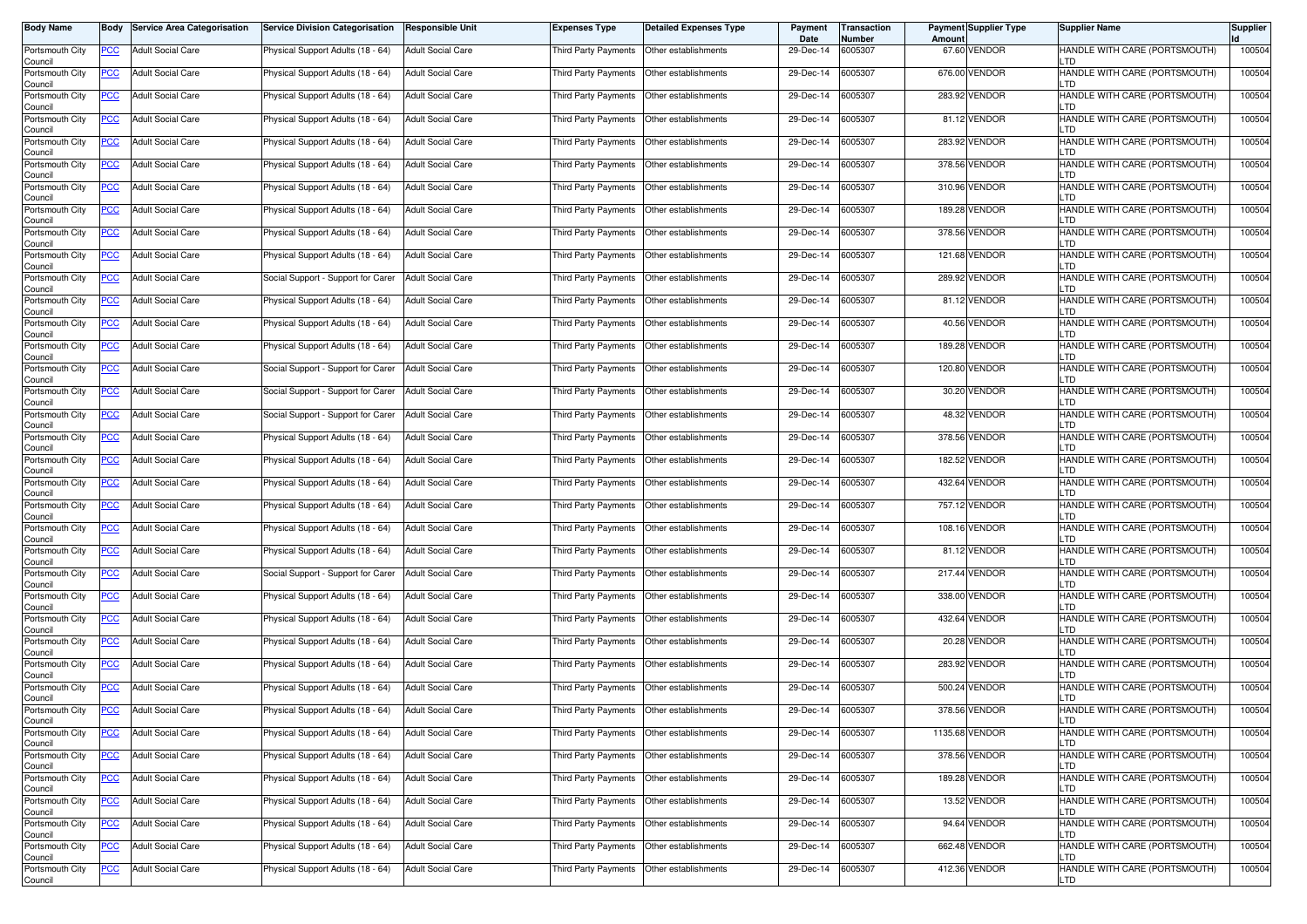| <b>Body Name</b>           | Body       | <b>Service Area Categorisation</b> | <b>Service Division Categorisation</b> | <b>Responsible Unit</b>  | <b>Expenses Type</b>                        | Detailed Expenses Type | Payment<br>Date | <b>Transaction</b><br>Number | Amount | <b>Payment Supplier Type</b> | <b>Supplier Name</b>                  | <b>Supplier</b> |
|----------------------------|------------|------------------------------------|----------------------------------------|--------------------------|---------------------------------------------|------------------------|-----------------|------------------------------|--------|------------------------------|---------------------------------------|-----------------|
| Portsmouth City<br>Council | PCC        | <b>Adult Social Care</b>           | Physical Support Adults (18 - 64)      | <b>Adult Social Care</b> | Third Party Payments   Other establishments |                        | 29-Dec-14       | 6005307                      |        | 67.60 VENDOR                 | HANDLE WITH CARE (PORTSMOUTH)         | 100504          |
| Portsmouth City<br>Council | <b>PCC</b> | <b>Adult Social Care</b>           | Physical Support Adults (18 - 64)      | <b>Adult Social Care</b> | Third Party Payments                        | Other establishments   | 29-Dec-14       | 6005307                      |        | 676.00 VENDOR                | HANDLE WITH CARE (PORTSMOUTH)<br>.TD  | 100504          |
| Portsmouth City<br>Council | <b>PCC</b> | <b>Adult Social Care</b>           | Physical Support Adults (18 - 64)      | <b>Adult Social Care</b> | Third Party Payments                        | Other establishments   | 29-Dec-14       | 6005307                      |        | 283.92 VENDOR                | HANDLE WITH CARE (PORTSMOUTH)<br>_TD  | 100504          |
| Portsmouth City<br>Council | <u>PCC</u> | <b>Adult Social Care</b>           | Physical Support Adults (18 - 64)      | <b>Adult Social Care</b> | Third Party Payments                        | Other establishments   | 29-Dec-14       | 6005307                      |        | 81.12 VENDOR                 | HANDLE WITH CARE (PORTSMOUTH)<br>.TD  | 100504          |
| Portsmouth City<br>Council | <u>PCC</u> | <b>Adult Social Care</b>           | Physical Support Adults (18 - 64)      | <b>Adult Social Care</b> | Third Party Payments                        | Other establishments   | 29-Dec-14       | 6005307                      |        | 283.92 VENDOR                | HANDLE WITH CARE (PORTSMOUTH)<br>TD.  | 100504          |
| Portsmouth City<br>Council | <u>PCC</u> | <b>Adult Social Care</b>           | Physical Support Adults (18 - 64)      | <b>Adult Social Care</b> | Third Party Payments   Other establishments |                        | 29-Dec-14       | 6005307                      |        | 378.56 VENDOR                | HANDLE WITH CARE (PORTSMOUTH)<br>TD.  | 100504          |
| Portsmouth City<br>Council | <u>PCC</u> | <b>Adult Social Care</b>           | Physical Support Adults (18 - 64)      | <b>Adult Social Care</b> | Third Party Payments   Other establishments |                        | 29-Dec-14       | 6005307                      |        | 310.96 VENDOR                | HANDLE WITH CARE (PORTSMOUTH)<br>-TD. | 100504          |
| Portsmouth City<br>Council | <u>PCC</u> | <b>Adult Social Care</b>           | Physical Support Adults (18 - 64)      | <b>Adult Social Care</b> | Third Party Payments   Other establishments |                        | 29-Dec-14       | 6005307                      |        | 189.28 VENDOR                | HANDLE WITH CARE (PORTSMOUTH)<br>.TD  | 100504          |
| Portsmouth City<br>Council | <u>PCC</u> | <b>Adult Social Care</b>           | Physical Support Adults (18 - 64)      | <b>Adult Social Care</b> | Third Party Payments                        | Other establishments   | 29-Dec-14       | 6005307                      |        | 378.56 VENDOR                | HANDLE WITH CARE (PORTSMOUTH)<br>.TD  | 100504          |
| Portsmouth City<br>Council | <u>PCC</u> | <b>Adult Social Care</b>           | Physical Support Adults (18 - 64)      | <b>Adult Social Care</b> | Third Party Payments                        | Other establishments   | 29-Dec-14       | 6005307                      |        | 121.68 VENDOR                | HANDLE WITH CARE (PORTSMOUTH)<br>.TD  | 100504          |
| Portsmouth City<br>Council | <b>PCC</b> | <b>Adult Social Care</b>           | Social Support - Support for Carer     | Adult Social Care        | Third Party Payments                        | Other establishments   | 29-Dec-14       | 6005307                      |        | 289.92 VENDOR                | HANDLE WITH CARE (PORTSMOUTH)<br>.TD  | 100504          |
| Portsmouth City<br>Council | <u>PCC</u> | <b>Adult Social Care</b>           | Physical Support Adults (18 - 64)      | <b>Adult Social Care</b> | Third Party Payments                        | Other establishments   | 29-Dec-14       | 6005307                      |        | 81.12 VENDOR                 | HANDLE WITH CARE (PORTSMOUTH)<br>.TD  | 100504          |
| Portsmouth City<br>Council | PCC        | <b>Adult Social Care</b>           | Physical Support Adults (18 - 64)      | <b>Adult Social Care</b> | Third Party Payments   Other establishments |                        | 29-Dec-14       | 6005307                      |        | 40.56 VENDOR                 | HANDLE WITH CARE (PORTSMOUTH)<br>.TD  | 100504          |
| Portsmouth City<br>Council | <u>PCC</u> | <b>Adult Social Care</b>           | Physical Support Adults (18 - 64)      | <b>Adult Social Care</b> | Third Party Payments                        | Other establishments   | 29-Dec-14       | 6005307                      |        | 189.28 VENDOR                | HANDLE WITH CARE (PORTSMOUTH)<br>-TD. | 100504          |
| Portsmouth City<br>Council | <u>PCC</u> | <b>Adult Social Care</b>           | Social Support - Support for Carer     | <b>Adult Social Care</b> | Third Party Payments   Other establishments |                        | 29-Dec-14       | 6005307                      |        | 120.80 VENDOR                | HANDLE WITH CARE (PORTSMOUTH)<br>-TD. | 100504          |
| Portsmouth City<br>Council | <u>PCC</u> | <b>Adult Social Care</b>           | Social Support - Support for Carer     | <b>Adult Social Care</b> | Third Party Payments   Other establishments |                        | 29-Dec-14       | 6005307                      |        | 30.20 VENDOR                 | HANDLE WITH CARE (PORTSMOUTH)<br>.TD  | 100504          |
| Portsmouth City<br>Council | PCC        | <b>Adult Social Care</b>           | Social Support - Support for Carer     | <b>Adult Social Care</b> | Third Party Payments   Other establishments |                        | 29-Dec-14       | 6005307                      |        | 48.32 VENDOR                 | HANDLE WITH CARE (PORTSMOUTH)<br>TD   | 100504          |
| Portsmouth City<br>Council | <b>PCC</b> | <b>Adult Social Care</b>           | Physical Support Adults (18 - 64)      | <b>Adult Social Care</b> | Third Party Payments                        | Other establishments   | 29-Dec-14       | 6005307                      |        | 378.56 VENDOR                | HANDLE WITH CARE (PORTSMOUTH)         | 100504          |
| Portsmouth City<br>Council | <u>PCC</u> | <b>Adult Social Care</b>           | Physical Support Adults (18 - 64)      | <b>Adult Social Care</b> | Third Party Payments                        | Other establishments   | 29-Dec-14       | 6005307                      |        | 182.52 VENDOR                | HANDLE WITH CARE (PORTSMOUTH)<br>_TD  | 100504          |
| Portsmouth City<br>Council | <u>PCC</u> | <b>Adult Social Care</b>           | Physical Support Adults (18 - 64)      | Adult Social Care        | Third Party Payments                        | Other establishments   | 29-Dec-14       | 6005307                      |        | 432.64 VENDOR                | HANDLE WITH CARE (PORTSMOUTH)<br>.TD  | 100504          |
| Portsmouth City<br>Council | <u>PCC</u> | <b>Adult Social Care</b>           | Physical Support Adults (18 - 64)      | <b>Adult Social Care</b> | Third Party Payments  Other establishments  |                        | 29-Dec-14       | 6005307                      |        | 757.12 VENDOR                | HANDLE WITH CARE (PORTSMOUTH)<br>_TD  | 100504          |
| Portsmouth City<br>Council | <u>PCC</u> | <b>Adult Social Care</b>           | Physical Support Adults (18 - 64)      | Adult Social Care        | Third Party Payments   Other establishments |                        | 29-Dec-14       | 6005307                      |        | 108.16 VENDOR                | HANDLE WITH CARE (PORTSMOUTH)<br>.TD  | 100504          |
| Portsmouth City<br>Council | <u>PCC</u> | <b>Adult Social Care</b>           | Physical Support Adults (18 - 64)      | <b>Adult Social Care</b> | Third Party Payments                        | Other establishments   | 29-Dec-14       | 6005307                      |        | 81.12 VENDOR                 | HANDLE WITH CARE (PORTSMOUTH)<br>-TD. | 100504          |
| Portsmouth City<br>Council | <u>PCC</u> | <b>Adult Social Care</b>           | Social Support - Support for Carer     | <b>Adult Social Care</b> | Third Party Payments   Other establishments |                        | 29-Dec-14       | 6005307                      |        | 217.44 VENDOR                | HANDLE WITH CARE (PORTSMOUTH)<br>-TD. | 100504          |
| Portsmouth City<br>Council | <b>PCC</b> | <b>Adult Social Care</b>           | Physical Support Adults (18 - 64)      | <b>Adult Social Care</b> | Third Party Payments   Other establishments |                        | 29-Dec-14       | 6005307                      |        | 338.00 VENDOR                | HANDLE WITH CARE (PORTSMOUTH)<br>.TD  | 100504          |
| Portsmouth City<br>Council | <u>PCC</u> | <b>Adult Social Care</b>           | Physical Support Adults (18 - 64)      | <b>Adult Social Care</b> | Third Party Payments   Other establishments |                        | 29-Dec-14       | 6005307                      |        | 432.64 VENDOR                | HANDLE WITH CARE (PORTSMOUTH)<br>TD   | 100504          |
| Portsmouth City<br>Council | <u>PCC</u> | <b>Adult Social Care</b>           | Physical Support Adults (18 - 64)      | <b>Adult Social Care</b> | Third Party Payments                        | Other establishments   | 29-Dec-14       | 6005307                      |        | 20.28 VENDOR                 | HANDLE WITH CARE (PORTSMOUTH)         | 100504          |
| Portsmouth City<br>Council | <b>PCC</b> | <b>Adult Social Care</b>           | Physical Support Adults (18 - 64)      | <b>Adult Social Care</b> | Third Party Payments                        | Other establishments   | 29-Dec-14       | 6005307                      |        | 283.92 VENDOR                | HANDLE WITH CARE (PORTSMOUTH)<br>_TD  | 100504          |
| Portsmouth City<br>Council | <b>PCC</b> | <b>Adult Social Care</b>           | Physical Support Adults (18 - 64)      | Adult Social Care        | Third Party Payments                        | Other establishments   | 29-Dec-14       | 6005307                      |        | 500.24 VENDOR                | HANDLE WITH CARE (PORTSMOUTH)<br>.TD  | 100504          |
| Portsmouth City<br>Council | <u>PCC</u> | <b>Adult Social Care</b>           | Physical Support Adults (18 - 64)      | <b>Adult Social Care</b> | Third Party Payments   Other establishments |                        | 29-Dec-14       | 6005307                      |        | 378.56 VENDOR                | HANDLE WITH CARE (PORTSMOUTH)         | 100504          |
| Portsmouth City<br>Council | <u>PCC</u> | <b>Adult Social Care</b>           | Physical Support Adults (18 - 64)      | <b>Adult Social Care</b> | Third Party Payments Other establishments   |                        | 29-Dec-14       | 6005307                      |        | 1135.68 VENDOR               | HANDLE WITH CARE (PORTSMOUTH)<br>TD.  | 100504          |
| Portsmouth City<br>Council | <b>PCC</b> | Adult Social Care                  | Physical Support Adults (18 - 64)      | <b>Adult Social Care</b> | Third Party Payments Other establishments   |                        | 29-Dec-14       | 6005307                      |        | 378.56 VENDOR                | HANDLE WITH CARE (PORTSMOUTH)<br>LTD. | 100504          |
| Portsmouth City<br>Council | <b>PCC</b> | <b>Adult Social Care</b>           | Physical Support Adults (18 - 64)      | <b>Adult Social Care</b> | Third Party Payments Other establishments   |                        | 29-Dec-14       | 6005307                      |        | 189.28 VENDOR                | HANDLE WITH CARE (PORTSMOUTH)<br>TD.  | 100504          |
| Portsmouth City<br>Council | <u>PCC</u> | <b>Adult Social Care</b>           | Physical Support Adults (18 - 64)      | <b>Adult Social Care</b> | Third Party Payments Other establishments   |                        | 29-Dec-14       | 6005307                      |        | 13.52 VENDOR                 | HANDLE WITH CARE (PORTSMOUTH)<br>.TD  | 100504          |
| Portsmouth City<br>Council | <u>PCC</u> | <b>Adult Social Care</b>           | Physical Support Adults (18 - 64)      | <b>Adult Social Care</b> | Third Party Payments   Other establishments |                        | 29-Dec-14       | 6005307                      |        | 94.64 VENDOR                 | HANDLE WITH CARE (PORTSMOUTH)         | 100504          |
| Portsmouth City<br>Council | <b>PCC</b> | <b>Adult Social Care</b>           | Physical Support Adults (18 - 64)      | <b>Adult Social Care</b> | Third Party Payments                        | Other establishments   | 29-Dec-14       | 6005307                      |        | 662.48 VENDOR                | HANDLE WITH CARE (PORTSMOUTH)<br>TD.  | 100504          |
| Portsmouth City<br>Council | <b>PCC</b> | Adult Social Care                  | Physical Support Adults (18 - 64)      | <b>Adult Social Care</b> | Third Party Payments Other establishments   |                        | 29-Dec-14       | 6005307                      |        | 412.36 VENDOR                | HANDLE WITH CARE (PORTSMOUTH)<br>LTD  | 100504          |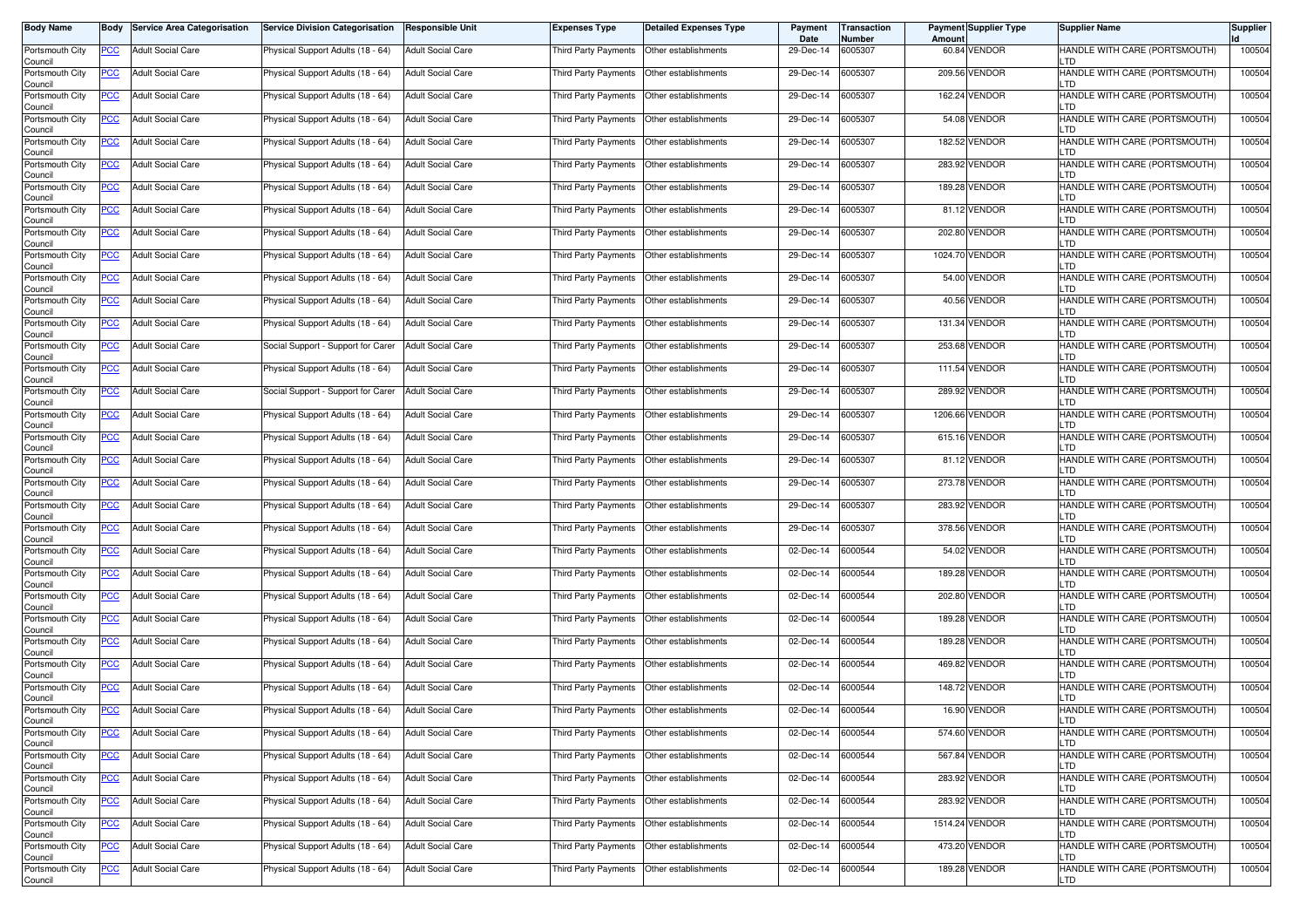| <b>Body Name</b>           | Body       | Service Area Categorisation | <b>Service Division Categorisation</b> | <b>Responsible Unit</b>  | <b>Expenses Type</b>                        | Detailed Expenses Type | Payment<br>Date | Transaction<br>Number | Amount | <b>Payment Supplier Type</b> | <b>Supplier Name</b>                  | <b>Supplier</b> |
|----------------------------|------------|-----------------------------|----------------------------------------|--------------------------|---------------------------------------------|------------------------|-----------------|-----------------------|--------|------------------------------|---------------------------------------|-----------------|
| Portsmouth City<br>Council | PCC        | <b>Adult Social Care</b>    | Physical Support Adults (18 - 64)      | <b>Adult Social Care</b> | Third Party Payments   Other establishments |                        | 29-Dec-14       | 6005307               |        | 60.84 VENDOR                 | HANDLE WITH CARE (PORTSMOUTH)         | 100504          |
| Portsmouth City<br>Council | <b>PCC</b> | <b>Adult Social Care</b>    | Physical Support Adults (18 - 64)      | <b>Adult Social Care</b> | Third Party Payments                        | Other establishments   | 29-Dec-14       | 6005307               |        | 209.56 VENDOR                | HANDLE WITH CARE (PORTSMOUTH)<br>.TD  | 100504          |
| Portsmouth City<br>Council | <b>PCC</b> | <b>Adult Social Care</b>    | Physical Support Adults (18 - 64)      | <b>Adult Social Care</b> | Third Party Payments                        | Other establishments   | 29-Dec-14       | 6005307               |        | 162.24 VENDOR                | HANDLE WITH CARE (PORTSMOUTH)<br>_TD  | 100504          |
| Portsmouth City<br>Council | <u>PCC</u> | <b>Adult Social Care</b>    | Physical Support Adults (18 - 64)      | <b>Adult Social Care</b> | Third Party Payments                        | Other establishments   | 29-Dec-14       | 6005307               |        | 54.08 VENDOR                 | HANDLE WITH CARE (PORTSMOUTH)<br>.TD  | 100504          |
| Portsmouth City<br>Council | <u>PCC</u> | <b>Adult Social Care</b>    | Physical Support Adults (18 - 64)      | <b>Adult Social Care</b> | Third Party Payments                        | Other establishments   | 29-Dec-14       | 6005307               |        | 182.52 VENDOR                | HANDLE WITH CARE (PORTSMOUTH)<br>TD.  | 100504          |
| Portsmouth City<br>Council | <u>PCC</u> | <b>Adult Social Care</b>    | Physical Support Adults (18 - 64)      | <b>Adult Social Care</b> | Third Party Payments   Other establishments |                        | 29-Dec-14       | 6005307               |        | 283.92 VENDOR                | HANDLE WITH CARE (PORTSMOUTH)<br>TD.  | 100504          |
| Portsmouth City<br>Council | <u>PCC</u> | <b>Adult Social Care</b>    | Physical Support Adults (18 - 64)      | <b>Adult Social Care</b> | Third Party Payments   Other establishments |                        | 29-Dec-14       | 6005307               |        | 189.28 VENDOR                | HANDLE WITH CARE (PORTSMOUTH)<br>-TD. | 100504          |
| Portsmouth City<br>Council | <u>PCC</u> | <b>Adult Social Care</b>    | Physical Support Adults (18 - 64)      | <b>Adult Social Care</b> | Third Party Payments   Other establishments |                        | 29-Dec-14       | 6005307               |        | 81.12 VENDOR                 | HANDLE WITH CARE (PORTSMOUTH)<br>.TD  | 100504          |
| Portsmouth City<br>Council | <u>PCC</u> | <b>Adult Social Care</b>    | Physical Support Adults (18 - 64)      | <b>Adult Social Care</b> | Third Party Payments                        | Other establishments   | 29-Dec-14       | 6005307               |        | 202.80 VENDOR                | HANDLE WITH CARE (PORTSMOUTH)<br>.TD  | 100504          |
| Portsmouth City<br>Council | <u>PCC</u> | <b>Adult Social Care</b>    | Physical Support Adults (18 - 64)      | <b>Adult Social Care</b> | Third Party Payments                        | Other establishments   | 29-Dec-14       | 6005307               |        | 1024.70 VENDOR               | HANDLE WITH CARE (PORTSMOUTH)<br>.TD  | 100504          |
| Portsmouth City<br>Council | <b>PCC</b> | <b>Adult Social Care</b>    | Physical Support Adults (18 - 64)      | Adult Social Care        | Third Party Payments                        | Other establishments   | 29-Dec-14       | 6005307               |        | 54.00 VENDOR                 | HANDLE WITH CARE (PORTSMOUTH)<br>.TD  | 100504          |
| Portsmouth City<br>Council | <u>PCC</u> | <b>Adult Social Care</b>    | Physical Support Adults (18 - 64)      | <b>Adult Social Care</b> | Third Party Payments                        | Other establishments   | 29-Dec-14       | 6005307               |        | 40.56 VENDOR                 | HANDLE WITH CARE (PORTSMOUTH)<br>.TD  | 100504          |
| Portsmouth City<br>Council | PCC        | <b>Adult Social Care</b>    | Physical Support Adults (18 - 64)      | <b>Adult Social Care</b> | Third Party Payments   Other establishments |                        | 29-Dec-14       | 6005307               |        | 131.34 VENDOR                | HANDLE WITH CARE (PORTSMOUTH)<br>.TD  | 100504          |
| Portsmouth City<br>Council | <u>PCC</u> | <b>Adult Social Care</b>    | Social Support - Support for Carer     | <b>Adult Social Care</b> | Third Party Payments                        | Other establishments   | 29-Dec-14       | 6005307               |        | 253.68 VENDOR                | HANDLE WITH CARE (PORTSMOUTH)<br>-TD. | 100504          |
| Portsmouth City<br>Council | <u>PCC</u> | <b>Adult Social Care</b>    | Physical Support Adults (18 - 64)      | <b>Adult Social Care</b> | Third Party Payments   Other establishments |                        | 29-Dec-14       | 6005307               |        | 111.54 VENDOR                | HANDLE WITH CARE (PORTSMOUTH)<br>-TD. | 100504          |
| Portsmouth City<br>Council | <u>PCC</u> | <b>Adult Social Care</b>    | Social Support - Support for Carer     | <b>Adult Social Care</b> | Third Party Payments   Other establishments |                        | 29-Dec-14       | 6005307               |        | 289.92 VENDOR                | HANDLE WITH CARE (PORTSMOUTH)<br>.TD  | 100504          |
| Portsmouth City<br>Council | PCC        | <b>Adult Social Care</b>    | Physical Support Adults (18 - 64)      | <b>Adult Social Care</b> | Third Party Payments   Other establishments |                        | 29-Dec-14       | 6005307               |        | 1206.66 VENDOR               | HANDLE WITH CARE (PORTSMOUTH)<br>TD   | 100504          |
| Portsmouth City<br>Council | <b>PCC</b> | <b>Adult Social Care</b>    | Physical Support Adults (18 - 64)      | <b>Adult Social Care</b> | Third Party Payments                        | Other establishments   | 29-Dec-14       | 6005307               |        | 615.16 VENDOR                | HANDLE WITH CARE (PORTSMOUTH)         | 100504          |
| Portsmouth City<br>Council | <u>PCC</u> | <b>Adult Social Care</b>    | Physical Support Adults (18 - 64)      | <b>Adult Social Care</b> | Third Party Payments                        | Other establishments   | 29-Dec-14       | 6005307               |        | 81.12 VENDOR                 | HANDLE WITH CARE (PORTSMOUTH)<br>_TD  | 100504          |
| Portsmouth City<br>Council | <u>PCC</u> | <b>Adult Social Care</b>    | Physical Support Adults (18 - 64)      | Adult Social Care        | Third Party Payments                        | Other establishments   | 29-Dec-14       | 6005307               |        | 273.78 VENDOR                | HANDLE WITH CARE (PORTSMOUTH)<br>.TD  | 100504          |
| Portsmouth City<br>Council | <u>PCC</u> | <b>Adult Social Care</b>    | Physical Support Adults (18 - 64)      | <b>Adult Social Care</b> | Third Party Payments  Other establishments  |                        | 29-Dec-14       | 6005307               |        | 283.92 VENDOR                | HANDLE WITH CARE (PORTSMOUTH)<br>_TD  | 100504          |
| Portsmouth City<br>Council | <u>PCC</u> | <b>Adult Social Care</b>    | Physical Support Adults (18 - 64)      | Adult Social Care        | Third Party Payments   Other establishments |                        | 29-Dec-14       | 6005307               |        | 378.56 VENDOR                | HANDLE WITH CARE (PORTSMOUTH)<br>.TD  | 100504          |
| Portsmouth City<br>Council | <u>PCC</u> | <b>Adult Social Care</b>    | Physical Support Adults (18 - 64)      | <b>Adult Social Care</b> | Third Party Payments                        | Other establishments   | 02-Dec-14       | 6000544               |        | 54.02 VENDOR                 | HANDLE WITH CARE (PORTSMOUTH)<br>-TD. | 100504          |
| Portsmouth City<br>Council | <u>PCC</u> | <b>Adult Social Care</b>    | Physical Support Adults (18 - 64)      | <b>Adult Social Care</b> | Third Party Payments   Other establishments |                        | 02-Dec-14       | 6000544               |        | 189.28 VENDOR                | HANDLE WITH CARE (PORTSMOUTH)<br>-TD. | 100504          |
| Portsmouth City<br>Council | <b>PCC</b> | <b>Adult Social Care</b>    | Physical Support Adults (18 - 64)      | <b>Adult Social Care</b> | Third Party Payments   Other establishments |                        | 02-Dec-14       | 6000544               |        | 202.80 VENDOR                | HANDLE WITH CARE (PORTSMOUTH)<br>.TD  | 100504          |
| Portsmouth City<br>Council | <u>PCC</u> | <b>Adult Social Care</b>    | Physical Support Adults (18 - 64)      | <b>Adult Social Care</b> | Third Party Payments   Other establishments |                        | 02-Dec-14       | 6000544               |        | 189.28 VENDOR                | HANDLE WITH CARE (PORTSMOUTH)<br>TD   | 100504          |
| Portsmouth City<br>Council | <u>PCC</u> | <b>Adult Social Care</b>    | Physical Support Adults (18 - 64)      | <b>Adult Social Care</b> | Third Party Payments                        | Other establishments   | 02-Dec-14       | 6000544               |        | 189.28 VENDOR                | HANDLE WITH CARE (PORTSMOUTH)         | 100504          |
| Portsmouth City<br>Council | <b>PCC</b> | <b>Adult Social Care</b>    | Physical Support Adults (18 - 64)      | <b>Adult Social Care</b> | Third Party Payments                        | Other establishments   | 02-Dec-14       | 6000544               |        | 469.82 VENDOR                | HANDLE WITH CARE (PORTSMOUTH)<br>_TD  | 100504          |
| Portsmouth City<br>Council | <b>PCC</b> | <b>Adult Social Care</b>    | Physical Support Adults (18 - 64)      | Adult Social Care        | Third Party Payments                        | Other establishments   | 02-Dec-14       | 6000544               |        | 148.72 VENDOR                | HANDLE WITH CARE (PORTSMOUTH)<br>.TD  | 100504          |
| Portsmouth City<br>Council | <u>PCC</u> | <b>Adult Social Care</b>    | Physical Support Adults (18 - 64)      | <b>Adult Social Care</b> | Third Party Payments   Other establishments |                        | 02-Dec-14       | 6000544               |        | 16.90 VENDOR                 | HANDLE WITH CARE (PORTSMOUTH)         | 100504          |
| Portsmouth City<br>Council | <u>PCC</u> | <b>Adult Social Care</b>    | Physical Support Adults (18 - 64)      | <b>Adult Social Care</b> | Third Party Payments Other establishments   |                        | 02-Dec-14       | 6000544               |        | 574.60 VENDOR                | HANDLE WITH CARE (PORTSMOUTH)<br>TD.  | 100504          |
| Portsmouth City<br>Council | <b>PCC</b> | Adult Social Care           | Physical Support Adults (18 - 64)      | <b>Adult Social Care</b> | Third Party Payments Other establishments   |                        | 02-Dec-14       | 6000544               |        | 567.84 VENDOR                | HANDLE WITH CARE (PORTSMOUTH)<br>LTD. | 100504          |
| Portsmouth City<br>Council | <b>PCC</b> | <b>Adult Social Care</b>    | Physical Support Adults (18 - 64)      | <b>Adult Social Care</b> | Third Party Payments Other establishments   |                        | 02-Dec-14       | 6000544               |        | 283.92 VENDOR                | HANDLE WITH CARE (PORTSMOUTH)<br>TD.  | 100504          |
| Portsmouth City<br>Council | <u>PCC</u> | <b>Adult Social Care</b>    | Physical Support Adults (18 - 64)      | <b>Adult Social Care</b> | Third Party Payments Other establishments   |                        | 02-Dec-14       | 6000544               |        | 283.92 VENDOR                | HANDLE WITH CARE (PORTSMOUTH)<br>.TD  | 100504          |
| Portsmouth City<br>Council | <u>PCC</u> | <b>Adult Social Care</b>    | Physical Support Adults (18 - 64)      | <b>Adult Social Care</b> | Third Party Payments   Other establishments |                        | 02-Dec-14       | 6000544               |        | 1514.24 VENDOR               | HANDLE WITH CARE (PORTSMOUTH)         | 100504          |
| Portsmouth City<br>Council | <b>PCC</b> | <b>Adult Social Care</b>    | Physical Support Adults (18 - 64)      | <b>Adult Social Care</b> | Third Party Payments                        | Other establishments   | 02-Dec-14       | 6000544               |        | 473.20 VENDOR                | HANDLE WITH CARE (PORTSMOUTH)<br>TD.  | 100504          |
| Portsmouth City<br>Council | <b>PCC</b> | Adult Social Care           | Physical Support Adults (18 - 64)      | <b>Adult Social Care</b> | Third Party Payments Other establishments   |                        | 02-Dec-14       | 6000544               |        | 189.28 VENDOR                | HANDLE WITH CARE (PORTSMOUTH)<br>LTD  | 100504          |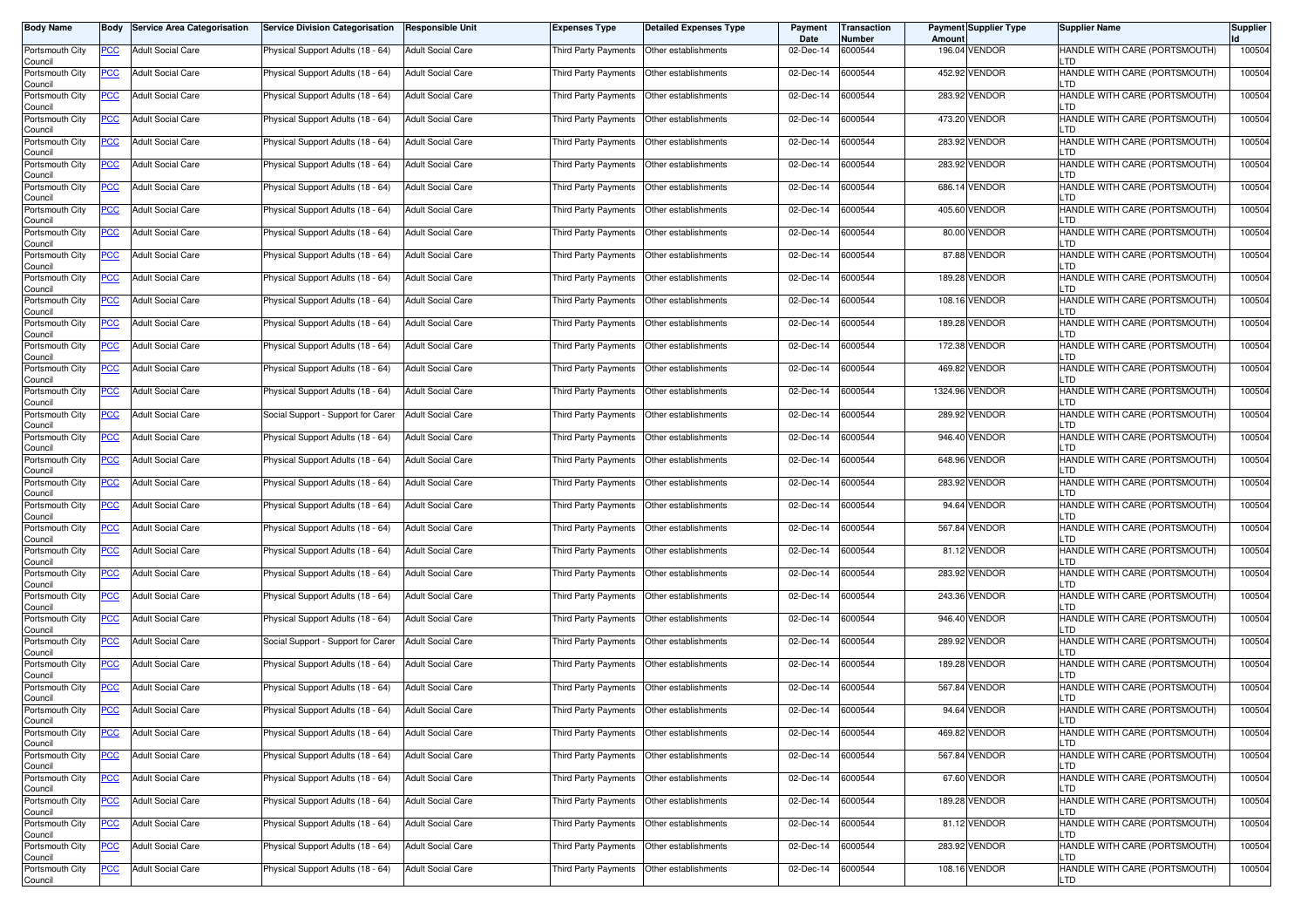| <b>Body Name</b>           | Body       | <b>Service Area Categorisation</b> | <b>Service Division Categorisation</b> | Responsible Unit         | <b>Expenses Type</b>                        | Detailed Expenses Type | Payment<br>Date | <b>Transaction</b><br>Number | Amount | <b>Payment Supplier Type</b> | <b>Supplier Name</b>                  | <b>Supplier</b> |
|----------------------------|------------|------------------------------------|----------------------------------------|--------------------------|---------------------------------------------|------------------------|-----------------|------------------------------|--------|------------------------------|---------------------------------------|-----------------|
| Portsmouth City<br>Council | PCC        | <b>Adult Social Care</b>           | Physical Support Adults (18 - 64)      | Adult Social Care        | Third Party Payments   Other establishments |                        | 02-Dec-14       | 6000544                      |        | 196.04 VENDOR                | HANDLE WITH CARE (PORTSMOUTH)         | 100504          |
| Portsmouth City<br>Council | <b>PCC</b> | <b>Adult Social Care</b>           | Physical Support Adults (18 - 64)      | <b>Adult Social Care</b> | Third Party Payments                        | Other establishments   | 02-Dec-14       | 6000544                      |        | 452.92 VENDOR                | HANDLE WITH CARE (PORTSMOUTH)<br>.TD  | 100504          |
| Portsmouth City<br>Council | <b>PCC</b> | <b>Adult Social Care</b>           | Physical Support Adults (18 - 64)      | <b>Adult Social Care</b> | Third Party Payments                        | Other establishments   | 02-Dec-14       | 6000544                      |        | 283.92 VENDOR                | HANDLE WITH CARE (PORTSMOUTH)<br>_TD  | 100504          |
| Portsmouth City<br>Council | <u>PCC</u> | <b>Adult Social Care</b>           | Physical Support Adults (18 - 64)      | <b>Adult Social Care</b> | Third Party Payments                        | Other establishments   | 02-Dec-14       | 6000544                      |        | 473.20 VENDOR                | HANDLE WITH CARE (PORTSMOUTH)<br>.TD  | 100504          |
| Portsmouth City<br>Council | <u>PCC</u> | <b>Adult Social Care</b>           | Physical Support Adults (18 - 64)      | <b>Adult Social Care</b> | Third Party Payments                        | Other establishments   | 02-Dec-14       | 6000544                      |        | 283.92 VENDOR                | HANDLE WITH CARE (PORTSMOUTH)<br>TD.  | 100504          |
| Portsmouth City<br>Council | <u>PCC</u> | <b>Adult Social Care</b>           | Physical Support Adults (18 - 64)      | <b>Adult Social Care</b> | Third Party Payments   Other establishments |                        | 02-Dec-14       | 6000544                      |        | 283.92 VENDOR                | HANDLE WITH CARE (PORTSMOUTH)<br>TD.  | 100504          |
| Portsmouth City<br>Council | <u>PCC</u> | <b>Adult Social Care</b>           | Physical Support Adults (18 - 64)      | <b>Adult Social Care</b> | Third Party Payments   Other establishments |                        | 02-Dec-14       | 6000544                      |        | 686.14 VENDOR                | HANDLE WITH CARE (PORTSMOUTH)<br>TD.  | 100504          |
| Portsmouth City<br>Council | <u>PCC</u> | <b>Adult Social Care</b>           | Physical Support Adults (18 - 64)      | <b>Adult Social Care</b> | Third Party Payments   Other establishments |                        | 02-Dec-14       | 6000544                      |        | 405.60 VENDOR                | HANDLE WITH CARE (PORTSMOUTH)<br>.TD  | 100504          |
| Portsmouth City<br>Council | <u>PCC</u> | <b>Adult Social Care</b>           | Physical Support Adults (18 - 64)      | <b>Adult Social Care</b> | Third Party Payments                        | Other establishments   | 02-Dec-14       | 6000544                      |        | 80.00 VENDOR                 | HANDLE WITH CARE (PORTSMOUTH)<br>.TD  | 100504          |
| Portsmouth City<br>Council | PCC        | <b>Adult Social Care</b>           | Physical Support Adults (18 - 64)      | <b>Adult Social Care</b> | Third Party Payments                        | Other establishments   | 02-Dec-14       | 6000544                      |        | 87.88 VENDOR                 | HANDLE WITH CARE (PORTSMOUTH)<br>.TD  | 100504          |
| Portsmouth City<br>Council | <b>PCC</b> | <b>Adult Social Care</b>           | Physical Support Adults (18 - 64)      | Adult Social Care        | Third Party Payments                        | Other establishments   | 02-Dec-14       | 6000544                      |        | 189.28 VENDOR                | HANDLE WITH CARE (PORTSMOUTH)<br>.TD  | 100504          |
| Portsmouth City<br>Council | <u>PCC</u> | <b>Adult Social Care</b>           | Physical Support Adults (18 - 64)      | <b>Adult Social Care</b> | Third Party Payments                        | Other establishments   | 02-Dec-14       | 6000544                      |        | 108.16 VENDOR                | HANDLE WITH CARE (PORTSMOUTH)<br>.TD  | 100504          |
| Portsmouth City<br>Council | PCC        | <b>Adult Social Care</b>           | Physical Support Adults (18 - 64)      | <b>Adult Social Care</b> | Third Party Payments   Other establishments |                        | 02-Dec-14       | 6000544                      |        | 189.28 VENDOR                | HANDLE WITH CARE (PORTSMOUTH)<br>.TD  | 100504          |
| Portsmouth City<br>Council | <u>PCC</u> | <b>Adult Social Care</b>           | Physical Support Adults (18 - 64)      | <b>Adult Social Care</b> | Third Party Payments                        | Other establishments   | 02-Dec-14       | 6000544                      |        | 172.38 VENDOR                | HANDLE WITH CARE (PORTSMOUTH)<br>TD.  | 100504          |
| Portsmouth City<br>Council | <u>PCC</u> | <b>Adult Social Care</b>           | Physical Support Adults (18 - 64)      | <b>Adult Social Care</b> | Third Party Payments   Other establishments |                        | 02-Dec-14       | 6000544                      |        | 469.82 VENDOR                | HANDLE WITH CARE (PORTSMOUTH)<br>TD.  | 100504          |
| Portsmouth City<br>Council | <u>PCC</u> | <b>Adult Social Care</b>           | Physical Support Adults (18 - 64)      | <b>Adult Social Care</b> | Third Party Payments   Other establishments |                        | 02-Dec-14       | 6000544                      |        | 1324.96 VENDOR               | HANDLE WITH CARE (PORTSMOUTH)<br>.TD  | 100504          |
| Portsmouth City<br>Council | PCC        | <b>Adult Social Care</b>           | Social Support - Support for Carer     | <b>Adult Social Care</b> | Third Party Payments   Other establishments |                        | 02-Dec-14       | 6000544                      |        | 289.92 VENDOR                | HANDLE WITH CARE (PORTSMOUTH)<br>TD   | 100504          |
| Portsmouth City<br>Council | <b>PCC</b> | <b>Adult Social Care</b>           | Physical Support Adults (18 - 64)      | <b>Adult Social Care</b> | Third Party Payments                        | Other establishments   | 02-Dec-14       | 6000544                      |        | 946.40 VENDOR                | HANDLE WITH CARE (PORTSMOUTH)         | 100504          |
| Portsmouth City<br>Council | <u>PCC</u> | <b>Adult Social Care</b>           | Physical Support Adults (18 - 64)      | <b>Adult Social Care</b> | Third Party Payments                        | Other establishments   | 02-Dec-14       | 6000544                      |        | 648.96 VENDOR                | HANDLE WITH CARE (PORTSMOUTH)<br>_TD  | 100504          |
| Portsmouth City<br>Council | <u>PCC</u> | <b>Adult Social Care</b>           | Physical Support Adults (18 - 64)      | Adult Social Care        | Third Party Payments                        | Other establishments   | 02-Dec-14       | 6000544                      |        | 283.92 VENDOR                | HANDLE WITH CARE (PORTSMOUTH)<br>.TD  | 100504          |
| Portsmouth City<br>Council | <b>PCC</b> | <b>Adult Social Care</b>           | Physical Support Adults (18 - 64)      | <b>Adult Social Care</b> | Third Party Payments Other establishments   |                        | 02-Dec-14       | 6000544                      |        | 94.64 VENDOR                 | HANDLE WITH CARE (PORTSMOUTH)<br>_TD  | 100504          |
| Portsmouth City<br>Council | <u>PCC</u> | <b>Adult Social Care</b>           | Physical Support Adults (18 - 64)      | <b>Adult Social Care</b> | Third Party Payments   Other establishments |                        | 02-Dec-14       | 6000544                      |        | 567.84 VENDOR                | HANDLE WITH CARE (PORTSMOUTH)<br>_TD  | 100504          |
| Portsmouth City<br>Council | <u>PCC</u> | <b>Adult Social Care</b>           | Physical Support Adults (18 - 64)      | <b>Adult Social Care</b> | Third Party Payments                        | Other establishments   | 02-Dec-14       | 6000544                      |        | 81.12 VENDOR                 | HANDLE WITH CARE (PORTSMOUTH)<br>-TD. | 100504          |
| Portsmouth City<br>Council | <u>PCC</u> | <b>Adult Social Care</b>           | Physical Support Adults (18 - 64)      | <b>Adult Social Care</b> | Third Party Payments   Other establishments |                        | 02-Dec-14       | 6000544                      |        | 283.92 VENDOR                | HANDLE WITH CARE (PORTSMOUTH)<br>-TD. | 100504          |
| Portsmouth City<br>Council | <b>PCC</b> | <b>Adult Social Care</b>           | Physical Support Adults (18 - 64)      | <b>Adult Social Care</b> | Third Party Payments   Other establishments |                        | 02-Dec-14       | 6000544                      |        | 243.36 VENDOR                | HANDLE WITH CARE (PORTSMOUTH)<br>.TD  | 100504          |
| Portsmouth City<br>Council | <u>PCC</u> | <b>Adult Social Care</b>           | Physical Support Adults (18 - 64)      | <b>Adult Social Care</b> | Third Party Payments   Other establishments |                        | 02-Dec-14       | 6000544                      |        | 946.40 VENDOR                | HANDLE WITH CARE (PORTSMOUTH)<br>TD   | 100504          |
| Portsmouth City<br>Council | <u>PCC</u> | <b>Adult Social Care</b>           | Social Support - Support for Carer     | <b>Adult Social Care</b> | Third Party Payments                        | Other establishments   | 02-Dec-14       | 6000544                      |        | 289.92 VENDOR                | HANDLE WITH CARE (PORTSMOUTH)         | 100504          |
| Portsmouth City<br>Council | <b>PCC</b> | <b>Adult Social Care</b>           | Physical Support Adults (18 - 64)      | <b>Adult Social Care</b> | Third Party Payments                        | Other establishments   | 02-Dec-14       | 6000544                      |        | 189.28 VENDOR                | HANDLE WITH CARE (PORTSMOUTH)<br>_TD  | 100504          |
| Portsmouth City<br>Council | <b>PCC</b> | <b>Adult Social Care</b>           | Physical Support Adults (18 - 64)      | Adult Social Care        | Third Party Payments                        | Other establishments   | 02-Dec-14       | 6000544                      |        | 567.84 VENDOR                | HANDLE WITH CARE (PORTSMOUTH)<br>.TD  | 100504          |
| Portsmouth City<br>Council | <u>PCC</u> | <b>Adult Social Care</b>           | Physical Support Adults (18 - 64)      | <b>Adult Social Care</b> | Third Party Payments Other establishments   |                        | 02-Dec-14       | 6000544                      |        | 94.64 VENDOR                 | HANDLE WITH CARE (PORTSMOUTH)         | 100504          |
| Portsmouth City<br>Council | <u>PCC</u> | <b>Adult Social Care</b>           | Physical Support Adults (18 - 64)      | <b>Adult Social Care</b> | Third Party Payments Other establishments   |                        | 02-Dec-14       | 6000544                      |        | 469.82 VENDOR                | HANDLE WITH CARE (PORTSMOUTH)<br>TD.  | 100504          |
| Portsmouth City<br>Council | <b>PCC</b> | <b>Adult Social Care</b>           | Physical Support Adults (18 - 64)      | <b>Adult Social Care</b> | Third Party Payments Other establishments   |                        | 02-Dec-14       | 6000544                      |        | 567.84 VENDOR                | HANDLE WITH CARE (PORTSMOUTH)<br>LTD. | 100504          |
| Portsmouth City<br>Council | <b>PCC</b> | <b>Adult Social Care</b>           | Physical Support Adults (18 - 64)      | <b>Adult Social Care</b> | Third Party Payments Other establishments   |                        | 02-Dec-14       | 6000544                      |        | 67.60 VENDOR                 | HANDLE WITH CARE (PORTSMOUTH)<br>TD.  | 100504          |
| Portsmouth City<br>Council | <u>PCC</u> | <b>Adult Social Care</b>           | Physical Support Adults (18 - 64)      | <b>Adult Social Care</b> | Third Party Payments Other establishments   |                        | 02-Dec-14       | 6000544                      |        | 189.28 VENDOR                | HANDLE WITH CARE (PORTSMOUTH)<br>.TD  | 100504          |
| Portsmouth City<br>Council | <u>PCC</u> | <b>Adult Social Care</b>           | Physical Support Adults (18 - 64)      | <b>Adult Social Care</b> | Third Party Payments   Other establishments |                        | 02-Dec-14       | 6000544                      |        | 81.12 VENDOR                 | HANDLE WITH CARE (PORTSMOUTH)         | 100504          |
| Portsmouth City<br>Council | <b>PCC</b> | <b>Adult Social Care</b>           | Physical Support Adults (18 - 64)      | <b>Adult Social Care</b> | Third Party Payments                        | Other establishments   | 02-Dec-14       | 6000544                      |        | 283.92 VENDOR                | HANDLE WITH CARE (PORTSMOUTH)<br>TD.  | 100504          |
| Portsmouth City<br>Council | <b>PCC</b> | Adult Social Care                  | Physical Support Adults (18 - 64)      | <b>Adult Social Care</b> | Third Party Payments Other establishments   |                        | 02-Dec-14       | 6000544                      |        | 108.16 VENDOR                | HANDLE WITH CARE (PORTSMOUTH)<br>LTD  | 100504          |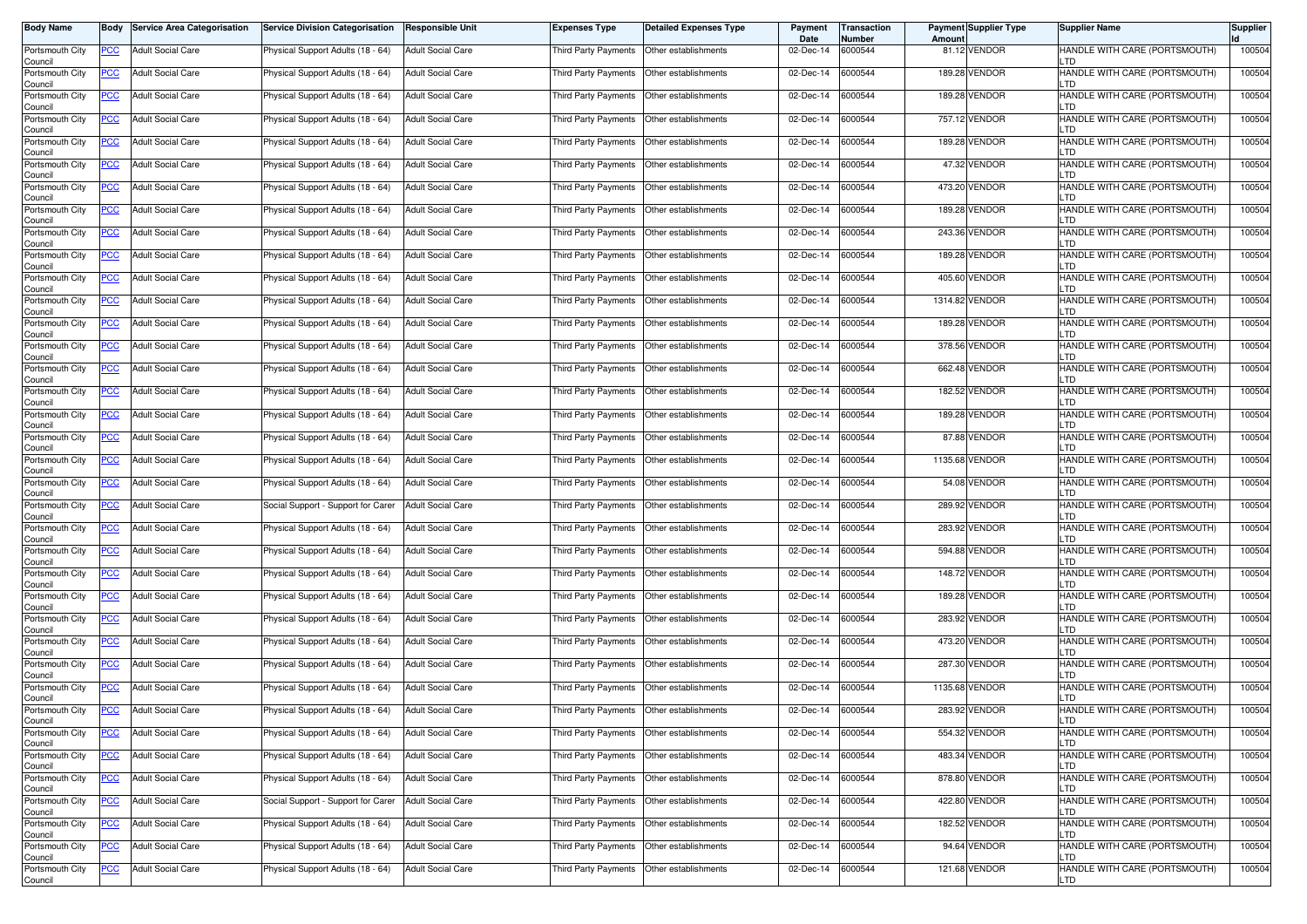| <b>Body Name</b>           | Body       | Service Area Categorisation | <b>Service Division Categorisation</b> | <b>Responsible Unit</b>  | <b>Expenses Type</b>                        | Detailed Expenses Type | Payment<br>Date | <b>Transaction</b><br>Number | Amount | <b>Payment Supplier Type</b> | <b>Supplier Name</b>                  | <b>Supplier</b> |
|----------------------------|------------|-----------------------------|----------------------------------------|--------------------------|---------------------------------------------|------------------------|-----------------|------------------------------|--------|------------------------------|---------------------------------------|-----------------|
| Portsmouth City<br>Council | PCC        | <b>Adult Social Care</b>    | Physical Support Adults (18 - 64)      | <b>Adult Social Care</b> | Third Party Payments   Other establishments |                        | 02-Dec-14       | 6000544                      |        | 81.12 VENDOR                 | HANDLE WITH CARE (PORTSMOUTH)         | 100504          |
| Portsmouth City<br>Council | <b>PCC</b> | <b>Adult Social Care</b>    | Physical Support Adults (18 - 64)      | <b>Adult Social Care</b> | Third Party Payments                        | Other establishments   | 02-Dec-14       | 6000544                      |        | 189.28 VENDOR                | HANDLE WITH CARE (PORTSMOUTH)<br>.TD  | 100504          |
| Portsmouth City<br>Council | <b>PCC</b> | <b>Adult Social Care</b>    | Physical Support Adults (18 - 64)      | <b>Adult Social Care</b> | Third Party Payments                        | Other establishments   | 02-Dec-14       | 6000544                      |        | 189.28 VENDOR                | HANDLE WITH CARE (PORTSMOUTH)<br>_TD  | 100504          |
| Portsmouth City<br>Council | <u>PCC</u> | <b>Adult Social Care</b>    | Physical Support Adults (18 - 64)      | <b>Adult Social Care</b> | Third Party Payments                        | Other establishments   | 02-Dec-14       | 6000544                      |        | 757.12 VENDOR                | HANDLE WITH CARE (PORTSMOUTH)<br>.TD  | 100504          |
| Portsmouth City<br>Council | <u>PCC</u> | <b>Adult Social Care</b>    | Physical Support Adults (18 - 64)      | <b>Adult Social Care</b> | Third Party Payments                        | Other establishments   | 02-Dec-14       | 6000544                      |        | 189.28 VENDOR                | HANDLE WITH CARE (PORTSMOUTH)<br>TD.  | 100504          |
| Portsmouth City<br>Council | <u>PCC</u> | <b>Adult Social Care</b>    | Physical Support Adults (18 - 64)      | <b>Adult Social Care</b> | Third Party Payments   Other establishments |                        | 02-Dec-14       | 6000544                      |        | 47.32 VENDOR                 | HANDLE WITH CARE (PORTSMOUTH)<br>TD.  | 100504          |
| Portsmouth City<br>Council | <u>PCC</u> | <b>Adult Social Care</b>    | Physical Support Adults (18 - 64)      | <b>Adult Social Care</b> | Third Party Payments   Other establishments |                        | 02-Dec-14       | 6000544                      |        | 473.20 VENDOR                | HANDLE WITH CARE (PORTSMOUTH)<br>-TD. | 100504          |
| Portsmouth City<br>Council | <u>PCC</u> | <b>Adult Social Care</b>    | Physical Support Adults (18 - 64)      | <b>Adult Social Care</b> | Third Party Payments   Other establishments |                        | 02-Dec-14       | 6000544                      |        | 189.28 VENDOR                | HANDLE WITH CARE (PORTSMOUTH)<br>.TD  | 100504          |
| Portsmouth City<br>Council | <u>PCC</u> | <b>Adult Social Care</b>    | Physical Support Adults (18 - 64)      | <b>Adult Social Care</b> | Third Party Payments                        | Other establishments   | 02-Dec-14       | 6000544                      |        | 243.36 VENDOR                | HANDLE WITH CARE (PORTSMOUTH)<br>.TD  | 100504          |
| Portsmouth City<br>Council | <u>PCC</u> | <b>Adult Social Care</b>    | Physical Support Adults (18 - 64)      | <b>Adult Social Care</b> | Third Party Payments                        | Other establishments   | 02-Dec-14       | 6000544                      |        | 189.28 VENDOR                | HANDLE WITH CARE (PORTSMOUTH)<br>.TD  | 100504          |
| Portsmouth City<br>Council | <b>PCC</b> | <b>Adult Social Care</b>    | Physical Support Adults (18 - 64)      | Adult Social Care        | Third Party Payments                        | Other establishments   | 02-Dec-14       | 6000544                      |        | 405.60 VENDOR                | HANDLE WITH CARE (PORTSMOUTH)<br>.TD  | 100504          |
| Portsmouth City<br>Council | <u>PCC</u> | <b>Adult Social Care</b>    | Physical Support Adults (18 - 64)      | <b>Adult Social Care</b> | Third Party Payments                        | Other establishments   | 02-Dec-14       | 6000544                      |        | 1314.82 VENDOR               | HANDLE WITH CARE (PORTSMOUTH)<br>.TD  | 100504          |
| Portsmouth City<br>Council | PCC        | <b>Adult Social Care</b>    | Physical Support Adults (18 - 64)      | <b>Adult Social Care</b> | Third Party Payments   Other establishments |                        | 02-Dec-14       | 6000544                      |        | 189.28 VENDOR                | HANDLE WITH CARE (PORTSMOUTH)<br>.TD  | 100504          |
| Portsmouth City<br>Council | <u>PCC</u> | <b>Adult Social Care</b>    | Physical Support Adults (18 - 64)      | <b>Adult Social Care</b> | Third Party Payments                        | Other establishments   | 02-Dec-14       | 6000544                      |        | 378.56 VENDOR                | HANDLE WITH CARE (PORTSMOUTH)<br>-TD. | 100504          |
| Portsmouth City<br>Council | <u>PCC</u> | <b>Adult Social Care</b>    | Physical Support Adults (18 - 64)      | <b>Adult Social Care</b> | Third Party Payments   Other establishments |                        | 02-Dec-14       | 6000544                      |        | 662.48 VENDOR                | HANDLE WITH CARE (PORTSMOUTH)<br>-TD. | 100504          |
| Portsmouth City<br>Council | <u>PCC</u> | <b>Adult Social Care</b>    | Physical Support Adults (18 - 64)      | <b>Adult Social Care</b> | Third Party Payments   Other establishments |                        | 02-Dec-14       | 6000544                      |        | 182.52 VENDOR                | HANDLE WITH CARE (PORTSMOUTH)<br>.TD  | 100504          |
| Portsmouth City<br>Council | PCC        | <b>Adult Social Care</b>    | Physical Support Adults (18 - 64)      | <b>Adult Social Care</b> | Third Party Payments   Other establishments |                        | 02-Dec-14       | 6000544                      |        | 189.28 VENDOR                | HANDLE WITH CARE (PORTSMOUTH)<br>TD   | 100504          |
| Portsmouth City<br>Council | <b>PCC</b> | <b>Adult Social Care</b>    | Physical Support Adults (18 - 64)      | <b>Adult Social Care</b> | Third Party Payments                        | Other establishments   | 02-Dec-14       | 6000544                      |        | 87.88 VENDOR                 | HANDLE WITH CARE (PORTSMOUTH)         | 100504          |
| Portsmouth City<br>Council | <u>PCC</u> | <b>Adult Social Care</b>    | Physical Support Adults (18 - 64)      | <b>Adult Social Care</b> | Third Party Payments                        | Other establishments   | 02-Dec-14       | 6000544                      |        | 1135.68 VENDOR               | HANDLE WITH CARE (PORTSMOUTH)<br>_TD  | 100504          |
| Portsmouth City<br>Council | <u>PCC</u> | <b>Adult Social Care</b>    | Physical Support Adults (18 - 64)      | Adult Social Care        | Third Party Payments                        | Other establishments   | 02-Dec-14       | 6000544                      |        | 54.08 VENDOR                 | HANDLE WITH CARE (PORTSMOUTH)<br>.TD  | 100504          |
| Portsmouth City<br>Council | <u>PCC</u> | <b>Adult Social Care</b>    | Social Support - Support for Carer     | <b>Adult Social Care</b> | Third Party Payments  Other establishments  |                        | 02-Dec-14       | 6000544                      |        | 289.92 VENDOR                | HANDLE WITH CARE (PORTSMOUTH)<br>_TD  | 100504          |
| Portsmouth City<br>Council | <u>PCC</u> | <b>Adult Social Care</b>    | Physical Support Adults (18 - 64)      | <b>Adult Social Care</b> | Third Party Payments   Other establishments |                        | 02-Dec-14       | 6000544                      |        | 283.92 VENDOR                | HANDLE WITH CARE (PORTSMOUTH)<br>.TD  | 100504          |
| Portsmouth City<br>Council | <u>PCC</u> | <b>Adult Social Care</b>    | Physical Support Adults (18 - 64)      | <b>Adult Social Care</b> | Third Party Payments                        | Other establishments   | 02-Dec-14       | 6000544                      |        | 594.88 VENDOR                | HANDLE WITH CARE (PORTSMOUTH)<br>-TD. | 100504          |
| Portsmouth City<br>Council | <u>PCC</u> | <b>Adult Social Care</b>    | Physical Support Adults (18 - 64)      | <b>Adult Social Care</b> | Third Party Payments   Other establishments |                        | 02-Dec-14       | 6000544                      |        | 148.72 VENDOR                | HANDLE WITH CARE (PORTSMOUTH)<br>-TD. | 100504          |
| Portsmouth City<br>Council | <b>PCC</b> | <b>Adult Social Care</b>    | Physical Support Adults (18 - 64)      | <b>Adult Social Care</b> | Third Party Payments   Other establishments |                        | 02-Dec-14       | 6000544                      |        | 189.28 VENDOR                | HANDLE WITH CARE (PORTSMOUTH)<br>.TD  | 100504          |
| Portsmouth City<br>Council | <u>PCC</u> | <b>Adult Social Care</b>    | Physical Support Adults (18 - 64)      | <b>Adult Social Care</b> | Third Party Payments   Other establishments |                        | 02-Dec-14       | 6000544                      |        | 283.92 VENDOR                | HANDLE WITH CARE (PORTSMOUTH)<br>TD   | 100504          |
| Portsmouth City<br>Council | <u>PCC</u> | <b>Adult Social Care</b>    | Physical Support Adults (18 - 64)      | <b>Adult Social Care</b> | Third Party Payments                        | Other establishments   | 02-Dec-14       | 6000544                      |        | 473.20 VENDOR                | HANDLE WITH CARE (PORTSMOUTH)         | 100504          |
| Portsmouth City<br>Council | <b>PCC</b> | <b>Adult Social Care</b>    | Physical Support Adults (18 - 64)      | <b>Adult Social Care</b> | Third Party Payments                        | Other establishments   | 02-Dec-14       | 6000544                      |        | 287.30 VENDOR                | HANDLE WITH CARE (PORTSMOUTH)<br>_TD  | 100504          |
| Portsmouth City<br>Council | <b>PCC</b> | <b>Adult Social Care</b>    | Physical Support Adults (18 - 64)      | Adult Social Care        | Third Party Payments                        | Other establishments   | 02-Dec-14       | 6000544                      |        | 1135.68 VENDOR               | HANDLE WITH CARE (PORTSMOUTH)<br>.TD  | 100504          |
| Portsmouth City<br>Council | <u>PCC</u> | <b>Adult Social Care</b>    | Physical Support Adults (18 - 64)      | <b>Adult Social Care</b> | Third Party Payments   Other establishments |                        | 02-Dec-14       | 6000544                      |        | 283.92 VENDOR                | HANDLE WITH CARE (PORTSMOUTH)         | 100504          |
| Portsmouth City<br>Council | <u>PCC</u> | <b>Adult Social Care</b>    | Physical Support Adults (18 - 64)      | <b>Adult Social Care</b> | Third Party Payments Other establishments   |                        | 02-Dec-14       | 6000544                      |        | 554.32 VENDOR                | HANDLE WITH CARE (PORTSMOUTH)<br>TD.  | 100504          |
| Portsmouth City<br>Council | <b>PCC</b> | <b>Adult Social Care</b>    | Physical Support Adults (18 - 64)      | <b>Adult Social Care</b> | Third Party Payments Other establishments   |                        | 02-Dec-14       | 6000544                      |        | 483.34 VENDOR                | HANDLE WITH CARE (PORTSMOUTH)<br>LTD. | 100504          |
| Portsmouth City<br>Council | <b>PCC</b> | <b>Adult Social Care</b>    | Physical Support Adults (18 - 64)      | <b>Adult Social Care</b> | Third Party Payments Other establishments   |                        | 02-Dec-14       | 6000544                      |        | 878.80 VENDOR                | HANDLE WITH CARE (PORTSMOUTH)<br>TD.  | 100504          |
| Portsmouth City<br>Council | <u>PCC</u> | <b>Adult Social Care</b>    | Social Support - Support for Carer     | <b>Adult Social Care</b> | Third Party Payments Other establishments   |                        | 02-Dec-14       | 6000544                      |        | 422.80 VENDOR                | HANDLE WITH CARE (PORTSMOUTH)<br>.TD  | 100504          |
| Portsmouth City<br>Council | <u>PCC</u> | <b>Adult Social Care</b>    | Physical Support Adults (18 - 64)      | <b>Adult Social Care</b> | Third Party Payments   Other establishments |                        | 02-Dec-14       | 6000544                      |        | 182.52 VENDOR                | HANDLE WITH CARE (PORTSMOUTH)         | 100504          |
| Portsmouth City<br>Council | <b>PCC</b> | <b>Adult Social Care</b>    | Physical Support Adults (18 - 64)      | <b>Adult Social Care</b> | Third Party Payments                        | Other establishments   | 02-Dec-14       | 6000544                      |        | 94.64 VENDOR                 | HANDLE WITH CARE (PORTSMOUTH)<br>TD.  | 100504          |
| Portsmouth City<br>Council | <b>PCC</b> | Adult Social Care           | Physical Support Adults (18 - 64)      | <b>Adult Social Care</b> | Third Party Payments Other establishments   |                        | 02-Dec-14       | 6000544                      |        | 121.68 VENDOR                | HANDLE WITH CARE (PORTSMOUTH)<br>LTD  | 100504          |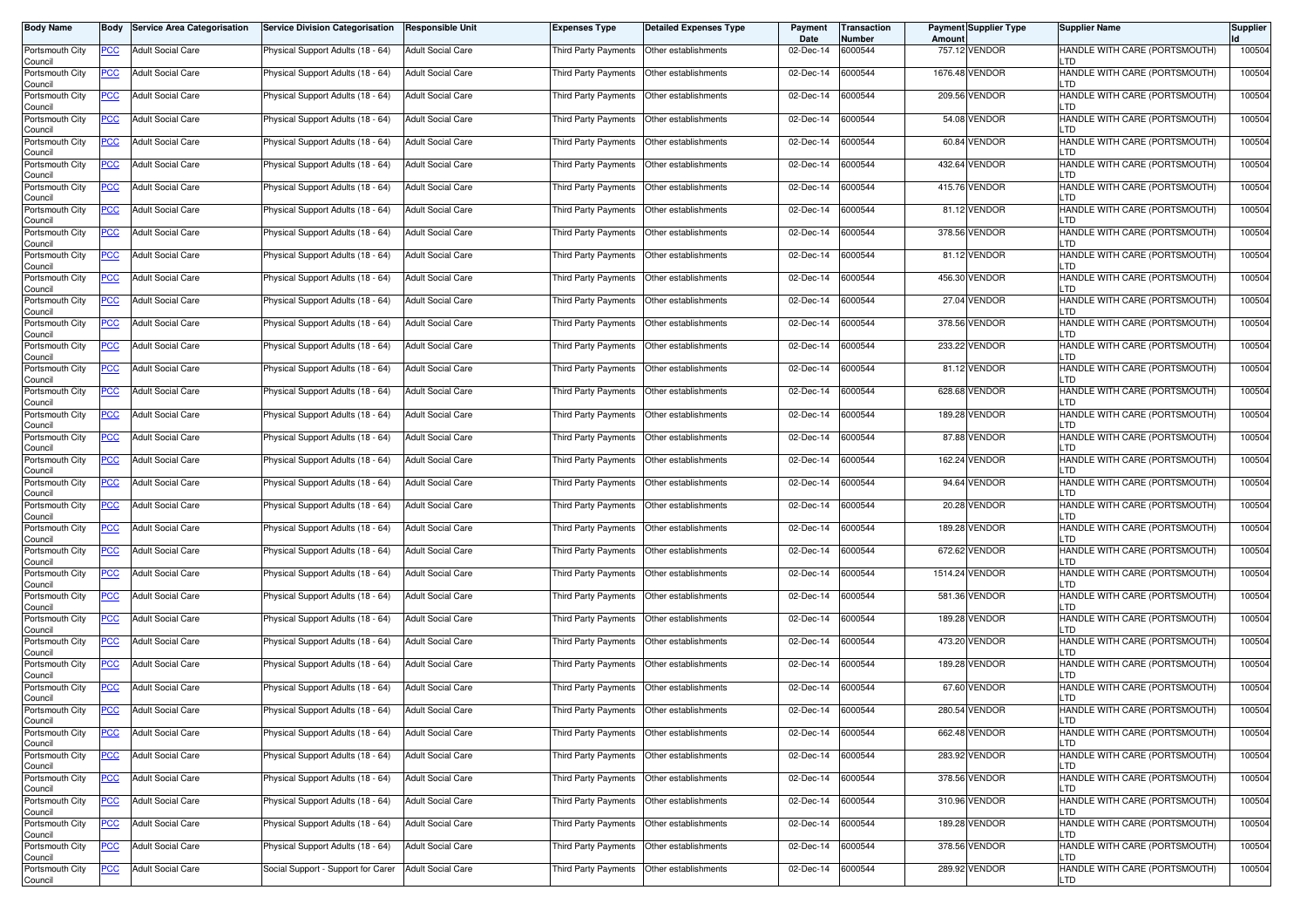| <b>Body Name</b>           | Body       | Service Area Categorisation | <b>Service Division Categorisation</b> | <b>Responsible Unit</b>  | <b>Expenses Type</b>                        | Detailed Expenses Type | Payment<br>Date | <b>Transaction</b><br>Number | <b>Amount</b> | <b>Payment Supplier Type</b> | <b>Supplier Name</b>                  | <b>Supplier</b> |
|----------------------------|------------|-----------------------------|----------------------------------------|--------------------------|---------------------------------------------|------------------------|-----------------|------------------------------|---------------|------------------------------|---------------------------------------|-----------------|
| Portsmouth City<br>Council | PCC        | <b>Adult Social Care</b>    | Physical Support Adults (18 - 64)      | <b>Adult Social Care</b> | Third Party Payments   Other establishments |                        | 02-Dec-14       | 6000544                      |               | 757.12 VENDOR                | HANDLE WITH CARE (PORTSMOUTH)         | 100504          |
| Portsmouth City<br>Council | <b>PCC</b> | <b>Adult Social Care</b>    | Physical Support Adults (18 - 64)      | <b>Adult Social Care</b> | Third Party Payments                        | Other establishments   | 02-Dec-14       | 6000544                      |               | 1676.48 VENDOR               | HANDLE WITH CARE (PORTSMOUTH)<br>.TD  | 100504          |
| Portsmouth City<br>Council | <b>PCC</b> | <b>Adult Social Care</b>    | Physical Support Adults (18 - 64)      | <b>Adult Social Care</b> | Third Party Payments                        | Other establishments   | 02-Dec-14       | 6000544                      |               | 209.56 VENDOR                | HANDLE WITH CARE (PORTSMOUTH)<br>_TD  | 100504          |
| Portsmouth City<br>Council | <u>PCC</u> | <b>Adult Social Care</b>    | Physical Support Adults (18 - 64)      | <b>Adult Social Care</b> | Third Party Payments                        | Other establishments   | 02-Dec-14       | 6000544                      |               | 54.08 VENDOR                 | HANDLE WITH CARE (PORTSMOUTH)<br>.TD  | 100504          |
| Portsmouth City<br>Council | <u>PCC</u> | <b>Adult Social Care</b>    | Physical Support Adults (18 - 64)      | <b>Adult Social Care</b> | Third Party Payments                        | Other establishments   | 02-Dec-14       | 6000544                      |               | 60.84 VENDOR                 | HANDLE WITH CARE (PORTSMOUTH)<br>TD.  | 100504          |
| Portsmouth City<br>Council | <u>PCC</u> | <b>Adult Social Care</b>    | Physical Support Adults (18 - 64)      | <b>Adult Social Care</b> | Third Party Payments   Other establishments |                        | 02-Dec-14       | 6000544                      |               | 432.64 VENDOR                | HANDLE WITH CARE (PORTSMOUTH)<br>TD.  | 100504          |
| Portsmouth City<br>Council | <u>PCC</u> | <b>Adult Social Care</b>    | Physical Support Adults (18 - 64)      | <b>Adult Social Care</b> | Third Party Payments   Other establishments |                        | 02-Dec-14       | 6000544                      |               | 415.76 VENDOR                | HANDLE WITH CARE (PORTSMOUTH)<br>-TD. | 100504          |
| Portsmouth City<br>Council | <u>PCC</u> | <b>Adult Social Care</b>    | Physical Support Adults (18 - 64)      | <b>Adult Social Care</b> | Third Party Payments   Other establishments |                        | 02-Dec-14       | 6000544                      |               | 81.12 VENDOR                 | HANDLE WITH CARE (PORTSMOUTH)<br>.TD  | 100504          |
| Portsmouth City<br>Council | <u>PCC</u> | <b>Adult Social Care</b>    | Physical Support Adults (18 - 64)      | <b>Adult Social Care</b> | Third Party Payments                        | Other establishments   | 02-Dec-14       | 6000544                      |               | 378.56 VENDOR                | HANDLE WITH CARE (PORTSMOUTH)<br>.TD  | 100504          |
| Portsmouth City<br>Council | <u>PCC</u> | <b>Adult Social Care</b>    | Physical Support Adults (18 - 64)      | <b>Adult Social Care</b> | Third Party Payments                        | Other establishments   | 02-Dec-14       | 6000544                      |               | 81.12 VENDOR                 | HANDLE WITH CARE (PORTSMOUTH)<br>.TD  | 100504          |
| Portsmouth City<br>Council | <b>PCC</b> | <b>Adult Social Care</b>    | Physical Support Adults (18 - 64)      | Adult Social Care        | Third Party Payments                        | Other establishments   | 02-Dec-14       | 6000544                      |               | 456.30 VENDOR                | HANDLE WITH CARE (PORTSMOUTH)<br>.TD  | 100504          |
| Portsmouth City<br>Council | <u>PCC</u> | <b>Adult Social Care</b>    | Physical Support Adults (18 - 64)      | <b>Adult Social Care</b> | Third Party Payments                        | Other establishments   | 02-Dec-14       | 6000544                      |               | 27.04 VENDOR                 | HANDLE WITH CARE (PORTSMOUTH)<br>.TD  | 100504          |
| Portsmouth City<br>Council | PCC        | <b>Adult Social Care</b>    | Physical Support Adults (18 - 64)      | <b>Adult Social Care</b> | Third Party Payments   Other establishments |                        | 02-Dec-14       | 6000544                      |               | 378.56 VENDOR                | HANDLE WITH CARE (PORTSMOUTH)<br>.TD  | 100504          |
| Portsmouth City<br>Council | <u>PCC</u> | <b>Adult Social Care</b>    | Physical Support Adults (18 - 64)      | <b>Adult Social Care</b> | Third Party Payments                        | Other establishments   | 02-Dec-14       | 6000544                      |               | 233.22 VENDOR                | HANDLE WITH CARE (PORTSMOUTH)<br>-TD. | 100504          |
| Portsmouth City<br>Council | <u>PCC</u> | <b>Adult Social Care</b>    | Physical Support Adults (18 - 64)      | <b>Adult Social Care</b> | Third Party Payments   Other establishments |                        | 02-Dec-14       | 6000544                      |               | 81.12 VENDOR                 | HANDLE WITH CARE (PORTSMOUTH)<br>-TD. | 100504          |
| Portsmouth City<br>Council | <u>PCC</u> | <b>Adult Social Care</b>    | Physical Support Adults (18 - 64)      | <b>Adult Social Care</b> | Third Party Payments   Other establishments |                        | 02-Dec-14       | 6000544                      |               | 628.68 VENDOR                | HANDLE WITH CARE (PORTSMOUTH)<br>.TD  | 100504          |
| Portsmouth City<br>Council | PCC        | <b>Adult Social Care</b>    | Physical Support Adults (18 - 64)      | <b>Adult Social Care</b> | Third Party Payments   Other establishments |                        | 02-Dec-14       | 6000544                      |               | 189.28 VENDOR                | HANDLE WITH CARE (PORTSMOUTH)<br>TD   | 100504          |
| Portsmouth City<br>Council | <b>PCC</b> | <b>Adult Social Care</b>    | Physical Support Adults (18 - 64)      | <b>Adult Social Care</b> | Third Party Payments                        | Other establishments   | 02-Dec-14       | 6000544                      |               | 87.88 VENDOR                 | HANDLE WITH CARE (PORTSMOUTH)         | 100504          |
| Portsmouth City<br>Council | <u>PCC</u> | <b>Adult Social Care</b>    | Physical Support Adults (18 - 64)      | <b>Adult Social Care</b> | Third Party Payments                        | Other establishments   | 02-Dec-14       | 6000544                      |               | 162.24 VENDOR                | HANDLE WITH CARE (PORTSMOUTH)<br>_TD  | 100504          |
| Portsmouth City<br>Council | <u>PCC</u> | <b>Adult Social Care</b>    | Physical Support Adults (18 - 64)      | Adult Social Care        | Third Party Payments                        | Other establishments   | 02-Dec-14       | 6000544                      |               | 94.64 VENDOR                 | HANDLE WITH CARE (PORTSMOUTH)<br>.TD  | 100504          |
| Portsmouth City<br>Council | <u>PCC</u> | <b>Adult Social Care</b>    | Physical Support Adults (18 - 64)      | <b>Adult Social Care</b> | Third Party Payments  Other establishments  |                        | 02-Dec-14       | 6000544                      |               | 20.28 VENDOR                 | HANDLE WITH CARE (PORTSMOUTH)<br>_TD  | 100504          |
| Portsmouth City<br>Council | <u>PCC</u> | <b>Adult Social Care</b>    | Physical Support Adults (18 - 64)      | Adult Social Care        | Third Party Payments   Other establishments |                        | 02-Dec-14       | 6000544                      |               | 189.28 VENDOR                | HANDLE WITH CARE (PORTSMOUTH)<br>.TD  | 100504          |
| Portsmouth City<br>Council | <u>PCC</u> | <b>Adult Social Care</b>    | Physical Support Adults (18 - 64)      | <b>Adult Social Care</b> | Third Party Payments                        | Other establishments   | 02-Dec-14       | 6000544                      |               | 672.62 VENDOR                | HANDLE WITH CARE (PORTSMOUTH)<br>-TD. | 100504          |
| Portsmouth City<br>Council | <u>PCC</u> | <b>Adult Social Care</b>    | Physical Support Adults (18 - 64)      | <b>Adult Social Care</b> | Third Party Payments   Other establishments |                        | 02-Dec-14       | 6000544                      |               | 1514.24 VENDOR               | HANDLE WITH CARE (PORTSMOUTH)<br>-TD. | 100504          |
| Portsmouth City<br>Council | <b>PCC</b> | <b>Adult Social Care</b>    | Physical Support Adults (18 - 64)      | <b>Adult Social Care</b> | Third Party Payments   Other establishments |                        | 02-Dec-14       | 6000544                      |               | 581.36 VENDOR                | HANDLE WITH CARE (PORTSMOUTH)<br>.TD  | 100504          |
| Portsmouth City<br>Council | <u>PCC</u> | <b>Adult Social Care</b>    | Physical Support Adults (18 - 64)      | <b>Adult Social Care</b> | Third Party Payments   Other establishments |                        | 02-Dec-14       | 6000544                      |               | 189.28 VENDOR                | HANDLE WITH CARE (PORTSMOUTH)<br>TD   | 100504          |
| Portsmouth City<br>Council | <u>PCC</u> | <b>Adult Social Care</b>    | Physical Support Adults (18 - 64)      | <b>Adult Social Care</b> | Third Party Payments                        | Other establishments   | 02-Dec-14       | 6000544                      |               | 473.20 VENDOR                | HANDLE WITH CARE (PORTSMOUTH)         | 100504          |
| Portsmouth City<br>Council | <b>PCC</b> | <b>Adult Social Care</b>    | Physical Support Adults (18 - 64)      | <b>Adult Social Care</b> | Third Party Payments                        | Other establishments   | 02-Dec-14       | 6000544                      |               | 189.28 VENDOR                | HANDLE WITH CARE (PORTSMOUTH)<br>_TD  | 100504          |
| Portsmouth City<br>Council | <b>PCC</b> | <b>Adult Social Care</b>    | Physical Support Adults (18 - 64)      | Adult Social Care        | Third Party Payments                        | Other establishments   | 02-Dec-14       | 6000544                      |               | 67.60 VENDOR                 | HANDLE WITH CARE (PORTSMOUTH)<br>.TD  | 100504          |
| Portsmouth City<br>Council | <u>PCC</u> | <b>Adult Social Care</b>    | Physical Support Adults (18 - 64)      | <b>Adult Social Care</b> | Third Party Payments   Other establishments |                        | 02-Dec-14       | 6000544                      |               | 280.54 VENDOR                | HANDLE WITH CARE (PORTSMOUTH)         | 100504          |
| Portsmouth City<br>Council | <u>PCC</u> | <b>Adult Social Care</b>    | Physical Support Adults (18 - 64)      | <b>Adult Social Care</b> | Third Party Payments Other establishments   |                        | 02-Dec-14       | 6000544                      |               | 662.48 VENDOR                | HANDLE WITH CARE (PORTSMOUTH)<br>TD.  | 100504          |
| Portsmouth City<br>Council | <b>PCC</b> | <b>Adult Social Care</b>    | Physical Support Adults (18 - 64)      | <b>Adult Social Care</b> | Third Party Payments Other establishments   |                        | 02-Dec-14       | 6000544                      |               | 283.92 VENDOR                | HANDLE WITH CARE (PORTSMOUTH)<br>LTD. | 100504          |
| Portsmouth City<br>Council | <b>PCC</b> | <b>Adult Social Care</b>    | Physical Support Adults (18 - 64)      | <b>Adult Social Care</b> | Third Party Payments Other establishments   |                        | 02-Dec-14       | 6000544                      |               | 378.56 VENDOR                | HANDLE WITH CARE (PORTSMOUTH)<br>TD.  | 100504          |
| Portsmouth City<br>Council | <u>PCC</u> | <b>Adult Social Care</b>    | Physical Support Adults (18 - 64)      | <b>Adult Social Care</b> | Third Party Payments Other establishments   |                        | 02-Dec-14       | 6000544                      |               | 310.96 VENDOR                | HANDLE WITH CARE (PORTSMOUTH)<br>.TD  | 100504          |
| Portsmouth City<br>Council | <u>PCC</u> | <b>Adult Social Care</b>    | Physical Support Adults (18 - 64)      | <b>Adult Social Care</b> | Third Party Payments   Other establishments |                        | 02-Dec-14       | 6000544                      |               | 189.28 VENDOR                | HANDLE WITH CARE (PORTSMOUTH)         | 100504          |
| Portsmouth City<br>Council | <b>PCC</b> | <b>Adult Social Care</b>    | Physical Support Adults (18 - 64)      | <b>Adult Social Care</b> | Third Party Payments                        | Other establishments   | 02-Dec-14       | 6000544                      |               | 378.56 VENDOR                | HANDLE WITH CARE (PORTSMOUTH)<br>TD.  | 100504          |
| Portsmouth City<br>Council | <b>PCC</b> | <b>Adult Social Care</b>    | Social Support - Support for Carer     | <b>Adult Social Care</b> | Third Party Payments Other establishments   |                        | 02-Dec-14       | 6000544                      |               | 289.92 VENDOR                | HANDLE WITH CARE (PORTSMOUTH)<br>LTD  | 100504          |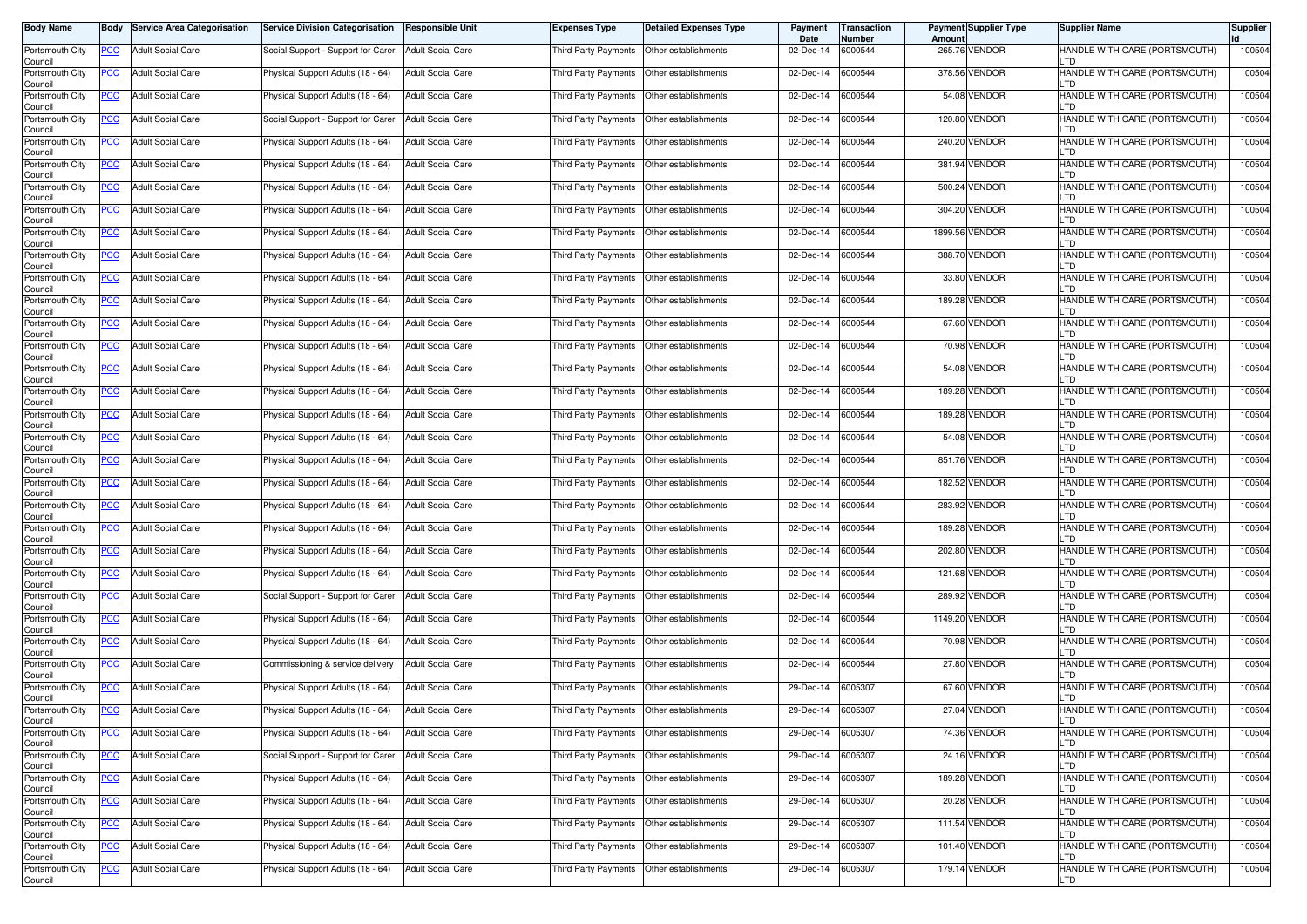| <b>Body Name</b>           | Body       | <b>Service Area Categorisation</b> | <b>Service Division Categorisation</b> | <b>Responsible Unit</b>  | <b>Expenses Type</b>                        | Detailed Expenses Type | Payment<br>Date | Transaction<br>Number | <b>Amount</b> | <b>Payment Supplier Type</b> | <b>Supplier Name</b>                  | <b>Supplier</b> |
|----------------------------|------------|------------------------------------|----------------------------------------|--------------------------|---------------------------------------------|------------------------|-----------------|-----------------------|---------------|------------------------------|---------------------------------------|-----------------|
| Portsmouth City<br>Council | PCC        | <b>Adult Social Care</b>           | Social Support - Support for Carer     | <b>Adult Social Care</b> | Third Party Payments   Other establishments |                        | 02-Dec-14       | 6000544               |               | 265.76 VENDOR                | HANDLE WITH CARE (PORTSMOUTH)         | 100504          |
| Portsmouth City<br>Council | <u>PCC</u> | <b>Adult Social Care</b>           | Physical Support Adults (18 - 64)      | <b>Adult Social Care</b> | Third Party Payments                        | Other establishments   | 02-Dec-14       | 6000544               |               | 378.56 VENDOR                | HANDLE WITH CARE (PORTSMOUTH)<br>.TD  | 100504          |
| Portsmouth City<br>Council | <b>PCC</b> | <b>Adult Social Care</b>           | Physical Support Adults (18 - 64)      | <b>Adult Social Care</b> | Third Party Payments                        | Other establishments   | 02-Dec-14       | 6000544               |               | 54.08 VENDOR                 | HANDLE WITH CARE (PORTSMOUTH)<br>_TD  | 100504          |
| Portsmouth City<br>Council | <u>PCC</u> | <b>Adult Social Care</b>           | Social Support - Support for Carer     | <b>Adult Social Care</b> | Third Party Payments                        | Other establishments   | 02-Dec-14       | 6000544               |               | 120.80 VENDOR                | HANDLE WITH CARE (PORTSMOUTH)<br>.TD  | 100504          |
| Portsmouth City<br>Council | <u>PCC</u> | <b>Adult Social Care</b>           | Physical Support Adults (18 - 64)      | <b>Adult Social Care</b> | Third Party Payments                        | Other establishments   | 02-Dec-14       | 6000544               |               | 240.20 VENDOR                | HANDLE WITH CARE (PORTSMOUTH)<br>TD.  | 100504          |
| Portsmouth City<br>Council | <u>PCC</u> | <b>Adult Social Care</b>           | Physical Support Adults (18 - 64)      | <b>Adult Social Care</b> | Third Party Payments   Other establishments |                        | 02-Dec-14       | 6000544               |               | 381.94 VENDOR                | HANDLE WITH CARE (PORTSMOUTH)<br>TD.  | 100504          |
| Portsmouth City<br>Council | <u>PCC</u> | <b>Adult Social Care</b>           | Physical Support Adults (18 - 64)      | <b>Adult Social Care</b> | Third Party Payments   Other establishments |                        | 02-Dec-14       | 6000544               |               | 500.24 VENDOR                | HANDLE WITH CARE (PORTSMOUTH)<br>-TD. | 100504          |
| Portsmouth City<br>Council | <u>PCC</u> | <b>Adult Social Care</b>           | Physical Support Adults (18 - 64)      | <b>Adult Social Care</b> | Third Party Payments   Other establishments |                        | 02-Dec-14       | 6000544               |               | 304.20 VENDOR                | HANDLE WITH CARE (PORTSMOUTH)<br>.TD  | 100504          |
| Portsmouth City<br>Council | <u>PCC</u> | <b>Adult Social Care</b>           | Physical Support Adults (18 - 64)      | <b>Adult Social Care</b> | Third Party Payments                        | Other establishments   | 02-Dec-14       | 6000544               |               | 1899.56 VENDOR               | HANDLE WITH CARE (PORTSMOUTH)<br>.TD  | 100504          |
| Portsmouth City<br>Council | <u>PCC</u> | <b>Adult Social Care</b>           | Physical Support Adults (18 - 64)      | <b>Adult Social Care</b> | Third Party Payments                        | Other establishments   | 02-Dec-14       | 6000544               |               | 388.70 VENDOR                | HANDLE WITH CARE (PORTSMOUTH)<br>.TD  | 100504          |
| Portsmouth City<br>Council | <b>PCC</b> | <b>Adult Social Care</b>           | Physical Support Adults (18 - 64)      | Adult Social Care        | Third Party Payments                        | Other establishments   | 02-Dec-14       | 6000544               |               | 33.80 VENDOR                 | HANDLE WITH CARE (PORTSMOUTH)<br>.TD  | 100504          |
| Portsmouth City<br>Council | <u>PCC</u> | <b>Adult Social Care</b>           | Physical Support Adults (18 - 64)      | <b>Adult Social Care</b> | Third Party Payments                        | Other establishments   | 02-Dec-14       | 6000544               |               | 189.28 VENDOR                | HANDLE WITH CARE (PORTSMOUTH)<br>.TD  | 100504          |
| Portsmouth City<br>Council | PCC        | <b>Adult Social Care</b>           | Physical Support Adults (18 - 64)      | <b>Adult Social Care</b> | Third Party Payments   Other establishments |                        | 02-Dec-14       | 6000544               |               | 67.60 VENDOR                 | HANDLE WITH CARE (PORTSMOUTH)<br>.TD  | 100504          |
| Portsmouth City<br>Council | <u>PCC</u> | <b>Adult Social Care</b>           | Physical Support Adults (18 - 64)      | <b>Adult Social Care</b> | Third Party Payments                        | Other establishments   | 02-Dec-14       | 6000544               |               | 70.98 VENDOR                 | HANDLE WITH CARE (PORTSMOUTH)<br>-TD. | 100504          |
| Portsmouth City<br>Council | <u>PCC</u> | <b>Adult Social Care</b>           | Physical Support Adults (18 - 64)      | <b>Adult Social Care</b> | Third Party Payments   Other establishments |                        | 02-Dec-14       | 6000544               |               | 54.08 VENDOR                 | HANDLE WITH CARE (PORTSMOUTH)<br>-TD. | 100504          |
| Portsmouth City<br>Council | <u>PCC</u> | <b>Adult Social Care</b>           | Physical Support Adults (18 - 64)      | <b>Adult Social Care</b> | Third Party Payments   Other establishments |                        | 02-Dec-14       | 6000544               |               | 189.28 VENDOR                | HANDLE WITH CARE (PORTSMOUTH)<br>.TD  | 100504          |
| Portsmouth City<br>Council | PCC        | <b>Adult Social Care</b>           | Physical Support Adults (18 - 64)      | <b>Adult Social Care</b> | Third Party Payments   Other establishments |                        | 02-Dec-14       | 6000544               |               | 189.28 VENDOR                | HANDLE WITH CARE (PORTSMOUTH)         | 100504          |
| Portsmouth City<br>Council | <b>PCC</b> | <b>Adult Social Care</b>           | Physical Support Adults (18 - 64)      | <b>Adult Social Care</b> | Third Party Payments                        | Other establishments   | 02-Dec-14       | 6000544               |               | 54.08 VENDOR                 | HANDLE WITH CARE (PORTSMOUTH)         | 100504          |
| Portsmouth City<br>Council | <u>PCC</u> | <b>Adult Social Care</b>           | Physical Support Adults (18 - 64)      | <b>Adult Social Care</b> | Third Party Payments                        | Other establishments   | 02-Dec-14       | 6000544               |               | 851.76 VENDOR                | HANDLE WITH CARE (PORTSMOUTH)<br>_TD  | 100504          |
| Portsmouth City<br>Council | <u>PCC</u> | <b>Adult Social Care</b>           | Physical Support Adults (18 - 64)      | Adult Social Care        | Third Party Payments                        | Other establishments   | 02-Dec-14       | 6000544               |               | 182.52 VENDOR                | HANDLE WITH CARE (PORTSMOUTH)<br>.TD  | 100504          |
| Portsmouth City<br>Council | <u>PCC</u> | <b>Adult Social Care</b>           | Physical Support Adults (18 - 64)      | <b>Adult Social Care</b> | Third Party Payments  Other establishments  |                        | 02-Dec-14       | 6000544               |               | 283.92 VENDOR                | HANDLE WITH CARE (PORTSMOUTH)<br>_TD  | 100504          |
| Portsmouth City<br>Council | <u>PCC</u> | <b>Adult Social Care</b>           | Physical Support Adults (18 - 64)      | Adult Social Care        | Third Party Payments   Other establishments |                        | 02-Dec-14       | 6000544               |               | 189.28 VENDOR                | HANDLE WITH CARE (PORTSMOUTH)<br>.TD  | 100504          |
| Portsmouth City<br>Council | <u>PCC</u> | <b>Adult Social Care</b>           | Physical Support Adults (18 - 64)      | <b>Adult Social Care</b> | Third Party Payments                        | Other establishments   | 02-Dec-14       | 6000544               |               | 202.80 VENDOR                | HANDLE WITH CARE (PORTSMOUTH)<br>-TD. | 100504          |
| Portsmouth City<br>Council | <u>PCC</u> | <b>Adult Social Care</b>           | Physical Support Adults (18 - 64)      | <b>Adult Social Care</b> | Third Party Payments   Other establishments |                        | 02-Dec-14       | 6000544               |               | 121.68 VENDOR                | HANDLE WITH CARE (PORTSMOUTH)<br>-TD. | 100504          |
| Portsmouth City<br>Council | <b>PCC</b> | <b>Adult Social Care</b>           | Social Support - Support for Carer     | <b>Adult Social Care</b> | Third Party Payments   Other establishments |                        | 02-Dec-14       | 6000544               |               | 289.92 VENDOR                | HANDLE WITH CARE (PORTSMOUTH)<br>.TD  | 100504          |
| Portsmouth City<br>Council | <u>PCC</u> | <b>Adult Social Care</b>           | Physical Support Adults (18 - 64)      | <b>Adult Social Care</b> | Third Party Payments   Other establishments |                        | 02-Dec-14       | 6000544               |               | 1149.20 VENDOR               | HANDLE WITH CARE (PORTSMOUTH)<br>TD   | 100504          |
| Portsmouth City<br>Council | <u>PCC</u> | <b>Adult Social Care</b>           | Physical Support Adults (18 - 64)      | <b>Adult Social Care</b> | Third Party Payments                        | Other establishments   | 02-Dec-14       | 6000544               |               | 70.98 VENDOR                 | HANDLE WITH CARE (PORTSMOUTH)         | 100504          |
| Portsmouth City<br>Council | <b>PCC</b> | <b>Adult Social Care</b>           | Commissioning & service delivery       | <b>Adult Social Care</b> | Third Party Payments                        | Other establishments   | 02-Dec-14       | 6000544               |               | 27.80 VENDOR                 | HANDLE WITH CARE (PORTSMOUTH)<br>_TD  | 100504          |
| Portsmouth City<br>Council | <b>PCC</b> | <b>Adult Social Care</b>           | Physical Support Adults (18 - 64)      | Adult Social Care        | Third Party Payments                        | Other establishments   | 29-Dec-14       | 6005307               |               | 67.60 VENDOR                 | HANDLE WITH CARE (PORTSMOUTH)<br>.TD  | 100504          |
| Portsmouth City<br>Council | <u>PCC</u> | <b>Adult Social Care</b>           | Physical Support Adults (18 - 64)      | <b>Adult Social Care</b> | Third Party Payments   Other establishments |                        | 29-Dec-14       | 6005307               |               | 27.04 VENDOR                 | HANDLE WITH CARE (PORTSMOUTH)         | 100504          |
| Portsmouth City<br>Council | <u>PCC</u> | <b>Adult Social Care</b>           | Physical Support Adults (18 - 64)      | <b>Adult Social Care</b> | Third Party Payments Other establishments   |                        | 29-Dec-14       | 6005307               |               | 74.36 VENDOR                 | HANDLE WITH CARE (PORTSMOUTH)<br>TD.  | 100504          |
| Portsmouth City<br>Council | <b>PCC</b> | <b>Adult Social Care</b>           | Social Support - Support for Carer     | <b>Adult Social Care</b> | Third Party Payments Other establishments   |                        | 29-Dec-14       | 6005307               |               | 24.16 VENDOR                 | HANDLE WITH CARE (PORTSMOUTH)<br>LTD. | 100504          |
| Portsmouth City<br>Council | <b>PCC</b> | <b>Adult Social Care</b>           | Physical Support Adults (18 - 64)      | <b>Adult Social Care</b> | Third Party Payments Other establishments   |                        | 29-Dec-14       | 6005307               |               | 189.28 VENDOR                | HANDLE WITH CARE (PORTSMOUTH)<br>TD.  | 100504          |
| Portsmouth City<br>Council | <u>PCC</u> | <b>Adult Social Care</b>           | Physical Support Adults (18 - 64)      | <b>Adult Social Care</b> | Third Party Payments Other establishments   |                        | 29-Dec-14       | 6005307               |               | 20.28 VENDOR                 | HANDLE WITH CARE (PORTSMOUTH)<br>.TD  | 100504          |
| Portsmouth City<br>Council | <u>PCC</u> | <b>Adult Social Care</b>           | Physical Support Adults (18 - 64)      | <b>Adult Social Care</b> | Third Party Payments Other establishments   |                        | 29-Dec-14       | 6005307               |               | 111.54 VENDOR                | HANDLE WITH CARE (PORTSMOUTH)         | 100504          |
| Portsmouth City<br>Council | <b>PCC</b> | <b>Adult Social Care</b>           | Physical Support Adults (18 - 64)      | <b>Adult Social Care</b> | Third Party Payments                        | Other establishments   | 29-Dec-14       | 6005307               |               | 101.40 VENDOR                | HANDLE WITH CARE (PORTSMOUTH)<br>TD.  | 100504          |
| Portsmouth City<br>Council | <b>PCC</b> | Adult Social Care                  | Physical Support Adults (18 - 64)      | <b>Adult Social Care</b> | Third Party Payments Other establishments   |                        | 29-Dec-14       | 6005307               |               | 179.14 VENDOR                | HANDLE WITH CARE (PORTSMOUTH)<br>LTD  | 100504          |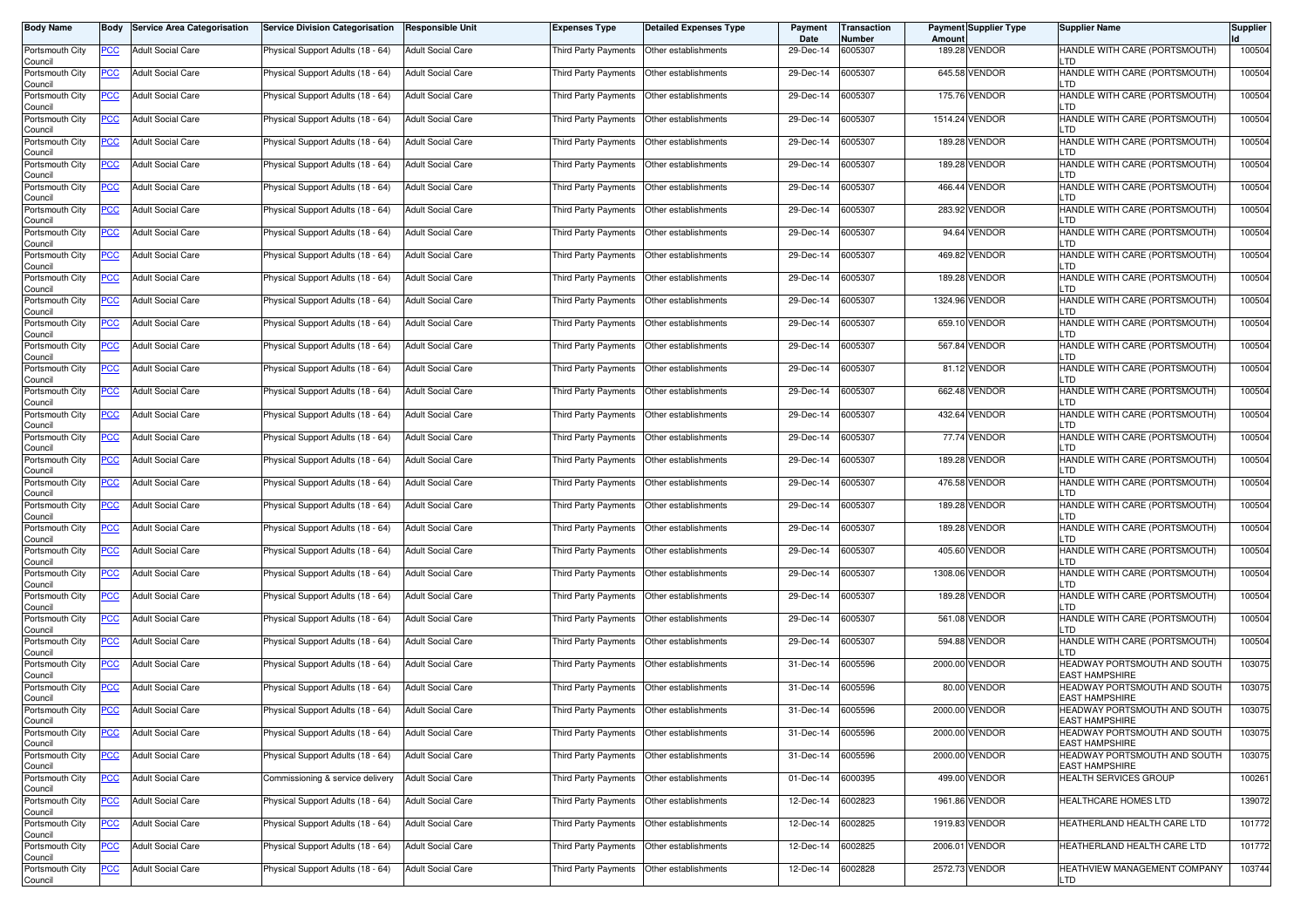| <b>Body Name</b>           | Body       | <b>Service Area Categorisation</b> | <b>Service Division Categorisation</b> | Responsible Unit         | <b>Expenses Type</b>                        | <b>Detailed Expenses Type</b> | Payment<br>Date | Transaction<br>Number | Amount | Payment Supplier Type | <b>Supplier Name</b>                                  | <b>Supplier</b> |
|----------------------------|------------|------------------------------------|----------------------------------------|--------------------------|---------------------------------------------|-------------------------------|-----------------|-----------------------|--------|-----------------------|-------------------------------------------------------|-----------------|
| Portsmouth City<br>Council | PCC        | <b>Adult Social Care</b>           | Physical Support Adults (18 - 64)      | <b>Adult Social Care</b> | Third Party Payments   Other establishments |                               | 29-Dec-14       | 6005307               |        | 189.28 VENDOR         | HANDLE WITH CARE (PORTSMOUTH)<br>LTD                  | 100504          |
| Portsmouth City<br>Council | <b>PCC</b> | <b>Adult Social Care</b>           | Physical Support Adults (18 - 64)      | <b>Adult Social Care</b> | Third Party Payments                        | Other establishments          | 29-Dec-14       | 6005307               |        | 645.58 VENDOR         | HANDLE WITH CARE (PORTSMOUTH)<br>LTD                  | 100504          |
| Portsmouth City<br>Council | <u>PCC</u> | <b>Adult Social Care</b>           | Physical Support Adults (18 - 64)      | <b>Adult Social Care</b> | Third Party Payments                        | Other establishments          | 29-Dec-14       | 6005307               |        | 175.76 VENDOR         | HANDLE WITH CARE (PORTSMOUTH)<br>LTD                  | 100504          |
| Portsmouth City<br>Council | <u>PCC</u> | <b>Adult Social Care</b>           | Physical Support Adults (18 - 64)      | <b>Adult Social Care</b> | Third Party Payments                        | Other establishments          | 29-Dec-14       | 6005307               |        | 1514.24 VENDOR        | HANDLE WITH CARE (PORTSMOUTH)<br>LTD                  | 100504          |
| Portsmouth City<br>Council | <u>PCC</u> | <b>Adult Social Care</b>           | Physical Support Adults (18 - 64)      | <b>Adult Social Care</b> | Third Party Payments                        | Other establishments          | 29-Dec-14       | 6005307               |        | 189.28 VENDOR         | HANDLE WITH CARE (PORTSMOUTH)<br>LTD                  | 100504          |
| Portsmouth City<br>Council | <u>PCC</u> | <b>Adult Social Care</b>           | Physical Support Adults (18 - 64)      | <b>Adult Social Care</b> | Third Party Payments   Other establishments |                               | 29-Dec-14       | 6005307               |        | 189.28 VENDOR         | HANDLE WITH CARE (PORTSMOUTH)<br>LTD                  | 100504          |
| Portsmouth City<br>Council | <u>PCC</u> | <b>Adult Social Care</b>           | Physical Support Adults (18 - 64)      | <b>Adult Social Care</b> | Third Party Payments   Other establishments |                               | 29-Dec-14       | 6005307               |        | 466.44 VENDOR         | HANDLE WITH CARE (PORTSMOUTH)<br>LTD                  | 100504          |
| Portsmouth City<br>Council | <u>PCC</u> | <b>Adult Social Care</b>           | Physical Support Adults (18 - 64)      | <b>Adult Social Care</b> | Third Party Payments   Other establishments |                               | 29-Dec-14       | 6005307               |        | 283.92 VENDOR         | HANDLE WITH CARE (PORTSMOUTH)<br>LTD                  | 100504          |
| Portsmouth City<br>Council | <u>PCC</u> | <b>Adult Social Care</b>           | Physical Support Adults (18 - 64)      | <b>Adult Social Care</b> | Third Party Payments                        | Other establishments          | 29-Dec-14       | 6005307               |        | 94.64 VENDOR          | HANDLE WITH CARE (PORTSMOUTH)<br>LTD                  | 100504          |
| Portsmouth City<br>Council | PCC        | <b>Adult Social Care</b>           | Physical Support Adults (18 - 64)      | <b>Adult Social Care</b> | Third Party Payments                        | Other establishments          | 29-Dec-14       | 6005307               |        | 469.82 VENDOR         | HANDLE WITH CARE (PORTSMOUTH)<br>LTD                  | 100504          |
| Portsmouth City<br>Council | <u>PCC</u> | <b>Adult Social Care</b>           | Physical Support Adults (18 - 64)      | <b>Adult Social Care</b> | Third Party Payments                        | Other establishments          | 29-Dec-14       | 6005307               |        | 189.28 VENDOR         | HANDLE WITH CARE (PORTSMOUTH)<br>LTD                  | 100504          |
| Portsmouth City<br>Council | PCC        | <b>Adult Social Care</b>           | Physical Support Adults (18 - 64)      | <b>Adult Social Care</b> | Third Party Payments                        | Other establishments          | 29-Dec-14       | 6005307               |        | 1324.96 VENDOR        | HANDLE WITH CARE (PORTSMOUTH)<br>LTD                  | 100504          |
| Portsmouth City<br>Council | PCC        | <b>Adult Social Care</b>           | Physical Support Adults (18 - 64)      | <b>Adult Social Care</b> | Third Party Payments   Other establishments |                               | 29-Dec-14       | 6005307               |        | 659.10 VENDOR         | HANDLE WITH CARE (PORTSMOUTH)<br>LTD                  | 100504          |
| Portsmouth City<br>Council | <u>PCC</u> | <b>Adult Social Care</b>           | Physical Support Adults (18 - 64)      | <b>Adult Social Care</b> | Third Party Payments   Other establishments |                               | 29-Dec-14       | 6005307               |        | 567.84 VENDOR         | HANDLE WITH CARE (PORTSMOUTH)<br>LTD                  | 100504          |
| Portsmouth City<br>Council | <u>PCC</u> | <b>Adult Social Care</b>           | Physical Support Adults (18 - 64)      | <b>Adult Social Care</b> | Third Party Payments   Other establishments |                               | 29-Dec-14       | 6005307               |        | 81.12 VENDOR          | HANDLE WITH CARE (PORTSMOUTH)<br>LTD                  | 100504          |
| Portsmouth City<br>Council | <u>PCC</u> | <b>Adult Social Care</b>           | Physical Support Adults (18 - 64)      | <b>Adult Social Care</b> | Third Party Payments   Other establishments |                               | 29-Dec-14       | 6005307               |        | 662.48 VENDOR         | HANDLE WITH CARE (PORTSMOUTH)<br>LTD                  | 100504          |
| Portsmouth City<br>Council | PCC        | Adult Social Care                  | Physical Support Adults (18 - 64)      | <b>Adult Social Care</b> | Third Party Payments   Other establishments |                               | 29-Dec-14       | 6005307               |        | 432.64 VENDOR         | HANDLE WITH CARE (PORTSMOUTH)<br>חד ו                 | 100504          |
| Portsmouth City<br>Council | PCC        | <b>Adult Social Care</b>           | Physical Support Adults (18 - 64)      | <b>Adult Social Care</b> | Third Party Payments                        | Other establishments          | 29-Dec-14       | 6005307               |        | 77.74 VENDOR          | HANDLE WITH CARE (PORTSMOUTH)<br>LTD                  | 100504          |
| Portsmouth City<br>Council | PCC        | <b>Adult Social Care</b>           | Physical Support Adults (18 - 64)      | <b>Adult Social Care</b> | Third Party Payments                        | Other establishments          | 29-Dec-14       | 6005307               |        | 189.28 VENDOR         | HANDLE WITH CARE (PORTSMOUTH)<br>LTD                  | 100504          |
| Portsmouth City<br>Council | PCC        | <b>Adult Social Care</b>           | Physical Support Adults (18 - 64)      | <b>Adult Social Care</b> | Third Party Payments                        | Other establishments          | 29-Dec-14       | 6005307               |        | 476.58 VENDOR         | HANDLE WITH CARE (PORTSMOUTH)<br>LTD                  | 100504          |
| Portsmouth City<br>Council | PCC        | <b>Adult Social Care</b>           | Physical Support Adults (18 - 64)      | <b>Adult Social Care</b> | Third Party Payments                        | Other establishments          | 29-Dec-14       | 6005307               |        | 189.28 VENDOR         | HANDLE WITH CARE (PORTSMOUTH)<br>LTD                  | 100504          |
| Portsmouth City<br>Council | <u>PCC</u> | <b>Adult Social Care</b>           | Physical Support Adults (18 - 64)      | <b>Adult Social Care</b> | Third Party Payments   Other establishments |                               | 29-Dec-14       | 6005307               |        | 189.28 VENDOR         | HANDLE WITH CARE (PORTSMOUTH)<br>LTD                  | 100504          |
| Portsmouth City<br>Council | <b>PCC</b> | <b>Adult Social Care</b>           | Physical Support Adults (18 - 64)      | <b>Adult Social Care</b> | Third Party Payments   Other establishments |                               | 29-Dec-14       | 6005307               |        | 405.60 VENDOR         | HANDLE WITH CARE (PORTSMOUTH)<br>LTD                  | 100504          |
| Portsmouth City<br>Council | <u>PCC</u> | <b>Adult Social Care</b>           | Physical Support Adults (18 - 64)      | <b>Adult Social Care</b> | Third Party Payments   Other establishments |                               | 29-Dec-14       | 6005307               |        | 1308.06 VENDOR        | HANDLE WITH CARE (PORTSMOUTH)<br>LTD                  | 100504          |
| Portsmouth City<br>Council | <u>PCC</u> | <b>Adult Social Care</b>           | Physical Support Adults (18 - 64)      | <b>Adult Social Care</b> | Third Party Payments   Other establishments |                               | 29-Dec-14       | 6005307               |        | 189.28 VENDOR         | HANDLE WITH CARE (PORTSMOUTH)<br>LTD                  | 100504          |
| Portsmouth City<br>Council | <u>PCC</u> | <b>Adult Social Care</b>           | Physical Support Adults (18 - 64)      | <b>Adult Social Care</b> | Third Party Payments   Other establishments |                               | 29-Dec-14       | 6005307               |        | 561.08 VENDOR         | HANDLE WITH CARE (PORTSMOUTH)<br>LTD                  | 100504          |
| Portsmouth City<br>Council | <b>PCC</b> | <b>Adult Social Care</b>           | Physical Support Adults (18 - 64)      | <b>Adult Social Care</b> | Third Party Payments                        | Other establishments          | 29-Dec-14       | 6005307               |        | 594.88 VENDOR         | HANDLE WITH CARE (PORTSMOUTH)<br>LTD                  | 100504          |
| Portsmouth City<br>Council | <u>PCC</u> | <b>Adult Social Care</b>           | Physical Support Adults (18 - 64)      | <b>Adult Social Care</b> | Third Party Payments                        | Other establishments          | 31-Dec-14       | 6005596               |        | 2000.00 VENDOR        | HEADWAY PORTSMOUTH AND SOUTH<br><b>EAST HAMPSHIRE</b> | 103075          |
| Portsmouth City<br>Council | <u>PCC</u> | <b>Adult Social Care</b>           | Physical Support Adults (18 - 64)      | <b>Adult Social Care</b> | Third Party Payments                        | Other establishments          | 31-Dec-14       | 6005596               |        | 80.00 VENDOR          | HEADWAY PORTSMOUTH AND SOUTH<br><b>EAST HAMPSHIRE</b> | 103075          |
| Portsmouth City<br>Council | <u>PCC</u> | <b>Adult Social Care</b>           | Physical Support Adults (18 - 64)      | <b>Adult Social Care</b> | Third Party Payments   Other establishments |                               | 31-Dec-14       | 6005596               |        | 2000.00 VENDOR        | HEADWAY PORTSMOUTH AND SOUTH<br><b>EAST HAMPSHIRE</b> | 103075          |
| Portsmouth City<br>Council | <b>PCC</b> | <b>Adult Social Care</b>           | Physical Support Adults (18 - 64)      | <b>Adult Social Care</b> | Third Party Payments   Other establishments |                               | 31-Dec-14       | 6005596               |        | 2000.00 VENDOR        | HEADWAY PORTSMOUTH AND SOUTH<br><b>EAST HAMPSHIRE</b> | 103075          |
| Portsmouth City<br>Council | <b>PCC</b> | <b>Adult Social Care</b>           | Physical Support Adults (18 - 64)      | <b>Adult Social Care</b> | Third Party Payments Other establishments   |                               | 31-Dec-14       | 6005596               |        | 2000.00 VENDOR        | HEADWAY PORTSMOUTH AND SOUTH<br><b>EAST HAMPSHIRE</b> | 103075          |
| Portsmouth City<br>Council | <u>PCC</u> | <b>Adult Social Care</b>           | Commissioning & service delivery       | <b>Adult Social Care</b> | Third Party Payments Other establishments   |                               | 01-Dec-14       | 6000395               |        | 499.00 VENDOR         | <b>HEALTH SERVICES GROUP</b>                          | 100261          |
| Portsmouth City<br>Council | <u>PCC</u> | <b>Adult Social Care</b>           | Physical Support Adults (18 - 64)      | <b>Adult Social Care</b> | Third Party Payments Other establishments   |                               | 12-Dec-14       | 6002823               |        | 1961.86 VENDOR        | HEALTHCARE HOMES LTD                                  | 139072          |
| Portsmouth City<br>Council | <u>PCC</u> | <b>Adult Social Care</b>           | Physical Support Adults (18 - 64)      | <b>Adult Social Care</b> | Third Party Payments Other establishments   |                               | 12-Dec-14       | 6002825               |        | 1919.83 VENDOR        | HEATHERLAND HEALTH CARE LTD                           | 101772          |
| Portsmouth City<br>Council | <u>PCC</u> | <b>Adult Social Care</b>           | Physical Support Adults (18 - 64)      | <b>Adult Social Care</b> | Third Party Payments Other establishments   |                               | 12-Dec-14       | 6002825               |        | 2006.01 VENDOR        | HEATHERLAND HEALTH CARE LTD                           | 101772          |
| Portsmouth City<br>Council | <u>PCC</u> | <b>Adult Social Care</b>           | Physical Support Adults (18 - 64)      | <b>Adult Social Care</b> | Third Party Payments Other establishments   |                               | 12-Dec-14       | 6002828               |        | 2572.73 VENDOR        | HEATHVIEW MANAGEMENT COMPANY<br>LTD                   | 103744          |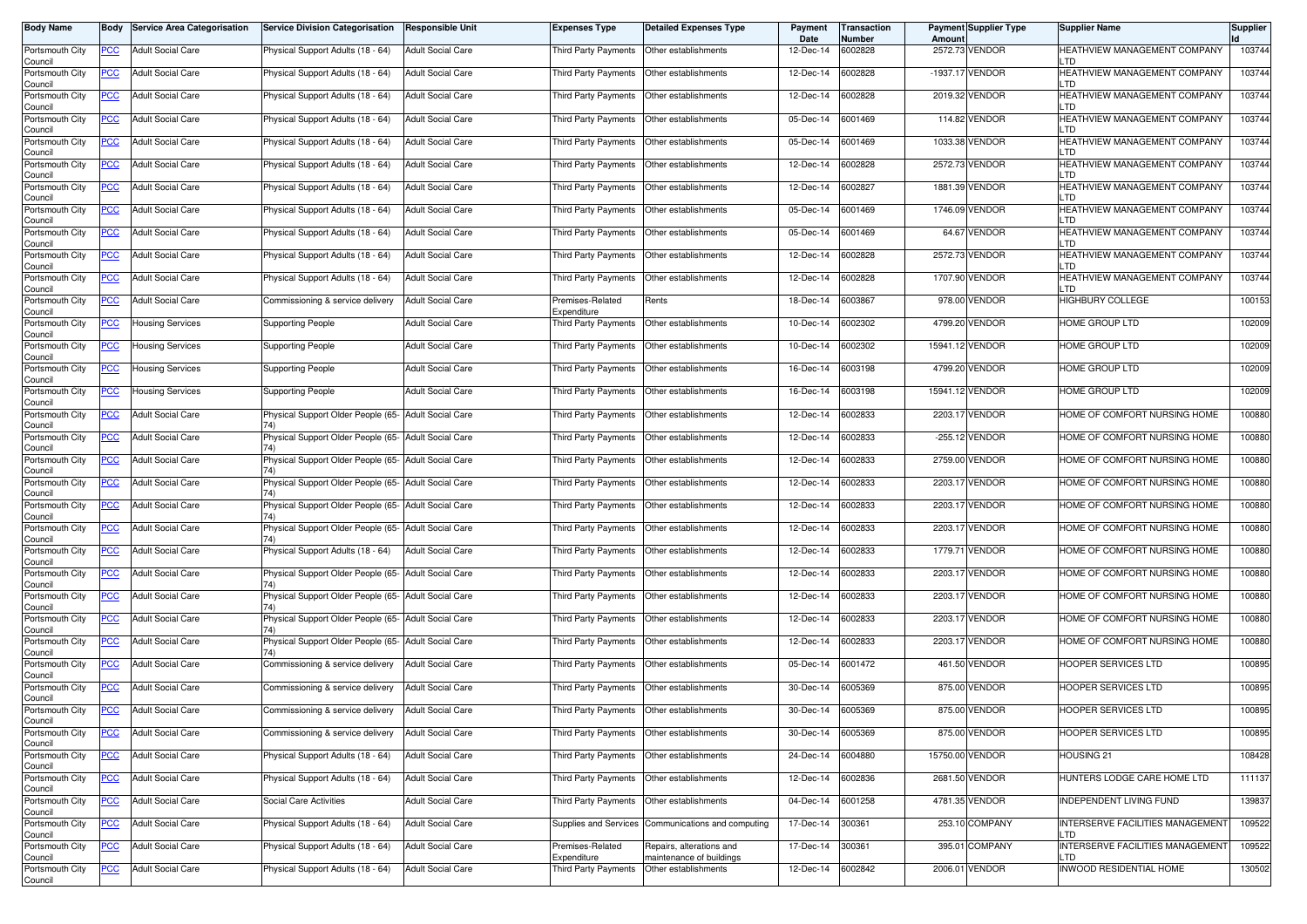| <b>Body Name</b>           | Body       | <b>Service Area Categorisation</b> | <b>Service Division Categorisation</b>                      | <b>Responsible Unit</b>  | <b>Expenses Type</b>                        | <b>Detailed Expenses Type</b>                        | Payment<br>Date | <b>Transaction</b><br>Number | Amount | Payment Supplier Type | <b>Supplier Name</b>                           | <b>Supplier</b> |
|----------------------------|------------|------------------------------------|-------------------------------------------------------------|--------------------------|---------------------------------------------|------------------------------------------------------|-----------------|------------------------------|--------|-----------------------|------------------------------------------------|-----------------|
| Portsmouth City<br>Council | PCC        | <b>Adult Social Care</b>           | Physical Support Adults (18 - 64)                           | <b>Adult Social Care</b> | Third Party Payments                        | Other establishments                                 | 12-Dec-14       | 6002828                      |        | 2572.73 VENDOR        | HEATHVIEW MANAGEMENT COMPANY<br>LTD            | 103744          |
| Portsmouth City<br>Council | <b>PCC</b> | <b>Adult Social Care</b>           | Physical Support Adults (18 - 64)                           | <b>Adult Social Care</b> | Third Party Payments                        | Other establishments                                 | 12-Dec-14       | 6002828                      |        | -1937.17 VENDOR       | HEATHVIEW MANAGEMENT COMPANY<br>LTD            | 103744          |
| Portsmouth City<br>Council | <u>PCC</u> | <b>Adult Social Care</b>           | Physical Support Adults (18 - 64)                           | <b>Adult Social Care</b> | Third Party Payments                        | Other establishments                                 | 12-Dec-14       | 6002828                      |        | 2019.32 VENDOR        | HEATHVIEW MANAGEMENT COMPANY<br>LTD            | 103744          |
| Portsmouth City<br>Council | <u>PCC</u> | <b>Adult Social Care</b>           | Physical Support Adults (18 - 64)                           | <b>Adult Social Care</b> | Third Party Payments                        | Other establishments                                 | 05-Dec-14       | 6001469                      |        | 114.82 VENDOR         | HEATHVIEW MANAGEMENT COMPANY<br>LTD            | 103744          |
| Portsmouth City<br>Council | <u>PCC</u> | <b>Adult Social Care</b>           | Physical Support Adults (18 - 64)                           | <b>Adult Social Care</b> | Third Party Payments                        | Other establishments                                 | 05-Dec-14       | 6001469                      |        | 1033.38 VENDOR        | HEATHVIEW MANAGEMENT COMPANY<br>LTD            | 103744          |
| Portsmouth City<br>Council | <u>PCC</u> | <b>Adult Social Care</b>           | Physical Support Adults (18 - 64)                           | <b>Adult Social Care</b> | Third Party Payments   Other establishments |                                                      | 12-Dec-14       | 6002828                      |        | 2572.73 VENDOR        | HEATHVIEW MANAGEMENT COMPANY<br>LTD            | 103744          |
| Portsmouth City<br>Council | <u>PCC</u> | <b>Adult Social Care</b>           | Physical Support Adults (18 - 64)                           | <b>Adult Social Care</b> | Third Party Payments   Other establishments |                                                      | 12-Dec-14       | 6002827                      |        | 1881.39 VENDOR        | HEATHVIEW MANAGEMENT COMPANY<br>LTD            | 103744          |
| Portsmouth City<br>Council | <u>PCC</u> | <b>Adult Social Care</b>           | Physical Support Adults (18 - 64)                           | <b>Adult Social Care</b> | Third Party Payments   Other establishments |                                                      | 05-Dec-14       | 6001469                      |        | 1746.09 VENDOR        | HEATHVIEW MANAGEMENT COMPANY<br>LTD            | 103744          |
| Portsmouth City<br>Council | <b>PCC</b> | <b>Adult Social Care</b>           | Physical Support Adults (18 - 64)                           | <b>Adult Social Care</b> | Third Party Payments                        | Other establishments                                 | 05-Dec-14       | 6001469                      |        | 64.67 VENDOR          | HEATHVIEW MANAGEMENT COMPANY<br>LTD            | 103744          |
| Portsmouth City<br>Council | PCC        | <b>Adult Social Care</b>           | Physical Support Adults (18 - 64)                           | <b>Adult Social Care</b> | Third Party Payments                        | Other establishments                                 | 12-Dec-14       | 6002828                      |        | 2572.73 VENDOR        | HEATHVIEW MANAGEMENT COMPANY<br>LTD            | 103744          |
| Portsmouth City<br>Council | <u>PCC</u> | <b>Adult Social Care</b>           | Physical Support Adults (18 - 64)                           | <b>Adult Social Care</b> | Third Party Payments                        | Other establishments                                 | 12-Dec-14       | 6002828                      |        | 1707.90 VENDOR        | HEATHVIEW MANAGEMENT COMPANY<br>LTD            | 103744          |
| Portsmouth City<br>Council | <u>PCC</u> | <b>Adult Social Care</b>           | Commissioning & service delivery                            | <b>Adult Social Care</b> | Premises-Related<br>Expenditure             | Rents                                                | 18-Dec-14       | 6003867                      |        | 978.00 VENDOR         | HIGHBURY COLLEGE                               | 100153          |
| Portsmouth City<br>Council | PCC        | <b>Housing Services</b>            | <b>Supporting People</b>                                    | <b>Adult Social Care</b> | Third Party Payments                        | Other establishments                                 | 10-Dec-14       | 6002302                      |        | 4799.20 VENDOR        | HOME GROUP LTD                                 | 102009          |
| Portsmouth City<br>Council | <u>PCC</u> | <b>Housing Services</b>            | Supporting People                                           | <b>Adult Social Care</b> | Third Party Payments                        | Other establishments                                 | 10-Dec-14       | 6002302                      |        | 15941.12 VENDOR       | HOME GROUP LTD                                 | 102009          |
| Portsmouth City<br>Council | <u>PCC</u> | <b>Housing Services</b>            | <b>Supporting People</b>                                    | <b>Adult Social Care</b> | Third Party Payments   Other establishments |                                                      | 16-Dec-14       | 6003198                      |        | 4799.20 VENDOR        | HOME GROUP LTD                                 | 102009          |
| Portsmouth City<br>Council | <u>PCC</u> | <b>Housing Services</b>            | Supporting People                                           | <b>Adult Social Care</b> | Third Party Payments   Other establishments |                                                      | 16-Dec-14       | 6003198                      |        | 15941.12 VENDOR       | HOME GROUP LTD                                 | 102009          |
| Portsmouth City<br>Council | PCC        | <b>Adult Social Care</b>           | Physical Support Older People (65- Adult Social Care        |                          | Third Party Payments                        | Other establishments                                 | 12-Dec-14       | 6002833                      |        | 2203.17 VENDOR        | HOME OF COMFORT NURSING HOME                   | 100880          |
| Portsmouth City<br>Council | <u>PCC</u> | <b>Adult Social Care</b>           | Physical Support Older People (65- Adult Social Care        |                          | Third Party Payments                        | Other establishments                                 | 12-Dec-14       | 6002833                      |        | -255.12 VENDOR        | HOME OF COMFORT NURSING HOME                   | 100880          |
| Portsmouth City<br>Council | <u>PCC</u> | <b>Adult Social Care</b>           | Physical Support Older People (65- Adult Social Care        |                          | Third Party Payments                        | Other establishments                                 | 12-Dec-14       | 6002833                      |        | 2759.00 VENDOR        | HOME OF COMFORT NURSING HOME                   | 100880          |
| Portsmouth City<br>Council | <u>PCC</u> | <b>Adult Social Care</b>           | Physical Support Older People (65- Adult Social Care        |                          | Third Party Payments                        | Other establishments                                 | 12-Dec-14       | 6002833                      |        | 2203.17 VENDOR        | HOME OF COMFORT NURSING HOME                   | 100880          |
| Portsmouth City<br>Council | <u>PCC</u> | <b>Adult Social Care</b>           | Physical Support Older People (65- Adult Social Care<br>74) |                          | Third Party Payments                        | Other establishments                                 | 12-Dec-14       | 6002833                      |        | 2203.17 VENDOR        | HOME OF COMFORT NURSING HOME                   | 100880          |
| Portsmouth City<br>Council | <u>PCC</u> | <b>Adult Social Care</b>           | Physical Support Older People (65- Adult Social Care<br>74) |                          | Third Party Payments                        | Other establishments                                 | 12-Dec-14       | 6002833                      |        | 2203.17 VENDOR        | HOME OF COMFORT NURSING HOME                   | 100880          |
| Portsmouth City<br>Council | <u>PCC</u> | <b>Adult Social Care</b>           | Physical Support Adults (18 - 64)                           | <b>Adult Social Care</b> | Third Party Payments                        | Other establishments                                 | 12-Dec-14       | 6002833                      |        | 1779.71 VENDOR        | HOME OF COMFORT NURSING HOME                   | 100880          |
| Portsmouth City<br>Council | <u>PCC</u> | <b>Adult Social Care</b>           | Physical Support Older People (65- Adult Social Care        |                          | Third Party Payments   Other establishments |                                                      | 12-Dec-14       | 6002833                      |        | 2203.17 VENDOR        | HOME OF COMFORT NURSING HOME                   | 100880          |
| Portsmouth City<br>Council | <u>PCC</u> | <b>Adult Social Care</b>           | Physical Support Older People (65- Adult Social Care        |                          | Third Party Payments   Other establishments |                                                      | 12-Dec-14       | 6002833                      |        | 2203.17 VENDOR        | HOME OF COMFORT NURSING HOME                   | 100880          |
| Portsmouth City<br>Council | <u>PCC</u> | <b>Adult Social Care</b>           | Physical Support Older People (65- Adult Social Care        |                          | Third Party Payments   Other establishments |                                                      | 12-Dec-14       | 6002833                      |        | 2203.17 VENDOR        | HOME OF COMFORT NURSING HOME                   | 100880          |
| Portsmouth City<br>Council | <b>PCC</b> | <b>Adult Social Care</b>           | Physical Support Older People (65- Adult Social Care        |                          | Third Party Payments                        | Other establishments                                 | 12-Dec-14       | 6002833                      |        | 2203.17 VENDOR        | HOME OF COMFORT NURSING HOME                   | 100880          |
| Portsmouth City<br>Council | <b>PCC</b> | <b>Adult Social Care</b>           | Commissioning & service delivery                            | <b>Adult Social Care</b> | Third Party Payments                        | Other establishments                                 | 05-Dec-14       | 6001472                      |        | 461.50 VENDOR         | <b>HOOPER SERVICES LTD</b>                     | 100895          |
| Portsmouth City<br>Council | <u>PCC</u> | <b>Adult Social Care</b>           | Commissioning & service delivery                            | <b>Adult Social Care</b> | Third Party Payments                        | Other establishments                                 | 30-Dec-14       | 6005369                      |        | 875.00 VENDOR         | HOOPER SERVICES LTD                            | 100895          |
| Portsmouth City<br>Council | <u>PCC</u> | <b>Adult Social Care</b>           | Commissioning & service delivery                            | <b>Adult Social Care</b> | Third Party Payments   Other establishments |                                                      | 30-Dec-14       | 6005369                      |        | 875.00 VENDOR         | HOOPER SERVICES LTD                            | 100895          |
| Portsmouth City<br>Council | <u>PCC</u> | <b>Adult Social Care</b>           | Commissioning & service delivery                            | <b>Adult Social Care</b> | Third Party Payments   Other establishments |                                                      | 30-Dec-14       | 6005369                      |        | 875.00 VENDOR         | HOOPER SERVICES LTD                            | 100895          |
| Portsmouth City<br>Council | <u>PCC</u> | <b>Adult Social Care</b>           | Physical Support Adults (18 - 64)                           | <b>Adult Social Care</b> | Third Party Payments Other establishments   |                                                      | 24-Dec-14       | 6004880                      |        | 15750.00 VENDOR       | HOUSING 21                                     | 108428          |
| Portsmouth City<br>Council | <u>PCC</u> | <b>Adult Social Care</b>           | Physical Support Adults (18 - 64)                           | <b>Adult Social Care</b> | Third Party Payments Other establishments   |                                                      | 12-Dec-14       | 6002836                      |        | 2681.50 VENDOR        | HUNTERS LODGE CARE HOME LTD                    | 111137          |
| Portsmouth City<br>Council | <u>PCC</u> | <b>Adult Social Care</b>           | Social Care Activities                                      | <b>Adult Social Care</b> | Third Party Payments Other establishments   |                                                      | 04-Dec-14       | 6001258                      |        | 4781.35 VENDOR        | INDEPENDENT LIVING FUND                        | 139837          |
| Portsmouth City<br>Council | <u>PCC</u> | <b>Adult Social Care</b>           | Physical Support Adults (18 - 64)                           | <b>Adult Social Care</b> |                                             | Supplies and Services Communications and computing   | 17-Dec-14       | 300361                       |        | 253.10 COMPANY        | INTERSERVE FACILITIES MANAGEMENT<br>LTD        | 109522          |
| Portsmouth City<br>Council | <u>PCC</u> | <b>Adult Social Care</b>           | Physical Support Adults (18 - 64)                           | <b>Adult Social Care</b> | Premises-Related<br>Expenditure             | Repairs, alterations and<br>maintenance of buildings | 17-Dec-14       | 300361                       |        | 395.01 COMPANY        | <b>INTERSERVE FACILITIES MANAGEMENT</b><br>LTD | 109522          |
| Portsmouth City<br>Council | <u>PCC</u> | <b>Adult Social Care</b>           | Physical Support Adults (18 - 64)                           | <b>Adult Social Care</b> | Third Party Payments                        | Other establishments                                 | 12-Dec-14       | 6002842                      |        | 2006.01 VENDOR        | <b>INWOOD RESIDENTIAL HOME</b>                 | 130502          |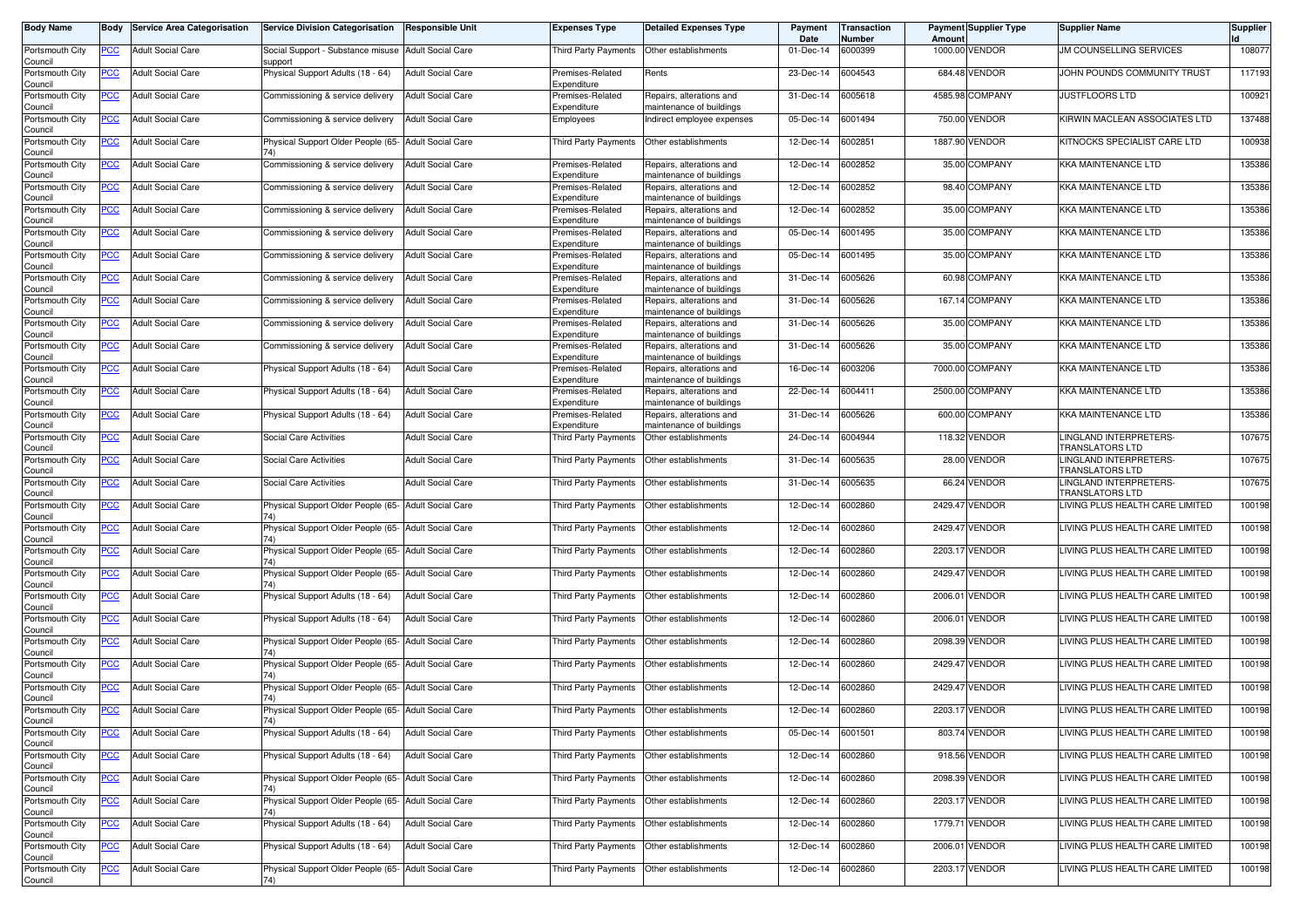| <b>Body Name</b>                      |            | <b>Body Service Area Categorisation</b> | <b>Service Division Categorisation</b>                         | Responsible Unit         | <b>Expenses Type</b>            | <b>Detailed Expenses Type</b>                        | Payment<br>Date | Transaction<br><b>Number</b> | Amount  | <b>Payment Supplier Type</b> | <b>Supplier Name</b>                                    | <b>Supplier</b> |
|---------------------------------------|------------|-----------------------------------------|----------------------------------------------------------------|--------------------------|---------------------------------|------------------------------------------------------|-----------------|------------------------------|---------|------------------------------|---------------------------------------------------------|-----------------|
| Portsmouth City<br>Council            | <b>PCC</b> | <b>Adult Social Care</b>                | Social Support - Substance misuse Adult Social Care<br>support |                          | Third Party Payments            | Other establishments                                 | 01-Dec-14       | 6000399                      |         | 1000.00 VENDOR               | <b>JM COUNSELLING SERVICES</b>                          | 108077          |
| Portsmouth City<br>Council            | <b>PCC</b> | <b>Adult Social Care</b>                | Physical Support Adults (18 - 64)                              | <b>Adult Social Care</b> | Premises-Related<br>Expenditure | Rents                                                | 23-Dec-14       | 6004543                      |         | 684.48 VENDOR                | JOHN POUNDS COMMUNITY TRUST                             | 117193          |
| Portsmouth City<br>Council            | <u>PCC</u> | <b>Adult Social Care</b>                | Commissioning & service delivery                               | <b>Adult Social Care</b> | Premises-Related<br>Expenditure | Repairs, alterations and<br>naintenance of buildings | 31-Dec-14       | 6005618                      |         | 4585.98 COMPANY              | JUSTFLOORS LTD                                          | 100921          |
| Portsmouth City<br>Council            | <u>PCC</u> | <b>Adult Social Care</b>                | Commissioning & service delivery                               | <b>Adult Social Care</b> | Employees                       | ndirect employee expenses                            | 05-Dec-14       | 6001494                      |         | 750.00 VENDOR                | KIRWIN MACLEAN ASSOCIATES LTD                           | 137488          |
| Portsmouth City<br>Council            | <u>PCC</u> | <b>Adult Social Care</b>                | Physical Support Older People (65- Adult Social Care           |                          | Third Party Payments            | Other establishments                                 | 12-Dec-14       | 6002851                      |         | 1887.90 VENDOR               | KITNOCKS SPECIALIST CARE LTD                            | 100938          |
| Portsmouth City<br>Council            | PCC        | <b>Adult Social Care</b>                | Commissioning & service delivery                               | <b>Adult Social Care</b> | Premises-Related<br>Expenditure | Repairs, alterations and<br>maintenance of buildings | 12-Dec-14       | 6002852                      |         | 35.00 COMPANY                | <b>KKA MAINTENANCE LTD</b>                              | 135386          |
| Portsmouth City<br>Council            | <b>PCC</b> | <b>Adult Social Care</b>                | Commissioning & service delivery                               | <b>Adult Social Care</b> | Premises-Related<br>Expenditure | Repairs, alterations and<br>maintenance of buildings | 12-Dec-14       | 6002852                      |         | 98.40 COMPANY                | KKA MAINTENANCE LTD                                     | 135386          |
| Portsmouth City<br>Council            | <u>PCC</u> | <b>Adult Social Care</b>                | Commissioning & service delivery                               | <b>Adult Social Care</b> | Premises-Related<br>Expenditure | Repairs, alterations and<br>maintenance of buildings | 12-Dec-14       | 6002852                      |         | 35.00 COMPANY                | KKA MAINTENANCE LTD                                     | 135386          |
| Portsmouth City<br>Council            | <u>PCC</u> | <b>Adult Social Care</b>                | Commissioning & service delivery                               | <b>Adult Social Care</b> | Premises-Related<br>Expenditure | Repairs, alterations and<br>maintenance of buildings | 05-Dec-14       | 6001495                      |         | 35.00 COMPANY                | <b>KKA MAINTENANCE LTD</b>                              | 135386          |
| Portsmouth City<br>Council            | PCC        | <b>Adult Social Care</b>                | Commissioning & service delivery                               | <b>Adult Social Care</b> | Premises-Related<br>Expenditure | Repairs, alterations and<br>maintenance of buildings | 05-Dec-14       | 6001495                      |         | 35.00 COMPANY                | <b>KKA MAINTENANCE LTD</b>                              | 135386          |
| Portsmouth City<br>Council            | PCC        | <b>Adult Social Care</b>                | Commissioning & service delivery                               | <b>Adult Social Care</b> | Premises-Related<br>Expenditure | Repairs, alterations and<br>maintenance of buildings | 31-Dec-14       | 6005626                      |         | 60.98 COMPANY                | <b>KKA MAINTENANCE LTD</b>                              | 135386          |
| Portsmouth City<br>Council            | PCC        | <b>Adult Social Care</b>                | Commissioning & service delivery                               | <b>Adult Social Care</b> | Premises-Related<br>Expenditure | Repairs, alterations and<br>maintenance of buildings | 31-Dec-14       | 6005626                      |         | 167.14 COMPANY               | <b>KKA MAINTENANCE LTD</b>                              | 135386          |
| Portsmouth City<br>Council            | PCC        | <b>Adult Social Care</b>                | Commissioning & service delivery                               | <b>Adult Social Care</b> | Premises-Related<br>Expenditure | Repairs, alterations and<br>maintenance of buildings | 31-Dec-14       | 6005626                      |         | 35.00 COMPANY                | <b>KKA MAINTENANCE LTD</b>                              | 135386          |
| Portsmouth City<br>Council            | <u>PCC</u> | <b>Adult Social Care</b>                | Commissioning & service delivery                               | <b>Adult Social Care</b> | Premises-Related<br>Expenditure | Repairs, alterations and<br>maintenance of buildings | 31-Dec-14       | 6005626                      |         | 35.00 COMPANY                | <b>KKA MAINTENANCE LTD</b>                              | 135386          |
| Portsmouth City<br>Council            | PCC        | <b>Adult Social Care</b>                | Physical Support Adults (18 - 64)                              | <b>Adult Social Care</b> | Premises-Related<br>Expenditure | Repairs, alterations and<br>maintenance of buildings | 16-Dec-14       | 6003206                      |         | 7000.00 COMPANY              | KKA MAINTENANCE LTD                                     | 135386          |
| Portsmouth City<br>Council            | <u>PCC</u> | <b>Adult Social Care</b>                | Physical Support Adults (18 - 64)                              | <b>Adult Social Care</b> | Premises-Related<br>Expenditure | Repairs, alterations and<br>maintenance of buildings | 22-Dec-14       | 6004411                      |         | 2500.00 COMPANY              | KKA MAINTENANCE LTD                                     | 135386          |
| Portsmouth City<br>Council            | PCC        | <b>Adult Social Care</b>                | Physical Support Adults (18 - 64)                              | <b>Adult Social Care</b> | Premises-Related<br>Expenditure | Repairs, alterations and<br>maintenance of buildings | 31-Dec-14       | 6005626                      |         | 600.00 COMPANY               | <b>KKA MAINTENANCE LTD</b>                              | 135386          |
| Portsmouth City<br>Council            | <u>PCC</u> | <b>Adult Social Care</b>                | Social Care Activities                                         | <b>Adult Social Care</b> | Third Party Payments            | Other establishments                                 | 24-Dec-14       | 6004944                      |         | 118.32 VENDOR                | LINGLAND INTERPRETERS-<br><b>TRANSLATORS LTD</b>        | 107675          |
| Portsmouth City<br>Council            | PCC        | <b>Adult Social Care</b>                | Social Care Activities                                         | <b>Adult Social Care</b> | Third Party Payments            | Other establishments                                 | 31-Dec-14       | 6005635                      |         | <b>28.00 VENDOR</b>          | <b>LINGLAND INTERPRETERS-</b><br><b>TRANSLATORS LTD</b> | 107675          |
| Portsmouth City<br>Council            | PСC        | <b>Adult Social Care</b>                | Social Care Activities                                         | <b>Adult Social Care</b> | Third Party Payments            | Other establishments                                 | 31-Dec-14       | 6005635                      |         | 66.24 VENDOR                 | LINGLAND INTERPRETERS-<br>TRANSLATORS LTD               | 107675          |
| Portsmouth City<br>Council            | <u>PCC</u> | <b>Adult Social Care</b>                | Physical Support Older People (65- Adult Social Care           |                          | Third Party Payments            | Other establishments                                 | 12-Dec-14       | 6002860                      | 2429.47 | <b>VENDOR</b>                | LIVING PLUS HEALTH CARE LIMITED                         | 100198          |
| Portsmouth City<br>Council            | <u>PCC</u> | <b>Adult Social Care</b>                | Physical Support Older People (65- Adult Social Care           |                          | Third Party Payments            | Other establishments                                 | 12-Dec-14       | 6002860                      |         | 2429.47 VENDOR               | LIVING PLUS HEALTH CARE LIMITED                         | 100198          |
| Portsmouth City<br>Council            | <u>PCC</u> | <b>Adult Social Care</b>                | Physical Support Older People (65- Adult Social Care           |                          | Third Party Payments            | Other establishments                                 | 12-Dec-14       | 6002860                      | 2203.17 | <b>VENDOR</b>                | LIVING PLUS HEALTH CARE LIMITED                         | 100198          |
| Portsmouth City<br>Council            | <u>PCC</u> | <b>Adult Social Care</b>                | Physical Support Older People (65- Adult Social Care           |                          | Third Party Payments            | Other establishments                                 | 12-Dec-14       | 6002860                      |         | 2429.47 VENDOR               | LIVING PLUS HEALTH CARE LIMITED                         | 100198          |
| Portsmouth City<br>Council            | <u>PCC</u> | <b>Adult Social Care</b>                | Physical Support Adults (18 - 64)                              | <b>Adult Social Care</b> | Third Party Payments            | Other establishments                                 | 12-Dec-14       | 6002860                      | 2006.01 | <b>VENDOR</b>                | LIVING PLUS HEALTH CARE LIMITED                         | 100198          |
| Portsmouth City<br>Council            | <u>PCC</u> | <b>Adult Social Care</b>                | Physical Support Adults (18 - 64)                              | <b>Adult Social Care</b> | Third Party Payments            | Other establishments                                 | 12-Dec-14       | 6002860                      |         | 2006.01 VENDOR               | LIVING PLUS HEALTH CARE LIMITED                         | 100198          |
| Portsmouth City<br>Council            | <b>PCC</b> | <b>Adult Social Care</b>                | Physical Support Older People (65- Adult Social Care           |                          | Third Party Payments            | Other establishments                                 | 12-Dec-14       | 6002860                      |         | 2098.39 VENDOR               | LIVING PLUS HEALTH CARE LIMITED                         | 100198          |
| Portsmouth City<br>Council            | <u>PCC</u> | <b>Adult Social Care</b>                | Physical Support Older People (65- Adult Social Care           |                          | Third Party Payments            | Other establishments                                 | 12-Dec-14       | 6002860                      | 2429.47 | <b>VENDOR</b>                | LIVING PLUS HEALTH CARE LIMITED                         | 100198          |
| Portsmouth City<br>Council            | <b>PCC</b> | <b>Adult Social Care</b>                | Physical Support Older People (65- Adult Social Care           |                          | Third Party Payments            | Other establishments                                 | 12-Dec-14       | 6002860                      |         | 2429.47 VENDOR               | LIVING PLUS HEALTH CARE LIMITED                         | 100198          |
| Portsmouth City                       | <u>PCC</u> | <b>Adult Social Care</b>                | Physical Support Older People (65- Adult Social Care           |                          | Third Party Payments            | Other establishments                                 | 12-Dec-14       | 6002860                      |         | 2203.17 VENDOR               | LIVING PLUS HEALTH CARE LIMITED                         | 100198          |
| Council<br>Portsmouth City<br>Council | <u>PCC</u> | <b>Adult Social Care</b>                | Physical Support Adults (18 - 64)                              | <b>Adult Social Care</b> | Third Party Payments            | Other establishments                                 | 05-Dec-14       | 6001501                      |         | 803.74 VENDOR                | LIVING PLUS HEALTH CARE LIMITED                         | 100198          |
| Portsmouth City<br>Council            | <b>PCC</b> | <b>Adult Social Care</b>                | Physical Support Adults (18 - 64)                              | <b>Adult Social Care</b> | <b>Third Party Payments</b>     | Other establishments                                 | 12-Dec-14       | 6002860                      |         | 918.56 VENDOR                | LIVING PLUS HEALTH CARE LIMITED                         | 100198          |
| Portsmouth City<br>Council            | <u>PCC</u> | <b>Adult Social Care</b>                | Physical Support Older People (65- Adult Social Care<br>74)    |                          | Third Party Payments            | Other establishments                                 | 12-Dec-14       | 6002860                      |         | 2098.39 VENDOR               | LIVING PLUS HEALTH CARE LIMITED                         | 100198          |
| Portsmouth City<br>Council            | <b>PCC</b> | <b>Adult Social Care</b>                | Physical Support Older People (65- Adult Social Care<br>74)    |                          | Third Party Payments            | Other establishments                                 | 12-Dec-14       | 6002860                      |         | 2203.17 VENDOR               | LIVING PLUS HEALTH CARE LIMITED                         | 100198          |
| Portsmouth City<br>Council            | <b>PCC</b> | <b>Adult Social Care</b>                | Physical Support Adults (18 - 64)                              | <b>Adult Social Care</b> | Third Party Payments            | Other establishments                                 | 12-Dec-14       | 6002860                      |         | 1779.71 VENDOR               | LIVING PLUS HEALTH CARE LIMITED                         | 100198          |
| Portsmouth City<br>Council            | <u>PCC</u> | <b>Adult Social Care</b>                | Physical Support Adults (18 - 64)                              | <b>Adult Social Care</b> | Third Party Payments            | Other establishments                                 | 12-Dec-14       | 6002860                      |         | 2006.01 VENDOR               | LIVING PLUS HEALTH CARE LIMITED                         | 100198          |
| Portsmouth City<br>Council            | <b>PCC</b> | <b>Adult Social Care</b>                | Physical Support Older People (65- Adult Social Care           |                          | Third Party Payments            | Other establishments                                 | 12-Dec-14       | 6002860                      |         | 2203.17 VENDOR               | LIVING PLUS HEALTH CARE LIMITED                         | 100198          |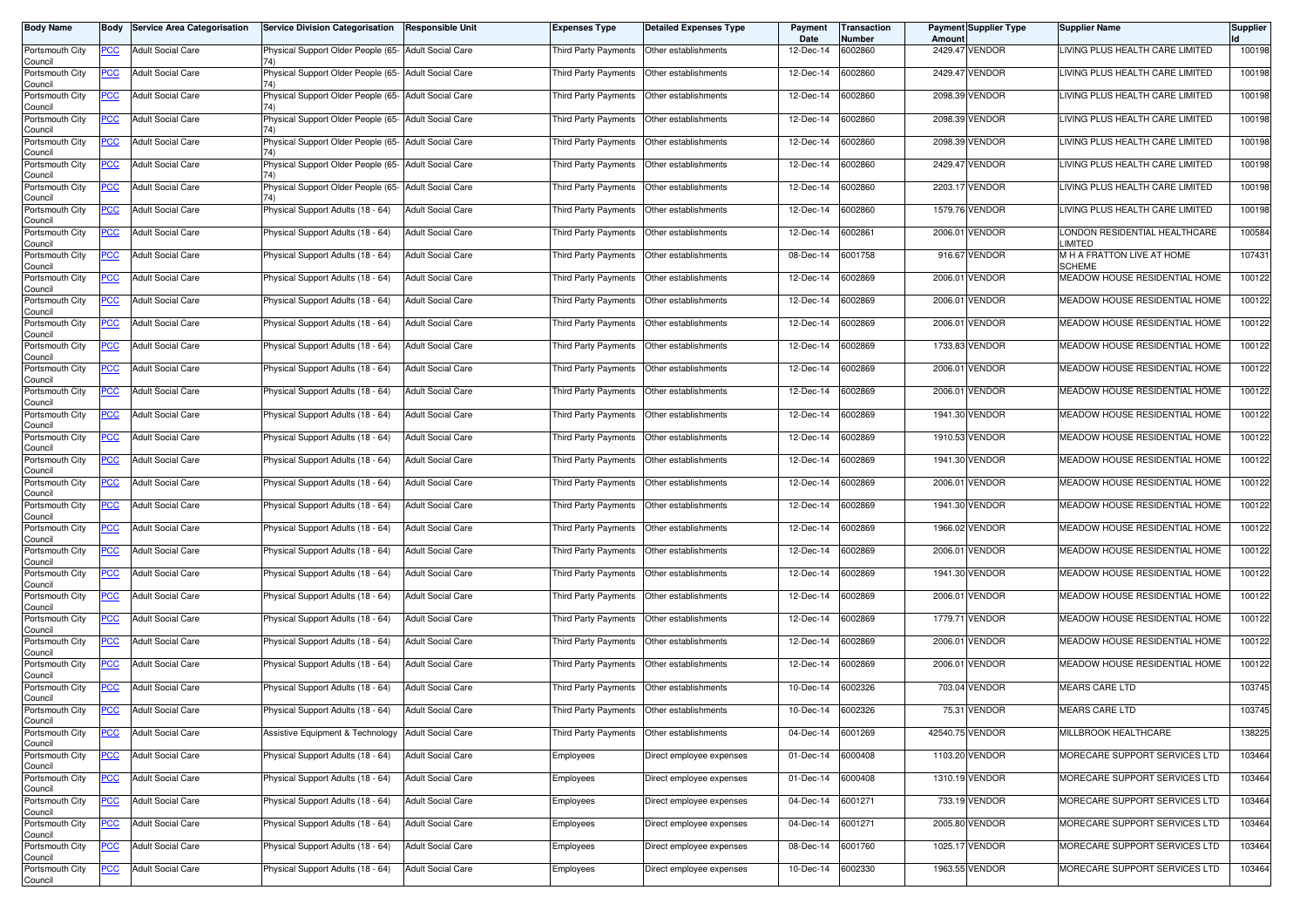| <b>Body Name</b>                              | Body       | <b>Service Area Categorisation</b> | <b>Service Division Categorisation</b>               | <b>Responsible Unit</b>  | <b>Expenses Type</b> | <b>Detailed Expenses Type</b> | Payment<br>Date | Transaction<br>Number | Amount          | <b>Payment Supplier Type</b> | <b>Supplier Name</b>                        | Supplier |
|-----------------------------------------------|------------|------------------------------------|------------------------------------------------------|--------------------------|----------------------|-------------------------------|-----------------|-----------------------|-----------------|------------------------------|---------------------------------------------|----------|
| Portsmouth City<br>Council                    | <b>PCC</b> | <b>Adult Social Care</b>           | Physical Support Older People (65- Adult Social Care |                          | Third Party Payments | Other establishments          | 12-Dec-14       | 6002860               |                 | 2429.47 VENDOR               | LIVING PLUS HEALTH CARE LIMITED             | 100198   |
| Portsmouth City<br>Council                    | <u>PCC</u> | <b>Adult Social Care</b>           | Physical Support Older People (65- Adult Social Care |                          | Third Party Payments | Other establishments          | 12-Dec-14       | 6002860               |                 | 2429.47 VENDOR               | LIVING PLUS HEALTH CARE LIMITED             | 100198   |
| Portsmouth City<br>Council                    | <u>PCC</u> | <b>Adult Social Care</b>           | Physical Support Older People (65- Adult Social Care |                          | Third Party Payments | Other establishments          | 12-Dec-14       | 6002860               |                 | 2098.39 VENDOR               | LIVING PLUS HEALTH CARE LIMITED             | 100198   |
| Portsmouth City<br>Council                    | <b>PCC</b> | <b>Adult Social Care</b>           | Physical Support Older People (65- Adult Social Care |                          | Third Party Payments | Other establishments          | 12-Dec-14       | 6002860               |                 | 2098.39 VENDOR               | LIVING PLUS HEALTH CARE LIMITED             | 100198   |
| Portsmouth City<br>Council                    | <b>PCC</b> | <b>Adult Social Care</b>           | Physical Support Older People (65- Adult Social Care |                          | Third Party Payments | Other establishments          | 12-Dec-14       | 6002860               |                 | 2098.39 VENDOR               | LIVING PLUS HEALTH CARE LIMITED             | 100198   |
| Portsmouth City<br>Council                    | <u>PCC</u> | <b>Adult Social Care</b>           | Physical Support Older People (65- Adult Social Care |                          | Third Party Payments | Other establishments          | 12-Dec-14       | 6002860               |                 | 2429.47 VENDOR               | LIVING PLUS HEALTH CARE LIMITED             | 100198   |
| Portsmouth City<br>Council                    | <u>PCC</u> | <b>Adult Social Care</b>           | Physical Support Older People (65- Adult Social Care |                          | Third Party Payments | Other establishments          | 12-Dec-14       | 6002860               |                 | 2203.17 VENDOR               | LIVING PLUS HEALTH CARE LIMITED             | 100198   |
| Portsmouth City<br>Council                    | <b>PCC</b> | <b>Adult Social Care</b>           | Physical Support Adults (18 - 64)                    | <b>Adult Social Care</b> | Third Party Payments | Other establishments          | 12-Dec-14       | 6002860               |                 | 1579.76 VENDOR               | LIVING PLUS HEALTH CARE LIMITED             | 100198   |
| Portsmouth City<br>Council                    | <b>PCC</b> | <b>Adult Social Care</b>           | Physical Support Adults (18 - 64)                    | <b>Adult Social Care</b> | Third Party Payments | Other establishments          | 12-Dec-14       | 6002861               |                 | 2006.01 VENDOR               | LONDON RESIDENTIAL HEALTHCARE<br>LIMITED    | 100584   |
| Portsmouth City<br>Council                    | PCC        | <b>Adult Social Care</b>           | Physical Support Adults (18 - 64)                    | <b>Adult Social Care</b> | Third Party Payments | Other establishments          | 08-Dec-14       | 6001758               |                 | 916.67 VENDOR                | M H A FRATTON LIVE AT HOME<br><b>SCHEME</b> | 107431   |
| Portsmouth City<br>Council                    | <u>PCC</u> | <b>Adult Social Care</b>           | Physical Support Adults (18 - 64)                    | <b>Adult Social Care</b> | Third Party Payments | Other establishments          | 12-Dec-14       | 6002869               |                 | 2006.01 VENDOR               | MEADOW HOUSE RESIDENTIAL HOME               | 100122   |
| Portsmouth City<br>Council                    | <b>PCC</b> | <b>Adult Social Care</b>           | Physical Support Adults (18 - 64)                    | <b>Adult Social Care</b> | Third Party Payments | Other establishments          | 12-Dec-14       | 6002869               |                 | 2006.01 VENDOR               | MEADOW HOUSE RESIDENTIAL HOME               | 100122   |
| Portsmouth City<br>Council                    | PCC        | <b>Adult Social Care</b>           | Physical Support Adults (18 - 64)                    | <b>Adult Social Care</b> | Third Party Payments | Other establishments          | 12-Dec-14       | 6002869               |                 | 2006.01 VENDOR               | MEADOW HOUSE RESIDENTIAL HOME               | 100122   |
| Portsmouth City<br>Council                    | <u>PCC</u> | <b>Adult Social Care</b>           | Physical Support Adults (18 - 64)                    | <b>Adult Social Care</b> | Third Party Payments | Other establishments          | 12-Dec-14       | 6002869               |                 | 1733.83 VENDOR               | MEADOW HOUSE RESIDENTIAL HOME               | 100122   |
| Portsmouth City<br>Council                    | PCC        | <b>Adult Social Care</b>           | Physical Support Adults (18 - 64)                    | <b>Adult Social Care</b> | Third Party Payments | Other establishments          | 12-Dec-14       | 6002869               |                 | 2006.01 VENDOR               | MEADOW HOUSE RESIDENTIAL HOME               | 100122   |
| Portsmouth City<br>Council                    | <b>PCC</b> | <b>Adult Social Care</b>           | Physical Support Adults (18 - 64)                    | <b>Adult Social Care</b> | Third Party Payments | Other establishments          | 12-Dec-14       | 6002869               |                 | 2006.01 VENDOR               | MEADOW HOUSE RESIDENTIAL HOME               | 100122   |
| Portsmouth City<br>Council                    | <b>PCC</b> | <b>Adult Social Care</b>           | Physical Support Adults (18 - 64)                    | <b>Adult Social Care</b> | Third Party Payments | Other establishments          | 12-Dec-14       | 6002869               |                 | 1941.30 VENDOR               | MEADOW HOUSE RESIDENTIAL HOME               | 100122   |
| Portsmouth City<br>Council                    | PCC        | <b>Adult Social Care</b>           | Physical Support Adults (18 - 64)                    | <b>Adult Social Care</b> | Third Party Payments | Other establishments          | 12-Dec-14       | 6002869               |                 | 1910.53 VENDOR               | MEADOW HOUSE RESIDENTIAL HOME               | 100122   |
| Portsmouth City<br>Council                    | <u>PCC</u> | <b>Adult Social Care</b>           | Physical Support Adults (18 - 64)                    | <b>Adult Social Care</b> | Third Party Payments | Other establishments          | 12-Dec-14       | 6002869               |                 | 1941.30 VENDOR               | MEADOW HOUSE RESIDENTIAL HOME               | 100122   |
| Portsmouth City<br>Council                    | <u>PCC</u> | <b>Adult Social Care</b>           | Physical Support Adults (18 - 64)                    | <b>Adult Social Care</b> | Third Party Payments | Other establishments          | 12-Dec-14       | 6002869               |                 | 2006.01 VENDOR               | MEADOW HOUSE RESIDENTIAL HOME               | 100122   |
| Portsmouth City<br>Council                    | <b>PCC</b> | <b>Adult Social Care</b>           | Physical Support Adults (18 - 64)                    | <b>Adult Social Care</b> | Third Party Payments | Other establishments          | 12-Dec-14       | 6002869               |                 | 1941.30 VENDOR               | MEADOW HOUSE RESIDENTIAL HOME               | 100122   |
| Portsmouth City<br>Council                    | <b>PCC</b> | <b>Adult Social Care</b>           | Physical Support Adults (18 - 64)                    | <b>Adult Social Care</b> | Third Party Payments | Other establishments          | 12-Dec-14       | 6002869               |                 | 1966.02 VENDOR               | MEADOW HOUSE RESIDENTIAL HOME               | 100122   |
| Portsmouth City<br>Council                    | <u>PCC</u> | <b>Adult Social Care</b>           | Physical Support Adults (18 - 64)                    | <b>Adult Social Care</b> | Third Party Payments | Other establishments          | 12-Dec-14       | 6002869               | 2006.01         | <b>VENDOR</b>                | MEADOW HOUSE RESIDENTIAL HOME               | 100122   |
| Portsmouth City<br>Council                    | <u>PCC</u> | <b>Adult Social Care</b>           | Physical Support Adults (18 - 64)                    | <b>Adult Social Care</b> | Third Party Payments | Other establishments          | 12-Dec-14       | 6002869               |                 | 1941.30 VENDOR               | MEADOW HOUSE RESIDENTIAL HOME               | 100122   |
| Portsmouth City<br>Council                    | <b>PCC</b> | <b>Adult Social Care</b>           | Physical Support Adults (18 - 64)                    | <b>Adult Social Care</b> | Third Party Payments | Other establishments          | 12-Dec-14       | 6002869               |                 | 2006.01 VENDOR               | MEADOW HOUSE RESIDENTIAL HOME               | 100122   |
| Portsmouth City<br>Council                    | <b>PCC</b> | <b>Adult Social Care</b>           | Physical Support Adults (18 - 64)                    | <b>Adult Social Care</b> | Third Party Payments | Other establishments          | 12-Dec-14       | 6002869               |                 | 1779.71 VENDOR               | MEADOW HOUSE RESIDENTIAL HOME               | 100122   |
| Portsmouth City<br>Council                    | <u>PCC</u> | <b>Adult Social Care</b>           | Physical Support Adults (18 - 64)                    | <b>Adult Social Care</b> | Third Party Payments | Other establishments          | 12-Dec-14       | 6002869               |                 | 2006.01 VENDOR               | MEADOW HOUSE RESIDENTIAL HOME               | 100122   |
| Portsmouth City<br>Council                    | <b>PCC</b> | <b>Adult Social Care</b>           | Physical Support Adults (18 - 64)                    | <b>Adult Social Care</b> | Third Party Payments | Other establishments          | 12-Dec-14       | 6002869               | 2006.01         | <b>VENDOR</b>                | MEADOW HOUSE RESIDENTIAL HOME               | 100122   |
| Portsmouth City<br>Council                    | <b>PCC</b> | <b>Adult Social Care</b>           | Physical Support Adults (18 - 64)                    | <b>Adult Social Care</b> | Third Party Payments | Other establishments          | 10-Dec-14       | 6002326               |                 | 703.04 VENDOR                | <b>MEARS CARE LTD</b>                       | 103745   |
| Portsmouth City<br>Council<br>Portsmouth City | <b>PCC</b> | <b>Adult Social Care</b>           | Physical Support Adults (18 - 64)                    | <b>Adult Social Care</b> | Third Party Payments | Other establishments          | 10-Dec-14       | 6002326               |                 | 75.31 VENDOR                 | <b>MEARS CARE LTD</b>                       | 103745   |
| Council                                       | <u>PCC</u> | <b>Adult Social Care</b>           | Assistive Equipment & Technology                     | <b>Adult Social Care</b> | Third Party Payments | Other establishments          | 04-Dec-14       | 6001269               | 42540.75 VENDOR |                              | MILLBROOK HEALTHCARE                        | 138225   |
| Portsmouth City<br>Council                    | <u>PCC</u> | <b>Adult Social Care</b>           | Physical Support Adults (18 - 64)                    | <b>Adult Social Care</b> | Employees            | Direct employee expenses      | 01-Dec-14       | 6000408               |                 | 1103.20 VENDOR               | MORECARE SUPPORT SERVICES LTD               | 103464   |
| Portsmouth City<br>Council                    | <b>PCC</b> | <b>Adult Social Care</b>           | Physical Support Adults (18 - 64)                    | <b>Adult Social Care</b> | Employees            | Direct employee expenses      | 01-Dec-14       | 6000408               |                 | 1310.19 VENDOR               | MORECARE SUPPORT SERVICES LTD               | 103464   |
| Portsmouth City<br>Council                    | <b>PCC</b> | <b>Adult Social Care</b>           | Physical Support Adults (18 - 64)                    | <b>Adult Social Care</b> | Employees            | Direct employee expenses      | 04-Dec-14       | 6001271               |                 | 733.19 VENDOR                | MORECARE SUPPORT SERVICES LTD               | 103464   |
| Portsmouth City<br>Council                    | <b>PCC</b> | <b>Adult Social Care</b>           | Physical Support Adults (18 - 64)                    | <b>Adult Social Care</b> | Employees            | Direct employee expenses      | 04-Dec-14       | 6001271               |                 | 2005.80 VENDOR               | MORECARE SUPPORT SERVICES LTD               | 103464   |
| Portsmouth City<br>Council                    | <u>PCC</u> | <b>Adult Social Care</b>           | Physical Support Adults (18 - 64)                    | <b>Adult Social Care</b> | Employees            | Direct employee expenses      | 08-Dec-14       | 6001760               |                 | 1025.17 VENDOR               | MORECARE SUPPORT SERVICES LTD               | 103464   |
| Portsmouth City<br>Council                    | <b>PCC</b> | <b>Adult Social Care</b>           | Physical Support Adults (18 - 64)                    | <b>Adult Social Care</b> | Employees            | Direct employee expenses      | 10-Dec-14       | 6002330               |                 | 1963.55 VENDOR               | MORECARE SUPPORT SERVICES LTD               | 103464   |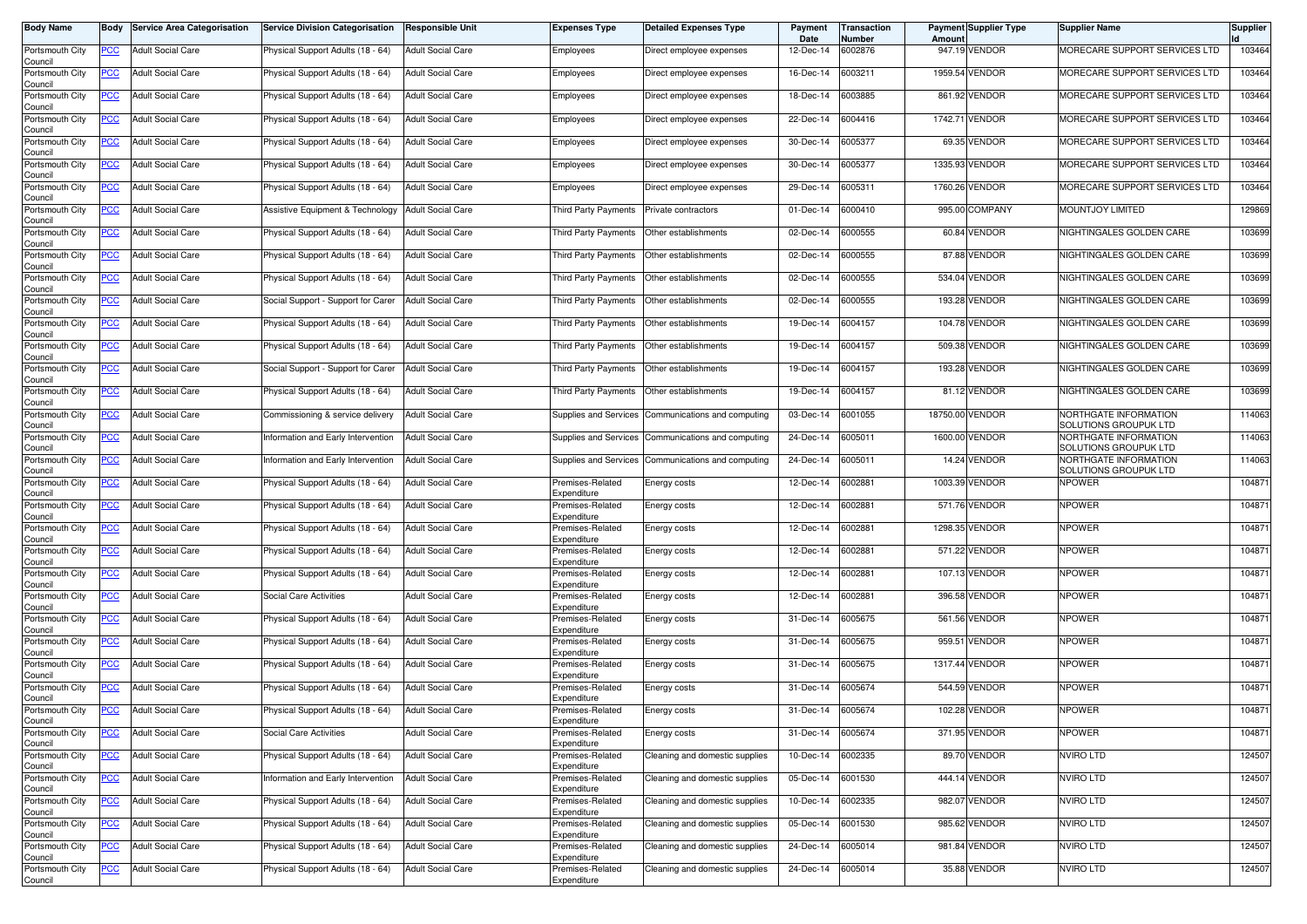| <b>Body Name</b>           | Body       | <b>Service Area Categorisation</b> | <b>Service Division Categorisation</b> | <b>Responsible Unit</b>  | <b>Expenses Type</b>            | <b>Detailed Expenses Type</b>                      | Payment<br>Date | Transaction<br>Number | Amoun    | <b>Payment Supplier Type</b> | <b>Supplier Name</b>                           | <b>Supplier</b> |
|----------------------------|------------|------------------------------------|----------------------------------------|--------------------------|---------------------------------|----------------------------------------------------|-----------------|-----------------------|----------|------------------------------|------------------------------------------------|-----------------|
| Portsmouth City<br>Council | PCC        | <b>Adult Social Care</b>           | Physical Support Adults (18 - 64)      | <b>Adult Social Care</b> | Employees                       | Direct employee expenses                           | 12-Dec-14       | 6002876               |          | 947.19 VENDOR                | MORECARE SUPPORT SERVICES LTD                  | 103464          |
| Portsmouth City<br>Council | <u>PCC</u> | <b>Adult Social Care</b>           | Physical Support Adults (18 - 64)      | <b>Adult Social Care</b> | Employees                       | Direct employee expenses                           | 16-Dec-14       | 6003211               |          | 1959.54 VENDOR               | MORECARE SUPPORT SERVICES LTD                  | 103464          |
| Portsmouth City<br>Council | <u>PCC</u> | <b>Adult Social Care</b>           | Physical Support Adults (18 - 64)      | <b>Adult Social Care</b> | Employees                       | Direct employee expenses                           | 18-Dec-14       | 6003885               |          | 861.92 VENDOR                | MORECARE SUPPORT SERVICES LTD                  | 103464          |
| Portsmouth City<br>Council | <u>PCC</u> | <b>Adult Social Care</b>           | Physical Support Adults (18 - 64)      | <b>Adult Social Care</b> | Employees                       | Direct employee expenses                           | 22-Dec-14       | 6004416               |          | 1742.71 VENDOR               | MORECARE SUPPORT SERVICES LTD                  | 103464          |
| Portsmouth City<br>Council | <b>PCC</b> | <b>Adult Social Care</b>           | Physical Support Adults (18 - 64)      | <b>Adult Social Care</b> | Employees                       | Direct employee expenses                           | 30-Dec-14       | 6005377               | 69.35    | <b>VENDOR</b>                | MORECARE SUPPORT SERVICES LTD                  | 103464          |
| Portsmouth City<br>Council | <u>PCC</u> | <b>Adult Social Care</b>           | Physical Support Adults (18 - 64)      | <b>Adult Social Care</b> | Employees                       | Direct employee expenses                           | 30-Dec-14       | 6005377               |          | 1335.93 VENDOR               | MORECARE SUPPORT SERVICES LTD                  | 103464          |
| Portsmouth City<br>Council | <u>PCC</u> | <b>Adult Social Care</b>           | Physical Support Adults (18 - 64)      | <b>Adult Social Care</b> | Employees                       | Direct employee expenses                           | 29-Dec-14       | 6005311               |          | 1760.26 VENDOR               | MORECARE SUPPORT SERVICES LTD                  | 103464          |
| Portsmouth City<br>Council | <u>PCC</u> | <b>Adult Social Care</b>           | Assistive Equipment & Technology       | <b>Adult Social Care</b> | Third Party Payments            | Private contractors                                | 01-Dec-14       | 6000410               |          | 995.00 COMPANY               | <b>MOUNTJOY LIMITED</b>                        | 129869          |
| Portsmouth City<br>Council | <b>PCC</b> | <b>Adult Social Care</b>           | Physical Support Adults (18 - 64)      | <b>Adult Social Care</b> | Third Party Payments            | Other establishments                               | 02-Dec-14       | 6000555               |          | 60.84 VENDOR                 | NIGHTINGALES GOLDEN CARE                       | 103699          |
| Portsmouth City<br>Council | PCC        | <b>Adult Social Care</b>           | Physical Support Adults (18 - 64)      | <b>Adult Social Care</b> | Third Party Payments            | Other establishments                               | 02-Dec-14       | 6000555               | 87.88    | <b>VENDOR</b>                | NIGHTINGALES GOLDEN CARE                       | 103699          |
| Portsmouth City<br>Council | <u>PCC</u> | <b>Adult Social Care</b>           | Physical Support Adults (18 - 64)      | <b>Adult Social Care</b> | Third Party Payments            | Other establishments                               | 02-Dec-14       | 6000555               |          | 534.04 VENDOR                | NIGHTINGALES GOLDEN CARE                       | 103699          |
| Portsmouth City<br>Council | <u>PCC</u> | <b>Adult Social Care</b>           | Social Support - Support for Carer     | <b>Adult Social Care</b> | Third Party Payments            | Other establishments                               | 02-Dec-14       | 6000555               |          | 193.28 VENDOR                | NIGHTINGALES GOLDEN CARE                       | 103699          |
| Portsmouth City<br>Council | PCC        | <b>Adult Social Care</b>           | Physical Support Adults (18 - 64)      | <b>Adult Social Care</b> | Third Party Payments            | Other establishments                               | 19-Dec-14       | 6004157               |          | 104.78 VENDOR                | NIGHTINGALES GOLDEN CARE                       | 103699          |
| Portsmouth City<br>Council | PCC        | <b>Adult Social Care</b>           | Physical Support Adults (18 - 64)      | <b>Adult Social Care</b> | Third Party Payments            | Other establishments                               | 19-Dec-14       | 6004157               | 509.38   | <b>VENDOR</b>                | NIGHTINGALES GOLDEN CARE                       | 103699          |
| Portsmouth City<br>Council | <u>PCC</u> | <b>Adult Social Care</b>           | Social Support - Support for Carer     | <b>Adult Social Care</b> | Third Party Payments            | Other establishments                               | 19-Dec-14       | 6004157               |          | 193.28 VENDOR                | NIGHTINGALES GOLDEN CARE                       | 103699          |
| Portsmouth City<br>Council | <u>PCC</u> | <b>Adult Social Care</b>           | Physical Support Adults (18 - 64)      | <b>Adult Social Care</b> | Third Party Payments            | Other establishments                               | 19-Dec-14       | 6004157               |          | 81.12 VENDOR                 | NIGHTINGALES GOLDEN CARE                       | 103699          |
| Portsmouth City<br>Council | PCC        | <b>Adult Social Care</b>           | Commissioning & service delivery       | <b>Adult Social Care</b> | <b>Supplies and Services</b>    | Communications and computing                       | 03-Dec-14       | 6001055               | 18750.00 | <b>VENDOR</b>                | NORTHGATE INFORMATION<br>SOLUTIONS GROUPUK LTD | 114063          |
| Portsmouth City<br>Council | <u>PCC</u> | <b>Adult Social Care</b>           | nformation and Early Intervention      | <b>Adult Social Care</b> | Supplies and Services           | Communications and computing                       | 24-Dec-14       | 6005011               |          | 1600.00 VENDOR               | NORTHGATE INFORMATION<br>SOLUTIONS GROUPUK LTD | 114063          |
| Portsmouth City<br>Council | PCC        | <b>Adult Social Care</b>           | Information and Early Intervention     | <b>Adult Social Care</b> |                                 | Supplies and Services Communications and computing | 24-Dec-14       | 6005011               |          | 14.24 VENDOR                 | NORTHGATE INFORMATION<br>SOLUTIONS GROUPUK LTD | 114063          |
| Portsmouth City<br>Council | <u>PCC</u> | <b>Adult Social Care</b>           | Physical Support Adults (18 - 64)      | <b>Adult Social Care</b> | Premises-Related<br>Expenditure | Energy costs                                       | 12-Dec-14       | 6002881               |          | 1003.39 VENDOR               | <b>NPOWER</b>                                  | 104871          |
| Portsmouth City<br>Council | <u>PCC</u> | <b>Adult Social Care</b>           | Physical Support Adults (18 - 64)      | <b>Adult Social Care</b> | Premises-Related<br>Expenditure | Energy costs                                       | 12-Dec-14       | 6002881               |          | 571.76 VENDOR                | <b>NPOWER</b>                                  | 104871          |
| Portsmouth City<br>Council | <u>PCC</u> | <b>Adult Social Care</b>           | Physical Support Adults (18 - 64)      | <b>Adult Social Care</b> | Premises-Related<br>Expenditure | Energy costs                                       | 12-Dec-14       | 6002881               | 1298.35  | <b>VENDOR</b>                | <b>NPOWER</b>                                  | 104871          |
| Portsmouth City<br>Council | <u>PCC</u> | <b>Adult Social Care</b>           | Physical Support Adults (18 - 64)      | <b>Adult Social Care</b> | Premises-Related<br>Expenditure | Energy costs                                       | 12-Dec-14       | 6002881               | 571.22   | <b>VENDOR</b>                | <b>NPOWER</b>                                  | 104871          |
| Portsmouth City<br>Council | <u>PCC</u> | <b>Adult Social Care</b>           | Physical Support Adults (18 - 64)      | <b>Adult Social Care</b> | Premises-Related<br>Expenditure | Energy costs                                       | 12-Dec-14       | 6002881               |          | 107.13 VENDOR                | <b>NPOWER</b>                                  | 104871          |
| Portsmouth City<br>Council | <u>PCC</u> | <b>Adult Social Care</b>           | Social Care Activities                 | <b>Adult Social Care</b> | Premises-Related<br>Expenditure | Energy costs                                       | 12-Dec-14       | 6002881               |          | 396.58 VENDOR                | <b>NPOWER</b>                                  | 104871          |
| Portsmouth City<br>Council | <b>PCC</b> | <b>Adult Social Care</b>           | Physical Support Adults (18 - 64)      | <b>Adult Social Care</b> | Premises-Related<br>Expenditure | Energy costs                                       | 31-Dec-14       | 6005675               |          | 561.56 VENDOR                | <b>NPOWER</b>                                  | 104871          |
| Portsmouth City<br>Council | <u>PCC</u> | <b>Adult Social Care</b>           | Physical Support Adults (18 - 64)      | <b>Adult Social Care</b> | Premises-Related<br>Expenditure | Energy costs                                       | 31-Dec-14       | 6005675               |          | 959.51 VENDOR                | <b>NPOWER</b>                                  | 104871          |
| Portsmouth City<br>Council | <u>PCC</u> | <b>Adult Social Care</b>           | Physical Support Adults (18 - 64)      | <b>Adult Social Care</b> | Premises-Related<br>Expenditure | Energy costs                                       | 31-Dec-14       | 6005675               |          | 1317.44 VENDOR               | <b>NPOWER</b>                                  | 104871          |
| Portsmouth City<br>Council | <u>PCC</u> | <b>Adult Social Care</b>           | Physical Support Adults (18 - 64)      | <b>Adult Social Care</b> | Premises-Related<br>Expenditure | Energy costs                                       | 31-Dec-14       | 6005674               |          | 544.59 VENDOR                | <b>NPOWER</b>                                  | 104871          |
| Portsmouth City<br>Council | <u>PCC</u> | <b>Adult Social Care</b>           | Physical Support Adults (18 - 64)      | <b>Adult Social Care</b> | Premises-Related<br>Expenditure | Energy costs                                       | 31-Dec-14       | 6005674               |          | 102.28 VENDOR                | <b>NPOWER</b>                                  | 104871          |
| Portsmouth City<br>Council | <b>PCC</b> | <b>Adult Social Care</b>           | Social Care Activities                 | <b>Adult Social Care</b> | Premises-Related<br>Expenditure | Energy costs                                       | 31-Dec-14       | 6005674               |          | 371.95 VENDOR                | <b>NPOWER</b>                                  | 104871          |
| Portsmouth City<br>Council | <u>PCC</u> | <b>Adult Social Care</b>           | Physical Support Adults (18 - 64)      | <b>Adult Social Care</b> | Premises-Related<br>Expenditure | Cleaning and domestic supplies                     | 10-Dec-14       | 6002335               |          | 89.70 VENDOR                 | <b>NVIRO LTD</b>                               | 124507          |
| Portsmouth City<br>Council | <u>PCC</u> | <b>Adult Social Care</b>           | Information and Early Intervention     | <b>Adult Social Care</b> | Premises-Related<br>Expenditure | Cleaning and domestic supplies                     | 05-Dec-14       | 6001530               |          | 444.14 VENDOR                | <b>NVIRO LTD</b>                               | 124507          |
| Portsmouth City<br>Council | <b>PCC</b> | <b>Adult Social Care</b>           | Physical Support Adults (18 - 64)      | <b>Adult Social Care</b> | Premises-Related<br>Expenditure | Cleaning and domestic supplies                     | 10-Dec-14       | 6002335               |          | 982.07 VENDOR                | <b>NVIRO LTD</b>                               | 124507          |
| Portsmouth City<br>Council | <u>PCC</u> | <b>Adult Social Care</b>           | Physical Support Adults (18 - 64)      | <b>Adult Social Care</b> | Premises-Related<br>Expenditure | Cleaning and domestic supplies                     | 05-Dec-14       | 6001530               |          | 985.62 VENDOR                | <b>NVIRO LTD</b>                               | 124507          |
| Portsmouth City<br>Council | <u>PCC</u> | <b>Adult Social Care</b>           | Physical Support Adults (18 - 64)      | <b>Adult Social Care</b> | Premises-Related<br>Expenditure | Cleaning and domestic supplies                     | 24-Dec-14       | 6005014               |          | 981.84 VENDOR                | <b>NVIRO LTD</b>                               | 124507          |
| Portsmouth City<br>Council | <b>PCC</b> | <b>Adult Social Care</b>           | Physical Support Adults (18 - 64)      | <b>Adult Social Care</b> | Premises-Related<br>Expenditure | Cleaning and domestic supplies                     | 24-Dec-14       | 6005014               |          | 35.88 VENDOR                 | <b>NVIRO LTD</b>                               | 124507          |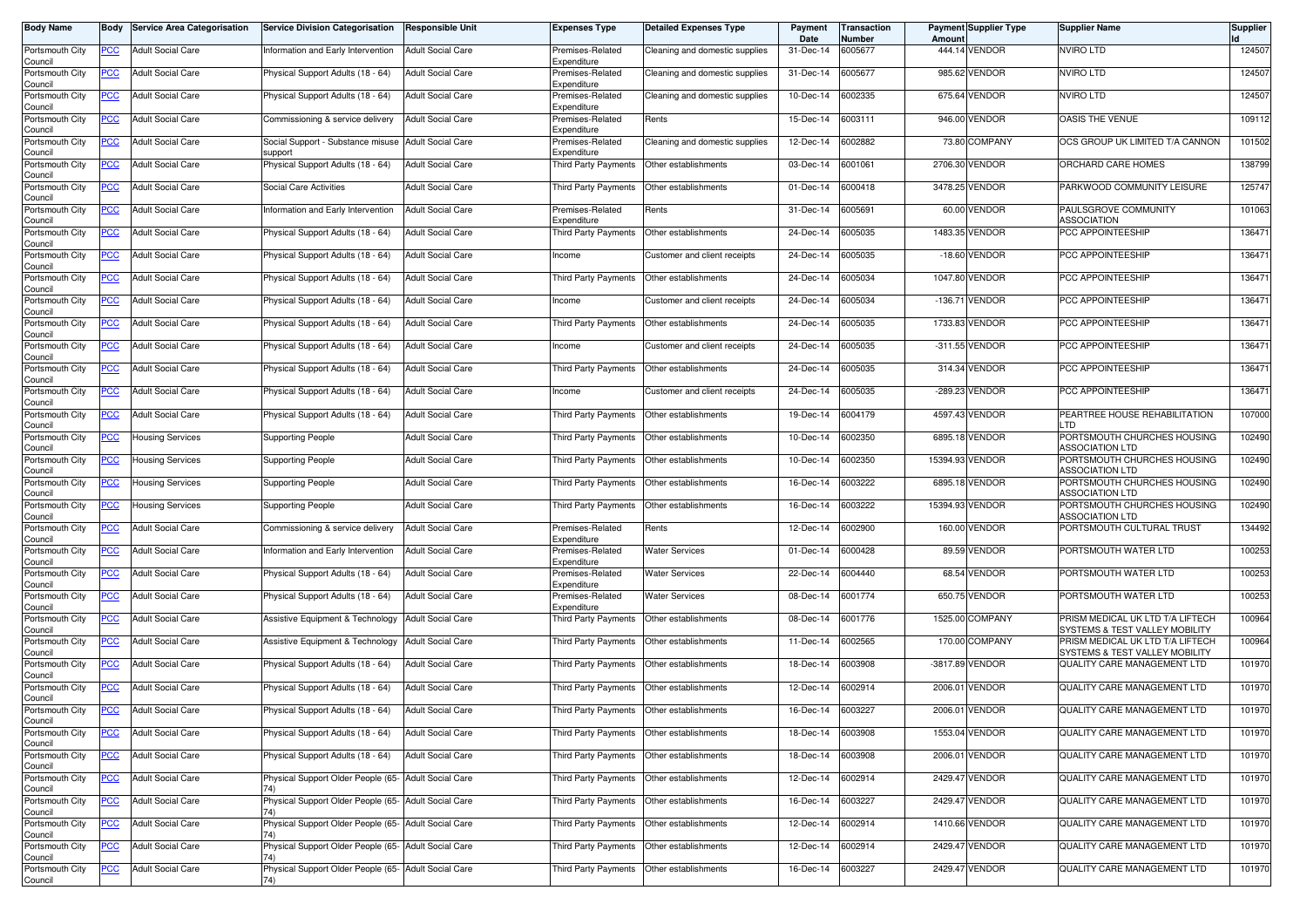| <b>Body Name</b>                      |                  | <b>Body Service Area Categorisation</b> | <b>Service Division Categorisation</b>                      | <b>Responsible Unit</b>  | <b>Expenses Type</b>                           | <b>Detailed Expenses Type</b>  | Payment<br>Date | <b>Transaction</b><br>Number | Amount    | <b>Payment Supplier Type</b> | <b>Supplier Name</b>                                               | <b>Supplier</b> |
|---------------------------------------|------------------|-----------------------------------------|-------------------------------------------------------------|--------------------------|------------------------------------------------|--------------------------------|-----------------|------------------------------|-----------|------------------------------|--------------------------------------------------------------------|-----------------|
| Portsmouth City<br>Council            | PCC              | <b>Adult Social Care</b>                | Information and Early Intervention                          | <b>Adult Social Care</b> | Premises-Related<br>Expenditure                | Cleaning and domestic supplies | 31-Dec-14       | 6005677                      |           | 444.14 VENDOR                | NVIRO LTD                                                          | 124507          |
| Portsmouth City<br>Council            | <u>PCC </u>      | <b>Adult Social Care</b>                | Physical Support Adults (18 - 64)                           | <b>Adult Social Care</b> | Premises-Related<br>Expenditure                | Cleaning and domestic supplies | 31-Dec-14       | 6005677                      |           | 985.62 VENDOR                | NVIRO LTD                                                          | 124507          |
| Portsmouth City                       | <u>PCC</u>       | <b>Adult Social Care</b>                | Physical Support Adults (18 - 64)                           | <b>Adult Social Care</b> | Premises-Related                               | Cleaning and domestic supplies | 10-Dec-14       | 6002335                      |           | 675.64 VENDOR                | <b>NVIRO LTD</b>                                                   | 124507          |
| Council<br>Portsmouth City<br>Council | <u>PCC</u>       | <b>Adult Social Care</b>                | Commissioning & service delivery                            | <b>Adult Social Care</b> | Expenditure<br>Premises-Related<br>Expenditure | Rents                          | 15-Dec-14       | 6003111                      |           | 946.00 VENDOR                | OASIS THE VENUE                                                    | 109112          |
| Portsmouth City                       | <u>PCC</u>       | <b>Adult Social Care</b>                | Social Support - Substance misuse Adult Social Care         |                          | Premises-Related<br>Expenditure                | Cleaning and domestic supplies | 12-Dec-14       | 6002882                      |           | 73.80 COMPANY                | OCS GROUP UK LIMITED T/A CANNON                                    | 101502          |
| Council<br>Portsmouth City            | <u>PCC </u>      | <b>Adult Social Care</b>                | support<br>Physical Support Adults (18 - 64)                | <b>Adult Social Care</b> | Third Party Payments                           | Other establishments           | 03-Dec-14       | 6001061                      |           | 2706.30 VENDOR               | ORCHARD CARE HOMES                                                 | 138799          |
| Council<br>Portsmouth City<br>Council | <u>PCC</u>       | <b>Adult Social Care</b>                | Social Care Activities                                      | <b>Adult Social Care</b> | Third Party Payments                           | Other establishments           | 01-Dec-14       | 6000418                      |           | 3478.25 VENDOR               | PARKWOOD COMMUNITY LEISURE                                         | 125747          |
| Portsmouth City                       | <u>PCC</u>       | <b>Adult Social Care</b>                | Information and Early Intervention                          | <b>Adult Social Care</b> | Premises-Related<br>Expenditure                | Rents                          | 31-Dec-14       | 6005691                      |           | 60.00 VENDOR                 | PAULSGROVE COMMUNITY<br><b>ASSOCIATION</b>                         | 101063          |
| Council<br>Portsmouth City            | <u>PCC</u>       | <b>Adult Social Care</b>                | Physical Support Adults (18 - 64)                           | <b>Adult Social Care</b> | Third Party Payments                           | Other establishments           | 24-Dec-14       | 6005035                      |           | 1483.35 VENDOR               | PCC APPOINTEESHIP                                                  | 136471          |
| Council<br>Portsmouth City            | PCC∶             | <b>Adult Social Care</b>                | Physical Support Adults (18 - 64)                           | <b>Adult Social Care</b> | Income                                         | Customer and client receipts   | 24-Dec-14       | 6005035                      |           | -18.60 VENDOR                | PCC APPOINTEESHIP                                                  | 136471          |
| Council<br>Portsmouth City            |                  | <b>Adult Social Care</b>                | Physical Support Adults (18 - 64)                           | <b>Adult Social Care</b> | Third Party Payments                           | Other establishments           | 24-Dec-14       | 6005034                      |           | 1047.80 VENDOR               | PCC APPOINTEESHIP                                                  | 136471          |
| Council<br>Portsmouth City            | <u>PCC</u>       | <b>Adult Social Care</b>                | Physical Support Adults (18 - 64)                           | <b>Adult Social Care</b> | Income                                         | Customer and client receipts   | 24-Dec-14       | 6005034                      | $-136.71$ | <b>VENDOR</b>                | PCC APPOINTEESHIP                                                  | 136471          |
| Council<br>Portsmouth City            | PCC              | <b>Adult Social Care</b>                | Physical Support Adults (18 - 64)                           | <b>Adult Social Care</b> | Third Party Payments                           | Other establishments           | 24-Dec-14       | 6005035                      |           | 1733.83 VENDOR               | PCC APPOINTEESHIP                                                  | 136471          |
| Council<br>Portsmouth City            | <u>PCC</u>       | <b>Adult Social Care</b>                | Physical Support Adults (18 - 64)                           | <b>Adult Social Care</b> | Income                                         | Customer and client receipts   | 24-Dec-14       | 6005035                      |           | -311.55 VENDOR               | PCC APPOINTEESHIP                                                  | 136471          |
| Council<br>Portsmouth City            |                  | <b>Adult Social Care</b>                | Physical Support Adults (18 - 64)                           | <b>Adult Social Care</b> | Third Party Payments                           | Other establishments           | 24-Dec-14       | 6005035                      |           | 314.34 VENDOR                | PCC APPOINTEESHIP                                                  | 136471          |
| Council                               | <u>PCC </u>      |                                         |                                                             |                          |                                                |                                |                 |                              |           | -289.23 VENDOR               |                                                                    |                 |
| Portsmouth City<br>Council            | <u>PCC</u>       | <b>Adult Social Care</b>                | Physical Support Adults (18 - 64)                           | <b>Adult Social Care</b> | Income                                         | Customer and client receipts   | 24-Dec-14       | 6005035                      |           |                              | PCC APPOINTEESHIP                                                  | 136471          |
| Portsmouth City<br>Council            | <u>PCC</u>       | <b>Adult Social Care</b>                | Physical Support Adults (18 - 64)                           | <b>Adult Social Care</b> | Third Party Payments                           | Other establishments           | 19-Dec-14       | 6004179                      |           | 4597.43 VENDOR               | PEARTREE HOUSE REHABILITATION<br>LTD                               | 107000          |
| Portsmouth City<br>Council            | <u>PCC</u>       | Housing Services                        | Supporting People                                           | <b>Adult Social Care</b> | Third Party Payments                           | Other establishments           | 10-Dec-14       | 6002350                      |           | 6895.18 VENDOR               | PORTSMOUTH CHURCHES HOUSING<br><b>ASSOCIATION LTD</b>              | 102490          |
| Portsmouth City<br>Council            | <u>PCC</u>       | Housing Services                        | <b>Supporting People</b>                                    | <b>Adult Social Care</b> | Third Party Payments                           | Other establishments           | 10-Dec-14       | 6002350                      |           | 15394.93 VENDOR              | PORTSMOUTH CHURCHES HOUSING<br>ASSOCIATION LTD                     | 102490          |
| Portsmouth City<br>Council            | <u>PCC</u>       | Housing Services                        | <b>Supporting People</b>                                    | <b>Adult Social Care</b> | Third Party Payments                           | Other establishments           | 16-Dec-14       | 6003222                      |           | 6895.18 VENDOR               | PORTSMOUTH CHURCHES HOUSING<br><b>ASSOCIATION LTD</b>              | 102490          |
| Portsmouth City<br>Council            | <u>PCC</u>       | Housing Services                        | <b>Supporting People</b>                                    | <b>Adult Social Care</b> | Third Party Payments                           | Other establishments           | 16-Dec-14       | 6003222                      |           | 15394.93 VENDOR              | PORTSMOUTH CHURCHES HOUSING<br><b>ASSOCIATION LTD</b>              | 102490          |
| Portsmouth City<br>Council            | $\overline{PCC}$ | <b>Adult Social Care</b>                | Commissioning & service delivery                            | <b>Adult Social Care</b> | Premises-Related<br>Expenditure                | Rents                          | 12-Dec-14       | 6002900                      |           | 160.00 VENDOR                | PORTSMOUTH CULTURAL TRUST                                          | 134492          |
| Portsmouth City<br>Council            | <u>PCC</u>       | <b>Adult Social Care</b>                | Information and Early Intervention                          | <b>Adult Social Care</b> | Premises-Related<br>Expenditure                | <b>Water Services</b>          | 01-Dec-14       | 6000428                      |           | 89.59 VENDOR                 | PORTSMOUTH WATER LTD                                               | 100253          |
| Portsmouth City                       | <u>PCC</u>       | <b>Adult Social Care</b>                | Physical Support Adults (18 - 64)                           | <b>Adult Social Care</b> | Premises-Related                               | <b>Water Services</b>          | 22-Dec-14       | 6004440                      | 68.54     | <b>VENDOR</b>                | PORTSMOUTH WATER LTD                                               | 100253          |
| Council<br>Portsmouth City            | <u>PCC</u>       | <b>Adult Social Care</b>                | Physical Support Adults (18 - 64)                           | <b>Adult Social Care</b> | Expenditure<br>Premises-Related                | <b>Water Services</b>          | 08-Dec-14       | 6001774                      |           | 650.75 VENDOR                | PORTSMOUTH WATER LTD                                               | 100253          |
| Council<br>Portsmouth City            | <u>PCC</u>       | <b>Adult Social Care</b>                | Assistive Equipment & Technology                            | <b>Adult Social Care</b> | Expenditure<br>Third Party Payments            | Other establishments           | 08-Dec-14       | 6001776                      |           | 1525.00 COMPANY              | PRISM MEDICAL UK LTD T/A LIFTECH                                   | 100964          |
| Council<br>Portsmouth City            | <u>PCC</u>       | <b>Adult Social Care</b>                | Assistive Equipment & Technology                            | <b>Adult Social Care</b> | Third Party Payments                           | Other establishments           | 11-Dec-14       | 6002565                      |           | 170.00 COMPANY               | SYSTEMS & TEST VALLEY MOBILITY<br>PRISM MEDICAL UK LTD T/A LIFTECH | 100964          |
| Council<br>Portsmouth City            | <u>PCC</u>       | <b>Adult Social Care</b>                | Physical Support Adults (18 - 64)                           | <b>Adult Social Care</b> | Third Party Payments                           | Other establishments           | 18-Dec-14       | 6003908                      |           | -3817.89 VENDOR              | SYSTEMS & TEST VALLEY MOBILITY<br>QUALITY CARE MANAGEMENT LTD      | 101970          |
| Council<br>Portsmouth City            | <u>PCC</u>       | <b>Adult Social Care</b>                | Physical Support Adults (18 - 64)                           | <b>Adult Social Care</b> | Third Party Payments                           | Other establishments           | 12-Dec-14       | 6002914                      |           | 2006.01 VENDOR               | QUALITY CARE MANAGEMENT LTD                                        | 101970          |
| Council<br>Portsmouth City            | <u>PCC</u>       | <b>Adult Social Care</b>                | Physical Support Adults (18 - 64)                           | <b>Adult Social Care</b> | Third Party Payments                           | Other establishments           | 16-Dec-14       | 6003227                      |           | 2006.01 VENDOR               | QUALITY CARE MANAGEMENT LTD                                        | 101970          |
| Council<br>Portsmouth City            | <b>PCC</b>       | <b>Adult Social Care</b>                | Physical Support Adults (18 - 64)                           | <b>Adult Social Care</b> | Third Party Payments                           | Other establishments           | 18-Dec-14       | 6003908                      |           | 1553.04 VENDOR               | QUALITY CARE MANAGEMENT LTD                                        | 101970          |
| Council<br>Portsmouth City            |                  |                                         |                                                             |                          |                                                |                                |                 |                              |           | 2006.01 VENDOR               |                                                                    |                 |
| Council                               | <u>PCC</u>       | <b>Adult Social Care</b>                | Physical Support Adults (18 - 64)                           | <b>Adult Social Care</b> | Third Party Payments                           | Other establishments           | 18-Dec-14       | 6003908                      |           |                              | QUALITY CARE MANAGEMENT LTD                                        | 101970          |
| Portsmouth City<br>Council            | <u>PCC</u>       | <b>Adult Social Care</b>                | Physical Support Older People (65- Adult Social Care<br>74) |                          | Third Party Payments                           | Other establishments           | 12-Dec-14       | 6002914                      |           | 2429.47 VENDOR               | QUALITY CARE MANAGEMENT LTD                                        | 101970          |
| Portsmouth City<br>Council            | <b>PCC</b>       | <b>Adult Social Care</b>                | Physical Support Older People (65- Adult Social Care        |                          | <b>Third Party Payments</b>                    | Other establishments           | 16-Dec-14       | 6003227                      |           | 2429.47 VENDOR               | QUALITY CARE MANAGEMENT LTD                                        | 101970          |
| Portsmouth City<br>Council            |                  | <b>Adult Social Care</b>                | Physical Support Older People (65- Adult Social Care        |                          | Third Party Payments                           | Other establishments           | 12-Dec-14       | 6002914                      |           | 1410.66 VENDOR               | QUALITY CARE MANAGEMENT LTD                                        | 101970          |
| Portsmouth City<br>Council            | <u>PCC</u>       | <b>Adult Social Care</b>                | Physical Support Older People (65- Adult Social Care<br>74) |                          | Third Party Payments                           | Other establishments           | 12-Dec-14       | 6002914                      |           | 2429.47 VENDOR               | QUALITY CARE MANAGEMENT LTD                                        | 101970          |
| Portsmouth City<br>Council            | <u>PCC</u>       | <b>Adult Social Care</b>                | Physical Support Older People (65- Adult Social Care        |                          | Third Party Payments                           | Other establishments           | 16-Dec-14       | 6003227                      |           | 2429.47 VENDOR               | QUALITY CARE MANAGEMENT LTD                                        | 101970          |
|                                       |                  |                                         |                                                             |                          |                                                |                                |                 |                              |           |                              |                                                                    |                 |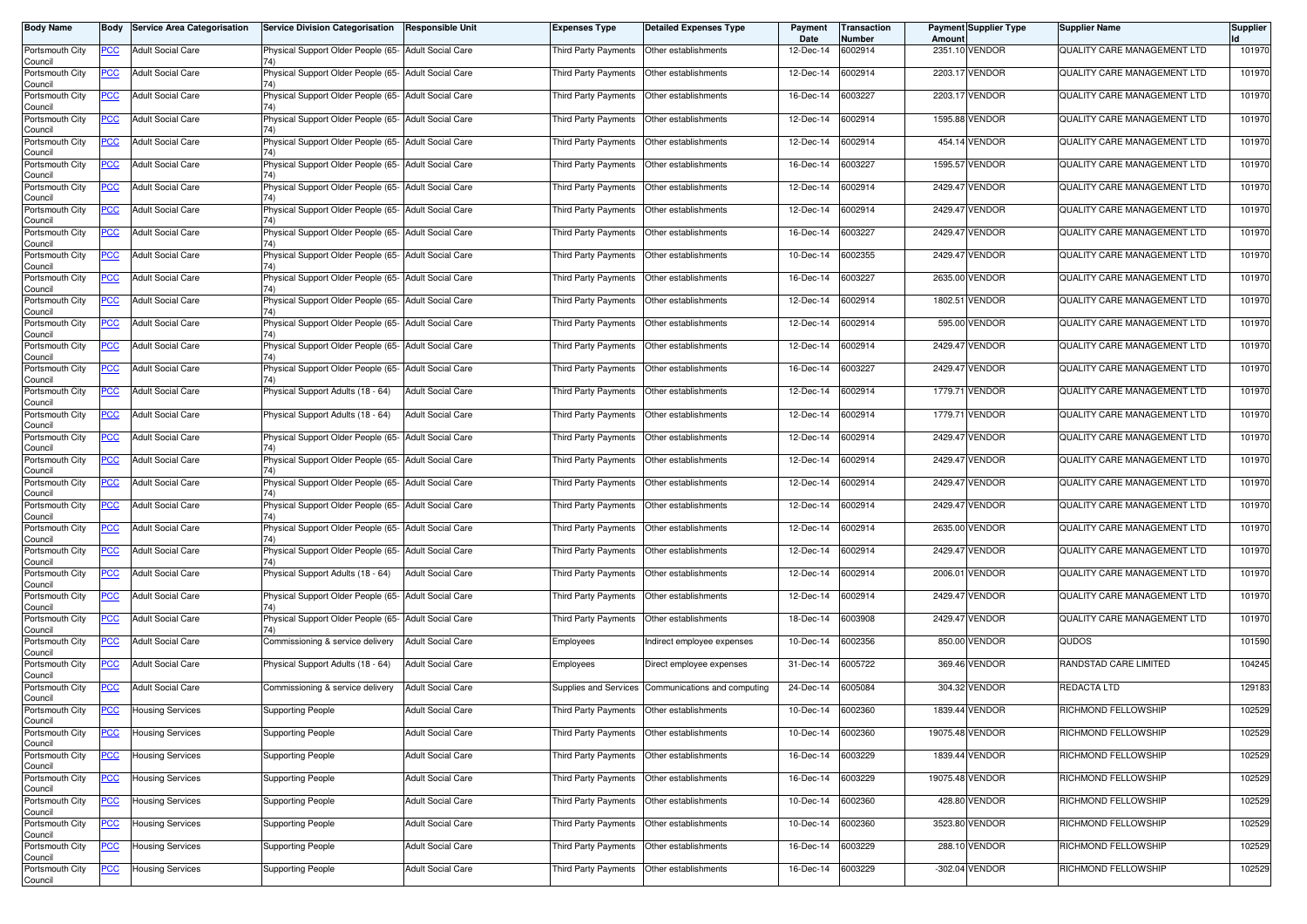| <b>Body Name</b>                              | Body       | <b>Service Area Categorisation</b> | <b>Service Division Categorisation</b>                      | <b>Responsible Unit</b>  | <b>Expenses Type</b>        | <b>Detailed Expenses Type</b> | Payment<br>Date | Transaction<br>Number | Amount  | <b>Payment Supplier Type</b> | <b>Supplier Name</b>        | <b>Supplier</b> |
|-----------------------------------------------|------------|------------------------------------|-------------------------------------------------------------|--------------------------|-----------------------------|-------------------------------|-----------------|-----------------------|---------|------------------------------|-----------------------------|-----------------|
| Portsmouth City<br>Council                    | <b>PCC</b> | <b>Adult Social Care</b>           | Physical Support Older People (65- Adult Social Care        |                          | Third Party Payments        | Other establishments          | 12-Dec-14       | 6002914               |         | 2351.10 VENDOR               | QUALITY CARE MANAGEMENT LTD | 101970          |
| Portsmouth City<br>Council                    | <u>PCC</u> | <b>Adult Social Care</b>           | Physical Support Older People (65- Adult Social Care        |                          | Third Party Payments        | Other establishments          | 12-Dec-14       | 6002914               |         | 2203.17 VENDOR               | QUALITY CARE MANAGEMENT LTD | 101970          |
| Portsmouth City<br>Council                    | <u>PCC</u> | <b>Adult Social Care</b>           | Physical Support Older People (65- Adult Social Care        |                          | Third Party Payments        | Other establishments          | 16-Dec-14       | 6003227               |         | 2203.17 VENDOR               | QUALITY CARE MANAGEMENT LTD | 101970          |
| Portsmouth City<br>Council                    | <b>PCC</b> | <b>Adult Social Care</b>           | Physical Support Older People (65- Adult Social Care        |                          | Third Party Payments        | Other establishments          | 12-Dec-14       | 6002914               |         | 1595.88 VENDOR               | QUALITY CARE MANAGEMENT LTD | 101970          |
| Portsmouth City<br>Council                    | <b>PCC</b> | <b>Adult Social Care</b>           | Physical Support Older People (65- Adult Social Care        |                          | Third Party Payments        | Other establishments          | 12-Dec-14       | 6002914               |         | 454.14 VENDOR                | QUALITY CARE MANAGEMENT LTD | 101970          |
| Portsmouth City<br>Council                    | <u>PCC</u> | <b>Adult Social Care</b>           | Physical Support Older People (65- Adult Social Care<br>74  |                          | Third Party Payments        | Other establishments          | 16-Dec-14       | 6003227               |         | 1595.57 VENDOR               | QUALITY CARE MANAGEMENT LTD | 101970          |
| Portsmouth City<br>Council                    | <u>PCC</u> | <b>Adult Social Care</b>           | Physical Support Older People (65- Adult Social Care        |                          | Third Party Payments        | Other establishments          | 12-Dec-14       | 6002914               |         | 2429.47 VENDOR               | QUALITY CARE MANAGEMENT LTD | 101970          |
| Portsmouth City<br>Council                    | <b>PCC</b> | <b>Adult Social Care</b>           | Physical Support Older People (65- Adult Social Care<br>74) |                          | Third Party Payments        | Other establishments          | 12-Dec-14       | 6002914               |         | 2429.47 VENDOR               | QUALITY CARE MANAGEMENT LTD | 101970          |
| Portsmouth City<br>Council                    | <b>PCC</b> | <b>Adult Social Care</b>           | Physical Support Older People (65- Adult Social Care        |                          | Third Party Payments        | Other establishments          | 16-Dec-14       | 6003227               |         | 2429.47 VENDOR               | QUALITY CARE MANAGEMENT LTD | 101970          |
| Portsmouth City<br>Council                    | PCC        | <b>Adult Social Care</b>           | Physical Support Older People (65- Adult Social Care        |                          | Third Party Payments        | Other establishments          | 10-Dec-14       | 6002355               |         | 2429.47 VENDOR               | QUALITY CARE MANAGEMENT LTD | 101970          |
| Portsmouth City<br>Council                    | <u>PCC</u> | <b>Adult Social Care</b>           | Physical Support Older People (65- Adult Social Care        |                          | Third Party Payments        | Other establishments          | 16-Dec-14       | 6003227               |         | 2635.00 VENDOR               | QUALITY CARE MANAGEMENT LTD | 101970          |
| Portsmouth City<br>Council                    | <u>PCC</u> | <b>Adult Social Care</b>           | Physical Support Older People (65- Adult Social Care        |                          | Third Party Payments        | Other establishments          | 12-Dec-14       | 6002914               | 1802.51 | <b>VENDOR</b>                | QUALITY CARE MANAGEMENT LTD | 101970          |
| Portsmouth City<br>Council                    | PCC        | <b>Adult Social Care</b>           | Physical Support Older People (65- Adult Social Care        |                          | Third Party Payments        | Other establishments          | 12-Dec-14       | 6002914               |         | 595.00 VENDOR                | QUALITY CARE MANAGEMENT LTD | 101970          |
| Portsmouth City<br>Council                    | <u>PCC</u> | <b>Adult Social Care</b>           | Physical Support Older People (65- Adult Social Care<br>74) |                          | Third Party Payments        | Other establishments          | 12-Dec-14       | 6002914               |         | 2429.47 VENDOR               | QUALITY CARE MANAGEMENT LTD | 101970          |
| Portsmouth City<br>Council                    | PCC        | <b>Adult Social Care</b>           | Physical Support Older People (65- Adult Social Care        |                          | Third Party Payments        | Other establishments          | 16-Dec-14       | 6003227               |         | 2429.47 VENDOR               | QUALITY CARE MANAGEMENT LTD | 101970          |
| Portsmouth City<br>Council                    | <b>PCC</b> | <b>Adult Social Care</b>           | Physical Support Adults (18 - 64)                           | <b>Adult Social Care</b> | Third Party Payments        | Other establishments          | 12-Dec-14       | 6002914               |         | 1779.71 VENDOR               | QUALITY CARE MANAGEMENT LTD | 101970          |
| Portsmouth City<br>Council                    | <b>PCC</b> | <b>Adult Social Care</b>           | Physical Support Adults (18 - 64)                           | <b>Adult Social Care</b> | Third Party Payments        | Other establishments          | 12-Dec-14       | 6002914               |         | 1779.71 VENDOR               | QUALITY CARE MANAGEMENT LTD | 101970          |
| Portsmouth City<br>Council                    | PCC        | <b>Adult Social Care</b>           | Physical Support Older People (65- Adult Social Care        |                          | Third Party Payments        | Other establishments          | 12-Dec-14       | 6002914               |         | 2429.47 VENDOR               | QUALITY CARE MANAGEMENT LTD | 101970          |
| Portsmouth City<br>Council                    | PCC        | <b>Adult Social Care</b>           | Physical Support Older People (65- Adult Social Care        |                          | Third Party Payments        | Other establishments          | 12-Dec-14       | 6002914               | 2429.47 | <b>VENDOR</b>                | QUALITY CARE MANAGEMENT LTD | 101970          |
| Portsmouth City<br>Council                    | <u>PCC</u> | <b>Adult Social Care</b>           | Physical Support Older People (65- Adult Social Care        |                          | Third Party Payments        | Other establishments          | 12-Dec-14       | 6002914               |         | 2429.47 VENDOR               | QUALITY CARE MANAGEMENT LTD | 101970          |
| Portsmouth City<br>Council                    | <u>PCC</u> | <b>Adult Social Care</b>           | Physical Support Older People (65- Adult Social Care<br>74) |                          | Third Party Payments        | Other establishments          | 12-Dec-14       | 6002914               |         | 2429.47 VENDOR               | QUALITY CARE MANAGEMENT LTD | 101970          |
| Portsmouth City<br>Council                    | <u>PCC</u> | <b>Adult Social Care</b>           | Physical Support Older People (65- Adult Social Care<br>74) |                          | Third Party Payments        | Other establishments          | 12-Dec-14       | 6002914               |         | 2635.00 VENDOR               | QUALITY CARE MANAGEMENT LTD | 101970          |
| Portsmouth City<br>Council                    | <u>PCC</u> | <b>Adult Social Care</b>           | Physical Support Older People (65- Adult Social Care        |                          | Third Party Payments        | Other establishments          | 12-Dec-14       | 6002914               |         | 2429.47 VENDOR               | QUALITY CARE MANAGEMENT LTD | 101970          |
| Portsmouth City<br>Council                    | <u>PCC</u> | <b>Adult Social Care</b>           | Physical Support Adults (18 - 64)                           | <b>Adult Social Care</b> | Third Party Payments        | Other establishments          | 12-Dec-14       | 6002914               |         | 2006.01 VENDOR               | QUALITY CARE MANAGEMENT LTD | 101970          |
| Portsmouth City<br>Council                    | <u>PCC</u> | <b>Adult Social Care</b>           | Physical Support Older People (65- Adult Social Care<br>74) |                          | Third Party Payments        | Other establishments          | 12-Dec-14       | 6002914               |         | 2429.47 VENDOR               | QUALITY CARE MANAGEMENT LTD | 101970          |
| Portsmouth City<br>Council                    | <b>PCC</b> | <b>Adult Social Care</b>           | Physical Support Older People (65- Adult Social Care        |                          | Third Party Payments        | Other establishments          | 18-Dec-14       | 6003908               |         | 2429.47 VENDOR               | QUALITY CARE MANAGEMENT LTD | 101970          |
| Portsmouth City<br>Council                    | <b>PCC</b> | <b>Adult Social Care</b>           | Commissioning & service delivery                            | <b>Adult Social Care</b> | Employees                   | Indirect employee expenses    | 10-Dec-14       | 6002356               |         | 850.00 VENDOR                | QUDOS                       | 101590          |
| Portsmouth City<br>Council                    | <u>PCC</u> | <b>Adult Social Care</b>           | Physical Support Adults (18 - 64)                           | <b>Adult Social Care</b> | Employees                   | Direct employee expenses      | 31-Dec-14       | 6005722               |         | 369.46 VENDOR                | RANDSTAD CARE LIMITED       | 104245          |
| Portsmouth City<br>Council                    | <u>PCC</u> | <b>Adult Social Care</b>           | Commissioning & service delivery                            | <b>Adult Social Care</b> | Supplies and Services       | Communications and computing  | 24-Dec-14       | 6005084               |         | 304.32 VENDOR                | <b>REDACTA LTD</b>          | 129183          |
| Portsmouth City<br>Council<br>Portsmouth City | <u>PCC</u> | <b>Housing Services</b>            | <b>Supporting People</b>                                    | <b>Adult Social Care</b> | Third Party Payments        | Other establishments          | 10-Dec-14       | 6002360               |         | 1839.44 VENDOR               | RICHMOND FELLOWSHIP         | 102529          |
| Council                                       | <b>PCC</b> | Housing Services                   | <b>Supporting People</b>                                    | <b>Adult Social Care</b> | Third Party Payments        | Other establishments          | 10-Dec-14       | 6002360               |         | 19075.48 VENDOR              | RICHMOND FELLOWSHIP         | 102529          |
| Portsmouth City<br>Council                    | <u>PCC</u> | Housing Services                   | <b>Supporting People</b>                                    | <b>Adult Social Care</b> | <b>Third Party Payments</b> | Other establishments          | 16-Dec-14       | 6003229               |         | 1839.44 VENDOR               | RICHMOND FELLOWSHIP         | 102529          |
| Portsmouth City<br>Council                    | <b>PCC</b> | <b>Housing Services</b>            | <b>Supporting People</b>                                    | <b>Adult Social Care</b> | Third Party Payments        | Other establishments          | 16-Dec-14       | 6003229               |         | 19075.48 VENDOR              | RICHMOND FELLOWSHIP         | 102529          |
| Portsmouth City<br>Council<br>Portsmouth City | <b>PCC</b> | <b>Housing Services</b>            | <b>Supporting People</b>                                    | <b>Adult Social Care</b> | Third Party Payments        | Other establishments          | 10-Dec-14       | 6002360               |         | 428.80 VENDOR                | RICHMOND FELLOWSHIP         | 102529          |
| Council                                       | <u>PCC</u> | Housing Services                   | <b>Supporting People</b>                                    | <b>Adult Social Care</b> | Third Party Payments        | Other establishments          | 10-Dec-14       | 6002360               |         | 3523.80 VENDOR               | RICHMOND FELLOWSHIP         | 102529          |
| Portsmouth City<br>Council                    | <b>PCC</b> | Housing Services                   | <b>Supporting People</b>                                    | <b>Adult Social Care</b> | Third Party Payments        | Other establishments          | 16-Dec-14       | 6003229               |         | 288.10 VENDOR                | RICHMOND FELLOWSHIP         | 102529          |
| Portsmouth City<br>Council                    | <u>PCC</u> | <b>Housing Services</b>            | <b>Supporting People</b>                                    | <b>Adult Social Care</b> | Third Party Payments        | Other establishments          | 16-Dec-14       | 6003229               |         | -302.04 VENDOR               | RICHMOND FELLOWSHIP         | 102529          |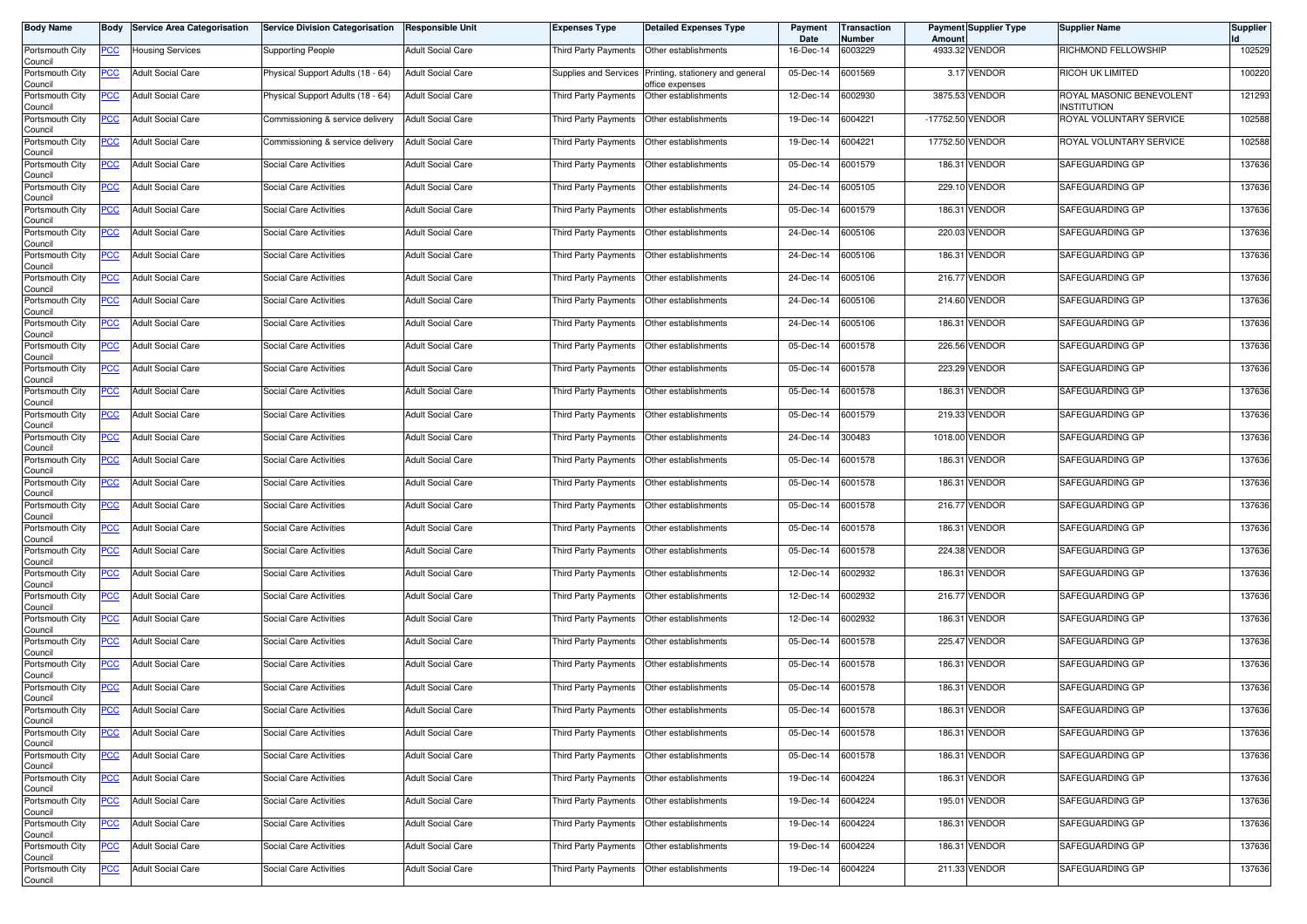| <b>Body Name</b>                      | Body           | <b>Service Area Categorisation</b> | <b>Service Division Categorisation</b> | <b>Responsible Unit</b>  | Expenses Type               | <b>Detailed Expenses Type</b>                       | Payment<br>Date | Transaction<br>Number | Amount           | <b>Payment Supplier Type</b> | <b>Supplier Name</b>                    | <b>Supplier</b> |
|---------------------------------------|----------------|------------------------------------|----------------------------------------|--------------------------|-----------------------------|-----------------------------------------------------|-----------------|-----------------------|------------------|------------------------------|-----------------------------------------|-----------------|
| Portsmouth City<br>Council            | PCC            | <b>Housing Services</b>            | <b>Supporting People</b>               | <b>Adult Social Care</b> | Third Party Payments        | Other establishments                                | 16-Dec-14       | 6003229               |                  | 4933.32 VENDOR               | RICHMOND FELLOWSHIP                     | 102529          |
| Portsmouth City<br>Council            | ∍CC            | <b>Adult Social Care</b>           | Physical Support Adults (18 - 64)      | <b>Adult Social Care</b> | Supplies and Services       | Printing, stationery and general<br>office expenses | 05-Dec-14       | 6001569               |                  | 3.17 VENDOR                  | RICOH UK LIMITED                        | 100220          |
| Portsmouth City<br>Council            | <u>PCC</u>     | <b>Adult Social Care</b>           | Physical Support Adults (18 - 64)      | <b>Adult Social Care</b> | Third Party Payments        | Other establishments                                | 12-Dec-14       | 6002930               |                  | 3875.53 VENDOR               | ROYAL MASONIC BENEVOLENT<br>INSTITUTION | 121293          |
| Portsmouth City<br>Council            | <b>PCC</b>     | <b>Adult Social Care</b>           | Commissioning & service delivery       | <b>Adult Social Care</b> | Third Party Payments        | Other establishments                                | 19-Dec-14       | 6004221               | -17752.50 VENDOR |                              | ROYAL VOLUNTARY SERVICE                 | 102588          |
| Portsmouth City<br>Council            | <u>PCC</u>     | <b>Adult Social Care</b>           | Commissioning & service delivery       | <b>Adult Social Care</b> | Third Party Payments        | Other establishments                                | 19-Dec-14       | 6004221               |                  | 17752.50 VENDOR              | ROYAL VOLUNTARY SERVICE                 | 102588          |
| Portsmouth City<br>Council            | <u>PCC</u>     | <b>Adult Social Care</b>           | Social Care Activities                 | <b>Adult Social Care</b> | Third Party Payments        | Other establishments                                | 05-Dec-14       | 6001579               |                  | 186.31 VENDOR                | SAFEGUARDING GP                         | 137636          |
| Portsmouth City<br>Council            | <u>PCC</u>     | <b>Adult Social Care</b>           | Social Care Activities                 | <b>Adult Social Care</b> | Third Party Payments        | Other establishments                                | 24-Dec-14       | 6005105               |                  | 229.10 VENDOR                | SAFEGUARDING GP                         | 137636          |
| Portsmouth City<br>Council            | <u>PCC</u>     | <b>Adult Social Care</b>           | Social Care Activities                 | <b>Adult Social Care</b> | Third Party Payments        | Other establishments                                | 05-Dec-14       | 6001579               | 186.31           | <b>VENDOR</b>                | SAFEGUARDING GP                         | 137636          |
| Portsmouth City<br>Council            | $\overline{C}$ | <b>Adult Social Care</b>           | Social Care Activities                 | <b>Adult Social Care</b> | Third Party Payments        | Other establishments                                | 24-Dec-14       | 6005106               |                  | 220.03 VENDOR                | SAFEGUARDING GP                         | 137636          |
| Portsmouth City<br>Council            | PCC            | <b>Adult Social Care</b>           | Social Care Activities                 | <b>Adult Social Care</b> | Third Party Payments        | Other establishments                                | 24-Dec-14       | 6005106               | 186.31           | <b>VENDOR</b>                | SAFEGUARDING GP                         | 137636          |
| Portsmouth City<br>Council            | <u>PCC</u>     | <b>Adult Social Care</b>           | Social Care Activities                 | <b>Adult Social Care</b> | Third Party Payments        | Other establishments                                | 24-Dec-14       | 6005106               |                  | 216.77 VENDOR                | SAFEGUARDING GP                         | 137636          |
| Portsmouth City<br>Council            | <u>PCC</u>     | <b>Adult Social Care</b>           | Social Care Activities                 | <b>Adult Social Care</b> | Third Party Payments        | Other establishments                                | 24-Dec-14       | 6005106               |                  | 214.60 VENDOR                | SAFEGUARDING GP                         | 137636          |
| Portsmouth City<br>Council            | PCC            | <b>Adult Social Care</b>           | Social Care Activities                 | <b>Adult Social Care</b> | Third Party Payments        | Other establishments                                | 24-Dec-14       | 6005106               | 186.31           | VENDOR                       | SAFEGUARDING GP                         | 137636          |
| Portsmouth City<br>Council            | <u>PCC</u>     | <b>Adult Social Care</b>           | Social Care Activities                 | <b>Adult Social Care</b> | Third Party Payments        | Other establishments                                | 05-Dec-14       | 6001578               |                  | 226.56 VENDOR                | SAFEGUARDING GP                         | 137636          |
| Portsmouth City<br>Council            | <u>PCC</u>     | <b>Adult Social Care</b>           | Social Care Activities                 | <b>Adult Social Care</b> | Third Party Payments        | Other establishments                                | 05-Dec-14       | 6001578               |                  | 223.29 VENDOR                | SAFEGUARDING GP                         | 137636          |
| Portsmouth City<br>Council            | <u>PCC</u>     | <b>Adult Social Care</b>           | Social Care Activities                 | <b>Adult Social Care</b> | Third Party Payments        | Other establishments                                | 05-Dec-14       | 6001578               |                  | 186.31 VENDOR                | SAFEGUARDING GP                         | 137636          |
| Portsmouth City<br>Council            | PCC            | <b>Adult Social Care</b>           | Social Care Activities                 | <b>Adult Social Care</b> | Third Party Payments        | Other establishments                                | 05-Dec-14       | 6001579               |                  | 219.33 VENDOR                | SAFEGUARDING GP                         | 137636          |
| Portsmouth City<br>Council            | <u>PCC</u>     | <b>Adult Social Care</b>           | Social Care Activities                 | <b>Adult Social Care</b> | Third Party Payments        | Other establishments                                | 24-Dec-14       | 300483                |                  | 1018.00 VENDOR               | SAFEGUARDING GP                         | 137636          |
| Portsmouth City<br>Council            | <u>PCC</u>     | <b>Adult Social Care</b>           | Social Care Activities                 | <b>Adult Social Care</b> | Third Party Payments        | Other establishments                                | 05-Dec-14       | 6001578               | 186.31           | <b>VENDOR</b>                | SAFEGUARDING GP                         | 137636          |
| Portsmouth City<br>Council            | PCC            | <b>Adult Social Care</b>           | Social Care Activities                 | <b>Adult Social Care</b> | Third Party Payments        | Other establishments                                | 05-Dec-14       | 6001578               | 186.31           | <b>VENDOR</b>                | SAFEGUARDING GP                         | 137636          |
| Portsmouth City<br>Council            | <u>PCC</u>     | <b>Adult Social Care</b>           | Social Care Activities                 | <b>Adult Social Care</b> | Third Party Payments        | Other establishments                                | 05-Dec-14       | 6001578               |                  | 216.77 VENDOR                | SAFEGUARDING GP                         | 137636          |
| Portsmouth City<br>Council            | <u>PCC</u>     | <b>Adult Social Care</b>           | Social Care Activities                 | <b>Adult Social Care</b> | Third Party Payments        | Other establishments                                | 05-Dec-14       | 6001578               | 186.31           | VENDOR                       | SAFEGUARDING GP                         | 137636          |
| Portsmouth City<br>Council            | <u>PCC</u>     | <b>Adult Social Care</b>           | Social Care Activities                 | <b>Adult Social Care</b> | Third Party Payments        | Other establishments                                | 05-Dec-14       | 6001578               |                  | 224.38 VENDOR                | SAFEGUARDING GP                         | 137636          |
| Portsmouth City<br>Council            | <u>PCC</u>     | <b>Adult Social Care</b>           | Social Care Activities                 | <b>Adult Social Care</b> | Third Party Payments        | Other establishments                                | 12-Dec-14       | 6002932               |                  | 186.31 VENDOR                | SAFEGUARDING GP                         | 137636          |
| Portsmouth City<br>Council            | <u>PCC</u>     | <b>Adult Social Care</b>           | Social Care Activities                 | <b>Adult Social Care</b> | Third Party Payments        | Other establishments                                | 12-Dec-14       | 6002932               |                  | 216.77 VENDOR                | SAFEGUARDING GP                         | 137636          |
| Portsmouth City<br>Council            | <u>PCC</u>     | <b>Adult Social Care</b>           | Social Care Activities                 | <b>Adult Social Care</b> | Third Party Payments        | Other establishments                                | 12-Dec-14       | 6002932               | 186.31           | VENDOR                       | SAFEGUARDING GP                         | 137636          |
| Portsmouth City<br>Council            | <b>PCC</b>     | <b>Adult Social Care</b>           | Social Care Activities                 | <b>Adult Social Care</b> | Third Party Payments        | Other establishments                                | 05-Dec-14       | 6001578               |                  | 225.47 VENDOR                | SAFEGUARDING GP                         | 137636          |
| Portsmouth City<br>Council            | <u>PCC</u>     | <b>Adult Social Care</b>           | Social Care Activities                 | <b>Adult Social Care</b> | Third Party Payments        | Other establishments                                | 05-Dec-14       | 6001578               | 186.31           | <b>VENDOR</b>                | SAFEGUARDING GP                         | 137636          |
| Portsmouth City<br>Council            | <u>PCC</u>     | <b>Adult Social Care</b>           | Social Care Activities                 | <b>Adult Social Care</b> | <b>Third Party Payments</b> | Other establishments                                | 05-Dec-14       | 6001578               | 186.31           | <b>VENDOR</b>                | SAFEGUARDING GP                         | 137636          |
| Portsmouth City<br>Council            | <u>PCC</u>     | <b>Adult Social Care</b>           | Social Care Activities                 | <b>Adult Social Care</b> | Third Party Payments        | Other establishments                                | 05-Dec-14       | 6001578               | 186.31           | VENDOR                       | SAFEGUARDING GP                         | 137636          |
| Portsmouth City                       | <b>PCC</b>     | <b>Adult Social Care</b>           | Social Care Activities                 | <b>Adult Social Care</b> | Third Party Payments        | Other establishments                                | 05-Dec-14       | 6001578               |                  | 186.31 VENDOR                | SAFEGUARDING GP                         | 137636          |
| Council<br>Portsmouth City<br>Council | $PCC$          | <b>Adult Social Care</b>           | Social Care Activities                 | <b>Adult Social Care</b> | Third Party Payments        | Other establishments                                | 05-Dec-14       | 6001578               |                  | 186.31 VENDOR                | SAFEGUARDING GP                         | 137636          |
| Portsmouth City                       | <u>PCC</u>     | <b>Adult Social Care</b>           | Social Care Activities                 | <b>Adult Social Care</b> | Third Party Payments        | Other establishments                                | 19-Dec-14       | 6004224               |                  | 186.31 VENDOR                | SAFEGUARDING GP                         | 137636          |
| Council<br>Portsmouth City<br>Council | <u>PCC </u>    | <b>Adult Social Care</b>           | Social Care Activities                 | <b>Adult Social Care</b> | Third Party Payments        | Other establishments                                | 19-Dec-14       | 6004224               |                  | 195.01 VENDOR                | SAFEGUARDING GP                         | 137636          |
| Portsmouth City<br>Council            | <u>PCC</u>     | <b>Adult Social Care</b>           | Social Care Activities                 | <b>Adult Social Care</b> | Third Party Payments        | Other establishments                                | 19-Dec-14       | 6004224               |                  | 186.31 VENDOR                | SAFEGUARDING GP                         | 137636          |
| Portsmouth City<br>Council            | <u>PCC</u>     | <b>Adult Social Care</b>           | Social Care Activities                 | <b>Adult Social Care</b> | Third Party Payments        | Other establishments                                | 19-Dec-14       | 6004224               |                  | 186.31 VENDOR                | SAFEGUARDING GP                         | 137636          |
| Portsmouth City<br>Council            | <u>PCC</u>     | <b>Adult Social Care</b>           | Social Care Activities                 | <b>Adult Social Care</b> | Third Party Payments        | Other establishments                                | 19-Dec-14       | 6004224               |                  | 211.33 VENDOR                | SAFEGUARDING GP                         | 137636          |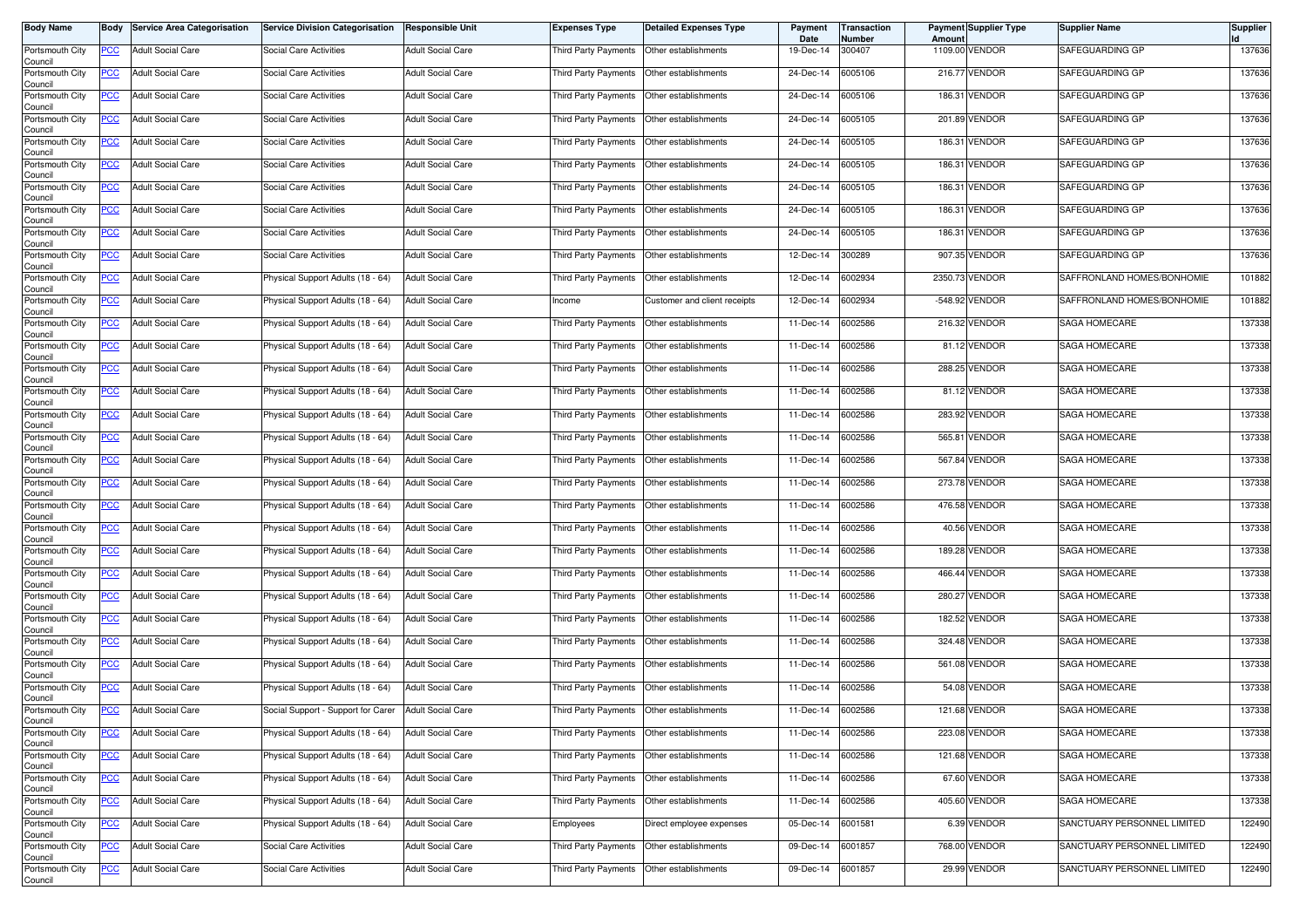| <b>Body Name</b>           |            | <b>Body Service Area Categorisation</b> | <b>Service Division Categorisation</b> | <b>Responsible Unit</b>  | Expenses Type               | <b>Detailed Expenses Type</b> | Payment<br>Date   | Transaction<br>Number | Amount | <b>Payment Supplier Type</b> | Supplier Name               | <b>Supplier</b> |
|----------------------------|------------|-----------------------------------------|----------------------------------------|--------------------------|-----------------------------|-------------------------------|-------------------|-----------------------|--------|------------------------------|-----------------------------|-----------------|
| Portsmouth City<br>Council | PCC        | <b>Adult Social Care</b>                | Social Care Activities                 | <b>Adult Social Care</b> | Third Party Payments        | Other establishments          | 19-Dec-14         | 300407                |        | 1109.00 VENDOR               | SAFEGUARDING GP             | 137636          |
| Portsmouth City<br>Council | <u>PCC</u> | <b>Adult Social Care</b>                | Social Care Activities                 | <b>Adult Social Care</b> | <b>Third Party Payments</b> | Other establishments          | 24-Dec-14         | 6005106               |        | 216.77 VENDOR                | SAFEGUARDING GP             | 137636          |
| Portsmouth City<br>Council | <u>PCC</u> | <b>Adult Social Care</b>                | Social Care Activities                 | <b>Adult Social Care</b> | Third Party Payments        | Other establishments          | 24-Dec-14         | 6005106               |        | 186.31 VENDOR                | SAFEGUARDING GP             | 137636          |
| Portsmouth City<br>Council | <b>PCC</b> | <b>Adult Social Care</b>                | Social Care Activities                 | <b>Adult Social Care</b> | Third Party Payments        | Other establishments          | 24-Dec-14         | 6005105               |        | 201.89 VENDOR                | SAFEGUARDING GP             | 137636          |
| Portsmouth City<br>Council | <u>PCC</u> | <b>Adult Social Care</b>                | Social Care Activities                 | <b>Adult Social Care</b> | Third Party Payments        | Other establishments          | 24-Dec-14         | 6005105               |        | 186.31 VENDOR                | SAFEGUARDING GP             | 137636          |
| Portsmouth City<br>Council | <u>PCC</u> | <b>Adult Social Care</b>                | Social Care Activities                 | <b>Adult Social Care</b> | Third Party Payments        | Other establishments          | 24-Dec-14         | 6005105               |        | 186.31 VENDOR                | SAFEGUARDING GP             | 137636          |
| Portsmouth City<br>Council | <u>PCC</u> | <b>Adult Social Care</b>                | Social Care Activities                 | <b>Adult Social Care</b> | Third Party Payments        | Other establishments          | 24-Dec-14         | 6005105               |        | 186.31 VENDOR                | SAFEGUARDING GP             | 137636          |
| Portsmouth City<br>Council | <u>PCC</u> | <b>Adult Social Care</b>                | Social Care Activities                 | <b>Adult Social Care</b> | Third Party Payments        | Other establishments          | 24-Dec-14         | 6005105               |        | 186.31 VENDOR                | SAFEGUARDING GP             | 137636          |
| Portsmouth City<br>Council | <u>PCC</u> | <b>Adult Social Care</b>                | Social Care Activities                 | <b>Adult Social Care</b> | Third Party Payments        | Other establishments          | 24-Dec-14         | 6005105               |        | 186.31 VENDOR                | SAFEGUARDING GP             | 137636          |
| Portsmouth City<br>Council | <u>PCC</u> | <b>Adult Social Care</b>                | Social Care Activities                 | <b>Adult Social Care</b> | Third Party Payments        | Other establishments          | 12-Dec-14         | 300289                |        | 907.35 VENDOR                | SAFEGUARDING GP             | 137636          |
| Portsmouth City<br>Council | <u>PCC</u> | <b>Adult Social Care</b>                | Physical Support Adults (18 - 64)      | <b>Adult Social Care</b> | Third Party Payments        | Other establishments          | 12-Dec-14         | 6002934               |        | 2350.73 VENDOR               | SAFFRONLAND HOMES/BONHOMIE  | 101882          |
| Portsmouth City<br>Council | <u>PCC</u> | <b>Adult Social Care</b>                | Physical Support Adults (18 - 64)      | <b>Adult Social Care</b> | ncome                       | Customer and client receipts  | 12-Dec-14         | 6002934               |        | -548.92 VENDOR               | SAFFRONLAND HOMES/BONHOMIE  | 101882          |
| Portsmouth City<br>Council | PCC        | <b>Adult Social Care</b>                | Physical Support Adults (18 - 64)      | <b>Adult Social Care</b> | Third Party Payments        | Other establishments          | 11-Dec-14         | 6002586               |        | 216.32 VENDOR                | SAGA HOMECARE               | 137338          |
| Portsmouth City<br>Council | <u>PCC</u> | <b>Adult Social Care</b>                | Physical Support Adults (18 - 64)      | <b>Adult Social Care</b> | Third Party Payments        | Other establishments          | 11-Dec-14         | 6002586               |        | 81.12 VENDOR                 | SAGA HOMECARE               | 137338          |
| Portsmouth City<br>Council | <u>PCC</u> | <b>Adult Social Care</b>                | Physical Support Adults (18 - 64)      | <b>Adult Social Care</b> | Third Party Payments        | Other establishments          | 11-Dec-14         | 6002586               |        | 288.25 VENDOR                | <b>SAGA HOMECARE</b>        | 137338          |
| Portsmouth City<br>Council | <u>PCC</u> | <b>Adult Social Care</b>                | Physical Support Adults (18 - 64)      | <b>Adult Social Care</b> | <b>Third Party Payments</b> | Other establishments          | 11-Dec-14         | 6002586               |        | 81.12 VENDOR                 | SAGA HOMECARE               | 137338          |
| Portsmouth City<br>Council | PCC        | <b>Adult Social Care</b>                | Physical Support Adults (18 - 64)      | <b>Adult Social Care</b> | Third Party Payments        | Other establishments          | 11-Dec-14         | 6002586               |        | 283.92 VENDOR                | SAGA HOMECARE               | 137338          |
| Portsmouth City<br>Council | <u>PCC</u> | <b>Adult Social Care</b>                | Physical Support Adults (18 - 64)      | <b>Adult Social Care</b> | Third Party Payments        | Other establishments          | 11-Dec-14         | 6002586               |        | 565.81 VENDOR                | <b>SAGA HOMECARE</b>        | 137338          |
| Portsmouth City<br>Council | <u>PCC</u> | <b>Adult Social Care</b>                | Physical Support Adults (18 - 64)      | <b>Adult Social Care</b> | Third Party Payments        | Other establishments          | 11-Dec-14         | 6002586               |        | 567.84 VENDOR                | <b>SAGA HOMECARE</b>        | 137338          |
| Portsmouth City<br>Council | <u>PCC</u> | <b>Adult Social Care</b>                | Physical Support Adults (18 - 64)      | <b>Adult Social Care</b> | Third Party Payments        | Other establishments          | 11-Dec-14         | 6002586               |        | 273.78 VENDOR                | <b>SAGA HOMECARE</b>        | 137338          |
| Portsmouth City<br>Council | <u>PCC</u> | <b>Adult Social Care</b>                | Physical Support Adults (18 - 64)      | <b>Adult Social Care</b> | Third Party Payments        | Other establishments          | 11-Dec-14         | 6002586               |        | 476.58 VENDOR                | SAGA HOMECARE               | 137338          |
| Portsmouth City<br>Council | <u>PCC</u> | <b>Adult Social Care</b>                | Physical Support Adults (18 - 64)      | <b>Adult Social Care</b> | Third Party Payments        | Other establishments          | 11-Dec-14         | 6002586               |        | 40.56 VENDOR                 | SAGA HOMECARE               | 137338          |
| Portsmouth City<br>Council | <u>PCC</u> | <b>Adult Social Care</b>                | Physical Support Adults (18 - 64)      | <b>Adult Social Care</b> | Third Party Payments        | Other establishments          | 11-Dec-14         | 6002586               |        | 189.28 VENDOR                | SAGA HOMECARE               | 137338          |
| Portsmouth City<br>Council | <u>PCC</u> | <b>Adult Social Care</b>                | Physical Support Adults (18 - 64)      | <b>Adult Social Care</b> | Third Party Payments        | Other establishments          | 11-Dec-14         | 6002586               |        | 466.44 VENDOR                | <b>SAGA HOMECARE</b>        | 137338          |
| Portsmouth City<br>Council | <u>PCC</u> | <b>Adult Social Care</b>                | Physical Support Adults (18 - 64)      | <b>Adult Social Care</b> | <b>Third Party Payments</b> | Other establishments          | 11-Dec-14         | 6002586               |        | <b>280.27 VENDOR</b>         | <b>SAGA HOMECARE</b>        | 137338          |
| Portsmouth City<br>Council | <u>PCC</u> | <b>Adult Social Care</b>                | Physical Support Adults (18 - 64)      | <b>Adult Social Care</b> | <b>Third Party Payments</b> | Other establishments          | 11-Dec-14         | 6002586               |        | 182.52 VENDOR                | SAGA HOMECARE               | 137338          |
| Portsmouth City<br>Council | <b>PCC</b> | <b>Adult Social Care</b>                | Physical Support Adults (18 - 64)      | <b>Adult Social Care</b> | Third Party Payments        | Other establishments          | 11-Dec-14         | 6002586               |        | 324.48 VENDOR                | SAGA HOMECARE               | 137338          |
| Portsmouth City<br>Council | <u>PCC</u> | <b>Adult Social Care</b>                | Physical Support Adults (18 - 64)      | <b>Adult Social Care</b> | Third Party Payments        | Other establishments          | 11-Dec-14         | 6002586               |        | 561.08 VENDOR                | <b>SAGA HOMECARE</b>        | 137338          |
| Portsmouth City<br>Council | <u>PCC</u> | <b>Adult Social Care</b>                | Physical Support Adults (18 - 64)      | <b>Adult Social Care</b> | Third Party Payments        | Other establishments          | 11-Dec-14         | 6002586               |        | 54.08 VENDOR                 | <b>SAGA HOMECARE</b>        | 137338          |
| Portsmouth City<br>Council | <u>PCC</u> | <b>Adult Social Care</b>                | Social Support - Support for Carer     | <b>Adult Social Care</b> | Third Party Payments        | Other establishments          | 11-Dec-14         | 6002586               |        | 121.68 VENDOR                | <b>SAGA HOMECARE</b>        | 137338          |
| Portsmouth City<br>Council | <b>PCC</b> | <b>Adult Social Care</b>                | Physical Support Adults (18 - 64)      | <b>Adult Social Care</b> | Third Party Payments        | Other establishments          | 11-Dec-14         | 6002586               |        | 223.08 VENDOR                | SAGA HOMECARE               | 137338          |
| Portsmouth City<br>Council | $PCC$      | <b>Adult Social Care</b>                | Physical Support Adults (18 - 64)      | <b>Adult Social Care</b> | Third Party Payments        | Other establishments          | 11-Dec-14         | 6002586               |        | 121.68 VENDOR                | SAGA HOMECARE               | 137338          |
| Portsmouth City<br>Council | <u>PCC</u> | <b>Adult Social Care</b>                | Physical Support Adults (18 - 64)      | <b>Adult Social Care</b> | Third Party Payments        | Other establishments          | 11-Dec-14         | 6002586               |        | 67.60 VENDOR                 | SAGA HOMECARE               | 137338          |
| Portsmouth City<br>Council | <u>PCC</u> | <b>Adult Social Care</b>                | Physical Support Adults (18 - 64)      | <b>Adult Social Care</b> | Third Party Payments        | Other establishments          | 11-Dec-14         | 6002586               |        | 405.60 VENDOR                | SAGA HOMECARE               | 137338          |
| Portsmouth City<br>Council | <u>PCC</u> | <b>Adult Social Care</b>                | Physical Support Adults (18 - 64)      | <b>Adult Social Care</b> | Employees                   | Direct employee expenses      | 05-Dec-14 6001581 |                       |        | 6.39 VENDOR                  | SANCTUARY PERSONNEL LIMITED | 122490          |
| Portsmouth City<br>Council | <u>PCC</u> | <b>Adult Social Care</b>                | Social Care Activities                 | <b>Adult Social Care</b> | Third Party Payments        | Other establishments          | 09-Dec-14         | 6001857               |        | 768.00 VENDOR                | SANCTUARY PERSONNEL LIMITED | 122490          |
| Portsmouth City<br>Council | <u>PCC</u> | <b>Adult Social Care</b>                | Social Care Activities                 | <b>Adult Social Care</b> | Third Party Payments        | Other establishments          | 09-Dec-14         | 6001857               |        | 29.99 VENDOR                 | SANCTUARY PERSONNEL LIMITED | 122490          |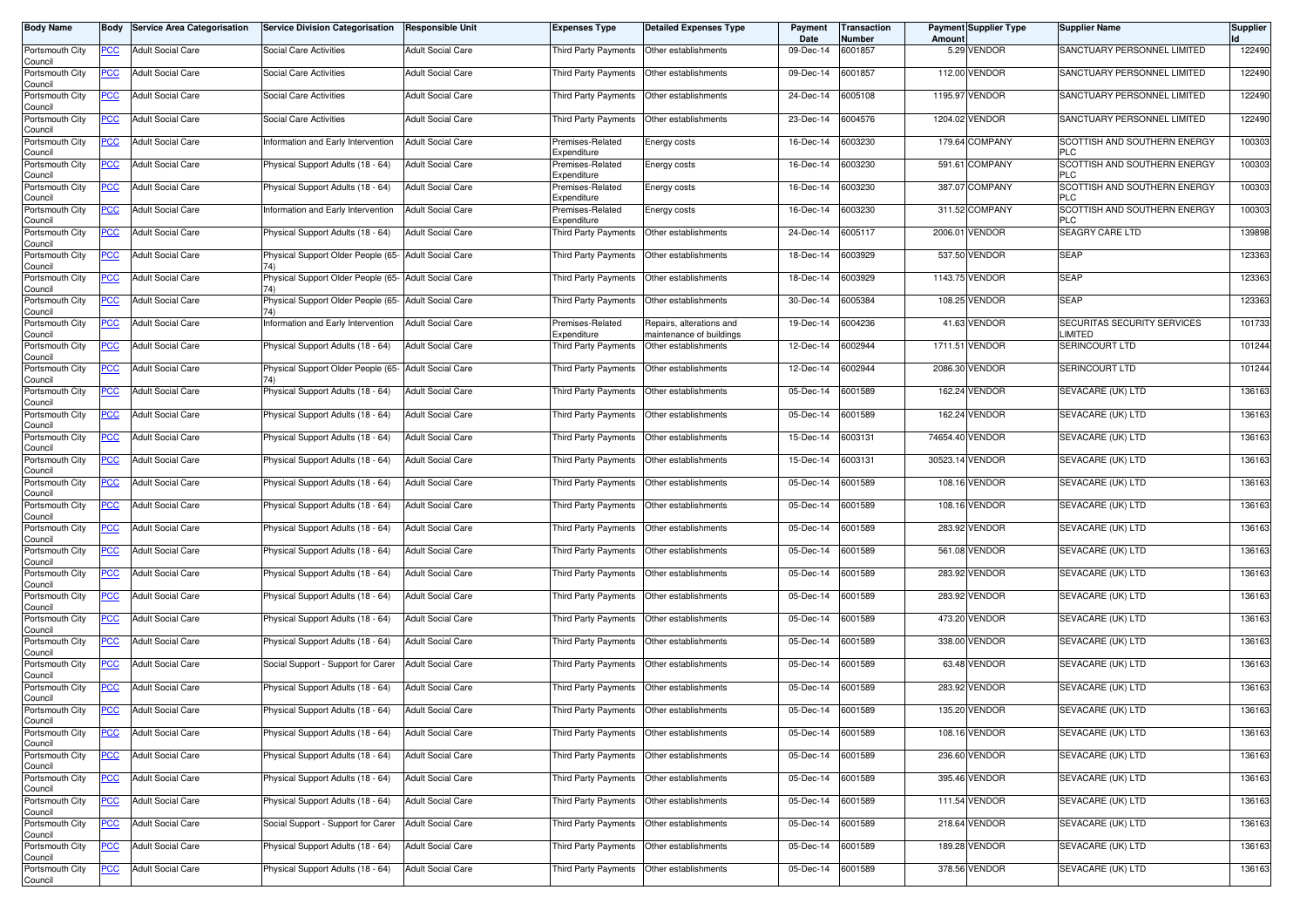| <b>Body Name</b>                      |            | <b>Body Service Area Categorisation</b> | <b>Service Division Categorisation</b>               | <b>Responsible Unit</b>  | Expenses Type                   | <b>Detailed Expenses Type</b>                        | Payment<br>Date   | <b>Transaction</b><br>Number | Amount | <b>Payment Supplier Type</b> | <b>Supplier Name</b>                       | Supplier |
|---------------------------------------|------------|-----------------------------------------|------------------------------------------------------|--------------------------|---------------------------------|------------------------------------------------------|-------------------|------------------------------|--------|------------------------------|--------------------------------------------|----------|
| Portsmouth City<br>Council            | PCC        | <b>Adult Social Care</b>                | Social Care Activities                               | <b>Adult Social Care</b> | Third Party Payments            | Other establishments                                 | 09-Dec-14         | 6001857                      |        | 5.29 VENDOR                  | SANCTUARY PERSONNEL LIMITED                | 122490   |
| Portsmouth City<br>Council            | <u>PCC</u> | <b>Adult Social Care</b>                | Social Care Activities                               | <b>Adult Social Care</b> | Third Party Payments            | Other establishments                                 | 09-Dec-14         | 6001857                      |        | 112.00 VENDOR                | SANCTUARY PERSONNEL LIMITED                | 122490   |
| Portsmouth City<br>Council            | <u>PCC</u> | <b>Adult Social Care</b>                | Social Care Activities                               | <b>Adult Social Care</b> | Third Party Payments            | Other establishments                                 | 24-Dec-14         | 6005108                      |        | 1195.97 VENDOR               | SANCTUARY PERSONNEL LIMITED                | 122490   |
| Portsmouth City<br>Council            | <b>PCC</b> | <b>Adult Social Care</b>                | Social Care Activities                               | <b>Adult Social Care</b> | Third Party Payments            | Other establishments                                 | 23-Dec-14         | 6004576                      |        | 1204.02 VENDOR               | SANCTUARY PERSONNEL LIMITED                | 122490   |
| Portsmouth City<br>Council            | <u>PCC</u> | <b>Adult Social Care</b>                | Information and Early Intervention                   | <b>Adult Social Care</b> | Premises-Related<br>Expenditure | Energy costs                                         | 16-Dec-14         | 6003230                      |        | 179.64 COMPANY               | SCOTTISH AND SOUTHERN ENERGY<br><b>PLC</b> | 100303   |
| Portsmouth City<br>Council            | <u>PCC</u> | <b>Adult Social Care</b>                | Physical Support Adults (18 - 64)                    | <b>Adult Social Care</b> | Premises-Related<br>Expenditure | Energy costs                                         | 16-Dec-14         | 6003230                      |        | 591.61 COMPANY               | SCOTTISH AND SOUTHERN ENERGY<br>PLC        | 100303   |
| Portsmouth City<br>Council            | <u>PCC</u> | <b>Adult Social Care</b>                | Physical Support Adults (18 - 64)                    | <b>Adult Social Care</b> | Premises-Related<br>Expenditure | Energy costs                                         | 16-Dec-14         | 6003230                      |        | 387.07 COMPANY               | SCOTTISH AND SOUTHERN ENERGY<br><b>PLC</b> | 100303   |
| Portsmouth City<br>Council            | <u>PCC</u> | <b>Adult Social Care</b>                | Information and Early Intervention                   | <b>Adult Social Care</b> | Premises-Related<br>Expenditure | Energy costs                                         | 16-Dec-14         | 6003230                      |        | 311.52 COMPANY               | SCOTTISH AND SOUTHERN ENERGY<br><b>PLC</b> | 100303   |
| Portsmouth City<br>Council            | <u>PCC</u> | <b>Adult Social Care</b>                | Physical Support Adults (18 - 64)                    | <b>Adult Social Care</b> | Third Party Payments            | Other establishments                                 | 24-Dec-14         | 6005117                      |        | 2006.01 VENDOR               | <b>SEAGRY CARE LTD</b>                     | 139898   |
| Portsmouth City<br>Council            | <u>PCC</u> | <b>Adult Social Care</b>                | Physical Support Older People (65- Adult Social Care |                          | Third Party Payments            | Other establishments                                 | 18-Dec-14         | 6003929                      |        | 537.50 VENDOR                | <b>SEAP</b>                                | 123363   |
| Portsmouth City<br>Council            | <u>PCC</u> | <b>Adult Social Care</b>                | Physical Support Older People (65- Adult Social Care |                          | Third Party Payments            | Other establishments                                 | 18-Dec-14         | 6003929                      |        | 1143.75 VENDOR               | <b>SEAP</b>                                | 123363   |
| Portsmouth City<br>Council            | PСC        | <b>Adult Social Care</b>                | Physical Support Older People (65- Adult Social Care |                          | Third Party Payments            | Other establishments                                 | 30-Dec-14         | 6005384                      |        | 108.25 VENDOR                | <b>SEAP</b>                                | 123363   |
| Portsmouth City<br>Council            | <u>PCC</u> | <b>Adult Social Care</b>                | Information and Early Intervention                   | <b>Adult Social Care</b> | Premises-Related<br>Expenditure | Repairs, alterations and<br>maintenance of buildings | 19-Dec-14         | 6004236                      |        | 41.63 VENDOR                 | SECURITAS SECURITY SERVICES<br>LIMITED     | 101733   |
| Portsmouth City<br>Council            | <u>PCC</u> | <b>Adult Social Care</b>                | Physical Support Adults (18 - 64)                    | <b>Adult Social Care</b> | Third Party Payments            | Other establishments                                 | 12-Dec-14         | 6002944                      |        | 1711.51 VENDOR               | SERINCOURT LTD                             | 101244   |
| Portsmouth City<br>Council            | PCC        | <b>Adult Social Care</b>                | Physical Support Older People (65- Adult Social Care |                          | Third Party Payments            | Other establishments                                 | 12-Dec-14         | 6002944                      |        | 2086.30 VENDOR               | SERINCOURT LTD                             | 101244   |
| Portsmouth City<br>Council            | <u>PCC</u> | <b>Adult Social Care</b>                | Physical Support Adults (18 - 64)                    | <b>Adult Social Care</b> | Third Party Payments            | Other establishments                                 | 05-Dec-14         | 6001589                      |        | 162.24 VENDOR                | SEVACARE (UK) LTD                          | 136163   |
| Portsmouth City<br>Council            | PCC        | <b>Adult Social Care</b>                | Physical Support Adults (18 - 64)                    | <b>Adult Social Care</b> | Third Party Payments            | Other establishments                                 | 05-Dec-14         | 6001589                      |        | 162.24 VENDOR                | SEVACARE (UK) LTD                          | 136163   |
| Portsmouth City<br>Council            | <u>PCC</u> | <b>Adult Social Care</b>                | Physical Support Adults (18 - 64)                    | <b>Adult Social Care</b> | Third Party Payments            | Other establishments                                 | 15-Dec-14         | 6003131                      |        | 74654.40 VENDOR              | SEVACARE (UK) LTD                          | 136163   |
| Portsmouth City<br>Council            | PСC        | <b>Adult Social Care</b>                | Physical Support Adults (18 - 64)                    | <b>Adult Social Care</b> | Third Party Payments            | Other establishments                                 | 15-Dec-14         | 6003131                      |        | 30523.14 VENDOR              | SEVACARE (UK) LTD                          | 136163   |
| Portsmouth City<br>Council            | <u>PCC</u> | <b>Adult Social Care</b>                | Physical Support Adults (18 - 64)                    | <b>Adult Social Care</b> | Third Party Payments            | Other establishments                                 | 05-Dec-14         | 6001589                      |        | 108.16 VENDOR                | SEVACARE (UK) LTD                          | 136163   |
| Portsmouth City<br>Council            | <u>PCC</u> | <b>Adult Social Care</b>                | Physical Support Adults (18 - 64)                    | <b>Adult Social Care</b> | Third Party Payments            | Other establishments                                 | 05-Dec-14         | 6001589                      |        | 108.16 VENDOR                | SEVACARE (UK) LTD                          | 136163   |
| Portsmouth City<br>Council            | <u>PCC</u> | <b>Adult Social Care</b>                | Physical Support Adults (18 - 64)                    | <b>Adult Social Care</b> | Third Party Payments            | Other establishments                                 | 05-Dec-14         | 6001589                      |        | 283.92 VENDOR                | SEVACARE (UK) LTD                          | 136163   |
| Portsmouth City<br>Council            | <u>PCC</u> | <b>Adult Social Care</b>                | Physical Support Adults (18 - 64)                    | <b>Adult Social Care</b> | Third Party Payments            | Other establishments                                 | 05-Dec-14         | 6001589                      |        | 561.08 VENDOR                | SEVACARE (UK) LTD                          | 136163   |
| Portsmouth City<br>Council            | <u>PCC</u> | <b>Adult Social Care</b>                | Physical Support Adults (18 - 64)                    | <b>Adult Social Care</b> | Third Party Payments            | Other establishments                                 | 05-Dec-14         | 6001589                      |        | 283.92 VENDOR                | SEVACARE (UK) LTD                          | 136163   |
| Portsmouth City<br>Council            | <u>PCC</u> | <b>Adult Social Care</b>                | Physical Support Adults (18 - 64)                    | <b>Adult Social Care</b> | Third Party Payments            | Other establishments                                 | 05-Dec-14         | 6001589                      |        | 283.92 VENDOR                | SEVACARE (UK) LTD                          | 136163   |
| Portsmouth City<br>Council            | <u>PCC</u> | <b>Adult Social Care</b>                | Physical Support Adults (18 - 64)                    | <b>Adult Social Care</b> | Third Party Payments            | Other establishments                                 | 05-Dec-14         | 6001589                      |        | 473.20 VENDOR                | SEVACARE (UK) LTD                          | 136163   |
| Portsmouth City<br>Council            | <b>PCC</b> | <b>Adult Social Care</b>                | Physical Support Adults (18 - 64)                    | <b>Adult Social Care</b> | <b>Third Party Payments</b>     | Other establishments                                 | 05-Dec-14         | 6001589                      |        | 338.00 VENDOR                | SEVACARE (UK) LTD                          | 136163   |
| Portsmouth City<br>Council            | <u>PCC</u> | <b>Adult Social Care</b>                | Social Support - Support for Carer                   | <b>Adult Social Care</b> | Third Party Payments            | Other establishments                                 | 05-Dec-14         | 6001589                      |        | 63.48 VENDOR                 | SEVACARE (UK) LTD                          | 136163   |
| Portsmouth City<br>Council            | <u>PCC</u> | <b>Adult Social Care</b>                | Physical Support Adults (18 - 64)                    | <b>Adult Social Care</b> | <b>Third Party Payments</b>     | Other establishments                                 | 05-Dec-14         | 6001589                      |        | 283.92 VENDOR                | SEVACARE (UK) LTD                          | 136163   |
| Portsmouth City<br>Council            | <u>PCC</u> | <b>Adult Social Care</b>                | Physical Support Adults (18 - 64)                    | <b>Adult Social Care</b> | Third Party Payments            | Other establishments                                 | 05-Dec-14         | 6001589                      |        | 135.20 VENDOR                | SEVACARE (UK) LTD                          | 136163   |
| Portsmouth City                       | <b>PCC</b> | <b>Adult Social Care</b>                | Physical Support Adults (18 - 64)                    | <b>Adult Social Care</b> | Third Party Payments            | Other establishments                                 | 05-Dec-14         | 6001589                      |        | 108.16 VENDOR                | SEVACARE (UK) LTD                          | 136163   |
| Council<br>Portsmouth City<br>Council | <b>PCC</b> | <b>Adult Social Care</b>                | Physical Support Adults (18 - 64)                    | <b>Adult Social Care</b> | Third Party Payments            | Other establishments                                 | 05-Dec-14         | 6001589                      |        | 236.60 VENDOR                | SEVACARE (UK) LTD                          | 136163   |
| Portsmouth City<br>Council            | <u>PCC</u> | <b>Adult Social Care</b>                | Physical Support Adults (18 - 64)                    | <b>Adult Social Care</b> | <b>Third Party Payments</b>     | Other establishments                                 | 05-Dec-14         | 6001589                      |        | 395.46 VENDOR                | SEVACARE (UK) LTD                          | 136163   |
| Portsmouth City<br>Council            | <b>PCC</b> | <b>Adult Social Care</b>                | Physical Support Adults (18 - 64)                    | <b>Adult Social Care</b> | Third Party Payments            | Other establishments                                 | 05-Dec-14         | 6001589                      |        | 111.54 VENDOR                | SEVACARE (UK) LTD                          | 136163   |
| Portsmouth City<br>Council            | <u>PCC</u> | <b>Adult Social Care</b>                | Social Support - Support for Carer                   | <b>Adult Social Care</b> | Third Party Payments            | Other establishments                                 | 05-Dec-14 6001589 |                              |        | 218.64 VENDOR                | SEVACARE (UK) LTD                          | 136163   |
| Portsmouth City<br>Council            | <u>PCC</u> | Adult Social Care                       | Physical Support Adults (18 - 64)                    | <b>Adult Social Care</b> | Third Party Payments            | Other establishments                                 | 05-Dec-14         | 6001589                      |        | 189.28 VENDOR                | SEVACARE (UK) LTD                          | 136163   |
| Portsmouth City<br>Council            | <u>PCC</u> | <b>Adult Social Care</b>                | Physical Support Adults (18 - 64)                    | <b>Adult Social Care</b> | Third Party Payments            | Other establishments                                 | 05-Dec-14         | 6001589                      |        | 378.56 VENDOR                | SEVACARE (UK) LTD                          | 136163   |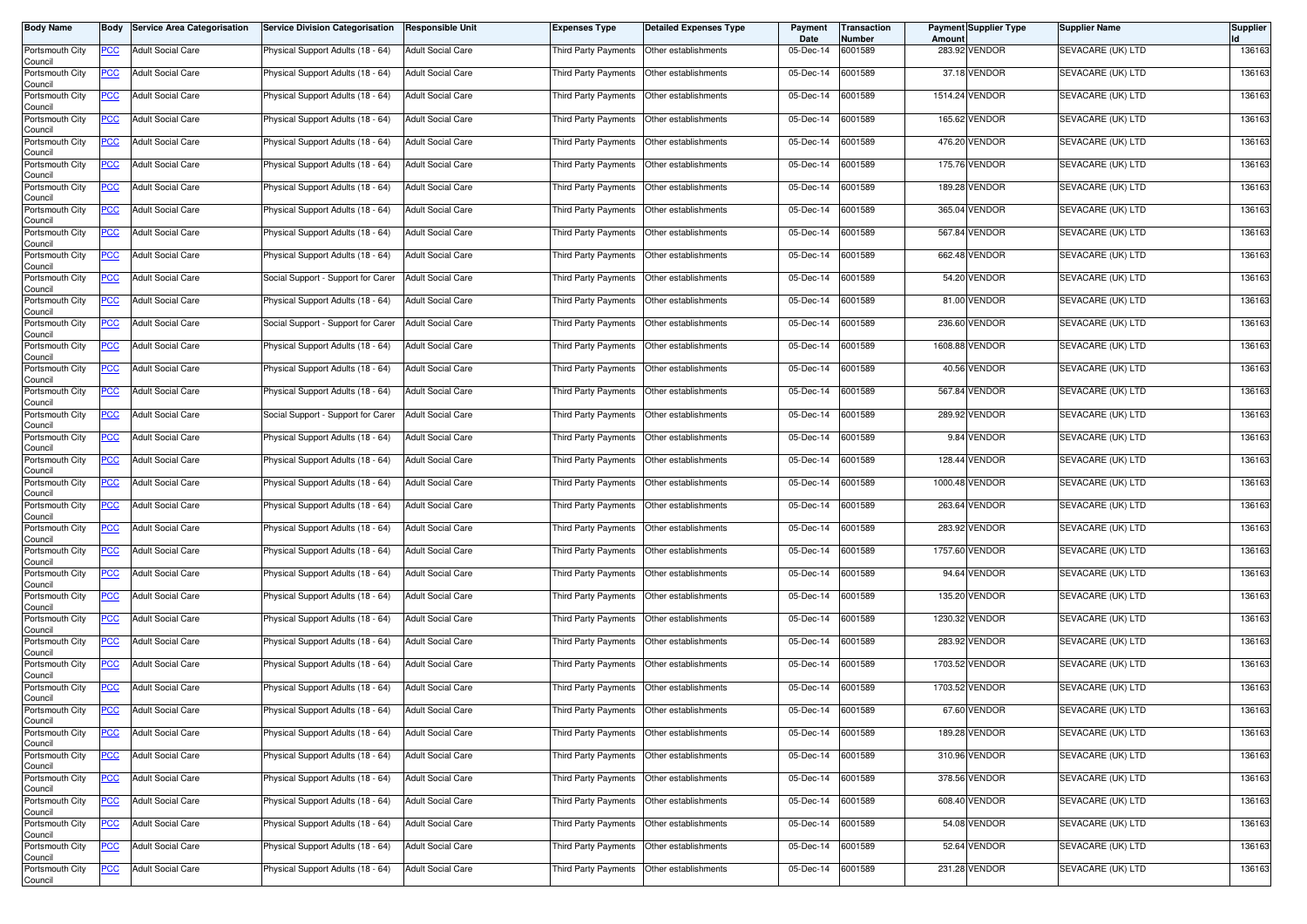| <b>Body Name</b>           |                  | <b>Body Service Area Categorisation</b> | <b>Service Division Categorisation</b> | <b>Responsible Unit</b>  | Expenses Type        | Detailed Expenses Type                    | Payment<br>Date | <b>Transaction</b><br>Number | <b>Amount</b> | <b>Payment Supplier Type</b> | Supplier Name     | <b>Supplier</b> |
|----------------------------|------------------|-----------------------------------------|----------------------------------------|--------------------------|----------------------|-------------------------------------------|-----------------|------------------------------|---------------|------------------------------|-------------------|-----------------|
| Portsmouth City<br>Council | PCC              | <b>Adult Social Care</b>                | Physical Support Adults (18 - 64)      | <b>Adult Social Care</b> | Third Party Payments | Other establishments                      | 05-Dec-14       | 6001589                      |               | 283.92 VENDOR                | SEVACARE (UK) LTD | 136163          |
| Portsmouth City<br>Council | <b>PCC</b>       | <b>Adult Social Care</b>                | Physical Support Adults (18 - 64)      | <b>Adult Social Care</b> | Third Party Payments | Other establishments                      | 05-Dec-14       | 6001589                      |               | 37.18 VENDOR                 | SEVACARE (UK) LTD | 136163          |
| Portsmouth City<br>Council | <u>PCC</u>       | <b>Adult Social Care</b>                | Physical Support Adults (18 - 64)      | <b>Adult Social Care</b> | Third Party Payments | Other establishments                      | 05-Dec-14       | 6001589                      |               | 1514.24 VENDOR               | SEVACARE (UK) LTD | 136163          |
| Portsmouth City<br>Council | <b>PCC</b>       | <b>Adult Social Care</b>                | Physical Support Adults (18 - 64)      | <b>Adult Social Care</b> | Third Party Payments | Other establishments                      | 05-Dec-14       | 6001589                      |               | 165.62 VENDOR                | SEVACARE (UK) LTD | 136163          |
| Portsmouth City<br>Council | <u>PCC</u>       | <b>Adult Social Care</b>                | Physical Support Adults (18 - 64)      | <b>Adult Social Care</b> | Third Party Payments | Other establishments                      | 05-Dec-14       | 6001589                      |               | 476.20 VENDOR                | SEVACARE (UK) LTD | 136163          |
| Portsmouth City<br>Council | <u>PCC </u>      | <b>Adult Social Care</b>                | Physical Support Adults (18 - 64)      | <b>Adult Social Care</b> | Third Party Payments | Other establishments                      | 05-Dec-14       | 6001589                      |               | 175.76 VENDOR                | SEVACARE (UK) LTD | 136163          |
| Portsmouth City<br>Council | <u>PCC</u>       | <b>Adult Social Care</b>                | Physical Support Adults (18 - 64)      | <b>Adult Social Care</b> | Third Party Payments | Other establishments                      | 05-Dec-14       | 6001589                      |               | 189.28 VENDOR                | SEVACARE (UK) LTD | 136163          |
| Portsmouth City<br>Council | <u>PCC</u>       | <b>Adult Social Care</b>                | Physical Support Adults (18 - 64)      | <b>Adult Social Care</b> | Third Party Payments | Other establishments                      | 05-Dec-14       | 6001589                      |               | 365.04 VENDOR                | SEVACARE (UK) LTD | 136163          |
| Portsmouth City<br>Council | <b>PCC</b>       | <b>Adult Social Care</b>                | Physical Support Adults (18 - 64)      | <b>Adult Social Care</b> | Third Party Payments | Other establishments                      | 05-Dec-14       | 6001589                      |               | 567.84 VENDOR                | SEVACARE (UK) LTD | 136163          |
| Portsmouth City<br>Council | PCC              | <b>Adult Social Care</b>                | Physical Support Adults (18 - 64)      | <b>Adult Social Care</b> | Third Party Payments | Other establishments                      | 05-Dec-14       | 6001589                      |               | 662.48 VENDOR                | SEVACARE (UK) LTD | 136163          |
| Portsmouth City<br>Council | <u>PCC</u>       | <b>Adult Social Care</b>                | Social Support - Support for Carer     | <b>Adult Social Care</b> | Third Party Payments | Other establishments                      | 05-Dec-14       | 6001589                      |               | 54.20 VENDOR                 | SEVACARE (UK) LTD | 136163          |
| Portsmouth City<br>Council | <u>PCC</u>       | <b>Adult Social Care</b>                | Physical Support Adults (18 - 64)      | <b>Adult Social Care</b> | Third Party Payments | Other establishments                      | 05-Dec-14       | 6001589                      |               | 81.00 VENDOR                 | SEVACARE (UK) LTD | 136163          |
| Portsmouth City<br>Council | PCC              | <b>Adult Social Care</b>                | Social Support - Support for Carer     | <b>Adult Social Care</b> | Third Party Payments | Other establishments                      | 05-Dec-14       | 6001589                      |               | 236.60 VENDOR                | SEVACARE (UK) LTD | 136163          |
| Portsmouth City<br>Council | <u>PCC</u>       | <b>Adult Social Care</b>                | Physical Support Adults (18 - 64)      | <b>Adult Social Care</b> | Third Party Payments | Other establishments                      | 05-Dec-14       | 6001589                      |               | 1608.88 VENDOR               | SEVACARE (UK) LTD | 136163          |
| Portsmouth City<br>Council | <u>PCC</u>       | <b>Adult Social Care</b>                | Physical Support Adults (18 - 64)      | <b>Adult Social Care</b> | Third Party Payments | Other establishments                      | 05-Dec-14       | 6001589                      |               | 40.56 VENDOR                 | SEVACARE (UK) LTD | 136163          |
| Portsmouth City<br>Council | <u>PCC</u>       | <b>Adult Social Care</b>                | Physical Support Adults (18 - 64)      | <b>Adult Social Care</b> | Third Party Payments | Other establishments                      | 05-Dec-14       | 6001589                      |               | 567.84 VENDOR                | SEVACARE (UK) LTD | 136163          |
| Portsmouth City<br>Council | PCC              | <b>Adult Social Care</b>                | Social Support - Support for Carer     | <b>Adult Social Care</b> | Third Party Payments | Other establishments                      | 05-Dec-14       | 6001589                      |               | 289.92 VENDOR                | SEVACARE (UK) LTD | 136163          |
| Portsmouth City<br>Council | <u>PCC</u>       | <b>Adult Social Care</b>                | Physical Support Adults (18 - 64)      | <b>Adult Social Care</b> | Third Party Payments | Other establishments                      | 05-Dec-14       | 6001589                      |               | 9.84 VENDOR                  | SEVACARE (UK) LTD | 136163          |
| Portsmouth City<br>Council | <u>PCC</u>       | <b>Adult Social Care</b>                | Physical Support Adults (18 - 64)      | <b>Adult Social Care</b> | Third Party Payments | Other establishments                      | 05-Dec-14       | 6001589                      |               | 128.44 VENDOR                | SEVACARE (UK) LTD | 136163          |
| Portsmouth City<br>Council | PCC              | <b>Adult Social Care</b>                | Physical Support Adults (18 - 64)      | <b>Adult Social Care</b> | Third Party Payments | Other establishments                      | 05-Dec-14       | 6001589                      |               | 1000.48 VENDOR               | SEVACARE (UK) LTD | 136163          |
| Portsmouth City<br>Council | <u>PCC</u>       | <b>Adult Social Care</b>                | Physical Support Adults (18 - 64)      | <b>Adult Social Care</b> | Third Party Payments | Other establishments                      | 05-Dec-14       | 6001589                      |               | 263.64 VENDOR                | SEVACARE (UK) LTD | 136163          |
| Portsmouth City<br>Council | $\overline{PCC}$ | <b>Adult Social Care</b>                | Physical Support Adults (18 - 64)      | <b>Adult Social Care</b> | Third Party Payments | Other establishments                      | 05-Dec-14       | 6001589                      |               | 283.92 VENDOR                | SEVACARE (UK) LTD | 136163          |
| Portsmouth City<br>Council | <u>PCC</u>       | <b>Adult Social Care</b>                | Physical Support Adults (18 - 64)      | <b>Adult Social Care</b> | Third Party Payments | Other establishments                      | 05-Dec-14       | 6001589                      |               | 1757.60 VENDOR               | SEVACARE (UK) LTD | 136163          |
| Portsmouth City<br>Council | <u>PCC</u>       | <b>Adult Social Care</b>                | Physical Support Adults (18 - 64)      | <b>Adult Social Care</b> | Third Party Payments | Other establishments                      | 05-Dec-14       | 6001589                      |               | 94.64 VENDOR                 | SEVACARE (UK) LTD | 136163          |
| Portsmouth City<br>Council | <u>PCC</u>       | <b>Adult Social Care</b>                | Physical Support Adults (18 - 64)      | <b>Adult Social Care</b> | Third Party Payments | Other establishments                      | 05-Dec-14       | 6001589                      |               | 135.20 VENDOR                | SEVACARE (UK) LTD | 136163          |
| Portsmouth City<br>Council | <u>PCC</u>       | <b>Adult Social Care</b>                | Physical Support Adults (18 - 64)      | <b>Adult Social Care</b> | Third Party Payments | Other establishments                      | 05-Dec-14       | 6001589                      |               | 1230.32 VENDOR               | SEVACARE (UK) LTD | 136163          |
| Portsmouth City<br>Council | <u>PCC</u>       | <b>Adult Social Care</b>                | Physical Support Adults (18 - 64)      | <b>Adult Social Care</b> | Third Party Payments | Other establishments                      | 05-Dec-14       | 6001589                      |               | 283.92 VENDOR                | SEVACARE (UK) LTD | 136163          |
| Portsmouth City<br>Council | <u>PCC</u>       | <b>Adult Social Care</b>                | Physical Support Adults (18 - 64)      | <b>Adult Social Care</b> | Third Party Payments | Other establishments                      | 05-Dec-14       | 6001589                      |               | 1703.52 VENDOR               | SEVACARE (UK) LTD | 136163          |
| Portsmouth City<br>Council | <u>PCC</u>       | <b>Adult Social Care</b>                | Physical Support Adults (18 - 64)      | <b>Adult Social Care</b> | Third Party Payments | Other establishments                      | 05-Dec-14       | 6001589                      |               | 1703.52 VENDOR               | SEVACARE (UK) LTD | 136163          |
| Portsmouth City<br>Council | <u>PCC</u>       | <b>Adult Social Care</b>                | Physical Support Adults (18 - 64)      | <b>Adult Social Care</b> | Third Party Payments | Other establishments                      | 05-Dec-14       | 6001589                      |               | 67.60 VENDOR                 | SEVACARE (UK) LTD | 136163          |
| Portsmouth City<br>Council | <b>PCC</b>       | <b>Adult Social Care</b>                | Physical Support Adults (18 - 64)      | <b>Adult Social Care</b> | Third Party Payments | Other establishments                      | 05-Dec-14       | 6001589                      |               | 189.28 VENDOR                | SEVACARE (UK) LTD | 136163          |
| Portsmouth City<br>Council | <b>PCC</b>       | <b>Adult Social Care</b>                | Physical Support Adults (18 - 64)      | <b>Adult Social Care</b> |                      | Third Party Payments Other establishments | 05-Dec-14       | 6001589                      |               | 310.96 VENDOR                | SEVACARE (UK) LTD | 136163          |
| Portsmouth City<br>Council | <u>PCC</u>       | <b>Adult Social Care</b>                | Physical Support Adults (18 - 64)      | <b>Adult Social Care</b> |                      | Third Party Payments Other establishments | 05-Dec-14       | 6001589                      |               | 378.56 VENDOR                | SEVACARE (UK) LTD | 136163          |
| Portsmouth City<br>Council | <u>PCC</u>       | <b>Adult Social Care</b>                | Physical Support Adults (18 - 64)      | <b>Adult Social Care</b> | Third Party Payments | Other establishments                      | 05-Dec-14       | 6001589                      |               | 608.40 VENDOR                | SEVACARE (UK) LTD | 136163          |
| Portsmouth City<br>Council | <u>PCC</u>       | <b>Adult Social Care</b>                | Physical Support Adults (18 - 64)      | <b>Adult Social Care</b> | Third Party Payments | Other establishments                      | 05-Dec-14       | 6001589                      |               | 54.08 VENDOR                 | SEVACARE (UK) LTD | 136163          |
| Portsmouth City<br>Council | <u>PCC</u>       | <b>Adult Social Care</b>                | Physical Support Adults (18 - 64)      | <b>Adult Social Care</b> | Third Party Payments | Other establishments                      | 05-Dec-14       | 6001589                      |               | 52.64 VENDOR                 | SEVACARE (UK) LTD | 136163          |
| Portsmouth City<br>Council | <u>PCC</u>       | <b>Adult Social Care</b>                | Physical Support Adults (18 - 64)      | <b>Adult Social Care</b> | Third Party Payments | Other establishments                      | 05-Dec-14       | 6001589                      |               | 231.28 VENDOR                | SEVACARE (UK) LTD | 136163          |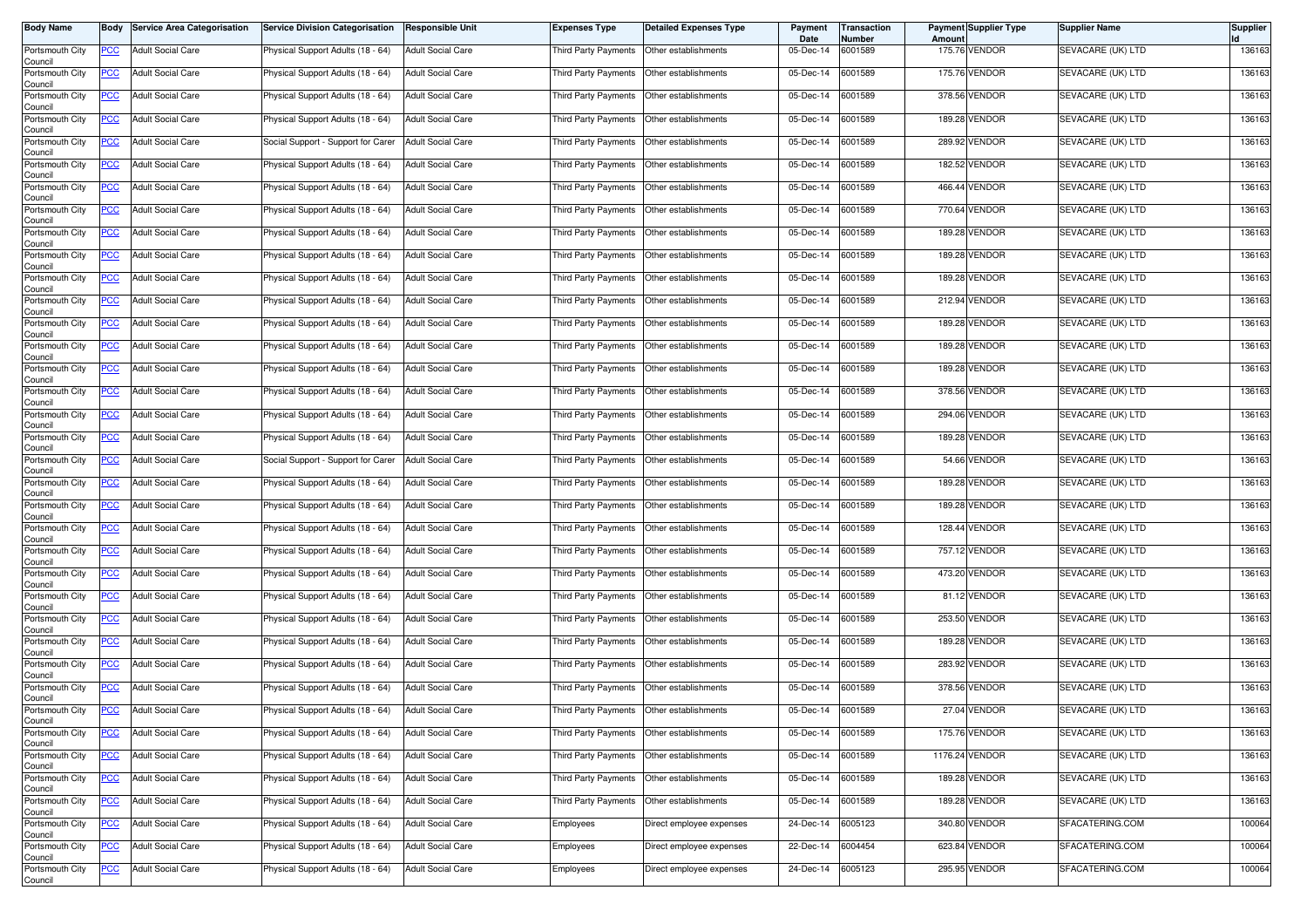| <b>Body Name</b>           |            | <b>Body Service Area Categorisation</b> | Service Division Categorisation    | <b>Responsible Unit</b>  | Expenses Type        | Detailed Expenses Type   | Payment<br>Date | Transaction<br>Number | <b>Amount</b> | <b>Payment Supplier Type</b> | Supplier Name     | Supplier |
|----------------------------|------------|-----------------------------------------|------------------------------------|--------------------------|----------------------|--------------------------|-----------------|-----------------------|---------------|------------------------------|-------------------|----------|
| Portsmouth City<br>Council | PCC        | <b>Adult Social Care</b>                | Physical Support Adults (18 - 64)  | <b>Adult Social Care</b> | Third Party Payments | Other establishments     | 05-Dec-14       | 6001589               |               | 175.76 VENDOR                | SEVACARE (UK) LTD | 136163   |
| Portsmouth City<br>Council | <u>PCC</u> | <b>Adult Social Care</b>                | Physical Support Adults (18 - 64)  | <b>Adult Social Care</b> | Third Party Payments | Other establishments     | 05-Dec-14       | 6001589               |               | 175.76 VENDOR                | SEVACARE (UK) LTD | 136163   |
| Portsmouth City<br>Council | <u>PCC</u> | <b>Adult Social Care</b>                | Physical Support Adults (18 - 64)  | <b>Adult Social Care</b> | Third Party Payments | Other establishments     | 05-Dec-14       | 6001589               |               | 378.56 VENDOR                | SEVACARE (UK) LTD | 136163   |
| Portsmouth City<br>Council | <b>PCC</b> | <b>Adult Social Care</b>                | Physical Support Adults (18 - 64)  | <b>Adult Social Care</b> | Third Party Payments | Other establishments     | 05-Dec-14       | 6001589               |               | 189.28 VENDOR                | SEVACARE (UK) LTD | 136163   |
| Portsmouth City<br>Council | <u>PCC</u> | <b>Adult Social Care</b>                | Social Support - Support for Carer | <b>Adult Social Care</b> | Third Party Payments | Other establishments     | 05-Dec-14       | 6001589               |               | 289.92 VENDOR                | SEVACARE (UK) LTD | 136163   |
| Portsmouth City<br>Council | <u>PCC</u> | <b>Adult Social Care</b>                | Physical Support Adults (18 - 64)  | <b>Adult Social Care</b> | Third Party Payments | Other establishments     | 05-Dec-14       | 6001589               |               | 182.52 VENDOR                | SEVACARE (UK) LTD | 136163   |
| Portsmouth City<br>Council | <u>PCC</u> | <b>Adult Social Care</b>                | Physical Support Adults (18 - 64)  | <b>Adult Social Care</b> | Third Party Payments | Other establishments     | 05-Dec-14       | 6001589               |               | 466.44 VENDOR                | SEVACARE (UK) LTD | 136163   |
| Portsmouth City<br>Council | <u>PCC</u> | <b>Adult Social Care</b>                | Physical Support Adults (18 - 64)  | <b>Adult Social Care</b> | Third Party Payments | Other establishments     | 05-Dec-14       | 6001589               |               | 770.64 VENDOR                | SEVACARE (UK) LTD | 136163   |
| Portsmouth City<br>Council | <u>PCC</u> | <b>Adult Social Care</b>                | Physical Support Adults (18 - 64)  | <b>Adult Social Care</b> | Third Party Payments | Other establishments     | 05-Dec-14       | 6001589               |               | 189.28 VENDOR                | SEVACARE (UK) LTD | 136163   |
| Portsmouth City<br>Council | PCC        | <b>Adult Social Care</b>                | Physical Support Adults (18 - 64)  | <b>Adult Social Care</b> | Third Party Payments | Other establishments     | 05-Dec-14       | 6001589               |               | 189.28 VENDOR                | SEVACARE (UK) LTD | 136163   |
| Portsmouth City<br>Council | <u>PCC</u> | <b>Adult Social Care</b>                | Physical Support Adults (18 - 64)  | <b>Adult Social Care</b> | Third Party Payments | Other establishments     | 05-Dec-14       | 6001589               |               | 189.28 VENDOR                | SEVACARE (UK) LTD | 136163   |
| Portsmouth City<br>Council | <u>PCC</u> | <b>Adult Social Care</b>                | Physical Support Adults (18 - 64)  | <b>Adult Social Care</b> | Third Party Payments | Other establishments     | 05-Dec-14       | 6001589               |               | 212.94 VENDOR                | SEVACARE (UK) LTD | 136163   |
| Portsmouth City<br>Council | PCC        | <b>Adult Social Care</b>                | Physical Support Adults (18 - 64)  | <b>Adult Social Care</b> | Third Party Payments | Other establishments     | 05-Dec-14       | 6001589               |               | 189.28 VENDOR                | SEVACARE (UK) LTD | 136163   |
| Portsmouth City<br>Council | <u>PCC</u> | <b>Adult Social Care</b>                | Physical Support Adults (18 - 64)  | <b>Adult Social Care</b> | Third Party Payments | Other establishments     | 05-Dec-14       | 6001589               |               | 189.28 VENDOR                | SEVACARE (UK) LTD | 136163   |
| Portsmouth City<br>Council | <u>PCC</u> | <b>Adult Social Care</b>                | Physical Support Adults (18 - 64)  | <b>Adult Social Care</b> | Third Party Payments | Other establishments     | 05-Dec-14       | 6001589               |               | 189.28 VENDOR                | SEVACARE (UK) LTD | 136163   |
| Portsmouth City<br>Council | <u>PCC</u> | <b>Adult Social Care</b>                | Physical Support Adults (18 - 64)  | <b>Adult Social Care</b> | Third Party Payments | Other establishments     | 05-Dec-14       | 6001589               |               | 378.56 VENDOR                | SEVACARE (UK) LTD | 136163   |
| Portsmouth City<br>Council | PCC        | <b>Adult Social Care</b>                | Physical Support Adults (18 - 64)  | <b>Adult Social Care</b> | Third Party Payments | Other establishments     | 05-Dec-14       | 6001589               |               | 294.06 VENDOR                | SEVACARE (UK) LTD | 136163   |
| Portsmouth City<br>Council | <u>PCC</u> | <b>Adult Social Care</b>                | Physical Support Adults (18 - 64)  | <b>Adult Social Care</b> | Third Party Payments | Other establishments     | 05-Dec-14       | 6001589               |               | 189.28 VENDOR                | SEVACARE (UK) LTD | 136163   |
| Portsmouth City<br>Council | <u>PCC</u> | <b>Adult Social Care</b>                | Social Support - Support for Carer | <b>Adult Social Care</b> | Third Party Payments | Other establishments     | 05-Dec-14       | 6001589               |               | 54.66 VENDOR                 | SEVACARE (UK) LTD | 136163   |
| Portsmouth City<br>Council | PCC        | <b>Adult Social Care</b>                | Physical Support Adults (18 - 64)  | <b>Adult Social Care</b> | Third Party Payments | Other establishments     | 05-Dec-14       | 6001589               |               | 189.28 VENDOR                | SEVACARE (UK) LTD | 136163   |
| Portsmouth City<br>Council | <u>PCC</u> | <b>Adult Social Care</b>                | Physical Support Adults (18 - 64)  | <b>Adult Social Care</b> | Third Party Payments | Other establishments     | 05-Dec-14       | 6001589               |               | 189.28 VENDOR                | SEVACARE (UK) LTD | 136163   |
| Portsmouth City<br>Council | <u>PCC</u> | <b>Adult Social Care</b>                | Physical Support Adults (18 - 64)  | <b>Adult Social Care</b> | Third Party Payments | Other establishments     | 05-Dec-14       | 6001589               | 128.44        | VENDOR                       | SEVACARE (UK) LTD | 136163   |
| Portsmouth City<br>Council | <u>PCC</u> | <b>Adult Social Care</b>                | Physical Support Adults (18 - 64)  | <b>Adult Social Care</b> | Third Party Payments | Other establishments     | 05-Dec-14       | 6001589               |               | 757.12 VENDOR                | SEVACARE (UK) LTD | 136163   |
| Portsmouth City<br>Council | <u>PCC</u> | <b>Adult Social Care</b>                | Physical Support Adults (18 - 64)  | <b>Adult Social Care</b> | Third Party Payments | Other establishments     | 05-Dec-14       | 6001589               |               | 473.20 VENDOR                | SEVACARE (UK) LTD | 136163   |
| Portsmouth City<br>Council | <u>PCC</u> | <b>Adult Social Care</b>                | Physical Support Adults (18 - 64)  | <b>Adult Social Care</b> | Third Party Payments | Other establishments     | 05-Dec-14       | 6001589               |               | 81.12 VENDOR                 | SEVACARE (UK) LTD | 136163   |
| Portsmouth City<br>Council | <u>PCC</u> | <b>Adult Social Care</b>                | Physical Support Adults (18 - 64)  | <b>Adult Social Care</b> | Third Party Payments | Other establishments     | 05-Dec-14       | 6001589               |               | 253.50 VENDOR                | SEVACARE (UK) LTD | 136163   |
| Portsmouth City<br>Council | <u>PCC</u> | <b>Adult Social Care</b>                | Physical Support Adults (18 - 64)  | <b>Adult Social Care</b> | Third Party Payments | Other establishments     | 05-Dec-14       | 6001589               |               | 189.28 VENDOR                | SEVACARE (UK) LTD | 136163   |
| Portsmouth City<br>Council | <u>PCC</u> | <b>Adult Social Care</b>                | Physical Support Adults (18 - 64)  | <b>Adult Social Care</b> | Third Party Payments | Other establishments     | 05-Dec-14       | 6001589               |               | 283.92 VENDOR                | SEVACARE (UK) LTD | 136163   |
| Portsmouth City<br>Council | <u>PCC</u> | <b>Adult Social Care</b>                | Physical Support Adults (18 - 64)  | <b>Adult Social Care</b> | Third Party Payments | Other establishments     | 05-Dec-14       | 6001589               |               | 378.56 VENDOR                | SEVACARE (UK) LTD | 136163   |
| Portsmouth City<br>Council | <u>PCC</u> | <b>Adult Social Care</b>                | Physical Support Adults (18 - 64)  | <b>Adult Social Care</b> | Third Party Payments | Other establishments     | 05-Dec-14       | 6001589               |               | 27.04 VENDOR                 | SEVACARE (UK) LTD | 136163   |
| Portsmouth City<br>Council | <b>PCC</b> | <b>Adult Social Care</b>                | Physical Support Adults (18 - 64)  | <b>Adult Social Care</b> | Third Party Payments | Other establishments     | 05-Dec-14       | 6001589               |               | 175.76 VENDOR                | SEVACARE (UK) LTD | 136163   |
| Portsmouth City<br>Council | <b>PCC</b> | <b>Adult Social Care</b>                | Physical Support Adults (18 - 64)  | <b>Adult Social Care</b> | Third Party Payments | Other establishments     | 05-Dec-14       | 6001589               |               | 1176.24 VENDOR               | SEVACARE (UK) LTD | 136163   |
| Portsmouth City<br>Council | <u>PCC</u> | <b>Adult Social Care</b>                | Physical Support Adults (18 - 64)  | <b>Adult Social Care</b> | Third Party Payments | Other establishments     | 05-Dec-14       | 6001589               |               | 189.28 VENDOR                | SEVACARE (UK) LTD | 136163   |
| Portsmouth City<br>Council | <u>PCC</u> | <b>Adult Social Care</b>                | Physical Support Adults (18 - 64)  | <b>Adult Social Care</b> | Third Party Payments | Other establishments     | 05-Dec-14       | 6001589               |               | 189.28 VENDOR                | SEVACARE (UK) LTD | 136163   |
| Portsmouth City<br>Council | <u>PCC</u> | <b>Adult Social Care</b>                | Physical Support Adults (18 - 64)  | <b>Adult Social Care</b> | Employees            | Direct employee expenses | 24-Dec-14       | 6005123               |               | 340.80 VENDOR                | SFACATERING.COM   | 100064   |
| Portsmouth City<br>Council | <u>PCC</u> | Adult Social Care                       | Physical Support Adults (18 - 64)  | <b>Adult Social Care</b> | Employees            | Direct employee expenses | 22-Dec-14       | 6004454               |               | 623.84 VENDOR                | SFACATERING.COM   | 100064   |
| Portsmouth City<br>Council | <u>PCC</u> | <b>Adult Social Care</b>                | Physical Support Adults (18 - 64)  | <b>Adult Social Care</b> | Employees            | Direct employee expenses | 24-Dec-14       | 6005123               |               | 295.95 VENDOR                | SFACATERING.COM   | 100064   |
|                            |            |                                         |                                    |                          |                      |                          |                 |                       |               |                              |                   |          |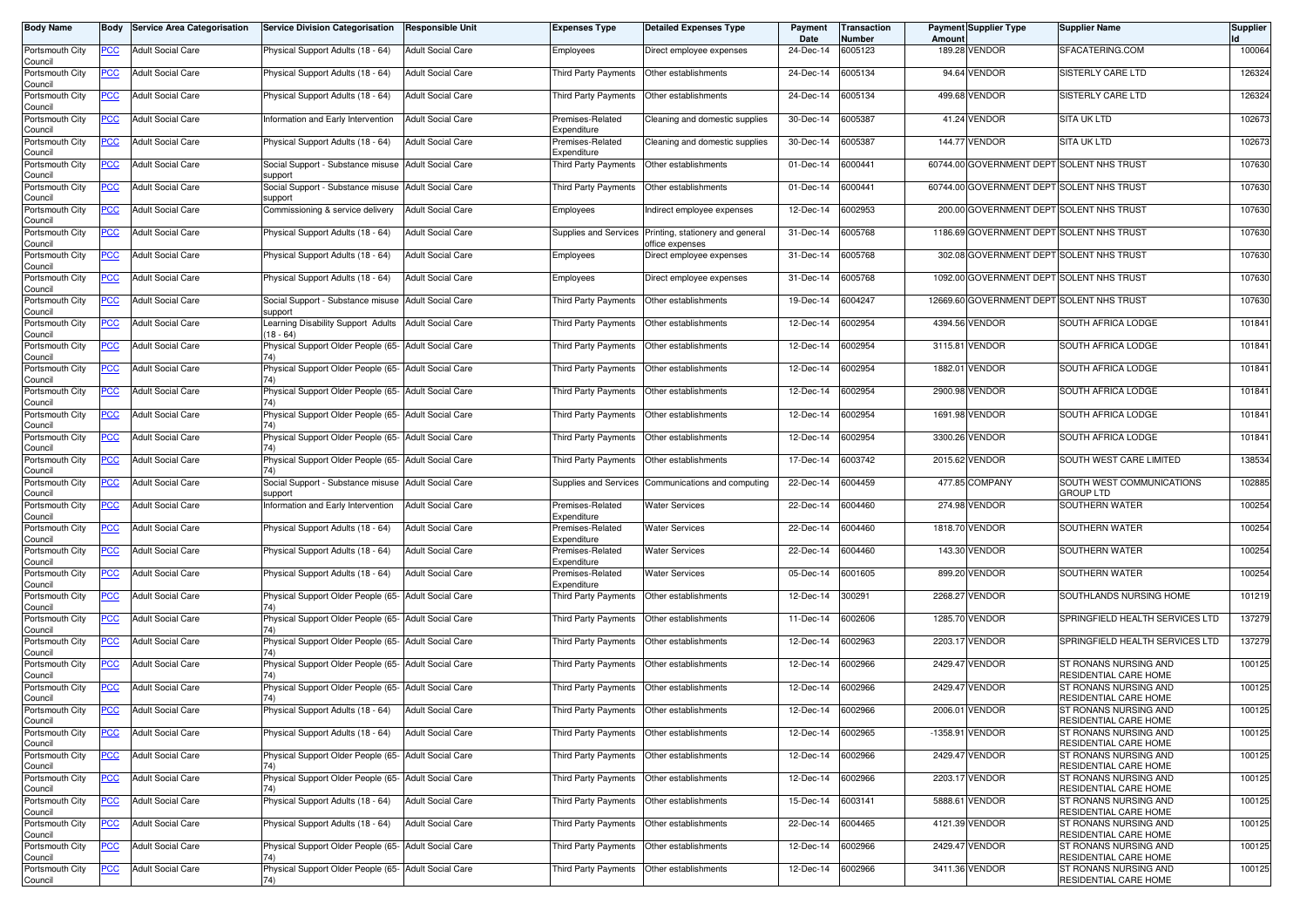| <b>Body Name</b>           |                | <b>Body Service Area Categorisation</b> | <b>Service Division Categorisation</b>                              | <b>Responsible Unit</b>  | Expenses Type                   | Detailed Expenses Type                              | Payment<br>Date | Transaction<br>Number | Amount  | <b>Payment Supplier Type</b>              | <b>Supplier Name</b>                           | <b>Supplier</b> |
|----------------------------|----------------|-----------------------------------------|---------------------------------------------------------------------|--------------------------|---------------------------------|-----------------------------------------------------|-----------------|-----------------------|---------|-------------------------------------------|------------------------------------------------|-----------------|
| Portsmouth City<br>Council | PCC            | <b>Adult Social Care</b>                | Physical Support Adults (18 - 64)                                   | <b>Adult Social Care</b> | Employees                       | Direct employee expenses                            | 24-Dec-14       | 6005123               |         | 189.28 VENDOR                             | SFACATERING.COM                                | 100064          |
| Portsmouth City<br>Council | ∍CC            | <b>Adult Social Care</b>                | Physical Support Adults (18 - 64)                                   | <b>Adult Social Care</b> | Third Party Payments            | Other establishments                                | 24-Dec-14       | 6005134               |         | 94.64 VENDOR                              | SISTERLY CARE LTD                              | 126324          |
| Portsmouth City<br>Council | <u>PCC</u>     | <b>Adult Social Care</b>                | Physical Support Adults (18 - 64)                                   | <b>Adult Social Care</b> | Third Party Payments            | Other establishments                                | 24-Dec-14       | 6005134               |         | 499.68 VENDOR                             | SISTERLY CARE LTD                              | 126324          |
| Portsmouth City<br>Council | <b>PCC</b>     | <b>Adult Social Care</b>                | Information and Early Intervention                                  | <b>Adult Social Care</b> | Premises-Related<br>Expenditure | Cleaning and domestic supplies                      | 30-Dec-14       | 6005387               |         | 41.24 VENDOR                              | <b>SITA UK LTD</b>                             | 102673          |
| Portsmouth City<br>Council | <u>PCC</u>     | <b>Adult Social Care</b>                | Physical Support Adults (18 - 64)                                   | <b>Adult Social Care</b> | Premises-Related<br>Expenditure | Cleaning and domestic supplies                      | 30-Dec-14       | 6005387               |         | 144.77 VENDOR                             | SITA UK LTD                                    | 102673          |
| Portsmouth City<br>Council | <u>PCC </u>    | <b>Adult Social Care</b>                | Social Support - Substance misuse Adult Social Care<br>support      |                          | Third Party Payments            | Other establishments                                | 01-Dec-14       | 6000441               |         | 60744.00 GOVERNMENT DEPT SOLENT NHS TRUST |                                                | 107630          |
| Portsmouth City<br>Council | <u>PCC</u>     | <b>Adult Social Care</b>                | Social Support - Substance misuse Adult Social Care<br>support      |                          | Third Party Payments            | Other establishments                                | 01-Dec-14       | 6000441               |         | 60744.00 GOVERNMENT DEPT SOLENT NHS TRUST |                                                | 107630          |
| Portsmouth City<br>Council | <u>PCC</u>     | <b>Adult Social Care</b>                | Commissioning & service delivery                                    | <b>Adult Social Care</b> | Employees                       | Indirect employee expenses                          | 12-Dec-14       | 6002953               |         | 200.00 GOVERNMENT DEPT SOLENT NHS TRUST   |                                                | 107630          |
| Portsmouth City<br>Council | $\overline{C}$ | <b>Adult Social Care</b>                | Physical Support Adults (18 - 64)                                   | <b>Adult Social Care</b> | Supplies and Services           | Printing, stationery and general<br>office expenses | 31-Dec-14       | 6005768               |         | 1186.69 GOVERNMENT DEPT SOLENT NHS TRUST  |                                                | 107630          |
| Portsmouth City<br>Council | PCC            | <b>Adult Social Care</b>                | Physical Support Adults (18 - 64)                                   | <b>Adult Social Care</b> | Employees                       | Direct employee expenses                            | 31-Dec-14       | 6005768               |         | 302.08 GOVERNMENT DEPT SOLENT NHS TRUST   |                                                | 107630          |
| Portsmouth City<br>Council | PCC            | <b>Adult Social Care</b>                | Physical Support Adults (18 - 64)                                   | <b>Adult Social Care</b> | Employees                       | Direct employee expenses                            | 31-Dec-14       | 6005768               |         | 1092.00 GOVERNMENT DEPT SOLENT NHS TRUST  |                                                | 107630          |
| Portsmouth City<br>Council | <u>PCC</u>     | <b>Adult Social Care</b>                | Social Support - Substance misuse Adult Social Care<br>support      |                          | Third Party Payments            | Other establishments                                | 19-Dec-14       | 6004247               |         | 12669.60 GOVERNMENT DEPT SOLENT NHS TRUST |                                                | 107630          |
| Portsmouth City<br>Council | PCC            | <b>Adult Social Care</b>                | Learning Disability Support Adults Adult Social Care<br>$(18 - 64)$ |                          | Third Party Payments            | Other establishments                                | 12-Dec-14       | 6002954               |         | 4394.56 VENDOR                            | SOUTH AFRICA LODGE                             | 101841          |
| Portsmouth City<br>Council | <u>PCC</u>     | <b>Adult Social Care</b>                | Physical Support Older People (65- Adult Social Care                |                          | Third Party Payments            | Other establishments                                | 12-Dec-14       | 6002954               |         | 3115.81 VENDOR                            | SOUTH AFRICA LODGE                             | 101841          |
| Portsmouth City<br>Council | <u>PCC</u>     | <b>Adult Social Care</b>                | Physical Support Older People (65- Adult Social Care<br>74)         |                          | Third Party Payments            | Other establishments                                | 12-Dec-14       | 6002954               |         | 1882.01 VENDOR                            | SOUTH AFRICA LODGE                             | 101841          |
| Portsmouth City<br>Council | <u>PCC</u>     | <b>Adult Social Care</b>                | Physical Support Older People (65- Adult Social Care                |                          | Third Party Payments            | Other establishments                                | 12-Dec-14       | 6002954               |         | 2900.98 VENDOR                            | SOUTH AFRICA LODGE                             | 101841          |
| Portsmouth City<br>Council | PCC            | <b>Adult Social Care</b>                | Physical Support Older People (65- Adult Social Care                |                          | Third Party Payments            | Other establishments                                | 12-Dec-14       | 6002954               |         | 1691.98 VENDOR                            | SOUTH AFRICA LODGE                             | 101841          |
| Portsmouth City<br>Council | PCC            | <b>Adult Social Care</b>                | Physical Support Older People (65- Adult Social Care                |                          | Third Party Payments            | Other establishments                                | 12-Dec-14       | 6002954               |         | 3300.26 VENDOR                            | SOUTH AFRICA LODGE                             | 101841          |
| Portsmouth City<br>Council | <u>PCC</u>     | <b>Adult Social Care</b>                | Physical Support Older People (65- Adult Social Care                |                          | Third Party Payments            | Other establishments                                | 17-Dec-14       | 6003742               |         | 2015.62 VENDOR                            | SOUTH WEST CARE LIMITED                        | 138534          |
| Portsmouth City<br>Council | PCC            | <b>Adult Social Care</b>                | Social Support - Substance misuse Adult Social Care<br>support      |                          | Supplies and Services           | Communications and computing                        | 22-Dec-14       | 6004459               |         | 477.85 COMPANY                            | SOUTH WEST COMMUNICATIONS<br>GROUP LTD         | 102885          |
| Portsmouth City<br>Council | <u>PCC</u>     | <b>Adult Social Care</b>                | Information and Early Intervention                                  | Adult Social Care        | Premises-Related<br>Expenditure | <b>Water Services</b>                               | 22-Dec-14       | 6004460               |         | 274.98 VENDOR                             | SOUTHERN WATER                                 | 100254          |
| Portsmouth City<br>Council | <u>PCC</u>     | <b>Adult Social Care</b>                | Physical Support Adults (18 - 64)                                   | <b>Adult Social Care</b> | Premises-Related<br>Expenditure | <b>Water Services</b>                               | 22-Dec-14       | 6004460               |         | 1818.70 VENDOR                            | SOUTHERN WATER                                 | 100254          |
| Portsmouth City<br>Council | <u>PCC</u>     | <b>Adult Social Care</b>                | Physical Support Adults (18 - 64)                                   | <b>Adult Social Care</b> | Premises-Related<br>Expenditure | <b>Water Services</b>                               | 22-Dec-14       | 6004460               |         | 143.30 VENDOR                             | SOUTHERN WATER                                 | 100254          |
| Portsmouth City<br>Council | <u>PCC </u>    | <b>Adult Social Care</b>                | Physical Support Adults (18 - 64)                                   | <b>Adult Social Care</b> | Premises-Related<br>Expenditure | <b>Water Services</b>                               | 05-Dec-14       | 6001605               |         | 899.20 VENDOR                             | SOUTHERN WATER                                 | 100254          |
| Portsmouth City<br>Council | <b>PCC</b>     | <b>Adult Social Care</b>                | Physical Support Older People (65- Adult Social Care                |                          | Third Party Payments            | Other establishments                                | 12-Dec-14       | 300291                |         | 2268.27 VENDOR                            | SOUTHLANDS NURSING HOME                        | 101219          |
| Portsmouth City<br>Council | <u>PCC</u>     | <b>Adult Social Care</b>                | Physical Support Older People (65- Adult Social Care                |                          | Third Party Payments            | Other establishments                                | 11-Dec-14       | 6002606               |         | 1285.70 VENDOR                            | SPRINGFIELD HEALTH SERVICES LTD                | 137279          |
| Portsmouth City<br>Council | <b>PCC</b>     | <b>Adult Social Care</b>                | Physical Support Older People (65- Adult Social Care                |                          | Third Party Payments            | Other establishments                                | 12-Dec-14       | 6002963               |         | 2203.17 VENDOR                            | SPRINGFIELD HEALTH SERVICES LTD                | 137279          |
| Portsmouth City<br>Council | <u>PCC</u>     | <b>Adult Social Care</b>                | Physical Support Older People (65- Adult Social Care                |                          | Third Party Payments            | Other establishments                                | 12-Dec-14       | 6002966               |         | 2429.47 VENDOR                            | ST RONANS NURSING AND<br>RESIDENTIAL CARE HOME | 100125          |
| Portsmouth City<br>Council | <u>PCC</u>     | <b>Adult Social Care</b>                | Physical Support Older People (65- Adult Social Care                |                          | Third Party Payments            | Other establishments                                | 12-Dec-14       | 6002966               |         | 2429.47 VENDOR                            | ST RONANS NURSING AND<br>RESIDENTIAL CARE HOME | 100125          |
| Portsmouth City<br>Council | <u>PCC</u>     | <b>Adult Social Care</b>                | Physical Support Adults (18 - 64)                                   | <b>Adult Social Care</b> | Third Party Payments            | Other establishments                                | 12-Dec-14       | 6002966               | 2006.01 | <b>VENDOR</b>                             | ST RONANS NURSING AND<br>RESIDENTIAL CARE HOME | 100125          |
| Portsmouth City<br>Council | <u>PCC</u>     | <b>Adult Social Care</b>                | Physical Support Adults (18 - 64)                                   | <b>Adult Social Care</b> | Third Party Payments            | Other establishments                                | 12-Dec-14       | 6002965               |         | -1358.91 VENDOR                           | ST RONANS NURSING AND<br>RESIDENTIAL CARE HOME | 100125          |
| Portsmouth City<br>Council | <b>PCC</b>     | <b>Adult Social Care</b>                | Physical Support Older People (65- Adult Social Care<br>74)         |                          |                                 | Third Party Payments Other establishments           | 12-Dec-14       | 6002966               |         | 2429.47 VENDOR                            | ST RONANS NURSING AND<br>RESIDENTIAL CARE HOME | 100125          |
| Portsmouth City<br>Council | <u>PCC</u>     | <b>Adult Social Care</b>                | Physical Support Older People (65- Adult Social Care<br>74)         |                          |                                 | Third Party Payments  Other establishments          | 12-Dec-14       | 6002966               |         | 2203.17 VENDOR                            | ST RONANS NURSING AND<br>RESIDENTIAL CARE HOME | 100125          |
| Portsmouth City<br>Council | <u>PCC</u>     | <b>Adult Social Care</b>                | Physical Support Adults (18 - 64)                                   | <b>Adult Social Care</b> | Third Party Payments            | Other establishments                                | 15-Dec-14       | 6003141               |         | 5888.61 VENDOR                            | ST RONANS NURSING AND<br>RESIDENTIAL CARE HOME | 100125          |
| Portsmouth City<br>Council | <u>PCC</u>     | <b>Adult Social Care</b>                | Physical Support Adults (18 - 64)                                   | <b>Adult Social Care</b> | Third Party Payments            | Other establishments                                | 22-Dec-14       | 6004465               |         | 4121.39 VENDOR                            | ST RONANS NURSING AND<br>RESIDENTIAL CARE HOME | 100125          |
| Portsmouth City<br>Council | <u>PCC</u>     | <b>Adult Social Care</b>                | Physical Support Older People (65- Adult Social Care                |                          | Third Party Payments            | Other establishments                                | 12-Dec-14       | 6002966               |         | 2429.47 VENDOR                            | ST RONANS NURSING AND<br>RESIDENTIAL CARE HOME | 100125          |
| Portsmouth City<br>Council | <u>PCC</u>     | <b>Adult Social Care</b>                | Physical Support Older People (65- Adult Social Care<br>74)         |                          | Third Party Payments            | Other establishments                                | 12-Dec-14       | 6002966               |         | 3411.36 VENDOR                            | ST RONANS NURSING AND<br>RESIDENTIAL CARE HOME | 100125          |
|                            |                |                                         |                                                                     |                          |                                 |                                                     |                 |                       |         |                                           |                                                |                 |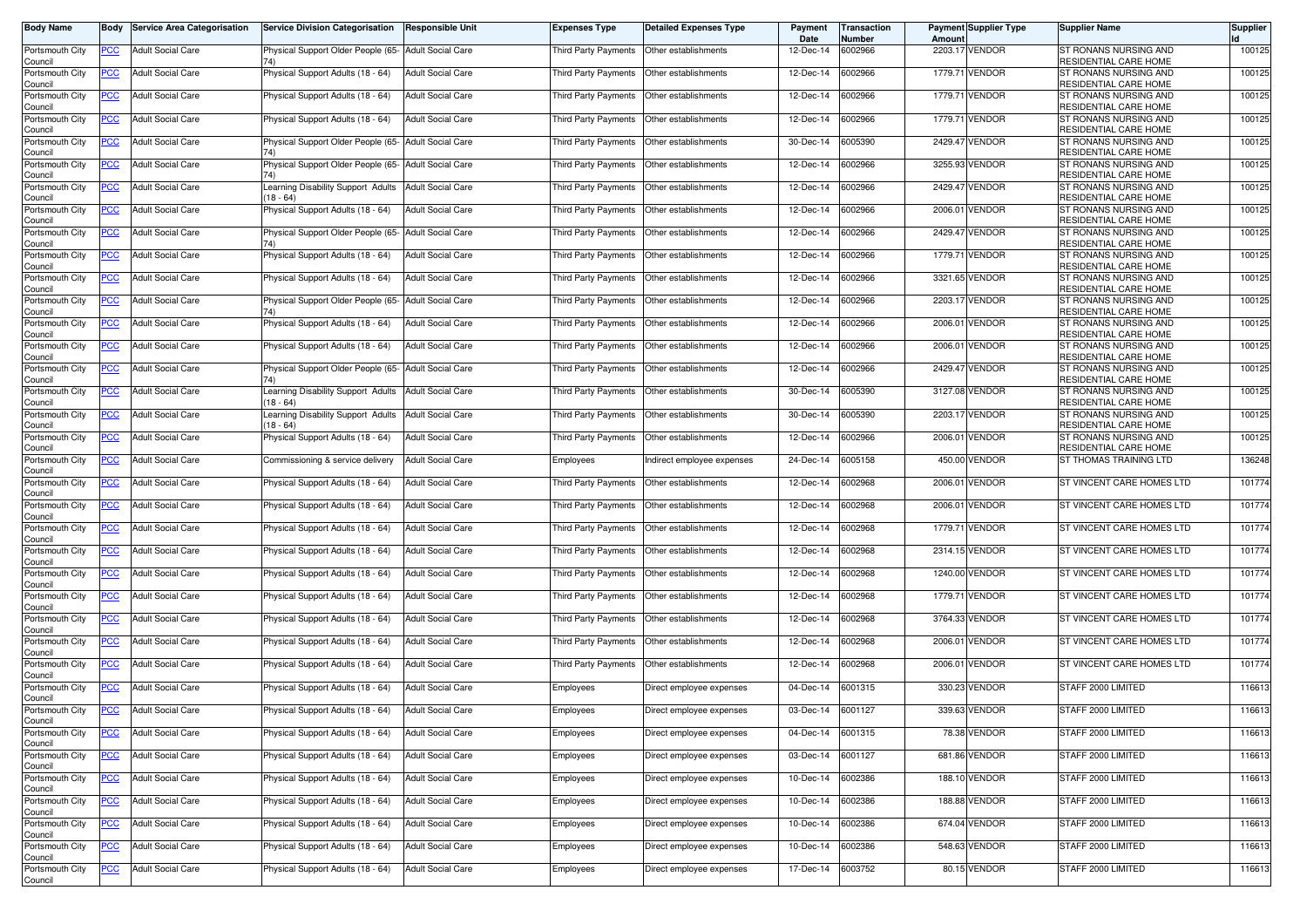| <b>Body Name</b>           | Body       | <b>Service Area Categorisation</b> | <b>Service Division Categorisation</b>                      | Responsible Unit         | <b>Expenses Type</b> | <b>Detailed Expenses Type</b> | Payment<br>Date | Transaction<br>Number | Amoun   | <b>Payment Supplier Type</b> | <b>Supplier Name</b>                                   | Supplier |
|----------------------------|------------|------------------------------------|-------------------------------------------------------------|--------------------------|----------------------|-------------------------------|-----------------|-----------------------|---------|------------------------------|--------------------------------------------------------|----------|
| Portsmouth City<br>Council | PCC        | <b>Adult Social Care</b>           | Physical Support Older People (65- Adult Social Care        |                          | Third Party Payments | Other establishments          | 12-Dec-14       | 6002966               |         | 2203.17 VENDOR               | ST RONANS NURSING AND<br>RESIDENTIAL CARE HOME         | 100125   |
| Portsmouth City<br>Council | <u>PCC</u> | <b>Adult Social Care</b>           | Physical Support Adults (18 - 64)                           | <b>Adult Social Care</b> | Third Party Payments | Other establishments          | 12-Dec-14       | 6002966               |         | 1779.71 VENDOR               | ST RONANS NURSING AND<br>RESIDENTIAL CARE HOME         | 100125   |
| Portsmouth City<br>Council | <u>PCC</u> | <b>Adult Social Care</b>           | Physical Support Adults (18 - 64)                           | <b>Adult Social Care</b> | Third Party Payments | Other establishments          | 12-Dec-14       | 6002966               |         | 1779.71 VENDOR               | ST RONANS NURSING AND<br>RESIDENTIAL CARE HOME         | 100125   |
| Portsmouth City<br>Council | <u>PCC</u> | <b>Adult Social Care</b>           | Physical Support Adults (18 - 64)                           | <b>Adult Social Care</b> | Third Party Payments | Other establishments          | 12-Dec-14       | 6002966               |         | 1779.71 VENDOR               | ST RONANS NURSING AND<br>RESIDENTIAL CARE HOME         | 100125   |
| Portsmouth City<br>Council | <u>PCC</u> | <b>Adult Social Care</b>           | Physical Support Older People (65- Adult Social Care        |                          | Third Party Payments | Other establishments          | 30-Dec-14       | 6005390               | 2429.47 | <b>VENDOR</b>                | ST RONANS NURSING AND<br>RESIDENTIAL CARE HOME         | 100125   |
| Portsmouth City<br>Council | <u>PCC</u> | <b>Adult Social Care</b>           | Physical Support Older People (65- Adult Social Care<br>74) |                          | Third Party Payments | Other establishments          | 12-Dec-14       | 6002966               | 3255.93 | <b>VENDOR</b>                | ST RONANS NURSING AND<br>RESIDENTIAL CARE HOME         | 100125   |
| Portsmouth City<br>Council | <u>PCC</u> | <b>Adult Social Care</b>           | earning Disability Support Adults<br>$(18 - 64)$            | <b>Adult Social Care</b> | Third Party Payments | Other establishments          | 12-Dec-14       | 6002966               |         | 2429.47 VENDOR               | ST RONANS NURSING AND<br>RESIDENTIAL CARE HOME         | 100125   |
| Portsmouth City            | <u>PCC</u> | <b>Adult Social Care</b>           | Physical Support Adults (18 - 64)                           | <b>Adult Social Care</b> | Third Party Payments | Other establishments          | 12-Dec-14       | 6002966               |         | 2006.01 VENDOR               | ST RONANS NURSING AND<br>RESIDENTIAL CARE HOME         | 100125   |
| Council<br>Portsmouth City | <b>PCC</b> | <b>Adult Social Care</b>           | Physical Support Older People (65- Adult Social Care        |                          | Third Party Payments | Other establishments          | 12-Dec-14       | 6002966               | 2429.47 | <b>VENDOR</b>                | ST RONANS NURSING AND<br>RESIDENTIAL CARE HOME         | 100125   |
| Council<br>Portsmouth City | ∍сс        | <b>Adult Social Care</b>           | Physical Support Adults (18 - 64)                           | <b>Adult Social Care</b> | Third Party Payments | Other establishments          | 12-Dec-14       | 6002966               | 1779.71 | <b>VENDOR</b>                | ST RONANS NURSING AND<br><b>RESIDENTIAL CARE HOME</b>  | 100125   |
| Council<br>Portsmouth City | <u>PCC</u> | <b>Adult Social Care</b>           | Physical Support Adults (18 - 64)                           | <b>Adult Social Care</b> | Third Party Payments | Other establishments          | 12-Dec-14       | 6002966               |         | 3321.65 VENDOR               | ST RONANS NURSING AND<br><b>RESIDENTIAL CARE HOME</b>  | 100125   |
| Council<br>Portsmouth City | <u>PCC</u> | <b>Adult Social Care</b>           | Physical Support Older People (65- Adult Social Care        |                          | Third Party Payments | Other establishments          | 12-Dec-14       | 6002966               | 2203.17 | <b>VENDOR</b>                | <b>ST RONANS NURSING AND</b>                           | 100125   |
| Council<br>Portsmouth City | PCC        | <b>Adult Social Care</b>           | Physical Support Adults (18 - 64)                           | <b>Adult Social Care</b> | Third Party Payments | Other establishments          | 12-Dec-14       | 6002966               | 2006.01 | <b>VENDOR</b>                | RESIDENTIAL CARE HOME<br>ST RONANS NURSING AND         | 100125   |
| Council<br>Portsmouth City | PCC        | <b>Adult Social Care</b>           | Physical Support Adults (18 - 64)                           | <b>Adult Social Care</b> | Third Party Payments | Other establishments          | 12-Dec-14       | 6002966               | 2006.01 | <b>VENDOR</b>                | RESIDENTIAL CARE HOME<br>ST RONANS NURSING AND         | 100125   |
| Council<br>Portsmouth City | <u>PCC</u> | <b>Adult Social Care</b>           | Physical Support Older People (65- Adult Social Care        |                          | Third Party Payments | Other establishments          | 12-Dec-14       | 6002966               |         | 2429.47 VENDOR               | RESIDENTIAL CARE HOME<br>ST RONANS NURSING AND         | 100125   |
| Council<br>Portsmouth City | <u>PCC</u> | <b>Adult Social Care</b>           | 74)<br>Learning Disability Support Adults Adult Social Care |                          | Third Party Payments | Other establishments          | 30-Dec-14       | 6005390               |         | 3127.08 VENDOR               | RESIDENTIAL CARE HOME<br>ST RONANS NURSING AND         | 100125   |
| Council<br>Portsmouth City | PСC        | <b>Adult Social Care</b>           | $(18 - 64)$<br>earning Disability Support Adults            | <b>Adult Social Care</b> | Third Party Payments | Other establishments          | 30-Dec-14       | 6005390               | 2203.17 | <b>VENDOR</b>                | RESIDENTIAL CARE HOME<br>ST RONANS NURSING AND         | 100125   |
| Council<br>Portsmouth City |            | <b>Adult Social Care</b>           | $18 - 64$<br>Physical Support Adults (18 - 64)              | <b>Adult Social Care</b> | Third Party Payments | Other establishments          | 12-Dec-14       | 6002966               | 2006.01 | <b>VENDOR</b>                | RESIDENTIAL CARE HOME<br>ST RONANS NURSING AND         | 100125   |
| Council<br>Portsmouth City | PCC        | <b>Adult Social Care</b>           | Commissioning & service delivery                            | <b>Adult Social Care</b> | Employees            | Indirect employee expenses    | 24-Dec-14       | 6005158               | 450.00  | <b>VENDOR</b>                | <b>RESIDENTIAL CARE HOME</b><br>ST THOMAS TRAINING LTD | 136248   |
| Council<br>Portsmouth City | <u>PCC</u> | <b>Adult Social Care</b>           | Physical Support Adults (18 - 64)                           | <b>Adult Social Care</b> | Third Party Payments | Other establishments          | 12-Dec-14       | 6002968               |         | 2006.01 VENDOR               | ST VINCENT CARE HOMES LTD                              | 101774   |
| Council<br>Portsmouth City | <u>PCC</u> | <b>Adult Social Care</b>           | Physical Support Adults (18 - 64)                           | <b>Adult Social Care</b> | Third Party Payments | Other establishments          | 12-Dec-14       | 6002968               | 2006.01 | <b>VENDOR</b>                | ST VINCENT CARE HOMES LTD                              | 101774   |
| Council<br>Portsmouth City | <u>PCC</u> | <b>Adult Social Care</b>           | Physical Support Adults (18 - 64)                           | <b>Adult Social Care</b> | Third Party Payments | Other establishments          | 12-Dec-14       | 6002968               | 1779.71 | <b>VENDOR</b>                | ST VINCENT CARE HOMES LTD                              | 101774   |
| Council<br>Portsmouth City | <u>PCC</u> | <b>Adult Social Care</b>           | Physical Support Adults (18 - 64)                           | <b>Adult Social Care</b> | Third Party Payments | Other establishments          | 12-Dec-14       | 6002968               |         | 2314.15 VENDOR               | ST VINCENT CARE HOMES LTD                              | 101774   |
| Council<br>Portsmouth City | <u>PCC</u> | <b>Adult Social Care</b>           | Physical Support Adults (18 - 64)                           | <b>Adult Social Care</b> | Third Party Payments | Other establishments          | 12-Dec-14       | 6002968               |         | 1240.00 VENDOR               | ST VINCENT CARE HOMES LTD                              | 101774   |
| Council<br>Portsmouth City | <u>PCC</u> | <b>Adult Social Care</b>           | Physical Support Adults (18 - 64)                           | <b>Adult Social Care</b> | Third Party Payments | Other establishments          | 12-Dec-14       | 6002968               |         | 1779.71 VENDOR               | ST VINCENT CARE HOMES LTD                              | 101774   |
| Council<br>Portsmouth City | <u>PCC</u> | <b>Adult Social Care</b>           | Physical Support Adults (18 - 64)                           | <b>Adult Social Care</b> | Third Party Payments | Other establishments          | 12-Dec-14       | 6002968               |         | 3764.33 VENDOR               | ST VINCENT CARE HOMES LTD                              | 101774   |
| Council<br>Portsmouth City | <u>PCC</u> | <b>Adult Social Care</b>           | Physical Support Adults (18 - 64)                           | <b>Adult Social Care</b> | Third Party Payments | Other establishments          | 12-Dec-14       | 6002968               | 2006.01 | <b>VENDOR</b>                | ST VINCENT CARE HOMES LTD                              | 101774   |
| Council<br>Portsmouth City | <u>PCC</u> | <b>Adult Social Care</b>           | Physical Support Adults (18 - 64)                           | <b>Adult Social Care</b> | Third Party Payments | Other establishments          | 12-Dec-14       | 6002968               | 2006.0  | <b>VENDOR</b>                | ST VINCENT CARE HOMES LTD                              | 101774   |
| Council<br>Portsmouth City | <u>PCC</u> | <b>Adult Social Care</b>           | Physical Support Adults (18 - 64)                           | <b>Adult Social Care</b> | Employees            | Direct employee expenses      | 04-Dec-14       | 6001315               | 330.23  | <b>VENDOR</b>                | STAFF 2000 LIMITED                                     | 116613   |
| Council<br>Portsmouth City | <u>PCC</u> | <b>Adult Social Care</b>           | Physical Support Adults (18 - 64)                           | <b>Adult Social Care</b> | Employees            | Direct employee expenses      | 03-Dec-14       | 6001127               | 339.63  | <b>VENDOR</b>                | STAFF 2000 LIMITED                                     | 116613   |
| Council<br>Portsmouth City | <b>PCC</b> | <b>Adult Social Care</b>           | Physical Support Adults (18 - 64)                           | <b>Adult Social Care</b> | Employees            | Direct employee expenses      | 04-Dec-14       | 6001315               |         | 78.38 VENDOR                 | STAFF 2000 LIMITED                                     | 116613   |
| Council<br>Portsmouth City | <u>PCC</u> | <b>Adult Social Care</b>           | Physical Support Adults (18 - 64)                           | <b>Adult Social Care</b> | Employees            | Direct employee expenses      | 03-Dec-14       | 6001127               |         | 681.86 VENDOR                | STAFF 2000 LIMITED                                     | 116613   |
| Council<br>Portsmouth City | <u>PCC</u> | <b>Adult Social Care</b>           | Physical Support Adults (18 - 64)                           | <b>Adult Social Care</b> | Employees            | Direct employee expenses      | 10-Dec-14       | 6002386               |         | 188.10 VENDOR                | STAFF 2000 LIMITED                                     | 116613   |
| Council<br>Portsmouth City | <b>PCC</b> | <b>Adult Social Care</b>           | Physical Support Adults (18 - 64)                           | <b>Adult Social Care</b> | Employees            | Direct employee expenses      | 10-Dec-14       | 6002386               |         | 188.88 VENDOR                | STAFF 2000 LIMITED                                     | 116613   |
| Council<br>Portsmouth City | <u>PCC</u> | <b>Adult Social Care</b>           | Physical Support Adults (18 - 64)                           | <b>Adult Social Care</b> | Employees            | Direct employee expenses      | 10-Dec-14       | 6002386               |         | 674.04 VENDOR                | STAFF 2000 LIMITED                                     | 116613   |
| Council<br>Portsmouth City | <u>PCC</u> | <b>Adult Social Care</b>           | Physical Support Adults (18 - 64)                           | <b>Adult Social Care</b> | Employees            | Direct employee expenses      | 10-Dec-14       | 6002386               |         | 548.63 VENDOR                | STAFF 2000 LIMITED                                     | 116613   |
| Council<br>Portsmouth City | <b>PCC</b> | <b>Adult Social Care</b>           | Physical Support Adults (18 - 64)                           | <b>Adult Social Care</b> | Employees            | Direct employee expenses      | 17-Dec-14       | 6003752               |         | 80.15 VENDOR                 | STAFF 2000 LIMITED                                     | 116613   |
| Council                    |            |                                    |                                                             |                          |                      |                               |                 |                       |         |                              |                                                        |          |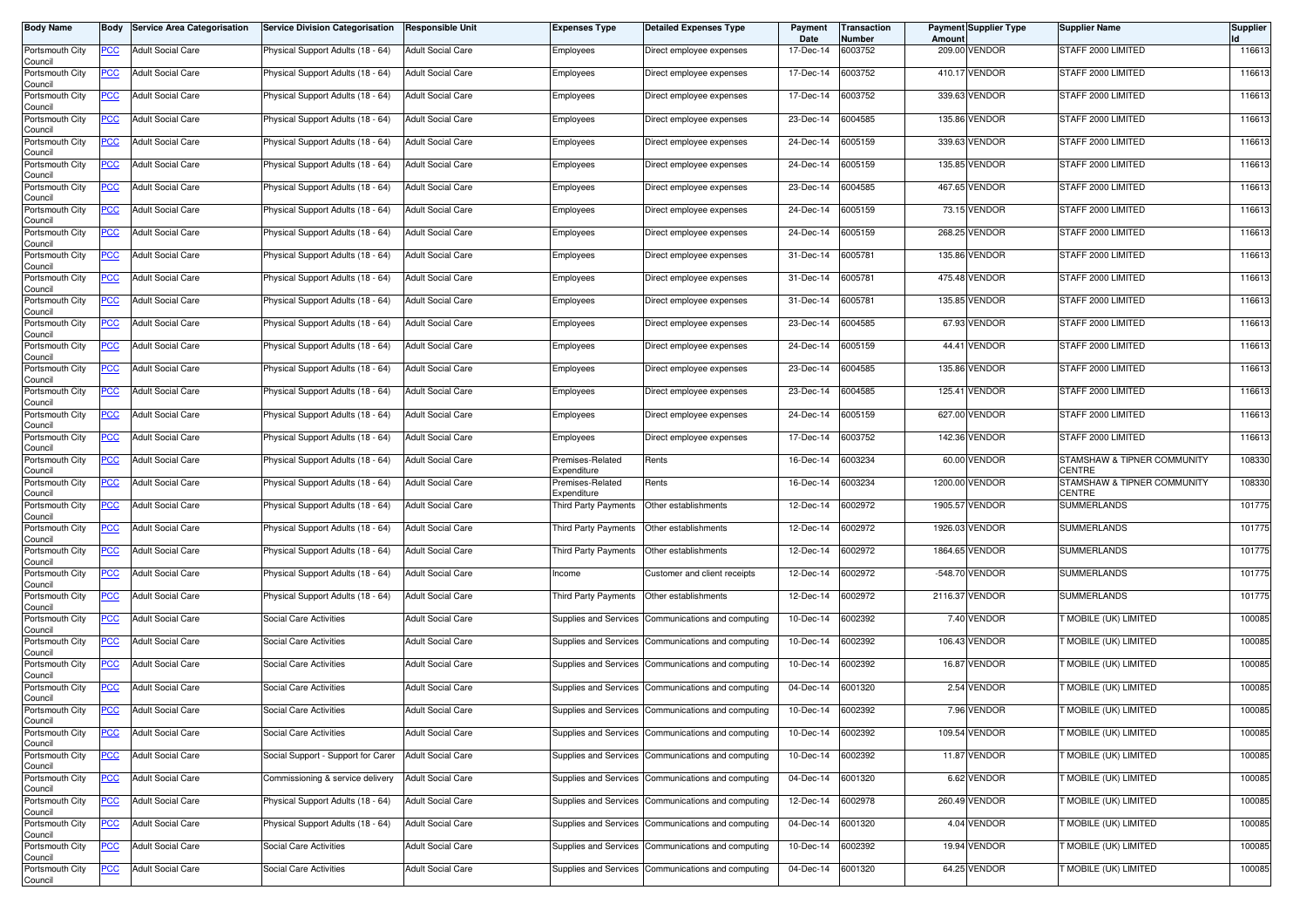| <b>Body Name</b>                      |             | <b>Body Service Area Categorisation</b> | Service Division Categorisation    | <b>Responsible Unit</b>  | Expenses Type                   | Detailed Expenses Type                             | Payment<br>Date | Transaction<br>Number | <b>Amount</b> | <b>Payment Supplier Type</b> | Supplier Name                         | <b>Supplier</b> |
|---------------------------------------|-------------|-----------------------------------------|------------------------------------|--------------------------|---------------------------------|----------------------------------------------------|-----------------|-----------------------|---------------|------------------------------|---------------------------------------|-----------------|
| Portsmouth City<br>Council            | PCC         | <b>Adult Social Care</b>                | Physical Support Adults (18 - 64)  | <b>Adult Social Care</b> | Employees                       | Direct employee expenses                           | 17-Dec-14       | 6003752               |               | 209.00 VENDOR                | STAFF 2000 LIMITED                    | 116613          |
| Portsmouth City<br>Council            | <u>PCC</u>  | <b>Adult Social Care</b>                | Physical Support Adults (18 - 64)  | <b>Adult Social Care</b> | Employees                       | Direct employee expenses                           | 17-Dec-14       | 6003752               |               | 410.17 VENDOR                | STAFF 2000 LIMITED                    | 116613          |
| Portsmouth City<br>Council            | <u>PCC</u>  | <b>Adult Social Care</b>                | Physical Support Adults (18 - 64)  | <b>Adult Social Care</b> | Employees                       | Direct employee expenses                           | 17-Dec-14       | 6003752               |               | 339.63 VENDOR                | STAFF 2000 LIMITED                    | 116613          |
| Portsmouth City<br>Council            | <b>PCC</b>  | <b>Adult Social Care</b>                | Physical Support Adults (18 - 64)  | <b>Adult Social Care</b> | Employees                       | Direct employee expenses                           | 23-Dec-14       | 6004585               |               | 135.86 VENDOR                | STAFF 2000 LIMITED                    | 116613          |
| Portsmouth City<br>Council            | <u>PCC</u>  | <b>Adult Social Care</b>                | Physical Support Adults (18 - 64)  | <b>Adult Social Care</b> | Employees                       | Direct employee expenses                           | 24-Dec-14       | 6005159               |               | 339.63 VENDOR                | STAFF 2000 LIMITED                    | 116613          |
| Portsmouth City<br>Council            | <u>PCC </u> | <b>Adult Social Care</b>                | Physical Support Adults (18 - 64)  | <b>Adult Social Care</b> | Employees                       | Direct employee expenses                           | 24-Dec-14       | 6005159               |               | 135.85 VENDOR                | STAFF 2000 LIMITED                    | 116613          |
| Portsmouth City<br>Council            | <u>PCC</u>  | <b>Adult Social Care</b>                | Physical Support Adults (18 - 64)  | <b>Adult Social Care</b> | Employees                       | Direct employee expenses                           | 23-Dec-14       | 6004585               |               | 467.65 VENDOR                | STAFF 2000 LIMITED                    | 116613          |
| Portsmouth City<br>Council            | <u>PCC</u>  | <b>Adult Social Care</b>                | Physical Support Adults (18 - 64)  | <b>Adult Social Care</b> | Employees                       | Direct employee expenses                           | 24-Dec-14       | 6005159               |               | 73.15 VENDOR                 | STAFF 2000 LIMITED                    | 116613          |
| Portsmouth City<br>Council            | <u>PCC </u> | <b>Adult Social Care</b>                | Physical Support Adults (18 - 64)  | <b>Adult Social Care</b> | Employees                       | Direct employee expenses                           | 24-Dec-14       | 6005159               |               | 268.25 VENDOR                | STAFF 2000 LIMITED                    | 116613          |
| Portsmouth City<br>Council            | PCC         | <b>Adult Social Care</b>                | Physical Support Adults (18 - 64)  | <b>Adult Social Care</b> | Employees                       | Direct employee expenses                           | 31-Dec-14       | 6005781               |               | 135.86 VENDOR                | STAFF 2000 LIMITED                    | 116613          |
| Portsmouth City<br>Council            | <u>PCC</u>  | <b>Adult Social Care</b>                | Physical Support Adults (18 - 64)  | <b>Adult Social Care</b> | Employees                       | Direct employee expenses                           | 31-Dec-14       | 6005781               |               | 475.48 VENDOR                | STAFF 2000 LIMITED                    | 116613          |
| Portsmouth City<br>Council            | <u>PCC</u>  | <b>Adult Social Care</b>                | Physical Support Adults (18 - 64)  | <b>Adult Social Care</b> | Employees                       | Direct employee expenses                           | 31-Dec-14       | 6005781               |               | 135.85 VENDOR                | STAFF 2000 LIMITED                    | 116613          |
| Portsmouth City<br>Council            | PCC         | <b>Adult Social Care</b>                | Physical Support Adults (18 - 64)  | <b>Adult Social Care</b> | Employees                       | Direct employee expenses                           | 23-Dec-14       | 6004585               |               | 67.93 VENDOR                 | STAFF 2000 LIMITED                    | 116613          |
| Portsmouth City                       | <u>PCC</u>  | <b>Adult Social Care</b>                | Physical Support Adults (18 - 64)  | <b>Adult Social Care</b> | Employees                       | Direct employee expenses                           | 24-Dec-14       | 6005159               |               | 44.41 VENDOR                 | STAFF 2000 LIMITED                    | 116613          |
| Council<br>Portsmouth City<br>Council | <u>PCC</u>  | <b>Adult Social Care</b>                | Physical Support Adults (18 - 64)  | <b>Adult Social Care</b> | Employees                       | Direct employee expenses                           | 23-Dec-14       | 6004585               |               | 135.86 VENDOR                | STAFF 2000 LIMITED                    | 116613          |
| Portsmouth City                       | <u>PCC</u>  | <b>Adult Social Care</b>                | Physical Support Adults (18 - 64)  | <b>Adult Social Care</b> | Employees                       | Direct employee expenses                           | 23-Dec-14       | 6004585               |               | 125.41 VENDOR                | STAFF 2000 LIMITED                    | 116613          |
| Council<br>Portsmouth City            | PCC         | <b>Adult Social Care</b>                | Physical Support Adults (18 - 64)  | <b>Adult Social Care</b> | Employees                       | Direct employee expenses                           | 24-Dec-14       | 6005159               |               | 627.00 VENDOR                | STAFF 2000 LIMITED                    | 116613          |
| Council<br>Portsmouth City            | <u>PCC</u>  | <b>Adult Social Care</b>                | Physical Support Adults (18 - 64)  | <b>Adult Social Care</b> | Employees                       | Direct employee expenses                           | 17-Dec-14       | 6003752               |               | 142.36 VENDOR                | STAFF 2000 LIMITED                    | 116613          |
| Council<br>Portsmouth City            | <u>PCC</u>  | <b>Adult Social Care</b>                | Physical Support Adults (18 - 64)  | <b>Adult Social Care</b> | Premises-Related<br>Expenditure | Rents                                              | 16-Dec-14       | 6003234               |               | 60.00 VENDOR                 | STAMSHAW & TIPNER COMMUNITY<br>CENTRE | 108330          |
| Council<br>Portsmouth City<br>Council | <u>PCC</u>  | <b>Adult Social Care</b>                | Physical Support Adults (18 - 64)  | <b>Adult Social Care</b> | Premises-Related<br>Expenditure | Rents                                              | 16-Dec-14       | 6003234               |               | 1200.00 VENDOR               | STAMSHAW & TIPNER COMMUNITY<br>CENTRE | 108330          |
| Portsmouth City<br>Council            | <u>PCC</u>  | <b>Adult Social Care</b>                | Physical Support Adults (18 - 64)  | <b>Adult Social Care</b> | Third Party Payments            | Other establishments                               | 12-Dec-14       | 6002972               |               | 1905.57 VENDOR               | SUMMERLANDS                           | 101775          |
| Portsmouth City<br>Council            | <u>PCC</u>  | <b>Adult Social Care</b>                | Physical Support Adults (18 - 64)  | <b>Adult Social Care</b> | Third Party Payments            | Other establishments                               | 12-Dec-14       | 6002972               |               | 1926.03 VENDOR               | <b>SUMMERLANDS</b>                    | 101775          |
| Portsmouth City<br>Council            | <u>PCC</u>  | <b>Adult Social Care</b>                | Physical Support Adults (18 - 64)  | <b>Adult Social Care</b> | Third Party Payments            | Other establishments                               | 12-Dec-14       | 6002972               |               | 1864.65 VENDOR               | <b>SUMMERLANDS</b>                    | 101775          |
| Portsmouth City<br>Council            | <u>PCC</u>  | <b>Adult Social Care</b>                | Physical Support Adults (18 - 64)  | <b>Adult Social Care</b> | Income                          | Customer and client receipts                       | 12-Dec-14       | 6002972               |               | -548.70 VENDOR               | SUMMERLANDS                           | 101775          |
| Portsmouth City                       | <u>PCC</u>  | <b>Adult Social Care</b>                | Physical Support Adults (18 - 64)  | <b>Adult Social Care</b> | Third Party Payments            | Other establishments                               | 12-Dec-14       | 6002972               |               | 2116.37 VENDOR               | <b>SUMMERLANDS</b>                    | 101775          |
| Council<br>Portsmouth City            | <u>PCC</u>  | <b>Adult Social Care</b>                | Social Care Activities             | <b>Adult Social Care</b> | Supplies and Services           | Communications and computing                       | 10-Dec-14       | 6002392               |               | 7.40 VENDOR                  | T MOBILE (UK) LIMITED                 | 100085          |
| Council<br>Portsmouth City            | <u>PCC</u>  | <b>Adult Social Care</b>                | Social Care Activities             | <b>Adult Social Care</b> | Supplies and Services           | Communications and computing                       | 10-Dec-14       | 6002392               |               | 106.43 VENDOR                | MOBILE (UK) LIMITED                   | 100085          |
| Council<br>Portsmouth City<br>Council | <u>PCC</u>  | <b>Adult Social Care</b>                | Social Care Activities             | <b>Adult Social Care</b> | Supplies and Services           | Communications and computing                       | 10-Dec-14       | 6002392               |               | 16.87 VENDOR                 | T MOBILE (UK) LIMITED                 | 100085          |
| Portsmouth City<br>Council            | <u>PCC</u>  | <b>Adult Social Care</b>                | Social Care Activities             | <b>Adult Social Care</b> | Supplies and Services           | Communications and computing                       | 04-Dec-14       | 6001320               |               | 2.54 VENDOR                  | MOBILE (UK) LIMITED                   | 100085          |
| Portsmouth City<br>Council            | <u>PCC</u>  | <b>Adult Social Care</b>                | Social Care Activities             | <b>Adult Social Care</b> | Supplies and Services           | Communications and computing                       | 10-Dec-14       | 6002392               |               | 7.96 VENDOR                  | MOBILE (UK) LIMITED                   | 100085          |
| Portsmouth City<br>Council            | <u>PCC</u>  | <b>Adult Social Care</b>                | Social Care Activities             | <b>Adult Social Care</b> |                                 | Supplies and Services Communications and computing | 10-Dec-14       | 6002392               |               | 109.54 VENDOR                | MOBILE (UK) LIMITED                   | 100085          |
| Portsmouth City                       | <b>PCC</b>  | <b>Adult Social Care</b>                | Social Support - Support for Carer | <b>Adult Social Care</b> |                                 | Supplies and Services Communications and computing | 10-Dec-14       | 6002392               |               | 11.87 VENDOR                 | MOBILE (UK) LIMITED                   | 100085          |
| Council<br>Portsmouth City<br>Council | <u>PCC</u>  | <b>Adult Social Care</b>                | Commissioning & service delivery   | <b>Adult Social Care</b> |                                 | Supplies and Services Communications and computing | 04-Dec-14       | 6001320               |               | 6.62 VENDOR                  | T MOBILE (UK) LIMITED                 | 100085          |
| Portsmouth City<br>Council            | <u>PCC</u>  | <b>Adult Social Care</b>                | Physical Support Adults (18 - 64)  | <b>Adult Social Care</b> | Supplies and Services           | Communications and computing                       | 12-Dec-14       | 6002978               |               | 260.49 VENDOR                | MOBILE (UK) LIMITED                   | 100085          |
| Portsmouth City<br>Council            | <u>PCC</u>  | <b>Adult Social Care</b>                | Physical Support Adults (18 - 64)  | <b>Adult Social Care</b> |                                 | Supplies and Services Communications and computing | 04-Dec-14       | 6001320               |               | 4.04 VENDOR                  | <b>T MOBILE (UK) LIMITED</b>          | 100085          |
| Portsmouth City<br>Council            | <u>PCC</u>  | <b>Adult Social Care</b>                | Social Care Activities             | <b>Adult Social Care</b> | Supplies and Services           | Communications and computing                       | 10-Dec-14       | 6002392               |               | 19.94 VENDOR                 | MOBILE (UK) LIMITED                   | 100085          |
| Portsmouth City                       | <u>PCC</u>  | <b>Adult Social Care</b>                | Social Care Activities             | <b>Adult Social Care</b> | Supplies and Services           | Communications and computing                       | 04-Dec-14       | 6001320               |               | 64.25 VENDOR                 | T MOBILE (UK) LIMITED                 | 100085          |
| Council                               |             |                                         |                                    |                          |                                 |                                                    |                 |                       |               |                              |                                       |                 |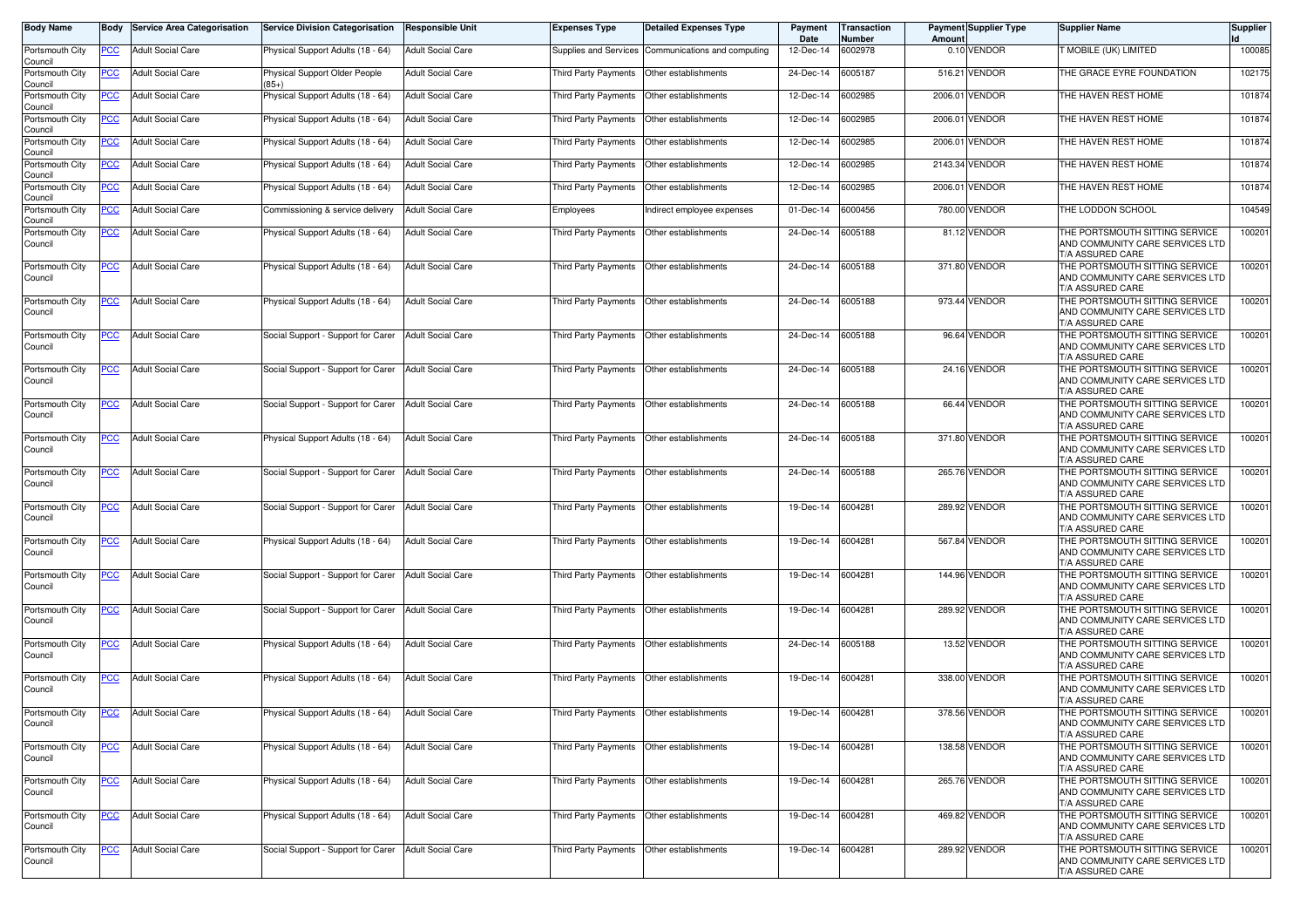| <b>Body Name</b>           |                | <b>Service Area Categorisation</b> | Service Division Categorisation          | <b>Responsible Unit</b>  | <b>Expenses Type</b>                      | <b>Detailed Expenses Type</b> | Payment<br>Date   | Transaction<br>Number | Amount  | <b>Payment Supplier Type</b> | <b>Supplier Name</b>                                                                  | <b>Supplier</b> |
|----------------------------|----------------|------------------------------------|------------------------------------------|--------------------------|-------------------------------------------|-------------------------------|-------------------|-----------------------|---------|------------------------------|---------------------------------------------------------------------------------------|-----------------|
| Portsmouth City<br>Council | PCC            | <b>Adult Social Care</b>           | Physical Support Adults (18 - 64)        | <b>Adult Social Care</b> | Supplies and Services                     | Communications and computing  | 12-Dec-14         | 6002978               |         | 0.10 VENDOR                  | MOBILE (UK) LIMITED                                                                   | 100085          |
| Portsmouth City<br>Council | <u>PCC</u>     | <b>Adult Social Care</b>           | Physical Support Older People<br>$(85+)$ | <b>Adult Social Care</b> | Third Party Payments                      | Other establishments          | 24-Dec-14         | 6005187               |         | 516.21 VENDOR                | THE GRACE EYRE FOUNDATION                                                             | 102175          |
| Portsmouth City<br>Council | <u>PCC</u>     | <b>Adult Social Care</b>           | Physical Support Adults (18 - 64)        | <b>Adult Social Care</b> | Third Party Payments                      | Other establishments          | 12-Dec-14         | 6002985               | 2006.01 | <b>VENDOR</b>                | THE HAVEN REST HOME                                                                   | 101874          |
| Portsmouth City<br>Council | <u>PCC</u>     | <b>Adult Social Care</b>           | Physical Support Adults (18 - 64)        | <b>Adult Social Care</b> | Third Party Payments                      | Other establishments          | 12-Dec-14         | 6002985               | 2006.01 | <b>VENDOR</b>                | THE HAVEN REST HOME                                                                   | 101874          |
| Portsmouth City<br>Council | <u>PCC</u>     | <b>Adult Social Care</b>           | Physical Support Adults (18 - 64)        | <b>Adult Social Care</b> | Third Party Payments                      | Other establishments          | 12-Dec-14         | 6002985               | 2006.01 | <b>VENDOR</b>                | THE HAVEN REST HOME                                                                   | 101874          |
| Portsmouth City<br>Council | <u>PCC</u>     | <b>Adult Social Care</b>           | Physical Support Adults (18 - 64)        | <b>Adult Social Care</b> | Third Party Payments                      | Other establishments          | 12-Dec-14         | 6002985               |         | 2143.34 VENDOR               | THE HAVEN REST HOME                                                                   | 101874          |
| Portsmouth City<br>Council | <u>PCC</u>     | <b>Adult Social Care</b>           | Physical Support Adults (18 - 64)        | <b>Adult Social Care</b> | Third Party Payments                      | Other establishments          | 12-Dec-14         | 6002985               |         | 2006.01 VENDOR               | THE HAVEN REST HOME                                                                   | 101874          |
| Portsmouth City<br>Council | <u>PCC</u>     | <b>Adult Social Care</b>           | Commissioning & service delivery         | <b>Adult Social Care</b> | Employees                                 | Indirect employee expenses    | 01-Dec-14         | 6000456               | 780.00  | <b>VENDOR</b>                | THE LODDON SCHOOL                                                                     | 104549          |
| Portsmouth City<br>Council | <b>PCC</b>     | <b>Adult Social Care</b>           | Physical Support Adults (18 - 64)        | <b>Adult Social Care</b> | Third Party Payments                      | Other establishments          | 24-Dec-14         | 6005188               |         | 81.12 VENDOR                 | THE PORTSMOUTH SITTING SERVICE<br>AND COMMUNITY CARE SERVICES LTD<br>T/A ASSURED CARE | 100201          |
| Portsmouth City<br>Council | <u>PCC</u>     | <b>Adult Social Care</b>           | Physical Support Adults (18 - 64)        | <b>Adult Social Care</b> | Third Party Payments                      | Other establishments          | 24-Dec-14         | 6005188               |         | 371.80 VENDOR                | THE PORTSMOUTH SITTING SERVICE<br>AND COMMUNITY CARE SERVICES LTD<br>T/A ASSURED CARE | 100201          |
| Portsmouth City<br>Council | <b>PCC</b>     | <b>Adult Social Care</b>           | Physical Support Adults (18 - 64)        | <b>Adult Social Care</b> | Third Party Payments                      | Other establishments          | 24-Dec-14         | 6005188               |         | 973.44 VENDOR                | THE PORTSMOUTH SITTING SERVICE<br>AND COMMUNITY CARE SERVICES LTD<br>T/A ASSURED CARE | 100201          |
| Portsmouth City<br>Council | $\overline{C}$ | <b>Adult Social Care</b>           | Social Support - Support for Carer       | <b>Adult Social Care</b> | Third Party Payments                      | Other establishments          | 24-Dec-14         | 6005188               |         | 96.64 VENDOR                 | THE PORTSMOUTH SITTING SERVICE<br>AND COMMUNITY CARE SERVICES LTD<br>T/A ASSURED CARE | 100201          |
| Portsmouth City<br>Council | <u>PCC</u>     | <b>Adult Social Care</b>           | Social Support - Support for Carer       | <b>Adult Social Care</b> | Third Party Payments                      | Other establishments          | 24-Dec-14         | 6005188               |         | 24.16 VENDOR                 | THE PORTSMOUTH SITTING SERVICE<br>AND COMMUNITY CARE SERVICES LTD<br>T/A ASSURED CARE | 100201          |
| Portsmouth City<br>Council | <u>PCC</u>     | <b>Adult Social Care</b>           | Social Support - Support for Carer       | <b>Adult Social Care</b> | <b>Third Party Payments</b>               | Other establishments          | 24-Dec-14         | 6005188               |         | 66.44 VENDOR                 | THE PORTSMOUTH SITTING SERVICE<br>AND COMMUNITY CARE SERVICES LTD<br>T/A ASSURED CARE | 100201          |
| Portsmouth City<br>Council | <u>PCC</u>     | <b>Adult Social Care</b>           | Physical Support Adults (18 - 64)        | <b>Adult Social Care</b> | Third Party Payments                      | Other establishments          | 24-Dec-14         | 6005188               |         | 371.80 VENDOR                | THE PORTSMOUTH SITTING SERVICE<br>AND COMMUNITY CARE SERVICES LTD<br>T/A ASSURED CARE | 100201          |
| Portsmouth City<br>Council | <u>PCC</u>     | <b>Adult Social Care</b>           | Social Support - Support for Carer       | <b>Adult Social Care</b> | Third Party Payments                      | Other establishments          | 24-Dec-14         | 6005188               |         | 265.76 VENDOR                | THE PORTSMOUTH SITTING SERVICE<br>AND COMMUNITY CARE SERVICES LTD<br>T/A ASSURED CARE | 100201          |
| Portsmouth City<br>Council | <u>PCC</u>     | <b>Adult Social Care</b>           | Social Support - Support for Carer       | <b>Adult Social Care</b> | Third Party Payments                      | Other establishments          | 19-Dec-14         | 6004281               |         | 289.92 VENDOR                | THE PORTSMOUTH SITTING SERVICE<br>AND COMMUNITY CARE SERVICES LTD<br>T/A ASSURED CARE | 100201          |
| Portsmouth City<br>Council | <b>PCC</b>     | <b>Adult Social Care</b>           | Physical Support Adults (18 - 64)        | <b>Adult Social Care</b> | Third Party Payments                      | Other establishments          | 19-Dec-14         | 6004281               |         | 567.84 VENDOR                | THE PORTSMOUTH SITTING SERVICE<br>AND COMMUNITY CARE SERVICES LTD<br>T/A ASSURED CARE | 100201          |
| Portsmouth City<br>Council | <u>PCC</u>     | <b>Adult Social Care</b>           | Social Support - Support for Carer       | <b>Adult Social Care</b> | Third Party Payments                      | Other establishments          | 19-Dec-14         | 6004281               |         | 144.96 VENDOR                | THE PORTSMOUTH SITTING SERVICE<br>AND COMMUNITY CARE SERVICES LTD<br>T/A ASSURED CARE | 100201          |
| Portsmouth City<br>Council | <u>PCC</u>     | <b>Adult Social Care</b>           | Social Support - Support for Carer       | <b>Adult Social Care</b> | Third Party Payments                      | Other establishments          | 19-Dec-14         | 6004281               | 289.92  | <b>VENDOR</b>                | THE PORTSMOUTH SITTING SERVICE<br>AND COMMUNITY CARE SERVICES LTD<br>T/A ASSURED CARE | 100201          |
| Portsmouth City<br>Council | <u>PCC</u>     | <b>Adult Social Care</b>           | Physical Support Adults (18 - 64)        | <b>Adult Social Care</b> | Third Party Payments                      | Other establishments          | 24-Dec-14         | 6005188               |         | 13.52 VENDOR                 | THE PORTSMOUTH SITTING SERVICE<br>AND COMMUNITY CARE SERVICES LTD<br>T/A ASSURED CARE | 100201          |
| Portsmouth City<br>Council | <u>PCC</u>     | <b>Adult Social Care</b>           | Physical Support Adults (18 - 64)        | <b>Adult Social Care</b> | Third Party Payments                      | Other establishments          | 19-Dec-14         | 6004281               |         | 338.00 VENDOR                | THE PORTSMOUTH SITTING SERVICE<br>AND COMMUNITY CARE SERVICES LTD<br>T/A ASSURED CARE | 100201          |
| Portsmouth City<br>Council | <u>PCC</u>     | <b>Adult Social Care</b>           | Physical Support Adults (18 - 64)        | <b>Adult Social Care</b> | Third Party Payments Other establishments |                               | 19-Dec-14 6004281 |                       |         | 378.56 VENDOR                | THE PORTSMOUTH SITTING SERVICE<br>AND COMMUNITY CARE SERVICES LTD<br>T/A ASSURED CARE | 100201          |
| Portsmouth City<br>Council | <b>PCC</b>     | <b>Adult Social Care</b>           | Physical Support Adults (18 - 64)        | <b>Adult Social Care</b> | Third Party Payments Other establishments |                               | 19-Dec-14 6004281 |                       |         | 138.58 VENDOR                | THE PORTSMOUTH SITTING SERVICE<br>AND COMMUNITY CARE SERVICES LTD<br>T/A ASSURED CARE | 100201          |
| Portsmouth City<br>Council | PCC            | <b>Adult Social Care</b>           | Physical Support Adults (18 - 64)        | <b>Adult Social Care</b> | Third Party Payments                      | Other establishments          | 19-Dec-14 6004281 |                       |         | 265.76 VENDOR                | THE PORTSMOUTH SITTING SERVICE<br>AND COMMUNITY CARE SERVICES LTD<br>T/A ASSURED CARE | 100201          |
| Portsmouth City<br>Council | <u>PCC</u>     | <b>Adult Social Care</b>           | Physical Support Adults (18 - 64)        | <b>Adult Social Care</b> | Third Party Payments                      | Other establishments          | 19-Dec-14 6004281 |                       |         | 469.82 VENDOR                | THE PORTSMOUTH SITTING SERVICE<br>AND COMMUNITY CARE SERVICES LTD<br>T/A ASSURED CARE | 100201          |
| Portsmouth City<br>Council | <u>PCC</u>     | <b>Adult Social Care</b>           | Social Support - Support for Carer       | <b>Adult Social Care</b> | Third Party Payments Other establishments |                               | 19-Dec-14 6004281 |                       |         | 289.92 VENDOR                | THE PORTSMOUTH SITTING SERVICE<br>AND COMMUNITY CARE SERVICES LTD<br>T/A ASSURED CARE | 100201          |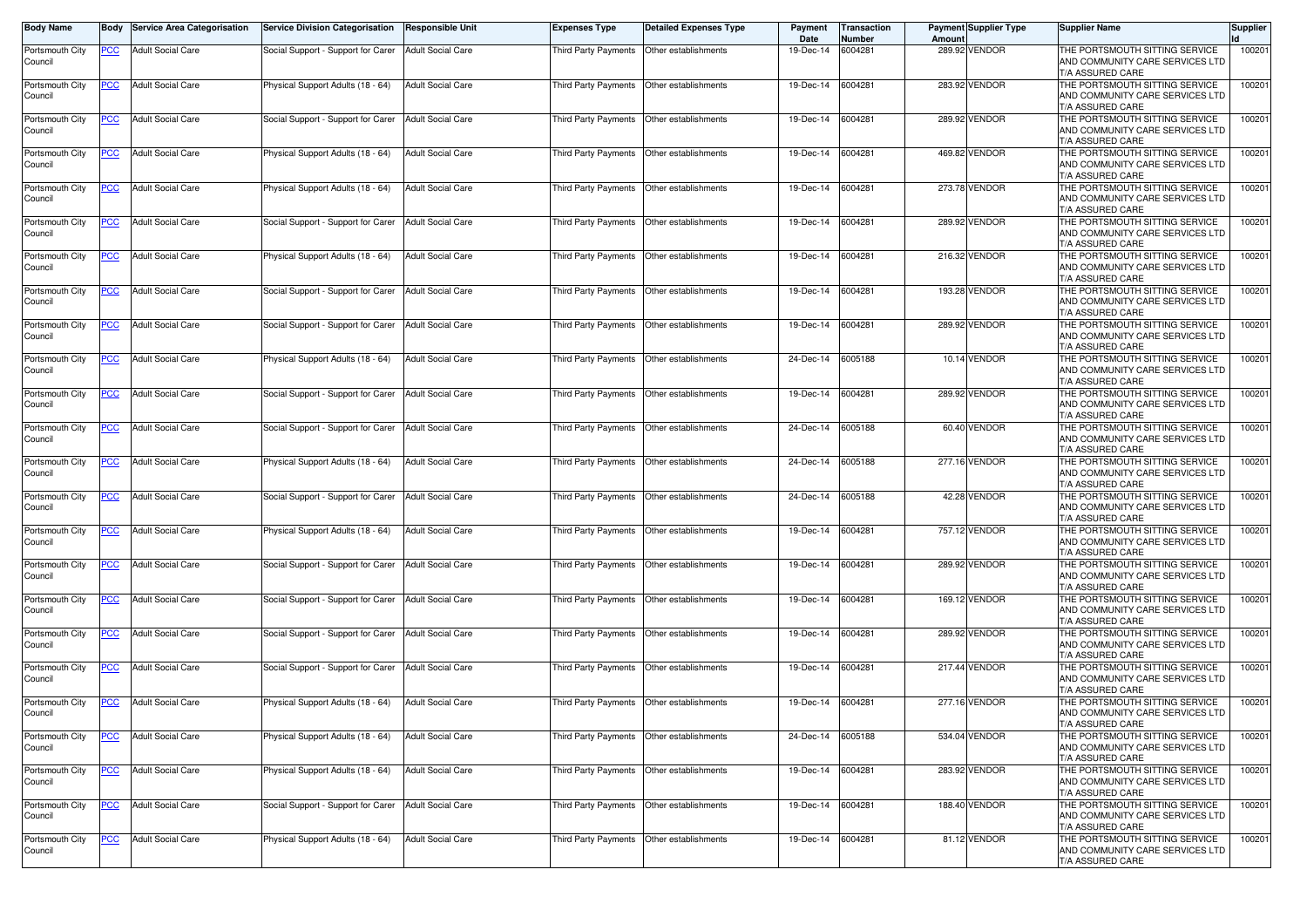| <b>Body Name</b>           |                | <b>Body</b> Service Area Categorisation | Service Division Categorisation    | <b>Responsible Unit</b>  | <b>Expenses Type</b>        | <b>Detailed Expenses Type</b>             | Payment<br>Date   | Transaction<br>Number | Amount | <b>Payment Supplier Type</b> | <b>Supplier Name</b>                                                                  | <b>Supplier</b> |
|----------------------------|----------------|-----------------------------------------|------------------------------------|--------------------------|-----------------------------|-------------------------------------------|-------------------|-----------------------|--------|------------------------------|---------------------------------------------------------------------------------------|-----------------|
| Portsmouth City<br>Council | PCC            | <b>Adult Social Care</b>                | Social Support - Support for Carer | <b>Adult Social Care</b> | Third Party Payments        | Other establishments                      | 19-Dec-14         | 6004281               |        | 289.92 VENDOR                | THE PORTSMOUTH SITTING SERVICE<br>AND COMMUNITY CARE SERVICES LTD<br>T/A ASSURED CARE | 100201          |
| Portsmouth City<br>Council | PCC            | <b>Adult Social Care</b>                | Physical Support Adults (18 - 64)  | <b>Adult Social Care</b> | Third Party Payments        | Other establishments                      | 19-Dec-14         | 6004281               |        | 283.92 VENDOR                | THE PORTSMOUTH SITTING SERVICE<br>AND COMMUNITY CARE SERVICES LTD<br>T/A ASSURED CARE | 100201          |
| Portsmouth City<br>Council | <u>PCC</u>     | <b>Adult Social Care</b>                | Social Support - Support for Carer | Adult Social Care        | Third Party Payments        | Other establishments                      | 19-Dec-14         | 6004281               |        | 289.92 VENDOR                | THE PORTSMOUTH SITTING SERVICE<br>AND COMMUNITY CARE SERVICES LTD<br>T/A ASSURED CARE | 100201          |
| Portsmouth City<br>Council | <u>PCC</u>     | <b>Adult Social Care</b>                | Physical Support Adults (18 - 64)  | <b>Adult Social Care</b> | Third Party Payments        | Other establishments                      | 19-Dec-14         | 6004281               |        | 469.82 VENDOR                | THE PORTSMOUTH SITTING SERVICE<br>AND COMMUNITY CARE SERVICES LTD<br>T/A ASSURED CARE | 100201          |
| Portsmouth City<br>Council | <u>PCC</u>     | <b>Adult Social Care</b>                | Physical Support Adults (18 - 64)  | <b>Adult Social Care</b> | Third Party Payments        | Other establishments                      | 19-Dec-14         | 6004281               |        | 273.78 VENDOR                | THE PORTSMOUTH SITTING SERVICE<br>AND COMMUNITY CARE SERVICES LTD<br>T/A ASSURED CARE | 100201          |
| Portsmouth City<br>Council | PCC            | <b>Adult Social Care</b>                | Social Support - Support for Carer | <b>Adult Social Care</b> | Third Party Payments        | Other establishments                      | 19-Dec-14         | 6004281               |        | 289.92 VENDOR                | THE PORTSMOUTH SITTING SERVICE<br>AND COMMUNITY CARE SERVICES LTD<br>T/A ASSURED CARE | 100201          |
| Portsmouth City<br>Council | <b>PCC</b>     | <b>Adult Social Care</b>                | Physical Support Adults (18 - 64)  | <b>Adult Social Care</b> | Third Party Payments        | Other establishments                      | 19-Dec-14         | 6004281               |        | 216.32 VENDOR                | THE PORTSMOUTH SITTING SERVICE<br>AND COMMUNITY CARE SERVICES LTD<br>T/A ASSURED CARE | 100201          |
| Portsmouth City<br>Council | <u>PCC</u>     | <b>Adult Social Care</b>                | Social Support - Support for Carer | <b>Adult Social Care</b> | Third Party Payments        | Other establishments                      | 19-Dec-14         | 6004281               |        | 193.28 VENDOR                | THE PORTSMOUTH SITTING SERVICE<br>AND COMMUNITY CARE SERVICES LTD<br>T/A ASSURED CARE | 100201          |
| Portsmouth City<br>Council | <u>PCC</u>     | <b>Adult Social Care</b>                | Social Support - Support for Carer | <b>Adult Social Care</b> | Third Party Payments        | Other establishments                      | 19-Dec-14         | 6004281               |        | 289.92 VENDOR                | THE PORTSMOUTH SITTING SERVICE<br>AND COMMUNITY CARE SERVICES LTD<br>T/A ASSURED CARE | 100201          |
| Portsmouth City<br>Council | $\overline{C}$ | <b>Adult Social Care</b>                | Physical Support Adults (18 - 64)  | <b>Adult Social Care</b> | Third Party Payments        | Other establishments                      | 24-Dec-14         | 6005188               |        | 10.14 VENDOR                 | THE PORTSMOUTH SITTING SERVICE<br>AND COMMUNITY CARE SERVICES LTD<br>T/A ASSURED CARE | 100201          |
| Portsmouth City<br>Council | <u>PCC</u>     | <b>Adult Social Care</b>                | Social Support - Support for Carer | <b>Adult Social Care</b> |                             | Third Party Payments Other establishments | 19-Dec-14         | 6004281               |        | 289.92 VENDOR                | THE PORTSMOUTH SITTING SERVICE<br>AND COMMUNITY CARE SERVICES LTD<br>T/A ASSURED CARE | 100201          |
| Portsmouth City<br>Council | <u>PCC</u>     | <b>Adult Social Care</b>                | Social Support - Support for Carer | <b>Adult Social Care</b> | Third Party Payments        | Other establishments                      | 24-Dec-14         | 6005188               |        | 60.40 VENDOR                 | THE PORTSMOUTH SITTING SERVICE<br>AND COMMUNITY CARE SERVICES LTD<br>T/A ASSURED CARE | 100201          |
| Portsmouth City<br>Council | <u>PCC</u>     | <b>Adult Social Care</b>                | Physical Support Adults (18 - 64)  | <b>Adult Social Care</b> | Third Party Payments        | Other establishments                      | 24-Dec-14         | 6005188               |        | 277.16 VENDOR                | THE PORTSMOUTH SITTING SERVICE<br>AND COMMUNITY CARE SERVICES LTD<br>T/A ASSURED CARE | 100201          |
| Portsmouth City<br>Council | <u>PCC</u>     | <b>Adult Social Care</b>                | Social Support - Support for Carer | <b>Adult Social Care</b> | Third Party Payments        | Other establishments                      | 24-Dec-14         | 6005188               |        | 42.28 VENDOR                 | THE PORTSMOUTH SITTING SERVICE<br>AND COMMUNITY CARE SERVICES LTD<br>T/A ASSURED CARE | 100201          |
| Portsmouth City<br>Council | PCC            | <b>Adult Social Care</b>                | Physical Support Adults (18 - 64)  | <b>Adult Social Care</b> | Third Party Payments        | Other establishments                      | 19-Dec-14         | 6004281               |        | 757.12 VENDOR                | THE PORTSMOUTH SITTING SERVICE<br>AND COMMUNITY CARE SERVICES LTD<br>T/A ASSURED CARE | 100201          |
| Portsmouth City<br>Council | <b>PCC</b>     | <b>Adult Social Care</b>                | Social Support - Support for Carer | <b>Adult Social Care</b> | Third Party Payments        | Other establishments                      | 19-Dec-14         | 6004281               |        | 289.92 VENDOR                | THE PORTSMOUTH SITTING SERVICE<br>AND COMMUNITY CARE SERVICES LTD<br>T/A ASSURED CARE | 100201          |
| Portsmouth City<br>Council | <b>PCC</b>     | <b>Adult Social Care</b>                | Social Support - Support for Carer | <b>Adult Social Care</b> | Third Party Payments        | Other establishments                      | 19-Dec-14         | 6004281               |        | 169.12 VENDOR                | THE PORTSMOUTH SITTING SERVICE<br>AND COMMUNITY CARE SERVICES LTD<br>T/A ASSURED CARE | 100201          |
| Portsmouth City<br>Council | <b>PCC</b>     | <b>Adult Social Care</b>                | Social Support - Support for Carer | <b>Adult Social Care</b> | Third Party Payments        | Other establishments                      | 19-Dec-14         | 6004281               |        | 289.92 VENDOR                | THE PORTSMOUTH SITTING SERVICE<br>AND COMMUNITY CARE SERVICES LTD<br>T/A ASSURED CARE | 100201          |
| Portsmouth City<br>Council | <u>PCC</u>     | <b>Adult Social Care</b>                | Social Support - Support for Carer | <b>Adult Social Care</b> |                             | Third Party Payments Other establishments | 19-Dec-14         | 6004281               |        | 217.44 VENDOR                | THE PORTSMOUTH SITTING SERVICE<br>AND COMMUNITY CARE SERVICES LTD<br>T/A ASSURED CARE | 100201          |
| Portsmouth City<br>Council | <u>PCC</u>     | <b>Adult Social Care</b>                | Physical Support Adults (18 - 64)  | <b>Adult Social Care</b> | Third Party Payments        | Other establishments                      | 19-Dec-14         | 6004281               |        | 277.16 VENDOR                | THE PORTSMOUTH SITTING SERVICE<br>AND COMMUNITY CARE SERVICES LTD<br>T/A ASSURED CARE | 100201          |
| Portsmouth City<br>Council | <u>PCC</u>     | <b>Adult Social Care</b>                | Physical Support Adults (18 - 64)  | <b>Adult Social Care</b> | <b>Third Party Payments</b> | Other establishments                      | 24-Dec-14         | 6005188               |        | 534.04 VENDOR                | THE PORTSMOUTH SITTING SERVICE<br>AND COMMUNITY CARE SERVICES LTD<br>T/A ASSURED CARE | 100201          |
| Portsmouth City<br>Council | <u>PCC</u>     | <b>Adult Social Care</b>                | Physical Support Adults (18 - 64)  | <b>Adult Social Care</b> |                             | Third Party Payments Other establishments | 19-Dec-14 6004281 |                       |        | 283.92 VENDOR                | THE PORTSMOUTH SITTING SERVICE<br>AND COMMUNITY CARE SERVICES LTD<br>T/A ASSURED CARE | 100201          |
| Portsmouth City<br>Council | <b>PCC</b>     | <b>Adult Social Care</b>                | Social Support - Support for Carer | <b>Adult Social Care</b> | Third Party Payments        | Other establishments                      | 19-Dec-14 6004281 |                       |        | 188.40 VENDOR                | THE PORTSMOUTH SITTING SERVICE<br>AND COMMUNITY CARE SERVICES LTD<br>T/A ASSURED CARE | 100201          |
| Portsmouth City<br>Council | PCC            | <b>Adult Social Care</b>                | Physical Support Adults (18 - 64)  | <b>Adult Social Care</b> | <b>Third Party Payments</b> | Other establishments                      | 19-Dec-14         | 6004281               |        | 81.12 VENDOR                 | THE PORTSMOUTH SITTING SERVICE<br>AND COMMUNITY CARE SERVICES LTD<br>T/A ASSURED CARE | 100201          |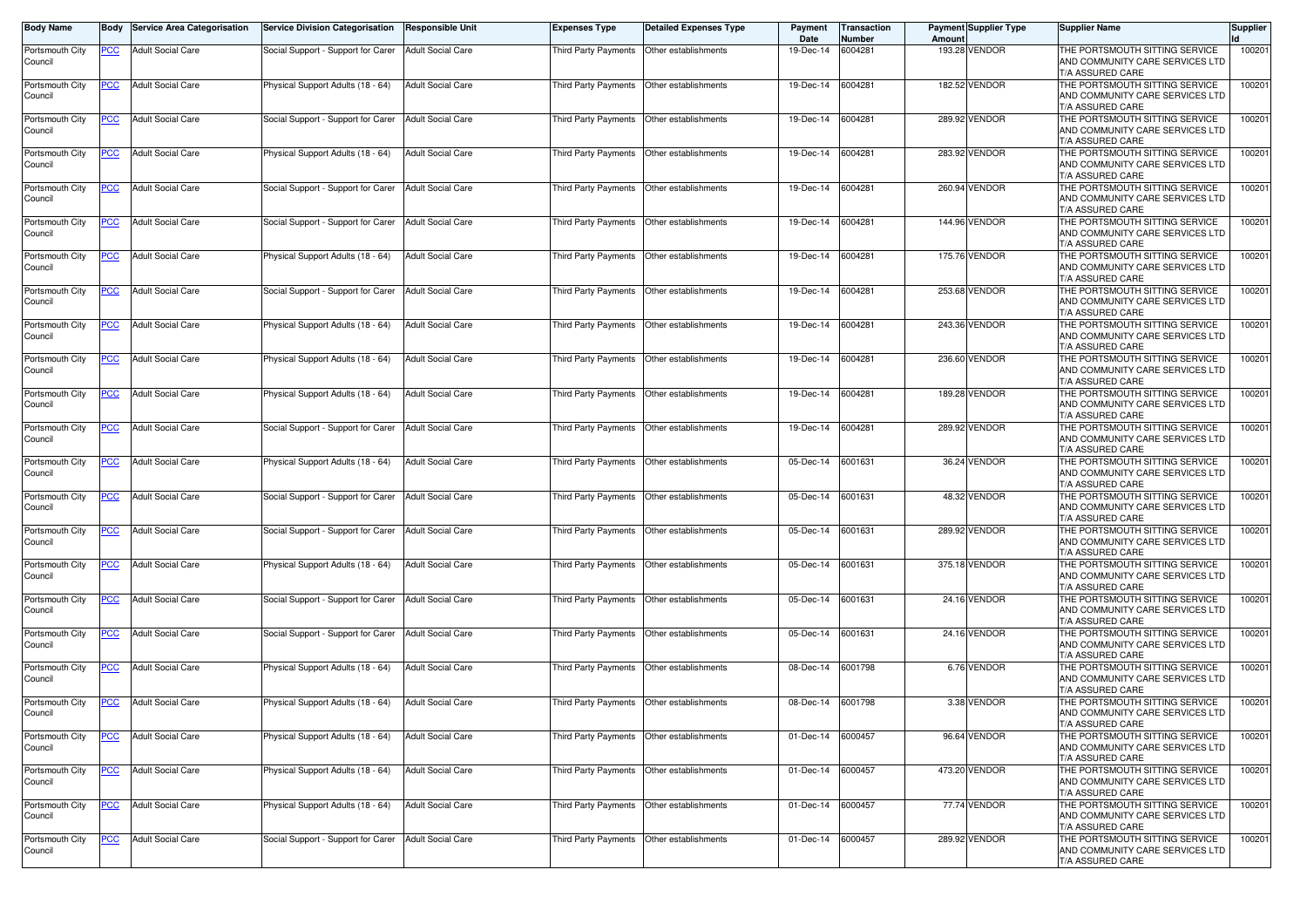| <b>Body Name</b>           |                | <b>Body</b> Service Area Categorisation | Service Division Categorisation    | <b>Responsible Unit</b>  | <b>Expenses Type</b>        | <b>Detailed Expenses Type</b>             | Payment<br>Date   | Transaction<br>Number | Amount | <b>Payment Supplier Type</b> | <b>Supplier Name</b>                                                                  | <b>Supplier</b> |
|----------------------------|----------------|-----------------------------------------|------------------------------------|--------------------------|-----------------------------|-------------------------------------------|-------------------|-----------------------|--------|------------------------------|---------------------------------------------------------------------------------------|-----------------|
| Portsmouth City<br>Council | PCC            | <b>Adult Social Care</b>                | Social Support - Support for Carer | <b>Adult Social Care</b> | Third Party Payments        | Other establishments                      | 19-Dec-14         | 6004281               |        | 193.28 VENDOR                | THE PORTSMOUTH SITTING SERVICE<br>AND COMMUNITY CARE SERVICES LTD<br>T/A ASSURED CARE | 100201          |
| Portsmouth City<br>Council | PCC            | <b>Adult Social Care</b>                | Physical Support Adults (18 - 64)  | <b>Adult Social Care</b> | Third Party Payments        | Other establishments                      | 19-Dec-14         | 6004281               |        | 182.52 VENDOR                | THE PORTSMOUTH SITTING SERVICE<br>AND COMMUNITY CARE SERVICES LTD<br>T/A ASSURED CARE | 100201          |
| Portsmouth City<br>Council | <u>PCC</u>     | <b>Adult Social Care</b>                | Social Support - Support for Carer | Adult Social Care        | Third Party Payments        | Other establishments                      | 19-Dec-14         | 6004281               |        | 289.92 VENDOR                | THE PORTSMOUTH SITTING SERVICE<br>AND COMMUNITY CARE SERVICES LTD<br>T/A ASSURED CARE | 100201          |
| Portsmouth City<br>Council | <u>PCC</u>     | <b>Adult Social Care</b>                | Physical Support Adults (18 - 64)  | <b>Adult Social Care</b> | Third Party Payments        | Other establishments                      | 19-Dec-14         | 6004281               |        | 283.92 VENDOR                | THE PORTSMOUTH SITTING SERVICE<br>AND COMMUNITY CARE SERVICES LTD<br>T/A ASSURED CARE | 100201          |
| Portsmouth City<br>Council | <u>PCC</u>     | <b>Adult Social Care</b>                | Social Support - Support for Carer | <b>Adult Social Care</b> | Third Party Payments        | Other establishments                      | 19-Dec-14         | 6004281               |        | 260.94 VENDOR                | THE PORTSMOUTH SITTING SERVICE<br>AND COMMUNITY CARE SERVICES LTD<br>T/A ASSURED CARE | 100201          |
| Portsmouth City<br>Council | PCC            | <b>Adult Social Care</b>                | Social Support - Support for Carer | <b>Adult Social Care</b> | Third Party Payments        | Other establishments                      | 19-Dec-14         | 6004281               |        | 144.96 VENDOR                | THE PORTSMOUTH SITTING SERVICE<br>AND COMMUNITY CARE SERVICES LTD<br>T/A ASSURED CARE | 100201          |
| Portsmouth City<br>Council | <b>PCC</b>     | <b>Adult Social Care</b>                | Physical Support Adults (18 - 64)  | <b>Adult Social Care</b> | Third Party Payments        | Other establishments                      | 19-Dec-14         | 6004281               |        | 175.76 VENDOR                | THE PORTSMOUTH SITTING SERVICE<br>AND COMMUNITY CARE SERVICES LTD<br>T/A ASSURED CARE | 100201          |
| Portsmouth City<br>Council | <u>PCC</u>     | <b>Adult Social Care</b>                | Social Support - Support for Carer | <b>Adult Social Care</b> | Third Party Payments        | Other establishments                      | 19-Dec-14         | 6004281               |        | 253.68 VENDOR                | THE PORTSMOUTH SITTING SERVICE<br>AND COMMUNITY CARE SERVICES LTD<br>T/A ASSURED CARE | 100201          |
| Portsmouth City<br>Council | <u>PCC</u>     | <b>Adult Social Care</b>                | Physical Support Adults (18 - 64)  | <b>Adult Social Care</b> | Third Party Payments        | Other establishments                      | 19-Dec-14         | 6004281               | 243.36 | <b>VENDOR</b>                | THE PORTSMOUTH SITTING SERVICE<br>AND COMMUNITY CARE SERVICES LTD<br>T/A ASSURED CARE | 100201          |
| Portsmouth City<br>Council | $\overline{C}$ | <b>Adult Social Care</b>                | Physical Support Adults (18 - 64)  | <b>Adult Social Care</b> | Third Party Payments        | Other establishments                      | 19-Dec-14         | 6004281               | 236.60 | <b>VENDOR</b>                | THE PORTSMOUTH SITTING SERVICE<br>AND COMMUNITY CARE SERVICES LTD<br>T/A ASSURED CARE | 100201          |
| Portsmouth City<br>Council | <u>PCC</u>     | <b>Adult Social Care</b>                | Physical Support Adults (18 - 64)  | <b>Adult Social Care</b> | Third Party Payments        | Other establishments                      | 19-Dec-14         | 6004281               |        | 189.28 VENDOR                | THE PORTSMOUTH SITTING SERVICE<br>AND COMMUNITY CARE SERVICES LTD<br>T/A ASSURED CARE | 100201          |
| Portsmouth City<br>Council | <u>PCC</u>     | <b>Adult Social Care</b>                | Social Support - Support for Carer | <b>Adult Social Care</b> | Third Party Payments        | Other establishments                      | 19-Dec-14         | 6004281               |        | 289.92 VENDOR                | THE PORTSMOUTH SITTING SERVICE<br>AND COMMUNITY CARE SERVICES LTD<br>T/A ASSURED CARE | 100201          |
| Portsmouth City<br>Council | <u>PCC</u>     | <b>Adult Social Care</b>                | Physical Support Adults (18 - 64)  | <b>Adult Social Care</b> | Third Party Payments        | Other establishments                      | 05-Dec-14         | 6001631               |        | 36.24 VENDOR                 | THE PORTSMOUTH SITTING SERVICE<br>AND COMMUNITY CARE SERVICES LTD<br>T/A ASSURED CARE | 100201          |
| Portsmouth City<br>Council | <u>PCC</u>     | <b>Adult Social Care</b>                | Social Support - Support for Carer | <b>Adult Social Care</b> | Third Party Payments        | Other establishments                      | 05-Dec-14         | 6001631               |        | 48.32 VENDOR                 | THE PORTSMOUTH SITTING SERVICE<br>AND COMMUNITY CARE SERVICES LTD<br>T/A ASSURED CARE | 100201          |
| Portsmouth City<br>Council | PCC            | <b>Adult Social Care</b>                | Social Support - Support for Carer | <b>Adult Social Care</b> | Third Party Payments        | Other establishments                      | 05-Dec-14         | 6001631               |        | 289.92 VENDOR                | THE PORTSMOUTH SITTING SERVICE<br>AND COMMUNITY CARE SERVICES LTD<br>T/A ASSURED CARE | 100201          |
| Portsmouth City<br>Council | <b>PCC</b>     | <b>Adult Social Care</b>                | Physical Support Adults (18 - 64)  | <b>Adult Social Care</b> | Third Party Payments        | Other establishments                      | 05-Dec-14         | 6001631               |        | 375.18 VENDOR                | THE PORTSMOUTH SITTING SERVICE<br>AND COMMUNITY CARE SERVICES LTD<br>T/A ASSURED CARE | 100201          |
| Portsmouth City<br>Council | <b>PCC</b>     | <b>Adult Social Care</b>                | Social Support - Support for Carer | <b>Adult Social Care</b> | Third Party Payments        | Other establishments                      | 05-Dec-14         | 6001631               |        | 24.16 VENDOR                 | THE PORTSMOUTH SITTING SERVICE<br>AND COMMUNITY CARE SERVICES LTD<br>T/A ASSURED CARE | 100201          |
| Portsmouth City<br>Council | <b>PCC</b>     | <b>Adult Social Care</b>                | Social Support - Support for Carer | <b>Adult Social Care</b> | Third Party Payments        | Other establishments                      | 05-Dec-14         | 6001631               |        | 24.16 VENDOR                 | THE PORTSMOUTH SITTING SERVICE<br>AND COMMUNITY CARE SERVICES LTD<br>T/A ASSURED CARE | 100201          |
| Portsmouth City<br>Council | <u>PCC</u>     | <b>Adult Social Care</b>                | Physical Support Adults (18 - 64)  | <b>Adult Social Care</b> | Third Party Payments        | Other establishments                      | 08-Dec-14         | 6001798               |        | 6.76 VENDOR                  | THE PORTSMOUTH SITTING SERVICE<br>AND COMMUNITY CARE SERVICES LTD<br>T/A ASSURED CARE | 100201          |
| Portsmouth City<br>Council | <u>PCC</u>     | <b>Adult Social Care</b>                | Physical Support Adults (18 - 64)  | <b>Adult Social Care</b> | Third Party Payments        | Other establishments                      | 08-Dec-14 6001798 |                       |        | 3.38 VENDOR                  | THE PORTSMOUTH SITTING SERVICE<br>AND COMMUNITY CARE SERVICES LTD<br>T/A ASSURED CARE | 100201          |
| Portsmouth City<br>Council | <u>PCC</u>     | <b>Adult Social Care</b>                | Physical Support Adults (18 - 64)  | <b>Adult Social Care</b> | Third Party Payments        | Other establishments                      | 01-Dec-14         | 6000457               |        | 96.64 VENDOR                 | THE PORTSMOUTH SITTING SERVICE<br>AND COMMUNITY CARE SERVICES LTD<br>T/A ASSURED CARE | 100201          |
| Portsmouth City<br>Council | <u>PCC</u>     | <b>Adult Social Care</b>                | Physical Support Adults (18 - 64)  | <b>Adult Social Care</b> |                             | Third Party Payments Other establishments | 01-Dec-14 6000457 |                       |        | 473.20 VENDOR                | THE PORTSMOUTH SITTING SERVICE<br>AND COMMUNITY CARE SERVICES LTD<br>T/A ASSURED CARE | 100201          |
| Portsmouth City<br>Council | <b>PCC</b>     | <b>Adult Social Care</b>                | Physical Support Adults (18 - 64)  | <b>Adult Social Care</b> | Third Party Payments        | Other establishments                      | 01-Dec-14 6000457 |                       |        | 77.74 VENDOR                 | THE PORTSMOUTH SITTING SERVICE<br>AND COMMUNITY CARE SERVICES LTD<br>T/A ASSURED CARE | 100201          |
| Portsmouth City<br>Council | PCC            | <b>Adult Social Care</b>                | Social Support - Support for Carer | <b>Adult Social Care</b> | <b>Third Party Payments</b> | Other establishments                      | 01-Dec-14         | 6000457               |        | 289.92 VENDOR                | THE PORTSMOUTH SITTING SERVICE<br>AND COMMUNITY CARE SERVICES LTD<br>T/A ASSURED CARE | 100201          |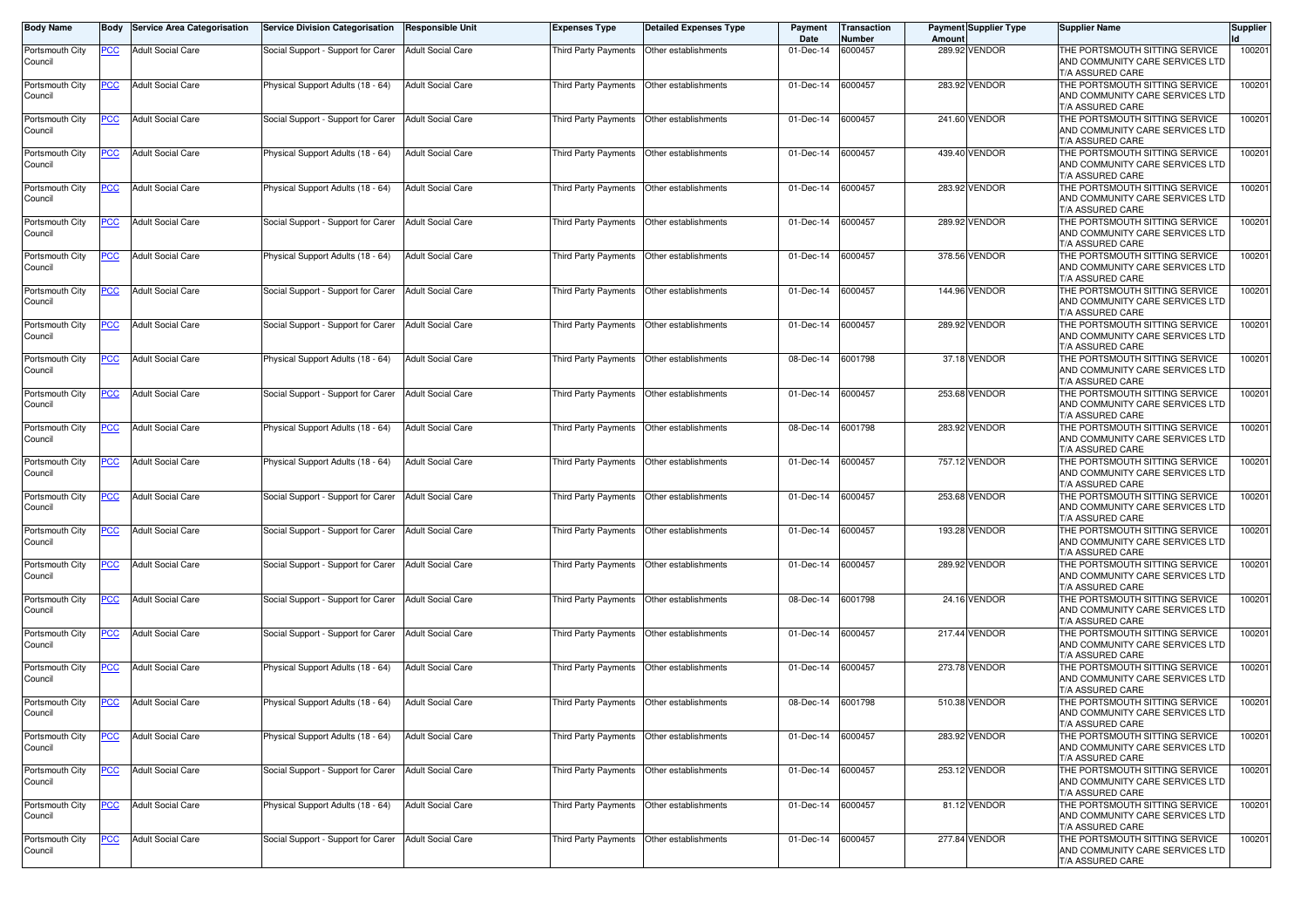| <b>Body Name</b>           |                | <b>Body</b> Service Area Categorisation | Service Division Categorisation    | <b>Responsible Unit</b>  | <b>Expenses Type</b>                      | <b>Detailed Expenses Type</b>             | Payment<br>Date   | Transaction<br>Number | Amount | <b>Payment Supplier Type</b> | <b>Supplier Name</b>                                                                  | <b>Supplier</b> |
|----------------------------|----------------|-----------------------------------------|------------------------------------|--------------------------|-------------------------------------------|-------------------------------------------|-------------------|-----------------------|--------|------------------------------|---------------------------------------------------------------------------------------|-----------------|
| Portsmouth City<br>Council | PCC            | <b>Adult Social Care</b>                | Social Support - Support for Carer | <b>Adult Social Care</b> | Third Party Payments                      | Other establishments                      | 01-Dec-14         | 6000457               |        | 289.92 VENDOR                | THE PORTSMOUTH SITTING SERVICE<br>AND COMMUNITY CARE SERVICES LTD<br>T/A ASSURED CARE | 100201          |
| Portsmouth City<br>Council | PCC            | <b>Adult Social Care</b>                | Physical Support Adults (18 - 64)  | <b>Adult Social Care</b> | Third Party Payments                      | Other establishments                      | 01-Dec-14         | 6000457               |        | 283.92 VENDOR                | THE PORTSMOUTH SITTING SERVICE<br>AND COMMUNITY CARE SERVICES LTD<br>T/A ASSURED CARE | 100201          |
| Portsmouth City<br>Council | <u>PCC</u>     | <b>Adult Social Care</b>                | Social Support - Support for Carer | Adult Social Care        | Third Party Payments                      | Other establishments                      | 01-Dec-14         | 6000457               |        | 241.60 VENDOR                | THE PORTSMOUTH SITTING SERVICE<br>AND COMMUNITY CARE SERVICES LTD<br>T/A ASSURED CARE | 100201          |
| Portsmouth City<br>Council | <u>PCC</u>     | <b>Adult Social Care</b>                | Physical Support Adults (18 - 64)  | <b>Adult Social Care</b> | Third Party Payments                      | Other establishments                      | 01-Dec-14         | 6000457               |        | 439.40 VENDOR                | THE PORTSMOUTH SITTING SERVICE<br>AND COMMUNITY CARE SERVICES LTD<br>T/A ASSURED CARE | 100201          |
| Portsmouth City<br>Council | <u>PCC</u>     | <b>Adult Social Care</b>                | Physical Support Adults (18 - 64)  | <b>Adult Social Care</b> | Third Party Payments                      | Other establishments                      | 01-Dec-14         | 6000457               |        | 283.92 VENDOR                | THE PORTSMOUTH SITTING SERVICE<br>AND COMMUNITY CARE SERVICES LTD<br>T/A ASSURED CARE | 100201          |
| Portsmouth City<br>Council | PCC            | <b>Adult Social Care</b>                | Social Support - Support for Carer | <b>Adult Social Care</b> | Third Party Payments                      | Other establishments                      | 01-Dec-14         | 6000457               |        | 289.92 VENDOR                | THE PORTSMOUTH SITTING SERVICE<br>AND COMMUNITY CARE SERVICES LTD<br>T/A ASSURED CARE | 100201          |
| Portsmouth City<br>Council | <b>PCC</b>     | <b>Adult Social Care</b>                | Physical Support Adults (18 - 64)  | <b>Adult Social Care</b> | Third Party Payments                      | Other establishments                      | 01-Dec-14         | 6000457               |        | 378.56 VENDOR                | THE PORTSMOUTH SITTING SERVICE<br>AND COMMUNITY CARE SERVICES LTD<br>T/A ASSURED CARE | 100201          |
| Portsmouth City<br>Council | <u>PCC</u>     | <b>Adult Social Care</b>                | Social Support - Support for Carer | <b>Adult Social Care</b> | Third Party Payments                      | Other establishments                      | 01-Dec-14         | 6000457               |        | 144.96 VENDOR                | THE PORTSMOUTH SITTING SERVICE<br>AND COMMUNITY CARE SERVICES LTD<br>T/A ASSURED CARE | 100201          |
| Portsmouth City<br>Council | <u>PCC</u>     | <b>Adult Social Care</b>                | Social Support - Support for Carer | <b>Adult Social Care</b> | Third Party Payments                      | Other establishments                      | 01-Dec-14         | 6000457               |        | 289.92 VENDOR                | THE PORTSMOUTH SITTING SERVICE<br>AND COMMUNITY CARE SERVICES LTD<br>T/A ASSURED CARE | 100201          |
| Portsmouth City<br>Council | $\overline{C}$ | <b>Adult Social Care</b>                | Physical Support Adults (18 - 64)  | <b>Adult Social Care</b> | Third Party Payments                      | Other establishments                      | 08-Dec-14         | 6001798               |        | 37.18 VENDOR                 | THE PORTSMOUTH SITTING SERVICE<br>AND COMMUNITY CARE SERVICES LTD<br>T/A ASSURED CARE | 100201          |
| Portsmouth City<br>Council | <u>PCC</u>     | <b>Adult Social Care</b>                | Social Support - Support for Carer | <b>Adult Social Care</b> |                                           | Third Party Payments Other establishments | 01-Dec-14         | 6000457               |        | 253.68 VENDOR                | THE PORTSMOUTH SITTING SERVICE<br>AND COMMUNITY CARE SERVICES LTD<br>T/A ASSURED CARE | 100201          |
| Portsmouth City<br>Council | <u>PCC</u>     | <b>Adult Social Care</b>                | Physical Support Adults (18 - 64)  | <b>Adult Social Care</b> | Third Party Payments                      | Other establishments                      | 08-Dec-14         | 6001798               |        | 283.92 VENDOR                | THE PORTSMOUTH SITTING SERVICE<br>AND COMMUNITY CARE SERVICES LTD<br>T/A ASSURED CARE | 100201          |
| Portsmouth City<br>Council | <u>PCC</u>     | <b>Adult Social Care</b>                | Physical Support Adults (18 - 64)  | <b>Adult Social Care</b> | Third Party Payments                      | Other establishments                      | 01-Dec-14         | 6000457               |        | 757.12 VENDOR                | THE PORTSMOUTH SITTING SERVICE<br>AND COMMUNITY CARE SERVICES LTD<br>T/A ASSURED CARE | 100201          |
| Portsmouth City<br>Council | <u>PCC</u>     | <b>Adult Social Care</b>                | Social Support - Support for Carer | <b>Adult Social Care</b> | Third Party Payments                      | Other establishments                      | 01-Dec-14         | 6000457               |        | 253.68 VENDOR                | THE PORTSMOUTH SITTING SERVICE<br>AND COMMUNITY CARE SERVICES LTD<br>T/A ASSURED CARE | 100201          |
| Portsmouth City<br>Council | PCC            | <b>Adult Social Care</b>                | Social Support - Support for Carer | <b>Adult Social Care</b> | Third Party Payments                      | Other establishments                      | 01-Dec-14         | 6000457               |        | 193.28 VENDOR                | THE PORTSMOUTH SITTING SERVICE<br>AND COMMUNITY CARE SERVICES LTD<br>T/A ASSURED CARE | 100201          |
| Portsmouth City<br>Council | <b>PCC</b>     | <b>Adult Social Care</b>                | Social Support - Support for Carer | <b>Adult Social Care</b> | Third Party Payments                      | Other establishments                      | 01-Dec-14         | 6000457               |        | 289.92 VENDOR                | THE PORTSMOUTH SITTING SERVICE<br>AND COMMUNITY CARE SERVICES LTD<br>T/A ASSURED CARE | 100201          |
| Portsmouth City<br>Council | <b>PCC</b>     | <b>Adult Social Care</b>                | Social Support - Support for Carer | <b>Adult Social Care</b> | Third Party Payments                      | Other establishments                      | 08-Dec-14         | 6001798               |        | 24.16 VENDOR                 | THE PORTSMOUTH SITTING SERVICE<br>AND COMMUNITY CARE SERVICES LTD<br>T/A ASSURED CARE | 100201          |
| Portsmouth City<br>Council | <b>PCC</b>     | <b>Adult Social Care</b>                | Social Support - Support for Carer | <b>Adult Social Care</b> | Third Party Payments                      | Other establishments                      | 01-Dec-14         | 6000457               |        | 217.44 VENDOR                | THE PORTSMOUTH SITTING SERVICE<br>AND COMMUNITY CARE SERVICES LTD<br>T/A ASSURED CARE | 100201          |
| Portsmouth City<br>Council | <u>PCC</u>     | <b>Adult Social Care</b>                | Physical Support Adults (18 - 64)  | <b>Adult Social Care</b> | Third Party Payments Other establishments |                                           | 01-Dec-14         | 6000457               |        | 273.78 VENDOR                | THE PORTSMOUTH SITTING SERVICE<br>AND COMMUNITY CARE SERVICES LTD<br>T/A ASSURED CARE | 100201          |
| Portsmouth City<br>Council | <u>PCC</u>     | <b>Adult Social Care</b>                | Physical Support Adults (18 - 64)  | <b>Adult Social Care</b> | Third Party Payments                      | Other establishments                      | 08-Dec-14 6001798 |                       |        | 510.38 VENDOR                | THE PORTSMOUTH SITTING SERVICE<br>AND COMMUNITY CARE SERVICES LTD<br>T/A ASSURED CARE | 100201          |
| Portsmouth City<br>Council | <u>PCC</u>     | <b>Adult Social Care</b>                | Physical Support Adults (18 - 64)  | <b>Adult Social Care</b> | Third Party Payments                      | Other establishments                      | 01-Dec-14         | 6000457               |        | 283.92 VENDOR                | THE PORTSMOUTH SITTING SERVICE<br>AND COMMUNITY CARE SERVICES LTD<br>T/A ASSURED CARE | 100201          |
| Portsmouth City<br>Council | <u>PCC</u>     | <b>Adult Social Care</b>                | Social Support - Support for Carer | <b>Adult Social Care</b> |                                           | Third Party Payments Other establishments | 01-Dec-14 6000457 |                       |        | 253.12 VENDOR                | THE PORTSMOUTH SITTING SERVICE<br>AND COMMUNITY CARE SERVICES LTD<br>T/A ASSURED CARE | 100201          |
| Portsmouth City<br>Council | <b>PCC</b>     | <b>Adult Social Care</b>                | Physical Support Adults (18 - 64)  | <b>Adult Social Care</b> | Third Party Payments                      | Other establishments                      | 01-Dec-14 6000457 |                       |        | 81.12 VENDOR                 | THE PORTSMOUTH SITTING SERVICE<br>AND COMMUNITY CARE SERVICES LTD<br>T/A ASSURED CARE | 100201          |
| Portsmouth City<br>Council | PCC            | <b>Adult Social Care</b>                | Social Support - Support for Carer | <b>Adult Social Care</b> | <b>Third Party Payments</b>               | Other establishments                      | 01-Dec-14         | 6000457               |        | 277.84 VENDOR                | THE PORTSMOUTH SITTING SERVICE<br>AND COMMUNITY CARE SERVICES LTD<br>T/A ASSURED CARE | 100201          |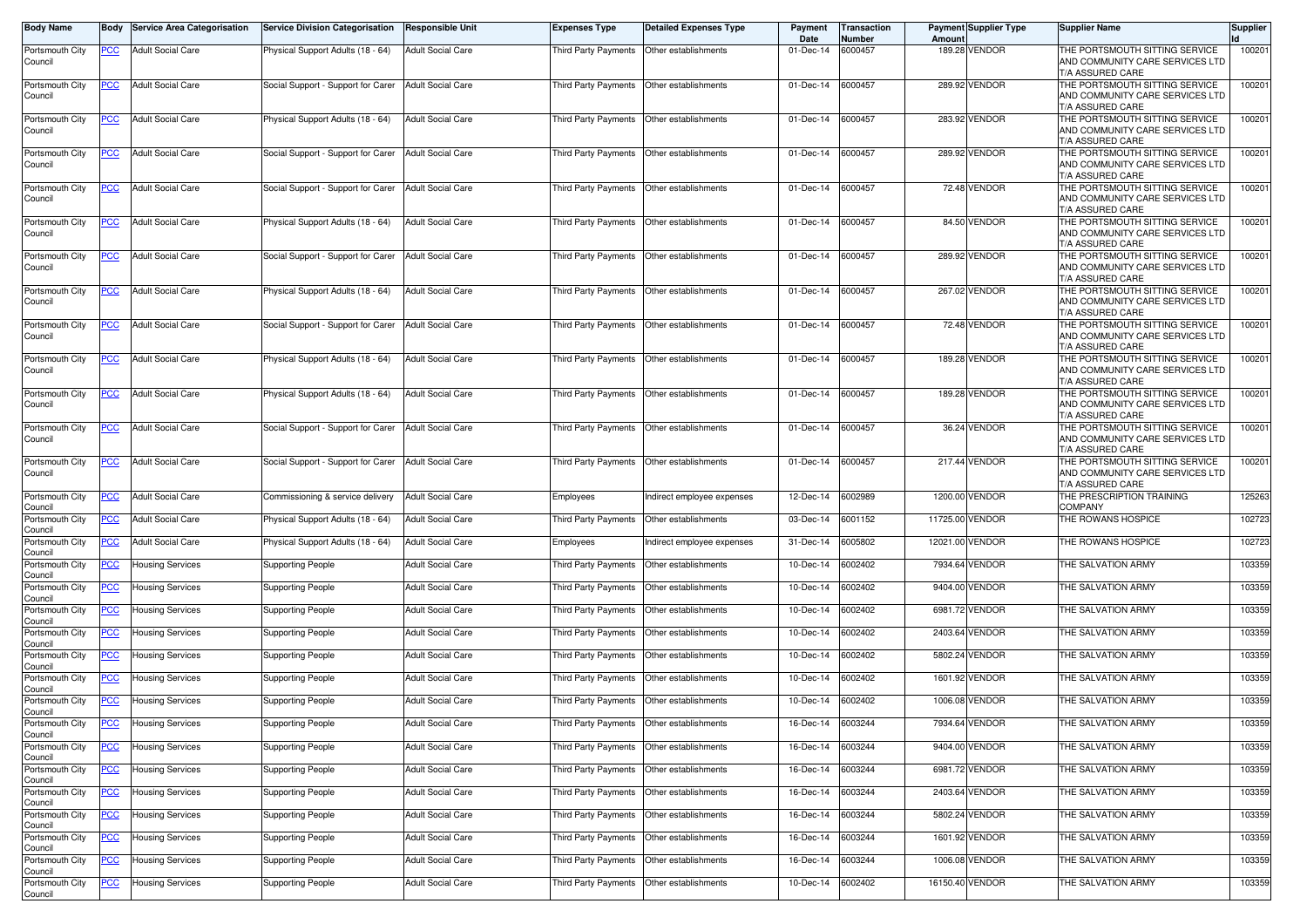| Body Name                             | Body           | <b>Service Area Categorisation</b> | <b>Service Division Categorisation</b> | Responsible Unit         | <b>Expenses Type</b>                      | <b>Detailed Expenses Type</b>               | Payment<br>Date   | Transaction<br>Number | Amount  | <b>Payment Supplier Type</b> | <b>Supplier Name</b>                                                                  | Supplier |
|---------------------------------------|----------------|------------------------------------|----------------------------------------|--------------------------|-------------------------------------------|---------------------------------------------|-------------------|-----------------------|---------|------------------------------|---------------------------------------------------------------------------------------|----------|
| Portsmouth City<br>Council            | <u>PCC</u>     | <b>Adult Social Care</b>           | Physical Support Adults (18 - 64)      | <b>Adult Social Care</b> | Third Party Payments                      | Other establishments                        | 01-Dec-14         | 6000457               | 189.28  | <b>VENDOR</b>                | THE PORTSMOUTH SITTING SERVICE<br>AND COMMUNITY CARE SERVICES LTD<br>T/A ASSURED CARE | 100201   |
| Portsmouth City<br>Council            | <u>PCC</u>     | <b>Adult Social Care</b>           | Social Support - Support for Carer     | <b>Adult Social Care</b> | Third Party Payments                      | Other establishments                        | 01-Dec-14         | 6000457               |         | 289.92 VENDOR                | THE PORTSMOUTH SITTING SERVICE<br>AND COMMUNITY CARE SERVICES LTD<br>T/A ASSURED CARE | 100201   |
| Portsmouth City<br>Council            | <u>PCC</u>     | <b>Adult Social Care</b>           | Physical Support Adults (18 - 64)      | <b>Adult Social Care</b> | Third Party Payments                      | Other establishments                        | 01-Dec-14         | 6000457               |         | 283.92 VENDOR                | THE PORTSMOUTH SITTING SERVICE<br>AND COMMUNITY CARE SERVICES LTD<br>T/A ASSURED CARE | 100201   |
| Portsmouth City<br>Council            | <u>PCC</u>     | <b>Adult Social Care</b>           | Social Support - Support for Carer     | <b>Adult Social Care</b> | Third Party Payments                      | Other establishments                        | 01-Dec-14         | 6000457               |         | 289.92 VENDOR                | THE PORTSMOUTH SITTING SERVICE<br>AND COMMUNITY CARE SERVICES LTD<br>T/A ASSURED CARE | 100201   |
| Portsmouth City<br>Council            | <u>PCC</u>     | <b>Adult Social Care</b>           | Social Support - Support for Carer     | <b>Adult Social Care</b> | Third Party Payments                      | Other establishments                        | 01-Dec-14         | 6000457               |         | 72.48 VENDOR                 | THE PORTSMOUTH SITTING SERVICE<br>AND COMMUNITY CARE SERVICES LTD<br>T/A ASSURED CARE | 100201   |
| Portsmouth City<br>Council            | <u>PCC</u>     | <b>Adult Social Care</b>           | Physical Support Adults (18 - 64)      | <b>Adult Social Care</b> | Third Party Payments                      | Other establishments                        | 01-Dec-14         | 6000457               |         | 84.50 VENDOR                 | THE PORTSMOUTH SITTING SERVICE<br>AND COMMUNITY CARE SERVICES LTD<br>T/A ASSURED CARE | 100201   |
| Portsmouth City<br>Council            | <u>PCC</u>     | <b>Adult Social Care</b>           | Social Support - Support for Carer     | <b>Adult Social Care</b> | Third Party Payments                      | Other establishments                        | 01-Dec-14         | 6000457               |         | 289.92 VENDOR                | THE PORTSMOUTH SITTING SERVICE<br>AND COMMUNITY CARE SERVICES LTD<br>T/A ASSURED CARE | 100201   |
| Portsmouth City<br>Council            | <u>PCC</u>     | <b>Adult Social Care</b>           | Physical Support Adults (18 - 64)      | <b>Adult Social Care</b> | Third Party Payments                      | Other establishments                        | 01-Dec-14         | 6000457               |         | 267.02 VENDOR                | THE PORTSMOUTH SITTING SERVICE<br>AND COMMUNITY CARE SERVICES LTD<br>T/A ASSURED CARE | 100201   |
| Portsmouth City<br>Council            | <b>PCC</b>     | <b>Adult Social Care</b>           | Social Support - Support for Carer     | <b>Adult Social Care</b> | Third Party Payments                      | Other establishments                        | 01-Dec-14         | 6000457               |         | 72.48 VENDOR                 | THE PORTSMOUTH SITTING SERVICE<br>AND COMMUNITY CARE SERVICES LTD<br>T/A ASSURED CARE | 100201   |
| Portsmouth City<br>Council            | <u>PCC</u>     | <b>Adult Social Care</b>           | Physical Support Adults (18 - 64)      | <b>Adult Social Care</b> | Third Party Payments                      | Other establishments                        | 01-Dec-14         | 6000457               |         | 189.28 VENDOR                | THE PORTSMOUTH SITTING SERVICE<br>AND COMMUNITY CARE SERVICES LTD<br>T/A ASSURED CARE | 100201   |
| Portsmouth City<br>Council            | <u>PCC</u>     | <b>Adult Social Care</b>           | Physical Support Adults (18 - 64)      | <b>Adult Social Care</b> | Third Party Payments                      | Other establishments                        | 01-Dec-14         | 6000457               |         | 189.28 VENDOR                | THE PORTSMOUTH SITTING SERVICE<br>AND COMMUNITY CARE SERVICES LTD<br>T/A ASSURED CARE | 100201   |
| Portsmouth City<br>Council            | $\overline{C}$ | <b>Adult Social Care</b>           | Social Support - Support for Carer     | <b>Adult Social Care</b> | Third Party Payments                      | Other establishments                        | 01-Dec-14         | 6000457               |         | 36.24 VENDOR                 | THE PORTSMOUTH SITTING SERVICE<br>AND COMMUNITY CARE SERVICES LTD<br>T/A ASSURED CARE | 100201   |
| Portsmouth City<br>Council            | <u>PCC</u>     | <b>Adult Social Care</b>           | Social Support - Support for Carer     | <b>Adult Social Care</b> | Third Party Payments Other establishments |                                             | 01-Dec-14         | 6000457               |         | 217.44 VENDOR                | THE PORTSMOUTH SITTING SERVICE<br>AND COMMUNITY CARE SERVICES LTD<br>T/A ASSURED CARE | 100201   |
| Portsmouth City<br>Council            | <u>PCC</u>     | <b>Adult Social Care</b>           | Commissioning & service delivery       | <b>Adult Social Care</b> | Employees                                 | ndirect employee expenses                   | 12-Dec-14         | 6002989               |         | 1200.00 VENDOR               | THE PRESCRIPTION TRAINING<br><b>COMPANY</b>                                           | 125263   |
| Portsmouth City<br>Council            | PСC            | <b>Adult Social Care</b>           | Physical Support Adults (18 - 64)      | <b>Adult Social Care</b> | Third Party Payments                      | Other establishments                        | 03-Dec-14         | 6001152               |         | 11725.00 VENDOR              | THE ROWANS HOSPICE                                                                    | 102723   |
| Portsmouth City                       | $\overline{C}$ | <b>Adult Social Care</b>           | Physical Support Adults (18 - 64)      | <b>Adult Social Care</b> | Employees                                 | ndirect employee expenses                   | 31-Dec-14         | 6005802               |         | 12021.00 VENDOR              | THE ROWANS HOSPICE                                                                    | 102723   |
| Council<br>Portsmouth City            | <u>PCC</u>     | Housing Services                   | <b>Supporting People</b>               | <b>Adult Social Care</b> | Third Party Payments                      | Other establishments                        | 10-Dec-14         | 6002402               |         | 7934.64 VENDOR               | THE SALVATION ARMY                                                                    | 103359   |
| Council<br>Portsmouth City            | <u>PCC</u>     | <b>Housing Services</b>            | <b>Supporting People</b>               | <b>Adult Social Care</b> | Third Party Payments                      | Other establishments                        | 10-Dec-14         | 6002402               |         | 9404.00 VENDOR               | THE SALVATION ARMY                                                                    | 103359   |
| Council<br>Portsmouth City            | <u>PCC</u>     | Housing Services                   | Supporting People                      | <b>Adult Social Care</b> | Third Party Payments                      | Other establishments                        | 10-Dec-14         | 6002402               |         | 6981.72 VENDOR               | THE SALVATION ARMY                                                                    | 103359   |
| Council<br>Portsmouth City            | <u>PCC</u>     | Housing Services                   | Supporting People                      | <b>Adult Social Care</b> | Third Party Payments                      | Other establishments                        | 10-Dec-14         | 6002402               |         | 2403.64 VENDOR               | THE SALVATION ARMY                                                                    | 103359   |
| Council<br>Portsmouth City            | <u>PCC</u>     | Housing Services                   | <b>Supporting People</b>               | <b>Adult Social Care</b> | Third Party Payments                      | Other establishments                        | 10-Dec-14         | 6002402               | 5802.24 | <b>VENDOR</b>                | THE SALVATION ARMY                                                                    | 103359   |
| Council<br>Portsmouth City            | <u>PCC</u>     | <b>Housing Services</b>            | Supporting People                      | <b>Adult Social Care</b> | <b>Third Party Payments</b>               | Other establishments                        | 10-Dec-14         | 6002402               |         | 1601.92 VENDOR               | THE SALVATION ARMY                                                                    | 103359   |
| Council<br>Portsmouth City            | <u>PCC</u>     | <b>Housing Services</b>            | <b>Supporting People</b>               | <b>Adult Social Care</b> | Third Party Payments                      | Other establishments                        | 10-Dec-14         | 6002402               |         | 1006.08 VENDOR               | THE SALVATION ARMY                                                                    | 103359   |
| Council<br>Portsmouth City            |                | <b>Housing Services</b>            | <b>Supporting People</b>               | <b>Adult Social Care</b> |                                           | Third Party Payments   Other establishments | 16-Dec-14 6003244 |                       |         | 7934.64 VENDOR               | THE SALVATION ARMY                                                                    | 103359   |
| Council<br>Portsmouth City            | <u>PCC</u>     | <b>Housing Services</b>            | <b>Supporting People</b>               | <b>Adult Social Care</b> |                                           | Third Party Payments Other establishments   | 16-Dec-14         | 6003244               |         | 9404.00 VENDOR               | THE SALVATION ARMY                                                                    | 103359   |
| Council<br>Portsmouth City            | <u>PCC</u>     | <b>Housing Services</b>            | <b>Supporting People</b>               | <b>Adult Social Care</b> |                                           | Third Party Payments   Other establishments | 16-Dec-14         | 6003244               |         | 6981.72 VENDOR               | THE SALVATION ARMY                                                                    | 103359   |
| Council<br>Portsmouth City            | <u>PCC</u>     | <b>Housing Services</b>            | <b>Supporting People</b>               | <b>Adult Social Care</b> |                                           | Third Party Payments Other establishments   | 16-Dec-14         | 6003244               |         | 2403.64 VENDOR               | THE SALVATION ARMY                                                                    | 103359   |
| Council<br>Portsmouth City            | <u>PCC</u>     | <b>Housing Services</b>            | <b>Supporting People</b>               | <b>Adult Social Care</b> | Third Party Payments                      | Other establishments                        | 16-Dec-14         | 6003244               |         | 5802.24 VENDOR               | THE SALVATION ARMY                                                                    | 103359   |
| Council<br>Portsmouth City            | <u>PCC</u>     | <b>Housing Services</b>            | <b>Supporting People</b>               | <b>Adult Social Care</b> | Third Party Payments                      | Other establishments                        | 16-Dec-14         | 6003244               |         | 1601.92 VENDOR               | THE SALVATION ARMY                                                                    | 103359   |
| Council<br>Portsmouth City            | <u>PCC</u>     | <b>Housing Services</b>            | <b>Supporting People</b>               | <b>Adult Social Care</b> | Third Party Payments                      | Other establishments                        | 16-Dec-14         | 6003244               |         | 1006.08 VENDOR               | THE SALVATION ARMY                                                                    | 103359   |
| Council<br>Portsmouth City<br>Council | <u>PCC</u>     | <b>Housing Services</b>            | <b>Supporting People</b>               | <b>Adult Social Care</b> | Third Party Payments                      | Other establishments                        | 10-Dec-14         | 6002402               |         | 16150.40 VENDOR              | THE SALVATION ARMY                                                                    | 103359   |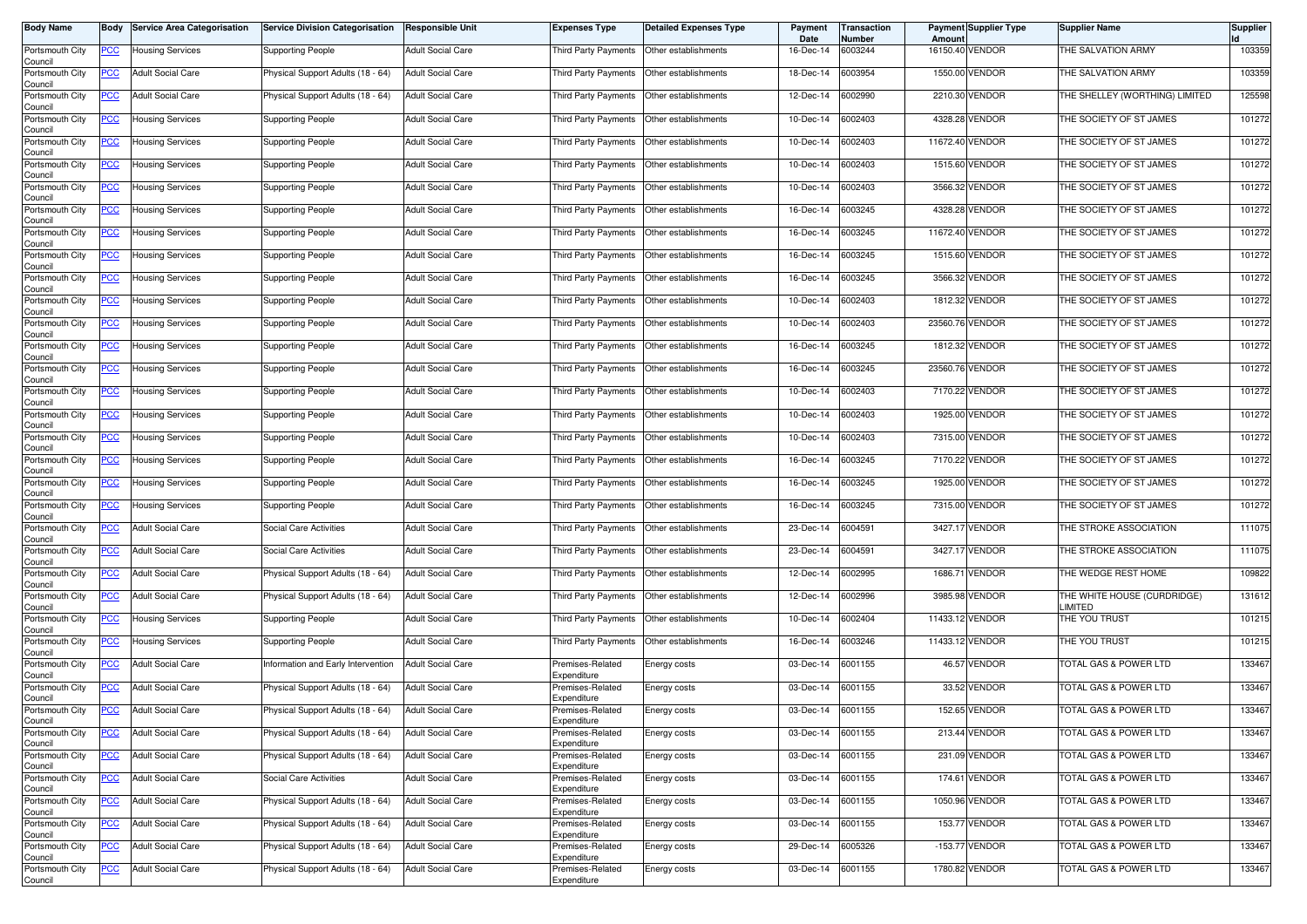| <b>Body Name</b>                      | Body       | <b>Service Area Categorisation</b> | <b>Service Division Categorisation</b> | <b>Responsible Unit</b>  | <b>Expenses Type</b>            | <b>Detailed Expenses Type</b> | Payment<br>Date | Transaction<br>Number | Amoun | <b>Payment Supplier Type</b> | <b>Supplier Name</b>                   | <b>Supplier</b> |
|---------------------------------------|------------|------------------------------------|----------------------------------------|--------------------------|---------------------------------|-------------------------------|-----------------|-----------------------|-------|------------------------------|----------------------------------------|-----------------|
| Portsmouth City<br>Council            | PCC        | Housing Services                   | <b>Supporting People</b>               | <b>Adult Social Care</b> | Third Party Payments            | Other establishments          | 16-Dec-14       | 6003244               |       | 16150.40 VENDOR              | THE SALVATION ARMY                     | 103359          |
| Portsmouth City<br>Council            | <u>PCC</u> | <b>Adult Social Care</b>           | Physical Support Adults (18 - 64)      | <b>Adult Social Care</b> | Third Party Payments            | Other establishments          | 18-Dec-14       | 6003954               |       | 1550.00 VENDOR               | THE SALVATION ARMY                     | 103359          |
| Portsmouth City<br>Council            | <b>PCC</b> | <b>Adult Social Care</b>           | Physical Support Adults (18 - 64)      | <b>Adult Social Care</b> | Third Party Payments            | Other establishments          | 12-Dec-14       | 6002990               |       | 2210.30 VENDOR               | THE SHELLEY (WORTHING) LIMITED         | 125598          |
| Portsmouth City<br>Council            | <u>PCC</u> | <b>Housing Services</b>            | <b>Supporting People</b>               | <b>Adult Social Care</b> | Third Party Payments            | Other establishments          | 10-Dec-14       | 6002403               |       | 4328.28 VENDOR               | THE SOCIETY OF ST JAMES                | 101272          |
| Portsmouth City<br>Council            | <u>PCC</u> | Housing Services                   | <b>Supporting People</b>               | <b>Adult Social Care</b> | Third Party Payments            | Other establishments          | 10-Dec-14       | 6002403               |       | 11672.40 VENDOR              | THE SOCIETY OF ST JAMES                | 101272          |
| Portsmouth City<br>Council            | <u>PCC</u> | Housing Services                   | <b>Supporting People</b>               | <b>Adult Social Care</b> | Third Party Payments            | Other establishments          | 10-Dec-14       | 6002403               |       | 1515.60 VENDOR               | THE SOCIETY OF ST JAMES                | 101272          |
| Portsmouth City<br>Council            | <b>PCC</b> | <b>Housing Services</b>            | <b>Supporting People</b>               | <b>Adult Social Care</b> | Third Party Payments            | Other establishments          | 10-Dec-14       | 6002403               |       | 3566.32 VENDOR               | THE SOCIETY OF ST JAMES                | 101272          |
| Portsmouth City<br>Council            | <b>PCC</b> | Housing Services                   | <b>Supporting People</b>               | <b>Adult Social Care</b> | Third Party Payments            | Other establishments          | 16-Dec-14       | 6003245               |       | 4328.28 VENDOR               | THE SOCIETY OF ST JAMES                | 101272          |
| Portsmouth City<br>Council            | <u>PCC</u> | Housing Services                   | Supporting People                      | <b>Adult Social Care</b> | Third Party Payments            | Other establishments          | 16-Dec-14       | 6003245               |       | 11672.40 VENDOR              | THE SOCIETY OF ST JAMES                | 101272          |
| Portsmouth City<br>Council            | <u>PCC</u> | Housing Services                   | <b>Supporting People</b>               | <b>Adult Social Care</b> | Third Party Payments            | Other establishments          | 16-Dec-14       | 6003245               |       | 1515.60 VENDOR               | THE SOCIETY OF ST JAMES                | 101272          |
| Portsmouth City<br>Council            | <u>PCC</u> | Housing Services                   | <b>Supporting People</b>               | <b>Adult Social Care</b> | Third Party Payments            | Other establishments          | 16-Dec-14       | 6003245               |       | 3566.32 VENDOR               | THE SOCIETY OF ST JAMES                | 101272          |
| Portsmouth City<br>Council            | <u>PCC</u> | Housing Services                   | <b>Supporting People</b>               | <b>Adult Social Care</b> | Third Party Payments            | Other establishments          | 10-Dec-14       | 6002403               |       | 1812.32 VENDOR               | THE SOCIETY OF ST JAMES                | 101272          |
| Portsmouth City<br>Council            | PCC        | Housing Services                   | <b>Supporting People</b>               | <b>Adult Social Care</b> | Third Party Payments            | Other establishments          | 10-Dec-14       | 6002403               |       | 23560.76 VENDOR              | THE SOCIETY OF ST JAMES                | 101272          |
| Portsmouth City<br>Council            | <u>PCC</u> | <b>Housing Services</b>            | <b>Supporting People</b>               | <b>Adult Social Care</b> | Third Party Payments            | Other establishments          | 16-Dec-14       | 6003245               |       | 1812.32 VENDOR               | THE SOCIETY OF ST JAMES                | 101272          |
| Portsmouth City<br>Council            | <u>PCC</u> | Housing Services                   | <b>Supporting People</b>               | <b>Adult Social Care</b> | Third Party Payments            | Other establishments          | 16-Dec-14       | 6003245               |       | 23560.76 VENDOR              | THE SOCIETY OF ST JAMES                | 101272          |
| Portsmouth City<br>Council            | <b>PCC</b> | <b>Housing Services</b>            | <b>Supporting People</b>               | <b>Adult Social Care</b> | Third Party Payments            | Other establishments          | 10-Dec-14       | 6002403               |       | 7170.22 VENDOR               | THE SOCIETY OF ST JAMES                | 101272          |
| Portsmouth City<br>Council            | <u>PCC</u> | Housing Services                   | Supporting People                      | <b>Adult Social Care</b> | Third Party Payments            | Other establishments          | 10-Dec-14       | 6002403               |       | 1925.00 VENDOR               | THE SOCIETY OF ST JAMES                | 101272          |
| Portsmouth City<br>Council            | <u>PCC</u> | Housing Services                   | <b>Supporting People</b>               | <b>Adult Social Care</b> | Third Party Payments            | Other establishments          | 10-Dec-14       | 6002403               |       | 7315.00 VENDOR               | THE SOCIETY OF ST JAMES                | 101272          |
| Portsmouth City<br>Council            | <b>PCC</b> | Housing Services                   | <b>Supporting People</b>               | <b>Adult Social Care</b> | Third Party Payments            | Other establishments          | 16-Dec-14       | 6003245               |       | 7170.22 VENDOR               | THE SOCIETY OF ST JAMES                | 101272          |
| Portsmouth City<br>Council            | <u>PCC</u> | Housing Services                   | <b>Supporting People</b>               | <b>Adult Social Care</b> | Third Party Payments            | Other establishments          | 16-Dec-14       | 6003245               |       | 1925.00 VENDOR               | THE SOCIETY OF ST JAMES                | 101272          |
| Portsmouth City<br>Council            | <u>PCC</u> | <b>Housing Services</b>            | <b>Supporting People</b>               | <b>Adult Social Care</b> | Third Party Payments            | Other establishments          | 16-Dec-14       | 6003245               |       | 7315.00 VENDOR               | THE SOCIETY OF ST JAMES                | 101272          |
| Portsmouth City<br>Council            | <u>PCC</u> | <b>Adult Social Care</b>           | Social Care Activities                 | <b>Adult Social Care</b> | Third Party Payments            | Other establishments          | 23-Dec-14       | 6004591               |       | 3427.17 VENDOR               | THE STROKE ASSOCIATION                 | 111075          |
| Portsmouth City<br>Council            | <u>PCC</u> | <b>Adult Social Care</b>           | Social Care Activities                 | <b>Adult Social Care</b> | Third Party Payments            | Other establishments          | 23-Dec-14       | 6004591               |       | 3427.17 VENDOR               | THE STROKE ASSOCIATION                 | 111075          |
| Portsmouth City<br>Council            | <u>PCC</u> | <b>Adult Social Care</b>           | Physical Support Adults (18 - 64)      | <b>Adult Social Care</b> | Third Party Payments            | Other establishments          | 12-Dec-14       | 6002995               |       | 1686.71 VENDOR               | THE WEDGE REST HOME                    | 109822          |
| Portsmouth City<br>Council            | <b>PCC</b> | <b>Adult Social Care</b>           | Physical Support Adults (18 - 64)      | <b>Adult Social Care</b> | Third Party Payments            | Other establishments          | 12-Dec-14       | 6002996               |       | 3985.98 VENDOR               | THE WHITE HOUSE (CURDRIDGE)<br>LIMITED | 131612          |
| Portsmouth City<br>Council            | <u>PCC</u> | Housing Services                   | Supporting People                      | <b>Adult Social Care</b> | Third Party Payments            | Other establishments          | 10-Dec-14       | 6002404               |       | 11433.12 VENDOR              | THE YOU TRUST                          | 101215          |
| Portsmouth City<br>Council            | <u>PCC</u> | Housing Services                   | Supporting People                      | <b>Adult Social Care</b> | Third Party Payments            | Other establishments          | 16-Dec-14       | 6003246               |       | 11433.12 VENDOR              | THE YOU TRUST                          | 101215          |
| Portsmouth City<br>Council            | <b>PCC</b> | <b>Adult Social Care</b>           | Information and Early Intervention     | <b>Adult Social Care</b> | Premises-Related<br>Expenditure | Energy costs                  | 03-Dec-14       | 6001155               |       | 46.57 VENDOR                 | TOTAL GAS & POWER LTD                  | 133467          |
| Portsmouth City<br>Council            | <u>PCC</u> | <b>Adult Social Care</b>           | Physical Support Adults (18 - 64)      | <b>Adult Social Care</b> | Premises-Related<br>Expenditure | Energy costs                  | 03-Dec-14       | 6001155               |       | 33.52 VENDOR                 | <b>TOTAL GAS &amp; POWER LTD</b>       | 133467          |
| Portsmouth City<br>Council            | <u>PCC</u> | <b>Adult Social Care</b>           | Physical Support Adults (18 - 64)      | <b>Adult Social Care</b> | Premises-Related<br>Expenditure | Energy costs                  | 03-Dec-14       | 6001155               |       | 152.65 VENDOR                | TOTAL GAS & POWER LTD                  | 133467          |
| Portsmouth City<br>Council            | <u>PCC</u> | <b>Adult Social Care</b>           | Physical Support Adults (18 - 64)      | <b>Adult Social Care</b> | Premises-Related<br>Expenditure | Energy costs                  | 03-Dec-14       | 6001155               |       | 213.44 VENDOR                | TOTAL GAS & POWER LTD                  | 133467          |
| Portsmouth City                       | <b>PCC</b> | <b>Adult Social Care</b>           | Physical Support Adults (18 - 64)      | <b>Adult Social Care</b> | Premises-Related<br>Expenditure | Energy costs                  | 03-Dec-14       | 6001155               |       | 231.09 VENDOR                | TOTAL GAS & POWER LTD                  | 133467          |
| Council<br>Portsmouth City<br>Council | <b>PCC</b> | <b>Adult Social Care</b>           | Social Care Activities                 | <b>Adult Social Care</b> | Premises-Related<br>Expenditure | Energy costs                  | 03-Dec-14       | 6001155               |       | 174.61 VENDOR                | TOTAL GAS & POWER LTD                  | 133467          |
| Portsmouth City<br>Council            | <u>PCC</u> | <b>Adult Social Care</b>           | Physical Support Adults (18 - 64)      | <b>Adult Social Care</b> | Premises-Related<br>Expenditure | Energy costs                  | 03-Dec-14       | 6001155               |       | 1050.96 VENDOR               | <b>TOTAL GAS &amp; POWER LTD</b>       | 133467          |
| Portsmouth City<br>Council            | <u>PCC</u> | <b>Adult Social Care</b>           | Physical Support Adults (18 - 64)      | <b>Adult Social Care</b> | Premises-Related<br>Expenditure | Energy costs                  | 03-Dec-14       | 6001155               |       | 153.77 VENDOR                | TOTAL GAS & POWER LTD                  | 133467          |
| Portsmouth City<br>Council            | <u>PCC</u> | <b>Adult Social Care</b>           | Physical Support Adults (18 - 64)      | <b>Adult Social Care</b> | Premises-Related<br>Expenditure | Energy costs                  | 29-Dec-14       | 6005326               |       | -153.77 VENDOR               | <b>TOTAL GAS &amp; POWER LTD</b>       | 133467          |
| Portsmouth City<br>Council            | <b>PCC</b> | <b>Adult Social Care</b>           | Physical Support Adults (18 - 64)      | <b>Adult Social Care</b> | Premises-Related<br>Expenditure | Energy costs                  | 03-Dec-14       | 6001155               |       | 1780.82 VENDOR               | TOTAL GAS & POWER LTD                  | 133467          |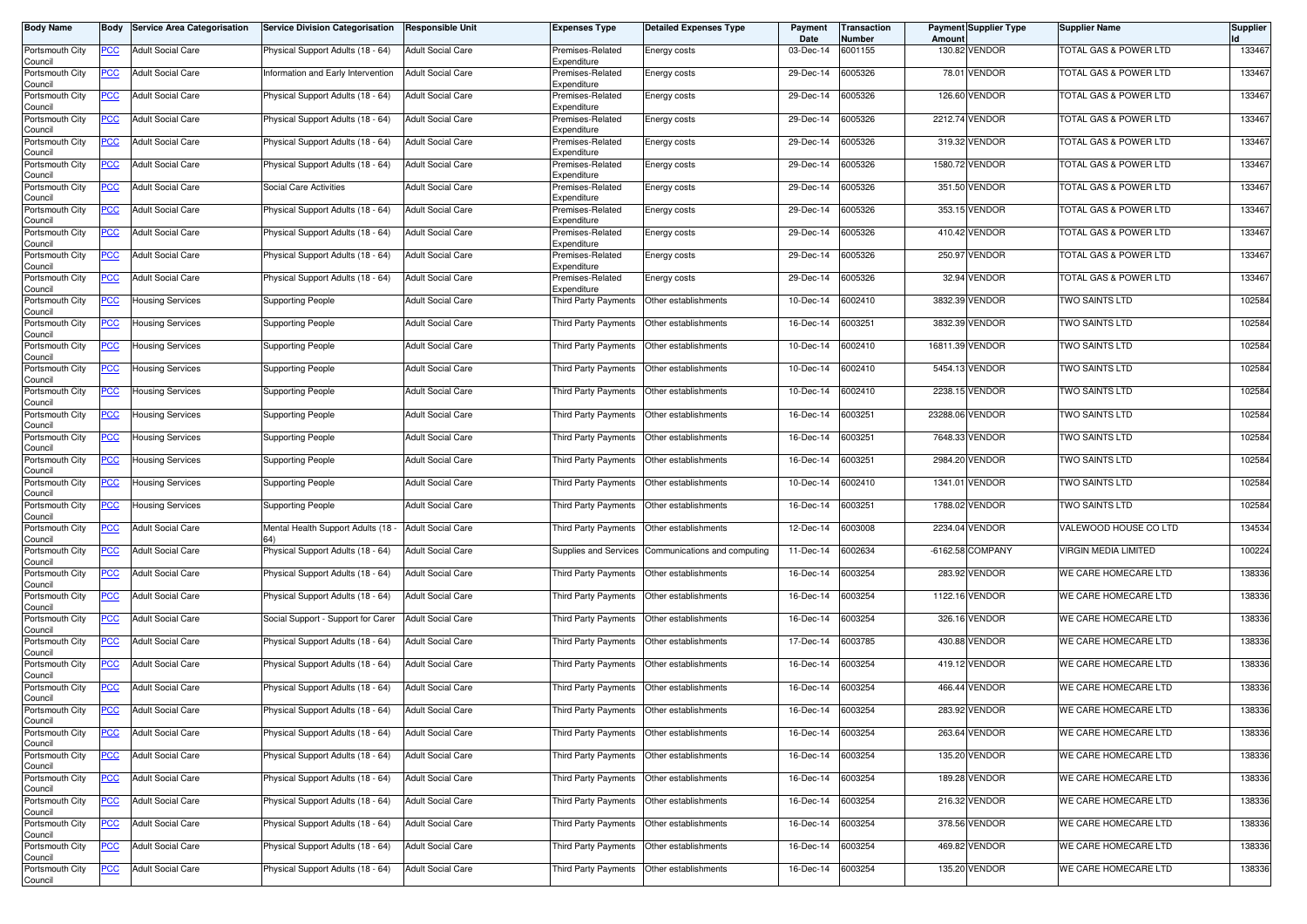| <b>Body Name</b>           |             | <b>Body Service Area Categorisation</b> | <b>Service Division Categorisation</b> | Responsible Unit         | Expenses Type                       | <b>Detailed Expenses Type</b> | Payment<br>Date | Transaction<br>Number | Amount | <b>Payment Supplier Type</b> | <b>Supplier Name</b>               | <b>Supplier</b> |
|----------------------------|-------------|-----------------------------------------|----------------------------------------|--------------------------|-------------------------------------|-------------------------------|-----------------|-----------------------|--------|------------------------------|------------------------------------|-----------------|
| Portsmouth City<br>Council | PCC         | <b>Adult Social Care</b>                | Physical Support Adults (18 - 64)      | <b>Adult Social Care</b> | Premises-Related<br>Expenditure     | Energy costs                  | 03-Dec-14       | 6001155               |        | 130.82 VENDOR                | <b>TOTAL GAS &amp; POWER LTD</b>   | 133467          |
| Portsmouth City<br>Council | <u>PCC</u>  | <b>Adult Social Care</b>                | Information and Early Intervention     | <b>Adult Social Care</b> | Premises-Related<br>Expenditure     | Energy costs                  | 29-Dec-14       | 6005326               |        | 78.01 VENDOR                 | <b>TOTAL GAS &amp; POWER LTD</b>   | 133467          |
| Portsmouth City<br>Council | <u>PCC</u>  | <b>Adult Social Care</b>                | Physical Support Adults (18 - 64)      | <b>Adult Social Care</b> | Premises-Related<br>Expenditure     | Energy costs                  | 29-Dec-14       | 6005326               |        | 126.60 VENDOR                | TOTAL GAS & POWER LTD              | 133467          |
| Portsmouth City<br>Council | <b>PCC</b>  | <b>Adult Social Care</b>                | Physical Support Adults (18 - 64)      | <b>Adult Social Care</b> | Premises-Related<br>Expenditure     | Energy costs                  | 29-Dec-14       | 6005326               |        | 2212.74 VENDOR               | <b>TOTAL GAS &amp; POWER LTD</b>   | 133467          |
| Portsmouth City<br>Council | <u>PCC</u>  | <b>Adult Social Care</b>                | Physical Support Adults (18 - 64)      | <b>Adult Social Care</b> | Premises-Related<br>Expenditure     | Energy costs                  | 29-Dec-14       | 6005326               |        | 319.32 VENDOR                | <b>TOTAL GAS &amp; POWER LTD</b>   | 133467          |
| Portsmouth City<br>Council | <u>PCC</u>  | <b>Adult Social Care</b>                | Physical Support Adults (18 - 64)      | <b>Adult Social Care</b> | Premises-Related<br>Expenditure     | Energy costs                  | 29-Dec-14       | 6005326               |        | 1580.72 VENDOR               | TOTAL GAS & POWER LTD              | 133467          |
| Portsmouth City<br>Council | <u>PCC</u>  | <b>Adult Social Care</b>                | Social Care Activities                 | <b>Adult Social Care</b> | Premises-Related<br>Expenditure     | Energy costs                  | 29-Dec-14       | 6005326               |        | 351.50 VENDOR                | <b>TOTAL GAS &amp; POWER LTD</b>   | 133467          |
| Portsmouth City<br>Council | <u>PCC</u>  | <b>Adult Social Care</b>                | Physical Support Adults (18 - 64)      | <b>Adult Social Care</b> | Premises-Related<br>Expenditure     | Energy costs                  | 29-Dec-14       | 6005326               |        | 353.15 VENDOR                | <b>TOTAL GAS &amp; POWER LTD</b>   | 133467          |
| Portsmouth City            | <u>PCC</u>  | <b>Adult Social Care</b>                | Physical Support Adults (18 - 64)      | <b>Adult Social Care</b> | Premises-Related                    | Energy costs                  | 29-Dec-14       | 6005326               |        | 410.42 VENDOR                | <b>TOTAL GAS &amp; POWER LTD</b>   | 133467          |
| Council<br>Portsmouth City | <u>PCC</u>  | <b>Adult Social Care</b>                | Physical Support Adults (18 - 64)      | <b>Adult Social Care</b> | Expenditure<br>Premises-Related     | Energy costs                  | 29-Dec-14       | 6005326               |        | 250.97 VENDOR                | TOTAL GAS & POWER LTD              | 133467          |
| Council<br>Portsmouth City | <u>PCC</u>  | Adult Social Care                       | Physical Support Adults (18 - 64)      | <b>Adult Social Care</b> | Expenditure<br>Premises-Related     | Energy costs                  | 29-Dec-14       | 6005326               |        | 32.94 VENDOR                 | <b>TOTAL GAS &amp; POWER LTD</b>   | 133467          |
| Council<br>Portsmouth City |             | Housing Services                        | <b>Supporting People</b>               | <b>Adult Social Care</b> | Expenditure<br>Third Party Payments | Other establishments          | 10-Dec-14       | 6002410               |        | 3832.39 VENDOR               | TWO SAINTS LTD                     | 102584          |
| Council<br>Portsmouth City | <u>PCC</u>  | Housing Services                        | <b>Supporting People</b>               | <b>Adult Social Care</b> | Third Party Payments                | Other establishments          | 16-Dec-14       | 6003251               |        | 3832.39 VENDOR               | TWO SAINTS LTD                     | 102584          |
| Council<br>Portsmouth City | <u>PCC</u>  | Housing Services                        | <b>Supporting People</b>               | <b>Adult Social Care</b> | <b>Third Party Payments</b>         | Other establishments          | 10-Dec-14       | 6002410               |        | 16811.39 VENDOR              | TWO SAINTS LTD                     | 102584          |
| Council<br>Portsmouth City | <u>PCC</u>  | <b>Housing Services</b>                 | <b>Supporting People</b>               | <b>Adult Social Care</b> | Third Party Payments                | Other establishments          | 10-Dec-14       | 6002410               |        | 5454.13 VENDOR               | TWO SAINTS LTD                     | 102584          |
| Council<br>Portsmouth City | <u>PCC</u>  | <b>Housing Services</b>                 | <b>Supporting People</b>               | <b>Adult Social Care</b> | Third Party Payments                | Other establishments          | 10-Dec-14       | 6002410               |        | 2238.15 VENDOR               | <b>TWO SAINTS LTD</b>              | 102584          |
| Council<br>Portsmouth City | <u>PCC</u>  | <b>Housing Services</b>                 | <b>Supporting People</b>               | <b>Adult Social Care</b> | Third Party Payments                | Other establishments          | 16-Dec-14       | 6003251               |        | 23288.06 VENDOR              | TWO SAINTS LTD                     | 102584          |
| Council<br>Portsmouth City | <u>PCC</u>  | <b>Housing Services</b>                 | <b>Supporting People</b>               | <b>Adult Social Care</b> | Third Party Payments                | Other establishments          | 16-Dec-14       | 6003251               |        | 7648.33 VENDOR               | TWO SAINTS LTD                     | 102584          |
| Council<br>Portsmouth City | <u>PCC</u>  | <b>Housing Services</b>                 | <b>Supporting People</b>               | <b>Adult Social Care</b> | Third Party Payments                | Other establishments          | 16-Dec-14       | 6003251               |        | 2984.20 VENDOR               | TWO SAINTS LTD                     | 102584          |
| Council<br>Portsmouth City | <u>PCC</u>  | Housing Services                        | Supporting People                      | <b>Adult Social Care</b> | Third Party Payments                | Other establishments          | 10-Dec-14       | 6002410               |        | 1341.01 VENDOR               | <b>TWO SAINTS LTD</b>              | 102584          |
| Council<br>Portsmouth City | <u>PCC</u>  | Housing Services                        | <b>Supporting People</b>               | <b>Adult Social Care</b> | Third Party Payments                | Other establishments          | 16-Dec-14       | 6003251               |        | 1788.02 VENDOR               | TWO SAINTS LTD                     | 102584          |
| Council<br>Portsmouth City | <u>PCC</u>  | <b>Adult Social Care</b>                | Mental Health Support Adults (18       | <b>Adult Social Care</b> | Third Party Payments                | Other establishments          | 12-Dec-14       | 6003008               |        | 2234.04 VENDOR               | VALEWOOD HOUSE CO LTD              | 134534          |
| Council<br>Portsmouth City | <u>PCC</u>  | <b>Adult Social Care</b>                | Physical Support Adults (18 - 64)      | <b>Adult Social Care</b> | Supplies and Services               | Communications and computing  | 11-Dec-14       | 6002634               |        | -6162.58 COMPANY             | VIRGIN MEDIA LIMITED               | 100224          |
| Council<br>Portsmouth City | <u>PCC </u> | <b>Adult Social Care</b>                | Physical Support Adults (18 - 64)      | <b>Adult Social Care</b> | Third Party Payments                | Other establishments          | 16-Dec-14       | 6003254               |        | 283.92 VENDOR                | WE CARE HOMECARE LTD               | 138336          |
| Council<br>Portsmouth City | <u>PCC</u>  | <b>Adult Social Care</b>                | Physical Support Adults (18 - 64)      | <b>Adult Social Care</b> | Third Party Payments                | Other establishments          | 16-Dec-14       | 6003254               |        | 1122.16 VENDOR               | <b>NE CARE HOMECARE LTD</b>        | 138336          |
| Council<br>Portsmouth City | <u>PCC</u>  | <b>Adult Social Care</b>                | Social Support - Support for Carer     | <b>Adult Social Care</b> | Third Party Payments                | Other establishments          | 16-Dec-14       | 6003254               |        | 326.16 VENDOR                | WE CARE HOMECARE LTD               | 138336          |
| Council<br>Portsmouth City | <b>PCC</b>  | <b>Adult Social Care</b>                | Physical Support Adults (18 - 64)      | <b>Adult Social Care</b> | Third Party Payments                | Other establishments          | 17-Dec-14       | 6003785               |        | 430.88 VENDOR                | WE CARE HOMECARE LTD               | 138336          |
| Council<br>Portsmouth City | <u>PCC</u>  | <b>Adult Social Care</b>                | Physical Support Adults (18 - 64)      | <b>Adult Social Care</b> | Third Party Payments                | Other establishments          | 16-Dec-14       | 6003254               |        | 419.12 VENDOR                | WE CARE HOMECARE LTD               | 138336          |
| Council<br>Portsmouth City | <u>PCC</u>  | <b>Adult Social Care</b>                | Physical Support Adults (18 - 64)      | <b>Adult Social Care</b> | Third Party Payments                | Other establishments          | 16-Dec-14       | 6003254               |        | 466.44 VENDOR                | <b><i>NE CARE HOMECARE LTD</i></b> | 138336          |
| Council<br>Portsmouth City | <u>PCC</u>  | <b>Adult Social Care</b>                | Physical Support Adults (18 - 64)      | <b>Adult Social Care</b> | Third Party Payments                | Other establishments          | 16-Dec-14       | 6003254               |        | 283.92 VENDOR                | WE CARE HOMECARE LTD               | 138336          |
| Council<br>Portsmouth City | <b>PCC</b>  | <b>Adult Social Care</b>                | Physical Support Adults (18 - 64)      | <b>Adult Social Care</b> | Third Party Payments                | Other establishments          | 16-Dec-14       | 6003254               |        | 263.64 VENDOR                | WE CARE HOMECARE LTD               | 138336          |
| Council<br>Portsmouth City | <b>PCC</b>  | <b>Adult Social Care</b>                | Physical Support Adults (18 - 64)      | <b>Adult Social Care</b> | Third Party Payments                | Other establishments          | 16-Dec-14       | 6003254               |        | 135.20 VENDOR                | WE CARE HOMECARE LTD               | 138336          |
| Council<br>Portsmouth City | <u>PCC</u>  | <b>Adult Social Care</b>                | Physical Support Adults (18 - 64)      | <b>Adult Social Care</b> | Third Party Payments                | Other establishments          | 16-Dec-14       | 6003254               |        | 189.28 VENDOR                | WE CARE HOMECARE LTD               | 138336          |
| Council<br>Portsmouth City | <b>PCC</b>  | <b>Adult Social Care</b>                | Physical Support Adults (18 - 64)      | <b>Adult Social Care</b> | <b>Third Party Payments</b>         | Other establishments          | 16-Dec-14       | 6003254               |        | 216.32 VENDOR                | WE CARE HOMECARE LTD               | 138336          |
| Council<br>Portsmouth City | <u>PCC</u>  | <b>Adult Social Care</b>                | Physical Support Adults (18 - 64)      | <b>Adult Social Care</b> | Third Party Payments                | Other establishments          | 16-Dec-14       | 6003254               |        | 378.56 VENDOR                | WE CARE HOMECARE LTD               | 138336          |
| Council<br>Portsmouth City | <u>PCC</u>  | <b>Adult Social Care</b>                | Physical Support Adults (18 - 64)      | <b>Adult Social Care</b> | Third Party Payments                | Other establishments          | 16-Dec-14       | 6003254               |        | 469.82 VENDOR                | WE CARE HOMECARE LTD               | 138336          |
| Council<br>Portsmouth City | <u>PCC</u>  | <b>Adult Social Care</b>                | Physical Support Adults (18 - 64)      | <b>Adult Social Care</b> | Third Party Payments                | Other establishments          | 16-Dec-14       | 6003254               |        | 135.20 VENDOR                | WE CARE HOMECARE LTD               | 138336          |
| Council                    |             |                                         |                                        |                          |                                     |                               |                 |                       |        |                              |                                    |                 |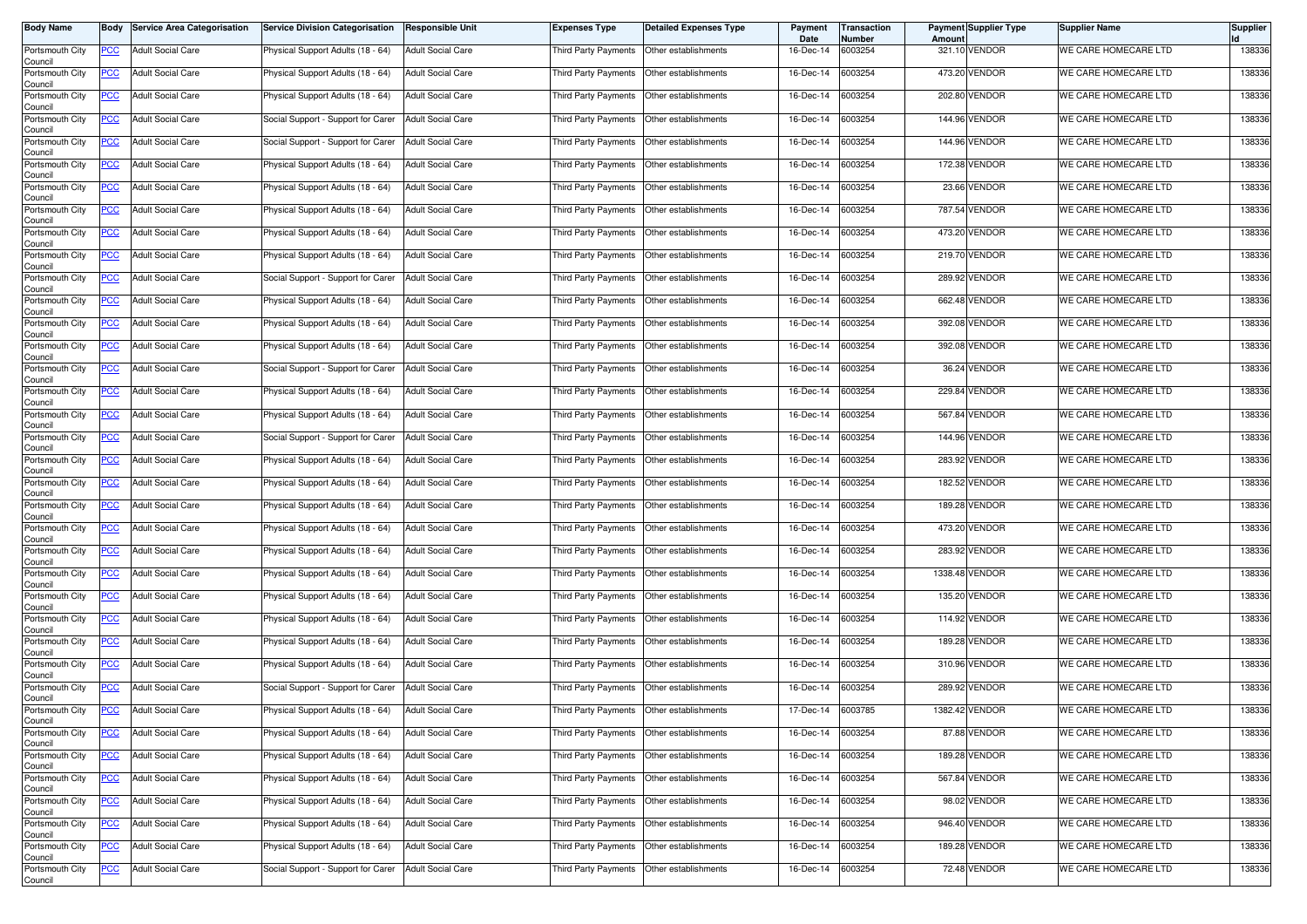| <b>Body Name</b>           | Body       | <b>Service Area Categorisation</b> | <b>Service Division Categorisation</b> | <b>Responsible Unit</b>  | <b>Expenses Type</b> | <b>Detailed Expenses Type</b> | Payment<br>Date | <b>Transaction</b><br>Number | Amount | Payment Supplier Type | <b>Supplier Name</b> | <b>Supplier</b> |
|----------------------------|------------|------------------------------------|----------------------------------------|--------------------------|----------------------|-------------------------------|-----------------|------------------------------|--------|-----------------------|----------------------|-----------------|
| Portsmouth City<br>Council | PCC        | <b>Adult Social Care</b>           | Physical Support Adults (18 - 64)      | <b>Adult Social Care</b> | Third Party Payments | Other establishments          | 16-Dec-14       | 6003254                      |        | 321.10 VENDOR         | WE CARE HOMECARE LTD | 138336          |
| Portsmouth City<br>Council | <u>PCC</u> | <b>Adult Social Care</b>           | Physical Support Adults (18 - 64)      | <b>Adult Social Care</b> | Third Party Payments | Other establishments          | 16-Dec-14       | 6003254                      |        | 473.20 VENDOR         | WE CARE HOMECARE LTD | 138336          |
| Portsmouth City<br>Council | <u>PCC</u> | <b>Adult Social Care</b>           | Physical Support Adults (18 - 64)      | <b>Adult Social Care</b> | Third Party Payments | Other establishments          | 16-Dec-14       | 6003254                      | 202.80 | <b>VENDOR</b>         | WE CARE HOMECARE LTD | 138336          |
| Portsmouth City<br>Council | <u>PCC</u> | <b>Adult Social Care</b>           | Social Support - Support for Carer     | <b>Adult Social Care</b> | Third Party Payments | Other establishments          | 16-Dec-14       | 6003254                      |        | 144.96 VENDOR         | WE CARE HOMECARE LTD | 138336          |
| Portsmouth City<br>Council | <u>PCC</u> | <b>Adult Social Care</b>           | Social Support - Support for Carer     | <b>Adult Social Care</b> | Third Party Payments | Other establishments          | 16-Dec-14       | 6003254                      |        | <b>144.96 VENDOR</b>  | WE CARE HOMECARE LTD | 138336          |
| Portsmouth City<br>Council | <u>PCC</u> | <b>Adult Social Care</b>           | Physical Support Adults (18 - 64)      | <b>Adult Social Care</b> | Third Party Payments | Other establishments          | 16-Dec-14       | 6003254                      |        | 172.38 VENDOR         | WE CARE HOMECARE LTD | 138336          |
| Portsmouth City<br>Council | <u>PCC</u> | <b>Adult Social Care</b>           | Physical Support Adults (18 - 64)      | <b>Adult Social Care</b> | Third Party Payments | Other establishments          | 16-Dec-14       | 6003254                      |        | 23.66 VENDOR          | WE CARE HOMECARE LTD | 138336          |
| Portsmouth City<br>Council | <b>PCC</b> | <b>Adult Social Care</b>           | Physical Support Adults (18 - 64)      | <b>Adult Social Care</b> | Third Party Payments | Other establishments          | 16-Dec-14       | 6003254                      |        | 787.54 VENDOR         | WE CARE HOMECARE LTD | 138336          |
| Portsmouth City<br>Council | <u>PCC</u> | <b>Adult Social Care</b>           | Physical Support Adults (18 - 64)      | <b>Adult Social Care</b> | Third Party Payments | Other establishments          | 16-Dec-14       | 6003254                      |        | 473.20 VENDOR         | WE CARE HOMECARE LTD | 138336          |
| Portsmouth City<br>Council | <u>PCC</u> | <b>Adult Social Care</b>           | Physical Support Adults (18 - 64)      | <b>Adult Social Care</b> | Third Party Payments | Other establishments          | 16-Dec-14       | 6003254                      | 219.70 | <b>VENDOR</b>         | WE CARE HOMECARE LTD | 138336          |
| Portsmouth City<br>Council | <u>PCC</u> | <b>Adult Social Care</b>           | Social Support - Support for Carer     | <b>Adult Social Care</b> | Third Party Payments | Other establishments          | 16-Dec-14       | 6003254                      |        | 289.92 VENDOR         | WE CARE HOMECARE LTD | 138336          |
| Portsmouth City<br>Council | <u>PCC</u> | <b>Adult Social Care</b>           | Physical Support Adults (18 - 64)      | <b>Adult Social Care</b> | Third Party Payments | Other establishments          | 16-Dec-14       | 6003254                      | 662.48 | <b>VENDOR</b>         | WE CARE HOMECARE LTD | 138336          |
| Portsmouth City<br>Council | PCC        | <b>Adult Social Care</b>           | Physical Support Adults (18 - 64)      | <b>Adult Social Care</b> | Third Party Payments | Other establishments          | 16-Dec-14       | 6003254                      |        | 392.08 VENDOR         | WE CARE HOMECARE LTD | 138336          |
| Portsmouth City<br>Council | <u>PCC</u> | <b>Adult Social Care</b>           | Physical Support Adults (18 - 64)      | <b>Adult Social Care</b> | Third Party Payments | Other establishments          | 16-Dec-14       | 6003254                      |        | 392.08 VENDOR         | WE CARE HOMECARE LTD | 138336          |
| Portsmouth City<br>Council | <u>PCC</u> | <b>Adult Social Care</b>           | Social Support - Support for Carer     | <b>Adult Social Care</b> | Third Party Payments | Other establishments          | 16-Dec-14       | 6003254                      |        | 36.24 VENDOR          | WE CARE HOMECARE LTD | 138336          |
| Portsmouth City<br>Council | <u>PCC</u> | <b>Adult Social Care</b>           | Physical Support Adults (18 - 64)      | <b>Adult Social Care</b> | Third Party Payments | Other establishments          | 16-Dec-14       | 6003254                      |        | 229.84 VENDOR         | WE CARE HOMECARE LTD | 138336          |
| Portsmouth City<br>Council | PCC        | <b>Adult Social Care</b>           | Physical Support Adults (18 - 64)      | <b>Adult Social Care</b> | Third Party Payments | Other establishments          | 16-Dec-14       | 6003254                      |        | 567.84 VENDOR         | WE CARE HOMECARE LTD | 138336          |
| Portsmouth City<br>Council | <u>PCC</u> | <b>Adult Social Care</b>           | Social Support - Support for Carer     | <b>Adult Social Care</b> | Third Party Payments | Other establishments          | 16-Dec-14       | 6003254                      |        | 144.96 VENDOR         | WE CARE HOMECARE LTD | 138336          |
| Portsmouth City<br>Council | <u>PCC</u> | <b>Adult Social Care</b>           | Physical Support Adults (18 - 64)      | <b>Adult Social Care</b> | Third Party Payments | Other establishments          | 16-Dec-14       | 6003254                      |        | 283.92 VENDOR         | WE CARE HOMECARE LTD | 138336          |
| Portsmouth City<br>Council | <u>PCC</u> | <b>Adult Social Care</b>           | Physical Support Adults (18 - 64)      | <b>Adult Social Care</b> | Third Party Payments | Other establishments          | 16-Dec-14       | 6003254                      |        | 182.52 VENDOR         | WE CARE HOMECARE LTD | 138336          |
| Portsmouth City<br>Council | <u>PCC</u> | <b>Adult Social Care</b>           | Physical Support Adults (18 - 64)      | <b>Adult Social Care</b> | Third Party Payments | Other establishments          | 16-Dec-14       | 6003254                      | 189.28 | <b>VENDOR</b>         | WE CARE HOMECARE LTD | 138336          |
| Portsmouth City<br>Council | <u>PCC</u> | <b>Adult Social Care</b>           | Physical Support Adults (18 - 64)      | <b>Adult Social Care</b> | Third Party Payments | Other establishments          | 16-Dec-14       | 6003254                      |        | 473.20 VENDOR         | WE CARE HOMECARE LTD | 138336          |
| Portsmouth City<br>Council | <u>PCC</u> | <b>Adult Social Care</b>           | Physical Support Adults (18 - 64)      | <b>Adult Social Care</b> | Third Party Payments | Other establishments          | 16-Dec-14       | 6003254                      |        | 283.92 VENDOR         | WE CARE HOMECARE LTD | 138336          |
| Portsmouth City<br>Council | <u>PCC</u> | <b>Adult Social Care</b>           | Physical Support Adults (18 - 64)      | <b>Adult Social Care</b> | Third Party Payments | Other establishments          | 16-Dec-14       | 6003254                      |        | 1338.48 VENDOR        | WE CARE HOMECARE LTD | 138336          |
| Portsmouth City<br>Council | <u>PCC</u> | <b>Adult Social Care</b>           | Physical Support Adults (18 - 64)      | <b>Adult Social Care</b> | Third Party Payments | Other establishments          | 16-Dec-14       | 6003254                      |        | 135.20 VENDOR         | WE CARE HOMECARE LTD | 138336          |
| Portsmouth City<br>Council | <u>PCC</u> | <b>Adult Social Care</b>           | Physical Support Adults (18 - 64)      | <b>Adult Social Care</b> | Third Party Payments | Other establishments          | 16-Dec-14       | 6003254                      |        | 114.92 VENDOR         | WE CARE HOMECARE LTD | 138336          |
| Portsmouth City<br>Council | <b>PCC</b> | <b>Adult Social Care</b>           | Physical Support Adults (18 - 64)      | <b>Adult Social Care</b> | Third Party Payments | Other establishments          | 16-Dec-14       | 6003254                      |        | 189.28 VENDOR         | WE CARE HOMECARE LTD | 138336          |
| Portsmouth City<br>Council | <b>PCC</b> | <b>Adult Social Care</b>           | Physical Support Adults (18 - 64)      | <b>Adult Social Care</b> | Third Party Payments | Other establishments          | 16-Dec-14       | 6003254                      |        | 310.96 VENDOR         | WE CARE HOMECARE LTD | 138336          |
| Portsmouth City<br>Council | <u>PCC</u> | <b>Adult Social Care</b>           | Social Support - Support for Carer     | <b>Adult Social Care</b> | Third Party Payments | Other establishments          | 16-Dec-14       | 6003254                      |        | 289.92 VENDOR         | WE CARE HOMECARE LTD | 138336          |
| Portsmouth City<br>Council | <u>PCC</u> | <b>Adult Social Care</b>           | Physical Support Adults (18 - 64)      | <b>Adult Social Care</b> | Third Party Payments | Other establishments          | 17-Dec-14       | 6003785                      |        | 1382.42 VENDOR        | WE CARE HOMECARE LTD | 138336          |
| Portsmouth City<br>Council | <b>PCC</b> | <b>Adult Social Care</b>           | Physical Support Adults (18 - 64)      | <b>Adult Social Care</b> | Third Party Payments | Other establishments          | 16-Dec-14       | 6003254                      |        | 87.88 VENDOR          | WE CARE HOMECARE LTD | 138336          |
| Portsmouth City<br>Council | $PCC$      | <b>Adult Social Care</b>           | Physical Support Adults (18 - 64)      | <b>Adult Social Care</b> | Third Party Payments | Other establishments          | 16-Dec-14       | 6003254                      |        | 189.28 VENDOR         | WE CARE HOMECARE LTD | 138336          |
| Portsmouth City<br>Council | $PCC$      | <b>Adult Social Care</b>           | Physical Support Adults (18 - 64)      | <b>Adult Social Care</b> | Third Party Payments | Other establishments          | 16-Dec-14       | 6003254                      |        | 567.84 VENDOR         | WE CARE HOMECARE LTD | 138336          |
| Portsmouth City<br>Council | <u>PCC</u> | <b>Adult Social Care</b>           | Physical Support Adults (18 - 64)      | <b>Adult Social Care</b> | Third Party Payments | Other establishments          | 16-Dec-14       | 6003254                      |        | 98.02 VENDOR          | WE CARE HOMECARE LTD | 138336          |
| Portsmouth City<br>Council | <u>PCC</u> | <b>Adult Social Care</b>           | Physical Support Adults (18 - 64)      | <b>Adult Social Care</b> | Third Party Payments | Other establishments          | 16-Dec-14       | 6003254                      | 946.40 | <b>VENDOR</b>         | WE CARE HOMECARE LTD | 138336          |
| Portsmouth City<br>Council | <u>PCC</u> | <b>Adult Social Care</b>           | Physical Support Adults (18 - 64)      | <b>Adult Social Care</b> | Third Party Payments | Other establishments          | 16-Dec-14       | 6003254                      |        | 189.28 VENDOR         | WE CARE HOMECARE LTD | 138336          |
| Portsmouth City<br>Council | <b>PCC</b> | <b>Adult Social Care</b>           | Social Support - Support for Carer     | <b>Adult Social Care</b> | Third Party Payments | Other establishments          | 16-Dec-14       | 6003254                      |        | 72.48 VENDOR          | WE CARE HOMECARE LTD | 138336          |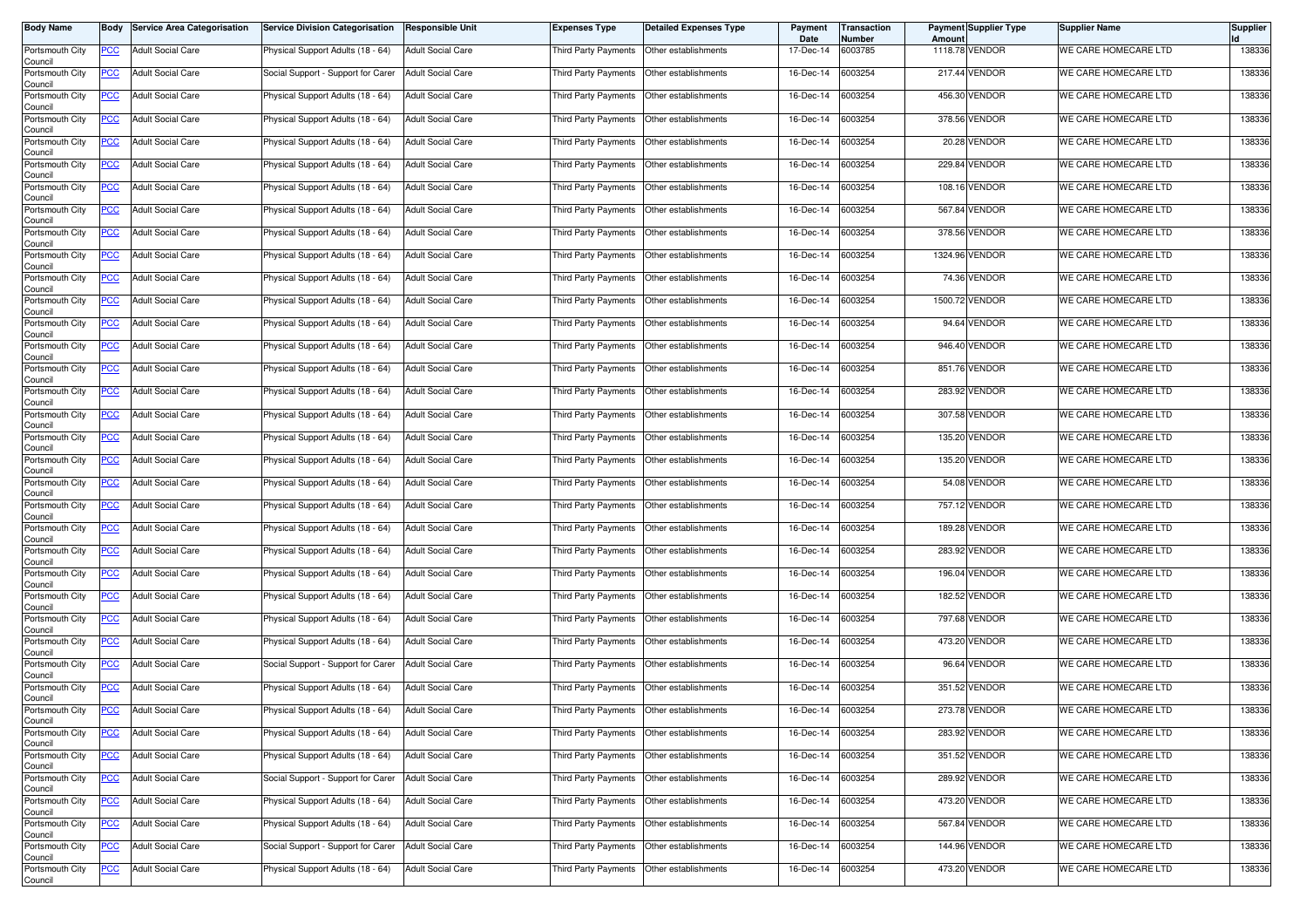| <b>Body Name</b>           | Body       | <b>Service Area Categorisation</b> | <b>Service Division Categorisation</b> | <b>Responsible Unit</b>  | <b>Expenses Type</b> | <b>Detailed Expenses Type</b> | Payment<br>Date | <b>Transaction</b><br>Number | Amount  | Payment Supplier Type | <b>Supplier Name</b> | <b>Supplier</b> |
|----------------------------|------------|------------------------------------|----------------------------------------|--------------------------|----------------------|-------------------------------|-----------------|------------------------------|---------|-----------------------|----------------------|-----------------|
| Portsmouth City<br>Council | PCC        | <b>Adult Social Care</b>           | Physical Support Adults (18 - 64)      | <b>Adult Social Care</b> | Third Party Payments | Other establishments          | 17-Dec-14       | 6003785                      |         | 1118.78 VENDOR        | WE CARE HOMECARE LTD | 138336          |
| Portsmouth City<br>Council | <u>PCC</u> | <b>Adult Social Care</b>           | Social Support - Support for Carer     | <b>Adult Social Care</b> | Third Party Payments | Other establishments          | 16-Dec-14       | 6003254                      |         | 217.44 VENDOR         | WE CARE HOMECARE LTD | 138336          |
| Portsmouth City<br>Council | <u>PCC</u> | <b>Adult Social Care</b>           | Physical Support Adults (18 - 64)      | <b>Adult Social Care</b> | Third Party Payments | Other establishments          | 16-Dec-14       | 6003254                      | 456.30  | <b>VENDOR</b>         | WE CARE HOMECARE LTD | 138336          |
| Portsmouth City<br>Council | <u>PCC</u> | <b>Adult Social Care</b>           | Physical Support Adults (18 - 64)      | <b>Adult Social Care</b> | Third Party Payments | Other establishments          | 16-Dec-14       | 6003254                      |         | 378.56 VENDOR         | WE CARE HOMECARE LTD | 138336          |
| Portsmouth City<br>Council | <u>PCC</u> | <b>Adult Social Care</b>           | Physical Support Adults (18 - 64)      | <b>Adult Social Care</b> | Third Party Payments | Other establishments          | 16-Dec-14       | 6003254                      |         | 20.28 VENDOR          | WE CARE HOMECARE LTD | 138336          |
| Portsmouth City<br>Council | <u>PCC</u> | <b>Adult Social Care</b>           | Physical Support Adults (18 - 64)      | <b>Adult Social Care</b> | Third Party Payments | Other establishments          | 16-Dec-14       | 6003254                      |         | 229.84 VENDOR         | WE CARE HOMECARE LTD | 138336          |
| Portsmouth City<br>Council | <u>PCC</u> | <b>Adult Social Care</b>           | Physical Support Adults (18 - 64)      | <b>Adult Social Care</b> | Third Party Payments | Other establishments          | 16-Dec-14       | 6003254                      |         | 108.16 VENDOR         | WE CARE HOMECARE LTD | 138336          |
| Portsmouth City<br>Council | <b>PCC</b> | <b>Adult Social Care</b>           | Physical Support Adults (18 - 64)      | <b>Adult Social Care</b> | Third Party Payments | Other establishments          | 16-Dec-14       | 6003254                      |         | 567.84 VENDOR         | WE CARE HOMECARE LTD | 138336          |
| Portsmouth City<br>Council | <u>PCC</u> | <b>Adult Social Care</b>           | Physical Support Adults (18 - 64)      | <b>Adult Social Care</b> | Third Party Payments | Other establishments          | 16-Dec-14       | 6003254                      |         | 378.56 VENDOR         | WE CARE HOMECARE LTD | 138336          |
| Portsmouth City<br>Council | <u>PCC</u> | <b>Adult Social Care</b>           | Physical Support Adults (18 - 64)      | <b>Adult Social Care</b> | Third Party Payments | Other establishments          | 16-Dec-14       | 6003254                      | 1324.96 | <b>VENDOR</b>         | WE CARE HOMECARE LTD | 138336          |
| Portsmouth City<br>Council | <u>PCC</u> | <b>Adult Social Care</b>           | Physical Support Adults (18 - 64)      | <b>Adult Social Care</b> | Third Party Payments | Other establishments          | 16-Dec-14       | 6003254                      |         | 74.36 VENDOR          | WE CARE HOMECARE LTD | 138336          |
| Portsmouth City<br>Council | <u>PCC</u> | <b>Adult Social Care</b>           | Physical Support Adults (18 - 64)      | <b>Adult Social Care</b> | Third Party Payments | Other establishments          | 16-Dec-14       | 6003254                      | 1500.72 | <b>VENDOR</b>         | WE CARE HOMECARE LTD | 138336          |
| Portsmouth City<br>Council | PCC        | <b>Adult Social Care</b>           | Physical Support Adults (18 - 64)      | <b>Adult Social Care</b> | Third Party Payments | Other establishments          | 16-Dec-14       | 6003254                      |         | 94.64 VENDOR          | WE CARE HOMECARE LTD | 138336          |
| Portsmouth City<br>Council | <u>PCC</u> | <b>Adult Social Care</b>           | Physical Support Adults (18 - 64)      | <b>Adult Social Care</b> | Third Party Payments | Other establishments          | 16-Dec-14       | 6003254                      |         | 946.40 VENDOR         | WE CARE HOMECARE LTD | 138336          |
| Portsmouth City<br>Council | <u>PCC</u> | <b>Adult Social Care</b>           | Physical Support Adults (18 - 64)      | <b>Adult Social Care</b> | Third Party Payments | Other establishments          | 16-Dec-14       | 6003254                      |         | 851.76 VENDOR         | WE CARE HOMECARE LTD | 138336          |
| Portsmouth City<br>Council | <u>PCC</u> | <b>Adult Social Care</b>           | Physical Support Adults (18 - 64)      | <b>Adult Social Care</b> | Third Party Payments | Other establishments          | 16-Dec-14       | 6003254                      |         | 283.92 VENDOR         | WE CARE HOMECARE LTD | 138336          |
| Portsmouth City<br>Council | PCC        | <b>Adult Social Care</b>           | Physical Support Adults (18 - 64)      | <b>Adult Social Care</b> | Third Party Payments | Other establishments          | 16-Dec-14       | 6003254                      |         | 307.58 VENDOR         | WE CARE HOMECARE LTD | 138336          |
| Portsmouth City<br>Council | <u>PCC</u> | <b>Adult Social Care</b>           | Physical Support Adults (18 - 64)      | <b>Adult Social Care</b> | Third Party Payments | Other establishments          | 16-Dec-14       | 6003254                      |         | 135.20 VENDOR         | WE CARE HOMECARE LTD | 138336          |
| Portsmouth City<br>Council | <u>PCC</u> | <b>Adult Social Care</b>           | Physical Support Adults (18 - 64)      | <b>Adult Social Care</b> | Third Party Payments | Other establishments          | 16-Dec-14       | 6003254                      | 135.20  | <b>VENDOR</b>         | WE CARE HOMECARE LTD | 138336          |
| Portsmouth City<br>Council | <u>PCC</u> | <b>Adult Social Care</b>           | Physical Support Adults (18 - 64)      | <b>Adult Social Care</b> | Third Party Payments | Other establishments          | 16-Dec-14       | 6003254                      |         | 54.08 VENDOR          | WE CARE HOMECARE LTD | 138336          |
| Portsmouth City<br>Council | <u>PCC</u> | <b>Adult Social Care</b>           | Physical Support Adults (18 - 64)      | <b>Adult Social Care</b> | Third Party Payments | Other establishments          | 16-Dec-14       | 6003254                      |         | 757.12 VENDOR         | WE CARE HOMECARE LTD | 138336          |
| Portsmouth City<br>Council | <u>PCC</u> | <b>Adult Social Care</b>           | Physical Support Adults (18 - 64)      | <b>Adult Social Care</b> | Third Party Payments | Other establishments          | 16-Dec-14       | 6003254                      |         | 189.28 VENDOR         | WE CARE HOMECARE LTD | 138336          |
| Portsmouth City<br>Council | <u>PCC</u> | <b>Adult Social Care</b>           | Physical Support Adults (18 - 64)      | <b>Adult Social Care</b> | Third Party Payments | Other establishments          | 16-Dec-14       | 6003254                      |         | 283.92 VENDOR         | WE CARE HOMECARE LTD | 138336          |
| Portsmouth City<br>Council | <u>PCC</u> | <b>Adult Social Care</b>           | Physical Support Adults (18 - 64)      | <b>Adult Social Care</b> | Third Party Payments | Other establishments          | 16-Dec-14       | 6003254                      |         | 196.04 VENDOR         | WE CARE HOMECARE LTD | 138336          |
| Portsmouth City<br>Council | <u>PCC</u> | <b>Adult Social Care</b>           | Physical Support Adults (18 - 64)      | <b>Adult Social Care</b> | Third Party Payments | Other establishments          | 16-Dec-14       | 6003254                      |         | 182.52 VENDOR         | WE CARE HOMECARE LTD | 138336          |
| Portsmouth City<br>Council | <u>PCC</u> | <b>Adult Social Care</b>           | Physical Support Adults (18 - 64)      | <b>Adult Social Care</b> | Third Party Payments | Other establishments          | 16-Dec-14       | 6003254                      | 797.68  | <b>VENDOR</b>         | WE CARE HOMECARE LTD | 138336          |
| Portsmouth City<br>Council | <b>PCC</b> | <b>Adult Social Care</b>           | Physical Support Adults (18 - 64)      | <b>Adult Social Care</b> | Third Party Payments | Other establishments          | 16-Dec-14       | 6003254                      | 473.20  | <b>VENDOR</b>         | WE CARE HOMECARE LTD | 138336          |
| Portsmouth City<br>Council | <b>PCC</b> | <b>Adult Social Care</b>           | Social Support - Support for Carer     | <b>Adult Social Care</b> | Third Party Payments | Other establishments          | 16-Dec-14       | 6003254                      |         | 96.64 VENDOR          | WE CARE HOMECARE LTD | 138336          |
| Portsmouth City<br>Council | <u>PCC</u> | <b>Adult Social Care</b>           | Physical Support Adults (18 - 64)      | <b>Adult Social Care</b> | Third Party Payments | Other establishments          | 16-Dec-14       | 6003254                      |         | 351.52 VENDOR         | WE CARE HOMECARE LTD | 138336          |
| Portsmouth City<br>Council | <u>PCC</u> | <b>Adult Social Care</b>           | Physical Support Adults (18 - 64)      | <b>Adult Social Care</b> | Third Party Payments | Other establishments          | 16-Dec-14       | 6003254                      |         | 273.78 VENDOR         | WE CARE HOMECARE LTD | 138336          |
| Portsmouth City<br>Council | <b>PCC</b> | <b>Adult Social Care</b>           | Physical Support Adults (18 - 64)      | <b>Adult Social Care</b> | Third Party Payments | Other establishments          | 16-Dec-14       | 6003254                      |         | 283.92 VENDOR         | WE CARE HOMECARE LTD | 138336          |
| Portsmouth City<br>Council | $PCC$      | <b>Adult Social Care</b>           | Physical Support Adults (18 - 64)      | <b>Adult Social Care</b> | Third Party Payments | Other establishments          | 16-Dec-14       | 6003254                      |         | 351.52 VENDOR         | WE CARE HOMECARE LTD | 138336          |
| Portsmouth City<br>Council | $PCC$      | <b>Adult Social Care</b>           | Social Support - Support for Carer     | <b>Adult Social Care</b> | Third Party Payments | Other establishments          | 16-Dec-14       | 6003254                      |         | 289.92 VENDOR         | WE CARE HOMECARE LTD | 138336          |
| Portsmouth City<br>Council | <u>PCC</u> | <b>Adult Social Care</b>           | Physical Support Adults (18 - 64)      | <b>Adult Social Care</b> | Third Party Payments | Other establishments          | 16-Dec-14       | 6003254                      |         | 473.20 VENDOR         | WE CARE HOMECARE LTD | 138336          |
| Portsmouth City<br>Council | <u>PCC</u> | <b>Adult Social Care</b>           | Physical Support Adults (18 - 64)      | <b>Adult Social Care</b> | Third Party Payments | Other establishments          | 16-Dec-14       | 6003254                      |         | 567.84 VENDOR         | WE CARE HOMECARE LTD | 138336          |
| Portsmouth City<br>Council | <u>PCC</u> | <b>Adult Social Care</b>           | Social Support - Support for Carer     | <b>Adult Social Care</b> | Third Party Payments | Other establishments          | 16-Dec-14       | 6003254                      |         | 144.96 VENDOR         | WE CARE HOMECARE LTD | 138336          |
| Portsmouth City<br>Council | <b>PCC</b> | <b>Adult Social Care</b>           | Physical Support Adults (18 - 64)      | <b>Adult Social Care</b> | Third Party Payments | Other establishments          | 16-Dec-14       | 6003254                      |         | 473.20 VENDOR         | WE CARE HOMECARE LTD | 138336          |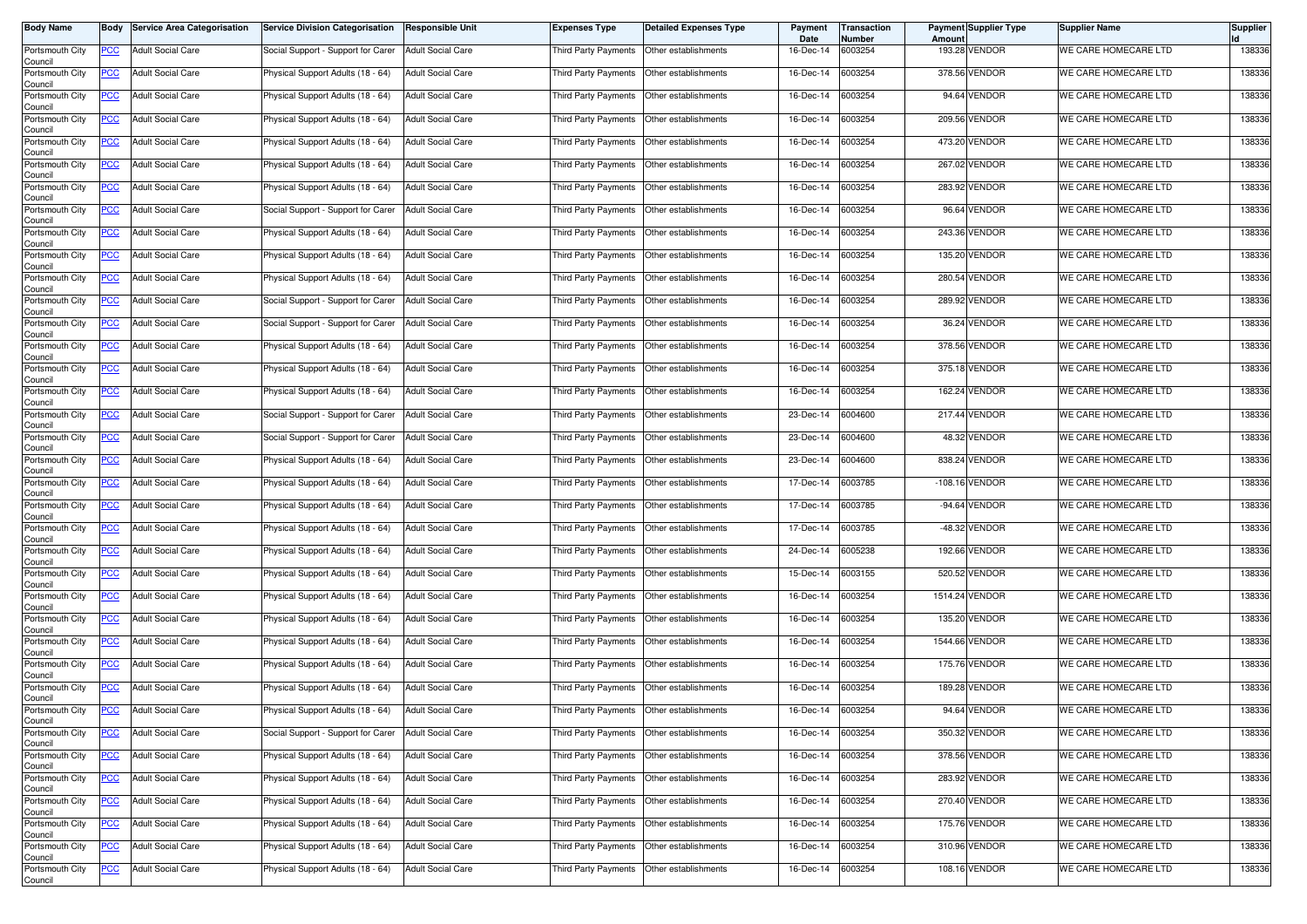| <b>Body Name</b>           | Body       | <b>Service Area Categorisation</b> | <b>Service Division Categorisation</b> | <b>Responsible Unit</b>  | <b>Expenses Type</b> | <b>Detailed Expenses Type</b> | Payment<br>Date | <b>Transaction</b><br>Number | Amount   | Payment Supplier Type | <b>Supplier Name</b> | <b>Supplier</b> |
|----------------------------|------------|------------------------------------|----------------------------------------|--------------------------|----------------------|-------------------------------|-----------------|------------------------------|----------|-----------------------|----------------------|-----------------|
| Portsmouth City<br>Council | PCC        | <b>Adult Social Care</b>           | Social Support - Support for Carer     | <b>Adult Social Care</b> | Third Party Payments | Other establishments          | 16-Dec-14       | 6003254                      |          | 193.28 VENDOR         | WE CARE HOMECARE LTD | 138336          |
| Portsmouth City<br>Council | <u>PCC</u> | <b>Adult Social Care</b>           | Physical Support Adults (18 - 64)      | <b>Adult Social Care</b> | Third Party Payments | Other establishments          | 16-Dec-14       | 6003254                      |          | 378.56 VENDOR         | WE CARE HOMECARE LTD | 138336          |
| Portsmouth City<br>Council | <u>PCC</u> | <b>Adult Social Care</b>           | Physical Support Adults (18 - 64)      | <b>Adult Social Care</b> | Third Party Payments | Other establishments          | 16-Dec-14       | 6003254                      |          | 94.64 VENDOR          | WE CARE HOMECARE LTD | 138336          |
| Portsmouth City<br>Council | <u>PCC</u> | <b>Adult Social Care</b>           | Physical Support Adults (18 - 64)      | <b>Adult Social Care</b> | Third Party Payments | Other establishments          | 16-Dec-14       | 6003254                      |          | 209.56 VENDOR         | WE CARE HOMECARE LTD | 138336          |
| Portsmouth City<br>Council | <u>PCC</u> | <b>Adult Social Care</b>           | Physical Support Adults (18 - 64)      | <b>Adult Social Care</b> | Third Party Payments | Other establishments          | 16-Dec-14       | 6003254                      | 473.20   | <b>VENDOR</b>         | WE CARE HOMECARE LTD | 138336          |
| Portsmouth City<br>Council | <u>PCC</u> | <b>Adult Social Care</b>           | Physical Support Adults (18 - 64)      | <b>Adult Social Care</b> | Third Party Payments | Other establishments          | 16-Dec-14       | 6003254                      |          | 267.02 VENDOR         | WE CARE HOMECARE LTD | 138336          |
| Portsmouth City<br>Council | <u>PCC</u> | <b>Adult Social Care</b>           | Physical Support Adults (18 - 64)      | <b>Adult Social Care</b> | Third Party Payments | Other establishments          | 16-Dec-14       | 6003254                      |          | 283.92 VENDOR         | WE CARE HOMECARE LTD | 138336          |
| Portsmouth City<br>Council | <b>PCC</b> | <b>Adult Social Care</b>           | Social Support - Support for Carer     | <b>Adult Social Care</b> | Third Party Payments | Other establishments          | 16-Dec-14       | 6003254                      |          | 96.64 VENDOR          | WE CARE HOMECARE LTD | 138336          |
| Portsmouth City<br>Council | <u>PCC</u> | <b>Adult Social Care</b>           | Physical Support Adults (18 - 64)      | <b>Adult Social Care</b> | Third Party Payments | Other establishments          | 16-Dec-14       | 6003254                      |          | 243.36 VENDOR         | WE CARE HOMECARE LTD | 138336          |
| Portsmouth City<br>Council | <u>PCC</u> | <b>Adult Social Care</b>           | Physical Support Adults (18 - 64)      | <b>Adult Social Care</b> | Third Party Payments | Other establishments          | 16-Dec-14       | 6003254                      | 135.20   | <b>VENDOR</b>         | WE CARE HOMECARE LTD | 138336          |
| Portsmouth City<br>Council | <u>PCC</u> | <b>Adult Social Care</b>           | Physical Support Adults (18 - 64)      | <b>Adult Social Care</b> | Third Party Payments | Other establishments          | 16-Dec-14       | 6003254                      |          | 280.54 VENDOR         | WE CARE HOMECARE LTD | 138336          |
| Portsmouth City<br>Council | <u>PCC</u> | <b>Adult Social Care</b>           | Social Support - Support for Carer     | <b>Adult Social Care</b> | Third Party Payments | Other establishments          | 16-Dec-14       | 6003254                      | 289.92   | <b>VENDOR</b>         | WE CARE HOMECARE LTD | 138336          |
| Portsmouth City<br>Council | PCC        | <b>Adult Social Care</b>           | Social Support - Support for Carer     | <b>Adult Social Care</b> | Third Party Payments | Other establishments          | 16-Dec-14       | 6003254                      |          | 36.24 VENDOR          | WE CARE HOMECARE LTD | 138336          |
| Portsmouth City<br>Council | <u>PCC</u> | <b>Adult Social Care</b>           | Physical Support Adults (18 - 64)      | <b>Adult Social Care</b> | Third Party Payments | Other establishments          | 16-Dec-14       | 6003254                      |          | 378.56 VENDOR         | WE CARE HOMECARE LTD | 138336          |
| Portsmouth City<br>Council | <u>PCC</u> | <b>Adult Social Care</b>           | Physical Support Adults (18 - 64)      | <b>Adult Social Care</b> | Third Party Payments | Other establishments          | 16-Dec-14       | 6003254                      |          | 375.18 VENDOR         | WE CARE HOMECARE LTD | 138336          |
| Portsmouth City<br>Council | <u>PCC</u> | <b>Adult Social Care</b>           | Physical Support Adults (18 - 64)      | <b>Adult Social Care</b> | Third Party Payments | Other establishments          | 16-Dec-14       | 6003254                      |          | 162.24 VENDOR         | WE CARE HOMECARE LTD | 138336          |
| Portsmouth City<br>Council | PCC        | <b>Adult Social Care</b>           | Social Support - Support for Carer     | <b>Adult Social Care</b> | Third Party Payments | Other establishments          | 23-Dec-14       | 6004600                      |          | 217.44 VENDOR         | WE CARE HOMECARE LTD | 138336          |
| Portsmouth City<br>Council | <u>PCC</u> | <b>Adult Social Care</b>           | Social Support - Support for Carer     | <b>Adult Social Care</b> | Third Party Payments | Other establishments          | 23-Dec-14       | 6004600                      |          | 48.32 VENDOR          | WE CARE HOMECARE LTD | 138336          |
| Portsmouth City<br>Council | <u>PCC</u> | <b>Adult Social Care</b>           | Physical Support Adults (18 - 64)      | <b>Adult Social Care</b> | Third Party Payments | Other establishments          | 23-Dec-14       | 6004600                      |          | 838.24 VENDOR         | WE CARE HOMECARE LTD | 138336          |
| Portsmouth City<br>Council | <u>PCC</u> | <b>Adult Social Care</b>           | Physical Support Adults (18 - 64)      | <b>Adult Social Care</b> | Third Party Payments | Other establishments          | 17-Dec-14       | 6003785                      |          | -108.16 VENDOR        | WE CARE HOMECARE LTD | 138336          |
| Portsmouth City<br>Council | <u>PCC</u> | <b>Adult Social Care</b>           | Physical Support Adults (18 - 64)      | <b>Adult Social Care</b> | Third Party Payments | Other establishments          | 17-Dec-14       | 6003785                      |          | -94.64 VENDOR         | WE CARE HOMECARE LTD | 138336          |
| Portsmouth City<br>Council | <u>PCC</u> | <b>Adult Social Care</b>           | Physical Support Adults (18 - 64)      | <b>Adult Social Care</b> | Third Party Payments | Other establishments          | 17-Dec-14       | 6003785                      | $-48.32$ | <b>VENDOR</b>         | WE CARE HOMECARE LTD | 138336          |
| Portsmouth City<br>Council | <u>PCC</u> | <b>Adult Social Care</b>           | Physical Support Adults (18 - 64)      | <b>Adult Social Care</b> | Third Party Payments | Other establishments          | 24-Dec-14       | 6005238                      |          | <b>192.66 VENDOR</b>  | WE CARE HOMECARE LTD | 138336          |
| Portsmouth City<br>Council | <u>PCC</u> | <b>Adult Social Care</b>           | Physical Support Adults (18 - 64)      | <b>Adult Social Care</b> | Third Party Payments | Other establishments          | 15-Dec-14       | 6003155                      |          | 520.52 VENDOR         | WE CARE HOMECARE LTD | 138336          |
| Portsmouth City<br>Council | <u>PCC</u> | <b>Adult Social Care</b>           | Physical Support Adults (18 - 64)      | <b>Adult Social Care</b> | Third Party Payments | Other establishments          | 16-Dec-14       | 6003254                      |          | 1514.24 VENDOR        | WE CARE HOMECARE LTD | 138336          |
| Portsmouth City<br>Council | <u>PCC</u> | <b>Adult Social Care</b>           | Physical Support Adults (18 - 64)      | <b>Adult Social Care</b> | Third Party Payments | Other establishments          | 16-Dec-14       | 6003254                      | 135.20   | <b>VENDOR</b>         | WE CARE HOMECARE LTD | 138336          |
| Portsmouth City<br>Council | <b>PCC</b> | <b>Adult Social Care</b>           | Physical Support Adults (18 - 64)      | <b>Adult Social Care</b> | Third Party Payments | Other establishments          | 16-Dec-14       | 6003254                      |          | 1544.66 VENDOR        | WE CARE HOMECARE LTD | 138336          |
| Portsmouth City<br>Council | <b>PCC</b> | <b>Adult Social Care</b>           | Physical Support Adults (18 - 64)      | <b>Adult Social Care</b> | Third Party Payments | Other establishments          | 16-Dec-14       | 6003254                      |          | 175.76 VENDOR         | WE CARE HOMECARE LTD | 138336          |
| Portsmouth City<br>Council | <u>PCC</u> | <b>Adult Social Care</b>           | Physical Support Adults (18 - 64)      | <b>Adult Social Care</b> | Third Party Payments | Other establishments          | 16-Dec-14       | 6003254                      |          | 189.28 VENDOR         | WE CARE HOMECARE LTD | 138336          |
| Portsmouth City<br>Council | <u>PCC</u> | <b>Adult Social Care</b>           | Physical Support Adults (18 - 64)      | <b>Adult Social Care</b> | Third Party Payments | Other establishments          | 16-Dec-14       | 6003254                      |          | 94.64 VENDOR          | WE CARE HOMECARE LTD | 138336          |
| Portsmouth City<br>Council | <b>PCC</b> | <b>Adult Social Care</b>           | Social Support - Support for Carer     | <b>Adult Social Care</b> | Third Party Payments | Other establishments          | 16-Dec-14       | 6003254                      |          | 350.32 VENDOR         | WE CARE HOMECARE LTD | 138336          |
| Portsmouth City<br>Council | $PCC$      | <b>Adult Social Care</b>           | Physical Support Adults (18 - 64)      | <b>Adult Social Care</b> | Third Party Payments | Other establishments          | 16-Dec-14       | 6003254                      |          | 378.56 VENDOR         | WE CARE HOMECARE LTD | 138336          |
| Portsmouth City<br>Council | $PCC$      | <b>Adult Social Care</b>           | Physical Support Adults (18 - 64)      | <b>Adult Social Care</b> | Third Party Payments | Other establishments          | 16-Dec-14       | 6003254                      |          | 283.92 VENDOR         | WE CARE HOMECARE LTD | 138336          |
| Portsmouth City<br>Council | <u>PCC</u> | <b>Adult Social Care</b>           | Physical Support Adults (18 - 64)      | <b>Adult Social Care</b> | Third Party Payments | Other establishments          | 16-Dec-14       | 6003254                      |          | 270.40 VENDOR         | WE CARE HOMECARE LTD | 138336          |
| Portsmouth City<br>Council | <u>PCC</u> | <b>Adult Social Care</b>           | Physical Support Adults (18 - 64)      | <b>Adult Social Care</b> | Third Party Payments | Other establishments          | 16-Dec-14       | 6003254                      |          | 175.76 VENDOR         | WE CARE HOMECARE LTD | 138336          |
| Portsmouth City<br>Council | <u>PCC</u> | <b>Adult Social Care</b>           | Physical Support Adults (18 - 64)      | <b>Adult Social Care</b> | Third Party Payments | Other establishments          | 16-Dec-14       | 6003254                      |          | 310.96 VENDOR         | WE CARE HOMECARE LTD | 138336          |
| Portsmouth City<br>Council | <b>PCC</b> | <b>Adult Social Care</b>           | Physical Support Adults (18 - 64)      | <b>Adult Social Care</b> | Third Party Payments | Other establishments          | 16-Dec-14       | 6003254                      |          | 108.16 VENDOR         | WE CARE HOMECARE LTD | 138336          |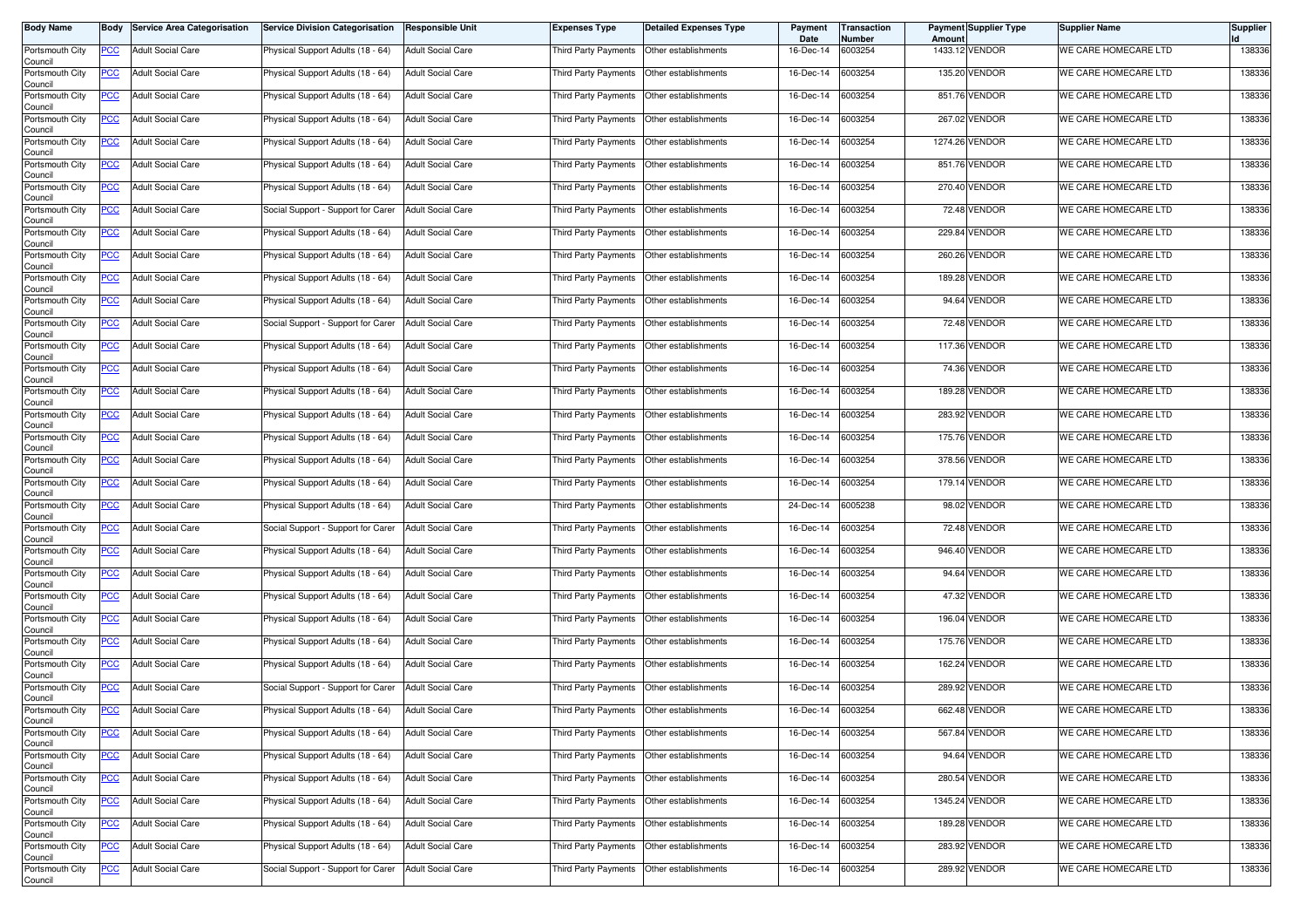| <b>Body Name</b>           | Body       | <b>Service Area Categorisation</b> | <b>Service Division Categorisation</b> | <b>Responsible Unit</b>  | <b>Expenses Type</b> | <b>Detailed Expenses Type</b> | Payment<br>Date | <b>Transaction</b><br>Number | Amount | Payment Supplier Type | <b>Supplier Name</b> | <b>Supplier</b> |
|----------------------------|------------|------------------------------------|----------------------------------------|--------------------------|----------------------|-------------------------------|-----------------|------------------------------|--------|-----------------------|----------------------|-----------------|
| Portsmouth City<br>Council | PCC        | <b>Adult Social Care</b>           | Physical Support Adults (18 - 64)      | <b>Adult Social Care</b> | Third Party Payments | Other establishments          | 16-Dec-14       | 6003254                      |        | 1433.12 VENDOR        | WE CARE HOMECARE LTD | 138336          |
| Portsmouth City<br>Council | <u>PCC</u> | <b>Adult Social Care</b>           | Physical Support Adults (18 - 64)      | <b>Adult Social Care</b> | Third Party Payments | Other establishments          | 16-Dec-14       | 6003254                      | 135.20 | <b>VENDOR</b>         | WE CARE HOMECARE LTD | 138336          |
| Portsmouth City<br>Council | <u>PCC</u> | <b>Adult Social Care</b>           | Physical Support Adults (18 - 64)      | <b>Adult Social Care</b> | Third Party Payments | Other establishments          | 16-Dec-14       | 6003254                      |        | 851.76 VENDOR         | WE CARE HOMECARE LTD | 138336          |
| Portsmouth City<br>Council | <u>PCC</u> | <b>Adult Social Care</b>           | Physical Support Adults (18 - 64)      | <b>Adult Social Care</b> | Third Party Payments | Other establishments          | 16-Dec-14       | 6003254                      |        | 267.02 VENDOR         | WE CARE HOMECARE LTD | 138336          |
| Portsmouth City<br>Council | <u>PCC</u> | <b>Adult Social Care</b>           | Physical Support Adults (18 - 64)      | <b>Adult Social Care</b> | Third Party Payments | Other establishments          | 16-Dec-14       | 6003254                      |        | 1274.26 VENDOR        | WE CARE HOMECARE LTD | 138336          |
| Portsmouth City<br>Council | <u>PCC</u> | <b>Adult Social Care</b>           | Physical Support Adults (18 - 64)      | <b>Adult Social Care</b> | Third Party Payments | Other establishments          | 16-Dec-14       | 6003254                      |        | 851.76 VENDOR         | WE CARE HOMECARE LTD | 138336          |
| Portsmouth City<br>Council | <u>PCC</u> | <b>Adult Social Care</b>           | Physical Support Adults (18 - 64)      | <b>Adult Social Care</b> | Third Party Payments | Other establishments          | 16-Dec-14       | 6003254                      |        | 270.40 VENDOR         | WE CARE HOMECARE LTD | 138336          |
| Portsmouth City<br>Council | <b>PCC</b> | <b>Adult Social Care</b>           | Social Support - Support for Carer     | <b>Adult Social Care</b> | Third Party Payments | Other establishments          | 16-Dec-14       | 6003254                      |        | 72.48 VENDOR          | WE CARE HOMECARE LTD | 138336          |
| Portsmouth City<br>Council | <u>PCC</u> | <b>Adult Social Care</b>           | Physical Support Adults (18 - 64)      | <b>Adult Social Care</b> | Third Party Payments | Other establishments          | 16-Dec-14       | 6003254                      |        | 229.84 VENDOR         | WE CARE HOMECARE LTD | 138336          |
| Portsmouth City<br>Council | <u>PCC</u> | <b>Adult Social Care</b>           | Physical Support Adults (18 - 64)      | <b>Adult Social Care</b> | Third Party Payments | Other establishments          | 16-Dec-14       | 6003254                      | 260.26 | <b>VENDOR</b>         | WE CARE HOMECARE LTD | 138336          |
| Portsmouth City<br>Council | <u>PCC</u> | <b>Adult Social Care</b>           | Physical Support Adults (18 - 64)      | <b>Adult Social Care</b> | Third Party Payments | Other establishments          | 16-Dec-14       | 6003254                      |        | 189.28 VENDOR         | WE CARE HOMECARE LTD | 138336          |
| Portsmouth City<br>Council | <u>PCC</u> | <b>Adult Social Care</b>           | Physical Support Adults (18 - 64)      | <b>Adult Social Care</b> | Third Party Payments | Other establishments          | 16-Dec-14       | 6003254                      |        | 94.64 VENDOR          | WE CARE HOMECARE LTD | 138336          |
| Portsmouth City<br>Council | PCC        | <b>Adult Social Care</b>           | Social Support - Support for Carer     | <b>Adult Social Care</b> | Third Party Payments | Other establishments          | 16-Dec-14       | 6003254                      |        | 72.48 VENDOR          | WE CARE HOMECARE LTD | 138336          |
| Portsmouth City<br>Council | <u>PCC</u> | <b>Adult Social Care</b>           | Physical Support Adults (18 - 64)      | <b>Adult Social Care</b> | Third Party Payments | Other establishments          | 16-Dec-14       | 6003254                      |        | 117.36 VENDOR         | WE CARE HOMECARE LTD | 138336          |
| Portsmouth City<br>Council | <u>PCC</u> | <b>Adult Social Care</b>           | Physical Support Adults (18 - 64)      | <b>Adult Social Care</b> | Third Party Payments | Other establishments          | 16-Dec-14       | 6003254                      |        | 74.36 VENDOR          | WE CARE HOMECARE LTD | 138336          |
| Portsmouth City<br>Council | <u>PCC</u> | <b>Adult Social Care</b>           | Physical Support Adults (18 - 64)      | <b>Adult Social Care</b> | Third Party Payments | Other establishments          | 16-Dec-14       | 6003254                      |        | 189.28 VENDOR         | WE CARE HOMECARE LTD | 138336          |
| Portsmouth City<br>Council | PCC        | <b>Adult Social Care</b>           | Physical Support Adults (18 - 64)      | <b>Adult Social Care</b> | Third Party Payments | Other establishments          | 16-Dec-14       | 6003254                      | 283.92 | <b>VENDOR</b>         | WE CARE HOMECARE LTD | 138336          |
| Portsmouth City<br>Council | <u>PCC</u> | <b>Adult Social Care</b>           | Physical Support Adults (18 - 64)      | <b>Adult Social Care</b> | Third Party Payments | Other establishments          | 16-Dec-14       | 6003254                      |        | 175.76 VENDOR         | WE CARE HOMECARE LTD | 138336          |
| Portsmouth City<br>Council | <u>PCC</u> | <b>Adult Social Care</b>           | Physical Support Adults (18 - 64)      | <b>Adult Social Care</b> | Third Party Payments | Other establishments          | 16-Dec-14       | 6003254                      |        | 378.56 VENDOR         | WE CARE HOMECARE LTD | 138336          |
| Portsmouth City<br>Council | <u>PCC</u> | <b>Adult Social Care</b>           | Physical Support Adults (18 - 64)      | <b>Adult Social Care</b> | Third Party Payments | Other establishments          | 16-Dec-14       | 6003254                      |        | 179.14 VENDOR         | WE CARE HOMECARE LTD | 138336          |
| Portsmouth City<br>Council | <u>PCC</u> | <b>Adult Social Care</b>           | Physical Support Adults (18 - 64)      | <b>Adult Social Care</b> | Third Party Payments | Other establishments          | 24-Dec-14       | 6005238                      |        | 98.02 VENDOR          | WE CARE HOMECARE LTD | 138336          |
| Portsmouth City<br>Council | <u>PCC</u> | <b>Adult Social Care</b>           | Social Support - Support for Carer     | <b>Adult Social Care</b> | Third Party Payments | Other establishments          | 16-Dec-14       | 6003254                      |        | 72.48 VENDOR          | WE CARE HOMECARE LTD | 138336          |
| Portsmouth City<br>Council | <u>PCC</u> | <b>Adult Social Care</b>           | Physical Support Adults (18 - 64)      | <b>Adult Social Care</b> | Third Party Payments | Other establishments          | 16-Dec-14       | 6003254                      |        | 946.40 VENDOR         | WE CARE HOMECARE LTD | 138336          |
| Portsmouth City<br>Council | <u>PCC</u> | <b>Adult Social Care</b>           | Physical Support Adults (18 - 64)      | <b>Adult Social Care</b> | Third Party Payments | Other establishments          | 16-Dec-14       | 6003254                      |        | 94.64 VENDOR          | WE CARE HOMECARE LTD | 138336          |
| Portsmouth City<br>Council | <u>PCC</u> | <b>Adult Social Care</b>           | Physical Support Adults (18 - 64)      | <b>Adult Social Care</b> | Third Party Payments | Other establishments          | 16-Dec-14       | 6003254                      |        | 47.32 VENDOR          | WE CARE HOMECARE LTD | 138336          |
| Portsmouth City<br>Council | <u>PCC</u> | <b>Adult Social Care</b>           | Physical Support Adults (18 - 64)      | <b>Adult Social Care</b> | Third Party Payments | Other establishments          | 16-Dec-14       | 6003254                      | 196.04 | <b>VENDOR</b>         | WE CARE HOMECARE LTD | 138336          |
| Portsmouth City<br>Council | <b>PCC</b> | <b>Adult Social Care</b>           | Physical Support Adults (18 - 64)      | <b>Adult Social Care</b> | Third Party Payments | Other establishments          | 16-Dec-14       | 6003254                      |        | 175.76 VENDOR         | WE CARE HOMECARE LTD | 138336          |
| Portsmouth City<br>Council | <b>PCC</b> | <b>Adult Social Care</b>           | Physical Support Adults (18 - 64)      | <b>Adult Social Care</b> | Third Party Payments | Other establishments          | 16-Dec-14       | 6003254                      |        | 162.24 VENDOR         | WE CARE HOMECARE LTD | 138336          |
| Portsmouth City<br>Council | <u>PCC</u> | <b>Adult Social Care</b>           | Social Support - Support for Carer     | <b>Adult Social Care</b> | Third Party Payments | Other establishments          | 16-Dec-14       | 6003254                      |        | 289.92 VENDOR         | WE CARE HOMECARE LTD | 138336          |
| Portsmouth City<br>Council | <u>PCC</u> | <b>Adult Social Care</b>           | Physical Support Adults (18 - 64)      | <b>Adult Social Care</b> | Third Party Payments | Other establishments          | 16-Dec-14       | 6003254                      |        | 662.48 VENDOR         | WE CARE HOMECARE LTD | 138336          |
| Portsmouth City<br>Council | <b>PCC</b> | <b>Adult Social Care</b>           | Physical Support Adults (18 - 64)      | <b>Adult Social Care</b> | Third Party Payments | Other establishments          | 16-Dec-14       | 6003254                      |        | 567.84 VENDOR         | WE CARE HOMECARE LTD | 138336          |
| Portsmouth City<br>Council | $PCC$      | <b>Adult Social Care</b>           | Physical Support Adults (18 - 64)      | <b>Adult Social Care</b> | Third Party Payments | Other establishments          | 16-Dec-14       | 6003254                      |        | 94.64 VENDOR          | WE CARE HOMECARE LTD | 138336          |
| Portsmouth City<br>Council | $PCC$      | <b>Adult Social Care</b>           | Physical Support Adults (18 - 64)      | <b>Adult Social Care</b> | Third Party Payments | Other establishments          | 16-Dec-14       | 6003254                      |        | 280.54 VENDOR         | WE CARE HOMECARE LTD | 138336          |
| Portsmouth City<br>Council | <u>PCC</u> | <b>Adult Social Care</b>           | Physical Support Adults (18 - 64)      | <b>Adult Social Care</b> | Third Party Payments | Other establishments          | 16-Dec-14       | 6003254                      |        | 1345.24 VENDOR        | WE CARE HOMECARE LTD | 138336          |
| Portsmouth City<br>Council | <u>PCC</u> | <b>Adult Social Care</b>           | Physical Support Adults (18 - 64)      | <b>Adult Social Care</b> | Third Party Payments | Other establishments          | 16-Dec-14       | 6003254                      |        | 189.28 VENDOR         | WE CARE HOMECARE LTD | 138336          |
| Portsmouth City<br>Council | <u>PCC</u> | <b>Adult Social Care</b>           | Physical Support Adults (18 - 64)      | <b>Adult Social Care</b> | Third Party Payments | Other establishments          | 16-Dec-14       | 6003254                      |        | 283.92 VENDOR         | WE CARE HOMECARE LTD | 138336          |
| Portsmouth City<br>Council | <b>PCC</b> | <b>Adult Social Care</b>           | Social Support - Support for Carer     | <b>Adult Social Care</b> | Third Party Payments | Other establishments          | 16-Dec-14       | 6003254                      |        | 289.92 VENDOR         | WE CARE HOMECARE LTD | 138336          |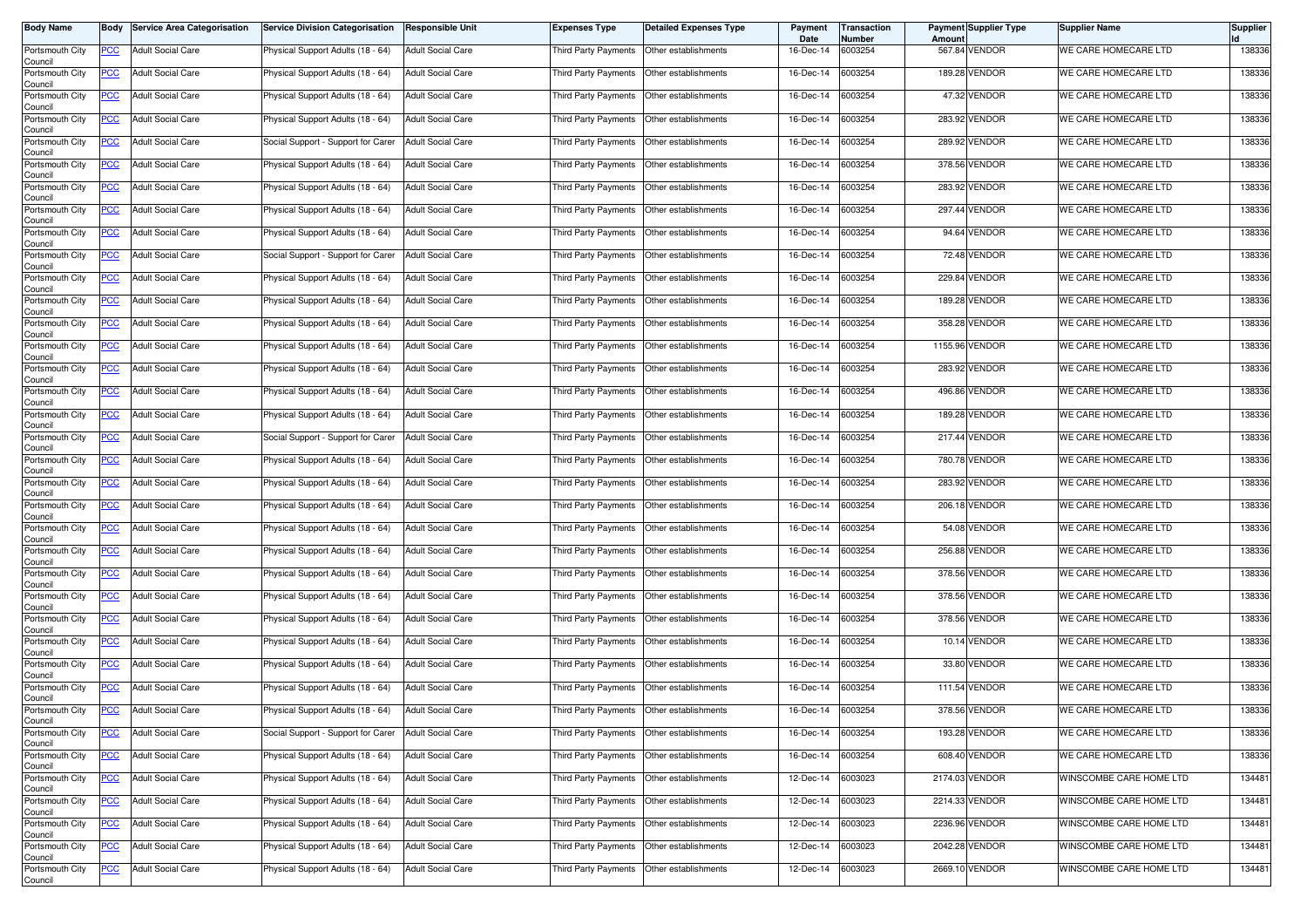| <b>Body Name</b>           | Body       | <b>Service Area Categorisation</b> | <b>Service Division Categorisation</b> | <b>Responsible Unit</b>  | <b>Expenses Type</b> | <b>Detailed Expenses Type</b> | Payment<br>Date | <b>Transaction</b><br>Number | Amount | Payment Supplier Type | <b>Supplier Name</b>    | <b>Supplier</b> |
|----------------------------|------------|------------------------------------|----------------------------------------|--------------------------|----------------------|-------------------------------|-----------------|------------------------------|--------|-----------------------|-------------------------|-----------------|
| Portsmouth City<br>Council | PCC        | <b>Adult Social Care</b>           | Physical Support Adults (18 - 64)      | <b>Adult Social Care</b> | Third Party Payments | Other establishments          | 16-Dec-14       | 6003254                      |        | 567.84 VENDOR         | WE CARE HOMECARE LTD    | 138336          |
| Portsmouth City<br>Council | <u>PCC</u> | <b>Adult Social Care</b>           | Physical Support Adults (18 - 64)      | <b>Adult Social Care</b> | Third Party Payments | Other establishments          | 16-Dec-14       | 6003254                      |        | 189.28 VENDOR         | WE CARE HOMECARE LTD    | 138336          |
| Portsmouth City<br>Council | <u>PCC</u> | <b>Adult Social Care</b>           | Physical Support Adults (18 - 64)      | <b>Adult Social Care</b> | Third Party Payments | Other establishments          | 16-Dec-14       | 6003254                      |        | 47.32 VENDOR          | WE CARE HOMECARE LTD    | 138336          |
| Portsmouth City<br>Council | <u>PCC</u> | <b>Adult Social Care</b>           | Physical Support Adults (18 - 64)      | <b>Adult Social Care</b> | Third Party Payments | Other establishments          | 16-Dec-14       | 6003254                      |        | 283.92 VENDOR         | WE CARE HOMECARE LTD    | 138336          |
| Portsmouth City<br>Council | <u>PCC</u> | <b>Adult Social Care</b>           | Social Support - Support for Carer     | <b>Adult Social Care</b> | Third Party Payments | Other establishments          | 16-Dec-14       | 6003254                      |        | 289.92 VENDOR         | WE CARE HOMECARE LTD    | 138336          |
| Portsmouth City<br>Council | <u>PCC</u> | <b>Adult Social Care</b>           | Physical Support Adults (18 - 64)      | <b>Adult Social Care</b> | Third Party Payments | Other establishments          | 16-Dec-14       | 6003254                      |        | 378.56 VENDOR         | WE CARE HOMECARE LTD    | 138336          |
| Portsmouth City<br>Council | <u>PCC</u> | <b>Adult Social Care</b>           | Physical Support Adults (18 - 64)      | <b>Adult Social Care</b> | Third Party Payments | Other establishments          | 16-Dec-14       | 6003254                      |        | 283.92 VENDOR         | WE CARE HOMECARE LTD    | 138336          |
| Portsmouth City<br>Council | <b>PCC</b> | <b>Adult Social Care</b>           | Physical Support Adults (18 - 64)      | <b>Adult Social Care</b> | Third Party Payments | Other establishments          | 16-Dec-14       | 6003254                      |        | 297.44 VENDOR         | WE CARE HOMECARE LTD    | 138336          |
| Portsmouth City<br>Council | <u>PCC</u> | <b>Adult Social Care</b>           | Physical Support Adults (18 - 64)      | <b>Adult Social Care</b> | Third Party Payments | Other establishments          | 16-Dec-14       | 6003254                      |        | 94.64 VENDOR          | WE CARE HOMECARE LTD    | 138336          |
| Portsmouth City<br>Council | <u>PCC</u> | <b>Adult Social Care</b>           | Social Support - Support for Carer     | <b>Adult Social Care</b> | Third Party Payments | Other establishments          | 16-Dec-14       | 6003254                      |        | 72.48 VENDOR          | WE CARE HOMECARE LTD    | 138336          |
| Portsmouth City<br>Council | <u>PCC</u> | <b>Adult Social Care</b>           | Physical Support Adults (18 - 64)      | <b>Adult Social Care</b> | Third Party Payments | Other establishments          | 16-Dec-14       | 6003254                      |        | 229.84 VENDOR         | WE CARE HOMECARE LTD    | 138336          |
| Portsmouth City<br>Council | <u>PCC</u> | <b>Adult Social Care</b>           | Physical Support Adults (18 - 64)      | <b>Adult Social Care</b> | Third Party Payments | Other establishments          | 16-Dec-14       | 6003254                      | 189.28 | <b>VENDOR</b>         | WE CARE HOMECARE LTD    | 138336          |
| Portsmouth City<br>Council | PCC        | <b>Adult Social Care</b>           | Physical Support Adults (18 - 64)      | <b>Adult Social Care</b> | Third Party Payments | Other establishments          | 16-Dec-14       | 6003254                      |        | 358.28 VENDOR         | WE CARE HOMECARE LTD    | 138336          |
| Portsmouth City<br>Council | <u>PCC</u> | <b>Adult Social Care</b>           | Physical Support Adults (18 - 64)      | <b>Adult Social Care</b> | Third Party Payments | Other establishments          | 16-Dec-14       | 6003254                      |        | 1155.96 VENDOR        | WE CARE HOMECARE LTD    | 138336          |
| Portsmouth City<br>Council | <u>PCC</u> | <b>Adult Social Care</b>           | Physical Support Adults (18 - 64)      | <b>Adult Social Care</b> | Third Party Payments | Other establishments          | 16-Dec-14       | 6003254                      |        | 283.92 VENDOR         | WE CARE HOMECARE LTD    | 138336          |
| Portsmouth City<br>Council | <u>PCC</u> | <b>Adult Social Care</b>           | Physical Support Adults (18 - 64)      | <b>Adult Social Care</b> | Third Party Payments | Other establishments          | 16-Dec-14       | 6003254                      |        | 496.86 VENDOR         | WE CARE HOMECARE LTD    | 138336          |
| Portsmouth City<br>Council | PCC        | <b>Adult Social Care</b>           | Physical Support Adults (18 - 64)      | <b>Adult Social Care</b> | Third Party Payments | Other establishments          | 16-Dec-14       | 6003254                      | 189.28 | <b>VENDOR</b>         | WE CARE HOMECARE LTD    | 138336          |
| Portsmouth City<br>Council | <u>PCC</u> | <b>Adult Social Care</b>           | Social Support - Support for Carer     | <b>Adult Social Care</b> | Third Party Payments | Other establishments          | 16-Dec-14       | 6003254                      |        | 217.44 VENDOR         | WE CARE HOMECARE LTD    | 138336          |
| Portsmouth City<br>Council | <u>PCC</u> | <b>Adult Social Care</b>           | Physical Support Adults (18 - 64)      | <b>Adult Social Care</b> | Third Party Payments | Other establishments          | 16-Dec-14       | 6003254                      | 780.78 | <b>VENDOR</b>         | WE CARE HOMECARE LTD    | 138336          |
| Portsmouth City<br>Council | <u>PCC</u> | <b>Adult Social Care</b>           | Physical Support Adults (18 - 64)      | <b>Adult Social Care</b> | Third Party Payments | Other establishments          | 16-Dec-14       | 6003254                      |        | 283.92 VENDOR         | WE CARE HOMECARE LTD    | 138336          |
| Portsmouth City<br>Council | <u>PCC</u> | <b>Adult Social Care</b>           | Physical Support Adults (18 - 64)      | <b>Adult Social Care</b> | Third Party Payments | Other establishments          | 16-Dec-14       | 6003254                      |        | 206.18 VENDOR         | WE CARE HOMECARE LTD    | 138336          |
| Portsmouth City<br>Council | <u>PCC</u> | <b>Adult Social Care</b>           | Physical Support Adults (18 - 64)      | <b>Adult Social Care</b> | Third Party Payments | Other establishments          | 16-Dec-14       | 6003254                      |        | 54.08 VENDOR          | WE CARE HOMECARE LTD    | 138336          |
| Portsmouth City<br>Council | <u>PCC</u> | <b>Adult Social Care</b>           | Physical Support Adults (18 - 64)      | <b>Adult Social Care</b> | Third Party Payments | Other establishments          | 16-Dec-14       | 6003254                      |        | 256.88 VENDOR         | WE CARE HOMECARE LTD    | 138336          |
| Portsmouth City<br>Council | <u>PCC</u> | <b>Adult Social Care</b>           | Physical Support Adults (18 - 64)      | <b>Adult Social Care</b> | Third Party Payments | Other establishments          | 16-Dec-14       | 6003254                      |        | 378.56 VENDOR         | WE CARE HOMECARE LTD    | 138336          |
| Portsmouth City<br>Council | <u>PCC</u> | <b>Adult Social Care</b>           | Physical Support Adults (18 - 64)      | <b>Adult Social Care</b> | Third Party Payments | Other establishments          | 16-Dec-14       | 6003254                      |        | 378.56 VENDOR         | WE CARE HOMECARE LTD    | 138336          |
| Portsmouth City<br>Council | <u>PCC</u> | <b>Adult Social Care</b>           | Physical Support Adults (18 - 64)      | <b>Adult Social Care</b> | Third Party Payments | Other establishments          | 16-Dec-14       | 6003254                      | 378.56 | <b>VENDOR</b>         | WE CARE HOMECARE LTD    | 138336          |
| Portsmouth City<br>Council | <b>PCC</b> | <b>Adult Social Care</b>           | Physical Support Adults (18 - 64)      | <b>Adult Social Care</b> | Third Party Payments | Other establishments          | 16-Dec-14       | 6003254                      |        | 10.14 VENDOR          | WE CARE HOMECARE LTD    | 138336          |
| Portsmouth City<br>Council | <b>PCC</b> | <b>Adult Social Care</b>           | Physical Support Adults (18 - 64)      | <b>Adult Social Care</b> | Third Party Payments | Other establishments          | 16-Dec-14       | 6003254                      | 33.80  | <b>VENDOR</b>         | WE CARE HOMECARE LTD    | 138336          |
| Portsmouth City<br>Council | <u>PCC</u> | <b>Adult Social Care</b>           | Physical Support Adults (18 - 64)      | <b>Adult Social Care</b> | Third Party Payments | Other establishments          | 16-Dec-14       | 6003254                      |        | 111.54 VENDOR         | WE CARE HOMECARE LTD    | 138336          |
| Portsmouth City<br>Council | <u>PCC</u> | <b>Adult Social Care</b>           | Physical Support Adults (18 - 64)      | <b>Adult Social Care</b> | Third Party Payments | Other establishments          | 16-Dec-14       | 6003254                      |        | 378.56 VENDOR         | WE CARE HOMECARE LTD    | 138336          |
| Portsmouth City<br>Council | <b>PCC</b> | <b>Adult Social Care</b>           | Social Support - Support for Carer     | <b>Adult Social Care</b> | Third Party Payments | Other establishments          | 16-Dec-14       | 6003254                      |        | 193.28 VENDOR         | WE CARE HOMECARE LTD    | 138336          |
| Portsmouth City<br>Council | <b>PCC</b> | <b>Adult Social Care</b>           | Physical Support Adults (18 - 64)      | <b>Adult Social Care</b> | Third Party Payments | Other establishments          | 16-Dec-14       | 6003254                      |        | 608.40 VENDOR         | WE CARE HOMECARE LTD    | 138336          |
| Portsmouth City<br>Council | <b>PCC</b> | <b>Adult Social Care</b>           | Physical Support Adults (18 - 64)      | <b>Adult Social Care</b> | Third Party Payments | Other establishments          | 12-Dec-14       | 6003023                      |        | 2174.03 VENDOR        | WINSCOMBE CARE HOME LTD | 134481          |
| Portsmouth City<br>Council | <u>PCC</u> | <b>Adult Social Care</b>           | Physical Support Adults (18 - 64)      | <b>Adult Social Care</b> | Third Party Payments | Other establishments          | 12-Dec-14       | 6003023                      |        | 2214.33 VENDOR        | WINSCOMBE CARE HOME LTD | 134481          |
| Portsmouth City<br>Council | <u>PCC</u> | <b>Adult Social Care</b>           | Physical Support Adults (18 - 64)      | <b>Adult Social Care</b> | Third Party Payments | Other establishments          | 12-Dec-14       | 6003023                      |        | 2236.96 VENDOR        | WINSCOMBE CARE HOME LTD | 134481          |
| Portsmouth City<br>Council | <u>PCC</u> | <b>Adult Social Care</b>           | Physical Support Adults (18 - 64)      | <b>Adult Social Care</b> | Third Party Payments | Other establishments          | 12-Dec-14       | 6003023                      |        | 2042.28 VENDOR        | WINSCOMBE CARE HOME LTD | 134481          |
| Portsmouth City<br>Council | <b>PCC</b> | <b>Adult Social Care</b>           | Physical Support Adults (18 - 64)      | <b>Adult Social Care</b> | Third Party Payments | Other establishments          | 12-Dec-14       | 6003023                      |        | 2669.10 VENDOR        | WINSCOMBE CARE HOME LTD | 134481          |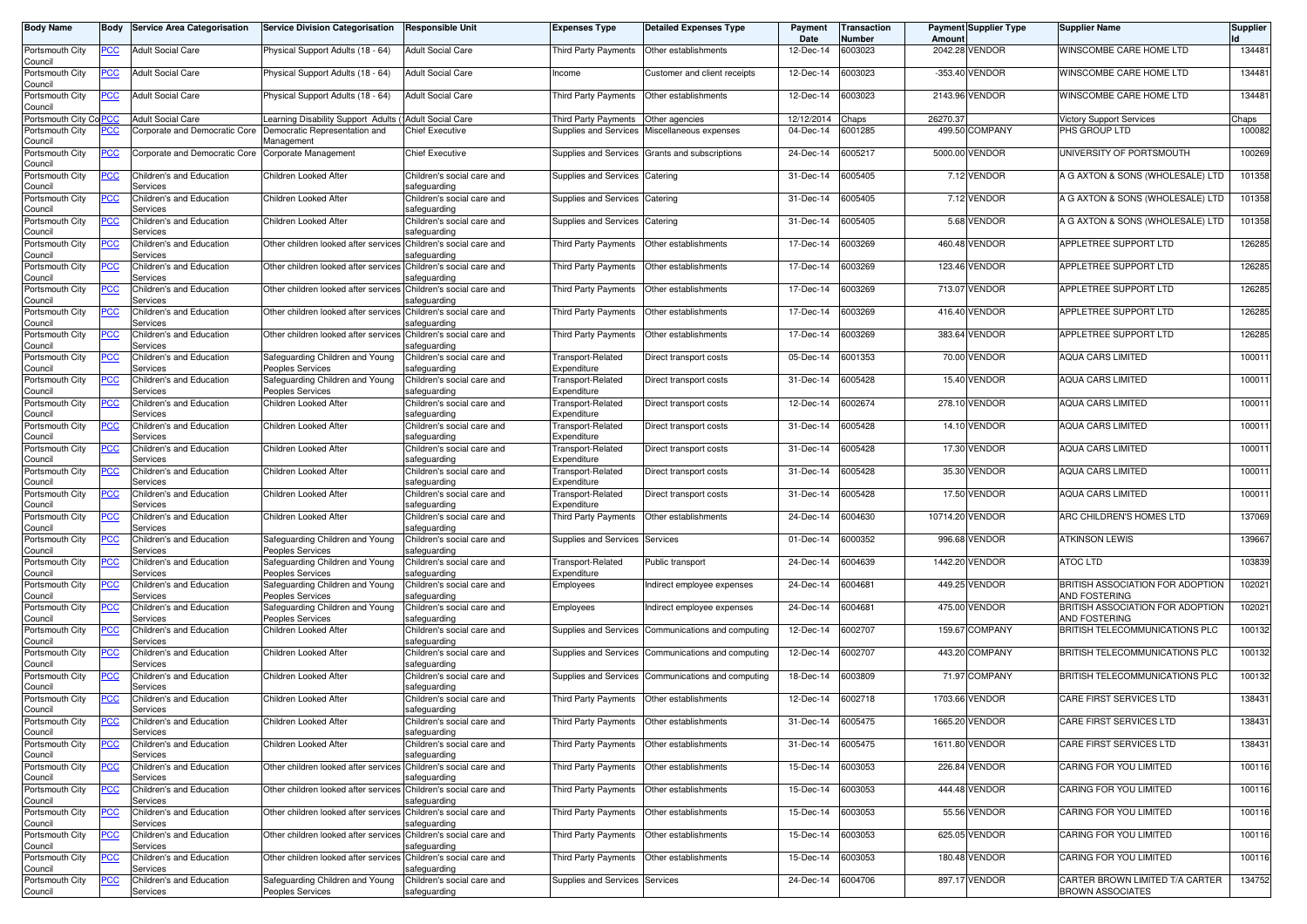| Body Name                  | Body       | <b>Service Area Categorisation</b>   | <b>Service Division Categorisation</b>                          | <b>Responsible Unit</b>                    | <b>Expenses Type</b>                        | <b>Detailed Expenses Type</b>                      | Payment<br>Date   | <b>Transaction</b><br>Number | Amount   | <b>Payment Supplier Type</b> | <b>Supplier Name</b>                                       | Supplier |
|----------------------------|------------|--------------------------------------|-----------------------------------------------------------------|--------------------------------------------|---------------------------------------------|----------------------------------------------------|-------------------|------------------------------|----------|------------------------------|------------------------------------------------------------|----------|
| Portsmouth City<br>Council | PCC        | <b>Adult Social Care</b>             | Physical Support Adults (18 - 64)                               | <b>Adult Social Care</b>                   | Third Party Payments                        | Other establishments                               | 12-Dec-14         | 6003023                      | 2042.28  | <b>VENDOR</b>                | WINSCOMBE CARE HOME LTD                                    | 134481   |
| Portsmouth City<br>Council | <u>PCC</u> | <b>Adult Social Care</b>             | Physical Support Adults (18 - 64)                               | <b>Adult Social Care</b>                   | Income                                      | Customer and client receipts                       | 12-Dec-14         | 6003023                      |          | -353.40 VENDOR               | WINSCOMBE CARE HOME LTD                                    | 134481   |
| Portsmouth City<br>Council | <b>PCC</b> | <b>Adult Social Care</b>             | Physical Support Adults (18 - 64)                               | <b>Adult Social Care</b>                   | Third Party Payments                        | Other establishments                               | 12-Dec-14         | 6003023                      | 2143.96  | <b>VENDOR</b>                | WINSCOMBE CARE HOME LTD                                    | 134481   |
| Portsmouth City Co PCC     |            | <b>Adult Social Care</b>             | Learning Disability Support Adults                              | 'Adult Social Care                         | <b>Third Party Payments</b>                 | Other agencies                                     | 12/12/2014        | haps:                        | 26270.37 |                              | <b>Victory Support Services</b>                            | Chaps    |
| Portsmouth City            | <u>PCC</u> | Corporate and Democratic Core        | Democratic Representation and                                   | <b>Chief Executive</b>                     | Supplies and Services                       | Miscellaneous expenses                             | 04-Dec-14         | 6001285                      |          | 499.50 COMPANY               | PHS GROUP LTD                                              | 100082   |
| Council                    |            |                                      | Management                                                      |                                            |                                             |                                                    |                   |                              |          |                              |                                                            |          |
| Portsmouth City<br>Council | <u>PCC</u> | Corporate and Democratic Core        | Corporate Management                                            | <b>Chief Executive</b>                     |                                             | Supplies and Services Grants and subscriptions     | 24-Dec-14         | 6005217                      |          | 5000.00 VENDOR               | UNIVERSITY OF PORTSMOUTH                                   | 100269   |
| Portsmouth City<br>Council | <b>PCC</b> | Children's and Education<br>Services | Children Looked After                                           | Children's social care and<br>safeguarding | Supplies and Services                       | Catering                                           | 31-Dec-14         | 6005405                      |          | 7.12 VENDOR                  | A G AXTON & SONS (WHOLESALE) LTD                           | 101358   |
| Portsmouth City<br>Council | <u>PCC</u> | Children's and Education<br>Services | Children Looked After                                           | Children's social care and<br>safeguarding | Supplies and Services                       | Catering                                           | 31-Dec-14         | 6005405                      |          | 7.12 VENDOR                  | A G AXTON & SONS (WHOLESALE) LTD                           | 101358   |
| Portsmouth City<br>Council | <u>PCC</u> | Children's and Education<br>Services | Children Looked After                                           | Children's social care and<br>safeguarding | Supplies and Services                       | Catering                                           | 31-Dec-14         | 6005405                      |          | 5.68 VENDOR                  | A G AXTON & SONS (WHOLESALE) LTD                           | 101358   |
| Portsmouth City<br>Council | PСC        | Children's and Education<br>Services | Other children looked after services                            | Children's social care and<br>safeguarding | <b>Third Party Payments</b>                 | Other establishments                               | 17-Dec-14         | 6003269                      | 460.48   | <b>VENDOR</b>                | APPLETREE SUPPORT LTD                                      | 126285   |
| Portsmouth City<br>Council | <u>PCC</u> | Children's and Education<br>Services | Other children looked after services                            | Children's social care and<br>safeguarding | Third Party Payments                        | Other establishments                               | 17-Dec-14         | 6003269                      |          | 123.46 VENDOR                | APPLETREE SUPPORT LTD                                      | 126285   |
| Portsmouth City<br>Council | <u>PCC</u> | Children's and Education<br>Services | Other children looked after services Children's social care and | safeguarding                               | Third Party Payments                        | Other establishments                               | 17-Dec-14         | 6003269                      | 713.07   | <b>VENDOR</b>                | APPLETREE SUPPORT LTD                                      | 126285   |
| Portsmouth City<br>Council | <u>PCC</u> | Children's and Education<br>Services | Other children looked after services                            | Children's social care and<br>safeguarding | Third Party Payments                        | Other establishments                               | 17-Dec-14         | 6003269                      |          | 416.40 VENDOR                | APPLETREE SUPPORT LTD                                      | 126285   |
| Portsmouth City<br>Council | <u>PCC</u> | Children's and Education<br>Services | Other children looked after services                            | Children's social care and<br>safeguarding | Third Party Payments                        | Other establishments                               | 17-Dec-14         | 6003269                      |          | 383.64 VENDOR                | APPLETREE SUPPORT LTD                                      | 126285   |
| Portsmouth City<br>Council | <u>PCC</u> | Children's and Education<br>Services | Safeguarding Children and Young<br>Peoples Services             | Children's social care and<br>safeguarding | Transport-Related<br>Expenditure            | Direct transport costs                             | 05-Dec-14         | 6001353                      | 70.00    | VENDOR                       | <b>AQUA CARS LIMITED</b>                                   | 100011   |
| Portsmouth City            | <u>PCC</u> | Children's and Education             | Safeguarding Children and Young                                 | Children's social care and                 | Transport-Related                           | Direct transport costs                             | 31-Dec-14         | 6005428                      | 15.40    | <b>VENDOR</b>                | <b>AQUA CARS LIMITED</b>                                   | 100011   |
| Council                    |            | Services                             | <b>Peoples Services</b>                                         | safeguarding                               | Expenditure                                 |                                                    |                   |                              |          |                              |                                                            |          |
| Portsmouth City<br>Council | <u>PCC</u> | Children's and Education<br>Services | Children Looked After                                           | Children's social care and<br>safeguarding | Transport-Related<br>Expenditure            | Direct transport costs                             | 12-Dec-14         | 6002674                      | 278.10   | <b>VENDOR</b>                | <b>AQUA CARS LIMITED</b>                                   | 100011   |
| Portsmouth City<br>Council | <u>PCC</u> | Children's and Education<br>Services | Children Looked After                                           | Children's social care and<br>safeguarding | Transport-Related<br>Expenditure            | Direct transport costs                             | 31-Dec-14         | 6005428                      |          | 14.10 VENDOR                 | <b>AQUA CARS LIMITED</b>                                   | 100011   |
| Portsmouth City<br>Council | <b>PCC</b> | Children's and Education<br>Services | Children Looked After                                           | Children's social care and<br>safeguarding | Transport-Related<br>Expenditure            | Direct transport costs                             | 31-Dec-14         | 6005428                      | 17.30    | <b>VENDOR</b>                | <b>AQUA CARS LIMITED</b>                                   | 100011   |
| Portsmouth City<br>Council | <u>PCC</u> | Children's and Education<br>Services | Children Looked After                                           | Children's social care and<br>safeguarding | Transport-Related<br>Expenditure            | Direct transport costs                             | 31-Dec-14         | 6005428                      | 35.30    | VENDOR                       | <b>AQUA CARS LIMITED</b>                                   | 100011   |
| Portsmouth City<br>Council | <u>PCC</u> | Children's and Education<br>Services | Children Looked After                                           | Children's social care and<br>safeguarding | Transport-Related<br>Expenditure            | Direct transport costs                             | 31-Dec-14         | 6005428                      |          | 17.50 VENDOR                 | <b>AQUA CARS LIMITED</b>                                   | 100011   |
| Portsmouth City<br>Council | <u>PCC</u> | Children's and Education<br>Services | Children Looked After                                           | Children's social care and<br>safeguarding | Third Party Payments                        | Other establishments                               | 24-Dec-14         | 6004630                      |          | 10714.20 VENDOR              | ARC CHILDREN'S HOMES LTD                                   | 137069   |
| Portsmouth City<br>Council | <u>PCC</u> | Children's and Education<br>Services | Safeguarding Children and Young<br>Peoples Services             | Children's social care and<br>safeguarding | Supplies and Services                       | Services                                           | 01-Dec-14         | 6000352                      |          | 996.68 VENDOR                | <b>ATKINSON LEWIS</b>                                      | 139667   |
| Portsmouth City<br>Council | <b>PCC</b> | Children's and Education<br>Services | Safeguarding Children and Young<br>Peoples Services             | Children's social care and<br>safeguarding | Transport-Related<br>Expenditure            | Public transport                                   | 24-Dec-14         | 6004639                      | 1442.20  | VENDOR                       | <b>ATOC LTD</b>                                            | 103839   |
| Portsmouth City<br>Council | <u>PCC</u> | Children's and Education<br>Services | Safeguarding Children and Young<br><b>Peoples Services</b>      | Children's social care and<br>safeguarding | Employees                                   | ndirect employee expenses                          | 24-Dec-14         | 6004681                      | 449.25   | <b>VENDOR</b>                | BRITISH ASSOCIATION FOR ADOPTION<br>AND FOSTERING          | 102021   |
| Portsmouth City<br>Council | PCC        | Children's and Education<br>Services | Safeguarding Children and Young<br>Peoples Services             | Children's social care and<br>safeguarding | Employees                                   | ndirect employee expenses                          | 24-Dec-14         | 6004681                      | 475.00   | <b>VENDOR</b>                | BRITISH ASSOCIATION FOR ADOPTION<br>AND FOSTERING          | 102021   |
| Portsmouth City<br>Council | PСC        | Children's and Education<br>Services | Children Looked After                                           | Children's social care and<br>safeguarding | Supplies and Services                       | Communications and computing                       | 12-Dec-14         | 6002707                      | 159.67   | <b>COMPANY</b>               | BRITISH TELECOMMUNICATIONS PLC                             | 100132   |
| Portsmouth City<br>Council | <b>PCC</b> | Children's and Education<br>Services | Children Looked After                                           | Children's social care and<br>safeguarding | Supplies and Services                       | Communications and computing                       | 12-Dec-14         | 6002707                      | 443.20   | <b>COMPANY</b>               | BRITISH TELECOMMUNICATIONS PLC                             | 100132   |
| Portsmouth City<br>Council | <u>PCC</u> | Children's and Education<br>Services | Children Looked After                                           | Children's social care and<br>safeguarding |                                             | Supplies and Services Communications and computing | 18-Dec-14         | 6003809                      |          | 71.97 COMPANY                | BRITISH TELECOMMUNICATIONS PLC                             | 100132   |
| Portsmouth City<br>Council | <u>PCC</u> | Children's and Education<br>Services | Children Looked After                                           | Children's social care and<br>safeguarding | Third Party Payments   Other establishments |                                                    | 12-Dec-14         | 6002718                      |          | 1703.66 VENDOR               | <b>CARE FIRST SERVICES LTD</b>                             | 138431   |
| Portsmouth City<br>Council | −∪∪        | Children's and Education<br>Services | Children Looked After                                           | Children's social care and<br>safeguarding | Third Party Payments                        | Other establishments                               | 31-Dec-14         | 6005475                      |          | 1665.20 VENDOR               | CARE FIRST SERVICES LTD                                    | 138431   |
| Portsmouth City            | <u>PCC</u> | Children's and Education<br>Services | Children Looked After                                           | Children's social care and                 | Third Party Payments                        | Other establishments                               | 31-Dec-14         | 6005475                      |          | 1611.80 VENDOR               | CARE FIRST SERVICES LTD                                    | 138431   |
| Council<br>Portsmouth City | <u>PCC</u> | Children's and Education             | Other children looked after services Children's social care and | safeguarding                               | Third Party Payments                        | Other establishments                               | 15-Dec-14         | 6003053                      |          | 226.84 VENDOR                | CARING FOR YOU LIMITED                                     | 100116   |
| Council<br>Portsmouth City | <u>PCC</u> | Services<br>Children's and Education | Other children looked after services Children's social care and | safeguarding                               | Third Party Payments                        | Other establishments                               | 15-Dec-14         | 6003053                      |          | 444.48 VENDOR                | CARING FOR YOU LIMITED                                     | 100116   |
| Council<br>Portsmouth City | <u>PCC</u> | Services<br>Children's and Education | Other children looked after services Children's social care and | safeguarding                               | Third Party Payments                        | Other establishments                               | 15-Dec-14         | 6003053                      |          | 55.56 VENDOR                 | CARING FOR YOU LIMITED                                     | 100116   |
| Council<br>Portsmouth City | <b>PCC</b> | Services<br>Children's and Education | Other children looked after services                            | safeguarding<br>Children's social care and | Third Party Payments                        | Other establishments                               | 15-Dec-14         | 6003053                      |          | 625.05 VENDOR                | CARING FOR YOU LIMITED                                     | 100116   |
| Council<br>Portsmouth City | <u>PCC</u> | Services<br>Children's and Education | Other children looked after services Children's social care and | safeguarding                               | Third Party Payments                        | Other establishments                               | 15-Dec-14         | 6003053                      |          | 180.48 VENDOR                | <b>CARING FOR YOU LIMITED</b>                              | 100116   |
| Council                    |            | Services                             |                                                                 | safeguarding                               |                                             |                                                    |                   |                              |          |                              |                                                            |          |
| Portsmouth City<br>Council | <u>PCC</u> | Children's and Education<br>Services | Safeguarding Children and Young<br>Peoples Services             | Children's social care and<br>safeguarding | Supplies and Services Services              |                                                    | 24-Dec-14 6004706 |                              |          | 897.17 VENDOR                | CARTER BROWN LIMITED T/A CARTER<br><b>BROWN ASSOCIATES</b> | 134752   |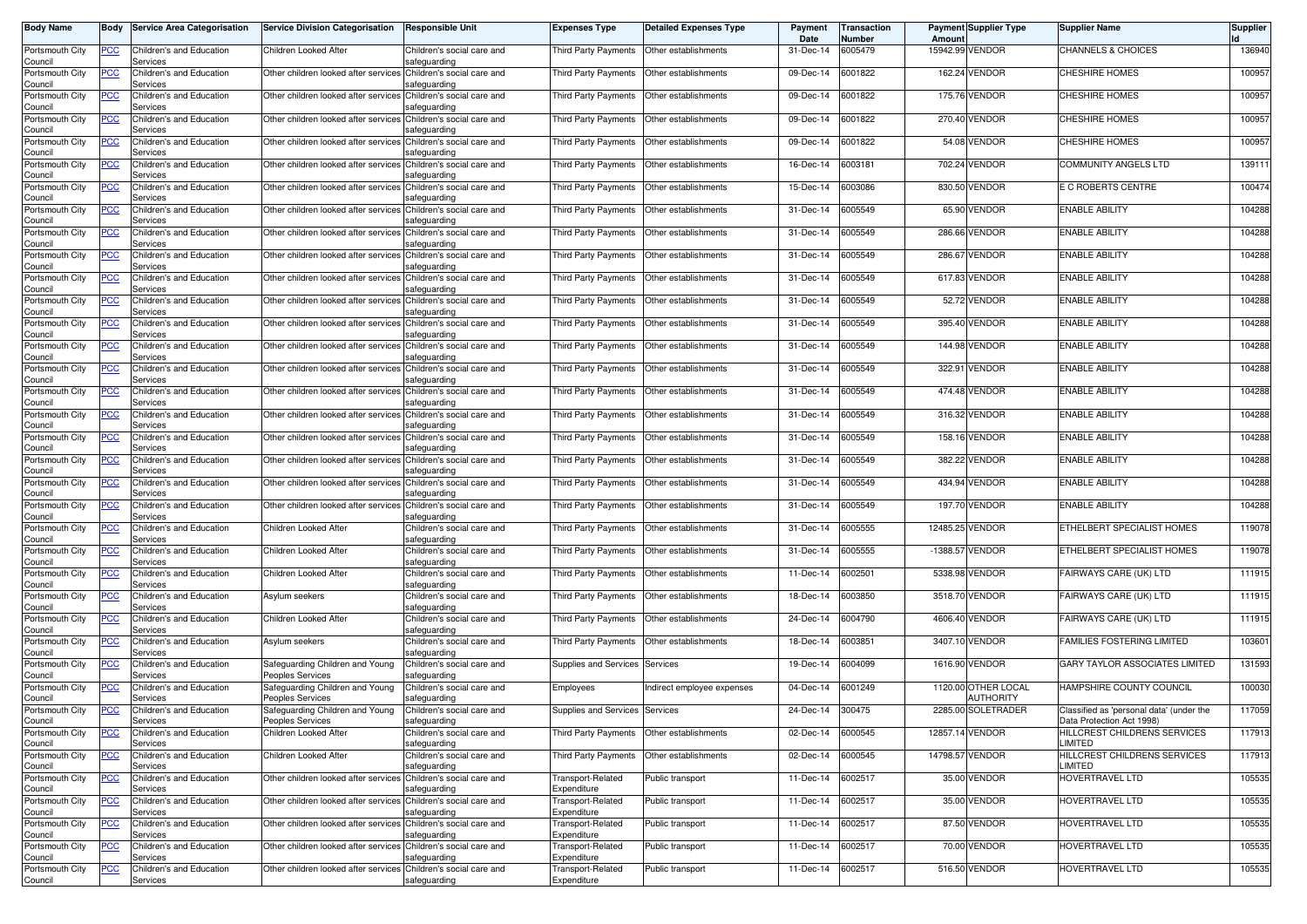| <b>Body Name</b>           | Body           | <b>Service Area Categorisation</b>          | <b>Service Division Categorisation</b>                          | Responsible Unit                           | <b>Expenses Type</b>             | <b>Detailed Expenses Type</b>    | Payment<br>Date | Transaction<br>Number | Amoun      | <b>Payment Supplier Type</b>     | <b>Supplier Name</b>                                                  | <b>Supplier</b> |
|----------------------------|----------------|---------------------------------------------|-----------------------------------------------------------------|--------------------------------------------|----------------------------------|----------------------------------|-----------------|-----------------------|------------|----------------------------------|-----------------------------------------------------------------------|-----------------|
| Portsmouth City<br>Council | PCC            | Children's and Education<br>Services        | Children Looked After                                           | Children's social care and<br>safeguarding | <b>Third Party Payments</b>      | Other establishments             | 31-Dec-14       | 6005479               |            | 15942.99 VENDOR                  | CHANNELS & CHOICES                                                    | 136940          |
| Portsmouth City<br>Council | <u>PCC</u>     | Children's and Education<br>Services        | Other children looked after services                            | Children's social care and<br>safeguarding | Third Party Payments             | Other establishments             | 09-Dec-14       | 6001822               |            | 162.24 VENDOR                    | CHESHIRE HOMES                                                        | 100957          |
| Portsmouth City<br>Council | <b>PCC</b>     | Children's and Education<br>Services        | Other children looked after services                            | Children's social care and<br>safeguarding | Third Party Payments             | Other establishments             | 09-Dec-14       | 6001822               |            | 175.76 VENDOR                    | <b>CHESHIRE HOMES</b>                                                 | 100957          |
| Portsmouth City<br>Council | <u>PCC</u>     | <b>Children's and Education</b><br>Services | Other children looked after services Children's social care and | safeguarding                               | Third Party Payments             | Other establishments             | 09-Dec-14       | 6001822               |            | 270.40 VENDOR                    | <b>CHESHIRE HOMES</b>                                                 | 100957          |
| Portsmouth City<br>Council | <u>PCC</u>     | Children's and Education<br>Services        | Other children looked after services                            | Children's social care and<br>afeguarding  | Third Party Payments             | Other establishments             | 09-Dec-14       | 6001822               |            | 54.08 VENDOR                     | <b>CHESHIRE HOMES</b>                                                 | 100957          |
| Portsmouth City<br>Council | <u>PCC</u>     | Children's and Education<br>Services        | Other children looked after services Children's social care and | afeguarding                                | Third Party Payments             | Other establishments             | 16-Dec-14       | 6003181               | 702.24     | <b>VENDOR</b>                    | COMMUNITY ANGELS LTD                                                  | 139111          |
| Portsmouth City<br>Council | <b>PCC</b>     | Children's and Education<br>Services        | Other children looked after services Children's social care and | safeguarding                               | Third Party Payments             | Other establishments             | 15-Dec-14       | 6003086               |            | 830.50 VENDOR                    | E C ROBERTS CENTRE                                                    | 100474          |
| Portsmouth City<br>Council | <u>PCC</u>     | Children's and Education<br>Services        | Other children looked after services Children's social care and | safeguarding                               | Third Party Payments             | Other establishments             | 31-Dec-14       | 6005549               |            | 65.90 VENDOR                     | <b>ENABLE ABILITY</b>                                                 | 104288          |
| Portsmouth City            | <u>PCC</u>     | Children's and Education                    | Other children looked after services                            | Children's social care and                 | Third Party Payments             | Other establishments             | 31-Dec-14       | 6005549               |            | 286.66 VENDOR                    | <b>ENABLE ABILITY</b>                                                 | 104288          |
| Council<br>Portsmouth City | PСC            | Services<br>Children's and Education        | Other children looked after services                            | safeguarding<br>Children's social care and | Third Party Payments             | Other establishments             | 31-Dec-14       | 6005549               | 286.67     | VENDOR                           | <b>ENABLE ABILITY</b>                                                 | 104288          |
| Council<br>Portsmouth City | <b>PCC</b>     | Services<br><b>Children's and Education</b> | Other children looked after services Children's social care and | safeguarding                               | Third Party Payments             | Other establishments             | 31-Dec-14       | 6005549               | 617.83     | <b>VENDOR</b>                    | <b>ENABLE ABILITY</b>                                                 | 104288          |
| Council<br>Portsmouth City | <u>PCC</u>     | Services<br><b>Children's and Education</b> | Other children looked after services                            | afeguarding<br>Children's social care and  | Third Party Payments             | Other establishments             | 31-Dec-14       | 6005549               |            | 52.72 VENDOR                     | <b>ENABLE ABILITY</b>                                                 | 104288          |
| Council<br>Portsmouth City | <u>PCC</u>     | Services<br><b>Children's and Education</b> | Other children looked after services                            | afeguarding<br>Children's social care and  | Third Party Payments             | Other establishments             | 31-Dec-14       | 6005549               |            | 395.40 VENDOR                    | <b>ENABLE ABILITY</b>                                                 | 104288          |
| Council<br>Portsmouth City | PCC            | Services<br>Children's and Education        | Other children looked after services Children's social care and | safeguarding                               | Third Party Payments             | Other establishments             | 31-Dec-14       | 6005549               |            | 144.98 VENDOR                    | <b>ENABLE ABILITY</b>                                                 | 104288          |
| Council<br>Portsmouth City | <u>PCC</u>     | Services<br>Children's and Education        | Other children looked after services Children's social care and | safeguarding                               | Third Party Payments             | Other establishments             | 31-Dec-14       | 6005549               | 322.91     | VENDOR                           | <b>ENABLE ABILITY</b>                                                 | 104288          |
| Council<br>Portsmouth City | <b>PCC</b>     | Services<br>Children's and Education        | Other children looked after services Children's social care and | safeguarding                               | <b>Third Party Payments</b>      | Other establishments             | 31-Dec-14       | 6005549               |            | 474.48 VENDOR                    | <b>ENABLE ABILITY</b>                                                 | 104288          |
| Council<br>Portsmouth City | <u>PCC</u>     | Services<br>Children's and Education        | Other children looked after services                            | safeguarding<br>Children's social care and | <b>Third Party Payments</b>      | Other establishments             | 31-Dec-14       | 6005549               |            | 316.32 VENDOR                    | <b>ENABLE ABILITY</b>                                                 | 104288          |
| Council<br>Portsmouth City | <u>PCC</u>     | Services<br>Children's and Education        | Other children looked after services                            | safeguarding<br>Children's social care and | <b>Third Party Payments</b>      | Other establishments             | 31-Dec-14       | 6005549               |            | 158.16 VENDOR                    | <b>ENABLE ABILITY</b>                                                 | 104288          |
| Council<br>Portsmouth City | <b>PCC</b>     | Services<br>Children's and Education        | Other children looked after services                            | safeguarding<br>Children's social care and | Third Party Payments             | Other establishments             | 31-Dec-14       | 6005549               | 382.22     | <b>VENDOR</b>                    | <b>ENABLE ABILITY</b>                                                 | 104288          |
| Council<br>Portsmouth City | <u>PCC</u>     | Services<br>Children's and Education        | Other children looked after services Children's social care and | safequarding                               | Third Party Payments             | Other establishments             | 31-Dec-14       | 6005549               | 434.94     | <b>VENDOR</b>                    | <b>ENABLE ABILITY</b>                                                 | 104288          |
| Council<br>Portsmouth City | <u>PCC</u>     | Services<br><b>Children's and Education</b> | Other children looked after services                            | safeguarding<br>Children's social care and | Third Party Payments             | Other establishments             | 31-Dec-14       | 6005549               |            | 197.70 VENDOR                    | <b>ENABLE ABILITY</b>                                                 | 104288          |
| Council<br>Portsmouth City | <u>PCC</u>     | Services<br>Children's and Education        | Children Looked After                                           | safeguarding<br>Children's social care and | Third Party Payments             | Other establishments             | 31-Dec-14       | 6005555               | 12485.25   | <b>VENDOR</b>                    | ETHELBERT SPECIALIST HOMES                                            | 119078          |
| Council<br>Portsmouth City | $\overline{C}$ | Services<br>Children's and Education        | Children Looked After                                           | safeguarding<br>Children's social care and | Third Party Payments             | Other establishments             | 31-Dec-14       | 6005555               | $-1388.57$ | <b>VENDOR</b>                    | ETHELBERT SPECIALIST HOMES                                            | 119078          |
| Council<br>Portsmouth City | <u>PCC</u>     | Services<br>Children's and Education        | Children Looked After                                           | safeguarding<br>Children's social care and | Third Party Payments             | Other establishments             | 11-Dec-14       | 6002501               | 5338.98    | VENDOR                           | FAIRWAYS CARE (UK) LTD                                                | 111915          |
| Council<br>Portsmouth City | <b>PCC</b>     | Services<br>Children's and Education        | Asylum seekers                                                  | safeguarding<br>Children's social care and | Third Party Payments             | Other establishments             | 18-Dec-14       | 6003850               |            | 3518.70 VENDOR                   | FAIRWAYS CARE (UK) LTD                                                | 111915          |
| Council<br>Portsmouth City | <u>PCC</u>     | Services<br>Children's and Education        | Children Looked After                                           | safeguarding<br>Children's social care and | Third Party Payments             | Other establishments             | 24-Dec-14       | 6004790               |            | 4606.40 VENDOR                   | FAIRWAYS CARE (UK) LTD                                                | 111915          |
| Council<br>Portsmouth City |                | Services<br>Children's and Education        |                                                                 | safeguarding<br>Children's social care and |                                  |                                  | 18-Dec-14       | 6003851               |            | 3407.10 VENDOR                   | FAMILIES FOSTERING LIMITED                                            | 103601          |
| Council                    | <b>PCC</b>     | Services<br><b>Children's and Education</b> | Asylum seekers                                                  | safeguarding                               | Third Party Payments             | Other establishments<br>Services |                 | 6004099               | 1616.90    | <b>VENDOR</b>                    | GARY TAYLOR ASSOCIATES LIMITED                                        | 131593          |
| Portsmouth City<br>Council | $\overline{C}$ | Services                                    | Safeguarding Children and Young<br>Peoples Services             | Children's social care and<br>safeguarding | Supplies and Services            |                                  | 19-Dec-14       |                       |            |                                  |                                                                       |                 |
| Portsmouth City<br>Council | <u>PCC</u>     | <b>Children's and Education</b><br>Services | Safeguarding Children and Young<br>Peoples Services             | Children's social care and<br>safeguarding | Employees                        | ndirect employee expenses        | 04-Dec-14       | 6001249               |            | 1120.00 OTHER LOCAL<br>AUTHORITY | HAMPSHIRE COUNTY COUNCIL                                              | 100030          |
| Portsmouth City<br>Council | <u>PCC</u>     | Children's and Education<br>iervices        | Safeguarding Children and Young<br>Peoples Services             | Children's social care and<br>afeguarding  | Supplies and Services            | Services                         | 24-Dec-14       | 300475                |            | 2285.00 SOLETRADER               | Classified as 'personal data' (under the<br>Data Protection Act 1998) | 117059          |
| Portsmouth City<br>Council | <u>PCC</u>     | Children's and Education<br>Services        | Children Looked After                                           | Children's social care and<br>safeguarding | Third Party Payments             | Other establishments             | 02-Dec-14       | 6000545               |            | 12857.14 VENDOR                  | HILLCREST CHILDRENS SERVICES<br>LIMITED                               | 117913          |
| Portsmouth City<br>Council | <u>PCC</u>     | Children's and Education<br>Services        | Children Looked After                                           | Children's social care and<br>safeguarding | Third Party Payments             | Other establishments             | 02-Dec-14       | 6000545               |            | 14798.57 VENDOR                  | HILLCREST CHILDRENS SERVICES<br>LIMITED                               | 117913          |
| Portsmouth City<br>Council | <u>PCC</u>     | Children's and Education<br>Services        | Other children looked after services Children's social care and | safequarding                               | Transport-Related<br>Expenditure | Public transport                 | 11-Dec-14       | 6002517               |            | 35.00 VENDOR                     | HOVERTRAVEL LTD                                                       | 105535          |
| Portsmouth City<br>Council | <u>PCC</u>     | Children's and Education<br>Services        | Other children looked after services Children's social care and | safeguarding                               | Transport-Related<br>Expenditure | Public transport                 | 11-Dec-14       | 6002517               |            | 35.00 VENDOR                     | <b>HOVERTRAVEL LTD</b>                                                | 105535          |
| Portsmouth City<br>Council | <u>PCC</u>     | Children's and Education<br>Services        | Other children looked after services Children's social care and | safeguarding                               | Transport-Related<br>Expenditure | Public transport                 | 11-Dec-14       | 6002517               |            | 87.50 VENDOR                     | HOVERTRAVEL LTD                                                       | 105535          |
| Portsmouth City<br>Council | <u>PCC</u>     | Children's and Education<br>Services        | Other children looked after services Children's social care and | safeguarding                               | Transport-Related<br>Expenditure | Public transport                 | 11-Dec-14       | 6002517               |            | 70.00 VENDOR                     | HOVERTRAVEL LTD                                                       | 105535          |
| Portsmouth City<br>Council | <u>PCC</u>     | Children's and Education<br>Services        | Other children looked after services Children's social care and | safeguarding                               | Transport-Related<br>Expenditure | Public transport                 | 11-Dec-14       | 6002517               |            | 516.50 VENDOR                    | HOVERTRAVEL LTD                                                       | 105535          |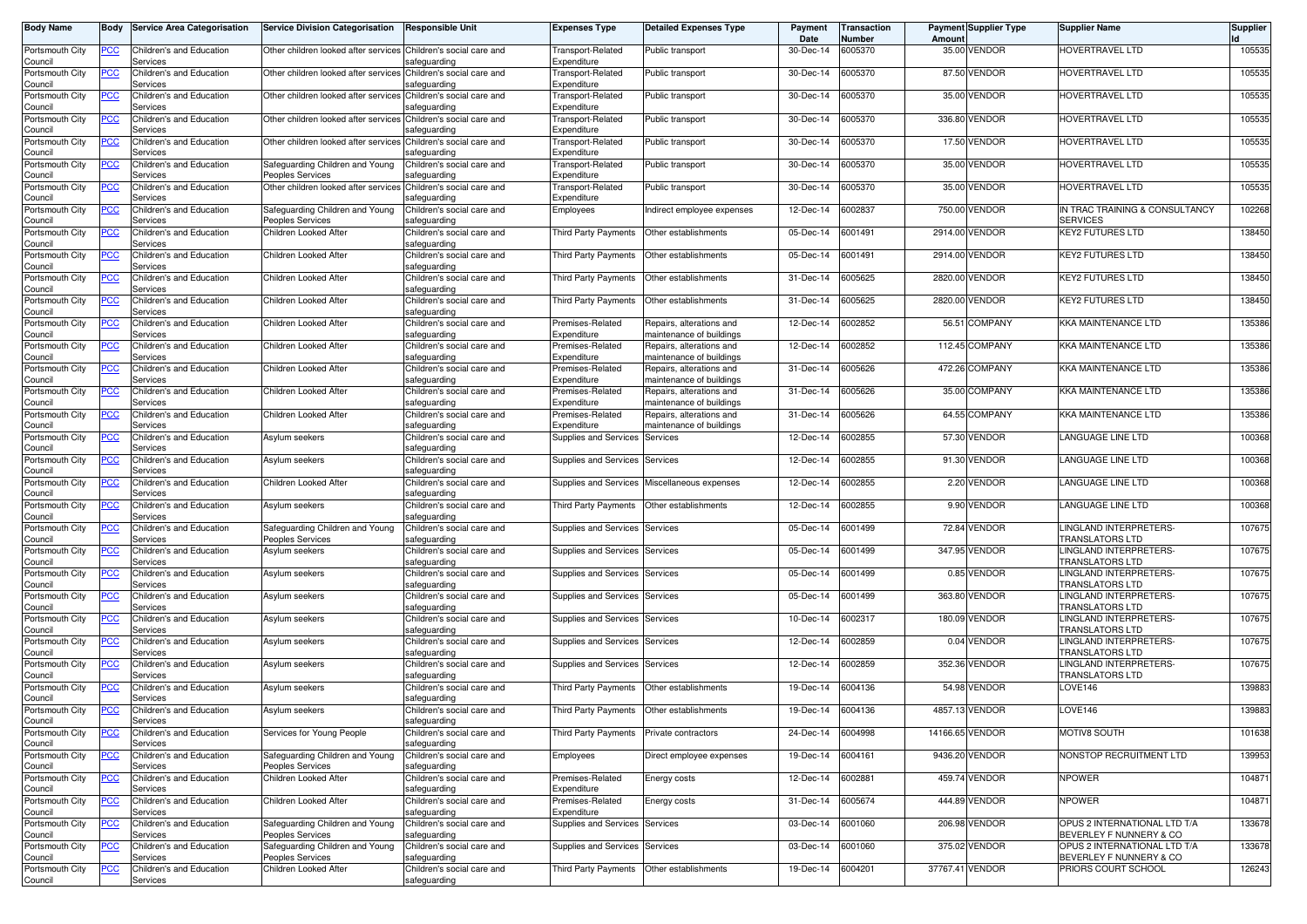| <b>Body Name</b>           | Body       | <b>Service Area Categorisation</b>               | <b>Service Division Categorisation</b>                                              | <b>Responsible Unit</b>                    | <b>Expenses Type</b>                    | <b>Detailed Expenses Type</b>                        | Payment<br>Date | Transaction<br>Number | Amoun   | <b>Payment Supplier Type</b> | <b>Supplier Name</b>                                    | Supplier |
|----------------------------|------------|--------------------------------------------------|-------------------------------------------------------------------------------------|--------------------------------------------|-----------------------------------------|------------------------------------------------------|-----------------|-----------------------|---------|------------------------------|---------------------------------------------------------|----------|
| Portsmouth City<br>Council | PCC        | Children's and Education<br>Services             | Other children looked after services Children's social care and                     | safeguarding                               | Transport-Related<br>Expenditure        | Public transport                                     | 30-Dec-14       | 6005370               |         | 35.00 VENDOR                 | HOVERTRAVEL LTD                                         | 105535   |
| Portsmouth City<br>Council | <u>PCC</u> | Children's and Education<br>Services             | Other children looked after services                                                | Children's social care and<br>safeguarding | Transport-Related<br>Expenditure        | Public transport                                     | 30-Dec-14       | 6005370               |         | 87.50 VENDOR                 | HOVERTRAVEL LTD                                         | 105535   |
| Portsmouth City<br>Council | <b>PCC</b> | Children's and Education<br>Services             | Other children looked after services                                                | Children's social care and<br>safeguarding | Transport-Related<br>Expenditure        | Public transport                                     | 30-Dec-14       | 6005370               |         | 35.00 VENDOR                 | HOVERTRAVEL LTD                                         | 105535   |
| Portsmouth City<br>Council | <u>PCC</u> | <b>Children's and Education</b><br>Services      | Other children looked after services Children's social care and                     | safeguarding                               | <b>Transport-Related</b><br>Expenditure | Public transport                                     | 30-Dec-14       | 6005370               |         | 336.80 VENDOR                | HOVERTRAVEL LTD                                         | 105535   |
| Portsmouth City<br>Council | <u>PCC</u> | Children's and Education<br>Services             | Other children looked after services Children's social care and                     | safeguarding                               | Transport-Related<br>Expenditure        | Public transport                                     | 30-Dec-14       | 6005370               |         | 17.50 VENDOR                 | HOVERTRAVEL LTD                                         | 105535   |
| Portsmouth City            | <u>PCC</u> | Children's and Education                         | Safeguarding Children and Young                                                     | Children's social care and                 | Fransport-Related<br>Expenditure        | Public transport                                     | 30-Dec-14       | 6005370               |         | 35.00 VENDOR                 | HOVERTRAVEL LTD                                         | 105535   |
| Council<br>Portsmouth City | <u>PCC</u> | Services<br>Children's and Education             | Peoples Services<br>Other children looked after services Children's social care and | safeguarding                               | Transport-Related                       | ublic transport                                      | 30-Dec-14       | 6005370               |         | 35.00 VENDOR                 | HOVERTRAVEL LTD                                         | 105535   |
| Council<br>Portsmouth City | <u>PCC</u> | Services<br>Children's and Education             | Safeguarding Children and Young                                                     | safeguarding<br>Children's social care and | Expenditure<br>Employees                | Indirect employee expenses                           | 12-Dec-14       | 6002837               |         | 750.00 VENDOR                | IN TRAC TRAINING & CONSULTANCY                          | 102268   |
| Council<br>Portsmouth City | <u>PCC</u> | Services<br>Children's and Education             | Peoples Services<br>Children Looked After                                           | safeguarding<br>Children's social care and | Third Party Payments                    | Other establishments                                 | 05-Dec-14       | 6001491               |         | 2914.00 VENDOR               | <b>SERVICES</b><br><b>KEY2 FUTURES LTD</b>              | 138450   |
| Council<br>Portsmouth City | PСC        | Services<br>Children's and Education             | Children Looked After                                                               | safeguarding<br>Children's social care and | Third Party Payments                    | Other establishments                                 | 05-Dec-14       | 6001491               | 2914.00 | <b>VENDOR</b>                | KEY2 FUTURES LTD                                        | 138450   |
| Council<br>Portsmouth City | <u>PCC</u> | Services<br>Children's and Education             | Children Looked After                                                               | safeguarding<br>Children's social care and | Third Party Payments                    | Other establishments                                 | 31-Dec-14       | 6005625               | 2820.00 | <b>VENDOR</b>                | <b>KEY2 FUTURES LTD</b>                                 | 138450   |
| Council<br>Portsmouth City | <u>PCC</u> | Services<br><b>Children's and Education</b>      | Children Looked After                                                               | safeguarding<br>Children's social care and | Third Party Payments                    | Other establishments                                 | 31-Dec-14       | 6005625               | 2820.00 | <b>VENDOR</b>                | KEY2 FUTURES LTD                                        | 138450   |
| Council<br>Portsmouth City | <u>PCC</u> | Services<br><b>Children's and Education</b>      | Children Looked After                                                               | safeguarding<br>Children's social care and | Premises-Related                        | Repairs, alterations and                             | 12-Dec-14       | 6002852               |         | 56.51 COMPANY                | KKA MAINTENANCE LTD                                     | 135386   |
| Council                    |            | Services                                         |                                                                                     | safeguarding                               | Expenditure                             | maintenance of buildings                             |                 |                       |         |                              |                                                         |          |
| Portsmouth City<br>Council | PCC        | Children's and Education<br>Services             | Children Looked After                                                               | Children's social care and<br>safeguarding | Premises-Related<br>Expenditure         | Repairs, alterations and<br>naintenance of buildings | 12-Dec-14       | 6002852               |         | 112.45 COMPANY               | KKA MAINTENANCE LTD                                     | 135386   |
| Portsmouth City<br>Council | <u>PCC</u> | Children's and Education<br>Services             | Children Looked After                                                               | Children's social care and<br>safeguarding | Premises-Related<br>Expenditure         | Repairs, alterations and<br>naintenance of buildings | 31-Dec-14       | 6005626               |         | 472.26 COMPANY               | KKA MAINTENANCE LTD                                     | 135386   |
| Portsmouth City<br>Council | <u>PCC</u> | Children's and Education<br>Services             | Children Looked After                                                               | Children's social care and<br>safeguarding | Premises-Related<br>Expenditure         | Repairs, alterations and<br>maintenance of buildings | 31-Dec-14       | 6005626               |         | 35.00 COMPANY                | <b>KKA MAINTENANCE LTD</b>                              | 135386   |
| Portsmouth City<br>Council | <u>PCC</u> | Children's and Education<br>Services             | Children Looked After                                                               | Children's social care and<br>safeguarding | Premises-Related<br>Expenditure         | Repairs, alterations and<br>naintenance of buildings | 31-Dec-14       | 6005626               |         | 64.55 COMPANY                | <b>KKA MAINTENANCE LTD</b>                              | 135386   |
| Portsmouth City<br>Council | <u>PCC</u> | Children's and Education<br>Services             | Asylum seekers                                                                      | Children's social care and<br>safeguarding | Supplies and Services                   | Services                                             | 12-Dec-14       | 6002855               |         | 57.30 VENDOR                 | LANGUAGE LINE LTD                                       | 100368   |
| Portsmouth City<br>Council | <b>PCC</b> | Children's and Education<br>Services             | Asylum seekers                                                                      | Children's social care and<br>safeguarding | <b>Supplies and Services</b>            | Services                                             | 12-Dec-14       | 6002855               |         | 91.30 VENDOR                 | LANGUAGE LINE LTD                                       | 100368   |
| Portsmouth City<br>Council | <u>PCC</u> | Children's and Education<br>Services             | Children Looked After                                                               | Children's social care and<br>safeguarding | Supplies and Services                   | Miscellaneous expenses                               | 12-Dec-14       | 6002855               |         | 2.20 VENDOR                  | LANGUAGE LINE LTD                                       | 100368   |
| Portsmouth City<br>Council | <u>PCC</u> | Children's and Education<br>Services             | Asylum seekers                                                                      | Children's social care and<br>safeguarding | Third Party Payments                    | Other establishments                                 | 12-Dec-14       | 6002855               |         | 9.90 VENDOR                  | LANGUAGE LINE LTD                                       | 100368   |
| Portsmouth City<br>Council | <u>PCC</u> | Children's and Education<br>Services             | Safeguarding Children and Young<br><b>Peoples Services</b>                          | Children's social care and<br>safeguarding | <b>Supplies and Services</b>            | Services                                             | 05-Dec-14       | 6001499               | 72.84   | <b>VENDOR</b>                | LINGLAND INTERPRETERS-<br>TRANSLATORS LTD               | 107675   |
| Portsmouth City<br>Council | <b>PCC</b> | Children's and Education<br>Services             | Asylum seekers                                                                      | Children's social care and<br>safeguarding | <b>Supplies and Services</b>            | Services                                             | 05-Dec-14       | 6001499               |         | 347.95 VENDOR                | LINGLAND INTERPRETERS-<br>TRANSLATORS LTD               | 107675   |
| Portsmouth City<br>Council | <u>PCC</u> | Children's and Education<br>Services             | Asylum seekers                                                                      | Children's social care and<br>safeguarding | <b>Supplies and Services</b>            | Services                                             | 05-Dec-14       | 6001499               |         | 0.85 VENDOR                  | LINGLAND INTERPRETERS-<br>TRANSLATORS LTD               | 107675   |
| Portsmouth City<br>Council | <u>PCC</u> | Children's and Education<br>Services             | Asylum seekers                                                                      | Children's social care and<br>safeguarding | <b>Supplies and Services</b>            | Services                                             | 05-Dec-14       | 6001499               |         | 363.80 VENDOR                | LINGLAND INTERPRETERS-<br>TRANSLATORS LTD               | 107675   |
| Portsmouth City<br>Council | <u>PCC</u> | Children's and Education<br>Services             | Asylum seekers                                                                      | Children's social care and<br>safeguarding | Supplies and Services                   | Services                                             | 10-Dec-14       | 6002317               |         | 180.09 VENDOR                | LINGLAND INTERPRETERS-<br>TRANSLATORS LTD               | 107675   |
| Portsmouth City<br>Council | <u>PCC</u> | Children's and Education<br>Services             | Asylum seekers                                                                      | Children's social care and<br>safeguarding | <b>Supplies and Services</b>            | Services                                             | 12-Dec-14       | 6002859               |         | 0.04 VENDOR                  | LINGLAND INTERPRETERS-<br>TRANSLATORS LTD               | 107675   |
| Portsmouth City<br>Council | <b>PCC</b> | Children's and Education<br>Services             | Asylum seekers                                                                      | Children's social care and<br>safeguarding | Supplies and Services                   | Services                                             | 12-Dec-14       | 6002859               | 352.36  | <b>VENDOR</b>                | LINGLAND INTERPRETERS-<br>TRANSLATORS LTD               | 107675   |
| Portsmouth City<br>Council | <u>PCC</u> | <b>Children's and Education</b><br>Services      | Asylum seekers                                                                      | Children's social care and<br>safeguarding | Third Party Payments                    | Other establishments                                 | 19-Dec-14       | 6004136               |         | 54.98 VENDOR                 | LOVE146                                                 | 139883   |
| Portsmouth City<br>ouncil` | <u>PCC</u> | Children's and Education                         | Asylum seekers                                                                      | Children's social care and<br>safeguarding | Third Party Payments                    | Other establishments                                 | 19-Dec-14       | 6004136               |         | 4857.13 VENDOR               | LOVE146                                                 | 139883   |
| Portsmouth City<br>Council | <u>PCC</u> | iervices<br>Children's and Education<br>Services | Services for Young People                                                           | Children's social care and<br>safeguarding | Third Party Payments                    | Private contractors                                  | 24-Dec-14       | 6004998               |         | 14166.65 VENDOR              | MOTIV8 SOUTH                                            | 101638   |
| Portsmouth City            | <u>PCC</u> | Children's and Education                         | Safequarding Children and Young                                                     | Children's social care and                 | Employees                               | Direct employee expenses                             | 19-Dec-14       | 6004161               |         | 9436.20 VENDOR               | NONSTOP RECRUITMENT LTD                                 | 139953   |
| Council<br>Portsmouth City | <u>PCC</u> | Services<br>Children's and Education             | Peoples Services<br>Children Looked After                                           | safeguarding<br>Children's social care and | Premises-Related                        | Energy costs                                         | 12-Dec-14       | 6002881               |         | 459.74 VENDOR                | <b>NPOWER</b>                                           | 104871   |
| Council<br>Portsmouth City | <u>PCC</u> | Services<br>Children's and Education             | Children Looked After                                                               | safeguarding<br>Children's social care and | Expenditure<br>Premises-Related         | Energy costs                                         | 31-Dec-14       | 6005674               |         | 444.89 VENDOR                | <b>NPOWER</b>                                           | 104871   |
| Council<br>Portsmouth City | <u>PCC</u> | Services<br>Children's and Education             | Safeguarding Children and Young                                                     | safeguarding<br>Children's social care and | Expenditure<br>Supplies and Services    | Services                                             | 03-Dec-14       | 6001060               |         | 206.98 VENDOR                | OPUS 2 INTERNATIONAL LTD T/A                            | 133678   |
| Council<br>Portsmouth City | <u>PCC</u> | Services<br>Children's and Education             | Peoples Services<br>Safeguarding Children and Young                                 | safeguarding<br>Children's social care and | <b>Supplies and Services</b>            | Services                                             | 03-Dec-14       | 6001060               |         | 375.02 VENDOR                | BEVERLEY F NUNNERY & CO<br>OPUS 2 INTERNATIONAL LTD T/A | 133678   |
| Council<br>Portsmouth City | <u>PCC</u> | Services<br>Children's and Education             | Peoples Services<br>Children Looked After                                           | safeguarding<br>Children's social care and | Third Party Payments                    | Other establishments                                 | 19-Dec-14       | 6004201               |         | 37767.41 VENDOR              | BEVERLEY F NUNNERY & CO<br>PRIORS COURT SCHOOL          | 126243   |
| Council                    |            | Services                                         |                                                                                     | safeguarding                               |                                         |                                                      |                 |                       |         |                              |                                                         |          |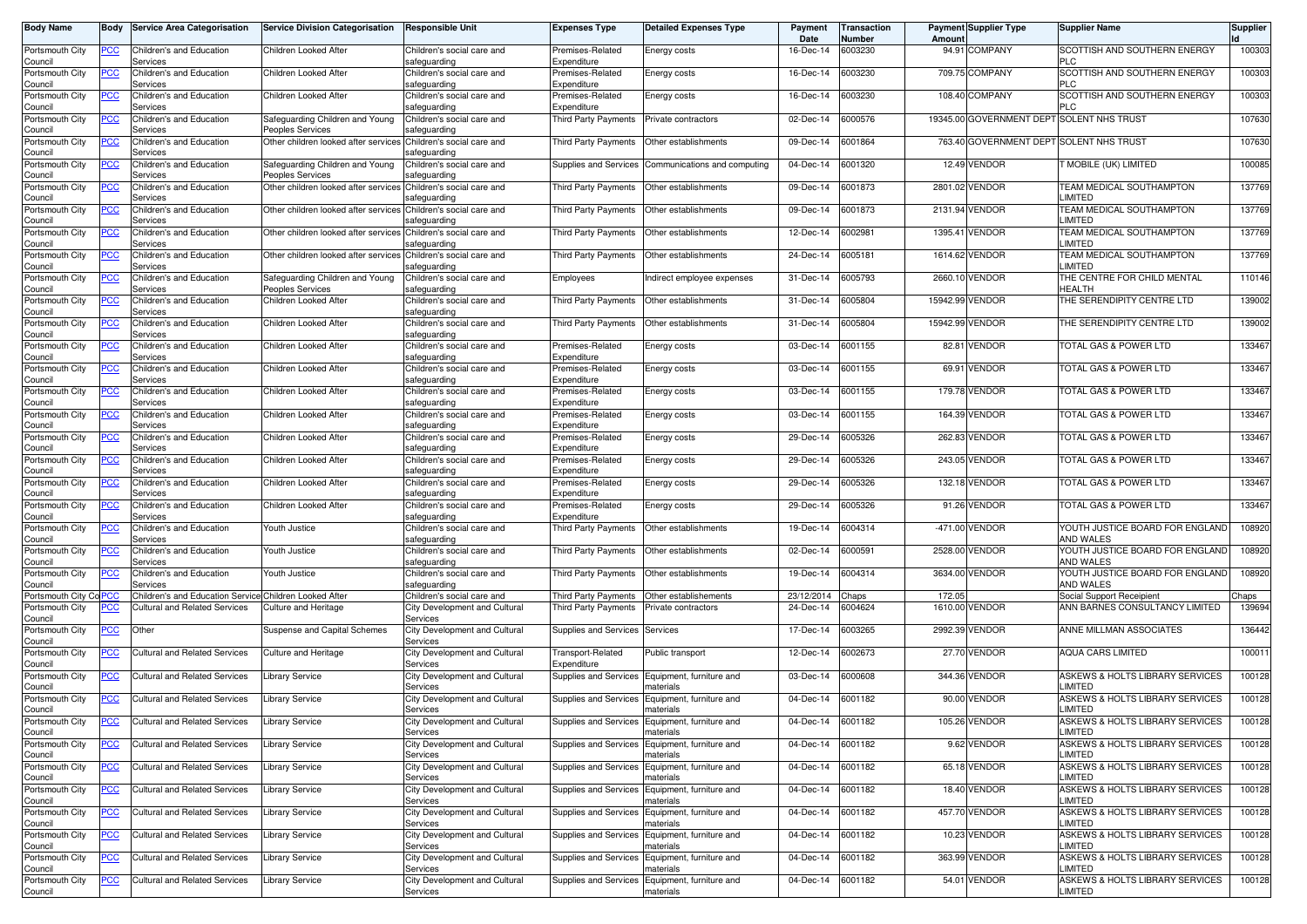| <b>Body Name</b>           | Body           | <b>Service Area Categorisation</b>                     | <b>Service Division Categorisation</b>                          | <b>Responsible Unit</b>                    | <b>Expenses Type</b>             | <b>Detailed Expenses Type</b>                               | Payment<br>Date   | Transaction<br>Number | Amoun           | <b>Payment Supplier Type</b>              | <b>Supplier Name</b>                                  | <b>Supplier</b> |
|----------------------------|----------------|--------------------------------------------------------|-----------------------------------------------------------------|--------------------------------------------|----------------------------------|-------------------------------------------------------------|-------------------|-----------------------|-----------------|-------------------------------------------|-------------------------------------------------------|-----------------|
| Portsmouth City<br>Council | PCC            | Children's and Education<br>Services                   | Children Looked After                                           | Children's social care and<br>safeguarding | Premises-Related<br>Expenditure  | Energy costs                                                | 16-Dec-14         | 6003230               |                 | 94.91 COMPANY                             | SCOTTISH AND SOUTHERN ENERGY<br><b>PLC</b>            | 100303          |
| Portsmouth City<br>Council | <u>PCC</u>     | Children's and Education<br>Services                   | Children Looked After                                           | Children's social care and<br>safeguarding | Premises-Related<br>Expenditure  | Energy costs                                                | 16-Dec-14         | 6003230               |                 | 709.75 COMPANY                            | SCOTTISH AND SOUTHERN ENERGY<br><b>PLC</b>            | 100303          |
| Portsmouth City<br>Council | <u>PCC</u>     | Children's and Education<br>Services                   | Children Looked After                                           | Children's social care and<br>safeguarding | Premises-Related<br>Expenditure  | Energy costs                                                | 16-Dec-14         | 6003230               |                 | 108.40 COMPANY                            | SCOTTISH AND SOUTHERN ENERGY<br><b>PLC</b>            | 100303          |
| Portsmouth City<br>Council | $\overline{C}$ | Children's and Education<br>Services                   | Safeguarding Children and Young<br>Peoples Services             | Children's social care and<br>safeguarding | Third Party Payments             | Private contractors                                         | 02-Dec-14         | 6000576               |                 | 19345.00 GOVERNMENT DEPT SOLENT NHS TRUST |                                                       | 107630          |
| Portsmouth City<br>Council | $\overline{C}$ | Children's and Education<br>Services                   | Other children looked after services                            | Children's social care and<br>safeguarding | Third Party Payments             | Other establishments                                        | 09-Dec-14         | 6001864               |                 | 763.40 GOVERNMENT DEPT SOLENT NHS TRUST   |                                                       | 107630          |
| Portsmouth City<br>Council | <u>PCC</u>     | <b>Children's and Education</b><br>Services            | Safeguarding Children and Young<br>Peoples Services             | Children's social care and<br>safeguarding | Supplies and Services            | Communications and computing                                | 04-Dec-14         | 6001320               |                 | 12.49 VENDOR                              | T MOBILE (UK) LIMITED                                 | 100085          |
| Portsmouth City<br>Council | <b>PCC</b>     | Children's and Education<br>Services                   | Other children looked after services                            | Children's social care and<br>safeguarding | Third Party Payments             | Other establishments                                        | 09-Dec-14         | 6001873               |                 | 2801.02 VENDOR                            | TEAM MEDICAL SOUTHAMPTON<br>LIMITED                   | 137769          |
| Portsmouth City<br>Council | <u>PCC</u>     | Children's and Education<br>Services                   | Other children looked after services                            | Children's social care and<br>safeguarding | Third Party Payments             | Other establishments                                        | 09-Dec-14         | 6001873               |                 | 2131.94 VENDOR                            | TEAM MEDICAL SOUTHAMPTON<br>LIMITED                   | 137769          |
| Portsmouth City<br>Council | <b>PCC</b>     | Children's and Education<br>Services                   | Other children looked after services Children's social care and | safeguarding                               | Third Party Payments             | Other establishments                                        | 12-Dec-14         | 6002981               |                 | 1395.41 VENDOR                            | TEAM MEDICAL SOUTHAMPTON<br>LIMITED                   | 137769          |
| Portsmouth City<br>Council | PСC            | Children's and Education<br>Services                   | Other children looked after services                            | Children's social care and<br>safeguarding | Third Party Payments             | Other establishments                                        | 24-Dec-14         | 6005181               |                 | 1614.62 VENDOR                            | TEAM MEDICAL SOUTHAMPTON<br>LIMITED                   | 137769          |
| Portsmouth City<br>Council | <u>PCC</u>     | Children's and Education<br>Services                   | Safeguarding Children and Young<br>Peoples Services             | Children's social care and<br>safeguarding | Employees                        | ndirect employee expenses                                   | 31-Dec-14         | 6005793               |                 | 2660.10 VENDOR                            | THE CENTRE FOR CHILD MENTAL<br><b>HEALTH</b>          | 110146          |
| Portsmouth City<br>Council | PСC            | Children's and Education<br>Services                   | Children Looked After                                           | Children's social care and<br>safeguarding | Third Party Payments             | Other establishments                                        | 31-Dec-14         | 6005804               | 15942.99 VENDOR |                                           | THE SERENDIPITY CENTRE LTD                            | 139002          |
| Portsmouth City<br>Council | PСC            | Children's and Education<br>Services                   | Children Looked After                                           | Children's social care and<br>safeguarding | Third Party Payments             | Other establishments                                        | 31-Dec-14         | 6005804               | 15942.99 VENDOR |                                           | THE SERENDIPITY CENTRE LTD                            | 139002          |
| Portsmouth City<br>Council | PСC            | Children's and Education<br>Services                   | Children Looked After                                           | Children's social care and<br>safeguarding | Premises-Related<br>Expenditure  | Energy costs                                                | 03-Dec-14         | 6001155               |                 | 82.81 VENDOR                              | TOTAL GAS & POWER LTD                                 | 133467          |
| Portsmouth City<br>Council | PСC            | <b>Children's and Education</b><br>Services            | Children Looked After                                           | Children's social care and<br>safeguarding | Premises-Related<br>Expenditure  | Energy costs                                                | 03-Dec-14         | 6001155               |                 | 69.91 VENDOR                              | TOTAL GAS & POWER LTD                                 | 133467          |
| Portsmouth City<br>Council | PCC            | Children's and Education<br>Services                   | Children Looked After                                           | Children's social care and<br>safeguarding | Premises-Related<br>Expenditure  | Energy costs                                                | 03-Dec-14         | 6001155               |                 | 179.78 VENDOR                             | <b>TOTAL GAS &amp; POWER LTD</b>                      | 133467          |
| Portsmouth City<br>Council | PСC            | Children's and Education<br>Services                   | Children Looked After                                           | Children's social care and<br>safeguarding | Premises-Related<br>Expenditure  | Energy costs                                                | 03-Dec-14         | 6001155               |                 | 164.39 VENDOR                             | TOTAL GAS & POWER LTD                                 | 133467          |
| Portsmouth City<br>Council | <u>PCC</u>     | Children's and Education<br>Services                   | Children Looked After                                           | Children's social care and<br>safeguarding | Premises-Related<br>Expenditure  | Energy costs                                                | 29-Dec-14         | 6005326               |                 | 262.83 VENDOR                             | TOTAL GAS & POWER LTD                                 | 133467          |
| Portsmouth City<br>Council | PСC            | Children's and Education<br>Services                   | Children Looked After                                           | Children's social care and<br>safeguarding | Premises-Related<br>Expenditure  | Energy costs                                                | 29-Dec-14         | 6005326               |                 | 243.05 VENDOR                             | TOTAL GAS & POWER LTD                                 | 133467          |
| Portsmouth City<br>Council | PСC            | Children's and Education<br>Services                   | Children Looked After                                           | Children's social care and<br>safeguarding | Premises-Related<br>Expenditure  | Energy costs                                                | 29-Dec-14         | 6005326               |                 | 132.18 VENDOR                             | TOTAL GAS & POWER LTD                                 | 133467          |
| Portsmouth City<br>Council | PСC            | Children's and Education<br>Services                   | Children Looked After                                           | Children's social care and<br>safeguarding | Premises-Related<br>Expenditure  | Energy costs                                                | 29-Dec-14         | 6005326               |                 | 91.26 VENDOR                              | TOTAL GAS & POWER LTD                                 | 133467          |
| Portsmouth City<br>Council | <b>PCC</b>     | <b>Children's and Education</b><br>Services            | Youth Justice                                                   | Children's social care and<br>safeguarding | Third Party Payments             | Other establishments                                        | 19-Dec-14         | 6004314               |                 | -471.00 VENDOR                            | YOUTH JUSTICE BOARD FOR ENGLAND<br>AND WALES          | 108920          |
| Portsmouth City<br>Council | <u>PCC</u>     | Children's and Education<br>Services                   | Youth Justice                                                   | Children's social care and<br>safeguarding | Third Party Payments             | Other establishments                                        | 02-Dec-14         | 6000591               |                 | 2528.00 VENDOR                            | YOUTH JUSTICE BOARD FOR ENGLAND<br>AND WALES          | 108920          |
| Portsmouth City<br>Council | <u>PCC</u>     | Children's and Education<br>Services                   | Youth Justice                                                   | Children's social care and<br>safeguarding | Third Party Payments             | Other establishments                                        | 19-Dec-14         | 6004314               |                 | 3634.00 VENDOR                            | YOUTH JUSTICE BOARD FOR ENGLAND<br>AND WALES          | 108920          |
| Portsmouth City Co PCC     |                | Children's and Education Service Children Looked After |                                                                 | Children's social care and                 | Third Party Payments             | Other establishements                                       | 23/12/2014        | Chaps                 | 172.05          |                                           | Social Support Receipient                             | Chaps           |
| Portsmouth City<br>Council | PСC            | <b>Cultural and Related Services</b>                   | <b>Culture and Heritage</b>                                     | City Development and Cultural<br>Services  | Third Party Payments             | Private contractors                                         | 24-Dec-14         | 6004624               | 1610.00         | <b>VENDOR</b>                             | ANN BARNES CONSULTANCY LIMITED                        | 139694          |
| Portsmouth City<br>Council | <u>PCC</u>     | Other                                                  | Suspense and Capital Schemes                                    | City Development and Cultural<br>Services  | Supplies and Services            | Services                                                    | 17-Dec-14         | 6003265               |                 | 2992.39 VENDOR                            | ANNE MILLMAN ASSOCIATES                               | 136442          |
| Portsmouth City<br>Council | PCC            | <b>Cultural and Related Services</b>                   | Culture and Heritage                                            | City Development and Cultural<br>Services  | Transport-Related<br>Expenditure | Public transport                                            | 12-Dec-14         | 6002673               |                 | 27.70 VENDOR                              | <b>AQUA CARS LIMITED</b>                              | 100011          |
| Portsmouth City<br>Council | PCC            | Cultural and Related Services                          | <b>Library Service</b>                                          | City Development and Cultural<br>Services  | Supplies and Services            | Equipment, furniture and<br>naterials                       | 03-Dec-14         | 6000608               |                 | 344.36 VENDOR                             | ASKEWS & HOLTS LIBRARY SERVICES<br>LIMITED            | 100128          |
| Portsmouth City<br>Council | <u>PCC</u>     | Cultural and Related Services                          | <b>Library Service</b>                                          | City Development and Cultural<br>Services  | Supplies and Services            | Equipment, furniture and<br>materials                       | 04-Dec-14         | 6001182               |                 | 90.00 VENDOR                              | ASKEWS & HOLTS LIBRARY SERVICES<br>LIMITED            | 100128          |
| Portsmouth City<br>Council |                | Cultural and Related Services                          | <b>Library Service</b>                                          | City Development and Cultural<br>Services  | supplies and Services            | Equipment, furniture and<br>materials                       | 04-Dec-14 6001182 |                       |                 | 105.26 VENDOR                             | <b>ISKEWS &amp; HOLTS LIBRARY SERVICES</b><br>LIMITED | 100128          |
| Portsmouth City<br>Council | <u>PCC</u>     | <b>Cultural and Related Services</b>                   | <b>Library Service</b>                                          | City Development and Cultural<br>Services  |                                  | Supplies and Services Equipment, furniture and<br>materials | 04-Dec-14         | 6001182               |                 | 9.62 VENDOR                               | ASKEWS & HOLTS LIBRARY SERVICES<br>LIMITED            | 100128          |
| Portsmouth City<br>Council | <b>PCC</b>     | <b>Cultural and Related Services</b>                   | <b>Library Service</b>                                          | City Development and Cultural<br>Services  |                                  | Supplies and Services Equipment, furniture and<br>naterials | 04-Dec-14         | 6001182               |                 | 65.18 VENDOR                              | ASKEWS & HOLTS LIBRARY SERVICES<br>LIMITED            | 100128          |
| Portsmouth City<br>Council | <u>PCC</u>     | <b>Cultural and Related Services</b>                   | Library Service                                                 | City Development and Cultural<br>Services  | Supplies and Services            | Equipment, furniture and<br>naterials                       | 04-Dec-14         | 6001182               |                 | 18.40 VENDOR                              | ASKEWS & HOLTS LIBRARY SERVICES<br><b>LIMITED</b>     | 100128          |
| Portsmouth City<br>Council | <b>PCC</b>     | <b>Cultural and Related Services</b>                   | Library Service                                                 | City Development and Cultural<br>Services  | Supplies and Services            | Equipment, furniture and<br>naterials                       | 04-Dec-14         | 6001182               |                 | 457.70 VENDOR                             | ASKEWS & HOLTS LIBRARY SERVICES<br>LIMITED            | 100128          |
| Portsmouth City<br>Council | <u>PCC</u>     | <b>Cultural and Related Services</b>                   | <b>Library Service</b>                                          | City Development and Cultural<br>Services  | Supplies and Services            | Equipment, furniture and<br>naterials                       | 04-Dec-14         | 6001182               |                 | 10.23 VENDOR                              | ASKEWS & HOLTS LIBRARY SERVICES<br><b>LIMITED</b>     | 100128          |
| Portsmouth City<br>Council | <u>PCC</u>     | <b>Cultural and Related Services</b>                   | <b>Library Service</b>                                          | City Development and Cultural<br>Services  | Supplies and Services            | Equipment, furniture and<br>naterials                       | 04-Dec-14         | 6001182               |                 | 363.99 VENDOR                             | ASKEWS & HOLTS LIBRARY SERVICES<br>LIMITED            | 100128          |
| Portsmouth City<br>Council | <b>PCC</b>     | <b>Cultural and Related Services</b>                   | <b>Library Service</b>                                          | City Development and Cultural<br>Services  |                                  | Supplies and Services Equipment, furniture and<br>materials | 04-Dec-14         | 6001182               |                 | 54.01 VENDOR                              | ASKEWS & HOLTS LIBRARY SERVICES<br>LIMITED            | 100128          |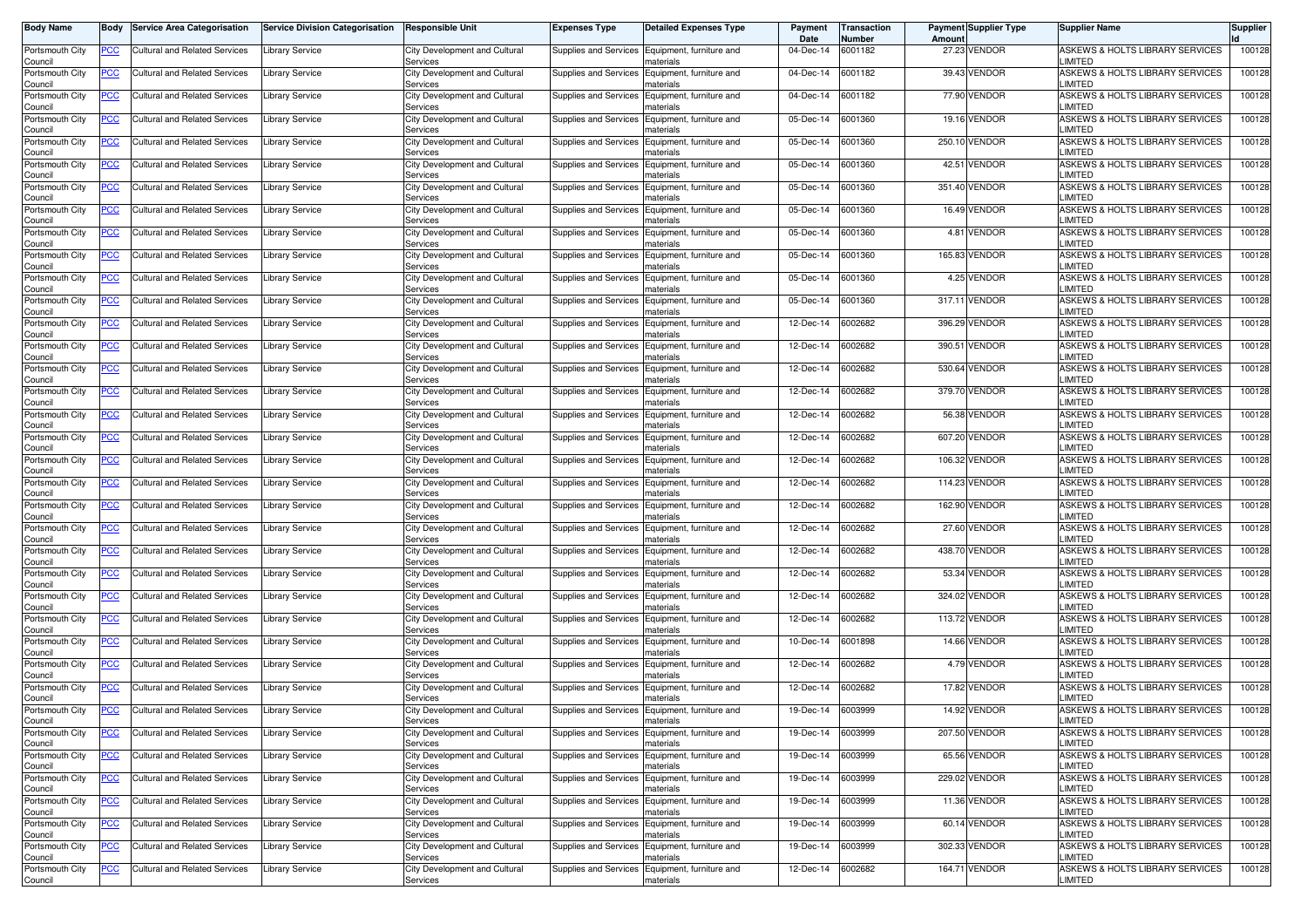| <b>Body Name</b>           | Body       | <b>Service Area Categorisation</b>   | <b>Service Division Categorisation</b> | <b>Responsible Unit</b>                          | <b>Expenses Type</b>  | <b>Detailed Expenses Type</b>                               | Payment<br>Date | <b>Transaction</b><br>Number | Amoun  | <b>Payment Supplier Type</b> | <b>Supplier Name</b>                              | Supplier |
|----------------------------|------------|--------------------------------------|----------------------------------------|--------------------------------------------------|-----------------------|-------------------------------------------------------------|-----------------|------------------------------|--------|------------------------------|---------------------------------------------------|----------|
| Portsmouth City<br>Council | <u>PCC</u> | Cultural and Related Services        | <b>Library Service</b>                 | City Development and Cultural<br>Services        |                       | Supplies and Services Equipment, furniture and<br>naterials | 04-Dec-14       | 6001182                      |        | 27.23 VENDOR                 | ASKEWS & HOLTS LIBRARY SERVICES<br>LIMITED        | 100128   |
| Portsmouth City<br>Council | <b>PCC</b> | Cultural and Related Services        | Library Service                        | City Development and Cultural<br>Services        | Supplies and Services | Equipment, furniture and<br>naterials                       | 04-Dec-14       | 6001182                      |        | 39.43 VENDOR                 | ASKEWS & HOLTS LIBRARY SERVICES<br>LIMITED        | 100128   |
| Portsmouth City<br>Council | <u>PCC</u> | Cultural and Related Services        | Library Service                        | City Development and Cultural<br>Services        | Supplies and Services | Equipment, furniture and<br>าaterials                       | 04-Dec-14       | 6001182                      |        | 77.90 VENDOR                 | ASKEWS & HOLTS LIBRARY SERVICES<br>LIMITED        | 100128   |
| Portsmouth City<br>Council | <u>PCC</u> | <b>Cultural and Related Services</b> | Library Service                        | City Development and Cultural<br>Services        | Supplies and Services | Equipment, furniture and<br>naterials                       | 05-Dec-14       | 6001360                      |        | 19.16 VENDOR                 | ASKEWS & HOLTS LIBRARY SERVICES<br>LIMITED        | 100128   |
| Portsmouth City<br>Council | <u>PCC</u> | Cultural and Related Services        | <b>Library Service</b>                 | City Development and Cultural<br>Services        | Supplies and Services | Equipment, furniture and<br>าaterials                       | 05-Dec-14       | 6001360                      |        | 250.10 VENDOR                | ASKEWS & HOLTS LIBRARY SERVICES<br>LIMITED        | 100128   |
| Portsmouth City<br>Council | <u>PCC</u> | Cultural and Related Services        | Library Service                        | City Development and Cultural<br>Services        | Supplies and Services | Equipment, furniture and<br>naterials                       | 05-Dec-14       | 6001360                      |        | 42.51 VENDOR                 | ASKEWS & HOLTS LIBRARY SERVICES<br>LIMITED        | 100128   |
| Portsmouth City<br>Council | <u>PCC</u> | <b>Cultural and Related Services</b> | Library Service                        | City Development and Cultural<br>Services        | Supplies and Services | Equipment, furniture and<br>naterials                       | 05-Dec-14       | 6001360                      |        | 351.40 VENDOR                | ASKEWS & HOLTS LIBRARY SERVICES<br>LIMITED        | 100128   |
| Portsmouth City<br>Council | <u>PCC</u> | <b>Cultural and Related Services</b> | Library Service                        | City Development and Cultural<br>Services        | Supplies and Services | Equipment, furniture and<br>naterials                       | 05-Dec-14       | 6001360                      |        | 16.49 VENDOR                 | ASKEWS & HOLTS LIBRARY SERVICES<br>LIMITED        | 100128   |
| Portsmouth City<br>Council | <u>PCC</u> | Cultural and Related Services        | Library Service                        | City Development and Cultural<br>Services        | Supplies and Services | Equipment, furniture and<br>naterials                       | 05-Dec-14       | 6001360                      |        | 4.81 VENDOR                  | ASKEWS & HOLTS LIBRARY SERVICES<br><b>LIMITED</b> | 100128   |
| Portsmouth City<br>Council | PCC        | Cultural and Related Services        | <b>Library Service</b>                 | City Development and Cultural<br>Services        | Supplies and Services | Equipment, furniture and<br>naterials                       | 05-Dec-14       | 6001360                      |        | 165.83 VENDOR                | ASKEWS & HOLTS LIBRARY SERVICES<br>LIMITED        | 100128   |
| Portsmouth City<br>Council | <u>PCC</u> | Cultural and Related Services        | Library Service                        | City Development and Cultural<br>Services        | Supplies and Services | Equipment, furniture and<br>naterials                       | 05-Dec-14       | 6001360                      |        | 4.25 VENDOR                  | ASKEWS & HOLTS LIBRARY SERVICES<br>LIMITED        | 100128   |
| Portsmouth City<br>Council | PСC        | <b>Cultural and Related Services</b> | Library Service                        | City Development and Cultural<br>Services        | Supplies and Services | Equipment, furniture and<br>haterials                       | 05-Dec-14       | 6001360                      | 317.11 | <b>VENDOR</b>                | ASKEWS & HOLTS LIBRARY SERVICES<br>LIMITED        | 100128   |
| Portsmouth City<br>Council | <u>PCC</u> | Cultural and Related Services        | <b>Library Service</b>                 | City Development and Cultural<br>Services        | Supplies and Services | Equipment, furniture and<br>naterials                       | 12-Dec-14       | 6002682                      |        | 396.29 VENDOR                | ASKEWS & HOLTS LIBRARY SERVICES<br>LIMITED        | 100128   |
| Portsmouth City<br>Council | <u>PCC</u> | Cultural and Related Services        | Library Service                        | City Development and Cultural<br>Services        | Supplies and Services | Equipment, furniture and<br>าaterials                       | 12-Dec-14       | 6002682                      | 390.51 | <b>VENDOR</b>                | ASKEWS & HOLTS LIBRARY SERVICES<br>LIMITED        | 100128   |
| Portsmouth City<br>Council | <u>PCC</u> | Cultural and Related Services        | Library Service                        | City Development and Cultural<br>Services        | Supplies and Services | Equipment, furniture and<br>naterials                       | 12-Dec-14       | 6002682                      | 530.64 | <b>VENDOR</b>                | ASKEWS & HOLTS LIBRARY SERVICES<br>LIMITED        | 100128   |
| Portsmouth City<br>Council | <u>PCC</u> | <b>Cultural and Related Services</b> | Library Service                        | City Development and Cultural<br>Services        | Supplies and Services | Equipment, furniture and<br>naterials                       | 12-Dec-14       | 6002682                      |        | 379.70 VENDOR                | ASKEWS & HOLTS LIBRARY SERVICES<br>LIMITED        | 100128   |
| Portsmouth City<br>Council | <u>PCC</u> | <b>Cultural and Related Services</b> | <b>Library Service</b>                 | City Development and Cultural<br>Services        | Supplies and Services | Equipment, furniture and<br>naterials                       | 12-Dec-14       | 6002682                      |        | 56.38 VENDOR                 | ASKEWS & HOLTS LIBRARY SERVICES<br>LIMITED        | 100128   |
| Portsmouth City<br>Council | <u>PCC</u> | Cultural and Related Services        | Library Service                        | City Development and Cultural<br>Services        | Supplies and Services | Equipment, furniture and<br>naterials                       | 12-Dec-14       | 6002682                      |        | 607.20 VENDOR                | ASKEWS & HOLTS LIBRARY SERVICES<br><b>LIMITED</b> | 100128   |
| Portsmouth City<br>Council | PCC        | Cultural and Related Services        | Library Service                        | <b>City Development and Cultural</b><br>Services | Supplies and Services | Equipment, furniture and<br>haterials                       | 12-Dec-14       | 6002682                      |        | 106.32 VENDOR                | ASKEWS & HOLTS LIBRARY SERVICES<br>LIMITED        | 100128   |
| Portsmouth City<br>Council | <u>PCC</u> | Cultural and Related Services        | Library Service                        | City Development and Cultural<br>Services        | Supplies and Services | Equipment, furniture and<br>naterials                       | 12-Dec-14       | 6002682                      |        | 114.23 VENDOR                | ASKEWS & HOLTS LIBRARY SERVICES<br>LIMITED        | 100128   |
| Portsmouth City<br>Council | <u>PCC</u> | Cultural and Related Services        | Library Service                        | City Development and Cultural<br>Services        | Supplies and Services | Equipment, furniture and<br>าaterials                       | 12-Dec-14       | 6002682                      |        | 162.90 VENDOR                | ASKEWS & HOLTS LIBRARY SERVICES<br>LIMITED        | 100128   |
| Portsmouth City<br>Council | <u>PCC</u> | Cultural and Related Services        | Library Service                        | City Development and Cultural<br>Services        | Supplies and Services | Equipment, furniture and<br>naterials                       | 12-Dec-14       | 6002682                      |        | 27.60 VENDOR                 | ASKEWS & HOLTS LIBRARY SERVICES<br>LIMITED        | 100128   |
| Portsmouth City<br>Council | <u>PCC</u> | Cultural and Related Services        | Library Service                        | City Development and Cultural<br>Services        | Supplies and Services | Equipment, furniture and<br>naterials                       | 12-Dec-14       | 6002682                      |        | 438.70 VENDOR                | ASKEWS & HOLTS LIBRARY SERVICES<br>LIMITED        | 100128   |
| Portsmouth City<br>Council | <u>PCC</u> | Cultural and Related Services        | Library Service                        | City Development and Cultural<br>Services        | Supplies and Services | Equipment, furniture and<br>naterials                       | 12-Dec-14       | 6002682                      |        | 53.34 VENDOR                 | ASKEWS & HOLTS LIBRARY SERVICES<br>LIMITED        | 100128   |
| Portsmouth City<br>Council | <u>PCC</u> | <b>Cultural and Related Services</b> | Library Service                        | City Development and Cultural<br>Services        | Supplies and Services | Equipment, furniture and<br>naterials                       | 12-Dec-14       | 6002682                      |        | 324.02 VENDOR                | ASKEWS & HOLTS LIBRARY SERVICES<br>LIMITED        | 100128   |
| Portsmouth City<br>Council | <u>PCC</u> | <b>Cultural and Related Services</b> | Library Service                        | City Development and Cultural<br>Services        | Supplies and Services | Equipment, furniture and<br>naterials                       | 12-Dec-14       | 6002682                      |        | 113.72 VENDOR                | ASKEWS & HOLTS LIBRARY SERVICES<br>LIMITED        | 100128   |
| Portsmouth City<br>Council | <u>PCC</u> | Cultural and Related Services        | Library Service                        | City Development and Cultural<br>Services        | Supplies and Services | Equipment, furniture and<br>naterials                       | 10-Dec-14       | 6001898                      |        | 14.66 VENDOR                 | ASKEWS & HOLTS LIBRARY SERVICES<br>LIMITED        | 100128   |
| Portsmouth City<br>Council | <u>PCC</u> | Cultural and Related Services        | Library Service                        | <b>City Development and Cultural</b><br>Services | Supplies and Services | Equipment, furniture and<br>haterials                       | 12-Dec-14       | 6002682                      |        | 4.79 VENDOR                  | ASKEWS & HOLTS LIBRARY SERVICES<br>LIMITED        | 100128   |
| Portsmouth City<br>Council | <u>PCC</u> | <b>Cultural and Related Services</b> | Library Service                        | City Development and Cultural<br>Services        | Supplies and Services | Equipment, furniture and<br>naterials                       | 12-Dec-14       | 6002682                      |        | 17.82 VENDOR                 | ASKEWS & HOLTS LIBRARY SERVICES<br>LIMITED        | 100128   |
| Portsmouth City<br>Council | <u>PCC</u> | <b>Cultural and Related Services</b> | Library Service                        | City Development and Cultural<br><b>PELAICES</b> |                       | Supplies and Services Equipment, furniture and<br>nateriais | 19-Dec-14       | 6003999                      |        | 14.92 VENDOR                 | ASKEWS & HOLTS LIBRARY SERVICES<br>_IMITED        | 100128   |
| Portsmouth City<br>Council | <u>PCC</u> | Cultural and Related Services        | <b>Library Service</b>                 | City Development and Cultural<br>Services        | Supplies and Services | Equipment, furniture and<br>materials                       | 19-Dec-14       | 6003999                      |        | 207.50 VENDOR                | ASKEWS & HOLTS LIBRARY SERVICES<br>LIMITED        | 100128   |
| Portsmouth City<br>Council | <u>PCC</u> | <b>Cultural and Related Services</b> | <b>Library Service</b>                 | City Development and Cultural<br>Services        | Supplies and Services | Equipment, furniture and<br>materials                       | 19-Dec-14       | 6003999                      |        | 65.56 VENDOR                 | ASKEWS & HOLTS LIBRARY SERVICES<br>LIMITED        | 100128   |
| Portsmouth City<br>Council | <u>PCC</u> | Cultural and Related Services        | <b>Library Service</b>                 | City Development and Cultural<br>Services        |                       | Supplies and Services Equipment, furniture and<br>naterials | 19-Dec-14       | 6003999                      |        | 229.02 VENDOR                | ASKEWS & HOLTS LIBRARY SERVICES<br>LIMITED        | 100128   |
| Portsmouth City<br>Council | <u>PCC</u> | <b>Cultural and Related Services</b> | <b>Library Service</b>                 | City Development and Cultural<br>Services        |                       | Supplies and Services Equipment, furniture and<br>naterials | 19-Dec-14       | 6003999                      |        | 11.36 VENDOR                 | ASKEWS & HOLTS LIBRARY SERVICES<br>LIMITED        | 100128   |
| Portsmouth City<br>Council | <u>PCC</u> | Cultural and Related Services        | <b>Library Service</b>                 | City Development and Cultural<br>Services        |                       | Supplies and Services Equipment, furniture and<br>naterials | 19-Dec-14       | 6003999                      |        | 60.14 VENDOR                 | ASKEWS & HOLTS LIBRARY SERVICES<br>LIMITED        | 100128   |
| Portsmouth City<br>Council | <u>PCC</u> | <b>Cultural and Related Services</b> | <b>Library Service</b>                 | City Development and Cultural<br>Services        | Supplies and Services | Equipment, furniture and<br>naterials                       | 19-Dec-14       | 6003999                      |        | 302.33 VENDOR                | ASKEWS & HOLTS LIBRARY SERVICES<br>LIMITED        | 100128   |
| Portsmouth City<br>Council | PCC        | Cultural and Related Services        | <b>Library Service</b>                 | City Development and Cultural<br>Services        | Supplies and Services | Equipment, furniture and<br>materials                       | 12-Dec-14       | 6002682                      |        | 164.71 VENDOR                | ASKEWS & HOLTS LIBRARY SERVICES<br>LIMITED        | 100128   |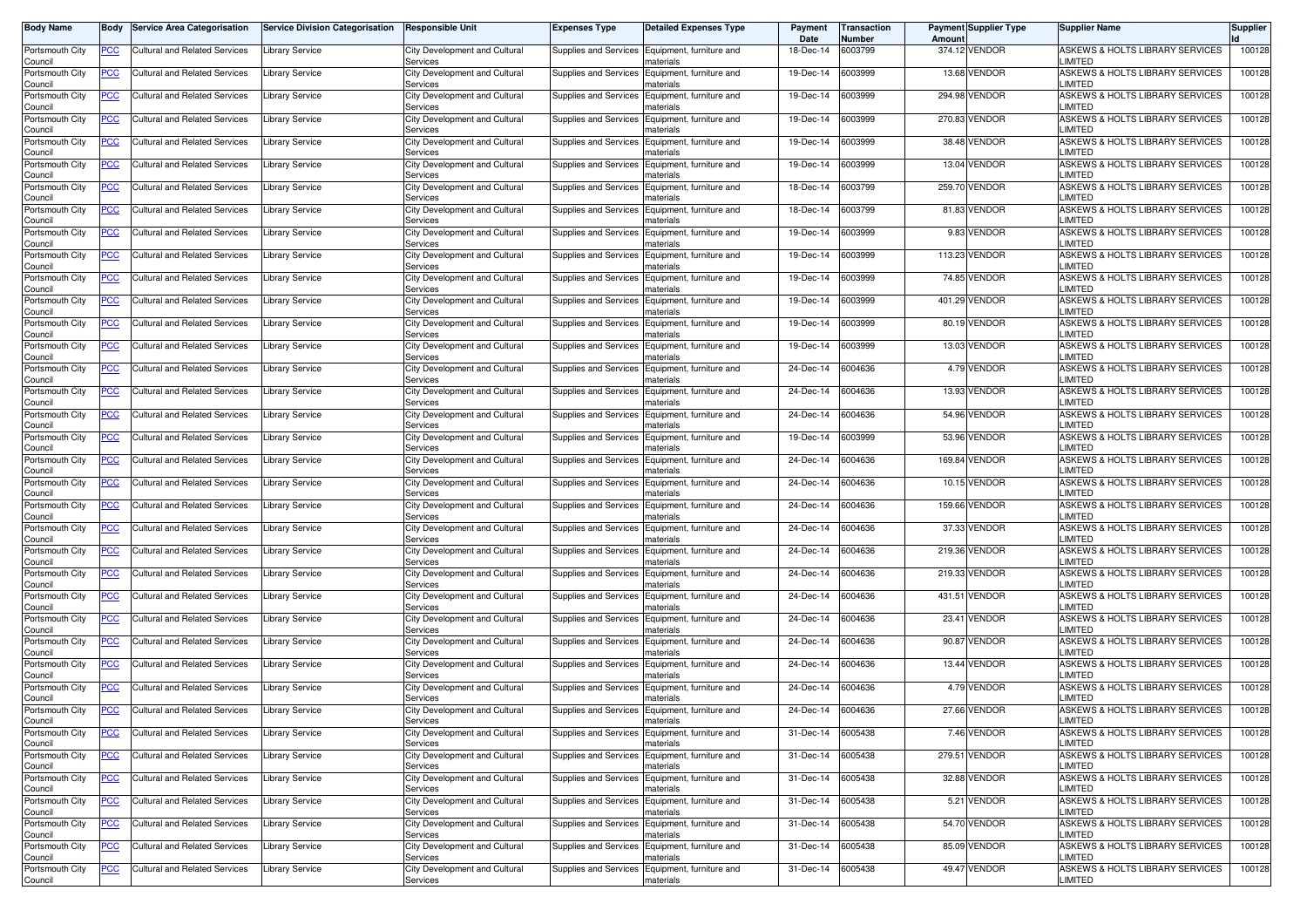| Body Name                  | Body           | <b>Service Area Categorisation</b>   | <b>Service Division Categorisation</b> | <b>Responsible Unit</b>                          | <b>Expenses Type</b>         | <b>Detailed Expenses Type</b>                               | Payment<br>Date | Transaction<br>Number | Amoun  | <b>Payment Supplier Type</b> | <b>Supplier Name</b>                              | <b>Supplier</b> |
|----------------------------|----------------|--------------------------------------|----------------------------------------|--------------------------------------------------|------------------------------|-------------------------------------------------------------|-----------------|-----------------------|--------|------------------------------|---------------------------------------------------|-----------------|
| Portsmouth City<br>Council | <u>PCC</u>     | Cultural and Related Services        | Library Service                        | City Development and Cultural<br>Services        |                              | Supplies and Services Equipment, furniture and<br>naterials | 18-Dec-14       | 6003799               |        | 374.12 VENDOR                | ASKEWS & HOLTS LIBRARY SERVICES<br><b>LIMITED</b> | 100128          |
| Portsmouth City<br>Council | <u>PCC</u>     | Cultural and Related Services        | ibrary Service                         | City Development and Cultural<br>Services        |                              | Supplies and Services Equipment, furniture and<br>naterials | 19-Dec-14       | 6003999               |        | 13.68 VENDOR                 | ASKEWS & HOLTS LIBRARY SERVICES<br>LIMITED        | 100128          |
| Portsmouth City<br>Council | <u>PCC</u>     | Cultural and Related Services        | ibrary Service                         | City Development and Cultural<br>Services        | Supplies and Services        | Equipment, furniture and<br>าaterials                       | 19-Dec-14       | 6003999               |        | 294.98 VENDOR                | ASKEWS & HOLTS LIBRARY SERVICES<br>LIMITED        | 100128          |
| Portsmouth City<br>Council | <u>PCC</u>     | <b>Cultural and Related Services</b> | ibrary Service.                        | City Development and Cultural<br>Services        | Supplies and Services        | Equipment, furniture and<br>naterials                       | 19-Dec-14       | 6003999               |        | 270.83 VENDOR                | ASKEWS & HOLTS LIBRARY SERVICES<br>LIMITED        | 100128          |
| Portsmouth City<br>Council | <u>PCC</u>     | Cultural and Related Services        | Library Service                        | <b>City Development and Cultural</b><br>Services | Supplies and Services        | Equipment, furniture and<br>naterials                       | 19-Dec-14       | 6003999               |        | 38.48 VENDOR                 | ASKEWS & HOLTS LIBRARY SERVICES<br>LIMITED        | 100128          |
| Portsmouth City<br>Council | <u>PCC</u>     | Cultural and Related Services        | Library Service                        | City Development and Cultural<br>Services        | Supplies and Services        | Equipment, furniture and<br>naterials                       | 19-Dec-14       | 6003999               |        | 13.04 VENDOR                 | ASKEWS & HOLTS LIBRARY SERVICES<br>LIMITED        | 100128          |
| Portsmouth City<br>Council | <u>PCC</u>     | <b>Cultural and Related Services</b> | Library Service                        | City Development and Cultural<br>Services        | Supplies and Services        | Equipment, furniture and<br>naterials                       | 18-Dec-14       | 6003799               |        | 259.70 VENDOR                | ASKEWS & HOLTS LIBRARY SERVICES<br>LIMITED        | 100128          |
| Portsmouth City<br>Council | <u>PCC</u>     | <b>Cultural and Related Services</b> | Library Service                        | City Development and Cultural<br>Services        | Supplies and Services        | Equipment, furniture and<br>naterials                       | 18-Dec-14       | 6003799               |        | 81.83 VENDOR                 | ASKEWS & HOLTS LIBRARY SERVICES<br>LIMITED        | 100128          |
| Portsmouth City<br>Council | <u>PCC</u>     | <b>Cultural and Related Services</b> | Library Service                        | City Development and Cultural<br>Services        |                              | Supplies and Services Equipment, furniture and<br>naterials | 19-Dec-14       | 6003999               |        | 9.83 VENDOR                  | ASKEWS & HOLTS LIBRARY SERVICES<br><b>LIMITED</b> | 100128          |
| Portsmouth City<br>Council | <u>PCC </u>    | Cultural and Related Services        | Library Service                        | City Development and Cultural<br>Services        |                              | Supplies and Services Equipment, furniture and<br>naterials | 19-Dec-14       | 6003999               |        | 113.23 VENDOR                | ASKEWS & HOLTS LIBRARY SERVICES<br>LIMITED        | 100128          |
| Portsmouth City<br>Council | <u>PCC</u>     | Cultural and Related Services        | ibrary Service                         | City Development and Cultural<br>Services        | Supplies and Services        | Equipment, furniture and<br>naterials                       | 19-Dec-14       | 6003999               |        | 74.85 VENDOR                 | ASKEWS & HOLTS LIBRARY SERVICES<br>LIMITED        | 100128          |
| Portsmouth City<br>Council | <u>PCC</u>     | <b>Cultural and Related Services</b> | Library Service                        | City Development and Cultural<br>Services        | Supplies and Services        | Equipment, furniture and<br>าaterials                       | 19-Dec-14       | 6003999               | 401.29 | <b>VENDOR</b>                | ASKEWS & HOLTS LIBRARY SERVICES<br>LIMITED        | 100128          |
| Portsmouth City<br>Council | <u>PCC</u>     | Cultural and Related Services        | Library Service                        | City Development and Cultural<br>Services        | Supplies and Services        | Equipment, furniture and<br>naterials                       | 19-Dec-14       | 6003999               |        | 80.19 VENDOR                 | ASKEWS & HOLTS LIBRARY SERVICES<br>LIMITED        | 100128          |
| Portsmouth City<br>Council | <u>PCC</u>     | Cultural and Related Services        | Library Service                        | City Development and Cultural<br>Services        | Supplies and Services        | Equipment, furniture and<br>naterials                       | 19-Dec-14       | 6003999               |        | 13.03 VENDOR                 | ASKEWS & HOLTS LIBRARY SERVICES<br>LIMITED        | 100128          |
| Portsmouth City<br>Council | <u>PCC</u>     | Cultural and Related Services        | Library Service                        | City Development and Cultural<br>Services        | Supplies and Services        | Equipment, furniture and<br>naterials                       | 24-Dec-14       | 6004636               |        | 4.79 VENDOR                  | ASKEWS & HOLTS LIBRARY SERVICES<br>LIMITED        | 100128          |
| Portsmouth City<br>Council | $\overline{C}$ | <b>Cultural and Related Services</b> | ibrary Service                         | City Development and Cultural<br>Services        | Supplies and Services        | Equipment, furniture and<br>naterials                       | 24-Dec-14       | 3004636               |        | 13.93 VENDOR                 | ASKEWS & HOLTS LIBRARY SERVICES<br>LIMITED        | 100128          |
| Portsmouth City<br>Council | <u>PCC</u>     | <b>Cultural and Related Services</b> | Library Service                        | City Development and Cultural<br>Services        | Supplies and Services        | Equipment, furniture and<br>naterials                       | 24-Dec-14       | 6004636               |        | 54.96 VENDOR                 | ASKEWS & HOLTS LIBRARY SERVICES<br>LIMITED        | 100128          |
| Portsmouth City<br>Council | <u>PCC</u>     | Cultural and Related Services        | ibrary Service.                        | City Development and Cultural<br>Services        |                              | Supplies and Services Equipment, furniture and<br>naterials | 19-Dec-14       | 6003999               |        | 53.96 VENDOR                 | ASKEWS & HOLTS LIBRARY SERVICES<br>LIMITED        | 100128          |
| Portsmouth City<br>Council | <u>PCC</u>     | Cultural and Related Services        | Library Service                        | City Development and Cultural<br>Services        | Supplies and Services        | Equipment, furniture and<br>naterials                       | 24-Dec-14       | 6004636               | 169.84 | <b>VENDOR</b>                | ASKEWS & HOLTS LIBRARY SERVICES<br>LIMITED        | 100128          |
| Portsmouth City<br>Council | $\overline{C}$ | <b>Cultural and Related Services</b> | ibrary Service.                        | City Development and Cultural<br>Services        | Supplies and Services        | Equipment, furniture and<br>naterials                       | 24-Dec-14       | 6004636               |        | 10.15 VENDOR                 | ASKEWS & HOLTS LIBRARY SERVICES<br>LIMITED        | 100128          |
| Portsmouth City<br>Council | <u>PCC</u>     | Cultural and Related Services        | Library Service                        | City Development and Cultural<br>Services        | Supplies and Services        | Equipment, furniture and<br>naterials                       | 24-Dec-14       | 6004636               |        | 159.66 VENDOR                | ASKEWS & HOLTS LIBRARY SERVICES<br>LIMITED        | 100128          |
| Portsmouth City<br>Council | <u>PCC</u>     | <b>Cultural and Related Services</b> | Library Service                        | City Development and Cultural<br>Services        | Supplies and Services        | Equipment, furniture and<br>materials                       | 24-Dec-14       | 3004636               |        | 37.33 VENDOR                 | ASKEWS & HOLTS LIBRARY SERVICES<br>LIMITED        | 100128          |
| Portsmouth City<br>Council | <u>PCC</u>     | Cultural and Related Services        | Library Service                        | City Development and Cultural<br>Services        | <b>Supplies and Services</b> | Equipment, furniture and<br>naterials                       | 24-Dec-14       | 6004636               |        | 219.36 VENDOR                | ASKEWS & HOLTS LIBRARY SERVICES<br>LIMITED        | 100128          |
| Portsmouth City<br>Council | <u>PCC</u>     | <b>Cultural and Related Services</b> | Library Service                        | City Development and Cultural<br>Services        | Supplies and Services        | Equipment, furniture and<br>naterials                       | 24-Dec-14       | 6004636               |        | 219.33 VENDOR                | ASKEWS & HOLTS LIBRARY SERVICES<br>LIMITED        | 100128          |
| Portsmouth City<br>Council | <u>PCC</u>     | <b>Cultural and Related Services</b> | ibrary Service                         | City Development and Cultural<br>Services        | Supplies and Services        | Equipment, furniture and<br>naterials                       | 24-Dec-14       | 6004636               |        | 431.51 VENDOR                | ASKEWS & HOLTS LIBRARY SERVICES<br>LIMITED        | 100128          |
| Portsmouth City<br>Council | <u>PCC</u>     | Cultural and Related Services        | <b>Library Service</b>                 | City Development and Cultural<br>Services        | Supplies and Services        | Equipment, furniture and<br>naterials                       | 24-Dec-14       | 6004636               |        | 23.41 VENDOR                 | ASKEWS & HOLTS LIBRARY SERVICES<br><b>LIMITED</b> | 100128          |
| Portsmouth City<br>Council | <u>PCC</u>     | Cultural and Related Services        | ibrary Service.                        | City Development and Cultural<br>Services        |                              | Supplies and Services Equipment, furniture and<br>naterials | 24-Dec-14       | 3004636               |        | 90.87 VENDOR                 | ASKEWS & HOLTS LIBRARY SERVICES<br><b>LIMITED</b> | 100128          |
| Portsmouth City<br>Council | <u>PCC</u>     | <b>Cultural and Related Services</b> | Library Service                        | City Development and Cultural<br>Services        | Supplies and Services        | Equipment, furniture and<br>naterials                       | 24-Dec-14       | 6004636               |        | 13.44 VENDOR                 | ASKEWS & HOLTS LIBRARY SERVICES<br>LIMITED        | 100128          |
| Portsmouth City<br>Council | <u>PCC</u>     | <b>Cultural and Related Services</b> | ibrary Service.                        | City Development and Cultural<br>Services        | Supplies and Services        | Equipment, furniture and<br>naterials                       | 24-Dec-14       | 6004636               |        | 4.79 VENDOR                  | ASKEWS & HOLTS LIBRARY SERVICES<br>LIMITED        | 100128          |
| Portsmouth City<br>Council | <u>PCC</u>     | Cultural and Related Services        | Library Service                        | City Development and Cultural<br><b>Services</b> |                              | Supplies and Services Equipment, furniture and<br>materials | 24-Dec-14       | 6004636               |        | 27.66 VENDOR                 | ASKEWS & HOLTS LIBRARY SERVICES<br>IMITED.        | 100128          |
| Portsmouth City<br>Council | <u>PCC</u>     | <b>Cultural and Related Services</b> | <b>Library Service</b>                 | City Development and Cultural<br>Services        |                              | Supplies and Services Equipment, furniture and<br>materials | 31-Dec-14       | 6005438               |        | 7.46 VENDOR                  | ASKEWS & HOLTS LIBRARY SERVICES<br>LIMITED        | 100128          |
| Portsmouth City<br>Council | <b>PCC</b>     | <b>Cultural and Related Services</b> | Library Service                        | City Development and Cultural<br>Services        | <b>Supplies and Services</b> | Equipment, furniture and<br>materials                       | 31-Dec-14       | 6005438               |        | 279.51 VENDOR                | ASKEWS & HOLTS LIBRARY SERVICES<br>LIMITED        | 100128          |
| Portsmouth City<br>Council | $\overline{C}$ | <b>Cultural and Related Services</b> | Library Service                        | City Development and Cultural<br>Services        |                              | Supplies and Services Equipment, furniture and<br>materials | 31-Dec-14       | 6005438               |        | 32.88 VENDOR                 | ASKEWS & HOLTS LIBRARY SERVICES<br>LIMITED        | 100128          |
| Portsmouth City<br>Council | <u>PCC</u>     | Cultural and Related Services        | Library Service                        | City Development and Cultural<br>Services        |                              | Supplies and Services Equipment, furniture and<br>materials | 31-Dec-14       | 6005438               |        | 5.21 VENDOR                  | ASKEWS & HOLTS LIBRARY SERVICES<br>LIMITED        | 100128          |
| Portsmouth City<br>Council | <u>PCC</u>     | Cultural and Related Services        | Library Service                        | City Development and Cultural<br>Services        |                              | Supplies and Services Equipment, furniture and<br>naterials | 31-Dec-14       | 6005438               |        | 54.70 VENDOR                 | ASKEWS & HOLTS LIBRARY SERVICES<br>LIMITED        | 100128          |
| Portsmouth City<br>Council | <u>PCC</u>     | Cultural and Related Services        | ibrary Service                         | City Development and Cultural<br>Services        |                              | Supplies and Services Equipment, furniture and<br>naterials | 31-Dec-14       | 6005438               |        | 85.09 VENDOR                 | ASKEWS & HOLTS LIBRARY SERVICES<br>LIMITED        | 100128          |
| Portsmouth City<br>Council | <u>PCC</u>     | Cultural and Related Services        | Library Service                        | City Development and Cultural<br>Services        | Supplies and Services        | Equipment, furniture and<br>materials                       | 31-Dec-14       | 6005438               |        | 49.47 VENDOR                 | ASKEWS & HOLTS LIBRARY SERVICES<br>LIMITED        | 100128          |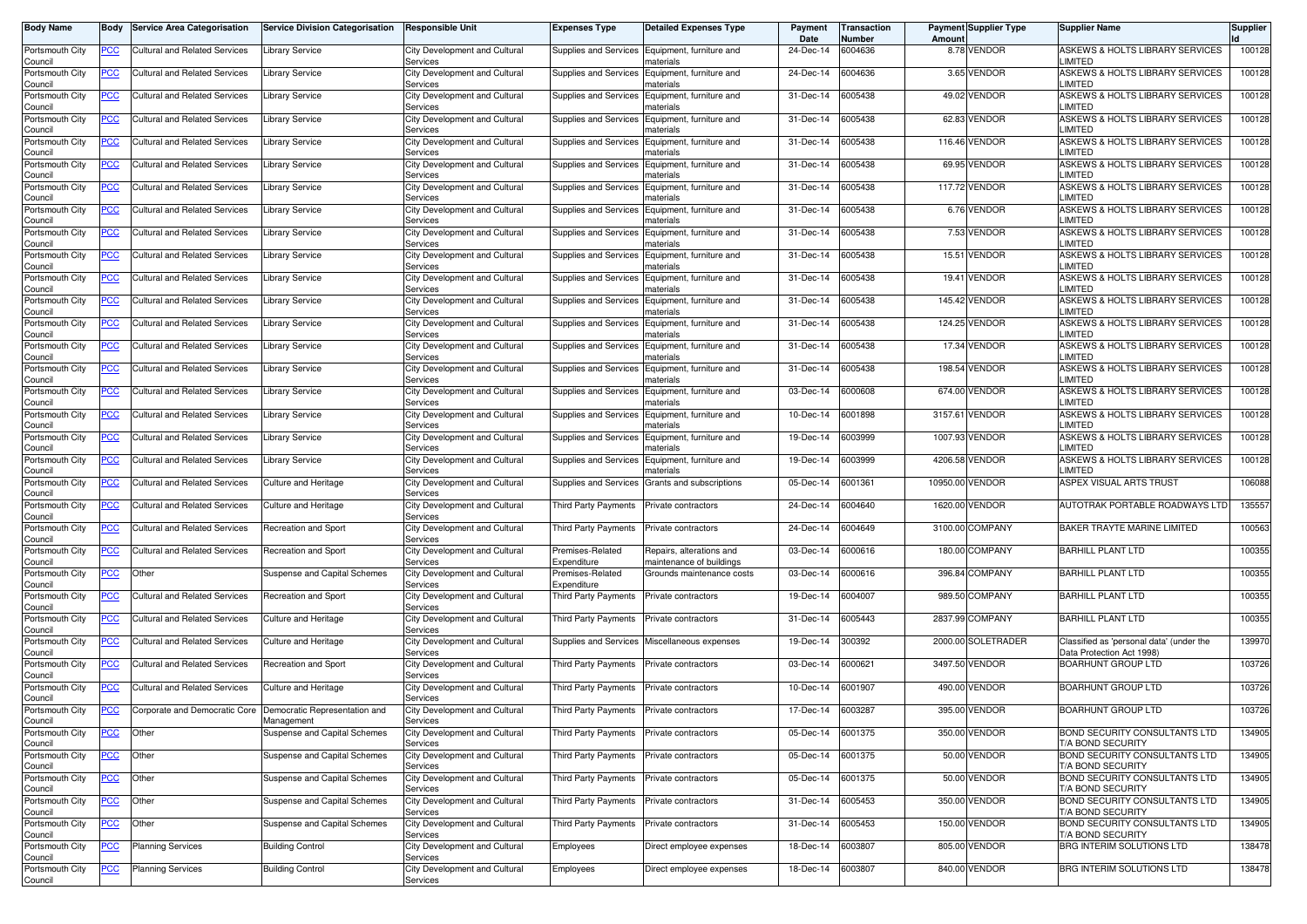| <b>Body Name</b>           | Body             | <b>Service Area Categorisation</b>   | <b>Service Division Categorisation</b>      | <b>Responsible Unit</b>                          | <b>Expenses Type</b>                     | <b>Detailed Expenses Type</b>                        | Payment<br>Date | <b>Transaction</b><br>Number | Amount  | <b>Payment Supplier Type</b> | <b>Supplier Name</b>                                                  | <b>Supplier</b> |
|----------------------------|------------------|--------------------------------------|---------------------------------------------|--------------------------------------------------|------------------------------------------|------------------------------------------------------|-----------------|------------------------------|---------|------------------------------|-----------------------------------------------------------------------|-----------------|
| Portsmouth City<br>Council | PCC              | Cultural and Related Services        | <b>Library Service</b>                      | City Development and Cultural<br>Services        | Supplies and Services                    | Equipment, furniture and<br>naterials                | 24-Dec-14       | 6004636                      |         | 8.78 VENDOR                  | ASKEWS & HOLTS LIBRARY SERVICES<br>LIMITED                            | 100128          |
| Portsmouth City<br>Council | <b>PCC</b>       | Cultural and Related Services        | Library Service                             | City Development and Cultural<br>Services        | Supplies and Services                    | Equipment, furniture and<br>naterials                | 24-Dec-14       | 6004636                      |         | 3.65 VENDOR                  | ASKEWS & HOLTS LIBRARY SERVICES<br>LIMITED                            | 100128          |
| Portsmouth City<br>Council | <u>PCC</u>       | Cultural and Related Services        | Library Service                             | City Development and Cultural<br>Services        | Supplies and Services                    | Equipment, furniture and<br>าaterials                | 31-Dec-14       | 6005438                      |         | 49.02 VENDOR                 | ASKEWS & HOLTS LIBRARY SERVICES<br>LIMITED                            | 100128          |
| Portsmouth City<br>Council | <u>PCC</u>       | <b>Cultural and Related Services</b> | Library Service                             | City Development and Cultura<br>Services         | Supplies and Services                    | Equipment, furniture and<br>naterials                | 31-Dec-14       | 6005438                      |         | 62.83 VENDOR                 | ASKEWS & HOLTS LIBRARY SERVICES<br>LIMITED                            | 100128          |
| Portsmouth City<br>Council | <u>PCC</u>       | Cultural and Related Services        | <b>Library Service</b>                      | City Development and Cultural<br>Services        | Supplies and Services                    | Equipment, furniture and<br>าaterials                | 31-Dec-14       | 6005438                      |         | 116.46 VENDOR                | ASKEWS & HOLTS LIBRARY SERVICES<br><b>LIMITED</b>                     | 100128          |
| Portsmouth City<br>Council | <u>PCC</u>       | Cultural and Related Services        | <b>Library Service</b>                      | City Development and Cultural<br>Services        | Supplies and Services                    | Equipment, furniture and<br>naterials                | 31-Dec-14       | 6005438                      |         | 69.95 VENDOR                 | ASKEWS & HOLTS LIBRARY SERVICES<br>LIMITED                            | 100128          |
| Portsmouth City<br>Council | <u>PCC</u>       | <b>Cultural and Related Services</b> | Library Service                             | City Development and Cultural<br>Services        | Supplies and Services                    | Equipment, furniture and<br>naterials                | 31-Dec-14       | 6005438                      |         | 117.72 VENDOR                | ASKEWS & HOLTS LIBRARY SERVICES<br>LIMITED                            | 100128          |
| Portsmouth City<br>Council | <u>PCC</u>       | <b>Cultural and Related Services</b> | Library Service                             | City Development and Cultural<br>Services        | Supplies and Services                    | Equipment, furniture and<br>naterials                | 31-Dec-14       | 6005438                      |         | 6.76 VENDOR                  | ASKEWS & HOLTS LIBRARY SERVICES<br><b>LIMITED</b>                     | 100128          |
| Portsmouth City<br>Council | <u>PCC</u>       | Cultural and Related Services        | Library Service                             | City Development and Cultural<br>Services        | Supplies and Services                    | Equipment, furniture and<br>naterials                | 31-Dec-14       | 6005438                      |         | 7.53 VENDOR                  | ASKEWS & HOLTS LIBRARY SERVICES<br><b>LIMITED</b>                     | 100128          |
| Portsmouth City<br>Council |                  | Cultural and Related Services        | <b>Library Service</b>                      | City Development and Cultural<br>Services        | Supplies and Services                    | Equipment, furniture and<br>naterials                | 31-Dec-14       | 6005438                      | 15.51   | <b>VENDOR</b>                | ASKEWS & HOLTS LIBRARY SERVICES<br>LIMITED                            | 100128          |
| Portsmouth City<br>Council | <u>PCC</u>       | Cultural and Related Services        | Library Service                             | City Development and Cultural<br>Services        | Supplies and Services                    | Equipment, furniture and<br>naterials                | 31-Dec-14       | 6005438                      | 19.41   | <b>VENDOR</b>                | ASKEWS & HOLTS LIBRARY SERVICES<br>LIMITED                            | 100128          |
| Portsmouth City<br>Council | PСC              | <b>Cultural and Related Services</b> | Library Service                             | City Development and Cultura<br>Services         | Supplies and Services                    | Equipment, furniture and<br>าaterials                | 31-Dec-14       | 6005438                      | 145.42  | <b>VENDOR</b>                | ASKEWS & HOLTS LIBRARY SERVICES<br>LIMITED                            | 100128          |
| Portsmouth City<br>Council | <u>PCC</u>       | <b>Cultural and Related Services</b> | Library Service                             | City Development and Cultural<br>Services        | Supplies and Services                    | Equipment, furniture and<br>naterials                | 31-Dec-14       | 6005438                      |         | 124.25 VENDOR                | ASKEWS & HOLTS LIBRARY SERVICES<br>LIMITED                            | 100128          |
| Portsmouth City<br>Council | <u>PCC</u>       | Cultural and Related Services        | Library Service                             | City Development and Cultural<br>Services        | Supplies and Services                    | Equipment, furniture and<br>naterials                | 31-Dec-14       | 6005438                      |         | 17.34 VENDOR                 | ASKEWS & HOLTS LIBRARY SERVICES<br>LIMITED                            | 100128          |
| Portsmouth City<br>Council | PCC              | <b>Cultural and Related Services</b> | <b>Library Service</b>                      | City Development and Cultural<br>Services        | Supplies and Services                    | Equipment, furniture and<br>naterials                | 31-Dec-14       | 6005438                      |         | 198.54 VENDOR                | ASKEWS & HOLTS LIBRARY SERVICES<br>LIMITED                            | 100128          |
| Portsmouth City<br>Council | <u>PCC</u>       | <b>Cultural and Related Services</b> | Library Service                             | City Development and Cultural<br>Services        | Supplies and Services                    | Equipment, furniture and<br>naterials                | 03-Dec-14       | 6000608                      |         | 674.00 VENDOR                | ASKEWS & HOLTS LIBRARY SERVICES<br>LIMITED                            | 100128          |
| Portsmouth City<br>Council | <u>PCC</u>       | <b>Cultural and Related Services</b> | <b>Library Service</b>                      | City Development and Cultural<br>Services        | Supplies and Services                    | Equipment, furniture and<br>naterials                | 10-Dec-14       | 6001898                      |         | 3157.61 VENDOR               | ASKEWS & HOLTS LIBRARY SERVICES<br><b>LIMITED</b>                     | 100128          |
| Portsmouth City<br>Council | <u>PCC</u>       | Cultural and Related Services        | Library Service                             | City Development and Cultural<br>Services        | Supplies and Services                    | Equipment, furniture and<br>naterials                | 19-Dec-14       | 6003999                      |         | 1007.93 VENDOR               | ASKEWS & HOLTS LIBRARY SERVICES<br>LIMITED                            | 100128          |
| Portsmouth City<br>Council | PCC              | Cultural and Related Services        | <b>Library Service</b>                      | City Development and Cultural<br>Services        | Supplies and Services                    | Equipment, furniture and<br>naterials                | 19-Dec-14       | 6003999                      |         | 4206.58 VENDOR               | ASKEWS & HOLTS LIBRARY SERVICES<br>LIMITED                            | 100128          |
| Portsmouth City<br>Council | <u>PCC</u>       | <b>Cultural and Related Services</b> | Culture and Heritage                        | City Development and Cultural<br>Services        | Supplies and Services                    | Grants and subscriptions                             | 05-Dec-14       | 6001361                      |         | 10950.00 VENDOR              | ASPEX VISUAL ARTS TRUST                                               | 106088          |
| Portsmouth City<br>Council | <u>PCC</u>       | Cultural and Related Services        | <b>Culture and Heritage</b>                 | City Development and Cultural<br>Services        | Third Party Payments                     | Private contractors                                  | 24-Dec-14       | 6004640                      | 1620.00 | <b>VENDOR</b>                | AUTOTRAK PORTABLE ROADWAYS LTD                                        | 135557          |
| Portsmouth City<br>Council | <u>PCC</u>       | <b>Cultural and Related Services</b> | Recreation and Sport                        | City Development and Cultural<br>Services        | Third Party Payments                     | Private contractors                                  | 24-Dec-14       | 6004649                      |         | 3100.00 COMPANY              | BAKER TRAYTE MARINE LIMITED                                           | 100563          |
| Portsmouth City<br>Council | <u>PCC</u>       | Cultural and Related Services        | Recreation and Sport                        | City Development and Cultural<br>Services        | Premises-Related<br>Expenditure          | Repairs, alterations and<br>naintenance of buildings | 03-Dec-14       | 6000616                      |         | 180.00 COMPANY               | <b>BARHILL PLANT LTD</b>                                              | 100355          |
| Portsmouth City<br>Council | $\overline{PCC}$ | Other                                | Suspense and Capital Schemes                | City Development and Cultural<br>Services        | Premises-Related<br>Expenditure          | Grounds maintenance costs                            | 03-Dec-14       | 6000616                      |         | 396.84 COMPANY               | <b>BARHILL PLANT LTD</b>                                              | 100355          |
| Portsmouth City<br>Council | <u>PCC</u>       | <b>Cultural and Related Services</b> | Recreation and Sport                        | City Development and Cultural<br>Services        | Third Party Payments                     | Private contractors                                  | 19-Dec-14       | 6004007                      |         | 989.50 COMPANY               | <b>BARHILL PLANT LTD</b>                                              | 100355          |
| Portsmouth City<br>Council | <u>PCC</u>       | <b>Cultural and Related Services</b> | Culture and Heritage                        | City Development and Cultural<br>Services        | Third Party Payments                     | Private contractors                                  | 31-Dec-14       | 6005443                      |         | 2837.99 COMPANY              | <b>BARHILL PLANT LTD</b>                                              | 100355          |
| Portsmouth City<br>Council | <b>PCC</b>       | Cultural and Related Services        | Culture and Heritage                        | City Development and Cultural<br>Services        | Supplies and Services                    | Miscellaneous expenses                               | 19-Dec-14       | 300392                       |         | 2000.00 SOLETRADER           | Classified as 'personal data' (under the<br>Data Protection Act 1998) | 139970          |
| Portsmouth City<br>Council | <u>PCC</u>       | <b>Cultural and Related Services</b> | Recreation and Sport                        | <b>City Development and Cultural</b><br>Services | Third Party Payments                     | Private contractors                                  | 03-Dec-14       | 6000621                      |         | 3497.50 VENDOR               | <b>BOARHUNT GROUP LTD</b>                                             | 103726          |
| Portsmouth City<br>Council | <u>PCC</u>       | Cultural and Related Services        | Culture and Heritage                        | City Development and Cultura<br>Services         | Third Party Payments                     | Private contractors                                  | 10-Dec-14       | 6001907                      |         | 490.00 VENDOR                | BOARHUNT GROUP LTD                                                    | 103726          |
| Portsmouth City<br>Council | <u>PCC</u>       | Corporate and Democratic Core        | Democratic Representation and<br>management | City Development and Cultural<br><b>Services</b> | <b>Third Party Payments</b>              | Private contractors                                  | 17-Dec-14       | 6003287                      |         | 395.00 VENDOR                | <b>BOARHUNT GROUP LTD</b>                                             | 103726          |
| Portsmouth City<br>Council | <b>PCC</b>       | Other                                | Suspense and Capital Schemes                | City Development and Cultural<br>Services        | Third Party Payments                     | Private contractors                                  | 05-Dec-14       | 6001375                      |         | 350.00 VENDOR                | BOND SECURITY CONSULTANTS LTD<br>T/A BOND SECURITY                    | 134905          |
| Portsmouth City<br>Council | <b>PCC</b>       | Other                                | Suspense and Capital Schemes                | City Development and Cultural<br>Services        | Third Party Payments                     | Private contractors                                  | 05-Dec-14       | 6001375                      |         | 50.00 VENDOR                 | <b>BOND SECURITY CONSULTANTS LTD</b><br>T/A BOND SECURITY             | 134905          |
| Portsmouth City<br>Council | <u>PCC</u>       | Other                                | Suspense and Capital Schemes                | City Development and Cultural<br>Services        | Third Party Payments Private contractors |                                                      | 05-Dec-14       | 6001375                      |         | 50.00 VENDOR                 | BOND SECURITY CONSULTANTS LTD<br>T/A BOND SECURITY                    | 134905          |
| Portsmouth City<br>Council | <b>PCC</b>       | Other                                | Suspense and Capital Schemes                | City Development and Cultural<br>Services        | Third Party Payments Private contractors |                                                      | 31-Dec-14       | 6005453                      |         | 350.00 VENDOR                | BOND SECURITY CONSULTANTS LTD<br>T/A BOND SECURITY                    | 134905          |
| Portsmouth City<br>Council | PCC              | Other                                | Suspense and Capital Schemes                | City Development and Cultural<br>Services        | Third Party Payments Private contractors |                                                      | 31-Dec-14       | 6005453                      |         | 150.00 VENDOR                | <b>BOND SECURITY CONSULTANTS LTD</b><br>T/A BOND SECURITY             | 134905          |
| Portsmouth City<br>Council | <u>PCC</u>       | <b>Planning Services</b>             | <b>Building Control</b>                     | City Development and Cultural<br>Services        | Employees                                | Direct employee expenses                             | 18-Dec-14       | 6003807                      |         | 805.00 VENDOR                | BRG INTERIM SOLUTIONS LTD                                             | 138478          |
| Portsmouth City<br>Council | PСC              | <b>Planning Services</b>             | <b>Building Control</b>                     | City Development and Cultural<br>Services        | Employees                                | Direct employee expenses                             | 18-Dec-14       | 6003807                      |         | 840.00 VENDOR                | BRG INTERIM SOLUTIONS LTD                                             | 138478          |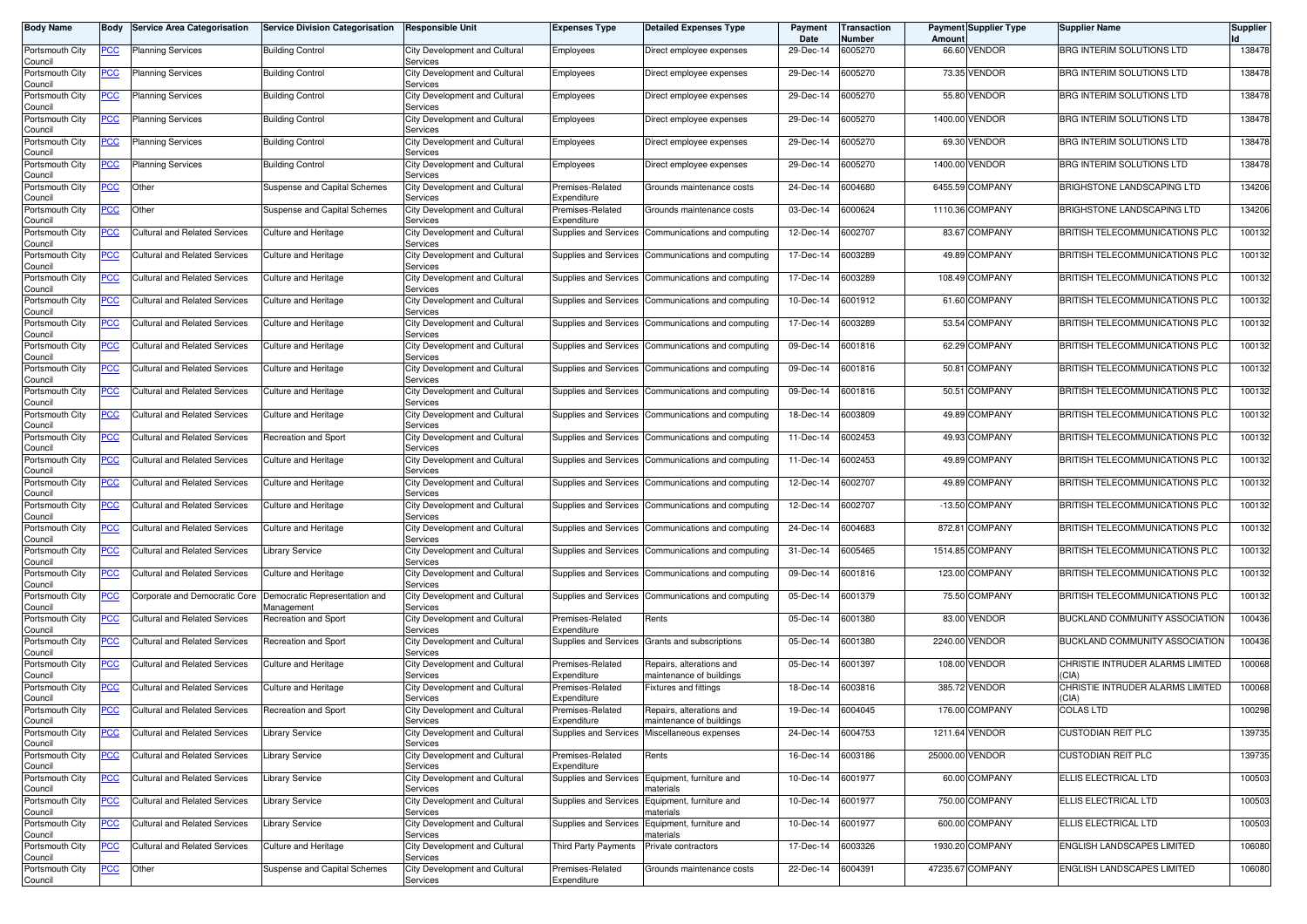| <b>Body Name</b>           | Body       | <b>Service Area Categorisation</b>   | <b>Service Division Categorisation</b>      | <b>Responsible Unit</b>                          | <b>Expenses Type</b>            | <b>Detailed Expenses Type</b>                               | Payment<br>Date | <b>Transaction</b><br>Number | Amoun | <b>Payment Supplier Type</b> | <b>Supplier Name</b>                      | <b>Supplier</b> |
|----------------------------|------------|--------------------------------------|---------------------------------------------|--------------------------------------------------|---------------------------------|-------------------------------------------------------------|-----------------|------------------------------|-------|------------------------------|-------------------------------------------|-----------------|
| Portsmouth City<br>Council | <u>PCC</u> | <b>Planning Services</b>             | <b>Building Control</b>                     | City Development and Cultural<br>Services        | Employees                       | Direct employee expenses                                    | 29-Dec-14       | 6005270                      |       | 66.60 VENDOR                 | BRG INTERIM SOLUTIONS LTD                 | 138478          |
| Portsmouth City<br>Council | <u>PCC</u> | <b>Planning Services</b>             | <b>Building Control</b>                     | City Development and Cultural<br>Services        | Employees                       | Direct employee expenses                                    | 29-Dec-14       | 6005270                      |       | 73.35 VENDOR                 | BRG INTERIM SOLUTIONS LTD                 | 138478          |
| Portsmouth City<br>Council | <u>PCC</u> | <b>Planning Services</b>             | <b>Building Control</b>                     | City Development and Cultural<br>Services        | Employees                       | Direct employee expenses                                    | 29-Dec-14       | 6005270                      |       | 55.80 VENDOR                 | BRG INTERIM SOLUTIONS LTD                 | 138478          |
| Portsmouth City<br>Council | <u>PCC</u> | Planning Services                    | <b>Building Control</b>                     | City Development and Cultural<br>Services        | Employees                       | Direct employee expenses                                    | 29-Dec-14       | 6005270                      |       | 1400.00 VENDOR               | BRG INTERIM SOLUTIONS LTD                 | 138478          |
| Portsmouth City<br>Council | <u>PCC</u> | Planning Services                    | <b>Building Control</b>                     | City Development and Cultural<br>Services        | Employees                       | Direct employee expenses                                    | 29-Dec-14       | 6005270                      |       | 69.30 VENDOR                 | BRG INTERIM SOLUTIONS LTD                 | 138478          |
| Portsmouth City<br>Council | <u>PCC</u> | Planning Services                    | <b>Building Control</b>                     | City Development and Cultural<br>Services        | Employees                       | Direct employee expenses                                    | 29-Dec-14       | 6005270                      |       | 1400.00 VENDOR               | BRG INTERIM SOLUTIONS LTD                 | 138478          |
| Portsmouth City<br>Council | <u>PCC</u> | Other                                | Suspense and Capital Schemes                | City Development and Cultural<br>Services        | Premises-Related<br>Expenditure | Grounds maintenance costs                                   | 24-Dec-14       | 6004680                      |       | 6455.59 COMPANY              | BRIGHSTONE LANDSCAPING LTD                | 134206          |
| Portsmouth City<br>Council | <u>PCC</u> | Other                                | Suspense and Capital Schemes                | City Development and Cultural<br>Services        | Premises-Related<br>Expenditure | Grounds maintenance costs                                   | 03-Dec-14       | 6000624                      |       | 1110.36 COMPANY              | BRIGHSTONE LANDSCAPING LTD                | 134206          |
| Portsmouth City<br>Council | <u>PCC</u> | <b>Cultural and Related Services</b> | <b>Culture and Heritage</b>                 | City Development and Cultural<br>Services        | Supplies and Services           | Communications and computing                                | 12-Dec-14       | 6002707                      |       | 83.67 COMPANY                | BRITISH TELECOMMUNICATIONS PLC            | 100132          |
| Portsmouth City<br>Council | PСC        | Cultural and Related Services        | Culture and Heritage                        | City Development and Cultural<br>Services        | Supplies and Services           | Communications and computing                                | 17-Dec-14       | 6003289                      |       | 49.89 COMPANY                | BRITISH TELECOMMUNICATIONS PLC            | 100132          |
| Portsmouth City<br>Council | <u>PCC</u> | Cultural and Related Services        | Culture and Heritage                        | City Development and Cultural<br>Services        | Supplies and Services           | Communications and computing                                | 17-Dec-14       | 6003289                      |       | 108.49 COMPANY               | BRITISH TELECOMMUNICATIONS PLC            | 100132          |
| Portsmouth City<br>Council | PСC        | Cultural and Related Services        | Culture and Heritage                        | City Development and Cultural<br>Services        | Supplies and Services           | Communications and computing                                | 10-Dec-14       | 6001912                      |       | 61.60 COMPANY                | BRITISH TELECOMMUNICATIONS PLC            | 100132          |
| Portsmouth City<br>Council | <u>PCC</u> | Cultural and Related Services        | Culture and Heritage                        | City Development and Cultural<br>Services        | Supplies and Services           | Communications and computing                                | 17-Dec-14       | 6003289                      |       | 53.54 COMPANY                | BRITISH TELECOMMUNICATIONS PLC            | 100132          |
| Portsmouth City<br>Council | <u>PCC</u> | <b>Cultural and Related Services</b> | <b>Culture and Heritage</b>                 | City Development and Cultural<br>Services        | Supplies and Services           | Communications and computing                                | 09-Dec-14       | 6001816                      |       | 62.29 COMPANY                | BRITISH TELECOMMUNICATIONS PLC            | 100132          |
| Portsmouth City<br>Council | PСC        | Cultural and Related Services        | Culture and Heritage                        | City Development and Cultural<br>Services        | Supplies and Services           | Communications and computing                                | 09-Dec-14       | 6001816                      |       | 50.81 COMPANY                | BRITISH TELECOMMUNICATIONS PLC            | 100132          |
| Portsmouth City<br>Council | <u>PCC</u> | <b>Cultural and Related Services</b> | Culture and Heritage                        | City Development and Cultural<br>Services        | Supplies and Services           | Communications and computing                                | 09-Dec-14       | 6001816                      |       | 50.51 COMPANY                | BRITISH TELECOMMUNICATIONS PLC            | 100132          |
| Portsmouth City<br>Council | PCC        | Cultural and Related Services        | Culture and Heritage                        | City Development and Cultural<br>Services        | Supplies and Services           | Communications and computing                                | 18-Dec-14       | 6003809                      |       | 49.89 COMPANY                | BRITISH TELECOMMUNICATIONS PLC            | 100132          |
| Portsmouth City<br>Council | <u>PCC</u> | Cultural and Related Services        | Recreation and Sport                        | City Development and Cultural<br>Services        | Supplies and Services           | Communications and computing                                | 11-Dec-14       | 6002453                      |       | 49.93 COMPANY                | BRITISH TELECOMMUNICATIONS PLC            | 100132          |
| Portsmouth City<br>Council | PCC        | Cultural and Related Services        | Culture and Heritage                        | City Development and Cultural<br>Services        | Supplies and Services           | Communications and computing                                | 11-Dec-14       | 6002453                      |       | 49.89 COMPANY                | BRITISH TELECOMMUNICATIONS PLC            | 100132          |
| Portsmouth City<br>Council | <u>PCC</u> | Cultural and Related Services        | Culture and Heritage                        | City Development and Cultural<br>Services        | Supplies and Services           | Communications and computing                                | 12-Dec-14       | 6002707                      |       | 49.89 COMPANY                | BRITISH TELECOMMUNICATIONS PLC            | 100132          |
| Portsmouth City<br>Council | <u>PCC</u> | Cultural and Related Services        | <b>Culture and Heritage</b>                 | City Development and Cultural<br>Services        | Supplies and Services           | Communications and computing                                | 12-Dec-14       | 6002707                      |       | -13.50 COMPANY               | BRITISH TELECOMMUNICATIONS PLC            | 100132          |
| Portsmouth City<br>Council | <u>PCC</u> | Cultural and Related Services        | <b>Culture and Heritage</b>                 | City Development and Cultural<br>Services        | Supplies and Services           | Communications and computing                                | 24-Dec-14       | 6004683                      |       | 872.81 COMPANY               | BRITISH TELECOMMUNICATIONS PLC            | 100132          |
| Portsmouth City<br>Council | <u>PCC</u> | Cultural and Related Services        | <b>Library Service</b>                      | City Development and Cultural<br>Services        | Supplies and Services           | Communications and computing                                | 31-Dec-14       | 6005465                      |       | 1514.85 COMPANY              | BRITISH TELECOMMUNICATIONS PLC            | 100132          |
| Portsmouth City<br>Council | <u>PCC</u> | <b>Cultural and Related Services</b> | Culture and Heritage                        | City Development and Cultural<br>Services        | Supplies and Services           | Communications and computing                                | 09-Dec-14       | 6001816                      |       | 123.00 COMPANY               | BRITISH TELECOMMUNICATIONS PLC            | 100132          |
| Portsmouth City<br>Council | <u>PCC</u> | Corporate and Democratic Core        | Democratic Representation and<br>Management | City Development and Cultural<br>Services        | Supplies and Services           | Communications and computing                                | 05-Dec-14       | 6001379                      |       | 75.50 COMPANY                | BRITISH TELECOMMUNICATIONS PLC            | 100132          |
| Portsmouth City<br>Council | <u>PCC</u> | <b>Cultural and Related Services</b> | Recreation and Sport                        | City Development and Cultural<br>Services        | Premises-Related<br>Expenditure | Rents                                                       | 05-Dec-14       | 6001380                      |       | 83.00 VENDOR                 | BUCKLAND COMMUNITY ASSOCIATION            | 100436          |
| Portsmouth City<br>Council | <u>PCC</u> | Cultural and Related Services        | Recreation and Sport                        | City Development and Cultural<br>Services        |                                 | Supplies and Services Grants and subscriptions              | 05-Dec-14       | 6001380                      |       | 2240.00 VENDOR               | <b>BUCKLAND COMMUNITY ASSOCIATION</b>     | 100436          |
| Portsmouth City<br>Council | <u>PCC</u> | <b>Cultural and Related Services</b> | <b>Culture and Heritage</b>                 | City Development and Cultural<br>Services        | Premises-Related<br>Expenditure | Repairs, alterations and<br>naintenance of buildings        | 05-Dec-14       | 6001397                      |       | 108.00 VENDOR                | CHRISTIE INTRUDER ALARMS LIMITED<br>CIA)  | 100068          |
| Portsmouth City<br>Council | <u>PCC</u> | <b>Cultural and Related Services</b> | Culture and Heritage                        | City Development and Cultural<br>Services        | Premises-Related<br>Expenditure | <b>Fixtures and fittings</b>                                | 18-Dec-14       | 6003816                      |       | 385.72 VENDOR                | CHRISTIE INTRUDER ALARMS LIMITED<br>(CIA) | 100068          |
| Portsmouth City<br>Council | <u>PCC</u> | <b>Cultural and Related Services</b> | Recreation and Sport                        | City Development and Cultural<br><b>Services</b> | Premises-Related<br>Expenditure | Repairs, alterations and<br>maintenance of buildings        | 19-Dec-14       | 6004045                      |       | 176.00 COMPANY               | <b>COLAS LTD</b>                          | 100298          |
| Portsmouth City<br>Council | <u>PCC</u> | Cultural and Related Services        | <b>Library Service</b>                      | City Development and Cultural<br>Services        |                                 | Supplies and Services Miscellaneous expenses                | $24 - Dec - 14$ | 6004753                      |       | 1211.64 VENDOR               | <b>CUSTODIAN REIT PLC</b>                 | 139735          |
| Portsmouth City<br>Council | <b>PCC</b> | <b>Cultural and Related Services</b> | <b>Library Service</b>                      | City Development and Cultural<br>Services        | Premises-Related<br>Expenditure | Rents                                                       | 16-Dec-14       | 6003186                      |       | 25000.00 VENDOR              | <b>CUSTODIAN REIT PLC</b>                 | 139735          |
| Portsmouth City<br>Council | <u>PCC</u> | <b>Cultural and Related Services</b> | <b>Library Service</b>                      | City Development and Cultural<br>Services        |                                 | Supplies and Services Equipment, furniture and<br>naterials | 10-Dec-14       | 6001977                      |       | 60.00 COMPANY                | ELLIS ELECTRICAL LTD                      | 100503          |
| Portsmouth City<br>Council | <u>PCC</u> | <b>Cultural and Related Services</b> | <b>Library Service</b>                      | City Development and Cultural<br>Services        |                                 | Supplies and Services Equipment, furniture and<br>naterials | 10-Dec-14       | 6001977                      |       | 750.00 COMPANY               | ELLIS ELECTRICAL LTD                      | 100503          |
| Portsmouth City<br>Council | <u>PCC</u> | Cultural and Related Services        | <b>Library Service</b>                      | City Development and Cultural<br>Services        |                                 | Supplies and Services Equipment, furniture and<br>naterials | 10-Dec-14       | 6001977                      |       | 600.00 COMPANY               | ELLIS ELECTRICAL LTD                      | 100503          |
| Portsmouth City<br>Council | <u>PCC</u> | <b>Cultural and Related Services</b> | Culture and Heritage                        | City Development and Cultural<br>Services        | Third Party Payments            | Private contractors                                         | 17-Dec-14       | 6003326                      |       | 1930.20 COMPANY              | ENGLISH LANDSCAPES LIMITED                | 106080          |
| Portsmouth City<br>Council | <u>PCC</u> | Other                                | Suspense and Capital Schemes                | City Development and Cultural<br>Services        | Premises-Related<br>Expenditure | Grounds maintenance costs                                   | 22-Dec-14       | 6004391                      |       | 47235.67 COMPANY             | ENGLISH LANDSCAPES LIMITED                | 106080          |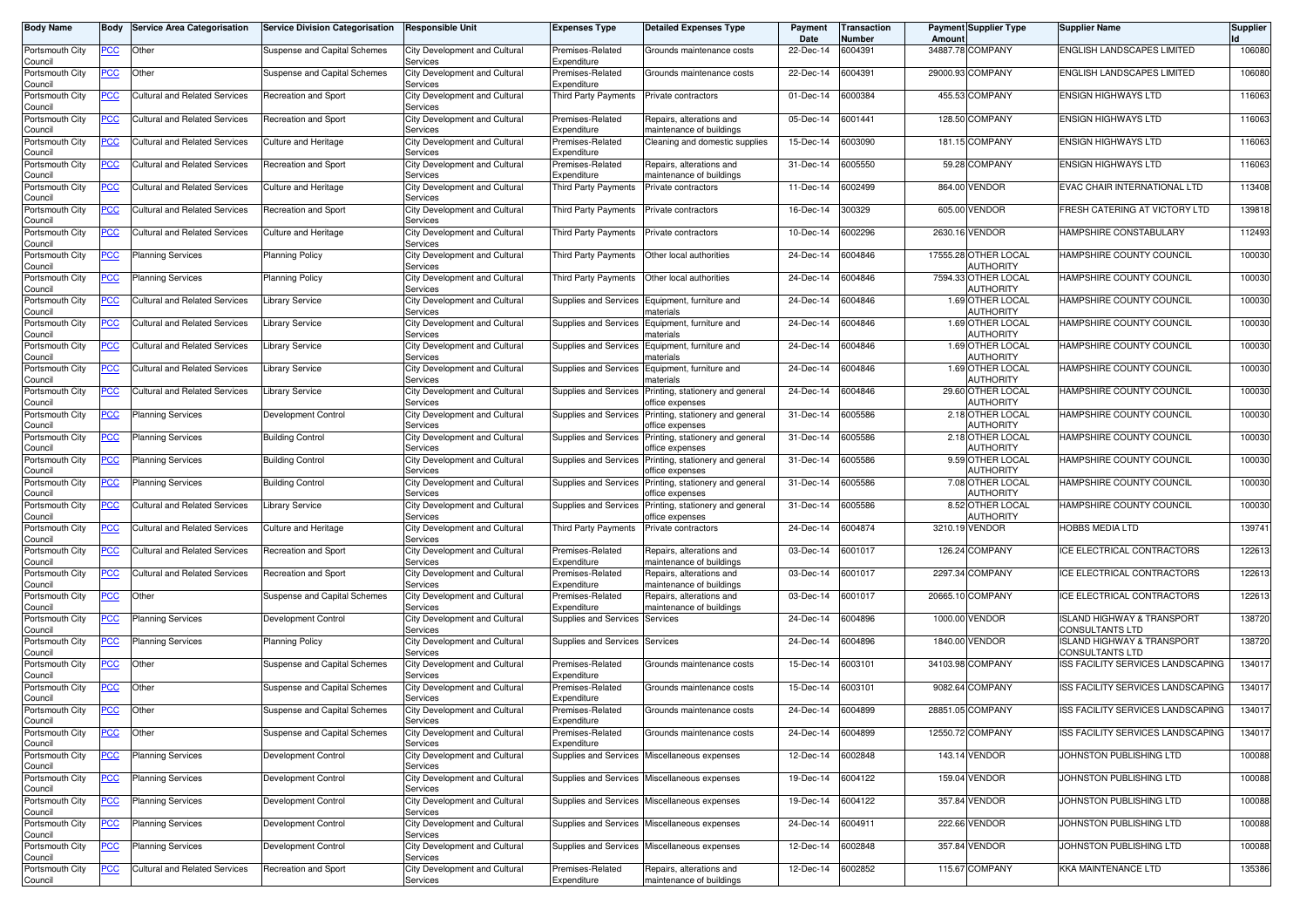| <b>Body Name</b>           | Body           | <b>Service Area Categorisation</b>   | <b>Service Division Categorisation</b> | <b>Responsible Unit</b>                          | <b>Expenses Type</b>                 | <b>Detailed Expenses Type</b>                        | Payment<br>Date | <b>Transaction</b><br>Number | Amoun  | <b>Payment Supplier Type</b>             | <b>Supplier Name</b>                                        | <b>Supplier</b> |
|----------------------------|----------------|--------------------------------------|----------------------------------------|--------------------------------------------------|--------------------------------------|------------------------------------------------------|-----------------|------------------------------|--------|------------------------------------------|-------------------------------------------------------------|-----------------|
| Portsmouth City<br>Council | PCC            | Other                                | Suspense and Capital Schemes           | City Development and Cultural<br>Services        | Premises-Related<br>Expenditure      | Grounds maintenance costs                            | 22-Dec-14       | 6004391                      |        | 34887.78 COMPANY                         | ENGLISH LANDSCAPES LIMITED                                  | 106080          |
| Portsmouth City<br>Council | <u>PCC</u>     | Other                                | Suspense and Capital Schemes           | City Development and Cultural<br>Services        | Premises-Related<br>Expenditure      | Grounds maintenance costs                            | 22-Dec-14       | 6004391                      |        | 29000.93 COMPANY                         | ENGLISH LANDSCAPES LIMITED                                  | 106080          |
| Portsmouth City<br>Council | <u>PCC</u>     | Cultural and Related Services        | Recreation and Sport                   | City Development and Cultural<br>Services        | Third Party Payments                 | Private contractors                                  | 01-Dec-14       | 6000384                      |        | 455.53 COMPANY                           | <b>ENSIGN HIGHWAYS LTD</b>                                  | 116063          |
| Portsmouth City<br>Council | <u>PCC</u>     | <b>Cultural and Related Services</b> | Recreation and Sport                   | City Development and Cultural<br>Services        | Premises-Related<br>Expenditure      | Repairs, alterations and<br>naintenance of buildings | 05-Dec-14       | 6001441                      |        | 128.50 COMPANY                           | <b>ENSIGN HIGHWAYS LTD</b>                                  | 116063          |
| Portsmouth City<br>Council | <u>PCC</u>     | Cultural and Related Services        | <b>Culture and Heritage</b>            | City Development and Cultural<br>Services        | Premises-Related<br>Expenditure      | Cleaning and domestic supplies                       | 15-Dec-14       | 6003090                      |        | 181.15 COMPANY                           | <b>ENSIGN HIGHWAYS LTD</b>                                  | 116063          |
| Portsmouth City<br>Council | <u>PCC</u>     | Cultural and Related Services        | Recreation and Sport                   | City Development and Cultural<br>Services        | Premises-Related<br>Expenditure      | Repairs, alterations and<br>maintenance of buildings | 31-Dec-14       | 6005550                      |        | 59.28 COMPANY                            | <b>ENSIGN HIGHWAYS LTD</b>                                  | 116063          |
| Portsmouth City<br>Council | <u>PCC</u>     | <b>Cultural and Related Services</b> | Culture and Heritage                   | City Development and Cultural<br>Services        | Third Party Payments                 | Private contractors                                  | 11-Dec-14       | 6002499                      |        | 864.00 VENDOR                            | EVAC CHAIR INTERNATIONAL LTD                                | 113408          |
| Portsmouth City<br>Council | <u>PCC</u>     | <b>Cultural and Related Services</b> | Recreation and Sport                   | City Development and Cultural<br>Services        | Third Party Payments                 | Private contractors                                  | 16-Dec-14       | 300329                       |        | 605.00 VENDOR                            | FRESH CATERING AT VICTORY LTD                               | 139818          |
| Portsmouth City            | <u>PCC</u>     | <b>Cultural and Related Services</b> | Culture and Heritage                   | City Development and Cultural<br>Services        | Third Party Payments                 | Private contractors                                  | 10-Dec-14       | 6002296                      |        | 2630.16 VENDOR                           | HAMPSHIRE CONSTABULARY                                      | 112493          |
| Council<br>Portsmouth City | <u>PCC</u>     | <b>Planning Services</b>             | <b>Planning Policy</b>                 | City Development and Cultural                    | Third Party Payments                 | Other local authorities                              | 24-Dec-14       | 6004846                      |        | 17555.28 OTHER LOCAL<br><b>AUTHORITY</b> | HAMPSHIRE COUNTY COUNCIL                                    | 100030          |
| Council<br>Portsmouth City | <u>PCC</u>     | <b>Planning Services</b>             | Planning Policy                        | Services<br>City Development and Cultural        | Third Party Payments                 | Other local authorities                              | 24-Dec-14       | 6004846                      |        | 7594.33 OTHER LOCAL<br><b>AUTHORITY</b>  | HAMPSHIRE COUNTY COUNCIL                                    | 100030          |
| Council<br>Portsmouth City | PСC            | <b>Cultural and Related Services</b> | Library Service                        | Services<br>City Development and Cultural        | Supplies and Services                | Equipment, furniture and                             | 24-Dec-14       | 6004846                      |        | 1.69 OTHER LOCAL                         | HAMPSHIRE COUNTY COUNCIL                                    | 100030          |
| Council<br>Portsmouth City | <u>PCC</u>     | Cultural and Related Services        | Library Service                        | Services<br>City Development and Cultural        | Supplies and Services                | าaterials<br>Equipment, furniture and                | 24-Dec-14       | 6004846                      |        | AUTHORITY<br>1.69 OTHER LOCAL            | HAMPSHIRE COUNTY COUNCIL                                    | 100030          |
| Council<br>Portsmouth City | <u>PCC</u>     | Cultural and Related Services        | <b>Library Service</b>                 | Services<br>City Development and Cultural        | Supplies and Services                | naterials<br>Equipment, furniture and                | 24-Dec-14       | 6004846                      |        | <b>AUTHORITY</b><br>1.69 OTHER LOCAL     | HAMPSHIRE COUNTY COUNCIL                                    | 100030          |
| Council<br>Portsmouth City | PСC            | <b>Cultural and Related Services</b> | Library Service                        | Services<br>City Development and Cultural        | Supplies and Services                | าaterials<br>Equipment, furniture and                | 24-Dec-14       | 6004846                      |        | <b>AUTHORITY</b><br>1.69 OTHER LOCAL     | HAMPSHIRE COUNTY COUNCIL                                    | 100030          |
| Council<br>Portsmouth City | <u>PCC</u>     | <b>Cultural and Related Services</b> | Library Service                        | Services<br>City Development and Cultural        | Supplies and Services                | naterials<br>Printing, stationery and general        | 24-Dec-14       | 6004846                      |        | <b>AUTHORITY</b><br>29.60 OTHER LOCAL    | HAMPSHIRE COUNTY COUNCIL                                    | 100030          |
| Council<br>Portsmouth City | <u>PCC</u>     | <b>Planning Services</b>             | Development Control                    | Services<br>City Development and Cultural        | Supplies and Services                | office expenses<br>Printing, stationery and general  | 31-Dec-14       | 6005586                      |        | <b>AUTHORITY</b><br>2.18 OTHER LOCAL     | HAMPSHIRE COUNTY COUNCIL                                    | 100030          |
| Council<br>Portsmouth City | <u>PCC</u>     | <b>Planning Services</b>             | <b>Building Control</b>                | Services<br>City Development and Cultural        | Supplies and Services                | office expenses<br>Printing, stationery and general  | 31-Dec-14       | 6005586                      |        | AUTHORITY<br>2.18 OTHER LOCAL            | HAMPSHIRE COUNTY COUNCIL                                    | 100030          |
| Council<br>Portsmouth City | PCC            | <b>Planning Services</b>             | <b>Building Control</b>                | Services<br>City Development and Cultural        | Supplies and Services                | office expenses<br>Printing, stationery and general  | 31-Dec-14       | 6005586                      |        | AUTHORITY<br>9.59 OTHER LOCAL            | HAMPSHIRE COUNTY COUNCIL                                    | 100030          |
| Council<br>Portsmouth City | <u>PCC</u>     | Planning Services                    | <b>Building Control</b>                | Services<br>City Development and Cultural        | Supplies and Services                | office expenses<br>Printing, stationery and general  | 31-Dec-14       | 6005586                      |        | AUTHORITY<br>7.08 OTHER LOCAL            | HAMPSHIRE COUNTY COUNCIL                                    | 100030          |
| Council<br>Portsmouth City | <u>PCC</u>     | Cultural and Related Services        | Library Service                        | Services<br>City Development and Cultural        | Supplies and Services                | office expenses<br>Printing, stationery and general  | 31-Dec-14       | 6005586                      |        | AUTHORITY<br>8.52 OTHER LOCAL            | HAMPSHIRE COUNTY COUNCIL                                    | 100030          |
| Council<br>Portsmouth City | <u>PCC</u>     | Cultural and Related Services        | <b>Culture and Heritage</b>            | Services<br>City Development and Cultural        | Third Party Payments                 | office expenses<br>Private contractors               | 24-Dec-14       | 6004874                      |        | <b>AUTHORITY</b><br>3210.19 VENDOR       | <b>HOBBS MEDIA LTD</b>                                      | 139741          |
| Council<br>Portsmouth City | <u>PCC</u>     | Cultural and Related Services        | Recreation and Sport                   | Services<br>City Development and Cultural        | Premises-Related                     | Repairs, alterations and                             | 03-Dec-14       | 6001017                      | 126.24 | <b>COMPANY</b>                           | ICE ELECTRICAL CONTRACTORS                                  | 122613          |
| Council<br>Portsmouth City | <u>PCC</u>     | Cultural and Related Services        | Recreation and Sport                   | Services<br>City Development and Cultural        | Expenditure<br>Premises-Related      | naintenance of buildings<br>Repairs, alterations and | 03-Dec-14       | 6001017                      |        | 2297.34 COMPANY                          | ICE ELECTRICAL CONTRACTORS                                  | 122613          |
| Council<br>Portsmouth City | <u>PCC</u>     | Other                                | Suspense and Capital Schemes           | Services<br>City Development and Cultural        | Expenditure<br>Premises-Related      | naintenance of buildings<br>Repairs, alterations and | 03-Dec-14       | 6001017                      |        | 20665.10 COMPANY                         | ICE ELECTRICAL CONTRACTORS                                  | 122613          |
| Council<br>Portsmouth City | <u>PCC</u>     | <b>Planning Services</b>             | Development Control                    | Services<br>City Development and Cultural        | Expenditure<br>Supplies and Services | naintenance of buildings<br>Services                 | 24-Dec-14       | 6004896                      |        | 1000.00 VENDOR                           | <b>ISLAND HIGHWAY &amp; TRANSPORT</b>                       | 138720          |
| Council<br>Portsmouth City | <u>PCC</u>     | <b>Planning Services</b>             | <b>Planning Policy</b>                 | Services<br>City Development and Cultural        | Supplies and Services                | Services                                             | 24-Dec-14       | 6004896                      |        | 1840.00 VENDOR                           | CONSULTANTS LTD<br>ISLAND HIGHWAY & TRANSPORT               | 138720          |
| Council<br>Portsmouth City | <u>PCC</u>     | Other                                | Suspense and Capital Schemes           | Services<br>City Development and Cultural        | Premises-Related                     | Grounds maintenance costs                            | 15-Dec-14       | 6003101                      |        | 34103.98 COMPANY                         | <b>CONSULTANTS LTD</b><br>ISS FACILITY SERVICES LANDSCAPING | 134017          |
| Council<br>Portsmouth City | <u>PCC</u>     | Other                                | Suspense and Capital Schemes           | Services<br>City Development and Cultural        | Expenditure<br>Premises-Related      | Grounds maintenance costs                            | 15-Dec-14       | 6003101                      |        | 9082.64 COMPANY                          | ISS FACILITY SERVICES LANDSCAPING                           | 134017          |
| Council<br>Portsmouth City | <u>PCC</u>     | <b>Other</b>                         | Suspense and Capital Schemes           | Services<br>City Development and Cultural        | Expenditure<br>Premises-Related      | Grounds maintenance costs                            | 24-Dec-14       | 6004899                      |        | 28851.05 COMPANY                         | ISS FACILITY SERVICES LANDSCAPING                           | 134017          |
| Council<br>Portsmouth City | <u>PCC</u>     | Other                                | Suspense and Capital Schemes           | <b>Services</b><br>City Development and Cultural | expenaiture<br>Premises-Related      | Grounds maintenance costs                            | 24-Dec-14       | 6004899                      |        | 12550.72 COMPANY                         | ISS FACILITY SERVICES LANDSCAPING                           | 134017          |
| Council<br>Portsmouth City | <b>PCC</b>     | <b>Planning Services</b>             | Development Control                    | Services<br>City Development and Cultural        | Expenditure                          | Supplies and Services Miscellaneous expenses         | 12-Dec-14       | 6002848                      |        | 143.14 VENDOR                            | JOHNSTON PUBLISHING LTD                                     | 100088          |
| Council<br>Portsmouth City | <u>PCC</u>     | <b>Planning Services</b>             | Development Control                    | Services<br>City Development and Cultural        |                                      | Supplies and Services Miscellaneous expenses         | 19-Dec-14       | 6004122                      |        | 159.04 VENDOR                            | JOHNSTON PUBLISHING LTD                                     | 100088          |
| Council<br>Portsmouth City | <u>PCC</u>     | <b>Planning Services</b>             | Development Control                    | Services<br>City Development and Cultural        |                                      | Supplies and Services Miscellaneous expenses         | 19-Dec-14       | 6004122                      |        | 357.84 VENDOR                            | JOHNSTON PUBLISHING LTD                                     | 100088          |
| Council<br>Portsmouth City | <u>PCC</u>     | <b>Planning Services</b>             | Development Control                    | Services<br>City Development and Cultural        |                                      | Supplies and Services Miscellaneous expenses         | 24-Dec-14       | 6004911                      |        | 222.66 VENDOR                            | JOHNSTON PUBLISHING LTD                                     | 100088          |
| Council                    |                |                                      |                                        | Services                                         |                                      |                                                      |                 |                              |        |                                          |                                                             |                 |
| Portsmouth City<br>Council | $\overline{C}$ | <b>Planning Services</b>             | Development Control                    | City Development and Cultural<br>Services        |                                      | Supplies and Services Miscellaneous expenses         | 12-Dec-14       | 6002848                      |        | 357.84 VENDOR                            | JOHNSTON PUBLISHING LTD                                     | 100088          |
| Portsmouth City<br>Council | <u>PCC</u>     | <b>Cultural and Related Services</b> | Recreation and Sport                   | City Development and Cultural<br>Services        | Premises-Related<br>Expenditure      | Repairs, alterations and<br>maintenance of buildings | 12-Dec-14       | 6002852                      |        | 115.67 COMPANY                           | <b>KKA MAINTENANCE LTD</b>                                  | 135386          |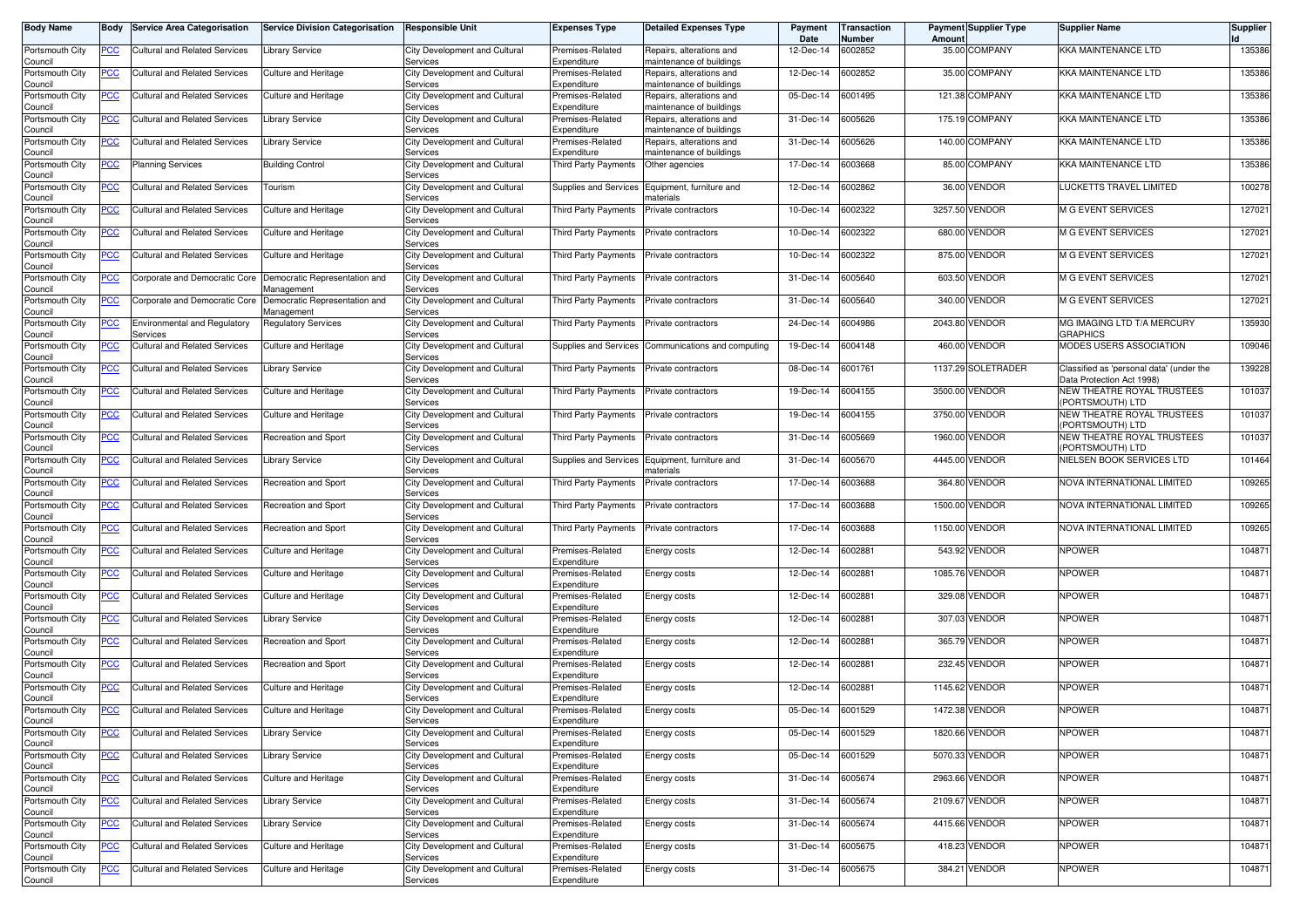| <b>Body Name</b>           | Body           | <b>Service Area Categorisation</b>               | <b>Service Division Categorisation</b>      | <b>Responsible Unit</b>                   | <b>Expenses Type</b>                | <b>Detailed Expenses Type</b>                        | Payment<br>Date | Transaction<br>Number | Amoun   | <b>Payment Supplier Type</b> | <b>Supplier Name</b>                                    | Supplier |
|----------------------------|----------------|--------------------------------------------------|---------------------------------------------|-------------------------------------------|-------------------------------------|------------------------------------------------------|-----------------|-----------------------|---------|------------------------------|---------------------------------------------------------|----------|
| Portsmouth City<br>Council | <u>PCC</u>     | Cultural and Related Services                    | <b>Library Service</b>                      | City Development and Cultural<br>Services | Premises-Related<br>Expenditure     | Repairs, alterations and<br>maintenance of buildings | 12-Dec-14       | 6002852               |         | 35.00 COMPANY                | KKA MAINTENANCE LTD                                     | 135386   |
| Portsmouth City<br>Council | <u>PCC</u>     | Cultural and Related Services                    | Culture and Heritage                        | City Development and Cultural<br>Services | Premises-Related<br>Expenditure     | Repairs, alterations and<br>maintenance of buildings | 12-Dec-14       | 6002852               |         | 35.00 COMPANY                | KKA MAINTENANCE LTD                                     | 135386   |
| Portsmouth City<br>Council | <u>PCC</u>     | Cultural and Related Services                    | Culture and Heritage                        | City Development and Cultural<br>Services | Premises-Related<br>Expenditure     | Repairs, alterations and<br>naintenance of buildings | 05-Dec-14       | 6001495               |         | 121.38 COMPANY               | <b>KKA MAINTENANCE LTD</b>                              | 135386   |
| Portsmouth City<br>Council | <b>PCC</b>     | Cultural and Related Services                    | Library Service                             | City Development and Cultural<br>Services | Premises-Related<br>Expenditure     | Repairs, alterations and<br>naintenance of buildings | 31-Dec-14       | 6005626               |         | 175.19 COMPANY               | KKA MAINTENANCE LTD                                     | 135386   |
| Portsmouth City            | <b>PCC</b>     | <b>Cultural and Related Services</b>             | <b>Library Service</b>                      | City Development and Cultural             | Premises-Related                    | Repairs, alterations and                             | 31-Dec-14       | 6005626               |         | 140.00 COMPANY               | <b>KKA MAINTENANCE LTD</b>                              | 135386   |
| Council<br>Portsmouth City | <u>PCC</u>     | <b>Planning Services</b>                         | <b>Building Control</b>                     | Services<br>City Development and Cultural | Expenditure<br>Third Party Payments | naintenance of buildings<br>Other agencies           | 17-Dec-14       | 6003668               |         | 85.00 COMPANY                | <b>KKA MAINTENANCE LTD</b>                              | 135386   |
| Council<br>Portsmouth City | <u>PCC</u>     | <b>Cultural and Related Services</b>             | Tourism                                     | Services<br>City Development and Cultural | <b>Supplies and Services</b>        | Equipment, furniture and                             | 12-Dec-14       | 6002862               |         | 36.00 VENDOR                 | LUCKETTS TRAVEL LIMITED                                 | 100278   |
| Council<br>Portsmouth City | <u>PCC</u>     | <b>Cultural and Related Services</b>             | Culture and Heritage                        | Services<br>City Development and Cultural | Third Party Payments                | naterials<br>Private contractors                     | 10-Dec-14       | 6002322               |         | 3257.50 VENDOR               | M G EVENT SERVICES                                      | 127021   |
| Council<br>Portsmouth City | <u>PCC</u>     | <b>Cultural and Related Services</b>             | Culture and Heritage                        | Services<br>City Development and Cultural | <b>Third Party Payments</b>         | Private contractors                                  | 10-Dec-14       | 6002322               |         | 680.00 VENDOR                | M G EVENT SERVICES                                      | 127021   |
| Council<br>Portsmouth City | <u>PCC</u>     | Cultural and Related Services                    | Culture and Heritage                        | Services<br>City Development and Cultural | Third Party Payments                | Private contractors                                  | 10-Dec-14       | 6002322               |         | 875.00 VENDOR                | <b>M G EVENT SERVICES</b>                               | 127021   |
| Council<br>Portsmouth City | <u>PCC</u>     | Corporate and Democratic Core                    | Democratic Representation and               | Services<br>City Development and Cultural | Third Party Payments                | Private contractors                                  | 31-Dec-14       | 6005640               |         | 603.50 VENDOR                | M G EVENT SERVICES                                      | 127021   |
| Council<br>Portsmouth City | <u>PCC</u>     | Corporate and Democratic Core                    | Management<br>Democratic Representation and | Services<br>City Development and Cultural | Third Party Payments                | Private contractors                                  | 31-Dec-14       | 6005640               | 340.00  | VENDOR                       | <b>M G EVENT SERVICES</b>                               | 127021   |
| Council<br>Portsmouth City | <u>PCC</u>     | Environmental and Regulatory                     | Aanagement<br>Regulatory Services           | Services<br>City Development and Cultural | <b>Third Party Payments</b>         | Private contractors                                  | 24-Dec-14       | 6004986               |         | 2043.80 VENDOR               | MG IMAGING LTD T/A MERCURY                              | 135930   |
| Council<br>Portsmouth City | <u>PCC</u>     | Services<br><b>Cultural and Related Services</b> | <b>Culture and Heritage</b>                 | Services<br>City Development and Cultural | Supplies and Services               | Communications and computing                         | 19-Dec-14       | 6004148               |         | 460.00 VENDOR                | GRAPHICS<br>MODES USERS ASSOCIATION                     | 109046   |
| Council<br>Portsmouth City | <u>PCC</u>     | Cultural and Related Services                    | <b>Library Service</b>                      | Services<br>City Development and Cultural | <b>Third Party Payments</b>         | Private contractors                                  | 08-Dec-14       | 6001761               |         | 1137.29 SOLETRADER           | Classified as 'personal data' (under the                | 139228   |
| Council<br>Portsmouth City | <u>PCC</u>     | <b>Cultural and Related Services</b>             | Culture and Heritage                        | Services<br>City Development and Cultural | Third Party Payments                | Private contractors                                  | 19-Dec-14       | 6004155               |         | 3500.00 VENDOR               | Data Protection Act 1998)<br>NEW THEATRE ROYAL TRUSTEES | 101037   |
| Council<br>Portsmouth City | <u>PCC</u>     | <b>Cultural and Related Services</b>             | Culture and Heritage                        | Services<br>City Development and Cultural | Third Party Payments                | Private contractors                                  | 19-Dec-14       | 6004155               |         | 3750.00 VENDOR               | PORTSMOUTH) LTD<br>NEW THEATRE ROYAL TRUSTEES           | 101037   |
| Council<br>Portsmouth City | <u>PCC</u>     | Cultural and Related Services                    | Recreation and Sport                        | Services<br>City Development and Cultural | Third Party Payments                | Private contractors                                  | 31-Dec-14       | 6005669               |         | 1960.00 VENDOR               | PORTSMOUTH) LTD<br>NEW THEATRE ROYAL TRUSTEES           | 101037   |
| Council<br>Portsmouth City | <u>PCC</u>     | Cultural and Related Services                    | <b>Library Service</b>                      | Services<br>City Development and Cultural | <b>Supplies and Services</b>        | Equipment, furniture and                             | 31-Dec-14       | 6005670               |         | 4445.00 VENDOR               | (PORTSMOUTH) LTD<br>NIELSEN BOOK SERVICES LTD           | 101464   |
| Council<br>Portsmouth City | <u>PCC</u>     | Cultural and Related Services                    | Recreation and Sport                        | Services<br>City Development and Cultural | <b>Third Party Payments</b>         | naterials<br>Private contractors                     | 17-Dec-14       | 6003688               |         | 364.80 VENDOR                | NOVA INTERNATIONAL LIMITED                              | 109265   |
| Council<br>Portsmouth City | <b>PCC</b>     | <b>Cultural and Related Services</b>             | Recreation and Sport                        | Services<br>City Development and Cultural | Third Party Payments                | Private contractors                                  | 17-Dec-14       | 6003688               | 1500.00 | <b>VENDOR</b>                | NOVA INTERNATIONAL LIMITED                              | 109265   |
| Council<br>Portsmouth City | <u>PCC</u>     | <b>Cultural and Related Services</b>             | Recreation and Sport                        | Services<br>City Development and Cultural | Third Party Payments                | Private contractors                                  | 17-Dec-14       | 6003688               |         | 1150.00 VENDOR               | NOVA INTERNATIONAL LIMITED                              | 109265   |
| Council<br>Portsmouth City | <u>PCC</u>     | Cultural and Related Services                    | <b>Culture and Heritage</b>                 | Services<br>City Development and Cultural | Premises-Related                    | Energy costs                                         | 12-Dec-14       | 6002881               |         | 543.92 VENDOR                | <b>NPOWER</b>                                           | 104871   |
| Council<br>Portsmouth City | <u>PCC</u>     | Cultural and Related Services                    | Culture and Heritage                        | Services<br>City Development and Cultural | Expenditure<br>Premises-Related     | Energy costs                                         | 12-Dec-14       | 6002881               |         | 1085.76 VENDOR               | <b>NPOWER</b>                                           | 104871   |
| Council<br>Portsmouth City | <u>PCC</u>     | <b>Cultural and Related Services</b>             | Culture and Heritage                        | Services<br>City Development and Cultural | Expenditure<br>Premises-Related     | Energy costs                                         | 12-Dec-14       | 6002881               |         | 329.08 VENDOR                | <b>NPOWER</b>                                           | 104871   |
| Council<br>Portsmouth City | <u>PCC</u>     | <b>Cultural and Related Services</b>             | <b>Library Service</b>                      | Services<br>City Development and Cultural | Expenditure<br>Premises-Related     | Energy costs                                         | 12-Dec-14       | 6002881               | 307.03  | <b>VENDOR</b>                | <b>NPOWER</b>                                           | 104871   |
| Council<br>Portsmouth City | <u>PCC</u>     | Cultural and Related Services                    | Recreation and Sport                        | Services<br>City Development and Cultural | Expenditure<br>Premises-Related     | Energy costs                                         | 12-Dec-14       | 6002881               |         | 365.79 VENDOR                | <b>NPOWER</b>                                           | 104871   |
| Council                    |                |                                                  |                                             | Services                                  | Expenditure                         |                                                      |                 |                       |         |                              |                                                         |          |
| Portsmouth City<br>Council | <u>PCC</u>     | Cultural and Related Services                    | Recreation and Sport                        | City Development and Cultural<br>Services | Premises-Related<br>Expenditure     | Energy costs                                         | 12-Dec-14       | 6002881               |         | 232.45 VENDOR                | <b>NPOWER</b>                                           | 104871   |
| Portsmouth City<br>Council | <u>PCC</u>     | Cultural and Related Services                    | Culture and Heritage                        | City Development and Cultural<br>Services | Premises-Related<br>Expenditure     | Energy costs                                         | 12-Dec-14       | 6002881               |         | 1145.62 VENDOR               | <b>NPOWER</b>                                           | 104871   |
| Portsmouth City            | <b>PCC</b>     | <b>Cultural and Related Services</b>             | <b>Culture and Heritage</b>                 | City Development and Cultural             | Premises-Related                    | Energy costs                                         | 05-Dec-14       | 6001529               |         | 1472.38 VENDOR               | <b>NPOWER</b>                                           | 104871   |
| Council<br>Portsmouth City | <u>PCC</u>     | <b>Cultural and Related Services</b>             | <b>Library Service</b>                      | Services<br>City Development and Cultural | Expenaiture<br>Premises-Related     | Energy costs                                         | 05-Dec-14       | 6001529               |         | 1820.66 VENDOR               | <b>NPOWER</b>                                           | 104871   |
| Council<br>Portsmouth City | <u>PCC</u>     | <b>Cultural and Related Services</b>             | <b>Library Service</b>                      | Services<br>City Development and Cultural | Expenditure<br>Premises-Related     | Energy costs                                         | 05-Dec-14       | 6001529               |         | 5070.33 VENDOR               | <b>NPOWER</b>                                           | 104871   |
| Council<br>Portsmouth City | $\overline{C}$ | <b>Cultural and Related Services</b>             | Culture and Heritage                        | Services<br>City Development and Cultural | Expenditure<br>Premises-Related     | Energy costs                                         | 31-Dec-14       | 6005674               |         | 2963.66 VENDOR               | <b>NPOWER</b>                                           | 104871   |
| Council<br>Portsmouth City | $\overline{C}$ | <b>Cultural and Related Services</b>             | <b>Library Service</b>                      | Services<br>City Development and Cultural | Expenditure<br>Premises-Related     | Energy costs                                         | 31-Dec-14       | 6005674               |         | 2109.67 VENDOR               | <b>NPOWER</b>                                           | 104871   |
| Council<br>Portsmouth City | <u>PCC</u>     | <b>Cultural and Related Services</b>             | <b>Library Service</b>                      | Services<br>City Development and Cultural | Expenditure<br>Premises-Related     | Energy costs                                         | 31-Dec-14       | 6005674               |         | 4415.66 VENDOR               | <b>NPOWER</b>                                           | 104871   |
| Council<br>Portsmouth City |                | <b>Cultural and Related Services</b>             | Culture and Heritage                        | Services<br>City Development and Cultural | Expenditure<br>Premises-Related     |                                                      | 31-Dec-14       | 6005675               |         | 418.23 VENDOR                | <b>NPOWER</b>                                           | 104871   |
| Council                    | <u>PCC</u>     |                                                  |                                             | Services                                  | Expenditure                         | Energy costs                                         |                 |                       |         |                              |                                                         |          |
| Portsmouth City<br>Council | PCC            | Cultural and Related Services                    | Culture and Heritage                        | City Development and Cultural<br>Services | Premises-Related<br>Expenditure     | Energy costs                                         | 31-Dec-14       | 6005675               |         | 384.21 VENDOR                | <b>NPOWER</b>                                           | 104871   |
|                            |                |                                                  |                                             |                                           |                                     |                                                      |                 |                       |         |                              |                                                         |          |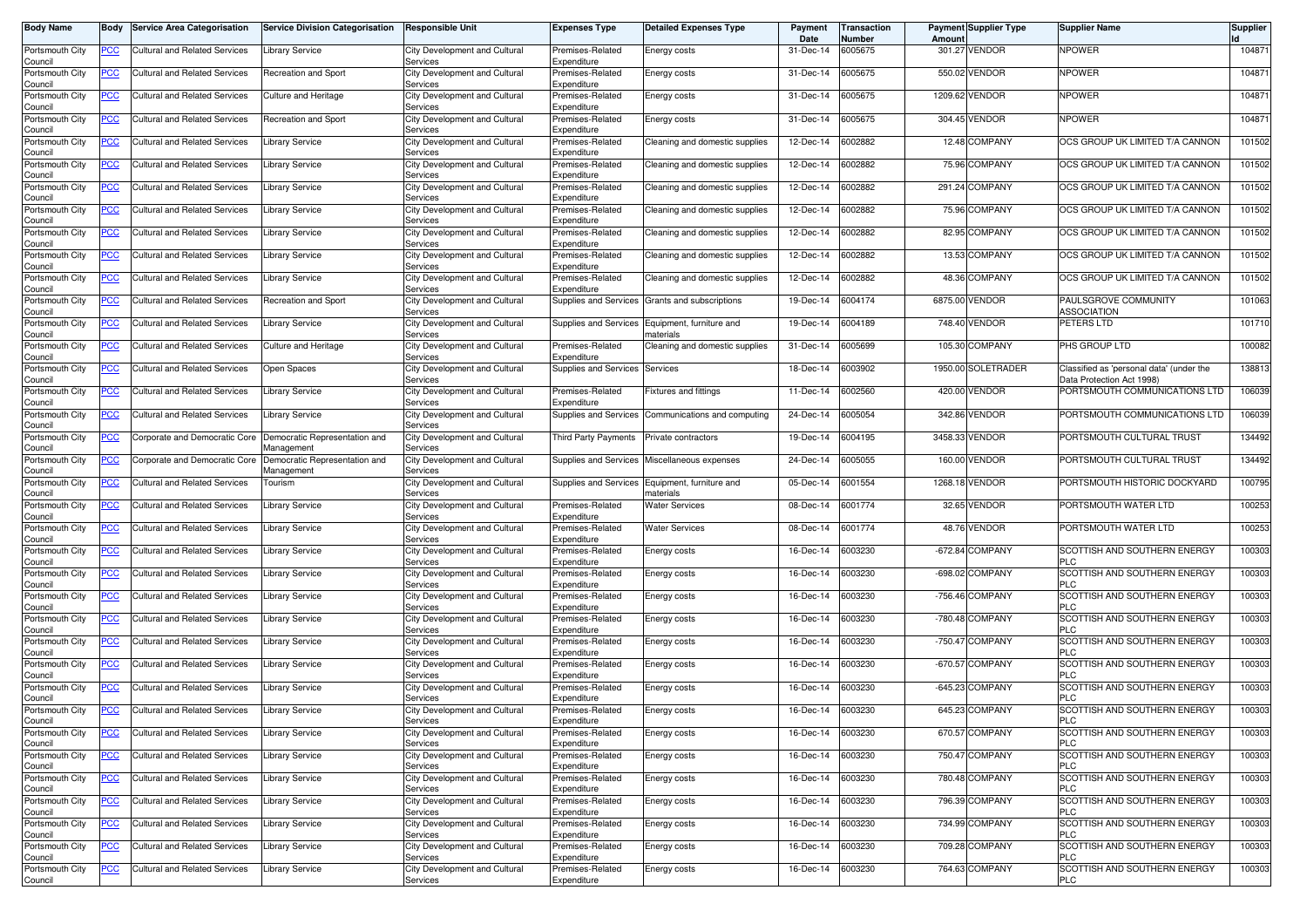| Body Name                  | Body           | <b>Service Area Categorisation</b>   | <b>Service Division Categorisation</b>      | <b>Responsible Unit</b>                          | <b>Expenses Type</b>            | <b>Detailed Expenses Type</b>         | Payment<br>Date | <b>Transaction</b><br>Number | Amount    | <b>Payment Supplier Type</b> | <b>Supplier Name</b>                                                  | <b>Supplier</b> |
|----------------------------|----------------|--------------------------------------|---------------------------------------------|--------------------------------------------------|---------------------------------|---------------------------------------|-----------------|------------------------------|-----------|------------------------------|-----------------------------------------------------------------------|-----------------|
| Portsmouth City<br>Council | <u>PCC</u>     | Cultural and Related Services        | <b>Library Service</b>                      | <b>City Development and Cultural</b><br>Services | Premises-Related<br>Expenditure | Energy costs                          | 31-Dec-14       | 6005675                      | 301.27    | <b>VENDOR</b>                | <b>NPOWER</b>                                                         | 104871          |
| Portsmouth City<br>Council | <u>PCC</u>     | Cultural and Related Services        | Recreation and Sport                        | City Development and Cultural<br>Services        | Premises-Related<br>Expenditure | Energy costs                          | 31-Dec-14       | 6005675                      | 550.02    | <b>VENDOR</b>                | <b>NPOWER</b>                                                         | 104871          |
| Portsmouth City<br>Council | <u>PCC</u>     | <b>Cultural and Related Services</b> | Culture and Heritage                        | City Development and Cultural<br>Services        | Premises-Related<br>Expenditure | Energy costs                          | 31-Dec-14       | 6005675                      | 1209.62   | <b>VENDOR</b>                | <b>NPOWER</b>                                                         | 104871          |
| Portsmouth City<br>Council | <b>PCC</b>     | <b>Cultural and Related Services</b> | Recreation and Sport                        | City Development and Cultural<br>Services        | Premises-Related<br>Expenditure | Energy costs                          | 31-Dec-14       | 6005675                      |           | 304.45 VENDOR                | <b>NPOWER</b>                                                         | 104871          |
| Portsmouth City<br>Council | <u>PCC</u>     | Cultural and Related Services        | Library Service                             | City Development and Cultural<br>Services        | Premises-Related<br>Expenditure | Cleaning and domestic supplies        | 12-Dec-14       | 6002882                      |           | 12.48 COMPANY                | OCS GROUP UK LIMITED T/A CANNON                                       | 101502          |
| Portsmouth City<br>Council | <u>PCC</u>     | Cultural and Related Services        | Library Service                             | City Development and Cultural<br>Services        | Premises-Related<br>Expenditure | Cleaning and domestic supplies        | 12-Dec-14       | 6002882                      |           | 75.96 COMPANY                | OCS GROUP UK LIMITED T/A CANNON                                       | 101502          |
| Portsmouth City<br>Council | <u>PCC</u>     | <b>Cultural and Related Services</b> | <b>Library Service</b>                      | City Development and Cultural<br>Services        | Premises-Related<br>Expenditure | Cleaning and domestic supplies        | 12-Dec-14       | 6002882                      | 291.24    | <b>COMPANY</b>               | OCS GROUP UK LIMITED T/A CANNON                                       | 101502          |
| Portsmouth City<br>Council | <u>PCC</u>     | <b>Cultural and Related Services</b> | <b>Library Service</b>                      | City Development and Cultural<br>Services        | Premises-Related<br>Expenditure | Cleaning and domestic supplies        | 12-Dec-14       | 6002882                      | 75.96     | <b>COMPANY</b>               | OCS GROUP UK LIMITED T/A CANNON                                       | 101502          |
| Portsmouth City<br>Council | <u>PCC</u>     | Cultural and Related Services        | Library Service                             | City Development and Cultural<br>Services        | Premises-Related<br>Expenditure | Cleaning and domestic supplies        | 12-Dec-14       | 6002882                      |           | 82.95 COMPANY                | OCS GROUP UK LIMITED T/A CANNON                                       | 101502          |
| Portsmouth City<br>Council | <u>PCC</u>     | Cultural and Related Services        | Library Service                             | City Development and Cultural<br>Services        | Premises-Related<br>Expenditure | Cleaning and domestic supplies        | 12-Dec-14       | 6002882                      |           | 13.53 COMPANY                | OCS GROUP UK LIMITED T/A CANNON                                       | 101502          |
| Portsmouth City<br>Council | <b>PCC</b>     | Cultural and Related Services        | Library Service                             | City Development and Cultural<br>Services        | Premises-Related<br>Expenditure | Cleaning and domestic supplies        | 12-Dec-14       | 6002882                      |           | 48.36 COMPANY                | OCS GROUP UK LIMITED T/A CANNON                                       | 101502          |
| Portsmouth City<br>Council | <u>PCC</u>     | <b>Cultural and Related Services</b> | Recreation and Sport                        | City Development and Cultura<br>Services         | Supplies and Services           | Grants and subscriptions              | 19-Dec-14       | 6004174                      | 6875.00   | VENDOR                       | PAULSGROVE COMMUNITY<br><b>ASSOCIATION</b>                            | 101063          |
| Portsmouth City<br>Council | <u>PCC</u>     | Cultural and Related Services        | Library Service                             | City Development and Cultural<br>Services        | Supplies and Services           | Equipment, furniture and<br>naterials | 19-Dec-14       | 6004189                      | 748.40    | <b>VENDOR</b>                | PETERS LTD                                                            | 101710          |
| Portsmouth City<br>Council | <u>PCC</u>     | Cultural and Related Services        | Culture and Heritage                        | City Development and Cultural<br>Services        | Premises-Related<br>Expenditure | Cleaning and domestic supplies        | 31-Dec-14       | 6005699                      | 105.30    | <b>COMPANY</b>               | PHS GROUP LTD                                                         | 100082          |
| Portsmouth City<br>Council | <u>PCC</u>     | Cultural and Related Services        | Open Spaces                                 | City Development and Cultural<br>Services        | Supplies and Services           | Services                              | 18-Dec-14       | 6003902                      |           | 1950.00 SOLETRADER           | Classified as 'personal data' (under the<br>Data Protection Act 1998) | 138813          |
| Portsmouth City<br>Council | <b>PCC</b>     | <b>Cultural and Related Services</b> | Library Service                             | City Development and Cultural<br>Services        | Premises-Related<br>Expenditure | Fixtures and fittings                 | 11-Dec-14       | 002560                       | 420.00    | <b>VENDOR</b>                | PORTSMOUTH COMMUNICATIONS LTD                                         | 106039          |
| Portsmouth City<br>Council | <u>PCC</u>     | <b>Cultural and Related Services</b> | <b>Library Service</b>                      | City Development and Cultural<br>Services        | Supplies and Services           | Communications and computing          | 24-Dec-14       | 6005054                      | 342.86    | <b>VENDOR</b>                | PORTSMOUTH COMMUNICATIONS LTD                                         | 106039          |
| Portsmouth City<br>Council | <u>PCC</u>     | Corporate and Democratic Core        | Democratic Representation and<br>Management | City Development and Cultural<br>Services        | Third Party Payments            | Private contractors                   | 19-Dec-14       | 6004195                      |           | 3458.33 VENDOR               | PORTSMOUTH CULTURAL TRUST                                             | 134492          |
| Portsmouth City<br>Council | <u>PCC</u>     | Corporate and Democratic Core        | Democratic Representation and<br>Management | City Development and Cultural<br>Services        | Supplies and Services           | Miscellaneous expenses                | 24-Dec-14       | 6005055                      | 160.00    | <b>VENDOR</b>                | PORTSMOUTH CULTURAL TRUST                                             | 134492          |
| Portsmouth City<br>Council | <b>PCC</b>     | <b>Cultural and Related Services</b> | Tourism                                     | City Development and Cultural<br>Services        | Supplies and Services           | Equipment, furniture and<br>naterials | 05-Dec-14       | 6001554                      |           | 1268.18 VENDOR               | PORTSMOUTH HISTORIC DOCKYARD                                          | 100795          |
| Portsmouth City<br>Council | <u>PCC</u>     | Cultural and Related Services        | Library Service                             | City Development and Cultural<br>Services        | Premises-Related<br>Expenditure | <b>Nater Services</b>                 | 08-Dec-14       | 6001774                      | 32.65     | <b>VENDOR</b>                | PORTSMOUTH WATER LTD                                                  | 100253          |
| Portsmouth City<br>Council | <u>PCC</u>     | <b>Cultural and Related Services</b> | Library Service                             | City Development and Cultural<br>Services        | Premises-Related<br>Expenditure | <b>Nater Services</b>                 | 08-Dec-14       | 6001774                      | 48.76     | <b>VENDOR</b>                | PORTSMOUTH WATER LTD                                                  | 100253          |
| Portsmouth City<br>Council | <u>PCC</u>     | Cultural and Related Services        | Library Service                             | City Development and Cultural<br>Services        | Premises-Related<br>Expenditure | Energy costs                          | 16-Dec-14       | 6003230                      | $-672.84$ | <b>COMPANY</b>               | SCOTTISH AND SOUTHERN ENERGY<br><b>PLC</b>                            | 100303          |
| Portsmouth City<br>Council | <u>PCC</u>     | <b>Cultural and Related Services</b> | Library Service                             | City Development and Cultural<br>Services        | Premises-Related<br>Expenditure | Energy costs                          | 16-Dec-14       | 6003230                      | $-698.02$ | <b>COMPANY</b>               | SCOTTISH AND SOUTHERN ENERGY<br><b>PLC</b>                            | 100303          |
| Portsmouth City<br>Council | <b>PCC</b>     | <b>Cultural and Related Services</b> | Library Service                             | City Development and Cultural<br>Services        | Premises-Related<br>Expenditure | Energy costs                          | 16-Dec-14       | 6003230                      |           | -756.46 COMPANY              | SCOTTISH AND SOUTHERN ENERGY<br><b>PLC</b>                            | 100303          |
| Portsmouth City<br>Council | <u>PCC</u>     | Cultural and Related Services        | <b>Library Service</b>                      | City Development and Cultural<br>Services        | Premises-Related<br>Expenditure | Energy costs                          | 16-Dec-14       | 6003230                      |           | -780.48 COMPANY              | SCOTTISH AND SOUTHERN ENERGY<br><b>PLC</b>                            | 100303          |
| Portsmouth City<br>Council | <u>PCC</u>     | Cultural and Related Services        | <b>Library Service</b>                      | City Development and Cultural<br>Services        | Premises-Related<br>Expenditure | Energy costs                          | 16-Dec-14       | 6003230                      | $-750.47$ | <b>COMPANY</b>               | SCOTTISH AND SOUTHERN ENERGY<br><b>PLC</b>                            | 100303          |
| Portsmouth City<br>Council | <u>PCC</u>     | Cultural and Related Services        | Library Service                             | City Development and Cultural<br>Services        | Premises-Related<br>Expenditure | Energy costs                          | 16-Dec-14       | 6003230                      | $-670.57$ | <b>COMPANY</b>               | SCOTTISH AND SOUTHERN ENERGY<br><b>PLC</b>                            | 100303          |
| Portsmouth City<br>Council | <u>PCC</u>     | <b>Cultural and Related Services</b> | Library Service                             | City Development and Cultura<br>Services         | Premises-Related<br>Expenditure | Energy costs                          | 16-Dec-14       | 6003230                      |           | -645.23 COMPANY              | SCOTTISH AND SOUTHERN ENERGY<br><b>PLC</b>                            | 100303          |
| Portsmouth City<br>Council | <u>PCC</u>     | <b>Cultural and Related Services</b> | <b>Library Service</b>                      | City Development and Cultural<br><b>Services</b> | Premises-Related<br>Expenditure | Energy costs                          | 16-Dec-14       | 6003230                      | 645.23    | <b>COMPANY</b>               | SCOTTISH AND SOUTHERN ENERGY<br>PLC.                                  | 100303          |
| Portsmouth City<br>Council | <u>PCC</u>     | <b>Cultural and Related Services</b> | <b>Library Service</b>                      | City Development and Cultural<br>Services        | Premises-Related<br>Expenditure | Energy costs                          | 16-Dec-14       | 6003230                      |           | 670.57 COMPANY               | SCOTTISH AND SOUTHERN ENERGY<br><b>PLC</b>                            | 100303          |
| Portsmouth City<br>Council | $\overline{C}$ | <b>Cultural and Related Services</b> | <b>Library Service</b>                      | City Development and Cultural<br>Services        | Premises-Related<br>Expenditure | Energy costs                          | 16-Dec-14       | 6003230                      |           | 750.47 COMPANY               | SCOTTISH AND SOUTHERN ENERGY<br><b>PLC</b>                            | 100303          |
| Portsmouth City<br>Council | $\overline{C}$ | <b>Cultural and Related Services</b> | Library Service                             | City Development and Cultural<br>Services        | Premises-Related<br>Expenditure | Energy costs                          | 16-Dec-14       | 6003230                      |           | 780.48 COMPANY               | SCOTTISH AND SOUTHERN ENERGY<br><b>PLC</b>                            | 100303          |
| Portsmouth City<br>Council | $\overline{C}$ | <b>Cultural and Related Services</b> | Library Service                             | City Development and Cultural<br>Services        | Premises-Related<br>Expenditure | Energy costs                          | 16-Dec-14       | 6003230                      |           | 796.39 COMPANY               | SCOTTISH AND SOUTHERN ENERGY<br><b>PLC</b>                            | 100303          |
| Portsmouth City<br>Council | $\overline{C}$ | <b>Cultural and Related Services</b> | <b>Library Service</b>                      | City Development and Cultural<br>Services        | Premises-Related<br>Expenditure | Energy costs                          | 16-Dec-14       | 6003230                      |           | 734.99 COMPANY               | SCOTTISH AND SOUTHERN ENERGY<br><b>PLC</b>                            | 100303          |
| Portsmouth City<br>Council | <u>PCC</u>     | <b>Cultural and Related Services</b> | <b>Library Service</b>                      | City Development and Cultural<br>Services        | Premises-Related<br>Expenditure | Energy costs                          | 16-Dec-14       | 6003230                      |           | 709.28 COMPANY               | SCOTTISH AND SOUTHERN ENERGY<br>PLC                                   | 100303          |
| Portsmouth City<br>Council | <u>PCC</u>     | Cultural and Related Services        | Library Service                             | City Development and Cultural<br>Services        | Premises-Related<br>Expenditure | Energy costs                          | 16-Dec-14       | 6003230                      |           | 764.63 COMPANY               | SCOTTISH AND SOUTHERN ENERGY<br><b>PLC</b>                            | 100303          |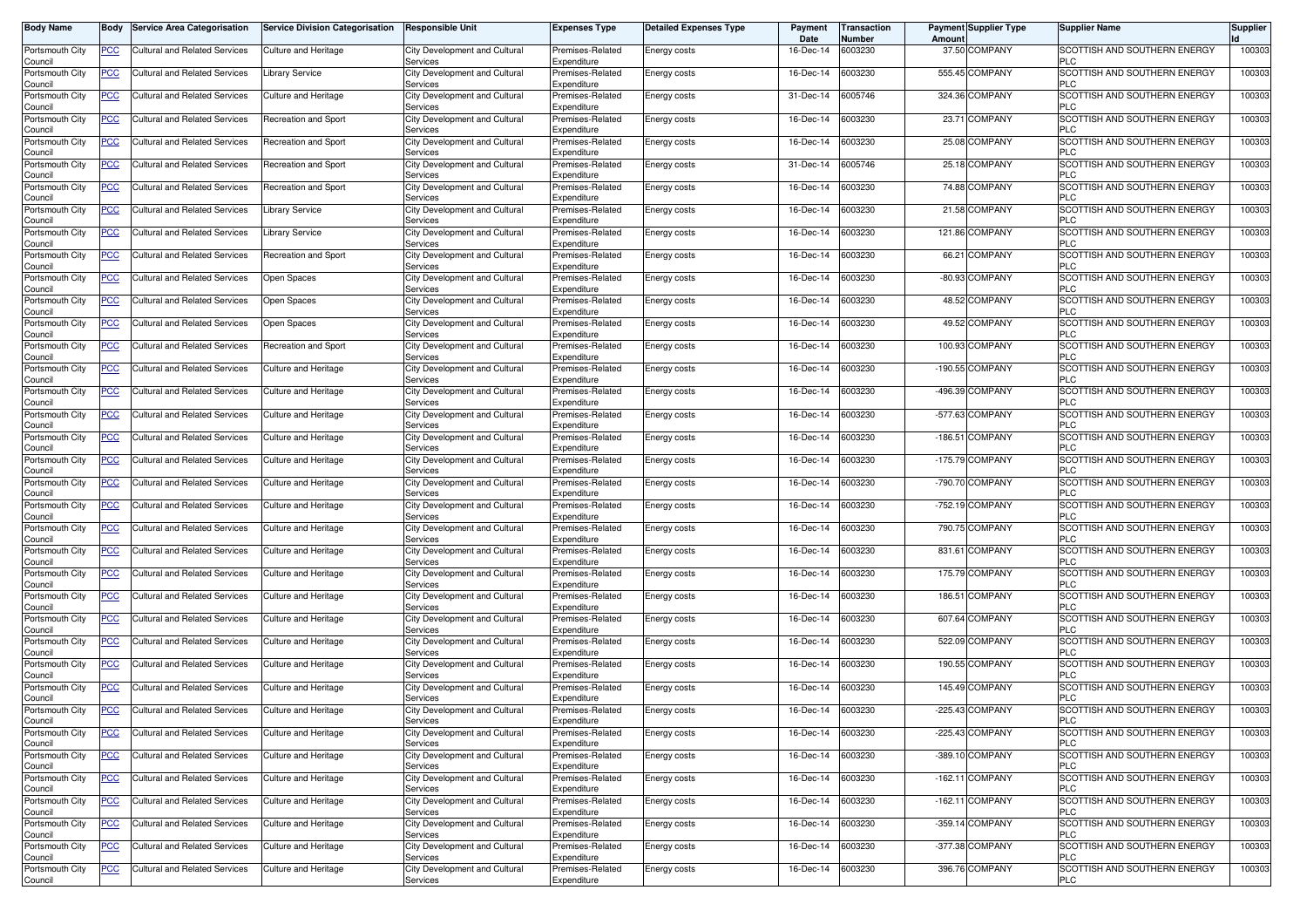| <b>Body Name</b>           | Body           | <b>Service Area Categorisation</b>   | <b>Service Division Categorisation</b> | <b>Responsible Unit</b>                   | <b>Expenses Type</b>            | <b>Detailed Expenses Type</b> | Payment<br>Date | Transaction<br><b>Number</b> | Amoun  | <b>Payment Supplier Type</b> | <b>Supplier Name</b>                       | <b>Supplier</b> |
|----------------------------|----------------|--------------------------------------|----------------------------------------|-------------------------------------------|---------------------------------|-------------------------------|-----------------|------------------------------|--------|------------------------------|--------------------------------------------|-----------------|
| Portsmouth City<br>Council | <u>PCC</u>     | Cultural and Related Services        | Culture and Heritage                   | City Development and Cultural<br>Services | Premises-Related<br>Expenditure | Energy costs                  | 16-Dec-14       | 6003230                      |        | 37.50 COMPANY                | SCOTTISH AND SOUTHERN ENERGY<br>PLC.       | 100303          |
| Portsmouth City<br>Council | <u>PCC</u>     | <b>Cultural and Related Services</b> | <b>Library Service</b>                 | City Development and Cultural<br>Services | Premises-Related<br>Expenditure | Energy costs                  | 16-Dec-14       | 6003230                      |        | 555.45 COMPANY               | SCOTTISH AND SOUTHERN ENERGY<br>PLC        | 100303          |
| Portsmouth City<br>Council | <u>PCC</u>     | Cultural and Related Services        | Culture and Heritage                   | City Development and Cultural<br>Services | Premises-Related<br>Expenditure | Energy costs                  | 31-Dec-14       | 6005746                      |        | 324.36 COMPANY               | SCOTTISH AND SOUTHERN ENERGY<br>PLC        | 100303          |
| Portsmouth City            | $\overline{C}$ | Cultural and Related Services        | Recreation and Sport                   | City Development and Cultural             | Premises-Related                | Energy costs                  | 16-Dec-14       | 6003230                      |        | 23.71 COMPANY                | SCOTTISH AND SOUTHERN ENERGY               | 100303          |
| Council<br>Portsmouth City | <u>PCC</u>     | <b>Cultural and Related Services</b> | Recreation and Sport                   | Services<br>City Development and Cultural | Expenditure<br>Premises-Related | Energy costs                  | 16-Dec-14       | 6003230                      |        | 25.08 COMPANY                | PLC<br>SCOTTISH AND SOUTHERN ENERGY        | 10030           |
| Council<br>Portsmouth City | <u>PCC</u>     | <b>Cultural and Related Services</b> | Recreation and Sport                   | Services<br>City Development and Cultural | Expenditure<br>Premises-Related | Energy costs                  | 31-Dec-14       | 6005746                      |        | 25.18 COMPANY                | PLC<br>SCOTTISH AND SOUTHERN ENERGY        | 100303          |
| Council<br>Portsmouth City | <u>PCC</u>     | Cultural and Related Services        | <b>Recreation and Sport</b>            | Services<br>City Development and Cultural | Expenditure<br>Premises-Related | Energy costs                  | 16-Dec-14       | 6003230                      |        | 74.88 COMPANY                | <b>PLC</b><br>SCOTTISH AND SOUTHERN ENERGY | 100303          |
| Council<br>Portsmouth City | <u>PCC</u>     | <b>Cultural and Related Services</b> | <b>Library Service</b>                 | Services<br>City Development and Cultural | Expenditure<br>Premises-Related | Energy costs                  | 16-Dec-14       | 6003230                      |        | 21.58 COMPANY                | <b>PLC</b><br>SCOTTISH AND SOUTHERN ENERGY | 100303          |
| Council<br>Portsmouth City | <u>PCC</u>     | <b>Cultural and Related Services</b> | <b>Library Service</b>                 | Services<br>City Development and Cultural | Expenditure<br>Premises-Related | Energy costs                  | 16-Dec-14       | 6003230                      |        | 121.86 COMPANY               | <b>PLC</b><br>SCOTTISH AND SOUTHERN ENERGY | 100303          |
| Council<br>Portsmouth City | <u>PCC</u>     | <b>Cultural and Related Services</b> | Recreation and Sport                   | Services<br>City Development and Cultural | Expenditure<br>Premises-Related | Energy costs                  | 16-Dec-14       | 6003230                      |        | 66.21 COMPANY                | PLC<br>SCOTTISH AND SOUTHERN ENERGY        | 100303          |
| Council<br>Portsmouth City | <u>PCC</u>     | Cultural and Related Services        | Open Spaces                            | Services<br>City Development and Cultural | Expenditure<br>Premises-Related | Energy costs                  | 16-Dec-14       | 6003230                      |        | -80.93 COMPANY               | <b>PLC</b><br>SCOTTISH AND SOUTHERN ENERGY | 100303          |
| Council                    |                |                                      |                                        | Services                                  | Expenditure                     |                               |                 | 6003230                      |        | 48.52 COMPANY                | PLC<br>SCOTTISH AND SOUTHERN ENERGY        |                 |
| Portsmouth City<br>Council | PСC            | Cultural and Related Services        | Open Spaces                            | City Development and Cultural<br>Services | Premises-Related<br>Expenditure | Energy costs                  | 16-Dec-14       |                              |        |                              | PLC                                        | 100303          |
| Portsmouth City<br>Council | <u>PCC</u>     | <b>Cultural and Related Services</b> | Open Spaces                            | City Development and Cultural<br>Services | Premises-Related<br>Expenditure | Energy costs                  | 16-Dec-14       | 6003230                      |        | 49.52 COMPANY                | SCOTTISH AND SOUTHERN ENERGY<br><b>PLC</b> | 10030           |
| Portsmouth City<br>Council | <u>PCC</u>     | <b>Cultural and Related Services</b> | Recreation and Sport                   | City Development and Cultural<br>Services | Premises-Related<br>Expenditure | <b>Energy costs</b>           | 16-Dec-14       | 6003230                      |        | 100.93 COMPANY               | SCOTTISH AND SOUTHERN ENERGY<br>PLC        | 100303          |
| Portsmouth City<br>Council | <u>PCC</u>     | Cultural and Related Services        | Culture and Heritage                   | City Development and Cultural<br>Services | Premises-Related<br>Expenditure | Energy costs                  | 16-Dec-14       | 6003230                      |        | -190.55 COMPANY              | SCOTTISH AND SOUTHERN ENERGY<br><b>PLC</b> | 100303          |
| Portsmouth City<br>Council | <u>PCC</u>     | <b>Cultural and Related Services</b> | Culture and Heritage                   | City Development and Cultural<br>Services | Premises-Related<br>Expenditure | Energy costs                  | 16-Dec-14       | 6003230                      |        | -496.39 COMPANY              | SCOTTISH AND SOUTHERN ENERGY<br>PLC        | 100303          |
| Portsmouth City<br>Council | <u>PCC</u>     | <b>Cultural and Related Services</b> | Culture and Heritage                   | City Development and Cultural<br>Services | Premises-Related<br>Expenditure | Energy costs                  | 16-Dec-14       | 6003230                      |        | -577.63 COMPANY              | SCOTTISH AND SOUTHERN ENERGY<br><b>PLC</b> | 100303          |
| Portsmouth City<br>Council | <u>PCC</u>     | <b>Cultural and Related Services</b> | Culture and Heritage                   | City Development and Cultural<br>Services | Premises-Related<br>Expenditure | <b>Energy costs</b>           | 16-Dec-14       | 6003230                      |        | -186.51 COMPANY              | SCOTTISH AND SOUTHERN ENERGY<br>PLC        | 100303          |
| Portsmouth City<br>Council | PСC            | Cultural and Related Services        | Culture and Heritage                   | City Development and Cultural<br>Services | Premises-Related<br>Expenditure | Energy costs                  | 16-Dec-14       | 6003230                      |        | -175.79 COMPANY              | SCOTTISH AND SOUTHERN ENERGY<br><b>PLC</b> | 100303          |
| Portsmouth City<br>Council | <u>PCC</u>     | Cultural and Related Services        | Culture and Heritage                   | City Development and Cultural<br>Services | Premises-Related<br>Expenditure | Energy costs                  | 16-Dec-14       | 6003230                      |        | -790.70 COMPANY              | SCOTTISH AND SOUTHERN ENERGY<br>PLC        | 100303          |
| Portsmouth City<br>Council | PСC            | <b>Cultural and Related Services</b> | Culture and Heritage                   | City Development and Cultural<br>Services | Premises-Related<br>Expenditure | <b>Energy costs</b>           | 16-Dec-14       | 6003230                      |        | -752.19 COMPANY              | SCOTTISH AND SOUTHERN ENERGY<br>PLC        | 10030           |
| Portsmouth City<br>Council | <b>PCC</b>     | <b>Cultural and Related Services</b> | Culture and Heritage                   | City Development and Cultural<br>Services | Premises-Related<br>Expenditure | Energy costs                  | 16-Dec-14       | 6003230                      |        | 790.75 COMPANY               | SCOTTISH AND SOUTHERN ENERGY<br><b>PLC</b> | 100303          |
| Portsmouth City<br>Council | <u>PCC</u>     | Cultural and Related Services        | <b>Culture and Heritage</b>            | City Development and Cultural<br>Services | Premises-Related<br>Expenditure | <b>Energy costs</b>           | 16-Dec-14       | 6003230                      |        | 831.61 COMPANY               | SCOTTISH AND SOUTHERN ENERGY<br><b>PLC</b> | 10030           |
| Portsmouth City<br>Council | <u>PCC</u>     | Cultural and Related Services        | Culture and Heritage                   | City Development and Cultural<br>Services | Premises-Related<br>Expenditure | Energy costs                  | 16-Dec-14       | 6003230                      |        | 175.79 COMPANY               | SCOTTISH AND SOUTHERN ENERGY<br><b>PLC</b> | 100303          |
| Portsmouth City<br>Council | <u>PCC</u>     | <b>Cultural and Related Services</b> | Culture and Heritage                   | City Development and Cultural<br>Services | Premises-Related<br>Expenditure | Energy costs                  | 16-Dec-14       | 6003230                      | 186.51 | <b>COMPANY</b>               | SCOTTISH AND SOUTHERN ENERGY<br>PLC        | 100303          |
| Portsmouth City            | <u>PCC</u>     | <b>Cultural and Related Services</b> | Culture and Heritage                   | City Development and Cultural<br>Services | Premises-Related                | Energy costs                  | 16-Dec-14       | 6003230                      |        | 607.64 COMPANY               | SCOTTISH AND SOUTHERN ENERGY<br>PLC        | 10030           |
| Council<br>Portsmouth City | <u>PCC</u>     | Cultural and Related Services        | Culture and Heritage                   | City Development and Cultural             | Expenditure<br>Premises-Related | <b>Energy costs</b>           | 16-Dec-14       | 6003230                      |        | 522.09 COMPANY               | SCOTTISH AND SOUTHERN ENERGY               | 100303          |
| Council<br>Portsmouth City | <u>PCC</u>     | <b>Cultural and Related Services</b> | Culture and Heritage                   | Services<br>City Development and Cultural | Expenditure<br>Premises-Related | Energy costs                  | 16-Dec-14       | 6003230                      |        | 190.55 COMPANY               | <b>PLC</b><br>SCOTTISH AND SOUTHERN ENERGY | 100303          |
| Council<br>Portsmouth City | $\overline{C}$ | Cultural and Related Services        | Culture and Heritage                   | Services<br>City Development and Cultural | Expenditure<br>Premises-Related | Energy costs                  | 16-Dec-14       | 6003230                      |        | 145.49 COMPANY               | PLC.<br>SCOTTISH AND SOUTHERN ENERGY       | 100303          |
| Council<br>Portsmouth City | <u>PCC</u>     | <b>Cultural and Related Services</b> | <b>Culture and Heritage</b>            | Services<br>City Development and Cultural | Expenditure<br>Premises-Related | <b>Energy costs</b>           | 16-Dec-14       | 6003230                      |        | -225.43 COMPANY              | PLC<br>SCOTTISH AND SOUTHERN ENERGY        | 100303          |
| Council<br>Portsmouth City | <b>PCC</b>     | <b>Cultural and Related Services</b> | Culture and Heritage                   | Services<br>City Development and Cultural | Expenditure<br>Premises-Related | Energy costs                  | 16-Dec-14       | 6003230                      |        | -225.43 COMPANY              | PLÜ<br>SCOTTISH AND SOUTHERN ENERGY        | 100303          |
| Council<br>Portsmouth City | <u>PCC</u>     | <b>Cultural and Related Services</b> | Culture and Heritage                   | Services<br>City Development and Cultural | Expenditure<br>Premises-Related | Energy costs                  | 16-Dec-14       | 6003230                      |        | -389.10 COMPANY              | <b>PLC</b><br>SCOTTISH AND SOUTHERN ENERGY | 100303          |
| Council<br>Portsmouth City | PCC            | <b>Cultural and Related Services</b> | Culture and Heritage                   | Services<br>City Development and Cultural | Expenditure<br>Premises-Related | Energy costs                  | 16-Dec-14       | 6003230                      |        | -162.11 COMPANY              | <b>PLC</b><br>SCOTTISH AND SOUTHERN ENERGY | 100303          |
| Council<br>Portsmouth City | <u>PCC</u>     | <b>Cultural and Related Services</b> | Culture and Heritage                   | Services<br>City Development and Cultural | Expenditure<br>Premises-Related | Energy costs                  | 16-Dec-14       | 6003230                      |        | -162.11 COMPANY              | <b>PLC</b><br>SCOTTISH AND SOUTHERN ENERGY | 100303          |
| Council<br>Portsmouth City | <u>PCC</u>     | Cultural and Related Services        | Culture and Heritage                   | Services<br>City Development and Cultural | Expenditure<br>Premises-Related | Energy costs                  | 16-Dec-14       | 6003230                      |        | -359.14 COMPANY              | <b>PLC</b><br>SCOTTISH AND SOUTHERN ENERGY | 100303          |
| Council<br>Portsmouth City |                | <b>Cultural and Related Services</b> |                                        | Services                                  | Expenditure                     |                               |                 |                              |        | -377.38 COMPANY              | <b>PLC</b><br>SCOTTISH AND SOUTHERN ENERGY | 100303          |
| Council                    | <u>PCC</u>     |                                      | Culture and Heritage                   | City Development and Cultural<br>Services | Premises-Related<br>Expenditure | Energy costs                  | 16-Dec-14       | 6003230                      |        |                              | <b>PLC</b>                                 |                 |
| Portsmouth City<br>Council | PCC            | Cultural and Related Services        | Culture and Heritage                   | City Development and Cultural<br>Services | Premises-Related<br>Expenditure | Energy costs                  | 16-Dec-14       | 6003230                      |        | 396.76 COMPANY               | SCOTTISH AND SOUTHERN ENERGY<br><b>PLC</b> | 100303          |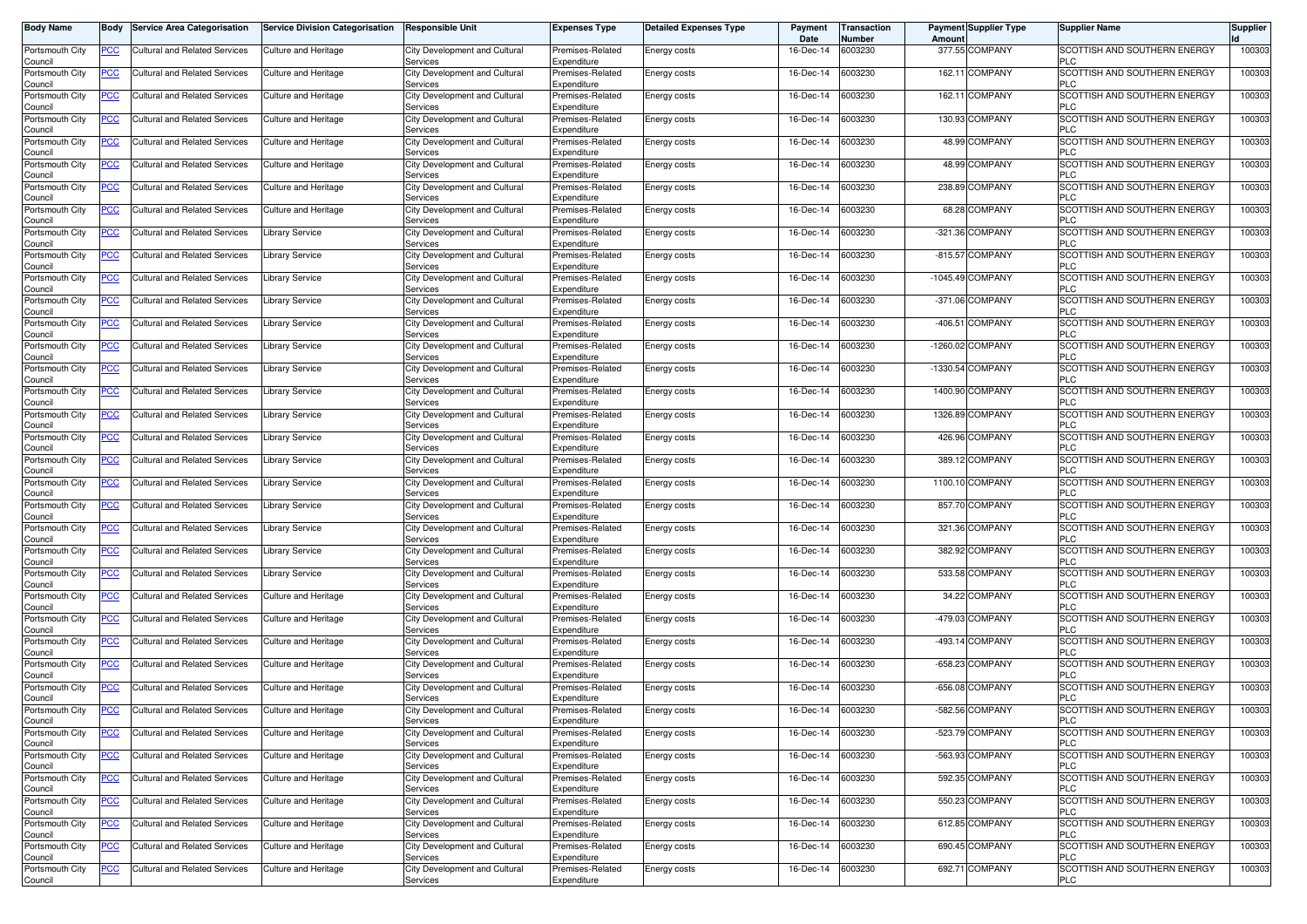| <b>Body Name</b>           | Body           | <b>Service Area Categorisation</b>   | <b>Service Division Categorisation</b> | <b>Responsible Unit</b>                   | <b>Expenses Type</b>            | <b>Detailed Expenses Type</b> | Payment<br>Date | Transaction<br><b>Number</b> | Amoun     | <b>Payment Supplier Type</b> | <b>Supplier Name</b>                       | <b>Supplier</b> |
|----------------------------|----------------|--------------------------------------|----------------------------------------|-------------------------------------------|---------------------------------|-------------------------------|-----------------|------------------------------|-----------|------------------------------|--------------------------------------------|-----------------|
| Portsmouth City<br>Council | <u>PCC</u>     | Cultural and Related Services        | Culture and Heritage                   | City Development and Cultural<br>Services | Premises-Related<br>Expenditure | Energy costs                  | 16-Dec-14       | 6003230                      |           | 377.55 COMPANY               | SCOTTISH AND SOUTHERN ENERGY<br>PLC.       | 100303          |
| Portsmouth City<br>Council | <u>PCC</u>     | Cultural and Related Services        | <b>Culture and Heritage</b>            | City Development and Cultural<br>Services | Premises-Related<br>Expenditure | Energy costs                  | 16-Dec-14       | 6003230                      |           | 162.11 COMPANY               | SCOTTISH AND SOUTHERN ENERGY<br>PLC        | 100303          |
| Portsmouth City<br>Council | <u>PCC</u>     | Cultural and Related Services        | Culture and Heritage                   | City Development and Cultural<br>Services | Premises-Related<br>Expenditure | Energy costs                  | 16-Dec-14       | 6003230                      |           | 162.11 COMPANY               | SCOTTISH AND SOUTHERN ENERGY<br>PLC        | 100303          |
| Portsmouth City            | $\overline{C}$ | Cultural and Related Services        | Culture and Heritage                   | City Development and Cultural             | Premises-Related                | Energy costs                  | 16-Dec-14       | 6003230                      |           | 130.93 COMPANY               | SCOTTISH AND SOUTHERN ENERGY               | 100303          |
| Council<br>Portsmouth City | <u>PCC</u>     | <b>Cultural and Related Services</b> | Culture and Heritage                   | Services<br>City Development and Cultural | Expenditure<br>Premises-Related | Energy costs                  | 16-Dec-14       | 6003230                      |           | 48.99 COMPANY                | PLC<br>SCOTTISH AND SOUTHERN ENERGY        | 10030           |
| Council<br>Portsmouth City | <u>PCC</u>     | <b>Cultural and Related Services</b> | Culture and Heritage                   | Services<br>City Development and Cultural | Expenditure<br>Premises-Related | Energy costs                  | 16-Dec-14       | 6003230                      |           | 48.99 COMPANY                | PLC<br>SCOTTISH AND SOUTHERN ENERGY        | 100303          |
| Council<br>Portsmouth City | <u>PCC</u>     | Cultural and Related Services        | Culture and Heritage                   | Services<br>City Development and Cultural | Expenditure<br>Premises-Related | Energy costs                  | 16-Dec-14       | 6003230                      |           | 238.89 COMPANY               | <b>PLC</b><br>SCOTTISH AND SOUTHERN ENERGY | 100303          |
| Council<br>Portsmouth City | <u>PCC</u>     | <b>Cultural and Related Services</b> | Culture and Heritage                   | Services<br>City Development and Cultural | Expenditure<br>Premises-Related | Energy costs                  | 16-Dec-14       | 6003230                      |           | 68.28 COMPANY                | <b>PLC</b><br>SCOTTISH AND SOUTHERN ENERGY | 100303          |
| Council<br>Portsmouth City | <u>PCC</u>     | <b>Cultural and Related Services</b> | Library Service                        | Services<br>City Development and Cultural | Expenditure<br>Premises-Related | Energy costs                  | 16-Dec-14       | 6003230                      | $-321.36$ | COMPANY                      | <b>PLC</b><br>SCOTTISH AND SOUTHERN ENERGY | 100303          |
| Council<br>Portsmouth City | <u>PCC</u>     | <b>Cultural and Related Services</b> | Library Service                        | Services<br>City Development and Cultural | Expenditure<br>Premises-Related | Energy costs                  | 16-Dec-14       | 6003230                      |           | -815.57 COMPANY              | PLC<br>SCOTTISH AND SOUTHERN ENERGY        | 100303          |
| Council<br>Portsmouth City | <u>PCC</u>     | Cultural and Related Services        | <b>Library Service</b>                 | Services<br>City Development and Cultural | Expenditure<br>Premises-Related | Energy costs                  | 16-Dec-14       | 6003230                      |           | -1045.49 COMPANY             | <b>PLC</b><br>SCOTTISH AND SOUTHERN ENERGY | 100303          |
| Council                    |                |                                      |                                        | Services                                  | Expenditure                     |                               |                 | 6003230                      |           | -371.06 COMPANY              | PLC<br>SCOTTISH AND SOUTHERN ENERGY        |                 |
| Portsmouth City<br>Council | PСC            | Cultural and Related Services        | <b>Library Service</b>                 | City Development and Cultural<br>Services | Premises-Related<br>Expenditure | Energy costs                  | 16-Dec-14       |                              |           |                              | PLC                                        | 10030           |
| Portsmouth City<br>Council | <u>PCC</u>     | <b>Cultural and Related Services</b> | Library Service                        | City Development and Cultural<br>Services | Premises-Related<br>Expenditure | Energy costs                  | 16-Dec-14       | 6003230                      |           | -406.51 COMPANY              | SCOTTISH AND SOUTHERN ENERGY<br><b>PLC</b> | 10030           |
| Portsmouth City<br>Council | <u>PCC</u>     | <b>Cultural and Related Services</b> | Library Service                        | City Development and Cultural<br>Services | Premises-Related<br>Expenditure | <b>Energy costs</b>           | 16-Dec-14       | 6003230                      |           | -1260.02 COMPANY             | SCOTTISH AND SOUTHERN ENERGY<br>PLC        | 10030           |
| Portsmouth City<br>Council | <u>PCC</u>     | Cultural and Related Services        | Library Service                        | City Development and Cultural<br>Services | Premises-Related<br>Expenditure | Energy costs                  | 16-Dec-14       | 6003230                      |           | -1330.54 COMPANY             | SCOTTISH AND SOUTHERN ENERGY<br><b>PLC</b> | 100303          |
| Portsmouth City<br>Council | <u>PCC</u>     | <b>Cultural and Related Services</b> | <b>Library Service</b>                 | City Development and Cultural<br>Services | Premises-Related<br>Expenditure | Energy costs                  | 16-Dec-14       | 6003230                      |           | 1400.90 COMPANY              | SCOTTISH AND SOUTHERN ENERGY<br>PLC        | 100303          |
| Portsmouth City<br>Council | <u>PCC</u>     | <b>Cultural and Related Services</b> | <b>Library Service</b>                 | City Development and Cultural<br>Services | Premises-Related<br>Expenditure | Energy costs                  | 16-Dec-14       | 6003230                      |           | 1326.89 COMPANY              | SCOTTISH AND SOUTHERN ENERGY<br><b>PLC</b> | 100303          |
| Portsmouth City<br>Council | <u>PCC</u>     | Cultural and Related Services        | <b>Library Service</b>                 | City Development and Cultural<br>Services | Premises-Related<br>Expenditure | Energy costs                  | 16-Dec-14       | 6003230                      |           | 426.96 COMPANY               | SCOTTISH AND SOUTHERN ENERGY<br>PLC        | 100303          |
| Portsmouth City<br>Council | <u>PCC</u>     | Cultural and Related Services        | <b>Library Service</b>                 | City Development and Cultural<br>Services | Premises-Related<br>Expenditure | Energy costs                  | 16-Dec-14       | 6003230                      |           | 389.12 COMPANY               | SCOTTISH AND SOUTHERN ENERGY<br>PLC        | 100303          |
| Portsmouth City<br>Council | <u>PCC</u>     | Cultural and Related Services        | Library Service                        | City Development and Cultural<br>Services | Premises-Related<br>Expenditure | Energy costs                  | 16-Dec-14       | 6003230                      |           | 1100.10 COMPANY              | SCOTTISH AND SOUTHERN ENERGY<br>PLC        | 100303          |
| Portsmouth City<br>Council |                | <b>Cultural and Related Services</b> | Library Service                        | City Development and Cultural<br>Services | Premises-Related<br>Expenditure | <b>Energy costs</b>           | 16-Dec-14       | 6003230                      |           | 857.70 COMPANY               | SCOTTISH AND SOUTHERN ENERGY<br>PLC        | 10030           |
| Portsmouth City<br>Council | <b>PCC</b>     | <b>Cultural and Related Services</b> | Library Service                        | City Development and Cultural<br>Services | Premises-Related<br>Expenditure | Energy costs                  | 16-Dec-14       | 6003230                      |           | 321.36 COMPANY               | SCOTTISH AND SOUTHERN ENERGY<br><b>PLC</b> | 100303          |
| Portsmouth City<br>Council | <u>PCC</u>     | Cultural and Related Services        | Library Service                        | City Development and Cultural<br>Services | Premises-Related<br>Expenditure | <b>Energy costs</b>           | 16-Dec-14       | 6003230                      |           | 382.92 COMPANY               | SCOTTISH AND SOUTHERN ENERGY<br><b>PLC</b> | 10030           |
| Portsmouth City<br>Council | <u>PCC</u>     | Cultural and Related Services        | Library Service                        | City Development and Cultural<br>Services | Premises-Related<br>Expenditure | Energy costs                  | 16-Dec-14       | 6003230                      |           | 533.58 COMPANY               | SCOTTISH AND SOUTHERN ENERGY<br><b>PLC</b> | 100303          |
| Portsmouth City            | <u>PCC</u>     | <b>Cultural and Related Services</b> | Culture and Heritage                   | City Development and Cultural             | Premises-Related                | Energy costs                  | 16-Dec-14       | 6003230                      |           | 34.22 COMPANY                | SCOTTISH AND SOUTHERN ENERGY               | 100303          |
| Council<br>Portsmouth City | <u>PCC</u>     | <b>Cultural and Related Services</b> | Culture and Heritage                   | Services<br>City Development and Cultural | Expenditure<br>Premises-Related | Energy costs                  | 16-Dec-14       | 6003230                      |           | -479.03 COMPANY              | PLC<br>SCOTTISH AND SOUTHERN ENERGY        | 10030           |
| Council<br>Portsmouth City | <u>PCC</u>     | Cultural and Related Services        | Culture and Heritage                   | Services<br>City Development and Cultural | Expenditure<br>Premises-Related | Energy costs                  | 16-Dec-14       | 6003230                      |           | -493.14 COMPANY              | PLC<br>SCOTTISH AND SOUTHERN ENERGY        | 100303          |
| Council<br>Portsmouth City | <u>PCC</u>     | <b>Cultural and Related Services</b> | Culture and Heritage                   | Services<br>City Development and Cultural | Expenditure<br>Premises-Related | Energy costs                  | 16-Dec-14       | 6003230                      |           | -658.23 COMPANY              | <b>PLC</b><br>SCOTTISH AND SOUTHERN ENERGY | 100303          |
| Council<br>Portsmouth City | $\overline{C}$ | Cultural and Related Services        | Culture and Heritage                   | Services<br>City Development and Cultural | Expenditure<br>Premises-Related | Energy costs                  | 16-Dec-14       | 6003230                      |           | -656.08 COMPANY              | PLC.<br>SCOTTISH AND SOUTHERN ENERGY       | 100303          |
| Council<br>Portsmouth City | <u>PCC</u>     | <b>Cultural and Related Services</b> | <b>Culture and Heritage</b>            | Services<br>City Development and Cultural | Expenditure<br>Premises-Related | <b>Energy costs</b>           | 16-Dec-14       | 6003230                      |           | -582.56 COMPANY              | PLC<br>SCOTTISH AND SOUTHERN ENERGY        | 100303          |
| Council<br>Portsmouth City | <b>PCC</b>     | <b>Cultural and Related Services</b> | Culture and Heritage                   | Services<br>City Development and Cultural | Expenditure<br>Premises-Related | Energy costs                  | 16-Dec-14       | 6003230                      |           | -523.79 COMPANY              | PLÜ<br>SCOTTISH AND SOUTHERN ENERGY        | 100303          |
| Council<br>Portsmouth City | <u>PCC</u>     | <b>Cultural and Related Services</b> | Culture and Heritage                   | Services<br>City Development and Cultural | Expenditure<br>Premises-Related | Energy costs                  | 16-Dec-14       | 6003230                      |           | -563.93 COMPANY              | <b>PLC</b><br>SCOTTISH AND SOUTHERN ENERGY | 100303          |
| Council<br>Portsmouth City | PCC            | <b>Cultural and Related Services</b> | Culture and Heritage                   | Services<br>City Development and Cultural | Expenditure<br>Premises-Related | Energy costs                  | 16-Dec-14       | 6003230                      |           | 592.35 COMPANY               | <b>PLC</b><br>SCOTTISH AND SOUTHERN ENERGY | 100303          |
| Council                    |                |                                      |                                        | Services<br>City Development and Cultural | Expenditure                     |                               |                 |                              |           |                              | <b>PLC</b>                                 |                 |
| Portsmouth City<br>Council | <u>PCC</u>     | <b>Cultural and Related Services</b> | Culture and Heritage                   | Services                                  | Premises-Related<br>Expenditure | Energy costs                  | 16-Dec-14       | 6003230                      |           | 550.23 COMPANY               | SCOTTISH AND SOUTHERN ENERGY<br><b>PLC</b> | 100303          |
| Portsmouth City<br>Council | <u>PCC</u>     | Cultural and Related Services        | Culture and Heritage                   | City Development and Cultural<br>Services | Premises-Related<br>Expenditure | Energy costs                  | 16-Dec-14       | 6003230                      |           | 612.85 COMPANY               | SCOTTISH AND SOUTHERN ENERGY<br><b>PLC</b> | 100303          |
| Portsmouth City<br>Council | <u>PCC</u>     | <b>Cultural and Related Services</b> | Culture and Heritage                   | City Development and Cultural<br>Services | Premises-Related<br>Expenditure | Energy costs                  | 16-Dec-14       | 6003230                      |           | 690.45 COMPANY               | SCOTTISH AND SOUTHERN ENERGY<br><b>PLC</b> | 100303          |
| Portsmouth City<br>Council | PCC            | Cultural and Related Services        | Culture and Heritage                   | City Development and Cultural<br>Services | Premises-Related<br>Expenditure | Energy costs                  | 16-Dec-14       | 6003230                      |           | 692.71 COMPANY               | SCOTTISH AND SOUTHERN ENERGY<br><b>PLC</b> | 100303          |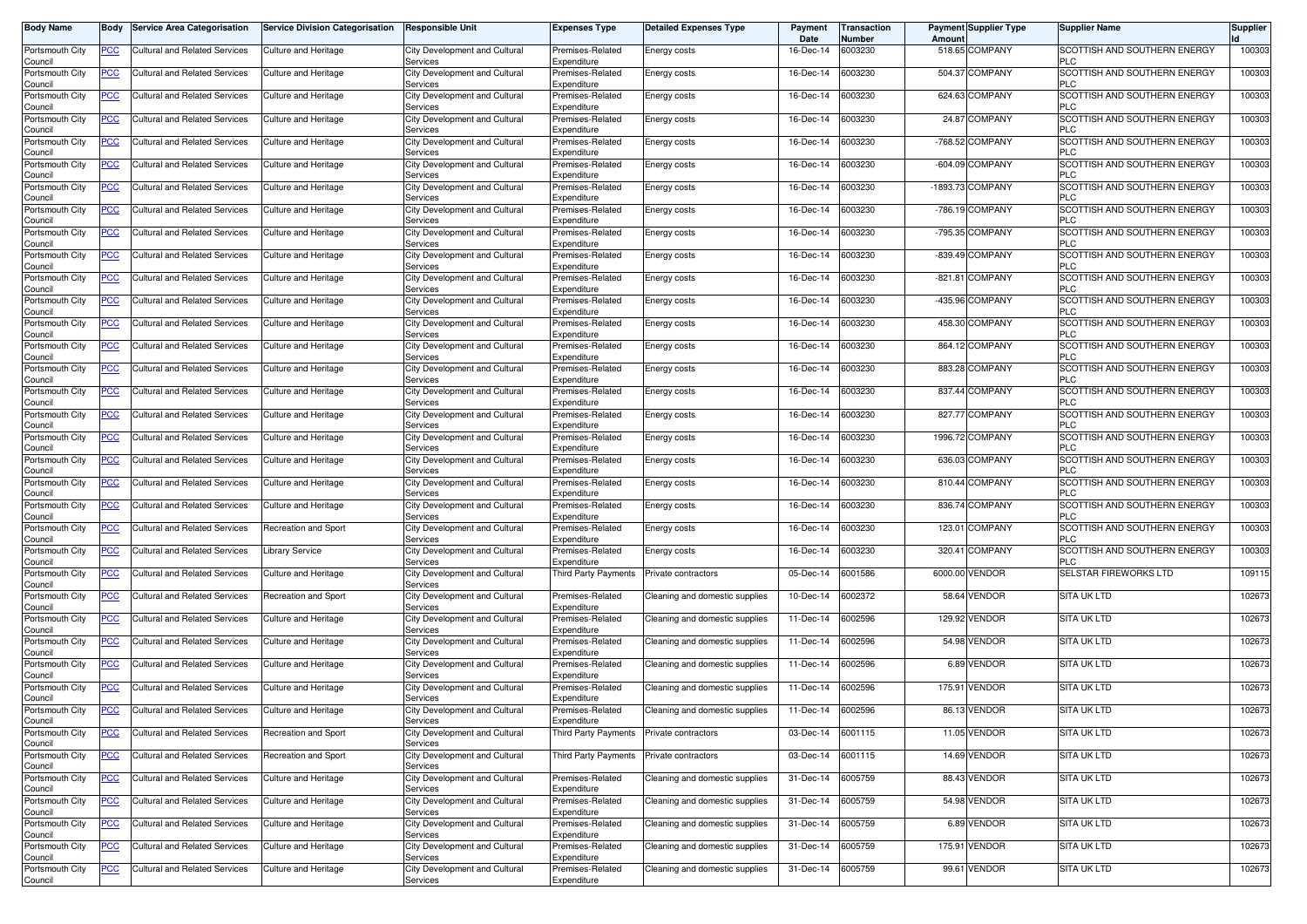| <b>Body Name</b>           | Body           | <b>Service Area Categorisation</b>   | <b>Service Division Categorisation</b> | <b>Responsible Unit</b>                   | <b>Expenses Type</b>            | Detailed Expenses Type         | Payment<br>Date   | ransaction<br>Number | Amount | <b>Payment Supplier Type</b> | <b>Supplier Name</b>                       | Supplier |
|----------------------------|----------------|--------------------------------------|----------------------------------------|-------------------------------------------|---------------------------------|--------------------------------|-------------------|----------------------|--------|------------------------------|--------------------------------------------|----------|
| Portsmouth City<br>Council | PCC            | Cultural and Related Services        | Culture and Heritage                   | City Development and Cultural<br>Services | Premises-Related<br>Expenditure | Energy costs                   | 16-Dec-14         | 6003230              |        | 518.65 COMPANY               | SCOTTISH AND SOUTHERN ENERGY<br><b>PLC</b> | 100303   |
| Portsmouth City<br>Council | <b>PCC</b>     | <b>Cultural and Related Services</b> | <b>Culture and Heritage</b>            | City Development and Cultural<br>Services | Premises-Related<br>Expenditure | Energy costs                   | 16-Dec-14         | 6003230              |        | 504.37 COMPANY               | SCOTTISH AND SOUTHERN ENERGY<br><b>PLC</b> | 100303   |
| Portsmouth City<br>Council | <u>PCC</u>     | Cultural and Related Services        | Culture and Heritage                   | City Development and Cultural<br>Services | Premises-Related<br>Expenditure | Energy costs                   | 16-Dec-14         | 6003230              |        | 624.63 COMPANY               | SCOTTISH AND SOUTHERN ENERGY<br><b>PLC</b> | 100303   |
| Portsmouth City<br>Council | <b>PCC</b>     | Cultural and Related Services        | Culture and Heritage                   | City Development and Cultural<br>Services | Premises-Related<br>Expenditure | Energy costs                   | 16-Dec-14         | 6003230              |        | 24.87 COMPANY                | SCOTTISH AND SOUTHERN ENERGY<br><b>PLC</b> | 100303   |
| Portsmouth City<br>Council | <u>PCC</u>     | Cultural and Related Services        | Culture and Heritage                   | City Development and Cultural<br>Services | Premises-Related<br>Expenditure | Energy costs                   | 16-Dec-14         | 6003230              |        | -768.52 COMPANY              | SCOTTISH AND SOUTHERN ENERGY<br><b>PLC</b> | 100303   |
| Portsmouth City<br>Council | <b>PCC</b>     | Cultural and Related Services        | Culture and Heritage                   | City Development and Cultural<br>Services | Premises-Related<br>Expenditure | Energy costs                   | 16-Dec-14         | 6003230              |        | -604.09 COMPANY              | SCOTTISH AND SOUTHERN ENERGY<br><b>PLC</b> | 100303   |
| Portsmouth City<br>Council | <u>PCC</u>     | Cultural and Related Services        | <b>Culture and Heritage</b>            | City Development and Cultural<br>Services | Premises-Related<br>Expenditure | Energy costs                   | 16-Dec-14         | 6003230              |        | -1893.73 COMPANY             | SCOTTISH AND SOUTHERN ENERGY<br><b>PLC</b> | 100303   |
| Portsmouth City<br>Council | <u>PCC</u>     | Cultural and Related Services        | Culture and Heritage                   | City Development and Cultura<br>Services  | Premises-Related<br>Expenditure | Energy costs                   | 16-Dec-14         | 6003230              |        | -786.19 COMPANY              | SCOTTISH AND SOUTHERN ENERGY<br><b>PLC</b> | 100303   |
| Portsmouth City<br>Council | <u>PCC</u>     | <b>Cultural and Related Services</b> | Culture and Heritage                   | City Development and Cultural<br>Services | Premises-Related<br>Expenditure | Energy costs                   | 16-Dec-14         | 6003230              |        | -795.35 COMPANY              | SCOTTISH AND SOUTHERN ENERGY<br><b>PLC</b> | 100303   |
| Portsmouth City<br>Council | PСC            | <b>Cultural and Related Services</b> | Culture and Heritage                   | City Development and Cultural<br>Services | Premises-Related<br>Expenditure | Energy costs                   | 16-Dec-14         | 6003230              |        | -839.49 COMPANY              | SCOTTISH AND SOUTHERN ENERGY<br><b>PLC</b> | 100303   |
| Portsmouth City<br>Council | <u>PCC</u>     | Cultural and Related Services        | Culture and Heritage                   | City Development and Cultural<br>Services | Premises-Related<br>Expenditure | Energy costs                   | 16-Dec-14         | 6003230              |        | -821.81 COMPANY              | SCOTTISH AND SOUTHERN ENERGY<br><b>PLC</b> | 100303   |
| Portsmouth City<br>Council | PСC            | Cultural and Related Services        | Culture and Heritage                   | City Development and Cultural<br>Services | Premises-Related<br>Expenditure | Energy costs                   | 16-Dec-14         | 6003230              |        | -435.96 COMPANY              | SCOTTISH AND SOUTHERN ENERGY<br><b>PLC</b> | 100303   |
| Portsmouth City<br>Council | <u>PCC</u>     | Cultural and Related Services        | Culture and Heritage                   | City Development and Cultural<br>Services | Premises-Related<br>Expenditure | Energy costs                   | 16-Dec-14         | 6003230              |        | 458.30 COMPANY               | SCOTTISH AND SOUTHERN ENERGY<br><b>PLC</b> | 100303   |
| Portsmouth City<br>Council | PСC            | <b>Cultural and Related Services</b> | Culture and Heritage                   | City Development and Cultura<br>Services  | Premises-Related<br>Expenditure | Energy costs                   | 16-Dec-14         | 6003230              |        | 864.12 COMPANY               | SCOTTISH AND SOUTHERN ENERGY<br><b>PLC</b> | 100303   |
| Portsmouth City<br>Council | <u>PCC</u>     | Cultural and Related Services        | <b>Culture and Heritage</b>            | City Development and Cultural<br>Services | Premises-Related<br>Expenditure | Energy costs                   | 16-Dec-14         | 6003230              |        | 883.28 COMPANY               | SCOTTISH AND SOUTHERN ENERGY<br><b>PLC</b> | 100303   |
| Portsmouth City<br>Council | PCC            | <b>Cultural and Related Services</b> | Culture and Heritage                   | City Development and Cultural<br>Services | Premises-Related<br>Expenditure | Energy costs                   | 16-Dec-14         | 6003230              |        | 837.44 COMPANY               | SCOTTISH AND SOUTHERN ENERGY<br><b>PLC</b> | 100303   |
| Portsmouth City<br>Council | PСC            | <b>Cultural and Related Services</b> | Culture and Heritage                   | City Development and Cultural<br>Services | Premises-Related<br>Expenditure | Energy costs                   | 16-Dec-14         | 6003230              |        | 827.77 COMPANY               | SCOTTISH AND SOUTHERN ENERGY<br><b>PLC</b> | 100303   |
| Portsmouth City<br>Council | <u>PCC</u>     | <b>Cultural and Related Services</b> | Culture and Heritage                   | City Development and Cultural<br>Services | Premises-Related<br>Expenditure | Energy costs                   | 16-Dec-14         | 6003230              |        | 1996.72 COMPANY              | SCOTTISH AND SOUTHERN ENERGY<br><b>PLC</b> | 100303   |
| Portsmouth City<br>Council | <u>PCC</u>     | <b>Cultural and Related Services</b> | Culture and Heritage                   | City Development and Cultural<br>Services | Premises-Related<br>Expenditure | Energy costs                   | 16-Dec-14         | 6003230              |        | 636.03 COMPANY               | SCOTTISH AND SOUTHERN ENERGY<br><b>PLC</b> | 100303   |
| Portsmouth City<br>Council | <u>PCC</u>     | Cultural and Related Services        | Culture and Heritage                   | City Development and Cultural<br>Services | Premises-Related<br>Expenditure | Energy costs                   | 16-Dec-14         | 6003230              |        | 810.44 COMPANY               | SCOTTISH AND SOUTHERN ENERGY<br><b>PLC</b> | 100303   |
| Portsmouth City<br>Council | PСC            | <b>Cultural and Related Services</b> | Culture and Heritage                   | City Development and Cultural<br>Services | Premises-Related<br>Expenditure | Energy costs                   | 16-Dec-14         | 6003230              |        | 836.74 COMPANY               | SCOTTISH AND SOUTHERN ENERGY<br><b>PLC</b> | 100303   |
| Portsmouth City<br>Council | $\overline{C}$ | <b>Cultural and Related Services</b> | Recreation and Sport                   | City Development and Cultural<br>Services | Premises-Related<br>Expenditure | Energy costs                   | 16-Dec-14         | 6003230              | 123.01 | <b>COMPANY</b>               | SCOTTISH AND SOUTHERN ENERGY<br><b>PLC</b> | 100303   |
| Portsmouth City<br>Council | <u>PCC</u>     | <b>Cultural and Related Services</b> | <b>Library Service</b>                 | City Development and Cultural<br>Services | Premises-Related<br>Expenditure | Energy costs                   | 16-Dec-14         | 6003230              | 320.41 | <b>COMPANY</b>               | SCOTTISH AND SOUTHERN ENERGY<br><b>PLC</b> | 100303   |
| Portsmouth City<br>Council | <u>PCC</u>     | Cultural and Related Services        | Culture and Heritage                   | City Development and Cultural<br>Services | Third Party Payments            | Private contractors            | 05-Dec-14         | 6001586              |        | 6000.00 VENDOR               | SELSTAR FIREWORKS LTD                      | 109115   |
| Portsmouth City<br>Council | <u>PCC</u>     | Cultural and Related Services        | Recreation and Sport                   | City Development and Cultural<br>Services | Premises-Related<br>Expenditure | Cleaning and domestic supplies | 10-Dec-14         | 6002372              |        | 58.64 VENDOR                 | <b>SITA UK LTD</b>                         | 102673   |
| Portsmouth City<br>Council | <u>PCC</u>     | Cultural and Related Services        | Culture and Heritage                   | City Development and Cultural<br>Services | Premises-Related<br>Expenditure | Cleaning and domestic supplies | 11-Dec-14         | 6002596              |        | 129.92 VENDOR                | <b>SITA UK LTD</b>                         | 102673   |
| Portsmouth City<br>Council | <b>PCC</b>     | <b>Cultural and Related Services</b> | Culture and Heritage                   | City Development and Cultural<br>Services | Premises-Related<br>Expenditure | Cleaning and domestic supplies | 11-Dec-14         | 6002596              |        | 54.98 VENDOR                 | <b>SITA UK LTD</b>                         | 102673   |
| Portsmouth City<br>Council | <u>PCC</u>     | <b>Cultural and Related Services</b> | Culture and Heritage                   | City Development and Cultural<br>Services | Premises-Related<br>Expenditure | Cleaning and domestic supplies | 11-Dec-14         | 6002596              |        | 6.89 VENDOR                  | <b>SITA UK LTD</b>                         | 102673   |
| Portsmouth City<br>Council | <b>PCC</b>     | Cultural and Related Services        | Culture and Heritage                   | City Development and Cultural<br>Services | Premises-Related<br>Expenditure | Cleaning and domestic supplies | 11-Dec-14         | 6002596              |        | 175.91 VENDOR                | <b>SITA UK LTD</b>                         | 102673   |
| Portsmouth City<br>Council | <u>PCC</u>     | Cultural and Related Services        | <b>Culture and Heritage</b>            | City Development and Cultural<br>Services | Premises-Related<br>Expenditure | Cleaning and domestic supplies | 11-Dec-14         | 6002596              |        | 86.13 VENDOR                 | <b>SITA UK LTD</b>                         | 102673   |
| Portsmouth City<br>Council | <u>PCC</u>     | <b>Cultural and Related Services</b> | Recreation and Sport                   | City Development and Cultural<br>Services | Third Party Payments            | Private contractors            | 03-Dec-14         | 6001115              |        | 11.05 VENDOR                 | SITA UK LTD                                | 102673   |
| Portsmouth City<br>Council | <u>PCC</u>     | <b>Cultural and Related Services</b> | Recreation and Sport                   | City Development and Cultural<br>Services | Third Party Payments            | Private contractors            | 03-Dec-14         | 6001115              |        | 14.69 VENDOR                 | <b>SITA UK LTD</b>                         | 102673   |
| Portsmouth City<br>Council | <u>PCC</u>     | <b>Cultural and Related Services</b> | Culture and Heritage                   | City Development and Cultural<br>Services | Premises-Related<br>Expenditure | Cleaning and domestic supplies | 31-Dec-14 6005759 |                      |        | 88.43 VENDOR                 | SITA UK LTD                                | 102673   |
| Portsmouth City<br>Council | <u>PCC</u>     | <b>Cultural and Related Services</b> | Culture and Heritage                   | City Development and Cultural<br>Services | Premises-Related<br>Expenditure | Cleaning and domestic supplies | 31-Dec-14         | 6005759              |        | 54.98 VENDOR                 | <b>SITA UK LTD</b>                         | 102673   |
| Portsmouth City<br>Council | <u>PCC</u>     | <b>Cultural and Related Services</b> | Culture and Heritage                   | City Development and Cultural<br>Services | Premises-Related<br>Expenditure | Cleaning and domestic supplies | 31-Dec-14         | 6005759              |        | 6.89 VENDOR                  | SITA UK LTD                                | 102673   |
| Portsmouth City<br>Council | <u>PCC</u>     | <b>Cultural and Related Services</b> | Culture and Heritage                   | City Development and Cultural<br>Services | Premises-Related<br>Expenditure | Cleaning and domestic supplies | 31-Dec-14         | 6005759              |        | 175.91 VENDOR                | <b>SITA UK LTD</b>                         | 102673   |
| Portsmouth City<br>Council | PCC            | <b>Cultural and Related Services</b> | Culture and Heritage                   | City Development and Cultural<br>Services | Premises-Related<br>Expenditure | Cleaning and domestic supplies | 31-Dec-14         | 6005759              |        | 99.61 VENDOR                 | <b>SITA UK LTD</b>                         | 102673   |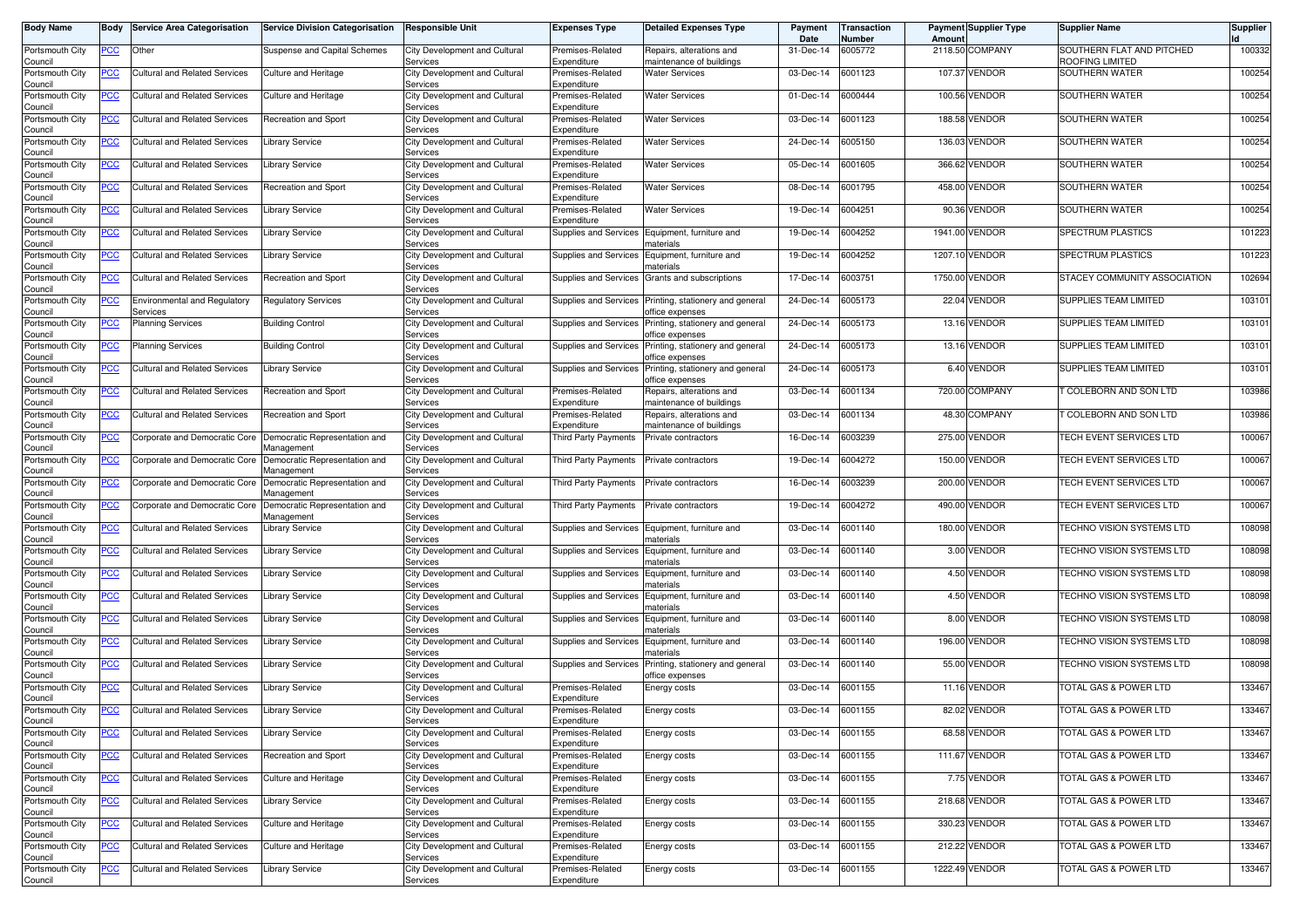| <b>Body Name</b>           | Body       | <b>Service Area Categorisation</b>              | <b>Service Division Categorisation</b>      | <b>Responsible Unit</b>                          | <b>Expenses Type</b>            | <b>Detailed Expenses Type</b>                        | Payment<br>Date | <b>Transaction</b><br>Number | Amoun   | <b>Payment Supplier Type</b> | <b>Supplier Name</b>                         | Supplier |
|----------------------------|------------|-------------------------------------------------|---------------------------------------------|--------------------------------------------------|---------------------------------|------------------------------------------------------|-----------------|------------------------------|---------|------------------------------|----------------------------------------------|----------|
| Portsmouth City<br>Council | PCC        | Other                                           | Suspense and Capital Schemes                | City Development and Cultural<br>Services        | Premises-Related<br>Expenditure | Repairs, alterations and<br>maintenance of buildings | 31-Dec-14       | 6005772                      |         | 2118.50 COMPANY              | SOUTHERN FLAT AND PITCHED<br>ROOFING LIMITED | 100332   |
| Portsmouth City<br>Council | <u>PCC</u> | Cultural and Related Services                   | Culture and Heritage                        | City Development and Cultural<br>Services        | Premises-Related<br>Expenditure | <b>Water Services</b>                                | 03-Dec-14       | 6001123                      | 107.37  | <b>VENDOR</b>                | SOUTHERN WATER                               | 100254   |
| Portsmouth City<br>Council | <u>PCC</u> | Cultural and Related Services                   | <b>Culture and Heritage</b>                 | City Development and Cultural<br>Services        | Premises-Related<br>Expenditure | <b>Water Services</b>                                | 01-Dec-14       | 6000444                      | 100.56  | VENDOR                       | SOUTHERN WATER                               | 100254   |
| Portsmouth City<br>Council | <u>PCC</u> | <b>Cultural and Related Services</b>            | Recreation and Sport                        | City Development and Cultural<br>Services        | Premises-Related<br>Expenditure | <b>Water Services</b>                                | 03-Dec-14       | 6001123                      | 188.58  | <b>VENDOR</b>                | SOUTHERN WATER                               | 100254   |
| Portsmouth City<br>Council | <u>PCC</u> | Cultural and Related Services                   | Library Service                             | City Development and Cultural<br>Services        | Premises-Related<br>Expenditure | <b>Water Services</b>                                | 24-Dec-14       | 6005150                      | 136.03  | <b>VENDOR</b>                | SOUTHERN WATER                               | 100254   |
| Portsmouth City<br>Council | <u>PCC</u> | Cultural and Related Services                   | Library Service                             | City Development and Cultural<br>Services        | Premises-Related<br>Expenditure | Water Services                                       | 05-Dec-14       | 6001605                      | 366.62  | <b>VENDOR</b>                | SOUTHERN WATER                               | 100254   |
| Portsmouth City<br>Council | <u>PCC</u> | <b>Cultural and Related Services</b>            | Recreation and Sport                        | City Development and Cultural<br>Services        | Premises-Related<br>Expenditure | <b>Water Services</b>                                | 08-Dec-14       | 6001795                      | 458.00  | <b>VENDOR</b>                | SOUTHERN WATER                               | 100254   |
| Portsmouth City<br>Council | <u>PCC</u> | <b>Cultural and Related Services</b>            | Library Service                             | City Development and Cultural<br>Services        | Premises-Related<br>Expenditure | <b>Water Services</b>                                | 19-Dec-14       | 6004251                      | 90.36   | <b>VENDOR</b>                | SOUTHERN WATER                               | 100254   |
| Portsmouth City<br>Council | <u>PCC</u> | Cultural and Related Services                   | Library Service                             | City Development and Cultural<br>Services        | Supplies and Services           | Equipment, furniture and<br>materials                | 19-Dec-14       | 6004252                      |         | 1941.00 VENDOR               | SPECTRUM PLASTICS                            | 101223   |
| Portsmouth City<br>Council | ∍сс        | Cultural and Related Services                   | <b>Library Service</b>                      | City Development and Cultural<br>Services        | Supplies and Services           | Equipment, furniture and<br>naterials                | 19-Dec-14       | 6004252                      | 1207.10 | <b>VENDOR</b>                | <b>SPECTRUM PLASTICS</b>                     | 101223   |
| Portsmouth City<br>Council | PСC        | <b>Cultural and Related Services</b>            | Recreation and Sport                        | City Development and Cultural<br>Services        | Supplies and Services           | Grants and subscriptions                             | 17-Dec-14       | 6003751                      | 1750.00 | <b>VENDOR</b>                | STACEY COMMUNITY ASSOCIATION                 | 102694   |
| Portsmouth City<br>Council | <u>PCC</u> | <b>Environmental and Regulatory</b><br>Services | <b>Regulatory Services</b>                  | City Development and Cultural<br>Services        | Supplies and Services           | Printing, stationery and general<br>office expenses  | 24-Dec-14       | 6005173                      | 22.04   | <b>VENDOR</b>                | SUPPLIES TEAM LIMITED                        | 103101   |
| Portsmouth City<br>Council | <u>PCC</u> | <b>Planning Services</b>                        | <b>Building Control</b>                     | City Development and Cultural<br>Services        | Supplies and Services           | Printing, stationery and general<br>office expenses  | 24-Dec-14       | 6005173                      |         | 13.16 VENDOR                 | SUPPLIES TEAM LIMITED                        | 103101   |
| Portsmouth City<br>Council | <u>PCC</u> | Planning Services                               | <b>Building Control</b>                     | City Development and Cultural<br>Services        | Supplies and Services           | Printing, stationery and general<br>office expenses  | 24-Dec-14       | 6005173                      | 13.16   | <b>VENDOR</b>                | SUPPLIES TEAM LIMITED                        | 103101   |
| Portsmouth City<br>Council | PCC        | Cultural and Related Services                   | <b>Library Service</b>                      | City Development and Cultural<br>Services        | Supplies and Services           | Printing, stationery and general<br>office expenses  | 24-Dec-14       | 6005173                      |         | 6.40 VENDOR                  | SUPPLIES TEAM LIMITED                        | 103101   |
| Portsmouth City<br>Council | <u>PCC</u> | <b>Cultural and Related Services</b>            | Recreation and Sport                        | City Development and Cultural<br>Services        | Premises-Related<br>Expenditure | Repairs, alterations and<br>maintenance of buildings | 03-Dec-14       | 6001134                      | 720.00  | COMPANY                      | COLEBORN AND SON LTD                         | 103986   |
| Portsmouth City<br>Council | PСC        | Cultural and Related Services                   | Recreation and Sport                        | City Development and Cultural<br>Services        | Premises-Related<br>Expenditure | Repairs, alterations and<br>maintenance of buildings | 03-Dec-14       | 6001134                      | 48.30   | <b>COMPANY</b>               | T COLEBORN AND SON LTD                       | 103986   |
| Portsmouth City<br>Council | <u>PCC</u> | Corporate and Democratic Core                   | Democratic Representation and<br>Management | City Development and Cultural<br>Services        | <b>Third Party Payments</b>     | Private contractors                                  | 16-Dec-14       | 6003239                      |         | 275.00 VENDOR                | TECH EVENT SERVICES LTD                      | 100067   |
| Portsmouth City<br>Council | ∍сс        | Corporate and Democratic Core                   | Democratic Representation and<br>Aanagement | City Development and Cultural<br>Services        | Third Party Payments            | Private contractors                                  | 19-Dec-14       | 6004272                      | 150.00  | VENDOR                       | TECH EVENT SERVICES LTD                      | 100067   |
| Portsmouth City<br>Council | <u>PCC</u> | Corporate and Democratic Core                   | Democratic Representation and<br>Aanagement | City Development and Cultural<br>Services        | <b>Third Party Payments</b>     | Private contractors                                  | 16-Dec-14       | 6003239                      | 200.00  | <b>VENDOR</b>                | TECH EVENT SERVICES LTD                      | 100067   |
| Portsmouth City<br>Council | <u>PCC</u> | Corporate and Democratic Core                   | Democratic Representation and<br>Management | City Development and Cultural<br>Services        | <b>Third Party Payments</b>     | Private contractors                                  | 19-Dec-14       | 6004272                      | 490.00  | <b>VENDOR</b>                | TECH EVENT SERVICES LTD                      | 100067   |
| Portsmouth City<br>Council | <u>PCC</u> | <b>Cultural and Related Services</b>            | <b>Library Service</b>                      | City Development and Cultural<br>Services        | Supplies and Services           | Equipment, furniture and<br>materials                | 03-Dec-14       | 6001140                      | 180.00  | <b>VENDOR</b>                | TECHNO VISION SYSTEMS LTD                    | 108098   |
| Portsmouth City<br>Council | <u>PCC</u> | Cultural and Related Services                   | Library Service                             | City Development and Cultural<br>Services        | Supplies and Services           | Equipment, furniture and<br>naterials                | 03-Dec-14       | 6001140                      | 3.00    | <b>VENDOR</b>                | TECHNO VISION SYSTEMS LTD                    | 108098   |
| Portsmouth City<br>Council | <u>PCC</u> | <b>Cultural and Related Services</b>            | Library Service                             | City Development and Cultural<br>Services        | Supplies and Services           | Equipment, furniture and<br>materials                | 03-Dec-14       | 6001140                      |         | 4.50 VENDOR                  | TECHNO VISION SYSTEMS LTD                    | 108098   |
| Portsmouth City<br>Council | <u>PCC</u> | <b>Cultural and Related Services</b>            | Library Service                             | City Development and Cultural<br>Services        | <b>Supplies and Services</b>    | Equipment, furniture and<br>materials                | 03-Dec-14       | 6001140                      |         | 4.50 VENDOR                  | TECHNO VISION SYSTEMS LTD                    | 108098   |
| Portsmouth City<br>Council | <u>PCC</u> | Cultural and Related Services                   | <b>Library Service</b>                      | City Development and Cultural<br>Services        | Supplies and Services           | Equipment, furniture and<br>materials                | 03-Dec-14       | 6001140                      |         | 8.00 VENDOR                  | TECHNO VISION SYSTEMS LTD                    | 108098   |
| Portsmouth City<br>Council | <u>PCC</u> | Cultural and Related Services                   | Library Service                             | City Development and Cultural<br>Services        | Supplies and Services           | Equipment, furniture and<br>materials                | 03-Dec-14       | 6001140                      | 196.00  | <b>VENDOR</b>                | TECHNO VISION SYSTEMS LTD                    | 108098   |
| Portsmouth City<br>Council | <u>PCC</u> | <b>Cultural and Related Services</b>            | Library Service                             | City Development and Cultural<br>Services        | Supplies and Services           | Printing, stationery and general<br>office expenses  | 03-Dec-14       | 6001140                      | 55.00   | VENDOR                       | TECHNO VISION SYSTEMS LTD                    | 108098   |
| Portsmouth City<br>Council | <u>PCC</u> | <b>Cultural and Related Services</b>            | Library Service                             | City Development and Cultural<br>Services        | Premises-Related<br>Expenditure | Energy costs                                         | 03-Dec-14       | 6001155                      |         | 11.16 VENDOR                 | TOTAL GAS & POWER LTD                        | 133467   |
| Portsmouth City<br>Council | <u>PCC</u> | Cultural and Related Services                   | <b>Library Service</b>                      | City Development and Cultural<br><b>Services</b> | Premises-Related<br>Expenditure | Energy costs                                         | 03-Dec-14       | 6001155                      |         | 82.02 VENDOR                 | TOTAL GAS & POWER LTD                        | 133467   |
| Portsmouth City<br>Council | <b>PCC</b> | <b>Cultural and Related Services</b>            | <b>Library Service</b>                      | City Development and Cultural<br>Services        | Premises-Related<br>Expenditure | Energy costs                                         | 03-Dec-14       | 6001155                      | 68.58   | <b>VENDOR</b>                | TOTAL GAS & POWER LTD                        | 133467   |
| Portsmouth City<br>Council | <b>PCC</b> | <b>Cultural and Related Services</b>            | Recreation and Sport                        | City Development and Cultural<br>Services        | Premises-Related<br>Expenditure | Energy costs                                         | 03-Dec-14       | 6001155                      |         | 111.67 VENDOR                | TOTAL GAS & POWER LTD                        | 133467   |
| Portsmouth City<br>Council | <u>PCC</u> | <b>Cultural and Related Services</b>            | Culture and Heritage                        | City Development and Cultural<br>Services        | Premises-Related<br>Expenditure | Energy costs                                         | 03-Dec-14       | 6001155                      |         | 7.75 VENDOR                  | <b>TOTAL GAS &amp; POWER LTD</b>             | 133467   |
| Portsmouth City<br>Council | <u>PCC</u> | Cultural and Related Services                   | <b>Library Service</b>                      | City Development and Cultural<br>Services        | Premises-Related<br>Expenditure | Energy costs                                         | 03-Dec-14       | 6001155                      |         | 218.68 VENDOR                | <b>TOTAL GAS &amp; POWER LTD</b>             | 133467   |
| Portsmouth City<br>Council | <u>PCC</u> | <b>Cultural and Related Services</b>            | Culture and Heritage                        | City Development and Cultural<br>Services        | Premises-Related<br>Expenditure | Energy costs                                         | 03-Dec-14       | 6001155                      |         | 330.23 VENDOR                | TOTAL GAS & POWER LTD                        | 133467   |
| Portsmouth City<br>Council | <u>PCC</u> | Cultural and Related Services                   | Culture and Heritage                        | City Development and Cultural<br>Services        | Premises-Related<br>Expenditure | Energy costs                                         | 03-Dec-14       | 6001155                      |         | 212.22 VENDOR                | TOTAL GAS & POWER LTD                        | 133467   |
| Portsmouth City<br>Council | <u>PCC</u> | Cultural and Related Services                   | Library Service                             | City Development and Cultural<br>Services        | Premises-Related<br>Expenditure | Energy costs                                         | 03-Dec-14       | 6001155                      | 1222.49 | <b>VENDOR</b>                | TOTAL GAS & POWER LTD                        | 133467   |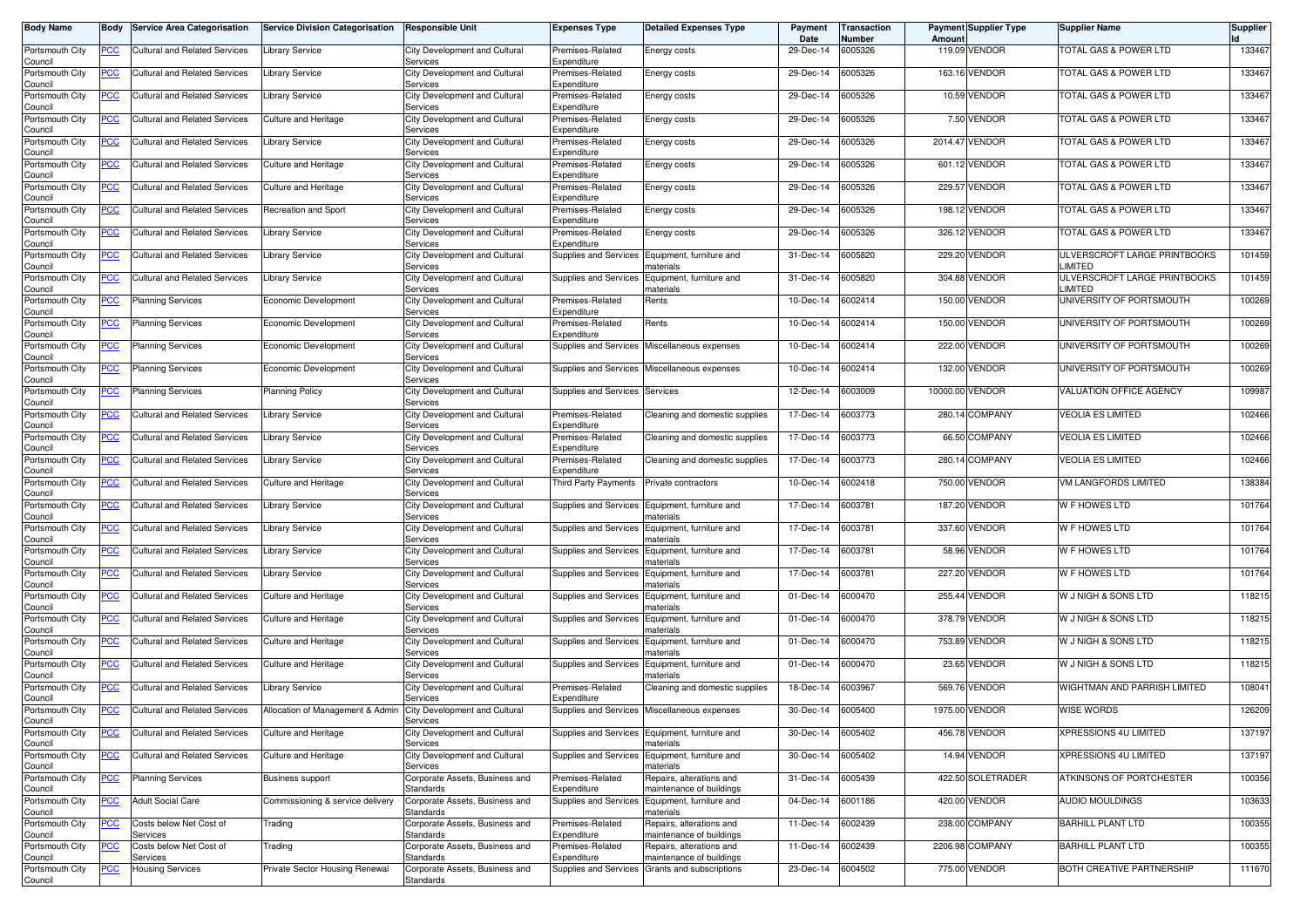| <b>Body Name</b>           | Body             | <b>Service Area Categorisation</b>   | <b>Service Division Categorisation</b> | <b>Responsible Unit</b>                            | Expenses Type                   | <b>Detailed Expenses Type</b>                        | Payment<br>Date | <b>Transaction</b><br>Number | Amount   | <b>Payment Supplier Type</b> | <b>Supplier Name</b>                           | Supplier |
|----------------------------|------------------|--------------------------------------|----------------------------------------|----------------------------------------------------|---------------------------------|------------------------------------------------------|-----------------|------------------------------|----------|------------------------------|------------------------------------------------|----------|
| Portsmouth City<br>Council | PCC              | <b>Cultural and Related Services</b> | <b>Library Service</b>                 | City Development and Cultural<br>Services          | Premises-Related<br>Expenditure | Energy costs                                         | 29-Dec-14       | 6005326                      |          | 119.09 VENDOR                | TOTAL GAS & POWER LTD                          | 133467   |
| Portsmouth City<br>Council | ∍CC              | <b>Cultural and Related Services</b> | Library Service                        | City Development and Cultural<br>Services          | Premises-Related<br>Expenditure | Energy costs                                         | 29-Dec-14       | 6005326                      |          | 163.16 VENDOR                | TOTAL GAS & POWER LTD                          | 133467   |
| Portsmouth City<br>Council | <u>PCC</u>       | Cultural and Related Services        | Library Service                        | City Development and Cultural<br>Services          | Premises-Related<br>Expenditure | Energy costs                                         | 29-Dec-14       | 6005326                      |          | 10.59 VENDOR                 | TOTAL GAS & POWER LTD                          | 133467   |
| Portsmouth City<br>Council | ∍CC              | <b>Cultural and Related Services</b> | Culture and Heritage                   | City Development and Cultural<br>Services          | Premises-Related<br>Expenditure | Energy costs                                         | 29-Dec-14       | 6005326                      |          | 7.50 VENDOR                  | TOTAL GAS & POWER LTD                          | 133467   |
| Portsmouth City<br>Council | <u>PCC</u>       | Cultural and Related Services        | Library Service                        | City Development and Cultural<br>Services          | Premises-Related<br>Expenditure | Energy costs                                         | 29-Dec-14       | 6005326                      |          | 2014.47 VENDOR               | TOTAL GAS & POWER LTD                          | 133467   |
| Portsmouth City<br>Council | <u>PCC</u>       | Cultural and Related Services        | Culture and Heritage                   | City Development and Cultural<br>Services          | Premises-Related<br>Expenditure | Energy costs                                         | 29-Dec-14       | 6005326                      |          | 601.12 VENDOR                | TOTAL GAS & POWER LTD                          | 133467   |
| Portsmouth City<br>Council | <u>PCC</u>       | <b>Cultural and Related Services</b> | Culture and Heritage                   | City Development and Cultural<br>Services          | Premises-Related<br>Expenditure | Energy costs                                         | 29-Dec-14       | 6005326                      |          | 229.57 VENDOR                | TOTAL GAS & POWER LTD                          | 133467   |
| Portsmouth City<br>Council | <u>PCC</u>       | <b>Cultural and Related Services</b> | Recreation and Sport                   | City Development and Cultural<br>Services          | Premises-Related<br>Expenditure | Energy costs                                         | 29-Dec-14       | 6005326                      | 198.12   | VENDOR                       | TOTAL GAS & POWER LTD                          | 133467   |
| Portsmouth City<br>Council | <u>PCC</u>       | <b>Cultural and Related Services</b> | Library Service                        | City Development and Cultural<br>Services          | Premises-Related<br>Expenditure | Energy costs                                         | 29-Dec-14       | 6005326                      |          | 326.12 VENDOR                | <b>TOTAL GAS &amp; POWER LTD</b>               | 133467   |
| Portsmouth City<br>Council | <u>PCC</u>       | <b>Cultural and Related Services</b> | Library Service                        | City Development and Cultural<br>Services          | Supplies and Services           | Equipment, furniture and<br>naterials                | 31-Dec-14       | 6005820                      |          | 229.20 VENDOR                | ULVERSCROFT LARGE PRINTBOOKS<br>LIMITED        | 101459   |
| Portsmouth City<br>Council | <u>PCC</u>       | <b>Cultural and Related Services</b> | Library Service                        | City Development and Cultural<br>Services          | Supplies and Services           | Equipment, furniture and<br>naterials                | 31-Dec-14       | 6005820                      |          | 304.88 VENDOR                | ULVERSCROFT LARGE PRINTBOOKS<br><b>LIMITED</b> | 101459   |
| Portsmouth City<br>Council | <u>PCC</u>       | Planning Services                    | Economic Development                   | City Development and Cultural<br>Services          | Premises-Related<br>Expenditure | Rents                                                | 10-Dec-14       | 6002414                      | 150.00   | VENDOR                       | UNIVERSITY OF PORTSMOUTH                       | 100269   |
| Portsmouth City<br>Council | <u>PCC</u>       | <b>Planning Services</b>             | Economic Development                   | City Development and Cultural<br>Services          | Premises-Related<br>Expenditure | Rents                                                | 10-Dec-14       | 6002414                      |          | 150.00 VENDOR                | UNIVERSITY OF PORTSMOUTH                       | 100269   |
| Portsmouth City<br>Council | <u>PCC</u>       | <b>Planning Services</b>             | Economic Development                   | City Development and Cultural<br>Services          | Supplies and Services           | Miscellaneous expenses                               | 10-Dec-14       | 6002414                      |          | 222.00 VENDOR                | UNIVERSITY OF PORTSMOUTH                       | 100269   |
| Portsmouth City<br>Council | <u>PCC</u>       | <b>Planning Services</b>             | Economic Development                   | City Development and Cultural<br>Services          | <b>Supplies and Services</b>    | Miscellaneous expenses                               | 10-Dec-14       | 6002414                      |          | 132.00 VENDOR                | UNIVERSITY OF PORTSMOUTH                       | 100269   |
| Portsmouth City<br>Council | <u>PCC</u>       | Planning Services                    | <b>Planning Policy</b>                 | City Development and Cultural<br>Services          | <b>Supplies and Services</b>    | Services                                             | 12-Dec-14       | 6003009                      | 10000.00 | VENDOR                       | VALUATION OFFICE AGENCY                        | 109987   |
| Portsmouth City<br>Council | PСC              | Cultural and Related Services        | Library Service                        | City Development and Cultural<br>Services          | Premises-Related<br>Expenditure | Cleaning and domestic supplies                       | 17-Dec-14       | 6003773                      |          | 280.14 COMPANY               | <b>VEOLIA ES LIMITED</b>                       | 102466   |
| Portsmouth City<br>Council | <u>PCC</u>       | <b>Cultural and Related Services</b> | Library Service                        | City Development and Cultural<br>Services          | Premises-Related<br>Expenditure | Cleaning and domestic supplies                       | 17-Dec-14       | 6003773                      |          | 66.50 COMPANY                | <b>VEOLIA ES LIMITED</b>                       | 102466   |
| Portsmouth City<br>Council | PСC              | Cultural and Related Services        | Library Service                        | City Development and Cultural<br>Services          | Premises-Related<br>Expenditure | Cleaning and domestic supplies                       | 17-Dec-14       | 6003773                      |          | 280.14 COMPANY               | <b>VEOLIA ES LIMITED</b>                       | 102466   |
| Portsmouth City<br>Council | <u>PCC</u>       | <b>Cultural and Related Services</b> | Culture and Heritage                   | City Development and Cultural<br>Services          | Third Party Payments            | Private contractors                                  | 10-Dec-14       | 6002418                      | 750.00   | VENDOR                       | VM LANGFORDS LIMITED                           | 138384   |
| Portsmouth City<br>Council | PCC              | Cultural and Related Services        | Library Service                        | City Development and Cultural<br>Services          | Supplies and Services           | Equipment, furniture and<br>naterials                | 17-Dec-14       | 6003781                      |          | 187.20 VENDOR                | W F HOWES LTD                                  | 101764   |
| Portsmouth City<br>Council | $\overline{PCC}$ | <b>Cultural and Related Services</b> | Library Service                        | City Development and Cultural<br>Services          | <b>Supplies and Services</b>    | Equipment, furniture and<br>naterials                | 17-Dec-14       | 6003781                      |          | 337.60 VENDOR                | W F HOWES LTD                                  | 101764   |
| Portsmouth City<br>Council | <u>PCC</u>       | Cultural and Related Services        | Library Service                        | City Development and Cultural<br>Services          | Supplies and Services           | Equipment, furniture and<br>naterials                | 17-Dec-14       | 6003781                      |          | 58.96 VENDOR                 | W F HOWES LTD                                  | 101764   |
| Portsmouth City<br>Council | <u>PCC</u>       | <b>Cultural and Related Services</b> | Library Service                        | City Development and Cultural<br>Services          | Supplies and Services           | Equipment, furniture and<br>naterials                | 17-Dec-14       | 6003781                      |          | 227.20 VENDOR                | W F HOWES LTD                                  | 101764   |
| Portsmouth City<br>Council | <u>PCC</u>       | <b>Cultural and Related Services</b> | Culture and Heritage                   | City Development and Cultural<br>Services          | <b>Supplies and Services</b>    | Equipment, furniture and<br>naterials                | 01-Dec-14       | 6000470                      |          | 255.44 VENDOR                | W J NIGH & SONS LTD                            | 118215   |
| Portsmouth City<br>Council | $\overline{PCC}$ | <b>Cultural and Related Services</b> | Culture and Heritage                   | City Development and Cultural<br>Services          | Supplies and Services           | Equipment, furniture and<br>naterials                | 01-Dec-14       | 6000470                      |          | 378.79 VENDOR                | <b>W J NIGH &amp; SONS LTD</b>                 | 118215   |
| Portsmouth City<br>Council | <u>PCC</u>       | <b>Cultural and Related Services</b> | Culture and Heritage                   | City Development and Cultural<br>Services          | Supplies and Services           | Equipment, furniture and<br>naterials                | 01-Dec-14       | 6000470                      |          | 753.89 VENDOR                | W J NIGH & SONS LTD                            | 118215   |
| Portsmouth City<br>Council | <u>PCC</u>       | <b>Cultural and Related Services</b> | Culture and Heritage                   | City Development and Cultural<br>Services          | Supplies and Services           | Equipment, furniture and<br>naterials                | 01-Dec-14       | 6000470                      |          | 23.65 VENDOR                 | W J NIGH & SONS LTD                            | 118215   |
| Portsmouth City<br>Council | <u>PCC</u>       | <b>Cultural and Related Services</b> | ibrary Service.                        | City Development and Cultural<br>Services          | Premises-Related<br>Expenditure | Cleaning and domestic supplies                       | 18-Dec-14       | 6003967                      |          | 569.76 VENDOR                | WIGHTMAN AND PARRISH LIMITED                   | 108041   |
| Portsmouth City<br>Council | <u>PCC</u>       | Cultural and Related Services        | Allocation of Management & Admin       | City Development and Cultural<br><b>Services</b>   | Supplies and Services           | Miscellaneous expenses                               | 30-Dec-14       | 6005400                      |          | 1975.00 VENDOR               | <b>WISE WORDS</b>                              | 126209   |
| Portsmouth City<br>Council | <b>PCC</b>       | <b>Cultural and Related Services</b> | Culture and Heritage                   | City Development and Cultural<br>Services          | <b>Supplies and Services</b>    | Equipment, furniture and<br>naterials                | 30-Dec-14       | 6005402                      |          | 456.78 VENDOR                | XPRESSIONS 4U LIMITED                          | 137197   |
| Portsmouth City<br>Council | <b>PCC</b>       | <b>Cultural and Related Services</b> | Culture and Heritage                   | City Development and Cultural<br>Services          | <b>Supplies and Services</b>    | Equipment, furniture and<br>naterials                | 30-Dec-14       | 6005402                      |          | 14.94 VENDOR                 | XPRESSIONS 4U LIMITED                          | 137197   |
| Portsmouth City<br>Council | <u>PCC</u>       | <b>Planning Services</b>             | Business support                       | Corporate Assets, Business and<br><b>Standards</b> | Premises-Related<br>Expenditure | Repairs, alterations and<br>maintenance of buildings | 31-Dec-14       | 6005439                      |          | 422.50 SOLETRADER            | ATKINSONS OF PORTCHESTER                       | 100356   |
| Portsmouth City<br>Council | <u>PCC</u>       | <b>Adult Social Care</b>             | Commissioning & service delivery       | Corporate Assets, Business and<br><b>Standards</b> | Supplies and Services           | Equipment, furniture and<br>naterials                | 04-Dec-14       | 6001186                      |          | 420.00 VENDOR                | AUDIO MOULDINGS                                | 103633   |
| Portsmouth City<br>Council | <u>PCC</u>       | Costs below Net Cost of<br>Services  | Trading                                | Corporate Assets, Business and<br><b>Standards</b> | Premises-Related<br>Expenditure | Repairs, alterations and<br>maintenance of buildings | 11-Dec-14       | 6002439                      |          | 238.00 COMPANY               | <b>BARHILL PLANT LTD</b>                       | 100355   |
| Portsmouth City<br>Council | <u>PCC</u>       | Costs below Net Cost of<br>Services  | Trading                                | Corporate Assets, Business and<br><b>Standards</b> | Premises-Related<br>Expenditure | Repairs, alterations and<br>maintenance of buildings | 11-Dec-14       | 6002439                      |          | 2206.98 COMPANY              | <b>BARHILL PLANT LTD</b>                       | 100355   |
| Portsmouth City<br>Council | <u>PCC</u>       | <b>Housing Services</b>              | Private Sector Housing Renewal         | Corporate Assets, Business and<br>Standards        | Supplies and Services           | Grants and subscriptions                             | 23-Dec-14       | 6004502                      |          | 775.00 VENDOR                | BOTH CREATIVE PARTNERSHIP                      | 111670   |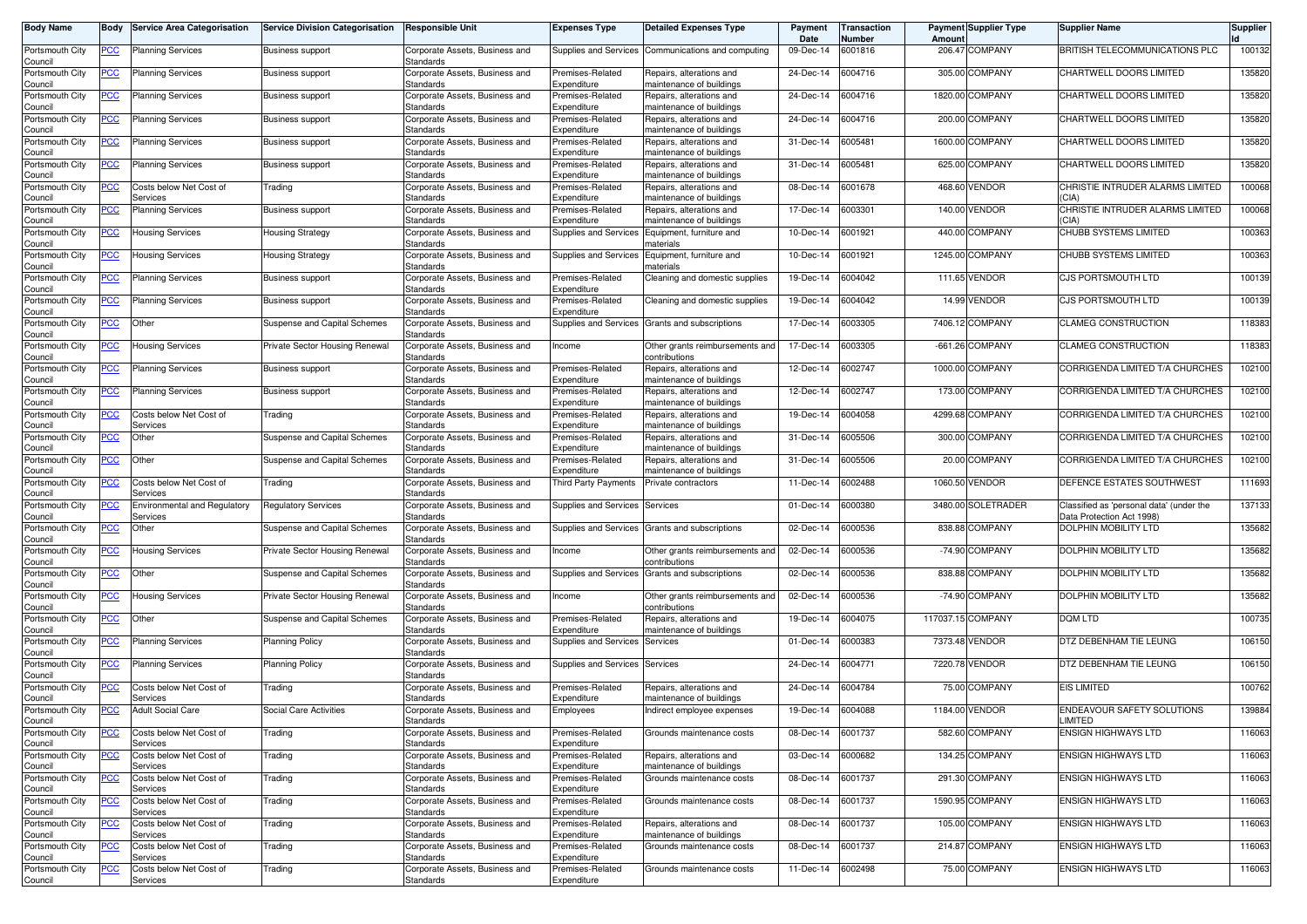| <b>Body Name</b>           | Body           | <b>Service Area Categorisation</b>       | <b>Service Division Categorisation</b> | <b>Responsible Unit</b>                     | <b>Expenses Type</b>            | <b>Detailed Expenses Type</b>                        | Payment<br>Date | Transaction<br>Number | Amount    | <b>Payment Supplier Type</b> | <b>Supplier Name</b>                                                  | <b>Supplier</b> |
|----------------------------|----------------|------------------------------------------|----------------------------------------|---------------------------------------------|---------------------------------|------------------------------------------------------|-----------------|-----------------------|-----------|------------------------------|-----------------------------------------------------------------------|-----------------|
| Portsmouth City<br>Council | <u>PCC</u>     | Planning Services                        | <b>Business support</b>                | Corporate Assets, Business and<br>Standards | Supplies and Services           | Communications and computing                         | 09-Dec-14       | 6001816               | 206.47    | <b>COMPANY</b>               | <b>BRITISH TELECOMMUNICATIONS PLC</b>                                 | 100132          |
| Portsmouth City<br>Council | <u>PCC</u>     | Planning Services                        | <b>Business support</b>                | Corporate Assets, Business and<br>Standards | Premises-Related<br>Expenditure | Repairs, alterations and<br>maintenance of buildings | 24-Dec-14       | 6004716               |           | 305.00 COMPANY               | CHARTWELL DOORS LIMITED                                               | 135820          |
| Portsmouth City<br>Council | <u>PCC</u>     | <b>Planning Services</b>                 | <b>Business support</b>                | Corporate Assets, Business and<br>Standards | Premises-Related<br>Expenditure | Repairs, alterations and<br>naintenance of buildings | 24-Dec-14       | 6004716               |           | 1820.00 COMPANY              | CHARTWELL DOORS LIMITED                                               | 135820          |
| Portsmouth City<br>Council | <u>PCC</u>     | <b>Planning Services</b>                 | <b>Business support</b>                | Corporate Assets, Business and<br>Standards | Premises-Related<br>Expenditure | Repairs, alterations and<br>naintenance of buildings | 24-Dec-14       | 6004716               | 200.00    | <b>COMPANY</b>               | CHARTWELL DOORS LIMITED                                               | 135820          |
| Portsmouth City<br>Council | <u>PCC</u>     | <b>Planning Services</b>                 | <b>Business support</b>                | Corporate Assets, Business and<br>Standards | Premises-Related<br>Expenditure | lepairs, alterations and<br>naintenance of buildings | 31-Dec-14       | 6005481               | 1600.00   | <b>COMPANY</b>               | CHARTWELL DOORS LIMITED                                               | 135820          |
| Portsmouth City<br>Council | <u>PCC</u>     | Planning Services                        | <b>Business support</b>                | Corporate Assets, Business and<br>Standards | Premises-Related<br>Expenditure | Repairs, alterations and<br>maintenance of buildings | 31-Dec-14       | 6005481               | 625.00    | <b>COMPANY</b>               | CHARTWELL DOORS LIMITED                                               | 135820          |
| Portsmouth City<br>Council | <u>PCC</u>     | Costs below Net Cost of<br>Services      | Trading                                | Corporate Assets, Business and<br>Standards | Premises-Related<br>Expenditure | Repairs, alterations and<br>naintenance of buildings | 08-Dec-14       | 6001678               | 468.60    | <b>VENDOR</b>                | CHRISTIE INTRUDER ALARMS LIMITED<br>(CIA)                             | 100068          |
| Portsmouth City<br>Council | <u>PCC</u>     | <b>Planning Services</b>                 | <b>Business support</b>                | Corporate Assets, Business and<br>Standards | Premises-Related<br>Expenditure | Repairs, alterations and<br>naintenance of buildings | 17-Dec-14       | 6003301               | 140.00    | <b>VENDOR</b>                | CHRISTIE INTRUDER ALARMS LIMITED<br>(CIA)                             | 100068          |
| Portsmouth City<br>Council | <u>PCC</u>     | <b>Housing Services</b>                  | <b>Housing Strategy</b>                | Corporate Assets, Business and<br>Standards | Supplies and Services           | Equipment, furniture and<br>naterials                | 10-Dec-14       | 6001921               | 440.00    | <b>COMPANY</b>               | CHUBB SYSTEMS LIMITED                                                 | 100363          |
| Portsmouth City<br>Council | <u>PCC</u>     | Housing Services                         | <b>Housing Strategy</b>                | Corporate Assets, Business and<br>Standards | Supplies and Services           | Equipment, furniture and<br>naterials                | 10-Dec-14       | 6001921               |           | 1245.00 COMPANY              | CHUBB SYSTEMS LIMITED                                                 | 100363          |
| Portsmouth City<br>Council | <u>PCC</u>     | <b>Planning Services</b>                 | <b>Business support</b>                | Corporate Assets, Business and<br>Standards | Premises-Related<br>Expenditure | Cleaning and domestic supplies                       | 19-Dec-14       | 6004042               |           | 111.65 VENDOR                | CJS PORTSMOUTH LTD                                                    | 100139          |
| Portsmouth City<br>Council | <u>PCC</u>     | <b>Planning Services</b>                 | <b>Business support</b>                | Corporate Assets, Business and<br>Standards | Premises-Related<br>Expenditure | Cleaning and domestic supplies                       | 19-Dec-14       | 6004042               | 14.99     | <b>VENDOR</b>                | <b>CJS PORTSMOUTH LTD</b>                                             | 100139          |
| Portsmouth City<br>Council | <u>PCC</u>     | Other                                    | Suspense and Capital Schemes           | Corporate Assets, Business and<br>Standards | Supplies and Services           | Grants and subscriptions                             | 17-Dec-14       | 6003305               |           | 7406.12 COMPANY              | <b>CLAMEG CONSTRUCTION</b>                                            | 118383          |
| Portsmouth City<br>Council | <u>PCC</u>     | Housing Services                         | Private Sector Housing Renewal         | Corporate Assets, Business and<br>Standards | Income                          | Other grants reimbursements and<br>contributions     | 17-Dec-14       | 6003305               | $-661.26$ | <b>COMPANY</b>               | <b>CLAMEG CONSTRUCTION</b>                                            | 118383          |
| Portsmouth City<br>Council | <u>PCC</u>     | <b>Planning Services</b>                 | <b>Business support</b>                | Corporate Assets, Business and<br>Standards | Premises-Related<br>Expenditure | Repairs, alterations and<br>maintenance of buildings | 12-Dec-14       | 6002747               |           | 1000.00 COMPANY              | CORRIGENDA LIMITED T/A CHURCHES                                       | 102100          |
| Portsmouth City<br>Council | <u>PCC</u>     | <b>Planning Services</b>                 | <b>Business support</b>                | Corporate Assets, Business and<br>Standards | Premises-Related<br>Expenditure | Repairs, alterations and<br>naintenance of buildings | 12-Dec-14       | 6002747               | 173.00    | <b>COMPANY</b>               | CORRIGENDA LIMITED T/A CHURCHES                                       | 102100          |
| Portsmouth City<br>Council | <u>PCC</u>     | Costs below Net Cost of<br>Services      | Trading                                | Corporate Assets, Business and<br>Standards | Premises-Related<br>Expenditure | Repairs, alterations and<br>naintenance of buildings | 19-Dec-14       | 6004058               | 4299.68   | <b>COMPANY</b>               | CORRIGENDA LIMITED T/A CHURCHES                                       | 102100          |
| Portsmouth City<br>Council | <u>PCC</u>     | Other                                    | Suspense and Capital Schemes           | Corporate Assets, Business and<br>Standards | Premises-Related<br>Expenditure | lepairs, alterations and<br>maintenance of buildings | 31-Dec-14       | 005506                | 300.00    | <b>COMPANY</b>               | CORRIGENDA LIMITED T/A CHURCHES                                       | 102100          |
| Portsmouth City<br>Council | <u>PCC</u>     | Other                                    | Suspense and Capital Schemes           | Corporate Assets, Business and<br>Standards | Premises-Related<br>Expenditure | Repairs, alterations and<br>maintenance of buildings | 31-Dec-14       | 6005506               |           | 20.00 COMPANY                | CORRIGENDA LIMITED T/A CHURCHES                                       | 102100          |
| Portsmouth City<br>Council | <u>PCC</u>     | Costs below Net Cost of<br>Services      | Trading                                | Corporate Assets, Business and<br>Standards | Third Party Payments            | Private contractors                                  | 11-Dec-14       | 6002488               | 1060.50   | <b>VENDOR</b>                | DEFENCE ESTATES SOUTHWEST                                             | 111693          |
| Portsmouth City<br>Council | <b>PCC</b>     | Environmental and Regulatory<br>Services | <b>Regulatory Services</b>             | Corporate Assets, Business and<br>Standards | Supplies and Services           | Services                                             | 01-Dec-14       | 6000380               |           | 3480.00 SOLETRADER           | Classified as 'personal data' (under the<br>Data Protection Act 1998) | 137133          |
| Portsmouth City<br>Council | <u>PCC</u>     | Other                                    | Suspense and Capital Schemes           | Corporate Assets, Business and<br>Standards | Supplies and Services           | Grants and subscriptions                             | 02-Dec-14       | 6000536               |           | 838.88 COMPANY               | <b>DOLPHIN MOBILITY LTD</b>                                           | 135682          |
| Portsmouth City<br>Council | <u>PCC</u>     | Housing Services                         | Private Sector Housing Renewal         | Corporate Assets, Business and<br>Standards | Income                          | Other grants reimbursements and<br>contributions     | 02-Dec-14       | 6000536               | $-74.90$  | <b>COMPANY</b>               | <b>DOLPHIN MOBILITY LTD</b>                                           | 135682          |
| Portsmouth City<br>Council | <u>PCC</u>     | Other                                    | Suspense and Capital Schemes           | Corporate Assets, Business and<br>Standards | Supplies and Services           | Grants and subscriptions                             | 02-Dec-14       | 6000536               |           | 838.88 COMPANY               | <b>DOLPHIN MOBILITY LTD</b>                                           | 135682          |
| Portsmouth City<br>Council | <b>PCC</b>     | <b>Housing Services</b>                  | Private Sector Housing Renewal         | Corporate Assets, Business and<br>Standards | Income                          | Other grants reimbursements and<br>contributions     | 02-Dec-14       | 6000536               |           | -74.90 COMPANY               | DOLPHIN MOBILITY LTD                                                  | 135682          |
| Portsmouth City<br>Council | <u>PCC</u>     | Other                                    | Suspense and Capital Schemes           | Corporate Assets, Business and<br>Standards | Premises-Related<br>Expenditure | Repairs, alterations and<br>naintenance of buildings | 19-Dec-14       | 6004075               |           | 117037.15 COMPANY            | <b>DOM LTD</b>                                                        | 100735          |
| Portsmouth City<br>Council | <u>PCC</u>     | Planning Services                        | <b>Planning Policy</b>                 | Corporate Assets, Business and<br>Standards | Supplies and Services           | Services                                             | 01-Dec-14       | 6000383               |           | 7373.48 VENDOR               | DTZ DEBENHAM TIE LEUNG                                                | 106150          |
| Portsmouth City<br>Council | <u>PCC</u>     | <b>Planning Services</b>                 | <b>Planning Policy</b>                 | Corporate Assets, Business and<br>Standards | Supplies and Services           | Services                                             | 24-Dec-14       | 6004771               |           | 7220.78 VENDOR               | DTZ DEBENHAM TIE LEUNG                                                | 106150          |
| Portsmouth City<br>Council | <u>PCC</u>     | Costs below Net Cost of<br>Services      | Trading                                | Corporate Assets, Business and<br>Standards | Premises-Related<br>Expenditure | Repairs, alterations and<br>naintenance of buildings | 24-Dec-14       | 6004784               |           | 75.00 COMPANY                | <b>EIS LIMITED</b>                                                    | 100762          |
| Portsmouth City<br>Council | <b>PCC</b>     | <b>Adult Social Care</b>                 | Social Care Activities                 | Corporate Assets, Business and<br>Standards | Employees                       | ndirect employee expenses                            | 19-Dec-14       | 6004088               | 1184.00   | <b>VENDOR</b>                | ENDEAVOUR SAFETY SOLUTIONS<br>LIMITED                                 | 139884          |
| Portsmouth City<br>Council | <u>PCC</u>     | Costs below Net Cost of<br>Services      | Trading                                | Corporate Assets, Business and<br>Standards | Premises-Related<br>Expenditure | Grounds maintenance costs                            | 08-Dec-14       | 6001737               |           | 582.60 COMPANY               | <b>ENSIGN HIGHWAYS LTD</b>                                            | 116063          |
| Portsmouth City<br>Council | <u>PCC</u>     | Costs below Net Cost of<br>Services      | Trading                                | Corporate Assets, Business and<br>Standards | Premises-Related<br>Expenditure | Repairs, alterations and<br>naintenance of buildings | 03-Dec-14       | 6000682               |           | 134.25 COMPANY               | <b>ENSIGN HIGHWAYS LTD</b>                                            | 116063          |
| Portsmouth City<br>Council | $\overline{C}$ | Costs below Net Cost of<br>Services      | Trading                                | Corporate Assets, Business and<br>Standards | Premises-Related<br>Expenditure | Grounds maintenance costs                            | 08-Dec-14       | 6001737               |           | 291.30 COMPANY               | ENSIGN HIGHWAYS LTD                                                   | 116063          |
| Portsmouth City<br>Council | $\overline{C}$ | Costs below Net Cost of<br>Services      | Trading                                | Corporate Assets, Business and<br>Standards | Premises-Related<br>Expenditure | Grounds maintenance costs                            | 08-Dec-14       | 6001737               |           | 1590.95 COMPANY              | <b>ENSIGN HIGHWAYS LTD</b>                                            | 116063          |
| Portsmouth City<br>Council | <u>PCC</u>     | Costs below Net Cost of<br>Services      | Trading                                | Corporate Assets, Business and<br>Standards | Premises-Related<br>Expenditure | Repairs, alterations and<br>naintenance of buildings | 08-Dec-14       | 6001737               |           | 105.00 COMPANY               | <b>ENSIGN HIGHWAYS LTD</b>                                            | 116063          |
| Portsmouth City<br>Council | <u>PCC</u>     | Costs below Net Cost of<br>Services      | Trading                                | Corporate Assets, Business and<br>Standards | Premises-Related<br>Expenditure | Grounds maintenance costs                            | 08-Dec-14       | 6001737               |           | 214.87 COMPANY               | <b>ENSIGN HIGHWAYS LTD</b>                                            | 116063          |
| Portsmouth City<br>Council | <u>PCC</u>     | Costs below Net Cost of<br>Services      | Trading                                | Corporate Assets, Business and<br>Standards | Premises-Related<br>Expenditure | Grounds maintenance costs                            | 11-Dec-14       | 6002498               |           | 75.00 COMPANY                | <b>ENSIGN HIGHWAYS LTD</b>                                            | 116063          |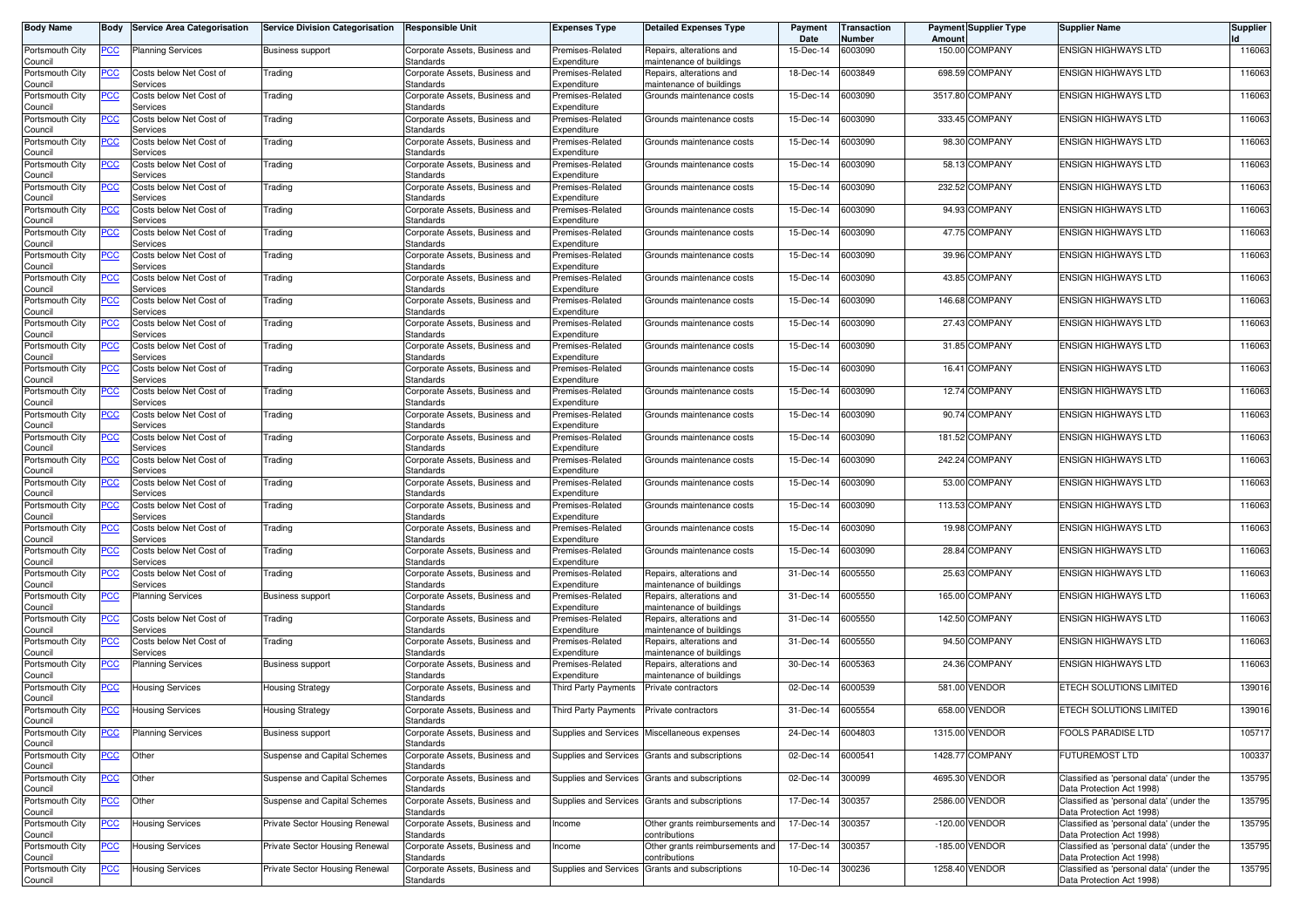| <b>Body Name</b>           | Body       | <b>Service Area Categorisation</b>  | <b>Service Division Categorisation</b> | <b>Responsible Unit</b>                     | <b>Expenses Type</b>            | <b>Detailed Expenses Type</b>                        | Payment<br>Date | <b>Transaction</b><br>Number | Amoun   | <b>Payment Supplier Type</b> | <b>Supplier Name</b>                                                  | <b>Supplier</b> |
|----------------------------|------------|-------------------------------------|----------------------------------------|---------------------------------------------|---------------------------------|------------------------------------------------------|-----------------|------------------------------|---------|------------------------------|-----------------------------------------------------------------------|-----------------|
| Portsmouth City<br>Council | <u>PCC</u> | <b>Planning Services</b>            | <b>Business support</b>                | Corporate Assets, Business and<br>Standards | Premises-Related<br>Expenditure | Repairs, alterations and<br>maintenance of buildings | 15-Dec-14       | 6003090                      |         | 150.00 COMPANY               | <b>ENSIGN HIGHWAYS LTD</b>                                            | 116063          |
| Portsmouth City<br>Council | <u>PCC</u> | Costs below Net Cost of<br>Services | Trading                                | Corporate Assets, Business and<br>Standards | Premises-Related<br>Expenditure | Repairs, alterations and<br>maintenance of buildings | 18-Dec-14       | 6003849                      |         | 698.59 COMPANY               | <b>ENSIGN HIGHWAYS LTD</b>                                            | 116063          |
| Portsmouth City<br>Council | <u>PCC</u> | Costs below Net Cost of<br>Services | Trading                                | Corporate Assets, Business and<br>Standards | Premises-Related<br>Expenditure | Grounds maintenance costs                            | 15-Dec-14       | 6003090                      | 3517.80 | COMPANY                      | <b>ENSIGN HIGHWAYS LTD</b>                                            | 116063          |
| Portsmouth City<br>Council | <u>PCC</u> | Costs below Net Cost of<br>Services | Trading                                | Corporate Assets, Business and<br>Standards | Premises-Related<br>Expenditure | Grounds maintenance costs                            | 15-Dec-14       | 6003090                      |         | 333.45 COMPANY               | <b>ENSIGN HIGHWAYS LTD</b>                                            | 116063          |
| Portsmouth City<br>Council | <u>PCC</u> | Costs below Net Cost of<br>Services | Trading                                | Corporate Assets, Business and<br>Standards | Premises-Related<br>Expenditure | Grounds maintenance costs                            | 15-Dec-14       | 6003090                      | 98.30   | <b>COMPANY</b>               | <b>ENSIGN HIGHWAYS LTD</b>                                            | 116063          |
| Portsmouth City<br>Council | <u>PCC</u> | Costs below Net Cost of<br>Services | Trading                                | Corporate Assets, Business and<br>Standards | Premises-Related<br>Expenditure | Grounds maintenance costs                            | 15-Dec-14       | 6003090                      | 58.13   | <b>COMPANY</b>               | <b>ENSIGN HIGHWAYS LTD</b>                                            | 116063          |
| Portsmouth City<br>Council | ∍CC        | Costs below Net Cost of<br>Services | Trading                                | Corporate Assets, Business and<br>Standards | Premises-Related<br>Expenditure | Grounds maintenance costs                            | 15-Dec-14       | 6003090                      | 232.52  | <b>COMPANY</b>               | <b>ENSIGN HIGHWAYS LTD</b>                                            | 116063          |
| Portsmouth City<br>Council | <u>PCC</u> | Costs below Net Cost of<br>Services | Trading                                | Corporate Assets, Business and<br>Standards | Premises-Related<br>Expenditure | Grounds maintenance costs                            | 15-Dec-14       | 6003090                      | 94.93   | <b>COMPANY</b>               | <b>ENSIGN HIGHWAYS LTD</b>                                            | 116063          |
| Portsmouth City<br>Council | <u>PCC</u> | Costs below Net Cost of<br>Services | Trading                                | Corporate Assets, Business and<br>Standards | Premises-Related<br>Expenditure | Grounds maintenance costs                            | 15-Dec-14       | 6003090                      |         | 47.75 COMPANY                | <b>ENSIGN HIGHWAYS LTD</b>                                            | 116063          |
| Portsmouth City<br>Council | PСC        | Costs below Net Cost of<br>Services | Trading                                | Corporate Assets, Business and<br>Standards | Premises-Related<br>Expenditure | Grounds maintenance costs                            | 15-Dec-14       | 6003090                      |         | 39.96 COMPANY                | <b>ENSIGN HIGHWAYS LTD</b>                                            | 116063          |
| Portsmouth City<br>Council | <u>PCC</u> | Costs below Net Cost of<br>Services | Trading                                | Corporate Assets, Business and<br>Standards | Premises-Related<br>Expenditure | Grounds maintenance costs                            | 15-Dec-14       | 6003090                      |         | 43.85 COMPANY                | <b>ENSIGN HIGHWAYS LTD</b>                                            | 116063          |
| Portsmouth City<br>Council | PСC        | Costs below Net Cost of<br>Services | Trading                                | Corporate Assets, Business and<br>Standards | Premises-Related<br>Expenditure | Grounds maintenance costs                            | 15-Dec-14       | 6003090                      | 146.68  | <b>COMPANY</b>               | <b>ENSIGN HIGHWAYS LTD</b>                                            | 116063          |
| Portsmouth City<br>Council | PCC        | Costs below Net Cost of<br>Services | Trading                                | Corporate Assets, Business and<br>Standards | Premises-Related<br>Expenditure | Grounds maintenance costs                            | 15-Dec-14       | 6003090                      | 27.43   | <b>COMPANY</b>               | <b>ENSIGN HIGHWAYS LTD</b>                                            | 116063          |
| Portsmouth City<br>Council | PCC        | Costs below Net Cost of<br>Services | Trading                                | Corporate Assets, Business and<br>Standards | Premises-Related<br>Expenditure | Grounds maintenance costs                            | 15-Dec-14       | 6003090                      |         | 31.85 COMPANY                | <b>ENSIGN HIGHWAYS LTD</b>                                            | 116063          |
| Portsmouth City<br>Council | PCC        | Costs below Net Cost of<br>Services | Trading                                | Corporate Assets, Business and<br>Standards | Premises-Related<br>Expenditure | Grounds maintenance costs                            | 15-Dec-14       | 6003090                      |         | 16.41 COMPANY                | <b>ENSIGN HIGHWAYS LTD</b>                                            | 116063          |
| Portsmouth City<br>Council | <u>PCC</u> | Costs below Net Cost of<br>Services | Trading                                | Corporate Assets, Business and<br>Standards | Premises-Related<br>Expenditure | Grounds maintenance costs                            | 15-Dec-14       | 6003090                      |         | 12.74 COMPANY                | <b>ENSIGN HIGHWAYS LTD</b>                                            | 116063          |
| Portsmouth City<br>Council | <u>PCC</u> | Costs below Net Cost of<br>Services | Trading                                | Corporate Assets, Business and<br>Standards | Premises-Related<br>Expenditure | Grounds maintenance costs                            | 15-Dec-14       | 6003090                      |         | 90.74 COMPANY                | <b>ENSIGN HIGHWAYS LTD</b>                                            | 116063          |
| Portsmouth City<br>Council | <u>PCC</u> | Costs below Net Cost of<br>Services | Trading                                | Corporate Assets, Business and<br>Standards | Premises-Related<br>Expenditure | Grounds maintenance costs                            | 15-Dec-14       | 6003090                      |         | 181.52 COMPANY               | <b>ENSIGN HIGHWAYS LTD</b>                                            | 116063          |
| Portsmouth City<br>Council | PСC        | Costs below Net Cost of<br>Services | Trading                                | Corporate Assets, Business and<br>Standards | Premises-Related<br>Expenditure | Grounds maintenance costs                            | 15-Dec-14       | 6003090                      | 242.24  | <b>COMPANY</b>               | <b>ENSIGN HIGHWAYS LTD</b>                                            | 116063          |
| Portsmouth City<br>Council | <u>PCC</u> | Costs below Net Cost of<br>Services | Trading                                | Corporate Assets, Business and<br>Standards | Premises-Related<br>Expenditure | Grounds maintenance costs                            | 15-Dec-14       | 6003090                      | 53.00   | <b>COMPANY</b>               | <b>ENSIGN HIGHWAYS LTD</b>                                            | 116063          |
| Portsmouth City<br>Council | PCC        | Costs below Net Cost of<br>Services | Trading                                | Corporate Assets, Business and<br>Standards | Premises-Related<br>Expenditure | Grounds maintenance costs                            | 15-Dec-14       | 6003090                      | 113.53  | COMPANY                      | <b>ENSIGN HIGHWAYS LTD</b>                                            | 116063          |
| Portsmouth City<br>Council | <u>PCC</u> | Costs below Net Cost of<br>Services | Trading                                | Corporate Assets, Business and<br>Standards | Premises-Related<br>Expenditure | Grounds maintenance costs                            | 15-Dec-14       | 6003090                      | 19.98   | <b>COMPANY</b>               | <b>ENSIGN HIGHWAYS LTD</b>                                            | 116063          |
| Portsmouth City<br>Council | <u>PCC</u> | Costs below Net Cost of<br>Services | Trading                                | Corporate Assets, Business and<br>Standards | Premises-Related<br>Expenditure | Grounds maintenance costs                            | 15-Dec-14       | 6003090                      | 28.84   | <b>COMPANY</b>               | <b>ENSIGN HIGHWAYS LTD</b>                                            | 116063          |
| Portsmouth City<br>Council | <u>PCC</u> | Costs below Net Cost of<br>Services | Trading                                | Corporate Assets, Business and<br>Standards | Premises-Related<br>Expenditure | Repairs, alterations and<br>maintenance of buildings | 31-Dec-14       | 6005550                      | 25.63   | <b>COMPANY</b>               | <b>ENSIGN HIGHWAYS LTD</b>                                            | 116063          |
| Portsmouth City<br>Council | <u>PCC</u> | Planning Services                   | <b>Business support</b>                | Corporate Assets, Business and<br>Standards | Premises-Related<br>Expenditure | Repairs, alterations and<br>maintenance of buildings | 31-Dec-14       | 6005550                      | 165.00  | <b>COMPANY</b>               | <b>ENSIGN HIGHWAYS LTD</b>                                            | 116063          |
| Portsmouth City<br>Council | <u>PCC</u> | Costs below Net Cost of<br>Services | Trading                                | Corporate Assets, Business and<br>Standards | Premises-Related<br>Expenditure | Repairs, alterations and<br>maintenance of buildings | 31-Dec-14       | 6005550                      | 142.50  | <b>COMPANY</b>               | <b>ENSIGN HIGHWAYS LTD</b>                                            | 116063          |
| Portsmouth City<br>Council | <u>PCC</u> | Costs below Net Cost of<br>Services | Trading                                | Corporate Assets, Business and<br>Standards | Premises-Related<br>Expenditure | Repairs, alterations and<br>maintenance of buildings | 31-Dec-14       | 3005550                      | 94.50   | <b>COMPANY</b>               | <b>ENSIGN HIGHWAYS LTD</b>                                            | 116063          |
| Portsmouth City<br>Council | <u>PCC</u> | Planning Services                   | <b>Business support</b>                | Corporate Assets, Business and<br>Standards | Premises-Related<br>Expenditure | Repairs, alterations and<br>maintenance of buildings | 30-Dec-14       | 6005363                      | 24.36   | <b>COMPANY</b>               | <b>ENSIGN HIGHWAYS LTD</b>                                            | 116063          |
| Portsmouth City<br>Council | <u>PCC</u> | Housing Services                    | <b>Housing Strategy</b>                | Corporate Assets, Business and<br>Standards | Third Party Payments            | Private contractors                                  | 02-Dec-14       | 6000539                      | 581.00  | <b>VENDOR</b>                | ETECH SOLUTIONS LIMITED                                               | 139016          |
| Portsmouth City<br>Council | <u>PCC</u> | <b>Housing Services</b>             | <b>Housing Strategy</b>                | Corporate Assets, Business and<br>Standards | Third Party Payments            | Private contractors                                  | 31-Dec-14       | 6005554                      | 658.00  | <b>VENDOR</b>                | ETECH SOLUTIONS LIMITED                                               | 139016          |
| Portsmouth City<br>Council | <b>PCC</b> | Planning Services                   | <b>Business support</b>                | Corporate Assets, Business and<br>Standards | Supplies and Services           | Miscellaneous expenses                               | 24-Dec-14       | 6004803                      | 1315.00 | <b>VENDOR</b>                | <b>FOOLS PARADISE LTD</b>                                             | 105717          |
| Portsmouth City<br>Council | <b>PCC</b> | Other                               | Suspense and Capital Schemes           | Corporate Assets, Business and<br>Standards | Supplies and Services           | Grants and subscriptions                             | 02-Dec-14       | 6000541                      |         | 1428.77 COMPANY              | <b>FUTUREMOST LTD</b>                                                 | 100337          |
| Portsmouth City<br>Council | <u>PCC</u> | Other                               | Suspense and Capital Schemes           | Corporate Assets, Business and<br>Standards |                                 | Supplies and Services Grants and subscriptions       | 02-Dec-14       | 300099                       |         | 4695.30 VENDOR               | Classified as 'personal data' (under the<br>Data Protection Act 1998) | 135795          |
| Portsmouth City<br>Council | <b>PCC</b> | Other                               | Suspense and Capital Schemes           | Corporate Assets, Business and<br>Standards | Supplies and Services           | Grants and subscriptions                             | 17-Dec-14       | 300357                       |         | 2586.00 VENDOR               | Classified as 'personal data' (under the<br>Data Protection Act 1998) | 135795          |
| Portsmouth City<br>Council | <u>PCC</u> | Housing Services                    | Private Sector Housing Renewal         | Corporate Assets, Business and<br>Standards | Income                          | Other grants reimbursements and<br>contributions     | 17-Dec-14       | 300357                       |         | -120.00 VENDOR               | Classified as 'personal data' (under the<br>Data Protection Act 1998) | 135795          |
| Portsmouth City<br>Council | <u>PCC</u> | <b>Housing Services</b>             | Private Sector Housing Renewal         | Corporate Assets, Business and<br>Standards | Income                          | Other grants reimbursements and<br>contributions     | 17-Dec-14       | 300357                       |         | -185.00 VENDOR               | Classified as 'personal data' (under the<br>Data Protection Act 1998) | 135795          |
| Portsmouth City<br>Council | PСC        | <b>Housing Services</b>             | Private Sector Housing Renewal         | Corporate Assets, Business and<br>Standards | Supplies and Services           | Grants and subscriptions                             | 10-Dec-14       | 300236                       | 1258.40 | <b>VENDOR</b>                | Classified as 'personal data' (under the<br>Data Protection Act 1998) | 135795          |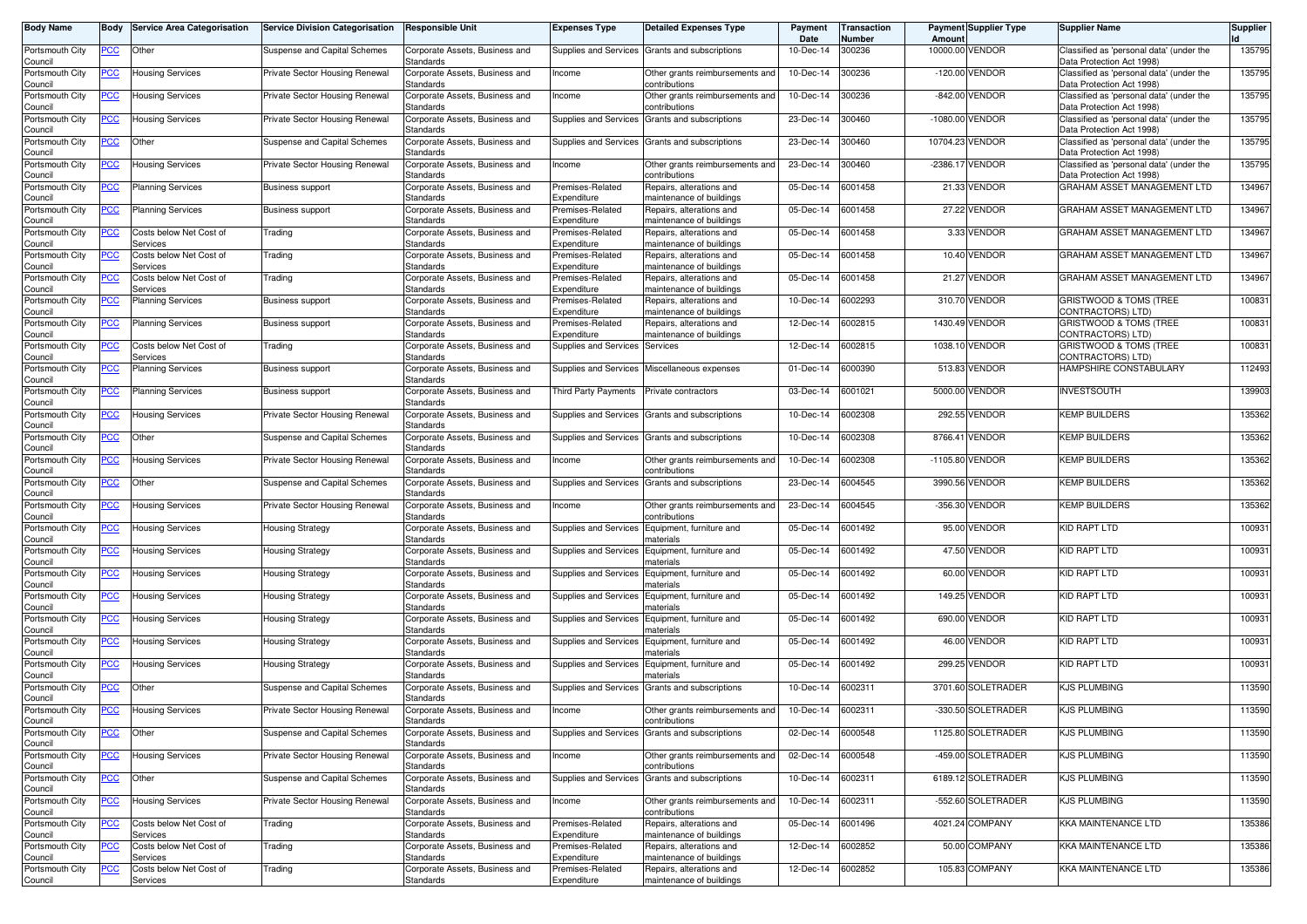| <b>Body Name</b>           |             | <b>Body Service Area Categorisation</b> | <b>Service Division Categorisation</b> | <b>Responsible Unit</b>                            | <b>Expenses Type</b>            | <b>Detailed Expenses Type</b>                           | Payment<br>Date | <b>Transaction</b><br><b>Number</b> | Amount     | <b>Payment Supplier Type</b> | <b>Supplier Name</b>                                                  | <b>Supplier</b> |
|----------------------------|-------------|-----------------------------------------|----------------------------------------|----------------------------------------------------|---------------------------------|---------------------------------------------------------|-----------------|-------------------------------------|------------|------------------------------|-----------------------------------------------------------------------|-----------------|
| Portsmouth City<br>Council | PCC         | Other                                   | Suspense and Capital Schemes           | Corporate Assets, Business and<br>Standards        |                                 | Supplies and Services Grants and subscriptions          | 10-Dec-14       | 300236                              |            | 10000.00 VENDOR              | Classified as 'personal data' (under the<br>Data Protection Act 1998) | 135795          |
| Portsmouth City<br>Council | ∍CC         | <b>Housing Services</b>                 | Private Sector Housing Renewal         | Corporate Assets, Business and<br>Standards        | Income                          | Other grants reimbursements and<br>contributions        | 10-Dec-14       | 300236                              |            | -120.00 VENDOR               | Classified as 'personal data' (under the<br>Data Protection Act 1998) | 135795          |
| Portsmouth City<br>Council | <u>PCC</u>  | Housing Services                        | Private Sector Housing Renewal         | Corporate Assets, Business and<br>Standards        | ncome                           | Other grants reimbursements and<br>:ontributions        | 10-Dec-14       | 300236                              | $-842.00$  | VENDOR                       | Classified as 'personal data' (under the<br>Data Protection Act 1998) | 135795          |
| Portsmouth City<br>Council | <u>PCC</u>  | <b>Housing Services</b>                 | Private Sector Housing Renewal         | Corporate Assets, Business and<br>Standards        | <b>Supplies and Services</b>    | Grants and subscriptions                                | 23-Dec-14       | 300460                              | $-1080.00$ | VENDOR                       | Classified as 'personal data' (under the<br>Data Protection Act 1998) | 135795          |
| Portsmouth City<br>Council | <u>PCC</u>  | Other                                   | Suspense and Capital Schemes           | Corporate Assets, Business and<br>Standards        | Supplies and Services           | Grants and subscriptions                                | 23-Dec-14       | 300460                              | 10704.23   | VENDOR                       | Classified as 'personal data' (under the<br>Data Protection Act 1998) | 135795          |
| Portsmouth City<br>Council | <u>PCC</u>  | Housing Services                        | Private Sector Housing Renewal         | Corporate Assets, Business and<br>Standards        | ncome                           | Other grants reimbursements and<br>:ontributions        | 23-Dec-14       | 300460                              |            | -2386.17 VENDOR              | Classified as 'personal data' (under the<br>Data Protection Act 1998) | 135795          |
| Portsmouth City<br>Council | <u>PCC</u>  | <b>Planning Services</b>                | <b>Business support</b>                | Corporate Assets, Business and<br>Standards        | Premises-Related<br>Expenditure | Repairs, alterations and<br>naintenance of buildings    | 05-Dec-14       | 6001458                             |            | 21.33 VENDOR                 | GRAHAM ASSET MANAGEMENT LTD                                           | 134967          |
| Portsmouth City<br>Council | <u>PCC</u>  | <b>Planning Services</b>                | <b>Business support</b>                | Corporate Assets, Business and<br>Standards        | Premises-Related<br>Expenditure | Repairs, alterations and<br>naintenance of buildings    | 05-Dec-14       | 6001458                             | 27.22      | VENDOR                       | GRAHAM ASSET MANAGEMENT LTD                                           | 134967          |
| Portsmouth City            | <u>PCC </u> | Costs below Net Cost of                 | Trading                                | Corporate Assets, Business and                     | Premises-Related                | Repairs, alterations and                                | 05-Dec-14       | 6001458                             |            | 3.33 VENDOR                  | <b>GRAHAM ASSET MANAGEMENT LTD</b>                                    | 134967          |
| Council<br>Portsmouth City | PСC         | Services<br>Costs below Net Cost of     | Trading                                | Standards<br>Corporate Assets, Business and        | Expenditure<br>Premises-Related | naintenance of buildings<br>Repairs, alterations and    | 05-Dec-14       | 6001458                             |            | 10.40 VENDOR                 | GRAHAM ASSET MANAGEMENT LTD                                           | 134967          |
| Council                    |             | Services                                |                                        | Standards                                          | Expenditure                     | maintenance of buildings                                |                 |                                     |            |                              |                                                                       |                 |
| Portsmouth City<br>Council | PСC         | Costs below Net Cost of<br>Services     | Trading                                | Corporate Assets, Business and<br>Standards        | Premises-Related<br>Expenditure | Repairs, alterations and<br>maintenance of buildings    | 05-Dec-14       | 6001458                             |            | 21.27 VENDOR                 | GRAHAM ASSET MANAGEMENT LTD                                           | 134967          |
| Portsmouth City            | PСC         | Planning Services                       | <b>Business support</b>                | Corporate Assets, Business and                     | Premises-Related                | Repairs, alterations and                                | 10-Dec-14       | 6002293                             |            | 310.70 VENDOR                | GRISTWOOD & TOMS (TREE                                                | 100831          |
| Council<br>Portsmouth City | <u>PCC</u>  | Planning Services                       | <b>Business support</b>                | Standards<br>Corporate Assets, Business and        | Expenditure<br>Premises-Related | naintenance of buildings<br>Repairs, alterations and    | 12-Dec-14       | 6002815                             |            | 1430.49 VENDOR               | CONTRACTORS) LTD)<br>GRISTWOOD & TOMS (TREE                           | 100831          |
| Council                    |             |                                         |                                        | Standards                                          | Expenditure                     | naintenance of buildings                                |                 |                                     |            |                              | CONTRACTORS) LTD)                                                     |                 |
| Portsmouth City<br>Council | PCC         | Costs below Net Cost of<br>Services     | Trading                                | Corporate Assets, Business and<br>Standards        | Supplies and Services           | Services                                                | 12-Dec-14       | 6002815                             |            | 1038.10 VENDOR               | <b>GRISTWOOD &amp; TOMS (TREE)</b><br>CONTRACTORS) LTD)               | 100831          |
| Portsmouth City<br>Council | PCC∶        | <b>Planning Services</b>                | Business support                       | Corporate Assets, Business and<br>Standards        | Supplies and Services           | Miscellaneous expenses                                  | 01-Dec-14       | 6000390                             |            | 513.83 VENDOR                | HAMPSHIRE CONSTABULARY                                                | 112493          |
| Portsmouth City<br>Council | <u>PCC</u>  | <b>Planning Services</b>                | <b>Business support</b>                | Corporate Assets, Business and<br>Standards        | Third Party Payments            | Private contractors                                     | 03-Dec-14       | 6001021                             | 5000.00    | VENDOR                       | <b>INVESTSOUTH</b>                                                    | 139903          |
| Portsmouth City<br>Council | PСC         | <b>Housing Services</b>                 | Private Sector Housing Renewal         | Corporate Assets, Business and<br>Standards        | Supplies and Services           | Grants and subscriptions                                | 10-Dec-14       | 6002308                             |            | 292.55 VENDOR                | <b>KEMP BUILDERS</b>                                                  | 135362          |
| Portsmouth City<br>Council | <u>PCC</u>  | Other                                   | Suspense and Capital Schemes           | Corporate Assets, Business and<br>Standards        | Supplies and Services           | Grants and subscriptions                                | 10-Dec-14       | 6002308                             |            | 8766.41 VENDOR               | <b>KEMP BUILDERS</b>                                                  | 135362          |
| Portsmouth City<br>Council | ∍сс         | <b>Housing Services</b>                 | Private Sector Housing Renewal         | Corporate Assets, Business and<br>Standards        | Income                          | Other grants reimbursements and<br>contributions        | 10-Dec-14       | 6002308                             | $-1105.80$ | VENDOR                       | <b>KEMP BUILDERS</b>                                                  | 135362          |
| Portsmouth City<br>Council | <u>PCC</u>  | Other                                   | Suspense and Capital Schemes           | Corporate Assets, Business and<br>Standards        | <b>Supplies and Services</b>    | Grants and subscriptions                                | 23-Dec-14       | 6004545                             |            | 3990.56 VENDOR               | <b>KEMP BUILDERS</b>                                                  | 135362          |
| Portsmouth City<br>Council | PСC         | Housing Services                        | Private Sector Housing Renewal         | Corporate Assets, Business and<br>Standards        | ncome                           | Other grants reimbursements and<br>ontributions         | 23-Dec-14       | 6004545                             | $-356.30$  | VENDOR                       | <b>KEMP BUILDERS</b>                                                  | 135362          |
| Portsmouth City<br>Council | <u>PCC </u> | Housing Services                        | <b>Housing Strategy</b>                | Corporate Assets, Business and<br><b>Standards</b> | <b>Supplies and Services</b>    | Equipment, furniture and<br>naterials                   | 05-Dec-14       | 6001492                             | 95.00      | VENDOR                       | <b>KID RAPT LTD</b>                                                   | 100931          |
| Portsmouth City<br>Council | <u>PCC</u>  | <b>Housing Services</b>                 | <b>Housing Strategy</b>                | Corporate Assets, Business and<br>Standards        | Supplies and Services           | Equipment, furniture and<br>naterials                   | 05-Dec-14       | 6001492                             |            | 47.50 VENDOR                 | <b>KID RAPT LTD</b>                                                   | 100931          |
| Portsmouth City<br>Council | <u>PCC</u>  | Housing Services                        | <b>Housing Strategy</b>                | Corporate Assets, Business and<br>Standards        | Supplies and Services           | Equipment, furniture and<br>naterials                   | 05-Dec-14       | 6001492                             |            | 60.00 VENDOR                 | KID RAPT LTD                                                          | 100931          |
| Portsmouth City<br>Council | <u>PCC</u>  | Housing Services                        | Housing Strategy                       | Corporate Assets, Business and<br>Standards        | <b>Supplies and Services</b>    | Equipment, furniture and<br>naterials                   | 05-Dec-14       | 6001492                             |            | 149.25 VENDOR                | KID RAPT LTD                                                          | 100931          |
| Portsmouth City<br>Council | <u>PCC </u> | <b>Housing Services</b>                 | <b>Housing Strategy</b>                | Corporate Assets, Business and<br>Standards        | Supplies and Services           | Equipment, furniture and<br>naterials                   | 05-Dec-14       | 6001492                             | 690.00     | VENDOR                       | <b>KID RAPT LTD</b>                                                   | 100931          |
| Portsmouth City<br>Council | <u>PCC</u>  | <b>Housing Services</b>                 | <b>Housing Strategy</b>                | Corporate Assets, Business and<br>Standards        | Supplies and Services           | Equipment, furniture and<br>naterials                   | 05-Dec-14       | 6001492                             |            | 46.00 VENDOR                 | <b>KID RAPT LTD</b>                                                   | 100931          |
| Portsmouth City<br>Council | <u>PCC</u>  | <b>Housing Services</b>                 | <b>Housing Strategy</b>                | Corporate Assets, Business and<br>Standards        | Supplies and Services           | Equipment, furniture and<br>naterials                   | 05-Dec-14       | 6001492                             |            | 299.25 VENDOR                | <b>KID RAPT LTD</b>                                                   | 100931          |
| Portsmouth City<br>Council | <u>PCC</u>  | Other                                   | Suspense and Capital Schemes           | Corporate Assets, Business and<br>Standards        | Supplies and Services           | Grants and subscriptions                                | 10-Dec-14       | 6002311                             |            | 3701.60 SOLETRADER           | <b>KJS PLUMBING</b>                                                   | 113590          |
| Portsmouth City<br>Council | <u>PCC </u> | <b>Housing Services</b>                 | Private Sector Housing Renewal         | Corporate Assets, Business and<br>Standards        | Income                          | Other grants reimbursements and<br><b>CONTINUULIONS</b> | 10-Dec-14       | 6002311                             |            | -330.50 SOLETRADER           | <b>KJS PLUMBING</b>                                                   | 113590          |
| Portsmouth City<br>Council | <b>PCC</b>  | Other                                   | Suspense and Capital Schemes           | Corporate Assets, Business and<br>Standards        | Supplies and Services           | Grants and subscriptions                                | 02-Dec-14       | 6000548                             |            | 1125.80 SOLETRADER           | KJS PLUMBING                                                          | 113590          |
| Portsmouth City<br>Council | <b>PCC</b>  | <b>Housing Services</b>                 | Private Sector Housing Renewal         | Corporate Assets, Business and<br><b>Standards</b> | Income                          | Other grants reimbursements and<br>contributions        | 02-Dec-14       | 6000548                             |            | -459.00 SOLETRADER           | <b>KJS PLUMBING</b>                                                   | 113590          |
| Portsmouth City<br>Council | <u>PCC</u>  | Other                                   | Suspense and Capital Schemes           | Corporate Assets, Business and<br>Standards        |                                 | Supplies and Services Grants and subscriptions          | 10-Dec-14       | 6002311                             |            | 6189.12 SOLETRADER           | KJS PLUMBING                                                          | 113590          |
| Portsmouth City<br>Council | <u>PCC</u>  | <b>Housing Services</b>                 | Private Sector Housing Renewal         | Corporate Assets, Business and<br><b>Standards</b> | ncome                           | Other grants reimbursements and<br>contributions        | 10-Dec-14       | 6002311                             |            | -552.60 SOLETRADER           | <b>KJS PLUMBING</b>                                                   | 113590          |
| Portsmouth City<br>Council | PCC         | Costs below Net Cost of<br>Services     | Trading                                | Corporate Assets, Business and<br>Standards        | Premises-Related<br>Expenditure | Repairs, alterations and<br>maintenance of buildings    | 05-Dec-14       | 6001496                             |            | 4021.24 COMPANY              | <b>KKA MAINTENANCE LTD</b>                                            | 135386          |
| Portsmouth City<br>Council | <u>PCC</u>  | Costs below Net Cost of<br>Services     | Trading                                | Corporate Assets, Business and<br>Standards        | Premises-Related<br>Expenditure | Repairs, alterations and<br>maintenance of buildings    | 12-Dec-14       | 6002852                             |            | 50.00 COMPANY                | KKA MAINTENANCE LTD                                                   | 135386          |
| Portsmouth City            | <u>PCC</u>  | Costs below Net Cost of                 | Trading                                | Corporate Assets, Business and                     | Premises-Related                | Repairs, alterations and                                | 12-Dec-14       | 6002852                             |            | 105.83 COMPANY               | KKA MAINTENANCE LTD                                                   | 135386          |
| Council                    |             | Services                                |                                        | Standards                                          | Expenditure                     | maintenance of buildings                                |                 |                                     |            |                              |                                                                       |                 |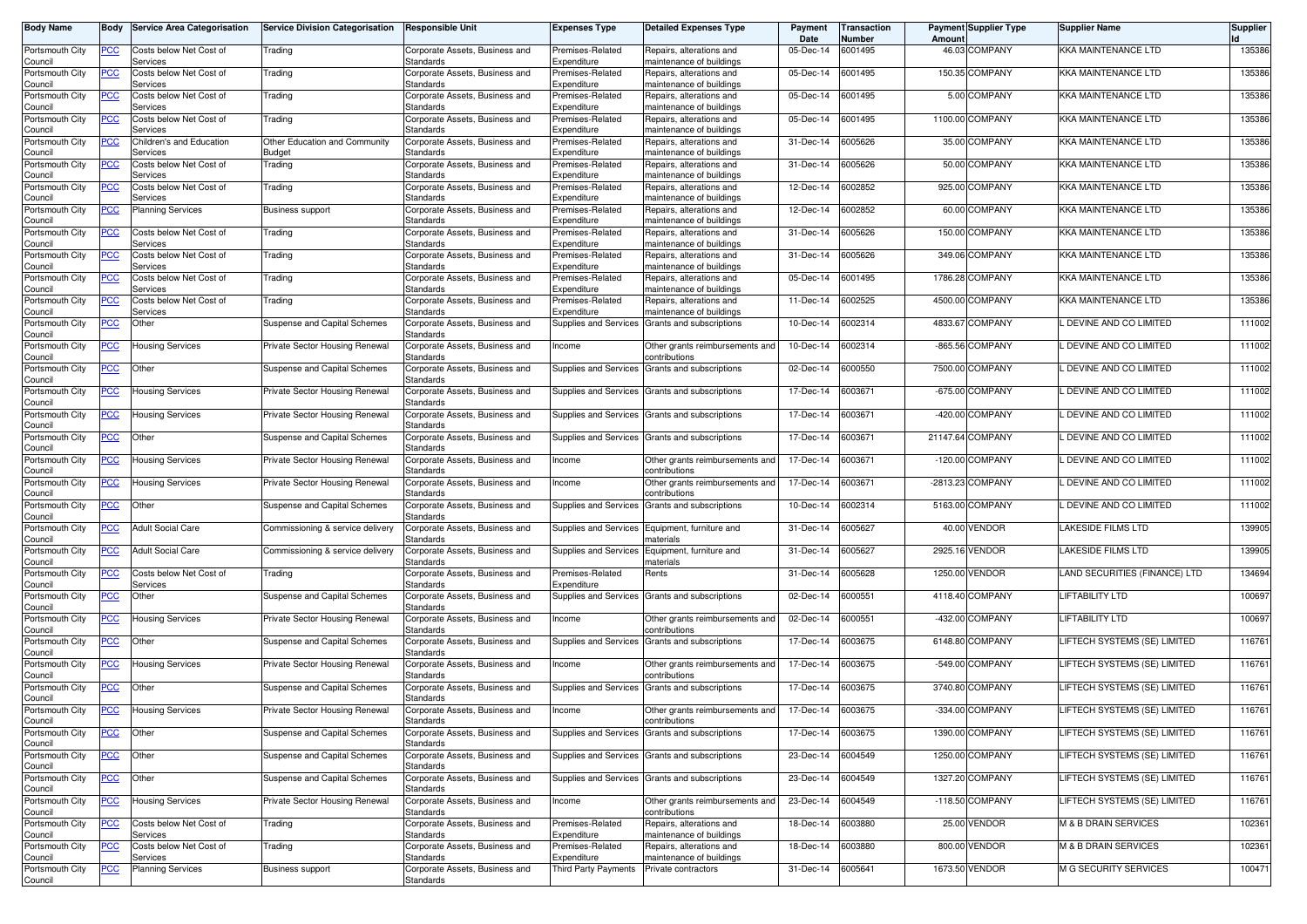| <b>Body Name</b>                      | Body             | <b>Service Area Categorisation</b>   | <b>Service Division Categorisation</b> | <b>Responsible Unit</b>                            | Expenses Type                        | <b>Detailed Expenses Type</b>                           | Payment<br>Date | Transaction<br>Number | Amoun   | <b>Payment Supplier Type</b> | <b>Supplier Name</b>            | Supplier |
|---------------------------------------|------------------|--------------------------------------|----------------------------------------|----------------------------------------------------|--------------------------------------|---------------------------------------------------------|-----------------|-----------------------|---------|------------------------------|---------------------------------|----------|
| Portsmouth City<br>Council            | PСC              | Costs below Net Cost of<br>Services  | Trading                                | Corporate Assets, Business and<br>Standards        | Premises-Related<br>Expenditure      | Repairs, alterations and<br>maintenance of buildings    | 05-Dec-14       | 6001495               |         | 46.03 COMPANY                | KKA MAINTENANCE LTD             | 135386   |
| Portsmouth City<br>Council            | <u>PCC </u>      | Costs below Net Cost of<br>Services  | Trading                                | Corporate Assets, Business and<br>Standards        | Premises-Related<br>Expenditure      | Repairs, alterations and<br>maintenance of buildings    | 05-Dec-14       | 6001495               |         | 150.35 COMPANY               | KKA MAINTENANCE LTD             | 135386   |
| Portsmouth City                       | <u>PCC</u>       | Costs below Net Cost of              | Trading                                | Corporate Assets, Business and                     | Premises-Related                     | Repairs, alterations and                                | 05-Dec-14       | 6001495               |         | 5.00 COMPANY                 | KKA MAINTENANCE LTD             | 135386   |
| Council<br>Portsmouth City            | <u>PCC</u>       | Services<br>Costs below Net Cost of  | Trading                                | Standards<br>Corporate Assets, Business and        | Expenditure<br>Premises-Related      | maintenance of buildings<br>Repairs, alterations and    | 05-Dec-14       | 6001495               |         | 1100.00 COMPANY              | KKA MAINTENANCE LTD             | 135386   |
| Council<br>Portsmouth City            | <u>PCC</u>       | Services<br>Children's and Education | Other Education and Community          | Standards<br>Corporate Assets, Business and        | Expenditure<br>Premises-Related      | maintenance of buildings<br>Repairs, alterations and    | 31-Dec-14       | 6005626               |         | 35.00 COMPANY                | KKA MAINTENANCE LTD             | 135386   |
| Council                               |                  | Services                             | Budget                                 | Standards                                          | Expenditure                          | maintenance of buildings                                |                 |                       |         |                              |                                 |          |
| Portsmouth City<br>Council            | <u>PCC</u>       | Costs below Net Cost of<br>Services  | Trading                                | Corporate Assets, Business and<br>Standards        | Premises-Related<br>Expenditure      | Repairs, alterations and<br>maintenance of buildings    | 31-Dec-14       | 6005626               |         | 50.00 COMPANY                | KKA MAINTENANCE LTD             | 135386   |
| Portsmouth City                       | <u>PCC</u>       | Costs below Net Cost of<br>Services  | Trading                                | Corporate Assets, Business and<br>Standards        | Premises-Related<br>Expenditure      | Repairs, alterations and<br>maintenance of buildings    | 12-Dec-14       | 6002852               |         | 925.00 COMPANY               | <b>KKA MAINTENANCE LTD</b>      | 135386   |
| Council<br>Portsmouth City            | <u>PCC </u>      | <b>Planning Services</b>             | <b>Business support</b>                | Corporate Assets, Business and                     | Premises-Related                     | Repairs, alterations and                                | 12-Dec-14       | 6002852               |         | 60.00 COMPANY                | KKA MAINTENANCE LTD             | 135386   |
| Council<br>Portsmouth City            | <u>PCC </u>      | Costs below Net Cost of              | Trading                                | Standards<br>Corporate Assets, Business and        | Expenditure<br>Premises-Related      | maintenance of buildings<br>Repairs, alterations and    | 31-Dec-14       | 6005626               |         | 150.00 COMPANY               | KKA MAINTENANCE LTD             | 135386   |
| Council                               |                  | Services                             |                                        | Standards                                          | Expenditure                          | maintenance of buildings                                |                 |                       |         |                              |                                 |          |
| Portsmouth City<br>Council            | PСC              | Costs below Net Cost of<br>Services  | Trading                                | Corporate Assets, Business and<br>Standards        | Premises-Related<br>Expenditure      | Repairs, alterations and<br>maintenance of buildings    | 31-Dec-14       | 6005626               |         | 349.06 COMPANY               | <b>KKA MAINTENANCE LTD</b>      | 135386   |
| Portsmouth City<br>Council            |                  | Costs below Net Cost of<br>Services  | Trading                                | Corporate Assets, Business and<br>Standards        | Premises-Related<br>Expenditure      | Repairs, alterations and<br>maintenance of buildings    | 05-Dec-14       | 6001495               |         | 1786.28 COMPANY              | KKA MAINTENANCE LTD             | 135386   |
| Portsmouth City                       | PСC              | Costs below Net Cost of              | Trading                                | Corporate Assets, Business and                     | Premises-Related                     | Repairs, alterations and                                | 11-Dec-14       | 6002525               |         | 4500.00 COMPANY              | KKA MAINTENANCE LTD             | 135386   |
| Council<br>Portsmouth City            | PCC              | Services<br>Other                    | Suspense and Capital Schemes           | Standards<br>Corporate Assets, Business and        | Expenditure<br>Supplies and Services | maintenance of buildings<br>Grants and subscriptions    | 10-Dec-14       | 6002314               |         | 4833.67 COMPANY              | . DEVINE AND CO LIMITED         | 111002   |
| Council<br>Portsmouth City            |                  | Housing Services                     | Private Sector Housing Renewal         | Standards<br>Corporate Assets, Business and        | Income                               | Other grants reimbursements and                         | 10-Dec-14       | 6002314               |         | -865.56 COMPANY              | DEVINE AND CO LIMITED           | 111002   |
| Council                               | ∍сс              |                                      |                                        | Standards                                          |                                      | ontributions                                            |                 |                       |         |                              |                                 |          |
| Portsmouth City<br>Council            | <u>PCC</u>       | Other                                | Suspense and Capital Schemes           | Corporate Assets, Business and<br>Standards        | Supplies and Services                | Grants and subscriptions                                | 02-Dec-14       | 6000550               |         | 7500.00 COMPANY              | . DEVINE AND CO LIMITED         | 111002   |
| Portsmouth City<br>Council            | <u>PCC</u>       | <b>Housing Services</b>              | Private Sector Housing Renewal         | Corporate Assets, Business and<br>Standards        | Supplies and Services                | Grants and subscriptions                                | 17-Dec-14       | 6003671               |         | -675.00 COMPANY              | . DEVINE AND CO LIMITED         | 111002   |
| Portsmouth City<br>Council            |                  | Housing Services                     | Private Sector Housing Renewal         | Corporate Assets, Business and<br>Standards        | Supplies and Services                | Grants and subscriptions                                | 17-Dec-14       | 6003671               |         | -420.00 COMPANY              | . DEVINE AND CO LIMITED         | 111002   |
| Portsmouth City<br>Council            | <u>PCC</u>       | Other                                | Suspense and Capital Schemes           | Corporate Assets, Business and<br>Standards        | Supplies and Services                | Grants and subscriptions                                | 17-Dec-14       | 6003671               |         | 21147.64 COMPANY             | . DEVINE AND CO LIMITED         | 111002   |
| Portsmouth City<br>Council            | <u>PCC</u>       | <b>Housing Services</b>              | Private Sector Housing Renewal         | Corporate Assets, Business and<br>Standards        | Income                               | Other grants reimbursements and<br>contributions        | 17-Dec-14       | 6003671               |         | -120.00 COMPANY              | L DEVINE AND CO LIMITED         | 111002   |
| Portsmouth City<br>Council            | <u>PCC</u>       | Housing Services                     | Private Sector Housing Renewal         | Corporate Assets, Business and<br>Standards        | Income                               | Other grants reimbursements and<br>contributions        | 17-Dec-14       | 6003671               |         | -2813.23 COMPANY             | . DEVINE AND CO LIMITED         | 111002   |
| Portsmouth City<br>Council            | <u>PCC</u>       | Other                                | Suspense and Capital Schemes           | Corporate Assets, Business and<br>Standards        | Supplies and Services                | Grants and subscriptions                                | 10-Dec-14       | 6002314               |         | 5163.00 COMPANY              | . DEVINE AND CO LIMITED         | 111002   |
| Portsmouth City<br>Council            | <u>PCC</u>       | <b>Adult Social Care</b>             | Commissioning & service delivery       | Corporate Assets, Business and<br>Standards        | Supplies and Services                | Equipment, furniture and<br>naterials                   | 31-Dec-14       | 6005627               |         | 40.00 VENDOR                 | LAKESIDE FILMS LTD              | 139905   |
| Portsmouth City<br>Council            | $\overline{PCC}$ | <b>Adult Social Care</b>             | Commissioning & service delivery       | Corporate Assets, Business and<br>Standards        | <b>Supplies and Services</b>         | Equipment, furniture and<br>materials                   | 31-Dec-14       | 6005627               | 2925.16 | <b>VENDOR</b>                | <b>LAKESIDE FILMS LTD</b>       | 139905   |
| Portsmouth City<br>Council            | $\overline{PCC}$ | Costs below Net Cost of<br>Services  | Trading                                | Corporate Assets, Business and<br>Standards        | Premises-Related<br>Expenditure      | Rents                                                   | 31-Dec-14       | 6005628               |         | 1250.00 VENDOR               | LAND SECURITIES (FINANCE) LTD   | 134694   |
| Portsmouth City<br>Council            | $\overline{PCC}$ | Other                                | Suspense and Capital Schemes           | Corporate Assets, Business and<br>Standards        | Supplies and Services                | Grants and subscriptions                                | 02-Dec-14       | 6000551               |         | 4118.40 COMPANY              | <b>LIFTABILITY LTD</b>          | 100697   |
| Portsmouth City<br>Council            | <u>PCC</u>       | Housing Services                     | Private Sector Housing Renewal         | Corporate Assets, Business and<br>Standards        | Income                               | Other grants reimbursements and<br>contributions        | 02-Dec-14       | 6000551               |         | -432.00 COMPANY              | LIFTABILITY LTD                 | 100697   |
| Portsmouth City<br>Council            | <u>PCC </u>      | Other                                | Suspense and Capital Schemes           | Corporate Assets, Business and<br>Standards        | Supplies and Services                | Grants and subscriptions                                | 17-Dec-14       | 6003675               |         | 6148.80 COMPANY              | LIFTECH SYSTEMS (SE) LIMITED    | 116761   |
| Portsmouth City<br>Council            | <u>PCC</u>       | <b>Housing Services</b>              | Private Sector Housing Renewal         | Corporate Assets, Business and<br>Standards        | Income                               | Other grants reimbursements and<br>contributions        | 17-Dec-14       | 6003675               |         | -549.00 COMPANY              | LIFTECH SYSTEMS (SE) LIMITED    | 116761   |
| Portsmouth City                       | <b>PCC</b>       | Other                                | Suspense and Capital Schemes           | Corporate Assets, Business and<br>Standards        | Supplies and Services                | Grants and subscriptions                                | 17-Dec-14       | 6003675               |         | 3740.80 COMPANY              | LIFTECH SYSTEMS (SE) LIMITED    | 116761   |
| Council<br>Portsmouth City            | <u>PCC</u>       | <b>Housing Services</b>              | Private Sector Housing Renewal         | Corporate Assets, Business and<br>Standards        | Income                               | Other grants reimbursements and<br><b>contributions</b> | 17-Dec-14       | 6003675               |         | -334.00 COMPANY              | LIFTECH SYSTEMS (SE) LIMITED    | 116761   |
| Council<br>Portsmouth City<br>Council | <b>PCC</b>       | Other                                | Suspense and Capital Schemes           | Corporate Assets, Business and<br>Standards        | Supplies and Services                | Grants and subscriptions                                | 17-Dec-14       | 6003675               |         | 1390.00 COMPANY              | LIFTECH SYSTEMS (SE) LIMITED    | 116761   |
| Portsmouth City<br>Council            | <u>PCC</u>       | Other                                | Suspense and Capital Schemes           | Corporate Assets, Business and<br>Standards        | Supplies and Services                | Grants and subscriptions                                | 23-Dec-14       | 6004549               |         | 1250.00 COMPANY              | LIFTECH SYSTEMS (SE) LIMITED    | 116761   |
| Portsmouth City<br>Council            | <b>PCC</b>       | Other                                | Suspense and Capital Schemes           | Corporate Assets, Business and<br><b>Standards</b> |                                      | Supplies and Services Grants and subscriptions          | 23-Dec-14       | 6004549               |         | 1327.20 COMPANY              | LIFTECH SYSTEMS (SE) LIMITED    | 116761   |
| Portsmouth City<br>Council            | <u>PCC</u>       | Housing Services                     | Private Sector Housing Renewal         | Corporate Assets, Business and<br><b>Standards</b> | Income                               | Other grants reimbursements and<br>contributions        | 23-Dec-14       | 6004549               |         | -118.50 COMPANY              | LIFTECH SYSTEMS (SE) LIMITED    | 116761   |
| Portsmouth City<br>Council            | PСC              | Costs below Net Cost of<br>Services  | Trading                                | Corporate Assets, Business and<br>Standards        | Premises-Related<br>Expenditure      | Repairs, alterations and<br>maintenance of buildings    | 18-Dec-14       | 6003880               |         | 25.00 VENDOR                 | M & B DRAIN SERVICES            | 102361   |
| Portsmouth City                       | <u>PCC</u>       | Costs below Net Cost of              | Trading                                | Corporate Assets, Business and                     | Premises-Related                     | Repairs, alterations and                                | 18-Dec-14       | 6003880               |         | 800.00 VENDOR                | <b>M &amp; B DRAIN SERVICES</b> | 102361   |
| Council<br>Portsmouth City            | PCC              | Services<br><b>Planning Services</b> | <b>Business support</b>                | Standards<br>Corporate Assets, Business and        | Expenditure<br>Third Party Payments  | maintenance of buildings<br>Private contractors         | 31-Dec-14       | 6005641               |         | 1673.50 VENDOR               | M G SECURITY SERVICES           | 100471   |
| Council                               |                  |                                      |                                        | Standards                                          |                                      |                                                         |                 |                       |         |                              |                                 |          |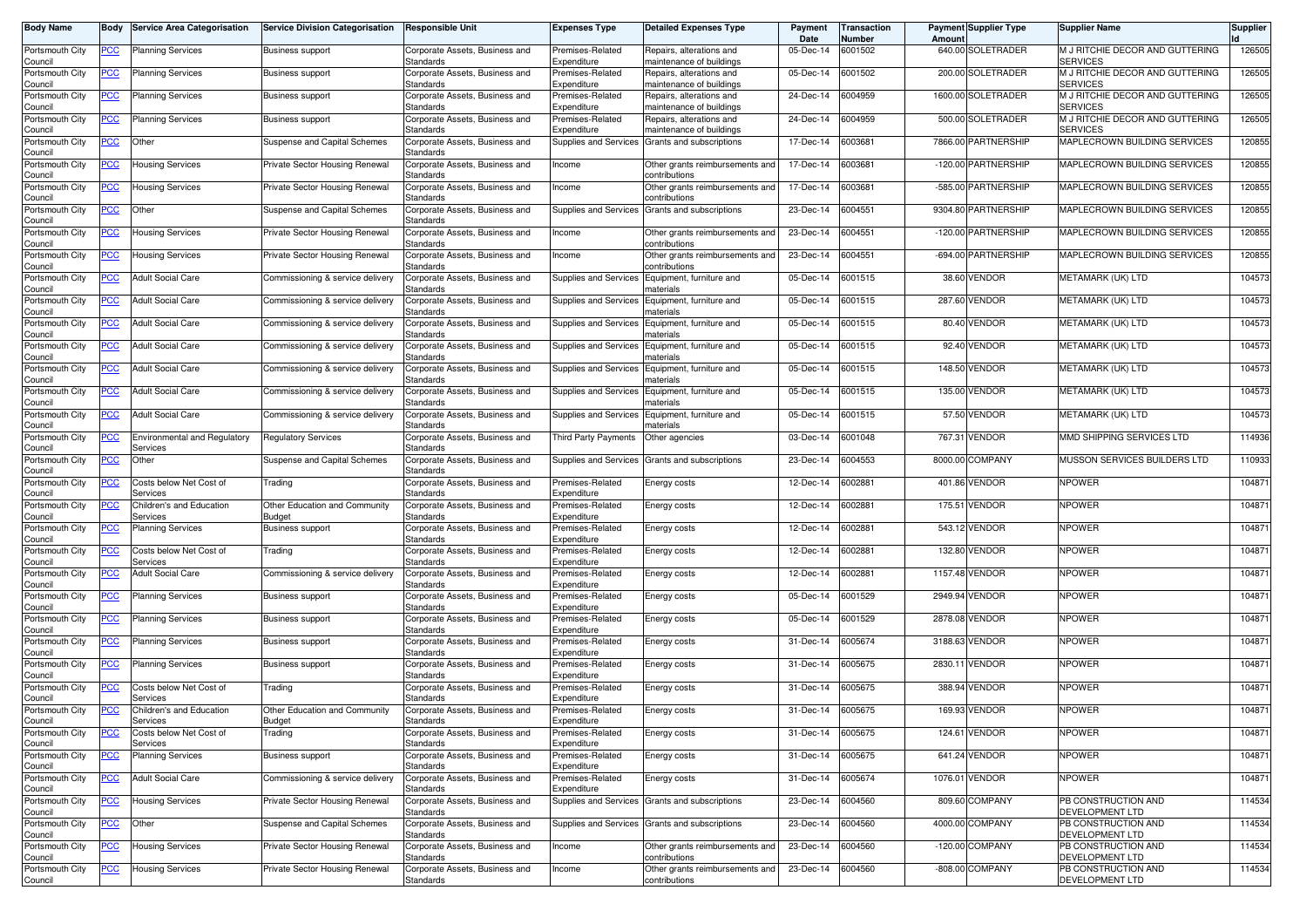| <b>Body Name</b>           | Body       | <b>Service Area Categorisation</b>       | <b>Service Division Categorisation</b>         | <b>Responsible Unit</b>                     | <b>Expenses Type</b>             | <b>Detailed Expenses Type</b>                        | Payment<br>Date | <b>Transaction</b><br>Number | Amount    | <b>Payment Supplier Type</b> | <b>Supplier Name</b>                               | Supplier |
|----------------------------|------------|------------------------------------------|------------------------------------------------|---------------------------------------------|----------------------------------|------------------------------------------------------|-----------------|------------------------------|-----------|------------------------------|----------------------------------------------------|----------|
| Portsmouth City<br>Council | <u>PCC</u> | <b>Planning Services</b>                 | <b>Business support</b>                        | Corporate Assets, Business and<br>Standards | Premises-Related<br>Expenditure  | Repairs, alterations and<br>maintenance of buildings | 05-Dec-14       | 6001502                      |           | 640.00 SOLETRADER            | M J RITCHIE DECOR AND GUTTERING<br><b>SERVICES</b> | 126505   |
| Portsmouth City<br>Council | <u>PCC</u> | <b>Planning Services</b>                 | <b>Business support</b>                        | Corporate Assets, Business and<br>Standards | Premises-Related<br>Expenditure  | Repairs, alterations and<br>maintenance of buildings | 05-Dec-14       | 6001502                      |           | 200.00 SOLETRADER            | M J RITCHIE DECOR AND GUTTERING<br><b>SERVICES</b> | 126505   |
| Portsmouth City<br>Council | <u>PCC</u> | <b>Planning Services</b>                 | <b>Business support</b>                        | Corporate Assets, Business and<br>Standards | Premises-Related<br>Expenditure  | Repairs, alterations and<br>naintenance of buildings | 24-Dec-14       | 6004959                      | 1600.00   | <b>SOLETRADER</b>            | M J RITCHIE DECOR AND GUTTERING<br><b>SERVICES</b> | 126505   |
| Portsmouth City<br>Council | <u>PCC</u> | Planning Services                        | <b>Business support</b>                        | Corporate Assets, Business and<br>Standards | Premises-Related<br>Expenditure  | Repairs, alterations and<br>maintenance of buildings | 24-Dec-14       | 6004959                      |           | 500.00 SOLETRADER            | M J RITCHIE DECOR AND GUTTERING<br><b>SERVICES</b> | 126505   |
| Portsmouth City<br>Council | <u>PCC</u> | Other                                    | Suspense and Capital Schemes                   | Corporate Assets, Business and<br>Standards | Supplies and Services            | Grants and subscriptions                             | 17-Dec-14       | 600368                       | 7866.00   | <b>PARTNERSHIP</b>           | MAPLECROWN BUILDING SERVICES                       | 120855   |
| Portsmouth City<br>Council | <u>PCC</u> | Housing Services                         | Private Sector Housing Renewal                 | Corporate Assets, Business and<br>Standards | Income                           | Other grants reimbursements and<br>contributions     | 17-Dec-14       | 6003681                      | $-120.00$ | PARTNERSHIP                  | MAPLECROWN BUILDING SERVICES                       | 120855   |
| Portsmouth City<br>Council | ∍CC        | <b>Housing Services</b>                  | Private Sector Housing Renewal                 | Corporate Assets, Business and<br>Standards | Income                           | Other grants reimbursements and<br>contributions     | 17-Dec-14       | 6003681                      | $-585.00$ | PARTNERSHIP                  | MAPLECROWN BUILDING SERVICES                       | 120855   |
| Portsmouth City<br>Council | <u>PCC</u> | Other                                    | Suspense and Capital Schemes                   | Corporate Assets, Business and<br>Standards | Supplies and Services            | Grants and subscriptions                             | 23-Dec-14       | 6004551                      | 9304.80   | <b>PARTNERSHIP</b>           | MAPLECROWN BUILDING SERVICES                       | 120855   |
| Portsmouth City<br>Council | <u>PCC</u> | Housing Services                         | Private Sector Housing Renewal                 | Corporate Assets, Business and<br>Standards | Income                           | Other grants reimbursements and<br>contributions     | 23-Dec-14       | 6004551                      |           | -120.00 PARTNERSHIP          | MAPLECROWN BUILDING SERVICES                       | 120855   |
| Portsmouth City<br>Council | <u>PCC</u> | Housing Services                         | Private Sector Housing Renewal                 | Corporate Assets, Business and<br>Standards | Income                           | Other grants reimbursements and<br>contributions     | 23-Dec-14       | 6004551                      |           | -694.00 PARTNERSHIP          | MAPLECROWN BUILDING SERVICES                       | 120855   |
| Portsmouth City<br>Council | PСC        | <b>Adult Social Care</b>                 | Commissioning & service delivery               | Corporate Assets, Business and<br>Standards | Supplies and Services            | Equipment, furniture and<br>naterials                | 05-Dec-14       | 6001515                      | 38.60     | VENDOR                       | METAMARK (UK) LTD                                  | 104573   |
| Portsmouth City<br>Council | PСC        | <b>Adult Social Care</b>                 | Commissioning & service delivery               | Corporate Assets, Business and<br>Standards | Supplies and Services            | Equipment, furniture and<br>naterials                | 05-Dec-14       | 6001515                      | 287.60    | VENDOR                       | METAMARK (UK) LTD                                  | 104573   |
| Portsmouth City<br>Council | PCC        | <b>Adult Social Care</b>                 | Commissioning & service delivery               | Corporate Assets, Business and<br>Standards | Supplies and Services            | Equipment, furniture and<br>materials                | 05-Dec-14       | 6001515                      | 80.40     | <b>VENDOR</b>                | METAMARK (UK) LTD                                  | 104573   |
| Portsmouth City<br>Council | <u>PCC</u> | <b>Adult Social Care</b>                 | Commissioning & service delivery               | Corporate Assets, Business and<br>Standards | Supplies and Services            | Equipment, furniture and<br>naterials                | 05-Dec-14       | 6001515                      | 92.40     | <b>VENDOR</b>                | METAMARK (UK) LTD                                  | 104573   |
| Portsmouth City<br>Council | PCC        | <b>Adult Social Care</b>                 | Commissioning & service delivery               | Corporate Assets, Business and<br>Standards | Supplies and Services            | Equipment, furniture and<br>naterials                | 05-Dec-14       | 6001515                      | 148.50    | <b>VENDOR</b>                | METAMARK (UK) LTD                                  | 104573   |
| Portsmouth City<br>Council | <u>PCC</u> | <b>Adult Social Care</b>                 | Commissioning & service delivery               | Corporate Assets, Business and<br>Standards | <b>Supplies and Services</b>     | Equipment, furniture and<br>materials                | 05-Dec-14       | 6001515                      | 135.00    | <b>VENDOR</b>                | METAMARK (UK) LTD                                  | 104573   |
| Portsmouth City<br>Council | <u>PCC</u> | <b>Adult Social Care</b>                 | Commissioning & service delivery               | Corporate Assets, Business and<br>Standards | Supplies and Services            | Equipment, furniture and<br>materials                | 05-Dec-14       | 6001515                      |           | 57.50 VENDOR                 | METAMARK (UK) LTD                                  | 104573   |
| Portsmouth City<br>Council | <u>PCC</u> | Environmental and Regulatory<br>Services | <b>Regulatory Services</b>                     | Corporate Assets, Business and<br>Standards | <b>Third Party Payments</b>      | Other agencies                                       | 03-Dec-14       | 6001048                      |           | 767.31 VENDOR                | MMD SHIPPING SERVICES LTD                          | 114936   |
| Portsmouth City<br>Council | PСC        | Other                                    | Suspense and Capital Schemes                   | Corporate Assets, Business and<br>Standards | Supplies and Services            | Grants and subscriptions                             | 23-Dec-14       | 6004553                      | 8000.00   | <b>COMPANY</b>               | MUSSON SERVICES BUILDERS LTD                       | 110933   |
| Portsmouth City<br>Council | <u>PCC</u> | Costs below Net Cost of<br>Services      | Trading                                        | Corporate Assets, Business and<br>Standards | Premises-Related<br>Expenditure  | Energy costs                                         | 12-Dec-14       | 600288                       | 401.86    | <b>VENDOR</b>                | <b>NPOWER</b>                                      | 104871   |
| Portsmouth City<br>Council | PСC        | Children's and Education<br>Services     | Other Education and Community<br>Budget        | Corporate Assets, Business and<br>Standards | Premises-Related<br>Expenditure  | Energy costs                                         | 12-Dec-14       | 600288                       | 175.51    | <b>VENDOR</b>                | <b>NPOWER</b>                                      | 104871   |
| Portsmouth City<br>Council | <u>PCC</u> | <b>Planning Services</b>                 | <b>Business support</b>                        | Corporate Assets, Business and<br>Standards | Premises-Related<br>Expenditure  | Energy costs                                         | 12-Dec-14       | 600288                       | 543.12    | <b>VENDOR</b>                | <b>NPOWER</b>                                      | 104871   |
| Portsmouth City<br>Council | <u>PCC</u> | Costs below Net Cost of<br>Services      | Trading                                        | Corporate Assets, Business and<br>Standards | Premises-Related<br>Expenditure  | Energy costs                                         | 12-Dec-14       | 600288                       | 132.80    | VENDOR                       | <b>NPOWER</b>                                      | 104871   |
| Portsmouth City<br>Council | <u>PCC</u> | <b>Adult Social Care</b>                 | Commissioning & service delivery               | Corporate Assets, Business and<br>Standards | Premises-Related<br>Expenditure  | Energy costs                                         | 12-Dec-14       | 6002881                      | 1157.48   | <b>VENDOR</b>                | <b>NPOWER</b>                                      | 104871   |
| Portsmouth City<br>Council | <u>PCC</u> | Planning Services                        | <b>Business support</b>                        | Corporate Assets, Business and<br>Standards | Premises-Related<br>Expenditure  | Energy costs                                         | 05-Dec-14       | 6001529                      | 2949.94   | <b>VENDOR</b>                | <b>NPOWER</b>                                      | 104871   |
| Portsmouth City<br>Council | <u>PCC</u> | <b>Planning Services</b>                 | <b>Business support</b>                        | Corporate Assets, Business and<br>Standards | Premises-Related<br>Expenditure  | Energy costs                                         | 05-Dec-14       | 6001529                      |           | 2878.08 VENDOR               | <b>NPOWER</b>                                      | 104871   |
| Portsmouth City<br>Council | <u>PCC</u> | <b>Planning Services</b>                 | <b>Business support</b>                        | Corporate Assets, Business and<br>Standards | Premises-Related<br>Expenditure  | Energy costs                                         | 31-Dec-14       | 3005674                      | 3188.63   | <b>VENDOR</b>                | <b>NPOWER</b>                                      | 104871   |
| Portsmouth City<br>Council | <u>PCC</u> | <b>Planning Services</b>                 | <b>Business support</b>                        | Corporate Assets, Business and<br>Standards | Premises-Related<br>Expenditure  | Energy costs                                         | 31-Dec-14       | 6005675                      | 2830.1    | VENDOR                       | <b>NPOWER</b>                                      | 104871   |
| Portsmouth City<br>Council | <u>PCC</u> | Costs below Net Cost of<br>Services      | Trading                                        | Corporate Assets, Business and<br>Standards | Premises-Related<br>Expenditure  | Energy costs                                         | 31-Dec-14       | 3005675                      |           | 388.94 VENDOR                | <b>NPOWER</b>                                      | 104871   |
| Portsmouth City<br>Council | <u>PCC</u> | Children's and Education<br>pervices     | Other Education and Community<br><b>Buaget</b> | Corporate Assets, Business and<br>Standards | Premises-Related<br>Experigiture | Energy costs                                         | 31-Dec-14       | 6005675                      | 169.93    | <b>VENDOR</b>                | <b>NPOWER</b>                                      | 104871   |
| Portsmouth City<br>Council | <u>PCC</u> | Costs below Net Cost of<br>Services      | Trading                                        | Corporate Assets, Business and<br>Standards | Premises-Related<br>Expenditure  | Energy costs                                         | 31-Dec-14       | 6005675                      |           | 124.61 VENDOR                | <b>NPOWER</b>                                      | 104871   |
| Portsmouth City<br>Council | <b>PCC</b> | <b>Planning Services</b>                 | <b>Business support</b>                        | Corporate Assets, Business and<br>Standards | Premises-Related<br>Expenditure  | Energy costs                                         | 31-Dec-14       | 6005675                      |           | 641.24 VENDOR                | <b>NPOWER</b>                                      | 104871   |
| Portsmouth City<br>Council | <u>PCC</u> | <b>Adult Social Care</b>                 | Commissioning & service delivery               | Corporate Assets, Business and<br>Standards | Premises-Related<br>Expenditure  | Energy costs                                         | 31-Dec-14       | 6005674                      |           | 1076.01 VENDOR               | <b>NPOWER</b>                                      | 104871   |
| Portsmouth City<br>Council | <u>PCC</u> | <b>Housing Services</b>                  | Private Sector Housing Renewal                 | Corporate Assets, Business and<br>Standards | Supplies and Services            | Grants and subscriptions                             | 23-Dec-14       | 6004560                      |           | 809.60 COMPANY               | PB CONSTRUCTION AND<br>DEVELOPMENT LTD             | 114534   |
| Portsmouth City<br>Council | <u>PCC</u> | Other                                    | Suspense and Capital Schemes                   | Corporate Assets, Business and<br>Standards |                                  | Supplies and Services Grants and subscriptions       | 23-Dec-14       | 6004560                      |           | 4000.00 COMPANY              | PB CONSTRUCTION AND<br>DEVELOPMENT LTD             | 114534   |
| Portsmouth City<br>Council | <u>PCC</u> | <b>Housing Services</b>                  | Private Sector Housing Renewal                 | Corporate Assets, Business and<br>Standards | Income                           | Other grants reimbursements and<br>contributions     | 23-Dec-14       | 6004560                      |           | -120.00 COMPANY              | PB CONSTRUCTION AND<br>DEVELOPMENT LTD             | 114534   |
| Portsmouth City<br>Council | PСC        | <b>Housing Services</b>                  | Private Sector Housing Renewal                 | Corporate Assets, Business and<br>Standards | Income                           | Other grants reimbursements and<br>contributions     | 23-Dec-14       | 6004560                      |           | -808.00 COMPANY              | PB CONSTRUCTION AND<br>DEVELOPMENT LTD             | 114534   |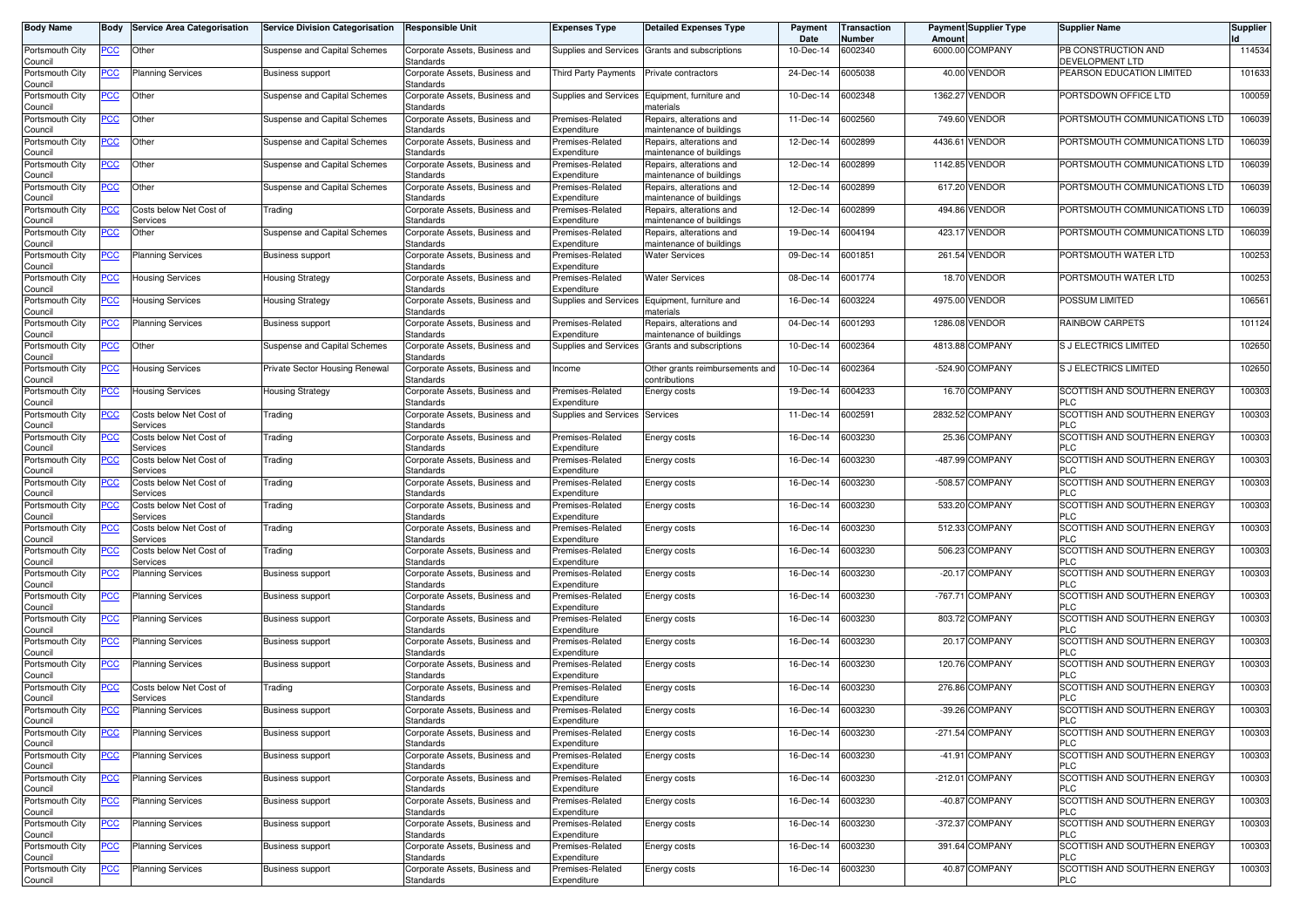| <b>Body Name</b>           | Body           | <b>Service Area Categorisation</b>  | <b>Service Division Categorisation</b> | <b>Responsible Unit</b>                     | <b>Expenses Type</b>                 | <b>Detailed Expenses Type</b>                        | Payment<br>Date | Transaction<br>Number | Amount    | <b>Payment Supplier Type</b> | <b>Supplier Name</b>                          | <b>Supplier</b> |
|----------------------------|----------------|-------------------------------------|----------------------------------------|---------------------------------------------|--------------------------------------|------------------------------------------------------|-----------------|-----------------------|-----------|------------------------------|-----------------------------------------------|-----------------|
| Portsmouth City<br>Council | <u>PCC</u>     | Other                               | Suspense and Capital Schemes           | Corporate Assets, Business and<br>Standards | Supplies and Services                | Grants and subscriptions                             | 10-Dec-14       | 6002340               |           | 6000.00 COMPANY              | PB CONSTRUCTION AND<br><b>DEVELOPMENT LTD</b> | 114534          |
| Portsmouth City<br>Council | <u>PCC</u>     | <b>Planning Services</b>            | <b>Business support</b>                | Corporate Assets, Business and<br>Standards | Third Party Payments                 | Private contractors                                  | 24-Dec-14       | 6005038               |           | 40.00 VENDOR                 | PEARSON EDUCATION LIMITED                     | 101633          |
| Portsmouth City<br>Council | <u>PCC</u>     | Other                               | Suspense and Capital Schemes           | Corporate Assets, Business and<br>Standards | Supplies and Services                | Equipment, furniture and<br>naterials                | 10-Dec-14       | 6002348               |           | 1362.27 VENDOR               | PORTSDOWN OFFICE LTD                          | 100059          |
| Portsmouth City<br>Council | $\overline{C}$ | Other                               | Suspense and Capital Schemes           | Corporate Assets, Business and<br>Standards | Premises-Related<br>Expenditure      | Repairs, alterations and<br>maintenance of buildings | 11-Dec-14       | 002560                |           | 749.60 VENDOR                | PORTSMOUTH COMMUNICATIONS LTD                 | 106039          |
| Portsmouth City            | <u>PCC</u>     | Other                               | Suspense and Capital Schemes           | Corporate Assets, Business and              | Premises-Related                     | Repairs, alterations and                             | 12-Dec-14       | 6002899               | 4436.6    | VENDOR                       | PORTSMOUTH COMMUNICATIONS LTD                 | 106039          |
| Council<br>Portsmouth City | <u>CC</u>      | Other                               | Suspense and Capital Schemes           | Standards<br>Corporate Assets, Business and | Expenditure<br>Premises-Related      | maintenance of buildings<br>Repairs, alterations and | 12-Dec-14       | 6002899               |           | 1142.85 VENDOR               | PORTSMOUTH COMMUNICATIONS LTD                 | 106039          |
| Council                    |                |                                     |                                        | Standards                                   | Expenditure                          | maintenance of buildings                             |                 |                       |           |                              |                                               |                 |
| Portsmouth City<br>Council | <u>PCC</u>     | Other                               | Suspense and Capital Schemes           | Corporate Assets, Business and<br>Standards | Premises-Related<br>Expenditure      | Repairs, alterations and<br>maintenance of buildings | 12-Dec-14       | 6002899               |           | 617.20 VENDOR                | PORTSMOUTH COMMUNICATIONS LTD                 | 106039          |
| Portsmouth City<br>Council | <u>CC</u>      | Costs below Net Cost of<br>Services | Trading                                | Corporate Assets, Business and<br>Standards | Premises-Related<br>Expenditure      | Repairs, alterations and<br>maintenance of buildings | 12-Dec-14       | 6002899               |           | 494.86 VENDOR                | PORTSMOUTH COMMUNICATIONS LTD                 | 106039          |
| Portsmouth City            | <b>PCC</b>     | Other                               | Suspense and Capital Schemes           | Corporate Assets, Business and              | Premises-Related                     | Repairs, alterations and                             | 19-Dec-14       | 6004194               |           | 423.17 VENDOR                | PORTSMOUTH COMMUNICATIONS LTD                 | 106039          |
| Council<br>Portsmouth City |                | <b>Planning Services</b>            |                                        | Standards<br>Corporate Assets, Business and | Expenditure<br>Premises-Related      | maintenance of buildings<br><b>Water Services</b>    | 09-Dec-14       | 6001851               |           | 261.54 VENDOR                | PORTSMOUTH WATER LTD                          | 100253          |
| Council                    | <u>PCC</u>     |                                     | <b>Business support</b>                | Standards                                   | Expenditure                          |                                                      |                 |                       |           |                              |                                               |                 |
| Portsmouth City<br>Council | <u>PCC</u>     | Housing Services                    | <b>Housing Strategy</b>                | Corporate Assets, Business and<br>Standards | Premises-Related<br>Expenditure      | <b>Water Services</b>                                | 08-Dec-14       | 6001774               |           | 18.70 VENDOR                 | PORTSMOUTH WATER LTD                          | 100253          |
| Portsmouth City<br>Council | PCC            | Housing Services                    | <b>Housing Strategy</b>                | Corporate Assets, Business and<br>Standards | Supplies and Services                | Equipment, furniture and<br>naterials                | 16-Dec-14       | 6003224               | 4975.00   | <b>VENDOR</b>                | POSSUM LIMITED                                | 106561          |
| Portsmouth City            | <u>PCC</u>     | <b>Planning Services</b>            | <b>Business support</b>                | Corporate Assets, Business and              | Premises-Related                     | Repairs, alterations and                             | 04-Dec-14       | 6001293               |           | 1286.08 VENDOR               | RAINBOW CARPETS                               | 101124          |
| Council<br>Portsmouth City | <u>PCC</u>     | Other                               | Suspense and Capital Schemes           | Standards<br>Corporate Assets, Business and | Expenditure<br>Supplies and Services | maintenance of buildings<br>Grants and subscriptions | 10-Dec-14       | 6002364               |           | 4813.88 COMPANY              | <b>S J ELECTRICS LIMITED</b>                  | 102650          |
| Council<br>Portsmouth City | <u>PCC</u>     | Housing Services                    | Private Sector Housing Renewal         | Standards<br>Corporate Assets, Business and | Income                               | Other grants reimbursements and                      | 10-Dec-14       | 6002364               |           | -524.90 COMPANY              | S J ELECTRICS LIMITED                         | 102650          |
| Council<br>Portsmouth City | <u>PCC</u>     | <b>Housing Services</b>             | <b>Housing Strategy</b>                | Standards<br>Corporate Assets, Business and | Premises-Related                     | contributions<br>Energy costs                        | 19-Dec-14       | 6004233               |           | 16.70 COMPANY                | SCOTTISH AND SOUTHERN ENERGY                  | 100303          |
| Council                    |                |                                     |                                        | Standards                                   | Expenditure                          |                                                      |                 |                       |           |                              | <b>PLC</b>                                    |                 |
| Portsmouth City<br>Council | PСC            | Costs below Net Cost of<br>Services | Trading                                | Corporate Assets, Business and<br>Standards | Supplies and Services                | Services                                             | 11-Dec-14       | 6002591               | 2832.52   | <b>COMPANY</b>               | SCOTTISH AND SOUTHERN ENERGY<br><b>PLC</b>    | 100303          |
| Portsmouth City<br>Council | <u>PCC</u>     | Costs below Net Cost of<br>Services | Trading                                | Corporate Assets, Business and<br>Standards | Premises-Related<br>Expenditure      | Energy costs                                         | 16-Dec-14       | 003230                |           | 25.36 COMPANY                | SCOTTISH AND SOUTHERN ENERGY<br><b>PLC</b>    | 100303          |
| Portsmouth City<br>Council | PСC            | Costs below Net Cost of<br>Services | Trading                                | Corporate Assets, Business and<br>Standards | Premises-Related<br>Expenditure      | Energy costs                                         | 16-Dec-14       | 6003230               |           | -487.99 COMPANY              | SCOTTISH AND SOUTHERN ENERGY<br><b>PLC</b>    | 100303          |
| Portsmouth City<br>Council | PСC            | Costs below Net Cost of<br>Services | Trading                                | Corporate Assets, Business and<br>Standards | Premises-Related<br>Expenditure      | Energy costs                                         | 16-Dec-14       | 6003230               | $-508.57$ | <b>COMPANY</b>               | SCOTTISH AND SOUTHERN ENERGY<br><b>PLC</b>    | 100303          |
| Portsmouth City<br>Council | PCC            | Costs below Net Cost of<br>Services | Trading                                | Corporate Assets, Business and<br>Standards | Premises-Related<br>Expenditure      | Energy costs                                         | 16-Dec-14       | 6003230               | 533.20    | <b>COMPANY</b>               | SCOTTISH AND SOUTHERN ENERGY<br><b>PLC</b>    | 100303          |
| Portsmouth City<br>Council | <u>PCC</u>     | Costs below Net Cost of<br>Services | Trading                                | Corporate Assets, Business and<br>Standards | Premises-Related<br>Expenditure      | Energy costs                                         | 16-Dec-14       | 6003230               |           | 512.33 COMPANY               | SCOTTISH AND SOUTHERN ENERGY<br><b>PLC</b>    | 100303          |
| Portsmouth City<br>Council | <u>PCC</u>     | Costs below Net Cost of<br>Services | Trading                                | Corporate Assets, Business and<br>Standards | Premises-Related<br>Expenditure      | Energy costs                                         | 16-Dec-14       | 6003230               | 506.23    | <b>COMPANY</b>               | SCOTTISH AND SOUTHERN ENERGY<br><b>PLC</b>    | 100303          |
| Portsmouth City<br>Council | <u>PCC</u>     | <b>Planning Services</b>            | <b>Business support</b>                | Corporate Assets, Business and<br>Standards | Premises-Related<br>Expenditure      | Energy costs                                         | 16-Dec-14       | 6003230               |           | -20.17 COMPANY               | SCOTTISH AND SOUTHERN ENERGY<br><b>PLC</b>    | 100303          |
| Portsmouth City            | <u>PCC</u>     | <b>Planning Services</b>            | <b>Business support</b>                | Corporate Assets, Business and              | Premises-Related                     | Energy costs                                         | 16-Dec-14       | 3003230               | $-767.71$ | <b>COMPANY</b>               | SCOTTISH AND SOUTHERN ENERGY                  | 100303          |
| Council<br>Portsmouth City | <u>PCC</u>     | <b>Planning Services</b>            | <b>Business support</b>                | Standards<br>Corporate Assets, Business and | Expenditure<br>Premises-Related      | Energy costs                                         | 16-Dec-14       | 6003230               |           | 803.72 COMPANY               | <b>PLC</b><br>SCOTTISH AND SOUTHERN ENERGY    | 100303          |
| Council                    |                |                                     |                                        | Standards                                   | Expenditure                          |                                                      |                 |                       |           |                              | <b>PLC</b>                                    |                 |
| Portsmouth City<br>Council | <u>PCC</u>     | <b>Planning Services</b>            | <b>Business support</b>                | Corporate Assets, Business and<br>Standards | Premises-Related<br>Expenditure      | Energy costs                                         | 16-Dec-14       | 6003230               |           | 20.17 COMPANY                | SCOTTISH AND SOUTHERN ENERGY<br><b>PLC</b>    | 100303          |
| Portsmouth City<br>Council | <u>PCC</u>     | <b>Planning Services</b>            | <b>Business support</b>                | Corporate Assets, Business and<br>Standards | Premises-Related<br>Expenditure      | Energy costs                                         | 16-Dec-14       | 6003230               |           | 120.76 COMPANY               | SCOTTISH AND SOUTHERN ENERGY<br><b>PLC</b>    | 100303          |
| Portsmouth City            | <u>PCC</u>     | Costs below Net Cost of<br>Services | Trading                                | Corporate Assets, Business and<br>Standards | Premises-Related<br>Expenditure      | Energy costs                                         | 16-Dec-14       | 6003230               |           | 276.86 COMPANY               | SCOTTISH AND SOUTHERN ENERGY<br><b>PLC</b>    | 100303          |
| Council<br>Portsmouth City | <u>PCC</u>     | <b>Planning Services</b>            | <b>Business support</b>                | Corporate Assets, Business and              | Premises-Related                     | Energy costs                                         | 16-Dec-14       | 6003230               |           | -39.26 COMPANY               | SCOTTISH AND SOUTHERN ENERGY                  | 100303          |
| Council<br>Portsmouth City | <b>PCC</b>     | Planning Services                   | <b>Business support</b>                | Standards<br>Corporate Assets, Business and | Expenaiture<br>Premises-Related      | Energy costs                                         | 16-Dec-14       | 6003230               |           | -271.54 COMPANY              | PLU<br>SCOTTISH AND SOUTHERN ENERGY           | 100303          |
| Council<br>Portsmouth City | <u>PCC</u>     | <b>Planning Services</b>            | <b>Business support</b>                | Standards<br>Corporate Assets, Business and | Expenditure<br>Premises-Related      | Energy costs                                         | 16-Dec-14       | 6003230               |           | -41.91 COMPANY               | <b>PLC</b><br>SCOTTISH AND SOUTHERN ENERGY    | 100303          |
| Council                    |                |                                     |                                        | Standards                                   | Expenditure                          |                                                      |                 |                       |           |                              | <b>PLC</b>                                    |                 |
| Portsmouth City<br>Council | PCC            | <b>Planning Services</b>            | <b>Business support</b>                | Corporate Assets, Business and<br>Standards | Premises-Related<br>Expenditure      | Energy costs                                         | 16-Dec-14       | 6003230               |           | -212.01 COMPANY              | SCOTTISH AND SOUTHERN ENERGY<br><b>PLC</b>    | 100303          |
| Portsmouth City<br>Council | <b>PCC</b>     | <b>Planning Services</b>            | <b>Business support</b>                | Corporate Assets, Business and<br>Standards | Premises-Related<br>Expenditure      | Energy costs                                         | 16-Dec-14       | 6003230               |           | -40.87 COMPANY               | SCOTTISH AND SOUTHERN ENERGY<br><b>PLC</b>    | 100303          |
| Portsmouth City<br>Council | <u>PCC</u>     | <b>Planning Services</b>            | <b>Business support</b>                | Corporate Assets, Business and<br>Standards | Premises-Related<br>Expenditure      | Energy costs                                         | 16-Dec-14       | 6003230               |           | -372.37 COMPANY              | SCOTTISH AND SOUTHERN ENERGY<br><b>PLC</b>    | 100303          |
| Portsmouth City<br>Council | <b>PCC</b>     | <b>Planning Services</b>            | Business support                       | Corporate Assets, Business and<br>Standards | Premises-Related<br>Expenditure      | Energy costs                                         | 16-Dec-14       | 6003230               |           | 391.64 COMPANY               | SCOTTISH AND SOUTHERN ENERGY<br><b>PLC</b>    | 100303          |
| Portsmouth City            | <u>PCC</u>     | <b>Planning Services</b>            | <b>Business support</b>                | Corporate Assets, Business and              | Premises-Related                     | Energy costs                                         | 16-Dec-14       | 6003230               |           | 40.87 COMPANY                | SCOTTISH AND SOUTHERN ENERGY                  | 100303          |
| Council                    |                |                                     |                                        | Standards                                   | Expenditure                          |                                                      |                 |                       |           |                              | <b>PLC</b>                                    |                 |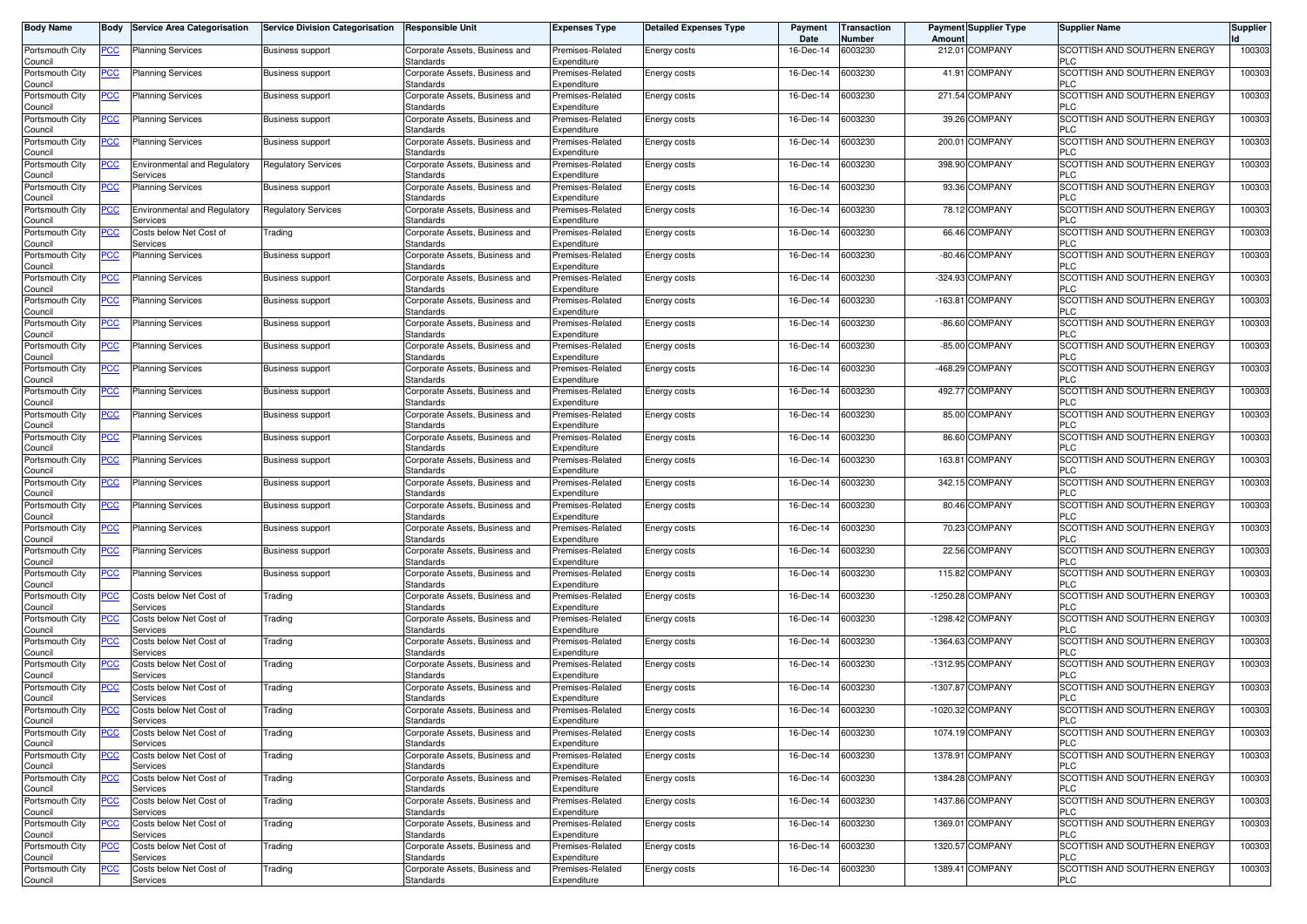| 100303<br>Portsmouth City<br>6003230<br>212.01 COMPANY<br>SCOTTISH AND SOUTHERN ENERGY<br><b>Planning Services</b><br><b>Business support</b><br>Corporate Assets, Business and<br>Premises-Related<br>Energy costs<br>16-Dec-14<br><u>PCC</u><br>Council<br>Standards<br>Expenditure<br><b>PLC</b><br>41.91 COMPANY<br>Portsmouth City<br>16-Dec-14<br>6003230<br>SCOTTISH AND SOUTHERN ENERGY<br>100303<br><u>PCC</u><br><b>Planning Services</b><br><b>Business support</b><br>Corporate Assets, Business and<br>Premises-Related<br>Energy costs<br><b>PLC</b><br>Standards<br>Expenditure<br>Council<br>6003230<br>271.54 COMPANY<br>SCOTTISH AND SOUTHERN ENERGY<br>100303<br>16-Dec-14<br>Portsmouth City<br><u>PCC</u><br><b>Planning Services</b><br>Corporate Assets, Business and<br>Premises-Related<br><b>Business support</b><br>Energy costs<br><b>PLC</b><br>Council<br>Standards<br>Expenditure<br>6003230<br>39.26 COMPANY<br>SCOTTISH AND SOUTHERN ENERGY<br>Portsmouth City<br><u>PCC</u><br>Corporate Assets, Business and<br>16-Dec-14<br>100303<br><b>Planning Services</b><br><b>Business support</b><br>Premises-Related<br>Energy costs<br><b>PLC</b><br>Council<br>Standards<br>Expenditure<br>COMPANY<br>Portsmouth City<br>Premises-Related<br>16-Dec-14<br>6003230<br>200.01<br>SCOTTISH AND SOUTHERN ENERGY<br>100303<br><u>PCC</u><br><b>Planning Services</b><br><b>Business support</b><br>Corporate Assets, Business and<br>Energy costs<br><b>PLC</b><br>Council<br>Standards<br>Expenditure<br>398.90 COMPANY<br>SCOTTISH AND SOUTHERN ENERGY<br>16-Dec-14<br>6003230<br>100303<br>Portsmouth City<br><u>PCC</u><br><b>Environmental and Regulatory</b><br><b>Regulatory Services</b><br>Corporate Assets, Business and<br>Premises-Related<br>Energy costs<br><b>PLC</b><br>Council<br>Services<br>Standards<br>Expenditure<br>93.36 COMPANY<br>SCOTTISH AND SOUTHERN ENERGY<br>100303<br><b>Planning Services</b><br>16-Dec-14<br>6003230<br>Portsmouth City<br><u>PCC</u><br><b>Business support</b><br>Corporate Assets, Business and<br>Premises-Related<br>Energy costs<br><b>PLC</b><br>Council<br>Standards<br>Expenditure<br>78.12 COMPANY<br>SCOTTISH AND SOUTHERN ENERGY<br>Portsmouth City<br>Environmental and Regulatory<br>16-Dec-14<br>6003230<br>100303<br><b>Regulatory Services</b><br>Corporate Assets, Business and<br>Premises-Related<br><u>PCC</u><br>Energy costs<br>Standards<br>Expenditure<br><b>PLC</b><br>Council<br>Services<br>6003230<br>66.46 COMPANY<br>SCOTTISH AND SOUTHERN ENERGY<br>100303<br>Portsmouth City<br><u>PCC</u><br>Costs below Net Cost of<br>Corporate Assets, Business and<br>16-Dec-14<br>Trading<br>Premises-Related<br>Energy costs<br><b>PLC</b><br>Council<br>Services<br>Standards<br>Expenditure<br>16-Dec-14<br>6003230<br>-80.46 COMPANY<br>SCOTTISH AND SOUTHERN ENERGY<br>100303<br>Portsmouth City<br>Planning Services<br><b>Business support</b><br>Corporate Assets, Business and<br>Premises-Related<br>Energy costs<br><u>PCC </u><br><b>PLC</b><br>Council<br>Standards<br>Expenditure<br>6003230<br>-324.93 COMPANY<br>SCOTTISH AND SOUTHERN ENERGY<br>100303<br>16-Dec-14<br>Portsmouth City<br><u>PCC</u><br><b>Planning Services</b><br><b>Business support</b><br>Corporate Assets, Business and<br>Premises-Related<br>Energy costs<br><b>PLC</b><br>Standards<br>Expenditure<br>Council<br>6003230<br>COMPANY<br>$-163.81$<br><b>SCOTTISH AND SOUTHERN ENERGY</b><br>100303<br>Portsmouth City<br><u>PCC</u><br><b>Planning Services</b><br>Corporate Assets, Business and<br>Premises-Related<br>16-Dec-14<br><b>Business support</b><br><b>Energy costs</b><br>Expenditure<br><b>PLC</b><br>Council<br>Standards<br>6003230<br>-86.60 COMPANY<br>SCOTTISH AND SOUTHERN ENERGY<br>100303<br>Portsmouth City<br>$\overline{C}$<br>Corporate Assets, Business and<br>16-Dec-14<br><b>Planning Services</b><br><b>Business support</b><br>Premises-Related<br>Energy costs<br><b>PLC</b><br>Council<br>Standards<br>Expenditure<br>-85.00 COMPANY<br>Premises-Related<br>16-Dec-14<br>6003230<br><b>SCOTTISH AND SOUTHERN ENERGY</b><br>100303<br>Portsmouth City<br><u>PCC</u><br><b>Planning Services</b><br><b>Business support</b><br>Corporate Assets, Business and<br>Energy costs<br><b>PLC</b><br>Council<br>Standards<br>Expenditure<br>-468.29 COMPANY<br>SCOTTISH AND SOUTHERN ENERGY<br>16-Dec-14<br>6003230<br>100303<br>Portsmouth City<br><u>PCC</u><br><b>Planning Services</b><br>Corporate Assets, Business and<br>Premises-Related<br>Energy costs<br><b>Business support</b><br><b>PLC</b><br>Council<br>Standards<br>Expenditure<br>6003230<br>492.77 COMPANY<br>SCOTTISH AND SOUTHERN ENERGY<br>100303<br>Portsmouth City<br><u>PCC</u><br>16-Dec-14<br><b>Planning Services</b><br>Corporate Assets, Business and<br>Premises-Related<br><b>Business support</b><br>Energy costs<br>Expenditure<br><b>PLC</b><br>Council<br>Standards<br>85.00 COMPANY<br>SCOTTISH AND SOUTHERN ENERGY<br>100303<br>Portsmouth City<br><b>Planning Services</b><br>Corporate Assets, Business and<br>Premises-Related<br>16-Dec-14<br>6003230<br><u>PCC</u><br>Energy costs<br><b>Business support</b><br>Council<br>Standards<br>Expenditure<br><b>PLC</b><br>86.60 COMPANY<br>SCOTTISH AND SOUTHERN ENERGY<br>100303<br>Portsmouth City<br>Corporate Assets, Business and<br>16-Dec-14<br>6003230<br><u>PCC</u><br><b>Planning Services</b><br><b>Business support</b><br>Premises-Related<br>Energy costs<br><b>PLC</b><br>Council<br>Standards<br>Expenditure<br>163.81 COMPANY<br>SCOTTISH AND SOUTHERN ENERGY<br>100303<br>16-Dec-14<br>6003230<br>Portsmouth City<br><b>Planning Services</b><br><b>Business support</b><br>Corporate Assets, Business and<br>Premises-Related<br>Energy costs<br><u>PCC </u><br><b>PLC</b><br>Council<br>Standards<br>Expenditure<br>6003230<br>342.15 COMPANY<br>SCOTTISH AND SOUTHERN ENERGY<br>Portsmouth City<br><u>PCC</u><br>16-Dec-14<br>100303<br><b>Planning Services</b><br>Corporate Assets, Business and<br>Premises-Related<br><b>Business support</b><br>Energy costs<br>Standards<br>Expenditure<br><b>PLC</b><br>Council<br>6003230<br>80.46 COMPANY<br>100303<br>Portsmouth City<br><b>Planning Services</b><br>Premises-Related<br>16-Dec-14<br><b>SCOTTISH AND SOUTHERN ENERGY</b><br><u>PCC</u><br><b>Business support</b><br>Corporate Assets, Business and<br>Energy costs<br><b>PLC</b><br>Council<br>Standards<br>Expenditure<br>6003230<br>70.23 COMPANY<br>SCOTTISH AND SOUTHERN ENERGY<br>100303<br>Portsmouth City<br><u>PCC</u><br>Corporate Assets, Business and<br>16-Dec-14<br><b>Planning Services</b><br><b>Business support</b><br>Premises-Related<br>Energy costs<br><b>PLC</b><br>Council<br>Standards<br>Expenditure<br>22.56 COMPANY<br>Premises-Related<br>16-Dec-14<br>6003230<br>SCOTTISH AND SOUTHERN ENERGY<br>100303<br>Portsmouth City<br><u>PCC</u><br>Planning Services<br><b>Business support</b><br>Corporate Assets, Business and<br>Energy costs<br><b>PLC</b><br>Expenditure<br>Council<br>Standards<br>115.82 COMPANY<br>SCOTTISH AND SOUTHERN ENERGY<br>100303<br>Portsmouth City<br>16-Dec-14<br>6003230<br><u>PCC</u><br><b>Planning Services</b><br><b>Business support</b><br>Corporate Assets, Business and<br>Premises-Related<br>Energy costs<br><b>PLC</b><br>Council<br>Standards<br>Expenditure<br>6003230<br>$-1250.28$<br><b>COMPANY</b><br>SCOTTISH AND SOUTHERN ENERGY<br>100303<br>Portsmouth City<br><u>PCC</u><br>Costs below Net Cost of<br>Corporate Assets, Business and<br>16-Dec-14<br>Trading<br>Premises-Related<br>Energy costs<br><b>PLC</b><br>Council<br>Services<br>Standards<br>Expenditure<br>-1298.42 COMPANY<br>SCOTTISH AND SOUTHERN ENERGY<br>Portsmouth City<br>Costs below Net Cost of<br>Corporate Assets, Business and<br>Premises-Related<br>16-Dec-14<br>6003230<br>100303<br><u>PCC</u><br>Trading<br>Energy costs<br><b>PLC</b><br>Council<br>Services<br>Standards<br>Expenditure<br>-1364.63 COMPANY<br>Portsmouth City<br>16-Dec-14<br>6003230<br>SCOTTISH AND SOUTHERN ENERGY<br>100303<br><u>PCC</u><br>Costs below Net Cost of<br>Trading<br>Corporate Assets, Business and<br>Premises-Related<br>Energy costs<br><b>PLC</b><br>Council<br>Services<br>Standards<br>Expenditure<br>6003230<br>-1312.95 COMPANY<br>SCOTTISH AND SOUTHERN ENERGY<br>100303<br>16-Dec-14<br>Portsmouth City<br>Costs below Net Cost of<br>Trading<br>Corporate Assets, Business and<br>Premises-Related<br><u>PCC</u><br>Energy costs<br>PLC<br>Council<br>Standards<br>Expenditure<br>Services<br>6003230<br>-1307.87 COMPANY<br>SCOTTISH AND SOUTHERN ENERGY<br>Portsmouth City<br>Corporate Assets, Business and<br>16-Dec-14<br>100303<br><u>PCC</u><br>Costs below Net Cost of<br>Trading<br>Premises-Related<br>Energy costs<br><b>PLC</b><br>Standards<br>Expenditure<br>Council<br>Services<br>-1020.32 COMPANY<br>SCOTTISH AND SOUTHERN ENERGY<br>100303<br>Portsmouth City<br><u>PCC</u><br>Costs below Net Cost of<br>Premises-Related<br>16-Dec-14<br>6003230<br>Trading<br>Corporate Assets, Business and<br>Energy costs<br>Council<br>Services<br>Standards<br>Expenditure<br>PLU<br>6003230<br>1074.19 COMPANY<br>100303<br>Portsmouth City<br>Costs below Net Cost of<br>Corporate Assets, Business and<br>Premises-Related<br>16-Dec-14<br>SCOTTISH AND SOUTHERN ENERGY<br><u>PCC</u><br>Trading<br>Energy costs<br>Council<br>Expenditure<br><b>PLC</b><br>Services<br>Standards<br>6003230<br>1378.91 COMPANY<br>SCOTTISH AND SOUTHERN ENERGY<br>Portsmouth City<br>Costs below Net Cost of<br>Corporate Assets, Business and<br>16-Dec-14<br>100303<br><u>PCC</u><br>Trading<br>Premises-Related<br>Energy costs<br>Standards<br>Expenditure<br><b>PLC</b><br>Council<br>Services<br>1384.28 COMPANY<br>Portsmouth City<br>Costs below Net Cost of<br>Corporate Assets, Business and<br>6003230<br>SCOTTISH AND SOUTHERN ENERGY<br>100303<br><u>PCC</u><br>Premises-Related<br>Energy costs<br>16-Dec-14<br>Trading<br>Council<br>Standards<br>Expenditure<br><b>PLC</b><br>Services<br>1437.86 COMPANY<br>SCOTTISH AND SOUTHERN ENERGY<br>Portsmouth City<br>Corporate Assets, Business and<br>16-Dec-14<br>6003230<br>100303<br><u>PCC</u><br>Costs below Net Cost of<br>Trading<br>Premises-Related<br>Energy costs<br>Standards<br>Expenditure<br><b>PLC</b><br>Council<br>Services<br>1369.01 COMPANY<br>SCOTTISH AND SOUTHERN ENERGY<br>100303<br>Portsmouth City<br>Costs below Net Cost of<br>Corporate Assets, Business and<br>Premises-Related<br>Energy costs<br>16-Dec-14<br>6003230<br><u>PCC</u><br>Trading<br>Standards<br>Expenditure<br><b>PLC</b><br>Council<br>Services<br>1320.57 COMPANY<br>SCOTTISH AND SOUTHERN ENERGY<br>Portsmouth City<br>16-Dec-14<br>6003230<br>100303<br><u>PCC</u><br>Costs below Net Cost of<br>Trading<br>Corporate Assets, Business and<br>Premises-Related<br>Energy costs<br>Expenditure<br><b>PLC</b><br>Council<br>Services<br>Standards<br>6003230<br>1389.41 COMPANY<br>SCOTTISH AND SOUTHERN ENERGY<br>100303<br>Portsmouth City<br><u>PCC</u><br>Costs below Net Cost of<br>Corporate Assets, Business and<br>Premises-Related<br>Energy costs<br>16-Dec-14<br>Trading | <b>Body Name</b> | Body | <b>Service Area Categorisation</b> | <b>Service Division Categorisation</b> | <b>Responsible Unit</b> | <b>Expenses Type</b> | <b>Detailed Expenses Type</b> | Payment<br>Date | <b>Transaction</b><br>Number | Amoun | <b>Payment Supplier Type</b> | <b>Supplier Name</b> | <b>Supplier</b> |
|-------------------------------------------------------------------------------------------------------------------------------------------------------------------------------------------------------------------------------------------------------------------------------------------------------------------------------------------------------------------------------------------------------------------------------------------------------------------------------------------------------------------------------------------------------------------------------------------------------------------------------------------------------------------------------------------------------------------------------------------------------------------------------------------------------------------------------------------------------------------------------------------------------------------------------------------------------------------------------------------------------------------------------------------------------------------------------------------------------------------------------------------------------------------------------------------------------------------------------------------------------------------------------------------------------------------------------------------------------------------------------------------------------------------------------------------------------------------------------------------------------------------------------------------------------------------------------------------------------------------------------------------------------------------------------------------------------------------------------------------------------------------------------------------------------------------------------------------------------------------------------------------------------------------------------------------------------------------------------------------------------------------------------------------------------------------------------------------------------------------------------------------------------------------------------------------------------------------------------------------------------------------------------------------------------------------------------------------------------------------------------------------------------------------------------------------------------------------------------------------------------------------------------------------------------------------------------------------------------------------------------------------------------------------------------------------------------------------------------------------------------------------------------------------------------------------------------------------------------------------------------------------------------------------------------------------------------------------------------------------------------------------------------------------------------------------------------------------------------------------------------------------------------------------------------------------------------------------------------------------------------------------------------------------------------------------------------------------------------------------------------------------------------------------------------------------------------------------------------------------------------------------------------------------------------------------------------------------------------------------------------------------------------------------------------------------------------------------------------------------------------------------------------------------------------------------------------------------------------------------------------------------------------------------------------------------------------------------------------------------------------------------------------------------------------------------------------------------------------------------------------------------------------------------------------------------------------------------------------------------------------------------------------------------------------------------------------------------------------------------------------------------------------------------------------------------------------------------------------------------------------------------------------------------------------------------------------------------------------------------------------------------------------------------------------------------------------------------------------------------------------------------------------------------------------------------------------------------------------------------------------------------------------------------------------------------------------------------------------------------------------------------------------------------------------------------------------------------------------------------------------------------------------------------------------------------------------------------------------------------------------------------------------------------------------------------------------------------------------------------------------------------------------------------------------------------------------------------------------------------------------------------------------------------------------------------------------------------------------------------------------------------------------------------------------------------------------------------------------------------------------------------------------------------------------------------------------------------------------------------------------------------------------------------------------------------------------------------------------------------------------------------------------------------------------------------------------------------------------------------------------------------------------------------------------------------------------------------------------------------------------------------------------------------------------------------------------------------------------------------------------------------------------------------------------------------------------------------------------------------------------------------------------------------------------------------------------------------------------------------------------------------------------------------------------------------------------------------------------------------------------------------------------------------------------------------------------------------------------------------------------------------------------------------------------------------------------------------------------------------------------------------------------------------------------------------------------------------------------------------------------------------------------------------------------------------------------------------------------------------------------------------------------------------------------------------------------------------------------------------------------------------------------------------------------------------------------------------------------------------------------------------------------------------------------------------------------------------------------------------------------------------------------------------------------------------------------------------------------------------------------------------------------------------------------------------------------------------------------------------------------------------------------------------------------------------------------------------------------------------------------------------------------------------------------------------------------------------------------------------------------------------------------------------------------------------------------------------------------------------------------------------------------------------------------------------------------------------------------------------------------------------------------------------------------------------------------------------------------------------------------------------------------------------------------------------------------------------------------------------------------------------------------------------------------------------------------------------------------------------------------------------------------------------------------------------------------------------------------------------------------------------------------------------------------------------------------------------------------------------------------------------------------------------------------------------------------------------------------------------------------------------------------------------------------------------------------------------------------------------------------------------------------------------------------------------------------------------------------------------------------------------------------------------------------------------------------------------------------------------------------------------------------------------------------------------------------------------------------------------------------------------------------------------------------------------------------------------------------------------------------------------------------------------------------------------------------------------------------------------------------------------------------------------------------------------------------------------------------------------------------------------------------------------------------------------------------------------------------------------------------------------------------------------------------------------------------------------------------------------------------------------------------------------------------------------------------------------------------------------------------------------------------------------------------------------------------------------------------------------------------------------------------------------------------------------------------------------------------------------------------------------------------------------------------------------------------------------------------------------------------------------------------------------------------------------------------------------------------------------------------------------------------------------------------------------------------------------------------------------------------------------------------------------------------------------------------------------------------------------------------------------------------------------------------------------------------------------------------------------------------------------------------------------------------------|------------------|------|------------------------------------|----------------------------------------|-------------------------|----------------------|-------------------------------|-----------------|------------------------------|-------|------------------------------|----------------------|-----------------|
|                                                                                                                                                                                                                                                                                                                                                                                                                                                                                                                                                                                                                                                                                                                                                                                                                                                                                                                                                                                                                                                                                                                                                                                                                                                                                                                                                                                                                                                                                                                                                                                                                                                                                                                                                                                                                                                                                                                                                                                                                                                                                                                                                                                                                                                                                                                                                                                                                                                                                                                                                                                                                                                                                                                                                                                                                                                                                                                                                                                                                                                                                                                                                                                                                                                                                                                                                                                                                                                                                                                                                                                                                                                                                                                                                                                                                                                                                                                                                                                                                                                                                                                                                                                                                                                                                                                                                                                                                                                                                                                                                                                                                                                                                                                                                                                                                                                                                                                                                                                                                                                                                                                                                                                                                                                                                                                                                                                                                                                                                                                                                                                                                                                                                                                                                                                                                                                                                                                                                                                                                                                                                                                                                                                                                                                                                                                                                                                                                                                                                                                                                                                                                                                                                                                                                                                                                                                                                                                                                                                                                                                                                                                                                                                                                                                                                                                                                                                                                                                                                                                                                                                                                                                                                                                                                                                                                                                                                                                                                                                                                                                                                                                                                                                                                                                                                                                                                                                                                                                                                                                                                                                                                                                                                                                                                                                                                                                                                                                                                                                                                                                                                                                                                                                                                                                                                                                                                                                                                                                                                                                                                                                                                                                                                                                                                                                                                                                                                                                                                                                                                                                                                                                                                                                                                                                                                                                                                                                                                                                                                                                                                                                                                                                                                                                                                                                                                                                                                                                                                                                                                                                                                                                                                                                                                                                                                                             |                  |      |                                    |                                        |                         |                      |                               |                 |                              |       |                              |                      |                 |
|                                                                                                                                                                                                                                                                                                                                                                                                                                                                                                                                                                                                                                                                                                                                                                                                                                                                                                                                                                                                                                                                                                                                                                                                                                                                                                                                                                                                                                                                                                                                                                                                                                                                                                                                                                                                                                                                                                                                                                                                                                                                                                                                                                                                                                                                                                                                                                                                                                                                                                                                                                                                                                                                                                                                                                                                                                                                                                                                                                                                                                                                                                                                                                                                                                                                                                                                                                                                                                                                                                                                                                                                                                                                                                                                                                                                                                                                                                                                                                                                                                                                                                                                                                                                                                                                                                                                                                                                                                                                                                                                                                                                                                                                                                                                                                                                                                                                                                                                                                                                                                                                                                                                                                                                                                                                                                                                                                                                                                                                                                                                                                                                                                                                                                                                                                                                                                                                                                                                                                                                                                                                                                                                                                                                                                                                                                                                                                                                                                                                                                                                                                                                                                                                                                                                                                                                                                                                                                                                                                                                                                                                                                                                                                                                                                                                                                                                                                                                                                                                                                                                                                                                                                                                                                                                                                                                                                                                                                                                                                                                                                                                                                                                                                                                                                                                                                                                                                                                                                                                                                                                                                                                                                                                                                                                                                                                                                                                                                                                                                                                                                                                                                                                                                                                                                                                                                                                                                                                                                                                                                                                                                                                                                                                                                                                                                                                                                                                                                                                                                                                                                                                                                                                                                                                                                                                                                                                                                                                                                                                                                                                                                                                                                                                                                                                                                                                                                                                                                                                                                                                                                                                                                                                                                                                                                                                                                             |                  |      |                                    |                                        |                         |                      |                               |                 |                              |       |                              |                      |                 |
|                                                                                                                                                                                                                                                                                                                                                                                                                                                                                                                                                                                                                                                                                                                                                                                                                                                                                                                                                                                                                                                                                                                                                                                                                                                                                                                                                                                                                                                                                                                                                                                                                                                                                                                                                                                                                                                                                                                                                                                                                                                                                                                                                                                                                                                                                                                                                                                                                                                                                                                                                                                                                                                                                                                                                                                                                                                                                                                                                                                                                                                                                                                                                                                                                                                                                                                                                                                                                                                                                                                                                                                                                                                                                                                                                                                                                                                                                                                                                                                                                                                                                                                                                                                                                                                                                                                                                                                                                                                                                                                                                                                                                                                                                                                                                                                                                                                                                                                                                                                                                                                                                                                                                                                                                                                                                                                                                                                                                                                                                                                                                                                                                                                                                                                                                                                                                                                                                                                                                                                                                                                                                                                                                                                                                                                                                                                                                                                                                                                                                                                                                                                                                                                                                                                                                                                                                                                                                                                                                                                                                                                                                                                                                                                                                                                                                                                                                                                                                                                                                                                                                                                                                                                                                                                                                                                                                                                                                                                                                                                                                                                                                                                                                                                                                                                                                                                                                                                                                                                                                                                                                                                                                                                                                                                                                                                                                                                                                                                                                                                                                                                                                                                                                                                                                                                                                                                                                                                                                                                                                                                                                                                                                                                                                                                                                                                                                                                                                                                                                                                                                                                                                                                                                                                                                                                                                                                                                                                                                                                                                                                                                                                                                                                                                                                                                                                                                                                                                                                                                                                                                                                                                                                                                                                                                                                                                                             |                  |      |                                    |                                        |                         |                      |                               |                 |                              |       |                              |                      |                 |
|                                                                                                                                                                                                                                                                                                                                                                                                                                                                                                                                                                                                                                                                                                                                                                                                                                                                                                                                                                                                                                                                                                                                                                                                                                                                                                                                                                                                                                                                                                                                                                                                                                                                                                                                                                                                                                                                                                                                                                                                                                                                                                                                                                                                                                                                                                                                                                                                                                                                                                                                                                                                                                                                                                                                                                                                                                                                                                                                                                                                                                                                                                                                                                                                                                                                                                                                                                                                                                                                                                                                                                                                                                                                                                                                                                                                                                                                                                                                                                                                                                                                                                                                                                                                                                                                                                                                                                                                                                                                                                                                                                                                                                                                                                                                                                                                                                                                                                                                                                                                                                                                                                                                                                                                                                                                                                                                                                                                                                                                                                                                                                                                                                                                                                                                                                                                                                                                                                                                                                                                                                                                                                                                                                                                                                                                                                                                                                                                                                                                                                                                                                                                                                                                                                                                                                                                                                                                                                                                                                                                                                                                                                                                                                                                                                                                                                                                                                                                                                                                                                                                                                                                                                                                                                                                                                                                                                                                                                                                                                                                                                                                                                                                                                                                                                                                                                                                                                                                                                                                                                                                                                                                                                                                                                                                                                                                                                                                                                                                                                                                                                                                                                                                                                                                                                                                                                                                                                                                                                                                                                                                                                                                                                                                                                                                                                                                                                                                                                                                                                                                                                                                                                                                                                                                                                                                                                                                                                                                                                                                                                                                                                                                                                                                                                                                                                                                                                                                                                                                                                                                                                                                                                                                                                                                                                                                                                             |                  |      |                                    |                                        |                         |                      |                               |                 |                              |       |                              |                      |                 |
|                                                                                                                                                                                                                                                                                                                                                                                                                                                                                                                                                                                                                                                                                                                                                                                                                                                                                                                                                                                                                                                                                                                                                                                                                                                                                                                                                                                                                                                                                                                                                                                                                                                                                                                                                                                                                                                                                                                                                                                                                                                                                                                                                                                                                                                                                                                                                                                                                                                                                                                                                                                                                                                                                                                                                                                                                                                                                                                                                                                                                                                                                                                                                                                                                                                                                                                                                                                                                                                                                                                                                                                                                                                                                                                                                                                                                                                                                                                                                                                                                                                                                                                                                                                                                                                                                                                                                                                                                                                                                                                                                                                                                                                                                                                                                                                                                                                                                                                                                                                                                                                                                                                                                                                                                                                                                                                                                                                                                                                                                                                                                                                                                                                                                                                                                                                                                                                                                                                                                                                                                                                                                                                                                                                                                                                                                                                                                                                                                                                                                                                                                                                                                                                                                                                                                                                                                                                                                                                                                                                                                                                                                                                                                                                                                                                                                                                                                                                                                                                                                                                                                                                                                                                                                                                                                                                                                                                                                                                                                                                                                                                                                                                                                                                                                                                                                                                                                                                                                                                                                                                                                                                                                                                                                                                                                                                                                                                                                                                                                                                                                                                                                                                                                                                                                                                                                                                                                                                                                                                                                                                                                                                                                                                                                                                                                                                                                                                                                                                                                                                                                                                                                                                                                                                                                                                                                                                                                                                                                                                                                                                                                                                                                                                                                                                                                                                                                                                                                                                                                                                                                                                                                                                                                                                                                                                                                                             |                  |      |                                    |                                        |                         |                      |                               |                 |                              |       |                              |                      |                 |
|                                                                                                                                                                                                                                                                                                                                                                                                                                                                                                                                                                                                                                                                                                                                                                                                                                                                                                                                                                                                                                                                                                                                                                                                                                                                                                                                                                                                                                                                                                                                                                                                                                                                                                                                                                                                                                                                                                                                                                                                                                                                                                                                                                                                                                                                                                                                                                                                                                                                                                                                                                                                                                                                                                                                                                                                                                                                                                                                                                                                                                                                                                                                                                                                                                                                                                                                                                                                                                                                                                                                                                                                                                                                                                                                                                                                                                                                                                                                                                                                                                                                                                                                                                                                                                                                                                                                                                                                                                                                                                                                                                                                                                                                                                                                                                                                                                                                                                                                                                                                                                                                                                                                                                                                                                                                                                                                                                                                                                                                                                                                                                                                                                                                                                                                                                                                                                                                                                                                                                                                                                                                                                                                                                                                                                                                                                                                                                                                                                                                                                                                                                                                                                                                                                                                                                                                                                                                                                                                                                                                                                                                                                                                                                                                                                                                                                                                                                                                                                                                                                                                                                                                                                                                                                                                                                                                                                                                                                                                                                                                                                                                                                                                                                                                                                                                                                                                                                                                                                                                                                                                                                                                                                                                                                                                                                                                                                                                                                                                                                                                                                                                                                                                                                                                                                                                                                                                                                                                                                                                                                                                                                                                                                                                                                                                                                                                                                                                                                                                                                                                                                                                                                                                                                                                                                                                                                                                                                                                                                                                                                                                                                                                                                                                                                                                                                                                                                                                                                                                                                                                                                                                                                                                                                                                                                                                                                             |                  |      |                                    |                                        |                         |                      |                               |                 |                              |       |                              |                      |                 |
|                                                                                                                                                                                                                                                                                                                                                                                                                                                                                                                                                                                                                                                                                                                                                                                                                                                                                                                                                                                                                                                                                                                                                                                                                                                                                                                                                                                                                                                                                                                                                                                                                                                                                                                                                                                                                                                                                                                                                                                                                                                                                                                                                                                                                                                                                                                                                                                                                                                                                                                                                                                                                                                                                                                                                                                                                                                                                                                                                                                                                                                                                                                                                                                                                                                                                                                                                                                                                                                                                                                                                                                                                                                                                                                                                                                                                                                                                                                                                                                                                                                                                                                                                                                                                                                                                                                                                                                                                                                                                                                                                                                                                                                                                                                                                                                                                                                                                                                                                                                                                                                                                                                                                                                                                                                                                                                                                                                                                                                                                                                                                                                                                                                                                                                                                                                                                                                                                                                                                                                                                                                                                                                                                                                                                                                                                                                                                                                                                                                                                                                                                                                                                                                                                                                                                                                                                                                                                                                                                                                                                                                                                                                                                                                                                                                                                                                                                                                                                                                                                                                                                                                                                                                                                                                                                                                                                                                                                                                                                                                                                                                                                                                                                                                                                                                                                                                                                                                                                                                                                                                                                                                                                                                                                                                                                                                                                                                                                                                                                                                                                                                                                                                                                                                                                                                                                                                                                                                                                                                                                                                                                                                                                                                                                                                                                                                                                                                                                                                                                                                                                                                                                                                                                                                                                                                                                                                                                                                                                                                                                                                                                                                                                                                                                                                                                                                                                                                                                                                                                                                                                                                                                                                                                                                                                                                                                                             |                  |      |                                    |                                        |                         |                      |                               |                 |                              |       |                              |                      |                 |
|                                                                                                                                                                                                                                                                                                                                                                                                                                                                                                                                                                                                                                                                                                                                                                                                                                                                                                                                                                                                                                                                                                                                                                                                                                                                                                                                                                                                                                                                                                                                                                                                                                                                                                                                                                                                                                                                                                                                                                                                                                                                                                                                                                                                                                                                                                                                                                                                                                                                                                                                                                                                                                                                                                                                                                                                                                                                                                                                                                                                                                                                                                                                                                                                                                                                                                                                                                                                                                                                                                                                                                                                                                                                                                                                                                                                                                                                                                                                                                                                                                                                                                                                                                                                                                                                                                                                                                                                                                                                                                                                                                                                                                                                                                                                                                                                                                                                                                                                                                                                                                                                                                                                                                                                                                                                                                                                                                                                                                                                                                                                                                                                                                                                                                                                                                                                                                                                                                                                                                                                                                                                                                                                                                                                                                                                                                                                                                                                                                                                                                                                                                                                                                                                                                                                                                                                                                                                                                                                                                                                                                                                                                                                                                                                                                                                                                                                                                                                                                                                                                                                                                                                                                                                                                                                                                                                                                                                                                                                                                                                                                                                                                                                                                                                                                                                                                                                                                                                                                                                                                                                                                                                                                                                                                                                                                                                                                                                                                                                                                                                                                                                                                                                                                                                                                                                                                                                                                                                                                                                                                                                                                                                                                                                                                                                                                                                                                                                                                                                                                                                                                                                                                                                                                                                                                                                                                                                                                                                                                                                                                                                                                                                                                                                                                                                                                                                                                                                                                                                                                                                                                                                                                                                                                                                                                                                                                             |                  |      |                                    |                                        |                         |                      |                               |                 |                              |       |                              |                      |                 |
|                                                                                                                                                                                                                                                                                                                                                                                                                                                                                                                                                                                                                                                                                                                                                                                                                                                                                                                                                                                                                                                                                                                                                                                                                                                                                                                                                                                                                                                                                                                                                                                                                                                                                                                                                                                                                                                                                                                                                                                                                                                                                                                                                                                                                                                                                                                                                                                                                                                                                                                                                                                                                                                                                                                                                                                                                                                                                                                                                                                                                                                                                                                                                                                                                                                                                                                                                                                                                                                                                                                                                                                                                                                                                                                                                                                                                                                                                                                                                                                                                                                                                                                                                                                                                                                                                                                                                                                                                                                                                                                                                                                                                                                                                                                                                                                                                                                                                                                                                                                                                                                                                                                                                                                                                                                                                                                                                                                                                                                                                                                                                                                                                                                                                                                                                                                                                                                                                                                                                                                                                                                                                                                                                                                                                                                                                                                                                                                                                                                                                                                                                                                                                                                                                                                                                                                                                                                                                                                                                                                                                                                                                                                                                                                                                                                                                                                                                                                                                                                                                                                                                                                                                                                                                                                                                                                                                                                                                                                                                                                                                                                                                                                                                                                                                                                                                                                                                                                                                                                                                                                                                                                                                                                                                                                                                                                                                                                                                                                                                                                                                                                                                                                                                                                                                                                                                                                                                                                                                                                                                                                                                                                                                                                                                                                                                                                                                                                                                                                                                                                                                                                                                                                                                                                                                                                                                                                                                                                                                                                                                                                                                                                                                                                                                                                                                                                                                                                                                                                                                                                                                                                                                                                                                                                                                                                                                                             |                  |      |                                    |                                        |                         |                      |                               |                 |                              |       |                              |                      |                 |
|                                                                                                                                                                                                                                                                                                                                                                                                                                                                                                                                                                                                                                                                                                                                                                                                                                                                                                                                                                                                                                                                                                                                                                                                                                                                                                                                                                                                                                                                                                                                                                                                                                                                                                                                                                                                                                                                                                                                                                                                                                                                                                                                                                                                                                                                                                                                                                                                                                                                                                                                                                                                                                                                                                                                                                                                                                                                                                                                                                                                                                                                                                                                                                                                                                                                                                                                                                                                                                                                                                                                                                                                                                                                                                                                                                                                                                                                                                                                                                                                                                                                                                                                                                                                                                                                                                                                                                                                                                                                                                                                                                                                                                                                                                                                                                                                                                                                                                                                                                                                                                                                                                                                                                                                                                                                                                                                                                                                                                                                                                                                                                                                                                                                                                                                                                                                                                                                                                                                                                                                                                                                                                                                                                                                                                                                                                                                                                                                                                                                                                                                                                                                                                                                                                                                                                                                                                                                                                                                                                                                                                                                                                                                                                                                                                                                                                                                                                                                                                                                                                                                                                                                                                                                                                                                                                                                                                                                                                                                                                                                                                                                                                                                                                                                                                                                                                                                                                                                                                                                                                                                                                                                                                                                                                                                                                                                                                                                                                                                                                                                                                                                                                                                                                                                                                                                                                                                                                                                                                                                                                                                                                                                                                                                                                                                                                                                                                                                                                                                                                                                                                                                                                                                                                                                                                                                                                                                                                                                                                                                                                                                                                                                                                                                                                                                                                                                                                                                                                                                                                                                                                                                                                                                                                                                                                                                                                             |                  |      |                                    |                                        |                         |                      |                               |                 |                              |       |                              |                      |                 |
|                                                                                                                                                                                                                                                                                                                                                                                                                                                                                                                                                                                                                                                                                                                                                                                                                                                                                                                                                                                                                                                                                                                                                                                                                                                                                                                                                                                                                                                                                                                                                                                                                                                                                                                                                                                                                                                                                                                                                                                                                                                                                                                                                                                                                                                                                                                                                                                                                                                                                                                                                                                                                                                                                                                                                                                                                                                                                                                                                                                                                                                                                                                                                                                                                                                                                                                                                                                                                                                                                                                                                                                                                                                                                                                                                                                                                                                                                                                                                                                                                                                                                                                                                                                                                                                                                                                                                                                                                                                                                                                                                                                                                                                                                                                                                                                                                                                                                                                                                                                                                                                                                                                                                                                                                                                                                                                                                                                                                                                                                                                                                                                                                                                                                                                                                                                                                                                                                                                                                                                                                                                                                                                                                                                                                                                                                                                                                                                                                                                                                                                                                                                                                                                                                                                                                                                                                                                                                                                                                                                                                                                                                                                                                                                                                                                                                                                                                                                                                                                                                                                                                                                                                                                                                                                                                                                                                                                                                                                                                                                                                                                                                                                                                                                                                                                                                                                                                                                                                                                                                                                                                                                                                                                                                                                                                                                                                                                                                                                                                                                                                                                                                                                                                                                                                                                                                                                                                                                                                                                                                                                                                                                                                                                                                                                                                                                                                                                                                                                                                                                                                                                                                                                                                                                                                                                                                                                                                                                                                                                                                                                                                                                                                                                                                                                                                                                                                                                                                                                                                                                                                                                                                                                                                                                                                                                                                                             |                  |      |                                    |                                        |                         |                      |                               |                 |                              |       |                              |                      |                 |
|                                                                                                                                                                                                                                                                                                                                                                                                                                                                                                                                                                                                                                                                                                                                                                                                                                                                                                                                                                                                                                                                                                                                                                                                                                                                                                                                                                                                                                                                                                                                                                                                                                                                                                                                                                                                                                                                                                                                                                                                                                                                                                                                                                                                                                                                                                                                                                                                                                                                                                                                                                                                                                                                                                                                                                                                                                                                                                                                                                                                                                                                                                                                                                                                                                                                                                                                                                                                                                                                                                                                                                                                                                                                                                                                                                                                                                                                                                                                                                                                                                                                                                                                                                                                                                                                                                                                                                                                                                                                                                                                                                                                                                                                                                                                                                                                                                                                                                                                                                                                                                                                                                                                                                                                                                                                                                                                                                                                                                                                                                                                                                                                                                                                                                                                                                                                                                                                                                                                                                                                                                                                                                                                                                                                                                                                                                                                                                                                                                                                                                                                                                                                                                                                                                                                                                                                                                                                                                                                                                                                                                                                                                                                                                                                                                                                                                                                                                                                                                                                                                                                                                                                                                                                                                                                                                                                                                                                                                                                                                                                                                                                                                                                                                                                                                                                                                                                                                                                                                                                                                                                                                                                                                                                                                                                                                                                                                                                                                                                                                                                                                                                                                                                                                                                                                                                                                                                                                                                                                                                                                                                                                                                                                                                                                                                                                                                                                                                                                                                                                                                                                                                                                                                                                                                                                                                                                                                                                                                                                                                                                                                                                                                                                                                                                                                                                                                                                                                                                                                                                                                                                                                                                                                                                                                                                                                                                             |                  |      |                                    |                                        |                         |                      |                               |                 |                              |       |                              |                      |                 |
|                                                                                                                                                                                                                                                                                                                                                                                                                                                                                                                                                                                                                                                                                                                                                                                                                                                                                                                                                                                                                                                                                                                                                                                                                                                                                                                                                                                                                                                                                                                                                                                                                                                                                                                                                                                                                                                                                                                                                                                                                                                                                                                                                                                                                                                                                                                                                                                                                                                                                                                                                                                                                                                                                                                                                                                                                                                                                                                                                                                                                                                                                                                                                                                                                                                                                                                                                                                                                                                                                                                                                                                                                                                                                                                                                                                                                                                                                                                                                                                                                                                                                                                                                                                                                                                                                                                                                                                                                                                                                                                                                                                                                                                                                                                                                                                                                                                                                                                                                                                                                                                                                                                                                                                                                                                                                                                                                                                                                                                                                                                                                                                                                                                                                                                                                                                                                                                                                                                                                                                                                                                                                                                                                                                                                                                                                                                                                                                                                                                                                                                                                                                                                                                                                                                                                                                                                                                                                                                                                                                                                                                                                                                                                                                                                                                                                                                                                                                                                                                                                                                                                                                                                                                                                                                                                                                                                                                                                                                                                                                                                                                                                                                                                                                                                                                                                                                                                                                                                                                                                                                                                                                                                                                                                                                                                                                                                                                                                                                                                                                                                                                                                                                                                                                                                                                                                                                                                                                                                                                                                                                                                                                                                                                                                                                                                                                                                                                                                                                                                                                                                                                                                                                                                                                                                                                                                                                                                                                                                                                                                                                                                                                                                                                                                                                                                                                                                                                                                                                                                                                                                                                                                                                                                                                                                                                                                                             |                  |      |                                    |                                        |                         |                      |                               |                 |                              |       |                              |                      |                 |
|                                                                                                                                                                                                                                                                                                                                                                                                                                                                                                                                                                                                                                                                                                                                                                                                                                                                                                                                                                                                                                                                                                                                                                                                                                                                                                                                                                                                                                                                                                                                                                                                                                                                                                                                                                                                                                                                                                                                                                                                                                                                                                                                                                                                                                                                                                                                                                                                                                                                                                                                                                                                                                                                                                                                                                                                                                                                                                                                                                                                                                                                                                                                                                                                                                                                                                                                                                                                                                                                                                                                                                                                                                                                                                                                                                                                                                                                                                                                                                                                                                                                                                                                                                                                                                                                                                                                                                                                                                                                                                                                                                                                                                                                                                                                                                                                                                                                                                                                                                                                                                                                                                                                                                                                                                                                                                                                                                                                                                                                                                                                                                                                                                                                                                                                                                                                                                                                                                                                                                                                                                                                                                                                                                                                                                                                                                                                                                                                                                                                                                                                                                                                                                                                                                                                                                                                                                                                                                                                                                                                                                                                                                                                                                                                                                                                                                                                                                                                                                                                                                                                                                                                                                                                                                                                                                                                                                                                                                                                                                                                                                                                                                                                                                                                                                                                                                                                                                                                                                                                                                                                                                                                                                                                                                                                                                                                                                                                                                                                                                                                                                                                                                                                                                                                                                                                                                                                                                                                                                                                                                                                                                                                                                                                                                                                                                                                                                                                                                                                                                                                                                                                                                                                                                                                                                                                                                                                                                                                                                                                                                                                                                                                                                                                                                                                                                                                                                                                                                                                                                                                                                                                                                                                                                                                                                                                                                             |                  |      |                                    |                                        |                         |                      |                               |                 |                              |       |                              |                      |                 |
|                                                                                                                                                                                                                                                                                                                                                                                                                                                                                                                                                                                                                                                                                                                                                                                                                                                                                                                                                                                                                                                                                                                                                                                                                                                                                                                                                                                                                                                                                                                                                                                                                                                                                                                                                                                                                                                                                                                                                                                                                                                                                                                                                                                                                                                                                                                                                                                                                                                                                                                                                                                                                                                                                                                                                                                                                                                                                                                                                                                                                                                                                                                                                                                                                                                                                                                                                                                                                                                                                                                                                                                                                                                                                                                                                                                                                                                                                                                                                                                                                                                                                                                                                                                                                                                                                                                                                                                                                                                                                                                                                                                                                                                                                                                                                                                                                                                                                                                                                                                                                                                                                                                                                                                                                                                                                                                                                                                                                                                                                                                                                                                                                                                                                                                                                                                                                                                                                                                                                                                                                                                                                                                                                                                                                                                                                                                                                                                                                                                                                                                                                                                                                                                                                                                                                                                                                                                                                                                                                                                                                                                                                                                                                                                                                                                                                                                                                                                                                                                                                                                                                                                                                                                                                                                                                                                                                                                                                                                                                                                                                                                                                                                                                                                                                                                                                                                                                                                                                                                                                                                                                                                                                                                                                                                                                                                                                                                                                                                                                                                                                                                                                                                                                                                                                                                                                                                                                                                                                                                                                                                                                                                                                                                                                                                                                                                                                                                                                                                                                                                                                                                                                                                                                                                                                                                                                                                                                                                                                                                                                                                                                                                                                                                                                                                                                                                                                                                                                                                                                                                                                                                                                                                                                                                                                                                                                                             |                  |      |                                    |                                        |                         |                      |                               |                 |                              |       |                              |                      |                 |
|                                                                                                                                                                                                                                                                                                                                                                                                                                                                                                                                                                                                                                                                                                                                                                                                                                                                                                                                                                                                                                                                                                                                                                                                                                                                                                                                                                                                                                                                                                                                                                                                                                                                                                                                                                                                                                                                                                                                                                                                                                                                                                                                                                                                                                                                                                                                                                                                                                                                                                                                                                                                                                                                                                                                                                                                                                                                                                                                                                                                                                                                                                                                                                                                                                                                                                                                                                                                                                                                                                                                                                                                                                                                                                                                                                                                                                                                                                                                                                                                                                                                                                                                                                                                                                                                                                                                                                                                                                                                                                                                                                                                                                                                                                                                                                                                                                                                                                                                                                                                                                                                                                                                                                                                                                                                                                                                                                                                                                                                                                                                                                                                                                                                                                                                                                                                                                                                                                                                                                                                                                                                                                                                                                                                                                                                                                                                                                                                                                                                                                                                                                                                                                                                                                                                                                                                                                                                                                                                                                                                                                                                                                                                                                                                                                                                                                                                                                                                                                                                                                                                                                                                                                                                                                                                                                                                                                                                                                                                                                                                                                                                                                                                                                                                                                                                                                                                                                                                                                                                                                                                                                                                                                                                                                                                                                                                                                                                                                                                                                                                                                                                                                                                                                                                                                                                                                                                                                                                                                                                                                                                                                                                                                                                                                                                                                                                                                                                                                                                                                                                                                                                                                                                                                                                                                                                                                                                                                                                                                                                                                                                                                                                                                                                                                                                                                                                                                                                                                                                                                                                                                                                                                                                                                                                                                                                                                             |                  |      |                                    |                                        |                         |                      |                               |                 |                              |       |                              |                      |                 |
|                                                                                                                                                                                                                                                                                                                                                                                                                                                                                                                                                                                                                                                                                                                                                                                                                                                                                                                                                                                                                                                                                                                                                                                                                                                                                                                                                                                                                                                                                                                                                                                                                                                                                                                                                                                                                                                                                                                                                                                                                                                                                                                                                                                                                                                                                                                                                                                                                                                                                                                                                                                                                                                                                                                                                                                                                                                                                                                                                                                                                                                                                                                                                                                                                                                                                                                                                                                                                                                                                                                                                                                                                                                                                                                                                                                                                                                                                                                                                                                                                                                                                                                                                                                                                                                                                                                                                                                                                                                                                                                                                                                                                                                                                                                                                                                                                                                                                                                                                                                                                                                                                                                                                                                                                                                                                                                                                                                                                                                                                                                                                                                                                                                                                                                                                                                                                                                                                                                                                                                                                                                                                                                                                                                                                                                                                                                                                                                                                                                                                                                                                                                                                                                                                                                                                                                                                                                                                                                                                                                                                                                                                                                                                                                                                                                                                                                                                                                                                                                                                                                                                                                                                                                                                                                                                                                                                                                                                                                                                                                                                                                                                                                                                                                                                                                                                                                                                                                                                                                                                                                                                                                                                                                                                                                                                                                                                                                                                                                                                                                                                                                                                                                                                                                                                                                                                                                                                                                                                                                                                                                                                                                                                                                                                                                                                                                                                                                                                                                                                                                                                                                                                                                                                                                                                                                                                                                                                                                                                                                                                                                                                                                                                                                                                                                                                                                                                                                                                                                                                                                                                                                                                                                                                                                                                                                                                                             |                  |      |                                    |                                        |                         |                      |                               |                 |                              |       |                              |                      |                 |
|                                                                                                                                                                                                                                                                                                                                                                                                                                                                                                                                                                                                                                                                                                                                                                                                                                                                                                                                                                                                                                                                                                                                                                                                                                                                                                                                                                                                                                                                                                                                                                                                                                                                                                                                                                                                                                                                                                                                                                                                                                                                                                                                                                                                                                                                                                                                                                                                                                                                                                                                                                                                                                                                                                                                                                                                                                                                                                                                                                                                                                                                                                                                                                                                                                                                                                                                                                                                                                                                                                                                                                                                                                                                                                                                                                                                                                                                                                                                                                                                                                                                                                                                                                                                                                                                                                                                                                                                                                                                                                                                                                                                                                                                                                                                                                                                                                                                                                                                                                                                                                                                                                                                                                                                                                                                                                                                                                                                                                                                                                                                                                                                                                                                                                                                                                                                                                                                                                                                                                                                                                                                                                                                                                                                                                                                                                                                                                                                                                                                                                                                                                                                                                                                                                                                                                                                                                                                                                                                                                                                                                                                                                                                                                                                                                                                                                                                                                                                                                                                                                                                                                                                                                                                                                                                                                                                                                                                                                                                                                                                                                                                                                                                                                                                                                                                                                                                                                                                                                                                                                                                                                                                                                                                                                                                                                                                                                                                                                                                                                                                                                                                                                                                                                                                                                                                                                                                                                                                                                                                                                                                                                                                                                                                                                                                                                                                                                                                                                                                                                                                                                                                                                                                                                                                                                                                                                                                                                                                                                                                                                                                                                                                                                                                                                                                                                                                                                                                                                                                                                                                                                                                                                                                                                                                                                                                                                             |                  |      |                                    |                                        |                         |                      |                               |                 |                              |       |                              |                      |                 |
|                                                                                                                                                                                                                                                                                                                                                                                                                                                                                                                                                                                                                                                                                                                                                                                                                                                                                                                                                                                                                                                                                                                                                                                                                                                                                                                                                                                                                                                                                                                                                                                                                                                                                                                                                                                                                                                                                                                                                                                                                                                                                                                                                                                                                                                                                                                                                                                                                                                                                                                                                                                                                                                                                                                                                                                                                                                                                                                                                                                                                                                                                                                                                                                                                                                                                                                                                                                                                                                                                                                                                                                                                                                                                                                                                                                                                                                                                                                                                                                                                                                                                                                                                                                                                                                                                                                                                                                                                                                                                                                                                                                                                                                                                                                                                                                                                                                                                                                                                                                                                                                                                                                                                                                                                                                                                                                                                                                                                                                                                                                                                                                                                                                                                                                                                                                                                                                                                                                                                                                                                                                                                                                                                                                                                                                                                                                                                                                                                                                                                                                                                                                                                                                                                                                                                                                                                                                                                                                                                                                                                                                                                                                                                                                                                                                                                                                                                                                                                                                                                                                                                                                                                                                                                                                                                                                                                                                                                                                                                                                                                                                                                                                                                                                                                                                                                                                                                                                                                                                                                                                                                                                                                                                                                                                                                                                                                                                                                                                                                                                                                                                                                                                                                                                                                                                                                                                                                                                                                                                                                                                                                                                                                                                                                                                                                                                                                                                                                                                                                                                                                                                                                                                                                                                                                                                                                                                                                                                                                                                                                                                                                                                                                                                                                                                                                                                                                                                                                                                                                                                                                                                                                                                                                                                                                                                                                                             |                  |      |                                    |                                        |                         |                      |                               |                 |                              |       |                              |                      |                 |
|                                                                                                                                                                                                                                                                                                                                                                                                                                                                                                                                                                                                                                                                                                                                                                                                                                                                                                                                                                                                                                                                                                                                                                                                                                                                                                                                                                                                                                                                                                                                                                                                                                                                                                                                                                                                                                                                                                                                                                                                                                                                                                                                                                                                                                                                                                                                                                                                                                                                                                                                                                                                                                                                                                                                                                                                                                                                                                                                                                                                                                                                                                                                                                                                                                                                                                                                                                                                                                                                                                                                                                                                                                                                                                                                                                                                                                                                                                                                                                                                                                                                                                                                                                                                                                                                                                                                                                                                                                                                                                                                                                                                                                                                                                                                                                                                                                                                                                                                                                                                                                                                                                                                                                                                                                                                                                                                                                                                                                                                                                                                                                                                                                                                                                                                                                                                                                                                                                                                                                                                                                                                                                                                                                                                                                                                                                                                                                                                                                                                                                                                                                                                                                                                                                                                                                                                                                                                                                                                                                                                                                                                                                                                                                                                                                                                                                                                                                                                                                                                                                                                                                                                                                                                                                                                                                                                                                                                                                                                                                                                                                                                                                                                                                                                                                                                                                                                                                                                                                                                                                                                                                                                                                                                                                                                                                                                                                                                                                                                                                                                                                                                                                                                                                                                                                                                                                                                                                                                                                                                                                                                                                                                                                                                                                                                                                                                                                                                                                                                                                                                                                                                                                                                                                                                                                                                                                                                                                                                                                                                                                                                                                                                                                                                                                                                                                                                                                                                                                                                                                                                                                                                                                                                                                                                                                                                                                             |                  |      |                                    |                                        |                         |                      |                               |                 |                              |       |                              |                      |                 |
|                                                                                                                                                                                                                                                                                                                                                                                                                                                                                                                                                                                                                                                                                                                                                                                                                                                                                                                                                                                                                                                                                                                                                                                                                                                                                                                                                                                                                                                                                                                                                                                                                                                                                                                                                                                                                                                                                                                                                                                                                                                                                                                                                                                                                                                                                                                                                                                                                                                                                                                                                                                                                                                                                                                                                                                                                                                                                                                                                                                                                                                                                                                                                                                                                                                                                                                                                                                                                                                                                                                                                                                                                                                                                                                                                                                                                                                                                                                                                                                                                                                                                                                                                                                                                                                                                                                                                                                                                                                                                                                                                                                                                                                                                                                                                                                                                                                                                                                                                                                                                                                                                                                                                                                                                                                                                                                                                                                                                                                                                                                                                                                                                                                                                                                                                                                                                                                                                                                                                                                                                                                                                                                                                                                                                                                                                                                                                                                                                                                                                                                                                                                                                                                                                                                                                                                                                                                                                                                                                                                                                                                                                                                                                                                                                                                                                                                                                                                                                                                                                                                                                                                                                                                                                                                                                                                                                                                                                                                                                                                                                                                                                                                                                                                                                                                                                                                                                                                                                                                                                                                                                                                                                                                                                                                                                                                                                                                                                                                                                                                                                                                                                                                                                                                                                                                                                                                                                                                                                                                                                                                                                                                                                                                                                                                                                                                                                                                                                                                                                                                                                                                                                                                                                                                                                                                                                                                                                                                                                                                                                                                                                                                                                                                                                                                                                                                                                                                                                                                                                                                                                                                                                                                                                                                                                                                                                                             |                  |      |                                    |                                        |                         |                      |                               |                 |                              |       |                              |                      |                 |
|                                                                                                                                                                                                                                                                                                                                                                                                                                                                                                                                                                                                                                                                                                                                                                                                                                                                                                                                                                                                                                                                                                                                                                                                                                                                                                                                                                                                                                                                                                                                                                                                                                                                                                                                                                                                                                                                                                                                                                                                                                                                                                                                                                                                                                                                                                                                                                                                                                                                                                                                                                                                                                                                                                                                                                                                                                                                                                                                                                                                                                                                                                                                                                                                                                                                                                                                                                                                                                                                                                                                                                                                                                                                                                                                                                                                                                                                                                                                                                                                                                                                                                                                                                                                                                                                                                                                                                                                                                                                                                                                                                                                                                                                                                                                                                                                                                                                                                                                                                                                                                                                                                                                                                                                                                                                                                                                                                                                                                                                                                                                                                                                                                                                                                                                                                                                                                                                                                                                                                                                                                                                                                                                                                                                                                                                                                                                                                                                                                                                                                                                                                                                                                                                                                                                                                                                                                                                                                                                                                                                                                                                                                                                                                                                                                                                                                                                                                                                                                                                                                                                                                                                                                                                                                                                                                                                                                                                                                                                                                                                                                                                                                                                                                                                                                                                                                                                                                                                                                                                                                                                                                                                                                                                                                                                                                                                                                                                                                                                                                                                                                                                                                                                                                                                                                                                                                                                                                                                                                                                                                                                                                                                                                                                                                                                                                                                                                                                                                                                                                                                                                                                                                                                                                                                                                                                                                                                                                                                                                                                                                                                                                                                                                                                                                                                                                                                                                                                                                                                                                                                                                                                                                                                                                                                                                                                                                             |                  |      |                                    |                                        |                         |                      |                               |                 |                              |       |                              |                      |                 |
|                                                                                                                                                                                                                                                                                                                                                                                                                                                                                                                                                                                                                                                                                                                                                                                                                                                                                                                                                                                                                                                                                                                                                                                                                                                                                                                                                                                                                                                                                                                                                                                                                                                                                                                                                                                                                                                                                                                                                                                                                                                                                                                                                                                                                                                                                                                                                                                                                                                                                                                                                                                                                                                                                                                                                                                                                                                                                                                                                                                                                                                                                                                                                                                                                                                                                                                                                                                                                                                                                                                                                                                                                                                                                                                                                                                                                                                                                                                                                                                                                                                                                                                                                                                                                                                                                                                                                                                                                                                                                                                                                                                                                                                                                                                                                                                                                                                                                                                                                                                                                                                                                                                                                                                                                                                                                                                                                                                                                                                                                                                                                                                                                                                                                                                                                                                                                                                                                                                                                                                                                                                                                                                                                                                                                                                                                                                                                                                                                                                                                                                                                                                                                                                                                                                                                                                                                                                                                                                                                                                                                                                                                                                                                                                                                                                                                                                                                                                                                                                                                                                                                                                                                                                                                                                                                                                                                                                                                                                                                                                                                                                                                                                                                                                                                                                                                                                                                                                                                                                                                                                                                                                                                                                                                                                                                                                                                                                                                                                                                                                                                                                                                                                                                                                                                                                                                                                                                                                                                                                                                                                                                                                                                                                                                                                                                                                                                                                                                                                                                                                                                                                                                                                                                                                                                                                                                                                                                                                                                                                                                                                                                                                                                                                                                                                                                                                                                                                                                                                                                                                                                                                                                                                                                                                                                                                                                                             |                  |      |                                    |                                        |                         |                      |                               |                 |                              |       |                              |                      |                 |
|                                                                                                                                                                                                                                                                                                                                                                                                                                                                                                                                                                                                                                                                                                                                                                                                                                                                                                                                                                                                                                                                                                                                                                                                                                                                                                                                                                                                                                                                                                                                                                                                                                                                                                                                                                                                                                                                                                                                                                                                                                                                                                                                                                                                                                                                                                                                                                                                                                                                                                                                                                                                                                                                                                                                                                                                                                                                                                                                                                                                                                                                                                                                                                                                                                                                                                                                                                                                                                                                                                                                                                                                                                                                                                                                                                                                                                                                                                                                                                                                                                                                                                                                                                                                                                                                                                                                                                                                                                                                                                                                                                                                                                                                                                                                                                                                                                                                                                                                                                                                                                                                                                                                                                                                                                                                                                                                                                                                                                                                                                                                                                                                                                                                                                                                                                                                                                                                                                                                                                                                                                                                                                                                                                                                                                                                                                                                                                                                                                                                                                                                                                                                                                                                                                                                                                                                                                                                                                                                                                                                                                                                                                                                                                                                                                                                                                                                                                                                                                                                                                                                                                                                                                                                                                                                                                                                                                                                                                                                                                                                                                                                                                                                                                                                                                                                                                                                                                                                                                                                                                                                                                                                                                                                                                                                                                                                                                                                                                                                                                                                                                                                                                                                                                                                                                                                                                                                                                                                                                                                                                                                                                                                                                                                                                                                                                                                                                                                                                                                                                                                                                                                                                                                                                                                                                                                                                                                                                                                                                                                                                                                                                                                                                                                                                                                                                                                                                                                                                                                                                                                                                                                                                                                                                                                                                                                                                             |                  |      |                                    |                                        |                         |                      |                               |                 |                              |       |                              |                      |                 |
|                                                                                                                                                                                                                                                                                                                                                                                                                                                                                                                                                                                                                                                                                                                                                                                                                                                                                                                                                                                                                                                                                                                                                                                                                                                                                                                                                                                                                                                                                                                                                                                                                                                                                                                                                                                                                                                                                                                                                                                                                                                                                                                                                                                                                                                                                                                                                                                                                                                                                                                                                                                                                                                                                                                                                                                                                                                                                                                                                                                                                                                                                                                                                                                                                                                                                                                                                                                                                                                                                                                                                                                                                                                                                                                                                                                                                                                                                                                                                                                                                                                                                                                                                                                                                                                                                                                                                                                                                                                                                                                                                                                                                                                                                                                                                                                                                                                                                                                                                                                                                                                                                                                                                                                                                                                                                                                                                                                                                                                                                                                                                                                                                                                                                                                                                                                                                                                                                                                                                                                                                                                                                                                                                                                                                                                                                                                                                                                                                                                                                                                                                                                                                                                                                                                                                                                                                                                                                                                                                                                                                                                                                                                                                                                                                                                                                                                                                                                                                                                                                                                                                                                                                                                                                                                                                                                                                                                                                                                                                                                                                                                                                                                                                                                                                                                                                                                                                                                                                                                                                                                                                                                                                                                                                                                                                                                                                                                                                                                                                                                                                                                                                                                                                                                                                                                                                                                                                                                                                                                                                                                                                                                                                                                                                                                                                                                                                                                                                                                                                                                                                                                                                                                                                                                                                                                                                                                                                                                                                                                                                                                                                                                                                                                                                                                                                                                                                                                                                                                                                                                                                                                                                                                                                                                                                                                                                                             |                  |      |                                    |                                        |                         |                      |                               |                 |                              |       |                              |                      |                 |
|                                                                                                                                                                                                                                                                                                                                                                                                                                                                                                                                                                                                                                                                                                                                                                                                                                                                                                                                                                                                                                                                                                                                                                                                                                                                                                                                                                                                                                                                                                                                                                                                                                                                                                                                                                                                                                                                                                                                                                                                                                                                                                                                                                                                                                                                                                                                                                                                                                                                                                                                                                                                                                                                                                                                                                                                                                                                                                                                                                                                                                                                                                                                                                                                                                                                                                                                                                                                                                                                                                                                                                                                                                                                                                                                                                                                                                                                                                                                                                                                                                                                                                                                                                                                                                                                                                                                                                                                                                                                                                                                                                                                                                                                                                                                                                                                                                                                                                                                                                                                                                                                                                                                                                                                                                                                                                                                                                                                                                                                                                                                                                                                                                                                                                                                                                                                                                                                                                                                                                                                                                                                                                                                                                                                                                                                                                                                                                                                                                                                                                                                                                                                                                                                                                                                                                                                                                                                                                                                                                                                                                                                                                                                                                                                                                                                                                                                                                                                                                                                                                                                                                                                                                                                                                                                                                                                                                                                                                                                                                                                                                                                                                                                                                                                                                                                                                                                                                                                                                                                                                                                                                                                                                                                                                                                                                                                                                                                                                                                                                                                                                                                                                                                                                                                                                                                                                                                                                                                                                                                                                                                                                                                                                                                                                                                                                                                                                                                                                                                                                                                                                                                                                                                                                                                                                                                                                                                                                                                                                                                                                                                                                                                                                                                                                                                                                                                                                                                                                                                                                                                                                                                                                                                                                                                                                                                                                             |                  |      |                                    |                                        |                         |                      |                               |                 |                              |       |                              |                      |                 |
|                                                                                                                                                                                                                                                                                                                                                                                                                                                                                                                                                                                                                                                                                                                                                                                                                                                                                                                                                                                                                                                                                                                                                                                                                                                                                                                                                                                                                                                                                                                                                                                                                                                                                                                                                                                                                                                                                                                                                                                                                                                                                                                                                                                                                                                                                                                                                                                                                                                                                                                                                                                                                                                                                                                                                                                                                                                                                                                                                                                                                                                                                                                                                                                                                                                                                                                                                                                                                                                                                                                                                                                                                                                                                                                                                                                                                                                                                                                                                                                                                                                                                                                                                                                                                                                                                                                                                                                                                                                                                                                                                                                                                                                                                                                                                                                                                                                                                                                                                                                                                                                                                                                                                                                                                                                                                                                                                                                                                                                                                                                                                                                                                                                                                                                                                                                                                                                                                                                                                                                                                                                                                                                                                                                                                                                                                                                                                                                                                                                                                                                                                                                                                                                                                                                                                                                                                                                                                                                                                                                                                                                                                                                                                                                                                                                                                                                                                                                                                                                                                                                                                                                                                                                                                                                                                                                                                                                                                                                                                                                                                                                                                                                                                                                                                                                                                                                                                                                                                                                                                                                                                                                                                                                                                                                                                                                                                                                                                                                                                                                                                                                                                                                                                                                                                                                                                                                                                                                                                                                                                                                                                                                                                                                                                                                                                                                                                                                                                                                                                                                                                                                                                                                                                                                                                                                                                                                                                                                                                                                                                                                                                                                                                                                                                                                                                                                                                                                                                                                                                                                                                                                                                                                                                                                                                                                                                                             |                  |      |                                    |                                        |                         |                      |                               |                 |                              |       |                              |                      |                 |
|                                                                                                                                                                                                                                                                                                                                                                                                                                                                                                                                                                                                                                                                                                                                                                                                                                                                                                                                                                                                                                                                                                                                                                                                                                                                                                                                                                                                                                                                                                                                                                                                                                                                                                                                                                                                                                                                                                                                                                                                                                                                                                                                                                                                                                                                                                                                                                                                                                                                                                                                                                                                                                                                                                                                                                                                                                                                                                                                                                                                                                                                                                                                                                                                                                                                                                                                                                                                                                                                                                                                                                                                                                                                                                                                                                                                                                                                                                                                                                                                                                                                                                                                                                                                                                                                                                                                                                                                                                                                                                                                                                                                                                                                                                                                                                                                                                                                                                                                                                                                                                                                                                                                                                                                                                                                                                                                                                                                                                                                                                                                                                                                                                                                                                                                                                                                                                                                                                                                                                                                                                                                                                                                                                                                                                                                                                                                                                                                                                                                                                                                                                                                                                                                                                                                                                                                                                                                                                                                                                                                                                                                                                                                                                                                                                                                                                                                                                                                                                                                                                                                                                                                                                                                                                                                                                                                                                                                                                                                                                                                                                                                                                                                                                                                                                                                                                                                                                                                                                                                                                                                                                                                                                                                                                                                                                                                                                                                                                                                                                                                                                                                                                                                                                                                                                                                                                                                                                                                                                                                                                                                                                                                                                                                                                                                                                                                                                                                                                                                                                                                                                                                                                                                                                                                                                                                                                                                                                                                                                                                                                                                                                                                                                                                                                                                                                                                                                                                                                                                                                                                                                                                                                                                                                                                                                                                                                             |                  |      |                                    |                                        |                         |                      |                               |                 |                              |       |                              |                      |                 |
|                                                                                                                                                                                                                                                                                                                                                                                                                                                                                                                                                                                                                                                                                                                                                                                                                                                                                                                                                                                                                                                                                                                                                                                                                                                                                                                                                                                                                                                                                                                                                                                                                                                                                                                                                                                                                                                                                                                                                                                                                                                                                                                                                                                                                                                                                                                                                                                                                                                                                                                                                                                                                                                                                                                                                                                                                                                                                                                                                                                                                                                                                                                                                                                                                                                                                                                                                                                                                                                                                                                                                                                                                                                                                                                                                                                                                                                                                                                                                                                                                                                                                                                                                                                                                                                                                                                                                                                                                                                                                                                                                                                                                                                                                                                                                                                                                                                                                                                                                                                                                                                                                                                                                                                                                                                                                                                                                                                                                                                                                                                                                                                                                                                                                                                                                                                                                                                                                                                                                                                                                                                                                                                                                                                                                                                                                                                                                                                                                                                                                                                                                                                                                                                                                                                                                                                                                                                                                                                                                                                                                                                                                                                                                                                                                                                                                                                                                                                                                                                                                                                                                                                                                                                                                                                                                                                                                                                                                                                                                                                                                                                                                                                                                                                                                                                                                                                                                                                                                                                                                                                                                                                                                                                                                                                                                                                                                                                                                                                                                                                                                                                                                                                                                                                                                                                                                                                                                                                                                                                                                                                                                                                                                                                                                                                                                                                                                                                                                                                                                                                                                                                                                                                                                                                                                                                                                                                                                                                                                                                                                                                                                                                                                                                                                                                                                                                                                                                                                                                                                                                                                                                                                                                                                                                                                                                                                                             |                  |      |                                    |                                        |                         |                      |                               |                 |                              |       |                              |                      |                 |
|                                                                                                                                                                                                                                                                                                                                                                                                                                                                                                                                                                                                                                                                                                                                                                                                                                                                                                                                                                                                                                                                                                                                                                                                                                                                                                                                                                                                                                                                                                                                                                                                                                                                                                                                                                                                                                                                                                                                                                                                                                                                                                                                                                                                                                                                                                                                                                                                                                                                                                                                                                                                                                                                                                                                                                                                                                                                                                                                                                                                                                                                                                                                                                                                                                                                                                                                                                                                                                                                                                                                                                                                                                                                                                                                                                                                                                                                                                                                                                                                                                                                                                                                                                                                                                                                                                                                                                                                                                                                                                                                                                                                                                                                                                                                                                                                                                                                                                                                                                                                                                                                                                                                                                                                                                                                                                                                                                                                                                                                                                                                                                                                                                                                                                                                                                                                                                                                                                                                                                                                                                                                                                                                                                                                                                                                                                                                                                                                                                                                                                                                                                                                                                                                                                                                                                                                                                                                                                                                                                                                                                                                                                                                                                                                                                                                                                                                                                                                                                                                                                                                                                                                                                                                                                                                                                                                                                                                                                                                                                                                                                                                                                                                                                                                                                                                                                                                                                                                                                                                                                                                                                                                                                                                                                                                                                                                                                                                                                                                                                                                                                                                                                                                                                                                                                                                                                                                                                                                                                                                                                                                                                                                                                                                                                                                                                                                                                                                                                                                                                                                                                                                                                                                                                                                                                                                                                                                                                                                                                                                                                                                                                                                                                                                                                                                                                                                                                                                                                                                                                                                                                                                                                                                                                                                                                                                                                             |                  |      |                                    |                                        |                         |                      |                               |                 |                              |       |                              |                      |                 |
|                                                                                                                                                                                                                                                                                                                                                                                                                                                                                                                                                                                                                                                                                                                                                                                                                                                                                                                                                                                                                                                                                                                                                                                                                                                                                                                                                                                                                                                                                                                                                                                                                                                                                                                                                                                                                                                                                                                                                                                                                                                                                                                                                                                                                                                                                                                                                                                                                                                                                                                                                                                                                                                                                                                                                                                                                                                                                                                                                                                                                                                                                                                                                                                                                                                                                                                                                                                                                                                                                                                                                                                                                                                                                                                                                                                                                                                                                                                                                                                                                                                                                                                                                                                                                                                                                                                                                                                                                                                                                                                                                                                                                                                                                                                                                                                                                                                                                                                                                                                                                                                                                                                                                                                                                                                                                                                                                                                                                                                                                                                                                                                                                                                                                                                                                                                                                                                                                                                                                                                                                                                                                                                                                                                                                                                                                                                                                                                                                                                                                                                                                                                                                                                                                                                                                                                                                                                                                                                                                                                                                                                                                                                                                                                                                                                                                                                                                                                                                                                                                                                                                                                                                                                                                                                                                                                                                                                                                                                                                                                                                                                                                                                                                                                                                                                                                                                                                                                                                                                                                                                                                                                                                                                                                                                                                                                                                                                                                                                                                                                                                                                                                                                                                                                                                                                                                                                                                                                                                                                                                                                                                                                                                                                                                                                                                                                                                                                                                                                                                                                                                                                                                                                                                                                                                                                                                                                                                                                                                                                                                                                                                                                                                                                                                                                                                                                                                                                                                                                                                                                                                                                                                                                                                                                                                                                                                                             |                  |      |                                    |                                        |                         |                      |                               |                 |                              |       |                              |                      |                 |
|                                                                                                                                                                                                                                                                                                                                                                                                                                                                                                                                                                                                                                                                                                                                                                                                                                                                                                                                                                                                                                                                                                                                                                                                                                                                                                                                                                                                                                                                                                                                                                                                                                                                                                                                                                                                                                                                                                                                                                                                                                                                                                                                                                                                                                                                                                                                                                                                                                                                                                                                                                                                                                                                                                                                                                                                                                                                                                                                                                                                                                                                                                                                                                                                                                                                                                                                                                                                                                                                                                                                                                                                                                                                                                                                                                                                                                                                                                                                                                                                                                                                                                                                                                                                                                                                                                                                                                                                                                                                                                                                                                                                                                                                                                                                                                                                                                                                                                                                                                                                                                                                                                                                                                                                                                                                                                                                                                                                                                                                                                                                                                                                                                                                                                                                                                                                                                                                                                                                                                                                                                                                                                                                                                                                                                                                                                                                                                                                                                                                                                                                                                                                                                                                                                                                                                                                                                                                                                                                                                                                                                                                                                                                                                                                                                                                                                                                                                                                                                                                                                                                                                                                                                                                                                                                                                                                                                                                                                                                                                                                                                                                                                                                                                                                                                                                                                                                                                                                                                                                                                                                                                                                                                                                                                                                                                                                                                                                                                                                                                                                                                                                                                                                                                                                                                                                                                                                                                                                                                                                                                                                                                                                                                                                                                                                                                                                                                                                                                                                                                                                                                                                                                                                                                                                                                                                                                                                                                                                                                                                                                                                                                                                                                                                                                                                                                                                                                                                                                                                                                                                                                                                                                                                                                                                                                                                                                             |                  |      |                                    |                                        |                         |                      |                               |                 |                              |       |                              |                      |                 |
|                                                                                                                                                                                                                                                                                                                                                                                                                                                                                                                                                                                                                                                                                                                                                                                                                                                                                                                                                                                                                                                                                                                                                                                                                                                                                                                                                                                                                                                                                                                                                                                                                                                                                                                                                                                                                                                                                                                                                                                                                                                                                                                                                                                                                                                                                                                                                                                                                                                                                                                                                                                                                                                                                                                                                                                                                                                                                                                                                                                                                                                                                                                                                                                                                                                                                                                                                                                                                                                                                                                                                                                                                                                                                                                                                                                                                                                                                                                                                                                                                                                                                                                                                                                                                                                                                                                                                                                                                                                                                                                                                                                                                                                                                                                                                                                                                                                                                                                                                                                                                                                                                                                                                                                                                                                                                                                                                                                                                                                                                                                                                                                                                                                                                                                                                                                                                                                                                                                                                                                                                                                                                                                                                                                                                                                                                                                                                                                                                                                                                                                                                                                                                                                                                                                                                                                                                                                                                                                                                                                                                                                                                                                                                                                                                                                                                                                                                                                                                                                                                                                                                                                                                                                                                                                                                                                                                                                                                                                                                                                                                                                                                                                                                                                                                                                                                                                                                                                                                                                                                                                                                                                                                                                                                                                                                                                                                                                                                                                                                                                                                                                                                                                                                                                                                                                                                                                                                                                                                                                                                                                                                                                                                                                                                                                                                                                                                                                                                                                                                                                                                                                                                                                                                                                                                                                                                                                                                                                                                                                                                                                                                                                                                                                                                                                                                                                                                                                                                                                                                                                                                                                                                                                                                                                                                                                                                                             |                  |      |                                    |                                        |                         |                      |                               |                 |                              |       |                              |                      |                 |
|                                                                                                                                                                                                                                                                                                                                                                                                                                                                                                                                                                                                                                                                                                                                                                                                                                                                                                                                                                                                                                                                                                                                                                                                                                                                                                                                                                                                                                                                                                                                                                                                                                                                                                                                                                                                                                                                                                                                                                                                                                                                                                                                                                                                                                                                                                                                                                                                                                                                                                                                                                                                                                                                                                                                                                                                                                                                                                                                                                                                                                                                                                                                                                                                                                                                                                                                                                                                                                                                                                                                                                                                                                                                                                                                                                                                                                                                                                                                                                                                                                                                                                                                                                                                                                                                                                                                                                                                                                                                                                                                                                                                                                                                                                                                                                                                                                                                                                                                                                                                                                                                                                                                                                                                                                                                                                                                                                                                                                                                                                                                                                                                                                                                                                                                                                                                                                                                                                                                                                                                                                                                                                                                                                                                                                                                                                                                                                                                                                                                                                                                                                                                                                                                                                                                                                                                                                                                                                                                                                                                                                                                                                                                                                                                                                                                                                                                                                                                                                                                                                                                                                                                                                                                                                                                                                                                                                                                                                                                                                                                                                                                                                                                                                                                                                                                                                                                                                                                                                                                                                                                                                                                                                                                                                                                                                                                                                                                                                                                                                                                                                                                                                                                                                                                                                                                                                                                                                                                                                                                                                                                                                                                                                                                                                                                                                                                                                                                                                                                                                                                                                                                                                                                                                                                                                                                                                                                                                                                                                                                                                                                                                                                                                                                                                                                                                                                                                                                                                                                                                                                                                                                                                                                                                                                                                                                                                             |                  |      |                                    |                                        |                         |                      |                               |                 |                              |       |                              |                      |                 |
|                                                                                                                                                                                                                                                                                                                                                                                                                                                                                                                                                                                                                                                                                                                                                                                                                                                                                                                                                                                                                                                                                                                                                                                                                                                                                                                                                                                                                                                                                                                                                                                                                                                                                                                                                                                                                                                                                                                                                                                                                                                                                                                                                                                                                                                                                                                                                                                                                                                                                                                                                                                                                                                                                                                                                                                                                                                                                                                                                                                                                                                                                                                                                                                                                                                                                                                                                                                                                                                                                                                                                                                                                                                                                                                                                                                                                                                                                                                                                                                                                                                                                                                                                                                                                                                                                                                                                                                                                                                                                                                                                                                                                                                                                                                                                                                                                                                                                                                                                                                                                                                                                                                                                                                                                                                                                                                                                                                                                                                                                                                                                                                                                                                                                                                                                                                                                                                                                                                                                                                                                                                                                                                                                                                                                                                                                                                                                                                                                                                                                                                                                                                                                                                                                                                                                                                                                                                                                                                                                                                                                                                                                                                                                                                                                                                                                                                                                                                                                                                                                                                                                                                                                                                                                                                                                                                                                                                                                                                                                                                                                                                                                                                                                                                                                                                                                                                                                                                                                                                                                                                                                                                                                                                                                                                                                                                                                                                                                                                                                                                                                                                                                                                                                                                                                                                                                                                                                                                                                                                                                                                                                                                                                                                                                                                                                                                                                                                                                                                                                                                                                                                                                                                                                                                                                                                                                                                                                                                                                                                                                                                                                                                                                                                                                                                                                                                                                                                                                                                                                                                                                                                                                                                                                                                                                                                                                                             |                  |      |                                    |                                        |                         |                      |                               |                 |                              |       |                              |                      |                 |
|                                                                                                                                                                                                                                                                                                                                                                                                                                                                                                                                                                                                                                                                                                                                                                                                                                                                                                                                                                                                                                                                                                                                                                                                                                                                                                                                                                                                                                                                                                                                                                                                                                                                                                                                                                                                                                                                                                                                                                                                                                                                                                                                                                                                                                                                                                                                                                                                                                                                                                                                                                                                                                                                                                                                                                                                                                                                                                                                                                                                                                                                                                                                                                                                                                                                                                                                                                                                                                                                                                                                                                                                                                                                                                                                                                                                                                                                                                                                                                                                                                                                                                                                                                                                                                                                                                                                                                                                                                                                                                                                                                                                                                                                                                                                                                                                                                                                                                                                                                                                                                                                                                                                                                                                                                                                                                                                                                                                                                                                                                                                                                                                                                                                                                                                                                                                                                                                                                                                                                                                                                                                                                                                                                                                                                                                                                                                                                                                                                                                                                                                                                                                                                                                                                                                                                                                                                                                                                                                                                                                                                                                                                                                                                                                                                                                                                                                                                                                                                                                                                                                                                                                                                                                                                                                                                                                                                                                                                                                                                                                                                                                                                                                                                                                                                                                                                                                                                                                                                                                                                                                                                                                                                                                                                                                                                                                                                                                                                                                                                                                                                                                                                                                                                                                                                                                                                                                                                                                                                                                                                                                                                                                                                                                                                                                                                                                                                                                                                                                                                                                                                                                                                                                                                                                                                                                                                                                                                                                                                                                                                                                                                                                                                                                                                                                                                                                                                                                                                                                                                                                                                                                                                                                                                                                                                                                                                             |                  |      |                                    |                                        |                         |                      |                               |                 |                              |       |                              |                      |                 |
|                                                                                                                                                                                                                                                                                                                                                                                                                                                                                                                                                                                                                                                                                                                                                                                                                                                                                                                                                                                                                                                                                                                                                                                                                                                                                                                                                                                                                                                                                                                                                                                                                                                                                                                                                                                                                                                                                                                                                                                                                                                                                                                                                                                                                                                                                                                                                                                                                                                                                                                                                                                                                                                                                                                                                                                                                                                                                                                                                                                                                                                                                                                                                                                                                                                                                                                                                                                                                                                                                                                                                                                                                                                                                                                                                                                                                                                                                                                                                                                                                                                                                                                                                                                                                                                                                                                                                                                                                                                                                                                                                                                                                                                                                                                                                                                                                                                                                                                                                                                                                                                                                                                                                                                                                                                                                                                                                                                                                                                                                                                                                                                                                                                                                                                                                                                                                                                                                                                                                                                                                                                                                                                                                                                                                                                                                                                                                                                                                                                                                                                                                                                                                                                                                                                                                                                                                                                                                                                                                                                                                                                                                                                                                                                                                                                                                                                                                                                                                                                                                                                                                                                                                                                                                                                                                                                                                                                                                                                                                                                                                                                                                                                                                                                                                                                                                                                                                                                                                                                                                                                                                                                                                                                                                                                                                                                                                                                                                                                                                                                                                                                                                                                                                                                                                                                                                                                                                                                                                                                                                                                                                                                                                                                                                                                                                                                                                                                                                                                                                                                                                                                                                                                                                                                                                                                                                                                                                                                                                                                                                                                                                                                                                                                                                                                                                                                                                                                                                                                                                                                                                                                                                                                                                                                                                                                                                                             |                  |      |                                    |                                        |                         |                      |                               |                 |                              |       |                              |                      |                 |
|                                                                                                                                                                                                                                                                                                                                                                                                                                                                                                                                                                                                                                                                                                                                                                                                                                                                                                                                                                                                                                                                                                                                                                                                                                                                                                                                                                                                                                                                                                                                                                                                                                                                                                                                                                                                                                                                                                                                                                                                                                                                                                                                                                                                                                                                                                                                                                                                                                                                                                                                                                                                                                                                                                                                                                                                                                                                                                                                                                                                                                                                                                                                                                                                                                                                                                                                                                                                                                                                                                                                                                                                                                                                                                                                                                                                                                                                                                                                                                                                                                                                                                                                                                                                                                                                                                                                                                                                                                                                                                                                                                                                                                                                                                                                                                                                                                                                                                                                                                                                                                                                                                                                                                                                                                                                                                                                                                                                                                                                                                                                                                                                                                                                                                                                                                                                                                                                                                                                                                                                                                                                                                                                                                                                                                                                                                                                                                                                                                                                                                                                                                                                                                                                                                                                                                                                                                                                                                                                                                                                                                                                                                                                                                                                                                                                                                                                                                                                                                                                                                                                                                                                                                                                                                                                                                                                                                                                                                                                                                                                                                                                                                                                                                                                                                                                                                                                                                                                                                                                                                                                                                                                                                                                                                                                                                                                                                                                                                                                                                                                                                                                                                                                                                                                                                                                                                                                                                                                                                                                                                                                                                                                                                                                                                                                                                                                                                                                                                                                                                                                                                                                                                                                                                                                                                                                                                                                                                                                                                                                                                                                                                                                                                                                                                                                                                                                                                                                                                                                                                                                                                                                                                                                                                                                                                                                                                             |                  |      |                                    |                                        |                         |                      |                               |                 |                              |       |                              |                      |                 |
|                                                                                                                                                                                                                                                                                                                                                                                                                                                                                                                                                                                                                                                                                                                                                                                                                                                                                                                                                                                                                                                                                                                                                                                                                                                                                                                                                                                                                                                                                                                                                                                                                                                                                                                                                                                                                                                                                                                                                                                                                                                                                                                                                                                                                                                                                                                                                                                                                                                                                                                                                                                                                                                                                                                                                                                                                                                                                                                                                                                                                                                                                                                                                                                                                                                                                                                                                                                                                                                                                                                                                                                                                                                                                                                                                                                                                                                                                                                                                                                                                                                                                                                                                                                                                                                                                                                                                                                                                                                                                                                                                                                                                                                                                                                                                                                                                                                                                                                                                                                                                                                                                                                                                                                                                                                                                                                                                                                                                                                                                                                                                                                                                                                                                                                                                                                                                                                                                                                                                                                                                                                                                                                                                                                                                                                                                                                                                                                                                                                                                                                                                                                                                                                                                                                                                                                                                                                                                                                                                                                                                                                                                                                                                                                                                                                                                                                                                                                                                                                                                                                                                                                                                                                                                                                                                                                                                                                                                                                                                                                                                                                                                                                                                                                                                                                                                                                                                                                                                                                                                                                                                                                                                                                                                                                                                                                                                                                                                                                                                                                                                                                                                                                                                                                                                                                                                                                                                                                                                                                                                                                                                                                                                                                                                                                                                                                                                                                                                                                                                                                                                                                                                                                                                                                                                                                                                                                                                                                                                                                                                                                                                                                                                                                                                                                                                                                                                                                                                                                                                                                                                                                                                                                                                                                                                                                                                                             |                  |      |                                    |                                        |                         |                      |                               |                 |                              |       |                              |                      |                 |
|                                                                                                                                                                                                                                                                                                                                                                                                                                                                                                                                                                                                                                                                                                                                                                                                                                                                                                                                                                                                                                                                                                                                                                                                                                                                                                                                                                                                                                                                                                                                                                                                                                                                                                                                                                                                                                                                                                                                                                                                                                                                                                                                                                                                                                                                                                                                                                                                                                                                                                                                                                                                                                                                                                                                                                                                                                                                                                                                                                                                                                                                                                                                                                                                                                                                                                                                                                                                                                                                                                                                                                                                                                                                                                                                                                                                                                                                                                                                                                                                                                                                                                                                                                                                                                                                                                                                                                                                                                                                                                                                                                                                                                                                                                                                                                                                                                                                                                                                                                                                                                                                                                                                                                                                                                                                                                                                                                                                                                                                                                                                                                                                                                                                                                                                                                                                                                                                                                                                                                                                                                                                                                                                                                                                                                                                                                                                                                                                                                                                                                                                                                                                                                                                                                                                                                                                                                                                                                                                                                                                                                                                                                                                                                                                                                                                                                                                                                                                                                                                                                                                                                                                                                                                                                                                                                                                                                                                                                                                                                                                                                                                                                                                                                                                                                                                                                                                                                                                                                                                                                                                                                                                                                                                                                                                                                                                                                                                                                                                                                                                                                                                                                                                                                                                                                                                                                                                                                                                                                                                                                                                                                                                                                                                                                                                                                                                                                                                                                                                                                                                                                                                                                                                                                                                                                                                                                                                                                                                                                                                                                                                                                                                                                                                                                                                                                                                                                                                                                                                                                                                                                                                                                                                                                                                                                                                                                             | Council          |      | Services                           |                                        | Standards               | Expenditure          |                               |                 |                              |       |                              | <b>PLC</b>           |                 |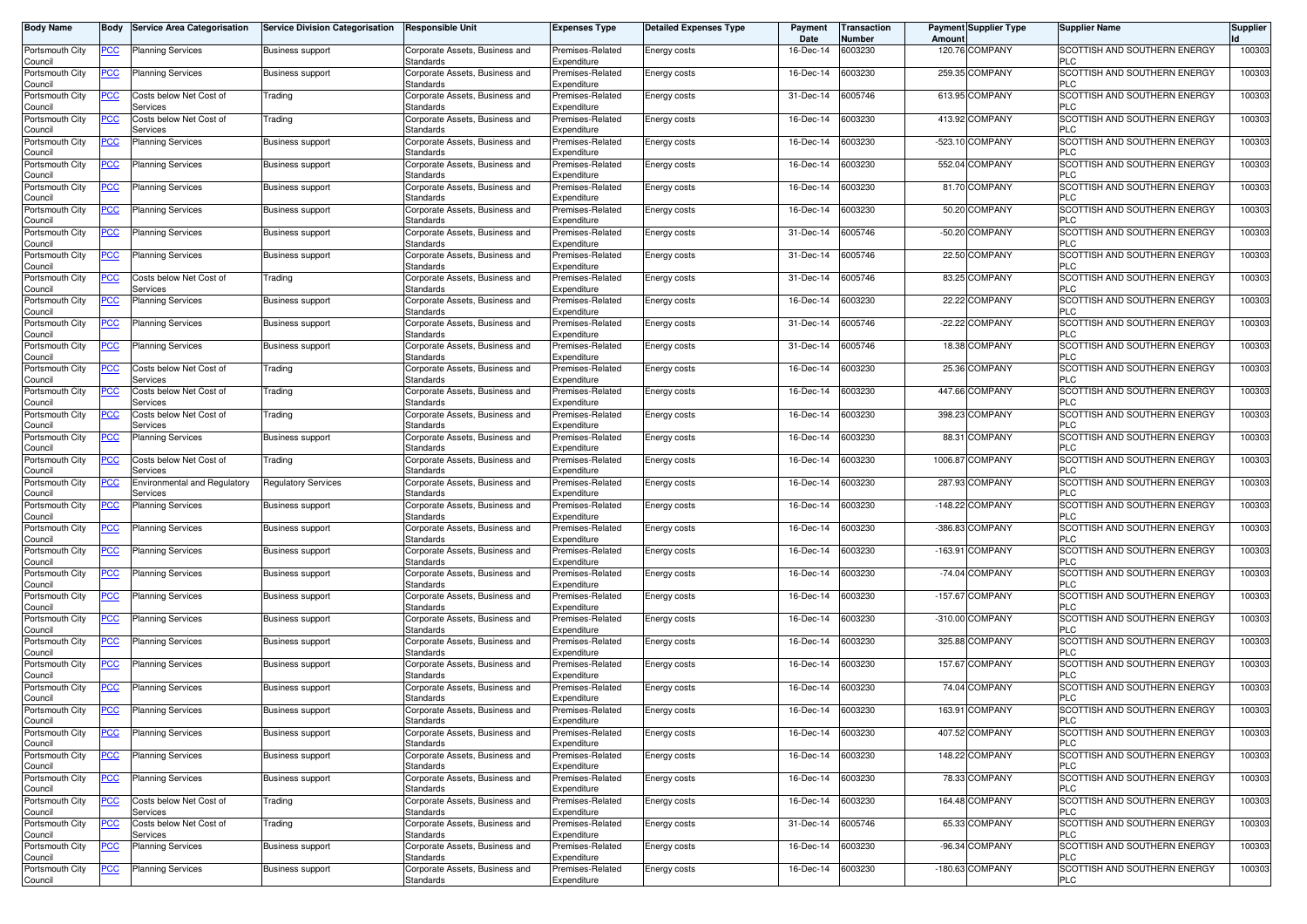| <b>Body Name</b>                      | <b>Body</b> | <b>Service Area Categorisation</b>              | <b>Service Division Categorisation</b> | <b>Responsible Unit</b>                     | <b>Expenses Type</b>            | <b>Detailed Expenses Type</b> | Payment<br>Date | <b>Transaction</b><br>Number | Amoun     | <b>Payment Supplier Type</b> | <b>Supplier Name</b>                       | <b>Supplier</b> |
|---------------------------------------|-------------|-------------------------------------------------|----------------------------------------|---------------------------------------------|---------------------------------|-------------------------------|-----------------|------------------------------|-----------|------------------------------|--------------------------------------------|-----------------|
| Portsmouth City<br>Council            | <u>PCC</u>  | <b>Planning Services</b>                        | <b>Business support</b>                | Corporate Assets, Business and<br>Standards | Premises-Related<br>Expenditure | Energy costs                  | 16-Dec-14       | 6003230                      | 120.76    | COMPANY                      | SCOTTISH AND SOUTHERN ENERGY<br>PLC.       | 100303          |
| Portsmouth City<br>Council            | <u>PCC</u>  | <b>Planning Services</b>                        | Business support                       | Corporate Assets, Business and<br>Standards | Premises-Related<br>Expenditure | Energy costs                  | 16-Dec-14       | 6003230                      | 259.35    | COMPANY                      | SCOTTISH AND SOUTHERN ENERGY<br><b>PLC</b> | 100303          |
| Portsmouth City<br>Council            | <u>PCC</u>  | Costs below Net Cost of<br>Services             | Trading                                | Corporate Assets, Business and<br>Standards | Premises-Related<br>Expenditure | Energy costs                  | 31-Dec-14       | 6005746                      |           | 613.95 COMPANY               | SCOTTISH AND SOUTHERN ENERGY<br>PLC        | 100303          |
| Portsmouth City                       | <b>PCC</b>  | Costs below Net Cost of                         | Trading                                | Corporate Assets, Business and              | Premises-Related                | Energy costs                  | 16-Dec-14       | 6003230                      | 413.92    | COMPANY                      | SCOTTISH AND SOUTHERN ENERGY               | 100303          |
| Council<br>Portsmouth City            | <u>PCC</u>  | Services<br><b>Planning Services</b>            | <b>Business support</b>                | Standards<br>Corporate Assets, Business and | Expenditure<br>Premises-Related | <b>Energy costs</b>           | 16-Dec-14       | 6003230                      | $-523.10$ | <b>COMPANY</b>               | PLC<br>SCOTTISH AND SOUTHERN ENERGY        | 10030           |
| Council<br>Portsmouth City            | <u>PCC</u>  | <b>Planning Services</b>                        | Business support                       | Standards<br>Corporate Assets, Business and | Expenditure<br>Premises-Related | Energy costs                  | 16-Dec-14       | 6003230                      |           | 552.04 COMPANY               | PLC<br>SCOTTISH AND SOUTHERN ENERGY        | 100303          |
| Council<br>Portsmouth City            | <u>PCC</u>  | <b>Planning Services</b>                        | <b>Business support</b>                | Standards<br>Corporate Assets, Business and | Expenditure<br>Premises-Related | Energy costs                  | 16-Dec-14       | 6003230                      |           | 81.70 COMPANY                | <b>PLC</b><br>SCOTTISH AND SOUTHERN ENERGY | 10030           |
| Council<br>Portsmouth City            | <u>PCC</u>  | <b>Planning Services</b>                        | <b>Business support</b>                | Standards<br>Corporate Assets, Business and | Expenditure<br>Premises-Related | Energy costs                  | 16-Dec-14       | 6003230                      | 50.20     | COMPANY                      | <b>PLC</b><br>SCOTTISH AND SOUTHERN ENERGY | 100303          |
| Council<br>Portsmouth City            | <u>PCC</u>  | <b>Planning Services</b>                        | <b>Business support</b>                | Standards<br>Corporate Assets, Business and | Expenditure<br>Premises-Related | Energy costs                  | 31-Dec-14       | 6005746                      | $-50.20$  | COMPANY                      | <b>PLC</b><br>SCOTTISH AND SOUTHERN ENERGY | 10030           |
| Council                               |             |                                                 |                                        | Standards                                   | Expenditure                     |                               |                 |                              |           |                              | <b>PLC</b>                                 |                 |
| Portsmouth City<br>Council            | <u>PCC</u>  | <b>Planning Services</b>                        | <b>Business support</b>                | Corporate Assets, Business and<br>Standards | Premises-Related<br>Expenditure | Energy costs                  | 31-Dec-14       | 6005746                      |           | 22.50 COMPANY                | SCOTTISH AND SOUTHERN ENERGY<br><b>PLC</b> | 100303          |
| Portsmouth City<br>Council            | <u>PCC</u>  | Costs below Net Cost of<br>Services             | Trading                                | Corporate Assets, Business and<br>Standards | Premises-Related<br>Expenditure | Energy costs                  | 31-Dec-14       | 6005746                      |           | 83.25 COMPANY                | SCOTTISH AND SOUTHERN ENERGY<br>PLC        | 100303          |
| Portsmouth City<br>Council            | <u>PCC</u>  | <b>Planning Services</b>                        | <b>Business support</b>                | Corporate Assets, Business and<br>Standards | Premises-Related<br>Expenditure | Energy costs                  | 16-Dec-14       | 6003230                      | 22.22     | COMPANY                      | SCOTTISH AND SOUTHERN ENERGY<br>PLC        | 10030           |
| Portsmouth City<br>Council            | <u>PCC</u>  | <b>Planning Services</b>                        | <b>Business support</b>                | Corporate Assets, Business and<br>Standards | Premises-Related<br>Expenditure | <b>Energy costs</b>           | 31-Dec-14       | 6005746                      |           | -22.22 COMPANY               | SCOTTISH AND SOUTHERN ENERGY<br><b>PLC</b> | 10030           |
| Portsmouth City<br>Council            | <u>PCC</u>  | <b>Planning Services</b>                        | <b>Business support</b>                | Corporate Assets, Business and<br>Standards | Premises-Related<br>Expenditure | <b>Energy costs</b>           | 31-Dec-14       | 6005746                      |           | 18.38 COMPANY                | SCOTTISH AND SOUTHERN ENERGY<br><b>PLC</b> | 10030           |
| Portsmouth City<br>Council            | <u>PCC</u>  | Costs below Net Cost of<br>Services             | Trading                                | Corporate Assets, Business and<br>Standards | Premises-Related<br>Expenditure | Energy costs                  | 16-Dec-14       | 6003230                      |           | 25.36 COMPANY                | SCOTTISH AND SOUTHERN ENERGY<br><b>PLC</b> | 100303          |
| Portsmouth City                       | <u>PCC</u>  | Costs below Net Cost of                         | Trading                                | Corporate Assets, Business and              | Premises-Related                | Energy costs                  | 16-Dec-14       | 6003230                      |           | 447.66 COMPANY               | SCOTTISH AND SOUTHERN ENERGY               | 100303          |
| <b>Council</b><br>Portsmouth City     | <u>PCC</u>  | Services<br>Costs below Net Cost of             | Trading                                | Standards<br>Corporate Assets, Business and | Expenditure<br>Premises-Related | Energy costs                  | 16-Dec-14       | 6003230                      | 398.23    | COMPANY                      | PLC<br>SCOTTISH AND SOUTHERN ENERGY        | 10030           |
| Council<br>Portsmouth City            | <u>PCC</u>  | Services<br><b>Planning Services</b>            | <b>Business support</b>                | Standards<br>Corporate Assets, Business and | Expenditure<br>Premises-Related | Energy costs                  | 16-Dec-14       | 6003230                      |           | 88.31 COMPANY                | <b>PLC</b><br>SCOTTISH AND SOUTHERN ENERGY | 100303          |
| Council<br>Portsmouth City            | <u>PCC</u>  | Costs below Net Cost of                         | Trading                                | Standards<br>Corporate Assets, Business and | Expenditure<br>Premises-Related | Energy costs                  | 16-Dec-14       | 6003230                      | 1006.87   | <b>COMPANY</b>               | <b>PLC</b><br>SCOTTISH AND SOUTHERN ENERGY | 100303          |
| Council<br>Portsmouth City            | <u>PCC</u>  | Services<br><b>Environmental and Regulatory</b> | <b>Regulatory Services</b>             | Standards<br>Corporate Assets, Business and | Expenditure<br>Premises-Related | Energy costs                  | 16-Dec-14       | 6003230                      |           | 287.93 COMPANY               | <b>PLC</b><br>SCOTTISH AND SOUTHERN ENERGY | 100303          |
| Council<br>Portsmouth City            | <u>PCC</u>  | Services<br><b>Planning Services</b>            | <b>Business support</b>                | Standards<br>Corporate Assets, Business and | Expenditure<br>Premises-Related | <b>Energy costs</b>           | 16-Dec-14       | 6003230                      | $-148.22$ | COMPANY                      | PLC<br>SCOTTISH AND SOUTHERN ENERGY        | 100303          |
| Council<br>Portsmouth City            | <u>PCC</u>  | <b>Planning Services</b>                        | <b>Business support</b>                | Standards<br>Corporate Assets, Business and | Expenditure<br>Premises-Related | <b>Energy costs</b>           | 16-Dec-14       | 6003230                      |           | -386.83 COMPANY              | <b>PLC</b><br>SCOTTISH AND SOUTHERN ENERGY | 10030           |
| Council<br>Portsmouth City            | <u>PCC</u>  | <b>Planning Services</b>                        | <b>Business support</b>                | Standards<br>Corporate Assets, Business and | Expenditure<br>Premises-Related | <b>Energy costs</b>           | 16-Dec-14       | 6003230                      |           | -163.91 COMPANY              | <b>PLC</b><br>SCOTTISH AND SOUTHERN ENERGY | 10030           |
| Council<br>Portsmouth City            | <u>PCC</u>  | <b>Planning Services</b>                        |                                        | Standards<br>Corporate Assets, Business and | Expenditure<br>Premises-Related |                               | 16-Dec-14       | 6003230                      |           | -74.04 COMPANY               | <b>PLC</b><br>SCOTTISH AND SOUTHERN ENERGY | 100303          |
| Council                               |             |                                                 | Business support                       | Standards                                   | Expenditure                     | Energy costs                  |                 |                              |           |                              | <b>PLC</b>                                 |                 |
| Portsmouth City<br>Council            | <u>PCC</u>  | <b>Planning Services</b>                        | <b>Business support</b>                | Corporate Assets, Business and<br>Standards | Premises-Related<br>Expenditure | Energy costs                  | 16-Dec-14       | 6003230                      | $-157.67$ | COMPANY                      | SCOTTISH AND SOUTHERN ENERGY<br>PLC        | 100303          |
| Portsmouth City<br>Council            | <u>PCC</u>  | <b>Planning Services</b>                        | <b>Business support</b>                | Corporate Assets, Business and<br>Standards | Premises-Related<br>Expenditure | Energy costs                  | 16-Dec-14       | 6003230                      | $-310.00$ | COMPANY                      | SCOTTISH AND SOUTHERN ENERGY<br><b>PLC</b> | 10030           |
| Portsmouth City<br>Council            | <u>PCC</u>  | <b>Planning Services</b>                        | <b>Business support</b>                | Corporate Assets, Business and<br>Standards | Premises-Related<br>Expenditure | Energy costs                  | 16-Dec-14       | 6003230                      |           | 325.88 COMPANY               | SCOTTISH AND SOUTHERN ENERGY<br><b>PLC</b> | 100303          |
| Portsmouth City<br>Council            | <u>PCC</u>  | <b>Planning Services</b>                        | Business support                       | Corporate Assets, Business and<br>Standards | Premises-Related<br>Expenditure | Energy costs                  | 16-Dec-14       | 6003230                      |           | 157.67 COMPANY               | SCOTTISH AND SOUTHERN ENERGY<br>PLC.       | 100303          |
| Portsmouth City<br>Council            | <u>PCC</u>  | <b>Planning Services</b>                        | <b>Business support</b>                | Corporate Assets, Business and<br>Standards | Premises-Related<br>Expenditure | Energy costs                  | 16-Dec-14       | 6003230                      |           | 74.04 COMPANY                | SCOTTISH AND SOUTHERN ENERGY<br>PLC        | 100303          |
| Portsmouth City                       | <u>PCC</u>  | <b>Planning Services</b>                        | <b>Business support</b>                | Corporate Assets, Business and<br>Standards | Premises-Related<br>Expenditure | Energy costs                  | 16-Dec-14       | 6003230                      |           | 163.91 COMPANY               | SCOTTISH AND SOUTHERN ENERGY<br>PLU        | 100303          |
| Jouncii<br>Portsmouth City<br>Council | <b>PCC</b>  | <b>Planning Services</b>                        | Business support                       | Corporate Assets, Business and<br>Standards | Premises-Related<br>Expenditure | Energy costs                  | 16-Dec-14       | 6003230                      |           | 407.52 COMPANY               | SCOTTISH AND SOUTHERN ENERGY<br><b>PLC</b> | 100303          |
| Portsmouth City                       | <u>PCC</u>  | <b>Planning Services</b>                        | <b>Business support</b>                | Corporate Assets, Business and              | Premises-Related                | Energy costs                  | 16-Dec-14       | 6003230                      |           | 148.22 COMPANY               | SCOTTISH AND SOUTHERN ENERGY               | 100303          |
| Council<br>Portsmouth City            | <u>PCC</u>  | <b>Planning Services</b>                        | <b>Business support</b>                | Standards<br>Corporate Assets, Business and | Expenditure<br>Premises-Related | Energy costs                  | 16-Dec-14       | 6003230                      |           | 78.33 COMPANY                | <b>PLC</b><br>SCOTTISH AND SOUTHERN ENERGY | 100303          |
| Council<br>Portsmouth City            | <b>PCC</b>  | Costs below Net Cost of                         | Trading                                | Standards<br>Corporate Assets, Business and | Expenditure<br>Premises-Related | Energy costs                  | 16-Dec-14       | 6003230                      |           | 164.48 COMPANY               | <b>PLC</b><br>SCOTTISH AND SOUTHERN ENERGY | 100303          |
| Council<br>Portsmouth City            | <u>PCC</u>  | Services<br>Costs below Net Cost of             | Trading                                | Standards<br>Corporate Assets, Business and | Expenditure<br>Premises-Related | Energy costs                  | 31-Dec-14       | 6005746                      |           | 65.33 COMPANY                | <b>PLC</b><br>SCOTTISH AND SOUTHERN ENERGY | 100303          |
| Council<br>Portsmouth City            | <u>PCC</u>  | Services<br><b>Planning Services</b>            | Business support                       | Standards<br>Corporate Assets, Business and | Expenditure<br>Premises-Related | Energy costs                  | 16-Dec-14       | 6003230                      |           | -96.34 COMPANY               | <b>PLC</b><br>SCOTTISH AND SOUTHERN ENERGY | 100303          |
| Council<br>Portsmouth City            | <u>PCC</u>  | <b>Planning Services</b>                        | <b>Business support</b>                | Standards<br>Corporate Assets, Business and | Expenditure<br>Premises-Related | Energy costs                  | 16-Dec-14       | 6003230                      |           | -180.63 COMPANY              | <b>PLC</b><br>SCOTTISH AND SOUTHERN ENERGY | 100303          |
| Council                               |             |                                                 |                                        | Standards                                   | Expenditure                     |                               |                 |                              |           |                              | <b>PLC</b>                                 |                 |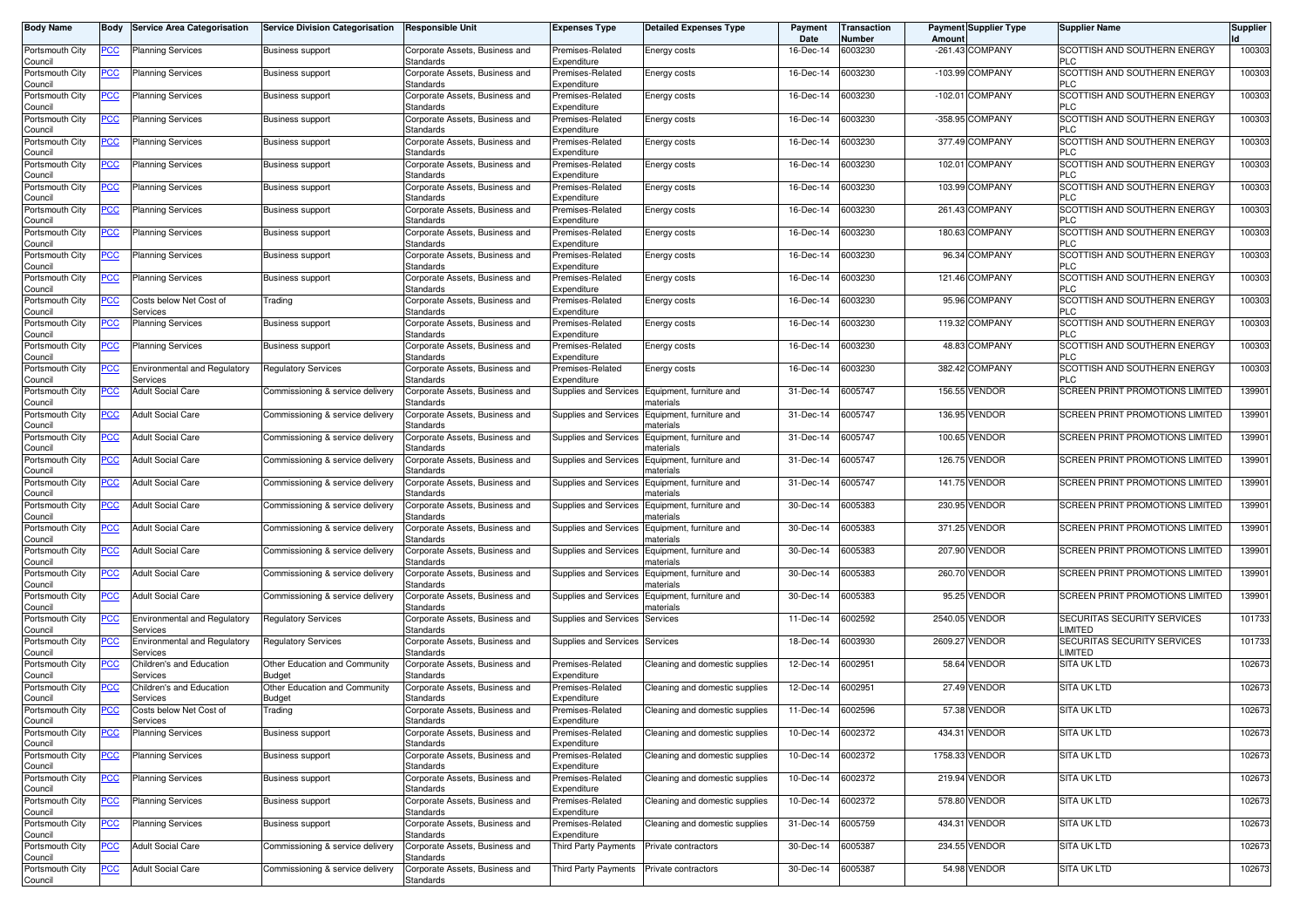| <b>Body Name</b>           | Body           | <b>Service Area Categorisation</b>              | <b>Service Division Categorisation</b>         | <b>Responsible Unit</b>                            | <b>Expenses Type</b>                     | <b>Detailed Expenses Type</b>         | Payment<br>Date | <b>Transaction</b><br>Number | Amount    | <b>Payment Supplier Type</b> | <b>Supplier Name</b>                       | <b>Supplier</b> |
|----------------------------|----------------|-------------------------------------------------|------------------------------------------------|----------------------------------------------------|------------------------------------------|---------------------------------------|-----------------|------------------------------|-----------|------------------------------|--------------------------------------------|-----------------|
| Portsmouth City<br>Council | <u>PCC</u>     | <b>Planning Services</b>                        | <b>Business support</b>                        | Corporate Assets, Business and<br>Standards        | Premises-Related<br>Expenditure          | Energy costs                          | 16-Dec-14       | 6003230                      |           | $-261.43$ COMPANY            | SCOTTISH AND SOUTHERN ENERGY<br><b>PLC</b> | 100303          |
| Portsmouth City<br>Council | <b>PCC</b>     | <b>Planning Services</b>                        | <b>Business support</b>                        | Corporate Assets, Business and<br>Standards        | Premises-Related<br>Expenditure          | Energy costs                          | 16-Dec-14       | 003230                       |           | -103.99 COMPANY              | SCOTTISH AND SOUTHERN ENERGY<br><b>PLC</b> | 100303          |
| Portsmouth City<br>Council | <u>PCC</u>     | <b>Planning Services</b>                        | <b>Business support</b>                        | Corporate Assets, Business and<br>Standards        | Premises-Related<br>Expenditure          | Energy costs                          | 16-Dec-14       | 6003230                      | $-102.01$ | <b>COMPANY</b>               | SCOTTISH AND SOUTHERN ENERGY<br><b>PLC</b> | 100303          |
| Portsmouth City<br>Council | <u>PCC</u>     | <b>Planning Services</b>                        | <b>Business support</b>                        | Corporate Assets, Business and<br><b>Standards</b> | Premises-Related<br>Expenditure          | Energy costs                          | 16-Dec-14       | 6003230                      |           | -358.95 COMPANY              | SCOTTISH AND SOUTHERN ENERGY<br><b>PLC</b> | 100303          |
| Portsmouth City<br>Council | <u>PCC</u>     | <b>Planning Services</b>                        | <b>Business support</b>                        | Corporate Assets, Business and<br>Standards        | Premises-Related<br>Expenditure          | Energy costs                          | 16-Dec-14       | 6003230                      |           | 377.49 COMPANY               | SCOTTISH AND SOUTHERN ENERGY<br><b>PLC</b> | 100303          |
| Portsmouth City<br>Council | <b>PCC</b>     | <b>Planning Services</b>                        | <b>Business support</b>                        | Corporate Assets, Business and<br>Standards        | Premises-Related<br>Expenditure          | Energy costs                          | 16-Dec-14       | 6003230                      | 102.01    | <b>COMPANY</b>               | SCOTTISH AND SOUTHERN ENERGY<br><b>PLC</b> | 100303          |
| Portsmouth City<br>Council | <u>PCC</u>     | <b>Planning Services</b>                        | <b>Business support</b>                        | Corporate Assets, Business and<br>Standards        | Premises-Related<br>Expenditure          | Energy costs                          | 16-Dec-14       | 6003230                      | 103.99    | <b>COMPANY</b>               | SCOTTISH AND SOUTHERN ENERGY<br><b>PLC</b> | 100303          |
| Portsmouth City<br>Council | <u>PCC</u>     | <b>Planning Services</b>                        | <b>Business support</b>                        | Corporate Assets, Business and<br>Standards        | Premises-Related<br>Expenditure          | Energy costs                          | 16-Dec-14       | 6003230                      |           | 261.43 COMPANY               | SCOTTISH AND SOUTHERN ENERGY<br>PLC        | 100303          |
| Portsmouth City<br>Council | <u>PCC</u>     | <b>Planning Services</b>                        | <b>Business support</b>                        | Corporate Assets, Business and<br>Standards        | Premises-Related<br>Expenditure          | Energy costs                          | 16-Dec-14       | 003230                       | 180.63    | <b>COMPANY</b>               | SCOTTISH AND SOUTHERN ENERGY<br><b>PLC</b> | 100303          |
| Portsmouth City<br>Council | <u>PCC</u>     | <b>Planning Services</b>                        | <b>Business support</b>                        | Corporate Assets, Business and<br>Standards        | Premises-Related<br>Expenditure          | Energy costs                          | 16-Dec-14       | 6003230                      | 96.34     | <b>COMPANY</b>               | SCOTTISH AND SOUTHERN ENERGY<br><b>PLC</b> | 100303          |
| Portsmouth City<br>Council | <u>PCC</u>     | <b>Planning Services</b>                        | <b>Business support</b>                        | Corporate Assets, Business and<br>Standards        | Premises-Related<br>Expenditure          | Energy costs                          | 16-Dec-14       | 6003230                      |           | 121.46 COMPANY               | SCOTTISH AND SOUTHERN ENERGY<br><b>PLC</b> | 100303          |
| Portsmouth City<br>Council | <u>PCC</u>     | Costs below Net Cost of<br>Services             | Trading                                        | Corporate Assets, Business and<br>Standards        | Premises-Related<br>Expenditure          | Energy costs                          | 16-Dec-14       | 6003230                      | 95.96     | <b>COMPANY</b>               | SCOTTISH AND SOUTHERN ENERGY<br><b>PLC</b> | 100303          |
| Portsmouth City<br>Council | <u>PCC</u>     | <b>Planning Services</b>                        | <b>Business support</b>                        | Corporate Assets, Business and<br>Standards        | Premises-Related<br>Expenditure          | Energy costs                          | 16-Dec-14       | 6003230                      | 119.32    | <b>COMPANY</b>               | SCOTTISH AND SOUTHERN ENERGY<br>PLC        | 100303          |
| Portsmouth City<br>Council | <b>PCC</b>     | <b>Planning Services</b>                        | <b>Business support</b>                        | Corporate Assets, Business and<br>Standards        | Premises-Related<br>Expenditure          | Energy costs                          | 16-Dec-14       | 6003230                      | 48.83     | <b>COMPANY</b>               | SCOTTISH AND SOUTHERN ENERGY<br><b>PLC</b> | 100303          |
| Portsmouth City<br>Council | <u>PCC</u>     | <b>Environmental and Regulatory</b><br>Services | <b>Regulatory Services</b>                     | Corporate Assets, Business and<br>Standards        | Premises-Related<br>Expenditure          | Energy costs                          | 16-Dec-14       | 6003230                      |           | 382.42 COMPANY               | SCOTTISH AND SOUTHERN ENERGY<br>PLC        | 100303          |
| Portsmouth City<br>Council | <u>PCC</u>     | <b>Adult Social Care</b>                        | Commissioning & service delivery               | Corporate Assets, Business and<br>Standards        | Supplies and Services                    | Equipment, furniture and<br>aterials  | 31-Dec-14       | 6005747                      | 156.55    | <b>VENDOR</b>                | SCREEN PRINT PROMOTIONS LIMITED            | 139901          |
| Portsmouth City<br>Council | PСC            | <b>Adult Social Care</b>                        | Commissioning & service delivery               | Corporate Assets, Business and<br>Standards        | Supplies and Services                    | Equipment, furniture and<br>naterials | 31-Dec-14       | 6005747                      | 136.95    | <b>VENDOR</b>                | SCREEN PRINT PROMOTIONS LIMITED            | 139901          |
| Portsmouth City<br>Council | <u>PCC</u>     | <b>Adult Social Care</b>                        | Commissioning & service delivery               | Corporate Assets, Business and<br>Standards        | Supplies and Services                    | Equipment, furniture and<br>naterials | 31-Dec-14       | 005747                       | 100.65    | <b>VENDOR</b>                | SCREEN PRINT PROMOTIONS LIMITED            | 139901          |
| Portsmouth City<br>Council | <u>PCC</u>     | <b>Adult Social Care</b>                        | Commissioning & service delivery               | Corporate Assets, Business and<br>Standards        | Supplies and Services                    | Equipment, furniture and<br>naterials | 31-Dec-14       | 6005747                      |           | 126.75 VENDOR                | <b>SCREEN PRINT PROMOTIONS LIMITED</b>     | 139901          |
| Portsmouth City<br>Council | <u>PCC</u>     | <b>Adult Social Care</b>                        | Commissioning & service delivery               | Corporate Assets, Business and<br>Standards        | Supplies and Services                    | Equipment, furniture and<br>naterials | 31-Dec-14       | 6005747                      |           | 141.75 VENDOR                | SCREEN PRINT PROMOTIONS LIMITED            | 139901          |
| Portsmouth City<br>Council | PСC            | <b>Adult Social Care</b>                        | Commissioning & service delivery               | Corporate Assets, Business and<br>Standards        | Supplies and Services                    | Equipment, furniture and<br>าaterials | 30-Dec-14       | 6005383                      | 230.95    | VENDOR                       | SCREEN PRINT PROMOTIONS LIMITED            | 13990           |
| Portsmouth City<br>Council | <b>PCC</b>     | <b>Adult Social Care</b>                        | Commissioning & service delivery               | Corporate Assets, Business and<br>Standards        | Supplies and Services                    | Equipment, furniture and<br>naterials | 30-Dec-14       | 005383                       |           | 371.25 VENDOR                | SCREEN PRINT PROMOTIONS LIMITED            | 139901          |
| Portsmouth City<br>Council | $\overline{C}$ | <b>Adult Social Care</b>                        | Commissioning & service delivery               | Corporate Assets, Business and<br>Standards        | Supplies and Services                    | Equipment, furniture and<br>naterials | 30-Dec-14       | 6005383                      | 207.90    | VENDOR                       | <b>SCREEN PRINT PROMOTIONS LIMITED</b>     | 139901          |
| Portsmouth City<br>Council | <u>PCC</u>     | <b>Adult Social Care</b>                        | Commissioning & service delivery               | Corporate Assets, Business and<br>Standards        | Supplies and Services                    | Equipment, furniture and<br>naterials | 30-Dec-14       | 6005383                      | 260.70    | <b>VENDOR</b>                | SCREEN PRINT PROMOTIONS LIMITED            | 139901          |
| Portsmouth City<br>Council | <u>PCC</u>     | <b>Adult Social Care</b>                        | Commissioning & service delivery               | Corporate Assets, Business and<br>Standards        | Supplies and Services                    | Equipment, furniture and<br>naterials | 30-Dec-14       | 6005383                      | 95.25     | <b>VENDOR</b>                | SCREEN PRINT PROMOTIONS LIMITED            | 139901          |
| Portsmouth City<br>Council | <u>PCC</u>     | Environmental and Regulatory<br>Services        | Regulatory Services                            | Corporate Assets, Business and<br>Standards        | Supplies and Services                    | Services                              | 11-Dec-14       | 6002592                      | 2540.05   | <b>VENDOR</b>                | SECURITAS SECURITY SERVICES<br>LIMITED     | 101733          |
| Portsmouth City<br>Council | <u>PCC</u>     | <b>Environmental and Regulatory</b><br>Services | <b>Regulatory Services</b>                     | Corporate Assets, Business and<br>Standards        | Supplies and Services                    | Services                              | 18-Dec-14       | 6003930                      | 2609.27   | VENDOR                       | SECURITAS SECURITY SERVICES<br>LIMITED     | 101733          |
| Portsmouth City<br>Council | <u>PCC</u>     | Children's and Education<br>Services            | Other Education and Community<br><b>Budget</b> | Corporate Assets, Business and<br>Standards        | Premises-Related<br>Expenditure          | Cleaning and domestic supplies        | 12-Dec-14       | 6002951                      |           | 58.64 VENDOR                 | <b>SITA UK LTD</b>                         | 102673          |
| Portsmouth City<br>Council | <u>PCC</u>     | Children's and Education<br>Services            | Other Education and Community<br>Budget        | Corporate Assets, Business and<br>Standards        | Premises-Related<br>Expenditure          | Cleaning and domestic supplies        | 12-Dec-14       | 6002951                      |           | 27.49 VENDOR                 | <b>SITA UK LTD</b>                         | 102673          |
| Portsmouth City<br>Council | <u>PCC</u>     | Costs below Net Cost of<br>Services             | Trading                                        | Corporate Assets, Business and<br>Standards        | Premises-Related<br>Expenditure          | Cleaning and domestic supplies        | 11-Dec-14       | 6002596                      |           | 57.38 VENDOR                 | <b>SITA UK LTD</b>                         | 102673          |
| Portsmouth City<br>Council | <u>PCC</u>     | <b>Planning Services</b>                        | <b>Business support</b>                        | Corporate Assets, Business and<br>Standards        | Premises-Related<br>Expenditure          | Cleaning and domestic supplies        | 10-Dec-14       | 6002372                      |           | 434.31 VENDOR                | SITA UK LTD                                | 102673          |
| Portsmouth City<br>Council | <u>PCC</u>     | <b>Planning Services</b>                        | <b>Business support</b>                        | Corporate Assets, Business and<br>Standards        | Premises-Related<br>Expenditure          | Cleaning and domestic supplies        | 10-Dec-14       | 6002372                      |           | 1758.33 VENDOR               | <b>SITA UK LTD</b>                         | 102673          |
| Portsmouth City<br>Council | $\overline{C}$ | <b>Planning Services</b>                        | <b>Business support</b>                        | Corporate Assets, Business and<br>Standards        | Premises-Related<br>Expenditure          | Cleaning and domestic supplies        | 10-Dec-14       | 6002372                      |           | 219.94 VENDOR                | SITA UK LTD                                | 102673          |
| Portsmouth City<br>Council | $\overline{C}$ | <b>Planning Services</b>                        | <b>Business support</b>                        | Corporate Assets, Business and<br><b>Standards</b> | Premises-Related<br>Expenditure          | Cleaning and domestic supplies        | 10-Dec-14       | 6002372                      |           | 578.80 VENDOR                | <b>SITA UK LTD</b>                         | 102673          |
| Portsmouth City<br>Council | $\overline{C}$ | <b>Planning Services</b>                        | Business support                               | Corporate Assets, Business and<br><b>Standards</b> | Premises-Related<br>Expenditure          | Cleaning and domestic supplies        | 31-Dec-14       | 6005759                      |           | 434.31 VENDOR                | SITA UK LTD                                | 102673          |
| Portsmouth City<br>Council | <u>PCC</u>     | <b>Adult Social Care</b>                        | Commissioning & service delivery               | Corporate Assets, Business and<br>Standards        | Third Party Payments                     | Private contractors                   | 30-Dec-14       | 6005387                      |           | 234.55 VENDOR                | SITA UK LTD                                | 102673          |
| Portsmouth City<br>Council | <u>PCC</u>     | <b>Adult Social Care</b>                        | Commissioning & service delivery               | Corporate Assets, Business and<br>Standards        | Third Party Payments Private contractors |                                       | 30-Dec-14       | 6005387                      |           | 54.98 VENDOR                 | SITA UK LTD                                | 102673          |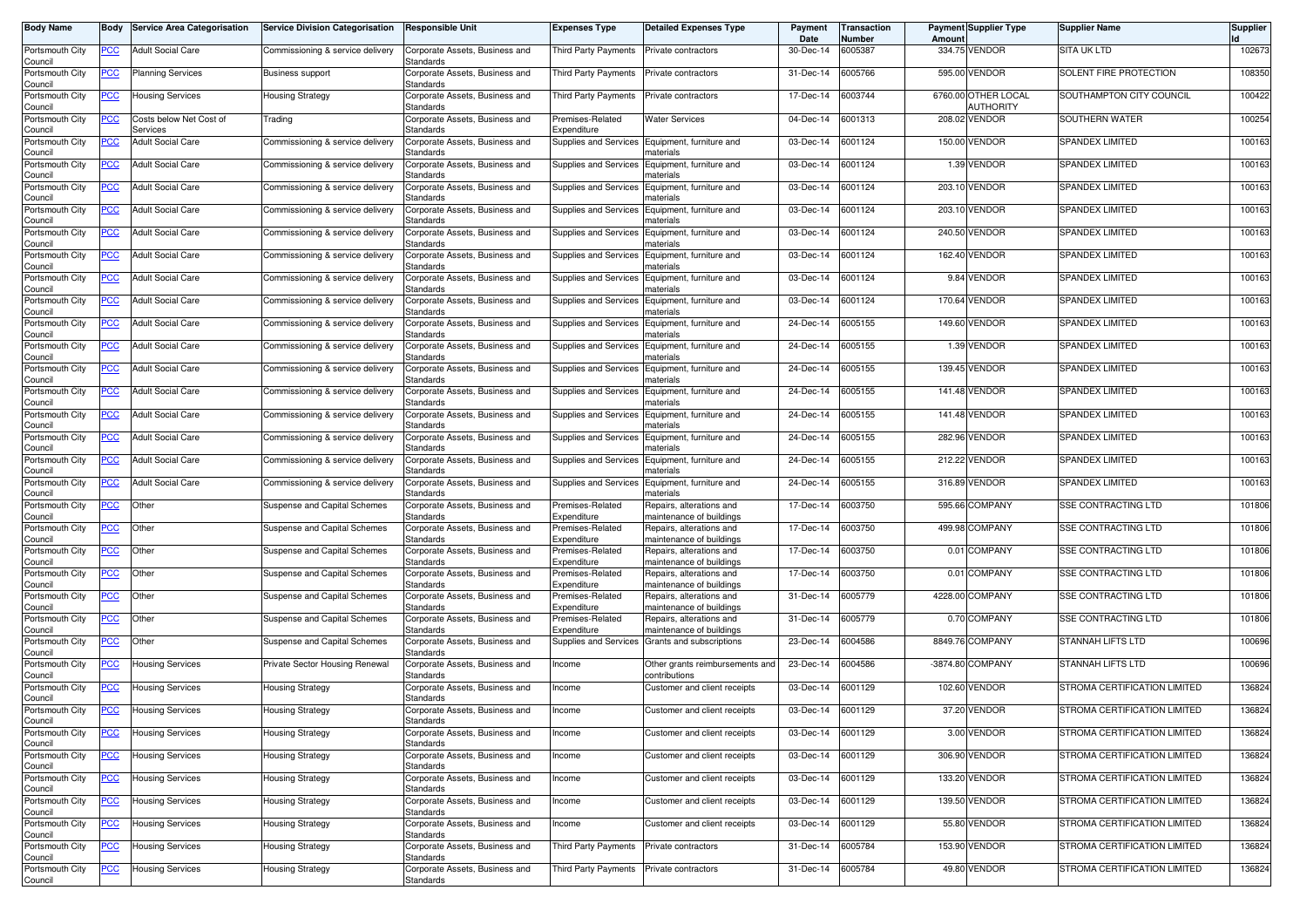| <b>Body Name</b>           | Body             | <b>Service Area Categorisation</b>  | <b>Service Division Categorisation</b> | <b>Responsible Unit</b>                     | <b>Expenses Type</b>                 | <b>Detailed Expenses Type</b>                        | Payment<br>Date | Transaction<br>Number | Amoun      | <b>Payment Supplier Type</b> | <b>Supplier Name</b>         | <b>Supplier</b> |
|----------------------------|------------------|-------------------------------------|----------------------------------------|---------------------------------------------|--------------------------------------|------------------------------------------------------|-----------------|-----------------------|------------|------------------------------|------------------------------|-----------------|
| Portsmouth City<br>Council | PCC              | <b>Adult Social Care</b>            | Commissioning & service delivery       | Corporate Assets, Business and<br>Standards | Third Party Payments                 | Private contractors                                  | 30-Dec-14       | 6005387               |            | 334.75 VENDOR                | <b>SITA UK LTD</b>           | 102673          |
| Portsmouth City<br>Council | <u>PCC</u>       | <b>Planning Services</b>            | <b>Business support</b>                | Corporate Assets, Business and<br>Standards | Third Party Payments                 | Private contractors                                  | 31-Dec-14       | 6005766               | 595.00     | <b>VENDOR</b>                | SOLENT FIRE PROTECTION       | 108350          |
| Portsmouth City<br>Council | <u>PCC</u>       | <b>Housing Services</b>             | Housing Strategy                       | Corporate Assets, Business and<br>Standards | Third Party Payments                 | Private contractors                                  | 17-Dec-14       | 6003744               | 6760.00    | OTHER LOCAL<br>AUTHORITY     | SOUTHAMPTON CITY COUNCIL     | 100422          |
| Portsmouth City<br>Council | ∍CC              | Costs below Net Cost of<br>Services | Trading                                | Corporate Assets, Business and<br>Standards | Premises-Related<br>Expenditure      | <b>Water Services</b>                                | 04-Dec-14       | 6001313               | 208.02     | <b>VENDOR</b>                | SOUTHERN WATER               | 100254          |
| Portsmouth City<br>Council | <u>PCC</u>       | <b>Adult Social Care</b>            | Commissioning & service delivery       | Corporate Assets, Business and<br>Standards | Supplies and Services                | Equipment, furniture and<br>naterials                | 03-Dec-14       | 6001124               | 150.00     | <b>VENDOR</b>                | <b>SPANDEX LIMITED</b>       | 100163          |
| Portsmouth City<br>Council | <u>PCC</u>       | <b>Adult Social Care</b>            | Commissioning & service delivery       | Corporate Assets, Business and<br>Standards | Supplies and Services                | Equipment, furniture and<br>materials                | 03-Dec-14       | 6001124               | 1.39       | <b>VENDOR</b>                | SPANDEX LIMITED              | 100163          |
| Portsmouth City<br>Council | <u>PCC</u>       | <b>Adult Social Care</b>            | Commissioning & service delivery       | Corporate Assets, Business and<br>Standards | Supplies and Services                | Equipment, furniture and<br>naterials                | 03-Dec-14       | 6001124               | 203.10     | <b>VENDOR</b>                | SPANDEX LIMITED              | 100163          |
| Portsmouth City<br>Council | <u>PCC</u>       | <b>Adult Social Care</b>            | Commissioning & service delivery       | Corporate Assets, Business and<br>Standards | <b>Supplies and Services</b>         | Equipment, furniture and<br>materials                | 03-Dec-14       | 6001124               | 203.10     | <b>VENDOR</b>                | <b>SPANDEX LIMITED</b>       | 100163          |
| Portsmouth City<br>Council | <u>PCC</u>       | <b>Adult Social Care</b>            | Commissioning & service delivery       | Corporate Assets, Business and<br>Standards | Supplies and Services                | Equipment, furniture and<br>materials                | 03-Dec-14       | 6001124               |            | 240.50 VENDOR                | <b>SPANDEX LIMITED</b>       | 100163          |
| Portsmouth City            | PСC              | <b>Adult Social Care</b>            | Commissioning & service delivery       | Corporate Assets, Business and<br>Standards | Supplies and Services                | Equipment, furniture and                             | 03-Dec-14       | 6001124               | 162.40     | <b>VENDOR</b>                | <b>SPANDEX LIMITED</b>       | 100163          |
| Council<br>Portsmouth City | PСC              | <b>Adult Social Care</b>            | Commissioning & service delivery       | Corporate Assets, Business and              | Supplies and Services                | naterials<br>Equipment, furniture and                | 03-Dec-14       | 6001124               |            | 9.84 VENDOR                  | SPANDEX LIMITED              | 100163          |
| Council<br>Portsmouth City | PСC              | <b>Adult Social Care</b>            | Commissioning & service delivery       | Standards<br>Corporate Assets, Business and | Supplies and Services                | naterials<br>Equipment, furniture and                | 03-Dec-14       | 6001124               | 170.64     | <b>VENDOR</b>                | <b>SPANDEX LIMITED</b>       | 100163          |
| Council<br>Portsmouth City | PCC              | <b>Adult Social Care</b>            | Commissioning & service delivery       | Standards<br>Corporate Assets, Business and | Supplies and Services                | naterials<br>Equipment, furniture and                | 24-Dec-14       | 6005155               | 149.60     | <b>VENDOR</b>                | <b>SPANDEX LIMITED</b>       | 100163          |
| Council<br>Portsmouth City | <u>PCC</u>       | <b>Adult Social Care</b>            | Commissioning & service delivery       | Standards<br>Corporate Assets, Business and | Supplies and Services                | materials<br>Equipment, furniture and                | 24-Dec-14       | 6005155               | 1.39       | <b>VENDOR</b>                | <b>SPANDEX LIMITED</b>       | 100163          |
| Council<br>Portsmouth City | PCC              | <b>Adult Social Care</b>            | Commissioning & service delivery       | Standards<br>Corporate Assets, Business and | Supplies and Services                | naterials<br>Equipment, furniture and                | 24-Dec-14       | 6005155               |            | 139.45 VENDOR                | SPANDEX LIMITED              | 100163          |
| Council<br>Portsmouth City | <u>PCC</u>       | <b>Adult Social Care</b>            | Commissioning & service delivery       | Standards<br>Corporate Assets, Business and | <b>Supplies and Services</b>         | naterials<br>Equipment, furniture and                | 24-Dec-14       | 6005155               |            | 141.48 VENDOR                | <b>SPANDEX LIMITED</b>       | 100163          |
| Council<br>Portsmouth City | PCC              | <b>Adult Social Care</b>            | Commissioning & service delivery       | Standards<br>Corporate Assets, Business and | Supplies and Services                | materials<br>Equipment, furniture and                | 24-Dec-14       | 6005155               |            | 141.48 VENDOR                | <b>SPANDEX LIMITED</b>       | 100163          |
| Council<br>Portsmouth City | <u>PCC</u>       | <b>Adult Social Care</b>            | Commissioning & service delivery       | Standards<br>Corporate Assets, Business and | Supplies and Services                | materials<br>Equipment, furniture and                | 24-Dec-14       | 6005155               |            | 282.96 VENDOR                | <b>SPANDEX LIMITED</b>       | 100163          |
| Council<br>Portsmouth City | PCC              | Adult Social Care                   | Commissioning & service delivery       | Standards<br>Corporate Assets, Business and | Supplies and Services                | materials<br>Equipment, furniture and                | 24-Dec-14       | 6005155               | 212.22     | VENDOR                       | <b>SPANDEX LIMITED</b>       | 100163          |
| Council<br>Portsmouth City | <u>PCC</u>       | <b>Adult Social Care</b>            | Commissioning & service delivery       | Standards<br>Corporate Assets, Business and | Supplies and Services                | naterials<br>Equipment, furniture and                | 24-Dec-14       | 6005155               | 316.89     | <b>VENDOR</b>                | <b>SPANDEX LIMITED</b>       | 100163          |
| Council<br>Portsmouth City | <u>PCC</u>       | Other                               | Suspense and Capital Schemes           | Standards<br>Corporate Assets, Business and | Premises-Related                     | materials<br>Repairs, alterations and                | 17-Dec-14       | 6003750               | 595.66     | <b>COMPANY</b>               | <b>SSE CONTRACTING LTD</b>   | 101806          |
| Council<br>Portsmouth City | $\overline{PCC}$ | Other                               | Suspense and Capital Schemes           | Standards<br>Corporate Assets, Business and | Expenditure<br>Premises-Related      | maintenance of buildings<br>Repairs, alterations and | 17-Dec-14       | 6003750               | 499.98     | <b>COMPANY</b>               | <b>SSE CONTRACTING LTD</b>   | 101806          |
| Council<br>Portsmouth City | <u>PCC</u>       | Other                               | Suspense and Capital Schemes           | Standards<br>Corporate Assets, Business and | Expenditure<br>Premises-Related      | maintenance of buildings<br>Repairs, alterations and | 17-Dec-14       | 6003750               |            | 0.01 COMPANY                 | <b>SSE CONTRACTING LTD</b>   | 101806          |
| Council<br>Portsmouth City | $\overline{PCC}$ | Other                               | Suspense and Capital Schemes           | Standards<br>Corporate Assets, Business and | Expenditure<br>Premises-Related      | maintenance of buildings<br>Repairs, alterations and | 17-Dec-14       | 6003750               | 0.01       | <b>COMPANY</b>               | SSE CONTRACTING LTD          | 101806          |
| Council<br>Portsmouth City | <u>PCC</u>       | <b>Other</b>                        | Suspense and Capital Schemes           | Standards<br>Corporate Assets, Business and | Expenditure<br>Premises-Related      | maintenance of buildings<br>Repairs, alterations and | 31-Dec-14       | 6005779               | 4228.00    | <b>COMPANY</b>               | SSE CONTRACTING LTD          | 101806          |
| Council<br>Portsmouth City | <u>PCC </u>      | Other                               | Suspense and Capital Schemes           | Standards<br>Corporate Assets, Business and | Expenditure<br>Premises-Related      | maintenance of buildings<br>Repairs, alterations and | 31-Dec-14       | 6005779               | 0.70       | <b>COMPANY</b>               | <b>SSE CONTRACTING LTD</b>   | 101806          |
| Council<br>Portsmouth City | <b>PCC</b>       | Other                               | Suspense and Capital Schemes           | Standards<br>Corporate Assets, Business and | Expenditure<br>Supplies and Services | maintenance of buildings<br>Grants and subscriptions | 23-Dec-14       | 6004586               |            | 8849.76 COMPANY              | <b>STANNAH LIFTS LTD</b>     | 100696          |
| Council<br>Portsmouth City | <u>PCC</u>       | <b>Housing Services</b>             | Private Sector Housing Renewal         | Standards<br>Corporate Assets, Business and | Income                               | Other grants reimbursements and                      | 23-Dec-14       | 6004586               | $-3874.80$ | COMPANY                      | <b>STANNAH LIFTS LTD</b>     | 100696          |
| Council<br>Portsmouth City | <u>PCC</u>       | Housing Services                    | Housing Strategy                       | Standards<br>Corporate Assets, Business and | Income                               | contributions<br>Customer and client receipts        | 03-Dec-14       | 6001129               | 102.60     | <b>VENDOR</b>                | STROMA CERTIFICATION LIMITED | 136824          |
| Council<br>Portsmouth City | <u>PCC</u>       | <b>Housing Services</b>             | <b>Housing Strategy</b>                | Standards<br>Corporate Assets, Business and | Income                               | Customer and client receipts                         | 03-Dec-14       | 6001129               | 37.20      | <b>VENDOR</b>                | STROMA CERTIFICATION LIMITED | 136824          |
| Council<br>Portsmouth City | <b>PCC</b>       | <b>Housing Services</b>             | <b>Housing Strategy</b>                | Standards<br>Corporate Assets, Business and | Income                               | Customer and client receipts                         | 03-Dec-14       | 6001129               |            | 3.00 VENDOR                  | STROMA CERTIFICATION LIMITED | 136824          |
| Council<br>Portsmouth City | <b>PCC</b>       | <b>Housing Services</b>             | <b>Housing Strategy</b>                | Standards<br>Corporate Assets, Business and | Income                               | Customer and client receipts                         | 03-Dec-14       | 6001129               |            | 306.90 VENDOR                | STROMA CERTIFICATION LIMITED | 136824          |
| Council<br>Portsmouth City | <u>PCC</u>       | <b>Housing Services</b>             | <b>Housing Strategy</b>                | Standards<br>Corporate Assets, Business and | Income                               | Customer and client receipts                         | 03-Dec-14       | 6001129               |            | 133.20 VENDOR                | STROMA CERTIFICATION LIMITED | 136824          |
| Council<br>Portsmouth City | <u>PCC</u>       | <b>Housing Services</b>             | <b>Housing Strategy</b>                | Standards<br>Corporate Assets, Business and | Income                               | Customer and client receipts                         | 03-Dec-14       | 6001129               |            | 139.50 VENDOR                | STROMA CERTIFICATION LIMITED | 136824          |
| Council<br>Portsmouth City | <u>PCC</u>       | <b>Housing Services</b>             | <b>Housing Strategy</b>                | Standards<br>Corporate Assets, Business and | Income                               | Customer and client receipts                         | 03-Dec-14       | 6001129               |            | 55.80 VENDOR                 | STROMA CERTIFICATION LIMITED | 136824          |
| Council<br>Portsmouth City | <u>PCC</u>       | <b>Housing Services</b>             | <b>Housing Strategy</b>                | Standards<br>Corporate Assets, Business and | Third Party Payments                 | Private contractors                                  | 31-Dec-14       | 6005784               |            | 153.90 VENDOR                | STROMA CERTIFICATION LIMITED | 136824          |
| Council<br>Portsmouth City | <u>PCC</u>       | <b>Housing Services</b>             | <b>Housing Strategy</b>                | Standards<br>Corporate Assets, Business and | Third Party Payments                 | Private contractors                                  | 31-Dec-14       | 6005784               | 49.80      | <b>VENDOR</b>                | STROMA CERTIFICATION LIMITED | 136824          |
| Council                    |                  |                                     |                                        | Standards                                   |                                      |                                                      |                 |                       |            |                              |                              |                 |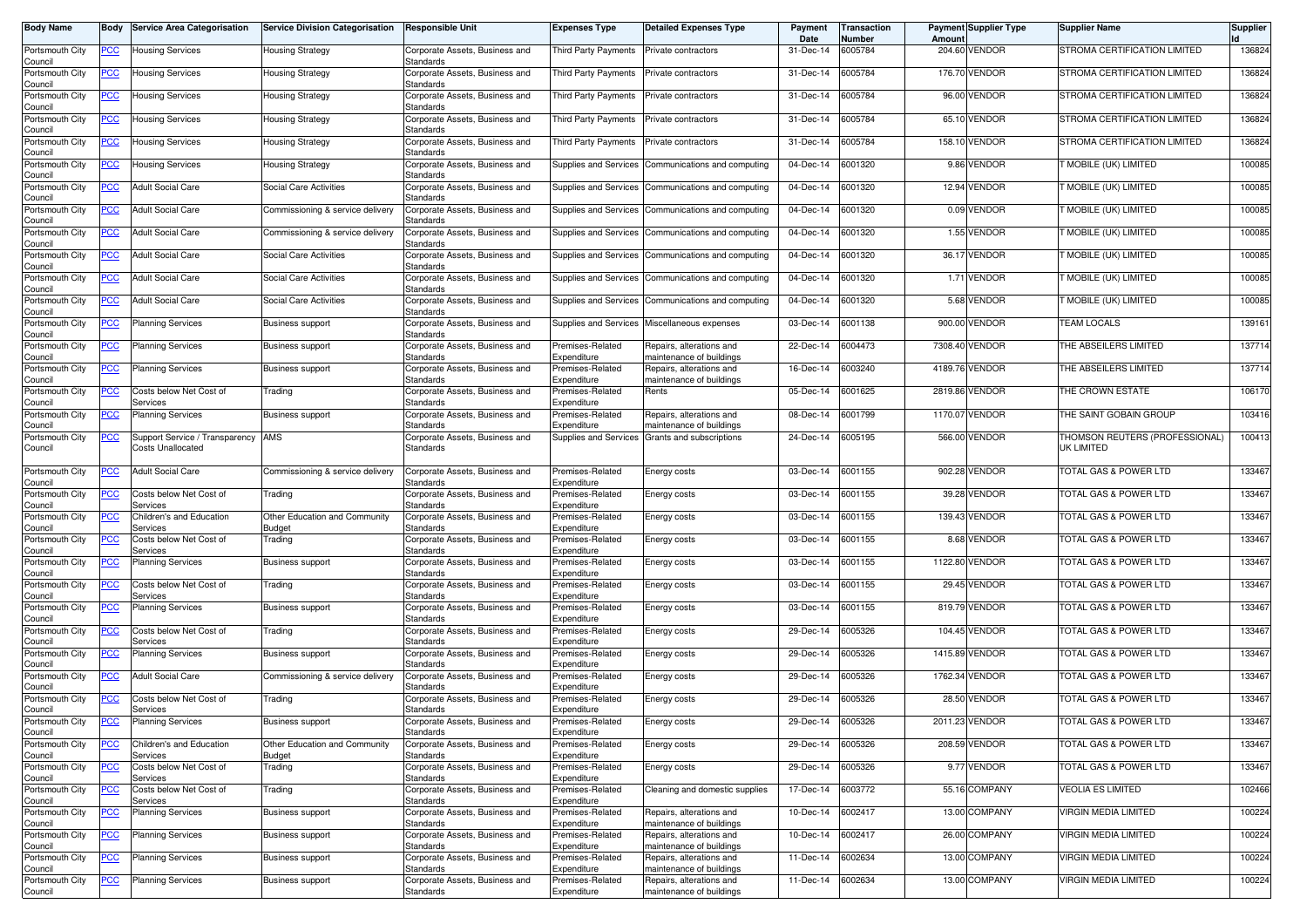| <b>Body Name</b>                      | Body       | <b>Service Area Categorisation</b>                  | <b>Service Division Categorisation</b>  | <b>Responsible Unit</b>                                  | Expenses Type                                  | <b>Detailed Expenses Type</b>                        | Payment<br>Date | Transaction<br>Number | Amoun   | <b>Payment Supplier Type</b> | <b>Supplier Name</b>                         | <b>Supplier</b> |
|---------------------------------------|------------|-----------------------------------------------------|-----------------------------------------|----------------------------------------------------------|------------------------------------------------|------------------------------------------------------|-----------------|-----------------------|---------|------------------------------|----------------------------------------------|-----------------|
| Portsmouth City<br>Council            | <u>PCC</u> | Housing Services                                    | <b>Housing Strategy</b>                 | Corporate Assets, Business and<br>Standards              | Third Party Payments                           | Private contractors                                  | 31-Dec-14       | 6005784               |         | 204.60 VENDOR                | STROMA CERTIFICATION LIMITED                 | 136824          |
| Portsmouth City<br>Council            | <u>PCC</u> | <b>Housing Services</b>                             | Housing Strategy                        | Corporate Assets, Business and<br>Standards              | Third Party Payments                           | Private contractors                                  | 31-Dec-14       | 6005784               |         | 176.70 VENDOR                | STROMA CERTIFICATION LIMITED                 | 136824          |
| Portsmouth City<br>Council            | <u>PCC</u> | Housing Services                                    | Housing Strategy                        | Corporate Assets, Business and<br>Standards              | <b>Third Party Payments</b>                    | Private contractors                                  | 31-Dec-14       | 6005784               |         | 96.00 VENDOR                 | STROMA CERTIFICATION LIMITED                 | 136824          |
| Portsmouth City<br>Council            | <u>PCC</u> | Housing Services                                    | Housing Strategy                        | Corporate Assets, Business and<br>Standards              | <b>Third Party Payments</b>                    | Private contractors                                  | 31-Dec-14       | 6005784               |         | 65.10 VENDOR                 | STROMA CERTIFICATION LIMITED                 | 136824          |
| Portsmouth City<br>Council            | <u>PCC</u> | Housing Services                                    | Housing Strategy                        | Corporate Assets, Business and<br>Standards              | Third Party Payments                           | Private contractors                                  | 31-Dec-14       | 6005784               |         | 158.10 VENDOR                | STROMA CERTIFICATION LIMITED                 | 136824          |
| Portsmouth City<br>Council            | <u>PCC</u> | <b>Housing Services</b>                             | Housing Strategy                        | Corporate Assets, Business and<br>Standards              | Supplies and Services                          | Communications and computing                         | 04-Dec-14       | 6001320               |         | 9.86 VENDOR                  | <b>T MOBILE (UK) LIMITED</b>                 | 100085          |
| Portsmouth City<br>Council            | <u>PCC</u> | <b>Adult Social Care</b>                            | Social Care Activities                  | Corporate Assets, Business and<br>Standards              | Supplies and Services                          | Communications and computing                         | 04-Dec-14       | 6001320               |         | 12.94 VENDOR                 | <b>T MOBILE (UK) LIMITED</b>                 | 100085          |
| Portsmouth City<br>Council            | <u>PCC</u> | <b>Adult Social Care</b>                            | Commissioning & service delivery        | Corporate Assets, Business and<br>Standards              | Supplies and Services                          | Communications and computing                         | 04-Dec-14       | 6001320               |         | 0.09 VENDOR                  | MOBILE (UK) LIMITED                          | 100085          |
| Portsmouth City<br>Council            | <b>PCC</b> | <b>Adult Social Care</b>                            | Commissioning & service delivery        | Corporate Assets, Business and<br>Standards              | Supplies and Services                          | Communications and computing                         | 04-Dec-14       | 6001320               |         | 1.55 VENDOR                  | MOBILE (UK) LIMITED                          | 100085          |
| Portsmouth City<br>Council            | <u>PCC</u> | <b>Adult Social Care</b>                            | Social Care Activities                  | Corporate Assets, Business and<br>Standards              | Supplies and Services                          | Communications and computing                         | 04-Dec-14       | 6001320               |         | 36.17 VENDOR                 | <b>T MOBILE (UK) LIMITED</b>                 | 100085          |
| Portsmouth City<br>Council            | <u>PCC</u> | <b>Adult Social Care</b>                            | <b>Social Care Activities</b>           | Corporate Assets, Business and<br>Standards              | Supplies and Services                          | Communications and computing                         | 04-Dec-14       | 6001320               |         | 1.71 VENDOR                  | <b>T MOBILE (UK) LIMITED</b>                 | 100085          |
| Portsmouth City<br>Council            | <u>PCC</u> | <b>Adult Social Care</b>                            | Social Care Activities                  | Corporate Assets, Business and<br>Standards              | Supplies and Services                          | Communications and computing                         | 04-Dec-14       | 6001320               |         | 5.68 VENDOR                  | <b>T MOBILE (UK) LIMITED</b>                 | 100085          |
| Portsmouth City<br>Council            | <b>PCC</b> | <b>Planning Services</b>                            | <b>Business support</b>                 | Corporate Assets, Business and<br>Standards              | Supplies and Services                          | Miscellaneous expenses                               | 03-Dec-14       | 6001138               |         | 900.00 VENDOR                | <b>TEAM LOCALS</b>                           | 139161          |
| Portsmouth City<br>Council            | <u>PCC</u> | Planning Services                                   | <b>Business support</b>                 | Corporate Assets, Business and<br>Standards              | Premises-Related<br>Expenditure                | Repairs, alterations and<br>naintenance of buildings | 22-Dec-14       | 6004473               |         | 7308.40 VENDOR               | THE ABSEILERS LIMITED                        | 137714          |
| Portsmouth City<br>Council            | <u>PCC</u> | <b>Planning Services</b>                            | <b>Business support</b>                 | Corporate Assets, Business and<br>Standards              | Premises-Related<br>Expenditure                | Repairs, alterations and<br>maintenance of buildings | 16-Dec-14       | 6003240               |         | 4189.76 VENDOR               | THE ABSEILERS LIMITED                        | 137714          |
| Portsmouth City<br>Council            | <u>PCC</u> | Costs below Net Cost of<br>Services                 | Trading                                 | Corporate Assets, Business and<br>Standards              | Premises-Related<br>Expenditure                | Rents                                                | 05-Dec-14       | 6001625               |         | 2819.86 VENDOR               | THE CROWN ESTATE                             | 106170          |
| Portsmouth City<br>Council            | <u>PCC</u> | Planning Services                                   | <b>Business support</b>                 | Corporate Assets, Business and<br>Standards              | Premises-Related<br>Expenditure                | Repairs, alterations and<br>naintenance of buildings | 08-Dec-14       | 6001799               | 1170.07 | <b>VENDOR</b>                | THE SAINT GOBAIN GROUP                       | 103416          |
| Portsmouth City<br>Council            | <u>PCC</u> | Support Service / Transparency<br>Costs Unallocated | AMS                                     | Corporate Assets, Business and<br>Standards              | <b>Supplies and Services</b>                   | Grants and subscriptions                             | 24-Dec-14       | 6005195               |         | 566.00 VENDOR                | THOMSON REUTERS (PROFESSIONAL)<br>UK LIMITED | 100413          |
| Portsmouth City<br>Council            | PCC        | <b>Adult Social Care</b>                            | Commissioning & service delivery        | Corporate Assets, Business and<br>Standards              | Premises-Related<br>Expenditure                | Energy costs                                         | 03-Dec-14       | 6001155               |         | 902.28 VENDOR                | TOTAL GAS & POWER LTD                        | 133467          |
| Portsmouth City<br>Council            | <u>PCC</u> | Costs below Net Cost of<br>Services                 | Trading                                 | Corporate Assets, Business and<br>Standards              | Premises-Related<br>Expenditure                | Energy costs                                         | 03-Dec-14       | 6001155               |         | 39.28 VENDOR                 | TOTAL GAS & POWER LTD                        | 133467          |
| Portsmouth City<br>Council            | <u>PCC</u> | Children's and Education<br>Services                | Other Education and Community<br>Budget | Corporate Assets, Business and<br>Standards              | Premises-Related<br>Expenditure                | Energy costs                                         | 03-Dec-14       | 6001155               |         | 139.43 VENDOR                | <b>TOTAL GAS &amp; POWER LTD</b>             | 133467          |
| Portsmouth City<br>Council            | <u>PCC</u> | Costs below Net Cost of<br>Services                 | Trading                                 | Corporate Assets, Business and<br>Standards              | Premises-Related<br>Expenditure                | Energy costs                                         | 03-Dec-14       | 6001155               |         | 8.68 VENDOR                  | <b>TOTAL GAS &amp; POWER LTD</b>             | 133467          |
| Portsmouth City<br>Council            | <u>PCC</u> | <b>Planning Services</b>                            | <b>Business support</b>                 | Corporate Assets, Business and<br>Standards              | Premises-Related<br>Expenditure                | Energy costs                                         | 03-Dec-14       | 6001155               |         | 1122.80 VENDOR               | TOTAL GAS & POWER LTD                        | 133467          |
| Portsmouth City<br>Council            | <u>PCC</u> | Costs below Net Cost of<br>Services                 | Trading                                 | Corporate Assets, Business and<br>Standards              | Premises-Related<br>Expenditure                | Energy costs                                         | 03-Dec-14       | 6001155               |         | <b>29.45 VENDOR</b>          | TOTAL GAS & POWER LTD                        | 133467          |
| Portsmouth City<br>Council            | <u>PCC</u> | <b>Planning Services</b>                            | <b>Business support</b>                 | Corporate Assets, Business and<br>Standards              | Premises-Related<br>Expenditure                | Energy costs                                         | 03-Dec-14       | 6001155               |         | 819.79 VENDOR                | TOTAL GAS & POWER LTD                        | 133467          |
| Portsmouth City<br>Council            | <b>PCC</b> | Costs below Net Cost of<br>Services                 | Trading                                 | Corporate Assets, Business and<br>Standards              | Premises-Related<br>Expenditure                | Energy costs                                         | 29-Dec-14       | 6005326               |         | 104.45 VENDOR                | <b>TOTAL GAS &amp; POWER LTD</b>             | 133467          |
| Portsmouth City<br>Council            | <u>PCC</u> | Planning Services                                   | <b>Business support</b>                 | Corporate Assets, Business and<br>Standards              | Premises-Related<br>Expenditure                | Energy costs                                         | 29-Dec-14       | 6005326               |         | 1415.89 VENDOR               | TOTAL GAS & POWER LTD                        | 133467          |
| Portsmouth City<br>Council            | <u>PCC</u> | <b>Adult Social Care</b>                            | Commissioning & service delivery        | Corporate Assets, Business and<br>Standards              | Premises-Related<br>Expenditure                | Energy costs                                         | 29-Dec-14       | 6005326               | 1762.34 | <b>VENDOR</b>                | TOTAL GAS & POWER LTD                        | 133467          |
| Portsmouth City                       | <u>PCC</u> | Costs below Net Cost of<br>Services                 | Trading                                 | Corporate Assets, Business and<br>Standards              | Premises-Related<br>Expenditure                | Energy costs                                         | 29-Dec-14       | 6005326               |         | 28.50 VENDOR                 | <b>TOTAL GAS &amp; POWER LTD</b>             | 133467          |
| Council<br>Portsmouth City<br>Council |            | Planning Services                                   | <b>Business support</b>                 | Corporate Assets, Business and<br>Standards              | Premises-Related<br>Expenditure                | Energy costs                                         | 29-Dec-14       | 6005326               |         | 2011.23 VENDOR               | OTAL GAS & POWER LTD                         | 133467          |
| Portsmouth City                       | <u>PCC</u> | Children's and Education<br>Services                | Other Education and Community<br>Budget | Corporate Assets, Business and<br>Standards              | Premises-Related<br>Expenditure                | Energy costs                                         | 29-Dec-14       | 6005326               |         | 208.59 VENDOR                | <b>TOTAL GAS &amp; POWER LTD</b>             | 133467          |
| Council<br>Portsmouth City            | <u>PCC</u> | Costs below Net Cost of                             | Trading                                 | Corporate Assets, Business and<br>Standards              | Premises-Related<br>Expenditure                | Energy costs                                         | 29-Dec-14       | 6005326               |         | 9.77 VENDOR                  | TOTAL GAS & POWER LTD                        | 133467          |
| Council<br>Portsmouth City            | <u>PCC</u> | Services<br>Costs below Net Cost of                 | Trading                                 | Corporate Assets, Business and                           | Premises-Related                               | Cleaning and domestic supplies                       | 17-Dec-14       | 6003772               |         | 55.16 COMPANY                | VEOLIA ES LIMITED                            | 102466          |
| Council<br>Portsmouth City            | <u>PCC</u> | Services<br><b>Planning Services</b>                | <b>Business support</b>                 | Standards<br>Corporate Assets, Business and<br>Standards | Expenditure<br>Premises-Related<br>Expenditure | Repairs, alterations and<br>naintenance of buildings | 10-Dec-14       | 6002417               |         | 13.00 COMPANY                | VIRGIN MEDIA LIMITED                         | 100224          |
| Council<br>Portsmouth City            | <u>PCC</u> | <b>Planning Services</b>                            | <b>Business support</b>                 | Corporate Assets, Business and<br>Standards              | Premises-Related<br>Expenditure                | Repairs, alterations and<br>naintenance of buildings | 10-Dec-14       | 6002417               |         | 26.00 COMPANY                | VIRGIN MEDIA LIMITED                         | 100224          |
| Council<br>Portsmouth City            | <u>PCC</u> | <b>Planning Services</b>                            | <b>Business support</b>                 | Corporate Assets, Business and<br>Standards              | Premises-Related<br>Expenditure                | Repairs, alterations and<br>maintenance of buildings | 11-Dec-14       | 6002634               |         | 13.00 COMPANY                | VIRGIN MEDIA LIMITED                         | 100224          |
| Council<br>Portsmouth City<br>Council | <u>PCC</u> | <b>Planning Services</b>                            | <b>Business support</b>                 | Corporate Assets, Business and<br>Standards              | Premises-Related<br>Expenditure                | Repairs, alterations and<br>maintenance of buildings | 11-Dec-14       | 6002634               |         | 13.00 COMPANY                | VIRGIN MEDIA LIMITED                         | 100224          |
|                                       |            |                                                     |                                         |                                                          |                                                |                                                      |                 |                       |         |                              |                                              |                 |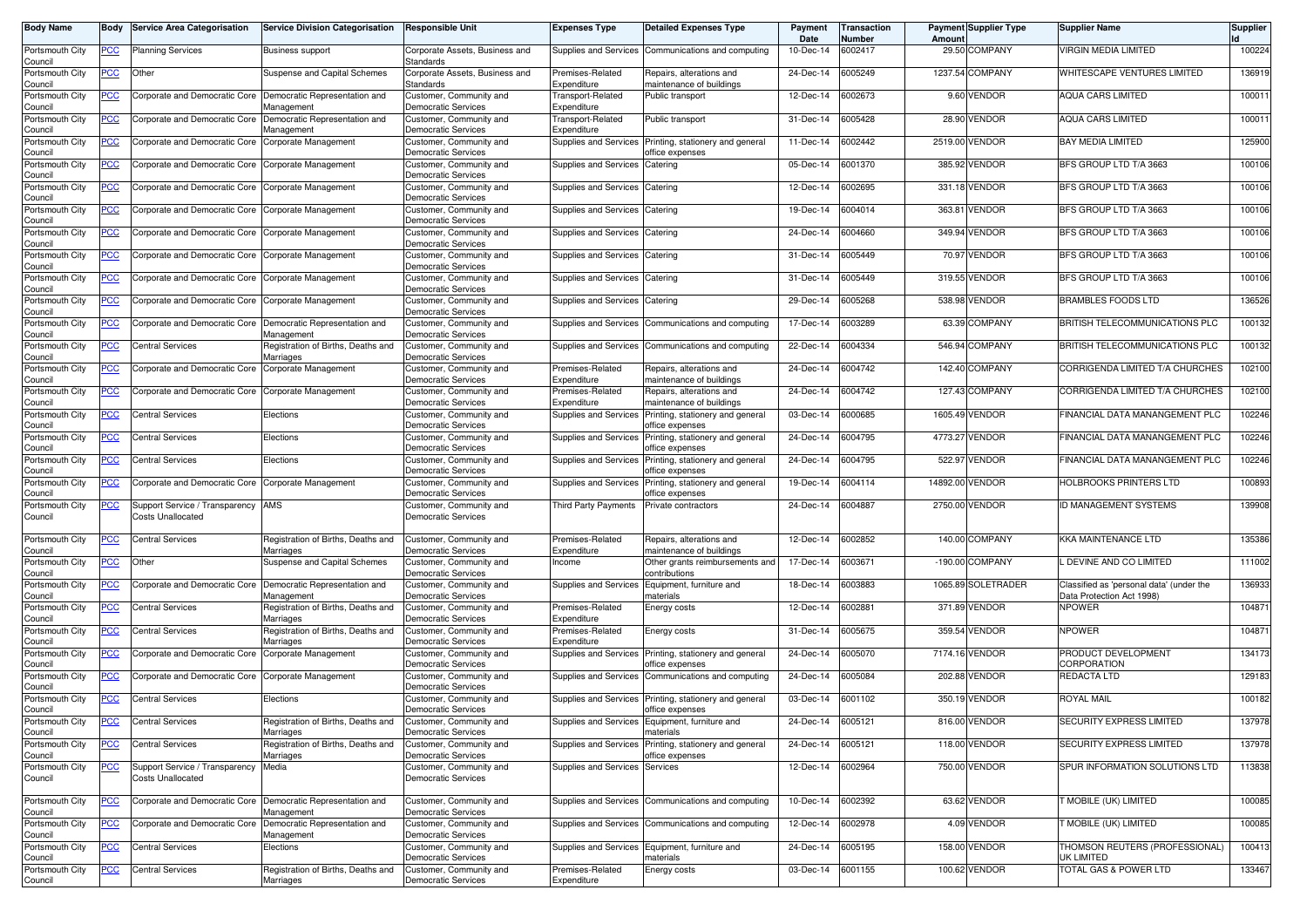| <b>Body Name</b>           | Body       | <b>Service Area Categorisation</b>                         | <b>Service Division Categorisation</b>          | <b>Responsible Unit</b>                               | <b>Expenses Type</b>             | <b>Detailed Expenses Type</b>                                             | Payment<br>Date | Transaction<br>Number | Amoun     | <b>Payment Supplier Type</b> | <b>Supplier Name</b>                                                  | <b>Supplier</b> |
|----------------------------|------------|------------------------------------------------------------|-------------------------------------------------|-------------------------------------------------------|----------------------------------|---------------------------------------------------------------------------|-----------------|-----------------------|-----------|------------------------------|-----------------------------------------------------------------------|-----------------|
| Portsmouth City<br>Council | PCC        | <b>Planning Services</b>                                   | <b>Business support</b>                         | Corporate Assets, Business and<br>Standards           | Supplies and Services            | Communications and computing                                              | 10-Dec-14       | 6002417               | 29.50     | <b>COMPANY</b>               | <b>VIRGIN MEDIA LIMITED</b>                                           | 100224          |
| Portsmouth City<br>Council | <u>PCC</u> | Other                                                      | Suspense and Capital Schemes                    | Corporate Assets, Business and<br>Standards           | Premises-Related<br>Expenditure  | Repairs, alterations and<br>maintenance of buildings                      | 24-Dec-14       | 6005249               |           | 1237.54 COMPANY              | WHITESCAPE VENTURES LIMITED                                           | 136919          |
| Portsmouth City<br>Council | <u>PCC</u> | Corporate and Democratic Core                              | Democratic Representation and<br>Management     | Customer, Community and<br><b>Democratic Services</b> | Transport-Related<br>Expenditure | Public transport                                                          | 12-Dec-14       | 6002673               | 9.60      | <b>VENDOR</b>                | <b>AQUA CARS LIMITED</b>                                              | 100011          |
| Portsmouth City<br>Council | ∍CC        | Corporate and Democratic Core                              | Democratic Representation and<br>Management     | Customer, Community and<br>Democratic Services        | Transport-Related<br>Expenditure | Public transport                                                          | 31-Dec-14       | 6005428               | 28.90     | VENDOR                       | <b>AQUA CARS LIMITED</b>                                              | 100011          |
| Portsmouth City<br>Council | <u>PCC</u> | Corporate and Democratic Core                              | Corporate Management                            | Customer, Community and<br>Democratic Services        | <b>Supplies and Services</b>     | Printing, stationery and general<br>office expenses                       | 11-Dec-14       | 6002442               | 2519.00   | VENDOR                       | <b>BAY MEDIA LIMITED</b>                                              | 125900          |
| Portsmouth City<br>Council | <u>PCC</u> | Corporate and Democratic Core                              | Corporate Management                            | Customer, Community and<br><b>Democratic Services</b> | Supplies and Services            | Catering                                                                  | 05-Dec-14       | 6001370               | 385.92    | <b>VENDOR</b>                | BFS GROUP LTD T/A 3663                                                | 100106          |
| Portsmouth City<br>Council | <u>PCC</u> | Corporate and Democratic Core                              | Corporate Management                            | Customer, Community and<br><b>Democratic Services</b> | Supplies and Services            | Catering                                                                  | 12-Dec-14       | 6002695               | 331.18    | <b>VENDOR</b>                | BFS GROUP LTD T/A 3663                                                | 100106          |
| Portsmouth City<br>Council | <u>PCC</u> | Corporate and Democratic Core                              | Corporate Management                            | Customer, Community and<br><b>Democratic Services</b> | Supplies and Services            | Catering                                                                  | 19-Dec-14       | 6004014               | 363.81    | <b>VENDOR</b>                | BFS GROUP LTD T/A 3663                                                | 100106          |
| Portsmouth City<br>Council | ∍CC        | Corporate and Democratic Core                              | Corporate Management                            | Customer, Community and<br>Democratic Services        | Supplies and Services            | Catering                                                                  | 24-Dec-14       | 6004660               | 349.94    | <b>VENDOR</b>                | BFS GROUP LTD T/A 3663                                                | 100106          |
| Portsmouth City<br>Council | PСC        | Corporate and Democratic Core                              | Corporate Management                            | Customer, Community and<br><b>Democratic Services</b> | Supplies and Services            | Catering                                                                  | 31-Dec-14       | 6005449               | 70.97     | <b>VENDOR</b>                | BFS GROUP LTD T/A 3663                                                | 100106          |
| Portsmouth City<br>Council | <u>PCC</u> | Corporate and Democratic Core                              | Corporate Management                            | Customer, Community and<br><b>Democratic Services</b> | Supplies and Services            | Catering                                                                  | 31-Dec-14       | 6005449               |           | 319.55 VENDOR                | BFS GROUP LTD T/A 3663                                                | 100106          |
| Portsmouth City<br>Council | PСC        | Corporate and Democratic Core                              | Corporate Management                            | Customer, Community and<br><b>Democratic Services</b> | Supplies and Services            | Catering                                                                  | 29-Dec-14       | 6005268               | 538.98    | <b>VENDOR</b>                | <b>BRAMBLES FOODS LTD</b>                                             | 136526          |
| Portsmouth City<br>Council | PСC        | Corporate and Democratic Core                              | Democratic Representation and<br>Management     | Customer, Community and<br><b>Democratic Services</b> | <b>Supplies and Services</b>     | Communications and computing                                              | 17-Dec-14       | 6003289               | 63.39     | <b>COMPANY</b>               | BRITISH TELECOMMUNICATIONS PLC                                        | 100132          |
| Portsmouth City<br>Council | PCC        | Central Services                                           | Registration of Births, Deaths and<br>Marriages | Customer, Community and<br><b>Democratic Services</b> | Supplies and Services            | Communications and computing                                              | 22-Dec-14       | 6004334               | 546.94    | <b>COMPANY</b>               | <b>BRITISH TELECOMMUNICATIONS PLC</b>                                 | 100132          |
| Portsmouth City<br>Council | PCC        | Corporate and Democratic Core                              | Corporate Management                            | Customer, Community and<br><b>Democratic Services</b> | Premises-Related<br>Expenditure  | Repairs, alterations and<br>maintenance of buildings                      | 24-Dec-14       | 6004742               |           | 142.40 COMPANY               | CORRIGENDA LIMITED T/A CHURCHES                                       | 102100          |
| Portsmouth City<br>Council | PСC        | Corporate and Democratic Core                              | Corporate Management                            | Customer, Community and<br><b>Democratic Services</b> | Premises-Related<br>Expenditure  | Repairs, alterations and<br>maintenance of buildings                      | 24-Dec-14       | 6004742               | 127.43    | <b>COMPANY</b>               | CORRIGENDA LIMITED T/A CHURCHES                                       | 102100          |
| Portsmouth City<br>Council | PСC        | Central Services                                           | Elections                                       | Customer, Community and<br><b>Democratic Services</b> | <b>Supplies and Services</b>     | Printing, stationery and general<br>office expenses                       | 03-Dec-14       | 6000685               |           | 1605.49 VENDOR               | FINANCIAL DATA MANANGEMENT PLC                                        | 102246          |
| Portsmouth City<br>Council | <u>PCC</u> | <b>Central Services</b>                                    | Elections                                       | Customer, Community and<br>Democratic Services        | Supplies and Services            | Printing, stationery and general<br>office expenses                       | 24-Dec-14       | 6004795               | 4773.27   | <b>VENDOR</b>                | FINANCIAL DATA MANANGEMENT PLC                                        | 102246          |
| Portsmouth City<br>Council | PСC        | Central Services                                           | Elections                                       | Customer, Community and<br><b>Democratic Services</b> | Supplies and Services            | Printing, stationery and general<br>office expenses                       | 24-Dec-14       | 6004795               | 522.97    | <b>VENDOR</b>                | FINANCIAL DATA MANANGEMENT PLC                                        | 102246          |
| Portsmouth City<br>Council | PCC        | Corporate and Democratic Core                              | Corporate Management                            | Customer, Community and<br><b>Democratic Services</b> | Supplies and Services            | Printing, stationery and general<br>office expenses                       | 19-Dec-14       | 6004114               | 14892.00  | <b>VENDOR</b>                | HOLBROOKS PRINTERS LTD                                                | 100893          |
| Portsmouth City<br>Council | <u>PCC</u> | Support Service / Transparency<br>Costs Unallocated        | AMS                                             | Customer, Community and<br><b>Democratic Services</b> | Third Party Payments             | Private contractors                                                       | 24-Dec-14       | 6004887               | 2750.00   | <b>VENDOR</b>                | ID MANAGEMENT SYSTEMS                                                 | 139908          |
| Portsmouth City<br>Council | PСC        | <b>Central Services</b>                                    | Registration of Births, Deaths and<br>Marriages | Customer, Community and<br><b>Democratic Services</b> | Premises-Related<br>Expenditure  | Repairs, alterations and<br>maintenance of buildings                      | 12-Dec-14       | 6002852               |           | 140.00 COMPANY               | <b>KKA MAINTENANCE LTD</b>                                            | 135386          |
| Portsmouth City<br>Council | PСC        | Other                                                      | Suspense and Capital Schemes                    | Customer, Community and<br>Democratic Services        | Income                           | Other grants reimbursements and<br>contributions                          | 17-Dec-14       | 6003671               | $-190.00$ | <b>COMPANY</b>               | L DEVINE AND CO LIMITED                                               | 111002          |
| Portsmouth City<br>Council | PСC        | Corporate and Democratic Core                              | Democratic Representation and<br>Management     | Customer, Community and<br>Democratic Services        | Supplies and Services            | Equipment, furniture and<br>materials                                     | 18-Dec-14       | 6003883               | 1065.89   | SOLETRADER                   | Classified as 'personal data' (under the<br>Data Protection Act 1998) | 136933          |
| Portsmouth City<br>Council | PСC        | <b>Central Services</b>                                    | Registration of Births, Deaths and<br>Marriages | Customer, Community and<br><b>Democratic Services</b> | Premises-Related<br>Expenditure  | Energy costs                                                              | 12-Dec-14       | 6002881               | 371.89    | <b>VENDOR</b>                | <b>NPOWER</b>                                                         | 104871          |
| Portsmouth City<br>Council | ∍CC        | <b>Central Services</b>                                    | Registration of Births, Deaths and<br>Marriages | Customer, Community and<br><b>Democratic Services</b> | Premises-Related<br>Expenditure  | Energy costs                                                              | 31-Dec-14       | 6005675               |           | 359.54 VENDOR                | <b>NPOWER</b>                                                         | 104871          |
| Portsmouth City<br>Council | <u>PCC</u> | Corporate and Democratic Core                              | Corporate Management                            | Customer, Community and<br><b>Democratic Services</b> | Supplies and Services            | Printing, stationery and general<br>office expenses                       | 24-Dec-14       | 6005070               | 7174.16   | <b>VENDOR</b>                | PRODUCT DEVELOPMENT<br>CORPORATION                                    | 134173          |
| Portsmouth City<br>Council | <u>PCC</u> | Corporate and Democratic Core                              | Corporate Management                            | Customer, Community and<br><b>Democratic Services</b> | Supplies and Services            | Communications and computing                                              | 24-Dec-14       | 6005084               | 202.88    | <b>VENDOR</b>                | REDACTA LTD                                                           | 129183          |
| Portsmouth City<br>Council | <u>PCC</u> | <b>Central Services</b>                                    | Elections                                       | Customer, Community and<br><b>Democratic Services</b> | Supplies and Services            | Printing, stationery and general<br>office expenses                       | 03-Dec-14       | 6001102               |           | 350.19 VENDOR                | <b>ROYAL MAIL</b>                                                     | 100182          |
| Portsmouth City<br>Council |            | Central Services                                           | Registration of Births, Deaths and<br>Marriages | Customer, Community and<br><b>Democratic Services</b> |                                  | Supplies and Services   Equipment, furniture and<br>materials             | 24-Dec-14       | 6005121               |           | 816.00 VENDOR                | SECURITY EXPRESS LIMITED                                              | 137978          |
| Portsmouth City<br>Council | <b>PCC</b> | <b>Central Services</b>                                    | Registration of Births, Deaths and<br>Marriages | Customer, Community and<br><b>Democratic Services</b> |                                  | Supplies and Services Printing, stationery and general<br>office expenses | 24-Dec-14       | 6005121               |           | 118.00 VENDOR                | SECURITY EXPRESS LIMITED                                              | 137978          |
| Portsmouth City<br>Council | <b>PCC</b> | Support Service / Transparency<br><b>Costs Unallocated</b> | Media                                           | Customer, Community and<br><b>Democratic Services</b> | Supplies and Services Services   |                                                                           | 12-Dec-14       | 6002964               |           | 750.00 VENDOR                | SPUR INFORMATION SOLUTIONS LTD                                        | 113838          |
| Portsmouth City<br>Council | <b>PCC</b> | Corporate and Democratic Core                              | Democratic Representation and<br>Management     | Customer, Community and<br><b>Democratic Services</b> | Supplies and Services            | Communications and computing                                              | 10-Dec-14       | 6002392               |           | 63.62 VENDOR                 | MOBILE (UK) LIMITED                                                   | 100085          |
| Portsmouth City<br>Council | <u>PCC</u> | Corporate and Democratic Core                              | Democratic Representation and<br>Management     | Customer, Community and<br><b>Democratic Services</b> | Supplies and Services            | Communications and computing                                              | 12-Dec-14       | 6002978               |           | 4.09 VENDOR                  | T MOBILE (UK) LIMITED                                                 | 100085          |
| Portsmouth City<br>Council | <u>PCC</u> | Central Services                                           | Elections                                       | Customer, Community and<br><b>Democratic Services</b> |                                  | Supplies and Services Equipment, furniture and<br>materials               | 24-Dec-14       | 6005195               |           | 158.00 VENDOR                | THOMSON REUTERS (PROFESSIONAL)<br>UK LIMITED                          | 100413          |
| Portsmouth City<br>Council | <b>PCC</b> | <b>Central Services</b>                                    | Registration of Births, Deaths and<br>Marriages | Customer, Community and<br><b>Democratic Services</b> | Premises-Related<br>Expenditure  | Energy costs                                                              | $03-Dec-14$     | 6001155               |           | 100.62 VENDOR                | TOTAL GAS & POWER LTD                                                 | 133467          |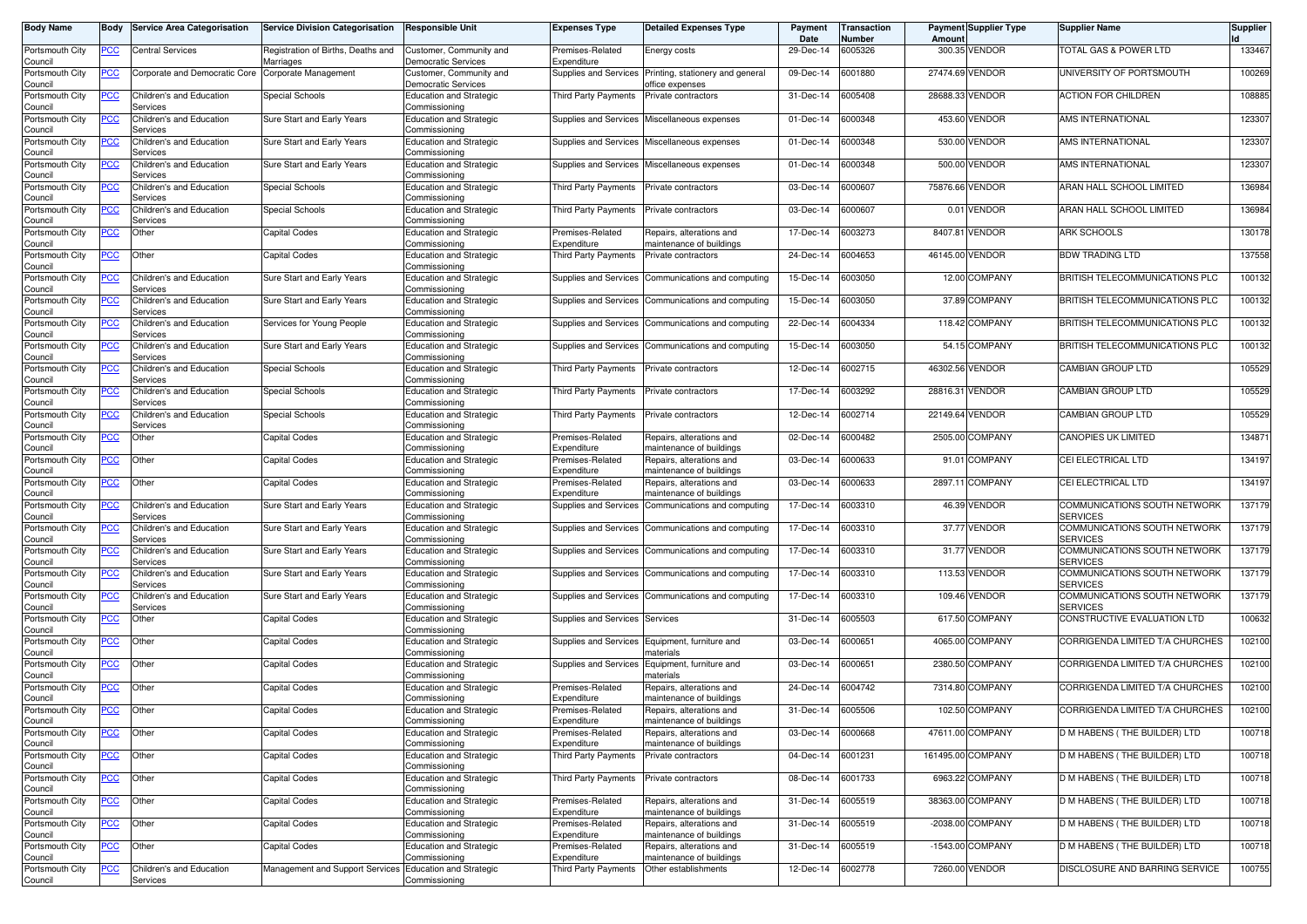| <b>Body Name</b>                      | Body             | <b>Service Area Categorisation</b>   | <b>Service Division Categorisation</b>                  | <b>Responsible Unit</b>                                          | <b>Expenses Type</b>                | <b>Detailed Expenses Type</b>                        | Payment<br>Date | Transaction<br>Number | Amoun           | <b>Payment Supplier Type</b> | <b>Supplier Name</b>                            | <b>Supplier</b> |
|---------------------------------------|------------------|--------------------------------------|---------------------------------------------------------|------------------------------------------------------------------|-------------------------------------|------------------------------------------------------|-----------------|-----------------------|-----------------|------------------------------|-------------------------------------------------|-----------------|
| Portsmouth City<br>Council            | PCC              | Central Services                     | Registration of Births, Deaths and<br>Marriages         | Customer, Community and<br><b>Democratic Services</b>            | Premises-Related<br>Expenditure     | Energy costs                                         | 29-Dec-14       | 6005326               | 300.35          | <b>VENDOR</b>                | TOTAL GAS & POWER LTD                           | 133467          |
| Portsmouth City<br>Council            | ∍CC              | Corporate and Democratic Core        | Corporate Management                                    | Customer, Community and<br><b>Democratic Services</b>            | Supplies and Services               | Printing, stationery and general<br>office expenses  | 09-Dec-14       | 6001880               | 27474.69        | <b>VENDOR</b>                | UNIVERSITY OF PORTSMOUTH                        | 100269          |
| Portsmouth City<br>Council            | <u>PCC</u>       | Children's and Education<br>Services | Special Schools                                         | <b>Education and Strategic</b><br>Commissioning                  | Third Party Payments                | Private contractors                                  | 31-Dec-14       | 6005408               | 28688.33        | <b>VENDOR</b>                | <b>ACTION FOR CHILDREN</b>                      | 108885          |
| Portsmouth City<br>Council            | <u>PCC</u>       | Children's and Education<br>Services | Sure Start and Early Years                              | <b>Education and Strategic</b><br>Commissioning                  | Supplies and Services               | Miscellaneous expenses                               | 01-Dec-14       | 6000348               | 453.60          | <b>VENDOR</b>                | AMS INTERNATIONAL                               | 123307          |
| Portsmouth City<br>Council            | <u>PCC</u>       | Children's and Education<br>Services | Sure Start and Early Years                              | <b>Education and Strategic</b><br>Commissioning                  | Supplies and Services               | Miscellaneous expenses                               | 01-Dec-14       | 6000348               | 530.00          | <b>VENDOR</b>                | AMS INTERNATIONAL                               | 123307          |
| Portsmouth City<br>Council            | <u>PCC</u>       | Children's and Education<br>Services | Sure Start and Early Years                              | <b>Education and Strategic</b><br>Commissioning                  | Supplies and Services               | Miscellaneous expenses                               | 01-Dec-14       | 6000348               | 500.00          | <b>VENDOR</b>                | AMS INTERNATIONAL                               | 123307          |
| Portsmouth City<br>Council            | <u>PCC</u>       | Children's and Education<br>Services | Special Schools                                         | <b>Education and Strategic</b><br>Commissioning                  | Third Party Payments                | Private contractors                                  | 03-Dec-14       | 6000607               | 75876.66        | <b>VENDOR</b>                | ARAN HALL SCHOOL LIMITED                        | 136984          |
| Portsmouth City<br>Council            | <u>PCC</u>       | Children's and Education<br>Services | Special Schools                                         | <b>Education and Strategic</b><br>Commissioning                  | Third Party Payments                | Private contractors                                  | 03-Dec-14       | 6000607               |                 | 0.01 VENDOR                  | ARAN HALL SCHOOL LIMITED                        | 136984          |
| Portsmouth City                       | <b>PCC</b>       | Other                                | <b>Capital Codes</b>                                    | <b>Education and Strategic</b>                                   | Premises-Related                    | Repairs, alterations and                             | 17-Dec-14       | 6003273               | 8407.81         | <b>VENDOR</b>                | <b>ARK SCHOOLS</b>                              | 130178          |
| Council<br>Portsmouth City            | PСC              | Other                                | Capital Codes                                           | Commissioning<br><b>Education and Strategic</b>                  | Expenditure<br>Third Party Payments | maintenance of buildings<br>Private contractors      | 24-Dec-14       | 6004653               | 46145.00        | <b>VENDOR</b>                | <b>BDW TRADING LTD</b>                          | 137558          |
| Council                               |                  |                                      |                                                         | Commissioning                                                    |                                     |                                                      |                 |                       |                 | 12.00 COMPANY                | BRITISH TELECOMMUNICATIONS PLC                  |                 |
| Portsmouth City<br>Council            | <u>PCC</u>       | Children's and Education<br>Services | Sure Start and Early Years                              | <b>Education and Strategic</b><br>Commissioning                  | Supplies and Services               | Communications and computing                         | 15-Dec-14       | 6003050               |                 |                              |                                                 | 100132          |
| Portsmouth City<br>Council            | PCC              | Children's and Education<br>Services | Sure Start and Early Years                              | <b>Education and Strategic</b><br>Commissioning                  | Supplies and Services               | Communications and computing                         | 15-Dec-14       | 6003050               | 37.89           | <b>COMPANY</b>               | BRITISH TELECOMMUNICATIONS PLC                  | 100132          |
| Portsmouth City<br>Council            | PСC              | Children's and Education<br>Services | Services for Young People                               | <b>Education and Strategic</b><br>Commissioning                  | Supplies and Services               | Communications and computing                         | 22-Dec-14       | 6004334               | 118.42          | <b>COMPANY</b>               | BRITISH TELECOMMUNICATIONS PLC                  | 100132          |
| Portsmouth City<br>Council            | PCC              | Children's and Education<br>Services | Sure Start and Early Years                              | <b>Education and Strategic</b><br>Commissioning                  | Supplies and Services               | Communications and computing                         | 15-Dec-14       | 6003050               |                 | 54.15 COMPANY                | BRITISH TELECOMMUNICATIONS PLC                  | 100132          |
| Portsmouth City<br>Council            | PСC              | Children's and Education<br>Services | Special Schools                                         | <b>Education and Strategic</b><br>Commissioning                  | Third Party Payments                | Private contractors                                  | 12-Dec-14       | 6002715               |                 | 46302.56 VENDOR              | <b>CAMBIAN GROUP LTD</b>                        | 105529          |
| Portsmouth City<br>Council            | <u>PCC</u>       | Children's and Education<br>Services | Special Schools                                         | <b>Education and Strategic</b><br>Commissioning                  | Third Party Payments                | Private contractors                                  | 17-Dec-14       | 6003292               |                 | 28816.31 VENDOR              | CAMBIAN GROUP LTD                               | 105529          |
| Portsmouth City<br>Council            | PСC              | Children's and Education<br>Services | Special Schools                                         | <b>Education and Strategic</b><br>Commissioning                  | Third Party Payments                | Private contractors                                  | 12-Dec-14       | 6002714               | 22149.64 VENDOR |                              | <b>CAMBIAN GROUP LTD</b>                        | 105529          |
| Portsmouth City<br>Council            | <u>PCC</u>       | Other                                | <b>Capital Codes</b>                                    | <b>Education and Strategic</b><br>Commissioning                  | Premises-Related<br>Expenditure     | Repairs, alterations and<br>maintenance of buildings | 02-Dec-14       | 6000482               | 2505.00         | <b>COMPANY</b>               | <b>CANOPIES UK LIMITED</b>                      | 134871          |
| Portsmouth City<br>Council            | PСC              | Other                                | <b>Capital Codes</b>                                    | <b>Education and Strategic</b><br>Commissioning                  | Premises-Related<br>Expenditure     | Repairs, alterations and<br>maintenance of buildings | 03-Dec-14       | 6000633               |                 | 91.01 COMPANY                | CEI ELECTRICAL LTD                              | 134197          |
| Portsmouth City<br>Council            | <u>PCC</u>       | Other                                | <b>Capital Codes</b>                                    | <b>Education and Strategic</b><br>Commissioning                  | Premises-Related<br>Expenditure     | Repairs, alterations and<br>maintenance of buildings | 03-Dec-14       | 6000633               |                 | 2897.11 COMPANY              | CEI ELECTRICAL LTD                              | 134197          |
| Portsmouth City<br>Council            | <u>PCC</u>       | Children's and Education<br>Services | Sure Start and Early Years                              | <b>Education and Strategic</b><br>Commissioning                  | Supplies and Services               | Communications and computing                         | 17-Dec-14       | 6003310               | 46.39           | <b>VENDOR</b>                | COMMUNICATIONS SOUTH NETWORK<br><b>SERVICES</b> | 137179          |
| Portsmouth City<br>Council            | <u>PCC</u>       | Children's and Education<br>Services | Sure Start and Early Years                              | <b>Education and Strategic</b><br>Commissioning                  | Supplies and Services               | Communications and computing                         | 17-Dec-14       | 6003310               | 37.77           | <b>VENDOR</b>                | COMMUNICATIONS SOUTH NETWORK<br><b>SERVICES</b> | 137179          |
| Portsmouth City<br>Council            | <u>PCC</u>       | Children's and Education<br>Services | Sure Start and Early Years                              | <b>Education and Strategic</b><br>Commissioning                  | Supplies and Services               | Communications and computing                         | 17-Dec-14       | 6003310               | 31.77           | <b>VENDOR</b>                | COMMUNICATIONS SOUTH NETWORK<br><b>SERVICES</b> | 137179          |
| Portsmouth City<br>Council            | <u>PCC</u>       | Children's and Education<br>Services | Sure Start and Early Years                              | <b>Education and Strategic</b><br>Commissioning                  | Supplies and Services               | Communications and computing                         | 17-Dec-14       | 6003310               | 113.53          | <b>VENDOR</b>                | COMMUNICATIONS SOUTH NETWORK<br><b>SERVICES</b> | 137179          |
| Portsmouth City<br>Council            | <u>PCC </u>      | Children's and Education<br>Services | Sure Start and Early Years                              | <b>Education and Strategic</b><br>Commissioning                  | Supplies and Services               | Communications and computing                         | 17-Dec-14       | 6003310               |                 | 109.46 VENDOR                | COMMUNICATIONS SOUTH NETWORK<br><b>SERVICES</b> | 137179          |
| Portsmouth City<br>Council            | <b>PCC</b>       | Other                                | <b>Capital Codes</b>                                    | <b>Education and Strategic</b><br>Commissioning                  | Supplies and Services Services      |                                                      | 31-Dec-14       | 6005503               |                 | 617.50 COMPANY               | CONSTRUCTIVE EVALUATION LTD                     | 100632          |
| Portsmouth City<br>Council            | <u>PCC</u>       | Other                                | Capital Codes                                           | <b>Education and Strategic</b><br>Commissioning                  | Supplies and Services               | Equipment, furniture and<br>naterials                | 03-Dec-14       | 6000651               | 4065.00         | <b>COMPANY</b>               | CORRIGENDA LIMITED T/A CHURCHES                 | 102100          |
| Portsmouth City<br>Council            | <u>PCC</u>       | Other                                | Capital Codes                                           | <b>Education and Strategic</b><br>Commissioning                  | Supplies and Services               | Equipment, furniture and<br>naterials                | 03-Dec-14       | 6000651               | 2380.50         | <b>COMPANY</b>               | CORRIGENDA LIMITED T/A CHURCHES                 | 102100          |
| Portsmouth City<br>Council            | $\overline{PCC}$ | Other                                | <b>Capital Codes</b>                                    | <b>Education and Strategic</b><br>Commissioning                  | Premises-Related<br>Expenditure     | Repairs, alterations and<br>maintenance of buildings | 24-Dec-14       | 6004742               |                 | 7314.80 COMPANY              | CORRIGENDA LIMITED T/A CHURCHES                 | 102100          |
| Portsmouth City<br>Council            | <u>PCC</u>       | Other                                | <b>Capital Codes</b>                                    | <b>Education and Strategic</b><br>Commissioning                  | Premises-Related<br>Expenditure     | Repairs, alterations and<br>naintenance of buildings | 31-Dec-14       | 6005506               |                 | 102.50 COMPANY               | CORRIGENDA LIMITED T/A CHURCHES                 | 102100          |
| Portsmouth City<br>Council            | <b>PCC</b>       | Other                                | Capital Codes                                           | <b>Education and Strategic</b><br>Commissioning                  | Premises-Related<br>Expenditure     | Repairs, alterations and<br>maintenance of buildings | 03-Dec-14       | 6000668               |                 | 47611.00 COMPANY             | D M HABENS (THE BUILDER) LTD                    | 100718          |
| Portsmouth City                       | <u>PCC</u>       | Other                                | Capital Codes                                           | <b>Education and Strategic</b>                                   | Third Party Payments                | Private contractors                                  | 04-Dec-14       | 6001231               |                 | 161495.00 COMPANY            | D M HABENS (THE BUILDER) LTD                    | 100718          |
| Council<br>Portsmouth City<br>Council | <u>PCC</u>       | Other                                | Capital Codes                                           | Commissioning<br><b>Education and Strategic</b><br>Commissioning | Third Party Payments                | Private contractors                                  | 08-Dec-14       | 6001733               |                 | 6963.22 COMPANY              | D M HABENS (THE BUILDER) LTD                    | 100718          |
| Portsmouth City                       | <b>PCC</b>       | Other                                | Capital Codes                                           | <b>Education and Strategic</b><br>Commissioning                  | Premises-Related<br>Expenditure     | Repairs, alterations and<br>maintenance of buildings | 31-Dec-14       | 6005519               |                 | 38363.00 COMPANY             | D M HABENS (THE BUILDER) LTD                    | 100718          |
| Council<br>Portsmouth City<br>Council | <u>PCC</u>       | Other                                | Capital Codes                                           | <b>Education and Strategic</b><br>Commissioning                  | Premises-Related<br>Expenditure     | Repairs, alterations and<br>maintenance of buildings | 31-Dec-14       | 6005519               |                 | -2038.00 COMPANY             | D M HABENS (THE BUILDER) LTD                    | 100718          |
| Portsmouth City<br>Council            | <u>PCC</u>       | Other                                | Capital Codes                                           | <b>Education and Strategic</b><br>Commissioning                  | Premises-Related<br>Expenditure     | Repairs, alterations and<br>maintenance of buildings | 31-Dec-14       | 6005519               |                 | -1543.00 COMPANY             | D M HABENS (THE BUILDER) LTD                    | 100718          |
| Portsmouth City                       | <u>PCC</u>       | Children's and Education<br>Services | Management and Support Services Education and Strategic | Commissioning                                                    | Third Party Payments                | Other establishments                                 | 12-Dec-14       | 6002778               |                 | 7260.00 VENDOR               | DISCLOSURE AND BARRING SERVICE                  | 100755          |
| Council                               |                  |                                      |                                                         |                                                                  |                                     |                                                      |                 |                       |                 |                              |                                                 |                 |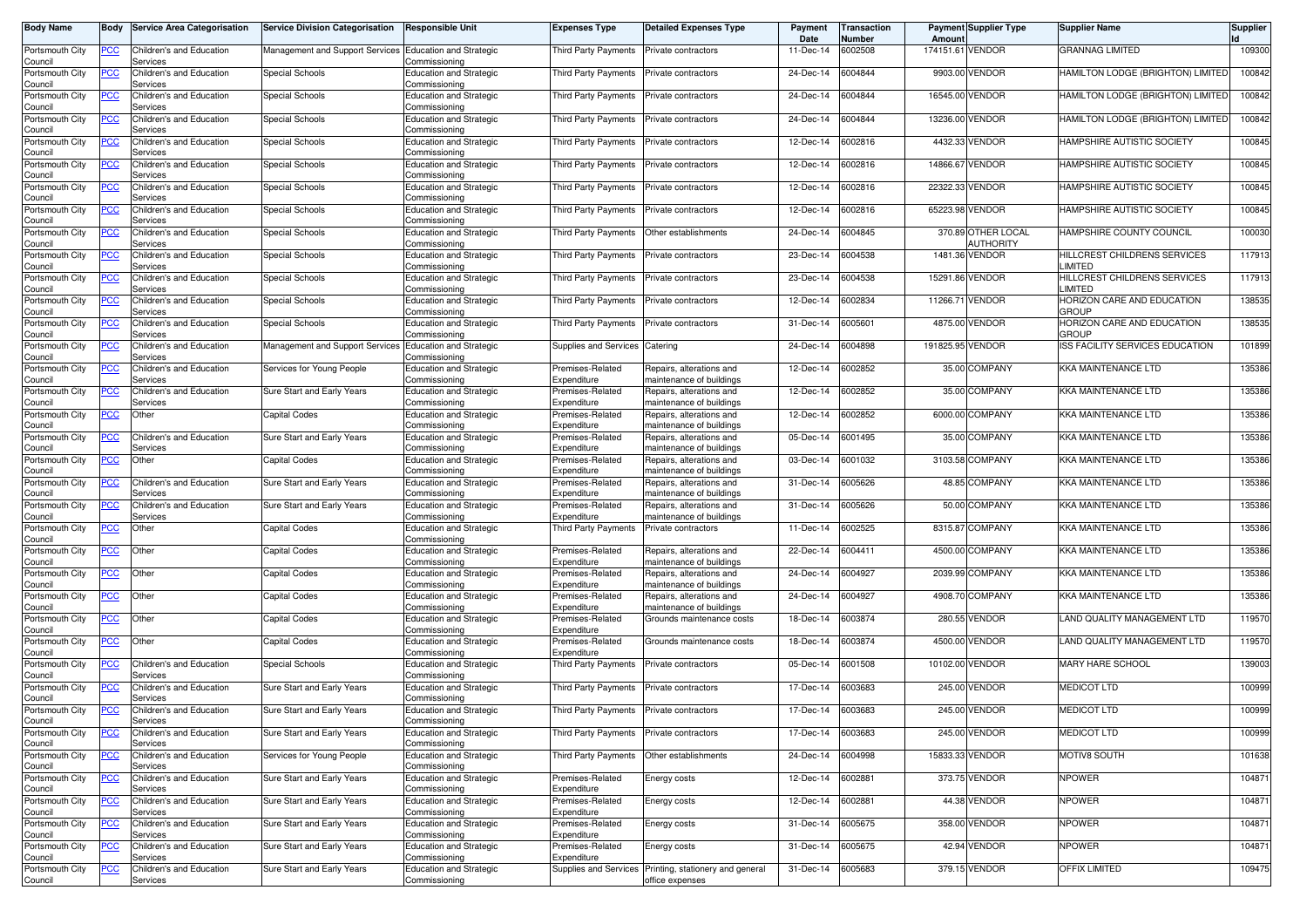| <b>Body Name</b>           |                  | <b>Body Service Area Categorisation</b> | <b>Service Division Categorisation</b>                  | <b>Responsible Unit</b>                         | Expenses Type                   | <b>Detailed Expenses Type</b>                        | Payment<br>Date | <b>Transaction</b><br><b>Number</b> | Amount           | <b>Payment Supplier Type</b>    | <b>Supplier Name</b>                       | Supplier |
|----------------------------|------------------|-----------------------------------------|---------------------------------------------------------|-------------------------------------------------|---------------------------------|------------------------------------------------------|-----------------|-------------------------------------|------------------|---------------------------------|--------------------------------------------|----------|
| Portsmouth City<br>Council | PCC              | Children's and Education<br>Services    | Management and Support Services Education and Strategic | Commissioning                                   | Third Party Payments            | Private contractors                                  | 11-Dec-14       | 6002508                             | 174151.61 VENDOR |                                 | <b>GRANNAG LIMITED</b>                     | 109300   |
| Portsmouth City<br>Council | ∍CC              | Children's and Education<br>Services    | Special Schools                                         | <b>Education and Strategic</b><br>Commissioning | Third Party Payments            | Private contractors                                  | 24-Dec-14       | 6004844                             |                  | 9903.00 VENDOR                  | HAMILTON LODGE (BRIGHTON) LIMITED          | 100842   |
| Portsmouth City<br>Council | PСC              | Children's and Education<br>Services    | Special Schools                                         | <b>Education and Strategic</b><br>Commissioning | <b>Third Party Payments</b>     | Private contractors                                  | 24-Dec-14       | 6004844                             | 16545.00         | VENDOR                          | HAMILTON LODGE (BRIGHTON) LIMITED          | 100842   |
| Portsmouth City<br>Council | ∍CC              | Children's and Education<br>Services    | Special Schools                                         | <b>Education and Strategic</b><br>Commissioning | Third Party Payments            | Private contractors                                  | 24-Dec-14       | 6004844                             | 13236.00         | VENDOR                          | HAMILTON LODGE (BRIGHTON) LIMITED          | 100842   |
| Portsmouth City<br>Council | <u>PCC</u>       | Children's and Education<br>Services    | Special Schools                                         | <b>Education and Strategic</b><br>Commissioning | Third Party Payments            | Private contractors                                  | 12-Dec-14       | 6002816                             | 4432.33          | VENDOR                          | HAMPSHIRE AUTISTIC SOCIETY                 | 100845   |
| Portsmouth City<br>Council | <u>PCC</u>       | Children's and Education<br>Services    | Special Schools                                         | <b>Education and Strategic</b><br>Commissioning | Third Party Payments            | Private contractors                                  | 12-Dec-14       | 6002816                             | 14866.67         | <b>VENDOR</b>                   | HAMPSHIRE AUTISTIC SOCIETY                 | 100845   |
| Portsmouth City<br>Council | <u>PCC</u>       | Children's and Education<br>Services    | Special Schools                                         | <b>Education and Strategic</b><br>Commissioning | Third Party Payments            | Private contractors                                  | 12-Dec-14       | 6002816                             | 22322.33         | <b>VENDOR</b>                   | HAMPSHIRE AUTISTIC SOCIETY                 | 100845   |
| Portsmouth City<br>Council | <u>PCC</u>       | Children's and Education<br>Services    | Special Schools                                         | <b>Education and Strategic</b><br>Commissioning | Third Party Payments            | Private contractors                                  | 12-Dec-14       | 6002816                             | 65223.98         | VENDOR                          | HAMPSHIRE AUTISTIC SOCIETY                 | 100845   |
| Portsmouth City<br>Council | <u>PCC </u>      | Children's and Education<br>Services    | Special Schools                                         | <b>Education and Strategic</b><br>Commissioning | Third Party Payments            | Other establishments                                 | 24-Dec-14       | 6004845                             |                  | 370.89 OTHER LOCAL<br>AUTHORITY | HAMPSHIRE COUNTY COUNCIL                   | 100030   |
| Portsmouth City<br>Council | PСC              | Children's and Education<br>Services    | Special Schools                                         | <b>Education and Strategic</b><br>Commissioning | Third Party Payments            | Private contractors                                  | 23-Dec-14       | 6004538                             |                  | 1481.36 VENDOR                  | HILLCREST CHILDRENS SERVICES<br>LIMITED    | 117913   |
| Portsmouth City<br>Council | PСC              | Children's and Education<br>Services    | Special Schools                                         | <b>Education and Strategic</b><br>Commissioning | Third Party Payments            | Private contractors                                  | 23-Dec-14       | 6004538                             |                  | 15291.86 VENDOR                 | HILLCREST CHILDRENS SERVICES<br>LIMITED    | 117913   |
| Portsmouth City<br>Council | PСC              | Children's and Education<br>Services    | Special Schools                                         | <b>Education and Strategic</b><br>Commissioning | <b>Third Party Payments</b>     | Private contractors                                  | 12-Dec-14       | 6002834                             | 11266.71         | <b>VENDOR</b>                   | HORIZON CARE AND EDUCATION<br><b>GROUP</b> | 138535   |
| Portsmouth City<br>Council | PСC              | Children's and Education<br>Services    | Special Schools                                         | <b>Education and Strategic</b><br>Commissioning | <b>Third Party Payments</b>     | Private contractors                                  | 31-Dec-14       | 6005601                             |                  | 4875.00 VENDOR                  | HORIZON CARE AND EDUCATION<br><b>GROUP</b> | 138535   |
| Portsmouth City<br>Council | PСC              | Children's and Education<br>Services    | Management and Support Services Education and Strategic | ommissioning,                                   | Supplies and Services           | Catering                                             | 24-Dec-14       | 6004898                             | 191825.95 VENDOR |                                 | ISS FACILITY SERVICES EDUCATION            | 101899   |
| Portsmouth City<br>Council | PCC∶             | Children's and Education<br>Services    | Services for Young People                               | <b>Education and Strategic</b><br>Commissioning | Premises-Related<br>Expenditure | Repairs, alterations and<br>maintenance of buildings | 12-Dec-14       | 6002852                             |                  | 35.00 COMPANY                   | <b>KKA MAINTENANCE LTD</b>                 | 135386   |
| Portsmouth City<br>Council | <u>PCC</u>       | Children's and Education<br>Services    | Sure Start and Early Years                              | <b>Education and Strategic</b><br>Commissioning | Premises-Related<br>Expenditure | Repairs, alterations and<br>naintenance of buildings | 12-Dec-14       | 6002852                             |                  | 35.00 COMPANY                   | <b>KKA MAINTENANCE LTD</b>                 | 135386   |
| Portsmouth City<br>Council | PCC              | Other                                   | Capital Codes                                           | <b>Education and Strategic</b><br>Commissioning | Premises-Related<br>Expenditure | Repairs, alterations and<br>maintenance of buildings | 12-Dec-14       | 6002852                             |                  | 6000.00 COMPANY                 | <b>KKA MAINTENANCE LTD</b>                 | 135386   |
| Portsmouth City<br>Council | PСC              | Children's and Education<br>Services    | Sure Start and Early Years                              | <b>Education and Strategic</b><br>Commissioning | Premises-Related<br>Expenditure | Repairs, alterations and<br>maintenance of buildings | 05-Dec-14       | 6001495                             |                  | 35.00 COMPANY                   | <b>KKA MAINTENANCE LTD</b>                 | 135386   |
| Portsmouth City<br>Council | PСC              | Other                                   | <b>Capital Codes</b>                                    | <b>Education and Strategic</b><br>Commissioning | Premises-Related<br>Expenditure | Repairs, alterations and<br>naintenance of buildings | 03-Dec-14       | 6001032                             |                  | 3103.58 COMPANY                 | <b>KKA MAINTENANCE LTD</b>                 | 135386   |
| Portsmouth City<br>Council | PСC              | Children's and Education<br>Services    | Sure Start and Early Years                              | <b>Education and Strategic</b><br>Commissioning | Premises-Related<br>Expenditure | Repairs, alterations and<br>maintenance of buildings | 31-Dec-14       | 6005626                             |                  | 48.85 COMPANY                   | <b>KKA MAINTENANCE LTD</b>                 | 135386   |
| Portsmouth City<br>Council | PСC              | Children's and Education<br>Services    | Sure Start and Early Years                              | <b>Education and Strategic</b><br>Commissioning | Premises-Related<br>Expenditure | Repairs, alterations and<br>naintenance of buildings | 31-Dec-14       | 6005626                             |                  | 50.00 COMPANY                   | <b>KKA MAINTENANCE LTD</b>                 | 135386   |
| Portsmouth City<br>Council | $\overline{PCC}$ | Other                                   | <b>Capital Codes</b>                                    | Education and Strategic<br>Commissioning        | Third Party Payments            | Private contractors                                  | 11-Dec-14       | 6002525                             |                  | 8315.87 COMPANY                 | <b>KKA MAINTENANCE LTD</b>                 | 135386   |
| Portsmouth City<br>Council | <u>PCC</u>       | Other                                   | <b>Capital Codes</b>                                    | <b>Education and Strategic</b><br>Commissioning | Premises-Related<br>Expenditure | Repairs, alterations and<br>naintenance of buildings | 22-Dec-14       | 6004411                             |                  | 4500.00 COMPANY                 | <b>KKA MAINTENANCE LTD</b>                 | 135386   |
| Portsmouth City<br>Council | <u>PCC </u>      | Other                                   | Capital Codes                                           | <b>Education and Strategic</b><br>Commissioning | Premises-Related<br>Expenditure | Repairs, alterations and<br>naintenance of buildings | 24-Dec-14       | 6004927                             |                  | 2039.99 COMPANY                 | <b>KKA MAINTENANCE LTD</b>                 | 135386   |
| Portsmouth City<br>Council | <u>PCC</u>       | Other                                   | <b>Capital Codes</b>                                    | <b>Education and Strategic</b><br>Commissioning | Premises-Related<br>Expenditure | Repairs, alterations and<br>maintenance of buildings | 24-Dec-14       | 6004927                             |                  | 4908.70 COMPANY                 | <b>KKA MAINTENANCE LTD</b>                 | 135386   |
| Portsmouth City<br>Council | $\overline{PCC}$ | Other                                   | <b>Capital Codes</b>                                    | <b>Education and Strategic</b><br>Commissioning | Premises-Related<br>Expenditure | Grounds maintenance costs                            | 18-Dec-14       | 6003874                             |                  | 280.55 VENDOR                   | LAND QUALITY MANAGEMENT LTD                | 119570   |
| Portsmouth City<br>Council | <b>PCC</b>       | Other                                   | <b>Capital Codes</b>                                    | <b>Education and Strategic</b><br>Commissioning | Premises-Related<br>Expenditure | Grounds maintenance costs                            | 18-Dec-14       | 6003874                             |                  | 4500.00 VENDOR                  | LAND QUALITY MANAGEMENT LTD                | 119570   |
| Portsmouth City<br>Council | <u>PCC</u>       | Children's and Education<br>Services    | Special Schools                                         | <b>Education and Strategic</b><br>Commissioning | Third Party Payments            | Private contractors                                  | 05-Dec-14       | 6001508                             |                  | 10102.00 VENDOR                 | <b>MARY HARE SCHOOL</b>                    | 139003   |
| Portsmouth City<br>Council | <u>PCC</u>       | Children's and Education<br>Services    | Sure Start and Early Years                              | <b>Education and Strategic</b><br>Commissioning | <b>Third Party Payments</b>     | Private contractors                                  | 17-Dec-14       | 6003683                             |                  | 245.00 VENDOR                   | <b>MEDICOT LTD</b>                         | 100999   |
| Portsmouth City<br>Council | <u>PCC</u>       | Children's and Education<br>pervices    | Sure Start and Early Years                              | <b>Education and Strategic</b><br>COMMISSIONING | Third Party Payments            | Private contractors                                  | 17-Dec-14       | 6003683                             |                  | 245.00 VENDOR                   | <b>MEDICOT LTD</b>                         | 100999   |
| Portsmouth City<br>Council | <u>PCC</u>       | Children's and Education<br>Services    | Sure Start and Early Years                              | <b>Education and Strategic</b><br>Commissioning | Third Party Payments            | Private contractors                                  | 17-Dec-14       | 6003683                             |                  | 245.00 VENDOR                   | <b>MEDICOT LTD</b>                         | 100999   |
| Portsmouth City<br>Council | <b>PCC</b>       | Children's and Education<br>Services    | Services for Young People                               | Education and Strategic<br>Commissioning        | Third Party Payments            | Other establishments                                 | 24-Dec-14       | 6004998                             |                  | 15833.33 VENDOR                 | MOTIV8 SOUTH                               | 101638   |
| Portsmouth City<br>Council | <u>PCC</u>       | Children's and Education<br>Services    | Sure Start and Early Years                              | <b>Education and Strategic</b><br>Commissioning | Premises-Related<br>Expenditure | Energy costs                                         | 12-Dec-14       | 6002881                             |                  | 373.75 VENDOR                   | <b>NPOWER</b>                              | 104871   |
| Portsmouth City<br>Council | <u>PCC</u>       | Children's and Education<br>Services    | Sure Start and Early Years                              | <b>Education and Strategic</b><br>Commissioning | Premises-Related<br>Expenditure | Energy costs                                         | 12-Dec-14       | 6002881                             |                  | 44.38 VENDOR                    | <b>NPOWER</b>                              | 104871   |
| Portsmouth City<br>Council | PСC              | Children's and Education<br>Services    | Sure Start and Early Years                              | <b>Education and Strategic</b><br>Commissioning | Premises-Related<br>Expenditure | Energy costs                                         | 31-Dec-14       | 6005675                             |                  | 358.00 VENDOR                   | <b>NPOWER</b>                              | 104871   |
| Portsmouth City<br>Council | <u>PCC</u>       | Children's and Education<br>Services    | Sure Start and Early Years                              | <b>Education and Strategic</b><br>Commissioning | Premises-Related<br>Expenditure | Energy costs                                         | 31-Dec-14       | 6005675                             |                  | 42.94 VENDOR                    | NPOWER                                     | 104871   |
| Portsmouth City<br>Council | <u>PCC</u>       | Children's and Education<br>Services    | Sure Start and Early Years                              | <b>Education and Strategic</b><br>Commissioning | Supplies and Services           | Printing, stationery and general<br>office expenses  | 31-Dec-14       | 6005683                             |                  | 379.15 VENDOR                   | <b>OFFIX LIMITED</b>                       | 109475   |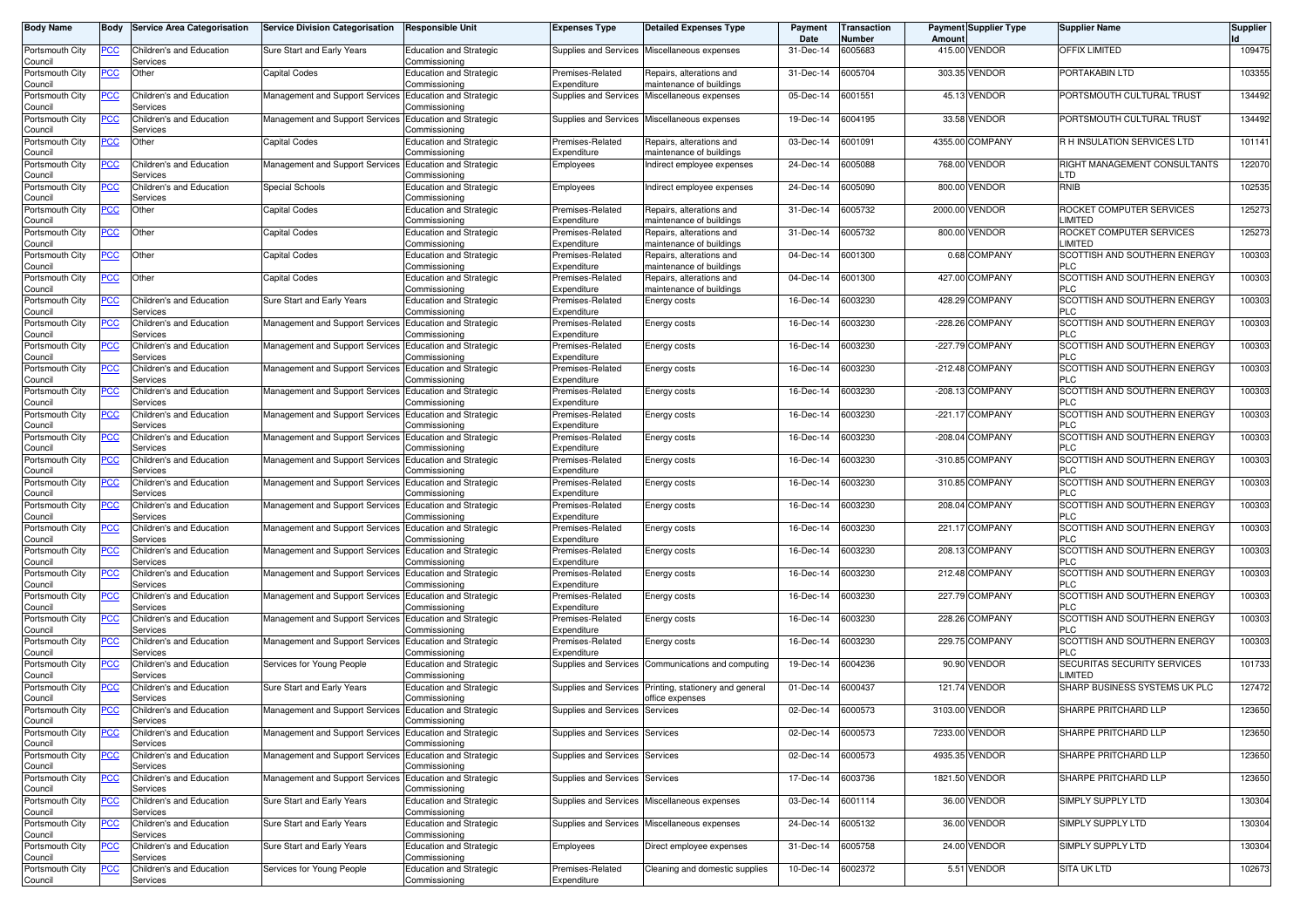| <b>Body Name</b>           | <b>Body</b>    | <b>Service Area Categorisation</b>   | <b>Service Division Categorisation</b>                  | <b>Responsible Unit</b>                         | Expenses Type                   | <b>Detailed Expenses Type</b>                        | Payment<br>Date | Transaction<br>Number | Amoun  | <b>Payment Supplier Type</b> | <b>Supplier Name</b>                       | Supplier |
|----------------------------|----------------|--------------------------------------|---------------------------------------------------------|-------------------------------------------------|---------------------------------|------------------------------------------------------|-----------------|-----------------------|--------|------------------------------|--------------------------------------------|----------|
| Portsmouth City<br>Council | <u>PCC</u>     | Children's and Education<br>Services | Sure Start and Early Years                              | <b>Education and Strategic</b><br>Commissioning | Supplies and Services           | Miscellaneous expenses                               | 31-Dec-14       | 6005683               |        | 415.00 VENDOR                | OFFIX LIMITED                              | 109475   |
| Portsmouth City<br>Council | <u>PCC</u>     | Other                                | <b>Capital Codes</b>                                    | <b>Education and Strategic</b><br>Commissioning | Premises-Related<br>Expenditure | Repairs, alterations and<br>maintenance of buildings | 31-Dec-14       | 6005704               |        | 303.35 VENDOR                | PORTAKABIN LTD                             | 103355   |
| Portsmouth City<br>Council | <u>PCC</u>     | Children's and Education<br>Services | Management and Support Services                         | <b>Education and Strategic</b><br>Commissioning | Supplies and Services           | Miscellaneous expenses                               | 05-Dec-14       | 6001551               |        | 45.13 VENDOR                 | PORTSMOUTH CULTURAL TRUST                  | 134492   |
| Portsmouth City<br>Council | <u>PCC</u>     | Children's and Education<br>Services | Management and Support Services                         | <b>Education and Strategic</b><br>Commissioning | <b>Supplies and Services</b>    | Miscellaneous expenses                               | 19-Dec-14       | 6004195               |        | 33.58 VENDOR                 | PORTSMOUTH CULTURAL TRUST                  | 134492   |
| Portsmouth City            | $\overline{C}$ | Other                                | Capital Codes                                           | <b>Education and Strategic</b><br>Commissioning | Premises-Related<br>Expenditure | Repairs, alterations and<br>naintenance of buildings | 03-Dec-14       | 6001091               |        | 4355.00 COMPANY              | R H INSULATION SERVICES LTD                | 101141   |
| Council<br>Portsmouth City | <u>PCC</u>     | <b>Children's and Education</b>      | Management and Support Services                         | <b>Education and Strategic</b>                  | Employees                       | Indirect employee expenses                           | 24-Dec-14       | 6005088               |        | 768.00 VENDOR                | RIGHT MANAGEMENT CONSULTANTS               | 122070   |
| Council<br>Portsmouth City | <u>PCC</u>     | Services<br>Children's and Education | Special Schools                                         | Commissioning<br><b>Education and Strategic</b> | Employees                       | Indirect employee expenses                           | 24-Dec-14       | 6005090               |        | 800.00 VENDOR                | LTD<br>RNIB                                | 102535   |
| Council<br>Portsmouth City | <u>PCC </u>    | Services<br>Other                    | Capital Codes                                           | Commissioning<br><b>Education and Strategic</b> | Premises-Related                | Repairs, alterations and                             | 31-Dec-14       | 6005732               |        | 2000.00 VENDOR               | ROCKET COMPUTER SERVICES                   | 125273   |
| Council<br>Portsmouth City |                |                                      | Capital Codes                                           | Commissioning                                   | Expenditure                     | naintenance of buildings                             | 31-Dec-14       | 6005732               |        | 800.00 VENDOR                | LIMITED<br>ROCKET COMPUTER SERVICES        | 125273   |
| Council                    | <b>PCC</b>     | Other                                |                                                         | <b>Education and Strategic</b><br>Commissioning | Premises-Related<br>Expenditure | Repairs, alterations and<br>naintenance of buildings |                 |                       |        |                              | LIMITED                                    |          |
| Portsmouth City<br>Council | <u>PCC</u>     | Other                                | Capital Codes                                           | <b>Education and Strategic</b><br>Commissioning | Premises-Related<br>Expenditure | Repairs, alterations and<br>maintenance of buildings | 04-Dec-14       | 6001300               |        | 0.68 COMPANY                 | SCOTTISH AND SOUTHERN ENERGY<br>PLC.       | 100303   |
| Portsmouth City<br>Council | <u>PCC</u>     | Other                                | Capital Codes                                           | <b>Education and Strategic</b><br>Commissioning | Premises-Related<br>Expenditure | Repairs, alterations and<br>maintenance of buildings | 04-Dec-14       | 6001300               |        | 427.00 COMPANY               | SCOTTISH AND SOUTHERN ENERGY<br><b>PLC</b> | 100303   |
| Portsmouth City            | <u>PCC</u>     | Children's and Education             | Sure Start and Early Years                              | <b>Education and Strategic</b>                  | Premises-Related                | Energy costs                                         | 16-Dec-14       | 6003230               |        | 428.29 COMPANY               | SCOTTISH AND SOUTHERN ENERGY               | 100303   |
| Council<br>Portsmouth City | <u>PCC</u>     | Services<br>Children's and Education | Management and Support Services                         | Commissioning<br><b>Education and Strategic</b> | Expenditure<br>Premises-Related | Energy costs                                         | 16-Dec-14       | 6003230               |        | -228.26 COMPANY              | <b>PLC</b><br>SCOTTISH AND SOUTHERN ENERGY | 100303   |
| Council                    |                | Services                             |                                                         | Commissioning                                   | Expenditure                     |                                                      |                 |                       |        |                              | PLC                                        |          |
| Portsmouth City<br>Council | <u>PCC</u>     | Children's and Education<br>Services | Management and Support Services                         | <b>Education and Strategic</b><br>Commissioning | Premises-Related<br>Expenditure | Energy costs                                         | 16-Dec-14       | 6003230               |        | -227.79 COMPANY              | SCOTTISH AND SOUTHERN ENERGY<br>PLC        | 100303   |
| Portsmouth City<br>Council | <u>PCC</u>     | Children's and Education<br>Services | Management and Support Services                         | Education and Strategic<br>Commissioning        | Premises-Related<br>Expenditure | Energy costs                                         | 16-Dec-14       | 6003230               |        | -212.48 COMPANY              | SCOTTISH AND SOUTHERN ENERGY<br><b>PLC</b> | 100303   |
| Portsmouth City<br>Council | <u>PCC</u>     | Children's and Education<br>Services | Management and Support Services                         | <b>Education and Strategic</b><br>Commissioning | Premises-Related<br>Expenditure | Energy costs                                         | 16-Dec-14       | 6003230               |        | -208.13 COMPANY              | SCOTTISH AND SOUTHERN ENERGY<br><b>PLC</b> | 100303   |
| Portsmouth City<br>Council | <u>PCC</u>     | Children's and Education<br>Services | Management and Support Services                         | <b>Education and Strategic</b><br>Commissioning | Premises-Related<br>Expenditure | Energy costs                                         | 16-Dec-14       | 6003230               |        | -221.17 COMPANY              | SCOTTISH AND SOUTHERN ENERGY<br>PLC.       | 100303   |
| Portsmouth City<br>Council | <u>PCC</u>     | Children's and Education<br>Services | Management and Support Services Education and Strategic | Commissionina                                   | Premises-Related<br>Expenditure | Energy costs                                         | 16-Dec-14       | 6003230               |        | -208.04 COMPANY              | SCOTTISH AND SOUTHERN ENERGY<br>PLC.       | 100303   |
| Portsmouth City<br>Council | <u>PCC</u>     | Children's and Education<br>Services | Management and Support Services                         | <b>Education and Strategic</b><br>Commissioning | Premises-Related<br>Expenditure | Energy costs                                         | 16-Dec-14       | 6003230               |        | -310.85 COMPANY              | SCOTTISH AND SOUTHERN ENERGY<br><b>PLC</b> | 100303   |
| Portsmouth City<br>Council | <u>PCC</u>     | Children's and Education<br>Services | Management and Support Services                         | <b>Education and Strategic</b><br>Commissioning | Premises-Related<br>Expenditure | Energy costs                                         | 16-Dec-14       | 6003230               |        | 310.85 COMPANY               | SCOTTISH AND SOUTHERN ENERGY<br><b>PLC</b> | 100303   |
| Portsmouth City<br>Council | <b>PCC</b>     | Children's and Education<br>Services | Management and Support Services                         | <b>Education and Strategic</b><br>Commissioning | Premises-Related<br>Expenditure | Energy costs                                         | 16-Dec-14       | 6003230               | 208.04 | <b>COMPANY</b>               | SCOTTISH AND SOUTHERN ENERGY<br>PLC        | 100303   |
| Portsmouth City<br>Council | <u>PCC</u>     | Children's and Education<br>Services | Management and Support Services                         | <b>Education and Strategic</b><br>Commissioning | Premises-Related<br>Expenditure | Energy costs                                         | 16-Dec-14       | 6003230               |        | 221.17 COMPANY               | SCOTTISH AND SOUTHERN ENERGY<br>PLC        | 100303   |
| Portsmouth City            | <u>PCC</u>     | Children's and Education             | Management and Support Services                         | <b>Education and Strategic</b>                  | Premises-Related                | Energy costs                                         | 16-Dec-14       | 6003230               |        | 208.13 COMPANY               | SCOTTISH AND SOUTHERN ENERGY               | 100303   |
| Council<br>Portsmouth City | <u>PCC</u>     | Services<br>Children's and Education | Management and Support Services                         | Commissioning<br>Education and Strategic        | Expenditure<br>Premises-Related | Energy costs                                         | 16-Dec-14       | 6003230               |        | 212.48 COMPANY               | <b>PLC</b><br>SCOTTISH AND SOUTHERN ENERGY | 100303   |
| Council<br>Portsmouth City | <b>PCC</b>     | Services<br>Children's and Education | Management and Support Services                         | Commissioning<br><b>Education and Strategic</b> | Expenditure<br>Premises-Related | Energy costs                                         | 16-Dec-14       | 6003230               |        | 227.79 COMPANY               | <b>PLC</b><br>SCOTTISH AND SOUTHERN ENERGY | 100303   |
| Council<br>Portsmouth City | <u>PCC</u>     | Services<br>Children's and Education | Management and Support Services                         | Commissioning<br><b>Education and Strategic</b> | Expenditure<br>Premises-Related | Energy costs                                         | 16-Dec-14       | 6003230               |        | 228.26 COMPANY               | <b>PLC</b><br>SCOTTISH AND SOUTHERN ENERGY | 100303   |
| Council                    |                | Services                             |                                                         | Commissioning                                   | Expenditure                     |                                                      |                 |                       |        |                              | PLC.                                       |          |
| Portsmouth City<br>Council | <u>PCC</u>     | Children's and Education<br>Services | Management and Support Services Education and Strategic | Commissioning                                   | Premises-Related<br>Expenditure | Energy costs                                         | 16-Dec-14       | 6003230               |        | 229.75 COMPANY               | SCOTTISH AND SOUTHERN ENERGY<br>PLC.       | 100303   |
| Portsmouth City<br>Council | <u>PCC</u>     | Children's and Education<br>Services | Services for Young People                               | <b>Education and Strategic</b><br>Commissioning | Supplies and Services           | Communications and computing                         | 19-Dec-14       | 6004236               |        | 90.90 VENDOR                 | SECURITAS SECURITY SERVICES<br>LIMITED     | 101733   |
| Portsmouth City            | <u>PCC</u>     | Children's and Education<br>Services | Sure Start and Early Years                              | <b>Education and Strategic</b><br>Commissioning | Supplies and Services           | Printing, stationery and general<br>ffice expenses   | 01-Dec-14       | 6000437               | 121.74 | <b>VENDOR</b>                | SHARP BUSINESS SYSTEMS UK PLC              | 127472   |
| Council<br>Portsmouth City | <u>PCC</u>     | <b>Children's and Education</b>      | Management and Support Services Education and Strategic |                                                 | <b>Supplies and Services</b>    | Services                                             | 02-Dec-14       | 6000573               |        | 3103.00 VENDOR               | SHARPE PRITCHARD LLP                       | 123650   |
| Council<br>Portsmouth City | <u>PCC</u>     | Services<br>Children's and Education | Management and Support Services Education and Strategic | Commissioning                                   | <b>Supplies and Services</b>    | Services                                             | 02-Dec-14       | 6000573               |        | 7233.00 VENDOR               | SHARPE PRITCHARD LLP                       | 123650   |
| Council<br>Portsmouth City | <u>PCC</u>     | Services<br>Children's and Education | Management and Support Services                         | Commissioning<br><b>Education and Strategic</b> | <b>Supplies and Services</b>    | Services                                             | 02-Dec-14       | 6000573               |        | 4935.35 VENDOR               | SHARPE PRITCHARD LLP                       | 123650   |
| Council<br>Portsmouth City | <u>PCC</u>     | Services<br>Children's and Education | Management and Support Services                         | Commissioning<br><b>Education and Strategic</b> | Supplies and Services           | Services                                             | 17-Dec-14       | 6003736               |        | 1821.50 VENDOR               | SHARPE PRITCHARD LLP                       | 123650   |
| Council                    |                | Services                             |                                                         | Commissioning                                   |                                 |                                                      |                 |                       |        |                              |                                            |          |
| Portsmouth City<br>Council | $\overline{C}$ | Children's and Education<br>Services | Sure Start and Early Years                              | <b>Education and Strategic</b><br>Commissioning | <b>Supplies and Services</b>    | Miscellaneous expenses                               | 03-Dec-14       | 6001114               |        | 36.00 VENDOR                 | SIMPLY SUPPLY LTD                          | 130304   |
| Portsmouth City<br>Council | <u>PCC</u>     | Children's and Education<br>Services | Sure Start and Early Years                              | <b>Education and Strategic</b><br>Commissioning |                                 | Supplies and Services Miscellaneous expenses         | 24-Dec-14       | 6005132               |        | 36.00 VENDOR                 | SIMPLY SUPPLY LTD                          | 130304   |
| Portsmouth City<br>Council | <u>PCC</u>     | Children's and Education<br>Services | Sure Start and Early Years                              | <b>Education and Strategic</b><br>Commissioning | Employees                       | Direct employee expenses                             | 31-Dec-14       | 6005758               |        | 24.00 VENDOR                 | SIMPLY SUPPLY LTD                          | 130304   |
| Portsmouth City            | <u>PCC</u>     | Children's and Education             | Services for Young People                               | <b>Education and Strategic</b>                  | Premises-Related                | Cleaning and domestic supplies                       | 10-Dec-14       | 6002372               |        | 5.51 VENDOR                  | <b>SITA UK LTD</b>                         | 102673   |
| Council                    |                | Services                             |                                                         | Commissioning                                   | Expenditure                     |                                                      |                 |                       |        |                              |                                            |          |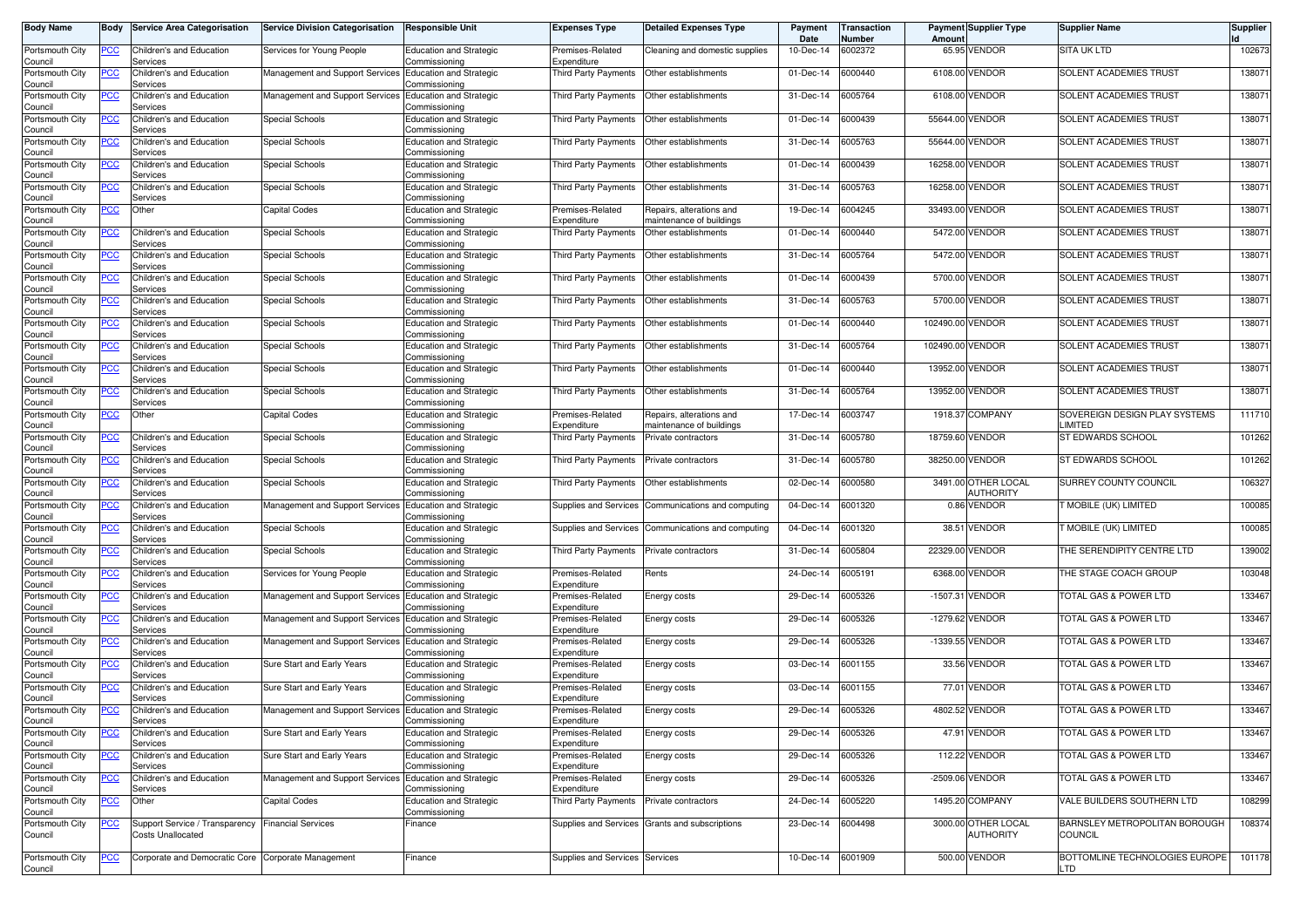| <b>Body Name</b>           | Body        | <b>Service Area Categorisation</b>                  | <b>Service Division Categorisation</b>                  | <b>Responsible Unit</b>                         | <b>Expenses Type</b>                | <b>Detailed Expenses Type</b>                        | Payment<br>Date   | Transaction<br>Number | Amount     | Payment Supplier Type           | <b>Supplier Name</b>                            | <b>Supplier</b> |
|----------------------------|-------------|-----------------------------------------------------|---------------------------------------------------------|-------------------------------------------------|-------------------------------------|------------------------------------------------------|-------------------|-----------------------|------------|---------------------------------|-------------------------------------------------|-----------------|
| Portsmouth City<br>Council | PCC         | Children's and Education<br>Services                | Services for Young People                               | <b>Education and Strategic</b><br>Commissioning | Premises-Related<br>Expenditure     | Cleaning and domestic supplies                       | 10-Dec-14         | 6002372               | 65.95      | VENDOR                          | <b>SITA UK LTD</b>                              | 102673          |
| Portsmouth City<br>Council | <u>PCC</u>  | Children's and Education<br>Services                | Management and Support Services Education and Strategic | Commissioning                                   | Third Party Payments                | Other establishments                                 | 01-Dec-14         | 6000440               | 6108.00    | <b>VENDOR</b>                   | <b>SOLENT ACADEMIES TRUST</b>                   | 138071          |
| Portsmouth City<br>Council | <u>PCC</u>  | Children's and Education<br>Services                | Management and Support Services                         | <b>Education and Strategic</b><br>Commissioning | Third Party Payments                | Other establishments                                 | 31-Dec-14         | 6005764               | 6108.00    | <b>VENDOR</b>                   | <b>SOLENT ACADEMIES TRUST</b>                   | 138071          |
| Portsmouth City<br>Council | <u>PCC</u>  | Children's and Education<br>Services                | Special Schools                                         | <b>Education and Strategic</b><br>Commissioning | Third Party Payments                | Other establishments                                 | 01-Dec-14         | 6000439               | 55644.00   | <b>VENDOR</b>                   | SOLENT ACADEMIES TRUST                          | 138071          |
| Portsmouth City<br>Council | <u>PCC</u>  | Children's and Education<br>Services                | Special Schools                                         | <b>Education and Strategic</b><br>Commissioning | Third Party Payments                | Other establishments                                 | 31-Dec-14         | 6005763               | 55644.00   | <b>VENDOR</b>                   | SOLENT ACADEMIES TRUST                          | 138071          |
| Portsmouth City<br>Council | <u>PCC</u>  | Children's and Education<br>Services                | Special Schools                                         | <b>Education and Strategic</b><br>Commissioning | Third Party Payments                | Other establishments                                 | 01-Dec-14         | 6000439               | 16258.00   | <b>VENDOR</b>                   | SOLENT ACADEMIES TRUST                          | 138071          |
| Portsmouth City<br>Council | <u>PCC </u> | Children's and Education<br>Services                | Special Schools                                         | <b>Education and Strategic</b><br>Commissioning | Third Party Payments                | Other establishments                                 | 31-Dec-14         | 6005763               |            | 16258.00 VENDOR                 | SOLENT ACADEMIES TRUST                          | 138071          |
| Portsmouth City<br>Council | <u>PCC</u>  | Other                                               | <b>Capital Codes</b>                                    | <b>Education and Strategic</b><br>Commissioning | Premises-Related<br>Expenditure     | Repairs, alterations and<br>maintenance of buildings | 19-Dec-14         | 6004245               | 33493.00   | <b>VENDOR</b>                   | SOLENT ACADEMIES TRUST                          | 138071          |
| Portsmouth City<br>Council | ∍CC         | Children's and Education<br>Services                | Special Schools                                         | <b>Education and Strategic</b><br>Commissioning | Third Party Payments                | Other establishments                                 | 01-Dec-14         | 6000440               | 5472.00    | <b>VENDOR</b>                   | SOLENT ACADEMIES TRUST                          | 138071          |
| Portsmouth City<br>Council | PСC         | Children's and Education<br>Services                | Special Schools                                         | <b>Education and Strategic</b><br>Commissioning | Third Party Payments                | Other establishments                                 | 31-Dec-14         | 6005764               | 5472.00    | VENDOR                          | SOLENT ACADEMIES TRUST                          | 138071          |
| Portsmouth City<br>Council | PCC         | Children's and Education<br>Services                | Special Schools                                         | <b>Education and Strategic</b><br>Commissioning | <b>Third Party Payments</b>         | Other establishments                                 | 01-Dec-14         | 6000439               | 5700.00    | <b>VENDOR</b>                   | <b>SOLENT ACADEMIES TRUST</b>                   | 138071          |
| Portsmouth City            | PCC         | Children's and Education                            | Special Schools                                         | <b>Education and Strategic</b>                  | <b>Third Party Payments</b>         | Other establishments                                 | 31-Dec-14         | 6005763               | 5700.00    | <b>VENDOR</b>                   | SOLENT ACADEMIES TRUST                          | 138071          |
| Council<br>Portsmouth City | ∍сс         | Services<br>Children's and Education                | Special Schools                                         | Commissioning<br><b>Education and Strategic</b> | Third Party Payments                | Other establishments                                 | 01-Dec-14         | 6000440               | 102490.00  | <b>VENDOR</b>                   | SOLENT ACADEMIES TRUST                          | 138071          |
| Council<br>Portsmouth City |             | Services<br>Children's and Education                | <b>Special Schools</b>                                  | Commissioning<br><b>Education and Strategic</b> | Third Party Payments                | Other establishments                                 | 31-Dec-14         | 6005764               | 102490.00  | <b>VENDOR</b>                   | SOLENT ACADEMIES TRUST                          | 138071          |
| Council<br>Portsmouth City | PСC         | Services<br>Children's and Education                | Special Schools                                         | Commissioning<br><b>Education and Strategic</b> | Third Party Payments                | Other establishments                                 | 01-Dec-14         | 6000440               |            | 13952.00 VENDOR                 | <b>SOLENT ACADEMIES TRUST</b>                   | 138071          |
| Council<br>Portsmouth City |             | Services<br>Children's and Education                | Special Schools                                         | Commissioning<br><b>Education and Strategic</b> | Third Party Payments                | Other establishments                                 | 31-Dec-14         | 6005764               | 13952.00   | <b>VENDOR</b>                   | <b>SOLENT ACADEMIES TRUST</b>                   | 138071          |
| Council<br>Portsmouth City | PСC         | Services<br>Other                                   | <b>Capital Codes</b>                                    | Commissioning<br><b>Education and Strategic</b> | Premises-Related                    | Repairs, alterations and                             | 17-Dec-14         | 6003747               | 1918.37    | <b>COMPANY</b>                  | SOVEREIGN DESIGN PLAY SYSTEMS                   | 111710          |
| Council<br>Portsmouth City | PСC         | Children's and Education                            | <b>Special Schools</b>                                  | Commissioning<br><b>Education and Strategic</b> | Expenditure<br>Third Party Payments | naintenance of buildings<br>Private contractors      | 31-Dec-14         | 6005780               | 18759.60   | <b>VENDOR</b>                   | LIMITED<br>ST EDWARDS SCHOOL                    | 101262          |
| Council<br>Portsmouth City | PCC         | Services<br>Children's and Education                | Special Schools                                         | Commissioning<br><b>Education and Strategic</b> | Third Party Payments                | Private contractors                                  | 31-Dec-14         | 6005780               | 38250.00   | <b>VENDOR</b>                   | <b>ST EDWARDS SCHOOL</b>                        | 101262          |
| Council<br>Portsmouth City | PCC         | Services<br><b>Children's and Education</b>         | Special Schools                                         | Commissioning<br><b>Education and Strategic</b> | Third Party Payments                | Other establishments                                 | 02-Dec-14         | 6000580               |            | 3491.00 OTHER LOCAL             | SURREY COUNTY COUNCIL                           | 106327          |
| Council<br>Portsmouth City | PCC         | Services<br>Children's and Education                | Management and Support Services                         | Commissioning<br><b>Education and Strategic</b> | Supplies and Services               | Communications and computing                         | 04-Dec-14         | 6001320               |            | AUTHORITY<br>0.86 VENDOR        | <b>FMOBILE (UK) LIMITED</b>                     | 100085          |
| Council<br>Portsmouth City | <u>PCC</u>  | Services<br>Children's and Education                | Special Schools                                         | Commissioning<br><b>Education and Strategic</b> | Supplies and Services               | Communications and computing                         | 04-Dec-14         | 6001320               | 38.51      | VENDOR                          | T MOBILE (UK) LIMITED                           | 100085          |
| Council<br>Portsmouth City | <u>PCC</u>  | Services<br>Children's and Education                | Special Schools                                         | Commissioning<br><b>Education and Strategic</b> | Third Party Payments                | Private contractors                                  | 31-Dec-14         | 6005804               | 22329.00   | <b>VENDOR</b>                   | THE SERENDIPITY CENTRE LTD                      | 139002          |
| Council<br>Portsmouth City | <u>PCC</u>  | Services<br>Children's and Education                | Services for Young People                               | Commissioning<br><b>Education and Strategic</b> | Premises-Related                    | Rents                                                | 24-Dec-14         | 6005191               |            | 6368.00 VENDOR                  | THE STAGE COACH GROUP                           | 103048          |
| Council<br>Portsmouth City | <u>PCC</u>  | Services<br>Children's and Education                | Management and Support Services                         | Commissioning<br><b>Education and Strategic</b> | Expenditure<br>Premises-Related     | Energy costs                                         | 29-Dec-14         | 6005326               |            | -1507.31 VENDOR                 | TOTAL GAS & POWER LTD                           | 133467          |
| Council<br>Portsmouth City | ∍сс         | Services<br>Children's and Education                | Management and Support Services                         | Commissioning<br><b>Education and Strategic</b> | Expenditure<br>Premises-Related     | Energy costs                                         | 29-Dec-14         | 6005326               | $-1279.62$ | VENDOR                          | TOTAL GAS & POWER LTD                           | 133467          |
| Council<br>Portsmouth City | ∍CC         | Services<br>Children's and Education                | Management and Support Services Education and Strategic | Commissioning                                   | Expenditure<br>Premises-Related     | Energy costs                                         | 29-Dec-14         | 6005326               | $-1339.55$ | <b>VENDOR</b>                   | TOTAL GAS & POWER LTD                           | 133467          |
| Council<br>Portsmouth City | <u>PCC</u>  | Services<br>Children's and Education                | Sure Start and Early Years                              | Commissioning<br><b>Education and Strategic</b> | Expenditure<br>Premises-Related     | Energy costs                                         | 03-Dec-14         | 6001155               | 33.56      | <b>VENDOR</b>                   | TOTAL GAS & POWER LTD                           | 133467          |
| Council<br>Portsmouth City | <u>PCC</u>  | Services<br>Children's and Education                | Sure Start and Early Years                              | Commissioning<br><b>Education and Strategic</b> | Expenditure<br>Premises-Related     | Energy costs                                         | 03-Dec-14         | 6001155               |            | 77.01 VENDOR                    | TOTAL GAS & POWER LTD                           | 133467          |
| Council<br>Portsmouth City |             | Services<br>Children's and Education                | Management and Support Services                         | Commissionina<br><b>Education and Strategic</b> | Expenditure<br>Premises-Related     | Energy costs                                         | 29-Dec-14         | 6005326               | 4802.52    | <b>VENDOR</b>                   | TOTAL GAS & POWER LTD                           | 133467          |
| Council<br>Portsmouth City | <u>PCC</u>  | ervices<br>Children's and Education                 | Sure Start and Early Years                              | ommissioning;<br><b>Education and Strategic</b> | Expenditure<br>Premises-Related     |                                                      | 29-Dec-14         | 6005326               |            | 47.91 VENDOR                    | TOTAL GAS & POWER LTD                           | 133467          |
| Council<br>Portsmouth City | <u>PCC</u>  | Services                                            | Sure Start and Early Years                              | Commissioning                                   | Expenditure                         | Energy costs                                         |                   |                       |            |                                 |                                                 |                 |
| Council                    | $PCC$       | Children's and Education<br>Services                |                                                         | <b>Education and Strategic</b><br>Commissioning | Premises-Related<br>Expenditure     | Energy costs                                         | 29-Dec-14         | 6005326               |            | 112.22 VENDOR                   | TOTAL GAS & POWER LTD                           | 133467          |
| Portsmouth City<br>Council | <u>PCC</u>  | Children's and Education<br>Services                | Management and Support Services                         | <b>Education and Strategic</b><br>Commissioning | Premises-Related<br>Expenditure     | Energy costs                                         | 29-Dec-14         | 6005326               |            | -2509.06 VENDOR                 | TOTAL GAS & POWER LTD                           | 133467          |
| Portsmouth City<br>Council | <u>PCC </u> | Other                                               | Capital Codes                                           | <b>Education and Strategic</b><br>Commissioning | Third Party Payments                | Private contractors                                  | 24-Dec-14         | 6005220               |            | 1495.20 COMPANY                 | VALE BUILDERS SOUTHERN LTD                      | 108299          |
| Portsmouth City<br>Council | <u>PCC</u>  | Support Service / Transparency<br>Costs Unallocated | <b>Financial Services</b>                               | Finance                                         |                                     | Supplies and Services Grants and subscriptions       | 23-Dec-14         | 6004498               | 3000.00    | OTHER LOCAL<br><b>AUTHORITY</b> | BARNSLEY METROPOLITAN BOROUGH<br><b>COUNCIL</b> | 108374          |
| Portsmouth City<br>Council | <u>PCC</u>  | Corporate and Democratic Core Corporate Management  |                                                         | Finance                                         | Supplies and Services Services      |                                                      | 10-Dec-14 6001909 |                       |            | 500.00 VENDOR                   | BOTTOMLINE TECHNOLOGIES EUROPE<br>LTD           | 101178          |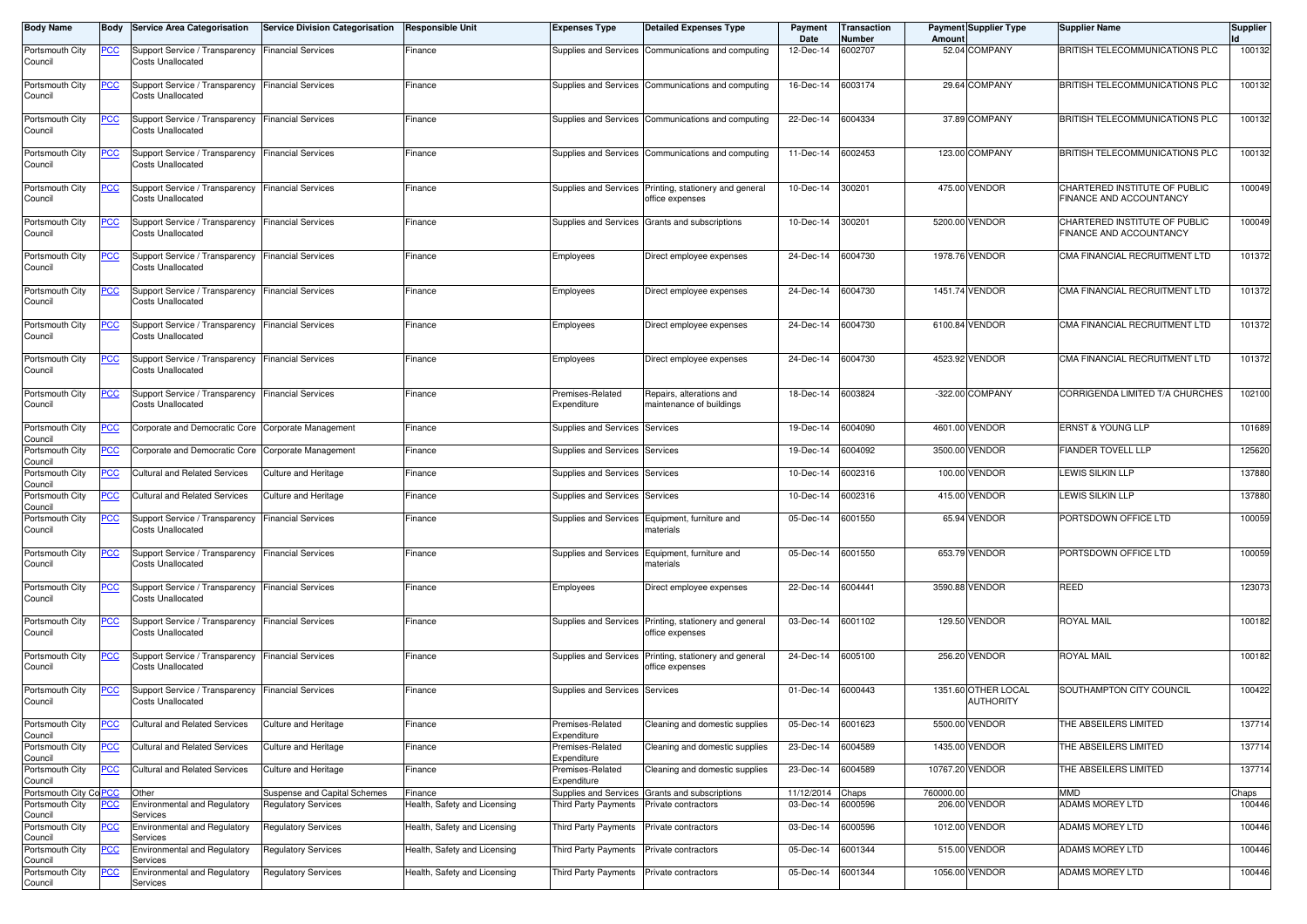| <b>Body Name</b>                         | Body       | <b>Service Area Categorisation</b>                                            | <b>Service Division Categorisation</b>                     | <b>Responsible Unit</b>                 | <b>Expenses Type</b>                     | <b>Detailed Expenses Type</b>                                             | Payment<br>Date               | <b>Transaction</b><br>Number | Amount    | <b>Payment Supplier Type</b>            | <b>Supplier Name</b>                                     | <b>Supplier</b> |
|------------------------------------------|------------|-------------------------------------------------------------------------------|------------------------------------------------------------|-----------------------------------------|------------------------------------------|---------------------------------------------------------------------------|-------------------------------|------------------------------|-----------|-----------------------------------------|----------------------------------------------------------|-----------------|
| Portsmouth City<br>Council               | PCC        | Support Service / Transparency<br><b>Costs Unallocated</b>                    | <b>Financial Services</b>                                  | Finance                                 |                                          | Supplies and Services Communications and computing                        | 12-Dec-14                     | 6002707                      |           | 52.04 COMPANY                           | BRITISH TELECOMMUNICATIONS PLC                           | 100132          |
| Portsmouth City<br>Council               | <u>PCC</u> | Support Service / Transparency<br><b>Costs Unallocated</b>                    | <b>Financial Services</b>                                  | Finance                                 |                                          | Supplies and Services Communications and computing                        | 16-Dec-14                     | 6003174                      |           | 29.64 COMPANY                           | BRITISH TELECOMMUNICATIONS PLC                           | 100132          |
| Portsmouth City<br>Council               | <u>PCC</u> | Support Service / Transparency<br><b>Costs Unallocated</b>                    | <b>Financial Services</b>                                  | Finance                                 |                                          | Supplies and Services Communications and computing                        | 22-Dec-14                     | 6004334                      |           | 37.89 COMPANY                           | BRITISH TELECOMMUNICATIONS PLC                           | 100132          |
| Portsmouth City<br>Council               | <u>PCC</u> | Support Service / Transparency<br><b>Costs Unallocated</b>                    | <b>Financial Services</b>                                  | Finance                                 |                                          | Supplies and Services Communications and computing                        | 11-Dec-14                     | 6002453                      |           | 123.00 COMPANY                          | BRITISH TELECOMMUNICATIONS PLC                           | 100132          |
| Portsmouth City<br>Council               | <u>PCC</u> | Support Service / Transparency<br><b>Costs Unallocated</b>                    | <b>Financial Services</b>                                  | Finance                                 |                                          | Supplies and Services Printing, stationery and general<br>office expenses | 10-Dec-14                     | 300201                       |           | 475.00 VENDOR                           | CHARTERED INSTITUTE OF PUBLIC<br>FINANCE AND ACCOUNTANCY | 100049          |
| Portsmouth City<br>Council               | <u>PCC</u> | Support Service / Transparency<br><b>Costs Unallocated</b>                    | <b>Financial Services</b>                                  | Finance                                 |                                          | Supplies and Services Grants and subscriptions                            | 10-Dec-14                     | 300201                       |           | 5200.00 VENDOR                          | CHARTERED INSTITUTE OF PUBLIC<br>FINANCE AND ACCOUNTANCY | 100049          |
| Portsmouth City<br>Council               | <b>PCC</b> | Support Service / Transparency Financial Services<br><b>Costs Unallocated</b> |                                                            | Finance                                 | Employees                                | Direct employee expenses                                                  | 24-Dec-14                     | 6004730                      |           | 1978.76 VENDOR                          | CMA FINANCIAL RECRUITMENT LTD                            | 101372          |
| Portsmouth City<br>Council               | <b>PCC</b> | Support Service / Transparency<br><b>Costs Unallocated</b>                    | <b>Financial Services</b>                                  | Finance                                 | Employees                                | Direct employee expenses                                                  | 24-Dec-14                     | 6004730                      |           | 1451.74 VENDOR                          | CMA FINANCIAL RECRUITMENT LTD                            | 101372          |
| Portsmouth City<br>Council               | <u>PCC</u> | Support Service / Transparency<br><b>Costs Unallocated</b>                    | <b>Financial Services</b>                                  | Finance                                 | Employees                                | Direct employee expenses                                                  | 24-Dec-14                     | 6004730                      |           | 6100.84 VENDOR                          | CMA FINANCIAL RECRUITMENT LTD                            | 101372          |
| Portsmouth City<br>Council               | <u>PCC</u> | Support Service / Transparency Financial Services<br><b>Costs Unallocated</b> |                                                            | Finance                                 | Employees                                | Direct employee expenses                                                  | 24-Dec-14                     | 6004730                      |           | 4523.92 VENDOR                          | CMA FINANCIAL RECRUITMENT LTD                            | 101372          |
| Portsmouth City<br>Council               | <u>PCC</u> | Support Service / Transparency<br><b>Costs Unallocated</b>                    | <b>Financial Services</b>                                  | Finance                                 | Premises-Related<br>Expenditure          | Repairs, alterations and<br>maintenance of buildings                      | 18-Dec-14                     | 6003824                      |           | -322.00 COMPANY                         | CORRIGENDA LIMITED T/A CHURCHES                          | 102100          |
| Portsmouth City<br>Council               | °СС        | Corporate and Democratic Core                                                 | Corporate Management                                       | Finance                                 | Supplies and Services Services           |                                                                           | 19-Dec-14                     | 6004090                      |           | 4601.00 VENDOR                          | <b>ERNST &amp; YOUNG LLP</b>                             | 101689          |
| Portsmouth City<br>Council               | <u>PCC</u> | Corporate and Democratic Core                                                 | Corporate Management                                       | Finance                                 | Supplies and Services Services           |                                                                           | 19-Dec-14                     | 6004092                      |           | 3500.00 VENDOR                          | <b>FIANDER TOVELL LLP</b>                                | 125620          |
| Portsmouth City<br>Council               | PСC        | <b>Cultural and Related Services</b>                                          | Culture and Heritage                                       | Finance                                 | Supplies and Services Services           |                                                                           | 10-Dec-14                     | 6002316                      |           | 100.00 VENDOR                           | LEWIS SILKIN LLP                                         | 137880          |
| Portsmouth City<br>Council               | <u>PCC</u> | <b>Cultural and Related Services</b>                                          | Culture and Heritage                                       | Finance                                 | Supplies and Services                    | Services                                                                  | 10-Dec-14                     | 6002316                      |           | 415.00 VENDOR                           | LEWIS SILKIN LLP                                         | 137880          |
| Portsmouth City<br>Council               | <u>PCC</u> | Support Service / Transparency<br><b>Costs Unallocated</b>                    | <b>Financial Services</b>                                  | Finance                                 |                                          | Supplies and Services Equipment, furniture and<br>materials               | 05-Dec-14                     | 6001550                      |           | 65.94 VENDOR                            | PORTSDOWN OFFICE LTD                                     | 100059          |
| Portsmouth City<br>Council               | <u>PCC</u> | Support Service / Transparency<br>Costs Unallocated                           | <b>Financial Services</b>                                  | Finance                                 |                                          | Supplies and Services Equipment, furniture and<br>naterials               | 05-Dec-14                     | 6001550                      |           | 653.79 VENDOR                           | PORTSDOWN OFFICE LTD                                     | 100059          |
| Portsmouth City<br>Council               | <u>PCC</u> | Support Service / Transparency<br><b>Costs Unallocated</b>                    | <b>Financial Services</b>                                  | Finance                                 | Employees                                | Direct employee expenses                                                  | 22-Dec-14                     | 6004441                      |           | 3590.88 VENDOR                          | <b>REED</b>                                              | 123073          |
| Portsmouth City<br>Council               | PCC.       | Support Service / Transparency<br><b>Costs Unallocated</b>                    | <b>Financial Services</b>                                  | Finance                                 |                                          | Supplies and Services Printing, stationery and general<br>office expenses | 03-Dec-14                     | 6001102                      |           | 129.50 VENDOR                           | ROYAL MAIL                                               | 100182          |
| Portsmouth City<br>Council               | <u>PCC</u> | Support Service / Transparency<br><b>Costs Unallocated</b>                    | <b>Financial Services</b>                                  | Finance                                 |                                          | Supplies and Services Printing, stationery and general<br>office expenses | 24-Dec-14                     | 6005100                      |           | 256.20 VENDOR                           | <b>ROYAL MAIL</b>                                        | 100182          |
| Portsmouth City<br>Council               | <u>PCC</u> | Support Service / Transparency<br><b>Costs Unallocated</b>                    | <b>Financial Services</b>                                  | Finance                                 | Supplies and Services Services           |                                                                           | 01-Dec-14                     | 6000443                      |           | 1351.60 OTHER LOCAL<br><b>AUTHORITY</b> | SOUTHAMPTON CITY COUNCIL                                 | 100422          |
| Portsmouth City<br>Council               |            | Cultural and Related Services                                                 | Culture and Heritage                                       | Finance                                 | Premises-Related<br>Expenditure          | Cleaning and domestic supplies                                            | 05-Dec-14 6001623             |                              |           | 5500.00 VENDOR                          | THE ABSEILERS LIMITED                                    | 137714          |
| Portsmouth City<br>Council               | <b>PCC</b> | <b>Cultural and Related Services</b>                                          | Culture and Heritage                                       | Finance                                 | Premises-Related<br>Expenditure          | Cleaning and domestic supplies                                            | 23-Dec-14                     | 6004589                      |           | 1435.00 VENDOR                          | THE ABSEILERS LIMITED                                    | 137714          |
| Portsmouth City<br>Council               | PCC        | <b>Cultural and Related Services</b>                                          | Culture and Heritage                                       | Finance                                 | Premises-Related<br>Expenditure          | Cleaning and domestic supplies                                            | 23-Dec-14                     | 6004589                      |           | 10767.20 VENDOR                         | THE ABSEILERS LIMITED                                    | 137714          |
| Portsmouth City CoPCC<br>Portsmouth City | <u>PCC</u> | Other<br><b>Environmental and Regulatory</b>                                  | Suspense and Capital Schemes<br><b>Regulatory Services</b> | Finance<br>Health, Safety and Licensing | Third Party Payments                     | Supplies and Services Grants and subscriptions<br>Private contractors     | 11/12/2014 Chaps<br>03-Dec-14 | 6000596                      | 760000.00 | 206.00 VENDOR                           | <b>UMM</b><br>ADAMS MOREY LTD                            | Chaps<br>100446 |
| Council<br>Portsmouth City               | <u>PCC</u> | Services<br><b>Environmental and Regulatory</b>                               | <b>Regulatory Services</b>                                 | Health, Safety and Licensing            | Third Party Payments                     | Private contractors                                                       | 03-Dec-14                     | 6000596                      |           | 1012.00 VENDOR                          | ADAMS MOREY LTD                                          | 100446          |
| Council<br>Portsmouth City               | <b>PCC</b> | Services<br><b>Environmental and Regulatory</b>                               | <b>Regulatory Services</b>                                 | Health, Safety and Licensing            | Third Party Payments                     | Private contractors                                                       | 05-Dec-14                     | 6001344                      |           | 515.00 VENDOR                           | ADAMS MOREY LTD                                          | 100446          |
| Council<br>Portsmouth City               |            | Services<br>Environmental and Regulatory                                      | <b>Regulatory Services</b>                                 |                                         |                                          |                                                                           |                               | 6001344                      |           | 1056.00 VENDOR                          | ADAMS MOREY LTD                                          |                 |
| Council                                  | <u>PCC</u> | Services                                                                      |                                                            | Health, Safety and Licensing            | Third Party Payments Private contractors |                                                                           | 05-Dec-14                     |                              |           |                                         |                                                          | 100446          |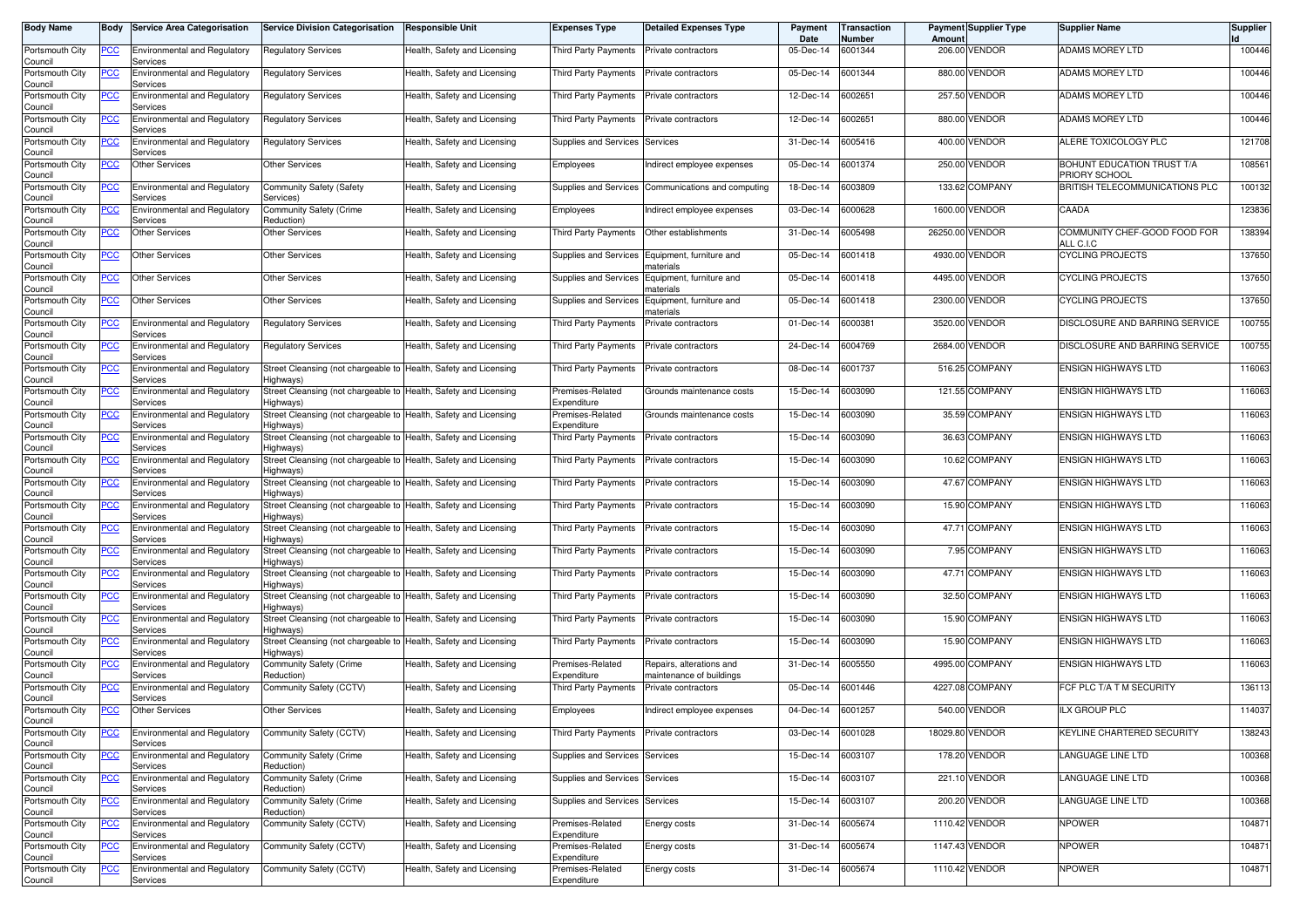| <b>Body Name</b>                      | Body       | <b>Service Area Categorisation</b>              | <b>Service Division Categorisation</b>                                        | Responsible Unit             | <b>Expenses Type</b>            | <b>Detailed Expenses Type</b>                        | Payment<br>Date | <b>Transaction</b><br>Number | Amount | <b>Payment Supplier Type</b> | Supplier Name                               | <b>Supplier</b> |
|---------------------------------------|------------|-------------------------------------------------|-------------------------------------------------------------------------------|------------------------------|---------------------------------|------------------------------------------------------|-----------------|------------------------------|--------|------------------------------|---------------------------------------------|-----------------|
| Portsmouth City<br>Council            | PCC        | <b>Environmental and Regulatory</b><br>Services | <b>Regulatory Services</b>                                                    | Health, Safety and Licensing | Third Party Payments            | Private contractors                                  | 05-Dec-14       | 6001344                      |        | 206.00 VENDOR                | <b>ADAMS MOREY LTD</b>                      | 100446          |
| Portsmouth City<br>Council            | <u>PCC</u> | <b>Environmental and Regulatory</b><br>Services | Regulatory Services                                                           | Health, Safety and Licensing | Third Party Payments            | Private contractors                                  | 05-Dec-14       | 6001344                      |        | 880.00 VENDOR                | ADAMS MOREY LTD                             | 100446          |
| Portsmouth City                       | <u>PCC</u> | <b>Environmental and Regulatory</b>             | Regulatory Services                                                           | Health, Safety and Licensing | Third Party Payments            | Private contractors                                  | 12-Dec-14       | 6002651                      |        | 257.50 VENDOR                | ADAMS MOREY LTD                             | 100446          |
| Council<br>Portsmouth City            | <u>PCC</u> | Services<br><b>Environmental and Regulatory</b> | Regulatory Services                                                           | Health, Safety and Licensing | Third Party Payments            | Private contractors                                  | 12-Dec-14       | 6002651                      |        | 880.00 VENDOR                | ADAMS MOREY LTD                             | 100446          |
| Council<br>Portsmouth City            | <u>PCC</u> | Services<br><b>Environmental and Regulatory</b> | Regulatory Services                                                           | Health, Safety and Licensing | Supplies and Services           | Services                                             | 31-Dec-14       | 6005416                      |        | 400.00 VENDOR                | ALERE TOXICOLOGY PLC                        | 121708          |
| Council<br>Portsmouth City            | <u>PCC</u> | Services<br>Other Services                      | <b>Other Services</b>                                                         | Health, Safety and Licensing | Employees                       | Indirect employee expenses                           | 05-Dec-14       | 6001374                      |        | 250.00 VENDOR                | BOHUNT EDUCATION TRUST T/A<br>PRIORY SCHOOL | 108561          |
| Council<br>Portsmouth City<br>Council | <u>PCC</u> | Environmental and Regulatory<br>Services        | Community Safety (Safety<br>Services)                                         | Health, Safety and Licensing | Supplies and Services           | Communications and computing                         | 18-Dec-14       | 6003809                      |        | 133.62 COMPANY               | BRITISH TELECOMMUNICATIONS PLC              | 100132          |
| Portsmouth City<br>Council            | <u>PCC</u> | <b>Environmental and Regulatory</b><br>Services | Community Safety (Crime<br>Reduction)                                         | Health, Safety and Licensing | Employees                       | Indirect employee expenses                           | 03-Dec-14       | 6000628                      |        | 1600.00 VENDOR               | CAADA                                       | 123836          |
| Portsmouth City<br>Council            | <u>PCC</u> | <b>Other Services</b>                           | Other Services                                                                | Health, Safety and Licensing | Third Party Payments            | Other establishments                                 | 31-Dec-14       | 6005498                      |        | 26250.00 VENDOR              | COMMUNITY CHEF-GOOD FOOD FOR<br>ALL C.I.C   | 138394          |
| Portsmouth City<br>Council            | PCC        | Other Services                                  | Other Services                                                                | Health, Safety and Licensing | Supplies and Services           | Equipment, furniture and<br>naterials                | 05-Dec-14       | 6001418                      |        | 4930.00 VENDOR               | CYCLING PROJECTS                            | 137650          |
| Portsmouth City<br>Council            | PСC        | <b>Other Services</b>                           | Other Services                                                                | Health, Safety and Licensing | Supplies and Services           | Equipment, furniture and<br>naterials                | 05-Dec-14       | 6001418                      |        | 4495.00 VENDOR               | CYCLING PROJECTS                            | 137650          |
| Portsmouth City<br>Council            | <u>PCC</u> | <b>Other Services</b>                           | <b>Other Services</b>                                                         | Health, Safety and Licensing | <b>Supplies and Services</b>    | Equipment, furniture and<br>naterials                | 05-Dec-14       | 6001418                      |        | 2300.00 VENDOR               | CYCLING PROJECTS                            | 137650          |
| Portsmouth City<br>Council            | PCC        | <b>Environmental and Regulatory</b><br>Services | Regulatory Services                                                           | Health, Safety and Licensing | Third Party Payments            | Private contractors                                  | 01-Dec-14       | 6000381                      |        | 3520.00 VENDOR               | DISCLOSURE AND BARRING SERVICE              | 100755          |
| Portsmouth City<br>Council            | PСC        | <b>Environmental and Regulatory</b><br>Services | Regulatory Services                                                           | Health, Safety and Licensing | Third Party Payments            | Private contractors                                  | 24-Dec-14       | 6004769                      |        | 2684.00 VENDOR               | DISCLOSURE AND BARRING SERVICE              | 100755          |
| Portsmouth City<br>Council            | сC         | <b>Environmental and Regulatory</b><br>Services | Street Cleansing (not chargeable to Health, Safety and Licensing<br>lighways) |                              | Third Party Payments            | Private contractors                                  | 08-Dec-14       | 6001737                      |        | 516.25 COMPANY               | ENSIGN HIGHWAYS LTD                         | 116063          |
| Portsmouth City<br>Council            | <u>PCC</u> | <b>Environmental and Regulatory</b><br>Services | Street Cleansing (not chargeable to Health, Safety and Licensing<br>Highways) |                              | Premises-Related<br>Expenditure | Grounds maintenance costs                            | 15-Dec-14       | 6003090                      |        | 121.55 COMPANY               | ENSIGN HIGHWAYS LTD                         | 116063          |
| Portsmouth City<br>Council            | <u>PCC</u> | <b>Environmental and Regulatory</b><br>Services | Street Cleansing (not chargeable to Health, Safety and Licensing<br>lighways) |                              | Premises-Related<br>Expenditure | Grounds maintenance costs                            | 15-Dec-14       | 6003090                      |        | 35.59 COMPANY                | <b>ENSIGN HIGHWAYS LTD</b>                  | 116063          |
| Portsmouth City<br>Council            | <u>PCC</u> | <b>Environmental and Regulatory</b><br>Services | Street Cleansing (not chargeable to Health, Safety and Licensing<br>lighways) |                              | Third Party Payments            | Private contractors                                  | 15-Dec-14       | 6003090                      |        | 36.63 COMPANY                | <b>ENSIGN HIGHWAYS LTD</b>                  | 116063          |
| Portsmouth City<br>Council            | PСC        | <b>Environmental and Regulatory</b><br>Services | Street Cleansing (not chargeable to Health, Safety and Licensing<br>lighways) |                              | Third Party Payments            | Private contractors                                  | 15-Dec-14       | 6003090                      |        | 10.62 COMPANY                | <b>ENSIGN HIGHWAYS LTD</b>                  | 116063          |
| Portsmouth City<br>Council            | <u>PCC</u> | <b>Environmental and Regulatory</b><br>Services | Street Cleansing (not chargeable to Health, Safety and Licensing<br>lighways) |                              | Third Party Payments            | Private contractors                                  | 15-Dec-14       | 6003090                      |        | 47.67 COMPANY                | ENSIGN HIGHWAYS LTD                         | 116063          |
| Portsmouth City<br>Council            | <u>PCC</u> | <b>Environmental and Regulatory</b><br>Services | Street Cleansing (not chargeable to Health, Safety and Licensing<br>lighways) |                              | Third Party Payments            | Private contractors                                  | 15-Dec-14       | 6003090                      |        | 15.90 COMPANY                | <b>ENSIGN HIGHWAYS LTD</b>                  | 116063          |
| Portsmouth City<br>Council            | <u>PCC</u> | <b>Environmental and Regulatory</b><br>Services | Street Cleansing (not chargeable to Health, Safety and Licensing<br>lighways) |                              | Third Party Payments            | Private contractors                                  | 15-Dec-14       | 6003090                      |        | 47.71 COMPANY                | <b>ENSIGN HIGHWAYS LTD</b>                  | 116063          |
| Portsmouth City<br>Council            | <u>PCC</u> | <b>Environmental and Regulatory</b><br>Services | Street Cleansing (not chargeable to Health, Safety and Licensing<br>lighways) |                              | Third Party Payments            | Private contractors                                  | 15-Dec-14       | 6003090                      |        | 7.95 COMPANY                 | <b>ENSIGN HIGHWAYS LTD</b>                  | 116063          |
| Portsmouth City<br>Council            | <u>PCC</u> | <b>Environmental and Regulatory</b><br>Services | Street Cleansing (not chargeable to Health, Safety and Licensing<br>lighways) |                              | Third Party Payments            | Private contractors                                  | 15-Dec-14       | 6003090                      |        | 47.71 COMPANY                | ENSIGN HIGHWAYS LTD                         | 116063          |
| Portsmouth City<br>Council            | <u>PCC</u> | <b>Environmental and Regulatory</b><br>Services | Street Cleansing (not chargeable to Health, Safety and Licensing<br>Highways) |                              | Third Party Payments            | Private contractors                                  | 15-Dec-14       | 6003090                      |        | 32.50 COMPANY                | ENSIGN HIGHWAYS LTD                         | 116063          |
| Portsmouth City<br>Council            | <b>PCC</b> | <b>Environmental and Regulatory</b><br>Services | Street Cleansing (not chargeable to Health, Safety and Licensing<br>lighways) |                              | Third Party Payments            | Private contractors                                  | 15-Dec-14       | 6003090                      |        | 15.90 COMPANY                | <b>ENSIGN HIGHWAYS LTD</b>                  | 116063          |
| Portsmouth City<br>Council            | <u>PCC</u> | <b>Environmental and Regulatory</b><br>Services | Street Cleansing (not chargeable to Health, Safety and Licensing<br>lighways) |                              | Third Party Payments            | Private contractors                                  | 15-Dec-14       | 6003090                      |        | 15.90 COMPANY                | <b>ENSIGN HIGHWAYS LTD</b>                  | 116063          |
| Portsmouth City<br>Council            |            | <b>Environmental and Regulatory</b><br>Services | Community Safety (Crime<br>Reduction)                                         | Health, Safety and Licensing | Premises-Related<br>Expenditure | Repairs, alterations and<br>maintenance of buildings | 31-Dec-14       | 6005550                      |        | 4995.00 COMPANY              | <b>ENSIGN HIGHWAYS LTD</b>                  | 116063          |
| Portsmouth City<br>Council            | <u>PCC</u> | <b>Environmental and Regulatory</b><br>Services | Community Safety (CCTV)                                                       | Health, Safety and Licensing | Third Party Payments            | Private contractors                                  | 05-Dec-14       | 6001446                      |        | 4227.08 COMPANY              | FCF PLC T/A T M SECURITY                    | 136113          |
| Portsmouth City                       | <u>PCC</u> | <b>Other Services</b>                           | <b>Other Services</b>                                                         | Health, Safety and Licensing | Employees                       | Indirect employee expenses                           | 04-Dec-14       | 6001257                      |        | 540.00 VENDOR                | ILX GROUP PLC                               | 114037          |
| Council<br>Portsmouth City<br>Council | <u>PCC</u> | Environmental and Regulatory<br>Services        | Community Safety (CCTV)                                                       | Health, Safety and Licensing | Third Party Payments            | Private contractors                                  | 03-Dec-14       | 6001028                      |        | 18029.80 VENDOR              | KEYLINE CHARTERED SECURITY                  | 138243          |
| Portsmouth City<br>Council            | <u>PCC</u> | Environmental and Regulatory<br>Services        | Community Safety (Crime<br>Reduction)                                         | Health, Safety and Licensing | Supplies and Services Services  |                                                      | 15-Dec-14       | 6003107                      |        | 178.20 VENDOR                | LANGUAGE LINE LTD                           | 100368          |
| Portsmouth City<br>Council            | <u>PCC</u> | <b>Environmental and Regulatory</b><br>Services | Community Safety (Crime<br>Reduction)                                         | Health, Safety and Licensing | Supplies and Services Services  |                                                      | 15-Dec-14       | 6003107                      |        | 221.10 VENDOR                | LANGUAGE LINE LTD                           | 100368          |
| Portsmouth City<br>Council            | <u>PCC</u> | <b>Environmental and Regulatory</b><br>Services | Community Safety (Crime<br>Reduction)                                         | Health, Safety and Licensing | Supplies and Services           | Services                                             | 15-Dec-14       | 6003107                      |        | 200.20 VENDOR                | LANGUAGE LINE LTD                           | 100368          |
| Portsmouth City<br>Council            | <u>PCC</u> | Environmental and Regulatory<br>Services        | Community Safety (CCTV)                                                       | Health, Safety and Licensing | Premises-Related<br>Expenditure | Energy costs                                         | 31-Dec-14       | 6005674                      |        | 1110.42 VENDOR               | NPOWER                                      | 104871          |
| Portsmouth City<br>Council            | <u>PCC</u> | Environmental and Regulatory<br>Services        | Community Safety (CCTV)                                                       | Health, Safety and Licensing | Premises-Related<br>Expenditure | Energy costs                                         | 31-Dec-14       | 6005674                      |        | 1147.43 VENDOR               | <b>NPOWER</b>                               | 104871          |
| Portsmouth City<br>Council            | <u>PCC</u> | Environmental and Regulatory<br>Services        | Community Safety (CCTV)                                                       | Health, Safety and Licensing | Premises-Related<br>Expenditure | Energy costs                                         | 31-Dec-14       | 6005674                      |        | 1110.42 VENDOR               | <b>NPOWER</b>                               | 104871          |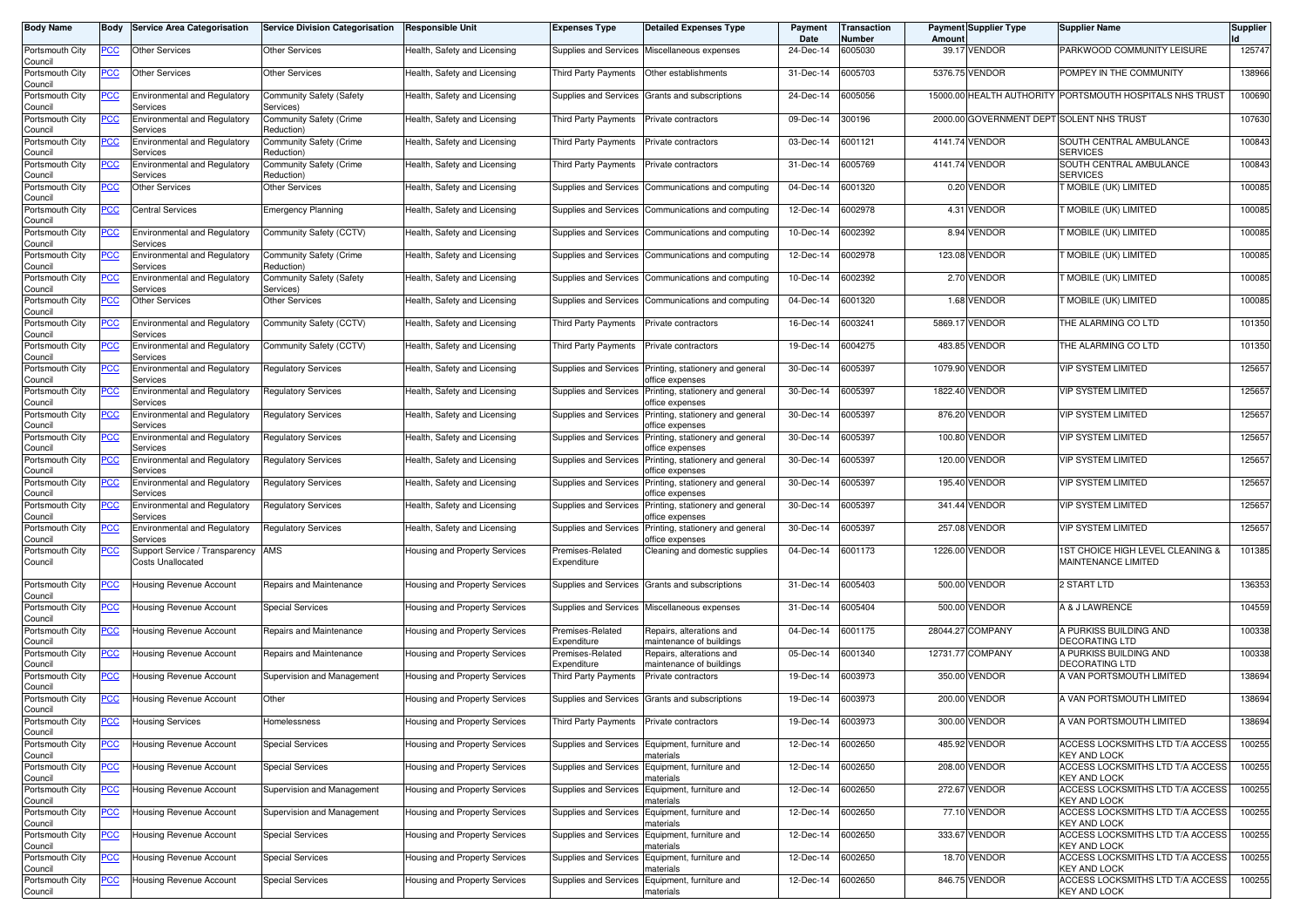| <b>Body Name</b>           | Body        | <b>Service Area Categorisation</b>                  | <b>Service Division Categorisation</b>       | Responsible Unit              | <b>Expenses Type</b>                     | <b>Detailed Expenses Type</b>                               | Payment<br>Date | <b>Transaction</b><br>Number | Amoun    | <b>Payment Supplier Type</b>            | <b>Supplier Name</b>                                    | <b>Supplier</b> |
|----------------------------|-------------|-----------------------------------------------------|----------------------------------------------|-------------------------------|------------------------------------------|-------------------------------------------------------------|-----------------|------------------------------|----------|-----------------------------------------|---------------------------------------------------------|-----------------|
| Portsmouth City<br>Council | PCC         | <b>Other Services</b>                               | <b>Other Services</b>                        | Health, Safety and Licensing  |                                          | Supplies and Services Miscellaneous expenses                | 24-Dec-14       | 6005030                      | 39.17    | <b>VENDOR</b>                           | PARKWOOD COMMUNITY LEISURE                              | 125747          |
| Portsmouth City<br>Council | <u>PCC</u>  | Other Services                                      | <b>Other Services</b>                        | Health, Safety and Licensing  | Third Party Payments                     | Other establishments                                        | 31-Dec-14       | 6005703                      |          | 5376.75 VENDOR                          | POMPEY IN THE COMMUNITY                                 | 138966          |
| Portsmouth City<br>Council | <u>PCC</u>  | <b>Environmental and Regulatory</b><br>Services     | <b>Community Safety (Safety</b><br>Services) | Health, Safety and Licensing  | Supplies and Services                    | Grants and subscriptions                                    | 24-Dec-14       | 6005056                      | 15000.00 |                                         | HEALTH AUTHORITY PORTSMOUTH HOSPITALS NHS TRUST         | 100690          |
| Portsmouth City<br>Council | ∍CC         | <b>Environmental and Regulatory</b><br>Services     | Community Safety (Crime<br>Reduction)        | Health, Safety and Licensing  | Third Party Payments                     | Private contractors                                         | 09-Dec-14       | 300196                       | 2000.00  | <b>GOVERNMENT DEPT SOLENT NHS TRUST</b> |                                                         | 107630          |
| Portsmouth City<br>Council | <u>PCC</u>  | <b>Environmental and Regulatory</b><br>Services     | Community Safety (Crime<br>Reduction)        | Health, Safety and Licensing  | Third Party Payments                     | Private contractors                                         | 03-Dec-14       | 6001121                      |          | 4141.74 VENDOR                          | SOUTH CENTRAL AMBULANCE<br><b>SERVICES</b>              | 100843          |
| Portsmouth City<br>Council | <u>PCC</u>  | <b>Environmental and Regulatory</b><br>Services     | Community Safety (Crime<br>Reduction)        | Health, Safety and Licensing  | Third Party Payments                     | Private contractors                                         | 31-Dec-14       | 6005769                      |          | 4141.74 VENDOR                          | SOUTH CENTRAL AMBULANCE<br><b>SERVICES</b>              | 100843          |
| Portsmouth City<br>Council | <u>PCC</u>  | Other Services                                      | Other Services                               | Health, Safety and Licensing  | Supplies and Services                    | Communications and computing                                | 04-Dec-14       | 6001320                      |          | 0.20 VENDOR                             | <b>NOBILE (UK) LIMITED</b>                              | 100085          |
| Portsmouth City<br>Council | <u>PCC</u>  | <b>Central Services</b>                             | <b>Emergency Planning</b>                    | Health, Safety and Licensing  | Supplies and Services                    | Communications and computing                                | 12-Dec-14       | 6002978                      |          | 4.31 VENDOR                             | T MOBILE (UK) LIMITED                                   | 100085          |
| Portsmouth City<br>Council | <u>PCC </u> | Environmental and Regulatory<br>Services            | Community Safety (CCTV)                      | Health, Safety and Licensing  | Supplies and Services                    | Communications and computing                                | 10-Dec-14       | 6002392                      |          | 8.94 VENDOR                             | <b>FMOBILE (UK) LIMITED</b>                             | 100085          |
| Portsmouth City<br>Council | PСC         | <b>Environmental and Regulatory</b><br>Services     | Community Safety (Crime<br>Reduction)        | Health, Safety and Licensing  | Supplies and Services                    | Communications and computing                                | 12-Dec-14       | 6002978                      |          | 123.08 VENDOR                           | T MOBILE (UK) LIMITED                                   | 100085          |
| Portsmouth City<br>Council | PСC         | <b>Environmental and Regulatory</b><br>Services     | Community Safety (Safety<br>Services)        | Health, Safety and Licensing  | Supplies and Services                    | Communications and computing                                | 10-Dec-14       | 6002392                      |          | 2.70 VENDOR                             | MOBILE (UK) LIMITED                                     | 100085          |
| Portsmouth City<br>Council | PСC         | Other Services                                      | Other Services                               | Health, Safety and Licensing  | Supplies and Services                    | Communications and computing                                | 04-Dec-14       | 6001320                      |          | 1.68 VENDOR                             | T MOBILE (UK) LIMITED                                   | 100085          |
| Portsmouth City<br>Council | PСC         | <b>Environmental and Regulatory</b><br>Services     | Community Safety (CCTV)                      | Health, Safety and Licensing  | Third Party Payments                     | Private contractors                                         | 16-Dec-14       | 6003241                      | 5869.17  | <b>VENDOR</b>                           | THE ALARMING CO LTD                                     | 101350          |
| Portsmouth City<br>Council | PСC         | <b>Environmental and Regulatory</b><br>Services     | Community Safety (CCTV)                      | Health, Safety and Licensing  | Third Party Payments                     | Private contractors                                         | 19-Dec-14       | 6004275                      | 483.85   | <b>VENDOR</b>                           | THE ALARMING CO LTD                                     | 101350          |
| Portsmouth City<br>Council | PСC         | <b>Environmental and Regulatory</b><br>Services     | Regulatory Services                          | Health, Safety and Licensing  | Supplies and Services                    | Printing, stationery and general<br>office expenses         | 30-Dec-14       | 6005397                      | 1079.90  | <b>VENDOR</b>                           | <b>VIP SYSTEM LIMITED</b>                               | 125657          |
| Portsmouth City<br>Council |             | <b>Environmental and Regulatory</b><br>Services     | Regulatory Services                          | Health, Safety and Licensing  | Supplies and Services                    | Printing, stationery and general<br>office expenses         | 30-Dec-14       | 6005397                      | 1822.40  | <b>VENDOR</b>                           | <b>VIP SYSTEM LIMITED</b>                               | 125657          |
| Portsmouth City<br>Council |             | <b>Environmental and Regulatory</b><br>Services     | Regulatory Services                          | Health, Safety and Licensing  | Supplies and Services                    | Printing, stationery and general<br>office expenses         | 30-Dec-14       | 6005397                      |          | 876.20 VENDOR                           | <b>VIP SYSTEM LIMITED</b>                               | 125657          |
| Portsmouth City<br>Council |             | <b>Environmental and Regulatory</b><br>Services     | Regulatory Services                          | Health, Safety and Licensing  | Supplies and Services                    | Printing, stationery and general<br>office expenses         | 30-Dec-14       | 6005397                      | 100.80   | <b>VENDOR</b>                           | <b>VIP SYSTEM LIMITED</b>                               | 125657          |
| Portsmouth City<br>Council | PСC         | <b>Environmental and Regulatory</b><br>Services     | <b>Regulatory Services</b>                   | Health, Safety and Licensing  | Supplies and Services                    | Printing, stationery and general<br>office expenses         | 30-Dec-14       | 6005397                      | 120.00   | <b>VENDOR</b>                           | <b>VIP SYSTEM LIMITED</b>                               | 125657          |
| Portsmouth City<br>Council | <u>PCC</u>  | <b>Environmental and Regulatory</b><br>Services     | Regulatory Services                          | Health, Safety and Licensing  | Supplies and Services                    | Printing, stationery and general<br>office expenses         | 30-Dec-14       | 6005397                      | 195.40   | <b>VENDOR</b>                           | <b>VIP SYSTEM LIMITED</b>                               | 125657          |
| Portsmouth City<br>Council | PСC         | <b>Environmental and Regulatory</b><br>Services     | <b>Regulatory Services</b>                   | Health, Safety and Licensing  | <b>Supplies and Services</b>             | Printing, stationery and general<br>office expenses         | 30-Dec-14       | 6005397                      |          | 341.44 VENDOR                           | <b>VIP SYSTEM LIMITED</b>                               | 125657          |
| Portsmouth City<br>Council | <u>PCC</u>  | <b>Environmental and Regulatory</b><br>Services     | <b>Regulatory Services</b>                   | Health, Safety and Licensing  | Supplies and Services                    | Printing, stationery and general<br>office expenses         | 30-Dec-14       | 6005397                      | 257.08   | <b>VENDOR</b>                           | <b>VIP SYSTEM LIMITED</b>                               | 125657          |
| Portsmouth City<br>Council | <u>PCC</u>  | Support Service / Transparency<br>Costs Unallocated | AMS                                          | Housing and Property Services | Premises-Related<br>Expenditure          | Cleaning and domestic supplies                              | 04-Dec-14       | 6001173                      | 1226.00  | <b>VENDOR</b>                           | 1ST CHOICE HIGH LEVEL CLEANING &<br>MAINTENANCE LIMITED | 101385          |
| Portsmouth City<br>Council | сC          | Housing Revenue Account                             | Repairs and Maintenance                      | Housing and Property Services | <b>Supplies and Services</b>             | Grants and subscriptions                                    | 31-Dec-14       | 6005403                      |          | 500.00 VENDOR                           | 2 START LTD                                             | 136353          |
| Portsmouth City<br>Council | <u>PCC</u>  | Housing Revenue Account                             | <b>Special Services</b>                      | Housing and Property Services | Supplies and Services                    | Miscellaneous expenses                                      | 31-Dec-14       | 6005404                      | 500.00   | <b>VENDOR</b>                           | A & J LAWRENCE                                          | 104559          |
| Portsmouth City<br>Council | <u>PCC</u>  | Housing Revenue Account                             | Repairs and Maintenance                      | Housing and Property Services | Premises-Related<br>Expenditure          | Repairs, alterations and<br>maintenance of buildings        | 04-Dec-14       | 6001175                      | 28044.27 | <b>COMPANY</b>                          | A PURKISS BUILDING AND<br><b>DECORATING LTD</b>         | 100338          |
| Portsmouth City<br>Council | <u>PCC</u>  | Housing Revenue Account                             | Repairs and Maintenance                      | Housing and Property Services | Premises-Related<br>Expenditure          | Repairs, alterations and<br>maintenance of buildings        | 05-Dec-14       | 6001340                      |          | 12731.77 COMPANY                        | A PURKISS BUILDING AND<br><b>DECORATING LTD</b>         | 100338          |
| Portsmouth City<br>Council | <u>PCC</u>  | Housing Revenue Account                             | Supervision and Management                   | Housing and Property Services | Third Party Payments                     | Private contractors                                         | 19-Dec-14       | 6003973                      | 350.00   | <b>VENDOR</b>                           | A VAN PORTSMOUTH LIMITED                                | 138694          |
| Portsmouth City<br>Council | <u>PCC</u>  | Housing Revenue Account                             | Other                                        | Housing and Property Services |                                          | Supplies and Services Grants and subscriptions              | 19-Dec-14       | 6003973                      |          | 200.00 VENDOR                           | A VAN PORTSMOUTH LIMITED                                | 138694          |
| Portsmouth City<br>Council |             | Housing Services                                    | Homelessness                                 | Housing and Property Services | Third Party Payments Private contractors |                                                             | 19-Dec-14       | 6003973                      |          | 300.00 VENDOR                           | A VAN PORTSMOUTH LIMITED                                | 138694          |
| Portsmouth City<br>Council | <b>PCC</b>  | Housing Revenue Account                             | <b>Special Services</b>                      | Housing and Property Services |                                          | Supplies and Services Equipment, furniture and<br>materials | 12-Dec-14       | 6002650                      |          | 485.92 VENDOR                           | ACCESS LOCKSMITHS LTD T/A ACCESS<br><b>KEY AND LOCK</b> | 100255          |
| Portsmouth City<br>Council | ∍CC         | Housing Revenue Account                             | <b>Special Services</b>                      | Housing and Property Services | Supplies and Services                    | Equipment, furniture and<br>naterials                       | 12-Dec-14       | 6002650                      |          | 208.00 VENDOR                           | ACCESS LOCKSMITHS LTD T/A ACCESS<br><b>KEY AND LOCK</b> | 100255          |
| Portsmouth City<br>Council | <u>PCC</u>  | Housing Revenue Account                             | Supervision and Management                   | Housing and Property Services | Supplies and Services                    | Equipment, furniture and<br>materials                       | 12-Dec-14       | 6002650                      |          | 272.67 VENDOR                           | ACCESS LOCKSMITHS LTD T/A ACCESS<br><b>KEY AND LOCK</b> | 100255          |
| Portsmouth City<br>Council | <u>PCC</u>  | Housing Revenue Account                             | Supervision and Management                   | Housing and Property Services | Supplies and Services                    | Equipment, furniture and<br>naterials                       | 12-Dec-14       | 6002650                      |          | 77.10 VENDOR                            | ACCESS LOCKSMITHS LTD T/A ACCESS<br><b>KEY AND LOCK</b> | 100255          |
| Portsmouth City<br>Council | <u>PCC</u>  | Housing Revenue Account                             | <b>Special Services</b>                      | Housing and Property Services | Supplies and Services                    | Equipment, furniture and<br>materials                       | 12-Dec-14       | 6002650                      |          | 333.67 VENDOR                           | ACCESS LOCKSMITHS LTD T/A ACCESS<br><b>KEY AND LOCK</b> | 100255          |
| Portsmouth City<br>Council | <u>PCC</u>  | Housing Revenue Account                             | <b>Special Services</b>                      | Housing and Property Services | Supplies and Services                    | Equipment, furniture and<br>naterials                       | 12-Dec-14       | 6002650                      |          | 18.70 VENDOR                            | ACCESS LOCKSMITHS LTD T/A ACCESS<br><b>KEY AND LOCK</b> | 100255          |
| Portsmouth City<br>Council | <u>PCC</u>  | Housing Revenue Account                             | <b>Special Services</b>                      | Housing and Property Services |                                          | Supplies and Services Equipment, furniture and<br>materials | 12-Dec-14       | 6002650                      |          | 846.75 VENDOR                           | ACCESS LOCKSMITHS LTD T/A ACCESS<br><b>KEY AND LOCK</b> | 100255          |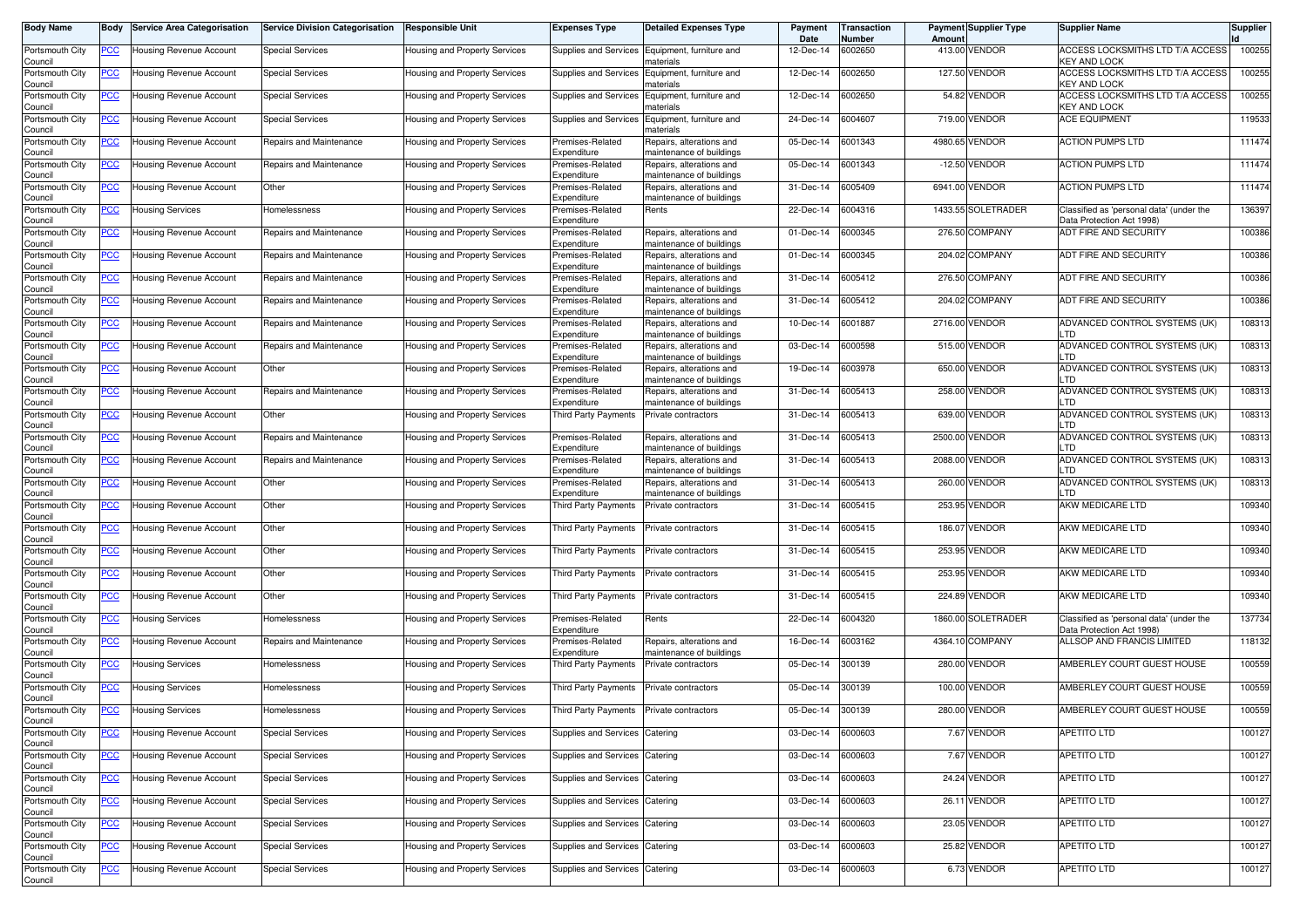| <b>Body Name</b>           | Body             | <b>Service Area Categorisation</b> | <b>Service Division Categorisation</b> | <b>Responsible Unit</b>       | <b>Expenses Type</b>            | <b>Detailed Expenses Type</b>                        | Payment<br>Date | Transaction<br>Number | Amoun   | <b>Payment Supplier Type</b> | <b>Supplier Name</b>                                                  | <b>Supplier</b> |
|----------------------------|------------------|------------------------------------|----------------------------------------|-------------------------------|---------------------------------|------------------------------------------------------|-----------------|-----------------------|---------|------------------------------|-----------------------------------------------------------------------|-----------------|
| Portsmouth City<br>Council | <u>PCC </u>      | Housing Revenue Account            | <b>Special Services</b>                | Housing and Property Services | Supplies and Services           | Equipment, furniture and<br>naterials                | 12-Dec-14       | 6002650               |         | 413.00 VENDOR                | ACCESS LOCKSMITHS LTD T/A ACCESS<br>KEY AND LOCK                      | 100255          |
| Portsmouth City<br>Council | <u>PCC</u>       | Housing Revenue Account            | <b>Special Services</b>                | Housing and Property Services | Supplies and Services           | Equipment, furniture and<br>naterials                | 12-Dec-14       | 6002650               |         | 127.50 VENDOR                | ACCESS LOCKSMITHS LTD T/A ACCESS<br>KEY AND LOCK                      | 100255          |
| Portsmouth City<br>Council | <u>PCC</u>       | Housing Revenue Account            | <b>Special Services</b>                | Housing and Property Services | Supplies and Services           | Equipment, furniture and<br>าaterials                | 12-Dec-14       | 6002650               | 54.82   | <b>VENDOR</b>                | ACCESS LOCKSMITHS LTD T/A ACCESS<br>KEY AND LOCK                      | 100255          |
| Portsmouth City<br>Council | $\overline{PCC}$ | Housing Revenue Account            | <b>Special Services</b>                | Housing and Property Services | Supplies and Services           | Equipment, furniture and<br>naterials                | 24-Dec-14       | 6004607               | 719.00  | <b>VENDOR</b>                | <b>ACE EQUIPMENT</b>                                                  | 119533          |
| Portsmouth City<br>Council | <u>PCC</u>       | <b>Housing Revenue Account</b>     | Repairs and Maintenance                | Housing and Property Services | Premises-Related<br>Expenditure | Repairs, alterations and<br>naintenance of buildings | 05-Dec-14       | 6001343               | 4980.65 | <b>VENDOR</b>                | <b>ACTION PUMPS LTD</b>                                               | 111474          |
| Portsmouth City<br>Council | <u>PCC </u>      | Housing Revenue Account            | Repairs and Maintenance                | Housing and Property Services | Premises-Related<br>Expenditure | Repairs, alterations and<br>maintenance of buildings | 05-Dec-14       | 6001343               |         | -12.50 VENDOR                | ACTION PUMPS LTD                                                      | 111474          |
| Portsmouth City<br>Council | <u>PCC </u>      | Housing Revenue Account            | Other                                  | Housing and Property Services | Premises-Related<br>Expenditure | Repairs, alterations and<br>maintenance of buildings | 31-Dec-14       | 6005409               |         | 6941.00 VENDOR               | ACTION PUMPS LTD                                                      | 111474          |
| Portsmouth City<br>Council | <u>PCC</u>       | <b>Housing Services</b>            | Homelessness                           | Housing and Property Services | Premises-Related<br>Expenditure | Rents                                                | 22-Dec-14       | 6004316               |         | 1433.55 SOLETRADER           | Classified as 'personal data' (under the<br>Data Protection Act 1998) | 136397          |
| Portsmouth City<br>Council | <u>PCC </u>      | Housing Revenue Account            | Repairs and Maintenance                | Housing and Property Services | Premises-Related<br>Expenditure | Repairs, alterations and<br>maintenance of buildings | 01-Dec-14       | 6000345               |         | 276.50 COMPANY               | ADT FIRE AND SECURITY                                                 | 100386          |
| Portsmouth City<br>Council | <u>PCC </u>      | Housing Revenue Account            | Repairs and Maintenance                | Housing and Property Services | Premises-Related<br>Expenditure | Repairs, alterations and<br>maintenance of buildings | 01-Dec-14       | 6000345               |         | 204.02 COMPANY               | ADT FIRE AND SECURITY                                                 | 100386          |
| Portsmouth City<br>Council | <u>PCC</u>       | Housing Revenue Account            | Repairs and Maintenance                | Housing and Property Services | Premises-Related<br>Expenditure | Repairs, alterations and<br>maintenance of buildings | 31-Dec-14       | 6005412               |         | 276.50 COMPANY               | ADT FIRE AND SECURITY                                                 | 100386          |
| Portsmouth City<br>Council | PСC              | Housing Revenue Account            | Repairs and Maintenance                | Housing and Property Services | Premises-Related<br>Expenditure | Repairs, alterations and<br>naintenance of buildings | 31-Dec-14       | 6005412               |         | 204.02 COMPANY               | ADT FIRE AND SECURITY                                                 | 100386          |
| Portsmouth City<br>Council | <u>PCC</u>       | Housing Revenue Account            | Repairs and Maintenance                | Housing and Property Services | Premises-Related<br>Expenditure | Repairs, alterations and<br>maintenance of buildings | 10-Dec-14       | 6001887               | 2716.00 | <b>VENDOR</b>                | ADVANCED CONTROL SYSTEMS (UK)<br>LTD                                  | 108313          |
| Portsmouth City<br>Council | <u>PCC </u>      | Housing Revenue Account            | Repairs and Maintenance                | Housing and Property Services | Premises-Related<br>Expenditure | Repairs, alterations and<br>naintenance of buildings | 03-Dec-14       | 6000598               |         | 515.00 VENDOR                | ADVANCED CONTROL SYSTEMS (UK)<br>LTD                                  | 108313          |
| Portsmouth City<br>Council | PCC.             | Housing Revenue Account            | Other                                  | Housing and Property Services | Premises-Related<br>Expenditure | Repairs, alterations and<br>naintenance of buildings | 19-Dec-14       | 6003978               |         | 650.00 VENDOR                | ADVANCED CONTROL SYSTEMS (UK)<br>LTD                                  | 108313          |
| Portsmouth City<br>Council | <u>PCC</u>       | Housing Revenue Account            | Repairs and Maintenance                | Housing and Property Services | Premises-Related<br>Expenditure | Repairs, alterations and<br>maintenance of buildings | 31-Dec-14       | 6005413               | 258.00  | <b>VENDOR</b>                | ADVANCED CONTROL SYSTEMS (UK)<br>LTD                                  | 108313          |
| Portsmouth City<br>Council | <u>PCC</u>       | Housing Revenue Account            | Other                                  | Housing and Property Services | Third Party Payments            | Private contractors                                  | 31-Dec-14       | 6005413               | 639.00  | <b>VENDOR</b>                | ADVANCED CONTROL SYSTEMS (UK)<br>LTD                                  | 108313          |
| Portsmouth City<br>Council | <u>PCC</u>       | Housing Revenue Account            | Repairs and Maintenance                | Housing and Property Services | Premises-Related<br>Expenditure | Repairs, alterations and<br>maintenance of buildings | 31-Dec-14       | 6005413               |         | 2500.00 VENDOR               | ADVANCED CONTROL SYSTEMS (UK)<br>LTD                                  | 108313          |
| Portsmouth City<br>Council | PCC∶             | Housing Revenue Account            | Repairs and Maintenance                | Housing and Property Services | Premises-Related<br>Expenditure | Repairs, alterations and<br>maintenance of buildings | 31-Dec-14       | 6005413               | 2088.00 | <b>VENDOR</b>                | ADVANCED CONTROL SYSTEMS (UK)<br>LTD                                  | 108313          |
| Portsmouth City<br>Council | <u>PCC</u>       | Housing Revenue Account            | Other                                  | Housing and Property Services | Premises-Related<br>Expenditure | Repairs, alterations and<br>maintenance of buildings | 31-Dec-14       | 6005413               | 260.00  | <b>VENDOR</b>                | ADVANCED CONTROL SYSTEMS (UK)<br>LTD                                  | 108313          |
| Portsmouth City<br>Council | <u>PCC</u>       | Housing Revenue Account            | Other                                  | Housing and Property Services | Third Party Payments            | Private contractors                                  | 31-Dec-14       | 6005415               | 253.95  | VENDOR                       | AKW MEDICARE LTD                                                      | 109340          |
| Portsmouth City<br>Council | <u>PCC</u>       | Housing Revenue Account            | Other                                  | Housing and Property Services | Third Party Payments            | Private contractors                                  | 31-Dec-14       | 6005415               | 186.07  | VENDOR                       | AKW MEDICARE LTD                                                      | 109340          |
| Portsmouth City<br>Council | <u>PCC </u>      | Housing Revenue Account            | Other                                  | Housing and Property Services | Third Party Payments            | Private contractors                                  | 31-Dec-14       | 6005415               |         | 253.95 VENDOR                | AKW MEDICARE LTD                                                      | 109340          |
| Portsmouth City<br>Council | <u>PCC</u>       | Housing Revenue Account            | Other                                  | Housing and Property Services | Third Party Payments            | Private contractors                                  | 31-Dec-14       | 6005415               |         | 253.95 VENDOR                | AKW MEDICARE LTD                                                      | 109340          |
| Portsmouth City<br>Council | <u>PCC </u>      | Housing Revenue Account            | Other                                  | Housing and Property Services | Third Party Payments            | Private contractors                                  | 31-Dec-14       | 6005415               |         | 224.89 VENDOR                | AKW MEDICARE LTD                                                      | 109340          |
| Portsmouth City<br>Council | <u>PCC </u>      | Housing Services                   | Homelessness                           | Housing and Property Services | Premises-Related<br>Expenditure | Rents                                                | 22-Dec-14       | 6004320               |         | 1860.00 SOLETRADER           | Classified as 'personal data' (under the<br>Data Protection Act 1998) | 137734          |
| Portsmouth City<br>Council | <u>PCC</u>       | Housing Revenue Account            | Repairs and Maintenance                | Housing and Property Services | Premises-Related<br>Expenditure | Repairs, alterations and<br>maintenance of buildings | 16-Dec-14       | 6003162               |         | 4364.10 COMPANY              | <b>ALLSOP AND FRANCIS LIMITED</b>                                     | 118132          |
| Portsmouth City<br>Council | <u>PCC </u>      | Housing Services                   | Homelessness                           | Housing and Property Services | Third Party Payments            | Private contractors                                  | 05-Dec-14       | 300139                |         | 280.00 VENDOR                | AMBERLEY COURT GUEST HOUSE                                            | 100559          |
| Portsmouth City<br>Council | <u>PCC</u>       | Housing Services                   | Homelessness                           | Housing and Property Services | Third Party Payments            | Private contractors                                  | 05-Dec-14       | 300139                |         | 100.00 VENDOR                | AMBERLEY COURT GUEST HOUSE                                            | 100559          |
| Portsmouth City<br>Council | <u>PCC</u>       | Housing Services                   | Homelessness                           | Housing and Property Services | Third Party Payments            | Private contractors                                  | 05-Dec-14       | 300139                | 280.00  | <b>VENDOR</b>                | AMBERLEY COURT GUEST HOUSE                                            | 100559          |
| Portsmouth City<br>Council | <b>PCC</b>       | lousing Revenue Account            | <b>Special Services</b>                | Housing and Property Services | Supplies and Services           | Catering                                             | 03-Dec-14       | 6000603               |         | 7.67 VENDOR                  | APETITO LTD                                                           | 100127          |
| Portsmouth City<br>Council | $\overline{C}$   | Housing Revenue Account            | <b>Special Services</b>                | Housing and Property Services | Supplies and Services Catering  |                                                      | 03-Dec-14       | 6000603               |         | 7.67 VENDOR                  | <b>APETITO LTD</b>                                                    | 100127          |
| Portsmouth City<br>Council | $\overline{C}$   | Housing Revenue Account            | <b>Special Services</b>                | Housing and Property Services | Supplies and Services Catering  |                                                      | 03-Dec-14       | 6000603               |         | 24.24 VENDOR                 | APETITO LTD                                                           | 100127          |
| Portsmouth City<br>Council | <u>PCC</u>       | Housing Revenue Account            | <b>Special Services</b>                | Housing and Property Services | Supplies and Services Catering  |                                                      | 03-Dec-14       | 6000603               |         | 26.11 VENDOR                 | APETITO LTD                                                           | 100127          |
| Portsmouth City<br>Council | <u>PCC</u>       | Housing Revenue Account            | <b>Special Services</b>                | Housing and Property Services | Supplies and Services Catering  |                                                      | 03-Dec-14       | 6000603               |         | 23.05 VENDOR                 | APETITO LTD                                                           | 100127          |
| Portsmouth City<br>Council | <u>PCC</u>       | Housing Revenue Account            | <b>Special Services</b>                | Housing and Property Services | Supplies and Services           | Catering                                             | 03-Dec-14       | 6000603               |         | 25.82 VENDOR                 | APETITO LTD                                                           | 100127          |
| Portsmouth City<br>Council | <u>PCC</u>       | Housing Revenue Account            | <b>Special Services</b>                | Housing and Property Services | Supplies and Services Catering  |                                                      | 03-Dec-14       | 6000603               |         | 6.73 VENDOR                  | APETITO LTD                                                           | 100127          |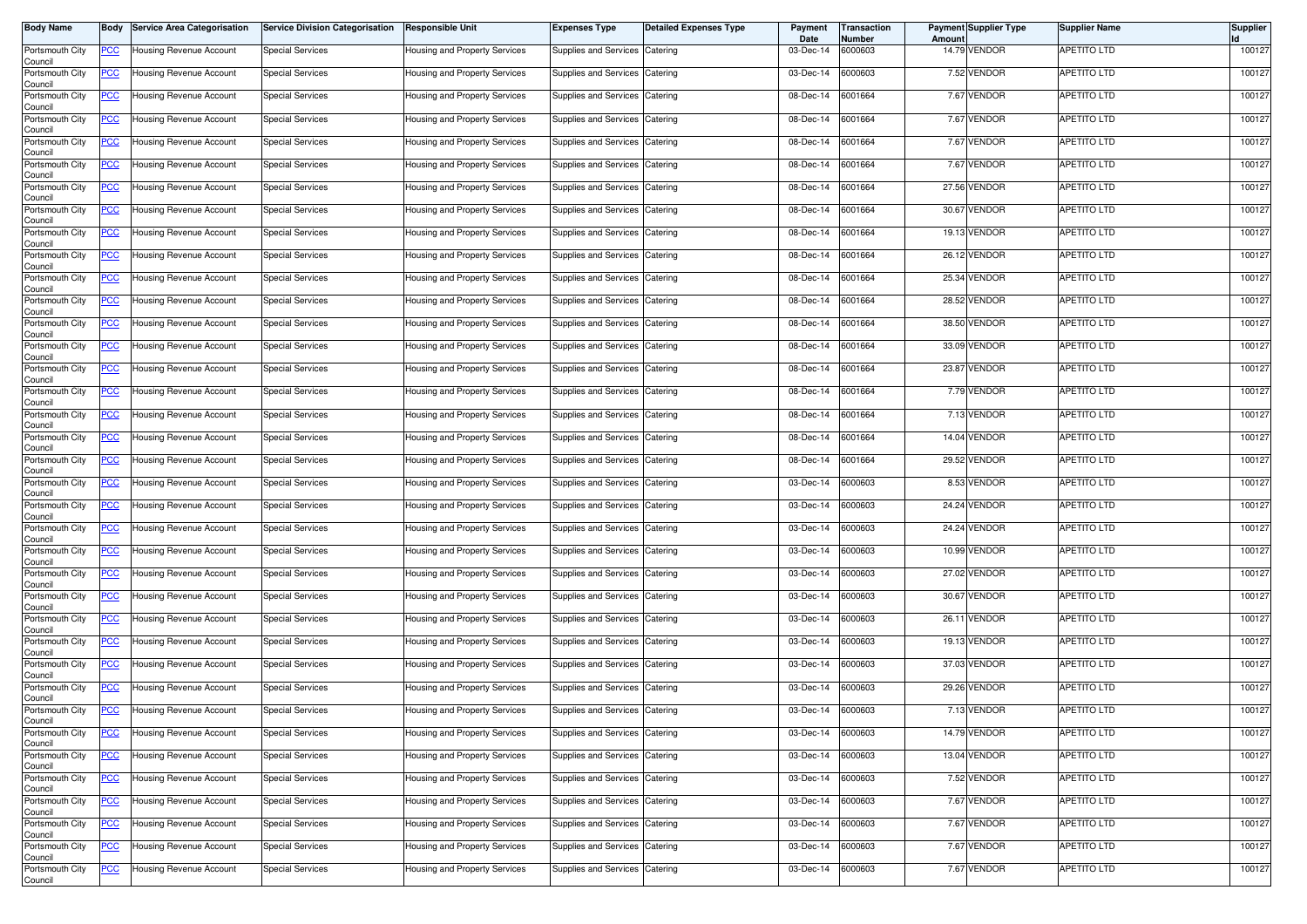| <b>Body Name</b>           | Body           | <b>Service Area Categorisation</b> | <b>Service Division Categorisation</b> | <b>Responsible Unit</b>       | <b>Expenses Type</b>           | <b>Detailed Expenses Type</b> | Payment<br>Date | Transaction<br>Number | Amoun | <b>Payment Supplier Type</b> | <b>Supplier Name</b> | <b>Supplier</b> |
|----------------------------|----------------|------------------------------------|----------------------------------------|-------------------------------|--------------------------------|-------------------------------|-----------------|-----------------------|-------|------------------------------|----------------------|-----------------|
| Portsmouth City<br>Council | <u>PCC</u>     | Housing Revenue Account            | <b>Special Services</b>                | Housing and Property Services | Supplies and Services          | Catering                      | 03-Dec-14       | 6000603               |       | 14.79 VENDOR                 | APETITO LTD          | 100127          |
| Portsmouth City<br>Council | <u>PCC</u>     | Housing Revenue Account            | <b>Special Services</b>                | Housing and Property Services | Supplies and Services          | Catering                      | 03-Dec-14       | 6000603               |       | 7.52 VENDOR                  | APETITO LTD          | 100127          |
| Portsmouth City<br>Council | <u>PCC</u>     | Housing Revenue Account            | <b>Special Services</b>                | Housing and Property Services | Supplies and Services          | Catering                      | 08-Dec-14       | 6001664               |       | 7.67 VENDOR                  | APETITO LTD          | 100127          |
| Portsmouth City<br>Council | <u>PCC</u>     | Housing Revenue Account            | <b>Special Services</b>                | Housing and Property Services | Supplies and Services          | Catering                      | 08-Dec-14       | 6001664               |       | 7.67 VENDOR                  | APETITO LTD          | 100127          |
| Portsmouth City<br>Council | <u>PCC</u>     | Housing Revenue Account            | <b>Special Services</b>                | Housing and Property Services | Supplies and Services          | Catering                      | 08-Dec-14       | 6001664               |       | 7.67 VENDOR                  | APETITO LTD          | 100127          |
| Portsmouth City<br>Council | <u>PCC</u>     | Housing Revenue Account            | <b>Special Services</b>                | Housing and Property Services | Supplies and Services          | Catering                      | 08-Dec-14       | 6001664               |       | 7.67 VENDOR                  | APETITO LTD          | 100127          |
| Portsmouth City<br>Council | <u>PCC</u>     | Housing Revenue Account            | <b>Special Services</b>                | Housing and Property Services | Supplies and Services          | Catering                      | 08-Dec-14       | 6001664               |       | 27.56 VENDOR                 | APETITO LTD          | 100127          |
| Portsmouth City<br>Council | <u>PCC</u>     | Housing Revenue Account            | <b>Special Services</b>                | Housing and Property Services | Supplies and Services          | Catering                      | 08-Dec-14       | 6001664               |       | 30.67 VENDOR                 | APETITO LTD          | 100127          |
| Portsmouth City<br>Council | <u>PCC</u>     | Housing Revenue Account            | <b>Special Services</b>                | Housing and Property Services | <b>Supplies and Services</b>   | Catering                      | 08-Dec-14       | 6001664               |       | 19.13 VENDOR                 | APETITO LTD          | 100127          |
| Portsmouth City<br>Council | <u>PCC</u>     | Housing Revenue Account            | <b>Special Services</b>                | Housing and Property Services | Supplies and Services          | Catering                      | 08-Dec-14       | 6001664               |       | 26.12 VENDOR                 | APETITO LTD          | 100127          |
| Portsmouth City<br>Council | <u>PCC</u>     | Housing Revenue Account            | <b>Special Services</b>                | Housing and Property Services | Supplies and Services          | Catering                      | 08-Dec-14       | 6001664               |       | 25.34 VENDOR                 | APETITO LTD          | 100127          |
| Portsmouth City<br>Council | <u>PCC</u>     | Housing Revenue Account            | <b>Special Services</b>                | Housing and Property Services | Supplies and Services          | Catering                      | 08-Dec-14       | 6001664               |       | 28.52 VENDOR                 | APETITO LTD          | 100127          |
| Portsmouth City<br>Council | <u>PCC</u>     | Housing Revenue Account            | <b>Special Services</b>                | Housing and Property Services | Supplies and Services          | Catering                      | 08-Dec-14       | 6001664               |       | 38.50 VENDOR                 | APETITO LTD          | 100127          |
| Portsmouth City<br>Council | <u>PCC</u>     | Housing Revenue Account            | <b>Special Services</b>                | Housing and Property Services | Supplies and Services          | Catering                      | 08-Dec-14       | 6001664               |       | 33.09 VENDOR                 | APETITO LTD          | 100127          |
| Portsmouth City<br>Council | <u>PCC</u>     | Housing Revenue Account            | <b>Special Services</b>                | Housing and Property Services | Supplies and Services          | Catering                      | 08-Dec-14       | 6001664               |       | 23.87 VENDOR                 | APETITO LTD          | 100127          |
| Portsmouth City<br>Council | <u>PCC</u>     | Housing Revenue Account            | <b>Special Services</b>                | Housing and Property Services | Supplies and Services          | Catering                      | 08-Dec-14       | 6001664               |       | 7.79 VENDOR                  | APETITO LTD          | 100127          |
| Portsmouth City<br>Council | <u>PCC</u>     | Housing Revenue Account            | <b>Special Services</b>                | Housing and Property Services | Supplies and Services          | Catering                      | 08-Dec-14       | 6001664               |       | 7.13 VENDOR                  | APETITO LTD          | 100127          |
| Portsmouth City<br>Council | <u>PCC</u>     | Housing Revenue Account            | Special Services                       | Housing and Property Services | Supplies and Services          | Catering                      | 08-Dec-14       | 6001664               |       | 14.04 VENDOR                 | APETITO LTD          | 100127          |
| Portsmouth City<br>Council | <u>PCC</u>     | Housing Revenue Account            | <b>Special Services</b>                | Housing and Property Services | Supplies and Services          | Catering                      | 08-Dec-14       | 6001664               |       | 29.52 VENDOR                 | APETITO LTD          | 100127          |
| Portsmouth City<br>Council | <u>PCC</u>     | Housing Revenue Account            | <b>Special Services</b>                | Housing and Property Services | Supplies and Services          | Catering                      | 03-Dec-14       | 6000603               |       | 8.53 VENDOR                  | APETITO LTD          | 100127          |
| Portsmouth City<br>Council | <u>PCC</u>     | Housing Revenue Account            | <b>Special Services</b>                | Housing and Property Services | Supplies and Services          | Catering                      | 03-Dec-14       | 6000603               |       | 24.24 VENDOR                 | APETITO LTD          | 100127          |
| Portsmouth City<br>Council | <u>PCC</u>     | Housing Revenue Account            | <b>Special Services</b>                | Housing and Property Services | <b>Supplies and Services</b>   | Catering                      | 03-Dec-14       | 6000603               |       | 24.24 VENDOR                 | APETITO LTD          | 100127          |
| Portsmouth City<br>Council | <u>PCC</u>     | Housing Revenue Account            | <b>Special Services</b>                | Housing and Property Services | <b>Supplies and Services</b>   | Catering                      | 03-Dec-14       | 6000603               |       | 10.99 VENDOR                 | APETITO LTD          | 100127          |
| Portsmouth City<br>Council | <u>PCC</u>     | Housing Revenue Account            | <b>Special Services</b>                | Housing and Property Services | <b>Supplies and Services</b>   | Catering                      | 03-Dec-14       | 6000603               |       | 27.02 VENDOR                 | APETITO LTD          | 100127          |
| Portsmouth City<br>Council | <u>PCC</u>     | Housing Revenue Account            | <b>Special Services</b>                | Housing and Property Services | Supplies and Services          | Catering                      | 03-Dec-14       | 6000603               |       | 30.67 VENDOR                 | APETITO LTD          | 100127          |
| Portsmouth City<br>Council | <u>PCC</u>     | Housing Revenue Account            | <b>Special Services</b>                | Housing and Property Services | Supplies and Services          | Catering                      | 03-Dec-14       | 6000603               | 26.11 | <b>VENDOR</b>                | APETITO LTD          | 100127          |
| Portsmouth City<br>Council | <u>PCC</u>     | Housing Revenue Account            | <b>Special Services</b>                | Housing and Property Services | Supplies and Services          | Catering                      | 03-Dec-14       | 6000603               |       | 19.13 VENDOR                 | APETITO LTD          | 100127          |
| Portsmouth City<br>Council | <u>PCC</u>     | Housing Revenue Account            | <b>Special Services</b>                | Housing and Property Services | Supplies and Services          | Catering                      | 03-Dec-14       | 6000603               |       | 37.03 VENDOR                 | APETITO LTD          | 100127          |
| Portsmouth City<br>Council | <u>PCC</u>     | Housing Revenue Account            | <b>Special Services</b>                | Housing and Property Services | Supplies and Services          | Catering                      | 03-Dec-14       | 6000603               |       | 29.26 VENDOR                 | APETITO LTD          | 100127          |
| Portsmouth City<br>Council | <u>PCC</u>     | Housing Revenue Account            | <b>Special Services</b>                | Housing and Property Services | Supplies and Services          | Catering                      | 03-Dec-14       | 6000603               |       | 7.13 VENDOR                  | <b>APETITO LTD</b>   | 100127          |
| Portsmouth City<br>Council | <u>PCC</u>     | Housing Revenue Account            | <b>Special Services</b>                | Housing and Property Services | Supplies and Services          | Catering                      | 03-Dec-14       | 6000603               |       | 14.79 VENDOR                 | APETITO LTD          | 100127          |
| Portsmouth City<br>Council | $\overline{C}$ | Housing Revenue Account            | <b>Special Services</b>                | Housing and Property Services | <b>Supplies and Services</b>   | Catering                      | 03-Dec-14       | 6000603               |       | 13.04 VENDOR                 | <b>APETITO LTD</b>   | 100127          |
| Portsmouth City<br>Council | $\overline{C}$ | Housing Revenue Account            | <b>Special Services</b>                | Housing and Property Services | Supplies and Services Catering |                               | 03-Dec-14       | 6000603               |       | 7.52 VENDOR                  | APETITO LTD          | 100127          |
| Portsmouth City<br>Council | <u>PCC</u>     | Housing Revenue Account            | <b>Special Services</b>                | Housing and Property Services | <b>Supplies and Services</b>   | Catering                      | 03-Dec-14       | 6000603               |       | 7.67 VENDOR                  | <b>APETITO LTD</b>   | 100127          |
| Portsmouth City<br>Council | <u>PCC</u>     | Housing Revenue Account            | <b>Special Services</b>                | Housing and Property Services | Supplies and Services          | Catering                      | 03-Dec-14       | 6000603               |       | 7.67 VENDOR                  | <b>APETITO LTD</b>   | 100127          |
| Portsmouth City<br>Council | <u>PCC</u>     | Housing Revenue Account            | <b>Special Services</b>                | Housing and Property Services | <b>Supplies and Services</b>   | Catering                      | 03-Dec-14       | 6000603               |       | 7.67 VENDOR                  | APETITO LTD          | 100127          |
| Portsmouth City<br>Council | <u>PCC</u>     | Housing Revenue Account            | <b>Special Services</b>                | Housing and Property Services | Supplies and Services          | Catering                      | 03-Dec-14       | 6000603               |       | 7.67 VENDOR                  | APETITO LTD          | 100127          |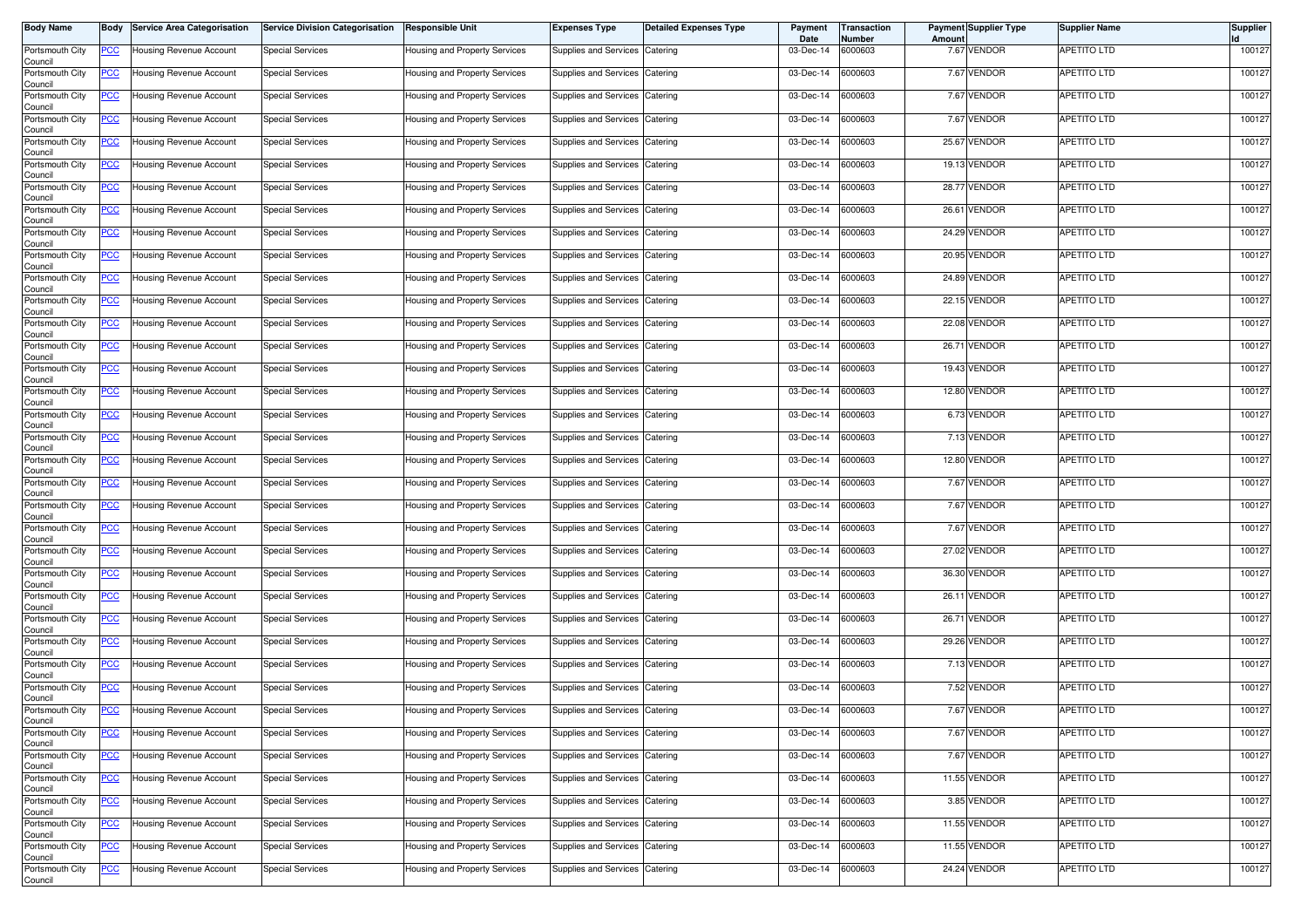| <b>Body Name</b>           | Body           | <b>Service Area Categorisation</b> | <b>Service Division Categorisation</b> | <b>Responsible Unit</b>       | <b>Expenses Type</b>           | <b>Detailed Expenses Type</b> | Payment<br>Date | Transaction<br>Number | Amount | <b>Payment Supplier Type</b> | <b>Supplier Name</b> | <b>Supplier</b> |
|----------------------------|----------------|------------------------------------|----------------------------------------|-------------------------------|--------------------------------|-------------------------------|-----------------|-----------------------|--------|------------------------------|----------------------|-----------------|
| Portsmouth City<br>Council | <u>PCC</u>     | Housing Revenue Account            | <b>Special Services</b>                | Housing and Property Services | Supplies and Services          | Catering                      | 03-Dec-14       | 6000603               |        | 7.67 VENDOR                  | <b>APETITO LTD</b>   | 100127          |
| Portsmouth City<br>Council | <u>PCC</u>     | Housing Revenue Account            | <b>Special Services</b>                | Housing and Property Services | Supplies and Services          | Catering                      | 03-Dec-14       | 6000603               |        | 7.67 VENDOR                  | APETITO LTD          | 100127          |
| Portsmouth City<br>Council | <u>PCC</u>     | Housing Revenue Account            | <b>Special Services</b>                | Housing and Property Services | Supplies and Services          | Catering                      | 03-Dec-14       | 6000603               |        | 7.67 VENDOR                  | APETITO LTD          | 100127          |
| Portsmouth City<br>Council | <u>PCC</u>     | Housing Revenue Account            | <b>Special Services</b>                | Housing and Property Services | Supplies and Services          | Catering                      | 03-Dec-14       | 6000603               |        | 7.67 VENDOR                  | APETITO LTD          | 100127          |
| Portsmouth City<br>Council | <u>PCC</u>     | Housing Revenue Account            | <b>Special Services</b>                | Housing and Property Services | Supplies and Services          | Catering                      | 03-Dec-14       | 6000603               |        | 25.67 VENDOR                 | APETITO LTD          | 100127          |
| Portsmouth City<br>Council | <u>PCC</u>     | Housing Revenue Account            | <b>Special Services</b>                | Housing and Property Services | Supplies and Services          | Catering                      | 03-Dec-14       | 6000603               |        | 19.13 VENDOR                 | APETITO LTD          | 100127          |
| Portsmouth City<br>Council | <u>PCC</u>     | Housing Revenue Account            | <b>Special Services</b>                | Housing and Property Services | <b>Supplies and Services</b>   | Catering                      | 03-Dec-14       | 6000603               |        | 28.77 VENDOR                 | APETITO LTD          | 100127          |
| Portsmouth City<br>Council | <u>PCC</u>     | Housing Revenue Account            | <b>Special Services</b>                | Housing and Property Services | Supplies and Services Catering |                               | 03-Dec-14       | 6000603               |        | 26.61 VENDOR                 | APETITO LTD          | 100127          |
| Portsmouth City<br>Council | <u>PCC</u>     | Housing Revenue Account            | <b>Special Services</b>                | Housing and Property Services | Supplies and Services          | Catering                      | 03-Dec-14       | 6000603               |        | 24.29 VENDOR                 | <b>APETITO LTD</b>   | 100127          |
| Portsmouth City<br>Council | <u>PCC</u>     | Housing Revenue Account            | <b>Special Services</b>                | Housing and Property Services | Supplies and Services          | Catering                      | 03-Dec-14       | 6000603               |        | 20.95 VENDOR                 | <b>APETITO LTD</b>   | 100127          |
| Portsmouth City<br>Council | <u>PCC</u>     | Housing Revenue Account            | <b>Special Services</b>                | Housing and Property Services | Supplies and Services          | Catering                      | 03-Dec-14       | 6000603               |        | 24.89 VENDOR                 | APETITO LTD          | 100127          |
| Portsmouth City<br>Council | <u>PCC</u>     | Housing Revenue Account            | <b>Special Services</b>                | Housing and Property Services | Supplies and Services          | Catering                      | 03-Dec-14       | 6000603               |        | 22.15 VENDOR                 | APETITO LTD          | 100127          |
| Portsmouth City<br>Council | <u>PCC</u>     | Housing Revenue Account            | <b>Special Services</b>                | Housing and Property Services | Supplies and Services          | Catering                      | 03-Dec-14       | 6000603               |        | 22.08 VENDOR                 | APETITO LTD          | 100127          |
| Portsmouth City<br>Council | <u>PCC</u>     | Housing Revenue Account            | <b>Special Services</b>                | Housing and Property Services | Supplies and Services          | Catering                      | 03-Dec-14       | 6000603               |        | 26.71 VENDOR                 | APETITO LTD          | 100127          |
| Portsmouth City<br>Council | <u>PCC</u>     | Housing Revenue Account            | <b>Special Services</b>                | Housing and Property Services | Supplies and Services          | Catering                      | 03-Dec-14       | 6000603               |        | 19.43 VENDOR                 | APETITO LTD          | 100127          |
| Portsmouth City<br>Council | <u>PCC</u>     | Housing Revenue Account            | <b>Special Services</b>                | Housing and Property Services | Supplies and Services          | Catering                      | 03-Dec-14       | 6000603               |        | 12.80 VENDOR                 | APETITO LTD          | 100127          |
| Portsmouth City<br>Council | <u>PCC</u>     | Housing Revenue Account            | <b>Special Services</b>                | Housing and Property Services | Supplies and Services          | Catering                      | 03-Dec-14       | 6000603               |        | 6.73 VENDOR                  | APETITO LTD          | 100127          |
| Portsmouth City<br>Council | <u>PCC</u>     | Housing Revenue Account            | <b>Special Services</b>                | Housing and Property Services | Supplies and Services          | Catering                      | 03-Dec-14       | 6000603               |        | 7.13 VENDOR                  | APETITO LTD          | 100127          |
| Portsmouth City<br>Council | <u>PCC</u>     | Housing Revenue Account            | <b>Special Services</b>                | Housing and Property Services | Supplies and Services          | Catering                      | 03-Dec-14       | 6000603               |        | 12.80 VENDOR                 | APETITO LTD          | 100127          |
| Portsmouth City<br>Council | <u>PCC</u>     | Housing Revenue Account            | <b>Special Services</b>                | Housing and Property Services | Supplies and Services          | Catering                      | 03-Dec-14       | 6000603               |        | 7.67 VENDOR                  | <b>APETITO LTD</b>   | 100127          |
| Portsmouth City<br>Council | <u>PCC</u>     | Housing Revenue Account            | <b>Special Services</b>                | Housing and Property Services | Supplies and Services          | Catering                      | 03-Dec-14       | 6000603               |        | 7.67 VENDOR                  | APETITO LTD          | 100127          |
| Portsmouth City<br>Council | <u>PCC</u>     | Housing Revenue Account            | <b>Special Services</b>                | Housing and Property Services | Supplies and Services          | Catering                      | 03-Dec-14       | 6000603               |        | 7.67 VENDOR                  | APETITO LTD          | 100127          |
| Portsmouth City<br>Council | <u>PCC</u>     | Housing Revenue Account            | <b>Special Services</b>                | Housing and Property Services | Supplies and Services          | Catering                      | 03-Dec-14       | 6000603               |        | 27.02 VENDOR                 | APETITO LTD          | 100127          |
| Portsmouth City<br>Council | <u>PCC</u>     | Housing Revenue Account            | <b>Special Services</b>                | Housing and Property Services | Supplies and Services          | Catering                      | 03-Dec-14       | 6000603               |        | 36.30 VENDOR                 | APETITO LTD          | 100127          |
| Portsmouth City<br>Council | <u>PCC</u>     | lousing Revenue Account            | <b>Special Services</b>                | Housing and Property Services | Supplies and Services          | Catering                      | 03-Dec-14       | 6000603               |        | 26.11 VENDOR                 | APETITO LTD          | 100127          |
| Portsmouth City<br>Council | <u>PCC</u>     | Housing Revenue Account            | <b>Special Services</b>                | Housing and Property Services | Supplies and Services          | Catering                      | 03-Dec-14       | 6000603               |        | 26.71 VENDOR                 | APETITO LTD          | 100127          |
| Portsmouth City<br>Council | <u>PCC</u>     | Housing Revenue Account            | <b>Special Services</b>                | Housing and Property Services | Supplies and Services          | Catering                      | 03-Dec-14       | 6000603               |        | 29.26 VENDOR                 | APETITO LTD          | 100127          |
| Portsmouth City<br>Council | <u>PCC</u>     | Housing Revenue Account            | <b>Special Services</b>                | Housing and Property Services | Supplies and Services          | Catering                      | 03-Dec-14       | 6000603               |        | 7.13 VENDOR                  | APETITO LTD          | 100127          |
| Portsmouth City<br>Council | <u>PCC</u>     | Housing Revenue Account            | <b>Special Services</b>                | Housing and Property Services | Supplies and Services          | Catering                      | 03-Dec-14       | 6000603               |        | 7.52 VENDOR                  | <b>APETITO LTD</b>   | 100127          |
| Portsmouth City<br>Council | <u>PCC</u>     | Housing Revenue Account            | <b>Special Services</b>                | Housing and Property Services | Supplies and Services          | Catering                      | 03-Dec-14       | 6000603               |        | 7.67 VENDOR                  | <b>APETITO LTD</b>   | 100127          |
| Portsmouth City<br>Council | <u>PCC</u>     | Housing Revenue Account            | <b>Special Services</b>                | Housing and Property Services | Supplies and Services          | Catering                      | 03-Dec-14       | 6000603               |        | 7.67 VENDOR                  | APETITO LTD          | 100127          |
| Portsmouth City<br>Council | $\overline{C}$ | Housing Revenue Account            | <b>Special Services</b>                | Housing and Property Services | Supplies and Services          | Catering                      | 03-Dec-14       | 6000603               |        | 7.67 VENDOR                  | <b>APETITO LTD</b>   | 100127          |
| Portsmouth City<br>Council | <u>PCC</u>     | Housing Revenue Account            | <b>Special Services</b>                | Housing and Property Services | Supplies and Services Catering |                               | 03-Dec-14       | 6000603               |        | 11.55 VENDOR                 | <b>APETITO LTD</b>   | 100127          |
| Portsmouth City<br>Council | <u>PCC</u>     | Housing Revenue Account            | <b>Special Services</b>                | Housing and Property Services | Supplies and Services          | Catering                      | 03-Dec-14       | 6000603               |        | 3.85 VENDOR                  | <b>APETITO LTD</b>   | 100127          |
| Portsmouth City<br>Council | <u>PCC</u>     | Housing Revenue Account            | <b>Special Services</b>                | Housing and Property Services | Supplies and Services Catering |                               | 03-Dec-14       | 6000603               |        | 11.55 VENDOR                 | APETITO LTD          | 100127          |
| Portsmouth City<br>Council | <u>PCC</u>     | Housing Revenue Account            | <b>Special Services</b>                | Housing and Property Services | Supplies and Services          | Catering                      | 03-Dec-14       | 6000603               |        | 11.55 VENDOR                 | APETITO LTD          | 100127          |
| Portsmouth City<br>Council | <u>PCC</u>     | Housing Revenue Account            | <b>Special Services</b>                | Housing and Property Services | Supplies and Services Catering |                               | 03-Dec-14       | 6000603               |        | 24.24 VENDOR                 | <b>APETITO LTD</b>   | 100127          |
|                            |                |                                    |                                        |                               |                                |                               |                 |                       |        |                              |                      |                 |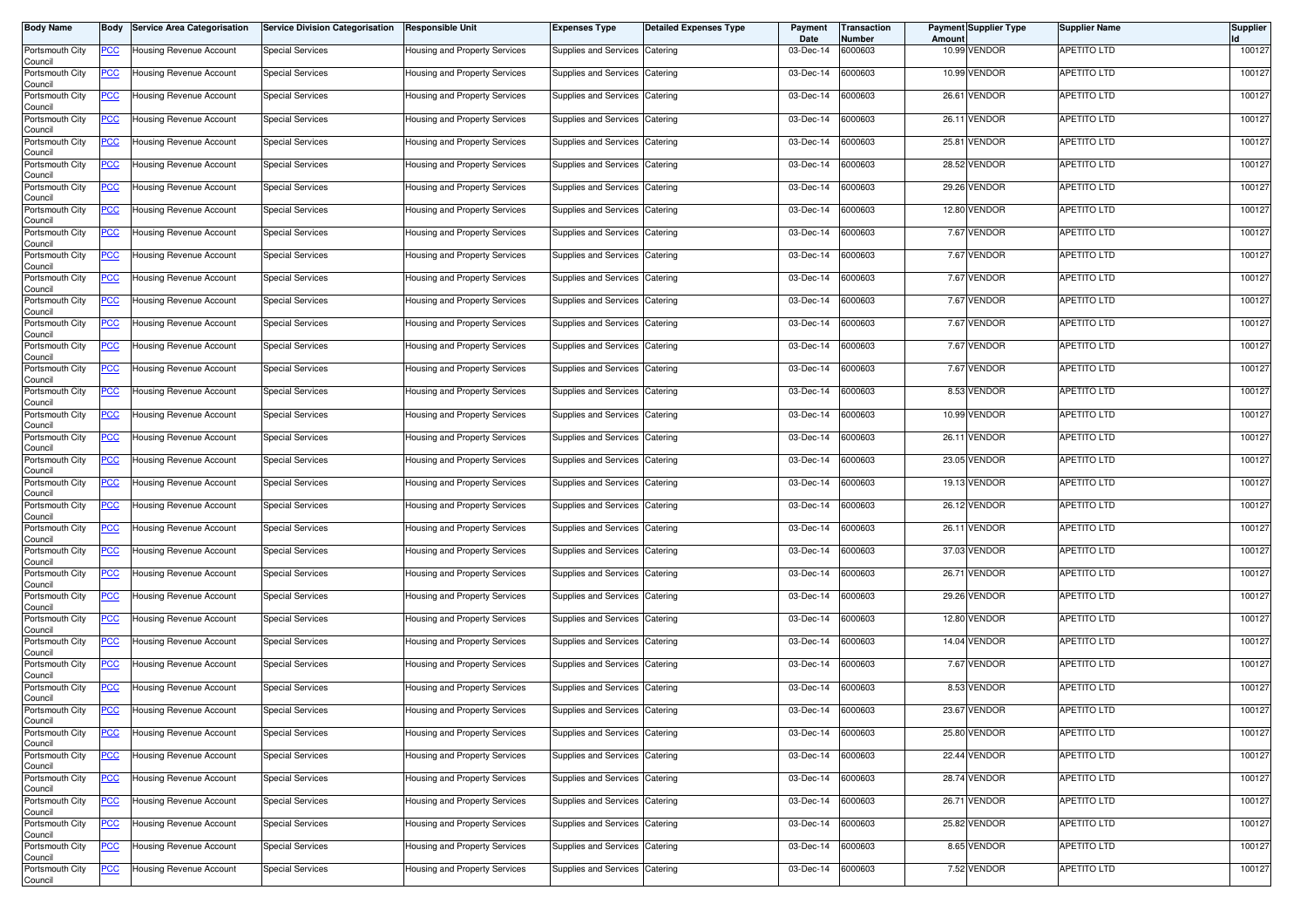| <b>Body Name</b>           | Body           | <b>Service Area Categorisation</b> | <b>Service Division Categorisation</b> | <b>Responsible Unit</b>       | <b>Expenses Type</b>           | <b>Detailed Expenses Type</b> | Payment<br>Date | <b>Transaction</b><br>Number | Amount | <b>Payment Supplier Type</b> | <b>Supplier Name</b> | <b>Supplier</b> |
|----------------------------|----------------|------------------------------------|----------------------------------------|-------------------------------|--------------------------------|-------------------------------|-----------------|------------------------------|--------|------------------------------|----------------------|-----------------|
| Portsmouth City<br>Council | <u>PCC</u>     | Housing Revenue Account            | <b>Special Services</b>                | Housing and Property Services | Supplies and Services          | Catering                      | 03-Dec-14       | 6000603                      |        | 10.99 VENDOR                 | <b>APETITO LTD</b>   | 100127          |
| Portsmouth City<br>Council | <u>PCC</u>     | Housing Revenue Account            | <b>Special Services</b>                | Housing and Property Services | Supplies and Services          | Catering                      | 03-Dec-14       | 6000603                      |        | 10.99 VENDOR                 | APETITO LTD          | 100127          |
| Portsmouth City<br>Council | <b>PCC</b>     | Housing Revenue Account            | <b>Special Services</b>                | Housing and Property Services | Supplies and Services          | Catering                      | 03-Dec-14       | 6000603                      | 26.61  | <b>VENDOR</b>                | APETITO LTD          | 100127          |
| Portsmouth City<br>Council | <u>PCC</u>     | Housing Revenue Account            | <b>Special Services</b>                | Housing and Property Services | Supplies and Services          | Catering                      | 03-Dec-14       | 6000603                      |        | 26.11 VENDOR                 | APETITO LTD          | 100127          |
| Portsmouth City<br>Council | <u>PCC</u>     | Housing Revenue Account            | <b>Special Services</b>                | Housing and Property Services | Supplies and Services          | Catering                      | 03-Dec-14       | 6000603                      | 25.81  | <b>VENDOR</b>                | APETITO LTD          | 100127          |
| Portsmouth City<br>Council | <u>PCC</u>     | Housing Revenue Account            | <b>Special Services</b>                | Housing and Property Services | Supplies and Services          | Catering                      | 03-Dec-14       | 6000603                      |        | 28.52 VENDOR                 | APETITO LTD          | 100127          |
| Portsmouth City<br>Council | <u>PCC</u>     | Housing Revenue Account            | <b>Special Services</b>                | Housing and Property Services | <b>Supplies and Services</b>   | Catering                      | 03-Dec-14       | 6000603                      |        | 29.26 VENDOR                 | APETITO LTD          | 100127          |
| Portsmouth City<br>Council | <u>PCC</u>     | Housing Revenue Account            | <b>Special Services</b>                | Housing and Property Services | Supplies and Services Catering |                               | 03-Dec-14       | 6000603                      |        | 12.80 VENDOR                 | APETITO LTD          | 100127          |
| Portsmouth City<br>Council | <u>PCC</u>     | Housing Revenue Account            | <b>Special Services</b>                | Housing and Property Services | Supplies and Services          | Catering                      | 03-Dec-14       | 6000603                      |        | 7.67 VENDOR                  | <b>APETITO LTD</b>   | 100127          |
| Portsmouth City<br>Council | <u>PCC</u>     | Housing Revenue Account            | <b>Special Services</b>                | Housing and Property Services | Supplies and Services          | Catering                      | 03-Dec-14       | 6000603                      |        | 7.67 VENDOR                  | <b>APETITO LTD</b>   | 100127          |
| Portsmouth City<br>Council | <u>PCC</u>     | <b>Housing Revenue Account</b>     | <b>Special Services</b>                | Housing and Property Services | Supplies and Services          | Catering                      | 03-Dec-14       | 6000603                      |        | 7.67 VENDOR                  | APETITO LTD          | 100127          |
| Portsmouth City<br>Council | <u>PCC</u>     | Housing Revenue Account            | <b>Special Services</b>                | Housing and Property Services | Supplies and Services          | Catering                      | 03-Dec-14       | 6000603                      |        | 7.67 VENDOR                  | APETITO LTD          | 100127          |
| Portsmouth City<br>Council | <u>PCC</u>     | Housing Revenue Account            | <b>Special Services</b>                | Housing and Property Services | Supplies and Services          | Catering                      | 03-Dec-14       | 6000603                      |        | 7.67 VENDOR                  | APETITO LTD          | 100127          |
| Portsmouth City<br>Council | <u>PCC</u>     | Housing Revenue Account            | <b>Special Services</b>                | Housing and Property Services | Supplies and Services          | Catering                      | 03-Dec-14       | 6000603                      |        | 7.67 VENDOR                  | APETITO LTD          | 100127          |
| Portsmouth City<br>Council | <u>PCC</u>     | Housing Revenue Account            | <b>Special Services</b>                | Housing and Property Services | Supplies and Services          | Catering                      | 03-Dec-14       | 6000603                      |        | 7.67 VENDOR                  | APETITO LTD          | 100127          |
| Portsmouth City<br>Council | <u>PCC</u>     | Housing Revenue Account            | <b>Special Services</b>                | Housing and Property Services | Supplies and Services          | Catering                      | 03-Dec-14       | 6000603                      |        | 8.53 VENDOR                  | APETITO LTD          | 100127          |
| Portsmouth City<br>Council | <u>PCC</u>     | Housing Revenue Account            | <b>Special Services</b>                | Housing and Property Services | Supplies and Services          | Catering                      | 03-Dec-14       | 6000603                      |        | 10.99 VENDOR                 | APETITO LTD          | 100127          |
| Portsmouth City<br>Council | <u>PCC</u>     | Housing Revenue Account            | <b>Special Services</b>                | Housing and Property Services | Supplies and Services          | Catering                      | 03-Dec-14       | 6000603                      |        | 26.11 VENDOR                 | APETITO LTD          | 100127          |
| Portsmouth City<br>Council | <u>PCC</u>     | Housing Revenue Account            | <b>Special Services</b>                | Housing and Property Services | Supplies and Services          | Catering                      | 03-Dec-14       | 6000603                      |        | 23.05 VENDOR                 | APETITO LTD          | 100127          |
| Portsmouth City<br>Council | <u>PCC</u>     | Housing Revenue Account            | <b>Special Services</b>                | Housing and Property Services | Supplies and Services          | Catering                      | 03-Dec-14       | 6000603                      |        | 19.13 VENDOR                 | <b>APETITO LTD</b>   | 100127          |
| Portsmouth City<br>Council | <u>PCC</u>     | Housing Revenue Account            | <b>Special Services</b>                | Housing and Property Services | Supplies and Services          | Catering                      | 03-Dec-14       | 6000603                      |        | 26.12 VENDOR                 | APETITO LTD          | 100127          |
| Portsmouth City<br>Council | <u>PCC</u>     | Housing Revenue Account            | <b>Special Services</b>                | Housing and Property Services | Supplies and Services          | Catering                      | 03-Dec-14       | 6000603                      | 26.11  | <b>VENDOR</b>                | APETITO LTD          | 100127          |
| Portsmouth City<br>Council | <u>PCC</u>     | Housing Revenue Account            | <b>Special Services</b>                | Housing and Property Services | Supplies and Services          | Catering                      | 03-Dec-14       | 6000603                      |        | 37.03 VENDOR                 | APETITO LTD          | 100127          |
| Portsmouth City<br>Council | <u>PCC</u>     | Housing Revenue Account            | <b>Special Services</b>                | Housing and Property Services | Supplies and Services          | Catering                      | 03-Dec-14       | 6000603                      |        | 26.71 VENDOR                 | APETITO LTD          | 100127          |
| Portsmouth City<br>Council | <u>PCC</u>     | lousing Revenue Account            | <b>Special Services</b>                | Housing and Property Services | Supplies and Services          | Catering                      | 03-Dec-14       | 6000603                      |        | 29.26 VENDOR                 | APETITO LTD          | 100127          |
| Portsmouth City<br>Council | <u>PCC</u>     | Housing Revenue Account            | <b>Special Services</b>                | Housing and Property Services | Supplies and Services          | Catering                      | 03-Dec-14       | 6000603                      |        | 12.80 VENDOR                 | APETITO LTD          | 100127          |
| Portsmouth City<br>Council | <u>PCC</u>     | Housing Revenue Account            | <b>Special Services</b>                | Housing and Property Services | Supplies and Services          | Catering                      | 03-Dec-14       | 6000603                      |        | 14.04 VENDOR                 | APETITO LTD          | 100127          |
| Portsmouth City<br>Council | <u>PCC</u>     | Housing Revenue Account            | <b>Special Services</b>                | Housing and Property Services | Supplies and Services          | Catering                      | 03-Dec-14       | 6000603                      |        | 7.67 VENDOR                  | APETITO LTD          | 100127          |
| Portsmouth City<br>Council | <u>PCC</u>     | Housing Revenue Account            | <b>Special Services</b>                | Housing and Property Services | Supplies and Services          | Catering                      | 03-Dec-14       | 6000603                      |        | 8.53 VENDOR                  | <b>APETITO LTD</b>   | 100127          |
| Portsmouth City<br>Council | <u>PCC</u>     | Housing Revenue Account            | <b>Special Services</b>                | Housing and Property Services | Supplies and Services          | Catering                      | 03-Dec-14       | 6000603                      |        | 23.67 VENDOR                 | <b>APETITO LTD</b>   | 100127          |
| Portsmouth City<br>Council | <u>PCC</u>     | Housing Revenue Account            | <b>Special Services</b>                | Housing and Property Services | Supplies and Services          | Catering                      | 03-Dec-14       | 6000603                      |        | 25.80 VENDOR                 | APETITO LTD          | 100127          |
| Portsmouth City<br>Council | $\overline{C}$ | Housing Revenue Account            | <b>Special Services</b>                | Housing and Property Services | Supplies and Services          | Catering                      | 03-Dec-14       | 6000603                      |        | 22.44 VENDOR                 | <b>APETITO LTD</b>   | 100127          |
| Portsmouth City<br>Council | <u>PCC</u>     | Housing Revenue Account            | <b>Special Services</b>                | Housing and Property Services | Supplies and Services Catering |                               | 03-Dec-14       | 6000603                      |        | 28.74 VENDOR                 | <b>APETITO LTD</b>   | 100127          |
| Portsmouth City<br>Council | <b>PCC</b>     | Housing Revenue Account            | <b>Special Services</b>                | Housing and Property Services | Supplies and Services          | Catering                      | 03-Dec-14       | 6000603                      |        | 26.71 VENDOR                 | <b>APETITO LTD</b>   | 100127          |
| Portsmouth City<br>Council | <u>PCC</u>     | Housing Revenue Account            | <b>Special Services</b>                | Housing and Property Services | Supplies and Services Catering |                               | 03-Dec-14       | 6000603                      |        | 25.82 VENDOR                 | APETITO LTD          | 100127          |
| Portsmouth City<br>Council | <u>PCC</u>     | Housing Revenue Account            | <b>Special Services</b>                | Housing and Property Services | Supplies and Services          | Catering                      | 03-Dec-14       | 6000603                      |        | 8.65 VENDOR                  | APETITO LTD          | 100127          |
| Portsmouth City<br>Council | <u>PCC</u>     | Housing Revenue Account            | <b>Special Services</b>                | Housing and Property Services | Supplies and Services Catering |                               | 03-Dec-14       | 6000603                      |        | 7.52 VENDOR                  | <b>APETITO LTD</b>   | 100127          |
|                            |                |                                    |                                        |                               |                                |                               |                 |                              |        |                              |                      |                 |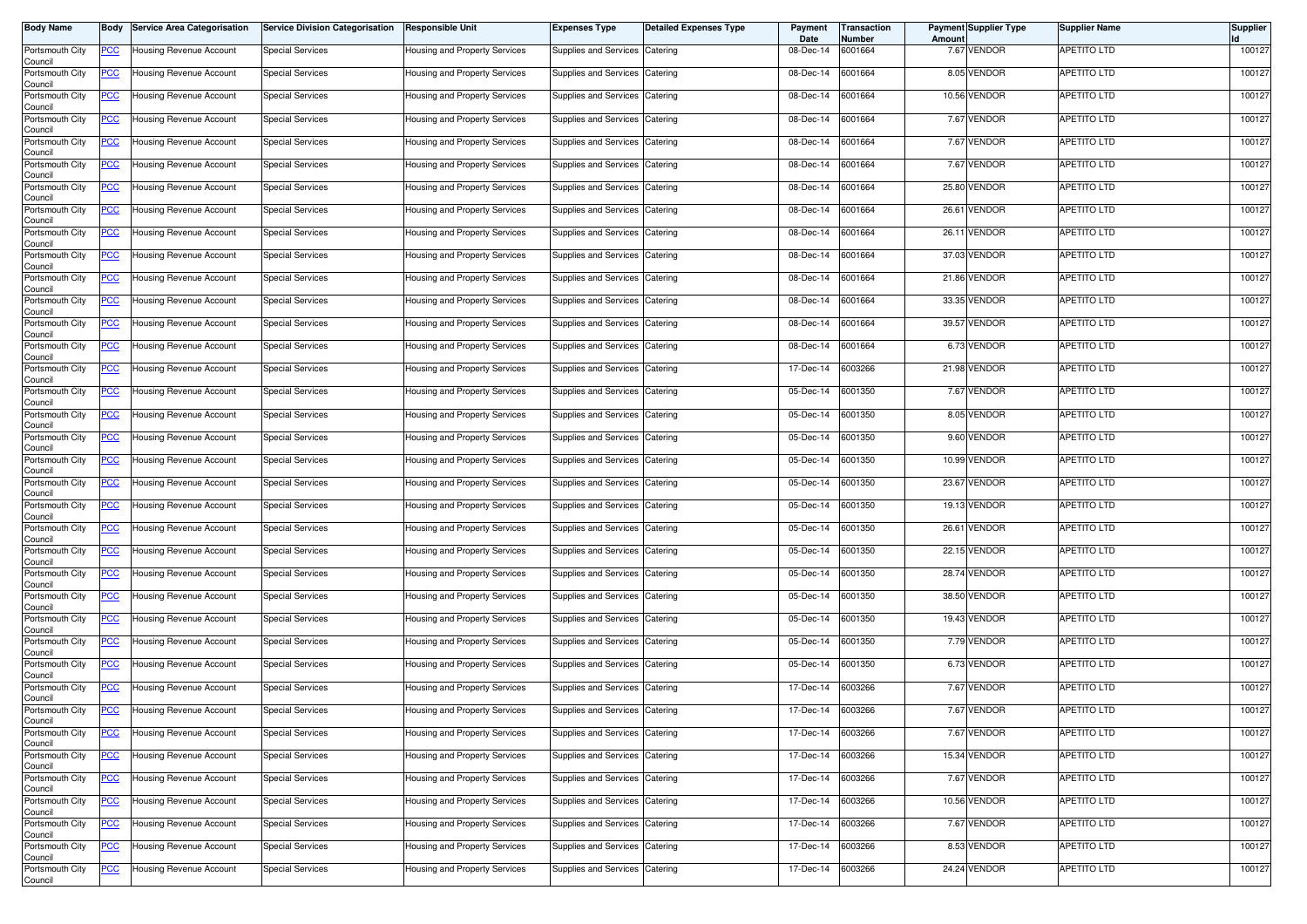| <b>Body Name</b>           | Body           | <b>Service Area Categorisation</b> | <b>Service Division Categorisation</b> | <b>Responsible Unit</b>       | <b>Expenses Type</b>           | <b>Detailed Expenses Type</b> | Payment<br>Date | Transaction<br>Number | Amount | <b>Payment Supplier Type</b> | <b>Supplier Name</b> | <b>Supplier</b> |
|----------------------------|----------------|------------------------------------|----------------------------------------|-------------------------------|--------------------------------|-------------------------------|-----------------|-----------------------|--------|------------------------------|----------------------|-----------------|
| Portsmouth City<br>Council | <u>PCC</u>     | Housing Revenue Account            | <b>Special Services</b>                | Housing and Property Services | Supplies and Services          | Catering                      | 08-Dec-14       | 6001664               |        | 7.67 VENDOR                  | APETITO LTD          | 100127          |
| Portsmouth City<br>Council | <u>PCC</u>     | Housing Revenue Account            | <b>Special Services</b>                | Housing and Property Services | Supplies and Services          | Catering                      | 08-Dec-14       | 6001664               |        | 8.05 VENDOR                  | APETITO LTD          | 100127          |
| Portsmouth City<br>Council | <u>PCC</u>     | Housing Revenue Account            | <b>Special Services</b>                | Housing and Property Services | Supplies and Services          | Catering                      | 08-Dec-14       | 6001664               |        | 10.56 VENDOR                 | APETITO LTD          | 100127          |
| Portsmouth City<br>Council | <u>PCC</u>     | Housing Revenue Account            | <b>Special Services</b>                | Housing and Property Services | Supplies and Services          | Catering                      | 08-Dec-14       | 6001664               |        | 7.67 VENDOR                  | APETITO LTD          | 100127          |
| Portsmouth City<br>Council | <u>PCC</u>     | Housing Revenue Account            | <b>Special Services</b>                | Housing and Property Services | Supplies and Services          | Catering                      | 08-Dec-14       | 6001664               |        | 7.67 VENDOR                  | APETITO LTD          | 100127          |
| Portsmouth City<br>Council | <u>PCC</u>     | Housing Revenue Account            | <b>Special Services</b>                | Housing and Property Services | Supplies and Services          | Catering                      | 08-Dec-14       | 6001664               |        | 7.67 VENDOR                  | APETITO LTD          | 100127          |
| Portsmouth City<br>Council | <u>PCC</u>     | Housing Revenue Account            | <b>Special Services</b>                | Housing and Property Services | <b>Supplies and Services</b>   | Catering                      | 08-Dec-14       | 6001664               |        | 25.80 VENDOR                 | <b>APETITO LTD</b>   | 100127          |
| Portsmouth City<br>Council | <u>PCC</u>     | Housing Revenue Account            | <b>Special Services</b>                | Housing and Property Services | Supplies and Services Catering |                               | 08-Dec-14       | 6001664               |        | 26.61 VENDOR                 | APETITO LTD          | 100127          |
| Portsmouth City<br>Council | <u>PCC</u>     | Housing Revenue Account            | <b>Special Services</b>                | Housing and Property Services | Supplies and Services          | Catering                      | 08-Dec-14       | 6001664               |        | 26.11 VENDOR                 | <b>APETITO LTD</b>   | 100127          |
| Portsmouth City<br>Council | <u>PCC</u>     | Housing Revenue Account            | <b>Special Services</b>                | Housing and Property Services | Supplies and Services          | Catering                      | 08-Dec-14       | 6001664               |        | 37.03 VENDOR                 | <b>APETITO LTD</b>   | 100127          |
| Portsmouth City<br>Council | <u>PCC</u>     | Housing Revenue Account            | <b>Special Services</b>                | Housing and Property Services | Supplies and Services          | Catering                      | 08-Dec-14       | 6001664               |        | 21.86 VENDOR                 | APETITO LTD          | 100127          |
| Portsmouth City<br>Council | <u>PCC</u>     | Housing Revenue Account            | <b>Special Services</b>                | Housing and Property Services | Supplies and Services          | Catering                      | 08-Dec-14       | 6001664               |        | 33.35 VENDOR                 | APETITO LTD          | 100127          |
| Portsmouth City<br>Council | <u>PCC</u>     | Housing Revenue Account            | <b>Special Services</b>                | Housing and Property Services | Supplies and Services          | Catering                      | 08-Dec-14       | 6001664               |        | 39.57 VENDOR                 | APETITO LTD          | 100127          |
| Portsmouth City<br>Council | <u>PCC</u>     | Housing Revenue Account            | <b>Special Services</b>                | Housing and Property Services | Supplies and Services          | Catering                      | 08-Dec-14       | 6001664               |        | 6.73 VENDOR                  | APETITO LTD          | 100127          |
| Portsmouth City<br>Council | <u>PCC</u>     | Housing Revenue Account            | <b>Special Services</b>                | Housing and Property Services | Supplies and Services          | Catering                      | 17-Dec-14       | 6003266               |        | 21.98 VENDOR                 | APETITO LTD          | 100127          |
| Portsmouth City<br>Council | <u>PCC</u>     | Housing Revenue Account            | <b>Special Services</b>                | Housing and Property Services | Supplies and Services          | Catering                      | 05-Dec-14       | 6001350               |        | 7.67 VENDOR                  | APETITO LTD          | 100127          |
| Portsmouth City<br>Council | <u>PCC</u>     | Housing Revenue Account            | <b>Special Services</b>                | Housing and Property Services | Supplies and Services          | Catering                      | 05-Dec-14       | 6001350               |        | 8.05 VENDOR                  | APETITO LTD          | 100127          |
| Portsmouth City<br>Council | <u>PCC</u>     | Housing Revenue Account            | <b>Special Services</b>                | Housing and Property Services | Supplies and Services          | Catering                      | 05-Dec-14       | 6001350               |        | 9.60 VENDOR                  | APETITO LTD          | 100127          |
| Portsmouth City<br>Council | <u>PCC</u>     | Housing Revenue Account            | <b>Special Services</b>                | Housing and Property Services | Supplies and Services          | Catering                      | 05-Dec-14       | 6001350               |        | 10.99 VENDOR                 | APETITO LTD          | 100127          |
| Portsmouth City<br>Council | <u>PCC</u>     | Housing Revenue Account            | <b>Special Services</b>                | Housing and Property Services | Supplies and Services          | Catering                      | 05-Dec-14       | 6001350               |        | 23.67 VENDOR                 | <b>APETITO LTD</b>   | 100127          |
| Portsmouth City<br>Council | <u>PCC</u>     | Housing Revenue Account            | <b>Special Services</b>                | Housing and Property Services | Supplies and Services          | Catering                      | 05-Dec-14       | 6001350               |        | 19.13 VENDOR                 | APETITO LTD          | 100127          |
| Portsmouth City<br>Council | <u>PCC</u>     | Housing Revenue Account            | <b>Special Services</b>                | Housing and Property Services | Supplies and Services          | Catering                      | 05-Dec-14       | 6001350               | 26.61  | <b>VENDOR</b>                | APETITO LTD          | 100127          |
| Portsmouth City<br>Council | <u>PCC</u>     | Housing Revenue Account            | <b>Special Services</b>                | Housing and Property Services | Supplies and Services          | Catering                      | 05-Dec-14       | 6001350               |        | 22.15 VENDOR                 | APETITO LTD          | 100127          |
| Portsmouth City<br>Council | <u>PCC</u>     | Housing Revenue Account            | <b>Special Services</b>                | Housing and Property Services | Supplies and Services          | Catering                      | 05-Dec-14       | 6001350               |        | 28.74 VENDOR                 | APETITO LTD          | 100127          |
| Portsmouth City<br>Council | <u>PCC</u>     | lousing Revenue Account            | <b>Special Services</b>                | Housing and Property Services | Supplies and Services          | Catering                      | 05-Dec-14       | 6001350               |        | 38.50 VENDOR                 | APETITO LTD          | 100127          |
| Portsmouth City<br>Council | <u>PCC</u>     | Housing Revenue Account            | <b>Special Services</b>                | Housing and Property Services | Supplies and Services          | Catering                      | 05-Dec-14       | 6001350               |        | 19.43 VENDOR                 | APETITO LTD          | 100127          |
| Portsmouth City<br>Council | <u>PCC</u>     | Housing Revenue Account            | <b>Special Services</b>                | Housing and Property Services | Supplies and Services          | Catering                      | 05-Dec-14       | 6001350               |        | 7.79 VENDOR                  | APETITO LTD          | 100127          |
| Portsmouth City<br>Council | <u>PCC</u>     | Housing Revenue Account            | <b>Special Services</b>                | Housing and Property Services | Supplies and Services          | Catering                      | 05-Dec-14       | 6001350               |        | 6.73 VENDOR                  | APETITO LTD          | 100127          |
| Portsmouth City<br>Council | <u>PCC</u>     | Housing Revenue Account            | <b>Special Services</b>                | Housing and Property Services | Supplies and Services          | Catering                      | 17-Dec-14       | 6003266               |        | 7.67 VENDOR                  | <b>APETITO LTD</b>   | 100127          |
| Portsmouth City<br>Council | <u>PCC</u>     | Housing Revenue Account            | <b>Special Services</b>                | Housing and Property Services | Supplies and Services          | Catering                      | 17-Dec-14       | 6003266               |        | 7.67 VENDOR                  | <b>APETITO LTD</b>   | 100127          |
| Portsmouth City<br>Council | <u>PCC</u>     | Housing Revenue Account            | <b>Special Services</b>                | Housing and Property Services | Supplies and Services          | Catering                      | 17-Dec-14       | 6003266               |        | 7.67 VENDOR                  | APETITO LTD          | 100127          |
| Portsmouth City<br>Council | $\overline{C}$ | Housing Revenue Account            | <b>Special Services</b>                | Housing and Property Services | Supplies and Services          | Catering                      | 17-Dec-14       | 6003266               |        | 15.34 VENDOR                 | <b>APETITO LTD</b>   | 100127          |
| Portsmouth City<br>Council | <u>PCC</u>     | Housing Revenue Account            | <b>Special Services</b>                | Housing and Property Services | Supplies and Services Catering |                               | 17-Dec-14       | 6003266               |        | 7.67 VENDOR                  | <b>APETITO LTD</b>   | 100127          |
| Portsmouth City<br>Council | <u>PCC</u>     | Housing Revenue Account            | <b>Special Services</b>                | Housing and Property Services | Supplies and Services          | Catering                      | 17-Dec-14       | 6003266               |        | 10.56 VENDOR                 | <b>APETITO LTD</b>   | 100127          |
| Portsmouth City<br>Council | <u>PCC</u>     | Housing Revenue Account            | <b>Special Services</b>                | Housing and Property Services | Supplies and Services Catering |                               | 17-Dec-14       | 6003266               |        | 7.67 VENDOR                  | APETITO LTD          | 100127          |
| Portsmouth City<br>Council | <u>PCC</u>     | Housing Revenue Account            | <b>Special Services</b>                | Housing and Property Services | Supplies and Services          | Catering                      | 17-Dec-14       | 6003266               |        | 8.53 VENDOR                  | APETITO LTD          | 100127          |
| Portsmouth City<br>Council | <u>PCC</u>     | Housing Revenue Account            | <b>Special Services</b>                | Housing and Property Services | Supplies and Services Catering |                               | 17-Dec-14       | 6003266               |        | 24.24 VENDOR                 | <b>APETITO LTD</b>   | 100127          |
|                            |                |                                    |                                        |                               |                                |                               |                 |                       |        |                              |                      |                 |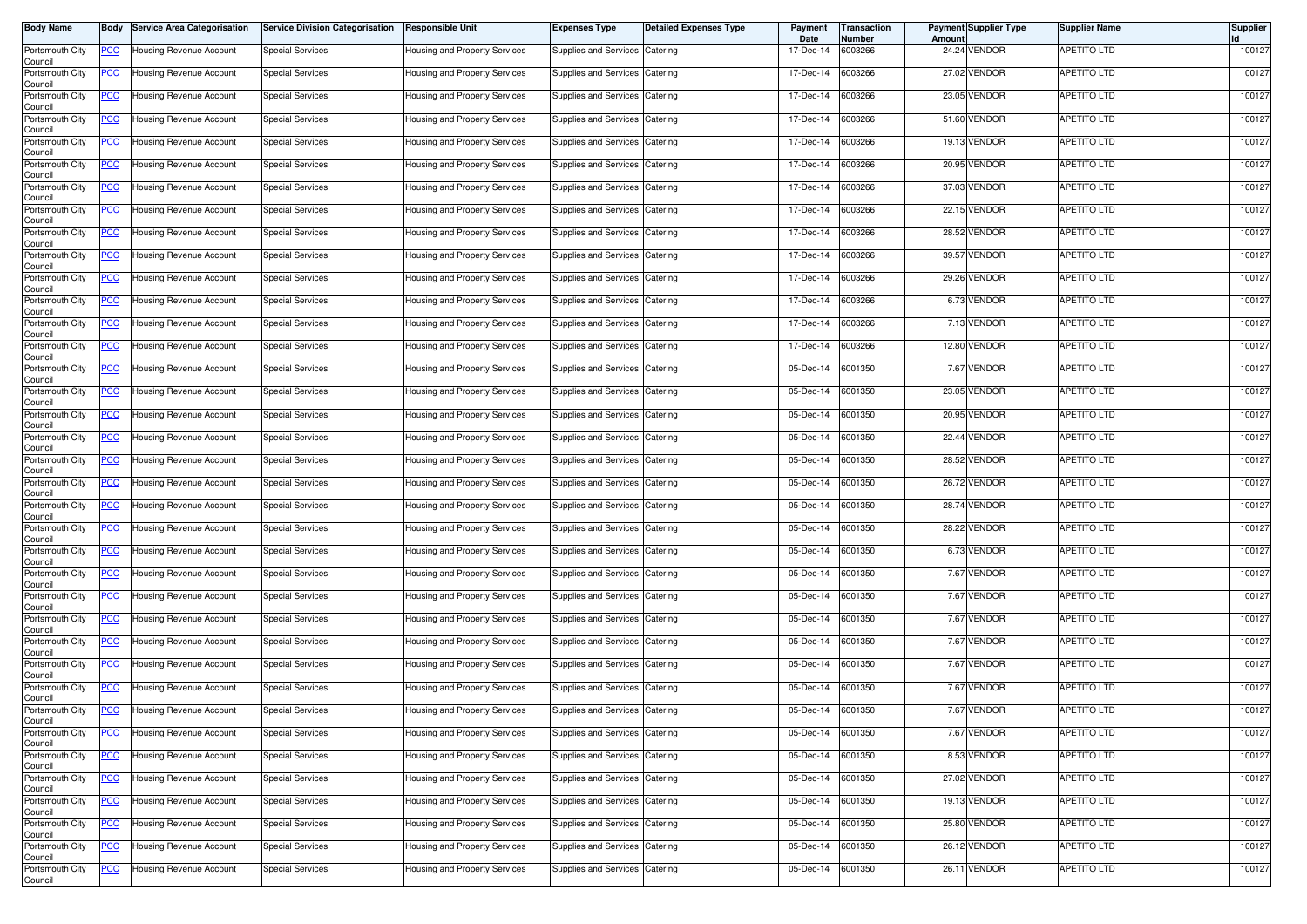| <b>Body Name</b>           | Body           | <b>Service Area Categorisation</b> | <b>Service Division Categorisation</b> | <b>Responsible Unit</b>       | <b>Expenses Type</b>           | <b>Detailed Expenses Type</b> | Payment<br>Date | Transaction<br>Number | Amount | <b>Payment Supplier Type</b> | <b>Supplier Name</b> | <b>Supplier</b> |
|----------------------------|----------------|------------------------------------|----------------------------------------|-------------------------------|--------------------------------|-------------------------------|-----------------|-----------------------|--------|------------------------------|----------------------|-----------------|
| Portsmouth City<br>Council | <u>PCC</u>     | Housing Revenue Account            | <b>Special Services</b>                | Housing and Property Services | Supplies and Services          | Catering                      | 17-Dec-14       | 6003266               |        | 24.24 VENDOR                 | <b>APETITO LTD</b>   | 100127          |
| Portsmouth City<br>Council | <u>PCC</u>     | Housing Revenue Account            | <b>Special Services</b>                | Housing and Property Services | Supplies and Services          | Catering                      | 17-Dec-14       | 6003266               |        | 27.02 VENDOR                 | APETITO LTD          | 100127          |
| Portsmouth City<br>Council | <u>PCC</u>     | Housing Revenue Account            | <b>Special Services</b>                | Housing and Property Services | Supplies and Services          | Catering                      | 17-Dec-14       | 6003266               |        | 23.05 VENDOR                 | APETITO LTD          | 100127          |
| Portsmouth City<br>Council | <u>PCC</u>     | Housing Revenue Account            | <b>Special Services</b>                | Housing and Property Services | Supplies and Services          | Catering                      | 17-Dec-14       | 6003266               |        | 51.60 VENDOR                 | APETITO LTD          | 100127          |
| Portsmouth City<br>Council | <u>PCC</u>     | Housing Revenue Account            | <b>Special Services</b>                | Housing and Property Services | Supplies and Services          | Catering                      | 17-Dec-14       | 6003266               |        | 19.13 VENDOR                 | APETITO LTD          | 100127          |
| Portsmouth City<br>Council | <u>PCC</u>     | Housing Revenue Account            | <b>Special Services</b>                | Housing and Property Services | Supplies and Services          | Catering                      | 17-Dec-14       | 6003266               |        | 20.95 VENDOR                 | APETITO LTD          | 100127          |
| Portsmouth City<br>Council | <u>PCC</u>     | Housing Revenue Account            | <b>Special Services</b>                | Housing and Property Services | <b>Supplies and Services</b>   | Catering                      | 17-Dec-14       | 6003266               |        | 37.03 VENDOR                 | <b>APETITO LTD</b>   | 100127          |
| Portsmouth City<br>Council | <u>PCC</u>     | Housing Revenue Account            | <b>Special Services</b>                | Housing and Property Services | Supplies and Services Catering |                               | 17-Dec-14       | 6003266               |        | 22.15 VENDOR                 | APETITO LTD          | 100127          |
| Portsmouth City<br>Council | <u>PCC</u>     | Housing Revenue Account            | <b>Special Services</b>                | Housing and Property Services | Supplies and Services          | Catering                      | 17-Dec-14       | 6003266               |        | 28.52 VENDOR                 | <b>APETITO LTD</b>   | 100127          |
| Portsmouth City<br>Council | <u>PCC</u>     | Housing Revenue Account            | <b>Special Services</b>                | Housing and Property Services | Supplies and Services          | Catering                      | 17-Dec-14       | 6003266               |        | 39.57 VENDOR                 | <b>APETITO LTD</b>   | 100127          |
| Portsmouth City<br>Council | <u>PCC</u>     | <b>Housing Revenue Account</b>     | <b>Special Services</b>                | Housing and Property Services | Supplies and Services          | Catering                      | 17-Dec-14       | 6003266               |        | 29.26 VENDOR                 | APETITO LTD          | 100127          |
| Portsmouth City<br>Council | <u>PCC</u>     | Housing Revenue Account            | <b>Special Services</b>                | Housing and Property Services | Supplies and Services          | Catering                      | 17-Dec-14       | 6003266               |        | 6.73 VENDOR                  | APETITO LTD          | 100127          |
| Portsmouth City<br>Council | <u>PCC</u>     | Housing Revenue Account            | <b>Special Services</b>                | Housing and Property Services | Supplies and Services          | Catering                      | 17-Dec-14       | 6003266               |        | 7.13 VENDOR                  | APETITO LTD          | 100127          |
| Portsmouth City<br>Council | <u>PCC</u>     | Housing Revenue Account            | <b>Special Services</b>                | Housing and Property Services | Supplies and Services          | Catering                      | 17-Dec-14       | 6003266               |        | 12.80 VENDOR                 | APETITO LTD          | 100127          |
| Portsmouth City<br>Council | <u>PCC</u>     | Housing Revenue Account            | <b>Special Services</b>                | Housing and Property Services | Supplies and Services          | Catering                      | 05-Dec-14       | 6001350               |        | 7.67 VENDOR                  | APETITO LTD          | 100127          |
| Portsmouth City<br>Council | <u>PCC</u>     | Housing Revenue Account            | <b>Special Services</b>                | Housing and Property Services | Supplies and Services          | Catering                      | 05-Dec-14       | 6001350               |        | 23.05 VENDOR                 | <b>APETITO LTD</b>   | 100127          |
| Portsmouth City<br>Council | <u>PCC</u>     | Housing Revenue Account            | <b>Special Services</b>                | Housing and Property Services | Supplies and Services          | Catering                      | 05-Dec-14       | 6001350               |        | 20.95 VENDOR                 | APETITO LTD          | 100127          |
| Portsmouth City<br>Council | <u>PCC</u>     | Housing Revenue Account            | <b>Special Services</b>                | Housing and Property Services | Supplies and Services          | Catering                      | 05-Dec-14       | 6001350               |        | 22.44 VENDOR                 | APETITO LTD          | 100127          |
| Portsmouth City<br>Council | <u>PCC</u>     | Housing Revenue Account            | <b>Special Services</b>                | Housing and Property Services | Supplies and Services          | Catering                      | 05-Dec-14       | 6001350               |        | 28.52 VENDOR                 | APETITO LTD          | 100127          |
| Portsmouth City<br>Council | <u>PCC</u>     | Housing Revenue Account            | <b>Special Services</b>                | Housing and Property Services | Supplies and Services          | Catering                      | 05-Dec-14       | 6001350               |        | 26.72 VENDOR                 | <b>APETITO LTD</b>   | 100127          |
| Portsmouth City<br>Council | <u>PCC</u>     | Housing Revenue Account            | <b>Special Services</b>                | Housing and Property Services | Supplies and Services          | Catering                      | 05-Dec-14       | 6001350               |        | 28.74 VENDOR                 | APETITO LTD          | 100127          |
| Portsmouth City<br>Council | <u>PCC</u>     | Housing Revenue Account            | <b>Special Services</b>                | Housing and Property Services | Supplies and Services          | Catering                      | 05-Dec-14       | 6001350               |        | 28.22 VENDOR                 | APETITO LTD          | 100127          |
| Portsmouth City<br>Council | <u>PCC</u>     | Housing Revenue Account            | <b>Special Services</b>                | Housing and Property Services | Supplies and Services          | Catering                      | 05-Dec-14       | 6001350               |        | 6.73 VENDOR                  | APETITO LTD          | 100127          |
| Portsmouth City<br>Council | <u>PCC</u>     | Housing Revenue Account            | <b>Special Services</b>                | Housing and Property Services | Supplies and Services          | Catering                      | 05-Dec-14       | 6001350               |        | 7.67 VENDOR                  | APETITO LTD          | 100127          |
| Portsmouth City<br>Council | <u>PCC</u>     | lousing Revenue Account            | <b>Special Services</b>                | Housing and Property Services | Supplies and Services          | Catering                      | 05-Dec-14       | 6001350               |        | 7.67 VENDOR                  | APETITO LTD          | 100127          |
| Portsmouth City<br>Council | <u>PCC</u>     | Housing Revenue Account            | <b>Special Services</b>                | Housing and Property Services | Supplies and Services          | Catering                      | 05-Dec-14       | 6001350               |        | 7.67 VENDOR                  | APETITO LTD          | 100127          |
| Portsmouth City<br>Council | <u>PCC</u>     | Housing Revenue Account            | <b>Special Services</b>                | Housing and Property Services | Supplies and Services          | Catering                      | 05-Dec-14       | 6001350               |        | 7.67 VENDOR                  | APETITO LTD          | 100127          |
| Portsmouth City<br>Council | <u>PCC</u>     | Housing Revenue Account            | <b>Special Services</b>                | Housing and Property Services | Supplies and Services          | Catering                      | 05-Dec-14       | 6001350               |        | 7.67 VENDOR                  | APETITO LTD          | 100127          |
| Portsmouth City<br>Council | <u>PCC</u>     | Housing Revenue Account            | <b>Special Services</b>                | Housing and Property Services | Supplies and Services          | Catering                      | 05-Dec-14       | 6001350               |        | 7.67 VENDOR                  | <b>APETITO LTD</b>   | 100127          |
| Portsmouth City<br>Council | <u>PCC</u>     | Housing Revenue Account            | <b>Special Services</b>                | Housing and Property Services | Supplies and Services          | Catering                      | 05-Dec-14       | 6001350               |        | 7.67 VENDOR                  | <b>APETITO LTD</b>   | 100127          |
| Portsmouth City<br>Council | <u>PCC</u>     | Housing Revenue Account            | <b>Special Services</b>                | Housing and Property Services | Supplies and Services          | Catering                      | 05-Dec-14       | 6001350               |        | 7.67 VENDOR                  | APETITO LTD          | 100127          |
| Portsmouth City<br>Council | $\overline{C}$ | Housing Revenue Account            | <b>Special Services</b>                | Housing and Property Services | Supplies and Services          | Catering                      | 05-Dec-14       | 6001350               |        | 8.53 VENDOR                  | <b>APETITO LTD</b>   | 100127          |
| Portsmouth City<br>Council | <u>PCC</u>     | Housing Revenue Account            | <b>Special Services</b>                | Housing and Property Services | Supplies and Services Catering |                               | 05-Dec-14       | 6001350               |        | 27.02 VENDOR                 | <b>APETITO LTD</b>   | 100127          |
| Portsmouth City<br>Council | <u>PCC</u>     | Housing Revenue Account            | <b>Special Services</b>                | Housing and Property Services | Supplies and Services          | Catering                      | 05-Dec-14       | 6001350               |        | 19.13 VENDOR                 | <b>APETITO LTD</b>   | 100127          |
| Portsmouth City<br>Council | <u>PCC</u>     | Housing Revenue Account            | <b>Special Services</b>                | Housing and Property Services | Supplies and Services Catering |                               | 05-Dec-14       | 6001350               |        | 25.80 VENDOR                 | APETITO LTD          | 100127          |
| Portsmouth City<br>Council | <u>PCC</u>     | Housing Revenue Account            | <b>Special Services</b>                | Housing and Property Services | Supplies and Services          | Catering                      | 05-Dec-14       | 6001350               |        | 26.12 VENDOR                 | APETITO LTD          | 100127          |
| Portsmouth City<br>Council | <u>PCC</u>     | Housing Revenue Account            | <b>Special Services</b>                | Housing and Property Services | Supplies and Services Catering |                               | 05-Dec-14       | 6001350               |        | 26.11 VENDOR                 | <b>APETITO LTD</b>   | 100127          |
|                            |                |                                    |                                        |                               |                                |                               |                 |                       |        |                              |                      |                 |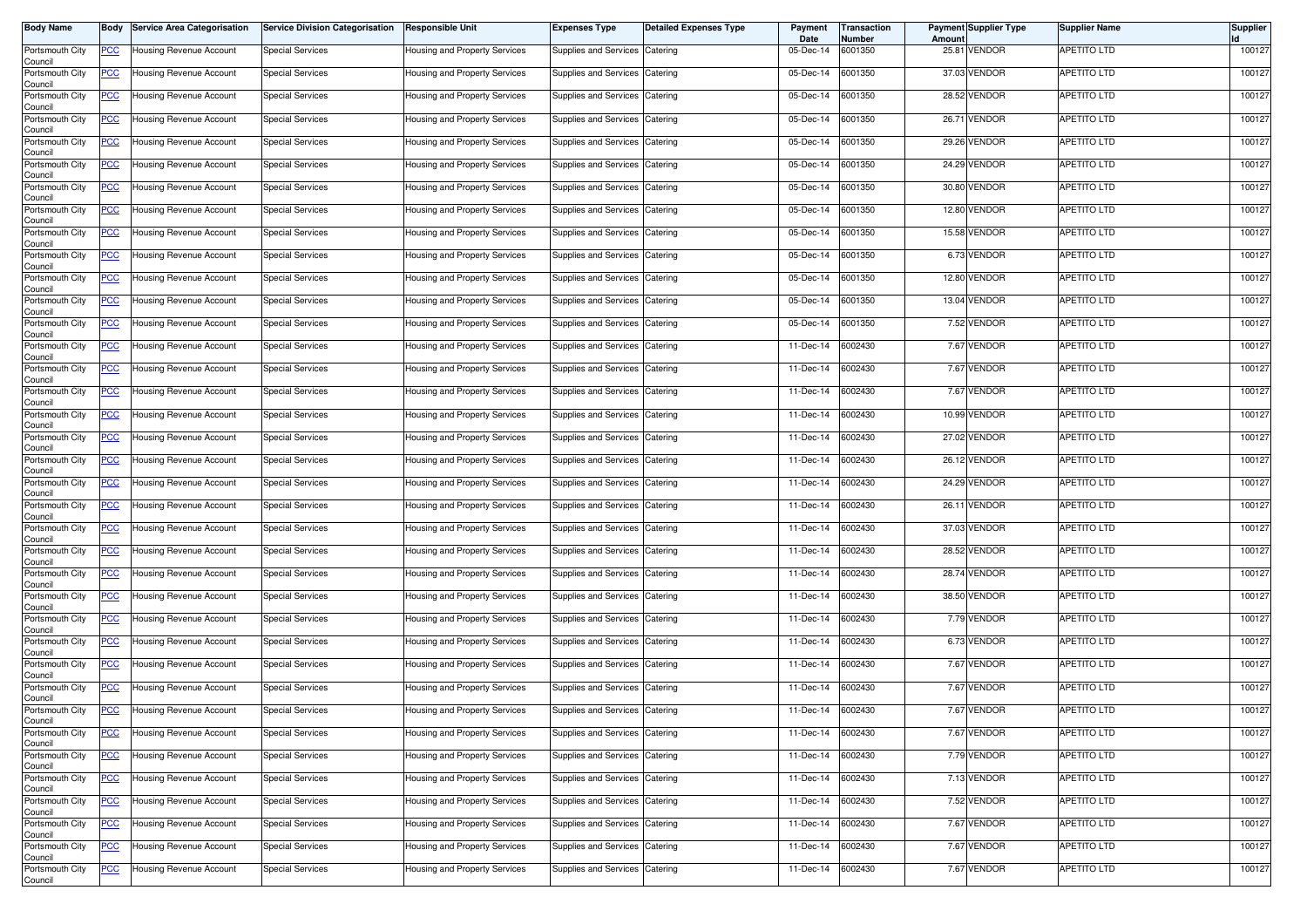| Body Name                  | Body           | <b>Service Area Categorisation</b> | <b>Service Division Categorisation</b> | <b>Responsible Unit</b>       | <b>Expenses Type</b>           | <b>Detailed Expenses Type</b> | Payment<br>Date | <b>Transaction</b><br>Number | Amoun | <b>Payment Supplier Type</b> | <b>Supplier Name</b> | <b>Supplier</b> |
|----------------------------|----------------|------------------------------------|----------------------------------------|-------------------------------|--------------------------------|-------------------------------|-----------------|------------------------------|-------|------------------------------|----------------------|-----------------|
| Portsmouth City<br>Council | PCC            | Housing Revenue Account            | <b>Special Services</b>                | Housing and Property Services | Supplies and Services          | Catering                      | 05-Dec-14       | 6001350                      |       | 25.81 VENDOR                 | <b>APETITO LTD</b>   | 100127          |
| Portsmouth City<br>Council | <u>PCC</u>     | Housing Revenue Account            | <b>Special Services</b>                | Housing and Property Services | Supplies and Services          | Catering                      | 05-Dec-14       | 6001350                      |       | 37.03 VENDOR                 | APETITO LTD          | 100127          |
| Portsmouth City<br>Council | <u>PCC</u>     | Housing Revenue Account            | <b>Special Services</b>                | Housing and Property Services | Supplies and Services          | Catering                      | 05-Dec-14       | 6001350                      |       | 28.52 VENDOR                 | APETITO LTD          | 100127          |
| Portsmouth City<br>Council | <u>PCC </u>    | Housing Revenue Account            | <b>Special Services</b>                | Housing and Property Services | Supplies and Services          | Catering                      | 05-Dec-14       | 6001350                      |       | 26.71 VENDOR                 | <b>APETITO LTD</b>   | 100127          |
| Portsmouth City<br>Council | <u>PCC</u>     | Housing Revenue Account            | <b>Special Services</b>                | Housing and Property Services | Supplies and Services          | Catering                      | 05-Dec-14       | 6001350                      |       | 29.26 VENDOR                 | APETITO LTD          | 100127          |
| Portsmouth City<br>Council | <u>PCC</u>     | Housing Revenue Account            | <b>Special Services</b>                | Housing and Property Services | Supplies and Services          | Catering                      | 05-Dec-14       | 6001350                      |       | 24.29 VENDOR                 | APETITO LTD          | 100127          |
| Portsmouth City<br>Council | <u>PCC</u>     | Housing Revenue Account            | <b>Special Services</b>                | Housing and Property Services | Supplies and Services          | Catering                      | 05-Dec-14       | 6001350                      |       | 30.80 VENDOR                 | APETITO LTD          | 100127          |
| Portsmouth City<br>Council | <u>PCC </u>    | Housing Revenue Account            | <b>Special Services</b>                | Housing and Property Services | Supplies and Services Catering |                               | 05-Dec-14       | 6001350                      |       | 12.80 VENDOR                 | <b>APETITO LTD</b>   | 100127          |
| Portsmouth City<br>Council | <b>PCC</b>     | Housing Revenue Account            | <b>Special Services</b>                | Housing and Property Services | Supplies and Services          | Catering                      | 05-Dec-14       | 6001350                      |       | 15.58 VENDOR                 | APETITO LTD          | 100127          |
| Portsmouth City<br>Council | <u>PCC</u>     | Housing Revenue Account            | <b>Special Services</b>                | Housing and Property Services | Supplies and Services          | Catering                      | 05-Dec-14       | 6001350                      |       | 6.73 VENDOR                  | APETITO LTD          | 100127          |
| Portsmouth City<br>Council | <u>PCC</u>     | lousing Revenue Account            | <b>Special Services</b>                | Housing and Property Services | Supplies and Services          | Catering                      | 05-Dec-14       | 6001350                      |       | 12.80 VENDOR                 | APETITO LTD          | 100127          |
| Portsmouth City<br>Council | <u>PCC</u>     | Housing Revenue Account            | <b>Special Services</b>                | Housing and Property Services | Supplies and Services          | Catering                      | 05-Dec-14       | 6001350                      |       | 13.04 VENDOR                 | APETITO LTD          | 100127          |
| Portsmouth City<br>Council |                | Housing Revenue Account            | <b>Special Services</b>                | Housing and Property Services | Supplies and Services          | Catering                      | 05-Dec-14       | 6001350                      |       | 7.52 VENDOR                  | APETITO LTD          | 100127          |
| Portsmouth City<br>Council | <u>PCC</u>     | Housing Revenue Account            | <b>Special Services</b>                | Housing and Property Services | Supplies and Services          | Catering                      | 11-Dec-14       | 6002430                      |       | 7.67 VENDOR                  | APETITO LTD          | 100127          |
| Portsmouth City<br>Council | <u>PCC</u>     | Housing Revenue Account            | <b>Special Services</b>                | Housing and Property Services | Supplies and Services          | Catering                      | 11-Dec-14       | 6002430                      |       | 7.67 VENDOR                  | APETITO LTD          | 100127          |
| Portsmouth City<br>Council | <u>PCC</u>     | Housing Revenue Account            | <b>Special Services</b>                | Housing and Property Services | Supplies and Services          | Catering                      | 11-Dec-14       | 6002430                      |       | 7.67 VENDOR                  | APETITO LTD          | 100127          |
| Portsmouth City<br>Council | <u>PCC</u>     | Housing Revenue Account            | <b>Special Services</b>                | Housing and Property Services | Supplies and Services          | Catering                      | 11-Dec-14       | 6002430                      |       | 10.99 VENDOR                 | <b>APETITO LTD</b>   | 100127          |
| Portsmouth City<br>Council | <u>PCC</u>     | Housing Revenue Account            | <b>Special Services</b>                | Housing and Property Services | Supplies and Services          | Catering                      | 11-Dec-14       | 6002430                      |       | 27.02 VENDOR                 | APETITO LTD          | 100127          |
| Portsmouth City<br>Council | <u>PCC</u>     | Housing Revenue Account            | <b>Special Services</b>                | Housing and Property Services | Supplies and Services          | Catering                      | 11-Dec-14       | 6002430                      |       | 26.12 VENDOR                 | APETITO LTD          | 100127          |
| Portsmouth City<br>Council | <u>PCC</u>     | Housing Revenue Account            | <b>Special Services</b>                | Housing and Property Services | Supplies and Services          | Catering                      | 11-Dec-14       | 6002430                      |       | 24.29 VENDOR                 | <b>APETITO LTD</b>   | 100127          |
| Portsmouth City<br>Council | <u>PCC</u>     | Housing Revenue Account            | <b>Special Services</b>                | Housing and Property Services | Supplies and Services          | Catering                      | 11-Dec-14       | 6002430                      |       | 26.11 VENDOR                 | APETITO LTD          | 100127          |
| Portsmouth City<br>Council | $\overline{C}$ | Housing Revenue Account            | <b>Special Services</b>                | Housing and Property Services | Supplies and Services          | Catering                      | 11-Dec-14       | 6002430                      |       | 37.03 VENDOR                 | APETITO LTD          | 100127          |
| Portsmouth City<br>Council | <u>PCC</u>     | Housing Revenue Account            | <b>Special Services</b>                | Housing and Property Services | Supplies and Services          | Catering                      | 11-Dec-14       | 6002430                      |       | 28.52 VENDOR                 | APETITO LTD          | 100127          |
| Portsmouth City<br>Council | <u>PCC</u>     | Housing Revenue Account            | <b>Special Services</b>                | Housing and Property Services | Supplies and Services          | Catering                      | 11-Dec-14       | 6002430                      |       | 28.74 VENDOR                 | <b>APETITO LTD</b>   | 100127          |
| Portsmouth City<br>Council | <u>PCC</u>     | Housing Revenue Account            | <b>Special Services</b>                | Housing and Property Services | Supplies and Services          | Catering                      | 11-Dec-14       | 6002430                      |       | 38.50 VENDOR                 | APETITO LTD          | 100127          |
| Portsmouth City<br>Council | <u>PCC</u>     | Housing Revenue Account            | <b>Special Services</b>                | Housing and Property Services | Supplies and Services          | Catering                      | 11-Dec-14       | 6002430                      |       | 7.79 VENDOR                  | APETITO LTD          | 100127          |
| Portsmouth City<br>Council | <u>PCC</u>     | Housing Revenue Account            | <b>Special Services</b>                | Housing and Property Services | Supplies and Services          | Catering                      | 11-Dec-14       | 6002430                      |       | 6.73 VENDOR                  | APETITO LTD          | 100127          |
| Portsmouth City<br>Council | <u>PCC</u>     | Housing Revenue Account            | <b>Special Services</b>                | Housing and Property Services | Supplies and Services          | Catering                      | 11-Dec-14       | 6002430                      |       | 7.67 VENDOR                  | APETITO LTD          | 100127          |
| Portsmouth City<br>Council | <u>PCC</u>     | lousing Revenue Account            | Special Services                       | Housing and Property Services | Supplies and Services          | Catering                      | 11-Dec-14       | 6002430                      |       | 7.67 VENDOR                  | APETITO LTD          | 100127          |
| Portsmouth City<br>Council | <u>PCC</u>     | Housing Revenue Account            | <b>Special Services</b>                | Housing and Property Services | Supplies and Services          | Catering                      | 11-Dec-14       | 6002430                      |       | 7.67 VENDOR                  | <b>APETITO LTD</b>   | 100127          |
| Portsmouth City<br>Council | <u>PCC</u>     | Housing Revenue Account            | <b>Special Services</b>                | Housing and Property Services | Supplies and Services Catering |                               | 11-Dec-14       | 6002430                      |       | 7.67 VENDOR                  | APETITO LTD          | 100127          |
| Portsmouth City<br>Council | <u>PCC</u>     | Housing Revenue Account            | <b>Special Services</b>                | Housing and Property Services | <b>Supplies and Services</b>   | Catering                      | 11-Dec-14       | 6002430                      |       | 7.79 VENDOR                  | <b>APETITO LTD</b>   | 100127          |
| Portsmouth City<br>Council | <u>PCC</u>     | Housing Revenue Account            | <b>Special Services</b>                | Housing and Property Services | Supplies and Services Catering |                               | 11-Dec-14       | 6002430                      |       | 7.13 VENDOR                  | APETITO LTD          | 100127          |
| Portsmouth City<br>Council | <b>PCC</b>     | Housing Revenue Account            | <b>Special Services</b>                | Housing and Property Services | Supplies and Services          | Catering                      | 11-Dec-14       | 6002430                      |       | 7.52 VENDOR                  | <b>APETITO LTD</b>   | 100127          |
| Portsmouth City<br>Council | <u>PCC</u>     | Housing Revenue Account            | <b>Special Services</b>                | Housing and Property Services | Supplies and Services Catering |                               | 11-Dec-14       | 6002430                      |       | 7.67 VENDOR                  | APETITO LTD          | 100127          |
| Portsmouth City<br>Council | <u>PCC</u>     | Housing Revenue Account            | <b>Special Services</b>                | Housing and Property Services | Supplies and Services Catering |                               | 11-Dec-14       | 6002430                      |       | 7.67 VENDOR                  | APETITO LTD          | 100127          |
| Portsmouth City<br>Council | <u>PCC</u>     | Housing Revenue Account            | <b>Special Services</b>                | Housing and Property Services | Supplies and Services Catering |                               | 11-Dec-14       | 6002430                      |       | 7.67 VENDOR                  | <b>APETITO LTD</b>   | 100127          |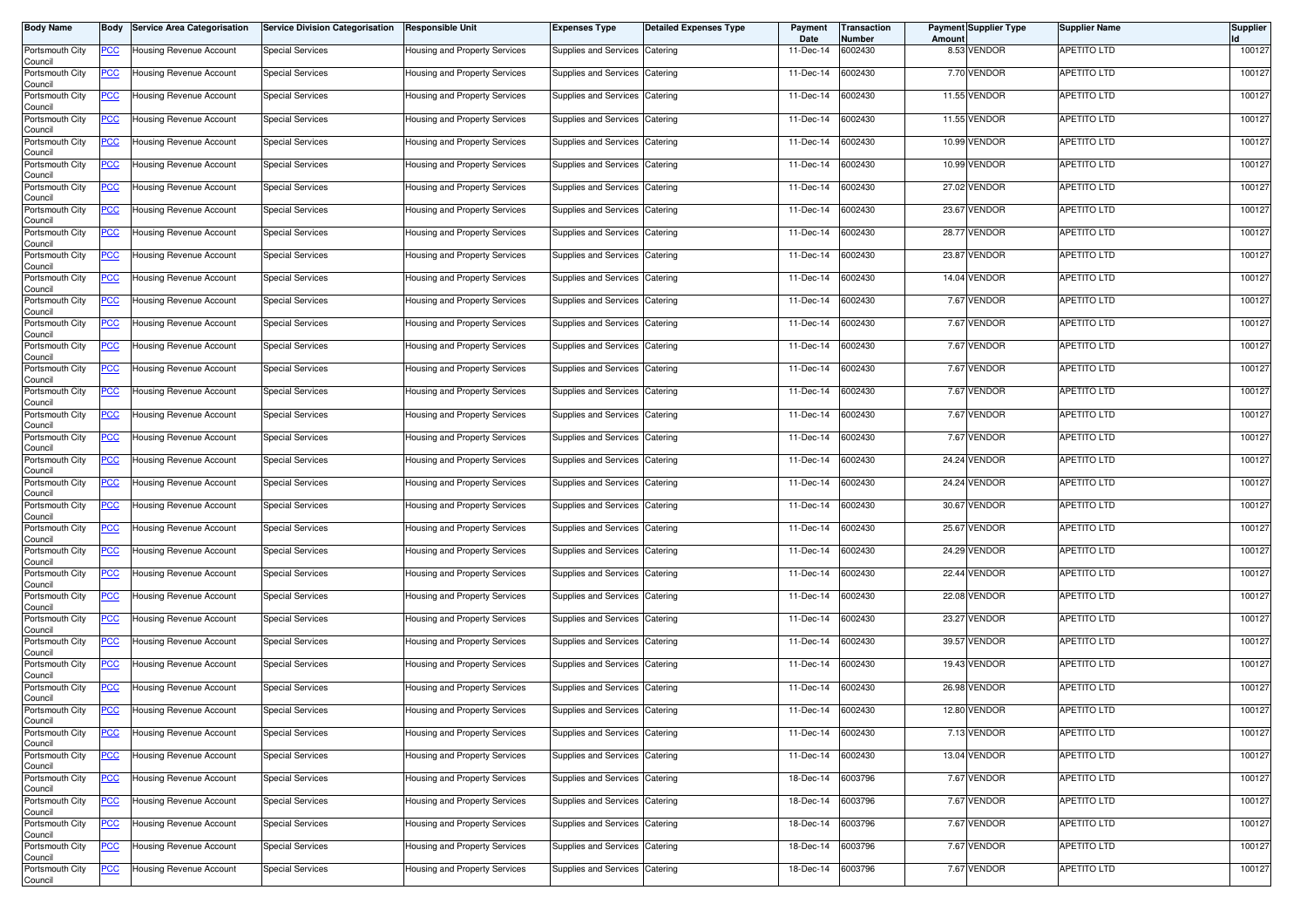| <b>Body Name</b>           | Body           | <b>Service Area Categorisation</b> | <b>Service Division Categorisation</b> | <b>Responsible Unit</b>       | <b>Expenses Type</b>           | <b>Detailed Expenses Type</b> | Payment<br>Date   | Transaction<br>Number | Amoun | <b>Payment Supplier Type</b> | <b>Supplier Name</b> | <b>Supplier</b> |
|----------------------------|----------------|------------------------------------|----------------------------------------|-------------------------------|--------------------------------|-------------------------------|-------------------|-----------------------|-------|------------------------------|----------------------|-----------------|
| Portsmouth City<br>Council | <u>PCC</u>     | Housing Revenue Account            | <b>Special Services</b>                | Housing and Property Services | Supplies and Services          | Catering                      | 11-Dec-14         | 6002430               |       | 8.53 VENDOR                  | APETITO LTD          | 100127          |
| Portsmouth City<br>Council | <u>PCC</u>     | Housing Revenue Account            | <b>Special Services</b>                | Housing and Property Services | <b>Supplies and Services</b>   | Catering                      | 11-Dec-14         | 6002430               |       | 7.70 VENDOR                  | APETITO LTD          | 100127          |
| Portsmouth City<br>Council | <b>PCC</b>     | Housing Revenue Account            | <b>Special Services</b>                | Housing and Property Services | <b>Supplies and Services</b>   | Catering                      | 11-Dec-14         | 6002430               |       | 11.55 VENDOR                 | APETITO LTD          | 100127          |
| Portsmouth City<br>Council | <u>PCC</u>     | Housing Revenue Account            | <b>Special Services</b>                | Housing and Property Services | Supplies and Services          | Catering                      | 11-Dec-14         | 6002430               |       | 11.55 VENDOR                 | APETITO LTD          | 100127          |
| Portsmouth City<br>Council | <u>PCC</u>     | Housing Revenue Account            | <b>Special Services</b>                | Housing and Property Services | Supplies and Services          | Catering                      | 11-Dec-14         | 6002430               |       | 10.99 VENDOR                 | APETITO LTD          | 100127          |
| Portsmouth City<br>Council | <u>PCC</u>     | Housing Revenue Account            | <b>Special Services</b>                | Housing and Property Services | Supplies and Services          | Catering                      | 11-Dec-14         | 6002430               |       | 10.99 VENDOR                 | APETITO LTD          | 100127          |
| Portsmouth City<br>Council | <u>PCC</u>     | Housing Revenue Account            | <b>Special Services</b>                | Housing and Property Services | <b>Supplies and Services</b>   | Catering                      | 11-Dec-14         | 6002430               |       | 27.02 VENDOR                 | APETITO LTD          | 100127          |
| Portsmouth City<br>Council | <u>PCC</u>     | Housing Revenue Account            | <b>Special Services</b>                | Housing and Property Services | Supplies and Services          | Catering                      | 11-Dec-14         | 6002430               |       | 23.67 VENDOR                 | <b>APETITO LTD</b>   | 100127          |
| Portsmouth City<br>Council | <u>PCC</u>     | Housing Revenue Account            | <b>Special Services</b>                | Housing and Property Services | <b>Supplies and Services</b>   | Catering                      | 11-Dec-14         | 6002430               |       | 28.77 VENDOR                 | APETITO LTD          | 100127          |
| Portsmouth City<br>Council | <u>PCC</u>     | Housing Revenue Account            | <b>Special Services</b>                | Housing and Property Services | Supplies and Services          | Catering                      | 11-Dec-14         | 6002430               |       | 23.87 VENDOR                 | APETITO LTD          | 100127          |
| Portsmouth City<br>Council | <u>PCC</u>     | <b>Housing Revenue Account</b>     | <b>Special Services</b>                | Housing and Property Services | Supplies and Services          | Catering                      | 11-Dec-14         | 6002430               |       | 14.04 VENDOR                 | APETITO LTD          | 100127          |
| Portsmouth City<br>Council | <u>PCC</u>     | Housing Revenue Account            | <b>Special Services</b>                | Housing and Property Services | Supplies and Services          | Catering                      | 11-Dec-14         | 6002430               |       | 7.67 VENDOR                  | APETITO LTD          | 100127          |
| Portsmouth City<br>Council | <u>PCC</u>     | Housing Revenue Account            | <b>Special Services</b>                | Housing and Property Services | Supplies and Services          | Catering                      | 11-Dec-14         | 6002430               |       | 7.67 VENDOR                  | APETITO LTD          | 100127          |
| Portsmouth City<br>Council | <u>PCC</u>     | Housing Revenue Account            | <b>Special Services</b>                | Housing and Property Services | Supplies and Services          | Catering                      | 11-Dec-14         | 6002430               |       | 7.67 VENDOR                  | APETITO LTD          | 100127          |
| Portsmouth City<br>Council | <u>PCC</u>     | Housing Revenue Account            | <b>Special Services</b>                | Housing and Property Services | Supplies and Services          | Catering                      | 11-Dec-14         | 6002430               |       | 7.67 VENDOR                  | APETITO LTD          | 100127          |
| Portsmouth City<br>Council | <u>PCC</u>     | Housing Revenue Account            | <b>Special Services</b>                | Housing and Property Services | Supplies and Services          | Catering                      | 11-Dec-14         | 6002430               |       | 7.67 VENDOR                  | APETITO LTD          | 100127          |
| Portsmouth City<br>Council | <u>PCC</u>     | Housing Revenue Account            | <b>Special Services</b>                | Housing and Property Services | Supplies and Services          | Catering                      | 11-Dec-14         | 6002430               |       | 7.67 VENDOR                  | APETITO LTD          | 100127          |
| Portsmouth City<br>Council | <u>PCC</u>     | Housing Revenue Account            | Special Services                       | Housing and Property Services | Supplies and Services          | Catering                      | 11-Dec-14         | 6002430               |       | 7.67 VENDOR                  | APETITO LTD          | 100127          |
| Portsmouth City<br>Council | <u>PCC</u>     | <b>Housing Revenue Account</b>     | <b>Special Services</b>                | Housing and Property Services | Supplies and Services          | Catering                      | 11-Dec-14         | 6002430               |       | 24.24 VENDOR                 | APETITO LTD          | 100127          |
| Portsmouth City<br>Council | <u>PCC</u>     | Housing Revenue Account            | <b>Special Services</b>                | Housing and Property Services | Supplies and Services          | Catering                      | 11-Dec-14         | 6002430               |       | 24.24 VENDOR                 | APETITO LTD          | 100127          |
| Portsmouth City<br>Council | <u>PCC</u>     | Housing Revenue Account            | <b>Special Services</b>                | Housing and Property Services | <b>Supplies and Services</b>   | Catering                      | 11-Dec-14         | 6002430               |       | 30.67 VENDOR                 | APETITO LTD          | 100127          |
| Portsmouth City<br>Council | <u>PCC</u>     | Housing Revenue Account            | <b>Special Services</b>                | Housing and Property Services | <b>Supplies and Services</b>   | Catering                      | 11-Dec-14         | 6002430               | 25.67 | <b>VENDOR</b>                | APETITO LTD          | 100127          |
| Portsmouth City<br>Council | <u>PCC</u>     | Housing Revenue Account            | <b>Special Services</b>                | Housing and Property Services | <b>Supplies and Services</b>   | Catering                      | 11-Dec-14         | 6002430               |       | 24.29 VENDOR                 | APETITO LTD          | 100127          |
| Portsmouth City<br>Council | <u>PCC</u>     | Housing Revenue Account            | <b>Special Services</b>                | Housing and Property Services | <b>Supplies and Services</b>   | Catering                      | 11-Dec-14         | 6002430               | 22.44 | VENDOR                       | APETITO LTD          | 100127          |
| Portsmouth City<br>Council | <u>PCC</u>     | Housing Revenue Account            | <b>Special Services</b>                | Housing and Property Services | Supplies and Services          | Catering                      | 11-Dec-14         | 6002430               |       | 22.08 VENDOR                 | APETITO LTD          | 100127          |
| Portsmouth City<br>Council | <u>PCC</u>     | Housing Revenue Account            | <b>Special Services</b>                | Housing and Property Services | Supplies and Services          | Catering                      | 11-Dec-14         | 6002430               |       | 23.27 VENDOR                 | APETITO LTD          | 100127          |
| Portsmouth City<br>Council | <u>PCC</u>     | Housing Revenue Account            | <b>Special Services</b>                | Housing and Property Services | Supplies and Services          | Catering                      | 11-Dec-14         | 6002430               |       | 39.57 VENDOR                 | APETITO LTD          | 100127          |
| Portsmouth City<br>Council | <u>PCC</u>     | <b>Housing Revenue Account</b>     | <b>Special Services</b>                | Housing and Property Services | Supplies and Services          | Catering                      | 11-Dec-14         | 6002430               |       | 19.43 VENDOR                 | APETITO LTD          | 100127          |
| Portsmouth City<br>Council | <u>PCC</u>     | Housing Revenue Account            | <b>Special Services</b>                | Housing and Property Services | Supplies and Services          | Catering                      | 11-Dec-14         | 6002430               |       | 26.98 VENDOR                 | APETITO LTD          | 100127          |
| Portsmouth City<br>Council | <u>PCC</u>     | Housing Revenue Account            | <b>Special Services</b>                | Housing and Property Services | Supplies and Services          | Catering                      | 11-Dec-14         | 6002430               |       | 12.80 VENDOR                 | <b>APETITO LTD</b>   | 100127          |
| Portsmouth City<br>Council | <u>PCC</u>     | Housing Revenue Account            | <b>Special Services</b>                | Housing and Property Services | Supplies and Services          | Catering                      | 11-Dec-14         | 6002430               |       | 7.13 VENDOR                  | APETITO LTD          | 100127          |
| Portsmouth City<br>Council | $\overline{C}$ | Housing Revenue Account            | <b>Special Services</b>                | Housing and Property Services | <b>Supplies and Services</b>   | Catering                      | 11-Dec-14         | 6002430               |       | 13.04 VENDOR                 | <b>APETITO LTD</b>   | 100127          |
| Portsmouth City<br>Council | $\overline{C}$ | Housing Revenue Account            | <b>Special Services</b>                | Housing and Property Services | Supplies and Services Catering |                               | 18-Dec-14         | 6003796               |       | 7.67 VENDOR                  | APETITO LTD          | 100127          |
| Portsmouth City<br>Council | <b>PCC</b>     | Housing Revenue Account            | <b>Special Services</b>                | Housing and Property Services | <b>Supplies and Services</b>   | Catering                      | 18-Dec-14         | 6003796               |       | 7.67 VENDOR                  | <b>APETITO LTD</b>   | 100127          |
| Portsmouth City<br>Council | <u>PCC</u>     | Housing Revenue Account            | <b>Special Services</b>                | Housing and Property Services | <b>Supplies and Services</b>   | Catering                      | 18-Dec-14         | 6003796               |       | 7.67 VENDOR                  | APETITO LTD          | 100127          |
| Portsmouth City<br>Council | <u>PCC</u>     | Housing Revenue Account            | <b>Special Services</b>                | Housing and Property Services | <b>Supplies and Services</b>   | Catering                      | 18-Dec-14         | 6003796               |       | 7.67 VENDOR                  | APETITO LTD          | 100127          |
| Portsmouth City<br>Council | <u>PCC</u>     | Housing Revenue Account            | <b>Special Services</b>                | Housing and Property Services | Supplies and Services          | Catering                      | 18-Dec-14 6003796 |                       |       | 7.67 VENDOR                  | APETITO LTD          | 100127          |
|                            |                |                                    |                                        |                               |                                |                               |                   |                       |       |                              |                      |                 |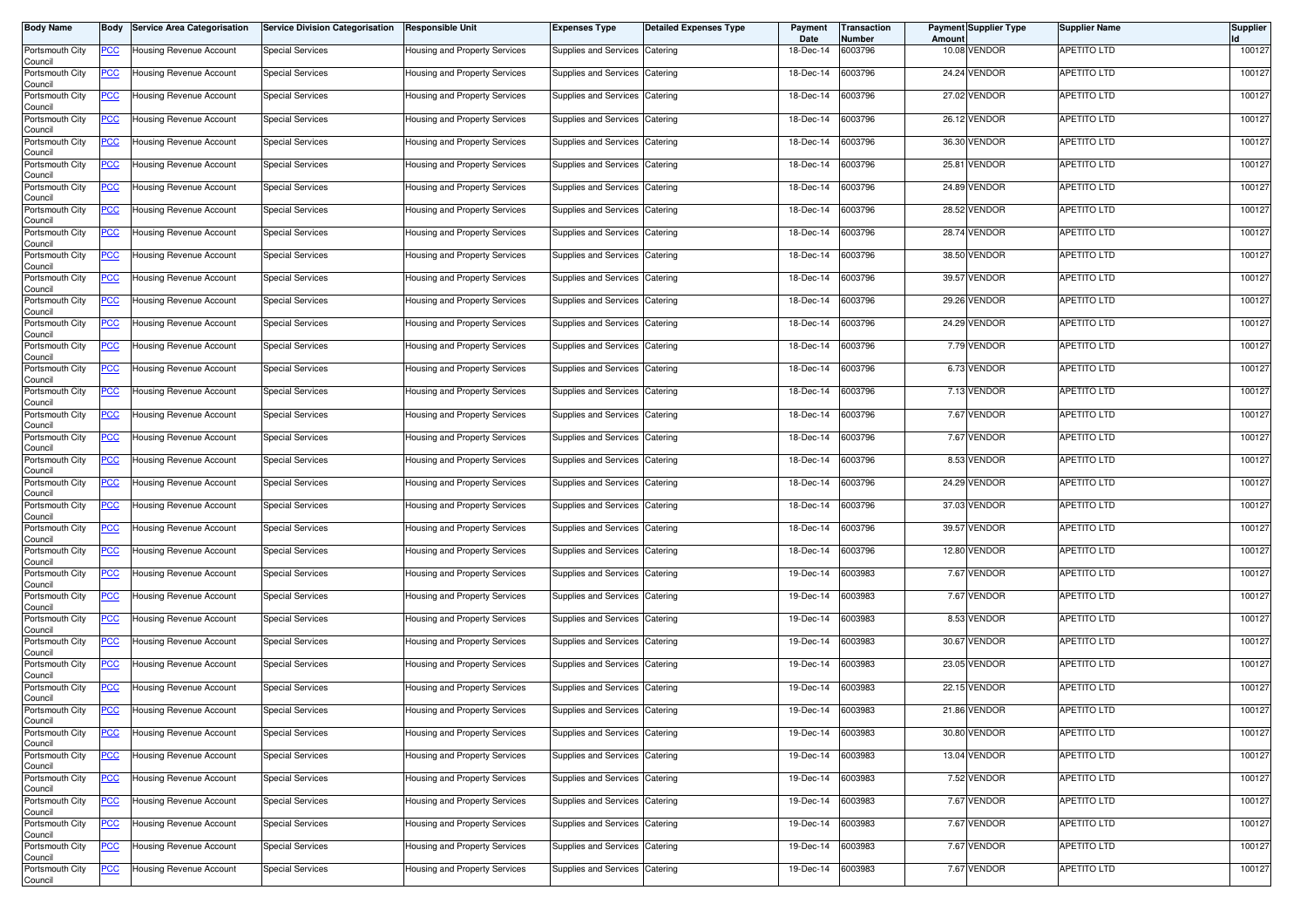| <b>Body Name</b>           | Body           | <b>Service Area Categorisation</b> | <b>Service Division Categorisation</b> | <b>Responsible Unit</b>       | <b>Expenses Type</b>           | <b>Detailed Expenses Type</b> | Payment<br>Date | Transaction<br>Number | Amount | <b>Payment Supplier Type</b> | <b>Supplier Name</b> | <b>Supplier</b> |
|----------------------------|----------------|------------------------------------|----------------------------------------|-------------------------------|--------------------------------|-------------------------------|-----------------|-----------------------|--------|------------------------------|----------------------|-----------------|
| Portsmouth City<br>Council | <u>PCC</u>     | Housing Revenue Account            | <b>Special Services</b>                | Housing and Property Services | Supplies and Services          | Catering                      | 18-Dec-14       | 6003796               |        | 10.08 VENDOR                 | <b>APETITO LTD</b>   | 100127          |
| Portsmouth City<br>Council | <u>PCC</u>     | Housing Revenue Account            | <b>Special Services</b>                | Housing and Property Services | Supplies and Services          | Catering                      | 18-Dec-14       | 6003796               |        | 24.24 VENDOR                 | APETITO LTD          | 100127          |
| Portsmouth City<br>Council | <u>PCC</u>     | Housing Revenue Account            | <b>Special Services</b>                | Housing and Property Services | Supplies and Services          | Catering                      | 18-Dec-14       | 6003796               |        | 27.02 VENDOR                 | APETITO LTD          | 100127          |
| Portsmouth City<br>Council | <u>PCC</u>     | Housing Revenue Account            | <b>Special Services</b>                | Housing and Property Services | Supplies and Services          | Catering                      | 18-Dec-14       | 6003796               |        | 26.12 VENDOR                 | APETITO LTD          | 100127          |
| Portsmouth City<br>Council | <u>PCC</u>     | Housing Revenue Account            | <b>Special Services</b>                | Housing and Property Services | Supplies and Services          | Catering                      | 18-Dec-14       | 6003796               |        | 36.30 VENDOR                 | APETITO LTD          | 100127          |
| Portsmouth City<br>Council | <u>PCC</u>     | Housing Revenue Account            | <b>Special Services</b>                | Housing and Property Services | Supplies and Services          | Catering                      | 18-Dec-14       | 6003796               |        | 25.81 VENDOR                 | APETITO LTD          | 100127          |
| Portsmouth City<br>Council | <u>PCC</u>     | Housing Revenue Account            | <b>Special Services</b>                | Housing and Property Services | <b>Supplies and Services</b>   | Catering                      | 18-Dec-14       | 6003796               |        | 24.89 VENDOR                 | <b>APETITO LTD</b>   | 100127          |
| Portsmouth City            | <u>PCC</u>     | Housing Revenue Account            | <b>Special Services</b>                | Housing and Property Services | Supplies and Services Catering |                               | 18-Dec-14       | 6003796               |        | 28.52 VENDOR                 | APETITO LTD          | 100127          |
| Council<br>Portsmouth City | <u>PCC</u>     | Housing Revenue Account            | <b>Special Services</b>                | Housing and Property Services | Supplies and Services          | Catering                      | 18-Dec-14       | 6003796               |        | 28.74 VENDOR                 | <b>APETITO LTD</b>   | 100127          |
| Council<br>Portsmouth City | <u>PCC</u>     | Housing Revenue Account            | <b>Special Services</b>                | Housing and Property Services | Supplies and Services          | Catering                      | 18-Dec-14       | 6003796               |        | 38.50 VENDOR                 | APETITO LTD          | 100127          |
| Council<br>Portsmouth City | <u>PCC</u>     | Housing Revenue Account            | <b>Special Services</b>                | Housing and Property Services | Supplies and Services          | Catering                      | 18-Dec-14       | 6003796               |        | 39.57 VENDOR                 | APETITO LTD          | 100127          |
| Council<br>Portsmouth City | <u>PCC</u>     | Housing Revenue Account            | <b>Special Services</b>                | Housing and Property Services | Supplies and Services          | Catering                      | 18-Dec-14       | 6003796               |        | 29.26 VENDOR                 | APETITO LTD          | 100127          |
| Council<br>Portsmouth City | <u>PCC</u>     | Housing Revenue Account            | <b>Special Services</b>                | Housing and Property Services | Supplies and Services          | Catering                      | 18-Dec-14       | 6003796               |        | 24.29 VENDOR                 | APETITO LTD          | 100127          |
| Council<br>Portsmouth City | <u>PCC</u>     | Housing Revenue Account            | <b>Special Services</b>                | Housing and Property Services | Supplies and Services          | Catering                      | 18-Dec-14       | 6003796               |        | 7.79 VENDOR                  | APETITO LTD          | 100127          |
| Council<br>Portsmouth City | <u>PCC</u>     | Housing Revenue Account            | <b>Special Services</b>                | Housing and Property Services | Supplies and Services          | Catering                      | 18-Dec-14       | 6003796               |        | 6.73 VENDOR                  | APETITO LTD          | 100127          |
| Council<br>Portsmouth City | <u>PCC</u>     | Housing Revenue Account            | <b>Special Services</b>                | Housing and Property Services | Supplies and Services          | Catering                      | 18-Dec-14       | 6003796               |        | 7.13 VENDOR                  | APETITO LTD          | 100127          |
| Council<br>Portsmouth City | <u>PCC</u>     | Housing Revenue Account            | <b>Special Services</b>                | Housing and Property Services | Supplies and Services          | Catering                      | 18-Dec-14       | 6003796               |        | 7.67 VENDOR                  | APETITO LTD          | 100127          |
| Council<br>Portsmouth City | <u>PCC</u>     | Housing Revenue Account            | <b>Special Services</b>                | Housing and Property Services | Supplies and Services          | Catering                      | 18-Dec-14       | 6003796               |        | 7.67 VENDOR                  | APETITO LTD          | 100127          |
| Council<br>Portsmouth City | <u>PCC</u>     | Housing Revenue Account            | <b>Special Services</b>                | Housing and Property Services | Supplies and Services          | Catering                      | 18-Dec-14       | 6003796               |        | 8.53 VENDOR                  | APETITO LTD          | 100127          |
| Council<br>Portsmouth City | <u>PCC</u>     | Housing Revenue Account            | <b>Special Services</b>                | Housing and Property Services | Supplies and Services          | Catering                      | 18-Dec-14       | 6003796               |        | 24.29 VENDOR                 | <b>APETITO LTD</b>   | 100127          |
| Council<br>Portsmouth City | <u>PCC</u>     | Housing Revenue Account            | <b>Special Services</b>                | Housing and Property Services | Supplies and Services          | Catering                      | 18-Dec-14       | 6003796               |        | 37.03 VENDOR                 | APETITO LTD          | 100127          |
| Council<br>Portsmouth City | <u>PCC</u>     | Housing Revenue Account            | <b>Special Services</b>                | Housing and Property Services | Supplies and Services          | Catering                      | 18-Dec-14       | 6003796               |        | 39.57 VENDOR                 | APETITO LTD          | 100127          |
| Council<br>Portsmouth City | <u>PCC</u>     | Housing Revenue Account            | <b>Special Services</b>                | Housing and Property Services | Supplies and Services          | Catering                      | 18-Dec-14       | 6003796               |        | 12.80 VENDOR                 | APETITO LTD          | 100127          |
| Council<br>Portsmouth City | <u>PCC</u>     | Housing Revenue Account            | <b>Special Services</b>                | Housing and Property Services | Supplies and Services          | Catering                      | 19-Dec-14       | 6003983               |        | 7.67 VENDOR                  | APETITO LTD          | 100127          |
| Council<br>Portsmouth City | <u>PCC</u>     | lousing Revenue Account            | <b>Special Services</b>                | Housing and Property Services | Supplies and Services          | Catering                      | 19-Dec-14       | 6003983               |        | 7.67 VENDOR                  | APETITO LTD          | 100127          |
| Council<br>Portsmouth City | <u>PCC</u>     | Housing Revenue Account            | <b>Special Services</b>                | Housing and Property Services | Supplies and Services          | Catering                      | 19-Dec-14       | 6003983               |        | 8.53 VENDOR                  | APETITO LTD          | 100127          |
| Council<br>Portsmouth City | <u>PCC</u>     | Housing Revenue Account            | <b>Special Services</b>                | Housing and Property Services | Supplies and Services          | Catering                      | 19-Dec-14       | 6003983               |        | 30.67 VENDOR                 | APETITO LTD          | 100127          |
| Council<br>Portsmouth City | <u>PCC</u>     | Housing Revenue Account            | <b>Special Services</b>                | Housing and Property Services | Supplies and Services          | Catering                      | 19-Dec-14       | 6003983               |        | 23.05 VENDOR                 | APETITO LTD          | 100127          |
| Council<br>Portsmouth City | <u>PCC</u>     | Housing Revenue Account            | <b>Special Services</b>                | Housing and Property Services | Supplies and Services          | Catering                      | 19-Dec-14       | 6003983               |        | 22.15 VENDOR                 | <b>APETITO LTD</b>   | 100127          |
| Council<br>Portsmouth City | <u>PCC</u>     | Housing Revenue Account            | <b>Special Services</b>                | Housing and Property Services | Supplies and Services          | Catering                      | 19-Dec-14       | 6003983               |        | 21.86 VENDOR                 | <b>APETITO LTD</b>   | 100127          |
| Council<br>Portsmouth City | <u>PCC</u>     | Housing Revenue Account            | <b>Special Services</b>                | Housing and Property Services | Supplies and Services          | Catering                      | 19-Dec-14       | 6003983               |        | 30.80 VENDOR                 | APETITO LTD          | 100127          |
| Council<br>Portsmouth City | $\overline{C}$ | Housing Revenue Account            | <b>Special Services</b>                | Housing and Property Services | Supplies and Services          | Catering                      | 19-Dec-14       | 6003983               |        | 13.04 VENDOR                 | <b>APETITO LTD</b>   | 100127          |
| Council<br>Portsmouth City | <u>PCC</u>     | Housing Revenue Account            | <b>Special Services</b>                | Housing and Property Services | Supplies and Services Catering |                               | 19-Dec-14       | 6003983               |        | 7.52 VENDOR                  | <b>APETITO LTD</b>   | 100127          |
| Council<br>Portsmouth City | <b>PCC</b>     | Housing Revenue Account            | <b>Special Services</b>                | Housing and Property Services | Supplies and Services          | Catering                      | 19-Dec-14       | 6003983               |        | 7.67 VENDOR                  | <b>APETITO LTD</b>   | 100127          |
| Council<br>Portsmouth City | <u>PCC</u>     | Housing Revenue Account            | <b>Special Services</b>                | Housing and Property Services | Supplies and Services Catering |                               | 19-Dec-14       | 6003983               |        | 7.67 VENDOR                  | APETITO LTD          | 100127          |
| Council<br>Portsmouth City | <u>PCC</u>     | Housing Revenue Account            | <b>Special Services</b>                | Housing and Property Services | Supplies and Services          | Catering                      | 19-Dec-14       | 6003983               |        | 7.67 VENDOR                  | APETITO LTD          | 100127          |
| Council<br>Portsmouth City | <u>PCC</u>     | Housing Revenue Account            | <b>Special Services</b>                | Housing and Property Services | Supplies and Services Catering |                               | 19-Dec-14       | 6003983               |        | 7.67 VENDOR                  | <b>APETITO LTD</b>   | 100127          |
| Council                    |                |                                    |                                        |                               |                                |                               |                 |                       |        |                              |                      |                 |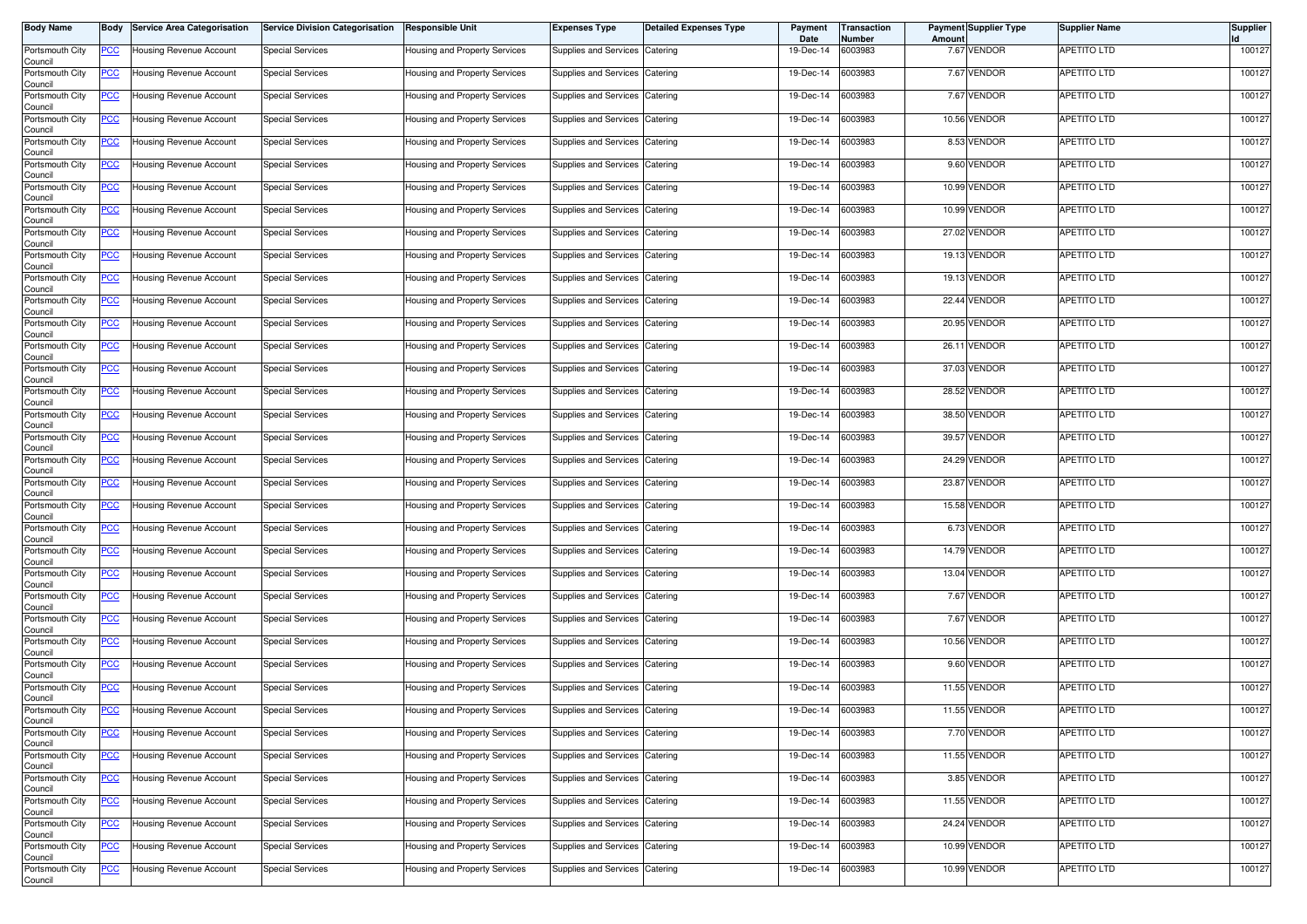| Body Name                             | Body        | <b>Service Area Categorisation</b> | <b>Service Division Categorisation</b> | <b>Responsible Unit</b>              | <b>Expenses Type</b>           | <b>Detailed Expenses Type</b> | Payment<br>Date | <b>Transaction</b><br>Number | Amoun | <b>Payment Supplier Type</b> | <b>Supplier Name</b> | Supplier |
|---------------------------------------|-------------|------------------------------------|----------------------------------------|--------------------------------------|--------------------------------|-------------------------------|-----------------|------------------------------|-------|------------------------------|----------------------|----------|
| Portsmouth City<br>Council            | PCC         | Housing Revenue Account            | <b>Special Services</b>                | Housing and Property Services        | Supplies and Services          | Catering                      | 19-Dec-14       | 6003983                      |       | 7.67 VENDOR                  | APETITO LTD          | 100127   |
| Portsmouth City<br>Council            | <u>PCC</u>  | Housing Revenue Account            | <b>Special Services</b>                | Housing and Property Services        | Supplies and Services          | Catering                      | 19-Dec-14       | 6003983                      |       | 7.67 VENDOR                  | APETITO LTD          | 100127   |
| Portsmouth City<br>Council            | <u>PCC</u>  | Housing Revenue Account            | <b>Special Services</b>                | Housing and Property Services        | Supplies and Services          | Catering                      | 19-Dec-14       | 6003983                      |       | 7.67 VENDOR                  | APETITO LTD          | 100127   |
| Portsmouth City<br>Council            | <u>PCC </u> | Housing Revenue Account            | <b>Special Services</b>                | Housing and Property Services        | Supplies and Services          | Catering                      | 19-Dec-14       | 6003983                      |       | 10.56 VENDOR                 | APETITO LTD          | 100127   |
| Portsmouth City<br>Council            | <u>PCC</u>  | Housing Revenue Account            | <b>Special Services</b>                | Housing and Property Services        | Supplies and Services          | Catering                      | 19-Dec-14       | 6003983                      |       | 8.53 VENDOR                  | APETITO LTD          | 100127   |
| Portsmouth City<br>Council            | <u>PCC</u>  | Housing Revenue Account            | <b>Special Services</b>                | Housing and Property Services        | Supplies and Services          | Catering                      | 19-Dec-14       | 6003983                      |       | 9.60 VENDOR                  | APETITO LTD          | 100127   |
| Portsmouth City<br>Council            | <u>PCC</u>  | Housing Revenue Account            | <b>Special Services</b>                | Housing and Property Services        | Supplies and Services          | Catering                      | 19-Dec-14       | 6003983                      |       | 10.99 VENDOR                 | APETITO LTD          | 100127   |
| Portsmouth City<br>Council            | <u>PCC </u> | Housing Revenue Account            | <b>Special Services</b>                | Housing and Property Services        | Supplies and Services          | Catering                      | 19-Dec-14       | 6003983                      |       | 10.99 VENDOR                 | <b>APETITO LTD</b>   | 100127   |
| Portsmouth City<br>Council            | <b>PCC</b>  | Housing Revenue Account            | <b>Special Services</b>                | Housing and Property Services        | Supplies and Services          | Catering                      | 19-Dec-14       | 6003983                      |       | 27.02 VENDOR                 | APETITO LTD          | 100127   |
| Portsmouth City<br>Council            | <u>PCC</u>  | Housing Revenue Account            | <b>Special Services</b>                | Housing and Property Services        | Supplies and Services          | Catering                      | 19-Dec-14       | 6003983                      |       | 19.13 VENDOR                 | APETITO LTD          | 100127   |
| Portsmouth City<br>Council            | <u>PCC</u>  | Housing Revenue Account            | <b>Special Services</b>                | Housing and Property Services        | Supplies and Services          | Catering                      | 19-Dec-14       | 6003983                      |       | 19.13 VENDOR                 | APETITO LTD          | 100127   |
| Portsmouth City<br>Council            | <u>PCC</u>  | Housing Revenue Account            | <b>Special Services</b>                | Housing and Property Services        | Supplies and Services          | Catering                      | 19-Dec-14       | 6003983                      |       | 22.44 VENDOR                 | APETITO LTD          | 100127   |
| Portsmouth City<br>Council            |             | Housing Revenue Account            | <b>Special Services</b>                | Housing and Property Services        | Supplies and Services          | Catering                      | 19-Dec-14       | 6003983                      |       | 20.95 VENDOR                 | APETITO LTD          | 100127   |
| Portsmouth City<br>Council            | <u>PCC</u>  | Housing Revenue Account            | <b>Special Services</b>                | Housing and Property Services        | <b>Supplies and Services</b>   | Catering                      | 19-Dec-14       | 6003983                      |       | 26.11 VENDOR                 | APETITO LTD          | 100127   |
| Portsmouth City                       | <u>PCC</u>  | Housing Revenue Account            | <b>Special Services</b>                | Housing and Property Services        | Supplies and Services          | Catering                      | 19-Dec-14       | 6003983                      |       | 37.03 VENDOR                 | APETITO LTD          | 100127   |
| Council<br>Portsmouth City<br>Council | <u>PCC</u>  | Housing Revenue Account            | <b>Special Services</b>                | Housing and Property Services        | Supplies and Services          | Catering                      | 19-Dec-14       | 6003983                      |       | 28.52 VENDOR                 | APETITO LTD          | 100127   |
| Portsmouth City<br>Council            | <u>PCC</u>  | Housing Revenue Account            | <b>Special Services</b>                | Housing and Property Services        | Supplies and Services          | Catering                      | 19-Dec-14       | 6003983                      |       | 38.50 VENDOR                 | <b>APETITO LTD</b>   | 100127   |
| Portsmouth City<br>Council            | <u>PCC</u>  | Housing Revenue Account            | <b>Special Services</b>                | Housing and Property Services        | Supplies and Services          | Catering                      | 19-Dec-14       | 6003983                      |       | 39.57 VENDOR                 | APETITO LTD          | 100127   |
| Portsmouth City                       | <u>PCC</u>  | Housing Revenue Account            | <b>Special Services</b>                | Housing and Property Services        | Supplies and Services          | Catering                      | 19-Dec-14       | 6003983                      |       | 24.29 VENDOR                 | APETITO LTD          | 100127   |
| Council<br>Portsmouth City<br>Council | <u>PCC</u>  | Housing Revenue Account            | <b>Special Services</b>                | Housing and Property Services        | Supplies and Services          | Catering                      | 19-Dec-14       | 6003983                      |       | 23.87 VENDOR                 | <b>APETITO LTD</b>   | 100127   |
| Portsmouth City<br>Council            | <u>PCC</u>  | Housing Revenue Account            | <b>Special Services</b>                | Housing and Property Services        | Supplies and Services          | Catering                      | 19-Dec-14       | 6003983                      |       | 15.58 VENDOR                 | APETITO LTD          | 100127   |
| Portsmouth City<br>Council            | <u>PCC</u>  | Housing Revenue Account            | <b>Special Services</b>                | Housing and Property Services        | Supplies and Services          | Catering                      | 19-Dec-14       | 6003983                      |       | 6.73 VENDOR                  | APETITO LTD          | 100127   |
| Portsmouth City<br>Council            | <u>PCC</u>  | Housing Revenue Account            | <b>Special Services</b>                | Housing and Property Services        | Supplies and Services          | Catering                      | 19-Dec-14       | 6003983                      |       | 14.79 VENDOR                 | APETITO LTD          | 100127   |
| Portsmouth City<br>Council            | <u>PCC</u>  | Housing Revenue Account            | <b>Special Services</b>                | Housing and Property Services        | Supplies and Services          | Catering                      | 19-Dec-14       | 6003983                      |       | 13.04 VENDOR                 | APETITO LTD          | 100127   |
| Portsmouth City<br>Council            | <u>PCC</u>  | Housing Revenue Account            | <b>Special Services</b>                | Housing and Property Services        | Supplies and Services          | Catering                      | 19-Dec-14       | 6003983                      |       | 7.67 VENDOR                  | APETITO LTD          | 100127   |
| Portsmouth City<br>Council            | <u>PCC </u> | Housing Revenue Account            | <b>Special Services</b>                | Housing and Property Services        | Supplies and Services          | Catering                      | 19-Dec-14       | 6003983                      |       | 7.67 VENDOR                  | APETITO LTD          | 100127   |
| Portsmouth City<br>Council            | <u>PCC</u>  | Housing Revenue Account            | <b>Special Services</b>                | Housing and Property Services        | Supplies and Services          | Catering                      | 19-Dec-14       | 6003983                      |       | 10.56 VENDOR                 | APETITO LTD          | 100127   |
| Portsmouth City                       | <u>PCC</u>  | Housing Revenue Account            | <b>Special Services</b>                | Housing and Property Services        | Supplies and Services          | Catering                      | 19-Dec-14       | 6003983                      |       | 9.60 VENDOR                  | APETITO LTD          | 100127   |
| Council<br>Portsmouth City<br>Council | <u>PCC</u>  | lousing Revenue Account            | Special Services                       | Housing and Property Services        | Supplies and Services          | Catering                      | 19-Dec-14       | 6003983                      |       | 11.55 VENDOR                 | APETITO LTD          | 100127   |
| Portsmouth City<br>Council            | <u>PCC</u>  | <b>Housing Revenue Account</b>     | <b>Special Services</b>                | Housing and Property Services        | Supplies and Services          | Catering                      | 19-Dec-14       | 6003983                      |       | 11.55 VENDOR                 | <b>APETITO LTD</b>   | 100127   |
| Portsmouth City<br>Council            | <u>PCC</u>  | Housing Revenue Account            | <b>Special Services</b>                | <b>Housing and Property Services</b> | Supplies and Services Catering |                               | 19-Dec-14       | 6003983                      |       | 7.70 VENDOR                  | APETITO LTD          | 100127   |
| Portsmouth City                       | <u>PCC</u>  | Housing Revenue Account            | <b>Special Services</b>                | Housing and Property Services        | <b>Supplies and Services</b>   | Catering                      | 19-Dec-14       | 6003983                      |       | 11.55 VENDOR                 | <b>APETITO LTD</b>   | 100127   |
| Council<br>Portsmouth City<br>Council | <u>PCC</u>  | Housing Revenue Account            | <b>Special Services</b>                | Housing and Property Services        | Supplies and Services Catering |                               | 19-Dec-14       | 6003983                      |       | 3.85 VENDOR                  | APETITO LTD          | 100127   |
| Portsmouth City<br>Council            | <b>PCC</b>  | Housing Revenue Account            | <b>Special Services</b>                | Housing and Property Services        | Supplies and Services          | Catering                      | 19-Dec-14       | 6003983                      |       | 11.55 VENDOR                 | <b>APETITO LTD</b>   | 100127   |
| Portsmouth City<br>Council            | <u>PCC</u>  | Housing Revenue Account            | <b>Special Services</b>                | Housing and Property Services        | Supplies and Services Catering |                               | 19-Dec-14       | 6003983                      |       | 24.24 VENDOR                 | <b>APETITO LTD</b>   | 100127   |
| Portsmouth City<br>Council            | <u>PCC</u>  | Housing Revenue Account            | <b>Special Services</b>                | Housing and Property Services        | Supplies and Services Catering |                               | 19-Dec-14       | 6003983                      |       | 10.99 VENDOR                 | APETITO LTD          | 100127   |
| Portsmouth City<br>Council            | <u>PCC</u>  | Housing Revenue Account            | <b>Special Services</b>                | Housing and Property Services        | Supplies and Services Catering |                               | 19-Dec-14       | 6003983                      |       | 10.99 VENDOR                 | <b>APETITO LTD</b>   | 100127   |
|                                       |             |                                    |                                        |                                      |                                |                               |                 |                              |       |                              |                      |          |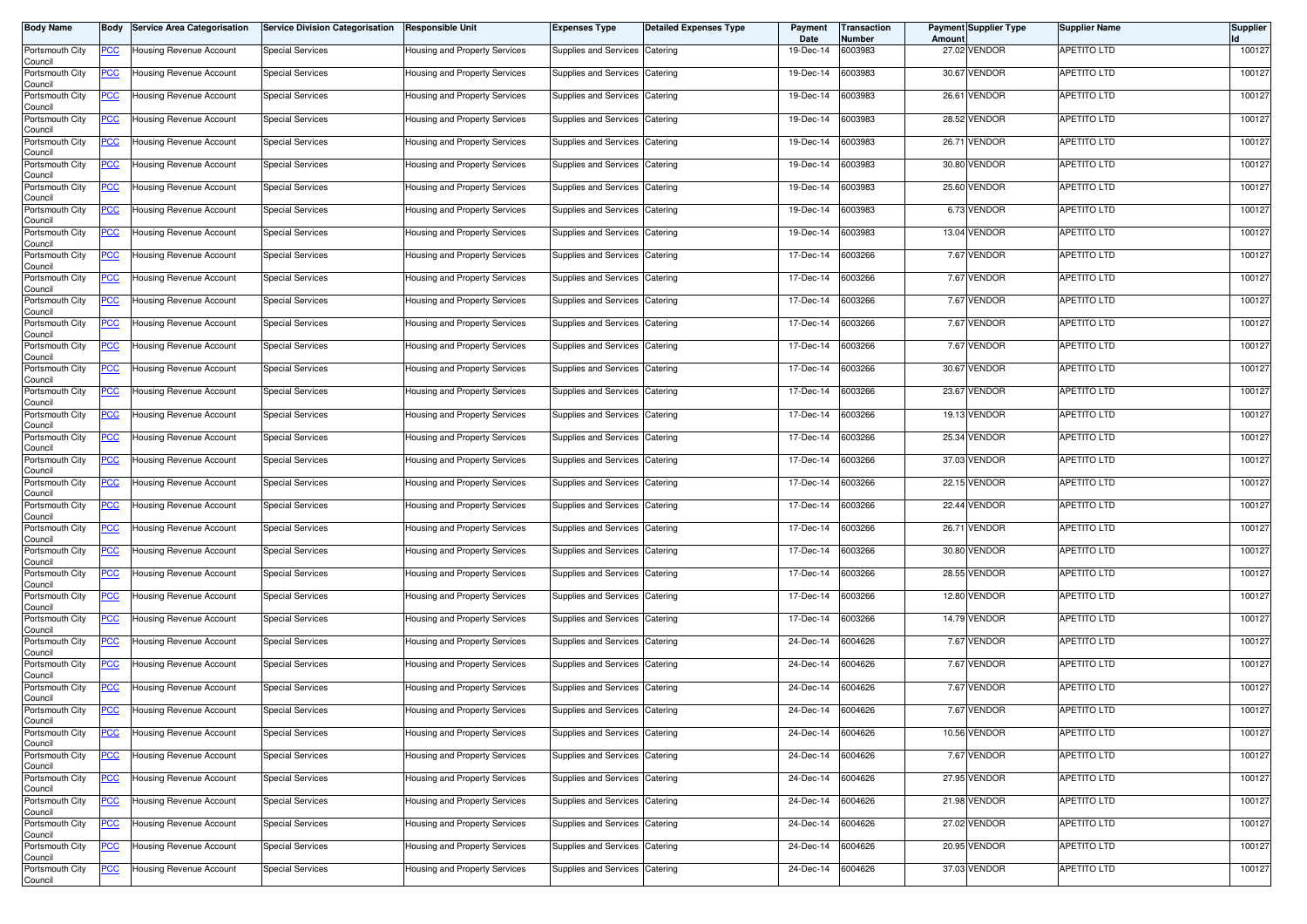| <b>Body Name</b>           | Body           | <b>Service Area Categorisation</b> | <b>Service Division Categorisation</b> | <b>Responsible Unit</b>       | <b>Expenses Type</b>           | <b>Detailed Expenses Type</b> | Payment<br>Date | Transaction<br>Number | Amount | <b>Payment Supplier Type</b> | <b>Supplier Name</b> | <b>Supplier</b> |
|----------------------------|----------------|------------------------------------|----------------------------------------|-------------------------------|--------------------------------|-------------------------------|-----------------|-----------------------|--------|------------------------------|----------------------|-----------------|
| Portsmouth City<br>Council | <u>PCC</u>     | Housing Revenue Account            | <b>Special Services</b>                | Housing and Property Services | Supplies and Services          | Catering                      | 19-Dec-14       | 6003983               |        | 27.02 VENDOR                 | APETITO LTD          | 100127          |
| Portsmouth City<br>Council | <u>PCC</u>     | Housing Revenue Account            | <b>Special Services</b>                | Housing and Property Services | Supplies and Services          | Catering                      | 19-Dec-14       | 6003983               |        | 30.67 VENDOR                 | APETITO LTD          | 100127          |
| Portsmouth City<br>Council | <b>PCC</b>     | Housing Revenue Account            | <b>Special Services</b>                | Housing and Property Services | Supplies and Services          | Catering                      | 19-Dec-14       | 6003983               | 26.61  | <b>VENDOR</b>                | APETITO LTD          | 100127          |
| Portsmouth City<br>Council | <u>PCC</u>     | Housing Revenue Account            | <b>Special Services</b>                | Housing and Property Services | Supplies and Services          | Catering                      | 19-Dec-14       | 6003983               |        | 28.52 VENDOR                 | APETITO LTD          | 100127          |
| Portsmouth City<br>Council | <u>PCC</u>     | Housing Revenue Account            | <b>Special Services</b>                | Housing and Property Services | Supplies and Services          | Catering                      | 19-Dec-14       | 6003983               |        | 26.71 VENDOR                 | APETITO LTD          | 100127          |
| Portsmouth City<br>Council | <u>PCC</u>     | Housing Revenue Account            | <b>Special Services</b>                | Housing and Property Services | Supplies and Services          | Catering                      | 19-Dec-14       | 6003983               |        | 30.80 VENDOR                 | APETITO LTD          | 100127          |
| Portsmouth City<br>Council | <u>PCC</u>     | Housing Revenue Account            | <b>Special Services</b>                | Housing and Property Services | <b>Supplies and Services</b>   | Catering                      | 19-Dec-14       | 6003983               |        | 25.60 VENDOR                 | <b>APETITO LTD</b>   | 100127          |
| Portsmouth City<br>Council | <u>PCC</u>     | Housing Revenue Account            | <b>Special Services</b>                | Housing and Property Services | Supplies and Services Catering |                               | 19-Dec-14       | 6003983               |        | 6.73 VENDOR                  | APETITO LTD          | 100127          |
| Portsmouth City<br>Council | <u>PCC</u>     | Housing Revenue Account            | <b>Special Services</b>                | Housing and Property Services | Supplies and Services          | Catering                      | 19-Dec-14       | 6003983               |        | 13.04 VENDOR                 | <b>APETITO LTD</b>   | 100127          |
| Portsmouth City<br>Council | <u>PCC</u>     | Housing Revenue Account            | <b>Special Services</b>                | Housing and Property Services | Supplies and Services          | Catering                      | 17-Dec-14       | 6003266               |        | 7.67 VENDOR                  | <b>APETITO LTD</b>   | 100127          |
| Portsmouth City<br>Council | <u>PCC</u>     | <b>Housing Revenue Account</b>     | <b>Special Services</b>                | Housing and Property Services | Supplies and Services          | Catering                      | 17-Dec-14       | 6003266               |        | 7.67 VENDOR                  | APETITO LTD          | 100127          |
| Portsmouth City<br>Council | <u>PCC</u>     | Housing Revenue Account            | <b>Special Services</b>                | Housing and Property Services | Supplies and Services          | Catering                      | 17-Dec-14       | 6003266               |        | 7.67 VENDOR                  | APETITO LTD          | 100127          |
| Portsmouth City<br>Council | <u>PCC</u>     | <b>Housing Revenue Account</b>     | <b>Special Services</b>                | Housing and Property Services | Supplies and Services          | Catering                      | 17-Dec-14       | 6003266               |        | 7.67 VENDOR                  | APETITO LTD          | 100127          |
| Portsmouth City<br>Council | <u>PCC</u>     | Housing Revenue Account            | <b>Special Services</b>                | Housing and Property Services | Supplies and Services          | Catering                      | 17-Dec-14       | 6003266               |        | 7.67 VENDOR                  | APETITO LTD          | 100127          |
| Portsmouth City<br>Council | <u>PCC</u>     | Housing Revenue Account            | <b>Special Services</b>                | Housing and Property Services | Supplies and Services          | Catering                      | 17-Dec-14       | 6003266               |        | 30.67 VENDOR                 | APETITO LTD          | 100127          |
| Portsmouth City<br>Council | <u>PCC</u>     | Housing Revenue Account            | <b>Special Services</b>                | Housing and Property Services | Supplies and Services          | Catering                      | 17-Dec-14       | 6003266               |        | 23.67 VENDOR                 | APETITO LTD          | 100127          |
| Portsmouth City<br>Council | <u>PCC</u>     | Housing Revenue Account            | <b>Special Services</b>                | Housing and Property Services | Supplies and Services          | Catering                      | 17-Dec-14       | 6003266               |        | 19.13 VENDOR                 | APETITO LTD          | 100127          |
| Portsmouth City<br>Council | <u>PCC</u>     | Housing Revenue Account            | <b>Special Services</b>                | Housing and Property Services | <b>Supplies and Services</b>   | Catering                      | 17-Dec-14       | 6003266               |        | 25.34 VENDOR                 | APETITO LTD          | 100127          |
| Portsmouth City<br>Council | <u>PCC</u>     | Housing Revenue Account            | <b>Special Services</b>                | Housing and Property Services | Supplies and Services          | Catering                      | 17-Dec-14       | 6003266               |        | 37.03 VENDOR                 | APETITO LTD          | 100127          |
| Portsmouth City<br>Council | <u>PCC</u>     | Housing Revenue Account            | <b>Special Services</b>                | Housing and Property Services | Supplies and Services          | Catering                      | 17-Dec-14       | 6003266               |        | 22.15 VENDOR                 | APETITO LTD          | 100127          |
| Portsmouth City<br>Council | <u>PCC</u>     | Housing Revenue Account            | <b>Special Services</b>                | Housing and Property Services | Supplies and Services          | Catering                      | 17-Dec-14       | 6003266               |        | 22.44 VENDOR                 | APETITO LTD          | 100127          |
| Portsmouth City<br>Council | <u>PCC</u>     | Housing Revenue Account            | <b>Special Services</b>                | Housing and Property Services | Supplies and Services          | Catering                      | 17-Dec-14       | 6003266               |        | 26.71 VENDOR                 | APETITO LTD          | 100127          |
| Portsmouth City<br>Council | <u>PCC</u>     | Housing Revenue Account            | <b>Special Services</b>                | Housing and Property Services | Supplies and Services          | Catering                      | 17-Dec-14       | 6003266               |        | 30.80 VENDOR                 | APETITO LTD          | 100127          |
| Portsmouth City<br>Council | <u>PCC</u>     | Housing Revenue Account            | <b>Special Services</b>                | Housing and Property Services | Supplies and Services          | Catering                      | 17-Dec-14       | 6003266               |        | 28.55 VENDOR                 | APETITO LTD          | 100127          |
| Portsmouth City<br>Council | <u>PCC</u>     | lousing Revenue Account            | <b>Special Services</b>                | Housing and Property Services | Supplies and Services          | Catering                      | 17-Dec-14       | 6003266               |        | 12.80 VENDOR                 | APETITO LTD          | 100127          |
| Portsmouth City<br>Council | <u>PCC</u>     | Housing Revenue Account            | <b>Special Services</b>                | Housing and Property Services | Supplies and Services          | Catering                      | 17-Dec-14       | 6003266               |        | 14.79 VENDOR                 | APETITO LTD          | 100127          |
| Portsmouth City<br>Council | <u>PCC</u>     | Housing Revenue Account            | <b>Special Services</b>                | Housing and Property Services | <b>Supplies and Services</b>   | Catering                      | 24-Dec-14       | 6004626               |        | 7.67 VENDOR                  | APETITO LTD          | 100127          |
| Portsmouth City<br>Council | <u>PCC</u>     | Housing Revenue Account            | <b>Special Services</b>                | Housing and Property Services | Supplies and Services          | Catering                      | 24-Dec-14       | 6004626               |        | 7.67 VENDOR                  | APETITO LTD          | 100127          |
| Portsmouth City<br>Council | <u>PCC</u>     | Housing Revenue Account            | <b>Special Services</b>                | Housing and Property Services | Supplies and Services          | Catering                      | 24-Dec-14       | 6004626               |        | 7.67 VENDOR                  | <b>APETITO LTD</b>   | 100127          |
| Portsmouth City<br>Council | <u>PCC</u>     | Housing Revenue Account            | <b>Special Services</b>                | Housing and Property Services | Supplies and Services          | Catering                      | 24-Dec-14       | 6004626               |        | 7.67 VENDOR                  | <b>APETITO LTD</b>   | 100127          |
| Portsmouth City<br>Council | <u>PCC</u>     | Housing Revenue Account            | <b>Special Services</b>                | Housing and Property Services | Supplies and Services          | Catering                      | 24-Dec-14       | 6004626               |        | 10.56 VENDOR                 | APETITO LTD          | 100127          |
| Portsmouth City<br>Council | $\overline{C}$ | Housing Revenue Account            | <b>Special Services</b>                | Housing and Property Services | Supplies and Services          | Catering                      | 24-Dec-14       | 6004626               |        | 7.67 VENDOR                  | <b>APETITO LTD</b>   | 100127          |
| Portsmouth City<br>Council | <u>PCC</u>     | Housing Revenue Account            | <b>Special Services</b>                | Housing and Property Services | Supplies and Services Catering |                               | 24-Dec-14       | 6004626               |        | 27.95 VENDOR                 | <b>APETITO LTD</b>   | 100127          |
| Portsmouth City<br>Council | <u>PCC</u>     | Housing Revenue Account            | <b>Special Services</b>                | Housing and Property Services | Supplies and Services          | Catering                      | 24-Dec-14       | 6004626               |        | 21.98 VENDOR                 | <b>APETITO LTD</b>   | 100127          |
| Portsmouth City<br>Council | <u>PCC</u>     | Housing Revenue Account            | <b>Special Services</b>                | Housing and Property Services | Supplies and Services Catering |                               | 24-Dec-14       | 6004626               |        | 27.02 VENDOR                 | APETITO LTD          | 100127          |
| Portsmouth City<br>Council | <u>PCC</u>     | Housing Revenue Account            | <b>Special Services</b>                | Housing and Property Services | Supplies and Services          | Catering                      | 24-Dec-14       | 6004626               |        | 20.95 VENDOR                 | APETITO LTD          | 100127          |
| Portsmouth City<br>Council | <u>PCC</u>     | Housing Revenue Account            | <b>Special Services</b>                | Housing and Property Services | Supplies and Services Catering |                               | 24-Dec-14       | 6004626               |        | 37.03 VENDOR                 | <b>APETITO LTD</b>   | 100127          |
|                            |                |                                    |                                        |                               |                                |                               |                 |                       |        |                              |                      |                 |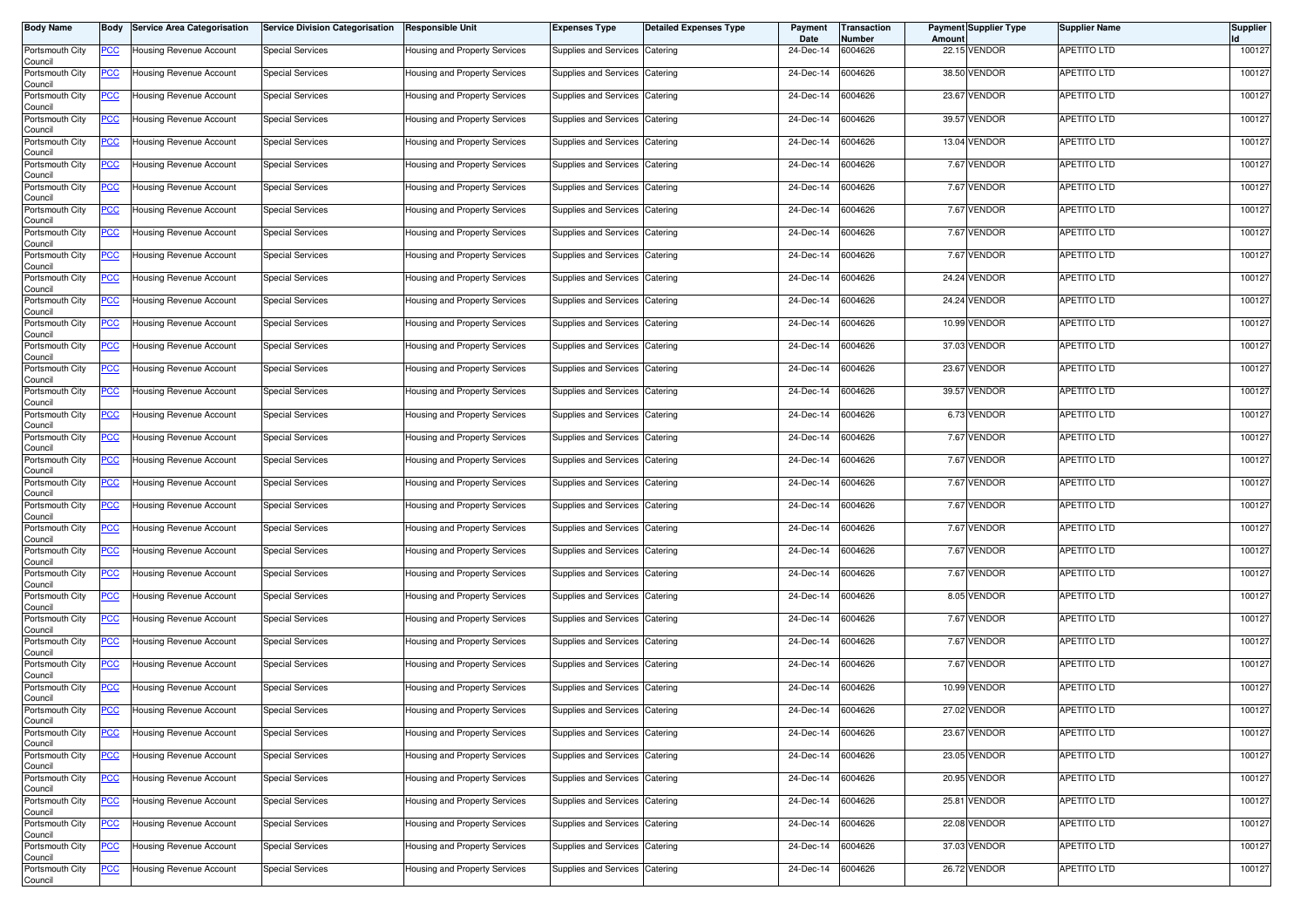| <b>Body Name</b>                      | Body           | <b>Service Area Categorisation</b> | <b>Service Division Categorisation</b> | <b>Responsible Unit</b>       | <b>Expenses Type</b>           | <b>Detailed Expenses Type</b> | Payment<br>Date | Transaction<br>Number | Amount | <b>Payment Supplier Type</b> | <b>Supplier Name</b> | <b>Supplier</b> |
|---------------------------------------|----------------|------------------------------------|----------------------------------------|-------------------------------|--------------------------------|-------------------------------|-----------------|-----------------------|--------|------------------------------|----------------------|-----------------|
| Portsmouth City<br>Council            | <u>PCC</u>     | Housing Revenue Account            | <b>Special Services</b>                | Housing and Property Services | Supplies and Services          | Catering                      | 24-Dec-14       | 6004626               |        | 22.15 VENDOR                 | APETITO LTD          | 100127          |
| Portsmouth City<br>Council            | <u>PCC</u>     | Housing Revenue Account            | <b>Special Services</b>                | Housing and Property Services | Supplies and Services          | Catering                      | 24-Dec-14       | 6004626               |        | 38.50 VENDOR                 | APETITO LTD          | 100127          |
| Portsmouth City<br>Council            | <b>PCC</b>     | Housing Revenue Account            | <b>Special Services</b>                | Housing and Property Services | Supplies and Services          | Catering                      | 24-Dec-14       | 6004626               |        | 23.67 VENDOR                 | APETITO LTD          | 100127          |
| Portsmouth City<br>Council            | <u>PCC</u>     | Housing Revenue Account            | <b>Special Services</b>                | Housing and Property Services | Supplies and Services          | Catering                      | 24-Dec-14       | 6004626               |        | 39.57 VENDOR                 | APETITO LTD          | 100127          |
| Portsmouth City                       | <u>PCC</u>     | Housing Revenue Account            | <b>Special Services</b>                | Housing and Property Services | Supplies and Services          | Catering                      | 24-Dec-14       | 6004626               |        | 13.04 VENDOR                 | APETITO LTD          | 100127          |
| Council<br>Portsmouth City            | <u>PCC</u>     | Housing Revenue Account            | <b>Special Services</b>                | Housing and Property Services | Supplies and Services          | Catering                      | 24-Dec-14       | 6004626               |        | 7.67 VENDOR                  | APETITO LTD          | 100127          |
| Council<br>Portsmouth City            | <u>PCC</u>     | Housing Revenue Account            | <b>Special Services</b>                | Housing and Property Services | <b>Supplies and Services</b>   | Catering                      | 24-Dec-14       | 6004626               |        | 7.67 VENDOR                  | <b>APETITO LTD</b>   | 100127          |
| Council<br>Portsmouth City            | <u>PCC</u>     | Housing Revenue Account            | <b>Special Services</b>                | Housing and Property Services | Supplies and Services Catering |                               | 24-Dec-14       | 6004626               |        | 7.67 VENDOR                  | APETITO LTD          | 100127          |
| Council<br>Portsmouth City<br>Council | <u>PCC</u>     | Housing Revenue Account            | <b>Special Services</b>                | Housing and Property Services | Supplies and Services          | Catering                      | 24-Dec-14       | 6004626               |        | 7.67 VENDOR                  | <b>APETITO LTD</b>   | 100127          |
| Portsmouth City                       | <u>PCC</u>     | Housing Revenue Account            | <b>Special Services</b>                | Housing and Property Services | Supplies and Services          | Catering                      | 24-Dec-14       | 6004626               |        | 7.67 VENDOR                  | <b>APETITO LTD</b>   | 100127          |
| Council<br>Portsmouth City            | <u>PCC</u>     | Housing Revenue Account            | <b>Special Services</b>                | Housing and Property Services | Supplies and Services          | Catering                      | 24-Dec-14       | 6004626               |        | 24.24 VENDOR                 | APETITO LTD          | 100127          |
| Council<br>Portsmouth City<br>Council | <u>PCC</u>     | Housing Revenue Account            | <b>Special Services</b>                | Housing and Property Services | Supplies and Services          | Catering                      | 24-Dec-14       | 6004626               |        | 24.24 VENDOR                 | APETITO LTD          | 100127          |
| Portsmouth City<br>Council            | <u>PCC</u>     | Housing Revenue Account            | <b>Special Services</b>                | Housing and Property Services | Supplies and Services          | Catering                      | 24-Dec-14       | 6004626               |        | 10.99 VENDOR                 | APETITO LTD          | 100127          |
| Portsmouth City                       | <u>PCC</u>     | Housing Revenue Account            | <b>Special Services</b>                | Housing and Property Services | Supplies and Services          | Catering                      | 24-Dec-14       | 6004626               |        | 37.03 VENDOR                 | APETITO LTD          | 100127          |
| Council<br>Portsmouth City            | <u>PCC</u>     | Housing Revenue Account            | <b>Special Services</b>                | Housing and Property Services | Supplies and Services          | Catering                      | 24-Dec-14       | 6004626               |        | 23.67 VENDOR                 | APETITO LTD          | 100127          |
| Council<br>Portsmouth City<br>Council | <u>PCC</u>     | Housing Revenue Account            | <b>Special Services</b>                | Housing and Property Services | Supplies and Services          | Catering                      | 24-Dec-14       | 6004626               |        | 39.57 VENDOR                 | APETITO LTD          | 100127          |
| Portsmouth City<br>Council            | <u>PCC</u>     | Housing Revenue Account            | <b>Special Services</b>                | Housing and Property Services | Supplies and Services          | Catering                      | 24-Dec-14       | 6004626               |        | 6.73 VENDOR                  | APETITO LTD          | 100127          |
| Portsmouth City<br>Council            | <u>PCC</u>     | Housing Revenue Account            | <b>Special Services</b>                | Housing and Property Services | <b>Supplies and Services</b>   | Catering                      | 24-Dec-14       | 6004626               |        | 7.67 VENDOR                  | APETITO LTD          | 100127          |
| Portsmouth City<br>Council            | <u>PCC</u>     | Housing Revenue Account            | <b>Special Services</b>                | Housing and Property Services | Supplies and Services          | Catering                      | 24-Dec-14       | 6004626               |        | 7.67 VENDOR                  | APETITO LTD          | 100127          |
| Portsmouth City<br>Council            | <u>PCC</u>     | Housing Revenue Account            | <b>Special Services</b>                | Housing and Property Services | Supplies and Services          | Catering                      | 24-Dec-14       | 6004626               |        | 7.67 VENDOR                  | <b>APETITO LTD</b>   | 100127          |
| Portsmouth City<br>Council            | <u>PCC</u>     | Housing Revenue Account            | <b>Special Services</b>                | Housing and Property Services | Supplies and Services          | Catering                      | 24-Dec-14       | 6004626               |        | 7.67 VENDOR                  | APETITO LTD          | 100127          |
| Portsmouth City<br>Council            | <u>PCC</u>     | Housing Revenue Account            | <b>Special Services</b>                | Housing and Property Services | Supplies and Services          | Catering                      | 24-Dec-14       | 6004626               |        | 7.67 VENDOR                  | APETITO LTD          | 100127          |
| Portsmouth City<br>Council            | <u>PCC</u>     | Housing Revenue Account            | <b>Special Services</b>                | Housing and Property Services | Supplies and Services          | Catering                      | 24-Dec-14       | 6004626               |        | 7.67 VENDOR                  | APETITO LTD          | 100127          |
| Portsmouth City<br>Council            | <u>PCC</u>     | Housing Revenue Account            | <b>Special Services</b>                | Housing and Property Services | Supplies and Services          | Catering                      | 24-Dec-14       | 6004626               |        | 7.67 VENDOR                  | APETITO LTD          | 100127          |
| Portsmouth City<br>Council            | <u>PCC</u>     | lousing Revenue Account            | <b>Special Services</b>                | Housing and Property Services | Supplies and Services          | Catering                      | 24-Dec-14       | 6004626               |        | 8.05 VENDOR                  | APETITO LTD          | 100127          |
| Portsmouth City<br>Council            | <u>PCC</u>     | Housing Revenue Account            | <b>Special Services</b>                | Housing and Property Services | Supplies and Services          | Catering                      | 24-Dec-14       | 6004626               |        | 7.67 VENDOR                  | APETITO LTD          | 100127          |
| Portsmouth City<br>Council            | <u>PCC</u>     | Housing Revenue Account            | <b>Special Services</b>                | Housing and Property Services | Supplies and Services          | Catering                      | 24-Dec-14       | 6004626               |        | 7.67 VENDOR                  | APETITO LTD          | 100127          |
| Portsmouth City<br>Council            | <u>PCC</u>     | Housing Revenue Account            | <b>Special Services</b>                | Housing and Property Services | Supplies and Services          | Catering                      | 24-Dec-14       | 6004626               |        | 7.67 VENDOR                  | APETITO LTD          | 100127          |
| Portsmouth City<br>Council            | <u>PCC</u>     | Housing Revenue Account            | <b>Special Services</b>                | Housing and Property Services | Supplies and Services          | Catering                      | 24-Dec-14       | 6004626               |        | 10.99 VENDOR                 | <b>APETITO LTD</b>   | 100127          |
| Portsmouth City<br>Council            | <u>PCC</u>     | Housing Revenue Account            | <b>Special Services</b>                | Housing and Property Services | Supplies and Services          | Catering                      | 24-Dec-14       | 6004626               |        | 27.02 VENDOR                 | <b>APETITO LTD</b>   | 100127          |
| Portsmouth City<br>Council            | <u>PCC</u>     | Housing Revenue Account            | <b>Special Services</b>                | Housing and Property Services | Supplies and Services          | Catering                      | 24-Dec-14       | 6004626               |        | 23.67 VENDOR                 | APETITO LTD          | 100127          |
| Portsmouth City<br>Council            | $\overline{C}$ | Housing Revenue Account            | <b>Special Services</b>                | Housing and Property Services | Supplies and Services          | Catering                      | 24-Dec-14       | 6004626               |        | 23.05 VENDOR                 | <b>APETITO LTD</b>   | 100127          |
| Portsmouth City<br>Council            | <u>PCC</u>     | Housing Revenue Account            | <b>Special Services</b>                | Housing and Property Services | Supplies and Services Catering |                               | 24-Dec-14       | 6004626               |        | 20.95 VENDOR                 | <b>APETITO LTD</b>   | 100127          |
| Portsmouth City<br>Council            | <u>PCC</u>     | Housing Revenue Account            | <b>Special Services</b>                | Housing and Property Services | Supplies and Services          | Catering                      | 24-Dec-14       | 6004626               |        | 25.81 VENDOR                 | <b>APETITO LTD</b>   | 100127          |
| Portsmouth City<br>Council            | <u>PCC</u>     | Housing Revenue Account            | <b>Special Services</b>                | Housing and Property Services | Supplies and Services Catering |                               | 24-Dec-14       | 6004626               |        | 22.08 VENDOR                 | APETITO LTD          | 100127          |
| Portsmouth City<br>Council            | <u>PCC</u>     | Housing Revenue Account            | <b>Special Services</b>                | Housing and Property Services | Supplies and Services          | Catering                      | 24-Dec-14       | 6004626               |        | 37.03 VENDOR                 | APETITO LTD          | 100127          |
| Portsmouth City<br>Council            | <u>PCC</u>     | Housing Revenue Account            | <b>Special Services</b>                | Housing and Property Services | Supplies and Services Catering |                               | 24-Dec-14       | 6004626               |        | 26.72 VENDOR                 | <b>APETITO LTD</b>   | 100127          |
|                                       |                |                                    |                                        |                               |                                |                               |                 |                       |        |                              |                      |                 |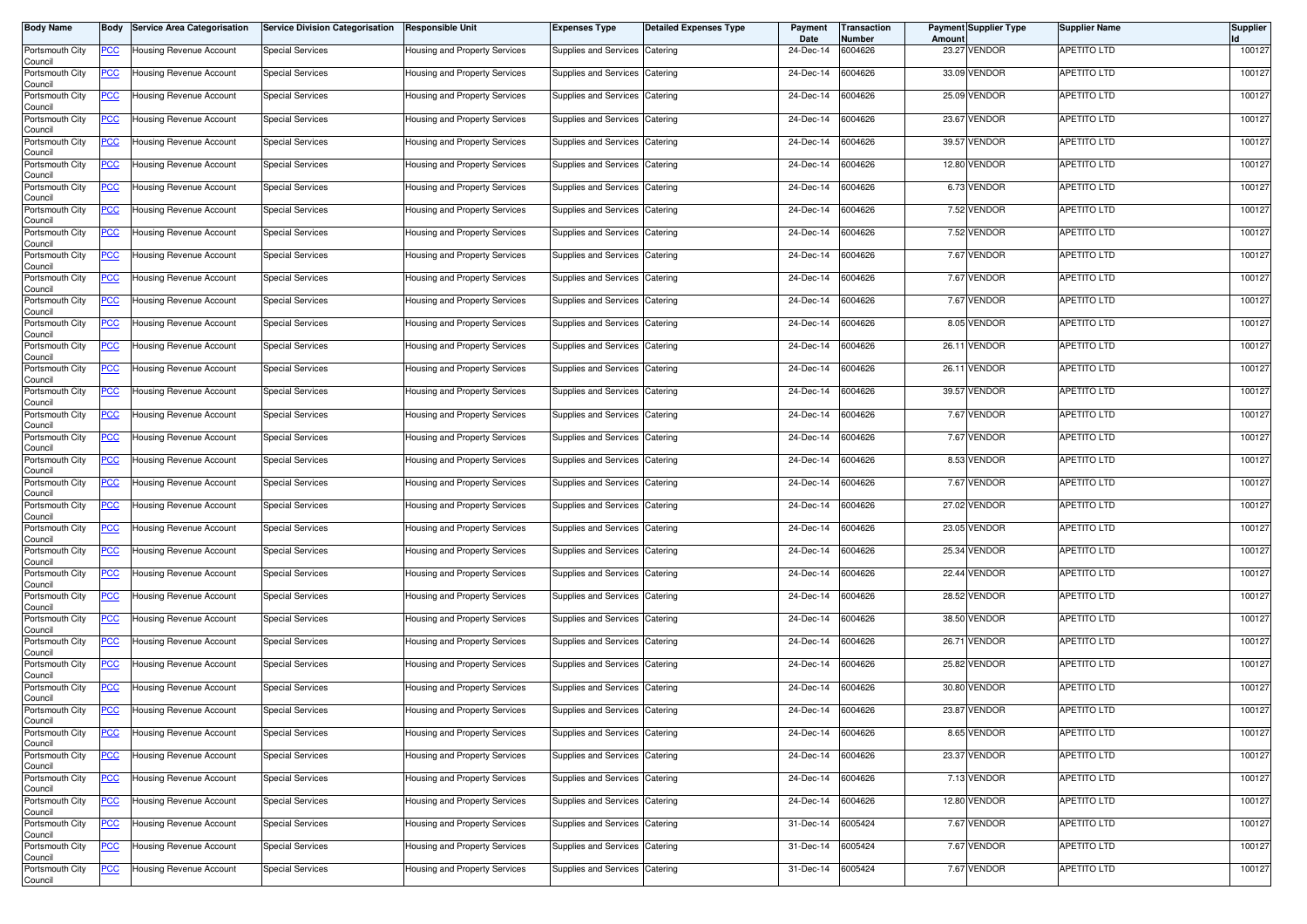| <b>Body Name</b>                      | Body           | <b>Service Area Categorisation</b> | <b>Service Division Categorisation</b> | <b>Responsible Unit</b>       | <b>Expenses Type</b>           | <b>Detailed Expenses Type</b> | Payment<br>Date | Transaction<br>Number | Amount | <b>Payment Supplier Type</b> | <b>Supplier Name</b> | <b>Supplier</b> |
|---------------------------------------|----------------|------------------------------------|----------------------------------------|-------------------------------|--------------------------------|-------------------------------|-----------------|-----------------------|--------|------------------------------|----------------------|-----------------|
| Portsmouth City<br>Council            | <u>PCC</u>     | Housing Revenue Account            | <b>Special Services</b>                | Housing and Property Services | Supplies and Services          | Catering                      | 24-Dec-14       | 6004626               |        | 23.27 VENDOR                 | APETITO LTD          | 100127          |
| Portsmouth City<br>Council            | <u>PCC</u>     | Housing Revenue Account            | <b>Special Services</b>                | Housing and Property Services | Supplies and Services          | Catering                      | 24-Dec-14       | 6004626               |        | 33.09 VENDOR                 | APETITO LTD          | 100127          |
| Portsmouth City<br>Council            | <b>PCC</b>     | Housing Revenue Account            | <b>Special Services</b>                | Housing and Property Services | Supplies and Services          | Catering                      | 24-Dec-14       | 6004626               |        | 25.09 VENDOR                 | APETITO LTD          | 100127          |
| Portsmouth City<br>Council            | <u>PCC</u>     | Housing Revenue Account            | <b>Special Services</b>                | Housing and Property Services | Supplies and Services          | Catering                      | 24-Dec-14       | 6004626               |        | 23.67 VENDOR                 | APETITO LTD          | 100127          |
| Portsmouth City                       | <u>PCC</u>     | Housing Revenue Account            | <b>Special Services</b>                | Housing and Property Services | Supplies and Services          | Catering                      | 24-Dec-14       | 6004626               |        | 39.57 VENDOR                 | APETITO LTD          | 100127          |
| Council<br>Portsmouth City            | <u>PCC</u>     | Housing Revenue Account            | <b>Special Services</b>                | Housing and Property Services | Supplies and Services          | Catering                      | 24-Dec-14       | 6004626               |        | 12.80 VENDOR                 | APETITO LTD          | 100127          |
| Council<br>Portsmouth City<br>Council | <u>PCC</u>     | Housing Revenue Account            | <b>Special Services</b>                | Housing and Property Services | <b>Supplies and Services</b>   | Catering                      | 24-Dec-14       | 6004626               |        | 6.73 VENDOR                  | <b>APETITO LTD</b>   | 100127          |
| Portsmouth City<br>Council            | <u>PCC</u>     | Housing Revenue Account            | <b>Special Services</b>                | Housing and Property Services | Supplies and Services Catering |                               | 24-Dec-14       | 6004626               |        | 7.52 VENDOR                  | APETITO LTD          | 100127          |
| Portsmouth City<br>Council            | <u>PCC</u>     | Housing Revenue Account            | <b>Special Services</b>                | Housing and Property Services | Supplies and Services          | Catering                      | 24-Dec-14       | 6004626               |        | 7.52 VENDOR                  | <b>APETITO LTD</b>   | 100127          |
| Portsmouth City<br>Council            | <u>PCC</u>     | Housing Revenue Account            | <b>Special Services</b>                | Housing and Property Services | Supplies and Services          | Catering                      | 24-Dec-14       | 6004626               |        | 7.67 VENDOR                  | <b>APETITO LTD</b>   | 100127          |
| Portsmouth City<br>Council            | <u>PCC</u>     | Housing Revenue Account            | <b>Special Services</b>                | Housing and Property Services | Supplies and Services          | Catering                      | 24-Dec-14       | 6004626               |        | 7.67 VENDOR                  | APETITO LTD          | 100127          |
| Portsmouth City<br>Council            | <u>PCC</u>     | Housing Revenue Account            | <b>Special Services</b>                | Housing and Property Services | Supplies and Services          | Catering                      | 24-Dec-14       | 6004626               |        | 7.67 VENDOR                  | APETITO LTD          | 100127          |
| Portsmouth City<br>Council            | <u>PCC</u>     | Housing Revenue Account            | <b>Special Services</b>                | Housing and Property Services | Supplies and Services          | Catering                      | 24-Dec-14       | 6004626               |        | 8.05 VENDOR                  | APETITO LTD          | 100127          |
| Portsmouth City<br>Council            | <u>PCC</u>     | Housing Revenue Account            | <b>Special Services</b>                | Housing and Property Services | Supplies and Services          | Catering                      | 24-Dec-14       | 6004626               | 26.11  | <b>VENDOR</b>                | APETITO LTD          | 100127          |
| Portsmouth City<br>Council            | <u>PCC</u>     | Housing Revenue Account            | <b>Special Services</b>                | Housing and Property Services | Supplies and Services          | Catering                      | 24-Dec-14       | 6004626               | 26.1   | <b>VENDOR</b>                | APETITO LTD          | 100127          |
| Portsmouth City<br>Council            | <u>PCC</u>     | Housing Revenue Account            | <b>Special Services</b>                | Housing and Property Services | Supplies and Services          | Catering                      | 24-Dec-14       | 6004626               |        | 39.57 VENDOR                 | APETITO LTD          | 100127          |
| Portsmouth City<br>Council            | <u>PCC</u>     | Housing Revenue Account            | <b>Special Services</b>                | Housing and Property Services | Supplies and Services          | Catering                      | 24-Dec-14       | 6004626               |        | 7.67 VENDOR                  | APETITO LTD          | 100127          |
| Portsmouth City<br>Council            | <u>PCC</u>     | Housing Revenue Account            | <b>Special Services</b>                | Housing and Property Services | Supplies and Services          | Catering                      | 24-Dec-14       | 6004626               |        | 7.67 VENDOR                  | APETITO LTD          | 100127          |
| Portsmouth City<br>Council            | <u>PCC</u>     | Housing Revenue Account            | <b>Special Services</b>                | Housing and Property Services | Supplies and Services          | Catering                      | 24-Dec-14       | 6004626               |        | 8.53 VENDOR                  | APETITO LTD          | 100127          |
| Portsmouth City<br>Council            | <u>PCC</u>     | Housing Revenue Account            | <b>Special Services</b>                | Housing and Property Services | Supplies and Services          | Catering                      | 24-Dec-14       | 6004626               |        | 7.67 VENDOR                  | <b>APETITO LTD</b>   | 100127          |
| Portsmouth City<br>Council            | <u>PCC</u>     | Housing Revenue Account            | <b>Special Services</b>                | Housing and Property Services | Supplies and Services          | Catering                      | 24-Dec-14       | 6004626               |        | 27.02 VENDOR                 | APETITO LTD          | 100127          |
| Portsmouth City<br>Council            | <u>PCC</u>     | Housing Revenue Account            | <b>Special Services</b>                | Housing and Property Services | Supplies and Services          | Catering                      | 24-Dec-14       | 6004626               |        | 23.05 VENDOR                 | APETITO LTD          | 100127          |
| Portsmouth City<br>Council            | <u>PCC</u>     | Housing Revenue Account            | <b>Special Services</b>                | Housing and Property Services | Supplies and Services          | Catering                      | 24-Dec-14       | 6004626               |        | 25.34 VENDOR                 | APETITO LTD          | 100127          |
| Portsmouth City<br>Council            | <u>PCC</u>     | Housing Revenue Account            | <b>Special Services</b>                | Housing and Property Services | Supplies and Services          | Catering                      | 24-Dec-14       | 6004626               |        | 22.44 VENDOR                 | APETITO LTD          | 100127          |
| Portsmouth City<br>Council            | <u>PCC</u>     | lousing Revenue Account            | <b>Special Services</b>                | Housing and Property Services | Supplies and Services          | Catering                      | 24-Dec-14       | 6004626               |        | 28.52 VENDOR                 | APETITO LTD          | 100127          |
| Portsmouth City<br>Council            | <u>PCC</u>     | Housing Revenue Account            | <b>Special Services</b>                | Housing and Property Services | Supplies and Services          | Catering                      | 24-Dec-14       | 6004626               |        | 38.50 VENDOR                 | APETITO LTD          | 100127          |
| Portsmouth City<br>Council            | <u>PCC</u>     | Housing Revenue Account            | <b>Special Services</b>                | Housing and Property Services | Supplies and Services          | Catering                      | 24-Dec-14       | 6004626               |        | 26.71 VENDOR                 | APETITO LTD          | 100127          |
| Portsmouth City<br>Council            | <u>PCC</u>     | Housing Revenue Account            | <b>Special Services</b>                | Housing and Property Services | Supplies and Services          | Catering                      | 24-Dec-14       | 6004626               |        | 25.82 VENDOR                 | APETITO LTD          | 100127          |
| Portsmouth City<br>Council            | <u>PCC</u>     | Housing Revenue Account            | <b>Special Services</b>                | Housing and Property Services | Supplies and Services          | Catering                      | 24-Dec-14       | 6004626               |        | 30.80 VENDOR                 | <b>APETITO LTD</b>   | 100127          |
| Portsmouth City<br>Council            | <u>PCC</u>     | Housing Revenue Account            | <b>Special Services</b>                | Housing and Property Services | Supplies and Services          | Catering                      | 24-Dec-14       | 6004626               |        | 23.87 VENDOR                 | <b>APETITO LTD</b>   | 100127          |
| Portsmouth City<br>Council            | <u>PCC</u>     | Housing Revenue Account            | <b>Special Services</b>                | Housing and Property Services | Supplies and Services          | Catering                      | 24-Dec-14       | 6004626               |        | 8.65 VENDOR                  | APETITO LTD          | 100127          |
| Portsmouth City<br>Council            | $\overline{C}$ | Housing Revenue Account            | <b>Special Services</b>                | Housing and Property Services | Supplies and Services          | Catering                      | 24-Dec-14       | 6004626               |        | 23.37 VENDOR                 | <b>APETITO LTD</b>   | 100127          |
| Portsmouth City<br>Council            | <u>PCC</u>     | Housing Revenue Account            | <b>Special Services</b>                | Housing and Property Services | Supplies and Services Catering |                               | 24-Dec-14       | 6004626               |        | 7.13 VENDOR                  | <b>APETITO LTD</b>   | 100127          |
| Portsmouth City<br>Council            | <u>PCC</u>     | Housing Revenue Account            | <b>Special Services</b>                | Housing and Property Services | Supplies and Services          | Catering                      | 24-Dec-14       | 6004626               |        | 12.80 VENDOR                 | <b>APETITO LTD</b>   | 100127          |
| Portsmouth City<br>Council            | <u>PCC</u>     | Housing Revenue Account            | <b>Special Services</b>                | Housing and Property Services | Supplies and Services Catering |                               | 31-Dec-14       | 6005424               |        | 7.67 VENDOR                  | APETITO LTD          | 100127          |
| Portsmouth City<br>Council            | <u>PCC</u>     | Housing Revenue Account            | <b>Special Services</b>                | Housing and Property Services | Supplies and Services          | Catering                      | 31-Dec-14       | 6005424               |        | 7.67 VENDOR                  | APETITO LTD          | 100127          |
| Portsmouth City<br>Council            | <u>PCC</u>     | Housing Revenue Account            | <b>Special Services</b>                | Housing and Property Services | Supplies and Services Catering |                               | 31-Dec-14       | 6005424               |        | 7.67 VENDOR                  | <b>APETITO LTD</b>   | 100127          |
|                                       |                |                                    |                                        |                               |                                |                               |                 |                       |        |                              |                      |                 |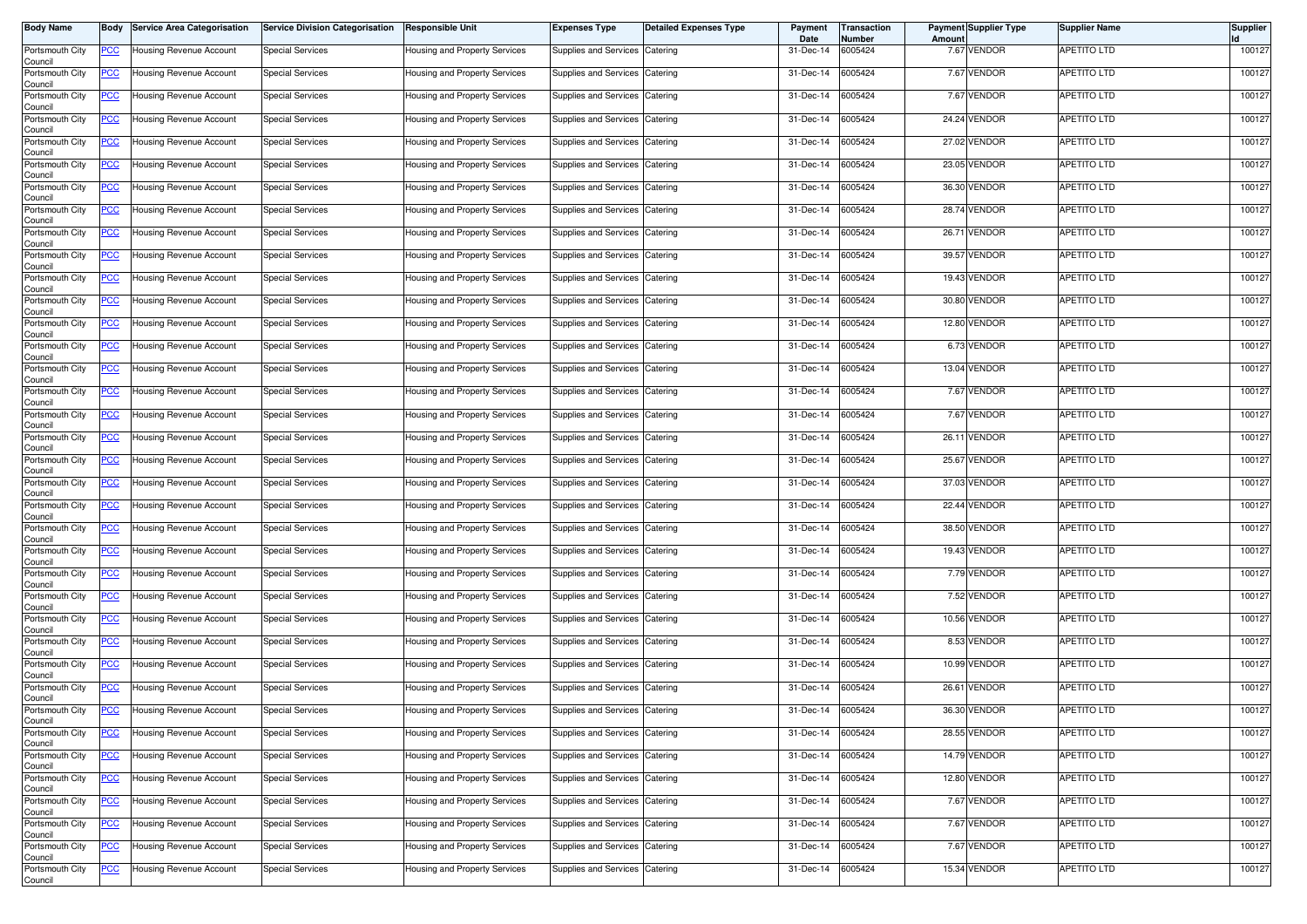| <b>Body Name</b>           | Body           | <b>Service Area Categorisation</b> | <b>Service Division Categorisation</b> | <b>Responsible Unit</b>       | <b>Expenses Type</b>           | <b>Detailed Expenses Type</b> | Payment<br>Date | Transaction<br>Number | Amount | <b>Payment Supplier Type</b> | <b>Supplier Name</b> | <b>Supplier</b> |
|----------------------------|----------------|------------------------------------|----------------------------------------|-------------------------------|--------------------------------|-------------------------------|-----------------|-----------------------|--------|------------------------------|----------------------|-----------------|
| Portsmouth City<br>Council | <u>PCC</u>     | Housing Revenue Account            | <b>Special Services</b>                | Housing and Property Services | Supplies and Services          | Catering                      | 31-Dec-14       | 6005424               |        | 7.67 VENDOR                  | APETITO LTD          | 100127          |
| Portsmouth City<br>Council | <u>PCC</u>     | Housing Revenue Account            | <b>Special Services</b>                | Housing and Property Services | Supplies and Services          | Catering                      | 31-Dec-14       | 6005424               |        | 7.67 VENDOR                  | APETITO LTD          | 100127          |
| Portsmouth City<br>Council | <b>PCC</b>     | Housing Revenue Account            | <b>Special Services</b>                | Housing and Property Services | Supplies and Services          | Catering                      | 31-Dec-14       | 6005424               |        | 7.67 VENDOR                  | APETITO LTD          | 100127          |
| Portsmouth City<br>Council | <u>PCC</u>     | Housing Revenue Account            | <b>Special Services</b>                | Housing and Property Services | Supplies and Services          | Catering                      | 31-Dec-14       | 6005424               |        | 24.24 VENDOR                 | APETITO LTD          | 100127          |
| Portsmouth City<br>Council | <u>PCC</u>     | Housing Revenue Account            | <b>Special Services</b>                | Housing and Property Services | Supplies and Services          | Catering                      | 31-Dec-14       | 6005424               |        | 27.02 VENDOR                 | APETITO LTD          | 100127          |
| Portsmouth City<br>Council | <u>PCC</u>     | Housing Revenue Account            | <b>Special Services</b>                | Housing and Property Services | Supplies and Services          | Catering                      | 31-Dec-14       | 6005424               |        | 23.05 VENDOR                 | APETITO LTD          | 100127          |
| Portsmouth City<br>Council | <u>PCC</u>     | Housing Revenue Account            | <b>Special Services</b>                | Housing and Property Services | <b>Supplies and Services</b>   | Catering                      | 31-Dec-14       | 6005424               |        | 36.30 VENDOR                 | APETITO LTD          | 100127          |
| Portsmouth City<br>Council | <u>PCC</u>     | Housing Revenue Account            | <b>Special Services</b>                | Housing and Property Services | Supplies and Services Catering |                               | 31-Dec-14       | 6005424               |        | 28.74 VENDOR                 | APETITO LTD          | 100127          |
| Portsmouth City<br>Council | <u>PCC</u>     | Housing Revenue Account            | <b>Special Services</b>                | Housing and Property Services | Supplies and Services          | Catering                      | 31-Dec-14       | 6005424               |        | 26.71 VENDOR                 | <b>APETITO LTD</b>   | 100127          |
| Portsmouth City<br>Council | <u>PCC</u>     | Housing Revenue Account            | <b>Special Services</b>                | Housing and Property Services | Supplies and Services          | Catering                      | 31-Dec-14       | 6005424               |        | 39.57 VENDOR                 | APETITO LTD          | 100127          |
| Portsmouth City<br>Council | <u>PCC</u>     | Housing Revenue Account            | <b>Special Services</b>                | Housing and Property Services | Supplies and Services          | Catering                      | 31-Dec-14       | 6005424               |        | 19.43 VENDOR                 | APETITO LTD          | 100127          |
| Portsmouth City<br>Council | <u>PCC</u>     | Housing Revenue Account            | <b>Special Services</b>                | Housing and Property Services | Supplies and Services          | Catering                      | 31-Dec-14       | 6005424               |        | 30.80 VENDOR                 | APETITO LTD          | 100127          |
| Portsmouth City<br>Council | <u>PCC</u>     | Housing Revenue Account            | <b>Special Services</b>                | Housing and Property Services | Supplies and Services          | Catering                      | 31-Dec-14       | 6005424               |        | 12.80 VENDOR                 | APETITO LTD          | 100127          |
| Portsmouth City<br>Council | <u>PCC</u>     | Housing Revenue Account            | <b>Special Services</b>                | Housing and Property Services | Supplies and Services          | Catering                      | 31-Dec-14       | 6005424               |        | 6.73 VENDOR                  | APETITO LTD          | 100127          |
| Portsmouth City<br>Council | <u>PCC</u>     | Housing Revenue Account            | <b>Special Services</b>                | Housing and Property Services | Supplies and Services          | Catering                      | 31-Dec-14       | 6005424               |        | 13.04 VENDOR                 | APETITO LTD          | 100127          |
| Portsmouth City<br>Council | <u>PCC</u>     | Housing Revenue Account            | <b>Special Services</b>                | Housing and Property Services | Supplies and Services          | Catering                      | 31-Dec-14       | 6005424               |        | 7.67 VENDOR                  | APETITO LTD          | 100127          |
| Portsmouth City<br>Council | <u>PCC</u>     | Housing Revenue Account            | <b>Special Services</b>                | Housing and Property Services | Supplies and Services          | Catering                      | 31-Dec-14       | 6005424               |        | 7.67 VENDOR                  | APETITO LTD          | 100127          |
| Portsmouth City<br>Council | <u>PCC</u>     | Housing Revenue Account            | <b>Special Services</b>                | Housing and Property Services | Supplies and Services          | Catering                      | 31-Dec-14       | 6005424               |        | 26.11 VENDOR                 | APETITO LTD          | 100127          |
| Portsmouth City<br>Council | <u>PCC</u>     | Housing Revenue Account            | <b>Special Services</b>                | Housing and Property Services | Supplies and Services          | Catering                      | 31-Dec-14       | 6005424               | 25.67  | <b>VENDOR</b>                | APETITO LTD          | 100127          |
| Portsmouth City<br>Council | <u>PCC</u>     | Housing Revenue Account            | <b>Special Services</b>                | Housing and Property Services | Supplies and Services          | Catering                      | 31-Dec-14       | 6005424               |        | 37.03 VENDOR                 | <b>APETITO LTD</b>   | 100127          |
| Portsmouth City<br>Council | <u>PCC</u>     | Housing Revenue Account            | <b>Special Services</b>                | Housing and Property Services | Supplies and Services          | Catering                      | 31-Dec-14       | 6005424               |        | 22.44 VENDOR                 | APETITO LTD          | 100127          |
| Portsmouth City<br>Council | <u>PCC</u>     | Housing Revenue Account            | <b>Special Services</b>                | Housing and Property Services | Supplies and Services          | Catering                      | 31-Dec-14       | 6005424               |        | 38.50 VENDOR                 | APETITO LTD          | 100127          |
| Portsmouth City<br>Council | <u>PCC</u>     | Housing Revenue Account            | <b>Special Services</b>                | Housing and Property Services | Supplies and Services          | Catering                      | 31-Dec-14       | 6005424               |        | 19.43 VENDOR                 | APETITO LTD          | 100127          |
| Portsmouth City<br>Council | <u>PCC</u>     | Housing Revenue Account            | <b>Special Services</b>                | Housing and Property Services | Supplies and Services          | Catering                      | 31-Dec-14       | 6005424               |        | 7.79 VENDOR                  | APETITO LTD          | 100127          |
| Portsmouth City<br>Council | <u>PCC</u>     | lousing Revenue Account            | <b>Special Services</b>                | Housing and Property Services | Supplies and Services          | Catering                      | 31-Dec-14       | 6005424               |        | 7.52 VENDOR                  | APETITO LTD          | 100127          |
| Portsmouth City<br>Council | <u>PCC</u>     | Housing Revenue Account            | <b>Special Services</b>                | Housing and Property Services | Supplies and Services          | Catering                      | 31-Dec-14       | 6005424               |        | 10.56 VENDOR                 | APETITO LTD          | 100127          |
| Portsmouth City<br>Council | <u>PCC</u>     | Housing Revenue Account            | <b>Special Services</b>                | Housing and Property Services | Supplies and Services          | Catering                      | 31-Dec-14       | 6005424               |        | 8.53 VENDOR                  | APETITO LTD          | 100127          |
| Portsmouth City<br>Council | <u>PCC</u>     | Housing Revenue Account            | <b>Special Services</b>                | Housing and Property Services | Supplies and Services          | Catering                      | 31-Dec-14       | 6005424               |        | 10.99 VENDOR                 | APETITO LTD          | 100127          |
| Portsmouth City<br>Council | <u>PCC</u>     | Housing Revenue Account            | <b>Special Services</b>                | Housing and Property Services | Supplies and Services          | Catering                      | 31-Dec-14       | 6005424               |        | 26.61 VENDOR                 | <b>APETITO LTD</b>   | 100127          |
| Portsmouth City<br>Council | <u>PCC</u>     | Housing Revenue Account            | <b>Special Services</b>                | Housing and Property Services | Supplies and Services          | Catering                      | 31-Dec-14       | 6005424               |        | 36.30 VENDOR                 | <b>APETITO LTD</b>   | 100127          |
| Portsmouth City<br>Council | <u>PCC</u>     | Housing Revenue Account            | <b>Special Services</b>                | Housing and Property Services | Supplies and Services          | Catering                      | 31-Dec-14       | 6005424               |        | 28.55 VENDOR                 | APETITO LTD          | 100127          |
| Portsmouth City<br>Council | $\overline{C}$ | Housing Revenue Account            | <b>Special Services</b>                | Housing and Property Services | Supplies and Services          | Catering                      | 31-Dec-14       | 6005424               |        | 14.79 VENDOR                 | <b>APETITO LTD</b>   | 100127          |
| Portsmouth City<br>Council | <u>PCC</u>     | Housing Revenue Account            | <b>Special Services</b>                | Housing and Property Services | Supplies and Services Catering |                               | 31-Dec-14       | 6005424               |        | 12.80 VENDOR                 | <b>APETITO LTD</b>   | 100127          |
| Portsmouth City<br>Council | <u>PCC</u>     | Housing Revenue Account            | <b>Special Services</b>                | Housing and Property Services | Supplies and Services          | Catering                      | 31-Dec-14       | 6005424               |        | 7.67 VENDOR                  | <b>APETITO LTD</b>   | 100127          |
| Portsmouth City<br>Council | <u>PCC</u>     | Housing Revenue Account            | <b>Special Services</b>                | Housing and Property Services | Supplies and Services Catering |                               | 31-Dec-14       | 6005424               |        | 7.67 VENDOR                  | APETITO LTD          | 100127          |
| Portsmouth City<br>Council | <u>PCC</u>     | Housing Revenue Account            | <b>Special Services</b>                | Housing and Property Services | Supplies and Services          | Catering                      | 31-Dec-14       | 6005424               |        | 7.67 VENDOR                  | APETITO LTD          | 100127          |
| Portsmouth City<br>Council | <u>PCC</u>     | Housing Revenue Account            | <b>Special Services</b>                | Housing and Property Services | Supplies and Services Catering |                               | 31-Dec-14       | 6005424               |        | 15.34 VENDOR                 | <b>APETITO LTD</b>   | 100127          |
|                            |                |                                    |                                        |                               |                                |                               |                 |                       |        |                              |                      |                 |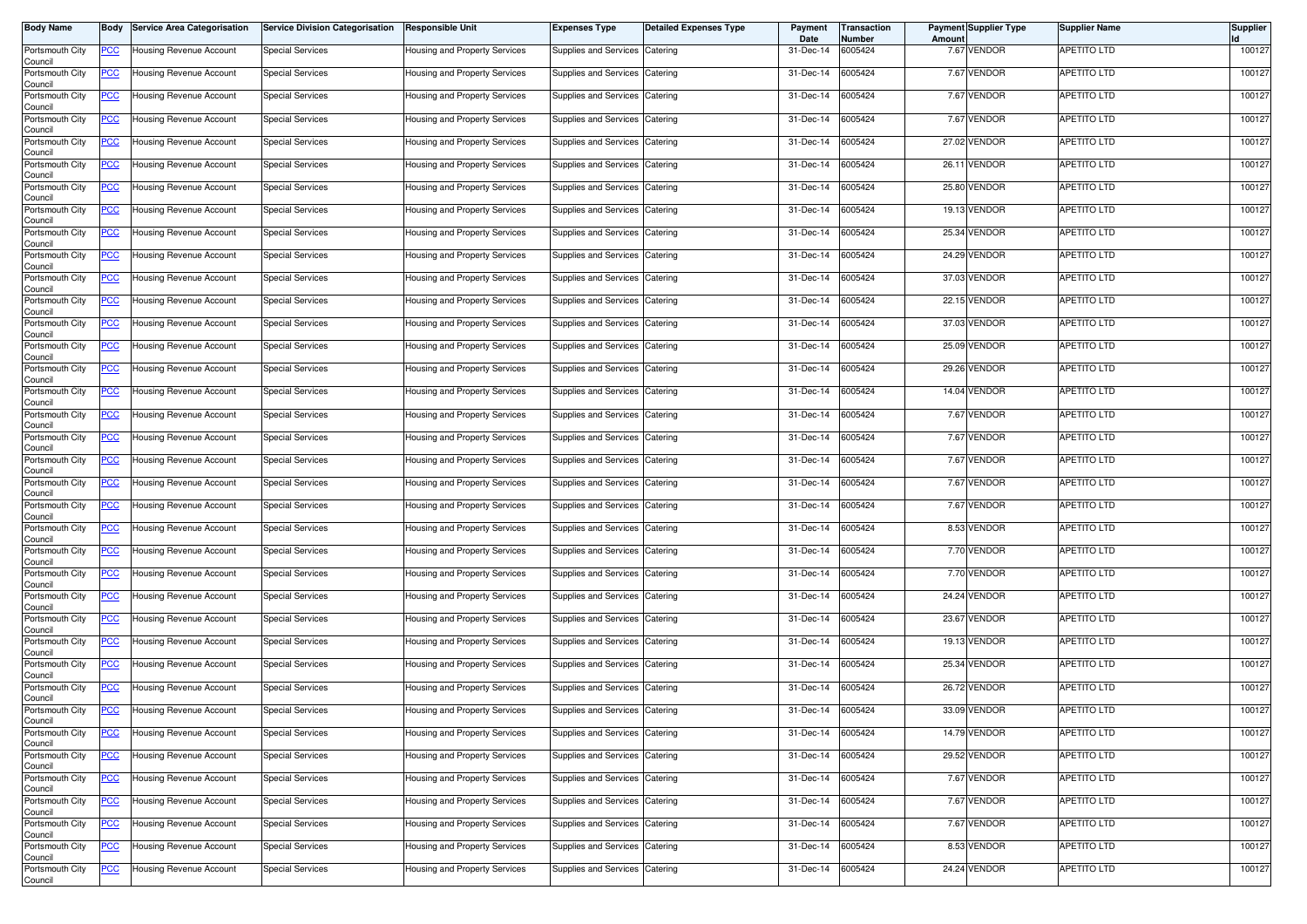| <b>Body Name</b>           | Body           | <b>Service Area Categorisation</b> | <b>Service Division Categorisation</b> | <b>Responsible Unit</b>       | <b>Expenses Type</b>           | <b>Detailed Expenses Type</b> | Payment<br>Date | Transaction<br>Number | Amoun | <b>Payment Supplier Type</b> | <b>Supplier Name</b> | <b>Supplier</b> |
|----------------------------|----------------|------------------------------------|----------------------------------------|-------------------------------|--------------------------------|-------------------------------|-----------------|-----------------------|-------|------------------------------|----------------------|-----------------|
| Portsmouth City<br>Council | <u>PCC</u>     | Housing Revenue Account            | <b>Special Services</b>                | Housing and Property Services | Supplies and Services          | Catering                      | 31-Dec-14       | 6005424               |       | 7.67 VENDOR                  | APETITO LTD          | 100127          |
| Portsmouth City<br>Council | <u>PCC</u>     | Housing Revenue Account            | <b>Special Services</b>                | Housing and Property Services | Supplies and Services          | Catering                      | 31-Dec-14       | 6005424               |       | 7.67 VENDOR                  | APETITO LTD          | 100127          |
| Portsmouth City<br>Council | <b>PCC</b>     | Housing Revenue Account            | <b>Special Services</b>                | Housing and Property Services | Supplies and Services          | Catering                      | 31-Dec-14       | 6005424               |       | 7.67 VENDOR                  | APETITO LTD          | 100127          |
| Portsmouth City<br>Council | <u>PCC</u>     | Housing Revenue Account            | <b>Special Services</b>                | Housing and Property Services | Supplies and Services          | Catering                      | 31-Dec-14       | 6005424               |       | 7.67 VENDOR                  | APETITO LTD          | 100127          |
| Portsmouth City<br>Council | <u>PCC</u>     | Housing Revenue Account            | <b>Special Services</b>                | Housing and Property Services | Supplies and Services          | Catering                      | 31-Dec-14       | 6005424               |       | 27.02 VENDOR                 | APETITO LTD          | 100127          |
| Portsmouth City<br>Council | <u>PCC</u>     | Housing Revenue Account            | <b>Special Services</b>                | Housing and Property Services | Supplies and Services          | Catering                      | 31-Dec-14       | 6005424               |       | 26.11 VENDOR                 | APETITO LTD          | 100127          |
| Portsmouth City<br>Council | <u>PCC</u>     | Housing Revenue Account            | <b>Special Services</b>                | Housing and Property Services | Supplies and Services          | Catering                      | 31-Dec-14       | 6005424               |       | 25.80 VENDOR                 | APETITO LTD          | 100127          |
| Portsmouth City<br>Council | <u>PCC</u>     | Housing Revenue Account            | <b>Special Services</b>                | Housing and Property Services | Supplies and Services          | Catering                      | 31-Dec-14       | 6005424               |       | 19.13 VENDOR                 | <b>APETITO LTD</b>   | 100127          |
| Portsmouth City<br>Council | <u>PCC</u>     | Housing Revenue Account            | <b>Special Services</b>                | Housing and Property Services | <b>Supplies and Services</b>   | Catering                      | 31-Dec-14       | 6005424               |       | 25.34 VENDOR                 | APETITO LTD          | 100127          |
| Portsmouth City<br>Council | <u>PCC</u>     | Housing Revenue Account            | <b>Special Services</b>                | Housing and Property Services | Supplies and Services          | Catering                      | 31-Dec-14       | 6005424               |       | 24.29 VENDOR                 | APETITO LTD          | 100127          |
| Portsmouth City<br>Council | <u>PCC</u>     | Housing Revenue Account            | <b>Special Services</b>                | Housing and Property Services | Supplies and Services          | Catering                      | 31-Dec-14       | 6005424               |       | 37.03 VENDOR                 | APETITO LTD          | 100127          |
| Portsmouth City<br>Council | <u>PCC</u>     | Housing Revenue Account            | <b>Special Services</b>                | Housing and Property Services | Supplies and Services          | Catering                      | 31-Dec-14       | 6005424               |       | 22.15 VENDOR                 | APETITO LTD          | 100127          |
| Portsmouth City<br>Council | <u>PCC</u>     | Housing Revenue Account            | <b>Special Services</b>                | Housing and Property Services | Supplies and Services          | Catering                      | 31-Dec-14       | 6005424               |       | 37.03 VENDOR                 | APETITO LTD          | 100127          |
| Portsmouth City<br>Council | <u>PCC</u>     | Housing Revenue Account            | <b>Special Services</b>                | Housing and Property Services | Supplies and Services          | Catering                      | 31-Dec-14       | 6005424               |       | 25.09 VENDOR                 | APETITO LTD          | 100127          |
| Portsmouth City<br>Council | <u>PCC</u>     | Housing Revenue Account            | <b>Special Services</b>                | Housing and Property Services | Supplies and Services          | Catering                      | 31-Dec-14       | 6005424               |       | 29.26 VENDOR                 | APETITO LTD          | 100127          |
| Portsmouth City<br>Council | <u>PCC</u>     | Housing Revenue Account            | <b>Special Services</b>                | Housing and Property Services | Supplies and Services          | Catering                      | 31-Dec-14       | 6005424               |       | 14.04 VENDOR                 | APETITO LTD          | 100127          |
| Portsmouth City<br>Council | <u>PCC</u>     | Housing Revenue Account            | <b>Special Services</b>                | Housing and Property Services | Supplies and Services          | Catering                      | 31-Dec-14       | 6005424               |       | 7.67 VENDOR                  | APETITO LTD          | 100127          |
| Portsmouth City<br>Council | <u>PCC</u>     | Housing Revenue Account            | Special Services                       | Housing and Property Services | <b>Supplies and Services</b>   | Catering                      | 31-Dec-14       | 6005424               |       | 7.67 VENDOR                  | APETITO LTD          | 100127          |
| Portsmouth City<br>Council | <u>PCC</u>     | Housing Revenue Account            | <b>Special Services</b>                | Housing and Property Services | Supplies and Services          | Catering                      | 31-Dec-14       | 6005424               |       | 7.67 VENDOR                  | APETITO LTD          | 100127          |
| Portsmouth City<br>Council | <u>PCC</u>     | Housing Revenue Account            | <b>Special Services</b>                | Housing and Property Services | Supplies and Services          | Catering                      | 31-Dec-14       | 6005424               |       | 7.67 VENDOR                  | APETITO LTD          | 100127          |
| Portsmouth City<br>Council | <u>PCC</u>     | Housing Revenue Account            | <b>Special Services</b>                | Housing and Property Services | <b>Supplies and Services</b>   | Catering                      | 31-Dec-14       | 6005424               |       | 7.67 VENDOR                  | APETITO LTD          | 100127          |
| Portsmouth City<br>Council | <u>PCC</u>     | Housing Revenue Account            | <b>Special Services</b>                | Housing and Property Services | <b>Supplies and Services</b>   | Catering                      | 31-Dec-14       | 6005424               |       | 8.53 VENDOR                  | APETITO LTD          | 100127          |
| Portsmouth City<br>Council | <u>PCC</u>     | Housing Revenue Account            | <b>Special Services</b>                | Housing and Property Services | <b>Supplies and Services</b>   | Catering                      | 31-Dec-14       | 6005424               |       | 7.70 VENDOR                  | APETITO LTD          | 100127          |
| Portsmouth City<br>Council | <u>PCC</u>     | Housing Revenue Account            | <b>Special Services</b>                | Housing and Property Services | <b>Supplies and Services</b>   | Catering                      | 31-Dec-14       | 6005424               |       | 7.70 VENDOR                  | APETITO LTD          | 100127          |
| Portsmouth City<br>Council | <u>PCC</u>     | Housing Revenue Account            | <b>Special Services</b>                | Housing and Property Services | Supplies and Services          | Catering                      | 31-Dec-14       | 6005424               |       | 24.24 VENDOR                 | APETITO LTD          | 100127          |
| Portsmouth City<br>Council | <u>PCC</u>     | Housing Revenue Account            | <b>Special Services</b>                | Housing and Property Services | Supplies and Services          | Catering                      | 31-Dec-14       | 6005424               |       | 23.67 VENDOR                 | APETITO LTD          | 100127          |
| Portsmouth City<br>Council | <u>PCC</u>     | Housing Revenue Account            | <b>Special Services</b>                | Housing and Property Services | Supplies and Services          | Catering                      | 31-Dec-14       | 6005424               |       | 19.13 VENDOR                 | APETITO LTD          | 100127          |
| Portsmouth City<br>Council | <u>PCC</u>     | Housing Revenue Account            | <b>Special Services</b>                | Housing and Property Services | Supplies and Services          | Catering                      | 31-Dec-14       | 6005424               | 25.34 | VENDOR                       | APETITO LTD          | 100127          |
| Portsmouth City<br>Council | <u>PCC</u>     | Housing Revenue Account            | <b>Special Services</b>                | Housing and Property Services | Supplies and Services          | Catering                      | 31-Dec-14       | 6005424               |       | 26.72 VENDOR                 | APETITO LTD          | 100127          |
| Portsmouth City<br>Council | <u>PCC</u>     | Housing Revenue Account            | <b>Special Services</b>                | Housing and Property Services | Supplies and Services          | Catering                      | 31-Dec-14       | 6005424               |       | 33.09 VENDOR                 | <b>APETITO LTD</b>   | 100127          |
| Portsmouth City<br>Council | <u>PCC</u>     | Housing Revenue Account            | <b>Special Services</b>                | Housing and Property Services | Supplies and Services          | Catering                      | 31-Dec-14       | 6005424               |       | 14.79 VENDOR                 | APETITO LTD          | 100127          |
| Portsmouth City<br>Council | $\overline{C}$ | <b>Housing Revenue Account</b>     | <b>Special Services</b>                | Housing and Property Services | <b>Supplies and Services</b>   | Catering                      | 31-Dec-14       | 6005424               |       | 29.52 VENDOR                 | <b>APETITO LTD</b>   | 100127          |
| Portsmouth City<br>Council | $\overline{C}$ | Housing Revenue Account            | <b>Special Services</b>                | Housing and Property Services | Supplies and Services Catering |                               | 31-Dec-14       | 6005424               |       | 7.67 VENDOR                  | APETITO LTD          | 100127          |
| Portsmouth City<br>Council | <u>PCC</u>     | Housing Revenue Account            | <b>Special Services</b>                | Housing and Property Services | <b>Supplies and Services</b>   | Catering                      | 31-Dec-14       | 6005424               |       | 7.67 VENDOR                  | <b>APETITO LTD</b>   | 100127          |
| Portsmouth City<br>Council | <u>PCC</u>     | Housing Revenue Account            | <b>Special Services</b>                | Housing and Property Services | Supplies and Services          | Catering                      | 31-Dec-14       | 6005424               |       | 7.67 VENDOR                  | <b>APETITO LTD</b>   | 100127          |
| Portsmouth City<br>Council | <u>PCC</u>     | Housing Revenue Account            | <b>Special Services</b>                | Housing and Property Services | <b>Supplies and Services</b>   | Catering                      | 31-Dec-14       | 6005424               |       | 8.53 VENDOR                  | APETITO LTD          | 100127          |
| Portsmouth City<br>Council | <u>PCC</u>     | Housing Revenue Account            | <b>Special Services</b>                | Housing and Property Services | Supplies and Services          | Catering                      | 31-Dec-14       | 6005424               |       | 24.24 VENDOR                 | APETITO LTD          | 100127          |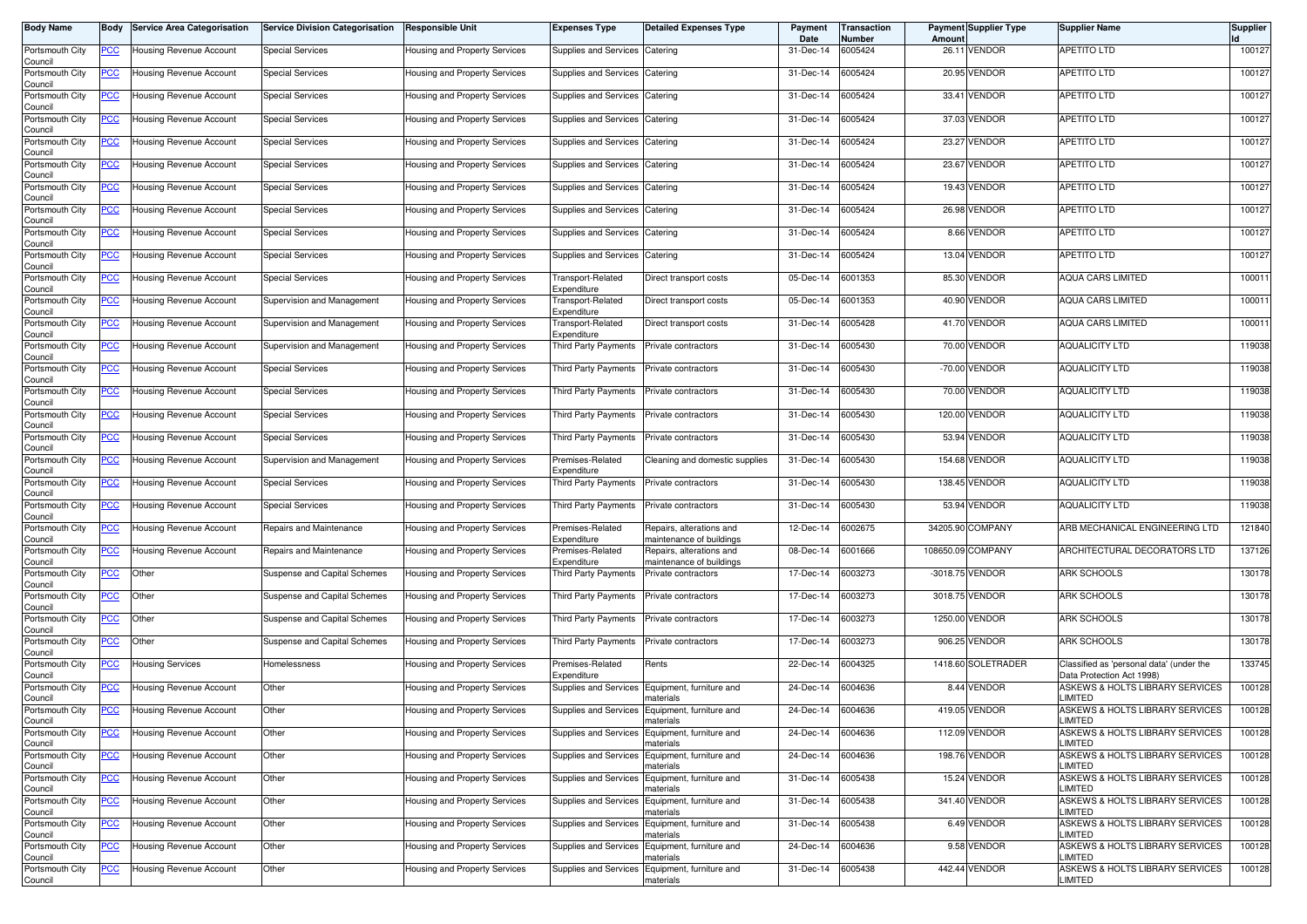| Body Name                  | Body           | <b>Service Area Categorisation</b> | <b>Service Division Categorisation</b> | <b>Responsible Unit</b>              | <b>Expenses Type</b>             | <b>Detailed Expenses Type</b>                        | Payment<br>Date | Transaction<br>Number | Amoun   | <b>Payment Supplier Type</b> | <b>Supplier Name</b>                                                  | <b>Supplier</b> |
|----------------------------|----------------|------------------------------------|----------------------------------------|--------------------------------------|----------------------------------|------------------------------------------------------|-----------------|-----------------------|---------|------------------------------|-----------------------------------------------------------------------|-----------------|
| Portsmouth City<br>Council | PCC            | Housing Revenue Account            | <b>Special Services</b>                | Housing and Property Services        | Supplies and Services            | Catering                                             | 31-Dec-14       | 6005424               |         | 26.11 VENDOR                 | APETITO LTD                                                           | 100127          |
| Portsmouth City<br>Council | <u>PCC</u>     | Housing Revenue Account            | <b>Special Services</b>                | Housing and Property Services        | Supplies and Services            | Catering                                             | 31-Dec-14       | 6005424               |         | 20.95 VENDOR                 | APETITO LTD                                                           | 100127          |
| Portsmouth City<br>Council | <u>PCC</u>     | Housing Revenue Account            | <b>Special Services</b>                | Housing and Property Services        | Supplies and Services            | Catering                                             | 31-Dec-14       | 6005424               | 33.41   | <b>VENDOR</b>                | APETITO LTD                                                           | 100127          |
| Portsmouth City<br>Council | <u>PCC </u>    | Housing Revenue Account            | <b>Special Services</b>                | Housing and Property Services        | Supplies and Services            | Catering                                             | 31-Dec-14       | 6005424               | 37.03   | <b>VENDOR</b>                | <b>APETITO LTD</b>                                                    | 100127          |
| Portsmouth City<br>Council | <u>PCC</u>     | Housing Revenue Account            | <b>Special Services</b>                | Housing and Property Services        | Supplies and Services            | Catering                                             | 31-Dec-14       | 6005424               |         | 23.27 VENDOR                 | APETITO LTD                                                           | 100127          |
| Portsmouth City<br>Council | <u>PCC</u>     | Housing Revenue Account            | <b>Special Services</b>                | Housing and Property Services        | Supplies and Services            | Catering                                             | 31-Dec-14       | 6005424               |         | 23.67 VENDOR                 | <b>APETITO LTD</b>                                                    | 100127          |
| Portsmouth City<br>Council | <u>PCC </u>    | Housing Revenue Account            | <b>Special Services</b>                | Housing and Property Services        | Supplies and Services            | Catering                                             | 31-Dec-14       | 6005424               |         | 19.43 VENDOR                 | APETITO LTD                                                           | 100127          |
| Portsmouth City<br>Council | <u>PCC </u>    | Housing Revenue Account            | <b>Special Services</b>                | Housing and Property Services        | Supplies and Services            | Catering                                             | 31-Dec-14       | 6005424               |         | 26.98 VENDOR                 | <b>APETITO LTD</b>                                                    | 100127          |
| Portsmouth City<br>Council | <u>PCC</u>     | Housing Revenue Account            | <b>Special Services</b>                | Housing and Property Services        | Supplies and Services            | Catering                                             | 31-Dec-14       | 6005424               |         | 8.66 VENDOR                  | APETITO LTD                                                           | 100127          |
| Portsmouth City<br>Council | <u>PCC</u>     | Housing Revenue Account            | <b>Special Services</b>                | Housing and Property Services        | Supplies and Services Catering   |                                                      | 31-Dec-14       | 6005424               | 13.04   | VENDOR                       | <b>APETITO LTD</b>                                                    | 100127          |
| Portsmouth City<br>Council | <u>PCC</u>     | Housing Revenue Account            | <b>Special Services</b>                | Housing and Property Services        | Transport-Related<br>Expenditure | Direct transport costs                               | 05-Dec-14       | 6001353               |         | 85.30 VENDOR                 | AQUA CARS LIMITED                                                     | 100011          |
| Portsmouth City<br>Council |                | Housing Revenue Account            | Supervision and Management             | Housing and Property Services        | Transport-Related<br>Expenditure | Direct transport costs                               | 05-Dec-14       | 6001353               |         | 40.90 VENDOR                 | <b>AQUA CARS LIMITED</b>                                              | 100011          |
| Portsmouth City<br>Council |                | Housing Revenue Account            | Supervision and Management             | Housing and Property Services        | Transport-Related<br>Expenditure | Direct transport costs                               | 31-Dec-14       | 6005428               |         | 41.70 VENDOR                 | AQUA CARS LIMITED                                                     | 100011          |
| Portsmouth City<br>Council | <u>PCC</u>     | Housing Revenue Account            | Supervision and Management             | Housing and Property Services        | Third Party Payments             | Private contractors                                  | 31-Dec-14       | 6005430               |         | 70.00 VENDOR                 | <b>AQUALICITY LTD</b>                                                 | 119038          |
| Portsmouth City<br>Council | PСC            | Housing Revenue Account            | <b>Special Services</b>                | Housing and Property Services        | Third Party Payments             | Private contractors                                  | 31-Dec-14       | 6005430               |         | -70.00 VENDOR                | AQUALICITY LTD                                                        | 119038          |
| Portsmouth City<br>Council | <u>PCC</u>     | Housing Revenue Account            | <b>Special Services</b>                | Housing and Property Services        | Third Party Payments             | Private contractors                                  | 31-Dec-14       | 6005430               |         | 70.00 VENDOR                 | AQUALICITY LTD                                                        | 119038          |
| Portsmouth City<br>Council | <u>PCC</u>     | Housing Revenue Account            | <b>Special Services</b>                | Housing and Property Services        | Third Party Payments             | Private contractors                                  | 31-Dec-14       | 6005430               | 120.00  | <b>VENDOR</b>                | <b>AQUALICITY LTD</b>                                                 | 119038          |
| Portsmouth City<br>Council | <u>PCC</u>     | Housing Revenue Account            | <b>Special Services</b>                | Housing and Property Services        | Third Party Payments             | Private contractors                                  | 31-Dec-14       | 6005430               | 53.94   | <b>VENDOR</b>                | <b>AQUALICITY LTD</b>                                                 | 119038          |
| Portsmouth City<br>Council | <u>PCC</u>     | Housing Revenue Account            | Supervision and Management             | Housing and Property Services        | Premises-Related<br>Expenditure  | Cleaning and domestic supplies                       | 31-Dec-14       | 6005430               | 154.68  | VENDOR                       | <b>AQUALICITY LTD</b>                                                 | 119038          |
| Portsmouth City<br>Council | <u>PCC</u>     | Housing Revenue Account            | <b>Special Services</b>                | Housing and Property Services        | Third Party Payments             | Private contractors                                  | 31-Dec-14       | 6005430               |         | 138.45 VENDOR                | <b>AQUALICITY LTD</b>                                                 | 119038          |
| Portsmouth City<br>Council | <u>PCC</u>     | Housing Revenue Account            | <b>Special Services</b>                | Housing and Property Services        | Third Party Payments             | Private contractors                                  | 31-Dec-14       | 6005430               |         | 53.94 VENDOR                 | <b>AQUALICITY LTD</b>                                                 | 119038          |
| Portsmouth City<br>Council | <u>PCC</u>     | Housing Revenue Account            | Repairs and Maintenance                | Housing and Property Services        | Premises-Related<br>Expenditure  | Repairs, alterations and<br>maintenance of buildings | 12-Dec-14       | 6002675               |         | 34205.90 COMPANY             | ARB MECHANICAL ENGINEERING LTD                                        | 121840          |
| Portsmouth City<br>Council | <u>PCC </u>    | Housing Revenue Account            | Repairs and Maintenance                | Housing and Property Services        | Premises-Related<br>Expenditure  | Repairs, alterations and<br>maintenance of buildings | 08-Dec-14       | 6001666               |         | 108650.09 COMPANY            | ARCHITECTURAL DECORATORS LTD                                          | 137126          |
| Portsmouth City<br>Council | <u>PCC </u>    | <b>Other</b>                       | Suspense and Capital Schemes           | Housing and Property Services        | Third Party Payments             | Private contractors                                  | 17-Dec-14       | 6003273               |         | -3018.75 VENDOR              | ARK SCHOOLS                                                           | 130178          |
| Portsmouth City<br>Council | <u>PCC</u>     | Other                              | Suspense and Capital Schemes           | Housing and Property Services        | Third Party Payments             | Private contractors                                  | 17-Dec-14       | 6003273               |         | 3018.75 VENDOR               | ARK SCHOOLS                                                           | 130178          |
| Portsmouth City<br>Council | <u>PCC</u>     | Other                              | Suspense and Capital Schemes           | Housing and Property Services        | Third Party Payments             | Private contractors                                  | 17-Dec-14       | 6003273               | 1250.00 | <b>VENDOR</b>                | <b>ARK SCHOOLS</b>                                                    | 130178          |
| Portsmouth City<br>Council | <u>PCC</u>     | Other                              | Suspense and Capital Schemes           | <b>Housing and Property Services</b> | Third Party Payments             | Private contractors                                  | 17-Dec-14       | 6003273               |         | 906.25 VENDOR                | ARK SCHOOLS                                                           | 130178          |
| Portsmouth City<br>Council | <u>PCC</u>     | Housing Services                   | Homelessness                           | Housing and Property Services        | Premises-Related<br>Expenditure  | Rents                                                | 22-Dec-14       | 6004325               |         | 1418.60 SOLETRADER           | Classified as 'personal data' (under the<br>Data Protection Act 1998) | 133745          |
| Portsmouth City<br>Council | <u>PCC</u>     | Housing Revenue Account            | Other                                  | Housing and Property Services        | Supplies and Services            | Equipment, furniture and<br>naterials                | 24-Dec-14       | 6004636               |         | 8.44 VENDOR                  | ASKEWS & HOLTS LIBRARY SERVICES<br>LIMITED                            | 100128          |
| Portsmouth City<br>Council | <u>PCC</u>     | Housing Revenue Account            | Other                                  | Housing and Property Services        | Supplies and Services            | Equipment, furniture and<br>ıaterıals                | 24-Dec-14       | 6004636               |         | 419.05 VENDOR                | ASKEWS & HOLTS LIBRARY SERVICES<br>IMITED                             | 100128          |
| Portsmouth City<br>Council | PCC            | Housing Revenue Account            | Other                                  | Housing and Property Services        | Supplies and Services            | Equipment, furniture and<br>materials                | 24-Dec-14       | 6004636               |         | 112.09 VENDOR                | ASKEWS & HOLTS LIBRARY SERVICES<br>LIMITED                            | 100128          |
| Portsmouth City<br>Council | $\overline{C}$ | Housing Revenue Account            | Other                                  | Housing and Property Services        | <b>Supplies and Services</b>     | Equipment, furniture and<br>materials                | 24-Dec-14       | 6004636               |         | 198.76 VENDOR                | ASKEWS & HOLTS LIBRARY SERVICES<br>LIMITED                            | 100128          |
| Portsmouth City<br>Council | $\overline{C}$ | Housing Revenue Account            | Other                                  | Housing and Property Services        | Supplies and Services            | Equipment, furniture and<br>naterials                | 31-Dec-14       | 6005438               |         | 15.24 VENDOR                 | ASKEWS & HOLTS LIBRARY SERVICES<br>LIMITED                            | 100128          |
| Portsmouth City<br>Council | <b>PCC</b>     | Housing Revenue Account            | Other                                  | Housing and Property Services        | Supplies and Services            | Equipment, furniture and<br>materials                | 31-Dec-14       | 6005438               |         | 341.40 VENDOR                | ASKEWS & HOLTS LIBRARY SERVICES<br>LIMITED                            | 100128          |
| Portsmouth City<br>Council | <u>PCC</u>     | Housing Revenue Account            | Other                                  | Housing and Property Services        | Supplies and Services            | Equipment, furniture and<br>naterials                | 31-Dec-14       | 6005438               |         | 6.49 VENDOR                  | ASKEWS & HOLTS LIBRARY SERVICES<br>LIMITED                            | 100128          |
| Portsmouth City<br>Council | <u>PCC</u>     | Housing Revenue Account            | Other                                  | Housing and Property Services        | <b>Supplies and Services</b>     | Equipment, furniture and<br>naterials                | 24-Dec-14       | 6004636               |         | 9.58 VENDOR                  | ASKEWS & HOLTS LIBRARY SERVICES<br>LIMITED                            | 100128          |
| Portsmouth City<br>Council | <u>PCC</u>     | Housing Revenue Account            | Other                                  | Housing and Property Services        | Supplies and Services            | Equipment, furniture and<br>materials                | 31-Dec-14       | 6005438               |         | 442.44 VENDOR                | ASKEWS & HOLTS LIBRARY SERVICES<br>LIMITED                            | 100128          |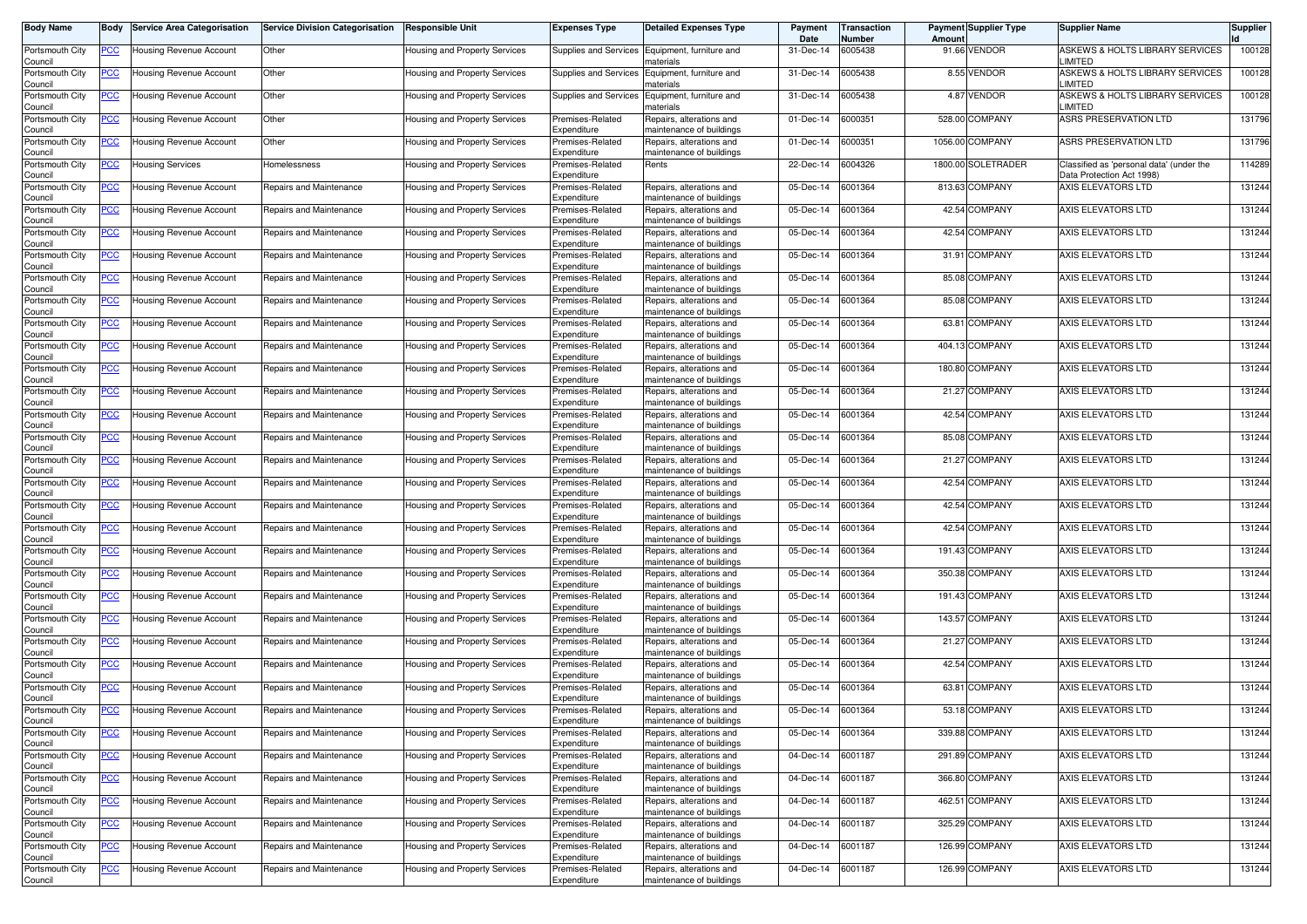| Body Name                                     | Body                      | <b>Service Area Categorisation</b>                 | Service Division Categorisation                    | <b>Responsible Unit</b>                                        | <b>Expenses Type</b>                                | <b>Detailed Expenses Type</b>                                                    | Payment<br>Date        | Transaction<br>Number | Amoun | <b>Payment Supplier Type</b>    | <b>Supplier Name</b>                                                  | Supplier         |
|-----------------------------------------------|---------------------------|----------------------------------------------------|----------------------------------------------------|----------------------------------------------------------------|-----------------------------------------------------|----------------------------------------------------------------------------------|------------------------|-----------------------|-------|---------------------------------|-----------------------------------------------------------------------|------------------|
| Portsmouth City<br>Council                    | <u>PCC</u>                | Housing Revenue Account                            | Other                                              | Housing and Property Services                                  | Supplies and Services                               | Equipment, furniture and<br>naterials                                            | 31-Dec-14              | 6005438               |       | 91.66 VENDOR                    | ASKEWS & HOLTS LIBRARY SERVICES<br>LIMITED                            | 100128           |
| Portsmouth City<br>Council                    | <u>PCC</u>                | Housing Revenue Account                            | Other                                              | Housing and Property Services                                  | <b>Supplies and Services</b>                        | Equipment, furniture and<br>naterials                                            | 31-Dec-14              | 6005438               |       | 8.55 VENDOR                     | ASKEWS & HOLTS LIBRARY SERVICES<br>LIMITED                            | 100128           |
| Portsmouth City<br>Council                    | <u>PCC</u>                | Housing Revenue Account                            | Other                                              | Housing and Property Services                                  | Supplies and Services                               | Equipment, furniture and<br>naterials                                            | 31-Dec-14              | 6005438               |       | 4.87 VENDOR                     | ASKEWS & HOLTS LIBRARY SERVICES<br>LIMITED                            | 100128           |
| Portsmouth City<br>Council                    | $\overline{C}$            | Housing Revenue Account                            | Other                                              | Housing and Property Services                                  | Premises-Related<br>Expenditure                     | Repairs, alterations and<br>maintenance of buildings                             | 01-Dec-14              | 6000351               |       | 528.00 COMPANY                  | ASRS PRESERVATION LTD                                                 | 131796           |
| Portsmouth City<br>Council                    | <u>PCC</u>                | <b>Housing Revenue Account</b>                     | Other                                              | Housing and Property Services                                  | Premises-Related<br>Expenditure                     | Repairs, alterations and<br>naintenance of buildings                             | 01-Dec-14              | 6000351               |       | 1056.00 COMPANY                 | ASRS PRESERVATION LTD                                                 | 131796           |
| Portsmouth City<br>Council                    | <u>PCC </u>               | Housing Services                                   | Homelessness                                       | Housing and Property Services                                  | Premises-Related<br>Expenditure                     | Rents                                                                            | 22-Dec-14              | 6004326               |       | 1800.00 SOLETRADER              | Classified as 'personal data' (under the<br>Data Protection Act 1998) | 114289           |
| Portsmouth City<br>Council                    | <u>PCC </u>               | Housing Revenue Account                            | Repairs and Maintenance                            | Housing and Property Services                                  | Premises-Related<br>Expenditure                     | Repairs, alterations and<br>maintenance of buildings                             | 05-Dec-14              | 6001364               |       | 813.63 COMPANY                  | AXIS ELEVATORS LTD                                                    | 131244           |
| Portsmouth City<br>Council                    | <u>PCC</u>                | Housing Revenue Account                            | Repairs and Maintenance                            | Housing and Property Services                                  | Premises-Related<br>Expenditure                     | Repairs, alterations and<br>maintenance of buildings                             | 05-Dec-14              | 6001364               |       | 42.54 COMPANY                   | AXIS ELEVATORS LTD                                                    | 131244           |
| Portsmouth City<br>Council                    | <u>PCC</u>                | Housing Revenue Account                            | Repairs and Maintenance                            | Housing and Property Services                                  | Premises-Related<br>Expenditure                     | Repairs, alterations and<br>maintenance of buildings                             | 05-Dec-14              | 6001364               |       | 42.54 COMPANY                   | AXIS ELEVATORS LTD                                                    | 131244           |
| Portsmouth City<br>Council                    | <u>PCC </u>               | Housing Revenue Account                            | Repairs and Maintenance                            | Housing and Property Services                                  | Premises-Related<br>Expenditure                     | Repairs, alterations and<br>maintenance of buildings                             | 05-Dec-14              | 6001364               |       | 31.91 COMPANY                   | AXIS ELEVATORS LTD                                                    | 131244           |
| Portsmouth City<br>Council                    | <u>PCC</u>                | Housing Revenue Account                            | Repairs and Maintenance                            | Housing and Property Services                                  | Premises-Related<br>Expenditure                     | Repairs, alterations and<br>maintenance of buildings                             | 05-Dec-14              | 6001364               |       | 85.08 COMPANY                   | AXIS ELEVATORS LTD                                                    | 131244           |
| Portsmouth City<br>Council                    | PСC                       | Housing Revenue Account                            | Repairs and Maintenance                            | Housing and Property Services                                  | Premises-Related<br>Expenditure                     | Repairs, alterations and<br>naintenance of buildings                             | 05-Dec-14              | 6001364               |       | 85.08 COMPANY                   | AXIS ELEVATORS LTD                                                    | 131244           |
| Portsmouth City<br>Council                    | <u>PCC</u>                | Housing Revenue Account                            | Repairs and Maintenance                            | Housing and Property Services                                  | Premises-Related<br>Expenditure                     | Repairs, alterations and<br>maintenance of buildings                             | 05-Dec-14              | 6001364               |       | 63.81 COMPANY                   | AXIS ELEVATORS LTD                                                    | 131244           |
| Portsmouth City<br>Council                    | <u>PCC </u>               | Housing Revenue Account                            | Repairs and Maintenance                            | <b>Housing and Property Services</b>                           | Premises-Related<br>Expenditure                     | Repairs, alterations and<br>maintenance of buildings                             | 05-Dec-14              | 6001364               |       | 404.13 COMPANY                  | AXIS ELEVATORS LTD                                                    | 131244           |
| Portsmouth City<br>Council                    | PCC.                      | Housing Revenue Account                            | Repairs and Maintenance                            | Housing and Property Services                                  | Premises-Related<br>Expenditure                     | Repairs, alterations and<br>maintenance of buildings                             | 05-Dec-14              | 6001364               |       | 180.80 COMPANY                  | AXIS ELEVATORS LTD                                                    | 131244           |
| Portsmouth City<br>Council                    | <u>PCC</u>                | Housing Revenue Account                            | Repairs and Maintenance                            | Housing and Property Services                                  | Premises-Related<br>Expenditure                     | Repairs, alterations and<br>maintenance of buildings                             | 05-Dec-14              | 6001364               |       | 21.27 COMPANY                   | AXIS ELEVATORS LTD                                                    | 131244           |
| Portsmouth City<br>Council                    | <u>PCC</u>                | Housing Revenue Account                            | Repairs and Maintenance                            | Housing and Property Services                                  | Premises-Related<br>Expenditure                     | Repairs, alterations and<br>maintenance of buildings                             | 05-Dec-14              | 6001364               |       | 42.54 COMPANY                   | AXIS ELEVATORS LTD                                                    | 131244           |
| Portsmouth City<br>Council                    | <u>PCC</u>                | Housing Revenue Account                            | Repairs and Maintenance                            | Housing and Property Services                                  | Premises-Related<br>Expenditure                     | Repairs, alterations and<br>maintenance of buildings                             | 05-Dec-14              | 6001364               |       | 85.08 COMPANY                   | AXIS ELEVATORS LTD                                                    | 131244           |
| Portsmouth City<br>Council                    | PCC∶                      | Housing Revenue Account                            | Repairs and Maintenance                            | Housing and Property Services                                  | Premises-Related<br>Expenditure                     | Repairs, alterations and<br>maintenance of buildings                             | 05-Dec-14              | 6001364               |       | 21.27 COMPANY                   | AXIS ELEVATORS LTD                                                    | 131244           |
| Portsmouth City<br>Council                    | <u>PCC</u>                | Housing Revenue Account                            | Repairs and Maintenance                            | Housing and Property Services                                  | Premises-Related<br>Expenditure                     | Repairs, alterations and<br>maintenance of buildings                             | 05-Dec-14              | 6001364<br>6001364    |       | 42.54 COMPANY<br>42.54 COMPANY  | AXIS ELEVATORS LTD<br>AXIS ELEVATORS LTD                              | 131244           |
| Portsmouth City<br>Council                    | <u>PCC</u>                | Housing Revenue Account                            | Repairs and Maintenance                            | Housing and Property Services                                  | Premises-Related<br>Expenditure                     | Repairs, alterations and<br>maintenance of buildings                             | 05-Dec-14              |                       |       |                                 |                                                                       | 131244           |
| Portsmouth City<br>Council                    | <u>PCC</u>                | Housing Revenue Account                            | Repairs and Maintenance                            | Housing and Property Services                                  | Premises-Related<br>Expenditure                     | Repairs, alterations and<br>maintenance of buildings                             | 05-Dec-14              | 6001364               |       | 42.54 COMPANY<br>191.43 COMPANY | AXIS ELEVATORS LTD                                                    | 131244           |
| Portsmouth City<br>Council                    | <u>PCC </u>               | Housing Revenue Account                            | Repairs and Maintenance                            | Housing and Property Services                                  | Premises-Related<br>Expenditure                     | Repairs, alterations and<br>maintenance of buildings                             | 05-Dec-14              | 6001364               |       | 350.38 COMPANY                  | AXIS ELEVATORS LTD<br>AXIS ELEVATORS LTD                              | 131244           |
| Portsmouth City<br>Council                    | <u>PCC</u>                | Housing Revenue Account                            | Repairs and Maintenance                            | Housing and Property Services                                  | Premises-Related<br>Expenditure                     | Repairs, alterations and<br>maintenance of buildings                             | 05-Dec-14<br>05-Dec-14 | 6001364<br>6001364    |       | 191.43 COMPANY                  | AXIS ELEVATORS LTD                                                    | 131244<br>131244 |
| Portsmouth City<br>Council<br>Portsmouth City | <u>PCC </u>               | Housing Revenue Account<br>Housing Revenue Account | Repairs and Maintenance<br>Repairs and Maintenance | Housing and Property Services                                  | Premises-Related<br>Expenditure<br>Premises-Related | Repairs, alterations and<br>maintenance of buildings<br>Repairs, alterations and | 05-Dec-14              | 6001364               |       | 143.57 COMPANY                  | AXIS ELEVATORS LTD                                                    | 131244           |
| Council<br>Portsmouth City                    | <u>PCC </u><br><u>PCC</u> | Housing Revenue Account                            | Repairs and Maintenance                            | Housing and Property Services                                  | Expenditure<br>Premises-Related                     | maintenance of buildings<br>Repairs, alterations and                             | 05-Dec-14              | 6001364               |       | 21.27 COMPANY                   | AXIS ELEVATORS LTD                                                    | 131244           |
| Council<br>Portsmouth City                    | <u>PCC </u>               | Housing Revenue Account                            | Repairs and Maintenance                            | Housing and Property Services<br>Housing and Property Services | Expenditure<br>Premises-Related                     | maintenance of buildings<br>Repairs, alterations and                             | 05-Dec-14              | 6001364               |       | 42.54 COMPANY                   | AXIS ELEVATORS LTD                                                    | 131244           |
| Council<br>Portsmouth City                    | <u>PCC</u>                | Housing Revenue Account                            | Repairs and Maintenance                            | Housing and Property Services                                  | Expenditure<br>Premises-Related                     | maintenance of buildings<br>Repairs, alterations and                             | 05-Dec-14              | 6001364               |       | 63.81 COMPANY                   | AXIS ELEVATORS LTD                                                    | 131244           |
| Council<br>Portsmouth City                    | <u>PCC</u>                | Housing Revenue Account                            | Repairs and Maintenance                            | Housing and Property Services                                  | Expenditure<br>Premises-Related                     | maintenance of buildings<br>Repairs, alterations and                             | 05-Dec-14              | 6001364               |       | 53.18 COMPANY                   | AXIS ELEVATORS LTD                                                    | 131244           |
| Council<br>Portsmouth City                    | <u>PCC</u>                | lousing Revenue Account                            | Repairs and Maintenance                            | Housing and Property Services                                  | Expenditure<br>Premises-Related                     | naintenance of buildings<br>Repairs, alterations and                             | 05-Dec-14              | 6001364               |       | 339.88 COMPANY                  | AXIS ELEVATORS LTD                                                    | 131244           |
| Council<br>Portsmouth City                    | $\overline{C}$            | Housing Revenue Account                            | Repairs and Maintenance                            | Housing and Property Services                                  | Expenditure<br>Premises-Related                     | maintenance of buildings<br>Repairs, alterations and                             | 04-Dec-14              | 6001187               |       | 291.89 COMPANY                  | AXIS ELEVATORS LTD                                                    | 131244           |
| Council<br>Portsmouth City                    | <u>PCC</u>                | Housing Revenue Account                            | Repairs and Maintenance                            | Housing and Property Services                                  | Expenditure<br>Premises-Related                     | maintenance of buildings<br>Repairs, alterations and                             | 04-Dec-14              | 6001187               |       | 366.80 COMPANY                  | AXIS ELEVATORS LTD                                                    | 131244           |
| Council<br>Portsmouth City                    | <u>PCC</u>                | Housing Revenue Account                            | Repairs and Maintenance                            | Housing and Property Services                                  | Expenditure<br>Premises-Related                     | maintenance of buildings<br>Repairs, alterations and                             | 04-Dec-14              | 6001187               |       | 462.51 COMPANY                  | AXIS ELEVATORS LTD                                                    | 131244           |
| Council<br>Portsmouth City                    | <b>PCC</b>                | Housing Revenue Account                            | Repairs and Maintenance                            | Housing and Property Services                                  | Expenditure<br>Premises-Related                     | maintenance of buildings<br>Repairs, alterations and                             | 04-Dec-14              | 6001187               |       | 325.29 COMPANY                  | AXIS ELEVATORS LTD                                                    | 131244           |
| Council<br>Portsmouth City                    | <u>PCC</u>                | Housing Revenue Account                            | Repairs and Maintenance                            | Housing and Property Services                                  | Expenditure<br>Premises-Related                     | maintenance of buildings<br>Repairs, alterations and                             | 04-Dec-14              | 6001187               |       | 126.99 COMPANY                  | AXIS ELEVATORS LTD                                                    | 131244           |
| Council<br>Portsmouth City                    | <u>PCC</u>                | Housing Revenue Account                            | Repairs and Maintenance                            | Housing and Property Services                                  | Expenditure<br>Premises-Related                     | maintenance of buildings<br>Repairs, alterations and                             | 04-Dec-14              | 6001187               |       | 126.99 COMPANY                  | AXIS ELEVATORS LTD                                                    | 131244           |
| Council                                       |                           |                                                    |                                                    |                                                                | Expenditure                                         | maintenance of buildings                                                         |                        |                       |       |                                 |                                                                       |                  |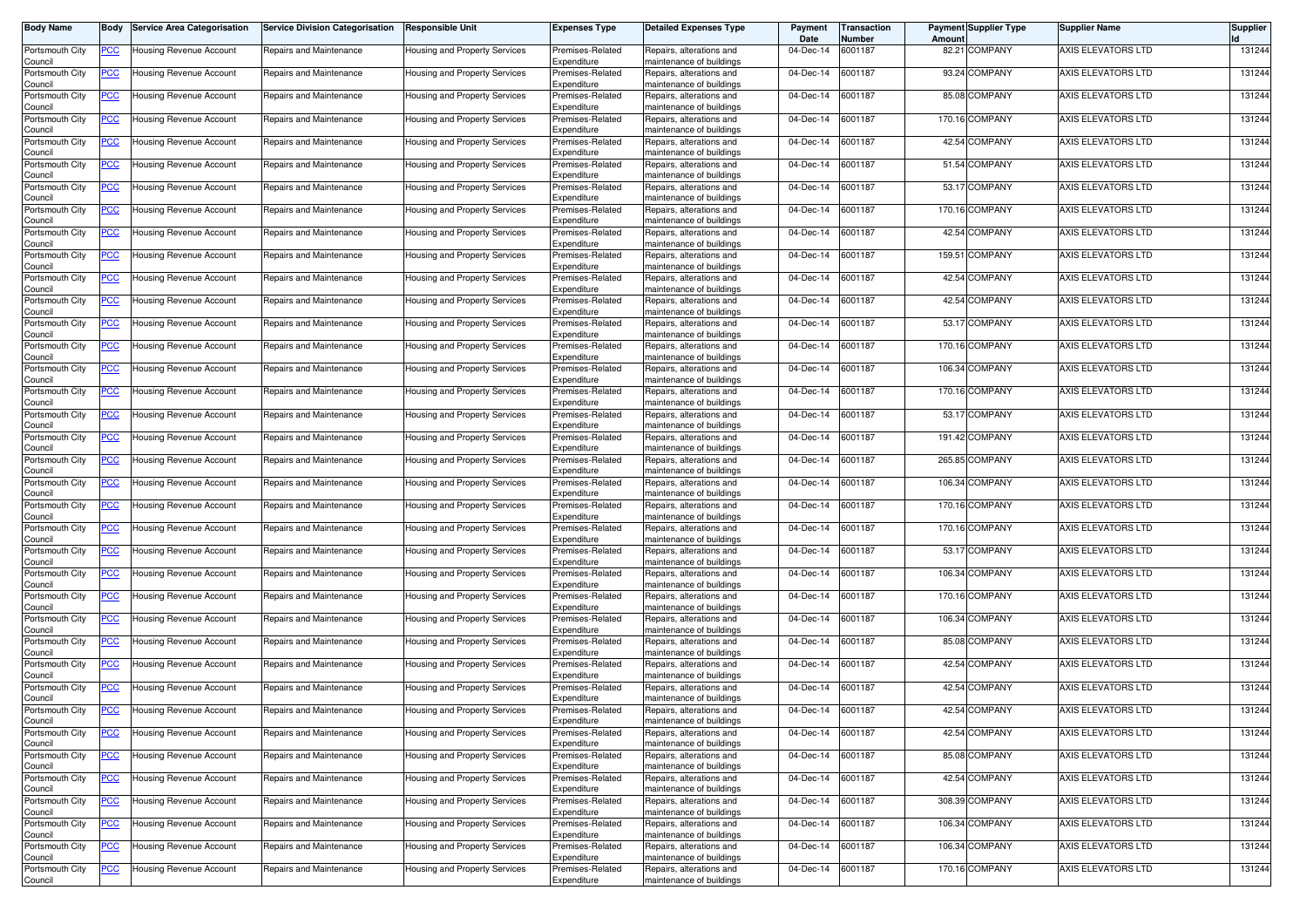| Body Name                  | Body             | <b>Service Area Categorisation</b> | <b>Service Division Categorisation</b> | <b>Responsible Unit</b>              | <b>Expenses Type</b>            | <b>Detailed Expenses Type</b>                        | Payment<br>Date         | Transaction<br>Number | Amoun | <b>Payment Supplier Type</b> | <b>Supplier Name</b> | Supplier |
|----------------------------|------------------|------------------------------------|----------------------------------------|--------------------------------------|---------------------------------|------------------------------------------------------|-------------------------|-----------------------|-------|------------------------------|----------------------|----------|
| Portsmouth City<br>Council | <u>PCC </u>      | Housing Revenue Account            | Repairs and Maintenance                | Housing and Property Services        | Premises-Related<br>Expenditure | Repairs, alterations and<br>maintenance of buildings | 04-Dec-14               | 6001187               |       | 82.21 COMPANY                | AXIS ELEVATORS LTD   | 131244   |
| Portsmouth City<br>Council | <u>PCC</u>       | Housing Revenue Account            | Repairs and Maintenance                | Housing and Property Services        | Premises-Related<br>Expenditure | Repairs, alterations and<br>maintenance of buildings | 04-Dec-14               | 6001187               |       | 93.24 COMPANY                | AXIS ELEVATORS LTD   | 131244   |
| Portsmouth City<br>Council | <u>PCC</u>       | Housing Revenue Account            | Repairs and Maintenance                | Housing and Property Services        | Premises-Related<br>Expenditure | Repairs, alterations and<br>maintenance of buildings | 04-Dec-14               | 6001187               |       | 85.08 COMPANY                | AXIS ELEVATORS LTD   | 131244   |
| Portsmouth City<br>Council | $\overline{PCC}$ | Housing Revenue Account            | Repairs and Maintenance                | Housing and Property Services        | Premises-Related<br>Expenditure | Repairs, alterations and<br>maintenance of buildings | 04-Dec-14               | 6001187               |       | 170.16 COMPANY               | AXIS ELEVATORS LTD   | 131244   |
| Portsmouth City<br>Council | <u>PCC</u>       | Housing Revenue Account            | Repairs and Maintenance                | Housing and Property Services        | Premises-Related<br>Expenditure | Repairs, alterations and<br>maintenance of buildings | 04-Dec-14               | 6001187               |       | 42.54 COMPANY                | AXIS ELEVATORS LTD   | 131244   |
| Portsmouth City<br>Council | <u>PCC </u>      | Housing Revenue Account            | Repairs and Maintenance                | Housing and Property Services        | Premises-Related<br>Expenditure | Repairs, alterations and<br>maintenance of buildings | 04-Dec-14               | 6001187               |       | 51.54 COMPANY                | AXIS ELEVATORS LTD   | 131244   |
| Portsmouth City<br>Council | <u>PCC </u>      | Housing Revenue Account            | Repairs and Maintenance                | Housing and Property Services        | Premises-Related<br>Expenditure | Repairs, alterations and<br>maintenance of buildings | 04-Dec-14               | 6001187               |       | 53.17 COMPANY                | AXIS ELEVATORS LTD   | 131244   |
| Portsmouth City<br>Council | <u>PCC</u>       | Housing Revenue Account            | Repairs and Maintenance                | Housing and Property Services        | Premises-Related<br>Expenditure | Repairs, alterations and<br>maintenance of buildings | 04-Dec-14               | 6001187               |       | 170.16 COMPANY               | AXIS ELEVATORS LTD   | 131244   |
| Portsmouth City            | <u>PCC</u>       | Housing Revenue Account            | Repairs and Maintenance                | Housing and Property Services        | Premises-Related                | Repairs, alterations and                             | 04-Dec-14               | 6001187               |       | 42.54 COMPANY                | AXIS ELEVATORS LTD   | 131244   |
| Council<br>Portsmouth City | <u>PCC </u>      | Housing Revenue Account            | Repairs and Maintenance                | Housing and Property Services        | Expenditure<br>Premises-Related | maintenance of buildings<br>Repairs, alterations and | 04-Dec-14               | 6001187               |       | 159.51 COMPANY               | AXIS ELEVATORS LTD   | 131244   |
| Council<br>Portsmouth City | <u>PCC</u>       | Housing Revenue Account            | Repairs and Maintenance                | Housing and Property Services        | Expenditure<br>Premises-Related | maintenance of buildings<br>Repairs, alterations and | 04-Dec-14               | 6001187               |       | 42.54 COMPANY                | AXIS ELEVATORS LTD   | 131244   |
| Council<br>Portsmouth City | PСC              | Housing Revenue Account            | Repairs and Maintenance                | Housing and Property Services        | Expenditure<br>Premises-Related | maintenance of buildings<br>Repairs, alterations and | 04-Dec-14               | 6001187               |       | 42.54 COMPANY                | AXIS ELEVATORS LTD   | 131244   |
| Council<br>Portsmouth City | <u>PCC</u>       | Housing Revenue Account            | Repairs and Maintenance                | Housing and Property Services        | Expenditure<br>Premises-Related | naintenance of buildings<br>Repairs, alterations and | 04-Dec-14               | 6001187               |       | 53.17 COMPANY                | AXIS ELEVATORS LTD   | 131244   |
| Council<br>Portsmouth City | <u>PCC </u>      | Housing Revenue Account            | Repairs and Maintenance                | <b>Housing and Property Services</b> | Expenditure<br>Premises-Related | maintenance of buildings<br>Repairs, alterations and | 04-Dec-14               | 6001187               |       | 170.16 COMPANY               | AXIS ELEVATORS LTD   | 131244   |
| Council<br>Portsmouth City | PCC.             | Housing Revenue Account            | Repairs and Maintenance                | Housing and Property Services        | Expenditure<br>Premises-Related | maintenance of buildings<br>Repairs, alterations and | $\overline{0}$ 4-Dec-14 | 6001187               |       | 106.34 COMPANY               | AXIS ELEVATORS LTD   | 131244   |
| Council<br>Portsmouth City | <u>PCC</u>       | Housing Revenue Account            | Repairs and Maintenance                | Housing and Property Services        | Expenditure<br>Premises-Related | maintenance of buildings<br>Repairs, alterations and | 04-Dec-14               | 6001187               |       | 170.16 COMPANY               | AXIS ELEVATORS LTD   | 131244   |
| Council<br>Portsmouth City | <u>PCC</u>       | Housing Revenue Account            | Repairs and Maintenance                | Housing and Property Services        | Expenditure<br>Premises-Related | maintenance of buildings<br>Repairs, alterations and | 04-Dec-14               | 6001187               |       | 53.17 COMPANY                | AXIS ELEVATORS LTD   | 131244   |
| Council<br>Portsmouth City | <u>PCC</u>       | Housing Revenue Account            | Repairs and Maintenance                | Housing and Property Services        | Expenditure<br>Premises-Related | maintenance of buildings<br>Repairs, alterations and | 04-Dec-14               | 6001187               |       | 191.42 COMPANY               | AXIS ELEVATORS LTD   | 131244   |
| Council<br>Portsmouth City | PCC∶             | Housing Revenue Account            | Repairs and Maintenance                | Housing and Property Services        | Expenditure<br>Premises-Related | maintenance of buildings<br>Repairs, alterations and | 04-Dec-14               | 6001187               |       | 265.85 COMPANY               | AXIS ELEVATORS LTD   | 131244   |
| Council<br>Portsmouth City | <u>PCC</u>       | Housing Revenue Account            | Repairs and Maintenance                | Housing and Property Services        | Expenditure<br>Premises-Related | maintenance of buildings<br>Repairs, alterations and | 04-Dec-14               | 6001187               |       | 106.34 COMPANY               | AXIS ELEVATORS LTD   | 131244   |
| Council<br>Portsmouth City | <u>PCC</u>       | Housing Revenue Account            | Repairs and Maintenance                | Housing and Property Services        | Expenditure<br>Premises-Related | maintenance of buildings<br>Repairs, alterations and | 04-Dec-14               | 6001187               |       | 170.16 COMPANY               | AXIS ELEVATORS LTD   | 131244   |
| Council<br>Portsmouth City | <u>PCC</u>       | lousing Revenue Account            | Repairs and Maintenance                | Housing and Property Services        | Expenditure<br>Premises-Related | maintenance of buildings<br>Repairs, alterations and | 04-Dec-14               | 6001187               |       | 170.16 COMPANY               | AXIS ELEVATORS LTD   | 131244   |
| Council<br>Portsmouth City | <u>PCC </u>      | Housing Revenue Account            | Repairs and Maintenance                | Housing and Property Services        | Expenditure<br>Premises-Related | maintenance of buildings<br>Repairs, alterations and | 04-Dec-14               | 6001187               |       | 53.17 COMPANY                | AXIS ELEVATORS LTD   | 131244   |
| Council<br>Portsmouth City | <u>PCC</u>       | Housing Revenue Account            | Repairs and Maintenance                | Housing and Property Services        | Expenditure<br>Premises-Related | maintenance of buildings<br>Repairs, alterations and | 04-Dec-14               | 6001187               |       | 106.34 COMPANY               | AXIS ELEVATORS LTD   | 131244   |
| Council<br>Portsmouth City | $\overline{PCC}$ | Housing Revenue Account            | Repairs and Maintenance                | Housing and Property Services        | Expenditure<br>Premises-Related | maintenance of buildings<br>Repairs, alterations and | 04-Dec-14               | 6001187               |       | 170.16 COMPANY               | AXIS ELEVATORS LTD   | 131244   |
| Council<br>Portsmouth City | <u>PCC </u>      | Housing Revenue Account            | Repairs and Maintenance                | Housing and Property Services        | Expenditure<br>Premises-Related | maintenance of buildings<br>Repairs, alterations and | 04-Dec-14               | 6001187               |       | 106.34 COMPANY               | AXIS ELEVATORS LTD   | 131244   |
| Council<br>Portsmouth City | <u>PCC</u>       | Housing Revenue Account            | Repairs and Maintenance                | Housing and Property Services        | Expenditure<br>Premises-Related | maintenance of buildings<br>Repairs, alterations and | 04-Dec-14               | 6001187               |       | 85.08 COMPANY                | AXIS ELEVATORS LTD   | 131244   |
| Council<br>Portsmouth City | <u>PCC </u>      | Housing Revenue Account            | Repairs and Maintenance                | Housing and Property Services        | Expenditure<br>Premises-Related | maintenance of buildings<br>Repairs, alterations and | 04-Dec-14               | 6001187               |       | 42.54 COMPANY                | AXIS ELEVATORS LTD   | 131244   |
| Council<br>Portsmouth City | <u>PCC</u>       | Housing Revenue Account            | Repairs and Maintenance                | Housing and Property Services        | Expenditure<br>Premises-Related | maintenance of buildings<br>Repairs, alterations and | 04-Dec-14               | 6001187               |       | 42.54 COMPANY                | AXIS ELEVATORS LTD   | 131244   |
| Council                    |                  |                                    |                                        |                                      | Expenditure<br>Premises-Related | maintenance of buildings<br>Repairs, alterations and | 04-Dec-14               | 6001187               |       | 42.54 COMPANY                | AXIS ELEVATORS LTD   | 131244   |
| Portsmouth City<br>Council | <u>PCC</u>       | Housing Revenue Account            | Repairs and Maintenance                | Housing and Property Services        | Expenditure                     | naintenance of buildings                             |                         |                       |       | 42.54 COMPANY                |                      | 131244   |
| Portsmouth City<br>Council | <b>PCC</b>       | lousing Revenue Account            | Repairs and Maintenance                | Housing and Property Services        | Premises-Related<br>Expenditure | Repairs, alterations and<br>maintenance of buildings | 04-Dec-14               | 6001187               |       |                              | AXIS ELEVATORS LTD   |          |
| Portsmouth City<br>Council | $\overline{C}$   | Housing Revenue Account            | Repairs and Maintenance                | Housing and Property Services        | Premises-Related<br>Expenditure | Repairs, alterations and<br>maintenance of buildings | 04-Dec-14               | 6001187               |       | 85.08 COMPANY                | AXIS ELEVATORS LTD   | 131244   |
| Portsmouth City<br>Council | <u>PCC</u>       | Housing Revenue Account            | Repairs and Maintenance                | Housing and Property Services        | Premises-Related<br>Expenditure | Repairs, alterations and<br>maintenance of buildings | 04-Dec-14               | 6001187               |       | 42.54 COMPANY                | AXIS ELEVATORS LTD   | 131244   |
| Portsmouth City<br>Council | <u>PCC</u>       | Housing Revenue Account            | Repairs and Maintenance                | Housing and Property Services        | Premises-Related<br>Expenditure | Repairs, alterations and<br>maintenance of buildings | 04-Dec-14               | 6001187               |       | 308.39 COMPANY               | AXIS ELEVATORS LTD   | 131244   |
| Portsmouth City<br>Council | <b>PCC</b>       | Housing Revenue Account            | Repairs and Maintenance                | Housing and Property Services        | Premises-Related<br>Expenditure | Repairs, alterations and<br>maintenance of buildings | 04-Dec-14               | 6001187               |       | 106.34 COMPANY               | AXIS ELEVATORS LTD   | 131244   |
| Portsmouth City<br>Council | <u>PCC</u>       | Housing Revenue Account            | Repairs and Maintenance                | Housing and Property Services        | Premises-Related<br>Expenditure | Repairs, alterations and<br>maintenance of buildings | 04-Dec-14               | 6001187               |       | 106.34 COMPANY               | AXIS ELEVATORS LTD   | 131244   |
| Portsmouth City<br>Council | <u>PCC</u>       | Housing Revenue Account            | Repairs and Maintenance                | Housing and Property Services        | Premises-Related<br>Expenditure | Repairs, alterations and<br>maintenance of buildings | 04-Dec-14               | 6001187               |       | 170.16 COMPANY               | AXIS ELEVATORS LTD   | 131244   |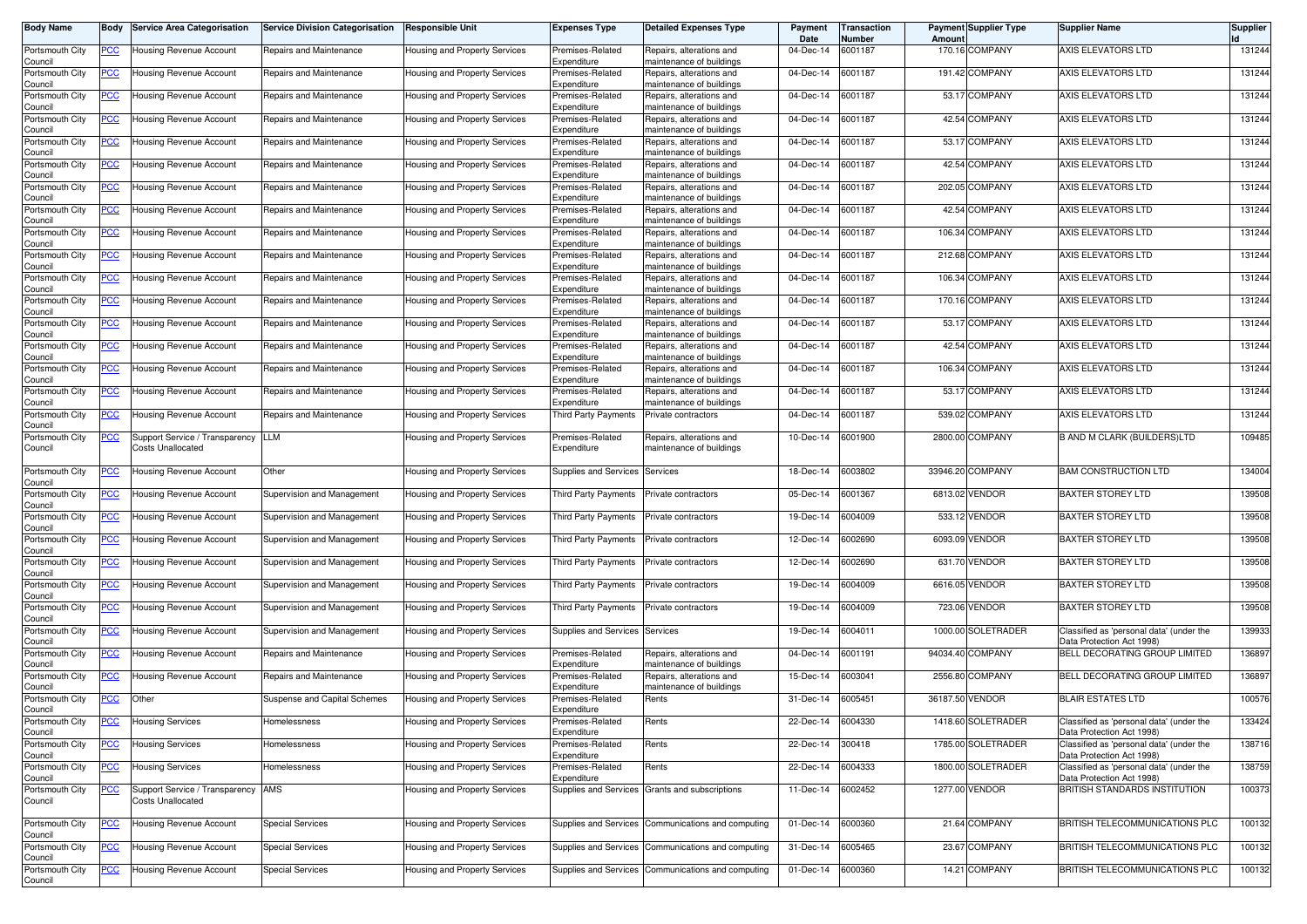| <b>Body Name</b>                      | Body           | <b>Service Area Categorisation</b>                             | <b>Service Division Categorisation</b> | <b>Responsible Unit</b>              | <b>Expenses Type</b>            | <b>Detailed Expenses Type</b>                        | Payment<br>Date   | <b>Transaction</b><br>Number | Amoun | <b>Payment Supplier Type</b> | <b>Supplier Name</b>                                                  | <b>Supplier</b> |
|---------------------------------------|----------------|----------------------------------------------------------------|----------------------------------------|--------------------------------------|---------------------------------|------------------------------------------------------|-------------------|------------------------------|-------|------------------------------|-----------------------------------------------------------------------|-----------------|
| Portsmouth City<br>Council            | <u>PCC </u>    | Housing Revenue Account                                        | Repairs and Maintenance                | Housing and Property Services        | Premises-Related<br>Expenditure | Repairs, alterations and<br>maintenance of buildings | 04-Dec-14         | 6001187                      |       | 170.16 COMPANY               | AXIS ELEVATORS LTD                                                    | 131244          |
| Portsmouth City<br>Council            | <u>PCC</u>     | Housing Revenue Account                                        | Repairs and Maintenance                | Housing and Property Services        | Premises-Related<br>Expenditure | Repairs, alterations and<br>maintenance of buildings | 04-Dec-14         | 6001187                      |       | 191.42 COMPANY               | AXIS ELEVATORS LTD                                                    | 131244          |
| Portsmouth City<br>Council            | <u>PCC</u>     | Housing Revenue Account                                        | Repairs and Maintenance                | Housing and Property Services        | Premises-Related<br>Expenditure | Repairs, alterations and<br>maintenance of buildings | 04-Dec-14         | 6001187                      |       | 53.17 COMPANY                | AXIS ELEVATORS LTD                                                    | 131244          |
| Portsmouth City<br>Council            | <u>PCC </u>    | Housing Revenue Account                                        | Repairs and Maintenance                | Housing and Property Services        | Premises-Related<br>Expenditure | Repairs, alterations and<br>naintenance of buildings | 04-Dec-14         | 6001187                      |       | 42.54 COMPANY                | AXIS ELEVATORS LTD                                                    | 131244          |
| Portsmouth City<br>Council            | <u>PCC</u>     | <b>Housing Revenue Account</b>                                 | Repairs and Maintenance                | Housing and Property Services        | Premises-Related<br>Expenditure | Repairs, alterations and<br>naintenance of buildings | 04-Dec-14         | 6001187                      |       | 53.17 COMPANY                | AXIS ELEVATORS LTD                                                    | 131244          |
| Portsmouth City<br>Council            | <u>PCC </u>    | Housing Revenue Account                                        | Repairs and Maintenance                | Housing and Property Services        | Premises-Related<br>Expenditure | Repairs, alterations and<br>maintenance of buildings | 04-Dec-14         | 6001187                      |       | 42.54 COMPANY                | AXIS ELEVATORS LTD                                                    | 131244          |
| Portsmouth City                       | <u>PCC </u>    | Housing Revenue Account                                        | Repairs and Maintenance                | Housing and Property Services        | Premises-Related<br>Expenditure | Repairs, alterations and<br>naintenance of buildings | 04-Dec-14         | 6001187                      |       | 202.05 COMPANY               | AXIS ELEVATORS LTD                                                    | 131244          |
| Council<br>Portsmouth City<br>Council | <u>PCC</u>     | Housing Revenue Account                                        | Repairs and Maintenance                | Housing and Property Services        | Premises-Related<br>Expenditure | Repairs, alterations and<br>maintenance of buildings | 04-Dec-14         | 6001187                      |       | 42.54 COMPANY                | AXIS ELEVATORS LTD                                                    | 131244          |
| Portsmouth City                       | <u>PCC </u>    | Housing Revenue Account                                        | Repairs and Maintenance                | Housing and Property Services        | Premises-Related                | Repairs, alterations and                             | 04-Dec-14         | 6001187                      |       | 106.34 COMPANY               | AXIS ELEVATORS LTD                                                    | 131244          |
| Council<br>Portsmouth City            | <u>PCC</u>     | Housing Revenue Account                                        | Repairs and Maintenance                | Housing and Property Services        | Expenditure<br>Premises-Related | maintenance of buildings<br>Repairs, alterations and | 04-Dec-14         | 6001187                      |       | 212.68 COMPANY               | AXIS ELEVATORS LTD                                                    | 131244          |
| Council<br>Portsmouth City            | <u>PCC</u>     | Housing Revenue Account                                        | Repairs and Maintenance                | Housing and Property Services        | Expenditure<br>Premises-Related | maintenance of buildings<br>Repairs, alterations and | 04-Dec-14         | 6001187                      |       | 106.34 COMPANY               | AXIS ELEVATORS LTD                                                    | 131244          |
| Council<br>Portsmouth City            | PСC            | Housing Revenue Account                                        | Repairs and Maintenance                | Housing and Property Services        | Expenditure<br>Premises-Related | maintenance of buildings<br>Repairs, alterations and | 04-Dec-14         | 6001187                      |       | 170.16 COMPANY               | AXIS ELEVATORS LTD                                                    | 131244          |
| Council<br>Portsmouth City            | <u>PCC</u>     | Housing Revenue Account                                        | Repairs and Maintenance                | Housing and Property Services        | Expenditure<br>Premises-Related | naintenance of buildings<br>Repairs, alterations and | 04-Dec-14         | 6001187                      |       | 53.17 COMPANY                | AXIS ELEVATORS LTD                                                    | 131244          |
| Council<br>Portsmouth City            | <u>PCC</u>     | Housing Revenue Account                                        | Repairs and Maintenance                | Housing and Property Services        | Expenditure<br>Premises-Related | maintenance of buildings<br>Repairs, alterations and | 04-Dec-14         | 6001187                      |       | 42.54 COMPANY                | AXIS ELEVATORS LTD                                                    | 131244          |
| Council                               |                |                                                                |                                        |                                      | Expenditure                     | maintenance of buildings                             |                   |                              |       |                              |                                                                       |                 |
| Portsmouth City<br>Council            | PCC∶           | lousing Revenue Account                                        | Repairs and Maintenance                | Housing and Property Services        | Premises-Related<br>Expenditure | Repairs, alterations and<br>maintenance of buildings | 04-Dec-14         | 6001187                      |       | 106.34 COMPANY               | AXIS ELEVATORS LTD                                                    | 131244          |
| Portsmouth City<br>Council            | <u>PCC </u>    | Housing Revenue Account                                        | Repairs and Maintenance                | Housing and Property Services        | Premises-Related<br>Expenditure | Repairs, alterations and<br>naintenance of buildings | 04-Dec-14         | 6001187                      |       | 53.17 COMPANY                | AXIS ELEVATORS LTD                                                    | 131244          |
| Portsmouth City<br>Council            | PCC.           | Housing Revenue Account                                        | Repairs and Maintenance                | Housing and Property Services        | Third Party Payments            | Private contractors                                  | 04-Dec-14         | 6001187                      |       | 539.02 COMPANY               | AXIS ELEVATORS LTD                                                    | 131244          |
| Portsmouth City<br>Council            | <u>PCC</u>     | Support Service / Transparency<br>Costs Unallocated            | <b>LLM</b>                             | Housing and Property Services        | Premises-Related<br>Expenditure | Repairs, alterations and<br>maintenance of buildings | 10-Dec-14         | 6001900                      |       | 2800.00 COMPANY              | B AND M CLARK (BUILDERS)LTD                                           | 109485          |
| Portsmouth City<br>Council            | PСC            | Housing Revenue Account                                        | Other                                  | Housing and Property Services        | Supplies and Services           | Services                                             | 18-Dec-14         | 6003802                      |       | 33946.20 COMPANY             | <b>BAM CONSTRUCTION LTD</b>                                           | 134004          |
| Portsmouth City<br>Council            | <u>PCC </u>    | <b>Housing Revenue Account</b>                                 | Supervision and Management             | Housing and Property Services        | Third Party Payments            | Private contractors                                  | 05-Dec-14         | 6001367                      |       | 6813.02 VENDOR               | <b>BAXTER STOREY LTD</b>                                              | 139508          |
| Portsmouth City<br>Council            | PCC.           | Housing Revenue Account                                        | Supervision and Management             | Housing and Property Services        | Third Party Payments            | Private contractors                                  | 19-Dec-14         | 6004009                      |       | 533.12 VENDOR                | BAXTER STOREY LTD                                                     | 139508          |
| Portsmouth City<br>Council            | <u>PCC</u>     | Housing Revenue Account                                        | Supervision and Management             | Housing and Property Services        | Third Party Payments            | Private contractors                                  | 12-Dec-14         | 6002690                      |       | 6093.09 VENDOR               | <b>BAXTER STOREY LTD</b>                                              | 139508          |
| Portsmouth City<br>Council            | <u>PCC </u>    | Housing Revenue Account                                        | Supervision and Management             | Housing and Property Services        | Third Party Payments            | Private contractors                                  | 12-Dec-14         | 6002690                      |       | 631.70 VENDOR                | <b>BAXTER STOREY LTD</b>                                              | 139508          |
| Portsmouth City<br>Council            | <u>PCC</u>     | Housing Revenue Account                                        | Supervision and Management             | Housing and Property Services        | Third Party Payments            | Private contractors                                  | 19-Dec-14         | 6004009                      |       | 6616.05 VENDOR               | BAXTER STOREY LTD                                                     | 139508          |
| Portsmouth City<br>Council            | <u>PCC</u>     | Housing Revenue Account                                        | Supervision and Management             | Housing and Property Services        | Third Party Payments            | Private contractors                                  | 19-Dec-14         | 6004009                      |       | 723.06 VENDOR                | <b>BAXTER STOREY LTD</b>                                              | 139508          |
| Portsmouth City<br>Council            | <u>PCC</u>     | Housing Revenue Account                                        | Supervision and Management             | Housing and Property Services        | Supplies and Services           | Services                                             | 19-Dec-14         | 6004011                      |       | 1000.00 SOLETRADER           | Classified as 'personal data' (under the<br>Data Protection Act 1998) | 139933          |
| Portsmouth City<br>Council            | <u>PCC </u>    | Housing Revenue Account                                        | Repairs and Maintenance                | Housing and Property Services        | Premises-Related<br>Expenditure | Repairs, alterations and<br>naintenance of buildings | 04-Dec-14         | 6001191                      |       | 94034.40 COMPANY             | BELL DECORATING GROUP LIMITED                                         | 136897          |
| Portsmouth City<br>Council            | <u>PCC </u>    | Housing Revenue Account                                        | Repairs and Maintenance                | Housing and Property Services        | Premises-Related<br>Expenditure | Repairs, alterations and<br>maintenance of buildings | 15-Dec-14         | 6003041                      |       | 2556.80 COMPANY              | BELL DECORATING GROUP LIMITED                                         | 136897          |
| Portsmouth City<br>Council            | <u>PCC</u>     | Other                                                          | Suspense and Capital Schemes           | Housing and Property Services        | Premises-Related<br>Expenditure | Rents                                                | 31-Dec-14         | 6005451                      |       | 36187.50 VENDOR              | <b>BLAIR ESTATES LTD</b>                                              | 100576          |
| Portsmouth City<br>Council            |                | Housing Services                                               | Homelessness                           | Housing and Property Services        | Premises-Related<br>Expenditure | Rents                                                | 22-Dec-14         | 6004330                      |       | 1418.60 SOLETRADER           | lassified as 'personal data' (under the<br>Data Protection Act 1998)  | 133424          |
| Portsmouth City<br>Council            | $PCC$          | <b>Housing Services</b>                                        | Homelessness                           | Housing and Property Services        | Premises-Related<br>Expenditure | Rents                                                | 22-Dec-14         | 300418                       |       | 1785.00 SOLETRADER           | Classified as 'personal data' (under the<br>Data Protection Act 1998) | 138716          |
| Portsmouth City<br>Council            | <b>PCC</b>     | <b>Housing Services</b>                                        | Homelessness                           | Housing and Property Services        | Premises-Related<br>Expenditure | Rents                                                | 22-Dec-14         | 6004333                      |       | 1800.00 SOLETRADER           | Classified as 'personal data' (under the<br>Data Protection Act 1998) | 138759          |
| Portsmouth City<br>Council            | <b>PCC</b>     | Support Service / Transparency AMS<br><b>Costs Unallocated</b> |                                        | <b>Housing and Property Services</b> |                                 | Supplies and Services Grants and subscriptions       | 11-Dec-14         | 6002452                      |       | 1277.00 VENDOR               | BRITISH STANDARDS INSTITUTION                                         | 100373          |
| Portsmouth City<br>Council            | $\overline{C}$ | Housing Revenue Account                                        | <b>Special Services</b>                | Housing and Property Services        |                                 | Supplies and Services Communications and computing   | 01-Dec-14         | 6000360                      |       | 21.64 COMPANY                | BRITISH TELECOMMUNICATIONS PLC                                        | 100132          |
| Portsmouth City<br>Council            | <b>PCC</b>     | Housing Revenue Account                                        | <b>Special Services</b>                | Housing and Property Services        | Supplies and Services           | Communications and computing                         | 31-Dec-14         | 6005465                      |       | 23.67 COMPANY                | BRITISH TELECOMMUNICATIONS PLC                                        | 100132          |
| Portsmouth City<br>Council            | $\overline{C}$ | Housing Revenue Account                                        | <b>Special Services</b>                | Housing and Property Services        |                                 | Supplies and Services Communications and computing   | 01-Dec-14 6000360 |                              |       | 14.21 COMPANY                | BRITISH TELECOMMUNICATIONS PLC                                        | 100132          |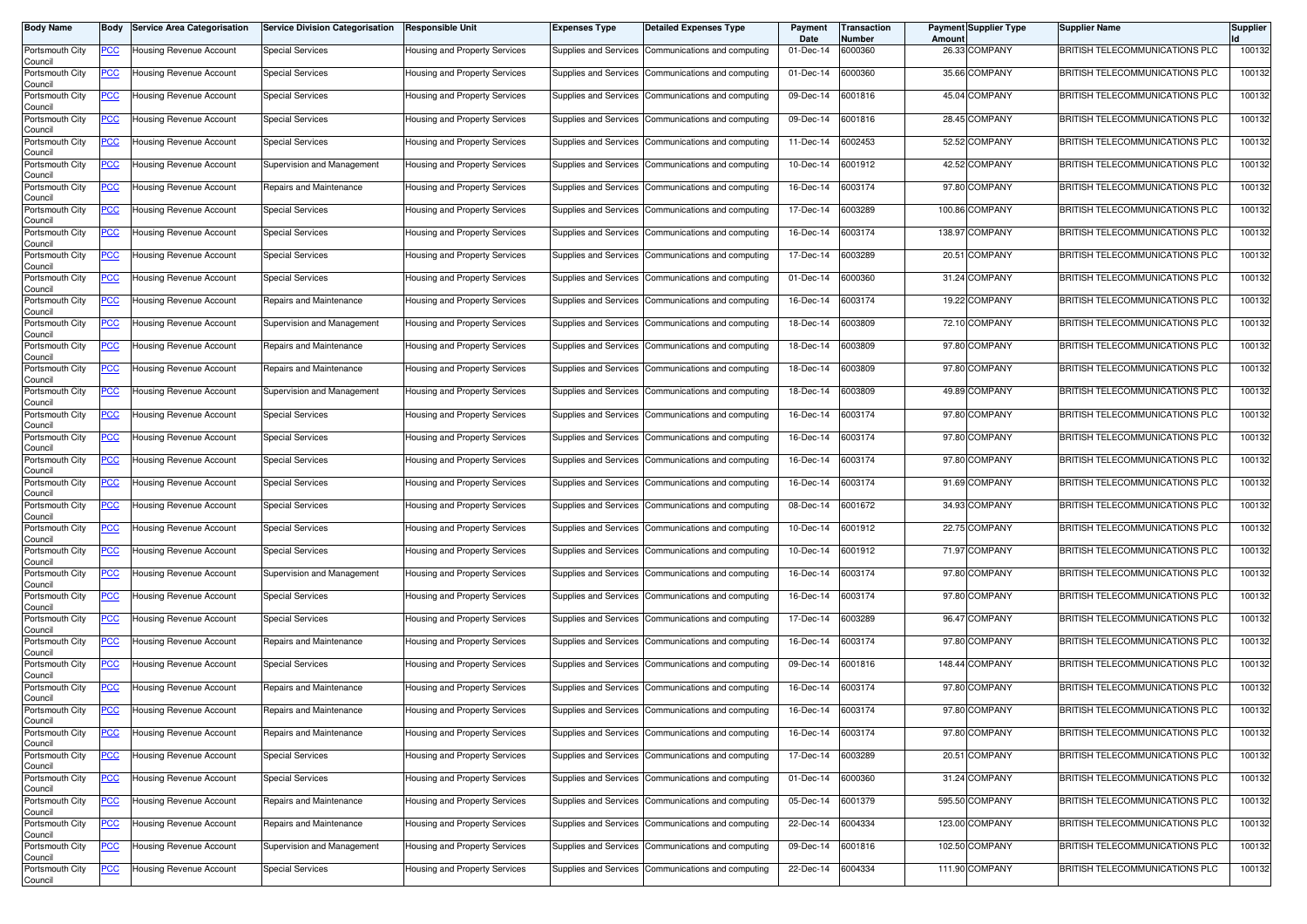| Body Name                  | Body           | <b>Service Area Categorisation</b> | <b>Service Division Categorisation</b> | <b>Responsible Unit</b>        | <b>Expenses Type</b>  | <b>Detailed Expenses Type</b>                      | Payment<br>Date | Transaction<br>Number | Amount | <b>Payment Supplier Type</b> | <b>Supplier Name</b>                  | <b>Supplier</b> |
|----------------------------|----------------|------------------------------------|----------------------------------------|--------------------------------|-----------------------|----------------------------------------------------|-----------------|-----------------------|--------|------------------------------|---------------------------------------|-----------------|
| Portsmouth City<br>Council | <u>PCC</u>     | Housing Revenue Account            | <b>Special Services</b>                | Housing and Property Services  |                       | Supplies and Services Communications and computing | 01-Dec-14       | 6000360               |        | 26.33 COMPANY                | BRITISH TELECOMMUNICATIONS PLC        | 100132          |
| Portsmouth City<br>Council | <u>PCC</u>     | Housing Revenue Account            | <b>Special Services</b>                | Housing and Property Services  |                       | Supplies and Services Communications and computing | 01-Dec-14       | 6000360               |        | 35.66 COMPANY                | BRITISH TELECOMMUNICATIONS PLC        | 100132          |
| Portsmouth City<br>Council | <u>PCC</u>     | Housing Revenue Account            | <b>Special Services</b>                | Housing and Property Services  |                       | Supplies and Services Communications and computing | 09-Dec-14       | 6001816               |        | 45.04 COMPANY                | BRITISH TELECOMMUNICATIONS PLC        | 100132          |
| Portsmouth City<br>Council | <u>PCC</u>     | Housing Revenue Account            | <b>Special Services</b>                | Housing and Property Services  | Supplies and Services | Communications and computing                       | 09-Dec-14       | 6001816               |        | 28.45 COMPANY                | BRITISH TELECOMMUNICATIONS PLC        | 100132          |
| Portsmouth City<br>Council | <u>PCC</u>     | Housing Revenue Account            | <b>Special Services</b>                | Housing and Property Services  |                       | Supplies and Services Communications and computing | 11-Dec-14       | 6002453               |        | 52.52 COMPANY                | <b>BRITISH TELECOMMUNICATIONS PLC</b> | 100132          |
| Portsmouth City<br>Council | <u>PCC</u>     | Housing Revenue Account            | Supervision and Management             | Housing and Property Services  | Supplies and Services | Communications and computing                       | 10-Dec-14       | 6001912               |        | 42.52 COMPANY                | BRITISH TELECOMMUNICATIONS PLC        | 100132          |
| Portsmouth City<br>Council | <u>PCC</u>     | Housing Revenue Account            | Repairs and Maintenance                | Housing and Property Services  | Supplies and Services | Communications and computing                       | 16-Dec-14       | 6003174               |        | 97.80 COMPANY                | BRITISH TELECOMMUNICATIONS PLC        | 100132          |
| Portsmouth City<br>Council | <u>PCC</u>     | Housing Revenue Account            | <b>Special Services</b>                | Housing and Property Services  | Supplies and Services | Communications and computing                       | 17-Dec-14       | 6003289               |        | 100.86 COMPANY               | BRITISH TELECOMMUNICATIONS PLC        | 100132          |
| Portsmouth City<br>Council | <u>PCC</u>     | Housing Revenue Account            | <b>Special Services</b>                | Housing and Property Services  |                       | Supplies and Services Communications and computing | 16-Dec-14       | 6003174               |        | 138.97 COMPANY               | BRITISH TELECOMMUNICATIONS PLC        | 100132          |
| Portsmouth City<br>Council | <u>PCC</u>     | Housing Revenue Account            | <b>Special Services</b>                | Housing and Property Services  |                       | Supplies and Services Communications and computing | 17-Dec-14       | 6003289               |        | 20.51 COMPANY                | BRITISH TELECOMMUNICATIONS PLC        | 100132          |
| Portsmouth City<br>Council | <u>PCC</u>     | Housing Revenue Account            | <b>Special Services</b>                | Housing and Property Services  | Supplies and Services | Communications and computing                       | 01-Dec-14       | 6000360               |        | 31.24 COMPANY                | BRITISH TELECOMMUNICATIONS PLC        | 100132          |
| Portsmouth City<br>Council | <u>PCC</u>     | Housing Revenue Account            | Repairs and Maintenance                | Housing and Property Services  | Supplies and Services | Communications and computing                       | 16-Dec-14       | 6003174               |        | 19.22 COMPANY                | BRITISH TELECOMMUNICATIONS PLC        | 100132          |
| Portsmouth City<br>Council | <u>PCC</u>     | Housing Revenue Account            | Supervision and Management             | Housing and Property Services  |                       | Supplies and Services Communications and computing | 18-Dec-14       | 6003809               |        | 72.10 COMPANY                | BRITISH TELECOMMUNICATIONS PLC        | 100132          |
| Portsmouth City<br>Council | <u>PCC</u>     | Housing Revenue Account            | Repairs and Maintenance                | Housing and Property Services  | Supplies and Services | Communications and computing                       | 18-Dec-14       | 6003809               |        | 97.80 COMPANY                | BRITISH TELECOMMUNICATIONS PLC        | 100132          |
| Portsmouth City<br>Council | <u>PCC</u>     | Housing Revenue Account            | Repairs and Maintenance                | Housing and Property Services  | Supplies and Services | Communications and computing                       | 18-Dec-14       | 6003809               |        | 97.80 COMPANY                | BRITISH TELECOMMUNICATIONS PLC        | 100132          |
| Portsmouth City<br>Council | <u>PCC</u>     | Housing Revenue Account            | Supervision and Management             | Housing and Property Services  | Supplies and Services | Communications and computing                       | 18-Dec-14       | 6003809               |        | 49.89 COMPANY                | BRITISH TELECOMMUNICATIONS PLC        | 100132          |
| Portsmouth City<br>Council | <u>PCC</u>     | Housing Revenue Account            | <b>Special Services</b>                | Housing and Property Services  |                       | Supplies and Services Communications and computing | 16-Dec-14       | 6003174               |        | 97.80 COMPANY                | <b>BRITISH TELECOMMUNICATIONS PLC</b> | 100132          |
| Portsmouth City<br>Council | <u>PCC</u>     | Housing Revenue Account            | <b>Special Services</b>                | Housing and Property Services  |                       | Supplies and Services Communications and computing | 16-Dec-14       | 6003174               |        | 97.80 COMPANY                | BRITISH TELECOMMUNICATIONS PLC        | 100132          |
| Portsmouth City<br>Council | <u>PCC</u>     | Housing Revenue Account            | <b>Special Services</b>                | Housing and Property Services  |                       | Supplies and Services Communications and computing | 16-Dec-14       | 6003174               |        | 97.80 COMPANY                | <b>BRITISH TELECOMMUNICATIONS PLC</b> | 100132          |
| Portsmouth City<br>Council | <u>PCC</u>     | Housing Revenue Account            | Special Services                       | -lousing and Property Services | Supplies and Services | Communications and computing                       | 16-Dec-14       | 6003174               |        | 91.69 COMPANY                | BRITISH TELECOMMUNICATIONS PLC        | 100132          |
| Portsmouth City<br>Council | <u>PCC</u>     | Housing Revenue Account            | <b>Special Services</b>                | Housing and Property Services  |                       | Supplies and Services Communications and computing | 08-Dec-14       | 6001672               |        | 34.93 COMPANY                | <b>BRITISH TELECOMMUNICATIONS PLC</b> | 100132          |
| Portsmouth City<br>Council | <u>PCC</u>     | Housing Revenue Account            | Special Services                       | Housing and Property Services  | Supplies and Services | Communications and computing                       | 10-Dec-14       | 6001912               |        | 22.75 COMPANY                | BRITISH TELECOMMUNICATIONS PLC        | 100132          |
| Portsmouth City<br>Council | <u>PCC</u>     | Housing Revenue Account            | <b>Special Services</b>                | Housing and Property Services  | Supplies and Services | Communications and computing                       | 10-Dec-14       | 6001912               |        | 71.97 COMPANY                | BRITISH TELECOMMUNICATIONS PLC        | 100132          |
| Portsmouth City<br>Council | <u>PCC</u>     | Housing Revenue Account            | Supervision and Management             | Housing and Property Services  | Supplies and Services | Communications and computing                       | 16-Dec-14       | 6003174               |        | 97.80 COMPANY                | BRITISH TELECOMMUNICATIONS PLC        | 100132          |
| Portsmouth City<br>Council | <u>PCC</u>     | Housing Revenue Account            | <b>Special Services</b>                | Housing and Property Services  | Supplies and Services | Communications and computing                       | 16-Dec-14       | 6003174               |        | 97.80 COMPANY                | BRITISH TELECOMMUNICATIONS PLC        | 100132          |
| Portsmouth City<br>Council | <u>PCC</u>     | Housing Revenue Account            | <b>Special Services</b>                | Housing and Property Services  |                       | Supplies and Services Communications and computing | 17-Dec-14       | 6003289               |        | 96.47 COMPANY                | <b>BRITISH TELECOMMUNICATIONS PLC</b> | 100132          |
| Portsmouth City<br>Council | <u>PCC</u>     | Housing Revenue Account            | Repairs and Maintenance                | Housing and Property Services  |                       | Supplies and Services Communications and computing | 16-Dec-14       | 6003174               |        | 97.80 COMPANY                | BRITISH TELECOMMUNICATIONS PLC        | 100132          |
| Portsmouth City<br>Council | <u>PCC</u>     | Housing Revenue Account            | <b>Special Services</b>                | Housing and Property Services  |                       | Supplies and Services Communications and computing | 09-Dec-14       | 6001816               |        | 148.44 COMPANY               | <b>BRITISH TELECOMMUNICATIONS PLC</b> | 100132          |
| Portsmouth City<br>Council | <u>PCC</u>     | Housing Revenue Account            | Repairs and Maintenance                | -lousing and Property Services | Supplies and Services | Communications and computing                       | 16-Dec-14       | 6003174               |        | 97.80 COMPANY                | BRITISH TELECOMMUNICATIONS PLC        | 100132          |
| Portsmouth City<br>Council | <u>PCC</u>     | Housing Revenue Account            | Repairs and Maintenance                | Housing and Property Services  |                       | Supplies and Services Communications and computing | 16-Dec-14       | 6003174               |        | 97.80 COMPANY                | BRITISH TELECOMMUNICATIONS PLC        | 100132          |
| Portsmouth City<br>Council | <u>PCC</u>     | Housing Revenue Account            | Repairs and Maintenance                | Housing and Property Services  |                       | Supplies and Services Communications and computing | 16-Dec-14       | 6003174               |        | 97.80 COMPANY                | BRITISH TELECOMMUNICATIONS PLC        | 100132          |
| Portsmouth City<br>Council | <u>PCC</u>     | Housing Revenue Account            | <b>Special Services</b>                | Housing and Property Services  |                       | Supplies and Services Communications and computing | 17-Dec-14       | 6003289               |        | 20.51 COMPANY                | BRITISH TELECOMMUNICATIONS PLC        | 100132          |
| Portsmouth City<br>Council | $\overline{C}$ | Housing Revenue Account            | <b>Special Services</b>                | Housing and Property Services  |                       | Supplies and Services Communications and computing | 01-Dec-14       | 6000360               |        | 31.24 COMPANY                | BRITISH TELECOMMUNICATIONS PLC        | 100132          |
| Portsmouth City<br>Council | <u>PCC</u>     | Housing Revenue Account            | Repairs and Maintenance                | Housing and Property Services  |                       | Supplies and Services Communications and computing | 05-Dec-14       | 6001379               |        | 595.50 COMPANY               | BRITISH TELECOMMUNICATIONS PLC        | 100132          |
| Portsmouth City<br>Council | <u>PCC</u>     | Housing Revenue Account            | Repairs and Maintenance                | Housing and Property Services  |                       | Supplies and Services Communications and computing | 22-Dec-14       | 6004334               |        | 123.00 COMPANY               | BRITISH TELECOMMUNICATIONS PLC        | 100132          |
| Portsmouth City<br>Council | <u>PCC</u>     | Housing Revenue Account            | Supervision and Management             | Housing and Property Services  |                       | Supplies and Services Communications and computing | 09-Dec-14       | 6001816               |        | 102.50 COMPANY               | BRITISH TELECOMMUNICATIONS PLC        | 100132          |
| Portsmouth City<br>Council | <u>PCC</u>     | Housing Revenue Account            | <b>Special Services</b>                | Housing and Property Services  |                       | Supplies and Services Communications and computing | 22-Dec-14       | 6004334               |        | 111.90 COMPANY               | BRITISH TELECOMMUNICATIONS PLC        | 100132          |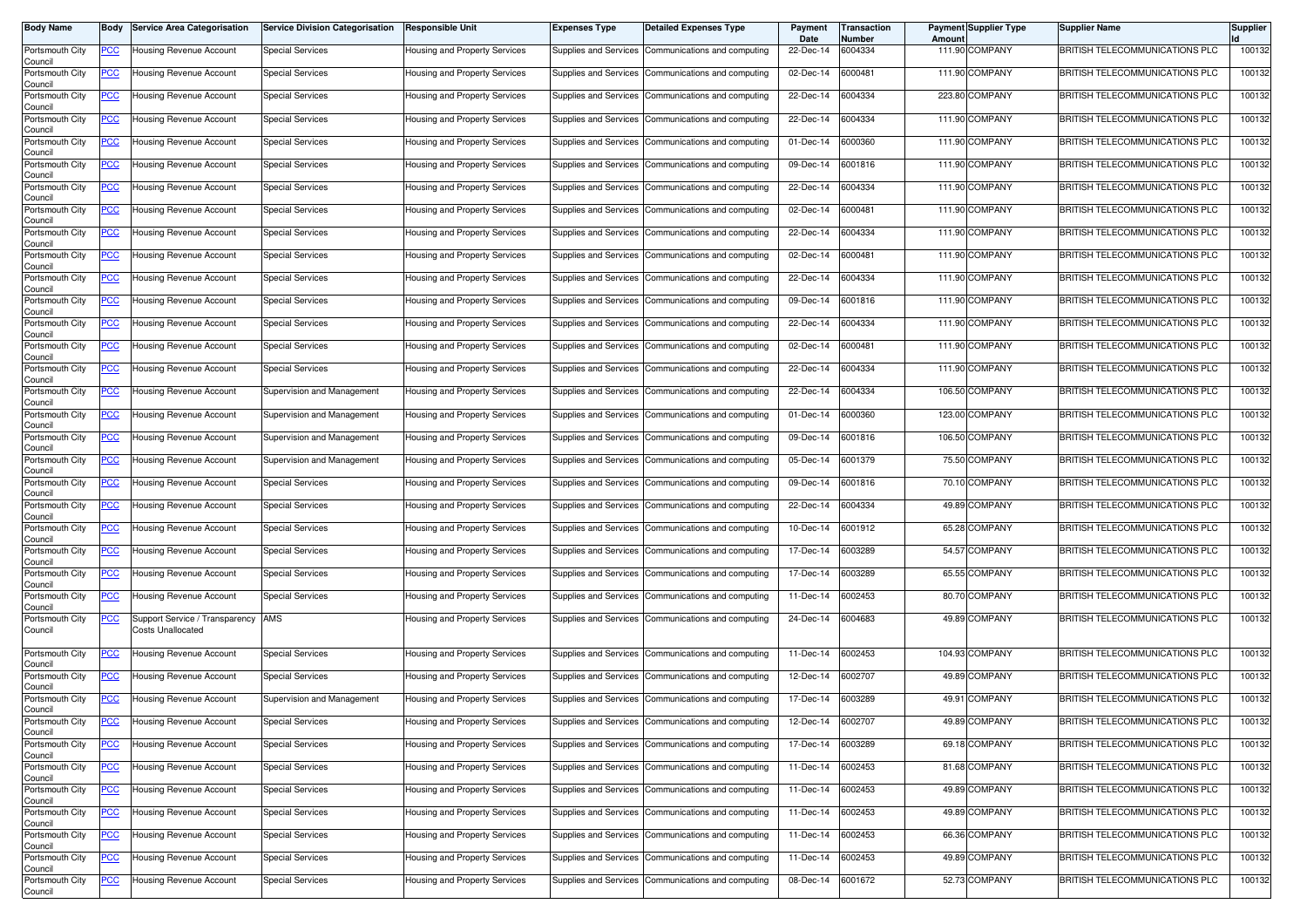| <b>Body Name</b>           | Body        | <b>Service Area Categorisation</b>                         | <b>Service Division Categorisation</b> | <b>Responsible Unit</b>              | <b>Expenses Type</b>  | <b>Detailed Expenses Type</b>                       | Payment<br>Date | Transaction<br>Number | Amount | <b>Payment Supplier Type</b> | <b>Supplier Name</b>                  | <b>Supplier</b> |
|----------------------------|-------------|------------------------------------------------------------|----------------------------------------|--------------------------------------|-----------------------|-----------------------------------------------------|-----------------|-----------------------|--------|------------------------------|---------------------------------------|-----------------|
| Portsmouth City<br>Council | <u>PCC</u>  | Housing Revenue Account                                    | <b>Special Services</b>                | Housing and Property Services        |                       | Supplies and Services Communications and computing  | 22-Dec-14       | 6004334               |        | 111.90 COMPANY               | BRITISH TELECOMMUNICATIONS PLC        | 100132          |
| Portsmouth City<br>Council | <u>PCC</u>  | Housing Revenue Account                                    | <b>Special Services</b>                | Housing and Property Services        |                       | Supplies and Services Communications and computing  | 02-Dec-14       | 6000481               |        | 111.90 COMPANY               | BRITISH TELECOMMUNICATIONS PLC        | 100132          |
| Portsmouth City<br>Council | <u>PCC</u>  | Housing Revenue Account                                    | <b>Special Services</b>                | Housing and Property Services        |                       | Supplies and Services Communications and computing  | 22-Dec-14       | 6004334               |        | 223.80 COMPANY               | BRITISH TELECOMMUNICATIONS PLC        | 100132          |
| Portsmouth City<br>Council | <u>PCC</u>  | Housing Revenue Account                                    | <b>Special Services</b>                | Housing and Property Services        | Supplies and Services | Communications and computing                        | 22-Dec-14       | 6004334               |        | 111.90 COMPANY               | BRITISH TELECOMMUNICATIONS PLC        | 100132          |
| Portsmouth City<br>Council | <u>PCC</u>  | Housing Revenue Account                                    | <b>Special Services</b>                | Housing and Property Services        | Supplies and Services | Communications and computing                        | 01-Dec-14       | 6000360               |        | 111.90 COMPANY               | <b>BRITISH TELECOMMUNICATIONS PLC</b> | 100132          |
| Portsmouth City<br>Council | <u>PCC</u>  | Housing Revenue Account                                    | <b>Special Services</b>                | Housing and Property Services        |                       | Supplies and Services Communications and computing  | 09-Dec-14       | 6001816               |        | 111.90 COMPANY               | BRITISH TELECOMMUNICATIONS PLC        | 100132          |
| Portsmouth City<br>Council | <u>PCC</u>  | Housing Revenue Account                                    | <b>Special Services</b>                | <b>Housing and Property Services</b> | Supplies and Services | Communications and computing                        | 22-Dec-14       | 6004334               |        | 111.90 COMPANY               | BRITISH TELECOMMUNICATIONS PLC        | 100132          |
| Portsmouth City<br>Council | <u>PCC</u>  | Housing Revenue Account                                    | <b>Special Services</b>                | <b>Housing and Property Services</b> |                       | Supplies and Services Communications and computing  | 02-Dec-14       | 6000481               |        | 111.90 COMPANY               | <b>BRITISH TELECOMMUNICATIONS PLC</b> | 100132          |
| Portsmouth City<br>Council | <u>PCC</u>  | Housing Revenue Account                                    | <b>Special Services</b>                | Housing and Property Services        | Supplies and Services | Communications and computing                        | 22-Dec-14       | 6004334               |        | 111.90 COMPANY               | BRITISH TELECOMMUNICATIONS PLC        | 100132          |
| Portsmouth City<br>Council | <u>PCC </u> | Housing Revenue Account                                    | <b>Special Services</b>                | Housing and Property Services        |                       | Supplies and Services Communications and computing  | 02-Dec-14       | 6000481               |        | 111.90 COMPANY               | BRITISH TELECOMMUNICATIONS PLC        | 100132          |
| Portsmouth City<br>Council | <u>PCC</u>  | Housing Revenue Account                                    | <b>Special Services</b>                | Housing and Property Services        |                       | Supplies and Services Communications and computing  | 22-Dec-14       | 6004334               |        | 111.90 COMPANY               | BRITISH TELECOMMUNICATIONS PLC        | 100132          |
| Portsmouth City<br>Council | <u>PCC </u> | Housing Revenue Account                                    | <b>Special Services</b>                | Housing and Property Services        |                       | Supplies and Services Communications and computing  | 09-Dec-14       | 6001816               |        | 111.90 COMPANY               | BRITISH TELECOMMUNICATIONS PLC        | 100132          |
| Portsmouth City<br>Council | <u>PCC</u>  | Housing Revenue Account                                    | Special Services                       | Housing and Property Services        | Supplies and Services | Communications and computing                        | 22-Dec-14       | 6004334               |        | 111.90 COMPANY               | BRITISH TELECOMMUNICATIONS PLC        | 100132          |
| Portsmouth City<br>Council | <u>PCC</u>  | Housing Revenue Account                                    | <b>Special Services</b>                | <b>Housing and Property Services</b> |                       | Supplies and Services Communications and computing  | 02-Dec-14       | 6000481               |        | 111.90 COMPANY               | <b>BRITISH TELECOMMUNICATIONS PLC</b> | 100132          |
| Portsmouth City<br>Council | <u>PCC </u> | Housing Revenue Account                                    | <b>Special Services</b>                | Housing and Property Services        | Supplies and Services | Communications and computing                        | 22-Dec-14       | 6004334               |        | 111.90 COMPANY               | BRITISH TELECOMMUNICATIONS PLC        | 100132          |
| Portsmouth City<br>Council | <u>PCC</u>  | Housing Revenue Account                                    | Supervision and Management             | Housing and Property Services        | Supplies and Services | Communications and computing                        | 22-Dec-14       | 6004334               |        | 106.50 COMPANY               | BRITISH TELECOMMUNICATIONS PLC        | 100132          |
| Portsmouth City<br>Council | <u>PCC</u>  | <b>Housing Revenue Account</b>                             | Supervision and Management             | Housing and Property Services        |                       | Supplies and Services Communications and computing  | 01-Dec-14       | 6000360               |        | 123.00 COMPANY               | BRITISH TELECOMMUNICATIONS PLC        | 100132          |
| Portsmouth City<br>Council | <u>PCC</u>  | Housing Revenue Account                                    | Supervision and Management             | Housing and Property Services        |                       | Supplies and Services Communications and computing  | 09-Dec-14       | 6001816               |        | 106.50 COMPANY               | BRITISH TELECOMMUNICATIONS PLC        | 100132          |
| Portsmouth City<br>Council | <u>PCC </u> | Housing Revenue Account                                    | Supervision and Management             | Housing and Property Services        |                       | Supplies and Services Communications and computing  | 05-Dec-14       | 6001379               |        | 75.50 COMPANY                | BRITISH TELECOMMUNICATIONS PLC        | 100132          |
| Portsmouth City<br>Council | <u>PCC</u>  | Housing Revenue Account                                    | <b>Special Services</b>                | Housing and Property Services        |                       | Supplies and Services Communications and computing  | 09-Dec-14       | 6001816               |        | 70.10 COMPANY                | BRITISH TELECOMMUNICATIONS PLC        | 100132          |
| Portsmouth City<br>Council | <u>PCC</u>  | Housing Revenue Account                                    | <b>Special Services</b>                | Housing and Property Services        | Supplies and Services | Communications and computing                        | 22-Dec-14       | 6004334               |        | 49.89 COMPANY                | BRITISH TELECOMMUNICATIONS PLC        | 100132          |
| Portsmouth City<br>Council | <u>PCC</u>  | Housing Revenue Account                                    | <b>Special Services</b>                | Housing and Property Services        |                       | Supplies and Services Communications and computing  | 10-Dec-14       | 6001912               |        | 65.28 COMPANY                | <b>BRITISH TELECOMMUNICATIONS PLC</b> | 100132          |
| Portsmouth City<br>Council | <u>PCC</u>  | Housing Revenue Account                                    | <b>Special Services</b>                | Housing and Property Services        |                       | Supplies and Services Communications and computing  | 17-Dec-14       | 6003289               |        | 54.57 COMPANY                | <b>BRITISH TELECOMMUNICATIONS PLC</b> | 100132          |
| Portsmouth City<br>Council | <u>PCC</u>  | Housing Revenue Account                                    | <b>Special Services</b>                | Housing and Property Services        | Supplies and Services | Communications and computing                        | 17-Dec-14       | 6003289               |        | 65.55 COMPANY                | BRITISH TELECOMMUNICATIONS PLC        | 100132          |
| Portsmouth City<br>Council | <u>PCC</u>  | Housing Revenue Account                                    | <b>Special Services</b>                | Housing and Property Services        | Supplies and Services | Communications and computing                        | 11-Dec-14       | 6002453               |        | 80.70 COMPANY                | BRITISH TELECOMMUNICATIONS PLC        | 100132          |
| Portsmouth City<br>Council | <u>PCC</u>  | Support Service / Transparency<br><b>Costs Unallocated</b> | AMS                                    | Housing and Property Services        |                       | Supplies and Services Communications and computing  | 24-Dec-14       | 6004683               |        | 49.89 COMPANY                | BRITISH TELECOMMUNICATIONS PLC        | 100132          |
| Portsmouth City<br>Council | <u>PCC</u>  | Housing Revenue Account                                    | <b>Special Services</b>                | Housing and Property Services        |                       | Supplies and Services Communications and computing  | 11-Dec-14       | 6002453               |        | 104.93 COMPANY               | <b>BRITISH TELECOMMUNICATIONS PLC</b> | 100132          |
| Portsmouth City<br>Council | <u>PCC</u>  | Housing Revenue Account                                    | Special Services                       | Housing and Property Services        |                       | Supplies and Services Communications and computing  | 12-Dec-14       | 6002707               |        | 49.89 COMPANY                | BRITISH TELECOMMUNICATIONS PLC        | 100132          |
| Portsmouth City<br>Council | <u>PCC</u>  | Housing Revenue Account                                    | Supervision and Management             | Housing and Property Services        |                       | Supplies and Services Communications and computing  | 17-Dec-14       | 6003289               |        | 49.91 COMPANY                | BRITISH TELECOMMUNICATIONS PLC        | 100132          |
| Portsmouth City<br>Council |             | -Iousing Hevenue Account                                   | Special Services                       | Housing and Property Services        |                       | Supplies and Services [Communications and computing | 12-Dec-14       | 6002707               |        | 49.89 COMPANY                | BRITISH TELECOMMUNICATIONS PLC        | 100132          |
| Portsmouth City<br>Council | <b>PCC</b>  | Housing Revenue Account                                    | <b>Special Services</b>                | Housing and Property Services        |                       | Supplies and Services Communications and computing  | 17-Dec-14       | 6003289               |        | 69.18 COMPANY                | BRITISH TELECOMMUNICATIONS PLC        | 100132          |
| Portsmouth City<br>Council | <u>PCC</u>  | Housing Revenue Account                                    | <b>Special Services</b>                | Housing and Property Services        |                       | Supplies and Services Communications and computing  | 11-Dec-14       | 6002453               |        | 81.68 COMPANY                | BRITISH TELECOMMUNICATIONS PLC        | 100132          |
| Portsmouth City<br>Council | <b>PCC</b>  | Housing Revenue Account                                    | <b>Special Services</b>                | Housing and Property Services        |                       | Supplies and Services Communications and computing  | 11-Dec-14       | 6002453               |        | 49.89 COMPANY                | BRITISH TELECOMMUNICATIONS PLC        | 100132          |
| Portsmouth City<br>Council | <u>PCC</u>  | Housing Revenue Account                                    | <b>Special Services</b>                | Housing and Property Services        |                       | Supplies and Services Communications and computing  | 11-Dec-14       | 6002453               |        | 49.89 COMPANY                | BRITISH TELECOMMUNICATIONS PLC        | 100132          |
| Portsmouth City<br>Council | <u>PCC</u>  | Housing Revenue Account                                    | <b>Special Services</b>                | Housing and Property Services        |                       | Supplies and Services Communications and computing  | 11-Dec-14       | 6002453               |        | 66.36 COMPANY                | BRITISH TELECOMMUNICATIONS PLC        | 100132          |
| Portsmouth City<br>Council | <u>PCC</u>  | <b>Housing Revenue Account</b>                             | <b>Special Services</b>                | Housing and Property Services        | Supplies and Services | Communications and computing                        | 11-Dec-14       | 6002453               |        | 49.89 COMPANY                | BRITISH TELECOMMUNICATIONS PLC        | 100132          |
| Portsmouth City<br>Council | <u>PCC</u>  | Housing Revenue Account                                    | <b>Special Services</b>                | Housing and Property Services        |                       | Supplies and Services Communications and computing  | 08-Dec-14       | 6001672               |        | 52.73 COMPANY                | BRITISH TELECOMMUNICATIONS PLC        | 100132          |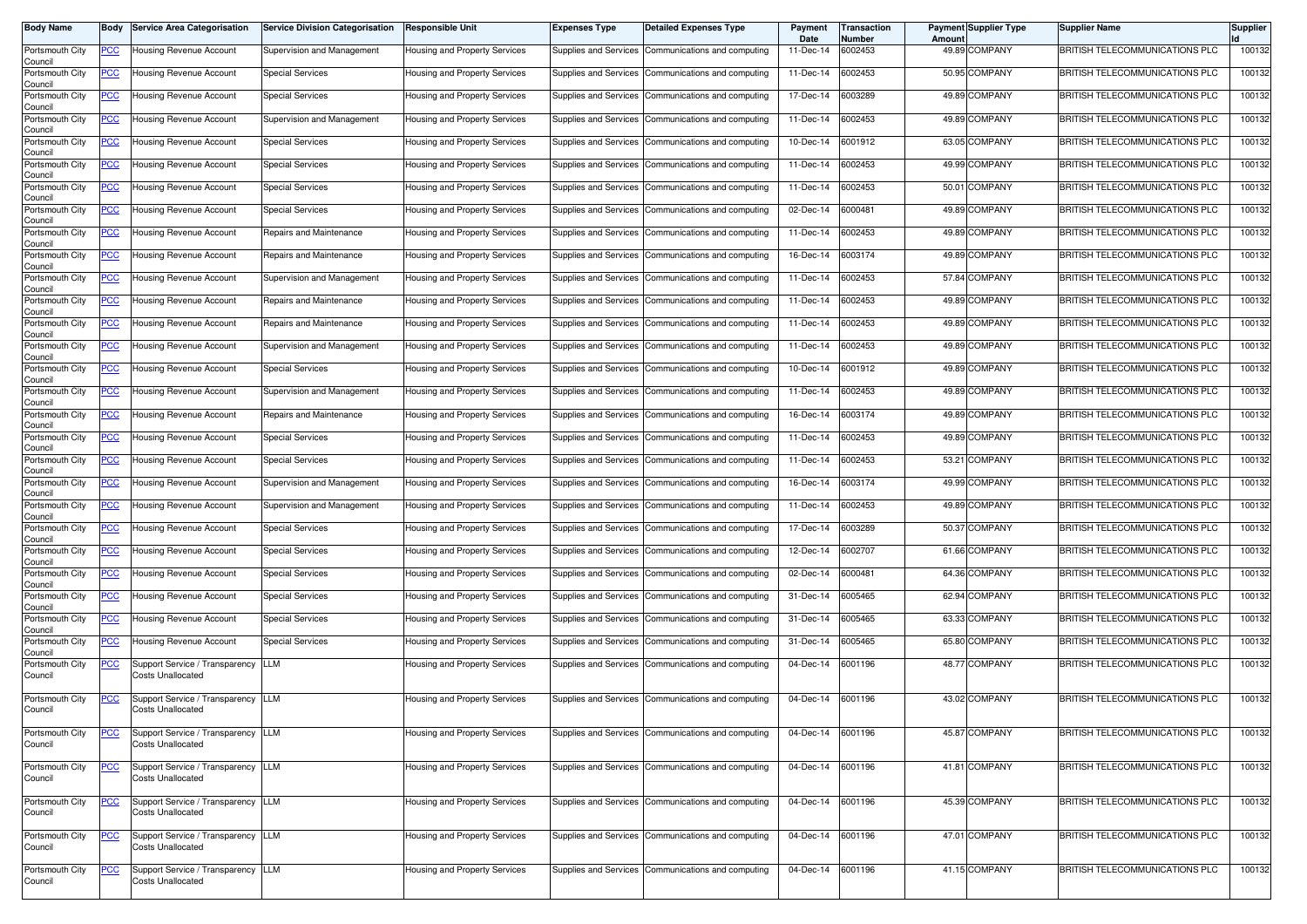| <b>Body Name</b>           | Body        | <b>Service Area Categorisation</b>                             | <b>Service Division Categorisation</b> | <b>Responsible Unit</b>       | Expenses Type         | <b>Detailed Expenses Type</b>                        | Payment<br>Date | ransaction<br>Number | Amoun | <b>Payment Supplier Type</b> | <b>Supplier Name</b>           | <b>Supplier</b> |
|----------------------------|-------------|----------------------------------------------------------------|----------------------------------------|-------------------------------|-----------------------|------------------------------------------------------|-----------------|----------------------|-------|------------------------------|--------------------------------|-----------------|
| Portsmouth City<br>Council | <u>PCC </u> | Housing Revenue Account                                        | Supervision and Management             | Housing and Property Services |                       | Supplies and Services Communications and computing   | 11-Dec-14       | 6002453              |       | 49.89 COMPANY                | BRITISH TELECOMMUNICATIONS PLC | 100132          |
| Portsmouth City<br>Council | <u>PCC</u>  | Housing Revenue Account                                        | <b>Special Services</b>                | Housing and Property Services | Supplies and Services | Communications and computing                         | 11-Dec-14       | 6002453              |       | 50.95 COMPANY                | BRITISH TELECOMMUNICATIONS PLC | 100132          |
| Portsmouth City<br>Council | <u>PCC</u>  | Housing Revenue Account                                        | <b>Special Services</b>                | Housing and Property Services |                       | Supplies and Services Communications and computing   | 17-Dec-14       | 6003289              |       | 49.89 COMPANY                | BRITISH TELECOMMUNICATIONS PLC | 100132          |
| Portsmouth City<br>Council | <u>PCC</u>  | Housing Revenue Account                                        | Supervision and Management             | Housing and Property Services |                       | Supplies and Services Communications and computing   | 11-Dec-14       | 6002453              |       | 49.89 COMPANY                | BRITISH TELECOMMUNICATIONS PLC | 100132          |
| Portsmouth City<br>Council | <u>PCC</u>  | Housing Revenue Account                                        | <b>Special Services</b>                | Housing and Property Services |                       | Supplies and Services Communications and computing   | 10-Dec-14       | 6001912              |       | 63.05 COMPANY                | BRITISH TELECOMMUNICATIONS PLC | 100132          |
| Portsmouth City<br>Council | <u>PCC</u>  | Housing Revenue Account                                        | <b>Special Services</b>                | Housing and Property Services | Supplies and Services | Communications and computing                         | 11-Dec-14       | 6002453              |       | 49.99 COMPANY                | BRITISH TELECOMMUNICATIONS PLC | 100132          |
| Portsmouth City<br>Council | <u>PCC</u>  | Housing Revenue Account                                        | <b>Special Services</b>                | Housing and Property Services |                       | Supplies and Services Communications and computing   | 11-Dec-14       | 6002453              |       | 50.01 COMPANY                | BRITISH TELECOMMUNICATIONS PLC | 100132          |
| Portsmouth City<br>Council | <u>PCC</u>  | <b>Housing Revenue Account</b>                                 | <b>Special Services</b>                | Housing and Property Services | Supplies and Services | Communications and computing                         | 02-Dec-14       | 6000481              |       | 49.89 COMPANY                | BRITISH TELECOMMUNICATIONS PLC | 100132          |
| Portsmouth City<br>Council | <u>PCC</u>  | Housing Revenue Account                                        | Repairs and Maintenance                | Housing and Property Services | Supplies and Services | Communications and computing                         | 11-Dec-14       | 6002453              |       | 49.89 COMPANY                | BRITISH TELECOMMUNICATIONS PLC | 100132          |
| Portsmouth City<br>Council | <u>PCC</u>  | Housing Revenue Account                                        | Repairs and Maintenance                | Housing and Property Services |                       | Supplies and Services Communications and computing   | 16-Dec-14       | 6003174              |       | 49.89 COMPANY                | BRITISH TELECOMMUNICATIONS PLC | 100132          |
| Portsmouth City<br>Council | <u>PCC</u>  | Housing Revenue Account                                        | Supervision and Management             | Housing and Property Services |                       | Supplies and Services Communications and computing   | 11-Dec-14       | 6002453              |       | 57.84 COMPANY                | BRITISH TELECOMMUNICATIONS PLC | 100132          |
| Portsmouth City<br>Council | <u>PCC </u> | Housing Revenue Account                                        | Repairs and Maintenance                | Housing and Property Services |                       | Supplies and Services Communications and computing   | 11-Dec-14       | 6002453              |       | 49.89 COMPANY                | BRITISH TELECOMMUNICATIONS PLC | 100132          |
| Portsmouth City<br>Council | <u>PCC</u>  | Housing Revenue Account                                        | Repairs and Maintenance                | Housing and Property Services | Supplies and Services | Communications and computing                         | 11-Dec-14       | 6002453              |       | 49.89 COMPANY                | BRITISH TELECOMMUNICATIONS PLC | 100132          |
| Portsmouth City<br>Council | <u>PCC</u>  | Housing Revenue Account                                        | Supervision and Management             | Housing and Property Services |                       | Supplies and Services Communications and computing   | 11-Dec-14       | 6002453              |       | 49.89 COMPANY                | BRITISH TELECOMMUNICATIONS PLC | 100132          |
| Portsmouth City<br>Council | <u>PCC</u>  | Housing Revenue Account                                        | <b>Special Services</b>                | Housing and Property Services |                       | Supplies and Services Communications and computing   | 10-Dec-14       | 6001912              |       | 49.89 COMPANY                | BRITISH TELECOMMUNICATIONS PLC | 100132          |
| Portsmouth City<br>Council | <u>PCC</u>  | Housing Revenue Account                                        | Supervision and Management             | Housing and Property Services | Supplies and Services | Communications and computing                         | 11-Dec-14       | 6002453              |       | 49.89 COMPANY                | BRITISH TELECOMMUNICATIONS PLC | 100132          |
| Portsmouth City<br>Council | <u>PCC</u>  | Housing Revenue Account                                        | Repairs and Maintenance                | Housing and Property Services |                       | Supplies and Services Communications and computing   | 16-Dec-14       | 6003174              |       | 49.89 COMPANY                | BRITISH TELECOMMUNICATIONS PLC | 100132          |
| Portsmouth City<br>Council | <u>PCC</u>  | Housing Revenue Account                                        | <b>Special Services</b>                | Housing and Property Services | Supplies and Services | Communications and computing                         | 11-Dec-14       | 6002453              |       | 49.89 COMPANY                | BRITISH TELECOMMUNICATIONS PLC | 100132          |
| Portsmouth City<br>Council | <u>PCC </u> | Housing Revenue Account                                        | <b>Special Services</b>                | Housing and Property Services |                       | Supplies and Services Communications and computing   | 11-Dec-14       | 6002453              |       | 53.21 COMPANY                | BRITISH TELECOMMUNICATIONS PLC | 100132          |
| Portsmouth City<br>Council | <u>PCC</u>  | Housing Revenue Account                                        | Supervision and Management             | Housing and Property Services | Supplies and Services | Communications and computing                         | 16-Dec-14       | 6003174              |       | 49.99 COMPANY                | BRITISH TELECOMMUNICATIONS PLC | 100132          |
| Portsmouth City<br>Council | <u>PCC</u>  | Housing Revenue Account                                        | Supervision and Management             | Housing and Property Services |                       | Supplies and Services   Communications and computing | 11-Dec-14       | 6002453              |       | 49.89 COMPANY                | BRITISH TELECOMMUNICATIONS PLC | 100132          |
| Portsmouth City<br>Council | <u>PCC</u>  | Housing Revenue Account                                        | <b>Special Services</b>                | Housing and Property Services | Supplies and Services | Communications and computing                         | 17-Dec-14       | 6003289              |       | 50.37 COMPANY                | BRITISH TELECOMMUNICATIONS PLC | 100132          |
| Portsmouth City<br>Council | <u>PCC</u>  | Housing Revenue Account                                        | <b>Special Services</b>                | Housing and Property Services |                       | Supplies and Services Communications and computing   | 12-Dec-14       | 6002707              |       | 61.66 COMPANY                | BRITISH TELECOMMUNICATIONS PLC | 100132          |
| Portsmouth City<br>Council | <u>PCC</u>  | Housing Revenue Account                                        | <b>Special Services</b>                | Housing and Property Services |                       | Supplies and Services Communications and computing   | $02$ -Dec- $14$ | 6000481              |       | 64.36 COMPANY                | BRITISH TELECOMMUNICATIONS PLC | 100132          |
| Portsmouth City<br>Council | <u>PCC</u>  | Housing Revenue Account                                        | <b>Special Services</b>                | Housing and Property Services | Supplies and Services | Communications and computing                         | 31-Dec-14       | 6005465              |       | 62.94 COMPANY                | BRITISH TELECOMMUNICATIONS PLC | 100132          |
| Portsmouth City<br>Council | <u>PCC</u>  | Housing Revenue Account                                        | <b>Special Services</b>                | Housing and Property Services | Supplies and Services | Communications and computing                         | 31-Dec-14       | 6005465              |       | 63.33 COMPANY                | BRITISH TELECOMMUNICATIONS PLC | 100132          |
| Portsmouth City<br>Council | <u>PCC</u>  | Housing Revenue Account                                        | <b>Special Services</b>                | Housing and Property Services | Supplies and Services | Communications and computing                         | 31-Dec-14       | 3005465              |       | 65.80 COMPANY                | BRITISH TELECOMMUNICATIONS PLC | 100132          |
| Portsmouth City<br>Council | <u>PCC</u>  | Support Service / Transparency<br><b>Costs Unallocated</b>     | <b>LLM</b>                             | Housing and Property Services |                       | Supplies and Services Communications and computing   | 04-Dec-14       | 6001196              |       | 48.77 COMPANY                | BRITISH TELECOMMUNICATIONS PLC | 100132          |
| Portsmouth City<br>Council | <u>PCC</u>  | Support Service / Transparency LLM<br><b>Costs Unallocated</b> |                                        | Housing and Property Services |                       | Supplies and Services Communications and computing   | 04-Dec-14       | 6001196              |       | 43.02 COMPANY                | BRITISH TELECOMMUNICATIONS PLC | 100132          |
| Portsmouth City<br>Council | <u>PCC</u>  | Support Service / Transparency LLM<br><b>Costs Unallocated</b> |                                        | Housing and Property Services |                       | Supplies and Services Communications and computing   | 04-Dec-14       | 6001196              |       | 45.87 COMPANY                | BRITISH TELECOMMUNICATIONS PLC | 100132          |
| Portsmouth City<br>Council | <u>PCC</u>  | Support Service / Transparency LLM<br><b>Costs Unallocated</b> |                                        | Housing and Property Services |                       | Supplies and Services Communications and computing   | 04-Dec-14       | 6001196              |       | 41.81 COMPANY                | BRITISH TELECOMMUNICATIONS PLC | 100132          |
| Portsmouth City<br>Council | <u>PCC</u>  | Support Service / Transparency LLM<br>Costs Unallocated        |                                        | Housing and Property Services |                       | Supplies and Services Communications and computing   | 04-Dec-14       | 6001196              |       | 45.39 COMPANY                | BRITISH TELECOMMUNICATIONS PLC | 100132          |
| Portsmouth City<br>Council | <u>PCC</u>  | Support Service / Transparency LLM<br><b>Costs Unallocated</b> |                                        | Housing and Property Services |                       | Supplies and Services Communications and computing   | 04-Dec-14       | 6001196              |       | 47.01 COMPANY                | BRITISH TELECOMMUNICATIONS PLC | 100132          |
| Portsmouth City<br>Council | <u>PCC</u>  | Support Service / Transparency LLM<br>Costs Unallocated        |                                        | Housing and Property Services |                       | Supplies and Services Communications and computing   | 04-Dec-14       | 6001196              |       | 41.15 COMPANY                | BRITISH TELECOMMUNICATIONS PLC | 100132          |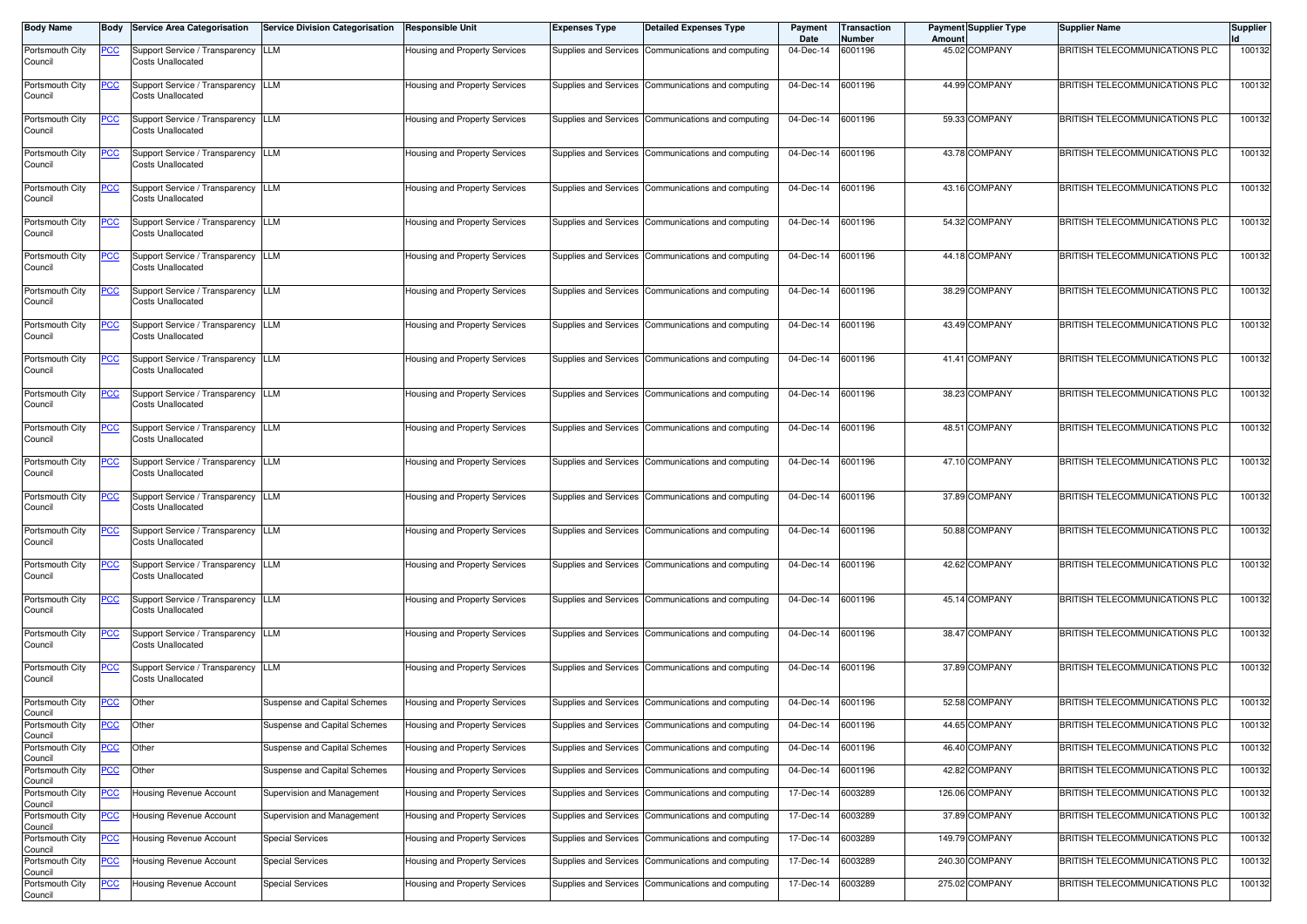| <b>Body Name</b>           | Body        | <b>Service Area Categorisation</b>                             | <b>Service Division Categorisation</b> | <b>Responsible Unit</b>       | <b>Expenses Type</b>  | <b>Detailed Expenses Type</b>                        | Payment<br>Date | <b>Transaction</b><br><b>Number</b> | Amoun | <b>Payment Supplier Type</b> | <b>Supplier Name</b>                  | <b>Supplier</b> |
|----------------------------|-------------|----------------------------------------------------------------|----------------------------------------|-------------------------------|-----------------------|------------------------------------------------------|-----------------|-------------------------------------|-------|------------------------------|---------------------------------------|-----------------|
| Portsmouth City<br>Council | <u>PCC</u>  | Support Service / Transparency LLM<br><b>Costs Unallocated</b> |                                        | Housing and Property Services |                       | Supplies and Services Communications and computing   | 04-Dec-14       | 6001196                             |       | 45.02 COMPANY                | BRITISH TELECOMMUNICATIONS PLC        | 100132          |
| Portsmouth City<br>Council | <u>PCC</u>  | Support Service / Transparency<br>Costs Unallocated            | <b>LLM</b>                             | Housing and Property Services | Supplies and Services | Communications and computing                         | 04-Dec-14       | 6001196                             |       | 44.99 COMPANY                | BRITISH TELECOMMUNICATIONS PLC        | 100132          |
| Portsmouth City<br>Council | <u>CC</u>   | Support Service / Transparency<br><b>Costs Unallocated</b>     | <b>LLM</b>                             | Housing and Property Services | Supplies and Services | Communications and computing                         | 04-Dec-14       | 6001196                             |       | 59.33 COMPANY                | BRITISH TELECOMMUNICATIONS PLC        | 100132          |
| Portsmouth City<br>Council |             | Support Service / Transparency<br><b>Costs Unallocated</b>     | <b>LLM</b>                             | Housing and Property Services |                       | Supplies and Services Communications and computing   | 04-Dec-14       | 6001196                             |       | 43.78 COMPANY                | BRITISH TELECOMMUNICATIONS PLC        | 100132          |
| Portsmouth City<br>Council | <u>PCC</u>  | Support Service / Transparency<br>Costs Unallocated            | <b>LLM</b>                             | Housing and Property Services |                       | Supplies and Services Communications and computing   | 04-Dec-14       | 6001196                             |       | 43.16 COMPANY                | BRITISH TELECOMMUNICATIONS PLC        | 100132          |
| Portsmouth City<br>Council | <u>CC</u>   | Support Service / Transparency<br><b>Costs Unallocated</b>     | <b>LLM</b>                             | Housing and Property Services |                       | Supplies and Services Communications and computing   | 04-Dec-14       | 6001196                             |       | 54.32 COMPANY                | BRITISH TELECOMMUNICATIONS PLC        | 100132          |
| Portsmouth City<br>Council | <u>'CC</u>  | Support Service / Transparency<br><b>Costs Unallocated</b>     | LLM                                    | Housing and Property Services |                       | Supplies and Services   Communications and computing | 04-Dec-14       | 6001196                             |       | 44.18 COMPANY                | BRITISH TELECOMMUNICATIONS PLC        | 100132          |
| Portsmouth City<br>Council | <u>PCC</u>  | Support Service / Transparency<br><b>Costs Unallocated</b>     | <b>LLM</b>                             | Housing and Property Services |                       | Supplies and Services Communications and computing   | 04-Dec-14       | 6001196                             |       | 38.29 COMPANY                | BRITISH TELECOMMUNICATIONS PLC        | 100132          |
| Portsmouth City<br>Council | <u>PCC</u>  | Support Service / Transparency<br><b>Costs Unallocated</b>     | <b>LLM</b>                             | Housing and Property Services |                       | Supplies and Services Communications and computing   | 04-Dec-14       | 6001196                             |       | 43.49 COMPANY                | BRITISH TELECOMMUNICATIONS PLC        | 100132          |
| Portsmouth City<br>Council | <u>PCC</u>  | Support Service / Transparency<br><b>Costs Unallocated</b>     | <b>LLM</b>                             | Housing and Property Services |                       | Supplies and Services Communications and computing   | 04-Dec-14       | 6001196                             |       | 41.41 COMPANY                | BRITISH TELECOMMUNICATIONS PLC        | 100132          |
| Portsmouth City<br>Council | <u>CC</u>   | Support Service / Transparency<br><b>Costs Unallocated</b>     | <b>LLM</b>                             | Housing and Property Services |                       | Supplies and Services Communications and computing   | 04-Dec-14       | 6001196                             |       | 38.23 COMPANY                | BRITISH TELECOMMUNICATIONS PLC        | 100132          |
| Portsmouth City<br>Council | <u>PCC</u>  | Support Service / Transparency<br>Costs Unallocated            | <b>LLM</b>                             | Housing and Property Services |                       | Supplies and Services Communications and computing   | 04-Dec-14       | 6001196                             |       | 48.51 COMPANY                | BRITISH TELECOMMUNICATIONS PLC        | 100132          |
| Portsmouth City<br>Council | <u>PCC </u> | Support Service / Transparency LLM<br><b>Costs Unallocated</b> |                                        | Housing and Property Services |                       | Supplies and Services Communications and computing   | 04-Dec-14       | 6001196                             |       | 47.10 COMPANY                | BRITISH TELECOMMUNICATIONS PLC        | 100132          |
| Portsmouth City<br>Council | <u>PCC</u>  | Support Service / Transparency<br><b>Costs Unallocated</b>     | <b>LLM</b>                             | Housing and Property Services |                       | Supplies and Services   Communications and computing | 04-Dec-14       | 6001196                             |       | 37.89 COMPANY                | BRITISH TELECOMMUNICATIONS PLC        | 100132          |
| Portsmouth City<br>Council | <u>PCC</u>  | Support Service / Transparency<br><b>Costs Unallocated</b>     | <b>LLM</b>                             | Housing and Property Services | Supplies and Services | Communications and computing                         | 04-Dec-14       | 6001196                             |       | 50.88 COMPANY                | BRITISH TELECOMMUNICATIONS PLC        | 100132          |
| Portsmouth City<br>Council | <u>'CC</u>  | Support Service / Transparency<br><b>Costs Unallocated</b>     | <b>LLM</b>                             | Housing and Property Services |                       | Supplies and Services Communications and computing   | 04-Dec-14       | 6001196                             |       | 42.62 COMPANY                | BRITISH TELECOMMUNICATIONS PLC        | 100132          |
| Portsmouth City<br>Council | <u>PCC</u>  | Support Service / Transparency LLM<br><b>Costs Unallocated</b> |                                        | Housing and Property Services |                       | Supplies and Services Communications and computing   | 04-Dec-14       | 6001196                             |       | 45.14 COMPANY                | BRITISH TELECOMMUNICATIONS PLC        | 100132          |
| Portsmouth City<br>Council | <u>PCC</u>  | Support Service / Transparency<br><b>Costs Unallocated</b>     | <b>LLM</b>                             | Housing and Property Services |                       | Supplies and Services Communications and computing   | 04-Dec-14       | 6001196                             |       | 38.47 COMPANY                | BRITISH TELECOMMUNICATIONS PLC        | 100132          |
| Portsmouth City<br>Council | <u>'CC</u>  | Support Service / Transparency<br>Costs Unallocated            | <b>LLM</b>                             | Housing and Property Services |                       | Supplies and Services Communications and computing   | 04-Dec-14       | 6001196                             |       | 37.89 COMPANY                | BRITISH TELECOMMUNICATIONS PLC        | 100132          |
| Portsmouth City<br>Council | PCC         | Other                                                          | Suspense and Capital Schemes           | Housing and Property Services |                       | Supplies and Services Communications and computing   | 04-Dec-14       | 6001196                             |       | 52.58 COMPANY                | <b>BRITISH TELECOMMUNICATIONS PLC</b> | 100132          |
| Portsmouth City<br>Council | <b>PCC</b>  | Other                                                          | Suspense and Capital Schemes           | Housing and Property Services |                       | Supplies and Services Communications and computing   | 04-Dec-14       | 6001196                             |       | 44.65 COMPANY                | BRITISH TELECOMMUNICATIONS PLC        | 100132          |
| Portsmouth City<br>Council | <b>PCC</b>  | Other                                                          | Suspense and Capital Schemes           | Housing and Property Services |                       | Supplies and Services Communications and computing   | 04-Dec-14       | 6001196                             |       | 46.40 COMPANY                | BRITISH TELECOMMUNICATIONS PLC        | 100132          |
| Portsmouth City<br>Council | <u>PCC</u>  | Other                                                          | Suspense and Capital Schemes           | Housing and Property Services |                       | Supplies and Services Communications and computing   | 04-Dec-14       | 6001196                             |       | 42.82 COMPANY                | BRITISH TELECOMMUNICATIONS PLC        | 100132          |
| Portsmouth City<br>Council | <u>PCC</u>  | Housing Revenue Account                                        | Supervision and Management             | Housing and Property Services |                       | Supplies and Services Communications and computing   | 17-Dec-14       | 6003289                             |       | 126.06 COMPANY               | BRITISH TELECOMMUNICATIONS PLC        | 100132          |
| Portsmouth City<br>Council | <u>PCC</u>  | <b>Housing Revenue Account</b>                                 | Supervision and Management             | Housing and Property Services | Supplies and Services | Communications and computing                         | 17-Dec-14       | 6003289                             |       | 37.89 COMPANY                | BRITISH TELECOMMUNICATIONS PLC        | 100132          |
| Portsmouth City<br>Council | <u>PCC</u>  | Housing Revenue Account                                        | <b>Special Services</b>                | Housing and Property Services | Supplies and Services | Communications and computing                         | 17-Dec-14       | 6003289                             |       | 149.79 COMPANY               | BRITISH TELECOMMUNICATIONS PLC        | 100132          |
| Portsmouth City<br>Council | <u>PCC</u>  | Housing Revenue Account                                        | <b>Special Services</b>                | Housing and Property Services |                       | Supplies and Services Communications and computing   | 17-Dec-14       | 6003289                             |       | 240.30 COMPANY               | BRITISH TELECOMMUNICATIONS PLC        | 100132          |
| Portsmouth City<br>Council | <u>PCC</u>  | Housing Revenue Account                                        | <b>Special Services</b>                | Housing and Property Services |                       | Supplies and Services Communications and computing   | 17-Dec-14       | 6003289                             |       | 275.02 COMPANY               | BRITISH TELECOMMUNICATIONS PLC        | 100132          |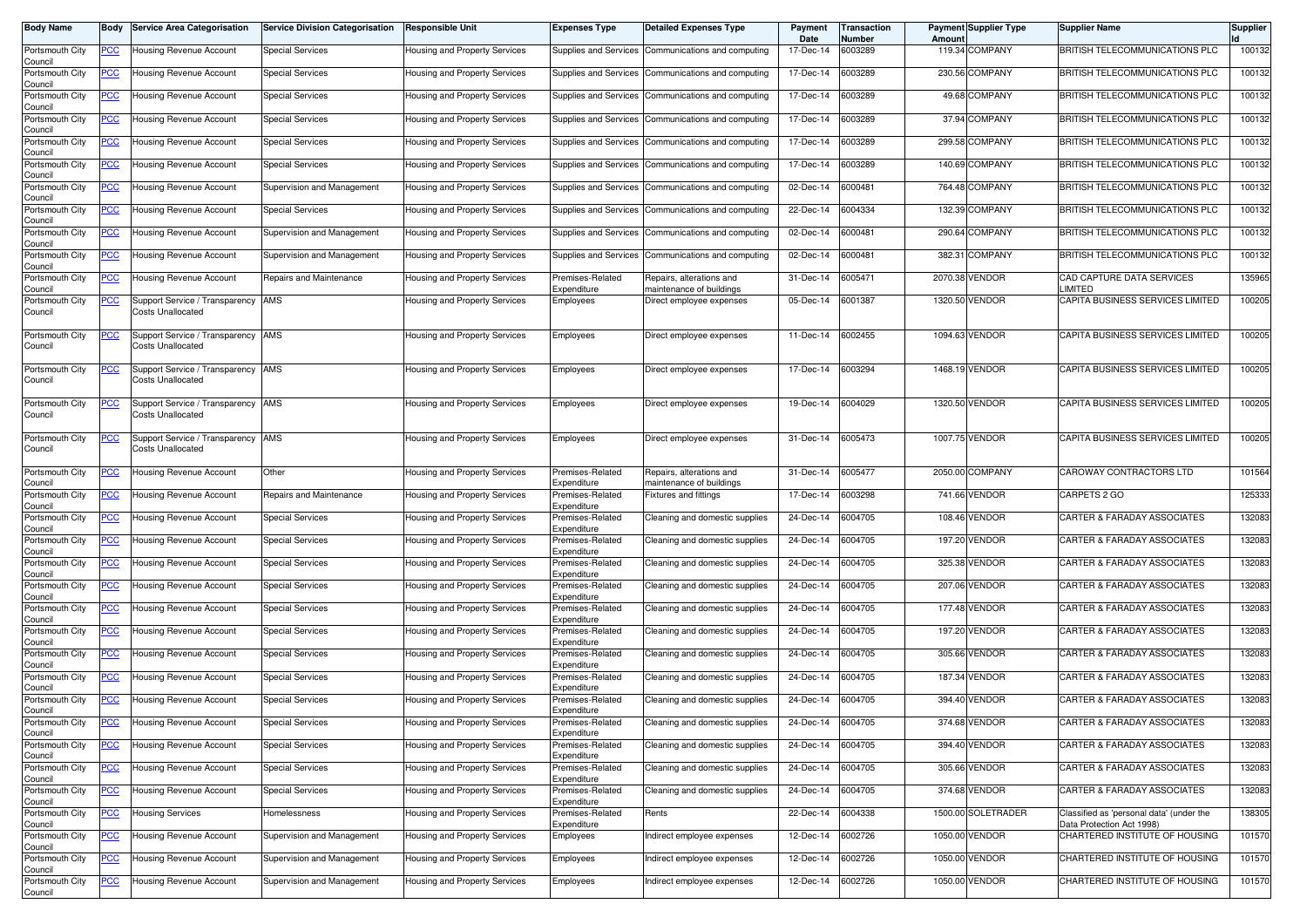| Body Name                  | Body           | <b>Service Area Categorisation</b>                             | <b>Service Division Categorisation</b> | Responsible Unit                     | <b>Expenses Type</b>            | <b>Detailed Expenses Type</b>                        | Payment<br>Date | Transaction<br>Number | Amoun   | <b>Payment Supplier Type</b> | <b>Supplier Name</b>                                                  | <b>Supplier</b> |
|----------------------------|----------------|----------------------------------------------------------------|----------------------------------------|--------------------------------------|---------------------------------|------------------------------------------------------|-----------------|-----------------------|---------|------------------------------|-----------------------------------------------------------------------|-----------------|
| Portsmouth City<br>Council | <u>PCC </u>    | Housing Revenue Account                                        | <b>Special Services</b>                | Housing and Property Services        |                                 | Supplies and Services Communications and computing   | 17-Dec-14       | 6003289               |         | 119.34 COMPANY               | BRITISH TELECOMMUNICATIONS PLC                                        | 100132          |
| Portsmouth City<br>Council | <u>PCC</u>     | Housing Revenue Account                                        | <b>Special Services</b>                | Housing and Property Services        |                                 | Supplies and Services Communications and computing   | 17-Dec-14       | 6003289               |         | 230.56 COMPANY               | BRITISH TELECOMMUNICATIONS PLC                                        | 100132          |
| Portsmouth City<br>Council | <u>PCC</u>     | Housing Revenue Account                                        | <b>Special Services</b>                | Housing and Property Services        |                                 | Supplies and Services   Communications and computing | 17-Dec-14       | 6003289               |         | 49.68 COMPANY                | BRITISH TELECOMMUNICATIONS PLC                                        | 100132          |
| Portsmouth City<br>Council | <u>PCC</u>     | <b>Housing Revenue Account</b>                                 | <b>Special Services</b>                | Housing and Property Services        | Supplies and Services           | Communications and computing                         | 17-Dec-14       | 6003289               |         | 37.94 COMPANY                | BRITISH TELECOMMUNICATIONS PLC                                        | 100132          |
| Portsmouth City<br>Council | <u>PCC</u>     | Housing Revenue Account                                        | <b>Special Services</b>                | Housing and Property Services        | Supplies and Services           | Communications and computing                         | 17-Dec-14       | 6003289               |         | 299.58 COMPANY               | BRITISH TELECOMMUNICATIONS PLC                                        | 100132          |
| Portsmouth City<br>Council | <u>PCC</u>     | Housing Revenue Account                                        | <b>Special Services</b>                | Housing and Property Services        | Supplies and Services           | Communications and computing                         | 17-Dec-14       | 6003289               |         | 140.69 COMPANY               | BRITISH TELECOMMUNICATIONS PLC                                        | 100132          |
| Portsmouth City<br>Council | <u>PCC</u>     | Housing Revenue Account                                        | Supervision and Management             | Housing and Property Services        | Supplies and Services           | Communications and computing                         | 02-Dec-14       | 6000481               |         | 764.48 COMPANY               | BRITISH TELECOMMUNICATIONS PLC                                        | 100132          |
| Portsmouth City<br>Council | <u>PCC</u>     | Housing Revenue Account                                        | <b>Special Services</b>                | Housing and Property Services        |                                 | Supplies and Services Communications and computing   | 22-Dec-14       | 6004334               |         | 132.39 COMPANY               | BRITISH TELECOMMUNICATIONS PLC                                        | 100132          |
| Portsmouth City<br>Council | <u>PCC</u>     | Housing Revenue Account                                        | Supervision and Management             | Housing and Property Services        | Supplies and Services           | Communications and computing                         | 02-Dec-14       | 6000481               |         | 290.64 COMPANY               | BRITISH TELECOMMUNICATIONS PLC                                        | 100132          |
| Portsmouth City<br>Council | <u>PCC </u>    | Housing Revenue Account                                        | Supervision and Management             | Housing and Property Services        |                                 | Supplies and Services Communications and computing   | 02-Dec-14       | 6000481               |         | 382.31 COMPANY               | BRITISH TELECOMMUNICATIONS PLC                                        | 100132          |
| Portsmouth City<br>Council | $\overline{C}$ | Housing Revenue Account                                        | Repairs and Maintenance                | Housing and Property Services        | Premises-Related<br>Expenditure | Repairs, alterations and<br>maintenance of buildings | 31-Dec-14       | 6005471               |         | 2070.38 VENDOR               | CAD CAPTURE DATA SERVICES<br><b>IMITED</b>                            | 135965          |
| Portsmouth City<br>Council | <u>PCC</u>     | Support Service / Transparency<br>Costs Unallocated            | AMS                                    | Housing and Property Services        | Employees                       | Direct employee expenses                             | 05-Dec-14       | 6001387               | 1320.50 | <b>VENDOR</b>                | CAPITA BUSINESS SERVICES LIMITED                                      | 100205          |
| Portsmouth City<br>Council | <u>PCC</u>     | Support Service / Transparency AMS<br>Costs Unallocated        |                                        | Housing and Property Services        | Employees                       | Direct employee expenses                             | 11-Dec-14       | 6002455               |         | 1094.63 VENDOR               | CAPITA BUSINESS SERVICES LIMITED                                      | 100205          |
| Portsmouth City<br>Council | <u>PCC</u>     | Support Service / Transparency AMS<br><b>Costs Unallocated</b> |                                        | Housing and Property Services        | Employees                       | Direct employee expenses                             | 17-Dec-14       | 6003294               |         | 1468.19 VENDOR               | CAPITA BUSINESS SERVICES LIMITED                                      | 100205          |
| Portsmouth City<br>Council | <u>PCC</u>     | Support Service / Transparency AMS<br><b>Costs Unallocated</b> |                                        | Housing and Property Services        | Employees                       | Direct employee expenses                             | 19-Dec-14       | 6004029               |         | 1320.50 VENDOR               | CAPITA BUSINESS SERVICES LIMITED                                      | 100205          |
| Portsmouth City<br>Council | <u>PCC</u>     | Support Service / Transparency AMS<br>Costs Unallocated        |                                        | Housing and Property Services        | Employees                       | Direct employee expenses                             | 31-Dec-14       | 6005473               |         | 1007.75 VENDOR               | CAPITA BUSINESS SERVICES LIMITED                                      | 100205          |
| Portsmouth City<br>Council | <u>PCC </u>    | <b>Housing Revenue Account</b>                                 | Other                                  | <b>Housing and Property Services</b> | Premises-Related<br>Expenditure | Repairs, alterations and<br>maintenance of buildings | 31-Dec-14       | 6005477               |         | 2050.00 COMPANY              | CAROWAY CONTRACTORS LTD                                               | 101564          |
| Portsmouth City<br>Council | <u>PCC</u>     | Housing Revenue Account                                        | Repairs and Maintenance                | Housing and Property Services        | Premises-Related<br>Expenditure | Fixtures and fittings                                | 17-Dec-14       | 6003298               |         | 741.66 VENDOR                | CARPETS 2 GO                                                          | 125333          |
| Portsmouth City<br>Council | <u>PCC</u>     | Housing Revenue Account                                        | <b>Special Services</b>                | Housing and Property Services        | Premises-Related<br>Expenditure | Cleaning and domestic supplies                       | 24-Dec-14       | 6004705               |         | 108.46 VENDOR                | CARTER & FARADAY ASSOCIATES                                           | 132083          |
| Portsmouth City<br>Council | <u>PCC</u>     | Housing Revenue Account                                        | Special Services                       | Housing and Property Services        | Premises-Related<br>Expenditure | Cleaning and domestic supplies                       | 24-Dec-14       | 6004705               |         | 197.20 VENDOR                | CARTER & FARADAY ASSOCIATES                                           | 132083          |
| Portsmouth City<br>Council | <u>PCC</u>     | Housing Revenue Account                                        | <b>Special Services</b>                | Housing and Property Services        | Premises-Related<br>Expenditure | Cleaning and domestic supplies                       | 24-Dec-14       | 6004705               |         | 325.38 VENDOR                | CARTER & FARADAY ASSOCIATES                                           | 132083          |
| Portsmouth City<br>Council | <u>PCC</u>     | Housing Revenue Account                                        | <b>Special Services</b>                | Housing and Property Services        | Premises-Related<br>Expenditure | Cleaning and domestic supplies                       | 24-Dec-14       | 6004705               |         | 207.06 VENDOR                | CARTER & FARADAY ASSOCIATES                                           | 132083          |
| Portsmouth City<br>Council | <u>PCC</u>     | Housing Revenue Account                                        | <b>Special Services</b>                | Housing and Property Services        | Premises-Related<br>Expenditure | Cleaning and domestic supplies                       | 24-Dec-14       | 6004705               |         | 177.48 VENDOR                | CARTER & FARADAY ASSOCIATES                                           | 132083          |
| Portsmouth City<br>Council | <u>PCC</u>     | Housing Revenue Account                                        | Special Services                       | Housing and Property Services        | Premises-Related<br>Expenditure | Cleaning and domestic supplies                       | 24-Dec-14       | 6004705               |         | 197.20 VENDOR                | <b>CARTER &amp; FARADAY ASSOCIATES</b>                                | 132083          |
| Portsmouth City<br>Council | <u>PCC</u>     | Housing Revenue Account                                        | <b>Special Services</b>                | Housing and Property Services        | Premises-Related<br>Expenditure | Cleaning and domestic supplies                       | 24-Dec-14       | 6004705               |         | 305.66 VENDOR                | CARTER & FARADAY ASSOCIATES                                           | 132083          |
| Portsmouth City<br>Council | <u>PCC</u>     | Housing Revenue Account                                        | Special Services                       | Housing and Property Services        | Premises-Related<br>Expenditure | Cleaning and domestic supplies                       | 24-Dec-14       | 6004705               |         | 187.34 VENDOR                | CARTER & FARADAY ASSOCIATES                                           | 132083          |
| Portsmouth City<br>Council | <u>PCC</u>     | Housing Revenue Account                                        | <b>Special Services</b>                | Housing and Property Services        | Premises-Related<br>Expenditure | Cleaning and domestic supplies                       | 24-Dec-14       | 6004705               |         | 394.40 VENDOR                | CARTER & FARADAY ASSOCIATES                                           | 132083          |
| Portsmouth City<br>Council |                | Iousing Hevenue Account                                        | Special Services                       | Housing and Property Services        | -remises-Related<br>Expenditure | Jeaning and domestic supplies                        | 24-Dec-14       | 6004/05               |         | 3/4.68 VENDOR                | CARTER & FARADAY ASSOCIATES                                           | 132083          |
| Portsmouth City<br>Council | <b>PCC</b>     | Housing Revenue Account                                        | Special Services                       | Housing and Property Services        | Premises-Related<br>Expenditure | Cleaning and domestic supplies                       | 24-Dec-14       | 6004705               |         | 394.40 VENDOR                | CARTER & FARADAY ASSOCIATES                                           | 132083          |
| Portsmouth City<br>Council | <u>PCC</u>     | Housing Revenue Account                                        | <b>Special Services</b>                | Housing and Property Services        | Premises-Related<br>Expenditure | Cleaning and domestic supplies                       | 24-Dec-14       | 6004705               |         | 305.66 VENDOR                | CARTER & FARADAY ASSOCIATES                                           | 132083          |
| Portsmouth City<br>Council | <u>PCC</u>     | Housing Revenue Account                                        | <b>Special Services</b>                | Housing and Property Services        | Premises-Related<br>Expenditure | Cleaning and domestic supplies                       | 24-Dec-14       | 6004705               |         | 374.68 VENDOR                | CARTER & FARADAY ASSOCIATES                                           | 132083          |
| Portsmouth City<br>Council | <u>PCC</u>     | Housing Services                                               | Homelessness                           | Housing and Property Services        | Premises-Related<br>Expenditure | Rents                                                | 22-Dec-14       | 6004338               |         | 1500.00 SOLETRADER           | Classified as 'personal data' (under the<br>Data Protection Act 1998) | 138305          |
| Portsmouth City<br>Council | <u>PCC</u>     | <b>Housing Revenue Account</b>                                 | Supervision and Management             | Housing and Property Services        | Employees                       | Indirect employee expenses                           | 12-Dec-14       | 6002726               |         | 1050.00 VENDOR               | CHARTERED INSTITUTE OF HOUSING                                        | 101570          |
| Portsmouth City<br>Council | <u>PCC</u>     | Housing Revenue Account                                        | Supervision and Management             | Housing and Property Services        | Employees                       | Indirect employee expenses                           | 12-Dec-14       | 6002726               |         | 1050.00 VENDOR               | CHARTERED INSTITUTE OF HOUSING                                        | 101570          |
| Portsmouth City<br>Council | <u>PCC</u>     | Housing Revenue Account                                        | Supervision and Management             | Housing and Property Services        | Employees                       | Indirect employee expenses                           | 12-Dec-14       | 6002726               |         | 1050.00 VENDOR               | CHARTERED INSTITUTE OF HOUSING                                        | 101570          |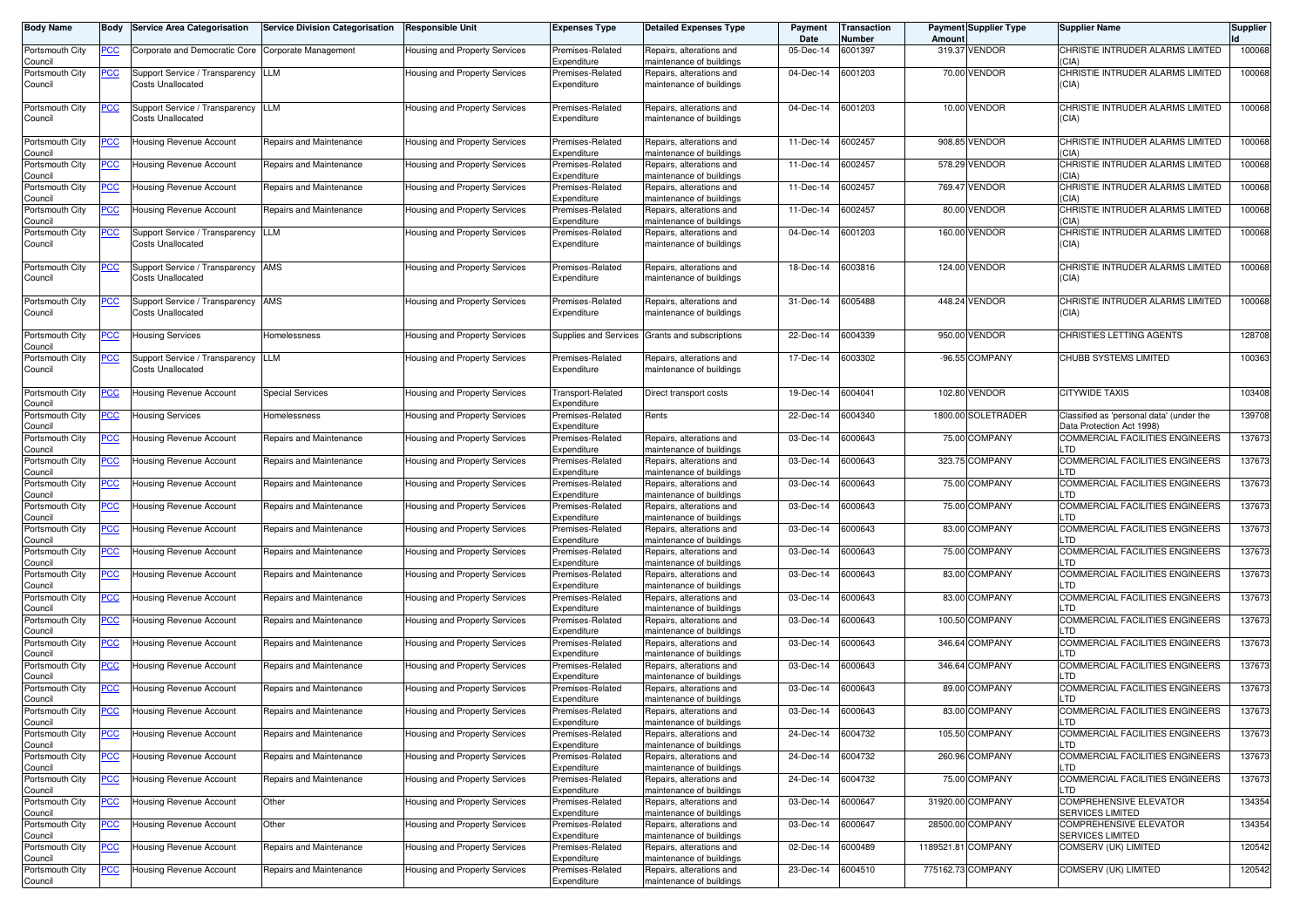| Body Name                                     | Body                     | <b>Service Area Categorisation</b>                         | <b>Service Division Categorisation</b>             | <b>Responsible Unit</b>                                        | <b>Expenses Type</b>                                | <b>Detailed Expenses Type</b>                                                    | Payment<br>Date        | <b>Transaction</b><br>Number | Amoun | <b>Payment Supplier Type</b>   | <b>Supplier Name</b>                                                      | <b>Supplier</b>  |
|-----------------------------------------------|--------------------------|------------------------------------------------------------|----------------------------------------------------|----------------------------------------------------------------|-----------------------------------------------------|----------------------------------------------------------------------------------|------------------------|------------------------------|-------|--------------------------------|---------------------------------------------------------------------------|------------------|
| Portsmouth City<br>Council                    | <u>PCC</u>               | Corporate and Democratic Core Corporate Management         |                                                    | Housing and Property Services                                  | Premises-Related<br>Expenditure                     | Repairs, alterations and<br>naintenance of buildings                             | 05-Dec-14              | 6001397                      |       | 319.37 VENDOR                  | CHRISTIE INTRUDER ALARMS LIMITED<br>CIA)                                  | 100068           |
| Portsmouth City<br>Council                    | <u>PCC</u>               | Support Service / Transparency<br>Costs Unallocated        | LLM                                                | Housing and Property Services                                  | Premises-Related<br>Expenditure                     | Repairs, alterations and<br>maintenance of buildings                             | 04-Dec-14              | 6001203                      |       | 70.00 VENDOR                   | CHRISTIE INTRUDER ALARMS LIMITED<br>(CIA)                                 | 100068           |
| Portsmouth City<br>Council                    | <u>PCC </u>              | Support Service / Transparency<br>Costs Unallocated        | LLM                                                | Housing and Property Services                                  | Premises-Related<br>Expenditure                     | Repairs, alterations and<br>maintenance of buildings                             | 04-Dec-14              | 6001203                      |       | 10.00 VENDOR                   | CHRISTIE INTRUDER ALARMS LIMITED<br>(CIA)                                 | 100068           |
| Portsmouth City<br>Council                    | <u>PCC</u>               | Housing Revenue Account                                    | Repairs and Maintenance                            | Housing and Property Services                                  | Premises-Related<br>Expenditure                     | Repairs, alterations and<br>naintenance of buildings                             | 11-Dec-14              | 6002457                      |       | 908.85 VENDOR                  | CHRISTIE INTRUDER ALARMS LIMITED<br><b>CIA</b>                            | 100068           |
| Portsmouth City<br>Council                    | <u>PCC</u>               | Housing Revenue Account                                    | Repairs and Maintenance                            | <b>Housing and Property Services</b>                           | Premises-Related<br>Expenditure                     | Repairs, alterations and<br>naintenance of buildings                             | 11-Dec-14              | 6002457                      |       | 578.29 VENDOR                  | CHRISTIE INTRUDER ALARMS LIMITED<br>(CIA)                                 | 100068           |
| Portsmouth City<br>Council                    | $\overline{C}$           | Housing Revenue Account                                    | Repairs and Maintenance                            | Housing and Property Services                                  | Premises-Related<br>Expenditure                     | Repairs, alterations and<br>naintenance of buildings                             | 11-Dec-14              | 6002457                      |       | 769.47 VENDOR                  | CHRISTIE INTRUDER ALARMS LIMITED<br>(CIA)                                 | 100068           |
| Portsmouth City<br>Council                    | <u>PCC</u>               | Housing Revenue Account                                    | Repairs and Maintenance                            | <b>Housing and Property Services</b>                           | Premises-Related<br>Expenditure                     | Repairs, alterations and<br>naintenance of buildings                             | 11-Dec-14              | 6002457                      |       | 80.00 VENDOR                   | CHRISTIE INTRUDER ALARMS LIMITED<br>(CIA)                                 | 100068           |
| Portsmouth City<br>Council                    | <u>PCC</u>               | Support Service / Transparency<br>Costs Unallocated        | LLM                                                | Housing and Property Services                                  | Premises-Related<br>Expenditure                     | Repairs, alterations and<br>maintenance of buildings                             | 04-Dec-14              | 6001203                      |       | 160.00 VENDOR                  | CHRISTIE INTRUDER ALARMS LIMITED<br>(CIA)                                 | 100068           |
| Portsmouth City<br>Council                    | <u>PCC </u>              | Support Service / Transparency AMS<br>Costs Unallocated    |                                                    | Housing and Property Services                                  | Premises-Related<br>Expenditure                     | Repairs, alterations and<br>maintenance of buildings                             | 18-Dec-14              | 6003816                      |       | 124.00 VENDOR                  | CHRISTIE INTRUDER ALARMS LIMITED<br>(CIA)                                 | 100068           |
| Portsmouth City<br>Council                    | <u>PCC</u>               | Support Service / Transparency AMS<br>Costs Unallocated    |                                                    | Housing and Property Services                                  | Premises-Related<br>Expenditure                     | Repairs, alterations and<br>maintenance of buildings                             | 31-Dec-14              | 6005488                      |       | 448.24 VENDOR                  | CHRISTIE INTRUDER ALARMS LIMITED<br>(CIA)                                 | 100068           |
| Portsmouth City<br>Council                    | $\overline{C}$           | <b>Housing Services</b>                                    | Homelessness                                       | Housing and Property Services                                  | Supplies and Services                               | Grants and subscriptions                                                         | 22-Dec-14              | 6004339                      |       | 950.00 VENDOR                  | CHRISTIES LETTING AGENTS                                                  | 128708           |
| Portsmouth City<br>Council                    | <u>PCC</u>               | Support Service / Transparency<br><b>Costs Unallocated</b> | LLM                                                | Housing and Property Services                                  | Premises-Related<br>Expenditure                     | Repairs, alterations and<br>maintenance of buildings                             | 17-Dec-14              | 6003302                      |       | -96.55 COMPANY                 | CHUBB SYSTEMS LIMITED                                                     | 100363           |
| Portsmouth City<br>Council                    | <u>PCC</u>               | Housing Revenue Account                                    | <b>Special Services</b>                            | <b>Housing and Property Services</b>                           | Transport-Related<br>Expenditure                    | Direct transport costs                                                           | 19-Dec-14              | 6004041                      |       | 102.80 VENDOR                  | <b>CITYWIDE TAXIS</b>                                                     | 103408           |
| Portsmouth City<br>Council                    | <u>PCC</u>               | Housing Services                                           | Homelessness                                       | <b>Housing and Property Services</b>                           | Premises-Related<br>Expenditure                     | Rents                                                                            | 22-Dec-14              | 6004340                      |       | 1800.00 SOLETRADER             | Classified as 'personal data' (under the<br>Data Protection Act 1998)     | 139708           |
| Portsmouth City<br>Council                    | <u>PCC</u>               | <b>Housing Revenue Account</b>                             | Repairs and Maintenance                            | Housing and Property Services                                  | Premises-Related<br>Expenditure                     | Repairs, alterations and<br>naintenance of buildings                             | 03-Dec-14              | 6000643                      |       | 75.00 COMPANY                  | COMMERCIAL FACILITIES ENGINEERS<br>LTD.                                   | 137673           |
| Portsmouth City<br>Council                    | <u>PCC </u>              | Housing Revenue Account                                    | Repairs and Maintenance                            | Housing and Property Services                                  | Premises-Related<br>Expenditure                     | Repairs, alterations and<br>maintenance of buildings                             | 03-Dec-14              | 6000643                      |       | 323.75 COMPANY                 | COMMERCIAL FACILITIES ENGINEERS<br>LTD                                    | 137673           |
| Portsmouth City<br>Council                    | <u>PCC</u>               | Housing Revenue Account                                    | Repairs and Maintenance                            | Housing and Property Services                                  | Premises-Related<br>Expenditure                     | Repairs, alterations and<br>maintenance of buildings                             | 03-Dec-14              | 6000643                      |       | 75.00 COMPANY                  | COMMERCIAL FACILITIES ENGINEERS<br>.TD                                    | 137673           |
| Portsmouth City<br>Council                    | <u>PCC</u>               | Housing Revenue Account                                    | Repairs and Maintenance                            | Housing and Property Services                                  | Premises-Related<br>Expenditure                     | Repairs, alterations and<br>naintenance of buildings                             | 03-Dec-14              | 6000643                      |       | 75.00 COMPANY                  | COMMERCIAL FACILITIES ENGINEERS<br><b>TD</b>                              | 137673           |
| Portsmouth City<br>Council                    | <u>PCC</u>               | Housing Revenue Account                                    | Repairs and Maintenance                            | Housing and Property Services                                  | Premises-Related<br>Expenditure                     | Repairs, alterations and<br>maintenance of buildings                             | 03-Dec-14              | 6000643                      |       | 83.00 COMPANY                  | <b>COMMERCIAL FACILITIES ENGINEERS</b><br>.TD                             | 137673           |
| Portsmouth City<br>Council                    | <u>PCC</u>               | <b>Housing Revenue Account</b>                             | Repairs and Maintenance                            | Housing and Property Services                                  | Premises-Related<br>Expenditure                     | Repairs, alterations and<br>maintenance of buildings                             | 03-Dec-14              | 6000643                      |       | 75.00 COMPANY                  | COMMERCIAL FACILITIES ENGINEERS<br>LTD<br>COMMERCIAL FACILITIES ENGINEERS | 137673           |
| Portsmouth City<br>Council<br>Portsmouth City | <u>PCC</u>               | Housing Revenue Account                                    | Repairs and Maintenance<br>Repairs and Maintenance | <b>Housing and Property Services</b>                           | Premises-Related<br>Expenditure<br>Premises-Related | Repairs, alterations and<br>maintenance of buildings<br>Repairs, alterations and | 03-Dec-14<br>03-Dec-14 | 6000643<br>6000643           |       | 83.00 COMPANY<br>83.00 COMPANY | ∟TD<br>COMMERCIAL FACILITIES ENGINEERS                                    | 137673<br>137673 |
| Council<br>Portsmouth City                    | <u>PCC</u><br><u>PCC</u> | Housing Revenue Account<br>Housing Revenue Account         | Repairs and Maintenance                            | Housing and Property Services<br>Housing and Property Services | Expenditure<br>Premises-Related                     | naintenance of buildings<br>Repairs, alterations and                             | 03-Dec-14              | 6000643                      |       | 100.50 COMPANY                 | .TD<br>COMMERCIAL FACILITIES ENGINEERS                                    | 137673           |
| Council<br>Portsmouth City                    | <u>PCC</u>               | Housing Revenue Account                                    | Repairs and Maintenance                            | Housing and Property Services                                  | Expenditure<br>Premises-Related                     | naintenance of buildings<br>Repairs, alterations and                             | 03-Dec-14              | 6000643                      |       | 346.64 COMPANY                 | _TD<br>COMMERCIAL FACILITIES ENGINEERS                                    | 137673           |
| Council<br>Portsmouth City                    | <u>PCC</u>               | Housing Revenue Account                                    | Repairs and Maintenance                            | Housing and Property Services                                  | Expenditure<br>Premises-Related                     | naintenance of buildings<br>Repairs, alterations and                             | 03-Dec-14              | 6000643                      |       | 346.64 COMPANY                 | TD.<br>COMMERCIAL FACILITIES ENGINEERS                                    | 137673           |
| Council<br>Portsmouth City                    | <u>PCC</u>               | Housing Revenue Account                                    | Repairs and Maintenance                            | Housing and Property Services                                  | Expenditure<br>Premises-Related                     | naintenance of buildings<br>Repairs, alterations and                             | 03-Dec-14              | 6000643                      |       | 89.00 COMPANY                  | TD.<br>COMMERCIAL FACILITIES ENGINEERS                                    | 137673           |
| Council<br>Portsmouth City                    | <u>PCC</u>               | Housing Revenue Account                                    | Repairs and Maintenance                            | Housing and Property Services                                  | Expenditure<br>Premises-Related                     | maintenance of buildings<br>Repairs, alterations and                             | 03-Dec-14              | 6000643                      |       | 83.00 COMPANY                  | TD.<br>COMMERCIAL FACILITIES ENGINEERS                                    | 137673           |
| Council<br>Portsmouth City                    | <b>PCC</b>               | Housing Revenue Account                                    | Repairs and Maintenance                            | Housing and Property Services                                  | Expenditure<br>Premises-Related                     | maintenance of buildings<br>Repairs, alterations and                             | 24-Dec-14              | 6004732                      |       | 105.50 COMPANY                 | <b>COMMERCIAL FACILITIES ENGINEERS</b>                                    | 137673           |
| Council<br>Portsmouth City                    | <u>PCC</u>               | Housing Revenue Account                                    | Repairs and Maintenance                            | Housing and Property Services                                  | Expenditure<br>Premises-Related                     | maintenance of buildings<br>Repairs, alterations and                             | 24-Dec-14              | 6004732                      |       | 260.96 COMPANY                 | TD.<br>COMMERCIAL FACILITIES ENGINEERS                                    | 137673           |
| Council<br>Portsmouth City                    | <u>PCC</u>               | Housing Revenue Account                                    | Repairs and Maintenance                            | Housing and Property Services                                  | Expenditure<br>Premises-Related                     | maintenance of buildings<br>Repairs, alterations and                             | 24-Dec-14              | 6004732                      |       | 75.00 COMPANY                  | LTD<br>COMMERCIAL FACILITIES ENGINEERS                                    | 137673           |
| Council<br>Portsmouth City                    | <u>PCC</u>               | Housing Revenue Account                                    | Other                                              | Housing and Property Services                                  | Expenditure<br>Premises-Related                     | maintenance of buildings<br>Repairs, alterations and                             | 03-Dec-14              | 6000647                      |       | 31920.00 COMPANY               | ∟TD<br>COMPREHENSIVE ELEVATOR                                             | 134354           |
| Council<br>Portsmouth City                    | $\overline{C}$           | Housing Revenue Account                                    | Other                                              | Housing and Property Services                                  | Expenditure<br>Premises-Related                     | maintenance of buildings<br>Repairs, alterations and                             | 03-Dec-14              | 6000647                      |       | 28500.00 COMPANY               | SERVICES LIMITED<br>COMPREHENSIVE ELEVATOR                                | 134354           |
| Council<br>Portsmouth City                    | <u>PCC</u>               | Housing Revenue Account                                    | Repairs and Maintenance                            | Housing and Property Services                                  | Expenditure<br>Premises-Related                     | maintenance of buildings<br>Repairs, alterations and                             | 02-Dec-14              | 6000489                      |       | 1189521.81 COMPANY             | SERVICES LIMITED<br>COMSERV (UK) LIMITED                                  | 120542           |
| Council<br>Portsmouth City                    | <u>PCC</u>               | Housing Revenue Account                                    | Repairs and Maintenance                            | Housing and Property Services                                  | Expenditure<br>Premises-Related                     | maintenance of buildings<br>Repairs, alterations and                             | 23-Dec-14              | 6004510                      |       | 775162.73 COMPANY              | COMSERV (UK) LIMITED                                                      | 120542           |
| Council                                       |                          |                                                            |                                                    |                                                                | Expenditure                                         | maintenance of buildings                                                         |                        |                              |       |                                |                                                                           |                  |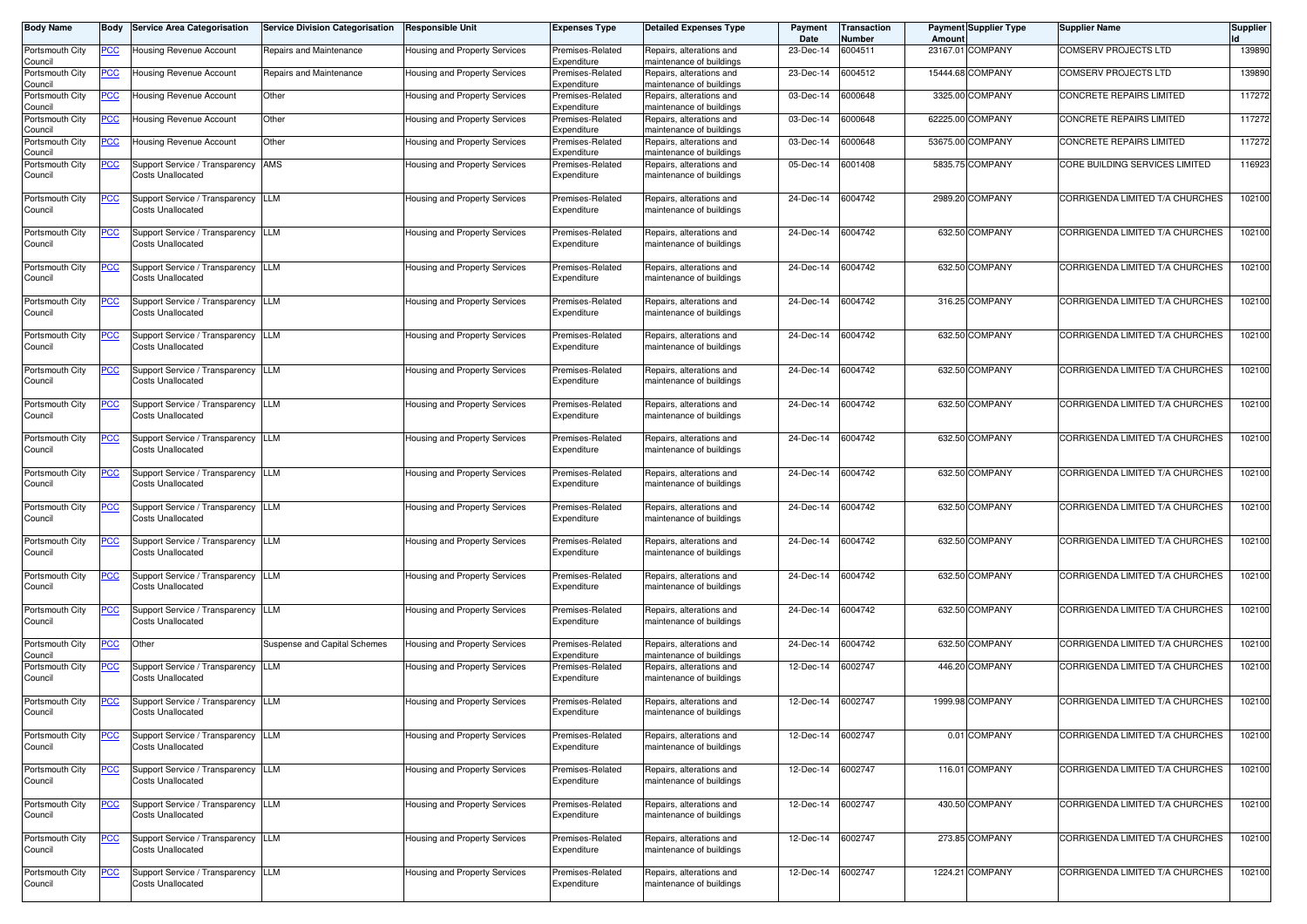| Body Name                  | Body           | <b>Service Area Categorisation</b>                             | <b>Service Division Categorisation</b> | <b>Responsible Unit</b>              | <b>Expenses Type</b>            | <b>Detailed Expenses Type</b>                        | Payment<br>Date | <b>Transaction</b><br>Number | Amoun | <b>Payment Supplier Type</b> | <b>Supplier Name</b>            | <b>Supplier</b> |
|----------------------------|----------------|----------------------------------------------------------------|----------------------------------------|--------------------------------------|---------------------------------|------------------------------------------------------|-----------------|------------------------------|-------|------------------------------|---------------------------------|-----------------|
| Portsmouth City<br>Council | <u>PCC</u>     | Housing Revenue Account                                        | Repairs and Maintenance                | Housing and Property Services        | Premises-Related<br>Expenditure | Repairs, alterations and<br>maintenance of buildings | 23-Dec-14       | 6004511                      |       | 23167.01 COMPANY             | <b>COMSERV PROJECTS LTD</b>     | 139890          |
| Portsmouth City<br>Council | <u>PCC</u>     | Housing Revenue Account                                        | Repairs and Maintenance                | Housing and Property Services        | Premises-Related<br>Expenditure | Repairs, alterations and<br>maintenance of buildings | 23-Dec-14       | 6004512                      |       | 15444.68 COMPANY             | <b>COMSERV PROJECTS LTD</b>     | 139890          |
| Portsmouth City<br>Council | <u>PCC</u>     | Housing Revenue Account                                        | Other                                  | Housing and Property Services        | Premises-Related<br>Expenditure | Repairs, alterations and<br>maintenance of buildings | 03-Dec-14       | 6000648                      |       | 3325.00 COMPANY              | CONCRETE REPAIRS LIMITED        | 117272          |
| Portsmouth City<br>Council | <u>PCC</u>     | <b>Housing Revenue Account</b>                                 | Other                                  | Housing and Property Services        | Premises-Related<br>Expenditure | Repairs, alterations and<br>maintenance of buildings | 03-Dec-14       | 6000648                      |       | 62225.00 COMPANY             | CONCRETE REPAIRS LIMITED        | 117272          |
| Portsmouth City<br>Council | <u>PCC</u>     | Housing Revenue Account                                        | Other                                  | Housing and Property Services        | Premises-Related<br>Expenditure | Repairs, alterations and<br>naintenance of buildings | 03-Dec-14       | 6000648                      |       | 53675.00 COMPANY             | CONCRETE REPAIRS LIMITED        | 117272          |
| Portsmouth City<br>Council | <u>PCC</u>     | Support Service / Transparency AMS<br>Costs Unallocated        |                                        | Housing and Property Services        | Premises-Related<br>Expenditure | Repairs, alterations and<br>maintenance of buildings | 05-Dec-14       | 6001408                      |       | 5835.75 COMPANY              | CORE BUILDING SERVICES LIMITED  | 116923          |
| Portsmouth City<br>Council | <u>PCC</u>     | Support Service / Transparency LLM<br><b>Costs Unallocated</b> |                                        | Housing and Property Services        | Premises-Related<br>Expenditure | Repairs, alterations and<br>maintenance of buildings | 24-Dec-14       | 6004742                      |       | 2989.20 COMPANY              | CORRIGENDA LIMITED T/A CHURCHES | 102100          |
| Portsmouth City<br>Council | <u>PCC</u>     | Support Service / Transparency<br>Costs Unallocated            | <b>LLM</b>                             | Housing and Property Services        | Premises-Related<br>Expenditure | Repairs, alterations and<br>maintenance of buildings | 24-Dec-14       | 6004742                      |       | 632.50 COMPANY               | CORRIGENDA LIMITED T/A CHURCHES | 102100          |
| Portsmouth City<br>Council | <u>PCC</u>     | Support Service / Transparency LLM<br>Costs Unallocated        |                                        | Housing and Property Services        | Premises-Related<br>Expenditure | Repairs, alterations and<br>maintenance of buildings | 24-Dec-14       | 6004742                      |       | 632.50 COMPANY               | CORRIGENDA LIMITED T/A CHURCHES | 102100          |
| Portsmouth City<br>Council | <u>PCC</u>     | Support Service / Transparency LLM<br><b>Costs Unallocated</b> |                                        | Housing and Property Services        | Premises-Related<br>Expenditure | Repairs, alterations and<br>maintenance of buildings | 24-Dec-14       | 6004742                      |       | 316.25 COMPANY               | CORRIGENDA LIMITED T/A CHURCHES | 102100          |
| Portsmouth City<br>Council | <u>PCC</u>     | Support Service / Transparency LLM<br>Costs Unallocated        |                                        | Housing and Property Services        | Premises-Related<br>Expenditure | Repairs, alterations and<br>maintenance of buildings | 24-Dec-14       | 6004742                      |       | 632.50 COMPANY               | CORRIGENDA LIMITED T/A CHURCHES | 102100          |
| Portsmouth City<br>Council | <u>PCC</u>     | Support Service / Transparency LLM<br><b>Costs Unallocated</b> |                                        | Housing and Property Services        | Premises-Related<br>Expenditure | Repairs, alterations and<br>maintenance of buildings | 24-Dec-14       | 6004742                      |       | 632.50 COMPANY               | CORRIGENDA LIMITED T/A CHURCHES | 102100          |
| Portsmouth City<br>Council | <u>PCC</u>     | Support Service / Transparency<br>Costs Unallocated            | <b>LLM</b>                             | Housing and Property Services        | Premises-Related<br>Expenditure | Repairs, alterations and<br>maintenance of buildings | 24-Dec-14       | 6004742                      |       | 632.50 COMPANY               | CORRIGENDA LIMITED T/A CHURCHES | 102100          |
| Portsmouth City<br>Council | <u>PCC</u>     | Support Service / Transparency LLM<br>Costs Unallocated        |                                        | Housing and Property Services        | Premises-Related<br>Expenditure | Repairs, alterations and<br>maintenance of buildings | 24-Dec-14       | 6004742                      |       | 632.50 COMPANY               | CORRIGENDA LIMITED T/A CHURCHES | 102100          |
| Portsmouth City<br>Council | <u>PCC</u>     | Support Service / Transparency LLM<br><b>Costs Unallocated</b> |                                        | Housing and Property Services        | Premises-Related<br>Expenditure | Repairs, alterations and<br>maintenance of buildings | 24-Dec-14       | 6004742                      |       | 632.50 COMPANY               | CORRIGENDA LIMITED T/A CHURCHES | 102100          |
| Portsmouth City<br>Council | <u>PCC</u>     | Support Service / Transparency LLM<br>Costs Unallocated        |                                        | Housing and Property Services        | Premises-Related<br>Expenditure | Repairs, alterations and<br>maintenance of buildings | 24-Dec-14       | 6004742                      |       | 632.50 COMPANY               | CORRIGENDA LIMITED T/A CHURCHES | 102100          |
| Portsmouth City<br>Council | <u>PCC</u>     | Support Service / Transparency<br>Costs Unallocated            | <b>LLM</b>                             | Housing and Property Services        | Premises-Related<br>Expenditure | Repairs, alterations and<br>maintenance of buildings | 24-Dec-14       | 6004742                      |       | 632.50 COMPANY               | CORRIGENDA LIMITED T/A CHURCHES | 102100          |
| Portsmouth City<br>Council | <u>PCC</u>     | Support Service / Transparency LLM<br><b>Costs Unallocated</b> |                                        | Housing and Property Services        | Premises-Related<br>Expenditure | Repairs, alterations and<br>maintenance of buildings | 24-Dec-14       | 6004742                      |       | 632.50 COMPANY               | CORRIGENDA LIMITED T/A CHURCHES | 102100          |
| Portsmouth City<br>Council | <u>PCC </u>    | Support Service / Transparency<br><b>Costs Unallocated</b>     | <b>LLM</b>                             | Housing and Property Services        | Premises-Related<br>Expenditure | Repairs, alterations and<br>maintenance of buildings | 24-Dec-14       | 6004742                      |       | 632.50 COMPANY               | CORRIGENDA LIMITED T/A CHURCHES | 102100          |
| Portsmouth City<br>Council | <u>PCC</u>     | Other                                                          | Suspense and Capital Schemes           | <b>Housing and Property Services</b> | Premises-Related<br>Expenditure | Repairs, alterations and<br>maintenance of buildings | 24-Dec-14       | 6004742                      |       | 632.50 COMPANY               | CORRIGENDA LIMITED T/A CHURCHES | 102100          |
| Portsmouth City<br>Council | <u>PCC </u>    | Support Service / Transparency LLM<br><b>Costs Unallocated</b> |                                        | Housing and Property Services        | Premises-Related<br>Expenditure | Repairs, alterations and<br>maintenance of buildings | 12-Dec-14       | 6002747                      |       | 446.20 COMPANY               | CORRIGENDA LIMITED T/A CHURCHES | 102100          |
| Portsmouth City<br>Council | <b>PCC</b>     | Support Service / Transparency LLM<br><b>Costs Unallocated</b> |                                        | Housing and Property Services        | Premises-Related<br>Expenditure | Repairs, alterations and<br>maintenance of buildings | 12-Dec-14       | 6002747                      |       | 1999.98 COMPANY              | CORRIGENDA LIMITED T/A CHURCHES | 102100          |
| Portsmouth City<br>Council | $\overline{C}$ | Support Service / Transparency<br><b>Costs Unallocated</b>     | <b>LLM</b>                             | Housing and Property Services        | Premises-Related<br>Expenditure | Repairs, alterations and<br>maintenance of buildings | 12-Dec-14       | 6002747                      |       | 0.01 COMPANY                 | CORRIGENDA LIMITED T/A CHURCHES | 102100          |
| Portsmouth City<br>Council | <u>PCC</u>     | Support Service / Transparency LLM<br><b>Costs Unallocated</b> |                                        | Housing and Property Services        | Premises-Related<br>Expenditure | Repairs, alterations and<br>maintenance of buildings | 12-Dec-14       | 6002747                      |       | 116.01 COMPANY               | CORRIGENDA LIMITED T/A CHURCHES | 102100          |
| Portsmouth City<br>Council | <u>PCC</u>     | Support Service / Transparency LLM<br>Costs Unallocated        |                                        | Housing and Property Services        | Premises-Related<br>Expenditure | Repairs, alterations and<br>maintenance of buildings | 12-Dec-14       | 6002747                      |       | 430.50 COMPANY               | CORRIGENDA LIMITED T/A CHURCHES | 102100          |
| Portsmouth City<br>Council | <u>PCC</u>     | Support Service / Transparency LLM<br><b>Costs Unallocated</b> |                                        | Housing and Property Services        | Premises-Related<br>Expenditure | Repairs, alterations and<br>maintenance of buildings | 12-Dec-14       | 6002747                      |       | 273.85 COMPANY               | CORRIGENDA LIMITED T/A CHURCHES | 102100          |
| Portsmouth City<br>Council | <u>PCC</u>     | Support Service / Transparency LLM<br>Costs Unallocated        |                                        | Housing and Property Services        | Premises-Related<br>Expenditure | Repairs, alterations and<br>maintenance of buildings | 12-Dec-14       | 6002747                      |       | 1224.21 COMPANY              | CORRIGENDA LIMITED T/A CHURCHES | 102100          |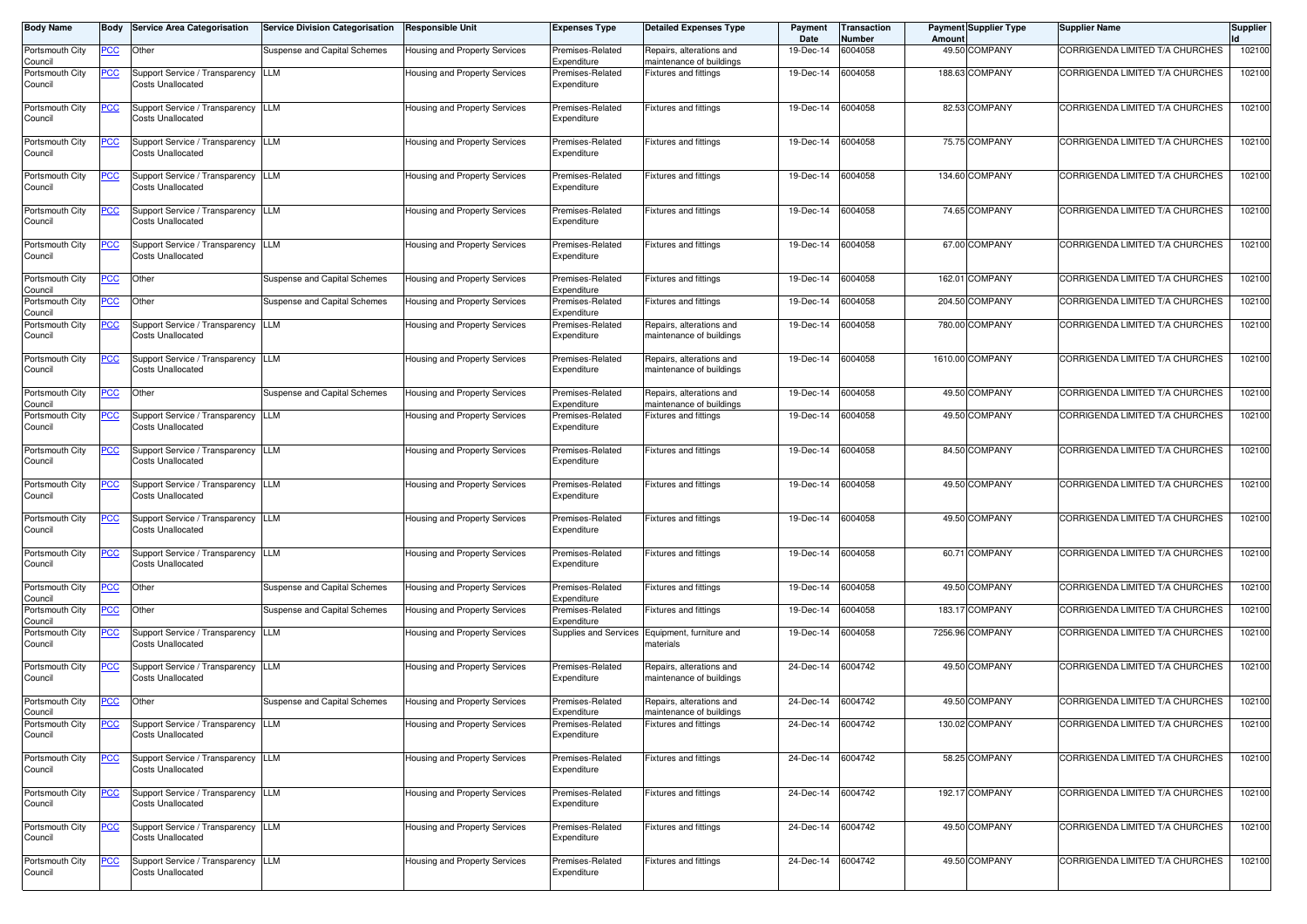| <b>Body Name</b>           | Body        | <b>Service Area Categorisation</b>                             | <b>Service Division Categorisation</b> | <b>Responsible Unit</b>              | <b>Expenses Type</b>            | <b>Detailed Expenses Type</b>                        | Payment<br>Date   | <b>Transaction</b><br><b>Number</b> | Amount | <b>Payment Supplier Type</b> | <b>Supplier Name</b>            | <b>Supplier</b> |
|----------------------------|-------------|----------------------------------------------------------------|----------------------------------------|--------------------------------------|---------------------------------|------------------------------------------------------|-------------------|-------------------------------------|--------|------------------------------|---------------------------------|-----------------|
| Portsmouth City<br>Council | <u>PCC</u>  | Other                                                          | Suspense and Capital Schemes           | Housing and Property Services        | Premises-Related<br>Expenditure | Repairs, alterations and<br>maintenance of buildings | 19-Dec-14         | 6004058                             |        | 49.50 COMPANY                | CORRIGENDA LIMITED T/A CHURCHES | 102100          |
| Portsmouth City<br>Council | <u>PCC</u>  | Support Service / Transparency<br><b>Costs Unallocated</b>     | LLM                                    | Housing and Property Services        | Premises-Related<br>Expenditure | Fixtures and fittings                                | 19-Dec-14         | 6004058                             |        | 188.63 COMPANY               | CORRIGENDA LIMITED T/A CHURCHES | 102100          |
| Portsmouth City<br>Council | <u>PCC</u>  | Support Service / Transparency<br>Costs Unallocated            | <b>LLM</b>                             | Housing and Property Services        | Premises-Related<br>Expenditure | <b>Fixtures and fittings</b>                         | 19-Dec-14         | 6004058                             |        | 82.53 COMPANY                | CORRIGENDA LIMITED T/A CHURCHES | 102100          |
| Portsmouth City<br>Council | <u>PCC</u>  | Support Service / Transparency<br>Costs Unallocated            | <b>LLM</b>                             | Housing and Property Services        | Premises-Related<br>Expenditure | <b>Fixtures and fittings</b>                         | 19-Dec-14         | 6004058                             |        | 75.75 COMPANY                | CORRIGENDA LIMITED T/A CHURCHES | 102100          |
| Portsmouth City<br>Council | <u>PCC</u>  | Support Service / Transparency LLM<br><b>Costs Unallocated</b> |                                        | Housing and Property Services        | Premises-Related<br>Expenditure | Fixtures and fittings                                | 19-Dec-14         | 6004058                             |        | 134.60 COMPANY               | CORRIGENDA LIMITED T/A CHURCHES | 102100          |
| Portsmouth City<br>Council | <u>PCC</u>  | Support Service / Transparency LLM<br><b>Costs Unallocated</b> |                                        | Housing and Property Services        | Premises-Related<br>Expenditure | Fixtures and fittings                                | 19-Dec-14         | 6004058                             |        | 74.65 COMPANY                | CORRIGENDA LIMITED T/A CHURCHES | 102100          |
| Portsmouth City<br>Council | <u>PCC</u>  | Support Service / Transparency LLM<br><b>Costs Unallocated</b> |                                        | Housing and Property Services        | Premises-Related<br>Expenditure | <b>Fixtures and fittings</b>                         | 19-Dec-14         | 6004058                             |        | 67.00 COMPANY                | CORRIGENDA LIMITED T/A CHURCHES | 102100          |
| Portsmouth City<br>Council | <u>PCC</u>  | Other                                                          | Suspense and Capital Schemes           | Housing and Property Services        | Premises-Related<br>Expenditure | Fixtures and fittings                                | 19-Dec-14         | 6004058                             |        | 162.01 COMPANY               | CORRIGENDA LIMITED T/A CHURCHES | 102100          |
| Portsmouth City<br>Council | <u>PCC</u>  | Other                                                          | Suspense and Capital Schemes           | Housing and Property Services        | Premises-Related<br>Expenditure | Fixtures and fittings                                | 19-Dec-14         | 6004058                             |        | 204.50 COMPANY               | CORRIGENDA LIMITED T/A CHURCHES | 102100          |
| Portsmouth City<br>Council | <u>PCC</u>  | Support Service / Transparency LLM<br><b>Costs Unallocated</b> |                                        | Housing and Property Services        | Premises-Related<br>Expenditure | Repairs, alterations and<br>maintenance of buildings | 19-Dec-14         | 6004058                             |        | 780.00 COMPANY               | CORRIGENDA LIMITED T/A CHURCHES | 102100          |
| Portsmouth City<br>Council | <u>PCC</u>  | Support Service / Transparency<br>Costs Unallocated            | <b>LLM</b>                             | Housing and Property Services        | Premises-Related<br>Expenditure | Repairs, alterations and<br>maintenance of buildings | 19-Dec-14         | 6004058                             |        | 1610.00 COMPANY              | CORRIGENDA LIMITED T/A CHURCHES | 102100          |
| Portsmouth City<br>Council | <u>PCC</u>  | Other                                                          | Suspense and Capital Schemes           | Housing and Property Services        | Premises-Related<br>Expenditure | Repairs, alterations and<br>maintenance of buildings | 19-Dec-14         | 6004058                             |        | 49.50 COMPANY                | CORRIGENDA LIMITED T/A CHURCHES | 102100          |
| Portsmouth City<br>Council | <u>PCC</u>  | Support Service / Transparency LLM<br>Costs Unallocated        |                                        | Housing and Property Services        | Premises-Related<br>Expenditure | Fixtures and fittings                                | 19-Dec-14         | 6004058                             |        | 49.50 COMPANY                | CORRIGENDA LIMITED T/A CHURCHES | 102100          |
| Portsmouth City<br>Council | <u>PCC</u>  | Support Service / Transparency LLM<br><b>Costs Unallocated</b> |                                        | Housing and Property Services        | Premises-Related<br>Expenditure | <b>Fixtures and fittings</b>                         | 19-Dec-14         | 6004058                             |        | 84.50 COMPANY                | CORRIGENDA LIMITED T/A CHURCHES | 102100          |
| Portsmouth City<br>Council | <u>PCC</u>  | Support Service / Transparency<br>Costs Unallocated            | <b>LLM</b>                             | Housing and Property Services        | Premises-Related<br>Expenditure | Fixtures and fittings                                | 19-Dec-14         | 6004058                             |        | 49.50 COMPANY                | CORRIGENDA LIMITED T/A CHURCHES | 102100          |
| Portsmouth City<br>Council | <u>PCC</u>  | Support Service / Transparency<br>Costs Unallocated            | LLM                                    | <b>Housing and Property Services</b> | Premises-Related<br>Expenditure | <b>Fixtures and fittings</b>                         | 19-Dec-14         | 6004058                             |        | 49.50 COMPANY                | CORRIGENDA LIMITED T/A CHURCHES | 102100          |
| Portsmouth City<br>Council | <u>PCC</u>  | Support Service / Transparency<br><b>Costs Unallocated</b>     | <b>LLM</b>                             | Housing and Property Services        | Premises-Related<br>Expenditure | Fixtures and fittings                                | 19-Dec-14         | 6004058                             |        | 60.71 COMPANY                | CORRIGENDA LIMITED T/A CHURCHES | 102100          |
| Portsmouth City<br>Council | <u>PCC</u>  | Other                                                          | Suspense and Capital Schemes           | Housing and Property Services        | Premises-Related<br>Expenditure | Fixtures and fittings                                | 19-Dec-14         | 6004058                             |        | 49.50 COMPANY                | CORRIGENDA LIMITED T/A CHURCHES | 102100          |
| Portsmouth City<br>Council | <u>PCC</u>  | Other                                                          | Suspense and Capital Schemes           | Housing and Property Services        | Premises-Related<br>Expenditure | Fixtures and fittings                                | 19-Dec-14         | 6004058                             |        | 183.17 COMPANY               | CORRIGENDA LIMITED T/A CHURCHES | 102100          |
| Portsmouth City<br>Council | <u>PCC</u>  | Support Service / Transparency<br>Costs Unallocated            | LLM                                    | Housing and Property Services        | Supplies and Services           | Equipment, furniture and<br>materials                | 19-Dec-14         | 6004058                             |        | 7256.96 COMPANY              | CORRIGENDA LIMITED T/A CHURCHES | 102100          |
| Portsmouth City<br>Council | <u>PCC </u> | Support Service / Transparency<br>Costs Unallocated            | <b>LLM</b>                             | Housing and Property Services        | Premises-Related<br>Expenditure | Repairs, alterations and<br>maintenance of buildings | 24-Dec-14         | 6004742                             |        | 49.50 COMPANY                | CORRIGENDA LIMITED T/A CHURCHES | 102100          |
| Portsmouth City<br>Council | <u>PCC</u>  | Other                                                          | Suspense and Capital Schemes           | Housing and Property Services        | Premises-Related<br>Expenditure | Repairs, alterations and<br>maintenance of buildings | 24-Dec-14         | 6004742                             |        | 49.50 COMPANY                | CORRIGENDA LIMITED T/A CHURCHES | 102100          |
| Portsmouth City<br>Council |             | Support Service / Transparency LLM<br>Costs Unallocated        |                                        | Housing and Property Services        | Premises-Related<br>Expenditure | Fixtures and fittings                                | 24-Dec-14 6004742 |                                     |        | 130.02 COMPANY               | CORRIGENDA LIMITED T/A CHURCHES | 102100          |
| Portsmouth City<br>Council | <u>PCC</u>  | Support Service / Transparency LLM<br><b>Costs Unallocated</b> |                                        | Housing and Property Services        | Premises-Related<br>Expenditure | Fixtures and fittings                                | 24-Dec-14         | 6004742                             |        | 58.25 COMPANY                | CORRIGENDA LIMITED T/A CHURCHES | 102100          |
| Portsmouth City<br>Council | <b>PCC</b>  | Support Service / Transparency LLM<br><b>Costs Unallocated</b> |                                        | Housing and Property Services        | Premises-Related<br>Expenditure | Fixtures and fittings                                | 24-Dec-14 6004742 |                                     |        | 192.17 COMPANY               | CORRIGENDA LIMITED T/A CHURCHES | 102100          |
| Portsmouth City<br>Council | <u>PCC</u>  | Support Service / Transparency LLM<br>Costs Unallocated        |                                        | <b>Housing and Property Services</b> | Premises-Related<br>Expenditure | Fixtures and fittings                                | 24-Dec-14         | 6004742                             |        | 49.50 COMPANY                | CORRIGENDA LIMITED T/A CHURCHES | 102100          |
| Portsmouth City<br>Council | <u>PCC</u>  | Support Service / Transparency LLM<br><b>Costs Unallocated</b> |                                        | Housing and Property Services        | Premises-Related<br>Expenditure | Fixtures and fittings                                | 24-Dec-14         | 6004742                             |        | 49.50 COMPANY                | CORRIGENDA LIMITED T/A CHURCHES | 102100          |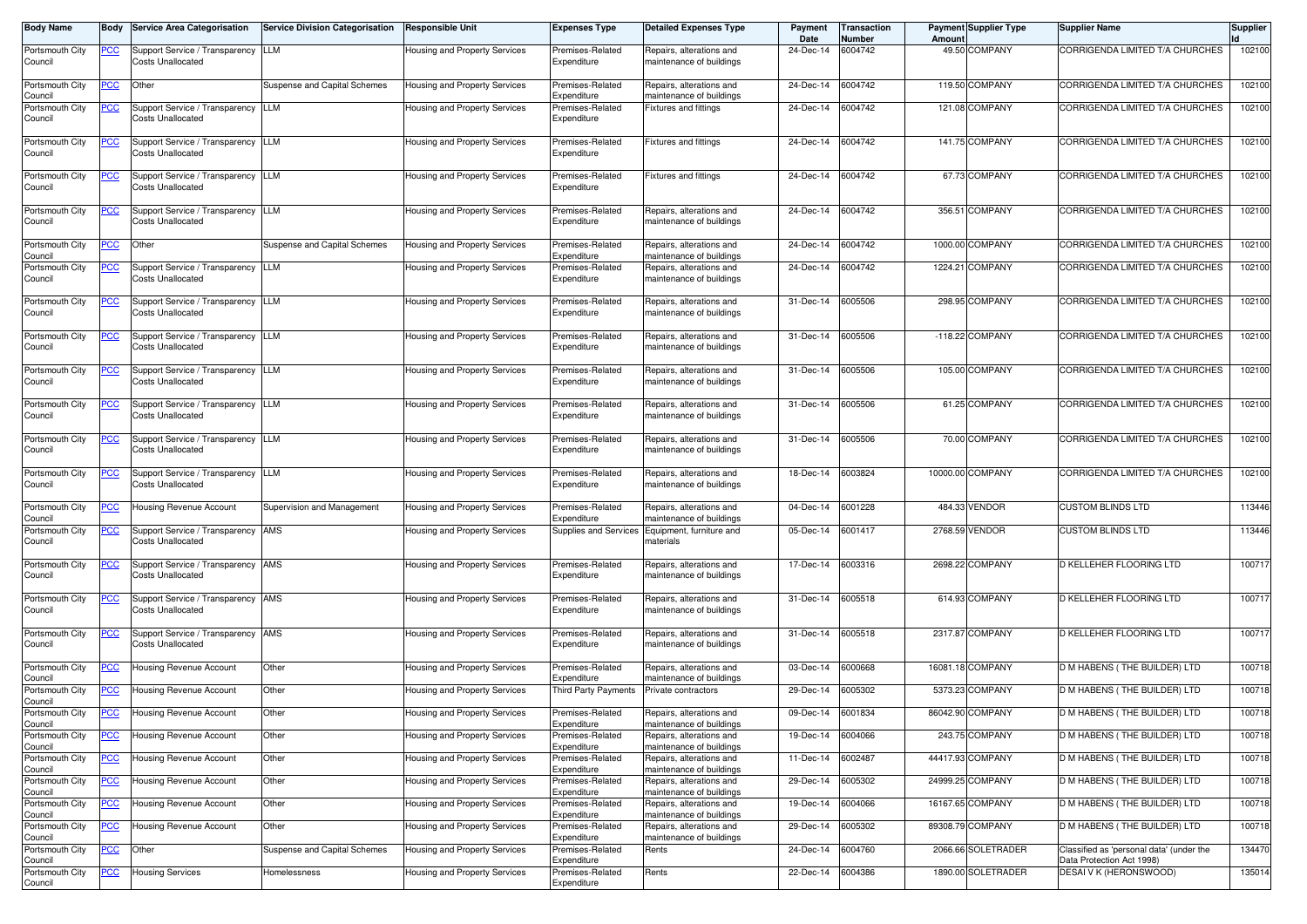| <b>Body Name</b>           | Body       | <b>Service Area Categorisation</b>                             | <b>Service Division Categorisation</b> | Responsible Unit              | <b>Expenses Type</b>            | <b>Detailed Expenses Type</b>                        | Payment<br>Date | <b>Transaction</b><br>Number | Amoun | <b>Payment Supplier Type</b> | <b>Supplier Name</b>                                                  | <b>Supplier</b> |
|----------------------------|------------|----------------------------------------------------------------|----------------------------------------|-------------------------------|---------------------------------|------------------------------------------------------|-----------------|------------------------------|-------|------------------------------|-----------------------------------------------------------------------|-----------------|
| Portsmouth City<br>Council | <u>PCC</u> | Support Service / Transparency LLM<br><b>Costs Unallocated</b> |                                        | Housing and Property Services | Premises-Related<br>Expenditure | Repairs, alterations and<br>maintenance of buildings | 24-Dec-14       | 6004742                      |       | 49.50 COMPANY                | CORRIGENDA LIMITED T/A CHURCHES                                       | 102100          |
| Portsmouth City            | <u>PCC</u> | Other                                                          | Suspense and Capital Schemes           | Housing and Property Services | Premises-Related                | Repairs, alterations and                             | 24-Dec-14       | 6004742                      |       | 119.50 COMPANY               | CORRIGENDA LIMITED T/A CHURCHES                                       | 102100          |
| Council                    |            |                                                                |                                        |                               | Expenditure                     | maintenance of buildings                             |                 |                              |       |                              |                                                                       |                 |
| Portsmouth City<br>Council | <u>PCC</u> | Support Service / Transparency<br><b>Costs Unallocated</b>     | <b>LLM</b>                             | Housing and Property Services | Premises-Related<br>Expenditure | Fixtures and fittings                                | 24-Dec-14       | 6004742                      |       | 121.08 COMPANY               | CORRIGENDA LIMITED T/A CHURCHES                                       | 102100          |
| Portsmouth City<br>Council | <u>PCC</u> | Support Service / Transparency<br>Costs Unallocated            | <b>LLM</b>                             | Housing and Property Services | Premises-Related<br>Expenditure | Fixtures and fittings                                | 24-Dec-14       | 6004742                      |       | 141.75 COMPANY               | CORRIGENDA LIMITED T/A CHURCHES                                       | 102100          |
| Portsmouth City<br>Council | <u>PCC</u> | Support Service / Transparency LLM<br><b>Costs Unallocated</b> |                                        | Housing and Property Services | Premises-Related<br>Expenditure | Fixtures and fittings                                | 24-Dec-14       | 6004742                      |       | 67.73 COMPANY                | CORRIGENDA LIMITED T/A CHURCHES                                       | 102100          |
| Portsmouth City<br>Council | <u>PCC</u> | Support Service / Transparency LLM<br>Costs Unallocated        |                                        | Housing and Property Services | Premises-Related<br>Expenditure | Repairs, alterations and<br>maintenance of buildings | 24-Dec-14       | 6004742                      |       | 356.51 COMPANY               | CORRIGENDA LIMITED T/A CHURCHES                                       | 102100          |
| Portsmouth City<br>Council | <u>PCC</u> | Other                                                          | Suspense and Capital Schemes           | Housing and Property Services | Premises-Related<br>Expenditure | Repairs, alterations and<br>maintenance of buildings | 24-Dec-14       | 6004742                      |       | 1000.00 COMPANY              | CORRIGENDA LIMITED T/A CHURCHES                                       | 102100          |
| Portsmouth City<br>Council | <u>PCC</u> | Support Service / Transparency LLM<br>Costs Unallocated        |                                        | Housing and Property Services | Premises-Related<br>Expenditure | Repairs, alterations and<br>maintenance of buildings | 24-Dec-14       | 6004742                      |       | 1224.21 COMPANY              | CORRIGENDA LIMITED T/A CHURCHES                                       | 102100          |
| Portsmouth City<br>Council | <u>PCC</u> | Support Service / Transparency LLM<br>Costs Unallocated        |                                        | Housing and Property Services | Premises-Related<br>Expenditure | Repairs, alterations and<br>maintenance of buildings | 31-Dec-14       | 6005506                      |       | 298.95 COMPANY               | CORRIGENDA LIMITED T/A CHURCHES                                       | 102100          |
| Portsmouth City<br>Council | <u>PCC</u> | Support Service / Transparency LLM<br>Costs Unallocated        |                                        | Housing and Property Services | Premises-Related<br>Expenditure | Repairs, alterations and<br>maintenance of buildings | 31-Dec-14       | 6005506                      |       | -118.22 COMPANY              | CORRIGENDA LIMITED T/A CHURCHES                                       | 102100          |
| Portsmouth City<br>Council | <u>PCC</u> | Support Service / Transparency LLM<br>Costs Unallocated        |                                        | Housing and Property Services | Premises-Related<br>Expenditure | Repairs, alterations and<br>maintenance of buildings | 31-Dec-14       | 6005506                      |       | 105.00 COMPANY               | CORRIGENDA LIMITED T/A CHURCHES                                       | 102100          |
| Portsmouth City<br>Council | <u>PCC</u> | Support Service / Transparency LLM<br><b>Costs Unallocated</b> |                                        | Housing and Property Services | Premises-Related<br>Expenditure | Repairs, alterations and<br>maintenance of buildings | 31-Dec-14       | 6005506                      |       | 61.25 COMPANY                | CORRIGENDA LIMITED T/A CHURCHES                                       | 102100          |
| Portsmouth City<br>Council | <u>PCC</u> | Support Service / Transparency<br>Costs Unallocated            | <b>LLM</b>                             | Housing and Property Services | Premises-Related<br>Expenditure | Repairs, alterations and<br>maintenance of buildings | 31-Dec-14       | 6005506                      |       | 70.00 COMPANY                | CORRIGENDA LIMITED T/A CHURCHES                                       | 102100          |
| Portsmouth City<br>Council | <u>PCC</u> | Support Service / Transparency LLM<br>Costs Unallocated        |                                        | Housing and Property Services | Premises-Related<br>Expenditure | Repairs, alterations and<br>maintenance of buildings | 18-Dec-14       | 6003824                      |       | 10000.00 COMPANY             | CORRIGENDA LIMITED T/A CHURCHES                                       | 102100          |
| Portsmouth City<br>Council | <u>PCC</u> | Housing Revenue Account                                        | Supervision and Management             | Housing and Property Services | Premises-Related<br>Expenditure | Repairs, alterations and<br>maintenance of buildings | 04-Dec-14       | 6001228                      |       | 484.33 VENDOR                | <b>CUSTOM BLINDS LTD</b>                                              | 113446          |
| Portsmouth City<br>Council | <u>PCC</u> | Support Service / Transparency AMS<br><b>Costs Unallocated</b> |                                        | Housing and Property Services | Supplies and Services           | Equipment, furniture and<br>materials                | 05-Dec-14       | 6001417                      |       | 2768.59 VENDOR               | CUSTOM BLINDS LTD                                                     | 113446          |
| Portsmouth City<br>Council | <u>PCC</u> | Support Service / Transparency AMS<br>Costs Unallocated        |                                        | Housing and Property Services | Premises-Related<br>Expenditure | Repairs, alterations and<br>maintenance of buildings | 17-Dec-14       | 6003316                      |       | 2698.22 COMPANY              | D KELLEHER FLOORING LTD                                               | 100717          |
| Portsmouth City<br>Council | <u>PCC</u> | Support Service / Transparency AMS<br>Costs Unallocated        |                                        | Housing and Property Services | Premises-Related<br>Expenditure | Repairs, alterations and<br>maintenance of buildings | 31-Dec-14       | 6005518                      |       | 614.93 COMPANY               | D KELLEHER FLOORING LTD                                               | 100717          |
| Portsmouth City<br>Council | <u>PCC</u> | Support Service / Transparency AMS<br><b>Costs Unallocated</b> |                                        | Housing and Property Services | Premises-Related<br>Expenditure | Repairs, alterations and<br>maintenance of buildings | 31-Dec-14       | 6005518                      |       | 2317.87 COMPANY              | D KELLEHER FLOORING LTD                                               | 100717          |
| Portsmouth City<br>Council | PСC        | Housing Revenue Account                                        | Other                                  | Housing and Property Services | Premises-Related<br>Expenditure | Repairs, alterations and<br>maintenance of buildings | 03-Dec-14       | 6000668                      |       | 16081.18 COMPANY             | D M HABENS (THE BUILDER) LTD                                          | 100718          |
| Portsmouth City<br>Council | <u>PCC</u> | <b>Housing Revenue Account</b>                                 | Other                                  | Housing and Property Services | Third Party Payments            | Private contractors                                  | 29-Dec-14       | 6005302                      |       | 5373.23 COMPANY              | D M HABENS (THE BUILDER) LTD                                          | 100718          |
| Portsmouth City<br>Council | <u>PCC</u> | Housing Revenue Account                                        | Other                                  | Housing and Property Services | Premises-Related<br>Expenditure | Repairs, alterations and<br>maintenance of buildings | 09-Dec-14       | 6001834                      |       | 86042.90 COMPANY             | D M HABENS (THE BUILDER) LTD                                          | 100718          |
| Portsmouth City<br>Council | <u>PCC</u> | Housing Revenue Account                                        | Other                                  | Housing and Property Services | Premises-Related<br>Expenditure | Repairs, alterations and<br>maintenance of buildings | 19-Dec-14       | 6004066                      |       | 243.75 COMPANY               | D M HABENS (THE BUILDER) LTD                                          | 100718          |
| Portsmouth City<br>Council | <u>PCC</u> | Housing Revenue Account                                        | Other                                  | Housing and Property Services | Premises-Related<br>Expenditure | Repairs, alterations and<br>maintenance of buildings | 11-Dec-14       | 6002487                      |       | 44417.93 COMPANY             | D M HABENS (THE BUILDER) LTD                                          | 100718          |
| Portsmouth City<br>Council | <u>PCC</u> | Housing Revenue Account                                        | Other                                  | Housing and Property Services | Premises-Related<br>Expenditure | Repairs, alterations and<br>maintenance of buildings | 29-Dec-14       | 6005302                      |       | 24999.25 COMPANY             | D M HABENS (THE BUILDER) LTD                                          | 100718          |
| Portsmouth City<br>Council | <u>PCC</u> | lousing Revenue Account                                        | Other                                  | Housing and Property Services | Premises-Related<br>Expenditure | Repairs, alterations and<br>maintenance of buildings | 19-Dec-14       | 6004066                      |       | 16167.65 COMPANY             | D M HABENS (THE BUILDER) LTD                                          | 100718          |
| Portsmouth City<br>Council | <u>PCC</u> | lousing Revenue Account                                        | Other                                  | Housing and Property Services | Premises-Related<br>Expenditure | Repairs, alterations and<br>maintenance of buildings | 29-Dec-14       | 6005302                      |       | 89308.79 COMPANY             | D M HABENS (THE BUILDER) LTD                                          | 100718          |
| Portsmouth City<br>Council | <u>PCC</u> | Other                                                          | Suspense and Capital Schemes           | Housing and Property Services | Premises-Related<br>Expenditure | Rents                                                | 24-Dec-14       | 6004760                      |       | 2066.66 SOLETRADER           | Classified as 'personal data' (under the<br>Data Protection Act 1998) | 134470          |
| Portsmouth City<br>Council | <u>PCC</u> | <b>Housing Services</b>                                        | Homelessness                           | Housing and Property Services | Premises-Related<br>Expenditure | Rents                                                | 22-Dec-14       | 6004386                      |       | 1890.00 SOLETRADER           | <b>DESAI V K (HERONSWOOD)</b>                                         | 135014          |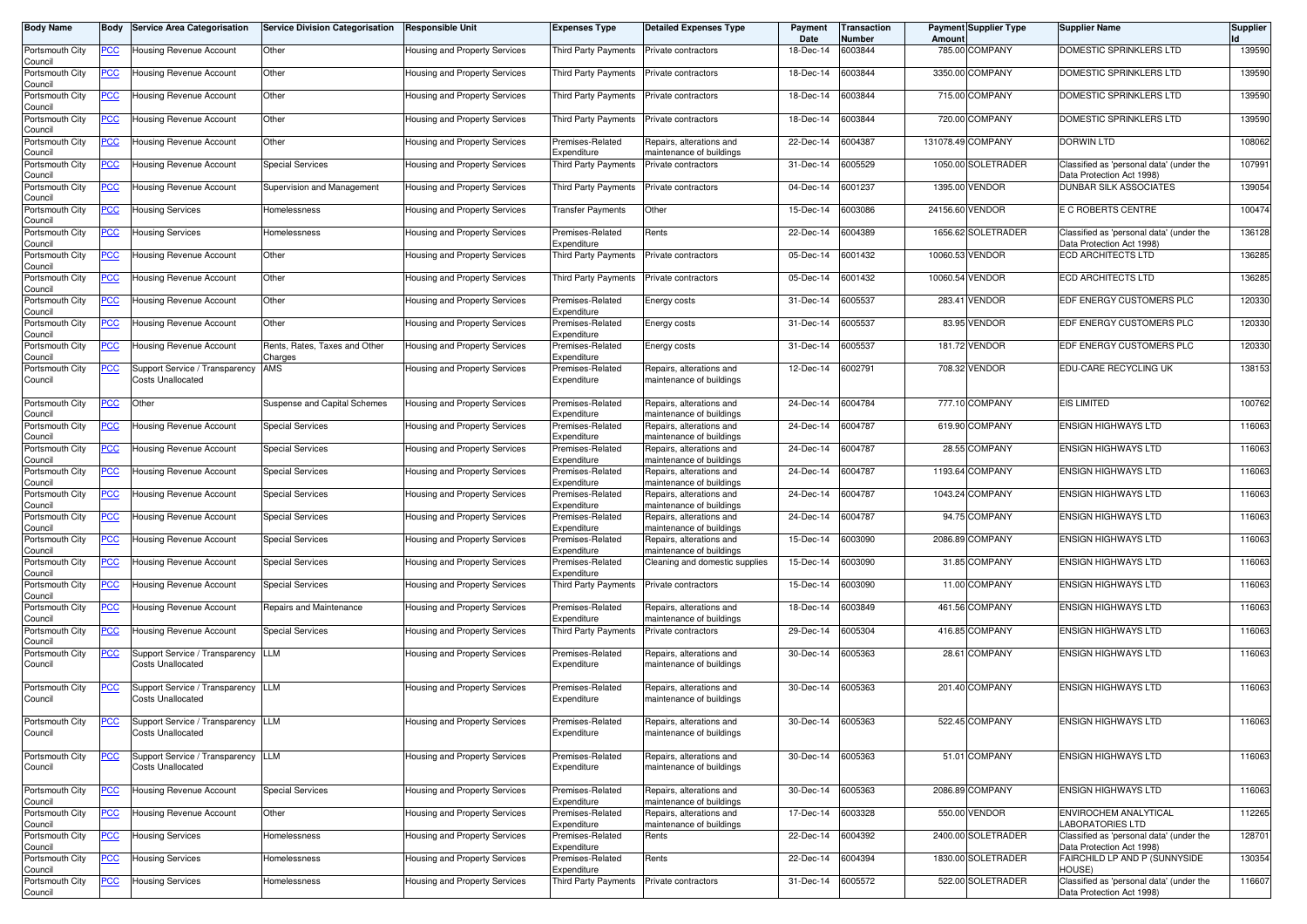| Body Name                  | Body           | <b>Service Area Categorisation</b>                               | <b>Service Division Categorisation</b>   | <b>Responsible Unit</b>              | <b>Expenses Type</b>            | <b>Detailed Expenses Type</b>                        | Payment<br>Date   | Transaction<br>Number | Amount  | <b>Payment Supplier Type</b> | <b>Supplier Name</b>                                                  | <b>Supplier</b> |
|----------------------------|----------------|------------------------------------------------------------------|------------------------------------------|--------------------------------------|---------------------------------|------------------------------------------------------|-------------------|-----------------------|---------|------------------------------|-----------------------------------------------------------------------|-----------------|
| Portsmouth City<br>Council | <u>PCC</u>     | Housing Revenue Account                                          | Other                                    | Housing and Property Services        | Third Party Payments            | Private contractors                                  | 18-Dec-14         | 6003844               |         | 785.00 COMPANY               | DOMESTIC SPRINKLERS LTD                                               | 139590          |
| Portsmouth City<br>Council | <u>PCC</u>     | Housing Revenue Account                                          | Other                                    | Housing and Property Services        | Third Party Payments            | Private contractors                                  | 18-Dec-14         | 6003844               |         | 3350.00 COMPANY              | DOMESTIC SPRINKLERS LTD                                               | 139590          |
| Portsmouth City<br>Council | <u>PCC</u>     | Housing Revenue Account                                          | Other                                    | Housing and Property Services        | Third Party Payments            | Private contractors                                  | 18-Dec-14         | 6003844               |         | 715.00 COMPANY               | DOMESTIC SPRINKLERS LTD                                               | 139590          |
| Portsmouth City<br>Council | <b>PCC</b>     | Housing Revenue Account                                          | Other                                    | Housing and Property Services        | <b>Third Party Payments</b>     | Private contractors                                  | 18-Dec-14         | 6003844               |         | 720.00 COMPANY               | DOMESTIC SPRINKLERS LTD                                               | 139590          |
| Portsmouth City<br>Council | <u>PCC</u>     | Housing Revenue Account                                          | Other                                    | Housing and Property Services        | Premises-Related<br>Expenditure | lepairs, alterations and<br>naintenance of buildings | 22-Dec-14         | 6004387               |         | 131078.49 COMPANY            | <b>DORWIN LTD</b>                                                     | 108062          |
| Portsmouth City<br>Council | <u>PCC</u>     | Housing Revenue Account                                          | <b>Special Services</b>                  | Housing and Property Services        | Third Party Payments            | Private contractors                                  | 31-Dec-14         | 6005529               |         | 1050.00 SOLETRADER           | Classified as 'personal data' (under the<br>Data Protection Act 1998) | 107991          |
| Portsmouth City<br>Council | <u>PCC</u>     | <b>Housing Revenue Account</b>                                   | Supervision and Management               | Housing and Property Services        | Third Party Payments            | Private contractors                                  | 04-Dec-14         | 6001237               | 1395.00 | <b>VENDOR</b>                | <b>DUNBAR SILK ASSOCIATES</b>                                         | 139054          |
| Portsmouth City<br>Council | <u>PCC</u>     | Housing Services                                                 | Homelessness                             | Housing and Property Services        | <b>Transfer Payments</b>        | Other                                                | 15-Dec-14         | 6003086               |         | 24156.60 VENDOR              | E C ROBERTS CENTRE                                                    | 100474          |
| Portsmouth City<br>Council | <u>PCC</u>     | Housing Services                                                 | Homelessness                             | Housing and Property Services        | Premises-Related<br>Expenditure | Rents                                                | 22-Dec-14         | 6004389               |         | 1656.62 SOLETRADER           | Classified as 'personal data' (under the<br>Data Protection Act 1998) | 136128          |
| Portsmouth City<br>Council | <u>PCC</u>     | Housing Revenue Account                                          | Other                                    | Housing and Property Services        | <b>Third Party Payments</b>     | Private contractors                                  | 05-Dec-14         | 6001432               |         | 10060.53 VENDOR              | <b>ECD ARCHITECTS LTD</b>                                             | 136285          |
| Portsmouth City<br>Council | <u>PCC</u>     | Housing Revenue Account                                          | Other                                    | Housing and Property Services        | Third Party Payments            | Private contractors                                  | 05-Dec-14         | 6001432               |         | 10060.54 VENDOR              | <b>ECD ARCHITECTS LTD</b>                                             | 136285          |
| Portsmouth City<br>Council | <u>PCC</u>     | Housing Revenue Account                                          | Other                                    | Housing and Property Services        | Premises-Related<br>Expenditure | Energy costs                                         | 31-Dec-14         | 6005537               | 283.41  | <b>VENDOR</b>                | EDF ENERGY CUSTOMERS PLC                                              | 120330          |
| Portsmouth City<br>Council | <u>PCC</u>     | Housing Revenue Account                                          | Other                                    | Housing and Property Services        | Premises-Related<br>Expenditure | Energy costs                                         | 31-Dec-14         | 6005537               |         | 83.95 VENDOR                 | EDF ENERGY CUSTOMERS PLC                                              | 120330          |
| Portsmouth City<br>Council | <u>PCC</u>     | Housing Revenue Account                                          | Rents, Rates, Taxes and Other<br>Charges | Housing and Property Services        | Premises-Related<br>Expenditure | Energy costs                                         | 31-Dec-14         | 6005537               | 181.72  | <b>VENDOR</b>                | EDF ENERGY CUSTOMERS PLC                                              | 120330          |
| Portsmouth City<br>Council | <u>PCC</u>     | Support Service / Transparency<br><b>Costs Unallocated</b>       | AMS                                      | Housing and Property Services        | Premises-Related<br>Expenditure | Repairs, alterations and<br>maintenance of buildings | 12-Dec-14         | 6002791               |         | 708.32 VENDOR                | EDU-CARE RECYCLING UK                                                 | 138153          |
| Portsmouth City<br>Council | <u>PCC</u>     | Other                                                            | Suspense and Capital Schemes             | Housing and Property Services        | Premises-Related<br>Expenditure | Repairs, alterations and<br>naintenance of buildings | 24-Dec-14         | 6004784               |         | 777.10 COMPANY               | <b>EIS LIMITED</b>                                                    | 100762          |
| Portsmouth City<br>Council | <b>PCC</b>     | Housing Revenue Account                                          | <b>Special Services</b>                  | Housing and Property Services        | Premises-Related<br>Expenditure | Repairs, alterations and<br>naintenance of buildings | 24-Dec-14         | 6004787               |         | 619.90 COMPANY               | <b>ENSIGN HIGHWAYS LTD</b>                                            | 116063          |
| Portsmouth City<br>Council | <u>PCC</u>     | Housing Revenue Account                                          | <b>Special Services</b>                  | Housing and Property Services        | Premises-Related<br>Expenditure | Repairs, alterations and<br>naintenance of buildings | 24-Dec-14         | 6004787               |         | 28.55 COMPANY                | <b>ENSIGN HIGHWAYS LTD</b>                                            | 116063          |
| Portsmouth City<br>Council | <u>PCC</u>     | Housing Revenue Account                                          | <b>Special Services</b>                  | <b>Housing and Property Services</b> | Premises-Related<br>Expenditure | Repairs, alterations and<br>naintenance of buildings | 24-Dec-14         | 6004787               |         | 1193.64 COMPANY              | <b>ENSIGN HIGHWAYS LTD</b>                                            | 116063          |
| Portsmouth City<br>Council | <u>PCC</u>     | Housing Revenue Account                                          | <b>Special Services</b>                  | Housing and Property Services        | Premises-Related<br>Expenditure | Repairs, alterations and<br>naintenance of buildings | 24-Dec-14         | 6004787               | 1043.24 | <b>COMPANY</b>               | <b>ENSIGN HIGHWAYS LTD</b>                                            | 116063          |
| Portsmouth City<br>Council | <u>PCC</u>     | Housing Revenue Account                                          | <b>Special Services</b>                  | Housing and Property Services        | Premises-Related<br>Expenditure | Repairs, alterations and<br>naintenance of buildings | 24-Dec-14         | 6004787               |         | 94.75 COMPANY                | <b>ENSIGN HIGHWAYS LTD</b>                                            | 116063          |
| Portsmouth City<br>Council | <u>PCC</u>     | Housing Revenue Account                                          | <b>Special Services</b>                  | Housing and Property Services        | Premises-Related<br>Expenditure | Repairs, alterations and<br>maintenance of buildings | 15-Dec-14         | 6003090               |         | 2086.89 COMPANY              | <b>ENSIGN HIGHWAYS LTD</b>                                            | 116063          |
| Portsmouth City<br>Council | <u>PCC</u>     | Housing Revenue Account                                          | <b>Special Services</b>                  | Housing and Property Services        | Premises-Related<br>Expenditure | Cleaning and domestic supplies                       | 15-Dec-14         | 6003090               |         | 31.85 COMPANY                | <b>ENSIGN HIGHWAYS LTD</b>                                            | 116063          |
| Portsmouth City<br>Council | <u>PCC</u>     | Housing Revenue Account                                          | <b>Special Services</b>                  | Housing and Property Services        | Third Party Payments            | Private contractors                                  | 15-Dec-14         | 6003090               |         | 11.00 COMPANY                | <b>ENSIGN HIGHWAYS LTD</b>                                            | 116063          |
| Portsmouth City<br>Council | <u>PCC</u>     | Housing Revenue Account                                          | Repairs and Maintenance                  | Housing and Property Services        | Premises-Related<br>Expenditure | Repairs, alterations and<br>naintenance of buildings | 18-Dec-14         | 6003849               |         | 461.56 COMPANY               | <b>ENSIGN HIGHWAYS LTD</b>                                            | 116063          |
| Portsmouth City<br>Council | <b>PCC</b>     | Housing Revenue Account                                          | <b>Special Services</b>                  | Housing and Property Services        | Third Party Payments            | Private contractors                                  | 29-Dec-14         | 6005304               |         | 416.85 COMPANY               | <b>ENSIGN HIGHWAYS LTD</b>                                            | 116063          |
| Portsmouth City<br>Council | <u>PCC</u>     | Support Service / Transparency<br>Costs Unallocated              | LLM                                      | Housing and Property Services        | Premises-Related<br>Expenditure | Repairs, alterations and<br>naintenance of buildings | 30-Dec-14         | 6005363               |         | 28.61 COMPANY                | <b>ENSIGN HIGHWAYS LTD</b>                                            | 116063          |
| Portsmouth City<br>Council | <u>PCC</u>     | Support Service / Transparency<br><b>Costs Unallocated</b>       | <b>LLM</b>                               | Housing and Property Services        | Premises-Related<br>Expenditure | Repairs, alterations and<br>maintenance of buildings | 30-Dec-14         | 6005363               |         | 201.40 COMPANY               | <b>ENSIGN HIGHWAYS LTD</b>                                            | 116063          |
| Portsmouth City<br>Council |                | Support Service / Transparency   LLM<br><b>Costs Unallocated</b> |                                          | Housing and Property Services        | Premises-Related<br>Expenditure | Repairs, alterations and<br>maintenance of buildings | 30-Dec-14 6005363 |                       |         | 522.45 COMPANY               | ENSIGN HIGHWAYS LTD                                                   | 116063          |
| Portsmouth City<br>Council | <u>PCC</u>     | Support Service / Transparency LLM<br><b>Costs Unallocated</b>   |                                          | Housing and Property Services        | Premises-Related<br>Expenditure | Repairs, alterations and<br>maintenance of buildings | 30-Dec-14 6005363 |                       |         | 51.01 COMPANY                | <b>ENSIGN HIGHWAYS LTD</b>                                            | 116063          |
| Portsmouth City<br>Council | $\overline{C}$ | <b>Housing Revenue Account</b>                                   | <b>Special Services</b>                  | Housing and Property Services        | Premises-Related<br>Expenditure | Repairs, alterations and<br>maintenance of buildings | 30-Dec-14         | 6005363               |         | 2086.89 COMPANY              | <b>ENSIGN HIGHWAYS LTD</b>                                            | 116063          |
| Portsmouth City<br>Council | <b>PCC</b>     | Housing Revenue Account                                          | Other                                    | Housing and Property Services        | Premises-Related<br>Expenditure | Repairs, alterations and<br>naintenance of buildings | 17-Dec-14         | 6003328               |         | 550.00 VENDOR                | ENVIROCHEM ANALYTICAL<br><b>LABORATORIES LTD</b>                      | 112265          |
| Portsmouth City<br>Council | <u>PCC</u>     | <b>Housing Services</b>                                          | Homelessness                             | Housing and Property Services        | Premises-Related<br>Expenditure | Rents                                                | 22-Dec-14         | 6004392               |         | 2400.00 SOLETRADER           | Classified as 'personal data' (under the<br>Data Protection Act 1998) | 128701          |
| Portsmouth City<br>Council | <u>PCC</u>     | Housing Services                                                 | Homelessness                             | Housing and Property Services        | Premises-Related<br>Expenditure | Rents                                                | 22-Dec-14         | 6004394               |         | 1830.00 SOLETRADER           | FAIRCHILD LP AND P (SUNNYSIDE<br>HOUSE)                               | 130354          |
| Portsmouth City<br>Council | <u>PCC</u>     | <b>Housing Services</b>                                          | Homelessness                             | Housing and Property Services        | Third Party Payments            | Private contractors                                  | 31-Dec-14 6005572 |                       |         | 522.00 SOLETRADER            | Classified as 'personal data' (under the<br>Data Protection Act 1998) | 116607          |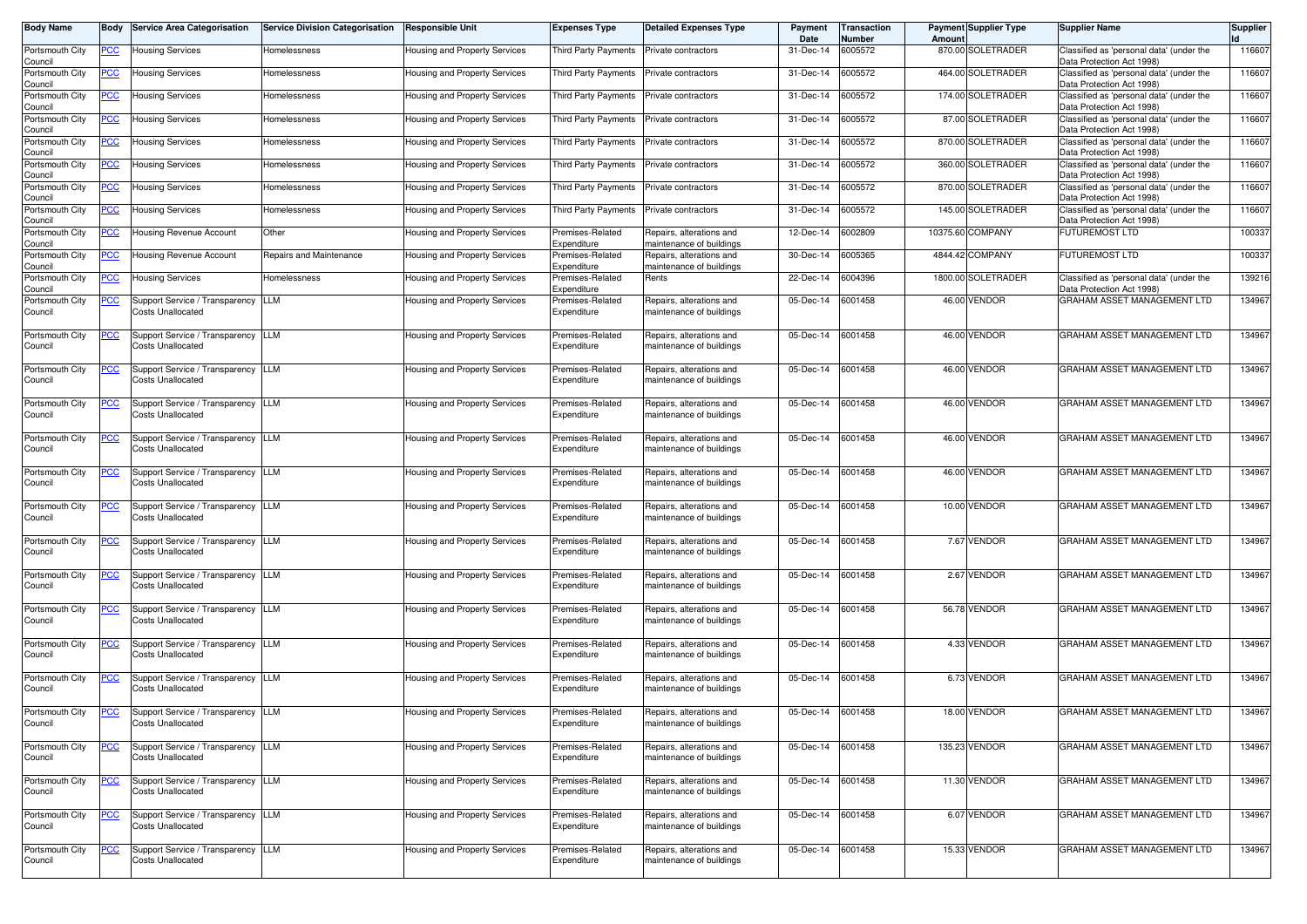| <b>Body Name</b>           | Body        | <b>Service Area Categorisation</b>                         | <b>Service Division Categorisation</b> | Responsible Unit                     | <b>Expenses Type</b>            | <b>Detailed Expenses Type</b>                        | Payment<br>Date   | <b>Transaction</b><br>Number | Amount | <b>Payment Supplier Type</b> | <b>Supplier Name</b>                                                  | <b>Supplier</b> |
|----------------------------|-------------|------------------------------------------------------------|----------------------------------------|--------------------------------------|---------------------------------|------------------------------------------------------|-------------------|------------------------------|--------|------------------------------|-----------------------------------------------------------------------|-----------------|
| Portsmouth City<br>Council | PCC         | Housing Services                                           | Homelessness                           | Housing and Property Services        | Third Party Payments            | Private contractors                                  | 31-Dec-14         | 6005572                      |        | 870.00 SOLETRADER            | Classified as 'personal data' (under the<br>Data Protection Act 1998) | 116607          |
| Portsmouth City<br>Council | <u>PCC</u>  | Housing Services                                           | Homelessness                           | Housing and Property Services        | Third Party Payments            | Private contractors                                  | 31-Dec-14         | 6005572                      |        | 464.00 SOLETRADER            | Classified as 'personal data' (under the<br>Data Protection Act 1998) | 116607          |
| Portsmouth City<br>Council | <u>PCC</u>  | <b>Housing Services</b>                                    | Homelessness                           | Housing and Property Services        | Third Party Payments            | Private contractors                                  | 31-Dec-14         | 6005572                      |        | 174.00 SOLETRADER            | Classified as 'personal data' (under the<br>Data Protection Act 1998) | 116607          |
| Portsmouth City<br>Council | <u>PCC</u>  | <b>Housing Services</b>                                    | Homelessness                           | Housing and Property Services        | <b>Third Party Payments</b>     | Private contractors                                  | 31-Dec-14         | 6005572                      |        | 87.00 SOLETRADER             | Classified as 'personal data' (under the<br>Data Protection Act 1998) | 116607          |
| Portsmouth City<br>Council | <u>PCC</u>  | <b>Housing Services</b>                                    | Homelessness                           | Housing and Property Services        | Third Party Payments            | Private contractors                                  | 31-Dec-14         | 6005572                      |        | 870.00 SOLETRADER            | Classified as 'personal data' (under the<br>Data Protection Act 1998) | 116607          |
| Portsmouth City<br>Council | <u>PCC</u>  | Housing Services                                           | Homelessness                           | Housing and Property Services        | Third Party Payments            | Private contractors                                  | 31-Dec-14         | 6005572                      |        | 360.00 SOLETRADER            | Classified as 'personal data' (under the<br>Data Protection Act 1998) | 116607          |
| Portsmouth City<br>Council | <u>PCC</u>  | <b>Housing Services</b>                                    | Homelessness                           | Housing and Property Services        | Third Party Payments            | Private contractors                                  | 31-Dec-14         | 6005572                      |        | 870.00 SOLETRADER            | Classified as 'personal data' (under the<br>Data Protection Act 1998) | 116607          |
| Portsmouth City<br>Council | <u>PCC</u>  | <b>Housing Services</b>                                    | Homelessness                           | Housing and Property Services        | Third Party Payments            | Private contractors                                  | 31-Dec-14         | 6005572                      |        | 145.00 SOLETRADER            | Classified as 'personal data' (under the<br>Data Protection Act 1998) | 116607          |
| Portsmouth City<br>Council | <u>PCC</u>  | Housing Revenue Account                                    | Other                                  | Housing and Property Services        | Premises-Related<br>Expenditure | Repairs, alterations and<br>naintenance of buildings | 12-Dec-14         | 6002809                      |        | 10375.60 COMPANY             | <b>FUTUREMOST LTD</b>                                                 | 100337          |
| Portsmouth City<br>Council | PCC         | Housing Revenue Account                                    | Repairs and Maintenance                | Housing and Property Services        | Premises-Related<br>Expenditure | Repairs, alterations and<br>naintenance of buildings | 30-Dec-14         | 6005365                      |        | 4844.42 COMPANY              | <b>FUTUREMOST LTD</b>                                                 | 100337          |
| Portsmouth City<br>Council | <u>PCC</u>  | Housing Services                                           | Homelessness                           | Housing and Property Services        | Premises-Related<br>Expenditure | Rents                                                | 22-Dec-14         | 6004396                      |        | 1800.00 SOLETRADER           | Classified as 'personal data' (under the<br>Data Protection Act 1998) | 139216          |
| Portsmouth City<br>Council | <u>PCC</u>  | Support Service / Transparency<br>Costs Unallocated        | LLM                                    | Housing and Property Services        | Premises-Related<br>Expenditure | Repairs, alterations and<br>naintenance of buildings | 05-Dec-14         | 6001458                      |        | 46.00 VENDOR                 | GRAHAM ASSET MANAGEMENT LTD                                           | 134967          |
| Portsmouth City<br>Council | <u>PCC</u>  | Support Service / Transparency<br><b>Costs Unallocated</b> | LLM                                    | Housing and Property Services        | Premises-Related<br>Expenditure | Repairs, alterations and<br>naintenance of buildings | 05-Dec-14         | 6001458                      |        | 46.00 VENDOR                 | GRAHAM ASSET MANAGEMENT LTD                                           | 134967          |
| Portsmouth City<br>Council | <u>PCC</u>  | Support Service / Transparency<br>Costs Unallocated        | LLM                                    | Housing and Property Services        | Premises-Related<br>Expenditure | Repairs, alterations and<br>naintenance of buildings | 05-Dec-14         | 6001458                      |        | 46.00 VENDOR                 | GRAHAM ASSET MANAGEMENT LTD                                           | 134967          |
| Portsmouth City<br>Council | <u>PCC</u>  | Support Service / Transparency<br>Costs Unallocated        | <b>LLM</b>                             | Housing and Property Services        | Premises-Related<br>Expenditure | Repairs, alterations and<br>maintenance of buildings | 05-Dec-14         | 6001458                      |        | 46.00 VENDOR                 | GRAHAM ASSET MANAGEMENT LTD                                           | 134967          |
| Portsmouth City<br>Council | <u>PCC</u>  | Support Service / Transparency<br><b>Costs Unallocated</b> | LLM                                    | Housing and Property Services        | Premises-Related<br>Expenditure | Repairs, alterations and<br>maintenance of buildings | 05-Dec-14         | 6001458                      |        | 46.00 VENDOR                 | GRAHAM ASSET MANAGEMENT LTD                                           | 134967          |
| Portsmouth City<br>Council |             | Support Service / Transparency LLM<br>Costs Unallocated    |                                        | Housing and Property Services        | Premises-Related<br>Expenditure | Repairs, alterations and<br>maintenance of buildings | 05-Dec-14         | 6001458                      |        | 46.00 VENDOR                 | GRAHAM ASSET MANAGEMENT LTD                                           | 134967          |
| Portsmouth City<br>Council | <u>PCC</u>  | Support Service / Transparency<br>Costs Unallocated        | LLM                                    | Housing and Property Services        | Premises-Related<br>Expenditure | Repairs, alterations and<br>naintenance of buildings | 05-Dec-14         | 6001458                      |        | 10.00 VENDOR                 | GRAHAM ASSET MANAGEMENT LTD                                           | 134967          |
| Portsmouth City<br>Council | <u>PCC</u>  | Support Service / Transparency<br><b>Costs Unallocated</b> | <b>LLM</b>                             | Housing and Property Services        | Premises-Related<br>Expenditure | Repairs, alterations and<br>maintenance of buildings | 05-Dec-14         | 6001458                      |        | 7.67 VENDOR                  | GRAHAM ASSET MANAGEMENT LTD                                           | 134967          |
| Portsmouth City<br>Council | <u>PCC </u> | Support Service / Transparency<br><b>Costs Unallocated</b> | LLM                                    | Housing and Property Services        | Premises-Related<br>Expenditure | Repairs, alterations and<br>naintenance of buildings | 05-Dec-14         | 6001458                      |        | 2.67 VENDOR                  | GRAHAM ASSET MANAGEMENT LTD                                           | 134967          |
| Portsmouth City<br>Council | <u>PCC</u>  | Support Service / Transparency<br><b>Costs Unallocated</b> | LLM                                    | Housing and Property Services        | Premises-Related<br>Expenditure | Repairs, alterations and<br>naintenance of buildings | 05-Dec-14         | 6001458                      |        | 56.78 VENDOR                 | GRAHAM ASSET MANAGEMENT LTD                                           | 134967          |
| Portsmouth City<br>Council | <u>PCC</u>  | Support Service / Transparency<br><b>Costs Unallocated</b> | LLM                                    | Housing and Property Services        | Premises-Related<br>Expenditure | Repairs, alterations and<br>maintenance of buildings | 05-Dec-14         | 6001458                      |        | 4.33 VENDOR                  | GRAHAM ASSET MANAGEMENT LTD                                           | 134967          |
| Portsmouth City<br>Council | <u>PCC</u>  | Support Service / Transparency<br>Costs Unallocated        | LLM                                    | Housing and Property Services        | Premises-Related<br>Expenditure | Repairs, alterations and<br>maintenance of buildings | 05-Dec-14         | 6001458                      |        | 6.73 VENDOR                  | GRAHAM ASSET MANAGEMENT LTD                                           | 134967          |
| Portsmouth City<br>Council | <u>PCC</u>  | Support Service / Transparency LLM<br>Costs Unallocated    |                                        | <b>Housing and Property Services</b> | Premises-Related<br>Expenditure | Repairs, alterations and<br>naintenance of buildings | 05-Dec-14 6001458 |                              |        | 18.00 VENDOR                 | GRAHAM ASSET MANAGEMENT LTD                                           | 134967          |
| Portsmouth City<br>Council | <u>PCC</u>  | Support Service / Transparency LLM<br>Costs Unallocated    |                                        | Housing and Property Services        | Premises-Related<br>Expenditure | Repairs, alterations and<br>maintenance of buildings | 05-Dec-14 6001458 |                              |        | 135.23 VENDOR                | GRAHAM ASSET MANAGEMENT LTD                                           | 134967          |
| Portsmouth City<br>Council | <u>PCC</u>  | Support Service / Transparency LLM<br>Costs Unallocated    |                                        | Housing and Property Services        | Premises-Related<br>Expenditure | Repairs, alterations and<br>maintenance of buildings | 05-Dec-14 6001458 |                              |        | 11.30 VENDOR                 | GRAHAM ASSET MANAGEMENT LTD                                           | 134967          |
| Portsmouth City<br>Council | <u>PCC</u>  | Support Service / Transparency LLM<br>Costs Unallocated    |                                        | Housing and Property Services        | Premises-Related<br>Expenditure | Repairs, alterations and<br>maintenance of buildings | 05-Dec-14 6001458 |                              |        | 6.07 VENDOR                  | GRAHAM ASSET MANAGEMENT LTD                                           | 134967          |
| Portsmouth City<br>Council | <u>PCC</u>  | Support Service / Transparency LLM<br>Costs Unallocated    |                                        | Housing and Property Services        | Premises-Related<br>Expenditure | Repairs, alterations and<br>naintenance of buildings | 05-Dec-14 6001458 |                              |        | 15.33 VENDOR                 | GRAHAM ASSET MANAGEMENT LTD                                           | 134967          |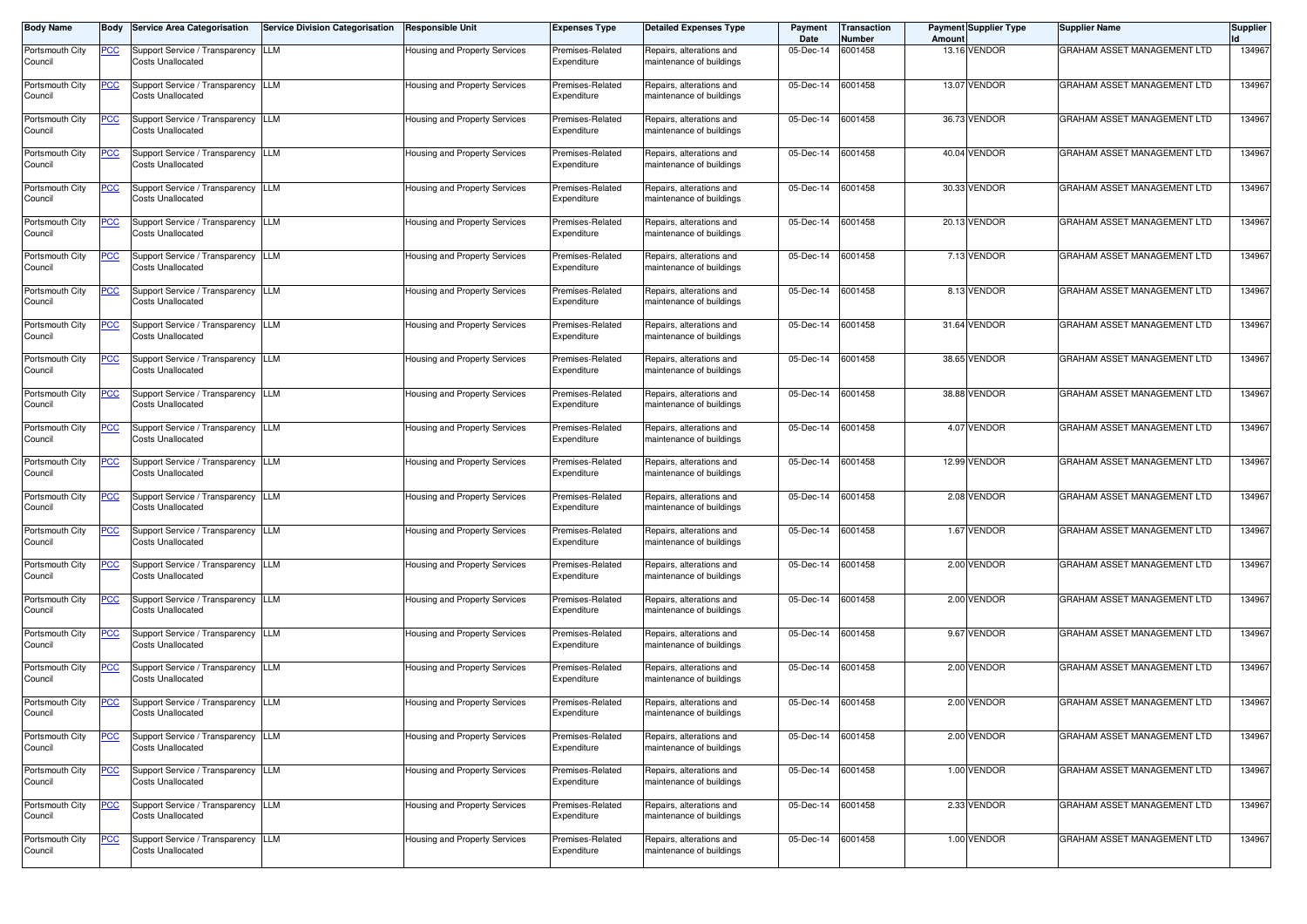| <b>Body Name</b>           | Body           | <b>Service Area Categorisation</b>                             | <b>Service Division Categorisation</b> | <b>Responsible Unit</b>              | <b>Expenses Type</b>            | <b>Detailed Expenses Type</b>                        | Payment<br>Date   | <b>Transaction</b><br>Number | Amount | <b>Payment Supplier Type</b> | <b>Supplier Name</b>        | <b>Supplier</b> |
|----------------------------|----------------|----------------------------------------------------------------|----------------------------------------|--------------------------------------|---------------------------------|------------------------------------------------------|-------------------|------------------------------|--------|------------------------------|-----------------------------|-----------------|
| Portsmouth City<br>Council | PCC            | Support Service / Transparency<br><b>Costs Unallocated</b>     | <b>LLM</b>                             | <b>Housing and Property Services</b> | Premises-Related<br>Expenditure | Repairs, alterations and<br>maintenance of buildings | 05-Dec-14         | 6001458                      |        | 13.16 VENDOR                 | GRAHAM ASSET MANAGEMENT LTD | 134967          |
| Portsmouth City<br>Council | $\overline{C}$ | Support Service / Transparency<br>Costs Unallocated            | <b>LLM</b>                             | Housing and Property Services        | Premises-Related<br>Expenditure | Repairs, alterations and<br>maintenance of buildings | 05-Dec-14         | 6001458                      |        | 13.07 VENDOR                 | GRAHAM ASSET MANAGEMENT LTD | 134967          |
| Portsmouth City<br>Council | <u>PCC</u>     | Support Service / Transparency LLM<br>Costs Unallocated        |                                        | Housing and Property Services        | Premises-Related<br>Expenditure | Repairs, alterations and<br>maintenance of buildings | 05-Dec-14         | 6001458                      |        | 36.73 VENDOR                 | GRAHAM ASSET MANAGEMENT LTD | 134967          |
| Portsmouth City<br>Council | <u>PCC</u>     | Support Service / Transparency LLM<br><b>Costs Unallocated</b> |                                        | Housing and Property Services        | Premises-Related<br>Expenditure | Repairs, alterations and<br>maintenance of buildings | 05-Dec-14         | 6001458                      |        | 40.04 VENDOR                 | GRAHAM ASSET MANAGEMENT LTD | 134967          |
| Portsmouth City<br>Council | <u>PCC</u>     | Support Service / Transparency<br>Costs Unallocated            | LLM                                    | Housing and Property Services        | Premises-Related<br>Expenditure | Repairs, alterations and<br>maintenance of buildings | 05-Dec-14         | 6001458                      |        | 30.33 VENDOR                 | GRAHAM ASSET MANAGEMENT LTD | 134967          |
| Portsmouth City<br>Council | PСC            | Support Service / Transparency<br><b>Costs Unallocated</b>     | <b>LLM</b>                             | Housing and Property Services        | Premises-Related<br>Expenditure | Repairs, alterations and<br>maintenance of buildings | 05-Dec-14         | 6001458                      |        | 20.13 VENDOR                 | GRAHAM ASSET MANAGEMENT LTD | 134967          |
| Portsmouth City<br>Council | <u>PCC</u>     | Support Service / Transparency<br><b>Costs Unallocated</b>     | <b>LLM</b>                             | Housing and Property Services        | Premises-Related<br>Expenditure | Repairs, alterations and<br>maintenance of buildings | 05-Dec-14         | 6001458                      |        | 7.13 VENDOR                  | GRAHAM ASSET MANAGEMENT LTD | 134967          |
| Portsmouth City<br>Council | <u>PCC</u>     | Support Service / Transparency<br><b>Costs Unallocated</b>     | LLM                                    | Housing and Property Services        | Premises-Related<br>Expenditure | Repairs, alterations and<br>maintenance of buildings | 05-Dec-14         | 6001458                      |        | 8.13 VENDOR                  | GRAHAM ASSET MANAGEMENT LTD | 134967          |
| Portsmouth City<br>Council | <u>'CC</u>     | Support Service / Transparency LLM<br><b>Costs Unallocated</b> |                                        | Housing and Property Services        | Premises-Related<br>Expenditure | Repairs, alterations and<br>maintenance of buildings | 05-Dec-14         | 6001458                      |        | 31.64 VENDOR                 | GRAHAM ASSET MANAGEMENT LTD | 134967          |
| Portsmouth City<br>Council | <u>PCC</u>     | Support Service / Transparency LLM<br>Costs Unallocated        |                                        | Housing and Property Services        | Premises-Related<br>Expenditure | Repairs, alterations and<br>maintenance of buildings | 05-Dec-14         | 6001458                      |        | 38.65 VENDOR                 | GRAHAM ASSET MANAGEMENT LTD | 134967          |
| Portsmouth City<br>Council | <u>PCC</u>     | Support Service / Transparency<br>Costs Unallocated            | LLM                                    | Housing and Property Services        | Premises-Related<br>Expenditure | Repairs, alterations and<br>maintenance of buildings | 05-Dec-14         | 6001458                      |        | 38.88 VENDOR                 | GRAHAM ASSET MANAGEMENT LTD | 134967          |
| Portsmouth City<br>Council | <u>PCC</u>     | Support Service / Transparency<br><b>Costs Unallocated</b>     | <b>LLM</b>                             | Housing and Property Services        | Premises-Related<br>Expenditure | Repairs, alterations and<br>maintenance of buildings | 05-Dec-14         | 6001458                      |        | 4.07 VENDOR                  | GRAHAM ASSET MANAGEMENT LTD | 134967          |
| Portsmouth City<br>Council | PCC.           | Support Service / Transparency<br><b>Costs Unallocated</b>     | <b>LLM</b>                             | Housing and Property Services        | Premises-Related<br>Expenditure | Repairs, alterations and<br>maintenance of buildings | 05-Dec-14         | 6001458                      |        | 12.99 VENDOR                 | GRAHAM ASSET MANAGEMENT LTD | 134967          |
| Portsmouth City<br>Council | <u>PCC</u>     | Support Service / Transparency<br>Costs Unallocated            | LLM                                    | Housing and Property Services        | Premises-Related<br>Expenditure | Repairs, alterations and<br>maintenance of buildings | 05-Dec-14         | 6001458                      |        | 2.08 VENDOR                  | GRAHAM ASSET MANAGEMENT LTD | 134967          |
| Portsmouth City<br>Council | $\overline{C}$ | Support Service / Transparency LLM<br><b>Costs Unallocated</b> |                                        | Housing and Property Services        | Premises-Related<br>Expenditure | Repairs, alterations and<br>maintenance of buildings | 05-Dec-14         | 6001458                      |        | 1.67 VENDOR                  | GRAHAM ASSET MANAGEMENT LTD | 134967          |
| Portsmouth City<br>Council | <u>PCC</u>     | Support Service / Transparency LLM<br>Costs Unallocated        |                                        | Housing and Property Services        | Premises-Related<br>Expenditure | Repairs, alterations and<br>maintenance of buildings | 05-Dec-14         | 6001458                      |        | 2.00 VENDOR                  | GRAHAM ASSET MANAGEMENT LTD | 134967          |
| Portsmouth City<br>Council | <u>PCC</u>     | Support Service / Transparency<br>Costs Unallocated            | <b>LLM</b>                             | Housing and Property Services        | Premises-Related<br>Expenditure | Repairs, alterations and<br>maintenance of buildings | 05-Dec-14         | 6001458                      |        | 2.00 VENDOR                  | GRAHAM ASSET MANAGEMENT LTD | 134967          |
| Portsmouth City<br>Council | <u>PCC</u>     | Support Service / Transparency LLM<br><b>Costs Unallocated</b> |                                        | Housing and Property Services        | Premises-Related<br>Expenditure | Repairs, alterations and<br>maintenance of buildings | 05-Dec-14         | 6001458                      |        | 9.67 VENDOR                  | GRAHAM ASSET MANAGEMENT LTD | 134967          |
| Portsmouth City<br>Council | <u>PCC</u>     | Support Service / Transparency<br><b>Costs Unallocated</b>     | LLM                                    | Housing and Property Services        | Premises-Related<br>Expenditure | Repairs, alterations and<br>maintenance of buildings | 05-Dec-14         | 6001458                      |        | 2.00 VENDOR                  | GRAHAM ASSET MANAGEMENT LTD | 134967          |
| Portsmouth City<br>Council | <u>PCC</u>     | Support Service / Transparency<br><b>Costs Unallocated</b>     | LLM                                    | Housing and Property Services        | Premises-Related<br>Expenditure | Repairs, alterations and<br>maintenance of buildings | 05-Dec-14         | 6001458                      |        | 2.00 VENDOR                  | GRAHAM ASSET MANAGEMENT LTD | 134967          |
| Portsmouth City<br>Council | <u>PCC</u>     | Support Service / Transparency<br><b>Costs Unallocated</b>     | <b>LLM</b>                             | Housing and Property Services        | Premises-Related<br>Expenditure | Repairs, alterations and<br>maintenance of buildings | 05-Dec-14         | 6001458                      |        | 2.00 VENDOR                  | GRAHAM ASSET MANAGEMENT LTD | 134967          |
| Portsmouth City<br>Council | <u>PCC</u>     | Support Service / Transparency LLM<br>Costs Unallocated        |                                        | Housing and Property Services        | Premises-Related<br>Expenditure | Repairs, alterations and<br>maintenance of buildings | 05-Dec-14         | 6001458                      |        | 1.00 VENDOR                  | GRAHAM ASSET MANAGEMENT LTD | 134967          |
| Portsmouth City<br>Council | <u>PCC</u>     | Support Service / Transparency LLM<br><b>Costs Unallocated</b> |                                        | Housing and Property Services        | Premises-Related<br>Expenditure | Repairs, alterations and<br>maintenance of buildings | 05-Dec-14         | 6001458                      |        | 2.33 VENDOR                  | GRAHAM ASSET MANAGEMENT LTD | 134967          |
| Portsmouth City<br>Council | <u>PCC</u>     | Support Service / Transparency<br><b>Costs Unallocated</b>     | LLM                                    | Housing and Property Services        | Premises-Related<br>Expenditure | Repairs, alterations and<br>maintenance of buildings | 05-Dec-14 6001458 |                              |        | 1.00 VENDOR                  | GRAHAM ASSET MANAGEMENT LTD | 134967          |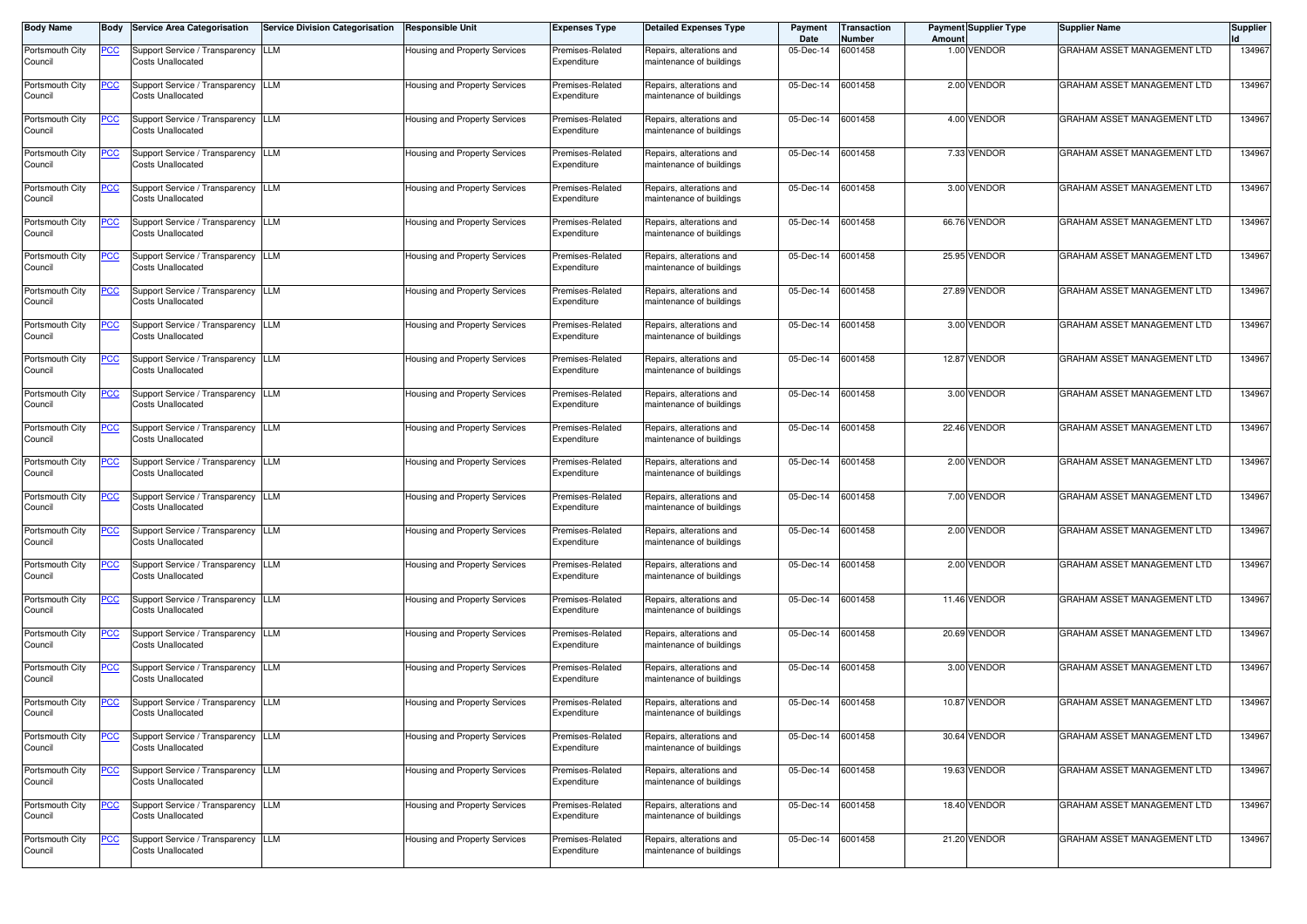| <b>Body Name</b>           | Body           | <b>Service Area Categorisation</b>                             | <b>Service Division Categorisation</b> | <b>Responsible Unit</b>              | <b>Expenses Type</b>            | <b>Detailed Expenses Type</b>                        | Payment<br>Date   | <b>Transaction</b><br>Number | Amount | <b>Payment Supplier Type</b> | <b>Supplier Name</b>        | <b>Supplier</b> |
|----------------------------|----------------|----------------------------------------------------------------|----------------------------------------|--------------------------------------|---------------------------------|------------------------------------------------------|-------------------|------------------------------|--------|------------------------------|-----------------------------|-----------------|
| Portsmouth City<br>Council | PCC            | Support Service / Transparency<br><b>Costs Unallocated</b>     | <b>LLM</b>                             | <b>Housing and Property Services</b> | Premises-Related<br>Expenditure | Repairs, alterations and<br>maintenance of buildings | 05-Dec-14         | 6001458                      |        | 1.00 VENDOR                  | GRAHAM ASSET MANAGEMENT LTD | 134967          |
| Portsmouth City<br>Council | $\overline{C}$ | Support Service / Transparency<br>Costs Unallocated            | <b>LLM</b>                             | Housing and Property Services        | Premises-Related<br>Expenditure | Repairs, alterations and<br>maintenance of buildings | 05-Dec-14         | 6001458                      |        | 2.00 VENDOR                  | GRAHAM ASSET MANAGEMENT LTD | 134967          |
| Portsmouth City<br>Council | <u>PCC</u>     | Support Service / Transparency LLM<br>Costs Unallocated        |                                        | Housing and Property Services        | Premises-Related<br>Expenditure | Repairs, alterations and<br>maintenance of buildings | 05-Dec-14         | 6001458                      |        | 4.00 VENDOR                  | GRAHAM ASSET MANAGEMENT LTD | 134967          |
| Portsmouth City<br>Council | <u>PCC</u>     | Support Service / Transparency LLM<br><b>Costs Unallocated</b> |                                        | Housing and Property Services        | Premises-Related<br>Expenditure | Repairs, alterations and<br>maintenance of buildings | 05-Dec-14         | 6001458                      |        | 7.33 VENDOR                  | GRAHAM ASSET MANAGEMENT LTD | 134967          |
| Portsmouth City<br>Council | <u>PCC</u>     | Support Service / Transparency<br>Costs Unallocated            | LLM                                    | Housing and Property Services        | Premises-Related<br>Expenditure | Repairs, alterations and<br>maintenance of buildings | 05-Dec-14         | 6001458                      |        | 3.00 VENDOR                  | GRAHAM ASSET MANAGEMENT LTD | 134967          |
| Portsmouth City<br>Council | PСC            | Support Service / Transparency<br><b>Costs Unallocated</b>     | <b>LLM</b>                             | Housing and Property Services        | Premises-Related<br>Expenditure | Repairs, alterations and<br>maintenance of buildings | 05-Dec-14         | 6001458                      |        | 66.76 VENDOR                 | GRAHAM ASSET MANAGEMENT LTD | 134967          |
| Portsmouth City<br>Council | <u>PCC</u>     | Support Service / Transparency<br><b>Costs Unallocated</b>     | <b>LLM</b>                             | Housing and Property Services        | Premises-Related<br>Expenditure | Repairs, alterations and<br>maintenance of buildings | 05-Dec-14         | 6001458                      |        | 25.95 VENDOR                 | GRAHAM ASSET MANAGEMENT LTD | 134967          |
| Portsmouth City<br>Council | <u>PCC</u>     | Support Service / Transparency<br><b>Costs Unallocated</b>     | LLM                                    | Housing and Property Services        | Premises-Related<br>Expenditure | Repairs, alterations and<br>maintenance of buildings | 05-Dec-14         | 6001458                      |        | 27.89 VENDOR                 | GRAHAM ASSET MANAGEMENT LTD | 134967          |
| Portsmouth City<br>Council | <u>'CC</u>     | Support Service / Transparency LLM<br><b>Costs Unallocated</b> |                                        | Housing and Property Services        | Premises-Related<br>Expenditure | Repairs, alterations and<br>maintenance of buildings | 05-Dec-14         | 6001458                      |        | 3.00 VENDOR                  | GRAHAM ASSET MANAGEMENT LTD | 134967          |
| Portsmouth City<br>Council | <u>PCC</u>     | Support Service / Transparency LLM<br>Costs Unallocated        |                                        | Housing and Property Services        | Premises-Related<br>Expenditure | Repairs, alterations and<br>maintenance of buildings | 05-Dec-14         | 6001458                      |        | 12.87 VENDOR                 | GRAHAM ASSET MANAGEMENT LTD | 134967          |
| Portsmouth City<br>Council | <u>PCC</u>     | Support Service / Transparency<br>Costs Unallocated            | LLM                                    | Housing and Property Services        | Premises-Related<br>Expenditure | Repairs, alterations and<br>maintenance of buildings | 05-Dec-14         | 6001458                      |        | 3.00 VENDOR                  | GRAHAM ASSET MANAGEMENT LTD | 134967          |
| Portsmouth City<br>Council | <u>PCC</u>     | Support Service / Transparency<br><b>Costs Unallocated</b>     | <b>LLM</b>                             | Housing and Property Services        | Premises-Related<br>Expenditure | Repairs, alterations and<br>maintenance of buildings | 05-Dec-14         | 6001458                      |        | 22.46 VENDOR                 | GRAHAM ASSET MANAGEMENT LTD | 134967          |
| Portsmouth City<br>Council | PCC.           | Support Service / Transparency<br><b>Costs Unallocated</b>     | <b>LLM</b>                             | Housing and Property Services        | Premises-Related<br>Expenditure | Repairs, alterations and<br>maintenance of buildings | 05-Dec-14         | 6001458                      |        | 2.00 VENDOR                  | GRAHAM ASSET MANAGEMENT LTD | 134967          |
| Portsmouth City<br>Council | <u>PCC</u>     | Support Service / Transparency<br>Costs Unallocated            | LLM                                    | Housing and Property Services        | Premises-Related<br>Expenditure | Repairs, alterations and<br>maintenance of buildings | 05-Dec-14         | 6001458                      |        | 7.00 VENDOR                  | GRAHAM ASSET MANAGEMENT LTD | 134967          |
| Portsmouth City<br>Council | $\overline{C}$ | Support Service / Transparency LLM<br><b>Costs Unallocated</b> |                                        | Housing and Property Services        | Premises-Related<br>Expenditure | Repairs, alterations and<br>maintenance of buildings | 05-Dec-14         | 6001458                      |        | 2.00 VENDOR                  | GRAHAM ASSET MANAGEMENT LTD | 134967          |
| Portsmouth City<br>Council | <u>PCC</u>     | Support Service / Transparency LLM<br>Costs Unallocated        |                                        | Housing and Property Services        | Premises-Related<br>Expenditure | Repairs, alterations and<br>maintenance of buildings | 05-Dec-14         | 6001458                      |        | 2.00 VENDOR                  | GRAHAM ASSET MANAGEMENT LTD | 134967          |
| Portsmouth City<br>Council | <u>PCC</u>     | Support Service / Transparency<br>Costs Unallocated            | <b>LLM</b>                             | Housing and Property Services        | Premises-Related<br>Expenditure | Repairs, alterations and<br>maintenance of buildings | 05-Dec-14         | 6001458                      |        | 11.46 VENDOR                 | GRAHAM ASSET MANAGEMENT LTD | 134967          |
| Portsmouth City<br>Council | <u>PCC</u>     | Support Service / Transparency LLM<br><b>Costs Unallocated</b> |                                        | Housing and Property Services        | Premises-Related<br>Expenditure | Repairs, alterations and<br>maintenance of buildings | 05-Dec-14         | 6001458                      |        | 20.69 VENDOR                 | GRAHAM ASSET MANAGEMENT LTD | 134967          |
| Portsmouth City<br>Council | <u>PCC</u>     | Support Service / Transparency<br><b>Costs Unallocated</b>     | LLM                                    | Housing and Property Services        | Premises-Related<br>Expenditure | Repairs, alterations and<br>maintenance of buildings | 05-Dec-14         | 6001458                      |        | 3.00 VENDOR                  | GRAHAM ASSET MANAGEMENT LTD | 134967          |
| Portsmouth City<br>Council | <u>PCC</u>     | Support Service / Transparency<br><b>Costs Unallocated</b>     | LLM                                    | Housing and Property Services        | Premises-Related<br>Expenditure | Repairs, alterations and<br>maintenance of buildings | 05-Dec-14         | 6001458                      |        | 10.87 VENDOR                 | GRAHAM ASSET MANAGEMENT LTD | 134967          |
| Portsmouth City<br>Council | <u>PCC</u>     | Support Service / Transparency<br><b>Costs Unallocated</b>     | <b>LLM</b>                             | Housing and Property Services        | Premises-Related<br>Expenditure | Repairs, alterations and<br>maintenance of buildings | 05-Dec-14         | 6001458                      |        | 30.64 VENDOR                 | GRAHAM ASSET MANAGEMENT LTD | 134967          |
| Portsmouth City<br>Council | <u>PCC</u>     | Support Service / Transparency LLM<br>Costs Unallocated        |                                        | Housing and Property Services        | Premises-Related<br>Expenditure | Repairs, alterations and<br>maintenance of buildings | 05-Dec-14         | 6001458                      |        | 19.63 VENDOR                 | GRAHAM ASSET MANAGEMENT LTD | 134967          |
| Portsmouth City<br>Council | <u>PCC</u>     | Support Service / Transparency LLM<br><b>Costs Unallocated</b> |                                        | Housing and Property Services        | Premises-Related<br>Expenditure | Repairs, alterations and<br>maintenance of buildings | 05-Dec-14         | 6001458                      |        | 18.40 VENDOR                 | GRAHAM ASSET MANAGEMENT LTD | 134967          |
| Portsmouth City<br>Council | <u>PCC</u>     | Support Service / Transparency<br><b>Costs Unallocated</b>     | LLM                                    | Housing and Property Services        | Premises-Related<br>Expenditure | Repairs, alterations and<br>maintenance of buildings | 05-Dec-14 6001458 |                              |        | 21.20 VENDOR                 | GRAHAM ASSET MANAGEMENT LTD | 134967          |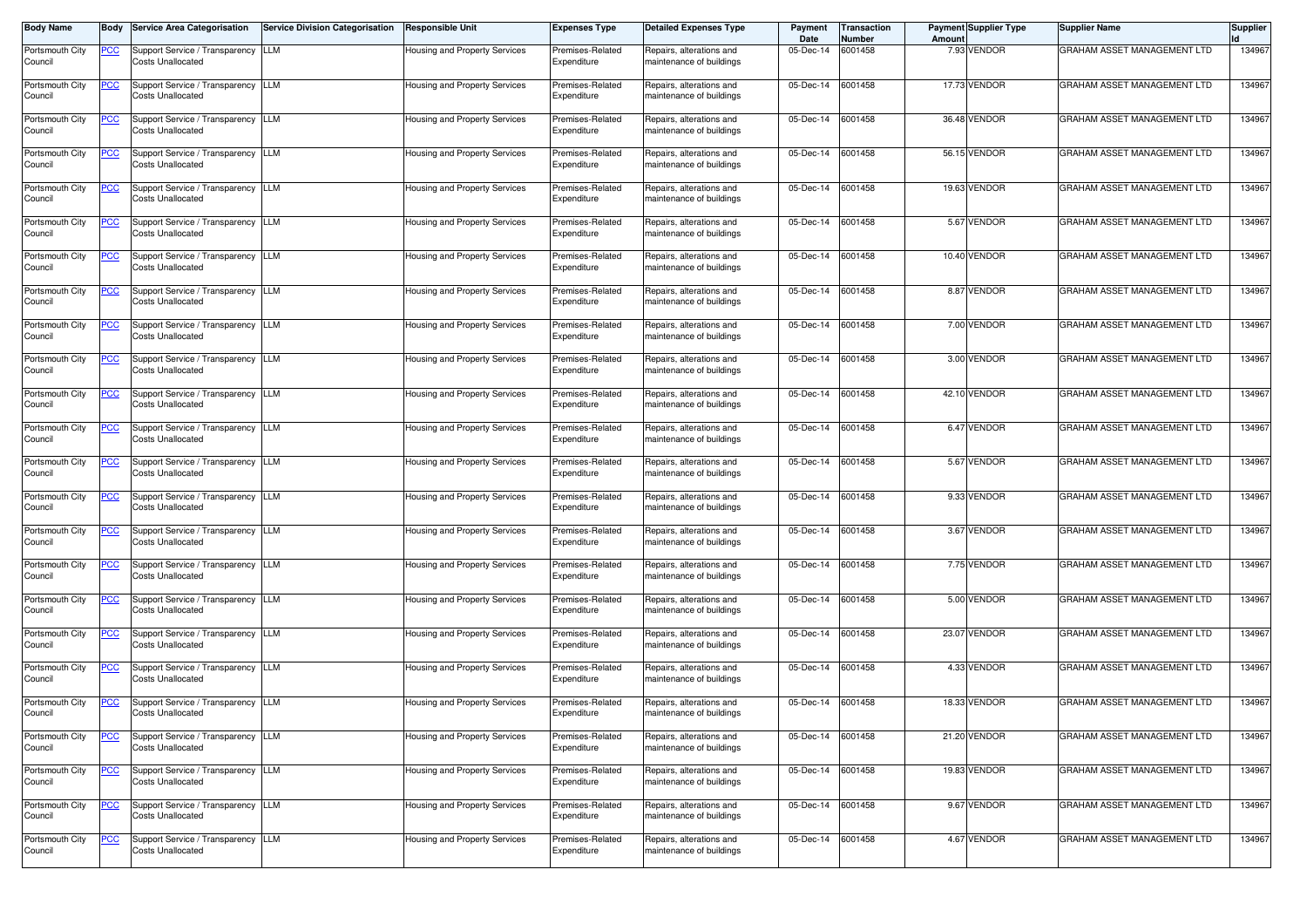| <b>Body Name</b>           | Body           | <b>Service Area Categorisation</b>                                                           | <b>Service Division Categorisation</b> | <b>Responsible Unit</b>              | <b>Expenses Type</b>            | <b>Detailed Expenses Type</b>                        | Payment<br>Date   | <b>Transaction</b><br>Number | Amount | <b>Payment Supplier Type</b> | <b>Supplier Name</b>                                       | <b>Supplier</b>  |
|----------------------------|----------------|----------------------------------------------------------------------------------------------|----------------------------------------|--------------------------------------|---------------------------------|------------------------------------------------------|-------------------|------------------------------|--------|------------------------------|------------------------------------------------------------|------------------|
| Portsmouth City<br>Council | PCC            | Support Service / Transparency<br><b>Costs Unallocated</b>                                   | <b>LLM</b>                             | <b>Housing and Property Services</b> | Premises-Related<br>Expenditure | Repairs, alterations and<br>maintenance of buildings | 05-Dec-14         | 6001458                      |        | 7.93 VENDOR                  | GRAHAM ASSET MANAGEMENT LTD                                | 134967           |
| Portsmouth City<br>Council | $\overline{C}$ | Support Service / Transparency<br>Costs Unallocated                                          | <b>LLM</b>                             | Housing and Property Services        | Premises-Related<br>Expenditure | Repairs, alterations and<br>maintenance of buildings | 05-Dec-14         | 6001458                      |        | 17.73 VENDOR                 | GRAHAM ASSET MANAGEMENT LTD                                | 134967           |
| Portsmouth City<br>Council | <u>PCC</u>     | Support Service / Transparency LLM<br>Costs Unallocated                                      |                                        | Housing and Property Services        | Premises-Related<br>Expenditure | Repairs, alterations and<br>maintenance of buildings | 05-Dec-14         | 6001458                      |        | 36.48 VENDOR                 | GRAHAM ASSET MANAGEMENT LTD                                | 134967           |
| Portsmouth City<br>Council | <u>PCC</u>     | Support Service / Transparency LLM<br><b>Costs Unallocated</b>                               |                                        | Housing and Property Services        | Premises-Related<br>Expenditure | Repairs, alterations and<br>maintenance of buildings | 05-Dec-14         | 6001458                      |        | 56.15 VENDOR                 | GRAHAM ASSET MANAGEMENT LTD                                | 134967           |
| Portsmouth City<br>Council | <u>PCC</u>     | Support Service / Transparency<br>Costs Unallocated                                          | LLM                                    | Housing and Property Services        | Premises-Related<br>Expenditure | Repairs, alterations and<br>maintenance of buildings | 05-Dec-14         | 6001458                      |        | 19.63 VENDOR                 | GRAHAM ASSET MANAGEMENT LTD                                | 134967           |
| Portsmouth City<br>Council | PСC            | Support Service / Transparency<br><b>Costs Unallocated</b>                                   | <b>LLM</b>                             | Housing and Property Services        | Premises-Related<br>Expenditure | Repairs, alterations and<br>maintenance of buildings | 05-Dec-14         | 6001458                      |        | 5.67 VENDOR                  | GRAHAM ASSET MANAGEMENT LTD                                | 134967           |
| Portsmouth City<br>Council | <u>PCC</u>     | Support Service / Transparency<br><b>Costs Unallocated</b>                                   | <b>LLM</b>                             | Housing and Property Services        | Premises-Related<br>Expenditure | Repairs, alterations and<br>maintenance of buildings | 05-Dec-14         | 6001458                      |        | 10.40 VENDOR                 | GRAHAM ASSET MANAGEMENT LTD                                | 134967           |
| Portsmouth City<br>Council | <u>PCC</u>     | Support Service / Transparency<br><b>Costs Unallocated</b>                                   | LLM                                    | Housing and Property Services        | Premises-Related<br>Expenditure | Repairs, alterations and<br>maintenance of buildings | 05-Dec-14         | 6001458                      |        | 8.87 VENDOR                  | GRAHAM ASSET MANAGEMENT LTD                                | 134967           |
| Portsmouth City<br>Council | <u>'CC</u>     | Support Service / Transparency LLM<br><b>Costs Unallocated</b>                               |                                        | Housing and Property Services        | Premises-Related<br>Expenditure | Repairs, alterations and<br>maintenance of buildings | 05-Dec-14         | 6001458                      |        | 7.00 VENDOR                  | GRAHAM ASSET MANAGEMENT LTD                                | 134967           |
| Portsmouth City<br>Council | <u>PCC</u>     | Support Service / Transparency LLM<br>Costs Unallocated                                      |                                        | Housing and Property Services        | Premises-Related<br>Expenditure | Repairs, alterations and<br>maintenance of buildings | 05-Dec-14         | 6001458                      |        | 3.00 VENDOR                  | GRAHAM ASSET MANAGEMENT LTD                                | 134967           |
| Portsmouth City<br>Council | <u>PCC</u>     | Support Service / Transparency<br>Costs Unallocated                                          | LLM                                    | Housing and Property Services        | Premises-Related<br>Expenditure | Repairs, alterations and<br>maintenance of buildings | 05-Dec-14         | 6001458                      |        | 42.10 VENDOR                 | GRAHAM ASSET MANAGEMENT LTD                                | 134967           |
| Portsmouth City<br>Council | <u>PCC</u>     | Support Service / Transparency<br><b>Costs Unallocated</b>                                   | <b>LLM</b>                             | Housing and Property Services        | Premises-Related<br>Expenditure | Repairs, alterations and<br>maintenance of buildings | 05-Dec-14         | 6001458                      |        | 6.47 VENDOR                  | GRAHAM ASSET MANAGEMENT LTD                                | 134967           |
| Portsmouth City<br>Council | PCC.           | Support Service / Transparency<br><b>Costs Unallocated</b>                                   | <b>LLM</b>                             | Housing and Property Services        | Premises-Related<br>Expenditure | Repairs, alterations and<br>maintenance of buildings | 05-Dec-14         | 6001458                      |        | 5.67 VENDOR                  | GRAHAM ASSET MANAGEMENT LTD                                | 134967           |
| Portsmouth City<br>Council | <u>PCC</u>     | Support Service / Transparency<br>Costs Unallocated                                          | LLM                                    | Housing and Property Services        | Premises-Related<br>Expenditure | Repairs, alterations and<br>maintenance of buildings | 05-Dec-14         | 6001458                      |        | 9.33 VENDOR                  | GRAHAM ASSET MANAGEMENT LTD                                | 134967           |
| Portsmouth City<br>Council | $\overline{C}$ | Support Service / Transparency LLM<br><b>Costs Unallocated</b>                               |                                        | Housing and Property Services        | Premises-Related<br>Expenditure | Repairs, alterations and<br>maintenance of buildings | 05-Dec-14         | 6001458                      |        | 3.67 VENDOR                  | GRAHAM ASSET MANAGEMENT LTD                                | 134967           |
| Portsmouth City<br>Council | <u>PCC</u>     | Support Service / Transparency LLM<br>Costs Unallocated                                      |                                        | Housing and Property Services        | Premises-Related<br>Expenditure | Repairs, alterations and<br>maintenance of buildings | 05-Dec-14         | 6001458                      |        | 7.75 VENDOR                  | GRAHAM ASSET MANAGEMENT LTD                                | 134967           |
| Portsmouth City<br>Council | <u>PCC</u>     | Support Service / Transparency<br>Costs Unallocated                                          | <b>LLM</b>                             | Housing and Property Services        | Premises-Related<br>Expenditure | Repairs, alterations and<br>maintenance of buildings | 05-Dec-14         | 6001458                      |        | 5.00 VENDOR                  | GRAHAM ASSET MANAGEMENT LTD                                | 134967           |
| Portsmouth City<br>Council | <u>PCC</u>     | Support Service / Transparency LLM<br>Costs Unallocated                                      |                                        | Housing and Property Services        | Premises-Related<br>Expenditure | Repairs, alterations and<br>maintenance of buildings | 05-Dec-14         | 6001458                      |        | 23.07 VENDOR<br>4.33 VENDOR  | GRAHAM ASSET MANAGEMENT LTD                                | 134967           |
| Portsmouth City<br>Council | <u>PCC</u>     | Support Service / Transparency<br><b>Costs Unallocated</b><br>Support Service / Transparency | LLM                                    | Housing and Property Services        | Premises-Related<br>Expenditure | Repairs, alterations and<br>maintenance of buildings | 05-Dec-14         | 6001458                      |        | 18.33 VENDOR                 | GRAHAM ASSET MANAGEMENT LTD<br>GRAHAM ASSET MANAGEMENT LTD | 134967<br>134967 |
| Portsmouth City<br>Council | <u>PCC</u>     | <b>Costs Unallocated</b>                                                                     | LLM                                    | Housing and Property Services        | Premises-Related<br>Expenditure | Repairs, alterations and<br>maintenance of buildings | 05-Dec-14         | 6001458                      |        |                              | GRAHAM ASSET MANAGEMENT LTD                                |                  |
| Portsmouth City<br>Council | <u>PCC</u>     | Support Service / Transparency<br><b>Costs Unallocated</b>                                   | <b>LLM</b>                             | Housing and Property Services        | Premises-Related<br>Expenditure | Repairs, alterations and<br>maintenance of buildings | 05-Dec-14         | 6001458                      |        | 21.20 VENDOR                 |                                                            | 134967           |
| Portsmouth City<br>Council | <u>PCC</u>     | Support Service / Transparency LLM<br>Costs Unallocated                                      |                                        | Housing and Property Services        | Premises-Related<br>Expenditure | Repairs, alterations and<br>maintenance of buildings | 05-Dec-14         | 6001458                      |        | 19.83 VENDOR                 | GRAHAM ASSET MANAGEMENT LTD                                | 134967           |
| Portsmouth City<br>Council | <u>PCC</u>     | Support Service / Transparency LLM<br><b>Costs Unallocated</b>                               |                                        | Housing and Property Services        | Premises-Related<br>Expenditure | Repairs, alterations and<br>maintenance of buildings | 05-Dec-14         | 6001458                      |        | 9.67 VENDOR                  | GRAHAM ASSET MANAGEMENT LTD                                | 134967           |
| Portsmouth City<br>Council | <u>PCC</u>     | Support Service / Transparency<br><b>Costs Unallocated</b>                                   | LLM                                    | Housing and Property Services        | Premises-Related<br>Expenditure | Repairs, alterations and<br>maintenance of buildings | 05-Dec-14 6001458 |                              |        | 4.67 VENDOR                  | GRAHAM ASSET MANAGEMENT LTD                                | 134967           |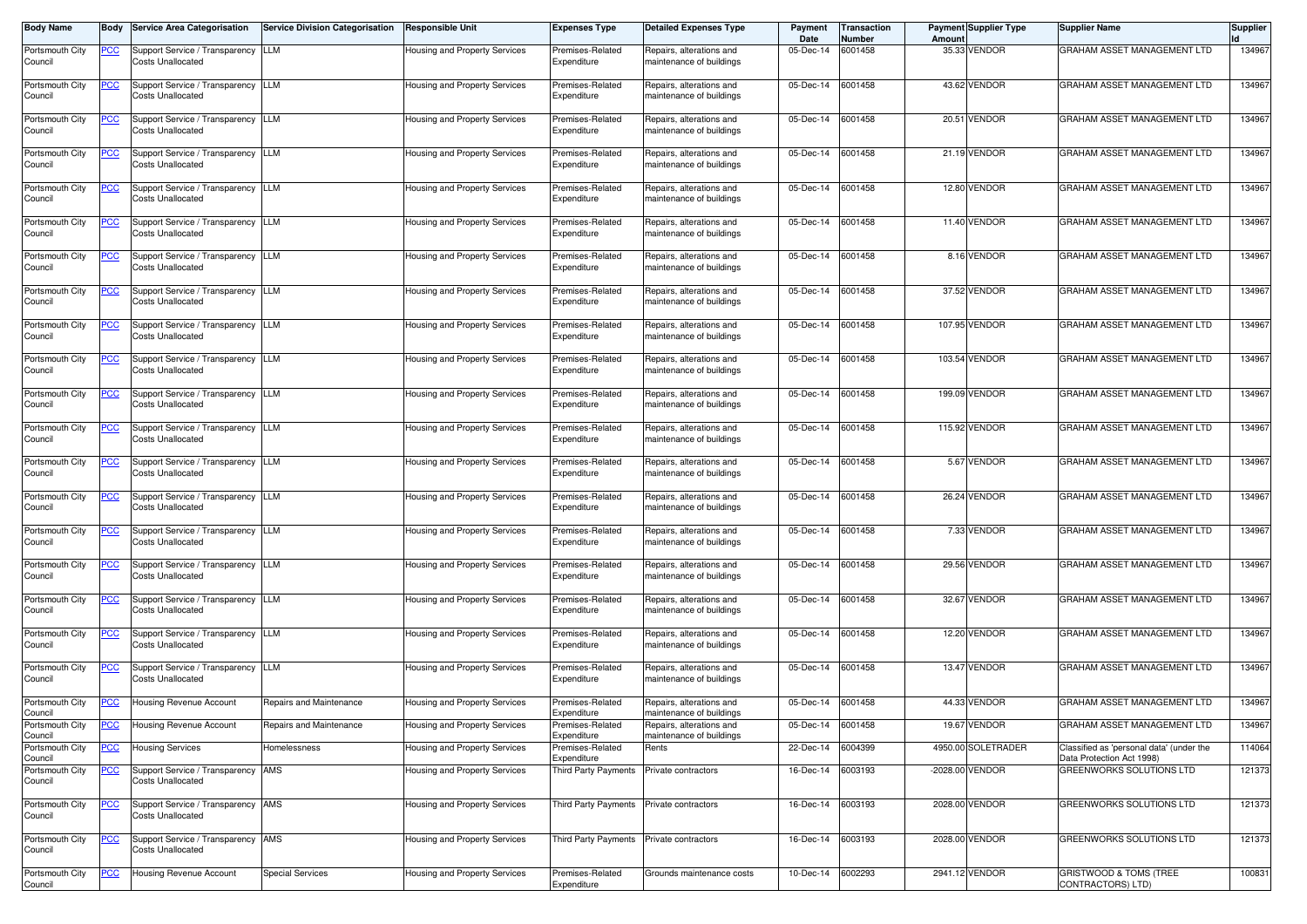| <b>Body Name</b>           | Body           | <b>Service Area Categorisation</b>                             | <b>Service Division Categorisation</b> | <b>Responsible Unit</b>       | <b>Expenses Type</b>                     | <b>Detailed Expenses Type</b>                        | Payment<br>Date | ransaction<br>Number | <b>Payment Supplier Type</b><br>Amoun | <b>Supplier Name</b>                                                  | <b>Supplier</b> |
|----------------------------|----------------|----------------------------------------------------------------|----------------------------------------|-------------------------------|------------------------------------------|------------------------------------------------------|-----------------|----------------------|---------------------------------------|-----------------------------------------------------------------------|-----------------|
| Portsmouth City<br>Council | <u>PCC</u>     | Support Service / Transparency LLM<br><b>Costs Unallocated</b> |                                        | Housing and Property Services | Premises-Related<br>Expenditure          | Repairs, alterations and<br>maintenance of buildings | 05-Dec-14       | 6001458              | 35.33 VENDOR                          | GRAHAM ASSET MANAGEMENT LTD                                           | 134967          |
| Portsmouth City<br>Council | <u>PCC</u>     | Support Service / Transparency<br>Costs Unallocated            | LLM                                    | Housing and Property Services | Premises-Related<br>Expenditure          | Repairs, alterations and<br>maintenance of buildings | 05-Dec-14       | 6001458              | 43.62 VENDOR                          | GRAHAM ASSET MANAGEMENT LTD                                           | 134967          |
| Portsmouth City<br>Council | $\overline{C}$ | Support Service / Transparency LLM<br><b>Costs Unallocated</b> |                                        | Housing and Property Services | Premises-Related<br>Expenditure          | Repairs, alterations and<br>maintenance of buildings | 05-Dec-14       | 6001458              | 20.51 VENDOR                          | GRAHAM ASSET MANAGEMENT LTD                                           | 134967          |
| Portsmouth City<br>Council |                | Support Service / Transparency LLM<br><b>Costs Unallocated</b> |                                        | Housing and Property Services | Premises-Related<br>Expenditure          | Repairs, alterations and<br>naintenance of buildings | 05-Dec-14       | 6001458              | 21.19 VENDOR                          | GRAHAM ASSET MANAGEMENT LTD                                           | 134967          |
| Portsmouth City<br>Council | <b>PCC</b>     | Support Service / Transparency LLM<br>Costs Unallocated        |                                        | Housing and Property Services | Premises-Related<br>Expenditure          | Repairs, alterations and<br>naintenance of buildings | 05-Dec-14       | 6001458              | 12.80 VENDOR                          | GRAHAM ASSET MANAGEMENT LTD                                           | 134967          |
| Portsmouth City<br>Council | <u>PCC</u>     | Support Service / Transparency LLM<br>Costs Unallocated        |                                        | Housing and Property Services | Premises-Related<br>Expenditure          | Repairs, alterations and<br>maintenance of buildings | 05-Dec-14       | 6001458              | 11.40 VENDOR                          | <b>GRAHAM ASSET MANAGEMENT LTD</b>                                    | 134967          |
| Portsmouth City<br>Council | <u>PCC</u>     | Support Service / Transparency<br><b>Costs Unallocated</b>     | LLM                                    | Housing and Property Services | Premises-Related<br>Expenditure          | Repairs, alterations and<br>maintenance of buildings | 05-Dec-14       | 6001458              | 8.16 VENDOR                           | GRAHAM ASSET MANAGEMENT LTD                                           | 134967          |
| Portsmouth City<br>Council | <u>PCC</u>     | Support Service / Transparency LLM<br><b>Costs Unallocated</b> |                                        | Housing and Property Services | Premises-Related<br>Expenditure          | Repairs, alterations and<br>naintenance of buildings | 05-Dec-14       | 6001458              | 37.52 VENDOR                          | GRAHAM ASSET MANAGEMENT LTD                                           | 134967          |
| Portsmouth City<br>Council | <u>PCC</u>     | Support Service / Transparency LLM<br><b>Costs Unallocated</b> |                                        | Housing and Property Services | Premises-Related<br>Expenditure          | Repairs, alterations and<br>maintenance of buildings | 05-Dec-14       | 6001458              | 107.95 VENDOR                         | GRAHAM ASSET MANAGEMENT LTD                                           | 134967          |
| Portsmouth City<br>Council | <u>PCC</u>     | Support Service / Transparency LLM<br><b>Costs Unallocated</b> |                                        | Housing and Property Services | Premises-Related<br>Expenditure          | Repairs, alterations and<br>maintenance of buildings | 05-Dec-14       | 6001458              | 103.54 VENDOR                         | GRAHAM ASSET MANAGEMENT LTD                                           | 134967          |
| Portsmouth City<br>Council | <u>PCC</u>     | Support Service / Transparency LLM<br>Costs Unallocated        |                                        | Housing and Property Services | Premises-Related<br>Expenditure          | Repairs, alterations and<br>naintenance of buildings | 05-Dec-14       | 6001458              | 199.09 VENDOR                         | GRAHAM ASSET MANAGEMENT LTD                                           | 134967          |
| Portsmouth City<br>Council | <u>PCC</u>     | Support Service / Transparency LLM<br>Costs Unallocated        |                                        | Housing and Property Services | Premises-Related<br>Expenditure          | Repairs, alterations and<br>maintenance of buildings | 05-Dec-14       | 6001458              | 115.92 VENDOR                         | GRAHAM ASSET MANAGEMENT LTD                                           | 134967          |
| Portsmouth City<br>Council | PCC            | Support Service / Transparency<br><b>Costs Unallocated</b>     | LLM                                    | Housing and Property Services | Premises-Related<br>Expenditure          | Repairs, alterations and<br>maintenance of buildings | 05-Dec-14       | 6001458              | 5.67 VENDOR                           | GRAHAM ASSET MANAGEMENT LTD                                           | 134967          |
| Portsmouth City<br>Council | <u>PCC</u>     | Support Service / Transparency LLM<br><b>Costs Unallocated</b> |                                        | Housing and Property Services | Premises-Related<br>Expenditure          | Repairs, alterations and<br>maintenance of buildings | 05-Dec-14       | 6001458              | 26.24 VENDOR                          | GRAHAM ASSET MANAGEMENT LTD                                           | 134967          |
| Portsmouth City<br>Council | $\overline{C}$ | Support Service / Transparency<br><b>Costs Unallocated</b>     | LLM                                    | Housing and Property Services | Premises-Related<br>Expenditure          | Repairs, alterations and<br>maintenance of buildings | 05-Dec-14       | 6001458              | 7.33 VENDOR                           | GRAHAM ASSET MANAGEMENT LTD                                           | 134967          |
| Portsmouth City<br>Council | <u>PCC</u>     | Support Service / Transparency LLM<br><b>Costs Unallocated</b> |                                        | Housing and Property Services | Premises-Related<br>Expenditure          | Repairs, alterations and<br>maintenance of buildings | 05-Dec-14       | 6001458              | 29.56 VENDOR                          | GRAHAM ASSET MANAGEMENT LTD                                           | 134967          |
| Portsmouth City<br>Council | <u>PCC</u>     | Support Service / Transparency LLM<br>Costs Unallocated        |                                        | Housing and Property Services | Premises-Related<br>Expenditure          | Repairs, alterations and<br>maintenance of buildings | 05-Dec-14       | 6001458              | 32.67 VENDOR                          | GRAHAM ASSET MANAGEMENT LTD                                           | 134967          |
| Portsmouth City<br>Council | <u>PCC</u>     | Support Service / Transparency LLM<br>Costs Unallocated        |                                        | Housing and Property Services | Premises-Related<br>Expenditure          | Repairs, alterations and<br>naintenance of buildings | 05-Dec-14       | 6001458              | 12.20 VENDOR                          | GRAHAM ASSET MANAGEMENT LTD                                           | 134967          |
| Portsmouth City<br>Council | <u>PCC</u>     | Support Service / Transparency LLM<br>Costs Unallocated        |                                        | Housing and Property Services | Premises-Related<br>Expenditure          | Repairs, alterations and<br>maintenance of buildings | 05-Dec-14       | 6001458              | 13.47 VENDOR                          | GRAHAM ASSET MANAGEMENT LTD                                           | 134967          |
| Portsmouth City<br>Council | <b>PCC</b>     | Housing Revenue Account                                        | Repairs and Maintenance                | Housing and Property Services | Premises-Related<br>Expenditure          | Repairs, alterations and<br>maintenance of buildings | 05-Dec-14       | 6001458              | 44.33 VENDOR                          | GRAHAM ASSET MANAGEMENT LTD                                           | 134967          |
| Portsmouth City<br>Council | <b>PCC</b>     | Housing Revenue Account                                        | Repairs and Maintenance                | Housing and Property Services | Premises-Related<br>Expenditure          | Repairs, alterations and<br>maintenance of buildings | 05-Dec-14       | 6001458              | 19.67 VENDOR                          | GRAHAM ASSET MANAGEMENT LTD                                           | 134967          |
| Portsmouth City<br>Council | <b>PCC</b>     | <b>Housing Services</b>                                        | Homelessness                           | Housing and Property Services | Premises-Related<br>Expenditure          | Rents                                                | 22-Dec-14       | 6004399              | 4950.00 SOLETRADER                    | Classified as 'personal data' (under the<br>Data Protection Act 1998) | 114064          |
| Portsmouth City<br>Council | <u>PCC</u>     | Support Service / Transparency<br><b>Costs Unallocated</b>     | AMS                                    | Housing and Property Services | Third Party Payments                     | Private contractors                                  | 16-Dec-14       | 6003193              | -2028.00 VENDOR                       | GREENWORKS SOLUTIONS LTD                                              | 121373          |
| Portsmouth City<br>Council | <b>PCC</b>     | Support Service / Transparency<br><b>Costs Unallocated</b>     | AMS                                    | Housing and Property Services | Third Party Payments Private contractors |                                                      | 16-Dec-14       | 6003193              | 2028.00 VENDOR                        | GREENWORKS SOLUTIONS LTD                                              | 121373          |
| Portsmouth City<br>Council | <b>PCC</b>     | Support Service / Transparency<br><b>Costs Unallocated</b>     | AMS                                    | Housing and Property Services | Third Party Payments Private contractors |                                                      | 16-Dec-14       | 6003193              | 2028.00 VENDOR                        | GREENWORKS SOLUTIONS LTD                                              | 121373          |
| Portsmouth City<br>Council | <u>PCC</u>     | Housing Revenue Account                                        | <b>Special Services</b>                | Housing and Property Services | Premises-Related<br>Expenditure          | Grounds maintenance costs                            | 10-Dec-14       | 6002293              | 2941.12 VENDOR                        | GRISTWOOD & TOMS (TREE<br>CONTRACTORS) LTD)                           | 100831          |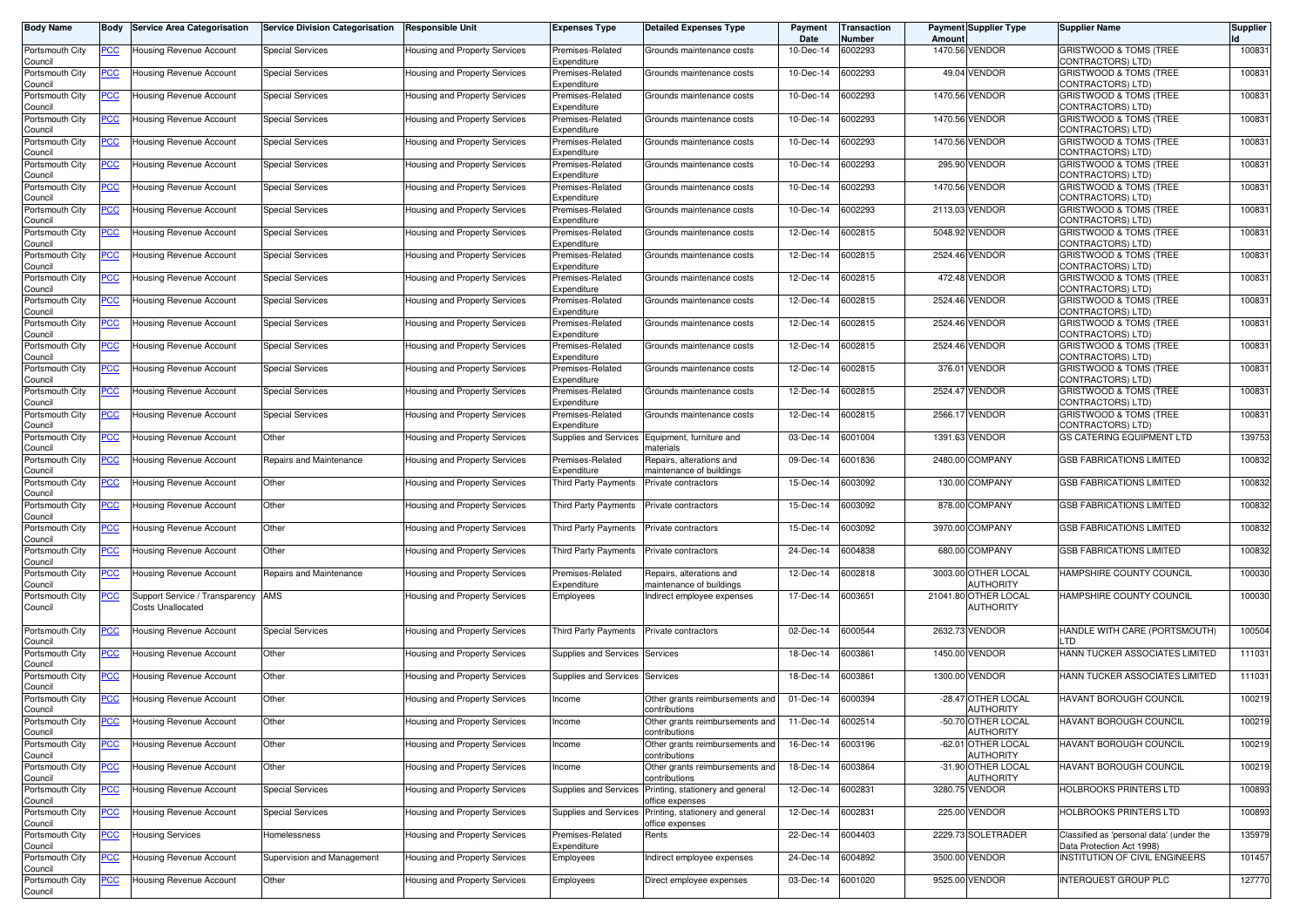| <b>Body Name</b>           | Body       | <b>Service Area Categorisation</b>                  | <b>Service Division Categorisation</b> | <b>Responsible Unit</b>              | <b>Expenses Type</b>            | Detailed Expenses Type                               | Payment<br>Date   | Transaction<br>Number | Amount   | <b>Payment Supplier Type</b>           | <b>Supplier Name</b>                                               | <b>Supplier</b> |
|----------------------------|------------|-----------------------------------------------------|----------------------------------------|--------------------------------------|---------------------------------|------------------------------------------------------|-------------------|-----------------------|----------|----------------------------------------|--------------------------------------------------------------------|-----------------|
| Portsmouth City<br>Council | <u>PCC</u> | Housing Revenue Account                             | <b>Special Services</b>                | Housing and Property Services        | Premises-Related<br>Expenditure | Grounds maintenance costs                            | 10-Dec-14         | 6002293               |          | 1470.56 VENDOR                         | GRISTWOOD & TOMS (TREE<br>CONTRACTORS) LTD)                        | 100831          |
| Portsmouth City<br>Council | <u>PCC</u> | Housing Revenue Account                             | <b>Special Services</b>                | Housing and Property Services        | Premises-Related<br>Expenditure | Grounds maintenance costs                            | 10-Dec-14         | 6002293               |          | 49.04 VENDOR                           | <b>GRISTWOOD &amp; TOMS (TREE)</b><br>CONTRACTORS) LTD)            | 100831          |
| Portsmouth City<br>Council | <u>PCC</u> | Housing Revenue Account                             | <b>Special Services</b>                | Housing and Property Services        | Premises-Related<br>Expenditure | Grounds maintenance costs                            | 10-Dec-14         | 6002293               |          | 1470.56 VENDOR                         | GRISTWOOD & TOMS (TREE<br>CONTRACTORS) LTD)                        | 100831          |
| Portsmouth City<br>Council | <u>PCC</u> | Housing Revenue Account                             | <b>Special Services</b>                | Housing and Property Services        | Premises-Related<br>Expenditure | Grounds maintenance costs                            | 10-Dec-14         | 6002293               |          | 1470.56 VENDOR                         | GRISTWOOD & TOMS (TREE<br>CONTRACTORS) LTD)                        | 100831          |
| Portsmouth City<br>Council | <u>PCC</u> | Housing Revenue Account                             | <b>Special Services</b>                | Housing and Property Services        | Premises-Related<br>Expenditure | Grounds maintenance costs                            | 10-Dec-14         | 6002293               | 1470.56  | <b>VENDOR</b>                          | GRISTWOOD & TOMS (TREE<br>CONTRACTORS) LTD)                        | 100831          |
| Portsmouth City<br>Council | <u>PCC</u> | <b>Housing Revenue Account</b>                      | <b>Special Services</b>                | Housing and Property Services        | Premises-Related<br>Expenditure | Grounds maintenance costs                            | 10-Dec-14         | 6002293               | 295.90   | <b>VENDOR</b>                          | GRISTWOOD & TOMS (TREE<br>CONTRACTORS) LTD)                        | 100831          |
| Portsmouth City<br>Council | <u>PCC</u> | Housing Revenue Account                             | <b>Special Services</b>                | Housing and Property Services        | Premises-Related<br>Expenditure | Grounds maintenance costs                            | 10-Dec-14         | 6002293               |          | 1470.56 VENDOR                         | <b>GRISTWOOD &amp; TOMS (TREE</b><br>CONTRACTORS) LTD)             | 100831          |
| Portsmouth City<br>Council | <u>PCC</u> | Housing Revenue Account                             | <b>Special Services</b>                | <b>Housing and Property Services</b> | Premises-Related<br>Expenditure | Grounds maintenance costs                            | 10-Dec-14         | 6002293               |          | 2113.03 VENDOR                         | <b>GRISTWOOD &amp; TOMS (TREE)</b><br>CONTRACTORS) LTD)            | 100831          |
| Portsmouth City<br>Council | <u>PCC</u> | Housing Revenue Account                             | Special Services                       | Housing and Property Services        | Premises-Related<br>Expenditure | Grounds maintenance costs                            | 12-Dec-14         | 6002815               | 5048.92  | <b>VENDOR</b>                          | GRISTWOOD & TOMS (TREE<br>CONTRACTORS) LTD)                        | 100831          |
| Portsmouth City<br>Council | <u>PCC</u> | Housing Revenue Account                             | <b>Special Services</b>                | Housing and Property Services        | Premises-Related<br>Expenditure | Grounds maintenance costs                            | 12-Dec-14         | 6002815               |          | 2524.46 VENDOR                         | GRISTWOOD & TOMS (TREE<br>CONTRACTORS) LTD)                        | 100831          |
| Portsmouth City<br>Council | <u>PCC</u> | Housing Revenue Account                             | <b>Special Services</b>                | Housing and Property Services        | Premises-Related<br>Expenditure | Grounds maintenance costs                            | 12-Dec-14         | 6002815               |          | 472.48 VENDOR                          | GRISTWOOD & TOMS (TREE<br>CONTRACTORS) LTD)                        | 100831          |
| Portsmouth City<br>Council | <u>PCC</u> | Housing Revenue Account                             | <b>Special Services</b>                | Housing and Property Services        | Premises-Related<br>Expenditure | Grounds maintenance costs                            | 12-Dec-14         | 6002815               |          | 2524.46 VENDOR                         | GRISTWOOD & TOMS (TREE<br>CONTRACTORS) LTD)                        | 100831          |
| Portsmouth City<br>Council | <u>PCC</u> | Housing Revenue Account                             | Special Services                       | Housing and Property Services        | Premises-Related<br>Expenditure | Grounds maintenance costs                            | 12-Dec-14         | 6002815               |          | 2524.46 VENDOR                         | GRISTWOOD & TOMS (TREE<br>CONTRACTORS) LTD)                        | 100831          |
| Portsmouth City<br>Council | <u>PCC</u> | Housing Revenue Account                             | <b>Special Services</b>                | Housing and Property Services        | Premises-Related<br>Expenditure | Grounds maintenance costs                            | 12-Dec-14         | 6002815               | 2524.46  | <b>VENDOR</b>                          | GRISTWOOD & TOMS (TREE<br>CONTRACTORS) LTD)                        | 100831          |
| Portsmouth City<br>Council | <u>PCC</u> | Housing Revenue Account                             | <b>Special Services</b>                | Housing and Property Services        | Premises-Related<br>Expenditure | Grounds maintenance costs                            | 12-Dec-14         | 6002815               |          | 376.01 VENDOR                          | <b>GRISTWOOD &amp; TOMS (TREE)</b><br>CONTRACTORS) LTD)            | 100831          |
| Portsmouth City<br>Council | <u>PCC</u> | Housing Revenue Account                             | <b>Special Services</b>                | Housing and Property Services        | Premises-Related<br>Expenditure | Grounds maintenance costs                            | 12-Dec-14         | 6002815               | 2524.47  | <b>VENDOR</b>                          | <b>GRISTWOOD &amp; TOMS (TREE)</b><br>CONTRACTORS) LTD)            | 100831          |
| Portsmouth City<br>Council | <u>PCC</u> | Housing Revenue Account                             | <b>Special Services</b>                | Housing and Property Services        | Premises-Related<br>Expenditure | Grounds maintenance costs                            | 12-Dec-14         | 6002815               |          | 2566.17 VENDOR                         | GRISTWOOD & TOMS (TREE<br>CONTRACTORS) LTD)                        | 100831          |
| Portsmouth City<br>Council | <u>PCC</u> | Housing Revenue Account                             | Other                                  | Housing and Property Services        | Supplies and Services           | Equipment, furniture and<br>naterials                | 03-Dec-14         | 6001004               | 1391.63  | <b>VENDOR</b>                          | <b>GS CATERING EQUIPMENT LTD</b>                                   | 139753          |
| Portsmouth City<br>Council | <u>PCC</u> | Housing Revenue Account                             | Repairs and Maintenance                | Housing and Property Services        | Premises-Related<br>Expenditure | Repairs, alterations and<br>naintenance of buildings | 09-Dec-14         | 6001836               |          | 2480.00 COMPANY                        | <b>GSB FABRICATIONS LIMITED</b>                                    | 100832          |
| Portsmouth City<br>Council | <u>PCC</u> | <b>Housing Revenue Account</b>                      | Other                                  | Housing and Property Services        | Third Party Payments            | Private contractors                                  | 15-Dec-14         | 6003092               |          | 130.00 COMPANY                         | <b>GSB FABRICATIONS LIMITED</b>                                    | 100832          |
| Portsmouth City<br>Council | <u>PCC</u> | Housing Revenue Account                             | Other                                  | Housing and Property Services        | Third Party Payments            | Private contractors                                  | 15-Dec-14         | 6003092               |          | 878.00 COMPANY                         | <b>GSB FABRICATIONS LIMITED</b>                                    | 100832          |
| Portsmouth City<br>Council | <u>PCC</u> | Housing Revenue Account                             | Other                                  | Housing and Property Services        | <b>Third Party Payments</b>     | Private contractors                                  | 15-Dec-14         | 6003092               |          | 3970.00 COMPANY                        | <b>GSB FABRICATIONS LIMITED</b>                                    | 100832          |
| Portsmouth City<br>Council | <u>PCC</u> | Housing Revenue Account                             | Other                                  | Housing and Property Services        | Third Party Payments            | Private contractors                                  | 24-Dec-14         | 6004838               | 680.00   | <b>COMPANY</b>                         | <b>GSB FABRICATIONS LIMITED</b>                                    | 100832          |
| Portsmouth City<br>Council | <u>PCC</u> | Housing Revenue Account                             | Repairs and Maintenance                | Housing and Property Services        | Premises-Related<br>Expenditure | Repairs, alterations and<br>naintenance of buildings | 12-Dec-14         | 6002818               |          | 3003.00 OTHER LOCAL<br>AUTHORITY       | HAMPSHIRE COUNTY COUNCIL                                           | 100030          |
| Portsmouth City<br>Council | <u>PCC</u> | Support Service / Transparency<br>Costs Unallocated | AMS                                    | Housing and Property Services        | Employees                       | Indirect employee expenses                           | 17-Dec-14         | 6003651               | 21041.80 | OTHER LOCAL<br><b>AUTHORITY</b>        | HAMPSHIRE COUNTY COUNCIL                                           | 100030          |
| Portsmouth City            | <u>PCC</u> | Housing Revenue Account                             | <b>Special Services</b>                | Housing and Property Services        | Third Party Payments            | Private contractors                                  | 02-Dec-14         | 6000544               | 2632.73  | <b>VENDOR</b>                          | HANDLE WITH CARE (PORTSMOUTH)                                      | 100504          |
| Council<br>Portsmouth City | <u>PCC</u> | Housing Revenue Account                             | Other                                  | Housing and Property Services        | Supplies and Services           | Services                                             | 18-Dec-14         | 6003861               | 1450.00  | <b>VENDOR</b>                          | LTD<br>HANN TUCKER ASSOCIATES LIMITED                              | 111031          |
| Council<br>Portsmouth City | <u>PCC</u> | Housing Revenue Account                             | Other                                  | Housing and Property Services        | Supplies and Services           | Services                                             | 18-Dec-14         | 6003861               |          | 1300.00 VENDOR                         | HANN TUCKER ASSOCIATES LIMITED                                     | 111031          |
| Council<br>Portsmouth City | <u>PCC</u> | Housing Revenue Account                             | Other                                  | Housing and Property Services        | Income                          | Other grants reimbursements and                      | 01-Dec-14         | 6000394               | $-28.47$ | OTHER LOCAL                            | HAVANT BOROUGH COUNCIL                                             | 100219          |
| Council<br>Portsmouth City |            | -Iousing Hevenue Account                            | Other                                  | Housing and Property Services        | Income                          | contributions<br>Jther grants reimbursements and     | 11-Dec-14         | 6002514               |          | <b>AUTHORITY</b><br>-50.70 OTHER LOCAL | HAVAN I BOROUGH COUNCIL                                            | 100219          |
| Council<br>Portsmouth City | <b>PCC</b> | Housing Revenue Account                             | Other                                  | Housing and Property Services        | Income                          | contributions<br>Other grants reimbursements and     | 16-Dec-14         | 6003196               |          | <b>AUTHORITY</b><br>-62.01 OTHER LOCAL | <b>HAVANT BOROUGH COUNCIL</b>                                      | 100219          |
| Council<br>Portsmouth City | <u>PCC</u> | Housing Revenue Account                             | Other                                  | Housing and Property Services        | Income                          | contributions<br>Other grants reimbursements and     | 18-Dec-14         | 6003864               | $-31.90$ | <b>AUTHORITY</b><br>OTHER LOCAL        | HAVANT BOROUGH COUNCIL                                             | 100219          |
| Council<br>Portsmouth City | <u>PCC</u> | Housing Revenue Account                             | <b>Special Services</b>                | Housing and Property Services        | Supplies and Services           | contributions<br>Printing, stationery and general    | 12-Dec-14         | 6002831               |          | <b>AUTHORITY</b><br>3280.75 VENDOR     | HOLBROOKS PRINTERS LTD                                             | 100893          |
| Council<br>Portsmouth City | <u>PCC</u> | Housing Revenue Account                             | <b>Special Services</b>                | Housing and Property Services        | Supplies and Services           | office expenses<br>Printing, stationery and general  | 12-Dec-14         | 6002831               |          | 225.00 VENDOR                          | HOLBROOKS PRINTERS LTD                                             | 100893          |
| Council<br>Portsmouth City | <u>PCC</u> | <b>Housing Services</b>                             | Homelessness                           | Housing and Property Services        | Premises-Related                | office expenses<br>Rents                             | 22-Dec-14         | 6004403               |          | 2229.73 SOLETRADER                     | Classified as 'personal data' (under the                           | 135979          |
| Council<br>Portsmouth City | <u>PCC</u> | Housing Revenue Account                             | Supervision and Management             | Housing and Property Services        | Expenditure<br>Employees        | ndirect employee expenses                            | 24-Dec-14         | 6004892               | 3500.00  | <b>VENDOR</b>                          | Data Protection Act 1998)<br><b>INSTITUTION OF CIVIL ENGINEERS</b> | 101457          |
| Council<br>Portsmouth City | <u>PCC</u> | Housing Revenue Account                             | Other                                  | Housing and Property Services        | Employees                       | Direct employee expenses                             | 03-Dec-14 6001020 |                       |          | 9525.00 VENDOR                         | <b>INTERQUEST GROUP PLC</b>                                        | 127770          |
| Council                    |            |                                                     |                                        |                                      |                                 |                                                      |                   |                       |          |                                        |                                                                    |                 |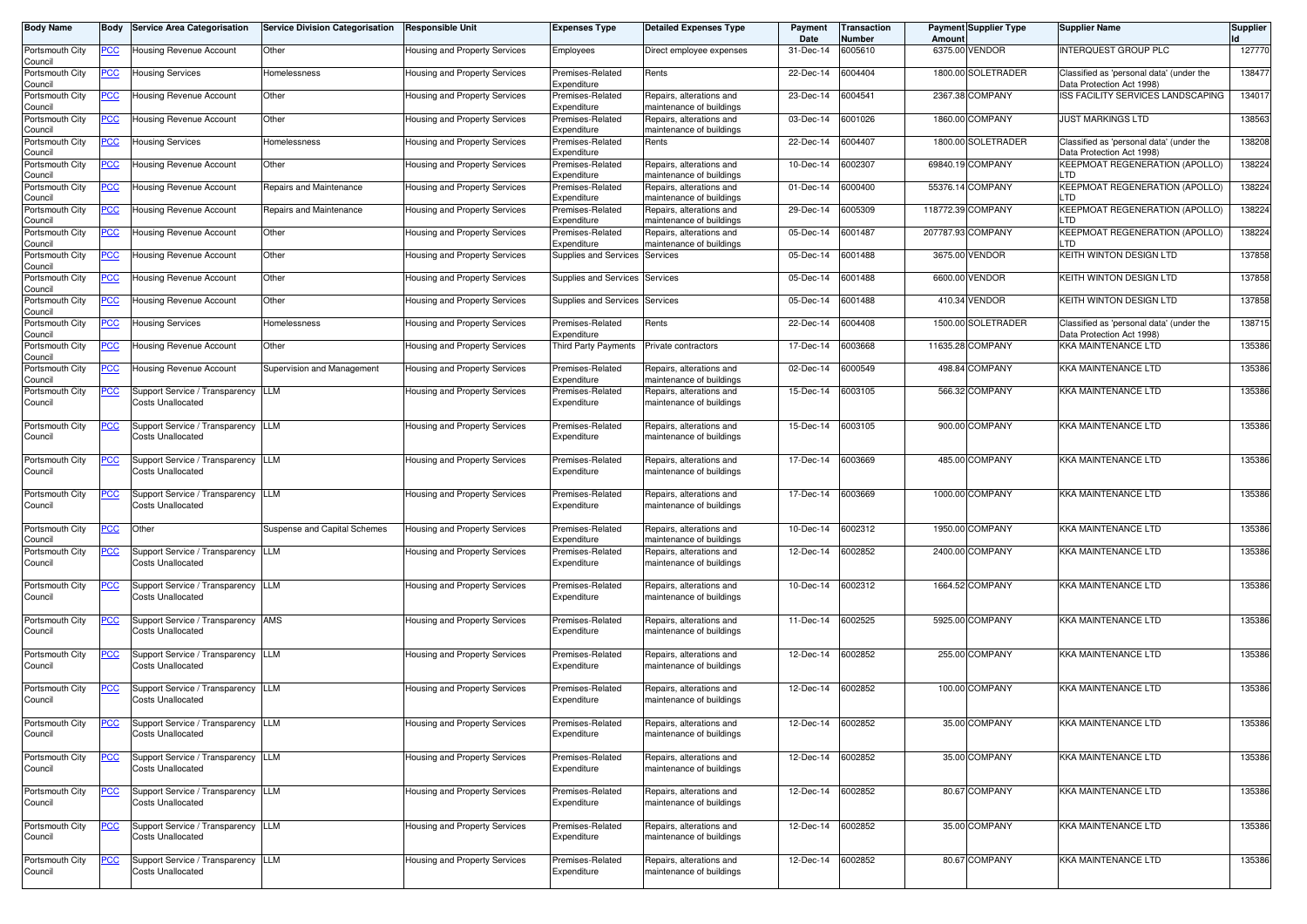| <b>Body Name</b>           | Body        | <b>Service Area Categorisation</b>                             | <b>Service Division Categorisation</b> | <b>Responsible Unit</b>              | <b>Expenses Type</b>            | <b>Detailed Expenses Type</b>                        | Payment<br>Date   | <b>Transaction</b><br>Number | Amoun     | <b>Payment Supplier Type</b> | <b>Supplier Name</b>                                                  | <b>Supplier</b> |
|----------------------------|-------------|----------------------------------------------------------------|----------------------------------------|--------------------------------------|---------------------------------|------------------------------------------------------|-------------------|------------------------------|-----------|------------------------------|-----------------------------------------------------------------------|-----------------|
| Portsmouth City<br>Council | <u>PCC</u>  | Housing Revenue Account                                        | Other                                  | Housing and Property Services        | Employees                       | Direct employee expenses                             | 31-Dec-14         | 6005610                      |           | 6375.00 VENDOR               | INTERQUEST GROUP PLC                                                  | 127770          |
| Portsmouth City<br>Council | <u>PCC</u>  | Housing Services                                               | Homelessness                           | Housing and Property Services        | Premises-Related<br>Expenditure | Rents                                                | 22-Dec-14         | 6004404                      |           | 1800.00 SOLETRADER           | Classified as 'personal data' (under the<br>Data Protection Act 1998) | 138477          |
| Portsmouth City<br>Council | <u>PCC</u>  | Housing Revenue Account                                        | Other                                  | Housing and Property Services        | Premises-Related<br>Expenditure | Repairs, alterations and<br>naintenance of buildings | 23-Dec-14         | 6004541                      |           | 2367.38 COMPANY              | ISS FACILITY SERVICES LANDSCAPING                                     | 134017          |
| Portsmouth City<br>Council | <u>PCC</u>  | Housing Revenue Account                                        | Other                                  | Housing and Property Services        | Premises-Related<br>Expenditure | Repairs, alterations and<br>maintenance of buildings | 03-Dec-14         | 6001026                      |           | 1860.00 COMPANY              | <b>JUST MARKINGS LTD</b>                                              | 138563          |
| Portsmouth City<br>Council | <u>PCC</u>  | Housing Services                                               | Homelessness                           | Housing and Property Services        | Premises-Related<br>Expenditure | Rents                                                | 22-Dec-14         | 6004407                      |           | 1800.00 SOLETRADER           | Classified as 'personal data' (under the<br>Data Protection Act 1998) | 138208          |
| Portsmouth City<br>Council | <u>PCC</u>  | Housing Revenue Account                                        | Other                                  | Housing and Property Services        | Premises-Related<br>Expenditure | Repairs, alterations and<br>maintenance of buildings | 10-Dec-14         | 6002307                      |           | 69840.19 COMPANY             | <b>KEEPMOAT REGENERATION (APOLLO)</b><br>LTD                          | 138224          |
| Portsmouth City<br>Council | <u>PCC</u>  | Housing Revenue Account                                        | Repairs and Maintenance                | Housing and Property Services        | Premises-Related<br>Expenditure | Repairs, alterations and<br>maintenance of buildings | 01-Dec-14         | 6000400                      |           | 55376.14 COMPANY             | KEEPMOAT REGENERATION (APOLLO)<br>LTD                                 | 138224          |
| Portsmouth City<br>Council | <u>PCC</u>  | Housing Revenue Account                                        | Repairs and Maintenance                | Housing and Property Services        | Premises-Related<br>Expenditure | Repairs, alterations and<br>maintenance of buildings | 29-Dec-14         | 6005309                      | 118772.39 | <b>COMPANY</b>               | <b>KEEPMOAT REGENERATION (APOLLO)</b><br>LTD                          | 138224          |
| Portsmouth City<br>Council | <u>PCC</u>  | Housing Revenue Account                                        | Other                                  | Housing and Property Services        | Premises-Related<br>Expenditure | Repairs, alterations and<br>maintenance of buildings | 05-Dec-14         | 6001487                      |           | 207787.93 COMPANY            | KEEPMOAT REGENERATION (APOLLO)<br>LTD                                 | 138224          |
| Portsmouth City<br>Council | <u>PCC</u>  | Housing Revenue Account                                        | Other                                  | Housing and Property Services        | Supplies and Services           | Services                                             | 05-Dec-14         | 6001488                      |           | 3675.00 VENDOR               | KEITH WINTON DESIGN LTD                                               | 137858          |
| Portsmouth City<br>Council |             | Housing Revenue Account                                        | Other                                  | Housing and Property Services        | Supplies and Services           | Services                                             | 05-Dec-14         | 6001488                      | 6600.00   | <b>VENDOR</b>                | KEITH WINTON DESIGN LTD                                               | 137858          |
| Portsmouth City<br>Council |             | Housing Revenue Account                                        | Other                                  | Housing and Property Services        | Supplies and Services           | Services                                             | 05-Dec-14         | 6001488                      | 410.34    | <b>VENDOR</b>                | KEITH WINTON DESIGN LTD                                               | 137858          |
| Portsmouth City<br>Council | <u>PCC</u>  | Housing Services                                               | Homelessness                           | Housing and Property Services        | Premises-Related<br>Expenditure | Rents                                                | 22-Dec-14         | 6004408                      |           | 1500.00 SOLETRADER           | Classified as 'personal data' (under the<br>Data Protection Act 1998) | 138715          |
| Portsmouth City<br>Council | <u>PCC</u>  | <b>Housing Revenue Account</b>                                 | Other                                  | Housing and Property Services        | Third Party Payments            | Private contractors                                  | 17-Dec-14         | 6003668                      | 11635.28  | <b>COMPANY</b>               | <b>KKA MAINTENANCE LTD</b>                                            | 135386          |
| Portsmouth City<br>Council | <u>PCC </u> | Housing Revenue Account                                        | Supervision and Management             | <b>Housing and Property Services</b> | Premises-Related<br>Expenditure | Repairs, alterations and<br>maintenance of buildings | 02-Dec-14         | 6000549                      |           | 498.84 COMPANY               | KKA MAINTENANCE LTD                                                   | 135386          |
| Portsmouth City<br>Council | <u>PCC</u>  | Support Service / Transparency<br>Costs Unallocated            | LLM                                    | Housing and Property Services        | Premises-Related<br>Expenditure | Repairs, alterations and<br>maintenance of buildings | 15-Dec-14         | 6003105                      | 566.32    | <b>COMPANY</b>               | KKA MAINTENANCE LTD                                                   | 135386          |
| Portsmouth City<br>Council |             | Support Service / Transparency<br><b>Costs Unallocated</b>     | LLM                                    | Housing and Property Services        | Premises-Related<br>Expenditure | Repairs, alterations and<br>maintenance of buildings | 15-Dec-14         | 6003105                      |           | 900.00 COMPANY               | <b>KKA MAINTENANCE LTD</b>                                            | 135386          |
| Portsmouth City<br>Council | <u>PCC </u> | Support Service / Transparency<br><b>Costs Unallocated</b>     | LLM                                    | Housing and Property Services        | Premises-Related<br>Expenditure | Repairs, alterations and<br>maintenance of buildings | 17-Dec-14         | 6003669                      |           | 485.00 COMPANY               | <b>KKA MAINTENANCE LTD</b>                                            | 135386          |
| Portsmouth City<br>Council | <u>PCC</u>  | Support Service / Transparency<br>Costs Unallocated            | LLM                                    | Housing and Property Services        | Premises-Related<br>Expenditure | Repairs, alterations and<br>maintenance of buildings | 17-Dec-14         | 6003669                      |           | 1000.00 COMPANY              | <b>KKA MAINTENANCE LTD</b>                                            | 135386          |
| Portsmouth City<br>Council | <u>PCC</u>  | Other                                                          | Suspense and Capital Schemes           | Housing and Property Services        | Premises-Related<br>Expenditure | Repairs, alterations and<br>maintenance of buildings | 10-Dec-14         | 6002312                      |           | 1950.00 COMPANY              | <b>KKA MAINTENANCE LTD</b>                                            | 135386          |
| Portsmouth City<br>Council | <u>PCC</u>  | Support Service / Transparency<br>Costs Unallocated            | LLM                                    | Housing and Property Services        | Premises-Related<br>Expenditure | Repairs, alterations and<br>maintenance of buildings | 12-Dec-14         | 6002852                      | 2400.00   | <b>COMPANY</b>               | <b>KKA MAINTENANCE LTD</b>                                            | 135386          |
| Portsmouth City<br>Council | <u>PCC</u>  | Support Service / Transparency<br><b>Costs Unallocated</b>     | LLM                                    | Housing and Property Services        | Premises-Related<br>Expenditure | Repairs, alterations and<br>maintenance of buildings | 10-Dec-14         | 6002312                      |           | 1664.52 COMPANY              | KKA MAINTENANCE LTD                                                   | 135386          |
| Portsmouth City<br>Council | <u>PCC</u>  | Support Service / Transparency<br>Costs Unallocated            | AMS                                    | Housing and Property Services        | Premises-Related<br>Expenditure | Repairs, alterations and<br>maintenance of buildings | 11-Dec-14         | 6002525                      |           | 5925.00 COMPANY              | KKA MAINTENANCE LTD                                                   | 135386          |
| Portsmouth City<br>Council | <u>PCC</u>  | Support Service / Transparency<br>Costs Unallocated            | LLM                                    | Housing and Property Services        | Premises-Related<br>Expenditure | Repairs, alterations and<br>maintenance of buildings | 12-Dec-14         | 6002852                      |           | 255.00 COMPANY               | <b>KKA MAINTENANCE LTD</b>                                            | 135386          |
| Portsmouth City<br>Council | <u>PCC</u>  | Support Service / Transparency<br><b>Costs Unallocated</b>     | LLM                                    | Housing and Property Services        | Premises-Related<br>Expenditure | Repairs, alterations and<br>maintenance of buildings | 12-Dec-14         | 6002852                      |           | 100.00 COMPANY               | <b>KKA MAINTENANCE LTD</b>                                            | 135386          |
| Portsmouth City<br>Council | <b>PCC</b>  | Support Service / Transparency LLM<br><b>Costs Unallocated</b> |                                        | Housing and Property Services        | Premises-Related<br>Expenditure | Repairs, alterations and<br>maintenance of buildings | 12-Dec-14 6002852 |                              |           | 35.00 COMPANY                | KKA MAINTENANCE LTD                                                   | 135386          |
| Portsmouth City<br>Council | <u>PCC</u>  | Support Service / Transparency LLM<br>Costs Unallocated        |                                        | Housing and Property Services        | Premises-Related<br>Expenditure | Repairs, alterations and<br>maintenance of buildings | 12-Dec-14 6002852 |                              |           | 35.00 COMPANY                | <b>KKA MAINTENANCE LTD</b>                                            | 135386          |
| Portsmouth City<br>Council | <u>PCC</u>  | Support Service / Transparency LLM<br><b>Costs Unallocated</b> |                                        | Housing and Property Services        | Premises-Related<br>Expenditure | Repairs, alterations and<br>maintenance of buildings | 12-Dec-14 6002852 |                              |           | 80.67 COMPANY                | <b>KKA MAINTENANCE LTD</b>                                            | 135386          |
| Portsmouth City<br>Council | <u>PCC</u>  | Support Service / Transparency LLM<br><b>Costs Unallocated</b> |                                        | Housing and Property Services        | Premises-Related<br>Expenditure | Repairs, alterations and<br>maintenance of buildings | 12-Dec-14 6002852 |                              |           | 35.00 COMPANY                | <b>KKA MAINTENANCE LTD</b>                                            | 135386          |
| Portsmouth City<br>Council | ∍CC         | Support Service / Transparency LLM<br><b>Costs Unallocated</b> |                                        | Housing and Property Services        | Premises-Related<br>Expenditure | Repairs, alterations and<br>maintenance of buildings | 12-Dec-14 6002852 |                              |           | 80.67 COMPANY                | <b>KKA MAINTENANCE LTD</b>                                            | 135386          |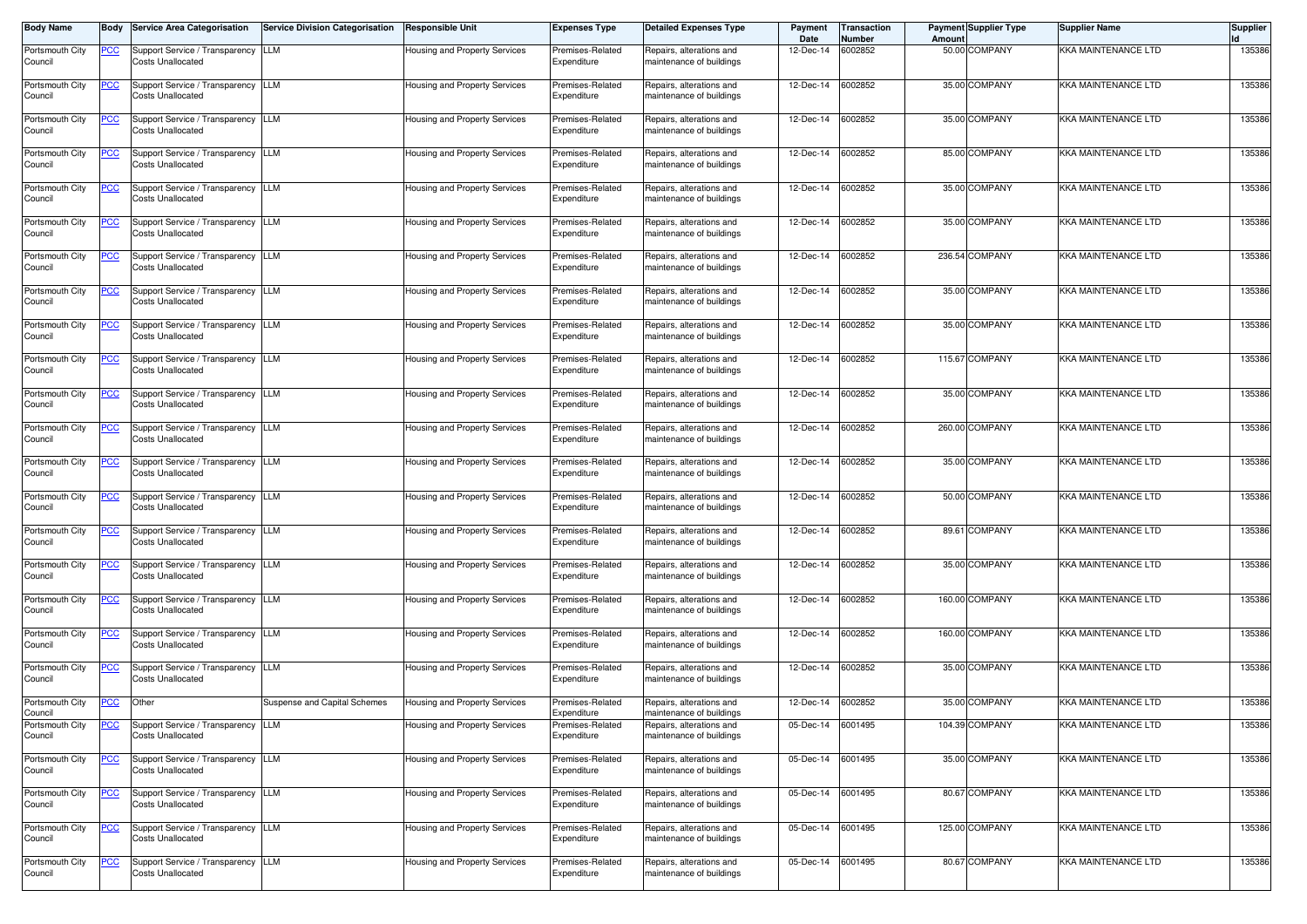| <b>Body Name</b>           | Body       | <b>Service Area Categorisation</b>                              | <b>Service Division Categorisation</b> | <b>Responsible Unit</b>              | <b>Expenses Type</b>            | <b>Detailed Expenses Type</b>                        | Payment<br>Date   | <b>Transaction</b><br>Number | Amount | <b>Payment Supplier Type</b> | <b>Supplier Name</b>       | <b>Supplier</b> |
|----------------------------|------------|-----------------------------------------------------------------|----------------------------------------|--------------------------------------|---------------------------------|------------------------------------------------------|-------------------|------------------------------|--------|------------------------------|----------------------------|-----------------|
| Portsmouth City<br>Council | <u>PCC</u> | Support Service / Transparency LLM<br>Costs Unallocated         |                                        | Housing and Property Services        | Premises-Related<br>Expenditure | Repairs, alterations and<br>maintenance of buildings | 12-Dec-14         | 6002852                      |        | 50.00 COMPANY                | <b>KKA MAINTENANCE LTD</b> | 135386          |
| Portsmouth City<br>Council | <u>PCC</u> | Support Service / Transparency LLM<br><b>Costs Unallocated</b>  |                                        | Housing and Property Services        | Premises-Related<br>Expenditure | Repairs, alterations and<br>maintenance of buildings | 12-Dec-14         | 6002852                      |        | 35.00 COMPANY                | <b>KKA MAINTENANCE LTD</b> | 135386          |
| Portsmouth City<br>Council | °СС        | Support Service / Transparency ILLM<br><b>Costs Unallocated</b> |                                        | Housing and Property Services        | Premises-Related<br>Expenditure | Repairs, alterations and<br>maintenance of buildings | 12-Dec-14         | 6002852                      |        | 35.00 COMPANY                | <b>KKA MAINTENANCE LTD</b> | 135386          |
| Portsmouth City<br>Council | <u>PCC</u> | Support Service / Transparency LLM<br>Costs Unallocated         |                                        | Housing and Property Services        | Premises-Related<br>Expenditure | Repairs, alterations and<br>maintenance of buildings | 12-Dec-14         | 6002852                      |        | 85.00 COMPANY                | <b>KKA MAINTENANCE LTD</b> | 135386          |
| Portsmouth City<br>Council | <u>PCC</u> | Support Service / Transparency<br>Costs Unallocated             | LLM                                    | Housing and Property Services        | Premises-Related<br>Expenditure | Repairs, alterations and<br>maintenance of buildings | 12-Dec-14         | 6002852                      |        | 35.00 COMPANY                | <b>KKA MAINTENANCE LTD</b> | 135386          |
| Portsmouth City<br>Council | PСC        | Support Service / Transparency LLM<br><b>Costs Unallocated</b>  |                                        | <b>Housing and Property Services</b> | Premises-Related<br>Expenditure | Repairs, alterations and<br>maintenance of buildings | 12-Dec-14         | 6002852                      |        | 35.00 COMPANY                | <b>KKA MAINTENANCE LTD</b> | 135386          |
| Portsmouth City<br>Council | <u>CC</u>  | Support Service / Transparency<br><b>Costs Unallocated</b>      | LLM                                    | Housing and Property Services        | Premises-Related<br>Expenditure | Repairs, alterations and<br>maintenance of buildings | 12-Dec-14         | 6002852                      |        | 236.54 COMPANY               | KKA MAINTENANCE LTD        | 135386          |
| Portsmouth City<br>Council | <u>PCC</u> | Support Service / Transparency LLM<br>Costs Unallocated         |                                        | Housing and Property Services        | Premises-Related<br>Expenditure | Repairs, alterations and<br>maintenance of buildings | 12-Dec-14         | 6002852                      |        | 35.00 COMPANY                | <b>KKA MAINTENANCE LTD</b> | 135386          |
| Portsmouth City<br>Council | <u>PCC</u> | Support Service / Transparency LLM<br><b>Costs Unallocated</b>  |                                        | Housing and Property Services        | Premises-Related<br>Expenditure | Repairs, alterations and<br>maintenance of buildings | 12-Dec-14         | 6002852                      |        | 35.00 COMPANY                | <b>KKA MAINTENANCE LTD</b> | 135386          |
| Portsmouth City<br>Council | <u>CC</u>  | Support Service / Transparency LLM<br><b>Costs Unallocated</b>  |                                        | Housing and Property Services        | Premises-Related<br>Expenditure | Repairs, alterations and<br>maintenance of buildings | 12-Dec-14         | 6002852                      |        | 115.67 COMPANY               | <b>KKA MAINTENANCE LTD</b> | 135386          |
| Portsmouth City<br>Council | <u>PCC</u> | Support Service / Transparency LLM<br>Costs Unallocated         |                                        | Housing and Property Services        | Premises-Related<br>Expenditure | Repairs, alterations and<br>maintenance of buildings | 12-Dec-14         | 6002852                      |        | 35.00 COMPANY                | <b>KKA MAINTENANCE LTD</b> | 135386          |
| Portsmouth City<br>Council | <u>PCC</u> | Support Service / Transparency LLM<br><b>Costs Unallocated</b>  |                                        | Housing and Property Services        | Premises-Related<br>Expenditure | Repairs, alterations and<br>maintenance of buildings | 12-Dec-14         | 6002852                      |        | 260.00 COMPANY               | <b>KKA MAINTENANCE LTD</b> | 135386          |
| Portsmouth City<br>Council | PСC        | Support Service / Transparency LLM<br><b>Costs Unallocated</b>  |                                        | Housing and Property Services        | Premises-Related<br>Expenditure | Repairs, alterations and<br>maintenance of buildings | 12-Dec-14         | 6002852                      |        | 35.00 COMPANY                | KKA MAINTENANCE LTD        | 135386          |
| Portsmouth City<br>Council | <u>PCC</u> | Support Service / Transparency LLM<br><b>Costs Unallocated</b>  |                                        | Housing and Property Services        | Premises-Related<br>Expenditure | Repairs, alterations and<br>maintenance of buildings | 12-Dec-14         | 6002852                      |        | 50.00 COMPANY                | <b>KKA MAINTENANCE LTD</b> | 135386          |
| Portsmouth City<br>Council | <u>PCC</u> | Support Service / Transparency LLM<br>Costs Unallocated         |                                        | Housing and Property Services        | Premises-Related<br>Expenditure | Repairs, alterations and<br>maintenance of buildings | 12-Dec-14         | 6002852                      |        | 89.61 COMPANY                | <b>KKA MAINTENANCE LTD</b> | 135386          |
| Portsmouth City<br>Council | <u>PCC</u> | Support Service / Transparency LLM<br><b>Costs Unallocated</b>  |                                        | Housing and Property Services        | Premises-Related<br>Expenditure | Repairs, alterations and<br>maintenance of buildings | 12-Dec-14         | 6002852                      |        | 35.00 COMPANY                | <b>KKA MAINTENANCE LTD</b> | 135386          |
| Portsmouth City<br>Council | <u>PCC</u> | Support Service / Transparency LLM<br><b>Costs Unallocated</b>  |                                        | Housing and Property Services        | Premises-Related<br>Expenditure | Repairs, alterations and<br>maintenance of buildings | 12-Dec-14         | 6002852                      |        | 160.00 COMPANY               | <b>KKA MAINTENANCE LTD</b> | 135386          |
| Portsmouth City<br>Council | <u>CC</u>  | Support Service / Transparency LLM<br><b>Costs Unallocated</b>  |                                        | Housing and Property Services        | Premises-Related<br>Expenditure | Repairs, alterations and<br>maintenance of buildings | 12-Dec-14         | 6002852                      |        | 160.00 COMPANY               | <b>KKA MAINTENANCE LTD</b> | 135386          |
| Portsmouth City<br>Council | <u>'CC</u> | Support Service / Transparency LLM<br>Costs Unallocated         |                                        | Housing and Property Services        | Premises-Related<br>Expenditure | Repairs, alterations and<br>maintenance of buildings | 12-Dec-14         | 6002852                      |        | 35.00 COMPANY                | <b>KKA MAINTENANCE LTD</b> | 135386          |
| Portsmouth City<br>Council | <b>PCC</b> | Other                                                           | Suspense and Capital Schemes           | Housing and Property Services        | Premises-Related<br>Expenditure | Repairs, alterations and<br>maintenance of buildings | 12-Dec-14         | 6002852                      |        | 35.00 COMPANY                | <b>KKA MAINTENANCE LTD</b> | 135386          |
| Portsmouth City<br>Council |            | Support Service / Transparency LLM<br><b>Costs Unallocated</b>  |                                        | Housing and Property Services        | Premises-Related<br>Expenditure | Repairs, alterations and<br>maintenance of buildings | 05-Dec-14 6001495 |                              |        | 104.39 COMPANY               | KKA MAINTENANCE LTD        | 135386          |
| Portsmouth City<br>Council | <u>PCC</u> | Support Service / Transparency LLM<br>Costs Unallocated         |                                        | Housing and Property Services        | Premises-Related<br>Expenditure | Repairs, alterations and<br>maintenance of buildings | 05-Dec-14 6001495 |                              |        | 35.00 COMPANY                | <b>KKA MAINTENANCE LTD</b> | 135386          |
| Portsmouth City<br>Council | <b>PCC</b> | Support Service / Transparency LLM<br>Costs Unallocated         |                                        | Housing and Property Services        | Premises-Related<br>Expenditure | Repairs, alterations and<br>maintenance of buildings | 05-Dec-14 6001495 |                              |        | 80.67 COMPANY                | <b>KKA MAINTENANCE LTD</b> | 135386          |
| Portsmouth City<br>Council | <b>PCC</b> | Support Service / Transparency LLM<br><b>Costs Unallocated</b>  |                                        | Housing and Property Services        | Premises-Related<br>Expenditure | Repairs, alterations and<br>maintenance of buildings | 05-Dec-14         | 6001495                      |        | 125.00 COMPANY               | KKA MAINTENANCE LTD        | 135386          |
| Portsmouth City<br>Council | <u>CC</u>  | Support Service / Transparency LLM<br>Costs Unallocated         |                                        | Housing and Property Services        | Premises-Related<br>Expenditure | Repairs, alterations and<br>maintenance of buildings | 05-Dec-14 6001495 |                              |        | 80.67 COMPANY                | <b>KKA MAINTENANCE LTD</b> | 135386          |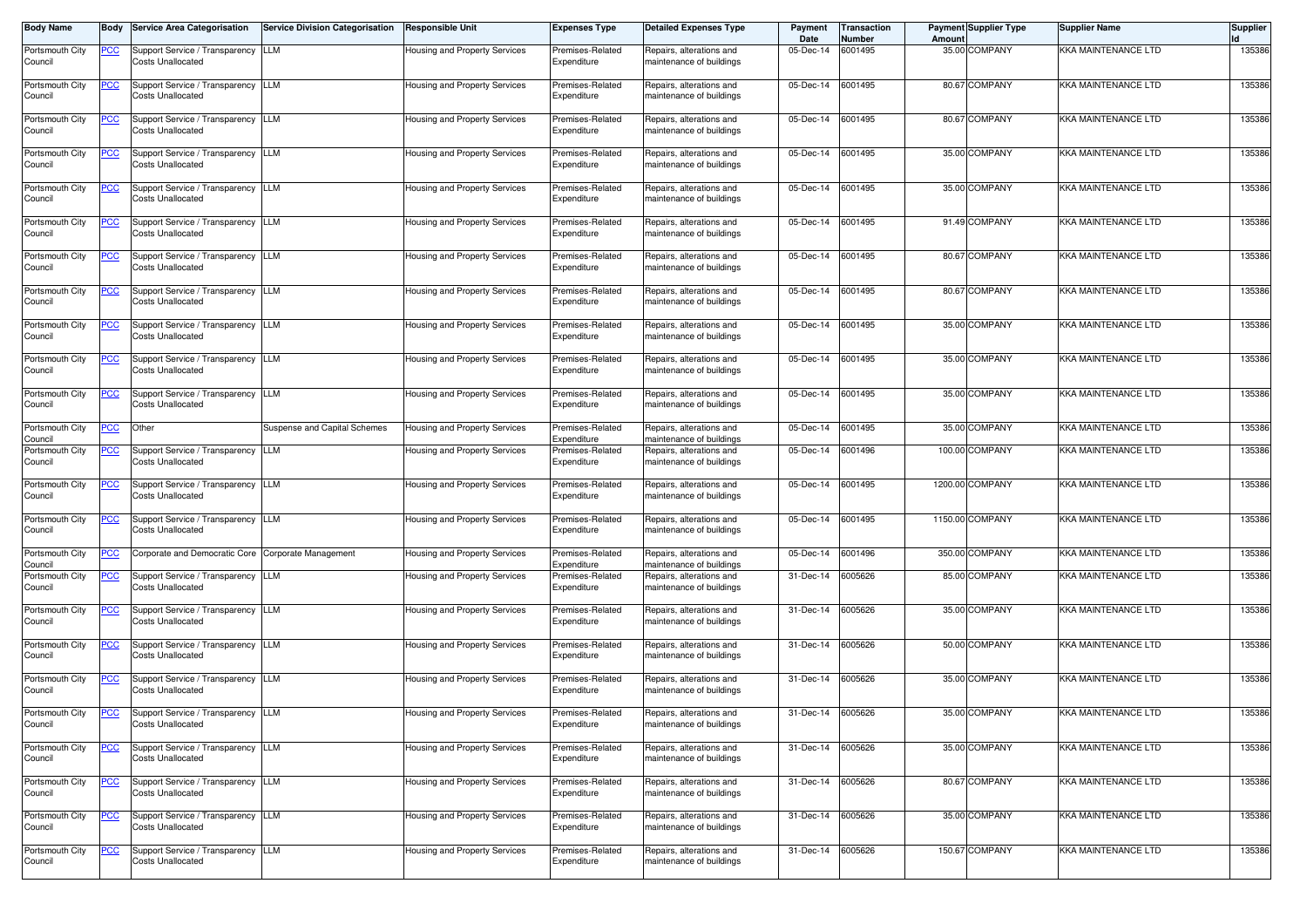| <b>Body Name</b>           | Body       | <b>Service Area Categorisation</b>                              | <b>Service Division Categorisation</b> | <b>Responsible Unit</b>              | <b>Expenses Type</b>            | <b>Detailed Expenses Type</b>                        | Payment<br>Date   | Transaction<br>Number | Amount | <b>Payment Supplier Type</b> | <b>Supplier Name</b>       | <b>Supplier</b> |
|----------------------------|------------|-----------------------------------------------------------------|----------------------------------------|--------------------------------------|---------------------------------|------------------------------------------------------|-------------------|-----------------------|--------|------------------------------|----------------------------|-----------------|
| Portsmouth City<br>Council | <u>PCC</u> | Support Service / Transparency LLM<br><b>Costs Unallocated</b>  |                                        | <b>Housing and Property Services</b> | Premises-Related<br>Expenditure | Repairs, alterations and<br>maintenance of buildings | 05-Dec-14         | 6001495               |        | 35.00 COMPANY                | KKA MAINTENANCE LTD        | 135386          |
| Portsmouth City<br>Council | <u>CC</u>  | Support Service / Transparency LLM<br><b>Costs Unallocated</b>  |                                        | Housing and Property Services        | Premises-Related<br>Expenditure | Repairs, alterations and<br>maintenance of buildings | 05-Dec-14         | 6001495               |        | 80.67 COMPANY                | <b>KKA MAINTENANCE LTD</b> | 135386          |
| Portsmouth City<br>Council | <u>PCC</u> | Support Service / Transparency LLM<br>Costs Unallocated         |                                        | Housing and Property Services        | Premises-Related<br>Expenditure | Repairs, alterations and<br>maintenance of buildings | 05-Dec-14         | 6001495               |        | 80.67 COMPANY                | <b>KKA MAINTENANCE LTD</b> | 135386          |
| Portsmouth City<br>Council | <u>PCC</u> | Support Service / Transparency LLM<br>Costs Unallocated         |                                        | Housing and Property Services        | Premises-Related<br>Expenditure | Repairs, alterations and<br>maintenance of buildings | 05-Dec-14         | 6001495               |        | 35.00 COMPANY                | <b>KKA MAINTENANCE LTD</b> | 135386          |
| Portsmouth City<br>Council | <u>PCC</u> | Support Service / Transparency LLM<br>Costs Unallocated         |                                        | Housing and Property Services        | Premises-Related<br>Expenditure | Repairs, alterations and<br>maintenance of buildings | 05-Dec-14         | 6001495               |        | 35.00 COMPANY                | KKA MAINTENANCE LTD        | 135386          |
| Portsmouth City<br>Council | <u>CC</u>  | Support Service / Transparency LLM<br><b>Costs Unallocated</b>  |                                        | Housing and Property Services        | Premises-Related<br>Expenditure | Repairs, alterations and<br>maintenance of buildings | 05-Dec-14         | 6001495               |        | 91.49 COMPANY                | KKA MAINTENANCE LTD        | 135386          |
| Portsmouth City<br>Council | <u>PCC</u> | Support Service / Transparency LLM<br>Costs Unallocated         |                                        | Housing and Property Services        | Premises-Related<br>Expenditure | Repairs, alterations and<br>maintenance of buildings | 05-Dec-14         | 6001495               |        | 80.67 COMPANY                | <b>KKA MAINTENANCE LTD</b> | 135386          |
| Portsmouth City<br>Council | <u>PCC</u> | Support Service / Transparency LLM<br>Costs Unallocated         |                                        | Housing and Property Services        | Premises-Related<br>Expenditure | Repairs, alterations and<br>maintenance of buildings | 05-Dec-14         | 6001495               |        | 80.67 COMPANY                | <b>KKA MAINTENANCE LTD</b> | 135386          |
| Portsmouth City<br>Council | <u>CC</u>  | Support Service / Transparency LLM<br><b>Costs Unallocated</b>  |                                        | Housing and Property Services        | Premises-Related<br>Expenditure | Repairs, alterations and<br>maintenance of buildings | 05-Dec-14         | 6001495               |        | 35.00 COMPANY                | <b>KKA MAINTENANCE LTD</b> | 135386          |
| Portsmouth City<br>Council | <u>PCC</u> | Support Service / Transparency LLM<br>Costs Unallocated         |                                        | Housing and Property Services        | Premises-Related<br>Expenditure | Repairs, alterations and<br>maintenance of buildings | 05-Dec-14         | 6001495               |        | 35.00 COMPANY                | <b>KKA MAINTENANCE LTD</b> | 135386          |
| Portsmouth City<br>Council | <u>PCC</u> | Support Service / Transparency LLM<br>Costs Unallocated         |                                        | Housing and Property Services        | Premises-Related<br>Expenditure | Repairs, alterations and<br>maintenance of buildings | 05-Dec-14         | 6001495               |        | 35.00 COMPANY                | <b>KKA MAINTENANCE LTD</b> | 135386          |
| Portsmouth City<br>Council | <u>PCC</u> | Other                                                           | Suspense and Capital Schemes           | Housing and Property Services        | Premises-Related<br>Expenditure | Repairs, alterations and<br>maintenance of buildings | 05-Dec-14         | 6001495               |        | 35.00 COMPANY                | <b>KKA MAINTENANCE LTD</b> | 135386          |
| Portsmouth City<br>Council | <u>PCC</u> | Support Service / Transparency LLM<br>Costs Unallocated         |                                        | Housing and Property Services        | Premises-Related<br>Expenditure | Repairs, alterations and<br>maintenance of buildings | 05-Dec-14         | 6001496               |        | 100.00 COMPANY               | <b>KKA MAINTENANCE LTD</b> | 135386          |
| Portsmouth City<br>Council | <u>PCC</u> | Support Service / Transparency LLM<br>Costs Unallocated         |                                        | Housing and Property Services        | Premises-Related<br>Expenditure | Repairs, alterations and<br>maintenance of buildings | 05-Dec-14         | 6001495               |        | 1200.00 COMPANY              | <b>KKA MAINTENANCE LTD</b> | 135386          |
| Portsmouth City<br>Council | <u>PCC</u> | Support Service / Transparency LLM<br>Costs Unallocated         |                                        | Housing and Property Services        | Premises-Related<br>Expenditure | Repairs, alterations and<br>maintenance of buildings | 05-Dec-14         | 6001495               |        | 1150.00 COMPANY              | KKA MAINTENANCE LTD        | 135386          |
| Portsmouth City<br>Council | <u>PCC</u> | Corporate and Democratic Core Corporate Management              |                                        | Housing and Property Services        | Premises-Related<br>Expenditure | Repairs, alterations and<br>naintenance of buildings | 05-Dec-14         | 6001496               |        | 350.00 COMPANY               | <b>KKA MAINTENANCE LTD</b> | 135386          |
| Portsmouth City<br>Council | <u>PCC</u> | Support Service / Transparency TLLM<br><b>Costs Unallocated</b> |                                        | Housing and Property Services        | Premises-Related<br>Expenditure | Repairs, alterations and<br>maintenance of buildings | 31-Dec-14         | 6005626               |        | 85.00 COMPANY                | KKA MAINTENANCE LTD        | 135386          |
| Portsmouth City<br>Council | <u>PCC</u> | Support Service / Transparency   LLM<br>Costs Unallocated       |                                        | Housing and Property Services        | Premises-Related<br>Expenditure | Repairs, alterations and<br>maintenance of buildings | 31-Dec-14         | 6005626               |        | 35.00 COMPANY                | <b>KKA MAINTENANCE LTD</b> | 135386          |
| Portsmouth City<br>Council | <u>PCC</u> | Support Service / Transparency<br>Costs Unallocated             | LLM                                    | Housing and Property Services        | Premises-Related<br>Expenditure | Repairs, alterations and<br>maintenance of buildings | 31-Dec-14         | 6005626               |        | 50.00 COMPANY                | <b>KKA MAINTENANCE LTD</b> | 135386          |
| Portsmouth City<br>Council | <u>CC</u>  | Support Service / Transparency LLM<br><b>Costs Unallocated</b>  |                                        | Housing and Property Services        | Premises-Related<br>Expenditure | Repairs, alterations and<br>maintenance of buildings | 31-Dec-14         | 6005626               |        | 35.00 COMPANY                | <b>KKA MAINTENANCE LTD</b> | 135386          |
| Portsmouth City<br>Council | <u>PCC</u> | Support Service / Transparency LLM<br>Costs Unallocated         |                                        | Housing and Property Services        | Premises-Related<br>Expenditure | Repairs, alterations and<br>maintenance of buildings | 31-Dec-14 6005626 |                       |        | 35.00 COMPANY                | <b>KKA MAINTENANCE LTD</b> | 135386          |
| Portsmouth City<br>Council | <u>PCC</u> | Support Service / Transparency LLM<br>Costs Unallocated         |                                        | Housing and Property Services        | Premises-Related<br>Expenditure | Repairs, alterations and<br>maintenance of buildings | 31-Dec-14 6005626 |                       |        | 35.00 COMPANY                | <b>KKA MAINTENANCE LTD</b> | 135386          |
| Portsmouth City<br>Council | <u>PCC</u> | Support Service / Transparency LLM<br><b>Costs Unallocated</b>  |                                        | Housing and Property Services        | Premises-Related<br>Expenditure | Repairs, alterations and<br>maintenance of buildings | 31-Dec-14         | 6005626               |        | 80.67 COMPANY                | KKA MAINTENANCE LTD        | 135386          |
| Portsmouth City<br>Council | <u>CC</u>  | Support Service / Transparency LLM<br><b>Costs Unallocated</b>  |                                        | Housing and Property Services        | Premises-Related<br>Expenditure | Repairs, alterations and<br>maintenance of buildings | 31-Dec-14 6005626 |                       |        | 35.00 COMPANY                | KKA MAINTENANCE LTD        | 135386          |
| Portsmouth City<br>Council | <u>PCC</u> | Support Service / Transparency LLM<br>Costs Unallocated         |                                        | Housing and Property Services        | Premises-Related<br>Expenditure | Repairs, alterations and<br>maintenance of buildings | 31-Dec-14 6005626 |                       |        | 150.67 COMPANY               | <b>KKA MAINTENANCE LTD</b> | 135386          |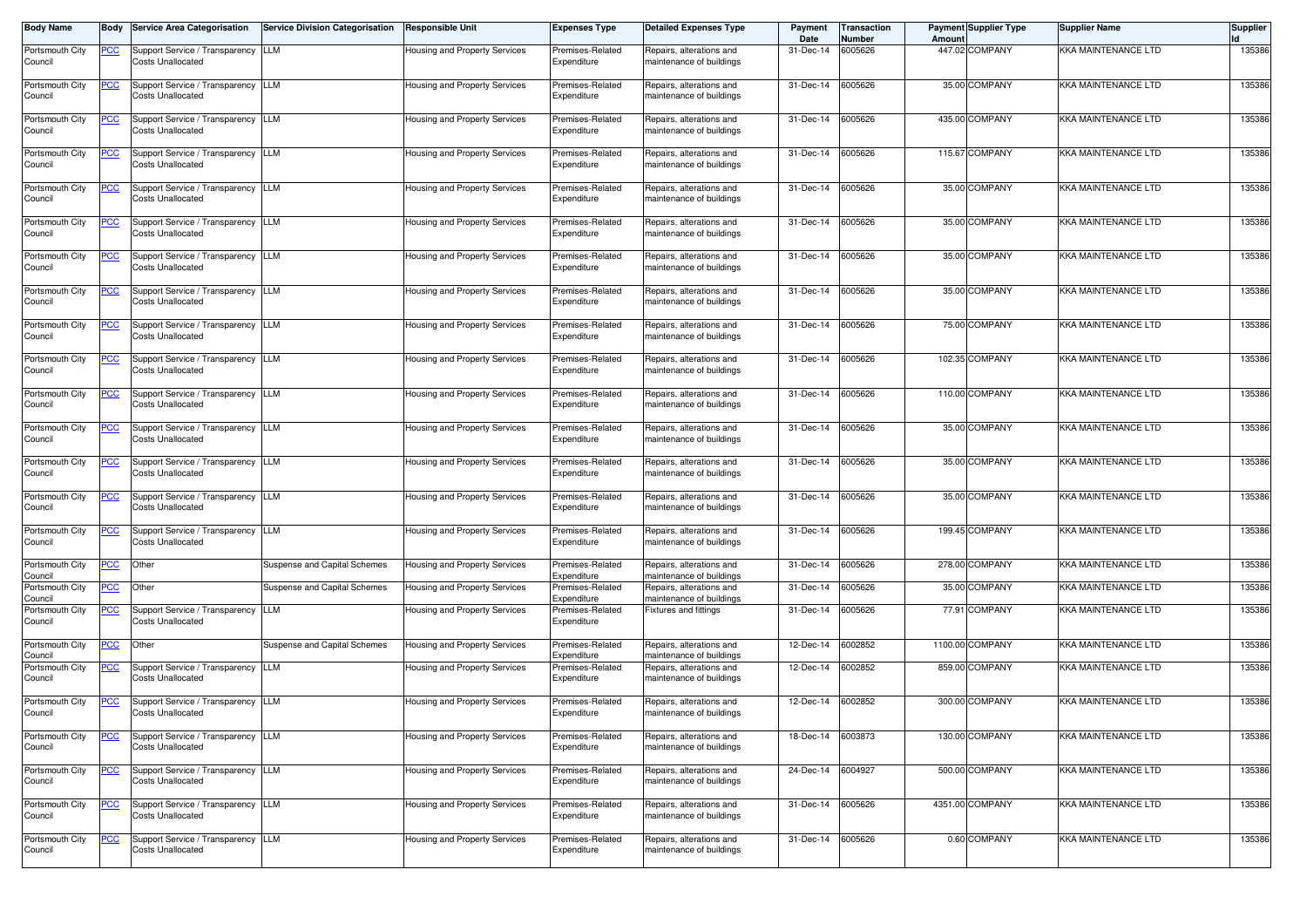| <b>Body Name</b>           | Body        | <b>Service Area Categorisation</b>                             | Service Division Categorisation | <b>Responsible Unit</b>       | <b>Expenses Type</b>            | <b>Detailed Expenses Type</b>                        | Payment<br>Date   | <b>Transaction</b><br>Number | Amount | <b>Payment Supplier Type</b> | <b>Supplier Name</b>       | <b>Supplier</b> |
|----------------------------|-------------|----------------------------------------------------------------|---------------------------------|-------------------------------|---------------------------------|------------------------------------------------------|-------------------|------------------------------|--------|------------------------------|----------------------------|-----------------|
| Portsmouth City<br>Council | <u>PCC</u>  | Support Service / Transparency LLM<br><b>Costs Unallocated</b> |                                 | Housing and Property Services | Premises-Related<br>Expenditure | Repairs, alterations and<br>maintenance of buildings | 31-Dec-14         | 6005626                      |        | 447.02 COMPANY               | <b>KKA MAINTENANCE LTD</b> | 135386          |
| Portsmouth City<br>Council | <u>PCC</u>  | Support Service / Transparency ILLM<br>Costs Unallocated       |                                 | Housing and Property Services | Premises-Related<br>Expenditure | Repairs, alterations and<br>maintenance of buildings | 31-Dec-14         | 6005626                      |        | 35.00 COMPANY                | <b>KKA MAINTENANCE LTD</b> | 135386          |
| Portsmouth City<br>Council | <u>PCC </u> | Support Service / Transparency LLM<br><b>Costs Unallocated</b> |                                 | Housing and Property Services | Premises-Related<br>Expenditure | Repairs, alterations and<br>maintenance of buildings | 31-Dec-14         | 6005626                      |        | 435.00 COMPANY               | KKA MAINTENANCE LTD        | 135386          |
| Portsmouth City<br>Council | <u>PCC</u>  | Support Service / Transparency LLM<br><b>Costs Unallocated</b> |                                 | Housing and Property Services | Premises-Related<br>Expenditure | Repairs, alterations and<br>maintenance of buildings | 31-Dec-14         | 6005626                      |        | 115.67 COMPANY               | <b>KKA MAINTENANCE LTD</b> | 135386          |
| Portsmouth City<br>Council | <b>PCC</b>  | Support Service / Transparency<br><b>Costs Unallocated</b>     | LLM                             | Housing and Property Services | Premises-Related<br>Expenditure | Repairs, alterations and<br>maintenance of buildings | 31-Dec-14         | 6005626                      |        | 35.00 COMPANY                | <b>KKA MAINTENANCE LTD</b> | 135386          |
| Portsmouth City<br>Council | <u>PCC</u>  | Support Service / Transparency LLM<br>Costs Unallocated        |                                 | Housing and Property Services | Premises-Related<br>Expenditure | Repairs, alterations and<br>maintenance of buildings | 31-Dec-14         | 6005626                      |        | 35.00 COMPANY                | <b>KKA MAINTENANCE LTD</b> | 135386          |
| Portsmouth City<br>Council | <u>PCC</u>  | Support Service / Transparency LLM<br>Costs Unallocated        |                                 | Housing and Property Services | Premises-Related<br>Expenditure | Repairs, alterations and<br>maintenance of buildings | 31-Dec-14         | 6005626                      |        | 35.00 COMPANY                | <b>KKA MAINTENANCE LTD</b> | 135386          |
| Portsmouth City<br>Council | <u>PCC</u>  | Support Service / Transparency LLM<br><b>Costs Unallocated</b> |                                 | Housing and Property Services | Premises-Related<br>Expenditure | Repairs, alterations and<br>maintenance of buildings | 31-Dec-14         | 6005626                      |        | 35.00 COMPANY                | <b>KKA MAINTENANCE LTD</b> | 135386          |
| Portsmouth City<br>Council | <u>PCC</u>  | Support Service / Transparency LLM<br><b>Costs Unallocated</b> |                                 | Housing and Property Services | Premises-Related<br>Expenditure | Repairs, alterations and<br>maintenance of buildings | 31-Dec-14         | 6005626                      |        | 75.00 COMPANY                | <b>KKA MAINTENANCE LTD</b> | 135386          |
| Portsmouth City<br>Council | <u>PCC</u>  | Support Service / Transparency LLM<br>Costs Unallocated        |                                 | Housing and Property Services | Premises-Related<br>Expenditure | Repairs, alterations and<br>maintenance of buildings | 31-Dec-14         | 6005626                      |        | 102.35 COMPANY               | <b>KKA MAINTENANCE LTD</b> | 135386          |
| Portsmouth City<br>Council | <u>PCC</u>  | Support Service / Transparency LLM<br><b>Costs Unallocated</b> |                                 | Housing and Property Services | Premises-Related<br>Expenditure | Repairs, alterations and<br>maintenance of buildings | 31-Dec-14         | 6005626                      |        | 110.00 COMPANY               | <b>KKA MAINTENANCE LTD</b> | 135386          |
| Portsmouth City<br>Council | сC          | Support Service / Transparency LLM<br><b>Costs Unallocated</b> |                                 | Housing and Property Services | Premises-Related<br>Expenditure | Repairs, alterations and<br>maintenance of buildings | 31-Dec-14         | 6005626                      |        | 35.00 COMPANY                | <b>KKA MAINTENANCE LTD</b> | 135386          |
| Portsmouth City<br>Council | <u>PCC</u>  | Support Service / Transparency LLM<br>Costs Unallocated        |                                 | Housing and Property Services | Premises-Related<br>Expenditure | Repairs, alterations and<br>maintenance of buildings | 31-Dec-14         | 6005626                      |        | 35.00 COMPANY                | <b>KKA MAINTENANCE LTD</b> | 135386          |
| Portsmouth City<br>Council | <u>PCC</u>  | Support Service / Transparency LLM<br><b>Costs Unallocated</b> |                                 | Housing and Property Services | Premises-Related<br>Expenditure | Repairs, alterations and<br>maintenance of buildings | 31-Dec-14         | 6005626                      |        | 35.00 COMPANY                | <b>KKA MAINTENANCE LTD</b> | 135386          |
| Portsmouth City<br>Council | <u>PCC</u>  | Support Service / Transparency LLM<br><b>Costs Unallocated</b> |                                 | Housing and Property Services | Premises-Related<br>Expenditure | Repairs, alterations and<br>maintenance of buildings | 31-Dec-14         | 6005626                      |        | 199.45 COMPANY               | <b>KKA MAINTENANCE LTD</b> | 135386          |
| Portsmouth City<br>Council | <u>PCC</u>  | Other                                                          | Suspense and Capital Schemes    | Housing and Property Services | Premises-Related<br>Expenditure | Repairs, alterations and<br>maintenance of buildings | 31-Dec-14         | 6005626                      |        | 278.00 COMPANY               | KKA MAINTENANCE LTD        | 135386          |
| Portsmouth City<br>Council | <b>PCC</b>  | Other                                                          | Suspense and Capital Schemes    | Housing and Property Services | Premises-Related<br>Expenditure | Repairs, alterations and<br>maintenance of buildings | 31-Dec-14         | 005626                       |        | 35.00 COMPANY                | <b>KKA MAINTENANCE LTD</b> | 135386          |
| Portsmouth City<br>Council | <u>PCC</u>  | Support Service / Transparency LLM<br>Costs Unallocated        |                                 | Housing and Property Services | Premises-Related<br>Expenditure | Fixtures and fittings                                | 31-Dec-14         | 6005626                      |        | 77.91 COMPANY                | <b>KKA MAINTENANCE LTD</b> | 135386          |
| Portsmouth City<br>Council | <b>PCC</b>  | Other                                                          | Suspense and Capital Schemes    | Housing and Property Services | Premises-Related<br>Expenditure | Repairs, alterations and<br>maintenance of buildings | 12-Dec-14         | 6002852                      |        | 1100.00 COMPANY              | <b>KKA MAINTENANCE LTD</b> | 135386          |
| Portsmouth City<br>Council | <u>PCC </u> | Support Service / Transparency LLM<br>Costs Unallocated        |                                 | Housing and Property Services | Premises-Related<br>Expenditure | Repairs, alterations and<br>maintenance of buildings | 12-Dec-14         | 6002852                      |        | 859.00 COMPANY               | KKA MAINTENANCE LTD        | 135386          |
| Portsmouth City<br>Council | <u>PCC</u>  | Support Service / Transparency LLM<br>Costs Unallocated        |                                 | Housing and Property Services | Premises-Related<br>Expenditure | Repairs, alterations and<br>maintenance of buildings | 12-Dec-14         | 6002852                      |        | 300.00 COMPANY               | <b>KKA MAINTENANCE LTD</b> | 135386          |
| Portsmouth City<br>Council | <u>PCC</u>  | Support Service / Transparency<br><b>Costs Unallocated</b>     | LLM                             | Housing and Property Services | Premises-Related<br>Expenditure | Repairs, alterations and<br>maintenance of buildings | 18-Dec-14         | 6003873                      |        | 130.00 COMPANY               | KKA MAINTENANCE LTD        | 135386          |
| Portsmouth City<br>Council | <u>CC</u>   | Support Service / Transparency LLM<br><b>Costs Unallocated</b> |                                 | Housing and Property Services | Premises-Related<br>Expenditure | Repairs, alterations and<br>maintenance of buildings | 24-Dec-14         | 6004927                      |        | 500.00 COMPANY               | KKA MAINTENANCE LTD        | 135386          |
| Portsmouth City<br>Council | <u>PCC</u>  | Support Service / Transparency LLM<br>Costs Unallocated        |                                 | Housing and Property Services | Premises-Related<br>Expenditure | Repairs, alterations and<br>maintenance of buildings | 31-Dec-14 6005626 |                              |        | 4351.00 COMPANY              | <b>KKA MAINTENANCE LTD</b> | 135386          |
| Portsmouth City<br>Council | <b>PCC</b>  | Support Service / Transparency LLM<br><b>Costs Unallocated</b> |                                 | Housing and Property Services | Premises-Related<br>Expenditure | Repairs, alterations and<br>maintenance of buildings | 31-Dec-14         | 6005626                      |        | 0.60 COMPANY                 | <b>KKA MAINTENANCE LTD</b> | 135386          |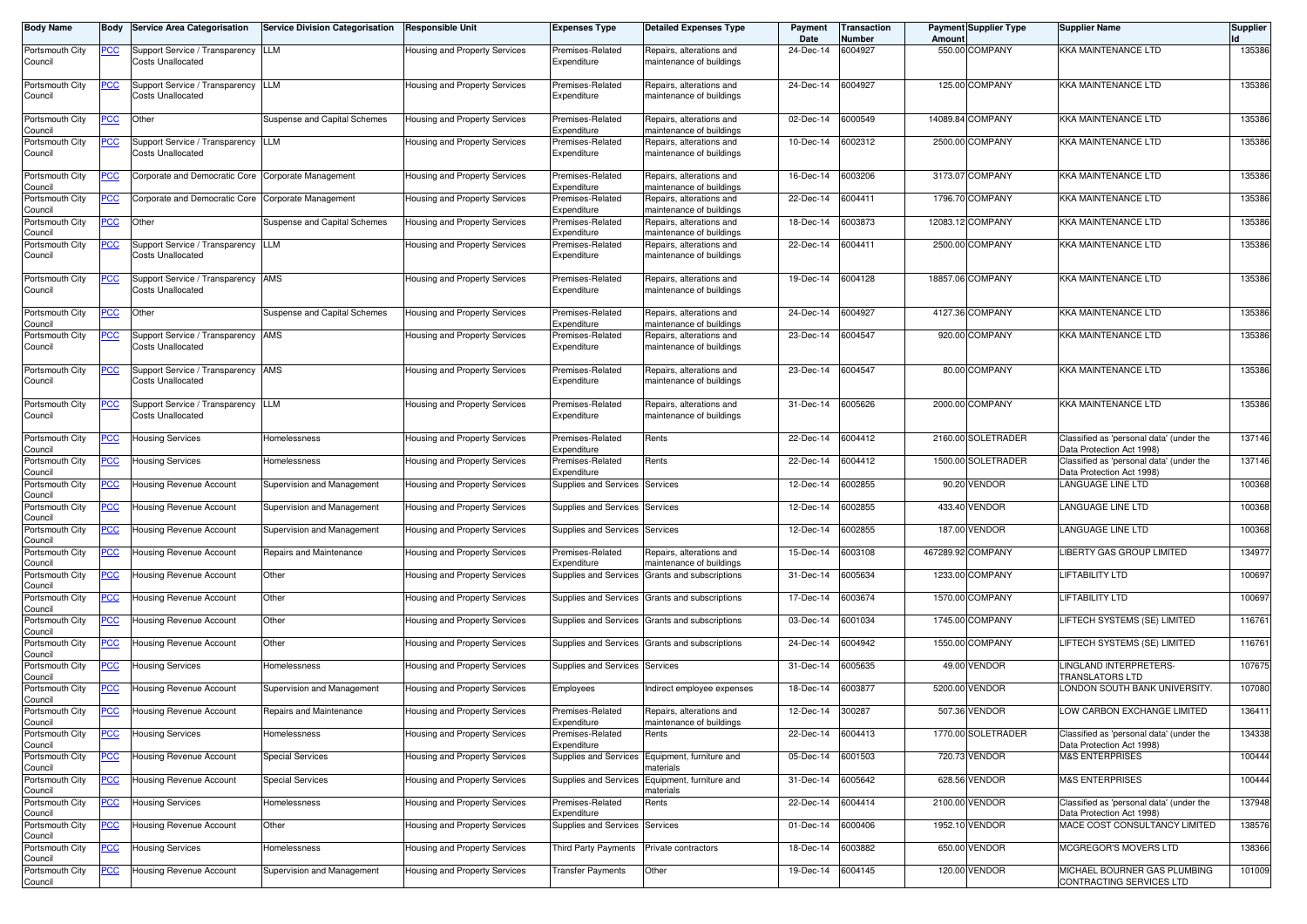| <b>Body Name</b>           | Body           | <b>Service Area Categorisation</b>                 | <b>Service Division Categorisation</b> | <b>Responsible Unit</b>       | <b>Expenses Type</b>            | <b>Detailed Expenses Type</b>                        | Payment<br>Date | Transaction<br>Number | Amount  | <b>Payment Supplier Type</b> | <b>Supplier Name</b>                                                  | <b>Supplier</b> |
|----------------------------|----------------|----------------------------------------------------|----------------------------------------|-------------------------------|---------------------------------|------------------------------------------------------|-----------------|-----------------------|---------|------------------------------|-----------------------------------------------------------------------|-----------------|
| Portsmouth City            | <u>PCC</u>     | Support Service / Transparency LLM                 |                                        | Housing and Property Services | Premises-Related                | Repairs, alterations and                             | 24-Dec-14       | 6004927               |         | 550.00 COMPANY               | <b>KKA MAINTENANCE LTD</b>                                            | 135386          |
| Council                    |                | Costs Unallocated                                  |                                        |                               | Expenditure                     | naintenance of buildings                             |                 |                       |         |                              |                                                                       |                 |
| Portsmouth City            | <u>PCC</u>     | Support Service / Transparency                     | LLM                                    | Housing and Property Services | Premises-Related                | Repairs, alterations and                             | 24-Dec-14       | 6004927               |         | 125.00 COMPANY               | KKA MAINTENANCE LTD                                                   | 135386          |
| Council                    |                | Costs Unallocated                                  |                                        |                               | Expenditure                     | naintenance of buildings                             |                 |                       |         |                              |                                                                       |                 |
| Portsmouth City            | <u>PCC</u>     | Other                                              | Suspense and Capital Schemes           | Housing and Property Services | Premises-Related                | Repairs, alterations and                             | 02-Dec-14       | 6000549               |         | 14089.84 COMPANY             | <b>KKA MAINTENANCE LTD</b>                                            | 135386          |
| Council<br>Portsmouth City | <u>PCC</u>     | Support Service / Transparency                     | <b>LLM</b>                             | Housing and Property Services | Expenditure<br>Premises-Related | naintenance of buildings<br>Repairs, alterations and | 10-Dec-14       | 6002312               | 2500.00 | <b>COMPANY</b>               | <b>KKA MAINTENANCE LTD</b>                                            | 135386          |
| Council                    |                | <b>Costs Unallocated</b>                           |                                        |                               | Expenditure                     | naintenance of buildings                             |                 |                       |         |                              |                                                                       |                 |
| Portsmouth City            | <u>PCC</u>     | Corporate and Democratic Core                      | Corporate Management                   | Housing and Property Services | Premises-Related                | lepairs, alterations and                             | 16-Dec-14       | 6003206               |         | 3173.07 COMPANY              | <b>KKA MAINTENANCE LTD</b>                                            | 135386          |
| Council                    |                |                                                    |                                        |                               | Expenditure                     | naintenance of buildings                             |                 |                       |         |                              |                                                                       |                 |
| Portsmouth City<br>Council | <u>PCC</u>     | Corporate and Democratic Core Corporate Management |                                        | Housing and Property Services | Premises-Related<br>Expenditure | Repairs, alterations and<br>naintenance of buildings | 22-Dec-14       | 6004411               |         | 1796.70 COMPANY              | <b>KKA MAINTENANCE LTD</b>                                            | 135386          |
| Portsmouth City<br>Council | <u>PCC</u>     | Other                                              | Suspense and Capital Schemes           | Housing and Property Services | Premises-Related<br>Expenditure | Repairs, alterations and<br>naintenance of buildings | 18-Dec-14       | 6003873               |         | 12083.12 COMPANY             | <b>KKA MAINTENANCE LTD</b>                                            | 135386          |
| Portsmouth City            | <u>PCC</u>     | Support Service / Transparency                     | <b>LLM</b>                             | Housing and Property Services | Premises-Related                | Repairs, alterations and                             | 22-Dec-14       | 6004411               |         | 2500.00 COMPANY              | <b>KKA MAINTENANCE LTD</b>                                            | 135386          |
| Council                    |                | Costs Unallocated                                  |                                        |                               | Expenditure                     | naintenance of buildings                             |                 |                       |         |                              |                                                                       |                 |
| Portsmouth City            | <u>PCC</u>     | Support Service / Transparency AMS                 |                                        | Housing and Property Services | Premises-Related                | Repairs, alterations and                             | 19-Dec-14       | 6004128               |         | 18857.06 COMPANY             | <b>KKA MAINTENANCE LTD</b>                                            | 135386          |
| Council                    |                | Costs Unallocated                                  |                                        |                               | Expenditure                     | maintenance of buildings                             |                 |                       |         |                              |                                                                       |                 |
| Portsmouth City            | <u>PCC</u>     | Other                                              | Suspense and Capital Schemes           | Housing and Property Services | Premises-Related                | Repairs, alterations and                             | 24-Dec-14       | 6004927               |         | 4127.36 COMPANY              | KKA MAINTENANCE LTD                                                   | 135386          |
| Council<br>Portsmouth City | <u>PCC</u>     | Support Service / Transparency AMS                 |                                        | Housing and Property Services | Expenditure<br>Premises-Related | maintenance of buildings<br>Repairs, alterations and | 23-Dec-14       | 6004547               |         | 920.00 COMPANY               | KKA MAINTENANCE LTD                                                   | 135386          |
| Council                    |                | Costs Unallocated                                  |                                        |                               | Expenditure                     | naintenance of buildings                             |                 |                       |         |                              |                                                                       |                 |
| Portsmouth City            | <u>PCC</u>     | Support Service / Transparency AMS                 |                                        | Housing and Property Services | Premises-Related                | Repairs, alterations and                             | 23-Dec-14       | 6004547               |         | 80.00 COMPANY                | <b>KKA MAINTENANCE LTD</b>                                            | 135386          |
| Council                    |                | <b>Costs Unallocated</b>                           |                                        |                               | Expenditure                     | naintenance of buildings                             |                 |                       |         |                              |                                                                       |                 |
| Portsmouth City            | <u>PCC</u>     | Support Service / Transparency                     | <b>LLM</b>                             | Housing and Property Services | Premises-Related                | Repairs, alterations and                             | 31-Dec-14       | 6005626               |         | 2000.00 COMPANY              | <b>KKA MAINTENANCE LTD</b>                                            | 135386          |
| Council                    |                | Costs Unallocated                                  |                                        |                               | Expenditure                     | naintenance of buildings                             |                 |                       |         |                              |                                                                       |                 |
| Portsmouth City            | <u>PCC</u>     | <b>Housing Services</b>                            | Homelessness                           | Housing and Property Services | Premises-Related                | Rents                                                | 22-Dec-14       | 6004412               |         | 2160.00 SOLETRADER           | Classified as 'personal data' (under the                              | 137146          |
| Council<br>Portsmouth City | <u>PCC</u>     | Housing Services                                   | Homelessness                           | Housing and Property Services | Expenditure<br>Premises-Related | Rents                                                | 22-Dec-14       | 6004412               |         | 1500.00 SOLETRADER           | Data Protection Act 1998)<br>Classified as 'personal data' (under the | 137146          |
| Council                    |                |                                                    |                                        |                               | Expenditure                     |                                                      |                 |                       |         |                              | Data Protection Act 1998)                                             |                 |
| Portsmouth City<br>Council | $\overline{C}$ | Housing Revenue Account                            | Supervision and Management             | Housing and Property Services | Supplies and Services           | Services                                             | 12-Dec-14       | 002855                |         | 90.20 VENDOR                 | LANGUAGE LINE LTD                                                     | 100368          |
| Portsmouth City<br>Council | <u>PCC</u>     | Housing Revenue Account                            | Supervision and Management             | Housing and Property Services | Supplies and Services Services  |                                                      | 12-Dec-14       | 6002855               |         | 433.40 VENDOR                | LANGUAGE LINE LTD                                                     | 100368          |
| Portsmouth City            | <u>PCC</u>     | Housing Revenue Account                            | Supervision and Management             | Housing and Property Services | Supplies and Services           | Services                                             | 12-Dec-14       | 6002855               |         | 187.00 VENDOR                | LANGUAGE LINE LTD                                                     | 100368          |
| Council<br>Portsmouth City | <u>PCC</u>     | Housing Revenue Account                            | Repairs and Maintenance                | Housing and Property Services | Premises-Related                | Repairs, alterations and                             | 15-Dec-14       | 6003108               |         | 467289.92 COMPANY            | LIBERTY GAS GROUP LIMITED                                             | 134977          |
| Council                    |                |                                                    |                                        |                               | Expenditure                     | naintenance of buildings                             |                 |                       |         |                              |                                                                       |                 |
| Portsmouth City<br>Council | <u>PCC</u>     | <b>Housing Revenue Account</b>                     | Other                                  | Housing and Property Services | Supplies and Services           | Grants and subscriptions                             | 31-Dec-14       | 6005634               |         | 1233.00 COMPANY              | <b>LIFTABILITY LTD</b>                                                | 100697          |
| Portsmouth City<br>Council | <u>PCC</u>     | Housing Revenue Account                            | Other                                  | Housing and Property Services | Supplies and Services           | Grants and subscriptions                             | 17-Dec-14       | 6003674               | 1570.00 | <b>COMPANY</b>               | <b>LIFTABILITY LTD</b>                                                | 100697          |
| Portsmouth City            | <u>PCC</u>     | <b>Housing Revenue Account</b>                     | Other                                  | Housing and Property Services | Supplies and Services           | Grants and subscriptions                             | 03-Dec-14       | 6001034               |         | 1745.00 COMPANY              | LIFTECH SYSTEMS (SE) LIMITED                                          | 116761          |
| Council<br>Portsmouth City | <u>PCC</u>     | Housing Revenue Account                            | Other                                  | Housing and Property Services | Supplies and Services           | Grants and subscriptions                             | 24-Dec-14       | 6004942               | 1550.00 | <b>COMPANY</b>               | LIFTECH SYSTEMS (SE) LIMITED                                          | 116761          |
| Council                    |                |                                                    |                                        |                               |                                 |                                                      |                 |                       |         |                              |                                                                       |                 |
| Portsmouth City<br>Council | <u>PCC</u>     | Housing Services                                   | Homelessness                           | Housing and Property Services | Supplies and Services Services  |                                                      | 31-Dec-14       | 6005635               |         | 49.00 VENDOR                 | LINGLAND INTERPRETERS-<br><b>TRANSLATORS LTD</b>                      | 107675          |
| Portsmouth City            | <u>PCC</u>     | Housing Revenue Account                            | Supervision and Management             | Housing and Property Services | Employees                       | ndirect employee expenses                            | 18-Dec-14       | 6003877               |         | 5200.00 VENDOR               | LONDON SOUTH BANK UNIVERSITY.                                         | 107080          |
| Council<br>Portsmouth City | <u>PCC</u>     | Housing Revenue Account                            | Repairs and Maintenance                | Housing and Property Services | Premises-Related                | Repairs, alterations and                             | 12-Dec-14       | 300287                |         | 507.36 VENDOR                | LOW CARBON EXCHANGE LIMITED                                           | 136411          |
| Council<br>Portsmouth City | <u>PCC</u>     | <b>Housing Services</b>                            | Homelessness                           | Housing and Property Services | Expenditure<br>Premises-Related | naintenance of buildings<br>Rents                    | 22-Dec-14       | 6004413               |         | 1770.00 SOLETRADER           | Classified as 'personal data' (under the                              | 134338          |
| Council                    |                |                                                    |                                        |                               | Expenditure                     |                                                      |                 |                       |         |                              | Data Protection Act 1998)                                             |                 |
| Portsmouth City<br>Council | <u>PCC</u>     | Housing Revenue Account                            | <b>Special Services</b>                | Housing and Property Services | Supplies and Services           | Equipment, furniture and<br>naterials                | 05-Dec-14       | 6001503               |         | 720.73 VENDOR                | <b>M&amp;S ENTERPRISES</b>                                            | 100444          |
| Portsmouth City            | <b>PCC</b>     | Housing Revenue Account                            | <b>Special Services</b>                | Housing and Property Services | Supplies and Services           | Equipment, furniture and                             | 31-Dec-14       | 6005642               |         | 628.56 VENDOR                | <b>M&amp;S ENTERPRISES</b>                                            | 100444          |
| Council<br>Portsmouth City | <u>PCC</u>     | <b>Housing Services</b>                            | Homelessness                           | Housing and Property Services | Premises-Related                | naterials<br><b>Rents</b>                            | 22-Dec-14       | 6004414               | 2100.00 | <b>VENDOR</b>                | Classified as 'personal data' (under the                              | 137948          |
| Council<br>Portsmouth City |                | Housing Revenue Account                            | Other                                  |                               | Expenditure                     |                                                      | 01-Dec-14       | 6000406               |         | 1952.10 VENDOR               | Data Protection Act 1998)<br>MACE COST CONSULTANCY LIMITED            | 138576          |
| Council                    | <b>PCC</b>     |                                                    |                                        | Housing and Property Services | Supplies and Services           | Services                                             |                 |                       |         |                              |                                                                       |                 |
| Portsmouth City<br>Council | <u>PCC</u>     | <b>Housing Services</b>                            | Homelessness                           | Housing and Property Services | Third Party Payments            | Private contractors                                  | 18-Dec-14       | 6003882               |         | 650.00 VENDOR                | MCGREGOR'S MOVERS LTD                                                 | 138366          |
| Portsmouth City            | <b>PCC</b>     | <b>Housing Revenue Account</b>                     | Supervision and Management             | Housing and Property Services | <b>Transfer Payments</b>        | Other                                                | 19-Dec-14       | 6004145               |         | 120.00 VENDOR                | MICHAEL BOURNER GAS PLUMBING                                          | 101009          |
| Council                    |                |                                                    |                                        |                               |                                 |                                                      |                 |                       |         |                              | CONTRACTING SERVICES LTD                                              |                 |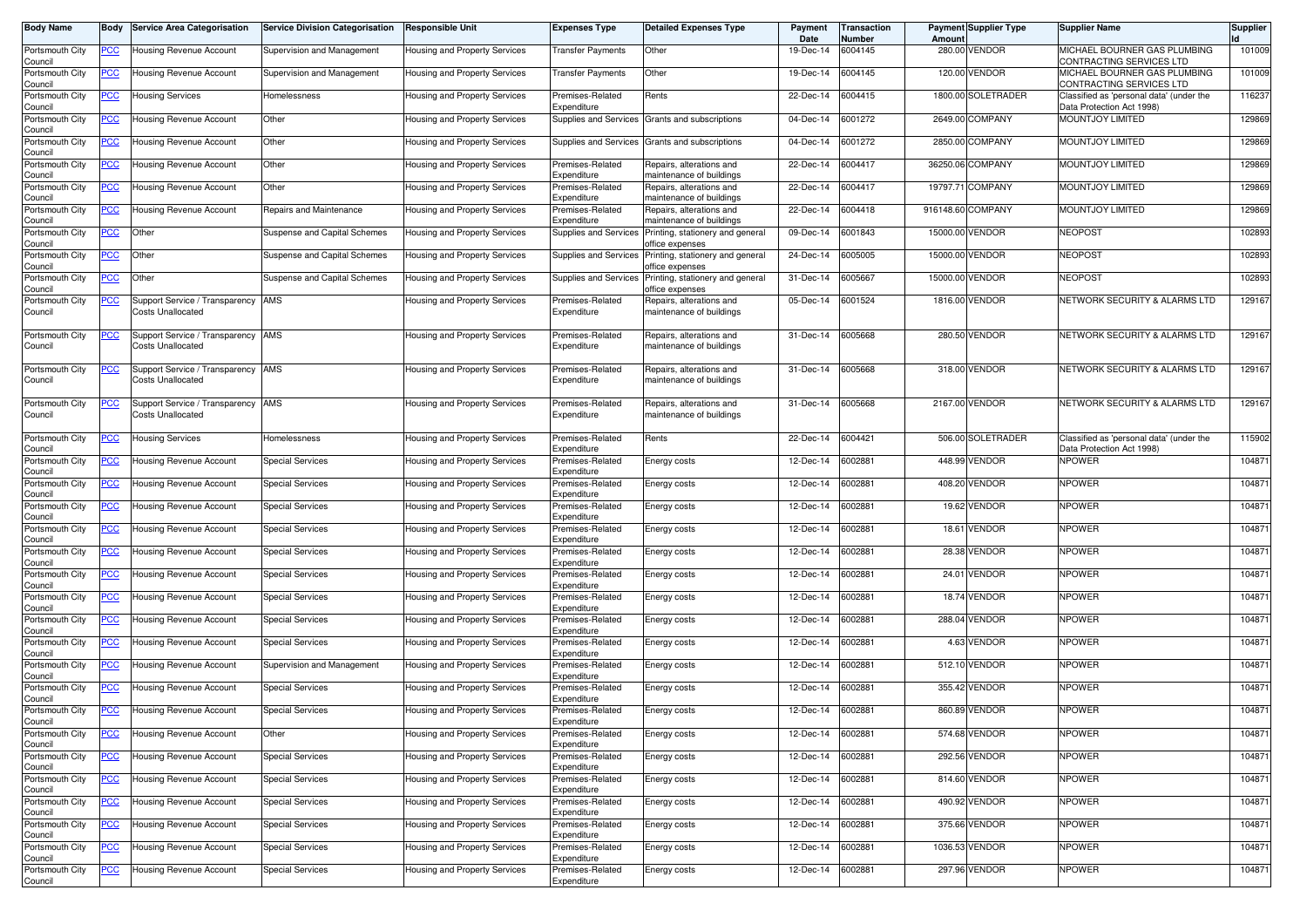| <b>Body Name</b>           | Body        | <b>Service Area Categorisation</b>                         | <b>Service Division Categorisation</b> | <b>Responsible Unit</b>              | <b>Expenses Type</b>            | <b>Detailed Expenses Type</b>                        | Payment<br>Date | <b>Transaction</b><br>Number | Amount  | <b>Payment Supplier Type</b> | <b>Supplier Name</b>                                                  | <b>Supplier</b> |
|----------------------------|-------------|------------------------------------------------------------|----------------------------------------|--------------------------------------|---------------------------------|------------------------------------------------------|-----------------|------------------------------|---------|------------------------------|-----------------------------------------------------------------------|-----------------|
| Portsmouth City<br>Council | PCC∶        | Housing Revenue Account                                    | Supervision and Management             | Housing and Property Services        | Transfer Payments               | Other                                                | 19-Dec-14       | 6004145                      |         | 280.00 VENDOR                | MICHAEL BOURNER GAS PLUMBING<br>CONTRACTING SERVICES LTD              | 101009          |
| Portsmouth City<br>Council | <u>PCC</u>  | Housing Revenue Account                                    | Supervision and Management             | Housing and Property Services        | Transfer Payments               | Other                                                | 19-Dec-14       | 6004145                      |         | 120.00 VENDOR                | MICHAEL BOURNER GAS PLUMBING<br>CONTRACTING SERVICES LTD              | 101009          |
| Portsmouth City<br>Council | <u>PCC</u>  | <b>Housing Services</b>                                    | Homelessness                           | Housing and Property Services        | Premises-Related<br>Expenditure | Rents                                                | 22-Dec-14       | 6004415                      |         | 1800.00 SOLETRADER           | Classified as 'personal data' (under the<br>Data Protection Act 1998) | 116237          |
| Portsmouth City<br>Council | <u>PCC</u>  | Housing Revenue Account                                    | Other                                  | Housing and Property Services        | Supplies and Services           | Grants and subscriptions                             | 04-Dec-14       | 6001272                      |         | 2649.00 COMPANY              | <b>MOUNTJOY LIMITED</b>                                               | 129869          |
| Portsmouth City<br>Council | <u>PCC</u>  | Housing Revenue Account                                    | Other                                  | Housing and Property Services        |                                 | Supplies and Services Grants and subscriptions       | 04-Dec-14       | 6001272                      | 2850.00 | <b>COMPANY</b>               | <b>MOUNTJOY LIMITED</b>                                               | 129869          |
| Portsmouth City<br>Council | <u>PCC</u>  | Housing Revenue Account                                    | Other                                  | Housing and Property Services        | Premises-Related<br>Expenditure | Repairs, alterations and<br>maintenance of buildings | 22-Dec-14       | 6004417                      |         | 36250.06 COMPANY             | MOUNTJOY LIMITED                                                      | 129869          |
| Portsmouth City<br>Council | <u>PCC</u>  | Housing Revenue Account                                    | Other                                  | <b>Housing and Property Services</b> | Premises-Related<br>Expenditure | Repairs, alterations and<br>naintenance of buildings | 22-Dec-14       | 6004417                      |         | 19797.71 COMPANY             | MOUNTJOY LIMITED                                                      | 129869          |
| Portsmouth City<br>Council | <u>PCC</u>  | <b>Housing Revenue Account</b>                             | Repairs and Maintenance                | Housing and Property Services        | Premises-Related<br>Expenditure | Repairs, alterations and<br>naintenance of buildings | 22-Dec-14       | 6004418                      |         | 916148.60 COMPANY            | MOUNTJOY LIMITED                                                      | 129869          |
| Portsmouth City<br>Council | <u>PCC </u> | Other                                                      | Suspense and Capital Schemes           | Housing and Property Services        | Supplies and Services           | Printing, stationery and general<br>office expenses  | 09-Dec-14       | 6001843                      |         | 15000.00 VENDOR              | <b>NEOPOST</b>                                                        | 102893          |
| Portsmouth City<br>Council | <u>PCC</u>  | Other                                                      | Suspense and Capital Schemes           | Housing and Property Services        | Supplies and Services           | Printing, stationery and general<br>office expenses  | 24-Dec-14       | 6005005                      |         | 15000.00 VENDOR              | <b>NEOPOST</b>                                                        | 102893          |
| Portsmouth City<br>Council | <u>PCC</u>  | Other                                                      | Suspense and Capital Schemes           | Housing and Property Services        | Supplies and Services           | Printing, stationery and general<br>office expenses  | 31-Dec-14       | 6005667                      |         | 15000.00 VENDOR              | <b>NEOPOST</b>                                                        | 102893          |
| Portsmouth City<br>Council | <u>PCC</u>  | Support Service / Transparency<br>Costs Unallocated        | AMS                                    | Housing and Property Services        | Premises-Related<br>Expenditure | Repairs, alterations and<br>naintenance of buildings | 05-Dec-14       | 6001524                      |         | 1816.00 VENDOR               | NETWORK SECURITY & ALARMS LTD                                         | 129167          |
| Portsmouth City<br>Council | <u>PCC</u>  | Support Service / Transparency AMS<br>Costs Unallocated    |                                        | Housing and Property Services        | Premises-Related<br>Expenditure | Repairs, alterations and<br>maintenance of buildings | 31-Dec-14       | 6005668                      |         | 280.50 VENDOR                | NETWORK SECURITY & ALARMS LTD                                         | 129167          |
| Portsmouth City<br>Council | <u>PCC</u>  | Support Service / Transparency<br>Costs Unallocated        | AMS                                    | Housing and Property Services        | Premises-Related<br>Expenditure | Repairs, alterations and<br>maintenance of buildings | 31-Dec-14       | 6005668                      |         | 318.00 VENDOR                | NETWORK SECURITY & ALARMS LTD                                         | 129167          |
| Portsmouth City<br>Council | <u>PCC</u>  | Support Service / Transparency<br><b>Costs Unallocated</b> | AMS                                    | Housing and Property Services        | Premises-Related<br>Expenditure | Repairs, alterations and<br>maintenance of buildings | 31-Dec-14       | 6005668                      |         | 2167.00 VENDOR               | NETWORK SECURITY & ALARMS LTD                                         | 129167          |
| Portsmouth City<br>Council | <u>PCC</u>  | <b>Housing Services</b>                                    | Homelessness                           | Housing and Property Services        | Premises-Related<br>Expenditure | Rents                                                | 22-Dec-14       | 6004421                      |         | 506.00 SOLETRADER            | Classified as 'personal data' (under the<br>Data Protection Act 1998) | 115902          |
| Portsmouth City<br>Council | <u>PCC</u>  | Housing Revenue Account                                    | <b>Special Services</b>                | <b>Housing and Property Services</b> | Premises-Related<br>Expenditure | Energy costs                                         | 12-Dec-14       | 6002881                      |         | 448.99 VENDOR                | <b>NPOWER</b>                                                         | 104871          |
| Portsmouth City<br>Council | <u>PCC</u>  | Housing Revenue Account                                    | <b>Special Services</b>                | Housing and Property Services        | Premises-Related<br>Expenditure | Energy costs                                         | 12-Dec-14       | 6002881                      |         | 408.20 VENDOR                | <b>NPOWER</b>                                                         | 104871          |
| Portsmouth City<br>Council | <u>PCC</u>  | Housing Revenue Account                                    | <b>Special Services</b>                | Housing and Property Services        | Premises-Related<br>Expenditure | Energy costs                                         | 12-Dec-14       | 6002881                      |         | 19.62 VENDOR                 | <b>NPOWER</b>                                                         | 104871          |
| Portsmouth City<br>Council | <u>PCC</u>  | Housing Revenue Account                                    | <b>Special Services</b>                | Housing and Property Services        | Premises-Related<br>Expenditure | Energy costs                                         | 12-Dec-14       | 6002881                      |         | 18.61 VENDOR                 | <b>NPOWER</b>                                                         | 104871          |
| Portsmouth City<br>Council | <u>PCC</u>  | Housing Revenue Account                                    | <b>Special Services</b>                | <b>Housing and Property Services</b> | Premises-Related<br>Expenditure | Energy costs                                         | 12-Dec-14       | 6002881                      | 28.38   | <b>VENDOR</b>                | <b>NPOWER</b>                                                         | 104871          |
| Portsmouth City<br>Council | <u>PCC</u>  | Housing Revenue Account                                    | <b>Special Services</b>                | Housing and Property Services        | Premises-Related<br>Expenditure | Energy costs                                         | 12-Dec-14       | 600288                       |         | 24.01 VENDOR                 | <b>NPOWER</b>                                                         | 104871          |
| Portsmouth City<br>Council | <u>PCC</u>  | Housing Revenue Account                                    | <b>Special Services</b>                | <b>Housing and Property Services</b> | Premises-Related<br>Expenditure | Energy costs                                         | 12-Dec-14       | 6002881                      |         | 18.74 VENDOR                 | <b>NPOWER</b>                                                         | 104871          |
| Portsmouth City<br>Council | PСC         | Housing Revenue Account                                    | <b>Special Services</b>                | Housing and Property Services        | Premises-Related<br>Expenditure | Energy costs                                         | 12-Dec-14       | 6002881                      |         | 288.04 VENDOR                | <b>NPOWER</b>                                                         | 104871          |
| Portsmouth City<br>Council | <u>PCC</u>  | Housing Revenue Account                                    | <b>Special Services</b>                | Housing and Property Services        | Premises-Related<br>Expenditure | Energy costs                                         | 12-Dec-14       | 002881                       |         | 4.63 VENDOR                  | <b>NPOWER</b>                                                         | 104871          |
| Portsmouth City<br>Council | <u>PCC </u> | Housing Revenue Account                                    | Supervision and Management             | Housing and Property Services        | Premises-Related<br>Expenditure | Energy costs                                         | 12-Dec-14       | 6002881                      |         | 512.10 VENDOR                | <b>NPOWER</b>                                                         | 104871          |
| Portsmouth City<br>Council | <u>PCC</u>  | <b>Housing Revenue Account</b>                             | <b>Special Services</b>                | Housing and Property Services        | Premises-Related<br>Expenditure | Energy costs                                         | 12-Dec-14       | 6002881                      |         | 355.42 VENDOR                | <b>NPOWER</b>                                                         | 104871          |
| Portsmouth City<br>Council | <u>PCC</u>  | Housing Revenue Account                                    | <b>Special Services</b>                | Housing and Property Services        | Premises-Related<br>Expenditure | Energy costs                                         | 12-Dec-14       | 6002881                      |         | 860.89 VENDOR                | <b>NPOWER</b>                                                         | 104871          |
| Portsmouth City<br>Council | <b>PCC</b>  | Housing Revenue Account                                    | Other                                  | Housing and Property Services        | Premises-Related<br>Expenditure | Energy costs                                         | 12-Dec-14       | 6002881                      |         | 574.68 VENDOR                | <b>NPOWER</b>                                                         | 104871          |
| Portsmouth City<br>Council | <u>PCC</u>  | Housing Revenue Account                                    | <b>Special Services</b>                | Housing and Property Services        | Premises-Related<br>Expenditure | Energy costs                                         | 12-Dec-14       | 6002881                      |         | 292.56 VENDOR                | <b>NPOWER</b>                                                         | 104871          |
| Portsmouth City<br>Council | PCC         | Housing Revenue Account                                    | <b>Special Services</b>                | Housing and Property Services        | Premises-Related<br>Expenditure | Energy costs                                         | 12-Dec-14       | 6002881                      |         | 814.60 VENDOR                | NPOWER                                                                | 104871          |
| Portsmouth City<br>Council | <u>PCC</u>  | Housing Revenue Account                                    | <b>Special Services</b>                | Housing and Property Services        | Premises-Related<br>Expenditure | Energy costs                                         | 12-Dec-14       | 6002881                      |         | 490.92 VENDOR                | <b>NPOWER</b>                                                         | 104871          |
| Portsmouth City<br>Council | <u>PCC</u>  | Housing Revenue Account                                    | <b>Special Services</b>                | Housing and Property Services        | Premises-Related<br>Expenditure | Energy costs                                         | 12-Dec-14       | 6002881                      |         | 375.66 VENDOR                | <b>NPOWER</b>                                                         | 104871          |
| Portsmouth City<br>Council | <b>PCC</b>  | Housing Revenue Account                                    | <b>Special Services</b>                | Housing and Property Services        | Premises-Related<br>Expenditure | Energy costs                                         | 12-Dec-14       | 6002881                      |         | 1036.53 VENDOR               | <b>NPOWER</b>                                                         | 104871          |
| Portsmouth City<br>Council | <u>PCC</u>  | Housing Revenue Account                                    | <b>Special Services</b>                | Housing and Property Services        | Premises-Related<br>Expenditure | Energy costs                                         | 12-Dec-14       | 6002881                      |         | 297.96 VENDOR                | <b>NPOWER</b>                                                         | 104871          |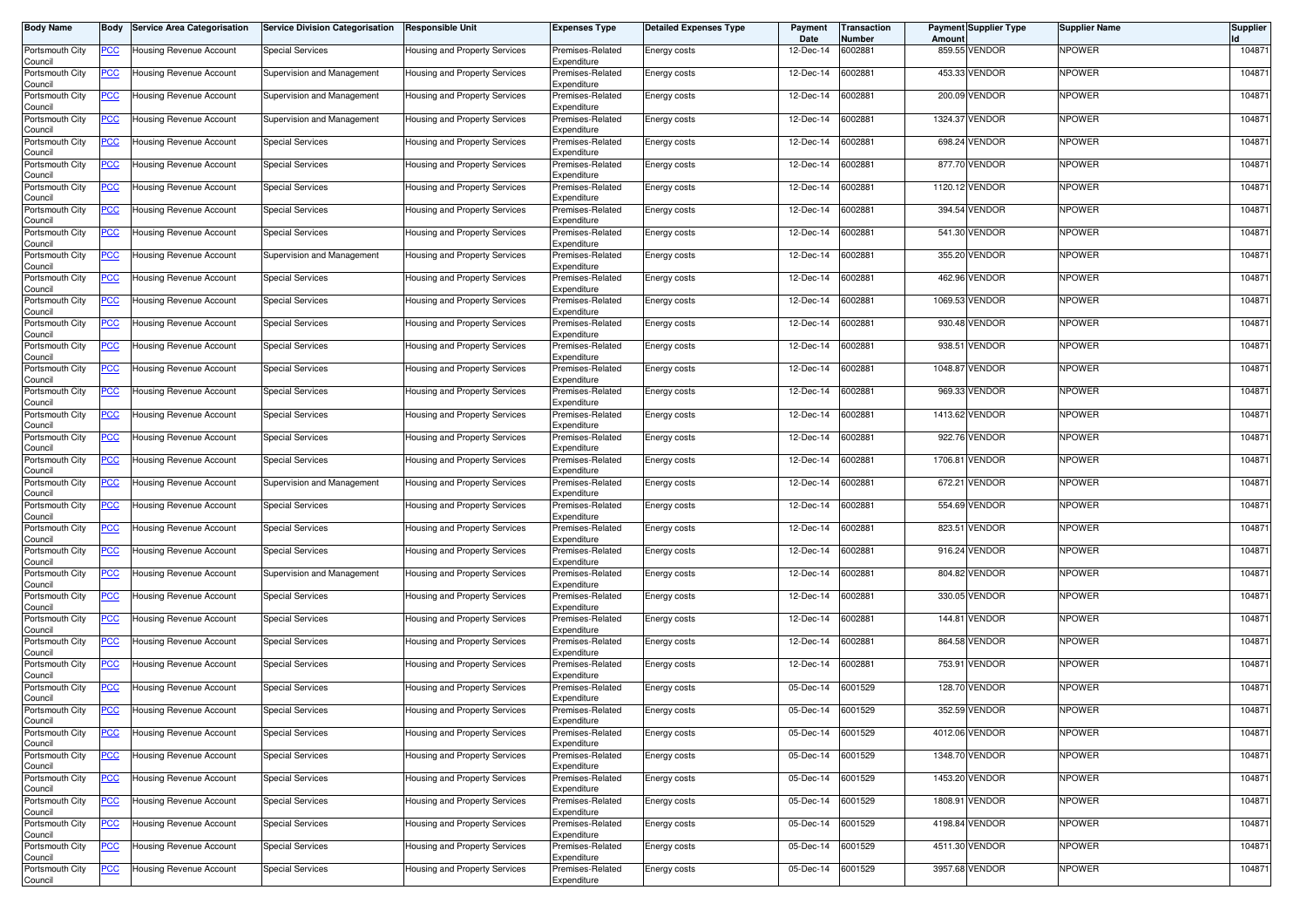| <b>Body Name</b>           | Body        | <b>Service Area Categorisation</b> | <b>Service Division Categorisation</b> | <b>Responsible Unit</b>              | Expenses Type                   | <b>Detailed Expenses Type</b> | Payment<br>Date | Transaction<br>Number | Amount  | <b>Payment Supplier Type</b> | Supplier Name | <b>Supplier</b> |
|----------------------------|-------------|------------------------------------|----------------------------------------|--------------------------------------|---------------------------------|-------------------------------|-----------------|-----------------------|---------|------------------------------|---------------|-----------------|
| Portsmouth City<br>Council | <u>PCC </u> | Jousing Revenue Account            | <b>Special Services</b>                | Housing and Property Services        | Premises-Related<br>Expenditure | Energy costs                  | 12-Dec-14       | 6002881               |         | 859.55 VENDOR                | NPOWER        | 104871          |
| Portsmouth City<br>Council | <u>PCC</u>  | Housing Revenue Account            | Supervision and Management             | Housing and Property Services        | Premises-Related<br>Expenditure | Energy costs                  | 12-Dec-14       | 6002881               |         | 453.33 VENDOR                | NPOWER        | 104871          |
| Portsmouth City<br>Council | <u>PCC</u>  | Housing Revenue Account            | Supervision and Management             | Housing and Property Services        | Premises-Related<br>Expenditure | Energy costs                  | 12-Dec-14       | 6002881               |         | 200.09 VENDOR                | NPOWER        | 104871          |
| Portsmouth City<br>Council | <u>PCC</u>  | Housing Revenue Account            | Supervision and Management             | Housing and Property Services        | Premises-Related<br>Expenditure | Energy costs                  | 12-Dec-14       | 6002881               |         | 1324.37 VENDOR               | NPOWER        | 104871          |
| Portsmouth City            | ∍CC         | Housing Revenue Account            | <b>Special Services</b>                | Housing and Property Services        | Premises-Related<br>Expenditure | Energy costs                  | 12-Dec-14       | 6002881               | 698.24  | <b>VENDOR</b>                | NPOWER        | 104871          |
| Council<br>Portsmouth City | <u>PCC </u> | Housing Revenue Account            | <b>Special Services</b>                | Housing and Property Services        | Premises-Related                | Energy costs                  | 12-Dec-14       | 6002881               |         | 877.70 VENDOR                | NPOWER        | 104871          |
| Council<br>Portsmouth City | <u>PCC</u>  | Housing Revenue Account            | <b>Special Services</b>                | Housing and Property Services        | Expenditure<br>Premises-Related | Energy costs                  | 12-Dec-14       | 6002881               |         | 1120.12 VENDOR               | NPOWER        | 104871          |
| Council<br>Portsmouth City | <u>PCC</u>  | Housing Revenue Account            | <b>Special Services</b>                | Housing and Property Services        | Expenditure<br>Premises-Related | Energy costs                  | 12-Dec-14       | 6002881               | 394.54  | <b>VENDOR</b>                | NPOWER        | 104871          |
| Council<br>Portsmouth City | <u>PCC </u> | Housing Revenue Account            | <b>Special Services</b>                | Housing and Property Services        | Expenditure<br>Premises-Related | Energy costs                  | 12-Dec-14       | 6002881               |         | 541.30 VENDOR                | NPOWER        | 104871          |
| Council<br>Portsmouth City | <u>PCC </u> | Housing Revenue Account            | Supervision and Management             | Housing and Property Services        | Expenditure<br>Premises-Related | Energy costs                  | 12-Dec-14       | 6002881               |         | 355.20 VENDOR                | NPOWER        | 104871          |
| Council<br>Portsmouth City | <u>PCC</u>  | Housing Revenue Account            | <b>Special Services</b>                | Housing and Property Services        | Expenditure<br>Premises-Related | Energy costs                  | 12-Dec-14       | 6002881               |         | 462.96 VENDOR                | NPOWER        | 104871          |
| Council<br>Portsmouth City | <u>PCC</u>  | Housing Revenue Account            | <b>Special Services</b>                | Housing and Property Services        | Expenditure<br>Premises-Related | Energy costs                  | 12-Dec-14       | 6002881               | 1069.53 | <b>VENDOR</b>                | NPOWER        | 104871          |
| Council<br>Portsmouth City | <u>PCC</u>  | Housing Revenue Account            | <b>Special Services</b>                | Housing and Property Services        | Expenditure<br>Premises-Related | Energy costs                  | 12-Dec-14       | 6002881               |         | 930.48 VENDOR                | NPOWER        | 104871          |
| Council<br>Portsmouth City |             | Housing Revenue Account            | <b>Special Services</b>                | Housing and Property Services        | Expenditure<br>Premises-Related | Energy costs                  | 12-Dec-14       | 6002881               | 938.51  | VENDOR                       | NPOWER        | 104871          |
| Council<br>Portsmouth City |             | Housing Revenue Account            | <b>Special Services</b>                | Housing and Property Services        | Expenditure<br>Premises-Related | Energy costs                  | 12-Dec-14       | 6002881               | 1048.87 | <b>VENDOR</b>                | NPOWER        | 104871          |
| Council<br>Portsmouth City | <u>PCC</u>  | Housing Revenue Account            | <b>Special Services</b>                | Housing and Property Services        | Expenditure<br>Premises-Related | Energy costs                  | 12-Dec-14       | 6002881               | 969.33  | VENDOR                       | <b>NPOWER</b> | 104871          |
| Council<br>Portsmouth City | PСC         | Housing Revenue Account            | <b>Special Services</b>                | Housing and Property Services        | Expenditure<br>Premises-Related | Energy costs                  | 12-Dec-14       | 6002881               |         | 1413.62 VENDOR               | NPOWER        | 104871          |
| Council<br>Portsmouth City | <u>PCC</u>  | Housing Revenue Account            | <b>Special Services</b>                | Housing and Property Services        | Expenditure<br>Premises-Related | Energy costs                  | 12-Dec-14       | 6002881               |         | 922.76 VENDOR                | NPOWER        | 104871          |
| Council<br>Portsmouth City | <u>PCC</u>  | Housing Revenue Account            | <b>Special Services</b>                | <b>Housing and Property Services</b> | Expenditure<br>Premises-Related | Energy costs                  | 12-Dec-14       | 6002881               | 1706.81 | VENDOR                       | NPOWER        | 104871          |
| Council<br>Portsmouth City | <u>PCC </u> | Housing Revenue Account            | Supervision and Management             | Housing and Property Services        | Expenditure<br>Premises-Related | Energy costs                  | 12-Dec-14       | 6002881               | 672.21  | VENDOR                       | NPOWER        | 104871          |
| Council<br>Portsmouth City | <u>PCC</u>  | Housing Revenue Account            | <b>Special Services</b>                | Housing and Property Services        | Expenditure<br>Premises-Related | Energy costs                  | 12-Dec-14       | 6002881               | 554.69  | <b>VENDOR</b>                | NPOWER        | 104871          |
| Council<br>Portsmouth City | <u>PCC</u>  | Housing Revenue Account            | <b>Special Services</b>                | Housing and Property Services        | Expenditure<br>Premises-Related | Energy costs                  | 12-Dec-14       | 6002881               | 823.51  | <b>VENDOR</b>                | NPOWER        | 104871          |
| Council<br>Portsmouth City | <u>PCC</u>  | Housing Revenue Account            | <b>Special Services</b>                | Housing and Property Services        | Expenditure<br>Premises-Related | Energy costs                  | 12-Dec-14       | 6002881               | 916.24  | <b>VENDOR</b>                | NPOWER        | 104871          |
| Council<br>Portsmouth City | <u>PCC</u>  | Housing Revenue Account            | Supervision and Management             | Housing and Property Services        | Expenditure<br>Premises-Related | Energy costs                  | 12-Dec-14       | 6002881               |         | 804.82 VENDOR                | NPOWER        | 104871          |
| Council<br>Portsmouth City |             |                                    |                                        |                                      | Expenditure                     |                               | 12-Dec-14       | 6002881               |         | 330.05 VENDOR                | NPOWER        | 104871          |
| Council                    | <u>PCC</u>  | Housing Revenue Account            | <b>Special Services</b>                | Housing and Property Services        | Premises-Related<br>Expenditure | Energy costs                  |                 |                       |         |                              | NPOWER        | 104871          |
| Portsmouth City<br>Council | <u>PCC</u>  | Housing Revenue Account            | <b>Special Services</b>                | Housing and Property Services        | Premises-Related<br>Expenditure | Energy costs                  | 12-Dec-14       | 6002881               | 144.81  | VENDOR                       |               |                 |
| Portsmouth City<br>Council | <u>PCC </u> | Housing Revenue Account            | <b>Special Services</b>                | Housing and Property Services        | Premises-Related<br>Expenditure | Energy costs                  | 12-Dec-14       | 6002881               |         | 864.58 VENDOR                | NPOWER        | 104871          |
| Portsmouth City<br>Council | <u>PCC</u>  | Housing Revenue Account            | <b>Special Services</b>                | Housing and Property Services        | Premises-Related<br>Expenditure | Energy costs                  | 12-Dec-14       | 6002881               | 753.91  | <b>VENDOR</b>                | NPOWER        | 104871          |
| Portsmouth City<br>Council | <u>PCC</u>  | Housing Revenue Account            | Special Services                       | Housing and Property Services        | Premises-Related<br>Expenditure | Energy costs                  | 05-Dec-14       | 6001529               |         | 128.70 VENDOR                | NPOWER        | 104871          |
| Portsmouth City<br>Council | <u>PCC</u>  | <b>Housing Revenue Account</b>     | <b>Special Services</b>                | Housing and Property Services        | Premises-Related<br>Expenaiture | Energy costs                  | 05-Dec-14       | 6001529               |         | 352.59 VENDOR                | NPOWER        | 104871          |
| Portsmouth City<br>Council | <b>PCC</b>  | Housing Revenue Account            | <b>Special Services</b>                | Housing and Property Services        | Premises-Related<br>Expenditure | Energy costs                  | 05-Dec-14       | 6001529               |         | 4012.06 VENDOR               | NPOWER        | 104871          |
| Portsmouth City<br>Council | <u>PCC</u>  | Housing Revenue Account            | <b>Special Services</b>                | Housing and Property Services        | Premises-Related<br>Expenditure | Energy costs                  | 05-Dec-14       | 6001529               |         | 1348.70 VENDOR               | <b>NPOWER</b> | 104871          |
| Portsmouth City<br>Council | PCC         | Housing Revenue Account            | <b>Special Services</b>                | Housing and Property Services        | Premises-Related<br>Expenditure | Energy costs                  | 05-Dec-14       | 6001529               |         | 1453.20 VENDOR               | NPOWER        | 104871          |
| Portsmouth City<br>Council | <u>PCC</u>  | Housing Revenue Account            | <b>Special Services</b>                | Housing and Property Services        | Premises-Related<br>Expenditure | Energy costs                  | 05-Dec-14       | 6001529               |         | 1808.91 VENDOR               | NPOWER        | 104871          |
| Portsmouth City<br>Council | <u>PCC</u>  | Housing Revenue Account            | <b>Special Services</b>                | Housing and Property Services        | Premises-Related<br>Expenditure | Energy costs                  | 05-Dec-14       | 6001529               |         | 4198.84 VENDOR               | NPOWER        | 104871          |
| Portsmouth City<br>Council | <b>PCC</b>  | Housing Revenue Account            | <b>Special Services</b>                | Housing and Property Services        | Premises-Related<br>Expenditure | Energy costs                  | 05-Dec-14       | 6001529               |         | 4511.30 VENDOR               | <b>NPOWER</b> | 104871          |
| Portsmouth City<br>Council | <u>PCC</u>  | Housing Revenue Account            | <b>Special Services</b>                | Housing and Property Services        | Premises-Related<br>Expenditure | Energy costs                  | 05-Dec-14       | 6001529               |         | 3957.68 VENDOR               | NPOWER        | 104871          |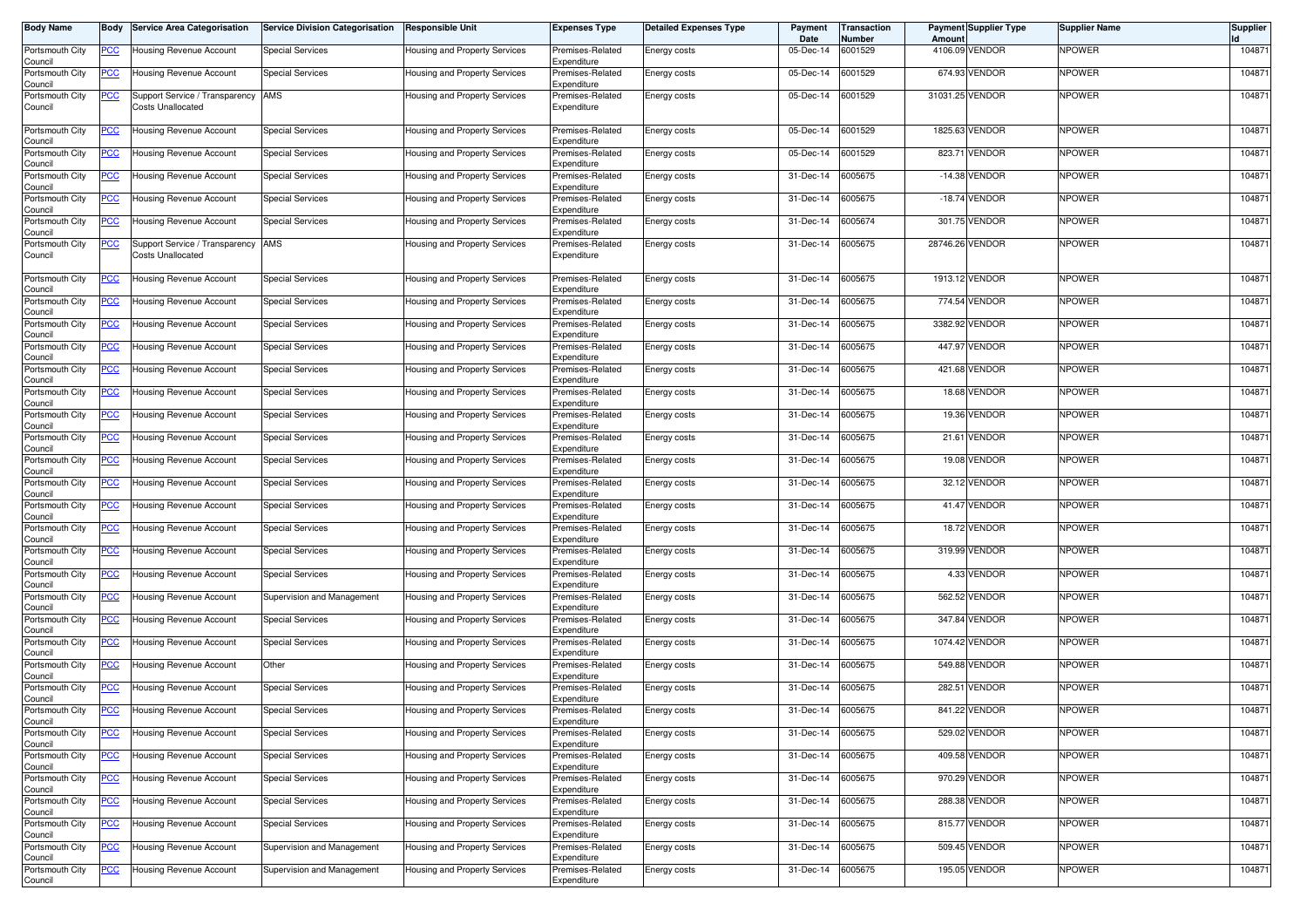| <b>Body Name</b>           | Body           | <b>Service Area Categorisation</b>                         | <b>Service Division Categorisation</b> | <b>Responsible Unit</b>       | <b>Expenses Type</b>            | <b>Detailed Expenses Type</b> | Payment<br>Date | Transaction<br>Number | Amount | <b>Payment Supplier Type</b> | <b>Supplier Name</b> | <b>Supplier</b> |
|----------------------------|----------------|------------------------------------------------------------|----------------------------------------|-------------------------------|---------------------------------|-------------------------------|-----------------|-----------------------|--------|------------------------------|----------------------|-----------------|
| Portsmouth City<br>Council | <u>PCC</u>     | Housing Revenue Account                                    | <b>Special Services</b>                | Housing and Property Services | Premises-Related<br>Expenditure | Energy costs                  | 05-Dec-14       | 6001529               |        | 4106.09 VENDOR               | NPOWER               | 104871          |
| Portsmouth City<br>Council | <b>PCC</b>     | Housing Revenue Account                                    | <b>Special Services</b>                | Housing and Property Services | Premises-Related<br>Expenditure | Energy costs                  | 05-Dec-14       | 6001529               |        | 674.93 VENDOR                | <b>NPOWER</b>        | 104871          |
| Portsmouth City<br>Council | <u>PCC</u>     | Support Service / Transparency<br><b>Costs Unallocated</b> | AMS                                    | Housing and Property Services | Premises-Related<br>Expenditure | Energy costs                  | 05-Dec-14       | 6001529               |        | 31031.25 VENDOR              | <b>NPOWER</b>        | 104871          |
| Portsmouth City<br>Council | <b>PCC</b>     | Housing Revenue Account                                    | <b>Special Services</b>                | Housing and Property Services | Premises-Related<br>Expenditure | Energy costs                  | 05-Dec-14       | 6001529               |        | 1825.63 VENDOR               | NPOWER               | 104871          |
| Portsmouth City<br>Council | <b>PCC</b>     | Housing Revenue Account                                    | <b>Special Services</b>                | Housing and Property Services | Premises-Related<br>Expenditure | Energy costs                  | 05-Dec-14       | 6001529               | 823.71 | <b>VENDOR</b>                | <b>NPOWER</b>        | 104871          |
| Portsmouth City<br>Council | <u>PCC</u>     | lousing Revenue Account                                    | <b>Special Services</b>                | Housing and Property Services | Premises-Related<br>Expenditure | Energy costs                  | 31-Dec-14       | 6005675               |        | -14.38 VENDOR                | <b>NPOWER</b>        | 104871          |
| Portsmouth City<br>Council | <u>PCC</u>     | Housing Revenue Account                                    | <b>Special Services</b>                | Housing and Property Services | Premises-Related<br>Expenditure | Energy costs                  | 31-Dec-14       | 6005675               |        | -18.74 VENDOR                | <b>NPOWER</b>        | 104871          |
| Portsmouth City<br>Council | <b>PCC</b>     | Housing Revenue Account                                    | <b>Special Services</b>                | Housing and Property Services | Premises-Related<br>Expenditure | Energy costs                  | 31-Dec-14       | 6005674               |        | 301.75 VENDOR                | NPOWER               | 104871          |
| Portsmouth City<br>Council | <b>PCC</b>     | Support Service / Transparency<br>Costs Unallocated        | AMS                                    | Housing and Property Services | Premises-Related<br>Expenditure | Energy costs                  | 31-Dec-14       | 6005675               |        | 28746.26 VENDOR              | <b>NPOWER</b>        | 104871          |
| Portsmouth City<br>Council | <u>PCC</u>     | Housing Revenue Account                                    | <b>Special Services</b>                | Housing and Property Services | Premises-Related<br>Expenditure | Energy costs                  | 31-Dec-14       | 6005675               |        | 1913.12 VENDOR               | <b>NPOWER</b>        | 104871          |
| Portsmouth City<br>Council | <u>PCC</u>     | Housing Revenue Account                                    | <b>Special Services</b>                | Housing and Property Services | Premises-Related<br>Expenditure | Energy costs                  | 31-Dec-14       | 6005675               |        | 774.54 VENDOR                | <b>NPOWER</b>        | 104871          |
| Portsmouth City<br>Council | <u>PCC</u>     | Housing Revenue Account                                    | Special Services                       | Housing and Property Services | Premises-Related<br>Expenditure | Energy costs                  | 31-Dec-14       | 6005675               |        | 3382.92 VENDOR               | NPOWER               | 104871          |
| Portsmouth City<br>Council | <u>PCC</u>     | Housing Revenue Account                                    | <b>Special Services</b>                | Housing and Property Services | Premises-Related<br>Expenditure | Energy costs                  | 31-Dec-14       | 6005675               |        | 447.97 VENDOR                | NPOWER               | 104871          |
| Portsmouth City<br>Council | <u>PCC</u>     | Housing Revenue Account                                    | <b>Special Services</b>                | Housing and Property Services | Premises-Related<br>Expenditure | Energy costs                  | 31-Dec-14       | 6005675               |        | 421.68 VENDOR                | NPOWER               | 104871          |
| Portsmouth City<br>Council | <u>PCC</u>     | Housing Revenue Account                                    | <b>Special Services</b>                | Housing and Property Services | Premises-Related<br>Expenditure | Energy costs                  | 31-Dec-14       | 6005675               |        | 18.68 VENDOR                 | <b>NPOWER</b>        | 104871          |
| Portsmouth City<br>Council | <u>PCC</u>     | <b>Housing Revenue Account</b>                             | <b>Special Services</b>                | Housing and Property Services | Premises-Related<br>Expenditure | Energy costs                  | 31-Dec-14       | 6005675               |        | 19.36 VENDOR                 | NPOWER               | 104871          |
| Portsmouth City<br>Council | <u>PCC</u>     | Housing Revenue Account                                    | <b>Special Services</b>                | Housing and Property Services | Premises-Related<br>Expenditure | Energy costs                  | 31-Dec-14       | 6005675               |        | 21.61 VENDOR                 | NPOWER               | 104871          |
| Portsmouth City<br>Council | <u>PCC</u>     | Housing Revenue Account                                    | <b>Special Services</b>                | Housing and Property Services | Premises-Related<br>Expenditure | Energy costs                  | 31-Dec-14       | 6005675               |        | 19.08 VENDOR                 | <b>NPOWER</b>        | 104871          |
| Portsmouth City<br>Council | <u>PCC</u>     | Housing Revenue Account                                    | <b>Special Services</b>                | Housing and Property Services | Premises-Related<br>Expenditure | Energy costs                  | 31-Dec-14       | 6005675               |        | 32.12 VENDOR                 | <b>NPOWER</b>        | 104871          |
| Portsmouth City<br>Council | <u>PCC</u>     | Housing Revenue Account                                    | Special Services                       | Housing and Property Services | Premises-Related<br>Expenditure | Energy costs                  | 31-Dec-14       | 6005675               |        | 41.47 VENDOR                 | <b>NPOWER</b>        | 104871          |
| Portsmouth City<br>Council | <u>PCC</u>     | Housing Revenue Account                                    | <b>Special Services</b>                | Housing and Property Services | Premises-Related<br>Expenditure | Energy costs                  | 31-Dec-14       | 6005675               |        | 18.72 VENDOR                 | <b>NPOWER</b>        | 104871          |
| Portsmouth City<br>Council | <u>PCC</u>     | Housing Revenue Account                                    | <b>Special Services</b>                | Housing and Property Services | Premises-Related<br>Expenditure | Energy costs                  | 31-Dec-14       | 6005675               |        | 319.99 VENDOR                | <b>NPOWER</b>        | 104871          |
| Portsmouth City<br>Council | <u>PCC</u>     | Housing Revenue Account                                    | <b>Special Services</b>                | Housing and Property Services | Premises-Related<br>Expenditure | Energy costs                  | 31-Dec-14       | 6005675               |        | 4.33 VENDOR                  | <b>NPOWER</b>        | 104871          |
| Portsmouth City<br>Council | $\overline{C}$ | Housing Revenue Account                                    | Supervision and Management             | Housing and Property Services | Premises-Related<br>Expenditure | Energy costs                  | 31-Dec-14       | 6005675               |        | 562.52 VENDOR                | NPOWER               | 104871          |
| Portsmouth City<br>Council | <u>PCC</u>     | Housing Revenue Account                                    | <b>Special Services</b>                | Housing and Property Services | Premises-Related<br>Expenditure | Energy costs                  | 31-Dec-14       | 6005675               |        | 347.84 VENDOR                | NPOWER               | 104871          |
| Portsmouth City<br>Council | <u>PCC</u>     | Housing Revenue Account                                    | <b>Special Services</b>                | Housing and Property Services | Premises-Related<br>Expenditure | Energy costs                  | 31-Dec-14       | 6005675               |        | 1074.42 VENDOR               | <b>NPOWER</b>        | 104871          |
| Portsmouth City<br>Council | <u>PCC</u>     | Housing Revenue Account                                    | Other                                  | Housing and Property Services | Premises-Related<br>Expenditure | Energy costs                  | 31-Dec-14       | 6005675               |        | 549.88 VENDOR                | <b>NPOWER</b>        | 104871          |
| Portsmouth City<br>Council | <b>PCC</b>     | Housing Revenue Account                                    | Special Services                       | Housing and Property Services | Premises-Related<br>Expenditure | Energy costs                  | 31-Dec-14       | 6005675               | 282.51 | <b>VENDOR</b>                | NPOWER               | 104871          |
| Portsmouth City<br>Jouncii | <b>PCC</b>     | Housing Revenue Account                                    | <b>Special Services</b>                | Housing and Property Services | Premises-Related<br>Expenaiture | Energy costs                  | 31-Dec-14       | 6005675               |        | 841.22 VENDOR                | <b>NPOWER</b>        | 104871          |
| Portsmouth City<br>Council | <b>PCC</b>     | Housing Revenue Account                                    | <b>Special Services</b>                | Housing and Property Services | Premises-Related<br>Expenditure | Energy costs                  | 31-Dec-14       | 6005675               |        | 529.02 VENDOR                | NPOWER               | 104871          |
| Portsmouth City<br>Council | <u>PCC</u>     | Housing Revenue Account                                    | <b>Special Services</b>                | Housing and Property Services | Premises-Related<br>Expenditure | Energy costs                  | 31-Dec-14       | 6005675               |        | 409.58 VENDOR                | <b>NPOWER</b>        | 104871          |
| Portsmouth City<br>Council | <b>PCC</b>     | Housing Revenue Account                                    | <b>Special Services</b>                | Housing and Property Services | Premises-Related<br>Expenditure | Energy costs                  | 31-Dec-14       | 6005675               |        | 970.29 VENDOR                | <b>NPOWER</b>        | 104871          |
| Portsmouth City<br>Council | <b>PCC</b>     | Housing Revenue Account                                    | <b>Special Services</b>                | Housing and Property Services | Premises-Related<br>Expenditure | Energy costs                  | 31-Dec-14       | 6005675               |        | 288.38 VENDOR                | NPOWER               | 104871          |
| Portsmouth City<br>Council | <b>PCC</b>     | Housing Revenue Account                                    | <b>Special Services</b>                | Housing and Property Services | Premises-Related<br>Expenditure | Energy costs                  | 31-Dec-14       | 6005675               |        | 815.77 VENDOR                | NPOWER               | 104871          |
| Portsmouth City<br>Council | <u>PCC</u>     | Housing Revenue Account                                    | Supervision and Management             | Housing and Property Services | Premises-Related<br>Expenditure | Energy costs                  | 31-Dec-14       | 6005675               |        | 509.45 VENDOR                | NPOWER               | 104871          |
| Portsmouth City<br>Council | <u>PCC</u>     | Housing Revenue Account                                    | Supervision and Management             | Housing and Property Services | Premises-Related<br>Expenditure | Energy costs                  | 31-Dec-14       | 6005675               |        | 195.05 VENDOR                | <b>NPOWER</b>        | 104871          |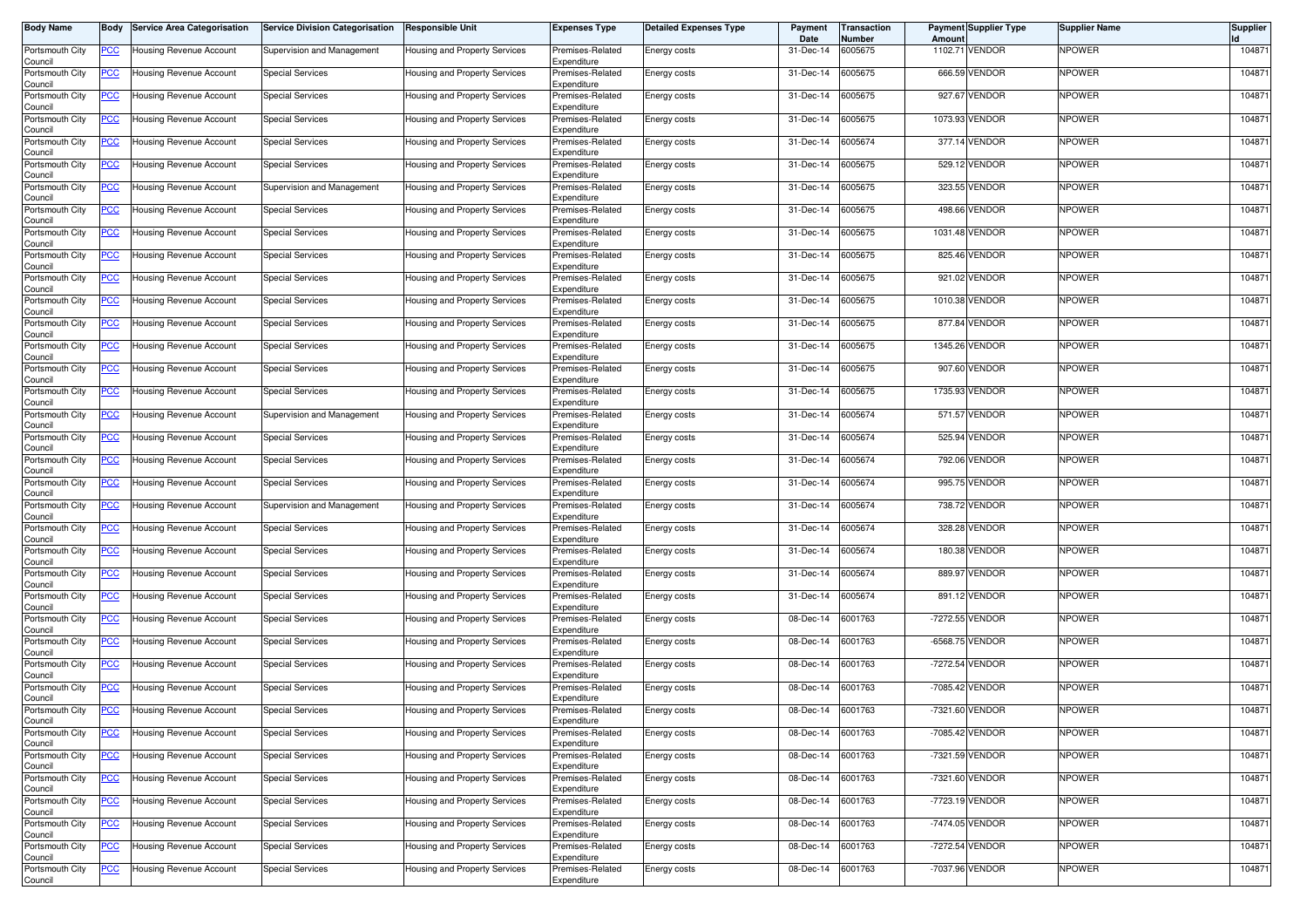| <b>Body Name</b>           | Body        | <b>Service Area Categorisation</b> | <b>Service Division Categorisation</b> | <b>Responsible Unit</b>       | Expenses Type                   | <b>Detailed Expenses Type</b> | Payment<br>Date         | Transaction<br>Number | Amount  | <b>Payment Supplier Type</b> | <b>Supplier Name</b> | <b>Supplier</b> |
|----------------------------|-------------|------------------------------------|----------------------------------------|-------------------------------|---------------------------------|-------------------------------|-------------------------|-----------------------|---------|------------------------------|----------------------|-----------------|
| Portsmouth City<br>Council | <u>PCC </u> | Jousing Revenue Account            | Supervision and Management             | Housing and Property Services | Premises-Related<br>Expenditure | Energy costs                  | 31-Dec-14               | 6005675               | 1102.71 | <b>VENDOR</b>                | NPOWER               | 104871          |
| Portsmouth City<br>Council | <u>PCC</u>  | Housing Revenue Account            | <b>Special Services</b>                | Housing and Property Services | Premises-Related<br>Expenditure | Energy costs                  | 31-Dec-14               | 6005675               |         | 666.59 VENDOR                | NPOWER               | 104871          |
| Portsmouth City<br>Council | <u>PCC</u>  | Housing Revenue Account            | <b>Special Services</b>                | Housing and Property Services | Premises-Related<br>Expenditure | Energy costs                  | 31-Dec-14               | 6005675               |         | 927.67 VENDOR                | NPOWER               | 104871          |
| Portsmouth City<br>Council | <u>PCC</u>  | Housing Revenue Account            | <b>Special Services</b>                | Housing and Property Services | Premises-Related<br>Expenditure | Energy costs                  | 31-Dec-14               | 6005675               |         | 1073.93 VENDOR               | NPOWER               | 104871          |
| Portsmouth City<br>Council | <u>PCC</u>  | Housing Revenue Account            | <b>Special Services</b>                | Housing and Property Services | Premises-Related<br>Expenditure | Energy costs                  | 31-Dec-14               | 6005674               |         | 377.14 VENDOR                | NPOWER               | 104871          |
| Portsmouth City<br>Council | <u>PCC </u> | Housing Revenue Account            | <b>Special Services</b>                | Housing and Property Services | Premises-Related<br>Expenditure | Energy costs                  | 31-Dec-14               | 6005675               |         | 529.12 VENDOR                | NPOWER               | 104871          |
| Portsmouth City<br>Council | <u>PCC</u>  | Housing Revenue Account            | Supervision and Management             | Housing and Property Services | Premises-Related<br>Expenditure | Energy costs                  | 31-Dec-14               | 6005675               |         | 323.55 VENDOR                | NPOWER               | 104871          |
| Portsmouth City<br>Council | <u>PCC</u>  | Housing Revenue Account            | <b>Special Services</b>                | Housing and Property Services | Premises-Related<br>Expenditure | Energy costs                  | 31-Dec-14               | 6005675               |         | 498.66 VENDOR                | NPOWER               | 104871          |
| Portsmouth City            | <u>PCC </u> | Housing Revenue Account            | <b>Special Services</b>                | Housing and Property Services | Premises-Related                | Energy costs                  | 31-Dec-14               | 6005675               |         | 1031.48 VENDOR               | NPOWER               | 104871          |
| Council<br>Portsmouth City | <u>PCC </u> | Housing Revenue Account            | <b>Special Services</b>                | Housing and Property Services | Expenditure<br>Premises-Related | Energy costs                  | 31-Dec-14               | 6005675               |         | 825.46 VENDOR                | NPOWER               | 104871          |
| Council<br>Portsmouth City | <u>PCC</u>  | Housing Revenue Account            | <b>Special Services</b>                | Housing and Property Services | Expenditure<br>Premises-Related | Energy costs                  | 31-Dec-14               | 6005675               |         | 921.02 VENDOR                | NPOWER               | 104871          |
| Council<br>Portsmouth City | <u>PCC</u>  | Housing Revenue Account            | <b>Special Services</b>                | Housing and Property Services | Expenditure<br>Premises-Related | Energy costs                  | 31-Dec-14               | 6005675               |         | 1010.38 VENDOR               | NPOWER               | 104871          |
| Council<br>Portsmouth City | <u>PCC</u>  | Housing Revenue Account            | <b>Special Services</b>                | Housing and Property Services | Expenditure<br>Premises-Related | Energy costs                  | 31-Dec-14               | 6005675               |         | 877.84 VENDOR                | NPOWER               | 104871          |
| Council<br>Portsmouth City |             | Housing Revenue Account            | <b>Special Services</b>                | Housing and Property Services | Expenditure<br>Premises-Related | Energy costs                  | 31-Dec-14               | 6005675               |         | 1345.26 VENDOR               | NPOWER               | 104871          |
| Council<br>Portsmouth City |             | Housing Revenue Account            | <b>Special Services</b>                | Housing and Property Services | Expenditure<br>Premises-Related | Energy costs                  | 31-Dec-14               | 6005675               |         | 907.60 VENDOR                | NPOWER               | 104871          |
| Council<br>Portsmouth City | <u>PCC</u>  | Housing Revenue Account            | <b>Special Services</b>                | Housing and Property Services | Expenditure<br>Premises-Related | Energy costs                  | 31-Dec-14               | 6005675               |         | 1735.93 VENDOR               | <b>NPOWER</b>        | 104871          |
| Council<br>Portsmouth City | PСC         | Housing Revenue Account            | Supervision and Management             | Housing and Property Services | Expenditure<br>Premises-Related | Energy costs                  | 31-Dec-14               | 6005674               |         | 571.57 VENDOR                | NPOWER               | 104871          |
| Council<br>Portsmouth City | <u>PCC</u>  | Housing Revenue Account            | <b>Special Services</b>                | Housing and Property Services | Expenditure<br>Premises-Related | Energy costs                  | 31-Dec-14               | 6005674               |         | 525.94 VENDOR                | NPOWER               | 104871          |
| Council<br>Portsmouth City | <u>PCC</u>  | Housing Revenue Account            | <b>Special Services</b>                | Housing and Property Services | Expenditure<br>Premises-Related | Energy costs                  | 31-Dec-14               | 6005674               |         | 792.06 VENDOR                | NPOWER               | 104871          |
| Council<br>Portsmouth City | <u>PCC </u> | Housing Revenue Account            | <b>Special Services</b>                | Housing and Property Services | Expenditure<br>Premises-Related | Energy costs                  | 31-Dec-14               | 6005674               |         | 995.75 VENDOR                | NPOWER               | 104871          |
| Council<br>Portsmouth City | <u>PCC</u>  | Housing Revenue Account            | Supervision and Management             | Housing and Property Services | Expenditure<br>Premises-Related | Energy costs                  | 31-Dec-14               | 6005674               | 738.72  | <b>VENDOR</b>                | NPOWER               | 104871          |
| Council<br>Portsmouth City | <u>PCC</u>  | Housing Revenue Account            | <b>Special Services</b>                | Housing and Property Services | Expenditure<br>Premises-Related | Energy costs                  | 31-Dec-14               | 6005674               |         | 328.28 VENDOR                | NPOWER               | 104871          |
| Council<br>Portsmouth City | <u>PCC</u>  | Housing Revenue Account            | <b>Special Services</b>                | Housing and Property Services | Expenditure<br>Premises-Related | Energy costs                  | 31-Dec-14               | 6005674               |         | 180.38 VENDOR                | NPOWER               | 104871          |
| Council<br>Portsmouth City | <u>PCC</u>  | Housing Revenue Account            | <b>Special Services</b>                | Housing and Property Services | Expenditure<br>Premises-Related | Energy costs                  | 31-Dec-14               | 6005674               | 889.97  | <b>VENDOR</b>                | NPOWER               | 104871          |
| Council<br>Portsmouth City | <u>PCC</u>  | Housing Revenue Account            | <b>Special Services</b>                | Housing and Property Services | Expenditure<br>Premises-Related | Energy costs                  | 31-Dec-14               | 6005674               |         | 891.12 VENDOR                | NPOWER               | 104871          |
| Council<br>Portsmouth City | <u>PCC</u>  | Housing Revenue Account            | <b>Special Services</b>                | Housing and Property Services | Expenditure<br>Premises-Related | Energy costs                  | 08-Dec-14               | 6001763               |         | -7272.55 VENDOR              | NPOWER               | 104871          |
| Council<br>Portsmouth City | <u>PCC </u> | Housing Revenue Account            | <b>Special Services</b>                | Housing and Property Services | Expenditure<br>Premises-Related | Energy costs                  | 08-Dec-14               | 6001763               |         | -6568.75 VENDOR              | NPOWER               | 104871          |
| Council<br>Portsmouth City | <u>PCC</u>  | Housing Revenue Account            | <b>Special Services</b>                | Housing and Property Services | Expenditure<br>Premises-Related | Energy costs                  | $\overline{08}$ -Dec-14 | 6001763               |         | -7272.54 VENDOR              | NPOWER               | 104871          |
| Council<br>Portsmouth City | <u>PCC</u>  | Housing Revenue Account            | Special Services                       | Housing and Property Services | Expenditure<br>Premises-Related | Energy costs                  | 08-Dec-14               | 6001763               |         | -7085.42 VENDOR              | <b>NPOWER</b>        | 104871          |
| Council<br>Portsmouth City | <u>PCC</u>  | <b>Housing Revenue Account</b>     | <b>Special Services</b>                | Housing and Property Services | Expenditure<br>Premises-Related | Energy costs                  | 08-Dec-14               | 6001763               |         | -7321.60 VENDOR              | NPOWER               | 104871          |
| Council<br>Portsmouth City | <b>PCC</b>  | Housing Revenue Account            | <b>Special Services</b>                | Housing and Property Services | Expenaiture<br>Premises-Related | Energy costs                  | 08-Dec-14               | 6001763               |         | -7085.42 VENDOR              | NPOWER               | 104871          |
| Council<br>Portsmouth City | <u>PCC</u>  | Housing Revenue Account            | <b>Special Services</b>                | Housing and Property Services | Expenditure<br>Premises-Related | Energy costs                  | 08-Dec-14               | 6001763               |         | -7321.59 VENDOR              | <b>NPOWER</b>        | 104871          |
| Council                    |             |                                    |                                        |                               | Expenditure<br>Premises-Related |                               |                         | 6001763               |         | -7321.60 VENDOR              | NPOWER               | 104871          |
| Portsmouth City<br>Council | PCC         | Housing Revenue Account            | <b>Special Services</b>                | Housing and Property Services | Expenditure                     | Energy costs                  | 08-Dec-14               |                       |         |                              |                      |                 |
| Portsmouth City<br>Council | <u>PCC</u>  | Housing Revenue Account            | <b>Special Services</b>                | Housing and Property Services | Premises-Related<br>Expenditure | Energy costs                  | 08-Dec-14               | 6001763               |         | -7723.19 VENDOR              | NPOWER               | 104871          |
| Portsmouth City<br>Council | <u>PCC</u>  | Housing Revenue Account            | <b>Special Services</b>                | Housing and Property Services | Premises-Related<br>Expenditure | Energy costs                  | 08-Dec-14               | 6001763               |         | -7474.05 VENDOR              | NPOWER               | 104871          |
| Portsmouth City<br>Council | <b>PCC</b>  | Housing Revenue Account            | <b>Special Services</b>                | Housing and Property Services | Premises-Related<br>Expenditure | Energy costs                  | 08-Dec-14               | 6001763               |         | -7272.54 VENDOR              | <b>NPOWER</b>        | 104871          |
| Portsmouth City<br>Council | <u>PCC</u>  | Housing Revenue Account            | <b>Special Services</b>                | Housing and Property Services | Premises-Related<br>Expenditure | Energy costs                  | 08-Dec-14               | 6001763               |         | -7037.96 VENDOR              | NPOWER               | 104871          |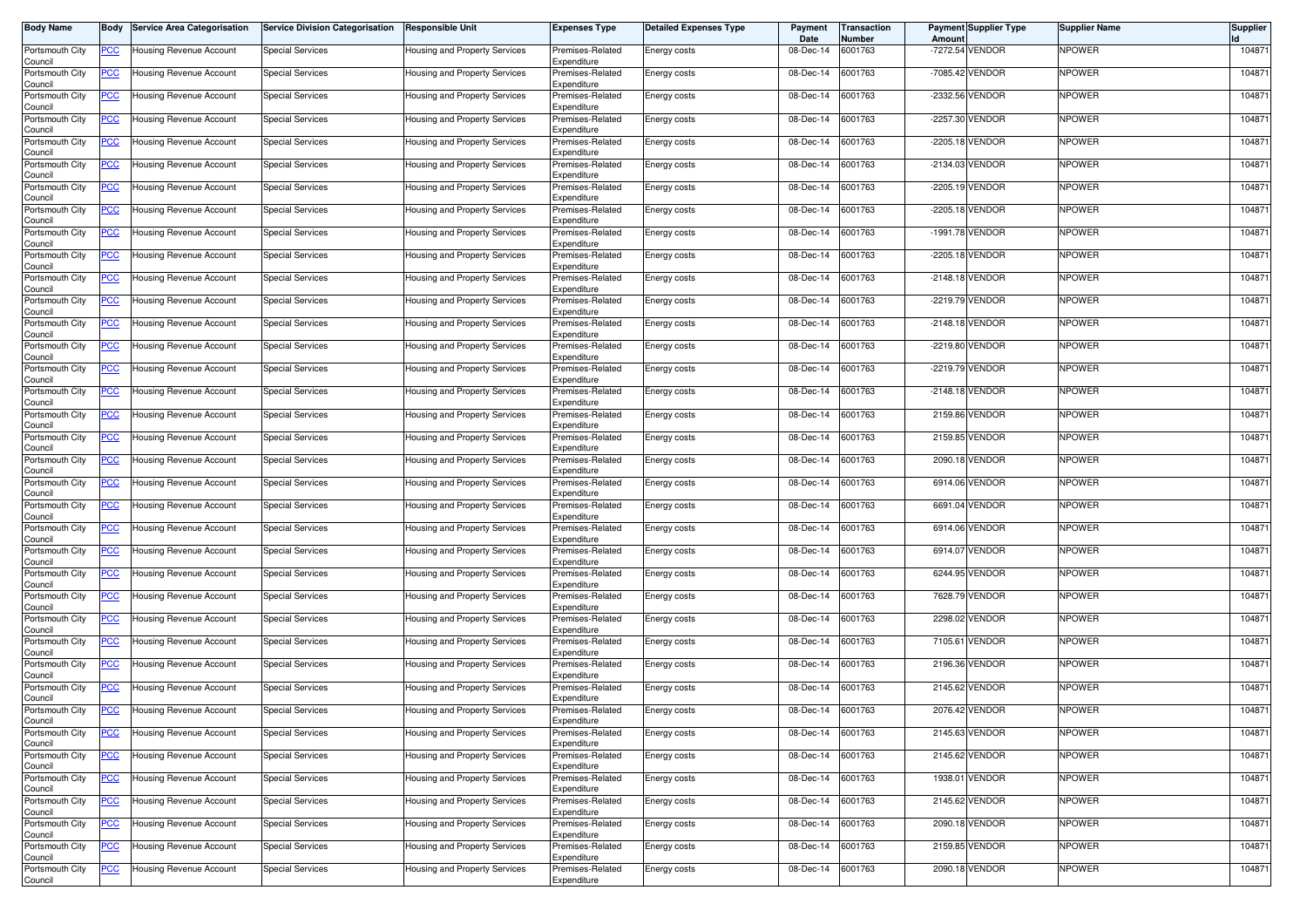| Body Name                  | Body           | <b>Service Area Categorisation</b> | <b>Service Division Categorisation</b> | <b>Responsible Unit</b>              | <b>Expenses Type</b>            | <b>Detailed Expenses Type</b> | Payment<br>Date | Transaction<br>Number | Amount | <b>Payment Supplier Type</b> | <b>Supplier Name</b> | <b>Supplier</b> |
|----------------------------|----------------|------------------------------------|----------------------------------------|--------------------------------------|---------------------------------|-------------------------------|-----------------|-----------------------|--------|------------------------------|----------------------|-----------------|
| Portsmouth City<br>Council | <u>PCC</u>     | Housing Revenue Account            | <b>Special Services</b>                | Housing and Property Services        | Premises-Related<br>Expenditure | Energy costs                  | 08-Dec-14       | 6001763               |        | -7272.54 VENDOR              | NPOWER               | 104871          |
| Portsmouth City<br>Council | <u>PCC</u>     | Housing Revenue Account            | <b>Special Services</b>                | Housing and Property Services        | Premises-Related<br>Expenditure | Energy costs                  | 08-Dec-14       | 6001763               |        | -7085.42 VENDOR              | NPOWER               | 104871          |
| Portsmouth City<br>Council | <u>PCC</u>     | Housing Revenue Account            | <b>Special Services</b>                | Housing and Property Services        | Premises-Related<br>Expenditure | Energy costs                  | 08-Dec-14       | 6001763               |        | -2332.56 VENDOR              | NPOWER               | 104871          |
| Portsmouth City<br>Council | <u>PCC</u>     | Housing Revenue Account            | <b>Special Services</b>                | Housing and Property Services        | Premises-Related<br>Expenditure | Energy costs                  | 08-Dec-14       | 6001763               |        | -2257.30 VENDOR              | NPOWER               | 104871          |
| Portsmouth City<br>Council | <u>PCC</u>     | Housing Revenue Account            | <b>Special Services</b>                | Housing and Property Services        | Premises-Related<br>Expenditure | Energy costs                  | 08-Dec-14       | 6001763               |        | -2205.18 VENDOR              | NPOWER               | 104871          |
| Portsmouth City<br>Council | <u>PCC </u>    | Housing Revenue Account            | <b>Special Services</b>                | Housing and Property Services        | Premises-Related<br>Expenditure | Energy costs                  | 08-Dec-14       | 6001763               |        | -2134.03 VENDOR              | NPOWER               | 104871          |
| Portsmouth City<br>Council | <u>PCC</u>     | Housing Revenue Account            | <b>Special Services</b>                | Housing and Property Services        | Premises-Related<br>Expenditure | Energy costs                  | 08-Dec-14       | 6001763               |        | -2205.19 VENDOR              | <b>NPOWER</b>        | 104871          |
| Portsmouth City<br>Council | <u>PCC</u>     | Housing Revenue Account            | <b>Special Services</b>                | Housing and Property Services        | Premises-Related<br>Expenditure | Energy costs                  | 08-Dec-14       | 6001763               |        | -2205.18 VENDOR              | NPOWER               | 104871          |
| Portsmouth City<br>Council | <u>PCC </u>    | Housing Revenue Account            | <b>Special Services</b>                | Housing and Property Services        | Premises-Related<br>Expenditure | Energy costs                  | 08-Dec-14       | 6001763               |        | -1991.78 VENDOR              | NPOWER               | 104871          |
| Portsmouth City<br>Council | <u>PCC </u>    | Housing Revenue Account            | <b>Special Services</b>                | Housing and Property Services        | Premises-Related<br>Expenditure | Energy costs                  | 08-Dec-14       | 6001763               |        | -2205.18 VENDOR              | NPOWER               | 104871          |
| Portsmouth City<br>Council | <u>PCC </u>    | Housing Revenue Account            | <b>Special Services</b>                | Housing and Property Services        | Premises-Related<br>Expenditure | Energy costs                  | 08-Dec-14       | 6001763               |        | -2148.18 VENDOR              | NPOWER               | 104871          |
| Portsmouth City<br>Council | <u>PCC</u>     | Housing Revenue Account            | <b>Special Services</b>                | Housing and Property Services        | Premises-Related<br>Expenditure | Energy costs                  | 08-Dec-14       | 6001763               |        | -2219.79 VENDOR              | NPOWER               | 104871          |
| Portsmouth City<br>Council | <u>PCC</u>     | Housing Revenue Account            | Special Services                       | Housing and Property Services        | Premises-Related<br>Expenditure | Energy costs                  | 08-Dec-14       | 6001763               |        | -2148.18 VENDOR              | NPOWER               | 104871          |
| Portsmouth City<br>Council | <u>PCC</u>     | lousing Revenue Account            | <b>Special Services</b>                | Housing and Property Services        | Premises-Related<br>Expenditure | Energy costs                  | 08-Dec-14       | 6001763               |        | -2219.80 VENDOR              | NPOWER               | 104871          |
| Portsmouth City<br>Council | PСC            | Housing Revenue Account            | <b>Special Services</b>                | Housing and Property Services        | Premises-Related<br>Expenditure | Energy costs                  | 08-Dec-14       | 6001763               |        | -2219.79 VENDOR              | NPOWER               | 104871          |
| Portsmouth City<br>Council | $\overline{C}$ | Housing Revenue Account            | <b>Special Services</b>                | Housing and Property Services        | Premises-Related<br>Expenditure | Energy costs                  | 08-Dec-14       | 6001763               |        | -2148.18 VENDOR              | <b>NPOWER</b>        | 104871          |
| Portsmouth City<br>Council | <u>PCC</u>     | Housing Revenue Account            | <b>Special Services</b>                | Housing and Property Services        | Premises-Related<br>Expenditure | Energy costs                  | 08-Dec-14       | 6001763               |        | 2159.86 VENDOR               | NPOWER               | 104871          |
| Portsmouth City<br>Council | <u>PCC</u>     | Housing Revenue Account            | <b>Special Services</b>                | Housing and Property Services        | Premises-Related<br>Expenditure | Energy costs                  | 08-Dec-14       | 6001763               |        | 2159.85 VENDOR               | NPOWER               | 104871          |
| Portsmouth City<br>Council | <u>PCC</u>     | Housing Revenue Account            | <b>Special Services</b>                | Housing and Property Services        | Premises-Related<br>Expenditure | Energy costs                  | 08-Dec-14       | 6001763               |        | 2090.18 VENDOR               | NPOWER               | 104871          |
| Portsmouth City<br>Council | <u>PCC</u>     | Housing Revenue Account            | <b>Special Services</b>                | Housing and Property Services        | Premises-Related<br>Expenditure | Energy costs                  | 08-Dec-14       | 6001763               |        | 6914.06 VENDOR               | NPOWER               | 104871          |
| Portsmouth City<br>Council | <u>PCC</u>     | Housing Revenue Account            | <b>Special Services</b>                | Housing and Property Services        | Premises-Related<br>Expenditure | Energy costs                  | 08-Dec-14       | 6001763               |        | 6691.04 VENDOR               | NPOWER               | 104871          |
| Portsmouth City<br>Council | <u>PCC</u>     | Housing Revenue Account            | <b>Special Services</b>                | Housing and Property Services        | Premises-Related<br>Expenditure | Energy costs                  | 08-Dec-14       | 6001763               |        | 6914.06 VENDOR               | NPOWER               | 104871          |
| Portsmouth City<br>Council | <u>PCC </u>    | Housing Revenue Account            | <b>Special Services</b>                | Housing and Property Services        | Premises-Related<br>Expenditure | Energy costs                  | 08-Dec-14       | 6001763               |        | 6914.07 VENDOR               | NPOWER               | 104871          |
| Portsmouth City<br>Council | <u>PCC</u>     | Housing Revenue Account            | <b>Special Services</b>                | Housing and Property Services        | Premises-Related<br>Expenditure | Energy costs                  | 08-Dec-14       | 6001763               |        | 6244.95 VENDOR               | NPOWER               | 104871          |
| Portsmouth City<br>Council | <u>PCC</u>     | Housing Revenue Account            | <b>Special Services</b>                | Housing and Property Services        | Premises-Related<br>Expenditure | Energy costs                  | 08-Dec-14       | 6001763               |        | 7628.79 VENDOR               | NPOWER               | 104871          |
| Portsmouth City<br>Council | <u>PCC </u>    | Housing Revenue Account            | <b>Special Services</b>                | Housing and Property Services        | Premises-Related<br>Expenditure | Energy costs                  | 08-Dec-14       | 6001763               |        | 2298.02 VENDOR               | NPOWER               | 104871          |
| Portsmouth City<br>Council | <b>PCC</b>     | Housing Revenue Account            | <b>Special Services</b>                | Housing and Property Services        | Premises-Related<br>Expenditure | Energy costs                  | 08-Dec-14       | 6001763               |        | 7105.61 VENDOR               | NPOWER               | 104871          |
| Portsmouth City<br>Council | <u>PCC </u>    | Housing Revenue Account            | <b>Special Services</b>                | Housing and Property Services        | Premises-Related<br>Expenditure | Energy costs                  | 08-Dec-14       | 6001763               |        | 2196.36 VENDOR               | NPOWER               | 104871          |
| Portsmouth City<br>Council | <u>PCC</u>     | Housing Revenue Account            | Special Services                       | Housing and Property Services        | Premises-Related<br>Expenditure | Energy costs                  | 08-Dec-14       | 6001763               |        | 2145.62 VENDOR               | NPOWER               | 104871          |
| Portsmouth City<br>Council | <u>PCC</u>     | Housing Revenue Account            | <b>Special Services</b>                | Housing and Property Services        | Premises-Related<br>Expenditure | Energy costs                  | 08-Dec-14       | 6001763               |        | 2076.42 VENDOR               | NPOWER               | 104871          |
| Portsmouth City<br>Council | <b>PCC</b>     | lousing Revenue Account            | <b>Special Services</b>                | <b>Housing and Property Services</b> | Premises-Related<br>Expenditure | Energy costs                  | 08-Dec-14       | 6001763               |        | 2145.63 VENDOR               | NPOWER               | 104871          |
| Portsmouth City<br>Council | $\overline{C}$ | Housing Revenue Account            | <b>Special Services</b>                | Housing and Property Services        | Premises-Related<br>Expenditure | Energy costs                  | 08-Dec-14       | 6001763               |        | 2145.62 VENDOR               | NPOWER               | 104871          |
| Portsmouth City<br>Council | $\overline{C}$ | Housing Revenue Account            | <b>Special Services</b>                | Housing and Property Services        | Premises-Related<br>Expenditure | Energy costs                  | 08-Dec-14       | 6001763               |        | 1938.01 VENDOR               | NPOWER               | 104871          |
| Portsmouth City<br>Council | <b>PCC</b>     | Housing Revenue Account            | <b>Special Services</b>                | Housing and Property Services        | Premises-Related<br>Expenditure | Energy costs                  | 08-Dec-14       | 6001763               |        | 2145.62 VENDOR               | <b>NPOWER</b>        | 104871          |
| Portsmouth City<br>Council | <b>PCC</b>     | Housing Revenue Account            | <b>Special Services</b>                | Housing and Property Services        | Premises-Related<br>Expenditure | Energy costs                  | 08-Dec-14       | 6001763               |        | 2090.18 VENDOR               | <b>NPOWER</b>        | 104871          |
| Portsmouth City<br>Council | <u>PCC</u>     | Housing Revenue Account            | <b>Special Services</b>                | Housing and Property Services        | Premises-Related<br>Expenditure | Energy costs                  | 08-Dec-14       | 6001763               |        | 2159.85 VENDOR               | NPOWER               | 104871          |
| Portsmouth City<br>Council | <u>PCC</u>     | Housing Revenue Account            | <b>Special Services</b>                | Housing and Property Services        | Premises-Related<br>Expenditure | Energy costs                  | 08-Dec-14       | 6001763               |        | 2090.18 VENDOR               | <b>NPOWER</b>        | 104871          |
|                            |                |                                    |                                        |                                      |                                 |                               |                 |                       |        |                              |                      |                 |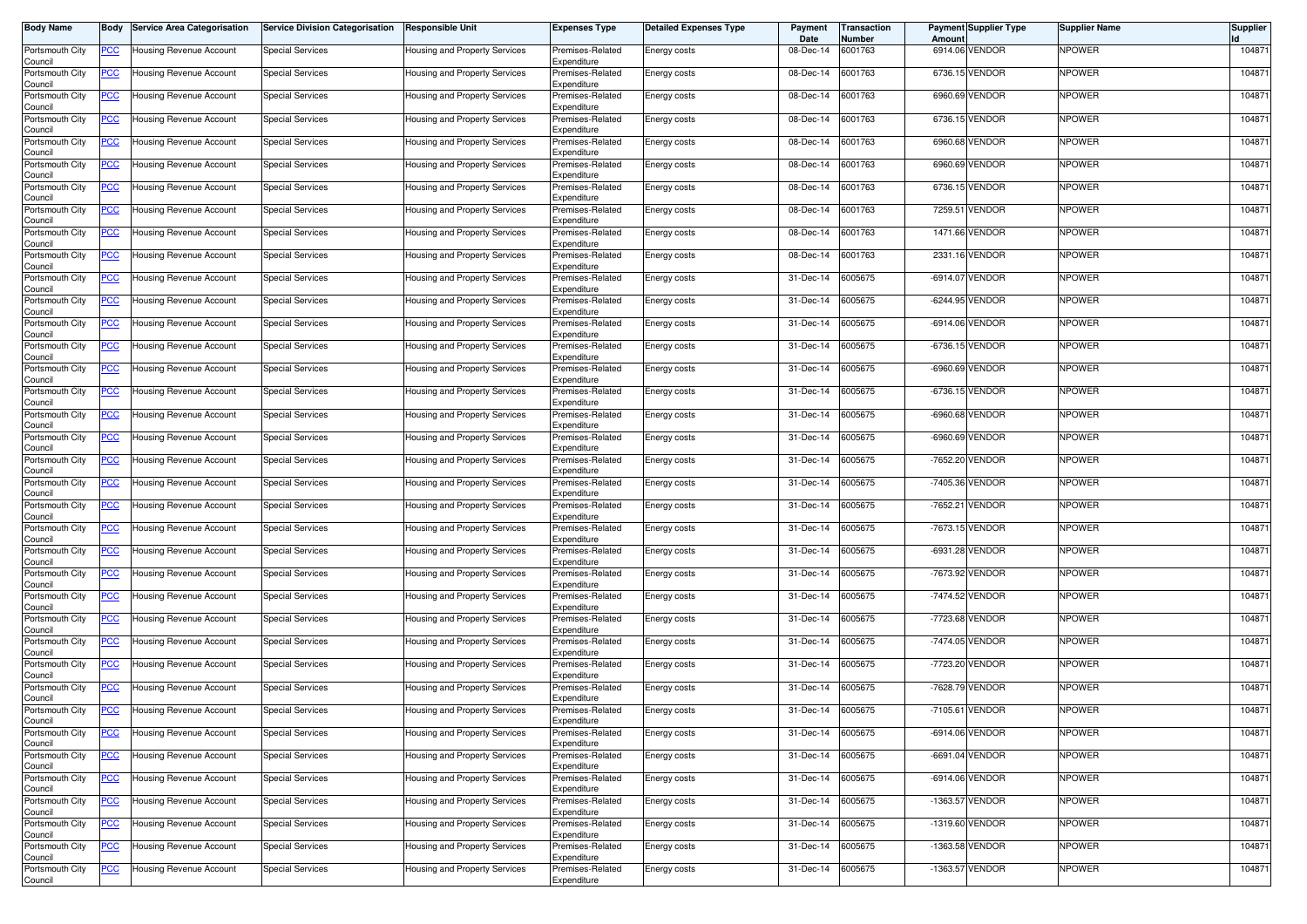| Body Name                  | Body           | <b>Service Area Categorisation</b> | <b>Service Division Categorisation</b> | <b>Responsible Unit</b>       | <b>Expenses Type</b>            | <b>Detailed Expenses Type</b> | Payment<br>Date | Transaction<br>Number | Amount     | <b>Payment Supplier Type</b> | <b>Supplier Name</b> | <b>Supplier</b> |
|----------------------------|----------------|------------------------------------|----------------------------------------|-------------------------------|---------------------------------|-------------------------------|-----------------|-----------------------|------------|------------------------------|----------------------|-----------------|
| Portsmouth City<br>Council | <u>PCC</u>     | Housing Revenue Account            | <b>Special Services</b>                | Housing and Property Services | Premises-Related<br>Expenditure | Energy costs                  | 08-Dec-14       | 6001763               |            | 6914.06 VENDOR               | NPOWER               | 104871          |
| Portsmouth City<br>Council | <u>PCC</u>     | Housing Revenue Account            | <b>Special Services</b>                | Housing and Property Services | Premises-Related<br>Expenditure | Energy costs                  | 08-Dec-14       | 6001763               |            | 6736.15 VENDOR               | NPOWER               | 104871          |
| Portsmouth City<br>Council | <u>PCC</u>     | Housing Revenue Account            | <b>Special Services</b>                | Housing and Property Services | Premises-Related<br>Expenditure | Energy costs                  | 08-Dec-14       | 6001763               | 6960.69    | VENDOR                       | NPOWER               | 104871          |
| Portsmouth City<br>Council | <u>PCC</u>     | Housing Revenue Account            | <b>Special Services</b>                | Housing and Property Services | Premises-Related<br>Expenditure | Energy costs                  | 08-Dec-14       | 6001763               |            | 6736.15 VENDOR               | NPOWER               | 104871          |
| Portsmouth City<br>Council | <u>PCC</u>     | Housing Revenue Account            | <b>Special Services</b>                | Housing and Property Services | Premises-Related<br>Expenditure | Energy costs                  | 08-Dec-14       | 6001763               | 6960.68    | <b>VENDOR</b>                | NPOWER               | 104871          |
| Portsmouth City<br>Council | <u>PCC </u>    | Housing Revenue Account            | <b>Special Services</b>                | Housing and Property Services | Premises-Related<br>Expenditure | Energy costs                  | 08-Dec-14       | 6001763               |            | 6960.69 VENDOR               | NPOWER               | 104871          |
| Portsmouth City<br>Council | <u>PCC</u>     | Housing Revenue Account            | <b>Special Services</b>                | Housing and Property Services | Premises-Related<br>Expenditure | Energy costs                  | 08-Dec-14       | 6001763               |            | 6736.15 VENDOR               | <b>NPOWER</b>        | 104871          |
| Portsmouth City<br>Council | <u>PCC</u>     | Housing Revenue Account            | <b>Special Services</b>                | Housing and Property Services | Premises-Related<br>Expenditure | Energy costs                  | 08-Dec-14       | 6001763               | 7259.51    | VENDOR                       | NPOWER               | 104871          |
| Portsmouth City<br>Council | <u>PCC</u>     | <b>Housing Revenue Account</b>     | <b>Special Services</b>                | Housing and Property Services | Premises-Related<br>Expenditure | Energy costs                  | 08-Dec-14       | 6001763               |            | 1471.66 VENDOR               | NPOWER               | 104871          |
| Portsmouth City<br>Council | <u>PCC</u>     | Housing Revenue Account            | <b>Special Services</b>                | Housing and Property Services | Premises-Related<br>Expenditure | Energy costs                  | 08-Dec-14       | 6001763               |            | 2331.16 VENDOR               | NPOWER               | 104871          |
| Portsmouth City<br>Council | <u>PCC </u>    | Housing Revenue Account            | <b>Special Services</b>                | Housing and Property Services | Premises-Related<br>Expenditure | Energy costs                  | 31-Dec-14       | 6005675               |            | -6914.07 VENDOR              | NPOWER               | 104871          |
| Portsmouth City<br>Council | <u>PCC</u>     | Housing Revenue Account            | <b>Special Services</b>                | Housing and Property Services | Premises-Related<br>Expenditure | Energy costs                  | 31-Dec-14       | 6005675               |            | -6244.95 VENDOR              | NPOWER               | 104871          |
| Portsmouth City<br>Council | <u>PCC</u>     | Housing Revenue Account            | Special Services                       | Housing and Property Services | Premises-Related<br>Expenditure | Energy costs                  | 31-Dec-14       | 6005675               |            | -6914.06 VENDOR              | NPOWER               | 104871          |
| Portsmouth City<br>Council | <u>PCC</u>     | lousing Revenue Account            | <b>Special Services</b>                | Housing and Property Services | Premises-Related<br>Expenditure | Energy costs                  | 31-Dec-14       | 6005675               |            | -6736.15 VENDOR              | NPOWER               | 104871          |
| Portsmouth City<br>Council | PСC            | Housing Revenue Account            | <b>Special Services</b>                | Housing and Property Services | Premises-Related<br>Expenditure | Energy costs                  | 31-Dec-14       | 6005675               |            | -6960.69 VENDOR              | NPOWER               | 104871          |
| Portsmouth City<br>Council | $\overline{C}$ | Housing Revenue Account            | <b>Special Services</b>                | Housing and Property Services | Premises-Related<br>Expenditure | Energy costs                  | 31-Dec-14       | 6005675               |            | -6736.15 VENDOR              | <b>NPOWER</b>        | 104871          |
| Portsmouth City<br>Council | <u>PCC</u>     | Housing Revenue Account            | <b>Special Services</b>                | Housing and Property Services | Premises-Related<br>Expenditure | Energy costs                  | 31-Dec-14       | 6005675               |            | -6960.68 VENDOR              | NPOWER               | 104871          |
| Portsmouth City<br>Council | <u>PCC</u>     | Housing Revenue Account            | <b>Special Services</b>                | Housing and Property Services | Premises-Related<br>Expenditure | Energy costs                  | 31-Dec-14       | 6005675               |            | -6960.69 VENDOR              | NPOWER               | 104871          |
| Portsmouth City<br>Council | <u>PCC</u>     | Housing Revenue Account            | <b>Special Services</b>                | Housing and Property Services | Premises-Related<br>Expenditure | Energy costs                  | 31-Dec-14       | 6005675               |            | -7652.20 VENDOR              | NPOWER               | 104871          |
| Portsmouth City<br>Council | <u>PCC</u>     | Housing Revenue Account            | <b>Special Services</b>                | Housing and Property Services | Premises-Related<br>Expenditure | Energy costs                  | 31-Dec-14       | 6005675               |            | -7405.36 VENDOR              | NPOWER               | 104871          |
| Portsmouth City<br>Council | <u>PCC</u>     | lousing Revenue Account            | <b>Special Services</b>                | Housing and Property Services | Premises-Related<br>Expenditure | Energy costs                  | 31-Dec-14       | 6005675               | $-7652.21$ | VENDOR                       | NPOWER               | 104871          |
| Portsmouth City<br>Council | <u>PCC</u>     | Housing Revenue Account            | <b>Special Services</b>                | Housing and Property Services | Premises-Related<br>Expenditure | Energy costs                  | 31-Dec-14       | 6005675               |            | -7673.15 VENDOR              | NPOWER               | 104871          |
| Portsmouth City<br>Council | <u>PCC </u>    | Housing Revenue Account            | <b>Special Services</b>                | Housing and Property Services | Premises-Related<br>Expenditure | Energy costs                  | 31-Dec-14       | 6005675               |            | -6931.28 VENDOR              | NPOWER               | 104871          |
| Portsmouth City<br>Council | <u>PCC</u>     | Housing Revenue Account            | <b>Special Services</b>                | Housing and Property Services | Premises-Related<br>Expenditure | Energy costs                  | 31-Dec-14       | 6005675               |            | -7673.92 VENDOR              | NPOWER               | 104871          |
| Portsmouth City<br>Council | <u>PCC</u>     | <b>Housing Revenue Account</b>     | <b>Special Services</b>                | Housing and Property Services | Premises-Related<br>Expenditure | Energy costs                  | 31-Dec-14       | 6005675               |            | -7474.52 VENDOR              | NPOWER               | 104871          |
| Portsmouth City<br>Council | <u>PCC </u>    | Housing Revenue Account            | <b>Special Services</b>                | Housing and Property Services | Premises-Related<br>Expenditure | Energy costs                  | 31-Dec-14       | 6005675               |            | -7723.68 VENDOR              | NPOWER               | 104871          |
| Portsmouth City<br>Council | <b>PCC</b>     | Housing Revenue Account            | <b>Special Services</b>                | Housing and Property Services | Premises-Related<br>Expenditure | Energy costs                  | 31-Dec-14       | 6005675               |            | -7474.05 VENDOR              | NPOWER               | 104871          |
| Portsmouth City<br>Council | <u>PCC </u>    | Housing Revenue Account            | <b>Special Services</b>                | Housing and Property Services | Premises-Related<br>Expenditure | Energy costs                  | 31-Dec-14       | 6005675               |            | -7723.20 VENDOR              | NPOWER               | 104871          |
| Portsmouth City<br>Council | <u>PCC</u>     | Housing Revenue Account            | Special Services                       | Housing and Property Services | Premises-Related<br>Expenditure | Energy costs                  | 31-Dec-14       | 6005675               |            | -7628.79 VENDOR              | NPOWER               | 104871          |
| Portsmouth City<br>Council | <u>PCC</u>     | Housing Revenue Account            | <b>Special Services</b>                | Housing and Property Services | Premises-Related<br>Expenditure | Energy costs                  | 31-Dec-14       | 6005675               |            | -7105.61 VENDOR              | NPOWER               | 104871          |
| Portsmouth City<br>Council | <b>PCC</b>     | lousing Revenue Account            | <b>Special Services</b>                | Housing and Property Services | Premises-Related<br>Expenditure | Energy costs                  | 31-Dec-14       | 6005675               |            | -6914.06 VENDOR              | NPOWER               | 104871          |
| Portsmouth City<br>Council | $\overline{C}$ | Housing Revenue Account            | <b>Special Services</b>                | Housing and Property Services | Premises-Related<br>Expenditure | Energy costs                  | 31-Dec-14       | 6005675               |            | -6691.04 VENDOR              | NPOWER               | 104871          |
| Portsmouth City<br>Council | $\overline{C}$ | Housing Revenue Account            | <b>Special Services</b>                | Housing and Property Services | Premises-Related<br>Expenditure | Energy costs                  | 31-Dec-14       | 6005675               |            | -6914.06 VENDOR              | NPOWER               | 104871          |
| Portsmouth City<br>Council | <b>PCC</b>     | Housing Revenue Account            | <b>Special Services</b>                | Housing and Property Services | Premises-Related<br>Expenditure | Energy costs                  | 31-Dec-14       | 6005675               |            | -1363.57 VENDOR              | <b>NPOWER</b>        | 104871          |
| Portsmouth City<br>Council | <b>PCC</b>     | Housing Revenue Account            | <b>Special Services</b>                | Housing and Property Services | Premises-Related<br>Expenditure | Energy costs                  | 31-Dec-14       | 6005675               |            | -1319.60 VENDOR              | <b>NPOWER</b>        | 104871          |
| Portsmouth City<br>Council | <u>PCC</u>     | Housing Revenue Account            | <b>Special Services</b>                | Housing and Property Services | Premises-Related<br>Expenditure | Energy costs                  | 31-Dec-14       | 6005675               |            | -1363.58 VENDOR              | NPOWER               | 104871          |
| Portsmouth City<br>Council | <u>PCC</u>     | Housing Revenue Account            | <b>Special Services</b>                | Housing and Property Services | Premises-Related<br>Expenditure | Energy costs                  | 31-Dec-14       | 6005675               |            | -1363.57 VENDOR              | <b>NPOWER</b>        | 104871          |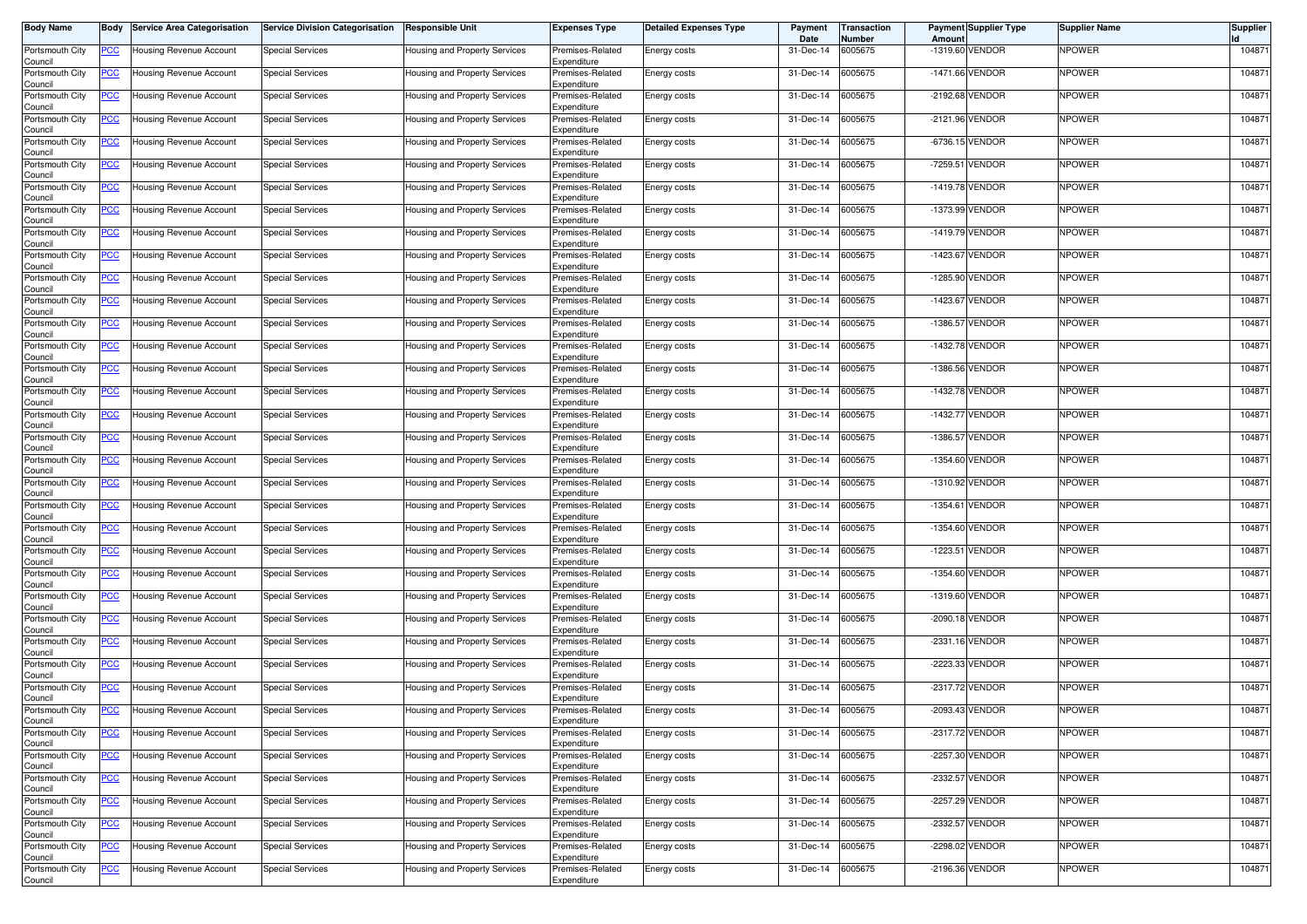| <b>Body Name</b>           | Body        | <b>Service Area Categorisation</b> | <b>Service Division Categorisation</b> | <b>Responsible Unit</b>       | Expenses Type                   | <b>Detailed Expenses Type</b> | Payment<br>Date | Transaction<br>Number | Amount     | <b>Payment Supplier Type</b> | <b>Supplier Name</b> | <b>Supplier</b> |
|----------------------------|-------------|------------------------------------|----------------------------------------|-------------------------------|---------------------------------|-------------------------------|-----------------|-----------------------|------------|------------------------------|----------------------|-----------------|
| Portsmouth City<br>Council | <u>PCC </u> | Jousing Revenue Account            | <b>Special Services</b>                | Housing and Property Services | Premises-Related<br>Expenditure | Energy costs                  | 31-Dec-14       | 6005675               |            | -1319.60 VENDOR              | NPOWER               | 104871          |
| Portsmouth City<br>Council | <u>PCC</u>  | Housing Revenue Account            | <b>Special Services</b>                | Housing and Property Services | Premises-Related<br>Expenditure | Energy costs                  | 31-Dec-14       | 6005675               |            | -1471.66 VENDOR              | NPOWER               | 104871          |
| Portsmouth City<br>Council | <u>PCC</u>  | Housing Revenue Account            | <b>Special Services</b>                | Housing and Property Services | Premises-Related<br>Expenditure | Energy costs                  | 31-Dec-14       | 6005675               |            | -2192.68 VENDOR              | NPOWER               | 104871          |
| Portsmouth City<br>Council | <u>PCC</u>  | Housing Revenue Account            | <b>Special Services</b>                | Housing and Property Services | Premises-Related<br>Expenditure | Energy costs                  | 31-Dec-14       | 6005675               |            | -2121.96 VENDOR              | NPOWER               | 104871          |
| Portsmouth City<br>Council | <u>PCC</u>  | Housing Revenue Account            | <b>Special Services</b>                | Housing and Property Services | Premises-Related<br>Expenditure | Energy costs                  | 31-Dec-14       | 6005675               |            | -6736.15 VENDOR              | NPOWER               | 104871          |
| Portsmouth City<br>Council | <u>PCC </u> | Housing Revenue Account            | <b>Special Services</b>                | Housing and Property Services | Premises-Related<br>Expenditure | Energy costs                  | 31-Dec-14       | 6005675               | $-7259.51$ | <b>VENDOR</b>                | NPOWER               | 104871          |
| Portsmouth City            | <u>PCC</u>  | Housing Revenue Account            | <b>Special Services</b>                | Housing and Property Services | Premises-Related<br>Expenditure | Energy costs                  | 31-Dec-14       | 6005675               |            | -1419.78 VENDOR              | NPOWER               | 104871          |
| Council<br>Portsmouth City | <u>PCC</u>  | Housing Revenue Account            | <b>Special Services</b>                | Housing and Property Services | Premises-Related<br>Expenditure | Energy costs                  | 31-Dec-14       | 6005675               |            | -1373.99 VENDOR              | NPOWER               | 104871          |
| Council<br>Portsmouth City | <u>PCC </u> | Housing Revenue Account            | <b>Special Services</b>                | Housing and Property Services | Premises-Related                | Energy costs                  | 31-Dec-14       | 6005675               |            | -1419.79 VENDOR              | NPOWER               | 104871          |
| Council<br>Portsmouth City | <u>PCC</u>  | Housing Revenue Account            | <b>Special Services</b>                | Housing and Property Services | Expenditure<br>Premises-Related | Energy costs                  | 31-Dec-14       | 6005675               |            | -1423.67 VENDOR              | NPOWER               | 104871          |
| Council<br>Portsmouth City | <u>PCC</u>  | Housing Revenue Account            | <b>Special Services</b>                | Housing and Property Services | Expenditure<br>Premises-Related | Energy costs                  | 31-Dec-14       | 6005675               |            | -1285.90 VENDOR              | NPOWER               | 104871          |
| Council<br>Portsmouth City | <u>PCC</u>  | Housing Revenue Account            | <b>Special Services</b>                | Housing and Property Services | Expenditure<br>Premises-Related | Energy costs                  | 31-Dec-14       | 6005675               |            | -1423.67 VENDOR              | NPOWER               | 104871          |
| Council<br>Portsmouth City | <u>PCC</u>  | Housing Revenue Account            | <b>Special Services</b>                | Housing and Property Services | Expenditure<br>Premises-Related | Energy costs                  | 31-Dec-14       | 6005675               |            | -1386.57 VENDOR              | NPOWER               | 104871          |
| Council<br>Portsmouth City |             | Housing Revenue Account            | <b>Special Services</b>                | Housing and Property Services | Expenditure<br>Premises-Related | Energy costs                  | 31-Dec-14       | 6005675               |            | -1432.78 VENDOR              | NPOWER               | 104871          |
| Council<br>Portsmouth City |             | Housing Revenue Account            | <b>Special Services</b>                | Housing and Property Services | Expenditure<br>Premises-Related | Energy costs                  | 31-Dec-14       | 6005675               |            | -1386.56 VENDOR              | NPOWER               | 104871          |
| Council<br>Portsmouth City | <u>PCC</u>  | Housing Revenue Account            | <b>Special Services</b>                | Housing and Property Services | Expenditure<br>Premises-Related | Energy costs                  | 31-Dec-14       | 6005675               |            | -1432.78 VENDOR              | <b>NPOWER</b>        | 104871          |
| Council<br>Portsmouth City | PСC         | Housing Revenue Account            | <b>Special Services</b>                | Housing and Property Services | Expenditure<br>Premises-Related | Energy costs                  | 31-Dec-14       | 6005675               |            | -1432.77 VENDOR              | NPOWER               | 104871          |
| Council<br>Portsmouth City | <u>PCC</u>  | Housing Revenue Account            | <b>Special Services</b>                | Housing and Property Services | Expenditure<br>Premises-Related | Energy costs                  | 31-Dec-14       | 6005675               |            | -1386.57 VENDOR              | NPOWER               | 104871          |
| Council<br>Portsmouth City | <u>PCC</u>  | Housing Revenue Account            | <b>Special Services</b>                | Housing and Property Services | Expenditure<br>Premises-Related | Energy costs                  | 31-Dec-14       | 6005675               |            | -1354.60 VENDOR              | NPOWER               | 104871          |
| Council<br>Portsmouth City | <u>PCC </u> | Housing Revenue Account            | <b>Special Services</b>                | Housing and Property Services | Expenditure<br>Premises-Related | Energy costs                  | 31-Dec-14       | 6005675               |            | -1310.92 VENDOR              | NPOWER               | 104871          |
| Council<br>Portsmouth City | <u>PCC</u>  | Housing Revenue Account            | <b>Special Services</b>                | Housing and Property Services | Expenditure<br>Premises-Related | Energy costs                  | 31-Dec-14       | 6005675               | $-1354.61$ | VENDOR                       | NPOWER               | 104871          |
| Council<br>Portsmouth City | <u>PCC</u>  | Housing Revenue Account            | <b>Special Services</b>                | Housing and Property Services | Expenditure<br>Premises-Related | Energy costs                  | 31-Dec-14       | 6005675               |            | -1354.60 VENDOR              | NPOWER               | 104871          |
| Council<br>Portsmouth City | <u>PCC</u>  | Housing Revenue Account            | <b>Special Services</b>                | Housing and Property Services | Expenditure<br>Premises-Related | Energy costs                  | 31-Dec-14       | 6005675               | $-1223.51$ | VENDOR                       | NPOWER               | 104871          |
| Council<br>Portsmouth City | <u>PCC</u>  | Housing Revenue Account            | <b>Special Services</b>                | Housing and Property Services | Expenditure<br>Premises-Related | Energy costs                  | 31-Dec-14       | 6005675               |            | -1354.60 VENDOR              | NPOWER               | 104871          |
| Council<br>Portsmouth City | <u>PCC</u>  | Housing Revenue Account            | <b>Special Services</b>                | Housing and Property Services | Expenditure<br>Premises-Related | Energy costs                  | 31-Dec-14       | 6005675               |            | -1319.60 VENDOR              | NPOWER               | 104871          |
| Council<br>Portsmouth City | <u>PCC</u>  | Housing Revenue Account            | <b>Special Services</b>                | Housing and Property Services | Expenditure<br>Premises-Related | Energy costs                  | 31-Dec-14       | 6005675               |            | -2090.18 VENDOR              | NPOWER               | 104871          |
| Council<br>Portsmouth City | <u>PCC </u> | Housing Revenue Account            | <b>Special Services</b>                | Housing and Property Services | Expenditure<br>Premises-Related | Energy costs                  | 31-Dec-14       | 6005675               |            | -2331.16 VENDOR              | NPOWER               | 104871          |
| Council<br>Portsmouth City | <u>PCC</u>  | Housing Revenue Account            | <b>Special Services</b>                | Housing and Property Services | Expenditure<br>Premises-Related | Energy costs                  | 31-Dec-14       | 6005675               |            | -2223.33 VENDOR              | NPOWER               | 104871          |
| Council<br>Portsmouth City | <u>PCC</u>  | Housing Revenue Account            | <b>Special Services</b>                | Housing and Property Services | Expenditure<br>Premises-Related | Energy costs                  | 31-Dec-14       | 6005675               |            | -2317.72 VENDOR              | NPOWER               | 104871          |
| Council<br>Portsmouth City | <u>PCC</u>  | <b>Housing Revenue Account</b>     | <b>Special Services</b>                | Housing and Property Services | Expenditure<br>Premises-Related | Energy costs                  | 31-Dec-14       | 6005675               |            | -2093.43 VENDOR              | NPOWER               | 104871          |
| Council                    |             | Housing Revenue Account            |                                        |                               | Expenaiture                     |                               |                 | 6005675               |            | -2317.72 VENDOR              | NPOWER               | 104871          |
| Portsmouth City<br>Council | <b>PCC</b>  |                                    | <b>Special Services</b>                | Housing and Property Services | Premises-Related<br>Expenditure | Energy costs                  | 31-Dec-14       |                       |            |                              | <b>NPOWER</b>        | 104871          |
| Portsmouth City<br>Council | <u>PCC</u>  | Housing Revenue Account            | <b>Special Services</b>                | Housing and Property Services | Premises-Related<br>Expenditure | Energy costs                  | 31-Dec-14       | 6005675               |            | -2257.30 VENDOR              |                      |                 |
| Portsmouth City<br>Council | PCC         | Housing Revenue Account            | <b>Special Services</b>                | Housing and Property Services | Premises-Related<br>Expenditure | Energy costs                  | 31-Dec-14       | 6005675               |            | -2332.57 VENDOR              | NPOWER               | 104871          |
| Portsmouth City<br>Council | <u>PCC</u>  | Housing Revenue Account            | <b>Special Services</b>                | Housing and Property Services | Premises-Related<br>Expenditure | Energy costs                  | 31-Dec-14       | 6005675               |            | -2257.29 VENDOR              | NPOWER               | 104871          |
| Portsmouth City<br>Council | <u>PCC</u>  | Housing Revenue Account            | <b>Special Services</b>                | Housing and Property Services | Premises-Related<br>Expenditure | Energy costs                  | 31-Dec-14       | 6005675               |            | -2332.57 VENDOR              | NPOWER               | 104871          |
| Portsmouth City<br>Council | <b>PCC</b>  | Housing Revenue Account            | <b>Special Services</b>                | Housing and Property Services | Premises-Related<br>Expenditure | Energy costs                  | 31-Dec-14       | 6005675               |            | -2298.02 VENDOR              | NPOWER               | 104871          |
| Portsmouth City<br>Council | <u>PCC</u>  | Housing Revenue Account            | <b>Special Services</b>                | Housing and Property Services | Premises-Related<br>Expenditure | Energy costs                  | 31-Dec-14       | 6005675               |            | -2196.36 VENDOR              | NPOWER               | 104871          |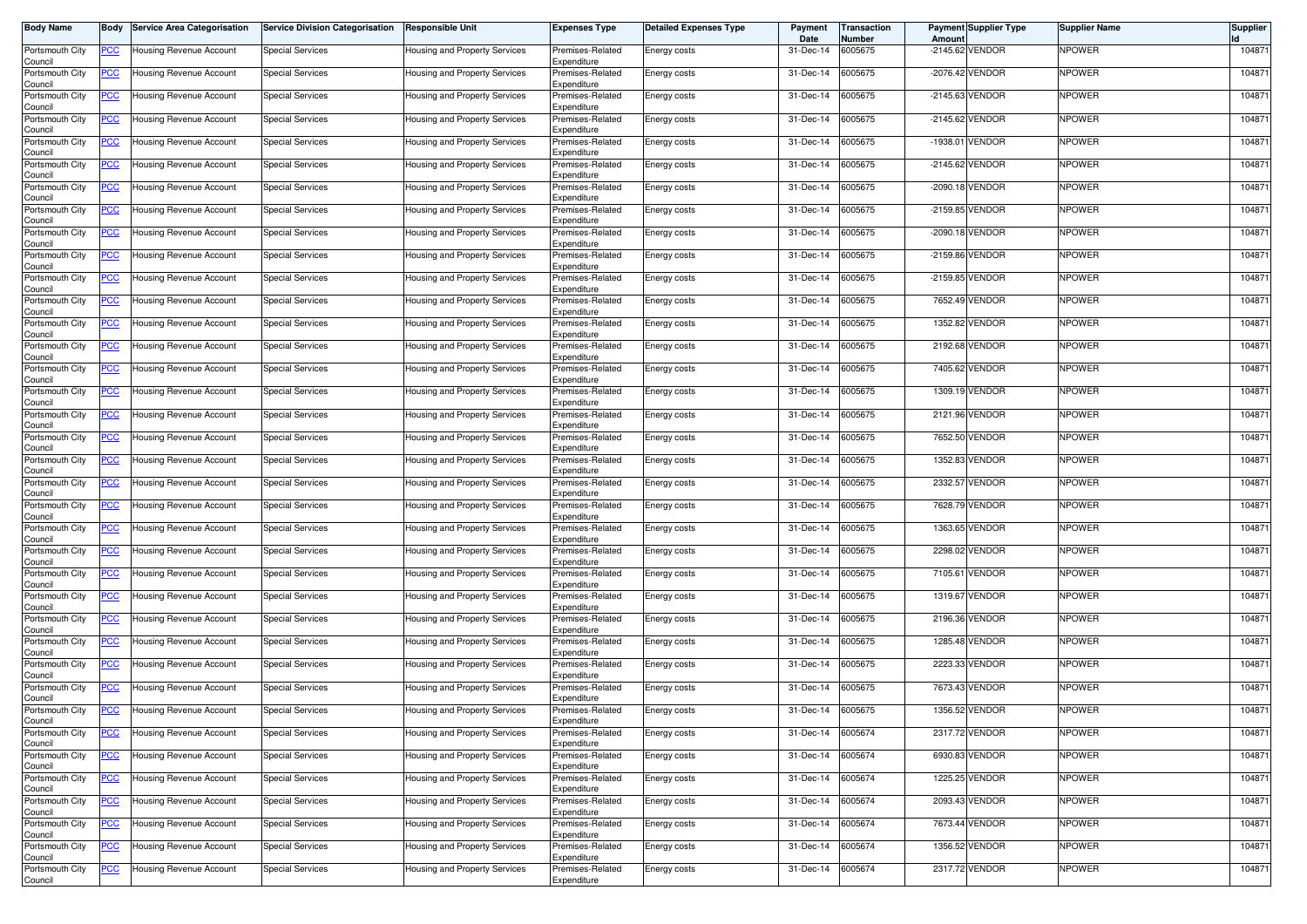| Body Name                  | Body           | <b>Service Area Categorisation</b> | <b>Service Division Categorisation</b> | <b>Responsible Unit</b>       | <b>Expenses Type</b>            | <b>Detailed Expenses Type</b> | Payment<br>Date | Transaction<br>Number | Amount     | <b>Payment Supplier Type</b> | <b>Supplier Name</b> | <b>Supplier</b> |
|----------------------------|----------------|------------------------------------|----------------------------------------|-------------------------------|---------------------------------|-------------------------------|-----------------|-----------------------|------------|------------------------------|----------------------|-----------------|
| Portsmouth City<br>Council | <u>PCC</u>     | Housing Revenue Account            | <b>Special Services</b>                | Housing and Property Services | Premises-Related<br>Expenditure | Energy costs                  | 31-Dec-14       | 6005675               |            | -2145.62 VENDOR              | NPOWER               | 104871          |
| Portsmouth City<br>Council | <u>PCC</u>     | Housing Revenue Account            | <b>Special Services</b>                | Housing and Property Services | Premises-Related<br>Expenditure | Energy costs                  | 31-Dec-14       | 6005675               |            | -2076.42 VENDOR              | NPOWER               | 104871          |
| Portsmouth City<br>Council | <u>PCC</u>     | Housing Revenue Account            | <b>Special Services</b>                | Housing and Property Services | Premises-Related<br>Expenditure | Energy costs                  | 31-Dec-14       | 6005675               | $-2145.63$ | <b>VENDOR</b>                | NPOWER               | 104871          |
| Portsmouth City<br>Council | <u>PCC</u>     | Housing Revenue Account            | <b>Special Services</b>                | Housing and Property Services | Premises-Related<br>Expenditure | Energy costs                  | 31-Dec-14       | 6005675               |            | -2145.62 VENDOR              | NPOWER               | 104871          |
| Portsmouth City<br>Council | <u>PCC</u>     | Housing Revenue Account            | <b>Special Services</b>                | Housing and Property Services | Premises-Related<br>Expenditure | Energy costs                  | 31-Dec-14       | 6005675               | $-1938.01$ | VENDOR                       | NPOWER               | 104871          |
| Portsmouth City<br>Council | <u>PCC </u>    | Housing Revenue Account            | <b>Special Services</b>                | Housing and Property Services | Premises-Related<br>Expenditure | Energy costs                  | 31-Dec-14       | 6005675               |            | -2145.62 VENDOR              | NPOWER               | 104871          |
| Portsmouth City<br>Council | <u>PCC</u>     | Housing Revenue Account            | <b>Special Services</b>                | Housing and Property Services | Premises-Related<br>Expenditure | Energy costs                  | 31-Dec-14       | 6005675               |            | -2090.18 VENDOR              | <b>NPOWER</b>        | 104871          |
| Portsmouth City<br>Council | <u>PCC</u>     | Housing Revenue Account            | <b>Special Services</b>                | Housing and Property Services | Premises-Related<br>Expenditure | Energy costs                  | 31-Dec-14       | 6005675               |            | -2159.85 VENDOR              | NPOWER               | 104871          |
| Portsmouth City<br>Council | <u>PCC</u>     | Housing Revenue Account            | <b>Special Services</b>                | Housing and Property Services | Premises-Related<br>Expenditure | Energy costs                  | 31-Dec-14       | 6005675               |            | -2090.18 VENDOR              | NPOWER               | 104871          |
| Portsmouth City<br>Council | <u>PCC</u>     | Housing Revenue Account            | <b>Special Services</b>                | Housing and Property Services | Premises-Related<br>Expenditure | Energy costs                  | 31-Dec-14       | 6005675               |            | -2159.86 VENDOR              | NPOWER               | 104871          |
| Portsmouth City<br>Council | <u>PCC </u>    | Housing Revenue Account            | <b>Special Services</b>                | Housing and Property Services | Premises-Related<br>Expenditure | Energy costs                  | 31-Dec-14       | 6005675               |            | -2159.85 VENDOR              | NPOWER               | 104871          |
| Portsmouth City<br>Council | <u>PCC</u>     | Housing Revenue Account            | <b>Special Services</b>                | Housing and Property Services | Premises-Related<br>Expenditure | Energy costs                  | 31-Dec-14       | 6005675               |            | 7652.49 VENDOR               | NPOWER               | 104871          |
| Portsmouth City<br>Council | <u>PCC</u>     | Housing Revenue Account            | Special Services                       | Housing and Property Services | Premises-Related<br>Expenditure | Energy costs                  | 31-Dec-14       | 6005675               |            | 1352.82 VENDOR               | NPOWER               | 104871          |
| Portsmouth City<br>Council | <u>PCC</u>     | lousing Revenue Account            | <b>Special Services</b>                | Housing and Property Services | Premises-Related<br>Expenditure | Energy costs                  | 31-Dec-14       | 6005675               |            | 2192.68 VENDOR               | NPOWER               | 104871          |
| Portsmouth City<br>Council | PСC            | Housing Revenue Account            | <b>Special Services</b>                | Housing and Property Services | Premises-Related<br>Expenditure | Energy costs                  | 31-Dec-14       | 6005675               |            | 7405.62 VENDOR               | NPOWER               | 104871          |
| Portsmouth City<br>Council | $\overline{C}$ | Housing Revenue Account            | <b>Special Services</b>                | Housing and Property Services | Premises-Related<br>Expenditure | Energy costs                  | 31-Dec-14       | 6005675               |            | 1309.19 VENDOR               | <b>NPOWER</b>        | 104871          |
| Portsmouth City<br>Council | <u>PCC</u>     | Housing Revenue Account            | <b>Special Services</b>                | Housing and Property Services | Premises-Related<br>Expenditure | Energy costs                  | 31-Dec-14       | 6005675               |            | 2121.96 VENDOR               | NPOWER               | 104871          |
| Portsmouth City<br>Council | <u>PCC</u>     | Housing Revenue Account            | <b>Special Services</b>                | Housing and Property Services | Premises-Related<br>Expenditure | Energy costs                  | 31-Dec-14       | 6005675               |            | 7652.50 VENDOR               | NPOWER               | 104871          |
| Portsmouth City<br>Council | <u>PCC</u>     | Housing Revenue Account            | <b>Special Services</b>                | Housing and Property Services | Premises-Related<br>Expenditure | Energy costs                  | 31-Dec-14       | 6005675               |            | 1352.83 VENDOR               | NPOWER               | 104871          |
| Portsmouth City<br>Council | <u>PCC</u>     | Housing Revenue Account            | <b>Special Services</b>                | Housing and Property Services | Premises-Related<br>Expenditure | Energy costs                  | 31-Dec-14       | 6005675               |            | 2332.57 VENDOR               | NPOWER               | 104871          |
| Portsmouth City<br>Council |                | lousing Revenue Account            | <b>Special Services</b>                | Housing and Property Services | Premises-Related<br>Expenditure | Energy costs                  | 31-Dec-14       | 6005675               |            | 7628.79 VENDOR               | NPOWER               | 104871          |
| Portsmouth City<br>Council | <u>PCC</u>     | Housing Revenue Account            | <b>Special Services</b>                | Housing and Property Services | Premises-Related<br>Expenditure | Energy costs                  | 31-Dec-14       | 6005675               |            | 1363.65 VENDOR               | NPOWER               | 104871          |
| Portsmouth City<br>Council | <u>PCC </u>    | Housing Revenue Account            | <b>Special Services</b>                | Housing and Property Services | Premises-Related<br>Expenditure | Energy costs                  | 31-Dec-14       | 6005675               |            | 2298.02 VENDOR               | NPOWER               | 104871          |
| Portsmouth City<br>Council | <u>PCC</u>     | Housing Revenue Account            | <b>Special Services</b>                | Housing and Property Services | Premises-Related<br>Expenditure | Energy costs                  | 31-Dec-14       | 6005675               | 7105.61    | VENDOR                       | NPOWER               | 104871          |
| Portsmouth City<br>Council | <u>PCC</u>     | <b>Housing Revenue Account</b>     | <b>Special Services</b>                | Housing and Property Services | Premises-Related<br>Expenditure | Energy costs                  | 31-Dec-14       | 6005675               | 1319.67    | VENDOR                       | <b>NPOWER</b>        | 104871          |
| Portsmouth City<br>Council | <u>PCC </u>    | Housing Revenue Account            | <b>Special Services</b>                | Housing and Property Services | Premises-Related<br>Expenditure | Energy costs                  | 31-Dec-14       | 6005675               |            | 2196.36 VENDOR               | NPOWER               | 104871          |
| Portsmouth City<br>Council | <b>PCC</b>     | Housing Revenue Account            | <b>Special Services</b>                | Housing and Property Services | Premises-Related<br>Expenditure | Energy costs                  | 31-Dec-14       | 6005675               |            | 1285.48 VENDOR               | NPOWER               | 104871          |
| Portsmouth City<br>Council | <u>PCC </u>    | Housing Revenue Account            | <b>Special Services</b>                | Housing and Property Services | Premises-Related<br>Expenditure | Energy costs                  | 31-Dec-14       | 6005675               |            | 2223.33 VENDOR               | NPOWER               | 104871          |
| Portsmouth City<br>Council | <u>PCC</u>     | lousing Revenue Account            | Special Services                       | Housing and Property Services | Premises-Related<br>Expenditure | Energy costs                  | 31-Dec-14       | 6005675               |            | 7673.43 VENDOR               | NPOWER               | 104871          |
| Portsmouth City<br>Council | <u>PCC</u>     | Housing Revenue Account            | <b>Special Services</b>                | Housing and Property Services | Premises-Related<br>Expenditure | Energy costs                  | 31-Dec-14       | 6005675               |            | 1356.52 VENDOR               | NPOWER               | 104871          |
| Portsmouth City<br>Council | <b>PCC</b>     | <b>Housing Revenue Account</b>     | <b>Special Services</b>                | Housing and Property Services | Premises-Related<br>Expenditure | Energy costs                  | 31-Dec-14       | 6005674               |            | 2317.72 VENDOR               | NPOWER               | 104871          |
| Portsmouth City<br>Council | $\overline{C}$ | Housing Revenue Account            | <b>Special Services</b>                | Housing and Property Services | Premises-Related<br>Expenditure | Energy costs                  | 31-Dec-14       | 6005674               |            | 6930.83 VENDOR               | NPOWER               | 104871          |
| Portsmouth City<br>Council | $\overline{C}$ | Housing Revenue Account            | <b>Special Services</b>                | Housing and Property Services | Premises-Related<br>Expenditure | Energy costs                  | 31-Dec-14       | 6005674               |            | 1225.25 VENDOR               | NPOWER               | 104871          |
| Portsmouth City<br>Council | <b>PCC</b>     | Housing Revenue Account            | <b>Special Services</b>                | Housing and Property Services | Premises-Related<br>Expenditure | Energy costs                  | 31-Dec-14       | 6005674               |            | 2093.43 VENDOR               | <b>NPOWER</b>        | 104871          |
| Portsmouth City<br>Council | <b>PCC</b>     | Housing Revenue Account            | <b>Special Services</b>                | Housing and Property Services | Premises-Related<br>Expenditure | Energy costs                  | 31-Dec-14       | 6005674               |            | 7673.44 VENDOR               | <b>NPOWER</b>        | 104871          |
| Portsmouth City<br>Council | <u>PCC</u>     | Housing Revenue Account            | <b>Special Services</b>                | Housing and Property Services | Premises-Related<br>Expenditure | Energy costs                  | 31-Dec-14       | 6005674               |            | 1356.52 VENDOR               | NPOWER               | 104871          |
| Portsmouth City<br>Council | <u>PCC</u>     | Housing Revenue Account            | <b>Special Services</b>                | Housing and Property Services | Premises-Related<br>Expenditure | Energy costs                  | 31-Dec-14       | 6005674               |            | 2317.72 VENDOR               | <b>NPOWER</b>        | 104871          |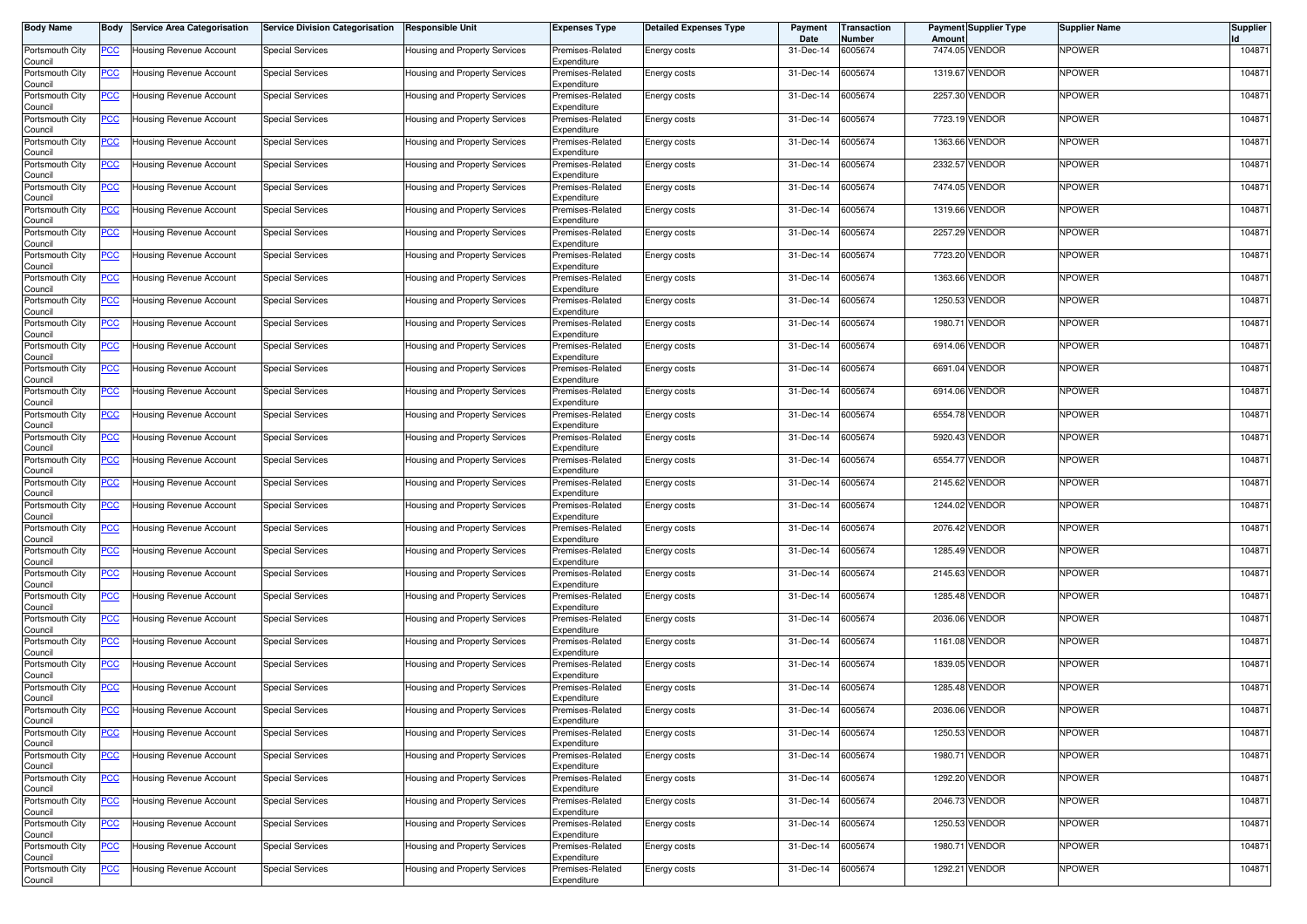| Body Name                  | Body           | <b>Service Area Categorisation</b> | <b>Service Division Categorisation</b> | <b>Responsible Unit</b>       | <b>Expenses Type</b>            | <b>Detailed Expenses Type</b> | Payment<br>Date | Transaction<br>Number | Amount  | <b>Payment Supplier Type</b> | <b>Supplier Name</b> | <b>Supplier</b> |
|----------------------------|----------------|------------------------------------|----------------------------------------|-------------------------------|---------------------------------|-------------------------------|-----------------|-----------------------|---------|------------------------------|----------------------|-----------------|
| Portsmouth City<br>Council | <u>PCC</u>     | Housing Revenue Account            | <b>Special Services</b>                | Housing and Property Services | Premises-Related<br>Expenditure | Energy costs                  | 31-Dec-14       | 6005674               |         | 7474.05 VENDOR               | NPOWER               | 104871          |
| Portsmouth City<br>Council | <u>PCC</u>     | Housing Revenue Account            | <b>Special Services</b>                | Housing and Property Services | Premises-Related<br>Expenditure | Energy costs                  | 31-Dec-14       | 6005674               |         | 1319.67 VENDOR               | NPOWER               | 104871          |
| Portsmouth City<br>Council | <u>PCC</u>     | Housing Revenue Account            | <b>Special Services</b>                | Housing and Property Services | Premises-Related<br>Expenditure | Energy costs                  | 31-Dec-14       | 6005674               |         | 2257.30 VENDOR               | NPOWER               | 104871          |
| Portsmouth City<br>Council | <u>PCC</u>     | Housing Revenue Account            | <b>Special Services</b>                | Housing and Property Services | Premises-Related<br>Expenditure | Energy costs                  | 31-Dec-14       | 6005674               |         | 7723.19 VENDOR               | NPOWER               | 104871          |
| Portsmouth City<br>Council | <u>PCC</u>     | Housing Revenue Account            | <b>Special Services</b>                | Housing and Property Services | Premises-Related<br>Expenditure | Energy costs                  | 31-Dec-14       | 6005674               |         | 1363.66 VENDOR               | NPOWER               | 104871          |
| Portsmouth City<br>Council | <u>PCC </u>    | Housing Revenue Account            | <b>Special Services</b>                | Housing and Property Services | Premises-Related<br>Expenditure | Energy costs                  | 31-Dec-14       | 6005674               |         | 2332.57 VENDOR               | NPOWER               | 104871          |
| Portsmouth City<br>Council | <u>PCC</u>     | Housing Revenue Account            | <b>Special Services</b>                | Housing and Property Services | Premises-Related<br>Expenditure | Energy costs                  | 31-Dec-14       | 6005674               |         | 7474.05 VENDOR               | <b>NPOWER</b>        | 104871          |
| Portsmouth City<br>Council | <u>PCC</u>     | Housing Revenue Account            | <b>Special Services</b>                | Housing and Property Services | Premises-Related<br>Expenditure | Energy costs                  | 31-Dec-14       | 6005674               |         | 1319.66 VENDOR               | NPOWER               | 104871          |
| Portsmouth City<br>Council | <u>PCC</u>     | Housing Revenue Account            | <b>Special Services</b>                | Housing and Property Services | Premises-Related<br>Expenditure | Energy costs                  | 31-Dec-14       | 6005674               |         | 2257.29 VENDOR               | NPOWER               | 104871          |
| Portsmouth City<br>Council | <u>PCC</u>     | Housing Revenue Account            | <b>Special Services</b>                | Housing and Property Services | Premises-Related<br>Expenditure | Energy costs                  | 31-Dec-14       | 6005674               |         | 7723.20 VENDOR               | NPOWER               | 104871          |
| Portsmouth City<br>Council | <u>PCC </u>    | Housing Revenue Account            | <b>Special Services</b>                | Housing and Property Services | Premises-Related<br>Expenditure | Energy costs                  | 31-Dec-14       | 6005674               |         | 1363.66 VENDOR               | NPOWER               | 104871          |
| Portsmouth City<br>Council | <u>PCC</u>     | Housing Revenue Account            | <b>Special Services</b>                | Housing and Property Services | Premises-Related<br>Expenditure | Energy costs                  | 31-Dec-14       | 6005674               | 1250.53 | <b>VENDOR</b>                | NPOWER               | 104871          |
| Portsmouth City<br>Council | <u>PCC</u>     | Housing Revenue Account            | Special Services                       | Housing and Property Services | Premises-Related<br>Expenditure | Energy costs                  | 31-Dec-14       | 6005674               |         | 1980.71 VENDOR               | NPOWER               | 104871          |
| Portsmouth City<br>Council | <u>PCC</u>     | lousing Revenue Account            | <b>Special Services</b>                | Housing and Property Services | Premises-Related<br>Expenditure | Energy costs                  | 31-Dec-14       | 6005674               |         | 6914.06 VENDOR               | NPOWER               | 104871          |
| Portsmouth City<br>Council | PСC            | Housing Revenue Account            | <b>Special Services</b>                | Housing and Property Services | Premises-Related<br>Expenditure | Energy costs                  | 31-Dec-14       | 6005674               |         | 6691.04 VENDOR               | NPOWER               | 104871          |
| Portsmouth City<br>Council | $\overline{C}$ | Housing Revenue Account            | <b>Special Services</b>                | Housing and Property Services | Premises-Related<br>Expenditure | Energy costs                  | 31-Dec-14       | 6005674               |         | 6914.06 VENDOR               | <b>NPOWER</b>        | 104871          |
| Portsmouth City<br>Council | <u>PCC</u>     | Housing Revenue Account            | <b>Special Services</b>                | Housing and Property Services | Premises-Related<br>Expenditure | Energy costs                  | 31-Dec-14       | 6005674               |         | 6554.78 VENDOR               | NPOWER               | 104871          |
| Portsmouth City<br>Council | <u>PCC</u>     | Housing Revenue Account            | <b>Special Services</b>                | Housing and Property Services | Premises-Related<br>Expenditure | Energy costs                  | 31-Dec-14       | 6005674               |         | 5920.43 VENDOR               | NPOWER               | 104871          |
| Portsmouth City<br>Council | <u>PCC</u>     | Housing Revenue Account            | <b>Special Services</b>                | Housing and Property Services | Premises-Related<br>Expenditure | Energy costs                  | 31-Dec-14       | 6005674               |         | 6554.77 VENDOR               | NPOWER               | 104871          |
| Portsmouth City<br>Council | <u>PCC</u>     | Housing Revenue Account            | <b>Special Services</b>                | Housing and Property Services | Premises-Related<br>Expenditure | Energy costs                  | 31-Dec-14       | 6005674               |         | 2145.62 VENDOR               | NPOWER               | 104871          |
| Portsmouth City<br>Council | <u>PCC</u>     | lousing Revenue Account            | <b>Special Services</b>                | Housing and Property Services | Premises-Related<br>Expenditure | Energy costs                  | 31-Dec-14       | 6005674               |         | 1244.02 VENDOR               | NPOWER               | 104871          |
| Portsmouth City<br>Council | <u>PCC</u>     | Housing Revenue Account            | <b>Special Services</b>                | Housing and Property Services | Premises-Related<br>Expenditure | Energy costs                  | 31-Dec-14       | 6005674               |         | 2076.42 VENDOR               | NPOWER               | 104871          |
| Portsmouth City<br>Council | <u>PCC </u>    | Housing Revenue Account            | <b>Special Services</b>                | Housing and Property Services | Premises-Related<br>Expenditure | Energy costs                  | 31-Dec-14       | 6005674               |         | 1285.49 VENDOR               | NPOWER               | 104871          |
| Portsmouth City<br>Council | <u>PCC</u>     | Housing Revenue Account            | <b>Special Services</b>                | Housing and Property Services | Premises-Related<br>Expenditure | Energy costs                  | 31-Dec-14       | 6005674               |         | 2145.63 VENDOR               | NPOWER               | 104871          |
| Portsmouth City<br>Council | <u>PCC</u>     | Housing Revenue Account            | <b>Special Services</b>                | Housing and Property Services | Premises-Related<br>Expenditure | Energy costs                  | 31-Dec-14       | 6005674               |         | 1285.48 VENDOR               | NPOWER               | 104871          |
| Portsmouth City<br>Council | <u>PCC </u>    | Housing Revenue Account            | <b>Special Services</b>                | Housing and Property Services | Premises-Related<br>Expenditure | Energy costs                  | 31-Dec-14       | 6005674               |         | 2036.06 VENDOR               | NPOWER               | 104871          |
| Portsmouth City<br>Council | <b>PCC</b>     | Housing Revenue Account            | <b>Special Services</b>                | Housing and Property Services | Premises-Related<br>Expenditure | Energy costs                  | 31-Dec-14       | 6005674               |         | 1161.08 VENDOR               | NPOWER               | 104871          |
| Portsmouth City<br>Council | <u>PCC </u>    | Housing Revenue Account            | <b>Special Services</b>                | Housing and Property Services | Premises-Related<br>Expenditure | Energy costs                  | 31-Dec-14       | 6005674               |         | 1839.05 VENDOR               | NPOWER               | 104871          |
| Portsmouth City<br>Council | <u>PCC</u>     | Housing Revenue Account            | Special Services                       | Housing and Property Services | Premises-Related<br>Expenditure | Energy costs                  | 31-Dec-14       | 6005674               |         | 1285.48 VENDOR               | NPOWER               | 104871          |
| Portsmouth City<br>Council | <u>PCC </u>    | Housing Revenue Account            | <b>Special Services</b>                | Housing and Property Services | Premises-Related<br>Expenditure | Energy costs                  | 31-Dec-14       | 6005674               |         | 2036.06 VENDOR               | NPOWER               | 104871          |
| Portsmouth City<br>Council | <b>PCC</b>     | <b>Housing Revenue Account</b>     | <b>Special Services</b>                | Housing and Property Services | Premises-Related<br>Expenditure | Energy costs                  | 31-Dec-14       | 6005674               |         | 1250.53 VENDOR               | NPOWER               | 104871          |
| Portsmouth City<br>Council | $\overline{C}$ | Housing Revenue Account            | <b>Special Services</b>                | Housing and Property Services | Premises-Related<br>Expenditure | Energy costs                  | 31-Dec-14       | 6005674               |         | 1980.71 VENDOR               | NPOWER               | 104871          |
| Portsmouth City<br>Council | $\overline{C}$ | Housing Revenue Account            | <b>Special Services</b>                | Housing and Property Services | Premises-Related<br>Expenditure | Energy costs                  | 31-Dec-14       | 6005674               |         | 1292.20 VENDOR               | NPOWER               | 104871          |
| Portsmouth City<br>Council | <b>PCC</b>     | Housing Revenue Account            | <b>Special Services</b>                | Housing and Property Services | Premises-Related<br>Expenditure | Energy costs                  | 31-Dec-14       | 6005674               |         | 2046.73 VENDOR               | <b>NPOWER</b>        | 104871          |
| Portsmouth City<br>Council | <b>PCC</b>     | Housing Revenue Account            | <b>Special Services</b>                | Housing and Property Services | Premises-Related<br>Expenditure | Energy costs                  | 31-Dec-14       | 6005674               |         | 1250.53 VENDOR               | <b>NPOWER</b>        | 104871          |
| Portsmouth City<br>Council | <u>PCC</u>     | Housing Revenue Account            | <b>Special Services</b>                | Housing and Property Services | Premises-Related<br>Expenditure | Energy costs                  | 31-Dec-14       | 6005674               |         | 1980.71 VENDOR               | NPOWER               | 104871          |
| Portsmouth City<br>Council | <u>PCC</u>     | Housing Revenue Account            | <b>Special Services</b>                | Housing and Property Services | Premises-Related<br>Expenditure | Energy costs                  | 31-Dec-14       | 6005674               |         | 1292.21 VENDOR               | <b>NPOWER</b>        | 104871          |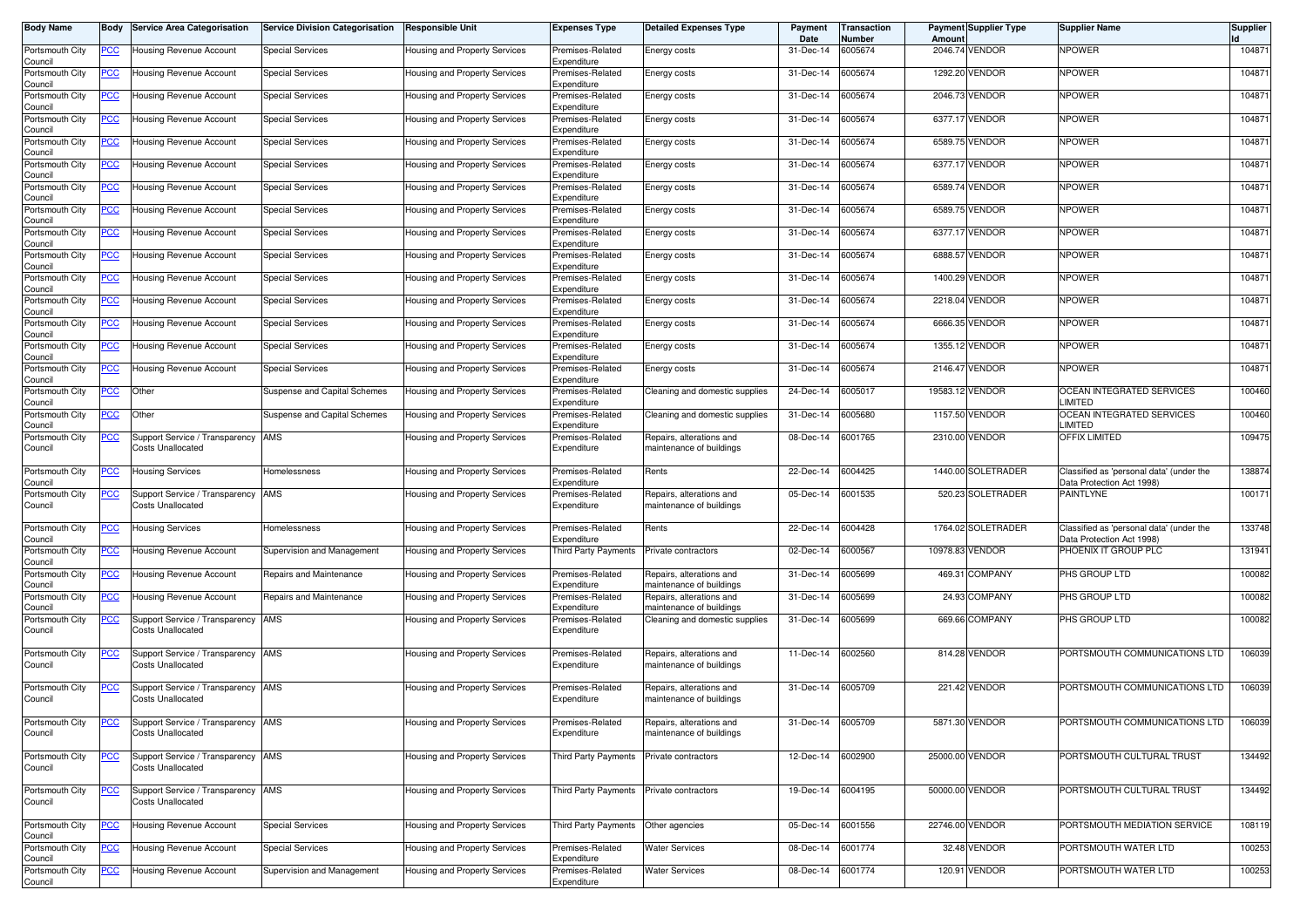| Body Name                  | Body            | <b>Service Area Categorisation</b>                             | <b>Service Division Categorisation</b> | <b>Responsible Unit</b>       | Expenses Type                            | <b>Detailed Expenses Type</b>                              | Payment<br>Date   | Transaction<br>Number | Amoun    | <b>Payment Supplier Type</b> | <b>Supplier Name</b>                                                  | Supplier |
|----------------------------|-----------------|----------------------------------------------------------------|----------------------------------------|-------------------------------|------------------------------------------|------------------------------------------------------------|-------------------|-----------------------|----------|------------------------------|-----------------------------------------------------------------------|----------|
| Portsmouth City<br>Council | $\overline{CC}$ | Housing Revenue Account                                        | <b>Special Services</b>                | Housing and Property Services | Premises-Related<br>Expenditure          | Energy costs                                               | 31-Dec-14         | 6005674               |          | 2046.74 VENDOR               | <b>NPOWER</b>                                                         | 104871   |
| Portsmouth City<br>Council | <u>PCC</u>      | Housing Revenue Account                                        | <b>Special Services</b>                | Housing and Property Services | Premises-Related<br>Expenditure          | Energy costs                                               | 31-Dec-14         | 6005674               |          | 1292.20 VENDOR               | <b>NPOWER</b>                                                         | 104871   |
| Portsmouth City<br>Council | <u>PCC </u>     | Housing Revenue Account                                        | <b>Special Services</b>                | Housing and Property Services | Premises-Related<br>Expenditure          | Energy costs                                               | 31-Dec-14         | 6005674               |          | 2046.73 VENDOR               | <b>NPOWER</b>                                                         | 104871   |
| Portsmouth City<br>Council | <u>PCC</u>      | Housing Revenue Account                                        | Special Services                       | Housing and Property Services | Premises-Related<br>Expenditure          | Energy costs                                               | 31-Dec-14         | 6005674               |          | 6377.17 VENDOR               | <b>NPOWER</b>                                                         | 104871   |
| Portsmouth City<br>Council | <u>PCC</u>      | Housing Revenue Account                                        | <b>Special Services</b>                | Housing and Property Services | Premises-Related<br>Expenditure          | Energy costs                                               | 31-Dec-14         | 6005674               |          | 6589.75 VENDOR               | <b>NPOWER</b>                                                         | 104871   |
| Portsmouth City<br>Council | <u>PCC</u>      | Housing Revenue Account                                        | <b>Special Services</b>                | Housing and Property Services | Premises-Related<br>Expenditure          | Energy costs                                               | 31-Dec-14         | 6005674               |          | 6377.17 VENDOR               | <b>NPOWER</b>                                                         | 104871   |
| Portsmouth City<br>Council | <u>PCC</u>      | Housing Revenue Account                                        | <b>Special Services</b>                | Housing and Property Services | Premises-Related<br>Expenditure          | Energy costs                                               | 31-Dec-14         | 6005674               | 6589.74  | <b>VENDOR</b>                | <b>NPOWER</b>                                                         | 104871   |
| Portsmouth City<br>Council | <u>PCC </u>     | Housing Revenue Account                                        | <b>Special Services</b>                | Housing and Property Services | Premises-Related<br>Expenditure          | Energy costs                                               | 31-Dec-14         | 6005674               |          | 6589.75 VENDOR               | <b>NPOWER</b>                                                         | 104871   |
| Portsmouth City<br>Council | <u>PCC</u>      | Housing Revenue Account                                        | Special Services                       | Housing and Property Services | Premises-Related<br>Expenditure          | Energy costs                                               | 31-Dec-14         | 6005674               |          | 6377.17 VENDOR               | NPOWER                                                                | 104871   |
| Portsmouth City<br>Council | <u>PCC</u>      | Housing Revenue Account                                        | <b>Special Services</b>                | Housing and Property Services | Premises-Related<br>Expenditure          | Energy costs                                               | 31-Dec-14         | 6005674               |          | 6888.57 VENDOR               | <b>NPOWER</b>                                                         | 104871   |
| Portsmouth City            | <u>PCC</u>      | Housing Revenue Account                                        | <b>Special Services</b>                | Housing and Property Services | Premises-Related                         | Energy costs                                               | 31-Dec-14         | 6005674               |          | 1400.29 VENDOR               | <b>NPOWER</b>                                                         | 104871   |
| Council<br>Portsmouth City | <u>PCC</u>      | Housing Revenue Account                                        | Special Services                       | Housing and Property Services | Expenditure<br>Premises-Related          | Energy costs                                               | 31-Dec-14         | 6005674               | 2218.04  | VENDOR                       | <b>NPOWER</b>                                                         | 104871   |
| Council<br>Portsmouth City | <u>PCC</u>      | Housing Revenue Account                                        | Special Services                       | Housing and Property Services | Expenditure<br>Premises-Related          | Energy costs                                               | 31-Dec-14         | 6005674               |          | 6666.35 VENDOR               | NPOWER                                                                | 104871   |
| Council<br>Portsmouth City | <u>PCC</u>      | Housing Revenue Account                                        | <b>Special Services</b>                | Housing and Property Services | Expenditure<br>Premises-Related          | Energy costs                                               | 31-Dec-14         | 6005674               |          | 1355.12 VENDOR               | <b>NPOWER</b>                                                         | 104871   |
| Council<br>Portsmouth City | <u>PCC</u>      | Housing Revenue Account                                        | <b>Special Services</b>                | Housing and Property Services | Expenditure<br>Premises-Related          | Energy costs                                               | 31-Dec-14         | 6005674               |          | 2146.47 VENDOR               | <b>NPOWER</b>                                                         | 104871   |
| Council<br>Portsmouth City | <u>PCC</u>      | Other                                                          | Suspense and Capital Schemes           | Housing and Property Services | Expenditure<br>Premises-Related          | Cleaning and domestic supplies                             | 24-Dec-14         | 6005017               |          | 19583.12 VENDOR              | OCEAN INTEGRATED SERVICES                                             | 100460   |
| Council<br>Portsmouth City | <u>PCC</u>      | Other                                                          | Suspense and Capital Schemes           | Housing and Property Services | Expenditure<br>Premises-Related          | Cleaning and domestic supplies                             | 31-Dec-14         | 6005680               |          | 1157.50 VENDOR               | LIMITED<br>OCEAN INTEGRATED SERVICES                                  | 100460   |
| Council<br>Portsmouth City | <u>PCC</u>      | Support Service / Transparency                                 | AMS                                    | Housing and Property Services | Expenditure<br>Premises-Related          | Repairs, alterations and                                   | 08-Dec-14         | 6001765               |          | 2310.00 VENDOR               | <b>IMITED</b><br>OFFIX LIMITED                                        | 109475   |
| Council                    |                 | Costs Unallocated                                              |                                        |                               | Expenditure                              | maintenance of buildings                                   |                   |                       |          |                              |                                                                       |          |
| Portsmouth City<br>Council | <u>PCC</u>      | <b>Housing Services</b>                                        | Homelessness                           | Housing and Property Services | Premises-Related<br>Expenditure          | Rents                                                      | 22-Dec-14         | 6004425               |          | 1440.00 SOLETRADER           | Classified as 'personal data' (under the<br>Data Protection Act 1998) | 138874   |
| Portsmouth City<br>Council | <u>PCC</u>      | Support Service / Transparency<br>Costs Unallocated            | AMS                                    | Housing and Property Services | Premises-Related<br>Expenditure          | Repairs, alterations and<br>maintenance of buildings       | 05-Dec-14         | 6001535               |          | 520.23 SOLETRADER            | PAINTLYNE                                                             | 100171   |
| Portsmouth City            | <u>PCC</u>      | <b>Housing Services</b>                                        | Homelessness                           | Housing and Property Services | Premises-Related                         | Rents                                                      | 22-Dec-14         | 6004428               |          | 1764.02 SOLETRADER           | Classified as 'personal data' (under the                              | 133748   |
| Council<br>Portsmouth City | <u>PCC </u>     | Housing Revenue Account                                        | Supervision and Management             | Housing and Property Services | Expenditure<br>Third Party Payments      | Private contractors                                        | 02-Dec-14         | 6000567               | 10978.83 | <b>VENDOR</b>                | Data Protection Act 1998)<br>PHOENIX IT GROUP PLC                     | 131941   |
| Council<br>Portsmouth City | <u>PCC </u>     | Housing Revenue Account                                        | Repairs and Maintenance                | Housing and Property Services | Premises-Related                         | Repairs, alterations and                                   | 31-Dec-14         | 6005699               |          | 469.31 COMPANY               | PHS GROUP LTD                                                         | 100082   |
| Council<br>Portsmouth City | <u>PCC</u>      | Housing Revenue Account                                        | Repairs and Maintenance                | Housing and Property Services | Expenditure<br>Premises-Related          | naintenance of buildings<br>Repairs, alterations and       | 31-Dec-14         | 6005699               |          | 24.93 COMPANY                | PHS GROUP LTD                                                         | 100082   |
| Council<br>Portsmouth City | <u>PCC</u>      | Support Service / Transparency                                 | AMS                                    | Housing and Property Services | Expenditure<br>Premises-Related          | naintenance of buildings<br>Cleaning and domestic supplies | 31-Dec-14         | 6005699               |          | 669.66 COMPANY               | PHS GROUP LTD                                                         | 100082   |
| Council                    |                 | Costs Unallocated                                              |                                        |                               | Expenditure                              |                                                            |                   |                       |          |                              |                                                                       |          |
| Portsmouth City<br>Council | <u>PCC</u>      | Support Service / Transparency<br>Costs Unallocated            | AMS                                    | Housing and Property Services | Premises-Related<br>Expenditure          | Repairs, alterations and<br>naintenance of buildings       | 11-Dec-14         | 6002560               |          | 814.28 VENDOR                | PORTSMOUTH COMMUNICATIONS LTD                                         | 106039   |
| Portsmouth City            | <u>PCC</u>      | Support Service / Transparency                                 | AMS                                    | Housing and Property Services | Premises-Related                         | Repairs, alterations and                                   | 31-Dec-14         | 6005709               |          | 221.42 VENDOR                | PORTSMOUTH COMMUNICATIONS LTD                                         | 106039   |
| Council                    |                 | <b>Costs Unallocated</b>                                       |                                        |                               | Expenditure                              | maintenance of buildings                                   |                   |                       |          |                              |                                                                       |          |
| Portsmouth City<br>Council | <u>PCC</u>      | Support Service / Transparency AMS<br><b>Costs Unallocated</b> |                                        | Housing and Property Services | Premises-Related<br>Expenditure          | Repairs, alterations and<br>maintenance of buildings       | 31-Dec-14 6005709 |                       |          | 5871.30 VENDOR               | PORTSMOUTH COMMUNICATIONS LTD                                         | 106039   |
| Portsmouth City            | <u>PCC</u>      | Support Service / Transparency AMS                             |                                        | Housing and Property Services | Third Party Payments                     | Private contractors                                        | 12-Dec-14 6002900 |                       |          | 25000.00 VENDOR              | PORTSMOUTH CULTURAL TRUST                                             | 134492   |
| Council                    |                 | Costs Unallocated                                              |                                        |                               |                                          |                                                            |                   |                       |          |                              |                                                                       |          |
| Portsmouth City<br>Council | <u>PCC</u>      | Support Service / Transparency AMS<br><b>Costs Unallocated</b> |                                        | Housing and Property Services | Third Party Payments Private contractors |                                                            | 19-Dec-14 6004195 |                       |          | 50000.00 VENDOR              | PORTSMOUTH CULTURAL TRUST                                             | 134492   |
| Portsmouth City            | <u>PCC</u>      | <b>Housing Revenue Account</b>                                 | <b>Special Services</b>                | Housing and Property Services | Third Party Payments                     | Other agencies                                             | 05-Dec-14         | 6001556               |          | 22746.00 VENDOR              | PORTSMOUTH MEDIATION SERVICE                                          | 108119   |
| Council<br>Portsmouth City | <b>PCC</b>      | Housing Revenue Account                                        | <b>Special Services</b>                | Housing and Property Services | Premises-Related                         | <b>Water Services</b>                                      | 08-Dec-14         | 6001774               |          | 32.48 VENDOR                 | PORTSMOUTH WATER LTD                                                  | 100253   |
| Council<br>Portsmouth City | <b>PCC</b>      | Housing Revenue Account                                        | Supervision and Management             | Housing and Property Services | Expenditure<br>Premises-Related          | <b>Water Services</b>                                      | 08-Dec-14 6001774 |                       |          | 120.91 VENDOR                | PORTSMOUTH WATER LTD                                                  | 100253   |
| Council                    |                 |                                                                |                                        |                               | Expenditure                              |                                                            |                   |                       |          |                              |                                                                       |          |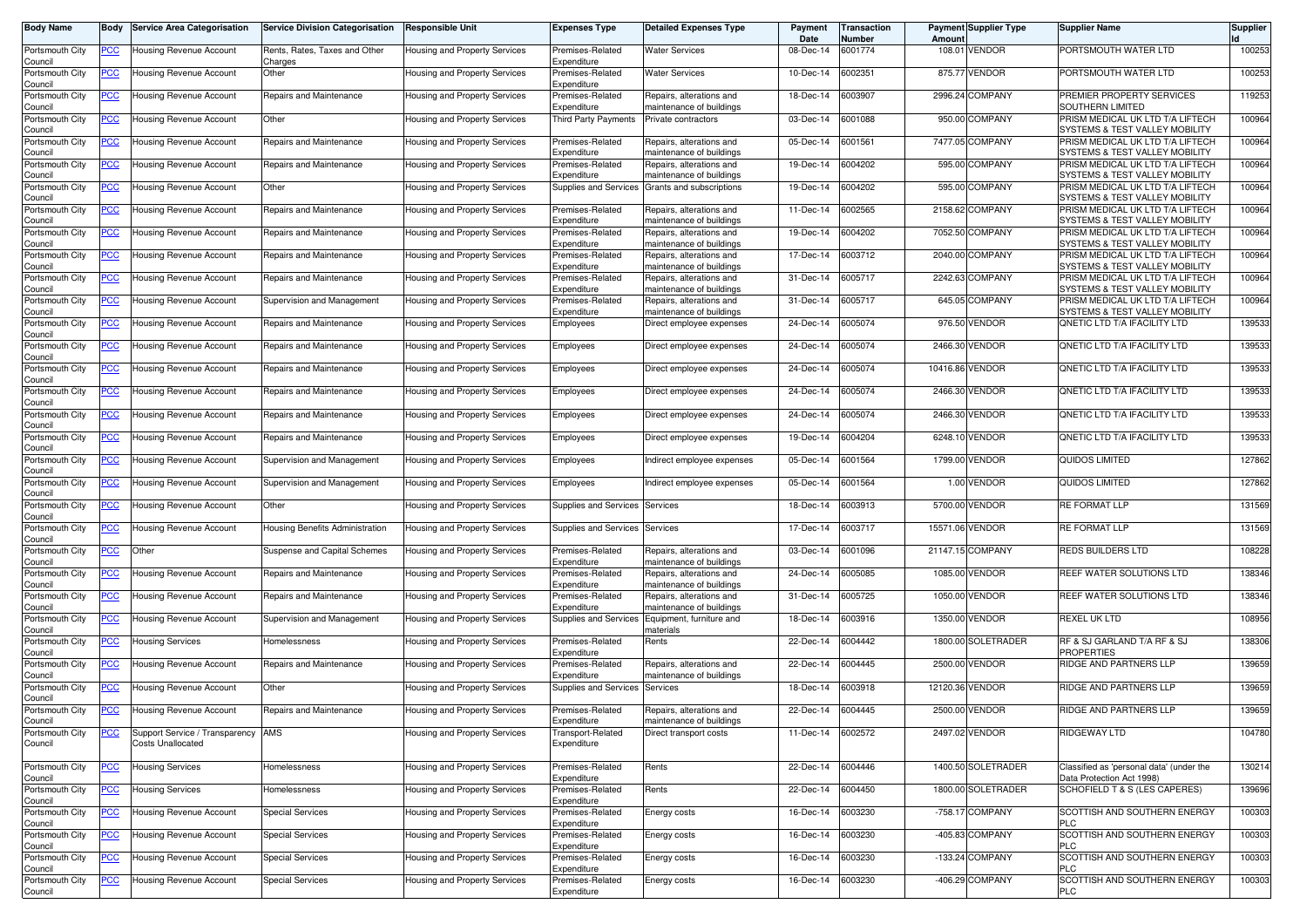| <b>Body Name</b>           | Body        | <b>Service Area Categorisation</b>                         | <b>Service Division Categorisation</b>   | <b>Responsible Unit</b>              | Expenses Type                    | <b>Detailed Expenses Type</b>                        | Payment<br>Date | <b>Transaction</b><br>Number | Amount          | <b>Payment Supplier Type</b> | <b>Supplier Name</b>                                                  | <b>Supplier</b> |
|----------------------------|-------------|------------------------------------------------------------|------------------------------------------|--------------------------------------|----------------------------------|------------------------------------------------------|-----------------|------------------------------|-----------------|------------------------------|-----------------------------------------------------------------------|-----------------|
| Portsmouth City<br>Council | <u>PCC </u> | Housing Revenue Account                                    | Rents, Rates, Taxes and Other<br>Charges | Housing and Property Services        | Premises-Related<br>Expenditure  | Water Services                                       | 08-Dec-14       | 6001774                      |                 | 108.01 VENDOR                | PORTSMOUTH WATER LTD                                                  | 100253          |
| Portsmouth City<br>Council | <u>PCC</u>  | Housing Revenue Account                                    | Other                                    | Housing and Property Services        | Premises-Related<br>Expenditure  | <b>Water Services</b>                                | 10-Dec-14       | 6002351                      |                 | 875.77 VENDOR                | PORTSMOUTH WATER LTD                                                  | 100253          |
| Portsmouth City<br>Council | <u>PCC</u>  | Housing Revenue Account                                    | Repairs and Maintenance                  | Housing and Property Services        | Premises-Related<br>Expenditure  | Repairs, alterations and<br>maintenance of buildings | 18-Dec-14       | 6003907                      |                 | 2996.24 COMPANY              | PREMIER PROPERTY SERVICES<br><b>SOUTHERN LIMITED</b>                  | 119253          |
| Portsmouth City<br>Council | <u>PCC</u>  | Housing Revenue Account                                    | Other                                    | Housing and Property Services        | <b>Third Party Payments</b>      | Private contractors                                  | 03-Dec-14       | 6001088                      |                 | 950.00 COMPANY               | PRISM MEDICAL UK LTD T/A LIFTECH<br>SYSTEMS & TEST VALLEY MOBILITY    | 100964          |
| Portsmouth City<br>Council | <u>PCC</u>  | Housing Revenue Account                                    | Repairs and Maintenance                  | Housing and Property Services        | Premises-Related<br>Expenditure  | Repairs, alterations and<br>naintenance of buildings | 05-Dec-14       | 6001561                      |                 | 7477.05 COMPANY              | PRISM MEDICAL UK LTD T/A LIFTECH<br>SYSTEMS & TEST VALLEY MOBILITY    | 100964          |
| Portsmouth City<br>Council | <u>PCC</u>  | Housing Revenue Account                                    | Repairs and Maintenance                  | Housing and Property Services        | Premises-Related<br>Expenditure  | Repairs, alterations and<br>maintenance of buildings | 19-Dec-14       | 6004202                      |                 | 595.00 COMPANY               | PRISM MEDICAL UK LTD T/A LIFTECH<br>SYSTEMS & TEST VALLEY MOBILITY    | 100964          |
| Portsmouth City<br>Council | <u>PCC</u>  | Housing Revenue Account                                    | Other                                    | Housing and Property Services        | Supplies and Services            | Grants and subscriptions                             | 19-Dec-14       | 6004202                      |                 | 595.00 COMPANY               | PRISM MEDICAL UK LTD T/A LIFTECH<br>SYSTEMS & TEST VALLEY MOBILITY    | 100964          |
| Portsmouth City<br>Council | <u>PCC</u>  | Housing Revenue Account                                    | Repairs and Maintenance                  | Housing and Property Services        | Premises-Related<br>Expenditure  | Repairs, alterations and<br>maintenance of buildings | 11-Dec-14       | 6002565                      |                 | 2158.62 COMPANY              | PRISM MEDICAL UK LTD T/A LIFTECH<br>SYSTEMS & TEST VALLEY MOBILITY    | 100964          |
| Portsmouth City<br>Council | <u>PCC </u> | Housing Revenue Account                                    | Repairs and Maintenance                  | Housing and Property Services        | Premises-Related<br>Expenditure  | Repairs, alterations and<br>naintenance of buildings | 19-Dec-14       | 6004202                      |                 | 7052.50 COMPANY              | PRISM MEDICAL UK LTD T/A LIFTECH<br>SYSTEMS & TEST VALLEY MOBILITY    | 100964          |
| Portsmouth City<br>Council | <u>PCC</u>  | Housing Revenue Account                                    | Repairs and Maintenance                  | Housing and Property Services        | Premises-Related<br>Expenditure  | Repairs, alterations and<br>maintenance of buildings | 17-Dec-14       | 6003712                      |                 | 2040.00 COMPANY              | PRISM MEDICAL UK LTD T/A LIFTECH<br>SYSTEMS & TEST VALLEY MOBILITY    | 100964          |
| Portsmouth City<br>Council | <u>PCC</u>  | Housing Revenue Account                                    | Repairs and Maintenance                  | Housing and Property Services        | Premises-Related<br>Expenditure  | Repairs, alterations and<br>maintenance of buildings | 31-Dec-14       | 6005717                      |                 | 2242.63 COMPANY              | PRISM MEDICAL UK LTD T/A LIFTECH<br>SYSTEMS & TEST VALLEY MOBILITY    | 100964          |
| Portsmouth City<br>Council | <u>PCC</u>  | Housing Revenue Account                                    | Supervision and Management               | Housing and Property Services        | Premises-Related<br>Expenditure  | Repairs, alterations and<br>maintenance of buildings | 31-Dec-14       | 6005717                      |                 | 645.05 COMPANY               | PRISM MEDICAL UK LTD T/A LIFTECH<br>SYSTEMS & TEST VALLEY MOBILITY    | 100964          |
| Portsmouth City<br>Council | <u>PCC</u>  | Housing Revenue Account                                    | Repairs and Maintenance                  | Housing and Property Services        | Employees                        | Direct employee expenses                             | 24-Dec-14       | 6005074                      |                 | 976.50 VENDOR                | QNETIC LTD T/A IFACILITY LTD                                          | 139533          |
| Portsmouth City<br>Council | <u>PCC</u>  | Housing Revenue Account                                    | Repairs and Maintenance                  | Housing and Property Services        | Employees                        | Direct employee expenses                             | 24-Dec-14       | 6005074                      |                 | 2466.30 VENDOR               | <b>QNETIC LTD T/A IFACILITY LTD</b>                                   | 139533          |
| Portsmouth City<br>Council | <u>PCC</u>  | Housing Revenue Account                                    | Repairs and Maintenance                  | Housing and Property Services        | Employees                        | Direct employee expenses                             | 24-Dec-14       | 6005074                      | 10416.86 VENDOR |                              | <b>ONETIC LTD T/A IFACILITY LTD</b>                                   | 139533          |
| Portsmouth City<br>Council | <u>PCC</u>  | Housing Revenue Account                                    | Repairs and Maintenance                  | Housing and Property Services        | Employees                        | Direct employee expenses                             | 24-Dec-14       | 6005074                      |                 | 2466.30 VENDOR               | QNETIC LTD T/A IFACILITY LTD                                          | 139533          |
| Portsmouth City<br>Council | <u>PCC</u>  | Housing Revenue Account                                    | Repairs and Maintenance                  | Housing and Property Services        | Employees                        | Direct employee expenses                             | 24-Dec-14       | 6005074                      |                 | 2466.30 VENDOR               | <b>QNETIC LTD T/A IFACILITY LTD</b>                                   | 139533          |
| Portsmouth City<br>Council | <u>PCC</u>  | Housing Revenue Account                                    | Repairs and Maintenance                  | Housing and Property Services        | Employees                        | Direct employee expenses                             | 19-Dec-14       | 6004204                      |                 | 6248.10 VENDOR               | QNETIC LTD T/A IFACILITY LTD                                          | 139533          |
| Portsmouth City<br>Council | <u>PCC</u>  | Housing Revenue Account                                    | Supervision and Management               | Housing and Property Services        | Employees                        | Indirect employee expenses                           | 05-Dec-14       | 6001564                      |                 | 1799.00 VENDOR               | QUIDOS LIMITED                                                        | 127862          |
| Portsmouth City<br>Council | <u>PCC</u>  | Housing Revenue Account                                    | Supervision and Management               | Housing and Property Services        | Employees                        | Indirect employee expenses                           | 05-Dec-14       | 6001564                      |                 | 1.00 VENDOR                  | <b>QUIDOS LIMITED</b>                                                 | 127862          |
| Portsmouth City<br>Council | <u>PCC</u>  | Housing Revenue Account                                    | Other                                    | Housing and Property Services        | Supplies and Services            | Services                                             | 18-Dec-14       | 6003913                      |                 | 5700.00 VENDOR               | <b>RE FORMAT LLP</b>                                                  | 131569          |
| Portsmouth City<br>Council | <b>PCC</b>  | Housing Revenue Account                                    | Housing Benefits Administration          | Housing and Property Services        | Supplies and Services            | Services                                             | 17-Dec-14       | 6003717                      | 15571.06 VENDOR |                              | RE FORMAT LLP                                                         | 131569          |
| Portsmouth City<br>Council | <u>PCC</u>  | Other                                                      | Suspense and Capital Schemes             | Housing and Property Services        | Premises-Related<br>Expenditure  | Repairs, alterations and<br>maintenance of buildings | 03-Dec-14       | 6001096                      |                 | 21147.15 COMPANY             | <b>REDS BUILDERS LTD</b>                                              | 108228          |
| Portsmouth City<br>Council | <u>PCC</u>  | Housing Revenue Account                                    | Repairs and Maintenance                  | <b>Housing and Property Services</b> | Premises-Related<br>Expenditure  | Repairs, alterations and<br>maintenance of buildings | 24-Dec-14       | 6005085                      |                 | 1085.00 VENDOR               | REEF WATER SOLUTIONS LTD                                              | 138346          |
| Portsmouth City<br>Council | <u>PCC</u>  | Housing Revenue Account                                    | Repairs and Maintenance                  | Housing and Property Services        | Premises-Related<br>Expenditure  | Repairs, alterations and<br>naintenance of buildings | 31-Dec-14       | 6005725                      |                 | 1050.00 VENDOR               | REEF WATER SOLUTIONS LTD                                              | 138346          |
| Portsmouth City<br>Council | <u>PCC</u>  | Housing Revenue Account                                    | Supervision and Management               | Housing and Property Services        | Supplies and Services            | Equipment, furniture and<br>naterials                | 18-Dec-14       | 6003916                      |                 | 1350.00 VENDOR               | <b>REXEL UK LTD</b>                                                   | 108956          |
| Portsmouth City<br>Council | <u>PCC</u>  | Housing Services                                           | Homelessness                             | Housing and Property Services        | Premises-Related<br>Expenditure  | Rents                                                | 22-Dec-14       | 6004442                      |                 | 1800.00 SOLETRADER           | RF & SJ GARLAND T/A RF & SJ<br><b>PROPERTIES</b>                      | 138306          |
| Portsmouth City<br>Council | <u>PCC</u>  | Housing Revenue Account                                    | Repairs and Maintenance                  | Housing and Property Services        | Premises-Related<br>Expenditure  | Repairs, alterations and<br>maintenance of buildings | 22-Dec-14       | 6004445                      |                 | 2500.00 VENDOR               | RIDGE AND PARTNERS LLP                                                | 139659          |
| Portsmouth City<br>Council | <u>PCC</u>  | Housing Revenue Account                                    | Other                                    | Housing and Property Services        | Supplies and Services            | Services                                             | 18-Dec-14       | 6003918                      |                 | 12120.36 VENDOR              | RIDGE AND PARTNERS LLP                                                | 139659          |
| Portsmouth City<br>Council | <u>PCC</u>  | Housing Revenue Account                                    | Repairs and Maintenance                  | Housing and Property Services        | Premises-Related<br>Expenditure  | Repairs, alterations and<br>maintenance of buildings | 22-Dec-14       | 6004445                      |                 | 2500.00 VENDOR               | <b>RIDGE AND PARTNERS LLP</b>                                         | 139659          |
| Portsmouth City<br>Council | <u>PCC</u>  | Support Service / Transparency<br><b>Costs Unallocated</b> | AMS                                      | <b>Housing and Property Services</b> | Transport-Related<br>Expenditure | Direct transport costs                               | 11-Dec-14       | 6002572                      |                 | 2497.02 VENDOR               | RIDGEWAY LTD                                                          | 104780          |
| Portsmouth City<br>Council | <u>PCC</u>  | <b>Housing Services</b>                                    | Homelessness                             | Housing and Property Services        | Premises-Related<br>Expenditure  | Rents                                                | 22-Dec-14       | 6004446                      |                 | 1400.50 SOLETRADER           | Classified as 'personal data' (under the<br>Data Protection Act 1998) | 130214          |
| Portsmouth City<br>Council | <u>PCC</u>  | <b>Housing Services</b>                                    | Homelessness                             | Housing and Property Services        | Premises-Related<br>Expenditure  | Rents                                                | 22-Dec-14       | 6004450                      |                 | 1800.00 SOLETRADER           | SCHOFIELD T & S (LES CAPERES)                                         | 139696          |
| Portsmouth City<br>Council | <u>PCC</u>  | Housing Revenue Account                                    | <b>Special Services</b>                  | Housing and Property Services        | Premises-Related<br>Expenditure  | Energy costs                                         | 16-Dec-14       | 6003230                      |                 | -758.17 COMPANY              | SCOTTISH AND SOUTHERN ENERGY<br><b>PLC</b>                            | 100303          |
| Portsmouth City<br>Council | <u>PCC</u>  | Housing Revenue Account                                    | <b>Special Services</b>                  | Housing and Property Services        | Premises-Related<br>Expenditure  | Energy costs                                         | 16-Dec-14       | 6003230                      |                 | -405.83 COMPANY              | SCOTTISH AND SOUTHERN ENERGY<br><b>PLC</b>                            | 100303          |
| Portsmouth City<br>Council | <u>PCC</u>  | Housing Revenue Account                                    | <b>Special Services</b>                  | Housing and Property Services        | Premises-Related<br>Expenditure  | Energy costs                                         | 16-Dec-14       | 6003230                      |                 | -133.24 COMPANY              | SCOTTISH AND SOUTHERN ENERGY<br><b>PLC</b>                            | 100303          |
| Portsmouth City<br>Council | <u>PCC</u>  | <b>Housing Revenue Account</b>                             | <b>Special Services</b>                  | Housing and Property Services        | Premises-Related<br>Expenditure  | Energy costs                                         | 16-Dec-14       | 6003230                      |                 | -406.29 COMPANY              | SCOTTISH AND SOUTHERN ENERGY<br><b>PLC</b>                            | 100303          |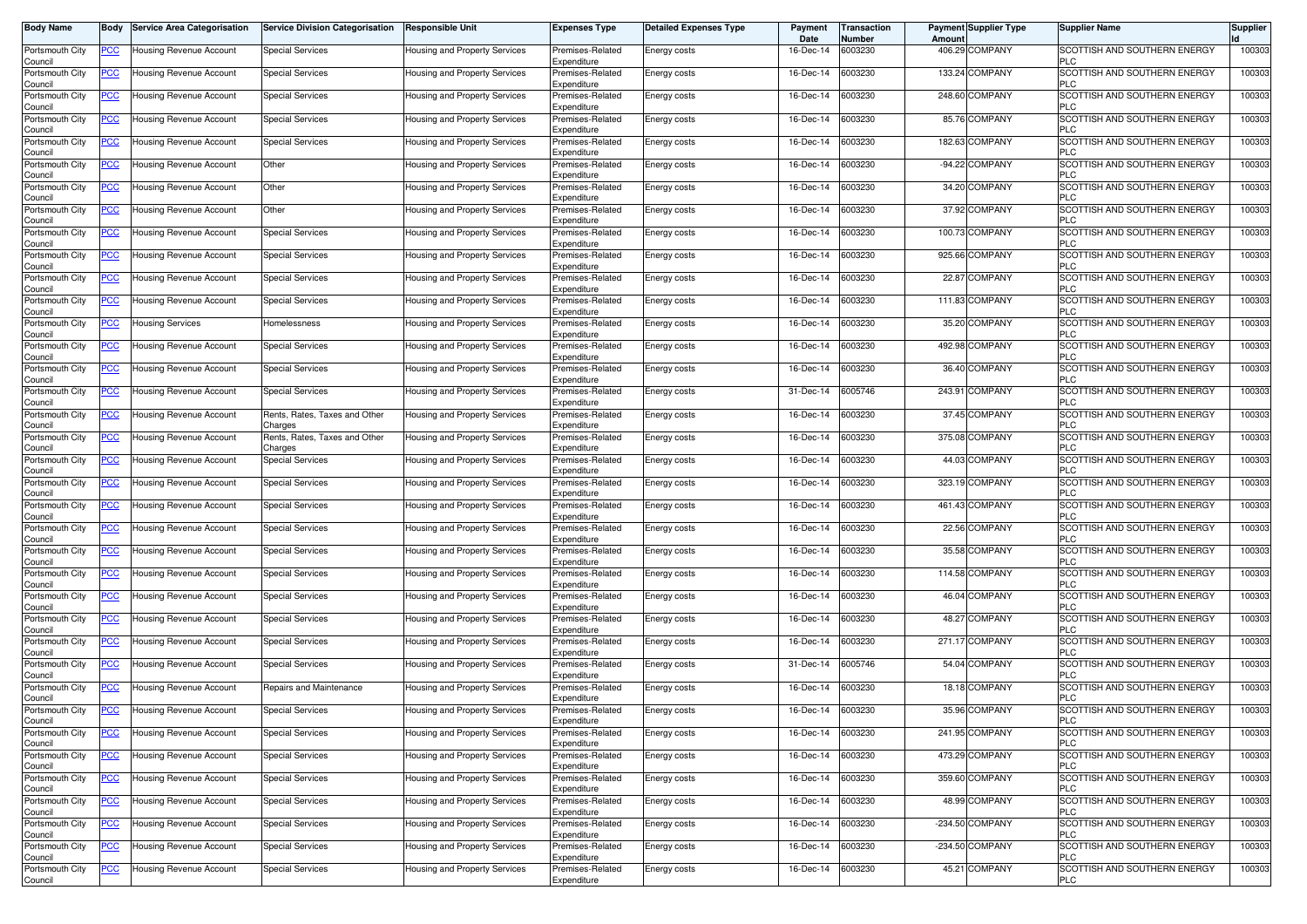| <b>Body Name</b>           | Body           | <b>Service Area Categorisation</b> | <b>Service Division Categorisation</b>   | <b>Responsible Unit</b>              | <b>Expenses Type</b>            | <b>Detailed Expenses Type</b> | Payment<br>Date | ransaction<br>Number | <b>Payment Supplier Type</b><br>Amoun | <b>Supplier Name</b>                              | <b>Supplier</b> |
|----------------------------|----------------|------------------------------------|------------------------------------------|--------------------------------------|---------------------------------|-------------------------------|-----------------|----------------------|---------------------------------------|---------------------------------------------------|-----------------|
| Portsmouth City<br>Council | PCC∶           | Housing Revenue Account            | <b>Special Services</b>                  | Housing and Property Services        | Premises-Related<br>Expenditure | Energy costs                  | 16-Dec-14       | 6003230              | 406.29 COMPANY                        | SCOTTISH AND SOUTHERN ENERGY<br><b>PLC</b>        | 100303          |
| Portsmouth City<br>Council | <u>PCC </u>    | Housing Revenue Account            | <b>Special Services</b>                  | Housing and Property Services        | Premises-Related<br>Expenditure | Energy costs                  | 16-Dec-14       | 6003230              | 133.24 COMPANY                        | SCOTTISH AND SOUTHERN ENERGY<br><b>PLC</b>        | 100303          |
| Portsmouth City<br>Council | <u>PCC </u>    | Housing Revenue Account            | <b>Special Services</b>                  | Housing and Property Services        | Premises-Related<br>Expenditure | Energy costs                  | 16-Dec-14       | 6003230              | 248.60 COMPANY                        | SCOTTISH AND SOUTHERN ENERGY<br><b>PLC</b>        | 100303          |
| Portsmouth City            | <b>PCC</b>     | <b>Housing Revenue Account</b>     | Special Services                         | <b>Housing and Property Services</b> | Premises-Related<br>Expenditure | Energy costs                  | 16-Dec-14       | 6003230              | 85.76 COMPANY                         | SCOTTISH AND SOUTHERN ENERGY<br><b>PLC</b>        | 100303          |
| Council<br>Portsmouth City | <u>PCC</u>     | Housing Revenue Account            | <b>Special Services</b>                  | Housing and Property Services        | Premises-Related                | Energy costs                  | 16-Dec-14       | 6003230              | 182.63 COMPANY                        | SCOTTISH AND SOUTHERN ENERGY<br><b>PLC</b>        | 100303          |
| Council<br>Portsmouth City | <u>PCC </u>    | Housing Revenue Account            | Other                                    | Housing and Property Services        | Expenditure<br>Premises-Related | Energy costs                  | 16-Dec-14       | 6003230              | -94.22 COMPANY                        | SCOTTISH AND SOUTHERN ENERGY                      | 100303          |
| Council<br>Portsmouth City | <u>PCC</u>     | Housing Revenue Account            | Other                                    | <b>Housing and Property Services</b> | Expenditure<br>Premises-Related | Energy costs                  | 16-Dec-14       | 6003230              | 34.20 COMPANY                         | <b>PLC</b><br>SCOTTISH AND SOUTHERN ENERGY        | 100303          |
| Council<br>Portsmouth City | <u>PCC</u>     | Housing Revenue Account            | Other                                    | Housing and Property Services        | Expenditure<br>Premises-Related | Energy costs                  | 16-Dec-14       | 6003230              | 37.92 COMPANY                         | <b>PLC</b><br>SCOTTISH AND SOUTHERN ENERGY        | 100303          |
| Council<br>Portsmouth City | <u>PCC</u>     | Housing Revenue Account            | <b>Special Services</b>                  | Housing and Property Services        | Expenditure<br>Premises-Related | Energy costs                  | 16-Dec-14       | 6003230              | 100.73 COMPANY                        | <b>PLC</b><br>SCOTTISH AND SOUTHERN ENERGY        | 100303          |
| Council<br>Portsmouth City | <u>PCC</u>     | Housing Revenue Account            | <b>Special Services</b>                  | Housing and Property Services        | Expenditure<br>Premises-Related | Energy costs                  | 16-Dec-14       | 6003230              | 925.66 COMPANY                        | <b>PLC</b><br>SCOTTISH AND SOUTHERN ENERGY        | 100303          |
| Council<br>Portsmouth City | <u>PCC</u>     | Housing Revenue Account            | <b>Special Services</b>                  | Housing and Property Services        | Expenditure<br>Premises-Related | Energy costs                  | 16-Dec-14       | 6003230              | 22.87 COMPANY                         | <b>PLC</b><br>SCOTTISH AND SOUTHERN ENERGY        | 100303          |
| Council<br>Portsmouth City | PСC            | Housing Revenue Account            | <b>Special Services</b>                  | Housing and Property Services        | Expenditure<br>Premises-Related | <b>Energy costs</b>           | 16-Dec-14       | 6003230              | 111.83 COMPANY                        | <b>PLC</b><br>SCOTTISH AND SOUTHERN ENERGY        | 100303          |
| Council<br>Portsmouth City | <u>PCC</u>     | Housing Services                   | lomelessness                             | Housing and Property Services        | Expenditure<br>Premises-Related | Energy costs                  | 16-Dec-14       | 6003230              | 35.20 COMPANY                         | <b>PLC</b><br>SCOTTISH AND SOUTHERN ENERGY        | 100303          |
| Council<br>Portsmouth City |                | Housing Revenue Account            | <b>Special Services</b>                  | Housing and Property Services        | Expenditure<br>Premises-Related | <b>Energy costs</b>           | 16-Dec-14       | 6003230              | 492.98 COMPANY                        | <b>PLC</b><br><b>SCOTTISH AND SOUTHERN ENERGY</b> | 100303          |
| Council<br>Portsmouth City | PCC            | Housing Revenue Account            | Special Services                         | Housing and Property Services        | Expenditure<br>Premises-Related | Energy costs                  | 16-Dec-14       | 6003230              | 36.40 COMPANY                         | <b>PLC</b><br>SCOTTISH AND SOUTHERN ENERGY        | 100303          |
| Council<br>Portsmouth City | PСC            | Housing Revenue Account            | <b>Special Services</b>                  | Housing and Property Services        | Expenditure<br>Premises-Related | Energy costs                  | 31-Dec-14       | 6005746              | 243.91 COMPANY                        | <b>PLC</b><br>SCOTTISH AND SOUTHERN ENERGY        | 100303          |
| Council<br>Portsmouth City | PСC            | Housing Revenue Account            | Rents, Rates, Taxes and Other            | Housing and Property Services        | Expenditure<br>Premises-Related | Energy costs                  | 16-Dec-14       | 6003230              | 37.45 COMPANY                         | <b>PLC</b><br>SCOTTISH AND SOUTHERN ENERGY        | 100303          |
| Council<br>Portsmouth City | <u>PCC</u>     | Housing Revenue Account            | Charges<br>Rents, Rates, Taxes and Other | Housing and Property Services        | Expenditure<br>Premises-Related | Energy costs                  | 16-Dec-14       | 6003230              | 375.08 COMPANY                        | <b>PLC</b><br>SCOTTISH AND SOUTHERN ENERGY        | 100303          |
| Council<br>Portsmouth City | <u>PCC</u>     | Housing Revenue Account            | Charges<br><b>Special Services</b>       | Housing and Property Services        | Expenditure<br>Premises-Related | Energy costs                  | 16-Dec-14       | 6003230              | 44.03 COMPANY                         | <b>PLC</b><br>SCOTTISH AND SOUTHERN ENERGY        | 100303          |
| Council<br>Portsmouth City | <u>PCC</u>     | Housing Revenue Account            | <b>Special Services</b>                  | Housing and Property Services        | Expenditure<br>Premises-Related | Energy costs                  | 16-Dec-14       | 6003230              | 323.19 COMPANY                        | <b>PLC</b><br>SCOTTISH AND SOUTHERN ENERGY        | 100303          |
| Council<br>Portsmouth City | <u>PCC</u>     | Housing Revenue Account            | <b>Special Services</b>                  | Housing and Property Services        | Expenditure<br>Premises-Related | Energy costs                  | 16-Dec-14       | 6003230              | 461.43 COMPANY                        | <b>PLC</b><br>SCOTTISH AND SOUTHERN ENERGY        | 100303          |
| Council<br>Portsmouth City | <u>PCC</u>     | Housing Revenue Account            | <b>Special Services</b>                  | Housing and Property Services        | Expenditure<br>Premises-Related | Energy costs                  | 16-Dec-14       | 6003230              | 22.56 COMPANY                         | <b>PLC</b><br>SCOTTISH AND SOUTHERN ENERGY        | 100303          |
| Council<br>Portsmouth City | <u>PCC</u>     | Housing Revenue Account            | <b>Special Services</b>                  | Housing and Property Services        | Expenditure<br>Premises-Related | <b>Energy costs</b>           | 16-Dec-14       | 6003230              | 35.58 COMPANY                         | <b>PLC</b><br>SCOTTISH AND SOUTHERN ENERGY        | 100303          |
| Council<br>Portsmouth City | <u>PCC</u>     | Housing Revenue Account            | Special Services                         | Housing and Property Services        | Expenditure<br>Premises-Related | Energy costs                  | 16-Dec-14       | 6003230              | 114.58 COMPANY                        | <b>PLC</b><br>SCOTTISH AND SOUTHERN ENERGY        | 100303          |
| Council<br>Portsmouth City | $\overline{C}$ | Housing Revenue Account            | <b>Special Services</b>                  | Housing and Property Services        | Expenditure<br>Premises-Related | Energy costs                  | 16-Dec-14       | 6003230              | 46.04 COMPANY                         | <b>PLC</b><br>SCOTTISH AND SOUTHERN ENERGY        | 100303          |
| Council<br>Portsmouth City | <b>PCC</b>     | Housing Revenue Account            | <b>Special Services</b>                  | Housing and Property Services        | Expenditure<br>Premises-Related | Energy costs                  | 16-Dec-14       | 6003230              | 48.27 COMPANY                         | <b>PLC</b><br>SCOTTISH AND SOUTHERN ENERGY        | 100303          |
| Council<br>Portsmouth City | <u>PCC </u>    | Housing Revenue Account            | Special Services                         | Housing and Property Services        | Expenditure<br>Premises-Related | Energy costs                  | 16-Dec-14       | 6003230              | 271.17 COMPANY                        | <b>PLC</b><br>SCOTTISH AND SOUTHERN ENERGY        | 100303          |
| Council<br>Portsmouth City | <u>PCC </u>    | Housing Revenue Account            | <b>Special Services</b>                  | <b>Housing and Property Services</b> | Expenditure<br>Premises-Related | Energy costs                  | 31-Dec-14       | 6005746              | 54.04 COMPANY                         | <b>PLC</b><br>SCOTTISH AND SOUTHERN ENERGY        | 100303          |
| Council<br>Portsmouth City | <b>PCC</b>     | Housing Revenue Account            | Repairs and Maintenance                  | <b>Housing and Property Services</b> | Expenditure<br>Premises-Related | Energy costs                  | 16-Dec-14       | 6003230              | 18.18 COMPANY                         | <b>PLC</b><br>SCOTTISH AND SOUTHERN ENERGY        | 100303          |
| Council<br>Portsmouth City | <u>PCC </u>    | <b>Housing Revenue Account</b>     | <b>Special Services</b>                  | Housing and Property Services        | Expenditure<br>Premises-Related | Energy costs                  | 16-Dec-14       | 6003230              | 35.96 COMPANY                         | <b>PLC</b><br>SCOTTISH AND SOUTHERN ENERGY        | 100303          |
| ouncil<br>Portsmouth City  | <u>PCC</u>     | Housing Revenue Account            | <b>Special Services</b>                  | Housing and Property Services        | Expenditure<br>Premises-Related | Energy costs                  | 16-Dec-14       | 6003230              | 241.95 COMPANY                        | SCOTTISH AND SOUTHERN ENERGY                      | 100303          |
| Council<br>Portsmouth City | <u>PCC</u>     | Housing Revenue Account            | <b>Special Services</b>                  | Housing and Property Services        | Expenditure<br>Premises-Related | Energy costs                  | 16-Dec-14       | 6003230              | 473.29 COMPANY                        | <b>PLC</b><br>SCOTTISH AND SOUTHERN ENERGY        | 100303          |
| Council<br>Portsmouth City | PСC            | Housing Revenue Account            | <b>Special Services</b>                  | Housing and Property Services        | Expenditure<br>Premises-Related | Energy costs                  | 16-Dec-14       | 6003230              | 359.60 COMPANY                        | <b>PLC</b><br>SCOTTISH AND SOUTHERN ENERGY        | 100303          |
| Council<br>Portsmouth City | <u>PCC</u>     | Housing Revenue Account            | <b>Special Services</b>                  | Housing and Property Services        | Expenditure<br>Premises-Related | Energy costs                  | 16-Dec-14       | 6003230              | 48.99 COMPANY                         | <b>PLC</b><br>SCOTTISH AND SOUTHERN ENERGY        | 100303          |
| Council<br>Portsmouth City | <u>PCC</u>     | Housing Revenue Account            | <b>Special Services</b>                  | Housing and Property Services        | Expenditure<br>Premises-Related | Energy costs                  | 16-Dec-14       | 6003230              | -234.50 COMPANY                       | <b>PLC</b><br>SCOTTISH AND SOUTHERN ENERGY        | 100303          |
| Council<br>Portsmouth City | <b>PCC</b>     | Housing Revenue Account            | <b>Special Services</b>                  | Housing and Property Services        | Expenditure<br>Premises-Related | Energy costs                  | 16-Dec-14       | 6003230              | -234.50 COMPANY                       | <b>PLC</b><br>SCOTTISH AND SOUTHERN ENERGY        | 100303          |
| Council<br>Portsmouth City | <u>PCC</u>     | Housing Revenue Account            | <b>Special Services</b>                  | Housing and Property Services        | Expenditure<br>Premises-Related | Energy costs                  | 16-Dec-14       | 6003230              | 45.21 COMPANY                         | <b>PLC</b><br>SCOTTISH AND SOUTHERN ENERGY        | 100303          |
| Council                    |                |                                    |                                          |                                      | Expenditure                     |                               |                 |                      |                                       | <b>PLC</b>                                        |                 |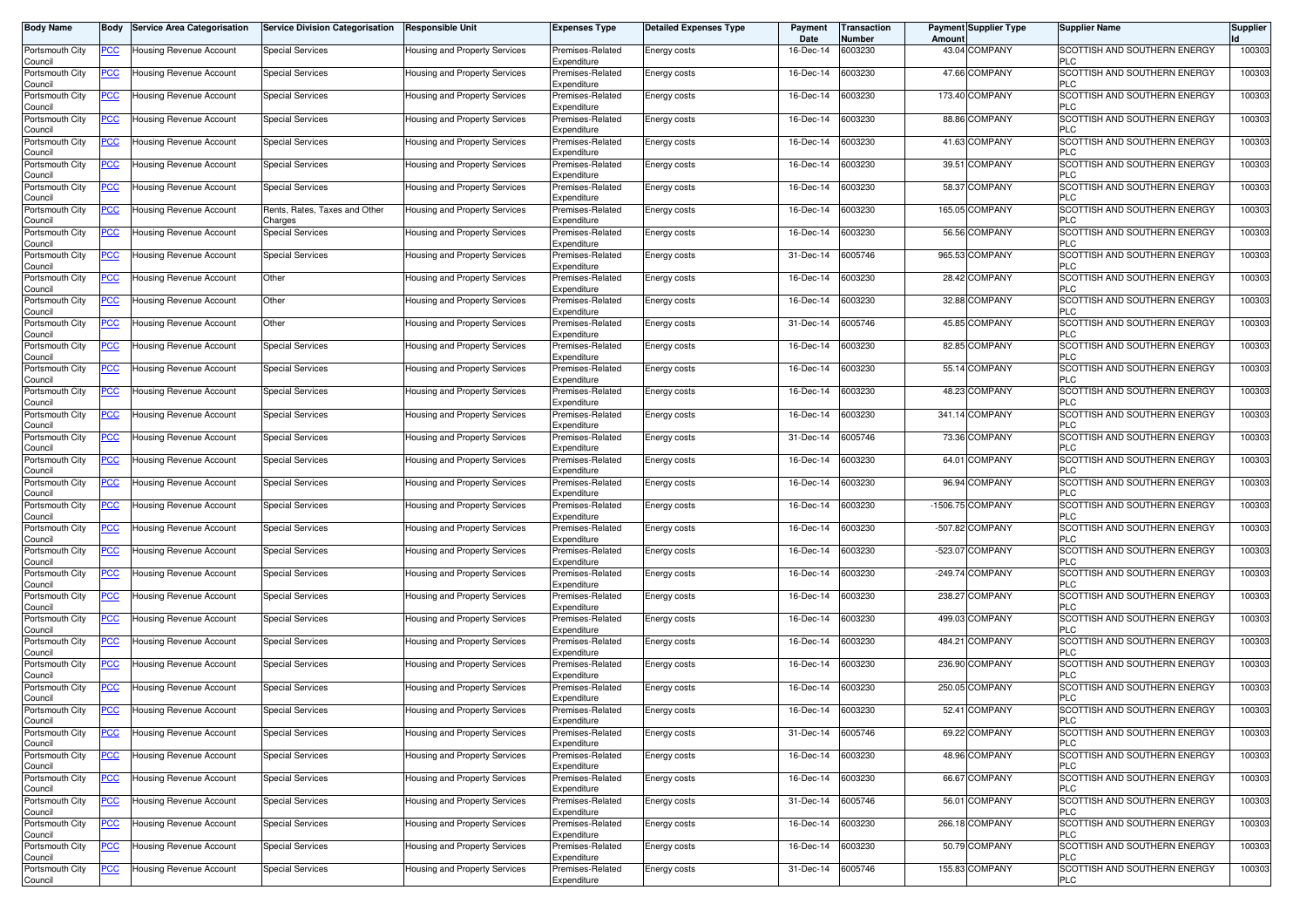| <b>Body Name</b>           | Body           | <b>Service Area Categorisation</b> | <b>Service Division Categorisation</b>   | <b>Responsible Unit</b>              | <b>Expenses Type</b>            | <b>Detailed Expenses Type</b> | Payment<br>Date | <b>Transaction</b><br>Number | <b>Payment Supplier Type</b><br>Amoun | <b>Supplier Name</b>                       | <b>Supplier</b> |
|----------------------------|----------------|------------------------------------|------------------------------------------|--------------------------------------|---------------------------------|-------------------------------|-----------------|------------------------------|---------------------------------------|--------------------------------------------|-----------------|
| Portsmouth City<br>Council | PCC∶           | Housing Revenue Account            | <b>Special Services</b>                  | Housing and Property Services        | Premises-Related<br>Expenditure | Energy costs                  | 16-Dec-14       | 6003230                      | 43.04 COMPANY                         | SCOTTISH AND SOUTHERN ENERGY<br><b>PLC</b> | 100303          |
| Portsmouth City<br>Council | <u>PCC </u>    | Housing Revenue Account            | <b>Special Services</b>                  | Housing and Property Services        | Premises-Related<br>Expenditure | Energy costs                  | 16-Dec-14       | 6003230                      | 47.66 COMPANY                         | SCOTTISH AND SOUTHERN ENERGY<br><b>PLC</b> | 100303          |
| Portsmouth City<br>Council | <u>PCC </u>    | Housing Revenue Account            | <b>Special Services</b>                  | Housing and Property Services        | Premises-Related<br>Expenditure | Energy costs                  | 16-Dec-14       | 6003230                      | 173.40 COMPANY                        | SCOTTISH AND SOUTHERN ENERGY<br><b>PLC</b> | 100303          |
| Portsmouth City<br>Council | <b>PCC</b>     | <b>Housing Revenue Account</b>     | <b>Special Services</b>                  | Housing and Property Services        | Premises-Related<br>Expenditure | Energy costs                  | 16-Dec-14       | 6003230                      | 88.86 COMPANY                         | SCOTTISH AND SOUTHERN ENERGY<br><b>PLC</b> | 100303          |
| Portsmouth City<br>Council | <u>PCC</u>     | Housing Revenue Account            | <b>Special Services</b>                  | Housing and Property Services        | Premises-Related<br>Expenditure | Energy costs                  | 16-Dec-14       | 6003230                      | 41.63 COMPANY                         | SCOTTISH AND SOUTHERN ENERGY<br><b>PLC</b> | 100303          |
| Portsmouth City<br>Council | <u>PCC </u>    | Housing Revenue Account            | Special Services                         | Housing and Property Services        | Premises-Related<br>Expenditure | Energy costs                  | 16-Dec-14       | 6003230                      | 39.51 COMPANY                         | SCOTTISH AND SOUTHERN ENERGY<br><b>PLC</b> | 100303          |
| Portsmouth City<br>Council | <u>PCC </u>    | Housing Revenue Account            | <b>Special Services</b>                  | Housing and Property Services        | Premises-Related<br>Expenditure | Energy costs                  | 16-Dec-14       | 6003230                      | 58.37 COMPANY                         | SCOTTISH AND SOUTHERN ENERGY<br><b>PLC</b> | 100303          |
| Portsmouth City<br>Council | <u>PCC</u>     | <b>Housing Revenue Account</b>     | Rents, Rates, Taxes and Other<br>Charges | Housing and Property Services        | Premises-Related<br>Expenditure | Energy costs                  | 16-Dec-14       | 6003230                      | 165.05 COMPANY                        | SCOTTISH AND SOUTHERN ENERGY<br><b>PLC</b> | 100303          |
| Portsmouth City<br>Council | <u>PCC</u>     | Housing Revenue Account            | <b>Special Services</b>                  | Housing and Property Services        | Premises-Related<br>Expenditure | Energy costs                  | 16-Dec-14       | 6003230                      | 56.56 COMPANY                         | SCOTTISH AND SOUTHERN ENERGY<br><b>PLC</b> | 100303          |
| Portsmouth City<br>Council | <u>PCC</u>     | Housing Revenue Account            | <b>Special Services</b>                  | Housing and Property Services        | Premises-Related<br>Expenditure | Energy costs                  | 31-Dec-14       | 6005746                      | 965.53 COMPANY                        | SCOTTISH AND SOUTHERN ENERGY<br><b>PLC</b> | 100303          |
| Portsmouth City<br>Council | <u>PCC</u>     | Housing Revenue Account            | Other                                    | Housing and Property Services        | Premises-Related<br>Expenditure | Energy costs                  | 16-Dec-14       | 6003230                      | 28.42 COMPANY                         | SCOTTISH AND SOUTHERN ENERGY<br><b>PLC</b> | 100303          |
| Portsmouth City<br>Council | <u>PCC</u>     | Housing Revenue Account            | Other                                    | Housing and Property Services        | Premises-Related<br>Expenditure | <b>Energy costs</b>           | 16-Dec-14       | 6003230                      | 32.88 COMPANY                         | SCOTTISH AND SOUTHERN ENERGY<br><b>PLC</b> | 100303          |
| Portsmouth City<br>Council | <u>PCC</u>     | Housing Revenue Account            | Other                                    | Housing and Property Services        | Premises-Related<br>Expenditure | Energy costs                  | 31-Dec-14       | 6005746                      | 45.85 COMPANY                         | SCOTTISH AND SOUTHERN ENERGY<br><b>PLC</b> | 100303          |
| Portsmouth City<br>Council |                | Housing Revenue Account            | <b>Special Services</b>                  | Housing and Property Services        | Premises-Related<br>Expenditure | <b>Energy costs</b>           | 16-Dec-14       | 6003230                      | 82.85 COMPANY                         | SCOTTISH AND SOUTHERN ENERGY<br><b>PLC</b> | 100303          |
| Portsmouth City<br>Council | PCC            | Housing Revenue Account            | Special Services                         | Housing and Property Services        | Premises-Related<br>Expenditure | Energy costs                  | 16-Dec-14       | 6003230                      | 55.14 COMPANY                         | SCOTTISH AND SOUTHERN ENERGY<br><b>PLC</b> | 100303          |
| Portsmouth City<br>Council | PСC            | Housing Revenue Account            | <b>Special Services</b>                  | Housing and Property Services        | Premises-Related<br>Expenditure | Energy costs                  | 16-Dec-14       | 6003230                      | 48.23 COMPANY                         | SCOTTISH AND SOUTHERN ENERGY<br><b>PLC</b> | 100303          |
| Portsmouth City<br>Council | PСC            | <b>Housing Revenue Account</b>     | <b>Special Services</b>                  | <b>Housing and Property Services</b> | Premises-Related<br>Expenditure | Energy costs                  | 16-Dec-14       | 6003230                      | 341.14 COMPANY                        | SCOTTISH AND SOUTHERN ENERGY<br><b>PLC</b> | 100303          |
| Portsmouth City<br>Council | <u>PCC</u>     | <b>Housing Revenue Account</b>     | <b>Special Services</b>                  | Housing and Property Services        | Premises-Related<br>Expenditure | Energy costs                  | 31-Dec-14       | 6005746                      | 73.36 COMPANY                         | SCOTTISH AND SOUTHERN ENERGY<br><b>PLC</b> | 100303          |
| Portsmouth City<br>Council | <u>PCC </u>    | Housing Revenue Account            | <b>Special Services</b>                  | <b>Housing and Property Services</b> | Premises-Related<br>Expenditure | Energy costs                  | 16-Dec-14       | 6003230                      | 64.01 COMPANY                         | SCOTTISH AND SOUTHERN ENERGY<br><b>PLC</b> | 100303          |
| Portsmouth City<br>Council | <u>PCC</u>     | Housing Revenue Account            | <b>Special Services</b>                  | Housing and Property Services        | Premises-Related<br>Expenditure | Energy costs                  | 16-Dec-14       | 6003230                      | 96.94 COMPANY                         | SCOTTISH AND SOUTHERN ENERGY<br><b>PLC</b> | 100303          |
| Portsmouth City<br>Council | <u>PCC</u>     | Housing Revenue Account            | <b>Special Services</b>                  | Housing and Property Services        | Premises-Related<br>Expenditure | Energy costs                  | 16-Dec-14       | 6003230                      | -1506.75 COMPANY                      | SCOTTISH AND SOUTHERN ENERGY<br><b>PLC</b> | 100303          |
| Portsmouth City<br>Council | <u>PCC</u>     | Housing Revenue Account            | <b>Special Services</b>                  | Housing and Property Services        | Premises-Related<br>Expenditure | Energy costs                  | 16-Dec-14       | 6003230                      | -507.82 COMPANY                       | SCOTTISH AND SOUTHERN ENERGY<br><b>PLC</b> | 100303          |
| Portsmouth City<br>Council | <u>PCC</u>     | Housing Revenue Account            | <b>Special Services</b>                  | Housing and Property Services        | Premises-Related<br>Expenditure | <b>Energy costs</b>           | 16-Dec-14       | 6003230                      | -523.07 COMPANY                       | SCOTTISH AND SOUTHERN ENERGY<br><b>PLC</b> | 100303          |
| Portsmouth City<br>Council | <u>PCC</u>     | Housing Revenue Account            | Special Services                         | Housing and Property Services        | Premises-Related<br>Expenditure | Energy costs                  | 16-Dec-14       | 6003230                      | -249.74 COMPANY                       | SCOTTISH AND SOUTHERN ENERGY<br><b>PLC</b> | 100303          |
| Portsmouth City<br>Council | $\overline{C}$ | Housing Revenue Account            | <b>Special Services</b>                  | Housing and Property Services        | Premises-Related<br>Expenditure | Energy costs                  | 16-Dec-14       | 6003230                      | <b>COMPANY</b><br>238.27              | SCOTTISH AND SOUTHERN ENERGY<br><b>PLC</b> | 100303          |
| Portsmouth City<br>Council | <b>PCC</b>     | Housing Revenue Account            | <b>Special Services</b>                  | Housing and Property Services        | Premises-Related<br>Expenditure | Energy costs                  | 16-Dec-14       | 6003230                      | 499.03 COMPANY                        | SCOTTISH AND SOUTHERN ENERGY<br><b>PLC</b> | 100303          |
| Portsmouth City<br>Council | <u>PCC </u>    | Housing Revenue Account            | Special Services                         | Housing and Property Services        | Premises-Related<br>Expenditure | Energy costs                  | 16-Dec-14       | 6003230                      | 484.21 COMPANY                        | SCOTTISH AND SOUTHERN ENERGY<br><b>PLC</b> | 100303          |
| Portsmouth City<br>Council | <u>PCC </u>    | Housing Revenue Account            | <b>Special Services</b>                  | <b>Housing and Property Services</b> | Premises-Related<br>Expenditure | Energy costs                  | 16-Dec-14       | 6003230                      | 236.90 COMPANY                        | SCOTTISH AND SOUTHERN ENERGY<br><b>PLC</b> | 100303          |
| Portsmouth City<br>Council | <u>PCC</u>     | <b>Housing Revenue Account</b>     | Special Services                         | <b>Housing and Property Services</b> | Premises-Related<br>Expenditure | Energy costs                  | 16-Dec-14       | 6003230                      | 250.05 COMPANY                        | SCOTTISH AND SOUTHERN ENERGY<br><b>PLC</b> | 100303          |
| Portsmouth City<br>ouncil  | <u>PCC </u>    | <b>Housing Revenue Account</b>     | <b>Special Services</b>                  | Housing and Property Services        | Premises-Related<br>Expenditure | Energy costs                  | 16-Dec-14       | 6003230                      | 52.41 COMPANY                         | SCOTTISH AND SOUTHERN ENERGY               | 100303          |
| Portsmouth City<br>Council | <u>PCC</u>     | Housing Revenue Account            | <b>Special Services</b>                  | Housing and Property Services        | Premises-Related<br>Expenditure | Energy costs                  | 31-Dec-14       | 6005746                      | 69.22 COMPANY                         | SCOTTISH AND SOUTHERN ENERGY<br><b>PLC</b> | 100303          |
| Portsmouth City<br>Council | <u>PCC</u>     | Housing Revenue Account            | <b>Special Services</b>                  | Housing and Property Services        | Premises-Related<br>Expenditure | Energy costs                  | 16-Dec-14       | 6003230                      | 48.96 COMPANY                         | SCOTTISH AND SOUTHERN ENERGY<br><b>PLC</b> | 100303          |
| Portsmouth City<br>Council | PCC            | Housing Revenue Account            | <b>Special Services</b>                  | Housing and Property Services        | Premises-Related<br>Expenditure | Energy costs                  | 16-Dec-14       | 6003230                      | 66.67 COMPANY                         | SCOTTISH AND SOUTHERN ENERGY<br><b>PLC</b> | 100303          |
| Portsmouth City<br>Council | <u>PCC</u>     | Housing Revenue Account            | <b>Special Services</b>                  | Housing and Property Services        | Premises-Related<br>Expenditure | Energy costs                  | 31-Dec-14       | 6005746                      | 56.01 COMPANY                         | SCOTTISH AND SOUTHERN ENERGY<br><b>PLC</b> | 100303          |
| Portsmouth City<br>Council | <u>PCC</u>     | Housing Revenue Account            | <b>Special Services</b>                  | Housing and Property Services        | Premises-Related<br>Expenditure | Energy costs                  | 16-Dec-14       | 6003230                      | 266.18 COMPANY                        | SCOTTISH AND SOUTHERN ENERGY<br><b>PLC</b> | 100303          |
| Portsmouth City<br>Council | <b>PCC</b>     | Housing Revenue Account            | <b>Special Services</b>                  | Housing and Property Services        | Premises-Related<br>Expenditure | Energy costs                  | 16-Dec-14       | 6003230                      | 50.79 COMPANY                         | SCOTTISH AND SOUTHERN ENERGY<br><b>PLC</b> | 100303          |
| Portsmouth City<br>Council | <u>PCC</u>     | Housing Revenue Account            | <b>Special Services</b>                  | Housing and Property Services        | Premises-Related<br>Expenditure | Energy costs                  | 31-Dec-14       | 6005746                      | 155.83 COMPANY                        | SCOTTISH AND SOUTHERN ENERGY<br><b>PLC</b> | 100303          |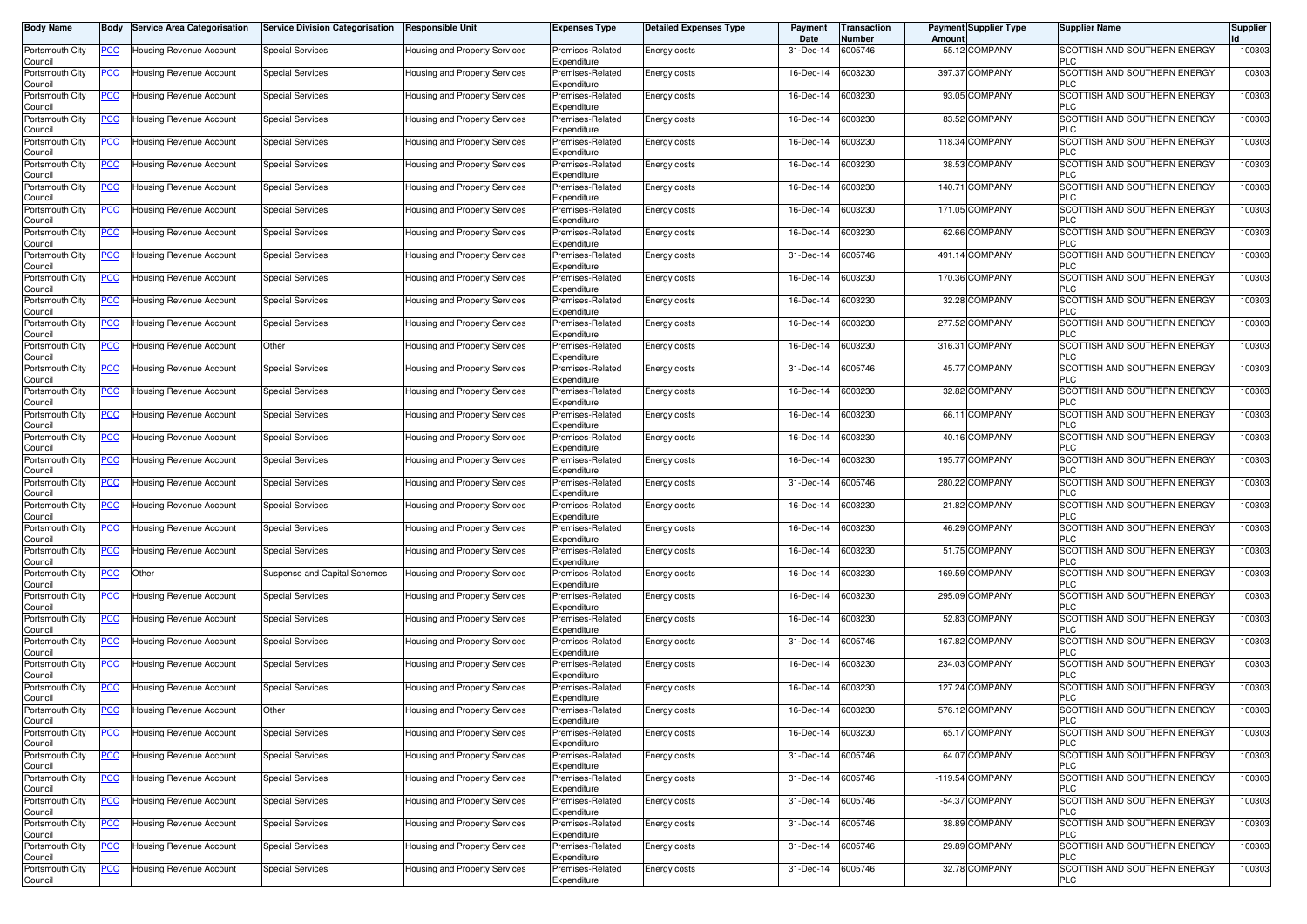| <b>Body Name</b>           | Body           | <b>Service Area Categorisation</b> | <b>Service Division Categorisation</b> | <b>Responsible Unit</b>              | <b>Expenses Type</b>            | <b>Detailed Expenses Type</b> | Payment<br>Date | <b>Transaction</b><br>Number | <b>Payment Supplier Type</b><br>Amoun | <b>Supplier Name</b>                              | <b>Supplier</b> |
|----------------------------|----------------|------------------------------------|----------------------------------------|--------------------------------------|---------------------------------|-------------------------------|-----------------|------------------------------|---------------------------------------|---------------------------------------------------|-----------------|
| Portsmouth City<br>Council | PCC∶           | Housing Revenue Account            | <b>Special Services</b>                | Housing and Property Services        | Premises-Related<br>Expenditure | Energy costs                  | 31-Dec-14       | 6005746                      | 55.12 COMPANY                         | SCOTTISH AND SOUTHERN ENERGY<br><b>PLC</b>        | 100303          |
| Portsmouth City<br>Council | <u>PCC </u>    | Housing Revenue Account            | <b>Special Services</b>                | Housing and Property Services        | Premises-Related<br>Expenditure | Energy costs                  | 16-Dec-14       | 6003230                      | 397.37 COMPANY                        | SCOTTISH AND SOUTHERN ENERGY<br><b>PLC</b>        | 100303          |
| Portsmouth City<br>Council | <u>PCC </u>    | Housing Revenue Account            | <b>Special Services</b>                | Housing and Property Services        | Premises-Related<br>Expenditure | Energy costs                  | 16-Dec-14       | 6003230                      | 93.05 COMPANY                         | SCOTTISH AND SOUTHERN ENERGY<br><b>PLC</b>        | 100303          |
| Portsmouth City<br>Council | <b>PCC</b>     | <b>Housing Revenue Account</b>     | Special Services                       | <b>Housing and Property Services</b> | Premises-Related<br>Expenditure | Energy costs                  | 16-Dec-14       | 6003230                      | 83.52 COMPANY                         | SCOTTISH AND SOUTHERN ENERGY<br><b>PLC</b>        | 100303          |
| Portsmouth City<br>Council | <u>PCC</u>     | Housing Revenue Account            | <b>Special Services</b>                | Housing and Property Services        | Premises-Related<br>Expenditure | Energy costs                  | 16-Dec-14       | 6003230                      | 118.34 COMPANY                        | SCOTTISH AND SOUTHERN ENERGY<br><b>PLC</b>        | 100303          |
| Portsmouth City<br>Council | <u>PCC </u>    | Housing Revenue Account            | Special Services                       | Housing and Property Services        | Premises-Related<br>Expenditure | Energy costs                  | 16-Dec-14       | 6003230                      | 38.53 COMPANY                         | SCOTTISH AND SOUTHERN ENERGY<br><b>PLC</b>        | 100303          |
| Portsmouth City<br>Council | <u>PCC </u>    | Housing Revenue Account            | <b>Special Services</b>                | Housing and Property Services        | Premises-Related<br>Expenditure | Energy costs                  | 16-Dec-14       | 6003230                      | 140.71 COMPANY                        | SCOTTISH AND SOUTHERN ENERGY<br><b>PLC</b>        | 100303          |
| Portsmouth City<br>Council | <u>PCC</u>     | Housing Revenue Account            | <b>Special Services</b>                | Housing and Property Services        | Premises-Related<br>Expenditure | Energy costs                  | 16-Dec-14       | 6003230                      | 171.05 COMPANY                        | SCOTTISH AND SOUTHERN ENERGY<br><b>PLC</b>        | 100303          |
| Portsmouth City<br>Council | <u>PCC</u>     | Housing Revenue Account            | <b>Special Services</b>                | Housing and Property Services        | Premises-Related<br>Expenditure | Energy costs                  | 16-Dec-14       | 6003230                      | 62.66 COMPANY                         | SCOTTISH AND SOUTHERN ENERGY<br><b>PLC</b>        | 100303          |
| Portsmouth City<br>Council | <u>PCC</u>     | Housing Revenue Account            | <b>Special Services</b>                | Housing and Property Services        | Premises-Related<br>Expenditure | Energy costs                  | 31-Dec-14       | 6005746                      | 491.14 COMPANY                        | SCOTTISH AND SOUTHERN ENERGY<br><b>PLC</b>        | 100303          |
| Portsmouth City<br>Council | <u>PCC</u>     | Housing Revenue Account            | <b>Special Services</b>                | Housing and Property Services        | Premises-Related<br>Expenditure | Energy costs                  | 16-Dec-14       | 6003230                      | 170.36 COMPANY                        | SCOTTISH AND SOUTHERN ENERGY<br><b>PLC</b>        | 100303          |
| Portsmouth City<br>Council | <u>PCC</u>     | Housing Revenue Account            | <b>Special Services</b>                | Housing and Property Services        | Premises-Related<br>Expenditure | <b>Energy costs</b>           | 16-Dec-14       | 6003230                      | 32.28 COMPANY                         | SCOTTISH AND SOUTHERN ENERGY<br><b>PLC</b>        | 100303          |
| Portsmouth City<br>Council | <u>PCC</u>     | Housing Revenue Account            | <b>Special Services</b>                | Housing and Property Services        | Premises-Related<br>Expenditure | Energy costs                  | 16-Dec-14       | 6003230                      | 277.52 COMPANY                        | SCOTTISH AND SOUTHERN ENERGY<br><b>PLC</b>        | 100303          |
| Portsmouth City<br>Council |                | Housing Revenue Account            | Other                                  | Housing and Property Services        | Premises-Related<br>Expenditure | <b>Energy costs</b>           | 16-Dec-14       | 6003230                      | 316.31 COMPANY                        | SCOTTISH AND SOUTHERN ENERGY<br><b>PLC</b>        | 100303          |
| Portsmouth City<br>Council | PCC            | Housing Revenue Account            | <b>Special Services</b>                | Housing and Property Services        | Premises-Related<br>Expenditure | Energy costs                  | 31-Dec-14       | 6005746                      | 45.77 COMPANY                         | SCOTTISH AND SOUTHERN ENERGY<br><b>PLC</b>        | 100303          |
| Portsmouth City<br>Council | PСC            | Housing Revenue Account            | <b>Special Services</b>                | Housing and Property Services        | Premises-Related<br>Expenditure | Energy costs                  | 16-Dec-14       | 6003230                      | 32.82 COMPANY                         | SCOTTISH AND SOUTHERN ENERGY<br><b>PLC</b>        | 100303          |
| Portsmouth City<br>Council | PСC            | Housing Revenue Account            | <b>Special Services</b>                | Housing and Property Services        | Premises-Related<br>Expenditure | Energy costs                  | 16-Dec-14       | 6003230                      | 66.11 COMPANY                         | SCOTTISH AND SOUTHERN ENERGY<br><b>PLC</b>        | 100303          |
| Portsmouth City<br>Council | <u>PCC</u>     | Housing Revenue Account            | <b>Special Services</b>                | Housing and Property Services        | Premises-Related<br>Expenditure | Energy costs                  | 16-Dec-14       | 6003230                      | 40.16 COMPANY                         | SCOTTISH AND SOUTHERN ENERGY<br><b>PLC</b>        | 100303          |
| Portsmouth City<br>Council | <u>PCC </u>    | Housing Revenue Account            | <b>Special Services</b>                | Housing and Property Services        | Premises-Related<br>Expenditure | Energy costs                  | 16-Dec-14       | 6003230                      | 195.77 COMPANY                        | SCOTTISH AND SOUTHERN ENERGY<br><b>PLC</b>        | 100303          |
| Portsmouth City<br>Council | <u>PCC</u>     | Housing Revenue Account            | <b>Special Services</b>                | Housing and Property Services        | Premises-Related<br>Expenditure | Energy costs                  | 31-Dec-14       | 6005746                      | 280.22 COMPANY                        | SCOTTISH AND SOUTHERN ENERGY<br><b>PLC</b>        | 100303          |
| Portsmouth City<br>Council | PСC            | Housing Revenue Account            | <b>Special Services</b>                | Housing and Property Services        | Premises-Related<br>Expenditure | Energy costs                  | 16-Dec-14       | 6003230                      | 21.82 COMPANY                         | SCOTTISH AND SOUTHERN ENERGY<br><b>PLC</b>        | 100303          |
| Portsmouth City<br>Council | <u>PCC</u>     | Housing Revenue Account            | <b>Special Services</b>                | Housing and Property Services        | Premises-Related<br>Expenditure | Energy costs                  | 16-Dec-14       | 6003230                      | 46.29 COMPANY                         | SCOTTISH AND SOUTHERN ENERGY<br><b>PLC</b>        | 100303          |
| Portsmouth City<br>Council | <u>PCC</u>     | Housing Revenue Account            | <b>Special Services</b>                | Housing and Property Services        | Premises-Related<br>Expenditure | <b>Energy costs</b>           | 16-Dec-14       | 6003230                      | 51.75 COMPANY                         | SCOTTISH AND SOUTHERN ENERGY<br><b>PLC</b>        | 100303          |
| Portsmouth City<br>Council | <u>PCC</u>     | Other                              | Suspense and Capital Schemes           | Housing and Property Services        | Premises-Related<br>Expenditure | Energy costs                  | 16-Dec-14       | 6003230                      | 169.59 COMPANY                        | SCOTTISH AND SOUTHERN ENERGY<br><b>PLC</b>        | 100303          |
| Portsmouth City<br>Council | $\overline{C}$ | Housing Revenue Account            | <b>Special Services</b>                | Housing and Property Services        | Premises-Related<br>Expenditure | Energy costs                  | 16-Dec-14       | 6003230                      | 295.09 COMPANY                        | SCOTTISH AND SOUTHERN ENERGY<br><b>PLC</b>        | 100303          |
| Portsmouth City<br>Council | <b>PCC</b>     | Housing Revenue Account            | <b>Special Services</b>                | Housing and Property Services        | Premises-Related<br>Expenditure | Energy costs                  | 16-Dec-14       | 6003230                      | 52.83 COMPANY                         | SCOTTISH AND SOUTHERN ENERGY<br><b>PLC</b>        | 100303          |
| Portsmouth City<br>Council | <u>PCC </u>    | Housing Revenue Account            | Special Services                       | Housing and Property Services        | Premises-Related<br>Expenditure | Energy costs                  | 31-Dec-14       | 6005746                      | 167.82 COMPANY                        | SCOTTISH AND SOUTHERN ENERGY<br><b>PLC</b>        | 100303          |
| Portsmouth City<br>Council | <u>PCC </u>    | Housing Revenue Account            | <b>Special Services</b>                | <b>Housing and Property Services</b> | Premises-Related<br>Expenditure | Energy costs                  | 16-Dec-14       | 6003230                      | 234.03 COMPANY                        | SCOTTISH AND SOUTHERN ENERGY<br>PLC               | 100303          |
| Portsmouth City<br>Council | <b>PCC</b>     | <b>Housing Revenue Account</b>     | Special Services                       | <b>Housing and Property Services</b> | Premises-Related<br>Expenditure | Energy costs                  | 16-Dec-14       | 6003230                      | 127.24 COMPANY                        | SCOTTISH AND SOUTHERN ENERGY<br><b>PLC</b>        | 100303          |
| Portsmouth City<br>ouncil  | <u>PCC </u>    | <b>Housing Revenue Account</b>     | Other                                  | Housing and Property Services        | Premises-Related<br>Expenditure | Energy costs                  | 16-Dec-14       | 6003230                      | 576.12 COMPANY                        | SCOTTISH AND SOUTHERN ENERGY                      | 100303          |
| Portsmouth City<br>Council | <u>PCC</u>     | Housing Revenue Account            | <b>Special Services</b>                | Housing and Property Services        | Premises-Related<br>Expenditure | Energy costs                  | 16-Dec-14       | 6003230                      | 65.17 COMPANY                         | SCOTTISH AND SOUTHERN ENERGY<br><b>PLC</b>        | 100303          |
| Portsmouth City<br>Council | <u>PCC</u>     | Housing Revenue Account            | <b>Special Services</b>                | Housing and Property Services        | Premises-Related<br>Expenditure | Energy costs                  | 31-Dec-14       | 6005746                      | 64.07 COMPANY                         | <b>SCOTTISH AND SOUTHERN ENERGY</b><br><b>PLC</b> | 100303          |
| Portsmouth City<br>Council | PCC            | Housing Revenue Account            | <b>Special Services</b>                | Housing and Property Services        | Premises-Related<br>Expenditure | Energy costs                  | 31-Dec-14       | 6005746                      | -119.54 COMPANY                       | SCOTTISH AND SOUTHERN ENERGY<br><b>PLC</b>        | 100303          |
| Portsmouth City<br>Council | <u>PCC</u>     | Housing Revenue Account            | <b>Special Services</b>                | Housing and Property Services        | Premises-Related<br>Expenditure | Energy costs                  | 31-Dec-14       | 6005746                      | -54.37 COMPANY                        | SCOTTISH AND SOUTHERN ENERGY<br><b>PLC</b>        | 100303          |
| Portsmouth City<br>Council | <u>PCC</u>     | Housing Revenue Account            | <b>Special Services</b>                | Housing and Property Services        | Premises-Related<br>Expenditure | Energy costs                  | 31-Dec-14       | 6005746                      | 38.89 COMPANY                         | SCOTTISH AND SOUTHERN ENERGY<br><b>PLC</b>        | 100303          |
| Portsmouth City<br>Council | <b>PCC</b>     | Housing Revenue Account            | <b>Special Services</b>                | Housing and Property Services        | Premises-Related<br>Expenditure | Energy costs                  | 31-Dec-14       | 6005746                      | 29.89 COMPANY                         | SCOTTISH AND SOUTHERN ENERGY<br><b>PLC</b>        | 100303          |
| Portsmouth City<br>Council | <u>PCC</u>     | Housing Revenue Account            | <b>Special Services</b>                | Housing and Property Services        | Premises-Related<br>Expenditure | Energy costs                  | 31-Dec-14       | 6005746                      | 32.78 COMPANY                         | SCOTTISH AND SOUTHERN ENERGY<br><b>PLC</b>        | 100303          |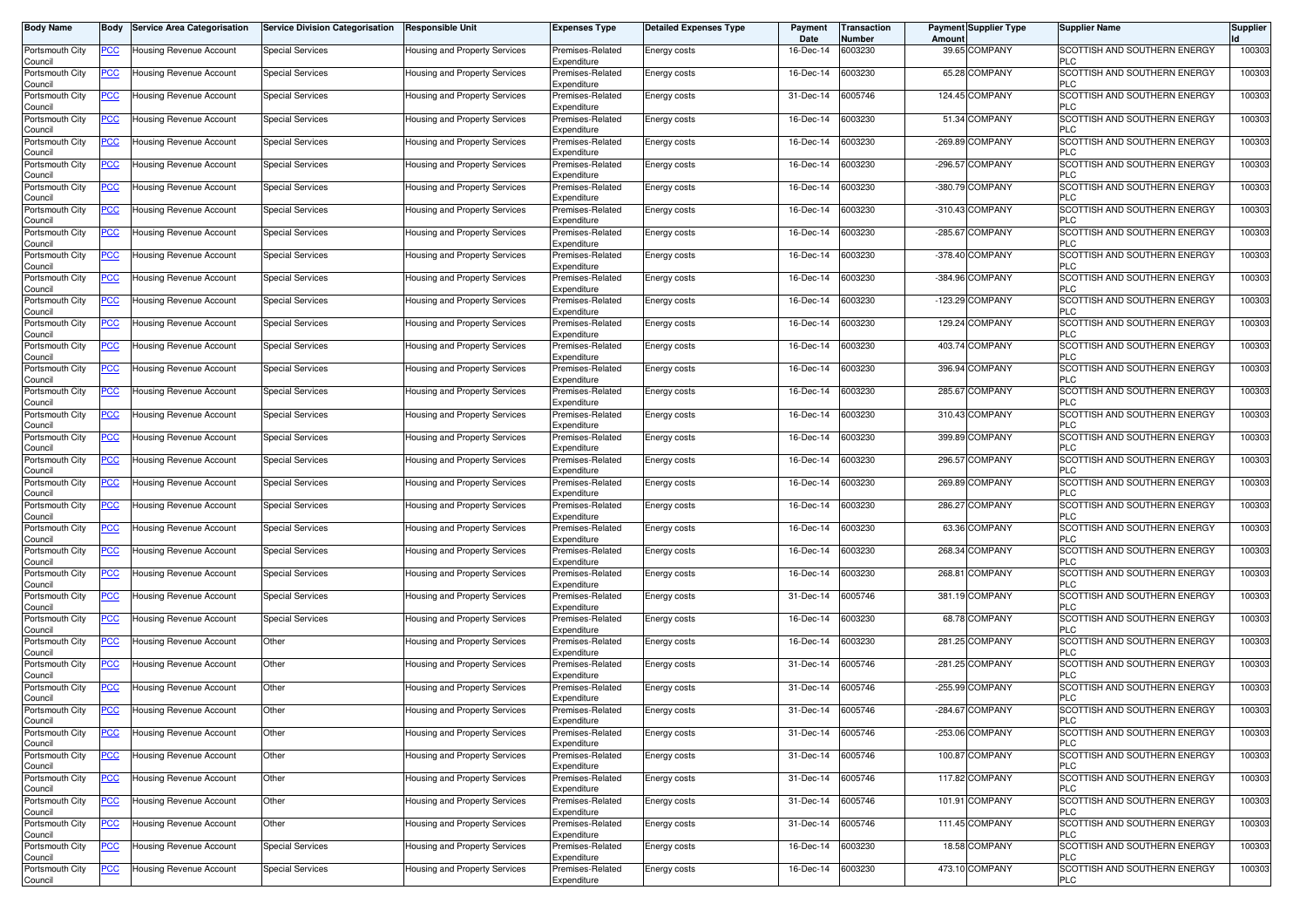| <b>Body Name</b>           | Body           | <b>Service Area Categorisation</b> | <b>Service Division Categorisation</b> | <b>Responsible Unit</b>              | <b>Expenses Type</b>            | <b>Detailed Expenses Type</b> | Payment<br>Date | <b>Transaction</b><br>Number | <b>Payment Supplier Type</b><br>Amoun | <b>Supplier Name</b>                              | <b>Supplier</b> |
|----------------------------|----------------|------------------------------------|----------------------------------------|--------------------------------------|---------------------------------|-------------------------------|-----------------|------------------------------|---------------------------------------|---------------------------------------------------|-----------------|
| Portsmouth City<br>Council | PCC∶           | Housing Revenue Account            | <b>Special Services</b>                | Housing and Property Services        | Premises-Related<br>Expenditure | Energy costs                  | 16-Dec-14       | 6003230                      | 39.65 COMPANY                         | SCOTTISH AND SOUTHERN ENERGY<br><b>PLC</b>        | 100303          |
| Portsmouth City<br>Council | <u>PCC </u>    | <b>Housing Revenue Account</b>     | <b>Special Services</b>                | Housing and Property Services        | Premises-Related<br>Expenditure | Energy costs                  | 16-Dec-14       | 6003230                      | 65.28 COMPANY                         | SCOTTISH AND SOUTHERN ENERGY<br><b>PLC</b>        | 100303          |
| Portsmouth City<br>Council | <u>PCC </u>    | Housing Revenue Account            | Special Services                       | Housing and Property Services        | Premises-Related<br>Expenditure | Energy costs                  | 31-Dec-14       | 6005746                      | 124.45 COMPANY                        | SCOTTISH AND SOUTHERN ENERGY<br><b>PLC</b>        | 100303          |
| Portsmouth City            | <b>PCC</b>     | <b>Housing Revenue Account</b>     | Special Services                       | <b>Housing and Property Services</b> | Premises-Related<br>Expenditure | Energy costs                  | 16-Dec-14       | 6003230                      | 51.34 COMPANY                         | SCOTTISH AND SOUTHERN ENERGY<br><b>PLC</b>        | 100303          |
| Council<br>Portsmouth City | <u>PCC</u>     | Housing Revenue Account            | <b>Special Services</b>                | Housing and Property Services        | Premises-Related                | Energy costs                  | 16-Dec-14       | 6003230                      | <b>COMPANY</b><br>$-269.89$           | SCOTTISH AND SOUTHERN ENERGY<br><b>PLC</b>        | 100303          |
| Council<br>Portsmouth City | <u>PCC </u>    | Housing Revenue Account            | Special Services                       | Housing and Property Services        | Expenditure<br>Premises-Related | Energy costs                  | 16-Dec-14       | 6003230                      | -296.57 COMPANY                       | SCOTTISH AND SOUTHERN ENERGY                      | 100303          |
| Council<br>Portsmouth City | <u>PCC </u>    | Housing Revenue Account            | <b>Special Services</b>                | Housing and Property Services        | Expenditure<br>Premises-Related | Energy costs                  | 16-Dec-14       | 6003230                      | -380.79 COMPANY                       | <b>PLC</b><br>SCOTTISH AND SOUTHERN ENERGY        | 100303          |
| Council<br>Portsmouth City | <b>PCC</b>     | <b>Housing Revenue Account</b>     | <b>Special Services</b>                | Housing and Property Services        | Expenditure<br>Premises-Related | Energy costs                  | 16-Dec-14       | 6003230                      | -310.43 COMPANY                       | <b>PLC</b><br>SCOTTISH AND SOUTHERN ENERGY        | 100303          |
| Council<br>Portsmouth City | <u>PCC</u>     | Housing Revenue Account            | <b>Special Services</b>                | Housing and Property Services        | Expenditure<br>Premises-Related | Energy costs                  | 16-Dec-14       | 6003230                      | -285.67 COMPANY                       | <b>PLC</b><br>SCOTTISH AND SOUTHERN ENERGY        | 100303          |
| Council<br>Portsmouth City | <u>PCC</u>     | Housing Revenue Account            | <b>Special Services</b>                | Housing and Property Services        | Expenditure<br>Premises-Related | Energy costs                  | 16-Dec-14       | 6003230                      | -378.40 COMPANY                       | <b>PLC</b><br>SCOTTISH AND SOUTHERN ENERGY        | 100303          |
| Council<br>Portsmouth City | <u>PCC</u>     | Housing Revenue Account            | <b>Special Services</b>                | Housing and Property Services        | Expenditure<br>Premises-Related | Energy costs                  | 16-Dec-14       | 6003230                      | -384.96 COMPANY                       | <b>PLC</b><br>SCOTTISH AND SOUTHERN ENERGY        | 100303          |
| Council<br>Portsmouth City | <u>PCC</u>     | Housing Revenue Account            | <b>Special Services</b>                | Housing and Property Services        | Expenditure<br>Premises-Related | <b>Energy costs</b>           | 16-Dec-14       | 6003230                      | $-123.29$ COMPANY                     | <b>PLC</b><br>SCOTTISH AND SOUTHERN ENERGY        | 100303          |
| Council<br>Portsmouth City | <u>PCC</u>     | Housing Revenue Account            | <b>Special Services</b>                | Housing and Property Services        | Expenditure<br>Premises-Related | Energy costs                  | 16-Dec-14       | 6003230                      | 129.24 COMPANY                        | <b>PLC</b><br>SCOTTISH AND SOUTHERN ENERGY        | 100303          |
| Council<br>Portsmouth City | <u>PCC</u>     | Housing Revenue Account            | <b>Special Services</b>                | Housing and Property Services        | Expenditure<br>Premises-Related | <b>Energy costs</b>           | 16-Dec-14       | 6003230                      | 403.74 COMPANY                        | <b>PLC</b><br><b>SCOTTISH AND SOUTHERN ENERGY</b> | 100303          |
| Council<br>Portsmouth City | PCC            | Housing Revenue Account            | Special Services                       | Housing and Property Services        | Expenditure<br>Premises-Related | Energy costs                  | 16-Dec-14       | 6003230                      | 396.94 COMPANY                        | <b>PLC</b><br>SCOTTISH AND SOUTHERN ENERGY        | 100303          |
| Council<br>Portsmouth City | <u>PCC</u>     | Housing Revenue Account            | <b>Special Services</b>                | Housing and Property Services        | Expenditure<br>Premises-Related | Energy costs                  | 16-Dec-14       | 6003230                      | <b>COMPANY</b><br>285.67              | <b>PLC</b><br>SCOTTISH AND SOUTHERN ENERGY        | 100303          |
| Council<br>Portsmouth City | PСC            | <b>Housing Revenue Account</b>     | <b>Special Services</b>                | Housing and Property Services        | Expenditure<br>Premises-Related | Energy costs                  | 16-Dec-14       | 6003230                      | 310.43 COMPANY                        | <b>PLC</b><br>SCOTTISH AND SOUTHERN ENERGY        | 100303          |
| Council<br>Portsmouth City | <u>PCC</u>     | Housing Revenue Account            | <b>Special Services</b>                | Housing and Property Services        | Expenditure<br>Premises-Related | Energy costs                  | 16-Dec-14       | 6003230                      | 399.89 COMPANY                        | <b>PLC</b><br>SCOTTISH AND SOUTHERN ENERGY        | 100303          |
| Council<br>Portsmouth City | <u>PCC </u>    | Housing Revenue Account            | <b>Special Services</b>                | Housing and Property Services        | Expenditure<br>Premises-Related | Energy costs                  | 16-Dec-14       | 6003230                      | 296.57 COMPANY                        | <b>PLC</b><br>SCOTTISH AND SOUTHERN ENERGY        | 100303          |
| Council<br>Portsmouth City | <u>PCC</u>     | <b>Housing Revenue Account</b>     | <b>Special Services</b>                | Housing and Property Services        | Expenditure<br>Premises-Related | Energy costs                  | 16-Dec-14       | 6003230                      | 269.89 COMPANY                        | <b>PLC</b><br>SCOTTISH AND SOUTHERN ENERGY        | 100303          |
| Council<br>Portsmouth City | <u>PCC</u>     | Housing Revenue Account            | <b>Special Services</b>                | Housing and Property Services        | Expenditure<br>Premises-Related | Energy costs                  | 16-Dec-14       | 6003230                      | 286.27 COMPANY                        | <b>PLC</b><br>SCOTTISH AND SOUTHERN ENERGY        | 100303          |
| Council<br>Portsmouth City | <u>PCC</u>     | Housing Revenue Account            | <b>Special Services</b>                | Housing and Property Services        | Expenditure<br>Premises-Related | Energy costs                  | 16-Dec-14       | 6003230                      | 63.36 COMPANY                         | <b>PLC</b><br>SCOTTISH AND SOUTHERN ENERGY        | 100303          |
| Council<br>Portsmouth City | <u>PCC</u>     | Housing Revenue Account            | <b>Special Services</b>                | Housing and Property Services        | Expenditure<br>Premises-Related | <b>Energy costs</b>           | 16-Dec-14       | 6003230                      | 268.34 COMPANY                        | <b>PLC</b><br>SCOTTISH AND SOUTHERN ENERGY        | 100303          |
| Council<br>Portsmouth City | <b>PCC</b>     | Housing Revenue Account            | Special Services                       | Housing and Property Services        | Expenditure<br>Premises-Related | Energy costs                  | 16-Dec-14       | 6003230                      | 268.81 COMPANY                        | <b>PLC</b><br>SCOTTISH AND SOUTHERN ENERGY        | 100303          |
| Council<br>Portsmouth City | $\overline{C}$ | Housing Revenue Account            | <b>Special Services</b>                | Housing and Property Services        | Expenditure<br>Premises-Related | Energy costs                  | 31-Dec-14       | 6005746                      | 381.19 COMPANY                        | <b>PLC</b><br>SCOTTISH AND SOUTHERN ENERGY        | 100303          |
| Council<br>Portsmouth City | <b>PCC</b>     | Housing Revenue Account            | <b>Special Services</b>                | Housing and Property Services        | Expenditure<br>Premises-Related | Energy costs                  | 16-Dec-14       | 6003230                      | 68.78 COMPANY                         | <b>PLC</b><br>SCOTTISH AND SOUTHERN ENERGY        | 100303          |
| Council<br>Portsmouth City | <u>PCC </u>    | Housing Revenue Account            | Other                                  | Housing and Property Services        | Expenditure<br>Premises-Related | Energy costs                  | 16-Dec-14       | 6003230                      | 281.25 COMPANY                        | <b>PLC</b><br>SCOTTISH AND SOUTHERN ENERGY        | 100303          |
| Council<br>Portsmouth City | <u>PCC </u>    | Housing Revenue Account            | Other                                  | <b>Housing and Property Services</b> | Expenditure<br>Premises-Related | Energy costs                  | 31-Dec-14       | 6005746                      | -281.25 COMPANY                       | <b>PLC</b><br>SCOTTISH AND SOUTHERN ENERGY        | 100303          |
| Council<br>Portsmouth City | <b>PCC</b>     | <b>Housing Revenue Account</b>     | Other                                  | Housing and Property Services        | Expenditure<br>Premises-Related | Energy costs                  | 31-Dec-14       | 6005746                      | -255.99 COMPANY                       | PLC<br>SCOTTISH AND SOUTHERN ENERGY               | 100303          |
| Council<br>Portsmouth City | <u>PCC </u>    | Housing Revenue Account            | Other                                  | Housing and Property Services        | Expenditure<br>Premises-Related | Energy costs                  | 31-Dec-14       | 6005746                      | -284.67 COMPANY                       | <b>PLC</b><br>SCOTTISH AND SOUTHERN ENERGY        | 100303          |
| اounc⊪<br>Portsmouth City  | <u>PCC</u>     | Housing Revenue Account            | Other                                  | Housing and Property Services        | Expenditure<br>Premises-Related | Energy costs                  | 31-Dec-14       | 6005746                      | -253.06 COMPANY                       | SCOTTISH AND SOUTHERN ENERGY                      | 100303          |
| Council<br>Portsmouth City | <u>PCC</u>     | Housing Revenue Account            | Other                                  | Housing and Property Services        | Expenditure<br>Premises-Related | Energy costs                  | 31-Dec-14       | 6005746                      | 100.87 COMPANY                        | <b>PLC</b><br><b>SCOTTISH AND SOUTHERN ENERGY</b> | 100303          |
| Council<br>Portsmouth City | PCC            | Housing Revenue Account            | Other                                  | Housing and Property Services        | Expenditure<br>Premises-Related | Energy costs                  | 31-Dec-14       | 6005746                      | 117.82 COMPANY                        | <b>PLC</b><br>SCOTTISH AND SOUTHERN ENERGY        | 100303          |
| Council<br>Portsmouth City | <u>PCC</u>     | Housing Revenue Account            | Other                                  | Housing and Property Services        | Expenditure<br>Premises-Related | Energy costs                  | 31-Dec-14       | 6005746                      | 101.91 COMPANY                        | <b>PLC</b><br>SCOTTISH AND SOUTHERN ENERGY        | 100303          |
| Council<br>Portsmouth City | <u>PCC</u>     | Housing Revenue Account            | Other                                  | Housing and Property Services        | Expenditure<br>Premises-Related | Energy costs                  | 31-Dec-14       | 6005746                      | 111.45 COMPANY                        | <b>PLC</b><br>SCOTTISH AND SOUTHERN ENERGY        | 100303          |
| Council<br>Portsmouth City | <b>PCC</b>     | Housing Revenue Account            | <b>Special Services</b>                | Housing and Property Services        | Expenditure<br>Premises-Related | Energy costs                  | 16-Dec-14       | 6003230                      | 18.58 COMPANY                         | <b>PLC</b><br>SCOTTISH AND SOUTHERN ENERGY        | 100303          |
| Council<br>Portsmouth City | <u>PCC</u>     | Housing Revenue Account            | <b>Special Services</b>                | Housing and Property Services        | Expenditure<br>Premises-Related | Energy costs                  | 16-Dec-14       | 6003230                      | 473.10 COMPANY                        | <b>PLC</b><br>SCOTTISH AND SOUTHERN ENERGY        | 100303          |
| Council                    |                |                                    |                                        |                                      | Expenditure                     |                               |                 |                              |                                       | <b>PLC</b>                                        |                 |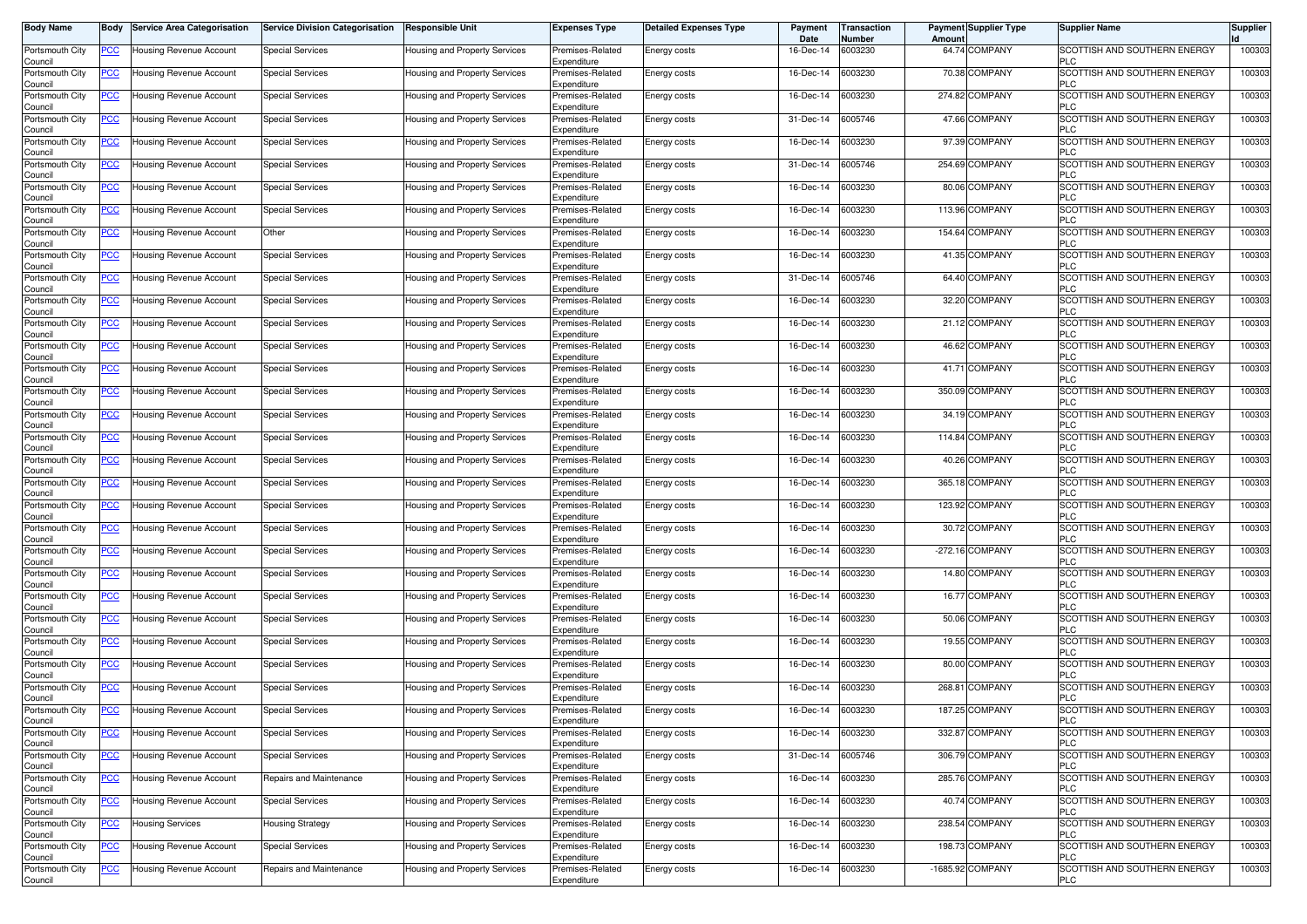| <b>Body Name</b>           | Body           | <b>Service Area Categorisation</b> | <b>Service Division Categorisation</b> | <b>Responsible Unit</b>              | <b>Expenses Type</b>            | <b>Detailed Expenses Type</b> | Payment<br>Date | <b>Transaction</b><br>Number | <b>Payment Supplier Type</b><br>Amoun | <b>Supplier Name</b>                              | <b>Supplier</b> |
|----------------------------|----------------|------------------------------------|----------------------------------------|--------------------------------------|---------------------------------|-------------------------------|-----------------|------------------------------|---------------------------------------|---------------------------------------------------|-----------------|
| Portsmouth City<br>Council | PCC∶           | Housing Revenue Account            | <b>Special Services</b>                | Housing and Property Services        | Premises-Related<br>Expenditure | Energy costs                  | 16-Dec-14       | 6003230                      | 64.74 COMPANY                         | SCOTTISH AND SOUTHERN ENERGY<br><b>PLC</b>        | 100303          |
| Portsmouth City<br>Council | <u>PCC </u>    | Housing Revenue Account            | <b>Special Services</b>                | Housing and Property Services        | Premises-Related<br>Expenditure | Energy costs                  | 16-Dec-14       | 6003230                      | 70.38 COMPANY                         | SCOTTISH AND SOUTHERN ENERGY<br><b>PLC</b>        | 100303          |
| Portsmouth City<br>Council | <u>PCC</u>     | Housing Revenue Account            | Special Services                       | Housing and Property Services        | Premises-Related<br>Expenditure | Energy costs                  | 16-Dec-14       | 6003230                      | 274.82 COMPANY                        | SCOTTISH AND SOUTHERN ENERGY<br><b>PLC</b>        | 100303          |
| Portsmouth City<br>Council | <b>PCC</b>     | <b>Housing Revenue Account</b>     | Special Services                       | Housing and Property Services        | Premises-Related<br>Expenditure | Energy costs                  | 31-Dec-14       | 6005746                      | 47.66 COMPANY                         | SCOTTISH AND SOUTHERN ENERGY<br><b>PLC</b>        | 100303          |
| Portsmouth City<br>Council | <u>PCC</u>     | Housing Revenue Account            | <b>Special Services</b>                | Housing and Property Services        | Premises-Related<br>Expenditure | Energy costs                  | 16-Dec-14       | 6003230                      | 97.39 COMPANY                         | SCOTTISH AND SOUTHERN ENERGY<br><b>PLC</b>        | 100303          |
| Portsmouth City<br>Council | <u>PCC </u>    | Housing Revenue Account            | Special Services                       | Housing and Property Services        | Premises-Related<br>Expenditure | Energy costs                  | 31-Dec-14       | 6005746                      | 254.69 COMPANY                        | SCOTTISH AND SOUTHERN ENERGY<br><b>PLC</b>        | 100303          |
| Portsmouth City<br>Council | <u>PCC </u>    | Housing Revenue Account            | <b>Special Services</b>                | Housing and Property Services        | Premises-Related<br>Expenditure | Energy costs                  | 16-Dec-14       | 6003230                      | 80.06 COMPANY                         | SCOTTISH AND SOUTHERN ENERGY<br><b>PLC</b>        | 100303          |
| Portsmouth City<br>Council | <u>PCC</u>     | <b>Housing Revenue Account</b>     | <b>Special Services</b>                | Housing and Property Services        | Premises-Related<br>Expenditure | Energy costs                  | 16-Dec-14       | 6003230                      | 113.96 COMPANY                        | SCOTTISH AND SOUTHERN ENERGY<br><b>PLC</b>        | 100303          |
| Portsmouth City<br>Council | <u>PCC</u>     | Housing Revenue Account            | Other                                  | Housing and Property Services        | Premises-Related<br>Expenditure | Energy costs                  | 16-Dec-14       | 6003230                      | 154.64 COMPANY                        | SCOTTISH AND SOUTHERN ENERGY<br><b>PLC</b>        | 100303          |
| Portsmouth City<br>Council | <u>PCC</u>     | Housing Revenue Account            | <b>Special Services</b>                | Housing and Property Services        | Premises-Related<br>Expenditure | Energy costs                  | 16-Dec-14       | 6003230                      | 41.35 COMPANY                         | SCOTTISH AND SOUTHERN ENERGY<br><b>PLC</b>        | 100303          |
| Portsmouth City<br>Council | <u>PCC</u>     | Housing Revenue Account            | <b>Special Services</b>                | Housing and Property Services        | Premises-Related<br>Expenditure | Energy costs                  | 31-Dec-14       | 6005746                      | 64.40 COMPANY                         | SCOTTISH AND SOUTHERN ENERGY<br><b>PLC</b>        | 100303          |
| Portsmouth City<br>Council | <u>PCC</u>     | Housing Revenue Account            | <b>Special Services</b>                | Housing and Property Services        | Premises-Related<br>Expenditure | Energy costs                  | 16-Dec-14       | 6003230                      | 32.20 COMPANY                         | SCOTTISH AND SOUTHERN ENERGY<br><b>PLC</b>        | 100303          |
| Portsmouth City<br>Council | <u>PCC</u>     | Housing Revenue Account            | <b>Special Services</b>                | Housing and Property Services        | Premises-Related<br>Expenditure | Energy costs                  | 16-Dec-14       | 6003230                      | 21.12 COMPANY                         | SCOTTISH AND SOUTHERN ENERGY<br><b>PLC</b>        | 100303          |
| Portsmouth City<br>Council | <u>PCC </u>    | Housing Revenue Account            | <b>Special Services</b>                | Housing and Property Services        | Premises-Related<br>Expenditure | <b>Energy costs</b>           | 16-Dec-14       | 6003230                      | 46.62 COMPANY                         | <b>SCOTTISH AND SOUTHERN ENERGY</b><br><b>PLC</b> | 100303          |
| Portsmouth City<br>Council | PCC            | Housing Revenue Account            | Special Services                       | Housing and Property Services        | Premises-Related<br>Expenditure | Energy costs                  | 16-Dec-14       | 6003230                      | 41.71 COMPANY                         | SCOTTISH AND SOUTHERN ENERGY<br><b>PLC</b>        | 100303          |
| Portsmouth City<br>Council | PСC            | Housing Revenue Account            | <b>Special Services</b>                | Housing and Property Services        | Premises-Related<br>Expenditure | Energy costs                  | 16-Dec-14       | 6003230                      | 350.09 COMPANY                        | SCOTTISH AND SOUTHERN ENERGY<br><b>PLC</b>        | 100303          |
| Portsmouth City<br>Council | PСC            | Housing Revenue Account            | <b>Special Services</b>                | Housing and Property Services        | Premises-Related<br>Expenditure | Energy costs                  | 16-Dec-14       | 6003230                      | 34.19 COMPANY                         | SCOTTISH AND SOUTHERN ENERGY<br><b>PLC</b>        | 100303          |
| Portsmouth City<br>Council | <u>PCC</u>     | Housing Revenue Account            | <b>Special Services</b>                | Housing and Property Services        | Premises-Related<br>Expenditure | Energy costs                  | 16-Dec-14       | 6003230                      | 114.84 COMPANY                        | SCOTTISH AND SOUTHERN ENERGY<br><b>PLC</b>        | 100303          |
| Portsmouth City<br>Council | <u>PCC</u>     | Housing Revenue Account            | <b>Special Services</b>                | Housing and Property Services        | Premises-Related<br>Expenditure | Energy costs                  | 16-Dec-14       | 6003230                      | 40.26 COMPANY                         | SCOTTISH AND SOUTHERN ENERGY<br><b>PLC</b>        | 100303          |
| Portsmouth City<br>Council | <u>PCC</u>     | Housing Revenue Account            | <b>Special Services</b>                | Housing and Property Services        | Premises-Related<br>Expenditure | Energy costs                  | 16-Dec-14       | 6003230                      | 365.18 COMPANY                        | SCOTTISH AND SOUTHERN ENERGY<br><b>PLC</b>        | 100303          |
| Portsmouth City<br>Council | PСC            | Housing Revenue Account            | <b>Special Services</b>                | Housing and Property Services        | Premises-Related<br>Expenditure | Energy costs                  | 16-Dec-14       | 6003230                      | 123.92 COMPANY                        | SCOTTISH AND SOUTHERN ENERGY<br><b>PLC</b>        | 100303          |
| Portsmouth City<br>Council | <u>PCC</u>     | Housing Revenue Account            | <b>Special Services</b>                | Housing and Property Services        | Premises-Related<br>Expenditure | Energy costs                  | 16-Dec-14       | 6003230                      | 30.72 COMPANY                         | SCOTTISH AND SOUTHERN ENERGY<br><b>PLC</b>        | 100303          |
| Portsmouth City<br>Council | <u>PCC</u>     | Housing Revenue Account            | <b>Special Services</b>                | Housing and Property Services        | Premises-Related<br>Expenditure | Energy costs                  | 16-Dec-14       | 6003230                      | $-272.16$ COMPANY                     | SCOTTISH AND SOUTHERN ENERGY<br><b>PLC</b>        | 100303          |
| Portsmouth City<br>Council | <u>PCC</u>     | Housing Revenue Account            | Special Services                       | Housing and Property Services        | Premises-Related<br>Expenditure | Energy costs                  | 16-Dec-14       | 6003230                      | 14.80 COMPANY                         | SCOTTISH AND SOUTHERN ENERGY<br><b>PLC</b>        | 100303          |
| Portsmouth City<br>Council | $\overline{C}$ | Housing Revenue Account            | <b>Special Services</b>                | Housing and Property Services        | Premises-Related<br>Expenditure | Energy costs                  | 16-Dec-14       | 6003230                      | 16.77 COMPANY                         | SCOTTISH AND SOUTHERN ENERGY<br><b>PLC</b>        | 100303          |
| Portsmouth City<br>Council | <b>PCC</b>     | Housing Revenue Account            | <b>Special Services</b>                | Housing and Property Services        | Premises-Related<br>Expenditure | Energy costs                  | 16-Dec-14       | 6003230                      | 50.06 COMPANY                         | SCOTTISH AND SOUTHERN ENERGY<br><b>PLC</b>        | 100303          |
| Portsmouth City<br>Council | <u>PCC </u>    | Housing Revenue Account            | Special Services                       | Housing and Property Services        | Premises-Related<br>Expenditure | Energy costs                  | 16-Dec-14       | 6003230                      | 19.55 COMPANY                         | SCOTTISH AND SOUTHERN ENERGY<br><b>PLC</b>        | 100303          |
| Portsmouth City<br>Council | <u>PCC </u>    | Housing Revenue Account            | <b>Special Services</b>                | <b>Housing and Property Services</b> | Premises-Related<br>Expenditure | Energy costs                  | 16-Dec-14       | 6003230                      | 80.00 COMPANY                         | SCOTTISH AND SOUTHERN ENERGY<br>PLC               | 100303          |
| Portsmouth City<br>Council | <b>PCC</b>     | <b>Housing Revenue Account</b>     | Special Services                       | Housing and Property Services        | Premises-Related<br>Expenditure | Energy costs                  | 16-Dec-14       | 6003230                      | 268.81 COMPANY                        | SCOTTISH AND SOUTHERN ENERGY<br><b>PLC</b>        | 100303          |
| Portsmouth City<br>اounc⊪  | <u>PCC </u>    | <b>Housing Revenue Account</b>     | <b>Special Services</b>                | Housing and Property Services        | Premises-Related<br>Expenditure | Energy costs                  | 16-Dec-14       | 6003230                      | 187.25 COMPANY                        | SCOTTISH AND SOUTHERN ENERGY                      | 100303          |
| Portsmouth City<br>Council | <u>PCC</u>     | Housing Revenue Account            | <b>Special Services</b>                | Housing and Property Services        | Premises-Related<br>Expenditure | Energy costs                  | 16-Dec-14       | 6003230                      | 332.87 COMPANY                        | SCOTTISH AND SOUTHERN ENERGY<br><b>PLC</b>        | 100303          |
| Portsmouth City<br>Council | <u>PCC</u>     | Housing Revenue Account            | <b>Special Services</b>                | Housing and Property Services        | Premises-Related<br>Expenditure | Energy costs                  | 31-Dec-14       | 6005746                      | 306.79 COMPANY                        | SCOTTISH AND SOUTHERN ENERGY<br><b>PLC</b>        | 100303          |
| Portsmouth City<br>Council | PCC            | Housing Revenue Account            | Repairs and Maintenance                | Housing and Property Services        | Premises-Related<br>Expenditure | Energy costs                  | 16-Dec-14       | 6003230                      | 285.76 COMPANY                        | SCOTTISH AND SOUTHERN ENERGY<br><b>PLC</b>        | 100303          |
| Portsmouth City<br>Council | <u>PCC</u>     | Housing Revenue Account            | <b>Special Services</b>                | Housing and Property Services        | Premises-Related<br>Expenditure | Energy costs                  | 16-Dec-14       | 6003230                      | 40.74 COMPANY                         | SCOTTISH AND SOUTHERN ENERGY<br><b>PLC</b>        | 100303          |
| Portsmouth City<br>Council | <u>PCC</u>     | <b>Housing Services</b>            | <b>Housing Strategy</b>                | Housing and Property Services        | Premises-Related<br>Expenditure | Energy costs                  | 16-Dec-14       | 6003230                      | 238.54 COMPANY                        | SCOTTISH AND SOUTHERN ENERGY<br><b>PLC</b>        | 100303          |
| Portsmouth City<br>Council | <b>PCC</b>     | Housing Revenue Account            | Special Services                       | Housing and Property Services        | Premises-Related<br>Expenditure | Energy costs                  | 16-Dec-14       | 6003230                      | 198.73 COMPANY                        | SCOTTISH AND SOUTHERN ENERGY<br><b>PLC</b>        | 100303          |
| Portsmouth City<br>Council | <u>PCC</u>     | Housing Revenue Account            | Repairs and Maintenance                | Housing and Property Services        | Premises-Related<br>Expenditure | Energy costs                  | 16-Dec-14       | 6003230                      | -1685.92 COMPANY                      | SCOTTISH AND SOUTHERN ENERGY<br><b>PLC</b>        | 100303          |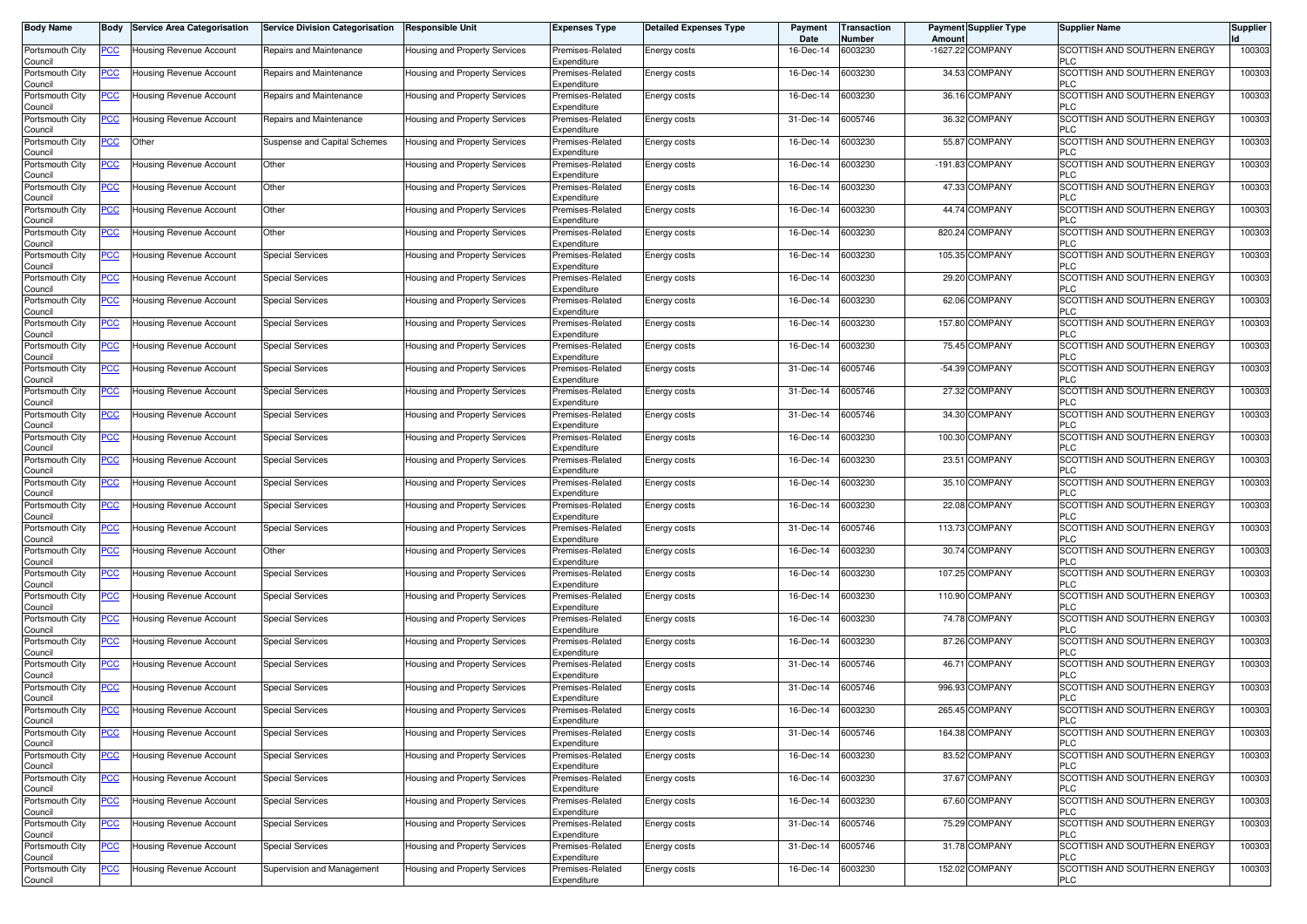| <b>Body Name</b>           | Body           | <b>Service Area Categorisation</b> | <b>Service Division Categorisation</b> | <b>Responsible Unit</b>              | <b>Expenses Type</b>            | <b>Detailed Expenses Type</b> | Payment<br>Date | ransaction<br>Number | Amount | <b>Payment Supplier Type</b> | <b>Supplier Name</b>                       | <b>Supplier</b> |
|----------------------------|----------------|------------------------------------|----------------------------------------|--------------------------------------|---------------------------------|-------------------------------|-----------------|----------------------|--------|------------------------------|--------------------------------------------|-----------------|
| Portsmouth City<br>Council | <u>PCC</u>     | Housing Revenue Account            | Repairs and Maintenance                | Housing and Property Services        | Premises-Related<br>Expenditure | Energy costs                  | 16-Dec-14       | 6003230              |        | -1627.22 COMPANY             | SCOTTISH AND SOUTHERN ENERGY<br>PLC        | 100303          |
| Portsmouth City<br>Council | <u>PCC</u>     | Housing Revenue Account            | Repairs and Maintenance                | Housing and Property Services        | Premises-Related<br>Expenditure | Energy costs                  | 16-Dec-14       | 6003230              |        | 34.53 COMPANY                | SCOTTISH AND SOUTHERN ENERGY<br><b>PLC</b> | 100303          |
| Portsmouth City<br>Council | <u>PCC</u>     | Housing Revenue Account            | Repairs and Maintenance                | Housing and Property Services        | Premises-Related<br>Expenditure | Energy costs                  | 16-Dec-14       | 6003230              |        | 36.16 COMPANY                | SCOTTISH AND SOUTHERN ENERGY<br><b>PLC</b> | 100303          |
| Portsmouth City<br>Council | <u>PCC</u>     | Housing Revenue Account            | Repairs and Maintenance                | Housing and Property Services        | Premises-Related<br>Expenditure | Energy costs                  | 31-Dec-14       | 6005746              |        | 36.32 COMPANY                | SCOTTISH AND SOUTHERN ENERGY<br><b>PLC</b> | 100303          |
| Portsmouth City<br>Council | <u>PCC</u>     | Other                              | Suspense and Capital Schemes           | <b>Housing and Property Services</b> | Premises-Related<br>Expenditure | Energy costs                  | 16-Dec-14       | 6003230              |        | 55.87 COMPANY                | SCOTTISH AND SOUTHERN ENERGY<br><b>PLC</b> | 100303          |
| Portsmouth City<br>Council | <u>PCC</u>     | Housing Revenue Account            | Other                                  | Housing and Property Services        | Premises-Related<br>Expenditure | Energy costs                  | 16-Dec-14       | 6003230              |        | -191.83 COMPANY              | SCOTTISH AND SOUTHERN ENERGY<br><b>PLC</b> | 100303          |
| Portsmouth City<br>Council | <u>PCC</u>     | Housing Revenue Account            | Other                                  | Housing and Property Services        | Premises-Related<br>Expenditure | Energy costs                  | 16-Dec-14       | 6003230              |        | 47.33 COMPANY                | SCOTTISH AND SOUTHERN ENERGY<br><b>PLC</b> | 100303          |
| Portsmouth City<br>Council | <u>PCC</u>     | Housing Revenue Account            | Other                                  | Housing and Property Services        | Premises-Related<br>Expenditure | Energy costs                  | 16-Dec-14       | 6003230              |        | 44.74 COMPANY                | SCOTTISH AND SOUTHERN ENERGY<br><b>PLC</b> | 100303          |
| Portsmouth City<br>Council | <u>PCC</u>     | Housing Revenue Account            | Other                                  | Housing and Property Services        | Premises-Related<br>Expenditure | Energy costs                  | 16-Dec-14       | 6003230              |        | 820.24 COMPANY               | SCOTTISH AND SOUTHERN ENERGY<br><b>PLC</b> | 100303          |
| Portsmouth City<br>Council | <u>PCC </u>    | Housing Revenue Account            | <b>Special Services</b>                | Housing and Property Services        | Premises-Related<br>Expenditure | Energy costs                  | 16-Dec-14       | 6003230              |        | 105.35 COMPANY               | SCOTTISH AND SOUTHERN ENERGY<br><b>PLC</b> | 100303          |
| Portsmouth City<br>Council | <u>PCC</u>     | Housing Revenue Account            | <b>Special Services</b>                | Housing and Property Services        | Premises-Related<br>Expenditure | Energy costs                  | 16-Dec-14       | 6003230              |        | 29.20 COMPANY                | SCOTTISH AND SOUTHERN ENERGY<br><b>PLC</b> | 100303          |
| Portsmouth City<br>Council | <u>PCC</u>     | Housing Revenue Account            | <b>Special Services</b>                | Housing and Property Services        | Premises-Related<br>Expenditure | Energy costs                  | 16-Dec-14       | 6003230              |        | 62.06 COMPANY                | SCOTTISH AND SOUTHERN ENERGY<br><b>PLC</b> | 100303          |
| Portsmouth City<br>Council | <u>PCC</u>     | Housing Revenue Account            | <b>Special Services</b>                | Housing and Property Services        | Premises-Related<br>Expenditure | Energy costs                  | 16-Dec-14       | 6003230              |        | 157.80 COMPANY               | SCOTTISH AND SOUTHERN ENERGY<br><b>PLC</b> | 100303          |
| Portsmouth City<br>Council | <u>PCC</u>     | Housing Revenue Account            | <b>Special Services</b>                | Housing and Property Services        | Premises-Related<br>Expenditure | <b>Energy costs</b>           | 16-Dec-14       | 6003230              |        | 75.45 COMPANY                | SCOTTISH AND SOUTHERN ENERGY<br><b>PLC</b> | 100303          |
| Portsmouth City<br>Council | <u>PCC</u>     | Housing Revenue Account            | <b>Special Services</b>                | Housing and Property Services        | Premises-Related<br>Expenditure | Energy costs                  | 31-Dec-14       | 6005746              |        | -54.39 COMPANY               | SCOTTISH AND SOUTHERN ENERGY<br><b>PLC</b> | 100303          |
| Portsmouth City<br>Council | $\overline{C}$ | <b>Housing Revenue Account</b>     | <b>Special Services</b>                | Housing and Property Services        | Premises-Related<br>Expenditure | Energy costs                  | 31-Dec-14       | 6005746              |        | 27.32 COMPANY                | SCOTTISH AND SOUTHERN ENERGY<br><b>PLC</b> | 100303          |
| Portsmouth City<br>Council | <u>PCC</u>     | Housing Revenue Account            | <b>Special Services</b>                | Housing and Property Services        | Premises-Related<br>Expenditure | Energy costs                  | 31-Dec-14       | 6005746              |        | 34.30 COMPANY                | SCOTTISH AND SOUTHERN ENERGY<br><b>PLC</b> | 100303          |
| Portsmouth City<br>Council | <u>PCC</u>     | Housing Revenue Account            | <b>Special Services</b>                | Housing and Property Services        | Premises-Related<br>Expenditure | Energy costs                  | 16-Dec-14       | 6003230              |        | 100.30 COMPANY               | SCOTTISH AND SOUTHERN ENERGY<br>PLC        | 100303          |
| Portsmouth City<br>Council | <u>PCC</u>     | Housing Revenue Account            | <b>Special Services</b>                | Housing and Property Services        | Premises-Related<br>Expenditure | Energy costs                  | 16-Dec-14       | 6003230              |        | 23.51 COMPANY                | SCOTTISH AND SOUTHERN ENERGY<br>PLC        | 100303          |
| Portsmouth City<br>Council | $\overline{C}$ | Housing Revenue Account            | <b>Special Services</b>                | Housing and Property Services        | Premises-Related<br>Expenditure | Energy costs                  | 16-Dec-14       | 6003230              |        | 35.10 COMPANY                | SCOTTISH AND SOUTHERN ENERGY<br><b>PLC</b> | 100303          |
| Portsmouth City<br>Council | <u>PCC</u>     | Housing Revenue Account            | <b>Special Services</b>                | Housing and Property Services        | Premises-Related<br>Expenditure | Energy costs                  | 16-Dec-14       | 6003230              |        | 22.08 COMPANY                | SCOTTISH AND SOUTHERN ENERGY<br><b>PLC</b> | 100303          |
| Portsmouth City<br>Council | <u>PCC</u>     | Housing Revenue Account            | <b>Special Services</b>                | Housing and Property Services        | Premises-Related<br>Expenditure | Energy costs                  | 31-Dec-14       | 6005746              |        | 113.73 COMPANY               | SCOTTISH AND SOUTHERN ENERGY<br><b>PLC</b> | 100303          |
| Portsmouth City<br>Council | <u>PCC</u>     | Housing Revenue Account            | Other                                  | Housing and Property Services        | Premises-Related<br>Expenditure | Energy costs                  | 16-Dec-14       | 6003230              |        | 30.74 COMPANY                | SCOTTISH AND SOUTHERN ENERGY<br><b>PLC</b> | 100303          |
| Portsmouth City<br>Council | <u>PCC</u>     | Housing Revenue Account            | <b>Special Services</b>                | Housing and Property Services        | Premises-Related<br>Expenditure | Energy costs                  | 16-Dec-14       | 6003230              |        | 107.25 COMPANY               | SCOTTISH AND SOUTHERN ENERGY<br><b>PLC</b> | 100303          |
| Portsmouth City<br>Council | <u>PCC</u>     | Housing Revenue Account            | <b>Special Services</b>                | <b>Housing and Property Services</b> | Premises-Related<br>Expenditure | Energy costs                  | 16-Dec-14       | 6003230              |        | 110.90 COMPANY               | SCOTTISH AND SOUTHERN ENERGY<br><b>PLC</b> | 100303          |
| Portsmouth City<br>Council | <u>PCC</u>     | <b>Housing Revenue Account</b>     | <b>Special Services</b>                | Housing and Property Services        | Premises-Related<br>Expenditure | Energy costs                  | 16-Dec-14       | 6003230              |        | 74.78 COMPANY                | SCOTTISH AND SOUTHERN ENERGY<br><b>PLC</b> | 100303          |
| Portsmouth City<br>Council | <u>PCC</u>     | Housing Revenue Account            | <b>Special Services</b>                | Housing and Property Services        | Premises-Related<br>Expenditure | Energy costs                  | 16-Dec-14       | 6003230              |        | 87.26 COMPANY                | SCOTTISH AND SOUTHERN ENERGY<br><b>PLC</b> | 100303          |
| Portsmouth City<br>Council | <u>PCC</u>     | Housing Revenue Account            | <b>Special Services</b>                | Housing and Property Services        | Premises-Related<br>Expenditure | Energy costs                  | 31-Dec-14       | 6005746              |        | 46.71 COMPANY                | SCOTTISH AND SOUTHERN ENERGY<br>PLC        | 100303          |
| Portsmouth City<br>Council | <u>PCC</u>     | Housing Revenue Account            | <b>Special Services</b>                | Housing and Property Services        | Premises-Related<br>Expenditure | Energy costs                  | 31-Dec-14       | 6005746              |        | 996.93 COMPANY               | SCOTTISH AND SOUTHERN ENERGY<br>PLC        | 100303          |
| Portsmouth City<br>Jouncii | <u>PCC</u>     | <b>Housing Revenue Account</b>     | <b>Special Services</b>                | Housing and Property Services        | Premises-Related<br>Expenditure | Energy costs                  | 16-Dec-14       | 6003230              |        | 265.45 COMPANY               | SCOTTISH AND SOUTHERN ENERGY<br>PLU        | 100303          |
| Portsmouth City<br>Council | <u>PCC</u>     | Housing Revenue Account            | <b>Special Services</b>                | Housing and Property Services        | Premises-Related<br>Expenditure | Energy costs                  | 31-Dec-14       | 6005746              |        | 164.38 COMPANY               | SCOTTISH AND SOUTHERN ENERGY<br><b>PLC</b> | 100303          |
| Portsmouth City<br>Council | <u>PCC</u>     | Housing Revenue Account            | <b>Special Services</b>                | Housing and Property Services        | Premises-Related<br>Expenditure | Energy costs                  | 16-Dec-14       | 6003230              |        | 83.52 COMPANY                | SCOTTISH AND SOUTHERN ENERGY<br><b>PLC</b> | 100303          |
| Portsmouth City<br>Council | <u>PCC</u>     | Housing Revenue Account            | <b>Special Services</b>                | Housing and Property Services        | Premises-Related<br>Expenditure | Energy costs                  | 16-Dec-14       | 6003230              |        | 37.67 COMPANY                | SCOTTISH AND SOUTHERN ENERGY<br><b>PLC</b> | 100303          |
| Portsmouth City<br>Council | <u>PCC</u>     | Housing Revenue Account            | <b>Special Services</b>                | Housing and Property Services        | Premises-Related<br>Expenditure | Energy costs                  | 16-Dec-14       | 6003230              |        | 67.60 COMPANY                | SCOTTISH AND SOUTHERN ENERGY<br><b>PLC</b> | 100303          |
| Portsmouth City<br>Council | <u>PCC</u>     | Housing Revenue Account            | <b>Special Services</b>                | Housing and Property Services        | Premises-Related<br>Expenditure | Energy costs                  | 31-Dec-14       | 6005746              |        | 75.29 COMPANY                | SCOTTISH AND SOUTHERN ENERGY<br><b>PLC</b> | 100303          |
| Portsmouth City<br>Council | <b>PCC</b>     | Housing Revenue Account            | <b>Special Services</b>                | Housing and Property Services        | Premises-Related<br>Expenditure | Energy costs                  | 31-Dec-14       | 6005746              |        | 31.78 COMPANY                | SCOTTISH AND SOUTHERN ENERGY<br><b>PLC</b> | 100303          |
| Portsmouth City<br>Council | <u>PCC</u>     | Housing Revenue Account            | Supervision and Management             | Housing and Property Services        | Premises-Related<br>Expenditure | Energy costs                  | 16-Dec-14       | 6003230              |        | 152.02 COMPANY               | SCOTTISH AND SOUTHERN ENERGY<br><b>PLC</b> | 100303          |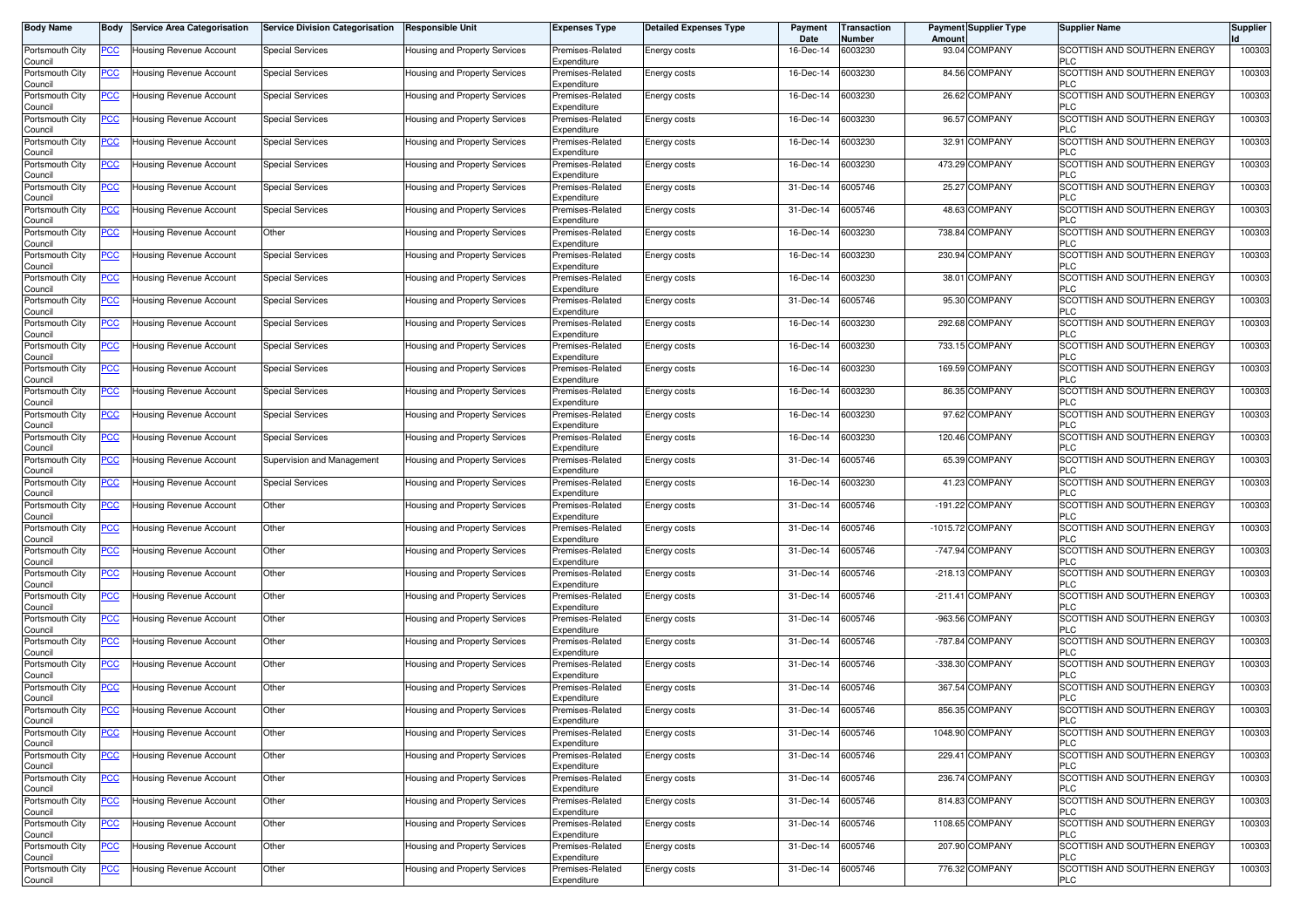| <b>Body Name</b>           | Body           | <b>Service Area Categorisation</b> | <b>Service Division Categorisation</b> | <b>Responsible Unit</b>              | <b>Expenses Type</b>            | <b>Detailed Expenses Type</b> | Payment<br>Date | ransaction<br>Number | <b>Payment Supplier Type</b><br>Amoun | <b>Supplier Name</b>                              | <b>Supplier</b> |
|----------------------------|----------------|------------------------------------|----------------------------------------|--------------------------------------|---------------------------------|-------------------------------|-----------------|----------------------|---------------------------------------|---------------------------------------------------|-----------------|
| Portsmouth City<br>Council | PCC∶           | Housing Revenue Account            | <b>Special Services</b>                | <b>Housing and Property Services</b> | Premises-Related<br>Expenditure | Energy costs                  | 16-Dec-14       | 6003230              | 93.04 COMPANY                         | SCOTTISH AND SOUTHERN ENERGY<br><b>PLC</b>        | 100303          |
| Portsmouth City<br>Council | <u>PCC </u>    | <b>Housing Revenue Account</b>     | <b>Special Services</b>                | Housing and Property Services        | Premises-Related<br>Expenditure | Energy costs                  | 16-Dec-14       | 6003230              | 84.56 COMPANY                         | SCOTTISH AND SOUTHERN ENERGY<br><b>PLC</b>        | 100303          |
| Portsmouth City<br>Council | <u>PCC</u>     | Housing Revenue Account            | <b>Special Services</b>                | Housing and Property Services        | Premises-Related<br>Expenditure | Energy costs                  | 16-Dec-14       | 6003230              | 26.62 COMPANY                         | SCOTTISH AND SOUTHERN ENERGY<br><b>PLC</b>        | 100303          |
| Portsmouth City<br>Council | <b>PCC</b>     | <b>Housing Revenue Account</b>     | <b>Special Services</b>                | <b>Housing and Property Services</b> | Premises-Related<br>Expenditure | Energy costs                  | 16-Dec-14       | 6003230              | 96.57 COMPANY                         | SCOTTISH AND SOUTHERN ENERGY<br><b>PLC</b>        | 100303          |
| Portsmouth City<br>Council | <u>PCC</u>     | Housing Revenue Account            | <b>Special Services</b>                | Housing and Property Services        | Premises-Related<br>Expenditure | Energy costs                  | 16-Dec-14       | 6003230              | <b>COMPANY</b><br>32.91               | SCOTTISH AND SOUTHERN ENERGY<br><b>PLC</b>        | 100303          |
| Portsmouth City<br>Council | <u>PCC </u>    | Housing Revenue Account            | Special Services                       | Housing and Property Services        | Premises-Related<br>Expenditure | Energy costs                  | 16-Dec-14       | 6003230              | 473.29 COMPANY                        | SCOTTISH AND SOUTHERN ENERGY<br><b>PLC</b>        | 100303          |
| Portsmouth City<br>Council | <u>PCC</u>     | Housing Revenue Account            | <b>Special Services</b>                | <b>Housing and Property Services</b> | Premises-Related<br>Expenditure | Energy costs                  | 31-Dec-14       | 6005746              | 25.27 COMPANY                         | SCOTTISH AND SOUTHERN ENERGY<br><b>PLC</b>        | 100303          |
| Portsmouth City<br>Council | <u>PCC</u>     | <b>Housing Revenue Account</b>     | <b>Special Services</b>                | Housing and Property Services        | Premises-Related<br>Expenditure | Energy costs                  | 31-Dec-14       | 6005746              | <b>COMPANY</b><br>48.63               | SCOTTISH AND SOUTHERN ENERGY<br><b>PLC</b>        | 100303          |
| Portsmouth City<br>Council | <u>PCC</u>     | Housing Revenue Account            | Other                                  | Housing and Property Services        | Premises-Related<br>Expenditure | Energy costs                  | 16-Dec-14       | 6003230              | 738.84 COMPANY                        | SCOTTISH AND SOUTHERN ENERGY<br><b>PLC</b>        | 100303          |
| Portsmouth City<br>Council | <u>PCC</u>     | Housing Revenue Account            | <b>Special Services</b>                | Housing and Property Services        | Premises-Related<br>Expenditure | Energy costs                  | 16-Dec-14       | 6003230              | 230.94 COMPANY                        | SCOTTISH AND SOUTHERN ENERGY<br><b>PLC</b>        | 100303          |
| Portsmouth City<br>Council | <u>PCC</u>     | Housing Revenue Account            | <b>Special Services</b>                | Housing and Property Services        | Premises-Related<br>Expenditure | Energy costs                  | 16-Dec-14       | 6003230              | 38.01 COMPANY                         | SCOTTISH AND SOUTHERN ENERGY<br><b>PLC</b>        | 100303          |
| Portsmouth City<br>Council | <u>PCC</u>     | Housing Revenue Account            | <b>Special Services</b>                | Housing and Property Services        | Premises-Related<br>Expenditure | <b>Energy costs</b>           | 31-Dec-14       | 6005746              | 95.30 COMPANY                         | SCOTTISH AND SOUTHERN ENERGY<br><b>PLC</b>        | 100303          |
| Portsmouth City<br>Council | <u>PCC</u>     | Housing Revenue Account            | <b>Special Services</b>                | Housing and Property Services        | Premises-Related<br>Expenditure | Energy costs                  | 16-Dec-14       | 6003230              | 292.68 COMPANY                        | SCOTTISH AND SOUTHERN ENERGY<br><b>PLC</b>        | 100303          |
| Portsmouth City<br>Council | <u>PCC </u>    | Housing Revenue Account            | <b>Special Services</b>                | Housing and Property Services        | Premises-Related<br>Expenditure | <b>Energy costs</b>           | 16-Dec-14       | 6003230              | 733.15 COMPANY                        | SCOTTISH AND SOUTHERN ENERGY<br><b>PLC</b>        | 100303          |
| Portsmouth City<br>Council | PCC            | Housing Revenue Account            | Special Services                       | Housing and Property Services        | Premises-Related<br>Expenditure | Energy costs                  | 16-Dec-14       | 6003230              | 169.59 COMPANY                        | SCOTTISH AND SOUTHERN ENERGY<br><b>PLC</b>        | 100303          |
| Portsmouth City<br>Council | <u>PCC</u>     | Housing Revenue Account            | <b>Special Services</b>                | Housing and Property Services        | Premises-Related<br>Expenditure | Energy costs                  | 16-Dec-14       | 6003230              | 86.35 COMPANY                         | SCOTTISH AND SOUTHERN ENERGY<br><b>PLC</b>        | 100303          |
| Portsmouth City<br>Council | PСC            | <b>Housing Revenue Account</b>     | <b>Special Services</b>                | <b>Housing and Property Services</b> | Premises-Related<br>Expenditure | Energy costs                  | 16-Dec-14       | 6003230              | 97.62 COMPANY                         | SCOTTISH AND SOUTHERN ENERGY<br><b>PLC</b>        | 100303          |
| Portsmouth City<br>Council | <u>PCC</u>     | Housing Revenue Account            | <b>Special Services</b>                | Housing and Property Services        | Premises-Related<br>Expenditure | Energy costs                  | 16-Dec-14       | 6003230              | 120.46 COMPANY                        | SCOTTISH AND SOUTHERN ENERGY<br><b>PLC</b>        | 100303          |
| Portsmouth City<br>Council | <u>PCC</u>     | Housing Revenue Account            | Supervision and Management             | <b>Housing and Property Services</b> | Premises-Related<br>Expenditure | Energy costs                  | 31-Dec-14       | 6005746              | 65.39 COMPANY                         | SCOTTISH AND SOUTHERN ENERGY<br><b>PLC</b>        | 100303          |
| Portsmouth City<br>Council | <u>PCC</u>     | <b>Housing Revenue Account</b>     | <b>Special Services</b>                | Housing and Property Services        | Premises-Related<br>Expenditure | Energy costs                  | 16-Dec-14       | 6003230              | 41.23 COMPANY                         | SCOTTISH AND SOUTHERN ENERGY<br><b>PLC</b>        | 100303          |
| Portsmouth City<br>Council | <u>PCC</u>     | Housing Revenue Account            | Other                                  | Housing and Property Services        | Premises-Related<br>Expenditure | Energy costs                  | 31-Dec-14       | 6005746              | -191.22 COMPANY                       | <b>SCOTTISH AND SOUTHERN ENERGY</b><br><b>PLC</b> | 100303          |
| Portsmouth City<br>Council | <u>PCC</u>     | Housing Revenue Account            | Other                                  | Housing and Property Services        | Premises-Related<br>Expenditure | Energy costs                  | 31-Dec-14       | 6005746              | -1015.72 COMPANY                      | SCOTTISH AND SOUTHERN ENERGY<br><b>PLC</b>        | 100303          |
| Portsmouth City<br>Council | <u>PCC</u>     | Housing Revenue Account            | Other                                  | Housing and Property Services        | Premises-Related<br>Expenditure | <b>Energy costs</b>           | 31-Dec-14       | 6005746              | -747.94 COMPANY                       | SCOTTISH AND SOUTHERN ENERGY<br><b>PLC</b>        | 100303          |
| Portsmouth City<br>Council | <u>PCC</u>     | Housing Revenue Account            | Other                                  | Housing and Property Services        | Premises-Related<br>Expenditure | Energy costs                  | 31-Dec-14       | 6005746              | -218.13 COMPANY                       | SCOTTISH AND SOUTHERN ENERGY<br><b>PLC</b>        | 100303          |
| Portsmouth City<br>Council | $\overline{C}$ | Housing Revenue Account            | Other                                  | Housing and Property Services        | Premises-Related<br>Expenditure | Energy costs                  | 31-Dec-14       | 6005746              | -211.41 COMPANY                       | SCOTTISH AND SOUTHERN ENERGY<br><b>PLC</b>        | 100303          |
| Portsmouth City<br>Council | <b>PCC</b>     | Housing Revenue Account            | Other                                  | Housing and Property Services        | Premises-Related<br>Expenditure | Energy costs                  | 31-Dec-14       | 6005746              | -963.56 COMPANY                       | SCOTTISH AND SOUTHERN ENERGY<br><b>PLC</b>        | 100303          |
| Portsmouth City<br>Council | <u>PCC </u>    | Housing Revenue Account            | Other                                  | Housing and Property Services        | Premises-Related<br>Expenditure | Energy costs                  | 31-Dec-14       | 6005746              | -787.84 COMPANY                       | SCOTTISH AND SOUTHERN ENERGY<br><b>PLC</b>        | 100303          |
| Portsmouth City<br>Council | <u>PCC </u>    | Housing Revenue Account            | Other                                  | <b>Housing and Property Services</b> | Premises-Related<br>Expenditure | Energy costs                  | 31-Dec-14       | 6005746              | -338.30 COMPANY                       | SCOTTISH AND SOUTHERN ENERGY<br><b>PLC</b>        | 100303          |
| Portsmouth City<br>Council | <b>PCC</b>     | <b>Housing Revenue Account</b>     | Other                                  | <b>Housing and Property Services</b> | Premises-Related<br>Expenditure | Energy costs                  | 31-Dec-14       | 6005746              | 367.54 COMPANY                        | SCOTTISH AND SOUTHERN ENERGY<br><b>PLC</b>        | 100303          |
| Portsmouth City<br>اounc⊪  | <u>PCC </u>    | Housing Revenue Account            | Other                                  | Housing and Property Services        | Premises-Related<br>Expenditure | Energy costs                  | 31-Dec-14       | 6005746              | 856.35 COMPANY                        | SCOTTISH AND SOUTHERN ENERGY                      | 100303          |
| Portsmouth City<br>Council | <u>PCC</u>     | Housing Revenue Account            | Other                                  | Housing and Property Services        | Premises-Related<br>Expenditure | Energy costs                  | 31-Dec-14       | 6005746              | 1048.90 COMPANY                       | SCOTTISH AND SOUTHERN ENERGY<br><b>PLC</b>        | 100303          |
| Portsmouth City<br>Council | <u>PCC</u>     | Housing Revenue Account            | Other                                  | Housing and Property Services        | Premises-Related<br>Expenditure | Energy costs                  | 31-Dec-14       | 6005746              | 229.41 COMPANY                        | SCOTTISH AND SOUTHERN ENERGY<br><b>PLC</b>        | 100303          |
| Portsmouth City<br>Council | PCC            | Housing Revenue Account            | Other                                  | Housing and Property Services        | Premises-Related<br>Expenditure | Energy costs                  | 31-Dec-14       | 6005746              | 236.74 COMPANY                        | SCOTTISH AND SOUTHERN ENERGY<br><b>PLC</b>        | 100303          |
| Portsmouth City<br>Council | <u>PCC</u>     | Housing Revenue Account            | Other                                  | Housing and Property Services        | Premises-Related<br>Expenditure | Energy costs                  | 31-Dec-14       | 6005746              | 814.83 COMPANY                        | SCOTTISH AND SOUTHERN ENERGY<br><b>PLC</b>        | 100303          |
| Portsmouth City<br>Council | <u>PCC</u>     | Housing Revenue Account            | Other                                  | Housing and Property Services        | Premises-Related<br>Expenditure | Energy costs                  | 31-Dec-14       | 6005746              | 1108.65 COMPANY                       | SCOTTISH AND SOUTHERN ENERGY<br><b>PLC</b>        | 100303          |
| Portsmouth City<br>Council | <b>PCC</b>     | Housing Revenue Account            | Other                                  | Housing and Property Services        | Premises-Related<br>Expenditure | Energy costs                  | 31-Dec-14       | 6005746              | 207.90 COMPANY                        | SCOTTISH AND SOUTHERN ENERGY<br><b>PLC</b>        | 100303          |
| Portsmouth City<br>Council | <u>PCC</u>     | Housing Revenue Account            | Other                                  | Housing and Property Services        | Premises-Related<br>Expenditure | Energy costs                  | 31-Dec-14       | 6005746              | 776.32 COMPANY                        | SCOTTISH AND SOUTHERN ENERGY<br><b>PLC</b>        | 100303          |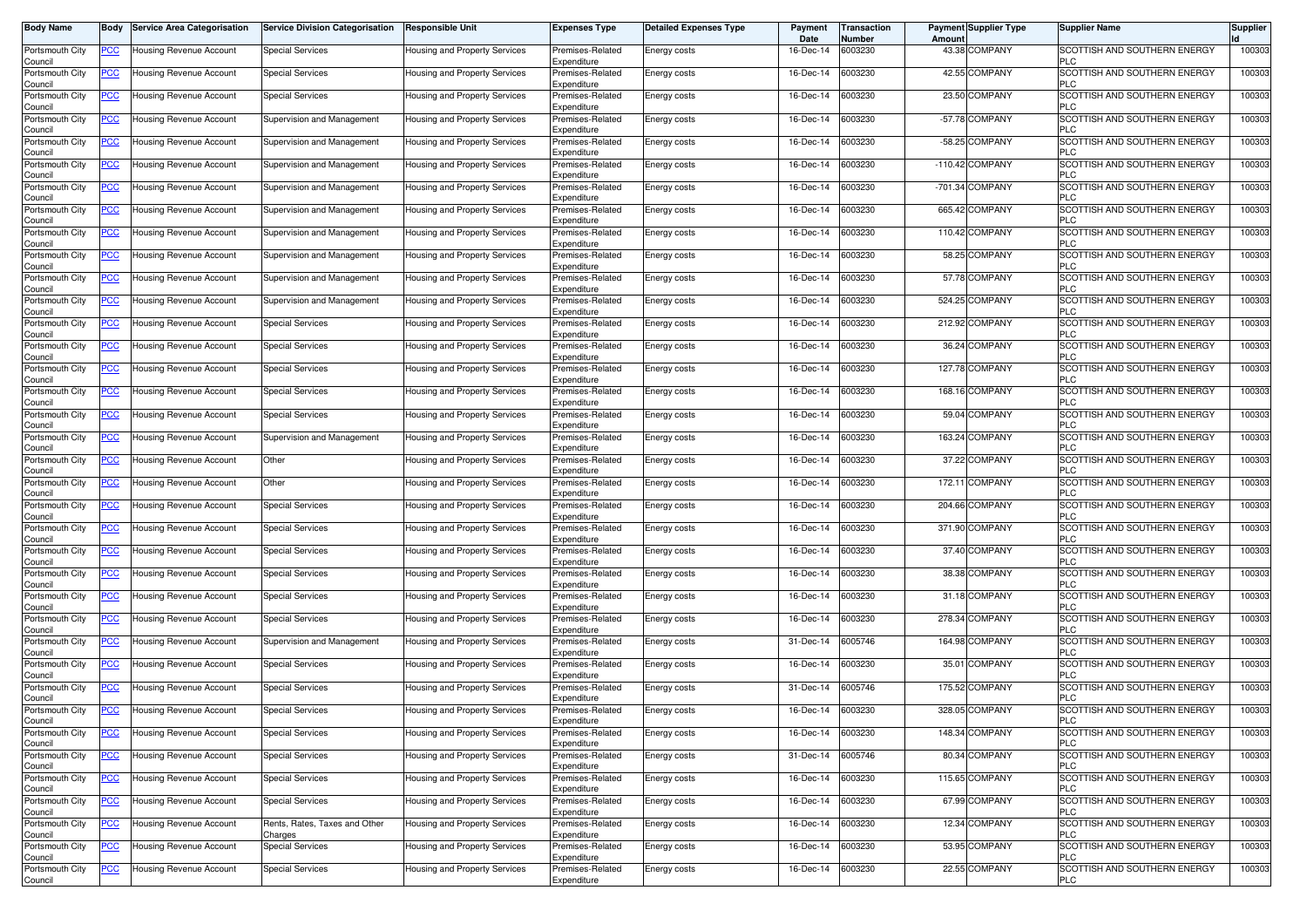| <b>Body Name</b>           | Body           | <b>Service Area Categorisation</b> | <b>Service Division Categorisation</b>   | <b>Responsible Unit</b>              | <b>Expenses Type</b>            | <b>Detailed Expenses Type</b> | Payment<br>Date | ransaction<br>Number | <b>Payment Supplier Type</b><br>Amoun | <b>Supplier Name</b>                              | <b>Supplier</b> |
|----------------------------|----------------|------------------------------------|------------------------------------------|--------------------------------------|---------------------------------|-------------------------------|-----------------|----------------------|---------------------------------------|---------------------------------------------------|-----------------|
| Portsmouth City<br>Council | PCC∶           | Housing Revenue Account            | <b>Special Services</b>                  | Housing and Property Services        | Premises-Related<br>Expenditure | Energy costs                  | 16-Dec-14       | 6003230              | 43.38 COMPANY                         | SCOTTISH AND SOUTHERN ENERGY<br><b>PLC</b>        | 100303          |
| Portsmouth City<br>Council | <u>PCC </u>    | Housing Revenue Account            | <b>Special Services</b>                  | Housing and Property Services        | Premises-Related<br>Expenditure | Energy costs                  | 16-Dec-14       | 6003230              | 42.55 COMPANY                         | SCOTTISH AND SOUTHERN ENERGY<br><b>PLC</b>        | 100303          |
| Portsmouth City<br>Council | <u>PCC</u>     | Housing Revenue Account            | <b>Special Services</b>                  | Housing and Property Services        | Premises-Related<br>Expenditure | Energy costs                  | 16-Dec-14       | 6003230              | 23.50 COMPANY                         | SCOTTISH AND SOUTHERN ENERGY<br><b>PLC</b>        | 100303          |
| Portsmouth City<br>Council | <u>PCC</u>     | <b>Housing Revenue Account</b>     | Supervision and Management               | Housing and Property Services        | Premises-Related<br>Expenditure | Energy costs                  | 16-Dec-14       | 6003230              | -57.78 COMPANY                        | SCOTTISH AND SOUTHERN ENERGY<br><b>PLC</b>        | 100303          |
| Portsmouth City<br>Council | <u>PCC</u>     | Housing Revenue Account            | Supervision and Management               | Housing and Property Services        | Premises-Related<br>Expenditure | Energy costs                  | 16-Dec-14       | 6003230              | -58.25 COMPANY                        | SCOTTISH AND SOUTHERN ENERGY<br><b>PLC</b>        | 100303          |
| Portsmouth City<br>Council | <u>PCC </u>    | Housing Revenue Account            | Supervision and Management               | Housing and Property Services        | Premises-Related<br>Expenditure | Energy costs                  | 16-Dec-14       | 6003230              | $-110.42$ COMPANY                     | SCOTTISH AND SOUTHERN ENERGY<br><b>PLC</b>        | 100303          |
| Portsmouth City<br>Council | <u>PCC</u>     | Housing Revenue Account            | Supervision and Management               | Housing and Property Services        | Premises-Related<br>Expenditure | Energy costs                  | 16-Dec-14       | 6003230              | -701.34 COMPANY                       | SCOTTISH AND SOUTHERN ENERGY<br><b>PLC</b>        | 100303          |
| Portsmouth City<br>Council | <u>PCC</u>     | Housing Revenue Account            | Supervision and Management               | Housing and Property Services        | Premises-Related<br>Expenditure | Energy costs                  | 16-Dec-14       | 6003230              | 665.42 COMPANY                        | SCOTTISH AND SOUTHERN ENERGY<br><b>PLC</b>        | 100303          |
| Portsmouth City<br>Council | <u>PCC</u>     | Housing Revenue Account            | Supervision and Management               | Housing and Property Services        | Premises-Related<br>Expenditure | Energy costs                  | 16-Dec-14       | 6003230              | 110.42 COMPANY                        | SCOTTISH AND SOUTHERN ENERGY<br><b>PLC</b>        | 100303          |
| Portsmouth City<br>Council | <u>PCC</u>     | Housing Revenue Account            | Supervision and Management               | Housing and Property Services        | Premises-Related<br>Expenditure | Energy costs                  | 16-Dec-14       | 6003230              | 58.25 COMPANY                         | SCOTTISH AND SOUTHERN ENERGY<br><b>PLC</b>        | 100303          |
| Portsmouth City<br>Council | <u>PCC</u>     | Housing Revenue Account            | Supervision and Management               | Housing and Property Services        | Premises-Related<br>Expenditure | Energy costs                  | 16-Dec-14       | 6003230              | 57.78 COMPANY                         | SCOTTISH AND SOUTHERN ENERGY<br><b>PLC</b>        | 100303          |
| Portsmouth City<br>Council | PCC∶           | Housing Revenue Account            | Supervision and Management               | Housing and Property Services        | Premises-Related<br>Expenditure | Energy costs                  | 16-Dec-14       | 6003230              | 524.25 COMPANY                        | <b>SCOTTISH AND SOUTHERN ENERGY</b><br><b>PLC</b> | 100303          |
| Portsmouth City<br>Council | <u>PCC</u>     | Housing Revenue Account            | Special Services                         | Housing and Property Services        | Premises-Related<br>Expenditure | Energy costs                  | 16-Dec-14       | 6003230              | 212.92 COMPANY                        | SCOTTISH AND SOUTHERN ENERGY<br><b>PLC</b>        | 100303          |
| Portsmouth City<br>Council |                | Housing Revenue Account            | <b>Special Services</b>                  | Housing and Property Services        | Premises-Related<br>Expenditure | <b>Energy costs</b>           | 16-Dec-14       | 6003230              | 36.24 COMPANY                         | <b>SCOTTISH AND SOUTHERN ENERGY</b><br><b>PLC</b> | 100303          |
| Portsmouth City<br>Council | PCC            | Housing Revenue Account            | Special Services                         | Housing and Property Services        | Premises-Related<br>Expenditure | Energy costs                  | 16-Dec-14       | 6003230              | 127.78 COMPANY                        | SCOTTISH AND SOUTHERN ENERGY<br><b>PLC</b>        | 100303          |
| Portsmouth City<br>Council | PСC            | Housing Revenue Account            | <b>Special Services</b>                  | Housing and Property Services        | Premises-Related<br>Expenditure | Energy costs                  | 16-Dec-14       | 6003230              | 168.16 COMPANY                        | SCOTTISH AND SOUTHERN ENERGY<br><b>PLC</b>        | 100303          |
| Portsmouth City<br>Council | PCC.           | Housing Revenue Account            | <b>Special Services</b>                  | Housing and Property Services        | Premises-Related<br>Expenditure | Energy costs                  | 16-Dec-14       | 6003230              | 59.04 COMPANY                         | SCOTTISH AND SOUTHERN ENERGY<br><b>PLC</b>        | 100303          |
| Portsmouth City<br>Council | <u>PCC</u>     | <b>Housing Revenue Account</b>     | Supervision and Management               | Housing and Property Services        | Premises-Related<br>Expenditure | Energy costs                  | 16-Dec-14       | 6003230              | 163.24 COMPANY                        | SCOTTISH AND SOUTHERN ENERGY<br><b>PLC</b>        | 100303          |
| Portsmouth City<br>Council | <u>PCC</u>     | Housing Revenue Account            | Other                                    | Housing and Property Services        | Premises-Related<br>Expenditure | Energy costs                  | 16-Dec-14       | 6003230              | 37.22 COMPANY                         | SCOTTISH AND SOUTHERN ENERGY<br><b>PLC</b>        | 100303          |
| Portsmouth City<br>Council | <u>PCC</u>     | Housing Revenue Account            | Other                                    | Housing and Property Services        | Premises-Related<br>Expenditure | Energy costs                  | 16-Dec-14       | 6003230              | 172.11 COMPANY                        | SCOTTISH AND SOUTHERN ENERGY<br><b>PLC</b>        | 100303          |
| Portsmouth City<br>Council | PСC            | Housing Revenue Account            | <b>Special Services</b>                  | Housing and Property Services        | Premises-Related<br>Expenditure | Energy costs                  | 16-Dec-14       | 6003230              | 204.66 COMPANY                        | <b>SCOTTISH AND SOUTHERN ENERGY</b><br><b>PLC</b> | 100303          |
| Portsmouth City<br>Council | <u>PCC </u>    | Housing Revenue Account            | <b>Special Services</b>                  | Housing and Property Services        | Premises-Related<br>Expenditure | Energy costs                  | 16-Dec-14       | 6003230              | 371.90 COMPANY                        | SCOTTISH AND SOUTHERN ENERGY<br><b>PLC</b>        | 100303          |
| Portsmouth City<br>Council | <u>PCC</u>     | Housing Revenue Account            | <b>Special Services</b>                  | Housing and Property Services        | Premises-Related<br>Expenditure | Energy costs                  | 16-Dec-14       | 6003230              | 37.40 COMPANY                         | <b>SCOTTISH AND SOUTHERN ENERGY</b><br><b>PLC</b> | 100303          |
| Portsmouth City<br>Council | <u>PCC</u>     | Housing Revenue Account            | Special Services                         | Housing and Property Services        | Premises-Related<br>Expenditure | Energy costs                  | 16-Dec-14       | 6003230              | 38.38 COMPANY                         | SCOTTISH AND SOUTHERN ENERGY<br><b>PLC</b>        | 100303          |
| Portsmouth City<br>Council | $\overline{C}$ | Housing Revenue Account            | <b>Special Services</b>                  | Housing and Property Services        | Premises-Related<br>Expenditure | Energy costs                  | 16-Dec-14       | 6003230              | 31.18 COMPANY                         | SCOTTISH AND SOUTHERN ENERGY<br><b>PLC</b>        | 100303          |
| Portsmouth City<br>Council | <b>PCC</b>     | Housing Revenue Account            | <b>Special Services</b>                  | Housing and Property Services        | Premises-Related<br>Expenditure | Energy costs                  | 16-Dec-14       | 6003230              | 278.34 COMPANY                        | SCOTTISH AND SOUTHERN ENERGY<br><b>PLC</b>        | 100303          |
| Portsmouth City<br>Council | <u>PCC </u>    | Housing Revenue Account            | Supervision and Management               | Housing and Property Services        | Premises-Related<br>Expenditure | Energy costs                  | 31-Dec-14       | 6005746              | 164.98 COMPANY                        | SCOTTISH AND SOUTHERN ENERGY<br><b>PLC</b>        | 100303          |
| Portsmouth City<br>Council | <u>PCC </u>    | Housing Revenue Account            | <b>Special Services</b>                  | Housing and Property Services        | Premises-Related<br>Expenditure | Energy costs                  | 16-Dec-14       | 6003230              | 35.01 COMPANY                         | SCOTTISH AND SOUTHERN ENERGY<br><b>PLC</b>        | 100303          |
| Portsmouth City<br>Council | <u>PCC</u>     | Housing Revenue Account            | Special Services                         | <b>Housing and Property Services</b> | Premises-Related<br>Expenditure | Energy costs                  | 31-Dec-14       | 6005746              | 175.52 COMPANY                        | SCOTTISH AND SOUTHERN ENERGY<br><b>PLC</b>        | 100303          |
| Portsmouth City<br>ouncil  | <u>PCC </u>    | Housing Revenue Account            | <b>Special Services</b>                  | Housing and Property Services        | Premises-Related<br>Expenditure | Energy costs                  | 16-Dec-14       | 6003230              | 328.05 COMPANY                        | SCOTTISH AND SOUTHERN ENERGY                      | 100303          |
| Portsmouth City<br>Council | <u>PCC</u>     | Housing Revenue Account            | <b>Special Services</b>                  | Housing and Property Services        | Premises-Related<br>Expenditure | Energy costs                  | 16-Dec-14       | 6003230              | 148.34 COMPANY                        | SCOTTISH AND SOUTHERN ENERGY<br><b>PLC</b>        | 100303          |
| Portsmouth City<br>Council | <u>PCC</u>     | Housing Revenue Account            | <b>Special Services</b>                  | Housing and Property Services        | Premises-Related<br>Expenditure | Energy costs                  | 31-Dec-14       | 6005746              | 80.34 COMPANY                         | SCOTTISH AND SOUTHERN ENERGY<br><b>PLC</b>        | 100303          |
| Portsmouth City<br>Council | PCC            | Housing Revenue Account            | <b>Special Services</b>                  | Housing and Property Services        | Premises-Related<br>Expenditure | Energy costs                  | 16-Dec-14       | 6003230              | 115.65 COMPANY                        | SCOTTISH AND SOUTHERN ENERGY<br><b>PLC</b>        | 100303          |
| Portsmouth City<br>Council | <u>PCC</u>     | Housing Revenue Account            | <b>Special Services</b>                  | Housing and Property Services        | Premises-Related<br>Expenditure | Energy costs                  | 16-Dec-14       | 6003230              | 67.99 COMPANY                         | SCOTTISH AND SOUTHERN ENERGY<br><b>PLC</b>        | 100303          |
| Portsmouth City<br>Council | <u>PCC</u>     | Housing Revenue Account            | Rents, Rates, Taxes and Other<br>Charges | Housing and Property Services        | Premises-Related<br>Expenditure | Energy costs                  | 16-Dec-14       | 6003230              | 12.34 COMPANY                         | SCOTTISH AND SOUTHERN ENERGY<br><b>PLC</b>        | 100303          |
| Portsmouth City<br>Council | <b>PCC</b>     | Housing Revenue Account            | <b>Special Services</b>                  | Housing and Property Services        | Premises-Related<br>Expenditure | Energy costs                  | 16-Dec-14       | 6003230              | 53.95 COMPANY                         | SCOTTISH AND SOUTHERN ENERGY<br><b>PLC</b>        | 100303          |
| Portsmouth City<br>Council | <u>PCC</u>     | Housing Revenue Account            | <b>Special Services</b>                  | Housing and Property Services        | Premises-Related<br>Expenditure | Energy costs                  | 16-Dec-14       | 6003230              | 22.55 COMPANY                         | SCOTTISH AND SOUTHERN ENERGY<br><b>PLC</b>        | 100303          |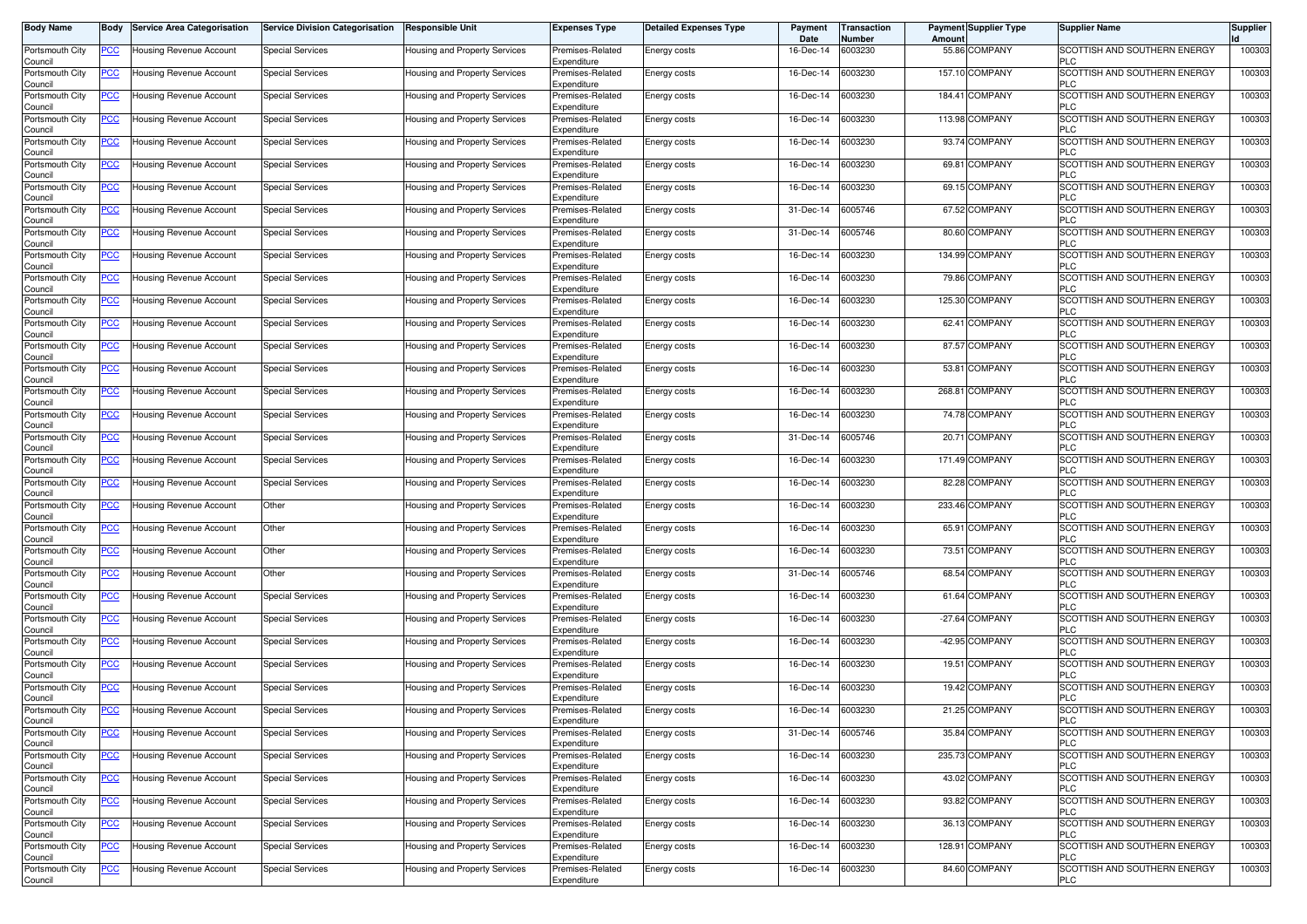| <b>Body Name</b>           | Body           | <b>Service Area Categorisation</b> | <b>Service Division Categorisation</b> | <b>Responsible Unit</b>              | <b>Expenses Type</b>            | <b>Detailed Expenses Type</b> | Payment<br>Date | <b>Transaction</b><br>Number | Amoun  | <b>Payment Supplier Type</b> | <b>Supplier Name</b>                              | <b>Supplier</b> |
|----------------------------|----------------|------------------------------------|----------------------------------------|--------------------------------------|---------------------------------|-------------------------------|-----------------|------------------------------|--------|------------------------------|---------------------------------------------------|-----------------|
| Portsmouth City<br>Council | PCC∶           | Housing Revenue Account            | <b>Special Services</b>                | Housing and Property Services        | Premises-Related<br>Expenditure | Energy costs                  | 16-Dec-14       | 6003230                      |        | 55.86 COMPANY                | SCOTTISH AND SOUTHERN ENERGY<br><b>PLC</b>        | 100303          |
| Portsmouth City<br>Council | <u>PCC </u>    | Housing Revenue Account            | <b>Special Services</b>                | Housing and Property Services        | Premises-Related<br>Expenditure | Energy costs                  | 16-Dec-14       | 6003230                      |        | 157.10 COMPANY               | SCOTTISH AND SOUTHERN ENERGY<br><b>PLC</b>        | 100303          |
| Portsmouth City<br>Council | <u>PCC </u>    | Housing Revenue Account            | <b>Special Services</b>                | Housing and Property Services        | Premises-Related<br>Expenditure | Energy costs                  | 16-Dec-14       | 6003230                      |        | 184.41 COMPANY               | SCOTTISH AND SOUTHERN ENERGY<br><b>PLC</b>        | 100303          |
| Portsmouth City            | <b>PCC</b>     | <b>Housing Revenue Account</b>     | <b>Special Services</b>                | <b>Housing and Property Services</b> | Premises-Related<br>Expenditure | Energy costs                  | 16-Dec-14       | 6003230                      |        | 113.98 COMPANY               | SCOTTISH AND SOUTHERN ENERGY<br><b>PLC</b>        | 100303          |
| Council<br>Portsmouth City | <u>PCC</u>     | Housing Revenue Account            | <b>Special Services</b>                | Housing and Property Services        | Premises-Related                | Energy costs                  | 16-Dec-14       | 6003230                      |        | 93.74 COMPANY                | SCOTTISH AND SOUTHERN ENERGY<br><b>PLC</b>        | 100303          |
| Council<br>Portsmouth City | <u>PCC </u>    | Housing Revenue Account            | Special Services                       | Housing and Property Services        | Expenditure<br>Premises-Related | Energy costs                  | 16-Dec-14       | 6003230                      |        | 69.81 COMPANY                | SCOTTISH AND SOUTHERN ENERGY                      | 100303          |
| Council<br>Portsmouth City | <u>PCC </u>    | Housing Revenue Account            | <b>Special Services</b>                | Housing and Property Services        | Expenditure<br>Premises-Related | Energy costs                  | 16-Dec-14       | 6003230                      |        | 69.15 COMPANY                | <b>PLC</b><br>SCOTTISH AND SOUTHERN ENERGY        | 100303          |
| Council<br>Portsmouth City | <u>PCC</u>     | <b>Housing Revenue Account</b>     | <b>Special Services</b>                | Housing and Property Services        | Expenditure<br>Premises-Related | Energy costs                  | 31-Dec-14       | 6005746                      |        | 67.52 COMPANY                | <b>PLC</b><br>SCOTTISH AND SOUTHERN ENERGY        | 100303          |
| Council<br>Portsmouth City | <u>PCC</u>     | Housing Revenue Account            | <b>Special Services</b>                | Housing and Property Services        | Expenditure<br>Premises-Related | Energy costs                  | 31-Dec-14       | 6005746                      |        | 80.60 COMPANY                | <b>PLC</b><br>SCOTTISH AND SOUTHERN ENERGY        | 100303          |
| Council<br>Portsmouth City | <u>PCC</u>     | Housing Revenue Account            | <b>Special Services</b>                | Housing and Property Services        | Expenditure<br>Premises-Related | Energy costs                  | 16-Dec-14       | 6003230                      |        | 134.99 COMPANY               | <b>PLC</b><br>SCOTTISH AND SOUTHERN ENERGY        | 100303          |
| Council<br>Portsmouth City | <u>PCC</u>     | Housing Revenue Account            | <b>Special Services</b>                | Housing and Property Services        | Expenditure<br>Premises-Related | Energy costs                  | 16-Dec-14       | 6003230                      |        | 79.86 COMPANY                | <b>PLC</b><br>SCOTTISH AND SOUTHERN ENERGY        | 100303          |
| Council<br>Portsmouth City | <u>PCC</u>     | Housing Revenue Account            | <b>Special Services</b>                | Housing and Property Services        | Expenditure<br>Premises-Related | <b>Energy costs</b>           | 16-Dec-14       | 6003230                      |        | 125.30 COMPANY               | <b>PLC</b><br>SCOTTISH AND SOUTHERN ENERGY        | 100303          |
| Council<br>Portsmouth City | <u>PCC</u>     | Housing Revenue Account            | <b>Special Services</b>                | Housing and Property Services        | Expenditure<br>Premises-Related | Energy costs                  | 16-Dec-14       | 6003230                      |        | 62.41 COMPANY                | <b>PLC</b><br>SCOTTISH AND SOUTHERN ENERGY        | 100303          |
| Council<br>Portsmouth City |                | Housing Revenue Account            | <b>Special Services</b>                | Housing and Property Services        | Expenditure<br>Premises-Related | <b>Energy costs</b>           | 16-Dec-14       | 6003230                      |        | 87.57 COMPANY                | <b>PLC</b><br><b>SCOTTISH AND SOUTHERN ENERGY</b> | 100303          |
| Council<br>Portsmouth City | PCC            | Housing Revenue Account            | Special Services                       | Housing and Property Services        | Expenditure<br>Premises-Related | Energy costs                  | 16-Dec-14       | 6003230                      |        | 53.81 COMPANY                | <b>PLC</b><br>SCOTTISH AND SOUTHERN ENERGY        | 100303          |
| Council<br>Portsmouth City | PСC            | Housing Revenue Account            | <b>Special Services</b>                | Housing and Property Services        | Expenditure<br>Premises-Related | Energy costs                  | 16-Dec-14       | 6003230                      | 268.81 | <b>COMPANY</b>               | <b>PLC</b><br>SCOTTISH AND SOUTHERN ENERGY        | 100303          |
| Council<br>Portsmouth City | PСC            | <b>Housing Revenue Account</b>     | <b>Special Services</b>                | <b>Housing and Property Services</b> | Expenditure<br>Premises-Related | Energy costs                  | 16-Dec-14       | 6003230                      |        | 74.78 COMPANY                | <b>PLC</b><br>SCOTTISH AND SOUTHERN ENERGY        | 100303          |
| Council<br>Portsmouth City | <u>PCC</u>     | <b>Housing Revenue Account</b>     | <b>Special Services</b>                | Housing and Property Services        | Expenditure<br>Premises-Related | Energy costs                  | 31-Dec-14       | 6005746                      |        | 20.71 COMPANY                | <b>PLC</b><br>SCOTTISH AND SOUTHERN ENERGY        | 100303          |
| Council<br>Portsmouth City | <u>PCC </u>    | Housing Revenue Account            | <b>Special Services</b>                | Housing and Property Services        | Expenditure<br>Premises-Related | Energy costs                  | 16-Dec-14       | 6003230                      |        | 171.49 COMPANY               | <b>PLC</b><br>SCOTTISH AND SOUTHERN ENERGY        | 100303          |
| Council<br>Portsmouth City | <u>PCC</u>     | <b>Housing Revenue Account</b>     | <b>Special Services</b>                | Housing and Property Services        | Expenditure<br>Premises-Related | Energy costs                  | 16-Dec-14       | 6003230                      |        | 82.28 COMPANY                | <b>PLC</b><br>SCOTTISH AND SOUTHERN ENERGY        | 100303          |
| Council<br>Portsmouth City | <u>PCC</u>     | Housing Revenue Account            | Other                                  | Housing and Property Services        | Expenditure<br>Premises-Related | Energy costs                  | 16-Dec-14       | 6003230                      |        | 233.46 COMPANY               | <b>PLC</b><br><b>SCOTTISH AND SOUTHERN ENERGY</b> | 100303          |
| Council<br>Portsmouth City | <u>PCC</u>     | Housing Revenue Account            | Other                                  | Housing and Property Services        | Expenditure<br>Premises-Related | Energy costs                  | 16-Dec-14       | 6003230                      |        | 65.91 COMPANY                | <b>PLC</b><br>SCOTTISH AND SOUTHERN ENERGY        | 100303          |
| Council<br>Portsmouth City | <u>PCC</u>     | Housing Revenue Account            | Other                                  | Housing and Property Services        | Expenditure<br>Premises-Related | <b>Energy costs</b>           | 16-Dec-14       | 6003230                      |        | 73.51 COMPANY                | <b>PLC</b><br>SCOTTISH AND SOUTHERN ENERGY        | 100303          |
| Council<br>Portsmouth City | <u>PCC</u>     | Housing Revenue Account            | Other                                  | Housing and Property Services        | Expenditure<br>Premises-Related | Energy costs                  | 31-Dec-14       | 6005746                      |        | 68.54 COMPANY                | <b>PLC</b><br>SCOTTISH AND SOUTHERN ENERGY        | 100303          |
| Council<br>Portsmouth City | $\overline{C}$ | Housing Revenue Account            | <b>Special Services</b>                | Housing and Property Services        | Expenditure<br>Premises-Related | Energy costs                  | 16-Dec-14       | 6003230                      |        | 61.64 COMPANY                | <b>PLC</b><br>SCOTTISH AND SOUTHERN ENERGY        | 100303          |
| Council<br>Portsmouth City | <b>PCC</b>     | Housing Revenue Account            | <b>Special Services</b>                | Housing and Property Services        | Expenditure<br>Premises-Related | Energy costs                  | 16-Dec-14       | 6003230                      |        | -27.64 COMPANY               | <b>PLC</b><br>SCOTTISH AND SOUTHERN ENERGY        | 100303          |
| Council<br>Portsmouth City | <u>PCC </u>    | Housing Revenue Account            | Special Services                       | Housing and Property Services        | Expenditure<br>Premises-Related | Energy costs                  | 16-Dec-14       | 6003230                      |        | -42.95 COMPANY               | <b>PLC</b><br>SCOTTISH AND SOUTHERN ENERGY        | 100303          |
| Council<br>Portsmouth City | <u>PCC </u>    | Housing Revenue Account            | <b>Special Services</b>                | <b>Housing and Property Services</b> | Expenditure<br>Premises-Related | Energy costs                  | 16-Dec-14       | 6003230                      |        | 19.51 COMPANY                | <b>PLC</b><br>SCOTTISH AND SOUTHERN ENERGY        | 100303          |
| Council<br>Portsmouth City | <b>PCC</b>     | <b>Housing Revenue Account</b>     | Special Services                       | <b>Housing and Property Services</b> | Expenditure<br>Premises-Related | Energy costs                  | 16-Dec-14       | 6003230                      |        | 19.42 COMPANY                | <b>PLC</b><br>SCOTTISH AND SOUTHERN ENERGY        | 100303          |
| Council<br>Portsmouth City | <u>PCC </u>    | <b>Housing Revenue Account</b>     | <b>Special Services</b>                | Housing and Property Services        | Expenditure<br>Premises-Related | Energy costs                  | 16-Dec-14       | 6003230                      |        | 21.25 COMPANY                | <b>PLC</b><br>SCOTTISH AND SOUTHERN ENERGY        | 100303          |
| اounc⊪<br>Portsmouth City  | <u>PCC</u>     | Housing Revenue Account            | <b>Special Services</b>                | Housing and Property Services        | Expenditure<br>Premises-Related | Energy costs                  | 31-Dec-14       | 6005746                      |        | 35.84 COMPANY                | SCOTTISH AND SOUTHERN ENERGY                      | 100303          |
| Council<br>Portsmouth City | <u>PCC</u>     | Housing Revenue Account            | <b>Special Services</b>                | Housing and Property Services        | Expenditure<br>Premises-Related | Energy costs                  | 16-Dec-14       | 6003230                      |        | 235.73 COMPANY               | <b>PLC</b><br>SCOTTISH AND SOUTHERN ENERGY        | 100303          |
| Council<br>Portsmouth City | PCC            | Housing Revenue Account            | <b>Special Services</b>                | Housing and Property Services        | Expenditure<br>Premises-Related | Energy costs                  | 16-Dec-14       | 6003230                      |        | 43.02 COMPANY                | <b>PLC</b><br>SCOTTISH AND SOUTHERN ENERGY        | 100303          |
| Council<br>Portsmouth City | <u>PCC</u>     | Housing Revenue Account            | <b>Special Services</b>                | Housing and Property Services        | Expenditure<br>Premises-Related | Energy costs                  | 16-Dec-14       | 6003230                      |        | 93.82 COMPANY                | <b>PLC</b><br>SCOTTISH AND SOUTHERN ENERGY        | 100303          |
| Council<br>Portsmouth City | <u>PCC</u>     | Housing Revenue Account            | <b>Special Services</b>                | Housing and Property Services        | Expenditure<br>Premises-Related | Energy costs                  | 16-Dec-14       | 6003230                      |        | 36.13 COMPANY                | <b>PLC</b><br>SCOTTISH AND SOUTHERN ENERGY        | 100303          |
| Council<br>Portsmouth City | <b>PCC</b>     | Housing Revenue Account            | <b>Special Services</b>                | Housing and Property Services        | Expenditure<br>Premises-Related | Energy costs                  | 16-Dec-14       | 6003230                      |        | 128.91 COMPANY               | <b>PLC</b><br>SCOTTISH AND SOUTHERN ENERGY        | 100303          |
| Council<br>Portsmouth City | <u>PCC</u>     | Housing Revenue Account            | <b>Special Services</b>                | Housing and Property Services        | Expenditure<br>Premises-Related | Energy costs                  | 16-Dec-14       | 6003230                      |        | 84.60 COMPANY                | <b>PLC</b><br>SCOTTISH AND SOUTHERN ENERGY        | 100303          |
| Council                    |                |                                    |                                        |                                      | Expenditure                     |                               |                 |                              |        |                              | <b>PLC</b>                                        |                 |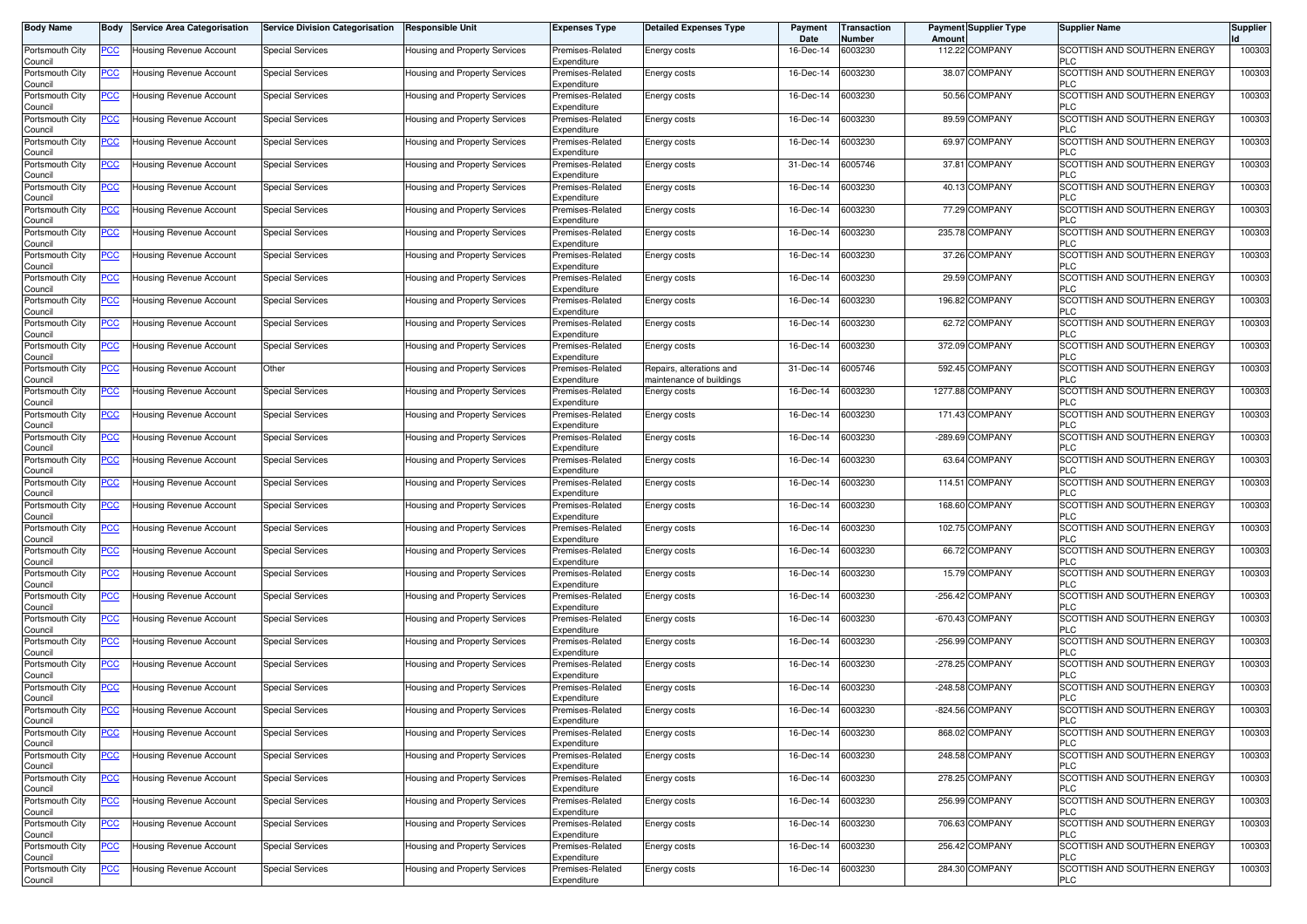| <b>Body Name</b>           | Body           | <b>Service Area Categorisation</b> | <b>Service Division Categorisation</b> | <b>Responsible Unit</b>              | <b>Expenses Type</b>            | <b>Detailed Expenses Type</b>            | Payment<br>Date | <b>Transaction</b><br>Number | <b>Payment Supplier Type</b><br>Amoun | <b>Supplier Name</b>                              | <b>Supplier</b> |
|----------------------------|----------------|------------------------------------|----------------------------------------|--------------------------------------|---------------------------------|------------------------------------------|-----------------|------------------------------|---------------------------------------|---------------------------------------------------|-----------------|
| Portsmouth City<br>Council | PCC∶           | Housing Revenue Account            | <b>Special Services</b>                | Housing and Property Services        | Premises-Related<br>Expenditure | Energy costs                             | 16-Dec-14       | 6003230                      | 112.22 COMPANY                        | SCOTTISH AND SOUTHERN ENERGY<br><b>PLC</b>        | 100303          |
| Portsmouth City<br>Council | <u>PCC </u>    | Housing Revenue Account            | <b>Special Services</b>                | Housing and Property Services        | Premises-Related<br>Expenditure | Energy costs                             | 16-Dec-14       | 6003230                      | 38.07 COMPANY                         | SCOTTISH AND SOUTHERN ENERGY<br><b>PLC</b>        | 100303          |
| Portsmouth City<br>Council | <u>PCC </u>    | Housing Revenue Account            | Special Services                       | Housing and Property Services        | Premises-Related<br>Expenditure | Energy costs                             | 16-Dec-14       | 6003230                      | 50.56 COMPANY                         | SCOTTISH AND SOUTHERN ENERGY<br><b>PLC</b>        | 100303          |
| Portsmouth City            | <b>PCC</b>     | <b>Housing Revenue Account</b>     | Special Services                       | <b>Housing and Property Services</b> | Premises-Related<br>Expenditure | Energy costs                             | 16-Dec-14       | 6003230                      | 89.59 COMPANY                         | SCOTTISH AND SOUTHERN ENERGY<br><b>PLC</b>        | 100303          |
| Council<br>Portsmouth City | <u>PCC</u>     | Housing Revenue Account            | <b>Special Services</b>                | Housing and Property Services        | Premises-Related                | Energy costs                             | 16-Dec-14       | 6003230                      | 69.97 COMPANY                         | SCOTTISH AND SOUTHERN ENERGY<br><b>PLC</b>        | 100303          |
| Council<br>Portsmouth City | <u>PCC </u>    | Housing Revenue Account            | Special Services                       | Housing and Property Services        | Expenditure<br>Premises-Related | Energy costs                             | 31-Dec-14       | 6005746                      | 37.81 COMPANY                         | SCOTTISH AND SOUTHERN ENERGY                      | 100303          |
| Council<br>Portsmouth City | <u>PCC </u>    | Housing Revenue Account            | <b>Special Services</b>                | Housing and Property Services        | Expenditure<br>Premises-Related | Energy costs                             | 16-Dec-14       | 6003230                      | 40.13 COMPANY                         | <b>PLC</b><br>SCOTTISH AND SOUTHERN ENERGY        | 100303          |
| Council<br>Portsmouth City | <u>PCC</u>     | Housing Revenue Account            | <b>Special Services</b>                | Housing and Property Services        | Expenditure<br>Premises-Related | Energy costs                             | 16-Dec-14       | 6003230                      | 77.29 COMPANY                         | <b>PLC</b><br>SCOTTISH AND SOUTHERN ENERGY        | 100303          |
| Council<br>Portsmouth City | <u>PCC</u>     | Housing Revenue Account            | <b>Special Services</b>                | Housing and Property Services        | Expenditure<br>Premises-Related | Energy costs                             | 16-Dec-14       | 6003230                      | 235.78 COMPANY                        | <b>PLC</b><br>SCOTTISH AND SOUTHERN ENERGY        | 100303          |
| Council<br>Portsmouth City | <u>PCC</u>     | Housing Revenue Account            | <b>Special Services</b>                | Housing and Property Services        | Expenditure<br>Premises-Related | Energy costs                             | 16-Dec-14       | 6003230                      | 37.26 COMPANY                         | <b>PLC</b><br>SCOTTISH AND SOUTHERN ENERGY        | 100303          |
| Council<br>Portsmouth City | <u>PCC</u>     | Housing Revenue Account            | <b>Special Services</b>                | Housing and Property Services        | Expenditure<br>Premises-Related | Energy costs                             | 16-Dec-14       | 6003230                      | 29.59 COMPANY                         | <b>PLC</b><br>SCOTTISH AND SOUTHERN ENERGY        | 100303          |
| Council<br>Portsmouth City | <u>PCC</u>     | Housing Revenue Account            | <b>Special Services</b>                | Housing and Property Services        | Expenditure<br>Premises-Related | <b>Energy costs</b>                      | 16-Dec-14       | 6003230                      | 196.82 COMPANY                        | <b>PLC</b><br>SCOTTISH AND SOUTHERN ENERGY        | 100303          |
| Council<br>Portsmouth City | <u>PCC</u>     | Housing Revenue Account            | <b>Special Services</b>                | Housing and Property Services        | Expenditure<br>Premises-Related | Energy costs                             | 16-Dec-14       | 6003230                      | 62.72 COMPANY                         | <b>PLC</b><br>SCOTTISH AND SOUTHERN ENERGY        | 100303          |
| Council<br>Portsmouth City | <u>PCC </u>    | Housing Revenue Account            | <b>Special Services</b>                | Housing and Property Services        | Expenditure<br>Premises-Related | Energy costs                             | 16-Dec-14       | 6003230                      | 372.09 COMPANY                        | <b>PLC</b><br><b>SCOTTISH AND SOUTHERN ENERGY</b> | 100303          |
| Council<br>Portsmouth City | PCC            | Housing Revenue Account            | Other                                  | Housing and Property Services        | Expenditure<br>Premises-Related | Repairs, alterations and                 | 31-Dec-14       | 6005746                      | 592.45 COMPANY                        | <b>PLC</b><br>SCOTTISH AND SOUTHERN ENERGY        | 100303          |
| Council<br>Portsmouth City | PСC            | Housing Revenue Account            | <b>Special Services</b>                | Housing and Property Services        | Expenditure<br>Premises-Related | maintenance of buildings<br>Energy costs | 16-Dec-14       | 6003230                      | 1277.88 COMPANY                       | <b>PLC</b><br>SCOTTISH AND SOUTHERN ENERGY        | 100303          |
| Council<br>Portsmouth City | PСC            | Housing Revenue Account            | <b>Special Services</b>                | Housing and Property Services        | Expenditure<br>Premises-Related | Energy costs                             | 16-Dec-14       | 6003230                      | 171.43 COMPANY                        | <b>PLC</b><br>SCOTTISH AND SOUTHERN ENERGY        | 100303          |
| Council<br>Portsmouth City | <u>PCC</u>     | Housing Revenue Account            | <b>Special Services</b>                | Housing and Property Services        | Expenditure<br>Premises-Related | Energy costs                             | 16-Dec-14       | 6003230                      | -289.69 COMPANY                       | <b>PLC</b><br>SCOTTISH AND SOUTHERN ENERGY        | 100303          |
| Council<br>Portsmouth City | <u>PCC </u>    | Housing Revenue Account            | <b>Special Services</b>                | <b>Housing and Property Services</b> | Expenditure<br>Premises-Related | Energy costs                             | 16-Dec-14       | 6003230                      | 63.64 COMPANY                         | <b>PLC</b><br>SCOTTISH AND SOUTHERN ENERGY        | 100303          |
| Council<br>Portsmouth City | <u>PCC</u>     | Housing Revenue Account            | <b>Special Services</b>                | Housing and Property Services        | Expenditure<br>Premises-Related | Energy costs                             | 16-Dec-14       | 6003230                      | 114.51 COMPANY                        | <b>PLC</b><br>SCOTTISH AND SOUTHERN ENERGY        | 100303          |
| Council<br>Portsmouth City | <u>PCC</u>     | Housing Revenue Account            | <b>Special Services</b>                | Housing and Property Services        | Expenditure<br>Premises-Related | Energy costs                             | 16-Dec-14       | 6003230                      | 168.60 COMPANY                        | <b>PLC</b><br>SCOTTISH AND SOUTHERN ENERGY        | 100303          |
| Council<br>Portsmouth City | <u>PCC</u>     | Housing Revenue Account            | <b>Special Services</b>                | Housing and Property Services        | Expenditure<br>Premises-Related | Energy costs                             | 16-Dec-14       | 6003230                      | 102.75 COMPANY                        | <b>PLC</b><br>SCOTTISH AND SOUTHERN ENERGY        | 100303          |
| Council                    |                |                                    | <b>Special Services</b>                |                                      | Expenditure<br>Premises-Related |                                          | 16-Dec-14       | 6003230                      | 66.72 COMPANY                         | <b>PLC</b><br>SCOTTISH AND SOUTHERN ENERGY        | 100303          |
| Portsmouth City<br>Council | <u>PCC</u>     | Housing Revenue Account            |                                        | Housing and Property Services        | Expenditure                     | <b>Energy costs</b>                      |                 | 6003230                      | 15.79 COMPANY                         | <b>PLC</b><br>SCOTTISH AND SOUTHERN ENERGY        |                 |
| Portsmouth City<br>Council | <u>PCC</u>     | Housing Revenue Account            | Special Services                       | Housing and Property Services        | Premises-Related<br>Expenditure | Energy costs                             | 16-Dec-14       |                              |                                       | <b>PLC</b>                                        | 100303          |
| Portsmouth City<br>Council | $\overline{C}$ | Housing Revenue Account            | <b>Special Services</b>                | Housing and Property Services        | Premises-Related<br>Expenditure | Energy costs                             | 16-Dec-14       | 6003230                      | -256.42 COMPANY                       | SCOTTISH AND SOUTHERN ENERGY<br><b>PLC</b>        | 100303          |
| Portsmouth City<br>Council | <b>PCC</b>     | Housing Revenue Account            | <b>Special Services</b>                | Housing and Property Services        | Premises-Related<br>Expenditure | Energy costs                             | 16-Dec-14       | 6003230                      | -670.43 COMPANY                       | SCOTTISH AND SOUTHERN ENERGY<br><b>PLC</b>        | 100303          |
| Portsmouth City<br>Council | <u>PCC </u>    | Housing Revenue Account            | Special Services                       | Housing and Property Services        | Premises-Related<br>Expenditure | Energy costs                             | 16-Dec-14       | 6003230                      | -256.99 COMPANY                       | SCOTTISH AND SOUTHERN ENERGY<br><b>PLC</b>        | 100303          |
| Portsmouth City<br>Council | <u>PCC </u>    | Housing Revenue Account            | <b>Special Services</b>                | <b>Housing and Property Services</b> | Premises-Related<br>Expenditure | Energy costs                             | 16-Dec-14       | 6003230                      | -278.25 COMPANY                       | SCOTTISH AND SOUTHERN ENERGY<br>PLC               | 100303          |
| Portsmouth City<br>Council | <u>PCC</u>     | <b>Housing Revenue Account</b>     | Special Services                       | Housing and Property Services        | Premises-Related<br>Expenditure | Energy costs                             | 16-Dec-14       | 6003230                      | -248.58 COMPANY                       | SCOTTISH AND SOUTHERN ENERGY<br><b>PLC</b>        | 100303          |
| Portsmouth City<br>ouncil  | <u>PCC </u>    | <b>Housing Revenue Account</b>     | <b>Special Services</b>                | Housing and Property Services        | Premises-Related<br>Expenditure | Energy costs                             | 16-Dec-14       | 6003230                      | -824.56 COMPANY                       | SCOTTISH AND SOUTHERN ENERGY                      | 100303          |
| Portsmouth City<br>Council | <u>PCC</u>     | Housing Revenue Account            | <b>Special Services</b>                | Housing and Property Services        | Premises-Related<br>Expenditure | Energy costs                             | 16-Dec-14       | 6003230                      | 868.02 COMPANY                        | SCOTTISH AND SOUTHERN ENERGY<br><b>PLC</b>        | 100303          |
| Portsmouth City<br>Council | <u>PCC</u>     | Housing Revenue Account            | <b>Special Services</b>                | Housing and Property Services        | Premises-Related<br>Expenditure | Energy costs                             | 16-Dec-14       | 6003230                      | 248.58 COMPANY                        | SCOTTISH AND SOUTHERN ENERGY<br><b>PLC</b>        | 100303          |
| Portsmouth City<br>Council | PCC            | Housing Revenue Account            | <b>Special Services</b>                | Housing and Property Services        | Premises-Related<br>Expenditure | Energy costs                             | 16-Dec-14       | 6003230                      | 278.25 COMPANY                        | SCOTTISH AND SOUTHERN ENERGY<br><b>PLC</b>        | 100303          |
| Portsmouth City<br>Council | <u>PCC</u>     | Housing Revenue Account            | <b>Special Services</b>                | Housing and Property Services        | Premises-Related<br>Expenditure | Energy costs                             | 16-Dec-14       | 6003230                      | 256.99 COMPANY                        | SCOTTISH AND SOUTHERN ENERGY<br><b>PLC</b>        | 100303          |
| Portsmouth City<br>Council | <u>PCC</u>     | Housing Revenue Account            | <b>Special Services</b>                | Housing and Property Services        | Premises-Related<br>Expenditure | Energy costs                             | 16-Dec-14       | 6003230                      | 706.63 COMPANY                        | SCOTTISH AND SOUTHERN ENERGY<br><b>PLC</b>        | 100303          |
| Portsmouth City<br>Council | <b>PCC</b>     | Housing Revenue Account            | <b>Special Services</b>                | Housing and Property Services        | Premises-Related<br>Expenditure | Energy costs                             | 16-Dec-14       | 6003230                      | 256.42 COMPANY                        | SCOTTISH AND SOUTHERN ENERGY<br><b>PLC</b>        | 100303          |
| Portsmouth City<br>Council | <u>PCC</u>     | Housing Revenue Account            | <b>Special Services</b>                | Housing and Property Services        | Premises-Related<br>Expenditure | Energy costs                             | 16-Dec-14       | 6003230                      | 284.30 COMPANY                        | SCOTTISH AND SOUTHERN ENERGY<br><b>PLC</b>        | 100303          |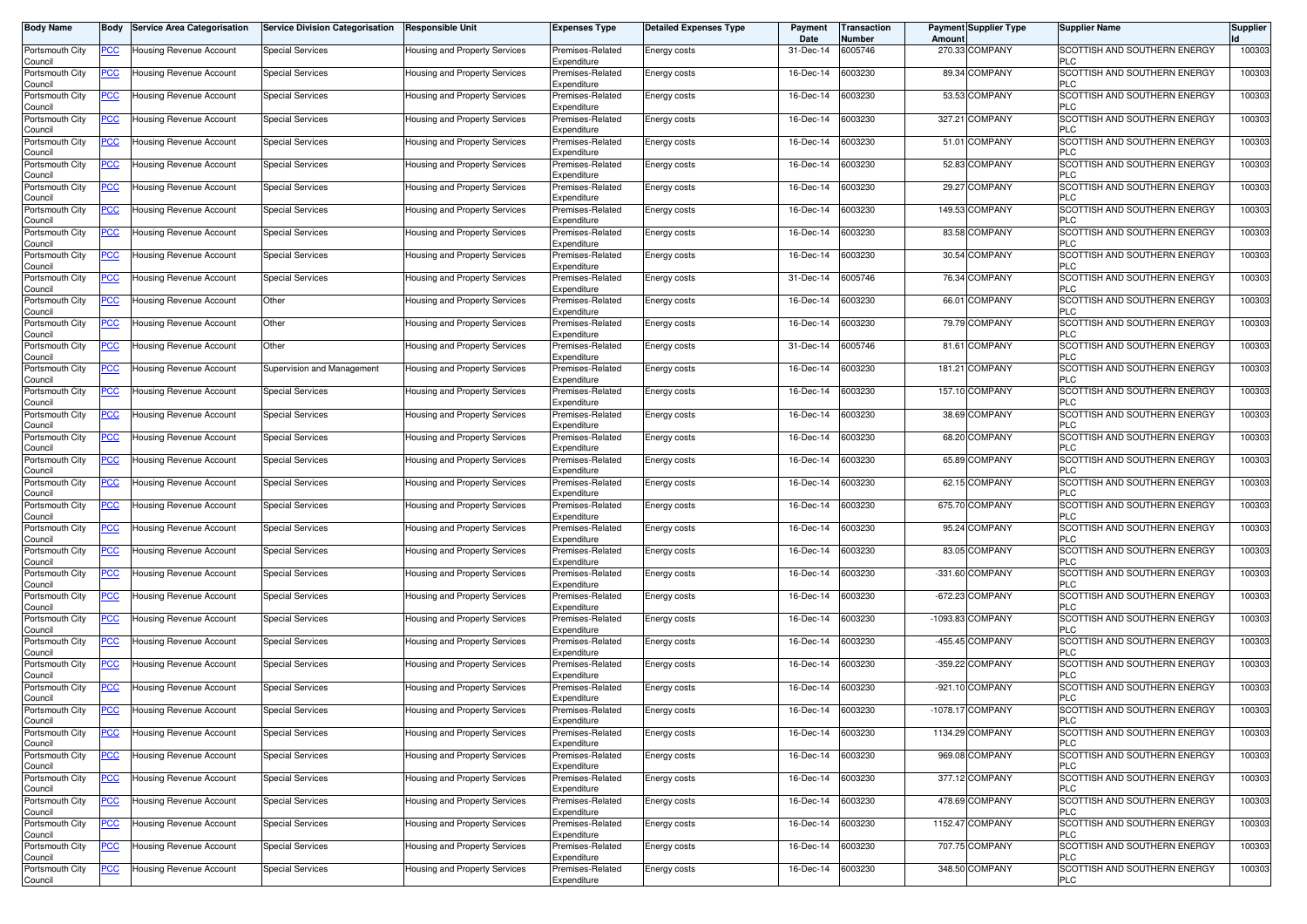| <b>Body Name</b>           | Body           | <b>Service Area Categorisation</b> | <b>Service Division Categorisation</b> | <b>Responsible Unit</b>              | <b>Expenses Type</b>            | <b>Detailed Expenses Type</b> | Payment<br>Date | <b>Transaction</b><br>Number | <b>Payment Supplier Type</b><br>Amoun | <b>Supplier Name</b>                       | <b>Supplier</b> |
|----------------------------|----------------|------------------------------------|----------------------------------------|--------------------------------------|---------------------------------|-------------------------------|-----------------|------------------------------|---------------------------------------|--------------------------------------------|-----------------|
| Portsmouth City<br>Council | PCC∶           | Housing Revenue Account            | <b>Special Services</b>                | Housing and Property Services        | Premises-Related<br>Expenditure | Energy costs                  | 31-Dec-14       | 6005746                      | 270.33 COMPANY                        | SCOTTISH AND SOUTHERN ENERGY<br><b>PLC</b> | 100303          |
| Portsmouth City<br>Council | <u>PCC </u>    | Housing Revenue Account            | <b>Special Services</b>                | Housing and Property Services        | Premises-Related<br>Expenditure | Energy costs                  | 16-Dec-14       | 6003230                      | 89.34 COMPANY                         | SCOTTISH AND SOUTHERN ENERGY<br><b>PLC</b> | 100303          |
| Portsmouth City<br>Council | <u>PCC </u>    | Housing Revenue Account            | <b>Special Services</b>                | Housing and Property Services        | Premises-Related<br>Expenditure | Energy costs                  | 16-Dec-14       | 6003230                      | 53.53 COMPANY                         | SCOTTISH AND SOUTHERN ENERGY<br><b>PLC</b> | 100303          |
| Portsmouth City<br>Council | <b>PCC</b>     | <b>Housing Revenue Account</b>     | <b>Special Services</b>                | <b>Housing and Property Services</b> | Premises-Related<br>Expenditure | Energy costs                  | 16-Dec-14       | 6003230                      | 327.21 COMPANY                        | SCOTTISH AND SOUTHERN ENERGY<br><b>PLC</b> | 100303          |
| Portsmouth City<br>Council | <u>PCC</u>     | Housing Revenue Account            | <b>Special Services</b>                | Housing and Property Services        | Premises-Related<br>Expenditure | Energy costs                  | 16-Dec-14       | 6003230                      | 51.01 COMPANY                         | SCOTTISH AND SOUTHERN ENERGY<br><b>PLC</b> | 100303          |
| Portsmouth City<br>Council | <u>PCC </u>    | Housing Revenue Account            | Special Services                       | Housing and Property Services        | Premises-Related<br>Expenditure | Energy costs                  | 16-Dec-14       | 6003230                      | 52.83 COMPANY                         | SCOTTISH AND SOUTHERN ENERGY<br><b>PLC</b> | 100303          |
| Portsmouth City<br>Council | <u>PCC</u>     | Housing Revenue Account            | <b>Special Services</b>                | <b>Housing and Property Services</b> | Premises-Related<br>Expenditure | Energy costs                  | 16-Dec-14       | 6003230                      | 29.27 COMPANY                         | SCOTTISH AND SOUTHERN ENERGY<br><b>PLC</b> | 100303          |
| Portsmouth City<br>Council | <u>PCC</u>     | Housing Revenue Account            | <b>Special Services</b>                | Housing and Property Services        | Premises-Related<br>Expenditure | Energy costs                  | 16-Dec-14       | 6003230                      | 149.53 COMPANY                        | SCOTTISH AND SOUTHERN ENERGY<br><b>PLC</b> | 100303          |
| Portsmouth City<br>Council | <u>PCC</u>     | Housing Revenue Account            | <b>Special Services</b>                | Housing and Property Services        | Premises-Related<br>Expenditure | Energy costs                  | 16-Dec-14       | 6003230                      | 83.58 COMPANY                         | SCOTTISH AND SOUTHERN ENERGY<br><b>PLC</b> | 100303          |
| Portsmouth City<br>Council | <u>PCC</u>     | Housing Revenue Account            | <b>Special Services</b>                | Housing and Property Services        | Premises-Related<br>Expenditure | Energy costs                  | 16-Dec-14       | 6003230                      | 30.54 COMPANY                         | SCOTTISH AND SOUTHERN ENERGY<br><b>PLC</b> | 100303          |
| Portsmouth City<br>Council | <u>PCC</u>     | Housing Revenue Account            | <b>Special Services</b>                | Housing and Property Services        | Premises-Related<br>Expenditure | Energy costs                  | 31-Dec-14       | 6005746                      | 76.34 COMPANY                         | SCOTTISH AND SOUTHERN ENERGY<br><b>PLC</b> | 100303          |
| Portsmouth City<br>Council | <u>PCC</u>     | Housing Revenue Account            | Other                                  | Housing and Property Services        | Premises-Related<br>Expenditure | <b>Energy costs</b>           | 16-Dec-14       | 6003230                      | 66.01 COMPANY                         | SCOTTISH AND SOUTHERN ENERGY<br><b>PLC</b> | 100303          |
| Portsmouth City<br>Council | <u>PCC</u>     | Housing Revenue Account            | Other                                  | Housing and Property Services        | Premises-Related<br>Expenditure | Energy costs                  | 16-Dec-14       | 6003230                      | 79.79 COMPANY                         | SCOTTISH AND SOUTHERN ENERGY<br><b>PLC</b> | 100303          |
| Portsmouth City<br>Council | <u>PCC </u>    | Housing Revenue Account            | Other                                  | Housing and Property Services        | Premises-Related<br>Expenditure | <b>Energy costs</b>           | 31-Dec-14       | 6005746                      | 81.61 COMPANY                         | SCOTTISH AND SOUTHERN ENERGY<br><b>PLC</b> | 100303          |
| Portsmouth City<br>Council | PCC            | Housing Revenue Account            | Supervision and Management             | Housing and Property Services        | Premises-Related<br>Expenditure | Energy costs                  | 16-Dec-14       | 6003230                      | 181.21 COMPANY                        | SCOTTISH AND SOUTHERN ENERGY<br><b>PLC</b> | 100303          |
| Portsmouth City<br>Council | PСC            | Housing Revenue Account            | <b>Special Services</b>                | Housing and Property Services        | Premises-Related<br>Expenditure | Energy costs                  | 16-Dec-14       | 6003230                      | 157.10 COMPANY                        | SCOTTISH AND SOUTHERN ENERGY<br><b>PLC</b> | 100303          |
| Portsmouth City<br>Council | PСC            | Housing Revenue Account            | <b>Special Services</b>                | Housing and Property Services        | Premises-Related<br>Expenditure | Energy costs                  | 16-Dec-14       | 6003230                      | 38.69 COMPANY                         | SCOTTISH AND SOUTHERN ENERGY<br><b>PLC</b> | 100303          |
| Portsmouth City<br>Council | <u>PCC</u>     | <b>Housing Revenue Account</b>     | <b>Special Services</b>                | Housing and Property Services        | Premises-Related<br>Expenditure | Energy costs                  | 16-Dec-14       | 6003230                      | 68.20 COMPANY                         | SCOTTISH AND SOUTHERN ENERGY<br><b>PLC</b> | 100303          |
| Portsmouth City<br>Council | <u>PCC </u>    | Housing Revenue Account            | <b>Special Services</b>                | Housing and Property Services        | Premises-Related<br>Expenditure | Energy costs                  | 16-Dec-14       | 6003230                      | 65.89 COMPANY                         | SCOTTISH AND SOUTHERN ENERGY<br><b>PLC</b> | 100303          |
| Portsmouth City<br>Council | <u>PCC</u>     | Housing Revenue Account            | <b>Special Services</b>                | Housing and Property Services        | Premises-Related<br>Expenditure | Energy costs                  | 16-Dec-14       | 6003230                      | 62.15 COMPANY                         | SCOTTISH AND SOUTHERN ENERGY<br><b>PLC</b> | 100303          |
| Portsmouth City<br>Council | <u>PCC</u>     | Housing Revenue Account            | <b>Special Services</b>                | Housing and Property Services        | Premises-Related<br>Expenditure | Energy costs                  | 16-Dec-14       | 6003230                      | 675.70 COMPANY                        | SCOTTISH AND SOUTHERN ENERGY<br><b>PLC</b> | 100303          |
| Portsmouth City<br>Council | <u>PCC</u>     | Housing Revenue Account            | <b>Special Services</b>                | Housing and Property Services        | Premises-Related<br>Expenditure | Energy costs                  | 16-Dec-14       | 6003230                      | 95.24 COMPANY                         | SCOTTISH AND SOUTHERN ENERGY<br><b>PLC</b> | 100303          |
| Portsmouth City<br>Council | <u>PCC</u>     | Housing Revenue Account            | <b>Special Services</b>                | Housing and Property Services        | Premises-Related<br>Expenditure | <b>Energy costs</b>           | 16-Dec-14       | 6003230                      | 83.05 COMPANY                         | SCOTTISH AND SOUTHERN ENERGY<br><b>PLC</b> | 100303          |
| Portsmouth City<br>Council | <u>PCC</u>     | Housing Revenue Account            | Special Services                       | Housing and Property Services        | Premises-Related<br>Expenditure | Energy costs                  | 16-Dec-14       | 6003230                      | -331.60 COMPANY                       | SCOTTISH AND SOUTHERN ENERGY<br><b>PLC</b> | 100303          |
| Portsmouth City<br>Council | $\overline{C}$ | Housing Revenue Account            | <b>Special Services</b>                | Housing and Property Services        | Premises-Related<br>Expenditure | Energy costs                  | 16-Dec-14       | 6003230                      | $-672.23$<br><b>COMPANY</b>           | SCOTTISH AND SOUTHERN ENERGY<br><b>PLC</b> | 100303          |
| Portsmouth City<br>Council | <b>PCC</b>     | Housing Revenue Account            | <b>Special Services</b>                | Housing and Property Services        | Premises-Related<br>Expenditure | Energy costs                  | 16-Dec-14       | 6003230                      | -1093.83 COMPANY                      | SCOTTISH AND SOUTHERN ENERGY<br><b>PLC</b> | 100303          |
| Portsmouth City<br>Council | <u>PCC </u>    | Housing Revenue Account            | Special Services                       | Housing and Property Services        | Premises-Related<br>Expenditure | Energy costs                  | 16-Dec-14       | 6003230                      | -455.45 COMPANY                       | SCOTTISH AND SOUTHERN ENERGY<br><b>PLC</b> | 100303          |
| Portsmouth City<br>Council | <u>PCC </u>    | Housing Revenue Account            | <b>Special Services</b>                | <b>Housing and Property Services</b> | Premises-Related<br>Expenditure | Energy costs                  | 16-Dec-14       | 6003230                      | -359.22 COMPANY                       | SCOTTISH AND SOUTHERN ENERGY<br>PLC        | 100303          |
| Portsmouth City<br>Council | <b>PCC</b>     | <b>Housing Revenue Account</b>     | Special Services                       | <b>Housing and Property Services</b> | Premises-Related<br>Expenditure | Energy costs                  | 16-Dec-14       | 6003230                      | -921.10 COMPANY                       | SCOTTISH AND SOUTHERN ENERGY<br><b>PLC</b> | 100303          |
| Portsmouth City<br>ouncil  | <u>PCC </u>    | <b>Housing Revenue Account</b>     | <b>Special Services</b>                | Housing and Property Services        | Premises-Related<br>Expenditure | Energy costs                  | 16-Dec-14       | 6003230                      | -1078.17 COMPANY                      | SCOTTISH AND SOUTHERN ENERGY               | 100303          |
| Portsmouth City<br>Council | <u>PCC</u>     | Housing Revenue Account            | <b>Special Services</b>                | Housing and Property Services        | Premises-Related<br>Expenditure | Energy costs                  | 16-Dec-14       | 6003230                      | 1134.29 COMPANY                       | SCOTTISH AND SOUTHERN ENERGY<br><b>PLC</b> | 100303          |
| Portsmouth City<br>Council | <u>PCC</u>     | Housing Revenue Account            | <b>Special Services</b>                | Housing and Property Services        | Premises-Related<br>Expenditure | Energy costs                  | 16-Dec-14       | 6003230                      | 969.08 COMPANY                        | SCOTTISH AND SOUTHERN ENERGY<br><b>PLC</b> | 100303          |
| Portsmouth City<br>Council | PСC            | Housing Revenue Account            | <b>Special Services</b>                | Housing and Property Services        | Premises-Related<br>Expenditure | Energy costs                  | 16-Dec-14       | 6003230                      | 377.12 COMPANY                        | SCOTTISH AND SOUTHERN ENERGY<br><b>PLC</b> | 100303          |
| Portsmouth City<br>Council | <u>PCC</u>     | Housing Revenue Account            | <b>Special Services</b>                | Housing and Property Services        | Premises-Related<br>Expenditure | Energy costs                  | 16-Dec-14       | 6003230                      | 478.69 COMPANY                        | SCOTTISH AND SOUTHERN ENERGY<br><b>PLC</b> | 100303          |
| Portsmouth City<br>Council | <u>PCC</u>     | Housing Revenue Account            | <b>Special Services</b>                | Housing and Property Services        | Premises-Related<br>Expenditure | Energy costs                  | 16-Dec-14       | 6003230                      | 1152.47 COMPANY                       | SCOTTISH AND SOUTHERN ENERGY<br><b>PLC</b> | 100303          |
| Portsmouth City<br>Council | <b>PCC</b>     | Housing Revenue Account            | <b>Special Services</b>                | Housing and Property Services        | Premises-Related<br>Expenditure | Energy costs                  | 16-Dec-14       | 6003230                      | 707.75 COMPANY                        | SCOTTISH AND SOUTHERN ENERGY<br><b>PLC</b> | 100303          |
| Portsmouth City<br>Council | <u>PCC</u>     | Housing Revenue Account            | <b>Special Services</b>                | Housing and Property Services        | Premises-Related<br>Expenditure | Energy costs                  | 16-Dec-14       | 6003230                      | 348.50 COMPANY                        | SCOTTISH AND SOUTHERN ENERGY<br><b>PLC</b> | 100303          |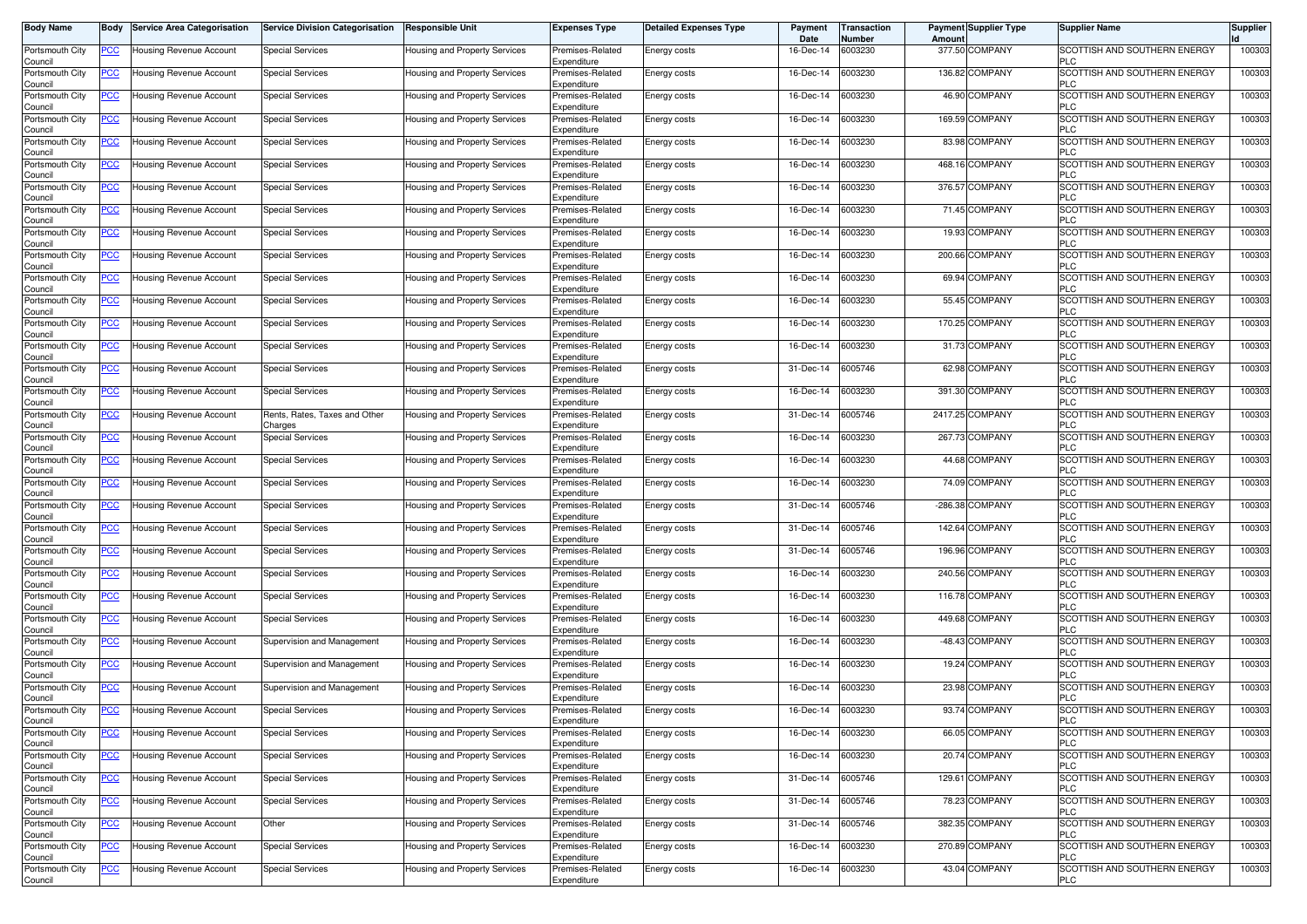| <b>Body Name</b>                      | Body           | <b>Service Area Categorisation</b> | <b>Service Division Categorisation</b> | <b>Responsible Unit</b>              | <b>Expenses Type</b>                           | <b>Detailed Expenses Type</b> | Payment<br>Date | ransaction<br>Number | <b>Payment Supplier Type</b><br>Amoun | <b>Supplier Name</b>                                     | <b>Supplier</b> |
|---------------------------------------|----------------|------------------------------------|----------------------------------------|--------------------------------------|------------------------------------------------|-------------------------------|-----------------|----------------------|---------------------------------------|----------------------------------------------------------|-----------------|
| Portsmouth City<br>Council            | PCC∶           | Housing Revenue Account            | <b>Special Services</b>                | Housing and Property Services        | Premises-Related<br>Expenditure                | Energy costs                  | 16-Dec-14       | 6003230              | 377.50 COMPANY                        | SCOTTISH AND SOUTHERN ENERGY<br><b>PLC</b>               | 100303          |
| Portsmouth City<br>Council            | <u>PCC </u>    | Housing Revenue Account            | <b>Special Services</b>                | Housing and Property Services        | Premises-Related<br>Expenditure                | Energy costs                  | 16-Dec-14       | 6003230              | 136.82 COMPANY                        | SCOTTISH AND SOUTHERN ENERGY<br><b>PLC</b>               | 100303          |
| Portsmouth City<br>Council            | <u>PCC </u>    | Housing Revenue Account            | Special Services                       | Housing and Property Services        | Premises-Related<br>Expenditure                | Energy costs                  | 16-Dec-14       | 6003230              | 46.90 COMPANY                         | SCOTTISH AND SOUTHERN ENERGY<br><b>PLC</b>               | 100303          |
| Portsmouth City                       | <b>PCC</b>     | <b>Housing Revenue Account</b>     | Special Services                       | Housing and Property Services        | Premises-Related<br>Expenditure                | Energy costs                  | 16-Dec-14       | 6003230              | 169.59 COMPANY                        | SCOTTISH AND SOUTHERN ENERGY<br><b>PLC</b>               | 100303          |
| Council<br>Portsmouth City            | <u>PCC</u>     | Housing Revenue Account            | <b>Special Services</b>                | Housing and Property Services        | Premises-Related                               | Energy costs                  | 16-Dec-14       | 6003230              | 83.98 COMPANY                         | SCOTTISH AND SOUTHERN ENERGY<br><b>PLC</b>               | 100303          |
| Council<br>Portsmouth City            | <u>PCC </u>    | Housing Revenue Account            | Special Services                       | Housing and Property Services        | Expenditure<br>Premises-Related                | Energy costs                  | 16-Dec-14       | 6003230              | 468.16 COMPANY                        | SCOTTISH AND SOUTHERN ENERGY                             | 100303          |
| Council<br>Portsmouth City            | <u>PCC</u>     | Housing Revenue Account            | <b>Special Services</b>                | <b>Housing and Property Services</b> | Expenditure<br>Premises-Related                | Energy costs                  | 16-Dec-14       | 6003230              | 376.57 COMPANY                        | <b>PLC</b><br>SCOTTISH AND SOUTHERN ENERGY               | 100303          |
| Council<br>Portsmouth City            | <u>PCC</u>     | Housing Revenue Account            | <b>Special Services</b>                | Housing and Property Services        | Expenditure<br>Premises-Related                | Energy costs                  | 16-Dec-14       | 6003230              | 71.45 COMPANY                         | <b>PLC</b><br>SCOTTISH AND SOUTHERN ENERGY               | 100303          |
| Council<br>Portsmouth City            | <u>PCC</u>     | Housing Revenue Account            | <b>Special Services</b>                | Housing and Property Services        | Expenditure<br>Premises-Related                | Energy costs                  | 16-Dec-14       | 6003230              | 19.93 COMPANY                         | <b>PLC</b><br>SCOTTISH AND SOUTHERN ENERGY               | 100303          |
| Council<br>Portsmouth City            | <u>PCC</u>     | Housing Revenue Account            | <b>Special Services</b>                | Housing and Property Services        | Expenditure<br>Premises-Related                | Energy costs                  | 16-Dec-14       | 6003230              | 200.66 COMPANY                        | <b>PLC</b><br>SCOTTISH AND SOUTHERN ENERGY               | 100303          |
| Council<br>Portsmouth City            | <u>PCC</u>     | Housing Revenue Account            | <b>Special Services</b>                | Housing and Property Services        | Expenditure<br>Premises-Related                | Energy costs                  | 16-Dec-14       | 6003230              | 69.94 COMPANY                         | <b>PLC</b><br>SCOTTISH AND SOUTHERN ENERGY               | 100303          |
| Council<br>Portsmouth City            | <u>PCC</u>     | Housing Revenue Account            | <b>Special Services</b>                | Housing and Property Services        | Expenditure<br>Premises-Related                | Energy costs                  | 16-Dec-14       | 6003230              | 55.45 COMPANY                         | <b>PLC</b><br>SCOTTISH AND SOUTHERN ENERGY               | 100303          |
| Council<br>Portsmouth City            | <u>PCC</u>     | Housing Revenue Account            | <b>Special Services</b>                | Housing and Property Services        | Expenditure<br>Premises-Related                | Energy costs                  | 16-Dec-14       | 6003230              | 170.25 COMPANY                        | <b>PLC</b><br>SCOTTISH AND SOUTHERN ENERGY               | 100303          |
| Council<br>Portsmouth City            | <u>PCC </u>    | Housing Revenue Account            | <b>Special Services</b>                | Housing and Property Services        | Expenditure<br>Premises-Related                | <b>Energy costs</b>           | 16-Dec-14       | 6003230              | 31.73 COMPANY                         | <b>PLC</b><br><b>SCOTTISH AND SOUTHERN ENERGY</b>        | 100303          |
| Council<br>Portsmouth City            | PCC            | Housing Revenue Account            | Special Services                       | Housing and Property Services        | Expenditure<br>Premises-Related                | Energy costs                  | 31-Dec-14       | 6005746              | 62.98 COMPANY                         | <b>PLC</b><br>SCOTTISH AND SOUTHERN ENERGY               | 100303          |
| Council<br>Portsmouth City            | PСC            | Housing Revenue Account            | <b>Special Services</b>                | Housing and Property Services        | Expenditure<br>Premises-Related                | Energy costs                  | 16-Dec-14       | 6003230              | <b>COMPANY</b><br>391.30              | <b>PLC</b><br>SCOTTISH AND SOUTHERN ENERGY               | 100303          |
| Council<br>Portsmouth City            | PСC            | Housing Revenue Account            | Rents, Rates, Taxes and Other          | Housing and Property Services        | Expenditure<br>Premises-Related                | Energy costs                  | 31-Dec-14       | 6005746              | 2417.25 COMPANY                       | <b>PLC</b><br>SCOTTISH AND SOUTHERN ENERGY               | 100303          |
| Council<br>Portsmouth City            | <u>PCC</u>     | Housing Revenue Account            | Charges<br><b>Special Services</b>     | Housing and Property Services        | Expenditure<br>Premises-Related                | Energy costs                  | 16-Dec-14       | 6003230              | 267.73 COMPANY                        | <b>PLC</b><br>SCOTTISH AND SOUTHERN ENERGY               | 100303          |
| Council<br>Portsmouth City            | <u>PCC</u>     | Housing Revenue Account            | <b>Special Services</b>                | Housing and Property Services        | Expenditure<br>Premises-Related                | Energy costs                  | 16-Dec-14       | 6003230              | 44.68 COMPANY                         | <b>PLC</b><br>SCOTTISH AND SOUTHERN ENERGY<br><b>PLC</b> | 100303          |
| Council<br>Portsmouth City<br>Council | <u>PCC</u>     | Housing Revenue Account            | <b>Special Services</b>                | Housing and Property Services        | Expenditure<br>Premises-Related<br>Expenditure | Energy costs                  | 16-Dec-14       | 6003230              | 74.09 COMPANY                         | SCOTTISH AND SOUTHERN ENERGY<br><b>PLC</b>               | 100303          |
| Portsmouth City<br>Council            | <u>PCC</u>     | Housing Revenue Account            | <b>Special Services</b>                | Housing and Property Services        | Premises-Related<br>Expenditure                | Energy costs                  | 31-Dec-14       | 6005746              | -286.38 COMPANY                       | SCOTTISH AND SOUTHERN ENERGY<br><b>PLC</b>               | 100303          |
| Portsmouth City<br>Council            | <u>PCC</u>     | Housing Revenue Account            | <b>Special Services</b>                | Housing and Property Services        | Premises-Related<br>Expenditure                | Energy costs                  | 31-Dec-14       | 6005746              | 142.64 COMPANY                        | SCOTTISH AND SOUTHERN ENERGY<br><b>PLC</b>               | 100303          |
| Portsmouth City<br>Council            | <u>PCC</u>     | Housing Revenue Account            | <b>Special Services</b>                | Housing and Property Services        | Premises-Related<br>Expenditure                | Energy costs                  | 31-Dec-14       | 6005746              | 196.96 COMPANY                        | SCOTTISH AND SOUTHERN ENERGY<br><b>PLC</b>               | 100303          |
| Portsmouth City<br>Council            | <u>PCC</u>     | Housing Revenue Account            | Special Services                       | Housing and Property Services        | Premises-Related<br>Expenditure                | Energy costs                  | 16-Dec-14       | 6003230              | 240.56 COMPANY                        | SCOTTISH AND SOUTHERN ENERGY<br><b>PLC</b>               | 100303          |
| Portsmouth City<br>Council            | $\overline{C}$ | Housing Revenue Account            | <b>Special Services</b>                | Housing and Property Services        | Premises-Related<br>Expenditure                | Energy costs                  | 16-Dec-14       | 6003230              | 116.78 COMPANY                        | SCOTTISH AND SOUTHERN ENERGY<br><b>PLC</b>               | 100303          |
| Portsmouth City<br>Council            | <b>PCC</b>     | Housing Revenue Account            | <b>Special Services</b>                | Housing and Property Services        | Premises-Related<br>Expenditure                | Energy costs                  | 16-Dec-14       | 6003230              | 449.68 COMPANY                        | SCOTTISH AND SOUTHERN ENERGY<br><b>PLC</b>               | 100303          |
| Portsmouth City<br>Council            | <u>PCC </u>    | Housing Revenue Account            | Supervision and Management             | Housing and Property Services        | Premises-Related<br>Expenditure                | Energy costs                  | 16-Dec-14       | 6003230              | -48.43 COMPANY                        | SCOTTISH AND SOUTHERN ENERGY<br><b>PLC</b>               | 100303          |
| Portsmouth City<br>Council            | <u>PCC </u>    | Housing Revenue Account            | Supervision and Management             | Housing and Property Services        | Premises-Related<br>Expenditure                | Energy costs                  | 16-Dec-14       | 6003230              | 19.24 COMPANY                         | SCOTTISH AND SOUTHERN ENERGY<br>PLC                      | 100303          |
| Portsmouth City<br>Council            | <u>PCC</u>     | <b>Housing Revenue Account</b>     | Supervision and Management             | <b>Housing and Property Services</b> | Premises-Related<br>Expenditure                | Energy costs                  | 16-Dec-14       | 6003230              | 23.98 COMPANY                         | SCOTTISH AND SOUTHERN ENERGY<br><b>PLC</b>               | 100303          |
| Portsmouth City<br>ouncil             | <u>PCC </u>    | <b>Housing Revenue Account</b>     | <b>Special Services</b>                | Housing and Property Services        | Premises-Related<br>Expenditure                | Energy costs                  | 16-Dec-14       | 6003230              | 93.74 COMPANY                         | SCOTTISH AND SOUTHERN ENERGY                             | 100303          |
| Portsmouth City<br>Council            | <u>PCC</u>     | Housing Revenue Account            | <b>Special Services</b>                | Housing and Property Services        | Premises-Related<br>Expenditure                | Energy costs                  | 16-Dec-14       | 6003230              | 66.05 COMPANY                         | SCOTTISH AND SOUTHERN ENERGY<br><b>PLC</b>               | 100303          |
| Portsmouth City<br>Council            | <u>PCC</u>     | Housing Revenue Account            | <b>Special Services</b>                | Housing and Property Services        | Premises-Related<br>Expenditure                | Energy costs                  | 16-Dec-14       | 6003230              | 20.74 COMPANY                         | <b>SCOTTISH AND SOUTHERN ENERGY</b><br><b>PLC</b>        | 100303          |
| Portsmouth City<br>Council            | PCC            | Housing Revenue Account            | <b>Special Services</b>                | Housing and Property Services        | Premises-Related<br>Expenditure                | Energy costs                  | 31-Dec-14       | 6005746              | 129.61 COMPANY                        | SCOTTISH AND SOUTHERN ENERGY<br><b>PLC</b>               | 100303          |
| Portsmouth City<br>Council            | <u>PCC</u>     | Housing Revenue Account            | <b>Special Services</b>                | Housing and Property Services        | Premises-Related<br>Expenditure                | Energy costs                  | 31-Dec-14       | 6005746              | 78.23 COMPANY                         | SCOTTISH AND SOUTHERN ENERGY<br><b>PLC</b>               | 100303          |
| Portsmouth City<br>Council            | <u>PCC</u>     | Housing Revenue Account            | Other                                  | Housing and Property Services        | Premises-Related<br>Expenditure                | Energy costs                  | 31-Dec-14       | 6005746              | 382.35 COMPANY                        | SCOTTISH AND SOUTHERN ENERGY<br><b>PLC</b>               | 100303          |
| Portsmouth City<br>Council            | <b>PCC</b>     | Housing Revenue Account            | <b>Special Services</b>                | Housing and Property Services        | Premises-Related<br>Expenditure                | Energy costs                  | 16-Dec-14       | 6003230              | 270.89 COMPANY                        | SCOTTISH AND SOUTHERN ENERGY<br><b>PLC</b>               | 100303          |
| Portsmouth City<br>Council            | <u>PCC</u>     | Housing Revenue Account            | <b>Special Services</b>                | Housing and Property Services        | Premises-Related<br>Expenditure                | Energy costs                  | 16-Dec-14       | 6003230              | 43.04 COMPANY                         | SCOTTISH AND SOUTHERN ENERGY<br><b>PLC</b>               | 100303          |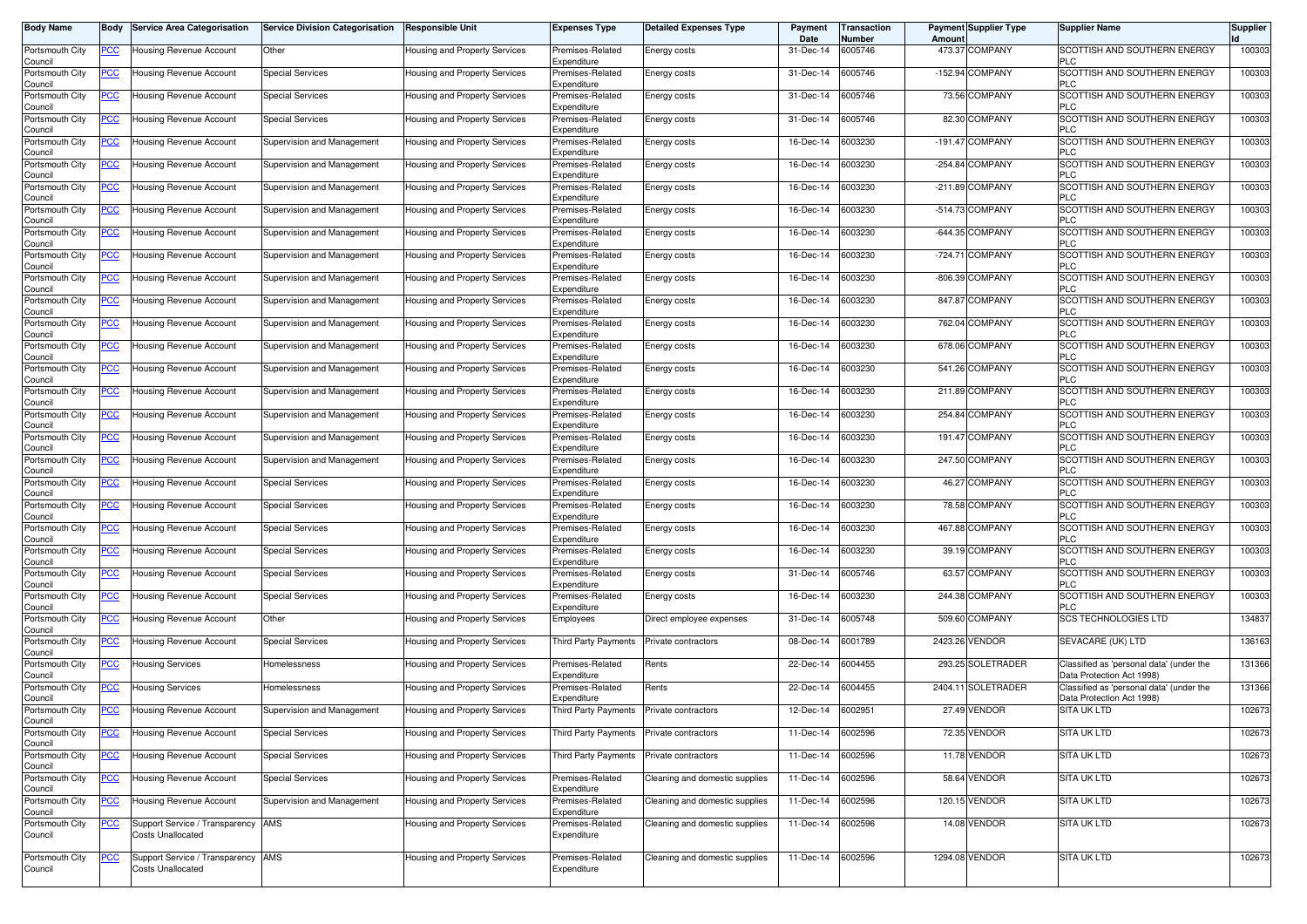| <b>Body Name</b>           | Body       | <b>Service Area Categorisation</b>                             | <b>Service Division Categorisation</b> | <b>Responsible Unit</b>              | <b>Expenses Type</b>                     | <b>Detailed Expenses Type</b>  | Payment<br>Date   | ransaction<br>Number | Amount | <b>Payment Supplier Type</b> | <b>Supplier Name</b>                                                  | <b>Supplier</b> |
|----------------------------|------------|----------------------------------------------------------------|----------------------------------------|--------------------------------------|------------------------------------------|--------------------------------|-------------------|----------------------|--------|------------------------------|-----------------------------------------------------------------------|-----------------|
| Portsmouth City<br>Council | <u>PCC</u> | Housing Revenue Account                                        | Other                                  | Housing and Property Services        | Premises-Related<br>Expenditure          | Energy costs                   | 31-Dec-14         | 6005746              |        | 473.37 COMPANY               | SCOTTISH AND SOUTHERN ENERGY<br><b>PLC</b>                            | 100303          |
| Portsmouth City<br>Council | <b>PCC</b> | Housing Revenue Account                                        | <b>Special Services</b>                | Housing and Property Services        | Premises-Related<br>Expenditure          | Energy costs                   | 31-Dec-14         | 6005746              |        | -152.94 COMPANY              | SCOTTISH AND SOUTHERN ENERGY<br><b>PLC</b>                            | 100303          |
| Portsmouth City<br>Council | <u>PCC</u> | Housing Revenue Account                                        | <b>Special Services</b>                | Housing and Property Services        | Premises-Related<br>Expenditure          | Energy costs                   | 31-Dec-14         | 6005746              |        | 73.56 COMPANY                | SCOTTISH AND SOUTHERN ENERGY<br><b>PLC</b>                            | 100303          |
| Portsmouth City<br>Council | <u>PCC</u> | <b>Housing Revenue Account</b>                                 | <b>Special Services</b>                | Housing and Property Services        | Premises-Related<br>Expenditure          | Energy costs                   | 31-Dec-14         | 6005746              |        | 82.30 COMPANY                | SCOTTISH AND SOUTHERN ENERGY<br><b>PLC</b>                            | 100303          |
| Portsmouth City<br>Council | <u>PCC</u> | Housing Revenue Account                                        | Supervision and Management             | Housing and Property Services        | Premises-Related<br>Expenditure          | Energy costs                   | 16-Dec-14         | 6003230              |        | -191.47 COMPANY              | SCOTTISH AND SOUTHERN ENERGY<br><b>PLC</b>                            | 100303          |
| Portsmouth City<br>Council | <b>PCC</b> | Housing Revenue Account                                        | Supervision and Management             | Housing and Property Services        | Premises-Related<br>Expenditure          | Energy costs                   | 16-Dec-14         | 6003230              |        | -254.84 COMPANY              | SCOTTISH AND SOUTHERN ENERGY<br><b>PLC</b>                            | 100303          |
| Portsmouth City<br>Council | <u>PCC</u> | Housing Revenue Account                                        | Supervision and Management             | <b>Housing and Property Services</b> | Premises-Related<br>Expenditure          | Energy costs                   | 16-Dec-14         | 6003230              |        | -211.89 COMPANY              | SCOTTISH AND SOUTHERN ENERGY<br><b>PLC</b>                            | 100303          |
| Portsmouth City<br>Council | <u>PCC</u> | Housing Revenue Account                                        | Supervision and Management             | Housing and Property Services        | Premises-Related<br>Expenditure          | Energy costs                   | 16-Dec-14         | 6003230              |        | -514.73 COMPANY              | SCOTTISH AND SOUTHERN ENERGY<br><b>PLC</b>                            | 100303          |
| Portsmouth City<br>Council | <u>PCC</u> | Housing Revenue Account                                        | Supervision and Management             | Housing and Property Services        | Premises-Related<br>Expenditure          | Energy costs                   | 16-Dec-14         | 6003230              |        | -644.35 COMPANY              | SCOTTISH AND SOUTHERN ENERGY<br><b>PLC</b>                            | 100303          |
| Portsmouth City<br>Council | <u>PCC</u> | Housing Revenue Account                                        | Supervision and Management             | Housing and Property Services        | Premises-Related<br>Expenditure          | Energy costs                   | 16-Dec-14         | 6003230              |        | -724.71 COMPANY              | SCOTTISH AND SOUTHERN ENERGY<br><b>PLC</b>                            | 100303          |
| Portsmouth City<br>Council | <u>PCC</u> | Housing Revenue Account                                        | Supervision and Management             | Housing and Property Services        | Premises-Related<br>Expenditure          | Energy costs                   | 16-Dec-14         | 6003230              |        | -806.39 COMPANY              | SCOTTISH AND SOUTHERN ENERGY<br><b>PLC</b>                            | 100303          |
| Portsmouth City<br>Council | <u>PCC</u> | Housing Revenue Account                                        | Supervision and Management             | Housing and Property Services        | Premises-Related<br>Expenditure          | Energy costs                   | 16-Dec-14         | 6003230              |        | 847.87 COMPANY               | SCOTTISH AND SOUTHERN ENERGY<br><b>PLC</b>                            | 100303          |
| Portsmouth City<br>Council | <u>PCC</u> | Housing Revenue Account                                        | Supervision and Management             | Housing and Property Services        | Premises-Related<br>Expenditure          | Energy costs                   | 16-Dec-14         | 6003230              |        | 762.04 COMPANY               | SCOTTISH AND SOUTHERN ENERGY<br><b>PLC</b>                            | 100303          |
| Portsmouth City<br>Council | <u>PCC</u> | Housing Revenue Account                                        | Supervision and Management             | Housing and Property Services        | Premises-Related<br>Expenditure          | Energy costs                   | 16-Dec-14         | 6003230              |        | 678.06 COMPANY               | SCOTTISH AND SOUTHERN ENERGY<br><b>PLC</b>                            | 100303          |
| Portsmouth City<br>Council | <u>PCC</u> | Housing Revenue Account                                        | Supervision and Management             | <b>Housing and Property Services</b> | Premises-Related<br>Expenditure          | Energy costs                   | 16-Dec-14         | 6003230              |        | 541.26 COMPANY               | SCOTTISH AND SOUTHERN ENERGY<br><b>PLC</b>                            | 100303          |
| Portsmouth City<br>Council | <u>PCC</u> | Housing Revenue Account                                        | Supervision and Management             | <b>Housing and Property Services</b> | Premises-Related<br>Expenditure          | Energy costs                   | 16-Dec-14         | 6003230              |        | 211.89 COMPANY               | SCOTTISH AND SOUTHERN ENERGY<br><b>PLC</b>                            | 100303          |
| Portsmouth City<br>Council | <u>PCC</u> | Housing Revenue Account                                        | Supervision and Management             | Housing and Property Services        | Premises-Related<br>Expenditure          | Energy costs                   | 16-Dec-14         | 6003230              |        | 254.84 COMPANY               | SCOTTISH AND SOUTHERN ENERGY<br><b>PLC</b>                            | 100303          |
| Portsmouth City<br>Council | <u>PCC</u> | Housing Revenue Account                                        | Supervision and Management             | Housing and Property Services        | Premises-Related<br>Expenditure          | Energy costs                   | 16-Dec-14         | 6003230              |        | 191.47 COMPANY               | SCOTTISH AND SOUTHERN ENERGY<br><b>PLC</b>                            | 100303          |
| Portsmouth City<br>Council | <u>PCC</u> | Housing Revenue Account                                        | Supervision and Management             | Housing and Property Services        | Premises-Related<br>Expenditure          | Energy costs                   | 16-Dec-14         | 6003230              |        | 247.50 COMPANY               | SCOTTISH AND SOUTHERN ENERGY<br><b>PLC</b>                            | 100303          |
| Portsmouth City<br>Council | <u>PCC</u> | Housing Revenue Account                                        | <b>Special Services</b>                | Housing and Property Services        | Premises-Related<br>Expenditure          | Energy costs                   | 16-Dec-14         | 6003230              |        | 46.27 COMPANY                | SCOTTISH AND SOUTHERN ENERGY<br><b>PLC</b>                            | 100303          |
| Portsmouth City<br>Council | <u>PCC</u> | Housing Revenue Account                                        | <b>Special Services</b>                | Housing and Property Services        | Premises-Related<br>Expenditure          | Energy costs                   | 16-Dec-14         | 6003230              |        | 78.58 COMPANY                | SCOTTISH AND SOUTHERN ENERGY<br><b>PLC</b>                            | 100303          |
| Portsmouth City<br>Council | <b>PCC</b> | Housing Revenue Account                                        | Special Services                       | Housing and Property Services        | Premises-Related<br>Expenditure          | Energy costs                   | 16-Dec-14         | 6003230              |        | 467.88 COMPANY               | SCOTTISH AND SOUTHERN ENERGY<br><b>PLC</b>                            | 100303          |
| Portsmouth City<br>Council | <u>PCC</u> | Housing Revenue Account                                        | <b>Special Services</b>                | Housing and Property Services        | Premises-Related<br>Expenditure          | Energy costs                   | 16-Dec-14         | 6003230              |        | 39.19 COMPANY                | SCOTTISH AND SOUTHERN ENERGY<br><b>PLC</b>                            | 100303          |
| Portsmouth City<br>Council | <u>PCC</u> | Housing Revenue Account                                        | Special Services                       | Housing and Property Services        | Premises-Related<br>Expenditure          | Energy costs                   | 31-Dec-14         | 6005746              |        | 63.57 COMPANY                | SCOTTISH AND SOUTHERN ENERGY<br><b>PLC</b>                            | 100303          |
| Portsmouth City<br>Council | <u>PCC</u> | Housing Revenue Account                                        | <b>Special Services</b>                | <b>Housing and Property Services</b> | Premises-Related<br>Expenditure          | Energy costs                   | 16-Dec-14         | 6003230              |        | 244.38 COMPANY               | SCOTTISH AND SOUTHERN ENERGY<br><b>PLC</b>                            | 100303          |
| Portsmouth City<br>Council | <u>PCC</u> | Housing Revenue Account                                        | Other                                  | Housing and Property Services        | Employees                                | Direct employee expenses       | 31-Dec-14         | 6005748              |        | 509.60 COMPANY               | <b>SCS TECHNOLOGIES LTD</b>                                           | 134837          |
| Portsmouth City<br>Council | <u>PCC</u> | Housing Revenue Account                                        | <b>Special Services</b>                | Housing and Property Services        | Third Party Payments                     | Private contractors            | 08-Dec-14         | 6001789              |        | 2423.26 VENDOR               | SEVACARE (UK) LTD                                                     | 136163          |
| Portsmouth City<br>Council | <u>PCC</u> | Housing Services                                               | Homelessness                           | <b>Housing and Property Services</b> | Premises-Related<br>Expenditure          | Rents                          | 22-Dec-14         | 6004455              |        | 293.25 SOLETRADER            | Classified as 'personal data' (under the<br>Data Protection Act 1998) | 131366          |
| Portsmouth City<br>Council | <u>PCC</u> | Housing Services                                               | Homelessness                           | Housing and Property Services        | Premises-Related<br>Expenditure          | Rents                          | 22-Dec-14         | 6004455              |        | 2404.11 SOLETRADER           | Classified as 'personal data' (under the<br>Data Protection Act 1998) | 131366          |
| Portsmouth City<br>Council | <u>PCC</u> | Housing Revenue Account                                        | Supervision and Management             | Housing and Property Services        | Third Party Payments Private contractors |                                | 12-Dec-14         | 6002951              |        | 27.49 VENDOR                 | <b>SITA UK LTD</b>                                                    | 102673          |
| Portsmouth City<br>Council | <u>PCC</u> | Housing Revenue Account                                        | <b>Special Services</b>                | Housing and Property Services        | Third Party Payments                     | Private contractors            | 11-Dec-14         | 6002596              |        | 72.35 VENDOR                 | SITA UK LTD                                                           | 102673          |
| Portsmouth City<br>Council | <u>PCC</u> | Housing Revenue Account                                        | <b>Special Services</b>                | Housing and Property Services        | Third Party Payments                     | Private contractors            | 11-Dec-14         | 6002596              |        | 11.78 VENDOR                 | <b>SITA UK LTD</b>                                                    | 102673          |
| Portsmouth City<br>Council | <u>PCC</u> | Housing Revenue Account                                        | <b>Special Services</b>                | Housing and Property Services        | Premises-Related<br>Expenditure          | Cleaning and domestic supplies | 11-Dec-14         | 6002596              |        | 58.64 VENDOR                 | SITA UK LTD                                                           | 102673          |
| Portsmouth City<br>Council | <u>PCC</u> | Housing Revenue Account                                        | Supervision and Management             | Housing and Property Services        | Premises-Related<br>Expenditure          | Cleaning and domestic supplies | 11-Dec-14         | 6002596              |        | 120.15 VENDOR                | SITA UK LTD                                                           | 102673          |
| Portsmouth City<br>Council | <u>PCC</u> | Support Service / Transparency AMS<br><b>Costs Unallocated</b> |                                        | Housing and Property Services        | Premises-Related<br>Expenditure          | Cleaning and domestic supplies | 11-Dec-14         | 6002596              |        | 14.08 VENDOR                 | SITA UK LTD                                                           | 102673          |
| Portsmouth City<br>Council | <u>PCC</u> | Support Service / Transparency AMS<br><b>Costs Unallocated</b> |                                        | Housing and Property Services        | Premises-Related<br>Expenditure          | Cleaning and domestic supplies | 11-Dec-14 6002596 |                      |        | 1294.08 VENDOR               | <b>SITA UK LTD</b>                                                    | 102673          |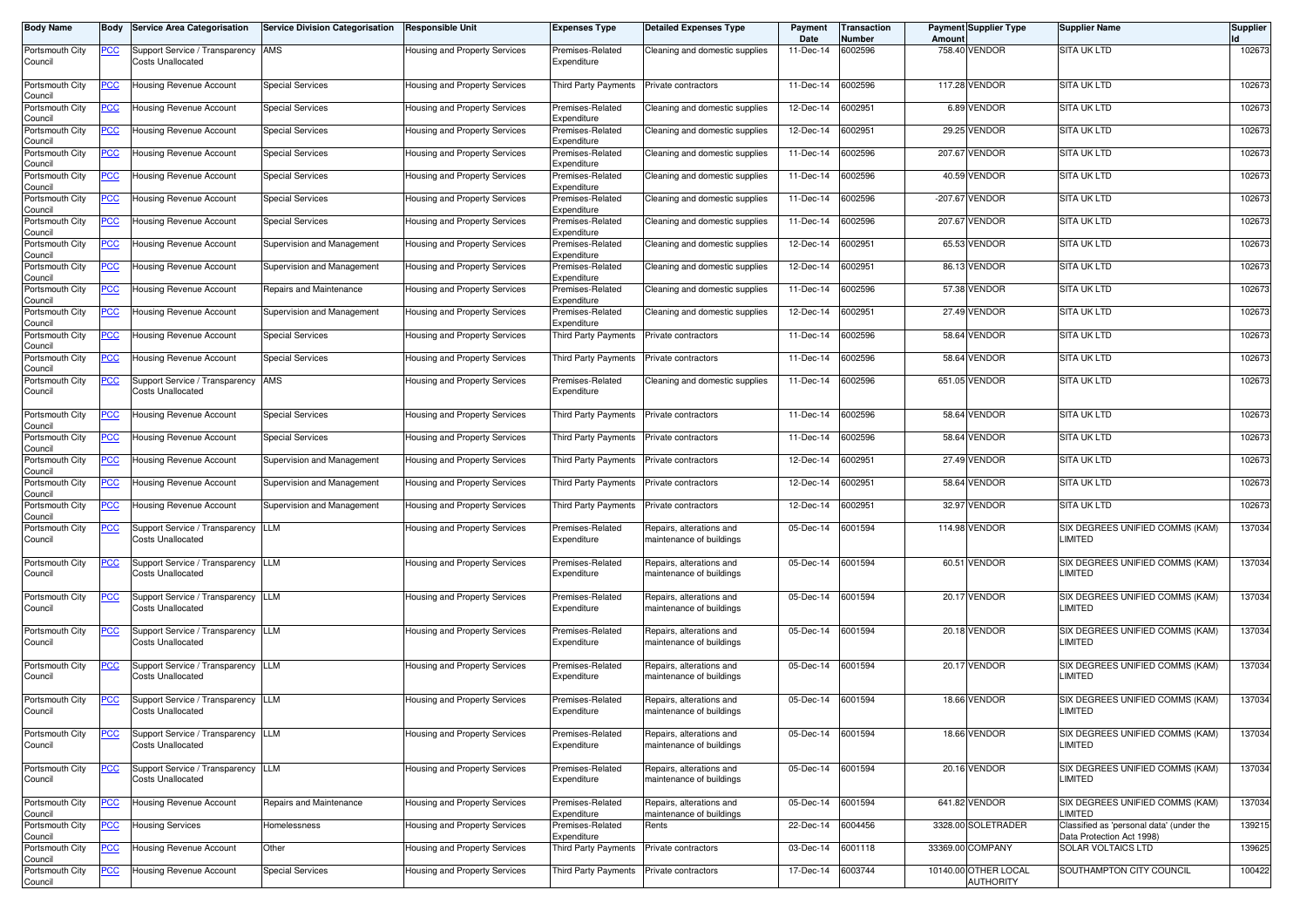| Body Name                  | Body           | <b>Service Area Categorisation</b>                             | <b>Service Division Categorisation</b> | Responsible Unit                     | <b>Expenses Type</b>            | <b>Detailed Expenses Type</b>                        | Payment<br>Date | Transaction<br>Number | Amoun     | <b>Payment Supplier Type</b>             | <b>Supplier Name</b>                                                  | <b>Supplier</b> |
|----------------------------|----------------|----------------------------------------------------------------|----------------------------------------|--------------------------------------|---------------------------------|------------------------------------------------------|-----------------|-----------------------|-----------|------------------------------------------|-----------------------------------------------------------------------|-----------------|
| Portsmouth City<br>Council | <u>PCC</u>     | Support Service / Transparency<br><b>Costs Unallocated</b>     | AMS                                    | Housing and Property Services        | Premises-Related<br>Expenditure | Cleaning and domestic supplies                       | 11-Dec-14       | 6002596               |           | 758.40 VENDOR                            | SITA UK LTD                                                           | 102673          |
| Portsmouth City<br>Council | $\overline{C}$ | Housing Revenue Account                                        | <b>Special Services</b>                | Housing and Property Services        | Third Party Payments            | Private contractors                                  | 11-Dec-14       | 6002596               |           | 117.28 VENDOR                            | SITA UK LTD                                                           | 102673          |
| Portsmouth City<br>Council | <u>PCC</u>     | Housing Revenue Account                                        | <b>Special Services</b>                | Housing and Property Services        | Premises-Related<br>Expenditure | Cleaning and domestic supplies                       | 12-Dec-14       | 6002951               |           | 6.89 VENDOR                              | <b>SITA UK LTD</b>                                                    | 102673          |
| Portsmouth City<br>Council | <u>PCC</u>     | <b>Housing Revenue Account</b>                                 | <b>Special Services</b>                | Housing and Property Services        | Premises-Related<br>Expenditure | Cleaning and domestic supplies                       | 12-Dec-14       | 6002951               |           | 29.25 VENDOR                             | <b>SITA UK LTD</b>                                                    | 102673          |
| Portsmouth City<br>Council | <u>PCC</u>     | Housing Revenue Account                                        | Special Services                       | Housing and Property Services        | Premises-Related<br>Expenditure | Cleaning and domestic supplies                       | 11-Dec-14       | 6002596               | 207.67    | <b>VENDOR</b>                            | <b>SITA UK LTD</b>                                                    | 102673          |
| Portsmouth City<br>Council | <b>PCC</b>     | Housing Revenue Account                                        | <b>Special Services</b>                | <b>Housing and Property Services</b> | Premises-Related<br>Expenditure | Cleaning and domestic supplies                       | 11-Dec-14       | 6002596               |           | 40.59 VENDOR                             | SITA UK LTD                                                           | 102673          |
| Portsmouth City<br>Council | <u>PCC</u>     | Housing Revenue Account                                        | <b>Special Services</b>                | Housing and Property Services        | Premises-Related<br>Expenditure | Cleaning and domestic supplies                       | 11-Dec-14       | 6002596               | $-207.67$ | VENDOR                                   | SITA UK LTD                                                           | 102673          |
| Portsmouth City<br>Council | <u>PCC</u>     | Housing Revenue Account                                        | <b>Special Services</b>                | Housing and Property Services        | Premises-Related<br>Expenditure | Cleaning and domestic supplies                       | 11-Dec-14       | 6002596               |           | 207.67 VENDOR                            | SITA UK LTD                                                           | 102673          |
| Portsmouth City<br>Council | <u>PCC</u>     | Housing Revenue Account                                        | Supervision and Management             | Housing and Property Services        | Premises-Related<br>Expenditure | Cleaning and domestic supplies                       | 12-Dec-14       | 6002951               |           | 65.53 VENDOR                             | SITA UK LTD                                                           | 102673          |
| Portsmouth City<br>Council | <u>PCC</u>     | Housing Revenue Account                                        | Supervision and Management             | Housing and Property Services        | Premises-Related<br>Expenditure | Cleaning and domestic supplies                       | 12-Dec-14       | 6002951               |           | 86.13 VENDOR                             | SITA UK LTD                                                           | 102673          |
| Portsmouth City<br>Council | <u>PCC</u>     | Housing Revenue Account                                        | Repairs and Maintenance                | Housing and Property Services        | Premises-Related<br>Expenditure | Cleaning and domestic supplies                       | 11-Dec-14       | 6002596               |           | 57.38 VENDOR                             | SITA UK LTD                                                           | 102673          |
| Portsmouth City<br>Council | <u>PCC</u>     | Housing Revenue Account                                        | Supervision and Management             | Housing and Property Services        | Premises-Related<br>Expenditure | Cleaning and domestic supplies                       | 12-Dec-14       | 6002951               |           | 27.49 VENDOR                             | <b>SITA UK LTD</b>                                                    | 102673          |
| Portsmouth City<br>Council | <u>PCC</u>     | Housing Revenue Account                                        | <b>Special Services</b>                | Housing and Property Services        | Third Party Payments            | Private contractors                                  | 11-Dec-14       | 6002596               |           | 58.64 VENDOR                             | <b>SITA UK LTD</b>                                                    | 102673          |
| Portsmouth City<br>Council | <u>PCC</u>     | Housing Revenue Account                                        | <b>Special Services</b>                | Housing and Property Services        | Third Party Payments            | Private contractors                                  | 11-Dec-14       | 6002596               | 58.64     | VENDOR                                   | <b>SITA UK LTD</b>                                                    | 102673          |
| Portsmouth City<br>Council | <u>PCC</u>     | Support Service / Transparency<br><b>Costs Unallocated</b>     | AMS                                    | <b>Housing and Property Services</b> | Premises-Related<br>Expenditure | Cleaning and domestic supplies                       | 11-Dec-14       | 6002596               |           | 651.05 VENDOR                            | SITA UK LTD                                                           | 102673          |
| Portsmouth City<br>Council | <u>PCC</u>     | <b>Housing Revenue Account</b>                                 | <b>Special Services</b>                | Housing and Property Services        | Third Party Payments            | Private contractors                                  | 11-Dec-14       | 6002596               | 58.64     | <b>VENDOR</b>                            | <b>SITA UK LTD</b>                                                    | 102673          |
| Portsmouth City<br>Council | <u>PCC</u>     | Housing Revenue Account                                        | <b>Special Services</b>                | Housing and Property Services        | <b>Third Party Payments</b>     | Private contractors                                  | 11-Dec-14       | 6002596               | 58.64     | <b>VENDOR</b>                            | SITA UK LTD                                                           | 102673          |
| Portsmouth City<br>Council | <u>PCC</u>     | Housing Revenue Account                                        | Supervision and Management             | Housing and Property Services        | Third Party Payments            | Private contractors                                  | 12-Dec-14       | 6002951               |           | 27.49 VENDOR                             | <b>SITA UK LTD</b>                                                    | 102673          |
| Portsmouth City<br>Council | <b>PCC</b>     | Housing Revenue Account                                        | Supervision and Management             | Housing and Property Services        | Third Party Payments            | Private contractors                                  | 12-Dec-14       | 6002951               | 58.64     | <b>VENDOR</b>                            | <b>SITA UK LTD</b>                                                    | 102673          |
| Portsmouth City<br>Council | <u>PCC</u>     | Housing Revenue Account                                        | Supervision and Management             | Housing and Property Services        | Third Party Payments            | Private contractors                                  | 12-Dec-14       | 6002951               |           | 32.97 VENDOR                             | SITA UK LTD                                                           | 102673          |
| Portsmouth City<br>Council | <u>PCC</u>     | Support Service / Transparency<br>Costs Unallocated            | LLM                                    | Housing and Property Services        | Premises-Related<br>Expenditure | Repairs, alterations and<br>maintenance of buildings | 05-Dec-14       | 6001594               |           | 114.98 VENDOR                            | SIX DEGREES UNIFIED COMMS (KAM)<br>LIMITED                            | 137034          |
| Portsmouth City<br>Council | <u>PCC</u>     | Support Service / Transparency LLM<br><b>Costs Unallocated</b> |                                        | Housing and Property Services        | Premises-Related<br>Expenditure | Repairs, alterations and<br>naintenance of buildings | $05$ -Dec-14    | 6001594               |           | 60.51 VENDOR                             | SIX DEGREES UNIFIED COMMS (KAM)<br>LIMITED                            | 137034          |
| Portsmouth City<br>Council | <u>PCC</u>     | Support Service / Transparency<br><b>Costs Unallocated</b>     | <b>LLM</b>                             | Housing and Property Services        | Premises-Related<br>Expenditure | Repairs, alterations and<br>maintenance of buildings | 05-Dec-14       | 6001594               |           | 20.17 VENDOR                             | SIX DEGREES UNIFIED COMMS (KAM)<br>LIMITED                            | 137034          |
| Portsmouth City<br>Council | <u>PCC</u>     | Support Service / Transparency<br>Costs Unallocated            | LLM                                    | Housing and Property Services        | Premises-Related<br>Expenditure | Repairs, alterations and<br>maintenance of buildings | 05-Dec-14       | 6001594               |           | 20.18 VENDOR                             | SIX DEGREES UNIFIED COMMS (KAM)<br>LIMITED                            | 137034          |
| Portsmouth City<br>Council | <u>PCC</u>     | Support Service / Transparency<br><b>Costs Unallocated</b>     | <b>LLM</b>                             | Housing and Property Services        | Premises-Related<br>Expenditure | Repairs, alterations and<br>maintenance of buildings | 05-Dec-14       | 6001594               |           | 20.17 VENDOR                             | SIX DEGREES UNIFIED COMMS (KAM)<br>LIMITED                            | 137034          |
| Portsmouth City<br>Council | <u>PCC</u>     | Support Service / Transparency<br><b>Costs Unallocated</b>     | LLM                                    | Housing and Property Services        | Premises-Related<br>Expenditure | Repairs, alterations and<br>maintenance of buildings | 05-Dec-14       | 6001594               |           | 18.66 VENDOR                             | SIX DEGREES UNIFIED COMMS (KAM)<br>LIMITED                            | 137034          |
| Portsmouth City<br>Council | <u>PCC</u>     | Support Service / Transparency<br><b>Costs Unallocated</b>     | <b>LLM</b>                             | Housing and Property Services        | Premises-Related<br>Expenditure | Repairs, alterations and<br>maintenance of buildings | 05-Dec-14       | 6001594               |           | 18.66 VENDOR                             | SIX DEGREES UNIFIED COMMS (KAM)<br><b>LIMITED</b>                     | 137034          |
| Portsmouth City<br>Council | <u>PCC</u>     | Support Service / Transparency LLM<br><b>Costs Unallocated</b> |                                        | Housing and Property Services        | Premises-Related<br>Expenditure | Repairs, alterations and<br>maintenance of buildings | 05-Dec-14       | 6001594               |           | 20.16 VENDOR                             | SIX DEGREES UNIFIED COMMS (KAM)<br><b>LIMITED</b>                     | 137034          |
| Portsmouth City<br>Council | <u>PCC</u>     | Housing Revenue Account                                        | Repairs and Maintenance                | Housing and Property Services        | Premises-Related<br>Expenditure | Repairs, alterations and<br>maintenance of buildings | 05-Dec-14       | 6001594               |           | 641.82 VENDOR                            | SIX DEGREES UNIFIED COMMS (KAM)<br>LIMITED                            | 137034          |
| Portsmouth City<br>Council | <u>PCC</u>     | <b>Housing Services</b>                                        | Homelessness                           | Housing and Property Services        | Premises-Related<br>Expenditure | Rents                                                | 22-Dec-14       | 6004456               |           | 3328.00 SOLETRADER                       | Classified as 'personal data' (under the<br>Data Protection Act 1998) | 139215          |
| Portsmouth City<br>Council | <u>PCC</u>     | Housing Revenue Account                                        | Other                                  | Housing and Property Services        | Third Party Payments            | Private contractors                                  | 03-Dec-14       | 6001118               |           | 33369.00 COMPANY                         | <b>SOLAR VOLTAICS LTD</b>                                             | 139625          |
| Portsmouth City<br>Council | <u>PCC</u>     | Housing Revenue Account                                        | <b>Special Services</b>                | Housing and Property Services        | Third Party Payments            | Private contractors                                  | 17-Dec-14       | 6003744               |           | 10140.00 OTHER LOCAL<br><b>AUTHORITY</b> | SOUTHAMPTON CITY COUNCIL                                              | 100422          |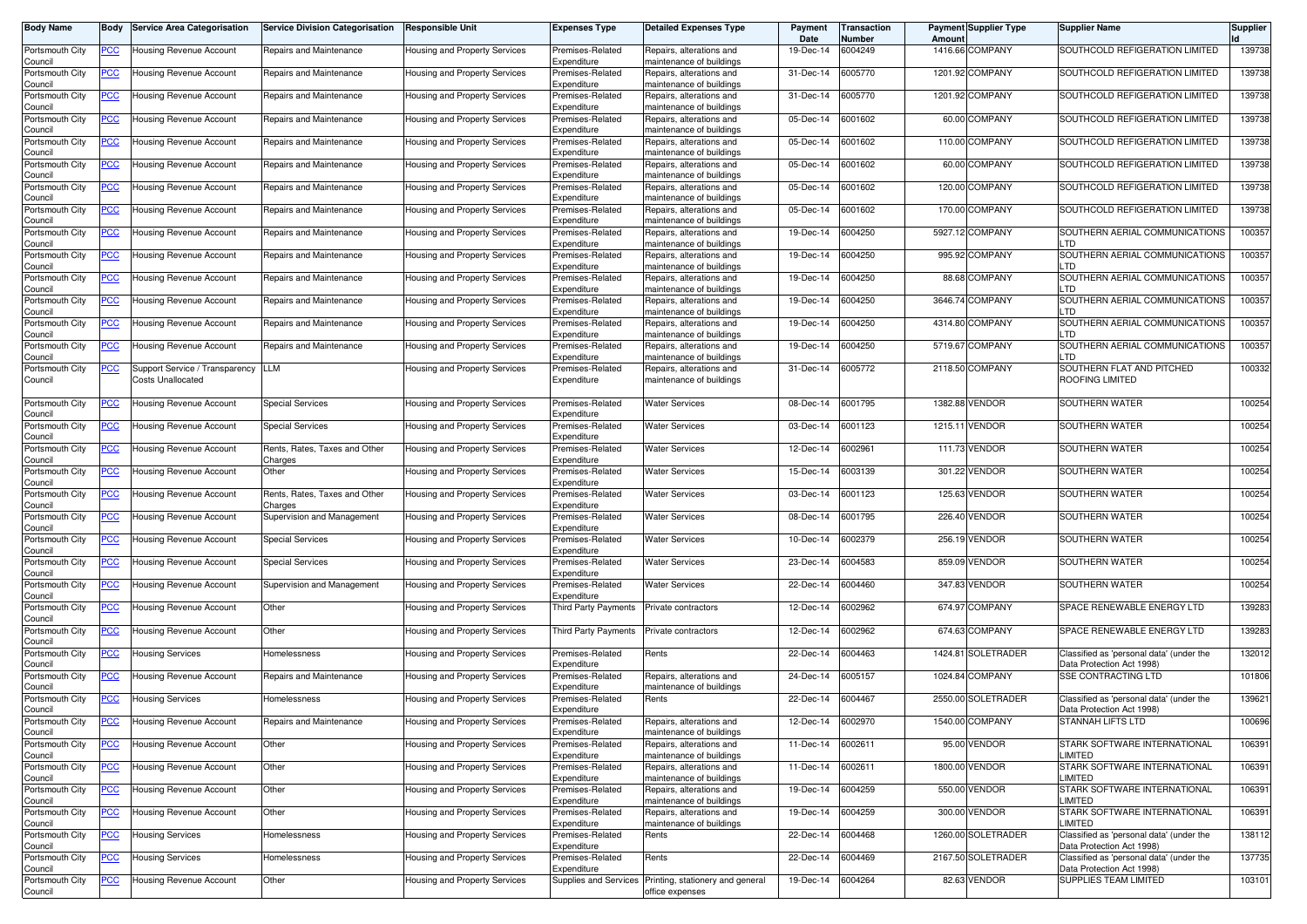| Body Name                  | Body       | <b>Service Area Categorisation</b>                         | <b>Service Division Categorisation</b>   | <b>Responsible Unit</b>              | <b>Expenses Type</b>            | <b>Detailed Expenses Type</b>                                             | <b>Payment</b><br>Date | <b>Transaction</b><br>Number | Amount  | <b>Payment Supplier Type</b> | <b>Supplier Name</b>                                                  | <b>Supplier</b> |
|----------------------------|------------|------------------------------------------------------------|------------------------------------------|--------------------------------------|---------------------------------|---------------------------------------------------------------------------|------------------------|------------------------------|---------|------------------------------|-----------------------------------------------------------------------|-----------------|
| Portsmouth City<br>Council | <u>PCC</u> | Housing Revenue Account                                    | Repairs and Maintenance                  | Housing and Property Services        | Premises-Related<br>Expenditure | Repairs, alterations and<br>maintenance of buildings                      | 19-Dec-14              | 6004249                      |         | 1416.66 COMPANY              | SOUTHCOLD REFIGERATION LIMITED                                        | 139738          |
| Portsmouth City<br>Council | <u>PCC</u> | Housing Revenue Account                                    | Repairs and Maintenance                  | Housing and Property Services        | Premises-Related<br>Expenditure | Repairs, alterations and<br>maintenance of buildings                      | 31-Dec-14              | 6005770                      |         | 1201.92 COMPANY              | SOUTHCOLD REFIGERATION LIMITED                                        | 139738          |
| Portsmouth City<br>Council | <u>PCC</u> | Housing Revenue Account                                    | Repairs and Maintenance                  | Housing and Property Services        | Premises-Related<br>Expenditure | Repairs, alterations and<br>maintenance of buildings                      | 31-Dec-14              | 6005770                      |         | 1201.92 COMPANY              | SOUTHCOLD REFIGERATION LIMITED                                        | 139738          |
| Portsmouth City<br>Council | <u>PCC</u> | Housing Revenue Account                                    | Repairs and Maintenance                  | Housing and Property Services        | Premises-Related<br>Expenditure | Repairs, alterations and<br>naintenance of buildings                      | 05-Dec-14              | 6001602                      |         | 60.00 COMPANY                | SOUTHCOLD REFIGERATION LIMITED                                        | 139738          |
| Portsmouth City<br>Council | <u>PCC</u> | <b>Housing Revenue Account</b>                             | Repairs and Maintenance                  | Housing and Property Services        | Premises-Related<br>Expenditure | Repairs, alterations and<br>naintenance of buildings                      | 05-Dec-14              | 6001602                      |         | 110.00 COMPANY               | SOUTHCOLD REFIGERATION LIMITED                                        | 139738          |
| Portsmouth City<br>Council | <u>PCC</u> | Housing Revenue Account                                    | Repairs and Maintenance                  | Housing and Property Services        | Premises-Related<br>Expenditure | Repairs, alterations and<br>maintenance of buildings                      | 05-Dec-14              | 6001602                      |         | 60.00 COMPANY                | SOUTHCOLD REFIGERATION LIMITED                                        | 139738          |
| Portsmouth City<br>Council | <u>PCC</u> | Housing Revenue Account                                    | Repairs and Maintenance                  | Housing and Property Services        | Premises-Related<br>Expenditure | Repairs, alterations and<br>maintenance of buildings                      | 05-Dec-14              | 6001602                      |         | 120.00 COMPANY               | SOUTHCOLD REFIGERATION LIMITED                                        | 139738          |
| Portsmouth City<br>Council | <u>PCC</u> | Housing Revenue Account                                    | Repairs and Maintenance                  | Housing and Property Services        | Premises-Related<br>Expenditure | Repairs, alterations and<br>maintenance of buildings                      | 05-Dec-14              | 6001602                      |         | 170.00 COMPANY               | SOUTHCOLD REFIGERATION LIMITED                                        | 139738          |
| Portsmouth City<br>Council | <u>PCC</u> | Housing Revenue Account                                    | Repairs and Maintenance                  | Housing and Property Services        | Premises-Related<br>Expenditure | Repairs, alterations and<br>naintenance of buildings                      | 19-Dec-14              | 6004250                      |         | 5927.12 COMPANY              | SOUTHERN AERIAL COMMUNICATIONS<br>LTD                                 | 100357          |
| Portsmouth City<br>Council | <u>PCC</u> | Housing Revenue Account                                    | Repairs and Maintenance                  | Housing and Property Services        | Premises-Related<br>Expenditure | Repairs, alterations and<br>maintenance of buildings                      | 19-Dec-14              | 6004250                      |         | 995.92 COMPANY               | SOUTHERN AERIAL COMMUNICATIONS<br><b>LTD</b>                          | 100357          |
| Portsmouth City<br>Council | <u>PCC</u> | Housing Revenue Account                                    | Repairs and Maintenance                  | Housing and Property Services        | Premises-Related<br>Expenditure | Repairs, alterations and<br>maintenance of buildings                      | 19-Dec-14              | 6004250                      |         | 88.68 COMPANY                | SOUTHERN AERIAL COMMUNICATIONS<br>LTD                                 | 100357          |
| Portsmouth City<br>Council | <u>PCC</u> | Housing Revenue Account                                    | Repairs and Maintenance                  | Housing and Property Services        | Premises-Related<br>Expenditure | Repairs, alterations and<br>naintenance of buildings                      | 19-Dec-14              | 6004250                      |         | 3646.74 COMPANY              | SOUTHERN AERIAL COMMUNICATIONS<br>LTD                                 | 100357          |
| Portsmouth City<br>Council | <u>PCC</u> | Housing Revenue Account                                    | Repairs and Maintenance                  | Housing and Property Services        | Premises-Related<br>Expenditure | Repairs, alterations and<br>maintenance of buildings                      | 19-Dec-14              | 6004250                      |         | 4314.80 COMPANY              | SOUTHERN AERIAL COMMUNICATIONS<br>LTD                                 | 100357          |
| Portsmouth City<br>Council | <u>PCC</u> | Housing Revenue Account                                    | Repairs and Maintenance                  | Housing and Property Services        | Premises-Related<br>Expenditure | Repairs, alterations and<br>naintenance of buildings                      | 19-Dec-14              | 6004250                      | 5719.67 | <b>COMPANY</b>               | SOUTHERN AERIAL COMMUNICATIONS<br>LTD                                 | 100357          |
| Portsmouth City<br>Council | <u>PCC</u> | Support Service / Transparency<br><b>Costs Unallocated</b> | LLM                                      | Housing and Property Services        | Premises-Related<br>Expenditure | Repairs, alterations and<br>maintenance of buildings                      | 31-Dec-14              | 6005772                      |         | 2118.50 COMPANY              | SOUTHERN FLAT AND PITCHED<br>ROOFING LIMITED                          | 100332          |
| Portsmouth City<br>Council | <u>PCC</u> | Housing Revenue Account                                    | <b>Special Services</b>                  | Housing and Property Services        | Premises-Related<br>Expenditure | <b>Water Services</b>                                                     | 08-Dec-14              | 6001795                      |         | 1382.88 VENDOR               | SOUTHERN WATER                                                        | 100254          |
| Portsmouth City<br>Council | <u>PCC</u> | <b>Housing Revenue Account</b>                             | <b>Special Services</b>                  | Housing and Property Services        | Premises-Related<br>Expenditure | Water Services                                                            | 03-Dec-14              | 6001123                      |         | 1215.11 VENDOR               | SOUTHERN WATER                                                        | 100254          |
| Portsmouth City<br>Council | <u>PCC</u> | Housing Revenue Account                                    | Rents, Rates, Taxes and Other<br>Charges | Housing and Property Services        | Premises-Related<br>Expenditure | Water Services                                                            | 12-Dec-14              | 6002961                      |         | 111.73 VENDOR                | <b>SOUTHERN WATER</b>                                                 | 100254          |
| Portsmouth City<br>Council | <u>PCC</u> | Housing Revenue Account                                    | Other                                    | <b>Housing and Property Services</b> | Premises-Related<br>Expenditure | Water Services                                                            | 15-Dec-14              | 6003139                      |         | 301.22 VENDOR                | SOUTHERN WATER                                                        | 100254          |
| Portsmouth City<br>Council | <u>PCC</u> | Housing Revenue Account                                    | Rents, Rates, Taxes and Other<br>Charges | Housing and Property Services        | Premises-Related<br>Expenditure | Water Services                                                            | 03-Dec-14              | 6001123                      |         | 125.63 VENDOR                | SOUTHERN WATER                                                        | 100254          |
| Portsmouth City<br>Council | <u>PCC</u> | Housing Revenue Account                                    | Supervision and Management               | Housing and Property Services        | Premises-Related<br>Expenditure | Water Services                                                            | 08-Dec-14              | 6001795                      |         | 226.40 VENDOR                | SOUTHERN WATER                                                        | 100254          |
| Portsmouth City<br>Council | <u>PCC</u> | Housing Revenue Account                                    | <b>Special Services</b>                  | Housing and Property Services        | Premises-Related<br>Expenditure | Water Services                                                            | 10-Dec-14              | 6002379                      |         | 256.19 VENDOR                | SOUTHERN WATER                                                        | 100254          |
| Portsmouth City<br>Council | <u>PCC</u> | Housing Revenue Account                                    | <b>Special Services</b>                  | Housing and Property Services        | Premises-Related<br>Expenditure | <b>Water Services</b>                                                     | 23-Dec-14              | 6004583                      |         | 859.09 VENDOR                | SOUTHERN WATER                                                        | 100254          |
| Portsmouth City<br>Council | <u>PCC</u> | <b>Housing Revenue Account</b>                             | Supervision and Management               | Housing and Property Services        | Premises-Related<br>Expenditure | Water Services                                                            | 22-Dec-14              | 6004460                      |         | 347.83 VENDOR                | SOUTHERN WATER                                                        | 100254          |
| Portsmouth City<br>Council | <u>PCC</u> | Housing Revenue Account                                    | Other                                    | Housing and Property Services        | Third Party Payments            | Private contractors                                                       | 12-Dec-14              | 6002962                      |         | 674.97 COMPANY               | SPACE RENEWABLE ENERGY LTD                                            | 139283          |
| Portsmouth City<br>Council | <u>PCC</u> | Housing Revenue Account                                    | Other                                    | Housing and Property Services        | Third Party Payments            | Private contractors                                                       | 12-Dec-14              | 6002962                      |         | 674.63 COMPANY               | SPACE RENEWABLE ENERGY LTD                                            | 139283          |
| Portsmouth City<br>Council | <u>PCC</u> | Housing Services                                           | Homelessness                             | <b>Housing and Property Services</b> | Premises-Related<br>Expenditure | Rents                                                                     | 22-Dec-14              | 6004463                      |         | 1424.81 SOLETRADER           | Classified as 'personal data' (under the<br>Data Protection Act 1998) | 132012          |
| Portsmouth City<br>Council | <u>PCC</u> | Housing Revenue Account                                    | Repairs and Maintenance                  | Housing and Property Services        | Premises-Related<br>Expenditure | Repairs, alterations and<br>maintenance of buildings                      | 24-Dec-14              | 6005157                      |         | 1024.84 COMPANY              | <b>SSE CONTRACTING LTD</b>                                            | 101806          |
| Portsmouth City<br>Council | <u>PCC</u> | <b>Housing Services</b>                                    | Homelessness                             | Housing and Property Services        | Premises-Related<br>Expenditure | Rents                                                                     | 22-Dec-14              | 6004467                      |         | 2550.00 SOLETRADER           | Classified as 'personal data' (under the<br>Data Protection Act 1998) | 139621          |
| Portsmouth City<br>Council |            | -Iousing Hevenue Account                                   | Repairs and Maintenance                  | Housing and Property Services        | -remises-Related<br>Expenditure | Repairs, alterations and<br>maintenance of buildings                      | 12-Dec-14 6002970      |                              |         | 1540.00 COMPANY              | STANNAH LIFTS LTD                                                     | 100696          |
| Portsmouth City<br>Council | <u>PCC</u> | Housing Revenue Account                                    | Other                                    | Housing and Property Services        | Premises-Related<br>Expenditure | Repairs, alterations and<br>maintenance of buildings                      | 11-Dec-14              | 6002611                      |         | 95.00 VENDOR                 | STARK SOFTWARE INTERNATIONAL<br>LIMITED                               | 106391          |
| Portsmouth City<br>Council | <u>PCC</u> | Housing Revenue Account                                    | Other                                    | Housing and Property Services        | Premises-Related<br>Expenditure | Repairs, alterations and<br>maintenance of buildings                      | 11-Dec-14              | 6002611                      |         | 1800.00 VENDOR               | STARK SOFTWARE INTERNATIONAL<br>LIMITED                               | 106391          |
| Portsmouth City<br>Council | <u>PCC</u> | Housing Revenue Account                                    | Other                                    | Housing and Property Services        | Premises-Related<br>Expenditure | Repairs, alterations and<br>maintenance of buildings                      | 19-Dec-14              | 6004259                      |         | 550.00 VENDOR                | STARK SOFTWARE INTERNATIONAL<br>LIMITED                               | 106391          |
| Portsmouth City<br>Council | <u>PCC</u> | Housing Revenue Account                                    | Other                                    | Housing and Property Services        | Premises-Related<br>Expenditure | Repairs, alterations and<br>naintenance of buildings                      | 19-Dec-14              | 6004259                      |         | 300.00 VENDOR                | STARK SOFTWARE INTERNATIONAL<br><b>LIMITED</b>                        | 106391          |
| Portsmouth City<br>Council | <u>PCC</u> | <b>Housing Services</b>                                    | Homelessness                             | Housing and Property Services        | Premises-Related<br>Expenditure | Rents                                                                     | 22-Dec-14              | 6004468                      |         | 1260.00 SOLETRADER           | Classified as 'personal data' (under the<br>Data Protection Act 1998) | 138112          |
| Portsmouth City<br>Council | <u>PCC</u> | <b>Housing Services</b>                                    | Homelessness                             | Housing and Property Services        | Premises-Related<br>Expenditure | Rents                                                                     | 22-Dec-14              | 6004469                      |         | 2167.50 SOLETRADER           | Classified as 'personal data' (under the<br>Data Protection Act 1998) | 137735          |
| Portsmouth City<br>Council | <u>PCC</u> | <b>Housing Revenue Account</b>                             | Other                                    | Housing and Property Services        |                                 | Supplies and Services Printing, stationery and general<br>office expenses | 19-Dec-14              | 6004264                      |         | 82.63 VENDOR                 | SUPPLIES TEAM LIMITED                                                 | 103101          |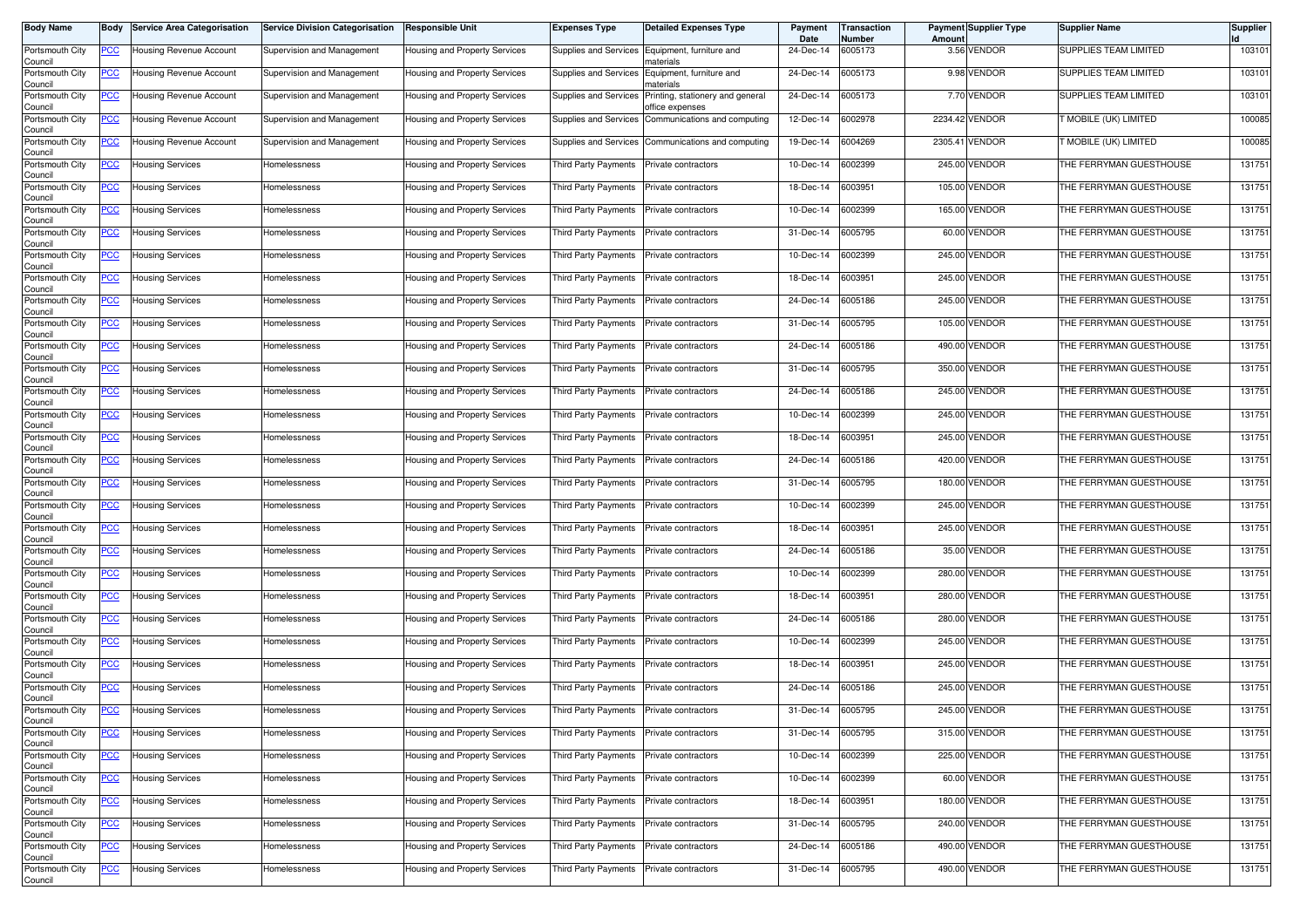| <b>Body Name</b>           | Body        | <b>Service Area Categorisation</b> | <b>Service Division Categorisation</b> | <b>Responsible Unit</b>       | Expenses Type               | <b>Detailed Expenses Type</b>                       | Payment<br>Date | Transaction<br>Number | Amoun   | <b>Payment Supplier Type</b> | <b>Supplier Name</b>         | <b>Supplier</b> |
|----------------------------|-------------|------------------------------------|----------------------------------------|-------------------------------|-----------------------------|-----------------------------------------------------|-----------------|-----------------------|---------|------------------------------|------------------------------|-----------------|
| Portsmouth City<br>Council | <u>PCC</u>  | Housing Revenue Account            | Supervision and Management             | Housing and Property Services | Supplies and Services       | Equipment, furniture and<br>naterials               | 24-Dec-14       | 6005173               |         | 3.56 VENDOR                  | SUPPLIES TEAM LIMITED        | 103101          |
| Portsmouth City<br>Council | <u>PCC</u>  | Housing Revenue Account            | Supervision and Management             | Housing and Property Services | Supplies and Services       | Equipment, furniture and<br>naterials               | 24-Dec-14       | 6005173               |         | 9.98 VENDOR                  | SUPPLIES TEAM LIMITED        | 103101          |
| Portsmouth City<br>Council | <u>PCC</u>  | Housing Revenue Account            | Supervision and Management             | Housing and Property Services | Supplies and Services       | Printing, stationery and general<br>iffice expenses | 24-Dec-14       | 6005173               |         | 7.70 VENDOR                  | SUPPLIES TEAM LIMITED        | 103101          |
| Portsmouth City<br>Council | <u>PCC</u>  | Housing Revenue Account            | Supervision and Management             | Housing and Property Services | Supplies and Services       | Communications and computing                        | 12-Dec-14       | 6002978               |         | 2234.42 VENDOR               | <b>T MOBILE (UK) LIMITED</b> | 100085          |
| Portsmouth City<br>Council | <u>PCC</u>  | Housing Revenue Account            | Supervision and Management             | Housing and Property Services | Supplies and Services       | Communications and computing                        | 19-Dec-14       | 6004269               | 2305.41 | <b>VENDOR</b>                | MOBILE (UK) LIMITED          | 100085          |
| Portsmouth City<br>Council | <u>PCC </u> | <b>Housing Services</b>            | Homelessness                           | Housing and Property Services | Third Party Payments        | Private contractors                                 | 10-Dec-14       | 6002399               |         | 245.00 VENDOR                | THE FERRYMAN GUESTHOUSE      | 131751          |
| Portsmouth City<br>Council | <u>PCC</u>  | Housing Services                   | Homelessness                           | Housing and Property Services | Third Party Payments        | Private contractors                                 | 18-Dec-14       | 6003951               |         | 105.00 VENDOR                | THE FERRYMAN GUESTHOUSE      | 131751          |
| Portsmouth City<br>Council | <u>PCC</u>  | Housing Services                   | Homelessness                           | Housing and Property Services | Third Party Payments        | Private contractors                                 | 10-Dec-14       | 6002399               |         | 165.00 VENDOR                | THE FERRYMAN GUESTHOUSE      | 131751          |
| Portsmouth City<br>Council | <u>PCC</u>  | Housing Services                   | <b>Homelessness</b>                    | Housing and Property Services | <b>Third Party Payments</b> | Private contractors                                 | 31-Dec-14       | 6005795               |         | 60.00 VENDOR                 | THE FERRYMAN GUESTHOUSE      | 131751          |
| Portsmouth City<br>Council | <u>PCC</u>  | Housing Services                   | Homelessness                           | Housing and Property Services | Third Party Payments        | Private contractors                                 | 10-Dec-14       | 6002399               | 245.00  | VENDOR                       | THE FERRYMAN GUESTHOUSE      | 131751          |
| Portsmouth City<br>Council | <u>PCC</u>  | Housing Services                   | Homelessness                           | Housing and Property Services | Third Party Payments        | Private contractors                                 | 18-Dec-14       | 6003951               |         | 245.00 VENDOR                | THE FERRYMAN GUESTHOUSE      | 131751          |
| Portsmouth City<br>Council | <u>PCC</u>  | Housing Services                   | Homelessness                           | Housing and Property Services | Third Party Payments        | Private contractors                                 | 24-Dec-14       | 6005186               |         | 245.00 VENDOR                | THE FERRYMAN GUESTHOUSE      | 131751          |
| Portsmouth City<br>Council | <u>PCC</u>  | Housing Services                   | Homelessness                           | Housing and Property Services | Third Party Payments        | Private contractors                                 | 31-Dec-14       | 6005795               |         | 105.00 VENDOR                | THE FERRYMAN GUESTHOUSE      | 131751          |
| Portsmouth City<br>Council | <u>PCC</u>  | Housing Services                   | Homelessness                           | Housing and Property Services | <b>Third Party Payments</b> | Private contractors                                 | 24-Dec-14       | 6005186               |         | 490.00 VENDOR                | THE FERRYMAN GUESTHOUSE      | 131751          |
| Portsmouth City<br>Council | <u>PCC</u>  | Housing Services                   | Homelessness                           | Housing and Property Services | <b>Third Party Payments</b> | Private contractors                                 | 31-Dec-14       | 6005795               |         | 350.00 VENDOR                | THE FERRYMAN GUESTHOUSE      | 131751          |
| Portsmouth City<br>Council | <u>PCC</u>  | Housing Services                   | <b>Homelessness</b>                    | Housing and Property Services | <b>Third Party Payments</b> | Private contractors                                 | 24-Dec-14       | 6005186               |         | 245.00 VENDOR                | THE FERRYMAN GUESTHOUSE      | 131751          |
| Portsmouth City<br>Council | <u>PCC</u>  | Housing Services                   | Homelessness                           | Housing and Property Services | Third Party Payments        | Private contractors                                 | 10-Dec-14       | 6002399               |         | 245.00 VENDOR                | THE FERRYMAN GUESTHOUSE      | 131751          |
| Portsmouth City<br>Council | <u>PCC</u>  | Housing Services                   | lomelessness                           | Housing and Property Services | Third Party Payments        | Private contractors                                 | 18-Dec-14       | 6003951               |         | 245.00 VENDOR                | THE FERRYMAN GUESTHOUSE      | 131751          |
| Portsmouth City<br>Council | <u>PCC</u>  | Housing Services                   | Homelessness                           | Housing and Property Services | Third Party Payments        | Private contractors                                 | 24-Dec-14       | 6005186               |         | 420.00 VENDOR                | THE FERRYMAN GUESTHOUSE      | 131751          |
| Portsmouth City<br>Council | <u>PCC</u>  | Housing Services                   | Homelessness                           | Housing and Property Services | Third Party Payments        | Private contractors                                 | 31-Dec-14       | 6005795               |         | 180.00 VENDOR                | THE FERRYMAN GUESTHOUSE      | 131751          |
| Portsmouth City<br>Council | <u>PCC</u>  | Housing Services                   | Homelessness                           | Housing and Property Services | Third Party Payments        | Private contractors                                 | 10-Dec-14       | 6002399               |         | 245.00 VENDOR                | THE FERRYMAN GUESTHOUSE      | 131751          |
| Portsmouth City<br>Council | <u>PCC</u>  | <b>Housing Services</b>            | Homelessness                           | Housing and Property Services | Third Party Payments        | Private contractors                                 | 18-Dec-14       | 6003951               |         | 245.00 VENDOR                | THE FERRYMAN GUESTHOUSE      | 131751          |
| Portsmouth City<br>Council | <u>PCC</u>  | Housing Services                   | Homelessness                           | Housing and Property Services | Third Party Payments        | Private contractors                                 | 24-Dec-14       | 6005186               |         | 35.00 VENDOR                 | THE FERRYMAN GUESTHOUSE      | 131751          |
| Portsmouth City<br>Council | <u>PCC</u>  | Housing Services                   | Homelessness                           | Housing and Property Services | Third Party Payments        | Private contractors                                 | 10-Dec-14       | 6002399               | 280.00  | VENDOR                       | THE FERRYMAN GUESTHOUSE      | 131751          |
| Portsmouth City<br>Council | <u>PCC</u>  | Housing Services                   | Homelessness                           | Housing and Property Services | Third Party Payments        | Private contractors                                 | 18-Dec-14       | 6003951               |         | 280.00 VENDOR                | THE FERRYMAN GUESTHOUSE      | 131751          |
| Portsmouth City<br>Council | <u>PCC</u>  | Housing Services                   | Homelessness                           | Housing and Property Services | Third Party Payments        | Private contractors                                 | 24-Dec-14       | 6005186               |         | 280.00 VENDOR                | THE FERRYMAN GUESTHOUSE      | 131751          |
| Portsmouth City<br>Council | <u>PCC</u>  | Housing Services                   | lomelessness                           | Housing and Property Services | Third Party Payments        | Private contractors                                 | 10-Dec-14       | 6002399               |         | 245.00 VENDOR                | THE FERRYMAN GUESTHOUSE      | 131751          |
| Portsmouth City<br>Council | <u>PCC</u>  | Housing Services                   | Homelessness                           | Housing and Property Services | Third Party Payments        | Private contractors                                 | 18-Dec-14       | 6003951               | 245.00  | <b>VENDOR</b>                | THE FERRYMAN GUESTHOUSE      | 131751          |
| Portsmouth City<br>Council | <u>PCC</u>  | Housing Services                   | Homelessness                           | Housing and Property Services | Third Party Payments        | Private contractors                                 | 24-Dec-14       | 6005186               |         | 245.00 VENDOR                | THE FERRYMAN GUESTHOUSE      | 131751          |
| Portsmouth City<br>Council | <u>PCC</u>  | <b>Housing Services</b>            | Homelessness                           | Housing and Property Services | Third Party Payments        | Private contractors                                 | 31-Dec-14       | 6005795               |         | 245.00 VENDOR                | THE FERRYMAN GUESTHOUSE      | 131751          |
| Portsmouth City<br>Council | <u>PCC</u>  | <b>Housing Services</b>            | Homelessness                           | Housing and Property Services | Third Party Payments        | Private contractors                                 | 31-Dec-14       | 6005795               |         | 315.00 VENDOR                | THE FERRYMAN GUESTHOUSE      | 131751          |
| Portsmouth City<br>Council | <u>PCC</u>  | Housing Services                   | Homelessness                           | Housing and Property Services | Third Party Payments        | Private contractors                                 | 10-Dec-14       | 6002399               |         | 225.00 VENDOR                | THE FERRYMAN GUESTHOUSE      | 131751          |
| Portsmouth City<br>Council | <u>PCC</u>  | <b>Housing Services</b>            | Homelessness                           | Housing and Property Services | Third Party Payments        | Private contractors                                 | 10-Dec-14       | 6002399               |         | 60.00 VENDOR                 | THE FERRYMAN GUESTHOUSE      | 131751          |
| Portsmouth City<br>Council | <u>PCC</u>  | <b>Housing Services</b>            | Homelessness                           | Housing and Property Services | Third Party Payments        | Private contractors                                 | 18-Dec-14       | 6003951               |         | 180.00 VENDOR                | THE FERRYMAN GUESTHOUSE      | 131751          |
| Portsmouth City<br>Council | <u>PCC</u>  | <b>Housing Services</b>            | Homelessness                           | Housing and Property Services | Third Party Payments        | Private contractors                                 | 31-Dec-14       | 6005795               |         | 240.00 VENDOR                | THE FERRYMAN GUESTHOUSE      | 131751          |
| Portsmouth City<br>Council | <u>PCC</u>  | <b>Housing Services</b>            | Homelessness                           | Housing and Property Services | Third Party Payments        | Private contractors                                 | 24-Dec-14       | 6005186               |         | 490.00 VENDOR                | THE FERRYMAN GUESTHOUSE      | 131751          |
| Portsmouth City<br>Council | <u>PCC</u>  | <b>Housing Services</b>            | Homelessness                           | Housing and Property Services | Third Party Payments        | Private contractors                                 | 31-Dec-14       | 6005795               |         | 490.00 VENDOR                | THE FERRYMAN GUESTHOUSE      | 131751          |
|                            |             |                                    |                                        |                               |                             |                                                     |                 |                       |         |                              |                              |                 |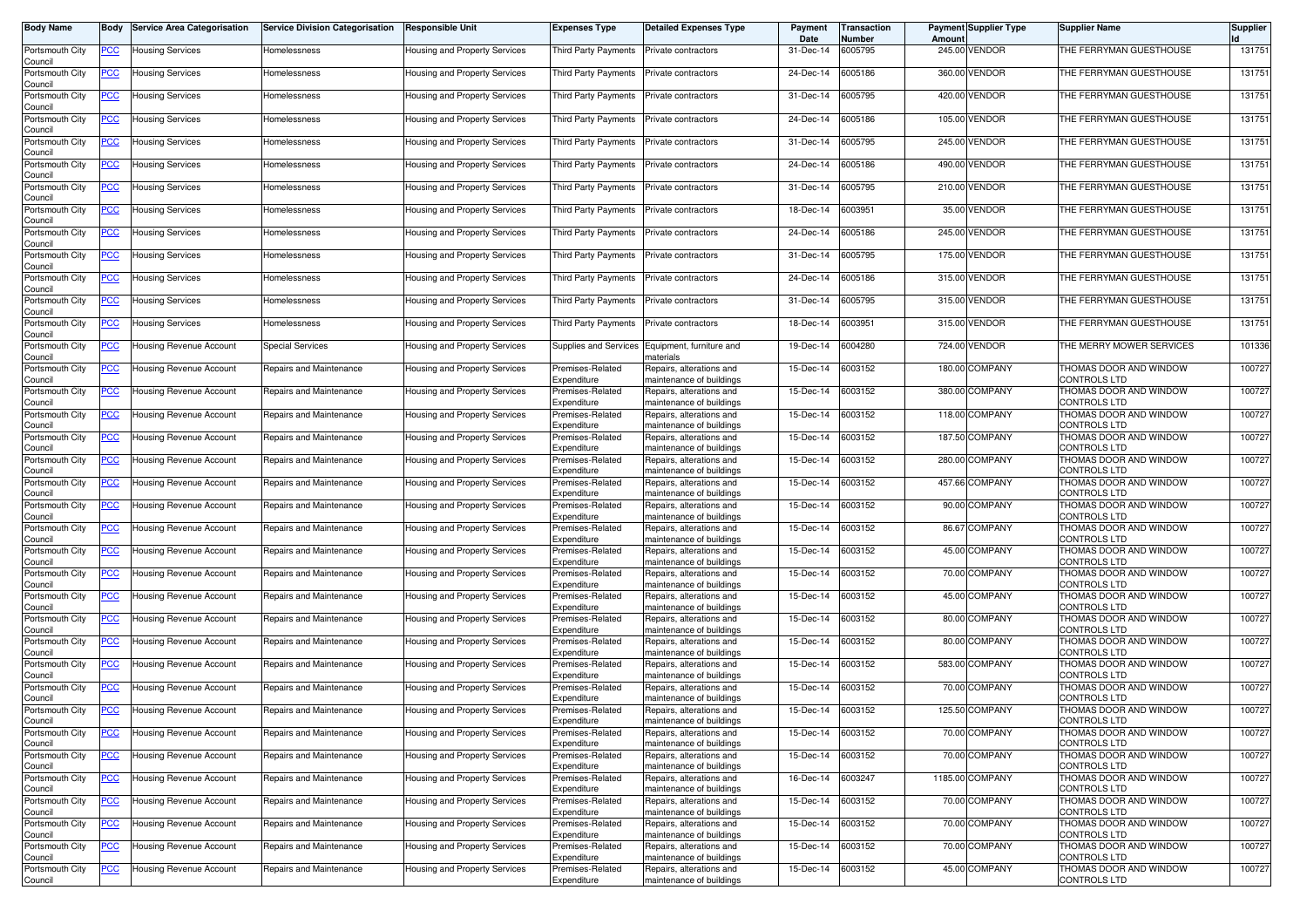| Body Name                  | Body       | <b>Service Area Categorisation</b> | <b>Service Division Categorisation</b> | Responsible Unit              | Expenses Type                   | <b>Detailed Expenses Type</b>                        | Payment<br>Date | Transaction<br>Number | Amoun | <b>Payment Supplier Type</b> | <b>Supplier Name</b>                   | Supplier |
|----------------------------|------------|------------------------------------|----------------------------------------|-------------------------------|---------------------------------|------------------------------------------------------|-----------------|-----------------------|-------|------------------------------|----------------------------------------|----------|
| Portsmouth City<br>Council | <u>PCC</u> | <b>Housing Services</b>            | Homelessness                           | Housing and Property Services | Third Party Payments            | Private contractors                                  | 31-Dec-14       | 6005795               |       | 245.00 VENDOR                | THE FERRYMAN GUESTHOUSE                | 131751   |
| Portsmouth City<br>Council | <u>PCC</u> | Housing Services                   | Homelessness                           | Housing and Property Services | Third Party Payments            | Private contractors                                  | 24-Dec-14       | 6005186               |       | 360.00 VENDOR                | THE FERRYMAN GUESTHOUSE                | 131751   |
| Portsmouth City<br>Council | <u>PCC</u> | <b>Housing Services</b>            | Homelessness                           | Housing and Property Services | Third Party Payments            | Private contractors                                  | 31-Dec-14       | 6005795               |       | 420.00 VENDOR                | THE FERRYMAN GUESTHOUSE                | 131751   |
| Portsmouth City<br>Council | <u>PCC</u> | <b>Housing Services</b>            | Homelessness                           | Housing and Property Services | Third Party Payments            | Private contractors                                  | 24-Dec-14       | 6005186               |       | 105.00 VENDOR                | THE FERRYMAN GUESTHOUSE                | 131751   |
| Portsmouth City<br>Council | <u>PCC</u> | <b>Housing Services</b>            | Homelessness                           | Housing and Property Services | <b>Third Party Payments</b>     | Private contractors                                  | 31-Dec-14       | 6005795               |       | 245.00 VENDOR                | THE FERRYMAN GUESTHOUSE                | 131751   |
| Portsmouth City<br>Council | <u>PCC</u> | Housing Services                   | Homelessness                           | Housing and Property Services | <b>Third Party Payments</b>     | Private contractors                                  | 24-Dec-14       | 6005186               |       | 490.00 VENDOR                | THE FERRYMAN GUESTHOUSE                | 131751   |
| Portsmouth City<br>Council | <u>PCC</u> | Housing Services                   | Homelessness                           | Housing and Property Services | Third Party Payments            | Private contractors                                  | 31-Dec-14       | 6005795               |       | 210.00 VENDOR                | THE FERRYMAN GUESTHOUSE                | 131751   |
| Portsmouth City<br>Council | <u>PCC</u> | Housing Services                   | Homelessness                           | Housing and Property Services | Third Party Payments            | Private contractors                                  | 18-Dec-14       | 6003951               |       | 35.00 VENDOR                 | THE FERRYMAN GUESTHOUSE                | 131751   |
| Portsmouth City<br>Council | <u>PCC</u> | <b>Housing Services</b>            | Homelessness                           | Housing and Property Services | Third Party Payments            | Private contractors                                  | 24-Dec-14       | 6005186               |       | 245.00 VENDOR                | THE FERRYMAN GUESTHOUSE                | 131751   |
| Portsmouth City<br>Council | <u>PCC</u> | <b>Housing Services</b>            | Homelessness                           | Housing and Property Services | Third Party Payments            | Private contractors                                  | 31-Dec-14       | 6005795               |       | 175.00 VENDOR                | THE FERRYMAN GUESTHOUSE                | 131751   |
| Portsmouth City<br>Council | <u>PCC</u> | <b>Housing Services</b>            | Homelessness                           | Housing and Property Services | Third Party Payments            | Private contractors                                  | 24-Dec-14       | 6005186               |       | 315.00 VENDOR                | THE FERRYMAN GUESTHOUSE                | 131751   |
| Portsmouth City<br>Council | <u>PCC</u> | Housing Services                   | Homelessness                           | Housing and Property Services | Third Party Payments            | Private contractors                                  | 31-Dec-14       | 6005795               |       | 315.00 VENDOR                | THE FERRYMAN GUESTHOUSE                | 131751   |
| Portsmouth City<br>Council | <u>PCC</u> | <b>Housing Services</b>            | Homelessness                           | Housing and Property Services | Third Party Payments            | Private contractors                                  | 18-Dec-14       | 6003951               |       | 315.00 VENDOR                | THE FERRYMAN GUESTHOUSE                | 131751   |
| Portsmouth City<br>Council | <u>PCC</u> | Housing Revenue Account            | Special Services                       | Housing and Property Services | Supplies and Services           | Equipment, furniture and<br>naterials                | 19-Dec-14       | 6004280               |       | 724.00 VENDOR                | THE MERRY MOWER SERVICES               | 101336   |
| Portsmouth City<br>Council | <u>PCC</u> | Housing Revenue Account            | Repairs and Maintenance                | Housing and Property Services | Premises-Related<br>Expenditure | Repairs, alterations and<br>maintenance of buildings | 15-Dec-14       | 6003152               |       | 180.00 COMPANY               | THOMAS DOOR AND WINDOW<br>CONTROLS LTD | 100727   |
| Portsmouth City<br>Council | <u>PCC</u> | Housing Revenue Account            | Repairs and Maintenance                | Housing and Property Services | Premises-Related<br>Expenditure | Repairs, alterations and<br>maintenance of buildings | 15-Dec-14       | 6003152               |       | 380.00 COMPANY               | THOMAS DOOR AND WINDOW<br>CONTROLS LTD | 100727   |
| Portsmouth City<br>Council | <u>PCC</u> | Housing Revenue Account            | Repairs and Maintenance                | Housing and Property Services | Premises-Related<br>Expenditure | Repairs, alterations and<br>naintenance of buildings | 15-Dec-14       | 6003152               |       | 118.00 COMPANY               | THOMAS DOOR AND WINDOW<br>CONTROLS LTD | 100727   |
| Portsmouth City<br>Council | <u>PCC</u> | Housing Revenue Account            | Repairs and Maintenance                | Housing and Property Services | Premises-Related<br>Expenditure | Repairs, alterations and<br>naintenance of buildings | 15-Dec-14       | 6003152               |       | 187.50 COMPANY               | THOMAS DOOR AND WINDOW<br>CONTROLS LTD | 100727   |
| Portsmouth City<br>Council | <u>PCC</u> | Housing Revenue Account            | Repairs and Maintenance                | Housing and Property Services | Premises-Related<br>Expenditure | Repairs, alterations and<br>naintenance of buildings | 15-Dec-14       | 6003152               |       | 280.00 COMPANY               | THOMAS DOOR AND WINDOW<br>CONTROLS LTD | 100727   |
| Portsmouth City<br>Council | <u>PCC</u> | Housing Revenue Account            | Repairs and Maintenance                | Housing and Property Services | Premises-Related<br>Expenditure | Repairs, alterations and<br>naintenance of buildings | 15-Dec-14       | 6003152               |       | 457.66 COMPANY               | THOMAS DOOR AND WINDOW<br>CONTROLS LTD | 100727   |
| Portsmouth City<br>Council | <u>PCC</u> | Housing Revenue Account            | Repairs and Maintenance                | Housing and Property Services | Premises-Related<br>Expenditure | Repairs, alterations and<br>naintenance of buildings | 15-Dec-14       | 6003152               |       | 90.00 COMPANY                | THOMAS DOOR AND WINDOW<br>CONTROLS LTD | 100727   |
| Portsmouth City<br>Council | <u>PCC</u> | Housing Revenue Account            | Repairs and Maintenance                | Housing and Property Services | Premises-Related<br>Expenditure | Repairs, alterations and<br>naintenance of buildings | 15-Dec-14       | 6003152               |       | 86.67 COMPANY                | THOMAS DOOR AND WINDOW<br>CONTROLS LTD | 100727   |
| Portsmouth City<br>Council | <u>PCC</u> | Housing Revenue Account            | Repairs and Maintenance                | Housing and Property Services | Premises-Related<br>Expenditure | Repairs, alterations and<br>naintenance of buildings | 15-Dec-14       | 6003152               |       | 45.00 COMPANY                | THOMAS DOOR AND WINDOW<br>CONTROLS LTD | 100727   |
| Portsmouth City<br>Council | <u>PCC</u> | Housing Revenue Account            | Repairs and Maintenance                | Housing and Property Services | Premises-Related<br>Expenditure | Repairs, alterations and<br>maintenance of buildings | 15-Dec-14       | 6003152               |       | 70.00 COMPANY                | THOMAS DOOR AND WINDOW<br>CONTROLS LTD | 100727   |
| Portsmouth City<br>Council | <u>PCC</u> | Housing Revenue Account            | Repairs and Maintenance                | Housing and Property Services | Premises-Related<br>Expenditure | Repairs, alterations and<br>maintenance of buildings | 15-Dec-14       | 6003152               |       | 45.00 COMPANY                | THOMAS DOOR AND WINDOW<br>CONTROLS LTD | 100727   |
| Portsmouth City<br>Council | <u>PCC</u> | Housing Revenue Account            | Repairs and Maintenance                | Housing and Property Services | Premises-Related<br>Expenditure | Repairs, alterations and<br>naintenance of buildings | 15-Dec-14       | 6003152               |       | 80.00 COMPANY                | THOMAS DOOR AND WINDOW<br>CONTROLS LTD | 100727   |
| Portsmouth City<br>Council | <u>PCC</u> | Housing Revenue Account            | Repairs and Maintenance                | Housing and Property Services | Premises-Related<br>Expenditure | Repairs, alterations and<br>naintenance of buildings | 15-Dec-14       | 6003152               |       | 80.00 COMPANY                | THOMAS DOOR AND WINDOW<br>CONTROLS LTD | 100727   |
| Portsmouth City<br>Council | <u>PCC</u> | Housing Revenue Account            | Repairs and Maintenance                | Housing and Property Services | Premises-Related<br>Expenditure | Repairs, alterations and<br>naintenance of buildings | 15-Dec-14       | 6003152               |       | 583.00 COMPANY               | THOMAS DOOR AND WINDOW<br>CONTROLS LTD | 100727   |
| Portsmouth City<br>Council | <u>PCC</u> | Housing Revenue Account            | Repairs and Maintenance                | Housing and Property Services | Premises-Related<br>Expenditure | Repairs, alterations and<br>naintenance of buildings | 15-Dec-14       | 6003152               |       | 70.00 COMPANY                | THOMAS DOOR AND WINDOW<br>CONTROLS LTD | 100727   |
| Portsmouth City<br>Council | <u>PCC</u> | Housing Revenue Account            | Repairs and Maintenance                | Housing and Property Services | Premises-Related<br>Expenditure | Repairs, alterations and<br>naintenance of buildings | 15-Dec-14       | 6003152               |       | 125.50 COMPANY               | THOMAS DOOR AND WINDOW<br>CONTROLS LTD | 100727   |
| Portsmouth City<br>Council | <u>PCC</u> | Housing Revenue Account            | Repairs and Maintenance                | Housing and Property Services | Premises-Related<br>Expenditure | Repairs, alterations and<br>maintenance of buildings | 15-Dec-14       | 6003152               |       | 70.00 COMPANY                | THOMAS DOOR AND WINDOW<br>CONTROLS LTD | 100727   |
| Portsmouth City<br>Council | <u>PCC</u> | Housing Revenue Account            | Repairs and Maintenance                | Housing and Property Services | Premises-Related<br>Expenditure | Repairs, alterations and<br>maintenance of buildings | 15-Dec-14       | 6003152               |       | 70.00 COMPANY                | THOMAS DOOR AND WINDOW<br>CONTROLS LTD | 100727   |
| Portsmouth City<br>Council | <u>PCC</u> | Housing Revenue Account            | Repairs and Maintenance                | Housing and Property Services | Premises-Related<br>Expenditure | Repairs, alterations and<br>maintenance of buildings | 16-Dec-14       | 6003247               |       | 1185.00 COMPANY              | THOMAS DOOR AND WINDOW<br>CONTROLS LTD | 100727   |
| Portsmouth City<br>Council | <u>PCC</u> | Housing Revenue Account            | Repairs and Maintenance                | Housing and Property Services | Premises-Related<br>Expenditure | Repairs, alterations and<br>maintenance of buildings | 15-Dec-14       | 6003152               |       | 70.00 COMPANY                | THOMAS DOOR AND WINDOW<br>CONTROLS LTD | 100727   |
| Portsmouth City<br>Council | <b>PCC</b> | Housing Revenue Account            | Repairs and Maintenance                | Housing and Property Services | Premises-Related<br>Expenditure | Repairs, alterations and<br>naintenance of buildings | 15-Dec-14       | 6003152               |       | 70.00 COMPANY                | THOMAS DOOR AND WINDOW<br>CONTROLS LTD | 100727   |
| Portsmouth City<br>Council | <u>PCC</u> | Housing Revenue Account            | Repairs and Maintenance                | Housing and Property Services | Premises-Related<br>Expenditure | Repairs, alterations and<br>maintenance of buildings | 15-Dec-14       | 6003152               |       | 70.00 COMPANY                | THOMAS DOOR AND WINDOW<br>CONTROLS LTD | 100727   |
| Portsmouth City<br>Council | <u>PCC</u> | Housing Revenue Account            | Repairs and Maintenance                | Housing and Property Services | Premises-Related<br>Expenditure | Repairs, alterations and<br>maintenance of buildings | 15-Dec-14       | 6003152               |       | 45.00 COMPANY                | THOMAS DOOR AND WINDOW<br>CONTROLS LTD | 100727   |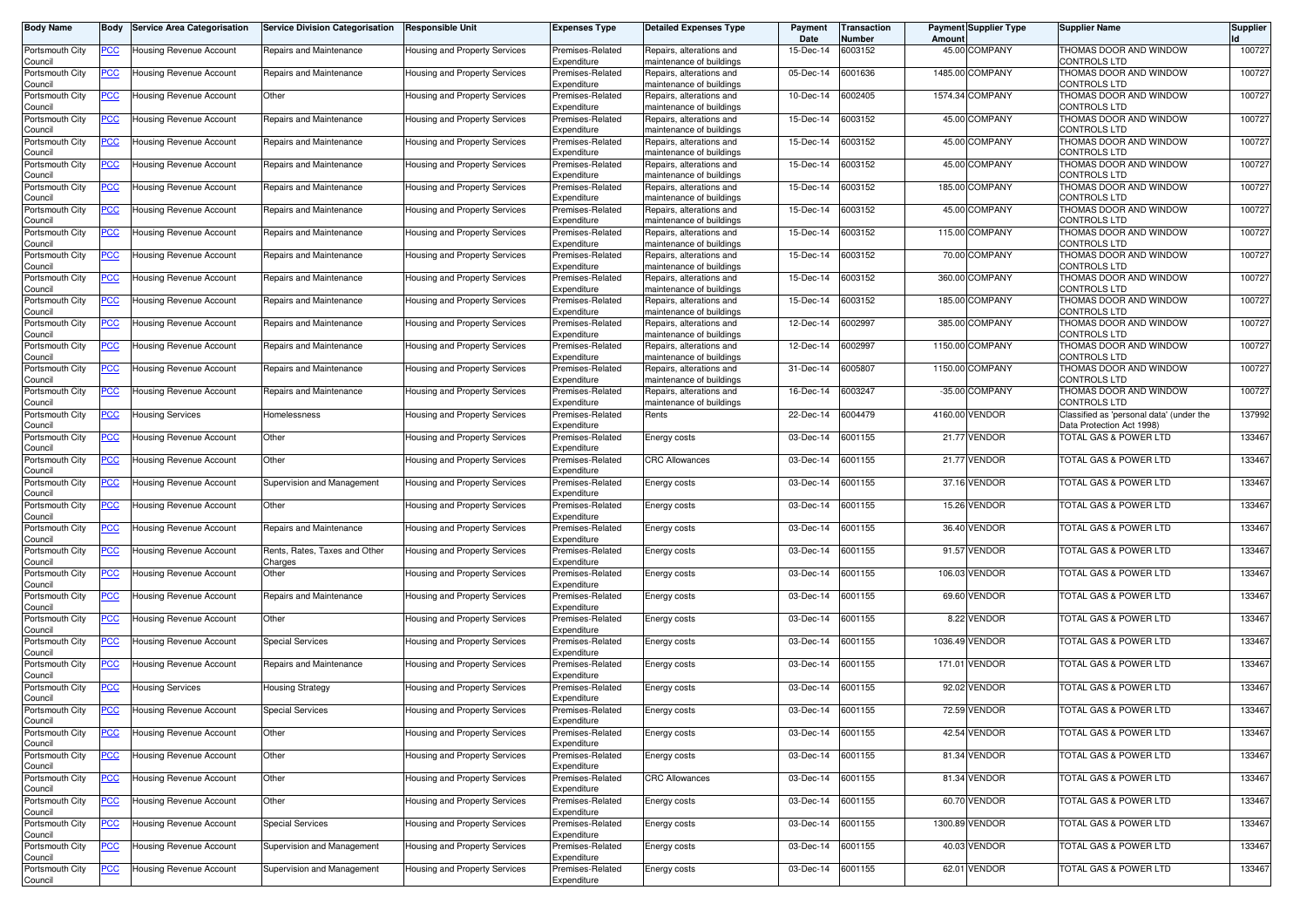| <b>Body Name</b>           | Body             | <b>Service Area Categorisation</b> | <b>Service Division Categorisation</b>   | <b>Responsible Unit</b>       | <b>Expenses Type</b>            | <b>Detailed Expenses Type</b>                        | Payment<br>Date   | <b>Transaction</b><br>Number | Amoun  | <b>Payment Supplier Type</b> | <b>Supplier Name</b>                                                  | <b>Supplier</b> |
|----------------------------|------------------|------------------------------------|------------------------------------------|-------------------------------|---------------------------------|------------------------------------------------------|-------------------|------------------------------|--------|------------------------------|-----------------------------------------------------------------------|-----------------|
| Portsmouth City<br>Council | <u>PCC </u>      | Housing Revenue Account            | Repairs and Maintenance                  | Housing and Property Services | Premises-Related<br>Expenditure | Repairs, alterations and<br>maintenance of buildings | 15-Dec-14         | 6003152                      |        | 45.00 COMPANY                | THOMAS DOOR AND WINDOW<br>CONTROLS LTD                                | 100727          |
| Portsmouth City<br>Council | <u>PCC</u>       | Housing Revenue Account            | Repairs and Maintenance                  | Housing and Property Services | Premises-Related<br>Expenditure | Repairs, alterations and<br>maintenance of buildings | 05-Dec-14         | 6001636                      |        | 1485.00 COMPANY              | THOMAS DOOR AND WINDOW<br>CONTROLS LTD                                | 100727          |
| Portsmouth City<br>Council | <u>PCC</u>       | Housing Revenue Account            | Other                                    | Housing and Property Services | Premises-Related<br>Expenditure | Repairs, alterations and<br>naintenance of buildings | 10-Dec-14         | 6002405                      |        | 1574.34 COMPANY              | THOMAS DOOR AND WINDOW<br>CONTROLS LTD                                | 100727          |
| Portsmouth City<br>Council | $\overline{C}$   | Housing Revenue Account            | Repairs and Maintenance                  | Housing and Property Services | Premises-Related<br>Expenditure | Repairs, alterations and<br>maintenance of buildings | 15-Dec-14         | 6003152                      |        | 45.00 COMPANY                | THOMAS DOOR AND WINDOW<br>CONTROLS LTD                                | 100727          |
| Portsmouth City<br>Council | <u>PCC</u>       | Housing Revenue Account            | Repairs and Maintenance                  | Housing and Property Services | Premises-Related<br>Expenditure | Repairs, alterations and<br>naintenance of buildings | 15-Dec-14         | 6003152                      |        | 45.00 COMPANY                | THOMAS DOOR AND WINDOW<br>CONTROLS LTD                                | 100727          |
| Portsmouth City<br>Council | <u>PCC </u>      | Housing Revenue Account            | Repairs and Maintenance                  | Housing and Property Services | Premises-Related<br>Expenditure | Repairs, alterations and<br>maintenance of buildings | 15-Dec-14         | 6003152                      |        | 45.00 COMPANY                | THOMAS DOOR AND WINDOW<br>CONTROLS LTD                                | 100727          |
| Portsmouth City<br>Council | <u>PCC </u>      | Housing Revenue Account            | Repairs and Maintenance                  | Housing and Property Services | Premises-Related<br>Expenditure | Repairs, alterations and<br>naintenance of buildings | 15-Dec-14         | 6003152                      |        | 185.00 COMPANY               | THOMAS DOOR AND WINDOW<br>CONTROLS LTD                                | 100727          |
| Portsmouth City<br>Council | <u>PCC</u>       | Housing Revenue Account            | Repairs and Maintenance                  | Housing and Property Services | Premises-Related<br>Expenditure | Repairs, alterations and<br>maintenance of buildings | 15-Dec-14         | 6003152                      |        | 45.00 COMPANY                | THOMAS DOOR AND WINDOW<br>CONTROLS LTD                                | 100727          |
| Portsmouth City<br>Council | <u>PCC </u>      | Housing Revenue Account            | Repairs and Maintenance                  | Housing and Property Services | Premises-Related<br>Expenditure | Repairs, alterations and<br>maintenance of buildings | 15-Dec-14         | 6003152                      |        | 115.00 COMPANY               | THOMAS DOOR AND WINDOW<br>CONTROLS LTD                                | 100727          |
| Portsmouth City<br>Council | <u>PCC </u>      | Housing Revenue Account            | Repairs and Maintenance                  | Housing and Property Services | Premises-Related<br>Expenditure | Repairs, alterations and<br>maintenance of buildings | 15-Dec-14         | 6003152                      |        | 70.00 COMPANY                | THOMAS DOOR AND WINDOW<br>CONTROLS LTD                                | 100727          |
| Portsmouth City<br>Council | <u>PCC</u>       | Housing Revenue Account            | Repairs and Maintenance                  | Housing and Property Services | Premises-Related<br>Expenditure | Repairs, alterations and<br>maintenance of buildings | 15-Dec-14         | 6003152                      |        | 360.00 COMPANY               | THOMAS DOOR AND WINDOW<br>CONTROLS LTD                                | 100727          |
| Portsmouth City<br>Council | PСC              | Housing Revenue Account            | Repairs and Maintenance                  | Housing and Property Services | Premises-Related<br>Expenditure | Repairs, alterations and<br>naintenance of buildings | 15-Dec-14         | 6003152                      |        | 185.00 COMPANY               | THOMAS DOOR AND WINDOW<br>CONTROLS LTD                                | 100727          |
| Portsmouth City<br>Council | <u>PCC</u>       | Housing Revenue Account            | Repairs and Maintenance                  | Housing and Property Services | Premises-Related<br>Expenditure | Repairs, alterations and<br>maintenance of buildings | 12-Dec-14         | 6002997                      |        | 385.00 COMPANY               | THOMAS DOOR AND WINDOW<br>CONTROLS LTD                                | 100727          |
| Portsmouth City<br>Council | <u>PCC </u>      | Housing Revenue Account            | Repairs and Maintenance                  | Housing and Property Services | Premises-Related<br>Expenditure | Repairs, alterations and<br>naintenance of buildings | 12-Dec-14         | 6002997                      |        | 1150.00 COMPANY              | THOMAS DOOR AND WINDOW<br>CONTROLS LTD                                | 100727          |
| Portsmouth City<br>Council | PCC.             | Housing Revenue Account            | Repairs and Maintenance                  | Housing and Property Services | Premises-Related<br>Expenditure | Repairs, alterations and<br>naintenance of buildings | 31-Dec-14         | 6005807                      |        | 1150.00 COMPANY              | THOMAS DOOR AND WINDOW<br>CONTROLS LTD                                | 100727          |
| Portsmouth City<br>Council | <u>PCC</u>       | Housing Revenue Account            | Repairs and Maintenance                  | Housing and Property Services | Premises-Related<br>Expenditure | Repairs, alterations and<br>maintenance of buildings | 16-Dec-14         | 6003247                      |        | -35.00 COMPANY               | THOMAS DOOR AND WINDOW<br>CONTROLS LTD                                | 100727          |
| Portsmouth City<br>Council | <u>PCC </u>      | Housing Services                   | Homelessness                             | Housing and Property Services | Premises-Related<br>Expenditure | Rents                                                | 22-Dec-14         | 6004479                      |        | 4160.00 VENDOR               | Classified as 'personal data' (under the<br>Data Protection Act 1998) | 137992          |
| Portsmouth City<br>Council | <u>PCC</u>       | Housing Revenue Account            | Other                                    | Housing and Property Services | Premises-Related<br>Expenditure | Energy costs                                         | 03-Dec-14         | 6001155                      |        | 21.77 VENDOR                 | TOTAL GAS & POWER LTD                                                 | 133467          |
| Portsmouth City<br>Council | PCC∶             | Housing Revenue Account            | Other                                    | Housing and Property Services | Premises-Related<br>Expenditure | <b>CRC Allowances</b>                                | 03-Dec-14         | 6001155                      |        | 21.77 VENDOR                 | TOTAL GAS & POWER LTD                                                 | 133467          |
| Portsmouth City<br>Council | <u>PCC</u>       | Housing Revenue Account            | Supervision and Management               | Housing and Property Services | Premises-Related<br>Expenditure | Energy costs                                         | 03-Dec-14         | 6001155                      |        | 37.16 VENDOR                 | TOTAL GAS & POWER LTD                                                 | 133467          |
| Portsmouth City<br>Council | <u>PCC</u>       | Housing Revenue Account            | Other                                    | Housing and Property Services | Premises-Related<br>Expenditure | Energy costs                                         | 03-Dec-14         | 6001155                      |        | 15.26 VENDOR                 | TOTAL GAS & POWER LTD                                                 | 133467          |
| Portsmouth City<br>Council | <u>PCC </u>      | Housing Revenue Account            | Repairs and Maintenance                  | Housing and Property Services | Premises-Related<br>Expenditure | Energy costs                                         | 03-Dec-14         | 6001155                      | 36.40  | <b>VENDOR</b>                | TOTAL GAS & POWER LTD                                                 | 133467          |
| Portsmouth City<br>Council | <u>PCC </u>      | Housing Revenue Account            | Rents, Rates, Taxes and Other<br>Charges | Housing and Property Services | Premises-Related<br>Expenditure | Energy costs                                         | 03-Dec-14         | 6001155                      |        | 91.57 VENDOR                 | TOTAL GAS & POWER LTD                                                 | 133467          |
| Portsmouth City<br>Council | <u>PCC</u>       | Housing Revenue Account            | Other                                    | Housing and Property Services | Premises-Related<br>Expenditure | Energy costs                                         | 03-Dec-14         | 6001155                      | 106.03 | <b>VENDOR</b>                | TOTAL GAS & POWER LTD                                                 | 133467          |
| Portsmouth City<br>Council | $\overline{PCC}$ | Housing Revenue Account            | Repairs and Maintenance                  | Housing and Property Services | Premises-Related<br>Expenditure | Energy costs                                         | 03-Dec-14         | 6001155                      |        | 69.60 VENDOR                 | <b>TOTAL GAS &amp; POWER LTD</b>                                      | 133467          |
| Portsmouth City<br>Council | <u>PCC </u>      | Housing Revenue Account            | Other                                    | Housing and Property Services | Premises-Related<br>Expenditure | Energy costs                                         | 03-Dec-14         | 6001155                      |        | 8.22 VENDOR                  | TOTAL GAS & POWER LTD                                                 | 133467          |
| Portsmouth City<br>Council | <u>PCC</u>       | Housing Revenue Account            | <b>Special Services</b>                  | Housing and Property Services | Premises-Related<br>Expenditure | Energy costs                                         | 03-Dec-14         | 6001155                      |        | 1036.49 VENDOR               | <b>TOTAL GAS &amp; POWER LTD</b>                                      | 133467          |
| Portsmouth City<br>Council | <u>PCC </u>      | Housing Revenue Account            | Repairs and Maintenance                  | Housing and Property Services | Premises-Related<br>Expenditure | Energy costs                                         | 03-Dec-14         | 6001155                      |        | 171.01 VENDOR                | TOTAL GAS & POWER LTD                                                 | 133467          |
| Portsmouth City<br>Council | <u>PCC</u>       | Housing Services                   | Housing Strategy                         | Housing and Property Services | Premises-Related<br>Expenditure | Energy costs                                         | 03-Dec-14         | 6001155                      |        | 92.02 VENDOR                 | <b>TOTAL GAS &amp; POWER LTD</b>                                      | 133467          |
| Portsmouth City<br>Council | <u>PCC</u>       | Housing Revenue Account            | <b>Special Services</b>                  | Housing and Property Services | Premises-Related<br>Expenditure | Energy costs                                         | 03-Dec-14         | 6001155                      |        | 72.59 VENDOR                 | TOTAL GAS & POWER LTD                                                 | 133467          |
| Portsmouth City<br>Council | <b>PCC</b>       | lousing Revenue Account            | Other                                    | Housing and Property Services | Premises-Related<br>Expenditure | Energy costs                                         | 03-Dec-14         | 6001155                      |        | 42.54 VENDOR                 | <b>TOTAL GAS &amp; POWER LTD</b>                                      | 133467          |
| Portsmouth City<br>Council | $\overline{C}$   | Housing Revenue Account            | Other                                    | Housing and Property Services | Premises-Related<br>Expenditure | Energy costs                                         | 03-Dec-14         | 6001155                      |        | 81.34 VENDOR                 | <b>TOTAL GAS &amp; POWER LTD</b>                                      | 133467          |
| Portsmouth City<br>Council | <u>PCC</u>       | Housing Revenue Account            | Other                                    | Housing and Property Services | Premises-Related<br>Expenditure | <b>CRC Allowances</b>                                | 03-Dec-14         | 6001155                      |        | 81.34 VENDOR                 | <b>TOTAL GAS &amp; POWER LTD</b>                                      | 133467          |
| Portsmouth City<br>Council | <b>PCC</b>       | Housing Revenue Account            | Other                                    | Housing and Property Services | Premises-Related<br>Expenditure | Energy costs                                         | 03-Dec-14         | 6001155                      |        | 60.70 VENDOR                 | <b>TOTAL GAS &amp; POWER LTD</b>                                      | 133467          |
| Portsmouth City<br>Council | <u>PCC</u>       | Housing Revenue Account            | <b>Special Services</b>                  | Housing and Property Services | Premises-Related<br>Expenditure | Energy costs                                         | 03-Dec-14         | 6001155                      |        | 1300.89 VENDOR               | TOTAL GAS & POWER LTD                                                 | 133467          |
| Portsmouth City<br>Council | <b>PCC</b>       | Housing Revenue Account            | Supervision and Management               | Housing and Property Services | Premises-Related<br>Expenditure | Energy costs                                         | 03-Dec-14         | 6001155                      |        | 40.03 VENDOR                 | TOTAL GAS & POWER LTD                                                 | 133467          |
| Portsmouth City<br>Council | <u>PCC</u>       | Housing Revenue Account            | Supervision and Management               | Housing and Property Services | Premises-Related<br>Expenditure | Energy costs                                         | 03-Dec-14 6001155 |                              |        | 62.01 VENDOR                 | TOTAL GAS & POWER LTD                                                 | 133467          |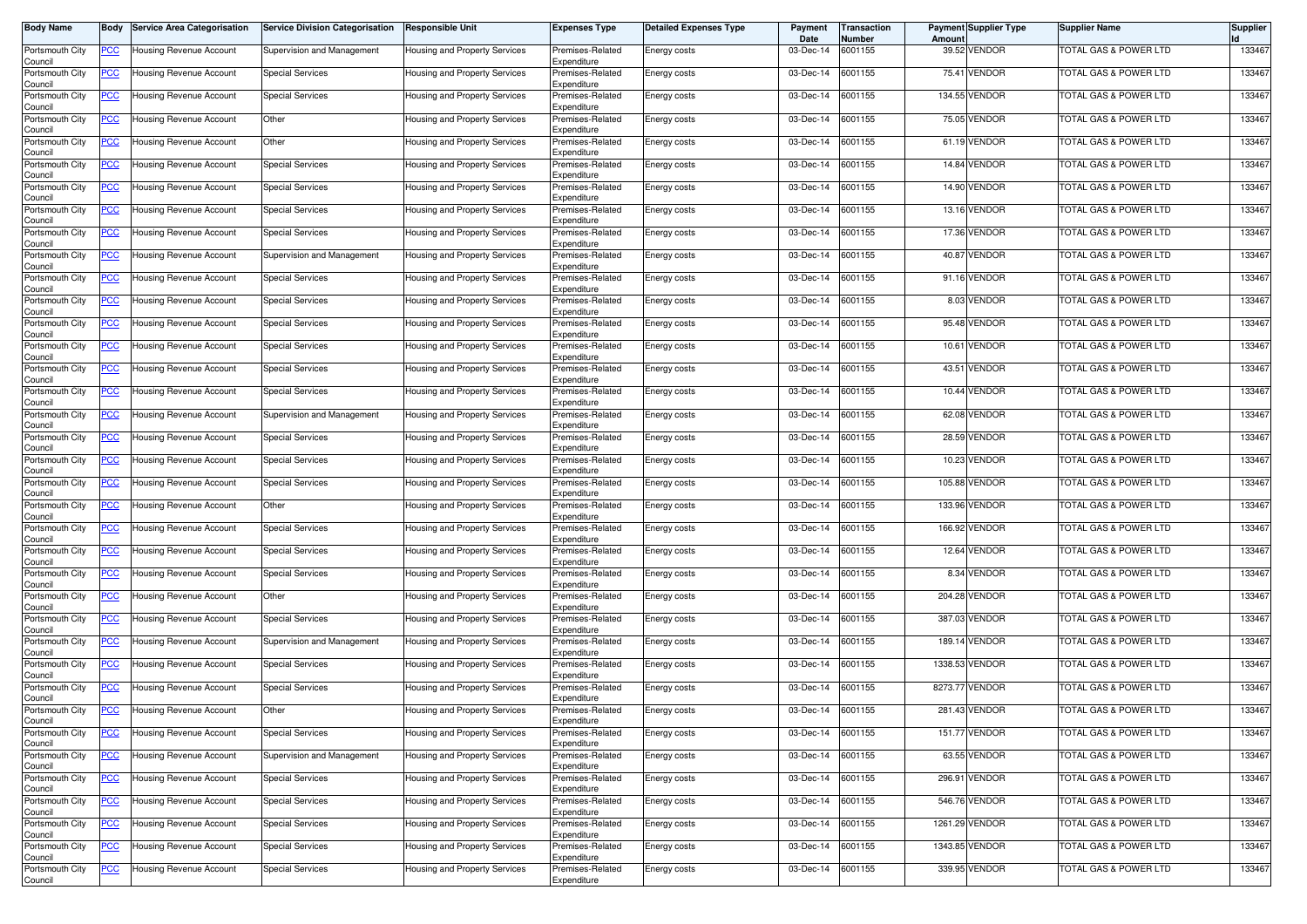| <b>Body Name</b>           | Body        | <b>Service Area Categorisation</b> | <b>Service Division Categorisation</b> | <b>Responsible Unit</b>       | Expenses Type                   | <b>Detailed Expenses Type</b> | Payment<br>Date | Transaction<br>Number | Amoun   | <b>Payment Supplier Type</b> | <b>Supplier Name</b>             | <b>Supplier</b> |
|----------------------------|-------------|------------------------------------|----------------------------------------|-------------------------------|---------------------------------|-------------------------------|-----------------|-----------------------|---------|------------------------------|----------------------------------|-----------------|
| Portsmouth City<br>Council | <u>PCC </u> | Jousing Revenue Account            | Supervision and Management             | Housing and Property Services | Premises-Related<br>Expenditure | Energy costs                  | 03-Dec-14       | 6001155               |         | 39.52 VENDOR                 | TOTAL GAS & POWER LTD            | 133467          |
| Portsmouth City<br>Council | <u>PCC</u>  | Housing Revenue Account            | <b>Special Services</b>                | Housing and Property Services | Premises-Related<br>Expenditure | Energy costs                  | 03-Dec-14       | 6001155               |         | 75.41 VENDOR                 | <b>TOTAL GAS &amp; POWER LTD</b> | 133467          |
| Portsmouth City<br>Council | <u>PCC</u>  | Housing Revenue Account            | <b>Special Services</b>                | Housing and Property Services | Premises-Related<br>Expenditure | Energy costs                  | 03-Dec-14       | 6001155               |         | 134.55 VENDOR                | TOTAL GAS & POWER LTD            | 133467          |
| Portsmouth City<br>Council | <u>PCC</u>  | Housing Revenue Account            | Other                                  | Housing and Property Services | Premises-Related<br>Expenditure | Energy costs                  | 03-Dec-14       | 6001155               |         | 75.05 VENDOR                 | TOTAL GAS & POWER LTD            | 133467          |
| Portsmouth City<br>Council | <u>PCC</u>  | Housing Revenue Account            | Other                                  | Housing and Property Services | Premises-Related<br>Expenditure | Energy costs                  | 03-Dec-14       | 6001155               |         | 61.19 VENDOR                 | TOTAL GAS & POWER LTD            | 133467          |
| Portsmouth City<br>Council | <u>PCC </u> | Housing Revenue Account            | <b>Special Services</b>                | Housing and Property Services | Premises-Related<br>Expenditure | Energy costs                  | 03-Dec-14       | 6001155               |         | 14.84 VENDOR                 | TOTAL GAS & POWER LTD            | 133467          |
| Portsmouth City<br>Council | <u>PCC</u>  | Housing Revenue Account            | <b>Special Services</b>                | Housing and Property Services | Premises-Related<br>Expenditure | Energy costs                  | 03-Dec-14       | 6001155               |         | 14.90 VENDOR                 | TOTAL GAS & POWER LTD            | 133467          |
| Portsmouth City<br>Council | <u>PCC</u>  | Housing Revenue Account            | <b>Special Services</b>                | Housing and Property Services | Premises-Related<br>Expenditure | Energy costs                  | 03-Dec-14       | 6001155               |         | 13.16 VENDOR                 | <b>TOTAL GAS &amp; POWER LTD</b> | 133467          |
| Portsmouth City<br>Council | <u>PCC </u> | Housing Revenue Account            | <b>Special Services</b>                | Housing and Property Services | Premises-Related<br>Expenditure | Energy costs                  | 03-Dec-14       | 6001155               |         | 17.36 VENDOR                 | <b>TOTAL GAS &amp; POWER LTD</b> | 133467          |
| Portsmouth City<br>Council | <u>PCC </u> | Housing Revenue Account            | Supervision and Management             | Housing and Property Services | Premises-Related<br>Expenditure | Energy costs                  | 03-Dec-14       | 6001155               | 40.87   | <b>VENDOR</b>                | TOTAL GAS & POWER LTD            | 133467          |
| Portsmouth City            | <u>PCC</u>  | Housing Revenue Account            | <b>Special Services</b>                | Housing and Property Services | Premises-Related<br>Expenditure | Energy costs                  | 03-Dec-14       | 6001155               |         | 91.16 VENDOR                 | TOTAL GAS & POWER LTD            | 133467          |
| Council<br>Portsmouth City | PCC         | Housing Revenue Account            | <b>Special Services</b>                | Housing and Property Services | Premises-Related<br>Expenditure | Energy costs                  | 03-Dec-14       | 6001155               | 8.03    | VENDOR                       | TOTAL GAS & POWER LTD            | 133467          |
| Council<br>Portsmouth City | <u>PCC</u>  | Housing Revenue Account            | <b>Special Services</b>                | Housing and Property Services | Premises-Related                | Energy costs                  | 03-Dec-14       | 6001155               |         | 95.48 VENDOR                 | TOTAL GAS & POWER LTD            | 133467          |
| Council<br>Portsmouth City | <u>PCC</u>  | Housing Revenue Account            | <b>Special Services</b>                | Housing and Property Services | Expenditure<br>Premises-Related | Energy costs                  | 03-Dec-14       | 6001155               |         | 10.61 VENDOR                 | <b>TOTAL GAS &amp; POWER LTD</b> | 133467          |
| Council<br>Portsmouth City |             | Housing Revenue Account            | <b>Special Services</b>                | Housing and Property Services | Expenditure<br>Premises-Related | Energy costs                  | 03-Dec-14       | 6001155               |         | 43.51 VENDOR                 | <b>TOTAL GAS &amp; POWER LTD</b> | 133467          |
| Council<br>Portsmouth City | <u>PCC</u>  | Housing Revenue Account            | <b>Special Services</b>                | Housing and Property Services | Expenditure<br>Premises-Related | Energy costs                  | 03-Dec-14       | 6001155               |         | 10.44 VENDOR                 | TOTAL GAS & POWER LTD            | 133467          |
| Council<br>Portsmouth City | PСC         | Housing Revenue Account            | Supervision and Management             | Housing and Property Services | Expenditure<br>Premises-Related | Energy costs                  | 03-Dec-14       | 6001155               | 62.08   | VENDOR                       | TOTAL GAS & POWER LTD            | 133467          |
| Council<br>Portsmouth City | <u>PCC</u>  | Housing Revenue Account            | <b>Special Services</b>                | Housing and Property Services | Expenditure<br>Premises-Related | Energy costs                  | 03-Dec-14       | 6001155               |         | 28.59 VENDOR                 | <b>TOTAL GAS &amp; POWER LTD</b> | 133467          |
| Council<br>Portsmouth City | <u>PCC</u>  | Housing Revenue Account            | <b>Special Services</b>                | Housing and Property Services | Expenditure<br>Premises-Related | Energy costs                  | 03-Dec-14       | 6001155               |         | 10.23 VENDOR                 | TOTAL GAS & POWER LTD            | 133467          |
| Council<br>Portsmouth City | <u>PCC</u>  | Housing Revenue Account            | <b>Special Services</b>                | Housing and Property Services | Expenditure<br>Premises-Related | Energy costs                  | 03-Dec-14       | 6001155               |         | 105.88 VENDOR                | TOTAL GAS & POWER LTD            | 133467          |
| Council<br>Portsmouth City | <u>PCC</u>  | Housing Revenue Account            | Other                                  | Housing and Property Services | Expenditure<br>Premises-Related | Energy costs                  | 03-Dec-14       | 6001155               | 133.96  | <b>VENDOR</b>                | TOTAL GAS & POWER LTD            | 133467          |
| Council<br>Portsmouth City | <u>PCC</u>  | Housing Revenue Account            | <b>Special Services</b>                | Housing and Property Services | Expenditure<br>Premises-Related | Energy costs                  | 03-Dec-14       | 6001155               |         | 166.92 VENDOR                | TOTAL GAS & POWER LTD            | 133467          |
| Council<br>Portsmouth City | <u>PCC</u>  | Housing Revenue Account            | <b>Special Services</b>                | Housing and Property Services | Expenditure<br>Premises-Related | Energy costs                  | 03-Dec-14       | 6001155               |         | 12.64 VENDOR                 | TOTAL GAS & POWER LTD            | 133467          |
| Council<br>Portsmouth City | <u>PCC</u>  | Housing Revenue Account            | <b>Special Services</b>                | Housing and Property Services | Expenditure<br>Premises-Related | Energy costs                  | 03-Dec-14       | 6001155               |         | 8.34 VENDOR                  | TOTAL GAS & POWER LTD            | 133467          |
| Council<br>Portsmouth City | <u>PCC</u>  | Housing Revenue Account            | Other                                  | Housing and Property Services | Expenditure<br>Premises-Related | Energy costs                  | 03-Dec-14       | 6001155               |         | 204.28 VENDOR                | TOTAL GAS & POWER LTD            | 133467          |
| Council<br>Portsmouth City | <u>PCC</u>  | Housing Revenue Account            | <b>Special Services</b>                | Housing and Property Services | Expenditure<br>Premises-Related | Energy costs                  | 03-Dec-14       | 6001155               | 387.03  | VENDOR                       | TOTAL GAS & POWER LTD            | 133467          |
| Council<br>Portsmouth City | <u>PCC </u> | Housing Revenue Account            | Supervision and Management             | Housing and Property Services | Expenditure<br>Premises-Related | Energy costs                  | 03-Dec-14       | 6001155               |         | 189.14 VENDOR                | <b>TOTAL GAS &amp; POWER LTD</b> | 133467          |
| Council<br>Portsmouth City | <u>PCC</u>  | Housing Revenue Account            | <b>Special Services</b>                | Housing and Property Services | Expenditure<br>Premises-Related | Energy costs                  | 03-Dec-14       | 6001155               | 1338.53 | <b>VENDOR</b>                | TOTAL GAS & POWER LTD            | 133467          |
| Council<br>Portsmouth City | <u>PCC</u>  | <b>Housing Revenue Account</b>     | <b>Special Services</b>                | Housing and Property Services | Expenditure<br>Premises-Related | Energy costs                  | 03-Dec-14       | 6001155               |         | 8273.77 VENDOR               | <b>TOTAL GAS &amp; POWER LTD</b> | 133467          |
| Council<br>Portsmouth City | <u>PCC</u>  | Housing Revenue Account            | Other                                  | Housing and Property Services | Expenditure<br>Premises-Related | Energy costs                  | 03-Dec-14       | 6001155               |         | 281.43 VENDOR                | TOTAL GAS & POWER LTD            | 133467          |
| ouncii.<br>Portsmouth City | <b>PCC</b>  | Housing Revenue Account            | <b>Special Services</b>                | Housing and Property Services | Expenaiture<br>Premises-Related | Energy costs                  | 03-Dec-14       | 6001155               |         | 151.77 VENDOR                | <b>TOTAL GAS &amp; POWER LTD</b> | 133467          |
| Council<br>Portsmouth City | <u>PCC</u>  | Housing Revenue Account            | Supervision and Management             | Housing and Property Services | Expenditure<br>Premises-Related | Energy costs                  | 03-Dec-14       | 6001155               |         | 63.55 VENDOR                 | TOTAL GAS & POWER LTD            | 133467          |
| Council<br>Portsmouth City | PCC         | Housing Revenue Account            | <b>Special Services</b>                | Housing and Property Services | Expenditure<br>Premises-Related | Energy costs                  | 03-Dec-14       | 6001155               |         | 296.91 VENDOR                | TOTAL GAS & POWER LTD            | 133467          |
| Council<br>Portsmouth City | <u>PCC</u>  | Housing Revenue Account            | <b>Special Services</b>                | Housing and Property Services | Expenditure<br>Premises-Related | Energy costs                  | 03-Dec-14       | 6001155               |         | 546.76 VENDOR                | <b>TOTAL GAS &amp; POWER LTD</b> | 133467          |
| Council<br>Portsmouth City | <u>PCC</u>  | Housing Revenue Account            | <b>Special Services</b>                | Housing and Property Services | Expenditure<br>Premises-Related | Energy costs                  | 03-Dec-14       | 6001155               |         | 1261.29 VENDOR               | TOTAL GAS & POWER LTD            | 133467          |
| Council<br>Portsmouth City | <b>PCC</b>  | Housing Revenue Account            | <b>Special Services</b>                | Housing and Property Services | Expenditure<br>Premises-Related | Energy costs                  | 03-Dec-14       | 6001155               |         | 1343.85 VENDOR               | TOTAL GAS & POWER LTD            | 133467          |
| Council<br>Portsmouth City | <u>PCC</u>  | Housing Revenue Account            | <b>Special Services</b>                | Housing and Property Services | Expenditure<br>Premises-Related | Energy costs                  | 03-Dec-14       | 6001155               |         | 339.95 VENDOR                | TOTAL GAS & POWER LTD            | 133467          |
| Council                    |             |                                    |                                        |                               | Expenditure                     |                               |                 |                       |         |                              |                                  |                 |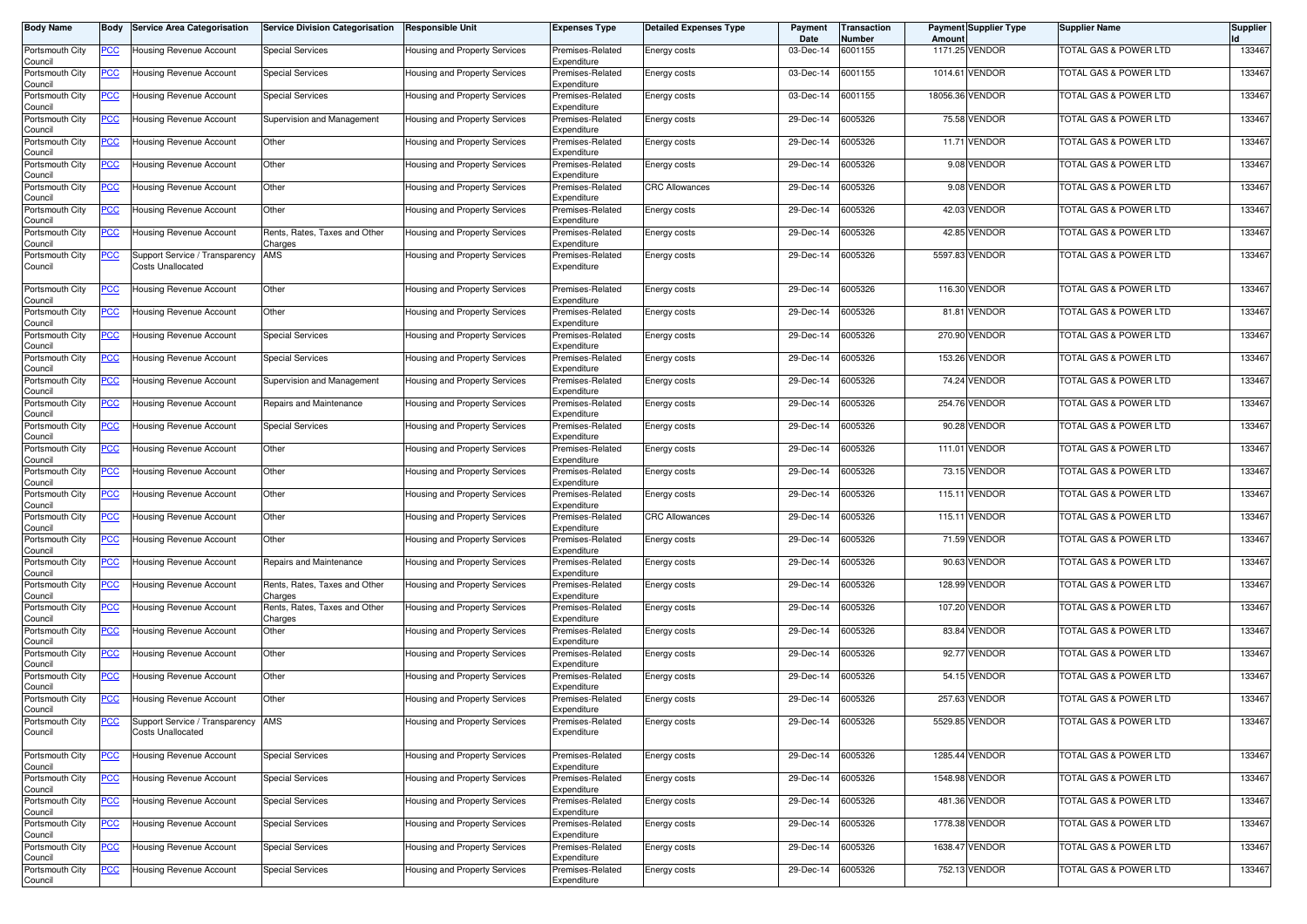| <b>Body Name</b>                      | Body           | <b>Service Area Categorisation</b>                  | <b>Service Division Categorisation</b>   | <b>Responsible Unit</b>       | <b>Expenses Type</b>            | <b>Detailed Expenses Type</b> | Payment<br>Date   | Transaction<br>Number | Amoun  | <b>Payment Supplier Type</b> | <b>Supplier Name</b>             | <b>Supplier</b> |
|---------------------------------------|----------------|-----------------------------------------------------|------------------------------------------|-------------------------------|---------------------------------|-------------------------------|-------------------|-----------------------|--------|------------------------------|----------------------------------|-----------------|
| Portsmouth City<br>Council            | <u>PCC </u>    | Jousing Revenue Account                             | <b>Special Services</b>                  | Housing and Property Services | Premises-Related<br>Expenditure | Energy costs                  | 03-Dec-14         | 6001155               |        | 1171.25 VENDOR               | <b>TOTAL GAS &amp; POWER LTD</b> | 133467          |
| Portsmouth City<br>Council            | <u>PCC</u>     | Housing Revenue Account                             | <b>Special Services</b>                  | Housing and Property Services | Premises-Related<br>Expenditure | Energy costs                  | 03-Dec-14         | 6001155               |        | 1014.61 VENDOR               | <b>TOTAL GAS &amp; POWER LTD</b> | 133467          |
| Portsmouth City<br>Council            | <u>PCC</u>     | Housing Revenue Account                             | <b>Special Services</b>                  | Housing and Property Services | Premises-Related<br>Expenditure | Energy costs                  | 03-Dec-14         | 6001155               |        | 18056.36 VENDOR              | TOTAL GAS & POWER LTD            | 133467          |
| Portsmouth City<br>Council            | <u>PCC</u>     | Housing Revenue Account                             | Supervision and Management               | Housing and Property Services | Premises-Related<br>Expenditure | Energy costs                  | 29-Dec-14         | 6005326               |        | 75.58 VENDOR                 | TOTAL GAS & POWER LTD            | 133467          |
| Portsmouth City<br>Council            | <u>PCC</u>     | Housing Revenue Account                             | Other                                    | Housing and Property Services | Premises-Related<br>Expenditure | Energy costs                  | 29-Dec-14         | 6005326               |        | 11.71 VENDOR                 | TOTAL GAS & POWER LTD            | 133467          |
| Portsmouth City<br>Council            | <u>PCC </u>    | Housing Revenue Account                             | Other                                    | Housing and Property Services | Premises-Related<br>Expenditure | Energy costs                  | 29-Dec-14         | 6005326               |        | 9.08 VENDOR                  | TOTAL GAS & POWER LTD            | 133467          |
| Portsmouth City<br>Council            | <u>PCC</u>     | Housing Revenue Account                             | Other                                    | Housing and Property Services | Premises-Related<br>Expenditure | <b>CRC Allowances</b>         | 29-Dec-14         | 6005326               |        | 9.08 VENDOR                  | TOTAL GAS & POWER LTD            | 133467          |
| Portsmouth City<br>Council            | <u>PCC</u>     | Housing Revenue Account                             | Other                                    | Housing and Property Services | Premises-Related<br>Expenditure | Energy costs                  | 29-Dec-14         | 6005326               |        | 42.03 VENDOR                 | TOTAL GAS & POWER LTD            | 133467          |
| Portsmouth City<br>Council            | <u>PCC</u>     | Housing Revenue Account                             | Rents, Rates, Taxes and Other<br>Charges | Housing and Property Services | Premises-Related<br>Expenditure | Energy costs                  | 29-Dec-14         | 6005326               |        | 42.85 VENDOR                 | <b>TOTAL GAS &amp; POWER LTD</b> | 133467          |
| Portsmouth City<br>Council            | <u>PCC </u>    | Support Service / Transparency<br>Costs Unallocated | AMS                                      | Housing and Property Services | Premises-Related<br>Expenditure | Energy costs                  | 29-Dec-14         | 6005326               |        | 5597.83 VENDOR               | TOTAL GAS & POWER LTD            | 133467          |
| Portsmouth City                       | <u>PCC</u>     | Housing Revenue Account                             | Other                                    | Housing and Property Services | Premises-Related<br>Expenditure | Energy costs                  | 29-Dec-14         | 6005326               |        | 116.30 VENDOR                | TOTAL GAS & POWER LTD            | 133467          |
| Council<br>Portsmouth City            | <u>PCC</u>     | Housing Revenue Account                             | Other                                    | Housing and Property Services | Premises-Related<br>Expenditure | Energy costs                  | 29-Dec-14         | 6005326               |        | 81.81 VENDOR                 | TOTAL GAS & POWER LTD            | 133467          |
| Council<br>Portsmouth City<br>Council | <u>PCC</u>     | Housing Revenue Account                             | <b>Special Services</b>                  | Housing and Property Services | Premises-Related<br>Expenditure | Energy costs                  | 29-Dec-14         | 6005326               |        | 270.90 VENDOR                | <b>TOTAL GAS &amp; POWER LTD</b> | 133467          |
| Portsmouth City<br>Council            | <u>PCC</u>     | Housing Revenue Account                             | <b>Special Services</b>                  | Housing and Property Services | Premises-Related<br>Expenditure | Energy costs                  | 29-Dec-14         | 6005326               |        | 153.26 VENDOR                | TOTAL GAS & POWER LTD            | 133467          |
| Portsmouth City                       | <u>PCC</u>     | Housing Revenue Account                             | Supervision and Management               | Housing and Property Services | Premises-Related                | Energy costs                  | 29-Dec-14         | 6005326               |        | 74.24 VENDOR                 | TOTAL GAS & POWER LTD            | 133467          |
| Council<br>Portsmouth City            | <u>PCC</u>     | Housing Revenue Account                             | Repairs and Maintenance                  | Housing and Property Services | Expenditure<br>Premises-Related | Energy costs                  | 29-Dec-14         | 6005326               |        | 254.76 VENDOR                | TOTAL GAS & POWER LTD            | 133467          |
| Council<br>Portsmouth City            | <u>PCC</u>     | Housing Revenue Account                             | <b>Special Services</b>                  | Housing and Property Services | Expenditure<br>Premises-Related | Energy costs                  | 29-Dec-14         | 6005326               |        | 90.28 VENDOR                 | TOTAL GAS & POWER LTD            | 133467          |
| Council<br>Portsmouth City            | <u>PCC</u>     | Housing Revenue Account                             | Other                                    | Housing and Property Services | Expenditure<br>Premises-Related | Energy costs                  | 29-Dec-14         | 6005326               |        | 111.01 VENDOR                | TOTAL GAS & POWER LTD            | 133467          |
| Council<br>Portsmouth City            | <u>PCC</u>     | Housing Revenue Account                             | Other                                    | Housing and Property Services | Expenditure<br>Premises-Related | Energy costs                  | 29-Dec-14         | 6005326               |        | 73.15 VENDOR                 | <b>TOTAL GAS &amp; POWER LTD</b> | 133467          |
| Council<br>Portsmouth City            | <u>PCC</u>     | Housing Revenue Account                             | Other                                    | Housing and Property Services | Expenditure<br>Premises-Related | Energy costs                  | 29-Dec-14         | 6005326               |        | 115.11 VENDOR                | TOTAL GAS & POWER LTD            | 133467          |
| Council<br>Portsmouth City            | PСC            | Housing Revenue Account                             | Other                                    | Housing and Property Services | Expenditure<br>Premises-Related | <b>CRC Allowances</b>         | 29-Dec-14         | 6005326               | 115.11 | <b>VENDOR</b>                | TOTAL GAS & POWER LTD            | 133467          |
| Council<br>Portsmouth City            | <u>PCC</u>     | Housing Revenue Account                             | Other                                    | Housing and Property Services | Expenditure<br>Premises-Related | Energy costs                  | 29-Dec-14         | 6005326               |        | 71.59 VENDOR                 | <b>TOTAL GAS &amp; POWER LTD</b> | 133467          |
| Council<br>Portsmouth City            | <u>PCC</u>     | Housing Revenue Account                             | Repairs and Maintenance                  | Housing and Property Services | Expenditure<br>Premises-Related | Energy costs                  | 29-Dec-14         | 6005326               |        | 90.63 VENDOR                 | TOTAL GAS & POWER LTD            | 133467          |
| Council<br>Portsmouth City            | <u>PCC</u>     | Housing Revenue Account                             | Rents, Rates, Taxes and Other            | Housing and Property Services | Expenditure<br>Premises-Related | Energy costs                  | 29-Dec-14         | 6005326               |        | 128.99 VENDOR                | TOTAL GAS & POWER LTD            | 133467          |
| Council<br>Portsmouth City            | <u>PCC</u>     | Housing Revenue Account                             | Charges<br>Rents, Rates, Taxes and Other | Housing and Property Services | Expenditure<br>Premises-Related | Energy costs                  | 29-Dec-14         | 6005326               |        | 107.20 VENDOR                | TOTAL GAS & POWER LTD            | 133467          |
| Council<br>Portsmouth City            | <u>PCC</u>     | Housing Revenue Account                             | Charges<br>Other                         | Housing and Property Services | Expenditure<br>Premises-Related | Energy costs                  | 29-Dec-14         | 6005326               | 83.84  | <b>VENDOR</b>                | TOTAL GAS & POWER LTD            | 133467          |
| Council<br>Portsmouth City            | <u>PCC</u>     | Housing Revenue Account                             | Other                                    | Housing and Property Services | Expenditure<br>Premises-Related | Energy costs                  | 29-Dec-14         | 6005326               |        | 92.77 VENDOR                 | TOTAL GAS & POWER LTD            | 133467          |
| Council<br>Portsmouth City            | <u>PCC </u>    | Housing Revenue Account                             | Other                                    | Housing and Property Services | Expenditure<br>Premises-Related | Energy costs                  | 29-Dec-14         | 6005326               |        | 54.15 VENDOR                 | TOTAL GAS & POWER LTD            | 133467          |
| Council<br>Portsmouth City            | <u>PCC </u>    | Housing Revenue Account                             | Other                                    | Housing and Property Services | Expenditure<br>Premises-Related | Energy costs                  | 29-Dec-14         | 6005326               |        | 257.63 VENDOR                | TOTAL GAS & POWER LTD            | 133467          |
| Council<br>Portsmouth City            |                | Support Service / Transparency AMS                  |                                          | Housing and Property Services | Expenditure<br>Premises-Related | Energy costs                  | 29-Dec-14 6005326 |                       |        | 5529.85 VENDOR               | OTAL GAS & POWER LTD             | 133467          |
| Council                               |                | Costs Unallocated                                   |                                          |                               | Expenditure                     |                               |                   |                       |        |                              |                                  |                 |
| Portsmouth City<br>Council            | <b>PCC</b>     | Housing Revenue Account                             | <b>Special Services</b>                  | Housing and Property Services | Premises-Related<br>Expenditure | Energy costs                  | 29-Dec-14 6005326 |                       |        | 1285.44 VENDOR               | <b>TOTAL GAS &amp; POWER LTD</b> | 133467          |
| Portsmouth City<br>Council            | $\overline{C}$ | Housing Revenue Account                             | <b>Special Services</b>                  | Housing and Property Services | Premises-Related<br>Expenditure | Energy costs                  | 29-Dec-14         | 6005326               |        | 1548.98 VENDOR               | <b>TOTAL GAS &amp; POWER LTD</b> | 133467          |
| Portsmouth City<br>Council            | <u>PCC</u>     | Housing Revenue Account                             | <b>Special Services</b>                  | Housing and Property Services | Premises-Related<br>Expenditure | Energy costs                  | 29-Dec-14         | 6005326               |        | 481.36 VENDOR                | TOTAL GAS & POWER LTD            | 133467          |
| Portsmouth City<br>Council            | $\overline{C}$ | Housing Revenue Account                             | <b>Special Services</b>                  | Housing and Property Services | Premises-Related<br>Expenditure | Energy costs                  | 29-Dec-14 6005326 |                       |        | 1778.38 VENDOR               | TOTAL GAS & POWER LTD            | 133467          |
| Portsmouth City<br>Council            | <b>PCC</b>     | Housing Revenue Account                             | <b>Special Services</b>                  | Housing and Property Services | Premises-Related<br>Expenditure | Energy costs                  | 29-Dec-14         | 6005326               |        | 1638.47 VENDOR               | <b>TOTAL GAS &amp; POWER LTD</b> | 133467          |
| Portsmouth City<br>Council            | <u>PCC</u>     | Housing Revenue Account                             | <b>Special Services</b>                  | Housing and Property Services | Premises-Related<br>Expenditure | Energy costs                  | 29-Dec-14 6005326 |                       |        | 752.13 VENDOR                | TOTAL GAS & POWER LTD            | 133467          |
|                                       |                |                                                     |                                          |                               |                                 |                               |                   |                       |        |                              |                                  |                 |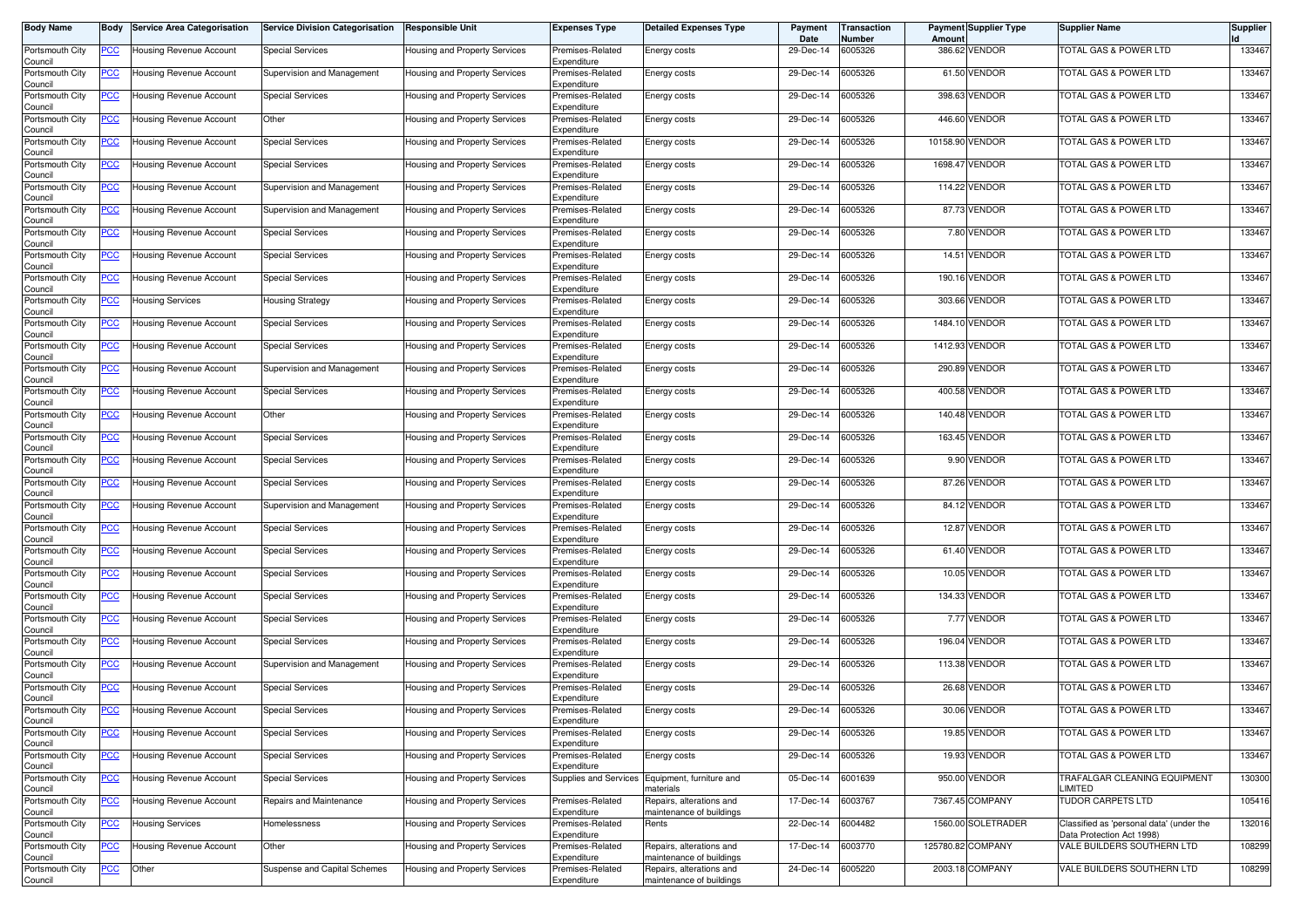| Body Name                  | Body           | <b>Service Area Categorisation</b> | <b>Service Division Categorisation</b> | <b>Responsible Unit</b>              | <b>Expenses Type</b>            | <b>Detailed Expenses Type</b>                        | Payment<br>Date | <b>Transaction</b><br>Number | Amoun    | <b>Payment Supplier Type</b> | <b>Supplier Name</b>                                                  | <b>Supplier</b> |
|----------------------------|----------------|------------------------------------|----------------------------------------|--------------------------------------|---------------------------------|------------------------------------------------------|-----------------|------------------------------|----------|------------------------------|-----------------------------------------------------------------------|-----------------|
| Portsmouth City<br>Council | <u>PCC</u>     | Housing Revenue Account            | <b>Special Services</b>                | Housing and Property Services        | Premises-Related<br>Expenditure | Energy costs                                         | 29-Dec-14       | 6005326                      |          | 386.62 VENDOR                | TOTAL GAS & POWER LTD                                                 | 133467          |
| Portsmouth City<br>Council | <u>PCC</u>     | Housing Revenue Account            | Supervision and Management             | Housing and Property Services        | Premises-Related<br>Expenditure | Energy costs                                         | 29-Dec-14       | 6005326                      |          | 61.50 VENDOR                 | TOTAL GAS & POWER LTD                                                 | 133467          |
| Portsmouth City<br>Council | ∍CC            | Housing Revenue Account            | <b>Special Services</b>                | Housing and Property Services        | Premises-Related<br>Expenditure | Energy costs                                         | 29-Dec-14       | 6005326                      | 398.63   | VENDOR                       | TOTAL GAS & POWER LTD                                                 | 133467          |
| Portsmouth City<br>Council | <u>PCC</u>     | Housing Revenue Account            | Other                                  | <b>Housing and Property Services</b> | Premises-Related<br>Expenditure | Energy costs                                         | 29-Dec-14       | 6005326                      | 446.60   | <b>VENDOR</b>                | TOTAL GAS & POWER LTD                                                 | 133467          |
| Portsmouth City<br>Council | <u>PCC</u>     | Housing Revenue Account            | <b>Special Services</b>                | Housing and Property Services        | Premises-Related<br>Expenditure | Energy costs                                         | 29-Dec-14       | 6005326                      | 10158.90 | <b>VENDOR</b>                | TOTAL GAS & POWER LTD                                                 | 133467          |
| Portsmouth City<br>Council | <u>PCC </u>    | Housing Revenue Account            | <b>Special Services</b>                | Housing and Property Services        | Premises-Related<br>Expenditure | Energy costs                                         | 29-Dec-14       | 6005326                      |          | 1698.47 VENDOR               | TOTAL GAS & POWER LTD                                                 | 133467          |
| Portsmouth City<br>Council | <u>PCC</u>     | Housing Revenue Account            | Supervision and Management             | Housing and Property Services        | Premises-Related<br>Expenditure | Energy costs                                         | 29-Dec-14       | 6005326                      |          | 114.22 VENDOR                | TOTAL GAS & POWER LTD                                                 | 133467          |
| Portsmouth City<br>Council | <u>PCC</u>     | Housing Revenue Account            | Supervision and Management             | Housing and Property Services        | Premises-Related<br>Expenditure | Energy costs                                         | 29-Dec-14       | 6005326                      | 87.73    | <b>VENDOR</b>                | TOTAL GAS & POWER LTD                                                 | 133467          |
| Portsmouth City<br>Council | <u>PCC</u>     | Housing Revenue Account            | <b>Special Services</b>                | Housing and Property Services        | Premises-Related<br>Expenditure | Energy costs                                         | 29-Dec-14       | 6005326                      |          | 7.80 VENDOR                  | <b>TOTAL GAS &amp; POWER LTD</b>                                      | 133467          |
| Portsmouth City<br>Council | <u>PCC</u>     | Housing Revenue Account            | <b>Special Services</b>                | Housing and Property Services        | Premises-Related<br>Expenditure | Energy costs                                         | 29-Dec-14       | 6005326                      | 14.51    | <b>VENDOR</b>                | TOTAL GAS & POWER LTD                                                 | 133467          |
| Portsmouth City<br>Council | <u>PCC</u>     | Housing Revenue Account            | <b>Special Services</b>                | Housing and Property Services        | Premises-Related<br>Expenditure | Energy costs                                         | 29-Dec-14       | 6005326                      |          | 190.16 VENDOR                | TOTAL GAS & POWER LTD                                                 | 133467          |
| Portsmouth City<br>Council | <u>PCC</u>     | Housing Services                   | <b>Housing Strategy</b>                | Housing and Property Services        | Premises-Related<br>Expenditure | Energy costs                                         | 29-Dec-14       | 6005326                      | 303.66   | <b>VENDOR</b>                | TOTAL GAS & POWER LTD                                                 | 133467          |
| Portsmouth City<br>Council | <u>PCC</u>     | Housing Revenue Account            | Special Services                       | Housing and Property Services        | Premises-Related<br>Expenditure | Energy costs                                         | 29-Dec-14       | 6005326                      |          | 1484.10 VENDOR               | TOTAL GAS & POWER LTD                                                 | 133467          |
| Portsmouth City<br>Council | <u>PCC</u>     | Housing Revenue Account            | <b>Special Services</b>                | Housing and Property Services        | Premises-Related<br>Expenditure | Energy costs                                         | 29-Dec-14       | 6005326                      | 1412.93  | <b>VENDOR</b>                | <b>TOTAL GAS &amp; POWER LTD</b>                                      | 133467          |
| Portsmouth City<br>Council | PСC            | Housing Revenue Account            | Supervision and Management             | <b>Housing and Property Services</b> | Premises-Related<br>Expenditure | Energy costs                                         | 29-Dec-14       | 6005326                      | 290.89   | <b>VENDOR</b>                | TOTAL GAS & POWER LTD                                                 | 133467          |
| Portsmouth City<br>Council | <u>PCC</u>     | Housing Revenue Account            | <b>Special Services</b>                | Housing and Property Services        | Premises-Related<br>Expenditure | Energy costs                                         | 29-Dec-14       | 6005326                      |          | 400.58 VENDOR                | <b>TOTAL GAS &amp; POWER LTD</b>                                      | 133467          |
| Portsmouth City<br>Council | <u>PCC</u>     | Housing Revenue Account            | Other                                  | Housing and Property Services        | Premises-Related<br>Expenditure | Energy costs                                         | 29-Dec-14       | 6005326                      |          | 140.48 VENDOR                | TOTAL GAS & POWER LTD                                                 | 133467          |
| Portsmouth City<br>Council | $PCC$          | Housing Revenue Account            | <b>Special Services</b>                | Housing and Property Services        | Premises-Related<br>Expenditure | Energy costs                                         | 29-Dec-14       | 6005326                      |          | 163.45 VENDOR                | TOTAL GAS & POWER LTD                                                 | 133467          |
| Portsmouth City<br>Council | <u>PCC</u>     | Housing Revenue Account            | <b>Special Services</b>                | Housing and Property Services        | Premises-Related<br>Expenditure | Energy costs                                         | 29-Dec-14       | 6005326                      |          | 9.90 VENDOR                  | TOTAL GAS & POWER LTD                                                 | 133467          |
| Portsmouth City<br>Council | <u>PCC</u>     | Housing Revenue Account            | <b>Special Services</b>                | Housing and Property Services        | Premises-Related<br>Expenditure | Energy costs                                         | 29-Dec-14       | 6005326                      |          | 87.26 VENDOR                 | <b>TOTAL GAS &amp; POWER LTD</b>                                      | 133467          |
| Portsmouth City<br>Council | <u>PCC</u>     | Housing Revenue Account            | Supervision and Management             | Housing and Property Services        | Premises-Related<br>Expenditure | Energy costs                                         | 29-Dec-14       | 6005326                      |          | 84.12 VENDOR                 | TOTAL GAS & POWER LTD                                                 | 133467          |
| Portsmouth City<br>Council | <u>PCC</u>     | Housing Revenue Account            | Special Services                       | Housing and Property Services        | Premises-Related<br>Expenditure | Energy costs                                         | 29-Dec-14       | 6005326                      | 12.87    | VENDOR                       | TOTAL GAS & POWER LTD                                                 | 133467          |
| Portsmouth City<br>Council | <u>PCC </u>    | Housing Revenue Account            | <b>Special Services</b>                | Housing and Property Services        | Premises-Related<br>Expenditure | Energy costs                                         | 29-Dec-14       | 6005326                      |          | 61.40 VENDOR                 | TOTAL GAS & POWER LTD                                                 | 133467          |
| Portsmouth City<br>Council | <u>PCC</u>     | Housing Revenue Account            | <b>Special Services</b>                | Housing and Property Services        | Premises-Related<br>Expenditure | Energy costs                                         | 29-Dec-14       | 6005326                      |          | 10.05 VENDOR                 | TOTAL GAS & POWER LTD                                                 | 133467          |
| Portsmouth City<br>Council | <u>PCC</u>     | Housing Revenue Account            | <b>Special Services</b>                | Housing and Property Services        | Premises-Related<br>Expenditure | Energy costs                                         | 29-Dec-14       | 6005326                      |          | 134.33 VENDOR                | <b>TOTAL GAS &amp; POWER LTD</b>                                      | 133467          |
| Portsmouth City<br>Council | <u>PCC </u>    | Housing Revenue Account            | <b>Special Services</b>                | Housing and Property Services        | Premises-Related<br>Expenditure | Energy costs                                         | 29-Dec-14       | 6005326                      |          | 7.77 VENDOR                  | TOTAL GAS & POWER LTD                                                 | 133467          |
| Portsmouth City<br>Council | <b>PCC</b>     | Housing Revenue Account            | <b>Special Services</b>                | Housing and Property Services        | Premises-Related<br>Expenditure | Energy costs                                         | 29-Dec-14       | 6005326                      |          | 196.04 VENDOR                | <b>TOTAL GAS &amp; POWER LTD</b>                                      | 133467          |
| Portsmouth City<br>Council | <u>PCC</u>     | Housing Revenue Account            | Supervision and Management             | Housing and Property Services        | Premises-Related<br>Expenditure | Energy costs                                         | 29-Dec-14       | 6005326                      |          | 113.38 VENDOR                | TOTAL GAS & POWER LTD                                                 | 133467          |
| Portsmouth City<br>Council | <u>PCC</u>     | Housing Revenue Account            | Special Services                       | <b>Housing and Property Services</b> | Premises-Related<br>Expenditure | Energy costs                                         | 29-Dec-14       | 6005326                      |          | 26.68 VENDOR                 | TOTAL GAS & POWER LTD                                                 | 133467          |
| Portsmouth City<br>Council | <u>PCC</u>     | Housing Revenue Account            | <b>Special Services</b>                | Housing and Property Services        | Premises-Related<br>Expenditure | Energy costs                                         | 29-Dec-14       | 6005326                      |          | 30.06 VENDOR                 | TOTAL GAS & POWER LTD                                                 | 133467          |
| Portsmouth City<br>Council | <u>PCC</u>     | lousing Revenue Account            | <b>Special Services</b>                | Housing and Property Services        | Premises-Related<br>Expenditure | Energy costs                                         | 29-Dec-14       | 6005326                      |          | 19.85 VENDOR                 | <b>TOTAL GAS &amp; POWER LTD</b>                                      | 133467          |
| Portsmouth City<br>Council | $\overline{C}$ | Housing Revenue Account            | <b>Special Services</b>                | Housing and Property Services        | Premises-Related<br>Expenditure | Energy costs                                         | 29-Dec-14       | 6005326                      |          | 19.93 VENDOR                 | TOTAL GAS & POWER LTD                                                 | 133467          |
| Portsmouth City<br>Council | $\overline{C}$ | Housing Revenue Account            | <b>Special Services</b>                | Housing and Property Services        | Supplies and Services           | Equipment, furniture and<br>materials                | 05-Dec-14       | 6001639                      |          | 950.00 VENDOR                | TRAFALGAR CLEANING EQUIPMENT<br>LIMITED                               | 130300          |
| Portsmouth City<br>Council | PCC            | Housing Revenue Account            | Repairs and Maintenance                | Housing and Property Services        | Premises-Related<br>Expenditure | Repairs, alterations and<br>maintenance of buildings | 17-Dec-14       | 6003767                      |          | 7367.45 COMPANY              | TUDOR CARPETS LTD                                                     | 105416          |
| Portsmouth City<br>Council | PCC            | Housing Services                   | Homelessness                           | Housing and Property Services        | Premises-Related<br>Expenditure | Rents                                                | 22-Dec-14       | 6004482                      |          | 1560.00 SOLETRADER           | Classified as 'personal data' (under the<br>Data Protection Act 1998) | 132016          |
| Portsmouth City<br>Council | <b>PCC</b>     | Housing Revenue Account            | Other                                  | Housing and Property Services        | Premises-Related<br>Expenditure | Repairs, alterations and<br>maintenance of buildings | 17-Dec-14       | 6003770                      |          | 125780.82 COMPANY            | VALE BUILDERS SOUTHERN LTD                                            | 108299          |
| Portsmouth City<br>Council | <u>PCC</u>     | Other                              | Suspense and Capital Schemes           | Housing and Property Services        | Premises-Related<br>Expenditure | Repairs, alterations and<br>maintenance of buildings | 24-Dec-14       | 6005220                      |          | 2003.18 COMPANY              | VALE BUILDERS SOUTHERN LTD                                            | 108299          |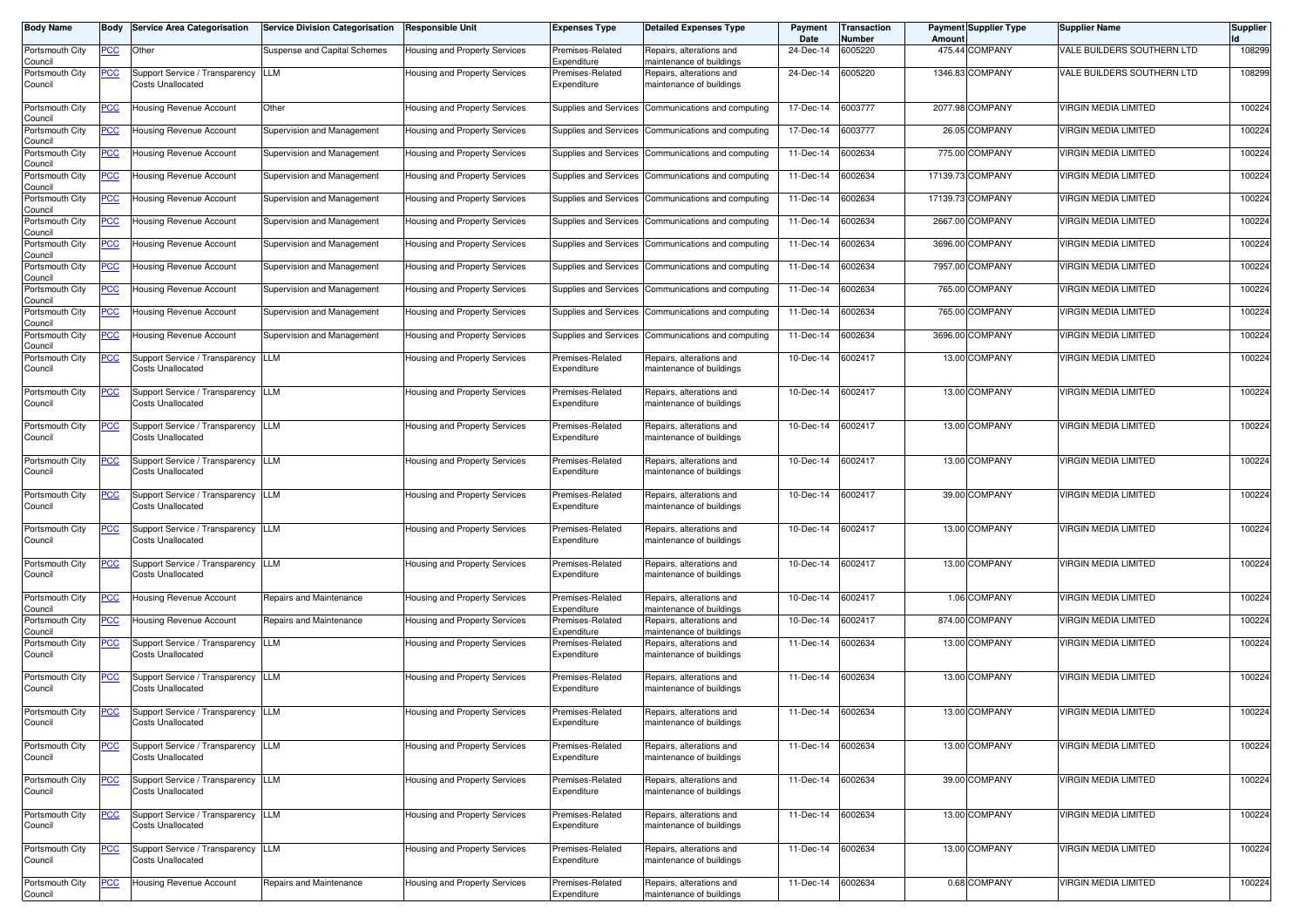| <b>Body Name</b>           | Body           | <b>Service Area Categorisation</b>                             | <b>Service Division Categorisation</b> | <b>Responsible Unit</b>       | <b>Expenses Type</b>            | <b>Detailed Expenses Type</b>                        | Payment<br>Date   | <b>Transaction</b><br>Number | Amoun    | <b>Payment Supplier Type</b> | <b>Supplier Name</b>        | <b>Supplier</b> |
|----------------------------|----------------|----------------------------------------------------------------|----------------------------------------|-------------------------------|---------------------------------|------------------------------------------------------|-------------------|------------------------------|----------|------------------------------|-----------------------------|-----------------|
| Portsmouth City<br>Council | PCC            | Other                                                          | Suspense and Capital Schemes           | Housing and Property Services | Premises-Related<br>Expenditure | Repairs, alterations and<br>maintenance of buildings | 24-Dec-14         | 6005220                      |          | 475.44 COMPANY               | VALE BUILDERS SOUTHERN LTD  | 108299          |
| Portsmouth City<br>Council | <u>PCC </u>    | Support Service / Transparency<br>Costs Unallocated            | LLM                                    | Housing and Property Services | Premises-Related<br>Expenditure | Repairs, alterations and<br>maintenance of buildings | 24-Dec-14         | 6005220                      |          | 1346.83 COMPANY              | VALE BUILDERS SOUTHERN LTD  | 108299          |
| Portsmouth City<br>Council | PСC            | Housing Revenue Account                                        | Other                                  | Housing and Property Services | Supplies and Services           | Communications and computing                         | 17-Dec-14         | 6003777                      |          | 2077.98 COMPANY              | <b>VIRGIN MEDIA LIMITED</b> | 100224          |
| Portsmouth City<br>Council |                | lousing Revenue Account                                        | Supervision and Management             | Housing and Property Services | Supplies and Services           | Communications and computing                         | 17-Dec-14         | 6003777                      |          | 26.05 COMPANY                | <b>VIRGIN MEDIA LIMITED</b> | 100224          |
| Portsmouth City<br>Council | <u>PCC</u>     | Housing Revenue Account                                        | Supervision and Management             | Housing and Property Services | Supplies and Services           | Communications and computing                         | 11-Dec-14         | 6002634                      |          | 775.00 COMPANY               | <b>VIRGIN MEDIA LIMITED</b> | 100224          |
| Portsmouth City<br>Council | <u>PCC </u>    | Housing Revenue Account                                        | Supervision and Management             | Housing and Property Services | Supplies and Services           | Communications and computing                         | 11-Dec-14         | 6002634                      | 17139.73 | <b>COMPANY</b>               | <b>VIRGIN MEDIA LIMITED</b> | 100224          |
| Portsmouth City<br>Council | <u>PCC</u>     | Housing Revenue Account                                        | Supervision and Management             | Housing and Property Services | Supplies and Services           | Communications and computing                         | 11-Dec-14         | 6002634                      |          | 17139.73 COMPANY             | <b>VIRGIN MEDIA LIMITED</b> | 100224          |
| Portsmouth City<br>Council | <u>PCC</u>     | Housing Revenue Account                                        | Supervision and Management             | Housing and Property Services | Supplies and Services           | Communications and computing                         | 11-Dec-14         | 6002634                      |          | 2667.00 COMPANY              | <b>VIRGIN MEDIA LIMITED</b> | 100224          |
| Portsmouth City<br>Council | <u>PCC</u>     | Housing Revenue Account                                        | Supervision and Management             | Housing and Property Services | Supplies and Services           | Communications and computing                         | 11-Dec-14         | 6002634                      | 3696.00  | <b>COMPANY</b>               | <b>VIRGIN MEDIA LIMITED</b> | 100224          |
| Portsmouth City<br>Council | <u>PCC</u>     | Housing Revenue Account                                        | Supervision and Management             | Housing and Property Services | Supplies and Services           | Communications and computing                         | 11-Dec-14         | 6002634                      | 7957.00  | <b>COMPANY</b>               | <b>VIRGIN MEDIA LIMITED</b> | 100224          |
| Portsmouth City<br>Council | <u>PCC</u>     | Housing Revenue Account                                        | Supervision and Management             | Housing and Property Services | Supplies and Services           | Communications and computing                         | 11-Dec-14         | 6002634                      | 765.00   | <b>COMPANY</b>               | <b>VIRGIN MEDIA LIMITED</b> | 100224          |
| Portsmouth City<br>Council | <u>PCC</u>     | Housing Revenue Account                                        | Supervision and Management             | Housing and Property Services | Supplies and Services           | Communications and computing                         | 11-Dec-14         | 6002634                      | 765.00   | <b>COMPANY</b>               | <b>VIRGIN MEDIA LIMITED</b> | 100224          |
| Portsmouth City<br>Council |                | lousing Revenue Account                                        | Supervision and Management             | Housing and Property Services | Supplies and Services           | Communications and computing                         | 11-Dec-14         | 6002634                      | 3696.00  | <b>COMPANY</b>               | <b>VIRGIN MEDIA LIMITED</b> | 100224          |
| Portsmouth City<br>Council |                | Support Service / Transparency<br>Costs Unallocated            | LLM                                    | Housing and Property Services | Premises-Related<br>Expenditure | Repairs, alterations and<br>maintenance of buildings | 10-Dec-14         | 6002417                      | 13.00    | <b>COMPANY</b>               | <b>VIRGIN MEDIA LIMITED</b> | 100224          |
| Portsmouth City<br>Council | <u>PCC</u>     | Support Service / Transparency<br>Costs Unallocated            | LLM                                    | Housing and Property Services | Premises-Related<br>Expenditure | Repairs, alterations and<br>maintenance of buildings | 10-Dec-14         | 6002417                      |          | 13.00 COMPANY                | <b>VIRGIN MEDIA LIMITED</b> | 100224          |
| Portsmouth City<br>Council | <u>'CC</u>     | Support Service / Transparency<br><b>Costs Unallocated</b>     | LLM                                    | Housing and Property Services | Premises-Related<br>Expenditure | Repairs, alterations and<br>maintenance of buildings | 10-Dec-14         | 6002417                      |          | 13.00 COMPANY                | <b>VIRGIN MEDIA LIMITED</b> | 100224          |
| Portsmouth City<br>Council | <u>PCC</u>     | Support Service / Transparency<br>Costs Unallocated            | LLM                                    | Housing and Property Services | Premises-Related<br>Expenditure | Repairs, alterations and<br>maintenance of buildings | 10-Dec-14         | 6002417                      |          | 13.00 COMPANY                | <b>VIRGIN MEDIA LIMITED</b> | 100224          |
| Portsmouth City<br>Council | <u>PCC</u>     | Support Service / Transparency<br>Costs Unallocated            | LLM                                    | Housing and Property Services | Premises-Related<br>Expenditure | Repairs, alterations and<br>maintenance of buildings | 10-Dec-14         | 6002417                      |          | 39.00 COMPANY                | <b>VIRGIN MEDIA LIMITED</b> | 100224          |
| Portsmouth City<br>Council | <u>PCC</u>     | Support Service / Transparency<br><b>Costs Unallocated</b>     | <b>LLM</b>                             | Housing and Property Services | Premises-Related<br>Expenditure | Repairs, alterations and<br>maintenance of buildings | 10-Dec-14         | 6002417                      |          | 13.00 COMPANY                | <b>VIRGIN MEDIA LIMITED</b> | 100224          |
| Portsmouth City<br>Council |                | Support Service / Transparency<br>Costs Unallocated            | <b>LLM</b>                             | Housing and Property Services | Premises-Related<br>Expenditure | Repairs, alterations and<br>maintenance of buildings | 10-Dec-14         | 6002417                      |          | 13.00 COMPANY                | <b>VIRGIN MEDIA LIMITED</b> | 100224          |
| Portsmouth City<br>Council | <u>PCC</u>     | Housing Revenue Account                                        | Repairs and Maintenance                | Housing and Property Services | Premises-Related<br>Expenditure | Repairs, alterations and<br>maintenance of buildings | 10-Dec-14         | 6002417                      |          | 1.06 COMPANY                 | <b>VIRGIN MEDIA LIMITED</b> | 100224          |
| Portsmouth City<br>Council | <u>PCC</u>     | lousing Revenue Account                                        | Repairs and Maintenance                | Housing and Property Services | Premises-Related<br>Expenditure | Repairs, alterations and<br>maintenance of buildings | 10-Dec-14         | 6002417                      |          | 874.00 COMPANY               | VIRGIN MEDIA LIMITED        | 100224          |
| Portsmouth City<br>Council | <u>PCC</u>     | Support Service / Transparency<br>Costs Unallocated            | LLM                                    | Housing and Property Services | Premises-Related<br>Expenditure | Repairs, alterations and<br>maintenance of buildings | 11-Dec-14         | 6002634                      |          | 13.00 COMPANY                | <b>VIRGIN MEDIA LIMITED</b> | 100224          |
| Portsmouth City<br>Council |                | Support Service / Transparency<br>Costs Unallocated            | <b>LLM</b>                             | Housing and Property Services | Premises-Related<br>Expenditure | Repairs, alterations and<br>maintenance of buildings | 11-Dec-14         | 6002634                      |          | 13.00 COMPANY                | <b>VIRGIN MEDIA LIMITED</b> | 100224          |
| Portsmouth City<br>Council | <u>PCC</u>     | Support Service / Transparency LLM<br>Costs Unallocated        |                                        | Housing and Property Services | Premises-Related<br>Expenditure | Repairs, alterations and<br>maintenance of buildings | 11-Dec-14 6002634 |                              |          | 13.00 COMPANY                | <b>VIRGIN MEDIA LIMITED</b> | 100224          |
| Portsmouth City<br>Council | <b>PCC</b>     | Support Service / Transparency LLM<br>Costs Unallocated        |                                        | Housing and Property Services | Premises-Related<br>Expenditure | Repairs, alterations and<br>maintenance of buildings | 11-Dec-14 6002634 |                              |          | 13.00 COMPANY                | <b>VIRGIN MEDIA LIMITED</b> | 100224          |
| Portsmouth City<br>Council | $\overline{C}$ | Support Service / Transparency LLM<br><b>Costs Unallocated</b> |                                        | Housing and Property Services | Premises-Related<br>Expenditure | Repairs, alterations and<br>maintenance of buildings | 11-Dec-14         | 6002634                      |          | 39.00 COMPANY                | <b>VIRGIN MEDIA LIMITED</b> | 100224          |
| Portsmouth City<br>Council | <u>PCC</u>     | Support Service / Transparency LLM<br>Costs Unallocated        |                                        | Housing and Property Services | Premises-Related<br>Expenditure | Repairs, alterations and<br>maintenance of buildings | 11-Dec-14 6002634 |                              |          | 13.00 COMPANY                | <b>VIRGIN MEDIA LIMITED</b> | 100224          |
| Portsmouth City<br>Council | <u>PCC</u>     | Support Service / Transparency LLM<br>Costs Unallocated        |                                        | Housing and Property Services | Premises-Related<br>Expenditure | Repairs, alterations and<br>maintenance of buildings | 11-Dec-14 6002634 |                              |          | 13.00 COMPANY                | <b>VIRGIN MEDIA LIMITED</b> | 100224          |
| Portsmouth City<br>Council | <b>PCC</b>     | Housing Revenue Account                                        | Repairs and Maintenance                | Housing and Property Services | Premises-Related<br>Expenditure | Repairs, alterations and<br>maintenance of buildings | 11-Dec-14 6002634 |                              |          | 0.68 COMPANY                 | <b>VIRGIN MEDIA LIMITED</b> | 100224          |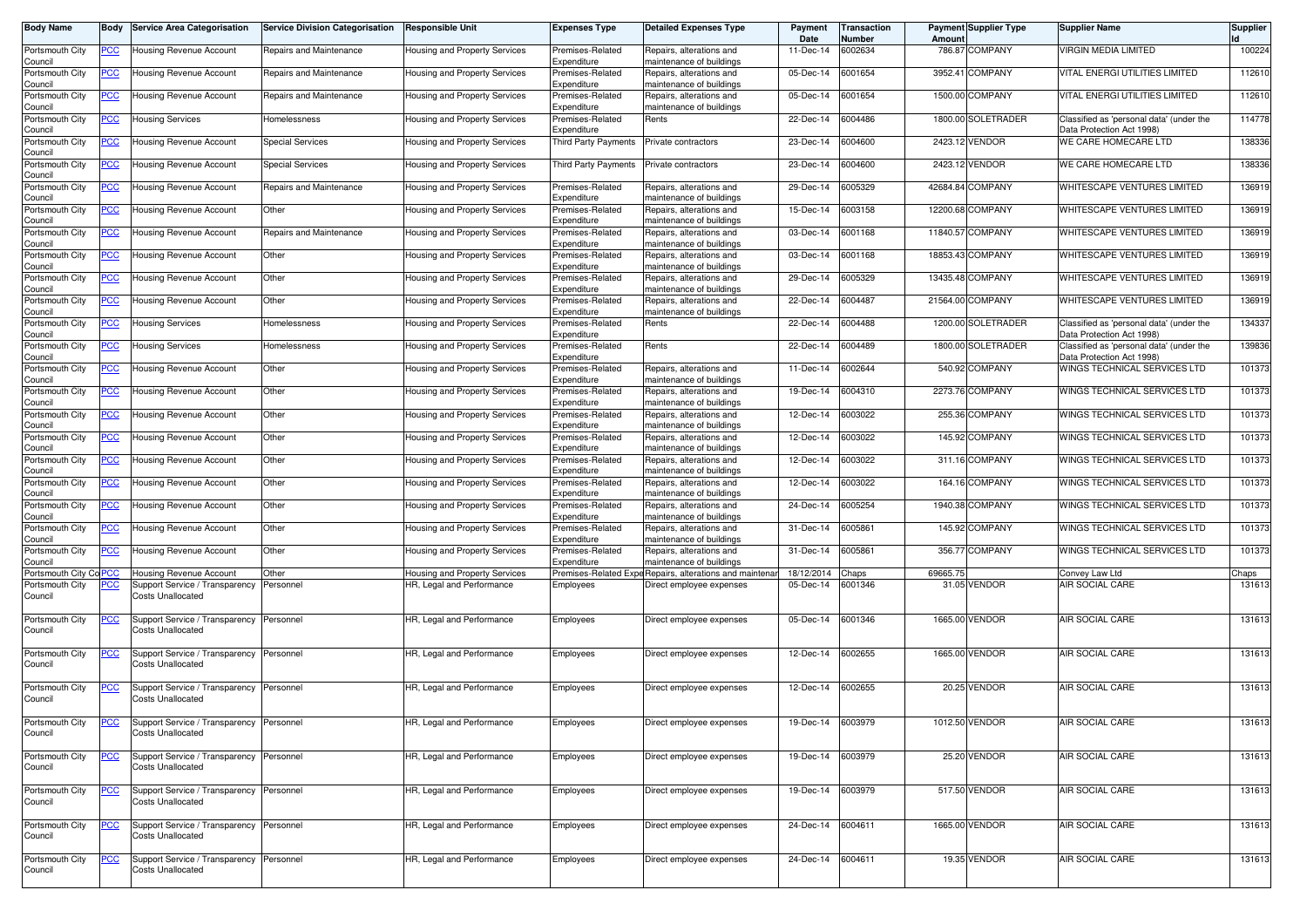| <b>Body Name</b>                      | Body           | <b>Service Area Categorisation</b>                                   | <b>Service Division Categorisation</b> | <b>Responsible Unit</b>              | Expenses Type                   | <b>Detailed Expenses Type</b>                            | Payment<br>Date   | <b>Transaction</b><br>Number | Amount   | <b>Payment Supplier Type</b> | <b>Supplier Name</b>                                                  | <b>Supplier</b> |
|---------------------------------------|----------------|----------------------------------------------------------------------|----------------------------------------|--------------------------------------|---------------------------------|----------------------------------------------------------|-------------------|------------------------------|----------|------------------------------|-----------------------------------------------------------------------|-----------------|
| Portsmouth City<br>Council            | <u>PCC</u>     | Jousing Revenue Account                                              | Repairs and Maintenance                | Housing and Property Services        | Premises-Related<br>Expenditure | Repairs, alterations and<br>naintenance of buildings     | 11-Dec-14         | 6002634                      |          | 786.87 COMPANY               | <b>VIRGIN MEDIA LIMITED</b>                                           | 100224          |
| Portsmouth City<br>Council            | <u>PCC </u>    | Housing Revenue Account                                              | Repairs and Maintenance                | Housing and Property Services        | Premises-Related<br>Expenditure | Repairs, alterations and<br>naintenance of buildings     | 05-Dec-14         | 6001654                      |          | 3952.41 COMPANY              | VITAL ENERGI UTILITIES LIMITED                                        | 112610          |
| Portsmouth City<br>Council            | <u>PCC </u>    | Housing Revenue Account                                              | Repairs and Maintenance                | Housing and Property Services        | Premises-Related<br>Expenditure | Repairs, alterations and<br>maintenance of buildings     | 05-Dec-14         | 6001654                      |          | 1500.00 COMPANY              | VITAL ENERGI UTILITIES LIMITED                                        | 112610          |
| Portsmouth City<br>Council            | <u>PCC</u>     | <b>Housing Services</b>                                              | Homelessness                           | Housing and Property Services        | Premises-Related<br>Expenditure | Rents                                                    | 22-Dec-14         | 6004486                      |          | 1800.00 SOLETRADER           | Classified as 'personal data' (under the<br>Data Protection Act 1998) | 114778          |
| Portsmouth City                       | <u>PCC</u>     | Housing Revenue Account                                              | <b>Special Services</b>                | Housing and Property Services        | Third Party Payments            | Private contractors                                      | 23-Dec-14         | 6004600                      |          | 2423.12 VENDOR               | WE CARE HOMECARE LTD                                                  | 138336          |
| Council<br>Portsmouth City            | <u>PCC</u>     | Housing Revenue Account                                              | Special Services                       | Housing and Property Services        | Third Party Payments            | Private contractors                                      | 23-Dec-14         | 6004600                      |          | 2423.12 VENDOR               | WE CARE HOMECARE LTD                                                  | 138336          |
| Council<br>Portsmouth City<br>Council | <u>PCC</u>     | lousing Revenue Account                                              | Repairs and Maintenance                | Housing and Property Services        | Premises-Related<br>Expenditure | Repairs, alterations and<br>naintenance of buildings     | 29-Dec-14         | 6005329                      |          | 42684.84 COMPANY             | WHITESCAPE VENTURES LIMITED                                           | 136919          |
| Portsmouth City<br>Council            | <u>PCC</u>     | Housing Revenue Account                                              | Other                                  | Housing and Property Services        | Premises-Related<br>Expenditure | Repairs, alterations and<br>maintenance of buildings     | 15-Dec-14         | 6003158                      |          | 12200.68 COMPANY             | WHITESCAPE VENTURES LIMITED                                           | 136919          |
| Portsmouth City<br>Council            | <u>PCC </u>    | <b>Housing Revenue Account</b>                                       | Repairs and Maintenance                | Housing and Property Services        | Premises-Related<br>Expenditure | Repairs, alterations and<br>naintenance of buildings     | 03-Dec-14         | 6001168                      |          | 11840.57 COMPANY             | WHITESCAPE VENTURES LIMITED                                           | 136919          |
| Portsmouth City<br>Council            | <u>PCC</u>     | Housing Revenue Account                                              | Other                                  | Housing and Property Services        | Premises-Related<br>Expenditure | Repairs, alterations and<br>naintenance of buildings     | 03-Dec-14         | 6001168                      |          | 18853.43 COMPANY             | WHITESCAPE VENTURES LIMITED                                           | 136919          |
| Portsmouth City<br>Council            | <u>PCC</u>     | Housing Revenue Account                                              | Other                                  | Housing and Property Services        | Premises-Related<br>Expenditure | Repairs, alterations and<br>maintenance of buildings     | 29-Dec-14         | 6005329                      |          | 13435.48 COMPANY             | WHITESCAPE VENTURES LIMITED                                           | 136919          |
| Portsmouth City<br>Council            | <u>PCC </u>    | Housing Revenue Account                                              | Other                                  | Housing and Property Services        | Premises-Related<br>Expenditure | Repairs, alterations and<br>naintenance of buildings     | 22-Dec-14         | 6004487                      |          | 21564.00 COMPANY             | WHITESCAPE VENTURES LIMITED                                           | 136919          |
| Portsmouth City<br>Council            | <u>PCC</u>     | Housing Services                                                     | Homelessness                           | Housing and Property Services        | Premises-Related<br>Expenditure | Rents                                                    | 22-Dec-14         | 6004488                      |          | 1200.00 SOLETRADER           | Classified as 'personal data' (under the<br>Data Protection Act 1998) | 134337          |
| Portsmouth City<br>Council            |                | Housing Services                                                     | Homelessness                           | <b>Housing and Property Services</b> | Premises-Related<br>Expenditure | Rents                                                    | 22-Dec-14         | 6004489                      |          | 1800.00 SOLETRADER           | Classified as 'personal data' (under the<br>Data Protection Act 1998) | 139836          |
| Portsmouth City<br>Council            |                | Housing Revenue Account                                              | Other                                  | Housing and Property Services        | Premises-Related<br>Expenditure | Repairs, alterations and<br>maintenance of buildings     | 11-Dec-14         | 6002644                      |          | 540.92 COMPANY               | WINGS TECHNICAL SERVICES LTD                                          | 101373          |
| Portsmouth City<br>Council            | <u>PCC</u>     | Housing Revenue Account                                              | Other                                  | Housing and Property Services        | Premises-Related<br>Expenditure | Repairs, alterations and<br>naintenance of buildings     | 19-Dec-14         | 6004310                      |          | 2273.76 COMPANY              | WINGS TECHNICAL SERVICES LTD                                          | 101373          |
| Portsmouth City<br>Council            | <u>PCC </u>    | Housing Revenue Account                                              | Other                                  | Housing and Property Services        | Premises-Related<br>Expenditure | Repairs, alterations and<br>naintenance of buildings     | 12-Dec-14         | 6003022                      |          | 255.36 COMPANY               | WINGS TECHNICAL SERVICES LTD                                          | 101373          |
| Portsmouth City<br>Council            | <u>PCC</u>     | Housing Revenue Account                                              | Other                                  | Housing and Property Services        | Premises-Related<br>Expenditure | Repairs, alterations and<br>naintenance of buildings     | 12-Dec-14         | 6003022                      |          | 145.92 COMPANY               | WINGS TECHNICAL SERVICES LTD                                          | 101373          |
| Portsmouth City<br>Council            | <u>PCC </u>    | Housing Revenue Account                                              | Other                                  | Housing and Property Services        | Premises-Related<br>Expenditure | Repairs, alterations and<br>naintenance of buildings     | 12-Dec-14         | 6003022                      |          | 311.16 COMPANY               | WINGS TECHNICAL SERVICES LTD                                          | 101373          |
| Portsmouth City<br>Council            | <u>PCC </u>    | Housing Revenue Account                                              | Other                                  | Housing and Property Services        | Premises-Related<br>Expenditure | Repairs, alterations and<br>maintenance of buildings     | 12-Dec-14         | 6003022                      |          | 164.16 COMPANY               | WINGS TECHNICAL SERVICES LTD                                          | 101373          |
| Portsmouth City<br>Council            | <u>PCC</u>     | Housing Revenue Account                                              | Other                                  | Housing and Property Services        | Premises-Related<br>Expenditure | Repairs, alterations and<br>naintenance of buildings     | 24-Dec-14         | 6005254                      |          | 1940.38 COMPANY              | WINGS TECHNICAL SERVICES LTD                                          | 101373          |
| Portsmouth City<br>Council            | <b>PCC</b>     | Housing Revenue Account                                              | Other                                  | Housing and Property Services        | Premises-Related<br>Expenditure | Repairs, alterations and<br>naintenance of buildings     | 31-Dec-14         | 6005861                      |          | 145.92 COMPANY               | WINGS TECHNICAL SERVICES LTD                                          | 101373          |
| Portsmouth City<br>Council            | <u>PCC</u>     | Housing Revenue Account                                              | Other                                  | <b>Housing and Property Services</b> | Premises-Related<br>Expenditure | Repairs, alterations and<br>naintenance of buildings     | 31-Dec-14         | 6005861                      |          | 356.77 COMPANY               | WINGS TECHNICAL SERVICES LTD                                          | 101373          |
| Portsmouth City Co PCC                |                | Housing Revenue Account                                              | Other                                  | Housing and Property Services        |                                 | Premises-Related Expe Repairs, alterations and maintenar | 18/12/2014        | Chaps                        | 69665.75 |                              | Convey Law Ltd                                                        | Chaps           |
| Portsmouth City<br>Council            | <u>PCC </u>    | Support Service / Transparency<br><b>Costs Unallocated</b>           | Personnel                              | HR, Legal and Performance            | Employees                       | Direct employee expenses                                 | 05-Dec-14         | 6001346                      |          | 31.05 VENDOR                 | AIR SOCIAL CARE                                                       | 131613          |
| Portsmouth City<br>Council            | <u>PCC </u>    | Support Service / Transparency<br>Costs Unallocated                  | Personnel                              | HR, Legal and Performance            | Employees                       | Direct employee expenses                                 | 05-Dec-14         | 6001346                      |          | 1665.00 VENDOR               | AIR SOCIAL CARE                                                       | 131613          |
| Portsmouth City<br>Council            | <u>PCC</u>     | Support Service / Transparency<br>Costs Unallocated                  | Personnel                              | HR, Legal and Performance            | Employees                       | Direct employee expenses                                 | 12-Dec-14         | 6002655                      |          | 1665.00 VENDOR               | AIR SOCIAL CARE                                                       | 131613          |
| Portsmouth City<br>Council            | <u>PCC </u>    | Support Service / Transparency<br><b>Costs Unallocated</b>           | Personnel                              | HR, Legal and Performance            | Employees                       | Direct employee expenses                                 | 12-Dec-14         | 6002655                      |          | 20.25 VENDOR                 | AIR SOCIAL CARE                                                       | 131613          |
| Portsmouth City<br>Council            |                | Support Service / Transparency Personnel<br><b>Costs Unallocated</b> |                                        | HR, Legal and Performance            | Employees                       | Direct employee expenses                                 | 19-Dec-14 6003979 |                              |          | 1012.50 VENDOR               | AIR SOCIAL CARE                                                       | 131613          |
| Portsmouth City<br>Council            | $\overline{C}$ | Support Service / Transparency Personnel<br><b>Costs Unallocated</b> |                                        | HR, Legal and Performance            | Employees                       | Direct employee expenses                                 | 19-Dec-14 6003979 |                              |          | 25.20 VENDOR                 | AIR SOCIAL CARE                                                       | 131613          |
| Portsmouth City<br>Council            | <u>PCC</u>     | Support Service / Transparency Personnel<br><b>Costs Unallocated</b> |                                        | HR, Legal and Performance            | Employees                       | Direct employee expenses                                 | 19-Dec-14 6003979 |                              |          | 517.50 VENDOR                | AIR SOCIAL CARE                                                       | 131613          |
| Portsmouth City<br>Council            | <u>PCC</u>     | Support Service / Transparency<br><b>Costs Unallocated</b>           | Personnel                              | HR, Legal and Performance            | Employees                       | Direct employee expenses                                 | 24-Dec-14 6004611 |                              |          | 1665.00 VENDOR               | AIR SOCIAL CARE                                                       | 131613          |
| Portsmouth City<br>Council            | PСC            | Support Service / Transparency<br><b>Costs Unallocated</b>           | Personnel                              | HR, Legal and Performance            | Employees                       | Direct employee expenses                                 | 24-Dec-14 6004611 |                              |          | 19.35 VENDOR                 | AIR SOCIAL CARE                                                       | 131613          |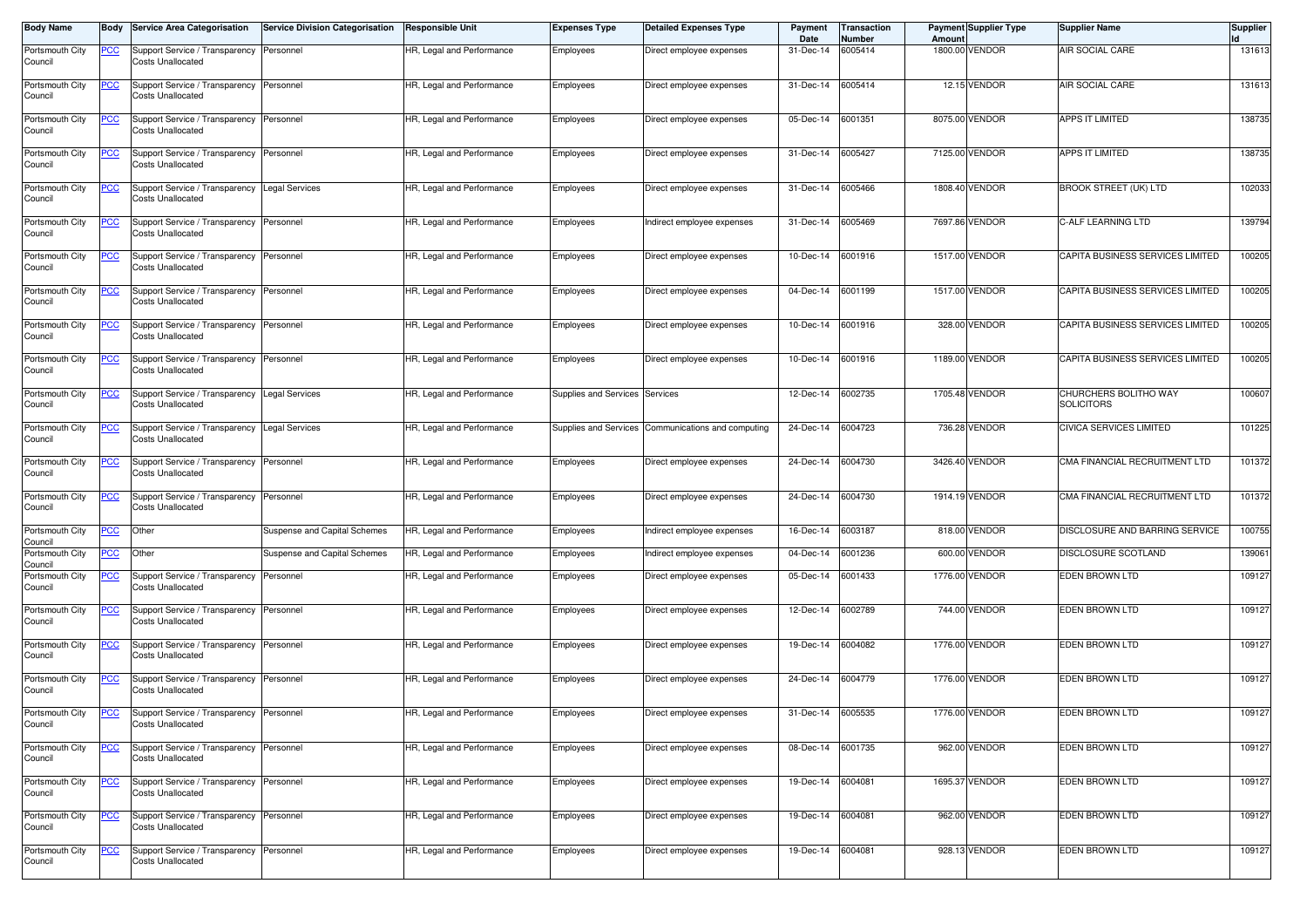| <b>Body Name</b>           | Body       | <b>Service Area Categorisation</b>                                   | <b>Service Division Categorisation</b> | Responsible Unit          | <b>Expenses Type</b>  | <b>Detailed Expenses Type</b>                      | Payment<br>Date   | Transaction<br>Number | Amount  | Payment Supplier Type | <b>Supplier Name</b>                       | <b>Supplier</b> |
|----------------------------|------------|----------------------------------------------------------------------|----------------------------------------|---------------------------|-----------------------|----------------------------------------------------|-------------------|-----------------------|---------|-----------------------|--------------------------------------------|-----------------|
| Portsmouth City<br>Council | <u>PCC</u> | Support Service / Transparency<br>Costs Unallocated                  | Personnel                              | HR, Legal and Performance | Employees             | Direct employee expenses                           | 31-Dec-14         | 6005414               | 1800.00 | VENDOR                | AIR SOCIAL CARE                            | 131613          |
| Portsmouth City<br>Council | <u>PCC</u> | Support Service / Transparency<br>Costs Unallocated                  | Personnel                              | HR, Legal and Performance | Employees             | Direct employee expenses                           | 31-Dec-14         | 6005414               |         | 12.15 VENDOR          | AIR SOCIAL CARE                            | 131613          |
| Portsmouth City<br>Council | <u>PCC</u> | Support Service / Transparency<br>Costs Unallocated                  | Personnel                              | HR, Legal and Performance | Employees             | Direct employee expenses                           | 05-Dec-14         | 6001351               |         | 8075.00 VENDOR        | <b>APPS IT LIMITED</b>                     | 138735          |
| Portsmouth City<br>Council | <u>PCC</u> | Support Service / Transparency<br><b>Costs Unallocated</b>           | Personnel                              | HR, Legal and Performance | Employees             | Direct employee expenses                           | 31-Dec-14         | 6005427               |         | 7125.00 VENDOR        | APPS IT LIMITED                            | 138735          |
| Portsmouth City<br>Council | <u>PCC</u> | Support Service / Transparency<br>Costs Unallocated                  | Legal Services                         | HR, Legal and Performance | Employees             | Direct employee expenses                           | 31-Dec-14         | 6005466               |         | 1808.40 VENDOR        | BROOK STREET (UK) LTD                      | 102033          |
| Portsmouth City<br>Council | <u>PCC</u> | Support Service / Transparency<br>Costs Unallocated                  | Personnel                              | HR, Legal and Performance | Employees             | Indirect employee expenses                         | 31-Dec-14         | 6005469               |         | 7697.86 VENDOR        | C-ALF LEARNING LTD                         | 139794          |
| Portsmouth City<br>Council | <u>PCC</u> | Support Service / Transparency<br><b>Costs Unallocated</b>           | Personnel                              | HR, Legal and Performance | Employees             | Direct employee expenses                           | 10-Dec-14         | 6001916               |         | 1517.00 VENDOR        | CAPITA BUSINESS SERVICES LIMITED           | 100205          |
| Portsmouth City<br>Council | <u>PCC</u> | Support Service / Transparency<br><b>Costs Unallocated</b>           | Personnel                              | HR, Legal and Performance | Employees             | Direct employee expenses                           | 04-Dec-14         | 6001199               |         | 1517.00 VENDOR        | CAPITA BUSINESS SERVICES LIMITED           | 100205          |
| Portsmouth City<br>Council | <u>PCC</u> | Support Service / Transparency<br><b>Costs Unallocated</b>           | Personnel                              | HR, Legal and Performance | Employees             | Direct employee expenses                           | 10-Dec-14         | 6001916               |         | 328.00 VENDOR         | CAPITA BUSINESS SERVICES LIMITED           | 100205          |
| Portsmouth City<br>Council | <u>PCC</u> | Support Service / Transparency<br>Costs Unallocated                  | Personnel                              | HR, Legal and Performance | Employees             | Direct employee expenses                           | 10-Dec-14         | 6001916               |         | 1189.00 VENDOR        | CAPITA BUSINESS SERVICES LIMITED           | 100205          |
| Portsmouth City<br>Council | <u>PCC</u> | Support Service / Transparency<br>Costs Unallocated                  | Legal Services                         | HR, Legal and Performance | Supplies and Services | Services                                           | 12-Dec-14         | 6002735               |         | 1705.48 VENDOR        | CHURCHERS BOLITHO WAY<br><b>SOLICITORS</b> | 100607          |
| Portsmouth City<br>Council | <u>PCC</u> | Support Service / Transparency<br><b>Costs Unallocated</b>           | <b>Legal Services</b>                  | HR, Legal and Performance |                       | Supplies and Services Communications and computing | 24-Dec-14         | 6004723               |         | 736.28 VENDOR         | CIVICA SERVICES LIMITED                    | 101225          |
| Portsmouth City<br>Council | <u>PCC</u> | Support Service / Transparency Personnel<br><b>Costs Unallocated</b> |                                        | HR, Legal and Performance | Employees             | Direct employee expenses                           | 24-Dec-14         | 6004730               |         | 3426.40 VENDOR        | CMA FINANCIAL RECRUITMENT LTD              | 101372          |
| Portsmouth City<br>Council | <u>PCC</u> | Support Service / Transparency<br><b>Costs Unallocated</b>           | Personnel                              | HR, Legal and Performance | Employees             | Direct employee expenses                           | 24-Dec-14         | 6004730               |         | 1914.19 VENDOR        | CMA FINANCIAL RECRUITMENT LTD              | 101372          |
| Portsmouth City<br>Council | <u>PCC</u> | Other                                                                | Suspense and Capital Schemes           | HR, Legal and Performance | Employees             | Indirect employee expenses                         | 16-Dec-14         | 6003187               |         | 818.00 VENDOR         | DISCLOSURE AND BARRING SERVICE             | 100755          |
| Portsmouth City<br>Council |            | Other                                                                | Suspense and Capital Schemes           | HR, Legal and Performance | Employees             | Indirect employee expenses                         | 04-Dec-14         | 6001236               | 600.00  | VENDOR                | DISCLOSURE SCOTLAND                        | 139061          |
| Portsmouth City<br>Council | <u>PCC</u> | Support Service / Transparency<br>Costs Unallocated                  | Personnel                              | HR, Legal and Performance | Employees             | Direct employee expenses                           | 05-Dec-14         | 6001433               |         | 1776.00 VENDOR        | <b>EDEN BROWN LTD</b>                      | 109127          |
| Portsmouth City<br>Council | <u>PCC</u> | Support Service / Transparency<br><b>Costs Unallocated</b>           | Personnel                              | HR, Legal and Performance | Employees             | Direct employee expenses                           | 12-Dec-14         | 6002789               |         | 744.00 VENDOR         | <b>EDEN BROWN LTD</b>                      | 109127          |
| Portsmouth City<br>Council | <u>PCC</u> | Support Service / Transparency<br>Costs Unallocated                  | Personnel                              | HR, Legal and Performance | Employees             | Direct employee expenses                           | 19-Dec-14         | 6004082               |         | 1776.00 VENDOR        | EDEN BROWN LTD                             | 109127          |
| Portsmouth City<br>Council | <u>PCC</u> | Support Service / Transparency<br>Costs Unallocated                  | Personnel                              | HR, Legal and Performance | Employees             | Direct employee expenses                           | 24-Dec-14         | 6004779               |         | 1776.00 VENDOR        | EDEN BROWN LTD                             | 109127          |
| Portsmouth City<br>Council | <u>PCC</u> | Support Service / Transparency Personnel<br>Costs Unallocated        |                                        | HR, Legal and Performance | Employees             | Direct employee expenses                           | 31-Dec-14 6005535 |                       |         | 1776.00 VENDOR        | EDEN BROWN LTD                             | 109127          |
| Portsmouth City<br>Council | <b>PCC</b> | Support Service / Transparency<br>Costs Unallocated                  | Personnel                              | HR, Legal and Performance | Employees             | Direct employee expenses                           | 08-Dec-14 6001735 |                       |         | 962.00 VENDOR         | EDEN BROWN LTD                             | 109127          |
| Portsmouth City<br>Council | <u>PCC</u> | Support Service / Transparency<br><b>Costs Unallocated</b>           | Personnel                              | HR, Legal and Performance | Employees             | Direct employee expenses                           | 19-Dec-14 6004081 |                       |         | 1695.37 VENDOR        | EDEN BROWN LTD                             | 109127          |
| Portsmouth City<br>Council | <u>PCC</u> | Support Service / Transparency Personnel<br>Costs Unallocated        |                                        | HR, Legal and Performance | Employees             | Direct employee expenses                           | 19-Dec-14 6004081 |                       |         | 962.00 VENDOR         | <b>EDEN BROWN LTD</b>                      | 109127          |
| Portsmouth City<br>Council | <u>PCC</u> | Support Service / Transparency<br>Costs Unallocated                  | Personnel                              | HR, Legal and Performance | Employees             | Direct employee expenses                           | 19-Dec-14 6004081 |                       |         | 928.13 VENDOR         | <b>EDEN BROWN LTD</b>                      | 109127          |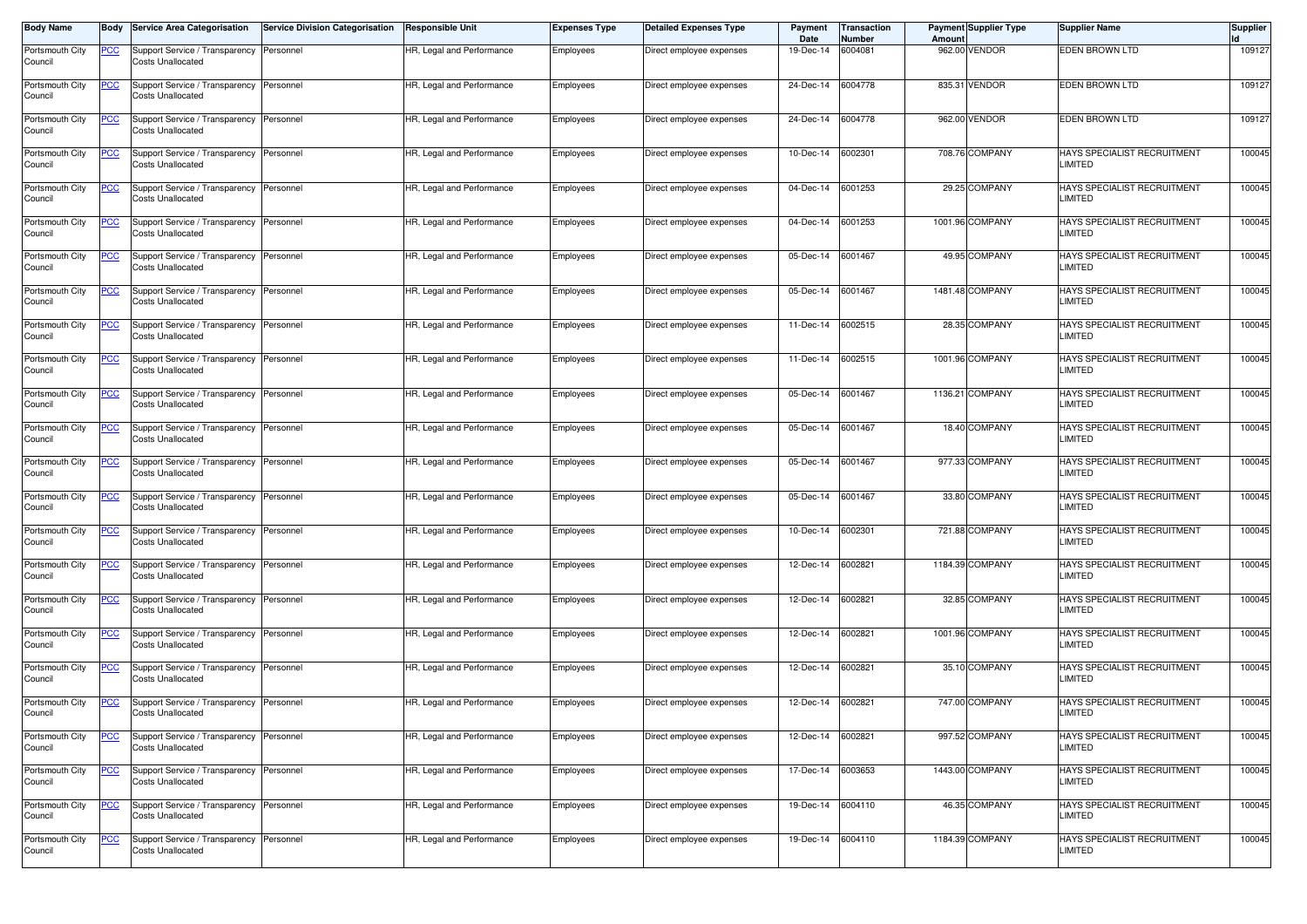| <b>Body Name</b>           | Body             | <b>Service Area Categorisation</b>                                   | <b>Service Division Categorisation</b> | <b>Responsible Unit</b>   | <b>Expenses Type</b> | <b>Detailed Expenses Type</b> | Payment<br>Date   | Transaction<br>Number | Amount | <b>Payment Supplier Type</b> | <b>Supplier Name</b>                          | <b>Supplier</b> |
|----------------------------|------------------|----------------------------------------------------------------------|----------------------------------------|---------------------------|----------------------|-------------------------------|-------------------|-----------------------|--------|------------------------------|-----------------------------------------------|-----------------|
| Portsmouth City<br>Council | PCC              | Support Service / Transparency<br><b>Costs Unallocated</b>           | Personnel                              | HR, Legal and Performance | Employees            | Direct employee expenses      | 19-Dec-14         | 6004081               | 962.00 | <b>VENDOR</b>                | <b>EDEN BROWN LTD</b>                         | 109127          |
| Portsmouth City<br>Council | <u>PCC</u>       | Support Service / Transparency<br><b>Costs Unallocated</b>           | Personnel                              | HR, Legal and Performance | Employees            | Direct employee expenses      | 24-Dec-14         | 6004778               |        | 835.31 VENDOR                | <b>EDEN BROWN LTD</b>                         | 109127          |
| Portsmouth City<br>Council |                  | Support Service / Transparency<br><b>Costs Unallocated</b>           | Personnel                              | HR, Legal and Performance | Employees            | Direct employee expenses      | 24-Dec-14         | 6004778               |        | 962.00 VENDOR                | EDEN BROWN LTD                                | 109127          |
| Portsmouth City<br>Council | <u>PCC</u>       | Support Service / Transparency<br><b>Costs Unallocated</b>           | Personnel                              | HR, Legal and Performance | Employees            | Direct employee expenses      | 10-Dec-14         | 6002301               |        | 708.76 COMPANY               | HAYS SPECIALIST RECRUITMENT<br><b>LIMITED</b> | 100045          |
| Portsmouth City<br>Council | <u>PCC</u>       | Support Service / Transparency<br>Costs Unallocated                  | Personnel                              | HR, Legal and Performance | Employees            | Direct employee expenses      | 04-Dec-14         | 6001253               |        | 29.25 COMPANY                | HAYS SPECIALIST RECRUITMENT<br><b>LIMITED</b> | 100045          |
| Portsmouth City<br>Council | <u>PCC</u>       | Support Service / Transparency<br><b>Costs Unallocated</b>           | Personnel                              | HR, Legal and Performance | Employees            | Direct employee expenses      | 04-Dec-14         | 6001253               |        | 1001.96 COMPANY              | HAYS SPECIALIST RECRUITMENT<br>LIMITED        | 100045          |
| Portsmouth City<br>Council | <u>PCC</u>       | Support Service / Transparency<br><b>Costs Unallocated</b>           | Personnel                              | HR, Legal and Performance | Employees            | Direct employee expenses      | 05-Dec-14         | 6001467               |        | 49.95 COMPANY                | HAYS SPECIALIST RECRUITMENT<br>LIMITED        | 100045          |
| Portsmouth City<br>Council | <u>PCC</u>       | Support Service / Transparency<br><b>Costs Unallocated</b>           | Personnel                              | HR, Legal and Performance | Employees            | Direct employee expenses      | 05-Dec-14         | 6001467               |        | 1481.48 COMPANY              | HAYS SPECIALIST RECRUITMENT<br>LIMITED        | 100045          |
| Portsmouth City<br>Council | ∍CC              | Support Service / Transparency<br><b>Costs Unallocated</b>           | Personnel                              | HR, Legal and Performance | Employees            | Direct employee expenses      | 11-Dec-14         | 6002515               |        | 28.35 COMPANY                | HAYS SPECIALIST RECRUITMENT<br><b>LIMITED</b> | 100045          |
| Portsmouth City<br>Council | <u>PCC</u>       | Support Service / Transparency Personnel<br>Costs Unallocated        |                                        | HR, Legal and Performance | Employees            | Direct employee expenses      | 11-Dec-14         | 6002515               |        | 1001.96 COMPANY              | HAYS SPECIALIST RECRUITMENT<br>LIMITED        | 100045          |
| Portsmouth City<br>Council | <u>PCC</u>       | Support Service / Transparency<br>Costs Unallocated                  | Personnel                              | HR, Legal and Performance | Employees            | Direct employee expenses      | 05-Dec-14         | 6001467               |        | 1136.21 COMPANY              | HAYS SPECIALIST RECRUITMENT<br><b>LIMITED</b> | 100045          |
| Portsmouth City<br>Council | PСC              | Support Service / Transparency<br><b>Costs Unallocated</b>           | Personnel                              | HR, Legal and Performance | Employees            | Direct employee expenses      | 05-Dec-14         | 6001467               |        | 18.40 COMPANY                | HAYS SPECIALIST RECRUITMENT<br>LIMITED        | 100045          |
| Portsmouth City<br>Council | <u>PCC</u>       | Support Service / Transparency Personnel<br><b>Costs Unallocated</b> |                                        | HR, Legal and Performance | Employees            | Direct employee expenses      | $05$ -Dec-14      | 6001467               |        | 977.33 COMPANY               | HAYS SPECIALIST RECRUITMENT<br><b>LIMITED</b> | 100045          |
| Portsmouth City<br>Council | <b>PCC</b>       | Support Service / Transparency<br><b>Costs Unallocated</b>           | Personnel                              | HR, Legal and Performance | Employees            | Direct employee expenses      | 05-Dec-14         | 6001467               |        | 33.80 COMPANY                | HAYS SPECIALIST RECRUITMENT<br>LIMITED        | 100045          |
| Portsmouth City<br>Council | <u>PCC</u>       | Support Service / Transparency<br><b>Costs Unallocated</b>           | Personnel                              | HR, Legal and Performance | Employees            | Direct employee expenses      | 10-Dec-14         | 6002301               |        | 721.88 COMPANY               | HAYS SPECIALIST RECRUITMENT<br>LIMITED        | 100045          |
| Portsmouth City<br>Council | <u>PCC</u>       | Support Service / Transparency<br>Costs Unallocated                  | Personnel                              | HR, Legal and Performance | Employees            | Direct employee expenses      | 12-Dec-14         | 6002821               |        | 1184.39 COMPANY              | HAYS SPECIALIST RECRUITMENT<br><b>LIMITED</b> | 100045          |
| Portsmouth City<br>Council | <u>PCC</u>       | Support Service / Transparency<br>Costs Unallocated                  | Personnel                              | HR, Legal and Performance | Employees            | Direct employee expenses      | 12-Dec-14         | 6002821               |        | 32.85 COMPANY                | HAYS SPECIALIST RECRUITMENT<br><b>LIMITED</b> | 100045          |
| Portsmouth City<br>Council | <u>PCC</u>       | Support Service / Transparency<br><b>Costs Unallocated</b>           | Personnel                              | HR, Legal and Performance | Employees            | Direct employee expenses      | 12-Dec-14         | 6002821               |        | 1001.96 COMPANY              | HAYS SPECIALIST RECRUITMENT<br>LIMITED        | 100045          |
| Portsmouth City<br>Council | $\overline{PCC}$ | Support Service / Transparency<br>Costs Unallocated                  | Personnel                              | HR, Legal and Performance | Employees            | Direct employee expenses      | 12-Dec-14         | 6002821               |        | 35.10 COMPANY                | HAYS SPECIALIST RECRUITMENT<br><b>LIMITED</b> | 100045          |
| Portsmouth City<br>Council | <u>PCC</u>       | Support Service / Transparency Personnel<br>Costs Unallocated        |                                        | HR, Legal and Performance | Employees            | Direct employee expenses      | 12-Dec-14         | 6002821               |        | 747.00 COMPANY               | HAYS SPECIALIST RECRUITMENT<br><b>LIMITED</b> | 100045          |
| Portsmouth City<br>Council | <u>PCC</u>       | Support Service / Transparency<br><b>Costs Unallocated</b>           | Personnel                              | HR, Legal and Performance | Employees            | Direct employee expenses      | 12-Dec-14         | 6002821               |        | 997.52 COMPANY               | HAYS SPECIALIST RECRUITMENT<br><b>LIMITED</b> | 100045          |
| Portsmouth City<br>Council | <u>PCC</u>       | Support Service / Transparency<br><b>Costs Unallocated</b>           | Personnel                              | HR, Legal and Performance | Employees            | Direct employee expenses      | 17-Dec-14         | 6003653               |        | 1443.00 COMPANY              | HAYS SPECIALIST RECRUITMENT<br>LIMITED        | 100045          |
| Portsmouth City<br>Council | <u>PCC</u>       | <b>Support Service / Transparency</b><br><b>Costs Unallocated</b>    | Personnel                              | HR, Legal and Performance | Employees            | Direct employee expenses      | 19-Dec-14 6004110 |                       |        | 46.35 COMPANY                | HAYS SPECIALIST RECRUITMENT<br>LIMITED        | 100045          |
| Portsmouth City<br>Council | <b>PCC</b>       | Support Service / Transparency Personnel<br>Costs Unallocated        |                                        | HR, Legal and Performance | Employees            | Direct employee expenses      | 19-Dec-14 6004110 |                       |        | 1184.39 COMPANY              | HAYS SPECIALIST RECRUITMENT<br>LIMITED        | 100045          |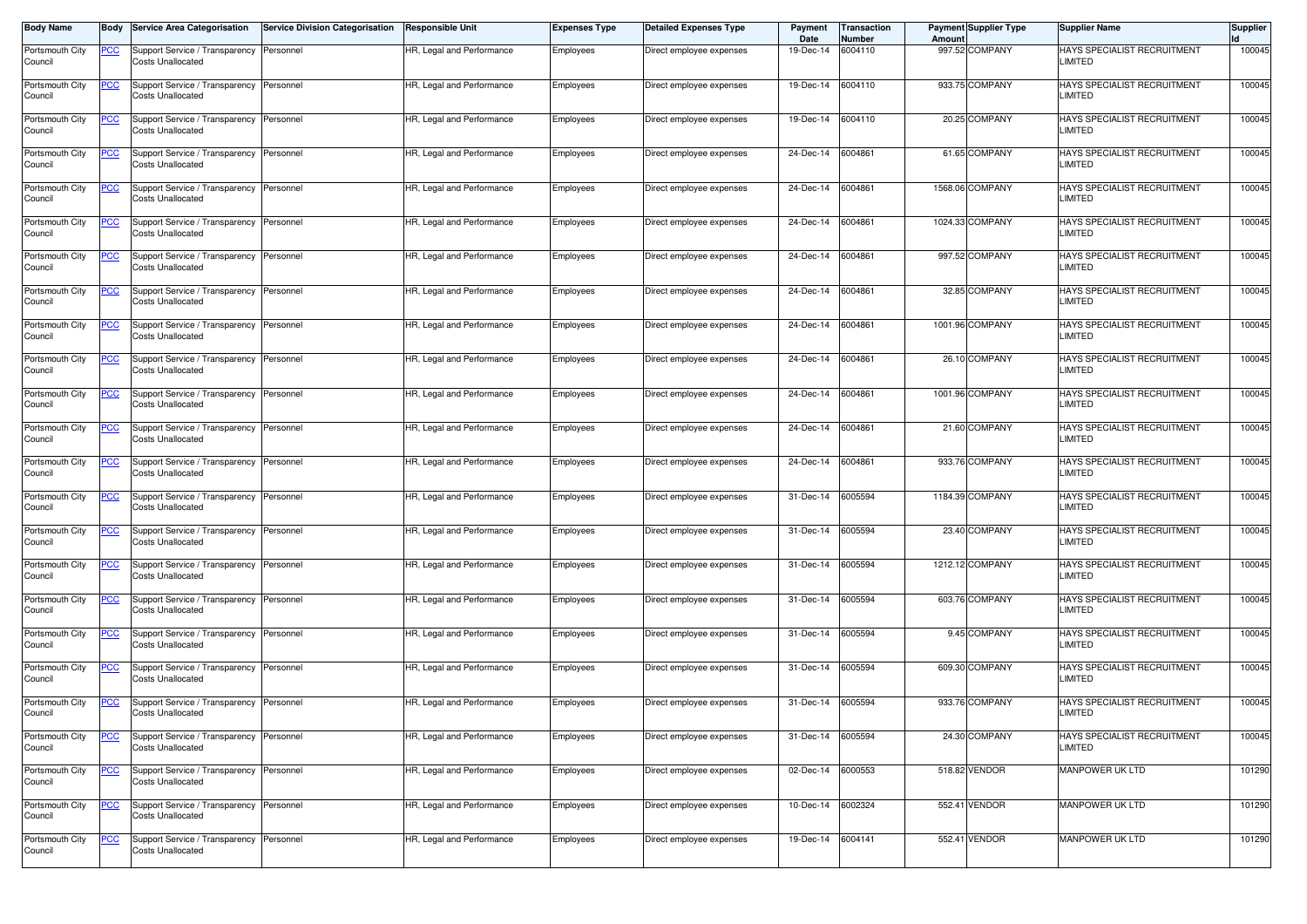| <b>Body Name</b>           |            | Body Service Area Categorisation                                     | <b>Service Division Categorisation</b> | Responsible Unit          | Expenses Type | <b>Detailed Expenses Type</b> | Payment<br>Date | Transaction<br>Number | Amount | <b>Payment Supplier Type</b> | <b>Supplier Name</b>                                 | <b>Supplier</b> |
|----------------------------|------------|----------------------------------------------------------------------|----------------------------------------|---------------------------|---------------|-------------------------------|-----------------|-----------------------|--------|------------------------------|------------------------------------------------------|-----------------|
| Portsmouth City<br>Council | <b>PCC</b> | Support Service / Transparency Personnel<br>Costs Unallocated        |                                        | HR, Legal and Performance | Employees     | Direct employee expenses      | 19-Dec-14       | 6004110               |        | 997.52 COMPANY               | <b>HAYS SPECIALIST RECRUITMENT</b><br><b>LIMITED</b> | 100045          |
| Portsmouth City<br>Council | <u>PCC</u> | Support Service / Transparency<br><b>Costs Unallocated</b>           | Personnel                              | HR, Legal and Performance | Employees     | Direct employee expenses      | 19-Dec-14       | 6004110               |        | 933.75 COMPANY               | HAYS SPECIALIST RECRUITMENT<br>LIMITED               | 100045          |
| Portsmouth City<br>Council | <u>PCC</u> | Support Service / Transparency Personnel<br><b>Costs Unallocated</b> |                                        | HR, Legal and Performance | Employees     | Direct employee expenses      | 19-Dec-14       | 6004110               |        | 20.25 COMPANY                | HAYS SPECIALIST RECRUITMENT<br>LIMITED               | 100045          |
| Portsmouth City<br>Council | <u>PCC</u> | Support Service / Transparency Personnel<br><b>Costs Unallocated</b> |                                        | HR, Legal and Performance | Employees     | Direct employee expenses      | 24-Dec-14       | 6004861               |        | 61.65 COMPANY                | HAYS SPECIALIST RECRUITMENT<br><b>LIMITED</b>        | 100045          |
| Portsmouth City<br>Council | <b>PCC</b> | Support Service / Transparency<br><b>Costs Unallocated</b>           | Personnel                              | HR, Legal and Performance | Employees     | Direct employee expenses      | 24-Dec-14       | 6004861               |        | 1568.06 COMPANY              | HAYS SPECIALIST RECRUITMENT<br>LIMITED               | 100045          |
| Portsmouth City<br>Council | <u>PCC</u> | Support Service / Transparency<br><b>Costs Unallocated</b>           | Personnel                              | HR, Legal and Performance | Employees     | Direct employee expenses      | 24-Dec-14       | 6004861               |        | 1024.33 COMPANY              | HAYS SPECIALIST RECRUITMENT<br>LIMITED               | 100045          |
| Portsmouth City<br>Council | <u>PCC</u> | Support Service / Transparency<br><b>Costs Unallocated</b>           | Personnel                              | HR, Legal and Performance | Employees     | Direct employee expenses      | 24-Dec-14       | 6004861               |        | 997.52 COMPANY               | HAYS SPECIALIST RECRUITMENT<br>LIMITED               | 100045          |
| Portsmouth City<br>Council | <u>PCC</u> | Support Service / Transparency Personnel<br><b>Costs Unallocated</b> |                                        | HR, Legal and Performance | Employees     | Direct employee expenses      | 24-Dec-14       | 6004861               |        | 32.85 COMPANY                | HAYS SPECIALIST RECRUITMENT<br><b>LIMITED</b>        | 100045          |
| Portsmouth City<br>Council | <u>CC</u>  | Support Service / Transparency Personnel<br><b>Costs Unallocated</b> |                                        | HR, Legal and Performance | Employees     | Direct employee expenses      | 24-Dec-14       | 6004861               |        | 1001.96 COMPANY              | HAYS SPECIALIST RECRUITMENT<br>LIMITED               | 100045          |
| Portsmouth City<br>Council | <u>PCC</u> | Support Service / Transparency Personnel<br><b>Costs Unallocated</b> |                                        | HR, Legal and Performance | Employees     | Direct employee expenses      | 24-Dec-14       | 6004861               |        | 26.10 COMPANY                | HAYS SPECIALIST RECRUITMENT<br>LIMITED               | 100045          |
| Portsmouth City<br>Council | <u>PCC</u> | Support Service / Transparency<br><b>Costs Unallocated</b>           | Personnel                              | HR, Legal and Performance | Employees     | Direct employee expenses      | 24-Dec-14       | 6004861               |        | 1001.96 COMPANY              | HAYS SPECIALIST RECRUITMENT<br><b>LIMITED</b>        | 100045          |
| Portsmouth City<br>Council | <u>PCC</u> | Support Service / Transparency Personnel<br>Costs Unallocated        |                                        | HR, Legal and Performance | Employees     | Direct employee expenses      | 24-Dec-14       | 6004861               |        | 21.60 COMPANY                | HAYS SPECIALIST RECRUITMENT<br><b>LIMITED</b>        | 100045          |
| Portsmouth City<br>Council | <u>PCC</u> | Support Service / Transparency Personnel<br><b>Costs Unallocated</b> |                                        | HR, Legal and Performance | Employees     | Direct employee expenses      | 24-Dec-14       | 6004861               |        | 933.76 COMPANY               | HAYS SPECIALIST RECRUITMENT<br>LIMITED               | 100045          |
| Portsmouth City<br>Council | <u>PCC</u> | Support Service / Transparency<br><b>Costs Unallocated</b>           | Personnel                              | HR, Legal and Performance | Employees     | Direct employee expenses      | 31-Dec-14       | 6005594               |        | 1184.39 COMPANY              | HAYS SPECIALIST RECRUITMENT<br><b>LIMITED</b>        | 100045          |
| Portsmouth City<br>Council | <u>CC</u>  | Support Service / Transparency Personnel<br><b>Costs Unallocated</b> |                                        | HR, Legal and Performance | Employees     | Direct employee expenses      | 31-Dec-14       | 6005594               |        | 23.40 COMPANY                | HAYS SPECIALIST RECRUITMENT<br><b>LIMITED</b>        | 100045          |
| Portsmouth City<br>Council | <u>PCC</u> | Support Service / Transparency Personnel<br><b>Costs Unallocated</b> |                                        | HR, Legal and Performance | Employees     | Direct employee expenses      | 31-Dec-14       | 6005594               |        | 1212.12 COMPANY              | HAYS SPECIALIST RECRUITMENT<br>LIMITED               | 100045          |
| Portsmouth City<br>Council | <b>PCC</b> | Support Service / Transparency Personnel<br>Costs Unallocated        |                                        | HR, Legal and Performance | Employees     | Direct employee expenses      | 31-Dec-14       | 6005594               |        | 603.76 COMPANY               | HAYS SPECIALIST RECRUITMENT<br>LIMITED               | 100045          |
| Portsmouth City<br>Council | <u>CC</u>  | Support Service / Transparency Personnel<br><b>Costs Unallocated</b> |                                        | HR, Legal and Performance | Employees     | Direct employee expenses      | 31-Dec-14       | 6005594               |        | 9.45 COMPANY                 | HAYS SPECIALIST RECRUITMENT<br>LIMITED               | 100045          |
| Portsmouth City<br>Council | <u>PCC</u> | Support Service / Transparency Personnel<br>Costs Unallocated        |                                        | HR, Legal and Performance | Employees     | Direct employee expenses      | 31-Dec-14       | 6005594               |        | 609.30 COMPANY               | HAYS SPECIALIST RECRUITMENT<br>LIMITED               | 100045          |
| Portsmouth City<br>Council | <u>PCC</u> | Support Service / Transparency Personnel<br>Costs Unallocated        |                                        | HR, Legal and Performance | Employees     | Direct employee expenses      | 31-Dec-14       | 6005594               |        | 933.76 COMPANY               | HAYS SPECIALIST RECRUITMENT<br><b>LIMITED</b>        | 100045          |
| Portsmouth City<br>Council | <u>PCC</u> | Support Service / Transparency<br><b>Costs Unallocated</b>           | Personnel                              | HR, Legal and Performance | Employees     | Direct employee expenses      | 31-Dec-14       | 6005594               |        | 24.30 COMPANY                | HAYS SPECIALIST RECRUITMENT<br>LIMITED               | 100045          |
| Portsmouth City<br>Council | <u>PCC</u> | Support Service / Transparency Personnel<br><b>Costs Unallocated</b> |                                        | HR, Legal and Performance | Employees     | Direct employee expenses      | 02-Dec-14       | 6000553               |        | 518.82 VENDOR                | MANPOWER UK LTD                                      | 101290          |
| Portsmouth City<br>Council | <b>PCC</b> | Support Service / Transparency Personnel<br><b>Costs Unallocated</b> |                                        | HR, Legal and Performance | Employees     | Direct employee expenses      | 10-Dec-14       | 6002324               |        | 552.41 VENDOR                | <b>MANPOWER UK LTD</b>                               | 101290          |
| Portsmouth City<br>Council | <b>PCC</b> | Support Service / Transparency<br><b>Costs Unallocated</b>           | Personnel                              | HR, Legal and Performance | Employees     | Direct employee expenses      | 19-Dec-14       | 6004141               |        | 552.41 VENDOR                | <b>MANPOWER UK LTD</b>                               | 101290          |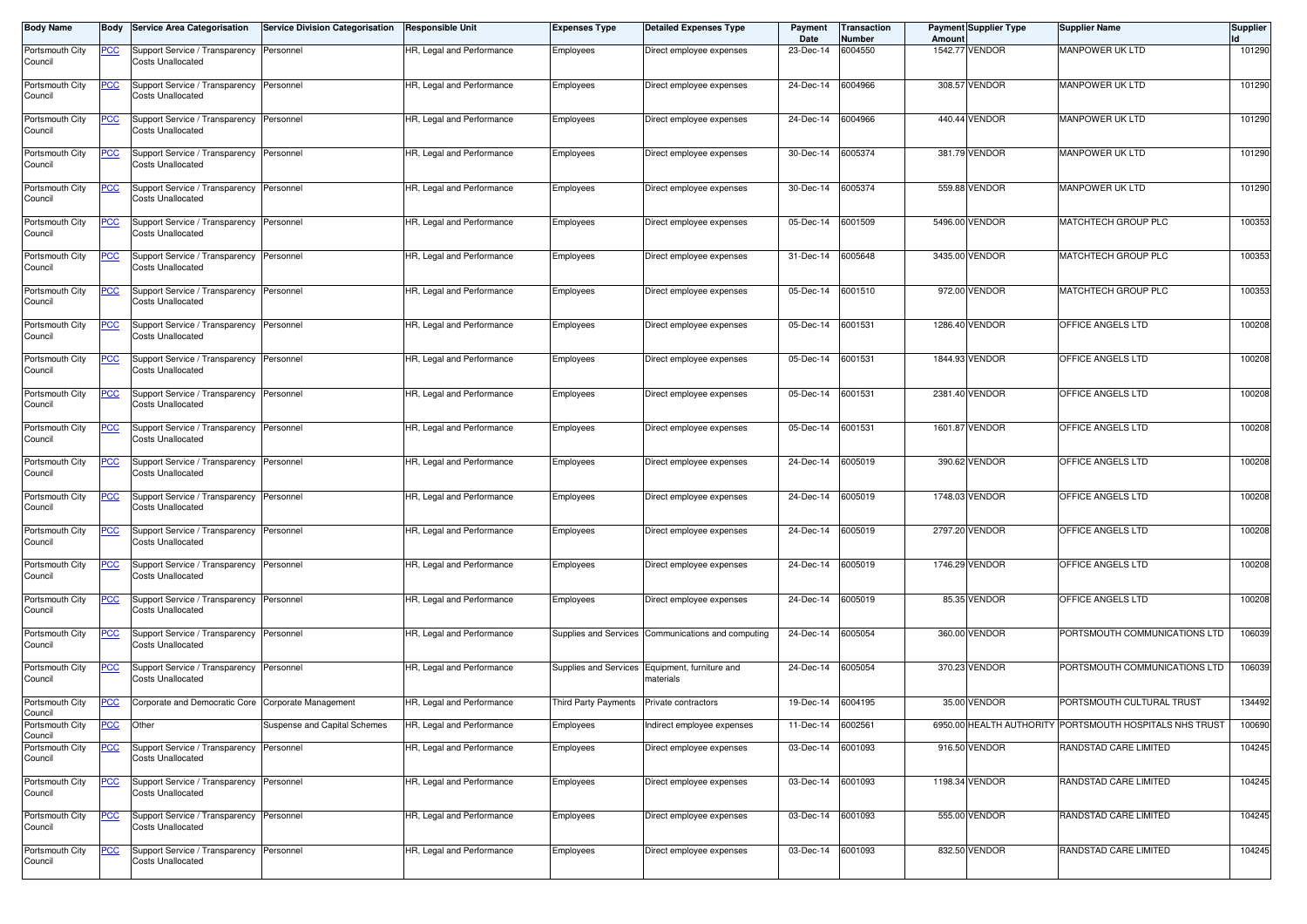| <b>Body Name</b>           |            | <b>Body Service Area Categorisation</b>                              | <b>Service Division Categorisation</b> | <b>Responsible Unit</b>   | <b>Expenses Type</b> | <b>Detailed Expenses Type</b>                               | Payment<br>Date   | Transaction<br>Number | Amount  | Payment Supplier Type | <b>Supplier Name</b>                                    | <b>Supplier</b> |
|----------------------------|------------|----------------------------------------------------------------------|----------------------------------------|---------------------------|----------------------|-------------------------------------------------------------|-------------------|-----------------------|---------|-----------------------|---------------------------------------------------------|-----------------|
| Portsmouth City<br>Council | <u>PCC</u> | Support Service / Transparency Personnel<br><b>Costs Unallocated</b> |                                        | HR, Legal and Performance | Employees            | Direct employee expenses                                    | 23-Dec-14         | 6004550               | 1542.77 | <b>VENDOR</b>         | MANPOWER UK LTD                                         | 101290          |
| Portsmouth City<br>Council | <u>PCC</u> | Support Service / Transparency Personnel<br>Costs Unallocated        |                                        | HR, Legal and Performance | Employees            | Direct employee expenses                                    | 24-Dec-14         | 6004966               |         | 308.57 VENDOR         | MANPOWER UK LTD                                         | 101290          |
| Portsmouth City<br>Council | <u>PCC</u> | Support Service / Transparency Personnel<br><b>Costs Unallocated</b> |                                        | HR, Legal and Performance | Employees            | Direct employee expenses                                    | 24-Dec-14         | 6004966               |         | 440.44 VENDOR         | MANPOWER UK LTD                                         | 101290          |
| Portsmouth City<br>Council | <u>PCC</u> | Support Service / Transparency Personnel<br><b>Costs Unallocated</b> |                                        | HR, Legal and Performance | Employees            | Direct employee expenses                                    | 30-Dec-14         | 6005374               |         | 381.79 VENDOR         | <b>MANPOWER UK LTD</b>                                  | 101290          |
| Portsmouth City<br>Council | <u>PCC</u> | Support Service / Transparency<br><b>Costs Unallocated</b>           | Personnel                              | HR, Legal and Performance | Employees            | Direct employee expenses                                    | 30-Dec-14         | 6005374               |         | 559.88 VENDOR         | MANPOWER UK LTD                                         | 101290          |
| Portsmouth City<br>Council | <u>CC</u>  | Support Service / Transparency Personnel<br><b>Costs Unallocated</b> |                                        | HR, Legal and Performance | Employees            | Direct employee expenses                                    | 05-Dec-14         | 6001509               |         | 5496.00 VENDOR        | MATCHTECH GROUP PLC                                     | 100353          |
| Portsmouth City<br>Council | <u>PCC</u> | Support Service / Transparency Personnel<br><b>Costs Unallocated</b> |                                        | HR, Legal and Performance | Employees            | Direct employee expenses                                    | 31-Dec-14         | 6005648               |         | 3435.00 VENDOR        | MATCHTECH GROUP PLC                                     | 100353          |
| Portsmouth City<br>Council | <u>PCC</u> | Support Service / Transparency<br><b>Costs Unallocated</b>           | Personnel                              | HR, Legal and Performance | Employees            | Direct employee expenses                                    | 05-Dec-14         | 6001510               |         | 972.00 VENDOR         | MATCHTECH GROUP PLC                                     | 100353          |
| Portsmouth City<br>Council | <u>CC</u>  | Support Service / Transparency Personnel<br><b>Costs Unallocated</b> |                                        | HR, Legal and Performance | Employees            | Direct employee expenses                                    | 05-Dec-14         | 6001531               |         | 1286.40 VENDOR        | OFFICE ANGELS LTD                                       | 100208          |
| Portsmouth City<br>Council | <u>PCC</u> | Support Service / Transparency Personnel<br><b>Costs Unallocated</b> |                                        | HR, Legal and Performance | Employees            | Direct employee expenses                                    | 05-Dec-14         | 6001531               |         | 1844.93 VENDOR        | OFFICE ANGELS LTD                                       | 100208          |
| Portsmouth City<br>Council | <u>PCC</u> | Support Service / Transparency<br><b>Costs Unallocated</b>           | Personnel                              | HR, Legal and Performance | Employees            | Direct employee expenses                                    | 05-Dec-14         | 6001531               |         | 2381.40 VENDOR        | OFFICE ANGELS LTD                                       | 100208          |
| Portsmouth City<br>Council | <u>CC</u>  | Support Service / Transparency<br><b>Costs Unallocated</b>           | Personnel                              | HR, Legal and Performance | Employees            | Direct employee expenses                                    | 05-Dec-14         | 6001531               |         | 1601.87 VENDOR        | OFFICE ANGELS LTD                                       | 100208          |
| Portsmouth City<br>Council | <u>PCC</u> | Support Service / Transparency Personnel<br><b>Costs Unallocated</b> |                                        | HR, Legal and Performance | Employees            | Direct employee expenses                                    | 24-Dec-14         | 6005019               |         | 390.62 VENDOR         | OFFICE ANGELS LTD                                       | 100208          |
| Portsmouth City<br>Council | <u>PCC</u> | Support Service / Transparency<br><b>Costs Unallocated</b>           | Personnel                              | HR, Legal and Performance | Employees            | Direct employee expenses                                    | 24-Dec-14         | 6005019               |         | 1748.03 VENDOR        | OFFICE ANGELS LTD                                       | 100208          |
| Portsmouth City<br>Council | <u>PCC</u> | Support Service / Transparency<br><b>Costs Unallocated</b>           | Personnel                              | HR, Legal and Performance | Employees            | Direct employee expenses                                    | 24-Dec-14         | 6005019               |         | 2797.20 VENDOR        | OFFICE ANGELS LTD                                       | 100208          |
| Portsmouth City<br>Council | <u>'CC</u> | Support Service / Transparency Personnel<br><b>Costs Unallocated</b> |                                        | HR, Legal and Performance | Employees            | Direct employee expenses                                    | 24-Dec-14         | 6005019               |         | 1746.29 VENDOR        | OFFICE ANGELS LTD                                       | 100208          |
| Portsmouth City<br>Council | <u>PCC</u> | Support Service / Transparency Personnel<br>Costs Unallocated        |                                        | HR, Legal and Performance | Employees            | Direct employee expenses                                    | 24-Dec-14         | 6005019               |         | 85.35 VENDOR          | OFFICE ANGELS LTD                                       | 100208          |
| Portsmouth City<br>Council | <u>PCC</u> | Support Service / Transparency<br><b>Costs Unallocated</b>           | Personnel                              | HR, Legal and Performance |                      | Supplies and Services Communications and computing          | 24-Dec-14         | 6005054               |         | 360.00 VENDOR         | PORTSMOUTH COMMUNICATIONS LTD                           | 106039          |
| Portsmouth City<br>Council | <u>CC</u>  | Support Service / Transparency<br><b>Costs Unallocated</b>           | Personnel                              | HR, Legal and Performance |                      | Supplies and Services Equipment, furniture and<br>materials | 24-Dec-14         | 6005054               |         | 370.23 VENDOR         | PORTSMOUTH COMMUNICATIONS LTD                           | 106039          |
| Portsmouth City<br>Council | <u>PCC</u> | Corporate and Democratic Core Corporate Management                   |                                        | HR, Legal and Performance | Third Party Payments | Private contractors                                         | 19-Dec-14         | 6004195               |         | 35.00 VENDOR          | PORTSMOUTH CULTURAL TRUST                               | 134492          |
| Portsmouth City<br>Council | <u>CC </u> | Other                                                                | Suspense and Capital Schemes           | HR, Legal and Performance | Employees            | Indirect employee expenses                                  | 11-Dec-14 6002561 |                       |         |                       | 6950.00 HEALTH AUTHORITY PORTSMOUTH HOSPITALS NHS TRUST | 100690          |
| Portsmouth City<br>Council | <b>PCC</b> | Support Service / Transparency<br><b>Costs Unallocated</b>           | Personnel                              | HR, Legal and Performance | Employees            | Direct employee expenses                                    | 03-Dec-14 6001093 |                       |         | 916.50 VENDOR         | RANDSTAD CARE LIMITED                                   | 104245          |
| Portsmouth City<br>Council | <u>CC</u>  | Support Service / Transparency Personnel<br>Costs Unallocated        |                                        | HR, Legal and Performance | Employees            | Direct employee expenses                                    | 03-Dec-14 6001093 |                       |         | 1198.34 VENDOR        | RANDSTAD CARE LIMITED                                   | 104245          |
| Portsmouth City<br>Council | <b>PCC</b> | Support Service / Transparency Personnel<br>Costs Unallocated        |                                        | HR, Legal and Performance | Employees            | Direct employee expenses                                    | 03-Dec-14 6001093 |                       |         | 555.00 VENDOR         | RANDSTAD CARE LIMITED                                   | 104245          |
| Portsmouth City<br>Council | <b>PCC</b> | Support Service / Transparency<br><b>Costs Unallocated</b>           | Personnel                              | HR, Legal and Performance | Employees            | Direct employee expenses                                    | 03-Dec-14 6001093 |                       |         | 832.50 VENDOR         | RANDSTAD CARE LIMITED                                   | 104245          |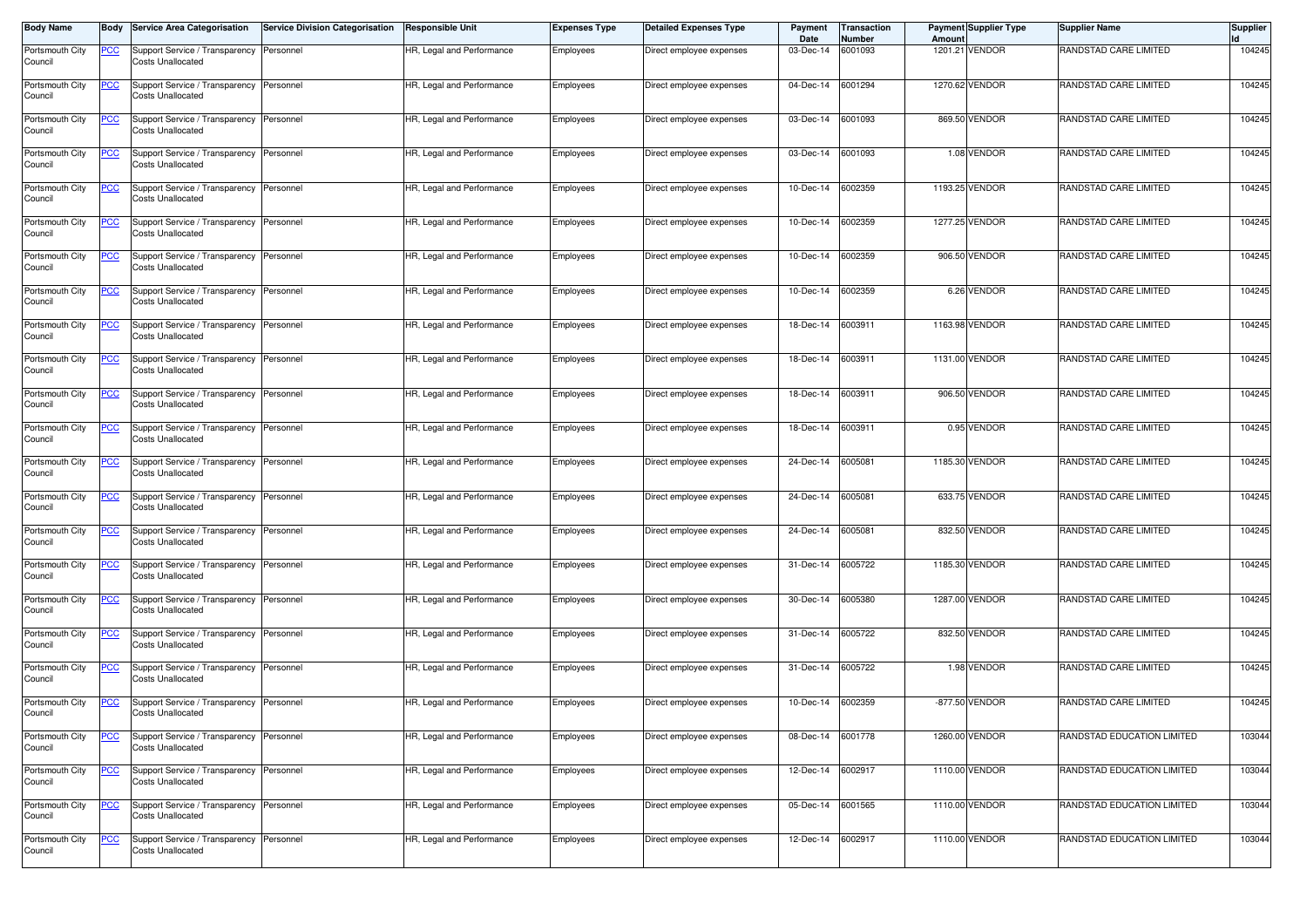| <b>Body Name</b>           |            | Body Service Area Categorisation                                     | Service Division Categorisation | Responsible Unit          | <b>Expenses Type</b> | <b>Detailed Expenses Type</b> | Payment<br>Date   | Transaction<br>Number | Amount | <b>Payment Supplier Type</b> | <b>Supplier Name</b>       | <b>Supplier</b><br><b>Id</b> |
|----------------------------|------------|----------------------------------------------------------------------|---------------------------------|---------------------------|----------------------|-------------------------------|-------------------|-----------------------|--------|------------------------------|----------------------------|------------------------------|
| Portsmouth City<br>Council | <b>PCC</b> | Support Service / Transparency<br>Costs Unallocated                  | Personnel                       | HR, Legal and Performance | Employees            | Direct employee expenses      | 03-Dec-14         | 6001093               |        | 1201.21 VENDOR               | RANDSTAD CARE LIMITED      | 104245                       |
| Portsmouth City<br>Council | <u>PCC</u> | Support Service / Transparency<br><b>Costs Unallocated</b>           | Personnel                       | HR, Legal and Performance | Employees            | Direct employee expenses      | 04-Dec-14         | 6001294               |        | 1270.62 VENDOR               | RANDSTAD CARE LIMITED      | 104245                       |
| Portsmouth City<br>Council | <u>PCC</u> | Support Service / Transparency Personnel<br><b>Costs Unallocated</b> |                                 | HR, Legal and Performance | Employees            | Direct employee expenses      | 03-Dec-14         | 6001093               |        | 869.50 VENDOR                | RANDSTAD CARE LIMITED      | 104245                       |
| Portsmouth City<br>Council | <u>PCC</u> | Support Service / Transparency Personnel<br><b>Costs Unallocated</b> |                                 | HR, Legal and Performance | Employees            | Direct employee expenses      | 03-Dec-14         | 6001093               |        | 1.08 VENDOR                  | RANDSTAD CARE LIMITED      | 104245                       |
| Portsmouth City<br>Council | <u>PCC</u> | Support Service / Transparency<br>Costs Unallocated                  | Personnel                       | HR, Legal and Performance | Employees            | Direct employee expenses      | 10-Dec-14         | 6002359               |        | 1193.25 VENDOR               | RANDSTAD CARE LIMITED      | 104245                       |
| Portsmouth City<br>Council | <u>PCC</u> | Support Service / Transparency<br><b>Costs Unallocated</b>           | Personnel                       | HR, Legal and Performance | Employees            | Direct employee expenses      | 10-Dec-14         | 6002359               |        | 1277.25 VENDOR               | RANDSTAD CARE LIMITED      | 104245                       |
| Portsmouth City<br>Council | <u>PCC</u> | Support Service / Transparency Personnel<br><b>Costs Unallocated</b> |                                 | HR, Legal and Performance | Employees            | Direct employee expenses      | 10-Dec-14         | 6002359               |        | 906.50 VENDOR                | RANDSTAD CARE LIMITED      | 104245                       |
| Portsmouth City<br>Council | <u>CC</u>  | Support Service / Transparency<br><b>Costs Unallocated</b>           | Personnel                       | HR, Legal and Performance | Employees            | Direct employee expenses      | 10-Dec-14         | 6002359               |        | 6.26 VENDOR                  | RANDSTAD CARE LIMITED      | 104245                       |
| Portsmouth City<br>Council | <u>PCC</u> | Support Service / Transparency<br><b>Costs Unallocated</b>           | Personnel                       | HR, Legal and Performance | Employees            | Direct employee expenses      | 18-Dec-14         | 6003911               |        | 1163.98 VENDOR               | RANDSTAD CARE LIMITED      | 104245                       |
| Portsmouth City<br>Council | <u>PCC</u> | Support Service / Transparency Personnel<br>Costs Unallocated        |                                 | HR, Legal and Performance | Employees            | Direct employee expenses      | 18-Dec-14         | 6003911               |        | 1131.00 VENDOR               | RANDSTAD CARE LIMITED      | 104245                       |
| Portsmouth City<br>Council | <u>PCC</u> | Support Service / Transparency<br><b>Costs Unallocated</b>           | Personnel                       | HR, Legal and Performance | Employees            | Direct employee expenses      | 18-Dec-14         | 6003911               |        | 906.50 VENDOR                | RANDSTAD CARE LIMITED      | 104245                       |
| Portsmouth City<br>Council | <u>PCC</u> | Support Service / Transparency<br>Costs Unallocated                  | Personnel                       | HR, Legal and Performance | Employees            | Direct employee expenses      | 18-Dec-14         | 6003911               |        | 0.95 VENDOR                  | RANDSTAD CARE LIMITED      | 104245                       |
| Portsmouth City<br>Council | <u>PCC</u> | Support Service / Transparency<br><b>Costs Unallocated</b>           | Personnel                       | HR, Legal and Performance | Employees            | Direct employee expenses      | 24-Dec-14         | 6005081               |        | 1185.30 VENDOR               | RANDSTAD CARE LIMITED      | 104245                       |
| Portsmouth City<br>Council | <u>PCC</u> | Support Service / Transparency<br><b>Costs Unallocated</b>           | Personnel                       | HR, Legal and Performance | Employees            | Direct employee expenses      | 24-Dec-14         | 6005081               |        | 633.75 VENDOR                | RANDSTAD CARE LIMITED      | 104245                       |
| Portsmouth City<br>Council | <u>'СС</u> | Support Service / Transparency<br><b>Costs Unallocated</b>           | Personnel                       | HR, Legal and Performance | Employees            | Direct employee expenses      | 24-Dec-14         | 6005081               |        | 832.50 VENDOR                | RANDSTAD CARE LIMITED      | 104245                       |
| Portsmouth City<br>Council | <u>PCC</u> | Support Service / Transparency Personnel<br><b>Costs Unallocated</b> |                                 | HR, Legal and Performance | Employees            | Direct employee expenses      | 31-Dec-14         | 6005722               |        | 1185.30 VENDOR               | RANDSTAD CARE LIMITED      | 104245                       |
| Portsmouth City<br>Council | <b>PCC</b> | Support Service / Transparency<br>Costs Unallocated                  | Personnel                       | HR, Legal and Performance | Employees            | Direct employee expenses      | 30-Dec-14         | 6005380               |        | 1287.00 VENDOR               | RANDSTAD CARE LIMITED      | 104245                       |
| Portsmouth City<br>Council | <u>CC</u>  | Support Service / Transparency<br><b>Costs Unallocated</b>           | Personnel                       | HR, Legal and Performance | Employees            | Direct employee expenses      | 31-Dec-14         | 6005722               |        | 832.50 VENDOR                | RANDSTAD CARE LIMITED      | 104245                       |
| Portsmouth City<br>Council | <u>PCC</u> | Support Service / Transparency Personnel<br><b>Costs Unallocated</b> |                                 | HR, Legal and Performance | Employees            | Direct employee expenses      | 31-Dec-14         | 6005722               |        | 1.98 VENDOR                  | RANDSTAD CARE LIMITED      | 104245                       |
| Portsmouth City<br>Council | <u>PCC</u> | Support Service / Transparency<br>Costs Unallocated                  | Personnel                       | HR, Legal and Performance | Employees            | Direct employee expenses      | 10-Dec-14         | 6002359               |        | -877.50 VENDOR               | RANDSTAD CARE LIMITED      | 104245                       |
| Portsmouth City<br>Council | <u>PCC</u> | Support Service / Transparency<br><b>Costs Unallocated</b>           | Personnel                       | HR, Legal and Performance | Employees            | Direct employee expenses      | 08-Dec-14         | 6001778               |        | 1260.00 VENDOR               | RANDSTAD EDUCATION LIMITED | 103044                       |
| Portsmouth City<br>Council | <u>PCC</u> | Support Service / Transparency Personnel<br><b>Costs Unallocated</b> |                                 | HR, Legal and Performance | Employees            | Direct employee expenses      | 12-Dec-14         | 6002917               |        | 1110.00 VENDOR               | RANDSTAD EDUCATION LIMITED | 103044                       |
| Portsmouth City<br>Council | <u>PCC</u> | Support Service / Transparency<br><b>Costs Unallocated</b>           | Personnel                       | HR, Legal and Performance | Employees            | Direct employee expenses      | 05-Dec-14 6001565 |                       |        | 1110.00 VENDOR               | RANDSTAD EDUCATION LIMITED | 103044                       |
| Portsmouth City<br>Council | <b>PCC</b> | Support Service / Transparency<br><b>Costs Unallocated</b>           | Personnel                       | HR, Legal and Performance | Employees            | Direct employee expenses      | 12-Dec-14         | 6002917               |        | 1110.00 VENDOR               | RANDSTAD EDUCATION LIMITED | 103044                       |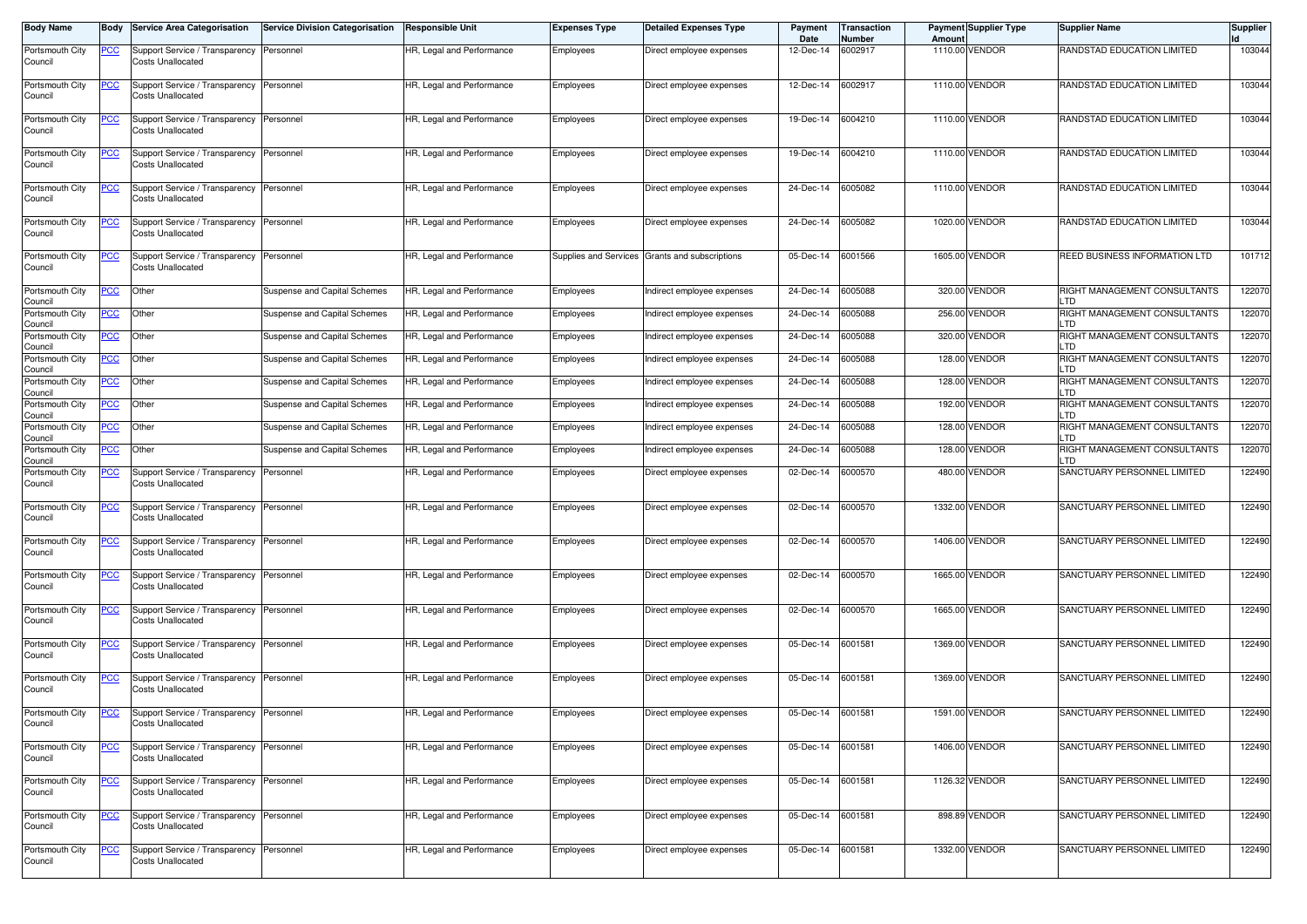| <b>Body Name</b>           | Body        | <b>Service Area Categorisation</b>                                   | <b>Service Division Categorisation</b> | <b>Responsible Unit</b>   | <b>Expenses Type</b> | <b>Detailed Expenses Type</b>                  | Payment<br>Date   | <b>Transaction</b><br>Number | Amoun | <b>Payment Supplier Type</b> | <b>Supplier Name</b>                | <b>Supplier</b> |
|----------------------------|-------------|----------------------------------------------------------------------|----------------------------------------|---------------------------|----------------------|------------------------------------------------|-------------------|------------------------------|-------|------------------------------|-------------------------------------|-----------------|
| Portsmouth City            | <u>PCC</u>  | Support Service / Transparency Personnel                             |                                        | HR, Legal and Performance | Employees            | Direct employee expenses                       | 12-Dec-14         | 6002917                      |       | 1110.00 VENDOR               | RANDSTAD EDUCATION LIMITED          | 103044          |
| Council                    |             | Costs Unallocated                                                    |                                        |                           |                      |                                                |                   |                              |       |                              |                                     |                 |
| Portsmouth City            | <u>PCC</u>  | Support Service / Transparency                                       | Personnel                              | HR, Legal and Performance | Employees            | Direct employee expenses                       | 12-Dec-14         | 6002917                      |       | 1110.00 VENDOR               | RANDSTAD EDUCATION LIMITED          | 103044          |
| Council                    |             | Costs Unallocated                                                    |                                        |                           |                      |                                                |                   |                              |       |                              |                                     |                 |
| Portsmouth City            | <u>PCC</u>  | Support Service / Transparency                                       | Personnel                              | HR, Legal and Performance | Employees            | Direct employee expenses                       | 19-Dec-14         | 6004210                      |       | 1110.00 VENDOR               | RANDSTAD EDUCATION LIMITED          | 103044          |
| Council                    |             | Costs Unallocated                                                    |                                        |                           |                      |                                                |                   |                              |       |                              |                                     |                 |
| Portsmouth City            | <u>PCC</u>  | Support Service / Transparency Personnel                             |                                        | HR, Legal and Performance | Employees            | Direct employee expenses                       | 19-Dec-14         | 6004210                      |       | 1110.00 VENDOR               | RANDSTAD EDUCATION LIMITED          | 103044          |
| Council                    |             | Costs Unallocated                                                    |                                        |                           |                      |                                                |                   |                              |       |                              |                                     |                 |
| Portsmouth City<br>Council | <u>PCC</u>  | Support Service / Transparency<br>Costs Unallocated                  | Personnel                              | HR, Legal and Performance | Employees            | Direct employee expenses                       | 24-Dec-14         | 6005082                      |       | 1110.00 VENDOR               | RANDSTAD EDUCATION LIMITED          | 103044          |
| Portsmouth City            | <u>PCC</u>  | Support Service / Transparency                                       | Personnel                              | HR, Legal and Performance | Employees            | Direct employee expenses                       | 24-Dec-14         | 6005082                      |       | 1020.00 VENDOR               | RANDSTAD EDUCATION LIMITED          | 103044          |
| Council                    |             | <b>Costs Unallocated</b>                                             |                                        |                           |                      |                                                |                   |                              |       |                              |                                     |                 |
| Portsmouth City            | <u>PCC</u>  | Support Service / Transparency Personnel                             |                                        | HR, Legal and Performance |                      | Supplies and Services Grants and subscriptions | 05-Dec-14         | 6001566                      |       | 1605.00 VENDOR               | REED BUSINESS INFORMATION LTD       | 101712          |
| Council                    |             | <b>Costs Unallocated</b>                                             |                                        |                           |                      |                                                |                   |                              |       |                              |                                     |                 |
| Portsmouth City            | <u>PCC</u>  | Other                                                                | Suspense and Capital Schemes           | HR, Legal and Performance | Employees            | ndirect employee expenses                      | 24-Dec-14         | 6005088                      |       | 320.00 VENDOR                | RIGHT MANAGEMENT CONSULTANTS        | 122070          |
| Council<br>Portsmouth City | <u>PCC </u> | Other                                                                | Suspense and Capital Schemes           | HR, Legal and Performance | Employees            | ndirect employee expenses                      | 24-Dec-14         | 6005088                      |       | 256.00 VENDOR                | LTD<br>RIGHT MANAGEMENT CONSULTANTS | 122070          |
| Council<br>Portsmouth City | <u>PCC</u>  | Other                                                                |                                        | HR, Legal and Performance |                      | ndirect employee expenses                      | 24-Dec-14         | 6005088                      |       | 320.00 VENDOR                | LTD<br>RIGHT MANAGEMENT CONSULTANTS | 122070          |
| Council                    |             |                                                                      | Suspense and Capital Schemes           |                           | Employees            |                                                |                   |                              |       |                              | LTD                                 |                 |
| Portsmouth City<br>Council | <u>PCC</u>  | Other                                                                | Suspense and Capital Schemes           | HR, Legal and Performance | Employees            | Indirect employee expenses                     | 24-Dec-14         | 6005088                      |       | 128.00 VENDOR                | RIGHT MANAGEMENT CONSULTANTS<br>LTD | 122070          |
| Portsmouth City            | <u>PCC</u>  | Other                                                                | Suspense and Capital Schemes           | HR, Legal and Performance | Employees            | ndirect employee expenses                      | 24-Dec-14         | 6005088                      |       | 128.00 VENDOR                | RIGHT MANAGEMENT CONSULTANTS        | 122070          |
| Council<br>Portsmouth City | PСC         | Other                                                                | Suspense and Capital Schemes           | HR, Legal and Performance | Employees            | ndirect employee expenses                      | 24-Dec-14         | 6005088                      |       | 192.00 VENDOR                | LTD<br>RIGHT MANAGEMENT CONSULTANTS | 122070          |
| Council<br>Portsmouth City |             | Other                                                                | Suspense and Capital Schemes           | HR, Legal and Performance |                      |                                                | 24-Dec-14         | 6005088                      |       | 128.00 VENDOR                | LTD<br>RIGHT MANAGEMENT CONSULTANTS | 122070          |
| Council                    | <u>PCC </u> |                                                                      |                                        |                           | Employees            | ndirect employee expenses                      |                   |                              |       |                              | LTD                                 |                 |
| Portsmouth City<br>Council | <u>PCC</u>  | Other                                                                | Suspense and Capital Schemes           | HR, Legal and Performance | Employees            | Indirect employee expenses                     | 24-Dec-14         | 6005088                      |       | 128.00 VENDOR                | RIGHT MANAGEMENT CONSULTANTS<br>LTD | 122070          |
| Portsmouth City<br>Council | <u>PCC </u> | Support Service / Transparency<br>Costs Unallocated                  | Personnel                              | HR, Legal and Performance | Employees            | Direct employee expenses                       | 02-Dec-14         | 6000570                      |       | 480.00 VENDOR                | SANCTUARY PERSONNEL LIMITED         | 122490          |
| Portsmouth City            | <u>PCC</u>  | Support Service / Transparency                                       | Personnel                              | HR, Legal and Performance | Employees            | Direct employee expenses                       | 02-Dec-14         | 6000570                      |       | 1332.00 VENDOR               | SANCTUARY PERSONNEL LIMITED         | 122490          |
| Council                    |             | Costs Unallocated                                                    |                                        |                           |                      |                                                |                   |                              |       |                              |                                     |                 |
| Portsmouth City            | <u>PCC</u>  | Support Service / Transparency                                       | Personnel                              | HR, Legal and Performance | Employees            | Direct employee expenses                       | 02-Dec-14         | 6000570                      |       | 1406.00 VENDOR               | SANCTUARY PERSONNEL LIMITED         | 122490          |
| Council                    |             | Costs Unallocated                                                    |                                        |                           |                      |                                                |                   |                              |       |                              |                                     |                 |
| Portsmouth City            | <u>PCC</u>  | Support Service / Transparency                                       | Personnel                              | HR, Legal and Performance | Employees            | Direct employee expenses                       | 02-Dec-14         | 6000570                      |       | 1665.00 VENDOR               | SANCTUARY PERSONNEL LIMITED         | 122490          |
| Council                    |             | Costs Unallocated                                                    |                                        |                           |                      |                                                |                   |                              |       |                              |                                     |                 |
| Portsmouth City            | <u>PCC</u>  | Support Service / Transparency                                       | Personnel                              | HR, Legal and Performance | Employees            | Direct employee expenses                       | 02-Dec-14         | 6000570                      |       | 1665.00 VENDOR               | SANCTUARY PERSONNEL LIMITED         | 122490          |
| Council                    |             | <b>Costs Unallocated</b>                                             |                                        |                           |                      |                                                |                   |                              |       |                              |                                     |                 |
| Portsmouth City<br>Council | <u>PCC</u>  | Support Service / Transparency<br>Costs Unallocated                  | Personnel                              | HR, Legal and Performance | Employees            | Direct employee expenses                       | 05-Dec-14         | 6001581                      |       | 1369.00 VENDOR               | SANCTUARY PERSONNEL LIMITED         | 122490          |
|                            |             |                                                                      |                                        |                           |                      |                                                |                   |                              |       |                              |                                     |                 |
| Portsmouth City<br>Council | <u>PCC</u>  | Support Service / Transparency<br>Costs Unallocated                  | Personnel                              | HR, Legal and Performance | Employees            | Direct employee expenses                       | 05-Dec-14         | 6001581                      |       | 1369.00 VENDOR               | SANCTUARY PERSONNEL LIMITED         | 122490          |
|                            |             |                                                                      |                                        |                           |                      |                                                |                   |                              |       |                              |                                     |                 |
| Portsmouth City<br>Council | <u>PCC</u>  | Support Service / Transparency Personnel<br>Costs Unallocated        |                                        | HR, Legal and Performance | Employees            | Direct employee expenses                       | 05-Dec-14 6001581 |                              |       | 1591.00 VENDOR               | SANCTUARY PERSONNEL LIMITED         | 122490          |
|                            |             |                                                                      |                                        |                           |                      |                                                |                   |                              |       |                              |                                     |                 |
| Portsmouth City<br>Council | <u>PCC</u>  | Support Service / Transparency Personnel<br>Costs Unallocated        |                                        | HR, Legal and Performance | Employees            | Direct employee expenses                       | 05-Dec-14 6001581 |                              |       | 1406.00 VENDOR               | SANCTUARY PERSONNEL LIMITED         | 122490          |
|                            |             |                                                                      |                                        |                           |                      |                                                |                   |                              |       |                              |                                     |                 |
| Portsmouth City<br>Council | <u>PCC</u>  | Support Service / Transparency Personnel<br><b>Costs Unallocated</b> |                                        | HR, Legal and Performance | Employees            | Direct employee expenses                       | 05-Dec-14 6001581 |                              |       | 1126.32 VENDOR               | SANCTUARY PERSONNEL LIMITED         | 122490          |
| Portsmouth City            | <u>PCC</u>  | Support Service / Transparency Personnel                             |                                        | HR, Legal and Performance |                      | Direct employee expenses                       | 05-Dec-14 6001581 |                              |       | 898.89 VENDOR                | SANCTUARY PERSONNEL LIMITED         | 122490          |
| Council                    |             | Costs Unallocated                                                    |                                        |                           | Employees            |                                                |                   |                              |       |                              |                                     |                 |
| Portsmouth City            | <u>PCC</u>  | Support Service / Transparency                                       | Personnel                              | HR, Legal and Performance | Employees            | Direct employee expenses                       | 05-Dec-14 6001581 |                              |       | 1332.00 VENDOR               | SANCTUARY PERSONNEL LIMITED         | 122490          |
| Council                    |             | Costs Unallocated                                                    |                                        |                           |                      |                                                |                   |                              |       |                              |                                     |                 |
|                            |             |                                                                      |                                        |                           |                      |                                                |                   |                              |       |                              |                                     |                 |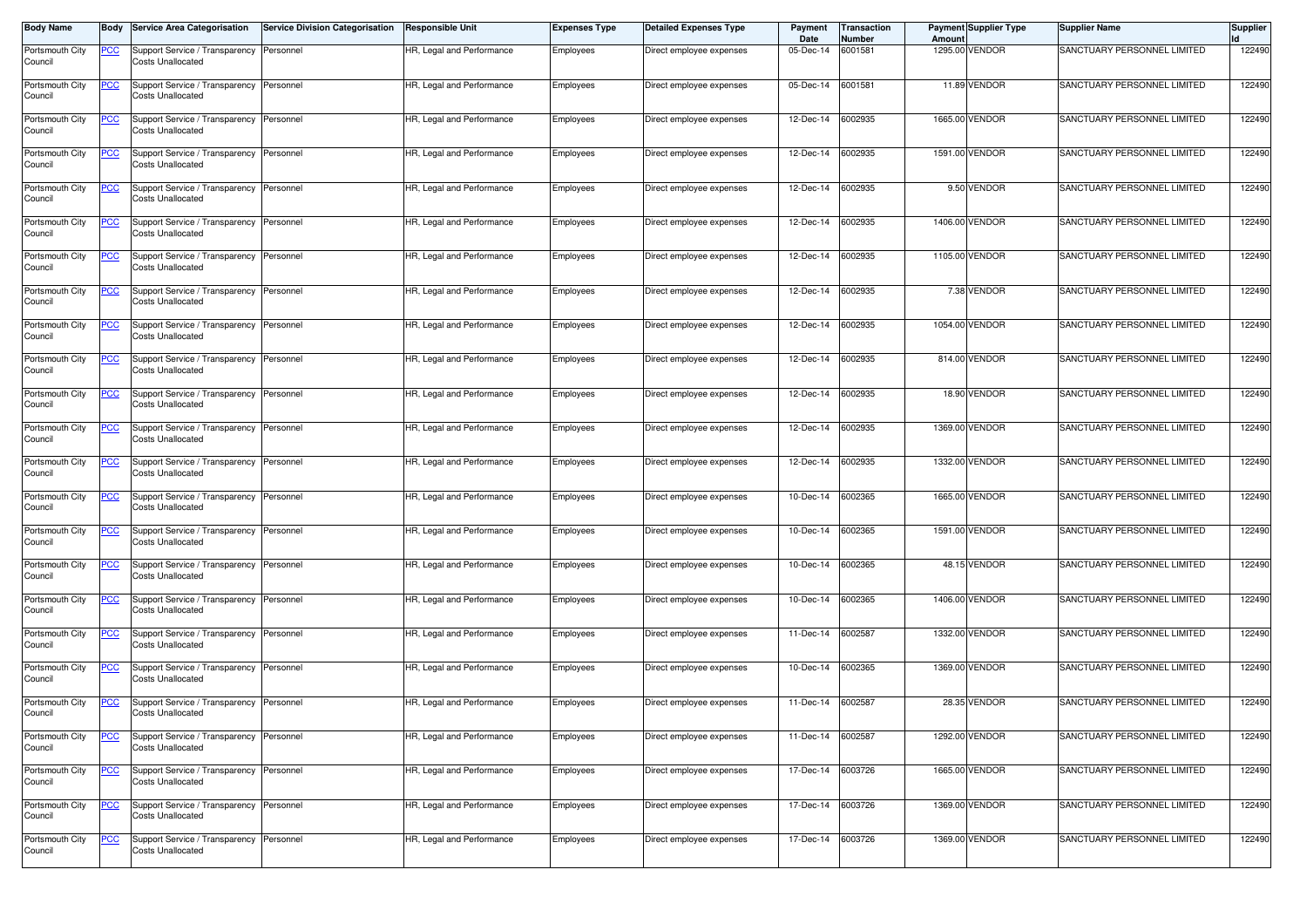| <b>Body Name</b>           | Body           | Service Area Categorisation                                   | <b>Service Division Categorisation</b> | <b>Responsible Unit</b>   | <b>Expenses Type</b> | <b>Detailed Expenses Type</b> | Payment<br>Date | Transaction<br>Number | Amount | <b>Payment Supplier Type</b> | Supplier Name               | <b>Supplier</b> |
|----------------------------|----------------|---------------------------------------------------------------|----------------------------------------|---------------------------|----------------------|-------------------------------|-----------------|-----------------------|--------|------------------------------|-----------------------------|-----------------|
| Portsmouth City<br>Council | <u>PCC</u>     | Support Service / Transparency<br><b>Costs Unallocated</b>    | Personnel                              | HR, Legal and Performance | Employees            | Direct employee expenses      | 05-Dec-14       | 6001581               |        | 1295.00 VENDOR               | SANCTUARY PERSONNEL LIMITED | 122490          |
| Portsmouth City<br>Council | <u>PCC</u>     | Support Service / Transparency<br><b>Costs Unallocated</b>    | Personnel                              | HR, Legal and Performance | Employees            | Direct employee expenses      | 05-Dec-14       | 6001581               |        | 11.89 VENDOR                 | SANCTUARY PERSONNEL LIMITED | 122490          |
| Portsmouth City<br>Council | <u>PCC </u>    | Support Service / Transparency<br><b>Costs Unallocated</b>    | Personnel                              | HR, Legal and Performance | Employees            | Direct employee expenses      | 12-Dec-14       | 6002935               |        | 1665.00 VENDOR               | SANCTUARY PERSONNEL LIMITED | 122490          |
| Portsmouth City<br>Council | <u>PCC</u>     | Support Service / Transparency<br>Costs Unallocated           | Personnel                              | HR, Legal and Performance | Employees            | Direct employee expenses      | 12-Dec-14       | 6002935               |        | 1591.00 VENDOR               | SANCTUARY PERSONNEL LIMITED | 122490          |
| Portsmouth City<br>Council | $\overline{C}$ | Support Service / Transparency<br><b>Costs Unallocated</b>    | Personnel                              | HR, Legal and Performance | Employees            | Direct employee expenses      | 12-Dec-14       | 6002935               |        | 9.50 VENDOR                  | SANCTUARY PERSONNEL LIMITED | 122490          |
| Portsmouth City<br>Council | <u>PCC</u>     | Support Service / Transparency<br>Costs Unallocated           | Personnel                              | HR, Legal and Performance | Employees            | Direct employee expenses      | 12-Dec-14       | 6002935               |        | 1406.00 VENDOR               | SANCTUARY PERSONNEL LIMITED | 122490          |
| Portsmouth City<br>Council | <b>PCC</b>     | Support Service / Transparency<br><b>Costs Unallocated</b>    | Personnel                              | HR, Legal and Performance | Employees            | Direct employee expenses      | 12-Dec-14       | 6002935               |        | 1105.00 VENDOR               | SANCTUARY PERSONNEL LIMITED | 122490          |
| Portsmouth City<br>Council | <b>PCC</b>     | Support Service / Transparency<br><b>Costs Unallocated</b>    | Personnel                              | HR, Legal and Performance | Employees            | Direct employee expenses      | 12-Dec-14       | 6002935               |        | 7.38 VENDOR                  | SANCTUARY PERSONNEL LIMITED | 122490          |
| Portsmouth City<br>Council | <u>PCC</u>     | Support Service / Transparency<br><b>Costs Unallocated</b>    | Personnel                              | HR, Legal and Performance | Employees            | Direct employee expenses      | 12-Dec-14       | 6002935               |        | 1054.00 VENDOR               | SANCTUARY PERSONNEL LIMITED | 122490          |
| Portsmouth City<br>Council | <u>PCC</u>     | Support Service / Transparency<br>Costs Unallocated           | Personnel                              | HR, Legal and Performance | Employees            | Direct employee expenses      | 12-Dec-14       | 6002935               |        | 814.00 VENDOR                | SANCTUARY PERSONNEL LIMITED | 122490          |
| Portsmouth City<br>Council | <u>PCC</u>     | Support Service / Transparency<br><b>Costs Unallocated</b>    | Personnel                              | HR, Legal and Performance | Employees            | Direct employee expenses      | 12-Dec-14       | 6002935               |        | 18.90 VENDOR                 | SANCTUARY PERSONNEL LIMITED | 122490          |
| Portsmouth City<br>Council | °СС            | Support Service / Transparency<br><b>Costs Unallocated</b>    | Personnel                              | HR, Legal and Performance | Employees            | Direct employee expenses      | 12-Dec-14       | 6002935               |        | 1369.00 VENDOR               | SANCTUARY PERSONNEL LIMITED | 122490          |
| Portsmouth City<br>Council | <u>PCC</u>     | Support Service / Transparency<br>Costs Unallocated           | Personnel                              | HR, Legal and Performance | Employees            | Direct employee expenses      | 12-Dec-14       | 6002935               |        | 1332.00 VENDOR               | SANCTUARY PERSONNEL LIMITED | 122490          |
| Portsmouth City<br>Council | <u>PCC</u>     | Support Service / Transparency<br>Costs Unallocated           | Personnel                              | HR, Legal and Performance | Employees            | Direct employee expenses      | 10-Dec-14       | 6002365               |        | 1665.00 VENDOR               | SANCTUARY PERSONNEL LIMITED | 122490          |
| Portsmouth City<br>Council | <u>CC</u>      | Support Service / Transparency<br><b>Costs Unallocated</b>    | Personnel                              | HR, Legal and Performance | Employees            | Direct employee expenses      | 10-Dec-14       | 6002365               |        | 1591.00 VENDOR               | SANCTUARY PERSONNEL LIMITED | 122490          |
| Portsmouth City<br>Council | <u>CC </u>     | Support Service / Transparency<br><b>Costs Unallocated</b>    | Personnel                              | HR, Legal and Performance | Employees            | Direct employee expenses      | 10-Dec-14       | 6002365               |        | 48.15 VENDOR                 | SANCTUARY PERSONNEL LIMITED | 122490          |
| Portsmouth City<br>Council | <u>PCC</u>     | Support Service / Transparency<br>Costs Unallocated           | Personnel                              | HR, Legal and Performance | Employees            | Direct employee expenses      | 10-Dec-14       | 6002365               |        | 1406.00 VENDOR               | SANCTUARY PERSONNEL LIMITED | 122490          |
| Portsmouth City<br>Council | <u>PCC</u>     | Support Service / Transparency<br><b>Costs Unallocated</b>    | Personnel                              | HR, Legal and Performance | Employees            | Direct employee expenses      | 11-Dec-14       | 6002587               |        | 1332.00 VENDOR               | SANCTUARY PERSONNEL LIMITED | 122490          |
| Portsmouth City<br>Council | <u>CC </u>     | Support Service / Transparency<br><b>Costs Unallocated</b>    | Personnel                              | HR, Legal and Performance | Employees            | Direct employee expenses      | 10-Dec-14       | 6002365               |        | 1369.00 VENDOR               | SANCTUARY PERSONNEL LIMITED | 122490          |
| Portsmouth City<br>Council | <u>PCC</u>     | Support Service / Transparency Personnel<br>Costs Unallocated |                                        | HR, Legal and Performance | Employees            | Direct employee expenses      | 11-Dec-14       | 6002587               |        | 28.35 VENDOR                 | SANCTUARY PERSONNEL LIMITED | 122490          |
| Portsmouth City<br>Council | <b>PCC</b>     | Support Service / Transparency<br><b>Costs Unallocated</b>    | Personnel                              | HR, Legal and Performance | Employees            | Direct employee expenses      | 11-Dec-14       | 6002587               |        | 1292.00 VENDOR               | SANCTUARY PERSONNEL LIMITED | 122490          |
| Portsmouth City<br>Council | PCC            | Support Service / Transparency<br><b>Costs Unallocated</b>    | Personnel                              | HR, Legal and Performance | Employees            | Direct employee expenses      | 17-Dec-14       | 6003726               |        | 1665.00 VENDOR               | SANCTUARY PERSONNEL LIMITED | 122490          |
| Portsmouth City<br>Council | <u>PCC</u>     | Support Service / Transparency<br><b>Costs Unallocated</b>    | Personnel                              | HR, Legal and Performance | Employees            | Direct employee expenses      | 17-Dec-14       | 6003726               |        | 1369.00 VENDOR               | SANCTUARY PERSONNEL LIMITED | 122490          |
| Portsmouth City<br>Council | <b>PCC</b>     | Support Service / Transparency<br><b>Costs Unallocated</b>    | Personnel                              | HR, Legal and Performance | Employees            | Direct employee expenses      | 17-Dec-14       | 6003726               |        | 1369.00 VENDOR               | SANCTUARY PERSONNEL LIMITED | 122490          |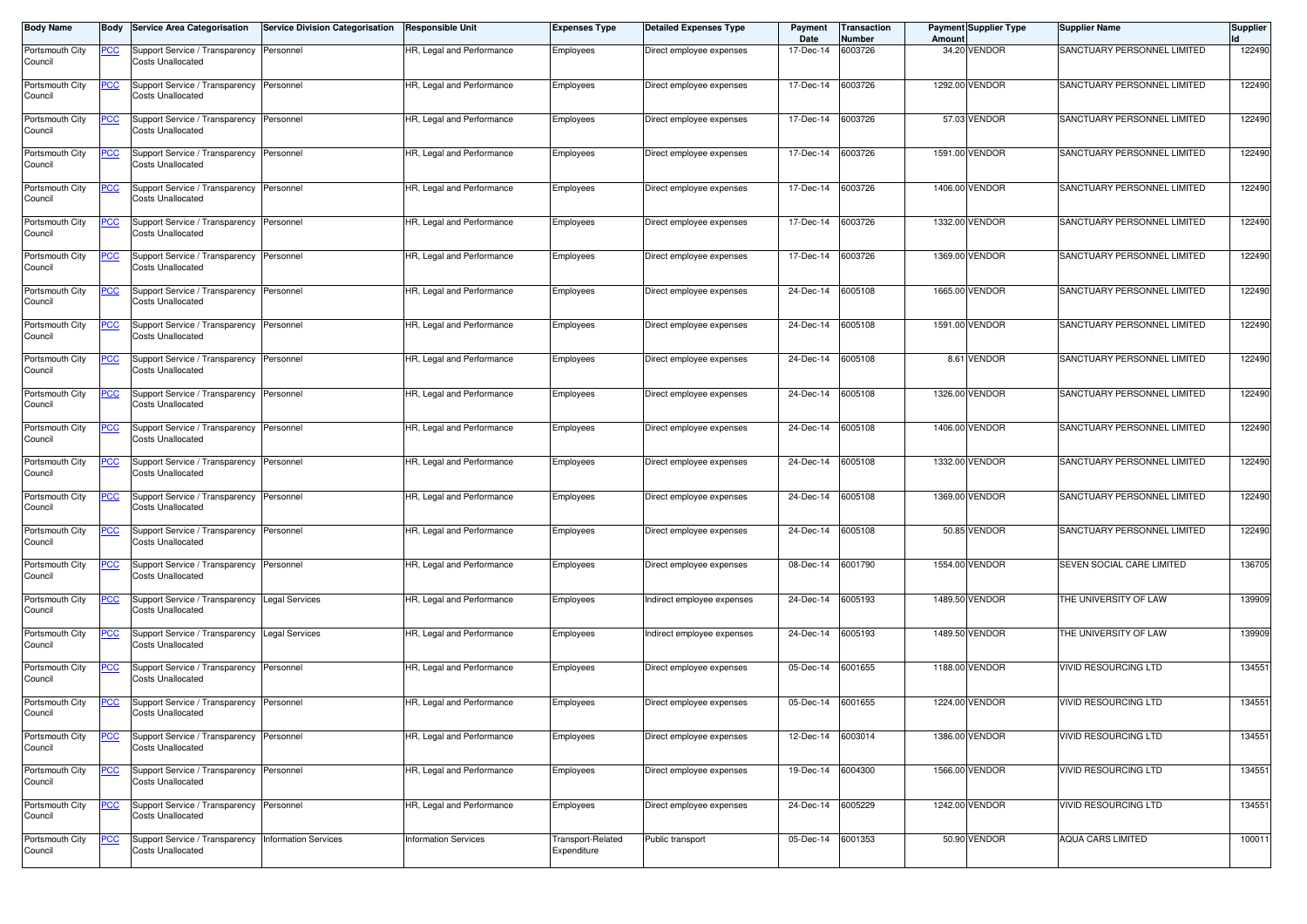| <b>Body Name</b>           | Body           | <b>Service Area Categorisation</b>                            | <b>Service Division Categorisation</b> | <b>Responsible Unit</b>     | <b>Expenses Type</b>             | <b>Detailed Expenses Type</b> | Payment<br>Date | Transaction<br>Number | Amount         | <b>Payment Supplier Type</b> | Supplier Name               | <b>Supplier</b> |
|----------------------------|----------------|---------------------------------------------------------------|----------------------------------------|-----------------------------|----------------------------------|-------------------------------|-----------------|-----------------------|----------------|------------------------------|-----------------------------|-----------------|
| Portsmouth City<br>Council | <u>PCC</u>     | Support Service / Transparency<br><b>Costs Unallocated</b>    | Personnel                              | HR, Legal and Performance   | Employees                        | Direct employee expenses      | 17-Dec-14       | 6003726               |                | 34.20 VENDOR                 | SANCTUARY PERSONNEL LIMITED | 122490          |
| Portsmouth City<br>Council | <u>PCC</u>     | Support Service / Transparency<br><b>Costs Unallocated</b>    | Personnel                              | HR, Legal and Performance   | Employees                        | Direct employee expenses      | 17-Dec-14       | 6003726               |                | 1292.00 VENDOR               | SANCTUARY PERSONNEL LIMITED | 122490          |
| Portsmouth City<br>Council | <u>PCC</u>     | Support Service / Transparency<br><b>Costs Unallocated</b>    | Personnel                              | HR, Legal and Performance   | Employees                        | Direct employee expenses      | 17-Dec-14       | 6003726               |                | 57.03 VENDOR                 | SANCTUARY PERSONNEL LIMITED | 122490          |
| Portsmouth City<br>Council | <u>PCC</u>     | Support Service / Transparency<br>Costs Unallocated           | Personnel                              | HR, Legal and Performance   | Employees                        | Direct employee expenses      | 17-Dec-14       | 6003726               |                | 1591.00 VENDOR               | SANCTUARY PERSONNEL LIMITED | 122490          |
| Portsmouth City<br>Council | $\overline{C}$ | Support Service / Transparency<br><b>Costs Unallocated</b>    | Personnel                              | HR, Legal and Performance   | Employees                        | Direct employee expenses      | 17-Dec-14       | 6003726               |                | 1406.00 VENDOR               | SANCTUARY PERSONNEL LIMITED | 122490          |
| Portsmouth City<br>Council | <u>PCC</u>     | Support Service / Transparency<br>Costs Unallocated           | Personnel                              | HR, Legal and Performance   | Employees                        | Direct employee expenses      | 17-Dec-14       | 6003726               |                | 1332.00 VENDOR               | SANCTUARY PERSONNEL LIMITED | 122490          |
| Portsmouth City<br>Council | <b>PCC</b>     | Support Service / Transparency<br><b>Costs Unallocated</b>    | Personnel                              | HR, Legal and Performance   | Employees                        | Direct employee expenses      | 17-Dec-14       | 6003726               |                | 1369.00 VENDOR               | SANCTUARY PERSONNEL LIMITED | 122490          |
| Portsmouth City<br>Council | <b>PCC</b>     | Support Service / Transparency<br><b>Costs Unallocated</b>    | Personnel                              | HR, Legal and Performance   | Employees                        | Direct employee expenses      | 24-Dec-14       | 6005108               |                | 1665.00 VENDOR               | SANCTUARY PERSONNEL LIMITED | 122490          |
| Portsmouth City<br>Council | <u>PCC</u>     | Support Service / Transparency<br><b>Costs Unallocated</b>    | Personnel                              | HR, Legal and Performance   | Employees                        | Direct employee expenses      | 24-Dec-14       | 6005108               |                | 1591.00 VENDOR               | SANCTUARY PERSONNEL LIMITED | 122490          |
| Portsmouth City<br>Council | <u>PCC</u>     | Support Service / Transparency<br>Costs Unallocated           | Personnel                              | HR, Legal and Performance   | Employees                        | Direct employee expenses      | 24-Dec-14       | 6005108               |                | 8.61 VENDOR                  | SANCTUARY PERSONNEL LIMITED | 122490          |
| Portsmouth City<br>Council | <u>PCC</u>     | Support Service / Transparency<br><b>Costs Unallocated</b>    | Personnel                              | HR, Legal and Performance   | Employees                        | Direct employee expenses      | 24-Dec-14       | 6005108               |                | 1326.00 VENDOR               | SANCTUARY PERSONNEL LIMITED | 122490          |
| Portsmouth City<br>Council | °СС            | Support Service / Transparency<br><b>Costs Unallocated</b>    | Personnel                              | HR, Legal and Performance   | Employees                        | Direct employee expenses      | 24-Dec-14       | 6005108               |                | 1406.00 VENDOR               | SANCTUARY PERSONNEL LIMITED | 122490          |
| Portsmouth City<br>Council | <u>PCC</u>     | Support Service / Transparency<br>Costs Unallocated           | Personnel                              | HR, Legal and Performance   | Employees                        | Direct employee expenses      | 24-Dec-14       | 6005108               |                | 1332.00 VENDOR               | SANCTUARY PERSONNEL LIMITED | 122490          |
| Portsmouth City<br>Council | <u>PCC</u>     | Support Service / Transparency<br><b>Costs Unallocated</b>    | Personnel                              | HR, Legal and Performance   | Employees                        | Direct employee expenses      | 24-Dec-14       | 6005108               |                | 1369.00 VENDOR               | SANCTUARY PERSONNEL LIMITED | 122490          |
| Portsmouth City<br>Council | <u>CC</u>      | Support Service / Transparency<br><b>Costs Unallocated</b>    | Personnel                              | HR, Legal and Performance   | Employees                        | Direct employee expenses      | 24-Dec-14       | 6005108               |                | 50.85 VENDOR                 | SANCTUARY PERSONNEL LIMITED | 122490          |
| Portsmouth City<br>Council | <u>CC </u>     | Support Service / Transparency<br><b>Costs Unallocated</b>    | Personnel                              | HR, Legal and Performance   | Employees                        | Direct employee expenses      | 08-Dec-14       | 6001790               |                | 1554.00 VENDOR               | SEVEN SOCIAL CARE LIMITED   | 136705          |
| Portsmouth City<br>Council | <u>PCC</u>     | Support Service / Transparency<br>Costs Unallocated           | <b>Legal Services</b>                  | HR, Legal and Performance   | Employees                        | Indirect employee expenses    | 24-Dec-14       | 6005193               |                | 1489.50 VENDOR               | THE UNIVERSITY OF LAW       | 139909          |
| Portsmouth City<br>Council | <u>PCC</u>     | Support Service / Transparency<br><b>Costs Unallocated</b>    | <b>Legal Services</b>                  | HR, Legal and Performance   | Employees                        | Indirect employee expenses    | 24-Dec-14       | 6005193               |                | 1489.50 VENDOR               | THE UNIVERSITY OF LAW       | 139909          |
| Portsmouth City<br>Council | <u>CC </u>     | Support Service / Transparency<br><b>Costs Unallocated</b>    | Personnel                              | HR, Legal and Performance   | Employees                        | Direct employee expenses      | 05-Dec-14       | 6001655               | 1188.00 VENDOR |                              | <b>VIVID RESOURCING LTD</b> | 134551          |
| Portsmouth City<br>Council | <u>PCC</u>     | Support Service / Transparency Personnel<br>Costs Unallocated |                                        | HR, Legal and Performance   | Employees                        | Direct employee expenses      | 05-Dec-14       | 6001655               |                | 1224.00 VENDOR               | <b>VIVID RESOURCING LTD</b> | 134551          |
| Portsmouth City<br>Council | <u>PCC</u>     | Support Service / Transparency<br><b>Costs Unallocated</b>    | Personnel                              | HR, Legal and Performance   | Employees                        | Direct employee expenses      | 12-Dec-14       | 6003014               |                | 1386.00 VENDOR               | VIVID RESOURCING LTD        | 134551          |
| Portsmouth City<br>Council | <u>PCC</u>     | Support Service / Transparency<br><b>Costs Unallocated</b>    | Personnel                              | HR, Legal and Performance   | Employees                        | Direct employee expenses      | 19-Dec-14       | 6004300               |                | 1566.00 VENDOR               | VIVID RESOURCING LTD        | 134551          |
| Portsmouth City<br>Council | <u>PCC</u>     | Support Service / Transparency<br><b>Costs Unallocated</b>    | Personnel                              | HR, Legal and Performance   | Employees                        | Direct employee expenses      | 24-Dec-14       | 6005229               |                | 1242.00 VENDOR               | VIVID RESOURCING LTD        | 134551          |
| Portsmouth City<br>Council | <b>PCC</b>     | Support Service / Transparency<br><b>Costs Unallocated</b>    | <b>Information Services</b>            | <b>Information Services</b> | Transport-Related<br>Expenditure | Public transport              | 05-Dec-14       | 6001353               |                | 50.90 VENDOR                 | <b>AQUA CARS LIMITED</b>    | 100011          |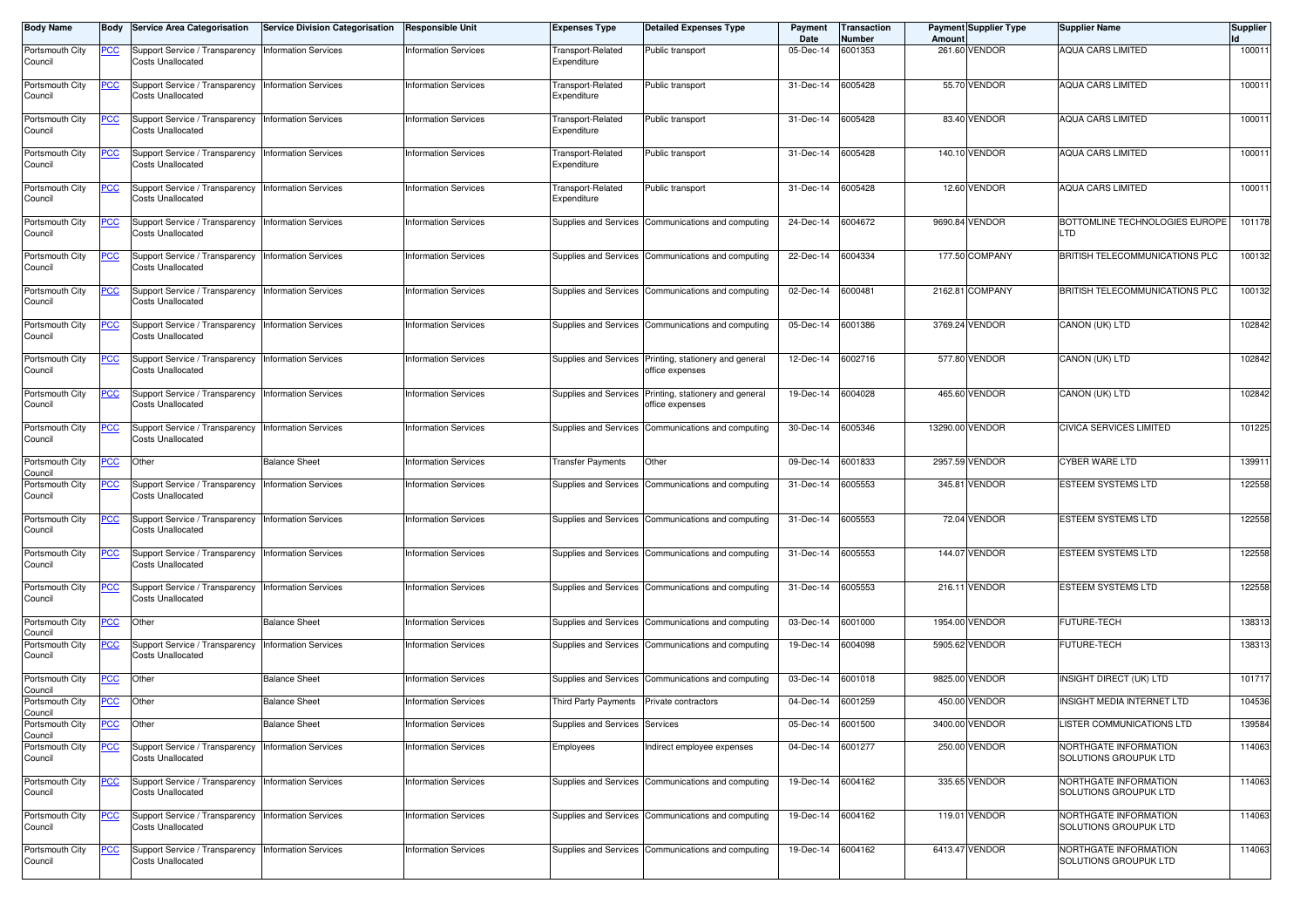| <b>Body Name</b>                            |            | <b>Service Area Categorisation</b>                                                | <b>Service Division Categorisation</b> | <b>Responsible Unit</b>     | <b>Expenses Type</b>             | <b>Detailed Expenses Type</b>                       | Payment<br>Date   | Transaction<br>Number | Amount   | <b>Payment Supplier Type</b> | <b>Supplier Name</b>                           | <b>Supplier</b> |
|---------------------------------------------|------------|-----------------------------------------------------------------------------------|----------------------------------------|-----------------------------|----------------------------------|-----------------------------------------------------|-------------------|-----------------------|----------|------------------------------|------------------------------------------------|-----------------|
| Portsmouth City<br>Council                  | <b>PCC</b> | Support Service / Transparency<br>Costs Unallocated                               | <b>Information Services</b>            | <b>Information Services</b> | Transport-Related<br>Expenditure | Public transport                                    | 05-Dec-14         | 6001353               | 261.60   | <b>VENDOR</b>                | <b>AQUA CARS LIMITED</b>                       | 100011          |
| Portsmouth City<br>Council                  | <u>PCC</u> | Support Service / Transparency<br><b>Costs Unallocated</b>                        | <b>Information Services</b>            | <b>Information Services</b> | Transport-Related<br>Expenditure | Public transport                                    | 31-Dec-14         | 6005428               |          | 55.70 VENDOR                 | <b>AQUA CARS LIMITED</b>                       | 100011          |
| Portsmouth City<br>Council                  | <u>PCC</u> | Support Service / Transparency<br><b>Costs Unallocated</b>                        | <b>Information Services</b>            | <b>Information Services</b> | Transport-Related<br>Expenditure | Public transport                                    | 31-Dec-14         | 6005428               |          | 83.40 VENDOR                 | <b>AQUA CARS LIMITED</b>                       | 100011          |
| Portsmouth City<br>Council                  | <u>PCC</u> | Support Service / Transparency<br>Costs Unallocated                               | <b>Information Services</b>            | <b>Information Services</b> | Transport-Related<br>Expenditure | Public transport                                    | 31-Dec-14         | 6005428               | 140.10   | <b>VENDOR</b>                | <b>AQUA CARS LIMITED</b>                       | 100011          |
| Portsmouth City<br>Council                  | <u>PCC</u> | Support Service / Transparency<br>Costs Unallocated                               | <b>Information Services</b>            | <b>Information Services</b> | Transport-Related<br>Expenditure | Public transport                                    | 31-Dec-14         | 6005428               |          | 12.60 VENDOR                 | <b>AQUA CARS LIMITED</b>                       | 100011          |
| Portsmouth City<br>Council                  | <u>PCC</u> | Support Service / Transparency<br><b>Costs Unallocated</b>                        | <b>Information Services</b>            | <b>Information Services</b> | Supplies and Services            | Communications and computing                        | 24-Dec-14         | 6004672               |          | 9690.84 VENDOR               | BOTTOMLINE TECHNOLOGIES EUROPE<br><b>LTD</b>   | 101178          |
| Portsmouth City<br>Council                  | <u>PCC</u> | Support Service / Transparency<br><b>Costs Unallocated</b>                        | <b>Information Services</b>            | <b>Information Services</b> | Supplies and Services            | Communications and computing                        | 22-Dec-14         | 6004334               |          | 177.50 COMPANY               | BRITISH TELECOMMUNICATIONS PLC                 | 100132          |
| Portsmouth City<br>Council                  | <u>PCC</u> | Support Service / Transparency<br><b>Costs Unallocated</b>                        | <b>Information Services</b>            | <b>Information Services</b> | Supplies and Services            | Communications and computing                        | 02-Dec-14         | 6000481               |          | 2162.81 COMPANY              | BRITISH TELECOMMUNICATIONS PLC                 | 100132          |
| Portsmouth City<br>Council                  | <u>PCC</u> | Support Service / Transparency<br><b>Costs Unallocated</b>                        | <b>Information Services</b>            | <b>Information Services</b> | Supplies and Services            | Communications and computing                        | 05-Dec-14         | 6001386               |          | 3769.24 VENDOR               | CANON (UK) LTD                                 | 102842          |
| Portsmouth City<br>Council                  | <u>PCC</u> | Support Service / Transparency<br>Costs Unallocated                               | <b>Information Services</b>            | <b>Information Services</b> | Supplies and Services            | Printing, stationery and general<br>office expenses | 12-Dec-14         | 6002716               |          | 577.80 VENDOR                | CANON (UK) LTD                                 | 102842          |
| Portsmouth City<br>Council                  | <u>PCC</u> | Support Service / Transparency<br>Costs Unallocated                               | <b>Information Services</b>            | <b>Information Services</b> | <b>Supplies and Services</b>     | Printing, stationery and general<br>office expenses | 19-Dec-14         | 6004028               |          | 465.60 VENDOR                | CANON (UK) LTD                                 | 102842          |
| Portsmouth City<br>Council                  |            | Support Service / Transparency<br>Costs Unallocated                               | <b>Information Services</b>            | <b>Information Services</b> | Supplies and Services            | Communications and computing                        | 30-Dec-14         | 6005346               | 13290.00 | <b>VENDOR</b>                | CIVICA SERVICES LIMITED                        | 101225          |
| Portsmouth City<br>Council                  | <u>PCC</u> | Other                                                                             | <b>Balance Sheet</b>                   | <b>Information Services</b> | Transfer Payments                | Other                                               | 09-Dec-14         | 6001833               |          | 2957.59 VENDOR               | <b>CYBER WARE LTD</b>                          | 139911          |
| Portsmouth City<br>Council                  | <u>PCC</u> | Support Service / Transparency<br><b>Costs Unallocated</b>                        | <b>Information Services</b>            | <b>Information Services</b> | Supplies and Services            | Communications and computing                        | 31-Dec-14         | 6005553               |          | 345.81 VENDOR                | <b>ESTEEM SYSTEMS LTD</b>                      | 122558          |
| Portsmouth City<br>Council                  | <u>PCC</u> | Support Service / Transparency<br><b>Costs Unallocated</b>                        | <b>Information Services</b>            | <b>Information Services</b> |                                  | Supplies and Services Communications and computing  | 31-Dec-14         | 6005553               |          | <b>72.04 VENDOR</b>          | ESTEEM SYSTEMS LTD                             | 122558          |
| Portsmouth City<br>Council                  | <u>PCC</u> | Support Service / Transparency<br>Costs Unallocated                               | <b>Information Services</b>            | <b>Information Services</b> |                                  | Supplies and Services Communications and computing  | 31-Dec-14         | 6005553               |          | 144.07 VENDOR                | <b>ESTEEM SYSTEMS LTD</b>                      | 122558          |
| Portsmouth City<br>Council                  | <u>PCC</u> | Support Service / Transparency<br><b>Costs Unallocated</b>                        | <b>Information Services</b>            | <b>Information Services</b> | Supplies and Services            | Communications and computing                        | 31-Dec-14         | 6005553               |          | 216.11 VENDOR                | <b>ESTEEM SYSTEMS LTD</b>                      | 122558          |
| Portsmouth City<br>Council                  | <u>PCC</u> | Other                                                                             | <b>Balance Sheet</b>                   | <b>Information Services</b> | Supplies and Services            | Communications and computing                        | 03-Dec-14         | 6001000               | 1954.00  | <b>VENDOR</b>                | <b>FUTURE-TECH</b>                             | 138313          |
| Portsmouth City<br>Council                  | <u>PCC</u> | Support Service / Transparency<br>Costs Unallocated                               | <b>Information Services</b>            | <b>Information Services</b> | Supplies and Services            | Communications and computing                        | 19-Dec-14         | 6004098               |          | 5905.62 VENDOR               | FUTURE-TECH                                    | 138313          |
| Portsmouth City<br>Council                  | <u>PCC</u> | Other                                                                             | <b>Balance Sheet</b>                   | <b>Information Services</b> | Supplies and Services            | Communications and computing                        | 03-Dec-14         | 6001018               | 9825.00  | <b>VENDOR</b>                | <b>INSIGHT DIRECT (UK) LTD</b>                 | 101717          |
| Portsmouth City<br>Council                  | <u>PCC</u> | Other                                                                             | <b>Balance Sheet</b>                   | <b>Information Services</b> | Third Party Payments             | Private contractors                                 | 04-Dec-14         | 6001259               | 450.00   | <b>VENDOR</b>                | <b>INSIGHT MEDIA INTERNET LTD</b>              | 104536          |
| Portsmouth City <b>PCC</b> Other<br>Council |            |                                                                                   | <b>Balance Sheet</b>                   | <b>Information Services</b> | Supplies and Services Services   |                                                     | 05-Dec-14 6001500 |                       |          | 3400.00 VENDOR               | LISTER COMMUNICATIONS LTD                      | 139584          |
| Portsmouth City<br>Council                  | <b>PCC</b> | Support Service / Transparency<br><b>Costs Unallocated</b>                        | <b>Information Services</b>            | <b>Information Services</b> | Employees                        | Indirect employee expenses                          | 04-Dec-14 6001277 |                       |          | 250.00 VENDOR                | NORTHGATE INFORMATION<br>SOLUTIONS GROUPUK LTD | 114063          |
| Portsmouth City<br>Council                  | <u>PCC</u> | Support Service / Transparency   Information Services<br><b>Costs Unallocated</b> |                                        | <b>Information Services</b> |                                  | Supplies and Services Communications and computing  | 19-Dec-14 6004162 |                       |          | 335.65 VENDOR                | NORTHGATE INFORMATION<br>SOLUTIONS GROUPUK LTD | 114063          |
| Portsmouth City<br>Council                  | <u>PCC</u> | Support Service / Transparency Information Services<br>Costs Unallocated          |                                        | <b>Information Services</b> |                                  | Supplies and Services Communications and computing  | 19-Dec-14 6004162 |                       |          | 119.01 VENDOR                | NORTHGATE INFORMATION<br>SOLUTIONS GROUPUK LTD | 114063          |
| Portsmouth City<br>Council                  | <u>PCC</u> | Support Service / Transparency<br>Costs Unallocated                               | <b>Information Services</b>            | <b>Information Services</b> |                                  | Supplies and Services Communications and computing  | 19-Dec-14 6004162 |                       |          | 6413.47 VENDOR               | NORTHGATE INFORMATION<br>SOLUTIONS GROUPUK LTD | 114063          |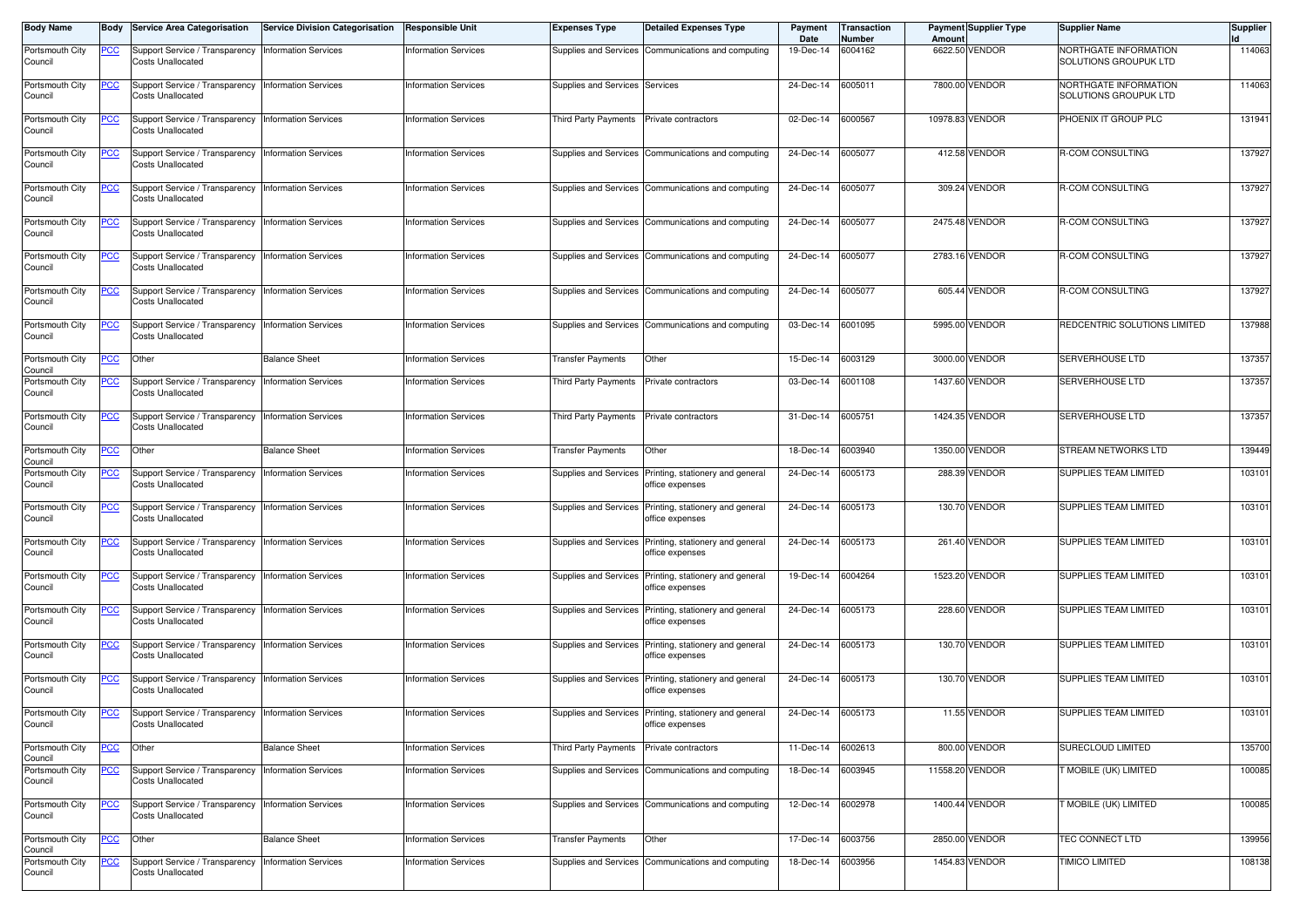| <b>Body Name</b>           | Body       | <b>Service Area Categorisation</b>                                                | <b>Service Division Categorisation</b> | <b>Responsible Unit</b>     | <b>Expenses Type</b>           | <b>Detailed Expenses Type</b>                                             | Payment<br>Date   | Transaction<br>Number | Amount | <b>Payment Supplier Type</b> | <b>Supplier Name</b>                           | <b>Supplier</b> |
|----------------------------|------------|-----------------------------------------------------------------------------------|----------------------------------------|-----------------------------|--------------------------------|---------------------------------------------------------------------------|-------------------|-----------------------|--------|------------------------------|------------------------------------------------|-----------------|
| Portsmouth City<br>Council | <u>PCC</u> | Support Service / Transparency   Information Services<br><b>Costs Unallocated</b> |                                        | <b>Information Services</b> | Supplies and Services          | Communications and computing                                              | 19-Dec-14         | 6004162               |        | 6622.50 VENDOR               | NORTHGATE INFORMATION<br>SOLUTIONS GROUPUK LTD | 114063          |
| Portsmouth City<br>Council | <b>PCC</b> | Support Service / Transparency<br><b>Costs Unallocated</b>                        | <b>Information Services</b>            | <b>Information Services</b> | Supplies and Services Services |                                                                           | 24-Dec-14         | 6005011               |        | 7800.00 VENDOR               | NORTHGATE INFORMATION<br>SOLUTIONS GROUPUK LTD | 114063          |
| Portsmouth City<br>Council | <u>PCC</u> | Support Service / Transparency<br>Costs Unallocated                               | <b>Information Services</b>            | <b>Information Services</b> | Third Party Payments           | Private contractors                                                       | 02-Dec-14         | 6000567               |        | 10978.83 VENDOR              | PHOENIX IT GROUP PLC                           | 131941          |
| Portsmouth City<br>Council | <u>PCC</u> | Support Service / Transparency Information Services<br>Costs Unallocated          |                                        | <b>Information Services</b> |                                | Supplies and Services Communications and computing                        | 24-Dec-14         | 6005077               |        | 412.58 VENDOR                | R-COM CONSULTING                               | 137927          |
| Portsmouth City<br>Council | <u>PCC</u> | Support Service / Transparency<br><b>Costs Unallocated</b>                        | <b>Information Services</b>            | <b>Information Services</b> | Supplies and Services          | Communications and computing                                              | 24-Dec-14         | 6005077               |        | 309.24 VENDOR                | R-COM CONSULTING                               | 137927          |
| Portsmouth City<br>Council | <u>PCC</u> | Support Service / Transparency<br><b>Costs Unallocated</b>                        | <b>Information Services</b>            | <b>Information Services</b> |                                | Supplies and Services Communications and computing                        | 24-Dec-14         | 6005077               |        | 2475.48 VENDOR               | R-COM CONSULTING                               | 137927          |
| Portsmouth City<br>Council | <u>PCC</u> | Support Service / Transparency   Information Services<br>Costs Unallocated        |                                        | <b>Information Services</b> |                                | Supplies and Services Communications and computing                        | 24-Dec-14         | 6005077               |        | 2783.16 VENDOR               | R-COM CONSULTING                               | 137927          |
| Portsmouth City<br>Council | <u>PCC</u> | Support Service / Transparency<br><b>Costs Unallocated</b>                        | <b>Information Services</b>            | <b>Information Services</b> | Supplies and Services          | Communications and computing                                              | 24-Dec-14         | 6005077               |        | 605.44 VENDOR                | R-COM CONSULTING                               | 137927          |
| Portsmouth City<br>Council | <u>CC</u>  | Support Service / Transparency<br><b>Costs Unallocated</b>                        | <b>Information Services</b>            | <b>Information Services</b> | Supplies and Services          | Communications and computing                                              | 03-Dec-14         | 6001095               |        | 5995.00 VENDOR               | REDCENTRIC SOLUTIONS LIMITED                   | 137988          |
| Portsmouth City<br>Council | <b>PCC</b> | Other                                                                             | <b>Balance Sheet</b>                   | <b>Information Services</b> | Transfer Payments              | Other                                                                     | 15-Dec-14         | 6003129               |        | 3000.00 VENDOR               | SERVERHOUSE LTD                                | 137357          |
| Portsmouth City<br>Council | <u>PCC</u> | Support Service / Transparency<br><b>Costs Unallocated</b>                        | <b>Information Services</b>            | <b>Information Services</b> | Third Party Payments           | Private contractors                                                       | 03-Dec-14         | 6001108               |        | 1437.60 VENDOR               | <b>SERVERHOUSE LTD</b>                         | 137357          |
| Portsmouth City<br>Council | PСC        | Support Service / Transparency   Information Services<br><b>Costs Unallocated</b> |                                        | <b>Information Services</b> | Third Party Payments           | Private contractors                                                       | 31-Dec-14         | 6005751               |        | 1424.35 VENDOR               | SERVERHOUSE LTD                                | 137357          |
| Portsmouth City<br>Council | <u>PCC</u> | Other                                                                             | <b>Balance Sheet</b>                   | <b>Information Services</b> | <b>Transfer Payments</b>       | Other                                                                     | 18-Dec-14         | 6003940               |        | 1350.00 VENDOR               | STREAM NETWORKS LTD                            | 139449          |
| Portsmouth City<br>Council | <u>PCC</u> | Support Service / Transparency<br><b>Costs Unallocated</b>                        | <b>Information Services</b>            | <b>Information Services</b> | Supplies and Services          | Printing, stationery and general<br>office expenses                       | 24-Dec-14         | 6005173               |        | 288.39 VENDOR                | <b>SUPPLIES TEAM LIMITED</b>                   | 103101          |
| Portsmouth City<br>Council | <u>PCC</u> | Support Service / Transparency Information Services<br>Costs Unallocated          |                                        | <b>Information Services</b> | Supplies and Services          | Printing, stationery and general<br>office expenses                       | 24-Dec-14         | 6005173               |        | 130.70 VENDOR                | SUPPLIES TEAM LIMITED                          | 103101          |
| Portsmouth City<br>Council | <u>PCC</u> | Support Service / Transparency<br><b>Costs Unallocated</b>                        | <b>Information Services</b>            | <b>Information Services</b> | Supplies and Services          | Printing, stationery and general<br>office expenses                       | 24-Dec-14         | 6005173               |        | 261.40 VENDOR                | SUPPLIES TEAM LIMITED                          | 103101          |
| Portsmouth City<br>Council | <u>PCC</u> | Support Service / Transparency<br><b>Costs Unallocated</b>                        | <b>Information Services</b>            | <b>Information Services</b> | Supplies and Services          | Printing, stationery and general<br>office expenses                       | 19-Dec-14         | 6004264               |        | 1523.20 VENDOR               | SUPPLIES TEAM LIMITED                          | 103101          |
| Portsmouth City<br>Council | <u>PCC</u> | Support Service / Transparency   Information Services<br><b>Costs Unallocated</b> |                                        | <b>Information Services</b> |                                | Supplies and Services Printing, stationery and general<br>office expenses | 24-Dec-14 6005173 |                       |        | 228.60 VENDOR                | SUPPLIES TEAM LIMITED                          | 103101          |
| Portsmouth City<br>Council | <u>PCC</u> | Support Service / Transparency<br><b>Costs Unallocated</b>                        | <b>Information Services</b>            | <b>Information Services</b> | <b>Supplies and Services</b>   | Printing, stationery and general<br>office expenses                       | 24-Dec-14         | 6005173               |        | 130.70 VENDOR                | SUPPLIES TEAM LIMITED                          | 103101          |
| Portsmouth City<br>Council | <u>CC</u>  | Support Service / Transparency<br><b>Costs Unallocated</b>                        | <b>Information Services</b>            | <b>Information Services</b> | Supplies and Services          | Printing, stationery and general<br>office expenses                       | 24-Dec-14         | 6005173               |        | 130.70 VENDOR                | SUPPLIES TEAM LIMITED                          | 103101          |
| Portsmouth City<br>Council | <u>PCC</u> | Support Service / Transparency Information Services<br>Costs Unallocated          |                                        | <b>Information Services</b> |                                | Supplies and Services Printing, stationery and general<br>office expenses | 24-Dec-14 6005173 |                       |        | 11.55 VENDOR                 | SUPPLIES TEAM LIMITED                          | 103101          |
| Portsmouth City<br>Council | <u>PCC</u> | Other                                                                             | <b>Balance Sheet</b>                   | <b>Information Services</b> | Third Party Payments           | Private contractors                                                       | 11-Dec-14 6002613 |                       |        | 800.00 VENDOR                | SURECLOUD LIMITED                              | 135700          |
| Portsmouth City<br>Council | <u>PCC</u> | Support Service / Transparency<br><b>Costs Unallocated</b>                        | <b>Information Services</b>            | <b>Information Services</b> | Supplies and Services          | Communications and computing                                              | 18-Dec-14         | 6003945               |        | 11558.20 VENDOR              | T MOBILE (UK) LIMITED                          | 100085          |
| Portsmouth City<br>Council | <u>PCC</u> | Support Service / Transparency<br><b>Costs Unallocated</b>                        | <b>Information Services</b>            | <b>Information Services</b> |                                | Supplies and Services Communications and computing                        | 12-Dec-14         | 6002978               |        | 1400.44 VENDOR               | <b>NOBILE (UK) LIMITED</b>                     | 100085          |
| Portsmouth City<br>Council | <b>PCC</b> | Other                                                                             | <b>Balance Sheet</b>                   | <b>Information Services</b> | <b>Transfer Payments</b>       | Other                                                                     | 17-Dec-14         | 6003756               |        | 2850.00 VENDOR               | <b>TEC CONNECT LTD</b>                         | 139956          |
| Portsmouth City<br>Council | <u>PCC</u> | Support Service / Transparency<br>Costs Unallocated                               | <b>Information Services</b>            | <b>Information Services</b> |                                | Supplies and Services Communications and computing                        | 18-Dec-14         | 6003956               |        | 1454.83 VENDOR               | <b>TIMICO LIMITED</b>                          | 108138          |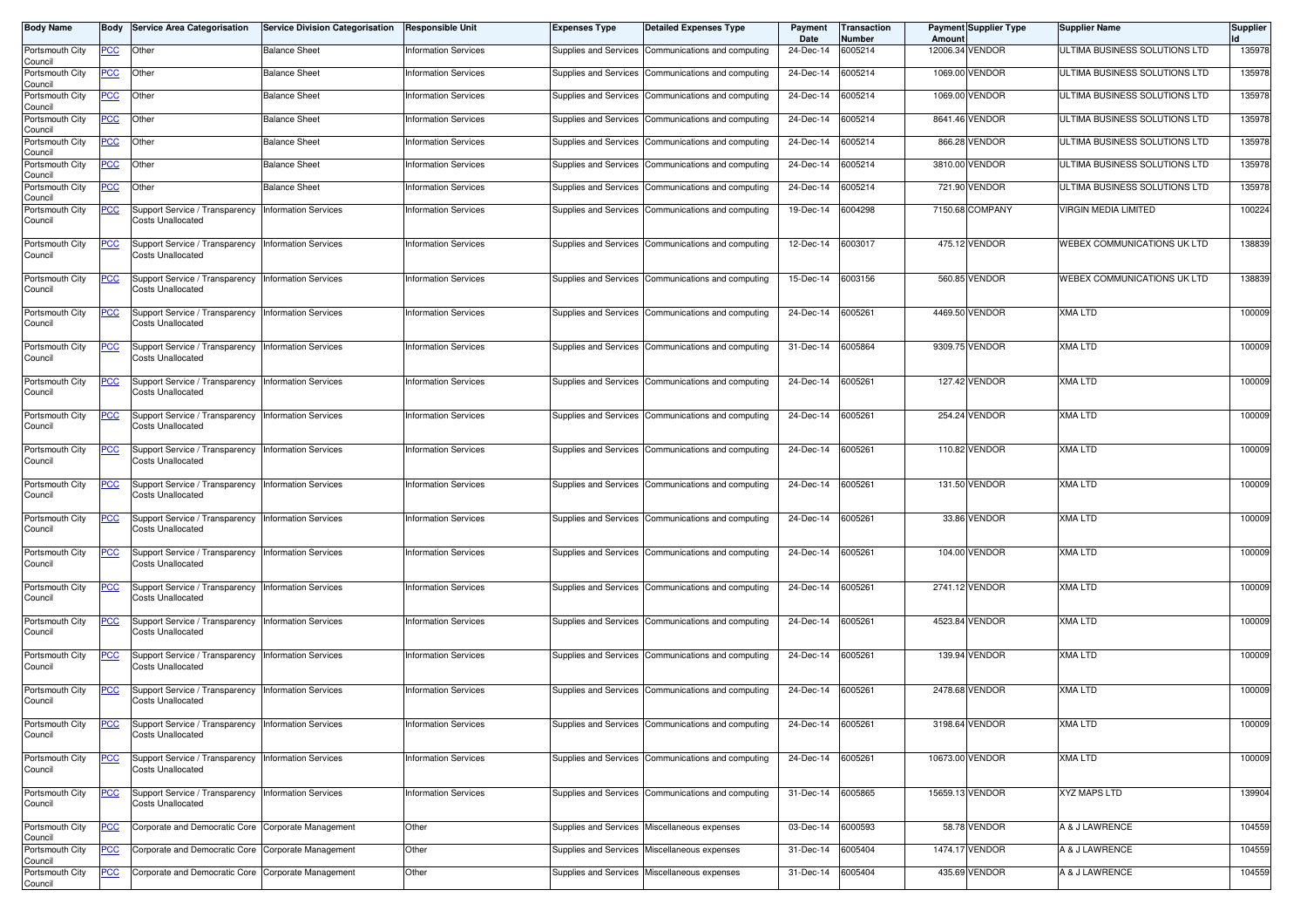| <b>Body Name</b>           |            | <b>Body Service Area Categorisation</b>                                           | <b>Service Division Categorisation</b> | <b>Responsible Unit</b>     | <b>Expenses Type</b>  | <b>Detailed Expenses Type</b>                        | Payment<br>Date   | Transaction<br><b>Number</b> | Amount | <b>Payment Supplier Type</b> | <b>Supplier Name</b>          | <b>Supplier</b> |
|----------------------------|------------|-----------------------------------------------------------------------------------|----------------------------------------|-----------------------------|-----------------------|------------------------------------------------------|-------------------|------------------------------|--------|------------------------------|-------------------------------|-----------------|
| Portsmouth City<br>Council | <u>PCC</u> | Other                                                                             | <b>Balance Sheet</b>                   | <b>Information Services</b> |                       | Supplies and Services Communications and computing   | 24-Dec-14         | 6005214                      |        | 12006.34 VENDOR              | ULTIMA BUSINESS SOLUTIONS LTD | 135978          |
| Portsmouth City<br>Council | <b>PCC</b> | Other                                                                             | <b>Balance Sheet</b>                   | <b>Information Services</b> |                       | Supplies and Services Communications and computing   | 24-Dec-14         | 6005214                      |        | 1069.00 VENDOR               | ULTIMA BUSINESS SOLUTIONS LTD | 135978          |
| Portsmouth City<br>Council | <b>PCC</b> | Other                                                                             | <b>Balance Sheet</b>                   | <b>Information Services</b> |                       | Supplies and Services   Communications and computing | 24-Dec-14         | 6005214                      |        | 1069.00 VENDOR               | ULTIMA BUSINESS SOLUTIONS LTD | 135978          |
| Portsmouth City<br>Council | <u>PCC</u> | Other                                                                             | <b>Balance Sheet</b>                   | <b>Information Services</b> | Supplies and Services | Communications and computing                         | 24-Dec-14         | 6005214                      |        | 8641.46 VENDOR               | ULTIMA BUSINESS SOLUTIONS LTD | 135978          |
| Portsmouth City<br>Council | <u>PCC</u> | Other                                                                             | <b>Balance Sheet</b>                   | <b>Information Services</b> |                       | Supplies and Services Communications and computing   | 24-Dec-14         | 6005214                      |        | 866.28 VENDOR                | ULTIMA BUSINESS SOLUTIONS LTD | 135978          |
| Portsmouth City<br>Council | <u>PCC</u> | Other                                                                             | <b>Balance Sheet</b>                   | <b>Information Services</b> |                       | Supplies and Services Communications and computing   | 24-Dec-14         | 6005214                      |        | 3810.00 VENDOR               | ULTIMA BUSINESS SOLUTIONS LTD | 135978          |
| Portsmouth City<br>Council | <u>PCC</u> | Other                                                                             | <b>Balance Sheet</b>                   | <b>Information Services</b> | Supplies and Services | Communications and computing                         | 24-Dec-14         | 6005214                      |        | 721.90 VENDOR                | ULTIMA BUSINESS SOLUTIONS LTD | 135978          |
| Portsmouth City<br>Council | <u>PCC</u> | Support Service / Transparency Information Services<br><b>Costs Unallocated</b>   |                                        | <b>Information Services</b> |                       | Supplies and Services Communications and computing   | 19-Dec-14         | 6004298                      |        | 7150.68 COMPANY              | VIRGIN MEDIA LIMITED          | 100224          |
| Portsmouth City<br>Council | <u>PCC</u> | Support Service / Transparency Information Services<br>Costs Unallocated          |                                        | <b>Information Services</b> |                       | Supplies and Services Communications and computing   | 12-Dec-14         | 6003017                      |        | 475.12 VENDOR                | WEBEX COMMUNICATIONS UK LTD   | 138839          |
| Portsmouth City<br>Council | <u>PCC</u> | Support Service / Transparency<br><b>Costs Unallocated</b>                        | <b>Information Services</b>            | <b>Information Services</b> |                       | Supplies and Services Communications and computing   | 15-Dec-14         | 6003156                      |        | 560.85 VENDOR                | WEBEX COMMUNICATIONS UK LTD   | 138839          |
| Portsmouth City<br>Council | <u>PCC</u> | Support Service / Transparency   Information Services<br><b>Costs Unallocated</b> |                                        | <b>Information Services</b> |                       | Supplies and Services Communications and computing   | 24-Dec-14         | 6005261                      |        | 4469.50 VENDOR               | <b>XMA LTD</b>                | 100009          |
| Portsmouth City<br>Council | <u>PCC</u> | Support Service / Transparency Information Services<br>Costs Unallocated          |                                        | <b>Information Services</b> |                       | Supplies and Services Communications and computing   | 31-Dec-14         | 6005864                      |        | 9309.75 VENDOR               | <b>XMA LTD</b>                | 100009          |
| Portsmouth City<br>Council | <u>PCC</u> | Support Service / Transparency<br><b>Costs Unallocated</b>                        | <b>Information Services</b>            | <b>Information Services</b> |                       | Supplies and Services Communications and computing   | 24-Dec-14         | 6005261                      |        | 127.42 VENDOR                | <b>XMA LTD</b>                | 100009          |
| Portsmouth City<br>Council | PСC        | Support Service / Transparency Information Services<br><b>Costs Unallocated</b>   |                                        | <b>Information Services</b> |                       | Supplies and Services   Communications and computing | 24-Dec-14         | 6005261                      |        | 254.24 VENDOR                | <b>XMA LTD</b>                | 100009          |
| Portsmouth City<br>Council | <u>PCC</u> | Support Service / Transparency<br><b>Costs Unallocated</b>                        | <b>Information Services</b>            | <b>Information Services</b> |                       | Supplies and Services Communications and computing   | 24-Dec-14         | 6005261                      |        | 110.82 VENDOR                | <b>XMA LTD</b>                | 100009          |
| Portsmouth City<br>Council | <u>PCC</u> | Support Service / Transparency<br>Costs Unallocated                               | <b>Information Services</b>            | <b>Information Services</b> |                       | Supplies and Services Communications and computing   | 24-Dec-14         | 6005261                      |        | 131.50 VENDOR                | <b>XMA LTD</b>                | 100009          |
| Portsmouth City<br>Council | <u>PCC</u> | Support Service / Transparency<br>Costs Unallocated                               | <b>Information Services</b>            | <b>Information Services</b> |                       | Supplies and Services Communications and computing   | 24-Dec-14         | 6005261                      |        | 33.86 VENDOR                 | <b>XMA LTD</b>                | 100009          |
| Portsmouth City<br>Council | <u>PCC</u> | Support Service / Transparency Information Services<br><b>Costs Unallocated</b>   |                                        | <b>Information Services</b> |                       | Supplies and Services Communications and computing   | 24-Dec-14         | 6005261                      |        | 104.00 VENDOR                | <b>XMA LTD</b>                | 100009          |
| Portsmouth City<br>Council | <u>PCC</u> | Support Service / Transparency<br><b>Costs Unallocated</b>                        | <b>Information Services</b>            | <b>Information Services</b> |                       | Supplies and Services Communications and computing   | 24-Dec-14         | 6005261                      |        | 2741.12 VENDOR               | <b>XMA LTD</b>                | 100009          |
| Portsmouth City<br>Council | <u>PCC</u> | Support Service / Transparency Information Services<br><b>Costs Unallocated</b>   |                                        | <b>Information Services</b> |                       | Supplies and Services Communications and computing   | 24-Dec-14         | 6005261                      |        | 4523.84 VENDOR               | <b>XMA LTD</b>                | 100009          |
| Portsmouth City<br>Council | <u>PCC</u> | Support Service / Transparency Information Services<br><b>Costs Unallocated</b>   |                                        | <b>Information Services</b> |                       | Supplies and Services Communications and computing   | 24-Dec-14         | 6005261                      |        | 139.94 VENDOR                | <b>XMA LTD</b>                | 100009          |
| Portsmouth City<br>Council | <u>PCC</u> | Support Service / Transparency<br>Costs Unallocated                               | <b>Information Services</b>            | <b>Information Services</b> |                       | Supplies and Services Communications and computing   | 24-Dec-14         | 6005261                      |        | 2478.68 VENDOR               | <b>XMA LTD</b>                | 100009          |
| Portsmouth City<br>Council |            | Support Service / Transparency   Information Services<br><b>Costs Unallocated</b> |                                        | <b>Information Services</b> |                       | Supplies and Services Communications and computing   | 24-Dec-14 6005261 |                              |        | 3198.64 VENDOR               | XMA LTD                       | 100009          |
| Portsmouth City<br>Council | <b>PCC</b> | Support Service / Transparency Information Services<br><b>Costs Unallocated</b>   |                                        | <b>Information Services</b> |                       | Supplies and Services Communications and computing   | 24-Dec-14 6005261 |                              |        | 10673.00 VENDOR              | <b>XMA LTD</b>                | 100009          |
| Portsmouth City<br>Council | <u>PCC</u> | Support Service / Transparency<br><b>Costs Unallocated</b>                        | <b>Information Services</b>            | <b>Information Services</b> |                       | Supplies and Services Communications and computing   | 31-Dec-14 6005865 |                              |        | 15659.13 VENDOR              | <b>XYZ MAPS LTD</b>           | 139904          |
| Portsmouth City<br>Council | <b>PCC</b> | Corporate and Democratic Core Corporate Management                                |                                        | Other                       |                       | Supplies and Services Miscellaneous expenses         | 03-Dec-14 6000593 |                              |        | 58.78 VENDOR                 | A & J LAWRENCE                | 104559          |
| Portsmouth City<br>Council | <u>PCC</u> | Corporate and Democratic Core Corporate Management                                |                                        | Other                       |                       | Supplies and Services Miscellaneous expenses         | 31-Dec-14         | 6005404                      |        | 1474.17 VENDOR               | A & J LAWRENCE                | 104559          |
| Portsmouth City<br>Council | <b>PCC</b> | Corporate and Democratic Core Corporate Management                                |                                        | Other                       |                       | Supplies and Services Miscellaneous expenses         | 31-Dec-14 6005404 |                              |        | 435.69 VENDOR                | A & J LAWRENCE                | 104559          |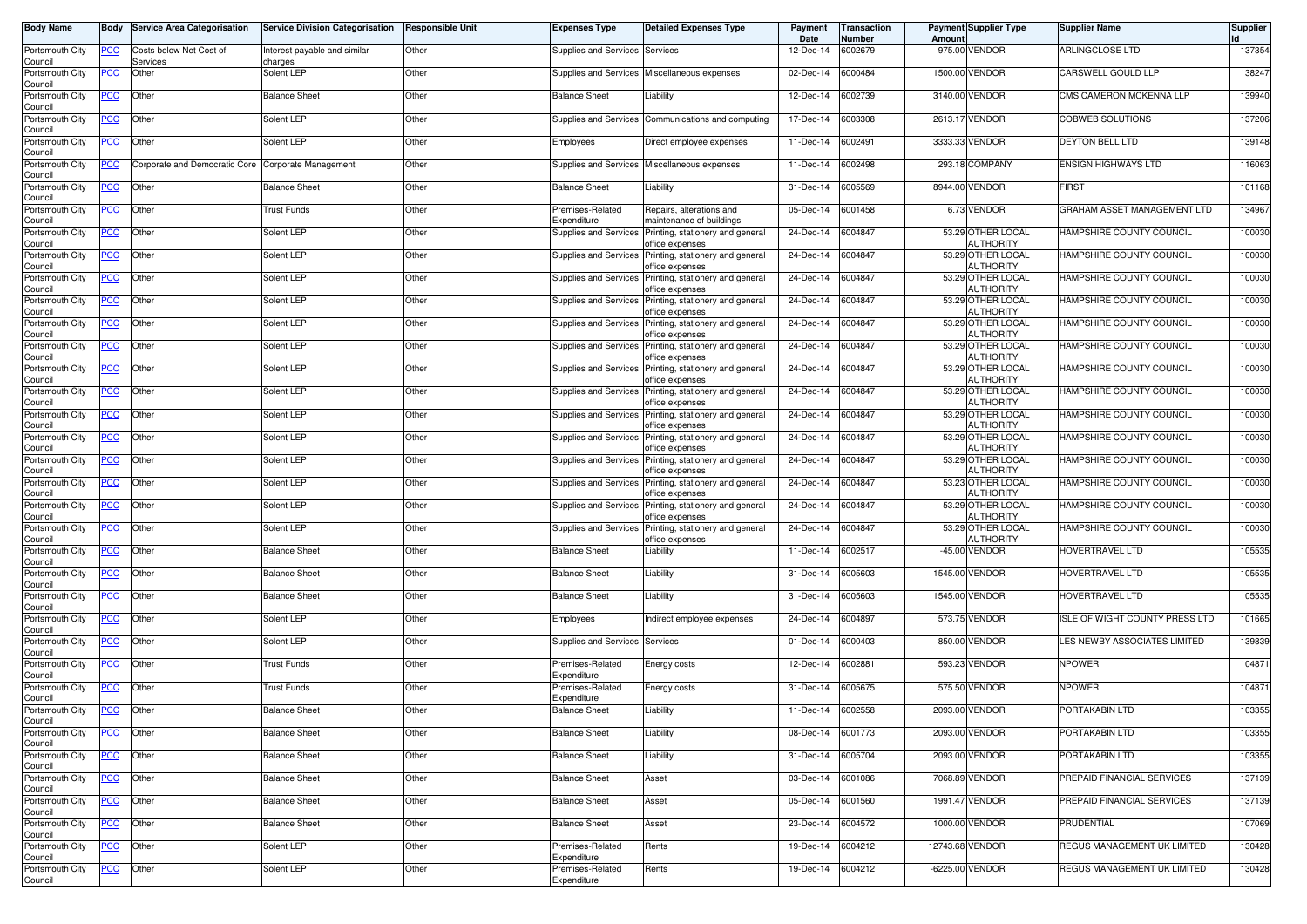| <b>Body Name</b>                              | Body       | <b>Service Area Categorisation</b>  | <b>Service Division Categorisation</b> | <b>Responsible Unit</b> | Expenses Type                   | <b>Detailed Expenses Type</b>                        | Payment<br>Date | <b>Transaction</b><br>Number | Amoun   | <b>Payment Supplier Type</b>          | <b>Supplier Name</b>           | <b>Supplier</b> |
|-----------------------------------------------|------------|-------------------------------------|----------------------------------------|-------------------------|---------------------------------|------------------------------------------------------|-----------------|------------------------------|---------|---------------------------------------|--------------------------------|-----------------|
| Portsmouth City<br>Council                    | PCC        | Costs below Net Cost of<br>Services | nterest payable and similar<br>charges | Other                   | Supplies and Services           | Services                                             | 12-Dec-14       | 6002679                      |         | 975.00 VENDOR                         | ARLINGCLOSE LTD                | 137354          |
| Portsmouth City<br>Council                    | <u>PCC</u> | Other                               | Solent LEP                             | Other                   | Supplies and Services           | Miscellaneous expenses                               | 02-Dec-14       | 6000484                      |         | 1500.00 VENDOR                        | CARSWELL GOULD LLP             | 138247          |
| Portsmouth City<br>Council                    | <u>PCC</u> | Other                               | <b>Balance Sheet</b>                   | Other                   | <b>Balance Sheet</b>            | iability.                                            | 12-Dec-14       | 6002739                      |         | 3140.00 VENDOR                        | CMS CAMERON MCKENNA LLP        | 139940          |
| Portsmouth City<br>Council                    | <u>PCC</u> | Other                               | Solent LEP                             | Other                   | <b>Supplies and Services</b>    | Communications and computing                         | 17-Dec-14       | 6003308                      | 2613.17 | <b>VENDOR</b>                         | <b>COBWEB SOLUTIONS</b>        | 137206          |
| Portsmouth City<br>Council                    | <u>PCC</u> | Other                               | Solent LEP                             | Other                   | Employees                       | Direct employee expenses                             | 11-Dec-14       | 6002491                      | 3333.3  | VENDOR                                | <b>DEYTON BELL LTD</b>         | 139148          |
| Portsmouth City<br>Council                    | <u>PCC</u> | Corporate and Democratic Core       | Corporate Management                   | Other                   | Supplies and Services           | Miscellaneous expenses                               | 11-Dec-14       | 6002498                      |         | 293.18 COMPANY                        | <b>ENSIGN HIGHWAYS LTD</b>     | 116063          |
| Portsmouth City<br>Council                    | <u>PCC</u> | Other                               | <b>Balance Sheet</b>                   | Other                   | <b>Balance Sheet</b>            | .iability                                            | 31-Dec-14       | 6005569                      |         | 8944.00 VENDOR                        | <b>FIRST</b>                   | 101168          |
| Portsmouth City<br>Council                    | <u>PCC</u> | Other                               | <b>Trust Funds</b>                     | Other                   | Premises-Related<br>Expenditure | Repairs, alterations and<br>naintenance of buildings | 05-Dec-14       | 6001458                      |         | 6.73 VENDOR                           | GRAHAM ASSET MANAGEMENT LTD    | 134967          |
| Portsmouth City<br>Council                    | <b>PCC</b> | Other                               | Solent LEP                             | Other                   | Supplies and Services           | Printing, stationery and general<br>office expenses  | 24-Dec-14       | 6004847                      |         | 53.29 OTHER LOCAL<br>AUTHORITY        | HAMPSHIRE COUNTY COUNCIL       | 100030          |
| Portsmouth City<br>Council                    | PCC        | Other                               | Solent LEP                             | Other                   | Supplies and Services           | Printing, stationery and general<br>iffice expenses  | 24-Dec-14       | 6004847                      |         | 53.29 OTHER LOCAL<br><b>AUTHORITY</b> | HAMPSHIRE COUNTY COUNCIL       | 100030          |
| Portsmouth City<br>Council                    | <u>PCC</u> | Other                               | Solent LEP                             | Other                   | <b>Supplies and Services</b>    | Printing, stationery and general<br>iffice expenses  | 24-Dec-14       | 6004847                      |         | 53.29 OTHER LOCAL<br><b>AUTHORITY</b> | HAMPSHIRE COUNTY COUNCIL       | 100030          |
| Portsmouth City<br>Council                    | PCC        | Other                               | Solent LEP                             | Other                   | Supplies and Services           | Printing, stationery and general<br>ffice expenses   | 24-Dec-14       | 6004847                      |         | 53.29 OTHER LOCAL<br><b>AUTHORITY</b> | HAMPSHIRE COUNTY COUNCIL       | 100030          |
| Portsmouth City<br>Council                    | PCC        | Other                               | Solent LEP                             | Other                   | Supplies and Services           | Printing, stationery and general<br>office expenses  | 24-Dec-14       | 6004847                      |         | 53.29 OTHER LOCAL<br><b>AUTHORITY</b> | HAMPSHIRE COUNTY COUNCIL       | 100030          |
| Portsmouth City<br>Council                    | PCC        | Other                               | Solent LEP                             | Other                   | Supplies and Services           | Printing, stationery and general<br>office expenses  | 24-Dec-14       | 6004847                      |         | 53.29 OTHER LOCAL<br><b>AUTHORITY</b> | HAMPSHIRE COUNTY COUNCIL       | 100030          |
| Portsmouth City<br>Council                    | PСC        | Other                               | Solent LEP                             | Other                   | <b>Supplies and Services</b>    | Printing, stationery and general<br>iffice expenses  | 24-Dec-14       | 6004847                      |         | 53.29 OTHER LOCAL<br><b>AUTHORITY</b> | HAMPSHIRE COUNTY COUNCIL       | 100030          |
| Portsmouth City<br>Council                    | <u>PCC</u> | Other                               | Solent LEP                             | Other                   | Supplies and Services           | Printing, stationery and general<br>office expenses  | 24-Dec-14       | 6004847                      |         | 53.29 OTHER LOCAL<br><b>AUTHORITY</b> | HAMPSHIRE COUNTY COUNCIL       | 100030          |
| Portsmouth City<br>Council                    | <u>PCC</u> | Other                               | Solent LEP                             | Other                   | Supplies and Services           | Printing, stationery and general<br>iffice expenses  | 24-Dec-14       | 6004847                      |         | 53.29 OTHER LOCAL<br>AUTHORITY        | HAMPSHIRE COUNTY COUNCIL       | 100030          |
| Portsmouth City<br>Council                    | <u>PCC</u> | Other                               | Solent LEP                             | Other                   | <b>Supplies and Services</b>    | Printing, stationery and general<br>office expenses  | 24-Dec-14       | 6004847                      |         | 53.29 OTHER LOCAL<br>AUTHORITY        | HAMPSHIRE COUNTY COUNCIL       | 100030          |
| Portsmouth City<br>Council                    | PСC        | Other                               | Solent LEP                             | Other                   | Supplies and Services           | Printing, stationery and general<br>iffice expenses  | 24-Dec-14       | 6004847                      |         | 53.29 OTHER LOCAL<br><b>AUTHORITY</b> | HAMPSHIRE COUNTY COUNCIL       | 100030          |
| Portsmouth City<br>Council                    | PСC        | Other                               | Solent LEP                             | Other                   | Supplies and Services           | Printing, stationery and general<br>office expenses  | 24-Dec-14       | 6004847                      |         | 53.23 OTHER LOCAL<br><b>AUTHORITY</b> | HAMPSHIRE COUNTY COUNCIL       | 100030          |
| Portsmouth City<br>Council                    | <u>PCC</u> | Other                               | Solent LEP                             | Other                   | Supplies and Services           | Printing, stationery and general<br>ffice expenses   | 24-Dec-14       | 6004847                      |         | 53.29 OTHER LOCAL<br><b>AUTHORITY</b> | HAMPSHIRE COUNTY COUNCIL       | 100030          |
| Portsmouth City<br>Council                    | <u>PCC</u> | Other                               | Solent LEP                             | Other                   | <b>Supplies and Services</b>    | Printing, stationery and general<br>office expenses  | 24-Dec-14       | 6004847                      |         | 53.29 OTHER LOCAL<br>AUTHORITY        | HAMPSHIRE COUNTY COUNCIL       | 100030          |
| Portsmouth City<br>Council                    | <u>PCC</u> | Other                               | <b>Balance Sheet</b>                   | Other                   | <b>Balance Sheet</b>            | .iability                                            | 11-Dec-14       | 6002517                      |         | -45.00 VENDOR                         | HOVERTRAVEL LTD                | 105535          |
| Portsmouth City<br>Council                    | ∍CC        | Other                               | <b>Balance Sheet</b>                   | Other                   | <b>Balance Sheet</b>            | .iability                                            | 31-Dec-14       | 6005603                      |         | 1545.00 VENDOR                        | HOVERTRAVEL LTD                | 105535          |
| Portsmouth City<br>Council                    | <u>PCC</u> | Other                               | <b>Balance Sheet</b>                   | Other                   | <b>Balance Sheet</b>            | Liability                                            | 31-Dec-14       | 6005603                      |         | 1545.00 VENDOR                        | HOVERTRAVEL LTD                | 105535          |
| Portsmouth City<br>Council                    | <u>PCC</u> | Other                               | Solent LEP                             | Other                   | Employees                       | Indirect employee expenses                           | 24-Dec-14       | 6004897                      |         | 573.75 VENDOR                         | ISLE OF WIGHT COUNTY PRESS LTD | 101665          |
| Portsmouth City<br>Council                    | <u>PCC</u> | Other                               | Solent LEP                             | Other                   | Supplies and Services           | Services                                             | 01-Dec-14       | 6000403                      |         | 850.00 VENDOR                         | LES NEWBY ASSOCIATES LIMITED   | 139839          |
| Portsmouth City<br>Council                    | <u>PCC</u> | Other                               | <b>Trust Funds</b>                     | Other                   | Premises-Related<br>Expenditure | Energy costs                                         | 12-Dec-14       | 6002881                      | 593.23  | VENDOR                                | <b>NPOWER</b>                  | 104871          |
| Portsmouth City<br>Council                    | <u>PCC</u> | Other                               | Trust Funds                            | Other                   | Premises-Related<br>Expenditure | Energy costs                                         | 31-Dec-14       | 6005675                      |         | 575.50 VENDOR                         | <b>NPOWER</b>                  | 104871          |
| Portsmouth City<br>Council<br>Portsmouth City | <u>PCC</u> | Other                               | <b>Balance Sheet</b>                   | Other                   | <b>Balance Sheet</b>            | .iability                                            | 11-Dec-14       | 6002558                      | 2093.00 | <b>VENDOR</b>                         | PORTAKABIN LTD                 | 103355          |
| Council                                       | <u>PCC</u> | Other                               | <b>Balance Sheet</b>                   | Other                   | <b>Balance Sheet</b>            | .iability                                            | 08-Dec-14       | 6001773                      |         | 2093.00 VENDOR                        | PORTAKABIN LTD                 | 103355          |
| Portsmouth City<br>Council<br>Portsmouth City | <b>PCC</b> | Other                               | <b>Balance Sheet</b>                   | Other                   | <b>Balance Sheet</b>            | iability.                                            | 31-Dec-14       | 6005704                      |         | 2093.00 VENDOR                        | PORTAKABIN LTD                 | 103355          |
| Council<br>Portsmouth City                    | <u>PCC</u> | Other                               | <b>Balance Sheet</b>                   | Other                   | <b>Balance Sheet</b>            | Asset                                                | 03-Dec-14       | 6001086                      |         | 7068.89 VENDOR                        | PREPAID FINANCIAL SERVICES     | 137139          |
| Council<br>Portsmouth City                    | <b>PCC</b> | Other                               | <b>Balance Sheet</b>                   | Other                   | <b>Balance Sheet</b>            | Asset                                                | 05-Dec-14       | 6001560                      |         | 1991.47 VENDOR                        | PREPAID FINANCIAL SERVICES     | 137139          |
| Council                                       | <u>PCC</u> | Other                               | <b>Balance Sheet</b>                   | Other                   | <b>Balance Sheet</b>            | Asset                                                | 23-Dec-14       | 6004572                      |         | 1000.00 VENDOR                        | PRUDENTIAL                     | 107069          |
| Portsmouth City<br>Council                    | <u>PCC</u> | Other                               | Solent LEP                             | Other                   | Premises-Related<br>Expenditure | Rents                                                | 19-Dec-14       | 6004212                      |         | 12743.68 VENDOR                       | REGUS MANAGEMENT UK LIMITED    | 130428          |
| Portsmouth City<br>Council                    | <u>PCC</u> | Other                               | Solent LEP                             | Other                   | Premises-Related<br>Expenditure | Rents                                                | 19-Dec-14       | 6004212                      |         | -6225.00 VENDOR                       | REGUS MANAGEMENT UK LIMITED    | 130428          |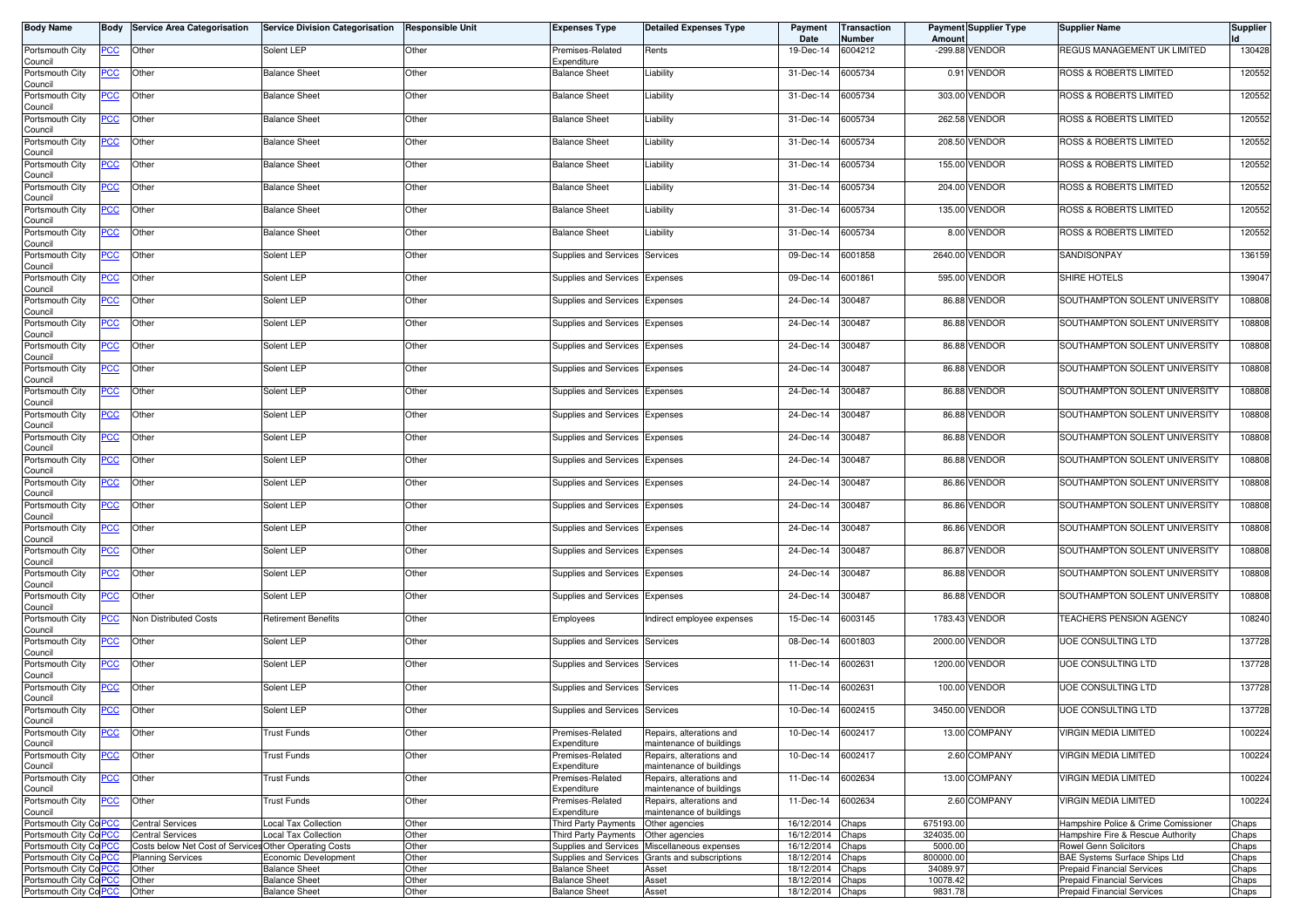| <b>Body Name</b>                      |            | <b>Body Service Area Categorisation</b>                | <b>Service Division Categorisation</b> | <b>Responsible Unit</b> | <b>Expenses Type</b>            | <b>Detailed Expenses Type</b>                        | Payment<br>Date  | Transaction<br>Number | Amount    | <b>Payment Supplier Type</b> | <b>Supplier Name</b>                 | <b>Supplier</b> |
|---------------------------------------|------------|--------------------------------------------------------|----------------------------------------|-------------------------|---------------------------------|------------------------------------------------------|------------------|-----------------------|-----------|------------------------------|--------------------------------------|-----------------|
| Portsmouth City<br>Council            | <u>PCC</u> | Other                                                  | Solent LEP                             | Other                   | Premises-Related<br>Expenditure | Rents                                                | 19-Dec-14        | 6004212               |           | -299.88 VENDOR               | REGUS MANAGEMENT UK LIMITED          | 130428          |
| Portsmouth City                       | <b>PCC</b> | Other                                                  | <b>Balance Sheet</b>                   | Other                   | <b>Balance Sheet</b>            | Liability                                            | 31-Dec-14        | 6005734               |           | 0.91 VENDOR                  | <b>ROSS &amp; ROBERTS LIMITED</b>    | 120552          |
| Council<br>Portsmouth City            | <b>PCC</b> | Other                                                  | <b>Balance Sheet</b>                   | Other                   | <b>Balance Sheet</b>            | Liability                                            | 31-Dec-14        | 6005734               |           | 303.00 VENDOR                | ROSS & ROBERTS LIMITED               | 120552          |
| Council<br>Portsmouth City<br>Council | <u>PCC</u> | Other                                                  | <b>Balance Sheet</b>                   | Other                   | <b>Balance Sheet</b>            | Liability                                            | 31-Dec-14        | 6005734               |           | 262.58 VENDOR                | ROSS & ROBERTS LIMITED               | 120552          |
| Portsmouth City<br>Council            | <u>PCC</u> | Other                                                  | <b>Balance Sheet</b>                   | Other                   | <b>Balance Sheet</b>            | Liability                                            | 31-Dec-14        | 6005734               |           | 208.50 VENDOR                | <b>ROSS &amp; ROBERTS LIMITED</b>    | 120552          |
| Portsmouth City<br>Council            | <u>PCC</u> | Other                                                  | <b>Balance Sheet</b>                   | Other                   | <b>Balance Sheet</b>            | Liability                                            | 31-Dec-14        | 6005734               |           | 155.00 VENDOR                | ROSS & ROBERTS LIMITED               | 120552          |
| Portsmouth City<br>Council            | <b>PCC</b> | Other                                                  | <b>Balance Sheet</b>                   | Other                   | <b>Balance Sheet</b>            | Liability                                            | 31-Dec-14        | 6005734               |           | 204.00 VENDOR                | ROSS & ROBERTS LIMITED               | 120552          |
| Portsmouth City<br>Council            | <u>PCC</u> | Other                                                  | <b>Balance Sheet</b>                   | Other                   | <b>Balance Sheet</b>            | Liability                                            | 31-Dec-14        | 6005734               |           | 135.00 VENDOR                | ROSS & ROBERTS LIMITED               | 120552          |
| Portsmouth City<br>Council            | <u>PCC</u> | Other                                                  | <b>Balance Sheet</b>                   | Other                   | <b>Balance Sheet</b>            | Liability                                            | 31-Dec-14        | 6005734               |           | 8.00 VENDOR                  | <b>ROSS &amp; ROBERTS LIMITED</b>    | 120552          |
| Portsmouth City<br>Council            | <u>PCC</u> | Other                                                  | Solent LEP                             | Other                   | Supplies and Services Services  |                                                      | 09-Dec-14        | 6001858               |           | 2640.00 VENDOR               | SANDISONPAY                          | 136159          |
| Portsmouth City<br>Council            | <b>PCC</b> | Other                                                  | Solent LEP                             | Other                   | Supplies and Services           | Expenses                                             | 09-Dec-14        | 6001861               |           | 595.00 VENDOR                | SHIRE HOTELS                         | 139047          |
| Portsmouth City<br>Council            | PCC        | Other                                                  | Solent LEP                             | Other                   | <b>Supplies and Services</b>    | Expenses                                             | 24-Dec-14        | 300487                |           | 86.88 VENDOR                 | SOUTHAMPTON SOLENT UNIVERSITY        | 108808          |
| Portsmouth City<br>Council            | <u>PCC</u> | Other                                                  | Solent LEP                             | Other                   | <b>Supplies and Services</b>    | Expenses                                             | 24-Dec-14        | 300487                |           | 86.88 VENDOR                 | SOUTHAMPTON SOLENT UNIVERSITY        | 108808          |
| Portsmouth City<br>Council            | <u>PCC</u> | Other                                                  | Solent LEP                             | Other                   | <b>Supplies and Services</b>    | Expenses                                             | 24-Dec-14        | 300487                |           | 86.88 VENDOR                 | SOUTHAMPTON SOLENT UNIVERSITY        | 108808          |
| Portsmouth City<br>Council            | PCC        | Other                                                  | Solent LEP                             | Other                   | Supplies and Services Expenses  |                                                      | 24-Dec-14        | 300487                |           | 86.88 VENDOR                 | SOUTHAMPTON SOLENT UNIVERSITY        | 108808          |
| Portsmouth City<br>Council            | <b>PCC</b> | Other                                                  | Solent LEP                             | Other                   | <b>Supplies and Services</b>    | Expenses                                             | 24-Dec-14        | 300487                |           | 86.88 VENDOR                 | SOUTHAMPTON SOLENT UNIVERSITY        | 108808          |
| Portsmouth City<br>Council            | <u>PCC</u> | Other                                                  | Solent LEP                             | Other                   | Supplies and Services Expenses  |                                                      | 24-Dec-14        | 300487                |           | 86.88 VENDOR                 | SOUTHAMPTON SOLENT UNIVERSITY        | 108808          |
| Portsmouth City<br>Council            | <b>PCC</b> | Other                                                  | Solent LEP                             | Other                   | <b>Supplies and Services</b>    | Expenses                                             | 24-Dec-14        | 300487                |           | 86.88 VENDOR                 | SOUTHAMPTON SOLENT UNIVERSITY        | 108808          |
| Portsmouth City<br>Council            | PCC        | Other                                                  | Solent LEP                             | Other                   | Supplies and Services Expenses  |                                                      | 24-Dec-14        | 300487                |           | 86.88 VENDOR                 | SOUTHAMPTON SOLENT UNIVERSITY        | 108808          |
| Portsmouth City<br>Council            | <u>PCC</u> | Other                                                  | Solent LEP                             | Other                   | Supplies and Services           | Expenses                                             | 24-Dec-14        | 300487                |           | 86.86 VENDOR                 | SOUTHAMPTON SOLENT UNIVERSITY        | 108808          |
| Portsmouth City<br>Council            | <u>PCC</u> | Other                                                  | Solent LEP                             | Other                   | <b>Supplies and Services</b>    | Expenses                                             | 24-Dec-14        | 300487                |           | 86.86 VENDOR                 | SOUTHAMPTON SOLENT UNIVERSITY        | 108808          |
| Portsmouth City<br>Council            | <u>PCC</u> | Other                                                  | Solent LEP                             | Other                   | <b>Supplies and Services</b>    | Expenses                                             | 24-Dec-14        | 300487                |           | 86.86 VENDOR                 | SOUTHAMPTON SOLENT UNIVERSITY        | 108808          |
| Portsmouth City<br>Council            | <b>PCC</b> | Other                                                  | Solent LEP                             | Other                   | <b>Supplies and Services</b>    | Expenses                                             | 24-Dec-14        | 300487                |           | 86.87 VENDOR                 | SOUTHAMPTON SOLENT UNIVERSITY        | 108808          |
| Portsmouth City<br>Council            | <b>PCC</b> | Other                                                  | Solent LEP                             | Other                   | Supplies and Services Expenses  |                                                      | 24-Dec-14        | 300487                |           | 86.88 VENDOR                 | SOUTHAMPTON SOLENT UNIVERSITY        | 108808          |
| Portsmouth City<br>Council            | <b>PCC</b> | Other                                                  | Solent LEP                             | Other                   | Supplies and Services           | Expenses                                             | 24-Dec-14        | 300487                |           | 86.88 VENDOR                 | SOUTHAMPTON SOLENT UNIVERSITY        | 108808          |
| Portsmouth City<br>Council            | <u>PCC</u> | Non Distributed Costs                                  | <b>Retirement Benefits</b>             | Other                   | Employees                       | Indirect employee expenses                           | 15-Dec-14        | 6003145               |           | 1783.43 VENDOR               | TEACHERS PENSION AGENCY              | 108240          |
| Portsmouth City<br>Council            | <b>PCC</b> | Other                                                  | Solent LEP                             | Other                   | <b>Supplies and Services</b>    | Services                                             | 08-Dec-14        | 6001803               |           | 2000.00 VENDOR               | UOE CONSULTING LTD                   | 137728          |
| Portsmouth City<br>Council            | <u>PCC</u> | Other                                                  | Solent LEP                             | Other                   | Supplies and Services           | Services                                             | 11-Dec-14        | 6002631               |           | 1200.00 VENDOR               | UOE CONSULTING LTD                   | 137728          |
| Portsmouth City<br>Council            | <u>PCC</u> | Other                                                  | Solent LEP                             | Other                   | Supplies and Services           | Services                                             | 11-Dec-14        | 6002631               |           | 100.00 VENDOR                | UOE CONSULTING LTD                   | 137728          |
| Portsmouth City<br>Council            | <u>PCC</u> | Other                                                  | Solent LEP                             | Other                   | Supplies and Services           | Services                                             | 10-Dec-14        | 6002415               |           | 3450.00 VENDOR               | <b>UOE CONSULTING LTD</b>            | 137728          |
| Portsmouth City<br>Council            | <u>PCC</u> | Other                                                  | <b>Trust Funds</b>                     | Other                   | Premises-Related<br>Expenditure | Repairs, alterations and<br>maintenance of buildings | 10-Dec-14        | 6002417               |           | 13.00 COMPANY                | <b>VIRGIN MEDIA LIMITED</b>          | 100224          |
| Portsmouth City<br>Council            | <b>PCC</b> | Other                                                  | Trust Funds                            | Other                   | Premises-Related<br>Expenditure | Repairs, alterations and<br>maintenance of buildings | 10-Dec-14        | 6002417               |           | 2.60 COMPANY                 | <b>VIRGIN MEDIA LIMITED</b>          | 100224          |
| Portsmouth City<br>Council            | <u>PCC</u> | Other                                                  | <b>Trust Funds</b>                     | Other                   | Premises-Related<br>Expenditure | Repairs, alterations and<br>maintenance of buildings | 11-Dec-14        | 6002634               |           | 13.00 COMPANY                | VIRGIN MEDIA LIMITED                 | 100224          |
| Portsmouth City<br>Council            | <u>PCC</u> | Other                                                  | <b>Trust Funds</b>                     | Other                   | Premises-Related<br>Expenditure | Repairs, alterations and<br>maintenance of buildings | 11-Dec-14        | 6002634               |           | 2.60 COMPANY                 | <b>VIRGIN MEDIA LIMITED</b>          | 100224          |
| Portsmouth City CoPCC                 |            | <b>Central Services</b>                                | <b>Local Tax Collection</b>            | Other                   | Third Party Payments            | Other agencies                                       | 16/12/2014       | Chaps                 | 675193.00 |                              | Hampshire Police & Crime Comissioner | Chaps           |
| Portsmouth City Co PCC                |            | <b>Central Services</b>                                | <b>Local Tax Collection</b>            | Other                   | Third Party Payments            | Other agencies                                       | 16/12/2014       | Chaps                 | 324035.00 |                              | Hampshire Fire & Rescue Authority    | Chaps           |
| Portsmouth City Co                    | PCC        | Costs below Net Cost of Services Other Operating Costs |                                        | Other                   | Supplies and Services           | Miscellaneous expenses                               | 16/12/2014       | Chaps                 | 5000.00   |                              | Rowel Genn Solicitors                | Chaps           |
| Portsmouth City Co PCC                |            | <b>Planning Services</b>                               | Economic Development                   | Other                   | Supplies and Services           | Grants and subscriptions                             | 18/12/2014       | haps                  | 800000.00 |                              | <b>BAE Systems Surface Ships Ltd</b> | Chaps           |
| Portsmouth City Co PCC                |            | Other                                                  | <b>Balance Sheet</b>                   | Other                   | <b>Balance Sheet</b>            | Asset                                                | 18/12/2014       | haps:                 | 34089.97  |                              | Prepaid Financial Services           | Chaps           |
| Portsmouth City Co <b>PCC</b> Other   |            |                                                        | <b>Balance Sheet</b>                   | Other                   | <b>Balance Sheet</b>            | Asset                                                | 18/12/2014 Chaps |                       | 10078.42  |                              | Prepaid Financial Services           | Chaps           |
| Portsmouth City CoPCC Other           |            |                                                        | <b>Balance Sheet</b>                   | Other                   | <b>Balance Sheet</b>            | Asset                                                | 18/12/2014 Chaps |                       | 9831.78   |                              | Prepaid Financial Services           | Chaps           |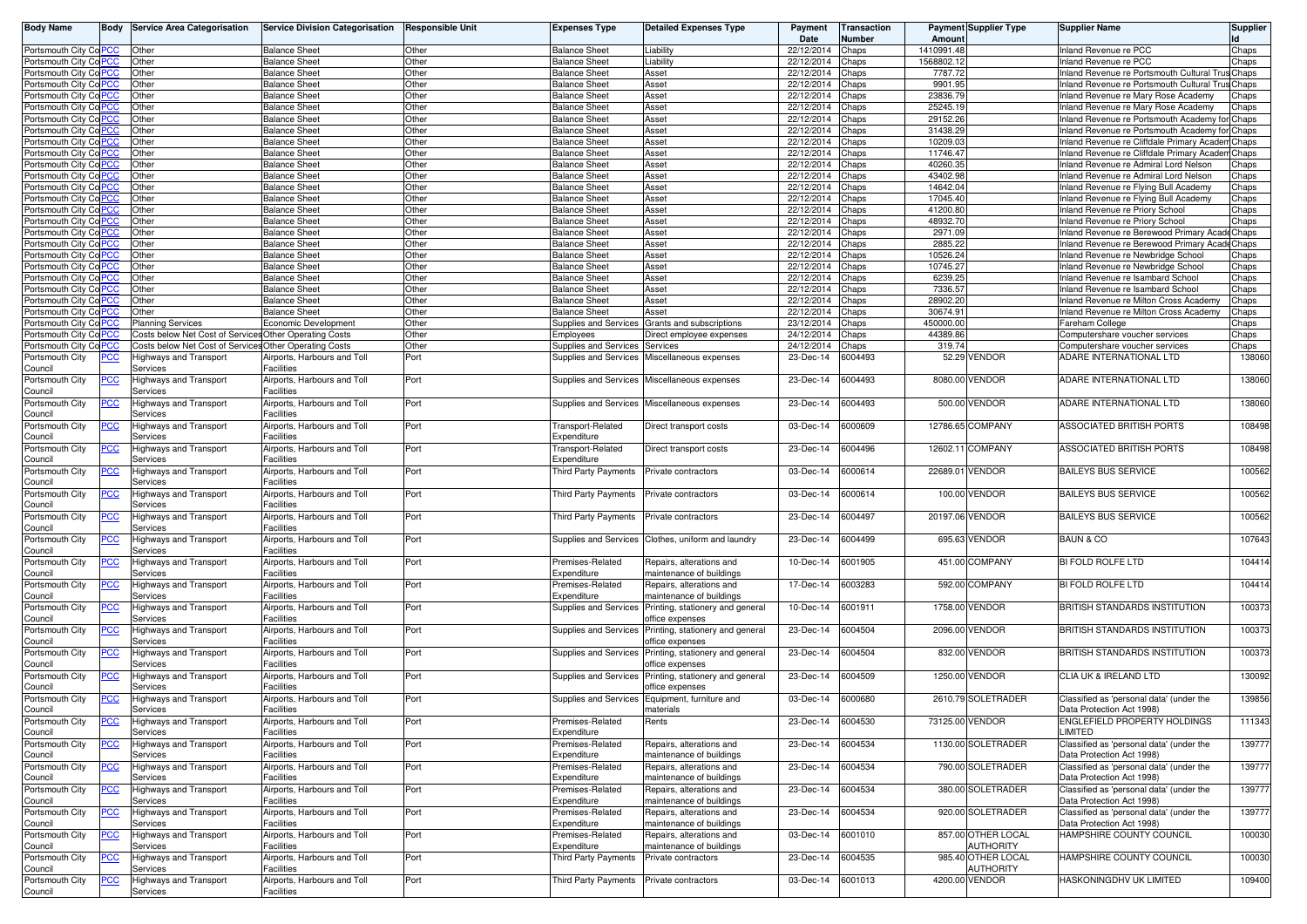| <b>Body Name</b>                  |            | <b>Body Service Area Categorisation</b>                | <b>Service Division Categorisation</b> | <b>Responsible Unit</b> | <b>Expenses Type</b>                     | <b>Detailed Expenses Type</b>                | Payment<br>Date | <b>Transaction</b><br>Number | Amount     | <b>Payment Supplier Type</b> | <b>Supplier Name</b>                                                  | <b>Supplier</b> |
|-----------------------------------|------------|--------------------------------------------------------|----------------------------------------|-------------------------|------------------------------------------|----------------------------------------------|-----------------|------------------------------|------------|------------------------------|-----------------------------------------------------------------------|-----------------|
| Portsmouth City Co PCC            |            | Other                                                  | <b>Balance Sheet</b>                   | Other                   | <b>Balance Sheet</b>                     | Liability                                    | 22/12/2014      | Chaps                        | 1410991.48 |                              | Inland Revenue re PCC                                                 | Chaps           |
| Portsmouth City Co PCC            |            | Other                                                  | <b>Balance Sheet</b>                   | Other                   | <b>Balance Sheet</b>                     | Liability                                    | 22/12/2014      | Chaps                        | 1568802.12 |                              | nland Revenue re PCC                                                  | Chaps           |
| Portsmouth City CoPCC             |            | Other                                                  | <b>Balance Sheet</b>                   | Other                   | <b>Balance Sheet</b>                     | Asset                                        | 22/12/2014      | Chaps                        | 7787.72    |                              | nland Revenue re Portsmouth Cultural Trus Chaps                       |                 |
| Portsmouth City Co PCC            |            | Other                                                  | <b>Balance Sheet</b>                   | Other                   | <b>Balance Sheet</b>                     | Asset                                        | 22/12/2014      | Chaps                        | 9901.95    |                              | nland Revenue re Portsmouth Cultural Trus Chaps                       |                 |
| Portsmouth City Co                |            | Other                                                  | <b>Balance Sheet</b>                   | Other                   | <b>Balance Sheet</b>                     | Asset                                        | 22/12/2014      | Chaps                        | 23836.79   |                              | nland Revenue re Mary Rose Academy                                    | Chaps           |
| Portsmouth City Col               |            | Other                                                  | <b>Balance Sheet</b>                   | Other                   | <b>Balance Sheet</b>                     | Asset                                        | 22/12/2014      | Chaps                        | 25245.19   |                              | nland Revenue re Mary Rose Academy                                    | Chaps           |
| Portsmouth City Co                |            | Other                                                  | <b>Balance Sheet</b>                   | Other                   | <b>Balance Sheet</b>                     | Asset                                        | 22/12/2014      | Chaps                        | 29152.26   |                              | nland Revenue re Portsmouth Academy for                               | Chaps           |
| Portsmouth City CoP               |            | Other                                                  | <b>Balance Sheet</b>                   | Other                   | <b>Balance Sheet</b>                     | Asset                                        | 22/12/2014      | Chaps                        | 31438.29   |                              | iland Revenue re Portsmouth Academy for                               | Chaps           |
| Portsmouth City Col               |            | Other                                                  | <b>Balance Sheet</b>                   | Other                   | <b>Balance Sheet</b>                     | Asset                                        | 22/12/2014      | Chaps                        | 10209.03   |                              | nland Revenue re Cliffdale Primary Acader                             | Chaps           |
| Portsmouth City Co PCC            |            | Other                                                  | Balance Sheet                          | Other                   | <b>Balance Sheet</b>                     | Asset                                        | 22/12/2014      | Chaps                        | 11746.47   |                              | nland Revenue re Cliffdale Primary Acaden                             | Chaps           |
| Portsmouth City Co <mark>F</mark> |            | Other                                                  | <b>Balance Sheet</b>                   | Other                   | <b>Balance Sheet</b>                     | Asset                                        | 22/12/2014      | Chaps                        | 40260.35   |                              | nland Revenue re Admiral Lord Nelson                                  | Chaps           |
| Portsmouth City Co <mark>F</mark> | CC         | Other                                                  | <b>Balance Sheet</b>                   | Other                   | Balance Sheet                            | Asset                                        | 22/12/2014      | Chaps                        | 43402.98   |                              | nland Revenue re Admiral Lord Nelson                                  | Chaps           |
| Portsmouth City Co <sup>F</sup>   |            | Other                                                  | <b>Balance Sheet</b>                   | Other                   | <b>Balance Sheet</b>                     | Asset                                        | 22/12/2014      | Chaps                        | 14642.04   |                              | nland Revenue re Flving Bull Academy                                  | Chaps           |
| Portsmouth City Co                |            | Other                                                  | <b>Balance Sheet</b>                   | Other                   | <b>Balance Sheet</b>                     | Asset                                        | 22/12/2014      | Chaps                        | 17045.40   |                              | iland Revenue re Flying Bull Academy                                  | Chaps           |
| Portsmouth City Col               |            | Other                                                  | <b>Balance Sheet</b>                   | Other                   | <b>Balance Sheet</b>                     | Asset                                        | 22/12/2014      | Chaps                        | 41200.80   |                              | nland Revenue re Priory School                                        | Chaps           |
| Portsmouth City Co <sup>F</sup>   | CС         | Other                                                  | <b>Balance Sheet</b>                   | Other                   | <b>Balance Sheet</b>                     | Asset                                        | 22/12/2014      | Chaps                        | 48932.70   |                              | nland Revenue re Priory School                                        | Chaps           |
| Portsmouth City Co <sup>F</sup>   |            | Other                                                  | <b>Balance Sheet</b>                   | Other                   | <b>Balance Sheet</b>                     | Asset                                        | 22/12/2014      | Chaps                        | 2971.09    |                              | lland Revenue re Berewood Primary AcadeChaps                          |                 |
| Portsmouth City Co PCC            |            | Other                                                  | <b>Balance Sheet</b>                   | Other                   | <b>Balance Sheet</b>                     | Asset                                        | 22/12/2014      | Chaps                        | 2885.22    |                              | nland Revenue re Berewood Primary AcadeChaps                          |                 |
| Portsmouth Citv Co F              |            | Other                                                  | <b>Balance Sheet</b>                   | Other                   | <b>Balance Sheet</b>                     | Asset                                        | 22/12/2014      | Chaps                        | 10526.24   |                              | nland Revenue re Newbridge School                                     |                 |
| Portsmouth City Co PCC            |            | Other                                                  | <b>Balance Sheet</b>                   | Other                   | <b>Balance Sheet</b>                     | Asset                                        | 22/12/2014      | Chaps                        | 10745.27   |                              |                                                                       | Chaps<br>Chaps  |
|                                   |            | Other                                                  | <b>Balance Sheet</b>                   | Other                   | <b>Balance Sheet</b>                     | Asset                                        | 22/12/2014      | Chaps                        | 6239.25    |                              | nland Revenue re Newbridge School<br>nland Revenue re Isambard School | Chaps           |
| Portsmouth City Co                |            |                                                        |                                        | Other                   |                                          |                                              |                 |                              | 7336.57    |                              |                                                                       |                 |
| Portsmouth City Col               |            | Other                                                  | <b>Balance Sheet</b>                   | Other                   | <b>Balance Sheet</b>                     | Asset                                        | 22/12/2014      | Chaps                        | 28902.20   |                              | nland Revenue re Isambard School                                      | Chaps           |
| Portsmouth City Co                |            | Other                                                  | <b>Balance Sheet</b>                   |                         | <b>Balance Sheet</b>                     | Asset                                        | 22/12/2014      | Chaps                        |            |                              | land Revenue re Milton Cross Academy                                  | Chaps           |
| Portsmouth City Co <mark>F</mark> |            | Other                                                  | <b>Balance Sheet</b>                   | Other                   | <b>Balance Sheet</b>                     | Asset                                        | 22/12/2014      | Chaps                        | 30674.91   |                              | nland Revenue re Milton Cross Academy                                 | Chaps           |
| Portsmouth City Co <sup>F</sup>   | PСC        | <b>Planning Services</b>                               | Economic Development                   | Other                   | Supplies and Services                    | Grants and subscriptions                     | 23/12/2014      | Chaps                        | 450000.00  |                              | Fareham College                                                       | Chaps           |
| Portsmouth City Co PCC            |            | Costs below Net Cost of Services Other Operating Costs |                                        | Other                   | Employees                                | Direct employee expenses                     | 24/12/2014      | Chaps                        | 44389.86   |                              | Computershare voucher services                                        | Chaps           |
| Portsmouth City Co PCC            |            | Costs below Net Cost of Services Other Operating Costs |                                        | Other                   | Supplies and Services                    | Services                                     | 24/12/2014      | Chaps                        | 319.74     |                              | Computershare voucher services                                        | Chaps           |
| Portsmouth City                   | <u>PCC</u> | Highways and Transport                                 | Airports, Harbours and Toll            | Port                    | Supplies and Services                    | Miscellaneous expenses                       | 23-Dec-14       | 6004493                      |            | 52.29 VENDOR                 | ADARE INTERNATIONAL LTD                                               | 138060          |
| Council                           |            | Services                                               | Facilities                             |                         |                                          |                                              |                 |                              |            |                              |                                                                       |                 |
| Portsmouth City                   | <u>PCC</u> | Highways and Transport                                 | Airports, Harbours and Toll            | Port                    | Supplies and Services                    | Miscellaneous expenses                       | 23-Dec-14       | 6004493                      |            | 8080.00 VENDOR               | ADARE INTERNATIONAL LTD                                               | 138060          |
| Council                           |            | Services                                               | Facilities                             |                         |                                          |                                              |                 |                              |            |                              |                                                                       |                 |
| Portsmouth City                   | <u>PCC</u> | Highways and Transport                                 | Airports, Harbours and Toll            | Port                    |                                          | Supplies and Services Miscellaneous expenses | 23-Dec-14       | 6004493                      |            | 500.00 VENDOR                | ADARE INTERNATIONAL LTD                                               | 138060          |
| Council                           |            | Services                                               | Facilities                             |                         |                                          |                                              |                 |                              |            |                              |                                                                       |                 |
| Portsmouth City                   | <u>PCC</u> | Highways and Transport                                 | Airports, Harbours and Toll            | Port                    | Transport-Related                        | Direct transport costs                       | 03-Dec-14       | 6000609                      |            | 12786.65 COMPANY             | ASSOCIATED BRITISH PORTS                                              | 108498          |
| Council                           |            | Services                                               | Facilities                             |                         | Expenditure                              |                                              |                 |                              |            |                              |                                                                       |                 |
| Portsmouth City                   | <u>PCC</u> | Highways and Transport                                 | Airports, Harbours and Toll            | Port                    | Transport-Related                        | Direct transport costs                       | 23-Dec-14       | 6004496                      |            | 12602.11 COMPANY             | <b>ASSOCIATED BRITISH PORTS</b>                                       | 108498          |
| Council                           |            | Services                                               | Facilities                             |                         | Expenditure                              |                                              |                 |                              |            |                              |                                                                       |                 |
| Portsmouth City                   | ∍сс        | Highways and Transport                                 | Airports, Harbours and Toll            | Port                    | Third Party Payments                     | Private contractors                          | 03-Dec-14       | 6000614                      |            | 22689.01 VENDOR              | <b>BAILEYS BUS SERVICE</b>                                            | 100562          |
| Council                           |            | Services                                               | <b>Facilities</b>                      |                         |                                          |                                              |                 |                              |            |                              |                                                                       |                 |
| Portsmouth City                   | PCC        | Highways and Transport                                 | Airports, Harbours and Toll            | Port                    | Third Party Payments                     | Private contractors                          | 03-Dec-14       | 6000614                      |            | 100.00 VENDOR                | <b>BAILEYS BUS SERVICE</b>                                            | 100562          |
| Council                           |            | Services                                               | Facilities                             |                         |                                          |                                              |                 |                              |            |                              |                                                                       |                 |
| Portsmouth City                   | ∘сс        | Highways and Transport                                 | Airports, Harbours and Toll            | Port                    | Third Party Payments                     | Private contractors                          | 23-Dec-14       | 6004497                      |            | 20197.06 VENDOR              | <b>BAILEYS BUS SERVICE</b>                                            | 100562          |
| Council                           |            | Services                                               | Facilities                             |                         |                                          |                                              |                 |                              |            |                              |                                                                       |                 |
| Portsmouth City                   | <u>PCC</u> | Highways and Transport                                 | Airports, Harbours and Toll            | Port                    | Supplies and Services                    | Clothes, uniform and laundry                 | 23-Dec-14       | 6004499                      |            | 695.63 VENDOR                | <b>BAUN &amp; CO</b>                                                  | 107643          |
| Council                           |            | Services                                               | Facilities                             |                         |                                          |                                              |                 |                              |            |                              |                                                                       |                 |
| Portsmouth City                   | <u>PCC</u> | Highways and Transport                                 | Airports, Harbours and Toll            | Port                    | Premises-Related                         | Repairs, alterations and                     | 10-Dec-14       | 6001905                      |            | 451.00 COMPANY               | BI FOLD ROLFE LTD                                                     | 104414          |
| Council                           |            | Services                                               | Facilities                             |                         | Expenditure                              | maintenance of buildings                     |                 |                              |            |                              |                                                                       |                 |
| Portsmouth City                   | <u>PCC</u> | Highways and Transport                                 | Airports, Harbours and Toll            | Port                    | Premises-Related                         | Repairs, alterations and                     | 17-Dec-14       | 6003283                      |            | 592.00 COMPANY               | BI FOLD ROLFE LTD                                                     | 104414          |
| Council                           |            | Services                                               | Facilities                             |                         | Expenditure                              | maintenance of buildings                     |                 |                              |            |                              |                                                                       |                 |
| Portsmouth City                   | PCC        | Highways and Transport                                 | Airports, Harbours and Toll            | Port                    | Supplies and Services                    | Printing, stationery and general             | 10-Dec-14       | 6001911                      |            | 1758.00 VENDOR               | <b>BRITISH STANDARDS INSTITUTION</b>                                  | 100373          |
| Council                           |            | Services                                               | Facilities                             |                         |                                          | ffice expenses                               |                 |                              |            |                              |                                                                       |                 |
| Portsmouth City                   | PCC        | Highways and Transport                                 | Airports, Harbours and Toll            | Port                    | Supplies and Services                    | Printing, stationery and general             | 23-Dec-14       | 6004504                      |            | 2096.00 VENDOR               | BRITISH STANDARDS INSTITUTION                                         | 100373          |
| Council                           |            | Services                                               | Facilities                             |                         |                                          | office expenses                              |                 |                              |            |                              |                                                                       |                 |
| Portsmouth City                   | PCC        | Highways and Transport                                 | Airports, Harbours and Toll            | Port                    | Supplies and Services                    | Printing, stationery and general             | 23-Dec-14       | 6004504                      |            | 832.00 VENDOR                | <b>BRITISH STANDARDS INSTITUTION</b>                                  | 100373          |
| Council                           |            | Services                                               | Facilities                             |                         |                                          | office expenses                              |                 |                              |            |                              |                                                                       |                 |
| Portsmouth City                   | PCC        | Highways and Transport                                 | Airports, Harbours and Toll            | Port                    | Supplies and Services                    | Printing, stationery and general             | 23-Dec-14       | 6004509                      |            | 1250.00 VENDOR               | CLIA UK & IRELAND LTD                                                 | 130092          |
| Council                           |            | Services                                               | Facilities                             |                         |                                          | office expenses                              |                 |                              |            |                              |                                                                       |                 |
| Portsmouth City                   | PCC        | Highways and Transport                                 | Airports, Harbours and Toll            | Port                    | Supplies and Services                    | Equipment, furniture and                     | 03-Dec-14       | 6000680                      |            | 2610.79 SOLETRADER           | Classified as 'personal data' (under the                              | 139856          |
| Council                           |            | Services                                               | Facilities                             |                         |                                          | materials                                    |                 |                              |            |                              | Data Protection Act 1998)                                             |                 |
| Portsmouth City                   |            | Hignways and Transport                                 | Airports, Harbours and Toll            | oπ                      | Premises-Related                         | Rents                                        | 23-Dec-14       | 6004530                      |            | 73125.00 VENDOR              | NGLEFIELD PROPERTY HOLDINGS:                                          | 111343          |
| Council                           |            | Services                                               | Facilities                             |                         | Expenditure                              |                                              |                 |                              |            |                              | LIMITED                                                               |                 |
| Portsmouth City                   | <b>PCC</b> | <b>Highways and Transport</b>                          | Airports, Harbours and Toll            | Port                    | Premises-Related                         | Repairs, alterations and                     | 23-Dec-14       | 6004534                      |            | 1130.00 SOLETRADER           | Classified as 'personal data' (under the                              | 139777          |
| Council                           |            | Services                                               | Facilities                             |                         | Expenditure                              | maintenance of buildings                     |                 |                              |            |                              | Data Protection Act 1998)                                             |                 |
| Portsmouth City                   | <u>PCC</u> | <b>Highways and Transport</b>                          | Airports, Harbours and Toll            | Port                    | Premises-Related                         | Repairs, alterations and                     | 23-Dec-14       | 6004534                      |            | 790.00 SOLETRADER            | Classified as 'personal data' (under the                              | 139777          |
| Council                           |            | Services                                               | Facilities                             |                         | Expenditure                              | maintenance of buildings                     |                 |                              |            |                              | Data Protection Act 1998)                                             |                 |
| Portsmouth City                   | <u>PCC</u> | <b>Highways and Transport</b>                          | Airports, Harbours and Toll            | Port                    | Premises-Related                         | Repairs, alterations and                     | 23-Dec-14       | 6004534                      |            | 380.00 SOLETRADER            | Classified as 'personal data' (under the                              | 139777          |
| Council                           |            | Services                                               | Facilities                             |                         | Expenditure                              | maintenance of buildings                     |                 |                              |            |                              | Data Protection Act 1998)                                             |                 |
| Portsmouth City                   | <u>PCC</u> | <b>Highways and Transport</b>                          | Airports, Harbours and Toll            | Port                    | Premises-Related                         | Repairs, alterations and                     | 23-Dec-14       | 6004534                      |            | 920.00 SOLETRADER            | Classified as 'personal data' (under the                              | 139777          |
| Council                           |            | Services                                               | <b>Facilities</b>                      |                         | Expenditure                              | maintenance of buildings                     |                 |                              |            |                              | Data Protection Act 1998)                                             |                 |
| Portsmouth City                   | <b>PCC</b> | Highways and Transport                                 | Airports, Harbours and Toll            | Port                    | Premises-Related                         | Repairs, alterations and                     | 03-Dec-14       | 6001010                      |            | 857.00 OTHER LOCAL           | HAMPSHIRE COUNTY COUNCIL                                              | 100030          |
| Council                           |            | Services                                               | <b>Facilities</b>                      |                         | Expenditure                              | maintenance of buildings                     |                 |                              |            | <b>AUTHORITY</b>             |                                                                       |                 |
| Portsmouth City                   | <b>PCC</b> | <b>Highways and Transport</b>                          | Airports, Harbours and Toll            | Port                    | Third Party Payments                     | Private contractors                          | 23-Dec-14       | 6004535                      |            | 985.40 OTHER LOCAL           | HAMPSHIRE COUNTY COUNCIL                                              | 100030          |
| Council                           |            | Services                                               | <b>Facilities</b>                      |                         |                                          |                                              |                 |                              |            | AUTHORITY                    |                                                                       |                 |
| Portsmouth City                   | <u>PCC</u> | Highways and Transport                                 | Airports, Harbours and Toll            | Port                    | Third Party Payments Private contractors |                                              | 03-Dec-14       | 6001013                      |            | 4200.00 VENDOR               | HASKONINGDHV UK LIMITED                                               | 109400          |
| Council                           |            | Services                                               | Facilities                             |                         |                                          |                                              |                 |                              |            |                              |                                                                       |                 |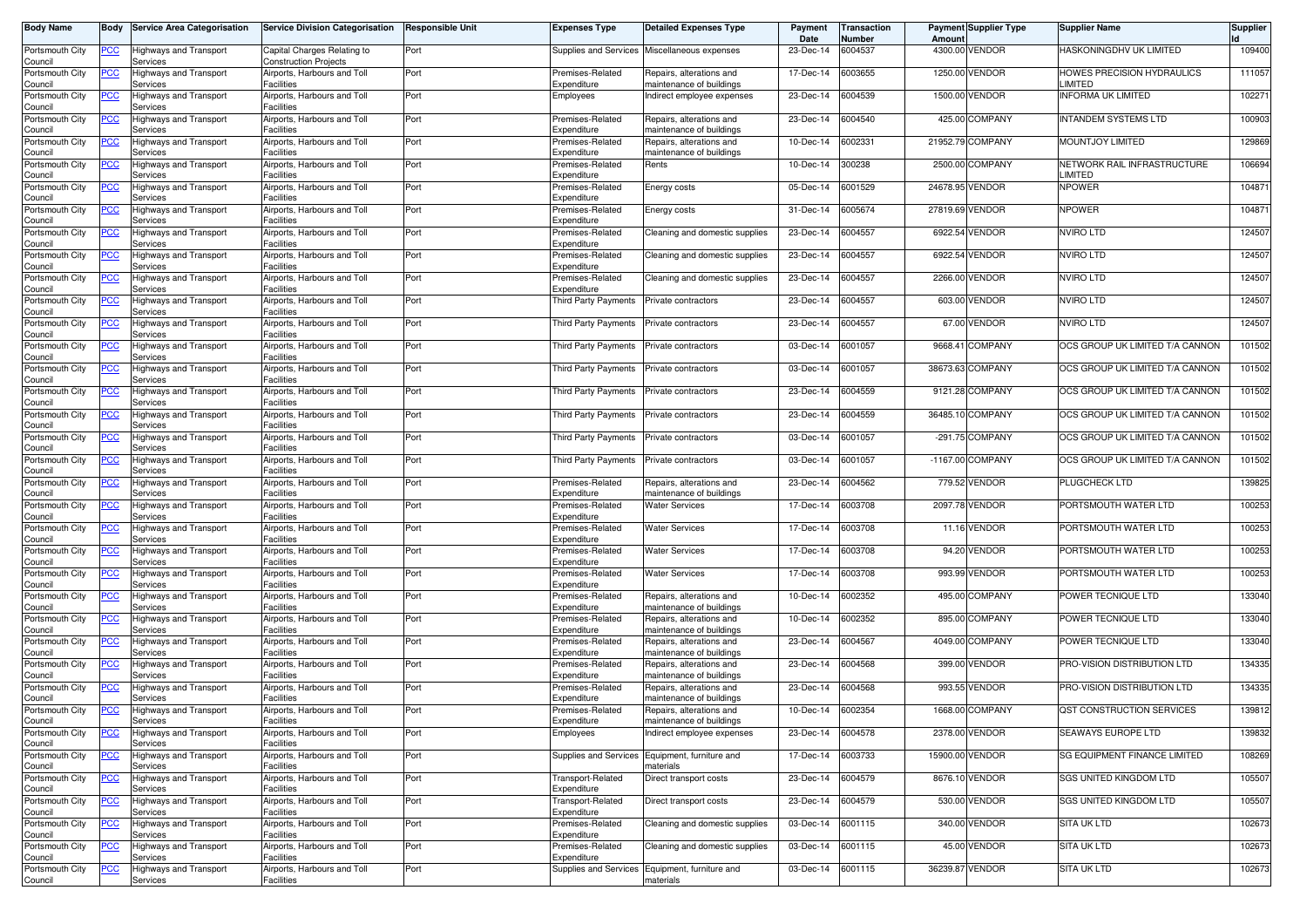| <b>Body Name</b>                      | Body           | <b>Service Area Categorisation</b>                    | <b>Service Division Categorisation</b>                         | <b>Responsible Unit</b> | <b>Expenses Type</b>                 | <b>Detailed Expenses Type</b>                          | Payment<br>Date | Transaction<br>Number | Amount          | <b>Payment Supplier Type</b> | <b>Supplier Name</b>                   | Supplier |
|---------------------------------------|----------------|-------------------------------------------------------|----------------------------------------------------------------|-------------------------|--------------------------------------|--------------------------------------------------------|-----------------|-----------------------|-----------------|------------------------------|----------------------------------------|----------|
| Portsmouth City<br>Council            | <u>PCC</u>     | Highways and Transport<br>Services                    | Capital Charges Relating to<br><b>Construction Projects</b>    | Port                    |                                      | Supplies and Services Miscellaneous expenses           | 23-Dec-14       | 6004537               |                 | 4300.00 VENDOR               | HASKONINGDHV UK LIMITED                | 109400   |
| Portsmouth City<br>Council            | <b>PCC</b>     | <b>Highways and Transport</b><br>Services             | Airports, Harbours and Toll<br>Facilities                      | Port                    | Premises-Related<br>Expenditure      | Repairs, alterations and<br>maintenance of buildings   | 17-Dec-14       | 6003655               |                 | 1250.00 VENDOR               | HOWES PRECISION HYDRAULICS<br>LIMITED  | 111057   |
| Portsmouth City<br>Council            | <u>PCC</u>     | Highways and Transport<br>Services                    | Airports, Harbours and Toll<br>Facilities                      | Port                    | Employees                            | Indirect employee expenses                             | 23-Dec-14       | 6004539               |                 | 1500.00 VENDOR               | <b>INFORMA UK LIMITED</b>              | 102271   |
| Portsmouth City<br>Council            | <b>PCC</b>     | Highways and Transport<br>Services                    | Airports, Harbours and Toll<br>Facilities                      | Port                    | Premises-Related<br>Expenditure      | Repairs, alterations and<br>maintenance of buildings   | 23-Dec-14       | 6004540               |                 | 425.00 COMPANY               | <b>INTANDEM SYSTEMS LTD</b>            | 100903   |
| Portsmouth City<br>Council            | <u>PCC</u>     | Highways and Transport<br>Services                    | Airports, Harbours and Toll<br>Facilities                      | Port                    | Premises-Related<br>Expenditure      | Repairs, alterations and<br>maintenance of buildings   | 10-Dec-14       | 6002331               |                 | 21952.79 COMPANY             | <b>MOUNTJOY LIMITED</b>                | 129869   |
| Portsmouth City<br>Council            | <u>PCC</u>     | Highways and Transport<br>Services                    | Airports, Harbours and Toll<br><b>Facilities</b>               | Port                    | Premises-Related<br>Expenditure      | Rents                                                  | 10-Dec-14       | 300238                |                 | 2500.00 COMPANY              | NETWORK RAIL INFRASTRUCTURE<br>LIMITED | 106694   |
| Portsmouth City<br>Council            | <u>PCC</u>     | Highways and Transport<br>Services                    | Airports, Harbours and Toll<br>Facilities                      | Port                    | Premises-Related<br>Expenditure      | Energy costs                                           | 05-Dec-14       | 6001529               |                 | 24678.95 VENDOR              | <b>NPOWER</b>                          | 104871   |
| Portsmouth City<br>Council            | <u>PCC</u>     | Highways and Transport<br>Services                    | Airports, Harbours and Toll<br>Facilities                      | Port                    | Premises-Related<br>Expenditure      | Energy costs                                           | 31-Dec-14       | 6005674               | 27819.69 VENDOR |                              | <b>NPOWER</b>                          | 104871   |
| Portsmouth City<br>Council            | <b>PCC</b>     | Highways and Transport<br>Services                    | Airports, Harbours and Toll<br><b>Facilities</b>               | Port                    | Premises-Related<br>Expenditure      | Cleaning and domestic supplies                         | 23-Dec-14       | 6004557               |                 | 6922.54 VENDOR               | <b>NVIRO LTD</b>                       | 124507   |
| Portsmouth City<br>Council            | <u>PCC</u>     | Highways and Transport<br>Services                    | Airports, Harbours and Toll<br><b>Facilities</b>               | Port                    | Premises-Related<br>Expenditure      | Cleaning and domestic supplies                         | 23-Dec-14       | 6004557               |                 | 6922.54 VENDOR               | <b>NVIRO LTD</b>                       | 124507   |
| Portsmouth City<br>Council            | <u>PCC</u>     | Highways and Transport<br>Services                    | Airports, Harbours and Toll<br>Facilities                      | Port                    | Premises-Related<br>Expenditure      | Cleaning and domestic supplies                         | 23-Dec-14       | 6004557               |                 | 2266.00 VENDOR               | <b>NVIRO LTD</b>                       | 124507   |
| Portsmouth City<br>Council            | <b>PCC</b>     | Highways and Transport<br>Services                    | Airports, Harbours and Toll<br>Facilities                      | Port                    | Third Party Payments                 | Private contractors                                    | 23-Dec-14       | 6004557               |                 | 603.00 VENDOR                | <b>NVIRO LTD</b>                       | 124507   |
| Portsmouth City                       | <u>PCC</u>     | Highways and Transport<br>Services                    | Airports, Harbours and Toll<br><b>Facilities</b>               | Port                    | Third Party Payments                 | Private contractors                                    | 23-Dec-14       | 6004557               |                 | 67.00 VENDOR                 | <b>NVIRO LTD</b>                       | 124507   |
| Council<br>Portsmouth City            | <u>PCC</u>     | Highways and Transport                                | Airports, Harbours and Toll                                    | Port                    | <b>Third Party Payments</b>          | Private contractors                                    | 03-Dec-14       | 6001057               | 9668.41         | <b>COMPANY</b>               | OCS GROUP UK LIMITED T/A CANNON        | 101502   |
| Council<br>Portsmouth City            | <u>PCC</u>     | Services<br><b>Highways and Transport</b>             | <b>Facilities</b><br>Airports, Harbours and Toll<br>Facilities | Port                    | Third Party Payments                 | Private contractors                                    | 03-Dec-14       | 6001057               |                 | 38673.63 COMPANY             | OCS GROUP UK LIMITED T/A CANNON        | 101502   |
| Council<br>Portsmouth City            | $\overline{C}$ | Services<br>Highways and Transport                    | Airports, Harbours and Toll                                    | Port                    | Third Party Payments                 | Private contractors                                    | 23-Dec-14       | 6004559               |                 | 9121.28 COMPANY              | OCS GROUP UK LIMITED T/A CANNON        | 101502   |
| Council<br>Portsmouth City            | <u>PCC</u>     | Services<br>Highways and Transport                    | Facilities<br>Airports, Harbours and Toll                      | Port                    | Third Party Payments                 | Private contractors                                    | 23-Dec-14       | 6004559               |                 | 36485.10 COMPANY             | OCS GROUP UK LIMITED T/A CANNON        | 101502   |
| Council<br>Portsmouth City            | <u>PCC</u>     | Services<br>Highways and Transport                    | <b>Facilities</b><br>Airports, Harbours and Toll               | Port                    | Third Party Payments                 | Private contractors                                    | 03-Dec-14       | 6001057               |                 | -291.75 COMPANY              | OCS GROUP UK LIMITED T/A CANNON        | 101502   |
| Council<br>Portsmouth City            | <u>PCC</u>     | Services<br>Highways and Transport                    | <b>Facilities</b><br>Airports, Harbours and Toll<br>Facilities | Port                    | Third Party Payments                 | Private contractors                                    | 03-Dec-14       | 6001057               |                 | -1167.00 COMPANY             | OCS GROUP UK LIMITED T/A CANNON        | 101502   |
| Council<br>Portsmouth City<br>Council | <b>PCC</b>     | Services<br><b>Highways and Transport</b><br>Services | Airports, Harbours and Toll<br><sup>=</sup> acilities          | Port                    | Premises-Related<br>Expenditure      | Repairs, alterations and<br>maintenance of buildings   | 23-Dec-14       | 6004562               |                 | 779.52 VENDOR                | PLUGCHECK LTD                          | 139825   |
| Portsmouth City<br>Council            | <u>PCC</u>     | Highways and Transport<br>Services                    | Airports, Harbours and Toll<br>Facilities                      | Port                    | Premises-Related<br>Expenditure      | <b>Water Services</b>                                  | 17-Dec-14       | 6003708               |                 | 2097.78 VENDOR               | PORTSMOUTH WATER LTD                   | 100253   |
| Portsmouth City                       | <u>PCC</u>     | Highways and Transport<br>Services                    | Airports, Harbours and Toll<br><b>Facilities</b>               | Port                    | Premises-Related<br>Expenditure      | <b>Water Services</b>                                  | 17-Dec-14       | 6003708               |                 | 11.16 VENDOR                 | PORTSMOUTH WATER LTD                   | 100253   |
| Council<br>Portsmouth City            | <u>PCC</u>     | Highways and Transport                                | Airports, Harbours and Toll<br><b>Facilities</b>               | Port                    | Premises-Related<br>Expenditure      | <b>Water Services</b>                                  | 17-Dec-14       | 6003708               |                 | 94.20 VENDOR                 | PORTSMOUTH WATER LTD                   | 100253   |
| Council<br>Portsmouth City<br>Council | <u>PCC</u>     | Services<br>Highways and Transport<br>Services        | Airports, Harbours and Toll<br>Facilities                      | Port                    | Premises-Related<br>Expenditure      | Water Services                                         | 17-Dec-14       | 6003708               |                 | 993.99 VENDOR                | PORTSMOUTH WATER LTD                   | 100253   |
| Portsmouth City                       | <b>PCC</b>     | Highways and Transport                                | Airports, Harbours and Toll                                    | Port                    | Premises-Related                     | Repairs, alterations and                               | 10-Dec-14       | 6002352               |                 | 495.00 COMPANY               | POWER TECNIQUE LTD                     | 133040   |
| Council<br>Portsmouth City            | <u>PCC</u>     | Services<br>Highways and Transport                    | Facilities<br>Airports, Harbours and Toll                      | Port                    | Expenditure<br>Premises-Related      | maintenance of buildings<br>Repairs, alterations and   | 10-Dec-14       | 6002352               |                 | 895.00 COMPANY               | POWER TECNIQUE LTD                     | 133040   |
| Council<br>Portsmouth City            | <u>PCC</u>     | Services<br>Highways and Transport                    | <b>Facilities</b><br>Airports, Harbours and Toll               | Port                    | Expenditure<br>Premises-Related      | maintenance of buildings<br>Repairs, alterations and   | 23-Dec-14       | 6004567               |                 | 4049.00 COMPANY              | POWER TECNIQUE LTD                     | 133040   |
| Council<br>Portsmouth City            | <u>PCC</u>     | Services<br>Highways and Transport                    | <b>Facilities</b><br>Airports, Harbours and Toll<br>Facilities | Port                    | Expenditure<br>Premises-Related      | maintenance of buildings<br>Repairs, alterations and   | 23-Dec-14       | 6004568               |                 | 399.00 VENDOR                | PRO-VISION DISTRIBUTION LTD            | 134335   |
| Council<br>Portsmouth City            | <b>PCC</b>     | Services<br>Highways and Transport                    | Airports, Harbours and Toll                                    | Port                    | Expenditure<br>Premises-Related      | maintenance of buildings<br>Repairs, alterations and   | 23-Dec-14       | 6004568               |                 | 993.55 VENDOR                | PRO-VISION DISTRIBUTION LTD            | 134335   |
| Council<br>Portsmouth City            | <u>PCC</u>     | Services<br><b>Highways and Transport</b>             | Facilities<br>Airports, Harbours and Toll                      | Port                    | Expenditure<br>Premises-Related      | maintenance of buildings<br>Repairs, alterations and   | 10-Dec-14       | 6002354               |                 | 1668.00 COMPANY              | QST CONSTRUCTION SERVICES              | 139812   |
| Council<br>Portsmouth City            | <u>PCC</u>     | pervices<br><b>Highways and Transport</b>             | Facilities<br>Airports, Harbours and Toll                      | Port                    | Expenditure<br>Employees             | naintenance of buildings<br>Indirect employee expenses | 23-Dec-14       | 6004578               |                 | 2378.00 VENDOR               | SEAWAYS EUROPE LTD                     | 139832   |
| Council<br>Portsmouth City            | <u>PCC</u>     | Services<br><b>Highways and Transport</b>             | Facilities<br>Airports, Harbours and Toll                      | Port                    | <b>Supplies and Services</b>         | Equipment, furniture and                               | 17-Dec-14       | 6003733               |                 | 15900.00 VENDOR              | SG EQUIPMENT FINANCE LIMITED           | 108269   |
| Council<br>Portsmouth City            | <u>PCC</u>     | Services<br>Highways and Transport                    | Facilities<br>Airports, Harbours and Toll                      | Port                    | Transport-Related                    | materials<br>Direct transport costs                    | 23-Dec-14       | 6004579               |                 | 8676.10 VENDOR               | SGS UNITED KINGDOM LTD                 | 105507   |
| Council<br>Portsmouth City            | <u>PCC</u>     | Services<br>Highways and Transport                    | Facilities<br>Airports, Harbours and Toll                      | Port                    | Expenditure<br>Transport-Related     | Direct transport costs                                 | 23-Dec-14       | 6004579               |                 | 530.00 VENDOR                | SGS UNITED KINGDOM LTD                 | 105507   |
| Council<br>Portsmouth City            | <u>PCC</u>     | Services<br>Highways and Transport                    | Facilities<br>Airports, Harbours and Toll                      | Port                    | Expenditure<br>Premises-Related      | Cleaning and domestic supplies                         | 03-Dec-14       | 6001115               |                 | 340.00 VENDOR                | <b>SITA UK LTD</b>                     | 102673   |
| Council<br>Portsmouth City            | <u>PCC</u>     | Services<br><b>Highways and Transport</b>             | Facilities<br>Airports, Harbours and Toll                      | Port                    | Expenditure<br>Premises-Related      | Cleaning and domestic supplies                         | 03-Dec-14       | 6001115               |                 | 45.00 VENDOR                 | <b>SITA UK LTD</b>                     | 102673   |
| Council<br>Portsmouth City            | <b>PCC</b>     | Services<br>Highways and Transport                    | Facilities<br>Airports, Harbours and Toll                      | Port                    | Expenditure<br>Supplies and Services | Equipment, furniture and                               | 03-Dec-14       | 6001115               |                 | 36239.87 VENDOR              | <b>SITA UK LTD</b>                     | 102673   |
| Council                               |                | Services                                              | Facilities                                                     |                         |                                      | materials                                              |                 |                       |                 |                              |                                        |          |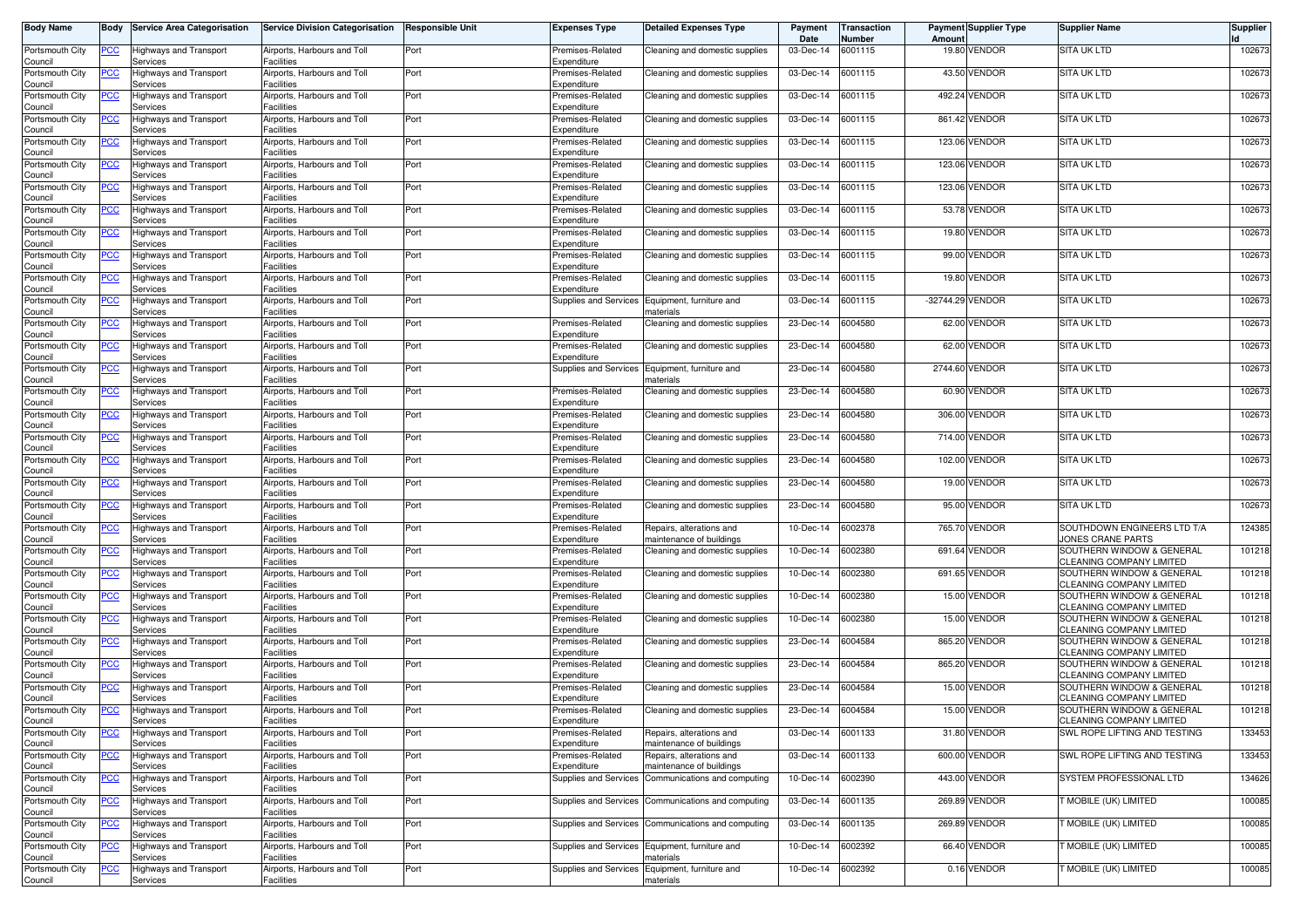| <b>Body Name</b>           | Body       | <b>Service Area Categorisation</b>        | <b>Service Division Categorisation</b>                | <b>Responsible Unit</b> | Expenses Type                        | <b>Detailed Expenses Type</b>                              | Payment<br>Date   | Transaction<br>Number | Amount           | <b>Payment Supplier Type</b> | <b>Supplier Name</b>                                     | <b>Supplier</b> |
|----------------------------|------------|-------------------------------------------|-------------------------------------------------------|-------------------------|--------------------------------------|------------------------------------------------------------|-------------------|-----------------------|------------------|------------------------------|----------------------------------------------------------|-----------------|
| Portsmouth City<br>Council | <u>PCC</u> | Highways and Transport<br>Services        | Airports, Harbours and Toll<br>Facilities             | Port                    | Premises-Related<br>Expenditure      | Cleaning and domestic supplies                             | 03-Dec-14         | 6001115               |                  | 19.80 VENDOR                 | <b>SITA UK LTD</b>                                       | 102673          |
| Portsmouth City<br>Council | <u>PCC</u> | Highways and Transport<br>Services        | Airports, Harbours and Toll<br>Facilities             | Port                    | Premises-Related<br>Expenditure      | Cleaning and domestic supplies                             | 03-Dec-14         | 6001115               |                  | 43.50 VENDOR                 | SITA UK LTD                                              | 102673          |
| Portsmouth City<br>Council | <u>PCC</u> | Highways and Transport<br>Services        | Airports, Harbours and Toll<br>Facilities             | Port                    | Premises-Related<br>Expenditure      | Cleaning and domestic supplies                             | 03-Dec-14         | 6001115               | 492.24           | VENDOR                       | <b>SITA UK LTD</b>                                       | 102673          |
| Portsmouth City<br>Council | <u>PCC</u> | Highways and Transport<br>Services        | Airports, Harbours and Toll<br><sup>=</sup> acilities | Port                    | Premises-Related<br>Expenditure      | Cleaning and domestic supplies                             | 03-Dec-14         | 6001115               |                  | 861.42 VENDOR                | <b>SITA UK LTD</b>                                       | 102673          |
| Portsmouth City<br>Council | <u>PCC</u> | Highways and Transport<br>Services        | Airports, Harbours and Toll<br>Facilities             | Port                    | Premises-Related<br>Expenditure      | Cleaning and domestic supplies                             | 03-Dec-14         | 6001115               |                  | 123.06 VENDOR                | <b>SITA UK LTD</b>                                       | 102673          |
| Portsmouth City<br>Council | <u>PCC</u> | Highways and Transport<br>Services        | Airports, Harbours and Toll<br>Facilities             | Port                    | Premises-Related<br>Expenditure      | Cleaning and domestic supplies                             | 03-Dec-14         | 6001115               |                  | 123.06 VENDOR                | SITA UK LTD                                              | 102673          |
| Portsmouth City<br>Council | <u>PCC</u> | Highways and Transport<br>Services        | Airports, Harbours and Toll<br>Facilities             | Port                    | Premises-Related<br>Expenditure      | Cleaning and domestic supplies                             | 03-Dec-14         | 6001115               |                  | 123.06 VENDOR                | SITA UK LTD                                              | 102673          |
| Portsmouth City<br>Council | <u>CC </u> | Highways and Transport<br>Services        | Airports, Harbours and Toll<br>Facilities             | Port                    | Premises-Related<br>Expenditure      | Cleaning and domestic supplies                             | 03-Dec-14         | 6001115               | 53.78            | <b>VENDOR</b>                | SITA UK LTD                                              | 102673          |
| Portsmouth City<br>Council | <u>PCC</u> | Highways and Transport<br>Services        | Airports, Harbours and Toll<br><b>Facilities</b>      | Port                    | Premises-Related<br>Expenditure      | Cleaning and domestic supplies                             | 03-Dec-14         | 6001115               |                  | 19.80 VENDOR                 | <b>SITA UK LTD</b>                                       | 102673          |
| Portsmouth City            | <u>PCC</u> | Highways and Transport<br>Services        | Airports, Harbours and Toll<br>Facilities             | Port                    | Premises-Related<br>Expenditure      | Cleaning and domestic supplies                             | 03-Dec-14         | 6001115               |                  | 99.00 VENDOR                 | <b>SITA UK LTD</b>                                       | 102673          |
| Council<br>Portsmouth City | <u>PCC</u> | <b>Highways and Transport</b>             | Airports, Harbours and Toll<br><sup>=</sup> acilities | Port                    | Premises-Related<br>Expenditure      | Cleaning and domestic supplies                             | 03-Dec-14         | 6001115               |                  | 19.80 VENDOR                 | <b>SITA UK LTD</b>                                       | 102673          |
| Council<br>Portsmouth City | <u>PCC</u> | Services<br>Highways and Transport        | Airports, Harbours and Toll                           | Port                    | Supplies and Services                | Equipment, furniture and                                   | 03-Dec-14         | 6001115               | -32744.29 VENDOR |                              | SITA UK LTD                                              | 102673          |
| Council<br>Portsmouth City | <u>PCC</u> | Services<br>Highways and Transport        | Facilities<br>Airports, Harbours and Toll             | Port                    | Premises-Related                     | naterials<br>Cleaning and domestic supplies                | 23-Dec-14         | 6004580               |                  | 62.00 VENDOR                 | <b>SITA UK LTD</b>                                       | 102673          |
| Council<br>Portsmouth City | <u>PCC</u> | Services<br>Highways and Transport        | Facilities<br>Airports, Harbours and Toll             | Port                    | Expenditure<br>Premises-Related      | Cleaning and domestic supplies                             | 23-Dec-14         | 6004580               |                  | 62.00 VENDOR                 | SITA UK LTD                                              | 102673          |
| Council<br>Portsmouth City | <u>PCC</u> | Services<br><b>Highways and Transport</b> | Facilities<br>Airports, Harbours and Toll             | Port                    | Expenditure<br>Supplies and Services | Equipment, furniture and                                   | 23-Dec-14         | 6004580               |                  | 2744.60 VENDOR               | SITA UK LTD                                              | 102673          |
| Council<br>Portsmouth City | <u>PCC</u> | Services<br><b>Highways and Transport</b> | Facilities<br>Airports, Harbours and Toll             | Port                    | Premises-Related                     | naterials<br>Cleaning and domestic supplies                | 23-Dec-14         | 6004580               |                  | 60.90 VENDOR                 | SITA UK LTD                                              | 102673          |
| Council<br>Portsmouth City | <u>PCC</u> | Services<br>Highways and Transport        | Facilities<br>Airports, Harbours and Toll             | Port                    | Expenditure<br>Premises-Related      | Cleaning and domestic supplies                             | 23-Dec-14         | 6004580               |                  | 306.00 VENDOR                | <b>SITA UK LTD</b>                                       | 102673          |
| Council<br>Portsmouth City | <u>PCC</u> | Services<br><b>Highways and Transport</b> | <b>Facilities</b><br>Airports, Harbours and Toll      | Port                    | Expenditure<br>Premises-Related      | Cleaning and domestic supplies                             | 23-Dec-14         | 6004580               |                  | 714.00 VENDOR                | SITA UK LTD                                              | 102673          |
| Council<br>Portsmouth City | <u>PCC</u> | Services<br>Highways and Transport        | Facilities<br>Airports, Harbours and Toll             | Port                    | Expenditure<br>Premises-Related      | Cleaning and domestic supplies                             | 23-Dec-14         | 6004580               | 102.00           | <b>VENDOR</b>                | <b>SITA UK LTD</b>                                       | 102673          |
| Council<br>Portsmouth City | <u>PCC</u> | Services<br>Highways and Transport        | <sup>=</sup> acilities<br>Airports, Harbours and Toll | Port                    | Expenditure<br>Premises-Related      | Cleaning and domestic supplies                             | 23-Dec-14         | 6004580               |                  | 19.00 VENDOR                 | <b>SITA UK LTD</b>                                       | 102673          |
| Council<br>Portsmouth City | <u>PCC</u> | Services<br>Highways and Transport        | <sup>=</sup> acilities<br>Airports, Harbours and Toll | Port                    | Expenditure<br>Premises-Related      | Cleaning and domestic supplies                             | 23-Dec-14         | 6004580               |                  | 95.00 VENDOR                 | <b>SITA UK LTD</b>                                       | 102673          |
| Council<br>Portsmouth City | <u>PCC</u> | Services<br>Highways and Transport        | Facilities<br>Airports, Harbours and Toll             | Port                    | Expenditure<br>Premises-Related      | Repairs, alterations and                                   | 10-Dec-14         | 6002378               |                  | 765.70 VENDOR                | SOUTHDOWN ENGINEERS LTD T/A                              | 124385          |
| Council<br>Portsmouth City | <u>PCC</u> | Services<br>Highways and Transport        | <b>Facilities</b><br>Airports, Harbours and Toll      | Port                    | Expenditure<br>Premises-Related      | maintenance of buildings<br>Cleaning and domestic supplies | 10-Dec-14         | 6002380               | 691.64           | <b>VENDOR</b>                | JONES CRANE PARTS<br>SOUTHERN WINDOW & GENERAL           | 101218          |
| Council<br>Portsmouth City | <u>PCC</u> | Services<br>Highways and Transport        | Facilities<br>Airports, Harbours and Toll             | Port                    | Expenditure<br>Premises-Related      | Cleaning and domestic supplies                             | 10-Dec-14         | 6002380               |                  | 691.65 VENDOR                | CLEANING COMPANY LIMITED<br>SOUTHERN WINDOW & GENERAL    | 101218          |
| Council<br>Portsmouth City | <u>PCC</u> | Services<br>Highways and Transport        | <sup>=</sup> acilities<br>Airports, Harbours and Toll | Port                    | Expenditure<br>Premises-Related      | Cleaning and domestic supplies                             | 10-Dec-14         | 6002380               |                  | 15.00 VENDOR                 | CLEANING COMPANY LIMITED<br>SOUTHERN WINDOW & GENERAL    | 101218          |
| Council<br>Portsmouth City | <u>PCC</u> | Services<br>Highways and Transport        | Facilities<br>Airports, Harbours and Toll             | Port                    | Expenditure<br>Premises-Related      | Cleaning and domestic supplies                             | 10-Dec-14         | 6002380               |                  | 15.00 VENDOR                 | CLEANING COMPANY LIMITED<br>SOUTHERN WINDOW & GENERAL    | 101218          |
| Council<br>Portsmouth City | <u>PCC</u> | Services<br>Highways and Transport        | <b>Facilities</b><br>Airports, Harbours and Toll      | Port                    | Expenditure<br>Premises-Related      | Cleaning and domestic supplies                             | 23-Dec-14         | 6004584               |                  | 865.20 VENDOR                | CLEANING COMPANY LIMITED<br>SOUTHERN WINDOW & GENERAL    | 101218          |
| Council<br>Portsmouth City | <u>PCC</u> | Services<br>Highways and Transport        | Facilities<br>Airports, Harbours and Toll             | Port                    | Expenditure<br>Premises-Related      | Cleaning and domestic supplies                             | 23-Dec-14         | 6004584               |                  | 865.20 VENDOR                | CLEANING COMPANY LIMITED<br>SOUTHERN WINDOW & GENERAL    | 101218          |
| Council<br>Portsmouth City | <u>PCC</u> | Services<br><b>Highways and Transport</b> | <sup>=</sup> acilities<br>Airports, Harbours and Toll | Port                    | Expenditure<br>Premises-Related      | Cleaning and domestic supplies                             | 23-Dec-14         | 6004584               |                  | 15.00 VENDOR                 | CLEANING COMPANY LIMITED<br>SOUTHERN WINDOW & GENERAL    | 101218          |
| Council<br>Portsmouth City | <u>PCC</u> | Services<br><b>Highways and Transport</b> | Facilities<br>Airports, Harbours and Toll             | Port                    | Expenditure<br>Premises-Related      | Cleaning and domestic supplies                             | 23-Dec-14         | 6004584               |                  | 15.00 VENDOR                 | CLEANING COMPANY LIMITED<br>SOUTHERN WINDOW & GENERAL    | 101218          |
| Council<br>Portsmouth City | <u>PCC</u> | pervices<br>Highways and Transport        | Facilities<br>Airports, Harbours and Toll             | Port                    | Expenditure<br>Premises-Related      | Repairs, alterations and                                   | 03-Dec-14         | 6001133               |                  | 31.80 VENDOR                 | CLEANING COMPANY LIMITED<br>SWL ROPE LIFTING AND TESTING | 133453          |
| Council<br>Portsmouth City | <u>PCC</u> | Services<br><b>Highways and Transport</b> | Facilities<br>Airports, Harbours and Toll             | Port                    | Expenditure<br>Premises-Related      | maintenance of buildings<br>Repairs, alterations and       | 03-Dec-14         | 6001133               |                  | 600.00 VENDOR                | SWL ROPE LIFTING AND TESTING                             | 133453          |
| Council<br>Portsmouth City | <u>PCC</u> | Services<br><b>Highways and Transport</b> | Facilities<br>Airports, Harbours and Toll             | Port                    | Expenditure<br>Supplies and Services | maintenance of buildings<br>Communications and computing   | 10-Dec-14         | 6002390               |                  | 443.00 VENDOR                | SYSTEM PROFESSIONAL LTD                                  | 134626          |
| Council<br>Portsmouth City | <u>PCC</u> | Services<br>Highways and Transport        | Facilities<br>Airports, Harbours and Toll             | Port                    | Supplies and Services                | Communications and computing                               | 03-Dec-14         | 6001135               |                  | 269.89 VENDOR                | T MOBILE (UK) LIMITED                                    | 100085          |
| Council<br>Portsmouth City | <u>PCC</u> | Services<br>Highways and Transport        | Facilities<br>Airports, Harbours and Toll             | Port                    |                                      | Supplies and Services Communications and computing         | 03-Dec-14 6001135 |                       |                  | 269.89 VENDOR                | T MOBILE (UK) LIMITED                                    | 100085          |
| Council<br>Portsmouth City | <u>PCC</u> | Services<br><b>Highways and Transport</b> | Facilities<br>Airports, Harbours and Toll             | Port                    | Supplies and Services                | Equipment, furniture and                                   | 10-Dec-14         | 6002392               |                  | 66.40 VENDOR                 | <b>T MOBILE (UK) LIMITED</b>                             | 100085          |
| Council<br>Portsmouth City | <b>PCC</b> | Services<br>Highways and Transport        | Facilities<br>Airports, Harbours and Toll             | Port                    | Supplies and Services                | naterials<br>Equipment, furniture and                      | 10-Dec-14 6002392 |                       |                  | 0.16 VENDOR                  | T MOBILE (UK) LIMITED                                    | 100085          |
| Council                    |            | Services                                  | Facilities                                            |                         |                                      | materials                                                  |                   |                       |                  |                              |                                                          |                 |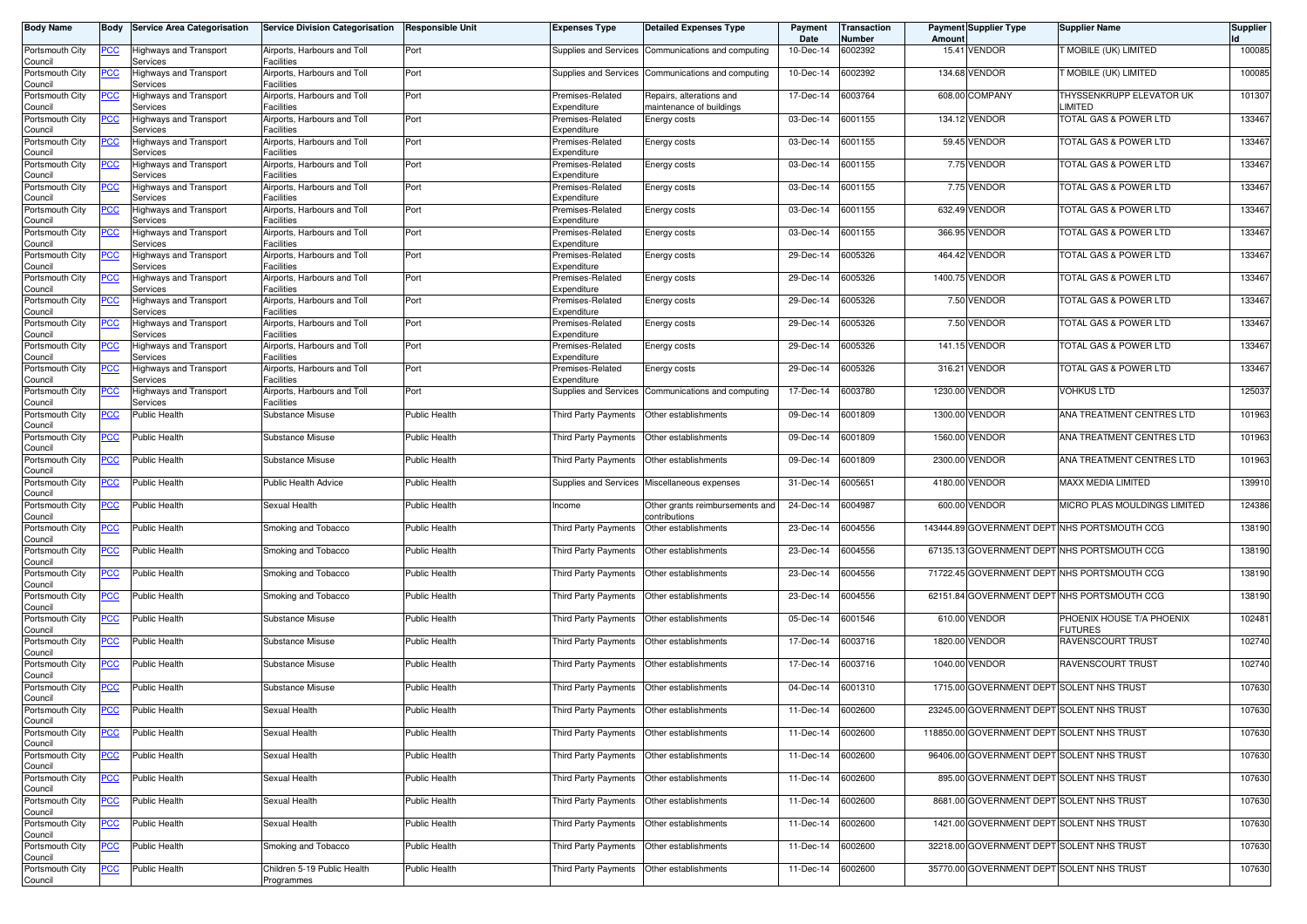| <b>Body Name</b>           | Body             | <b>Service Area Categorisation</b> | <b>Service Division Categorisation</b>           | <b>Responsible Unit</b> | Expenses Type                        | <b>Detailed Expenses Type</b>                        | Payment<br>Date | <b>Transaction</b><br>Number | Amount | <b>Payment Supplier Type</b>               | <b>Supplier Name</b>                         | Supplier |
|----------------------------|------------------|------------------------------------|--------------------------------------------------|-------------------------|--------------------------------------|------------------------------------------------------|-----------------|------------------------------|--------|--------------------------------------------|----------------------------------------------|----------|
| Portsmouth City<br>Council | <u>PCC</u>       | Highways and Transport<br>Services | Airports, Harbours and Toll<br>Facilities        | Port                    | Supplies and Services                | Communications and computing                         | 10-Dec-14       | 6002392                      |        | 15.41 VENDOR                               | T MOBILE (UK) LIMITED                        | 100085   |
| Portsmouth City<br>Council | <u>PCC</u>       | Highways and Transport<br>Services | Airports, Harbours and Toll<br>Facilities        | Port                    | Supplies and Services                | Communications and computing                         | 10-Dec-14       | 6002392                      |        | 134.68 VENDOR                              | T MOBILE (UK) LIMITED                        | 100085   |
| Portsmouth City<br>Council | PСC              | lighways and Transport<br>Services | Airports, Harbours and Toll<br>Facilities        | Port                    | Premises-Related<br>Expenditure      | Repairs, alterations and<br>naintenance of buildings | 17-Dec-14       | 6003764                      |        | 608.00 COMPANY                             | THYSSENKRUPP ELEVATOR UK<br>LIMITED          | 101307   |
| Portsmouth City<br>Council | ∍CC              | Highways and Transport<br>Services | Airports, Harbours and Toll<br>Facilities        | Port                    | Premises-Related<br>Expenditure      | Energy costs                                         | 03-Dec-14       | 6001155                      |        | 134.12 VENDOR                              | TOTAL GAS & POWER LTD                        | 133467   |
| Portsmouth City<br>Council | <u>PCC</u>       | Highways and Transport<br>Services | Airports, Harbours and Toll<br>Facilities        | Port                    | Premises-Related<br>Expenditure      | Energy costs                                         | 03-Dec-14       | 6001155                      |        | 59.45 VENDOR                               | TOTAL GAS & POWER LTD                        | 133467   |
| Portsmouth City<br>Council | <u>PCC</u>       | Highways and Transport<br>Services | Airports, Harbours and Toll<br><b>Facilities</b> | Port                    | Premises-Related<br>Expenditure      | Energy costs                                         | 03-Dec-14       | 6001155                      |        | 7.75 VENDOR                                | TOTAL GAS & POWER LTD                        | 133467   |
| Portsmouth City<br>Council | <u>PCC</u>       | Highways and Transport<br>Services | Airports, Harbours and Toll<br>Facilities        | Port                    | Premises-Related<br>Expenditure      | Energy costs                                         | 03-Dec-14       | 6001155                      |        | 7.75 VENDOR                                | <b>TOTAL GAS &amp; POWER LTD</b>             | 133467   |
| Portsmouth City<br>Council | <u>PCC</u>       | lighways and Transport<br>Services | Airports, Harbours and Toll<br>Facilities        | Port                    | Premises-Related<br>Expenditure      | Energy costs                                         | 03-Dec-14       | 6001155                      | 632.49 | VENDOR                                     | TOTAL GAS & POWER LTD                        | 133467   |
| Portsmouth City<br>Council | <u>PCC </u>      | Highways and Transport<br>Services | Airports, Harbours and Toll<br><b>Facilities</b> | Port                    | Premises-Related<br>Expenditure      | Energy costs                                         | 03-Dec-14       | 6001155                      |        | 366.95 VENDOR                              | TOTAL GAS & POWER LTD                        | 133467   |
| Portsmouth City<br>Council |                  | Highways and Transport<br>Services | Airports, Harbours and Toll<br><b>Facilities</b> | Port                    | Premises-Related<br>Expenditure      | Energy costs                                         | 29-Dec-14       | 6005326                      |        | 464.42 VENDOR                              | TOTAL GAS & POWER LTD                        | 133467   |
| Portsmouth City<br>Council | <u>PCC</u>       | Highways and Transport<br>Services | Airports, Harbours and Toll<br><b>Facilities</b> | Port                    | Premises-Related<br>Expenditure      | Energy costs                                         | 29-Dec-14       | 6005326                      |        | 1400.75 VENDOR                             | TOTAL GAS & POWER LTD                        | 133467   |
| Portsmouth City            | PСC              | lighways and Transport             | Airports, Harbours and Toll<br>Facilities        | Port                    | Premises-Related<br>Expenditure      | Energy costs                                         | 29-Dec-14       | 6005326                      |        | 7.50 VENDOR                                | TOTAL GAS & POWER LTD                        | 133467   |
| Council<br>Portsmouth City | <u>PCC</u>       | Services<br>Highways and Transport | Airports, Harbours and Toll                      | Port                    | Premises-Related                     | Energy costs                                         | 29-Dec-14       | 6005326                      |        | 7.50 VENDOR                                | <b>TOTAL GAS &amp; POWER LTD</b>             | 133467   |
| Council<br>Portsmouth City | PСC              | Services<br>Highways and Transport | Facilities<br>Airports, Harbours and Toll        | Port                    | Expenditure<br>Premises-Related      | Energy costs                                         | 29-Dec-14       | 6005326                      |        | 141.15 VENDOR                              | TOTAL GAS & POWER LTD                        | 133467   |
| Council<br>Portsmouth City | ∍сс              | Services<br>Highways and Transport | <b>Facilities</b><br>Airports, Harbours and Toll | Port                    | Expenditure<br>Premises-Related      | Energy costs                                         | 29-Dec-14       | 6005326                      |        | 316.21 VENDOR                              | <b>TOTAL GAS &amp; POWER LTD</b>             | 133467   |
| Council<br>Portsmouth City |                  | Services<br>Highways and Transport | Facilities<br>Airports, Harbours and Toll        | Port                    | Expenditure<br>Supplies and Services | Communications and computing                         | 17-Dec-14       | 6003780                      |        | 1230.00 VENDOR                             | VOHKUS LTD                                   | 125037   |
| Council<br>Portsmouth City | PСC              | Services<br>Public Health          | Facilities<br>Substance Misuse                   | <b>Public Health</b>    | Third Party Payments                 | Other establishments                                 | 09-Dec-14       | 6001809                      |        | 1300.00 VENDOR                             | ANA TREATMENT CENTRES LTD                    | 101963   |
| Council<br>Portsmouth City | <u>PCC</u>       | Public Health                      | Substance Misuse                                 | <b>Public Health</b>    | <b>Third Party Payments</b>          | Other establishments                                 | 09-Dec-14       | 6001809                      |        | 1560.00 VENDOR                             | ANA TREATMENT CENTRES LTD                    | 101963   |
| Council<br>Portsmouth City | PСC              | Public Health                      | Substance Misuse                                 | Public Health           | <b>Third Party Payments</b>          | Other establishments                                 | 09-Dec-14       | 6001809                      |        | 2300.00 VENDOR                             | ANA TREATMENT CENTRES LTD                    | 101963   |
| Council<br>Portsmouth City | <u>PCC</u>       | Public Health                      | Public Health Advice                             | <b>Public Health</b>    | Supplies and Services                | Miscellaneous expenses                               | 31-Dec-14       | 6005651                      |        | 4180.00 VENDOR                             | MAXX MEDIA LIMITED                           | 139910   |
| Council<br>Portsmouth City | <u>PCC</u>       | Public Health                      | Sexual Health                                    | <b>Public Health</b>    | ncome                                | Other grants reimbursements and                      | 24-Dec-14       | 6004987                      |        | 600.00 VENDOR                              | MICRO PLAS MOULDINGS LIMITED                 | 124386   |
| Council<br>Portsmouth City | $\overline{C}$   | Public Health                      | Smoking and Tobacco                              | <b>Public Health</b>    | Third Party Payments                 | :ontributions<br>Other establishments                | 23-Dec-14       | 6004556                      |        |                                            | 143444.89 GOVERNMENT DEPT NHS PORTSMOUTH CCG | 138190   |
| Council<br>Portsmouth City | <u>PCC</u>       | Public Health                      | Smoking and Tobacco                              | <b>Public Health</b>    | Third Party Payments                 | Other establishments                                 | 23-Dec-14       | 6004556                      |        |                                            | 67135.13 GOVERNMENT DEPT NHS PORTSMOUTH CCG  | 138190   |
| Council<br>Portsmouth City | <u>PCC</u>       | Public Health                      | Smoking and Tobacco                              | Public Health           | Third Party Payments                 | Other establishments                                 | 23-Dec-14       | 6004556                      |        |                                            | 71722.45 GOVERNMENT DEPT NHS PORTSMOUTH CCG  | 138190   |
| Council<br>Portsmouth City | <u>PCC</u>       | Public Health                      | Smoking and Tobacco                              | <b>Public Health</b>    | Third Party Payments                 | Other establishments                                 | 23-Dec-14       | 6004556                      |        |                                            | 62151.84 GOVERNMENT DEPT NHS PORTSMOUTH CCG  | 138190   |
| Council<br>Portsmouth City | $\overline{PCC}$ | <b>Public Health</b>               | Substance Misuse                                 | <b>Public Health</b>    | <b>Third Party Payments</b>          | Other establishments                                 | 05-Dec-14       | 6001546                      |        | 610.00 VENDOR                              | PHOENIX HOUSE T/A PHOENIX                    | 102481   |
| Council<br>Portsmouth City | <b>PCC</b>       | Public Health                      | Substance Misuse                                 | <b>Public Health</b>    | Third Party Payments                 | Other establishments                                 | 17-Dec-14       | 6003716                      |        | 1820.00 VENDOR                             | <b>FUTURES</b><br><b>RAVENSCOURT TRUST</b>   | 102740   |
| Council<br>Portsmouth City | <u>PCC</u>       | Public Health                      | Substance Misuse                                 | Public Health           | Third Party Payments                 | Other establishments                                 | 17-Dec-14       | 6003716                      |        | 1040.00 VENDOR                             | <b>RAVENSCOURT TRUST</b>                     | 102740   |
| Council<br>Portsmouth City | ∍CC              | Public Health                      | Substance Misuse                                 | <b>Public Health</b>    | Third Party Payments                 | Other establishments                                 | 04-Dec-14       | 6001310                      |        | 1715.00 GOVERNMENT DEPT SOLENT NHS TRUST   |                                              | 107630   |
| Council<br>Portsmouth City | <u>PCC</u>       | <b>Public Health</b>               | Sexual Health                                    | <b>Public Health</b>    | Third Party Payments                 | Other establishments                                 | 11-Dec-14       | 6002600                      |        | 23245.00 GOVERNMENT DEPT SOLENT NHS TRUST  |                                              | 107630   |
| Council<br>Portsmouth City | <b>PCC</b>       | Public Health                      | Sexual Health                                    | <b>Public Health</b>    | Third Party Payments                 | Other establishments                                 | 11-Dec-14       | 6002600                      |        | 118850.00 GOVERNMENT DEPT SOLENT NHS TRUST |                                              | 107630   |
| Council<br>Portsmouth City | <b>PCC</b>       | Public Health                      | Sexual Health                                    | Public Health           | Third Party Payments                 | Other establishments                                 | 11-Dec-14       | 6002600                      |        | 96406.00 GOVERNMENT DEPT SOLENT NHS TRUST  |                                              | 107630   |
| Council<br>Portsmouth City | <u>PCC</u>       | Public Health                      | Sexual Health                                    | <b>Public Health</b>    | Third Party Payments                 | Other establishments                                 | 11-Dec-14       | 6002600                      |        | 895.00 GOVERNMENT DEPT SOLENT NHS TRUST    |                                              | 107630   |
| Council<br>Portsmouth City | <u>PCC</u>       | Public Health                      | Sexual Health                                    | Public Health           | Third Party Payments                 | Other establishments                                 | 11-Dec-14       | 6002600                      |        | 8681.00 GOVERNMENT DEPT SOLENT NHS TRUST   |                                              | 107630   |
| Council<br>Portsmouth City | <u>PCC</u>       | Public Health                      | Sexual Health                                    | Public Health           | Third Party Payments                 | Other establishments                                 | 11-Dec-14       | 6002600                      |        | 1421.00 GOVERNMENT DEPT SOLENT NHS TRUST   |                                              | 107630   |
| Council<br>Portsmouth City | <u>PCC</u>       | Public Health                      | Smoking and Tobacco                              | Public Health           | Third Party Payments                 | Other establishments                                 | 11-Dec-14       | 6002600                      |        | 32218.00 GOVERNMENT DEPT SOLENT NHS TRUST  |                                              | 107630   |
| Council<br>Portsmouth City | <u>PCC</u>       | <b>Public Health</b>               | Children 5-19 Public Health                      | Public Health           | Third Party Payments                 | Other establishments                                 | 11-Dec-14       | 6002600                      |        | 35770.00 GOVERNMENT DEPT SOLENT NHS TRUST  |                                              | 107630   |
| Council                    |                  |                                    | Programmes                                       |                         |                                      |                                                      |                 |                              |        |                                            |                                              |          |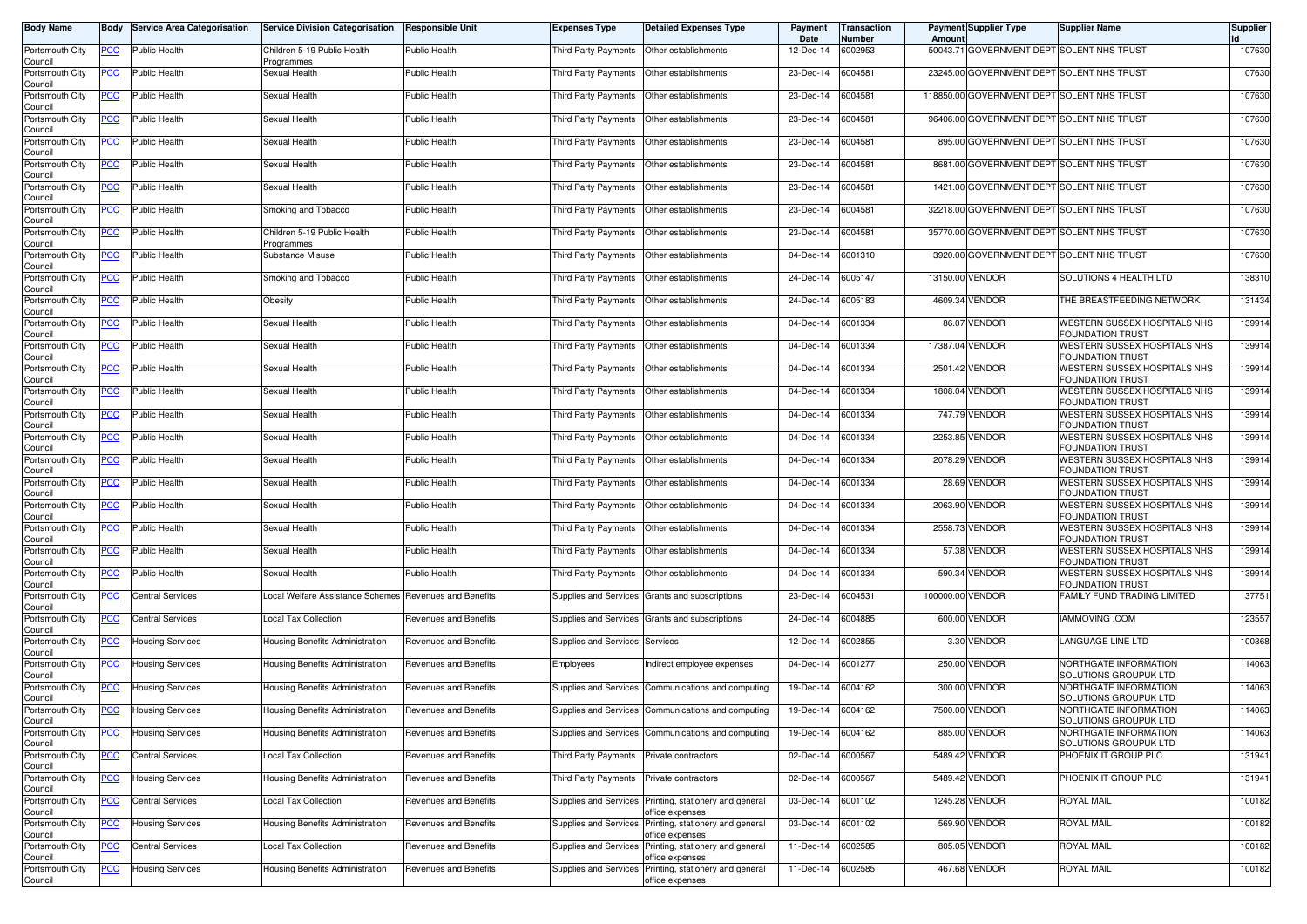| <b>Body Name</b>           | Body        | <b>Service Area Categorisation</b> | <b>Service Division Categorisation</b>                 | <b>Responsible Unit</b>      | <b>Expenses Type</b>           | <b>Detailed Expenses Type</b>                       | Payment<br>Date | Transaction<br>Number | Amoun            | <b>Payment Supplier Type</b>               | <b>Supplier Name</b>                                    | Supplier |
|----------------------------|-------------|------------------------------------|--------------------------------------------------------|------------------------------|--------------------------------|-----------------------------------------------------|-----------------|-----------------------|------------------|--------------------------------------------|---------------------------------------------------------|----------|
| Portsmouth City<br>Council | PCC         | <b>Public Health</b>               | Children 5-19 Public Health<br>Programmes              | <b>Public Health</b>         | Third Party Payments           | Other establishments                                | 12-Dec-14       | 6002953               |                  | 50043.71 GOVERNMENT DEPT SOLENT NHS TRUST  |                                                         | 107630   |
| Portsmouth City<br>Council | <u>PCC</u>  | Public Health                      | Sexual Health                                          | Public Health                | Third Party Payments           | Other establishments                                | 23-Dec-14       | 6004581               |                  | 23245.00 GOVERNMENT DEPT SOLENT NHS TRUST  |                                                         | 107630   |
| Portsmouth City<br>Council | <u>PCC</u>  | Public Health                      | Sexual Health                                          | Public Health                | Third Party Payments           | Other establishments                                | 23-Dec-14       | 6004581               |                  | 118850.00 GOVERNMENT DEPT SOLENT NHS TRUST |                                                         | 107630   |
| Portsmouth City<br>Council | <u>PCC</u>  | Public Health                      | Sexual Health                                          | Public Health                | Third Party Payments           | Other establishments                                | 23-Dec-14       | 6004581               |                  | 96406.00 GOVERNMENT DEPT SOLENT NHS TRUST  |                                                         | 107630   |
| Portsmouth City<br>Council | <u>PCC</u>  | <b>Public Health</b>               | Sexual Health                                          | <b>Public Health</b>         | <b>Third Party Payments</b>    | Other establishments                                | 23-Dec-14       | 6004581               | 895.00           | GOVERNMENT DEPT SOLENT NHS TRUST           |                                                         | 107630   |
| Portsmouth City<br>Council | <u>PCC </u> | Public Health                      | Sexual Health                                          | Public Health                | Third Party Payments           | Other establishments                                | 23-Dec-14       | 6004581               |                  | 8681.00 GOVERNMENT DEPT SOLENT NHS TRUST   |                                                         | 107630   |
| Portsmouth City<br>Council | <u>PCC</u>  | Public Health                      | Sexual Health                                          | Public Health                | Third Party Payments           | Other establishments                                | 23-Dec-14       | 6004581               | 1421.00          | <b>GOVERNMENT DEPT SOLENT NHS TRUST</b>    |                                                         | 107630   |
| Portsmouth City<br>Council | <u>PCC </u> | <b>Public Health</b>               | Smoking and Tobacco                                    | <b>Public Health</b>         | Third Party Payments           | Other establishments                                | 23-Dec-14       | 6004581               |                  | 32218.00 GOVERNMENT DEPT SOLENT NHS TRUST  |                                                         | 107630   |
| Portsmouth City<br>Council | <b>PCC</b>  | Public Health                      | Children 5-19 Public Health<br>Programmes              | Public Health                | Third Party Payments           | Other establishments                                | 23-Dec-14       | 6004581               |                  | 35770.00 GOVERNMENT DEPT SOLENT NHS TRUST  |                                                         | 107630   |
| Portsmouth City<br>Council | ∍сс         | Public Health                      | Substance Misuse                                       | Public Health                | Third Party Payments           | Other establishments                                | 04-Dec-14       | 6001310               |                  | 3920.00 GOVERNMENT DEPT SOLENT NHS TRUST   |                                                         | 107630   |
| Portsmouth City<br>Council | <u>PCC</u>  | Public Health                      | Smoking and Tobacco                                    | Public Health                | Third Party Payments           | Other establishments                                | 24-Dec-14       | 6005147               |                  | 13150.00 VENDOR                            | SOLUTIONS 4 HEALTH LTD                                  | 138310   |
| Portsmouth City<br>Council | <u>PCC</u>  | <b>Public Health</b>               | Obesity                                                | <b>Public Health</b>         | Third Party Payments           | Other establishments                                | 24-Dec-14       | 6005183               |                  | 4609.34 VENDOR                             | THE BREASTFEEDING NETWORK                               | 131434   |
| Portsmouth City<br>Council | PCC         | <b>Public Health</b>               | Sexual Health                                          | Public Health                | Third Party Payments           | Other establishments                                | 04-Dec-14       | 6001334               | 86.07            | <b>VENDOR</b>                              | WESTERN SUSSEX HOSPITALS NHS<br><b>FOUNDATION TRUST</b> | 139914   |
| Portsmouth City<br>Council | PCC         | Public Health                      | Sexual Health                                          | <b>Public Health</b>         | Third Party Payments           | Other establishments                                | 04-Dec-14       | 6001334               | 17387.04         | <b>VENDOR</b>                              | WESTERN SUSSEX HOSPITALS NHS<br><b>FOUNDATION TRUST</b> | 139914   |
| Portsmouth City<br>Council | PCC         | Public Health                      | Sexual Health                                          | Public Health                | Third Party Payments           | Other establishments                                | 04-Dec-14       | 6001334               |                  | 2501.42 VENDOR                             | WESTERN SUSSEX HOSPITALS NHS<br><b>FOUNDATION TRUST</b> | 139914   |
| Portsmouth City<br>Council | <u>PCC</u>  | Public Health                      | Sexual Health                                          | Public Health                | Third Party Payments           | Other establishments                                | 04-Dec-14       | 6001334               |                  | 1808.04 VENDOR                             | WESTERN SUSSEX HOSPITALS NHS<br><b>FOUNDATION TRUST</b> | 139914   |
| Portsmouth City<br>Council | PСC         | Public Health                      | Sexual Health                                          | Public Health                | Third Party Payments           | Other establishments                                | 04-Dec-14       | 6001334               |                  | 747.79 VENDOR                              | WESTERN SUSSEX HOSPITALS NHS<br><b>FOUNDATION TRUST</b> | 139914   |
| Portsmouth City<br>Council | PСC         | Public Health                      | Sexual Health                                          | Public Health                | Third Party Payments           | Other establishments                                | 04-Dec-14       | 6001334               | 2253.85          | <b>VENDOR</b>                              | WESTERN SUSSEX HOSPITALS NHS<br><b>FOUNDATION TRUST</b> | 139914   |
| Portsmouth City<br>Council | PCC         | Public Health                      | Sexual Health                                          | Public Health                | <b>Third Party Payments</b>    | Other establishments                                | 04-Dec-14       | 6001334               | 2078.29          | <b>VENDOR</b>                              | WESTERN SUSSEX HOSPITALS NHS<br><b>FOUNDATION TRUST</b> | 139914   |
| Portsmouth City<br>Council | <u>PCC</u>  | Public Health                      | Sexual Health                                          | Public Health                | Third Party Payments           | Other establishments                                | 04-Dec-14       | 6001334               |                  | 28.69 VENDOR                               | WESTERN SUSSEX HOSPITALS NHS<br><b>FOUNDATION TRUST</b> | 139914   |
| Portsmouth City<br>Council | <u>PCC</u>  | Public Health                      | Sexual Health                                          | <b>Public Health</b>         | <b>Third Party Payments</b>    | Other establishments                                | 04-Dec-14       | 6001334               | 2063.90          | <b>VENDOR</b>                              | WESTERN SUSSEX HOSPITALS NHS<br><b>FOUNDATION TRUST</b> | 139914   |
| Portsmouth City<br>Council | <u>PCC</u>  | Public Health                      | Sexual Health                                          | <b>Public Health</b>         | Third Party Payments           | Other establishments                                | 04-Dec-14       | 6001334               | 2558.73          | <b>VENDOR</b>                              | WESTERN SUSSEX HOSPITALS NHS<br><b>FOUNDATION TRUST</b> | 139914   |
| Portsmouth City<br>Council | <u>PCC</u>  | Public Health                      | Sexual Health                                          | <b>Public Health</b>         | Third Party Payments           | Other establishments                                | 04-Dec-14       | 6001334               |                  | 57.38 VENDOR                               | WESTERN SUSSEX HOSPITALS NHS<br><b>FOUNDATION TRUST</b> | 139914   |
| Portsmouth City<br>Council | <u>PCC</u>  | Public Health                      | Sexual Health                                          | Public Health                | Third Party Payments           | Other establishments                                | 04-Dec-14       | 6001334               |                  | -590.34 VENDOR                             | WESTERN SUSSEX HOSPITALS NHS<br><b>FOUNDATION TRUST</b> | 139914   |
| Portsmouth City<br>Council | <u>PCC</u>  | <b>Central Services</b>            | Local Welfare Assistance Schemes Revenues and Benefits |                              | Supplies and Services          | Grants and subscriptions                            | 23-Dec-14       | 6004531               | 100000.00 VENDOR |                                            | FAMILY FUND TRADING LIMITED                             | 137751   |
| Portsmouth City<br>Council | <b>PCC</b>  | <b>Central Services</b>            | Local Tax Collection                                   | Revenues and Benefits        |                                | Supplies and Services Grants and subscriptions      | 24-Dec-14       | 6004885               |                  | 600.00 VENDOR                              | IAMMOVING .COM                                          | 123557   |
| Portsmouth City<br>Council | <u>PCC</u>  | <b>Housing Services</b>            | Housing Benefits Administration                        | Revenues and Benefits        | Supplies and Services Services |                                                     | 12-Dec-14       | 6002855               |                  | 3.30 VENDOR                                | LANGUAGE LINE LTD                                       | 100368   |
| Portsmouth City<br>Council | <u>PCC</u>  | <b>Housing Services</b>            | Housing Benefits Administration                        | Revenues and Benefits        | Employees                      | Indirect employee expenses                          | 04-Dec-14       | 6001277               | 250.00           | <b>VENDOR</b>                              | NORTHGATE INFORMATION<br>SOLUTIONS GROUPUK LTD          | 114063   |
| Portsmouth City<br>Council | <u>PCC</u>  | <b>Housing Services</b>            | Housing Benefits Administration                        | Revenues and Benefits        | Supplies and Services          | Communications and computing                        | 19-Dec-14       | 6004162               |                  | 300.00 VENDOR                              | NORTHGATE INFORMATION<br>SOLUTIONS GROUPUK LTD          | 114063   |
| Portsmouth City<br>Council | <u>PCC</u>  | <b>Housing Services</b>            | Housing Benefits Administration                        | <b>Revenues and Benefits</b> |                                | Supplies and Services Communications and computing  | 19-Dec-14       | 6004162               | 7500.00          | <b>VENDOR</b>                              | NORTHGATE INFORMATION<br>SOLUTIONS GROUPUK LTD          | 114063   |
| Portsmouth City<br>Council | <b>PCC</b>  | <b>Housing Services</b>            | Housing Benefits Administration                        | Revenues and Benefits        | Supplies and Services          | Communications and computing                        | 19-Dec-14       | 6004162               |                  | 885.00 VENDOR                              | NORTHGATE INFORMATION<br>SOLUTIONS GROUPUK LTD          | 114063   |
| Portsmouth City<br>Council | <b>PCC</b>  | <b>Central Services</b>            | Local Tax Collection                                   | Revenues and Benefits        | Third Party Payments           | Private contractors                                 | 02-Dec-14       | 6000567               |                  | 5489.42 VENDOR                             | PHOENIX IT GROUP PLC                                    | 131941   |
| Portsmouth City<br>Council | <u>PCC</u>  | <b>Housing Services</b>            | Housing Benefits Administration                        | Revenues and Benefits        | Third Party Payments           | Private contractors                                 | 02-Dec-14       | 6000567               |                  | 5489.42 VENDOR                             | PHOENIX IT GROUP PLC                                    | 131941   |
| Portsmouth City<br>Council | <b>PCC</b>  | <b>Central Services</b>            | Local Tax Collection                                   | Revenues and Benefits        | Supplies and Services          | Printing, stationery and general<br>office expenses | 03-Dec-14       | 6001102               |                  | 1245.28 VENDOR                             | <b>ROYAL MAIL</b>                                       | 100182   |
| Portsmouth City<br>Council |             | <b>Housing Services</b>            | Housing Benefits Administration                        | Revenues and Benefits        | Supplies and Services          | Printing, stationery and general<br>office expenses | 03-Dec-14       | 6001102               |                  | 569.90 VENDOR                              | ROYAL MAIL                                              | 100182   |
| Portsmouth City<br>Council | <u>PCC</u>  | Central Services                   | Local Tax Collection                                   | Revenues and Benefits        | Supplies and Services          | Printing, stationery and general<br>office expenses | 11-Dec-14       | 6002585               |                  | 805.05 VENDOR                              | ROYAL MAIL                                              | 100182   |
| Portsmouth City<br>Council | <u>PCC</u>  | <b>Housing Services</b>            | Housing Benefits Administration                        | Revenues and Benefits        | Supplies and Services          | Printing, stationery and general<br>office expenses | 11-Dec-14       | 6002585               |                  | 467.68 VENDOR                              | <b>ROYAL MAIL</b>                                       | 100182   |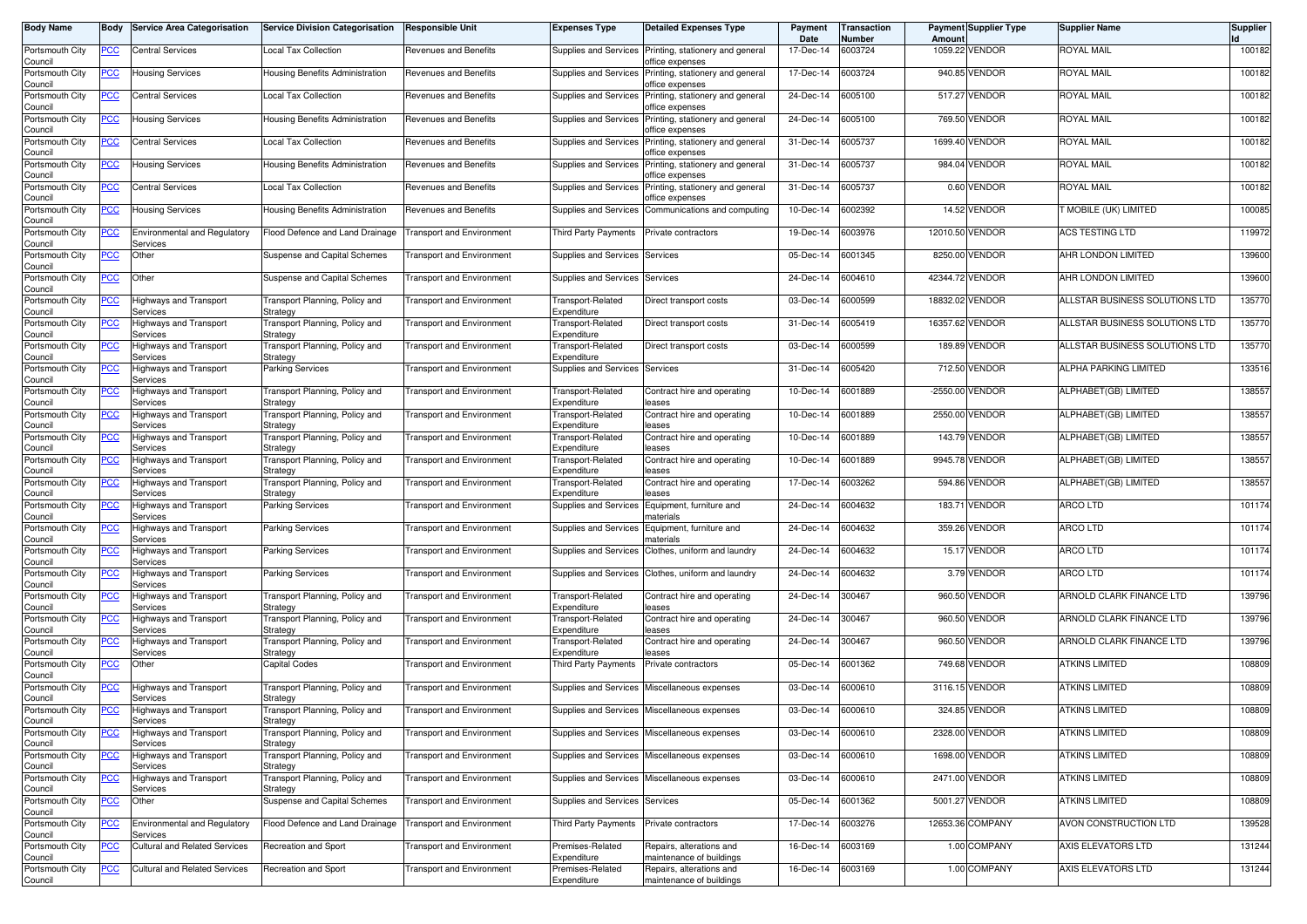| <b>Body Name</b>           | Body       | <b>Service Area Categorisation</b>               | <b>Service Division Categorisation</b>            | <b>Responsible Unit</b>          | <b>Expenses Type</b>                       | <b>Detailed Expenses Type</b>                                          | Payment<br>Date | <b>Transaction</b><br>Number | Amount | <b>Payment Supplier Type</b> | <b>Supplier Name</b>           | <b>Supplier</b> |
|----------------------------|------------|--------------------------------------------------|---------------------------------------------------|----------------------------------|--------------------------------------------|------------------------------------------------------------------------|-----------------|------------------------------|--------|------------------------------|--------------------------------|-----------------|
| Portsmouth City<br>Council | PCC        | Central Services                                 | Local Tax Collection                              | Revenues and Benefits            | Supplies and Services                      | Printing, stationery and general<br>office expenses                    | 17-Dec-14       | 6003724                      |        | 1059.22 VENDOR               | ROYAL MAIL                     | 100182          |
| Portsmouth City<br>Council | <u>PCC</u> | Housing Services                                 | <b>Housing Benefits Administration</b>            | Revenues and Benefits            | Supplies and Services                      | Printing, stationery and general<br>office expenses                    | 17-Dec-14       | 6003724                      |        | 940.85 VENDOR                | ROYAL MAIL                     | 100182          |
| Portsmouth City<br>Council | <b>PCC</b> | <b>Central Services</b>                          | Local Tax Collection                              | Revenues and Benefits            | Supplies and Services                      | Printing, stationery and general<br>iffice expenses                    | 24-Dec-14       | 6005100                      |        | 517.27 VENDOR                | ROYAL MAIL                     | 100182          |
| Portsmouth City<br>Council | <u>PCC</u> | <b>Housing Services</b>                          | Housing Benefits Administration                   | Revenues and Benefits            | <b>Supplies and Services</b>               | Printing, stationery and general<br>office expenses                    | 24-Dec-14       | 6005100                      |        | 769.50 VENDOR                | ROYAL MAIL                     | 100182          |
| Portsmouth City<br>Council | <u>PCC</u> | <b>Central Services</b>                          | <b>Local Tax Collection</b>                       | <b>Revenues and Benefits</b>     | Supplies and Services                      | Printing, stationery and general                                       | 31-Dec-14       | 6005737                      |        | 1699.40 VENDOR               | ROYAL MAIL                     | 100182          |
| Portsmouth City            | <u>PCC</u> | <b>Housing Services</b>                          | Housing Benefits Administration                   | Revenues and Benefits            | <b>Supplies and Services</b>               | iffice expenses<br>Printing, stationery and general<br>office expenses | 31-Dec-14       | 6005737                      |        | 984.04 VENDOR                | ROYAL MAIL                     | 100182          |
| Council<br>Portsmouth City | <b>PCC</b> | <b>Central Services</b>                          | Local Tax Collection                              | <b>Revenues and Benefits</b>     | <b>Supplies and Services</b>               | Printing, stationery and general                                       | 31-Dec-14       | 6005737                      |        | 0.60 VENDOR                  | ROYAL MAIL                     | 100182          |
| Council<br>Portsmouth City | <u>PCC</u> | <b>Housing Services</b>                          | Housing Benefits Administration                   | <b>Revenues and Benefits</b>     | Supplies and Services                      | office expenses<br>Communications and computing                        | 10-Dec-14       | 6002392                      |        | 14.52 VENDOR                 | T MOBILE (UK) LIMITED          | 100085          |
| Council<br>Portsmouth City | <u>PCC</u> | Environmental and Regulatory                     | Flood Defence and Land Drainage                   | <b>Transport and Environment</b> | Third Party Payments                       | Private contractors                                                    | 19-Dec-14       | 6003976                      |        | 12010.50 VENDOR              | ACS TESTING LTD                | 119972          |
| Council<br>Portsmouth City | <u>PCC</u> | Services<br>Other                                | Suspense and Capital Schemes                      | <b>Transport and Environment</b> | Supplies and Services                      | Services                                                               | 05-Dec-14       | 6001345                      |        | 8250.00 VENDOR               | AHR LONDON LIMITED             | 139600          |
| Council<br>Portsmouth City | <u>PCC</u> | Other                                            | Suspense and Capital Schemes                      | <b>Transport and Environment</b> | <b>Supplies and Services</b>               | Services                                                               | 24-Dec-14       | 6004610                      |        | 42344.72 VENDOR              | AHR LONDON LIMITED             | 139600          |
| Council<br>Portsmouth City | <u>PCC</u> | Highways and Transport                           | Transport Planning, Policy and                    | <b>Transport and Environment</b> | Transport-Related                          | Direct transport costs                                                 | 03-Dec-14       | 6000599                      |        | 18832.02 VENDOR              | ALLSTAR BUSINESS SOLUTIONS LTD | 135770          |
| Council<br>Portsmouth City | <u>PCC</u> | Services<br>Highways and Transport               | Strategy<br>Transport Planning, Policy and        | <b>Transport and Environment</b> | Expenditure<br>Transport-Related           | Direct transport costs                                                 | 31-Dec-14       | 6005419                      |        | 16357.62 VENDOR              | ALLSTAR BUSINESS SOLUTIONS LTD | 135770          |
| Council<br>Portsmouth City | <u>PCC</u> | Services<br>lighways and Transport               | Strategy<br>Fransport Planning, Policy and        | <b>Transport and Environment</b> | Expenditure<br>Transport-Related           | Direct transport costs                                                 | 03-Dec-14       | 6000599                      |        | 189.89 VENDOR                | ALLSTAR BUSINESS SOLUTIONS LTD | 135770          |
| Council<br>Portsmouth City | <u>PCC</u> | Services<br>Highways and Transport               | Strategy<br>Parking Services                      | <b>Transport and Environment</b> | Expenditure<br>Supplies and Services       | Services                                                               | 31-Dec-14       | 6005420                      |        | 712.50 VENDOR                | ALPHA PARKING LIMITED          | 133516          |
| Council<br>Portsmouth City | <u>PCC</u> | Services<br>Highways and Transport               | Transport Planning, Policy and                    | <b>Transport and Environment</b> | Transport-Related                          | Contract hire and operating                                            | 10-Dec-14       | 6001889                      |        | -2550.00 VENDOR              | ALPHABET(GB) LIMITED           | 138557          |
| Council<br>Portsmouth City | <u>PCC</u> | Services<br>Highways and Transport               | Strategy<br>Fransport Planning, Policy and        | <b>Transport and Environment</b> | Expenditure<br>Transport-Related           | eases<br>Contract hire and operating                                   | 10-Dec-14       | 6001889                      |        | 2550.00 VENDOR               | ALPHABET(GB) LIMITED           | 138557          |
| Council<br>Portsmouth City | <u>PCC</u> | Services<br>Highways and Transport               | Strategy<br>Transport Planning, Policy and        | <b>Transport and Environment</b> | Expenditure<br>Transport-Related           | eases<br>Contract hire and operating                                   | 10-Dec-14       | 6001889                      |        | 143.79 VENDOR                | ALPHABET(GB) LIMITED           | 138557          |
| Council<br>Portsmouth City | <u>PCC</u> | Services<br>lighways and Transport               | Strategy<br><b>Fransport Planning, Policy and</b> | <b>Transport and Environment</b> | Expenditure<br><b>Transport-Related</b>    | eases<br>Contract hire and operating                                   | 10-Dec-14       | 6001889                      |        | 9945.78 VENDOR               | ALPHABET(GB) LIMITED           | 138557          |
| Council<br>Portsmouth City | <u>PCC</u> | Services<br>Highways and Transport               | Strategy<br>Transport Planning, Policy and        | <b>Transport and Environment</b> | Expenditure<br><b>Transport-Related</b>    | eases<br>Contract hire and operating                                   | 17-Dec-14       | 6003262                      |        | 594.86 VENDOR                | ALPHABET(GB) LIMITED           | 138557          |
| Council<br>Portsmouth City | <u>PCC</u> | Services<br>Highways and Transport               | Strategy<br><b>Parking Services</b>               | <b>Transport and Environment</b> | Expenditure<br>Supplies and Services       | eases<br>Equipment, furniture and                                      | 24-Dec-14       | 6004632                      | 183.71 | <b>VENDOR</b>                | <b>ARCO LTD</b>                | 101174          |
| Council<br>Portsmouth City | <u>PCC</u> | Services<br>Highways and Transport               | <b>Parking Services</b>                           | <b>Transport and Environment</b> | Supplies and Services                      | naterials<br>Equipment, furniture and                                  | 24-Dec-14       | 6004632                      |        | 359.26 VENDOR                | <b>ARCO LTD</b>                | 101174          |
| Council<br>Portsmouth City | <u>PCC</u> | Services<br>lighways and Transport               | <b>Parking Services</b>                           | <b>Transport and Environment</b> | Supplies and Services                      | materials<br>Clothes, uniform and laundry                              | 24-Dec-14       | 6004632                      |        | 15.17 VENDOR                 | <b>ARCO LTD</b>                | 101174          |
| Council<br>Portsmouth City | <u>PCC</u> | Services<br>Highways and Transport               | <b>Parking Services</b>                           | <b>Transport and Environment</b> | Supplies and Services                      | Clothes, uniform and laundry                                           | 24-Dec-14       | 6004632                      |        | 3.79 VENDOR                  | ARCO LTD                       | 101174          |
| Council<br>Portsmouth City | <u>PCC</u> | Services<br>Highways and Transport               | Transport Planning, Policy and                    | <b>Transport and Environment</b> | Transport-Related                          | Contract hire and operating                                            | 24-Dec-14       | 300467                       |        | 960.50 VENDOR                | ARNOLD CLARK FINANCE LTD       | 139796          |
| Council<br>Portsmouth City | <u>PCC</u> | Services<br>Highways and Transport               | Strategy<br>Transport Planning, Policy and        | <b>Transport and Environment</b> | Expenditure<br>Transport-Related           | leases<br>Contract hire and operating                                  | 24-Dec-14       | 300467                       |        | 960.50 VENDOR                | ARNOLD CLARK FINANCE LTD       | 139796          |
| Council<br>Portsmouth City | <u>PCC</u> | Services<br>Highways and Transport               | Strategy<br>Transport Planning, Policy and        | <b>Transport and Environment</b> | Expenditure<br>Transport-Related           | eases<br>Contract hire and operating                                   | 24-Dec-14       | 300467                       |        | 960.50 VENDOR                | ARNOLD CLARK FINANCE LTD       | 139796          |
| Council<br>Portsmouth City | <b>PCC</b> | Services<br>Other                                | Strategy<br><b>Capital Codes</b>                  | <b>Transport and Environment</b> | Expenditure<br><b>Third Party Payments</b> | eases<br>Private contractors                                           | 05-Dec-14       | 6001362                      |        | 749.68 VENDOR                | <b>ATKINS LIMITED</b>          | 108809          |
| Council<br>Portsmouth City | <u>PCC</u> | Highways and Transport                           | Transport Planning, Policy and                    | <b>Transport and Environment</b> | Supplies and Services                      | Miscellaneous expenses                                                 | 03-Dec-14       | 6000610                      |        | 3116.15 VENDOR               | ATKINS LIMITED                 | 108809          |
| Council<br>Portsmouth City | <u>PCC</u> | Services<br>Highways and Transport               | Strategy<br>Transport Planning, Policy and        | <b>Transport and Environment</b> | Supplies and Services                      | Miscellaneous expenses                                                 | 03-Dec-14       | 6000610                      |        | 324.85 VENDOR                | <b>ATKINS LIMITED</b>          | 108809          |
| Council<br>Portsmouth City | <u>PCC</u> | <b>HIVICES</b><br>Highways and Transport         | Strategy<br>Transport Planning, Policy and        | <b>Transport and Environment</b> |                                            | Supplies and Services Miscellaneous expenses                           | 03-Dec-14       | 6000610                      |        | 2328.00 VENDOR               | ATKINS LIMITED                 | 108809          |
| Council<br>Portsmouth City | <u>PCC</u> | Services<br>Highways and Transport               | Strategy<br>Transport Planning, Policy and        | <b>Transport and Environment</b> |                                            | Supplies and Services Miscellaneous expenses                           | 03-Dec-14       | 6000610                      |        | 1698.00 VENDOR               | <b>ATKINS LIMITED</b>          | 108809          |
| Council<br>Portsmouth City | <u>PCC</u> | Services<br>Highways and Transport               | Strategy<br>Transport Planning, Policy and        | <b>Transport and Environment</b> |                                            | Supplies and Services Miscellaneous expenses                           | 03-Dec-14       | 6000610                      |        | 2471.00 VENDOR               | ATKINS LIMITED                 | 108809          |
| Council<br>Portsmouth City | <u>PCC</u> | Services<br>Other                                | Strategy<br>Suspense and Capital Schemes          | <b>Transport and Environment</b> | Supplies and Services                      | Services                                                               | 05-Dec-14       | 6001362                      |        | 5001.27 VENDOR               | <b>ATKINS LIMITED</b>          | 108809          |
| Council<br>Portsmouth City | <b>PCC</b> | <b>Environmental and Regulatory</b>              | Flood Defence and Land Drainage                   | <b>Transport and Environment</b> | Third Party Payments                       | Private contractors                                                    | 17-Dec-14       | 6003276                      |        | 12653.36 COMPANY             | AVON CONSTRUCTION LTD          | 139528          |
| Council<br>Portsmouth City | <u>PCC</u> | Services<br><b>Cultural and Related Services</b> | Recreation and Sport                              | <b>Transport and Environment</b> | Premises-Related                           | Repairs, alterations and                                               | 16-Dec-14       | 6003169                      |        | 1.00 COMPANY                 | AXIS ELEVATORS LTD             | 131244          |
| Council<br>Portsmouth City | <u>PCC</u> | Cultural and Related Services                    | Recreation and Sport                              | Transport and Environment        | Expenditure<br>Premises-Related            | maintenance of buildings<br>Repairs, alterations and                   | 16-Dec-14       | 6003169                      |        | 1.00 COMPANY                 | AXIS ELEVATORS LTD             | 131244          |
| Council                    |            |                                                  |                                                   |                                  | Expenditure                                | maintenance of buildings                                               |                 |                              |        |                              |                                |                 |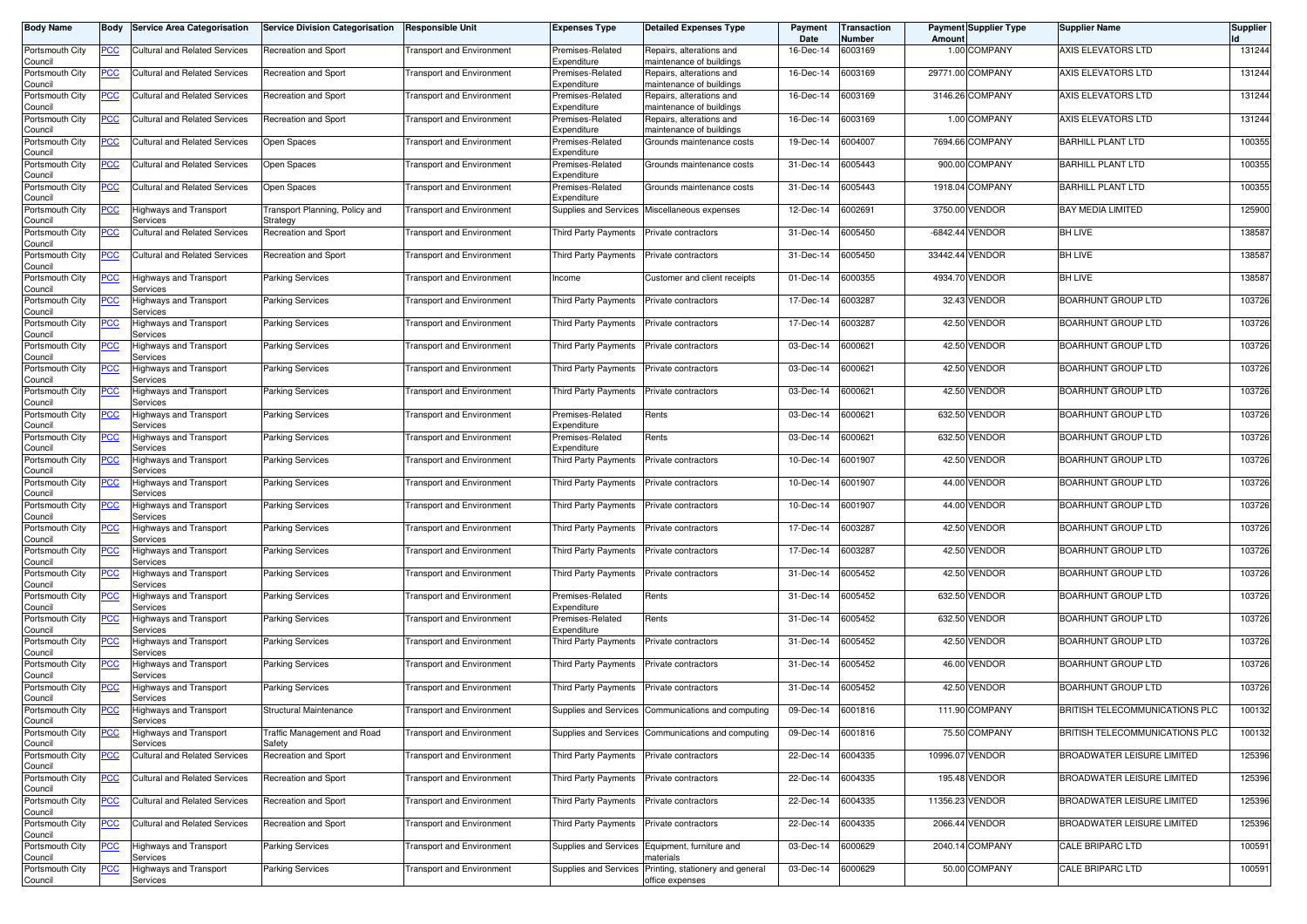| <b>Body Name</b>           | Body           | <b>Service Area Categorisation</b>               | <b>Service Division Categorisation</b>     | <b>Responsible Unit</b>          | Expenses Type                              | <b>Detailed Expenses Type</b>                        | Payment<br>Date | Transaction<br>Number | Amoun   | <b>Payment Supplier Type</b> | <b>Supplier Name</b>              | <b>Supplier</b> |
|----------------------------|----------------|--------------------------------------------------|--------------------------------------------|----------------------------------|--------------------------------------------|------------------------------------------------------|-----------------|-----------------------|---------|------------------------------|-----------------------------------|-----------------|
| Portsmouth City<br>Council | <u>PCC</u>     | Cultural and Related Services                    | Recreation and Sport                       | <b>Transport and Environment</b> | Premises-Related<br>Expenditure            | Repairs, alterations and<br>naintenance of buildings | 16-Dec-14       | 6003169               |         | 1.00 COMPANY                 | AXIS ELEVATORS LTD                | 131244          |
| Portsmouth City<br>Council | <u>PCC</u>     | Cultural and Related Services                    | Recreation and Sport                       | <b>Transport and Environment</b> | Premises-Related<br>Expenditure            | Repairs, alterations and<br>maintenance of buildings | 16-Dec-14       | 6003169               |         | 29771.00 COMPANY             | AXIS ELEVATORS LTD                | 131244          |
| Portsmouth City<br>Council | <u>PCC</u>     | Cultural and Related Services                    | Recreation and Sport                       | <b>Transport and Environment</b> | Premises-Related<br>Expenditure            | Repairs, alterations and<br>naintenance of buildings | 16-Dec-14       | 6003169               |         | 3146.26 COMPANY              | AXIS ELEVATORS LTD                | 131244          |
| Portsmouth City<br>Council | <b>PCC</b>     | <b>Cultural and Related Services</b>             | Recreation and Sport                       | Transport and Environment        | Premises-Related<br>Expenditure            | Repairs, alterations and<br>maintenance of buildings | 16-Dec-14       | 6003169               |         | 1.00 COMPANY                 | AXIS ELEVATORS LTD                | 131244          |
| Portsmouth City<br>Council | <u>PCC</u>     | <b>Cultural and Related Services</b>             | Open Spaces                                | <b>Transport and Environment</b> | Premises-Related<br>Expenditure            | Grounds maintenance costs                            | 19-Dec-14       | 6004007               |         | 7694.66 COMPANY              | <b>BARHILL PLANT LTD</b>          | 100355          |
| Portsmouth City<br>Council | <u>PCC</u>     | Cultural and Related Services                    | Open Spaces                                | <b>Transport and Environment</b> | Premises-Related<br>Expenditure            | Grounds maintenance costs                            | 31-Dec-14       | 6005443               |         | 900.00 COMPANY               | <b>BARHILL PLANT LTD</b>          | 100355          |
| Portsmouth City<br>Council | <u>PCC</u>     | <b>Cultural and Related Services</b>             | Open Spaces                                | <b>Transport and Environment</b> | Premises-Related<br>Expenditure            | Grounds maintenance costs                            | 31-Dec-14       | 6005443               |         | 1918.04 COMPANY              | <b>BARHILL PLANT LTD</b>          | 100355          |
| Portsmouth City<br>Council | <u>PCC</u>     | Highways and Transport<br>Services               | Fransport Planning, Policy and<br>Strategy | <b>Transport and Environment</b> | Supplies and Services                      | Miscellaneous expenses                               | 12-Dec-14       | 6002691               | 3750.00 | <b>VENDOR</b>                | BAY MEDIA LIMITED                 | 125900          |
| Portsmouth City            | <u>PCC</u>     | Cultural and Related Services                    | Recreation and Sport                       | <b>Transport and Environment</b> | <b>Third Party Payments</b>                | Private contractors                                  | 31-Dec-14       | 6005450               |         | -6842.44 VENDOR              | <b>BH LIVE</b>                    | 138587          |
| Council<br>Portsmouth City | <u>PCC</u>     | <b>Cultural and Related Services</b>             | Recreation and Sport                       | <b>Transport and Environment</b> | Third Party Payments                       | Private contractors                                  | 31-Dec-14       | 6005450               |         | 33442.44 VENDOR              | <b>BH LIVE</b>                    | 138587          |
| Council<br>Portsmouth City | <u>PCC</u>     | Highways and Transport                           | Parking Services                           | <b>Transport and Environment</b> | ncome                                      | Customer and client receipts                         | 01-Dec-14       | 6000355               |         | 4934.70 VENDOR               | BH LIVE                           | 138587          |
| Council<br>Portsmouth City | <b>PCC</b>     | Services<br>Highways and Transport               | <b>Parking Services</b>                    | Transport and Environment        | Third Party Payments                       | Private contractors                                  | 17-Dec-14       | 6003287               |         | 32.43 VENDOR                 | <b>BOARHUNT GROUP LTD</b>         | 103726          |
| Council<br>Portsmouth City | <u>PCC</u>     | Services<br>Highways and Transport               | <b>Parking Services</b>                    | <b>Transport and Environment</b> | Third Party Payments                       | Private contractors                                  | 17-Dec-14       | 6003287               |         | 42.50 VENDOR                 | <b>BOARHUNT GROUP LTD</b>         | 103726          |
| Council<br>Portsmouth City | <u>PCC</u>     | Services<br>Highways and Transport               | <b>Parking Services</b>                    | <b>Transport and Environment</b> | Third Party Payments                       | Private contractors                                  | 03-Dec-14       | 6000621               |         | 42.50 VENDOR                 | <b>BOARHUNT GROUP LTD</b>         | 103726          |
| Council<br>Portsmouth City | <u>PCC</u>     | Services<br>Highways and Transport               | <b>Parking Services</b>                    | <b>Transport and Environment</b> | Third Party Payments                       | Private contractors                                  | 03-Dec-14       | 6000621               |         | 42.50 VENDOR                 | BOARHUNT GROUP LTD                | 103726          |
| Council<br>Portsmouth City | <u>PCC</u>     | Services<br>Highways and Transport               | <b>Parking Services</b>                    | <b>Transport and Environment</b> | Third Party Payments                       | Private contractors                                  | 03-Dec-14       | 6000621               |         | 42.50 VENDOR                 | BOARHUNT GROUP LTD                | 103726          |
| Council<br>Portsmouth City | <u>PCC</u>     | Services<br>Highways and Transport               | <b>Parking Services</b>                    | <b>Transport and Environment</b> | Premises-Related                           | Rents                                                | 03-Dec-14       | 6000621               |         | 632.50 VENDOR                | <b>BOARHUNT GROUP LTD</b>         | 103726          |
| Council<br>Portsmouth City | <u>PCC</u>     | Services<br>Highways and Transport               | <b>Parking Services</b>                    | <b>Transport and Environment</b> | Expenditure<br>Premises-Related            | Rents                                                | 03-Dec-14       | 6000621               |         | 632.50 VENDOR                | <b>BOARHUNT GROUP LTD</b>         | 103726          |
| Council<br>Portsmouth City | <u>PCC</u>     | Services<br>Highways and Transport               | <b>Parking Services</b>                    | <b>Transport and Environment</b> | Expenditure<br><b>Third Party Payments</b> | Private contractors                                  | 10-Dec-14       | 6001907               |         | 42.50 VENDOR                 | <b>BOARHUNT GROUP LTD</b>         | 103726          |
| Council<br>Portsmouth City | <u>PCC</u>     | Services<br>Highways and Transport               | Parking Services                           | Transport and Environment        | Third Party Payments                       | Private contractors                                  | 10-Dec-14       | 6001907               |         | 44.00 VENDOR                 | BOARHUNT GROUP LTD                | 103726          |
| Council<br>Portsmouth City | <u>PCC</u>     | Services<br>Highways and Transport               | <b>Parking Services</b>                    | <b>Transport and Environment</b> | Third Party Payments                       | Private contractors                                  | 10-Dec-14       | 6001907               |         | 44.00 VENDOR                 | BOARHUNT GROUP LTD                | 103726          |
| Council<br>Portsmouth City | <u>PCC</u>     | Services<br>Highways and Transport               | <b>Parking Services</b>                    | <b>Transport and Environment</b> | Third Party Payments                       | Private contractors                                  | 17-Dec-14       | 6003287               |         | 42.50 VENDOR                 | BOARHUNT GROUP LTD                | 103726          |
| Council<br>Portsmouth City | <u>PCC</u>     | Services<br>Highways and Transport               | <b>Parking Services</b>                    | <b>Transport and Environment</b> | Third Party Payments                       | Private contractors                                  | 17-Dec-14       | 6003287               |         | 42.50 VENDOR                 | <b>BOARHUNT GROUP LTD</b>         | 103726          |
| Council<br>Portsmouth City | <u>PCC</u>     | Services<br>Highways and Transport               | <b>Parking Services</b>                    | <b>Transport and Environment</b> | Third Party Payments                       | Private contractors                                  | 31-Dec-14       | 6005452               |         | 42.50 VENDOR                 | BOARHUNT GROUP LTD                | 103726          |
| Council<br>Portsmouth City | <u>PCC</u>     | Services<br>Highways and Transport               | <b>Parking Services</b>                    | <b>Transport and Environment</b> | Premises-Related                           | Rents                                                | 31-Dec-14       | 6005452               |         | 632.50 VENDOR                | BOARHUNT GROUP LTD                | 103726          |
| Council<br>Portsmouth City | <u>PCC</u>     | Services<br>Highways and Transport               | <b>Parking Services</b>                    | <b>Transport and Environment</b> | Expenditure<br>Premises-Related            | Rents                                                | 31-Dec-14       | 6005452               |         | 632.50 VENDOR                | BOARHUNT GROUP LTD                | 103726          |
| Council<br>Portsmouth City | <u>PCC</u>     | Services<br>Highways and Transport               | <b>Parking Services</b>                    | <b>Transport and Environment</b> | Expenditure<br><b>Third Party Payments</b> | Private contractors                                  | 31-Dec-14       | 6005452               |         | 42.50 VENDOR                 | <b>BOARHUNT GROUP LTD</b>         | 103726          |
| Council<br>Portsmouth City | <u>PCC</u>     | Services<br>Highways and Transport               | <b>Parking Services</b>                    | <b>Transport and Environment</b> | Third Party Payments                       | Private contractors                                  | 31-Dec-14       | 6005452               |         | 46.00 VENDOR                 | <b>BOARHUNT GROUP LTD</b>         | 103726          |
| Council<br>Portsmouth City | <u>PCC</u>     | Services<br>Highways and Transport               | Parking Services                           | Transport and Environment        | Third Party Payments                       | Private contractors                                  | 31-Dec-14       | 6005452               |         | 42.50 VENDOR                 | BOARHUNT GROUP LTD                | 103726          |
| Council<br>Portsmouth City | <u>PCC</u>     | Services<br>Highways and Transport               | Structural Maintenance                     | <b>Transport and Environment</b> | Supplies and Services                      | Communications and computing                         | 09-Dec-14       | 6001816               |         | 111.90 COMPANY               | BRITISH TELECOMMUNICATIONS PLC    | 100132          |
| Council<br>Portsmouth City | <u>PCC</u>     | pervices<br>Highways and Transport               | Traffic Management and Road                | <b>Transport and Environment</b> | Supplies and Services                      | Communications and computing                         | 09-Dec-14       | 6001816               |         | 75.50 COMPANY                | BRITISH TELECOMMUNICATIONS PLC    | 100132          |
| Council<br>Portsmouth City | <u>PCC</u>     | Services<br><b>Cultural and Related Services</b> | Safety<br>Recreation and Sport             | <b>Transport and Environment</b> | Third Party Payments                       | Private contractors                                  | 22-Dec-14       | 6004335               |         | 10996.07 VENDOR              | BROADWATER LEISURE LIMITED        | 125396          |
| Council<br>Portsmouth City | $\overline{C}$ | <b>Cultural and Related Services</b>             | Recreation and Sport                       | <b>Transport and Environment</b> | Third Party Payments                       | Private contractors                                  | 22-Dec-14       | 6004335               |         | 195.48 VENDOR                | BROADWATER LEISURE LIMITED        | 125396          |
| Council<br>Portsmouth City | <u>PCC</u>     | <b>Cultural and Related Services</b>             | Recreation and Sport                       | <b>Transport and Environment</b> | Third Party Payments                       | Private contractors                                  | 22-Dec-14       | 6004335               |         | 11356.23 VENDOR              | <b>BROADWATER LEISURE LIMITED</b> | 125396          |
| Council<br>Portsmouth City | <u>PCC</u>     | <b>Cultural and Related Services</b>             | Recreation and Sport                       | <b>Transport and Environment</b> | Third Party Payments                       | Private contractors                                  | $22$ -Dec-14    | 6004335               |         | 2066.44 VENDOR               | BROADWATER LEISURE LIMITED        | 125396          |
| Council<br>Portsmouth City | <u>PCC</u>     | <b>Highways and Transport</b>                    | <b>Parking Services</b>                    | <b>Transport and Environment</b> | <b>Supplies and Services</b>               | Equipment, furniture and                             | 03-Dec-14       | 6000629               |         | 2040.14 COMPANY              | CALE BRIPARC LTD                  | 100591          |
| Council                    |                | Services<br><b>Highways and Transport</b>        |                                            |                                  | <b>Supplies and Services</b>               | naterials<br>Printing, stationery and general        | 03-Dec-14       | 6000629               |         | 50.00 COMPANY                | <b>CALE BRIPARC LTD</b>           | 100591          |
| Portsmouth City<br>Council | <b>PCC</b>     | Services                                         | <b>Parking Services</b>                    | <b>Transport and Environment</b> |                                            | office expenses                                      |                 |                       |         |                              |                                   |                 |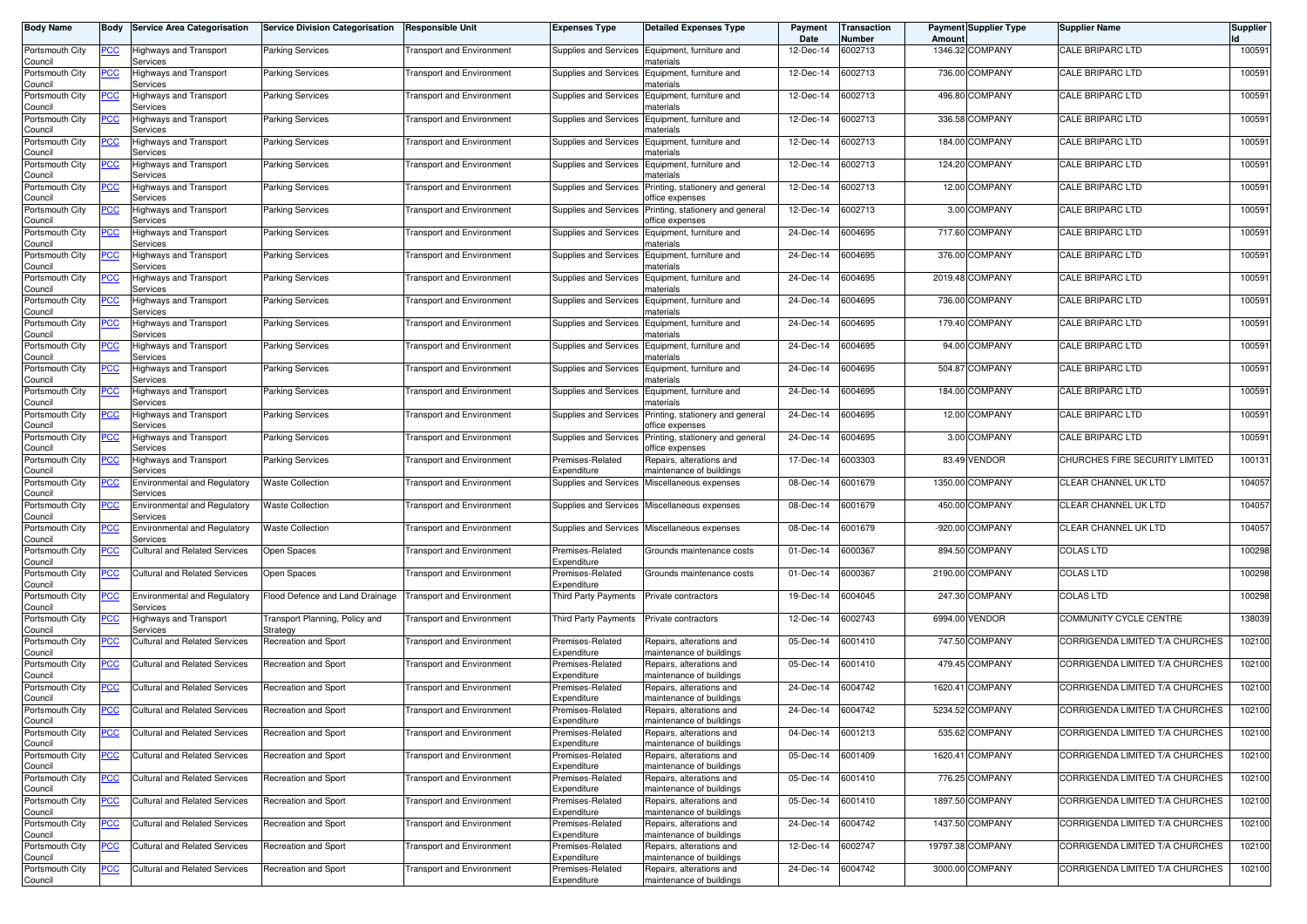| <b>Body Name</b>           | Body       | <b>Service Area Categorisation</b>              | <b>Service Division Categorisation</b>     | <b>Responsible Unit</b>          | <b>Expenses Type</b>            | <b>Detailed Expenses Type</b>                        | Payment<br>Date | Transaction<br>Number | Amount  | <b>Payment Supplier Type</b> | <b>Supplier Name</b>            | Supplier |
|----------------------------|------------|-------------------------------------------------|--------------------------------------------|----------------------------------|---------------------------------|------------------------------------------------------|-----------------|-----------------------|---------|------------------------------|---------------------------------|----------|
| Portsmouth City<br>Council | <u>PCC</u> | Highways and Transport<br>Services              | <b>Parking Services</b>                    | <b>Transport and Environment</b> | Supplies and Services           | Equipment, furniture and<br>naterials                | 12-Dec-14       | 6002713               |         | 1346.32 COMPANY              | <b>CALE BRIPARC LTD</b>         | 100591   |
| Portsmouth City<br>Council | <u>PCC</u> | <b>Highways and Transport</b><br>Services       | <b>Parking Services</b>                    | <b>Transport and Environment</b> | Supplies and Services           | Equipment, furniture and<br>naterials                | 12-Dec-14       | 6002713               |         | 736.00 COMPANY               | <b>CALE BRIPARC LTD</b>         | 100591   |
| Portsmouth City<br>Council | <b>PCC</b> | <b>Highways and Transport</b><br>Services       | <b>Parking Services</b>                    | <b>Transport and Environment</b> | Supplies and Services           | Equipment, furniture and<br>าaterials                | 12-Dec-14       | 6002713               | 496.80  | <b>COMPANY</b>               | <b>CALE BRIPARC LTD</b>         | 100591   |
| Portsmouth City<br>Council | <u>PCC</u> | Highways and Transport<br>Services              | Parking Services                           | <b>Transport and Environment</b> | Supplies and Services           | Equipment, furniture and<br>naterials                | 12-Dec-14       | 6002713               |         | 336.58 COMPANY               | <b>CALE BRIPARC LTD</b>         | 100591   |
| Portsmouth City<br>Council | <u>PCC</u> | Highways and Transport<br>Services              | <b>Parking Services</b>                    | <b>Fransport and Environment</b> | Supplies and Services           | Equipment, furniture and<br>naterials                | 12-Dec-14       | 6002713               | 184.00  | <b>COMPANY</b>               | <b>CALE BRIPARC LTD</b>         | 100591   |
| Portsmouth City<br>Council | <u>PCC</u> | <b>Highways and Transport</b><br>Services       | <b>Parking Services</b>                    | <b>Fransport and Environment</b> | Supplies and Services           | Equipment, furniture and<br>naterials                | 12-Dec-14       | 6002713               |         | 124.20 COMPANY               | <b>CALE BRIPARC LTD</b>         | 100591   |
| Portsmouth City<br>Council | <u>PCC</u> | <b>Highways and Transport</b><br>Services       | <b>Parking Services</b>                    | <b>Transport and Environment</b> | Supplies and Services           | Printing, stationery and general<br>office expenses  | 12-Dec-14       | 6002713               |         | 12.00 COMPANY                | <b>CALE BRIPARC LTD</b>         | 100591   |
| Portsmouth City<br>Council | <u>PCC</u> | Highways and Transport<br>Services              | <b>Parking Services</b>                    | <b>Transport and Environment</b> | Supplies and Services           | Printing, stationery and general<br>office expenses  | 12-Dec-14       | 6002713               |         | 3.00 COMPANY                 | <b>CALE BRIPARC LTD</b>         | 100591   |
| Portsmouth City<br>Council | <u>PCC</u> | <b>Highways and Transport</b><br>Services       | Parking Services                           | <b>Transport and Environment</b> | Supplies and Services           | Equipment, furniture and<br>naterials                | 24-Dec-14       | 6004695               |         | 717.60 COMPANY               | <b>CALE BRIPARC LTD</b>         | 100591   |
| Portsmouth City<br>Council | <u>PCC</u> | Highways and Transport<br>Services              | <b>Parking Services</b>                    | <b>Transport and Environment</b> | Supplies and Services           | Equipment, furniture and<br>าaterials                | 24-Dec-14       | 6004695               | 376.00  | <b>COMPANY</b>               | <b>CALE BRIPARC LTD</b>         | 100591   |
| Portsmouth City<br>Council | <b>PCC</b> | Highways and Transport<br>Services              | Parking Services                           | <b>Transport and Environment</b> | Supplies and Services           | Equipment, furniture and<br>าaterials                | 24-Dec-14       | 6004695               |         | 2019.48 COMPANY              | <b>CALE BRIPARC LTD</b>         | 100591   |
| Portsmouth City<br>Council | <u>PCC</u> | Highways and Transport<br>Services              | <b>Parking Services</b>                    | <b>Transport and Environment</b> | Supplies and Services           | Equipment, furniture and<br>าaterials                | 24-Dec-14       | 6004695               | 736.00  | <b>COMPANY</b>               | <b>CALE BRIPARC LTD</b>         | 100591   |
| Portsmouth City<br>Council | <u>PCC</u> | Highways and Transport<br>Services              | Parking Services                           | <b>Transport and Environment</b> | Supplies and Services           | Equipment, furniture and<br>naterials                | 24-Dec-14       | 6004695               | 179.40  | <b>COMPANY</b>               | <b>CALE BRIPARC LTD</b>         | 100591   |
| Portsmouth City<br>Council | <b>PCC</b> | Highways and Transport<br>Services              | <b>Parking Services</b>                    | <b>Fransport and Environment</b> | Supplies and Services           | Equipment, furniture and<br>naterials                | 24-Dec-14       | 6004695               |         | 94.00 COMPANY                | <b>CALE BRIPARC LTD</b>         | 100591   |
| Portsmouth City<br>Council | <u>PCC</u> | Highways and Transport<br>Services              | <b>Parking Services</b>                    | <b>Transport and Environment</b> | Supplies and Services           | Equipment, furniture and<br>naterials                | 24-Dec-14       | 6004695               | 504.87  | <b>COMPANY</b>               | <b>CALE BRIPARC LTD</b>         | 100591   |
| Portsmouth City<br>Council | <u>PCC</u> | Highways and Transport<br>Services              | <b>Parking Services</b>                    | <b>Transport and Environment</b> | Supplies and Services           | Equipment, furniture and<br>naterials                | 24-Dec-14       | 6004695               |         | 184.00 COMPANY               | <b>CALE BRIPARC LTD</b>         | 100591   |
| Portsmouth City<br>Council | <u>PCC</u> | Highways and Transport<br>Services              | <b>Parking Services</b>                    | <b>Transport and Environment</b> | Supplies and Services           | Printing, stationery and general<br>office expenses  | 24-Dec-14       | 6004695               |         | 12.00 COMPANY                | <b>CALE BRIPARC LTD</b>         | 100591   |
| Portsmouth City<br>Council | <u>PCC</u> | Highways and Transport<br>Services              | <b>Parking Services</b>                    | <b>Transport and Environment</b> | Supplies and Services           | Printing, stationery and general<br>office expenses  | 24-Dec-14       | 6004695               |         | 3.00 COMPANY                 | <b>CALE BRIPARC LTD</b>         | 100591   |
| Portsmouth City<br>Council | <u>PCC</u> | Highways and Transport<br>Services              | <b>Parking Services</b>                    | Transport and Environment        | Premises-Related<br>Expenditure | Repairs, alterations and<br>naintenance of buildings | 17-Dec-14       | 6003303               | 83.49   | <b>VENDOR</b>                | CHURCHES FIRE SECURITY LIMITED  | 100131   |
| Portsmouth City<br>Council | <u>PCC</u> | <b>Environmental and Regulatory</b><br>Services | <b>Waste Collection</b>                    | <b>Transport and Environment</b> | Supplies and Services           | Miscellaneous expenses                               | 08-Dec-14       | 6001679               | 1350.00 | <b>COMPANY</b>               | CLEAR CHANNEL UK LTD            | 104057   |
| Portsmouth City<br>Council | <u>PCC</u> | <b>Environmental and Regulatory</b><br>Services | <b>Waste Collection</b>                    | <b>Transport and Environment</b> | Supplies and Services           | Miscellaneous expenses                               | 08-Dec-14       | 6001679               |         | 450.00 COMPANY               | CLEAR CHANNEL UK LTD            | 104057   |
| Portsmouth City<br>Council | <u>PCC</u> | <b>Environmental and Regulatory</b><br>Services | <b>Waste Collection</b>                    | <b>Transport and Environment</b> | Supplies and Services           | Miscellaneous expenses                               | 08-Dec-14       | 6001679               |         | -920.00 COMPANY              | CLEAR CHANNEL UK LTD            | 104057   |
| Portsmouth City<br>Council | <u>PCC</u> | <b>Cultural and Related Services</b>            | Open Spaces                                | <b>Fransport and Environment</b> | Premises-Related<br>Expenditure | Grounds maintenance costs                            | 01-Dec-14       | 6000367               | 894.50  | <b>COMPANY</b>               | <b>COLAS LTD</b>                | 100298   |
| Portsmouth City<br>Council | <u>PCC</u> | <b>Cultural and Related Services</b>            | Open Spaces                                | <b>Transport and Environment</b> | Premises-Related<br>Expenditure | Grounds maintenance costs                            | 01-Dec-14       | 6000367               | 2190.00 | <b>COMPANY</b>               | <b>COLAS LTD</b>                | 100298   |
| Portsmouth City<br>Council | <b>PCC</b> | <b>Environmental and Regulatory</b><br>Services | Flood Defence and Land Drainage            | <b>Transport and Environment</b> | Third Party Payments            | Private contractors                                  | 19-Dec-14       | 6004045               |         | 247.30 COMPANY               | <b>COLAS LTD</b>                | 100298   |
| Portsmouth City<br>Council | <u>PCC</u> | Highways and Transport<br>Services              | Transport Planning, Policy and<br>Strategy | <b>Transport and Environment</b> | Third Party Payments            | Private contractors                                  | 12-Dec-14       | 6002743               | 6994.00 | <b>VENDOR</b>                | COMMUNITY CYCLE CENTRE          | 138039   |
| Portsmouth City<br>Council | <u>PCC</u> | Cultural and Related Services                   | Recreation and Sport                       | <b>Transport and Environment</b> | Premises-Related<br>Expenditure | Repairs, alterations and<br>naintenance of buildings | 05-Dec-14       | 6001410               |         | 747.50 COMPANY               | CORRIGENDA LIMITED T/A CHURCHES | 102100   |
| Portsmouth City<br>Council | <b>PCC</b> | <b>Cultural and Related Services</b>            | Recreation and Sport                       | <b>Transport and Environment</b> | Premises-Related<br>Expenditure | Repairs, alterations and<br>naintenance of buildings | 05-Dec-14       | 6001410               |         | 479.45 COMPANY               | CORRIGENDA LIMITED T/A CHURCHES | 102100   |
| Portsmouth City<br>Council | <u>PCC</u> | <b>Cultural and Related Services</b>            | Recreation and Sport                       | <b>Fransport and Environment</b> | Premises-Related<br>Expenditure | lepairs, alterations and<br>maintenance of buildings | 24-Dec-14       | 6004742               |         | 1620.41 COMPANY              | CORRIGENDA LIMITED T/A CHURCHES | 102100   |
| Portsmouth City<br>ouncil` | <u>PCC</u> | <b>Cultural and Related Services</b>            | Recreation and Sport                       | <b>Fransport and Environment</b> | Premises-Related<br>Expenditure | Repairs, alterations and<br>naintenance of buildings | 24-Dec-14       | 6004742               |         | 5234.52 COMPANY              | CORRIGENDA LIMITED T/A CHURCHES | 102100   |
| Portsmouth City<br>Council | <u>PCC</u> | <b>Cultural and Related Services</b>            | Recreation and Sport                       | <b>Transport and Environment</b> | Premises-Related<br>Expenditure | Repairs, alterations and<br>maintenance of buildings | 04-Dec-14       | 6001213               |         | 535.62 COMPANY               | CORRIGENDA LIMITED T/A CHURCHES | 102100   |
| Portsmouth City<br>Council | <u>PCC</u> | <b>Cultural and Related Services</b>            | Recreation and Sport                       | <b>Transport and Environment</b> | Premises-Related<br>Expenditure | Repairs, alterations and<br>maintenance of buildings | 05-Dec-14       | 6001409               |         | 1620.41 COMPANY              | CORRIGENDA LIMITED T/A CHURCHES | 102100   |
| Portsmouth City<br>Council | <u>PCC</u> | <b>Cultural and Related Services</b>            | Recreation and Sport                       | <b>Transport and Environment</b> | Premises-Related<br>Expenditure | Repairs, alterations and<br>maintenance of buildings | 05-Dec-14       | 6001410               |         | 776.25 COMPANY               | CORRIGENDA LIMITED T/A CHURCHES | 102100   |
| Portsmouth City<br>Council | <u>PCC</u> | <b>Cultural and Related Services</b>            | Recreation and Sport                       | <b>Transport and Environment</b> | Premises-Related<br>Expenditure | Repairs, alterations and<br>maintenance of buildings | 05-Dec-14       | 6001410               |         | 1897.50 COMPANY              | CORRIGENDA LIMITED T/A CHURCHES | 102100   |
| Portsmouth City<br>Council | <u>PCC</u> | Cultural and Related Services                   | Recreation and Sport                       | Transport and Environment        | Premises-Related<br>Expenditure | Repairs, alterations and<br>naintenance of buildings | 24-Dec-14       | 6004742               |         | 1437.50 COMPANY              | CORRIGENDA LIMITED T/A CHURCHES | 102100   |
| Portsmouth City<br>Council | <u>PCC</u> | Cultural and Related Services                   | Recreation and Sport                       | <b>Transport and Environment</b> | Premises-Related<br>Expenditure | Repairs, alterations and<br>naintenance of buildings | 12-Dec-14       | 6002747               |         | 19797.38 COMPANY             | CORRIGENDA LIMITED T/A CHURCHES | 102100   |
| Portsmouth City<br>Council | <u>PCC</u> | Cultural and Related Services                   | Recreation and Sport                       | <b>Transport and Environment</b> | Premises-Related<br>Expenditure | Repairs, alterations and<br>maintenance of buildings | 24-Dec-14       | 6004742               |         | 3000.00 COMPANY              | CORRIGENDA LIMITED T/A CHURCHES | 102100   |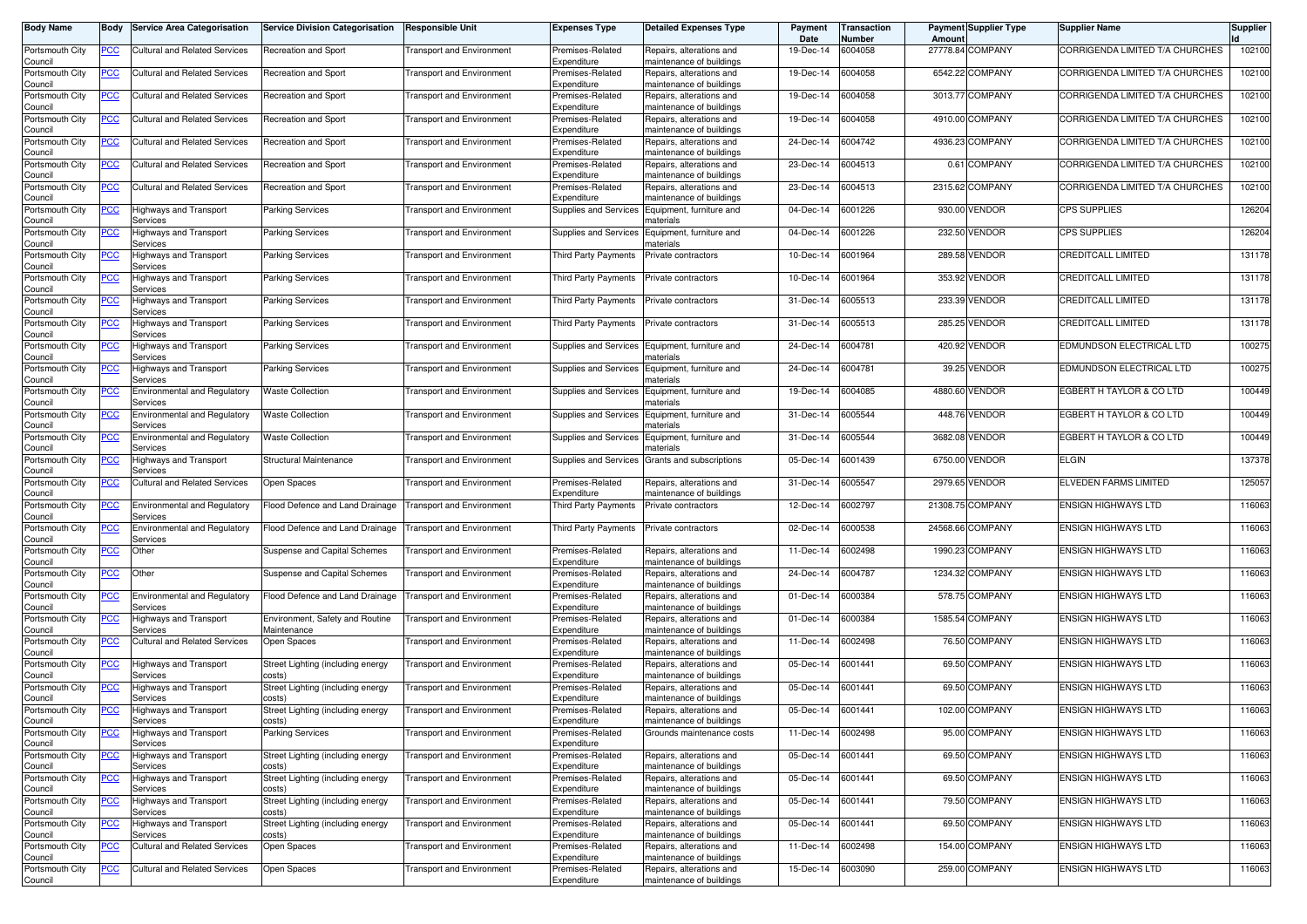| Body Name                  | Body           | <b>Service Area Categorisation</b>              | <b>Service Division Categorisation</b>         | <b>Responsible Unit</b>          | <b>Expenses Type</b>            | <b>Detailed Expenses Type</b>                        | Payment<br>Date | <b>Transaction</b><br>Number | Amount   | <b>Payment Supplier Type</b> | <b>Supplier Name</b>            | <b>Supplier</b> |
|----------------------------|----------------|-------------------------------------------------|------------------------------------------------|----------------------------------|---------------------------------|------------------------------------------------------|-----------------|------------------------------|----------|------------------------------|---------------------------------|-----------------|
| Portsmouth City<br>Council | <u>PCC</u>     | Cultural and Related Services                   | Recreation and Sport                           | <b>Fransport and Environment</b> | Premises-Related<br>Expenditure | Repairs, alterations and<br>naintenance of buildings | 19-Dec-14       | 6004058                      |          | 27778.84 COMPANY             | CORRIGENDA LIMITED T/A CHURCHES | 102100          |
| Portsmouth City<br>Council | <u>PCC</u>     | Cultural and Related Services                   | Recreation and Sport                           | <b>Fransport and Environment</b> | Premises-Related<br>Expenditure | Repairs, alterations and<br>naintenance of buildings | 19-Dec-14       | 6004058                      |          | 6542.22 COMPANY              | CORRIGENDA LIMITED T/A CHURCHES | 102100          |
| Portsmouth City<br>Council | <u>PCC</u>     | <b>Cultural and Related Services</b>            | Recreation and Sport                           | Transport and Environment        | Premises-Related<br>Expenditure | Repairs, alterations and<br>naintenance of buildings | 19-Dec-14       | 6004058                      |          | 3013.77 COMPANY              | CORRIGENDA LIMITED T/A CHURCHES | 102100          |
| Portsmouth City<br>Council | <u>PCC</u>     | <b>Cultural and Related Services</b>            | Recreation and Sport                           | Transport and Environment        | Premises-Related<br>Expenditure | tepairs, alterations and<br>naintenance of buildings | 19-Dec-14       | 6004058                      |          | 4910.00 COMPANY              | CORRIGENDA LIMITED T/A CHURCHES | 102100          |
| Portsmouth City<br>Council | <u>PCC</u>     | Cultural and Related Services                   | Recreation and Sport                           | <b>Transport and Environment</b> | Premises-Related<br>Expenditure | Repairs, alterations and<br>naintenance of buildings | 24-Dec-14       | 6004742                      | 4936.23  | <b>COMPANY</b>               | CORRIGENDA LIMITED T/A CHURCHES | 102100          |
| Portsmouth City<br>Council | <u>PCC</u>     | Cultural and Related Services                   | Recreation and Sport                           | <b>Fransport and Environment</b> | Premises-Related<br>Expenditure | Repairs, alterations and<br>maintenance of buildings | 23-Dec-14       | 6004513                      |          | 0.61 COMPANY                 | CORRIGENDA LIMITED T/A CHURCHES | 102100          |
| Portsmouth City<br>Council | <u>PCC</u>     | <b>Cultural and Related Services</b>            | Recreation and Sport                           | <b>Fransport and Environment</b> | Premises-Related<br>Expenditure | Repairs, alterations and<br>naintenance of buildings | 23-Dec-14       | 6004513                      |          | 2315.62 COMPANY              | CORRIGENDA LIMITED T/A CHURCHES | 102100          |
| Portsmouth City<br>Council | <u>PCC</u>     | Highways and Transport<br>Services              | <b>Parking Services</b>                        | <b>Fransport and Environment</b> | Supplies and Services           | Equipment, furniture and<br>naterials                | 04-Dec-14       | 6001226                      |          | 930.00 VENDOR                | <b>CPS SUPPLIES</b>             | 126204          |
| Portsmouth City<br>Council | <u>PCC</u>     | Highways and Transport<br>Services              | Parking Services                               | <b>Transport and Environment</b> | Supplies and Services           | Equipment, furniture and<br>naterials                | 04-Dec-14       | 6001226                      |          | 232.50 VENDOR                | <b>CPS SUPPLIES</b>             | 126204          |
| Portsmouth City<br>Council | <u>PCC</u>     | Highways and Transport<br>Services              | <b>Parking Services</b>                        | <b>Transport and Environment</b> | Third Party Payments            | Private contractors                                  | 10-Dec-14       | 6001964                      |          | 289.58 VENDOR                | <b>CREDITCALL LIMITED</b>       | 131178          |
| Portsmouth City<br>Council | <u>PCC</u>     | Highways and Transport<br>Services              | Parking Services                               | <b>Transport and Environment</b> | Third Party Payments            | Private contractors                                  | 10-Dec-14       | 6001964                      |          | 353.92 VENDOR                | <b>CREDITCALL LIMITED</b>       | 131178          |
| Portsmouth City<br>Council | <u>PCC</u>     | <b>Highways and Transport</b><br>Services       | <b>Parking Services</b>                        | Transport and Environment        | <b>Third Party Payments</b>     | Private contractors                                  | 31-Dec-14       | 6005513                      | 233.39   | VENDOR                       | <b>CREDITCALL LIMITED</b>       | 131178          |
| Portsmouth City<br>Council | <u>PCC</u>     | Highways and Transport<br>Services              | <b>Parking Services</b>                        | <b>Transport and Environment</b> | Third Party Payments            | Private contractors                                  | 31-Dec-14       | 6005513                      | 285.25   | <b>VENDOR</b>                | <b>CREDITCALL LIMITED</b>       | 131178          |
| Portsmouth City<br>Council | <u>PCC</u>     | Highways and Transport<br>Services              | <b>Parking Services</b>                        | <b>Fransport and Environment</b> | Supplies and Services           | Equipment, furniture and<br>าaterials                | 24-Dec-14       | 6004781                      | 420.92   | <b>VENDOR</b>                | EDMUNDSON ELECTRICAL LTD        | 100275          |
| Portsmouth City<br>Council | PСC            | Highways and Transport<br>Services              | <b>Parking Services</b>                        | <b>Fransport and Environment</b> | Supplies and Services           | Equipment, furniture and<br>naterials                | 24-Dec-14       | 6004781                      |          | 39.25 VENDOR                 | EDMUNDSON ELECTRICAL LTD        | 100275          |
| Portsmouth City<br>Council | <u>PCC</u>     | <b>Environmental and Regulatory</b><br>Services | <b>Waste Collection</b>                        | <b>Fransport and Environment</b> | Supplies and Services           | Equipment, furniture and<br>naterials                | 19-Dec-14       | 6004085                      | 4880.60  | <b>VENDOR</b>                | EGBERT H TAYLOR & CO LTD        | 100449          |
| Portsmouth City<br>Council | <u>PCC</u>     | Environmental and Regulatory<br>Services        | <b>Waste Collection</b>                        | <b>Transport and Environment</b> | Supplies and Services           | Equipment, furniture and<br>naterials                | 31-Dec-14       | 6005544                      |          | 448.76 VENDOR                | EGBERT H TAYLOR & CO LTD        | 100449          |
| Portsmouth City<br>Council | <u>PCC</u>     | <b>Environmental and Regulatory</b><br>Services | <b>Waste Collection</b>                        | <b>Transport and Environment</b> | Supplies and Services           | Equipment, furniture and<br>naterials                | 31-Dec-14       | 6005544                      |          | 3682.08 VENDOR               | EGBERT H TAYLOR & CO LTD        | 100449          |
| Portsmouth City<br>Council | <u>PCC</u>     | Highways and Transport<br>Services              | Structural Maintenance                         | Transport and Environment        | Supplies and Services           | Grants and subscriptions                             | 05-Dec-14       | 6001439                      | 6750.00  | <b>VENDOR</b>                | <b>ELGIN</b>                    | 137378          |
| Portsmouth City<br>Council | <b>PCC</b>     | <b>Cultural and Related Services</b>            | Open Spaces                                    | Transport and Environment        | Premises-Related<br>Expenditure | lepairs, alterations and<br>naintenance of buildings | 31-Dec-14       | 6005547                      |          | 2979.65 VENDOR               | <b>ELVEDEN FARMS LIMITED</b>    | 125057          |
| Portsmouth City<br>Council | <u>PCC</u>     | <b>Environmental and Regulatory</b><br>Services | Flood Defence and Land Drainage                | <b>Transport and Environment</b> | <b>Third Party Payments</b>     | Private contractors                                  | 12-Dec-14       | 6002797                      |          | 21308.75 COMPANY             | <b>ENSIGN HIGHWAYS LTD</b>      | 116063          |
| Portsmouth City<br>Council | <u>PCC</u>     | <b>Environmental and Regulatory</b><br>Services | Flood Defence and Land Drainage                | <b>Transport and Environment</b> | <b>Third Party Payments</b>     | Private contractors                                  | 02-Dec-14       | 6000538                      | 24568.66 | <b>COMPANY</b>               | <b>ENSIGN HIGHWAYS LTD</b>      | 116063          |
| Portsmouth City<br>Council | <u>PCC</u>     | Other                                           | Suspense and Capital Schemes                   | <b>Fransport and Environment</b> | Premises-Related<br>Expenditure | Repairs, alterations and<br>maintenance of buildings | 11-Dec-14       | 6002498                      | 1990.23  | <b>COMPANY</b>               | <b>ENSIGN HIGHWAYS LTD</b>      | 116063          |
| Portsmouth City<br>Council | <u>PCC</u>     | Other                                           | Suspense and Capital Schemes                   | <b>Fransport and Environment</b> | Premises-Related<br>Expenditure | Repairs, alterations and<br>naintenance of buildings | 24-Dec-14       | 6004787                      |          | 1234.32 COMPANY              | <b>ENSIGN HIGHWAYS LTD</b>      | 116063          |
| Portsmouth City<br>Council | <b>PCC</b>     | Environmental and Regulatory<br>Services        | Flood Defence and Land Drainage                | <b>Transport and Environment</b> | Premises-Related<br>Expenditure | Repairs, alterations and<br>naintenance of buildings | 01-Dec-14       | 6000384                      |          | 578.75 COMPANY               | <b>ENSIGN HIGHWAYS LTD</b>      | 116063          |
| Portsmouth City<br>Council | <u>PCC</u>     | Highways and Transport<br>Services              | Environment, Safety and Routine<br>Maintenance | <b>Transport and Environment</b> | Premises-Related<br>Expenditure | Repairs, alterations and<br>naintenance of buildings | 01-Dec-14       | 6000384                      |          | 1585.54 COMPANY              | <b>ENSIGN HIGHWAYS LTD</b>      | 116063          |
| Portsmouth City<br>Council | <u>PCC</u>     | Cultural and Related Services                   | Open Spaces                                    | <b>Transport and Environment</b> | Premises-Related<br>Expenditure | Repairs, alterations and<br>maintenance of buildings | 11-Dec-14       | 6002498                      |          | 76.50 COMPANY                | <b>ENSIGN HIGHWAYS LTD</b>      | 116063          |
| Portsmouth City<br>Council | <u>PCC</u>     | <b>Highways and Transport</b><br>Services       | Street Lighting (including energy<br>costs)    | Transport and Environment        | Premises-Related<br>Expenditure | Repairs, alterations and<br>naintenance of buildings | 05-Dec-14       | 6001441                      | 69.50    | <b>COMPANY</b>               | <b>ENSIGN HIGHWAYS LTD</b>      | 116063          |
| Portsmouth City<br>Council | <u>PCC</u>     | <b>Highways and Transport</b><br>Services       | Street Lighting (including energy<br>costs)    | Transport and Environment        | Premises-Related<br>Expenditure | tepairs, alterations and<br>naintenance of buildings | 05-Dec-14       | 6001441                      |          | 69.50 COMPANY                | <b>ENSIGN HIGHWAYS LTD</b>      | 116063          |
| Portsmouth City<br>Council | <u>PCC</u>     | Highways and Transport<br><b>Services</b>       | Street Lighting (including energy<br>COStS)    | <b>Transport and Environment</b> | Premises-Related<br>Expenditure | Repairs, alterations and<br>naintenance of buildings | 05-Dec-14       | 6001441                      |          | 102.00 COMPANY               | <b>ENSIGN HIGHWAYS LTD</b>      | 116063          |
| Portsmouth City<br>Council | <u>PCC</u>     | <b>Highways and Transport</b><br>Services       | <b>Parking Services</b>                        | <b>Transport and Environment</b> | Premises-Related<br>Expenditure | Grounds maintenance costs                            | 11-Dec-14       | 6002498                      |          | 95.00 COMPANY                | ENSIGN HIGHWAYS LTD             | 116063          |
| Portsmouth City<br>Council | <u>PCC</u>     | <b>Highways and Transport</b><br>Services       | Street Lighting (including energy<br>costs)    | <b>Transport and Environment</b> | Premises-Related<br>Expenditure | Repairs, alterations and<br>maintenance of buildings | 05-Dec-14       | 6001441                      |          | 69.50 COMPANY                | ENSIGN HIGHWAYS LTD             | 116063          |
| Portsmouth City<br>Council | <u>PCC</u>     | Highways and Transport<br>Services              | Street Lighting (including energy<br>costs)    | <b>Transport and Environment</b> | Premises-Related<br>Expenditure | Repairs, alterations and<br>maintenance of buildings | 05-Dec-14       | 6001441                      |          | 69.50 COMPANY                | ENSIGN HIGHWAYS LTD             | 116063          |
| Portsmouth City<br>Council | $\overline{C}$ | Highways and Transport<br>Services              | Street Lighting (including energy<br>costs)    | <b>Transport and Environment</b> | Premises-Related<br>Expenditure | Repairs, alterations and<br>maintenance of buildings | 05-Dec-14       | 6001441                      |          | 79.50 COMPANY                | <b>ENSIGN HIGHWAYS LTD</b>      | 116063          |
| Portsmouth City<br>Council | <u>PCC</u>     | Highways and Transport<br>Services              | Street Lighting (including energy<br>costs)    | <b>Transport and Environment</b> | Premises-Related<br>Expenditure | Repairs, alterations and<br>naintenance of buildings | 05-Dec-14       | 6001441                      |          | 69.50 COMPANY                | <b>ENSIGN HIGHWAYS LTD</b>      | 116063          |
| Portsmouth City<br>Council | <u>PCC</u>     | <b>Cultural and Related Services</b>            | Open Spaces                                    | <b>Transport and Environment</b> | Premises-Related<br>Expenditure | Repairs, alterations and<br>maintenance of buildings | 11-Dec-14       | 6002498                      |          | 154.00 COMPANY               | ENSIGN HIGHWAYS LTD             | 116063          |
| Portsmouth City<br>Council | <u>PCC</u>     | <b>Cultural and Related Services</b>            | Open Spaces                                    | <b>Transport and Environment</b> | Premises-Related<br>Expenditure | Repairs, alterations and<br>maintenance of buildings | 15-Dec-14       | 6003090                      |          | 259.00 COMPANY               | <b>ENSIGN HIGHWAYS LTD</b>      | 116063          |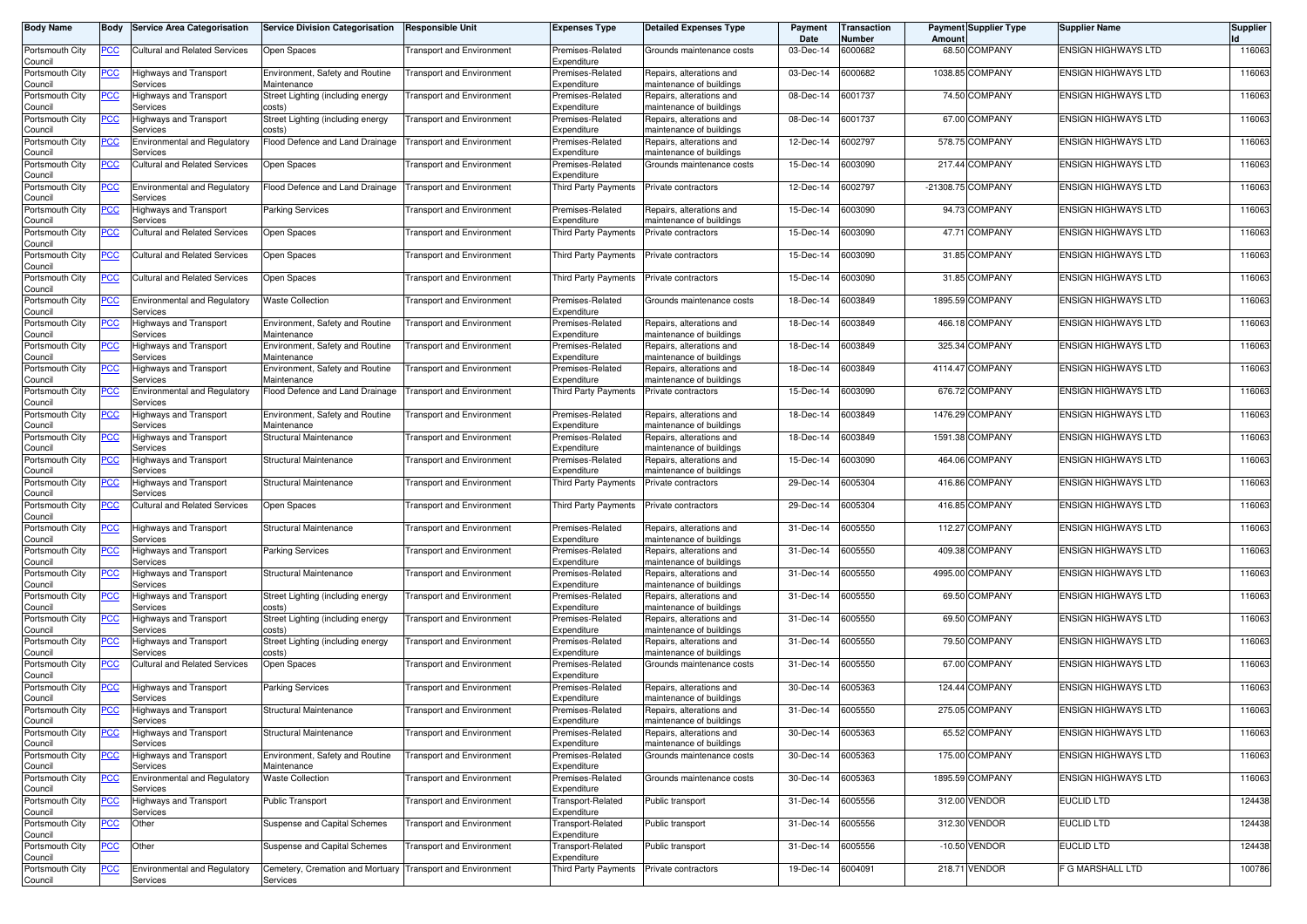| <b>Body Name</b>           | Body           | <b>Service Area Categorisation</b>               | <b>Service Division Categorisation</b>                     | Responsible Unit                 | Expenses Type                       | <b>Detailed Expenses Type</b>                         | Payment<br>Date | <b>Transaction</b><br><b>Number</b> | Amount | <b>Payment Supplier Type</b> | Supplier Name              | Supplier |
|----------------------------|----------------|--------------------------------------------------|------------------------------------------------------------|----------------------------------|-------------------------------------|-------------------------------------------------------|-----------------|-------------------------------------|--------|------------------------------|----------------------------|----------|
| Portsmouth City<br>Council | ∍сс            | <b>Cultural and Related Services</b>             | Open Spaces                                                | <b>Transport and Environment</b> | Premises-Related<br>Expenditure     | Grounds maintenance costs                             | 03-Dec-14       | 6000682                             |        | 68.50 COMPANY                | <b>ENSIGN HIGHWAYS LTD</b> | 116063   |
| Portsmouth City<br>Council | <u>PCC</u>     | Highways and Transport<br>Services               | Environment, Safety and Routine<br>Maintenance             | <b>Transport and Environment</b> | Premises-Related<br>Expenditure     | Repairs, alterations and<br>maintenance of buildings  | 03-Dec-14       | 6000682                             |        | 1038.85 COMPANY              | <b>ENSIGN HIGHWAYS LTD</b> | 116063   |
| Portsmouth City<br>Council | <u>PCC</u>     | Highways and Transport<br>Services               | Street Lighting (including energy<br>costs)                | <b>Transport and Environment</b> | Premises-Related<br>Expenditure     | Repairs, alterations and<br>naintenance of buildings  | 08-Dec-14       | 6001737                             |        | 74.50 COMPANY                | <b>ENSIGN HIGHWAYS LTD</b> | 116063   |
| Portsmouth City<br>Council | <u>PCC</u>     | Highways and Transport<br>Services               | Street Lighting (including energy<br>costs)                | <b>Transport and Environment</b> | Premises-Related<br>Expenditure     | Repairs, alterations and<br>maintenance of buildings  | 08-Dec-14       | 6001737                             |        | 67.00 COMPANY                | <b>ENSIGN HIGHWAYS LTD</b> | 116063   |
| Portsmouth City<br>Council | <u>PCC</u>     | <b>Environmental and Regulatory</b><br>Services  | Flood Defence and Land Drainage                            | <b>Transport and Environment</b> | Premises-Related<br>Expenditure     | Repairs, alterations and<br>naintenance of buildings  | 12-Dec-14       | 6002797                             |        | 578.75 COMPANY               | <b>ENSIGN HIGHWAYS LTD</b> | 116063   |
| Portsmouth City<br>Council | <u>PCC</u>     | <b>Cultural and Related Services</b>             | Open Spaces                                                | <b>Transport and Environment</b> | Premises-Related<br>Expenditure     | Grounds maintenance costs                             | 15-Dec-14       | 6003090                             |        | 217.44 COMPANY               | <b>ENSIGN HIGHWAYS LTD</b> | 116063   |
| Portsmouth City<br>Council | <u>PCC </u>    | <b>Environmental and Regulatory</b><br>Services  | Flood Defence and Land Drainage                            | <b>Transport and Environment</b> | Third Party Payments                | Private contractors                                   | 12-Dec-14       | 6002797                             |        | -21308.75 COMPANY            | <b>ENSIGN HIGHWAYS LTD</b> | 116063   |
| Portsmouth City<br>Council | <u>PCC</u>     | Highways and Transport<br>Services               | <b>Parking Services</b>                                    | <b>Transport and Environment</b> | Premises-Related<br>Expenditure     | Repairs, alterations and<br>naintenance of buildings  | 15-Dec-14       | 6003090                             |        | 94.73 COMPANY                | <b>ENSIGN HIGHWAYS LTD</b> | 116063   |
| Portsmouth City            | <u>PCC</u>     | Cultural and Related Services                    | Open Spaces                                                | <b>Transport and Environment</b> | <b>Third Party Payments</b>         | Private contractors                                   | 15-Dec-14       | 6003090                             |        | 47.71 COMPANY                | <b>ENSIGN HIGHWAYS LTD</b> | 116063   |
| Council<br>Portsmouth City | ∍сс            | <b>Cultural and Related Services</b>             | Open Spaces                                                | <b>Transport and Environment</b> | Third Party Payments                | Private contractors                                   | 15-Dec-14       | 6003090                             |        | 31.85 COMPANY                | <b>ENSIGN HIGHWAYS LTD</b> | 116063   |
| Council<br>Portsmouth City | PСC            | <b>Cultural and Related Services</b>             | Open Spaces                                                | <b>Transport and Environment</b> | Third Party Payments                | Private contractors                                   | 15-Dec-14       | 6003090                             |        | 31.85 COMPANY                | <b>ENSIGN HIGHWAYS LTD</b> | 116063   |
| Council<br>Portsmouth City | PСC            | <b>Environmental and Regulatory</b>              | <b>Waste Collection</b>                                    | <b>Transport and Environment</b> | Premises-Related                    | Grounds maintenance costs                             | 18-Dec-14       | 6003849                             |        | 1895.59 COMPANY              | <b>ENSIGN HIGHWAYS LTD</b> | 116063   |
| Council<br>Portsmouth City | PCC            | Services<br>Highways and Transport               | Environment, Safety and Routine                            | <b>Transport and Environment</b> | Expenditure<br>Premises-Related     | Repairs, alterations and                              | 18-Dec-14       | 6003849                             |        | 466.18 COMPANY               | <b>ENSIGN HIGHWAYS LTD</b> | 116063   |
| Council<br>Portsmouth City | PСC            | Services<br>Highways and Transport               | Maintenance<br>Environment, Safety and Routine             | <b>Transport and Environment</b> | Expenditure<br>Premises-Related     | maintenance of buildings<br>Repairs, alterations and  | 18-Dec-14       | 6003849                             |        | 325.34 COMPANY               | <b>ENSIGN HIGHWAYS LTD</b> | 116063   |
| Council<br>Portsmouth City | ∍сс            | Services<br><b>Highways and Transport</b>        | Maintenance<br>Environment, Safety and Routine             | <b>Transport and Environment</b> | Expenditure<br>Premises-Related     | maintenance of buildings<br>Repairs, alterations and  | 18-Dec-14       | 6003849                             |        | 4114.47 COMPANY              | <b>ENSIGN HIGHWAYS LTD</b> | 116063   |
| Council<br>Portsmouth City |                | Services<br>Environmental and Regulatory         | Maintenance<br>Flood Defence and Land Drainage             | <b>Transport and Environment</b> | Expenditure<br>Third Party Payments | maintenance of buildings<br>Private contractors       | 15-Dec-14       | 6003090                             |        | 676.72 COMPANY               | <b>ENSIGN HIGHWAYS LTD</b> | 116063   |
| Council<br>Portsmouth City | <u>PCC </u>    | Services<br>Highways and Transport               | Environment, Safety and Routine                            | <b>Transport and Environment</b> | Premises-Related                    | Repairs, alterations and                              | 18-Dec-14       | 6003849                             |        | 1476.29 COMPANY              | <b>ENSIGN HIGHWAYS LTD</b> | 116063   |
| Council<br>Portsmouth City |                | Services<br>Highways and Transport               | Maintenance<br>Structural Maintenance                      | <b>Transport and Environment</b> | Expenditure<br>Premises-Related     | maintenance of buildings<br>Repairs, alterations and  | 18-Dec-14       | 6003849                             |        | 1591.38 COMPANY              | <b>ENSIGN HIGHWAYS LTD</b> | 116063   |
| Council<br>Portsmouth City | PСC            | Services<br>lighways and Transport               | Structural Maintenance                                     | <b>Transport and Environment</b> | Expenditure<br>Premises-Related     | maintenance of buildings<br>Repairs, alterations and  | 15-Dec-14       | 6003090                             |        | 464.06 COMPANY               | <b>ENSIGN HIGHWAYS LTD</b> | 116063   |
| Council<br>Portsmouth City | PСC            | Services<br>Highways and Transport               | Structural Maintenance                                     | <b>Transport and Environment</b> | Expenditure<br>Third Party Payments | naintenance of buildings<br>Private contractors       | 29-Dec-14       | 6005304                             |        | 416.86 COMPANY               | <b>ENSIGN HIGHWAYS LTD</b> | 116063   |
| Council<br>Portsmouth City | PСC            | Services<br>Cultural and Related Services        | Open Spaces                                                | <b>Transport and Environment</b> | Third Party Payments                | Private contractors                                   | 29-Dec-14       | 6005304                             |        | 416.85 COMPANY               | <b>ENSIGN HIGHWAYS LTD</b> | 116063   |
| Council<br>Portsmouth City | <u>PCC </u>    | Highways and Transport                           | Structural Maintenance                                     | <b>Transport and Environment</b> | Premises-Related                    | Repairs, alterations and                              | 31-Dec-14       | 6005550                             |        | 112.27 COMPANY               | <b>ENSIGN HIGHWAYS LTD</b> | 116063   |
| Council<br>Portsmouth City | <u>PCC</u>     | Services<br>Highways and Transport               | <b>Parking Services</b>                                    | <b>Transport and Environment</b> | Expenditure<br>Premises-Related     | maintenance of buildings<br>Repairs, alterations and  | 31-Dec-14       | 6005550                             |        | 409.38 COMPANY               | <b>ENSIGN HIGHWAYS LTD</b> | 116063   |
| Council<br>Portsmouth City | <u>PCC</u>     | Services<br>Highways and Transport               | Structural Maintenance                                     | <b>Transport and Environment</b> | Expenditure<br>Premises-Related     | naintenance of buildings<br>Repairs, alterations and  | 31-Dec-14       | 6005550                             |        | 4995.00 COMPANY              | <b>ENSIGN HIGHWAYS LTD</b> | 116063   |
| Council<br>Portsmouth City | <u>PCC</u>     | Services<br>Highways and Transport               | Street Lighting (including energy                          | <b>Transport and Environment</b> | Expenditure<br>Premises-Related     | maintenance of buildings<br>Repairs, alterations and  | 31-Dec-14       | 6005550                             |        | 69.50 COMPANY                | <b>ENSIGN HIGHWAYS LTD</b> | 116063   |
| Council<br>Portsmouth City | <u>PCC</u>     | Services<br>Highways and Transport               | costs)<br>Street Lighting (including energy                | <b>Transport and Environment</b> | Expenditure<br>Premises-Related     | naintenance of buildings<br>Repairs, alterations and  | 31-Dec-14       | 6005550                             |        | 69.50 COMPANY                | <b>ENSIGN HIGHWAYS LTD</b> | 116063   |
| Council<br>Portsmouth City | <u>PCC</u>     | Services<br>Highways and Transport               | costs)<br>Street Lighting (including energy                | <b>Transport and Environment</b> | Expenditure<br>Premises-Related     | naintenance of buildings<br>Repairs, alterations and  | 31-Dec-14       | 6005550                             |        | 79.50 COMPANY                | <b>ENSIGN HIGHWAYS LTD</b> | 116063   |
| Council<br>Portsmouth City | PСC            | Services<br><b>Cultural and Related Services</b> | costs)<br>Open Spaces                                      | Transport and Environment        | Expenditure<br>Premises-Related     | maintenance of buildings<br>Grounds maintenance costs | 31-Dec-14       | 6005550                             |        | 67.00 COMPANY                | <b>ENSIGN HIGHWAYS LTD</b> | 116063   |
| Council                    |                |                                                  |                                                            |                                  | Expenditure                         |                                                       |                 |                                     |        |                              | <b>ENSIGN HIGHWAYS LTD</b> |          |
| Portsmouth City<br>Council | <u>PCC</u>     | Highways and Transport<br>Services               | Parking Services                                           | <b>Transport and Environment</b> | Premises-Related<br>Expenditure     | Repairs, alterations and<br>maintenance of buildings  | 30-Dec-14       | 6005363                             |        | 124.44 COMPANY               |                            | 116063   |
| Portsmouth City<br>Council | <u>PCC</u>     | Highways and Transport<br>pervices               | Structural Maintenance                                     | <b>Transport and Environment</b> | Premises-Related<br>Expenditure     | Repairs, alterations and<br>naintenance of buildings  | 31-Dec-14       | 6005550                             |        | 275.05 COMPANY               | <b>ENSIGN HIGHWAYS LTD</b> | 116063   |
| Portsmouth City<br>Council | <u>PCC</u>     | Highways and Transport<br>Services               | Structural Maintenance                                     | <b>Transport and Environment</b> | Premises-Related<br>Expenditure     | Repairs, alterations and<br>maintenance of buildings  | 30-Dec-14       | 6005363                             |        | 65.52 COMPANY                | <b>ENSIGN HIGHWAYS LTD</b> | 116063   |
| Portsmouth City<br>Council | <b>PCC</b>     | <b>Highways and Transport</b><br>Services        | Environment, Safety and Routine<br>Maintenance             | <b>Transport and Environment</b> | Premises-Related<br>Expenditure     | Grounds maintenance costs                             | 30-Dec-14       | 6005363                             |        | 175.00 COMPANY               | <b>ENSIGN HIGHWAYS LTD</b> | 116063   |
| Portsmouth City<br>Council | <u>PCC</u>     | Environmental and Regulatory<br>Services         | <b>Waste Collection</b>                                    | <b>Transport and Environment</b> | Premises-Related<br>Expenditure     | Grounds maintenance costs                             | 30-Dec-14       | 6005363                             |        | 1895.59 COMPANY              | <b>ENSIGN HIGHWAYS LTD</b> | 116063   |
| Portsmouth City<br>Council | <u>PCC</u>     | Highways and Transport<br>Services               | Public Transport                                           | <b>Transport and Environment</b> | Transport-Related<br>Expenditure    | Public transport                                      | 31-Dec-14       | 6005556                             |        | 312.00 VENDOR                | <b>EUCLID LTD</b>          | 124438   |
| Portsmouth City<br>Council | <u>PCC</u>     | Other                                            | Suspense and Capital Schemes                               | <b>Transport and Environment</b> | Transport-Related<br>Expenditure    | Public transport                                      | 31-Dec-14       | 6005556                             |        | 312.30 VENDOR                | <b>EUCLID LTD</b>          | 124438   |
| Portsmouth City<br>Council | $\overline{C}$ | Other                                            | Suspense and Capital Schemes                               | <b>Transport and Environment</b> | Transport-Related<br>Expenditure    | ublic transport                                       | 31-Dec-14       | 6005556                             |        | -10.50 VENDOR                | <b>EUCLID LTD</b>          | 124438   |
| Portsmouth City            | PСC            | <b>Environmental and Regulatory</b>              | Cemetery, Cremation and Mortuary Transport and Environment |                                  | Third Party Payments                | Private contractors                                   | 19-Dec-14       | 6004091                             |        | 218.71 VENDOR                | F G MARSHALL LTD           | 100786   |
| Council                    |                | Services                                         | Services                                                   |                                  |                                     |                                                       |                 |                                     |        |                              |                            |          |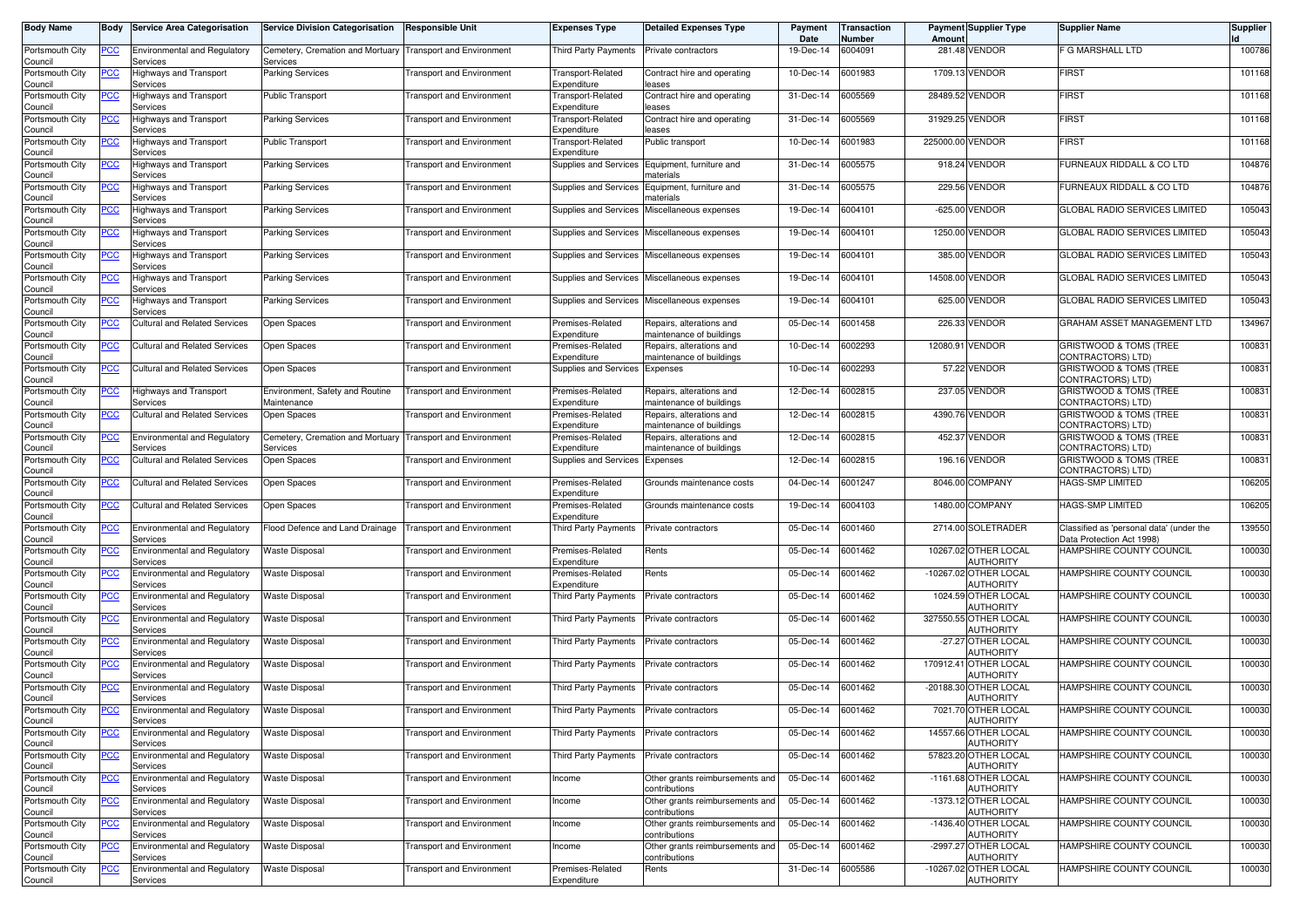| <b>Body Name</b>                              |                  | <b>Body Service Area Categorisation</b>                                                | <b>Service Division Categorisation</b>                                 | Responsible Unit                 | Expenses Type                    | <b>Detailed Expenses Type</b>                        | Payment<br>Date | Transaction<br>Number | Amount           | <b>Payment Supplier Type</b>              | <b>Supplier Name</b>                                                  | <b>Supplier</b> |
|-----------------------------------------------|------------------|----------------------------------------------------------------------------------------|------------------------------------------------------------------------|----------------------------------|----------------------------------|------------------------------------------------------|-----------------|-----------------------|------------------|-------------------------------------------|-----------------------------------------------------------------------|-----------------|
| Portsmouth City<br>Council                    | PCC              | <b>Environmental and Regulatory</b><br>Services                                        | Cemetery, Cremation and Mortuary Transport and Environment<br>Services |                                  | Third Party Payments             | Private contractors                                  | 19-Dec-14       | 6004091               |                  | 281.48 VENDOR                             | F G MARSHALL LTD                                                      | 100786          |
| Portsmouth City<br>Council                    | <u>PCC</u>       | Highways and Transport<br>Services                                                     | <b>Parking Services</b>                                                | <b>Transport and Environment</b> | Transport-Related<br>Expenditure | Contract hire and operating<br>leases                | 10-Dec-14       | 6001983               |                  | 1709.13 VENDOR                            | <b>FIRST</b>                                                          | 101168          |
| Portsmouth City<br>Council                    | °СС              | Highways and Transport<br>Services                                                     | <b>Public Transport</b>                                                | <b>Transport and Environment</b> | Fransport-Related<br>Expenditure | Contract hire and operating<br>leases                | 31-Dec-14       | 6005569               | 28489.52         | <b>VENDOR</b>                             | <b>FIRST</b>                                                          | 101168          |
| Portsmouth City<br>Council                    | <u>PCC</u>       | Highways and Transport<br>Services                                                     | Parking Services                                                       | <b>Transport and Environment</b> | Transport-Related<br>Expenditure | Contract hire and operating<br>eases                 | 31-Dec-14       | 6005569               |                  | 31929.25 VENDOR                           | <b>FIRST</b>                                                          | 101168          |
| Portsmouth City<br>Council                    | <u>PCC</u>       | Highways and Transport<br>Services                                                     | <b>Public Transport</b>                                                | <b>Transport and Environment</b> | Transport-Related<br>Expenditure | Public transport                                     | 10-Dec-14       | 6001983               | 225000.00 VENDOR |                                           | <b>FIRST</b>                                                          | 101168          |
| Portsmouth City<br>Council                    | <u>PCC</u>       | Highways and Transport<br>Services                                                     | <b>Parking Services</b>                                                | <b>Transport and Environment</b> | Supplies and Services            | Equipment, furniture and<br>materials                | 31-Dec-14       | 6005575               |                  | 918.24 VENDOR                             | FURNEAUX RIDDALL & CO LTD                                             | 104876          |
| Portsmouth City<br>Council                    | <u>PCC</u>       | <b>Highways and Transport</b><br>Services                                              | <b>Parking Services</b>                                                | <b>Transport and Environment</b> | <b>Supplies and Services</b>     | Equipment, furniture and<br>naterials                | 31-Dec-14       | 6005575               |                  | 229.56 VENDOR                             | FURNEAUX RIDDALL & CO LTD                                             | 104876          |
| Portsmouth City<br>Council                    | <u>PCC</u>       | Highways and Transport<br>Services                                                     | <b>Parking Services</b>                                                | <b>Transport and Environment</b> | <b>Supplies and Services</b>     | Miscellaneous expenses                               | 19-Dec-14       | 6004101               |                  | -625.00 VENDOR                            | GLOBAL RADIO SERVICES LIMITED                                         | 105043          |
| Portsmouth City<br>Council                    | <u>PCC </u>      | Highways and Transport<br>Services                                                     | <b>Parking Services</b>                                                | <b>Transport and Environment</b> | Supplies and Services            | Miscellaneous expenses                               | 19-Dec-14       | 6004101               |                  | 1250.00 VENDOR                            | GLOBAL RADIO SERVICES LIMITED                                         | 105043          |
| Portsmouth City<br>Council                    | <u>PCC</u>       | Highways and Transport<br>Services                                                     | <b>Parking Services</b>                                                | <b>Transport and Environment</b> | Supplies and Services            | Miscellaneous expenses                               | 19-Dec-14       | 6004101               |                  | 385.00 VENDOR                             | GLOBAL RADIO SERVICES LIMITED                                         | 105043          |
| Portsmouth City<br>Council                    | PСC              | Highways and Transport<br>Services                                                     | <b>Parking Services</b>                                                | Transport and Environment        | Supplies and Services            | Miscellaneous expenses                               | 19-Dec-14       | 6004101               |                  | 14508.00 VENDOR                           | GLOBAL RADIO SERVICES LIMITED                                         | 105043          |
| Portsmouth City<br>Council                    | PСC              | lighways and Transport<br>Services                                                     | <b>Parking Services</b>                                                | <b>Transport and Environment</b> | Supplies and Services            | Miscellaneous expenses                               | 19-Dec-14       | 6004101               |                  | 625.00 VENDOR                             | <b>GLOBAL RADIO SERVICES LIMITED</b>                                  | 105043          |
| Portsmouth City<br>Council                    | PСC              | <b>Cultural and Related Services</b>                                                   | Open Spaces                                                            | <b>Transport and Environment</b> | Premises-Related<br>Expenditure  | Repairs, alterations and<br>maintenance of buildings | 05-Dec-14       | 6001458               |                  | 226.33 VENDOR                             | GRAHAM ASSET MANAGEMENT LTD                                           | 134967          |
| Portsmouth City<br>Council                    | PСC              | Cultural and Related Services                                                          | Open Spaces                                                            | Transport and Environment        | Premises-Related<br>Expenditure  | Repairs, alterations and<br>maintenance of buildings | 10-Dec-14       | 6002293               | 12080.91         | <b>VENDOR</b>                             | <b>GRISTWOOD &amp; TOMS (TREE)</b><br>CONTRACTORS) LTD)               | 100831          |
| Portsmouth City<br>Council                    | PСC              | Cultural and Related Services                                                          | Open Spaces                                                            | <b>Transport and Environment</b> | Supplies and Services            | Expenses                                             | 10-Dec-14       | 6002293               |                  | 57.22 VENDOR                              | GRISTWOOD & TOMS (TREE<br>CONTRACTORS) LTD)                           | 100831          |
| Portsmouth City<br>Council                    | <u>PCC</u>       | Highways and Transport<br>Services                                                     | Environment, Safety and Routine<br>Maintenance                         | <b>Transport and Environment</b> | Premises-Related<br>Expenditure  | Repairs, alterations and<br>maintenance of buildings | 12-Dec-14       | 6002815               |                  | 237.05 VENDOR                             | GRISTWOOD & TOMS (TREE<br>CONTRACTORS) LTD)                           | 100831          |
| Portsmouth City<br>Council                    | PСC              | Cultural and Related Services                                                          | Open Spaces                                                            | <b>Transport and Environment</b> | Premises-Related<br>Expenditure  | Repairs, alterations and<br>maintenance of buildings | 12-Dec-14       | 6002815               |                  | 4390.76 VENDOR                            | GRISTWOOD & TOMS (TREE<br>CONTRACTORS) LTD)                           | 100831          |
| Portsmouth City<br>Council                    | <u>PCC</u>       | <b>Environmental and Regulatory</b><br>Services                                        | Cemetery, Cremation and Mortuary Transport and Environment<br>Services |                                  | Premises-Related<br>Expenditure  | Repairs, alterations and<br>maintenance of buildings | 12-Dec-14       | 6002815               |                  | 452.37 VENDOR                             | GRISTWOOD & TOMS (TREE<br>CONTRACTORS) LTD)                           | 100831          |
| Portsmouth City<br>Council                    | PСC              | <b>Cultural and Related Services</b>                                                   | Open Spaces                                                            | Transport and Environment        | Supplies and Services            | Expenses                                             | 12-Dec-14       | 6002815               |                  | 196.16 VENDOR                             | GRISTWOOD & TOMS (TREE<br>CONTRACTORS) LTD)                           | 100831          |
| Portsmouth City<br>Council                    | PСC              | <b>Cultural and Related Services</b>                                                   | Open Spaces                                                            | <b>Transport and Environment</b> | Premises-Related<br>Expenditure  | Grounds maintenance costs                            | 04-Dec-14       | 6001247               |                  | 8046.00 COMPANY                           | HAGS-SMP LIMITED                                                      | 106205          |
| Portsmouth City<br>Council                    | PСC              | <b>Cultural and Related Services</b>                                                   | Open Spaces                                                            | <b>Transport and Environment</b> | Premises-Related<br>Expenditure  | Grounds maintenance costs                            | 19-Dec-14       | 6004103               |                  | 1480.00 COMPANY                           | HAGS-SMP LIMITED                                                      | 106205          |
| Portsmouth City<br>Council                    | $\overline{PCC}$ | <b>Environmental and Regulatory</b><br>Services                                        | Flood Defence and Land Drainage                                        | <b>Transport and Environment</b> | Third Party Payments             | Private contractors                                  | 05-Dec-14       | 6001460               |                  | 2714.00 SOLETRADER                        | Classified as 'personal data' (under the<br>Data Protection Act 1998) | 139550          |
| Portsmouth City<br>Council                    | <u>PCC</u>       | <b>Environmental and Regulatory</b><br>Services                                        | <b>Waste Disposal</b>                                                  | <b>Transport and Environment</b> | Premises-Related<br>Expenditure  | Rents                                                | 05-Dec-14       | 6001462               |                  | 10267.02 OTHER LOCAL<br>AUTHORITY         | HAMPSHIRE COUNTY COUNCIL                                              | 100030          |
| Portsmouth City<br>Council                    | <u>PCC</u>       | <b>Environmental and Regulatory</b><br>Services                                        | Waste Disposal                                                         | <b>Transport and Environment</b> | Premises-Related<br>Expenditure  | Rents                                                | 05-Dec-14       | 6001462               |                  | -10267.02 OTHER LOCAL<br>AUTHORITY        | HAMPSHIRE COUNTY COUNCIL                                              | 100030          |
| Portsmouth City<br>Council                    | <u>PCC</u>       | Environmental and Regulatory<br>Services                                               | <b>Naste Disposal</b>                                                  | <b>Transport and Environment</b> | Third Party Payments             | Private contractors                                  | 05-Dec-14       | 6001462               |                  | 1024.59 OTHER LOCAL<br>AUTHORITY          | <b>HAMPSHIRE COUNTY COUNCIL</b>                                       | 100030          |
| Portsmouth City<br>Council                    | <u>PCC</u>       | <b>Environmental and Regulatory</b><br>Services                                        | <b>Waste Disposal</b>                                                  | <b>Transport and Environment</b> | Third Party Payments             | Private contractors                                  | 05-Dec-14       | 6001462               |                  | 327550.55 OTHER LOCAL<br><b>AUTHORITY</b> | HAMPSHIRE COUNTY COUNCIL                                              | 100030          |
| Portsmouth City<br>Council                    | <u>PCC</u>       | <b>Environmental and Regulatory</b><br>Services                                        | Waste Disposal                                                         | <b>Transport and Environment</b> | Third Party Payments             | Private contractors                                  | 05-Dec-14       | 6001462               |                  | -27.27 OTHER LOCAL<br>AUTHORITY           | HAMPSHIRE COUNTY COUNCIL                                              | 100030          |
| Portsmouth City<br>Council                    | <u>PCC</u>       | <b>Environmental and Regulatory</b><br>Services                                        | <b>Waste Disposal</b>                                                  | <b>Transport and Environment</b> | <b>Third Party Payments</b>      | Private contractors                                  | 05-Dec-14       | 6001462               | 170912.41        | OTHER LOCAL<br>AUTHORITY                  | HAMPSHIRE COUNTY COUNCIL                                              | 100030          |
| Portsmouth City<br>Council                    | <u>PCC</u>       | Environmental and Regulatory<br>Services                                               | Waste Disposal                                                         | Transport and Environment        | Third Party Payments             | Private contractors                                  | 05-Dec-14       | 6001462               |                  | -20188.30 OTHER LOCAL<br>AUTHORITY        | <b>HAMPSHIRE COUNTY COUNCIL</b>                                       | 100030          |
| Portsmouth City<br>Council                    | <u>PCC </u>      | <b>Environmental and Regulatory</b><br>pervices                                        | <b>Waste Disposal</b>                                                  | <b>Transport and Environment</b> | Third Party Payments             | Private contractors                                  | 05-Dec-14       | 6001462               |                  | 7021.70 OTHER LOCAL<br>AUTHORITY          | HAMPSHIRE COUNTY COUNCIL                                              | 100030          |
| Portsmouth City<br>Council                    | <u>PCC</u>       | <b>Environmental and Regulatory</b><br>Services                                        | <b>Waste Disposal</b>                                                  | <b>Transport and Environment</b> | Third Party Payments             | Private contractors                                  | 05-Dec-14       | 6001462               |                  | 14557.66 OTHER LOCAL<br><b>AUTHORITY</b>  | HAMPSHIRE COUNTY COUNCIL                                              | 100030          |
| Portsmouth City<br>Council                    | PCC              | <b>Environmental and Regulatory</b><br>Services                                        | <b>Waste Disposal</b>                                                  | <b>Transport and Environment</b> | <b>Third Party Payments</b>      | Private contractors                                  | 05-Dec-14       | 6001462               |                  | 57823.20 OTHER LOCAL<br><b>AUTHORITY</b>  | HAMPSHIRE COUNTY COUNCIL                                              | 100030          |
| Portsmouth City<br>Council                    | <u>PCC</u>       | Environmental and Regulatory<br>Services                                               | <b>Waste Disposal</b>                                                  | <b>Transport and Environment</b> | Income                           | Other grants reimbursements and<br>contributions     | 05-Dec-14       | 6001462               |                  | -1161.68 OTHER LOCAL<br>AUTHORITY         | HAMPSHIRE COUNTY COUNCIL                                              | 100030          |
| Portsmouth City<br>Council                    | <u>PCC</u>       | <b>Environmental and Regulatory</b><br>Services<br><b>Environmental and Regulatory</b> | <b>Waste Disposal</b>                                                  | <b>Transport and Environment</b> | Income                           | Other grants reimbursements and<br>contributions     | 05-Dec-14       | 6001462               |                  | -1373.12 OTHER LOCAL<br>AUTHORITY         | HAMPSHIRE COUNTY COUNCIL                                              | 100030          |
| Portsmouth City<br>Council<br>Portsmouth City | PСC              | Services                                                                               | <b>Waste Disposal</b>                                                  | <b>Transport and Environment</b> | Income                           | Other grants reimbursements and<br>contributions     | 05-Dec-14       | 6001462               |                  | -1436.40 OTHER LOCAL<br><b>AUTHORITY</b>  | HAMPSHIRE COUNTY COUNCIL                                              | 100030          |
| Council                                       | <u>PCC</u>       | <b>Environmental and Regulatory</b><br>Services                                        | Waste Disposal                                                         | <b>Transport and Environment</b> | Income                           | Other grants reimbursements and<br>contributions     | 05-Dec-14       | 6001462               |                  | -2997.27 OTHER LOCAL<br>AUTHORITY         | HAMPSHIRE COUNTY COUNCIL                                              | 100030          |
| Portsmouth City<br>Council                    | PСC              | Environmental and Regulatory<br>Services                                               | <b>Waste Disposal</b>                                                  | <b>Transport and Environment</b> | Premises-Related<br>Expenditure  | Rents                                                | 31-Dec-14       | 6005586               |                  | -10267.02 OTHER LOCAL<br>AUTHORITY        | HAMPSHIRE COUNTY COUNCIL                                              | 100030          |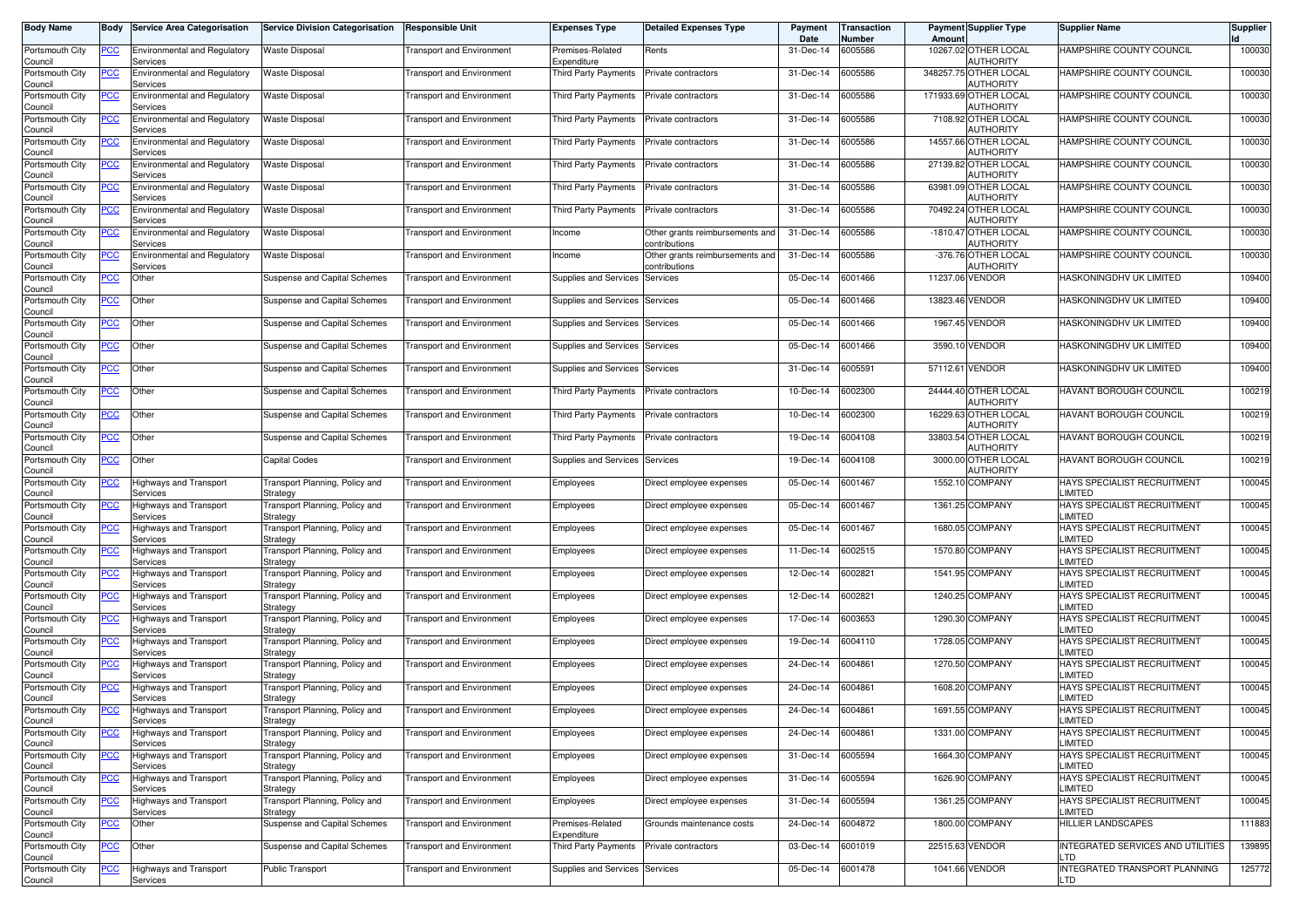| <b>Body Name</b>           | Body       | <b>Service Area Categorisation</b>              | <b>Service Division Categorisation</b>     | <b>Responsible Unit</b>          | <b>Expenses Type</b>            | <b>Detailed Expenses Type</b>                    | Payment<br>Date | <b>Transaction</b><br>Number | Amount          | <b>Payment Supplier Type</b>              | <b>Supplier Name</b>                          | <b>Supplier</b> |
|----------------------------|------------|-------------------------------------------------|--------------------------------------------|----------------------------------|---------------------------------|--------------------------------------------------|-----------------|------------------------------|-----------------|-------------------------------------------|-----------------------------------------------|-----------------|
| Portsmouth City<br>Council | PCC        | <b>Environmental and Regulatory</b><br>Services | <b>Waste Disposal</b>                      | <b>Transport and Environment</b> | Premises-Related<br>Expenditure | Rents                                            | 31-Dec-14       | 6005586                      |                 | 10267.02 OTHER LOCAL<br>AUTHORITY         | HAMPSHIRE COUNTY COUNCIL                      | 100030          |
| Portsmouth City<br>Council | <u>PCC</u> | <b>Environmental and Regulatory</b><br>Services | Waste Disposal                             | <b>Transport and Environment</b> | Third Party Payments            | Private contractors                              | 31-Dec-14       | 6005586                      |                 | 348257.75 OTHER LOCAL<br>AUTHORITY        | HAMPSHIRE COUNTY COUNCIL                      | 100030          |
| Portsmouth City<br>Council | <u>PCC</u> | Environmental and Regulatory<br>Services        | <b>Waste Disposal</b>                      | <b>Transport and Environment</b> | Third Party Payments            | Private contractors                              | 31-Dec-14       | 6005586                      |                 | 171933.69 OTHER LOCAL<br><b>AUTHORITY</b> | HAMPSHIRE COUNTY COUNCIL                      | 100030          |
| Portsmouth City<br>Council | <u>PCC</u> | <b>Environmental and Regulatory</b><br>Services | Waste Disposal                             | <b>Transport and Environment</b> | <b>Third Party Payments</b>     | Private contractors                              | 31-Dec-14       | 6005586                      |                 | 7108.92 OTHER LOCAL<br><b>AUTHORITY</b>   | HAMPSHIRE COUNTY COUNCIL                      | 100030          |
| Portsmouth City<br>Council | <u>PCC</u> | <b>Environmental and Regulatory</b><br>Services | <b>Waste Disposal</b>                      | <b>Transport and Environment</b> | Third Party Payments            | Private contractors                              | 31-Dec-14       | 6005586                      |                 | 14557.66 OTHER LOCAL<br><b>AUTHORITY</b>  | HAMPSHIRE COUNTY COUNCIL                      | 100030          |
| Portsmouth City<br>Council | <u>CC</u>  | Environmental and Regulatory<br>Services        | Waste Disposal                             | <b>Transport and Environment</b> | Third Party Payments            | Private contractors                              | 31-Dec-14       | 6005586                      |                 | 27139.82 OTHER LOCAL<br><b>AUTHORITY</b>  | HAMPSHIRE COUNTY COUNCIL                      | 100030          |
| Portsmouth City<br>Council | <u>PCC</u> | Environmental and Regulatory<br>Services        | Waste Disposal                             | <b>Transport and Environment</b> | Third Party Payments            | Private contractors                              | 31-Dec-14       | 6005586                      |                 | 63981.09 OTHER LOCAL<br><b>AUTHORITY</b>  | HAMPSHIRE COUNTY COUNCIL                      | 100030          |
| Portsmouth City<br>Council | <u>PCC</u> | <b>Environmental and Regulatory</b><br>Services | Waste Disposal                             | <b>Transport and Environment</b> | Third Party Payments            | Private contractors                              | 31-Dec-14       | 6005586                      |                 | 70492.24 OTHER LOCAL<br><b>AUTHORITY</b>  | HAMPSHIRE COUNTY COUNCIL                      | 100030          |
| Portsmouth City<br>Council | <u>PCC</u> | Environmental and Regulatory<br>Services        | Waste Disposal                             | <b>Transport and Environment</b> | Income                          | Other grants reimbursements and<br>contributions | 31-Dec-14       | 6005586                      |                 | -1810.47 OTHER LOCAL<br>AUTHORITY         | HAMPSHIRE COUNTY COUNCIL                      | 100030          |
| Portsmouth City<br>Council | PСC        | <b>Environmental and Regulatory</b><br>Services | <b>Waste Disposal</b>                      | <b>Transport and Environment</b> | Income                          | Other grants reimbursements and<br>contributions | 31-Dec-14       | 6005586                      |                 | -376.76 OTHER LOCAL<br>AUTHORITY          | HAMPSHIRE COUNTY COUNCIL                      | 100030          |
| Portsmouth City<br>Council | <u>CC</u>  | Other                                           | Suspense and Capital Schemes               | <b>Transport and Environment</b> | Supplies and Services           | Services                                         | 05-Dec-14       | 6001466                      | 11237.06 VENDOR |                                           | HASKONINGDHV UK LIMITED                       | 109400          |
| Portsmouth City<br>Council | <u>PCC</u> | Other                                           | Suspense and Capital Schemes               | <b>Transport and Environment</b> | Supplies and Services           | Services                                         | 05-Dec-14       | 6001466                      |                 | 13823.46 VENDOR                           | HASKONINGDHV UK LIMITED                       | 109400          |
| Portsmouth City<br>Council | <u>PCC</u> | Other                                           | Suspense and Capital Schemes               | <b>Transport and Environment</b> | Supplies and Services           | Services                                         | 05-Dec-14       | 6001466                      |                 | 1967.45 VENDOR                            | HASKONINGDHV UK LIMITED                       | 109400          |
| Portsmouth City<br>Council | PCC        | Other                                           | Suspense and Capital Schemes               | <b>Transport and Environment</b> | Supplies and Services           | Services                                         | 05-Dec-14       | 6001466                      |                 | 3590.10 VENDOR                            | HASKONINGDHV UK LIMITED                       | 109400          |
| Portsmouth City<br>Council | °СС        | Other                                           | Suspense and Capital Schemes               | <b>Transport and Environment</b> | Supplies and Services           | Services                                         | 31-Dec-14       | 6005591                      | 57112.61 VENDOR |                                           | HASKONINGDHV UK LIMITED                       | 109400          |
| Portsmouth City<br>Council | <u>PCC</u> | Other                                           | Suspense and Capital Schemes               | <b>Transport and Environment</b> | Third Party Payments            | Private contractors                              | 10-Dec-14       | 6002300                      |                 | 24444.40 OTHER LOCAL<br><b>AUTHORITY</b>  | HAVANT BOROUGH COUNCIL                        | 100219          |
| Portsmouth City<br>Council | <b>PCC</b> | Other                                           | Suspense and Capital Schemes               | <b>Transport and Environment</b> | Third Party Payments            | Private contractors                              | 10-Dec-14       | 6002300                      |                 | 16229.63 OTHER LOCAL<br>AUTHORITY         | HAVANT BOROUGH COUNCIL                        | 100219          |
| Portsmouth City<br>Council | <u>PCC</u> | Other                                           | Suspense and Capital Schemes               | <b>Transport and Environment</b> | <b>Third Party Payments</b>     | Private contractors                              | 19-Dec-14       | 6004108                      |                 | 33803.54 OTHER LOCAL<br>AUTHORITY         | HAVANT BOROUGH COUNCIL                        | 100219          |
| Portsmouth City<br>Council | °СС        | Other                                           | <b>Capital Codes</b>                       | <b>Transport and Environment</b> | Supplies and Services           | Services                                         | 19-Dec-14       | 6004108                      | 3000.00         | OTHER LOCAL<br>AUTHORITY                  | HAVANT BOROUGH COUNCIL                        | 100219          |
| Portsmouth City<br>Council | <u>PCC</u> | <b>Highways and Transport</b><br>Services       | Transport Planning, Policy and<br>Strategy | <b>Transport and Environment</b> | Employees                       | Direct employee expenses                         | 05-Dec-14       | 6001467                      |                 | 1552.10 COMPANY                           | HAYS SPECIALIST RECRUITMENT<br>LIMITED        | 100045          |
| Portsmouth City<br>Council | PCC        | Highways and Transport<br>Services              | Transport Planning, Policy and<br>Strategy | <b>Transport and Environment</b> | Employees                       | Direct employee expenses                         | 05-Dec-14       | 6001467                      |                 | 1361.25 COMPANY                           | HAYS SPECIALIST RECRUITMENT<br>LIMITED        | 100045          |
| Portsmouth City<br>Council | <u>PCC</u> | Highways and Transport<br>Services              | Transport Planning, Policy and<br>Strategy | <b>Transport and Environment</b> | Employees                       | Direct employee expenses                         | 05-Dec-14       | 6001467                      |                 | 1680.05 COMPANY                           | HAYS SPECIALIST RECRUITMENT<br>LIMITED        | 100045          |
| Portsmouth City<br>Council | <u>PCC</u> | Highways and Transport<br>Services              | Transport Planning, Policy and<br>Strategy | <b>Transport and Environment</b> | Employees                       | Direct employee expenses                         | 11-Dec-14       | 6002515                      | 1570.80         | <b>COMPANY</b>                            | HAYS SPECIALIST RECRUITMENT<br><b>LIMITED</b> | 100045          |
| Portsmouth City<br>Council | <u>CC</u>  | Highways and Transport<br>Services              | Transport Planning, Policy and<br>Strategy | <b>Transport and Environment</b> | Employees                       | Direct employee expenses                         | 12-Dec-14       | 6002821                      |                 | 1541.95 COMPANY                           | HAYS SPECIALIST RECRUITMENT<br>LIMITED        | 100045          |
| Portsmouth City<br>Council | <u>PCC</u> | <b>Highways and Transport</b><br>Services       | Transport Planning, Policy and<br>Strategy | <b>Transport and Environment</b> | Employees                       | Direct employee expenses                         | 12-Dec-14       | 6002821                      |                 | 1240.25 COMPANY                           | HAYS SPECIALIST RECRUITMENT<br>LIMITED        | 100045          |
| Portsmouth City<br>Council | <u>PCC</u> | Highways and Transport<br>Services              | Transport Planning, Policy and<br>Strategy | <b>Transport and Environment</b> | Employees                       | Direct employee expenses                         | 17-Dec-14       | 6003653                      |                 | 1290.30 COMPANY                           | HAYS SPECIALIST RECRUITMENT<br>LIMITED        | 100045          |
| Portsmouth City<br>Council | <u>PCC</u> | Highways and Transport<br>Services              | Transport Planning, Policy and<br>Strategy | <b>Transport and Environment</b> | Employees                       | Direct employee expenses                         | 19-Dec-14       | 6004110                      |                 | 1728.05 COMPANY                           | HAYS SPECIALIST RECRUITMENT<br>LIMITED        | 100045          |
| Portsmouth City<br>Council | <u>PCC</u> | <b>Highways and Transport</b><br>Services       | Transport Planning, Policy and<br>Strategy | <b>Transport and Environment</b> | Employees                       | Direct employee expenses                         | 24-Dec-14       | 6004861                      |                 | 1270.50 COMPANY                           | HAYS SPECIALIST RECRUITMENT<br><b>LIMITED</b> | 100045          |
| Portsmouth City<br>Council | <u>PCC</u> | <b>Highways and Transport</b><br>Services       | Transport Planning, Policy and<br>Strategy | <b>Transport and Environment</b> | Employees                       | Direct employee expenses                         | 24-Dec-14       | 6004861                      |                 | 1608.20 COMPANY                           | HAYS SPECIALIST RECRUITMENT<br>LIMITED        | 100045          |
| Portsmouth City<br>Council | <u>PCC</u> | Highways and Transport<br><b>DEIVICES</b>       | Transport Planning, Policy and<br>Strategy | <b>Transport and Environment</b> | Employees                       | Direct employee expenses                         | 24-Dec-14       | 6004861                      |                 | 1691.55 COMPANY                           | HAYS SPECIALIST RECRUITMENT<br>LIMITED        | 100045          |
| Portsmouth City<br>Council | <u>PCC</u> | Highways and Transport<br>Services              | Transport Planning, Policy and<br>Strategy | <b>Transport and Environment</b> | Employees                       | Direct employee expenses                         | 24-Dec-14       | 6004861                      |                 | 1331.00 COMPANY                           | HAYS SPECIALIST RECRUITMENT<br>LIMITED        | 100045          |
| Portsmouth City<br>Council | <b>PCC</b> | <b>Highways and Transport</b><br>Services       | Transport Planning, Policy and<br>Strategy | <b>Transport and Environment</b> | Employees                       | Direct employee expenses                         | 31-Dec-14       | 6005594                      |                 | 1664.30 COMPANY                           | HAYS SPECIALIST RECRUITMENT<br><b>LIMITED</b> | 100045          |
| Portsmouth City<br>Council | <b>PCC</b> | <b>Highways and Transport</b><br>Services       | Transport Planning, Policy and<br>Strategy | Transport and Environment        | Employees                       | Direct employee expenses                         | 31-Dec-14       | 6005594                      |                 | 1626.90 COMPANY                           | HAYS SPECIALIST RECRUITMENT<br><b>LIMITED</b> | 100045          |
| Portsmouth City<br>Council | <b>PCC</b> | Highways and Transport<br>Services              | Transport Planning, Policy and<br>Strategy | Transport and Environment        | Employees                       | Direct employee expenses                         | 31-Dec-14       | 6005594                      |                 | 1361.25 COMPANY                           | HAYS SPECIALIST RECRUITMENT<br>LIMITED        | 100045          |
| Portsmouth City<br>Council | <u>PCC</u> | Other                                           | Suspense and Capital Schemes               | <b>Transport and Environment</b> | Premises-Related<br>Expenditure | Grounds maintenance costs                        | 24-Dec-14       | 6004872                      |                 | 1800.00 COMPANY                           | <b>HILLIER LANDSCAPES</b>                     | 111883          |
| Portsmouth City<br>Council | <u>CC</u>  | Other                                           | Suspense and Capital Schemes               | Transport and Environment        | Third Party Payments            | Private contractors                              | 03-Dec-14       | 6001019                      |                 | 22515.63 VENDOR                           | INTEGRATED SERVICES AND UTILITIES<br>LTD      | 139895          |
| Portsmouth City<br>Council | <u>PCC</u> | <b>Highways and Transport</b><br>Services       | Public Transport                           | Transport and Environment        | Supplies and Services           | Services                                         | 05-Dec-14       | 6001478                      |                 | 1041.66 VENDOR                            | INTEGRATED TRANSPORT PLANNING<br><b>LTD</b>   | 125772          |
|                            |            |                                                 |                                            |                                  |                                 |                                                  |                 |                              |                 |                                           |                                               |                 |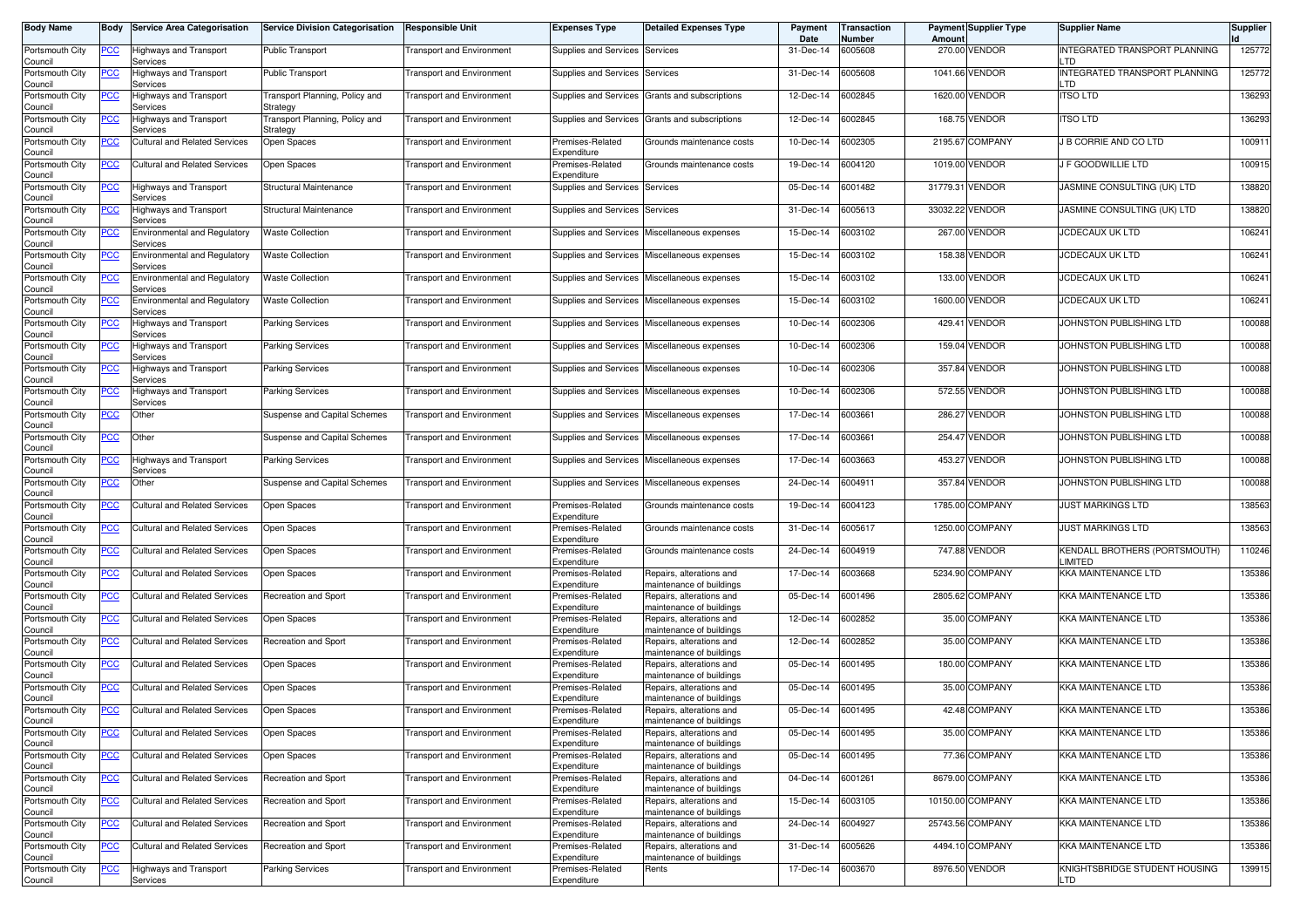| <b>Body Name</b>           | Body       | <b>Service Area Categorisation</b>              | <b>Service Division Categorisation</b>     | <b>Responsible Unit</b>          | <b>Expenses Type</b>            | <b>Detailed Expenses Type</b>                        | Payment<br>Date | <b>Transaction</b><br>Number | Amoun    | <b>Payment Supplier Type</b>   | <b>Supplier Name</b>                     | <b>Supplier</b> |
|----------------------------|------------|-------------------------------------------------|--------------------------------------------|----------------------------------|---------------------------------|------------------------------------------------------|-----------------|------------------------------|----------|--------------------------------|------------------------------------------|-----------------|
| Portsmouth City<br>Council | <u>PCC</u> | Highways and Transport<br>Services              | <b>Public Transport</b>                    | <b>Transport and Environment</b> | Supplies and Services Services  |                                                      | 31-Dec-14       | 6005608                      | 270.00   | <b>VENDOR</b>                  | INTEGRATED TRANSPORT PLANNING<br>LTD     | 125772          |
| Portsmouth City<br>Council | <u>PCC</u> | <b>Highways and Transport</b><br>Services       | <b>Public Transport</b>                    | <b>Transport and Environment</b> | Supplies and Services           | Services                                             | 31-Dec-14       | 6005608                      | 1041.66  | <b>VENDOR</b>                  | INTEGRATED TRANSPORT PLANNING<br>LTD     | 125772          |
| Portsmouth City<br>Council | <u>PCC</u> | Highways and Transport<br>Services              | Transport Planning, Policy and<br>Strategy | <b>Transport and Environment</b> | Supplies and Services           | Grants and subscriptions                             | 12-Dec-14       | 6002845                      | 1620.00  | VENDOR                         | <b>ITSO LTD</b>                          | 136293          |
| Portsmouth City<br>Council | <u>PCC</u> | Highways and Transport<br>Services              | Transport Planning, Policy and<br>Strategy | <b>Transport and Environment</b> | Supplies and Services           | Grants and subscriptions                             | 12-Dec-14       | 6002845                      |          | 168.75 VENDOR                  | <b>ITSO LTD</b>                          | 136293          |
| Portsmouth City<br>Council | <u>PCC</u> | Cultural and Related Services                   | Open Spaces                                | <b>Transport and Environment</b> | Premises-Related<br>Expenditure | Grounds maintenance costs                            | 10-Dec-14       | 6002305                      | 2195.67  | <b>COMPANY</b>                 | J B CORRIE AND CO LTD                    | 100911          |
| Portsmouth City<br>Council | <u>PCC</u> | Cultural and Related Services                   | Open Spaces                                | ransport and Environment         | Premises-Related<br>Expenditure | Grounds maintenance costs                            | 19-Dec-14       | 6004120                      | 1019.00  | <b>VENDOR</b>                  | J F GOODWILLIE LTD                       | 100915          |
| Portsmouth City<br>Council | <b>PCC</b> | Highways and Transport<br>Services              | Structural Maintenance                     | <b>Transport and Environment</b> | Supplies and Services           | Services                                             | 05-Dec-14       | 6001482                      | 31779.31 | <b>VENDOR</b>                  | JASMINE CONSULTING (UK) LTD              | 138820          |
| Portsmouth City<br>Council | <u>PCC</u> | Highways and Transport<br>Services              | Structural Maintenance                     | ransport and Environment         | Supplies and Services           | Services                                             | 31-Dec-14       | 6005613                      | 33032.22 | <b>VENDOR</b>                  | JASMINE CONSULTING (UK) LTD              | 138820          |
| Portsmouth City<br>Council | <u>PCC</u> | <b>Environmental and Regulatory</b><br>Services | <b>Waste Collection</b>                    | <b>Transport and Environment</b> | Supplies and Services           | Miscellaneous expenses                               | 15-Dec-14       | 6003102                      |          | 267.00 VENDOR                  | <b>JCDECAUX UK LTD</b>                   | 106241          |
| Portsmouth City<br>Council | PСC        | <b>Environmental and Regulatory</b><br>Services | Waste Collection                           | <b>Transport and Environment</b> | Supplies and Services           | Miscellaneous expenses                               | 15-Dec-14       | 6003102                      | 158.38   | <b>VENDOR</b>                  | <b>JCDECAUX UK LTD</b>                   | 106241          |
| Portsmouth City<br>Council | PСC        | <b>Environmental and Regulatory</b><br>Services | <b>Naste Collection</b>                    | <b>Transport and Environment</b> | Supplies and Services           | Miscellaneous expenses                               | 15-Dec-14       | 6003102                      | 133.00   | <b>VENDOR</b>                  | <b>JCDECAUX UK LTD</b>                   | 106241          |
| Portsmouth City<br>Council | PСC        | <b>Environmental and Regulatory</b><br>Services | <b>Waste Collection</b>                    | <b>Transport and Environment</b> | Supplies and Services           | Miscellaneous expenses                               | 15-Dec-14       | 6003102                      | 1600.00  | VENDOR                         | <b>JCDECAUX UK LTD</b>                   | 106241          |
| Portsmouth City<br>Council | PCC        | Highways and Transport<br>Services              | <b>Parking Services</b>                    | ransport and Environment         | Supplies and Services           | Miscellaneous expenses                               | 10-Dec-14       | 6002306                      |          | 429.41 VENDOR                  | JOHNSTON PUBLISHING LTD                  | 100088          |
| Portsmouth City<br>Council | PСC        | Highways and Transport<br>Services              | <b>Parking Services</b>                    | <b>Transport and Environment</b> | Supplies and Services           | Miscellaneous expenses                               | 10-Dec-14       | 6002306                      |          | 159.04 VENDOR                  | JOHNSTON PUBLISHING LTD                  | 100088          |
| Portsmouth City<br>Council | PCC        | Highways and Transport<br>Services              | <b>Parking Services</b>                    | <b>Transport and Environment</b> | Supplies and Services           | Miscellaneous expenses                               | 10-Dec-14       | 6002306                      |          | 357.84 VENDOR                  | JOHNSTON PUBLISHING LTD                  | 100088          |
| Portsmouth City<br>Council | <u>PCC</u> | Highways and Transport<br>Services              | <b>Parking Services</b>                    | <b>Transport and Environment</b> | Supplies and Services           | Miscellaneous expenses                               | 10-Dec-14       | 6002306                      | 572.55   | <b>VENDOR</b>                  | JOHNSTON PUBLISHING LTD                  | 100088          |
| Portsmouth City<br>Council | <u>PCC</u> | Other                                           | Suspense and Capital Schemes               | <b>Transport and Environment</b> | Supplies and Services           | Miscellaneous expenses                               | 17-Dec-14       | 6003661                      | 286.27   | <b>VENDOR</b>                  | JOHNSTON PUBLISHING LTD                  | 100088          |
| Portsmouth City<br>Council | <u>PCC</u> | Other                                           | <b>Suspense and Capital Schemes</b>        | <b>Transport and Environment</b> | Supplies and Services           | Miscellaneous expenses                               | 17-Dec-14       | 6003661                      |          | 254.47 VENDOR                  | JOHNSTON PUBLISHING LTD                  | 100088          |
| Portsmouth City<br>Council | PCC        | <b>Highways and Transport</b><br>Services       | <b>Parking Services</b>                    | <b>Transport and Environment</b> | Supplies and Services           | Miscellaneous expenses                               | 17-Dec-14       | 6003663                      | 453.27   | <b>VENDOR</b>                  | JOHNSTON PUBLISHING LTD                  | 100088          |
| Portsmouth City<br>Council | <u>PCC</u> | Other                                           | Suspense and Capital Schemes               | <b>Transport and Environment</b> | Supplies and Services           | Miscellaneous expenses                               | 24-Dec-14       | 6004911                      |          | 357.84 VENDOR                  | JOHNSTON PUBLISHING LTD                  | 100088          |
| Portsmouth City<br>Council | PCC        | Cultural and Related Services                   | Open Spaces                                | <b>Transport and Environment</b> | Premises-Related<br>Expenditure | Grounds maintenance costs                            | 19-Dec-14       | 6004123                      | 1785.00  | <b>COMPANY</b>                 | <b>JUST MARKINGS LTD</b>                 | 138563          |
| Portsmouth City<br>Council | <u>PCC</u> | <b>Cultural and Related Services</b>            | Open Spaces                                | ransport and Environment         | Premises-Related<br>Expenditure | Grounds maintenance costs                            | 31-Dec-14       | 6005617                      | 1250.00  | <b>COMPANY</b>                 | <b>JUST MARKINGS LTD</b>                 | 138563          |
| Portsmouth City<br>Council | <u>PCC</u> | Cultural and Related Services                   | Open Spaces                                | <b>Transport and Environment</b> | Premises-Related<br>Expenditure | Grounds maintenance costs                            | 24-Dec-14       | 6004919                      | 747.88   | <b>VENDOR</b>                  | KENDALL BROTHERS (PORTSMOUTH)<br>LIMITED | 110246          |
| Portsmouth City<br>Council | <u>PCC</u> | Cultural and Related Services                   | Open Spaces                                | ransport and Environment         | Premises-Related<br>Expenditure | Repairs, alterations and<br>maintenance of buildings | 17-Dec-14       | 6003668                      | 5234.90  | <b>COMPANY</b>                 | KKA MAINTENANCE LTD                      | 135386          |
| Portsmouth City<br>Council | <u>PCC</u> | <b>Cultural and Related Services</b>            | Recreation and Sport                       | ransport and Environment         | Premises-Related<br>Expenditure | Repairs, alterations and<br>maintenance of buildings | 05-Dec-14       | 6001496                      |          | 2805.62 COMPANY                | <b>KKA MAINTENANCE LTD</b>               | 135386          |
| Portsmouth City<br>Council | <u>PCC</u> | <b>Cultural and Related Services</b>            | Open Spaces                                | <b>Transport and Environment</b> | Premises-Related<br>Expenditure | Repairs, alterations and<br>maintenance of buildings | 12-Dec-14       | 6002852                      | 35.00    | <b>COMPANY</b>                 | <b>KKA MAINTENANCE LTD</b>               | 135386          |
| Portsmouth City<br>Council | <u>PCC</u> | Cultural and Related Services                   | Recreation and Sport                       | <b>Transport and Environment</b> | Premises-Related<br>Expenditure | Repairs, alterations and<br>maintenance of buildings | 12-Dec-14       | 6002852                      |          | 35.00 COMPANY                  | <b>KKA MAINTENANCE LTD</b>               | 135386          |
| Portsmouth City<br>Council | <u>PCC</u> | <b>Cultural and Related Services</b>            | Open Spaces                                | ransport and Environment         | Premises-Related<br>Expenditure | Repairs, alterations and<br>naintenance of buildings | 05-Dec-14       | 6001495                      | 180.00   | <b>COMPANY</b>                 | <b>KKA MAINTENANCE LTD</b>               | 135386          |
| Portsmouth City<br>Council | <u>PCC</u> | <b>Cultural and Related Services</b>            | Open Spaces                                | Transport and Environment        | Premises-Related<br>Expenditure | Repairs, alterations and<br>maintenance of buildings | 05-Dec-14       | 6001495                      |          | 35.00 COMPANY                  | <b>KKA MAINTENANCE LTD</b>               | 135386          |
| Portsmouth City<br>Council | <u>PCC</u> | Cultural and Related Services                   | Open Spaces                                | <b>Transport and Environment</b> | Premises-Related<br>Expenditure | Repairs, alterations and<br>naintenance of buildings | 05-Dec-14       | 6001495                      |          | 42.48 COMPANY<br>35.00 COMPANY | <b>KKA MAINTENANCE LTD</b>               | 135386          |
| Portsmouth City<br>Council | <b>PCC</b> | Cultural and Related Services                   | Open Spaces                                | <b>Transport and Environment</b> | Premises-Related<br>Expenditure | Repairs, alterations and<br>maintenance of buildings | 05-Dec-14       | 6001495                      |          |                                | <b>KKA MAINTENANCE LTD</b>               | 135386          |
| Portsmouth City<br>Council | <u>PCC</u> | <b>Cultural and Related Services</b>            | Open Spaces                                | <b>Transport and Environment</b> | Premises-Related<br>Expenditure | Repairs, alterations and<br>maintenance of buildings | 05-Dec-14       | 6001495                      |          | 77.36 COMPANY                  | <b>KKA MAINTENANCE LTD</b>               | 135386          |
| Portsmouth City<br>Council | <u>PCC</u> | <b>Cultural and Related Services</b>            | Recreation and Sport                       | <b>Transport and Environment</b> | Premises-Related<br>Expenditure | Repairs, alterations and<br>maintenance of buildings | 04-Dec-14       | 6001261                      |          | 8679.00 COMPANY                | KKA MAINTENANCE LTD                      | 135386          |
| Portsmouth City<br>Council | <u>PCC</u> | <b>Cultural and Related Services</b>            | Recreation and Sport                       | <b>Transport and Environment</b> | Premises-Related<br>Expenditure | Repairs, alterations and<br>maintenance of buildings | 15-Dec-14       | 6003105                      |          | 10150.00 COMPANY               | <b>KKA MAINTENANCE LTD</b>               | 135386          |
| Portsmouth City<br>Council | <u>PCC</u> | <b>Cultural and Related Services</b>            | Recreation and Sport                       | <b>Transport and Environment</b> | Premises-Related<br>Expenditure | Repairs, alterations and<br>maintenance of buildings | 24-Dec-14       | 6004927                      |          | 25743.56 COMPANY               | KKA MAINTENANCE LTD                      | 135386          |
| Portsmouth City<br>Council | <u>PCC</u> | Cultural and Related Services                   | Recreation and Sport                       | <b>Transport and Environment</b> | Premises-Related<br>Expenditure | Repairs, alterations and<br>maintenance of buildings | 31-Dec-14       | 6005626                      |          | 4494.10 COMPANY                | KKA MAINTENANCE LTD                      | 135386          |
| Portsmouth City<br>Council | <u>PCC</u> | Highways and Transport<br>Services              | <b>Parking Services</b>                    | <b>Transport and Environment</b> | Premises-Related<br>Expenditure | Rents                                                | 17-Dec-14       | 6003670                      |          | 8976.50 VENDOR                 | KNIGHTSBRIDGE STUDENT HOUSING<br>LTD     | 139915          |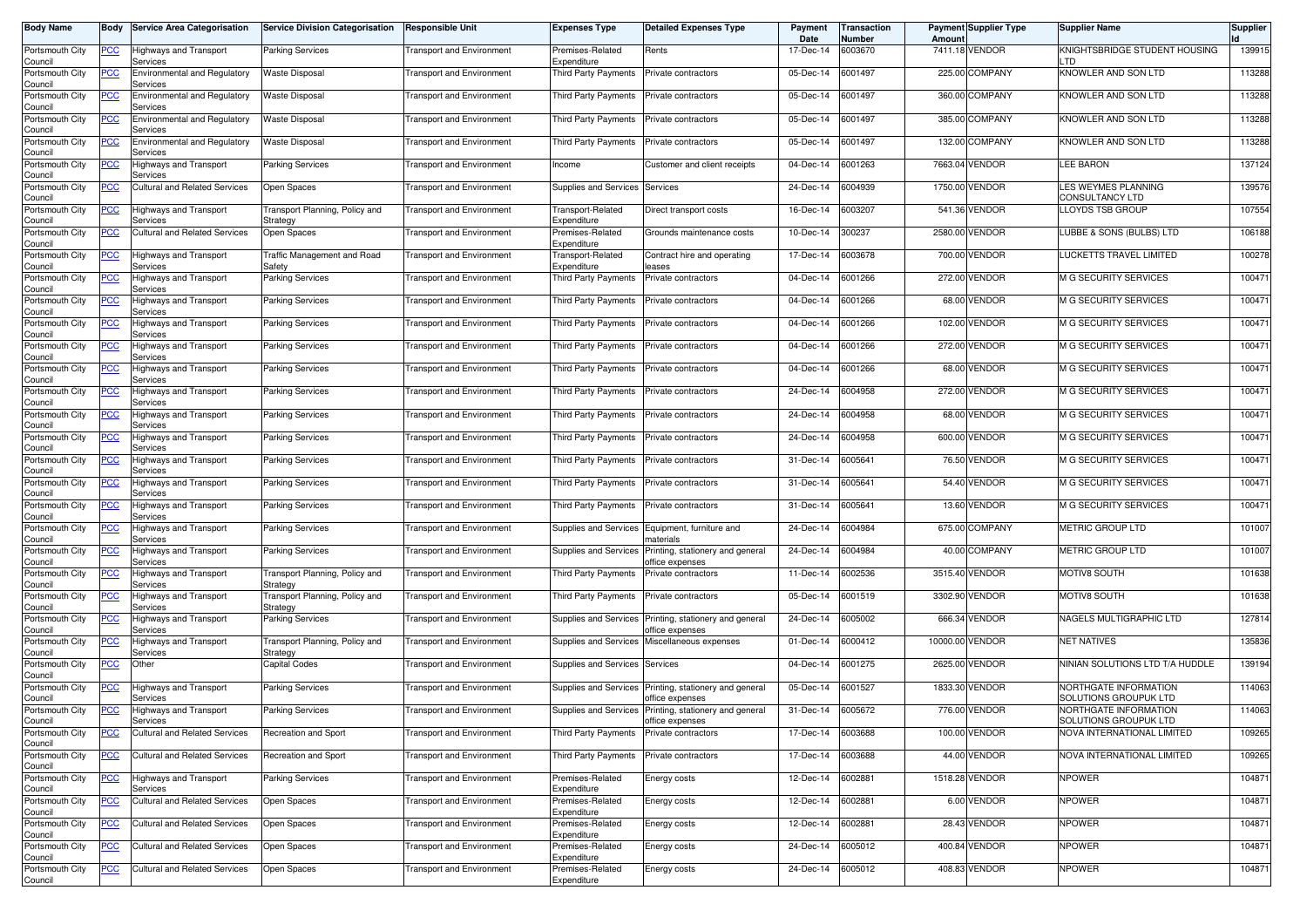| <b>Body Name</b>                      | Body       | <b>Service Area Categorisation</b>              | <b>Service Division Categorisation</b>     | <b>Responsible Unit</b>          | Expenses Type                           | <b>Detailed Expenses Type</b>                                            | Payment<br>Date | Transaction<br>Number | Amoun   | <b>Payment Supplier Type</b> | <b>Supplier Name</b>                           | Supplier |
|---------------------------------------|------------|-------------------------------------------------|--------------------------------------------|----------------------------------|-----------------------------------------|--------------------------------------------------------------------------|-----------------|-----------------------|---------|------------------------------|------------------------------------------------|----------|
| Portsmouth City<br>Council            | <u>PCC</u> | Highways and Transport<br>Services              | <b>Parking Services</b>                    | <b>Transport and Environment</b> | Premises-Related<br>Expenditure         | Rents                                                                    | 17-Dec-14       | 6003670               |         | 7411.18 VENDOR               | KNIGHTSBRIDGE STUDENT HOUSING<br>∣ TD          | 139915   |
| Portsmouth City<br>Council            | <u>PCC</u> | Environmental and Regulatory<br>Services        | Waste Disposal                             | <b>Transport and Environment</b> | <b>Third Party Payments</b>             | Private contractors                                                      | 05-Dec-14       | 6001497               |         | 225.00 COMPANY               | KNOWLER AND SON LTD                            | 113288   |
| Portsmouth City<br>Council            | <u>PCC</u> | <b>Environmental and Regulatory</b><br>Services | <b>Waste Disposal</b>                      | <b>Transport and Environment</b> | Third Party Payments                    | Private contractors                                                      | 05-Dec-14       | 6001497               |         | 360.00 COMPANY               | KNOWLER AND SON LTD                            | 113288   |
| Portsmouth City<br>Council            | <u>PCC</u> | Environmental and Regulatory<br>Services        | Waste Disposal                             | <b>Transport and Environment</b> | Third Party Payments                    | Private contractors                                                      | 05-Dec-14       | 6001497               |         | 385.00 COMPANY               | KNOWLER AND SON LTD                            | 113288   |
| Portsmouth City<br>Council            | <u>PCC</u> | <b>Environmental and Regulatory</b><br>Services | <b>Waste Disposal</b>                      | <b>Transport and Environment</b> | Third Party Payments                    | Private contractors                                                      | 05-Dec-14       | 6001497               |         | 132.00 COMPANY               | KNOWLER AND SON LTD                            | 113288   |
| Portsmouth City<br>Council            | <u>PCC</u> | Highways and Transport<br>Services              | Parking Services                           | <b>Transport and Environment</b> | Income                                  | Customer and client receipts                                             | 04-Dec-14       | 6001263               | 7663.04 | <b>VENDOR</b>                | <b>LEE BARON</b>                               | 137124   |
| Portsmouth City<br>Council            | <u>PCC</u> | <b>Cultural and Related Services</b>            | Open Spaces                                | <b>Transport and Environment</b> | Supplies and Services                   | Services                                                                 | 24-Dec-14       | 6004939               |         | 1750.00 VENDOR               | LES WEYMES PLANNING<br>CONSULTANCY LTD         | 139576   |
| Portsmouth City<br>Council            | <u>PCC</u> | <b>Highways and Transport</b><br>Services       | Transport Planning, Policy and<br>Strategy | <b>Transport and Environment</b> | <b>Fransport-Related</b><br>Expenditure | Direct transport costs                                                   | 16-Dec-14       | 6003207               |         | 541.36 VENDOR                | LLOYDS TSB GROUP                               | 107554   |
| Portsmouth City<br>Council            | <u>PCC</u> | <b>Cultural and Related Services</b>            | Open Spaces                                | <b>Transport and Environment</b> | Premises-Related<br>Expenditure         | Grounds maintenance costs                                                | 10-Dec-14       | 300237                |         | 2580.00 VENDOR               | LUBBE & SONS (BULBS) LTD                       | 106188   |
| Portsmouth City<br>Council            | <u>PCC</u> | Highways and Transport<br>Services              | Traffic Management and Road<br>Safety      | <b>Transport and Environment</b> | Fransport-Related<br>Expenditure        | Contract hire and operating<br>eases                                     | 17-Dec-14       | 6003678               |         | 700.00 VENDOR                | LUCKETTS TRAVEL LIMITED                        | 100278   |
| Portsmouth City<br>Council            | <u>PCC</u> | Highways and Transport<br>Services              | Parking Services                           | <b>Transport and Environment</b> | <b>Third Party Payments</b>             | Private contractors                                                      | 04-Dec-14       | 6001266               |         | 272.00 VENDOR                | <b>M G SECURITY SERVICES</b>                   | 100471   |
| Portsmouth City<br>Council            | PСC        | Highways and Transport<br>Services              | <b>Parking Services</b>                    | <b>Transport and Environment</b> | Third Party Payments                    | Private contractors                                                      | 04-Dec-14       | 6001266               | 68.00   | VENDOR                       | <b>M G SECURITY SERVICES</b>                   | 100471   |
| Portsmouth City<br>Council            | <u>PCC</u> | Highways and Transport<br>Services              | <b>Parking Services</b>                    | <b>Transport and Environment</b> | Third Party Payments                    | Private contractors                                                      | 04-Dec-14       | 6001266               | 102.00  | <b>VENDOR</b>                | <b>M G SECURITY SERVICES</b>                   | 100471   |
| Portsmouth City<br>Council            | <u>PCC</u> | Highways and Transport<br>Services              | <b>Parking Services</b>                    | <b>Transport and Environment</b> | Third Party Payments                    | Private contractors                                                      | 04-Dec-14       | 6001266               |         | 272.00 VENDOR                | <b>M G SECURITY SERVICES</b>                   | 100471   |
| Portsmouth City<br>Council            | PСC        | Highways and Transport<br>Services              | <b>Parking Services</b>                    | <b>Transport and Environment</b> | Third Party Payments                    | Private contractors                                                      | 04-Dec-14       | 6001266               |         | 68.00 VENDOR                 | <b>M G SECURITY SERVICES</b>                   | 100471   |
| Portsmouth City<br>Council            | <u>PCC</u> | Highways and Transport<br>Services              | <b>Parking Services</b>                    | <b>Transport and Environment</b> | Third Party Payments                    | Private contractors                                                      | 24-Dec-14       | 6004958               | 272.00  | VENDOR                       | <b>M G SECURITY SERVICES</b>                   | 100471   |
| Portsmouth City<br>Council            | <u>PCC</u> | Highways and Transport<br>Services              | <b>Parking Services</b>                    | <b>Transport and Environment</b> | Third Party Payments                    | Private contractors                                                      | 24-Dec-14       | 6004958               |         | 68.00 VENDOR                 | <b>M G SECURITY SERVICES</b>                   | 100471   |
| Portsmouth City<br>Council            | <u>PCC</u> | Highways and Transport<br>Services              | <b>Parking Services</b>                    | <b>Transport and Environment</b> | Third Party Payments                    | Private contractors                                                      | 24-Dec-14       | 6004958               |         | 600.00 VENDOR                | <b>M G SECURITY SERVICES</b>                   | 100471   |
| Portsmouth City<br>Council            | PСC        | Highways and Transport<br>Services              | <b>Parking Services</b>                    | Transport and Environment        | Third Party Payments                    | Private contractors                                                      | 31-Dec-14       | 6005641               |         | 76.50 VENDOR                 | <b>M G SECURITY SERVICES</b>                   | 100471   |
| Portsmouth City<br>Council            | PСC        | Highways and Transport<br>Services              | Parking Services                           | <b>Transport and Environment</b> | <b>Third Party Payments</b>             | Private contractors                                                      | 31-Dec-14       | 6005641               |         | 54.40 VENDOR                 | <b>M G SECURITY SERVICES</b>                   | 100471   |
| Portsmouth City<br>Council            | <u>PCC</u> | Highways and Transport<br>Services              | <b>Parking Services</b>                    | <b>Transport and Environment</b> | Third Party Payments                    | Private contractors                                                      | 31-Dec-14       | 6005641               |         | 13.60 VENDOR                 | <b>M G SECURITY SERVICES</b>                   | 100471   |
| Portsmouth City<br>Council            | <u>PCC</u> | <b>Highways and Transport</b><br>Services       | <b>Parking Services</b>                    | <b>Transport and Environment</b> | Supplies and Services                   | Equipment, furniture and<br>materials                                    | 24-Dec-14       | 6004984               |         | 675.00 COMPANY               | <b>METRIC GROUP LTD</b>                        | 101007   |
| Portsmouth City<br>Council            | <u>PCC</u> | Highways and Transport<br>Services              | <b>Parking Services</b>                    | Transport and Environment        | <b>Supplies and Services</b>            | Printing, stationery and general<br>office expenses                      | 24-Dec-14       | 6004984               |         | 40.00 COMPANY                | <b>METRIC GROUP LTD</b>                        | 101007   |
| Portsmouth City<br>Council            | <u>CC </u> | Highways and Transport<br>Services              | Transport Planning, Policy and<br>Strategy | <b>Transport and Environment</b> | Third Party Payments                    | Private contractors                                                      | 11-Dec-14       | 6002536               |         | 3515.40 VENDOR               | MOTIV8 SOUTH                                   | 101638   |
| Portsmouth City<br>Council            | <u>PCC</u> | Highways and Transport<br>Services              | Transport Planning, Policy and<br>Strategy | <b>Transport and Environment</b> | Third Party Payments                    | Private contractors                                                      | 05-Dec-14       | 6001519               |         | 3302.90 VENDOR               | MOTIV8 SOUTH                                   | 101638   |
| Portsmouth City<br>Council            | <u>PCC</u> | Highways and Transport<br>Services              | <b>Parking Services</b>                    | <b>Transport and Environment</b> | Supplies and Services                   | Printing, stationery and general<br>office expenses                      | 24-Dec-14       | 6005002               | 666.34  | <b>VENDOR</b>                | NAGELS MULTIGRAPHIC LTD                        | 127814   |
| Portsmouth City<br>Council            | <u>PCC</u> | Highways and Transport<br>Services              | Transport Planning, Policy and<br>Strategy | <b>Transport and Environment</b> | Supplies and Services                   | Miscellaneous expenses                                                   | 01-Dec-14       | 6000412               |         | 10000.00 VENDOR              | <b>NET NATIVES</b>                             | 135836   |
| Portsmouth City<br>Council            | <u>PCC</u> | Other                                           | Capital Codes                              | Transport and Environment        | Supplies and Services                   | Services                                                                 | 04-Dec-14       | 6001275               | 2625.00 | <b>VENDOR</b>                | NINIAN SOLUTIONS LTD T/A HUDDLE                | 139194   |
| Portsmouth City<br>Council            | <u>PCC</u> | Highways and Transport<br>Services              | Parking Services                           | Transport and Environment        | Supplies and Services                   | Printing, stationery and general<br>office expenses                      | 05-Dec-14       | 6001527               |         | 1833.30 VENDOR               | NORTHGATE INFORMATION<br>SOLUTIONS GROUPUK LTD | 114063   |
| Portsmouth City                       | <u>PCC</u> | Highways and Transport<br>pervices              | <b>Parking Services</b>                    | <b>Transport and Environment</b> |                                         | Supplies and Services Printing, stationery and general<br>onice expenses | 31-Dec-14       | 6005672               |         | 776.00 VENDOR                | NORTHGATE INFORMATION<br>SOLUTIONS GROUPUK LTD | 114063   |
| Council<br>Portsmouth City<br>Council | <u>PCC</u> | <b>Cultural and Related Services</b>            | Recreation and Sport                       | <b>Transport and Environment</b> | Third Party Payments                    | Private contractors                                                      | 17-Dec-14       | 6003688               |         | 100.00 VENDOR                | NOVA INTERNATIONAL LIMITED                     | 109265   |
| Portsmouth City<br>Council            | <b>PCC</b> | <b>Cultural and Related Services</b>            | Recreation and Sport                       | <b>Transport and Environment</b> | <b>Third Party Payments</b>             | Private contractors                                                      | 17-Dec-14       | 6003688               |         | 44.00 VENDOR                 | NOVA INTERNATIONAL LIMITED                     | 109265   |
| Portsmouth City                       | <u>PCC</u> | Highways and Transport<br>Services              | Parking Services                           | <b>Transport and Environment</b> | Premises-Related<br>Expenditure         | Energy costs                                                             | 12-Dec-14       | 6002881               |         | 1518.28 VENDOR               | <b>NPOWER</b>                                  | 104871   |
| Council<br>Portsmouth City<br>Council | <b>PCC</b> | <b>Cultural and Related Services</b>            | Open Spaces                                | <b>Transport and Environment</b> | Premises-Related<br>Expenditure         | Energy costs                                                             | 12-Dec-14       | 6002881               |         | 6.00 VENDOR                  | <b>NPOWER</b>                                  | 104871   |
| Portsmouth City<br>Council            | <b>PCC</b> | <b>Cultural and Related Services</b>            | Open Spaces                                | <b>Transport and Environment</b> | Premises-Related<br>Expenditure         | Energy costs                                                             | 12-Dec-14       | 6002881               |         | 28.43 VENDOR                 | <b>NPOWER</b>                                  | 104871   |
| Portsmouth City<br>Council            | <u>PCC</u> | <b>Cultural and Related Services</b>            | Open Spaces                                | <b>Transport and Environment</b> | Premises-Related<br>Expenditure         | Energy costs                                                             | 24-Dec-14       | 6005012               |         | 400.84 VENDOR                | NPOWER                                         | 104871   |
| Portsmouth City<br>Council            | <u>PCC</u> | <b>Cultural and Related Services</b>            | Open Spaces                                | Transport and Environment        | Premises-Related<br>Expenditure         | Energy costs                                                             | 24-Dec-14       | 6005012               |         | 408.83 VENDOR                | <b>NPOWER</b>                                  | 104871   |
|                                       |            |                                                 |                                            |                                  |                                         |                                                                          |                 |                       |         |                              |                                                |          |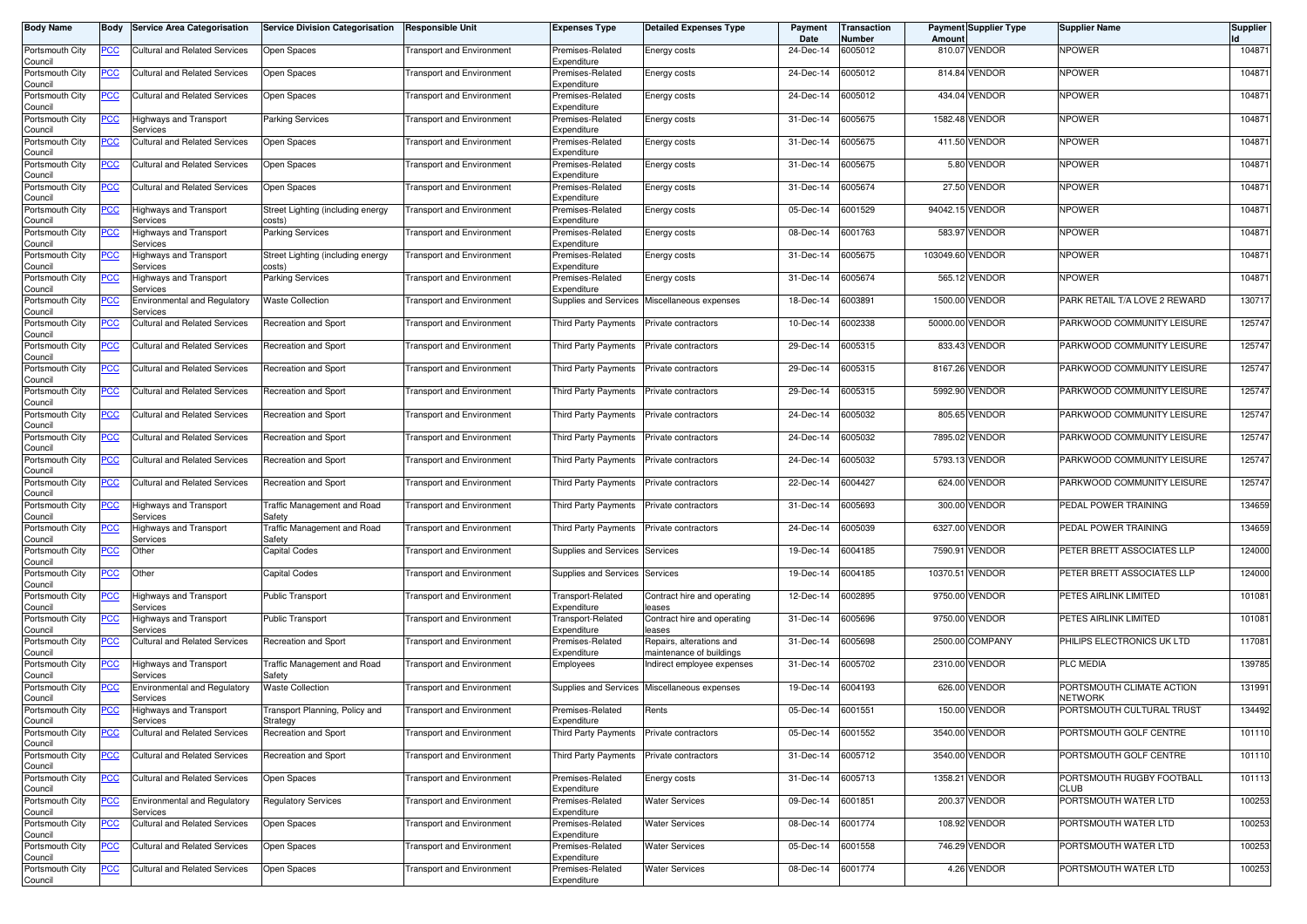| <b>Body Name</b>           | Body       | <b>Service Area Categorisation</b>              | <b>Service Division Categorisation</b>       | Responsible Unit                 | <b>Expenses Type</b>             | <b>Detailed Expenses Type</b>                        | Payment<br>Date | Transaction<br>Number | Amoun            | <b>Payment Supplier Type</b> | <b>Supplier Name</b>                 | <b>Supplier</b> |
|----------------------------|------------|-------------------------------------------------|----------------------------------------------|----------------------------------|----------------------------------|------------------------------------------------------|-----------------|-----------------------|------------------|------------------------------|--------------------------------------|-----------------|
| Portsmouth City<br>Council | PCC        | Cultural and Related Services                   | Open Spaces                                  | <b>Transport and Environment</b> | Premises-Related<br>Expenditure  | Energy costs                                         | 24-Dec-14       | 6005012               |                  | 810.07 VENDOR                | <b>NPOWER</b>                        | 104871          |
| Portsmouth City<br>Council | <u>PCC</u> | Cultural and Related Services                   | Open Spaces                                  | <b>Transport and Environment</b> | Premises-Related<br>Expenditure  | Energy costs                                         | 24-Dec-14       | 6005012               |                  | 814.84 VENDOR                | <b>NPOWER</b>                        | 104871          |
| Portsmouth City<br>Council | <b>PCC</b> | <b>Cultural and Related Services</b>            | Open Spaces                                  | <b>Transport and Environment</b> | Premises-Related<br>Expenditure  | Energy costs                                         | 24-Dec-14       | 6005012               | 434.04           | <b>VENDOR</b>                | <b>NPOWER</b>                        | 104871          |
| Portsmouth City<br>Council | <u>PCC</u> | <b>Highways and Transport</b><br>Services       | <b>Parking Services</b>                      | <b>Transport and Environment</b> | Premises-Related<br>Expenditure  | Energy costs                                         | 31-Dec-14       | 6005675               |                  | 1582.48 VENDOR               | <b>NPOWER</b>                        | 104871          |
| Portsmouth City<br>Council | <u>PCC</u> | Cultural and Related Services                   | Open Spaces                                  | <b>Transport and Environment</b> | Premises-Related<br>Expenditure  | Energy costs                                         | 31-Dec-14       | 6005675               |                  | 411.50 VENDOR                | <b>NPOWER</b>                        | 104871          |
| Portsmouth City<br>Council | <u>PCC</u> | Cultural and Related Services                   | Open Spaces                                  | <b>Transport and Environment</b> | Premises-Related<br>Expenditure  | Energy costs                                         | 31-Dec-14       | 6005675               |                  | 5.80 VENDOR                  | <b>NPOWER</b>                        | 104871          |
| Portsmouth City<br>Council | <b>PCC</b> | <b>Cultural and Related Services</b>            | Open Spaces                                  | <b>Transport and Environment</b> | Premises-Related<br>Expenditure  | Energy costs                                         | 31-Dec-14       | 6005674               |                  | 27.50 VENDOR                 | <b>NPOWER</b>                        | 104871          |
| Portsmouth City<br>Council | <u>PCC</u> | Highways and Transport<br>Services              | Street Lighting (including energy<br>costs)  | <b>Transport and Environment</b> | Premises-Related<br>Expenditure  | Energy costs                                         | 05-Dec-14       | 6001529               |                  | 94042.15 VENDOR              | <b>NPOWER</b>                        | 104871          |
| Portsmouth City<br>Council | <u>PCC</u> | Highways and Transport<br>Services              | <b>Parking Services</b>                      | <b>Transport and Environment</b> | Premises-Related<br>Expenditure  | Energy costs                                         | 08-Dec-14       | 6001763               |                  | 583.97 VENDOR                | <b>NPOWER</b>                        | 104871          |
| Portsmouth City<br>Council | <u>PCC</u> | Highways and Transport<br>Services              | Street Lighting (including energy<br>costs)  | <b>Transport and Environment</b> | Premises-Related<br>Expenditure  | Energy costs                                         | 31-Dec-14       | 6005675               | 103049.60 VENDOR |                              | <b>NPOWER</b>                        | 104871          |
| Portsmouth City<br>Council | <u>PCC</u> | <b>Highways and Transport</b><br>Services       | <b>Parking Services</b>                      | <b>Transport and Environment</b> | Premises-Related<br>Expenditure  | Energy costs                                         | 31-Dec-14       | 6005674               |                  | 565.12 VENDOR                | <b>NPOWER</b>                        | 104871          |
| Portsmouth City<br>Council | <u>PCC</u> | Environmental and Regulatory<br>Services        | <b>Waste Collection</b>                      | <b>Transport and Environment</b> | Supplies and Services            | Miscellaneous expenses                               | 18-Dec-14       | 6003891               |                  | 1500.00 VENDOR               | PARK RETAIL T/A LOVE 2 REWARD        | 130717          |
| Portsmouth City<br>Council | <u>PCC</u> | Cultural and Related Services                   | Recreation and Sport                         | <b>Transport and Environment</b> | Third Party Payments             | Private contractors                                  | 10-Dec-14       | 6002338               |                  | 50000.00 VENDOR              | PARKWOOD COMMUNITY LEISURE           | 125747          |
| Portsmouth City<br>Council | <u>PCC</u> | Cultural and Related Services                   | Recreation and Sport                         | <b>Transport and Environment</b> | Third Party Payments             | Private contractors                                  | 29-Dec-14       | 6005315               |                  | 833.43 VENDOR                | PARKWOOD COMMUNITY LEISURE           | 125747          |
| Portsmouth City<br>Council | <u>PCC</u> | <b>Cultural and Related Services</b>            | Recreation and Sport                         | <b>Transport and Environment</b> | Third Party Payments             | Private contractors                                  | 29-Dec-14       | 6005315               |                  | 8167.26 VENDOR               | PARKWOOD COMMUNITY LEISURE           | 125747          |
| Portsmouth City<br>Council | <u>PCC</u> | <b>Cultural and Related Services</b>            | Recreation and Sport                         | <b>Transport and Environment</b> | Third Party Payments             | Private contractors                                  | 29-Dec-14       | 6005315               |                  | 5992.90 VENDOR               | PARKWOOD COMMUNITY LEISURE           | 125747          |
| Portsmouth City<br>Council | <u>PCC</u> | <b>Cultural and Related Services</b>            | Recreation and Sport                         | <b>Transport and Environment</b> | Third Party Payments             | Private contractors                                  | 24-Dec-14       | 6005032               |                  | 805.65 VENDOR                | PARKWOOD COMMUNITY LEISURE           | 125747          |
| Portsmouth City<br>Council | <b>PCC</b> | Cultural and Related Services                   | Recreation and Sport                         | <b>Transport and Environment</b> | Third Party Payments             | Private contractors                                  | 24-Dec-14       | 6005032               |                  | 7895.02 VENDOR               | PARKWOOD COMMUNITY LEISURE           | 125747          |
| Portsmouth City<br>Council | <u>PCC</u> | <b>Cultural and Related Services</b>            | Recreation and Sport                         | <b>Transport and Environment</b> | Third Party Payments             | Private contractors                                  | 24-Dec-14       | 6005032               |                  | 5793.13 VENDOR               | PARKWOOD COMMUNITY LEISURE           | 125747          |
| Portsmouth City<br>Council | <u>PCC</u> | <b>Cultural and Related Services</b>            | Recreation and Sport                         | <b>Transport and Environment</b> | Third Party Payments             | Private contractors                                  | 22-Dec-14       | 6004427               |                  | 624.00 VENDOR                | PARKWOOD COMMUNITY LEISURE           | 125747          |
| Portsmouth City<br>Council | <u>PCC</u> | <b>Highways and Transport</b><br>Services       | <b>Traffic Management and Road</b><br>Safety | <b>Transport and Environment</b> | <b>Third Party Payments</b>      | Private contractors                                  | 31-Dec-14       | 6005693               |                  | 300.00 VENDOR                | PEDAL POWER TRAINING                 | 134659          |
| Portsmouth City<br>Council | <u>PCC</u> | Highways and Transport<br>Services              | <b>Traffic Management and Road</b><br>Safety | <b>Transport and Environment</b> | Third Party Payments             | Private contractors                                  | 24-Dec-14       | 6005039               |                  | 6327.00 VENDOR               | PEDAL POWER TRAINING                 | 134659          |
| Portsmouth City<br>Council | <b>PCC</b> | Other                                           | Capital Codes                                | <b>Transport and Environment</b> | Supplies and Services            | Services                                             | 19-Dec-14       | 6004185               | 7590.91          | <b>VENDOR</b>                | PETER BRETT ASSOCIATES LLP           | 124000          |
| Portsmouth City<br>Council | <u>PCC</u> | Other                                           | Capital Codes                                | <b>Transport and Environment</b> | <b>Supplies and Services</b>     | Services                                             | 19-Dec-14       | 6004185               | 10370.51         | <b>VENDOR</b>                | PETER BRETT ASSOCIATES LLP           | 124000          |
| Portsmouth City<br>Council | <u>PCC</u> | Highways and Transport<br>Services              | Public Transport                             | <b>Transport and Environment</b> | Transport-Related<br>Expenditure | Contract hire and operating<br>eases                 | 12-Dec-14       | 6002895               |                  | 9750.00 VENDOR               | PETES AIRLINK LIMITED                | 101081          |
| Portsmouth City<br>Council | <u>PCC</u> | Highways and Transport<br>Services              | <b>Public Transport</b>                      | <b>Transport and Environment</b> | Transport-Related<br>Expenditure | Contract hire and operating<br>eases                 | 31-Dec-14       | 6005696               |                  | 9750.00 VENDOR               | PETES AIRLINK LIMITED                | 101081          |
| Portsmouth City<br>Council | <u>PCC</u> | <b>Cultural and Related Services</b>            | Recreation and Sport                         | <b>Transport and Environment</b> | Premises-Related<br>Expenditure  | Repairs, alterations and<br>naintenance of buildings | 31-Dec-14       | 6005698               |                  | 2500.00 COMPANY              | PHILIPS ELECTRONICS UK LTD           | 117081          |
| Portsmouth City<br>Council | <b>PCC</b> | Highways and Transport<br>Services              | Traffic Management and Road<br>Safety        | <b>Transport and Environment</b> | Employees                        | ndirect employee expenses                            | 31-Dec-14       | 6005702               |                  | 2310.00 VENDOR               | <b>PLC MEDIA</b>                     | 139785          |
| Portsmouth City<br>Council | <u>PCC</u> | Environmental and Regulatory<br>Services        | <b>Waste Collection</b>                      | <b>Transport and Environment</b> | <b>Supplies and Services</b>     | Miscellaneous expenses                               | 19-Dec-14       | 6004193               |                  | 626.00 VENDOR                | PORTSMOUTH CLIMATE ACTION<br>Network | 131991          |
| Portsmouth City<br>Council | <u>PCC</u> | Highways and Transport<br><b>EIVICES</b>        | Transport Planning, Policy and<br>oirategy   | <b>Transport and Environment</b> | Premises-Related<br>Expenditure  | Rents                                                | 05-Dec-14       | 6001551               |                  | 150.00 VENDOR                | PORTSMOUTH CULTURAL TRUST            | 134492          |
| Portsmouth City<br>Council | <u>PCC</u> | <b>Cultural and Related Services</b>            | Recreation and Sport                         | <b>Transport and Environment</b> | Third Party Payments             | Private contractors                                  | 05-Dec-14       | 6001552               |                  | 3540.00 VENDOR               | PORTSMOUTH GOLF CENTRE               | 101110          |
| Portsmouth City<br>Council | <u>PCC</u> | <b>Cultural and Related Services</b>            | Recreation and Sport                         | <b>Transport and Environment</b> | Third Party Payments             | Private contractors                                  | 31-Dec-14       | 6005712               |                  | 3540.00 VENDOR               | PORTSMOUTH GOLF CENTRE               | 101110          |
| Portsmouth City<br>Council | <u>PCC</u> | <b>Cultural and Related Services</b>            | Open Spaces                                  | <b>Transport and Environment</b> | Premises-Related<br>Expenditure  | Energy costs                                         | 31-Dec-14       | 6005713               |                  | 1358.21 VENDOR               | PORTSMOUTH RUGBY FOOTBALL<br>CLUB    | 101113          |
| Portsmouth City<br>Council | <u>PCC</u> | <b>Environmental and Regulatory</b><br>Services | <b>Regulatory Services</b>                   | <b>Transport and Environment</b> | Premises-Related<br>Expenditure  | <b>Water Services</b>                                | 09-Dec-14       | 6001851               |                  | 200.37 VENDOR                | PORTSMOUTH WATER LTD                 | 100253          |
| Portsmouth City<br>Council | <u>PCC</u> | <b>Cultural and Related Services</b>            | Open Spaces                                  | <b>Transport and Environment</b> | Premises-Related<br>Expenditure  | <b>Water Services</b>                                | 08-Dec-14       | 6001774               |                  | 108.92 VENDOR                | PORTSMOUTH WATER LTD                 | 100253          |
| Portsmouth City<br>Council | <u>PCC</u> | <b>Cultural and Related Services</b>            | Open Spaces                                  | <b>Transport and Environment</b> | Premises-Related<br>Expenditure  | Water Services                                       | 05-Dec-14       | 6001558               |                  | 746.29 VENDOR                | PORTSMOUTH WATER LTD                 | 100253          |
| Portsmouth City<br>Council | <u>PCC</u> | <b>Cultural and Related Services</b>            | Open Spaces                                  | Transport and Environment        | Premises-Related<br>Expenditure  | <b>Water Services</b>                                | 08-Dec-14       | 6001774               |                  | 4.26 VENDOR                  | PORTSMOUTH WATER LTD                 | 100253          |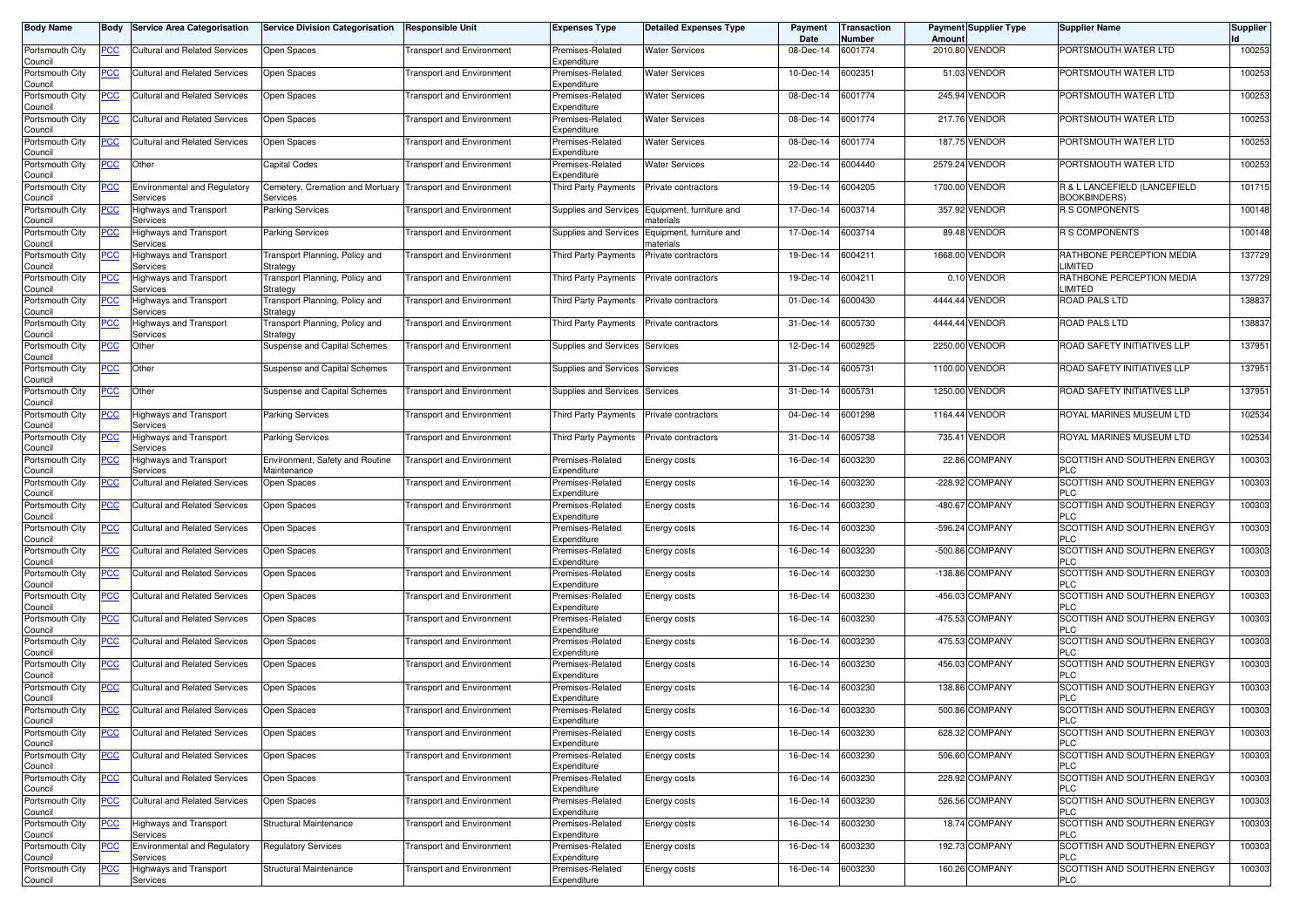| <b>Body Name</b>           | Body           | <b>Service Area Categorisation</b>              | <b>Service Division Categorisation</b>         | <b>Responsible Unit</b>          | <b>Expenses Type</b>            | <b>Detailed Expenses Type</b>                               | Payment<br>Date | Transaction<br>Number | Amount    | <b>Payment Supplier Type</b> | <b>Supplier Name</b>                                | Supplier |
|----------------------------|----------------|-------------------------------------------------|------------------------------------------------|----------------------------------|---------------------------------|-------------------------------------------------------------|-----------------|-----------------------|-----------|------------------------------|-----------------------------------------------------|----------|
| Portsmouth City<br>Council | PCC            | Cultural and Related Services                   | Open Spaces                                    | <b>Transport and Environment</b> | Premises-Related<br>Expenditure | Water Services                                              | 08-Dec-14       | 6001774               | 2010.80   | <b>VENDOR</b>                | PORTSMOUTH WATER LTD                                | 100253   |
| Portsmouth City<br>Council | <u>PCC</u>     | Cultural and Related Services                   | Open Spaces                                    | <b>Transport and Environment</b> | Premises-Related<br>Expenditure | Water Services                                              | 10-Dec-14       | 6002351               |           | 51.03 VENDOR                 | PORTSMOUTH WATER LTD                                | 100253   |
| Portsmouth City<br>Council | <b>PCC</b>     | <b>Cultural and Related Services</b>            | Open Spaces                                    | <b>Transport and Environment</b> | Premises-Related<br>Expenditure | <b>Water Services</b>                                       | 08-Dec-14       | 6001774               |           | 245.94 VENDOR                | PORTSMOUTH WATER LTD                                | 100253   |
| Portsmouth City<br>Council | <u>PCC</u>     | <b>Cultural and Related Services</b>            | Open Spaces                                    | <b>Transport and Environment</b> | Premises-Related<br>Expenditure | Nater Services                                              | 08-Dec-14       | 6001774               |           | 217.76 VENDOR                | PORTSMOUTH WATER LTD                                | 100253   |
| Portsmouth City<br>Council | <u>PCC</u>     | Cultural and Related Services                   | Open Spaces                                    | <b>Transport and Environment</b> | Premises-Related<br>Expenditure | <b>Water Services</b>                                       | 08-Dec-14       | 6001774               | 187.75    | <b>VENDOR</b>                | PORTSMOUTH WATER LTD                                | 100253   |
| Portsmouth City<br>Council | <u>PCC</u>     | Other                                           | <b>Capital Codes</b>                           | <b>Fransport and Environment</b> | Premises-Related<br>Expenditure | Water Services                                              | 22-Dec-14       | 6004440               |           | 2579.24 VENDOR               | PORTSMOUTH WATER LTD                                | 100253   |
| Portsmouth City<br>Council | <b>PCC</b>     | <b>Environmental and Regulatory</b><br>Services | Cemetery, Cremation and Mortuary<br>Services   | <b>Transport and Environment</b> | Third Party Payments            | Private contractors                                         | 19-Dec-14       | 6004205               |           | 1700.00 VENDOR               | R & L LANCEFIELD (LANCEFIELD<br><b>BOOKBINDERS)</b> | 101715   |
| Portsmouth City<br>Council | <u>PCC</u>     | Highways and Transport<br>Services              | Parking Services                               | <b>Transport and Environment</b> |                                 | Supplies and Services Equipment, furniture and<br>naterials | 17-Dec-14       | 6003714               |           | 357.92 VENDOR                | <b>R S COMPONENTS</b>                               | 100148   |
| Portsmouth City<br>Council | <u>PCC</u>     | Highways and Transport<br>Services              | Parking Services                               | <b>Transport and Environment</b> | Supplies and Services           | Equipment, furniture and<br>naterials                       | 17-Dec-14       | 6003714               |           | 89.48 VENDOR                 | <b>R S COMPONENTS</b>                               | 100148   |
| Portsmouth City<br>Council | <u>PCC</u>     | Highways and Transport<br>Services              | Transport Planning, Policy and<br>Strategy     | Transport and Environment        | Third Party Payments            | Private contractors                                         | 19-Dec-14       | 6004211               | 1668.00   | <b>VENDOR</b>                | RATHBONE PERCEPTION MEDIA<br>LIMITED                | 137729   |
| Portsmouth City<br>Council | <b>PCC</b>     | Highways and Transport<br>Services              | Transport Planning, Policy and<br>Strategy     | <b>Transport and Environment</b> | Third Party Payments            | Private contractors                                         | 19-Dec-14       | 6004211               |           | 0.10 VENDOR                  | RATHBONE PERCEPTION MEDIA<br>LIMITED                | 137729   |
| Portsmouth City<br>Council | <u>PCC</u>     | Highways and Transport<br>Services              | Transport Planning, Policy and<br>Strategy     | <b>Transport and Environment</b> | <b>Third Party Payments</b>     | Private contractors                                         | 01-Dec-14       | 6000430               |           | 4444.44 VENDOR               | <b>ROAD PALS LTD</b>                                | 138837   |
| Portsmouth City<br>Council | <u>PCC</u>     | Highways and Transport<br>Services              | Transport Planning, Policy and<br>Strategy     | <b>Fransport and Environment</b> | <b>Third Party Payments</b>     | Private contractors                                         | 31-Dec-14       | 6005730               |           | 4444.44 VENDOR               | ROAD PALS LTD                                       | 138837   |
| Portsmouth City<br>Council | <u>PCC</u>     | Other                                           | Suspense and Capital Schemes                   | <b>Transport and Environment</b> | Supplies and Services           | Services                                                    | 12-Dec-14       | 6002925               | 2250.00   | <b>VENDOR</b>                | ROAD SAFETY INITIATIVES LLP                         | 137951   |
| Portsmouth City<br>Council | <u>PCC</u>     | Other                                           | Suspense and Capital Schemes                   | <b>Transport and Environment</b> | Supplies and Services           | Services                                                    | 31-Dec-14       | 6005731               |           | 1100.00 VENDOR               | ROAD SAFETY INITIATIVES LLP                         | 137951   |
| Portsmouth City<br>Council | <u>PCC</u>     | Other                                           | Suspense and Capital Schemes                   | <b>Transport and Environment</b> | Supplies and Services Services  |                                                             | 31-Dec-14       | 6005731               |           | 1250.00 VENDOR               | ROAD SAFETY INITIATIVES LLP                         | 137951   |
| Portsmouth City<br>Council | <u>PCC</u>     | Highways and Transport<br>Services              | <b>Parking Services</b>                        | <b>Transport and Environment</b> | Third Party Payments            | Private contractors                                         | 04-Dec-14       | 6001298               |           | 1164.44 VENDOR               | ROYAL MARINES MUSEUM LTD                            | 102534   |
| Portsmouth City<br>Council | <u>PCC</u>     | <b>Highways and Transport</b><br>Services       | <b>Parking Services</b>                        | <b>Transport and Environment</b> | Third Party Payments            | Private contractors                                         | 31-Dec-14       | 6005738               | 735.41    | <b>VENDOR</b>                | ROYAL MARINES MUSEUM LTD                            | 102534   |
| Portsmouth City<br>Council | <u>PCC</u>     | Highways and Transport<br>Services              | Environment, Safety and Routine<br>Maintenance | <b>Transport and Environment</b> | Premises-Related<br>Expenditure | Energy costs                                                | 16-Dec-14       | 6003230               |           | 22.86 COMPANY                | SCOTTISH AND SOUTHERN ENERGY<br><b>PLC</b>          | 100303   |
| Portsmouth City<br>Council | <u>PCC</u>     | Cultural and Related Services                   | Open Spaces                                    | <b>Fransport and Environment</b> | Premises-Related<br>Expenditure | Energy costs                                                | 16-Dec-14       | 6003230               |           | -228.92 COMPANY              | SCOTTISH AND SOUTHERN ENERGY<br><b>PLC</b>          | 100303   |
| Portsmouth City<br>Council | <u>PCC</u>     | Cultural and Related Services                   | Open Spaces                                    | <b>Transport and Environment</b> | Premises-Related<br>Expenditure | Energy costs                                                | 16-Dec-14       | 6003230               | $-480.67$ | <b>COMPANY</b>               | SCOTTISH AND SOUTHERN ENERGY<br><b>PLC</b>          | 100303   |
| Portsmouth City<br>Council | <u>PCC</u>     | Cultural and Related Services                   | Open Spaces                                    | <b>Transport and Environment</b> | Premises-Related<br>Expenditure | Energy costs                                                | 16-Dec-14       | 6003230               |           | -596.24 COMPANY              | SCOTTISH AND SOUTHERN ENERGY<br><b>PLC</b>          | 100303   |
| Portsmouth City<br>Council | <u>PCC</u>     | <b>Cultural and Related Services</b>            | Open Spaces                                    | <b>Fransport and Environment</b> | Premises-Related<br>Expenditure | Energy costs                                                | 16-Dec-14       | 6003230               | $-500.86$ | <b>COMPANY</b>               | SCOTTISH AND SOUTHERN ENERGY<br><b>PLC</b>          | 100303   |
| Portsmouth City<br>Council | <u>PCC</u>     | <b>Cultural and Related Services</b>            | Open Spaces                                    | <b>Transport and Environment</b> | Premises-Related<br>Expenditure | Energy costs                                                | 16-Dec-14       | 6003230               |           | -138.86 COMPANY              | SCOTTISH AND SOUTHERN ENERGY<br><b>PLC</b>          | 100303   |
| Portsmouth City<br>Council | <u>PCC</u>     | <b>Cultural and Related Services</b>            | Open Spaces                                    | <b>Transport and Environment</b> | Premises-Related<br>Expenditure | Energy costs                                                | 16-Dec-14       | 6003230               |           | -456.03 COMPANY              | SCOTTISH AND SOUTHERN ENERGY<br><b>PLC</b>          | 100303   |
| Portsmouth City<br>Council | <u>PCC</u>     | <b>Cultural and Related Services</b>            | Open Spaces                                    | <b>Transport and Environment</b> | Premises-Related<br>Expenditure | Energy costs                                                | 16-Dec-14       | 6003230               |           | -475.53 COMPANY              | SCOTTISH AND SOUTHERN ENERGY<br><b>PLC</b>          | 100303   |
| Portsmouth City<br>Council | <b>PCC</b>     | <b>Cultural and Related Services</b>            | Open Spaces                                    | <b>Transport and Environment</b> | Premises-Related<br>Expenditure | Energy costs                                                | 16-Dec-14       | 6003230               |           | 475.53 COMPANY               | SCOTTISH AND SOUTHERN ENERGY<br>PLC                 | 100303   |
| Portsmouth City<br>Council | <u>PCC</u>     | <b>Cultural and Related Services</b>            | Open Spaces                                    | <b>Transport and Environment</b> | Premises-Related<br>Expenditure | Energy costs                                                | 16-Dec-14       | 6003230               |           | 456.03 COMPANY               | SCOTTISH AND SOUTHERN ENERGY<br><b>PLC</b>          | 100303   |
| Portsmouth City<br>Council | <u>PCC</u>     | Cultural and Related Services                   | Open Spaces                                    | <b>Fransport and Environment</b> | Premises-Related<br>Expenditure | Energy costs                                                | 16-Dec-14       | 6003230               |           | 138.86 COMPANY               | SCOTTISH AND SOUTHERN ENERGY<br><b>PLC</b>          | 100303   |
| Portsmouth City<br>ouncil` | <u>PCC</u>     | <b>Cultural and Related Services</b>            | Open Spaces                                    | <b>Fransport and Environment</b> | Premises-Related<br>Expenditure | Energy costs                                                | 16-Dec-14       | 6003230               |           | 500.86 COMPANY               | SCOTTISH AND SOUTHERN ENERGY                        | 100303   |
| Portsmouth City<br>Council | <u>PCC</u>     | <b>Cultural and Related Services</b>            | Open Spaces                                    | <b>Transport and Environment</b> | Premises-Related<br>Expenditure | Energy costs                                                | 16-Dec-14       | 6003230               |           | 628.32 COMPANY               | SCOTTISH AND SOUTHERN ENERGY<br><b>PLC</b>          | 100303   |
| Portsmouth City<br>Council | $\overline{C}$ | <b>Cultural and Related Services</b>            | Open Spaces                                    | <b>Transport and Environment</b> | Premises-Related<br>Expenditure | Energy costs                                                | 16-Dec-14       | 6003230               |           | 506.60 COMPANY               | SCOTTISH AND SOUTHERN ENERGY<br><b>PLC</b>          | 100303   |
| Portsmouth City<br>Council | $\overline{C}$ | <b>Cultural and Related Services</b>            | Open Spaces                                    | <b>Transport and Environment</b> | Premises-Related<br>Expenditure | Energy costs                                                | 16-Dec-14       | 6003230               |           | 228.92 COMPANY               | SCOTTISH AND SOUTHERN ENERGY<br><b>PLC</b>          | 100303   |
| Portsmouth City<br>Council | <u>PCC</u>     | <b>Cultural and Related Services</b>            | Open Spaces                                    | <b>Transport and Environment</b> | Premises-Related<br>Expenditure | Energy costs                                                | 16-Dec-14       | 6003230               |           | 526.56 COMPANY               | SCOTTISH AND SOUTHERN ENERGY<br>PLC                 | 100303   |
| Portsmouth City<br>Council | <u>PCC</u>     | Highways and Transport<br>Services              | Structural Maintenance                         | <b>Transport and Environment</b> | Premises-Related<br>Expenditure | Energy costs                                                | 16-Dec-14       | 6003230               |           | 18.74 COMPANY                | SCOTTISH AND SOUTHERN ENERGY<br><b>PLC</b>          | 100303   |
| Portsmouth City<br>Council | <u>PCC</u>     | Environmental and Regulatory<br>Services        | <b>Regulatory Services</b>                     | <b>Transport and Environment</b> | Premises-Related<br>Expenditure | Energy costs                                                | 16-Dec-14       | 6003230               |           | 192.73 COMPANY               | SCOTTISH AND SOUTHERN ENERGY<br><b>PLC</b>          | 100303   |
| Portsmouth City<br>Council | <u>PCC</u>     | <b>Highways and Transport</b><br>Services       | Structural Maintenance                         | <b>Transport and Environment</b> | Premises-Related<br>Expenditure | Energy costs                                                | 16-Dec-14       | 6003230               |           | 160.26 COMPANY               | SCOTTISH AND SOUTHERN ENERGY<br><b>PLC</b>          | 100303   |
|                            |                |                                                 |                                                |                                  |                                 |                                                             |                 |                       |           |                              |                                                     |          |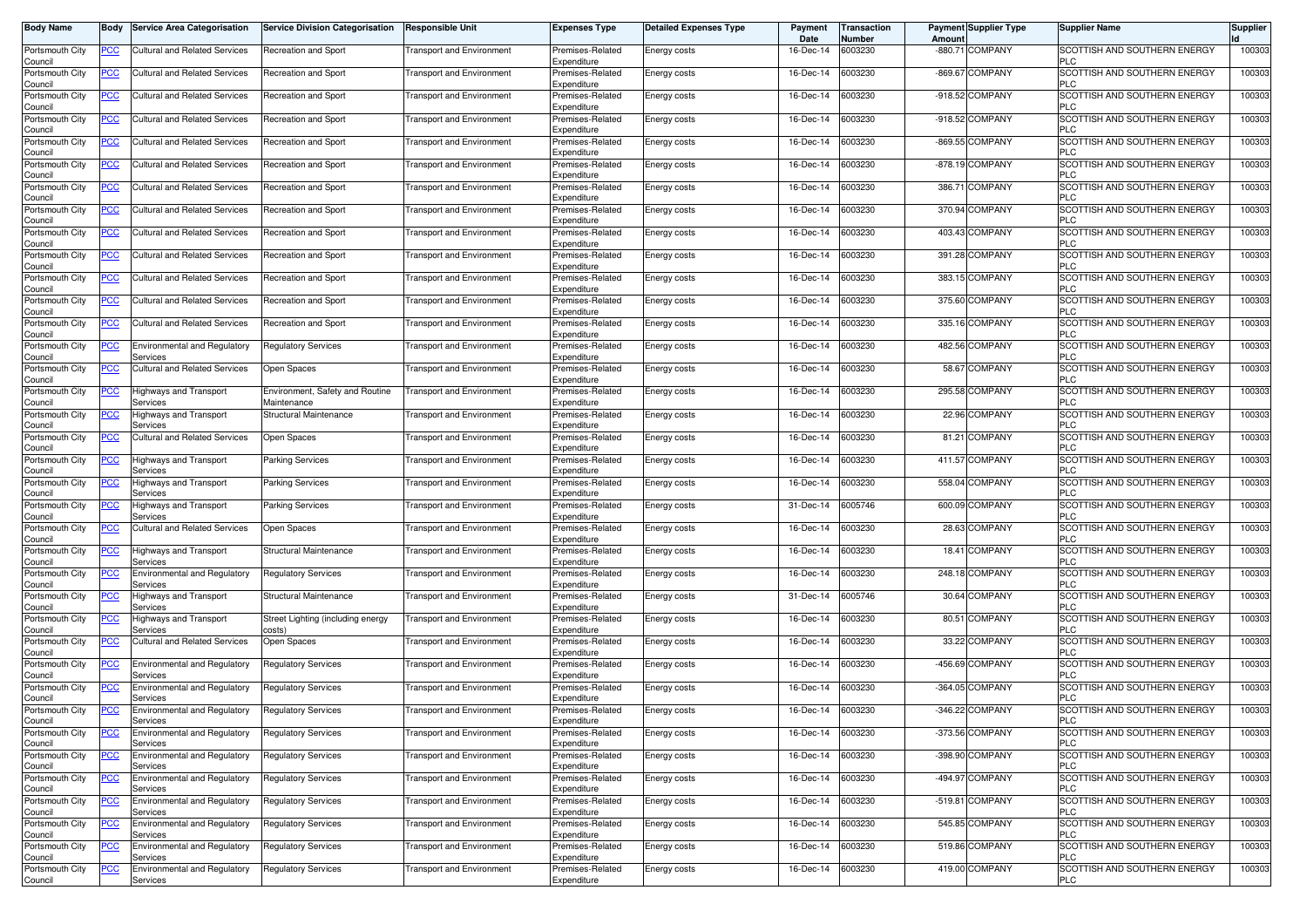| <b>Body Name</b>           | Body           | <b>Service Area Categorisation</b>              | <b>Service Division Categorisation</b>         | <b>Responsible Unit</b>          | <b>Expenses Type</b>            | <b>Detailed Expenses Type</b> | Payment<br>Date | <b>Transaction</b><br>Number | Amoun | <b>Payment Supplier Type</b> | <b>Supplier Name</b>                       | <b>Supplier</b> |
|----------------------------|----------------|-------------------------------------------------|------------------------------------------------|----------------------------------|---------------------------------|-------------------------------|-----------------|------------------------------|-------|------------------------------|--------------------------------------------|-----------------|
| Portsmouth City<br>Council | <u>PCC</u>     | Cultural and Related Services                   | Recreation and Sport                           | <b>Transport and Environment</b> | Premises-Related<br>Expenditure | Energy costs                  | 16-Dec-14       | 6003230                      |       | -880.71 COMPANY              | SCOTTISH AND SOUTHERN ENERGY<br><b>PLC</b> | 100303          |
| Portsmouth City<br>Council | <u>PCC</u>     | Cultural and Related Services                   | Recreation and Sport                           | <b>Transport and Environment</b> | Premises-Related<br>Expenditure | Energy costs                  | 16-Dec-14       | 6003230                      |       | -869.67 COMPANY              | SCOTTISH AND SOUTHERN ENERGY<br><b>PLC</b> | 100303          |
| Portsmouth City<br>Council | <u>PCC</u>     | Cultural and Related Services                   | Recreation and Sport                           | <b>Transport and Environment</b> | Premises-Related<br>Expenditure | Energy costs                  | 16-Dec-14       | 6003230                      |       | -918.52 COMPANY              | SCOTTISH AND SOUTHERN ENERGY<br><b>PLC</b> | 100303          |
| Portsmouth City<br>Council | <u>PCC</u>     | <b>Cultural and Related Services</b>            | Recreation and Sport                           | <b>Transport and Environment</b> | Premises-Related<br>Expenditure | Energy costs                  | 16-Dec-14       | 6003230                      |       | -918.52 COMPANY              | SCOTTISH AND SOUTHERN ENERGY<br><b>PLC</b> | 100303          |
| Portsmouth City<br>Council | <u>PCC</u>     | <b>Cultural and Related Services</b>            | Recreation and Sport                           | Transport and Environment        | Premises-Related<br>Expenditure | Energy costs                  | 16-Dec-14       | 6003230                      |       | -869.55 COMPANY              | SCOTTISH AND SOUTHERN ENERGY<br><b>PLC</b> | 100303          |
| Portsmouth City<br>Council | <u>PCC</u>     | Cultural and Related Services                   | Recreation and Sport                           | <b>Fransport and Environment</b> | Premises-Related<br>Expenditure | Energy costs                  | 16-Dec-14       | 6003230                      |       | -878.19 COMPANY              | SCOTTISH AND SOUTHERN ENERGY<br><b>PLC</b> | 100303          |
| Portsmouth City<br>Council | <u>PCC</u>     | Cultural and Related Services                   | Recreation and Sport                           | <b>Transport and Environment</b> | Premises-Related<br>Expenditure | Energy costs                  | 16-Dec-14       | 6003230                      |       | 386.71 COMPANY               | SCOTTISH AND SOUTHERN ENERGY<br><b>PLC</b> | 100303          |
| Portsmouth City<br>Council | <u>PCC</u>     | Cultural and Related Services                   | Recreation and Sport                           | <b>Fransport and Environment</b> | Premises-Related<br>Expenditure | Energy costs                  | 16-Dec-14       | 6003230                      |       | 370.94 COMPANY               | SCOTTISH AND SOUTHERN ENERGY<br><b>PLC</b> | 100303          |
| Portsmouth City<br>Council | <u>PCC</u>     | <b>Cultural and Related Services</b>            | Recreation and Sport                           | <b>Transport and Environment</b> | Premises-Related<br>Expenditure | Energy costs                  | 16-Dec-14       | 6003230                      |       | 403.43 COMPANY               | SCOTTISH AND SOUTHERN ENERGY<br><b>PLC</b> | 100303          |
| Portsmouth City<br>Council | <u>PCC </u>    | Cultural and Related Services                   | Recreation and Sport                           | <b>Transport and Environment</b> | Premises-Related<br>Expenditure | Energy costs                  | 16-Dec-14       | 6003230                      |       | 391.28 COMPANY               | SCOTTISH AND SOUTHERN ENERGY<br><b>PLC</b> | 100303          |
| Portsmouth City<br>Council | <u>PCC</u>     | Cultural and Related Services                   | Recreation and Sport                           | <b>Transport and Environment</b> | Premises-Related<br>Expenditure | Energy costs                  | 16-Dec-14       | 6003230                      |       | 383.15 COMPANY               | SCOTTISH AND SOUTHERN ENERGY<br><b>PLC</b> | 100303          |
| Portsmouth City<br>Council | <u>PCC</u>     | Cultural and Related Services                   | Recreation and Sport                           | <b>Transport and Environment</b> | Premises-Related<br>Expenditure | Energy costs                  | 16-Dec-14       | 6003230                      |       | 375.60 COMPANY               | SCOTTISH AND SOUTHERN ENERGY<br><b>PLC</b> | 100303          |
| Portsmouth City<br>Council | <u>PCC</u>     | <b>Cultural and Related Services</b>            | Recreation and Sport                           | <b>Transport and Environment</b> | Premises-Related<br>Expenditure | Energy costs                  | 16-Dec-14       | 6003230                      |       | 335.16 COMPANY               | SCOTTISH AND SOUTHERN ENERGY<br><b>PLC</b> | 100303          |
| Portsmouth City<br>Council | <u>PCC</u>     | Environmental and Regulatory<br>Services        | <b>Regulatory Services</b>                     | Transport and Environment        | Premises-Related<br>Expenditure | Energy costs                  | 16-Dec-14       | 6003230                      |       | 482.56 COMPANY               | SCOTTISH AND SOUTHERN ENERGY<br><b>PLC</b> | 100303          |
| Portsmouth City<br>Council | <u>PCC</u>     | Cultural and Related Services                   | Open Spaces                                    | <b>Fransport and Environment</b> | Premises-Related<br>Expenditure | Energy costs                  | 16-Dec-14       | 6003230                      |       | 58.67 COMPANY                | SCOTTISH AND SOUTHERN ENERGY<br><b>PLC</b> | 100303          |
| Portsmouth City<br>Council | $\overline{C}$ | Highways and Transport<br>Services              | Environment, Safety and Routine<br>Maintenance | <b>Transport and Environment</b> | Premises-Related<br>Expenditure | Energy costs                  | 16-Dec-14       | 6003230                      |       | 295.58 COMPANY               | SCOTTISH AND SOUTHERN ENERGY<br><b>PLC</b> | 100303          |
| Portsmouth City<br>Council | <u>PCC</u>     | Highways and Transport<br>Services              | Structural Maintenance                         | <b>Transport and Environment</b> | Premises-Related<br>Expenditure | Energy costs                  | 16-Dec-14       | 6003230                      |       | 22.96 COMPANY                | SCOTTISH AND SOUTHERN ENERGY<br><b>PLC</b> | 100303          |
| Portsmouth City<br>Council | <u>PCC</u>     | <b>Cultural and Related Services</b>            | Open Spaces                                    | <b>Transport and Environment</b> | Premises-Related<br>Expenditure | Energy costs                  | 16-Dec-14       | 6003230                      |       | 81.21 COMPANY                | SCOTTISH AND SOUTHERN ENERGY<br><b>PLC</b> | 100303          |
| Portsmouth City<br>Council | <u>PCC </u>    | Highways and Transport<br>Services              | <b>Parking Services</b>                        | <b>Transport and Environment</b> | Premises-Related<br>Expenditure | Energy costs                  | 16-Dec-14       | 6003230                      |       | 411.57 COMPANY               | SCOTTISH AND SOUTHERN ENERGY<br><b>PLC</b> | 100303          |
| Portsmouth City<br>Council | <u>PCC</u>     | <b>Highways and Transport</b><br>Services       | Parking Services                               | <b>Transport and Environment</b> | Premises-Related<br>Expenditure | Energy costs                  | 16-Dec-14       | 6003230                      |       | 558.04 COMPANY               | SCOTTISH AND SOUTHERN ENERGY<br><b>PLC</b> | 100303          |
| Portsmouth City<br>Council | $\overline{C}$ | Highways and Transport<br>Services              | Parking Services                               | Transport and Environment        | Premises-Related<br>Expenditure | Energy costs                  | 31-Dec-14       | 6005746                      |       | 600.09 COMPANY               | SCOTTISH AND SOUTHERN ENERGY<br><b>PLC</b> | 100303          |
| Portsmouth City<br>Council | <u>PCC</u>     | <b>Cultural and Related Services</b>            | Open Spaces                                    | <b>Transport and Environment</b> | Premises-Related<br>Expenditure | Energy costs                  | 16-Dec-14       | 6003230                      |       | 28.63 COMPANY                | SCOTTISH AND SOUTHERN ENERGY<br><b>PLC</b> | 100303          |
| Portsmouth City<br>Council | <u>PCC</u>     | Highways and Transport<br>Services              | Structural Maintenance                         | <b>Transport and Environment</b> | Premises-Related<br>Expenditure | Energy costs                  | 16-Dec-14       | 6003230                      |       | 18.41 COMPANY                | SCOTTISH AND SOUTHERN ENERGY<br><b>PLC</b> | 100303          |
| Portsmouth City<br>Council | <u>PCC</u>     | <b>Environmental and Regulatory</b><br>Services | <b>Regulatory Services</b>                     | ransport and Environment         | Premises-Related<br>Expenditure | Energy costs                  | 16-Dec-14       | 6003230                      |       | 248.18 COMPANY               | SCOTTISH AND SOUTHERN ENERGY<br><b>PLC</b> | 100303          |
| Portsmouth City<br>Council | $\overline{C}$ | <b>Highways and Transport</b><br>Services       | Structural Maintenance                         | <b>Transport and Environment</b> | Premises-Related<br>Expenditure | Energy costs                  | 31-Dec-14       | 6005746                      |       | 30.64 COMPANY                | SCOTTISH AND SOUTHERN ENERGY<br><b>PLC</b> | 100303          |
| Portsmouth City<br>Council | <u>PCC</u>     | Highways and Transport<br>Services              | Street Lighting (including energy<br>costs)    | <b>Transport and Environment</b> | Premises-Related<br>Expenditure | Energy costs                  | 16-Dec-14       | 6003230                      |       | 80.51 COMPANY                | SCOTTISH AND SOUTHERN ENERGY<br><b>PLC</b> | 100303          |
| Portsmouth City<br>Council | <u>PCC</u>     | <b>Cultural and Related Services</b>            | Open Spaces                                    | <b>Transport and Environment</b> | Premises-Related<br>Expenditure | Energy costs                  | 16-Dec-14       | 6003230                      |       | 33.22 COMPANY                | SCOTTISH AND SOUTHERN ENERGY<br><b>PLC</b> | 100303          |
| Portsmouth City<br>Council | <u>PCC</u>     | <b>Environmental and Regulatory</b><br>Services | <b>Requlatory Services</b>                     | <b>Fransport and Environment</b> | Premises-Related<br>Expenditure | Energy costs                  | 16-Dec-14       | 6003230                      |       | -456.69 COMPANY              | SCOTTISH AND SOUTHERN ENERGY<br>PLC        | 100303          |
| Portsmouth City<br>Council | <u>PCC</u>     | <b>Environmental and Regulatory</b><br>Services | Regulatory Services                            | <b>Transport and Environment</b> | Premises-Related<br>Expenditure | Energy costs                  | 16-Dec-14       | 6003230                      |       | -364.05 COMPANY              | SCOTTISH AND SOUTHERN ENERGY<br><b>PLC</b> | 100303          |
| Portsmouth City<br>Jounc⊪  | <u>PCC</u>     | Environmental and Regulatory<br>Services        | <b>Regulatory Services</b>                     | <b>Transport and Environment</b> | Premises-Related<br>Expenditure | Energy costs                  | 16-Dec-14       | 6003230                      |       | -346.22 COMPANY              | SCOTTISH AND SOUTHERN ENERGY               | 100303          |
| Portsmouth City<br>Council | <u>PCC</u>     | Environmental and Regulatory<br>Services        | <b>Regulatory Services</b>                     | <b>Transport and Environment</b> | Premises-Related<br>Expenditure | Energy costs                  | 16-Dec-14       | 6003230                      |       | -373.56 COMPANY              | SCOTTISH AND SOUTHERN ENERGY<br><b>PLC</b> | 100303          |
| Portsmouth City<br>Council | <u>PCC</u>     | <b>Environmental and Requlatory</b><br>Services | Regulatory Services                            | <b>Transport and Environment</b> | Premises-Related<br>Expenditure | Energy costs                  | 16-Dec-14       | 6003230                      |       | -398.90 COMPANY              | SCOTTISH AND SOUTHERN ENERGY<br><b>PLC</b> | 100303          |
| Portsmouth City<br>Council | $\overline{C}$ | Environmental and Regulatory<br>Services        | <b>Regulatory Services</b>                     | <b>Transport and Environment</b> | Premises-Related<br>Expenditure | Energy costs                  | 16-Dec-14       | 6003230                      |       | -494.97 COMPANY              | SCOTTISH AND SOUTHERN ENERGY<br><b>PLC</b> | 100303          |
| Portsmouth City<br>Council | $\overline{C}$ | <b>Environmental and Regulatory</b><br>Services | <b>Regulatory Services</b>                     | <b>Transport and Environment</b> | Premises-Related<br>Expenditure | Energy costs                  | 16-Dec-14       | 6003230                      |       | -519.81 COMPANY              | SCOTTISH AND SOUTHERN ENERGY<br><b>PLC</b> | 100303          |
| Portsmouth City<br>Council | <u>PCC</u>     | Environmental and Regulatory<br>Services        | <b>Regulatory Services</b>                     | <b>Transport and Environment</b> | Premises-Related<br>Expenditure | Energy costs                  | 16-Dec-14       | 6003230                      |       | 545.85 COMPANY               | SCOTTISH AND SOUTHERN ENERGY<br><b>PLC</b> | 100303          |
| Portsmouth City<br>Council | <u>PCC</u>     | Environmental and Regulatory<br>Services        | <b>Regulatory Services</b>                     | <b>Transport and Environment</b> | Premises-Related<br>Expenditure | Energy costs                  | 16-Dec-14       | 6003230                      |       | 519.86 COMPANY               | SCOTTISH AND SOUTHERN ENERGY<br><b>PLC</b> | 100303          |
| Portsmouth City<br>Council | <u>PCC</u>     | Environmental and Regulatory<br>Services        | <b>Regulatory Services</b>                     | Transport and Environment        | Premises-Related<br>Expenditure | Energy costs                  | 16-Dec-14       | 6003230                      |       | 419.00 COMPANY               | SCOTTISH AND SOUTHERN ENERGY<br><b>PLC</b> | 100303          |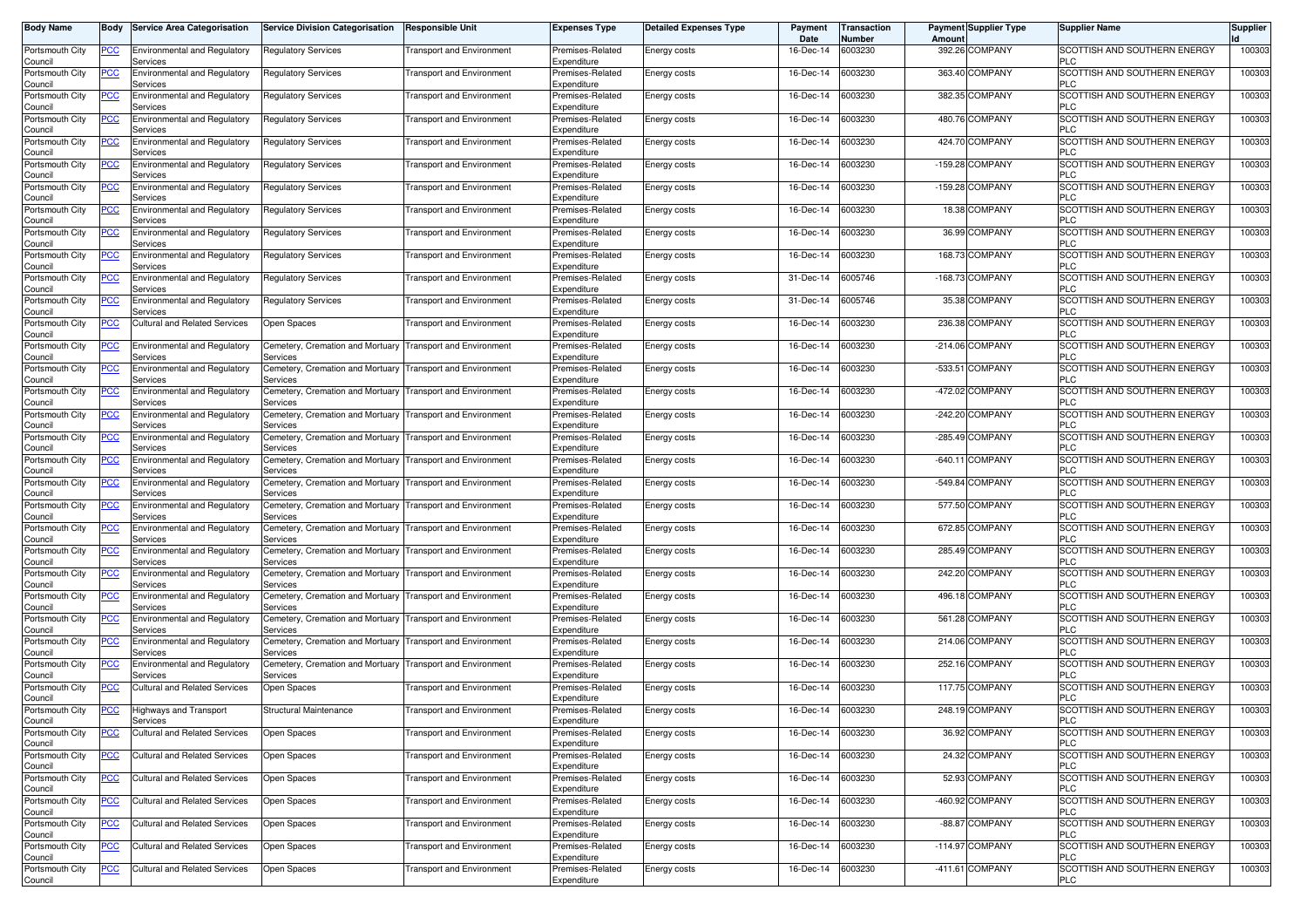| <b>Body Name</b>           | Body           | <b>Service Area Categorisation</b>               | <b>Service Division Categorisation</b>       | <b>Responsible Unit</b>          | <b>Expenses Type</b>            | <b>Detailed Expenses Type</b> | Payment<br>Date | Transaction<br>Number | Amoun | <b>Payment Supplier Type</b> | <b>Supplier Name</b>                       | <b>Supplier</b> |
|----------------------------|----------------|--------------------------------------------------|----------------------------------------------|----------------------------------|---------------------------------|-------------------------------|-----------------|-----------------------|-------|------------------------------|--------------------------------------------|-----------------|
| Portsmouth City<br>Council | <u>PCC</u>     | <b>Environmental and Regulatory</b><br>Services  | <b>Regulatory Services</b>                   | <b>Transport and Environment</b> | Premises-Related<br>Expenditure | Energy costs                  | 16-Dec-14       | 6003230               |       | 392.26 COMPANY               | SCOTTISH AND SOUTHERN ENERGY<br>PLC.       | 100303          |
| Portsmouth City            | <u>PCC</u>     | <b>Environmental and Regulatory</b>              | Regulatory Services                          | <b>Transport and Environment</b> | Premises-Related                | <b>Energy costs</b>           | 16-Dec-14       | 6003230               |       | 363.40 COMPANY               | SCOTTISH AND SOUTHERN ENERGY<br>PLC        | 100303          |
| Council<br>Portsmouth City | <u>PCC</u>     | Services<br><b>Environmental and Regulatory</b>  | <b>Regulatory Services</b>                   | <b>Transport and Environment</b> | Expenditure<br>Premises-Related | <b>Energy costs</b>           | 16-Dec-14       | 6003230               |       | 382.35 COMPANY               | SCOTTISH AND SOUTHERN ENERGY               | 100303          |
| Council<br>Portsmouth City | <u>PCC</u>     | Services<br><b>Environmental and Regulatory</b>  | Regulatory Services                          | <b>Transport and Environment</b> | Expenditure<br>Premises-Related | Energy costs                  | 16-Dec-14       | 6003230               |       | 480.76 COMPANY               | PLC<br>SCOTTISH AND SOUTHERN ENERGY        | 100303          |
| Council<br>Portsmouth City | <u>PCC</u>     | Services<br><b>Environmental and Regulatory</b>  | <b>Regulatory Services</b>                   | Transport and Environment        | Expenditure<br>Premises-Related | Energy costs                  | 16-Dec-14       | 6003230               |       | 424.70 COMPANY               | PLC<br>SCOTTISH AND SOUTHERN ENERGY        | 10030           |
| Council<br>Portsmouth City | <u>PCC</u>     | Services<br><b>Environmental and Regulatory</b>  | Regulatory Services                          | <b>Transport and Environment</b> | Expenditure<br>Premises-Related | Energy costs                  | 16-Dec-14       | 6003230               |       | -159.28 COMPANY              | PLC<br>SCOTTISH AND SOUTHERN ENERGY        | 100303          |
| Council                    |                | Services<br><b>Environmental and Regulatory</b>  |                                              | <b>Fransport and Environment</b> | Expenditure                     |                               | 16-Dec-14       | 6003230               |       | -159.28 COMPANY              | <b>PLC</b><br>SCOTTISH AND SOUTHERN ENERGY | 10030           |
| Portsmouth City<br>Council | <u>PCC</u>     | Services                                         | <b>Regulatory Services</b>                   |                                  | Premises-Related<br>Expenditure | Energy costs                  |                 |                       |       |                              | <b>PLC</b>                                 |                 |
| Portsmouth City<br>Council | <u>PCC</u>     | Environmental and Regulatory<br>Services         | Regulatory Services                          | <b>Fransport and Environment</b> | Premises-Related<br>Expenditure | Energy costs                  | 16-Dec-14       | 6003230               |       | 18.38 COMPANY                | SCOTTISH AND SOUTHERN ENERGY<br><b>PLC</b> | 100303          |
| Portsmouth City<br>Council | <u>PCC</u>     | <b>Environmental and Regulatory</b><br>Services  | Regulatory Services                          | <b>Fransport and Environment</b> | Premises-Related<br>Expenditure | Energy costs                  | 16-Dec-14       | 6003230               |       | 36.99 COMPANY                | SCOTTISH AND SOUTHERN ENERGY<br>PLC        | 100303          |
| Portsmouth City<br>Council | <u>PCC</u>     | <b>Environmental and Regulatory</b><br>Services  | Regulatory Services                          | <b>Transport and Environment</b> | Premises-Related<br>Expenditure | Energy costs                  | 16-Dec-14       | 6003230               |       | 168.73 COMPANY               | SCOTTISH AND SOUTHERN ENERGY<br><b>PLC</b> | 100303          |
| Portsmouth City<br>Council | <u>PCC</u>     | <b>Environmental and Regulatory</b><br>Services  | Regulatory Services                          | <b>Fransport and Environment</b> | Premises-Related<br>Expenditure | Energy costs                  | 31-Dec-14       | 6005746               |       | -168.73 COMPANY              | SCOTTISH AND SOUTHERN ENERGY<br>PLC        | 100303          |
| Portsmouth City            | PСC            | Environmental and Regulatory                     | <b>Regulatory Services</b>                   | Transport and Environment        | Premises-Related                | Energy costs                  | 31-Dec-14       | 6005746               |       | 35.38 COMPANY                | SCOTTISH AND SOUTHERN ENERGY<br>PLC        | 100303          |
| Council<br>Portsmouth City | <u>PCC</u>     | Services<br><b>Cultural and Related Services</b> | Open Spaces                                  | Transport and Environment        | Expenditure<br>Premises-Related | Energy costs                  | 16-Dec-14       | 6003230               |       | 236.38 COMPANY               | SCOTTISH AND SOUTHERN ENERGY               | 10030           |
| Council<br>Portsmouth City | <u>PCC</u>     | <b>Environmental and Regulatory</b>              | Cemetery, Cremation and Mortuary             | <b>Transport and Environment</b> | Expenditure<br>Premises-Related | <b>Energy costs</b>           | 16-Dec-14       | 6003230               |       | -214.06 COMPANY              | <b>PLC</b><br>SCOTTISH AND SOUTHERN ENERGY | 100303          |
| Council<br>Portsmouth City | <u>PCC</u>     | Services<br><b>Environmental and Regulatory</b>  | Services<br>Cemetery, Cremation and Mortuary | <b>Transport and Environment</b> | Expenditure<br>Premises-Related | Energy costs                  | 16-Dec-14       | 6003230               |       | -533.51 COMPANY              | PLC<br>SCOTTISH AND SOUTHERN ENERGY        | 100303          |
| Council<br>Portsmouth City | <u>PCC</u>     | Services<br>Environmental and Regulatory         | Services<br>Cemetery, Cremation and Mortuary | <b>Transport and Environment</b> | Expenditure<br>Premises-Related | Energy costs                  | 16-Dec-14       | 6003230               |       | -472.02 COMPANY              | <b>PLC</b><br>SCOTTISH AND SOUTHERN ENERGY | 100303          |
| Council<br>Portsmouth City | <u>PCC</u>     | Services<br><b>Environmental and Regulatory</b>  | Services<br>Cemetery, Cremation and Mortuary | <b>Transport and Environment</b> | Expenditure<br>Premises-Related |                               | 16-Dec-14       | 6003230               |       | -242.20 COMPANY              | PLC<br>SCOTTISH AND SOUTHERN ENERGY        | 100303          |
| Council                    |                | Services                                         | Services                                     |                                  | Expenditure                     | Energy costs                  |                 |                       |       |                              | <b>PLC</b>                                 |                 |
| Portsmouth City<br>Council | <u>PCC</u>     | <b>Environmental and Regulatory</b><br>Services  | Cemetery, Cremation and Mortuary<br>Services | <b>Transport and Environment</b> | Premises-Related<br>Expenditure | <b>Energy costs</b>           | 16-Dec-14       | 6003230               |       | -285.49 COMPANY              | SCOTTISH AND SOUTHERN ENERGY<br>PLC        | 100303          |
| Portsmouth City<br>Council | PСC            | Environmental and Regulatory<br>Services         | Cemetery, Cremation and Mortuary<br>Services | <b>Transport and Environment</b> | Premises-Related<br>Expenditure | <b>Energy costs</b>           | 16-Dec-14       | 6003230               |       | -640.11 COMPANY              | SCOTTISH AND SOUTHERN ENERGY<br>PLC.       | 100303          |
| Portsmouth City<br>Council | <u>PCC</u>     | <b>Environmental and Regulatory</b><br>Services  | Cemetery, Cremation and Mortuary<br>Services | <b>Transport and Environment</b> | Premises-Related<br>Expenditure | Energy costs                  | 16-Dec-14       | 6003230               |       | -549.84 COMPANY              | SCOTTISH AND SOUTHERN ENERGY<br>PLC        | 100303          |
| Portsmouth City<br>Council |                | <b>Environmental and Regulatory</b><br>Services  | Cemetery, Cremation and Mortuary<br>Services | <b>Transport and Environment</b> | Premises-Related<br>Expenditure | Energy costs                  | 16-Dec-14       | 6003230               |       | 577.50 COMPANY               | SCOTTISH AND SOUTHERN ENERGY<br>PLC        | 100303          |
| Portsmouth City<br>Council | <u>PCC</u>     | <b>Environmental and Regulatory</b><br>Services  | Cemetery, Cremation and Mortuary<br>Services | <b>Transport and Environment</b> | Premises-Related<br>Expenditure | Energy costs                  | 16-Dec-14       | 6003230               |       | 672.85 COMPANY               | SCOTTISH AND SOUTHERN ENERGY<br><b>PLC</b> | 100303          |
| Portsmouth City            | <u>PCC</u>     | Environmental and Regulatory                     | Cemetery, Cremation and Mortuary             | <b>Transport and Environment</b> | Premises-Related                | Energy costs                  | 16-Dec-14       | 6003230               |       | 285.49 COMPANY               | SCOTTISH AND SOUTHERN ENERGY<br><b>PLC</b> | 100303          |
| Council<br>Portsmouth City | <u>PCC</u>     | Services<br><b>Environmental and Regulatory</b>  | Services<br>Cemetery, Cremation and Mortuary | <b>Transport and Environment</b> | Expenditure<br>Premises-Related | Energy costs                  | 16-Dec-14       | 6003230               |       | 242.20 COMPANY               | SCOTTISH AND SOUTHERN ENERGY               | 100303          |
| Council<br>Portsmouth City | <u>PCC</u>     | Services<br><b>Environmental and Regulatory</b>  | Services<br>Cemetery, Cremation and Mortuary | <b>Transport and Environment</b> | Expenditure<br>Premises-Related | Energy costs                  | 16-Dec-14       | 6003230               |       | 496.18 COMPANY               | <b>PLC</b><br>SCOTTISH AND SOUTHERN ENERGY | 100303          |
| Council<br>Portsmouth City | <b>PCC</b>     | Services<br><b>Environmental and Regulatory</b>  | Services<br>Cemetery, Cremation and Mortuary | <b>Transport and Environment</b> | Expenditure<br>Premises-Related | Energy costs                  | 16-Dec-14       | 6003230               |       | 561.28 COMPANY               | PLC<br>SCOTTISH AND SOUTHERN ENERGY        | 100303          |
| Council<br>Portsmouth City | <u>PCC</u>     | Services<br><b>Environmental and Regulatory</b>  | Services<br>Cemetery, Cremation and Mortuary | <b>Transport and Environment</b> | Expenditure<br>Premises-Related | <b>Energy costs</b>           | 16-Dec-14       | 6003230               |       | 214.06 COMPANY               | PLC<br>SCOTTISH AND SOUTHERN ENERGY        | 100303          |
| Council<br>Portsmouth City |                | Services<br>Environmental and Regulatory         | Services<br>Cemetery, Cremation and Mortuary | <b>Transport and Environment</b> | Expenditure<br>Premises-Related |                               | 16-Dec-14       | 6003230               |       | 252.16 COMPANY               | <b>PLC</b><br>SCOTTISH AND SOUTHERN ENERGY | 100303          |
| Council                    | <u>PCC</u>     | Services                                         | Services                                     |                                  | Expenditure                     | <b>Energy costs</b>           |                 |                       |       |                              | PLC.                                       |                 |
| Portsmouth City<br>Council | <u>PCC</u>     | Cultural and Related Services                    | Open Spaces                                  | Transport and Environment        | Premises-Related<br>Expenditure | Energy costs                  | 16-Dec-14       | 6003230               |       | 117.75 COMPANY               | SCOTTISH AND SOUTHERN ENERGY<br>PLC        | 100303          |
| Portsmouth City<br>Council | <u>PCC</u>     | Highways and Transport<br>services               | Structural Maintenance                       | <b>Transport and Environment</b> | Premises-Related<br>Expenditure | <b>Energy costs</b>           | 16-Dec-14       | 6003230               |       | 248.19 COMPANY               | SCOTTISH AND SOUTHERN ENERGY<br>PLÜ        | 100303          |
| Portsmouth City<br>Council | <b>PCC</b>     | <b>Cultural and Related Services</b>             | Open Spaces                                  | <b>Transport and Environment</b> | Premises-Related<br>Expenditure | Energy costs                  | 16-Dec-14       | 6003230               |       | 36.92 COMPANY                | SCOTTISH AND SOUTHERN ENERGY<br><b>PLC</b> | 100303          |
| Portsmouth City<br>Council | <u>PCC</u>     | <b>Cultural and Related Services</b>             | Open Spaces                                  | <b>Transport and Environment</b> | Premises-Related<br>Expenditure | Energy costs                  | 16-Dec-14       | 6003230               |       | 24.32 COMPANY                | SCOTTISH AND SOUTHERN ENERGY<br><b>PLC</b> | 100303          |
| Portsmouth City<br>Council | PCC            | <b>Cultural and Related Services</b>             | Open Spaces                                  | <b>Transport and Environment</b> | Premises-Related<br>Expenditure | Energy costs                  | 16-Dec-14       | 6003230               |       | 52.93 COMPANY                | SCOTTISH AND SOUTHERN ENERGY<br><b>PLC</b> | 100303          |
| Portsmouth City            | $\overline{C}$ | <b>Cultural and Related Services</b>             | Open Spaces                                  | <b>Transport and Environment</b> | Premises-Related                | Energy costs                  | 16-Dec-14       | 6003230               |       | -460.92 COMPANY              | SCOTTISH AND SOUTHERN ENERGY               | 100303          |
| Council<br>Portsmouth City | <u>PCC</u>     | Cultural and Related Services                    | Open Spaces                                  | <b>Transport and Environment</b> | Expenditure<br>Premises-Related | Energy costs                  | 16-Dec-14       | 6003230               |       | -88.87 COMPANY               | <b>PLC</b><br>SCOTTISH AND SOUTHERN ENERGY | 100303          |
| Council<br>Portsmouth City | <u>PCC</u>     | <b>Cultural and Related Services</b>             | Open Spaces                                  | <b>Transport and Environment</b> | Expenditure<br>Premises-Related | Energy costs                  | 16-Dec-14       | 6003230               |       | -114.97 COMPANY              | <b>PLC</b><br>SCOTTISH AND SOUTHERN ENERGY | 100303          |
| Council<br>Portsmouth City | PCC            | <b>Cultural and Related Services</b>             | Open Spaces                                  | <b>Transport and Environment</b> | Expenditure<br>Premises-Related | Energy costs                  | 16-Dec-14       | 6003230               |       | -411.61 COMPANY              | <b>PLC</b><br>SCOTTISH AND SOUTHERN ENERGY | 100303          |
| Council                    |                |                                                  |                                              |                                  | Expenditure                     |                               |                 |                       |       |                              | <b>PLC</b>                                 |                 |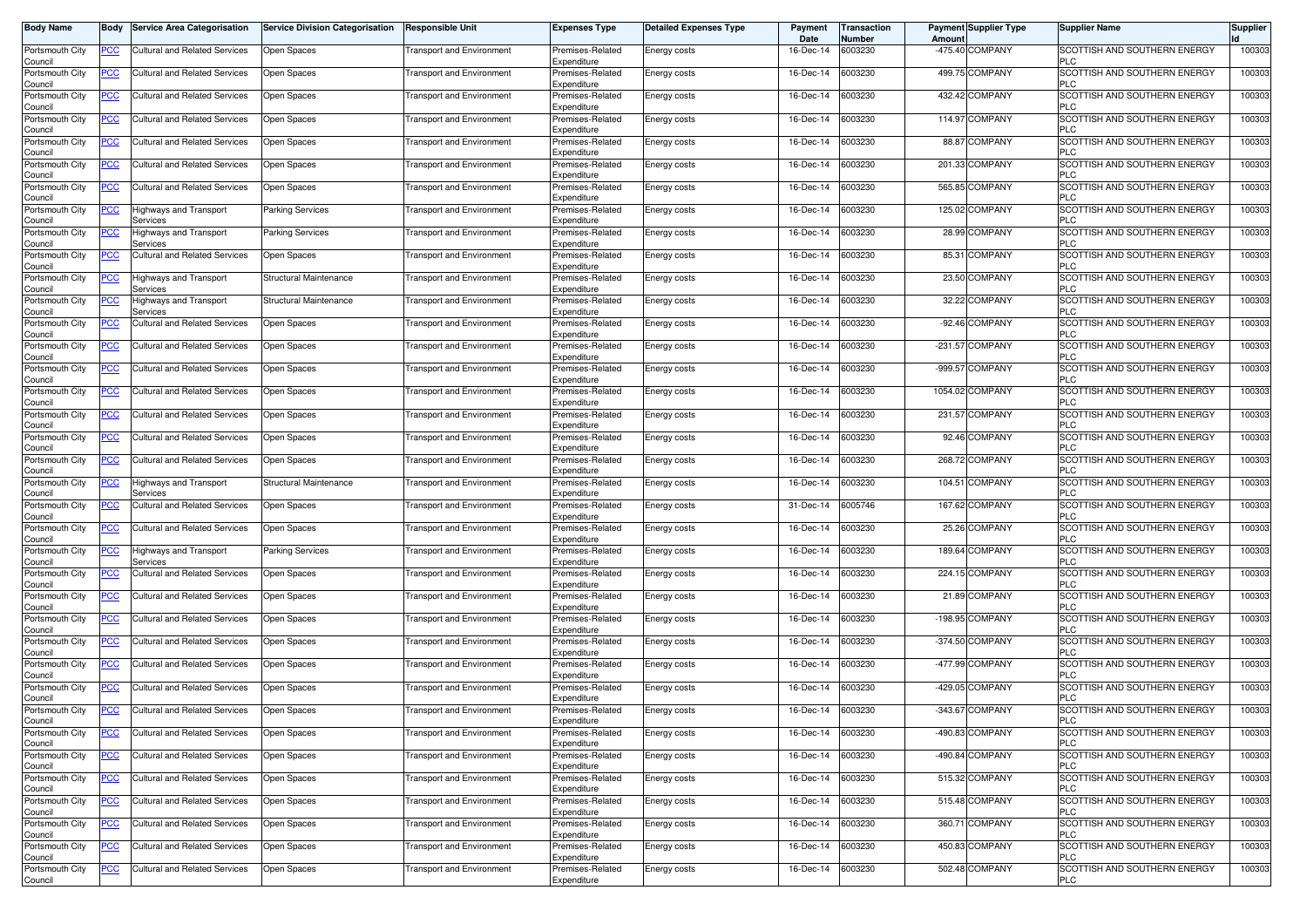| Body Name                  | Body           | <b>Service Area Categorisation</b>        | <b>Service Division Categorisation</b> | <b>Responsible Unit</b>          | <b>Expenses Type</b>            | <b>Detailed Expenses Type</b> | Payment<br>Date | <b>Transaction</b><br>Number | Amount | <b>Payment Supplier Type</b> | <b>Supplier Name</b>                       | <b>Supplier</b> |
|----------------------------|----------------|-------------------------------------------|----------------------------------------|----------------------------------|---------------------------------|-------------------------------|-----------------|------------------------------|--------|------------------------------|--------------------------------------------|-----------------|
| Portsmouth City<br>Council | <u>PCC</u>     | Cultural and Related Services             | Open Spaces                            | ransport and Environment         | Premises-Related<br>Expenditure | Energy costs                  | 16-Dec-14       | 6003230                      |        | -475.40 COMPANY              | SCOTTISH AND SOUTHERN ENERGY<br><b>PLC</b> | 100303          |
| Portsmouth City<br>Council | <u>PCC</u>     | Cultural and Related Services             | Open Spaces                            | <b>Transport and Environment</b> | Premises-Related<br>Expenditure | Energy costs                  | 16-Dec-14       | 6003230                      |        | 499.75 COMPANY               | SCOTTISH AND SOUTHERN ENERGY<br><b>PLC</b> | 100303          |
| Portsmouth City<br>Council | <u>PCC</u>     | Cultural and Related Services             | Open Spaces                            | <b>Transport and Environment</b> | Premises-Related<br>Expenditure | Energy costs                  | 16-Dec-14       | 6003230                      |        | 432.42 COMPANY               | SCOTTISH AND SOUTHERN ENERGY<br><b>PLC</b> | 100303          |
| Portsmouth City<br>Council | <u>PCC</u>     | <b>Cultural and Related Services</b>      | Open Spaces                            | ransport and Environment         | Premises-Related<br>Expenditure | Energy costs                  | 16-Dec-14       | 6003230                      |        | 114.97 COMPANY               | SCOTTISH AND SOUTHERN ENERGY<br><b>PLC</b> | 100303          |
| Portsmouth City<br>Council | <u>PCC</u>     | Cultural and Related Services             | Open Spaces                            | <b>Transport and Environment</b> | Premises-Related<br>Expenditure | <b>Energy costs</b>           | 16-Dec-14       | 6003230                      |        | 88.87 COMPANY                | SCOTTISH AND SOUTHERN ENERGY<br><b>PLC</b> | 100303          |
| Portsmouth City<br>Council | <u>PCC</u>     | Cultural and Related Services             | Open Spaces                            | ransport and Environment         | Premises-Related<br>Expenditure | Energy costs                  | 16-Dec-14       | 6003230                      |        | 201.33 COMPANY               | SCOTTISH AND SOUTHERN ENERGY<br><b>PLC</b> | 100303          |
| Portsmouth City<br>Council | <u>PCC</u>     | <b>Cultural and Related Services</b>      | Open Spaces                            | ransport and Environment         | Premises-Related<br>Expenditure | Energy costs                  | 16-Dec-14       | 6003230                      |        | 565.85 COMPANY               | SCOTTISH AND SOUTHERN ENERGY<br><b>PLC</b> | 100303          |
| Portsmouth City<br>Council | <u>PCC</u>     | <b>Highways and Transport</b><br>Services | <b>Parking Services</b>                | ransport and Environment         | Premises-Related<br>Expenditure | Energy costs                  | 16-Dec-14       | 6003230                      |        | 125.02 COMPANY               | SCOTTISH AND SOUTHERN ENERGY<br><b>PLC</b> | 100303          |
| Portsmouth City<br>Council | <u>PCC</u>     | Highways and Transport<br>Services        | <b>Parking Services</b>                | <b>Transport and Environment</b> | Premises-Related<br>Expenditure | <b>Energy costs</b>           | 16-Dec-14       | 6003230                      |        | 28.99 COMPANY                | SCOTTISH AND SOUTHERN ENERGY<br>PLC        | 100303          |
| Portsmouth City<br>Council | <u>PCC </u>    | Cultural and Related Services             | Open Spaces                            | <b>Transport and Environment</b> | Premises-Related<br>Expenditure | Energy costs                  | 16-Dec-14       | 6003230                      |        | 85.31 COMPANY                | SCOTTISH AND SOUTHERN ENERGY<br><b>PLC</b> | 100303          |
| Portsmouth City<br>Council | <u>PCC</u>     | <b>Highways and Transport</b><br>Services | Structural Maintenance                 | <b>Transport and Environment</b> | Premises-Related<br>Expenditure | Energy costs                  | 16-Dec-14       | 6003230                      |        | 23.50 COMPANY                | SCOTTISH AND SOUTHERN ENERGY<br><b>PLC</b> | 100303          |
| Portsmouth City<br>Council | $\overline{C}$ | Highways and Transport<br>Services        | Structural Maintenance                 | <b>Transport and Environment</b> | Premises-Related<br>Expenditure | Energy costs                  | 16-Dec-14       | 6003230                      |        | 32.22 COMPANY                | SCOTTISH AND SOUTHERN ENERGY<br><b>PLC</b> | 100303          |
| Portsmouth City<br>Council | <u>PCC</u>     | <b>Cultural and Related Services</b>      | Open Spaces                            | ransport and Environment         | Premises-Related<br>Expenditure | Energy costs                  | 16-Dec-14       | 6003230                      |        | -92.46 COMPANY               | SCOTTISH AND SOUTHERN ENERGY<br><b>PLC</b> | 100303          |
| Portsmouth City<br>Council | <u>PCC</u>     | <b>Cultural and Related Services</b>      | Open Spaces                            | ransport and Environment         | Premises-Related<br>Expenditure | Energy costs                  | 16-Dec-14       | 6003230                      |        | -231.57 COMPANY              | SCOTTISH AND SOUTHERN ENERGY<br><b>PLC</b> | 100303          |
| Portsmouth City<br>Council | PСC            | Cultural and Related Services             | Open Spaces                            | ransport and Environment         | Premises-Related<br>Expenditure | Energy costs                  | 16-Dec-14       | 6003230                      |        | -999.57 COMPANY              | SCOTTISH AND SOUTHERN ENERGY<br><b>PLC</b> | 100303          |
| Portsmouth City<br>Council | $\overline{C}$ | <b>Cultural and Related Services</b>      | Open Spaces                            | ransport and Environment         | Premises-Related<br>Expenditure | Energy costs                  | 16-Dec-14       | 6003230                      |        | 1054.02 COMPANY              | SCOTTISH AND SOUTHERN ENERGY<br>PLC        | 100303          |
| Portsmouth City<br>Council | <u>PCC</u>     | Cultural and Related Services             | Open Spaces                            | ransport and Environment         | Premises-Related<br>Expenditure | Energy costs                  | 16-Dec-14       | 6003230                      |        | 231.57 COMPANY               | SCOTTISH AND SOUTHERN ENERGY<br><b>PLC</b> | 100303          |
| Portsmouth City<br>Council | <u>PCC</u>     | Cultural and Related Services             | Open Spaces                            | <b>Transport and Environment</b> | Premises-Related<br>Expenditure | Energy costs                  | 16-Dec-14       | 6003230                      |        | 92.46 COMPANY                | SCOTTISH AND SOUTHERN ENERGY<br><b>PLC</b> | 100303          |
| Portsmouth City<br>Council | <u>PCC</u>     | Cultural and Related Services             | Open Spaces                            | <b>Transport and Environment</b> | Premises-Related<br>Expenditure | <b>Energy costs</b>           | 16-Dec-14       | 6003230                      |        | 268.72 COMPANY               | SCOTTISH AND SOUTHERN ENERGY<br><b>PLC</b> | 100303          |
| Portsmouth City<br>Council | $\overline{C}$ | Highways and Transport<br>Services        | Structural Maintenance                 | ransport and Environment         | Premises-Related<br>Expenditure | Energy costs                  | 16-Dec-14       | 6003230                      |        | 104.51 COMPANY               | SCOTTISH AND SOUTHERN ENERGY<br><b>PLC</b> | 100303          |
| Portsmouth City<br>Council | <u>PCC</u>     | Cultural and Related Services             | Open Spaces                            | <b>Transport and Environment</b> | Premises-Related<br>Expenditure | <b>Energy costs</b>           | 31-Dec-14       | 6005746                      |        | 167.62 COMPANY               | SCOTTISH AND SOUTHERN ENERGY<br><b>PLC</b> | 100303          |
| Portsmouth City<br>Council | <u>PCC</u>     | <b>Cultural and Related Services</b>      | Open Spaces                            | ransport and Environment         | Premises-Related<br>Expenditure | Energy costs                  | 16-Dec-14       | 6003230                      |        | 25.26 COMPANY                | SCOTTISH AND SOUTHERN ENERGY<br><b>PLC</b> | 100303          |
| Portsmouth City<br>Council | <u>PCC</u>     | Highways and Transport<br>Services        | <b>Parking Services</b>                | Transport and Environmen         | Premises-Related<br>Expenditure | Energy costs                  | 16-Dec-14       | 6003230                      |        | 189.64 COMPANY               | SCOTTISH AND SOUTHERN ENERGY<br><b>PLC</b> | 100303          |
| Portsmouth City<br>Council | <u>PCC</u>     | <b>Cultural and Related Services</b>      | Open Spaces                            | ransport and Environment         | Premises-Related<br>Expenditure | Energy costs                  | 16-Dec-14       | 6003230                      |        | 224.15 COMPANY               | SCOTTISH AND SOUTHERN ENERGY<br><b>PLC</b> | 100303          |
| Portsmouth City<br>Council | <u>PCC</u>     | <b>Cultural and Related Services</b>      | Open Spaces                            | ransport and Environment         | Premises-Related<br>Expenditure | Energy costs                  | 16-Dec-14       | 6003230                      |        | 21.89 COMPANY                | SCOTTISH AND SOUTHERN ENERGY<br><b>PLC</b> | 100303          |
| Portsmouth City<br>Council | <u>PCC</u>     | Cultural and Related Services             | Open Spaces                            | <b>Transport and Environment</b> | Premises-Related<br>Expenditure | Energy costs                  | 16-Dec-14       | 6003230                      |        | -198.95 COMPANY              | SCOTTISH AND SOUTHERN ENERGY<br><b>PLC</b> | 100303          |
| Portsmouth City<br>Council | <u>PCC</u>     | Cultural and Related Services             | Open Spaces                            | <b>Transport and Environment</b> | Premises-Related<br>Expenditure | Energy costs                  | 16-Dec-14       | 6003230                      |        | -374.50 COMPANY              | SCOTTISH AND SOUTHERN ENERGY<br><b>PLC</b> | 100303          |
| Portsmouth City<br>Council | <u>PCC</u>     | Cultural and Related Services             | Open Spaces                            | <b>Transport and Environment</b> | Premises-Related<br>Expenditure | <b>Energy costs</b>           | 16-Dec-14       | 6003230                      |        | -477.99 COMPANY              | SCOTTISH AND SOUTHERN ENERGY<br><b>PLC</b> | 100303          |
| Portsmouth City<br>Council | <u>PCC</u>     | <b>Cultural and Related Services</b>      | Open Spaces                            | ransport and Environment         | Premises-Related<br>Expenditure | Energy costs                  | 16-Dec-14       | 6003230                      |        | -429.05 COMPANY              | SCOTTISH AND SOUTHERN ENERGY<br><b>PLC</b> | 100303          |
| Portsmouth City<br>Council | <u>PCC</u>     | <b>Cultural and Related Services</b>      | Open Spaces                            | <b>Transport and Environment</b> | Premises-Related<br>Expenditure | Energy costs                  | 16-Dec-14       | 6003230                      |        | -343.67 COMPANY              | SCOTTISH AND SOUTHERN ENERGY<br>ี∟∪        | 100303          |
| Portsmouth City<br>Council | <u>PCC</u>     | <b>Cultural and Related Services</b>      | Open Spaces                            | ransport and Environment         | Premises-Related<br>Expenditure | Energy costs                  | $16 - Dec - 14$ | 6003230                      |        | -490.83 COMPANY              | SCOTTISH AND SOUTHERN ENERGY<br><b>PLC</b> | 100303          |
| Portsmouth City<br>Council | <b>PCC</b>     | <b>Cultural and Related Services</b>      | Open Spaces                            | ransport and Environment         | Premises-Related<br>Expenditure | Energy costs                  | 16-Dec-14       | 6003230                      |        | -490.84 COMPANY              | SCOTTISH AND SOUTHERN ENERGY<br><b>PLC</b> | 100303          |
| Portsmouth City<br>Council | $\overline{C}$ | Cultural and Related Services             | Open Spaces                            | ransport and Environment         | Premises-Related<br>Expenditure | Energy costs                  | 16-Dec-14       | 6003230                      |        | 515.32 COMPANY               | SCOTTISH AND SOUTHERN ENERGY<br><b>PLC</b> | 100303          |
| Portsmouth City<br>Council | <u>PCC</u>     | Cultural and Related Services             | Open Spaces                            | <b>Transport and Environment</b> | Premises-Related<br>Expenditure | Energy costs                  | 16-Dec-14       | 6003230                      |        | 515.48 COMPANY               | SCOTTISH AND SOUTHERN ENERGY<br><b>PLC</b> | 100303          |
| Portsmouth City<br>Council | <u>PCC</u>     | Cultural and Related Services             | Open Spaces                            | <b>Transport and Environment</b> | Premises-Related<br>Expenditure | Energy costs                  | 16-Dec-14       | 6003230                      |        | 360.71 COMPANY               | SCOTTISH AND SOUTHERN ENERGY<br><b>PLC</b> | 100303          |
| Portsmouth City<br>Council | <u>PCC</u>     | Cultural and Related Services             | Open Spaces                            | <b>Transport and Environment</b> | Premises-Related<br>Expenditure | Energy costs                  | 16-Dec-14       | 6003230                      |        | 450.83 COMPANY               | SCOTTISH AND SOUTHERN ENERGY<br><b>PLC</b> | 100303          |
| Portsmouth City<br>Council | <u>PCC</u>     | Cultural and Related Services             | Open Spaces                            | <b>Transport and Environment</b> | Premises-Related<br>Expenditure | Energy costs                  | 16-Dec-14       | 6003230                      |        | 502.48 COMPANY               | SCOTTISH AND SOUTHERN ENERGY<br><b>PLC</b> | 100303          |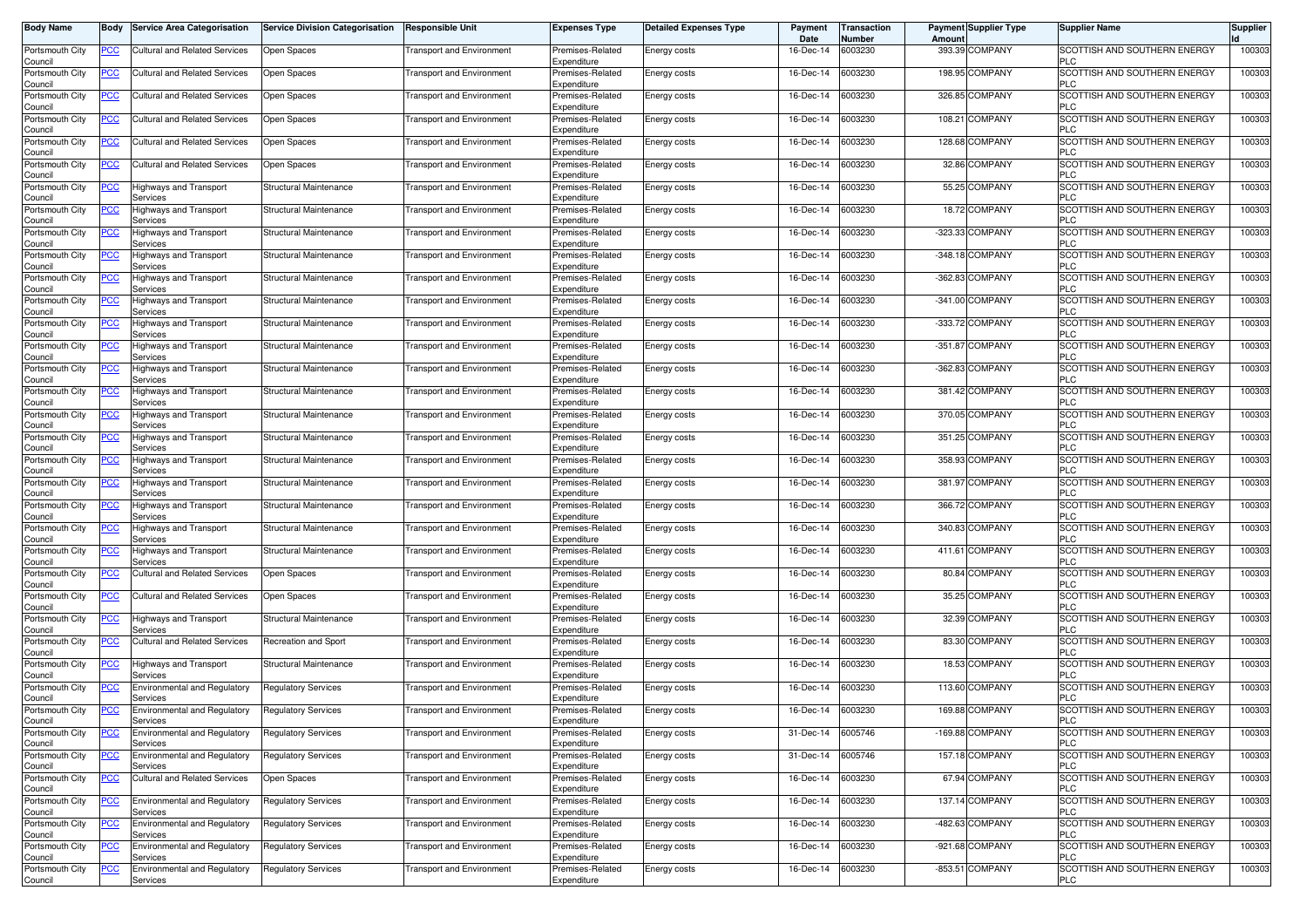| Body Name                  | Body           | <b>Service Area Categorisation</b>              | <b>Service Division Categorisation</b> | <b>Responsible Unit</b>          | <b>Expenses Type</b>            | <b>Detailed Expenses Type</b> | Payment<br>Date | Transaction<br>Number | Amount | <b>Payment Supplier Type</b> | <b>Supplier Name</b>                       | <b>Supplier</b> |
|----------------------------|----------------|-------------------------------------------------|----------------------------------------|----------------------------------|---------------------------------|-------------------------------|-----------------|-----------------------|--------|------------------------------|--------------------------------------------|-----------------|
| Portsmouth City<br>Council | <u>PCC</u>     | Cultural and Related Services                   | Open Spaces                            | ransport and Environment         | Premises-Related<br>Expenditure | <b>Energy costs</b>           | 16-Dec-14       | 6003230               |        | 393.39 COMPANY               | SCOTTISH AND SOUTHERN ENERGY<br><b>PLC</b> | 100303          |
| Portsmouth City<br>Council | <u>PCC</u>     | Cultural and Related Services                   | Open Spaces                            | <b>Transport and Environment</b> | Premises-Related<br>Expenditure | Energy costs                  | 16-Dec-14       | 6003230               |        | 198.95 COMPANY               | SCOTTISH AND SOUTHERN ENERGY<br><b>PLC</b> | 100303          |
| Portsmouth City<br>Council | <u>PCC</u>     | Cultural and Related Services                   | Open Spaces                            | Transport and Environment        | Premises-Related<br>Expenditure | Energy costs                  | 16-Dec-14       | 6003230               |        | 326.85 COMPANY               | SCOTTISH AND SOUTHERN ENERGY<br><b>PLC</b> | 100303          |
| Portsmouth City<br>Council | <u>PCC</u>     | <b>Cultural and Related Services</b>            | Open Spaces                            | ransport and Environment         | Premises-Related<br>Expenditure | Energy costs                  | 16-Dec-14       | 6003230               |        | 108.21 COMPANY               | SCOTTISH AND SOUTHERN ENERGY<br><b>PLC</b> | 100303          |
| Portsmouth City<br>Council | <u>PCC</u>     | Cultural and Related Services                   | Open Spaces                            | <b>Transport and Environment</b> | Premises-Related<br>Expenditure | <b>Energy costs</b>           | 16-Dec-14       | 6003230               |        | 128.68 COMPANY               | SCOTTISH AND SOUTHERN ENERGY<br><b>PLC</b> | 100303          |
| Portsmouth City<br>Council | <u>PCC</u>     | Cultural and Related Services                   | Open Spaces                            | ransport and Environment         | Premises-Related<br>Expenditure | Energy costs                  | 16-Dec-14       | 6003230               |        | 32.86 COMPANY                | SCOTTISH AND SOUTHERN ENERGY<br><b>PLC</b> | 100303          |
| Portsmouth City<br>Council | <b>PCC</b>     | <b>Highways and Transport</b><br>Services       | Structural Maintenance                 | ransport and Environment         | Premises-Related<br>Expenditure | Energy costs                  | 16-Dec-14       | 6003230               |        | 55.25 COMPANY                | SCOTTISH AND SOUTHERN ENERGY<br><b>PLC</b> | 100303          |
| Portsmouth City<br>Council | <u>PCC</u>     | <b>Highways and Transport</b><br>Services       | Structural Maintenance                 | ransport and Environment         | Premises-Related<br>Expenditure | Energy costs                  | 16-Dec-14       | 6003230               |        | 18.72 COMPANY                | SCOTTISH AND SOUTHERN ENERGY<br><b>PLC</b> | 100303          |
| Portsmouth City<br>Council | <u>PCC</u>     | Highways and Transport<br>Services              | Structural Maintenance                 | <b>Transport and Environment</b> | Premises-Related<br>Expenditure | Energy costs                  | 16-Dec-14       | 6003230               |        | -323.33 COMPANY              | SCOTTISH AND SOUTHERN ENERGY<br>PLC        | 100303          |
| Portsmouth City<br>Council | <u>PCC </u>    | Highways and Transport<br>Services              | Structural Maintenance                 | <b>Transport and Environment</b> | Premises-Related<br>Expenditure | Energy costs                  | 16-Dec-14       | 6003230               |        | -348.18 COMPANY              | SCOTTISH AND SOUTHERN ENERGY<br><b>PLC</b> | 100303          |
| Portsmouth City<br>Council | <u>PCC</u>     | Highways and Transport<br>Services              | Structural Maintenance                 | <b>Transport and Environment</b> | Premises-Related<br>Expenditure | Energy costs                  | 16-Dec-14       | 6003230               |        | -362.83 COMPANY              | SCOTTISH AND SOUTHERN ENERGY<br><b>PLC</b> | 100303          |
| Portsmouth City<br>Council | $\overline{C}$ | Highways and Transport<br>Services              | Structural Maintenance                 | <b>Transport and Environment</b> | Premises-Related<br>Expenditure | Energy costs                  | 16-Dec-14       | 6003230               |        | -341.00 COMPANY              | SCOTTISH AND SOUTHERN ENERGY<br><b>PLC</b> | 100303          |
| Portsmouth City<br>Council | <u>PCC</u>     | Highways and Transport<br>Services              | Structural Maintenance                 | ransport and Environment         | Premises-Related<br>Expenditure | Energy costs                  | 16-Dec-14       | 6003230               |        | -333.72 COMPANY              | SCOTTISH AND SOUTHERN ENERGY<br><b>PLC</b> | 100303          |
| Portsmouth City<br>Council | <u>PCC</u>     | Highways and Transport<br>Services              | Structural Maintenance                 | Transport and Environmen         | Premises-Related<br>Expenditure | Energy costs                  | 16-Dec-14       | 6003230               |        | -351.87 COMPANY              | SCOTTISH AND SOUTHERN ENERGY<br><b>PLC</b> | 100303          |
| Portsmouth City<br>Council | <u>PCC</u>     | Highways and Transport<br>Services              | Structural Maintenance                 | ransport and Environment         | Premises-Related<br>Expenditure | Energy costs                  | 16-Dec-14       | 6003230               |        | -362.83 COMPANY              | SCOTTISH AND SOUTHERN ENERGY<br><b>PLC</b> | 100303          |
| Portsmouth City<br>Council | $\overline{C}$ | <b>Highways and Transport</b><br>Services       | Structural Maintenance                 | ransport and Environment         | Premises-Related<br>Expenditure | Energy costs                  | 16-Dec-14       | 6003230               |        | 381.42 COMPANY               | SCOTTISH AND SOUTHERN ENERGY<br>PLC        | 100303          |
| Portsmouth City<br>Council | <u>PCC</u>     | Highways and Transport<br>Services              | Structural Maintenance                 | <b>Transport and Environment</b> | Premises-Related<br>Expenditure | Energy costs                  | 16-Dec-14       | 6003230               |        | 370.05 COMPANY               | SCOTTISH AND SOUTHERN ENERGY<br><b>PLC</b> | 100303          |
| Portsmouth City<br>Council | <u>PCC</u>     | Highways and Transport<br>Services              | Structural Maintenance                 | <b>Transport and Environment</b> | Premises-Related<br>Expenditure | Energy costs                  | 16-Dec-14       | 6003230               |        | 351.25 COMPANY               | SCOTTISH AND SOUTHERN ENERGY<br><b>PLC</b> | 100303          |
| Portsmouth City<br>Council | <u>PCC</u>     | Highways and Transport<br>Services              | Structural Maintenance                 | Transport and Environment        | Premises-Related<br>Expenditure | <b>Energy costs</b>           | 16-Dec-14       | 6003230               |        | 358.93 COMPANY               | SCOTTISH AND SOUTHERN ENERGY<br><b>PLC</b> | 100303          |
| Portsmouth City<br>Council | $\overline{C}$ | Highways and Transport<br>Services              | Structural Maintenance                 | ransport and Environment         | Premises-Related<br>Expenditure | Energy costs                  | 16-Dec-14       | 6003230               |        | 381.97 COMPANY               | SCOTTISH AND SOUTHERN ENERGY<br><b>PLC</b> | 100303          |
| Portsmouth City<br>Council | <u>PCC</u>     | Highways and Transport<br>Services              | Structural Maintenance                 | <b>Transport and Environment</b> | Premises-Related<br>Expenditure | <b>Energy costs</b>           | 16-Dec-14       | 6003230               |        | 366.72 COMPANY               | SCOTTISH AND SOUTHERN ENERGY<br><b>PLC</b> | 100303          |
| Portsmouth City<br>Council | <u>PCC</u>     | Highways and Transport<br>Services              | Structural Maintenance                 | ransport and Environment         | Premises-Related<br>Expenditure | Energy costs                  | 16-Dec-14       | 6003230               |        | 340.83 COMPANY               | SCOTTISH AND SOUTHERN ENERGY<br><b>PLC</b> | 100303          |
| Portsmouth City<br>Council | <u>PCC</u>     | Highways and Transport<br>Services              | Structural Maintenance                 | Transport and Environmen         | Premises-Related<br>Expenditure | Energy costs                  | 16-Dec-14       | 6003230               |        | 411.61 COMPANY               | SCOTTISH AND SOUTHERN ENERGY<br><b>PLC</b> | 100303          |
| Portsmouth City<br>Council | <u>PCC</u>     | <b>Cultural and Related Services</b>            | Open Spaces                            | ransport and Environment         | Premises-Related<br>Expenditure | Energy costs                  | 16-Dec-14       | 6003230               |        | 80.84 COMPANY                | SCOTTISH AND SOUTHERN ENERGY<br><b>PLC</b> | 100303          |
| Portsmouth City<br>Council | <u>PCC</u>     | <b>Cultural and Related Services</b>            | Open Spaces                            | ransport and Environment         | Premises-Related<br>Expenditure | Energy costs                  | 16-Dec-14       | 6003230               |        | 35.25 COMPANY                | SCOTTISH AND SOUTHERN ENERGY<br><b>PLC</b> | 100303          |
| Portsmouth City<br>Council | <u>PCC</u>     | Highways and Transport<br>Services              | Structural Maintenance                 | <b>Transport and Environment</b> | Premises-Related<br>Expenditure | Energy costs                  | 16-Dec-14       | 6003230               |        | 32.39 COMPANY                | SCOTTISH AND SOUTHERN ENERGY<br><b>PLC</b> | 100303          |
| Portsmouth City<br>Council | <u>PCC</u>     | Cultural and Related Services                   | Recreation and Sport                   | <b>Transport and Environment</b> | Premises-Related<br>Expenditure | Energy costs                  | 16-Dec-14       | 6003230               |        | 83.30 COMPANY                | SCOTTISH AND SOUTHERN ENERGY<br><b>PLC</b> | 100303          |
| Portsmouth City<br>Council | <u>PCC</u>     | Highways and Transport<br>Services              | Structural Maintenance                 | <b>Transport and Environment</b> | Premises-Related<br>Expenditure | <b>Energy costs</b>           | 16-Dec-14       | 6003230               |        | 18.53 COMPANY                | SCOTTISH AND SOUTHERN ENERGY<br><b>PLC</b> | 100303          |
| Portsmouth City<br>Council | <u>PCC</u>     | Environmental and Regulatory<br>Services        | <b>Regulatory Services</b>             | ransport and Environment         | Premises-Related<br>Expenditure | Energy costs                  | 16-Dec-14       | 6003230               |        | 113.60 COMPANY               | SCOTTISH AND SOUTHERN ENERGY<br><b>PLC</b> | 100303          |
| Portsmouth City<br>Council | <u>PCC</u>     | <b>Environmental and Regulatory</b><br>Services | <b>Regulatory Services</b>             | <b>Transport and Environment</b> | Premises-Related<br>Expenditure | Energy costs                  | 16-Dec-14       | 6003230               |        | 169.88 COMPANY               | SCOTTISH AND SOUTHERN ENERGY<br>ี∟∪        | 100303          |
| Portsmouth City<br>Council | <u>PCC</u>     | <b>Environmental and Regulatory</b><br>Services | <b>Regulatory Services</b>             | ransport and Environment         | Premises-Related<br>Expenditure | Energy costs                  | 31-Dec-14       | 6005746               |        | -169.88 COMPANY              | SCOTTISH AND SOUTHERN ENERGY<br><b>PLC</b> | 100303          |
| Portsmouth City<br>Council | <u>PCC</u>     | Environmental and Regulatory<br>Services        | Regulatory Services                    | ransport and Environment         | Premises-Related<br>Expenditure | Energy costs                  | 31-Dec-14       | 6005746               |        | 157.18 COMPANY               | SCOTTISH AND SOUTHERN ENERGY<br><b>PLC</b> | 100303          |
| Portsmouth City<br>Council | $\overline{C}$ | <b>Cultural and Related Services</b>            | Open Spaces                            | ransport and Environment         | Premises-Related<br>Expenditure | Energy costs                  | 16-Dec-14       | 6003230               |        | 67.94 COMPANY                | SCOTTISH AND SOUTHERN ENERGY<br><b>PLC</b> | 100303          |
| Portsmouth City<br>Council | <u>PCC</u>     | <b>Environmental and Regulatory</b><br>Services | <b>Regulatory Services</b>             | <b>Transport and Environment</b> | Premises-Related<br>Expenditure | Energy costs                  | 16-Dec-14       | 6003230               |        | 137.14 COMPANY               | SCOTTISH AND SOUTHERN ENERGY<br><b>PLC</b> | 100303          |
| Portsmouth City<br>Council | <u>PCC</u>     | <b>Environmental and Regulatory</b><br>Services | <b>Regulatory Services</b>             | <b>Transport and Environment</b> | Premises-Related<br>Expenditure | Energy costs                  | 16-Dec-14       | 6003230               |        | -482.63 COMPANY              | SCOTTISH AND SOUTHERN ENERGY<br><b>PLC</b> | 100303          |
| Portsmouth City<br>Council | <u>PCC</u>     | <b>Environmental and Regulatory</b><br>Services | Regulatory Services                    | <b>Transport and Environment</b> | Premises-Related<br>Expenditure | Energy costs                  | 16-Dec-14       | 6003230               |        | -921.68 COMPANY              | SCOTTISH AND SOUTHERN ENERGY<br><b>PLC</b> | 100303          |
| Portsmouth City<br>Council | <u>PCC</u>     | Environmental and Regulatory<br>Services        | <b>Regulatory Services</b>             | <b>Transport and Environment</b> | Premises-Related<br>Expenditure | Energy costs                  | 16-Dec-14       | 6003230               |        | -853.51 COMPANY              | SCOTTISH AND SOUTHERN ENERGY<br><b>PLC</b> | 100303          |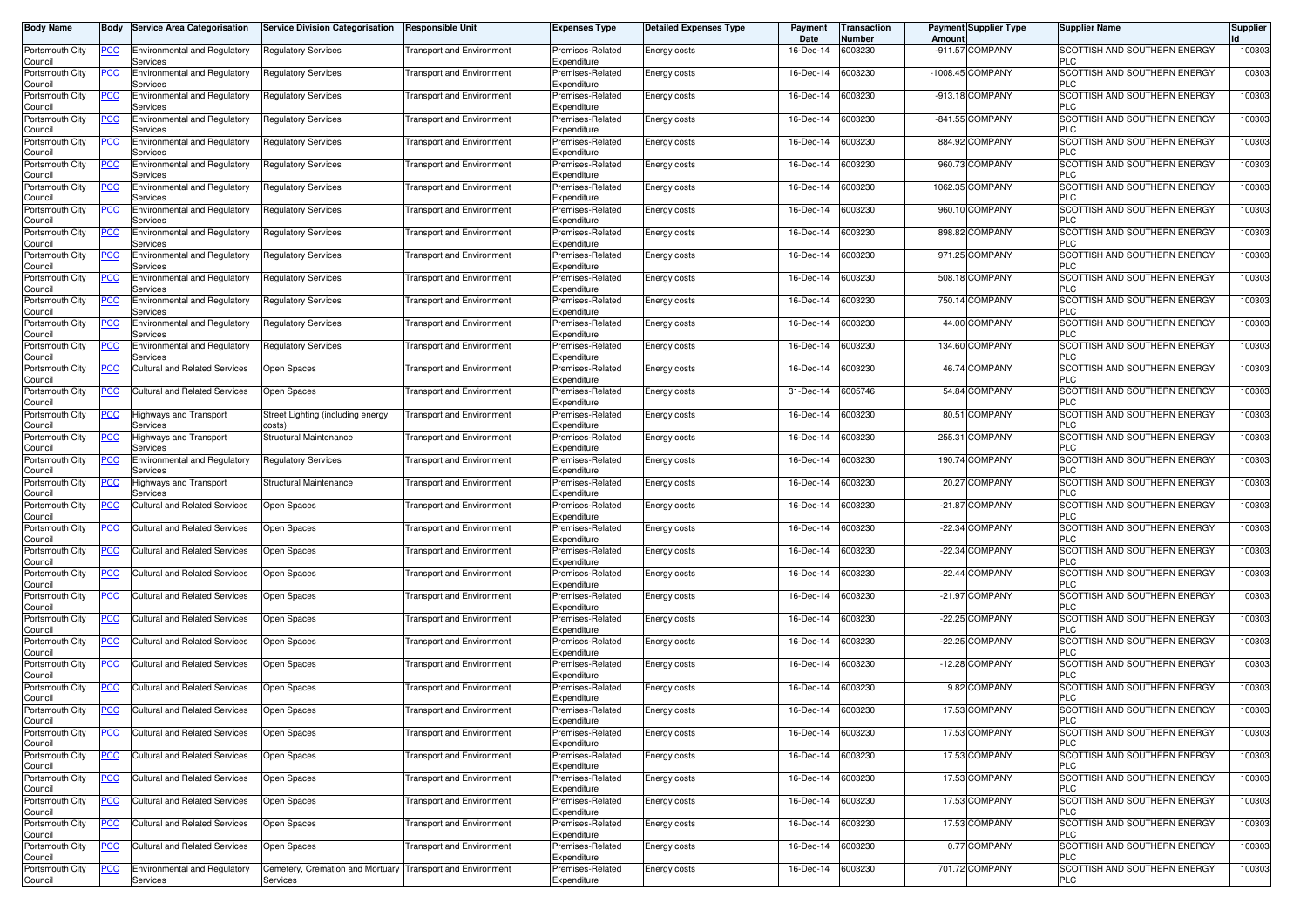| <b>Body Name</b>                              | Body           | <b>Service Area Categorisation</b>              | <b>Service Division Categorisation</b>       | <b>Responsible Unit</b>          | <b>Expenses Type</b>            | <b>Detailed Expenses Type</b> | Payment<br>Date | <b>Transaction</b><br>Number | <b>Payment Supplier Type</b><br>Amoun | <b>Supplier Name</b>                       | <b>Supplier</b> |
|-----------------------------------------------|----------------|-------------------------------------------------|----------------------------------------------|----------------------------------|---------------------------------|-------------------------------|-----------------|------------------------------|---------------------------------------|--------------------------------------------|-----------------|
| Portsmouth City<br>Council                    | PCC.           | <b>Environmental and Regulatory</b><br>Services | <b>Regulatory Services</b>                   | <b>Transport and Environment</b> | Premises-Related<br>Expenditure | Energy costs                  | 16-Dec-14       | 6003230                      | -911.57 COMPANY                       | SCOTTISH AND SOUTHERN ENERGY<br>PLC        | 100303          |
| Portsmouth City<br>Council                    | <u>PCC</u>     | Environmental and Regulatory<br>Services        | Regulatory Services                          | <b>Transport and Environment</b> | Premises-Related<br>Expenditure | Energy costs                  | 16-Dec-14       | 6003230                      | -1008.45 COMPANY                      | SCOTTISH AND SOUTHERN ENERGY<br><b>PLC</b> | 100303          |
| Portsmouth City<br>Council                    | <u>PCC</u>     | <b>Environmental and Regulatory</b><br>Services | <b>Regulatory Services</b>                   | <b>Transport and Environment</b> | Premises-Related<br>Expenditure | Energy costs                  | 16-Dec-14       | 6003230                      | -913.18 COMPANY                       | SCOTTISH AND SOUTHERN ENERGY<br><b>PLC</b> | 100303          |
| Portsmouth City<br>Council                    | <u>PCC</u>     | <b>Environmental and Regulatory</b><br>Services | Regulatory Services                          | <b>Transport and Environment</b> | Premises-Related<br>Expenditure | Energy costs                  | 16-Dec-14       | 6003230                      | -841.55 COMPANY                       | SCOTTISH AND SOUTHERN ENERGY<br><b>PLC</b> | 100303          |
| Portsmouth City<br>Council                    | <u>PCC</u>     | <b>Environmental and Regulatory</b><br>Services | <b>Regulatory Services</b>                   | <b>Transport and Environment</b> | Premises-Related<br>Expenditure | Energy costs                  | 16-Dec-14       | 6003230                      | 884.92 COMPANY                        | SCOTTISH AND SOUTHERN ENERGY<br><b>PLC</b> | 100303          |
| Portsmouth City<br>Council                    | <u>PCC</u>     | <b>Environmental and Regulatory</b><br>Services | Regulatory Services                          | <b>Transport and Environment</b> | Premises-Related<br>Expenditure | Energy costs                  | 16-Dec-14       | 6003230                      | 960.73 COMPANY                        | SCOTTISH AND SOUTHERN ENERGY<br><b>PLC</b> | 100303          |
| Portsmouth City<br>Council                    | <u>PCC</u>     | <b>Environmental and Regulatory</b><br>Services | <b>Regulatory Services</b>                   | <b>Transport and Environment</b> | Premises-Related<br>Expenditure | Energy costs                  | 16-Dec-14       | 6003230                      | 1062.35 COMPANY                       | SCOTTISH AND SOUTHERN ENERGY<br>PLC        | 100303          |
| Portsmouth City<br>Council                    | <u>CC</u>      | <b>Environmental and Regulatory</b><br>Services | Regulatory Services                          | ransport and Environment         | Premises-Related<br>Expenditure | Energy costs                  | 16-Dec-14       | 6003230                      | <b>COMPANY</b><br>960.10              | SCOTTISH AND SOUTHERN ENERGY<br><b>PLC</b> | 100303          |
| Portsmouth City<br>Council                    | <u>PCC</u>     | Environmental and Regulatory<br>Services        | Regulatory Services                          | ransport and Environment         | Premises-Related<br>Expenditure | Energy costs                  | 16-Dec-14       | 6003230                      | 898.82 COMPANY                        | SCOTTISH AND SOUTHERN ENERGY<br><b>PLC</b> | 100303          |
| Portsmouth City<br>Council                    | PСC            | <b>Environmental and Regulatory</b><br>Services | <b>Regulatory Services</b>                   | <b>Transport and Environment</b> | Premises-Related<br>Expenditure | Energy costs                  | 16-Dec-14       | 6003230                      | 971.25 COMPANY                        | SCOTTISH AND SOUTHERN ENERGY<br><b>PLC</b> | 100303          |
| Portsmouth City<br>Council                    | <u>PCC</u>     | <b>Environmental and Regulatory</b><br>Services | Regulatory Services                          | <b>Transport and Environment</b> | Premises-Related<br>Expenditure | Energy costs                  | 16-Dec-14       | 6003230                      | 508.18 COMPANY                        | SCOTTISH AND SOUTHERN ENERGY<br>PLC        | 100303          |
| Portsmouth City<br>Council                    | PСC            | <b>Environmental and Regulatory</b><br>Services | <b>Regulatory Services</b>                   | <b>Transport and Environment</b> | Premises-Related<br>Expenditure | Energy costs                  | 16-Dec-14       | 6003230                      | <b>COMPANY</b><br>750.14              | SCOTTISH AND SOUTHERN ENERGY<br>PLC        | 100303          |
| Portsmouth City<br>Council                    | PСC            | <b>Environmental and Regulatory</b><br>Services | Regulatory Services                          | Transport and Environment        | Premises-Related<br>Expenditure | Energy costs                  | 16-Dec-14       | 6003230                      | 44.00 COMPANY                         | SCOTTISH AND SOUTHERN ENERGY<br><b>PLC</b> | 100303          |
| Portsmouth City<br>Council                    | PСC            | <b>Environmental and Regulatory</b><br>Services | <b>Regulatory Services</b>                   | <b>Transport and Environment</b> | Premises-Related<br>Expenditure | Energy costs                  | 16-Dec-14       | 6003230                      | 134.60 COMPANY                        | SCOTTISH AND SOUTHERN ENERGY<br><b>PLC</b> | 100303          |
| Portsmouth City<br>Council                    |                | Cultural and Related Services                   | Open Spaces                                  | ransport and Environment         | Premises-Related<br>Expenditure | Energy costs                  | 16-Dec-14       | 6003230                      | 46.74 COMPANY                         | SCOTTISH AND SOUTHERN ENERGY<br><b>PLC</b> | 100303          |
| Portsmouth City<br>Council                    | PCC            | <b>Cultural and Related Services</b>            | Open Spaces                                  | <b>Transport and Environment</b> | Premises-Related<br>Expenditure | Energy costs                  | 31-Dec-14       | 6005746                      | 54.84 COMPANY                         | SCOTTISH AND SOUTHERN ENERGY<br><b>PLC</b> | 100303          |
| Portsmouth City<br>Council                    | <u>PCC</u>     | Highways and Transport<br>Services              | Street Lighting (including energy<br>costs)  | <b>Transport and Environment</b> | Premises-Related<br>Expenditure | Energy costs                  | 16-Dec-14       | 6003230                      | 80.51 COMPANY                         | SCOTTISH AND SOUTHERN ENERGY<br><b>PLC</b> | 100303          |
| Portsmouth City<br>Council                    | <u>PCC</u>     | Highways and Transport<br>Services              | Structural Maintenance                       | <b>Transport and Environment</b> | Premises-Related<br>Expenditure | Energy costs                  | 16-Dec-14       | 6003230                      | 255.31 COMPANY                        | SCOTTISH AND SOUTHERN ENERGY<br><b>PLC</b> | 100303          |
| Portsmouth City<br>Council                    | PСC            | <b>Environmental and Regulatory</b><br>Services | <b>Regulatory Services</b>                   | <b>Transport and Environment</b> | Premises-Related<br>Expenditure | Energy costs                  | 16-Dec-14       | 6003230                      | 190.74 COMPANY                        | SCOTTISH AND SOUTHERN ENERGY<br><b>PLC</b> | 100303          |
| Portsmouth City<br>Council                    | <u>PCC</u>     | Highways and Transport<br>Services              | Structural Maintenance                       | ransport and Environment         | Premises-Related<br>Expenditure | Energy costs                  | 16-Dec-14       | 6003230                      | 20.27 COMPANY                         | SCOTTISH AND SOUTHERN ENERGY<br><b>PLC</b> | 100303          |
| Portsmouth City<br>Council                    | PCC            | Cultural and Related Services                   | Open Spaces                                  | Transport and Environment        | Premises-Related<br>Expenditure | Energy costs                  | 16-Dec-14       | 6003230                      | -21.87 COMPANY                        | SCOTTISH AND SOUTHERN ENERGY<br><b>PLC</b> | 100303          |
| Portsmouth City<br>Council                    | $\overline{C}$ | <b>Cultural and Related Services</b>            | Open Spaces                                  | <b>Transport and Environment</b> | Premises-Related<br>Expenditure | Energy costs                  | 16-Dec-14       | 6003230                      | -22.34 COMPANY                        | SCOTTISH AND SOUTHERN ENERGY<br><b>PLC</b> | 100303          |
| Portsmouth City<br>Council                    | <u>PCC</u>     | <b>Cultural and Related Services</b>            | Open Spaces                                  | <b>Transport and Environment</b> | Premises-Related<br>Expenditure | Energy costs                  | 16-Dec-14       | 6003230                      | -22.34 COMPANY                        | SCOTTISH AND SOUTHERN ENERGY<br><b>PLC</b> | 100303          |
| Portsmouth City<br>Council                    | <u>PCC</u>     | Cultural and Related Services                   | Open Spaces                                  | ransport and Environment         | Premises-Related<br>Expenditure | Energy costs                  | 16-Dec-14       | 6003230                      | -22.44 COMPANY                        | SCOTTISH AND SOUTHERN ENERGY<br><b>PLC</b> | 100303          |
| Portsmouth City<br>Council                    | <u>PCC</u>     | <b>Cultural and Related Services</b>            | Open Spaces                                  | <b>Transport and Environment</b> | Premises-Related<br>Expenditure | Energy costs                  | 16-Dec-14       | 6003230                      | <b>COMPANY</b><br>$-21.97$            | SCOTTISH AND SOUTHERN ENERGY<br>PLC        | 100303          |
| Portsmouth City<br>Council                    | <u>PCC</u>     | <b>Cultural and Related Services</b>            | Open Spaces                                  | ransport and Environment         | Premises-Related<br>Expenditure | Energy costs                  | 16-Dec-14       | 6003230                      | -22.25 COMPANY                        | SCOTTISH AND SOUTHERN ENERGY<br><b>PLC</b> | 100303          |
| Portsmouth City<br>Council                    | <u>PCC</u>     | <b>Cultural and Related Services</b>            | Open Spaces                                  | <b>Transport and Environment</b> | Premises-Related<br>Expenditure | Energy costs                  | 16-Dec-14       | 6003230                      | -22.25 COMPANY                        | SCOTTISH AND SOUTHERN ENERGY<br><b>PLC</b> | 100303          |
| Portsmouth City<br>Council                    | <u>PCC</u>     | <b>Cultural and Related Services</b>            | Open Spaces                                  | <b>Transport and Environment</b> | Premises-Related<br>Expenditure | Energy costs                  | 16-Dec-14       | 6003230                      | -12.28 COMPANY                        | SCOTTISH AND SOUTHERN ENERGY<br><b>PLC</b> | 100303          |
| Portsmouth City<br>Council                    | <b>PCC</b>     | Cultural and Related Services                   | Open Spaces                                  | <b>Transport and Environment</b> | Premises-Related<br>Expenditure | Energy costs                  | 16-Dec-14       | 6003230                      | 9.82 COMPANY                          | SCOTTISH AND SOUTHERN ENERGY<br><b>PLC</b> | 100303          |
| Portsmouth City<br>Council<br>Portsmouth City | <u>PCC</u>     | <b>Cultural and Related Services</b>            | Open Spaces                                  | <b>Transport and Environment</b> | Premises-Related<br>Expenditure | Energy costs                  | 16-Dec-14       | 6003230                      | 17.53 COMPANY                         | SCOTTISH AND SOUTHERN ENERGY               | 100303          |
| Council                                       | <b>PCC</b>     | <b>Cultural and Related Services</b>            | Open Spaces                                  | <b>Transport and Environment</b> | Premises-Related<br>Expenditure | Energy costs                  | 16-Dec-14       | 6003230                      | 17.53 COMPANY                         | SCOTTISH AND SOUTHERN ENERGY<br><b>PLC</b> | 100303          |
| Portsmouth City<br>Council                    | <u>PCC</u>     | <b>Cultural and Related Services</b>            | Open Spaces                                  | <b>Transport and Environment</b> | Premises-Related<br>Expenditure | Energy costs                  | 16-Dec-14       | 6003230                      | 17.53 COMPANY                         | SCOTTISH AND SOUTHERN ENERGY<br><b>PLC</b> | 100303          |
| Portsmouth City<br>Council                    | PCC            | <b>Cultural and Related Services</b>            | Open Spaces                                  | <b>Transport and Environment</b> | Premises-Related<br>Expenditure | Energy costs                  | 16-Dec-14       | 6003230                      | 17.53 COMPANY                         | SCOTTISH AND SOUTHERN ENERGY<br><b>PLC</b> | 100303          |
| Portsmouth City<br>Council                    | <u>PCC</u>     | <b>Cultural and Related Services</b>            | Open Spaces                                  | <b>Transport and Environment</b> | Premises-Related<br>Expenditure | Energy costs                  | 16-Dec-14       | 6003230                      | 17.53 COMPANY                         | SCOTTISH AND SOUTHERN ENERGY<br><b>PLC</b> | 100303          |
| Portsmouth City<br>Council                    | <u>PCC</u>     | <b>Cultural and Related Services</b>            | Open Spaces                                  | <b>Transport and Environment</b> | Premises-Related<br>Expenditure | Energy costs                  | 16-Dec-14       | 6003230                      | 17.53 COMPANY                         | SCOTTISH AND SOUTHERN ENERGY<br><b>PLC</b> | 100303          |
| Portsmouth City<br>Council                    | <b>PCC</b>     | <b>Cultural and Related Services</b>            | Open Spaces                                  | <b>Transport and Environment</b> | Premises-Related<br>Expenditure | Energy costs                  | 16-Dec-14       | 6003230                      | 0.77 COMPANY                          | SCOTTISH AND SOUTHERN ENERGY<br><b>PLC</b> | 100303          |
| Portsmouth City<br>Council                    | <u>PCC</u>     | Environmental and Regulatory<br>Services        | Cemetery, Cremation and Mortuary<br>Services | <b>Transport and Environment</b> | Premises-Related<br>Expenditure | Energy costs                  | 16-Dec-14       | 6003230                      | 701.72 COMPANY                        | SCOTTISH AND SOUTHERN ENERGY<br><b>PLC</b> | 100303          |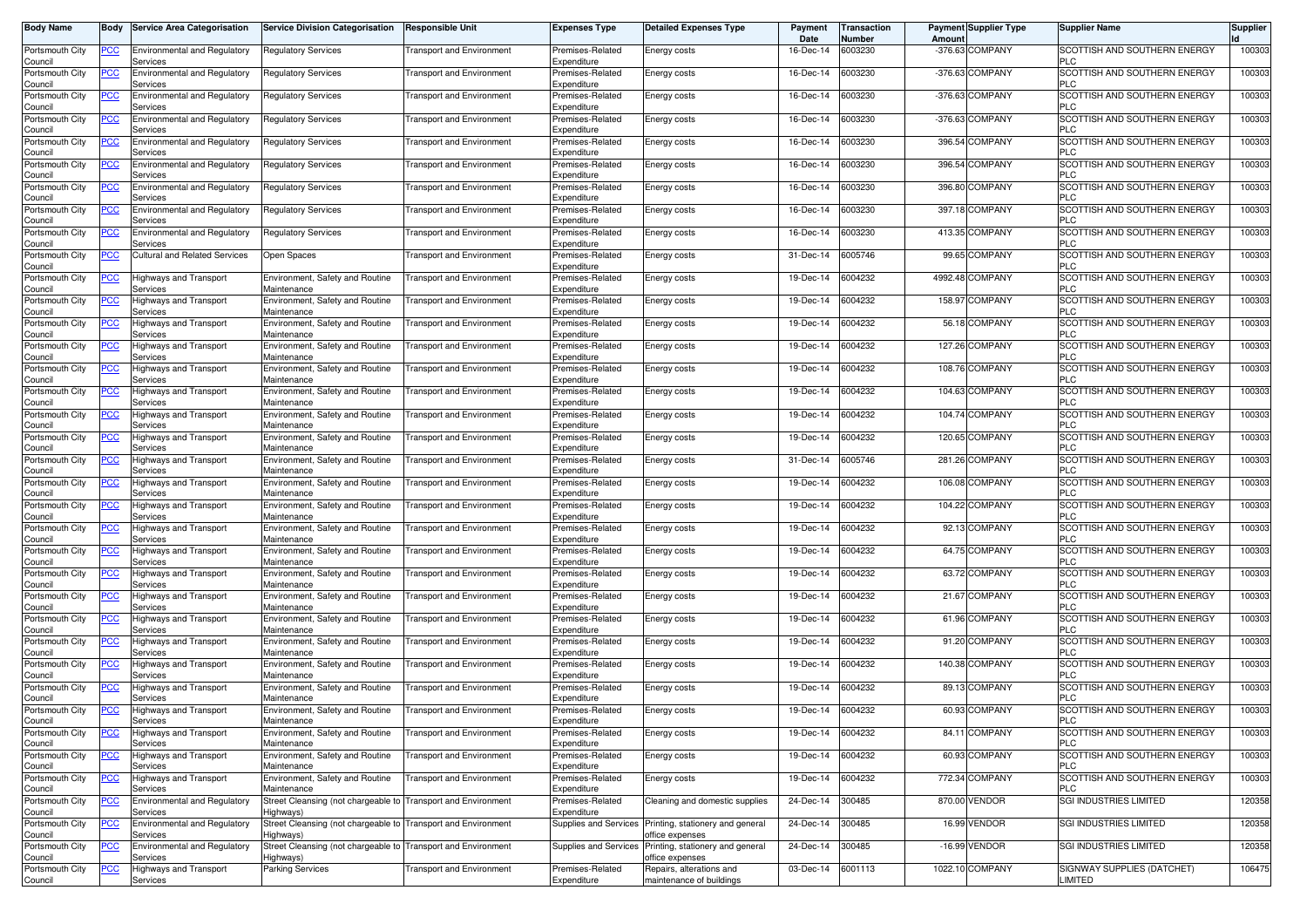| <b>Body Name</b>           | Body       | <b>Service Area Categorisation</b>              | <b>Service Division Categorisation</b>            | <b>Responsible Unit</b>          | <b>Expenses Type</b>            | <b>Detailed Expenses Type</b>                                             | Payment<br>Date | Transaction<br>Number | Amoun  | <b>Payment Supplier Type</b> | <b>Supplier Name</b>                       | <b>Supplier</b> |
|----------------------------|------------|-------------------------------------------------|---------------------------------------------------|----------------------------------|---------------------------------|---------------------------------------------------------------------------|-----------------|-----------------------|--------|------------------------------|--------------------------------------------|-----------------|
| Portsmouth City<br>Council | PCC        | <b>Environmental and Regulatory</b><br>Services | <b>Regulatory Services</b>                        | <b>Transport and Environment</b> | Premises-Related<br>Expenditure | Energy costs                                                              | 16-Dec-14       | 6003230               |        | -376.63 COMPANY              | SCOTTISH AND SOUTHERN ENERGY<br><b>PLC</b> | 100303          |
| Portsmouth City<br>Council | <u>PCC</u> | <b>Environmental and Regulatory</b><br>Services | Regulatory Services                               | <b>Fransport and Environment</b> | Premises-Related<br>Expenditure | Energy costs                                                              | 16-Dec-14       | 6003230               |        | -376.63 COMPANY              | SCOTTISH AND SOUTHERN ENERGY<br><b>PLC</b> | 100303          |
| Portsmouth City            | <u>PCC</u> | <b>Environmental and Regulatory</b><br>Services | Regulatory Services                               | <b>Transport and Environment</b> | Premises-Related<br>Expenditure | Energy costs                                                              | 16-Dec-14       | 6003230               |        | -376.63 COMPANY              | SCOTTISH AND SOUTHERN ENERGY<br><b>PLC</b> | 100303          |
| Council<br>Portsmouth City | <u>PCC</u> | <b>Environmental and Regulatory</b>             | Regulatory Services                               | Transport and Environment        | Premises-Related                | Energy costs                                                              | 16-Dec-14       | 6003230               |        | -376.63 COMPANY              | SCOTTISH AND SOUTHERN ENERGY               | 100303          |
| Council<br>Portsmouth City | <u>PCC</u> | Services<br><b>Environmental and Regulatory</b> | <b>Regulatory Services</b>                        | Transport and Environment        | Expenditure<br>Premises-Related | Energy costs                                                              | 16-Dec-14       | 6003230               | 396.54 | <b>COMPANY</b>               | <b>PLC</b><br>SCOTTISH AND SOUTHERN ENERGY | 100303          |
| Council<br>Portsmouth City | <u>PCC</u> | Services<br><b>Environmental and Regulatory</b> | Regulatory Services                               | <b>Fransport and Environment</b> | Expenditure<br>Premises-Related | Energy costs                                                              | 16-Dec-14       | 6003230               |        | 396.54 COMPANY               | <b>PLC</b><br>SCOTTISH AND SOUTHERN ENERGY | 100303          |
| Council<br>Portsmouth City | <u>PCC</u> | Services<br><b>Environmental and Regulatory</b> | Regulatory Services                               | <b>Transport and Environment</b> | Expenditure<br>Premises-Related | Energy costs                                                              | 16-Dec-14       | 6003230               |        | 396.80 COMPANY               | <b>PLC</b><br>SCOTTISH AND SOUTHERN ENERGY | 100303          |
| Council<br>Portsmouth City | <u>PCC</u> | Services<br><b>Environmental and Regulatory</b> | Regulatory Services                               | <b>Fransport and Environment</b> | Expenditure<br>Premises-Related | Energy costs                                                              | 16-Dec-14       | 6003230               |        | 397.18 COMPANY               | <b>PLC</b><br>SCOTTISH AND SOUTHERN ENERGY | 100303          |
| Council<br>Portsmouth City | <u>PCC</u> | Services<br>Environmental and Regulatory        | Regulatory Services                               | <b>Fransport and Environment</b> | Expenditure<br>Premises-Related | Energy costs                                                              | 16-Dec-14       | 6003230               |        | 413.35 COMPANY               | <b>PLC</b><br>SCOTTISH AND SOUTHERN ENERGY | 100303          |
| Council<br>Portsmouth City |            | Services                                        |                                                   |                                  | Expenditure<br>Premises-Related |                                                                           | 31-Dec-14       | 6005746               |        | 99.65 COMPANY                | <b>PLC</b><br>SCOTTISH AND SOUTHERN ENERGY | 100303          |
| Council                    |            | Cultural and Related Services                   | Open Spaces                                       | <b>Transport and Environment</b> | Expenditure                     | Energy costs                                                              |                 |                       |        |                              | <b>PLC</b>                                 |                 |
| Portsmouth City<br>Council | <u>PCC</u> | <b>Highways and Transport</b><br>Services       | Environment, Safety and Routine<br>Maintenance    | <b>Transport and Environment</b> | Premises-Related<br>Expenditure | Energy costs                                                              | 19-Dec-14       | 6004232               |        | 4992.48 COMPANY              | SCOTTISH AND SOUTHERN ENERGY<br><b>PLC</b> | 100303          |
| Portsmouth City<br>Council | PСC        | Highways and Transport<br>Services              | Environment, Safety and Routine<br>Maintenance    | Transport and Environment        | Premises-Related<br>Expenditure | Energy costs                                                              | 19-Dec-14       | 6004232               |        | 158.97 COMPANY               | SCOTTISH AND SOUTHERN ENERGY<br><b>PLC</b> | 100303          |
| Portsmouth City<br>Council | <u>PCC</u> | Highways and Transport<br>Services              | Environment, Safety and Routine<br>Maintenance    | Transport and Environment        | Premises-Related<br>Expenditure | Energy costs                                                              | 19-Dec-14       | 6004232               |        | 56.18 COMPANY                | SCOTTISH AND SOUTHERN ENERGY<br><b>PLC</b> | 100303          |
| Portsmouth City<br>Council | PСC        | -lighways and Transport<br>Services             | Environment, Safety and Routine<br>Maintenance    | Transport and Environment        | Premises-Related<br>Expenditure | Energy costs                                                              | 19-Dec-14       | 6004232               |        | 127.26 COMPANY               | SCOTTISH AND SOUTHERN ENERGY<br><b>PLC</b> | 100303          |
| Portsmouth City<br>Council |            | <b>Highways and Transport</b><br>Services       | Environment, Safety and Routine<br>Maintenance    | <b>Fransport and Environment</b> | Premises-Related<br>Expenditure | Energy costs                                                              | 19-Dec-14       | 6004232               |        | 108.76 COMPANY               | SCOTTISH AND SOUTHERN ENERGY<br><b>PLC</b> | 100303          |
| Portsmouth City<br>Council | <u>PCC</u> | <b>Highways and Transport</b><br>Services       | Environment, Safety and Routine<br>Maintenance    | <b>Fransport and Environment</b> | Premises-Related<br>Expenditure | Energy costs                                                              | 19-Dec-14       | 6004232               |        | 104.63 COMPANY               | SCOTTISH AND SOUTHERN ENERGY<br><b>PLC</b> | 100303          |
| Portsmouth City            | <u>PCC</u> | Highways and Transport                          | Environment, Safety and Routine                   | <b>Fransport and Environment</b> | Premises-Related                | Energy costs                                                              | 19-Dec-14       | 6004232               |        | 104.74 COMPANY               | SCOTTISH AND SOUTHERN ENERGY<br><b>PLC</b> | 100303          |
| Council<br>Portsmouth City | <u>PCC</u> | Services<br>Highways and Transport              | Maintenance<br>Environment, Safety and Routine    | <b>Transport and Environment</b> | Expenditure<br>Premises-Related | Energy costs                                                              | 19-Dec-14       | 6004232               |        | 120.65 COMPANY               | SCOTTISH AND SOUTHERN ENERGY               | 100303          |
| Council<br>Portsmouth City | PСC        | Services<br>Highways and Transport              | Maintenance<br>Environment, Safety and Routine    | <b>Transport and Environment</b> | Expenditure<br>Premises-Related | Energy costs                                                              | 31-Dec-14       | 6005746               |        | 281.26 COMPANY               | <b>PLC</b><br>SCOTTISH AND SOUTHERN ENERGY | 100303          |
| Council<br>Portsmouth City | <u>PCC</u> | Services<br>Highways and Transport              | Maintenance<br>Environment, Safety and Routine    | Transport and Environment        | Expenditure<br>Premises-Related | Energy costs                                                              | 19-Dec-14       | 6004232               |        | 106.08 COMPANY               | <b>PLC</b><br>SCOTTISH AND SOUTHERN ENERGY | 100303          |
| Council<br>Portsmouth City | PСC        | Services<br>Highways and Transport              | Maintenance<br>Environment, Safety and Routine    | Transport and Environment        | Expenditure<br>Premises-Related | Energy costs                                                              | 19-Dec-14       | 6004232               |        | 104.22 COMPANY               | <b>PLC</b><br>SCOTTISH AND SOUTHERN ENERGY | 100303          |
| Council<br>Portsmouth City | <u>PCC</u> | Services<br>Highways and Transport              | Maintenance<br>Environment, Safety and Routine    | Transport and Environment        | Expenditure<br>Premises-Related | Energy costs                                                              | 19-Dec-14       | 6004232               |        | 92.13 COMPANY                | <b>PLC</b><br>SCOTTISH AND SOUTHERN ENERGY | 100303          |
| Council<br>Portsmouth City | <u>PCC</u> | Services<br>lighways and Transport              | Maintenance<br>Environment, Safety and Routine    | Transport and Environment        | Expenditure<br>Premises-Related |                                                                           | 19-Dec-14       | 6004232               |        | 64.75 COMPANY                | <b>PLC</b><br>SCOTTISH AND SOUTHERN ENERGY | 100303          |
| Council                    |            | Services                                        | Maintenance                                       |                                  | Expenditure                     | Energy costs                                                              |                 |                       |        |                              | <b>PLC</b>                                 |                 |
| Portsmouth City<br>Council | <u>PCC</u> | Highways and Transport<br>Services              | Environment, Safety and Routine<br>Maintenance    | <b>Fransport and Environment</b> | Premises-Related<br>Expenditure | Energy costs                                                              | 19-Dec-14       | 6004232               |        | 63.72 COMPANY                | SCOTTISH AND SOUTHERN ENERGY<br><b>PLC</b> | 100303          |
| Portsmouth City<br>Council | <u>PCC</u> | <b>Highways and Transport</b><br>Services       | Environment, Safety and Routine<br>Maintenance    | <b>Fransport and Environment</b> | Premises-Related<br>Expenditure | Energy costs                                                              | 19-Dec-14       | 6004232               |        | 21.67 COMPANY                | SCOTTISH AND SOUTHERN ENERGY<br><b>PLC</b> | 100303          |
| Portsmouth City<br>Council | <u>PCC</u> | Highways and Transport<br>Services              | Environment, Safety and Routine<br>Maintenance    | <b>Fransport and Environment</b> | Premises-Related<br>Expenditure | Energy costs                                                              | 19-Dec-14       | 6004232               |        | 61.96 COMPANY                | SCOTTISH AND SOUTHERN ENERGY<br><b>PLC</b> | 100303          |
| Portsmouth City<br>Council | <u>PCC</u> | Highways and Transport<br>Services              | Environment, Safety and Routine<br>Maintenance    | <b>Transport and Environment</b> | Premises-Related<br>Expenditure | Energy costs                                                              | 19-Dec-14       | 6004232               |        | 91.20 COMPANY                | SCOTTISH AND SOUTHERN ENERGY<br><b>PLC</b> | 100303          |
| Portsmouth City<br>Council | <u>PCC</u> | <b>Highways and Transport</b><br>Services       | Environment, Safety and Routine<br>Maintenance    | <b>Transport and Environment</b> | Premises-Related<br>Expenditure | Energy costs                                                              | 19-Dec-14       | 6004232               |        | 140.38 COMPANY               | SCOTTISH AND SOUTHERN ENERGY<br><b>PLC</b> | 100303          |
| Portsmouth City<br>Council | <u>PCC</u> | Highways and Transport<br>Services              | Environment, Safety and Routine<br>Maintenance    | Transport and Environment        | Premises-Related<br>Expenditure | Energy costs                                                              | 19-Dec-14       | 6004232               |        | 89.13 COMPANY                | SCOTTISH AND SOUTHERN ENERGY<br><b>PLC</b> | 100303          |
| Portsmouth City            | <u>PCC</u> | Highways and Transport                          | Environment, Safety and Routine                   | Transport and Environment        | Premises-Related                | Energy costs                                                              | 19-Dec-14       | 6004232               |        | 60.93 COMPANY                | SCOTTISH AND SOUTHERN ENERGY               | 100303          |
| Council<br>Portsmouth City | <b>PCC</b> | pervices<br>Highways and Transport              | maintenance<br>Environment, Safety and Routine    | <b>Transport and Environment</b> | Expenditure<br>Premises-Related | Energy costs                                                              | 19-Dec-14       | 6004232               |        | 84.11 COMPANY                | PLU<br>SCOTTISH AND SOUTHERN ENERGY        | 100303          |
| Council<br>Portsmouth City | <u>PCC</u> | Services<br>lighways and Transport              | Maintenance<br>Environment, Safety and Routine    | <b>Transport and Environment</b> | Expenditure<br>Premises-Related | Energy costs                                                              | 19-Dec-14       | 6004232               |        | 60.93 COMPANY                | <b>PLC</b><br>SCOTTISH AND SOUTHERN ENERGY | 100303          |
| Council<br>Portsmouth City | PCC        | Services<br>Highways and Transport              | Maintenance<br>Environment, Safety and Routine    | <b>Transport and Environment</b> | Expenditure<br>Premises-Related | Energy costs                                                              | 19-Dec-14       | 6004232               |        | 772.34 COMPANY               | <b>PLC</b><br>SCOTTISH AND SOUTHERN ENERGY | 100303          |
| Council<br>Portsmouth City | <u>PCC</u> | Services<br>Environmental and Regulatory        | Maintenance<br>Street Cleansing (not chargeable t | <b>Transport and Environment</b> | Expenditure<br>Premises-Related | Cleaning and domestic supplies                                            | 24-Dec-14       | 300485                |        | 870.00 VENDOR                | <b>PLC</b><br>SGI INDUSTRIES LIMITED       | 120358          |
| Council<br>Portsmouth City | <u>PCC</u> | Services<br>Environmental and Regulatory        | Highways)<br>Street Cleansing (not chargeable to  | <b>Transport and Environment</b> | Expenditure                     | Supplies and Services Printing, stationery and general                    | 24-Dec-14       | 300485                |        | 16.99 VENDOR                 | <b>SGI INDUSTRIES LIMITED</b>              | 120358          |
| Council<br>Portsmouth City | <u>PCC</u> | Services<br><b>Environmental and Regulatory</b> | Highways)<br>Street Cleansing (not chargeable to  | <b>Transport and Environment</b> |                                 | office expenses<br>Supplies and Services Printing, stationery and general | 24-Dec-14       | 300485                |        | -16.99 VENDOR                | <b>SGI INDUSTRIES LIMITED</b>              | 120358          |
| Council<br>Portsmouth City | PСC        | Services<br><b>Highways and Transport</b>       | Highways)<br>Parking Services                     | <b>Transport and Environment</b> | Premises-Related                | office expenses<br>Repairs, alterations and                               | 03-Dec-14       | 6001113               |        | 1022.10 COMPANY              | SIGNWAY SUPPLIES (DATCHET)                 | 106475          |
| Council                    |            | Services                                        |                                                   |                                  | Expenditure                     | maintenance of buildings                                                  |                 |                       |        |                              | LIMITED                                    |                 |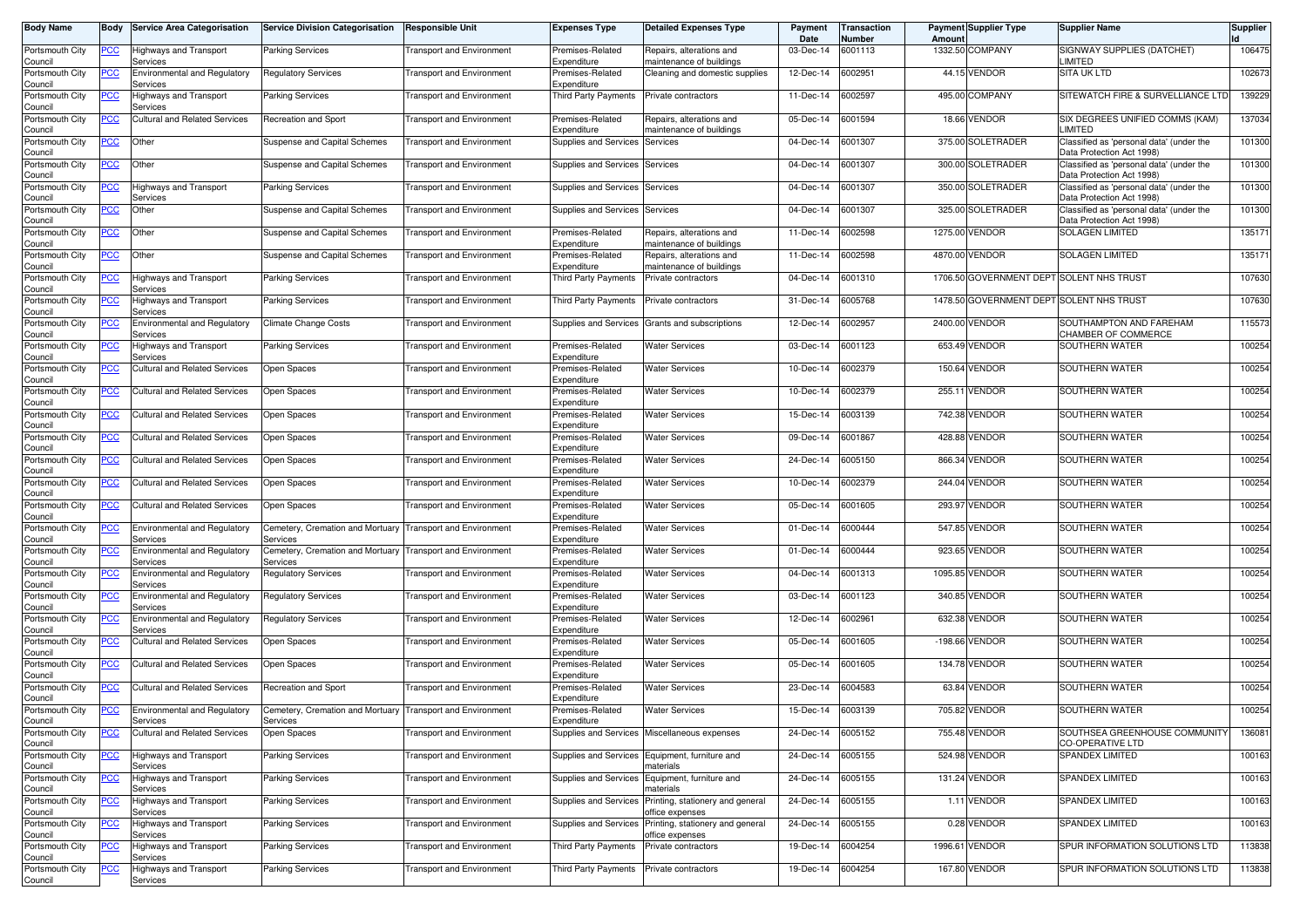| <b>Body Name</b>           |                | <b>Body Service Area Categorisation</b>                | <b>Service Division Categorisation</b>                                 | <b>Responsible Unit</b>          | <b>Expenses Type</b>            | <b>Detailed Expenses Type</b>                        | Payment<br>Date | <b>Transaction</b><br>Number | Amoun | <b>Payment Supplier Type</b>             | <b>Supplier Name</b>                                                  | <b>Supplier</b> |
|----------------------------|----------------|--------------------------------------------------------|------------------------------------------------------------------------|----------------------------------|---------------------------------|------------------------------------------------------|-----------------|------------------------------|-------|------------------------------------------|-----------------------------------------------------------------------|-----------------|
| Portsmouth City<br>Council | <u>PCC</u>     | <b>Highways and Transport</b><br>Services              | <b>Parking Services</b>                                                | <b>Transport and Environment</b> | Premises-Related<br>Expenditure | Repairs, alterations and<br>maintenance of buildings | 03-Dec-14       | 6001113                      |       | 1332.50 COMPANY                          | SIGNWAY SUPPLIES (DATCHET)<br>LIMITED                                 | 106475          |
| Portsmouth City<br>Council | <u>PCC</u>     | <b>Environmental and Regulatory</b><br>Services        | <b>Regulatory Services</b>                                             | <b>Transport and Environment</b> | Premises-Related<br>Expenditure | Cleaning and domestic supplies                       | 12-Dec-14       | 6002951                      |       | 44.15 VENDOR                             | <b>SITA UK LTD</b>                                                    | 102673          |
| Portsmouth City<br>Council | <u>'CC</u>     | Highways and Transport<br>Services                     | <b>Parking Services</b>                                                | <b>Transport and Environment</b> | Third Party Payments            | Private contractors                                  | 11-Dec-14       | 6002597                      |       | 495.00 COMPANY                           | SITEWATCH FIRE & SURVELLIANCE LTD                                     | 139229          |
| Portsmouth City<br>Council | <b>CC</b>      | <b>Cultural and Related Services</b>                   | <b>Recreation and Sport</b>                                            | <b>Transport and Environment</b> | Premises-Related<br>Expenditure | Repairs, alterations and<br>maintenance of buildings | 05-Dec-14       | 6001594                      |       | 18.66 VENDOR                             | SIX DEGREES UNIFIED COMMS (KAM)<br><b>IMITED</b>                      | 137034          |
| Portsmouth City<br>Council | <u>PCC</u>     | Other                                                  | Suspense and Capital Schemes                                           | Transport and Environment        | Supplies and Services           | Services                                             | 04-Dec-14       | 6001307                      |       | 375.00 SOLETRADER                        | Classified as 'personal data' (under the<br>Data Protection Act 1998) | 101300          |
| Portsmouth City<br>Council | <u>PCC</u>     | Other                                                  | Suspense and Capital Schemes                                           | Transport and Environment        | Supplies and Services           | Services                                             | 04-Dec-14       | 6001307                      |       | 300.00 SOLETRADER                        | Classified as 'personal data' (under the<br>Data Protection Act 1998) | 101300          |
| Portsmouth City<br>Council | <b>CC</b>      | <b>Highways and Transport</b><br>Services              | <b>Parking Services</b>                                                | <b>Transport and Environment</b> | Supplies and Services           | Services                                             | 04-Dec-14       | 6001307                      |       | 350.00 SOLETRADER                        | Classified as 'personal data' (under the<br>Data Protection Act 1998) | 101300          |
| Portsmouth City<br>Council | <u>PCC</u>     | Other                                                  | Suspense and Capital Schemes                                           | <b>Transport and Environment</b> | Supplies and Services Services  |                                                      | 04-Dec-14       | 6001307                      |       | 325.00 SOLETRADER                        | Classified as 'personal data' (under the<br>Data Protection Act 1998) | 101300          |
| Portsmouth City<br>Council | <u>PCC</u>     | Other                                                  | Suspense and Capital Schemes                                           | <b>Transport and Environment</b> | Premises-Related<br>Expenditure | Repairs, alterations and<br>maintenance of buildings | 11-Dec-14       | 6002598                      |       | 1275.00 VENDOR                           | <b>SOLAGEN LIMITED</b>                                                | 13517'          |
| Portsmouth City<br>Council | <u>PCC</u>     | Other                                                  | Suspense and Capital Schemes                                           | <b>Transport and Environment</b> | Premises-Related<br>Expenditure | Repairs, alterations and<br>maintenance of buildings | 11-Dec-14       | 6002598                      |       | 4870.00 VENDOR                           | <b>SOLAGEN LIMITED</b>                                                | 13517           |
| Portsmouth City<br>Council | $\overline{C}$ | <b>Highways and Transport</b><br>Services              | <b>Parking Services</b>                                                | <b>Transport and Environment</b> | <b>Third Party Payments</b>     | Private contractors                                  | 04-Dec-14       | 6001310                      |       | 1706.50 GOVERNMENT DEPT SOLENT NHS TRUST |                                                                       | 107630          |
| Portsmouth City<br>Council | °СС            | Highways and Transport<br>Services                     | <b>Parking Services</b>                                                | <b>Transport and Environment</b> | Third Party Payments            | Private contractors                                  | 31-Dec-14       | 6005768                      |       | 1478.50 GOVERNMENT DEPT SOLENT NHS TRUST |                                                                       | 107630          |
| Portsmouth City<br>Council |                | <b>Environmental and Regulatory</b><br>Services        | <b>Climate Change Costs</b>                                            | <b>Transport and Environment</b> | Supplies and Services           | Grants and subscriptions                             | 12-Dec-14       | 6002957                      |       | 2400.00 VENDOR                           | SOUTHAMPTON AND FAREHAM<br>CHAMBER OF COMMERCE                        | 115573          |
| Portsmouth City<br>Council | °СС            | Highways and Transport<br>Services                     | <b>Parking Services</b>                                                | <b>Transport and Environment</b> | Premises-Related<br>Expenditure | <b>Water Services</b>                                | 03-Dec-14       | 6001123                      |       | 653.49 VENDOR                            | SOUTHERN WATER                                                        | 100254          |
| Portsmouth City<br>Council | °СС            | <b>Cultural and Related Services</b>                   | Open Spaces                                                            | <b>Transport and Environment</b> | Premises-Related<br>Expenditure | Water Services                                       | 10-Dec-14       | 6002379                      |       | 150.64 VENDOR                            | SOUTHERN WATER                                                        | 100254          |
| Portsmouth City<br>Council | <u>CC</u>      | <b>Cultural and Related Services</b>                   | Open Spaces                                                            | <b>Transport and Environment</b> | Premises-Related<br>Expenditure | <b>Water Services</b>                                | 10-Dec-14       | 6002379                      |       | 255.11 VENDOR                            | SOUTHERN WATER                                                        | 100254          |
| Portsmouth City<br>Council | PСC            | <b>Cultural and Related Services</b>                   | Open Spaces                                                            | <b>Transport and Environment</b> | Premises-Related<br>Expenditure | <b>Water Services</b>                                | 15-Dec-14       | 6003139                      |       | 742.38 VENDOR                            | SOUTHERN WATER                                                        | 100254          |
| Portsmouth City<br>Council | <u>PCC</u>     | <b>Cultural and Related Services</b>                   | Open Spaces                                                            | <b>Transport and Environment</b> | Premises-Related<br>Expenditure | Water Services                                       | 09-Dec-14       | 6001867                      |       | 428.88 VENDOR                            | SOUTHERN WATER                                                        | 100254          |
| Portsmouth City<br>Council | PCC.           | <b>Cultural and Related Services</b>                   | Open Spaces                                                            | <b>Transport and Environment</b> | Premises-Related<br>Expenditure | <b>Water Services</b>                                | 24-Dec-14       | 6005150                      |       | 866.34 VENDOR                            | SOUTHERN WATER                                                        | 100254          |
| Portsmouth City<br>Council | <u>CC</u>      | Cultural and Related Services                          | Open Spaces                                                            | <b>Transport and Environment</b> | Premises-Related<br>Expenditure | <b>Water Services</b>                                | 10-Dec-14       | 6002379                      |       | 244.04 VENDOR                            | SOUTHERN WATER                                                        | 100254          |
| Portsmouth City<br>Council |                | <b>Cultural and Related Services</b>                   | Open Spaces                                                            | Transport and Environment        | Premises-Related<br>Expenditure | <b>Water Services</b>                                | 05-Dec-14       | 6001605                      |       | 293.97 VENDOR                            | SOUTHERN WATER                                                        | 100254          |
| Portsmouth City<br>Council | <u>'CC</u>     | <b>Environmental and Regulatory</b><br>Services        | Cemetery, Cremation and Mortuary<br>Services                           | Transport and Environment        | Premises-Related<br>Expenditure | <b>Water Services</b>                                | 01-Dec-14       | 6000444                      |       | 547.85 VENDOR                            | SOUTHERN WATER                                                        | 100254          |
| Portsmouth City<br>Council | <u>PCC</u>     | <b>Environmental and Regulatory</b><br>Services        | Cemetery, Cremation and Mortuary<br>Services                           | Transport and Environment        | Premises-Related<br>Expenditure | Water Services                                       | 01-Dec-14       | 6000444                      |       | 923.65 VENDOR                            | SOUTHERN WATER                                                        | 100254          |
| Portsmouth City<br>Council | <u>'CC</u>     | <b>Environmental and Regulatory</b><br>Services        | Regulatory Services                                                    | <b>Transport and Environment</b> | Premises-Related<br>Expenditure | Water Services                                       | 04-Dec-14       | 6001313                      |       | 1095.85 VENDOR                           | SOUTHERN WATER                                                        | 100254          |
| Portsmouth City<br>Council | <b>CC</b>      | <b>Environmental and Regulatory</b><br>Services        | Regulatory Services                                                    | <b>Transport and Environment</b> | Premises-Related<br>Expenditure | <b>Water Services</b>                                | 03-Dec-14       | 6001123                      |       | 340.85 VENDOR                            | SOUTHERN WATER                                                        | 100254          |
| Portsmouth City<br>Council | <u>CC</u>      | <b>Environmental and Regulatory</b><br>Services        | <b>Regulatory Services</b>                                             | <b>Transport and Environment</b> | Premises-Related<br>Expenditure | <b>Water Services</b>                                | 12-Dec-14       | 6002961                      |       | 632.38 VENDOR                            | SOUTHERN WATER                                                        | 100254          |
| Portsmouth City<br>Council | <u>PCC</u>     | <b>Cultural and Related Services</b>                   | Open Spaces                                                            | <b>Transport and Environment</b> | Premises-Related<br>Expenditure | <b>Water Services</b>                                | 05-Dec-14       | 6001605                      |       | -198.66 VENDOR                           | SOUTHERN WATER                                                        | 100254          |
| Portsmouth City<br>Council | <u>CC</u>      | <b>Cultural and Related Services</b>                   | Open Spaces                                                            | <b>Transport and Environment</b> | Premises-Related<br>Expenditure | Water Services                                       | 05-Dec-14       | 6001605                      |       | 134.78 VENDOR                            | SOUTHERN WATER                                                        | 100254          |
| Portsmouth City<br>Council | <b>CC</b>      | <b>Cultural and Related Services</b>                   | <b>Recreation and Sport</b>                                            | <b>Transport and Environment</b> | Premises-Related<br>Expenditure | <b>Water Services</b>                                | 23-Dec-14       | 6004583                      |       | 63.84 VENDOR                             | SOUTHERN WATER                                                        | 100254          |
| Portsmouth City<br>Council | <u>PCC</u>     | <b>Environmental and Regulatory</b><br><b>Services</b> | Cemetery, Cremation and Mortuary Transport and Environment<br>pervices |                                  | Premises-Related<br>expenanure  | <b>Water Services</b>                                | 15-Dec-14       | 6003139                      |       | 705.82 VENDOR                            | SOUTHERN WATER                                                        | 100254          |
| Portsmouth City<br>Council |                | <b>Cultural and Related Services</b>                   | Open Spaces                                                            | <b>Transport and Environment</b> |                                 | Supplies and Services Miscellaneous expenses         | 24-Dec-14       | 6005152                      |       | 755.48 VENDOR                            | SOUTHSEA GREENHOUSE COMMUNITY<br><b>CO-OPERATIVE LTD</b>              | 136081          |
| Portsmouth City<br>Council | $\overline{C}$ | Highways and Transport<br>Services                     | Parking Services                                                       | <b>Transport and Environment</b> | Supplies and Services           | Equipment, furniture and<br>materials                | 24-Dec-14       | 6005155                      |       | 524.98 VENDOR                            | SPANDEX LIMITED                                                       | 100163          |
| Portsmouth City<br>Council | $\overline{C}$ | <b>Highways and Transport</b><br>Services              | <b>Parking Services</b>                                                | <b>Transport and Environment</b> | Supplies and Services           | Equipment, furniture and<br>naterials                | 24-Dec-14       | 6005155                      |       | 131.24 VENDOR                            | SPANDEX LIMITED                                                       | 100163          |
| Portsmouth City<br>Council | $\overline{C}$ | Highways and Transport<br>Services                     | <b>Parking Services</b>                                                | <b>Transport and Environment</b> | Supplies and Services           | Printing, stationery and general<br>office expenses  | 24-Dec-14       | 6005155                      |       | 1.11 VENDOR                              | <b>SPANDEX LIMITED</b>                                                | 100163          |
| Portsmouth City<br>Council | <u>PCC</u>     | Highways and Transport<br>Services                     | <b>Parking Services</b>                                                | <b>Transport and Environment</b> | Supplies and Services           | Printing, stationery and general<br>office expenses  | 24-Dec-14       | 6005155                      |       | 0.28 VENDOR                              | SPANDEX LIMITED                                                       | 100163          |
| Portsmouth City<br>Council | $\overline{C}$ | <b>Highways and Transport</b><br>Services              | Parking Services                                                       | <b>Transport and Environment</b> | Third Party Payments            | Private contractors                                  | 19-Dec-14       | 6004254                      |       | 1996.61 VENDOR                           | SPUR INFORMATION SOLUTIONS LTD                                        | 113838          |
| Portsmouth City<br>Council | <u>CC</u>      | Highways and Transport<br>Services                     | <b>Parking Services</b>                                                | <b>Transport and Environment</b> | Third Party Payments            | Private contractors                                  | 19-Dec-14       | 6004254                      |       | 167.80 VENDOR                            | SPUR INFORMATION SOLUTIONS LTD                                        | 113838          |
|                            |                |                                                        |                                                                        |                                  |                                 |                                                      |                 |                              |       |                                          |                                                                       |                 |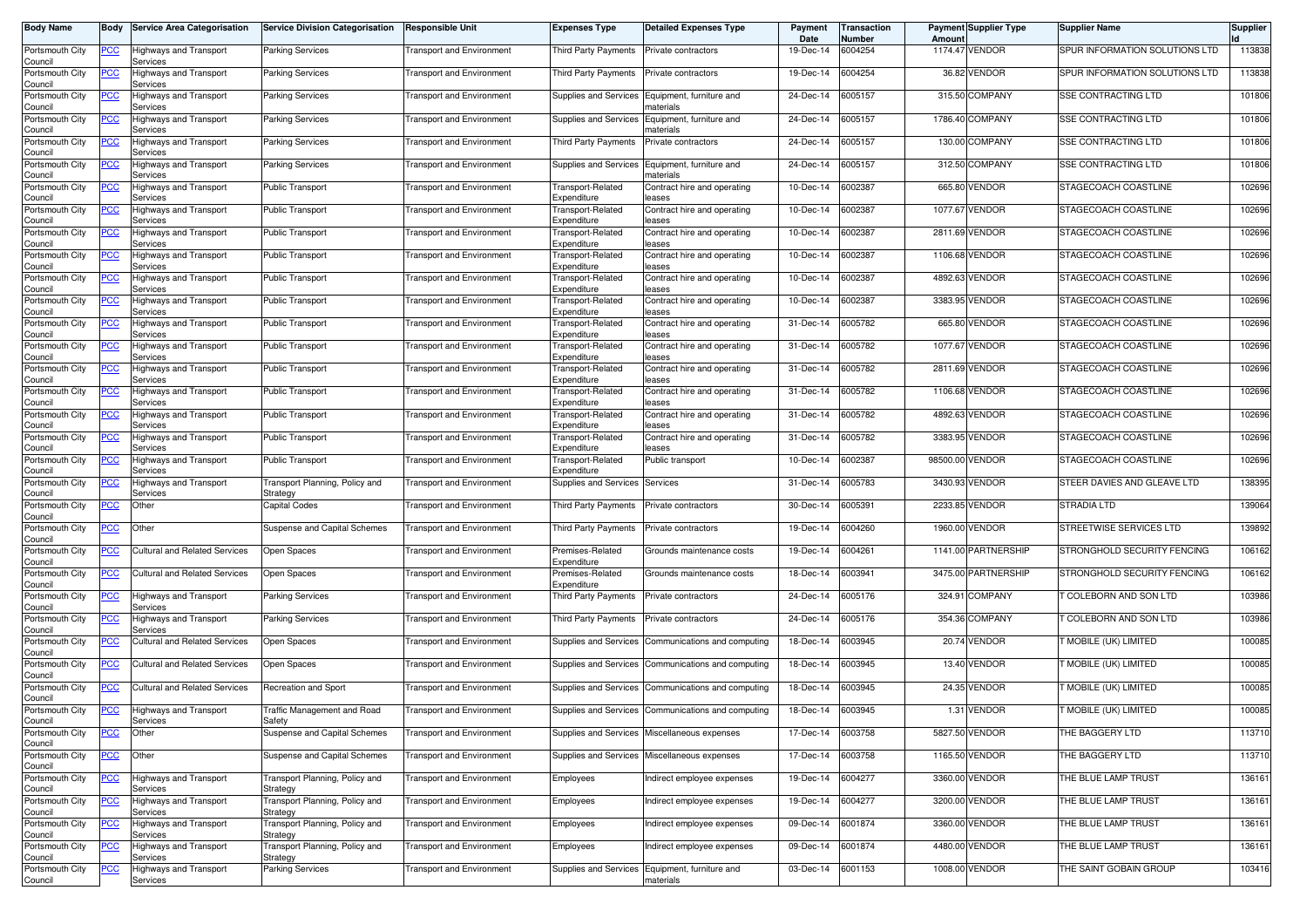| <b>Body Name</b>           | Body       | <b>Service Area Categorisation</b>        | <b>Service Division Categorisation</b>       | <b>Responsible Unit</b>          | <b>Expenses Type</b>                    | <b>Detailed Expenses Type</b>                      | Payment<br>Date | Transaction<br>Number | Amount   | <b>Payment Supplier Type</b> | <b>Supplier Name</b>           | <b>Supplier</b> |
|----------------------------|------------|-------------------------------------------|----------------------------------------------|----------------------------------|-----------------------------------------|----------------------------------------------------|-----------------|-----------------------|----------|------------------------------|--------------------------------|-----------------|
| Portsmouth City<br>Council | <u>PCC</u> | Highways and Transport<br>Services        | <b>Parking Services</b>                      | Transport and Environment        | Third Party Payments                    | Private contractors                                | 19-Dec-14       | 6004254               |          | 1174.47 VENDOR               | SPUR INFORMATION SOLUTIONS LTD | 113838          |
| Portsmouth City<br>Council | <u>PCC</u> | Highways and Transport<br>Services        | Parking Services                             | <b>Transport and Environment</b> | Third Party Payments                    | Private contractors                                | 19-Dec-14       | 6004254               |          | 36.82 VENDOR                 | SPUR INFORMATION SOLUTIONS LTD | 113838          |
| Portsmouth City<br>Council | <u>PCC</u> | Highways and Transport<br>Services        | <b>Parking Services</b>                      | <b>Transport and Environment</b> | Supplies and Services                   | Equipment, furniture and<br>naterials              | 24-Dec-14       | 6005157               |          | 315.50 COMPANY               | <b>SSE CONTRACTING LTD</b>     | 101806          |
| Portsmouth City<br>Council | <u>PCC</u> | Highways and Transport<br>Services        | <b>Parking Services</b>                      | <b>Transport and Environment</b> | Supplies and Services                   | Equipment, furniture and<br>naterials              | 24-Dec-14       | 6005157               |          | 1786.40 COMPANY              | SSE CONTRACTING LTD            | 101806          |
| Portsmouth City<br>Council | <b>PCC</b> | Highways and Transport<br>Services        | <b>Parking Services</b>                      | Transport and Environment        | <b>Third Party Payments</b>             | Private contractors                                | 24-Dec-14       | 6005157               | 130.00   | <b>COMPANY</b>               | SSE CONTRACTING LTD            | 101806          |
| Portsmouth City<br>Council | <u>PCC</u> | Highways and Transport<br>Services        | Parking Services                             | <b>Fransport and Environment</b> | Supplies and Services                   | Equipment, furniture and<br>naterials              | 24-Dec-14       | 6005157               |          | 312.50 COMPANY               | SSE CONTRACTING LTD            | 101806          |
| Portsmouth City<br>Council | <u>PCC</u> | <b>Highways and Transport</b><br>Services | <b>Public Transport</b>                      | <b>Transport and Environment</b> | Transport-Related<br>Expenditure        | Contract hire and operating<br>eases               | 10-Dec-14       | 6002387               | 665.80   | <b>VENDOR</b>                | STAGECOACH COASTLINE           | 102696          |
| Portsmouth City<br>Council | <u>PCC</u> | Highways and Transport<br>Services        | <b>Public Transport</b>                      | <b>Fransport and Environment</b> | Transport-Related<br>Expenditure        | Contract hire and operating<br>eases               | 10-Dec-14       | 6002387               | 1077.67  | <b>VENDOR</b>                | STAGECOACH COASTLINE           | 102696          |
| Portsmouth City<br>Council | <b>PCC</b> | Highways and Transport<br>Services        | <b>Public Transport</b>                      | <b>Transport and Environment</b> | Transport-Related<br>Expenditure        | Contract hire and operating<br>eases               | 10-Dec-14       | 6002387               | 2811.69  | <b>VENDOR</b>                | STAGECOACH COASTLINE           | 102696          |
| Portsmouth City<br>Council | <u>PCC</u> | Highways and Transport<br>Services        | Public Transport                             | <b>Transport and Environment</b> | Transport-Related<br>Expenditure        | Contract hire and operating<br>eases               | 10-Dec-14       | 6002387               |          | 1106.68 VENDOR               | STAGECOACH COASTLINE           | 102696          |
| Portsmouth City<br>Council | <u>PCC</u> | Highways and Transport<br>Services        | <b>Public Transport</b>                      | <b>Transport and Environment</b> | Transport-Related<br>Expenditure        | Contract hire and operating<br>eases               | 10-Dec-14       | 6002387               |          | 4892.63 VENDOR               | STAGECOACH COASTLINE           | 102696          |
| Portsmouth City<br>Council | <u>PCC</u> | Highways and Transport<br>Services        | Public Transport                             | <b>Transport and Environment</b> | Transport-Related<br>Expenditure        | Contract hire and operating<br>eases               | 10-Dec-14       | 6002387               |          | 3383.95 VENDOR               | STAGECOACH COASTLINE           | 102696          |
| Portsmouth City<br>Council | <b>PCC</b> | <b>Highways and Transport</b><br>Services | <b>Public Transport</b>                      | <b>Transport and Environment</b> | <b>Transport-Related</b><br>Expenditure | Contract hire and operating<br>eases               | 31-Dec-14       | 6005782               | 665.80   | <b>VENDOR</b>                | STAGECOACH COASTLINE           | 102696          |
| Portsmouth City<br>Council | <u>PCC</u> | Highways and Transport<br>Services        | <b>Public Transport</b>                      | <b>Transport and Environment</b> | Transport-Related<br>Expenditure        | Contract hire and operating<br>eases               | 31-Dec-14       | 6005782               | 1077.67  | <b>VENDOR</b>                | STAGECOACH COASTLINE           | 102696          |
| Portsmouth City<br>Council | <u>PCC</u> | <b>Highways and Transport</b><br>Services | <b>Public Transport</b>                      | <b>Fransport and Environment</b> | <b>Transport-Related</b><br>Expenditure | Contract hire and operating<br>eases               | 31-Dec-14       | 6005782               |          | 2811.69 VENDOR               | STAGECOACH COASTLINE           | 102696          |
| Portsmouth City<br>Council | <u>PCC</u> | <b>Highways and Transport</b><br>Services | <b>Public Transport</b>                      | <b>Fransport and Environment</b> | Transport-Related<br>Expenditure        | Contract hire and operating<br>eases               | 31-Dec-14       | 6005782               | 1106.68  | <b>VENDOR</b>                | STAGECOACH COASTLINE           | 102696          |
| Portsmouth City<br>Council | <u>PCC</u> | Highways and Transport<br>Services        | Public Transport                             | <b>Transport and Environment</b> | Transport-Related<br>Expenditure        | Contract hire and operating<br>eases               | 31-Dec-14       | 6005782               |          | 4892.63 VENDOR               | STAGECOACH COASTLINE           | 102696          |
| Portsmouth City<br>Council | <u>PCC</u> | Highways and Transport<br>Services        | <b>Public Transport</b>                      | <b>Transport and Environment</b> | Transport-Related<br>Expenditure        | Contract hire and operating<br>eases               | 31-Dec-14       | 6005782               |          | 3383.95 VENDOR               | STAGECOACH COASTLINE           | 102696          |
| Portsmouth City<br>Council | <u>PCC</u> | Highways and Transport<br>Services        | <b>Public Transport</b>                      | <b>Transport and Environment</b> | Transport-Related<br>Expenditure        | Public transport                                   | 10-Dec-14       | 6002387               | 98500.00 | <b>VENDOR</b>                | STAGECOACH COASTLINE           | 102696          |
| Portsmouth City<br>Council | <u>PCC</u> | Highways and Transport<br>Services        | Transport Planning, Policy and<br>Strategy   | <b>Transport and Environment</b> | Supplies and Services                   | Services                                           | 31-Dec-14       | 6005783               |          | 3430.93 VENDOR               | STEER DAVIES AND GLEAVE LTD    | 138395          |
| Portsmouth City<br>Council | <u>PCC</u> | Other                                     | <b>Capital Codes</b>                         | <b>Transport and Environment</b> | <b>Third Party Payments</b>             | Private contractors                                | 30-Dec-14       | 6005391               | 2233.85  | <b>VENDOR</b>                | <b>STRADIA LTD</b>             | 139064          |
| Portsmouth City<br>Council | <u>PCC</u> | Other                                     | Suspense and Capital Schemes                 | <b>Transport and Environment</b> | <b>Third Party Payments</b>             | Private contractors                                | 19-Dec-14       | 6004260               | 1960.00  | <b>VENDOR</b>                | STREETWISE SERVICES LTD        | 139892          |
| Portsmouth City<br>Council | <u>PCC</u> | <b>Cultural and Related Services</b>      | Open Spaces                                  | <b>Transport and Environment</b> | Premises-Related<br>Expenditure         | Grounds maintenance costs                          | 19-Dec-14       | 6004261               |          | 1141.00 PARTNERSHIP          | STRONGHOLD SECURITY FENCING    | 106162          |
| Portsmouth City<br>Council | <u>PCC</u> | Cultural and Related Services             | Open Spaces                                  | <b>Fransport and Environment</b> | Premises-Related<br>Expenditure         | Grounds maintenance costs                          | 18-Dec-14       | 6003941               |          | 3475.00 PARTNERSHIP          | STRONGHOLD SECURITY FENCING    | 106162          |
| Portsmouth City<br>Council | <b>PCC</b> | <b>Highways and Transport</b><br>Services | <b>Parking Services</b>                      | <b>Transport and Environment</b> | Third Party Payments                    | Private contractors                                | 24-Dec-14       | 6005176               | 324.91   | <b>COMPANY</b>               | COLEBORN AND SON LTD           | 103986          |
| Portsmouth City<br>Council | <u>PCC</u> | Highways and Transport<br>Services        | Parking Services                             | <b>Transport and Environment</b> | Third Party Payments                    | Private contractors                                | 24-Dec-14       | 6005176               |          | 354.36 COMPANY               | <b>COLEBORN AND SON LTD</b>    | 103986          |
| Portsmouth City<br>Council | <u>PCC</u> | <b>Cultural and Related Services</b>      | Open Spaces                                  | <b>Transport and Environment</b> | Supplies and Services                   | Communications and computing                       | 18-Dec-14       | 6003945               |          | 20.74 VENDOR                 | <b>FMOBILE (UK) LIMITED</b>    | 100085          |
| Portsmouth City<br>Council | <u>PCC</u> | Cultural and Related Services             | Open Spaces                                  | <b>Transport and Environment</b> | Supplies and Services                   | Communications and computing                       | 18-Dec-14       | 6003945               |          | 13.40 VENDOR                 | T MOBILE (UK) LIMITED          | 100085          |
| Portsmouth City<br>Council | <b>PCC</b> | <b>Cultural and Related Services</b>      | Recreation and Sport                         | <b>Transport and Environment</b> | Supplies and Services                   | Communications and computing                       | 18-Dec-14       | 6003945               |          | 24.35 VENDOR                 | MOBILE (UK) LIMITED            | 100085          |
| Portsmouth City<br>Jouncii | <b>PCC</b> | Highways and Transport<br>Services        | <b>Traffic Management and Road</b><br>sarety | Transport and Environment        |                                         | Supplies and Services Communications and computing | 18-Dec-14       | 6003945               |          | 1.31 VENDOR                  | <b>NOBILE (UK) LIMITED</b>     | 100085          |
| Portsmouth City<br>Council | <u>PCC</u> | Other                                     | Suspense and Capital Schemes                 | <b>Transport and Environment</b> | Supplies and Services                   | Miscellaneous expenses                             | 17-Dec-14       | 6003758               |          | 5827.50 VENDOR               | THE BAGGERY LTD                | 113710          |
| Portsmouth City<br>Council | <b>PCC</b> | Other                                     | Suspense and Capital Schemes                 | <b>Transport and Environment</b> | Supplies and Services                   | Miscellaneous expenses                             | 17-Dec-14       | 6003758               |          | 1165.50 VENDOR               | THE BAGGERY LTD                | 113710          |
| Portsmouth City<br>Council | <u>PCC</u> | Highways and Transport<br>Services        | Transport Planning, Policy and<br>Strategy   | <b>Transport and Environment</b> | Employees                               | ndirect employee expenses                          | 19-Dec-14       | 6004277               |          | 3360.00 VENDOR               | THE BLUE LAMP TRUST            | 136161          |
| Portsmouth City<br>Council | <u>PCC</u> | Highways and Transport<br>Services        | Transport Planning, Policy and<br>Strategy   | <b>Transport and Environment</b> | Employees                               | Indirect employee expenses                         | 19-Dec-14       | 6004277               |          | 3200.00 VENDOR               | THE BLUE LAMP TRUST            | 136161          |
| Portsmouth City<br>Council | <u>PCC</u> | Highways and Transport<br>Services        | Transport Planning, Policy and<br>Strategy   | <b>Transport and Environment</b> | Employees                               | ndirect employee expenses                          | 09-Dec-14       | 6001874               |          | 3360.00 VENDOR               | THE BLUE LAMP TRUST            | 136161          |
| Portsmouth City<br>Council | <u>PCC</u> | Highways and Transport<br>Services        | Transport Planning, Policy and<br>Strategy   | Transport and Environment        | Employees                               | ndirect employee expenses                          | 09-Dec-14       | 6001874               |          | 4480.00 VENDOR               | THE BLUE LAMP TRUST            | 136161          |
| Portsmouth City<br>Council | <u>PCC</u> | Highways and Transport<br>Services        | Parking Services                             | <b>Transport and Environment</b> | Supplies and Services                   | Equipment, furniture and<br>naterials              | 03-Dec-14       | 6001153               |          | 1008.00 VENDOR               | THE SAINT GOBAIN GROUP         | 103416          |